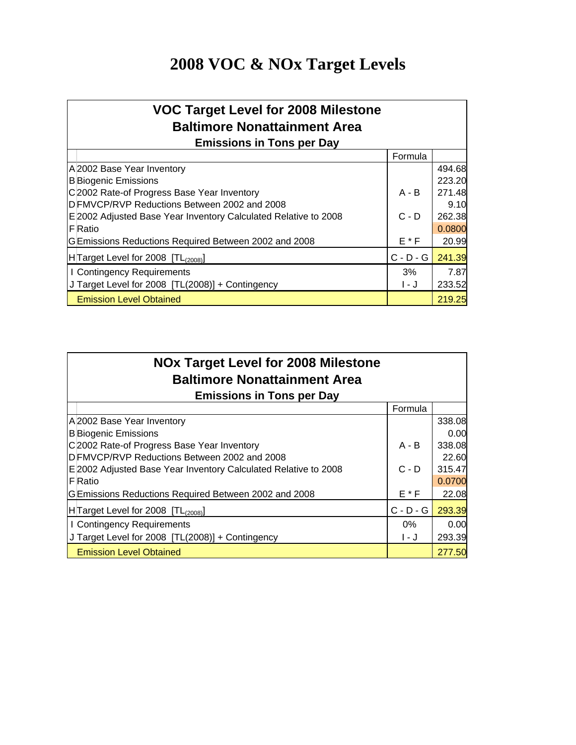# **2008 VOC & NOx Target Levels**

| <b>VOC Target Level for 2008 Milestone</b>                      |             |        |
|-----------------------------------------------------------------|-------------|--------|
| <b>Baltimore Nonattainment Area</b>                             |             |        |
| <b>Emissions in Tons per Day</b>                                |             |        |
|                                                                 | Formula     |        |
| A 2002 Base Year Inventory                                      |             | 494.68 |
| <b>B</b> Biogenic Emissions                                     |             | 223.20 |
| C2002 Rate-of Progress Base Year Inventory                      | $A - B$     | 271.48 |
| DFMVCP/RVP Reductions Between 2002 and 2008                     |             | 9.10   |
| E 2002 Adjusted Base Year Inventory Calculated Relative to 2008 | $C - D$     | 262.38 |
| <b>F</b> Ratio                                                  |             | 0.0800 |
| GEmissions Reductions Required Between 2002 and 2008            | $E * F$     | 20.99  |
| H Target Level for 2008 [TL(2008)]                              | $C - D - G$ | 241.39 |
| I Contingency Requirements                                      | 3%          | 7.87   |
| J Target Level for 2008 [TL(2008)] + Contingency                | 1 - J       | 233.52 |
| <b>Emission Level Obtained</b>                                  |             | 219.25 |

| <b>NOx Target Level for 2008 Milestone</b><br><b>Baltimore Nonattainment Area</b> |             |        |  |  |  |  |  |  |  |  |
|-----------------------------------------------------------------------------------|-------------|--------|--|--|--|--|--|--|--|--|
| <b>Emissions in Tons per Day</b>                                                  |             |        |  |  |  |  |  |  |  |  |
|                                                                                   | Formula     |        |  |  |  |  |  |  |  |  |
| A 2002 Base Year Inventory                                                        |             | 338.08 |  |  |  |  |  |  |  |  |
| <b>B</b> Biogenic Emissions                                                       |             | 0.00   |  |  |  |  |  |  |  |  |
| C2002 Rate-of Progress Base Year Inventory                                        | $A - B$     | 338.08 |  |  |  |  |  |  |  |  |
| DFMVCP/RVP Reductions Between 2002 and 2008                                       |             | 22.60  |  |  |  |  |  |  |  |  |
| E 2002 Adjusted Base Year Inventory Calculated Relative to 2008                   | $C - D$     | 315.47 |  |  |  |  |  |  |  |  |
| <b>F</b> Ratio                                                                    |             | 0.0700 |  |  |  |  |  |  |  |  |
| GEmissions Reductions Required Between 2002 and 2008                              | E * F       | 22.08  |  |  |  |  |  |  |  |  |
| $H$ Target Level for 2008 $[TL(2008)]$                                            | $C - D - G$ | 293.39 |  |  |  |  |  |  |  |  |
| I Contingency Requirements                                                        | $0\%$       | 0.00   |  |  |  |  |  |  |  |  |
| J Target Level for 2008 [TL(2008)] + Contingency                                  | I - J       | 293.39 |  |  |  |  |  |  |  |  |
| <b>Emission Level Obtained</b>                                                    |             | 277.50 |  |  |  |  |  |  |  |  |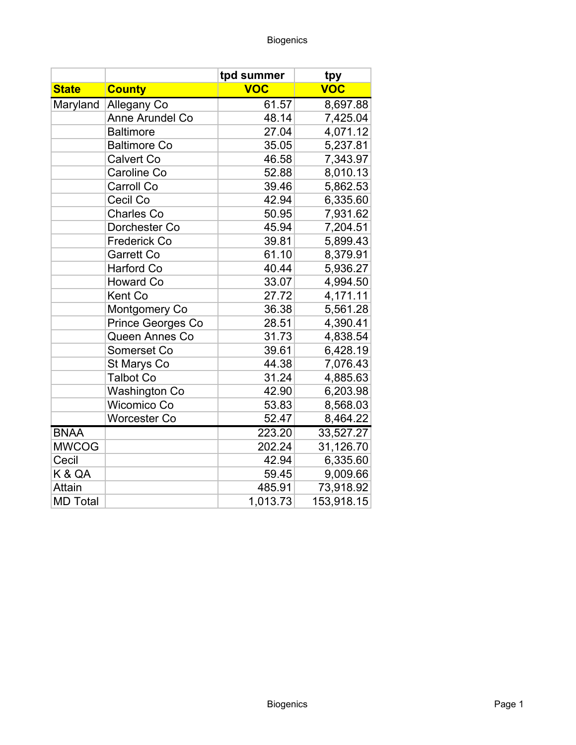|                 |                      | tpd summer | tpy        |
|-----------------|----------------------|------------|------------|
| <b>State</b>    | <b>County</b>        | <b>VOC</b> | <b>VOC</b> |
| Maryland        | Allegany Co          | 61.57      | 8,697.88   |
|                 | Anne Arundel Co      | 48.14      | 7,425.04   |
|                 | <b>Baltimore</b>     | 27.04      | 4,071.12   |
|                 | <b>Baltimore Co</b>  | 35.05      | 5,237.81   |
|                 | Calvert Co           | 46.58      | 7,343.97   |
|                 | Caroline Co          | 52.88      | 8,010.13   |
|                 | Carroll Co           | 39.46      | 5,862.53   |
|                 | Cecil Co             | 42.94      | 6,335.60   |
|                 | <b>Charles Co</b>    | 50.95      | 7,931.62   |
|                 | Dorchester Co        | 45.94      | 7,204.51   |
|                 | <b>Frederick Co</b>  | 39.81      | 5,899.43   |
|                 | <b>Garrett Co</b>    | 61.10      | 8,379.91   |
|                 | <b>Harford Co</b>    | 40.44      | 5,936.27   |
|                 | <b>Howard Co</b>     | 33.07      | 4,994.50   |
|                 | Kent Co              | 27.72      | 4,171.11   |
|                 | Montgomery Co        | 36.38      | 5,561.28   |
|                 | Prince Georges Co    | 28.51      | 4,390.41   |
|                 | Queen Annes Co       | 31.73      | 4,838.54   |
|                 | Somerset Co          | 39.61      | 6,428.19   |
|                 | St Marys Co          | 44.38      | 7,076.43   |
|                 | <b>Talbot Co</b>     | 31.24      | 4,885.63   |
|                 | <b>Washington Co</b> | 42.90      | 6,203.98   |
|                 | Wicomico Co          | 53.83      | 8,568.03   |
|                 | Worcester Co         | 52.47      | 8,464.22   |
| <b>BNAA</b>     |                      | 223.20     | 33,527.27  |
| <b>MWCOG</b>    |                      | 202.24     | 31,126.70  |
| Cecil           |                      | 42.94      | 6,335.60   |
| K & QA          |                      | 59.45      | 9,009.66   |
| <b>Attain</b>   |                      | 485.91     | 73,918.92  |
| <b>MD Total</b> |                      | 1,013.73   | 153,918.15 |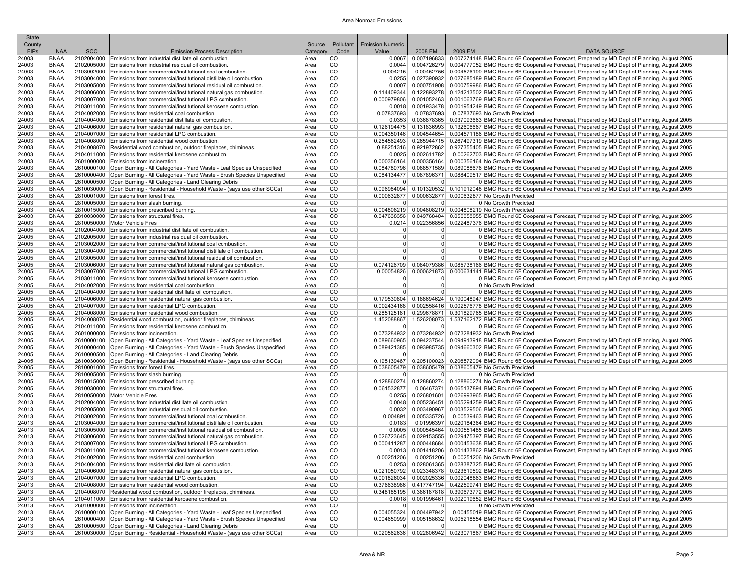| <b>SCC</b><br><b>DATA SOURCE</b><br><b>FIPs</b><br><b>NAA</b><br><b>Emission Process Description</b><br>Categor<br>Code<br>Value<br>2008 EM<br>2009 EM<br>0.0067 0.007196833 0.007274148 BMC Round 6B Cooperative Forecast, Prepared by MD Dept of Planning, August 2005<br>24003<br><b>BNAA</b><br>2102004000 Emissions from industrial distillate oil combustion.<br>CO<br>Area<br>24003<br><b>BNAA</b><br>2102005000 Emissions from industrial residual oil combustion<br>CO<br>0.004726279 0.004777052 BMC Round 6B Cooperative Forecast, Prepared by MD Dept of Planning, August 2005<br>Area<br><b>CO</b><br>0.00452756 0.004576199 BMC Round 6B Cooperative Forecast, Prepared by MD Dept of Planning, August 2005<br>24003<br><b>BNAA</b><br>2103002000 Emissions from commercial/institutional coal combustion.<br>Area<br>0.004215<br>CO<br>24003<br><b>BNAA</b><br>2103004000 Emissions from commercial/institutional distillate oil combustion<br>0.0255<br>0.027390932 0.027685189 BMC Round 6B Cooperative Forecast, Prepared by MD Dept of Planning, August 2005<br>Area<br><b>CO</b><br>0.0007   0.000751908   0.000759986 BMC Round 6B Cooperative Forecast, Prepared by MD Dept of Planning, August 2005<br>24003<br><b>BNAA</b><br>2103005000 Emissions from commercial/institutional residual oil combustion.<br>Area<br>24003<br>CO<br>0.114409344 0.122893278 0.124213502 BMC Round 6B Cooperative Forecast, Prepared by MD Dept of Planning, August 2005<br><b>BNAA</b><br>2103006000 Emissions from commercial/institutional natural gas combustion<br>Area<br>24003<br>CO<br>0.001052463 0.001063769 BMC Round 6B Cooperative Forecast, Prepared by MD Dept of Planning, August 2005<br>2103007000 Emissions from commercial/institutional LPG combustion.<br>Area<br>0.000979806<br>BNAA<br>24003<br><b>BNAA</b><br>2103011000 Emissions from commercial/institutional kerosene combustion.<br>Area<br>CO<br>0.0018 0.001933478 0.001954249 BMC Round 6B Cooperative Forecast, Prepared by MD Dept of Planning, August 2005<br>0.07837693 No Growth Predicted<br>24003<br><b>BNAA</b><br>2104002000 Emissions from residential coal combustion.<br>Area<br>CO<br>0.07837693<br>0.07837693<br>24003<br>2104004000 Emissions from residential distillate oil combustion.<br>CO.<br>0.0353 0.036878365 0.037093663 BMC Round 6B Cooperative Forecast, Prepared by MD Dept of Planning, August 2005<br>BNAA<br>Area<br>2104006000 Emissions from residential natural gas combustion.<br><b>CO</b><br>0.126194475 0.131836993 0.132606667 BMC Round 6B Cooperative Forecast, Prepared by MD Dept of Planning, August 2005<br>24003<br><b>BNAA</b><br>Area<br>CO<br>24003<br>2104007000 Emissions from residential LPG combustion.<br>0.004350146   0.004544654   0.004571186 BMC Round 6B Cooperative Forecast, Prepared by MD Dept of Planning, August 2005<br>BNAA<br>Area<br>24003<br>2104008000 Emissions from residential wood combustion<br><b>CO</b><br>0.254562493 0.265944715 0.267497319 BMC Round 6B Cooperative Forecast, Prepared by MD Dept of Planning, August 2005<br><b>BNAA</b><br>Area<br>CO<br>0.88251316 0.921972862 0.927355405 BMC Round 6B Cooperative Forecast, Prepared by MD Dept of Planning, August 2005<br>24003<br><b>BNAA</b><br>2104008070 Residential wood combustion, outdoor fireplaces, chimineas.<br>Area<br>24003<br>2104011000 Emissions from residential kerosene combustion.<br>CO<br>0.00262703 BMC Round 6B Cooperative Forecast, Prepared by MD Dept of Planning, August 2005<br><b>BNAA</b><br>Area<br>$0.0025$ 0.002611782<br>CO<br>24003<br>2601000000 Emissions from incineration.<br>Area<br>0.000356164 0.000356164 0.000356164 No Growth Predicted<br>BNAA<br>2610000100 Open Burning - All Categories - Yard Waste - Leaf Species Unspecified<br>CO<br>0.084780796 0.088571589 0.089088676 BMC Round 6B Cooperative Forecast, Prepared by MD Dept of Planning, August 2005<br>24003<br><b>BNAA</b><br>Area<br>24003<br>2610000400 Open Burning - All Categories - Yard Waste - Brush Species Unspecified<br>CO.<br>0.084134477   0.087896371   0.088409517  BMC Round 6B Cooperative Forecast, Prepared by MD Dept of Planning, August 2005<br>BNAA<br>Area<br><b>CO</b><br>24003<br><b>BNAA</b><br>2610000500 Open Burning - All Categories - Land Clearing Debris<br> 0 <br>0 BMC Round 6B Cooperative Forecast, Prepared by MD Dept of Planning, August 2005<br>Area<br>$\overline{0}$<br>CO<br>24003<br>[2610030000   Open Burning - Residential - Household Waste - (says use other SCCs)<br>0.096984094   0.101320532   0.101912048 BMC Round 6B Cooperative Forecast, Prepared by MD Dept of Planning, August 2005<br>BNAA<br>Area<br>2810001000 Emissions from forest fires.<br>CO<br>0.000632877 0.000632877 0.000632877 No Growth Predicted<br>24003<br>BNAA<br>Area<br>CO<br>24003<br><b>BNAA</b><br>2810005000 Emissions from slash burning.<br>0 No Growth Predicted<br>Area<br>$\Omega$<br>$\Omega$<br>24003<br>CO<br>0.004808219 0.004808219 0.004808219 No Growth Predicted<br><b>BNAA</b><br>2810015000 Emissions from prescribed burning<br>Area<br>24003<br>2810030000 Emissions from structural fires.<br>CO<br>0.047638356 0.049768404 0.050058955 BMC Round 6B Cooperative Forecast, Prepared by MD Dept of Planning, August 2005<br><b>BNAA</b><br>Area<br>CO<br>0.0214 0.022356856 0.022487376 BMC Round 6B Cooperative Forecast, Prepared by MD Dept of Planning, August 2005<br>24003<br><b>BNAA</b><br>2810050000 Motor Vehicle Fires<br>Area<br>CO<br>0 BMC Round 6B Cooperative Forecast, Prepared by MD Dept of Planning, August 2005<br>24005<br><b>BNAA</b><br>2102004000 Emissions from industrial distillate oil combustion.<br>Area<br>$\Omega$<br> 0 <br>24005<br>2102005000 Emissions from industrial residual oil combustion<br>CO.<br>$\Omega$<br> 0 <br>0 BMC Round 6B Cooperative Forecast, Prepared by MD Dept of Planning, August 2005<br>BNAA<br>Area<br><b>CO</b><br>24005<br><b>BNAA</b><br>2103002000 Emissions from commercial/institutional coal combustion.<br>Area<br>$\overline{0}$<br> 0 <br>0 BMC Round 6B Cooperative Forecast, Prepared by MD Dept of Planning, August 2005<br>CO<br> 0 <br>24005<br>2103004000 Emissions from commercial/institutional distillate oil combustion.<br>$\overline{0}$<br>0 BMC Round 6B Cooperative Forecast, Prepared by MD Dept of Planning, August 2005<br>BNAA<br>Area<br>CO<br>24005<br>2103005000 Emissions from commercial/institutional residual oil combustion.<br> 0 <br>0 BMC Round 6B Cooperative Forecast. Prepared by MD Dept of Planning. August 2005<br>BNAA<br>Area<br>$\overline{0}$<br>24005<br>CO<br><b>BNAA</b><br>2103006000 Emissions from commercial/institutional natural gas combustion.<br>Area<br>0.074126709 0.084079386 0.085738166 BMC Round 6B Cooperative Forecast, Prepared by MD Dept of Planning, August 2005<br>2103007000 Emissions from commercial/institutional LPG combustion.<br>CO<br>0.000621873 0.000634141 BMC Round 6B Cooperative Forecast, Prepared by MD Dept of Planning, August 2005<br>24005<br><b>BNAA</b><br>Area<br>0.00054826<br>0 BMC Round 6B Cooperative Forecast, Prepared by MD Dept of Planning, August 2005<br>24005<br><b>BNAA</b><br>2103011000 Emissions from commercial/institutional kerosene combustion.<br>Area<br>CO<br> 0 <br>$\overline{0}$<br>2104002000 Emissions from residential coal combustion.<br>CO<br>24005<br><b>BNAA</b><br>Area<br> 0 <br>$\overline{0}$<br>0 No Growth Predicted<br><b>CO</b><br>0 BMC Round 6B Cooperative Forecast, Prepared by MD Dept of Planning, August 2005<br>24005<br>2104004000 Emissions from residential distillate oil combustion.<br>$\Omega$<br> 0 <br>BNAA<br>Area<br>2104006000 Emissions from residential natural gas combustion.<br><b>CO</b><br>0.179530804 0.188694624 0.190048947 BMC Round 6B Cooperative Forecast, Prepared by MD Dept of Planning, August 2005<br>24005<br><b>BNAA</b><br>Area<br><b>CO</b><br>24005<br>2104007000 Emissions from residential LPG combustion.<br>0.002434168 0.002558416 0.002576778 BMC Round 6B Cooperative Forecast, Prepared by MD Dept of Planning, August 2005<br>BNAA<br>Area<br>24005<br>2104008000 Emissions from residential wood combustion<br><b>CO</b><br>0.285125181 0.299678871 0.301829765 BMC Round 6B Cooperative Forecast, Prepared by MD Dept of Planning, August 2005<br><b>BNAA</b><br>Area<br>CO<br>24005<br>2104008070 Residential wood combustion, outdoor fireplaces, chimineas.<br>Area<br>1.452088867 1.526208073 1.537162172 BMC Round 6B Cooperative Forecast, Prepared by MD Dept of Planning, August 2005<br>BNAA<br>24005<br>CO<br>0 BMC Round 6B Cooperative Forecast, Prepared by MD Dept of Planning, August 2005<br><b>BNAA</b><br>2104011000 Emissions from residential kerosene combustion.<br>Area<br>$\Omega$<br>$\Omega$<br>0.073284932 0.073284932 0.073284932 No Growth Predicted<br>24005<br><b>BNAA</b><br>2601000000 Emissions from incineration.<br>Area<br>CO<br>2610000100 Open Burning - All Categories - Yard Waste - Leaf Species Unspecified<br>CO<br>0.089660965 0.094237544 0.094913918 BMC Round 6B Cooperative Forecast, Prepared by MD Dept of Planning, August 2005<br>24005<br><b>BNAA</b><br>Area<br>CO<br>24005<br>2610000400 Open Burning - All Categories - Yard Waste - Brush Species Unspecified<br>0.089421385 0.093985735 0.094660302 BMC Round 6B Cooperative Forecast, Prepared by MD Dept of Planning, August 2005<br>BNAA<br>Area<br><b>CO</b><br>24005<br><b>BNAA</b><br>2610000500 Open Burning - All Categories - Land Clearing Debris<br> 0 <br>$\overline{0}$<br>0 BMC Round 6B Cooperative Forecast, Prepared by MD Dept of Planning, August 2005<br>Area<br>CO<br>24005<br>2610030000 Open Burning - Residential - Household Waste - (says use other SCCs)<br>0.205100023 0.206572094 BMC Round 6B Cooperative Forecast, Prepared by MD Dept of Planning, August 2005<br>BNAA<br>Area<br>0.195139487<br>CO<br>24005<br>2810001000 Emissions from forest fires.<br>0.038605479 0.038605479 0.038605479 No Growth Predicted<br>BNAA<br>Area<br>CO<br>24005<br><b>BNAA</b><br>2810005000 Emissions from slash burning.<br>Area<br>$\Omega$<br>0 No Growth Predicted<br>$\Omega$<br>CO<br>0.128860274 0.128860274 0.128860274 No Growth Predicted<br>24005<br>2810015000 Emissions from prescribed burning<br>Area<br>BNAA<br>24005<br>2810030000 Emissions from structural fires.<br>CO<br>0.06467371 0.065137894 BMC Round 6B Cooperative Forecast, Prepared by MD Dept of Planning, August 2005<br><b>BNAA</b><br>Area<br>0.061532877<br>24005<br><b>BNAA</b><br>2810050000 Motor Vehicle Fires<br>Area<br>CO<br>0.0255 0.026801601 0.026993965 BMC Round 6B Cooperative Forecast, Prepared by MD Dept of Planning, August 2005<br>CO<br>0.0048 0.005236451 0.005294259 BMC Round 6B Cooperative Forecast, Prepared by MD Dept of Planning, August 2005<br>24013<br><b>BNAA</b><br>2102004000 Emissions from industrial distillate oil combustion.<br>Area<br>24013<br>CO<br>0.0032 0.003490967 0.003529506 BMC Round 6B Cooperative Forecast, Prepared by MD Dept of Planning, August 2005<br>BNAA<br>2102005000 Emissions from industrial residual oil combustion<br>Area<br><b>CO</b><br>0.00539463 BMC Round 6B Cooperative Forecast, Prepared by MD Dept of Planning, August 2005<br>24013<br>2103002000 Emissions from commercial/institutional coal combustion.<br>Area<br>$0.004891$ 0.005335726<br>BNAA<br>24013<br>CO<br>0.0183<br>0.01996397 0.020184364 BMC Round 6B Cooperative Forecast, Prepared by MD Dept of Planning, August 2005<br>BNAA<br>2103004000 Emissions from commercial/institutional distillate oil combustion.<br>Area<br><b>CO</b><br>0.0005 0.000545464 0.000551485 BMC Round 6B Cooperative Forecast, Prepared by MD Dept of Planning, August 2005<br>24013<br>2103005000 Emissions from commercial/institutional residual oil combustion.<br>BNAA<br>Area<br>24013<br>CO<br>0.026723645 0.029153555 0.029475397 BMC Round 6B Cooperative Forecast, Prepared by MD Dept of Planning, August 2005<br><b>BNAA</b><br>2103006000 Emissions from commercial/institutional natural gas combustion.<br>Area<br>24013<br>CO<br>0.000411287 0.000448684 0.000453638 BMC Round 6B Cooperative Forecast, Prepared by MD Dept of Planning, August 2005<br>2103007000 Emissions from commercial/institutional LPG combustion.<br>Area<br>BNAA<br>0.0013 0.001418206 0.001433862 BMC Round 6B Cooperative Forecast, Prepared by MD Dept of Planning, August 2005<br>24013<br><b>BNAA</b><br>2103011000 Emissions from commercial/institutional kerosene combustion.<br>Area<br>CO.<br>2104002000 Emissions from residential coal combustion.<br>0.00251206 0.00251206 0.00251206 No Growth Predicted<br>24013<br><b>BNAA</b><br>Area<br>CO<br>24013<br>CO<br>0.0253 0.028061365 0.028387325 BMC Round 6B Cooperative Forecast, Prepared by MD Dept of Planning, August 2005<br>BNAA<br>2104004000 Emissions from residential distillate oil combustion<br>Area<br>24013<br>2104006000 Emissions from residential natural gas combustion.<br>CO<br>0.021050792 0.023348378 0.023619592 BMC Round 6B Cooperative Forecast, Prepared by MD Dept of Planning, August 2005<br>BNAA<br>Area<br>2104007000 Emissions from residential LPG combustion.<br>CO<br>0.001826034 0.002025336 0.002048863 BMC Round 6B Cooperative Forecast, Prepared by MD Dept of Planning, August 2005<br>24013<br>BNAA<br>Area<br>CO<br>24013<br>2104008000 Emissions from residential wood combustion.<br>0.376638986   0.417747194   0.422599741 BMC Round 6B Cooperative Forecast, Prepared by MD Dept of Planning, August 2005<br>BNAA<br>Area<br>24013<br>CO<br>0.348185195 0.386187818 0.390673772 BMC Round 6B Cooperative Forecast, Prepared by MD Dept of Planning, August 2005<br>BNAA<br>2104008070 Residential wood combustion, outdoor fireplaces, chimineas.<br>Area<br>CO<br>0.0018 0.001996461 0.002019652 BMC Round 6B Cooperative Forecast, Prepared by MD Dept of Planning, August 2005<br>24013<br>2104011000 Emissions from residential kerosene combustion.<br>BNAA<br>Area<br>24013<br>CO<br>0 No Growth Predicted<br><b>BNAA</b><br>2601000000 Emissions from incineration.<br>Area<br>$\overline{0}$<br> 0 <br>24013<br><b>BNAA</b><br>2610000100 Open Burning - All Categories - Yard Waste - Leaf Species Unspecified<br>CO<br>$0.004055324$ 0.004497942<br>0.00455019 BMC Round 6B Cooperative Forecast, Prepared by MD Dept of Planning, August 2005<br>Area<br>24013<br>2610000400 Open Burning - All Categories - Yard Waste - Brush Species Unspecified<br>CO<br>0.004650999 0.005158632 0.005218554 BMC Round 6B Cooperative Forecast, Prepared by MD Dept of Planning, August 2005<br>BNAA<br>Area<br>24013<br>2610000500 Open Burning - All Categories - Land Clearing Debris<br>CO<br>0 BMC Round 6B Cooperative Forecast, Prepared by MD Dept of Planning, August 2005<br>BNAA<br>Area<br>$\overline{0}$<br>$\overline{0}$ | <b>State</b><br>County |      |                                                                                 | Source | Pollutant | <b>Emission Numeric</b> |  |  |
|---------------------------------------------------------------------------------------------------------------------------------------------------------------------------------------------------------------------------------------------------------------------------------------------------------------------------------------------------------------------------------------------------------------------------------------------------------------------------------------------------------------------------------------------------------------------------------------------------------------------------------------------------------------------------------------------------------------------------------------------------------------------------------------------------------------------------------------------------------------------------------------------------------------------------------------------------------------------------------------------------------------------------------------------------------------------------------------------------------------------------------------------------------------------------------------------------------------------------------------------------------------------------------------------------------------------------------------------------------------------------------------------------------------------------------------------------------------------------------------------------------------------------------------------------------------------------------------------------------------------------------------------------------------------------------------------------------------------------------------------------------------------------------------------------------------------------------------------------------------------------------------------------------------------------------------------------------------------------------------------------------------------------------------------------------------------------------------------------------------------------------------------------------------------------------------------------------------------------------------------------------------------------------------------------------------------------------------------------------------------------------------------------------------------------------------------------------------------------------------------------------------------------------------------------------------------------------------------------------------------------------------------------------------------------------------------------------------------------------------------------------------------------------------------------------------------------------------------------------------------------------------------------------------------------------------------------------------------------------------------------------------------------------------------------------------------------------------------------------------------------------------------------------------------------------------------------------------------------------------------------------------------------------------------------------------------------------------------------------------------------------------------------------------------------------------------------------------------------------------------------------------------------------------------------------------------------------------------------------------------------------------------------------------------------------------------------------------------------------------------------------------------------------------------------------------------------------------------------------------------------------------------------------------------------------------------------------------------------------------------------------------------------------------------------------------------------------------------------------------------------------------------------------------------------------------------------------------------------------------------------------------------------------------------------------------------------------------------------------------------------------------------------------------------------------------------------------------------------------------------------------------------------------------------------------------------------------------------------------------------------------------------------------------------------------------------------------------------------------------------------------------------------------------------------------------------------------------------------------------------------------------------------------------------------------------------------------------------------------------------------------------------------------------------------------------------------------------------------------------------------------------------------------------------------------------------------------------------------------------------------------------------------------------------------------------------------------------------------------------------------------------------------------------------------------------------------------------------------------------------------------------------------------------------------------------------------------------------------------------------------------------------------------------------------------------------------------------------------------------------------------------------------------------------------------------------------------------------------------------------------------------------------------------------------------------------------------------------------------------------------------------------------------------------------------------------------------------------------------------------------------------------------------------------------------------------------------------------------------------------------------------------------------------------------------------------------------------------------------------------------------------------------------------------------------------------------------------------------------------------------------------------------------------------------------------------------------------------------------------------------------------------------------------------------------------------------------------------------------------------------------------------------------------------------------------------------------------------------------------------------------------------------------------------------------------------------------------------------------------------------------------------------------------------------------------------------------------------------------------------------------------------------------------------------------------------------------------------------------------------------------------------------------------------------------------------------------------------------------------------------------------------------------------------------------------------------------------------------------------------------------------------------------------------------------------------------------------------------------------------------------------------------------------------------------------------------------------------------------------------------------------------------------------------------------------------------------------------------------------------------------------------------------------------------------------------------------------------------------------------------------------------------------------------------------------------------------------------------------------------------------------------------------------------------------------------------------------------------------------------------------------------------------------------------------------------------------------------------------------------------------------------------------------------------------------------------------------------------------------------------------------------------------------------------------------------------------------------------------------------------------------------------------------------------------------------------------------------------------------------------------------------------------------------------------------------------------------------------------------------------------------------------------------------------------------------------------------------------------------------------------------------------------------------------------------------------------------------------------------------------------------------------------------------------------------------------------------------------------------------------------------------------------------------------------------------------------------------------------------------------------------------------------------------------------------------------------------------------------------------------------------------------------------------------------------------------------------------------------------------------------------------------------------------------------------------------------------------------------------------------------------------------------------------------------------------------------------------------------------------------------------------------------------------------------------------------------------------------------------------------------------------------------------------------------------------------------------------------------------------------------------------------------------------------------------------------------------------------------------------------------------------------------------------------------------------------------------------------------------------------------------------------------------------------------------------------------------------------------------------------------------------------------------------------------------------------------------------------------------------------------------------------------------------------------------------------------------------------------------------------------------------------------------------------------------------------------------------------------------------------------------------------------------------------------------------------------------------------------------------------------------------------------------------------------------------------------------------------------------------------------------------------------------------------------------------------------------------------------------------------------------------------------------------------------------------------------------------------------------------------------------------------------------------------------------------------------------------------------------------------------------------------------------------------------------------------------------------------------------------------------------------------------------------------------------------------------------------------------------------------------------------------------------------------------------------------------------------------------------------------------------------------------------------------------------------------------------------------------------------------------------------------------------------------------------------------------------------------------------------------------------------------------------------------------------------------------------------------------------------------------------------------------------------------------------------------------------------------------------------------------------------------------------------------------------------------------------------------------------------------------------------------------------------------------------------------------------------------------------------------------------------------------------------------------------------------------------------------------------------------------------------------------------------------------------------------------------------------------------------------------------------------------------------------------------------------------------------------------------------------------------------------------------------------------------------------------------------------------------------------------------------------------------------------------------------------------------------------------------------------------------------------------------------------------------------------------------------------------------------------------------------------------------------------------------------------------------------------------------------------------------------------------------------------------------------------------------------------------------------------------------------------------------------------------------------------------------------------------------------------------------------------------------------------------------------------------------------------------------------------------------------------------------------------------------------------------------------------------------------------------------------------------------------------------------------------------------------------------------------------------------------------------------------------------------------------------------------------------------------------------------------------------------------------------------------------------------------------------------------------------------------------------------------------------------------------------------------------------------------------------------------------------------------------------------------------------------------------------------------------------------------------------------------------------------------------------------------------------------------------------------------------------------------------------------------------------------------------------------------------------------------------------------------------------------------------------------------------------------------------------------------------------------------------------------------------|------------------------|------|---------------------------------------------------------------------------------|--------|-----------|-------------------------|--|--|
|                                                                                                                                                                                                                                                                                                                                                                                                                                                                                                                                                                                                                                                                                                                                                                                                                                                                                                                                                                                                                                                                                                                                                                                                                                                                                                                                                                                                                                                                                                                                                                                                                                                                                                                                                                                                                                                                                                                                                                                                                                                                                                                                                                                                                                                                                                                                                                                                                                                                                                                                                                                                                                                                                                                                                                                                                                                                                                                                                                                                                                                                                                                                                                                                                                                                                                                                                                                                                                                                                                                                                                                                                                                                                                                                                                                                                                                                                                                                                                                                                                                                                                                                                                                                                                                                                                                                                                                                                                                                                                                                                                                                                                                                                                                                                                                                                                                                                                                                                                                                                                                                                                                                                                                                                                                                                                                                                                                                                                                                                                                                                                                                                                                                                                                                                                                                                                                                                                                                                                                                                                                                                                                                                                                                                                                                                                                                                                                                                                                                                                                                                                                                                                                                                                                                                                                                                                                                                                                                                                                                                                                                                                                                                                                                                                                                                                                                                                                                                                                                                                                                                                                                                                                                                                                                                                                                                                                                                                                                                                                                                                                                                                                                                                                                                                                                                                                                                                                                                                                                                                                                                                                                                                                                                                                                                                                                                                                                                                                                                                                                                                                                                                                                                                                                                                                                                                                                                                                                                                                                                                                                                                                                                                                                                                                                                                                                                                                                                                                                                                                                                                                                                                                                                                                                                                                                                                                                                                                                                                                                                                                                                                                                                                                                                                                                                                                                                                                                                                                                                                                                                                                                                                                                                                                                                                                                                                                                                                                                                                                                                                                                                                                                                                                                                                                                                                                                                                                                                                                                                                                                                                                                                                                                                                                                                                                                                                                                                                                                                                                                                                                                                                                                                                                                                                                                                                                                                                                                                                                                                                                                                                                                                                                                                                                                                                                                                                                                                                                                                                                                                                                                                                                                                                                                                                                                                                                                                                                                                                                                                                                                                                                                                                                                                                                                                                                                                                                                                                                                                                                                                                                                                                                                                                                                                                                                                                                                                                                                                                                                                                                                                                                                           |                        |      |                                                                                 |        |           |                         |  |  |
|                                                                                                                                                                                                                                                                                                                                                                                                                                                                                                                                                                                                                                                                                                                                                                                                                                                                                                                                                                                                                                                                                                                                                                                                                                                                                                                                                                                                                                                                                                                                                                                                                                                                                                                                                                                                                                                                                                                                                                                                                                                                                                                                                                                                                                                                                                                                                                                                                                                                                                                                                                                                                                                                                                                                                                                                                                                                                                                                                                                                                                                                                                                                                                                                                                                                                                                                                                                                                                                                                                                                                                                                                                                                                                                                                                                                                                                                                                                                                                                                                                                                                                                                                                                                                                                                                                                                                                                                                                                                                                                                                                                                                                                                                                                                                                                                                                                                                                                                                                                                                                                                                                                                                                                                                                                                                                                                                                                                                                                                                                                                                                                                                                                                                                                                                                                                                                                                                                                                                                                                                                                                                                                                                                                                                                                                                                                                                                                                                                                                                                                                                                                                                                                                                                                                                                                                                                                                                                                                                                                                                                                                                                                                                                                                                                                                                                                                                                                                                                                                                                                                                                                                                                                                                                                                                                                                                                                                                                                                                                                                                                                                                                                                                                                                                                                                                                                                                                                                                                                                                                                                                                                                                                                                                                                                                                                                                                                                                                                                                                                                                                                                                                                                                                                                                                                                                                                                                                                                                                                                                                                                                                                                                                                                                                                                                                                                                                                                                                                                                                                                                                                                                                                                                                                                                                                                                                                                                                                                                                                                                                                                                                                                                                                                                                                                                                                                                                                                                                                                                                                                                                                                                                                                                                                                                                                                                                                                                                                                                                                                                                                                                                                                                                                                                                                                                                                                                                                                                                                                                                                                                                                                                                                                                                                                                                                                                                                                                                                                                                                                                                                                                                                                                                                                                                                                                                                                                                                                                                                                                                                                                                                                                                                                                                                                                                                                                                                                                                                                                                                                                                                                                                                                                                                                                                                                                                                                                                                                                                                                                                                                                                                                                                                                                                                                                                                                                                                                                                                                                                                                                                                                                                                                                                                                                                                                                                                                                                                                                                                                                                                                                                                                           |                        |      |                                                                                 |        |           |                         |  |  |
|                                                                                                                                                                                                                                                                                                                                                                                                                                                                                                                                                                                                                                                                                                                                                                                                                                                                                                                                                                                                                                                                                                                                                                                                                                                                                                                                                                                                                                                                                                                                                                                                                                                                                                                                                                                                                                                                                                                                                                                                                                                                                                                                                                                                                                                                                                                                                                                                                                                                                                                                                                                                                                                                                                                                                                                                                                                                                                                                                                                                                                                                                                                                                                                                                                                                                                                                                                                                                                                                                                                                                                                                                                                                                                                                                                                                                                                                                                                                                                                                                                                                                                                                                                                                                                                                                                                                                                                                                                                                                                                                                                                                                                                                                                                                                                                                                                                                                                                                                                                                                                                                                                                                                                                                                                                                                                                                                                                                                                                                                                                                                                                                                                                                                                                                                                                                                                                                                                                                                                                                                                                                                                                                                                                                                                                                                                                                                                                                                                                                                                                                                                                                                                                                                                                                                                                                                                                                                                                                                                                                                                                                                                                                                                                                                                                                                                                                                                                                                                                                                                                                                                                                                                                                                                                                                                                                                                                                                                                                                                                                                                                                                                                                                                                                                                                                                                                                                                                                                                                                                                                                                                                                                                                                                                                                                                                                                                                                                                                                                                                                                                                                                                                                                                                                                                                                                                                                                                                                                                                                                                                                                                                                                                                                                                                                                                                                                                                                                                                                                                                                                                                                                                                                                                                                                                                                                                                                                                                                                                                                                                                                                                                                                                                                                                                                                                                                                                                                                                                                                                                                                                                                                                                                                                                                                                                                                                                                                                                                                                                                                                                                                                                                                                                                                                                                                                                                                                                                                                                                                                                                                                                                                                                                                                                                                                                                                                                                                                                                                                                                                                                                                                                                                                                                                                                                                                                                                                                                                                                                                                                                                                                                                                                                                                                                                                                                                                                                                                                                                                                                                                                                                                                                                                                                                                                                                                                                                                                                                                                                                                                                                                                                                                                                                                                                                                                                                                                                                                                                                                                                                                                                                                                                                                                                                                                                                                                                                                                                                                                                                                                                                                                                           |                        |      |                                                                                 |        |           |                         |  |  |
|                                                                                                                                                                                                                                                                                                                                                                                                                                                                                                                                                                                                                                                                                                                                                                                                                                                                                                                                                                                                                                                                                                                                                                                                                                                                                                                                                                                                                                                                                                                                                                                                                                                                                                                                                                                                                                                                                                                                                                                                                                                                                                                                                                                                                                                                                                                                                                                                                                                                                                                                                                                                                                                                                                                                                                                                                                                                                                                                                                                                                                                                                                                                                                                                                                                                                                                                                                                                                                                                                                                                                                                                                                                                                                                                                                                                                                                                                                                                                                                                                                                                                                                                                                                                                                                                                                                                                                                                                                                                                                                                                                                                                                                                                                                                                                                                                                                                                                                                                                                                                                                                                                                                                                                                                                                                                                                                                                                                                                                                                                                                                                                                                                                                                                                                                                                                                                                                                                                                                                                                                                                                                                                                                                                                                                                                                                                                                                                                                                                                                                                                                                                                                                                                                                                                                                                                                                                                                                                                                                                                                                                                                                                                                                                                                                                                                                                                                                                                                                                                                                                                                                                                                                                                                                                                                                                                                                                                                                                                                                                                                                                                                                                                                                                                                                                                                                                                                                                                                                                                                                                                                                                                                                                                                                                                                                                                                                                                                                                                                                                                                                                                                                                                                                                                                                                                                                                                                                                                                                                                                                                                                                                                                                                                                                                                                                                                                                                                                                                                                                                                                                                                                                                                                                                                                                                                                                                                                                                                                                                                                                                                                                                                                                                                                                                                                                                                                                                                                                                                                                                                                                                                                                                                                                                                                                                                                                                                                                                                                                                                                                                                                                                                                                                                                                                                                                                                                                                                                                                                                                                                                                                                                                                                                                                                                                                                                                                                                                                                                                                                                                                                                                                                                                                                                                                                                                                                                                                                                                                                                                                                                                                                                                                                                                                                                                                                                                                                                                                                                                                                                                                                                                                                                                                                                                                                                                                                                                                                                                                                                                                                                                                                                                                                                                                                                                                                                                                                                                                                                                                                                                                                                                                                                                                                                                                                                                                                                                                                                                                                                                                                                                                                           |                        |      |                                                                                 |        |           |                         |  |  |
|                                                                                                                                                                                                                                                                                                                                                                                                                                                                                                                                                                                                                                                                                                                                                                                                                                                                                                                                                                                                                                                                                                                                                                                                                                                                                                                                                                                                                                                                                                                                                                                                                                                                                                                                                                                                                                                                                                                                                                                                                                                                                                                                                                                                                                                                                                                                                                                                                                                                                                                                                                                                                                                                                                                                                                                                                                                                                                                                                                                                                                                                                                                                                                                                                                                                                                                                                                                                                                                                                                                                                                                                                                                                                                                                                                                                                                                                                                                                                                                                                                                                                                                                                                                                                                                                                                                                                                                                                                                                                                                                                                                                                                                                                                                                                                                                                                                                                                                                                                                                                                                                                                                                                                                                                                                                                                                                                                                                                                                                                                                                                                                                                                                                                                                                                                                                                                                                                                                                                                                                                                                                                                                                                                                                                                                                                                                                                                                                                                                                                                                                                                                                                                                                                                                                                                                                                                                                                                                                                                                                                                                                                                                                                                                                                                                                                                                                                                                                                                                                                                                                                                                                                                                                                                                                                                                                                                                                                                                                                                                                                                                                                                                                                                                                                                                                                                                                                                                                                                                                                                                                                                                                                                                                                                                                                                                                                                                                                                                                                                                                                                                                                                                                                                                                                                                                                                                                                                                                                                                                                                                                                                                                                                                                                                                                                                                                                                                                                                                                                                                                                                                                                                                                                                                                                                                                                                                                                                                                                                                                                                                                                                                                                                                                                                                                                                                                                                                                                                                                                                                                                                                                                                                                                                                                                                                                                                                                                                                                                                                                                                                                                                                                                                                                                                                                                                                                                                                                                                                                                                                                                                                                                                                                                                                                                                                                                                                                                                                                                                                                                                                                                                                                                                                                                                                                                                                                                                                                                                                                                                                                                                                                                                                                                                                                                                                                                                                                                                                                                                                                                                                                                                                                                                                                                                                                                                                                                                                                                                                                                                                                                                                                                                                                                                                                                                                                                                                                                                                                                                                                                                                                                                                                                                                                                                                                                                                                                                                                                                                                                                                                                                                                           |                        |      |                                                                                 |        |           |                         |  |  |
|                                                                                                                                                                                                                                                                                                                                                                                                                                                                                                                                                                                                                                                                                                                                                                                                                                                                                                                                                                                                                                                                                                                                                                                                                                                                                                                                                                                                                                                                                                                                                                                                                                                                                                                                                                                                                                                                                                                                                                                                                                                                                                                                                                                                                                                                                                                                                                                                                                                                                                                                                                                                                                                                                                                                                                                                                                                                                                                                                                                                                                                                                                                                                                                                                                                                                                                                                                                                                                                                                                                                                                                                                                                                                                                                                                                                                                                                                                                                                                                                                                                                                                                                                                                                                                                                                                                                                                                                                                                                                                                                                                                                                                                                                                                                                                                                                                                                                                                                                                                                                                                                                                                                                                                                                                                                                                                                                                                                                                                                                                                                                                                                                                                                                                                                                                                                                                                                                                                                                                                                                                                                                                                                                                                                                                                                                                                                                                                                                                                                                                                                                                                                                                                                                                                                                                                                                                                                                                                                                                                                                                                                                                                                                                                                                                                                                                                                                                                                                                                                                                                                                                                                                                                                                                                                                                                                                                                                                                                                                                                                                                                                                                                                                                                                                                                                                                                                                                                                                                                                                                                                                                                                                                                                                                                                                                                                                                                                                                                                                                                                                                                                                                                                                                                                                                                                                                                                                                                                                                                                                                                                                                                                                                                                                                                                                                                                                                                                                                                                                                                                                                                                                                                                                                                                                                                                                                                                                                                                                                                                                                                                                                                                                                                                                                                                                                                                                                                                                                                                                                                                                                                                                                                                                                                                                                                                                                                                                                                                                                                                                                                                                                                                                                                                                                                                                                                                                                                                                                                                                                                                                                                                                                                                                                                                                                                                                                                                                                                                                                                                                                                                                                                                                                                                                                                                                                                                                                                                                                                                                                                                                                                                                                                                                                                                                                                                                                                                                                                                                                                                                                                                                                                                                                                                                                                                                                                                                                                                                                                                                                                                                                                                                                                                                                                                                                                                                                                                                                                                                                                                                                                                                                                                                                                                                                                                                                                                                                                                                                                                                                                                                                                                           |                        |      |                                                                                 |        |           |                         |  |  |
|                                                                                                                                                                                                                                                                                                                                                                                                                                                                                                                                                                                                                                                                                                                                                                                                                                                                                                                                                                                                                                                                                                                                                                                                                                                                                                                                                                                                                                                                                                                                                                                                                                                                                                                                                                                                                                                                                                                                                                                                                                                                                                                                                                                                                                                                                                                                                                                                                                                                                                                                                                                                                                                                                                                                                                                                                                                                                                                                                                                                                                                                                                                                                                                                                                                                                                                                                                                                                                                                                                                                                                                                                                                                                                                                                                                                                                                                                                                                                                                                                                                                                                                                                                                                                                                                                                                                                                                                                                                                                                                                                                                                                                                                                                                                                                                                                                                                                                                                                                                                                                                                                                                                                                                                                                                                                                                                                                                                                                                                                                                                                                                                                                                                                                                                                                                                                                                                                                                                                                                                                                                                                                                                                                                                                                                                                                                                                                                                                                                                                                                                                                                                                                                                                                                                                                                                                                                                                                                                                                                                                                                                                                                                                                                                                                                                                                                                                                                                                                                                                                                                                                                                                                                                                                                                                                                                                                                                                                                                                                                                                                                                                                                                                                                                                                                                                                                                                                                                                                                                                                                                                                                                                                                                                                                                                                                                                                                                                                                                                                                                                                                                                                                                                                                                                                                                                                                                                                                                                                                                                                                                                                                                                                                                                                                                                                                                                                                                                                                                                                                                                                                                                                                                                                                                                                                                                                                                                                                                                                                                                                                                                                                                                                                                                                                                                                                                                                                                                                                                                                                                                                                                                                                                                                                                                                                                                                                                                                                                                                                                                                                                                                                                                                                                                                                                                                                                                                                                                                                                                                                                                                                                                                                                                                                                                                                                                                                                                                                                                                                                                                                                                                                                                                                                                                                                                                                                                                                                                                                                                                                                                                                                                                                                                                                                                                                                                                                                                                                                                                                                                                                                                                                                                                                                                                                                                                                                                                                                                                                                                                                                                                                                                                                                                                                                                                                                                                                                                                                                                                                                                                                                                                                                                                                                                                                                                                                                                                                                                                                                                                                                                                                                           |                        |      |                                                                                 |        |           |                         |  |  |
|                                                                                                                                                                                                                                                                                                                                                                                                                                                                                                                                                                                                                                                                                                                                                                                                                                                                                                                                                                                                                                                                                                                                                                                                                                                                                                                                                                                                                                                                                                                                                                                                                                                                                                                                                                                                                                                                                                                                                                                                                                                                                                                                                                                                                                                                                                                                                                                                                                                                                                                                                                                                                                                                                                                                                                                                                                                                                                                                                                                                                                                                                                                                                                                                                                                                                                                                                                                                                                                                                                                                                                                                                                                                                                                                                                                                                                                                                                                                                                                                                                                                                                                                                                                                                                                                                                                                                                                                                                                                                                                                                                                                                                                                                                                                                                                                                                                                                                                                                                                                                                                                                                                                                                                                                                                                                                                                                                                                                                                                                                                                                                                                                                                                                                                                                                                                                                                                                                                                                                                                                                                                                                                                                                                                                                                                                                                                                                                                                                                                                                                                                                                                                                                                                                                                                                                                                                                                                                                                                                                                                                                                                                                                                                                                                                                                                                                                                                                                                                                                                                                                                                                                                                                                                                                                                                                                                                                                                                                                                                                                                                                                                                                                                                                                                                                                                                                                                                                                                                                                                                                                                                                                                                                                                                                                                                                                                                                                                                                                                                                                                                                                                                                                                                                                                                                                                                                                                                                                                                                                                                                                                                                                                                                                                                                                                                                                                                                                                                                                                                                                                                                                                                                                                                                                                                                                                                                                                                                                                                                                                                                                                                                                                                                                                                                                                                                                                                                                                                                                                                                                                                                                                                                                                                                                                                                                                                                                                                                                                                                                                                                                                                                                                                                                                                                                                                                                                                                                                                                                                                                                                                                                                                                                                                                                                                                                                                                                                                                                                                                                                                                                                                                                                                                                                                                                                                                                                                                                                                                                                                                                                                                                                                                                                                                                                                                                                                                                                                                                                                                                                                                                                                                                                                                                                                                                                                                                                                                                                                                                                                                                                                                                                                                                                                                                                                                                                                                                                                                                                                                                                                                                                                                                                                                                                                                                                                                                                                                                                                                                                                                                                                                                           |                        |      |                                                                                 |        |           |                         |  |  |
|                                                                                                                                                                                                                                                                                                                                                                                                                                                                                                                                                                                                                                                                                                                                                                                                                                                                                                                                                                                                                                                                                                                                                                                                                                                                                                                                                                                                                                                                                                                                                                                                                                                                                                                                                                                                                                                                                                                                                                                                                                                                                                                                                                                                                                                                                                                                                                                                                                                                                                                                                                                                                                                                                                                                                                                                                                                                                                                                                                                                                                                                                                                                                                                                                                                                                                                                                                                                                                                                                                                                                                                                                                                                                                                                                                                                                                                                                                                                                                                                                                                                                                                                                                                                                                                                                                                                                                                                                                                                                                                                                                                                                                                                                                                                                                                                                                                                                                                                                                                                                                                                                                                                                                                                                                                                                                                                                                                                                                                                                                                                                                                                                                                                                                                                                                                                                                                                                                                                                                                                                                                                                                                                                                                                                                                                                                                                                                                                                                                                                                                                                                                                                                                                                                                                                                                                                                                                                                                                                                                                                                                                                                                                                                                                                                                                                                                                                                                                                                                                                                                                                                                                                                                                                                                                                                                                                                                                                                                                                                                                                                                                                                                                                                                                                                                                                                                                                                                                                                                                                                                                                                                                                                                                                                                                                                                                                                                                                                                                                                                                                                                                                                                                                                                                                                                                                                                                                                                                                                                                                                                                                                                                                                                                                                                                                                                                                                                                                                                                                                                                                                                                                                                                                                                                                                                                                                                                                                                                                                                                                                                                                                                                                                                                                                                                                                                                                                                                                                                                                                                                                                                                                                                                                                                                                                                                                                                                                                                                                                                                                                                                                                                                                                                                                                                                                                                                                                                                                                                                                                                                                                                                                                                                                                                                                                                                                                                                                                                                                                                                                                                                                                                                                                                                                                                                                                                                                                                                                                                                                                                                                                                                                                                                                                                                                                                                                                                                                                                                                                                                                                                                                                                                                                                                                                                                                                                                                                                                                                                                                                                                                                                                                                                                                                                                                                                                                                                                                                                                                                                                                                                                                                                                                                                                                                                                                                                                                                                                                                                                                                                                                                                                           |                        |      |                                                                                 |        |           |                         |  |  |
|                                                                                                                                                                                                                                                                                                                                                                                                                                                                                                                                                                                                                                                                                                                                                                                                                                                                                                                                                                                                                                                                                                                                                                                                                                                                                                                                                                                                                                                                                                                                                                                                                                                                                                                                                                                                                                                                                                                                                                                                                                                                                                                                                                                                                                                                                                                                                                                                                                                                                                                                                                                                                                                                                                                                                                                                                                                                                                                                                                                                                                                                                                                                                                                                                                                                                                                                                                                                                                                                                                                                                                                                                                                                                                                                                                                                                                                                                                                                                                                                                                                                                                                                                                                                                                                                                                                                                                                                                                                                                                                                                                                                                                                                                                                                                                                                                                                                                                                                                                                                                                                                                                                                                                                                                                                                                                                                                                                                                                                                                                                                                                                                                                                                                                                                                                                                                                                                                                                                                                                                                                                                                                                                                                                                                                                                                                                                                                                                                                                                                                                                                                                                                                                                                                                                                                                                                                                                                                                                                                                                                                                                                                                                                                                                                                                                                                                                                                                                                                                                                                                                                                                                                                                                                                                                                                                                                                                                                                                                                                                                                                                                                                                                                                                                                                                                                                                                                                                                                                                                                                                                                                                                                                                                                                                                                                                                                                                                                                                                                                                                                                                                                                                                                                                                                                                                                                                                                                                                                                                                                                                                                                                                                                                                                                                                                                                                                                                                                                                                                                                                                                                                                                                                                                                                                                                                                                                                                                                                                                                                                                                                                                                                                                                                                                                                                                                                                                                                                                                                                                                                                                                                                                                                                                                                                                                                                                                                                                                                                                                                                                                                                                                                                                                                                                                                                                                                                                                                                                                                                                                                                                                                                                                                                                                                                                                                                                                                                                                                                                                                                                                                                                                                                                                                                                                                                                                                                                                                                                                                                                                                                                                                                                                                                                                                                                                                                                                                                                                                                                                                                                                                                                                                                                                                                                                                                                                                                                                                                                                                                                                                                                                                                                                                                                                                                                                                                                                                                                                                                                                                                                                                                                                                                                                                                                                                                                                                                                                                                                                                                                                                                                                                           |                        |      |                                                                                 |        |           |                         |  |  |
|                                                                                                                                                                                                                                                                                                                                                                                                                                                                                                                                                                                                                                                                                                                                                                                                                                                                                                                                                                                                                                                                                                                                                                                                                                                                                                                                                                                                                                                                                                                                                                                                                                                                                                                                                                                                                                                                                                                                                                                                                                                                                                                                                                                                                                                                                                                                                                                                                                                                                                                                                                                                                                                                                                                                                                                                                                                                                                                                                                                                                                                                                                                                                                                                                                                                                                                                                                                                                                                                                                                                                                                                                                                                                                                                                                                                                                                                                                                                                                                                                                                                                                                                                                                                                                                                                                                                                                                                                                                                                                                                                                                                                                                                                                                                                                                                                                                                                                                                                                                                                                                                                                                                                                                                                                                                                                                                                                                                                                                                                                                                                                                                                                                                                                                                                                                                                                                                                                                                                                                                                                                                                                                                                                                                                                                                                                                                                                                                                                                                                                                                                                                                                                                                                                                                                                                                                                                                                                                                                                                                                                                                                                                                                                                                                                                                                                                                                                                                                                                                                                                                                                                                                                                                                                                                                                                                                                                                                                                                                                                                                                                                                                                                                                                                                                                                                                                                                                                                                                                                                                                                                                                                                                                                                                                                                                                                                                                                                                                                                                                                                                                                                                                                                                                                                                                                                                                                                                                                                                                                                                                                                                                                                                                                                                                                                                                                                                                                                                                                                                                                                                                                                                                                                                                                                                                                                                                                                                                                                                                                                                                                                                                                                                                                                                                                                                                                                                                                                                                                                                                                                                                                                                                                                                                                                                                                                                                                                                                                                                                                                                                                                                                                                                                                                                                                                                                                                                                                                                                                                                                                                                                                                                                                                                                                                                                                                                                                                                                                                                                                                                                                                                                                                                                                                                                                                                                                                                                                                                                                                                                                                                                                                                                                                                                                                                                                                                                                                                                                                                                                                                                                                                                                                                                                                                                                                                                                                                                                                                                                                                                                                                                                                                                                                                                                                                                                                                                                                                                                                                                                                                                                                                                                                                                                                                                                                                                                                                                                                                                                                                                                                                                                           |                        |      |                                                                                 |        |           |                         |  |  |
|                                                                                                                                                                                                                                                                                                                                                                                                                                                                                                                                                                                                                                                                                                                                                                                                                                                                                                                                                                                                                                                                                                                                                                                                                                                                                                                                                                                                                                                                                                                                                                                                                                                                                                                                                                                                                                                                                                                                                                                                                                                                                                                                                                                                                                                                                                                                                                                                                                                                                                                                                                                                                                                                                                                                                                                                                                                                                                                                                                                                                                                                                                                                                                                                                                                                                                                                                                                                                                                                                                                                                                                                                                                                                                                                                                                                                                                                                                                                                                                                                                                                                                                                                                                                                                                                                                                                                                                                                                                                                                                                                                                                                                                                                                                                                                                                                                                                                                                                                                                                                                                                                                                                                                                                                                                                                                                                                                                                                                                                                                                                                                                                                                                                                                                                                                                                                                                                                                                                                                                                                                                                                                                                                                                                                                                                                                                                                                                                                                                                                                                                                                                                                                                                                                                                                                                                                                                                                                                                                                                                                                                                                                                                                                                                                                                                                                                                                                                                                                                                                                                                                                                                                                                                                                                                                                                                                                                                                                                                                                                                                                                                                                                                                                                                                                                                                                                                                                                                                                                                                                                                                                                                                                                                                                                                                                                                                                                                                                                                                                                                                                                                                                                                                                                                                                                                                                                                                                                                                                                                                                                                                                                                                                                                                                                                                                                                                                                                                                                                                                                                                                                                                                                                                                                                                                                                                                                                                                                                                                                                                                                                                                                                                                                                                                                                                                                                                                                                                                                                                                                                                                                                                                                                                                                                                                                                                                                                                                                                                                                                                                                                                                                                                                                                                                                                                                                                                                                                                                                                                                                                                                                                                                                                                                                                                                                                                                                                                                                                                                                                                                                                                                                                                                                                                                                                                                                                                                                                                                                                                                                                                                                                                                                                                                                                                                                                                                                                                                                                                                                                                                                                                                                                                                                                                                                                                                                                                                                                                                                                                                                                                                                                                                                                                                                                                                                                                                                                                                                                                                                                                                                                                                                                                                                                                                                                                                                                                                                                                                                                                                                                                                                                           |                        |      |                                                                                 |        |           |                         |  |  |
|                                                                                                                                                                                                                                                                                                                                                                                                                                                                                                                                                                                                                                                                                                                                                                                                                                                                                                                                                                                                                                                                                                                                                                                                                                                                                                                                                                                                                                                                                                                                                                                                                                                                                                                                                                                                                                                                                                                                                                                                                                                                                                                                                                                                                                                                                                                                                                                                                                                                                                                                                                                                                                                                                                                                                                                                                                                                                                                                                                                                                                                                                                                                                                                                                                                                                                                                                                                                                                                                                                                                                                                                                                                                                                                                                                                                                                                                                                                                                                                                                                                                                                                                                                                                                                                                                                                                                                                                                                                                                                                                                                                                                                                                                                                                                                                                                                                                                                                                                                                                                                                                                                                                                                                                                                                                                                                                                                                                                                                                                                                                                                                                                                                                                                                                                                                                                                                                                                                                                                                                                                                                                                                                                                                                                                                                                                                                                                                                                                                                                                                                                                                                                                                                                                                                                                                                                                                                                                                                                                                                                                                                                                                                                                                                                                                                                                                                                                                                                                                                                                                                                                                                                                                                                                                                                                                                                                                                                                                                                                                                                                                                                                                                                                                                                                                                                                                                                                                                                                                                                                                                                                                                                                                                                                                                                                                                                                                                                                                                                                                                                                                                                                                                                                                                                                                                                                                                                                                                                                                                                                                                                                                                                                                                                                                                                                                                                                                                                                                                                                                                                                                                                                                                                                                                                                                                                                                                                                                                                                                                                                                                                                                                                                                                                                                                                                                                                                                                                                                                                                                                                                                                                                                                                                                                                                                                                                                                                                                                                                                                                                                                                                                                                                                                                                                                                                                                                                                                                                                                                                                                                                                                                                                                                                                                                                                                                                                                                                                                                                                                                                                                                                                                                                                                                                                                                                                                                                                                                                                                                                                                                                                                                                                                                                                                                                                                                                                                                                                                                                                                                                                                                                                                                                                                                                                                                                                                                                                                                                                                                                                                                                                                                                                                                                                                                                                                                                                                                                                                                                                                                                                                                                                                                                                                                                                                                                                                                                                                                                                                                                                                                                                                           |                        |      |                                                                                 |        |           |                         |  |  |
|                                                                                                                                                                                                                                                                                                                                                                                                                                                                                                                                                                                                                                                                                                                                                                                                                                                                                                                                                                                                                                                                                                                                                                                                                                                                                                                                                                                                                                                                                                                                                                                                                                                                                                                                                                                                                                                                                                                                                                                                                                                                                                                                                                                                                                                                                                                                                                                                                                                                                                                                                                                                                                                                                                                                                                                                                                                                                                                                                                                                                                                                                                                                                                                                                                                                                                                                                                                                                                                                                                                                                                                                                                                                                                                                                                                                                                                                                                                                                                                                                                                                                                                                                                                                                                                                                                                                                                                                                                                                                                                                                                                                                                                                                                                                                                                                                                                                                                                                                                                                                                                                                                                                                                                                                                                                                                                                                                                                                                                                                                                                                                                                                                                                                                                                                                                                                                                                                                                                                                                                                                                                                                                                                                                                                                                                                                                                                                                                                                                                                                                                                                                                                                                                                                                                                                                                                                                                                                                                                                                                                                                                                                                                                                                                                                                                                                                                                                                                                                                                                                                                                                                                                                                                                                                                                                                                                                                                                                                                                                                                                                                                                                                                                                                                                                                                                                                                                                                                                                                                                                                                                                                                                                                                                                                                                                                                                                                                                                                                                                                                                                                                                                                                                                                                                                                                                                                                                                                                                                                                                                                                                                                                                                                                                                                                                                                                                                                                                                                                                                                                                                                                                                                                                                                                                                                                                                                                                                                                                                                                                                                                                                                                                                                                                                                                                                                                                                                                                                                                                                                                                                                                                                                                                                                                                                                                                                                                                                                                                                                                                                                                                                                                                                                                                                                                                                                                                                                                                                                                                                                                                                                                                                                                                                                                                                                                                                                                                                                                                                                                                                                                                                                                                                                                                                                                                                                                                                                                                                                                                                                                                                                                                                                                                                                                                                                                                                                                                                                                                                                                                                                                                                                                                                                                                                                                                                                                                                                                                                                                                                                                                                                                                                                                                                                                                                                                                                                                                                                                                                                                                                                                                                                                                                                                                                                                                                                                                                                                                                                                                                                                                                                                           |                        |      |                                                                                 |        |           |                         |  |  |
|                                                                                                                                                                                                                                                                                                                                                                                                                                                                                                                                                                                                                                                                                                                                                                                                                                                                                                                                                                                                                                                                                                                                                                                                                                                                                                                                                                                                                                                                                                                                                                                                                                                                                                                                                                                                                                                                                                                                                                                                                                                                                                                                                                                                                                                                                                                                                                                                                                                                                                                                                                                                                                                                                                                                                                                                                                                                                                                                                                                                                                                                                                                                                                                                                                                                                                                                                                                                                                                                                                                                                                                                                                                                                                                                                                                                                                                                                                                                                                                                                                                                                                                                                                                                                                                                                                                                                                                                                                                                                                                                                                                                                                                                                                                                                                                                                                                                                                                                                                                                                                                                                                                                                                                                                                                                                                                                                                                                                                                                                                                                                                                                                                                                                                                                                                                                                                                                                                                                                                                                                                                                                                                                                                                                                                                                                                                                                                                                                                                                                                                                                                                                                                                                                                                                                                                                                                                                                                                                                                                                                                                                                                                                                                                                                                                                                                                                                                                                                                                                                                                                                                                                                                                                                                                                                                                                                                                                                                                                                                                                                                                                                                                                                                                                                                                                                                                                                                                                                                                                                                                                                                                                                                                                                                                                                                                                                                                                                                                                                                                                                                                                                                                                                                                                                                                                                                                                                                                                                                                                                                                                                                                                                                                                                                                                                                                                                                                                                                                                                                                                                                                                                                                                                                                                                                                                                                                                                                                                                                                                                                                                                                                                                                                                                                                                                                                                                                                                                                                                                                                                                                                                                                                                                                                                                                                                                                                                                                                                                                                                                                                                                                                                                                                                                                                                                                                                                                                                                                                                                                                                                                                                                                                                                                                                                                                                                                                                                                                                                                                                                                                                                                                                                                                                                                                                                                                                                                                                                                                                                                                                                                                                                                                                                                                                                                                                                                                                                                                                                                                                                                                                                                                                                                                                                                                                                                                                                                                                                                                                                                                                                                                                                                                                                                                                                                                                                                                                                                                                                                                                                                                                                                                                                                                                                                                                                                                                                                                                                                                                                                                                                                                                           |                        |      |                                                                                 |        |           |                         |  |  |
|                                                                                                                                                                                                                                                                                                                                                                                                                                                                                                                                                                                                                                                                                                                                                                                                                                                                                                                                                                                                                                                                                                                                                                                                                                                                                                                                                                                                                                                                                                                                                                                                                                                                                                                                                                                                                                                                                                                                                                                                                                                                                                                                                                                                                                                                                                                                                                                                                                                                                                                                                                                                                                                                                                                                                                                                                                                                                                                                                                                                                                                                                                                                                                                                                                                                                                                                                                                                                                                                                                                                                                                                                                                                                                                                                                                                                                                                                                                                                                                                                                                                                                                                                                                                                                                                                                                                                                                                                                                                                                                                                                                                                                                                                                                                                                                                                                                                                                                                                                                                                                                                                                                                                                                                                                                                                                                                                                                                                                                                                                                                                                                                                                                                                                                                                                                                                                                                                                                                                                                                                                                                                                                                                                                                                                                                                                                                                                                                                                                                                                                                                                                                                                                                                                                                                                                                                                                                                                                                                                                                                                                                                                                                                                                                                                                                                                                                                                                                                                                                                                                                                                                                                                                                                                                                                                                                                                                                                                                                                                                                                                                                                                                                                                                                                                                                                                                                                                                                                                                                                                                                                                                                                                                                                                                                                                                                                                                                                                                                                                                                                                                                                                                                                                                                                                                                                                                                                                                                                                                                                                                                                                                                                                                                                                                                                                                                                                                                                                                                                                                                                                                                                                                                                                                                                                                                                                                                                                                                                                                                                                                                                                                                                                                                                                                                                                                                                                                                                                                                                                                                                                                                                                                                                                                                                                                                                                                                                                                                                                                                                                                                                                                                                                                                                                                                                                                                                                                                                                                                                                                                                                                                                                                                                                                                                                                                                                                                                                                                                                                                                                                                                                                                                                                                                                                                                                                                                                                                                                                                                                                                                                                                                                                                                                                                                                                                                                                                                                                                                                                                                                                                                                                                                                                                                                                                                                                                                                                                                                                                                                                                                                                                                                                                                                                                                                                                                                                                                                                                                                                                                                                                                                                                                                                                                                                                                                                                                                                                                                                                                                                                                                                                           |                        |      |                                                                                 |        |           |                         |  |  |
|                                                                                                                                                                                                                                                                                                                                                                                                                                                                                                                                                                                                                                                                                                                                                                                                                                                                                                                                                                                                                                                                                                                                                                                                                                                                                                                                                                                                                                                                                                                                                                                                                                                                                                                                                                                                                                                                                                                                                                                                                                                                                                                                                                                                                                                                                                                                                                                                                                                                                                                                                                                                                                                                                                                                                                                                                                                                                                                                                                                                                                                                                                                                                                                                                                                                                                                                                                                                                                                                                                                                                                                                                                                                                                                                                                                                                                                                                                                                                                                                                                                                                                                                                                                                                                                                                                                                                                                                                                                                                                                                                                                                                                                                                                                                                                                                                                                                                                                                                                                                                                                                                                                                                                                                                                                                                                                                                                                                                                                                                                                                                                                                                                                                                                                                                                                                                                                                                                                                                                                                                                                                                                                                                                                                                                                                                                                                                                                                                                                                                                                                                                                                                                                                                                                                                                                                                                                                                                                                                                                                                                                                                                                                                                                                                                                                                                                                                                                                                                                                                                                                                                                                                                                                                                                                                                                                                                                                                                                                                                                                                                                                                                                                                                                                                                                                                                                                                                                                                                                                                                                                                                                                                                                                                                                                                                                                                                                                                                                                                                                                                                                                                                                                                                                                                                                                                                                                                                                                                                                                                                                                                                                                                                                                                                                                                                                                                                                                                                                                                                                                                                                                                                                                                                                                                                                                                                                                                                                                                                                                                                                                                                                                                                                                                                                                                                                                                                                                                                                                                                                                                                                                                                                                                                                                                                                                                                                                                                                                                                                                                                                                                                                                                                                                                                                                                                                                                                                                                                                                                                                                                                                                                                                                                                                                                                                                                                                                                                                                                                                                                                                                                                                                                                                                                                                                                                                                                                                                                                                                                                                                                                                                                                                                                                                                                                                                                                                                                                                                                                                                                                                                                                                                                                                                                                                                                                                                                                                                                                                                                                                                                                                                                                                                                                                                                                                                                                                                                                                                                                                                                                                                                                                                                                                                                                                                                                                                                                                                                                                                                                                                                                                                           |                        |      |                                                                                 |        |           |                         |  |  |
|                                                                                                                                                                                                                                                                                                                                                                                                                                                                                                                                                                                                                                                                                                                                                                                                                                                                                                                                                                                                                                                                                                                                                                                                                                                                                                                                                                                                                                                                                                                                                                                                                                                                                                                                                                                                                                                                                                                                                                                                                                                                                                                                                                                                                                                                                                                                                                                                                                                                                                                                                                                                                                                                                                                                                                                                                                                                                                                                                                                                                                                                                                                                                                                                                                                                                                                                                                                                                                                                                                                                                                                                                                                                                                                                                                                                                                                                                                                                                                                                                                                                                                                                                                                                                                                                                                                                                                                                                                                                                                                                                                                                                                                                                                                                                                                                                                                                                                                                                                                                                                                                                                                                                                                                                                                                                                                                                                                                                                                                                                                                                                                                                                                                                                                                                                                                                                                                                                                                                                                                                                                                                                                                                                                                                                                                                                                                                                                                                                                                                                                                                                                                                                                                                                                                                                                                                                                                                                                                                                                                                                                                                                                                                                                                                                                                                                                                                                                                                                                                                                                                                                                                                                                                                                                                                                                                                                                                                                                                                                                                                                                                                                                                                                                                                                                                                                                                                                                                                                                                                                                                                                                                                                                                                                                                                                                                                                                                                                                                                                                                                                                                                                                                                                                                                                                                                                                                                                                                                                                                                                                                                                                                                                                                                                                                                                                                                                                                                                                                                                                                                                                                                                                                                                                                                                                                                                                                                                                                                                                                                                                                                                                                                                                                                                                                                                                                                                                                                                                                                                                                                                                                                                                                                                                                                                                                                                                                                                                                                                                                                                                                                                                                                                                                                                                                                                                                                                                                                                                                                                                                                                                                                                                                                                                                                                                                                                                                                                                                                                                                                                                                                                                                                                                                                                                                                                                                                                                                                                                                                                                                                                                                                                                                                                                                                                                                                                                                                                                                                                                                                                                                                                                                                                                                                                                                                                                                                                                                                                                                                                                                                                                                                                                                                                                                                                                                                                                                                                                                                                                                                                                                                                                                                                                                                                                                                                                                                                                                                                                                                                                                                                                                           |                        |      |                                                                                 |        |           |                         |  |  |
|                                                                                                                                                                                                                                                                                                                                                                                                                                                                                                                                                                                                                                                                                                                                                                                                                                                                                                                                                                                                                                                                                                                                                                                                                                                                                                                                                                                                                                                                                                                                                                                                                                                                                                                                                                                                                                                                                                                                                                                                                                                                                                                                                                                                                                                                                                                                                                                                                                                                                                                                                                                                                                                                                                                                                                                                                                                                                                                                                                                                                                                                                                                                                                                                                                                                                                                                                                                                                                                                                                                                                                                                                                                                                                                                                                                                                                                                                                                                                                                                                                                                                                                                                                                                                                                                                                                                                                                                                                                                                                                                                                                                                                                                                                                                                                                                                                                                                                                                                                                                                                                                                                                                                                                                                                                                                                                                                                                                                                                                                                                                                                                                                                                                                                                                                                                                                                                                                                                                                                                                                                                                                                                                                                                                                                                                                                                                                                                                                                                                                                                                                                                                                                                                                                                                                                                                                                                                                                                                                                                                                                                                                                                                                                                                                                                                                                                                                                                                                                                                                                                                                                                                                                                                                                                                                                                                                                                                                                                                                                                                                                                                                                                                                                                                                                                                                                                                                                                                                                                                                                                                                                                                                                                                                                                                                                                                                                                                                                                                                                                                                                                                                                                                                                                                                                                                                                                                                                                                                                                                                                                                                                                                                                                                                                                                                                                                                                                                                                                                                                                                                                                                                                                                                                                                                                                                                                                                                                                                                                                                                                                                                                                                                                                                                                                                                                                                                                                                                                                                                                                                                                                                                                                                                                                                                                                                                                                                                                                                                                                                                                                                                                                                                                                                                                                                                                                                                                                                                                                                                                                                                                                                                                                                                                                                                                                                                                                                                                                                                                                                                                                                                                                                                                                                                                                                                                                                                                                                                                                                                                                                                                                                                                                                                                                                                                                                                                                                                                                                                                                                                                                                                                                                                                                                                                                                                                                                                                                                                                                                                                                                                                                                                                                                                                                                                                                                                                                                                                                                                                                                                                                                                                                                                                                                                                                                                                                                                                                                                                                                                                                                                                                                           |                        |      |                                                                                 |        |           |                         |  |  |
|                                                                                                                                                                                                                                                                                                                                                                                                                                                                                                                                                                                                                                                                                                                                                                                                                                                                                                                                                                                                                                                                                                                                                                                                                                                                                                                                                                                                                                                                                                                                                                                                                                                                                                                                                                                                                                                                                                                                                                                                                                                                                                                                                                                                                                                                                                                                                                                                                                                                                                                                                                                                                                                                                                                                                                                                                                                                                                                                                                                                                                                                                                                                                                                                                                                                                                                                                                                                                                                                                                                                                                                                                                                                                                                                                                                                                                                                                                                                                                                                                                                                                                                                                                                                                                                                                                                                                                                                                                                                                                                                                                                                                                                                                                                                                                                                                                                                                                                                                                                                                                                                                                                                                                                                                                                                                                                                                                                                                                                                                                                                                                                                                                                                                                                                                                                                                                                                                                                                                                                                                                                                                                                                                                                                                                                                                                                                                                                                                                                                                                                                                                                                                                                                                                                                                                                                                                                                                                                                                                                                                                                                                                                                                                                                                                                                                                                                                                                                                                                                                                                                                                                                                                                                                                                                                                                                                                                                                                                                                                                                                                                                                                                                                                                                                                                                                                                                                                                                                                                                                                                                                                                                                                                                                                                                                                                                                                                                                                                                                                                                                                                                                                                                                                                                                                                                                                                                                                                                                                                                                                                                                                                                                                                                                                                                                                                                                                                                                                                                                                                                                                                                                                                                                                                                                                                                                                                                                                                                                                                                                                                                                                                                                                                                                                                                                                                                                                                                                                                                                                                                                                                                                                                                                                                                                                                                                                                                                                                                                                                                                                                                                                                                                                                                                                                                                                                                                                                                                                                                                                                                                                                                                                                                                                                                                                                                                                                                                                                                                                                                                                                                                                                                                                                                                                                                                                                                                                                                                                                                                                                                                                                                                                                                                                                                                                                                                                                                                                                                                                                                                                                                                                                                                                                                                                                                                                                                                                                                                                                                                                                                                                                                                                                                                                                                                                                                                                                                                                                                                                                                                                                                                                                                                                                                                                                                                                                                                                                                                                                                                                                                                                                                           |                        |      |                                                                                 |        |           |                         |  |  |
|                                                                                                                                                                                                                                                                                                                                                                                                                                                                                                                                                                                                                                                                                                                                                                                                                                                                                                                                                                                                                                                                                                                                                                                                                                                                                                                                                                                                                                                                                                                                                                                                                                                                                                                                                                                                                                                                                                                                                                                                                                                                                                                                                                                                                                                                                                                                                                                                                                                                                                                                                                                                                                                                                                                                                                                                                                                                                                                                                                                                                                                                                                                                                                                                                                                                                                                                                                                                                                                                                                                                                                                                                                                                                                                                                                                                                                                                                                                                                                                                                                                                                                                                                                                                                                                                                                                                                                                                                                                                                                                                                                                                                                                                                                                                                                                                                                                                                                                                                                                                                                                                                                                                                                                                                                                                                                                                                                                                                                                                                                                                                                                                                                                                                                                                                                                                                                                                                                                                                                                                                                                                                                                                                                                                                                                                                                                                                                                                                                                                                                                                                                                                                                                                                                                                                                                                                                                                                                                                                                                                                                                                                                                                                                                                                                                                                                                                                                                                                                                                                                                                                                                                                                                                                                                                                                                                                                                                                                                                                                                                                                                                                                                                                                                                                                                                                                                                                                                                                                                                                                                                                                                                                                                                                                                                                                                                                                                                                                                                                                                                                                                                                                                                                                                                                                                                                                                                                                                                                                                                                                                                                                                                                                                                                                                                                                                                                                                                                                                                                                                                                                                                                                                                                                                                                                                                                                                                                                                                                                                                                                                                                                                                                                                                                                                                                                                                                                                                                                                                                                                                                                                                                                                                                                                                                                                                                                                                                                                                                                                                                                                                                                                                                                                                                                                                                                                                                                                                                                                                                                                                                                                                                                                                                                                                                                                                                                                                                                                                                                                                                                                                                                                                                                                                                                                                                                                                                                                                                                                                                                                                                                                                                                                                                                                                                                                                                                                                                                                                                                                                                                                                                                                                                                                                                                                                                                                                                                                                                                                                                                                                                                                                                                                                                                                                                                                                                                                                                                                                                                                                                                                                                                                                                                                                                                                                                                                                                                                                                                                                                                                                                                                                           |                        |      |                                                                                 |        |           |                         |  |  |
|                                                                                                                                                                                                                                                                                                                                                                                                                                                                                                                                                                                                                                                                                                                                                                                                                                                                                                                                                                                                                                                                                                                                                                                                                                                                                                                                                                                                                                                                                                                                                                                                                                                                                                                                                                                                                                                                                                                                                                                                                                                                                                                                                                                                                                                                                                                                                                                                                                                                                                                                                                                                                                                                                                                                                                                                                                                                                                                                                                                                                                                                                                                                                                                                                                                                                                                                                                                                                                                                                                                                                                                                                                                                                                                                                                                                                                                                                                                                                                                                                                                                                                                                                                                                                                                                                                                                                                                                                                                                                                                                                                                                                                                                                                                                                                                                                                                                                                                                                                                                                                                                                                                                                                                                                                                                                                                                                                                                                                                                                                                                                                                                                                                                                                                                                                                                                                                                                                                                                                                                                                                                                                                                                                                                                                                                                                                                                                                                                                                                                                                                                                                                                                                                                                                                                                                                                                                                                                                                                                                                                                                                                                                                                                                                                                                                                                                                                                                                                                                                                                                                                                                                                                                                                                                                                                                                                                                                                                                                                                                                                                                                                                                                                                                                                                                                                                                                                                                                                                                                                                                                                                                                                                                                                                                                                                                                                                                                                                                                                                                                                                                                                                                                                                                                                                                                                                                                                                                                                                                                                                                                                                                                                                                                                                                                                                                                                                                                                                                                                                                                                                                                                                                                                                                                                                                                                                                                                                                                                                                                                                                                                                                                                                                                                                                                                                                                                                                                                                                                                                                                                                                                                                                                                                                                                                                                                                                                                                                                                                                                                                                                                                                                                                                                                                                                                                                                                                                                                                                                                                                                                                                                                                                                                                                                                                                                                                                                                                                                                                                                                                                                                                                                                                                                                                                                                                                                                                                                                                                                                                                                                                                                                                                                                                                                                                                                                                                                                                                                                                                                                                                                                                                                                                                                                                                                                                                                                                                                                                                                                                                                                                                                                                                                                                                                                                                                                                                                                                                                                                                                                                                                                                                                                                                                                                                                                                                                                                                                                                                                                                                                                                                                           |                        |      |                                                                                 |        |           |                         |  |  |
|                                                                                                                                                                                                                                                                                                                                                                                                                                                                                                                                                                                                                                                                                                                                                                                                                                                                                                                                                                                                                                                                                                                                                                                                                                                                                                                                                                                                                                                                                                                                                                                                                                                                                                                                                                                                                                                                                                                                                                                                                                                                                                                                                                                                                                                                                                                                                                                                                                                                                                                                                                                                                                                                                                                                                                                                                                                                                                                                                                                                                                                                                                                                                                                                                                                                                                                                                                                                                                                                                                                                                                                                                                                                                                                                                                                                                                                                                                                                                                                                                                                                                                                                                                                                                                                                                                                                                                                                                                                                                                                                                                                                                                                                                                                                                                                                                                                                                                                                                                                                                                                                                                                                                                                                                                                                                                                                                                                                                                                                                                                                                                                                                                                                                                                                                                                                                                                                                                                                                                                                                                                                                                                                                                                                                                                                                                                                                                                                                                                                                                                                                                                                                                                                                                                                                                                                                                                                                                                                                                                                                                                                                                                                                                                                                                                                                                                                                                                                                                                                                                                                                                                                                                                                                                                                                                                                                                                                                                                                                                                                                                                                                                                                                                                                                                                                                                                                                                                                                                                                                                                                                                                                                                                                                                                                                                                                                                                                                                                                                                                                                                                                                                                                                                                                                                                                                                                                                                                                                                                                                                                                                                                                                                                                                                                                                                                                                                                                                                                                                                                                                                                                                                                                                                                                                                                                                                                                                                                                                                                                                                                                                                                                                                                                                                                                                                                                                                                                                                                                                                                                                                                                                                                                                                                                                                                                                                                                                                                                                                                                                                                                                                                                                                                                                                                                                                                                                                                                                                                                                                                                                                                                                                                                                                                                                                                                                                                                                                                                                                                                                                                                                                                                                                                                                                                                                                                                                                                                                                                                                                                                                                                                                                                                                                                                                                                                                                                                                                                                                                                                                                                                                                                                                                                                                                                                                                                                                                                                                                                                                                                                                                                                                                                                                                                                                                                                                                                                                                                                                                                                                                                                                                                                                                                                                                                                                                                                                                                                                                                                                                                                                                                                           |                        |      |                                                                                 |        |           |                         |  |  |
|                                                                                                                                                                                                                                                                                                                                                                                                                                                                                                                                                                                                                                                                                                                                                                                                                                                                                                                                                                                                                                                                                                                                                                                                                                                                                                                                                                                                                                                                                                                                                                                                                                                                                                                                                                                                                                                                                                                                                                                                                                                                                                                                                                                                                                                                                                                                                                                                                                                                                                                                                                                                                                                                                                                                                                                                                                                                                                                                                                                                                                                                                                                                                                                                                                                                                                                                                                                                                                                                                                                                                                                                                                                                                                                                                                                                                                                                                                                                                                                                                                                                                                                                                                                                                                                                                                                                                                                                                                                                                                                                                                                                                                                                                                                                                                                                                                                                                                                                                                                                                                                                                                                                                                                                                                                                                                                                                                                                                                                                                                                                                                                                                                                                                                                                                                                                                                                                                                                                                                                                                                                                                                                                                                                                                                                                                                                                                                                                                                                                                                                                                                                                                                                                                                                                                                                                                                                                                                                                                                                                                                                                                                                                                                                                                                                                                                                                                                                                                                                                                                                                                                                                                                                                                                                                                                                                                                                                                                                                                                                                                                                                                                                                                                                                                                                                                                                                                                                                                                                                                                                                                                                                                                                                                                                                                                                                                                                                                                                                                                                                                                                                                                                                                                                                                                                                                                                                                                                                                                                                                                                                                                                                                                                                                                                                                                                                                                                                                                                                                                                                                                                                                                                                                                                                                                                                                                                                                                                                                                                                                                                                                                                                                                                                                                                                                                                                                                                                                                                                                                                                                                                                                                                                                                                                                                                                                                                                                                                                                                                                                                                                                                                                                                                                                                                                                                                                                                                                                                                                                                                                                                                                                                                                                                                                                                                                                                                                                                                                                                                                                                                                                                                                                                                                                                                                                                                                                                                                                                                                                                                                                                                                                                                                                                                                                                                                                                                                                                                                                                                                                                                                                                                                                                                                                                                                                                                                                                                                                                                                                                                                                                                                                                                                                                                                                                                                                                                                                                                                                                                                                                                                                                                                                                                                                                                                                                                                                                                                                                                                                                                                                                                                           |                        |      |                                                                                 |        |           |                         |  |  |
|                                                                                                                                                                                                                                                                                                                                                                                                                                                                                                                                                                                                                                                                                                                                                                                                                                                                                                                                                                                                                                                                                                                                                                                                                                                                                                                                                                                                                                                                                                                                                                                                                                                                                                                                                                                                                                                                                                                                                                                                                                                                                                                                                                                                                                                                                                                                                                                                                                                                                                                                                                                                                                                                                                                                                                                                                                                                                                                                                                                                                                                                                                                                                                                                                                                                                                                                                                                                                                                                                                                                                                                                                                                                                                                                                                                                                                                                                                                                                                                                                                                                                                                                                                                                                                                                                                                                                                                                                                                                                                                                                                                                                                                                                                                                                                                                                                                                                                                                                                                                                                                                                                                                                                                                                                                                                                                                                                                                                                                                                                                                                                                                                                                                                                                                                                                                                                                                                                                                                                                                                                                                                                                                                                                                                                                                                                                                                                                                                                                                                                                                                                                                                                                                                                                                                                                                                                                                                                                                                                                                                                                                                                                                                                                                                                                                                                                                                                                                                                                                                                                                                                                                                                                                                                                                                                                                                                                                                                                                                                                                                                                                                                                                                                                                                                                                                                                                                                                                                                                                                                                                                                                                                                                                                                                                                                                                                                                                                                                                                                                                                                                                                                                                                                                                                                                                                                                                                                                                                                                                                                                                                                                                                                                                                                                                                                                                                                                                                                                                                                                                                                                                                                                                                                                                                                                                                                                                                                                                                                                                                                                                                                                                                                                                                                                                                                                                                                                                                                                                                                                                                                                                                                                                                                                                                                                                                                                                                                                                                                                                                                                                                                                                                                                                                                                                                                                                                                                                                                                                                                                                                                                                                                                                                                                                                                                                                                                                                                                                                                                                                                                                                                                                                                                                                                                                                                                                                                                                                                                                                                                                                                                                                                                                                                                                                                                                                                                                                                                                                                                                                                                                                                                                                                                                                                                                                                                                                                                                                                                                                                                                                                                                                                                                                                                                                                                                                                                                                                                                                                                                                                                                                                                                                                                                                                                                                                                                                                                                                                                                                                                                                                                                           |                        |      |                                                                                 |        |           |                         |  |  |
|                                                                                                                                                                                                                                                                                                                                                                                                                                                                                                                                                                                                                                                                                                                                                                                                                                                                                                                                                                                                                                                                                                                                                                                                                                                                                                                                                                                                                                                                                                                                                                                                                                                                                                                                                                                                                                                                                                                                                                                                                                                                                                                                                                                                                                                                                                                                                                                                                                                                                                                                                                                                                                                                                                                                                                                                                                                                                                                                                                                                                                                                                                                                                                                                                                                                                                                                                                                                                                                                                                                                                                                                                                                                                                                                                                                                                                                                                                                                                                                                                                                                                                                                                                                                                                                                                                                                                                                                                                                                                                                                                                                                                                                                                                                                                                                                                                                                                                                                                                                                                                                                                                                                                                                                                                                                                                                                                                                                                                                                                                                                                                                                                                                                                                                                                                                                                                                                                                                                                                                                                                                                                                                                                                                                                                                                                                                                                                                                                                                                                                                                                                                                                                                                                                                                                                                                                                                                                                                                                                                                                                                                                                                                                                                                                                                                                                                                                                                                                                                                                                                                                                                                                                                                                                                                                                                                                                                                                                                                                                                                                                                                                                                                                                                                                                                                                                                                                                                                                                                                                                                                                                                                                                                                                                                                                                                                                                                                                                                                                                                                                                                                                                                                                                                                                                                                                                                                                                                                                                                                                                                                                                                                                                                                                                                                                                                                                                                                                                                                                                                                                                                                                                                                                                                                                                                                                                                                                                                                                                                                                                                                                                                                                                                                                                                                                                                                                                                                                                                                                                                                                                                                                                                                                                                                                                                                                                                                                                                                                                                                                                                                                                                                                                                                                                                                                                                                                                                                                                                                                                                                                                                                                                                                                                                                                                                                                                                                                                                                                                                                                                                                                                                                                                                                                                                                                                                                                                                                                                                                                                                                                                                                                                                                                                                                                                                                                                                                                                                                                                                                                                                                                                                                                                                                                                                                                                                                                                                                                                                                                                                                                                                                                                                                                                                                                                                                                                                                                                                                                                                                                                                                                                                                                                                                                                                                                                                                                                                                                                                                                                                                                                                                           |                        |      |                                                                                 |        |           |                         |  |  |
|                                                                                                                                                                                                                                                                                                                                                                                                                                                                                                                                                                                                                                                                                                                                                                                                                                                                                                                                                                                                                                                                                                                                                                                                                                                                                                                                                                                                                                                                                                                                                                                                                                                                                                                                                                                                                                                                                                                                                                                                                                                                                                                                                                                                                                                                                                                                                                                                                                                                                                                                                                                                                                                                                                                                                                                                                                                                                                                                                                                                                                                                                                                                                                                                                                                                                                                                                                                                                                                                                                                                                                                                                                                                                                                                                                                                                                                                                                                                                                                                                                                                                                                                                                                                                                                                                                                                                                                                                                                                                                                                                                                                                                                                                                                                                                                                                                                                                                                                                                                                                                                                                                                                                                                                                                                                                                                                                                                                                                                                                                                                                                                                                                                                                                                                                                                                                                                                                                                                                                                                                                                                                                                                                                                                                                                                                                                                                                                                                                                                                                                                                                                                                                                                                                                                                                                                                                                                                                                                                                                                                                                                                                                                                                                                                                                                                                                                                                                                                                                                                                                                                                                                                                                                                                                                                                                                                                                                                                                                                                                                                                                                                                                                                                                                                                                                                                                                                                                                                                                                                                                                                                                                                                                                                                                                                                                                                                                                                                                                                                                                                                                                                                                                                                                                                                                                                                                                                                                                                                                                                                                                                                                                                                                                                                                                                                                                                                                                                                                                                                                                                                                                                                                                                                                                                                                                                                                                                                                                                                                                                                                                                                                                                                                                                                                                                                                                                                                                                                                                                                                                                                                                                                                                                                                                                                                                                                                                                                                                                                                                                                                                                                                                                                                                                                                                                                                                                                                                                                                                                                                                                                                                                                                                                                                                                                                                                                                                                                                                                                                                                                                                                                                                                                                                                                                                                                                                                                                                                                                                                                                                                                                                                                                                                                                                                                                                                                                                                                                                                                                                                                                                                                                                                                                                                                                                                                                                                                                                                                                                                                                                                                                                                                                                                                                                                                                                                                                                                                                                                                                                                                                                                                                                                                                                                                                                                                                                                                                                                                                                                                                                                                                                           |                        |      |                                                                                 |        |           |                         |  |  |
|                                                                                                                                                                                                                                                                                                                                                                                                                                                                                                                                                                                                                                                                                                                                                                                                                                                                                                                                                                                                                                                                                                                                                                                                                                                                                                                                                                                                                                                                                                                                                                                                                                                                                                                                                                                                                                                                                                                                                                                                                                                                                                                                                                                                                                                                                                                                                                                                                                                                                                                                                                                                                                                                                                                                                                                                                                                                                                                                                                                                                                                                                                                                                                                                                                                                                                                                                                                                                                                                                                                                                                                                                                                                                                                                                                                                                                                                                                                                                                                                                                                                                                                                                                                                                                                                                                                                                                                                                                                                                                                                                                                                                                                                                                                                                                                                                                                                                                                                                                                                                                                                                                                                                                                                                                                                                                                                                                                                                                                                                                                                                                                                                                                                                                                                                                                                                                                                                                                                                                                                                                                                                                                                                                                                                                                                                                                                                                                                                                                                                                                                                                                                                                                                                                                                                                                                                                                                                                                                                                                                                                                                                                                                                                                                                                                                                                                                                                                                                                                                                                                                                                                                                                                                                                                                                                                                                                                                                                                                                                                                                                                                                                                                                                                                                                                                                                                                                                                                                                                                                                                                                                                                                                                                                                                                                                                                                                                                                                                                                                                                                                                                                                                                                                                                                                                                                                                                                                                                                                                                                                                                                                                                                                                                                                                                                                                                                                                                                                                                                                                                                                                                                                                                                                                                                                                                                                                                                                                                                                                                                                                                                                                                                                                                                                                                                                                                                                                                                                                                                                                                                                                                                                                                                                                                                                                                                                                                                                                                                                                                                                                                                                                                                                                                                                                                                                                                                                                                                                                                                                                                                                                                                                                                                                                                                                                                                                                                                                                                                                                                                                                                                                                                                                                                                                                                                                                                                                                                                                                                                                                                                                                                                                                                                                                                                                                                                                                                                                                                                                                                                                                                                                                                                                                                                                                                                                                                                                                                                                                                                                                                                                                                                                                                                                                                                                                                                                                                                                                                                                                                                                                                                                                                                                                                                                                                                                                                                                                                                                                                                                                                                                                                           |                        |      |                                                                                 |        |           |                         |  |  |
|                                                                                                                                                                                                                                                                                                                                                                                                                                                                                                                                                                                                                                                                                                                                                                                                                                                                                                                                                                                                                                                                                                                                                                                                                                                                                                                                                                                                                                                                                                                                                                                                                                                                                                                                                                                                                                                                                                                                                                                                                                                                                                                                                                                                                                                                                                                                                                                                                                                                                                                                                                                                                                                                                                                                                                                                                                                                                                                                                                                                                                                                                                                                                                                                                                                                                                                                                                                                                                                                                                                                                                                                                                                                                                                                                                                                                                                                                                                                                                                                                                                                                                                                                                                                                                                                                                                                                                                                                                                                                                                                                                                                                                                                                                                                                                                                                                                                                                                                                                                                                                                                                                                                                                                                                                                                                                                                                                                                                                                                                                                                                                                                                                                                                                                                                                                                                                                                                                                                                                                                                                                                                                                                                                                                                                                                                                                                                                                                                                                                                                                                                                                                                                                                                                                                                                                                                                                                                                                                                                                                                                                                                                                                                                                                                                                                                                                                                                                                                                                                                                                                                                                                                                                                                                                                                                                                                                                                                                                                                                                                                                                                                                                                                                                                                                                                                                                                                                                                                                                                                                                                                                                                                                                                                                                                                                                                                                                                                                                                                                                                                                                                                                                                                                                                                                                                                                                                                                                                                                                                                                                                                                                                                                                                                                                                                                                                                                                                                                                                                                                                                                                                                                                                                                                                                                                                                                                                                                                                                                                                                                                                                                                                                                                                                                                                                                                                                                                                                                                                                                                                                                                                                                                                                                                                                                                                                                                                                                                                                                                                                                                                                                                                                                                                                                                                                                                                                                                                                                                                                                                                                                                                                                                                                                                                                                                                                                                                                                                                                                                                                                                                                                                                                                                                                                                                                                                                                                                                                                                                                                                                                                                                                                                                                                                                                                                                                                                                                                                                                                                                                                                                                                                                                                                                                                                                                                                                                                                                                                                                                                                                                                                                                                                                                                                                                                                                                                                                                                                                                                                                                                                                                                                                                                                                                                                                                                                                                                                                                                                                                                                                                                                                           |                        |      |                                                                                 |        |           |                         |  |  |
|                                                                                                                                                                                                                                                                                                                                                                                                                                                                                                                                                                                                                                                                                                                                                                                                                                                                                                                                                                                                                                                                                                                                                                                                                                                                                                                                                                                                                                                                                                                                                                                                                                                                                                                                                                                                                                                                                                                                                                                                                                                                                                                                                                                                                                                                                                                                                                                                                                                                                                                                                                                                                                                                                                                                                                                                                                                                                                                                                                                                                                                                                                                                                                                                                                                                                                                                                                                                                                                                                                                                                                                                                                                                                                                                                                                                                                                                                                                                                                                                                                                                                                                                                                                                                                                                                                                                                                                                                                                                                                                                                                                                                                                                                                                                                                                                                                                                                                                                                                                                                                                                                                                                                                                                                                                                                                                                                                                                                                                                                                                                                                                                                                                                                                                                                                                                                                                                                                                                                                                                                                                                                                                                                                                                                                                                                                                                                                                                                                                                                                                                                                                                                                                                                                                                                                                                                                                                                                                                                                                                                                                                                                                                                                                                                                                                                                                                                                                                                                                                                                                                                                                                                                                                                                                                                                                                                                                                                                                                                                                                                                                                                                                                                                                                                                                                                                                                                                                                                                                                                                                                                                                                                                                                                                                                                                                                                                                                                                                                                                                                                                                                                                                                                                                                                                                                                                                                                                                                                                                                                                                                                                                                                                                                                                                                                                                                                                                                                                                                                                                                                                                                                                                                                                                                                                                                                                                                                                                                                                                                                                                                                                                                                                                                                                                                                                                                                                                                                                                                                                                                                                                                                                                                                                                                                                                                                                                                                                                                                                                                                                                                                                                                                                                                                                                                                                                                                                                                                                                                                                                                                                                                                                                                                                                                                                                                                                                                                                                                                                                                                                                                                                                                                                                                                                                                                                                                                                                                                                                                                                                                                                                                                                                                                                                                                                                                                                                                                                                                                                                                                                                                                                                                                                                                                                                                                                                                                                                                                                                                                                                                                                                                                                                                                                                                                                                                                                                                                                                                                                                                                                                                                                                                                                                                                                                                                                                                                                                                                                                                                                                                                                                                           |                        |      |                                                                                 |        |           |                         |  |  |
|                                                                                                                                                                                                                                                                                                                                                                                                                                                                                                                                                                                                                                                                                                                                                                                                                                                                                                                                                                                                                                                                                                                                                                                                                                                                                                                                                                                                                                                                                                                                                                                                                                                                                                                                                                                                                                                                                                                                                                                                                                                                                                                                                                                                                                                                                                                                                                                                                                                                                                                                                                                                                                                                                                                                                                                                                                                                                                                                                                                                                                                                                                                                                                                                                                                                                                                                                                                                                                                                                                                                                                                                                                                                                                                                                                                                                                                                                                                                                                                                                                                                                                                                                                                                                                                                                                                                                                                                                                                                                                                                                                                                                                                                                                                                                                                                                                                                                                                                                                                                                                                                                                                                                                                                                                                                                                                                                                                                                                                                                                                                                                                                                                                                                                                                                                                                                                                                                                                                                                                                                                                                                                                                                                                                                                                                                                                                                                                                                                                                                                                                                                                                                                                                                                                                                                                                                                                                                                                                                                                                                                                                                                                                                                                                                                                                                                                                                                                                                                                                                                                                                                                                                                                                                                                                                                                                                                                                                                                                                                                                                                                                                                                                                                                                                                                                                                                                                                                                                                                                                                                                                                                                                                                                                                                                                                                                                                                                                                                                                                                                                                                                                                                                                                                                                                                                                                                                                                                                                                                                                                                                                                                                                                                                                                                                                                                                                                                                                                                                                                                                                                                                                                                                                                                                                                                                                                                                                                                                                                                                                                                                                                                                                                                                                                                                                                                                                                                                                                                                                                                                                                                                                                                                                                                                                                                                                                                                                                                                                                                                                                                                                                                                                                                                                                                                                                                                                                                                                                                                                                                                                                                                                                                                                                                                                                                                                                                                                                                                                                                                                                                                                                                                                                                                                                                                                                                                                                                                                                                                                                                                                                                                                                                                                                                                                                                                                                                                                                                                                                                                                                                                                                                                                                                                                                                                                                                                                                                                                                                                                                                                                                                                                                                                                                                                                                                                                                                                                                                                                                                                                                                                                                                                                                                                                                                                                                                                                                                                                                                                                                                                                                                                           |                        |      |                                                                                 |        |           |                         |  |  |
|                                                                                                                                                                                                                                                                                                                                                                                                                                                                                                                                                                                                                                                                                                                                                                                                                                                                                                                                                                                                                                                                                                                                                                                                                                                                                                                                                                                                                                                                                                                                                                                                                                                                                                                                                                                                                                                                                                                                                                                                                                                                                                                                                                                                                                                                                                                                                                                                                                                                                                                                                                                                                                                                                                                                                                                                                                                                                                                                                                                                                                                                                                                                                                                                                                                                                                                                                                                                                                                                                                                                                                                                                                                                                                                                                                                                                                                                                                                                                                                                                                                                                                                                                                                                                                                                                                                                                                                                                                                                                                                                                                                                                                                                                                                                                                                                                                                                                                                                                                                                                                                                                                                                                                                                                                                                                                                                                                                                                                                                                                                                                                                                                                                                                                                                                                                                                                                                                                                                                                                                                                                                                                                                                                                                                                                                                                                                                                                                                                                                                                                                                                                                                                                                                                                                                                                                                                                                                                                                                                                                                                                                                                                                                                                                                                                                                                                                                                                                                                                                                                                                                                                                                                                                                                                                                                                                                                                                                                                                                                                                                                                                                                                                                                                                                                                                                                                                                                                                                                                                                                                                                                                                                                                                                                                                                                                                                                                                                                                                                                                                                                                                                                                                                                                                                                                                                                                                                                                                                                                                                                                                                                                                                                                                                                                                                                                                                                                                                                                                                                                                                                                                                                                                                                                                                                                                                                                                                                                                                                                                                                                                                                                                                                                                                                                                                                                                                                                                                                                                                                                                                                                                                                                                                                                                                                                                                                                                                                                                                                                                                                                                                                                                                                                                                                                                                                                                                                                                                                                                                                                                                                                                                                                                                                                                                                                                                                                                                                                                                                                                                                                                                                                                                                                                                                                                                                                                                                                                                                                                                                                                                                                                                                                                                                                                                                                                                                                                                                                                                                                                                                                                                                                                                                                                                                                                                                                                                                                                                                                                                                                                                                                                                                                                                                                                                                                                                                                                                                                                                                                                                                                                                                                                                                                                                                                                                                                                                                                                                                                                                                                                                                                                           |                        |      |                                                                                 |        |           |                         |  |  |
|                                                                                                                                                                                                                                                                                                                                                                                                                                                                                                                                                                                                                                                                                                                                                                                                                                                                                                                                                                                                                                                                                                                                                                                                                                                                                                                                                                                                                                                                                                                                                                                                                                                                                                                                                                                                                                                                                                                                                                                                                                                                                                                                                                                                                                                                                                                                                                                                                                                                                                                                                                                                                                                                                                                                                                                                                                                                                                                                                                                                                                                                                                                                                                                                                                                                                                                                                                                                                                                                                                                                                                                                                                                                                                                                                                                                                                                                                                                                                                                                                                                                                                                                                                                                                                                                                                                                                                                                                                                                                                                                                                                                                                                                                                                                                                                                                                                                                                                                                                                                                                                                                                                                                                                                                                                                                                                                                                                                                                                                                                                                                                                                                                                                                                                                                                                                                                                                                                                                                                                                                                                                                                                                                                                                                                                                                                                                                                                                                                                                                                                                                                                                                                                                                                                                                                                                                                                                                                                                                                                                                                                                                                                                                                                                                                                                                                                                                                                                                                                                                                                                                                                                                                                                                                                                                                                                                                                                                                                                                                                                                                                                                                                                                                                                                                                                                                                                                                                                                                                                                                                                                                                                                                                                                                                                                                                                                                                                                                                                                                                                                                                                                                                                                                                                                                                                                                                                                                                                                                                                                                                                                                                                                                                                                                                                                                                                                                                                                                                                                                                                                                                                                                                                                                                                                                                                                                                                                                                                                                                                                                                                                                                                                                                                                                                                                                                                                                                                                                                                                                                                                                                                                                                                                                                                                                                                                                                                                                                                                                                                                                                                                                                                                                                                                                                                                                                                                                                                                                                                                                                                                                                                                                                                                                                                                                                                                                                                                                                                                                                                                                                                                                                                                                                                                                                                                                                                                                                                                                                                                                                                                                                                                                                                                                                                                                                                                                                                                                                                                                                                                                                                                                                                                                                                                                                                                                                                                                                                                                                                                                                                                                                                                                                                                                                                                                                                                                                                                                                                                                                                                                                                                                                                                                                                                                                                                                                                                                                                                                                                                                                                                                                                           |                        |      |                                                                                 |        |           |                         |  |  |
|                                                                                                                                                                                                                                                                                                                                                                                                                                                                                                                                                                                                                                                                                                                                                                                                                                                                                                                                                                                                                                                                                                                                                                                                                                                                                                                                                                                                                                                                                                                                                                                                                                                                                                                                                                                                                                                                                                                                                                                                                                                                                                                                                                                                                                                                                                                                                                                                                                                                                                                                                                                                                                                                                                                                                                                                                                                                                                                                                                                                                                                                                                                                                                                                                                                                                                                                                                                                                                                                                                                                                                                                                                                                                                                                                                                                                                                                                                                                                                                                                                                                                                                                                                                                                                                                                                                                                                                                                                                                                                                                                                                                                                                                                                                                                                                                                                                                                                                                                                                                                                                                                                                                                                                                                                                                                                                                                                                                                                                                                                                                                                                                                                                                                                                                                                                                                                                                                                                                                                                                                                                                                                                                                                                                                                                                                                                                                                                                                                                                                                                                                                                                                                                                                                                                                                                                                                                                                                                                                                                                                                                                                                                                                                                                                                                                                                                                                                                                                                                                                                                                                                                                                                                                                                                                                                                                                                                                                                                                                                                                                                                                                                                                                                                                                                                                                                                                                                                                                                                                                                                                                                                                                                                                                                                                                                                                                                                                                                                                                                                                                                                                                                                                                                                                                                                                                                                                                                                                                                                                                                                                                                                                                                                                                                                                                                                                                                                                                                                                                                                                                                                                                                                                                                                                                                                                                                                                                                                                                                                                                                                                                                                                                                                                                                                                                                                                                                                                                                                                                                                                                                                                                                                                                                                                                                                                                                                                                                                                                                                                                                                                                                                                                                                                                                                                                                                                                                                                                                                                                                                                                                                                                                                                                                                                                                                                                                                                                                                                                                                                                                                                                                                                                                                                                                                                                                                                                                                                                                                                                                                                                                                                                                                                                                                                                                                                                                                                                                                                                                                                                                                                                                                                                                                                                                                                                                                                                                                                                                                                                                                                                                                                                                                                                                                                                                                                                                                                                                                                                                                                                                                                                                                                                                                                                                                                                                                                                                                                                                                                                                                                                                                                           |                        |      |                                                                                 |        |           |                         |  |  |
|                                                                                                                                                                                                                                                                                                                                                                                                                                                                                                                                                                                                                                                                                                                                                                                                                                                                                                                                                                                                                                                                                                                                                                                                                                                                                                                                                                                                                                                                                                                                                                                                                                                                                                                                                                                                                                                                                                                                                                                                                                                                                                                                                                                                                                                                                                                                                                                                                                                                                                                                                                                                                                                                                                                                                                                                                                                                                                                                                                                                                                                                                                                                                                                                                                                                                                                                                                                                                                                                                                                                                                                                                                                                                                                                                                                                                                                                                                                                                                                                                                                                                                                                                                                                                                                                                                                                                                                                                                                                                                                                                                                                                                                                                                                                                                                                                                                                                                                                                                                                                                                                                                                                                                                                                                                                                                                                                                                                                                                                                                                                                                                                                                                                                                                                                                                                                                                                                                                                                                                                                                                                                                                                                                                                                                                                                                                                                                                                                                                                                                                                                                                                                                                                                                                                                                                                                                                                                                                                                                                                                                                                                                                                                                                                                                                                                                                                                                                                                                                                                                                                                                                                                                                                                                                                                                                                                                                                                                                                                                                                                                                                                                                                                                                                                                                                                                                                                                                                                                                                                                                                                                                                                                                                                                                                                                                                                                                                                                                                                                                                                                                                                                                                                                                                                                                                                                                                                                                                                                                                                                                                                                                                                                                                                                                                                                                                                                                                                                                                                                                                                                                                                                                                                                                                                                                                                                                                                                                                                                                                                                                                                                                                                                                                                                                                                                                                                                                                                                                                                                                                                                                                                                                                                                                                                                                                                                                                                                                                                                                                                                                                                                                                                                                                                                                                                                                                                                                                                                                                                                                                                                                                                                                                                                                                                                                                                                                                                                                                                                                                                                                                                                                                                                                                                                                                                                                                                                                                                                                                                                                                                                                                                                                                                                                                                                                                                                                                                                                                                                                                                                                                                                                                                                                                                                                                                                                                                                                                                                                                                                                                                                                                                                                                                                                                                                                                                                                                                                                                                                                                                                                                                                                                                                                                                                                                                                                                                                                                                                                                                                                                                                                                           |                        |      |                                                                                 |        |           |                         |  |  |
|                                                                                                                                                                                                                                                                                                                                                                                                                                                                                                                                                                                                                                                                                                                                                                                                                                                                                                                                                                                                                                                                                                                                                                                                                                                                                                                                                                                                                                                                                                                                                                                                                                                                                                                                                                                                                                                                                                                                                                                                                                                                                                                                                                                                                                                                                                                                                                                                                                                                                                                                                                                                                                                                                                                                                                                                                                                                                                                                                                                                                                                                                                                                                                                                                                                                                                                                                                                                                                                                                                                                                                                                                                                                                                                                                                                                                                                                                                                                                                                                                                                                                                                                                                                                                                                                                                                                                                                                                                                                                                                                                                                                                                                                                                                                                                                                                                                                                                                                                                                                                                                                                                                                                                                                                                                                                                                                                                                                                                                                                                                                                                                                                                                                                                                                                                                                                                                                                                                                                                                                                                                                                                                                                                                                                                                                                                                                                                                                                                                                                                                                                                                                                                                                                                                                                                                                                                                                                                                                                                                                                                                                                                                                                                                                                                                                                                                                                                                                                                                                                                                                                                                                                                                                                                                                                                                                                                                                                                                                                                                                                                                                                                                                                                                                                                                                                                                                                                                                                                                                                                                                                                                                                                                                                                                                                                                                                                                                                                                                                                                                                                                                                                                                                                                                                                                                                                                                                                                                                                                                                                                                                                                                                                                                                                                                                                                                                                                                                                                                                                                                                                                                                                                                                                                                                                                                                                                                                                                                                                                                                                                                                                                                                                                                                                                                                                                                                                                                                                                                                                                                                                                                                                                                                                                                                                                                                                                                                                                                                                                                                                                                                                                                                                                                                                                                                                                                                                                                                                                                                                                                                                                                                                                                                                                                                                                                                                                                                                                                                                                                                                                                                                                                                                                                                                                                                                                                                                                                                                                                                                                                                                                                                                                                                                                                                                                                                                                                                                                                                                                                                                                                                                                                                                                                                                                                                                                                                                                                                                                                                                                                                                                                                                                                                                                                                                                                                                                                                                                                                                                                                                                                                                                                                                                                                                                                                                                                                                                                                                                                                                                                                                                                           |                        |      |                                                                                 |        |           |                         |  |  |
|                                                                                                                                                                                                                                                                                                                                                                                                                                                                                                                                                                                                                                                                                                                                                                                                                                                                                                                                                                                                                                                                                                                                                                                                                                                                                                                                                                                                                                                                                                                                                                                                                                                                                                                                                                                                                                                                                                                                                                                                                                                                                                                                                                                                                                                                                                                                                                                                                                                                                                                                                                                                                                                                                                                                                                                                                                                                                                                                                                                                                                                                                                                                                                                                                                                                                                                                                                                                                                                                                                                                                                                                                                                                                                                                                                                                                                                                                                                                                                                                                                                                                                                                                                                                                                                                                                                                                                                                                                                                                                                                                                                                                                                                                                                                                                                                                                                                                                                                                                                                                                                                                                                                                                                                                                                                                                                                                                                                                                                                                                                                                                                                                                                                                                                                                                                                                                                                                                                                                                                                                                                                                                                                                                                                                                                                                                                                                                                                                                                                                                                                                                                                                                                                                                                                                                                                                                                                                                                                                                                                                                                                                                                                                                                                                                                                                                                                                                                                                                                                                                                                                                                                                                                                                                                                                                                                                                                                                                                                                                                                                                                                                                                                                                                                                                                                                                                                                                                                                                                                                                                                                                                                                                                                                                                                                                                                                                                                                                                                                                                                                                                                                                                                                                                                                                                                                                                                                                                                                                                                                                                                                                                                                                                                                                                                                                                                                                                                                                                                                                                                                                                                                                                                                                                                                                                                                                                                                                                                                                                                                                                                                                                                                                                                                                                                                                                                                                                                                                                                                                                                                                                                                                                                                                                                                                                                                                                                                                                                                                                                                                                                                                                                                                                                                                                                                                                                                                                                                                                                                                                                                                                                                                                                                                                                                                                                                                                                                                                                                                                                                                                                                                                                                                                                                                                                                                                                                                                                                                                                                                                                                                                                                                                                                                                                                                                                                                                                                                                                                                                                                                                                                                                                                                                                                                                                                                                                                                                                                                                                                                                                                                                                                                                                                                                                                                                                                                                                                                                                                                                                                                                                                                                                                                                                                                                                                                                                                                                                                                                                                                                                                                                                           |                        |      |                                                                                 |        |           |                         |  |  |
|                                                                                                                                                                                                                                                                                                                                                                                                                                                                                                                                                                                                                                                                                                                                                                                                                                                                                                                                                                                                                                                                                                                                                                                                                                                                                                                                                                                                                                                                                                                                                                                                                                                                                                                                                                                                                                                                                                                                                                                                                                                                                                                                                                                                                                                                                                                                                                                                                                                                                                                                                                                                                                                                                                                                                                                                                                                                                                                                                                                                                                                                                                                                                                                                                                                                                                                                                                                                                                                                                                                                                                                                                                                                                                                                                                                                                                                                                                                                                                                                                                                                                                                                                                                                                                                                                                                                                                                                                                                                                                                                                                                                                                                                                                                                                                                                                                                                                                                                                                                                                                                                                                                                                                                                                                                                                                                                                                                                                                                                                                                                                                                                                                                                                                                                                                                                                                                                                                                                                                                                                                                                                                                                                                                                                                                                                                                                                                                                                                                                                                                                                                                                                                                                                                                                                                                                                                                                                                                                                                                                                                                                                                                                                                                                                                                                                                                                                                                                                                                                                                                                                                                                                                                                                                                                                                                                                                                                                                                                                                                                                                                                                                                                                                                                                                                                                                                                                                                                                                                                                                                                                                                                                                                                                                                                                                                                                                                                                                                                                                                                                                                                                                                                                                                                                                                                                                                                                                                                                                                                                                                                                                                                                                                                                                                                                                                                                                                                                                                                                                                                                                                                                                                                                                                                                                                                                                                                                                                                                                                                                                                                                                                                                                                                                                                                                                                                                                                                                                                                                                                                                                                                                                                                                                                                                                                                                                                                                                                                                                                                                                                                                                                                                                                                                                                                                                                                                                                                                                                                                                                                                                                                                                                                                                                                                                                                                                                                                                                                                                                                                                                                                                                                                                                                                                                                                                                                                                                                                                                                                                                                                                                                                                                                                                                                                                                                                                                                                                                                                                                                                                                                                                                                                                                                                                                                                                                                                                                                                                                                                                                                                                                                                                                                                                                                                                                                                                                                                                                                                                                                                                                                                                                                                                                                                                                                                                                                                                                                                                                                                                                                                                                                           |                        |      |                                                                                 |        |           |                         |  |  |
|                                                                                                                                                                                                                                                                                                                                                                                                                                                                                                                                                                                                                                                                                                                                                                                                                                                                                                                                                                                                                                                                                                                                                                                                                                                                                                                                                                                                                                                                                                                                                                                                                                                                                                                                                                                                                                                                                                                                                                                                                                                                                                                                                                                                                                                                                                                                                                                                                                                                                                                                                                                                                                                                                                                                                                                                                                                                                                                                                                                                                                                                                                                                                                                                                                                                                                                                                                                                                                                                                                                                                                                                                                                                                                                                                                                                                                                                                                                                                                                                                                                                                                                                                                                                                                                                                                                                                                                                                                                                                                                                                                                                                                                                                                                                                                                                                                                                                                                                                                                                                                                                                                                                                                                                                                                                                                                                                                                                                                                                                                                                                                                                                                                                                                                                                                                                                                                                                                                                                                                                                                                                                                                                                                                                                                                                                                                                                                                                                                                                                                                                                                                                                                                                                                                                                                                                                                                                                                                                                                                                                                                                                                                                                                                                                                                                                                                                                                                                                                                                                                                                                                                                                                                                                                                                                                                                                                                                                                                                                                                                                                                                                                                                                                                                                                                                                                                                                                                                                                                                                                                                                                                                                                                                                                                                                                                                                                                                                                                                                                                                                                                                                                                                                                                                                                                                                                                                                                                                                                                                                                                                                                                                                                                                                                                                                                                                                                                                                                                                                                                                                                                                                                                                                                                                                                                                                                                                                                                                                                                                                                                                                                                                                                                                                                                                                                                                                                                                                                                                                                                                                                                                                                                                                                                                                                                                                                                                                                                                                                                                                                                                                                                                                                                                                                                                                                                                                                                                                                                                                                                                                                                                                                                                                                                                                                                                                                                                                                                                                                                                                                                                                                                                                                                                                                                                                                                                                                                                                                                                                                                                                                                                                                                                                                                                                                                                                                                                                                                                                                                                                                                                                                                                                                                                                                                                                                                                                                                                                                                                                                                                                                                                                                                                                                                                                                                                                                                                                                                                                                                                                                                                                                                                                                                                                                                                                                                                                                                                                                                                                                                                                                                                           |                        |      |                                                                                 |        |           |                         |  |  |
|                                                                                                                                                                                                                                                                                                                                                                                                                                                                                                                                                                                                                                                                                                                                                                                                                                                                                                                                                                                                                                                                                                                                                                                                                                                                                                                                                                                                                                                                                                                                                                                                                                                                                                                                                                                                                                                                                                                                                                                                                                                                                                                                                                                                                                                                                                                                                                                                                                                                                                                                                                                                                                                                                                                                                                                                                                                                                                                                                                                                                                                                                                                                                                                                                                                                                                                                                                                                                                                                                                                                                                                                                                                                                                                                                                                                                                                                                                                                                                                                                                                                                                                                                                                                                                                                                                                                                                                                                                                                                                                                                                                                                                                                                                                                                                                                                                                                                                                                                                                                                                                                                                                                                                                                                                                                                                                                                                                                                                                                                                                                                                                                                                                                                                                                                                                                                                                                                                                                                                                                                                                                                                                                                                                                                                                                                                                                                                                                                                                                                                                                                                                                                                                                                                                                                                                                                                                                                                                                                                                                                                                                                                                                                                                                                                                                                                                                                                                                                                                                                                                                                                                                                                                                                                                                                                                                                                                                                                                                                                                                                                                                                                                                                                                                                                                                                                                                                                                                                                                                                                                                                                                                                                                                                                                                                                                                                                                                                                                                                                                                                                                                                                                                                                                                                                                                                                                                                                                                                                                                                                                                                                                                                                                                                                                                                                                                                                                                                                                                                                                                                                                                                                                                                                                                                                                                                                                                                                                                                                                                                                                                                                                                                                                                                                                                                                                                                                                                                                                                                                                                                                                                                                                                                                                                                                                                                                                                                                                                                                                                                                                                                                                                                                                                                                                                                                                                                                                                                                                                                                                                                                                                                                                                                                                                                                                                                                                                                                                                                                                                                                                                                                                                                                                                                                                                                                                                                                                                                                                                                                                                                                                                                                                                                                                                                                                                                                                                                                                                                                                                                                                                                                                                                                                                                                                                                                                                                                                                                                                                                                                                                                                                                                                                                                                                                                                                                                                                                                                                                                                                                                                                                                                                                                                                                                                                                                                                                                                                                                                                                                                                                                                                           |                        |      |                                                                                 |        |           |                         |  |  |
|                                                                                                                                                                                                                                                                                                                                                                                                                                                                                                                                                                                                                                                                                                                                                                                                                                                                                                                                                                                                                                                                                                                                                                                                                                                                                                                                                                                                                                                                                                                                                                                                                                                                                                                                                                                                                                                                                                                                                                                                                                                                                                                                                                                                                                                                                                                                                                                                                                                                                                                                                                                                                                                                                                                                                                                                                                                                                                                                                                                                                                                                                                                                                                                                                                                                                                                                                                                                                                                                                                                                                                                                                                                                                                                                                                                                                                                                                                                                                                                                                                                                                                                                                                                                                                                                                                                                                                                                                                                                                                                                                                                                                                                                                                                                                                                                                                                                                                                                                                                                                                                                                                                                                                                                                                                                                                                                                                                                                                                                                                                                                                                                                                                                                                                                                                                                                                                                                                                                                                                                                                                                                                                                                                                                                                                                                                                                                                                                                                                                                                                                                                                                                                                                                                                                                                                                                                                                                                                                                                                                                                                                                                                                                                                                                                                                                                                                                                                                                                                                                                                                                                                                                                                                                                                                                                                                                                                                                                                                                                                                                                                                                                                                                                                                                                                                                                                                                                                                                                                                                                                                                                                                                                                                                                                                                                                                                                                                                                                                                                                                                                                                                                                                                                                                                                                                                                                                                                                                                                                                                                                                                                                                                                                                                                                                                                                                                                                                                                                                                                                                                                                                                                                                                                                                                                                                                                                                                                                                                                                                                                                                                                                                                                                                                                                                                                                                                                                                                                                                                                                                                                                                                                                                                                                                                                                                                                                                                                                                                                                                                                                                                                                                                                                                                                                                                                                                                                                                                                                                                                                                                                                                                                                                                                                                                                                                                                                                                                                                                                                                                                                                                                                                                                                                                                                                                                                                                                                                                                                                                                                                                                                                                                                                                                                                                                                                                                                                                                                                                                                                                                                                                                                                                                                                                                                                                                                                                                                                                                                                                                                                                                                                                                                                                                                                                                                                                                                                                                                                                                                                                                                                                                                                                                                                                                                                                                                                                                                                                                                                                                                                                                                                           |                        |      |                                                                                 |        |           |                         |  |  |
|                                                                                                                                                                                                                                                                                                                                                                                                                                                                                                                                                                                                                                                                                                                                                                                                                                                                                                                                                                                                                                                                                                                                                                                                                                                                                                                                                                                                                                                                                                                                                                                                                                                                                                                                                                                                                                                                                                                                                                                                                                                                                                                                                                                                                                                                                                                                                                                                                                                                                                                                                                                                                                                                                                                                                                                                                                                                                                                                                                                                                                                                                                                                                                                                                                                                                                                                                                                                                                                                                                                                                                                                                                                                                                                                                                                                                                                                                                                                                                                                                                                                                                                                                                                                                                                                                                                                                                                                                                                                                                                                                                                                                                                                                                                                                                                                                                                                                                                                                                                                                                                                                                                                                                                                                                                                                                                                                                                                                                                                                                                                                                                                                                                                                                                                                                                                                                                                                                                                                                                                                                                                                                                                                                                                                                                                                                                                                                                                                                                                                                                                                                                                                                                                                                                                                                                                                                                                                                                                                                                                                                                                                                                                                                                                                                                                                                                                                                                                                                                                                                                                                                                                                                                                                                                                                                                                                                                                                                                                                                                                                                                                                                                                                                                                                                                                                                                                                                                                                                                                                                                                                                                                                                                                                                                                                                                                                                                                                                                                                                                                                                                                                                                                                                                                                                                                                                                                                                                                                                                                                                                                                                                                                                                                                                                                                                                                                                                                                                                                                                                                                                                                                                                                                                                                                                                                                                                                                                                                                                                                                                                                                                                                                                                                                                                                                                                                                                                                                                                                                                                                                                                                                                                                                                                                                                                                                                                                                                                                                                                                                                                                                                                                                                                                                                                                                                                                                                                                                                                                                                                                                                                                                                                                                                                                                                                                                                                                                                                                                                                                                                                                                                                                                                                                                                                                                                                                                                                                                                                                                                                                                                                                                                                                                                                                                                                                                                                                                                                                                                                                                                                                                                                                                                                                                                                                                                                                                                                                                                                                                                                                                                                                                                                                                                                                                                                                                                                                                                                                                                                                                                                                                                                                                                                                                                                                                                                                                                                                                                                                                                                                                                                                           |                        |      |                                                                                 |        |           |                         |  |  |
|                                                                                                                                                                                                                                                                                                                                                                                                                                                                                                                                                                                                                                                                                                                                                                                                                                                                                                                                                                                                                                                                                                                                                                                                                                                                                                                                                                                                                                                                                                                                                                                                                                                                                                                                                                                                                                                                                                                                                                                                                                                                                                                                                                                                                                                                                                                                                                                                                                                                                                                                                                                                                                                                                                                                                                                                                                                                                                                                                                                                                                                                                                                                                                                                                                                                                                                                                                                                                                                                                                                                                                                                                                                                                                                                                                                                                                                                                                                                                                                                                                                                                                                                                                                                                                                                                                                                                                                                                                                                                                                                                                                                                                                                                                                                                                                                                                                                                                                                                                                                                                                                                                                                                                                                                                                                                                                                                                                                                                                                                                                                                                                                                                                                                                                                                                                                                                                                                                                                                                                                                                                                                                                                                                                                                                                                                                                                                                                                                                                                                                                                                                                                                                                                                                                                                                                                                                                                                                                                                                                                                                                                                                                                                                                                                                                                                                                                                                                                                                                                                                                                                                                                                                                                                                                                                                                                                                                                                                                                                                                                                                                                                                                                                                                                                                                                                                                                                                                                                                                                                                                                                                                                                                                                                                                                                                                                                                                                                                                                                                                                                                                                                                                                                                                                                                                                                                                                                                                                                                                                                                                                                                                                                                                                                                                                                                                                                                                                                                                                                                                                                                                                                                                                                                                                                                                                                                                                                                                                                                                                                                                                                                                                                                                                                                                                                                                                                                                                                                                                                                                                                                                                                                                                                                                                                                                                                                                                                                                                                                                                                                                                                                                                                                                                                                                                                                                                                                                                                                                                                                                                                                                                                                                                                                                                                                                                                                                                                                                                                                                                                                                                                                                                                                                                                                                                                                                                                                                                                                                                                                                                                                                                                                                                                                                                                                                                                                                                                                                                                                                                                                                                                                                                                                                                                                                                                                                                                                                                                                                                                                                                                                                                                                                                                                                                                                                                                                                                                                                                                                                                                                                                                                                                                                                                                                                                                                                                                                                                                                                                                                                                                                                                           |                        |      |                                                                                 |        |           |                         |  |  |
|                                                                                                                                                                                                                                                                                                                                                                                                                                                                                                                                                                                                                                                                                                                                                                                                                                                                                                                                                                                                                                                                                                                                                                                                                                                                                                                                                                                                                                                                                                                                                                                                                                                                                                                                                                                                                                                                                                                                                                                                                                                                                                                                                                                                                                                                                                                                                                                                                                                                                                                                                                                                                                                                                                                                                                                                                                                                                                                                                                                                                                                                                                                                                                                                                                                                                                                                                                                                                                                                                                                                                                                                                                                                                                                                                                                                                                                                                                                                                                                                                                                                                                                                                                                                                                                                                                                                                                                                                                                                                                                                                                                                                                                                                                                                                                                                                                                                                                                                                                                                                                                                                                                                                                                                                                                                                                                                                                                                                                                                                                                                                                                                                                                                                                                                                                                                                                                                                                                                                                                                                                                                                                                                                                                                                                                                                                                                                                                                                                                                                                                                                                                                                                                                                                                                                                                                                                                                                                                                                                                                                                                                                                                                                                                                                                                                                                                                                                                                                                                                                                                                                                                                                                                                                                                                                                                                                                                                                                                                                                                                                                                                                                                                                                                                                                                                                                                                                                                                                                                                                                                                                                                                                                                                                                                                                                                                                                                                                                                                                                                                                                                                                                                                                                                                                                                                                                                                                                                                                                                                                                                                                                                                                                                                                                                                                                                                                                                                                                                                                                                                                                                                                                                                                                                                                                                                                                                                                                                                                                                                                                                                                                                                                                                                                                                                                                                                                                                                                                                                                                                                                                                                                                                                                                                                                                                                                                                                                                                                                                                                                                                                                                                                                                                                                                                                                                                                                                                                                                                                                                                                                                                                                                                                                                                                                                                                                                                                                                                                                                                                                                                                                                                                                                                                                                                                                                                                                                                                                                                                                                                                                                                                                                                                                                                                                                                                                                                                                                                                                                                                                                                                                                                                                                                                                                                                                                                                                                                                                                                                                                                                                                                                                                                                                                                                                                                                                                                                                                                                                                                                                                                                                                                                                                                                                                                                                                                                                                                                                                                                                                                                                                                                           |                        |      |                                                                                 |        |           |                         |  |  |
|                                                                                                                                                                                                                                                                                                                                                                                                                                                                                                                                                                                                                                                                                                                                                                                                                                                                                                                                                                                                                                                                                                                                                                                                                                                                                                                                                                                                                                                                                                                                                                                                                                                                                                                                                                                                                                                                                                                                                                                                                                                                                                                                                                                                                                                                                                                                                                                                                                                                                                                                                                                                                                                                                                                                                                                                                                                                                                                                                                                                                                                                                                                                                                                                                                                                                                                                                                                                                                                                                                                                                                                                                                                                                                                                                                                                                                                                                                                                                                                                                                                                                                                                                                                                                                                                                                                                                                                                                                                                                                                                                                                                                                                                                                                                                                                                                                                                                                                                                                                                                                                                                                                                                                                                                                                                                                                                                                                                                                                                                                                                                                                                                                                                                                                                                                                                                                                                                                                                                                                                                                                                                                                                                                                                                                                                                                                                                                                                                                                                                                                                                                                                                                                                                                                                                                                                                                                                                                                                                                                                                                                                                                                                                                                                                                                                                                                                                                                                                                                                                                                                                                                                                                                                                                                                                                                                                                                                                                                                                                                                                                                                                                                                                                                                                                                                                                                                                                                                                                                                                                                                                                                                                                                                                                                                                                                                                                                                                                                                                                                                                                                                                                                                                                                                                                                                                                                                                                                                                                                                                                                                                                                                                                                                                                                                                                                                                                                                                                                                                                                                                                                                                                                                                                                                                                                                                                                                                                                                                                                                                                                                                                                                                                                                                                                                                                                                                                                                                                                                                                                                                                                                                                                                                                                                                                                                                                                                                                                                                                                                                                                                                                                                                                                                                                                                                                                                                                                                                                                                                                                                                                                                                                                                                                                                                                                                                                                                                                                                                                                                                                                                                                                                                                                                                                                                                                                                                                                                                                                                                                                                                                                                                                                                                                                                                                                                                                                                                                                                                                                                                                                                                                                                                                                                                                                                                                                                                                                                                                                                                                                                                                                                                                                                                                                                                                                                                                                                                                                                                                                                                                                                                                                                                                                                                                                                                                                                                                                                                                                                                                                                                                                                           |                        |      |                                                                                 |        |           |                         |  |  |
|                                                                                                                                                                                                                                                                                                                                                                                                                                                                                                                                                                                                                                                                                                                                                                                                                                                                                                                                                                                                                                                                                                                                                                                                                                                                                                                                                                                                                                                                                                                                                                                                                                                                                                                                                                                                                                                                                                                                                                                                                                                                                                                                                                                                                                                                                                                                                                                                                                                                                                                                                                                                                                                                                                                                                                                                                                                                                                                                                                                                                                                                                                                                                                                                                                                                                                                                                                                                                                                                                                                                                                                                                                                                                                                                                                                                                                                                                                                                                                                                                                                                                                                                                                                                                                                                                                                                                                                                                                                                                                                                                                                                                                                                                                                                                                                                                                                                                                                                                                                                                                                                                                                                                                                                                                                                                                                                                                                                                                                                                                                                                                                                                                                                                                                                                                                                                                                                                                                                                                                                                                                                                                                                                                                                                                                                                                                                                                                                                                                                                                                                                                                                                                                                                                                                                                                                                                                                                                                                                                                                                                                                                                                                                                                                                                                                                                                                                                                                                                                                                                                                                                                                                                                                                                                                                                                                                                                                                                                                                                                                                                                                                                                                                                                                                                                                                                                                                                                                                                                                                                                                                                                                                                                                                                                                                                                                                                                                                                                                                                                                                                                                                                                                                                                                                                                                                                                                                                                                                                                                                                                                                                                                                                                                                                                                                                                                                                                                                                                                                                                                                                                                                                                                                                                                                                                                                                                                                                                                                                                                                                                                                                                                                                                                                                                                                                                                                                                                                                                                                                                                                                                                                                                                                                                                                                                                                                                                                                                                                                                                                                                                                                                                                                                                                                                                                                                                                                                                                                                                                                                                                                                                                                                                                                                                                                                                                                                                                                                                                                                                                                                                                                                                                                                                                                                                                                                                                                                                                                                                                                                                                                                                                                                                                                                                                                                                                                                                                                                                                                                                                                                                                                                                                                                                                                                                                                                                                                                                                                                                                                                                                                                                                                                                                                                                                                                                                                                                                                                                                                                                                                                                                                                                                                                                                                                                                                                                                                                                                                                                                                                                                                                                           |                        |      |                                                                                 |        |           |                         |  |  |
|                                                                                                                                                                                                                                                                                                                                                                                                                                                                                                                                                                                                                                                                                                                                                                                                                                                                                                                                                                                                                                                                                                                                                                                                                                                                                                                                                                                                                                                                                                                                                                                                                                                                                                                                                                                                                                                                                                                                                                                                                                                                                                                                                                                                                                                                                                                                                                                                                                                                                                                                                                                                                                                                                                                                                                                                                                                                                                                                                                                                                                                                                                                                                                                                                                                                                                                                                                                                                                                                                                                                                                                                                                                                                                                                                                                                                                                                                                                                                                                                                                                                                                                                                                                                                                                                                                                                                                                                                                                                                                                                                                                                                                                                                                                                                                                                                                                                                                                                                                                                                                                                                                                                                                                                                                                                                                                                                                                                                                                                                                                                                                                                                                                                                                                                                                                                                                                                                                                                                                                                                                                                                                                                                                                                                                                                                                                                                                                                                                                                                                                                                                                                                                                                                                                                                                                                                                                                                                                                                                                                                                                                                                                                                                                                                                                                                                                                                                                                                                                                                                                                                                                                                                                                                                                                                                                                                                                                                                                                                                                                                                                                                                                                                                                                                                                                                                                                                                                                                                                                                                                                                                                                                                                                                                                                                                                                                                                                                                                                                                                                                                                                                                                                                                                                                                                                                                                                                                                                                                                                                                                                                                                                                                                                                                                                                                                                                                                                                                                                                                                                                                                                                                                                                                                                                                                                                                                                                                                                                                                                                                                                                                                                                                                                                                                                                                                                                                                                                                                                                                                                                                                                                                                                                                                                                                                                                                                                                                                                                                                                                                                                                                                                                                                                                                                                                                                                                                                                                                                                                                                                                                                                                                                                                                                                                                                                                                                                                                                                                                                                                                                                                                                                                                                                                                                                                                                                                                                                                                                                                                                                                                                                                                                                                                                                                                                                                                                                                                                                                                                                                                                                                                                                                                                                                                                                                                                                                                                                                                                                                                                                                                                                                                                                                                                                                                                                                                                                                                                                                                                                                                                                                                                                                                                                                                                                                                                                                                                                                                                                                                                                                                                                           |                        |      |                                                                                 |        |           |                         |  |  |
|                                                                                                                                                                                                                                                                                                                                                                                                                                                                                                                                                                                                                                                                                                                                                                                                                                                                                                                                                                                                                                                                                                                                                                                                                                                                                                                                                                                                                                                                                                                                                                                                                                                                                                                                                                                                                                                                                                                                                                                                                                                                                                                                                                                                                                                                                                                                                                                                                                                                                                                                                                                                                                                                                                                                                                                                                                                                                                                                                                                                                                                                                                                                                                                                                                                                                                                                                                                                                                                                                                                                                                                                                                                                                                                                                                                                                                                                                                                                                                                                                                                                                                                                                                                                                                                                                                                                                                                                                                                                                                                                                                                                                                                                                                                                                                                                                                                                                                                                                                                                                                                                                                                                                                                                                                                                                                                                                                                                                                                                                                                                                                                                                                                                                                                                                                                                                                                                                                                                                                                                                                                                                                                                                                                                                                                                                                                                                                                                                                                                                                                                                                                                                                                                                                                                                                                                                                                                                                                                                                                                                                                                                                                                                                                                                                                                                                                                                                                                                                                                                                                                                                                                                                                                                                                                                                                                                                                                                                                                                                                                                                                                                                                                                                                                                                                                                                                                                                                                                                                                                                                                                                                                                                                                                                                                                                                                                                                                                                                                                                                                                                                                                                                                                                                                                                                                                                                                                                                                                                                                                                                                                                                                                                                                                                                                                                                                                                                                                                                                                                                                                                                                                                                                                                                                                                                                                                                                                                                                                                                                                                                                                                                                                                                                                                                                                                                                                                                                                                                                                                                                                                                                                                                                                                                                                                                                                                                                                                                                                                                                                                                                                                                                                                                                                                                                                                                                                                                                                                                                                                                                                                                                                                                                                                                                                                                                                                                                                                                                                                                                                                                                                                                                                                                                                                                                                                                                                                                                                                                                                                                                                                                                                                                                                                                                                                                                                                                                                                                                                                                                                                                                                                                                                                                                                                                                                                                                                                                                                                                                                                                                                                                                                                                                                                                                                                                                                                                                                                                                                                                                                                                                                                                                                                                                                                                                                                                                                                                                                                                                                                                                                                                                           |                        |      |                                                                                 |        |           |                         |  |  |
|                                                                                                                                                                                                                                                                                                                                                                                                                                                                                                                                                                                                                                                                                                                                                                                                                                                                                                                                                                                                                                                                                                                                                                                                                                                                                                                                                                                                                                                                                                                                                                                                                                                                                                                                                                                                                                                                                                                                                                                                                                                                                                                                                                                                                                                                                                                                                                                                                                                                                                                                                                                                                                                                                                                                                                                                                                                                                                                                                                                                                                                                                                                                                                                                                                                                                                                                                                                                                                                                                                                                                                                                                                                                                                                                                                                                                                                                                                                                                                                                                                                                                                                                                                                                                                                                                                                                                                                                                                                                                                                                                                                                                                                                                                                                                                                                                                                                                                                                                                                                                                                                                                                                                                                                                                                                                                                                                                                                                                                                                                                                                                                                                                                                                                                                                                                                                                                                                                                                                                                                                                                                                                                                                                                                                                                                                                                                                                                                                                                                                                                                                                                                                                                                                                                                                                                                                                                                                                                                                                                                                                                                                                                                                                                                                                                                                                                                                                                                                                                                                                                                                                                                                                                                                                                                                                                                                                                                                                                                                                                                                                                                                                                                                                                                                                                                                                                                                                                                                                                                                                                                                                                                                                                                                                                                                                                                                                                                                                                                                                                                                                                                                                                                                                                                                                                                                                                                                                                                                                                                                                                                                                                                                                                                                                                                                                                                                                                                                                                                                                                                                                                                                                                                                                                                                                                                                                                                                                                                                                                                                                                                                                                                                                                                                                                                                                                                                                                                                                                                                                                                                                                                                                                                                                                                                                                                                                                                                                                                                                                                                                                                                                                                                                                                                                                                                                                                                                                                                                                                                                                                                                                                                                                                                                                                                                                                                                                                                                                                                                                                                                                                                                                                                                                                                                                                                                                                                                                                                                                                                                                                                                                                                                                                                                                                                                                                                                                                                                                                                                                                                                                                                                                                                                                                                                                                                                                                                                                                                                                                                                                                                                                                                                                                                                                                                                                                                                                                                                                                                                                                                                                                                                                                                                                                                                                                                                                                                                                                                                                                                                                                                                                                           |                        |      |                                                                                 |        |           |                         |  |  |
|                                                                                                                                                                                                                                                                                                                                                                                                                                                                                                                                                                                                                                                                                                                                                                                                                                                                                                                                                                                                                                                                                                                                                                                                                                                                                                                                                                                                                                                                                                                                                                                                                                                                                                                                                                                                                                                                                                                                                                                                                                                                                                                                                                                                                                                                                                                                                                                                                                                                                                                                                                                                                                                                                                                                                                                                                                                                                                                                                                                                                                                                                                                                                                                                                                                                                                                                                                                                                                                                                                                                                                                                                                                                                                                                                                                                                                                                                                                                                                                                                                                                                                                                                                                                                                                                                                                                                                                                                                                                                                                                                                                                                                                                                                                                                                                                                                                                                                                                                                                                                                                                                                                                                                                                                                                                                                                                                                                                                                                                                                                                                                                                                                                                                                                                                                                                                                                                                                                                                                                                                                                                                                                                                                                                                                                                                                                                                                                                                                                                                                                                                                                                                                                                                                                                                                                                                                                                                                                                                                                                                                                                                                                                                                                                                                                                                                                                                                                                                                                                                                                                                                                                                                                                                                                                                                                                                                                                                                                                                                                                                                                                                                                                                                                                                                                                                                                                                                                                                                                                                                                                                                                                                                                                                                                                                                                                                                                                                                                                                                                                                                                                                                                                                                                                                                                                                                                                                                                                                                                                                                                                                                                                                                                                                                                                                                                                                                                                                                                                                                                                                                                                                                                                                                                                                                                                                                                                                                                                                                                                                                                                                                                                                                                                                                                                                                                                                                                                                                                                                                                                                                                                                                                                                                                                                                                                                                                                                                                                                                                                                                                                                                                                                                                                                                                                                                                                                                                                                                                                                                                                                                                                                                                                                                                                                                                                                                                                                                                                                                                                                                                                                                                                                                                                                                                                                                                                                                                                                                                                                                                                                                                                                                                                                                                                                                                                                                                                                                                                                                                                                                                                                                                                                                                                                                                                                                                                                                                                                                                                                                                                                                                                                                                                                                                                                                                                                                                                                                                                                                                                                                                                                                                                                                                                                                                                                                                                                                                                                                                                                                                                                                                                           |                        |      |                                                                                 |        |           |                         |  |  |
|                                                                                                                                                                                                                                                                                                                                                                                                                                                                                                                                                                                                                                                                                                                                                                                                                                                                                                                                                                                                                                                                                                                                                                                                                                                                                                                                                                                                                                                                                                                                                                                                                                                                                                                                                                                                                                                                                                                                                                                                                                                                                                                                                                                                                                                                                                                                                                                                                                                                                                                                                                                                                                                                                                                                                                                                                                                                                                                                                                                                                                                                                                                                                                                                                                                                                                                                                                                                                                                                                                                                                                                                                                                                                                                                                                                                                                                                                                                                                                                                                                                                                                                                                                                                                                                                                                                                                                                                                                                                                                                                                                                                                                                                                                                                                                                                                                                                                                                                                                                                                                                                                                                                                                                                                                                                                                                                                                                                                                                                                                                                                                                                                                                                                                                                                                                                                                                                                                                                                                                                                                                                                                                                                                                                                                                                                                                                                                                                                                                                                                                                                                                                                                                                                                                                                                                                                                                                                                                                                                                                                                                                                                                                                                                                                                                                                                                                                                                                                                                                                                                                                                                                                                                                                                                                                                                                                                                                                                                                                                                                                                                                                                                                                                                                                                                                                                                                                                                                                                                                                                                                                                                                                                                                                                                                                                                                                                                                                                                                                                                                                                                                                                                                                                                                                                                                                                                                                                                                                                                                                                                                                                                                                                                                                                                                                                                                                                                                                                                                                                                                                                                                                                                                                                                                                                                                                                                                                                                                                                                                                                                                                                                                                                                                                                                                                                                                                                                                                                                                                                                                                                                                                                                                                                                                                                                                                                                                                                                                                                                                                                                                                                                                                                                                                                                                                                                                                                                                                                                                                                                                                                                                                                                                                                                                                                                                                                                                                                                                                                                                                                                                                                                                                                                                                                                                                                                                                                                                                                                                                                                                                                                                                                                                                                                                                                                                                                                                                                                                                                                                                                                                                                                                                                                                                                                                                                                                                                                                                                                                                                                                                                                                                                                                                                                                                                                                                                                                                                                                                                                                                                                                                                                                                                                                                                                                                                                                                                                                                                                                                                                                                                                                           |                        |      |                                                                                 |        |           |                         |  |  |
|                                                                                                                                                                                                                                                                                                                                                                                                                                                                                                                                                                                                                                                                                                                                                                                                                                                                                                                                                                                                                                                                                                                                                                                                                                                                                                                                                                                                                                                                                                                                                                                                                                                                                                                                                                                                                                                                                                                                                                                                                                                                                                                                                                                                                                                                                                                                                                                                                                                                                                                                                                                                                                                                                                                                                                                                                                                                                                                                                                                                                                                                                                                                                                                                                                                                                                                                                                                                                                                                                                                                                                                                                                                                                                                                                                                                                                                                                                                                                                                                                                                                                                                                                                                                                                                                                                                                                                                                                                                                                                                                                                                                                                                                                                                                                                                                                                                                                                                                                                                                                                                                                                                                                                                                                                                                                                                                                                                                                                                                                                                                                                                                                                                                                                                                                                                                                                                                                                                                                                                                                                                                                                                                                                                                                                                                                                                                                                                                                                                                                                                                                                                                                                                                                                                                                                                                                                                                                                                                                                                                                                                                                                                                                                                                                                                                                                                                                                                                                                                                                                                                                                                                                                                                                                                                                                                                                                                                                                                                                                                                                                                                                                                                                                                                                                                                                                                                                                                                                                                                                                                                                                                                                                                                                                                                                                                                                                                                                                                                                                                                                                                                                                                                                                                                                                                                                                                                                                                                                                                                                                                                                                                                                                                                                                                                                                                                                                                                                                                                                                                                                                                                                                                                                                                                                                                                                                                                                                                                                                                                                                                                                                                                                                                                                                                                                                                                                                                                                                                                                                                                                                                                                                                                                                                                                                                                                                                                                                                                                                                                                                                                                                                                                                                                                                                                                                                                                                                                                                                                                                                                                                                                                                                                                                                                                                                                                                                                                                                                                                                                                                                                                                                                                                                                                                                                                                                                                                                                                                                                                                                                                                                                                                                                                                                                                                                                                                                                                                                                                                                                                                                                                                                                                                                                                                                                                                                                                                                                                                                                                                                                                                                                                                                                                                                                                                                                                                                                                                                                                                                                                                                                                                                                                                                                                                                                                                                                                                                                                                                                                                                                                                                                           |                        |      |                                                                                 |        |           |                         |  |  |
|                                                                                                                                                                                                                                                                                                                                                                                                                                                                                                                                                                                                                                                                                                                                                                                                                                                                                                                                                                                                                                                                                                                                                                                                                                                                                                                                                                                                                                                                                                                                                                                                                                                                                                                                                                                                                                                                                                                                                                                                                                                                                                                                                                                                                                                                                                                                                                                                                                                                                                                                                                                                                                                                                                                                                                                                                                                                                                                                                                                                                                                                                                                                                                                                                                                                                                                                                                                                                                                                                                                                                                                                                                                                                                                                                                                                                                                                                                                                                                                                                                                                                                                                                                                                                                                                                                                                                                                                                                                                                                                                                                                                                                                                                                                                                                                                                                                                                                                                                                                                                                                                                                                                                                                                                                                                                                                                                                                                                                                                                                                                                                                                                                                                                                                                                                                                                                                                                                                                                                                                                                                                                                                                                                                                                                                                                                                                                                                                                                                                                                                                                                                                                                                                                                                                                                                                                                                                                                                                                                                                                                                                                                                                                                                                                                                                                                                                                                                                                                                                                                                                                                                                                                                                                                                                                                                                                                                                                                                                                                                                                                                                                                                                                                                                                                                                                                                                                                                                                                                                                                                                                                                                                                                                                                                                                                                                                                                                                                                                                                                                                                                                                                                                                                                                                                                                                                                                                                                                                                                                                                                                                                                                                                                                                                                                                                                                                                                                                                                                                                                                                                                                                                                                                                                                                                                                                                                                                                                                                                                                                                                                                                                                                                                                                                                                                                                                                                                                                                                                                                                                                                                                                                                                                                                                                                                                                                                                                                                                                                                                                                                                                                                                                                                                                                                                                                                                                                                                                                                                                                                                                                                                                                                                                                                                                                                                                                                                                                                                                                                                                                                                                                                                                                                                                                                                                                                                                                                                                                                                                                                                                                                                                                                                                                                                                                                                                                                                                                                                                                                                                                                                                                                                                                                                                                                                                                                                                                                                                                                                                                                                                                                                                                                                                                                                                                                                                                                                                                                                                                                                                                                                                                                                                                                                                                                                                                                                                                                                                                                                                                                                                                                                           |                        |      |                                                                                 |        |           |                         |  |  |
|                                                                                                                                                                                                                                                                                                                                                                                                                                                                                                                                                                                                                                                                                                                                                                                                                                                                                                                                                                                                                                                                                                                                                                                                                                                                                                                                                                                                                                                                                                                                                                                                                                                                                                                                                                                                                                                                                                                                                                                                                                                                                                                                                                                                                                                                                                                                                                                                                                                                                                                                                                                                                                                                                                                                                                                                                                                                                                                                                                                                                                                                                                                                                                                                                                                                                                                                                                                                                                                                                                                                                                                                                                                                                                                                                                                                                                                                                                                                                                                                                                                                                                                                                                                                                                                                                                                                                                                                                                                                                                                                                                                                                                                                                                                                                                                                                                                                                                                                                                                                                                                                                                                                                                                                                                                                                                                                                                                                                                                                                                                                                                                                                                                                                                                                                                                                                                                                                                                                                                                                                                                                                                                                                                                                                                                                                                                                                                                                                                                                                                                                                                                                                                                                                                                                                                                                                                                                                                                                                                                                                                                                                                                                                                                                                                                                                                                                                                                                                                                                                                                                                                                                                                                                                                                                                                                                                                                                                                                                                                                                                                                                                                                                                                                                                                                                                                                                                                                                                                                                                                                                                                                                                                                                                                                                                                                                                                                                                                                                                                                                                                                                                                                                                                                                                                                                                                                                                                                                                                                                                                                                                                                                                                                                                                                                                                                                                                                                                                                                                                                                                                                                                                                                                                                                                                                                                                                                                                                                                                                                                                                                                                                                                                                                                                                                                                                                                                                                                                                                                                                                                                                                                                                                                                                                                                                                                                                                                                                                                                                                                                                                                                                                                                                                                                                                                                                                                                                                                                                                                                                                                                                                                                                                                                                                                                                                                                                                                                                                                                                                                                                                                                                                                                                                                                                                                                                                                                                                                                                                                                                                                                                                                                                                                                                                                                                                                                                                                                                                                                                                                                                                                                                                                                                                                                                                                                                                                                                                                                                                                                                                                                                                                                                                                                                                                                                                                                                                                                                                                                                                                                                                                                                                                                                                                                                                                                                                                                                                                                                                                                                                                                                                           |                        |      |                                                                                 |        |           |                         |  |  |
|                                                                                                                                                                                                                                                                                                                                                                                                                                                                                                                                                                                                                                                                                                                                                                                                                                                                                                                                                                                                                                                                                                                                                                                                                                                                                                                                                                                                                                                                                                                                                                                                                                                                                                                                                                                                                                                                                                                                                                                                                                                                                                                                                                                                                                                                                                                                                                                                                                                                                                                                                                                                                                                                                                                                                                                                                                                                                                                                                                                                                                                                                                                                                                                                                                                                                                                                                                                                                                                                                                                                                                                                                                                                                                                                                                                                                                                                                                                                                                                                                                                                                                                                                                                                                                                                                                                                                                                                                                                                                                                                                                                                                                                                                                                                                                                                                                                                                                                                                                                                                                                                                                                                                                                                                                                                                                                                                                                                                                                                                                                                                                                                                                                                                                                                                                                                                                                                                                                                                                                                                                                                                                                                                                                                                                                                                                                                                                                                                                                                                                                                                                                                                                                                                                                                                                                                                                                                                                                                                                                                                                                                                                                                                                                                                                                                                                                                                                                                                                                                                                                                                                                                                                                                                                                                                                                                                                                                                                                                                                                                                                                                                                                                                                                                                                                                                                                                                                                                                                                                                                                                                                                                                                                                                                                                                                                                                                                                                                                                                                                                                                                                                                                                                                                                                                                                                                                                                                                                                                                                                                                                                                                                                                                                                                                                                                                                                                                                                                                                                                                                                                                                                                                                                                                                                                                                                                                                                                                                                                                                                                                                                                                                                                                                                                                                                                                                                                                                                                                                                                                                                                                                                                                                                                                                                                                                                                                                                                                                                                                                                                                                                                                                                                                                                                                                                                                                                                                                                                                                                                                                                                                                                                                                                                                                                                                                                                                                                                                                                                                                                                                                                                                                                                                                                                                                                                                                                                                                                                                                                                                                                                                                                                                                                                                                                                                                                                                                                                                                                                                                                                                                                                                                                                                                                                                                                                                                                                                                                                                                                                                                                                                                                                                                                                                                                                                                                                                                                                                                                                                                                                                                                                                                                                                                                                                                                                                                                                                                                                                                                                                                                                                                           |                        |      |                                                                                 |        |           |                         |  |  |
|                                                                                                                                                                                                                                                                                                                                                                                                                                                                                                                                                                                                                                                                                                                                                                                                                                                                                                                                                                                                                                                                                                                                                                                                                                                                                                                                                                                                                                                                                                                                                                                                                                                                                                                                                                                                                                                                                                                                                                                                                                                                                                                                                                                                                                                                                                                                                                                                                                                                                                                                                                                                                                                                                                                                                                                                                                                                                                                                                                                                                                                                                                                                                                                                                                                                                                                                                                                                                                                                                                                                                                                                                                                                                                                                                                                                                                                                                                                                                                                                                                                                                                                                                                                                                                                                                                                                                                                                                                                                                                                                                                                                                                                                                                                                                                                                                                                                                                                                                                                                                                                                                                                                                                                                                                                                                                                                                                                                                                                                                                                                                                                                                                                                                                                                                                                                                                                                                                                                                                                                                                                                                                                                                                                                                                                                                                                                                                                                                                                                                                                                                                                                                                                                                                                                                                                                                                                                                                                                                                                                                                                                                                                                                                                                                                                                                                                                                                                                                                                                                                                                                                                                                                                                                                                                                                                                                                                                                                                                                                                                                                                                                                                                                                                                                                                                                                                                                                                                                                                                                                                                                                                                                                                                                                                                                                                                                                                                                                                                                                                                                                                                                                                                                                                                                                                                                                                                                                                                                                                                                                                                                                                                                                                                                                                                                                                                                                                                                                                                                                                                                                                                                                                                                                                                                                                                                                                                                                                                                                                                                                                                                                                                                                                                                                                                                                                                                                                                                                                                                                                                                                                                                                                                                                                                                                                                                                                                                                                                                                                                                                                                                                                                                                                                                                                                                                                                                                                                                                                                                                                                                                                                                                                                                                                                                                                                                                                                                                                                                                                                                                                                                                                                                                                                                                                                                                                                                                                                                                                                                                                                                                                                                                                                                                                                                                                                                                                                                                                                                                                                                                                                                                                                                                                                                                                                                                                                                                                                                                                                                                                                                                                                                                                                                                                                                                                                                                                                                                                                                                                                                                                                                                                                                                                                                                                                                                                                                                                                                                                                                                                                                                                                           |                        |      |                                                                                 |        |           |                         |  |  |
|                                                                                                                                                                                                                                                                                                                                                                                                                                                                                                                                                                                                                                                                                                                                                                                                                                                                                                                                                                                                                                                                                                                                                                                                                                                                                                                                                                                                                                                                                                                                                                                                                                                                                                                                                                                                                                                                                                                                                                                                                                                                                                                                                                                                                                                                                                                                                                                                                                                                                                                                                                                                                                                                                                                                                                                                                                                                                                                                                                                                                                                                                                                                                                                                                                                                                                                                                                                                                                                                                                                                                                                                                                                                                                                                                                                                                                                                                                                                                                                                                                                                                                                                                                                                                                                                                                                                                                                                                                                                                                                                                                                                                                                                                                                                                                                                                                                                                                                                                                                                                                                                                                                                                                                                                                                                                                                                                                                                                                                                                                                                                                                                                                                                                                                                                                                                                                                                                                                                                                                                                                                                                                                                                                                                                                                                                                                                                                                                                                                                                                                                                                                                                                                                                                                                                                                                                                                                                                                                                                                                                                                                                                                                                                                                                                                                                                                                                                                                                                                                                                                                                                                                                                                                                                                                                                                                                                                                                                                                                                                                                                                                                                                                                                                                                                                                                                                                                                                                                                                                                                                                                                                                                                                                                                                                                                                                                                                                                                                                                                                                                                                                                                                                                                                                                                                                                                                                                                                                                                                                                                                                                                                                                                                                                                                                                                                                                                                                                                                                                                                                                                                                                                                                                                                                                                                                                                                                                                                                                                                                                                                                                                                                                                                                                                                                                                                                                                                                                                                                                                                                                                                                                                                                                                                                                                                                                                                                                                                                                                                                                                                                                                                                                                                                                                                                                                                                                                                                                                                                                                                                                                                                                                                                                                                                                                                                                                                                                                                                                                                                                                                                                                                                                                                                                                                                                                                                                                                                                                                                                                                                                                                                                                                                                                                                                                                                                                                                                                                                                                                                                                                                                                                                                                                                                                                                                                                                                                                                                                                                                                                                                                                                                                                                                                                                                                                                                                                                                                                                                                                                                                                                                                                                                                                                                                                                                                                                                                                                                                                                                                                                                                                                           |                        |      |                                                                                 |        |           |                         |  |  |
|                                                                                                                                                                                                                                                                                                                                                                                                                                                                                                                                                                                                                                                                                                                                                                                                                                                                                                                                                                                                                                                                                                                                                                                                                                                                                                                                                                                                                                                                                                                                                                                                                                                                                                                                                                                                                                                                                                                                                                                                                                                                                                                                                                                                                                                                                                                                                                                                                                                                                                                                                                                                                                                                                                                                                                                                                                                                                                                                                                                                                                                                                                                                                                                                                                                                                                                                                                                                                                                                                                                                                                                                                                                                                                                                                                                                                                                                                                                                                                                                                                                                                                                                                                                                                                                                                                                                                                                                                                                                                                                                                                                                                                                                                                                                                                                                                                                                                                                                                                                                                                                                                                                                                                                                                                                                                                                                                                                                                                                                                                                                                                                                                                                                                                                                                                                                                                                                                                                                                                                                                                                                                                                                                                                                                                                                                                                                                                                                                                                                                                                                                                                                                                                                                                                                                                                                                                                                                                                                                                                                                                                                                                                                                                                                                                                                                                                                                                                                                                                                                                                                                                                                                                                                                                                                                                                                                                                                                                                                                                                                                                                                                                                                                                                                                                                                                                                                                                                                                                                                                                                                                                                                                                                                                                                                                                                                                                                                                                                                                                                                                                                                                                                                                                                                                                                                                                                                                                                                                                                                                                                                                                                                                                                                                                                                                                                                                                                                                                                                                                                                                                                                                                                                                                                                                                                                                                                                                                                                                                                                                                                                                                                                                                                                                                                                                                                                                                                                                                                                                                                                                                                                                                                                                                                                                                                                                                                                                                                                                                                                                                                                                                                                                                                                                                                                                                                                                                                                                                                                                                                                                                                                                                                                                                                                                                                                                                                                                                                                                                                                                                                                                                                                                                                                                                                                                                                                                                                                                                                                                                                                                                                                                                                                                                                                                                                                                                                                                                                                                                                                                                                                                                                                                                                                                                                                                                                                                                                                                                                                                                                                                                                                                                                                                                                                                                                                                                                                                                                                                                                                                                                                                                                                                                                                                                                                                                                                                                                                                                                                                                                                                                                                           |                        |      |                                                                                 |        |           |                         |  |  |
|                                                                                                                                                                                                                                                                                                                                                                                                                                                                                                                                                                                                                                                                                                                                                                                                                                                                                                                                                                                                                                                                                                                                                                                                                                                                                                                                                                                                                                                                                                                                                                                                                                                                                                                                                                                                                                                                                                                                                                                                                                                                                                                                                                                                                                                                                                                                                                                                                                                                                                                                                                                                                                                                                                                                                                                                                                                                                                                                                                                                                                                                                                                                                                                                                                                                                                                                                                                                                                                                                                                                                                                                                                                                                                                                                                                                                                                                                                                                                                                                                                                                                                                                                                                                                                                                                                                                                                                                                                                                                                                                                                                                                                                                                                                                                                                                                                                                                                                                                                                                                                                                                                                                                                                                                                                                                                                                                                                                                                                                                                                                                                                                                                                                                                                                                                                                                                                                                                                                                                                                                                                                                                                                                                                                                                                                                                                                                                                                                                                                                                                                                                                                                                                                                                                                                                                                                                                                                                                                                                                                                                                                                                                                                                                                                                                                                                                                                                                                                                                                                                                                                                                                                                                                                                                                                                                                                                                                                                                                                                                                                                                                                                                                                                                                                                                                                                                                                                                                                                                                                                                                                                                                                                                                                                                                                                                                                                                                                                                                                                                                                                                                                                                                                                                                                                                                                                                                                                                                                                                                                                                                                                                                                                                                                                                                                                                                                                                                                                                                                                                                                                                                                                                                                                                                                                                                                                                                                                                                                                                                                                                                                                                                                                                                                                                                                                                                                                                                                                                                                                                                                                                                                                                                                                                                                                                                                                                                                                                                                                                                                                                                                                                                                                                                                                                                                                                                                                                                                                                                                                                                                                                                                                                                                                                                                                                                                                                                                                                                                                                                                                                                                                                                                                                                                                                                                                                                                                                                                                                                                                                                                                                                                                                                                                                                                                                                                                                                                                                                                                                                                                                                                                                                                                                                                                                                                                                                                                                                                                                                                                                                                                                                                                                                                                                                                                                                                                                                                                                                                                                                                                                                                                                                                                                                                                                                                                                                                                                                                                                                                                                                                                                                           |                        |      |                                                                                 |        |           |                         |  |  |
| 0.020562636 0.022806942 0.023071867 BMC Round 6B Cooperative Forecast, Prepared by MD Dept of Planning, August 2005                                                                                                                                                                                                                                                                                                                                                                                                                                                                                                                                                                                                                                                                                                                                                                                                                                                                                                                                                                                                                                                                                                                                                                                                                                                                                                                                                                                                                                                                                                                                                                                                                                                                                                                                                                                                                                                                                                                                                                                                                                                                                                                                                                                                                                                                                                                                                                                                                                                                                                                                                                                                                                                                                                                                                                                                                                                                                                                                                                                                                                                                                                                                                                                                                                                                                                                                                                                                                                                                                                                                                                                                                                                                                                                                                                                                                                                                                                                                                                                                                                                                                                                                                                                                                                                                                                                                                                                                                                                                                                                                                                                                                                                                                                                                                                                                                                                                                                                                                                                                                                                                                                                                                                                                                                                                                                                                                                                                                                                                                                                                                                                                                                                                                                                                                                                                                                                                                                                                                                                                                                                                                                                                                                                                                                                                                                                                                                                                                                                                                                                                                                                                                                                                                                                                                                                                                                                                                                                                                                                                                                                                                                                                                                                                                                                                                                                                                                                                                                                                                                                                                                                                                                                                                                                                                                                                                                                                                                                                                                                                                                                                                                                                                                                                                                                                                                                                                                                                                                                                                                                                                                                                                                                                                                                                                                                                                                                                                                                                                                                                                                                                                                                                                                                                                                                                                                                                                                                                                                                                                                                                                                                                                                                                                                                                                                                                                                                                                                                                                                                                                                                                                                                                                                                                                                                                                                                                                                                                                                                                                                                                                                                                                                                                                                                                                                                                                                                                                                                                                                                                                                                                                                                                                                                                                                                                                                                                                                                                                                                                                                                                                                                                                                                                                                                                                                                                                                                                                                                                                                                                                                                                                                                                                                                                                                                                                                                                                                                                                                                                                                                                                                                                                                                                                                                                                                                                                                                                                                                                                                                                                                                                                                                                                                                                                                                                                                                                                                                                                                                                                                                                                                                                                                                                                                                                                                                                                                                                                                                                                                                                                                                                                                                                                                                                                                                                                                                                                                                                                                                                                                                                                                                                                                                                                                                                                                                                                                                                                                                                                       | 24013                  | BNAA | 2610030000 Open Burning - Residential - Household Waste - (says use other SCCs) | Area   | CO        |                         |  |  |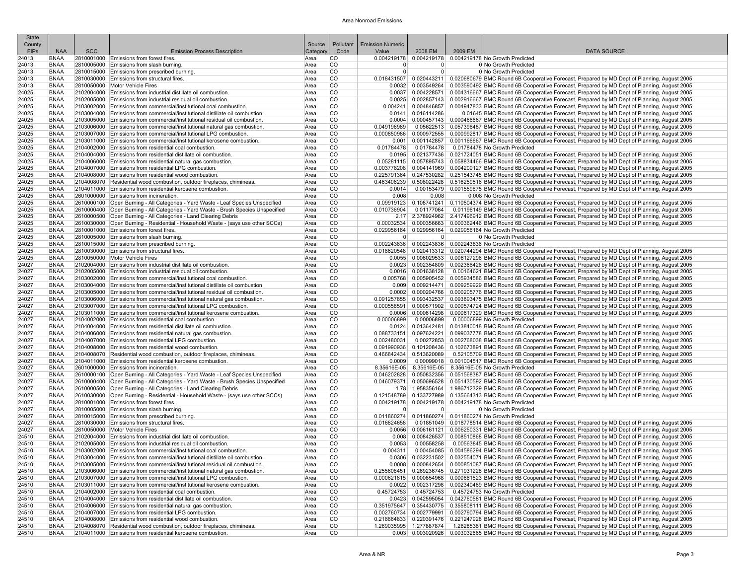| <b>State</b>          |                            |            |                                                                                                                                                      |                 |                        |                                  |                         |         |                                                                                                                                                                                                                                           |
|-----------------------|----------------------------|------------|------------------------------------------------------------------------------------------------------------------------------------------------------|-----------------|------------------------|----------------------------------|-------------------------|---------|-------------------------------------------------------------------------------------------------------------------------------------------------------------------------------------------------------------------------------------------|
| County<br><b>FIPs</b> | <b>NAA</b>                 | <b>SCC</b> | <b>Emission Process Description</b>                                                                                                                  | Source          | Pollutant<br>Code      | <b>Emission Numeric</b><br>Value | 2008 EM                 | 2009 EM | <b>DATA SOURCE</b>                                                                                                                                                                                                                        |
| 24013                 | <b>BNAA</b>                |            | 2810001000 Emissions from forest fires.                                                                                                              | Categor<br>Area | lCO                    |                                  |                         |         | 0.004219178 0.004219178 0.004219178 No Growth Predicted                                                                                                                                                                                   |
| 24013                 | <b>BNAA</b>                |            | 2810005000 Emissions from slash burning.                                                                                                             | Area            | <b>CO</b>              | $\overline{0}$                   | $\overline{0}$          |         | 0 No Growth Predicted                                                                                                                                                                                                                     |
| 24013                 | <b>BNAA</b>                |            | 2810015000 Emissions from prescribed burning.                                                                                                        | Area            | <b>CO</b>              | $\overline{0}$                   | $\overline{0}$          |         | 0 No Growth Predicted                                                                                                                                                                                                                     |
| 24013                 | <b>BNAA</b>                |            | 2810030000 Emissions from structural fires.                                                                                                          | Area            | <b>CO</b>              |                                  |                         |         | 0.018431507 0.020443211 0.020680679 BMC Round 6B Cooperative Forecast, Prepared by MD Dept of Planning, August 2005                                                                                                                       |
| 24013                 | <b>BNAA</b>                |            | 2810050000 Motor Vehicle Fires                                                                                                                       | Area            | CO                     |                                  |                         |         | 0.0032 0.003549264 0.003590492 BMC Round 6B Cooperative Forecast, Prepared by MD Dept of Planning, August 2005                                                                                                                            |
| 24025                 | <b>BNAA</b>                |            | 2102004000 Emissions from industrial distillate oil combustion.                                                                                      | Area            | <b>CO</b>              |                                  |                         |         | 0.0037   0.004228571   0.004316667 BMC Round 6B Cooperative Forecast, Prepared by MD Dept of Planning, August 2005                                                                                                                        |
| 24025                 | BNAA                       |            | 2102005000 Emissions from industrial residual oil combustion                                                                                         | Area            | lco                    |                                  |                         |         | 0.0025 0.002857143 0.002916667 BMC Round 6B Cooperative Forecast, Prepared by MD Dept of Planning, August 2005                                                                                                                            |
| 24025<br>24025        | <b>BNAA</b><br><b>BNAA</b> |            | 2103002000 Emissions from commercial/institutional coal combustion.<br>2103004000 Emissions from commercial/institutional distillate oil combustion. | Area<br>Area    | <b>CO</b><br><b>CO</b> | 0.0141                           | 0.016114286             |         | 0.004241 0.004846857 0.004947833 BMC Round 6B Cooperative Forecast, Prepared by MD Dept of Planning, August 2005<br>0.01645 BMC Round 6B Cooperative Forecast, Prepared by MD Dept of Planning, August 2005                               |
| 24025                 | <b>BNAA</b>                |            | 2103005000 Emissions from commercial/institutional residual oil combustion.                                                                          | Area            | <b>CO</b>              |                                  |                         |         | 0.000457143 0.000466667 BMC Round 6B Cooperative Forecast, Prepared by MD Dept of Planning, August 2005                                                                                                                                   |
| 24025                 | <b>BNAA</b>                |            | 2103006000 Emissions from commercial/institutional natural gas combustion.                                                                           | Area            | <b>CO</b>              | 0.049196989                      |                         |         | 0.05622513 0.057396487 BMC Round 6B Cooperative Forecast, Prepared by MD Dept of Planning, August 2005                                                                                                                                    |
| 24025                 | <b>BNAA</b>                |            | 2103007000 Emissions from commercial/institutional LPG combustion                                                                                    | Area            | <b>CO</b>              |                                  |                         |         | 0.000850986 0.000972555 0.000992817 BMC Round 6B Cooperative Forecast, Prepared by MD Dept of Planning, August 2005                                                                                                                       |
| 24025                 | <b>BNAA</b>                |            | 2103011000 Emissions from commercial/institutional kerosene combustion.                                                                              | Area            | <b>CO</b>              | 0.001                            |                         |         | 0.001142857 0.001166667 BMC Round 6B Cooperative Forecast, Prepared by MD Dept of Planning, August 2005                                                                                                                                   |
| 24025                 | BNAA                       |            | 2104002000 Emissions from residential coal combustion.                                                                                               | Area            | <b>CO</b>              | 0.01784478                       | 0.01784478              |         | 0.01784478 No Growth Predicted                                                                                                                                                                                                            |
| 24025                 | <b>BNAA</b>                |            | 2104004000 Emissions from residential distillate oil combustion.                                                                                     | Area            | <b>CO</b>              |                                  |                         |         | 0.0195 0.021377436 0.021724051 BMC Round 6B Cooperative Forecast, Prepared by MD Dept of Planning, August 2005                                                                                                                            |
| 24025<br>24025        | BNAA<br><b>BNAA</b>        |            | 2104006000 Emissions from residential natural gas combustion.<br>2104007000 Emissions from residential LPG combustion.                               | Area<br>Area    | <b>CO</b><br><b>CO</b> |                                  |                         |         | 0.05281115 0.057895743 0.058834466 BMC Round 6B Cooperative Forecast, Prepared by MD Dept of Planning, August 2005<br>0.003778208 0.004141969 0.004209127 BMC Round 6B Cooperative Forecast, Prepared by MD Dept of Planning, August 2005 |
| 24025                 | <b>BNAA</b>                |            | 2104008000 Emissions from residential wood combustion.                                                                                               | Area            | <b>CO</b>              | 0.225791364                      |                         |         | 0.247530282 0.251543745 BMC Round 6B Cooperative Forecast, Prepared by MD Dept of Planning, August 2005                                                                                                                                   |
| 24025                 | <b>BNAA</b>                |            | 2104008070 Residential wood combustion, outdoor fireplaces, chimineas.                                                                               | Area            | <b>CO</b>              |                                  |                         |         | 0.68822428 0.516259516 BMC Round 6B Cooperative Forecast, Prepared by MD Dept of Planning, August 2005                                                                                                                                    |
| 24025                 | <b>BNAA</b>                |            | 2104011000 Emissions from residential kerosene combustion.                                                                                           | Area            | <b>CO</b>              | 0.0014                           |                         |         | 0.00153479 0.001559675 BMC Round 6B Cooperative Forecast, Prepared by MD Dept of Planning, August 2005                                                                                                                                    |
| 24025                 | <b>BNAA</b>                |            | 2601000000 Emissions from incineration.                                                                                                              | Area            | <b>CO</b>              | 0.008                            | 0.008                   |         | 0.008 No Growth Predicted                                                                                                                                                                                                                 |
| 24025                 | BNAA                       |            | 2610000100 Open Burning - All Categories - Yard Waste - Leaf Species Unspecified                                                                     | Area            | <b>CO</b>              |                                  |                         |         | 0.09919123 0.108741241 0.110504374 BMC Round 6B Cooperative Forecast, Prepared by MD Dept of Planning, August 2005                                                                                                                        |
| 24025                 | BNAA                       |            | 2610000400 Open Burning - All Categories - Yard Waste - Brush Species Unspecified                                                                    | Area            | <b>CO</b>              | 0.010736904                      | 0.01177064              |         | 0.01196149 BMC Round 6B Cooperative Forecast, Prepared by MD Dept of Planning, August 2005                                                                                                                                                |
| 24025                 | <b>BNAA</b>                |            | 2610000500 Open Burning - All Categories - Land Clearing Debris                                                                                      | Area            | <b>CO</b>              |                                  |                         |         | 2.17 2.378924962 2.417496912 BMC Round 6B Cooperative Forecast, Prepared by MD Dept of Planning, August 2005                                                                                                                              |
| 24025<br>24025        | <b>BNAA</b><br><b>BNAA</b> |            | 2610030000 Open Burning - Residential - Household Waste - (says use other SCCs)<br>2810001000 Emissions from forest fires.                           | Area<br>Area    | <b>CO</b><br><b>CO</b> |                                  |                         |         | 0.00032534 0.000356663 0.000362446 BMC Round 6B Cooperative Forecast, Prepared by MD Dept of Planning, August 2005<br>0.029956164 0.029956164 0.029956164 No Growth Predicted                                                             |
| 24025                 | <b>BNAA</b>                |            | 2810005000 Emissions from slash burning.                                                                                                             | Area            | <b>CO</b>              | 0                                | $\overline{0}$          |         | 0 No Growth Predicted                                                                                                                                                                                                                     |
| 24025                 | <b>BNAA</b>                |            | 2810015000 Emissions from prescribed burning.                                                                                                        | Area            | CO                     |                                  |                         |         | 0.002243836 0.002243836 0.002243836 No Growth Predicted                                                                                                                                                                                   |
| 24025                 | <b>BNAA</b>                |            | 2810030000 Emissions from structural fires.                                                                                                          | Area            | CO                     |                                  |                         |         | 0.018620548   0.020413312   0.020744294 BMC Round 6B Cooperative Forecast, Prepared by MD Dept of Planning, August 2005                                                                                                                   |
| 24025                 | <b>BNAA</b>                |            | 2810050000 Motor Vehicle Fires                                                                                                                       | Area            | <b>CO</b>              |                                  |                         |         | 0.0055 0.006029533 0.006127296 BMC Round 6B Cooperative Forecast, Prepared by MD Dept of Planning, August 2005                                                                                                                            |
| 24027                 | <b>BNAA</b>                |            | 2102004000 Emissions from industrial distillate oil combustion.                                                                                      | Area            | <b>CO</b>              |                                  |                         |         | 0.0023   0.002354809   0.002366426 BMC Round 6B Cooperative Forecast, Prepared by MD Dept of Planning, August 2005                                                                                                                        |
| 24027                 | BNAA                       |            | 2102005000 Emissions from industrial residual oil combustion                                                                                         | Area            | <b>CO</b>              |                                  | $0.0016$ 0.001638128    |         | 0.00164621 BMC Round 6B Cooperative Forecast. Prepared by MD Dept of Planning. August 2005                                                                                                                                                |
| 24027<br>24027        | <b>BNAA</b><br><b>BNAA</b> |            | 2103002000 Emissions from commercial/institutional coal combustion.<br>2103004000 Emissions from commercial/institutional distillate oil combustion  | Area<br>Area    | <b>CO</b><br><b>CO</b> | 0.009                            |                         |         | 0.005768 0.005905452 0.005934586 BMC Round 6B Cooperative Forecast, Prepared by MD Dept of Planning, August 2005<br>0.009214471 0.009259929 BMC Round 6B Cooperative Forecast, Prepared by MD Dept of Planning, August 2005               |
| 24027                 | <b>BNAA</b>                |            | 2103005000 Emissions from commercial/institutional residual oil combustion.                                                                          | Area            | lco                    |                                  |                         |         | 0.0002   0.000204766   0.000205776 BMC Round 6B Cooperative Forecast, Prepared by MD Dept of Planning, August 2005                                                                                                                        |
| 24027                 | <b>BNAA</b>                |            | 2103006000 Emissions from commercial/institutional natural gas combustion.                                                                           | Area            | <b>CO</b>              | 0.091257855                      |                         |         | 0.093432537 0.093893475 BMC Round 6B Cooperative Forecast, Prepared by MD Dept of Planning, August 2005                                                                                                                                   |
| 24027                 | <b>BNAA</b>                |            | 2103007000 Emissions from commercial/institutional LPG combustion                                                                                    | Area            | <b>CO</b>              | 0.000558591                      |                         |         | 0.000571902 0.000574724 BMC Round 6B Cooperative Forecast, Prepared by MD Dept of Planning, August 2005                                                                                                                                   |
| 24027                 | <b>BNAA</b>                |            | 2103011000 Emissions from commercial/institutional kerosene combustion.                                                                              | Area            | CO                     | 0.0006                           |                         |         | 0.000614298 0.000617329 BMC Round 6B Cooperative Forecast, Prepared by MD Dept of Planning, August 2005                                                                                                                                   |
| 24027                 | BNAA                       |            | 2104002000 Emissions from residential coal combustion.                                                                                               | Area            | <b>CO</b>              | 0.00006899                       | 0.00006899              |         | 0.00006899 No Growth Predicted                                                                                                                                                                                                            |
| 24027                 | <b>BNAA</b>                |            | 2104004000 Emissions from residential distillate oil combustion.                                                                                     | Area            | <b>CO</b><br><b>CO</b> | 0.0124                           |                         |         | 0.013642481 0.013840018 BMC Round 6B Cooperative Forecast, Prepared by MD Dept of Planning, August 2005                                                                                                                                   |
| 24027<br>24027        | BNAA<br><b>BNAA</b>        |            | 2104006000 Emissions from residential natural gas combustion.<br>2104007000 Emissions from residential LPG combustion.                               | Area<br>Area    | <b>CO</b>              | 0.088733151<br>0.002480031       | 0.097624221             |         | 0.099037778 BMC Round 6B Cooperative Forecast, Prepared by MD Dept of Planning, August 2005<br>0.00272853 0.002768038 BMC Round 6B Cooperative Forecast, Prepared by MD Dept of Planning, August 2005                                     |
| 24027                 | <b>BNAA</b>                |            | 2104008000 Emissions from residential wood combustion.                                                                                               | Area            | <b>CO</b>              | 0.091990936                      |                         |         | 0.101208436 0.102673891 BMC Round 6B Cooperative Forecast, Prepared by MD Dept of Planning, August 2005                                                                                                                                   |
| 24027                 | <b>BNAA</b>                |            | 2104008070 Residential wood combustion, outdoor fireplaces, chimineas.                                                                               | Area            | <b>CO</b>              | 0.466842434 0.513620089          |                         |         | 0.52105709 BMC Round 6B Cooperative Forecast, Prepared by MD Dept of Planning, August 2005                                                                                                                                                |
| 24027                 | BNAA                       |            | 2104011000 Emissions from residential kerosene combustion.                                                                                           | Area            | <b>CO</b>              | 0.0009                           |                         |         | 0.00099018 0.001004517 BMC Round 6B Cooperative Forecast, Prepared by MD Dept of Planning, August 2005                                                                                                                                    |
| 24027                 | <b>BNAA</b>                |            | 2601000000 Emissions from incineration.                                                                                                              | Area            | <b>CO</b>              |                                  |                         |         | 8.35616E-05 8.35616E-05 8.35616E-05 No Growth Predicted                                                                                                                                                                                   |
| 24027                 | BNAA                       |            | 2610000100 Open Burning - All Categories - Yard Waste - Leaf Species Unspecified                                                                     | Area            | <b>CO</b>              | 0.046202828                      |                         |         | 0.050832356 0.051568387 BMC Round 6B Cooperative Forecast, Prepared by MD Dept of Planning, August 2005                                                                                                                                   |
| 24027<br>24027        | BNAA                       |            | 2610000400 Open Burning - All Categories - Yard Waste - Brush Species Unspecified<br>2610000500 Open Burning - All Categories - Land Clearing Debris | Area            | <b>CO</b><br><b>CO</b> |                                  |                         |         | 0.046079371 0.050696528 0.051430592 BMC Round 6B Cooperative Forecast, Prepared by MD Dept of Planning, August 2005<br>1.78 1.958356164 1.986712329 BMC Round 6B Cooperative Forecast, Prepared by MD Dept of Planning, August 2005       |
| 24027                 | <b>BNAA</b><br>BNAA        |            | 2610030000 Open Burning - Residential - Household Waste - (says use other SCCs)                                                                      | Area<br>Area    | <b>CO</b>              |                                  |                         |         | 0.121548789 0.133727989 0.135664313 BMC Round 6B Cooperative Forecast, Prepared by MD Dept of Planning, August 2005                                                                                                                       |
| 24027                 | <b>BNAA</b>                |            | 2810001000 Emissions from forest fires.                                                                                                              | Area            | <b>CO</b>              |                                  |                         |         | 0.004219178 0.004219178 0.004219178 No Growth Predicted                                                                                                                                                                                   |
| 24027                 | <b>BNAA</b>                |            | 2810005000 Emissions from slash burning.                                                                                                             | Area            | <b>CO</b>              | $\overline{0}$                   | $\overline{0}$          |         | 0 No Growth Predicted                                                                                                                                                                                                                     |
| 24027                 | <b>BNAA</b>                |            | 2810015000 Emissions from prescribed burning.                                                                                                        | Area            | <b>CO</b>              |                                  |                         |         | 0.011860274   0.011860274   0.011860274 No Growth Predicted                                                                                                                                                                               |
| 24027                 | BNAA                       |            | 2810030000 Emissions from structural fires.                                                                                                          | Area            | <b>CO</b>              | 0.016824658                      |                         |         | 0.01851049 0.018778514 BMC Round 6B Cooperative Forecast, Prepared by MD Dept of Planning, August 2005                                                                                                                                    |
| 24027                 | <b>BNAA</b>                |            | 2810050000 Motor Vehicle Fires                                                                                                                       | Area            | <b>CO</b>              |                                  |                         |         | 0.0056   0.006161121   0.006250331 BMC Round 6B Cooperative Forecast, Prepared by MD Dept of Planning, August 2005                                                                                                                        |
| 24510<br>24510        | BNAA                       |            | 2102004000 Emissions from industrial distillate oil combustion.<br>2102005000 Emissions from industrial residual oil combustion                      | Area<br>Area    | <b>CO</b><br><b>CO</b> | 0.008                            | 0.00558258              |         | 0.008426537 0.008510868 BMC Round 6B Cooperative Forecast, Prepared by MD Dept of Planning, August 2005                                                                                                                                   |
| 24510                 | BNAA<br><b>BNAA</b>        |            | 2103002000 Emissions from commercial/institutional coal combustion.                                                                                  | Area            | <b>CO</b>              | 0.0053<br>0.004311               |                         |         | 0.00563845 BMC Round 6B Cooperative Forecast, Prepared by MD Dept of Planning, August 2005<br>0.00454085 0.004586294 BMC Round 6B Cooperative Forecast, Prepared by MD Dept of Planning, August 2005                                      |
| 24510                 | <b>BNAA</b>                |            | 2103004000 Emissions from commercial/institutional distillate oil combustion.                                                                        | Area            | <b>CO</b>              |                                  |                         |         | 0.0306 0.032231502 0.032554071 BMC Round 6B Cooperative Forecast, Prepared by MD Dept of Planning, August 2005                                                                                                                            |
| 24510                 | BNAA                       |            | 2103005000 Emissions from commercial/institutional residual oil combustion.                                                                          | Area            | <b>CO</b>              |                                  |                         |         | 0.0008 0.000842654 0.000851087 BMC Round 6B Cooperative Forecast, Prepared by MD Dept of Planning, August 2005                                                                                                                            |
| 24510                 | <b>BNAA</b>                |            | 2103006000 Emissions from commercial/institutional natural gas combustion.                                                                           | Area            | <b>CO</b>              |                                  |                         |         | 0.255608451 0.269236745 0.271931228 BMC Round 6B Cooperative Forecast, Prepared by MD Dept of Planning, August 2005                                                                                                                       |
| 24510                 | BNAA                       |            | 2103007000 Emissions from commercial/institutional LPG combustion                                                                                    | Area            | <b>CO</b>              |                                  |                         |         | 0.000621815 0.000654968 0.000661523 BMC Round 6B Cooperative Forecast, Prepared by MD Dept of Planning, August 2005                                                                                                                       |
| 24510                 | <b>BNAA</b>                |            | 2103011000 Emissions from commercial/institutional kerosene combustion                                                                               | Area            | <b>CO</b>              |                                  |                         |         | 0.002317298 0.002340489 BMC Round 6B Cooperative Forecast, Prepared by MD Dept of Planning, August 2005                                                                                                                                   |
| 24510<br>24510        | BNAA<br>BNAA               |            | 2104002000 Emissions from residential coal combustion.<br>2104004000 Emissions from residential distillate oil combustion.                           | Area            | <b>CO</b><br><b>CO</b> | 0.45724753                       | 0.45724753              |         | 0.45724753 No Growth Predicted<br>0.0423 0.042595054 0.042760581 BMC Round 6B Cooperative Forecast, Prepared by MD Dept of Planning, August 2005                                                                                          |
| 24510                 | BNAA                       |            | 2104006000 Emissions from residential natural gas combustion.                                                                                        | Area<br>Area    | <b>CO</b>              |                                  |                         |         | 0.351975647 0.354430775 0.355808111 BMC Round 6B Cooperative Forecast, Prepared by MD Dept of Planning, August 2005                                                                                                                       |
| 24510                 | BNAA                       |            | 2104007000 Emissions from residential LPG combustion.                                                                                                | Area            | <b>CO</b>              |                                  |                         |         | 0.002760734 0.002779991 0.002790794 BMC Round 6B Cooperative Forecast, Prepared by MD Dept of Planning, August 2005                                                                                                                       |
| 24510                 | <b>BNAA</b>                |            | 2104008000 Emissions from residential wood combustion.                                                                                               | Area            | <b>CO</b>              |                                  |                         |         | 0.218864833 0.220391476 0.221247928 BMC Round 6B Cooperative Forecast, Prepared by MD Dept of Planning, August 2005                                                                                                                       |
| 24510                 | <b>BNAA</b>                |            | 2104008070 Residential wood combustion, outdoor fireplaces, chimineas.                                                                               | Area            | <b>CO</b>              |                                  | 1.269035995 1.277887874 |         | 1.28285381 BMC Round 6B Cooperative Forecast, Prepared by MD Dept of Planning, August 2005                                                                                                                                                |
| 24510                 | <b>BNAA</b>                |            | 2104011000 Emissions from residential kerosene combustion.                                                                                           | Area            | CO                     |                                  |                         |         | 0.003 0.003020926 0.003032665 BMC Round 6B Cooperative Forecast, Prepared by MD Dept of Planning, August 2005                                                                                                                             |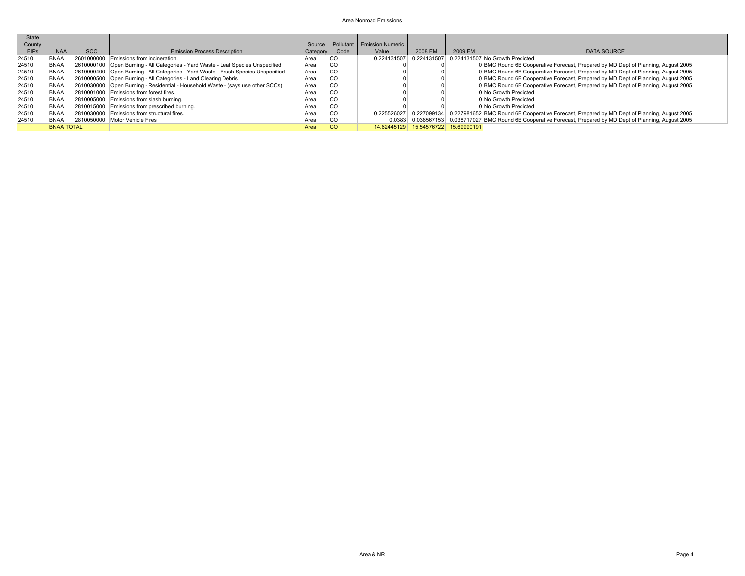| <b>State</b><br>County |                   |            |                                                                                   |          |           | Source   Pollutant   Emission Numeric |                                     |         |                                                                                                                |
|------------------------|-------------------|------------|-----------------------------------------------------------------------------------|----------|-----------|---------------------------------------|-------------------------------------|---------|----------------------------------------------------------------------------------------------------------------|
| <b>FIPs</b>            | <b>NAA</b>        | <b>SCC</b> | <b>Emission Process Description</b>                                               | Category | Code      | Value                                 | 2008 EM                             | 2009 EM | <b>DATA SOURCE</b>                                                                                             |
| 24510                  | <b>BNAA</b>       |            | 2601000000 Emissions from incineration.                                           | Area     | <b>CO</b> | 0.224131507                           | 0.224131507                         |         | 0.224131507 No Growth Predicted                                                                                |
| 24510                  | <b>BNAA</b>       |            | 2610000100 Open Burning - All Categories - Yard Waste - Leaf Species Unspecified  | Area     | <b>CO</b> |                                       |                                     |         | 0 BMC Round 6B Cooperative Forecast, Prepared by MD Dept of Planning, August 2005                              |
| 24510                  | <b>BNAA</b>       |            | 2610000400 Open Burning - All Categories - Yard Waste - Brush Species Unspecified | Area     | lco       |                                       |                                     |         | 0 BMC Round 6B Cooperative Forecast, Prepared by MD Dept of Planning, August 2005                              |
| 24510                  | <b>BNAA</b>       |            | 2610000500 Open Burning - All Categories - Land Clearing Debris                   | Area     | lco       |                                       |                                     |         | 0 BMC Round 6B Cooperative Forecast, Prepared by MD Dept of Planning, August 2005                              |
| 24510                  | <b>BNAA</b>       |            | 2610030000 Open Burning - Residential - Household Waste - (says use other SCCs)   | Area     | lco       |                                       |                                     |         | 0 BMC Round 6B Cooperative Forecast, Prepared by MD Dept of Planning, August 2005                              |
| 24510                  | <b>BNAA</b>       |            | 2810001000 Emissions from forest fires.                                           | Area     | <b>CO</b> |                                       |                                     |         | 0 No Growth Predicted                                                                                          |
| 24510                  | <b>BNAA</b>       |            | 2810005000 Emissions from slash burning.                                          | Area     | <b>CO</b> |                                       |                                     |         | 0 No Growth Predicted                                                                                          |
| 24510                  | <b>BNAA</b>       |            | 2810015000 Emissions from prescribed burning.                                     | Area     | <b>CO</b> |                                       |                                     |         | 0 No Growth Predicted                                                                                          |
| 24510                  | <b>BNAA</b>       |            | 2810030000 Emissions from structural fires.                                       | Area     | lco       | 0.225526027                           |                                     |         | 0.227099134 0.227981652 BMC Round 6B Cooperative Forecast, Prepared by MD Dept of Planning, August 2005        |
| 24510                  | <b>BNAA</b>       |            | 2810050000 Motor Vehicle Fires                                                    | Area     | lco       |                                       |                                     |         | 0.0383 0.038567153 0.038717027 BMC Round 6B Cooperative Forecast, Prepared by MD Dept of Planning, August 2005 |
|                        | <b>BNAA TOTAL</b> |            |                                                                                   | Area     | <b>CO</b> |                                       | 14.62445129 15.54576722 15.69990191 |         |                                                                                                                |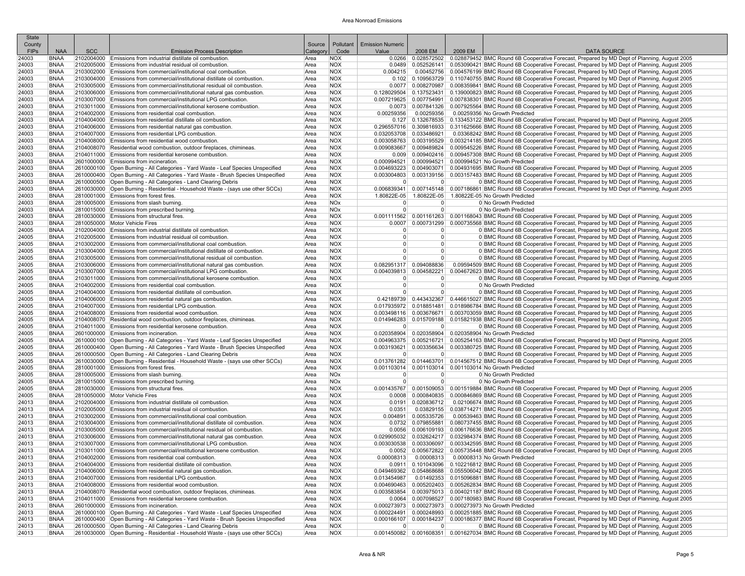| <b>State</b><br>County |                            |            |                                                                                                                                                                       | Source       | Pollutant                | <b>Emission Numeric</b> |                         |         |                                                                                                                                                                                                                                            |
|------------------------|----------------------------|------------|-----------------------------------------------------------------------------------------------------------------------------------------------------------------------|--------------|--------------------------|-------------------------|-------------------------|---------|--------------------------------------------------------------------------------------------------------------------------------------------------------------------------------------------------------------------------------------------|
| <b>FIPs</b>            | <b>NAA</b>                 | <b>SCC</b> | <b>Emission Process Description</b>                                                                                                                                   | Categor      | Code                     | Value                   | 2008 EM                 | 2009 EM | <b>DATA SOURCE</b>                                                                                                                                                                                                                         |
| 24003                  | <b>BNAA</b>                |            | 2102004000 Emissions from industrial distillate oil combustion.                                                                                                       | Area         | <b>NOX</b>               | 0.0266                  |                         |         | 0.028572502 0.028879452 BMC Round 6B Cooperative Forecast, Prepared by MD Dept of Planning, August 2005                                                                                                                                    |
| 24003                  | <b>BNAA</b>                |            | 2102005000 Emissions from industrial residual oil combustion                                                                                                          | Area         | <b>NOX</b>               |                         |                         |         | 0.0489 0.052526141 0.053090421 BMC Round 6B Cooperative Forecast, Prepared by MD Dept of Planning, August 2005                                                                                                                             |
| 24003                  | <b>BNAA</b>                |            | 2103002000 Emissions from commercial/institutional coal combustion.                                                                                                   | Area         | <b>NOX</b>               | 0.004215                |                         |         | 0.00452756 0.004576199 BMC Round 6B Cooperative Forecast, Prepared by MD Dept of Planning, August 2005                                                                                                                                     |
| 24003<br>24003         | <b>BNAA</b><br><b>BNAA</b> |            | 2103004000 Emissions from commercial/institutional distillate oil combustion.<br>2103005000 Emissions from commercial/institutional residual oil combustion.          | Area<br>Area | <b>NOX</b><br><b>NOX</b> |                         |                         |         | 0.102 0.109563729 0.110740755 BMC Round 6B Cooperative Forecast, Prepared by MD Dept of Planning, August 2005<br>0.0077 0.008270987 0.008359841 BMC Round 6B Cooperative Forecast, Prepared by MD Dept of Planning, August 2005            |
| 24003                  | <b>BNAA</b>                |            | 2103006000 Emissions from commercial/institutional natural gas combustion                                                                                             | Area         | <b>NOX</b>               |                         |                         |         | 0.128029504 0.137523431 0.139000823 BMC Round 6B Cooperative Forecast, Prepared by MD Dept of Planning, August 2005                                                                                                                        |
| 24003                  | <b>BNAA</b>                |            | 2103007000 Emissions from commercial/institutional LPG combustion.                                                                                                    | Area         | <b>NOX</b>               | 0.007219625             |                         |         | 0.007754991 0.007838301 BMC Round 6B Cooperative Forecast, Prepared by MD Dept of Planning, August 2005                                                                                                                                    |
| 24003                  | <b>BNAA</b>                |            | 2103011000 Emissions from commercial/institutional kerosene combustion.                                                                                               | Area         | <b>NOX</b>               |                         |                         |         | 0.0073 0.007841326 0.007925564 BMC Round 6B Cooperative Forecast, Prepared by MD Dept of Planning, August 2005                                                                                                                             |
| 24003                  | <b>BNAA</b>                |            | 2104002000 Emissions from residential coal combustion.                                                                                                                | Area         | <b>NOX</b>               | 0.00259356              | 0.00259356              |         | 0.00259356 No Growth Predicted                                                                                                                                                                                                             |
| 24003<br>24003         | BNAA<br><b>BNAA</b>        |            | 2104004000 Emissions from residential distillate oil combustion.<br>2104006000 Emissions from residential natural gas combustion.                                     | Area<br>Area | <b>NOX</b><br><b>NOX</b> |                         |                         |         | 0.127 0.132678535 0.133453122 BMC Round 6B Cooperative Forecast, Prepared by MD Dept of Planning, August 2005<br>0.296557016 0.309816933 0.311625666 BMC Round 6B Cooperative Forecast, Prepared by MD Dept of Planning, August 2005       |
| 24003                  | BNAA                       |            | 2104007000 Emissions from residential LPG combustion.                                                                                                                 | Area         | <b>NOX</b>               |                         | 0.032053708 0.033486921 |         | 0.03368242 BMC Round 6B Cooperative Forecast, Prepared by MD Dept of Planning, August 2005                                                                                                                                                 |
| 24003                  | <b>BNAA</b>                |            | 2104008000 Emissions from residential wood combustion                                                                                                                 | Area         | <b>NOX</b>               |                         |                         |         | 0.003058763 0.003195529 0.003214185 BMC Round 6B Cooperative Forecast, Prepared by MD Dept of Planning, August 2005                                                                                                                        |
| 24003                  | <b>BNAA</b>                |            | 2104008070 Residential wood combustion, outdoor fireplaces, chimineas.                                                                                                | Area         | <b>NOX</b>               |                         |                         |         | 0.009083667 0.009489824 0.009545226 BMC Round 6B Cooperative Forecast, Prepared by MD Dept of Planning, August 2005                                                                                                                        |
| 24003                  | <b>BNAA</b>                |            | 2104011000 Emissions from residential kerosene combustion.                                                                                                            | Area         | <b>NOX</b>               |                         |                         |         | 0.009   0.009402416   0.009457308  BMC Round 6B Cooperative Forecast, Prepared by MD Dept of Planning, August 2005                                                                                                                         |
| 24003                  | <b>BNAA</b><br><b>BNAA</b> |            | 2601000000 Emissions from incineration.<br>2610000100 Open Burning - All Categories - Yard Waste - Leaf Species Unspecified                                           | Area<br>Area | <b>NOX</b><br><b>NOX</b> |                         |                         |         | 0.000994521 0.000994521 0.000994521 No Growth Predicted<br>0.004693223 0.004903071 0.004931695 BMC Round 6B Cooperative Forecast, Prepared by MD Dept of Planning, August 2005                                                             |
| 24003<br>24003         | BNAA                       |            | 2610000400 Open Burning - All Categories - Yard Waste - Brush Species Unspecified                                                                                     | Area         | <b>NOX</b>               | 0.003004803             |                         |         | 0.003139156 0.003157483 BMC Round 6B Cooperative Forecast, Prepared by MD Dept of Planning, August 2005                                                                                                                                    |
| 24003                  | <b>BNAA</b>                |            | 2610000500 Open Burning - All Categories - Land Clearing Debris                                                                                                       | Area         | <b>NOX</b>               | $\overline{0}$          | 0                       |         | 0 BMC Round 6B Cooperative Forecast, Prepared by MD Dept of Planning, August 2005                                                                                                                                                          |
| 24003                  | BNAA                       |            | 2610030000 Open Burning - Residential - Household Waste - (says use other SCCs)                                                                                       | Area         | <b>NOX</b>               |                         |                         |         | 0.006839341 0.007145148 0.007186861 BMC Round 6B Cooperative Forecast, Prepared by MD Dept of Planning, August 2005                                                                                                                        |
| 24003                  | BNAA                       |            | 2810001000 Emissions from forest fires.                                                                                                                               | Area         | <b>NOX</b>               |                         |                         |         | 1.80822E-05 1.80822E-05 1.80822E-05 No Growth Predicted                                                                                                                                                                                    |
| 24003                  | <b>BNAA</b>                |            | 2810005000 Emissions from slash burning.                                                                                                                              | Area         | <b>NOx</b>               | $\mathbf{0}$            | $\overline{0}$          |         | 0 No Growth Predicted                                                                                                                                                                                                                      |
| 24003<br>24003         | <b>BNAA</b><br><b>BNAA</b> |            | 2810015000 Emissions from prescribed burning<br>2810030000 Emissions from structural fires.                                                                           | Area<br>Area | <b>NOx</b><br><b>NOX</b> | 0                       | 0                       |         | 0 No Growth Predicted<br>0.001111562 0.001161263 0.001168043 BMC Round 6B Cooperative Forecast, Prepared by MD Dept of Planning, August 2005                                                                                               |
| 24003                  | <b>BNAA</b>                |            | 2810050000 Motor Vehicle Fires                                                                                                                                        | Area         | <b>NOX</b>               |                         |                         |         | 0.0007 0.000731299 0.000735568 BMC Round 6B Cooperative Forecast, Prepared by MD Dept of Planning, August 2005                                                                                                                             |
| 24005                  | <b>BNAA</b>                |            | 2102004000 Emissions from industrial distillate oil combustion.                                                                                                       | Area         | <b>NOX</b>               | $\Omega$                | $\overline{0}$          |         | 0 BMC Round 6B Cooperative Forecast, Prepared by MD Dept of Planning, August 2005                                                                                                                                                          |
| 24005                  | BNAA                       |            | 2102005000 Emissions from industrial residual oil combustion                                                                                                          | Area         | <b>NOX</b>               | $\Omega$                | $\overline{0}$          |         | 0 BMC Round 6B Cooperative Forecast, Prepared by MD Dept of Planning, August 2005                                                                                                                                                          |
| 24005                  | <b>BNAA</b>                |            | 2103002000 Emissions from commercial/institutional coal combustion.                                                                                                   | Area         | <b>NOX</b>               | $\overline{0}$          | 0                       |         | 0 BMC Round 6B Cooperative Forecast, Prepared by MD Dept of Planning, August 2005                                                                                                                                                          |
| 24005                  | BNAA                       |            | 2103004000 Emissions from commercial/institutional distillate oil combustion.<br>2103005000 Emissions from commercial/institutional residual oil combustion.          | Area         | <b>NOX</b><br><b>NOX</b> | $\overline{0}$          | 0 <br> 0                |         | 0 BMC Round 6B Cooperative Forecast, Prepared by MD Dept of Planning, August 2005                                                                                                                                                          |
| 24005<br>24005         | BNAA<br><b>BNAA</b>        |            | 2103006000 Emissions from commercial/institutional natural gas combustion                                                                                             | Area<br>Area | <b>NOX</b>               | $\overline{0}$          | 0.082951317 0.094088836 |         | 0 BMC Round 6B Cooperative Forecast, Prepared by MD Dept of Planning, August 2005<br>0.09594509 BMC Round 6B Cooperative Forecast, Prepared by MD Dept of Planning, August 2005                                                            |
| 24005                  | <b>BNAA</b>                |            | 2103007000 Emissions from commercial/institutional LPG combustion.                                                                                                    | Area         | <b>NOX</b>               |                         | 0.004039813 0.004582221 |         | 0.004672623 BMC Round 6B Cooperative Forecast, Prepared by MD Dept of Planning, August 2005                                                                                                                                                |
| 24005                  | <b>BNAA</b>                |            | 2103011000 Emissions from commercial/institutional kerosene combustion.                                                                                               | Area         | <b>NOX</b>               | $\overline{0}$          | $\overline{0}$          |         | 0 BMC Round 6B Cooperative Forecast, Prepared by MD Dept of Planning, August 2005                                                                                                                                                          |
| 24005                  | <b>BNAA</b>                |            | 2104002000 Emissions from residential coal combustion.                                                                                                                | Area         | <b>NOX</b>               | 0                       | $\overline{0}$          |         | 0 No Growth Predicted                                                                                                                                                                                                                      |
| 24005                  | BNAA                       |            | 2104004000 Emissions from residential distillate oil combustion.                                                                                                      | Area         | <b>NOX</b>               | $\overline{0}$          | 0                       |         | 0 BMC Round 6B Cooperative Forecast, Prepared by MD Dept of Planning, August 2005                                                                                                                                                          |
| 24005<br>24005         | <b>BNAA</b><br>BNAA        |            | 2104006000 Emissions from residential natural gas combustion.<br>2104007000 Emissions from residential LPG combustion.                                                | Area<br>Area | <b>NOX</b><br><b>NOX</b> |                         |                         |         | 0.42189739 0.443432367 0.446615027 BMC Round 6B Cooperative Forecast, Prepared by MD Dept of Planning, August 2005<br>0.017935972 0.018851481 0.018986784 BMC Round 6B Cooperative Forecast, Prepared by MD Dept of Planning, August 2005  |
| 24005                  | <b>BNAA</b>                |            | 2104008000 Emissions from residential wood combustion                                                                                                                 | Area         | <b>NOX</b>               |                         |                         |         | 0.003498116 0.003676671 0.003703059 BMC Round 6B Cooperative Forecast, Prepared by MD Dept of Planning, August 2005                                                                                                                        |
| 24005                  | BNAA                       |            | 2104008070 Residential wood combustion, outdoor fireplaces, chimineas.                                                                                                | Area         | <b>NOX</b>               |                         |                         |         | 0.014946283 0.015709188 0.015821938 BMC Round 6B Cooperative Forecast, Prepared by MD Dept of Planning, August 2005                                                                                                                        |
| 24005                  | <b>BNAA</b>                |            | 2104011000 Emissions from residential kerosene combustion.                                                                                                            | Area         | <b>NOX</b>               | $\Omega$                | $\Omega$                |         | 0 BMC Round 6B Cooperative Forecast, Prepared by MD Dept of Planning, August 2005                                                                                                                                                          |
| 24005                  | <b>BNAA</b>                |            | 2601000000 Emissions from incineration.                                                                                                                               | Area         | <b>NOX</b>               |                         |                         |         | 0.020358904 0.020358904 0.020358904 No Growth Predicted                                                                                                                                                                                    |
| 24005<br>24005         | <b>BNAA</b><br>BNAA        |            | 2610000100 Open Burning - All Categories - Yard Waste - Leaf Species Unspecified<br>2610000400 Open Burning - All Categories - Yard Waste - Brush Species Unspecified | Area<br>Area | <b>NOX</b><br><b>NOX</b> |                         |                         |         | 0.004963375 0.005216721 0.005254163 BMC Round 6B Cooperative Forecast, Prepared by MD Dept of Planning, August 2005<br>0.003193621 0.003356634 0.003380725 BMC Round 6B Cooperative Forecast, Prepared by MD Dept of Planning, August 2005 |
| 24005                  | <b>BNAA</b>                |            | 2610000500 Open Burning - All Categories - Land Clearing Debris                                                                                                       | Area         | <b>NOX</b>               | 0                       | $\overline{0}$          |         | 0 BMC Round 6B Cooperative Forecast, Prepared by MD Dept of Planning, August 2005                                                                                                                                                          |
| 24005                  | BNAA                       |            | 2610030000 Open Burning - Residential - Household Waste - (says use other SCCs)                                                                                       | Area         | <b>NOX</b>               |                         |                         |         | 0.013761282 0.014463701 0.014567512 BMC Round 6B Cooperative Forecast, Prepared by MD Dept of Planning, August 2005                                                                                                                        |
| 24005                  | BNAA                       |            | 2810001000 Emissions from forest fires.                                                                                                                               | Area         | <b>NOX</b>               |                         |                         |         | 0.001103014   0.001103014   0.001103014 No Growth Predicted                                                                                                                                                                                |
| 24005                  | <b>BNAA</b>                |            | 2810005000 Emissions from slash burning.                                                                                                                              | Area         | <b>NOx</b>               | $\Omega$                | $\Omega$                |         | 0 No Growth Predicted                                                                                                                                                                                                                      |
| 24005<br>24005         | <b>BNAA</b><br><b>BNAA</b> |            | 2810015000 Emissions from prescribed burning<br>2810030000 Emissions from structural fires.                                                                           | Area<br>Area | <b>NOx</b><br><b>NOX</b> | $\Omega$                | $\overline{0}$          |         | 0 No Growth Predicted<br>0.001435767 0.001509053 0.001519884 BMC Round 6B Cooperative Forecast, Prepared by MD Dept of Planning, August 2005                                                                                               |
| 24005                  | <b>BNAA</b>                |            | 2810050000 Motor Vehicle Fires                                                                                                                                        | Area         | <b>NOX</b>               |                         |                         |         | 0.0008 0.000840835 0.000846869 BMC Round 6B Cooperative Forecast, Prepared by MD Dept of Planning, August 2005                                                                                                                             |
| 24013                  | <b>BNAA</b>                |            | 2102004000 Emissions from industrial distillate oil combustion.                                                                                                       | Area         | <b>NOX</b>               |                         | $0.0191$ 0.020836712    |         | 0.02106674 BMC Round 6B Cooperative Forecast, Prepared by MD Dept of Planning, August 2005                                                                                                                                                 |
| 24013                  | BNAA                       |            | 2102005000 Emissions from industrial residual oil combustion                                                                                                          | Area         | <b>NOX</b>               | 0.0351                  |                         |         | 0.03829155 0.038714271 BMC Round 6B Cooperative Forecast, Prepared by MD Dept of Planning, August 2005                                                                                                                                     |
| 24013                  | BNAA                       |            | 2103002000 Emissions from commercial/institutional coal combustion                                                                                                    | Area         | <b>NOX</b>               |                         | $0.004891$ 0.005335726  |         | 0.00539463 BMC Round 6B Cooperative Forecast, Prepared by MD Dept of Planning, August 2005                                                                                                                                                 |
| 24013                  | BNAA                       |            | 2103004000 Emissions from commercial/institutional distillate oil combustion.                                                                                         | Area         | <b>NOX</b><br><b>NOX</b> |                         |                         |         | 0.0732 0.079855881 0.080737455 BMC Round 6B Cooperative Forecast, Prepared by MD Dept of Planning, August 2005                                                                                                                             |
| 24013<br>24013         | BNAA<br><b>BNAA</b>        |            | 2103005000 Emissions from commercial/institutional residual oil combustion.<br>2103006000 Emissions from commercial/institutional natural gas combustion.             | Area<br>Area | <b>NOX</b>               |                         |                         |         | 0.0056 0.006109193 0.006176636 BMC Round 6B Cooperative Forecast, Prepared by MD Dept of Planning, August 2005<br>0.029905032 0.032624217 0.032984374 BMC Round 6B Cooperative Forecast, Prepared by MD Dept of Planning, August 2005      |
| 24013                  | BNAA                       |            | 2103007000 Emissions from commercial/institutional LPG combustion.                                                                                                    | Area         | <b>NOX</b>               |                         |                         |         | 0.003030538 0.003306097 0.003342595 BMC Round 6B Cooperative Forecast, Prepared by MD Dept of Planning, August 2005                                                                                                                        |
| 24013                  | <b>BNAA</b>                |            | 2103011000 Emissions from commercial/institutional kerosene combustion.                                                                                               | Area         | <b>NOX</b>               |                         |                         |         | 0.0052 0.005672822 0.005735448 BMC Round 6B Cooperative Forecast, Prepared by MD Dept of Planning, August 2005                                                                                                                             |
| 24013                  | <b>BNAA</b>                |            | 2104002000 Emissions from residential coal combustion.                                                                                                                | Area         | <b>NOX</b>               |                         |                         |         | 0.00008313 0.00008313 0.00008313 No Growth Predicted                                                                                                                                                                                       |
| 24013                  | BNAA                       |            | 2104004000 Emissions from residential distillate oil combustion                                                                                                       | Area         | <b>NOX</b>               |                         |                         |         | 0.0911 0.101043096 0.102216812 BMC Round 6B Cooperative Forecast, Prepared by MD Dept of Planning, August 2005                                                                                                                             |
| 24013<br>24013         | BNAA<br>BNAA               |            | 2104006000 Emissions from residential natural gas combustion.<br>2104007000 Emissions from residential LPG combustion.                                                | Area<br>Area | <b>NOX</b><br><b>NOX</b> | 0.013454987             |                         |         | 0.049469362 0.054868688 0.055506042 BMC Round 6B Cooperative Forecast, Prepared by MD Dept of Planning, August 2005<br>0.01492353 0.015096881 BMC Round 6B Cooperative Forecast, Prepared by MD Dept of Planning, August 2005              |
| 24013                  | BNAA                       |            | 2104008000 Emissions from residential wood combustion.                                                                                                                | Area         | <b>NOX</b>               |                         |                         |         | 0.004690463 0.005202403 0.005262834 BMC Round 6B Cooperative Forecast. Prepared by MD Dept of Planning. August 2005                                                                                                                        |
| 24013                  | BNAA                       |            | 2104008070 Residential wood combustion, outdoor fireplaces, chimineas.                                                                                                | Area         | <b>NOX</b>               |                         |                         |         | 0.003583854 0.003975013 0.004021187 BMC Round 6B Cooperative Forecast, Prepared by MD Dept of Planning, August 2005                                                                                                                        |
| 24013                  | BNAA                       |            | 2104011000 Emissions from residential kerosene combustion.                                                                                                            | Area         | <b>NOX</b>               |                         |                         |         | 0.0064 0.007098527 0.007180983 BMC Round 6B Cooperative Forecast, Prepared by MD Dept of Planning, August 2005                                                                                                                             |
| 24013                  | <b>BNAA</b>                |            | 2601000000 Emissions from incineration.                                                                                                                               | Area         | <b>NOX</b>               |                         |                         |         | 0.000273973 0.000273973 0.000273973 No Growth Predicted                                                                                                                                                                                    |
| 24013                  | BNAA                       |            | 2610000100 Open Burning - All Categories - Yard Waste - Leaf Species Unspecified                                                                                      | Area         | <b>NOX</b>               |                         |                         |         | 0.000224491 0.000248993 0.000251885 BMC Round 6B Cooperative Forecast, Prepared by MD Dept of Planning, August 2005                                                                                                                        |
| 24013<br>24013         | BNAA<br>BNAA               |            | 2610000400 Open Burning - All Categories - Yard Waste - Brush Species Unspecified<br>2610000500 Open Burning - All Categories - Land Clearing Debris                  | Area<br>Area | <b>NOX</b><br><b>NOX</b> | 0                       | 0                       |         | 0.000166107   0.000184237   0.000186377  BMC Round 6B Cooperative Forecast, Prepared by MD Dept of Planning, August 2005<br>0 BMC Round 6B Cooperative Forecast, Prepared by MD Dept of Planning, August 2005                              |
| 24013                  | BNAA                       |            | 2610030000 Open Burning - Residential - Household Waste - (says use other SCCs)                                                                                       | Area         | <b>NOX</b>               |                         |                         |         | 0.001450082 0.001608351 0.001627034 BMC Round 6B Cooperative Forecast, Prepared by MD Dept of Planning, August 2005                                                                                                                        |
|                        |                            |            |                                                                                                                                                                       |              |                          |                         |                         |         |                                                                                                                                                                                                                                            |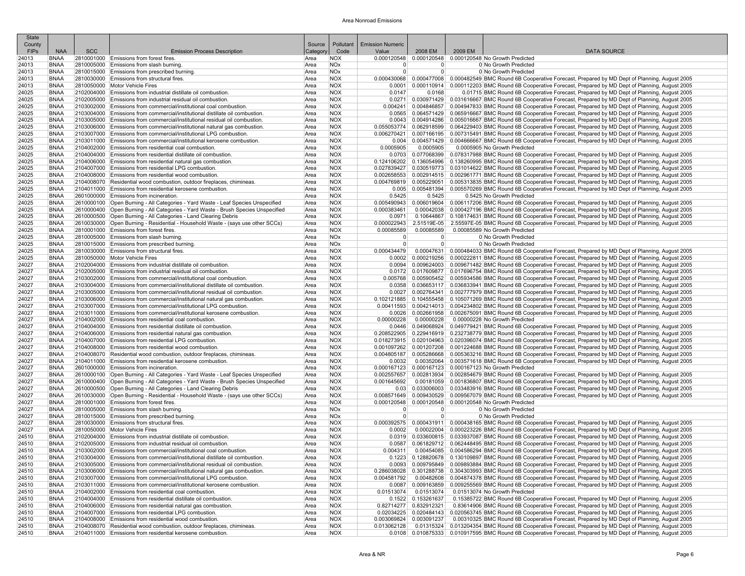| <b>State</b>   |                            |            |                                                                                                                                   |              |                          |                               |                                  |         |                                                                                                                                                                                                                               |
|----------------|----------------------------|------------|-----------------------------------------------------------------------------------------------------------------------------------|--------------|--------------------------|-------------------------------|----------------------------------|---------|-------------------------------------------------------------------------------------------------------------------------------------------------------------------------------------------------------------------------------|
| County         |                            |            |                                                                                                                                   | Source       | Pollutant                | <b>Emission Numeric</b>       |                                  |         |                                                                                                                                                                                                                               |
| <b>FIPs</b>    | <b>NAA</b>                 | <b>SCC</b> | <b>Emission Process Description</b>                                                                                               | Categor      | Code                     | Value                         | 2008 EM                          | 2009 EM | <b>DATA SOURCE</b>                                                                                                                                                                                                            |
| 24013          | <b>BNAA</b>                |            | 2810001000 Emissions from forest fires.                                                                                           | Area         | <b>NOX</b>               | 0.000120548                   |                                  |         | 0.000120548 0.000120548 No Growth Predicted                                                                                                                                                                                   |
| 24013<br>24013 | <b>BNAA</b><br><b>BNAA</b> |            | 2810005000 Emissions from slash burning.                                                                                          | Area         | <b>NOx</b><br><b>NOx</b> | $\mathbf 0$<br>$\overline{0}$ | $\overline{0}$<br>$\overline{0}$ |         | 0 No Growth Predicted<br>0 No Growth Predicted                                                                                                                                                                                |
| 24013          | <b>BNAA</b>                |            | 2810015000 Emissions from prescribed burning.<br>2810030000 Emissions from structural fires.                                      | Area<br>Area | <b>NOX</b>               |                               |                                  |         | 0.000430068   0.000477008   0.000482549 BMC Round 6B Cooperative Forecast, Prepared by MD Dept of Planning, August 2005                                                                                                       |
| 24013          | <b>BNAA</b>                |            | 2810050000 Motor Vehicle Fires                                                                                                    | Area         | <b>NOX</b>               |                               |                                  |         | 0.0001   0.000110914   0.000112203 BMC Round 6B Cooperative Forecast, Prepared by MD Dept of Planning, August 2005                                                                                                            |
| 24025          | <b>BNAA</b>                |            | 2102004000 Emissions from industrial distillate oil combustion                                                                    | Area         | <b>NOX</b>               | 0.0147                        | 0.0168                           |         | 0.01715 BMC Round 6B Cooperative Forecast, Prepared by MD Dept of Planning, August 2005                                                                                                                                       |
| 24025          | <b>BNAA</b>                |            | 2102005000 Emissions from industrial residual oil combustion                                                                      | Area         | <b>NOX</b>               |                               |                                  |         | 0.0271 0.030971429 0.031616667 BMC Round 6B Cooperative Forecast, Prepared by MD Dept of Planning, August 2005                                                                                                                |
| 24025          | <b>BNAA</b>                |            | 2103002000 Emissions from commercial/institutional coal combustion.                                                               | Area         | <b>NOX</b>               | 0.004241                      |                                  |         | 0.004846857 0.004947833 BMC Round 6B Cooperative Forecast, Prepared by MD Dept of Planning, August 2005                                                                                                                       |
| 24025          | <b>BNAA</b>                |            | 2103004000 Emissions from commercial/institutional distillate oil combustion.                                                     | Area         | <b>NOX</b>               | 0.0565                        |                                  |         | 0.064571429 0.065916667 BMC Round 6B Cooperative Forecast, Prepared by MD Dept of Planning, August 2005                                                                                                                       |
| 24025          | <b>BNAA</b>                |            | 2103005000 Emissions from commercial/institutional residual oil combustion.                                                       | Area         | <b>NOX</b>               |                               |                                  |         | 0.004914286 0.005016667 BMC Round 6B Cooperative Forecast, Prepared by MD Dept of Planning, August 2005                                                                                                                       |
| 24025          | <b>BNAA</b>                |            | 2103006000 Emissions from commercial/institutional natural gas combustion                                                         | Area         | <b>NOX</b>               | 0.055053774                   |                                  |         | 0.062918599 0.064229403 BMC Round 6B Cooperative Forecast, Prepared by MD Dept of Planning, August 2005                                                                                                                       |
| 24025          | <b>BNAA</b>                |            | 2103007000 Emissions from commercial/institutional LPG combustion                                                                 | Area         | <b>NOX</b>               |                               |                                  |         | 0.006270421 0.007166195 0.007315491 BMC Round 6B Cooperative Forecast, Prepared by MD Dept of Planning, August 2005                                                                                                           |
| 24025          | <b>BNAA</b>                |            | 2103011000 Emissions from commercial/institutional kerosene combustion.                                                           | Area         | <b>NOX</b>               | 0.004                         |                                  |         | 0.004571429 0.004666667 BMC Round 6B Cooperative Forecast, Prepared by MD Dept of Planning, August 2005                                                                                                                       |
| 24025          | <b>BNAA</b>                |            | 2104002000 Emissions from residential coal combustion.                                                                            | Area         | <b>NOX</b>               | 0.0005905                     | 0.0005905                        |         | 0.0005905 No Growth Predicted                                                                                                                                                                                                 |
| 24025          | <b>BNAA</b>                |            | 2104004000 Emissions from residential distillate oil combustion                                                                   | Area         | <b>NOX</b>               |                               |                                  |         | 0.0703 0.077068399 0.078317988 BMC Round 6B Cooperative Forecast, Prepared by MD Dept of Planning, August 2005                                                                                                                |
| 24025          | BNAA                       |            | 2104006000 Emissions from residential natural gas combustion.                                                                     | Area         | <b>NOX</b>               |                               |                                  |         | 0.124106202 0.136054996 0.138260995 BMC Round 6B Cooperative Forecast, Prepared by MD Dept of Planning, August 2005                                                                                                           |
| 24025          | <b>BNAA</b>                |            | 2104007000 Emissions from residential LPG combustion.                                                                             | Area         | <b>NOX</b>               | 0.027839427                   |                                  |         | 0.030519773 0.031014622 BMC Round 6B Cooperative Forecast, Prepared by MD Dept of Planning, August 2005                                                                                                                       |
| 24025          | <b>BNAA</b>                |            | 2104008000 Emissions from residential wood combustion.                                                                            | Area         | <b>NOX</b>               | 0.002658553                   |                                  |         | 0.002914515 0.002961771 BMC Round 6B Cooperative Forecast, Prepared by MD Dept of Planning, August 2005                                                                                                                       |
| 24025          | <b>BNAA</b>                |            | 2104008070 Residential wood combustion, outdoor fireplaces, chimineas.                                                            | Area         | <b>NOX</b><br><b>NOX</b> |                               |                                  |         | 0.004769819 0.005229051 0.005313835 BMC Round 6B Cooperative Forecast, Prepared by MD Dept of Planning, August 2005                                                                                                           |
| 24025<br>24025 | <b>BNAA</b><br><b>BNAA</b> |            | 2104011000 Emissions from residential kerosene combustion.<br>2601000000 Emissions from incineration.                             | Area<br>Area | <b>NOX</b>               | 0.5425                        | 0.5425                           |         | 0.005   0.005481394   0.005570269 BMC Round 6B Cooperative Forecast, Prepared by MD Dept of Planning, August 2005<br>0.5425 No Growth Predicted                                                                               |
| 24025          | <b>BNAA</b>                |            | 2610000100 Open Burning - All Categories - Yard Waste - Leaf Species Unspecified                                                  | Area         | <b>NOX</b>               |                               |                                  |         | 0.005490943 0.006019604 0.006117206 BMC Round 6B Cooperative Forecast, Prepared by MD Dept of Planning, August 2005                                                                                                           |
| 24025          | <b>BNAA</b>                |            | 2610000400 Open Burning - All Categories - Yard Waste - Brush Species Unspecified                                                 | Area         | <b>NOX</b>               | 0.000383461                   |                                  |         | 0.00042038 0.000427196 BMC Round 6B Cooperative Forecast, Prepared by MD Dept of Planning, August 2005                                                                                                                        |
| 24025          | <b>BNAA</b>                |            | 2610000500 Open Burning - All Categories - Land Clearing Debris                                                                   | Area         | <b>NOX</b>               | 0.0971                        |                                  |         | 0.10644867 0.108174631 BMC Round 6B Cooperative Forecast, Prepared by MD Dept of Planning, August 2005                                                                                                                        |
| 24025          | BNAA                       |            | 2610030000 Open Burning - Residential - Household Waste - (says use other SCCs)                                                   | Area         | <b>NOX</b>               | 0.000022943                   |                                  |         | 2.51519E-05 2.55597E-05 BMC Round 6B Cooperative Forecast, Prepared by MD Dept of Planning, August 2005                                                                                                                       |
| 24025          | <b>BNAA</b>                |            | 2810001000 Emissions from forest fires.                                                                                           | Area         | <b>NOX</b>               | 0.00085589                    | 0.00085589                       |         | 0.00085589 No Growth Predicted                                                                                                                                                                                                |
| 24025          | <b>BNAA</b>                |            | 2810005000 Emissions from slash burning.                                                                                          | Area         | <b>NOx</b>               | 0                             | $\Omega$                         |         | 0 No Growth Predicted                                                                                                                                                                                                         |
| 24025          | <b>BNAA</b>                |            | 2810015000 Emissions from prescribed burning.                                                                                     | Area         | <b>NOx</b>               | $\overline{0}$                | $\overline{0}$                   |         | 0 No Growth Predicted                                                                                                                                                                                                         |
| 24025          | <b>BNAA</b>                |            | 2810030000 Emissions from structural fires.                                                                                       | Area         | <b>NOX</b>               | 0.000434479                   |                                  |         | 0.00047631 0.000484033 BMC Round 6B Cooperative Forecast, Prepared by MD Dept of Planning, August 2005                                                                                                                        |
| 24025          | <b>BNAA</b>                |            | 2810050000 Motor Vehicle Fires                                                                                                    | Area         | <b>NOX</b>               |                               |                                  |         | 0.0002   0.000219256   0.000222811 BMC Round 6B Cooperative Forecast, Prepared by MD Dept of Planning, August 2005                                                                                                            |
| 24027          | <b>BNAA</b>                |            | 2102004000 Emissions from industrial distillate oil combustion.                                                                   | Area         | <b>NOX</b>               | 0.0094                        |                                  |         | 0.009624003   0.009671482 BMC Round 6B Cooperative Forecast, Prepared by MD Dept of Planning, August 2005                                                                                                                     |
| 24027          | <b>BNAA</b>                |            | 2102005000 Emissions from industrial residual oil combustion                                                                      | Area         | <b>NOX</b>               |                               |                                  |         | 0.017609877 0.017696754 BMC Round 6B Cooperative Forecast, Prepared by MD Dept of Planning, August 2005                                                                                                                       |
| 24027          | <b>BNAA</b>                |            | 2103002000 Emissions from commercial/institutional coal combustion.                                                               | Area         | <b>NOX</b>               |                               |                                  |         | 0.005768 0.005905452 0.005934586 BMC Round 6B Cooperative Forecast, Prepared by MD Dept of Planning, August 2005                                                                                                              |
| 24027          | BNAA                       |            | 2103004000 Emissions from commercial/institutional distillate oil combustion                                                      | Area         | <b>NOX</b>               |                               |                                  |         | 0.0358 0.036653117 0.036833941 BMC Round 6B Cooperative Forecast, Prepared by MD Dept of Planning, August 2005                                                                                                                |
| 24027          | <b>BNAA</b>                |            | 2103005000 Emissions from commercial/institutional residual oil combustion.                                                       | Area         | <b>NOX</b>               |                               |                                  |         | 0.0027   0.002764341   0.002777979 BMC Round 6B Cooperative Forecast, Prepared by MD Dept of Planning, August 2005                                                                                                            |
| 24027          | <b>BNAA</b>                |            | 2103006000 Emissions from commercial/institutional natural gas combustion.                                                        | Area         | <b>NOX</b>               | 0.102121885                   |                                  |         | 0.104555458 0.105071269 BMC Round 6B Cooperative Forecast, Prepared by MD Dept of Planning, August 2005                                                                                                                       |
| 24027          | <b>BNAA</b>                |            | 2103007000 Emissions from commercial/institutional LPG combustion.                                                                | Area         | <b>NOX</b>               |                               |                                  |         | 0.00411593 0.004214013 0.004234802 BMC Round 6B Cooperative Forecast, Prepared by MD Dept of Planning, August 2005                                                                                                            |
| 24027<br>24027 | <b>BNAA</b><br><b>BNAA</b> |            | 2103011000 Emissions from commercial/institutional kerosene combustion.<br>2104002000 Emissions from residential coal combustion. | Area<br>Area | <b>NOX</b><br><b>NOX</b> | 0.0026<br>0.00000228          | 0.00000228                       |         | 0.002661958 0.002675091 BMC Round 6B Cooperative Forecast, Prepared by MD Dept of Planning, August 2005<br>0.00000228 No Growth Predicted                                                                                     |
| 24027          | <b>BNAA</b>                |            | 2104004000 Emissions from residential distillate oil combustion.                                                                  | Area         | <b>NOX</b>               |                               |                                  |         | 0.0446 0.049068924 0.049779421 BMC Round 6B Cooperative Forecast, Prepared by MD Dept of Planning, August 2005                                                                                                                |
| 24027          | BNAA                       |            | 2104006000 Emissions from residential natural gas combustion.                                                                     | Area         | <b>NOX</b>               |                               |                                  |         | 0.208522905   0.229416919   0.232738779 BMC Round 6B Cooperative Forecast, Prepared by MD Dept of Planning, August 2005                                                                                                       |
| 24027          | <b>BNAA</b>                |            | 2104007000 Emissions from residential LPG combustion.                                                                             | Area         | <b>NOX</b>               |                               |                                  |         | 0.018273915 0.020104963 0.020396074 BMC Round 6B Cooperative Forecast, Prepared by MD Dept of Planning, August 2005                                                                                                           |
| 24027          | BNAA                       |            | 2104008000 Emissions from residential wood combustion.                                                                            | Area         | <b>NOX</b>               |                               |                                  |         | 0.001097262 0.001207208 0.001224688 BMC Round 6B Cooperative Forecast, Prepared by MD Dept of Planning, August 2005                                                                                                           |
| 24027          | <b>BNAA</b>                |            | 2104008070 Residential wood combustion, outdoor fireplaces, chimineas.                                                            | Area         | <b>NOX</b>               |                               |                                  |         | 0.004805187 0.005286668 0.005363216 BMC Round 6B Cooperative Forecast, Prepared by MD Dept of Planning, August 2005                                                                                                           |
| 24027          | <b>BNAA</b>                |            | 2104011000 Emissions from residential kerosene combustion.                                                                        | Area         | <b>NOX</b>               | 0.0032                        |                                  |         | 0.00352064 0.003571618 BMC Round 6B Cooperative Forecast, Prepared by MD Dept of Planning, August 2005                                                                                                                        |
| 24027          | <b>BNAA</b>                |            | 2601000000 Emissions from incineration.                                                                                           | Area         | <b>NOX</b>               |                               |                                  |         | 0.000167123 0.000167123 0.000167123 No Growth Predicted                                                                                                                                                                       |
| 24027          | BNAA                       |            | 2610000100 Open Burning - All Categories - Yard Waste - Leaf Species Unspecified                                                  | Area         | <b>NOX</b>               | 0.002557657                   |                                  |         | 0.002813934   0.002854679 BMC Round 6B Cooperative Forecast, Prepared by MD Dept of Planning, August 2005                                                                                                                     |
| 24027          | <b>BNAA</b>                |            | 2610000400 Open Burning - All Categories - Yard Waste - Brush Species Unspecified                                                 | Area         | <b>NOX</b>               | 0.001645692                   |                                  |         | 0.00181059 0.001836807 BMC Round 6B Cooperative Forecast, Prepared by MD Dept of Planning, August 2005                                                                                                                        |
| 24027          | <b>BNAA</b>                |            | 2610000500 Open Burning - All Categories - Land Clearing Debris                                                                   | Area         | <b>NOX</b>               | 0.03                          |                                  |         | 0.033006003 0.033483916 BMC Round 6B Cooperative Forecast, Prepared by MD Dept of Planning, August 2005                                                                                                                       |
| 24027          | BNAA                       |            | 2610030000 Open Burning - Residential - Household Waste - (says use other SCCs)                                                   | Area         | <b>NOX</b>               | 0.008571649                   |                                  |         | 0.009430529 0.009567079 BMC Round 6B Cooperative Forecast, Prepared by MD Dept of Planning, August 2005                                                                                                                       |
| 24027          | <b>BNAA</b>                |            | 2810001000 Emissions from forest fires.                                                                                           | Area         | <b>NOX</b>               | 0.000120548                   |                                  |         | 0.000120548 0.000120548 No Growth Predicted                                                                                                                                                                                   |
| 24027          | BNAA                       |            | 2810005000 Emissions from slash burning.                                                                                          | Area         | <b>NOx</b>               | $\mathbf 0$                   | $\overline{0}$                   |         | 0 No Growth Predicted                                                                                                                                                                                                         |
| 24027<br>24027 | <b>BNAA</b><br><b>BNAA</b> |            | 2810015000 Emissions from prescribed burning.                                                                                     | Area<br>Area | <b>NOx</b><br><b>NOX</b> | $\Omega$                      | $\overline{0}$                   |         | 0 No Growth Predicted                                                                                                                                                                                                         |
| 24027          | <b>BNAA</b>                |            | 2810030000 Emissions from structural fires.<br>2810050000 Motor Vehicle Fires                                                     | Area         | <b>NOX</b>               | 0.0002                        |                                  |         | 0.000392575 0.000431911 0.000438165 BMC Round 6B Cooperative Forecast, Prepared by MD Dept of Planning, August 2005<br>0.00022004 0.000223226 BMC Round 6B Cooperative Forecast, Prepared by MD Dept of Planning, August 2005 |
| 24510          | <b>BNAA</b>                |            | 2102004000 Emissions from industrial distillate oil combustion.                                                                   | Area         | <b>NOX</b>               |                               |                                  |         | 0.0319 0.033600815 0.033937087 BMC Round 6B Cooperative Forecast, Prepared by MD Dept of Planning, August 2005                                                                                                                |
| 24510          | <b>BNAA</b>                |            | 2102005000 Emissions from industrial residual oil combustion                                                                      | Area         | <b>NOX</b>               |                               |                                  |         | 0.0587   0.061829712   0.062448495 BMC Round 6B Cooperative Forecast, Prepared by MD Dept of Planning, August 2005                                                                                                            |
| 24510          | <b>BNAA</b>                |            | 2103002000 Emissions from commercial/institutional coal combustion.                                                               | Area         | <b>NOX</b>               | 0.004311                      |                                  |         | 0.00454085 0.004586294 BMC Round 6B Cooperative Forecast, Prepared by MD Dept of Planning, August 2005                                                                                                                        |
| 24510          | <b>BNAA</b>                |            | 2103004000 Emissions from commercial/institutional distillate oil combustion.                                                     | Area         | <b>NOX</b>               |                               |                                  |         | 0.1223 0.128820678 0.130109897 BMC Round 6B Cooperative Forecast, Prepared by MD Dept of Planning, August 2005                                                                                                                |
| 24510          | BNAA                       |            | 2103005000 Emissions from commercial/institutional residual oil combustion.                                                       | Area         | <b>NOX</b>               |                               |                                  |         | 0.0093 0.009795849 0.009893884 BMC Round 6B Cooperative Forecast, Prepared by MD Dept of Planning, August 2005                                                                                                                |
| 24510          | <b>BNAA</b>                |            | 2103006000 Emissions from commercial/institutional natural gas combustion.                                                        | Area         | <b>NOX</b>               |                               |                                  |         | 0.286038028 0.301288738 0.304303993 BMC Round 6B Cooperative Forecast, Prepared by MD Dept of Planning, August 2005                                                                                                           |
| 24510          | <b>BNAA</b>                |            | 2103007000 Emissions from commercial/institutional LPG combustion.                                                                | Area         | <b>NOX</b>               | 0.004581792                   |                                  |         | 0.00482608 0.004874378 BMC Round 6B Cooperative Forecast, Prepared by MD Dept of Planning, August 2005                                                                                                                        |
| 24510          | <b>BNAA</b>                |            | 2103011000 Emissions from commercial/institutional kerosene combustion.                                                           | Area         | <b>NOX</b>               |                               |                                  |         | 0.0087 0.009163859 0.009255569 BMC Round 6B Cooperative Forecast, Prepared by MD Dept of Planning, August 2005                                                                                                                |
| 24510          | BNAA                       |            | 2104002000 Emissions from residential coal combustion.                                                                            | Area         | <b>NOX</b>               | 0.01513074                    | 0.01513074                       |         | 0.01513074 No Growth Predicted                                                                                                                                                                                                |
| 24510          | <b>BNAA</b>                |            | 2104004000 Emissions from residential distillate oil combustion.                                                                  | Area         | <b>NOX</b>               |                               | 0.1522 0.153261637               |         | 0.15385722 BMC Round 6B Cooperative Forecast, Prepared by MD Dept of Planning, August 2005                                                                                                                                    |
| 24510          | BNAA                       |            | 2104006000 Emissions from residential natural gas combustion.                                                                     | Area         | <b>NOX</b>               |                               | 0.82714277 0.832912321           |         | 0.83614906 BMC Round 6B Cooperative Forecast, Prepared by MD Dept of Planning, August 2005                                                                                                                                    |
| 24510          | BNAA                       |            | 2104007000 Emissions from residential LPG combustion.                                                                             | Area         | <b>NOX</b>               |                               | $0.02034225$ 0.020484143         |         | 0.020563745 BMC Round 6B Cooperative Forecast, Prepared by MD Dept of Planning, August 2005                                                                                                                                   |
| 24510          | <b>BNAA</b>                |            | 2104008000 Emissions from residential wood combustion.                                                                            | Area         | <b>NOX</b>               | 0.003069824                   | 0.003091237                      |         | 0.00310325 BMC Round 6B Cooperative Forecast, Prepared by MD Dept of Planning, August 2005                                                                                                                                    |
| 24510          | <b>BNAA</b>                |            | 2104008070 Residential wood combustion, outdoor fireplaces, chimineas.                                                            | Area         | <b>NOX</b>               | 0.013062128                   |                                  |         | 0.01315324 0.013204354 BMC Round 6B Cooperative Forecast, Prepared by MD Dept of Planning, August 2005                                                                                                                        |
| 24510          | <b>BNAA</b>                |            | 2104011000 Emissions from residential kerosene combustion.                                                                        | Area         | <b>NOX</b>               |                               |                                  |         | 0.0108 0.010875333 0.010917595 BMC Round 6B Cooperative Forecast, Prepared by MD Dept of Planning, August 2005                                                                                                                |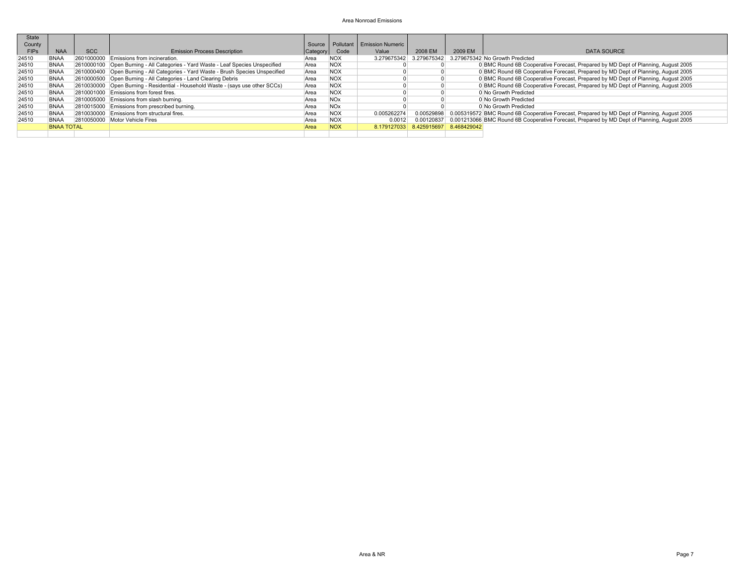| <b>State</b><br>County |                   |            |                                                                                   |          |            | Source   Pollutant   Emission Numeric |                                     |         |                                                                                                        |
|------------------------|-------------------|------------|-----------------------------------------------------------------------------------|----------|------------|---------------------------------------|-------------------------------------|---------|--------------------------------------------------------------------------------------------------------|
|                        |                   |            |                                                                                   |          |            |                                       |                                     |         |                                                                                                        |
| <b>FIPs</b>            | <b>NAA</b>        | <b>SCC</b> | <b>Emission Process Description</b>                                               | Category | Code       | Value                                 | 2008 EM                             | 2009 EM | <b>DATA SOURCE</b>                                                                                     |
| 24510                  | <b>BNAA</b>       |            | 2601000000 Emissions from incineration.                                           | Area     | <b>NOX</b> | 3.279675342                           |                                     |         | 3.279675342 3.279675342 No Growth Predicted                                                            |
| 24510                  | <b>BNAA</b>       |            | 2610000100 Open Burning - All Categories - Yard Waste - Leaf Species Unspecified  | Area     | <b>NOX</b> |                                       |                                     |         | 0 BMC Round 6B Cooperative Forecast, Prepared by MD Dept of Planning, August 2005                      |
| 24510                  | <b>BNAA</b>       |            | 2610000400 Open Burning - All Categories - Yard Waste - Brush Species Unspecified | Area     | <b>NOX</b> |                                       |                                     |         | 0 BMC Round 6B Cooperative Forecast, Prepared by MD Dept of Planning, August 2005                      |
| 24510                  | <b>BNAA</b>       |            | 2610000500 Open Burning - All Categories - Land Clearing Debris                   | Area     | <b>NOX</b> |                                       |                                     |         | 0 BMC Round 6B Cooperative Forecast, Prepared by MD Dept of Planning, August 2005                      |
| 24510                  | <b>BNAA</b>       |            | 2610030000 Open Burning - Residential - Household Waste - (says use other SCCs)   | Area     | <b>NOX</b> |                                       |                                     |         | 0 BMC Round 6B Cooperative Forecast, Prepared by MD Dept of Planning, August 2005                      |
| 24510                  | <b>BNAA</b>       |            | 2810001000 Emissions from forest fires.                                           | Area     | <b>NOX</b> |                                       |                                     |         | 0 No Growth Predicted                                                                                  |
| 24510                  | <b>BNAA</b>       |            | 2810005000 Emissions from slash burning.                                          | Area     | <b>NOx</b> |                                       |                                     |         | 0 No Growth Predicted                                                                                  |
| 24510                  | <b>BNAA</b>       |            | 2810015000 Emissions from prescribed burning.                                     | Area     | <b>NOx</b> |                                       |                                     |         | 0 No Growth Predicted                                                                                  |
| 24510                  | <b>BNAA</b>       |            | 2810030000 Emissions from structural fires.                                       | Area     | <b>NOX</b> | 0.005262274                           |                                     |         | 0.00529898 0.005319572 BMC Round 6B Cooperative Forecast, Prepared by MD Dept of Planning, August 2005 |
| 24510                  | <b>BNAA</b>       |            | 2810050000 Motor Vehicle Fires                                                    | Area     | <b>NOX</b> | 0.0012                                |                                     |         | 0.00120837 0.001213066 BMC Round 6B Cooperative Forecast, Prepared by MD Dept of Planning, August 2005 |
|                        | <b>BNAA TOTAL</b> |            |                                                                                   | Area     | <b>NOX</b> |                                       | 8.179127033 8.425915697 8.468429042 |         |                                                                                                        |
|                        |                   |            |                                                                                   |          |            |                                       |                                     |         |                                                                                                        |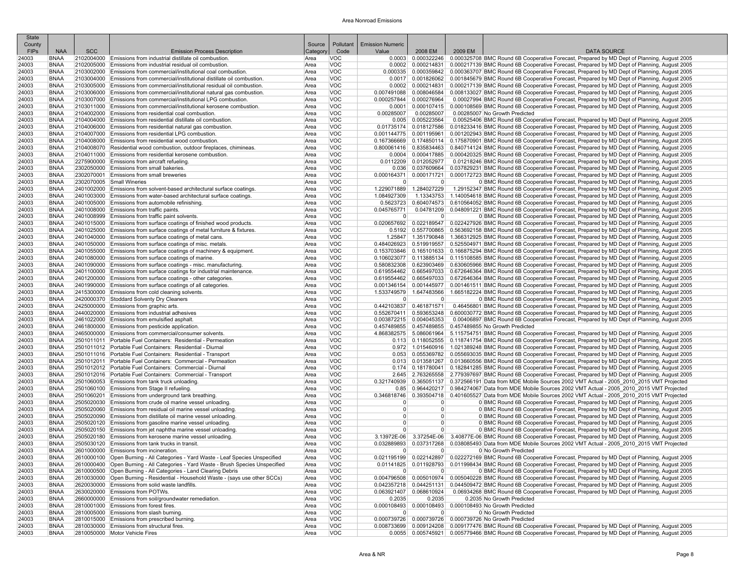| <b>State</b><br>County |                            |            |                                                                                                                                                           | Source       | Pollutant                | <b>Emission Numeric</b> |                           |         |                                                                                                                                                                                                                                                |
|------------------------|----------------------------|------------|-----------------------------------------------------------------------------------------------------------------------------------------------------------|--------------|--------------------------|-------------------------|---------------------------|---------|------------------------------------------------------------------------------------------------------------------------------------------------------------------------------------------------------------------------------------------------|
| <b>FIPs</b>            | <b>NAA</b>                 | <b>SCC</b> | <b>Emission Process Description</b>                                                                                                                       | Categon      | Code                     | Value                   | 2008 EM                   | 2009 EM | <b>DATA SOURCE</b>                                                                                                                                                                                                                             |
| 24003                  | <b>BNAA</b>                |            | 2102004000 Emissions from industrial distillate oil combustion.                                                                                           | Area         | <b>VOC</b>               |                         |                           |         | 0.000322246 0.000325708 BMC Round 6B Cooperative Forecast, Prepared by MD Dept of Planning, August 2005                                                                                                                                        |
| 24003                  | <b>BNAA</b>                |            | 2102005000 Emissions from industrial residual oil combustion.                                                                                             | Area         | <b>VOC</b>               |                         |                           |         | 0.0002   0.000214831   0.000217139 BMC Round 6B Cooperative Forecast, Prepared by MD Dept of Planning, August 2005                                                                                                                             |
| 24003                  | <b>BNAA</b>                |            | 2103002000 Emissions from commercial/institutional coal combustion.                                                                                       | Area         | <b>VOC</b>               |                         |                           |         | 0.000335 0.000359842 0.000363707 BMC Round 6B Cooperative Forecast, Prepared by MD Dept of Planning, August 2005                                                                                                                               |
| 24003                  | <b>BNAA</b>                |            | 2103004000 Emissions from commercial/institutional distillate oil combustion.                                                                             | Area         | <b>VOC</b>               |                         |                           |         | 0.0017 0.001826062 0.001845679 BMC Round 6B Cooperative Forecast, Prepared by MD Dept of Planning, August 2005                                                                                                                                 |
| 24003<br>24003         | <b>BNAA</b><br><b>BNAA</b> |            | 2103005000 Emissions from commercial/institutional residual oil combustion.<br>2103006000 Emissions from commercial/institutional natural gas combustion. | Area<br>Area | <b>VOC</b><br><b>VOC</b> |                         |                           |         | 0.0002   0.000214831   0.000217139 BMC Round 6B Cooperative Forecast, Prepared by MD Dept of Planning, August 2005<br>0.007491088 0.008046584 0.008133027 BMC Round 6B Cooperative Forecast, Prepared by MD Dept of Planning, August 2005      |
| 24003                  | <b>BNAA</b>                |            | 2103007000 Emissions from commercial/institutional LPG combustion                                                                                         | Area         | <b>VOC</b>               | 0.000257844             | 0.000276964               |         | 0.00027994 BMC Round 6B Cooperative Forecast, Prepared by MD Dept of Planning, August 2005                                                                                                                                                     |
| 24003                  | <b>BNAA</b>                |            | 2103011000 Emissions from commercial/institutional kerosene combustion.                                                                                   | Area         | <b>VOC</b>               |                         |                           |         | 0.0001   0.000107415   0.000108569 BMC Round 6B Cooperative Forecast, Prepared by MD Dept of Planning, August 2005                                                                                                                             |
| 24003                  | <b>BNAA</b>                |            | 2104002000 Emissions from residential coal combustion.                                                                                                    | Area         | <b>VOC</b>               | 0.00285007              | 0.00285007                |         | 0.00285007 No Growth Predicted                                                                                                                                                                                                                 |
| 24003                  | <b>BNAA</b>                |            | 2104004000 Emissions from residential distillate oil combustion.                                                                                          | Area         | <b>VOC</b>               |                         | 0.005 0.005223564         |         | 0.00525406 BMC Round 6B Cooperative Forecast, Prepared by MD Dept of Planning, August 2005                                                                                                                                                     |
| 24003                  | <b>BNAA</b>                |            | 2104006000 Emissions from residential natural gas combustion.                                                                                             | Area         | <b>VOC</b>               |                         | 0.01735174 0.018127586    |         | 0.018233416 BMC Round 6B Cooperative Forecast, Prepared by MD Dept of Planning, August 2005                                                                                                                                                    |
| 24003<br>24003         | <b>BNAA</b><br><b>BNAA</b> |            | 2104007000 Emissions from residential LPG combustion.<br>2104008000 Emissions from residential wood combustion.                                           | Area<br>Area | <b>VOC</b><br><b>VOC</b> |                         |                           |         | 0.001144775   0.001195961   0.001202943 BMC Round 6B Cooperative Forecast. Prepared by MD Dept of Planning. August 2005<br>0.167366669 0.174850114 0.175870901 BMC Round 6B Cooperative Forecast, Prepared by MD Dept of Planning, August 2005 |
| 24003                  | <b>BNAA</b>                |            | 2104008070 Residential wood combustion, outdoor fireplaces, chimineas.                                                                                    | Area         | <b>VOC</b>               |                         |                           |         | 0.800061416 0.835834463 0.840714124 BMC Round 6B Cooperative Forecast, Prepared by MD Dept of Planning, August 2005                                                                                                                            |
| 24003                  | <b>BNAA</b>                |            | 2104011000 Emissions from residential kerosene combustion.                                                                                                | Area         | <b>VOC</b>               |                         |                           |         | 0.000417885 0.000420325 BMC Round 6B Cooperative Forecast, Prepared by MD Dept of Planning, August 2005                                                                                                                                        |
| 24003                  | <b>BNAA</b>                |            | 2275900000 Emissions from aircraft refueling.                                                                                                             | Area         | <b>VOC</b>               |                         | 0.0112209 0.012052977     |         | 0.01218246 BMC Round 6B Cooperative Forecast, Prepared by MD Dept of Planning, August 2005                                                                                                                                                     |
| 24003                  | <b>BNAA</b>                |            | 2302050000 Emissions from small bakeries.                                                                                                                 | Area         | <b>VOC</b>               |                         |                           |         | 0.037609664 0.037829231 BMC Round 6B Cooperative Forecast, Prepared by MD Dept of Planning, August 2005                                                                                                                                        |
| 24003                  | <b>BNAA</b>                |            | 2302070001 Emissions from small breweries                                                                                                                 | Area         | <b>VOC</b>               |                         |                           |         | 0.000164371 0.000171721 0.000172723 BMC Round 6B Cooperative Forecast, Prepared by MD Dept of Planning, August 2005                                                                                                                            |
| 24003<br>24003         | <b>BNAA</b><br><b>BNAA</b> |            | 2302070005 Small Wineries<br>2401002000 Emissions from solvent-based architectural surface coatings.                                                      | Area<br>Area | <b>VOC</b><br><b>VOC</b> | $\Omega$<br>1.229071889 | 0 <br>1.284027229         |         | 0 BMC Round 6B Cooperative Forecast, Prepared by MD Dept of Planning, August 2005<br>1.29152347 BMC Round 6B Cooperative Forecast, Prepared by MD Dept of Planning, August 2005                                                                |
| 24003                  | <b>BNAA</b>                |            | 2401003000 Emissions from water-based architectural surface coatings.                                                                                     | Area         | <b>VOC</b>               | 1.084927309             |                           |         | 1.13343753 1.140054618 BMC Round 6B Cooperative Forecast, Prepared by MD Dept of Planning, August 2005                                                                                                                                         |
| 24003                  | <b>BNAA</b>                |            | 2401005000 Emissions from automobile refinishing.                                                                                                         | Area         | <b>VOC</b>               | 0.5623723               |                           |         | 0.604074573   0.610564052 BMC Round 6B Cooperative Forecast, Prepared by MD Dept of Planning, August 2005                                                                                                                                      |
| 24003                  | <b>BNAA</b>                |            | 2401008000 Emissions from traffic paints.                                                                                                                 | Area         | <b>VOC</b>               | 0.045765771             |                           |         | 0.04781209 0.048091221 BMC Round 6B Cooperative Forecast, Prepared by MD Dept of Planning, August 2005                                                                                                                                         |
| 24003                  | <b>BNAA</b>                |            | 2401008999 Emissions from traffic paint solvents.                                                                                                         | Area         | <b>VOC</b>               | $\Omega$                | $\Omega$                  |         | 0 BMC Round 6B Cooperative Forecast, Prepared by MD Dept of Planning, August 2005                                                                                                                                                              |
| 24003                  | <b>BNAA</b>                |            | 2401015000 Emissions from surface coatings of finished wood products.                                                                                     | Area         | <b>VOC</b>               |                         |                           |         | 0.020657692 0.022189547 0.022427926 BMC Round 6B Cooperative Forecast, Prepared by MD Dept of Planning, August 2005                                                                                                                            |
| 24003<br>24003         | <b>BNAA</b><br><b>BNAA</b> |            | 2401025000 Emissions from surface coatings of metal furniture & fixtures.<br>2401040000 Emissions from surface coatings of metal cans.                    | Area<br>Area | <b>VOC</b><br><b>VOC</b> |                         |                           |         | 0.5192 0.557700865 0.563692158 BMC Round 6B Cooperative Forecast, Prepared by MD Dept of Planning, August 2005<br>1.25847 1.351790848 1.366312925 BMC Round 6B Cooperative Forecast, Prepared by MD Dept of Planning, August 2005              |
| 24003                  | <b>BNAA</b>                |            | 2401050000 Emissions from surface coatings of misc. metals.                                                                                               | Area         | <b>VOC</b>               |                         |                           |         | 0.484026923 0.519919557 0.525504971 BMC Round 6B Cooperative Forecast, Prepared by MD Dept of Planning, August 2005                                                                                                                            |
| 24003                  | <b>BNAA</b>                |            | 2401055000 Emissions from surface coatings of machinery & equipment.                                                                                      | Area         | <b>VOC</b>               |                         |                           |         | 0.153703846 0.165101633 0.166875294 BMC Round 6B Cooperative Forecast, Prepared by MD Dept of Planning, August 2005                                                                                                                            |
| 24003                  | <b>BNAA</b>                |            | 2401080000 Emissions from surface coatings of marine.                                                                                                     | Area         | <b>VOC</b>               |                         |                           |         | 0.106023077   0.113885134   0.115108585 BMC Round 6B Cooperative Forecast, Prepared by MD Dept of Planning, August 2005                                                                                                                        |
| 24003                  | <b>BNAA</b>                |            | 2401090000 Emissions from surface coatings - misc. manufacturing.                                                                                         | Area         | <b>VOC</b>               |                         |                           |         | 0.680832308   0.623903469   0.630605966 BMC Round 6B Cooperative Forecast, Prepared by MD Dept of Planning, August 2005                                                                                                                        |
| 24003                  | <b>BNAA</b>                |            | 2401100000 Emissions from surface coatings for industrial maintenance.                                                                                    | Area         | <b>VOC</b>               | 0.619554462             |                           |         | 0.665497033 0.672646364 BMC Round 6B Cooperative Forecast, Prepared by MD Dept of Planning, August 2005                                                                                                                                        |
| 24003<br>24003         | <b>BNAA</b>                |            | 2401200000 Emissions from surface coatings - other categories.                                                                                            | Area         | <b>VOC</b><br><b>VOC</b> |                         |                           |         | 0.619554462 0.665497033 0.672646364 BMC Round 6B Cooperative Forecast, Prepared by MD Dept of Planning, August 2005                                                                                                                            |
| 24003                  | <b>BNAA</b><br><b>BNAA</b> |            | 2401990000 Emissions from surface coatings of all categories.<br>2415300000 Emissions from cold cleaning solvents.                                        | Area<br>Area | <b>VOC</b>               |                         |                           |         | 0.001346154 0.001445977 0.001461511 BMC Round 6B Cooperative Forecast, Prepared by MD Dept of Planning, August 2005<br>1.533749579 1.647483566 1.665182224 BMC Round 6B Cooperative Forecast, Prepared by MD Dept of Planning, August 2005     |
| 24003                  | <b>BNAA</b>                |            | 2420000370 Stoddard Solventy Dry Cleaners                                                                                                                 | Area         | <b>VOC</b>               | $\Omega$                | 0                         |         | 0 BMC Round 6B Cooperative Forecast, Prepared by MD Dept of Planning, August 2005                                                                                                                                                              |
| 24003                  | <b>BNAA</b>                |            | 2425000000 Emissions from graphic arts.                                                                                                                   | Area         | <b>VOC</b>               |                         | 0.442103837 0.461871571   |         | 0.46456801 BMC Round 6B Cooperative Forecast, Prepared by MD Dept of Planning, August 2005                                                                                                                                                     |
| 24003                  | <b>BNAA</b>                |            | 2440020000 Emissions from industrial adhesives                                                                                                            | Area         | <b>VOC</b>               |                         | 0.552670411 0.593653248   |         | 0.600030772 BMC Round 6B Cooperative Forecast, Prepared by MD Dept of Planning, August 2005                                                                                                                                                    |
| 24003                  | <b>BNAA</b>                |            | 2461022000 Emissions from emulsified asphalt.                                                                                                             | Area         | <b>VOC</b>               |                         | 0.003872215 0.004045353   |         | 0.00406897 BMC Round 6B Cooperative Forecast, Prepared by MD Dept of Planning, August 2005                                                                                                                                                     |
| 24003<br>24003         | <b>BNAA</b><br><b>BNAA</b> |            | 2461800000 Emissions from pesticide application.<br>2465000000 Emissions from commercial/consumer solvents.                                               | Area<br>Area | <b>VOC</b><br><b>VOC</b> |                         |                           |         | 0.457489855 0.457489855 0.457489855 No Growth Predicted<br>4.868382575 5.086061964 5.115754751 BMC Round 6B Cooperative Forecast, Prepared by MD Dept of Planning, August 2005                                                                 |
| 24003                  | <b>BNAA</b>                |            | 2501011011 Portable Fuel Containers: Residential - Permeation                                                                                             | Area         | <b>VOC</b>               |                         |                           |         | 0.118052555 0.118741754 BMC Round 6B Cooperative Forecast, Prepared by MD Dept of Planning, August 2005                                                                                                                                        |
| 24003                  | <b>BNAA</b>                |            | 2501011012 Portable Fuel Containers: Residential - Diurnal                                                                                                | Area         | <b>VOC</b>               |                         |                           |         | 0.972 1.015460916 1.021389248 BMC Round 6B Cooperative Forecast, Prepared by MD Dept of Planning, August 2005                                                                                                                                  |
| 24003                  | <b>BNAA</b>                |            | 2501011016 Portable Fuel Containers: Residential - Transport                                                                                              | Area         | <b>VOC</b>               | 0.053                   |                           |         | 0.055369782 0.055693035 BMC Round 6B Cooperative Forecast, Prepared by MD Dept of Planning, August 2005                                                                                                                                        |
| 24003                  | <b>BNAA</b>                |            | 2501012011 Portable Fuel Containers: Commercial - Permeation                                                                                              | Area         | <b>VOC</b>               | 0.013                   |                           |         | 0.013581267 0.013660556 BMC Round 6B Cooperative Forecast, Prepared by MD Dept of Planning, August 2005                                                                                                                                        |
| 24003                  | BNAA                       |            | 2501012012 Portable Fuel Containers: Commercial - Diurnal                                                                                                 | Area         | <b>VOC</b>               |                         |                           |         | 0.174 0.181780041 0.182841285 BMC Round 6B Cooperative Forecast, Prepared by MD Dept of Planning, August 2005                                                                                                                                  |
| 24003<br>24003         | <b>BNAA</b><br><b>BNAA</b> |            | 2501012016 Portable Fuel Containers: Commercial - Transport<br>2501060053 Emissions from tank truck unloading.                                            | Area<br>Area | <b>VOC</b><br><b>VOC</b> | 0.321740939             |                           |         | 2.645 2.763265558 2.779397697 BMC Round 6B Cooperative Forecast, Prepared by MD Dept of Planning, August 2005<br>0.365051137 0.372566191 Data from MDE Mobile Sources 2002 VMT Actual - 2005 2010 2015 VMT Projected                           |
| 24003                  | <b>BNAA</b>                |            | 2501060100 Emissions from Stage II refueling.                                                                                                             | Area         | <b>VOC</b>               |                         |                           |         | 0.85 0.964420217 0.984274067 Data from MDE Mobile Sources 2002 VMT Actual - 2005 2010 2015 VMT Projected                                                                                                                                       |
| 24003                  | <b>BNAA</b>                |            | 2501060201 Emissions from underground tank breathing.                                                                                                     | Area         | <b>VOC</b>               |                         |                           |         | 0.346818746 0.393504718 0.401605527 Data from MDE Mobile Sources 2002 VMT Actual - 2005 2010 2015 VMT Projected                                                                                                                                |
| 24003                  | <b>BNAA</b>                |            | 2505020030 Emissions from crude oil marine vessel unloading.                                                                                              | Area         | <b>VOC</b>               | $\Omega$                | 0                         |         | 0 BMC Round 6B Cooperative Forecast, Prepared by MD Dept of Planning, August 2005                                                                                                                                                              |
| 24003                  | <b>BNAA</b>                |            | 2505020060 Emissions from residual oil marine vessel unloading                                                                                            | Area         | <b>VOC</b>               | $\Omega$                | 0                         |         | 0 BMC Round 6B Cooperative Forecast, Prepared by MD Dept of Planning, August 2005                                                                                                                                                              |
| 24003                  | <b>BNAA</b><br><b>BNAA</b> |            | 2505020090 Emissions from distillate oil marine vessel unloading<br>2505020120 Emissions from gasoline marine vessel unloading.                           | Area         | <b>VOC</b><br><b>VOC</b> | $\Omega$<br>$\Omega$    | 0 <br> 0                  |         | 0 BMC Round 6B Cooperative Forecast, Prepared by MD Dept of Planning, August 2005<br>0 BMC Round 6B Cooperative Forecast. Prepared by MD Dept of Planning. August 2005                                                                         |
| 24003<br>24003         | <b>BNAA</b>                |            | 2505020150 Emissions from jet naphtha marine vessel unloading.                                                                                            | Area<br>Area | <b>VOC</b>               | $\overline{0}$          | 0                         |         | 0 BMC Round 6B Cooperative Forecast. Prepared by MD Dept of Planning. August 2005                                                                                                                                                              |
| 24003                  | <b>BNAA</b>                |            | 2505020180 Emissions from kerosene marine vessel unloading.                                                                                               | Area         | <b>VOC</b>               |                         |                           |         | 3.13972E-06 3.37254E-06 3.40877E-06 BMC Round 6B Cooperative Forecast, Prepared by MD Dept of Planning, August 2005                                                                                                                            |
| 24003                  | <b>BNAA</b>                |            | 2505030120 Emissions from tank trucks in transit.                                                                                                         | Area         | <b>VOC</b>               |                         |                           |         | 0.032889893 0.037317268 0.038085493 Data from MDE Mobile Sources 2002 VMT Actual - 2005 2010 2015 VMT Projected                                                                                                                                |
| 24003                  | <b>BNAA</b>                |            | 2601000000 Emissions from incineration.                                                                                                                   | Area         | <b>VOC</b>               | $\Omega$                | 0                         |         | 0 No Growth Predicted                                                                                                                                                                                                                          |
| 24003                  | <b>BNAA</b>                |            | 2610000100 Open Burning - All Categories - Yard Waste - Leaf Species Unspecified                                                                          | Area         | VOC                      |                         |                           |         | 0.021195199 0.022142897 0.022272169 BMC Round 6B Cooperative Forecast, Prepared by MD Dept of Planning, August 2005                                                                                                                            |
| 24003                  | BNAA                       |            | 2610000400 Open Burning - All Categories - Yard Waste - Brush Species Unspecified<br>2610000500 Open Burning - All Categories - Land Clearing Debris      | Area         | <b>VOC</b>               |                         |                           |         | 0.01141825 0.011928793 0.011998434 BMC Round 6B Cooperative Forecast, Prepared by MD Dept of Planning, August 2005                                                                                                                             |
| 24003<br>24003         | <b>BNAA</b><br><b>BNAA</b> |            | 2610030000 Open Burning - Residential - Household Waste - (says use other SCCs)                                                                           | Area<br>Area | <b>VOC</b><br><b>VOC</b> | $\overline{0}$          | 0                         |         | 0 BMC Round 6B Cooperative Forecast, Prepared by MD Dept of Planning, August 2005<br>0.004796508 0.005010974 0.005040228 BMC Round 6B Cooperative Forecast, Prepared by MD Dept of Planning, August 2005                                       |
| 24003                  | <b>BNAA</b>                |            | 2620030000 Emissions from solid waste landfills.                                                                                                          | Area         | <b>VOC</b>               |                         |                           |         | 0.042357218 0.044251131 0.044509472 BMC Round 6B Cooperative Forecast. Prepared by MD Dept of Planning. August 2005                                                                                                                            |
| 24003                  | <b>BNAA</b>                |            | 2630020000 Emissions from POTWs.                                                                                                                          | Area         | <b>VOC</b>               |                         | 0.063921407   0.068610924 |         | 0.06934268 BMC Round 6B Cooperative Forecast, Prepared by MD Dept of Planning, August 2005                                                                                                                                                     |
| 24003                  | <b>BNAA</b>                |            | 2660000000 Emissions from soil/groundwater remediation.                                                                                                   | Area         | <b>VOC</b>               | 0.2035                  | 0.2035                    |         | 0.2035 No Growth Predicted                                                                                                                                                                                                                     |
| 24003                  | <b>BNAA</b>                |            | 2810001000 Emissions from forest fires.                                                                                                                   | Area         | <b>VOC</b>               |                         |                           |         | 0.000108493 0.000108493 0.000108493 No Growth Predicted                                                                                                                                                                                        |
| 24003<br>24003         | <b>BNAA</b><br><b>BNAA</b> |            | 2810005000 Emissions from slash burning.<br>2810015000 Emissions from prescribed burning.                                                                 | Area         | <b>VOC</b><br><b>VOC</b> | $\Omega$                | 0                         |         | 0 No Growth Predicted<br>0.000739726 0.000739726 0.000739726 No Growth Predicted                                                                                                                                                               |
| 24003                  | <b>BNAA</b>                |            | 2810030000 Emissions from structural fires.                                                                                                               | Area<br>Area | <b>VOC</b>               |                         |                           |         | 0.008733699 0.009124208 0.009177476 BMC Round 6B Cooperative Forecast, Prepared by MD Dept of Planning, August 2005                                                                                                                            |
| 24003                  | <b>BNAA</b>                |            | 2810050000 Motor Vehicle Fires                                                                                                                            | Area         | <b>VOC</b>               |                         |                           |         | 0.005745921 0.005779466 BMC Round 6B Cooperative Forecast, Prepared by MD Dept of Planning, August 2005                                                                                                                                        |
|                        |                            |            |                                                                                                                                                           |              |                          |                         |                           |         |                                                                                                                                                                                                                                                |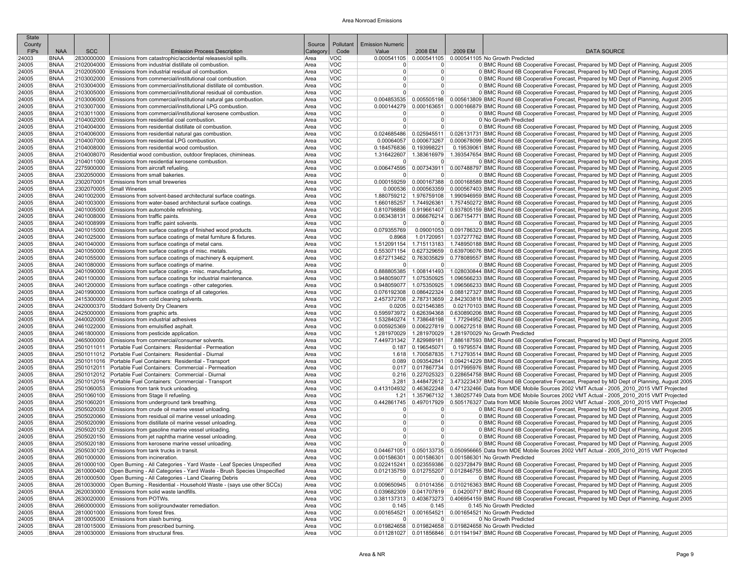| State                 |                            |            |                                                                                                                                                                       |                    |                          |                                  |                                  |                                                                                      |                                                                                                                                                                                                                                            |
|-----------------------|----------------------------|------------|-----------------------------------------------------------------------------------------------------------------------------------------------------------------------|--------------------|--------------------------|----------------------------------|----------------------------------|--------------------------------------------------------------------------------------|--------------------------------------------------------------------------------------------------------------------------------------------------------------------------------------------------------------------------------------------|
| County<br><b>FIPs</b> | <b>NAA</b>                 | <b>SCC</b> | <b>Emission Process Description</b>                                                                                                                                   | Source<br>Category | Pollutant<br>Code        | <b>Emission Numeric</b><br>Value | 2008 EM                          | 2009 EM                                                                              | <b>DATA SOURCE</b>                                                                                                                                                                                                                         |
| 24003                 | <b>BNAA</b>                |            | 2830000000 Emissions from catastrophic/accidental releases/oil spills                                                                                                 | Area               | <b>VOC</b>               |                                  |                                  | 0.000541105 0.000541105 0.000541105 No Growth Predicted                              |                                                                                                                                                                                                                                            |
| 24005                 | <b>BNAA</b>                |            | 2102004000 Emissions from industrial distillate oil combustion.                                                                                                       | Area               | <b>VOC</b>               | $\Omega$                         | $\overline{0}$                   |                                                                                      | 0 BMC Round 6B Cooperative Forecast, Prepared by MD Dept of Planning, August 2005                                                                                                                                                          |
| 24005                 | <b>BNAA</b>                |            | 2102005000 Emissions from industrial residual oil combustion.                                                                                                         | Area               | <b>VOC</b>               | 0                                | $\overline{0}$                   |                                                                                      | 0 BMC Round 6B Cooperative Forecast, Prepared by MD Dept of Planning, August 2005                                                                                                                                                          |
| 24005<br>24005        | <b>BNAA</b><br><b>BNAA</b> |            | 2103002000 Emissions from commercial/institutional coal combustion.<br>2103004000 Emissions from commercial/institutional distillate oil combustion.                  | Area<br>Area       | <b>VOC</b><br><b>VOC</b> | 0 <br>$\Omega$                   | $\overline{0}$<br>$\overline{0}$ |                                                                                      | 0 BMC Round 6B Cooperative Forecast, Prepared by MD Dept of Planning, August 2005<br>0 BMC Round 6B Cooperative Forecast, Prepared by MD Dept of Planning, August 2005                                                                     |
| 24005                 | <b>BNAA</b>                |            | 2103005000 Emissions from commercial/institutional residual oil combustion.                                                                                           | Area               | <b>VOC</b>               | $\overline{0}$                   | 0                                |                                                                                      | 0 BMC Round 6B Cooperative Forecast, Prepared by MD Dept of Planning, August 2005                                                                                                                                                          |
| 24005                 | <b>BNAA</b>                |            | 2103006000 Emissions from commercial/institutional natural gas combustion.                                                                                            | Area               | <b>VOC</b>               |                                  |                                  |                                                                                      | 0.004853535 0.005505198 0.005613809 BMC Round 6B Cooperative Forecast, Prepared by MD Dept of Planning, August 2005                                                                                                                        |
| 24005                 | <b>BNAA</b>                |            | 2103007000 Emissions from commercial/institutional LPG combustion.                                                                                                    | Area               | <b>VOC</b>               |                                  |                                  |                                                                                      | 0.000144279 0.000163651 0.000166879 BMC Round 6B Cooperative Forecast, Prepared by MD Dept of Planning, August 2005                                                                                                                        |
| 24005                 | <b>BNAA</b>                |            | 2103011000 Emissions from commercial/institutional kerosene combustion.                                                                                               | Area               | <b>VOC</b>               | $\Omega$                         | 0                                |                                                                                      | 0 BMC Round 6B Cooperative Forecast, Prepared by MD Dept of Planning, August 2005                                                                                                                                                          |
| 24005                 | <b>BNAA</b>                |            | 2104002000 Emissions from residential coal combustion.<br>2104004000 Emissions from residential distillate oil combustion.                                            | Area               | <b>VOC</b>               | $\overline{0}$                   | $\overline{0}$                   | 0 No Growth Predicted                                                                |                                                                                                                                                                                                                                            |
| 24005<br>24005        | <b>BNAA</b><br><b>BNAA</b> |            | 2104006000 Emissions from residential natural gas combustion.                                                                                                         | Area<br>Area       | <b>VOC</b><br>VOC        | $\overline{0}$                   | 0                                |                                                                                      | 0 BMC Round 6B Cooperative Forecast, Prepared by MD Dept of Planning, August 2005<br>0.024685486   0.025945511   0.026131731   BMC Round 6B Cooperative Forecast, Prepared by MD Dept of Planning, August 2005                             |
| 24005                 | <b>BNAA</b>                |            | 2104007000 Emissions from residential LPG combustion.                                                                                                                 | Area               | <b>VOC</b>               | 0.00064057                       |                                  |                                                                                      | 0.000673267 0.000678099 BMC Round 6B Cooperative Forecast, Prepared by MD Dept of Planning, August 2005                                                                                                                                    |
| 24005                 | <b>BNAA</b>                |            | 2104008000 Emissions from residential wood combustion.                                                                                                                | Area               | <b>VOC</b>               |                                  | 0.184576836 0.193998221          |                                                                                      | 0.19539061 BMC Round 6B Cooperative Forecast, Prepared by MD Dept of Planning, August 2005                                                                                                                                                 |
| 24005                 | <b>BNAA</b>                |            | 2104008070 Residential wood combustion, outdoor fireplaces, chimineas.                                                                                                | Area               | <b>VOC</b>               |                                  |                                  |                                                                                      | 1.316422607   1.383616979   1.393547654 BMC Round 6B Cooperative Forecast, Prepared by MD Dept of Planning, August 2005                                                                                                                    |
| 24005                 | BNAA                       |            | 2104011000 Emissions from residential kerosene combustion.                                                                                                            | Area               | <b>VOC</b>               | 0                                | 0                                |                                                                                      | 0 BMC Round 6B Cooperative Forecast, Prepared by MD Dept of Planning, August 2005                                                                                                                                                          |
| 24005<br>24005        | <b>BNAA</b><br><b>BNAA</b> |            | 2275900000 Emissions from aircraft refueling.<br>2302050000 Emissions from small bakeries.                                                                            | Area<br>Area       | <b>VOC</b><br><b>VOC</b> | 0                                | 0                                |                                                                                      | 0.006474595 0.007343911 0.007488797 BMC Round 6B Cooperative Forecast, Prepared by MD Dept of Planning, August 2005<br>0 BMC Round 6B Cooperative Forecast, Prepared by MD Dept of Planning, August 2005                                   |
| 24005                 | <b>BNAA</b>                |            | 2302070001 Emissions from small breweries                                                                                                                             | Area               | <b>VOC</b>               |                                  |                                  |                                                                                      | 0.000159259 0.000167388 0.000168589 BMC Round 6B Cooperative Forecast, Prepared by MD Dept of Planning, August 2005                                                                                                                        |
| 24005                 | <b>BNAA</b>                |            | 2302070005 Small Wineries                                                                                                                                             | Area               | <b>VOC</b>               | 0.000536                         |                                  |                                                                                      | 0.000563359 0.000567403 BMC Round 6B Cooperative Forecast, Prepared by MD Dept of Planning, August 2005                                                                                                                                    |
| 24005                 | <b>BNAA</b>                |            | 2401002000 Emissions from solvent-based architectural surface coatings.                                                                                               | Area               | VOC                      |                                  |                                  |                                                                                      | 1.880759212 1.976759108 1.990946959 BMC Round 6B Cooperative Forecast, Prepared by MD Dept of Planning, August 2005                                                                                                                        |
| 24005                 | <b>BNAA</b>                |            | 2401003000 Emissions from water-based architectural surface coatings.                                                                                                 | Area               | <b>VOC</b>               | 1.660185257                      |                                  |                                                                                      | 1.744926361   1.757450272 BMC Round 6B Cooperative Forecast, Prepared by MD Dept of Planning, August 2005                                                                                                                                  |
| 24005<br>24005        | <b>BNAA</b><br><b>BNAA</b> |            | 2401005000 Emissions from automobile refinishing.<br>2401008000 Emissions from traffic paints.                                                                        | Area<br>Area       | <b>VOC</b><br><b>VOC</b> | 0.810798898<br>0.063438131       |                                  |                                                                                      | 0.919661407   0.937805159 BMC Round 6B Cooperative Forecast, Prepared by MD Dept of Planning, August 2005<br>0.066676214 0.067154771 BMC Round 6B Cooperative Forecast, Prepared by MD Dept of Planning, August 2005                       |
| 24005                 | <b>BNAA</b>                |            | 2401008999 Emissions from traffic paint solvents                                                                                                                      | Area               | <b>VOC</b>               | $\overline{0}$                   | 0                                |                                                                                      | 0 BMC Round 6B Cooperative Forecast, Prepared by MD Dept of Planning, August 2005                                                                                                                                                          |
| 24005                 | <b>BNAA</b>                |            | 2401015000 Emissions from surface coatings of finished wood products.                                                                                                 | Area               | <b>VOC</b>               | 0.079355769                      |                                  |                                                                                      | 0.09001053 0.091786323 BMC Round 6B Cooperative Forecast, Prepared by MD Dept of Planning, August 2005                                                                                                                                     |
| 24005                 | <b>BNAA</b>                |            | 2401025000 Emissions from surface coatings of metal furniture & fixtures.                                                                                             | Area               | <b>VOC</b>               | 0.8968                           |                                  |                                                                                      | 1.01720951 1.037277762 BMC Round 6B Cooperative Forecast, Prepared by MD Dept of Planning, August 2005                                                                                                                                     |
| 24005                 | <b>BNAA</b>                |            | 2401040000 Emissions from surface coatings of metal cans.                                                                                                             | Area               | VOC                      |                                  |                                  |                                                                                      | 1.512091154 1.715113183 1.748950188 BMC Round 6B Cooperative Forecast, Prepared by MD Dept of Planning, August 2005                                                                                                                        |
| 24005                 | <b>BNAA</b>                |            | 2401050000 Emissions from surface coatings of misc. metals                                                                                                            | Area               | <b>VOC</b><br><b>VOC</b> | 0.553071154                      |                                  |                                                                                      | 0.627329659 0.639706076 BMC Round 6B Cooperative Forecast, Prepared by MD Dept of Planning, August 2005                                                                                                                                    |
| 24005<br>24005        | <b>BNAA</b><br><b>BNAA</b> |            | 2401055000 Emissions from surface coatings of machinery & equipment.<br>2401080000 Emissions from surface coatings of marine.                                         | Area<br>Area       | <b>VOC</b>               | $\Omega$                         | 0                                |                                                                                      | 0.672713462 0.763035829 0.778089557 BMC Round 6B Cooperative Forecast, Prepared by MD Dept of Planning, August 2005<br>0 BMC Round 6B Cooperative Forecast, Prepared by MD Dept of Planning, August 2005                                   |
| 24005                 | <b>BNAA</b>                |            | 2401090000 Emissions from surface coatings - misc. manufacturing                                                                                                      | Area               | <b>VOC</b>               |                                  |                                  |                                                                                      | 0.888805385 1.008141493 1.028030844 BMC Round 6B Cooperative Forecast, Prepared by MD Dept of Planning, August 2005                                                                                                                        |
| 24005                 | <b>BNAA</b>                |            | 2401100000 Emissions from surface coatings for industrial maintenance.                                                                                                | Area               | <b>VOC</b>               |                                  |                                  |                                                                                      | 0.948059077   1.075350925   1.096566233 BMC Round 6B Cooperative Forecast, Prepared by MD Dept of Planning, August 2005                                                                                                                    |
| 24005                 | <b>BNAA</b>                |            | 2401200000 Emissions from surface coatings - other categories.                                                                                                        | Area               | <b>VOC</b>               |                                  |                                  |                                                                                      | 0.948059077 1.075350925 1.096566233 BMC Round 6B Cooperative Forecast, Prepared by MD Dept of Planning, August 2005                                                                                                                        |
| 24005                 | <b>BNAA</b>                |            | 2401990000 Emissions from surface coatings of all categories.                                                                                                         | Area               | <b>VOC</b>               |                                  |                                  |                                                                                      | 0.076192308   0.086422324   0.088127327 BMC Round 6B Cooperative Forecast, Prepared by MD Dept of Planning, August 2005                                                                                                                    |
| 24005<br>24005        | <b>BNAA</b><br><b>BNAA</b> |            | 2415300000 Emissions from cold cleaning solvents.<br>2420000370 Stoddard Solventy Dry Cleaners                                                                        | Area<br>Area       | <b>VOC</b><br><b>VOC</b> |                                  | $0.0205$ 0.021546385             |                                                                                      | 2.457372708 2.787313659 2.842303818 BMC Round 6B Cooperative Forecast, Prepared by MD Dept of Planning, August 2005<br>0.02170103 BMC Round 6B Cooperative Forecast, Prepared by MD Dept of Planning, August 2005                          |
| 24005                 | <b>BNAA</b>                |            | 2425000000 Emissions from graphic arts                                                                                                                                | Area               | <b>VOC</b>               |                                  |                                  |                                                                                      | 0.695973972 0.626394368 0.630890206 BMC Round 6B Cooperative Forecast, Prepared by MD Dept of Planning, August 2005                                                                                                                        |
| 24005                 | BNAA                       |            | 2440020000 Emissions from industrial adhesives                                                                                                                        | Area               | <b>VOC</b>               |                                  | 1.532840274 1.738648198          |                                                                                      | 1.77294952 BMC Round 6B Cooperative Forecast, Prepared by MD Dept of Planning, August 2005                                                                                                                                                 |
| 24005                 | <b>BNAA</b>                |            | 2461022000 Emissions from emulsified asphalt                                                                                                                          | Area               | <b>VOC</b>               | 0.005925369                      |                                  |                                                                                      | 0.006227819 0.006272518 BMC Round 6B Cooperative Forecast, Prepared by MD Dept of Planning, August 2005                                                                                                                                    |
| 24005                 | <b>BNAA</b>                |            | 2461800000 Emissions from pesticide application.                                                                                                                      | Area               | <b>VOC</b><br><b>VOC</b> |                                  |                                  | 1.281970029 1.281970029 1.281970029 No Growth Predicted                              |                                                                                                                                                                                                                                            |
| 24005<br>24005        | <b>BNAA</b><br><b>BNAA</b> |            | 2465000000 Emissions from commercial/consumer solvents.<br>2501011011 Portable Fuel Containers: Residential - Permeation                                              | Area<br>Area       | <b>VOC</b>               |                                  | $0.187$ 0.196545071              |                                                                                      | 7.449731342 7.829989181 7.886187593 BMC Round 6B Cooperative Forecast, Prepared by MD Dept of Planning, August 2005<br>0.19795574 BMC Round 6B Cooperative Forecast, Prepared by MD Dept of Planning, August 2005                          |
| 24005                 | <b>BNAA</b>                |            | 2501011012 Portable Fuel Containers: Residential - Diurnal                                                                                                            | Area               | VOC                      |                                  |                                  |                                                                                      | 1.618 1.700587835 1.712793514 BMC Round 6B Cooperative Forecast, Prepared by MD Dept of Planning, August 2005                                                                                                                              |
| 24005                 | <b>BNAA</b>                |            | 2501011016 Portable Fuel Containers: Residential - Transport                                                                                                          | Area               | <b>VOC</b>               | 0.089                            |                                  |                                                                                      | 0.093542841 0.094214229 BMC Round 6B Cooperative Forecast, Prepared by MD Dept of Planning, August 2005                                                                                                                                    |
| 24005                 | <b>BNAA</b>                |            | 2501012011 Portable Fuel Containers: Commercial - Permeation                                                                                                          | Area               | VOC                      |                                  |                                  |                                                                                      | 0.017867734 0.017995976 BMC Round 6B Cooperative Forecast, Prepared by MD Dept of Planning, August 2005                                                                                                                                    |
| 24005                 | <b>BNAA</b>                |            | 2501012012 Portable Fuel Containers: Commercial - Diurnal                                                                                                             | Area               | <b>VOC</b>               | 0.216                            |                                  |                                                                                      | 0.227025323   0.228654758 BMC Round 6B Cooperative Forecast, Prepared by MD Dept of Planning, August 2005                                                                                                                                  |
| 24005<br>24005        | BNAA<br><b>BNAA</b>        |            | 2501012016 Portable Fuel Containers: Commercial - Transport<br>2501060053 Emissions from tank truck unloading.                                                        | Area<br>Area       | <b>VOC</b><br><b>VOC</b> |                                  |                                  |                                                                                      | 3.281 3.448472612 3.473223437 BMC Round 6B Cooperative Forecast, Prepared by MD Dept of Planning, August 2005<br>0.413104932 0.463622248 0.471232466 Data from MDE Mobile Sources 2002 VMT Actual - 2005 2010 2015 VMT Projected           |
| 24005                 | <b>BNAA</b>                |            | 2501060100 Emissions from Stage II refueling.                                                                                                                         | Area               | <b>VOC</b>               |                                  |                                  |                                                                                      | 1.21 1.357967132 1.380257749 Data from MDE Mobile Sources 2002 VMT Actual - 2005 2010 2015 VMT Projected                                                                                                                                   |
| 24005                 | <b>BNAA</b>                |            | 2501060201 Emissions from underground tank breathing.                                                                                                                 | Area               | <b>VOC</b>               |                                  |                                  |                                                                                      | 0.442861745 0.497017929 0.505176327 Data from MDE Mobile Sources 2002 VMT Actual - 2005 2010 2015 VMT Projected                                                                                                                            |
| 24005                 | <b>BNAA</b>                |            | 2505020030 Emissions from crude oil marine vessel unloading.                                                                                                          | Area               | <b>VOC</b>               | $\mathbf 0$                      | 0                                |                                                                                      | 0 BMC Round 6B Cooperative Forecast, Prepared by MD Dept of Planning, August 2005                                                                                                                                                          |
| 24005                 | <b>BNAA</b>                |            | 2505020060 Emissions from residual oil marine vessel unloading                                                                                                        | Area               | <b>VOC</b><br><b>VOC</b> | $\overline{0}$                   | 0                                |                                                                                      | 0 BMC Round 6B Cooperative Forecast, Prepared by MD Dept of Planning, August 2005                                                                                                                                                          |
| 24005<br>24005        | <b>BNAA</b><br><b>BNAA</b> |            | 2505020090 Emissions from distillate oil marine vessel unloading<br>2505020120 Emissions from gasoline marine vessel unloading.                                       | Area<br>Area       | <b>VOC</b>               | 0 <br>$\overline{0}$             | 0 <br>$\overline{0}$             |                                                                                      | 0 BMC Round 6B Cooperative Forecast, Prepared by MD Dept of Planning, August 2005<br>0 BMC Round 6B Cooperative Forecast, Prepared by MD Dept of Planning, August 2005                                                                     |
| 24005                 | <b>BNAA</b>                |            | 2505020150 Emissions from jet naphtha marine vessel unloading.                                                                                                        | Area               | <b>VOC</b>               | $\overline{0}$                   | 0                                |                                                                                      | 0 BMC Round 6B Cooperative Forecast. Prepared by MD Dept of Planning. August 2005                                                                                                                                                          |
| 24005                 | <b>BNAA</b>                |            | 2505020180 Emissions from kerosene marine vessel unloading.                                                                                                           | Area               | <b>VOC</b>               | 0                                | 0                                |                                                                                      | 0 BMC Round 6B Cooperative Forecast, Prepared by MD Dept of Planning, August 2005                                                                                                                                                          |
| 24005                 | <b>BNAA</b>                |            | 2505030120 Emissions from tank trucks in transit.                                                                                                                     | Area               | VOC                      |                                  |                                  |                                                                                      | 0.044671051 0.050133735 0.050956665 Data from MDE Mobile Sources 2002 VMT Actual - 2005 2010 2015 VMT Projected                                                                                                                            |
| 24005                 | <b>BNAA</b>                |            | 2601000000 Emissions from incineration.                                                                                                                               | Area               | <b>VOC</b>               |                                  |                                  | 0.001586301 0.001586301 0.001586301 No Growth Predicted                              |                                                                                                                                                                                                                                            |
| 24005<br>24005        | BNAA<br><b>BNAA</b>        |            | 2610000100 Open Burning - All Categories - Yard Waste - Leaf Species Unspecified<br>2610000400 Open Burning - All Categories - Yard Waste - Brush Species Unspecified | Area<br>Area       | <b>VOC</b><br><b>VOC</b> |                                  |                                  |                                                                                      | 0.022415241 0.023559386 0.023728479 BMC Round 6B Cooperative Forecast, Prepared by MD Dept of Planning, August 2005<br>0.012135759 0.012755207 0.012846755 BMC Round 6B Cooperative Forecast, Prepared by MD Dept of Planning, August 2005 |
| 24005                 | <b>BNAA</b>                |            | 2610000500 Open Burning - All Categories - Land Clearing Debris                                                                                                       | Area               | <b>VOC</b>               | $\overline{0}$                   | 0                                |                                                                                      | 0 BMC Round 6B Cooperative Forecast, Prepared by MD Dept of Planning, August 2005                                                                                                                                                          |
| 24005                 | <b>BNAA</b>                |            | 2610030000 Open Burning - Residential - Household Waste - (says use other SCCs)                                                                                       | Area               | <b>VOC</b>               | 0.009650945                      |                                  |                                                                                      | 0.01014356 0.010216363 BMC Round 6B Cooperative Forecast, Prepared by MD Dept of Planning, August 2005                                                                                                                                     |
| 24005                 | BNAA                       |            | 2620030000 Emissions from solid waste landfills.                                                                                                                      | Area               | <b>VOC</b>               |                                  | 0.039682309 0.041707819          |                                                                                      | 0.04200717 BMC Round 6B Cooperative Forecast, Prepared by MD Dept of Planning, August 2005                                                                                                                                                 |
| 24005                 | BNAA                       |            | 2630020000 Emissions from POTWs.                                                                                                                                      | Area               | <b>VOC</b>               |                                  |                                  |                                                                                      | 0.381137313 0.403673273 0.406954159 BMC Round 6B Cooperative Forecast, Prepared by MD Dept of Planning, August 2005                                                                                                                        |
| 24005                 | BNAA<br><b>BNAA</b>        |            | 2660000000 Emissions from soil/groundwater remediation.<br>2810001000 Emissions from forest fires.                                                                    | Area               | <b>VOC</b><br><b>VOC</b> | 0.145                            | 0.145                            | 0.145 No Growth Predicted<br>0.001654521 0.001654521 0.001654521 No Growth Predicted |                                                                                                                                                                                                                                            |
| 24005<br>24005        | <b>BNAA</b>                |            | 2810005000 Emissions from slash burning.                                                                                                                              | Area<br>Area       | <b>VOC</b>               | 0                                | 0                                | 0 No Growth Predicted                                                                |                                                                                                                                                                                                                                            |
| 24005                 | BNAA                       |            | 2810015000 Emissions from prescribed burning.                                                                                                                         | Area               | <b>VOC</b>               |                                  |                                  | 0.019824658 0.019824658 0.019824658 No Growth Predicted                              |                                                                                                                                                                                                                                            |
| 24005                 | <b>BNAA</b>                |            | 2810030000 Emissions from structural fires.                                                                                                                           | Area               | <b>VOC</b>               |                                  |                                  |                                                                                      | 0.011281027 0.011856846 0.011941947 BMC Round 6B Cooperative Forecast, Prepared by MD Dept of Planning, August 2005                                                                                                                        |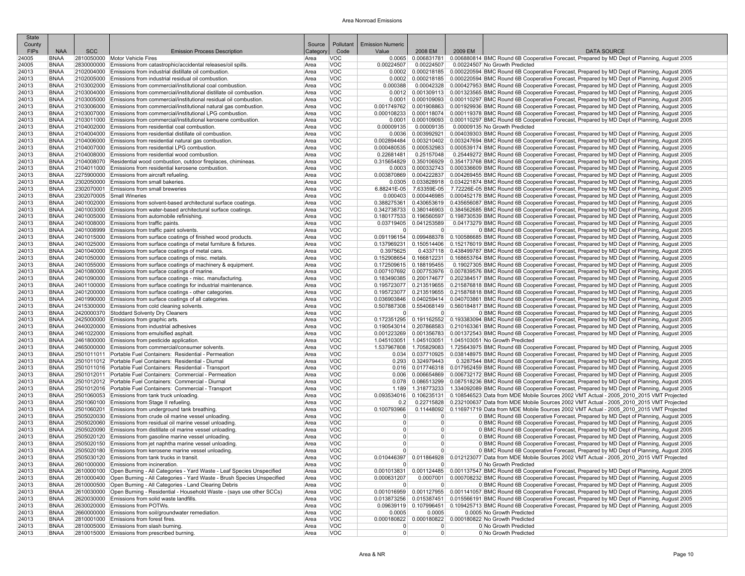| State<br>County |                            |            |                                                                                                                                               | Source       | Pollutant                | <b>Emission Numeric</b>          |                                      |         |                                                                                                                                                                                                                                            |
|-----------------|----------------------------|------------|-----------------------------------------------------------------------------------------------------------------------------------------------|--------------|--------------------------|----------------------------------|--------------------------------------|---------|--------------------------------------------------------------------------------------------------------------------------------------------------------------------------------------------------------------------------------------------|
| <b>FIPS</b>     | <b>NAA</b>                 | <b>SCC</b> | <b>Emission Process Description</b>                                                                                                           | Category     | Code                     | Value                            | 2008 EM                              | 2009 EM | <b>DATA SOURCE</b>                                                                                                                                                                                                                         |
| 24005           | <b>BNAA</b>                |            | 2810050000 Motor Vehicle Fires                                                                                                                | Area         | <b>VOC</b>               |                                  |                                      |         | 0.006831781 0.006880814 BMC Round 6B Cooperative Forecast, Prepared by MD Dept of Planning, August 2005                                                                                                                                    |
| 24005           | <b>BNAA</b>                |            | 2830000000 Emissions from catastrophic/accidental releases/oil spills                                                                         | Area         | <b>VOC</b>               | 0.00224507                       | 0.00224507                           |         | 0.00224507 No Growth Predicted                                                                                                                                                                                                             |
| 24013<br>24013  | <b>BNAA</b><br><b>BNAA</b> |            | 2102004000 Emissions from industrial distillate oil combustion.<br>2102005000 Emissions from industrial residual oil combustion               | Area<br>Area | <b>VOC</b><br><b>VOC</b> | 0.0002<br>0.0002                 |                                      |         | 0.000218185 0.000220594 BMC Round 6B Cooperative Forecast, Prepared by MD Dept of Planning, August 2005<br>0.000218185 0.000220594 BMC Round 6B Cooperative Forecast, Prepared by MD Dept of Planning, August 2005                         |
| 24013           | <b>BNAA</b>                |            | 2103002000 Emissions from commercial/institutional coal combustion.                                                                           | Area         | <b>VOC</b>               | 0.000388                         |                                      |         | 0.00042328 0.000427953 BMC Round 6B Cooperative Forecast, Prepared by MD Dept of Planning, August 2005                                                                                                                                     |
| 24013           | <b>BNAA</b>                |            | 2103004000 Emissions from commercial/institutional distillate oil combustion.                                                                 | Area         | <b>VOC</b>               | 0.0012                           |                                      |         | 0.001309113 0.001323565 BMC Round 6B Cooperative Forecast, Prepared by MD Dept of Planning, August 2005                                                                                                                                    |
| 24013           | <b>BNAA</b>                |            | 2103005000 Emissions from commercial/institutional residual oil combustion                                                                    | Area         | <b>VOC</b>               | 0.0001                           |                                      |         | 0.000109093 0.000110297 BMC Round 6B Cooperative Forecast, Prepared by MD Dept of Planning, August 2005                                                                                                                                    |
| 24013<br>24013  | <b>BNAA</b><br><b>BNAA</b> |            | 2103006000 Emissions from commercial/institutional natural gas combustion.                                                                    | Area         | VOC<br><b>VOC</b>        | 0.000108233                      |                                      |         | 0.001749762 0.001908863 0.001929936 BMC Round 6B Cooperative Forecast, Prepared by MD Dept of Planning, August 2005                                                                                                                        |
| 24013           | <b>BNAA</b>                |            | 2103007000 Emissions from commercial/institutional LPG combustion.<br>2103011000 Emissions from commercial/institutional kerosene combustion. | Area<br>Area | <b>VOC</b>               | 0.0001                           |                                      |         | 0.000118074 0.000119378 BMC Round 6B Cooperative Forecast, Prepared by MD Dept of Planning, August 2005<br>0.000109093 0.000110297 BMC Round 6B Cooperative Forecast, Prepared by MD Dept of Planning, August 2005                         |
| 24013           | <b>BNAA</b>                |            | 2104002000 Emissions from residential coal combustion.                                                                                        | Area         | <b>VOC</b>               | 0.00009135                       | 0.00009135                           |         | 0.00009135 No Growth Predicted                                                                                                                                                                                                             |
| 24013           | <b>BNAA</b>                |            | 2104004000 Emissions from residential distillate oil combustion                                                                               | Area         | <b>VOC</b>               | 0.0036                           |                                      |         | 0.003992921 0.004039303 BMC Round 6B Cooperative Forecast. Prepared by MD Dept of Planning. August 2005                                                                                                                                    |
| 24013           | <b>BNAA</b>                |            | 2104006000 Emissions from residential natural gas combustion.                                                                                 | Area         | <b>VOC</b>               | 0.002894484                      |                                      |         | 0.003210402 0.003247694 BMC Round 6B Cooperative Forecast. Prepared by MD Dept of Planning. August 2005                                                                                                                                    |
| 24013<br>24013  | <b>BNAA</b><br><b>BNAA</b> |            | 2104007000 Emissions from residential LPG combustion.<br>2104008000 Emissions from residential wood combustion.                               | Area<br>Area | <b>VOC</b><br><b>VOC</b> | 0.000480535<br>0.22681481        | 0.000532983<br>0.25157048            |         | 0.000539174 BMC Round 6B Cooperative Forecast, Prepared by MD Dept of Planning, August 2005<br>0.25449272 BMC Round 6B Cooperative Forecast, Prepared by MD Dept of Planning, August 2005                                                  |
| 24013           | <b>BNAA</b>                |            | 2104008070 Residential wood combustion, outdoor fireplaces, chimineas                                                                         | Area         | <b>VOC</b>               | 0.315654829                      |                                      |         | 0.350106929 0.354173768 BMC Round 6B Cooperative Forecast, Prepared by MD Dept of Planning, August 2005                                                                                                                                    |
| 24013           | <b>BNAA</b>                |            | 2104011000 Emissions from residential kerosene combustion.                                                                                    | Area         | <b>VOC</b>               |                                  |                                      |         | 0.0003 0.000332743 0.000336609 BMC Round 6B Cooperative Forecast, Prepared by MD Dept of Planning, August 2005                                                                                                                             |
| 24013           | <b>BNAA</b>                |            | 2275900000 Emissions from aircraft refueling.                                                                                                 | Area         | <b>VOC</b>               | 0.003870869                      |                                      |         | 0.004222837 0.004269455 BMC Round 6B Cooperative Forecast, Prepared by MD Dept of Planning, August 2005                                                                                                                                    |
| 24013<br>24013  | <b>BNAA</b><br><b>BNAA</b> |            | 2302050000 Emissions from small bakeries.<br>2302070001 Emissions from small breweries                                                        | Area<br>Area | <b>VOC</b><br><b>VOC</b> | 6.88241E-05                      |                                      |         | 0.0305 0.033828918 0.034221874 BMC Round 6B Cooperative Forecast, Prepared by MD Dept of Planning, August 2005                                                                                                                             |
| 24013           | <b>BNAA</b>                |            | 2302070005 Small Wineries                                                                                                                     | Area         | <b>VOC</b>               | 0.000403                         |                                      |         | 7.63359E-05 7.72226E-05 BMC Round 6B Cooperative Forecast, Prepared by MD Dept of Planning, August 2005<br>0.000446985 0.000452178 BMC Round 6B Cooperative Forecast, Prepared by MD Dept of Planning, August 2005                         |
| 24013           | <b>BNAA</b>                |            | 2401002000 Emissions from solvent-based architectural surface coatings.                                                                       | Area         | <b>VOC</b>               |                                  |                                      |         | 0.388275361 0.430653619 0.435656087 BMC Round 6B Cooperative Forecast, Prepared by MD Dept of Planning, August 2005                                                                                                                        |
| 24013           | <b>BNAA</b>                |            | 2401003000 Emissions from water-based architectural surface coatings.                                                                         | Area         | <b>VOC</b>               |                                  |                                      |         | 0.342738733 0.380146903 0.384562685 BMC Round 6B Cooperative Forecast, Prepared by MD Dept of Planning, August 2005                                                                                                                        |
| 24013           | <b>BNAA</b>                |            | 2401005000 Emissions from automobile refinishing.                                                                                             | Area         | <b>VOC</b>               |                                  |                                      |         | 0.180177533 0.196560597 0.198730539 BMC Round 6B Cooperative Forecast, Prepared by MD Dept of Planning, August 2005                                                                                                                        |
| 24013<br>24013  | <b>BNAA</b><br><b>BNAA</b> |            | 2401008000 Emissions from traffic paints<br>2401008999 Emissions from traffic paint solvents.                                                 | Area<br>Area | <b>VOC</b><br><b>VOC</b> | $\Omega$                         | $0.03719405$ 0.041253589<br>$\Omega$ |         | 0.04173279 BMC Round 6B Cooperative Forecast, Prepared by MD Dept of Planning, August 2005<br>0 BMC Round 6B Cooperative Forecast, Prepared by MD Dept of Planning, August 2005                                                            |
| 24013           | <b>BNAA</b>                |            | 2401015000 Emissions from surface coatings of finished wood products.                                                                         | Area         | VOC                      |                                  |                                      |         | 0.091196154 0.099488378 0.100586685 BMC Round 6B Cooperative Forecast, Prepared by MD Dept of Planning, August 2005                                                                                                                        |
| 24013           | <b>BNAA</b>                |            | 2401025000 Emissions from surface coatings of metal furniture & fixtures.                                                                     | Area         | <b>VOC</b>               |                                  |                                      |         | 0.137969231 0.150514406 0.152176019 BMC Round 6B Cooperative Forecast, Prepared by MD Dept of Planning, August 2005                                                                                                                        |
| 24013           | <b>BNAA</b>                |            | 2401040000 Emissions from surface coatings of metal cans.                                                                                     | Area         | <b>VOC</b>               | 0.3975625                        |                                      |         | 0.4337118 0.438499787 BMC Round 6B Cooperative Forecast, Prepared by MD Dept of Planning, August 2005                                                                                                                                      |
| 24013           | <b>BNAA</b>                |            | 2401050000 Emissions from surface coatings of misc. metals                                                                                    | Area         | <b>VOC</b>               | 0.152908654                      |                                      |         | 0.166812231 0.168653764 BMC Round 6B Cooperative Forecast, Prepared by MD Dept of Planning, August 2005                                                                                                                                    |
| 24013<br>24013  | <b>BNAA</b><br><b>BNAA</b> |            | 2401055000 Emissions from surface coatings of machinery & equipment.<br>2401080000 Emissions from surface coatings of marine.                 | Area<br>Area | VOC<br><b>VOC</b>        | 0.007107692                      | 0.172509615 0.188195455              |         | 0.19027305 BMC Round 6B Cooperative Forecast, Prepared by MD Dept of Planning, August 2005<br>0.007753976 0.007839576 BMC Round 6B Cooperative Forecast, Prepared by MD Dept of Planning, August 2005                                      |
| 24013           | <b>BNAA</b>                |            | 2401090000 Emissions from surface coatings - misc. manufacturing                                                                              | Area         | <b>VOC</b>               |                                  |                                      |         | 0.183490385 0.200174677 0.202384517 BMC Round 6B Cooperative Forecast, Prepared by MD Dept of Planning, August 2005                                                                                                                        |
| 24013           | <b>BNAA</b>                |            | 2401100000 Emissions from surface coatings for industrial maintenance.                                                                        | Area         | <b>VOC</b>               |                                  |                                      |         | 0.213519655 0.213519655 0.215876818 BMC Round 6B Cooperative Forecast, Prepared by MD Dept of Planning, August 2005                                                                                                                        |
| 24013           | <b>BNAA</b>                |            | 2401200000 Emissions from surface coatings - other categories.                                                                                | Area         | <b>VOC</b>               |                                  |                                      |         | 0.213519655 0.213519655 0.215876818 BMC Round 6B Cooperative Forecast, Prepared by MD Dept of Planning, August 2005                                                                                                                        |
| 24013<br>24013  | <b>BNAA</b><br><b>BNAA</b> |            | 2401990000 Emissions from surface coatings of all categories.<br>2415300000 Emissions from cold cleaning solvents.                            | Area<br>Area | <b>VOC</b><br><b>VOC</b> | 0.036903846<br>0.507887308       |                                      |         | 0.040259414 0.040703861 BMC Round 6B Cooperative Forecast, Prepared by MD Dept of Planning, August 2005<br>0.554068149 0.560184817 BMC Round 6B Cooperative Forecast, Prepared by MD Dept of Planning, August 2005                         |
| 24013           | <b>BNAA</b>                |            | 2420000370 Stoddard Solventy Dry Cleaners                                                                                                     | Area         | <b>VOC</b>               | $\overline{0}$                   | $\overline{0}$                       |         | 0 BMC Round 6B Cooperative Forecast, Prepared by MD Dept of Planning, August 2005                                                                                                                                                          |
| 24013           | <b>BNAA</b>                |            | 2425000000 Emissions from graphic arts.                                                                                                       | Area         | <b>VOC</b>               |                                  |                                      |         | 0.172351295 0.191162552 0.193383094 BMC Round 6B Cooperative Forecast, Prepared by MD Dept of Planning, August 2005                                                                                                                        |
| 24013           | <b>BNAA</b>                |            | 2440020000 Emissions from industrial adhesives                                                                                                | Area         | <b>VOC</b>               |                                  |                                      |         | 0.207868583 0.210163361 BMC Round 6B Cooperative Forecast, Prepared by MD Dept of Planning, August 2005                                                                                                                                    |
| 24013           | <b>BNAA</b>                |            | 2461022000 Emissions from emulsified asphalt.                                                                                                 | Area         | <b>VOC</b>               | 0.001223269                      |                                      |         | 0.001356783 0.001372543 BMC Round 6B Cooperative Forecast, Prepared by MD Dept of Planning, August 2005                                                                                                                                    |
| 24013<br>24013  | <b>BNAA</b><br><b>BNAA</b> |            | 2461800000 Emissions from pesticide application.<br>2465000000 Emissions from commercial/consumer solvents.                                   | Area<br>Area | <b>VOC</b><br><b>VOC</b> | 1.045103051<br>1.537967808       |                                      |         | 1.045103051 1.045103051 No Growth Predicted<br>1.705829083 1.725643975 BMC Round 6B Cooperative Forecast, Prepared by MD Dept of Planning, August 2005                                                                                     |
| 24013           | <b>BNAA</b>                |            | 2501011011 Portable Fuel Containers: Residential - Permeation                                                                                 | Area         | <b>VOC</b>               |                                  |                                      |         | 0.037710925 0.038148975 BMC Round 6B Cooperative Forecast, Prepared by MD Dept of Planning, August 2005                                                                                                                                    |
| 24013           | <b>BNAA</b>                |            | 2501011012 Portable Fuel Containers: Residential - Diurnal                                                                                    | Area         | <b>VOC</b>               | 0.293                            | 0.324979443                          |         | 0.3287544 BMC Round 6B Cooperative Forecast, Prepared by MD Dept of Planning, August 2005                                                                                                                                                  |
| 24013           | <b>BNAA</b>                |            | 2501011016 Portable Fuel Containers: Residential - Transport                                                                                  | Area         | <b>VOC</b>               |                                  |                                      |         | 0.017746318 0.017952459 BMC Round 6B Cooperative Forecast, Prepared by MD Dept of Planning, August 2005                                                                                                                                    |
| 24013<br>24013  | <b>BNAA</b><br><b>BNAA</b> |            | 2501012011 Portable Fuel Containers: Commercial - Permeation<br>2501012012 Portable Fuel Containers: Commercial - Diurnal                     | Area<br>Area | <b>VOC</b><br><b>VOC</b> | 0.006<br>0.078                   |                                      |         | 0.006654869 0.006732172 BMC Round 6B Cooperative Forecast, Prepared by MD Dept of Planning, August 2005<br>0.086513299 0.087518236 BMC Round 6B Cooperative Forecast, Prepared by MD Dept of Planning, August 2005                         |
| 24013           | <b>BNAA</b>                |            | 2501012016 Portable Fuel Containers: Commercial - Transport                                                                                   | Area         | <b>VOC</b>               | 1.189                            |                                      |         | 1.318773233 1.334092089 BMC Round 6B Cooperative Forecast, Prepared by MD Dept of Planning, August 2005                                                                                                                                    |
| 24013           | <b>BNAA</b>                |            | 2501060053 Emissions from tank truck unloading.                                                                                               | Area         | <b>VOC</b>               | 0.093534016                      |                                      |         | 0.106235131 0.108546523 Data from MDE Mobile Sources 2002 VMT Actual - 2005 2010 2015 VMT Projected                                                                                                                                        |
| 24013           | <b>BNAA</b>                |            | 2501060100 Emissions from Stage II refueling.                                                                                                 | Area         | <b>VOC</b>               | 0.2                              |                                      |         | 0.22715828 0.232100637 Data from MDE Mobile Sources 2002 VMT Actual - 2005 2010 2015 VMT Projected                                                                                                                                         |
| 24013           | <b>BNAA</b>                |            | 2501060201 Emissions from underground tank breathing.                                                                                         | Area         | VOC                      | 0.100793966                      |                                      |         | 0.11448092 0.116971719 Data from MDE Mobile Sources 2002 VMT Actual - 2005 2010 2015 VMT Projected                                                                                                                                         |
| 24013<br>24013  | <b>BNAA</b><br><b>BNAA</b> |            | 2505020030 Emissions from crude oil marine vessel unloading.<br>2505020060 Emissions from residual oil marine vessel unloading                | Area<br>Area | <b>VOC</b><br><b>VOC</b> | $\overline{0}$<br>$\overline{0}$ | $\overline{0}$<br>$\overline{0}$     |         | 0 BMC Round 6B Cooperative Forecast, Prepared by MD Dept of Planning, August 2005<br>0 BMC Round 6B Cooperative Forecast, Prepared by MD Dept of Planning, August 2005                                                                     |
| 24013           | <b>BNAA</b>                |            | 2505020090 Emissions from distillate oil marine vessel unloading                                                                              | Area         | <b>VOC</b>               | $\overline{0}$                   | $\overline{0}$                       |         | 0 BMC Round 6B Cooperative Forecast, Prepared by MD Dept of Planning, August 2005                                                                                                                                                          |
| 24013           | <b>BNAA</b>                |            | 2505020120 Emissions from gasoline marine vessel unloading.                                                                                   | Area         | <b>VOC</b>               | $\overline{0}$                   | $\overline{0}$                       |         | 0 BMC Round 6B Cooperative Forecast, Prepared by MD Dept of Planning, August 2005                                                                                                                                                          |
| 24013           | <b>BNAA</b>                |            | 2505020150 Emissions from jet naphtha marine vessel unloading.                                                                                | Area         | <b>VOC</b>               | $\overline{0}$                   | $\overline{0}$                       |         | 0 BMC Round 6B Cooperative Forecast, Prepared by MD Dept of Planning, August 2005                                                                                                                                                          |
| 24013           | <b>BNAA</b>                |            | 2505020180 Emissions from kerosene marine vessel unloading.                                                                                   | Area         | <b>VOC</b>               | $\Omega$                         | $\Omega$                             |         | 0 BMC Round 6B Cooperative Forecast, Prepared by MD Dept of Planning, August 2005                                                                                                                                                          |
| 24013<br>24013  | <b>BNAA</b><br><b>BNAA</b> |            | 2505030120 Emissions from tank trucks in transit.<br>2601000000 Emissions from incineration.                                                  | Area<br>Area | <b>VOC</b><br><b>VOC</b> | 0                                | 0                                    |         | 0.010446397 0.011864928 0.012123077 Data from MDE Mobile Sources 2002 VMT Actual - 2005 2010 2015 VMT Projected<br>0 No Growth Predicted                                                                                                   |
| 24013           | <b>BNAA</b>                |            | 2610000100 Open Burning - All Categories - Yard Waste - Leaf Species Unspecified                                                              | Area         | <b>VOC</b>               |                                  |                                      |         | 0.001013831 0.001124485 0.001137547 BMC Round 6B Cooperative Forecast, Prepared by MD Dept of Planning, August 2005                                                                                                                        |
| 24013           | <b>BNAA</b>                |            | 2610000400 Open Burning - All Categories - Yard Waste - Brush Species Unspecified                                                             | Area         | <b>VOC</b>               | 0.000631207                      |                                      |         | 0.0007001 0.000708232 BMC Round 6B Cooperative Forecast, Prepared by MD Dept of Planning, August 2005                                                                                                                                      |
| 24013           | <b>BNAA</b>                |            | 2610000500 Open Burning - All Categories - Land Clearing Debris                                                                               | Area         | <b>VOC</b>               | $\overline{0}$                   | $\Omega$                             |         | 0 BMC Round 6B Cooperative Forecast. Prepared by MD Dept of Planning. August 2005                                                                                                                                                          |
| 24013           | <b>BNAA</b>                |            | 2610030000 Open Burning - Residential - Household Waste - (says use other SCCs)                                                               | Area         | <b>VOC</b>               |                                  |                                      |         | 0.001016959 0.001127955 0.001141057 BMC Round 6B Cooperative Forecast, Prepared by MD Dept of Planning, August 2005<br>0.013873256 0.015387451 0.015566191 BMC Round 6B Cooperative Forecast, Prepared by MD Dept of Planning, August 2005 |
| 24013<br>24013  | <b>BNAA</b><br><b>BNAA</b> |            | 2620030000 Emissions from solid waste landfills.<br>2630020000 Emissions from POTWs.                                                          | Area<br>Area | <b>VOC</b><br><b>VOC</b> |                                  |                                      |         | 0.09639119 0.107996451 0.109425713 BMC Round 6B Cooperative Forecast, Prepared by MD Dept of Planning, August 2005                                                                                                                         |
| 24013           | <b>BNAA</b>                |            | 2660000000 Emissions from soil/groundwater remediation.                                                                                       | Area         | <b>VOC</b>               | 0.0005                           | 0.0005                               |         | 0.0005 No Growth Predicted                                                                                                                                                                                                                 |
| 24013           | <b>BNAA</b>                |            | 2810001000 Emissions from forest fires.                                                                                                       | Area         | <b>VOC</b>               |                                  |                                      |         | 0.000180822 0.000180822 0.000180822 No Growth Predicted                                                                                                                                                                                    |
| 24013           | <b>BNAA</b>                |            | 2810005000 Emissions from slash burning.                                                                                                      | Area         | <b>VOC</b>               | 0                                | $\overline{0}$                       |         | 0 No Growth Predicted                                                                                                                                                                                                                      |
| 24013           | <b>BNAA</b>                |            | 2810015000 Emissions from prescribed burning.                                                                                                 | Area         | <b>VOC</b>               | $\overline{0}$                   | $\overline{0}$                       |         | 0 No Growth Predicted                                                                                                                                                                                                                      |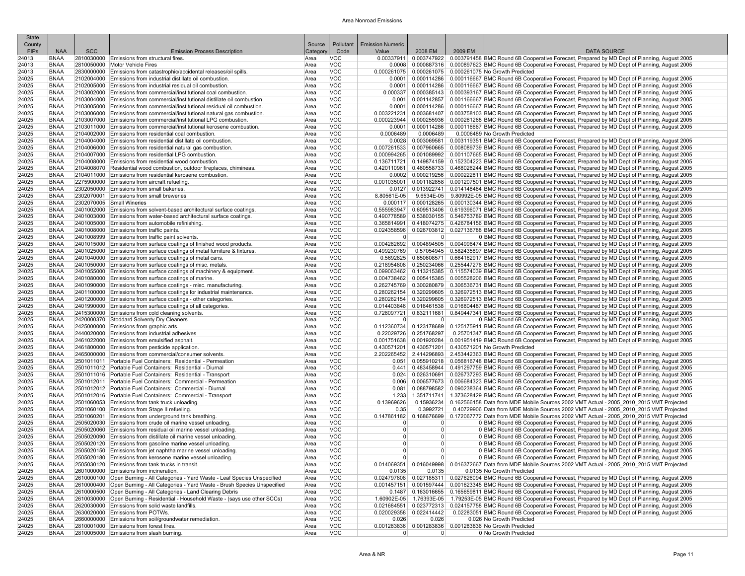| <b>State</b><br>County |                            |            |                                                                                                                                                  | Source       | Pollutant                | <b>Emission Numeric</b>          |                                    |         |                                                                                                                                                                                                                                            |
|------------------------|----------------------------|------------|--------------------------------------------------------------------------------------------------------------------------------------------------|--------------|--------------------------|----------------------------------|------------------------------------|---------|--------------------------------------------------------------------------------------------------------------------------------------------------------------------------------------------------------------------------------------------|
| <b>FIPS</b>            | <b>NAA</b>                 | <b>SCC</b> | <b>Emission Process Description</b>                                                                                                              | Categon      | Code                     | Value                            | 2008 EM                            | 2009 EM | <b>DATA SOURCE</b>                                                                                                                                                                                                                         |
| 24013                  | <b>BNAA</b>                |            | 2810030000 Emissions from structural fires.                                                                                                      | Area         | <b>VOC</b>               |                                  |                                    |         | 0.00337911 0.003747922 0.003791458 BMC Round 6B Cooperative Forecast, Prepared by MD Dept of Planning, August 2005                                                                                                                         |
| 24013                  | <b>BNAA</b>                |            | 2810050000 Motor Vehicle Fires                                                                                                                   | Area         | <b>VOC</b>               | 0.0008                           |                                    |         | 0.000887316 0.000897623 BMC Round 6B Cooperative Forecast, Prepared by MD Dept of Planning, August 2005                                                                                                                                    |
| 24013                  | <b>BNAA</b>                |            | 2830000000 Emissions from catastrophic/accidental releases/oil spills                                                                            | Area         | VOC                      |                                  |                                    |         | 0.000261075   0.000261075   0.000261075 No Growth Predicted                                                                                                                                                                                |
| 24025<br>24025         | <b>BNAA</b><br><b>BNAA</b> |            | 2102004000 Emissions from industrial distillate oil combustion.<br>2102005000 Emissions from industrial residual oil combustion                  | Area<br>Area | <b>VOC</b><br><b>VOC</b> | 0.0001<br>0.0001                 |                                    |         | 0.000114286 0.000116667 BMC Round 6B Cooperative Forecast, Prepared by MD Dept of Planning, August 2005<br>0.000114286 0.000116667 BMC Round 6B Cooperative Forecast, Prepared by MD Dept of Planning, August 2005                         |
| 24025                  | <b>BNAA</b>                |            | 2103002000 Emissions from commercial/institutional coal combustion.                                                                              | Area         | <b>VOC</b>               | 0.000337                         |                                    |         | 0.000385143 0.000393167 BMC Round 6B Cooperative Forecast, Prepared by MD Dept of Planning, August 2005                                                                                                                                    |
| 24025                  | BNAA                       |            | 2103004000 Emissions from commercial/institutional distillate oil combustion.                                                                    | Area         | <b>VOC</b>               | 0.001                            |                                    |         | 0.001142857 0.001166667 BMC Round 6B Cooperative Forecast, Prepared by MD Dept of Planning, August 2005                                                                                                                                    |
| 24025                  | <b>BNAA</b>                |            | 2103005000 Emissions from commercial/institutional residual oil combustion.                                                                      | Area         | <b>VOC</b>               | 0.0001                           |                                    |         | 0.000114286 0.000116667 BMC Round 6B Cooperative Forecast, Prepared by MD Dept of Planning, August 2005                                                                                                                                    |
| 24025                  | <b>BNAA</b>                |            | 2103006000 Emissions from commercial/institutional natural gas combustion.                                                                       | Area         | <b>VOC</b>               | 0.003221231                      |                                    |         | 0.003681407 0.003758103 BMC Round 6B Cooperative Forecast, Prepared by MD Dept of Planning, August 2005                                                                                                                                    |
| 24025<br>24025         | <b>BNAA</b><br><b>BNAA</b> |            | 2103007000 Emissions from commercial/institutional LPG combustion<br>2103011000 Emissions from commercial/institutional kerosene combustion.     | Area<br>Area | <b>VOC</b><br><b>VOC</b> | 0.000223944<br>0.0001            | 0.000114286                        |         | 0.000255936   0.000261268 BMC Round 6B Cooperative Forecast, Prepared by MD Dept of Planning, August 2005                                                                                                                                  |
| 24025                  | BNAA                       |            | 2104002000 Emissions from residential coal combustion.                                                                                           | Area         | <b>VOC</b>               | 0.0006489                        | 0.0006489                          |         | 0.000116667 BMC Round 6B Cooperative Forecast, Prepared by MD Dept of Planning, August 2005<br>0.0006489 No Growth Predicted                                                                                                               |
| 24025                  | <b>BNAA</b>                |            | 2104004000 Emissions from residential distillate oil combustion.                                                                                 | Area         | <b>VOC</b>               | 0.0028                           |                                    |         | 0.003069581 0.003119351 BMC Round 6B Cooperative Forecast, Prepared by MD Dept of Planning, August 2005                                                                                                                                    |
| 24025                  | <b>BNAA</b>                |            | 2104006000 Emissions from residential natural gas combustion.                                                                                    | Area         | <b>VOC</b>               | 0.007261533                      |                                    |         | 0.007960665 0.008089739 BMC Round 6B Cooperative Forecast, Prepared by MD Dept of Planning, August 2005                                                                                                                                    |
| 24025                  | <b>BNAA</b>                |            | 2104007000 Emissions from residential LPG combustion.                                                                                            | Area         | <b>VOC</b>               |                                  |                                    |         | 0.000994265 0.001089992 0.001107665 BMC Round 6B Cooperative Forecast, Prepared by MD Dept of Planning, August 2005                                                                                                                        |
| 24025                  | BNAA                       |            | 2104008000 Emissions from residential wood combustion.                                                                                           | Area         | <b>VOC</b><br>VOC        |                                  |                                    |         | 0.136711721 0.149874159 0.152304223 BMC Round 6B Cooperative Forecast, Prepared by MD Dept of Planning, August 2005                                                                                                                        |
| 24025<br>24025         | <b>BNAA</b><br><b>BNAA</b> |            | 2104008070 Residential wood combustion, outdoor fireplaces, chimineas.<br>2104011000 Emissions from residential kerosene combustion.             | Area<br>Area | <b>VOC</b>               | 0.0002                           |                                    |         | 0.420110961 0.460558733 0.468026244 BMC Round 6B Cooperative Forecast, Prepared by MD Dept of Planning, August 2005<br>0.000219256 0.000222811 BMC Round 6B Cooperative Forecast, Prepared by MD Dept of Planning, August 2005             |
| 24025                  | <b>BNAA</b>                |            | 2275900000 Emissions from aircraft refueling.                                                                                                    | Area         | <b>VOC</b>               |                                  |                                    |         | 0.001035001   0.001182858   0.001207501 BMC Round 6B Cooperative Forecast, Prepared by MD Dept of Planning, August 2005                                                                                                                    |
| 24025                  | BNAA                       |            | 2302050000 Emissions from small bakeries.                                                                                                        | Area         | <b>VOC</b>               |                                  |                                    |         | 0.0127 0.013922741 0.014148484 BMC Round 6B Cooperative Forecast, Prepared by MD Dept of Planning, August 2005                                                                                                                             |
| 24025                  | BNAA                       |            | 2302070001 Emissions from small breweries                                                                                                        | Area         | <b>VOC</b>               | 8.80561E-05                      |                                    |         | 9.6534E-05 9.80992E-05 BMC Round 6B Cooperative Forecast, Prepared by MD Dept of Planning, August 2005                                                                                                                                     |
| 24025                  | <b>BNAA</b>                |            | 2302070005 Small Wineries                                                                                                                        | Area         | <b>VOC</b>               | 0.000117                         |                                    |         | 0.000128265 0.000130344 BMC Round 6B Cooperative Forecast, Prepared by MD Dept of Planning, August 2005                                                                                                                                    |
| 24025<br>24025         | <b>BNAA</b><br><b>BNAA</b> |            | 2401002000 Emissions from solvent-based architectural surface coatings.<br>2401003000 Emissions from water-based architectural surface coatings. | Area         | <b>VOC</b><br><b>VOC</b> | 0.555983947<br>0.490778589       |                                    |         | 0.609513406   0.619396071 BMC Round 6B Cooperative Forecast, Prepared by MD Dept of Planning, August 2005<br>0.538030155 0.546753789 BMC Round 6B Cooperative Forecast, Prepared by MD Dept of Planning, August 2005                       |
| 24025                  | <b>BNAA</b>                |            | 2401005000 Emissions from automobile refinishing.                                                                                                | Area<br>Area | <b>VOC</b>               | 0.365814991                      |                                    |         | 0.418074275 0.426784156 BMC Round 6B Cooperative Forecast, Prepared by MD Dept of Planning, August 2005                                                                                                                                    |
| 24025                  | <b>BNAA</b>                |            | 2401008000 Emissions from traffic paints.                                                                                                        | Area         | <b>VOC</b>               |                                  |                                    |         | 0.024358596 0.026703812 0.027136788 BMC Round 6B Cooperative Forecast, Prepared by MD Dept of Planning, August 2005                                                                                                                        |
| 24025                  | <b>BNAA</b>                |            | 2401008999 Emissions from traffic paint solvents.                                                                                                | Area         | <b>VOC</b>               | $\Omega$                         | 0                                  |         | 0 BMC Round 6B Cooperative Forecast, Prepared by MD Dept of Planning, August 2005                                                                                                                                                          |
| 24025                  | <b>BNAA</b>                |            | 2401015000 Emissions from surface coatings of finished wood products.                                                                            | Area         | VOC                      |                                  |                                    |         | 0.004282692 0.004894505 0.004996474 BMC Round 6B Cooperative Forecast, Prepared by MD Dept of Planning, August 2005                                                                                                                        |
| 24025                  | <b>BNAA</b>                |            | 2401025000 Emissions from surface coatings of metal furniture & fixtures.                                                                        | Area         | <b>VOC</b>               | 0.499230769                      |                                    |         | 0.57054945 0.582435897 BMC Round 6B Cooperative Forecast, Prepared by MD Dept of Planning, August 2005                                                                                                                                     |
| 24025<br>24025         | BNAA<br><b>BNAA</b>        |            | 2401040000 Emissions from surface coatings of metal cans.<br>2401050000 Emissions from surface coatings of misc. metals.                         | Area<br>Area | <b>VOC</b><br><b>VOC</b> |                                  |                                    |         | 0.650608571 0.664162917 BMC Round 6B Cooperative Forecast, Prepared by MD Dept of Planning, August 2005<br>0.218954808   0.250234066   0.255447276 BMC Round 6B Cooperative Forecast, Prepared by MD Dept of Planning, August 2005         |
| 24025                  | <b>BNAA</b>                |            | 2401055000 Emissions from surface coatings of machinery & equipment.                                                                             | Area         | <b>VOC</b>               |                                  |                                    |         | 0.099063462 0.113215385 0.115574039 BMC Round 6B Cooperative Forecast, Prepared by MD Dept of Planning, August 2005                                                                                                                        |
| 24025                  | <b>BNAA</b>                |            | 2401080000 Emissions from surface coatings of marine.                                                                                            | Area         | <b>VOC</b>               |                                  |                                    |         | 0.004738462 0.005415385 0.005528206 BMC Round 6B Cooperative Forecast, Prepared by MD Dept of Planning, August 2005                                                                                                                        |
| 24025                  | <b>BNAA</b>                |            | 2401090000 Emissions from surface coatings - misc. manufacturing                                                                                 | Area         | <b>VOC</b>               |                                  |                                    |         | 0.262745769 0.300280879 0.306536731 BMC Round 6B Cooperative Forecast, Prepared by MD Dept of Planning, August 2005                                                                                                                        |
| 24025                  | BNAA                       |            | 2401100000 Emissions from surface coatings for industrial maintenance.                                                                           | Area         | <b>VOC</b>               |                                  |                                    |         | 0.280262154 0.320299605 0.326972513 BMC Round 6B Cooperative Forecast, Prepared by MD Dept of Planning, August 2005                                                                                                                        |
| 24025<br>24025         | <b>BNAA</b><br>BNAA        |            | 2401200000 Emissions from surface coatings - other categories.<br>2401990000 Emissions from surface coatings of all categories.                  | Area<br>Area | VOC<br><b>VOC</b>        |                                  |                                    |         | 0.280262154 0.320299605 0.326972513 BMC Round 6B Cooperative Forecast, Prepared by MD Dept of Planning, August 2005<br>0.014403846 0.016461538 0.016804487 BMC Round 6B Cooperative Forecast, Prepared by MD Dept of Planning, August 2005 |
| 24025                  | <b>BNAA</b>                |            | 2415300000 Emissions from cold cleaning solvents.                                                                                                | Area         | <b>VOC</b>               |                                  |                                    |         | 0.728097721 0.832111681 0.849447341 BMC Round 6B Cooperative Forecast, Prepared by MD Dept of Planning, August 2005                                                                                                                        |
| 24025                  | <b>BNAA</b>                |            | 2420000370 Stoddard Solventy Dry Cleaners                                                                                                        | Area         | <b>VOC</b>               | $\overline{0}$                   | 0                                  |         | 0 BMC Round 6B Cooperative Forecast, Prepared by MD Dept of Planning, August 2005                                                                                                                                                          |
| 24025                  | <b>BNAA</b>                |            | 2425000000 Emissions from graphic arts.                                                                                                          | Area         | <b>VOC</b>               |                                  |                                    |         | 0.112360734 0.123178689 0.125175911 BMC Round 6B Cooperative Forecast, Prepared by MD Dept of Planning, August 2005                                                                                                                        |
| 24025                  | <b>BNAA</b>                |            | 2440020000 Emissions from industrial adhesives                                                                                                   | Area         | <b>VOC</b>               |                                  | 0.22029726 0.251768297             |         | 0.25701347 BMC Round 6B Cooperative Forecast, Prepared by MD Dept of Planning, August 2005                                                                                                                                                 |
| 24025<br>24025         | <b>BNAA</b><br><b>BNAA</b> |            | 2461022000 Emissions from emulsified asphalt.<br>2461800000 Emissions from pesticide application.                                                | Area<br>Area | <b>VOC</b><br><b>VOC</b> |                                  |                                    |         | 0.001751638 0.001920284 0.001951419 BMC Round 6B Cooperative Forecast, Prepared by MD Dept of Planning, August 2005<br>0.430571201   0.430571201   0.430571201 No Growth Predicted                                                         |
| 24025                  | <b>BNAA</b>                |            | 2465000000 Emissions from commercial/consumer solvents                                                                                           | Area         | VOC                      |                                  |                                    |         | 2.202265452 2.414296893 2.453442363 BMC Round 6B Cooperative Forecast, Prepared by MD Dept of Planning, August 2005                                                                                                                        |
| 24025                  | <b>BNAA</b>                |            | 2501011011 Portable Fuel Containers: Residential - Permeation                                                                                    | Area         | <b>VOC</b>               | 0.051                            |                                    |         | 0.055910218   0.056816748 BMC Round 6B Cooperative Forecast, Prepared by MD Dept of Planning, August 2005                                                                                                                                  |
| 24025                  | BNAA                       |            | 2501011012 Portable Fuel Containers: Residential - Diurnal                                                                                       | Area         | <b>VOC</b>               | 0.441                            |                                    |         | 0.483458944 0.491297759 BMC Round 6B Cooperative Forecast, Prepared by MD Dept of Planning, August 2005                                                                                                                                    |
| 24025                  | <b>BNAA</b>                |            | 2501011016 Portable Fuel Containers: Residential - Transport                                                                                     | Area         | <b>VOC</b>               | 0.024                            |                                    |         | 0.026310691   0.026737293 BMC Round 6B Cooperative Forecast, Prepared by MD Dept of Planning, August 2005                                                                                                                                  |
| 24025<br>24025         | <b>BNAA</b><br><b>BNAA</b> |            | 2501012011 Portable Fuel Containers: Commercial - Permeation<br>2501012012 Portable Fuel Containers: Commercial - Diurnal                        | Area<br>Area | <b>VOC</b><br><b>VOC</b> | 0.006<br>0.081                   |                                    |         | 0.006577673 0.006684323 BMC Round 6B Cooperative Forecast, Prepared by MD Dept of Planning, August 2005<br>0.088798582 0.090238364 BMC Round 6B Cooperative Forecast, Prepared by MD Dept of Planning, August 2005                         |
| 24025                  | <b>BNAA</b>                |            | 2501012016 Portable Fuel Containers: Commercial - Transport                                                                                      | Area         | <b>VOC</b>               | 1.233                            |                                    |         | 1.351711741 1.373628429 BMC Round 6B Cooperative Forecast, Prepared by MD Dept of Planning, August 2005                                                                                                                                    |
| 24025                  | <b>BNAA</b>                |            | 2501060053 Emissions from tank truck unloading.                                                                                                  | Area         | <b>VOC</b>               | 0.13969626                       |                                    |         | 0.15936234 0.162566158 Data from MDE Mobile Sources 2002 VMT Actual - 2005 2010 2015 VMT Projected                                                                                                                                         |
| 24025                  | <b>BNAA</b>                |            | 2501060100 Emissions from Stage II refueling.                                                                                                    | Area         | <b>VOC</b>               | 0.35                             | 0.3992721                          |         | 0.40729906 Data from MDE Mobile Sources 2002 VMT Actual - 2005 2010 2015 VMT Projected                                                                                                                                                     |
| 24025                  | <b>BNAA</b>                |            | 2501060201 Emissions from underground tank breathing.                                                                                            | Area         | VOC                      |                                  |                                    |         | 0.147861182 0.168676699 0.172067772 Data from MDE Mobile Sources 2002 VMT Actual - 2005 2010 2015 VMT Projected                                                                                                                            |
| 24025                  | <b>BNAA</b>                |            | 2505020030 Emissions from crude oil marine vessel unloading.                                                                                     | Area         | <b>VOC</b>               | $\Omega$                         | 0                                  |         | 0 BMC Round 6B Cooperative Forecast, Prepared by MD Dept of Planning, August 2005<br>0 BMC Round 6B Cooperative Forecast. Prepared by MD Dept of Planning. August 2005                                                                     |
| 24025<br>24025         | BNAA<br><b>BNAA</b>        |            | 2505020060 Emissions from residual oil marine vessel unloading<br>2505020090 Emissions from distillate oil marine vessel unloading               | Area<br>Area | <b>VOC</b><br><b>VOC</b> | $\overline{0}$<br>$\overline{0}$ | $\overline{0}$<br> 0               |         | 0 BMC Round 6B Cooperative Forecast, Prepared by MD Dept of Planning, August 2005                                                                                                                                                          |
| 24025                  | <b>BNAA</b>                |            | 2505020120 Emissions from gasoline marine vessel unloading.                                                                                      | Area         | <b>VOC</b>               | $\overline{0}$                   | $\overline{0}$                     |         | 0 BMC Round 6B Cooperative Forecast, Prepared by MD Dept of Planning, August 2005                                                                                                                                                          |
| 24025                  | <b>BNAA</b>                |            | 2505020150 Emissions from jet naphtha marine vessel unloading.                                                                                   | Area         | VOC                      | $\Omega$                         | $\Omega$                           |         | 0 BMC Round 6B Cooperative Forecast, Prepared by MD Dept of Planning, August 2005                                                                                                                                                          |
| 24025                  | <b>BNAA</b>                |            | 2505020180 Emissions from kerosene marine vessel unloading.                                                                                      | Area         | VOC                      |                                  | $\cap$                             |         | 0 BMC Round 6B Cooperative Forecast, Prepared by MD Dept of Planning, August 2005                                                                                                                                                          |
| 24025                  | BNAA                       |            | 2505030120 Emissions from tank trucks in transit.                                                                                                | Area         | <b>VOC</b>               |                                  |                                    |         | 0.014069351 0.016049998 0.016372667 Data from MDE Mobile Sources 2002 VMT Actual - 2005 2010 2015 VMT Projected                                                                                                                            |
| 24025<br>24025         | BNAA<br>BNAA               |            | 2601000000 Emissions from incineration.<br>2610000100 Open Burning - All Categories - Yard Waste - Leaf Species Unspecified                      | Area<br>Area | <b>VOC</b><br><b>VOC</b> | 0.0135                           | 0.0135                             |         | 0.0135 No Growth Predicted<br>0.024797808 0.027185311 0.027626094 BMC Round 6B Cooperative Forecast, Prepared by MD Dept of Planning, August 2005                                                                                          |
| 24025                  | BNAA                       |            | 2610000400 Open Burning - All Categories - Yard Waste - Brush Species Unspecified                                                                | Area         | <b>VOC</b>               |                                  |                                    |         | 0.001457151 0.001597444 0.001623345 BMC Round 6B Cooperative Forecast, Prepared by MD Dept of Planning, August 2005                                                                                                                        |
| 24025                  | BNAA                       |            | 2610000500 Open Burning - All Categories - Land Clearing Debris                                                                                  | Area         | <b>VOC</b>               |                                  |                                    |         | 0.1487   0.163016655   0.165659811 BMC Round 6B Cooperative Forecast, Prepared by MD Dept of Planning, August 2005                                                                                                                         |
| 24025                  | BNAA                       |            | 2610030000 Open Burning - Residential - Household Waste - (says use other SCCs)                                                                  | Area         | <b>VOC</b>               |                                  |                                    |         | 1.60902E-05 1.76393E-05 1.79253E-05 BMC Round 6B Cooperative Forecast, Prepared by MD Dept of Planning, August 2005                                                                                                                        |
| 24025                  | <b>BNAA</b>                |            | 2620030000 Emissions from solid waste landfills.                                                                                                 | Area         | <b>VOC</b>               |                                  |                                    |         | 0.021684551 0.023772313 0.024157758 BMC Round 6B Cooperative Forecast, Prepared by MD Dept of Planning, August 2005                                                                                                                        |
| 24025                  | <b>BNAA</b>                |            | 2630020000 Emissions from POTWs.<br>2660000000 Emissions from soil/groundwater remediation.                                                      | Area         | <b>VOC</b>               | 0.026                            | $0.020029358$ 0.022414442<br>0.026 |         | 0.02283051 BMC Round 6B Cooperative Forecast, Prepared by MD Dept of Planning, August 2005<br>0.026 No Growth Predicted                                                                                                                    |
| 24025<br>24025         | <b>BNAA</b><br>BNAA        |            | 2810001000 Emissions from forest fires.                                                                                                          | Area<br>Area | <b>VOC</b><br><b>VOC</b> |                                  |                                    |         | 0.001283836 0.001283836 0.001283836 No Growth Predicted                                                                                                                                                                                    |
| 24025                  | BNAA                       |            | 2810005000 Emissions from slash burning.                                                                                                         | Area         | <b>VOC</b>               | $\Omega$                         | 0                                  |         | 0 No Growth Predicted                                                                                                                                                                                                                      |
|                        |                            |            |                                                                                                                                                  |              |                          |                                  |                                    |         |                                                                                                                                                                                                                                            |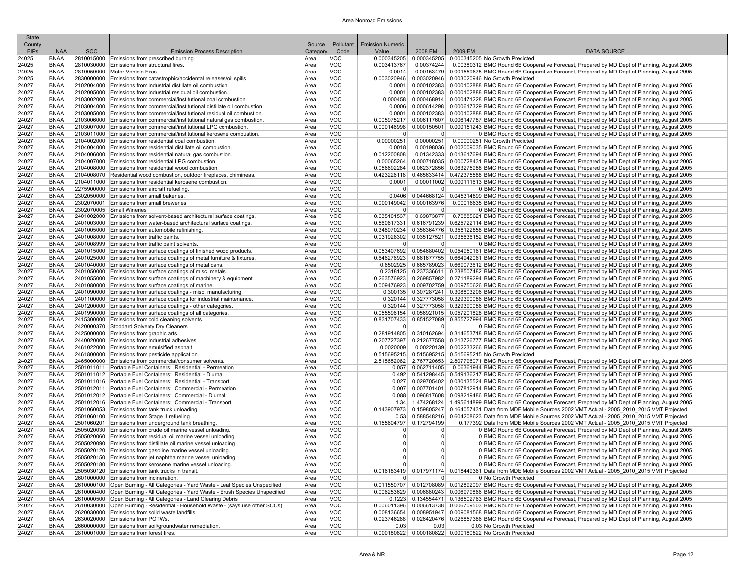| <b>State</b><br>County |                            |            |                                                                                                                                                 | Source       | Pollutant                | <b>Emission Numeric</b>    |                         |         |                                                                                                                                                                                                                                          |
|------------------------|----------------------------|------------|-------------------------------------------------------------------------------------------------------------------------------------------------|--------------|--------------------------|----------------------------|-------------------------|---------|------------------------------------------------------------------------------------------------------------------------------------------------------------------------------------------------------------------------------------------|
| <b>FIPs</b>            | <b>NAA</b>                 | <b>SCC</b> | <b>Emission Process Description</b>                                                                                                             | Category     | Code                     | Value                      | 2008 EM                 | 2009 EM | <b>DATA SOURCE</b>                                                                                                                                                                                                                       |
| 24025                  | <b>BNAA</b>                |            | 2810015000 Emissions from prescribed burning.                                                                                                   | Area         | <b>VOC</b>               | 0.000345205                | 0.000345205             |         | 0.000345205 No Growth Predicted                                                                                                                                                                                                          |
| 24025                  | <b>BNAA</b>                |            | 2810030000 Emissions from structural fires.                                                                                                     | Area         | <b>VOC</b>               | 0.003413767                | 0.00374244              |         | 0.00380312 BMC Round 6B Cooperative Forecast, Prepared by MD Dept of Planning, August 2005                                                                                                                                               |
| 24025                  | <b>BNAA</b>                |            | 2810050000 Motor Vehicle Fires                                                                                                                  | Area         | <b>VOC</b>               | 0.0014                     |                         |         | 0.00153479 0.001559675 BMC Round 6B Cooperative Forecast, Prepared by MD Dept of Planning, August 2005                                                                                                                                   |
| 24025                  | <b>BNAA</b>                |            | 2830000000 Emissions from catastrophic/accidental releases/oil spills.                                                                          | Area         | <b>VOC</b>               | 0.003020946                |                         |         | 0.003020946 0.003020946 No Growth Predicted                                                                                                                                                                                              |
| 24027<br>24027         | <b>BNAA</b><br><b>BNAA</b> |            | 2102004000 Emissions from industrial distillate oil combustion.<br>2102005000 Emissions from industrial residual oil combustion                 | Area<br>Area | <b>VOC</b><br><b>VOC</b> | 0.0001                     |                         |         | 0.000102383 0.000102888 BMC Round 6B Cooperative Forecast, Prepared by MD Dept of Planning, August 2005<br>0.0001   0.000102383   0.000102888 BMC Round 6B Cooperative Forecast, Prepared by MD Dept of Planning, August 2005            |
| 24027                  | <b>BNAA</b>                |            | 2103002000 Emissions from commercial/institutional coal combustion.                                                                             | Area         | <b>VOC</b>               |                            |                         |         | 0.000458 0.000468914 0.000471228 BMC Round 6B Cooperative Forecast, Prepared by MD Dept of Planning, August 2005                                                                                                                         |
| 24027                  | <b>BNAA</b>                |            | 2103004000 Emissions from commercial/institutional distillate oil combustion.                                                                   | Area         | <b>VOC</b>               | 0.0006                     |                         |         | 0.000614298 0.000617329 BMC Round 6B Cooperative Forecast, Prepared by MD Dept of Planning, August 2005                                                                                                                                  |
| 24027                  | <b>BNAA</b>                |            | 2103005000 Emissions from commercial/institutional residual oil combustion.                                                                     | Area         | <b>VOC</b>               | 0.0001                     |                         |         | 0.000102383 0.000102888 BMC Round 6B Cooperative Forecast, Prepared by MD Dept of Planning, August 2005                                                                                                                                  |
| 24027                  | <b>BNAA</b>                |            | 2103006000 Emissions from commercial/institutional natural gas combustion.                                                                      | Area         | <b>VOC</b>               |                            |                         |         | 0.005975217 0.006117607 0.006147787 BMC Round 6B Cooperative Forecast, Prepared by MD Dept of Planning, August 2005                                                                                                                      |
| 24027<br>24027         | <b>BNAA</b><br><b>BNAA</b> |            | 2103007000 Emissions from commercial/institutional LPG combustion.<br>2103011000 Emissions from commercial/institutional kerosene combustion.   | Area<br>Area | <b>VOC</b><br><b>VOC</b> | 0.000146998<br>$\Omega$    | $\Omega$                |         | 0.000150501 0.000151243 BMC Round 6B Cooperative Forecast, Prepared by MD Dept of Planning, August 2005<br>0 BMC Round 6B Cooperative Forecast, Prepared by MD Dept of Planning, August 2005                                             |
| 24027                  | <b>BNAA</b>                |            | 2104002000 Emissions from residential coal combustion.                                                                                          | Area         | <b>VOC</b>               | 0.00000251                 | 0.00000251              |         | 0.00000251 No Growth Predicted                                                                                                                                                                                                           |
| 24027                  | <b>BNAA</b>                |            | 2104004000 Emissions from residential distillate oil combustion.                                                                                | Area         | <b>VOC</b>               | 0.0018                     |                         |         | 0.00198036 0.002009035 BMC Round 6B Cooperative Forecast, Prepared by MD Dept of Planning, August 2005                                                                                                                                   |
| 24027                  | <b>BNAA</b>                |            | 2104006000 Emissions from residential natural gas combustion.                                                                                   | Area         | <b>VOC</b>               | 0.012200808                |                         |         | 0.01342333 0.013617694 BMC Round 6B Cooperative Forecast, Prepared by MD Dept of Planning, August 2005                                                                                                                                   |
| 24027                  | <b>BNAA</b>                |            | 2104007000 Emissions from residential LPG combustion.                                                                                           | Area         | <b>VOC</b>               | 0.00065264                 |                         |         | 0.000718035 0.000728431 BMC Round 6B Cooperative Forecast, Prepared by MD Dept of Planning, August 2005                                                                                                                                  |
| 24027<br>24027         | <b>BNAA</b><br><b>BNAA</b> |            | 2104008000 Emissions from residential wood combustion.<br>2104008070 Residential wood combustion, outdoor fireplaces, chimineas.                | Area<br>Area | <b>VOC</b><br><b>VOC</b> | 0.056692284<br>0.423226118 |                         |         | 0.062372856 0.063275988 BMC Round 6B Cooperative Forecast, Prepared by MD Dept of Planning, August 2005<br>0.465633414 0.472375588 BMC Round 6B Cooperative Forecast, Prepared by MD Dept of Planning, August 2005                       |
| 24027                  | <b>BNAA</b>                |            | 2104011000 Emissions from residential kerosene combustion.                                                                                      | Area         | <b>VOC</b>               | 0.0001                     |                         |         | 0.00011002 0.000111613 BMC Round 6B Cooperative Forecast, Prepared by MD Dept of Planning, August 2005                                                                                                                                   |
| 24027                  | <b>BNAA</b>                |            | 2275900000 Emissions from aircraft refueling.                                                                                                   | Area         | <b>VOC</b>               | $\Omega$                   | $\overline{0}$          |         | 0 BMC Round 6B Cooperative Forecast, Prepared by MD Dept of Planning, August 2005                                                                                                                                                        |
| 24027                  | <b>BNAA</b>                |            | 2302050000 Emissions from small bakeries.                                                                                                       | Area         | <b>VOC</b>               |                            |                         |         | 0.0406   0.044668124   0.045314899 BMC Round 6B Cooperative Forecast, Prepared by MD Dept of Planning, August 2005                                                                                                                       |
| 24027                  | <b>BNAA</b>                |            | 2302070001 Emissions from small breweries                                                                                                       | Area         | <b>VOC</b>               | 0.000149042                | 0.000163976             |         | 0.00016635 BMC Round 6B Cooperative Forecast, Prepared by MD Dept of Planning, August 2005                                                                                                                                               |
| 24027                  | <b>BNAA</b>                |            | 2302070005 Small Wineries                                                                                                                       | Area         | <b>VOC</b>               | $\overline{0}$             | $\overline{0}$          |         | 0 BMC Round 6B Cooperative Forecast, Prepared by MD Dept of Planning, August 2005                                                                                                                                                        |
| 24027<br>24027         | <b>BNAA</b><br><b>BNAA</b> |            | 2401002000 Emissions from solvent-based architectural surface coatings<br>2401003000 Emissions from water-based architectural surface coatings. | Area<br>Area | VOC<br><b>VOC</b>        | 0.635101537<br>0.560617331 | 0.69873877              |         | 0.70885621 BMC Round 6B Cooperative Forecast, Prepared by MD Dept of Planning, August 2005<br>0.616791239 0.625722114 BMC Round 6B Cooperative Forecast, Prepared by MD Dept of Planning, August 2005                                    |
| 24027                  | <b>BNAA</b>                |            | 2401005000 Emissions from automobile refinishing.                                                                                               | Area         | <b>VOC</b>               |                            |                         |         | 0.348070234 0.356364776 0.358122858 BMC Round 6B Cooperative Forecast, Prepared by MD Dept of Planning, August 2005                                                                                                                      |
| 24027                  | <b>BNAA</b>                |            | 2401008000 Emissions from traffic paints.                                                                                                       | Area         | <b>VOC</b>               | 0.031928302                |                         |         | 0.035127521 0.035636152 BMC Round 6B Cooperative Forecast, Prepared by MD Dept of Planning, August 2005                                                                                                                                  |
| 24027                  | <b>BNAA</b>                |            | 2401008999 Emissions from traffic paint solvents.                                                                                               | Area         | <b>VOC</b>               | $\Omega$                   | $\overline{0}$          |         | 0 BMC Round 6B Cooperative Forecast, Prepared by MD Dept of Planning, August 2005                                                                                                                                                        |
| 24027                  | <b>BNAA</b>                |            | 2401015000 Emissions from surface coatings of finished wood products.                                                                           | Area         | <b>VOC</b>               |                            |                         |         | 0.053407692 0.054680402 0.054950161 BMC Round 6B Cooperative Forecast, Prepared by MD Dept of Planning, August 2005                                                                                                                      |
| 24027<br>24027         | <b>BNAA</b><br><b>BNAA</b> |            | 2401025000 Emissions from surface coatings of metal furniture & fixtures.<br>2401040000 Emissions from surface coatings of metal cans.          | Area<br>Area | <b>VOC</b><br><b>VOC</b> |                            |                         |         | 0.646276923 0.661677755 0.664942061 BMC Round 6B Cooperative Forecast, Prepared by MD Dept of Planning, August 2005<br>0.6502925 0.665789023 0.669073612 BMC Round 6B Cooperative Forecast, Prepared by MD Dept of Planning, August 2005 |
| 24027                  | <b>BNAA</b>                |            | 2401050000 Emissions from surface coatings of misc. metals                                                                                      | Area         | <b>VOC</b>               |                            |                         |         | 0.2318125 0.237336611 0.238507482 BMC Round 6B Cooperative Forecast, Prepared by MD Dept of Planning, August 2005                                                                                                                        |
| 24027                  | <b>BNAA</b>                |            | 2401055000 Emissions from surface coatings of machinery & equipment.                                                                            | Area         | <b>VOC</b>               |                            |                         |         | 0.269857982   0.269857982   0.271189294 BMC Round 6B Cooperative Forecast, Prepared by MD Dept of Planning, August 2005                                                                                                                  |
| 24027                  | <b>BNAA</b>                |            | 2401080000 Emissions from surface coatings of marine.                                                                                           | Area         | <b>VOC</b>               |                            |                         |         | 0.009476923 0.009702759 0.009750626 BMC Round 6B Cooperative Forecast. Prepared by MD Dept of Planning. August 2005                                                                                                                      |
| 24027                  | <b>BNAA</b>                |            | 2401090000 Emissions from surface coatings - misc. manufacturing.                                                                               | Area         | <b>VOC</b>               |                            |                         |         | 0.300135 0.307287241 0.308803206 BMC Round 6B Cooperative Forecast, Prepared by MD Dept of Planning, August 2005                                                                                                                         |
| 24027<br>24027         | <b>BNAA</b><br><b>BNAA</b> |            | 2401100000 Emissions from surface coatings for industrial maintenance.<br>2401200000 Emissions from surface coatings - other categories.        | Area<br>Area | <b>VOC</b><br><b>VOC</b> |                            |                         |         | 0.320144 0.327773058 0.329390086 BMC Round 6B Cooperative Forecast, Prepared by MD Dept of Planning, August 2005<br>0.320144 0.327773058 0.329390086 BMC Round 6B Cooperative Forecast, Prepared by MD Dept of Planning, August 2005     |
| 24027                  | <b>BNAA</b>                |            | 2401990000 Emissions from surface coatings of all categories.                                                                                   | Area         | <b>VOC</b>               |                            |                         |         | 0.055596154 0.056921015 0.057201828 BMC Round 6B Cooperative Forecast, Prepared by MD Dept of Planning, August 2005                                                                                                                      |
| 24027                  | <b>BNAA</b>                |            | 2415300000 Emissions from cold cleaning solvents.                                                                                               | Area         | <b>VOC</b>               |                            |                         |         | 0.831707433 0.851527089 0.855727994 BMC Round 6B Cooperative Forecast, Prepared by MD Dept of Planning, August 2005                                                                                                                      |
| 24027                  | <b>BNAA</b>                |            | 2420000370 Stoddard Solventy Dry Cleaners                                                                                                       | Area         | <b>VOC</b>               | $\Omega$                   | $\overline{0}$          |         | 0 BMC Round 6B Cooperative Forecast, Prepared by MD Dept of Planning, August 2005                                                                                                                                                        |
| 24027                  | <b>BNAA</b>                |            | 2425000000 Emissions from graphic arts.                                                                                                         | Area         | <b>VOC</b>               |                            |                         |         | 0.281914805 0.310162694 0.314653718 BMC Round 6B Cooperative Forecast, Prepared by MD Dept of Planning, August 2005                                                                                                                      |
| 24027<br>24027         | <b>BNAA</b><br><b>BNAA</b> |            | 2440020000 Emissions from industrial adhesives<br>2461022000 Emissions from emulsified asphalt.                                                 | Area<br>Area | <b>VOC</b><br><b>VOC</b> | 0.0020009                  |                         |         | 0.207727397 0.212677558 0.213726777 BMC Round 6B Cooperative Forecast, Prepared by MD Dept of Planning, August 2005<br>0.00220139 0.002233266 BMC Round 6B Cooperative Forecast, Prepared by MD Dept of Planning, August 2005            |
| 24027                  | <b>BNAA</b>                |            | 2461800000 Emissions from pesticide application                                                                                                 | Area         | <b>VOC</b>               |                            |                         |         | 0.515695215 0.515695215 0.515695215 No Growth Predicted                                                                                                                                                                                  |
| 24027                  | <b>BNAA</b>                |            | 2465000000 Emissions from commercial/consumer solvents.                                                                                         | Area         | <b>VOC</b>               |                            |                         |         | 2.615652082 2.767720653 2.807796071 BMC Round 6B Cooperative Forecast, Prepared by MD Dept of Planning, August 2005                                                                                                                      |
| 24027                  | <b>BNAA</b>                |            | 2501011011 Portable Fuel Containers: Residential - Permeation                                                                                   | Area         | <b>VOC</b>               |                            | $0.057$ 0.062711405     |         | 0.06361944 BMC Round 6B Cooperative Forecast, Prepared by MD Dept of Planning, August 2005                                                                                                                                               |
| 24027                  | <b>BNAA</b>                |            | 2501011012 Portable Fuel Containers: Residential - Diurnal                                                                                      | Area         | <b>VOC</b>               |                            |                         |         | 0.541298445 0.549136217 BMC Round 6B Cooperative Forecast, Prepared by MD Dept of Planning, August 2005                                                                                                                                  |
| 24027                  | <b>BNAA</b>                |            | 2501011016 Portable Fuel Containers: Residential - Transport                                                                                    | Area         | <b>VOC</b>               |                            |                         |         | 0.027 0.029705402 0.030135524 BMC Round 6B Cooperative Forecast, Prepared by MD Dept of Planning, August 2005                                                                                                                            |
| 24027<br>24027         | <b>BNAA</b><br><b>BNAA</b> |            | 2501012011 Portable Fuel Containers: Commercial - Permeation<br>2501012012 Portable Fuel Containers: Commercial - Diurnal                       | Area<br>Area | <b>VOC</b><br><b>VOC</b> | 0.007                      |                         |         | 0.007701401 0.007812914 BMC Round 6B Cooperative Forecast, Prepared by MD Dept of Planning, August 2005<br>0.088 0.096817608 0.098219486 BMC Round 6B Cooperative Forecast, Prepared by MD Dept of Planning, August 2005                 |
| 24027                  | <b>BNAA</b>                |            | 2501012016 Portable Fuel Containers: Commercial - Transport                                                                                     | Area         | <b>VOC</b>               |                            |                         |         | 1.34 1.474268124 1.495614899 BMC Round 6B Cooperative Forecast, Prepared by MD Dept of Planning, August 2005                                                                                                                             |
| 24027                  | <b>BNAA</b>                |            | 2501060053 Emissions from tank truck unloading.                                                                                                 | Area         | <b>VOC</b>               |                            |                         |         | 0.143907973 0.159805247 0.164057431 Data from MDE Mobile Sources 2002 VMT Actual - 2005 2010 2015 VMT Projected                                                                                                                          |
| 24027                  | <b>BNAA</b>                |            | 2501060100 Emissions from Stage II refueling.                                                                                                   | Area         | <b>VOC</b>               |                            |                         |         | 0.53 0.588548216 0.604208623 Data from MDE Mobile Sources 2002 VMT Actual - 2005 2010 2015 VMT Projected                                                                                                                                 |
| 24027                  | <b>BNAA</b>                |            | 2501060201 Emissions from underground tank breathing.                                                                                           | Area         | <b>VOC</b>               |                            | 0.155604797 0.172794199 |         | 0.177392 Data from MDE Mobile Sources 2002 VMT Actual - 2005_2010_2015 VMT Projected                                                                                                                                                     |
| 24027<br>24027         | <b>BNAA</b><br><b>BNAA</b> |            | 2505020030 Emissions from crude oil marine vessel unloading.<br>2505020060 Emissions from residual oil marine vessel unloading.                 | Area<br>Area | <b>VOC</b><br><b>VOC</b> | $\Omega$<br>$\overline{0}$ | 0 <br>$\overline{0}$    |         | 0 BMC Round 6B Cooperative Forecast, Prepared by MD Dept of Planning, August 2005<br>0 BMC Round 6B Cooperative Forecast, Prepared by MD Dept of Planning, August 2005                                                                   |
| 24027                  | <b>BNAA</b>                |            | 2505020090 Emissions from distillate oil marine vessel unloading                                                                                | Area         | <b>VOC</b>               | $\overline{0}$             | $\Omega$                |         | 0 BMC Round 6B Cooperative Forecast, Prepared by MD Dept of Planning, August 2005                                                                                                                                                        |
| 24027                  | <b>BNAA</b>                |            | 2505020120 Emissions from gasoline marine vessel unloading.                                                                                     | Area         | <b>VOC</b>               | $\Omega$                   | $\Omega$                |         | 0 BMC Round 6B Cooperative Forecast, Prepared by MD Dept of Planning, August 2005                                                                                                                                                        |
| 24027                  | <b>BNAA</b>                |            | 2505020150 Emissions from jet naphtha marine vessel unloading                                                                                   | Area         | VOC                      | $\overline{0}$             | 0                       |         | 0 BMC Round 6B Cooperative Forecast, Prepared by MD Dept of Planning, August 2005                                                                                                                                                        |
| 24027                  | BNAA                       |            | 2505020180 Emissions from kerosene marine vessel unloading.                                                                                     | Area         | <b>VOC</b>               | 0                          | 0                       |         | 0 BMC Round 6B Cooperative Forecast, Prepared by MD Dept of Planning, August 2005                                                                                                                                                        |
| 24027                  | <b>BNAA</b><br><b>BNAA</b> |            | 2505030120 Emissions from tank trucks in transit.                                                                                               | Area         | <b>VOC</b>               | $\Omega$                   | 0                       |         | 0.016183419 0.017971174 0.018449361 Data from MDE Mobile Sources 2002 VMT Actual - 2005 2010 2015 VMT Projected                                                                                                                          |
| 24027<br>24027         | <b>BNAA</b>                |            | 2601000000 Emissions from incineration.<br>2610000100 Open Burning - All Categories - Yard Waste - Leaf Species Unspecified                     | Area<br>Area | <b>VOC</b><br><b>VOC</b> |                            |                         |         | 0 No Growth Predicted<br>0.011550707 0.012708089 0.012892097 BMC Round 6B Cooperative Forecast, Prepared by MD Dept of Planning, August 2005                                                                                             |
| 24027                  | <b>BNAA</b>                |            | 2610000400 Open Burning - All Categories - Yard Waste - Brush Species Unspecified                                                               | Area         | <b>VOC</b>               |                            |                         |         | 0.006253629 0.006880243 0.006979866 BMC Round 6B Cooperative Forecast, Prepared by MD Dept of Planning, August 2005                                                                                                                      |
| 24027                  | <b>BNAA</b>                |            | 2610000500 Open Burning - All Categories - Land Clearing Debris                                                                                 | Area         | <b>VOC</b>               |                            |                         |         | 0.1223 0.134554471 0.136502763 BMC Round 6B Cooperative Forecast, Prepared by MD Dept of Planning, August 2005                                                                                                                           |
| 24027                  | <b>BNAA</b>                |            | 2610030000 Open Burning - Residential - Household Waste - (says use other SCCs)                                                                 | Area         | <b>VOC</b>               |                            |                         |         | 0.006011396 0.006613738 0.006709503 BMC Round 6B Cooperative Forecast, Prepared by MD Dept of Planning, August 2005                                                                                                                      |
| 24027                  | <b>BNAA</b>                |            | 2620030000 Emissions from solid waste landfills.                                                                                                | Area         | <b>VOC</b>               |                            |                         |         | 0.008136654 0.008951947 0.009081568 BMC Round 6B Cooperative Forecast, Prepared by MD Dept of Planning, August 2005                                                                                                                      |
| 24027<br>24027         | <b>BNAA</b><br><b>BNAA</b> |            | 2630020000 Emissions from POTWs.<br>2660000000 Emissions from soil/groundwater remediation.                                                     | Area<br>Area | <b>VOC</b><br><b>VOC</b> | 0.023746288<br>0.03        | 0.03                    |         | 0.026420476 0.026857386 BMC Round 6B Cooperative Forecast, Prepared by MD Dept of Planning, August 2005<br>0.03 No Growth Predicted                                                                                                      |
| 24027                  | <b>BNAA</b>                |            | 2810001000 Emissions from forest fires.                                                                                                         | Area         | <b>VOC</b>               |                            |                         |         | 0.000180822 0.000180822 0.000180822 No Growth Predicted                                                                                                                                                                                  |
|                        |                            |            |                                                                                                                                                 |              |                          |                            |                         |         |                                                                                                                                                                                                                                          |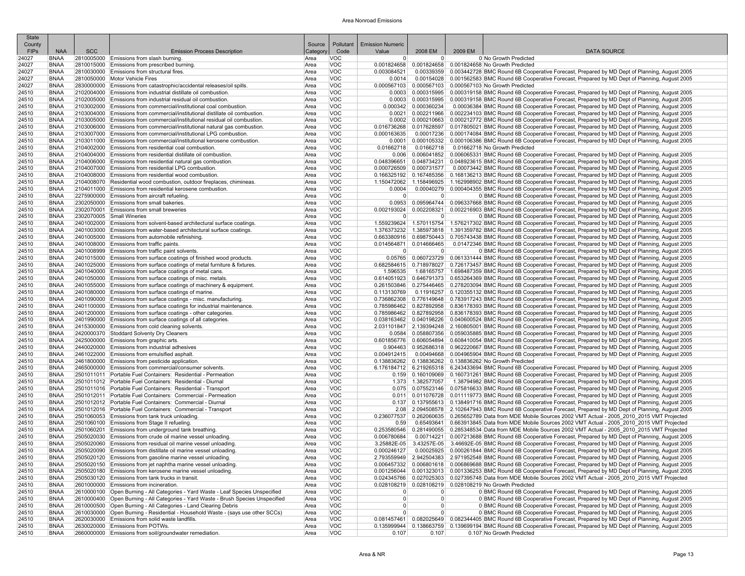| State<br>County |                            |            |                                                                                                                                                 | Source       | Pollutant                | <b>Emission Numeric</b>    |                           |         |                                                                                                                                                                                                                                            |
|-----------------|----------------------------|------------|-------------------------------------------------------------------------------------------------------------------------------------------------|--------------|--------------------------|----------------------------|---------------------------|---------|--------------------------------------------------------------------------------------------------------------------------------------------------------------------------------------------------------------------------------------------|
| FIPs            | <b>NAA</b>                 | <b>SCC</b> | <b>Emission Process Description</b>                                                                                                             | Categon      | Code                     | Value                      | 2008 EM                   | 2009 EM | <b>DATA SOURCE</b>                                                                                                                                                                                                                         |
| 24027           | <b>BNAA</b>                |            | 2810005000 Emissions from slash burning.                                                                                                        | Area         | <b>VOC</b>               | $\overline{0}$             | 0                         |         | 0 No Growth Predicted                                                                                                                                                                                                                      |
| 24027           | <b>BNAA</b>                |            | 2810015000 Emissions from prescribed burning.                                                                                                   | Area         | <b>VOC</b>               | 0.001824658                |                           |         | 0.001824658   0.001824658 No Growth Predicted                                                                                                                                                                                              |
| 24027           | <b>BNAA</b>                |            | 2810030000 Emissions from structural fires.                                                                                                     | Area         | <b>VOC</b>               | 0.003084521                |                           |         | 0.00339359 0.003442728 BMC Round 6B Cooperative Forecast, Prepared by MD Dept of Planning, August 2005                                                                                                                                     |
| 24027<br>24027  | <b>BNAA</b><br><b>BNAA</b> |            | 2810050000 Motor Vehicle Fires<br>2830000000 Emissions from catastrophic/accidental releases/oil spills.                                        | Area<br>Area | <b>VOC</b><br><b>VOC</b> | 0.0014<br>0.000567103      |                           |         | 0.00154028 0.001562583 BMC Round 6B Cooperative Forecast, Prepared by MD Dept of Planning, August 2005<br>0.000567103 0.000567103 No Growth Predicted                                                                                      |
| 24510           | <b>BNAA</b>                |            | 2102004000 Emissions from industrial distillate oil combustion.                                                                                 | Area         | <b>VOC</b>               | 0.0003                     |                           |         | 0.000315995   0.000319158 BMC Round 6B Cooperative Forecast, Prepared by MD Dept of Planning, August 2005                                                                                                                                  |
| 24510           | <b>BNAA</b>                |            | 2102005000 Emissions from industrial residual oil combustion.                                                                                   | Area         | <b>VOC</b>               | 0.0003                     | 0.000315995               |         | 0.000319158 BMC Round 6B Cooperative Forecast. Prepared by MD Dept of Planning, August 2005                                                                                                                                                |
| 24510           | <b>BNAA</b>                |            | 2103002000 Emissions from commercial/institutional coal combustion.                                                                             | Area         | <b>VOC</b>               |                            | $0.000342$ 0.000360234    |         | 0.00036384 BMC Round 6B Cooperative Forecast, Prepared by MD Dept of Planning, August 2005                                                                                                                                                 |
| 24510           | <b>BNAA</b>                |            | 2103004000 Emissions from commercial/institutional distillate oil combustion.                                                                   | Area         | <b>VOC</b>               | 0.0021                     |                           |         | 0.002211966 0.002234103 BMC Round 6B Cooperative Forecast, Prepared by MD Dept of Planning, August 2005                                                                                                                                    |
| 24510           | <b>BNAA</b>                |            | 2103005000 Emissions from commercial/institutional residual oil combustion.                                                                     | Area         | <b>VOC</b>               |                            |                           |         | 0.000210663 0.000212772 BMC Round 6B Cooperative Forecast, Prepared by MD Dept of Planning, August 2005                                                                                                                                    |
| 24510<br>24510  | <b>BNAA</b><br><b>BNAA</b> |            | 2103006000 Emissions from commercial/institutional natural gas combustion.<br>2103007000 Emissions from commercial/institutional LPG combustion | Area<br>Area | <b>VOC</b><br><b>VOC</b> | 0.016736268<br>0.000163635 |                           |         | 0.017628597 0.017805021 BMC Round 6B Cooperative Forecast, Prepared by MD Dept of Planning, August 2005<br>0.00017236 0.000174084 BMC Round 6B Cooperative Forecast, Prepared by MD Dept of Planning, August 2005                          |
| 24510           | <b>BNAA</b>                |            | 2103011000 Emissions from commercial/institutional kerosene combustion.                                                                         | Area         | <b>VOC</b>               | 0.0001                     |                           |         | 0.000105332 0.000106386 BMC Round 6B Cooperative Forecast, Prepared by MD Dept of Planning, August 2005                                                                                                                                    |
| 24510           | <b>BNAA</b>                |            | 2104002000 Emissions from residential coal combustion.                                                                                          | Area         | <b>VOC</b>               | 0.01662718                 | 0.01662718                |         | 0.01662718 No Growth Predicted                                                                                                                                                                                                             |
| 24510           | <b>BNAA</b>                |            | 2104004000 Emissions from residential distillate oil combustion                                                                                 | Area         | <b>VOC</b>               | 0.006                      |                           |         | 0.006041852 0.006065331 BMC Round 6B Cooperative Forecast, Prepared by MD Dept of Planning, August 2005                                                                                                                                    |
| 24510           | <b>BNAA</b>                |            | 2104006000 Emissions from residential natural gas combustion.                                                                                   | Area         | <b>VOC</b>               | 0.048396651                |                           |         | 0.048734231   0.048923615 BMC Round 6B Cooperative Forecast, Prepared by MD Dept of Planning, August 2005                                                                                                                                  |
| 24510           | <b>BNAA</b>                |            | 2104007000 Emissions from residential LPG combustion.                                                                                           | Area         | <b>VOC</b>               |                            | 0.000726509 0.000731577   |         | 0.00073442 BMC Round 6B Cooperative Forecast, Prepared by MD Dept of Planning, August 2005                                                                                                                                                 |
| 24510<br>24510  | <b>BNAA</b><br><b>BNAA</b> |            | 2104008000 Emissions from residential wood combustion.<br>2104008070 Residential wood combustion, outdoor fireplaces, chimineas.                | Area<br>Area | <b>VOC</b><br><b>VOC</b> | 0.166325192<br>1.150472062 |                           |         | 0.167485356 0.168136213 BMC Round 6B Cooperative Forecast, Prepared by MD Dept of Planning, August 2005<br>1.158496925 1.162998902 BMC Round 6B Cooperative Forecast, Prepared by MD Dept of Planning, August 2005                         |
| 24510           | <b>BNAA</b>                |            | 2104011000 Emissions from residential kerosene combustion.                                                                                      | Area         | <b>VOC</b>               | 0.0004                     |                           |         | 0.00040279 0.000404355 BMC Round 6B Cooperative Forecast, Prepared by MD Dept of Planning, August 2005                                                                                                                                     |
| 24510           | <b>BNAA</b>                |            | 2275900000 Emissions from aircraft refueling.                                                                                                   | Area         | <b>VOC</b>               | $\overline{0}$             | 0                         |         | 0 BMC Round 6B Cooperative Forecast, Prepared by MD Dept of Planning, August 2005                                                                                                                                                          |
| 24510           | <b>BNAA</b>                |            | 2302050000 Emissions from small bakeries.                                                                                                       | Area         | VOC                      | 0.0953                     |                           |         | 0.095964744 0.096337668 BMC Round 6B Cooperative Forecast, Prepared by MD Dept of Planning, August 2005                                                                                                                                    |
| 24510           | <b>BNAA</b>                |            | 2302070001 Emissions from small breweries                                                                                                       | Area         | <b>VOC</b>               | 0.002193024                |                           |         | 0.002208321 0.002216903 BMC Round 6B Cooperative Forecast, Prepared by MD Dept of Planning, August 2005                                                                                                                                    |
| 24510           | <b>BNAA</b>                |            | 2302070005 Small Wineries                                                                                                                       | Area         | <b>VOC</b>               | $\Omega$                   | 0                         |         | 0 BMC Round 6B Cooperative Forecast, Prepared by MD Dept of Planning, August 2005                                                                                                                                                          |
| 24510           | <b>BNAA</b><br><b>BNAA</b> |            | 2401002000 Emissions from solvent-based architectural surface coatings<br>2401003000 Emissions from water-based architectural surface coatings. | Area         | <b>VOC</b><br><b>VOC</b> |                            |                           |         | 1.559239624 1.570115754 1.576217302 BMC Round 6B Cooperative Forecast, Prepared by MD Dept of Planning, August 2005                                                                                                                        |
| 24510<br>24510  | <b>BNAA</b>                |            | 2401005000 Emissions from automobile refinishing.                                                                                               | Area<br>Area | <b>VOC</b>               |                            |                           |         | 1.376373232 1.385973818 1.391359782 BMC Round 6B Cooperative Forecast, Prepared by MD Dept of Planning, August 2005<br>0.663380916 0.698750443 0.705743438 BMC Round 6B Cooperative Forecast, Prepared by MD Dept of Planning, August 2005 |
| 24510           | <b>BNAA</b>                |            | 2401008000 Emissions from traffic paints.                                                                                                       | Area         | <b>VOC</b>               |                            | $0.014564871$ 0.014666465 |         | 0.01472346 BMC Round 6B Cooperative Forecast, Prepared by MD Dept of Planning, August 2005                                                                                                                                                 |
| 24510           | <b>BNAA</b>                |            | 2401008999 Emissions from traffic paint solvents.                                                                                               | Area         | <b>VOC</b>               | $\overline{0}$             | $\overline{0}$            |         | 0 BMC Round 6B Cooperative Forecast, Prepared by MD Dept of Planning, August 2005                                                                                                                                                          |
| 24510           | <b>BNAA</b>                |            | 2401015000 Emissions from surface coatings of finished wood products.                                                                           | Area         | <b>VOC</b>               |                            |                           |         | 0.05765 0.060723729 0.061331444 BMC Round 6B Cooperative Forecast, Prepared by MD Dept of Planning, August 2005                                                                                                                            |
| 24510           | <b>BNAA</b>                |            | 2401025000 Emissions from surface coatings of metal furniture & fixtures.                                                                       | Area         | <b>VOC</b>               |                            |                           |         | 0.682584615 0.718978027 0.726173457 BMC Round 6B Cooperative Forecast, Prepared by MD Dept of Planning, August 2005                                                                                                                        |
| 24510           | <b>BNAA</b>                |            | 2401040000 Emissions from surface coatings of metal cans.                                                                                       | Area         | <b>VOC</b>               | 1.596535                   |                           |         | 1.68165757 1.698487359 BMC Round 6B Cooperative Forecast, Prepared by MD Dept of Planning, August 2005                                                                                                                                     |
| 24510<br>24510  | <b>BNAA</b><br><b>BNAA</b> |            | 2401050000 Emissions from surface coatings of misc. metals<br>2401055000 Emissions from surface coatings of machinery & equipment.              | Area<br>Area | <b>VOC</b><br><b>VOC</b> |                            |                           |         | 0.614051923 0.646791373 0.653264369 BMC Round 6B Cooperative Forecast, Prepared by MD Dept of Planning, August 2005<br>0.261503846 0.275446465 0.278203094 BMC Round 6B Cooperative Forecast, Prepared by MD Dept of Planning, August 2005 |
| 24510           | <b>BNAA</b>                |            | 2401080000 Emissions from surface coatings of marine.                                                                                           | Area         | <b>VOC</b>               | 0.113130769                |                           |         | 0.11916257 0.120355132 BMC Round 6B Cooperative Forecast, Prepared by MD Dept of Planning, August 2005                                                                                                                                     |
| 24510           | <b>BNAA</b>                |            | 2401090000 Emissions from surface coatings - misc. manufacturing.                                                                               | Area         | <b>VOC</b>               |                            |                           |         | 0.736862308 0.776149648 0.783917243 BMC Round 6B Cooperative Forecast, Prepared by MD Dept of Planning, August 2005                                                                                                                        |
| 24510           | <b>BNAA</b>                |            | 2401100000 Emissions from surface coatings for industrial maintenance.                                                                          | Area         | <b>VOC</b>               |                            |                           |         | 0.827892958 0.827892958 0.836178393 BMC Round 6B Cooperative Forecast, Prepared by MD Dept of Planning, August 2005                                                                                                                        |
| 24510           | <b>BNAA</b>                |            | 2401200000 Emissions from surface coatings - other categories.                                                                                  | Area         | <b>VOC</b>               |                            |                           |         | 0.785986462 0.827892958 0.836178393 BMC Round 6B Cooperative Forecast, Prepared by MD Dept of Planning, August 2005                                                                                                                        |
| 24510           | <b>BNAA</b>                |            | 2401990000 Emissions from surface coatings of all categories.<br>2415300000 Emissions from cold cleaning solvents.                              | Area         | <b>VOC</b><br><b>VOC</b> |                            |                           |         | 0.038163462 0.040198226 0.040600524 BMC Round 6B Cooperative Forecast, Prepared by MD Dept of Planning, August 2005                                                                                                                        |
| 24510<br>24510  | <b>BNAA</b><br><b>BNAA</b> |            | 2420000370 Stoddard Solventy Dry Cleaners                                                                                                       | Area<br>Area | <b>VOC</b>               | 0.0584                     |                           |         | 2.031101847   2.139394248   2.160805001  BMC Round 6B Cooperative Forecast, Prepared by MD Dept of Planning, August 2005<br>0.058807356 0.059035885 BMC Round 6B Cooperative Forecast, Prepared by MD Dept of Planning, August 2005        |
| 24510           | <b>BNAA</b>                |            | 2425000000 Emissions from graphic arts.                                                                                                         | Area         | <b>VOC</b>               |                            |                           |         | 0.601856776 0.606054894 0.608410054 BMC Round 6B Cooperative Forecast, Prepared by MD Dept of Planning, August 2005                                                                                                                        |
| 24510           | <b>BNAA</b>                |            | 2440020000 Emissions from industrial adhesives                                                                                                  | Area         | <b>VOC</b>               | 0.904463                   |                           |         | 0.952686318 0.962220667 BMC Round 6B Cooperative Forecast, Prepared by MD Dept of Planning, August 2005                                                                                                                                    |
| 24510           | <b>BNAA</b>                |            | 2461022000 Emissions from emulsified asphalt.                                                                                                   | Area         | <b>VOC</b>               | 0.004912415                |                           |         | 0.00494668 0.004965904 BMC Round 6B Cooperative Forecast, Prepared by MD Dept of Planning, August 2005                                                                                                                                     |
| 24510           | <b>BNAA</b>                |            | 2461800000 Emissions from pesticide application.                                                                                                | Area         | <b>VOC</b>               |                            |                           |         | 0.138836262   0.138836262   0.138836262 No Growth Predicted                                                                                                                                                                                |
| 24510<br>24510  | <b>BNAA</b><br><b>BNAA</b> |            | 2465000000 Emissions from commercial/consumer solvents.<br>2501011011 Portable Fuel Containers: Residential - Permeation                        | Area<br>Area | <b>VOC</b><br><b>VOC</b> |                            |                           |         | 6.219265318 6.243433694 BMC Round 6B Cooperative Forecast, Prepared by MD Dept of Planning, August 2005                                                                                                                                    |
| 24510           | <b>BNAA</b>                |            | 2501011012 Portable Fuel Containers: Residential - Diurnal                                                                                      | Area         | <b>VOC</b>               | 1.373                      | 1.382577057               |         | 0.160109069 0.160731261 BMC Round 6B Cooperative Forecast, Prepared by MD Dept of Planning, August 2005<br>1.38794982 BMC Round 6B Cooperative Forecast, Prepared by MD Dept of Planning, August 2005                                      |
| 24510           | <b>BNAA</b>                |            | 2501011016 Portable Fuel Containers: Residential - Transport                                                                                    | Area         | <b>VOC</b>               | 0.075                      |                           |         | 0.075523146 0.075816633 BMC Round 6B Cooperative Forecast, Prepared by MD Dept of Planning, August 2005                                                                                                                                    |
| 24510           | <b>BNAA</b>                |            | 2501012011 Portable Fuel Containers: Commercial - Permeation                                                                                    | Area         | <b>VOC</b>               | 0.011                      |                           |         | 0.011076728 0.011119773 BMC Round 6B Cooperative Forecast, Prepared by MD Dept of Planning, August 2005                                                                                                                                    |
| 24510           | <b>BNAA</b>                |            | 2501012012 Portable Fuel Containers: Commercial - Diurnal                                                                                       | Area         | <b>VOC</b>               |                            |                           |         | 0.137 0.137955613 0.138491716 BMC Round 6B Cooperative Forecast, Prepared by MD Dept of Planning, August 2005                                                                                                                              |
| 24510           | <b>BNAA</b>                |            | 2501012016 Portable Fuel Containers: Commercial - Transport                                                                                     | Area         | <b>VOC</b>               |                            |                           |         | 2.08 2.094508578 2.102647943 BMC Round 6B Cooperative Forecast, Prepared by MD Dept of Planning, August 2005                                                                                                                               |
| 24510           | <b>BNAA</b><br><b>BNAA</b> |            | 2501060053 Emissions from tank truck unloading.                                                                                                 | Area         | <b>VOC</b><br><b>VOC</b> | 0.236077537                |                           |         | 0.262060635 0.265652789 Data from MDE Mobile Sources 2002 VMT Actual - 2005 2010 2015 VMT Projected                                                                                                                                        |
| 24510<br>24510  | <b>BNAA</b>                |            | 2501060100 Emissions from Stage II refueling.<br>2501060201 Emissions from underground tank breathing.                                          | Area<br>Area | <b>VOC</b>               | 0.59<br>0.253580546        |                           |         | 0.65493641 0.663913845 Data from MDE Mobile Sources 2002 VMT Actual - 2005 2010 2015 VMT Projected<br>0.281490055 0.285348534 Data from MDE Mobile Sources 2002 VMT Actual - 2005 2010 2015 VMT Projected                                  |
| 24510           | <b>BNAA</b>                |            | 2505020030 Emissions from crude oil marine vessel unloading.                                                                                    | Area         | <b>VOC</b>               | 0.006780684                |                           |         | 0.00714221 0.007213688 BMC Round 6B Cooperative Forecast, Prepared by MD Dept of Planning, August 2005                                                                                                                                     |
| 24510           | <b>BNAA</b>                |            | 2505020060 Emissions from residual oil marine vessel unloading.                                                                                 | Area         | <b>VOC</b>               | 3.25882E-05                |                           |         | 3.43257E-05 3.46692E-05 BMC Round 6B Cooperative Forecast, Prepared by MD Dept of Planning, August 2005                                                                                                                                    |
| 24510           | <b>BNAA</b>                |            | 2505020090 Emissions from distillate oil marine vessel unloading                                                                                | Area         | <b>VOC</b>               | 0.000246127                |                           |         | 0.00025925 0.000261844 BMC Round 6B Cooperative Forecast, Prepared by MD Dept of Planning, August 2005                                                                                                                                     |
| 24510           | <b>BNAA</b>                |            | 2505020120 Emissions from gasoline marine vessel unloading                                                                                      | Area         | VOC                      |                            |                           |         | 2.793559949 2.942504383 2.971952548 BMC Round 6B Cooperative Forecast, Prepared by MD Dept of Planning, August 2005                                                                                                                        |
| 24510           | <b>BNAA</b>                |            | 2505020150 Emissions from jet naphtha marine vessel unloading                                                                                   | Area         | <b>VOC</b>               |                            |                           |         | 0.006457332 0.006801618 0.006869688 BMC Round 6B Cooperative Forecast, Prepared by MD Dept of Planning, August 2005                                                                                                                        |
| 24510<br>24510  | <b>BNAA</b><br><b>BNAA</b> |            | 2505020180 Emissions from kerosene marine vessel unloading.<br>2505030120 Emissions from tank trucks in transit.                                | Area<br>Area | <b>VOC</b><br><b>VOC</b> |                            |                           |         | 0.001256044 0.001323013 0.001336253 BMC Round 6B Cooperative Forecast, Prepared by MD Dept of Planning, August 2005<br>0.024345766 0.027025303 0.027395748 Data from MDE Mobile Sources 2002 VMT Actual - 2005 2010 2015 VMT Projected     |
| 24510           | <b>BNAA</b>                |            | 2601000000 Emissions from incineration.                                                                                                         | Area         | <b>VOC</b>               |                            |                           |         | 0.028108219 0.028108219 0.028108219 No Growth Predicted                                                                                                                                                                                    |
| 24510           | <b>BNAA</b>                |            | 2610000100 Open Burning - All Categories - Yard Waste - Leaf Species Unspecified                                                                | Area         | <b>VOC</b>               | 0                          | 0                         |         | 0 BMC Round 6B Cooperative Forecast, Prepared by MD Dept of Planning, August 2005                                                                                                                                                          |
| 24510           | <b>BNAA</b>                |            | 2610000400 Open Burning - All Categories - Yard Waste - Brush Species Unspecified                                                               | Area         | VOC                      | $\overline{0}$             | 0                         |         | 0 BMC Round 6B Cooperative Forecast, Prepared by MD Dept of Planning, August 2005                                                                                                                                                          |
| 24510           | <b>BNAA</b>                |            | 2610000500 Open Burning - All Categories - Land Clearing Debris                                                                                 | Area         | <b>VOC</b>               | 0                          | 0                         |         | 0 BMC Round 6B Cooperative Forecast, Prepared by MD Dept of Planning, August 2005                                                                                                                                                          |
| 24510           | <b>BNAA</b>                |            | 2610030000 Open Burning - Residential - Household Waste - (says use other SCCs)                                                                 | Area         | <b>VOC</b>               | $\mathbf 0$                | 0                         |         | 0 BMC Round 6B Cooperative Forecast, Prepared by MD Dept of Planning, August 2005                                                                                                                                                          |
| 24510<br>24510  | <b>BNAA</b><br><b>BNAA</b> |            | 2620030000 Emissions from solid waste landfills.<br>2630020000 Emissions from POTWs.                                                            | Area         | <b>VOC</b><br><b>VOC</b> |                            |                           |         | 0.081457461 0.082025649 0.082344405 BMC Round 6B Cooperative Forecast, Prepared by MD Dept of Planning, August 2005<br>0.135999944 0.138663759 0.139699194 BMC Round 6B Cooperative Forecast, Prepared by MD Dept of Planning, August 2005 |
| 24510           | <b>BNAA</b>                |            | 2660000000 Emissions from soil/groundwater remediation.                                                                                         | Area<br>Area | <b>VOC</b>               | 0.107                      | 0.107                     |         | 0.107 No Growth Predicted                                                                                                                                                                                                                  |
|                 |                            |            |                                                                                                                                                 |              |                          |                            |                           |         |                                                                                                                                                                                                                                            |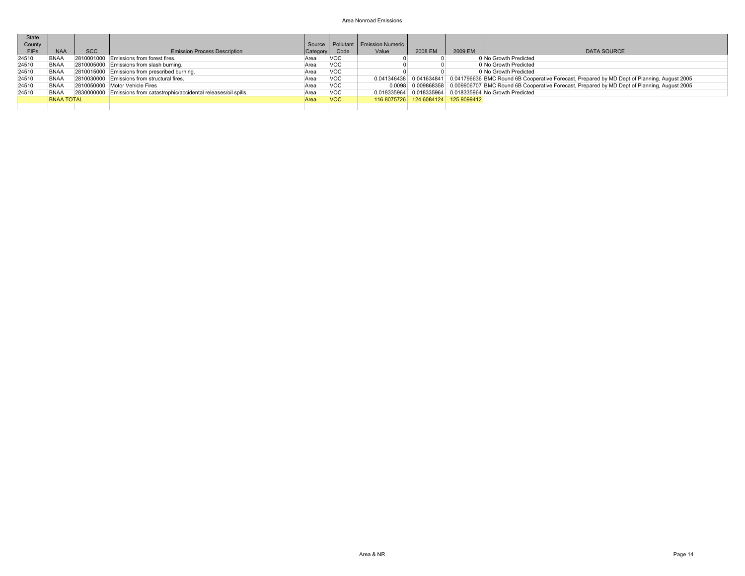| State       |                   |            |                                                                        |               |            |                                       |                                     |         |                                                                                                                     |
|-------------|-------------------|------------|------------------------------------------------------------------------|---------------|------------|---------------------------------------|-------------------------------------|---------|---------------------------------------------------------------------------------------------------------------------|
| County      |                   |            |                                                                        |               |            | Source   Pollutant   Emission Numeric |                                     |         |                                                                                                                     |
| <b>FIPS</b> | <b>NAA</b>        | <b>SCC</b> | <b>Emission Process Description</b>                                    | Category Code |            | Value                                 | 2008 EM                             | 2009 EM | <b>DATA SOURCE</b>                                                                                                  |
| 24510       | <b>BNAA</b>       |            | 2810001000 Emissions from forest fires.                                | Area          | <b>VOC</b> |                                       |                                     |         | 0 No Growth Predicted                                                                                               |
| 24510       | <b>BNAA</b>       |            | 2810005000 Emissions from slash burning.                               | Area          | <b>VOC</b> |                                       |                                     |         | 0 No Growth Predicted                                                                                               |
| 24510       | BNAA              |            | 2810015000 Emissions from prescribed burning.                          | Area          | <b>VOC</b> |                                       |                                     |         | 0 No Growth Predicted                                                                                               |
| 24510       | <b>BNAA</b>       |            | 2810030000 Emissions from structural fires.                            | Area          | <b>VOC</b> |                                       |                                     |         | 0.041346438 0.041634841 0.041796636 BMC Round 6B Cooperative Forecast, Prepared by MD Dept of Planning, August 2005 |
| 24510       | <b>BNAA</b>       |            | 2810050000 Motor Vehicle Fires                                         | Area          | <b>VOC</b> |                                       |                                     |         | 0.0098 0.009868358 0.009906707 BMC Round 6B Cooperative Forecast, Prepared by MD Dept of Planning, August 2005      |
| 24510       | <b>BNAA</b>       |            | 2830000000 Emissions from catastrophic/accidental releases/oil spills. | Area          | <b>VOC</b> |                                       |                                     |         | 0.018335964 0.018335964 0.018335964 No Growth Predicted                                                             |
|             | <b>BNAA TOTAL</b> |            |                                                                        | Area          | <b>VOC</b> |                                       | 116.8075726 124.6084124 125.9099412 |         |                                                                                                                     |
|             |                   |            |                                                                        |               |            |                                       |                                     |         |                                                                                                                     |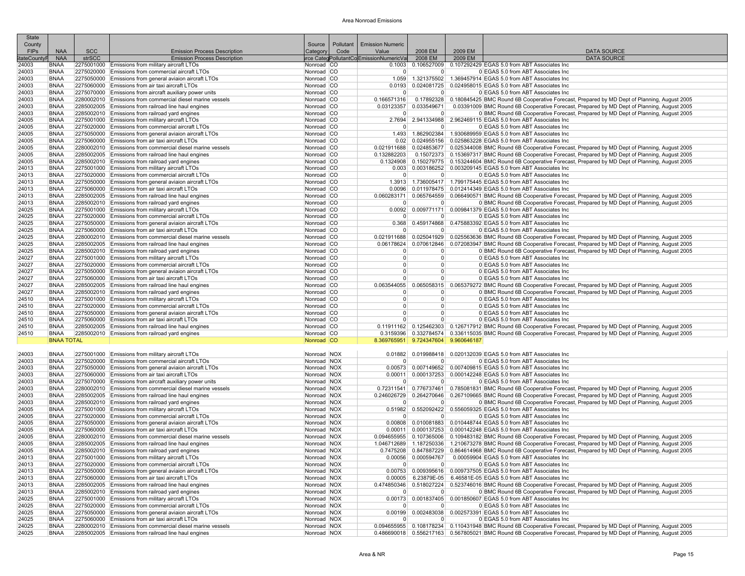| <b>State</b><br>County |                            |            |                                                                                                                        | Source                     | Pollutant | <b>Emission Numeric</b>                 |                                     |         |                                                                                                                                                                                                                             |
|------------------------|----------------------------|------------|------------------------------------------------------------------------------------------------------------------------|----------------------------|-----------|-----------------------------------------|-------------------------------------|---------|-----------------------------------------------------------------------------------------------------------------------------------------------------------------------------------------------------------------------------|
| <b>FIPs</b>            | <b>NAA</b>                 | <b>SCC</b> | <b>Emission Process Description</b>                                                                                    | Category                   | Code      | Value                                   | 2008 EM                             | 2009 EM | <b>DATA SOURCE</b>                                                                                                                                                                                                          |
| <b>itateCount</b>      | <b>NAA</b>                 | strSCC     | <b>Emission Process Description</b>                                                                                    |                            |           | urce CategPollutantColEmissionNumericVa | 2008 EM                             | 2009 EM | <b>DATA SOURCE</b>                                                                                                                                                                                                          |
| 24003                  | <b>BNAA</b>                |            | 2275001000 Emissions from military aircraft LTOs                                                                       | Nonroad CO                 |           | 0.1003                                  | 0.106527009                         |         | 0.107292429 EGAS 5.0 from ABT Associates Inc                                                                                                                                                                                |
| 24003<br>24003         | <b>BNAA</b><br><b>BNAA</b> |            | 2275020000 Emissions from commercial aircraft LTOs<br>2275050000 Emissions from general aviaion aircraft LTOs          | Nonroad CO<br>Nonroad CO   |           | $\overline{0}$<br>1.059                 | $\overline{0}$                      |         | 0 EGAS 5.0 from ABT Associates Inc<br>1.321375502 1.369457914 EGAS 5.0 from ABT Associates Inc                                                                                                                              |
| 24003                  | <b>BNAA</b>                |            | 2275060000 Emissions from air taxi aircraft LTOs                                                                       | Nonroad CO                 |           | 0.0193                                  |                                     |         | 0.024081725 0.024958015 EGAS 5.0 from ABT Associates Inc                                                                                                                                                                    |
| 24003                  | <b>BNAA</b>                |            | 2275070000 Emissions from aircraft auxiliary power units                                                               | Nonroad CO                 |           | $\Omega$                                | 0 <sup>1</sup>                      |         | 0 EGAS 5.0 from ABT Associates Inc.                                                                                                                                                                                         |
| 24003                  | <b>BNAA</b>                |            | 2280002010 Emissions from commercial diesel marine vessels                                                             | Nonroad CO                 |           | 0.166571316                             |                                     |         | 0.17892328 0.180845425 BMC Round 6B Cooperative Forecast, Prepared by MD Dept of Planning, August 2005                                                                                                                      |
| 24003                  | <b>BNAA</b>                |            | 2285002005 Emissions from railroad line haul engines                                                                   | Nonroad CO                 |           |                                         | 0.03123357 0.033549671              |         | 0.03391009 BMC Round 6B Cooperative Forecast, Prepared by MD Dept of Planning, August 2005                                                                                                                                  |
| 24003<br>24005         | <b>BNAA</b><br><b>BNAA</b> |            | 2285002010 Emissions from railroad yard engines<br>2275001000 Emissions from military aircraft LTOs                    | Nonroad CO<br>Nonroad CO   |           | $\Omega$                                | 0                                   |         | 0 BMC Round 6B Cooperative Forecast, Prepared by MD Dept of Planning, August 2005<br>2.7694 2.941334988 2.962469115 EGAS 5.0 from ABT Associates Inc                                                                        |
| 24005                  | <b>BNAA</b>                |            | 2275020000 Emissions from commercial aircraft LTOs                                                                     | Nonroad CO                 |           | $\overline{0}$                          | 0 <sup>1</sup>                      |         | 0 EGAS 5.0 from ABT Associates Inc                                                                                                                                                                                          |
| 24005                  | <b>BNAA</b>                |            | 2275050000 Emissions from general aviaion aircraft LTOs                                                                | Nonroad CO                 |           | 1.493                                   |                                     |         | 1.862902384 1.930689959 EGAS 5.0 from ABT Associates Inc                                                                                                                                                                    |
| 24005                  | <b>BNAA</b>                |            | 2275060000 Emissions from air taxi aircraft LTOs                                                                       | Nonroad CO                 |           |                                         |                                     |         | 0.02 0.024955156 0.025863228 EGAS 5.0 from ABT Associates Inc                                                                                                                                                               |
| 24005                  | <b>BNAA</b>                |            | 2280002010 Emissions from commercial diesel marine vessels                                                             | Nonroad CO                 |           |                                         |                                     |         | 0.021911688 0.024853677 0.025344008 BMC Round 6B Cooperative Forecast, Prepared by MD Dept of Planning, August 2005                                                                                                         |
| 24005                  | <b>BNAA</b><br><b>BNAA</b> |            | 2285002005 Emissions from railroad line haul engines                                                                   | Nonroad CO                 |           | 0.132882203                             |                                     |         | 0.15072373 0.153697317 BMC Round 6B Cooperative Forecast, Prepared by MD Dept of Planning, August 2005<br>0.1324908 0.150279775 0.153244604 BMC Round 6B Cooperative Forecast, Prepared by MD Dept of Planning, August 2005 |
| 24005<br>24013         | <b>BNAA</b>                |            | 2285002010 Emissions from railroad yard engines<br>2275001000 Emissions from military aircraft LTOs                    | Nonroad CO<br>Nonroad CO   |           |                                         |                                     |         | 0.003 0.003186252 0.003209145 EGAS 5.0 from ABT Associates Inc                                                                                                                                                              |
| 24013                  | <b>BNAA</b>                |            | 2275020000 Emissions from commercial aircraft LTOs                                                                     | Nonroad CO                 |           | 0                                       | 0 <sup>1</sup>                      |         | 0 EGAS 5.0 from ABT Associates Inc                                                                                                                                                                                          |
| 24013                  | <b>BNAA</b>                |            | 2275050000 Emissions from general aviaion aircraft LTOs                                                                | Nonroad CO                 |           | 1.3913                                  |                                     |         | 1.736005417   1.799175445 EGAS 5.0 from ABT Associates Inc                                                                                                                                                                  |
| 24013                  | <b>BNAA</b>                |            | 2275060000 Emissions from air taxi aircraft LTOs                                                                       | Nonroad CO                 |           | 0.0096                                  |                                     |         | 0.011978475   0.012414349 EGAS 5.0 from ABT Associates Inc                                                                                                                                                                  |
| 24013                  | <b>BNAA</b>                |            | 2285002005 Emissions from railroad line haul engines                                                                   | Nonroad CO                 |           | 0.060283171                             |                                     |         | 0.065764559 0.066490571 BMC Round 6B Cooperative Forecast, Prepared by MD Dept of Planning, August 2005                                                                                                                     |
| 24013<br>24025         | <b>BNAA</b><br><b>BNAA</b> |            | 2285002010 Emissions from railroad yard engines<br>2275001000 Emissions from military aircraft LTOs                    | Nonroad CO<br>Nonroad CO   |           | 0<br>0.0092                             | 0 <sup>1</sup>                      |         | 0 BMC Round 6B Cooperative Forecast, Prepared by MD Dept of Planning, August 2005<br>0.009771171 0.009841379 EGAS 5.0 from ABT Associates Inc                                                                               |
| 24025                  | <b>BNAA</b>                |            | 2275020000 Emissions from commercial aircraft LTOs                                                                     | Nonroad CO                 |           | $\overline{0}$                          | $\Omega$                            |         | 0 EGAS 5.0 from ABT Associates Inc                                                                                                                                                                                          |
| 24025                  | <b>BNAA</b>                |            | 2275050000 Emissions from general aviaion aircraft LTOs                                                                | Nonroad CO                 |           | 0.368                                   |                                     |         | 0.459174868 0.475883392 EGAS 5.0 from ABT Associates Inc                                                                                                                                                                    |
| 24025                  | <b>BNAA</b>                |            | 2275060000 Emissions from air taxi aircraft LTOs                                                                       | Nonroad CO                 |           | $\Omega$                                | 0 <sup>1</sup>                      |         | 0 EGAS 5.0 from ABT Associates Inc                                                                                                                                                                                          |
| 24025                  | <b>BNAA</b>                |            | 2280002010 Emissions from commercial diesel marine vessels                                                             | Nonroad CO                 |           |                                         |                                     |         | 0.021911688 0.025041929 0.025563636 BMC Round 6B Cooperative Forecast, Prepared by MD Dept of Planning, August 2005                                                                                                         |
| 24025                  | <b>BNAA</b>                |            | 2285002005 Emissions from railroad line haul engines                                                                   | Nonroad CO                 |           |                                         |                                     |         | 0.06178624 0.070612846 0.072083947 BMC Round 6B Cooperative Forecast, Prepared by MD Dept of Planning, August 2005                                                                                                          |
| 24025<br>24027         | <b>BNAA</b><br><b>BNAA</b> |            | 2285002010 Emissions from railroad yard engines<br>2275001000 Emissions from military aircraft LTOs                    | Nonroad CO<br>Nonroad CO   |           | 0 <br> 0                                | $\Omega$<br>$\Omega$                |         | 0 BMC Round 6B Cooperative Forecast, Prepared by MD Dept of Planning, August 2005<br>0 EGAS 5.0 from ABT Associates Inc.                                                                                                    |
| 24027                  | <b>BNAA</b>                |            | 2275020000 Emissions from commercial aircraft LTOs                                                                     | Nonroad CO                 |           | $\overline{0}$                          | $\overline{0}$                      |         | 0 EGAS 5.0 from ABT Associates Inc                                                                                                                                                                                          |
| 24027                  | <b>BNAA</b>                |            | 2275050000 Emissions from general aviaion aircraft LTOs                                                                | Nonroad CO                 |           | 0                                       | $\overline{0}$                      |         | 0 EGAS 5.0 from ABT Associates Inc.                                                                                                                                                                                         |
| 24027                  | <b>BNAA</b>                |            | 2275060000 Emissions from air taxi aircraft LTOs                                                                       | Nonroad CO                 |           | $\Omega$                                | $\overline{0}$                      |         | 0 EGAS 5.0 from ABT Associates Inc                                                                                                                                                                                          |
| 24027                  | <b>BNAA</b>                |            | 2285002005 Emissions from railroad line haul engines                                                                   | Nonroad CO                 |           |                                         |                                     |         | 0.063544055 0.065058315 0.065379272 BMC Round 6B Cooperative Forecast, Prepared by MD Dept of Planning, August 2005                                                                                                         |
| 24027                  | <b>BNAA</b><br><b>BNAA</b> |            | 2285002010 Emissions from railroad yard engines<br>2275001000 Emissions from military aircraft LTOs                    | Nonroad CO                 |           | $\Omega$<br>$\Omega$                    | 0 <sup>1</sup><br>$\Omega$          |         | 0 BMC Round 6B Cooperative Forecast, Prepared by MD Dept of Planning, August 2005<br>0 EGAS 5.0 from ABT Associates Inc.                                                                                                    |
| 24510<br>24510         | <b>BNAA</b>                |            | 2275020000 Emissions from commercial aircraft LTOs                                                                     | Nonroad CO<br>Nonroad CO   |           | 0                                       | $\overline{0}$                      |         | 0 EGAS 5.0 from ABT Associates Inc                                                                                                                                                                                          |
| 24510                  | <b>BNAA</b>                |            | 2275050000 Emissions from general aviaion aircraft LTOs                                                                | Nonroad CO                 |           | $\overline{0}$                          | $\overline{0}$                      |         | 0 EGAS 5.0 from ABT Associates Inc                                                                                                                                                                                          |
| 24510                  | <b>BNAA</b>                |            | 2275060000 Emissions from air taxi aircraft LTOs                                                                       | Nonroad CO                 |           | 0                                       | $\overline{0}$                      |         | 0 EGAS 5.0 from ABT Associates Inc                                                                                                                                                                                          |
| 24510                  | <b>BNAA</b>                |            | 2285002005 Emissions from railroad line haul engines                                                                   | Nonroad CO                 |           |                                         |                                     |         | 0.11911162 0.125462303 0.126717912 BMC Round 6B Cooperative Forecast, Prepared by MD Dept of Planning, August 2005                                                                                                          |
| 24510                  | <b>BNAA</b>                |            | 2285002010 Emissions from railroad yard engines                                                                        | Nonroad CO                 |           |                                         |                                     |         | 0.3159396 0.332784574 0.336115035 BMC Round 6B Cooperative Forecast, Prepared by MD Dept of Planning, August 2005                                                                                                           |
|                        | <b>BNAA TOTAL</b>          |            |                                                                                                                        | Nonroad CO                 |           |                                         | 8.369765951 9.724347604 9.960646187 |         |                                                                                                                                                                                                                             |
| 24003                  | <b>BNAA</b>                |            | 2275001000 Emissions from military aircraft LTOs                                                                       | Nonroad NOX                |           |                                         |                                     |         | 0.01882 0.019988418 0.020132039 EGAS 5.0 from ABT Associates Inc                                                                                                                                                            |
| 24003                  | <b>BNAA</b>                |            | 2275020000 Emissions from commercial aircraft LTOs                                                                     | Nonroad NOX                |           | $\Omega$                                | $\Omega$                            |         | 0 EGAS 5.0 from ABT Associates Inc                                                                                                                                                                                          |
| 24003                  | <b>BNAA</b>                |            | 2275050000 Emissions from general aviaion aircraft LTOs                                                                | Nonroad NOX                |           |                                         |                                     |         | 0.00573 0.007149652 0.007409815 EGAS 5.0 from ABT Associates Inc                                                                                                                                                            |
| 24003                  | <b>BNAA</b>                |            | 2275060000 Emissions from air taxi aircraft LTOs                                                                       | Nonroad NOX                |           |                                         |                                     |         | 0.00011 0.000137253 0.000142248 EGAS 5.0 from ABT Associates Inc                                                                                                                                                            |
| 24003<br>24003         | <b>BNAA</b><br><b>BNAA</b> |            | 2275070000 Emissions from aircraft auxiliary power units<br>2280002010 Emissions from commercial diesel marine vessels | Nonroad NOX<br>Nonroad NOX |           | $\Omega$                                | $\overline{0}$                      |         | 0 EGAS 5.0 from ABT Associates Inc<br>0.72311541 0.776737461 0.785081831 BMC Round 6B Cooperative Forecast, Prepared by MD Dept of Planning, August 2005                                                                    |
| 24003                  | <b>BNAA</b>                |            | 2285002005 Emissions from railroad line haul engines                                                                   | Nonroad NOX                |           |                                         |                                     |         | 0.246026729   0.264270646   0.267109665  BMC Round 6B Cooperative Forecast, Prepared by MD Dept of Planning, August 2005                                                                                                    |
| 24003                  | <b>BNAA</b>                |            | 2285002010 Emissions from railroad yard engines                                                                        | Nonroad NOX                |           | $\Omega$                                | 0                                   |         | 0 BMC Round 6B Cooperative Forecast, Prepared by MD Dept of Planning, August 2005                                                                                                                                           |
| 24005                  | <b>BNAA</b>                |            | 2275001000 Emissions from military aircraft LTOs                                                                       | Nonroad NOX                |           |                                         |                                     |         | 0.51982 0.552092422 0.556059325 EGAS 5.0 from ABT Associates Inc                                                                                                                                                            |
| 24005                  | <b>BNAA</b>                |            | 2275020000 Emissions from commercial aircraft LTOs                                                                     | Nonroad NOX                |           | $\overline{0}$                          | 0 <sup>1</sup>                      |         | 0 EGAS 5.0 from ABT Associates Inc                                                                                                                                                                                          |
| 24005                  | <b>BNAA</b>                |            | 2275050000 Emissions from general aviaion aircraft LTOs                                                                | Nonroad NOX                |           |                                         |                                     |         | 0.00808   0.010081883   0.010448744 EGAS 5.0 from ABT Associates Inc                                                                                                                                                        |
| 24005<br>24005         | <b>BNAA</b><br><b>BNAA</b> |            | 2275060000 Emissions from air taxi aircraft LTOs<br>2280002010 Emissions from commercial diesel marine vessels         | Nonroad NOX<br>Nonroad NOX |           | 0.00011                                 |                                     |         | 0.000137253 0.000142248 EGAS 5.0 from ABT Associates Inc<br>0.094655955 0.107365006 0.109483182 BMC Round 6B Cooperative Forecast, Prepared by MD Dept of Planning, August 2005                                             |
| 24005                  | <b>BNAA</b>                |            | 2285002005 Emissions from railroad line haul engines                                                                   | Nonroad NOX                |           |                                         |                                     |         | 1.046712689 1.187250336 1.210673278 BMC Round 6B Cooperative Forecast, Prepared by MD Dept of Planning, August 2005                                                                                                         |
| 24005                  | <b>BNAA</b>                |            | 2285002010 Emissions from railroad yard engines                                                                        | Nonroad NOX                |           |                                         |                                     |         | 0.8847887229 0.864614968 BMC Round 6B Cooperative Forecast, Prepared by MD Dept of Planning, August 2005                                                                                                                    |
| 24013                  | <b>BNAA</b>                |            | 2275001000 Emissions from military aircraft LTOs                                                                       | Nonroad NOX                |           |                                         |                                     |         | 0.00056 0.000594767 0.00059904 EGAS 5.0 from ABT Associates Inc                                                                                                                                                             |
| 24013                  | BNAA                       |            | 2275020000 Emissions from commercial aircraft LTOs                                                                     | Nonroad NOX                |           | 0                                       | 0                                   |         | 0 EGAS 5.0 from ABT Associates Inc                                                                                                                                                                                          |
| 24013<br>24013         | <b>BNAA</b><br>BNAA        |            | 2275050000 Emissions from general aviaion aircraft LTOs<br>2275060000 Emissions from air taxi aircraft LTOs            | Nonroad NOX<br>Nonroad NOX |           |                                         |                                     |         | 0.00753 0.009395616 0.009737505 EGAS 5.0 from ABT Associates Inc<br>0.00005 6.23879E-05 6.46581E-05 EGAS 5.0 from ABT Associates Inc                                                                                        |
| 24013                  | <b>BNAA</b>                |            | 2285002005 Emissions from railroad line haul engines                                                                   | Nonroad NOX                |           |                                         |                                     |         | 0.474850346 0.518027224 0.523746016 BMC Round 6B Cooperative Forecast, Prepared by MD Dept of Planning, August 2005                                                                                                         |
| 24013                  | <b>BNAA</b>                |            | 2285002010 Emissions from railroad yard engines                                                                        | Nonroad NOX                |           | $\overline{0}$                          | $\overline{0}$                      |         | 0 BMC Round 6B Cooperative Forecast, Prepared by MD Dept of Planning, August 2005                                                                                                                                           |
| 24025                  | <b>BNAA</b>                |            | 2275001000 Emissions from military aircraft LTOs                                                                       | Nonroad NOX                |           |                                         |                                     |         | 0.00173 0.001837405 0.001850607 EGAS 5.0 from ABT Associates Inc                                                                                                                                                            |
| 24025                  | <b>BNAA</b>                |            | 2275020000 Emissions from commercial aircraft LTOs                                                                     | Nonroad NOX                |           | 0 <sup>1</sup>                          | 0                                   |         | 0 EGAS 5.0 from ABT Associates Inc                                                                                                                                                                                          |
| 24025                  | <b>BNAA</b>                |            | 2275050000 Emissions from general aviaion aircraft LTOs                                                                | Nonroad NOX                |           |                                         |                                     |         | 0.00199 0.002483038 0.002573391 EGAS 5.0 from ABT Associates Inc                                                                                                                                                            |
| 24025<br>24025         | <b>BNAA</b><br><b>BNAA</b> |            | 2275060000 Emissions from air taxi aircraft LTOs<br>2280002010 Emissions from commercial diesel marine vessels         | Nonroad NOX<br>Nonroad NOX |           | $\Omega$                                | 0                                   |         | 0 EGAS 5.0 from ABT Associates Inc<br>0.094655955 0.108178234 0.110431948 BMC Round 6B Cooperative Forecast, Prepared by MD Dept of Planning, August 2005                                                                   |
| 24025                  | <b>BNAA</b>                |            | 2285002005 Emissions from railroad line haul engines                                                                   | Nonroad NOX                |           |                                         |                                     |         | 0.486690018 0.556217163 0.567805021 BMC Round 6B Cooperative Forecast, Prepared by MD Dept of Planning, August 2005                                                                                                         |
|                        |                            |            |                                                                                                                        |                            |           |                                         |                                     |         |                                                                                                                                                                                                                             |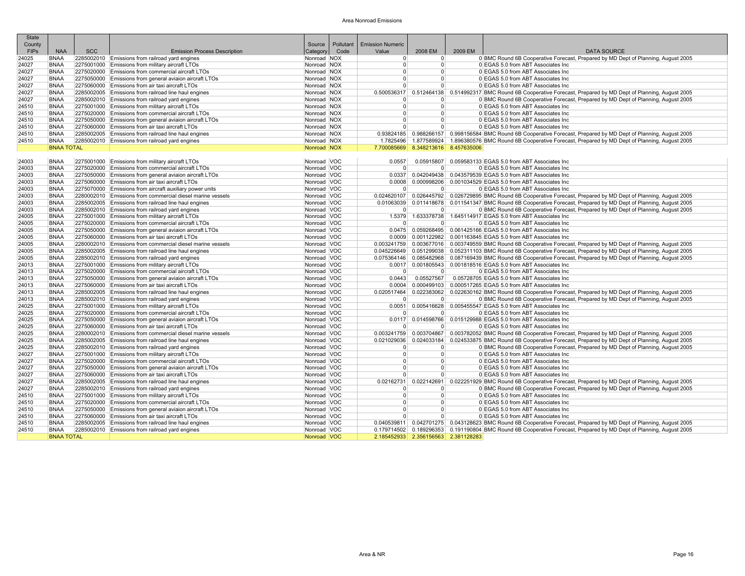| <b>State</b> |                   |            |                                                            |             |           |                         |                                     |         |                                                                                                                         |
|--------------|-------------------|------------|------------------------------------------------------------|-------------|-----------|-------------------------|-------------------------------------|---------|-------------------------------------------------------------------------------------------------------------------------|
| County       |                   |            |                                                            | Source      | Pollutant | <b>Emission Numeric</b> |                                     |         |                                                                                                                         |
| FIPs         | <b>NAA</b>        | <b>SCC</b> | <b>Emission Process Description</b>                        | Category    | Code      | Value                   | 2008 EM                             | 2009 EM | <b>DATA SOURCE</b>                                                                                                      |
| 24025        | <b>BNAA</b>       |            | 2285002010 Emissions from railroad yard engines            | Nonroad NOX |           | $\Omega$                | $\Omega$                            |         | 0 BMC Round 6B Cooperative Forecast, Prepared by MD Dept of Planning, August 2005                                       |
| 24027        | <b>BNAA</b>       |            | 2275001000 Emissions from military aircraft LTOs           | Nonroad NOX |           | $\Omega$                | $\Omega$                            |         | 0 EGAS 5.0 from ABT Associates Inc.                                                                                     |
| 24027        | <b>BNAA</b>       |            | 2275020000 Emissions from commercial aircraft LTOs         | Nonroad NOX |           | $\Omega$                | $\Omega$                            |         | 0 EGAS 5.0 from ABT Associates Inc                                                                                      |
| 24027        | <b>BNAA</b>       |            | 2275050000 Emissions from general aviaion aircraft LTOs    | Nonroad NOX |           | $\Omega$                | $\Omega$                            |         | 0 EGAS 5.0 from ABT Associates Inc                                                                                      |
| 24027        | <b>BNAA</b>       |            | 2275060000 Emissions from air taxi aircraft LTOs           | Nonroad NOX |           | $\Omega$                | $\Omega$                            |         | 0 EGAS 5.0 from ABT Associates Inc.                                                                                     |
| 24027        | <b>BNAA</b>       |            | 2285002005 Emissions from railroad line haul engines       | Nonroad NOX |           |                         |                                     |         | 0.500536317   0.512464138   0.514992317 BMC Round 6B Cooperative Forecast, Prepared by MD Dept of Planning, August 2005 |
| 24027        | <b>BNAA</b>       |            | 2285002010 Emissions from railroad yard engines            | Nonroad NOX |           | $\Omega$                | $\Omega$                            |         | 0 BMC Round 6B Cooperative Forecast, Prepared by MD Dept of Planning, August 2005                                       |
| 24510        | <b>BNAA</b>       |            | 2275001000 Emissions from military aircraft LTOs           | Nonroad NOX |           | $\Omega$                | $\Omega$                            |         | 0 EGAS 5.0 from ABT Associates Inc                                                                                      |
| 24510        | <b>BNAA</b>       |            | 2275020000 Emissions from commercial aircraft LTOs         | Nonroad NOX |           | $\Omega$                | $\Omega$                            |         | 0 EGAS 5.0 from ABT Associates Inc                                                                                      |
| 24510        | <b>BNAA</b>       |            | 2275050000 Emissions from general aviaion aircraft LTOs    | Nonroad NOX |           | $\Omega$                | $\Omega$                            |         | 0 EGAS 5.0 from ABT Associates Inc                                                                                      |
| 24510        | <b>BNAA</b>       |            | 2275060000 Emissions from air taxi aircraft LTOs           | Nonroad NOX |           | $\Omega$                | $\Omega$                            |         | 0 EGAS 5.0 from ABT Associates Inc.                                                                                     |
| 24510        | <b>BNAA</b>       |            | 2285002005 Emissions from railroad line haul engines       | Nonroad NOX |           |                         |                                     |         | 0.93824185 0.988266157 0.998156584 BMC Round 6B Cooperative Forecast, Prepared by MD Dept of Planning, August 2005      |
| 24510        | <b>BNAA</b>       |            | 2285002010 Emissions from railroad yard engines            | Nonroad NOX |           |                         |                                     |         | 1.7825496 1.877589924 1.896380576 BMC Round 6B Cooperative Forecast, Prepared by MD Dept of Planning, August 2005       |
|              | <b>BNAA TOTAL</b> |            |                                                            | Nonroad NOX |           |                         | 7.700085669 8.348213616 8.457635006 |         |                                                                                                                         |
|              |                   |            |                                                            |             |           |                         |                                     |         |                                                                                                                         |
| 24003        | <b>BNAA</b>       |            | 2275001000 Emissions from military aircraft LTOs           | Nonroad VOC |           | 0.0557                  | 0.05915807                          |         | 0.059583133 EGAS 5.0 from ABT Associates Inc                                                                            |
| 24003        | <b>BNAA</b>       |            | 2275020000 Emissions from commercial aircraft LTOs         | Nonroad VOC |           | $\Omega$                | $\Omega$                            |         | 0 EGAS 5.0 from ABT Associates Inc.                                                                                     |
| 24003        | <b>BNAA</b>       |            | 2275050000 Emissions from general aviaion aircraft LTOs    | Nonroad VOC |           |                         |                                     |         | 0.0337 0.042049438 0.043579539 EGAS 5.0 from ABT Associates Inc                                                         |
| 24003        | <b>BNAA</b>       |            | 2275060000 Emissions from air taxi aircraft LTOs           | Nonroad VOC |           | 0.0008                  | 0.000998206                         |         | 0.001034529 EGAS 5.0 from ABT Associates Inc                                                                            |
| 24003        | <b>BNAA</b>       |            | 2275070000 Emissions from aircraft auxiliary power units   | Nonroad VOC |           | $\overline{0}$          | $\overline{0}$                      |         | 0 EGAS 5.0 from ABT Associates Inc.                                                                                     |
| 24003        | <b>BNAA</b>       |            | 2280002010 Emissions from commercial diesel marine vessels | Nonroad VOC |           |                         |                                     |         | 0.024620107   0.026445792   0.026729895 BMC Round 6B Cooperative Forecast, Prepared by MD Dept of Planning, August 2005 |
| 24003        | <b>BNAA</b>       |            | 2285002005 Emissions from railroad line haul engines       | Nonroad VOC |           |                         |                                     |         | 0.01063039 0.011418678 0.011541347 BMC Round 6B Cooperative Forecast, Prepared by MD Dept of Planning, August 2005      |
| 24003        | <b>BNAA</b>       |            | 2285002010 Emissions from railroad yard engines            | Nonroad VOC |           | $\Omega$                | $\Omega$                            |         | 0 BMC Round 6B Cooperative Forecast, Prepared by MD Dept of Planning, August 2005                                       |
| 24005        | <b>BNAA</b>       |            | 2275001000 Emissions from military aircraft LTOs           | Nonroad VOC |           |                         | 1.5379 1.633378738                  |         | 1.645114917 EGAS 5.0 from ABT Associates Inc                                                                            |
| 24005        | <b>BNAA</b>       |            | 2275020000 Emissions from commercial aircraft LTOs         | Nonroad VOC |           |                         | $\Omega$                            |         | 0 EGAS 5.0 from ABT Associates Inc.                                                                                     |
| 24005        | <b>BNAA</b>       |            | 2275050000 Emissions from general aviaion aircraft LTOs    | Nonroad VOC |           |                         |                                     |         | 0.0475 0.059268495 0.061425166 EGAS 5.0 from ABT Associates Inc                                                         |
| 24005        | <b>BNAA</b>       |            | 2275060000 Emissions from air taxi aircraft LTOs           | Nonroad VOC |           |                         | $0.0009$ $0.001122982$              |         | 0.001163845 EGAS 5.0 from ABT Associates Inc                                                                            |
| 24005        | <b>BNAA</b>       |            | 2280002010 Emissions from commercial diesel marine vessels | Nonroad VOC |           |                         |                                     |         | 0.003241759 0.003677016 0.003749559 BMC Round 6B Cooperative Forecast, Prepared by MD Dept of Planning, August 2005     |
| 24005        | <b>BNAA</b>       |            | 2285002005 Emissions from railroad line haul engines       | Nonroad VOC |           |                         | 0.045226649 0.051299038             |         | 0.052311103 BMC Round 6B Cooperative Forecast, Prepared by MD Dept of Planning, August 2005                             |
| 24005        | <b>BNAA</b>       |            | 2285002010 Emissions from railroad yard engines            | Nonroad VOC |           |                         | 0.075364146 0.085482968             |         | 0.087169439 BMC Round 6B Cooperative Forecast, Prepared by MD Dept of Planning, August 2005                             |
| 24013        | <b>BNAA</b>       |            | 2275001000 Emissions from military aircraft LTOs           | Nonroad VOC |           |                         | $0.0017$ 0.001805543                |         | 0.001818516 EGAS 5.0 from ABT Associates Inc                                                                            |
| 24013        | <b>BNAA</b>       |            | 2275020000 Emissions from commercial aircraft LTOs         | Nonroad VOC |           | $\Omega$                | $\Omega$                            |         | 0 EGAS 5.0 from ABT Associates Inc                                                                                      |
| 24013        | <b>BNAA</b>       |            | 2275050000 Emissions from general aviaion aircraft LTOs    | Nonroad VOC |           | 0.0443                  | 0.05527567                          |         | 0.05728705 EGAS 5.0 from ABT Associates Inc                                                                             |
| 24013        | <b>BNAA</b>       |            | 2275060000 Emissions from air taxi aircraft LTOs           | Nonroad VOC |           | 0.0004                  | 0.000499103                         |         | 0.000517265 EGAS 5.0 from ABT Associates Inc                                                                            |
| 24013        | <b>BNAA</b>       |            | 2285002005 Emissions from railroad line haul engines       | Nonroad VOC |           | 0.020517464             | 0.022383062                         |         | 0.022630162 BMC Round 6B Cooperative Forecast, Prepared by MD Dept of Planning, August 2005                             |
| 24013        | <b>BNAA</b>       |            | 2285002010 Emissions from railroad yard engines            | Nonroad VOC |           | $\Omega$                | $\Omega$                            |         | 0 BMC Round 6B Cooperative Forecast, Prepared by MD Dept of Planning, August 2005                                       |
| 24025        | <b>BNAA</b>       |            | 2275001000 Emissions from military aircraft LTOs           | Nonroad VOC |           | 0.0051                  | 0.005416628                         |         | 0.005455547 EGAS 5.0 from ABT Associates Inc                                                                            |
| 24025        | <b>BNAA</b>       |            | 2275020000 Emissions from commercial aircraft LTOs         | Nonroad VOC |           | $\Omega$                | $\Omega$                            |         | 0 EGAS 5.0 from ABT Associates Inc                                                                                      |
| 24025        | <b>BNAA</b>       |            | 2275050000 Emissions from general aviaion aircraft LTOs    | Nonroad VOC |           |                         | 0.0117 0.014598766                  |         | 0.015129988 EGAS 5.0 from ABT Associates Inc                                                                            |
| 24025        | <b>BNAA</b>       |            | 2275060000 Emissions from air taxi aircraft LTOs           | Nonroad VOC |           |                         | $\Omega$                            |         | 0 EGAS 5.0 from ABT Associates Inc.                                                                                     |
| 24025        | <b>BNAA</b>       |            | 2280002010 Emissions from commercial diesel marine vessels | Nonroad VOC |           |                         |                                     |         | 0.003241759 0.003704867 0.003782052 BMC Round 6B Cooperative Forecast, Prepared by MD Dept of Planning, August 2005     |
| 24025        | <b>BNAA</b>       |            | 2285002005 Emissions from railroad line haul engines       | Nonroad VOC |           |                         | 0.021029036 0.024033184             |         | 0.024533875 BMC Round 6B Cooperative Forecast, Prepared by MD Dept of Planning, August 2005                             |
| 24025        | <b>BNAA</b>       |            | 2285002010 Emissions from railroad yard engines            | Nonroad VOC |           | $\Omega$                | $\Omega$                            |         | 0 BMC Round 6B Cooperative Forecast, Prepared by MD Dept of Planning, August 2005                                       |
| 24027        | <b>BNAA</b>       |            | 2275001000 Emissions from military aircraft LTOs           | Nonroad VOC |           | $\Omega$                | $\Omega$                            |         | 0 EGAS 5.0 from ABT Associates Inc.                                                                                     |
| 24027        | <b>BNAA</b>       |            | 2275020000 Emissions from commercial aircraft LTOs         | Nonroad VOC |           | $\Omega$                | $\Omega$                            |         | 0 EGAS 5.0 from ABT Associates Inc                                                                                      |
| 24027        | <b>BNAA</b>       |            | 2275050000 Emissions from general aviaion aircraft LTOs    | Nonroad VOC |           | $\Omega$                | $\Omega$                            |         | 0 EGAS 5.0 from ABT Associates Inc.                                                                                     |
| 24027        | <b>BNAA</b>       |            | 2275060000 Emissions from air taxi aircraft LTOs           | Nonroad VOC |           | $\Omega$                | $\Omega$                            |         | 0 EGAS 5.0 from ABT Associates Inc                                                                                      |
| 24027        | <b>BNAA</b>       |            | 2285002005 Emissions from railroad line haul engines       | Nonroad VOC |           |                         |                                     |         | 0.02162731 0.022142691 0.022251929 BMC Round 6B Cooperative Forecast, Prepared by MD Dept of Planning, August 2005      |
| 24027        | <b>BNAA</b>       |            | 2285002010 Emissions from railroad yard engines            | Nonroad VOC |           | $\Omega$                | $\Omega$                            |         | 0 BMC Round 6B Cooperative Forecast, Prepared by MD Dept of Planning, August 2005                                       |
| 24510        | <b>BNAA</b>       |            | 2275001000 Emissions from military aircraft LTOs           | Nonroad VOC |           | $\Omega$                | $\Omega$                            |         | 0 EGAS 5.0 from ABT Associates Inc                                                                                      |
| 24510        | <b>BNAA</b>       |            | 2275020000 Emissions from commercial aircraft LTOs         | Nonroad VOC |           | $\Omega$                | $\Omega$                            |         | 0 EGAS 5.0 from ABT Associates Inc                                                                                      |
| 24510        | <b>BNAA</b>       |            | 2275050000 Emissions from general aviaion aircraft LTOs    | Nonroad VOC |           | $\overline{0}$          | $\Omega$                            |         | 0 EGAS 5.0 from ABT Associates Inc.                                                                                     |
| 24510        | <b>BNAA</b>       |            | 2275060000 Emissions from air taxi aircraft LTOs           | Nonroad VOC |           | $\overline{0}$          | 0                                   |         | 0 EGAS 5.0 from ABT Associates Inc                                                                                      |
| 24510        | <b>BNAA</b>       |            | 2285002005 Emissions from railroad line haul engines       | Nonroad VOC |           |                         |                                     |         | 0.040539811 0.042701275 0.043128623 BMC Round 6B Cooperative Forecast, Prepared by MD Dept of Planning, August 2005     |
| 24510        | <b>BNAA</b>       |            | 2285002010 Emissions from railroad yard engines            | Nonroad VOC |           |                         |                                     |         | 0.179714502 0.189296353 0.191190804 BMC Round 6B Cooperative Forecast, Prepared by MD Dept of Planning, August 2005     |
|              | <b>BNAA TOTAL</b> |            |                                                            | Nonroad VOC |           |                         | 2.185452933 2.356156563 2.381128283 |         |                                                                                                                         |
|              |                   |            |                                                            |             |           |                         |                                     |         |                                                                                                                         |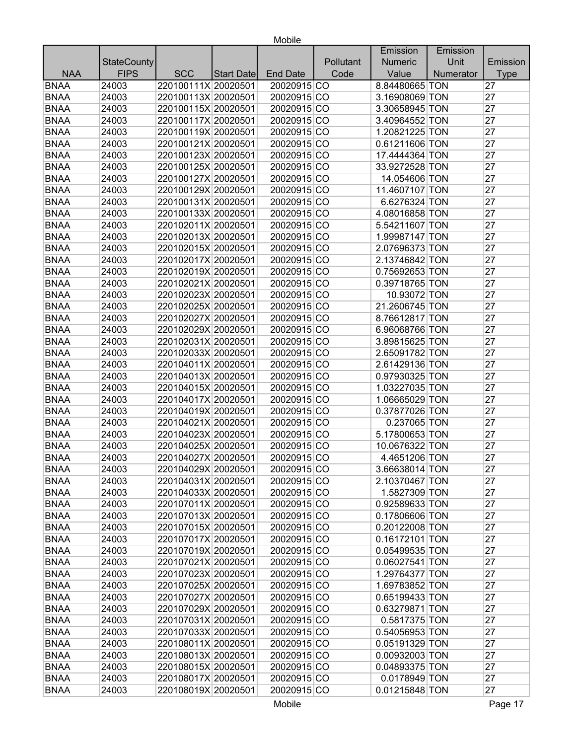|             |                    |                     |            |                 |           | Emission       | Emission  |                 |
|-------------|--------------------|---------------------|------------|-----------------|-----------|----------------|-----------|-----------------|
|             | <b>StateCounty</b> |                     |            |                 | Pollutant | Numeric        | Unit      | Emission        |
| <b>NAA</b>  | <b>FIPS</b>        | <b>SCC</b>          | Start Date | <b>End Date</b> | Code      | Value          | Numerator | <b>Type</b>     |
| <b>BNAA</b> | 24003              | 220100111X 20020501 |            | 20020915 CO     |           | 8.84480665 TON |           | 27              |
| <b>BNAA</b> | 24003              | 220100113X 20020501 |            | 20020915 CO     |           | 3.16908069 TON |           | 27              |
| <b>BNAA</b> | 24003              | 220100115X 20020501 |            | 20020915 CO     |           | 3.30658945 TON |           | 27              |
| <b>BNAA</b> | 24003              | 220100117X 20020501 |            | 20020915 CO     |           | 3.40964552 TON |           | 27              |
| <b>BNAA</b> | 24003              | 220100119X 20020501 |            | 20020915 CO     |           | 1.20821225 TON |           | 27              |
| <b>BNAA</b> | 24003              | 220100121X 20020501 |            | 20020915 CO     |           | 0.61211606 TON |           | 27              |
| <b>BNAA</b> | 24003              | 220100123X 20020501 |            | 20020915 CO     |           | 17.4444364 TON |           | 27              |
| <b>BNAA</b> | 24003              | 220100125X 20020501 |            | 20020915 CO     |           | 33.9272528 TON |           | 27              |
| <b>BNAA</b> | 24003              | 220100127X 20020501 |            | 20020915 CO     |           | 14.054606 TON  |           | 27              |
| <b>BNAA</b> | 24003              | 220100129X 20020501 |            | 20020915 CO     |           | 11.4607107 TON |           | 27              |
| <b>BNAA</b> | 24003              | 220100131X 20020501 |            | 20020915 CO     |           | 6.6276324 TON  |           | 27              |
| <b>BNAA</b> | 24003              | 220100133X 20020501 |            | 20020915 CO     |           | 4.08016858 TON |           | 27              |
| <b>BNAA</b> | 24003              | 220102011X 20020501 |            | 20020915 CO     |           | 5.54211607 TON |           | 27              |
| <b>BNAA</b> | 24003              | 220102013X 20020501 |            | 20020915 CO     |           | 1.99987147 TON |           | 27              |
| <b>BNAA</b> | 24003              | 220102015X 20020501 |            | 20020915 CO     |           | 2.07696373 TON |           | 27              |
| <b>BNAA</b> | 24003              | 220102017X 20020501 |            | 20020915 CO     |           | 2.13746842 TON |           | 27              |
| <b>BNAA</b> | 24003              | 220102019X 20020501 |            | 20020915 CO     |           | 0.75692653 TON |           | 27              |
| <b>BNAA</b> | 24003              | 220102021X 20020501 |            | 20020915 CO     |           | 0.39718765 TON |           | 27              |
| <b>BNAA</b> | 24003              | 220102023X 20020501 |            | 20020915 CO     |           | 10.93072 TON   |           | 27              |
| <b>BNAA</b> | 24003              | 220102025X 20020501 |            | 20020915 CO     |           | 21.2606745 TON |           | 27              |
| <b>BNAA</b> | 24003              | 220102027X 20020501 |            | 20020915 CO     |           | 8.76612817 TON |           | 27              |
| <b>BNAA</b> | 24003              | 220102029X 20020501 |            | 20020915 CO     |           | 6.96068766 TON |           | 27              |
| <b>BNAA</b> | 24003              | 220102031X 20020501 |            | 20020915 CO     |           | 3.89815625 TON |           | 27              |
| <b>BNAA</b> | 24003              | 220102033X 20020501 |            | 20020915 CO     |           | 2.65091782 TON |           | 27              |
| <b>BNAA</b> | 24003              | 220104011X 20020501 |            | 20020915 CO     |           | 2.61429136 TON |           | 27              |
| <b>BNAA</b> | 24003              | 220104013X 20020501 |            | 20020915 CO     |           | 0.97930325 TON |           | 27              |
| <b>BNAA</b> | 24003              | 220104015X 20020501 |            | 20020915 CO     |           | 1.03227035 TON |           | 27              |
| <b>BNAA</b> | 24003              | 220104017X 20020501 |            | 20020915 CO     |           | 1.06665029 TON |           | 27              |
| <b>BNAA</b> | 24003              | 220104019X 20020501 |            | 20020915 CO     |           | 0.37877026 TON |           | 27              |
| <b>BNAA</b> | 24003              | 220104021X 20020501 |            | 20020915 CO     |           | 0.237065 TON   |           | 27              |
| <b>BNAA</b> | 24003              | 220104023X 20020501 |            | 20020915 CO     |           | 5.17800653 TON |           | 27              |
| <b>BNAA</b> | 24003              | 220104025X 20020501 |            | 20020915 CO     |           | 10.0676322 TON |           | 27              |
| <b>BNAA</b> | 24003              | 220104027X 20020501 |            | 20020915 CO     |           | 4.4651206 TON  |           | 27              |
| <b>BNAA</b> | 24003              | 220104029X 20020501 |            | 20020915 CO     |           | 3.66638014 TON |           | $\overline{27}$ |
| <b>BNAA</b> | 24003              | 220104031X 20020501 |            | 20020915 CO     |           | 2.10370467 TON |           | 27              |
| <b>BNAA</b> | 24003              | 220104033X 20020501 |            | 20020915 CO     |           | 1.5827309 TON  |           | 27              |
| <b>BNAA</b> | 24003              | 220107011X 20020501 |            | 20020915 CO     |           | 0.92589633 TON |           | 27              |
| <b>BNAA</b> | 24003              | 220107013X 20020501 |            | 20020915 CO     |           | 0.17806606 TON |           | 27              |
| <b>BNAA</b> | 24003              | 220107015X 20020501 |            | 20020915 CO     |           | 0.20122008 TON |           | 27              |
| <b>BNAA</b> | 24003              | 220107017X 20020501 |            | 20020915 CO     |           | 0.16172101 TON |           | 27              |
| <b>BNAA</b> | 24003              | 220107019X 20020501 |            | 20020915 CO     |           | 0.05499535 TON |           | 27              |
| <b>BNAA</b> | 24003              | 220107021X 20020501 |            | 20020915 CO     |           | 0.06027541 TON |           | 27              |
| <b>BNAA</b> | 24003              | 220107023X 20020501 |            | 20020915 CO     |           | 1.29764377 TON |           | 27              |
| <b>BNAA</b> | 24003              | 220107025X 20020501 |            | 20020915 CO     |           | 1.69783852 TON |           | 27              |
| <b>BNAA</b> | 24003              | 220107027X 20020501 |            | 20020915 CO     |           | 0.65199433 TON |           | 27              |
| <b>BNAA</b> | 24003              | 220107029X 20020501 |            | 20020915 CO     |           | 0.63279871 TON |           | 27              |
| <b>BNAA</b> | 24003              | 220107031X 20020501 |            | 20020915 CO     |           | 0.5817375 TON  |           | 27              |
| <b>BNAA</b> | 24003              | 220107033X 20020501 |            | 20020915 CO     |           | 0.54056953 TON |           | 27              |
| <b>BNAA</b> | 24003              | 220108011X 20020501 |            | 20020915 CO     |           | 0.05191329 TON |           | 27              |
| <b>BNAA</b> | 24003              | 220108013X 20020501 |            | 20020915 CO     |           | 0.00932003 TON |           | 27              |
| <b>BNAA</b> | 24003              | 220108015X 20020501 |            | 20020915 CO     |           | 0.04893375 TON |           | 27              |
| <b>BNAA</b> | 24003              | 220108017X 20020501 |            | 20020915 CO     |           | 0.0178949 TON  |           | 27              |
| <b>BNAA</b> | 24003              | 220108019X 20020501 |            | 20020915 CO     |           | 0.01215848 TON |           | 27              |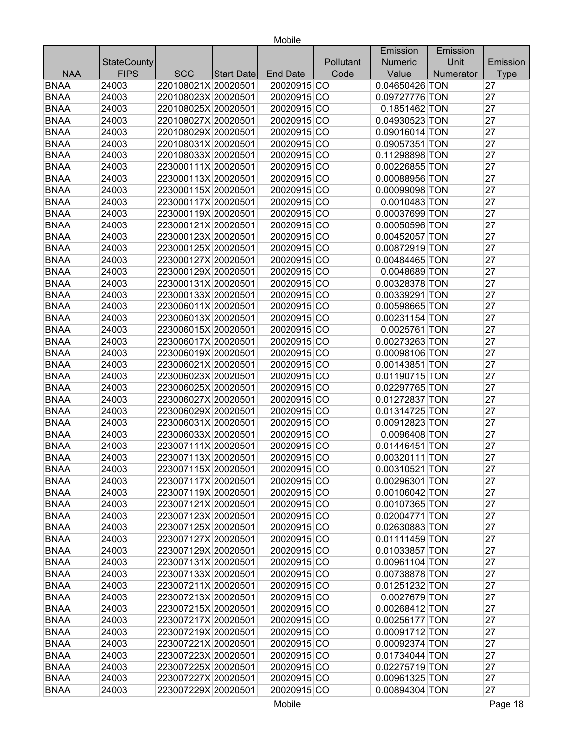|             |                    |                     |            |                 |           | Emission         | Emission  |             |
|-------------|--------------------|---------------------|------------|-----------------|-----------|------------------|-----------|-------------|
|             | <b>StateCounty</b> |                     |            |                 | Pollutant | <b>Numeric</b>   | Unit      | Emission    |
| <b>NAA</b>  | <b>FIPS</b>        | <b>SCC</b>          | Start Date | <b>End Date</b> | Code      | Value            | Numerator | <b>Type</b> |
| <b>BNAA</b> | 24003              | 220108021X 20020501 |            | 20020915 CO     |           | 0.04650426 TON   |           | 27          |
| <b>BNAA</b> | 24003              | 220108023X 20020501 |            | 20020915 CO     |           | 0.09727776 TON   |           | 27          |
| <b>BNAA</b> | 24003              | 220108025X 20020501 |            | 20020915 CO     |           | 0.1851462 TON    |           | 27          |
| <b>BNAA</b> | 24003              | 220108027X 20020501 |            | 20020915 CO     |           | 0.04930523 TON   |           | 27          |
| <b>BNAA</b> | 24003              | 220108029X 20020501 |            | 20020915 CO     |           | 0.09016014 TON   |           | 27          |
| <b>BNAA</b> | 24003              | 220108031X 20020501 |            | 20020915 CO     |           | 0.09057351 TON   |           | 27          |
| <b>BNAA</b> | 24003              | 220108033X 20020501 |            | 20020915 CO     |           | 0.11298898 TON   |           | 27          |
| <b>BNAA</b> | 24003              | 223000111X 20020501 |            | 20020915 CO     |           | 0.00226855 TON   |           | 27          |
| <b>BNAA</b> | 24003              | 223000113X 20020501 |            | 20020915 CO     |           | 0.00088956 TON   |           | 27          |
| <b>BNAA</b> | 24003              | 223000115X 20020501 |            | 20020915 CO     |           | 0.00099098 TON   |           | 27          |
| <b>BNAA</b> | 24003              | 223000117X 20020501 |            | 20020915 CO     |           | 0.0010483 TON    |           | 27          |
| <b>BNAA</b> | 24003              | 223000119X 20020501 |            | 20020915 CO     |           | 0.00037699 TON   |           | 27          |
| <b>BNAA</b> | 24003              | 223000121X 20020501 |            | 20020915 CO     |           | 0.00050596 TON   |           | 27          |
| <b>BNAA</b> | 24003              | 223000123X 20020501 |            | 20020915 CO     |           | 0.00452057 TON   |           | 27          |
| <b>BNAA</b> | 24003              | 223000125X 20020501 |            | 20020915 CO     |           | 0.00872919 TON   |           | 27          |
| <b>BNAA</b> | 24003              | 223000127X 20020501 |            | 20020915 CO     |           | 0.00484465 TON   |           | 27          |
| <b>BNAA</b> | 24003              | 223000129X 20020501 |            | 20020915 CO     |           | 0.0048689 TON    |           | 27          |
| <b>BNAA</b> | 24003              | 223000131X 20020501 |            | 20020915 CO     |           | 0.00328378 TON   |           | 27          |
| <b>BNAA</b> | 24003              | 223000133X 20020501 |            | 20020915 CO     |           | 0.00339291 TON   |           | 27          |
| <b>BNAA</b> | 24003              | 223006011X 20020501 |            | 20020915 CO     |           | 0.00598665 TON   |           | 27          |
| <b>BNAA</b> | 24003              | 223006013X 20020501 |            | 20020915 CO     |           | 0.00231154 TON   |           | 27          |
| <b>BNAA</b> | 24003              | 223006015X 20020501 |            | 20020915 CO     |           | 0.0025761 TON    |           | 27          |
| <b>BNAA</b> | 24003              | 223006017X 20020501 |            | 20020915 CO     |           | 0.00273263 TON   |           | 27          |
| <b>BNAA</b> | 24003              | 223006019X 20020501 |            | 20020915 CO     |           | 0.00098106 TON   |           | 27          |
| <b>BNAA</b> | 24003              | 223006021X 20020501 |            | 20020915 CO     |           | 0.00143851 TON   |           | 27          |
| <b>BNAA</b> | 24003              | 223006023X 20020501 |            | 20020915 CO     |           | 0.01190715 TON   |           | 27          |
| <b>BNAA</b> | 24003              | 223006025X 20020501 |            | 20020915 CO     |           | 0.02297765 TON   |           | 27          |
| <b>BNAA</b> | 24003              | 223006027X 20020501 |            | 20020915 CO     |           | 0.01272837 TON   |           | 27          |
| <b>BNAA</b> | 24003              | 223006029X 20020501 |            | 20020915 CO     |           | 0.01314725 TON   |           | 27          |
| <b>BNAA</b> | 24003              | 223006031X 20020501 |            | 20020915 CO     |           | 0.00912823 TON   |           | 27          |
| <b>BNAA</b> | 24003              | 223006033X 20020501 |            | 20020915 CO     |           | 0.0096408 TON    |           | 27          |
| <b>BNAA</b> | 24003              | 223007111X 20020501 |            | 20020915 CO     |           | 0.01446451 TON   |           | 27          |
| <b>BNAA</b> | 24003              | 223007113X 20020501 |            | 20020915 CO     |           | 0.00320111 TON   |           | 27          |
| <b>BNAA</b> | 24003              | 223007115X 20020501 |            | 20020915 CO     |           | $0.00310521$ TON |           | 27          |
| <b>BNAA</b> | 24003              | 223007117X 20020501 |            | 20020915 CO     |           | 0.00296301 TON   |           | 27          |
| <b>BNAA</b> | 24003              | 223007119X 20020501 |            | 20020915 CO     |           | 0.00106042 TON   |           | 27          |
| <b>BNAA</b> | 24003              | 223007121X 20020501 |            | 20020915 CO     |           | 0.00107365 TON   |           | 27          |
| <b>BNAA</b> | 24003              | 223007123X 20020501 |            | 20020915 CO     |           | 0.02004771 TON   |           | 27          |
| <b>BNAA</b> | 24003              | 223007125X 20020501 |            | 20020915 CO     |           | 0.02630883 TON   |           | 27          |
| <b>BNAA</b> | 24003              | 223007127X 20020501 |            | 20020915 CO     |           | 0.01111459 TON   |           | 27          |
| <b>BNAA</b> | 24003              | 223007129X 20020501 |            | 20020915 CO     |           | 0.01033857 TON   |           | 27          |
| <b>BNAA</b> | 24003              | 223007131X 20020501 |            | 20020915 CO     |           | 0.00961104 TON   |           | 27          |
| <b>BNAA</b> | 24003              | 223007133X 20020501 |            | 20020915 CO     |           | 0.00738878 TON   |           | 27          |
| <b>BNAA</b> | 24003              | 223007211X 20020501 |            | 20020915 CO     |           | 0.01251232 TON   |           | 27          |
| <b>BNAA</b> | 24003              | 223007213X 20020501 |            | 20020915 CO     |           | 0.0027679 TON    |           | 27          |
| <b>BNAA</b> | 24003              | 223007215X 20020501 |            | 20020915 CO     |           | 0.00268412 TON   |           | 27          |
| <b>BNAA</b> | 24003              | 223007217X 20020501 |            | 20020915 CO     |           | 0.00256177 TON   |           | 27          |
| <b>BNAA</b> | 24003              | 223007219X 20020501 |            | 20020915 CO     |           | 0.00091712 TON   |           | 27          |
| <b>BNAA</b> | 24003              | 223007221X 20020501 |            | 20020915 CO     |           | 0.00092374 TON   |           | 27          |
| <b>BNAA</b> | 24003              | 223007223X 20020501 |            | 20020915 CO     |           | 0.01734044 TON   |           | 27          |
| <b>BNAA</b> | 24003              | 223007225X 20020501 |            | 20020915 CO     |           | 0.02275719 TON   |           | 27          |
| <b>BNAA</b> | 24003              | 223007227X 20020501 |            | 20020915 CO     |           | 0.00961325 TON   |           | 27          |
| <b>BNAA</b> | 24003              | 223007229X 20020501 |            | 20020915 CO     |           | 0.00894304 TON   |           | 27          |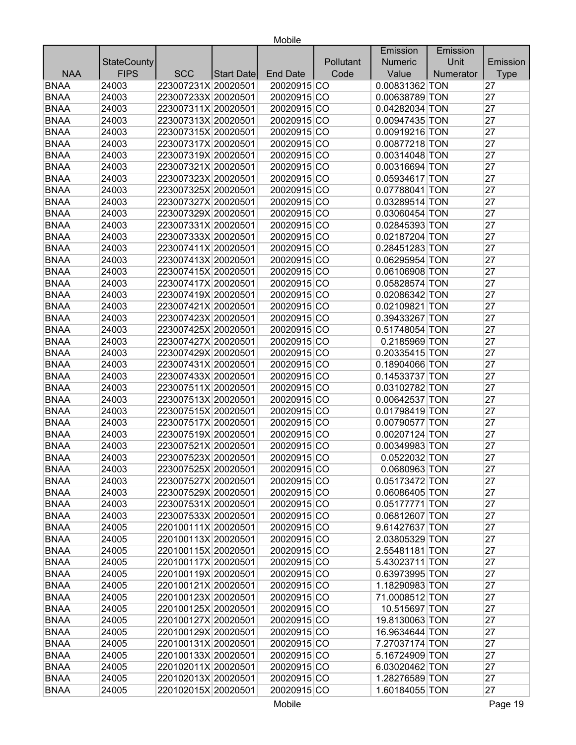|             |                    |                     |                   |                 |           | Emission       | Emission  |             |
|-------------|--------------------|---------------------|-------------------|-----------------|-----------|----------------|-----------|-------------|
|             | <b>StateCounty</b> |                     |                   |                 | Pollutant | <b>Numeric</b> | Unit      | Emission    |
| <b>NAA</b>  | <b>FIPS</b>        | <b>SCC</b>          | <b>Start Date</b> | <b>End Date</b> | Code      | Value          | Numerator | <b>Type</b> |
| <b>BNAA</b> | 24003              | 223007231X 20020501 |                   | 20020915 CO     |           | 0.00831362 TON |           | 27          |
| <b>BNAA</b> | 24003              | 223007233X 20020501 |                   | 20020915 CO     |           | 0.00638789 TON |           | 27          |
| <b>BNAA</b> | 24003              | 223007311X 20020501 |                   | 20020915 CO     |           | 0.04282034 TON |           | 27          |
| <b>BNAA</b> | 24003              | 223007313X 20020501 |                   | 20020915 CO     |           | 0.00947435 TON |           | 27          |
| <b>BNAA</b> | 24003              | 223007315X 20020501 |                   | 20020915 CO     |           | 0.00919216 TON |           | 27          |
| <b>BNAA</b> | 24003              | 223007317X 20020501 |                   | 20020915 CO     |           | 0.00877218 TON |           | 27          |
| <b>BNAA</b> | 24003              | 223007319X 20020501 |                   | 20020915 CO     |           | 0.00314048 TON |           | 27          |
| <b>BNAA</b> | 24003              | 223007321X 20020501 |                   | 20020915 CO     |           | 0.00316694 TON |           | 27          |
| <b>BNAA</b> | 24003              | 223007323X 20020501 |                   | 20020915 CO     |           | 0.05934617 TON |           | 27          |
| <b>BNAA</b> | 24003              | 223007325X 20020501 |                   | 20020915 CO     |           | 0.07788041 TON |           | 27          |
| <b>BNAA</b> | 24003              | 223007327X 20020501 |                   | 20020915 CO     |           | 0.03289514 TON |           | 27          |
| <b>BNAA</b> | 24003              | 223007329X 20020501 |                   | 20020915 CO     |           | 0.03060454 TON |           | 27          |
| <b>BNAA</b> | 24003              | 223007331X 20020501 |                   | 20020915 CO     |           | 0.02845393 TON |           | 27          |
| <b>BNAA</b> | 24003              | 223007333X 20020501 |                   | 20020915 CO     |           | 0.02187204 TON |           | 27          |
| <b>BNAA</b> | 24003              | 223007411X 20020501 |                   | 20020915 CO     |           | 0.28451283 TON |           | 27          |
| <b>BNAA</b> | 24003              | 223007413X 20020501 |                   | 20020915 CO     |           | 0.06295954 TON |           | 27          |
| <b>BNAA</b> | 24003              | 223007415X 20020501 |                   | 20020915 CO     |           | 0.06106908 TON |           | 27          |
| <b>BNAA</b> | 24003              | 223007417X 20020501 |                   | 20020915 CO     |           | 0.05828574 TON |           | 27          |
| <b>BNAA</b> | 24003              | 223007419X 20020501 |                   | 20020915 CO     |           | 0.02086342 TON |           | 27          |
| <b>BNAA</b> | 24003              | 223007421X 20020501 |                   | 20020915 CO     |           | 0.02109821 TON |           | 27          |
| <b>BNAA</b> | 24003              | 223007423X 20020501 |                   | 20020915 CO     |           | 0.39433267 TON |           | 27          |
| <b>BNAA</b> | 24003              | 223007425X 20020501 |                   | 20020915 CO     |           | 0.51748054 TON |           | 27          |
| <b>BNAA</b> | 24003              | 223007427X 20020501 |                   | 20020915 CO     |           | 0.2185969 TON  |           | 27          |
| <b>BNAA</b> | 24003              | 223007429X 20020501 |                   | 20020915 CO     |           | 0.20335415 TON |           | 27          |
| <b>BNAA</b> | 24003              | 223007431X 20020501 |                   | 20020915 CO     |           | 0.18904066 TON |           | 27          |
| <b>BNAA</b> | 24003              | 223007433X 20020501 |                   | 20020915 CO     |           | 0.14533737 TON |           | 27          |
| <b>BNAA</b> | 24003              | 223007511X 20020501 |                   | 20020915 CO     |           | 0.03102782 TON |           | 27          |
| <b>BNAA</b> | 24003              | 223007513X 20020501 |                   | 20020915 CO     |           | 0.00642537 TON |           | 27          |
| <b>BNAA</b> | 24003              | 223007515X 20020501 |                   | 20020915 CO     |           | 0.01798419 TON |           | 27          |
| <b>BNAA</b> | 24003              | 223007517X 20020501 |                   | 20020915 CO     |           | 0.00790577 TON |           | 27          |
| <b>BNAA</b> | 24003              | 223007519X 20020501 |                   | 20020915 CO     |           | 0.00207124 TON |           | 27          |
| <b>BNAA</b> | 24003              | 223007521X 20020501 |                   | 20020915 CO     |           | 0.00349983 TON |           | 27          |
| <b>BNAA</b> | 24003              | 223007523X 20020501 |                   | 20020915 CO     |           | 0.0522032 TON  |           | 27          |
| BNAA        | 24003              | 223007525X 20020501 |                   | 20020915 CO     |           | 0.0680963 TON  |           | 27          |
| <b>BNAA</b> | 24003              | 223007527X 20020501 |                   | 20020915 CO     |           | 0.05173472 TON |           | 27          |
| <b>BNAA</b> | 24003              | 223007529X 20020501 |                   | 20020915 CO     |           | 0.06086405 TON |           | 27          |
| <b>BNAA</b> | 24003              | 223007531X 20020501 |                   | 20020915 CO     |           | 0.05177771 TON |           | 27          |
| <b>BNAA</b> | 24003              | 223007533X 20020501 |                   | 20020915 CO     |           | 0.06812607 TON |           | 27          |
| <b>BNAA</b> | 24005              | 220100111X 20020501 |                   | 20020915 CO     |           | 9.61427637 TON |           | 27          |
| <b>BNAA</b> | 24005              | 220100113X 20020501 |                   | 20020915 CO     |           | 2.03805329 TON |           | 27          |
| <b>BNAA</b> | 24005              | 220100115X 20020501 |                   | 20020915 CO     |           | 2.55481181 TON |           | 27          |
| <b>BNAA</b> | 24005              | 220100117X 20020501 |                   | 20020915 CO     |           | 5.43023711 TON |           | 27          |
| <b>BNAA</b> | 24005              | 220100119X 20020501 |                   | 20020915 CO     |           | 0.63973995 TON |           | 27          |
| <b>BNAA</b> | 24005              | 220100121X 20020501 |                   | 20020915 CO     |           | 1.18290983 TON |           | 27          |
| <b>BNAA</b> | 24005              | 220100123X 20020501 |                   | 20020915 CO     |           | 71.0008512 TON |           | 27          |
| <b>BNAA</b> | 24005              | 220100125X 20020501 |                   | 20020915 CO     |           | 10.515697 TON  |           | 27          |
| <b>BNAA</b> | 24005              | 220100127X 20020501 |                   | 20020915 CO     |           | 19.8130063 TON |           | 27          |
| <b>BNAA</b> | 24005              | 220100129X 20020501 |                   | 20020915 CO     |           | 16.9634644 TON |           | 27          |
| <b>BNAA</b> | 24005              | 220100131X 20020501 |                   | 20020915 CO     |           | 7.27037174 TON |           | 27          |
| <b>BNAA</b> | 24005              | 220100133X 20020501 |                   | 20020915 CO     |           | 5.16724909 TON |           | 27          |
| <b>BNAA</b> | 24005              | 220102011X 20020501 |                   | 20020915 CO     |           | 6.03020462 TON |           | 27          |
| <b>BNAA</b> | 24005              | 220102013X 20020501 |                   | 20020915 CO     |           | 1.28276589 TON |           | 27          |
| <b>BNAA</b> | 24005              | 220102015X 20020501 |                   | 20020915 CO     |           | 1.60184055 TON |           | 27          |
|             |                    |                     |                   |                 |           |                |           |             |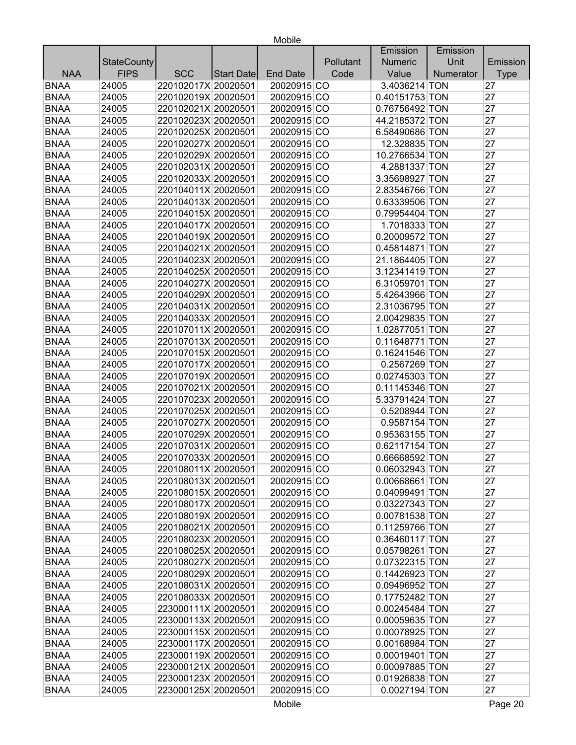|             |                    |                     |            |                 |           | Emission       | Emission  |             |
|-------------|--------------------|---------------------|------------|-----------------|-----------|----------------|-----------|-------------|
|             | <b>StateCounty</b> |                     |            |                 | Pollutant | <b>Numeric</b> | Unit      | Emission    |
| <b>NAA</b>  | <b>FIPS</b>        | <b>SCC</b>          | Start Date | <b>End Date</b> | Code      | Value          | Numerator | <b>Type</b> |
| <b>BNAA</b> | 24005              | 220102017X 20020501 |            | 20020915 CO     |           | 3.4036214 TON  |           | 27          |
| <b>BNAA</b> | 24005              | 220102019X 20020501 |            | 20020915 CO     |           | 0.40151753 TON |           | 27          |
| <b>BNAA</b> | 24005              | 220102021X 20020501 |            | 20020915 CO     |           | 0.76756492 TON |           | 27          |
| <b>BNAA</b> | 24005              | 220102023X 20020501 |            | 20020915 CO     |           | 44.2185372 TON |           | 27          |
| <b>BNAA</b> | 24005              | 220102025X 20020501 |            | 20020915 CO     |           | 6.58490686 TON |           | 27          |
| <b>BNAA</b> | 24005              | 220102027X 20020501 |            | 20020915 CO     |           | 12.328835 TON  |           | 27          |
| <b>BNAA</b> | 24005              | 220102029X 20020501 |            | 20020915 CO     |           | 10.2766534 TON |           | 27          |
| <b>BNAA</b> | 24005              | 220102031X 20020501 |            | 20020915 CO     |           | 4.2881337 TON  |           | 27          |
| <b>BNAA</b> | 24005              | 220102033X 20020501 |            | 20020915 CO     |           | 3.35698927 TON |           | 27          |
| <b>BNAA</b> | 24005              | 220104011X 20020501 |            | 20020915 CO     |           | 2.83546766 TON |           | 27          |
| <b>BNAA</b> | 24005              | 220104013X 20020501 |            | 20020915 CO     |           | 0.63339506 TON |           | 27          |
| <b>BNAA</b> | 24005              | 220104015X 20020501 |            | 20020915 CO     |           | 0.79954404 TON |           | 27          |
| <b>BNAA</b> | 24005              | 220104017X 20020501 |            | 20020915 CO     |           | 1.7018333 TON  |           | 27          |
| <b>BNAA</b> | 24005              | 220104019X 20020501 |            | 20020915 CO     |           | 0.20009572 TON |           | 27          |
| <b>BNAA</b> | 24005              | 220104021X 20020501 |            | 20020915 CO     |           | 0.45814871 TON |           | 27          |
| <b>BNAA</b> | 24005              | 220104023X 20020501 |            | 20020915 CO     |           | 21.1864405 TON |           | 27          |
| <b>BNAA</b> | 24005              | 220104025X 20020501 |            | 20020915 CO     |           | 3.12341419 TON |           | 27          |
| <b>BNAA</b> | 24005              | 220104027X 20020501 |            | 20020915 CO     |           | 6.31059701 TON |           | 27          |
| <b>BNAA</b> | 24005              | 220104029X 20020501 |            | 20020915 CO     |           | 5.42643966 TON |           | 27          |
| <b>BNAA</b> | 24005              | 220104031X 20020501 |            | 20020915 CO     |           | 2.31036795 TON |           | 27          |
| <b>BNAA</b> | 24005              | 220104033X 20020501 |            | 20020915 CO     |           | 2.00429835 TON |           | 27          |
| <b>BNAA</b> | 24005              | 220107011X 20020501 |            | 20020915 CO     |           | 1.02877051 TON |           | 27          |
| <b>BNAA</b> | 24005              | 220107013X 20020501 |            | 20020915 CO     |           | 0.11648771 TON |           | 27          |
| <b>BNAA</b> | 24005              | 220107015X 20020501 |            | 20020915 CO     |           | 0.16241546 TON |           | 27          |
| <b>BNAA</b> | 24005              | 220107017X 20020501 |            | 20020915 CO     |           | 0.2567269 TON  |           | 27          |
| <b>BNAA</b> | 24005              | 220107019X 20020501 |            | 20020915 CO     |           | 0.02745303 TON |           | 27          |
| <b>BNAA</b> | 24005              | 220107021X 20020501 |            | 20020915 CO     |           | 0.11145346 TON |           | 27          |
| <b>BNAA</b> | 24005              | 220107023X 20020501 |            | 20020915 CO     |           | 5.33791424 TON |           | 27          |
| <b>BNAA</b> | 24005              | 220107025X 20020501 |            | 20020915 CO     |           | 0.5208944 TON  |           | 27          |
| <b>BNAA</b> | 24005              | 220107027X 20020501 |            | 20020915 CO     |           | 0.9587154 TON  |           | 27          |
| <b>BNAA</b> | 24005              | 220107029X 20020501 |            | 20020915 CO     |           | 0.95363155 TON |           | 27          |
| <b>BNAA</b> | 24005              | 220107031X 20020501 |            | 20020915 CO     |           | 0.62117154 TON |           | 27          |
| <b>BNAA</b> | 24005              | 220107033X 20020501 |            | 20020915 CO     |           | 0.66668592 TON |           | 27          |
| <b>BNAA</b> | 24005              | 220108011X 20020501 |            | 20020915 CO     |           | 0.06032943 TON |           | 27          |
| <b>BNAA</b> | 24005              | 220108013X 20020501 |            | 20020915 CO     |           | 0.00668661 TON |           | 27          |
| <b>BNAA</b> | 24005              | 220108015X 20020501 |            | 20020915 CO     |           | 0.04099491 TON |           | 27          |
| <b>BNAA</b> | 24005              | 220108017X 20020501 |            | 20020915 CO     |           | 0.03227343 TON |           | 27          |
| <b>BNAA</b> | 24005              | 220108019X 20020501 |            | 20020915 CO     |           | 0.00781538 TON |           | 27          |
| <b>BNAA</b> | 24005              | 220108021X 20020501 |            | 20020915 CO     |           | 0.11259766 TON |           | 27          |
| <b>BNAA</b> | 24005              | 220108023X 20020501 |            | 20020915 CO     |           | 0.36460117 TON |           | 27          |
| <b>BNAA</b> | 24005              | 220108025X 20020501 |            | 20020915 CO     |           | 0.05798261 TON |           | 27          |
| <b>BNAA</b> | 24005              | 220108027X 20020501 |            | 20020915 CO     |           | 0.07322315 TON |           | 27          |
| <b>BNAA</b> | 24005              | 220108029X 20020501 |            | 20020915 CO     |           | 0.14426923 TON |           | 27          |
| <b>BNAA</b> | 24005              | 220108031X 20020501 |            | 20020915 CO     |           | 0.09496952 TON |           | 27          |
| <b>BNAA</b> | 24005              | 220108033X 20020501 |            | 20020915 CO     |           | 0.17752482 TON |           | 27          |
| <b>BNAA</b> | 24005              | 223000111X 20020501 |            | 20020915 CO     |           | 0.00245484 TON |           | 27          |
| <b>BNAA</b> | 24005              | 223000113X 20020501 |            | 20020915 CO     |           | 0.00059635 TON |           | 27          |
| <b>BNAA</b> | 24005              | 223000115X 20020501 |            | 20020915 CO     |           | 0.00078925 TON |           | 27          |
| <b>BNAA</b> | 24005              | 223000117X 20020501 |            | 20020915 CO     |           | 0.00168984 TON |           | 27          |
| <b>BNAA</b> | 24005              | 223000119X 20020501 |            | 20020915 CO     |           | 0.00019401 TON |           | 27          |
| <b>BNAA</b> | 24005              | 223000121X 20020501 |            | 20020915 CO     |           | 0.00097885 TON |           | 27          |
| <b>BNAA</b> | 24005              | 223000123X 20020501 |            | 20020915 CO     |           | 0.01926838 TON |           | 27          |
| <b>BNAA</b> | 24005              | 223000125X 20020501 |            | 20020915 CO     |           | 0.0027194 TON  |           | 27          |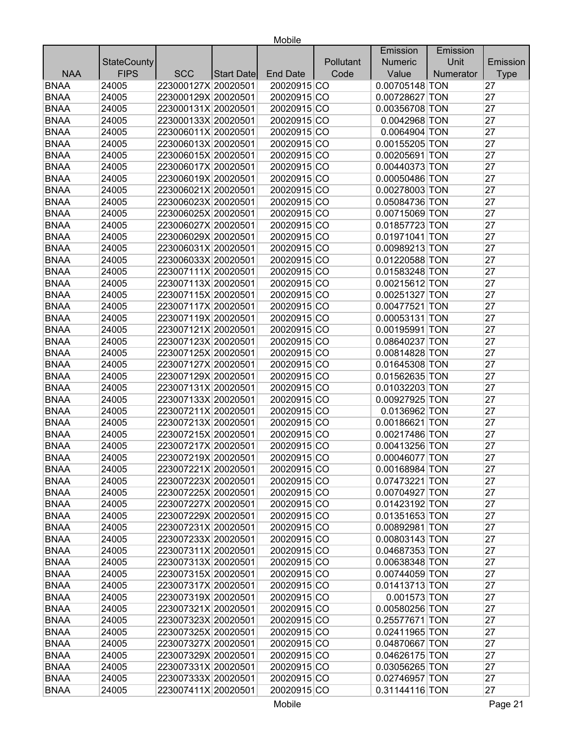|             |                    |                     |                   |                 |           | Emission         | Emission  |             |
|-------------|--------------------|---------------------|-------------------|-----------------|-----------|------------------|-----------|-------------|
|             | <b>StateCounty</b> |                     |                   |                 | Pollutant | <b>Numeric</b>   | Unit      | Emission    |
| <b>NAA</b>  | <b>FIPS</b>        | <b>SCC</b>          | <b>Start Date</b> | <b>End Date</b> | Code      | Value            | Numerator | <b>Type</b> |
| <b>BNAA</b> | 24005              | 223000127X 20020501 |                   | 20020915 CO     |           | 0.00705148 TON   |           | 27          |
| <b>BNAA</b> | 24005              | 223000129X 20020501 |                   | 20020915 CO     |           | 0.00728627 TON   |           | 27          |
| <b>BNAA</b> | 24005              | 223000131X 20020501 |                   | 20020915 CO     |           | 0.00356708 TON   |           | 27          |
| <b>BNAA</b> | 24005              | 223000133X 20020501 |                   | 20020915 CO     |           | 0.0042968 TON    |           | 27          |
| <b>BNAA</b> | 24005              | 223006011X 20020501 |                   | 20020915 CO     |           | 0.0064904 TON    |           | 27          |
| <b>BNAA</b> | 24005              | 223006013X 20020501 |                   | 20020915 CO     |           | 0.00155205 TON   |           | 27          |
| <b>BNAA</b> | 24005              | 223006015X 20020501 |                   | 20020915 CO     |           | 0.00205691 TON   |           | 27          |
| <b>BNAA</b> | 24005              | 223006017X 20020501 |                   | 20020915 CO     |           | 0.00440373 TON   |           | 27          |
| <b>BNAA</b> | 24005              | 223006019X 20020501 |                   | 20020915 CO     |           | 0.00050486 TON   |           | 27          |
| <b>BNAA</b> | 24005              | 223006021X 20020501 |                   | 20020915 CO     |           | 0.00278003 TON   |           | 27          |
| <b>BNAA</b> | 24005              | 223006023X 20020501 |                   | 20020915 CO     |           | 0.05084736 TON   |           | 27          |
| <b>BNAA</b> | 24005              | 223006025X 20020501 |                   | 20020915 CO     |           | 0.00715069 TON   |           | 27          |
| <b>BNAA</b> | 24005              | 223006027X 20020501 |                   | 20020915 CO     |           | 0.01857723 TON   |           | 27          |
| <b>BNAA</b> | 24005              | 223006029X 20020501 |                   | 20020915 CO     |           | 0.01971041 TON   |           | 27          |
| <b>BNAA</b> | 24005              | 223006031X 20020501 |                   | 20020915 CO     |           | 0.00989213 TON   |           | 27          |
| <b>BNAA</b> | 24005              | 223006033X 20020501 |                   | 20020915 CO     |           | 0.01220588 TON   |           | 27          |
| <b>BNAA</b> | 24005              | 223007111X 20020501 |                   | 20020915 CO     |           | 0.01583248 TON   |           | 27          |
| <b>BNAA</b> | 24005              | 223007113X 20020501 |                   | 20020915 CO     |           | 0.00215612 TON   |           | 27          |
| <b>BNAA</b> | 24005              | 223007115X 20020501 |                   | 20020915 CO     |           | 0.00251327 TON   |           | 27          |
| <b>BNAA</b> | 24005              | 223007117X 20020501 |                   | 20020915 CO     |           | 0.00477521 TON   |           | 27          |
| <b>BNAA</b> | 24005              | 223007119X 20020501 |                   | 20020915 CO     |           | 0.00053131 TON   |           | 27          |
| <b>BNAA</b> | 24005              | 223007121X 20020501 |                   | 20020915 CO     |           | 0.00195991 TON   |           | 27          |
| <b>BNAA</b> | 24005              | 223007123X 20020501 |                   | 20020915 CO     |           | 0.08640237 TON   |           | 27          |
| <b>BNAA</b> | 24005              | 223007125X 20020501 |                   | 20020915 CO     |           | 0.00814828 TON   |           | 27          |
| <b>BNAA</b> | 24005              | 223007127X 20020501 |                   | 20020915 CO     |           | 0.01645308 TON   |           | 27          |
| <b>BNAA</b> | 24005              | 223007129X 20020501 |                   | 20020915 CO     |           | 0.01562635 TON   |           | 27          |
| <b>BNAA</b> | 24005              | 223007131X 20020501 |                   | 20020915 CO     |           | 0.01032203 TON   |           | 27          |
| <b>BNAA</b> | 24005              | 223007133X 20020501 |                   | 20020915 CO     |           | 0.00927925 TON   |           | 27          |
| <b>BNAA</b> | 24005              | 223007211X 20020501 |                   | 20020915 CO     |           | 0.0136962 TON    |           | 27          |
| <b>BNAA</b> | 24005              | 223007213X 20020501 |                   | 20020915 CO     |           | 0.00186621 TON   |           | 27          |
| <b>BNAA</b> | 24005              | 223007215X 20020501 |                   | 20020915 CO     |           | 0.00217486 TON   |           | 27          |
| <b>BNAA</b> | 24005              | 223007217X 20020501 |                   | 20020915 CO     |           | 0.00413256 TON   |           | 27          |
| <b>BNAA</b> | 24005              | 223007219X 20020501 |                   | 20020915 CO     |           | 0.00046077 TON   |           | 27          |
| BNAA        | 24005              | 223007221X 20020501 |                   | 20020915 CO     |           | $0.00168984$ TON |           | 27          |
| <b>BNAA</b> | 24005              | 223007223X 20020501 |                   | 20020915 CO     |           | 0.07473221 TON   |           | 27          |
| <b>BNAA</b> | 24005              | 223007225X 20020501 |                   | 20020915 CO     |           | 0.00704927 TON   |           | 27          |
| <b>BNAA</b> | 24005              | 223007227X 20020501 |                   | 20020915 CO     |           | 0.01423192 TON   |           | 27          |
| <b>BNAA</b> | 24005              | 223007229X 20020501 |                   | 20020915 CO     |           | 0.01351653 TON   |           | 27          |
| <b>BNAA</b> | 24005              | 223007231X 20020501 |                   | 20020915 CO     |           | 0.00892981 TON   |           | 27          |
| <b>BNAA</b> | 24005              | 223007233X 20020501 |                   | 20020915 CO     |           | 0.00803143 TON   |           | 27          |
| <b>BNAA</b> | 24005              | 223007311X 20020501 |                   | 20020915 CO     |           | 0.04687353 TON   |           | 27          |
| <b>BNAA</b> | 24005              | 223007313X 20020501 |                   | 20020915 CO     |           | 0.00638348 TON   |           | 27          |
| <b>BNAA</b> | 24005              | 223007315X 20020501 |                   | 20020915 CO     |           | 0.00744059 TON   |           | 27          |
| <b>BNAA</b> | 24005              | 223007317X 20020501 |                   | 20020915 CO     |           | 0.01413713 TON   |           | 27          |
| <b>BNAA</b> | 24005              | 223007319X 20020501 |                   | 20020915 CO     |           | 0.001573 TON     |           | 27          |
| <b>BNAA</b> | 24005              | 223007321X 20020501 |                   | 20020915 CO     |           | 0.00580256 TON   |           | 27          |
| <b>BNAA</b> | 24005              | 223007323X 20020501 |                   | 20020915 CO     |           | 0.25577671 TON   |           | 27          |
| <b>BNAA</b> | 24005              | 223007325X 20020501 |                   | 20020915 CO     |           | 0.02411965 TON   |           | 27          |
| <b>BNAA</b> | 24005              | 223007327X 20020501 |                   | 20020915 CO     |           | 0.04870667 TON   |           | 27          |
| <b>BNAA</b> | 24005              | 223007329X 20020501 |                   | 20020915 CO     |           | 0.04626175 TON   |           | 27          |
| <b>BNAA</b> | 24005              | 223007331X 20020501 |                   | 20020915 CO     |           | 0.03056265 TON   |           | 27          |
| <b>BNAA</b> | 24005              | 223007333X 20020501 |                   | 20020915 CO     |           | 0.02746957 TON   |           | 27          |
| <b>BNAA</b> |                    |                     |                   |                 |           |                  |           | 27          |
|             | 24005              | 223007411X 20020501 |                   | 20020915 CO     |           | 0.31144116 TON   |           |             |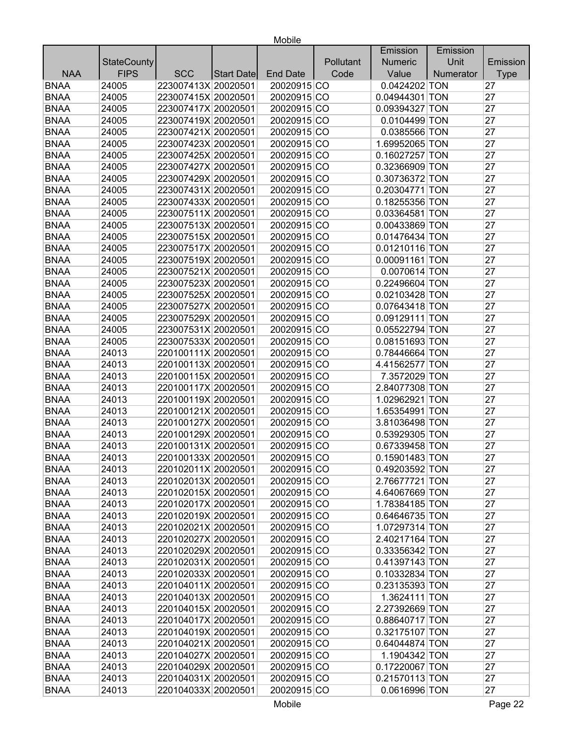|             |                    |                     |                   |                 |           | Emission         | Emission  |             |
|-------------|--------------------|---------------------|-------------------|-----------------|-----------|------------------|-----------|-------------|
|             | <b>StateCounty</b> |                     |                   |                 | Pollutant | <b>Numeric</b>   | Unit      | Emission    |
| <b>NAA</b>  | <b>FIPS</b>        | <b>SCC</b>          | <b>Start Date</b> | <b>End Date</b> | Code      | Value            | Numerator | <b>Type</b> |
| <b>BNAA</b> | 24005              | 223007413X 20020501 |                   | 20020915 CO     |           | 0.0424202 TON    |           | 27          |
| <b>BNAA</b> | 24005              | 223007415X 20020501 |                   | 20020915 CO     |           | 0.04944301 TON   |           | 27          |
| <b>BNAA</b> | 24005              | 223007417X 20020501 |                   | 20020915 CO     |           | 0.09394327 TON   |           | 27          |
| <b>BNAA</b> | 24005              | 223007419X 20020501 |                   | 20020915 CO     |           | 0.0104499 TON    |           | 27          |
| <b>BNAA</b> | 24005              | 223007421X 20020501 |                   | 20020915 CO     |           | 0.0385566 TON    |           | 27          |
| <b>BNAA</b> | 24005              | 223007423X 20020501 |                   | 20020915 CO     |           | 1.69952065 TON   |           | 27          |
| <b>BNAA</b> | 24005              | 223007425X 20020501 |                   | 20020915 CO     |           | 0.16027257 TON   |           | 27          |
| <b>BNAA</b> | 24005              | 223007427X 20020501 |                   | 20020915 CO     |           | 0.32366909 TON   |           | 27          |
| <b>BNAA</b> | 24005              | 223007429X 20020501 |                   | 20020915 CO     |           | 0.30736372 TON   |           | 27          |
| <b>BNAA</b> | 24005              | 223007431X 20020501 |                   | 20020915 CO     |           | 0.20304771 TON   |           | 27          |
| <b>BNAA</b> | 24005              | 223007433X 20020501 |                   | 20020915 CO     |           | 0.18255356 TON   |           | 27          |
| <b>BNAA</b> | 24005              | 223007511X 20020501 |                   | 20020915 CO     |           | 0.03364581 TON   |           | 27          |
| <b>BNAA</b> | 24005              | 223007513X 20020501 |                   | 20020915 CO     |           | 0.00433869 TON   |           | 27          |
| <b>BNAA</b> | 24005              | 223007515X 20020501 |                   | 20020915 CO     |           | 0.01476434 TON   |           | 27          |
| <b>BNAA</b> | 24005              | 223007517X 20020501 |                   | 20020915 CO     |           | 0.01210116 TON   |           | 27          |
| <b>BNAA</b> | 24005              | 223007519X 20020501 |                   | 20020915 CO     |           | 0.00091161 TON   |           | 27          |
| <b>BNAA</b> | 24005              | 223007521X 20020501 |                   | 20020915 CO     |           | 0.0070614 TON    |           | 27          |
| <b>BNAA</b> | 24005              | 223007523X 20020501 |                   | 20020915 CO     |           | 0.22496604 TON   |           | 27          |
| <b>BNAA</b> | 24005              | 223007525X 20020501 |                   | 20020915 CO     |           | 0.02103428 TON   |           | 27          |
| <b>BNAA</b> | 24005              | 223007527X 20020501 |                   | 20020915 CO     |           | 0.07643418 TON   |           | 27          |
| <b>BNAA</b> | 24005              | 223007529X 20020501 |                   | 20020915 CO     |           | 0.09129111 TON   |           | 27          |
| <b>BNAA</b> | 24005              | 223007531X 20020501 |                   | 20020915 CO     |           | 0.05522794 TON   |           | 27          |
| <b>BNAA</b> | 24005              | 223007533X 20020501 |                   | 20020915 CO     |           | 0.08151693 TON   |           | 27          |
| <b>BNAA</b> | 24013              | 220100111X 20020501 |                   | 20020915 CO     |           | 0.78446664 TON   |           | 27          |
| <b>BNAA</b> | 24013              | 220100113X 20020501 |                   | 20020915 CO     |           | 4.41562577 TON   |           | 27          |
| <b>BNAA</b> | 24013              | 220100115X 20020501 |                   | 20020915 CO     |           | 7.3572029 TON    |           | 27          |
| <b>BNAA</b> | 24013              | 220100117X 20020501 |                   | 20020915 CO     |           | 2.84077308 TON   |           | 27          |
| <b>BNAA</b> | 24013              | 220100119X 20020501 |                   | 20020915 CO     |           | 1.02962921 TON   |           | 27          |
| <b>BNAA</b> | 24013              | 220100121X 20020501 |                   | 20020915 CO     |           | 1.65354991 TON   |           | 27          |
| <b>BNAA</b> | 24013              | 220100127X 20020501 |                   | 20020915 CO     |           | 3.81036498 TON   |           | 27          |
| <b>BNAA</b> | 24013              | 220100129X 20020501 |                   | 20020915 CO     |           | 0.53929305 TON   |           | 27          |
| <b>BNAA</b> | 24013              | 220100131X 20020501 |                   | 20020915 CO     |           | 0.67339458 TON   |           | 27          |
| <b>BNAA</b> | 24013              | 220100133X 20020501 |                   | 20020915 CO     |           | 0.15901483 TON   |           | 27          |
| BNAA        | 24013              | 220102011X 20020501 |                   | 20020915 CO     |           | $0.49203592$ TON |           | 27          |
| <b>BNAA</b> | 24013              | 220102013X 20020501 |                   | 20020915 CO     |           | 2.76677721 TON   |           | 27          |
| <b>BNAA</b> | 24013              | 220102015X 20020501 |                   | 20020915 CO     |           | 4.64067669 TON   |           | 27          |
| <b>BNAA</b> | 24013              | 220102017X 20020501 |                   | 20020915 CO     |           | 1.78384185 TON   |           | 27          |
| <b>BNAA</b> | 24013              | 220102019X 20020501 |                   | 20020915 CO     |           | 0.64646735 TON   |           | 27          |
| <b>BNAA</b> | 24013              | 220102021X 20020501 |                   | 20020915 CO     |           | 1.07297314 TON   |           | 27          |
| <b>BNAA</b> | 24013              | 220102027X 20020501 |                   | 20020915 CO     |           | 2.40217164 TON   |           | 27          |
| <b>BNAA</b> | 24013              | 220102029X 20020501 |                   | 20020915 CO     |           | 0.33356342 TON   |           | 27          |
| <b>BNAA</b> | 24013              | 220102031X 20020501 |                   | 20020915 CO     |           | 0.41397143 TON   |           | 27          |
| <b>BNAA</b> | 24013              | 220102033X 20020501 |                   | 20020915 CO     |           | 0.10332834 TON   |           | 27          |
| <b>BNAA</b> | 24013              | 220104011X 20020501 |                   | 20020915 CO     |           | 0.23135393 TON   |           | 27          |
| <b>BNAA</b> | 24013              | 220104013X 20020501 |                   | 20020915 CO     |           | 1.3624111 TON    |           | 27          |
| <b>BNAA</b> | 24013              | 220104015X 20020501 |                   | 20020915 CO     |           | 2.27392669 TON   |           | 27          |
| <b>BNAA</b> | 24013              | 220104017X 20020501 |                   | 20020915 CO     |           | 0.88640717 TON   |           | 27          |
| <b>BNAA</b> | 24013              | 220104019X 20020501 |                   | 20020915 CO     |           | 0.32175107 TON   |           | 27          |
| <b>BNAA</b> | 24013              | 220104021X 20020501 |                   | 20020915 CO     |           | 0.64044874 TON   |           | 27          |
| <b>BNAA</b> | 24013              | 220104027X 20020501 |                   | 20020915 CO     |           | 1.1904342 TON    |           | 27          |
| <b>BNAA</b> | 24013              | 220104029X 20020501 |                   | 20020915 CO     |           | 0.17220067 TON   |           | 27          |
| <b>BNAA</b> | 24013              | 220104031X 20020501 |                   | 20020915 CO     |           | 0.21570113 TON   |           | 27          |
| <b>BNAA</b> |                    |                     |                   |                 |           |                  |           | 27          |
|             | 24013              | 220104033X 20020501 |                   | 20020915 CO     |           | 0.0616996 TON    |           |             |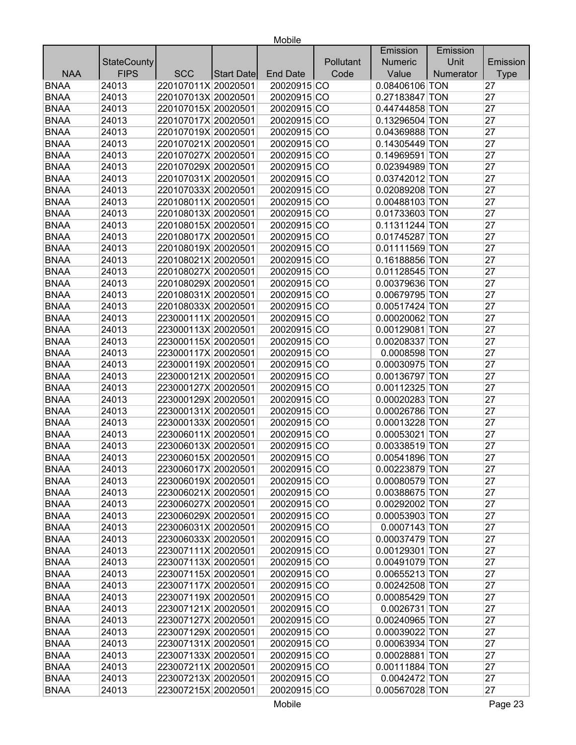|             |                    |                     |            |                 |           | Emission       | Emission  |             |
|-------------|--------------------|---------------------|------------|-----------------|-----------|----------------|-----------|-------------|
|             | <b>StateCounty</b> |                     |            |                 | Pollutant | <b>Numeric</b> | Unit      | Emission    |
| <b>NAA</b>  | <b>FIPS</b>        | <b>SCC</b>          | Start Date | <b>End Date</b> | Code      | Value          | Numerator | <b>Type</b> |
| <b>BNAA</b> | 24013              | 220107011X 20020501 |            | 20020915 CO     |           | 0.08406106 TON |           | 27          |
| <b>BNAA</b> | 24013              | 220107013X 20020501 |            | 20020915 CO     |           | 0.27183847 TON |           | 27          |
| <b>BNAA</b> | 24013              | 220107015X 20020501 |            | 20020915 CO     |           | 0.44744858 TON |           | 27          |
| <b>BNAA</b> | 24013              | 220107017X 20020501 |            | 20020915 CO     |           | 0.13296504 TON |           | 27          |
| <b>BNAA</b> | 24013              | 220107019X 20020501 |            | 20020915 CO     |           | 0.04369888 TON |           | 27          |
| <b>BNAA</b> | 24013              | 220107021X 20020501 |            | 20020915 CO     |           | 0.14305449 TON |           | 27          |
| <b>BNAA</b> | 24013              | 220107027X 20020501 |            | 20020915 CO     |           | 0.14969591 TON |           | 27          |
| <b>BNAA</b> | 24013              | 220107029X 20020501 |            | 20020915 CO     |           | 0.02394989 TON |           | 27          |
| <b>BNAA</b> | 24013              | 220107031X 20020501 |            | 20020915 CO     |           | 0.03742012 TON |           | 27          |
| <b>BNAA</b> | 24013              | 220107033X 20020501 |            | 20020915 CO     |           | 0.02089208 TON |           | 27          |
| <b>BNAA</b> | 24013              | 220108011X 20020501 |            | 20020915 CO     |           | 0.00488103 TON |           | 27          |
| <b>BNAA</b> | 24013              | 220108013X 20020501 |            | 20020915 CO     |           | 0.01733603 TON |           | 27          |
| <b>BNAA</b> | 24013              | 220108015X 20020501 |            | 20020915 CO     |           | 0.11311244 TON |           | 27          |
| <b>BNAA</b> | 24013              | 220108017X 20020501 |            | 20020915 CO     |           | 0.01745287 TON |           | 27          |
| <b>BNAA</b> | 24013              | 220108019X 20020501 |            | 20020915 CO     |           | 0.01111569 TON |           | 27          |
| <b>BNAA</b> | 24013              | 220108021X 20020501 |            | 20020915 CO     |           | 0.16188856 TON |           | 27          |
| <b>BNAA</b> | 24013              | 220108027X 20020501 |            | 20020915 CO     |           | 0.01128545 TON |           | 27          |
| <b>BNAA</b> | 24013              | 220108029X 20020501 |            | 20020915 CO     |           | 0.00379636 TON |           | 27          |
| <b>BNAA</b> | 24013              | 220108031X 20020501 |            | 20020915 CO     |           | 0.00679795 TON |           | 27          |
| <b>BNAA</b> | 24013              | 220108033X 20020501 |            | 20020915 CO     |           | 0.00517424 TON |           | 27          |
| <b>BNAA</b> | 24013              | 223000111X 20020501 |            | 20020915 CO     |           | 0.00020062 TON |           | 27          |
| <b>BNAA</b> | 24013              | 223000113X 20020501 |            | 20020915 CO     |           | 0.00129081 TON |           | 27          |
| <b>BNAA</b> | 24013              | 223000115X 20020501 |            | 20020915 CO     |           | 0.00208337 TON |           | 27          |
| <b>BNAA</b> | 24013              | 223000117X 20020501 |            | 20020915 CO     |           | 0.0008598 TON  |           | 27          |
| <b>BNAA</b> | 24013              | 223000119X 20020501 |            | 20020915 CO     |           | 0.00030975 TON |           | 27          |
| <b>BNAA</b> | 24013              | 223000121X 20020501 |            | 20020915 CO     |           | 0.00136797 TON |           | 27          |
| <b>BNAA</b> | 24013              | 223000127X 20020501 |            | 20020915 CO     |           | 0.00112325 TON |           | 27          |
| <b>BNAA</b> | 24013              | 223000129X 20020501 |            | 20020915 CO     |           | 0.00020283 TON |           | 27          |
| <b>BNAA</b> | 24013              | 223000131X 20020501 |            | 20020915 CO     |           | 0.00026786 TON |           | 27          |
| <b>BNAA</b> | 24013              | 223000133X 20020501 |            | 20020915 CO     |           | 0.00013228 TON |           | 27          |
| <b>BNAA</b> | 24013              | 223006011X 20020501 |            | 20020915 CO     |           | 0.00053021 TON |           | 27          |
| <b>BNAA</b> | 24013              | 223006013X 20020501 |            | 20020915 CO     |           | 0.00338519 TON |           | 27          |
| <b>BNAA</b> | 24013              | 223006015X 20020501 |            | 20020915 CO     |           | 0.00541896 TON |           | 27          |
| <b>BNAA</b> | 24013              | 223006017X 20020501 |            | 20020915 CO     |           | 0.00223879 TON |           | 27          |
| <b>BNAA</b> | 24013              | 223006019X 20020501 |            | 20020915 CO     |           | 0.00080579 TON |           | 27          |
| <b>BNAA</b> | 24013              | 223006021X 20020501 |            | 20020915 CO     |           | 0.00388675 TON |           | 27          |
| <b>BNAA</b> | 24013              | 223006027X 20020501 |            | 20020915 CO     |           | 0.00292002 TON |           | 27          |
| <b>BNAA</b> | 24013              | 223006029X 20020501 |            | 20020915 CO     |           | 0.00053903 TON |           | 27          |
| <b>BNAA</b> | 24013              | 223006031X 20020501 |            | 20020915 CO     |           | 0.0007143 TON  |           | 27          |
| <b>BNAA</b> | 24013              | 223006033X 20020501 |            | 20020915 CO     |           | 0.00037479 TON |           | 27          |
| <b>BNAA</b> | 24013              | 223007111X 20020501 |            | 20020915 CO     |           | 0.00129301 TON |           | 27          |
| <b>BNAA</b> | 24013              | 223007113X 20020501 |            | 20020915 CO     |           | 0.00491079 TON |           | 27          |
| <b>BNAA</b> | 24013              | 223007115X 20020501 |            | 20020915 CO     |           | 0.00655213 TON |           | 27          |
| <b>BNAA</b> | 24013              | 223007117X 20020501 |            | 20020915 CO     |           | 0.00242508 TON |           | 27          |
| <b>BNAA</b> | 24013              | 223007119X 20020501 |            | 20020915 CO     |           | 0.00085429 TON |           | 27          |
| <b>BNAA</b> | 24013              | 223007121X 20020501 |            | 20020915 CO     |           | 0.0026731 TON  |           | 27          |
| <b>BNAA</b> | 24013              | 223007127X 20020501 |            | 20020915 CO     |           | 0.00240965 TON |           | 27          |
| <b>BNAA</b> | 24013              | 223007129X 20020501 |            | 20020915 CO     |           | 0.00039022 TON |           | 27          |
| <b>BNAA</b> | 24013              | 223007131X 20020501 |            | 20020915 CO     |           | 0.00063934 TON |           | 27          |
| <b>BNAA</b> | 24013              | 223007133X 20020501 |            | 20020915 CO     |           | 0.00028881 TON |           | 27          |
| <b>BNAA</b> | 24013              | 223007211X 20020501 |            | 20020915 CO     |           | 0.00111884 TON |           | 27          |
| <b>BNAA</b> | 24013              | 223007213X 20020501 |            | 20020915 CO     |           | 0.0042472 TON  |           | 27          |
| <b>BNAA</b> | 24013              | 223007215X 20020501 |            | 20020915 CO     |           | 0.00567028 TON |           | 27          |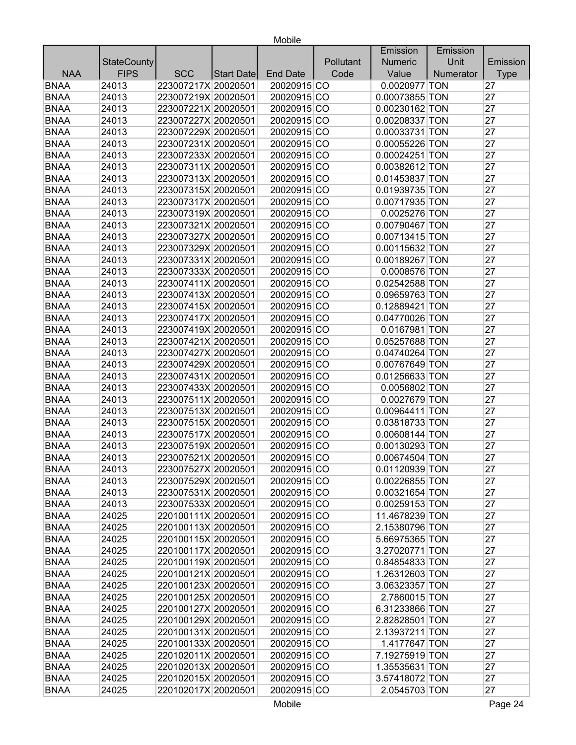|             |                    |                     |            |                 |           | Emission         | Emission  |             |
|-------------|--------------------|---------------------|------------|-----------------|-----------|------------------|-----------|-------------|
|             | <b>StateCounty</b> |                     |            |                 | Pollutant | <b>Numeric</b>   | Unit      | Emission    |
| <b>NAA</b>  | <b>FIPS</b>        | <b>SCC</b>          | Start Date | <b>End Date</b> | Code      | Value            | Numerator | <b>Type</b> |
| <b>BNAA</b> | 24013              | 223007217X 20020501 |            | 20020915 CO     |           | 0.0020977 TON    |           | 27          |
| <b>BNAA</b> | 24013              | 223007219X 20020501 |            | 20020915 CO     |           | 0.00073855 TON   |           | 27          |
| <b>BNAA</b> | 24013              | 223007221X 20020501 |            | 20020915 CO     |           | 0.00230162 TON   |           | 27          |
| <b>BNAA</b> | 24013              | 223007227X 20020501 |            | 20020915 CO     |           | 0.00208337 TON   |           | 27          |
| <b>BNAA</b> | 24013              | 223007229X 20020501 |            | 20020915 CO     |           | 0.00033731 TON   |           | 27          |
| <b>BNAA</b> | 24013              | 223007231X 20020501 |            | 20020915 CO     |           | 0.00055226 TON   |           | 27          |
| <b>BNAA</b> | 24013              | 223007233X 20020501 |            | 20020915 CO     |           | 0.00024251 TON   |           | 27          |
| <b>BNAA</b> | 24013              | 223007311X 20020501 |            | 20020915 CO     |           | 0.00382612 TON   |           | 27          |
| <b>BNAA</b> | 24013              | 223007313X 20020501 |            | 20020915 CO     |           | 0.01453837 TON   |           | 27          |
| <b>BNAA</b> | 24013              | 223007315X 20020501 |            | 20020915 CO     |           | 0.01939735 TON   |           | 27          |
| <b>BNAA</b> | 24013              | 223007317X 20020501 |            | 20020915 CO     |           | 0.00717935 TON   |           | 27          |
| <b>BNAA</b> | 24013              | 223007319X 20020501 |            | 20020915 CO     |           | 0.0025276 TON    |           | 27          |
| <b>BNAA</b> | 24013              | 223007321X 20020501 |            | 20020915 CO     |           | 0.00790467 TON   |           | 27          |
| <b>BNAA</b> | 24013              | 223007327X 20020501 |            | 20020915 CO     |           | 0.00713415 TON   |           | 27          |
| <b>BNAA</b> | 24013              | 223007329X 20020501 |            | 20020915 CO     |           | 0.00115632 TON   |           | 27          |
| <b>BNAA</b> | 24013              | 223007331X 20020501 |            | 20020915 CO     |           | 0.00189267 TON   |           | 27          |
| <b>BNAA</b> | 24013              | 223007333X 20020501 |            | 20020915 CO     |           | 0.0008576 TON    |           | 27          |
| <b>BNAA</b> | 24013              | 223007411X 20020501 |            | 20020915 CO     |           | 0.02542588 TON   |           | 27          |
| <b>BNAA</b> | 24013              | 223007413X 20020501 |            | 20020915 CO     |           | 0.09659763 TON   |           | 27          |
| <b>BNAA</b> | 24013              | 223007415X 20020501 |            | 20020915 CO     |           | 0.12889421 TON   |           | 27          |
| <b>BNAA</b> | 24013              | 223007417X 20020501 |            | 20020915 CO     |           | 0.04770026 TON   |           | 27          |
| <b>BNAA</b> | 24013              | 223007419X 20020501 |            | 20020915 CO     |           | 0.0167981 TON    |           | 27          |
| <b>BNAA</b> | 24013              | 223007421X 20020501 |            | 20020915 CO     |           | 0.05257688 TON   |           | 27          |
| <b>BNAA</b> | 24013              | 223007427X 20020501 |            | 20020915 CO     |           | 0.04740264 TON   |           | 27          |
| <b>BNAA</b> | 24013              | 223007429X 20020501 |            | 20020915 CO     |           | 0.00767649 TON   |           | 27          |
| <b>BNAA</b> | 24013              | 223007431X 20020501 |            | 20020915 CO     |           | 0.01256633 TON   |           | 27          |
| <b>BNAA</b> | 24013              | 223007433X 20020501 |            | 20020915 CO     |           | 0.0056802 TON    |           | 27          |
| <b>BNAA</b> | 24013              | 223007511X 20020501 |            | 20020915 CO     |           | 0.0027679 TON    |           | 27          |
| <b>BNAA</b> | 24013              | 223007513X 20020501 |            | 20020915 CO     |           | 0.00964411 TON   |           | 27          |
| <b>BNAA</b> | 24013              | 223007515X 20020501 |            | 20020915 CO     |           | 0.03818733 TON   |           | 27          |
| <b>BNAA</b> | 24013              | 223007517X 20020501 |            | 20020915 CO     |           | 0.00608144 TON   |           | 27          |
| <b>BNAA</b> | 24013              | 223007519X 20020501 |            | 20020915 CO     |           | 0.00130293 TON   |           | 27          |
| <b>BNAA</b> | 24013              | 223007521X 20020501 |            | 20020915 CO     |           | 0.00674504 TON   |           | 27          |
| BNAA        | 24013              | 223007527X 20020501 |            | 20020915 CO     |           | $0.01120939$ TON |           | 27          |
| <b>BNAA</b> | 24013              | 223007529X 20020501 |            | 20020915 CO     |           | 0.00226855 TON   |           | 27          |
| <b>BNAA</b> | 24013              | 223007531X 20020501 |            | 20020915 CO     |           | 0.00321654 TON   |           | 27          |
| <b>BNAA</b> | 24013              | 223007533X 20020501 |            | 20020915 CO     |           | 0.00259153 TON   |           | 27          |
| <b>BNAA</b> | 24025              | 220100111X 20020501 |            | 20020915 CO     |           | 11.4678239 TON   |           | 27          |
| <b>BNAA</b> | 24025              | 220100113X 20020501 |            | 20020915 CO     |           | 2.15380796 TON   |           | 27          |
| <b>BNAA</b> | 24025              | 220100115X 20020501 |            | 20020915 CO     |           | 5.66975365 TON   |           | 27          |
| <b>BNAA</b> | 24025              | 220100117X 20020501 |            | 20020915 CO     |           | 3.27020771 TON   |           | 27          |
| <b>BNAA</b> | 24025              | 220100119X 20020501 |            | 20020915 CO     |           | 0.84854833 TON   |           | 27          |
| <b>BNAA</b> | 24025              | 220100121X 20020501 |            | 20020915 CO     |           | 1.26312603 TON   |           | 27          |
| <b>BNAA</b> | 24025              | 220100123X 20020501 |            | 20020915 CO     |           | 3.06323357 TON   |           | 27          |
| <b>BNAA</b> | 24025              | 220100125X 20020501 |            | 20020915 CO     |           | 2.7860015 TON    |           | 27          |
| <b>BNAA</b> | 24025              | 220100127X 20020501 |            | 20020915 CO     |           | 6.31233866 TON   |           | 27          |
| <b>BNAA</b> | 24025              | 220100129X 20020501 |            | 20020915 CO     |           | 2.82828501 TON   |           | 27          |
| <b>BNAA</b> | 24025              | 220100131X 20020501 |            | 20020915 CO     |           | 2.13937211 TON   |           | 27          |
| <b>BNAA</b> | 24025              | 220100133X 20020501 |            | 20020915 CO     |           | 1.4177647 TON    |           | 27          |
| <b>BNAA</b> | 24025              | 220102011X 20020501 |            | 20020915 CO     |           | 7.19275919 TON   |           | 27          |
| <b>BNAA</b> | 24025              | 220102013X 20020501 |            | 20020915 CO     |           | 1.35535631 TON   |           | 27          |
| <b>BNAA</b> | 24025              | 220102015X 20020501 |            | 20020915 CO     |           | 3.57418072 TON   |           | 27          |
| <b>BNAA</b> |                    |                     |            |                 |           |                  |           | 27          |
|             | 24025              | 220102017X 20020501 |            | 20020915 CO     |           | 2.0545703 TON    |           |             |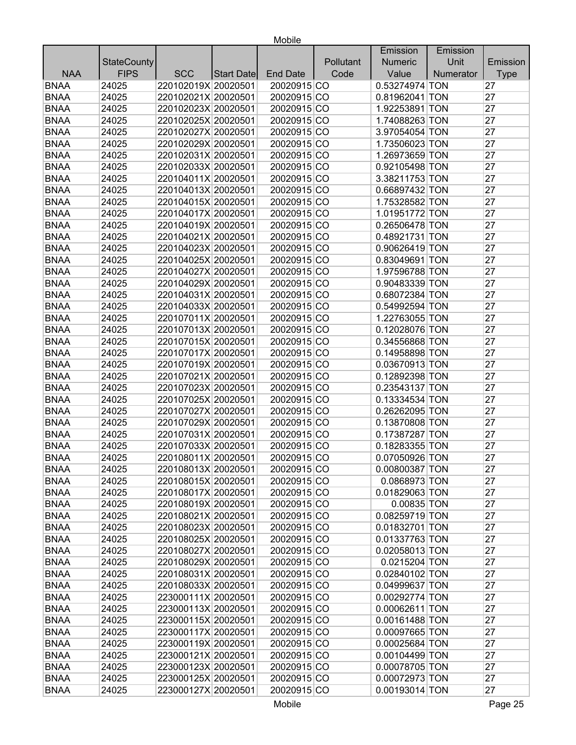|             |                    |                     |            |                 |           | Emission       | Emission  |             |
|-------------|--------------------|---------------------|------------|-----------------|-----------|----------------|-----------|-------------|
|             | <b>StateCounty</b> |                     |            |                 | Pollutant | <b>Numeric</b> | Unit      | Emission    |
| <b>NAA</b>  | <b>FIPS</b>        | <b>SCC</b>          | Start Date | <b>End Date</b> | Code      | Value          | Numerator | <b>Type</b> |
| <b>BNAA</b> | 24025              | 220102019X 20020501 |            | 20020915 CO     |           | 0.53274974 TON |           | 27          |
| <b>BNAA</b> | 24025              | 220102021X 20020501 |            | 20020915 CO     |           | 0.81962041 TON |           | 27          |
| <b>BNAA</b> | 24025              | 220102023X 20020501 |            | 20020915 CO     |           | 1.92253891 TON |           | 27          |
| <b>BNAA</b> | 24025              | 220102025X 20020501 |            | 20020915 CO     |           | 1.74088263 TON |           | 27          |
| <b>BNAA</b> | 24025              | 220102027X 20020501 |            | 20020915 CO     |           | 3.97054054 TON |           | 27          |
| <b>BNAA</b> | 24025              | 220102029X 20020501 |            | 20020915 CO     |           | 1.73506023 TON |           | 27          |
| <b>BNAA</b> | 24025              | 220102031X 20020501 |            | 20020915 CO     |           | 1.26973659 TON |           | 27          |
| <b>BNAA</b> | 24025              | 220102033X 20020501 |            | 20020915 CO     |           | 0.92105498 TON |           | 27          |
| <b>BNAA</b> | 24025              | 220104011X 20020501 |            | 20020915 CO     |           | 3.38211753 TON |           | 27          |
| <b>BNAA</b> | 24025              | 220104013X 20020501 |            | 20020915 CO     |           | 0.66897432 TON |           | 27          |
| <b>BNAA</b> | 24025              | 220104015X 20020501 |            | 20020915 CO     |           | 1.75328582 TON |           | 27          |
| <b>BNAA</b> | 24025              | 220104017X 20020501 |            | 20020915 CO     |           | 1.01951772 TON |           | 27          |
| <b>BNAA</b> | 24025              | 220104019X 20020501 |            | 20020915 CO     |           | 0.26506478 TON |           | 27          |
| <b>BNAA</b> | 24025              | 220104021X 20020501 |            | 20020915 CO     |           | 0.48921731 TON |           | 27          |
| <b>BNAA</b> | 24025              | 220104023X 20020501 |            | 20020915 CO     |           | 0.90626419 TON |           | 27          |
| <b>BNAA</b> | 24025              | 220104025X 20020501 |            | 20020915 CO     |           | 0.83049691 TON |           | 27          |
| <b>BNAA</b> | 24025              | 220104027X 20020501 |            | 20020915 CO     |           | 1.97596788 TON |           | 27          |
| <b>BNAA</b> | 24025              | 220104029X 20020501 |            | 20020915 CO     |           | 0.90483339 TON |           | 27          |
| <b>BNAA</b> | 24025              | 220104031X 20020501 |            | 20020915 CO     |           | 0.68072384 TON |           | 27          |
| <b>BNAA</b> | 24025              | 220104033X 20020501 |            | 20020915 CO     |           | 0.54992594 TON |           | 27          |
| <b>BNAA</b> | 24025              | 220107011X 20020501 |            | 20020915 CO     |           | 1.22763055 TON |           | 27          |
| <b>BNAA</b> | 24025              | 220107013X 20020501 |            | 20020915 CO     |           | 0.12028076 TON |           | 27          |
| <b>BNAA</b> | 24025              | 220107015X 20020501 |            | 20020915 CO     |           | 0.34556868 TON |           | 27          |
| <b>BNAA</b> | 24025              | 220107017X 20020501 |            | 20020915 CO     |           | 0.14958898 TON |           | 27          |
| <b>BNAA</b> | 24025              | 220107019X 20020501 |            | 20020915 CO     |           | 0.03670913 TON |           | 27          |
| <b>BNAA</b> | 24025              | 220107021X 20020501 |            | 20020915 CO     |           | 0.12892398 TON |           | 27          |
| <b>BNAA</b> | 24025              | 220107023X 20020501 |            | 20020915 CO     |           | 0.23543137 TON |           | 27          |
| <b>BNAA</b> | 24025              | 220107025X 20020501 |            | 20020915 CO     |           | 0.13334534 TON |           | 27          |
| <b>BNAA</b> | 24025              | 220107027X 20020501 |            | 20020915 CO     |           | 0.26262095 TON |           | 27          |
| <b>BNAA</b> | 24025              | 220107029X 20020501 |            | 20020915 CO     |           | 0.13870808 TON |           | 27          |
| <b>BNAA</b> | 24025              | 220107031X 20020501 |            | 20020915 CO     |           | 0.17387287 TON |           | 27          |
| <b>BNAA</b> | 24025              | 220107033X 20020501 |            | 20020915 CO     |           | 0.18283355 TON |           | 27          |
| <b>BNAA</b> | 24025              | 220108011X 20020501 |            | 20020915 CO     |           | 0.07050926 TON |           | 27          |
| <b>BNAA</b> | 24025              | 220108013X 20020501 |            | 20020915 CO     |           | 0.00800387 TON |           | 27          |
| <b>BNAA</b> | 24025              | 220108015X 20020501 |            | 20020915 CO     |           | 0.0868973 TON  |           | 27          |
| <b>BNAA</b> | 24025              | 220108017X 20020501 |            | 20020915 CO     |           | 0.01829063 TON |           | 27          |
| <b>BNAA</b> | 24025              | 220108019X 20020501 |            | 20020915 CO     |           | 0.00835 TON    |           | 27          |
| <b>BNAA</b> | 24025              | 220108021X 20020501 |            | 20020915 CO     |           | 0.08259719 TON |           | 27          |
| <b>BNAA</b> | 24025              | 220108023X 20020501 |            | 20020915 CO     |           | 0.01832701 TON |           | 27          |
| <b>BNAA</b> | 24025              | 220108025X 20020501 |            | 20020915 CO     |           | 0.01337763 TON |           | 27          |
| <b>BNAA</b> | 24025              | 220108027X 20020501 |            | 20020915 CO     |           | 0.02058013 TON |           | 27          |
| <b>BNAA</b> | 24025              | 220108029X 20020501 |            | 20020915 CO     |           | 0.0215204 TON  |           | 27          |
| <b>BNAA</b> | 24025              | 220108031X 20020501 |            | 20020915 CO     |           | 0.02840102 TON |           | 27          |
| <b>BNAA</b> | 24025              | 220108033X 20020501 |            | 20020915 CO     |           | 0.04999637 TON |           | 27          |
| <b>BNAA</b> | 24025              | 223000111X 20020501 |            | 20020915 CO     |           | 0.00292774 TON |           | 27          |
| <b>BNAA</b> | 24025              | 223000113X 20020501 |            | 20020915 CO     |           | 0.00062611 TON |           | 27          |
| <b>BNAA</b> | 24025              | 223000115X 20020501 |            | 20020915 CO     |           | 0.00161488 TON |           | 27          |
| <b>BNAA</b> | 24025              | 223000117X 20020501 |            | 20020915 CO     |           | 0.00097665 TON |           | 27          |
| <b>BNAA</b> | 24025              | 223000119X 20020501 |            | 20020915 CO     |           | 0.00025684 TON |           | 27          |
| <b>BNAA</b> | 24025              | 223000121X 20020501 |            | 20020915 CO     |           | 0.00104499 TON |           | 27          |
| <b>BNAA</b> | 24025              | 223000123X 20020501 |            | 20020915 CO     |           | 0.00078705 TON |           | 27          |
| <b>BNAA</b> | 24025              | 223000125X 20020501 |            | 20020915 CO     |           | 0.00072973 TON |           | 27          |
| <b>BNAA</b> | 24025              | 223000127X 20020501 |            | 20020915 CO     |           | 0.00193014 TON |           | 27          |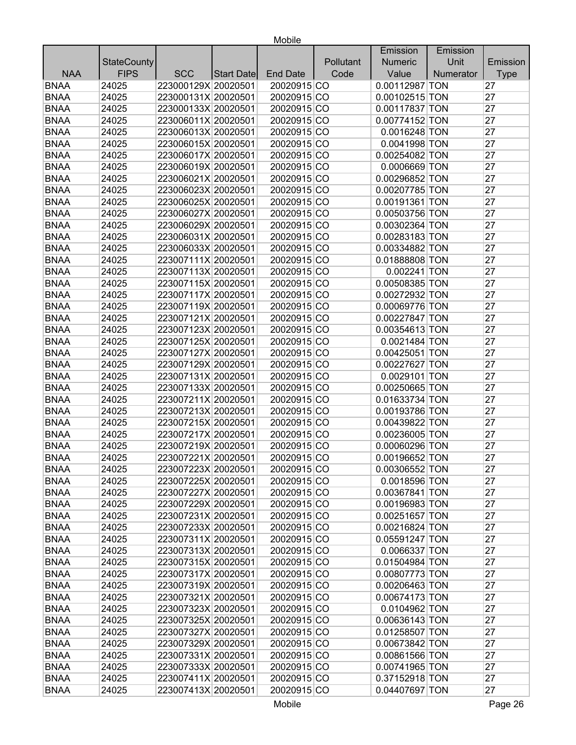|             |                    |                     |                   |                 |           | Emission       | Emission  |             |
|-------------|--------------------|---------------------|-------------------|-----------------|-----------|----------------|-----------|-------------|
|             | <b>StateCounty</b> |                     |                   |                 | Pollutant | <b>Numeric</b> | Unit      | Emission    |
| <b>NAA</b>  | <b>FIPS</b>        | <b>SCC</b>          | <b>Start Date</b> | <b>End Date</b> | Code      | Value          | Numerator | <b>Type</b> |
| <b>BNAA</b> | 24025              | 223000129X 20020501 |                   | 20020915 CO     |           | 0.00112987 TON |           | 27          |
| <b>BNAA</b> | 24025              | 223000131X 20020501 |                   | 20020915 CO     |           | 0.00102515 TON |           | 27          |
| <b>BNAA</b> | 24025              | 223000133X 20020501 |                   | 20020915 CO     |           | 0.00117837 TON |           | 27          |
| <b>BNAA</b> | 24025              | 223006011X 20020501 |                   | 20020915 CO     |           | 0.00774152 TON |           | 27          |
| <b>BNAA</b> | 24025              | 223006013X 20020501 |                   | 20020915 CO     |           | 0.0016248 TON  |           | 27          |
| <b>BNAA</b> | 24025              | 223006015X 20020501 |                   | 20020915 CO     |           | 0.0041998 TON  |           | 27          |
| <b>BNAA</b> | 24025              | 223006017X 20020501 |                   | 20020915 CO     |           | 0.00254082 TON |           | 27          |
| <b>BNAA</b> | 24025              | 223006019X 20020501 |                   | 20020915 CO     |           | 0.0006669 TON  |           | 27          |
| <b>BNAA</b> | 24025              | 223006021X 20020501 |                   | 20020915 CO     |           | 0.00296852 TON |           | 27          |
| <b>BNAA</b> | 24025              | 223006023X 20020501 |                   | 20020915 CO     |           | 0.00207785 TON |           | 27          |
| <b>BNAA</b> | 24025              | 223006025X 20020501 |                   | 20020915 CO     |           | 0.00191361 TON |           | 27          |
| <b>BNAA</b> | 24025              | 223006027X 20020501 |                   | 20020915 CO     |           | 0.00503756 TON |           | 27          |
| <b>BNAA</b> | 24025              | 223006029X 20020501 |                   | 20020915 CO     |           | 0.00302364 TON |           | 27          |
| <b>BNAA</b> | 24025              | 223006031X 20020501 |                   | 20020915 CO     |           | 0.00283183 TON |           | 27          |
| <b>BNAA</b> | 24025              | 223006033X 20020501 |                   | 20020915 CO     |           | 0.00334882 TON |           | 27          |
| <b>BNAA</b> | 24025              | 223007111X 20020501 |                   | 20020915 CO     |           | 0.01888808 TON |           | 27          |
| <b>BNAA</b> | 24025              | 223007113X 20020501 |                   | 20020915 CO     |           | $0.002241$ TON |           | 27          |
| <b>BNAA</b> | 24025              | 223007115X 20020501 |                   | 20020915 CO     |           | 0.00508385 TON |           | 27          |
| <b>BNAA</b> | 24025              | 223007117X 20020501 |                   | 20020915 CO     |           | 0.00272932 TON |           | 27          |
| <b>BNAA</b> | 24025              | 223007119X 20020501 |                   | 20020915 CO     |           | 0.00069776 TON |           | 27          |
| <b>BNAA</b> | 24025              | 223007121X 20020501 |                   | 20020915 CO     |           | 0.00227847 TON |           | 27          |
| <b>BNAA</b> | 24025              | 223007123X 20020501 |                   | 20020915 CO     |           | 0.00354613 TON |           | 27          |
| <b>BNAA</b> | 24025              | 223007125X 20020501 |                   | 20020915 CO     |           | 0.0021484 TON  |           | 27          |
| <b>BNAA</b> | 24025              | 223007127X 20020501 |                   | 20020915 CO     |           | 0.00425051 TON |           | 27          |
| <b>BNAA</b> | 24025              | 223007129X 20020501 |                   | 20020915 CO     |           | 0.00227627 TON |           | 27          |
| <b>BNAA</b> | 24025              | 223007131X 20020501 |                   | 20020915 CO     |           | 0.0029101 TON  |           | 27          |
| <b>BNAA</b> | 24025              | 223007133X 20020501 |                   | 20020915 CO     |           | 0.00250665 TON |           | 27          |
| <b>BNAA</b> | 24025              | 223007211X 20020501 |                   | 20020915 CO     |           | 0.01633734 TON |           | 27          |
| <b>BNAA</b> | 24025              | 223007213X 20020501 |                   | 20020915 CO     |           | 0.00193786 TON |           | 27          |
| <b>BNAA</b> | 24025              | 223007215X 20020501 |                   | 20020915 CO     |           | 0.00439822 TON |           | 27          |
| <b>BNAA</b> | 24025              | 223007217X 20020501 |                   | 20020915 CO     |           | 0.00236005 TON |           | 27          |
| <b>BNAA</b> | 24025              | 223007219X 20020501 |                   | 20020915 CO     |           | 0.00060296 TON |           | 27          |
| <b>BNAA</b> | 24025              | 223007221X 20020501 |                   | 20020915 CO     |           | 0.00196652 TON |           | 27          |
| <b>BNAA</b> | 24025              | 223007223X 20020501 |                   | 20020915 CO     |           | 0.00306552 TON |           | 27          |
| <b>BNAA</b> | 24025              | 223007225X 20020501 |                   | 20020915 CO     |           | 0.0018596 TON  |           | 27          |
| <b>BNAA</b> | 24025              | 223007227X 20020501 |                   | 20020915 CO     |           | 0.00367841 TON |           | 27          |
| <b>BNAA</b> | 24025              | 223007229X 20020501 |                   | 20020915 CO     |           | 0.00196983 TON |           | 27          |
| <b>BNAA</b> | 24025              | 223007231X 20020501 |                   | 20020915 CO     |           | 0.00251657 TON |           | 27          |
| <b>BNAA</b> | 24025              | 223007233X 20020501 |                   | 20020915 CO     |           | 0.00216824 TON |           | 27          |
| <b>BNAA</b> | 24025              | 223007311X 20020501 |                   | 20020915 CO     |           | 0.05591247 TON |           | 27          |
| <b>BNAA</b> | 24025              | 223007313X 20020501 |                   | 20020915 CO     |           | 0.0066337 TON  |           | 27          |
| <b>BNAA</b> | 24025              | 223007315X 20020501 |                   | 20020915 CO     |           | 0.01504984 TON |           | 27          |
| <b>BNAA</b> | 24025              | 223007317X 20020501 |                   | 20020915 CO     |           | 0.00807773 TON |           | 27          |
| <b>BNAA</b> | 24025              | 223007319X 20020501 |                   | 20020915 CO     |           | 0.00206463 TON |           | 27          |
| <b>BNAA</b> | 24025              | 223007321X 20020501 |                   | 20020915 CO     |           | 0.00674173 TON |           | 27          |
| <b>BNAA</b> | 24025              | 223007323X 20020501 |                   | 20020915 CO     |           | 0.0104962 TON  |           | 27          |
| <b>BNAA</b> | 24025              | 223007325X 20020501 |                   | 20020915 CO     |           | 0.00636143 TON |           | 27          |
| <b>BNAA</b> | 24025              | 223007327X 20020501 |                   | 20020915 CO     |           | 0.01258507 TON |           | 27          |
| <b>BNAA</b> | 24025              | 223007329X 20020501 |                   | 20020915 CO     |           | 0.00673842 TON |           | 27          |
| <b>BNAA</b> | 24025              | 223007331X 20020501 |                   | 20020915 CO     |           | 0.00861566 TON |           | 27          |
| <b>BNAA</b> | 24025              | 223007333X 20020501 |                   | 20020915 CO     |           | 0.00741965 TON |           | 27          |
| <b>BNAA</b> | 24025              | 223007411X 20020501 |                   | 20020915 CO     |           | 0.37152918 TON |           | 27          |
| <b>BNAA</b> |                    |                     |                   |                 |           |                |           | 27          |
|             | 24025              | 223007413X 20020501 |                   | 20020915 CO     |           | 0.04407697 TON |           |             |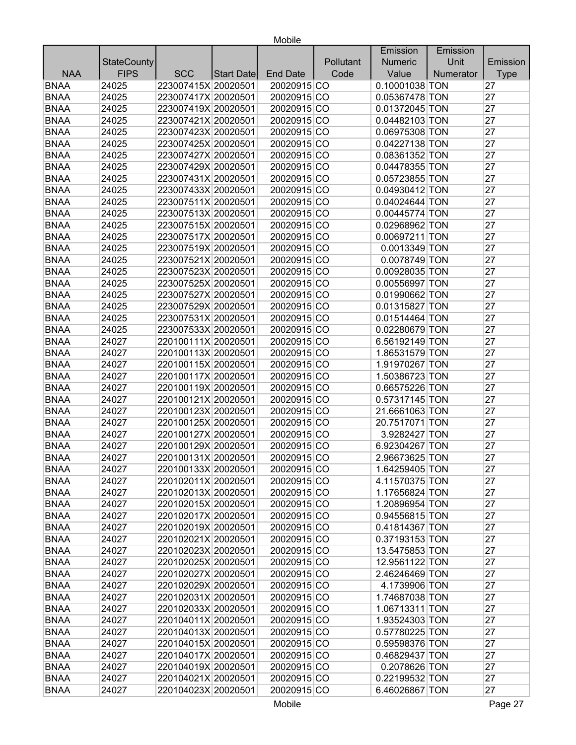|             |                    |                     |                   |                 |           | Emission       | Emission  |             |
|-------------|--------------------|---------------------|-------------------|-----------------|-----------|----------------|-----------|-------------|
|             | <b>StateCounty</b> |                     |                   |                 | Pollutant | <b>Numeric</b> | Unit      | Emission    |
| <b>NAA</b>  | <b>FIPS</b>        | <b>SCC</b>          | <b>Start Date</b> | <b>End Date</b> | Code      | Value          | Numerator | <b>Type</b> |
| <b>BNAA</b> | 24025              | 223007415X 20020501 |                   | 20020915 CO     |           | 0.10001038 TON |           | 27          |
| <b>BNAA</b> | 24025              | 223007417X 20020501 |                   | 20020915 CO     |           | 0.05367478 TON |           | 27          |
| <b>BNAA</b> | 24025              | 223007419X 20020501 |                   | 20020915 CO     |           | 0.01372045 TON |           | 27          |
| <b>BNAA</b> | 24025              | 223007421X 20020501 |                   | 20020915 CO     |           | 0.04482103 TON |           | 27          |
| <b>BNAA</b> | 24025              | 223007423X 20020501 |                   | 20020915 CO     |           | 0.06975308 TON |           | 27          |
| <b>BNAA</b> | 24025              | 223007425X 20020501 |                   | 20020915 CO     |           | 0.04227138 TON |           | 27          |
| <b>BNAA</b> | 24025              | 223007427X 20020501 |                   | 20020915 CO     |           | 0.08361352 TON |           | 27          |
| <b>BNAA</b> | 24025              | 223007429X 20020501 |                   | 20020915 CO     |           | 0.04478355 TON |           | 27          |
| <b>BNAA</b> | 24025              | 223007431X 20020501 |                   | 20020915 CO     |           | 0.05723855 TON |           | 27          |
| <b>BNAA</b> | 24025              | 223007433X 20020501 |                   | 20020915 CO     |           | 0.04930412 TON |           | 27          |
| <b>BNAA</b> | 24025              | 223007511X 20020501 |                   | 20020915 CO     |           | 0.04024644 TON |           | 27          |
| <b>BNAA</b> | 24025              | 223007513X 20020501 |                   | 20020915 CO     |           | 0.00445774 TON |           | 27          |
| <b>BNAA</b> | 24025              | 223007515X 20020501 |                   | 20020915 CO     |           | 0.02968962 TON |           | 27          |
| <b>BNAA</b> | 24025              | 223007517X 20020501 |                   | 20020915 CO     |           | 0.00697211 TON |           | 27          |
| <b>BNAA</b> | 24025              | 223007519X 20020501 |                   | 20020915 CO     |           | 0.0013349 TON  |           | 27          |
| <b>BNAA</b> | 24025              | 223007521X 20020501 |                   | 20020915 CO     |           | 0.0078749 TON  |           | 27          |
| <b>BNAA</b> | 24025              | 223007523X 20020501 |                   | 20020915 CO     |           | 0.00928035 TON |           | 27          |
| <b>BNAA</b> | 24025              | 223007525X 20020501 |                   | 20020915 CO     |           | 0.00556997 TON |           | 27          |
| <b>BNAA</b> | 24025              | 223007527X 20020501 |                   | 20020915 CO     |           | 0.01990662 TON |           | 27          |
| <b>BNAA</b> | 24025              | 223007529X 20020501 |                   | 20020915 CO     |           | 0.01315827 TON |           | 27          |
| <b>BNAA</b> | 24025              | 223007531X 20020501 |                   | 20020915 CO     |           | 0.01514464 TON |           | 27          |
| <b>BNAA</b> | 24025              | 223007533X 20020501 |                   | 20020915 CO     |           | 0.02280679 TON |           | 27          |
| <b>BNAA</b> | 24027              | 220100111X 20020501 |                   | 20020915 CO     |           | 6.56192149 TON |           | 27          |
| <b>BNAA</b> | 24027              | 220100113X 20020501 |                   | 20020915 CO     |           | 1.86531579 TON |           | 27          |
| <b>BNAA</b> | 24027              | 220100115X 20020501 |                   | 20020915 CO     |           | 1.91970267 TON |           | 27          |
| <b>BNAA</b> | 24027              | 220100117X 20020501 |                   | 20020915 CO     |           | 1.50386723 TON |           | 27          |
| <b>BNAA</b> | 24027              | 220100119X 20020501 |                   | 20020915 CO     |           | 0.66575226 TON |           | 27          |
| <b>BNAA</b> | 24027              | 220100121X 20020501 |                   | 20020915 CO     |           | 0.57317145 TON |           | 27          |
| <b>BNAA</b> | 24027              | 220100123X 20020501 |                   | 20020915 CO     |           | 21.6661063 TON |           | 27          |
| <b>BNAA</b> | 24027              | 220100125X 20020501 |                   | 20020915 CO     |           | 20.7517071 TON |           | 27          |
| <b>BNAA</b> | 24027              | 220100127X 20020501 |                   | 20020915 CO     |           | 3.9282427 TON  |           | 27          |
| <b>BNAA</b> | 24027              | 220100129X 20020501 |                   | 20020915 CO     |           | 6.92304267 TON |           | 27          |
| <b>BNAA</b> | 24027              | 220100131X 20020501 |                   | 20020915 CO     |           | 2.96673625 TON |           | 27          |
| <b>BNAA</b> | 24027              | 220100133X 20020501 |                   | 20020915 CO     |           | 1.64259405 TON |           | 27          |
| <b>BNAA</b> | 24027              | 220102011X 20020501 |                   | 20020915 CO     |           | 4.11570375 TON |           | 27          |
| <b>BNAA</b> | 24027              | 220102013X 20020501 |                   | 20020915 CO     |           | 1.17656824 TON |           | 27          |
| <b>BNAA</b> | 24027              | 220102015X 20020501 |                   | 20020915 CO     |           | 1.20896954 TON |           | 27          |
| <b>BNAA</b> | 24027              | 220102017X 20020501 |                   | 20020915 CO     |           | 0.94556815 TON |           | 27          |
| <b>BNAA</b> | 24027              | 220102019X 20020501 |                   | 20020915 CO     |           | 0.41814367 TON |           | 27          |
| <b>BNAA</b> | 24027              | 220102021X 20020501 |                   | 20020915 CO     |           | 0.37193153 TON |           | 27          |
| <b>BNAA</b> | 24027              | 220102023X 20020501 |                   | 20020915 CO     |           | 13.5475853 TON |           | 27          |
| <b>BNAA</b> | 24027              | 220102025X 20020501 |                   | 20020915 CO     |           | 12.9561122 TON |           | 27          |
| <b>BNAA</b> | 24027              | 220102027X 20020501 |                   | 20020915 CO     |           | 2.46246469 TON |           | 27          |
| <b>BNAA</b> | 24027              | 220102029X 20020501 |                   | 20020915 CO     |           | 4.1739906 TON  |           | 27          |
| <b>BNAA</b> | 24027              | 220102031X 20020501 |                   | 20020915 CO     |           | 1.74687038 TON |           | 27          |
| <b>BNAA</b> | 24027              | 220102033X 20020501 |                   | 20020915 CO     |           | 1.06713311 TON |           | 27          |
| <b>BNAA</b> | 24027              | 220104011X 20020501 |                   | 20020915 CO     |           | 1.93524303 TON |           | 27          |
| <b>BNAA</b> | 24027              | 220104013X 20020501 |                   | 20020915 CO     |           | 0.57780225 TON |           | 27          |
| <b>BNAA</b> | 24027              | 220104015X 20020501 |                   | 20020915 CO     |           | 0.59598376 TON |           | 27          |
| <b>BNAA</b> | 24027              | 220104017X 20020501 |                   | 20020915 CO     |           | 0.46829437 TON |           | 27          |
| <b>BNAA</b> | 24027              | 220104019X 20020501 |                   | 20020915 CO     |           | 0.2078626 TON  |           | 27          |
| <b>BNAA</b> | 24027              | 220104021X 20020501 |                   | 20020915 CO     |           | 0.22199532 TON |           | 27          |
| <b>BNAA</b> | 24027              | 220104023X 20020501 |                   | 20020915 CO     |           | 6.46026867 TON |           | 27          |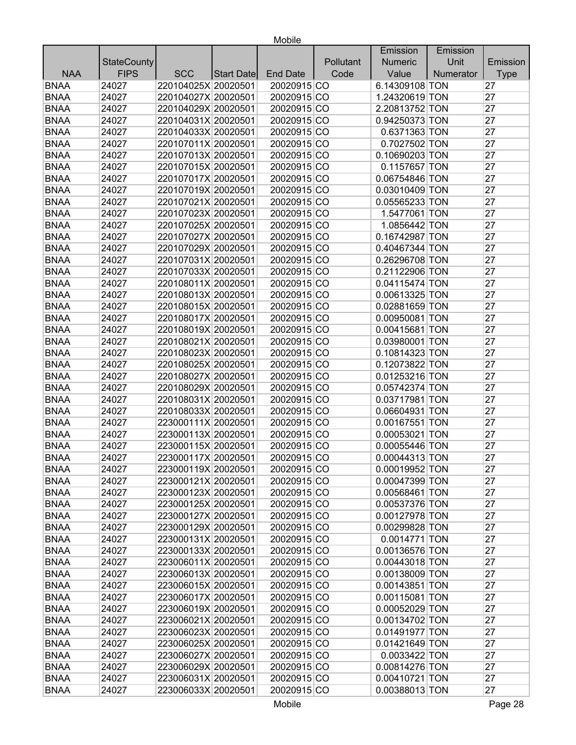|             |                    |                     |            |                 |           | Emission       | Emission  |             |
|-------------|--------------------|---------------------|------------|-----------------|-----------|----------------|-----------|-------------|
|             | <b>StateCounty</b> |                     |            |                 | Pollutant | <b>Numeric</b> | Unit      | Emission    |
| <b>NAA</b>  | <b>FIPS</b>        | <b>SCC</b>          | Start Date | <b>End Date</b> | Code      | Value          | Numerator | <b>Type</b> |
| <b>BNAA</b> | 24027              | 220104025X 20020501 |            | 20020915 CO     |           | 6.14309108 TON |           | 27          |
| <b>BNAA</b> | 24027              | 220104027X 20020501 |            | 20020915 CO     |           | 1.24320619 TON |           | 27          |
| <b>BNAA</b> | 24027              | 220104029X 20020501 |            | 20020915 CO     |           | 2.20813752 TON |           | 27          |
| <b>BNAA</b> | 24027              | 220104031X 20020501 |            | 20020915 CO     |           | 0.94250373 TON |           | 27          |
| <b>BNAA</b> | 24027              | 220104033X 20020501 |            | 20020915 CO     |           | 0.6371363 TON  |           | 27          |
| <b>BNAA</b> | 24027              | 220107011X 20020501 |            | 20020915 CO     |           | 0.7027502 TON  |           | 27          |
| <b>BNAA</b> | 24027              | 220107013X 20020501 |            | 20020915 CO     |           | 0.10690203 TON |           | 27          |
| <b>BNAA</b> | 24027              | 220107015X 20020501 |            | 20020915 CO     |           | 0.1157657 TON  |           | 27          |
| <b>BNAA</b> | 24027              | 220107017X 20020501 |            | 20020915 CO     |           | 0.06754846 TON |           | 27          |
| <b>BNAA</b> | 24027              | 220107019X 20020501 |            | 20020915 CO     |           | 0.03010409 TON |           | 27          |
| <b>BNAA</b> | 24027              | 220107021X 20020501 |            | 20020915 CO     |           | 0.05565233 TON |           | 27          |
| <b>BNAA</b> | 24027              | 220107023X 20020501 |            | 20020915 CO     |           | 1.5477061 TON  |           | 27          |
| <b>BNAA</b> | 24027              | 220107025X 20020501 |            | 20020915 CO     |           | 1.0856442 TON  |           | 27          |
| <b>BNAA</b> | 24027              | 220107027X 20020501 |            | 20020915 CO     |           | 0.16742987 TON |           | 27          |
| <b>BNAA</b> | 24027              | 220107029X 20020501 |            | 20020915 CO     |           | 0.40467344 TON |           | 27          |
| <b>BNAA</b> | 24027              | 220107031X 20020501 |            | 20020915 CO     |           | 0.26296708 TON |           | 27          |
| <b>BNAA</b> | 24027              | 220107033X 20020501 |            | 20020915 CO     |           | 0.21122906 TON |           | 27          |
| <b>BNAA</b> | 24027              | 220108011X 20020501 |            | 20020915 CO     |           | 0.04115474 TON |           | 27          |
| <b>BNAA</b> | 24027              | 220108013X 20020501 |            | 20020915 CO     |           | 0.00613325 TON |           | 27          |
| <b>BNAA</b> | 24027              | 220108015X 20020501 |            | 20020915 CO     |           | 0.02881659 TON |           | 27          |
| <b>BNAA</b> | 24027              | 220108017X 20020501 |            | 20020915 CO     |           | 0.00950081 TON |           | 27          |
| <b>BNAA</b> | 24027              | 220108019X 20020501 |            | 20020915 CO     |           | 0.00415681 TON |           | 27          |
| <b>BNAA</b> | 24027              | 220108021X 20020501 |            | 20020915 CO     |           | 0.03980001 TON |           | 27          |
| <b>BNAA</b> | 24027              | 220108023X 20020501 |            | 20020915 CO     |           | 0.10814323 TON |           | 27          |
| <b>BNAA</b> | 24027              | 220108025X 20020501 |            | 20020915 CO     |           | 0.12073822 TON |           | 27          |
| <b>BNAA</b> | 24027              | 220108027X 20020501 |            | 20020915 CO     |           | 0.01253216 TON |           | 27          |
| <b>BNAA</b> | 24027              | 220108029X 20020501 |            | 20020915 CO     |           | 0.05742374 TON |           | 27          |
| <b>BNAA</b> | 24027              | 220108031X 20020501 |            | 20020915 CO     |           | 0.03717981 TON |           | 27          |
| <b>BNAA</b> | 24027              | 220108033X 20020501 |            | 20020915 CO     |           | 0.06604931 TON |           | 27          |
| <b>BNAA</b> | 24027              | 223000111X 20020501 |            | 20020915 CO     |           | 0.00167551 TON |           | 27          |
| <b>BNAA</b> | 24027              | 223000113X 20020501 |            | 20020915 CO     |           | 0.00053021 TON |           | 27          |
| <b>BNAA</b> | 24027              | 223000115X 20020501 |            | 20020915 CO     |           | 0.00055446 TON |           | 27          |
| <b>BNAA</b> | 24027              | 223000117X 20020501 |            | 20020915 CO     |           | 0.00044313 TON |           | 27          |
| <b>BNAA</b> | 24027              | 223000119X 20020501 |            | 20020915 CO     |           | 0.00019952 TON |           | 27          |
| <b>BNAA</b> | 24027              | 223000121X 20020501 |            | 20020915 CO     |           | 0.00047399 TON |           | 27          |
| <b>BNAA</b> | 24027              | 223000123X 20020501 |            | 20020915 CO     |           | 0.00568461 TON |           | 27          |
| <b>BNAA</b> | 24027              | 223000125X 20020501 |            | 20020915 CO     |           | 0.00537376 TON |           | 27          |
| <b>BNAA</b> | 24027              | 223000127X 20020501 |            | 20020915 CO     |           | 0.00127978 TON |           | 27          |
| <b>BNAA</b> | 24027              | 223000129X 20020501 |            | 20020915 CO     |           | 0.00299828 TON |           | 27          |
| <b>BNAA</b> | 24027              | 223000131X 20020501 |            | 20020915 CO     |           | 0.0014771 TON  |           | 27          |
| <b>BNAA</b> | 24027              | 223000133X 20020501 |            | 20020915 CO     |           | 0.00136576 TON |           | 27          |
| <b>BNAA</b> | 24027              | 223006011X 20020501 |            | 20020915 CO     |           | 0.00443018 TON |           | 27          |
| <b>BNAA</b> | 24027              | 223006013X 20020501 |            | 20020915 CO     |           | 0.00138009 TON |           | 27          |
| <b>BNAA</b> | 24027              | 223006015X 20020501 |            | 20020915 CO     |           | 0.00143851 TON |           | 27          |
| <b>BNAA</b> | 24027              | 223006017X 20020501 |            | 20020915 CO     |           | 0.00115081 TON |           | 27          |
| <b>BNAA</b> | 24027              | 223006019X 20020501 |            | 20020915 CO     |           | 0.00052029 TON |           | 27          |
| <b>BNAA</b> | 24027              | 223006021X 20020501 |            | 20020915 CO     |           | 0.00134702 TON |           | 27          |
| <b>BNAA</b> | 24027              | 223006023X 20020501 |            | 20020915 CO     |           | 0.01491977 TON |           | 27          |
| <b>BNAA</b> | 24027              | 223006025X 20020501 |            | 20020915 CO     |           | 0.01421649 TON |           | 27          |
| <b>BNAA</b> | 24027              | 223006027X 20020501 |            | 20020915 CO     |           | 0.0033422 TON  |           | 27          |
| <b>BNAA</b> | 24027              | 223006029X 20020501 |            | 20020915 CO     |           | 0.00814276 TON |           | 27          |
| <b>BNAA</b> | 24027              | 223006031X 20020501 |            | 20020915 CO     |           | 0.00410721 TON |           | 27          |
| <b>BNAA</b> | 24027              | 223006033X 20020501 |            | 20020915 CO     |           | 0.00388013 TON |           | 27          |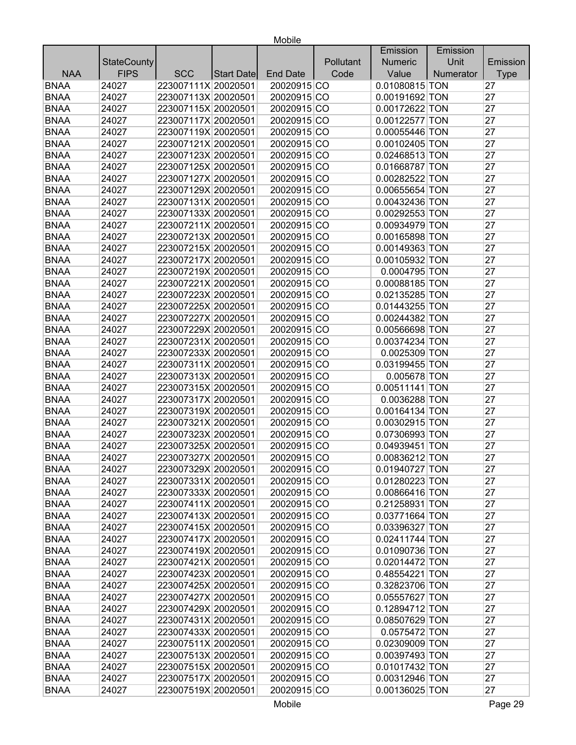|             |                    |                     |                   |                 |           | Emission       | Emission  |             |
|-------------|--------------------|---------------------|-------------------|-----------------|-----------|----------------|-----------|-------------|
|             | <b>StateCounty</b> |                     |                   |                 | Pollutant | <b>Numeric</b> | Unit      | Emission    |
| <b>NAA</b>  | <b>FIPS</b>        | <b>SCC</b>          | <b>Start Date</b> | <b>End Date</b> | Code      | Value          | Numerator | <b>Type</b> |
| <b>BNAA</b> | 24027              | 223007111X 20020501 |                   | 20020915 CO     |           | 0.01080815 TON |           | 27          |
| <b>BNAA</b> | 24027              | 223007113X 20020501 |                   | 20020915 CO     |           | 0.00191692 TON |           | 27          |
| <b>BNAA</b> | 24027              | 223007115X 20020501 |                   | 20020915 CO     |           | 0.00172622 TON |           | 27          |
| <b>BNAA</b> | 24027              | 223007117X 20020501 |                   | 20020915 CO     |           | 0.00122577 TON |           | 27          |
| <b>BNAA</b> | 24027              | 223007119X 20020501 |                   | 20020915 CO     |           | 0.00055446 TON |           | 27          |
| <b>BNAA</b> | 24027              | 223007121X 20020501 |                   | 20020915 CO     |           | 0.00102405 TON |           | 27          |
| <b>BNAA</b> | 24027              | 223007123X 20020501 |                   | 20020915 CO     |           | 0.02468513 TON |           | 27          |
| <b>BNAA</b> | 24027              | 223007125X 20020501 |                   | 20020915 CO     |           | 0.01668787 TON |           | 27          |
| <b>BNAA</b> | 24027              | 223007127X 20020501 |                   | 20020915 CO     |           | 0.00282522 TON |           | 27          |
| <b>BNAA</b> | 24027              | 223007129X 20020501 |                   | 20020915 CO     |           | 0.00655654 TON |           | 27          |
| <b>BNAA</b> | 24027              | 223007131X 20020501 |                   | 20020915 CO     |           | 0.00432436 TON |           | 27          |
| <b>BNAA</b> | 24027              | 223007133X 20020501 |                   | 20020915 CO     |           | 0.00292553 TON |           | 27          |
| <b>BNAA</b> | 24027              | 223007211X 20020501 |                   | 20020915 CO     |           | 0.00934979 TON |           | 27          |
| <b>BNAA</b> | 24027              | 223007213X 20020501 |                   | 20020915 CO     |           | 0.00165898 TON |           | 27          |
| <b>BNAA</b> | 24027              | 223007215X 20020501 |                   | 20020915 CO     |           | 0.00149363 TON |           | 27          |
| <b>BNAA</b> | 24027              | 223007217X 20020501 |                   | 20020915 CO     |           | 0.00105932 TON |           | 27          |
| <b>BNAA</b> | 24027              | 223007219X 20020501 |                   | 20020915 CO     |           | 0.0004795 TON  |           | 27          |
| <b>BNAA</b> | 24027              | 223007221X 20020501 |                   | 20020915 CO     |           | 0.00088185 TON |           | 27          |
| <b>BNAA</b> | 24027              | 223007223X 20020501 |                   | 20020915 CO     |           | 0.02135285 TON |           | 27          |
| <b>BNAA</b> | 24027              | 223007225X 20020501 |                   | 20020915 CO     |           | 0.01443255 TON |           | 27          |
| <b>BNAA</b> | 24027              | 223007227X 20020501 |                   | 20020915 CO     |           | 0.00244382 TON |           | 27          |
| <b>BNAA</b> | 24027              | 223007229X 20020501 |                   | 20020915 CO     |           | 0.00566698 TON |           | 27          |
| <b>BNAA</b> | 24027              | 223007231X 20020501 |                   | 20020915 CO     |           | 0.00374234 TON |           | 27          |
| <b>BNAA</b> | 24027              | 223007233X 20020501 |                   | 20020915 CO     |           | 0.0025309 TON  |           | 27          |
| <b>BNAA</b> | 24027              | 223007311X 20020501 |                   | 20020915 CO     |           | 0.03199455 TON |           | 27          |
| <b>BNAA</b> | 24027              | 223007313X 20020501 |                   | 20020915 CO     |           | 0.005678 TON   |           | 27          |
| <b>BNAA</b> | 24027              | 223007315X 20020501 |                   | 20020915 CO     |           | 0.00511141 TON |           | 27          |
| <b>BNAA</b> | 24027              | 223007317X 20020501 |                   | 20020915 CO     |           | 0.0036288 TON  |           | 27          |
| <b>BNAA</b> | 24027              | 223007319X 20020501 |                   | 20020915 CO     |           | 0.00164134 TON |           | 27          |
| <b>BNAA</b> | 24027              | 223007321X 20020501 |                   | 20020915 CO     |           | 0.00302915 TON |           | 27          |
| <b>BNAA</b> | 24027              | 223007323X 20020501 |                   | 20020915 CO     |           | 0.07306993 TON |           | 27          |
| <b>BNAA</b> | 24027              | 223007325X 20020501 |                   | 20020915 CO     |           | 0.04939451 TON |           | 27          |
| <b>BNAA</b> | 24027              | 223007327X 20020501 |                   | 20020915 CO     |           | 0.00836212 TON |           | 27          |
| BNAA        | 24027              | 223007329X 20020501 |                   | 20020915 CO     |           | 0.01940727 TON |           | 27          |
| <b>BNAA</b> | 24027              | 223007331X 20020501 |                   | 20020915 CO     |           | 0.01280223 TON |           | 27          |
| <b>BNAA</b> | 24027              | 223007333X 20020501 |                   | 20020915 CO     |           | 0.00866416 TON |           | 27          |
| <b>BNAA</b> | 24027              | 223007411X 20020501 |                   | 20020915 CO     |           | 0.21258931 TON |           | 27          |
| <b>BNAA</b> | 24027              | 223007413X 20020501 |                   | 20020915 CO     |           | 0.03771664 TON |           | 27          |
| <b>BNAA</b> | 24027              | 223007415X 20020501 |                   | 20020915 CO     |           | 0.03396327 TON |           | 27          |
| <b>BNAA</b> | 24027              | 223007417X 20020501 |                   | 20020915 CO     |           | 0.02411744 TON |           | 27          |
| <b>BNAA</b> | 24027              | 223007419X 20020501 |                   | 20020915 CO     |           | 0.01090736 TON |           | 27          |
| <b>BNAA</b> | 24027              | 223007421X 20020501 |                   | 20020915 CO     |           | 0.02014472 TON |           | 27          |
| <b>BNAA</b> | 24027              | 223007423X 20020501 |                   | 20020915 CO     |           | 0.48554221 TON |           | 27          |
| <b>BNAA</b> | 24027              | 223007425X 20020501 |                   | 20020915 CO     |           | 0.32823706 TON |           | 27          |
| <b>BNAA</b> | 24027              | 223007427X 20020501 |                   | 20020915 CO     |           | 0.05557627 TON |           | 27          |
| <b>BNAA</b> | 24027              | 223007429X 20020501 |                   | 20020915 CO     |           | 0.12894712 TON |           | 27          |
| <b>BNAA</b> | 24027              | 223007431X 20020501 |                   | 20020915 CO     |           | 0.08507629 TON |           | 27          |
| <b>BNAA</b> | 24027              | 223007433X 20020501 |                   | 20020915 CO     |           | 0.0575472 TON  |           | 27          |
| <b>BNAA</b> | 24027              | 223007511X 20020501 |                   | 20020915 CO     |           | 0.02309009 TON |           | 27          |
| <b>BNAA</b> | 24027              | 223007513X 20020501 |                   | 20020915 CO     |           | 0.00397493 TON |           | 27          |
| <b>BNAA</b> | 24027              | 223007515X 20020501 |                   | 20020915 CO     |           | 0.01017432 TON |           | 27          |
| <b>BNAA</b> | 24027              | 223007517X 20020501 |                   | 20020915 CO     |           | 0.00312946 TON |           | 27          |
| <b>BNAA</b> |                    |                     |                   |                 |           |                |           | 27          |
|             | 24027              | 223007519X 20020501 |                   | 20020915 CO     |           | 0.00136025 TON |           |             |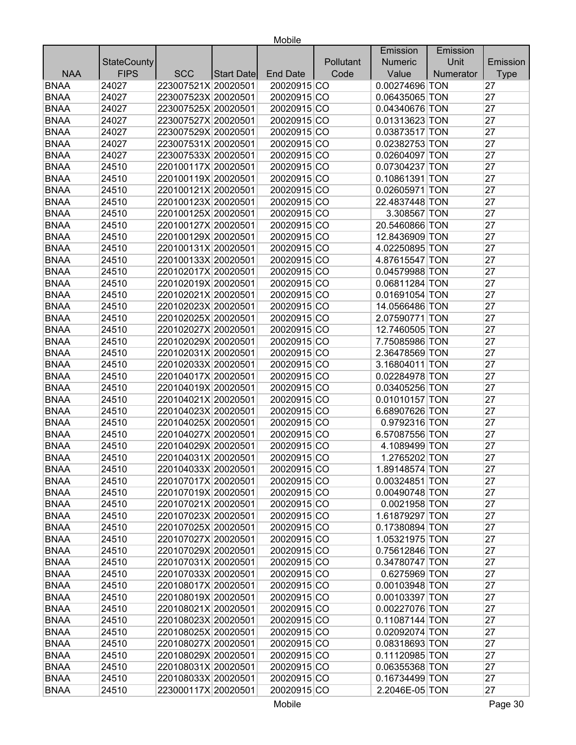|             |                    |                     |                   |                 |           | Emission       | Emission  |             |
|-------------|--------------------|---------------------|-------------------|-----------------|-----------|----------------|-----------|-------------|
|             | <b>StateCounty</b> |                     |                   |                 | Pollutant | <b>Numeric</b> | Unit      | Emission    |
| <b>NAA</b>  | <b>FIPS</b>        | <b>SCC</b>          | <b>Start Date</b> | <b>End Date</b> | Code      | Value          | Numerator | <b>Type</b> |
| <b>BNAA</b> | 24027              | 223007521X 20020501 |                   | 20020915 CO     |           | 0.00274696 TON |           | 27          |
| <b>BNAA</b> | 24027              | 223007523X 20020501 |                   | 20020915 CO     |           | 0.06435065 TON |           | 27          |
| <b>BNAA</b> | 24027              | 223007525X 20020501 |                   | 20020915 CO     |           | 0.04340676 TON |           | 27          |
| <b>BNAA</b> | 24027              | 223007527X 20020501 |                   | 20020915 CO     |           | 0.01313623 TON |           | 27          |
| <b>BNAA</b> | 24027              | 223007529X 20020501 |                   | 20020915 CO     |           | 0.03873517 TON |           | 27          |
| <b>BNAA</b> | 24027              | 223007531X 20020501 |                   | 20020915 CO     |           | 0.02382753 TON |           | 27          |
| <b>BNAA</b> | 24027              | 223007533X 20020501 |                   | 20020915 CO     |           | 0.02604097 TON |           | 27          |
| <b>BNAA</b> | 24510              | 220100117X 20020501 |                   | 20020915 CO     |           | 0.07304237 TON |           | 27          |
| <b>BNAA</b> | 24510              | 220100119X 20020501 |                   | 20020915 CO     |           | 0.10861391 TON |           | 27          |
| <b>BNAA</b> | 24510              | 220100121X 20020501 |                   | 20020915 CO     |           | 0.02605971 TON |           | 27          |
| <b>BNAA</b> | 24510              | 220100123X 20020501 |                   | 20020915 CO     |           | 22.4837448 TON |           | 27          |
| <b>BNAA</b> | 24510              | 220100125X 20020501 |                   | 20020915 CO     |           | 3.308567 TON   |           | 27          |
| <b>BNAA</b> | 24510              | 220100127X 20020501 |                   | 20020915 CO     |           | 20.5460866 TON |           | 27          |
| <b>BNAA</b> | 24510              | 220100129X 20020501 |                   | 20020915 CO     |           | 12.8436909 TON |           | 27          |
| <b>BNAA</b> | 24510              | 220100131X 20020501 |                   | 20020915 CO     |           | 4.02250895 TON |           | 27          |
| <b>BNAA</b> | 24510              | 220100133X 20020501 |                   | 20020915 CO     |           | 4.87615547 TON |           | 27          |
| <b>BNAA</b> | 24510              | 220102017X 20020501 |                   | 20020915 CO     |           | 0.04579988 TON |           | 27          |
| <b>BNAA</b> | 24510              | 220102019X 20020501 |                   | 20020915 CO     |           | 0.06811284 TON |           | 27          |
| <b>BNAA</b> | 24510              | 220102021X 20020501 |                   | 20020915 CO     |           | 0.01691054 TON |           | 27          |
| <b>BNAA</b> | 24510              | 220102023X 20020501 |                   | 20020915 CO     |           | 14.0566486 TON |           | 27          |
| <b>BNAA</b> | 24510              | 220102025X 20020501 |                   | 20020915 CO     |           | 2.07590771 TON |           | 27          |
| <b>BNAA</b> | 24510              | 220102027X 20020501 |                   | 20020915 CO     |           | 12.7460505 TON |           | 27          |
| <b>BNAA</b> | 24510              | 220102029X 20020501 |                   | 20020915 CO     |           | 7.75085986 TON |           | 27          |
| <b>BNAA</b> | 24510              | 220102031X 20020501 |                   | 20020915 CO     |           | 2.36478569 TON |           | 27          |
| <b>BNAA</b> | 24510              | 220102033X 20020501 |                   | 20020915 CO     |           | 3.16804011 TON |           | 27          |
| <b>BNAA</b> | 24510              | 220104017X 20020501 |                   | 20020915 CO     |           | 0.02284978 TON |           | 27          |
| <b>BNAA</b> | 24510              | 220104019X 20020501 |                   | 20020915 CO     |           | 0.03405256 TON |           | 27          |
| <b>BNAA</b> | 24510              | 220104021X 20020501 |                   | 20020915 CO     |           | 0.01010157 TON |           | 27          |
| <b>BNAA</b> | 24510              | 220104023X 20020501 |                   | 20020915 CO     |           | 6.68907626 TON |           | 27          |
| <b>BNAA</b> | 24510              | 220104025X 20020501 |                   | 20020915 CO     |           | 0.9792316 TON  |           | 27          |
| <b>BNAA</b> | 24510              | 220104027X 20020501 |                   | 20020915 CO     |           | 6.57087556 TON |           | 27          |
| <b>BNAA</b> | 24510              | 220104029X 20020501 |                   | 20020915 CO     |           | 4.1089499 TON  |           | 27          |
| <b>BNAA</b> | 24510              | 220104031X 20020501 |                   | 20020915 CO     |           | 1.2765202 TON  |           | 27          |
| <b>BNAA</b> | 24510              | 220104033X 20020501 |                   | 20020915 CO     |           | 1.89148574 TON |           | 27          |
| <b>BNAA</b> | 24510              | 220107017X 20020501 |                   | 20020915 CO     |           | 0.00324851 TON |           | 27          |
| <b>BNAA</b> | 24510              | 220107019X 20020501 |                   | 20020915 CO     |           | 0.00490748 TON |           | 27          |
| <b>BNAA</b> | 24510              | 220107021X 20020501 |                   | 20020915 CO     |           | 0.0021958 TON  |           | 27          |
| <b>BNAA</b> | 24510              | 220107023X 20020501 |                   | 20020915 CO     |           | 1.61879297 TON |           | 27          |
| <b>BNAA</b> | 24510              | 220107025X 20020501 |                   | 20020915 CO     |           | 0.17380894 TON |           | 27          |
| <b>BNAA</b> | 24510              | 220107027X 20020501 |                   | 20020915 CO     |           | 1.05321975 TON |           | 27          |
| <b>BNAA</b> | 24510              | 220107029X 20020501 |                   | 20020915 CO     |           | 0.75612846 TON |           | 27          |
| <b>BNAA</b> | 24510              | 220107031X 20020501 |                   | 20020915 CO     |           | 0.34780747 TON |           | 27          |
| <b>BNAA</b> | 24510              | 220107033X 20020501 |                   | 20020915 CO     |           | 0.6275969 TON  |           | 27          |
| <b>BNAA</b> | 24510              | 220108017X 20020501 |                   | 20020915 CO     |           | 0.00103948 TON |           | 27          |
| <b>BNAA</b> | 24510              | 220108019X 20020501 |                   | 20020915 CO     |           | 0.00103397 TON |           | 27          |
| <b>BNAA</b> | 24510              | 220108021X 20020501 |                   | 20020915 CO     |           | 0.00227076 TON |           | 27          |
| <b>BNAA</b> | 24510              | 220108023X 20020501 |                   | 20020915 CO     |           | 0.11087144 TON |           | 27          |
| <b>BNAA</b> | 24510              | 220108025X 20020501 |                   | 20020915 CO     |           | 0.02092074 TON |           | 27          |
| <b>BNAA</b> | 24510              | 220108027X 20020501 |                   | 20020915 CO     |           | 0.08318693 TON |           | 27          |
| <b>BNAA</b> | 24510              | 220108029X 20020501 |                   | 20020915 CO     |           | 0.11120985 TON |           | 27          |
| <b>BNAA</b> | 24510              | 220108031X 20020501 |                   | 20020915 CO     |           | 0.06355368 TON |           | 27          |
| <b>BNAA</b> | 24510              | 220108033X 20020501 |                   | 20020915 CO     |           | 0.16734499 TON |           | 27          |
| <b>BNAA</b> |                    |                     |                   |                 |           |                |           | 27          |
|             | 24510              | 223000117X 20020501 |                   | 20020915 CO     |           | 2.2046E-05 TON |           |             |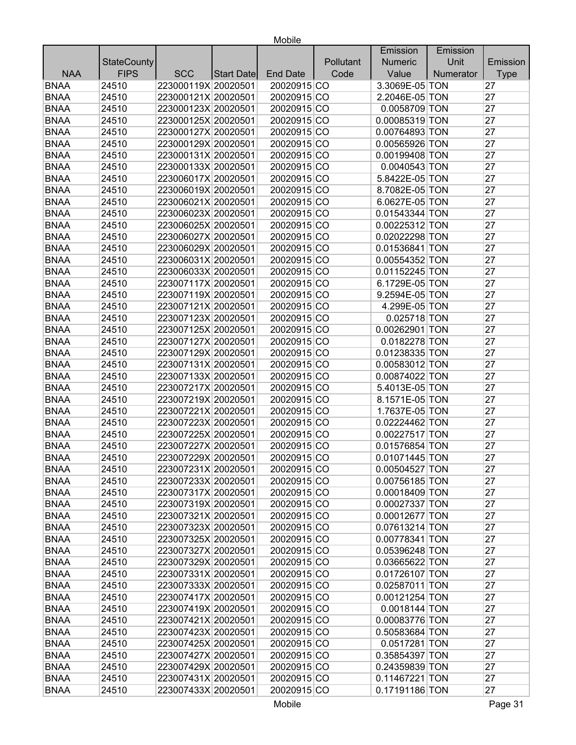|             |                    |                     |            |                 |           | Emission       | Emission  |             |
|-------------|--------------------|---------------------|------------|-----------------|-----------|----------------|-----------|-------------|
|             | <b>StateCounty</b> |                     |            |                 | Pollutant | <b>Numeric</b> | Unit      | Emission    |
| <b>NAA</b>  | <b>FIPS</b>        | <b>SCC</b>          | Start Date | <b>End Date</b> | Code      | Value          | Numerator | <b>Type</b> |
| <b>BNAA</b> | 24510              | 223000119X 20020501 |            | 20020915 CO     |           | 3.3069E-05 TON |           | 27          |
| <b>BNAA</b> | 24510              | 223000121X 20020501 |            | 20020915 CO     |           | 2.2046E-05 TON |           | 27          |
| <b>BNAA</b> | 24510              | 223000123X 20020501 |            | 20020915 CO     |           | 0.0058709 TON  |           | 27          |
| <b>BNAA</b> | 24510              | 223000125X 20020501 |            | 20020915 CO     |           | 0.00085319 TON |           | 27          |
| <b>BNAA</b> | 24510              | 223000127X 20020501 |            | 20020915 CO     |           | 0.00764893 TON |           | 27          |
| <b>BNAA</b> | 24510              | 223000129X 20020501 |            | 20020915 CO     |           | 0.00565926 TON |           | 27          |
| <b>BNAA</b> | 24510              | 223000131X 20020501 |            | 20020915 CO     |           | 0.00199408 TON |           | 27          |
| <b>BNAA</b> | 24510              | 223000133X 20020501 |            | 20020915 CO     |           | 0.0040543 TON  |           | 27          |
| <b>BNAA</b> | 24510              | 223006017X 20020501 |            | 20020915 CO     |           | 5.8422E-05 TON |           | 27          |
| <b>BNAA</b> | 24510              | 223006019X 20020501 |            | 20020915 CO     |           | 8.7082E-05 TON |           | 27          |
| <b>BNAA</b> | 24510              | 223006021X 20020501 |            | 20020915 CO     |           | 6.0627E-05 TON |           | 27          |
| <b>BNAA</b> | 24510              | 223006023X 20020501 |            | 20020915 CO     |           | 0.01543344 TON |           | 27          |
| <b>BNAA</b> | 24510              | 223006025X 20020501 |            | 20020915 CO     |           | 0.00225312 TON |           | 27          |
| <b>BNAA</b> | 24510              | 223006027X 20020501 |            | 20020915 CO     |           | 0.02022298 TON |           | 27          |
| <b>BNAA</b> | 24510              | 223006029X 20020501 |            | 20020915 CO     |           | 0.01536841 TON |           | 27          |
| <b>BNAA</b> | 24510              | 223006031X 20020501 |            | 20020915 CO     |           | 0.00554352 TON |           | 27          |
| <b>BNAA</b> | 24510              | 223006033X 20020501 |            | 20020915 CO     |           | 0.01152245 TON |           | 27          |
| <b>BNAA</b> | 24510              | 223007117X 20020501 |            | 20020915 CO     |           | 6.1729E-05 TON |           | 27          |
| <b>BNAA</b> | 24510              | 223007119X 20020501 |            | 20020915 CO     |           | 9.2594E-05 TON |           | 27          |
| <b>BNAA</b> | 24510              | 223007121X 20020501 |            | 20020915 CO     |           | 4.299E-05 TON  |           | 27          |
| <b>BNAA</b> | 24510              | 223007123X 20020501 |            | 20020915 CO     |           | 0.025718 TON   |           | 27          |
| <b>BNAA</b> | 24510              | 223007125X 20020501 |            | 20020915 CO     |           | 0.00262901 TON |           | 27          |
| <b>BNAA</b> | 24510              | 223007127X 20020501 |            | 20020915 CO     |           | 0.0182278 TON  |           | 27          |
| <b>BNAA</b> | 24510              | 223007129X 20020501 |            | 20020915 CO     |           | 0.01238335 TON |           | 27          |
| <b>BNAA</b> | 24510              | 223007131X 20020501 |            | 20020915 CO     |           | 0.00583012 TON |           | 27          |
| <b>BNAA</b> | 24510              | 223007133X 20020501 |            | 20020915 CO     |           | 0.00874022 TON |           | 27          |
| <b>BNAA</b> | 24510              | 223007217X 20020501 |            | 20020915 CO     |           | 5.4013E-05 TON |           | 27          |
| <b>BNAA</b> | 24510              | 223007219X 20020501 |            | 20020915 CO     |           | 8.1571E-05 TON |           | 27          |
| <b>BNAA</b> | 24510              | 223007221X 20020501 |            | 20020915 CO     |           | 1.7637E-05 TON |           | 27          |
| <b>BNAA</b> | 24510              | 223007223X 20020501 |            | 20020915 CO     |           | 0.02224462 TON |           | 27          |
| <b>BNAA</b> | 24510              | 223007225X 20020501 |            | 20020915 CO     |           | 0.00227517 TON |           | 27          |
| <b>BNAA</b> | 24510              | 223007227X 20020501 |            | 20020915 CO     |           | 0.01576854 TON |           | 27          |
| <b>BNAA</b> | 24510              | 223007229X 20020501 |            | 20020915 CO     |           | 0.01071445 TON |           | 27          |
| <b>BNAA</b> | 24510              | 223007231X 20020501 |            | 20020915 CO     |           | 0.00504527 TON |           | 27          |
| <b>BNAA</b> | 24510              | 223007233X 20020501 |            | 20020915 CO     |           | 0.00756185 TON |           | 27          |
| <b>BNAA</b> | 24510              | 223007317X 20020501 |            | 20020915 CO     |           | 0.00018409 TON |           | 27          |
| <b>BNAA</b> | 24510              | 223007319X 20020501 |            | 20020915 CO     |           | 0.00027337 TON |           | 27          |
| <b>BNAA</b> | 24510              | 223007321X 20020501 |            | 20020915 CO     |           | 0.00012677 TON |           | 27          |
| <b>BNAA</b> | 24510              | 223007323X 20020501 |            | 20020915 CO     |           | 0.07613214 TON |           | 27          |
| <b>BNAA</b> | 24510              | 223007325X 20020501 |            | 20020915 CO     |           | 0.00778341 TON |           | 27          |
| <b>BNAA</b> | 24510              | 223007327X 20020501 |            | 20020915 CO     |           | 0.05396248 TON |           | 27          |
| <b>BNAA</b> | 24510              | 223007329X 20020501 |            | 20020915 CO     |           | 0.03665622 TON |           | 27          |
| <b>BNAA</b> | 24510              | 223007331X 20020501 |            | 20020915 CO     |           | 0.01726107 TON |           | 27          |
| <b>BNAA</b> | 24510              | 223007333X 20020501 |            | 20020915 CO     |           | 0.02587011 TON |           | 27          |
| <b>BNAA</b> | 24510              | 223007417X 20020501 |            | 20020915 CO     |           | 0.00121254 TON |           | 27          |
| <b>BNAA</b> | 24510              | 223007419X 20020501 |            | 20020915 CO     |           | 0.0018144 TON  |           | 27          |
| <b>BNAA</b> | 24510              | 223007421X 20020501 |            | 20020915 CO     |           | 0.00083776 TON |           | 27          |
| <b>BNAA</b> | 24510              | 223007423X 20020501 |            | 20020915 CO     |           | 0.50583684 TON |           | 27          |
| <b>BNAA</b> | 24510              | 223007425X 20020501 |            | 20020915 CO     |           | 0.0517281 TON  |           | 27          |
| <b>BNAA</b> | 24510              | 223007427X 20020501 |            | 20020915 CO     |           | 0.35854397 TON |           | 27          |
| <b>BNAA</b> | 24510              | 223007429X 20020501 |            | 20020915 CO     |           | 0.24359839 TON |           | 27          |
| <b>BNAA</b> | 24510              | 223007431X 20020501 |            | 20020915 CO     |           | 0.11467221 TON |           | 27          |
| <b>BNAA</b> |                    | 223007433X 20020501 |            |                 |           |                |           | 27          |
|             | 24510              |                     |            | 20020915 CO     |           | 0.17191186 TON |           |             |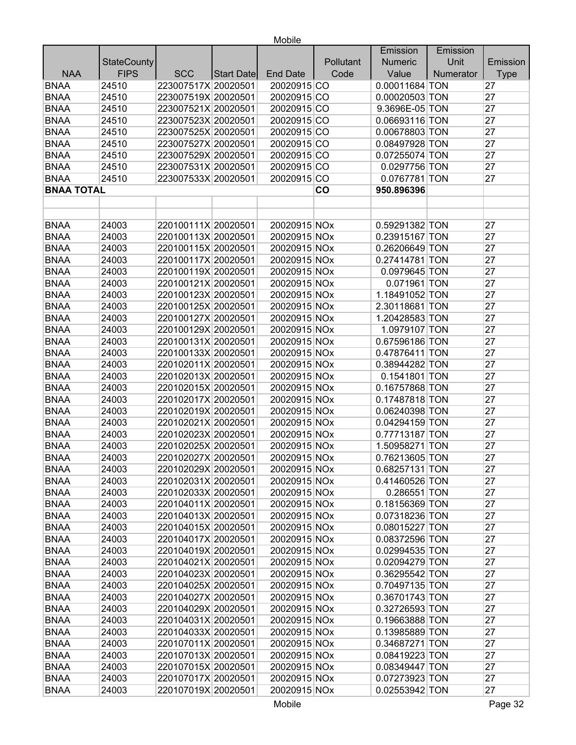|                   |                    |                     |                   |                 |                        | Emission       | Emission  |             |
|-------------------|--------------------|---------------------|-------------------|-----------------|------------------------|----------------|-----------|-------------|
|                   | <b>StateCounty</b> |                     |                   |                 | Pollutant              | <b>Numeric</b> | Unit      | Emission    |
| <b>NAA</b>        | <b>FIPS</b>        | <b>SCC</b>          | <b>Start Date</b> | <b>End Date</b> | Code                   | Value          | Numerator | <b>Type</b> |
| <b>BNAA</b>       | 24510              | 223007517X 20020501 |                   | 20020915 CO     |                        | 0.00011684 TON |           | 27          |
| <b>BNAA</b>       | 24510              | 223007519X 20020501 |                   | 20020915 CO     |                        | 0.00020503 TON |           | 27          |
| <b>BNAA</b>       | 24510              | 223007521X 20020501 |                   | 20020915 CO     |                        | 9.3696E-05 TON |           | 27          |
| <b>BNAA</b>       | 24510              | 223007523X 20020501 |                   | 20020915 CO     |                        | 0.06693116 TON |           | 27          |
| <b>BNAA</b>       | 24510              | 223007525X 20020501 |                   | 20020915 CO     |                        | 0.00678803 TON |           | 27          |
| <b>BNAA</b>       | 24510              | 223007527X 20020501 |                   | 20020915 CO     |                        | 0.08497928 TON |           | 27          |
| <b>BNAA</b>       | 24510              | 223007529X 20020501 |                   | 20020915 CO     |                        | 0.07255074 TON |           | 27          |
| <b>BNAA</b>       | 24510              | 223007531X 20020501 |                   | 20020915 CO     |                        | 0.0297756 TON  |           | 27          |
| <b>BNAA</b>       | 24510              | 223007533X 20020501 |                   | 20020915 CO     |                        | 0.0767781 TON  |           | 27          |
| <b>BNAA TOTAL</b> |                    |                     |                   |                 | $\mathbf{c}\mathbf{o}$ | 950.896396     |           |             |
|                   |                    |                     |                   |                 |                        |                |           |             |
|                   |                    |                     |                   |                 |                        |                |           |             |
| <b>BNAA</b>       | 24003              | 220100111X 20020501 |                   | 20020915 NOx    |                        | 0.59291382 TON |           | 27          |
| <b>BNAA</b>       | 24003              | 220100113X 20020501 |                   | 20020915 NOx    |                        | 0.23915167 TON |           | 27          |
| <b>BNAA</b>       | 24003              | 220100115X 20020501 |                   | 20020915 NOx    |                        | 0.26206649 TON |           | 27          |
| <b>BNAA</b>       | 24003              | 220100117X 20020501 |                   | 20020915 NOx    |                        | 0.27414781 TON |           | 27          |
| <b>BNAA</b>       | 24003              | 220100119X 20020501 |                   | 20020915 NOx    |                        | 0.0979645 TON  |           | 27          |
| <b>BNAA</b>       | 24003              | 220100121X 20020501 |                   | 20020915 NOx    |                        | 0.071961 TON   |           | 27          |
| <b>BNAA</b>       | 24003              | 220100123X 20020501 |                   | 20020915 NOx    |                        | 1.18491052 TON |           | 27          |
| <b>BNAA</b>       | 24003              | 220100125X 20020501 |                   | 20020915 NOx    |                        | 2.30118681 TON |           | 27          |
| <b>BNAA</b>       | 24003              | 220100127X 20020501 |                   | 20020915 NOx    |                        | 1.20428583 TON |           | 27          |
| <b>BNAA</b>       | 24003              | 220100129X 20020501 |                   | 20020915 NOx    |                        | 1.0979107 TON  |           | 27          |
| <b>BNAA</b>       | 24003              | 220100131X 20020501 |                   | 20020915 NOx    |                        | 0.67596186 TON |           | 27          |
| <b>BNAA</b>       | 24003              | 220100133X 20020501 |                   | 20020915 NOx    |                        | 0.47876411 TON |           | 27          |
| <b>BNAA</b>       | 24003              | 220102011X 20020501 |                   | 20020915 NOx    |                        | 0.38944282 TON |           | 27          |
| <b>BNAA</b>       | 24003              | 220102013X 20020501 |                   | 20020915 NOx    |                        | 0.1541801 TON  |           | 27          |
| <b>BNAA</b>       | 24003              | 220102015X 20020501 |                   | 20020915 NOx    |                        | 0.16757868 TON |           | 27          |
| <b>BNAA</b>       | 24003              | 220102017X 20020501 |                   | 20020915 NOx    |                        | 0.17487818 TON |           | 27          |
| <b>BNAA</b>       | 24003              | 220102019X 20020501 |                   | 20020915 NOx    |                        | 0.06240398 TON |           | 27          |
| <b>BNAA</b>       | 24003              | 220102021X 20020501 |                   | 20020915 NOx    |                        | 0.04294159 TON |           | 27          |
| <b>BNAA</b>       | 24003              | 220102023X 20020501 |                   | 20020915 NOx    |                        | 0.77713187 TON |           | 27          |
| <b>BNAA</b>       | 24003              | 220102025X 20020501 |                   | 20020915 NOx    |                        | 1.50958271 TON |           | 27          |
| <b>BNAA</b>       | 24003              | 220102027X 20020501 |                   | 20020915 NOx    |                        | 0.76213605 TON |           | 27          |
| <b>BNAA</b>       | 24003              | 220102029X 20020501 |                   | 20020915 NOx    |                        | 0.68257131 TON |           | 27          |
| <b>BNAA</b>       | 24003              | 220102031X 20020501 |                   | 20020915 NOx    |                        | 0.41460526 TON |           | 27          |
| <b>BNAA</b>       | 24003              | 220102033X 20020501 |                   | 20020915 NOx    |                        | 0.286551 TON   |           | 27          |
| <b>BNAA</b>       | 24003              | 220104011X 20020501 |                   | 20020915 NOx    |                        | 0.18156369 TON |           | 27          |
| <b>BNAA</b>       | 24003              | 220104013X 20020501 |                   | 20020915 NOx    |                        | 0.07318236 TON |           | 27          |
| <b>BNAA</b>       | 24003              | 220104015X 20020501 |                   | 20020915 NOx    |                        | 0.08015227 TON |           | 27          |
| <b>BNAA</b>       | 24003              | 220104017X 20020501 |                   | 20020915 NOx    |                        | 0.08372596 TON |           | 27          |
| <b>BNAA</b>       | 24003              | 220104019X 20020501 |                   | 20020915 NOx    |                        | 0.02994535 TON |           | 27          |
| <b>BNAA</b>       | 24003              | 220104021X 20020501 |                   | 20020915 NOx    |                        | 0.02094279 TON |           | 27          |
| <b>BNAA</b>       | 24003              | 220104023X 20020501 |                   | 20020915 NOx    |                        | 0.36295542 TON |           | 27          |
| <b>BNAA</b>       | 24003              | 220104025X 20020501 |                   | 20020915 NOx    |                        | 0.70497135 TON |           | 27          |
| <b>BNAA</b>       | 24003              | 220104027X 20020501 |                   | 20020915 NOx    |                        | 0.36701743 TON |           | 27          |
| <b>BNAA</b>       | 24003              | 220104029X 20020501 |                   | 20020915 NOx    |                        | 0.32726593 TON |           | 27          |
| <b>BNAA</b>       | 24003              | 220104031X 20020501 |                   | 20020915 NOx    |                        | 0.19663888 TON |           | 27          |
| <b>BNAA</b>       | 24003              | 220104033X 20020501 |                   | 20020915 NOx    |                        | 0.13985889 TON |           | 27          |
| <b>BNAA</b>       | 24003              | 220107011X 20020501 |                   | 20020915 NOx    |                        | 0.34687271 TON |           | 27          |
| <b>BNAA</b>       | 24003              | 220107013X 20020501 |                   | 20020915 NOx    |                        | 0.08419223 TON |           | 27          |
| <b>BNAA</b>       | 24003              | 220107015X 20020501 |                   | 20020915 NOx    |                        | 0.08349447 TON |           | 27          |
| <b>BNAA</b>       | 24003              | 220107017X 20020501 |                   | 20020915 NOx    |                        | 0.07273923 TON |           | 27          |
| <b>BNAA</b>       | 24003              | 220107019X 20020501 |                   | 20020915 NOx    |                        | 0.02553942 TON |           | 27          |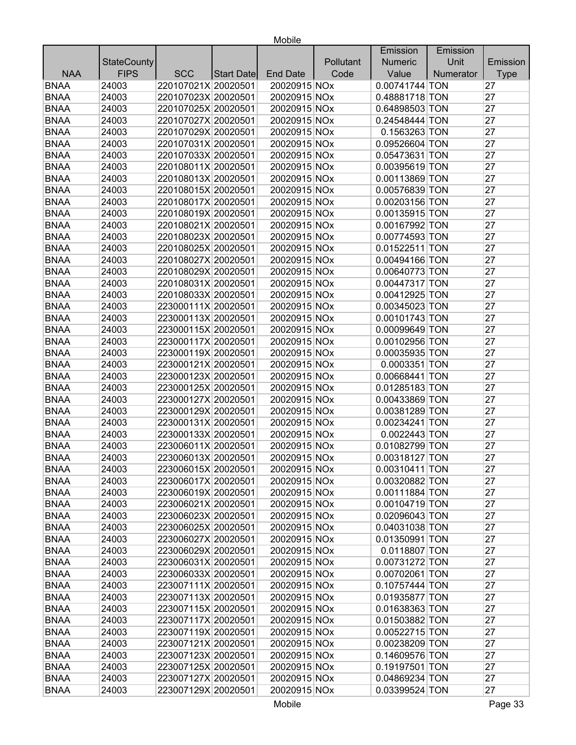|             |                    |                     |            |                 |           | Emission       | Emission  |             |
|-------------|--------------------|---------------------|------------|-----------------|-----------|----------------|-----------|-------------|
|             | <b>StateCounty</b> |                     |            |                 | Pollutant | <b>Numeric</b> | Unit      | Emission    |
| <b>NAA</b>  | <b>FIPS</b>        | <b>SCC</b>          | Start Date | <b>End Date</b> | Code      | Value          | Numerator | <b>Type</b> |
| <b>BNAA</b> | 24003              | 220107021X 20020501 |            | 20020915 NOx    |           | 0.00741744 TON |           | 27          |
| <b>BNAA</b> | 24003              | 220107023X 20020501 |            | 20020915 NOx    |           | 0.48881718 TON |           | 27          |
| <b>BNAA</b> | 24003              | 220107025X 20020501 |            | 20020915 NOx    |           | 0.64898503 TON |           | 27          |
| <b>BNAA</b> | 24003              | 220107027X 20020501 |            | 20020915 NOx    |           | 0.24548444 TON |           | 27          |
| <b>BNAA</b> | 24003              | 220107029X 20020501 |            | 20020915 NOx    |           | 0.1563263 TON  |           | 27          |
| <b>BNAA</b> | 24003              | 220107031X 20020501 |            | 20020915 NOx    |           | 0.09526604 TON |           | 27          |
| <b>BNAA</b> | 24003              | 220107033X 20020501 |            | 20020915 NOx    |           | 0.05473631 TON |           | 27          |
| <b>BNAA</b> | 24003              | 220108011X 20020501 |            | 20020915 NOx    |           | 0.00395619 TON |           | 27          |
| <b>BNAA</b> | 24003              | 220108013X 20020501 |            | 20020915 NOx    |           | 0.00113869 TON |           | 27          |
| <b>BNAA</b> | 24003              | 220108015X 20020501 |            | 20020915 NOx    |           | 0.00576839 TON |           | 27          |
| <b>BNAA</b> | 24003              | 220108017X 20020501 |            | 20020915 NOx    |           | 0.00203156 TON |           | 27          |
| <b>BNAA</b> | 24003              | 220108019X 20020501 |            | 20020915 NOx    |           | 0.00135915 TON |           | 27          |
| <b>BNAA</b> | 24003              | 220108021X 20020501 |            | 20020915 NOx    |           | 0.00167992 TON |           | 27          |
| <b>BNAA</b> | 24003              | 220108023X 20020501 |            | 20020915 NOx    |           | 0.00774593 TON |           | 27          |
| <b>BNAA</b> | 24003              | 220108025X 20020501 |            | 20020915 NOx    |           | 0.01522511 TON |           | 27          |
| <b>BNAA</b> | 24003              | 220108027X 20020501 |            | 20020915 NOx    |           | 0.00494166 TON |           | 27          |
| <b>BNAA</b> | 24003              | 220108029X 20020501 |            | 20020915 NOx    |           | 0.00640773 TON |           | 27          |
| <b>BNAA</b> | 24003              | 220108031X 20020501 |            | 20020915 NOx    |           | 0.00447317 TON |           | 27          |
| <b>BNAA</b> | 24003              | 220108033X 20020501 |            | 20020915 NOx    |           | 0.00412925 TON |           | 27          |
| <b>BNAA</b> | 24003              | 223000111X 20020501 |            | 20020915 NOx    |           | 0.00345023 TON |           | 27          |
| <b>BNAA</b> | 24003              | 223000113X 20020501 |            | 20020915 NOx    |           | 0.00101743 TON |           | 27          |
| <b>BNAA</b> | 24003              | 223000115X 20020501 |            | 20020915 NOx    |           | 0.00099649 TON |           | 27          |
| <b>BNAA</b> | 24003              | 223000117X 20020501 |            | 20020915 NOx    |           | 0.00102956 TON |           | 27          |
| <b>BNAA</b> | 24003              | 223000119X 20020501 |            | 20020915 NOx    |           | 0.00035935 TON |           | 27          |
| <b>BNAA</b> | 24003              | 223000121X 20020501 |            | 20020915 NOx    |           | 0.0003351 TON  |           | 27          |
| <b>BNAA</b> | 24003              | 223000123X 20020501 |            | 20020915 NOx    |           | 0.00668441 TON |           | 27          |
| <b>BNAA</b> | 24003              | 223000125X 20020501 |            | 20020915 NOx    |           | 0.01285183 TON |           | 27          |
| <b>BNAA</b> | 24003              | 223000127X 20020501 |            | 20020915 NOx    |           | 0.00433869 TON |           | 27          |
| <b>BNAA</b> | 24003              | 223000129X 20020501 |            | 20020915 NOx    |           | 0.00381289 TON |           | 27          |
| <b>BNAA</b> | 24003              | 223000131X 20020501 |            | 20020915 NOx    |           | 0.00234241 TON |           | 27          |
| <b>BNAA</b> | 24003              | 223000133X 20020501 |            | 20020915 NOx    |           | 0.0022443 TON  |           | 27          |
| <b>BNAA</b> | 24003              | 223006011X 20020501 |            | 20020915 NOx    |           | 0.01082799 TON |           | 27          |
| <b>BNAA</b> | 24003              | 223006013X 20020501 |            | 20020915 NOx    |           | 0.00318127 TON |           | 27          |
| <b>BNAA</b> | 24003              | 223006015X 20020501 |            | 20020915 NOx    |           | 0.00310411 TON |           | 27          |
| <b>BNAA</b> | 24003              | 223006017X 20020501 |            | 20020915 NOx    |           | 0.00320882 TON |           | 27          |
| <b>BNAA</b> | 24003              | 223006019X 20020501 |            | 20020915 NOx    |           | 0.00111884 TON |           | 27          |
| <b>BNAA</b> | 24003              | 223006021X 20020501 |            | 20020915 NOx    |           | 0.00104719 TON |           | 27          |
| <b>BNAA</b> | 24003              | 223006023X 20020501 |            | 20020915 NOx    |           | 0.02096043 TON |           | 27          |
| <b>BNAA</b> | 24003              | 223006025X 20020501 |            | 20020915 NOx    |           | 0.04031038 TON |           | 27          |
| <b>BNAA</b> | 24003              | 223006027X 20020501 |            | 20020915 NOx    |           | 0.01350991 TON |           | 27          |
| <b>BNAA</b> | 24003              | 223006029X 20020501 |            | 20020915 NOx    |           | 0.0118807 TON  |           | 27          |
| <b>BNAA</b> | 24003              | 223006031X 20020501 |            | 20020915 NOx    |           | 0.00731272 TON |           | 27          |
| <b>BNAA</b> | 24003              | 223006033X 20020501 |            | 20020915 NOx    |           | 0.00702061 TON |           | 27          |
| <b>BNAA</b> | 24003              | 223007111X 20020501 |            | 20020915 NOx    |           | 0.10757444 TON |           | 27          |
| <b>BNAA</b> | 24003              | 223007113X 20020501 |            | 20020915 NOx    |           | 0.01935877 TON |           | 27          |
| <b>BNAA</b> | 24003              | 223007115X 20020501 |            | 20020915 NOx    |           | 0.01638363 TON |           | 27          |
| <b>BNAA</b> | 24003              | 223007117X 20020501 |            | 20020915 NOx    |           | 0.01503882 TON |           | 27          |
| <b>BNAA</b> | 24003              | 223007119X 20020501 |            | 20020915 NOx    |           | 0.00522715 TON |           | 27          |
| <b>BNAA</b> | 24003              | 223007121X 20020501 |            | 20020915 NOx    |           | 0.00238209 TON |           | 27          |
| <b>BNAA</b> | 24003              | 223007123X 20020501 |            | 20020915 NOx    |           | 0.14609576 TON |           | 27          |
| <b>BNAA</b> | 24003              | 223007125X 20020501 |            | 20020915 NOx    |           | 0.19197501 TON |           | 27          |
| <b>BNAA</b> | 24003              | 223007127X 20020501 |            | 20020915 NOx    |           | 0.04869234 TON |           | 27          |
| <b>BNAA</b> | 24003              | 223007129X 20020501 |            | 20020915 NOx    |           | 0.03399524 TON |           | 27          |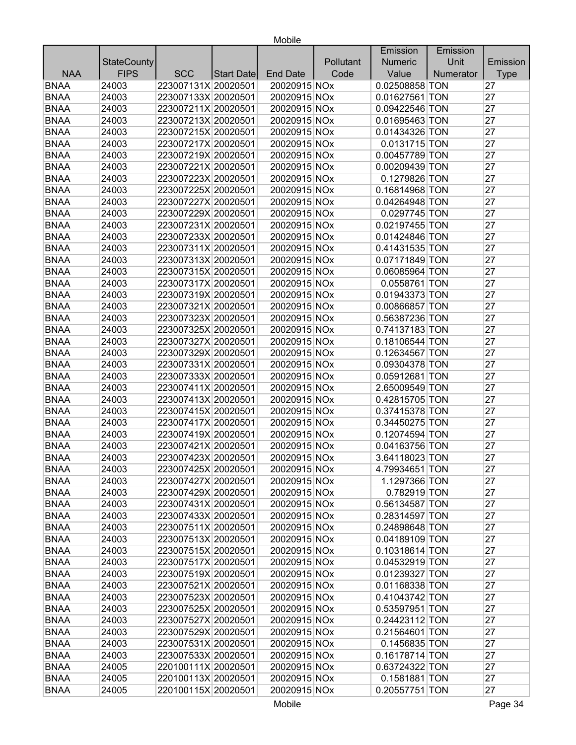|             |                    |                     |            |                 |           | Emission       | Emission  |             |
|-------------|--------------------|---------------------|------------|-----------------|-----------|----------------|-----------|-------------|
|             | <b>StateCounty</b> |                     |            |                 | Pollutant | <b>Numeric</b> | Unit      | Emission    |
| <b>NAA</b>  | <b>FIPS</b>        | <b>SCC</b>          | Start Date | <b>End Date</b> | Code      | Value          | Numerator | <b>Type</b> |
| <b>BNAA</b> | 24003              | 223007131X 20020501 |            | 20020915 NOx    |           | 0.02508858 TON |           | 27          |
| <b>BNAA</b> | 24003              | 223007133X 20020501 |            | 20020915 NOx    |           | 0.01627561 TON |           | 27          |
| <b>BNAA</b> | 24003              | 223007211X 20020501 |            | 20020915 NOx    |           | 0.09422546 TON |           | 27          |
| <b>BNAA</b> | 24003              | 223007213X 20020501 |            | 20020915 NOx    |           | 0.01695463 TON |           | 27          |
| <b>BNAA</b> | 24003              | 223007215X 20020501 |            | 20020915 NOx    |           | 0.01434326 TON |           | 27          |
| <b>BNAA</b> | 24003              | 223007217X 20020501 |            | 20020915 NOx    |           | 0.0131715 TON  |           | 27          |
| <b>BNAA</b> | 24003              | 223007219X 20020501 |            | 20020915 NOx    |           | 0.00457789 TON |           | 27          |
| <b>BNAA</b> | 24003              | 223007221X 20020501 |            | 20020915 NOx    |           | 0.00209439 TON |           | 27          |
| <b>BNAA</b> | 24003              | 223007223X 20020501 |            | 20020915 NOx    |           | 0.1279826 TON  |           | 27          |
| <b>BNAA</b> | 24003              | 223007225X 20020501 |            | 20020915 NOx    |           | 0.16814968 TON |           | 27          |
| <b>BNAA</b> | 24003              | 223007227X 20020501 |            | 20020915 NOx    |           | 0.04264948 TON |           | 27          |
| <b>BNAA</b> | 24003              | 223007229X 20020501 |            | 20020915 NOx    |           | 0.0297745 TON  |           | 27          |
| <b>BNAA</b> | 24003              | 223007231X 20020501 |            | 20020915 NOx    |           | 0.02197455 TON |           | 27          |
| <b>BNAA</b> | 24003              | 223007233X 20020501 |            | 20020915 NOx    |           | 0.01424846 TON |           | 27          |
| <b>BNAA</b> | 24003              | 223007311X 20020501 |            | 20020915 NOx    |           | 0.41431535 TON |           | 27          |
| <b>BNAA</b> | 24003              | 223007313X 20020501 |            | 20020915 NOx    |           | 0.07171849 TON |           | 27          |
| <b>BNAA</b> | 24003              | 223007315X 20020501 |            | 20020915 NOx    |           | 0.06085964 TON |           | 27          |
| <b>BNAA</b> | 24003              | 223007317X 20020501 |            | 20020915 NOx    |           | 0.0558761 TON  |           | 27          |
| <b>BNAA</b> | 24003              | 223007319X 20020501 |            | 20020915 NOx    |           | 0.01943373 TON |           | 27          |
| <b>BNAA</b> | 24003              | 223007321X 20020501 |            | 20020915 NOx    |           | 0.00866857 TON |           | 27          |
| <b>BNAA</b> | 24003              | 223007323X 20020501 |            | 20020915 NOx    |           | 0.56387236 TON |           | 27          |
| <b>BNAA</b> | 24003              | 223007325X 20020501 |            | 20020915 NOx    |           | 0.74137183 TON |           | 27          |
| <b>BNAA</b> | 24003              | 223007327X 20020501 |            | 20020915 NOx    |           | 0.18106544 TON |           | 27          |
| <b>BNAA</b> | 24003              | 223007329X 20020501 |            | 20020915 NOx    |           | 0.12634567 TON |           | 27          |
| <b>BNAA</b> | 24003              | 223007331X 20020501 |            | 20020915 NOx    |           | 0.09304378 TON |           | 27          |
| <b>BNAA</b> | 24003              | 223007333X 20020501 |            | 20020915 NOx    |           | 0.05912681 TON |           | 27          |
| <b>BNAA</b> | 24003              | 223007411X 20020501 |            | 20020915 NOx    |           | 2.65009549 TON |           | 27          |
| <b>BNAA</b> | 24003              | 223007413X 20020501 |            | 20020915 NOx    |           | 0.42815705 TON |           | 27          |
| <b>BNAA</b> | 24003              | 223007415X 20020501 |            | 20020915 NOx    |           | 0.37415378 TON |           | 27          |
| <b>BNAA</b> | 24003              | 223007417X 20020501 |            | 20020915 NOx    |           | 0.34450275 TON |           | 27          |
| <b>BNAA</b> | 24003              | 223007419X 20020501 |            | 20020915 NOx    |           | 0.12074594 TON |           | 27          |
| <b>BNAA</b> | 24003              | 223007421X 20020501 |            | 20020915 NOx    |           | 0.04163756 TON |           | 27          |
| <b>BNAA</b> | 24003              | 223007423X 20020501 |            | 20020915 NOx    |           | 3.64118023 TON |           | 27          |
| <b>BNAA</b> | 24003              | 223007425X 20020501 |            | 20020915 NOx    |           | 4.79934651 TON |           | 27          |
| <b>BNAA</b> | 24003              | 223007427X 20020501 |            | 20020915 NOx    |           | 1.1297366 TON  |           | 27          |
| <b>BNAA</b> | 24003              | 223007429X 20020501 |            | 20020915 NOx    |           | 0.782919 TON   |           | 27          |
| <b>BNAA</b> | 24003              | 223007431X 20020501 |            | 20020915 NOx    |           | 0.56134587 TON |           | 27          |
| <b>BNAA</b> | 24003              | 223007433X 20020501 |            | 20020915 NOx    |           | 0.28314597 TON |           | 27          |
| <b>BNAA</b> | 24003              | 223007511X 20020501 |            | 20020915 NOx    |           | 0.24898648 TON |           | 27          |
| <b>BNAA</b> | 24003              | 223007513X 20020501 |            | 20020915 NOx    |           | 0.04189109 TON |           | 27          |
| <b>BNAA</b> | 24003              | 223007515X 20020501 |            | 20020915 NOx    |           | 0.10318614 TON |           | 27          |
| <b>BNAA</b> | 24003              | 223007517X 20020501 |            | 20020915 NOx    |           | 0.04532919 TON |           | 27          |
| <b>BNAA</b> | 24003              | 223007519X 20020501 |            | 20020915 NOx    |           | 0.01239327 TON |           | 27          |
| <b>BNAA</b> | 24003              | 223007521X 20020501 |            | 20020915 NOx    |           | 0.01168338 TON |           | 27          |
| <b>BNAA</b> | 24003              | 223007523X 20020501 |            | 20020915 NOx    |           | 0.41043742 TON |           | 27          |
| <b>BNAA</b> | 24003              | 223007525X 20020501 |            | 20020915 NOx    |           | 0.53597951 TON |           | 27          |
| <b>BNAA</b> | 24003              | 223007527X 20020501 |            | 20020915 NOx    |           | 0.24423112 TON |           | 27          |
| <b>BNAA</b> | 24003              | 223007529X 20020501 |            | 20020915 NOx    |           | 0.21564601 TON |           | 27          |
| <b>BNAA</b> | 24003              | 223007531X 20020501 |            | 20020915 NOx    |           | 0.1456835 TON  |           | 27          |
| <b>BNAA</b> | 24003              | 223007533X 20020501 |            | 20020915 NOx    |           | 0.16178714 TON |           | 27          |
| <b>BNAA</b> | 24005              | 220100111X 20020501 |            | 20020915 NOx    |           | 0.63724322 TON |           | 27          |
| <b>BNAA</b> | 24005              | 220100113X 20020501 |            | 20020915 NOx    |           | 0.1581881 TON  |           | 27          |
| <b>BNAA</b> | 24005              | 220100115X 20020501 |            | 20020915 NOx    |           | 0.20557751 TON |           | 27          |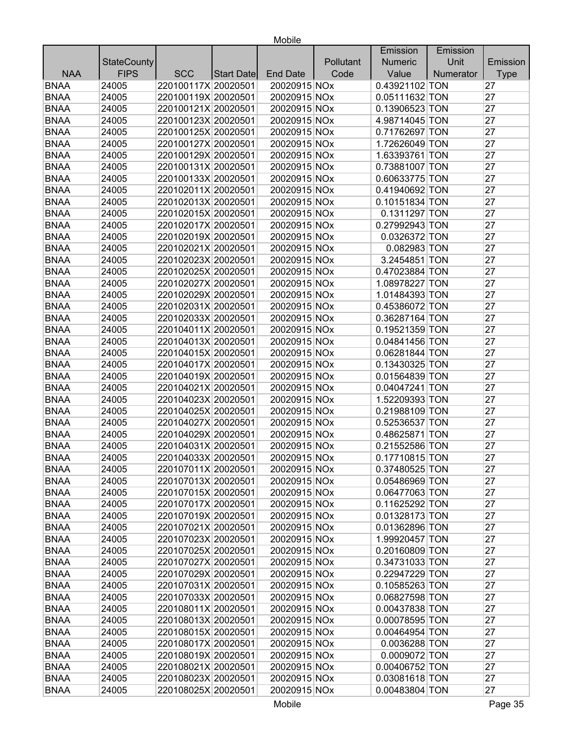|             |                    |                     |            |                 |           | Emission       | Emission  |             |
|-------------|--------------------|---------------------|------------|-----------------|-----------|----------------|-----------|-------------|
|             | <b>StateCounty</b> |                     |            |                 | Pollutant | <b>Numeric</b> | Unit      | Emission    |
| <b>NAA</b>  | <b>FIPS</b>        | <b>SCC</b>          | Start Date | <b>End Date</b> | Code      | Value          | Numerator | <b>Type</b> |
| <b>BNAA</b> | 24005              | 220100117X 20020501 |            | 20020915 NOx    |           | 0.43921102 TON |           | 27          |
| <b>BNAA</b> | 24005              | 220100119X 20020501 |            | 20020915 NOx    |           | 0.05111632 TON |           | 27          |
| <b>BNAA</b> | 24005              | 220100121X 20020501 |            | 20020915 NOx    |           | 0.13906523 TON |           | 27          |
| <b>BNAA</b> | 24005              | 220100123X 20020501 |            | 20020915 NOx    |           | 4.98714045 TON |           | 27          |
| <b>BNAA</b> | 24005              | 220100125X 20020501 |            | 20020915 NOx    |           | 0.71762697 TON |           | 27          |
| <b>BNAA</b> | 24005              | 220100127X 20020501 |            | 20020915 NOx    |           | 1.72626049 TON |           | 27          |
| <b>BNAA</b> | 24005              | 220100129X 20020501 |            | 20020915 NOx    |           | 1.63393761 TON |           | 27          |
| <b>BNAA</b> | 24005              | 220100131X 20020501 |            | 20020915 NOx    |           | 0.73881007 TON |           | 27          |
| <b>BNAA</b> | 24005              | 220100133X 20020501 |            | 20020915 NOx    |           | 0.60633775 TON |           | 27          |
| <b>BNAA</b> | 24005              | 220102011X 20020501 |            | 20020915 NOx    |           | 0.41940692 TON |           | 27          |
| <b>BNAA</b> | 24005              | 220102013X 20020501 |            | 20020915 NOx    |           | 0.10151834 TON |           | 27          |
| <b>BNAA</b> | 24005              | 220102015X 20020501 |            | 20020915 NOx    |           | 0.1311297 TON  |           | 27          |
| <b>BNAA</b> | 24005              | 220102017X 20020501 |            | 20020915 NOx    |           | 0.27992943 TON |           | 27          |
| <b>BNAA</b> | 24005              | 220102019X 20020501 |            | 20020915 NOx    |           | 0.0326372 TON  |           | 27          |
| <b>BNAA</b> | 24005              | 220102021X 20020501 |            | 20020915 NOx    |           | 0.082983 TON   |           | 27          |
| <b>BNAA</b> | 24005              | 220102023X 20020501 |            | 20020915 NOx    |           | 3.2454851 TON  |           | 27          |
| <b>BNAA</b> | 24005              | 220102025X 20020501 |            | 20020915 NOx    |           | 0.47023884 TON |           | 27          |
| <b>BNAA</b> | 24005              | 220102027X 20020501 |            | 20020915 NOx    |           | 1.08978227 TON |           | 27          |
| <b>BNAA</b> | 24005              | 220102029X 20020501 |            | 20020915 NOx    |           | 1.01484393 TON |           | 27          |
| <b>BNAA</b> | 24005              | 220102031X 20020501 |            | 20020915 NOx    |           | 0.45386072 TON |           | 27          |
| <b>BNAA</b> | 24005              | 220102033X 20020501 |            | 20020915 NOx    |           | 0.36287164 TON |           | 27          |
| <b>BNAA</b> | 24005              | 220104011X 20020501 |            | 20020915 NOx    |           | 0.19521359 TON |           | 27          |
| <b>BNAA</b> | 24005              | 220104013X 20020501 |            | 20020915 NOx    |           | 0.04841456 TON |           | 27          |
| <b>BNAA</b> | 24005              | 220104015X 20020501 |            | 20020915 NOx    |           | 0.06281844 TON |           | 27          |
| <b>BNAA</b> | 24005              | 220104017X 20020501 |            | 20020915 NOx    |           | 0.13430325 TON |           | 27          |
| <b>BNAA</b> | 24005              | 220104019X 20020501 |            | 20020915 NOx    |           | 0.01564839 TON |           | 27          |
| <b>BNAA</b> | 24005              | 220104021X 20020501 |            | 20020915 NOx    |           | 0.04047241 TON |           | 27          |
| <b>BNAA</b> | 24005              | 220104023X 20020501 |            | 20020915 NOx    |           | 1.52209393 TON |           | 27          |
| <b>BNAA</b> | 24005              | 220104025X 20020501 |            | 20020915 NOx    |           | 0.21988109 TON |           | 27          |
| <b>BNAA</b> | 24005              | 220104027X 20020501 |            | 20020915 NOx    |           | 0.52536537 TON |           | 27          |
| <b>BNAA</b> | 24005              | 220104029X 20020501 |            | 20020915 NOx    |           | 0.48625871 TON |           | 27          |
| <b>BNAA</b> | 24005              | 220104031X 20020501 |            | 20020915 NOx    |           | 0.21552586 TON |           | 27          |
| <b>BNAA</b> | 24005              | 220104033X 20020501 |            | 20020915 NOx    |           | 0.17710815 TON |           | 27          |
| <b>BNAA</b> | 24005              | 220107011X 20020501 |            | 20020915 NOx    |           | 0.37480525 TON |           | 27          |
| <b>BNAA</b> | 24005              | 220107013X 20020501 |            | 20020915 NOx    |           | 0.05486969 TON |           | 27          |
| <b>BNAA</b> | 24005              | 220107015X 20020501 |            | 20020915 NOx    |           | 0.06477063 TON |           | 27          |
| <b>BNAA</b> | 24005              | 220107017X 20020501 |            | 20020915 NOx    |           | 0.11625292 TON |           | 27          |
| <b>BNAA</b> | 24005              | 220107019X 20020501 |            | 20020915 NOx    |           | 0.01328173 TON |           | 27          |
| <b>BNAA</b> | 24005              | 220107021X 20020501 |            | 20020915 NOx    |           | 0.01362896 TON |           | 27          |
| <b>BNAA</b> | 24005              | 220107023X 20020501 |            | 20020915 NOx    |           | 1.99920457 TON |           | 27          |
| <b>BNAA</b> | 24005              | 220107025X 20020501 |            | 20020915 NOx    |           | 0.20160809 TON |           | 27          |
| <b>BNAA</b> | 24005              | 220107027X 20020501 |            | 20020915 NOx    |           | 0.34731033 TON |           | 27          |
| <b>BNAA</b> | 24005              | 220107029X 20020501 |            | 20020915 NOx    |           | 0.22947229 TON |           | 27          |
| <b>BNAA</b> | 24005              | 220107031X 20020501 |            | 20020915 NOx    |           | 0.10585263 TON |           | 27          |
| <b>BNAA</b> | 24005              | 220107033X 20020501 |            | 20020915 NOx    |           | 0.06827598 TON |           | 27          |
| <b>BNAA</b> | 24005              | 220108011X 20020501 |            | 20020915 NOx    |           | 0.00437838 TON |           | 27          |
| <b>BNAA</b> | 24005              | 220108013X 20020501 |            | 20020915 NOx    |           | 0.00078595 TON |           | 27          |
| <b>BNAA</b> | 24005              | 220108015X 20020501 |            | 20020915 NOx    |           | 0.00464954 TON |           | 27          |
| <b>BNAA</b> | 24005              | 220108017X 20020501 |            | 20020915 NOx    |           | 0.0036288 TON  |           | 27          |
| <b>BNAA</b> | 24005              | 220108019X 20020501 |            | 20020915 NOx    |           | 0.0009072 TON  |           | 27          |
| <b>BNAA</b> | 24005              | 220108021X 20020501 |            | 20020915 NOx    |           | 0.00406752 TON |           | 27          |
| <b>BNAA</b> | 24005              | 220108023X 20020501 |            | 20020915 NOx    |           | 0.03081618 TON |           | 27          |
| <b>BNAA</b> | 24005              | 220108025X 20020501 |            | 20020915 NOx    |           | 0.00483804 TON |           | 27          |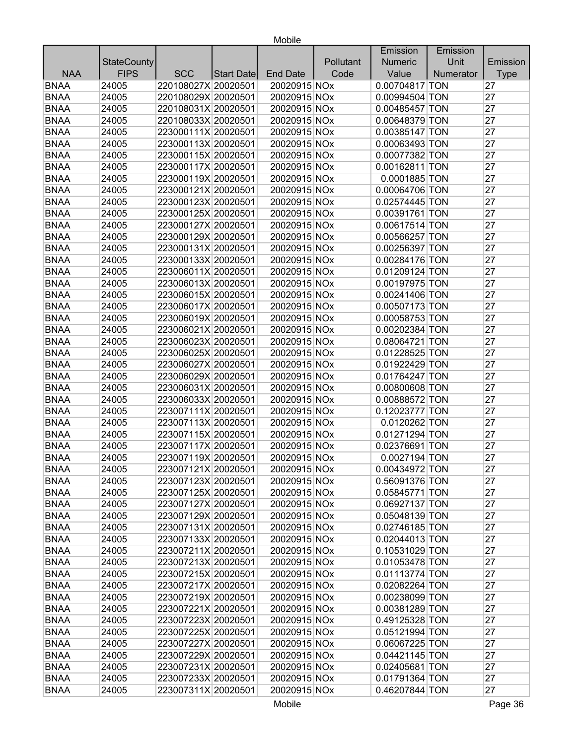| Emission                                                                                               | Emission    |
|--------------------------------------------------------------------------------------------------------|-------------|
| Unit<br><b>StateCounty</b><br>Pollutant<br><b>Numeric</b>                                              | Emission    |
| <b>FIPS</b><br><b>NAA</b><br><b>SCC</b><br>Code<br>Value<br>Numerator<br><b>End Date</b><br>Start Date | <b>Type</b> |
| <b>BNAA</b><br>24005<br>220108027X 20020501<br>20020915 NOx<br>0.00704817 TON                          | 27          |
| <b>BNAA</b><br>220108029X 20020501<br>24005<br>20020915 NOx<br>0.00994504 TON                          | 27          |
| <b>BNAA</b><br>24005<br>220108031X 20020501<br>20020915 NOx<br>0.00485457 TON                          | 27          |
| <b>BNAA</b><br>220108033X 20020501<br>24005<br>20020915 NOx<br>0.00648379 TON                          | 27          |
| <b>BNAA</b><br>24005<br>223000111X 20020501<br>20020915 NOx<br>0.00385147 TON                          | 27          |
| <b>BNAA</b><br>24005<br>223000113X 20020501<br>20020915 NOx<br>0.00063493 TON                          | 27          |
| <b>BNAA</b><br>24005<br>223000115X 20020501<br>20020915 NOx<br>0.00077382 TON                          | 27          |
| <b>BNAA</b><br>24005<br>223000117X 20020501<br>20020915 NOx<br>0.00162811 TON                          | 27          |
| <b>BNAA</b><br>223000119X 20020501<br>0.0001885 TON<br>24005<br>20020915 NOx                           | 27          |
| 223000121X 20020501<br>0.00064706 TON<br><b>BNAA</b><br>24005<br>20020915 NOx                          | 27          |
| <b>BNAA</b><br>223000123X 20020501<br>24005<br>20020915 NOx<br>0.02574445 TON                          | 27          |
| <b>BNAA</b><br>223000125X 20020501<br>24005<br>20020915 NOx<br>0.00391761 TON                          | 27          |
| <b>BNAA</b><br>24005<br>223000127X 20020501<br>20020915 NOx<br>0.00617514 TON                          | 27          |
| <b>BNAA</b><br>24005<br>223000129X 20020501<br>20020915 NOx<br>0.00566257 TON                          | 27          |
| <b>BNAA</b><br>24005<br>223000131X 20020501<br>20020915 NOx<br>0.00256397 TON                          | 27          |
| <b>BNAA</b><br>223000133X 20020501<br>20020915 NOx<br>24005<br>0.00284176 TON                          | 27          |
| <b>BNAA</b><br>0.01209124 TON<br>24005<br>223006011X 20020501<br>20020915 NOx                          | 27          |
| <b>BNAA</b><br>24005<br>223006013X 20020501<br>20020915 NOx<br>0.00197975 TON                          | 27          |
| <b>BNAA</b><br>24005<br>223006015X 20020501<br>20020915 NOx<br>0.00241406 TON                          | 27          |
| <b>BNAA</b><br>24005<br>223006017X 20020501<br>20020915 NOx<br>0.00507173 TON                          | 27          |
| <b>BNAA</b><br>20020915 NOx<br>0.00058753 TON<br>24005<br>223006019X 20020501                          | 27          |
| <b>BNAA</b><br>223006021X 20020501<br>20020915 NOx<br>24005<br>0.00202384 TON                          | 27          |
| <b>BNAA</b><br>223006023X 20020501<br>24005<br>20020915 NOx<br>0.08064721 TON                          | 27          |
| <b>BNAA</b><br>223006025X 20020501<br>24005<br>20020915 NOx<br>0.01228525 TON                          | 27          |
| <b>BNAA</b><br>223006027X 20020501<br>24005<br>20020915 NOx<br>0.01922429 TON                          | 27          |
| <b>BNAA</b><br>223006029X 20020501<br>20020915 NOx<br>24005<br>0.01764247 TON                          | 27          |
| 223006031X 20020501<br><b>BNAA</b><br>24005<br>20020915 NOx<br>0.00800608 TON                          | 27          |
| <b>BNAA</b><br>223006033X 20020501<br>24005<br>20020915 NOx<br>0.00888572 TON                          | 27          |
| <b>BNAA</b><br>223007111X 20020501<br>24005<br>20020915 NOx<br>0.12023777 TON                          | 27          |
| <b>BNAA</b><br>24005<br>223007113X 20020501<br>0.0120262 TON<br>20020915 NOx                           | 27          |
| <b>BNAA</b><br>24005<br>223007115X 20020501<br>20020915 NOx<br>0.01271294 TON                          | 27          |
| <b>BNAA</b><br>24005<br>223007117X 20020501<br>20020915 NOx<br>0.02376691 TON                          | 27          |
| <b>BNAA</b><br>0.0027194 TON<br>24005<br>223007119X 20020501<br>20020915 NOx                           | 27          |
| 20020915 NOx<br><b>BNAA</b><br>0.00434972 TON<br>24005<br>223007121X 20020501                          | 27          |
| <b>BNAA</b><br>223007123X 20020501<br>24005<br>20020915 NOx<br>0.56091376 TON                          | 27          |
| <b>BNAA</b><br>24005<br>223007125X 20020501<br>20020915 NOx<br>0.05845771 TON                          | 27          |
| 223007127X 20020501<br>20020915 NOx<br><b>BNAA</b><br>24005<br>0.06927137 TON                          | 27          |
| <b>BNAA</b><br>223007129X 20020501<br>20020915 NOx<br>24005<br>0.05048139 TON                          | 27          |
| <b>BNAA</b><br>24005<br>223007131X 20020501<br>20020915 NOx<br>0.02746185 TON                          | 27          |
| <b>BNAA</b><br>24005<br>223007133X 20020501<br>20020915 NOx<br>0.02044013 TON                          | 27          |
| <b>BNAA</b><br>223007211X 20020501<br>20020915 NOx<br>0.10531029 TON<br>24005                          | 27          |
| <b>BNAA</b><br>223007213X 20020501<br>20020915 NOx<br>0.01053478 TON<br>24005                          | 27          |
| <b>BNAA</b><br>223007215X 20020501<br>0.01113774 TON<br>24005<br>20020915 NOx                          | 27          |
| 223007217X 20020501<br><b>BNAA</b><br>24005<br>20020915 NOx<br>0.02082264 TON                          | 27          |
| 223007219X 20020501<br><b>BNAA</b><br>24005<br>20020915 NOx<br>0.00238099 TON                          | 27          |
| <b>BNAA</b><br>223007221X 20020501<br>24005<br>20020915 NOx<br>0.00381289 TON                          | 27          |
| <b>BNAA</b><br>223007223X 20020501<br>0.49125328 TON<br>24005<br>20020915 NOx                          | 27          |
| <b>BNAA</b><br>24005<br>223007225X 20020501<br>20020915 NOx<br>0.05121994 TON                          | 27          |
| <b>BNAA</b><br>20020915 NOx<br>0.06067225 TON<br>24005<br>223007227X 20020501                          | 27          |
| <b>BNAA</b><br>20020915 NOx<br>24005<br>223007229X 20020501<br>0.04421145 TON                          | 27          |
| <b>BNAA</b><br>20020915 NOx<br>24005<br>223007231X 20020501<br>0.02405681 TON                          | 27          |
| 0.01791364 TON<br><b>BNAA</b><br>223007233X 20020501<br>20020915 NOx<br>24005                          | 27          |
| <b>BNAA</b><br>24005<br>223007311X 20020501<br>20020915 NOx<br>0.46207844 TON                          | 27          |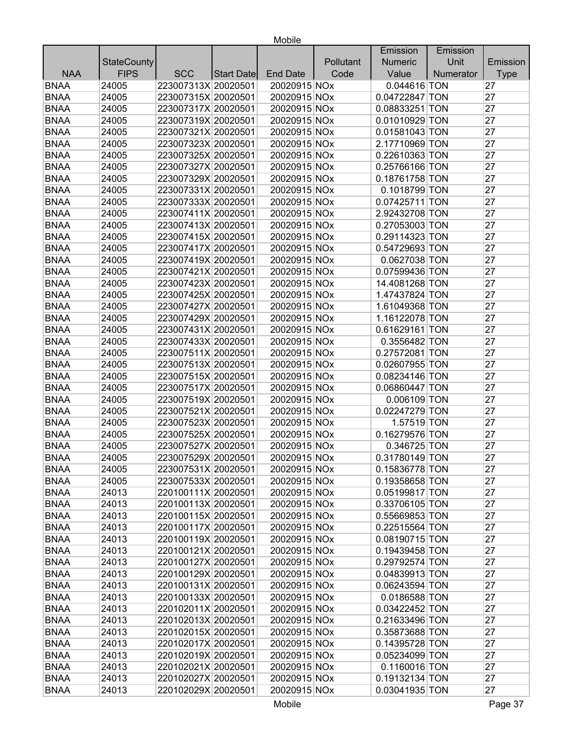|                           |            |                     |                 |           | Emission       | Emission  |             |
|---------------------------|------------|---------------------|-----------------|-----------|----------------|-----------|-------------|
| <b>StateCounty</b>        |            |                     |                 | Pollutant | <b>Numeric</b> | Unit      | Emission    |
| <b>FIPS</b><br><b>NAA</b> | <b>SCC</b> | Start Date          | <b>End Date</b> | Code      | Value          | Numerator | <b>Type</b> |
| <b>BNAA</b><br>24005      |            | 223007313X 20020501 | 20020915 NOx    |           | 0.044616 TON   |           | 27          |
| <b>BNAA</b><br>24005      |            | 223007315X 20020501 | 20020915 NOx    |           | 0.04722847 TON |           | 27          |
| <b>BNAA</b><br>24005      |            | 223007317X 20020501 | 20020915 NOx    |           | 0.08833251 TON |           | 27          |
| <b>BNAA</b><br>24005      |            | 223007319X 20020501 | 20020915 NOx    |           | 0.01010929 TON |           | 27          |
| <b>BNAA</b><br>24005      |            | 223007321X 20020501 | 20020915 NOx    |           | 0.01581043 TON |           | 27          |
| <b>BNAA</b><br>24005      |            | 223007323X 20020501 | 20020915 NOx    |           | 2.17710969 TON |           | 27          |
| <b>BNAA</b><br>24005      |            | 223007325X 20020501 | 20020915 NOx    |           | 0.22610363 TON |           | 27          |
| <b>BNAA</b><br>24005      |            | 223007327X 20020501 | 20020915 NOx    |           | 0.25766166 TON |           | 27          |
| <b>BNAA</b><br>24005      |            | 223007329X 20020501 | 20020915 NOx    |           | 0.18761758 TON |           | 27          |
| <b>BNAA</b><br>24005      |            | 223007331X 20020501 | 20020915 NOx    |           | 0.1018799 TON  |           | 27          |
| <b>BNAA</b><br>24005      |            | 223007333X 20020501 | 20020915 NOx    |           | 0.07425711 TON |           | 27          |
| <b>BNAA</b><br>24005      |            | 223007411X 20020501 | 20020915 NOx    |           | 2.92432708 TON |           | 27          |
| <b>BNAA</b><br>24005      |            | 223007413X 20020501 | 20020915 NOx    |           | 0.27053003 TON |           | 27          |
| <b>BNAA</b><br>24005      |            | 223007415X 20020501 | 20020915 NOx    |           | 0.29114323 TON |           | 27          |
| <b>BNAA</b><br>24005      |            | 223007417X 20020501 | 20020915 NOx    |           | 0.54729693 TON |           | 27          |
| <b>BNAA</b><br>24005      |            | 223007419X 20020501 | 20020915 NOx    |           | 0.0627038 TON  |           | 27          |
| <b>BNAA</b><br>24005      |            | 223007421X 20020501 | 20020915 NOx    |           | 0.07599436 TON |           | 27          |
| <b>BNAA</b><br>24005      |            | 223007423X 20020501 | 20020915 NOx    |           | 14.4081268 TON |           | 27          |
| <b>BNAA</b><br>24005      |            | 223007425X 20020501 | 20020915 NOx    |           | 1.47437824 TON |           | 27          |
| <b>BNAA</b><br>24005      |            | 223007427X 20020501 | 20020915 NOx    |           | 1.61049368 TON |           | 27          |
| <b>BNAA</b><br>24005      |            | 223007429X 20020501 | 20020915 NOx    |           | 1.16122078 TON |           | 27          |
| <b>BNAA</b><br>24005      |            | 223007431X 20020501 | 20020915 NOx    |           | 0.61629161 TON |           | 27          |
| <b>BNAA</b><br>24005      |            | 223007433X 20020501 | 20020915 NOx    |           | 0.3556482 TON  |           | 27          |
| <b>BNAA</b><br>24005      |            | 223007511X 20020501 | 20020915 NOx    |           | 0.27572081 TON |           | 27          |
| <b>BNAA</b><br>24005      |            | 223007513X 20020501 | 20020915 NOx    |           | 0.02607955 TON |           | 27          |
| <b>BNAA</b><br>24005      |            | 223007515X 20020501 | 20020915 NOx    |           | 0.08234146 TON |           | 27          |
| <b>BNAA</b><br>24005      |            | 223007517X 20020501 | 20020915 NOx    |           | 0.06860447 TON |           | 27          |
| <b>BNAA</b><br>24005      |            | 223007519X 20020501 | 20020915 NOx    |           | 0.006109 TON   |           | 27          |
| <b>BNAA</b><br>24005      |            | 223007521X 20020501 | 20020915 NOx    |           | 0.02247279 TON |           | 27          |
| <b>BNAA</b><br>24005      |            | 223007523X 20020501 | 20020915 NOx    |           | 1.57519 TON    |           | 27          |
| <b>BNAA</b><br>24005      |            | 223007525X 20020501 | 20020915 NOx    |           | 0.16279576 TON |           | 27          |
| <b>BNAA</b><br>24005      |            | 223007527X 20020501 | 20020915 NOx    |           | 0.346725 TON   |           | 27          |
| <b>BNAA</b><br>24005      |            | 223007529X 20020501 | 20020915 NOx    |           | 0.31780149 TON |           | 27          |
| <b>BNAA</b><br>24005      |            | 223007531X 20020501 | 20020915 NOx    |           | 0.15836778 TON |           | 27          |
| <b>BNAA</b><br>24005      |            | 223007533X 20020501 | 20020915 NOx    |           | 0.19358658 TON |           | 27          |
| <b>BNAA</b><br>24013      |            | 220100111X 20020501 | 20020915 NOx    |           | 0.05199817 TON |           | 27          |
| <b>BNAA</b><br>24013      |            | 220100113X 20020501 | 20020915 NOx    |           | 0.33706105 TON |           | 27          |
| <b>BNAA</b><br>24013      |            | 220100115X 20020501 | 20020915 NOx    |           | 0.55669853 TON |           | 27          |
| <b>BNAA</b><br>24013      |            | 220100117X 20020501 | 20020915 NOx    |           | 0.22515564 TON |           | 27          |
| <b>BNAA</b><br>24013      |            | 220100119X 20020501 | 20020915 NOx    |           | 0.08190715 TON |           | 27          |
| <b>BNAA</b><br>24013      |            | 220100121X 20020501 | 20020915 NOx    |           | 0.19439458 TON |           | 27          |
| <b>BNAA</b><br>24013      |            | 220100127X 20020501 | 20020915 NOx    |           | 0.29792574 TON |           | 27          |
| <b>BNAA</b><br>24013      |            | 220100129X 20020501 | 20020915 NOx    |           | 0.04839913 TON |           | 27          |
| <b>BNAA</b><br>24013      |            | 220100131X 20020501 | 20020915 NOx    |           | 0.06243594 TON |           | 27          |
| <b>BNAA</b><br>24013      |            | 220100133X 20020501 | 20020915 NOx    |           | 0.0186588 TON  |           | 27          |
| <b>BNAA</b><br>24013      |            | 220102011X 20020501 | 20020915 NOx    |           | 0.03422452 TON |           | 27          |
| <b>BNAA</b><br>24013      |            | 220102013X 20020501 | 20020915 NOx    |           | 0.21633496 TON |           | 27          |
| <b>BNAA</b><br>24013      |            | 220102015X 20020501 | 20020915 NOx    |           | 0.35873688 TON |           | 27          |
| <b>BNAA</b><br>24013      |            | 220102017X 20020501 | 20020915 NOx    |           | 0.14395728 TON |           | 27          |
| <b>BNAA</b><br>24013      |            | 220102019X 20020501 | 20020915 NOx    |           | 0.05234099 TON |           | 27          |
| <b>BNAA</b><br>24013      |            | 220102021X 20020501 | 20020915 NOx    |           | 0.1160016 TON  |           | 27          |
| <b>BNAA</b><br>24013      |            | 220102027X 20020501 | 20020915 NOx    |           | 0.19132134 TON |           | 27          |
| <b>BNAA</b><br>24013      |            | 220102029X 20020501 | 20020915 NOx    |           | 0.03041935 TON |           | 27          |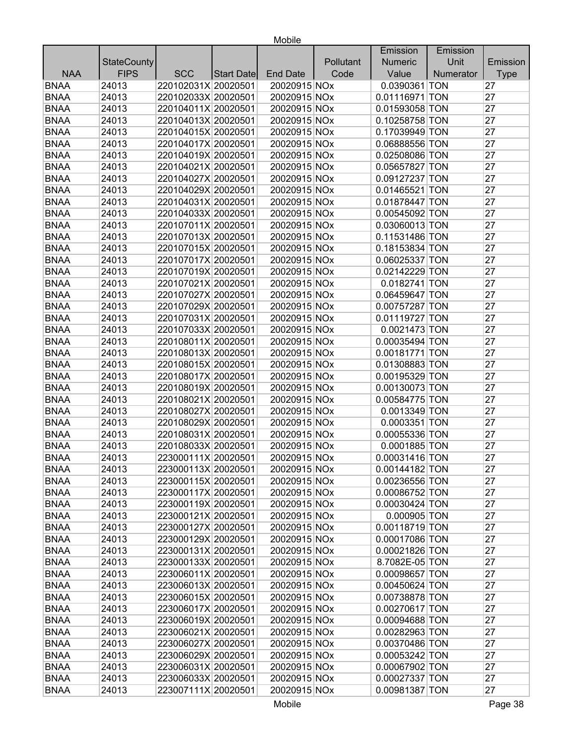|             |                    |                     |            |                 |           | Emission       | Emission  |             |
|-------------|--------------------|---------------------|------------|-----------------|-----------|----------------|-----------|-------------|
|             | <b>StateCounty</b> |                     |            |                 | Pollutant | Numeric        | Unit      | Emission    |
| <b>NAA</b>  | <b>FIPS</b>        | <b>SCC</b>          | Start Date | <b>End Date</b> | Code      | Value          | Numerator | <b>Type</b> |
| <b>BNAA</b> | 24013              | 220102031X 20020501 |            | 20020915 NOx    |           | 0.0390361 TON  |           | 27          |
| <b>BNAA</b> | 24013              | 220102033X 20020501 |            | 20020915 NOx    |           | 0.01116971 TON |           | 27          |
| <b>BNAA</b> | 24013              | 220104011X 20020501 |            | 20020915 NOx    |           | 0.01593058 TON |           | 27          |
| <b>BNAA</b> | 24013              | 220104013X 20020501 |            | 20020915 NOx    |           | 0.10258758 TON |           | 27          |
| <b>BNAA</b> | 24013              | 220104015X 20020501 |            | 20020915 NOx    |           | 0.17039949 TON |           | 27          |
| <b>BNAA</b> | 24013              | 220104017X 20020501 |            | 20020915 NOx    |           | 0.06888556 TON |           | 27          |
| <b>BNAA</b> | 24013              | 220104019X 20020501 |            | 20020915 NOx    |           | 0.02508086 TON |           | 27          |
| <b>BNAA</b> | 24013              | 220104021X 20020501 |            | 20020915 NOx    |           | 0.05657827 TON |           | 27          |
| <b>BNAA</b> | 24013              | 220104027X 20020501 |            | 20020915 NOx    |           | 0.09127237 TON |           | 27          |
| <b>BNAA</b> | 24013              | 220104029X 20020501 |            | 20020915 NOx    |           | 0.01465521 TON |           | 27          |
| <b>BNAA</b> | 24013              | 220104031X 20020501 |            | 20020915 NOx    |           | 0.01878447 TON |           | 27          |
| <b>BNAA</b> | 24013              | 220104033X 20020501 |            | 20020915 NOx    |           | 0.00545092 TON |           | 27          |
| <b>BNAA</b> | 24013              | 220107011X 20020501 |            | 20020915 NOx    |           | 0.03060013 TON |           | 27          |
| <b>BNAA</b> | 24013              | 220107013X 20020501 |            | 20020915 NOx    |           | 0.11531486 TON |           | 27          |
| <b>BNAA</b> | 24013              | 220107015X 20020501 |            | 20020915 NOx    |           | 0.18153834 TON |           | 27          |
| <b>BNAA</b> | 24013              | 220107017X 20020501 |            | 20020915 NOx    |           | 0.06025337 TON |           | 27          |
| <b>BNAA</b> | 24013              | 220107019X 20020501 |            | 20020915 NOx    |           | 0.02142229 TON |           | 27          |
| <b>BNAA</b> | 24013              | 220107021X 20020501 |            | 20020915 NOx    |           | 0.0182741 TON  |           | 27          |
| <b>BNAA</b> | 24013              | 220107027X 20020501 |            | 20020915 NOx    |           | 0.06459647 TON |           | 27          |
| <b>BNAA</b> | 24013              | 220107029X 20020501 |            | 20020915 NOx    |           | 0.00757287 TON |           | 27          |
| <b>BNAA</b> | 24013              | 220107031X 20020501 |            | 20020915 NOx    |           | 0.01119727 TON |           | 27          |
| <b>BNAA</b> | 24013              | 220107033X 20020501 |            | 20020915 NOx    |           | 0.0021473 TON  |           | 27          |
| <b>BNAA</b> | 24013              | 220108011X 20020501 |            | 20020915 NOx    |           | 0.00035494 TON |           | 27          |
| <b>BNAA</b> | 24013              | 220108013X 20020501 |            | 20020915 NOx    |           | 0.00181771 TON |           | 27          |
| <b>BNAA</b> | 24013              | 220108015X 20020501 |            | 20020915 NOx    |           | 0.01308883 TON |           | 27          |
| <b>BNAA</b> | 24013              | 220108017X 20020501 |            | 20020915 NOx    |           | 0.00195329 TON |           | 27          |
| <b>BNAA</b> | 24013              | 220108019X 20020501 |            | 20020915 NOx    |           | 0.00130073 TON |           | 27          |
| <b>BNAA</b> | 24013              | 220108021X 20020501 |            | 20020915 NOx    |           | 0.00584775 TON |           | 27          |
| <b>BNAA</b> | 24013              | 220108027X 20020501 |            | 20020915 NOx    |           | 0.0013349 TON  |           | 27          |
| <b>BNAA</b> | 24013              | 220108029X 20020501 |            | 20020915 NOx    |           | 0.0003351 TON  |           | 27          |
| <b>BNAA</b> | 24013              | 220108031X 20020501 |            | 20020915 NOx    |           | 0.00055336 TON |           | 27          |
| <b>BNAA</b> | 24013              | 220108033X 20020501 |            | 20020915 NOx    |           | 0.0001885 TON  |           | 27          |
| <b>BNAA</b> | 24013              | 223000111X 20020501 |            | 20020915 NOx    |           | 0.00031416 TON |           | 27          |
| <b>BNAA</b> | 24013              | 223000113X 20020501 |            | 20020915 NOx    |           | 0.00144182 TON |           | 27          |
| <b>BNAA</b> | 24013              | 223000115X 20020501 |            | 20020915 NOx    |           | 0.00236556 TON |           | 27          |
| <b>BNAA</b> | 24013              | 223000117X 20020501 |            | 20020915 NOx    |           | 0.00086752 TON |           | 27          |
| <b>BNAA</b> | 24013              | 223000119X 20020501 |            | 20020915 NOx    |           | 0.00030424 TON |           | 27          |
| <b>BNAA</b> | 24013              | 223000121X 20020501 |            | 20020915 NOx    |           | 0.000905 TON   |           | 27          |
| <b>BNAA</b> | 24013              | 223000127X 20020501 |            | 20020915 NOx    |           | 0.00118719 TON |           | 27          |
| <b>BNAA</b> | 24013              | 223000129X 20020501 |            | 20020915 NOx    |           | 0.00017086 TON |           | 27          |
| <b>BNAA</b> | 24013              | 223000131X 20020501 |            | 20020915 NOx    |           | 0.00021826 TON |           | 27          |
| <b>BNAA</b> | 24013              | 223000133X 20020501 |            | 20020915 NOx    |           | 8.7082E-05 TON |           | 27          |
| <b>BNAA</b> | 24013              | 223006011X 20020501 |            | 20020915 NOx    |           | 0.00098657 TON |           | 27          |
| <b>BNAA</b> | 24013              | 223006013X 20020501 |            | 20020915 NOx    |           | 0.00450624 TON |           | 27          |
| <b>BNAA</b> | 24013              | 223006015X 20020501 |            | 20020915 NOx    |           | 0.00738878 TON |           | 27          |
| <b>BNAA</b> | 24013              | 223006017X 20020501 |            | 20020915 NOx    |           | 0.00270617 TON |           | 27          |
| <b>BNAA</b> | 24013              | 223006019X 20020501 |            | 20020915 NOx    |           | 0.00094688 TON |           | 27          |
| <b>BNAA</b> | 24013              | 223006021X 20020501 |            | 20020915 NOx    |           | 0.00282963 TON |           | 27          |
| <b>BNAA</b> | 24013              | 223006027X 20020501 |            | 20020915 NOx    |           | 0.00370486 TON |           | 27          |
| <b>BNAA</b> | 24013              | 223006029X 20020501 |            | 20020915 NOx    |           | 0.00053242 TON |           | 27          |
| <b>BNAA</b> | 24013              | 223006031X 20020501 |            | 20020915 NOx    |           | 0.00067902 TON |           | 27          |
| <b>BNAA</b> | 24013              | 223006033X 20020501 |            | 20020915 NOx    |           | 0.00027337 TON |           | 27          |
| <b>BNAA</b> | 24013              | 223007111X 20020501 |            | 20020915 NOx    |           | 0.00981387 TON |           | 27          |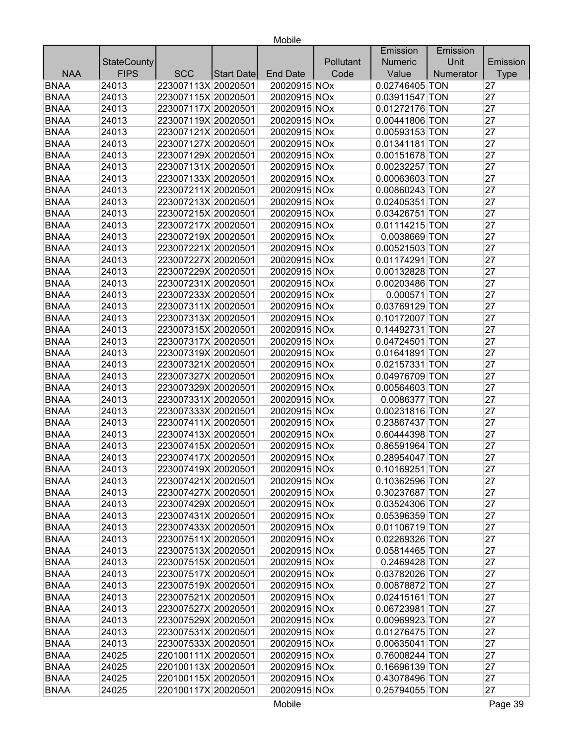|             |                    |                     |            |                 |           | Emission       | Emission  |             |
|-------------|--------------------|---------------------|------------|-----------------|-----------|----------------|-----------|-------------|
|             | <b>StateCounty</b> |                     |            |                 | Pollutant | <b>Numeric</b> | Unit      | Emission    |
| <b>NAA</b>  | <b>FIPS</b>        | <b>SCC</b>          | Start Date | <b>End Date</b> | Code      | Value          | Numerator | <b>Type</b> |
| <b>BNAA</b> | 24013              | 223007113X 20020501 |            | 20020915 NOx    |           | 0.02746405 TON |           | 27          |
| <b>BNAA</b> | 24013              | 223007115X 20020501 |            | 20020915 NOx    |           | 0.03911547 TON |           | 27          |
| <b>BNAA</b> | 24013              | 223007117X 20020501 |            | 20020915 NOx    |           | 0.01272176 TON |           | 27          |
| <b>BNAA</b> | 24013              | 223007119X 20020501 |            | 20020915 NOx    |           | 0.00441806 TON |           | 27          |
| <b>BNAA</b> | 24013              | 223007121X 20020501 |            | 20020915 NOx    |           | 0.00593153 TON |           | 27          |
| <b>BNAA</b> | 24013              | 223007127X 20020501 |            | 20020915 NOx    |           | 0.01341181 TON |           | 27          |
| <b>BNAA</b> | 24013              | 223007129X 20020501 |            | 20020915 NOx    |           | 0.00151678 TON |           | 27          |
| <b>BNAA</b> | 24013              | 223007131X 20020501 |            | 20020915 NOx    |           | 0.00232257 TON |           | 27          |
| <b>BNAA</b> | 24013              | 223007133X 20020501 |            | 20020915 NOx    |           | 0.00063603 TON |           | 27          |
| <b>BNAA</b> | 24013              | 223007211X 20020501 |            | 20020915 NOx    |           | 0.00860243 TON |           | 27          |
| <b>BNAA</b> | 24013              | 223007213X 20020501 |            | 20020915 NOx    |           | 0.02405351 TON |           | 27          |
| <b>BNAA</b> | 24013              | 223007215X 20020501 |            | 20020915 NOx    |           | 0.03426751 TON |           | 27          |
| <b>BNAA</b> | 24013              | 223007217X 20020501 |            | 20020915 NOx    |           | 0.01114215 TON |           | 27          |
| <b>BNAA</b> | 24013              | 223007219X 20020501 |            | 20020915 NOx    |           | 0.0038669 TON  |           | 27          |
| <b>BNAA</b> | 24013              | 223007221X 20020501 |            | 20020915 NOx    |           | 0.00521503 TON |           | 27          |
| <b>BNAA</b> | 24013              | 223007227X 20020501 |            | 20020915 NOx    |           | 0.01174291 TON |           | 27          |
| <b>BNAA</b> | 24013              | 223007229X 20020501 |            | 20020915 NOx    |           | 0.00132828 TON |           | 27          |
| <b>BNAA</b> | 24013              | 223007231X 20020501 |            | 20020915 NOx    |           | 0.00203486 TON |           | 27          |
| <b>BNAA</b> | 24013              | 223007233X 20020501 |            | 20020915 NOx    |           | $0.000571$ TON |           | 27          |
| <b>BNAA</b> | 24013              | 223007311X 20020501 |            | 20020915 NOx    |           | 0.03769129 TON |           | 27          |
| <b>BNAA</b> | 24013              | 223007313X 20020501 |            | 20020915 NOx    |           | 0.10172007 TON |           | 27          |
| <b>BNAA</b> | 24013              | 223007315X 20020501 |            | 20020915 NOx    |           | 0.14492731 TON |           | 27          |
| <b>BNAA</b> | 24013              | 223007317X 20020501 |            | 20020915 NOx    |           | 0.04724501 TON |           | 27          |
| <b>BNAA</b> | 24013              | 223007319X 20020501 |            | 20020915 NOx    |           | 0.01641891 TON |           | 27          |
| <b>BNAA</b> | 24013              | 223007321X 20020501 |            | 20020915 NOx    |           | 0.02157331 TON |           | 27          |
| <b>BNAA</b> | 24013              | 223007327X 20020501 |            | 20020915 NOx    |           | 0.04976709 TON |           | 27          |
| <b>BNAA</b> | 24013              | 223007329X 20020501 |            | 20020915 NOx    |           | 0.00564603 TON |           | 27          |
| <b>BNAA</b> | 24013              | 223007331X 20020501 |            | 20020915 NOx    |           | 0.0086377 TON  |           | 27          |
| <b>BNAA</b> | 24013              | 223007333X 20020501 |            | 20020915 NOx    |           | 0.00231816 TON |           | 27          |
| <b>BNAA</b> | 24013              | 223007411X 20020501 |            | 20020915 NOx    |           | 0.23867437 TON |           | 27          |
| <b>BNAA</b> | 24013              | 223007413X 20020501 |            | 20020915 NOx    |           | 0.60444398 TON |           | 27          |
| <b>BNAA</b> | 24013              | 223007415X 20020501 |            | 20020915 NOx    |           | 0.86591964 TON |           | 27          |
| <b>BNAA</b> | 24013              | 223007417X 20020501 |            | 20020915 NOx    |           | 0.28954047 TON |           | 27          |
| <b>BNAA</b> | 24013              | 223007419X 20020501 |            | 20020915 NOx    |           | 0.10169251 TON |           | 27          |
| <b>BNAA</b> | 24013              | 223007421X 20020501 |            | 20020915 NOx    |           | 0.10362596 TON |           | 27          |
| <b>BNAA</b> | 24013              | 223007427X 20020501 |            | 20020915 NOx    |           | 0.30237687 TON |           | 27          |
| <b>BNAA</b> | 24013              | 223007429X 20020501 |            | 20020915 NOx    |           | 0.03524306 TON |           | 27          |
| <b>BNAA</b> | 24013              | 223007431X 20020501 |            | 20020915 NOx    |           | 0.05396359 TON |           | 27          |
| <b>BNAA</b> | 24013              | 223007433X 20020501 |            | 20020915 NOx    |           | 0.01106719 TON |           | 27          |
| <b>BNAA</b> | 24013              | 223007511X 20020501 |            | 20020915 NOx    |           | 0.02269326 TON |           | 27          |
| <b>BNAA</b> | 24013              | 223007513X 20020501 |            | 20020915 NOx    |           | 0.05814465 TON |           | 27          |
| <b>BNAA</b> | 24013              | 223007515X 20020501 |            | 20020915 NOx    |           | 0.2469428 TON  |           | 27          |
| <b>BNAA</b> | 24013              | 223007517X 20020501 |            | 20020915 NOx    |           | 0.03782026 TON |           | 27          |
| <b>BNAA</b> | 24013              | 223007519X 20020501 |            | 20020915 NOx    |           | 0.00878872 TON |           | 27          |
| <b>BNAA</b> | 24013              | 223007521X 20020501 |            | 20020915 NOx    |           | 0.02415161 TON |           | 27          |
| <b>BNAA</b> | 24013              | 223007527X 20020501 |            | 20020915 NOx    |           | 0.06723981 TON |           | 27          |
| <b>BNAA</b> | 24013              | 223007529X 20020501 |            | 20020915 NOx    |           | 0.00969923 TON |           | 27          |
| <b>BNAA</b> | 24013              | 223007531X 20020501 |            | 20020915 NOx    |           | 0.01276475 TON |           | 27          |
| <b>BNAA</b> | 24013              | 223007533X 20020501 |            | 20020915 NOx    |           | 0.00635041 TON |           | 27          |
| <b>BNAA</b> | 24025              | 220100111X 20020501 |            | 20020915 NOx    |           | 0.76008244 TON |           | 27          |
| <b>BNAA</b> | 24025              | 220100113X 20020501 |            | 20020915 NOx    |           | 0.16696139 TON |           | 27          |
| <b>BNAA</b> | 24025              | 220100115X 20020501 |            | 20020915 NOx    |           | 0.43078496 TON |           | 27          |
| <b>BNAA</b> | 24025              | 220100117X 20020501 |            | 20020915 NOx    |           | 0.25794055 TON |           | 27          |
|             |                    |                     |            |                 |           |                |           |             |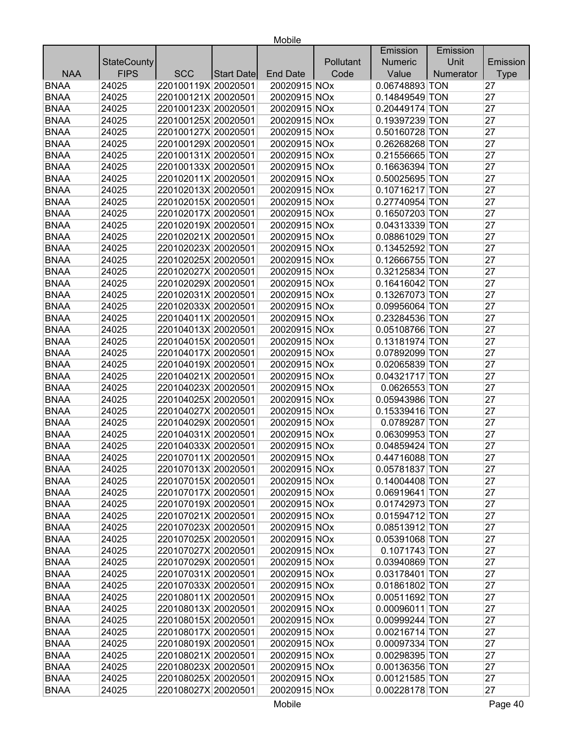|             |                    |                     |            |                 |           | Emission       | Emission  |             |
|-------------|--------------------|---------------------|------------|-----------------|-----------|----------------|-----------|-------------|
|             | <b>StateCounty</b> |                     |            |                 | Pollutant | <b>Numeric</b> | Unit      | Emission    |
| <b>NAA</b>  | <b>FIPS</b>        | <b>SCC</b>          | Start Date | <b>End Date</b> | Code      | Value          | Numerator | <b>Type</b> |
| <b>BNAA</b> | 24025              | 220100119X 20020501 |            | 20020915 NOx    |           | 0.06748893 TON |           | 27          |
| <b>BNAA</b> | 24025              | 220100121X 20020501 |            | 20020915 NOx    |           | 0.14849549 TON |           | 27          |
| <b>BNAA</b> | 24025              | 220100123X 20020501 |            | 20020915 NOx    |           | 0.20449174 TON |           | 27          |
| <b>BNAA</b> | 24025              | 220100125X 20020501 |            | 20020915 NOx    |           | 0.19397239 TON |           | 27          |
| <b>BNAA</b> | 24025              | 220100127X 20020501 |            | 20020915 NOx    |           | 0.50160728 TON |           | 27          |
| <b>BNAA</b> | 24025              | 220100129X 20020501 |            | 20020915 NOx    |           | 0.26268268 TON |           | 27          |
| <b>BNAA</b> | 24025              | 220100131X 20020501 |            | 20020915 NOx    |           | 0.21556665 TON |           | 27          |
| <b>BNAA</b> | 24025              | 220100133X 20020501 |            | 20020915 NOx    |           | 0.16636394 TON |           | 27          |
| <b>BNAA</b> | 24025              | 220102011X 20020501 |            | 20020915 NOx    |           | 0.50025695 TON |           | 27          |
| <b>BNAA</b> | 24025              | 220102013X 20020501 |            | 20020915 NOx    |           | 0.10716217 TON |           | 27          |
| <b>BNAA</b> | 24025              | 220102015X 20020501 |            | 20020915 NOx    |           | 0.27740954 TON |           | 27          |
| <b>BNAA</b> | 24025              | 220102017X 20020501 |            | 20020915 NOx    |           | 0.16507203 TON |           | 27          |
| <b>BNAA</b> | 24025              | 220102019X 20020501 |            | 20020915 NOx    |           | 0.04313339 TON |           | 27          |
| <b>BNAA</b> | 24025              | 220102021X 20020501 |            | 20020915 NOx    |           | 0.08861029 TON |           | 27          |
| <b>BNAA</b> | 24025              | 220102023X 20020501 |            | 20020915 NOx    |           | 0.13452592 TON |           | 27          |
| <b>BNAA</b> | 24025              | 220102025X 20020501 |            | 20020915 NOx    |           | 0.12666755 TON |           | 27          |
| <b>BNAA</b> | 24025              | 220102027X 20020501 |            | 20020915 NOx    |           | 0.32125834 TON |           | 27          |
| <b>BNAA</b> | 24025              | 220102029X 20020501 |            | 20020915 NOx    |           | 0.16416042 TON |           | 27          |
| <b>BNAA</b> | 24025              | 220102031X 20020501 |            | 20020915 NOx    |           | 0.13267073 TON |           | 27          |
| <b>BNAA</b> | 24025              | 220102033X 20020501 |            | 20020915 NOx    |           | 0.09956064 TON |           | 27          |
| <b>BNAA</b> | 24025              | 220104011X 20020501 |            | 20020915 NOx    |           | 0.23284536 TON |           | 27          |
| <b>BNAA</b> | 24025              | 220104013X 20020501 |            | 20020915 NOx    |           | 0.05108766 TON |           | 27          |
| <b>BNAA</b> | 24025              | 220104015X 20020501 |            | 20020915 NOx    |           | 0.13181974 TON |           | 27          |
| <b>BNAA</b> | 24025              | 220104017X 20020501 |            | 20020915 NOx    |           | 0.07892099 TON |           | 27          |
| <b>BNAA</b> | 24025              | 220104019X 20020501 |            | 20020915 NOx    |           | 0.02065839 TON |           | 27          |
| <b>BNAA</b> | 24025              | 220104021X 20020501 |            | 20020915 NOx    |           | 0.04321717 TON |           | 27          |
| <b>BNAA</b> | 24025              | 220104023X 20020501 |            | 20020915 NOx    |           | 0.0626553 TON  |           | 27          |
| <b>BNAA</b> | 24025              | 220104025X 20020501 |            | 20020915 NOx    |           | 0.05943986 TON |           | 27          |
| <b>BNAA</b> | 24025              | 220104027X 20020501 |            | 20020915 NOx    |           | 0.15339416 TON |           | 27          |
| <b>BNAA</b> | 24025              | 220104029X 20020501 |            | 20020915 NOx    |           | 0.0789287 TON  |           | 27          |
| <b>BNAA</b> | 24025              | 220104031X 20020501 |            | 20020915 NOx    |           | 0.06309953 TON |           | 27          |
| <b>BNAA</b> | 24025              | 220104033X 20020501 |            | 20020915 NOx    |           | 0.04859424 TON |           | 27          |
| <b>BNAA</b> | 24025              | 220107011X 20020501 |            | 20020915 NOx    |           | 0.44716088 TON |           | 27          |
| <b>BNAA</b> | 24025              | 220107013X 20020501 |            | 20020915 NOx    |           | 0.05781837 TON |           | 27          |
| <b>BNAA</b> | 24025              | 220107015X 20020501 |            | 20020915 NOx    |           | 0.14004408 TON |           | 27          |
| <b>BNAA</b> | 24025              | 220107017X 20020501 |            | 20020915 NOx    |           | 0.06919641 TON |           | 27          |
| <b>BNAA</b> | 24025              | 220107019X 20020501 |            | 20020915 NOx    |           | 0.01742973 TON |           | 27          |
| <b>BNAA</b> | 24025              | 220107021X 20020501 |            | 20020915 NOx    |           | 0.01594712 TON |           | 27          |
| <b>BNAA</b> | 24025              | 220107023X 20020501 |            | 20020915 NOx    |           | 0.08513912 TON |           | 27          |
| <b>BNAA</b> | 24025              | 220107025X 20020501 |            | 20020915 NOx    |           | 0.05391068 TON |           | 27          |
| <b>BNAA</b> | 24025              | 220107027X 20020501 |            | 20020915 NOx    |           | 0.1071743 TON  |           | 27          |
| <b>BNAA</b> | 24025              | 220107029X 20020501 |            | 20020915 NOx    |           | 0.03940869 TON |           | 27          |
| <b>BNAA</b> | 24025              | 220107031X 20020501 |            | 20020915 NOx    |           | 0.03178401 TON |           | 27          |
| <b>BNAA</b> | 24025              | 220107033X 20020501 |            | 20020915 NOx    |           | 0.01861802 TON |           | 27          |
| <b>BNAA</b> | 24025              | 220108011X 20020501 |            | 20020915 NOx    |           | 0.00511692 TON |           | 27          |
| <b>BNAA</b> | 24025              | 220108013X 20020501 |            | 20020915 NOx    |           | 0.00096011 TON |           | 27          |
| <b>BNAA</b> | 24025              | 220108015X 20020501 |            | 20020915 NOx    |           | 0.00999244 TON |           | 27          |
| <b>BNAA</b> | 24025              | 220108017X 20020501 |            | 20020915 NOx    |           | 0.00216714 TON |           | 27          |
| <b>BNAA</b> | 24025              | 220108019X 20020501 |            | 20020915 NOx    |           | 0.00097334 TON |           | 27          |
| <b>BNAA</b> | 24025              | 220108021X 20020501 |            | 20020915 NOx    |           | 0.00298395 TON |           | 27          |
| <b>BNAA</b> | 24025              | 220108023X 20020501 |            | 20020915 NOx    |           | 0.00136356 TON |           | 27          |
| <b>BNAA</b> | 24025              | 220108025X 20020501 |            | 20020915 NOx    |           | 0.00121585 TON |           | 27          |
| <b>BNAA</b> | 24025              | 220108027X 20020501 |            | 20020915 NOx    |           | 0.00228178 TON |           | 27          |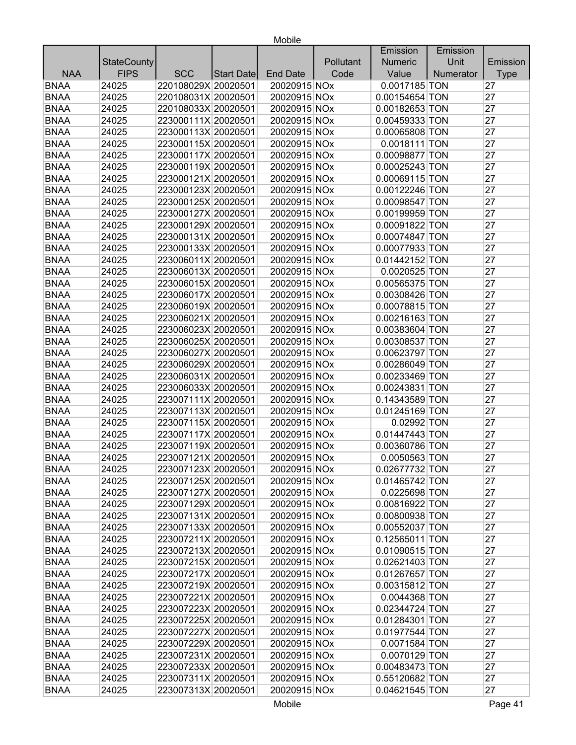|             |                    |                     |                   |                 |           | Emission         | Emission  |             |
|-------------|--------------------|---------------------|-------------------|-----------------|-----------|------------------|-----------|-------------|
|             | <b>StateCounty</b> |                     |                   |                 | Pollutant | <b>Numeric</b>   | Unit      | Emission    |
| <b>NAA</b>  | <b>FIPS</b>        | <b>SCC</b>          | <b>Start Date</b> | <b>End Date</b> | Code      | Value            | Numerator | <b>Type</b> |
| <b>BNAA</b> | 24025              | 220108029X 20020501 |                   | 20020915 NOx    |           | 0.0017185 TON    |           | 27          |
| <b>BNAA</b> | 24025              | 220108031X 20020501 |                   | 20020915 NOx    |           | 0.00154654 TON   |           | 27          |
| <b>BNAA</b> | 24025              | 220108033X 20020501 |                   | 20020915 NOx    |           | 0.00182653 TON   |           | 27          |
| <b>BNAA</b> | 24025              | 223000111X 20020501 |                   | 20020915 NOx    |           | 0.00459333 TON   |           | 27          |
| <b>BNAA</b> | 24025              | 223000113X 20020501 |                   | 20020915 NOx    |           | 0.00065808 TON   |           | 27          |
| <b>BNAA</b> | 24025              | 223000115X 20020501 |                   | 20020915 NOx    |           | 0.0018111 TON    |           | 27          |
| <b>BNAA</b> | 24025              | 223000117X 20020501 |                   | 20020915 NOx    |           | 0.00098877 TON   |           | 27          |
| <b>BNAA</b> | 24025              | 223000119X 20020501 |                   | 20020915 NOx    |           | 0.00025243 TON   |           | 27          |
| <b>BNAA</b> | 24025              | 223000121X 20020501 |                   | 20020915 NOx    |           | 0.00069115 TON   |           | 27          |
| <b>BNAA</b> | 24025              | 223000123X 20020501 |                   | 20020915 NOx    |           | 0.00122246 TON   |           | 27          |
| <b>BNAA</b> | 24025              | 223000125X 20020501 |                   | 20020915 NOx    |           | 0.00098547 TON   |           | 27          |
| <b>BNAA</b> | 24025              | 223000127X 20020501 |                   | 20020915 NOx    |           | 0.00199959 TON   |           | 27          |
| <b>BNAA</b> | 24025              | 223000129X 20020501 |                   | 20020915 NOx    |           | 0.00091822 TON   |           | 27          |
| <b>BNAA</b> | 24025              | 223000131X 20020501 |                   | 20020915 NOx    |           | 0.00074847 TON   |           | 27          |
| <b>BNAA</b> | 24025              | 223000133X 20020501 |                   | 20020915 NOx    |           | 0.00077933 TON   |           | 27          |
| <b>BNAA</b> | 24025              | 223006011X 20020501 |                   | 20020915 NOx    |           | 0.01442152 TON   |           | 27          |
| <b>BNAA</b> | 24025              | 223006013X 20020501 |                   | 20020915 NOx    |           | 0.0020525 TON    |           | 27          |
| <b>BNAA</b> | 24025              | 223006015X 20020501 |                   | 20020915 NOx    |           | 0.00565375 TON   |           | 27          |
| <b>BNAA</b> | 24025              | 223006017X 20020501 |                   | 20020915 NOx    |           | 0.00308426 TON   |           | 27          |
| <b>BNAA</b> | 24025              | 223006019X 20020501 |                   | 20020915 NOx    |           | 0.00078815 TON   |           | 27          |
| <b>BNAA</b> | 24025              | 223006021X 20020501 |                   | 20020915 NOx    |           | 0.00216163 TON   |           | 27          |
| <b>BNAA</b> | 24025              | 223006023X 20020501 |                   | 20020915 NOx    |           | 0.00383604 TON   |           | 27          |
| <b>BNAA</b> | 24025              | 223006025X 20020501 |                   | 20020915 NOx    |           | 0.00308537 TON   |           | 27          |
| <b>BNAA</b> | 24025              | 223006027X 20020501 |                   | 20020915 NOx    |           | 0.00623797 TON   |           | 27          |
| <b>BNAA</b> | 24025              | 223006029X 20020501 |                   | 20020915 NOx    |           | 0.00286049 TON   |           | 27          |
| <b>BNAA</b> | 24025              | 223006031X 20020501 |                   | 20020915 NOx    |           | 0.00233469 TON   |           | 27          |
| <b>BNAA</b> | 24025              | 223006033X 20020501 |                   | 20020915 NOx    |           | 0.00243831 TON   |           | 27          |
| <b>BNAA</b> | 24025              | 223007111X 20020501 |                   | 20020915 NOx    |           | 0.14343589 TON   |           | 27          |
| <b>BNAA</b> | 24025              | 223007113X 20020501 |                   | 20020915 NOx    |           | 0.01245169 TON   |           | 27          |
| <b>BNAA</b> | 24025              | 223007115X 20020501 |                   | 20020915 NOx    |           | 0.02992 TON      |           | 27          |
| <b>BNAA</b> | 24025              | 223007117X 20020501 |                   | 20020915 NOx    |           | 0.01447443 TON   |           | 27          |
| <b>BNAA</b> | 24025              | 223007119X 20020501 |                   | 20020915 NOx    |           | 0.00360786 TON   |           | 27          |
| <b>BNAA</b> | 24025              | 223007121X 20020501 |                   | 20020915 NOx    |           | 0.0050563 TON    |           | 27          |
| <b>BNAA</b> | 24025              | 223007123X 20020501 |                   | 20020915 NOx    |           | $0.02677732$ TON |           | 27          |
| <b>BNAA</b> | 24025              | 223007125X 20020501 |                   | 20020915 NOx    |           | 0.01465742 TON   |           | 27          |
| <b>BNAA</b> | 24025              | 223007127X 20020501 |                   | 20020915 NOx    |           | 0.0225698 TON    |           | 27          |
| <b>BNAA</b> | 24025              | 223007129X 20020501 |                   | 20020915 NOx    |           | 0.00816922 TON   |           | 27          |
| <b>BNAA</b> | 24025              | 223007131X 20020501 |                   | 20020915 NOx    |           | 0.00800938 TON   |           | 27          |
| <b>BNAA</b> | 24025              | 223007133X 20020501 |                   | 20020915 NOx    |           | 0.00552037 TON   |           | 27          |
| <b>BNAA</b> | 24025              | 223007211X 20020501 |                   | 20020915 NOx    |           | 0.12565011 TON   |           | 27          |
| <b>BNAA</b> | 24025              | 223007213X 20020501 |                   | 20020915 NOx    |           | 0.01090515 TON   |           | 27          |
| <b>BNAA</b> | 24025              | 223007215X 20020501 |                   | 20020915 NOx    |           | 0.02621403 TON   |           | 27          |
| <b>BNAA</b> | 24025              | 223007217X 20020501 |                   | 20020915 NOx    |           | 0.01267657 TON   |           | 27          |
| <b>BNAA</b> | 24025              | 223007219X 20020501 |                   | 20020915 NOx    |           | 0.00315812 TON   |           | 27          |
| <b>BNAA</b> | 24025              | 223007221X 20020501 |                   | 20020915 NOx    |           | 0.0044368 TON    |           | 27          |
| <b>BNAA</b> | 24025              | 223007223X 20020501 |                   | 20020915 NOx    |           | 0.02344724 TON   |           | 27          |
| <b>BNAA</b> | 24025              | 223007225X 20020501 |                   | 20020915 NOx    |           | 0.01284301 TON   |           | 27          |
| <b>BNAA</b> | 24025              | 223007227X 20020501 |                   | 20020915 NOx    |           | 0.01977544 TON   |           | 27          |
| <b>BNAA</b> | 24025              | 223007229X 20020501 |                   | 20020915 NOx    |           | 0.0071584 TON    |           | 27          |
| <b>BNAA</b> | 24025              | 223007231X 20020501 |                   | 20020915 NOx    |           | 0.0070129 TON    |           | 27          |
| <b>BNAA</b> | 24025              | 223007233X 20020501 |                   | 20020915 NOx    |           | 0.00483473 TON   |           | 27          |
| <b>BNAA</b> | 24025              | 223007311X 20020501 |                   | 20020915 NOx    |           | 0.55120682 TON   |           | 27          |
| <b>BNAA</b> |                    |                     |                   |                 |           |                  |           | 27          |
|             | 24025              | 223007313X 20020501 |                   | 20020915 NOx    |           | 0.04621545 TON   |           |             |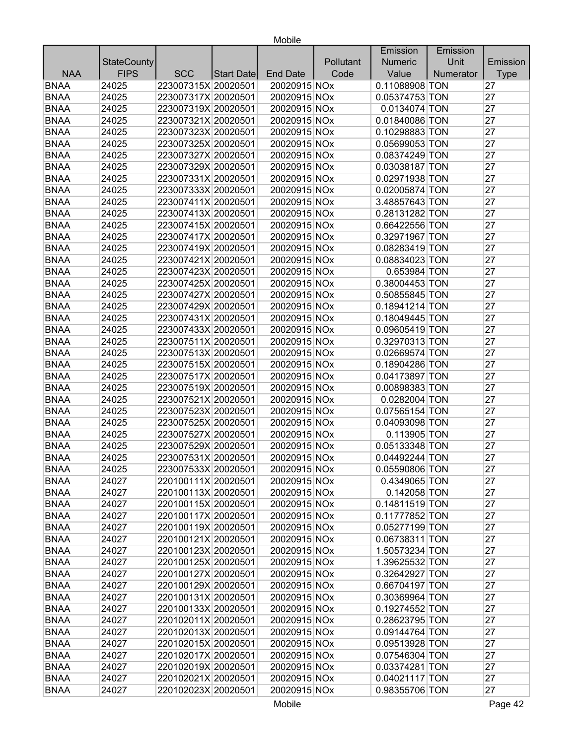|             |                    |                     |            |                 |           | Emission       | Emission  |             |
|-------------|--------------------|---------------------|------------|-----------------|-----------|----------------|-----------|-------------|
|             | <b>StateCounty</b> |                     |            |                 | Pollutant | <b>Numeric</b> | Unit      | Emission    |
| <b>NAA</b>  | <b>FIPS</b>        | <b>SCC</b>          | Start Date | <b>End Date</b> | Code      | Value          | Numerator | <b>Type</b> |
| <b>BNAA</b> | 24025              | 223007315X 20020501 |            | 20020915 NOx    |           | 0.11088908 TON |           | 27          |
| <b>BNAA</b> | 24025              | 223007317X 20020501 |            | 20020915 NOx    |           | 0.05374753 TON |           | 27          |
| <b>BNAA</b> | 24025              | 223007319X 20020501 |            | 20020915 NOx    |           | 0.0134074 TON  |           | 27          |
| <b>BNAA</b> | 24025              | 223007321X 20020501 |            | 20020915 NOx    |           | 0.01840086 TON |           | 27          |
| <b>BNAA</b> | 24025              | 223007323X 20020501 |            | 20020915 NOx    |           | 0.10298883 TON |           | 27          |
| <b>BNAA</b> | 24025              | 223007325X 20020501 |            | 20020915 NOx    |           | 0.05699053 TON |           | 27          |
| <b>BNAA</b> | 24025              | 223007327X 20020501 |            | 20020915 NOx    |           | 0.08374249 TON |           | 27          |
| <b>BNAA</b> | 24025              | 223007329X 20020501 |            | 20020915 NOx    |           | 0.03038187 TON |           | 27          |
| <b>BNAA</b> | 24025              | 223007331X 20020501 |            | 20020915 NOx    |           | 0.02971938 TON |           | 27          |
| <b>BNAA</b> | 24025              | 223007333X 20020501 |            | 20020915 NOx    |           | 0.02005874 TON |           | 27          |
| <b>BNAA</b> | 24025              | 223007411X 20020501 |            | 20020915 NOx    |           | 3.48857643 TON |           | 27          |
| <b>BNAA</b> | 24025              | 223007413X 20020501 |            | 20020915 NOx    |           | 0.28131282 TON |           | 27          |
| <b>BNAA</b> | 24025              | 223007415X 20020501 |            | 20020915 NOx    |           | 0.66422556 TON |           | 27          |
| <b>BNAA</b> | 24025              | 223007417X 20020501 |            | 20020915 NOx    |           | 0.32971967 TON |           | 27          |
| <b>BNAA</b> | 24025              | 223007419X 20020501 |            | 20020915 NOx    |           | 0.08283419 TON |           | 27          |
| <b>BNAA</b> | 24025              | 223007421X 20020501 |            | 20020915 NOx    |           | 0.08834023 TON |           | 27          |
| <b>BNAA</b> | 24025              | 223007423X 20020501 |            | 20020915 NOx    |           | 0.653984 TON   |           | 27          |
| <b>BNAA</b> | 24025              | 223007425X 20020501 |            | 20020915 NOx    |           | 0.38004453 TON |           | 27          |
| <b>BNAA</b> | 24025              | 223007427X 20020501 |            | 20020915 NOx    |           | 0.50855845 TON |           | 27          |
| <b>BNAA</b> | 24025              | 223007429X 20020501 |            | 20020915 NOx    |           | 0.18941214 TON |           | 27          |
| <b>BNAA</b> | 24025              | 223007431X 20020501 |            | 20020915 NOx    |           | 0.18049445 TON |           | 27          |
| <b>BNAA</b> | 24025              | 223007433X 20020501 |            | 20020915 NOx    |           | 0.09605419 TON |           | 27          |
| <b>BNAA</b> | 24025              | 223007511X 20020501 |            | 20020915 NOx    |           | 0.32970313 TON |           | 27          |
| <b>BNAA</b> | 24025              | 223007513X 20020501 |            | 20020915 NOx    |           | 0.02669574 TON |           | 27          |
| <b>BNAA</b> | 24025              | 223007515X 20020501 |            | 20020915 NOx    |           | 0.18904286 TON |           | 27          |
| <b>BNAA</b> | 24025              | 223007517X 20020501 |            | 20020915 NOx    |           | 0.04173897 TON |           | 27          |
| <b>BNAA</b> | 24025              | 223007519X 20020501 |            | 20020915 NOx    |           | 0.00898383 TON |           | 27          |
| <b>BNAA</b> | 24025              | 223007521X 20020501 |            | 20020915 NOx    |           | 0.0282004 TON  |           | 27          |
| <b>BNAA</b> | 24025              | 223007523X 20020501 |            | 20020915 NOx    |           | 0.07565154 TON |           | 27          |
| <b>BNAA</b> | 24025              | 223007525X 20020501 |            | 20020915 NOx    |           | 0.04093098 TON |           | 27          |
| <b>BNAA</b> | 24025              | 223007527X 20020501 |            | 20020915 NOx    |           | 0.113905 TON   |           | 27          |
| <b>BNAA</b> | 24025              | 223007529X 20020501 |            | 20020915 NOx    |           | 0.05133348 TON |           | 27          |
| <b>BNAA</b> | 24025              | 223007531X 20020501 |            | 20020915 NOx    |           | 0.04492244 TON |           | 27          |
| <b>BNAA</b> | 24025              | 223007533X 20020501 |            | 20020915 NOx    |           | 0.05590806 TON |           | 27          |
| <b>BNAA</b> | 24027              | 220100111X 20020501 |            | 20020915 NOx    |           | 0.4349065 TON  |           | 27          |
| <b>BNAA</b> | 24027              | 220100113X 20020501 |            | 20020915 NOx    |           | 0.142058 TON   |           | 27          |
| <b>BNAA</b> | 24027              | 220100115X 20020501 |            | 20020915 NOx    |           | 0.14811519 TON |           | 27          |
| <b>BNAA</b> | 24027              | 220100117X 20020501 |            | 20020915 NOx    |           | 0.11777852 TON |           | 27          |
| <b>BNAA</b> | 24027              | 220100119X 20020501 |            | 20020915 NOx    |           | 0.05277199 TON |           | 27          |
| <b>BNAA</b> | 24027              | 220100121X 20020501 |            | 20020915 NOx    |           | 0.06738311 TON |           | 27          |
| <b>BNAA</b> | 24027              | 220100123X 20020501 |            | 20020915 NOx    |           | 1.50573234 TON |           | 27          |
| <b>BNAA</b> | 24027              | 220100125X 20020501 |            | 20020915 NOx    |           | 1.39625532 TON |           | 27          |
| <b>BNAA</b> | 24027              | 220100127X 20020501 |            | 20020915 NOx    |           | 0.32642927 TON |           | 27          |
| <b>BNAA</b> | 24027              | 220100129X 20020501 |            | 20020915 NOx    |           | 0.66704197 TON |           | 27          |
| <b>BNAA</b> | 24027              | 220100131X 20020501 |            | 20020915 NOx    |           | 0.30369964 TON |           | 27          |
| <b>BNAA</b> | 24027              | 220100133X 20020501 |            | 20020915 NOx    |           | 0.19274552 TON |           | 27          |
| <b>BNAA</b> | 24027              | 220102011X 20020501 |            | 20020915 NOx    |           | 0.28623795 TON |           | 27          |
| <b>BNAA</b> | 24027              | 220102013X 20020501 |            | 20020915 NOx    |           | 0.09144764 TON |           | 27          |
| <b>BNAA</b> | 24027              | 220102015X 20020501 |            | 20020915 NOx    |           | 0.09513928 TON |           | 27          |
| <b>BNAA</b> | 24027              | 220102017X 20020501 |            | 20020915 NOx    |           | 0.07546304 TON |           | 27          |
| <b>BNAA</b> | 24027              | 220102019X 20020501 |            | 20020915 NOx    |           | 0.03374281 TON |           | 27          |
| <b>BNAA</b> | 24027              | 220102021X 20020501 |            | 20020915 NOx    |           | 0.04021117 TON |           | 27          |
| <b>BNAA</b> | 24027              | 220102023X 20020501 |            | 20020915 NOx    |           | 0.98355706 TON |           | 27          |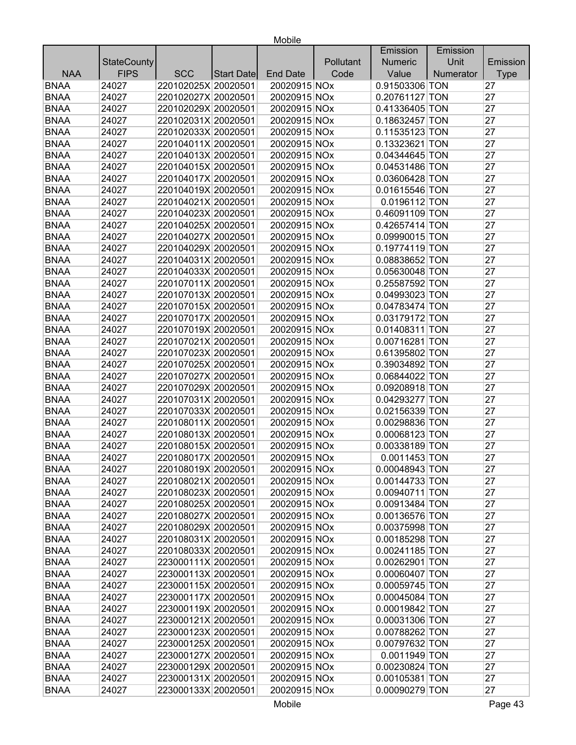|             |                    |                     |            |                 |           | Emission       | Emission  |             |
|-------------|--------------------|---------------------|------------|-----------------|-----------|----------------|-----------|-------------|
|             | <b>StateCounty</b> |                     |            |                 | Pollutant | <b>Numeric</b> | Unit      | Emission    |
| <b>NAA</b>  | <b>FIPS</b>        | <b>SCC</b>          | Start Date | <b>End Date</b> | Code      | Value          | Numerator | <b>Type</b> |
| <b>BNAA</b> | 24027              | 220102025X 20020501 |            | 20020915 NOx    |           | 0.91503306 TON |           | 27          |
| <b>BNAA</b> | 24027              | 220102027X 20020501 |            | 20020915 NOx    |           | 0.20761127 TON |           | 27          |
| <b>BNAA</b> | 24027              | 220102029X 20020501 |            | 20020915 NOx    |           | 0.41336405 TON |           | 27          |
| <b>BNAA</b> | 24027              | 220102031X 20020501 |            | 20020915 NOx    |           | 0.18632457 TON |           | 27          |
| <b>BNAA</b> | 24027              | 220102033X 20020501 |            | 20020915 NOx    |           | 0.11535123 TON |           | 27          |
| <b>BNAA</b> | 24027              | 220104011X 20020501 |            | 20020915 NOx    |           | 0.13323621 TON |           | 27          |
| <b>BNAA</b> | 24027              | 220104013X 20020501 |            | 20020915 NOx    |           | 0.04344645 TON |           | 27          |
| <b>BNAA</b> | 24027              | 220104015X 20020501 |            | 20020915 NOx    |           | 0.04531486 TON |           | 27          |
| <b>BNAA</b> | 24027              | 220104017X 20020501 |            | 20020915 NOx    |           | 0.03606428 TON |           | 27          |
| <b>BNAA</b> | 24027              | 220104019X 20020501 |            | 20020915 NOx    |           | 0.01615546 TON |           | 27          |
| <b>BNAA</b> | 24027              | 220104021X 20020501 |            | 20020915 NOx    |           | 0.0196112 TON  |           | 27          |
| <b>BNAA</b> | 24027              | 220104023X 20020501 |            | 20020915 NOx    |           | 0.46091109 TON |           | 27          |
| <b>BNAA</b> | 24027              | 220104025X 20020501 |            | 20020915 NOx    |           | 0.42657414 TON |           | 27          |
| <b>BNAA</b> | 24027              | 220104027X 20020501 |            | 20020915 NOx    |           | 0.09990015 TON |           | 27          |
| <b>BNAA</b> | 24027              | 220104029X 20020501 |            | 20020915 NOx    |           | 0.19774119 TON |           | 27          |
| <b>BNAA</b> | 24027              | 220104031X 20020501 |            | 20020915 NOx    |           | 0.08838652 TON |           | 27          |
| <b>BNAA</b> | 24027              | 220104033X 20020501 |            | 20020915 NOx    |           | 0.05630048 TON |           | 27          |
| <b>BNAA</b> | 24027              | 220107011X 20020501 |            | 20020915 NOx    |           | 0.25587592 TON |           | 27          |
| <b>BNAA</b> | 24027              | 220107013X 20020501 |            | 20020915 NOx    |           | 0.04993023 TON |           | 27          |
| <b>BNAA</b> | 24027              | 220107015X 20020501 |            | 20020915 NOx    |           | 0.04783474 TON |           | 27          |
| <b>BNAA</b> | 24027              | 220107017X 20020501 |            | 20020915 NOx    |           | 0.03179172 TON |           | 27          |
| <b>BNAA</b> | 24027              | 220107019X 20020501 |            | 20020915 NOx    |           | 0.01408311 TON |           | 27          |
| <b>BNAA</b> | 24027              | 220107021X 20020501 |            | 20020915 NOx    |           | 0.00716281 TON |           | 27          |
| <b>BNAA</b> | 24027              | 220107023X 20020501 |            | 20020915 NOx    |           | 0.61395802 TON |           | 27          |
| <b>BNAA</b> | 24027              | 220107025X 20020501 |            | 20020915 NOx    |           | 0.39034892 TON |           | 27          |
| <b>BNAA</b> | 24027              | 220107027X 20020501 |            | 20020915 NOx    |           | 0.06844022 TON |           | 27          |
| <b>BNAA</b> | 24027              | 220107029X 20020501 |            | 20020915 NOx    |           | 0.09208918 TON |           | 27          |
| <b>BNAA</b> | 24027              | 220107031X 20020501 |            | 20020915 NOx    |           | 0.04293277 TON |           | 27          |
| <b>BNAA</b> | 24027              | 220107033X 20020501 |            | 20020915 NOx    |           | 0.02156339 TON |           | 27          |
| <b>BNAA</b> | 24027              | 220108011X 20020501 |            | 20020915 NOx    |           | 0.00298836 TON |           | 27          |
| <b>BNAA</b> | 24027              | 220108013X 20020501 |            | 20020915 NOx    |           | 0.00068123 TON |           | 27          |
| <b>BNAA</b> | 24027              | 220108015X 20020501 |            | 20020915 NOx    |           | 0.00338189 TON |           | 27          |
| <b>BNAA</b> | 24027              | 220108017X 20020501 |            | 20020915 NOx    |           | 0.0011453 TON  |           | 27          |
| <b>BNAA</b> | 24027              | 220108019X 20020501 |            | 20020915 NOx    |           | 0.00048943 TON |           | 27          |
| <b>BNAA</b> | 24027              | 220108021X 20020501 |            | 20020915 NOx    |           | 0.00144733 TON |           | 27          |
| <b>BNAA</b> | 24027              | 220108023X 20020501 |            | 20020915 NOx    |           | 0.00940711 TON |           | 27          |
| <b>BNAA</b> | 24027              | 220108025X 20020501 |            | 20020915 NOx    |           | 0.00913484 TON |           | 27          |
| <b>BNAA</b> | 24027              | 220108027X 20020501 |            | 20020915 NOx    |           | 0.00136576 TON |           | 27          |
| <b>BNAA</b> | 24027              | 220108029X 20020501 |            | 20020915 NOx    |           | 0.00375998 TON |           | 27          |
| <b>BNAA</b> | 24027              | 220108031X 20020501 |            | 20020915 NOx    |           | 0.00185298 TON |           | 27          |
| <b>BNAA</b> | 24027              | 220108033X 20020501 |            | 20020915 NOx    |           | 0.00241185 TON |           | 27          |
| <b>BNAA</b> | 24027              | 223000111X 20020501 |            | 20020915 NOx    |           | 0.00262901 TON |           | 27          |
| <b>BNAA</b> | 24027              | 223000113X 20020501 |            | 20020915 NOx    |           | 0.00060407 TON |           | 27          |
| <b>BNAA</b> | 24027              | 223000115X 20020501 |            | 20020915 NOx    |           | 0.00059745 TON |           | 27          |
| <b>BNAA</b> | 24027              | 223000117X 20020501 |            | 20020915 NOx    |           | 0.00045084 TON |           | 27          |
| <b>BNAA</b> | 24027              | 223000119X 20020501 |            | 20020915 NOx    |           | 0.00019842 TON |           | 27          |
| <b>BNAA</b> | 24027              | 223000121X 20020501 |            | 20020915 NOx    |           | 0.00031306 TON |           | 27          |
| <b>BNAA</b> | 24027              | 223000123X 20020501 |            | 20020915 NOx    |           | 0.00788262 TON |           | 27          |
| <b>BNAA</b> | 24027              | 223000125X 20020501 |            | 20020915 NOx    |           | 0.00797632 TON |           | 27          |
| <b>BNAA</b> | 24027              | 223000127X 20020501 |            | 20020915 NOx    |           | 0.0011949 TON  |           | 27          |
| <b>BNAA</b> | 24027              | 223000129X 20020501 |            | 20020915 NOx    |           | 0.00230824 TON |           | 27          |
| <b>BNAA</b> | 24027              | 223000131X 20020501 |            | 20020915 NOx    |           | 0.00105381 TON |           | 27          |
| <b>BNAA</b> | 24027              | 223000133X 20020501 |            | 20020915 NOx    |           | 0.00090279 TON |           | 27          |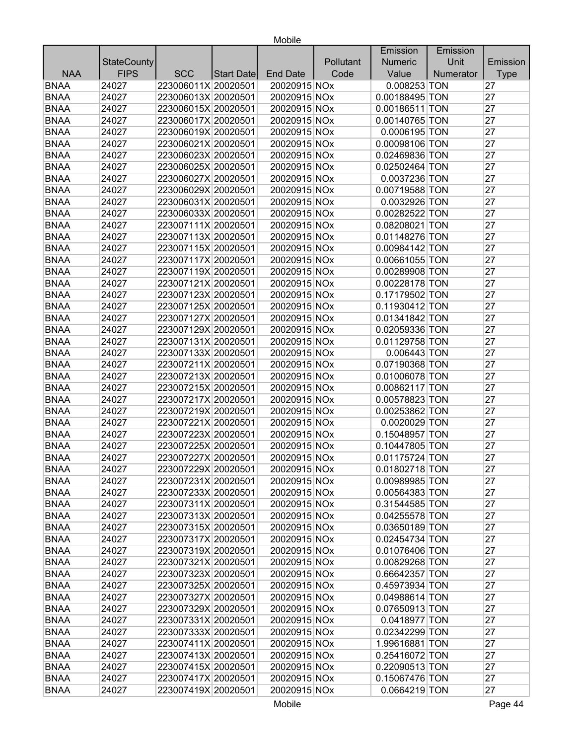|             |                    |                     |            |                 |           | Emission       | Emission  |             |
|-------------|--------------------|---------------------|------------|-----------------|-----------|----------------|-----------|-------------|
|             | <b>StateCounty</b> |                     |            |                 | Pollutant | <b>Numeric</b> | Unit      | Emission    |
| <b>NAA</b>  | <b>FIPS</b>        | <b>SCC</b>          | Start Date | <b>End Date</b> | Code      | Value          | Numerator | <b>Type</b> |
| <b>BNAA</b> | 24027              | 223006011X 20020501 |            | 20020915 NOx    |           | 0.008253 TON   |           | 27          |
| <b>BNAA</b> | 24027              | 223006013X 20020501 |            | 20020915 NOx    |           | 0.00188495 TON |           | 27          |
| <b>BNAA</b> | 24027              | 223006015X 20020501 |            | 20020915 NOx    |           | 0.00186511 TON |           | 27          |
| <b>BNAA</b> | 24027              | 223006017X 20020501 |            | 20020915 NOx    |           | 0.00140765 TON |           | 27          |
| <b>BNAA</b> | 24027              | 223006019X 20020501 |            | 20020915 NOx    |           | 0.0006195 TON  |           | 27          |
| <b>BNAA</b> | 24027              | 223006021X 20020501 |            | 20020915 NOx    |           | 0.00098106 TON |           | 27          |
| <b>BNAA</b> | 24027              | 223006023X 20020501 |            | 20020915 NOx    |           | 0.02469836 TON |           | 27          |
| <b>BNAA</b> | 24027              | 223006025X 20020501 |            | 20020915 NOx    |           | 0.02502464 TON |           | 27          |
| <b>BNAA</b> | 24027              | 223006027X 20020501 |            | 20020915 NOx    |           | 0.0037236 TON  |           | 27          |
| <b>BNAA</b> | 24027              | 223006029X 20020501 |            | 20020915 NOx    |           | 0.00719588 TON |           | 27          |
| <b>BNAA</b> | 24027              | 223006031X 20020501 |            | 20020915 NOx    |           | 0.0032926 TON  |           | 27          |
| <b>BNAA</b> | 24027              | 223006033X 20020501 |            | 20020915 NOx    |           | 0.00282522 TON |           | 27          |
| <b>BNAA</b> | 24027              | 223007111X 20020501 |            | 20020915 NOx    |           | 0.08208021 TON |           | 27          |
| <b>BNAA</b> | 24027              | 223007113X 20020501 |            | 20020915 NOx    |           | 0.01148276 TON |           | 27          |
| <b>BNAA</b> | 24027              | 223007115X 20020501 |            | 20020915 NOx    |           | 0.00984142 TON |           | 27          |
| <b>BNAA</b> | 24027              | 223007117X 20020501 |            | 20020915 NOx    |           | 0.00661055 TON |           | 27          |
| <b>BNAA</b> | 24027              | 223007119X 20020501 |            | 20020915 NOx    |           | 0.00289908 TON |           | 27          |
| <b>BNAA</b> | 24027              | 223007121X 20020501 |            | 20020915 NOx    |           | 0.00228178 TON |           | 27          |
| <b>BNAA</b> | 24027              | 223007123X 20020501 |            | 20020915 NOx    |           | 0.17179502 TON |           | 27          |
| <b>BNAA</b> | 24027              | 223007125X 20020501 |            | 20020915 NOx    |           | 0.11930412 TON |           | 27          |
| <b>BNAA</b> | 24027              | 223007127X 20020501 |            | 20020915 NOx    |           | 0.01341842 TON |           | 27          |
| <b>BNAA</b> | 24027              | 223007129X 20020501 |            | 20020915 NOx    |           | 0.02059336 TON |           | 27          |
| <b>BNAA</b> | 24027              | 223007131X 20020501 |            | 20020915 NOx    |           | 0.01129758 TON |           | 27          |
| <b>BNAA</b> | 24027              | 223007133X 20020501 |            | 20020915 NOx    |           | $0.006443$ TON |           | 27          |
| <b>BNAA</b> | 24027              | 223007211X 20020501 |            | 20020915 NOx    |           | 0.07190368 TON |           | 27          |
| <b>BNAA</b> | 24027              | 223007213X 20020501 |            | 20020915 NOx    |           | 0.01006078 TON |           | 27          |
| <b>BNAA</b> | 24027              | 223007215X 20020501 |            | 20020915 NOx    |           | 0.00862117 TON |           | 27          |
| <b>BNAA</b> | 24027              | 223007217X 20020501 |            | 20020915 NOx    |           | 0.00578823 TON |           | 27          |
| <b>BNAA</b> | 24027              | 223007219X 20020501 |            | 20020915 NOx    |           | 0.00253862 TON |           | 27          |
| <b>BNAA</b> | 24027              | 223007221X 20020501 |            | 20020915 NOx    |           | 0.0020029 TON  |           | 27          |
| <b>BNAA</b> | 24027              | 223007223X 20020501 |            | 20020915 NOx    |           | 0.15048957 TON |           | 27          |
| <b>BNAA</b> | 24027              | 223007225X 20020501 |            | 20020915 NOx    |           | 0.10447805 TON |           | 27          |
| <b>BNAA</b> | 24027              | 223007227X 20020501 |            | 20020915 NOx    |           | 0.01175724 TON |           | 27          |
| <b>BNAA</b> | 24027              | 223007229X 20020501 |            | 20020915 NOx    |           | 0.01802718 TON |           | 27          |
| <b>BNAA</b> | 24027              | 223007231X 20020501 |            | 20020915 NOx    |           | 0.00989985 TON |           | 27          |
| <b>BNAA</b> | 24027              | 223007233X 20020501 |            | 20020915 NOx    |           | 0.00564383 TON |           | 27          |
| <b>BNAA</b> | 24027              | 223007311X 20020501 |            | 20020915 NOx    |           | 0.31544585 TON |           | 27          |
| <b>BNAA</b> | 24027              | 223007313X 20020501 |            | 20020915 NOx    |           | 0.04255578 TON |           | 27          |
| <b>BNAA</b> | 24027              | 223007315X 20020501 |            | 20020915 NOx    |           | 0.03650189 TON |           | 27          |
| <b>BNAA</b> | 24027              | 223007317X 20020501 |            | 20020915 NOx    |           | 0.02454734 TON |           | 27          |
| <b>BNAA</b> | 24027              | 223007319X 20020501 |            | 20020915 NOx    |           | 0.01076406 TON |           | 27          |
| <b>BNAA</b> | 24027              | 223007321X 20020501 |            | 20020915 NOx    |           | 0.00829268 TON |           | 27          |
| <b>BNAA</b> | 24027              | 223007323X 20020501 |            | 20020915 NOx    |           | 0.66642357 TON |           | 27          |
| <b>BNAA</b> | 24027              | 223007325X 20020501 |            | 20020915 NOx    |           | 0.45973934 TON |           | 27          |
| <b>BNAA</b> | 24027              | 223007327X 20020501 |            | 20020915 NOx    |           | 0.04988614 TON |           | 27          |
| <b>BNAA</b> | 24027              | 223007329X 20020501 |            | 20020915 NOx    |           | 0.07650913 TON |           | 27          |
| <b>BNAA</b> | 24027              | 223007331X 20020501 |            | 20020915 NOx    |           | 0.0418977 TON  |           | 27          |
| <b>BNAA</b> | 24027              | 223007333X 20020501 |            | 20020915 NOx    |           | 0.02342299 TON |           | 27          |
| <b>BNAA</b> | 24027              | 223007411X 20020501 |            | 20020915 NOx    |           | 1.99616881 TON |           | 27          |
| <b>BNAA</b> | 24027              | 223007413X 20020501 |            | 20020915 NOx    |           | 0.25416072 TON |           | 27          |
| <b>BNAA</b> | 24027              | 223007415X 20020501 |            | 20020915 NOx    |           | 0.22090513 TON |           | 27          |
| <b>BNAA</b> | 24027              | 223007417X 20020501 |            | 20020915 NOx    |           | 0.15067476 TON |           | 27          |
| <b>BNAA</b> | 24027              | 223007419X 20020501 |            | 20020915 NOx    |           | 0.0664219 TON  |           | 27          |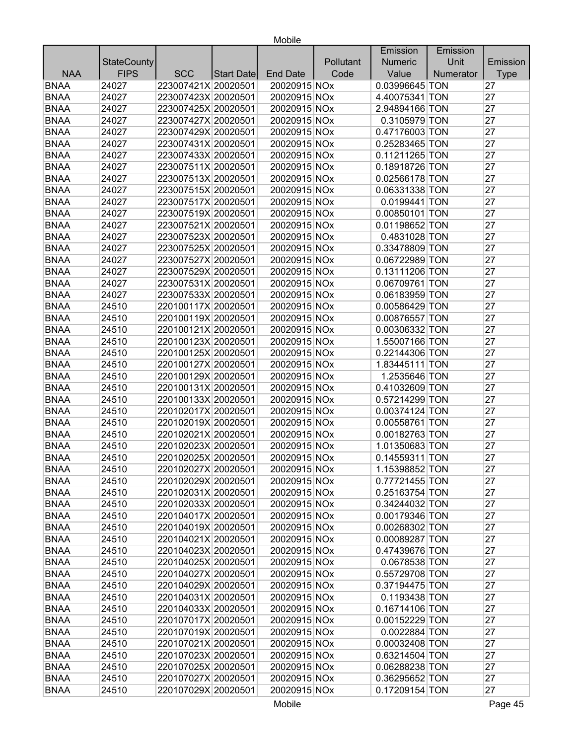|             |                    |                     |            |                 |           | Emission       | Emission  |             |
|-------------|--------------------|---------------------|------------|-----------------|-----------|----------------|-----------|-------------|
|             | <b>StateCounty</b> |                     |            |                 | Pollutant | <b>Numeric</b> | Unit      | Emission    |
| <b>NAA</b>  | <b>FIPS</b>        | <b>SCC</b>          | Start Date | <b>End Date</b> | Code      | Value          | Numerator | <b>Type</b> |
| <b>BNAA</b> | 24027              | 223007421X 20020501 |            | 20020915 NOx    |           | 0.03996645 TON |           | 27          |
| <b>BNAA</b> | 24027              | 223007423X 20020501 |            | 20020915 NOx    |           | 4.40075341 TON |           | 27          |
| <b>BNAA</b> | 24027              | 223007425X 20020501 |            | 20020915 NOx    |           | 2.94894166 TON |           | 27          |
| <b>BNAA</b> | 24027              | 223007427X 20020501 |            | 20020915 NOx    |           | 0.3105979 TON  |           | 27          |
| <b>BNAA</b> | 24027              | 223007429X 20020501 |            | 20020915 NOx    |           | 0.47176003 TON |           | 27          |
| <b>BNAA</b> | 24027              | 223007431X 20020501 |            | 20020915 NOx    |           | 0.25283465 TON |           | 27          |
| <b>BNAA</b> | 24027              | 223007433X 20020501 |            | 20020915 NOx    |           | 0.11211265 TON |           | 27          |
| <b>BNAA</b> | 24027              | 223007511X 20020501 |            | 20020915 NOx    |           | 0.18918726 TON |           | 27          |
| <b>BNAA</b> | 24027              | 223007513X 20020501 |            | 20020915 NOx    |           | 0.02566178 TON |           | 27          |
| <b>BNAA</b> | 24027              | 223007515X 20020501 |            | 20020915 NOx    |           | 0.06331338 TON |           | 27          |
| <b>BNAA</b> | 24027              | 223007517X 20020501 |            | 20020915 NOx    |           | 0.0199441 TON  |           | 27          |
| <b>BNAA</b> | 24027              | 223007519X 20020501 |            | 20020915 NOx    |           | 0.00850101 TON |           | 27          |
| <b>BNAA</b> | 24027              | 223007521X 20020501 |            | 20020915 NOx    |           | 0.01198652 TON |           | 27          |
| <b>BNAA</b> | 24027              | 223007523X 20020501 |            | 20020915 NOx    |           | 0.4831028 TON  |           | 27          |
| <b>BNAA</b> | 24027              | 223007525X 20020501 |            | 20020915 NOx    |           | 0.33478809 TON |           | 27          |
| <b>BNAA</b> | 24027              | 223007527X 20020501 |            | 20020915 NOx    |           | 0.06722989 TON |           | 27          |
| <b>BNAA</b> | 24027              | 223007529X 20020501 |            | 20020915 NOx    |           | 0.13111206 TON |           | 27          |
| <b>BNAA</b> | 24027              | 223007531X 20020501 |            | 20020915 NOx    |           | 0.06709761 TON |           | 27          |
| <b>BNAA</b> | 24027              | 223007533X 20020501 |            | 20020915 NOx    |           | 0.06183959 TON |           | 27          |
| <b>BNAA</b> | 24510              | 220100117X 20020501 |            | 20020915 NOx    |           | 0.00586429 TON |           | 27          |
| <b>BNAA</b> | 24510              | 220100119X 20020501 |            | 20020915 NOx    |           | 0.00876557 TON |           | 27          |
| <b>BNAA</b> | 24510              | 220100121X 20020501 |            | 20020915 NOx    |           | 0.00306332 TON |           | 27          |
| <b>BNAA</b> | 24510              | 220100123X 20020501 |            | 20020915 NOx    |           | 1.55007166 TON |           | 27          |
| <b>BNAA</b> | 24510              | 220100125X 20020501 |            | 20020915 NOx    |           | 0.22144306 TON |           | 27          |
| <b>BNAA</b> | 24510              | 220100127X 20020501 |            | 20020915 NOx    |           | 1.83445111 TON |           | 27          |
| <b>BNAA</b> | 24510              | 220100129X 20020501 |            | 20020915 NOx    |           | 1.2535646 TON  |           | 27          |
| <b>BNAA</b> | 24510              | 220100131X 20020501 |            | 20020915 NOx    |           | 0.41032609 TON |           | 27          |
| <b>BNAA</b> | 24510              | 220100133X 20020501 |            | 20020915 NOx    |           | 0.57214299 TON |           | 27          |
| <b>BNAA</b> | 24510              | 220102017X 20020501 |            | 20020915 NOx    |           | 0.00374124 TON |           | 27          |
| <b>BNAA</b> | 24510              | 220102019X 20020501 |            | 20020915 NOx    |           | 0.00558761 TON |           | 27          |
| <b>BNAA</b> | 24510              | 220102021X 20020501 |            | 20020915 NOx    |           | 0.00182763 TON |           | 27          |
| <b>BNAA</b> | 24510              | 220102023X 20020501 |            | 20020915 NOx    |           | 1.01350683 TON |           | 27          |
| <b>BNAA</b> | 24510              | 220102025X 20020501 |            | 20020915 NOx    |           | 0.14559311 TON |           | 27          |
| <b>BNAA</b> | 24510              | 220102027X 20020501 |            | 20020915 NOx    |           | 1.15398852 TON |           | 27          |
| <b>BNAA</b> | 24510              | 220102029X 20020501 |            | 20020915 NOx    |           | 0.77721455 TON |           | 27          |
| <b>BNAA</b> | 24510              | 220102031X 20020501 |            | 20020915 NOx    |           | 0.25163754 TON |           | 27          |
| <b>BNAA</b> | 24510              | 220102033X 20020501 |            | 20020915 NOx    |           | 0.34244032 TON |           | 27          |
| <b>BNAA</b> | 24510              | 220104017X 20020501 |            | 20020915 NOx    |           | 0.00179346 TON |           | 27          |
| <b>BNAA</b> | 24510              | 220104019X 20020501 |            | 20020915 NOx    |           | 0.00268302 TON |           | 27          |
| <b>BNAA</b> | 24510              | 220104021X 20020501 |            | 20020915 NOx    |           | 0.00089287 TON |           | 27          |
| <b>BNAA</b> | 24510              | 220104023X 20020501 |            | 20020915 NOx    |           | 0.47439676 TON |           | 27          |
| <b>BNAA</b> | 24510              | 220104025X 20020501 |            | 20020915 NOx    |           | 0.0678538 TON  |           | 27          |
| <b>BNAA</b> | 24510              | 220104027X 20020501 |            | 20020915 NOx    |           | 0.55729708 TON |           | 27          |
| <b>BNAA</b> | 24510              | 220104029X 20020501 |            | 20020915 NOx    |           | 0.37194475 TON |           | 27          |
| <b>BNAA</b> | 24510              | 220104031X 20020501 |            | 20020915 NOx    |           | 0.1193438 TON  |           | 27          |
| <b>BNAA</b> | 24510              | 220104033X 20020501 |            | 20020915 NOx    |           | 0.16714106 TON |           | 27          |
| <b>BNAA</b> | 24510              | 220107017X 20020501 |            | 20020915 NOx    |           | 0.00152229 TON |           | 27          |
| <b>BNAA</b> | 24510              | 220107019X 20020501 |            | 20020915 NOx    |           | 0.0022884 TON  |           | 27          |
| <b>BNAA</b> | 24510              | 220107021X 20020501 |            | 20020915 NOx    |           | 0.00032408 TON |           | 27          |
| <b>BNAA</b> | 24510              | 220107023X 20020501 |            | 20020915 NOx    |           | 0.63214504 TON |           | 27          |
| <b>BNAA</b> | 24510              | 220107025X 20020501 |            | 20020915 NOx    |           | 0.06288238 TON |           | 27          |
| <b>BNAA</b> | 24510              | 220107027X 20020501 |            | 20020915 NOx    |           | 0.36295652 TON |           | 27          |
| <b>BNAA</b> | 24510              | 220107029X 20020501 |            | 20020915 NOx    |           | 0.17209154 TON |           | 27          |
|             |                    |                     |            |                 |           |                |           |             |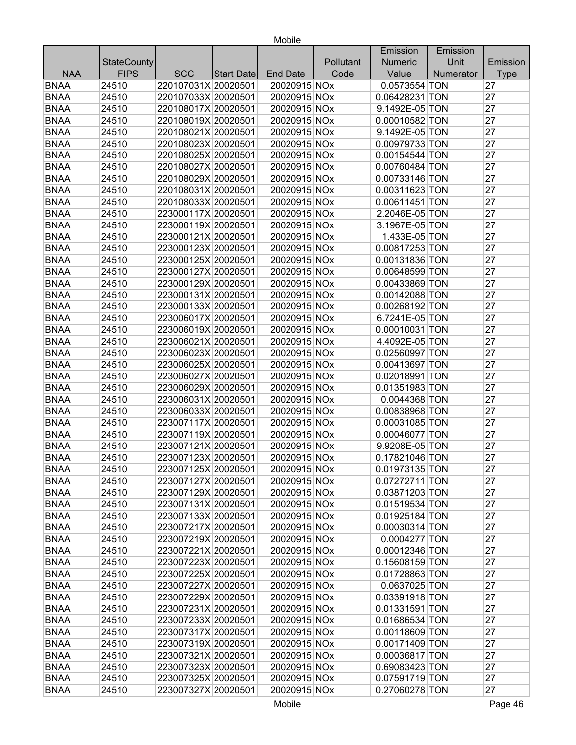|             |                    |                     |            |                 |           | Emission       | Emission  |             |
|-------------|--------------------|---------------------|------------|-----------------|-----------|----------------|-----------|-------------|
|             | <b>StateCounty</b> |                     |            |                 | Pollutant | <b>Numeric</b> | Unit      | Emission    |
| <b>NAA</b>  | <b>FIPS</b>        | <b>SCC</b>          | Start Date | <b>End Date</b> | Code      | Value          | Numerator | <b>Type</b> |
| <b>BNAA</b> | 24510              | 220107031X 20020501 |            | 20020915 NOx    |           | 0.0573554 TON  |           | 27          |
| <b>BNAA</b> | 24510              | 220107033X 20020501 |            | 20020915 NOx    |           | 0.06428231 TON |           | 27          |
| <b>BNAA</b> | 24510              | 220108017X 20020501 |            | 20020915 NOx    |           | 9.1492E-05 TON |           | 27          |
| <b>BNAA</b> | 24510              | 220108019X 20020501 |            | 20020915 NOx    |           | 0.00010582 TON |           | 27          |
| <b>BNAA</b> | 24510              | 220108021X 20020501 |            | 20020915 NOx    |           | 9.1492E-05 TON |           | 27          |
| <b>BNAA</b> | 24510              | 220108023X 20020501 |            | 20020915 NOx    |           | 0.00979733 TON |           | 27          |
| <b>BNAA</b> | 24510              | 220108025X 20020501 |            | 20020915 NOx    |           | 0.00154544 TON |           | 27          |
| <b>BNAA</b> | 24510              | 220108027X 20020501 |            | 20020915 NOx    |           | 0.00760484 TON |           | 27          |
| <b>BNAA</b> | 24510              | 220108029X 20020501 |            | 20020915 NOx    |           | 0.00733146 TON |           | 27          |
| <b>BNAA</b> | 24510              | 220108031X 20020501 |            | 20020915 NOx    |           | 0.00311623 TON |           | 27          |
| <b>BNAA</b> | 24510              | 220108033X 20020501 |            | 20020915 NOx    |           | 0.00611451 TON |           | 27          |
| <b>BNAA</b> | 24510              | 223000117X 20020501 |            | 20020915 NOx    |           | 2.2046E-05 TON |           | 27          |
| <b>BNAA</b> | 24510              | 223000119X 20020501 |            | 20020915 NOx    |           | 3.1967E-05 TON |           | 27          |
| <b>BNAA</b> | 24510              | 223000121X 20020501 |            | 20020915 NOx    |           | 1.433E-05 TON  |           | 27          |
| <b>BNAA</b> | 24510              | 223000123X 20020501 |            | 20020915 NOx    |           | 0.00817253 TON |           | 27          |
| <b>BNAA</b> | 24510              | 223000125X 20020501 |            | 20020915 NOx    |           | 0.00131836 TON |           | 27          |
| <b>BNAA</b> | 24510              | 223000127X 20020501 |            | 20020915 NOx    |           | 0.00648599 TON |           | 27          |
| <b>BNAA</b> | 24510              | 223000129X 20020501 |            | 20020915 NOx    |           | 0.00433869 TON |           | 27          |
| <b>BNAA</b> | 24510              | 223000131X 20020501 |            | 20020915 NOx    |           | 0.00142088 TON |           | 27          |
| <b>BNAA</b> | 24510              | 223000133X 20020501 |            | 20020915 NOx    |           | 0.00268192 TON |           | 27          |
| <b>BNAA</b> | 24510              | 223006017X 20020501 |            | 20020915 NOx    |           | 6.7241E-05 TON |           | 27          |
| <b>BNAA</b> | 24510              | 223006019X 20020501 |            | 20020915 NOx    |           | 0.00010031 TON |           | 27          |
| <b>BNAA</b> | 24510              | 223006021X 20020501 |            | 20020915 NOx    |           | 4.4092E-05 TON |           | 27          |
| <b>BNAA</b> | 24510              | 223006023X 20020501 |            | 20020915 NOx    |           | 0.02560997 TON |           | 27          |
| <b>BNAA</b> | 24510              | 223006025X 20020501 |            | 20020915 NOx    |           | 0.00413697 TON |           | 27          |
| <b>BNAA</b> | 24510              | 223006027X 20020501 |            | 20020915 NOx    |           | 0.02018991 TON |           | 27          |
| <b>BNAA</b> | 24510              | 223006029X 20020501 |            | 20020915 NOx    |           | 0.01351983 TON |           | 27          |
| <b>BNAA</b> | 24510              | 223006031X 20020501 |            | 20020915 NOx    |           | 0.0044368 TON  |           | 27          |
| <b>BNAA</b> | 24510              | 223006033X 20020501 |            | 20020915 NOx    |           | 0.00838968 TON |           | 27          |
| <b>BNAA</b> | 24510              | 223007117X 20020501 |            | 20020915 NOx    |           | 0.00031085 TON |           | 27          |
| <b>BNAA</b> | 24510              | 223007119X 20020501 |            | 20020915 NOx    |           | 0.00046077 TON |           | 27          |
| <b>BNAA</b> | 24510              | 223007121X 20020501 |            | 20020915 NOx    |           | 9.9208E-05 TON |           | 27          |
| <b>BNAA</b> | 24510              | 223007123X 20020501 |            | 20020915 NOx    |           | 0.17821046 TON |           | 27          |
| <b>BNAA</b> | 24510              | 223007125X 20020501 |            | 20020915 NOx    |           | 0.01973135 TON |           | 27          |
| <b>BNAA</b> | 24510              | 223007127X 20020501 |            | 20020915 NOx    |           | 0.07272711 TON |           | 27          |
| <b>BNAA</b> | 24510              | 223007129X 20020501 |            | 20020915 NOx    |           | 0.03871203 TON |           | 27          |
| <b>BNAA</b> | 24510              | 223007131X 20020501 |            | 20020915 NOx    |           | 0.01519534 TON |           | 27          |
| <b>BNAA</b> | 24510              | 223007133X 20020501 |            | 20020915 NOx    |           | 0.01925184 TON |           | 27          |
| <b>BNAA</b> | 24510              | 223007217X 20020501 |            | 20020915 NOx    |           | 0.00030314 TON |           | 27          |
| <b>BNAA</b> | 24510              | 223007219X 20020501 |            | 20020915 NOx    |           | 0.0004277 TON  |           | 27          |
| <b>BNAA</b> | 24510              | 223007221X 20020501 |            | 20020915 NOx    |           | 0.00012346 TON |           | 27          |
| <b>BNAA</b> | 24510              | 223007223X 20020501 |            | 20020915 NOx    |           | 0.15608159 TON |           | 27          |
| <b>BNAA</b> | 24510              | 223007225X 20020501 |            | 20020915 NOx    |           | 0.01728863 TON |           | 27          |
| <b>BNAA</b> | 24510              | 223007227X 20020501 |            | 20020915 NOx    |           | 0.0637025 TON  |           | 27          |
| <b>BNAA</b> | 24510              | 223007229X 20020501 |            | 20020915 NOx    |           | 0.03391918 TON |           | 27          |
| <b>BNAA</b> | 24510              | 223007231X 20020501 |            | 20020915 NOx    |           | 0.01331591 TON |           | 27          |
| <b>BNAA</b> | 24510              | 223007233X 20020501 |            | 20020915 NOx    |           | 0.01686534 TON |           | 27          |
| <b>BNAA</b> | 24510              | 223007317X 20020501 |            | 20020915 NOx    |           | 0.00118609 TON |           | 27          |
| <b>BNAA</b> | 24510              | 223007319X 20020501 |            | 20020915 NOx    |           | 0.00171409 TON |           | 27          |
| <b>BNAA</b> | 24510              | 223007321X 20020501 |            | 20020915 NOx    |           | 0.00036817 TON |           | 27          |
| <b>BNAA</b> | 24510              | 223007323X 20020501 |            | 20020915 NOx    |           | 0.69083423 TON |           | 27          |
| <b>BNAA</b> | 24510              | 223007325X 20020501 |            | 20020915 NOx    |           | 0.07591719 TON |           | 27          |
| <b>BNAA</b> | 24510              | 223007327X 20020501 |            | 20020915 NOx    |           | 0.27060278 TON |           | 27          |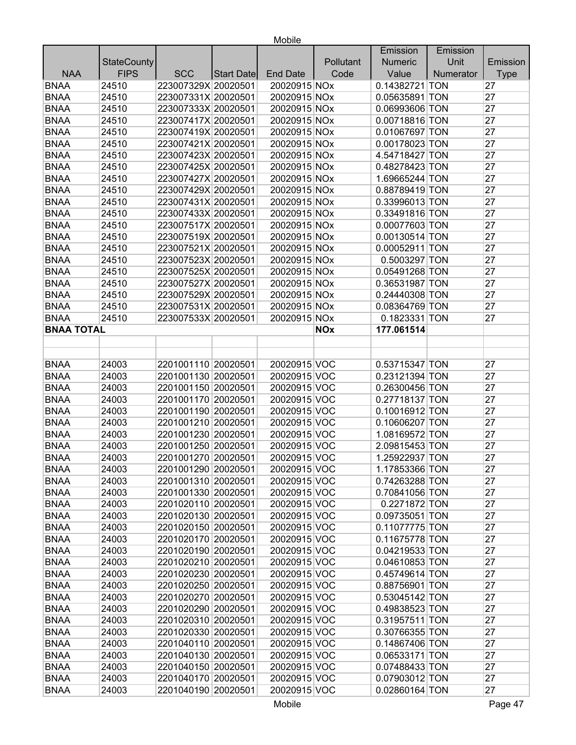|                   |                    |                     |                   |                 |            | Emission       | Emission  |             |
|-------------------|--------------------|---------------------|-------------------|-----------------|------------|----------------|-----------|-------------|
|                   | <b>StateCounty</b> |                     |                   |                 | Pollutant  | <b>Numeric</b> | Unit      | Emission    |
| <b>NAA</b>        | <b>FIPS</b>        | <b>SCC</b>          | <b>Start Date</b> | <b>End Date</b> | Code       | Value          | Numerator | <b>Type</b> |
| <b>BNAA</b>       | 24510              | 223007329X 20020501 |                   | 20020915 NOx    |            | 0.14382721 TON |           | 27          |
| <b>BNAA</b>       | 24510              | 223007331X 20020501 |                   | 20020915 NOx    |            | 0.05635891 TON |           | 27          |
| <b>BNAA</b>       | 24510              | 223007333X 20020501 |                   | 20020915 NOx    |            | 0.06993606 TON |           | 27          |
| <b>BNAA</b>       | 24510              | 223007417X 20020501 |                   | 20020915 NOx    |            | 0.00718816 TON |           | 27          |
| <b>BNAA</b>       | 24510              | 223007419X 20020501 |                   | 20020915 NOx    |            | 0.01067697 TON |           | 27          |
| <b>BNAA</b>       | 24510              | 223007421X 20020501 |                   | 20020915 NOx    |            | 0.00178023 TON |           | 27          |
| <b>BNAA</b>       | 24510              | 223007423X 20020501 |                   | 20020915 NOx    |            | 4.54718427 TON |           | 27          |
| <b>BNAA</b>       | 24510              | 223007425X 20020501 |                   | 20020915 NOx    |            | 0.48278423 TON |           | 27          |
| <b>BNAA</b>       | 24510              | 223007427X 20020501 |                   | 20020915 NOx    |            | 1.69665244 TON |           | 27          |
| <b>BNAA</b>       | 24510              | 223007429X 20020501 |                   | 20020915 NOx    |            | 0.88789419 TON |           | 27          |
| <b>BNAA</b>       | 24510              | 223007431X 20020501 |                   | 20020915 NOx    |            | 0.33996013 TON |           | 27          |
| <b>BNAA</b>       | 24510              | 223007433X 20020501 |                   | 20020915 NOx    |            | 0.33491816 TON |           | 27          |
| <b>BNAA</b>       | 24510              | 223007517X 20020501 |                   | 20020915 NOx    |            | 0.00077603 TON |           | 27          |
| <b>BNAA</b>       | 24510              | 223007519X 20020501 |                   | 20020915 NOx    |            | 0.00130514 TON |           | 27          |
| <b>BNAA</b>       | 24510              | 223007521X 20020501 |                   | 20020915 NOx    |            | 0.00052911 TON |           | 27          |
| <b>BNAA</b>       | 24510              | 223007523X 20020501 |                   | 20020915 NOx    |            | 0.5003297 TON  |           | 27          |
| <b>BNAA</b>       | 24510              | 223007525X 20020501 |                   | 20020915 NOx    |            | 0.05491268 TON |           | 27          |
| <b>BNAA</b>       | 24510              | 223007527X 20020501 |                   | 20020915 NOx    |            | 0.36531987 TON |           | 27          |
| <b>BNAA</b>       | 24510              | 223007529X 20020501 |                   | 20020915 NOx    |            | 0.24440308 TON |           | 27          |
| <b>BNAA</b>       | 24510              | 223007531X 20020501 |                   | 20020915 NOx    |            | 0.08364769 TON |           | 27          |
| <b>BNAA</b>       | 24510              | 223007533X 20020501 |                   | 20020915 NOx    |            | 0.1823331 TON  |           | 27          |
| <b>BNAA TOTAL</b> |                    |                     |                   |                 | <b>NOx</b> | 177.061514     |           |             |
|                   |                    |                     |                   |                 |            |                |           |             |
|                   |                    |                     |                   |                 |            |                |           |             |
| <b>BNAA</b>       | 24003              | 2201001110 20020501 |                   | 20020915 VOC    |            | 0.53715347 TON |           | 27          |
| <b>BNAA</b>       | 24003              | 2201001130 20020501 |                   | 20020915 VOC    |            | 0.23121394 TON |           | 27          |
| <b>BNAA</b>       | 24003              | 2201001150 20020501 |                   | 20020915 VOC    |            | 0.26300456 TON |           | 27          |
| <b>BNAA</b>       | 24003              | 2201001170 20020501 |                   | 20020915 VOC    |            | 0.27718137 TON |           | 27          |
| <b>BNAA</b>       | 24003              | 2201001190 20020501 |                   | 20020915 VOC    |            | 0.10016912 TON |           | 27          |
| <b>BNAA</b>       | 24003              | 2201001210 20020501 |                   | 20020915 VOC    |            | 0.10606207 TON |           | 27          |
| <b>BNAA</b>       | 24003              | 2201001230 20020501 |                   | 20020915 VOC    |            | 1.08169572 TON |           | 27          |
| <b>BNAA</b>       | 24003              | 2201001250 20020501 |                   | 20020915 VOC    |            | 2.09815453 TON |           | 27          |
| <b>BNAA</b>       | 24003              | 2201001270 20020501 |                   | 20020915 VOC    |            | 1.25922937 TON |           | 27          |
| <b>BNAA</b>       | 24003              | 2201001290 20020501 |                   | 20020915 VOC    |            | 1.17853366 TON |           | 27          |
| <b>BNAA</b>       | 24003              | 2201001310 20020501 |                   | 20020915 VOC    |            | 0.74263288 TON |           | 27          |
| <b>BNAA</b>       | 24003              | 2201001330 20020501 |                   | 20020915 VOC    |            | 0.70841056 TON |           | 27          |
| <b>BNAA</b>       | 24003              | 2201020110 20020501 |                   | 20020915 VOC    |            | 0.2271872 TON  |           | 27          |
| <b>BNAA</b>       | 24003              | 2201020130 20020501 |                   | 20020915 VOC    |            | 0.09735051 TON |           | 27          |
| <b>BNAA</b>       | 24003              | 2201020150 20020501 |                   | 20020915 VOC    |            | 0.11077775 TON |           | 27          |
| <b>BNAA</b>       | 24003              | 2201020170 20020501 |                   | 20020915 VOC    |            | 0.11675778 TON |           | 27          |
| <b>BNAA</b>       | 24003              | 2201020190 20020501 |                   | 20020915 VOC    |            | 0.04219533 TON |           | 27          |
| <b>BNAA</b>       | 24003              | 2201020210 20020501 |                   | 20020915 VOC    |            | 0.04610853 TON |           | 27          |
| <b>BNAA</b>       | 24003              | 2201020230 20020501 |                   | 20020915 VOC    |            | 0.45749614 TON |           | 27          |
| <b>BNAA</b>       | 24003              | 2201020250 20020501 |                   | 20020915 VOC    |            | 0.88756901 TON |           | 27          |
| <b>BNAA</b>       | 24003              | 2201020270 20020501 |                   | 20020915 VOC    |            | 0.53045142 TON |           | 27          |
| <b>BNAA</b>       | 24003              | 2201020290 20020501 |                   | 20020915 VOC    |            | 0.49838523 TON |           | 27          |
| <b>BNAA</b>       | 24003              | 2201020310 20020501 |                   | 20020915 VOC    |            | 0.31957511 TON |           | 27          |
| <b>BNAA</b>       | 24003              | 2201020330 20020501 |                   | 20020915 VOC    |            | 0.30766355 TON |           | 27          |
| <b>BNAA</b>       | 24003              | 2201040110 20020501 |                   | 20020915 VOC    |            | 0.14867406 TON |           | 27          |
|                   | 24003              |                     |                   |                 |            |                |           | 27          |
| <b>BNAA</b>       |                    | 2201040130 20020501 |                   | 20020915 VOC    |            | 0.06533171 TON |           |             |
| <b>BNAA</b>       | 24003              | 2201040150 20020501 |                   | 20020915 VOC    |            | 0.07488433 TON |           | 27          |
| <b>BNAA</b>       | 24003              | 2201040170 20020501 |                   | 20020915 VOC    |            | 0.07903012 TON |           | 27          |
| <b>BNAA</b>       | 24003              | 2201040190 20020501 |                   | 20020915 VOC    |            | 0.02860164 TON |           | 27          |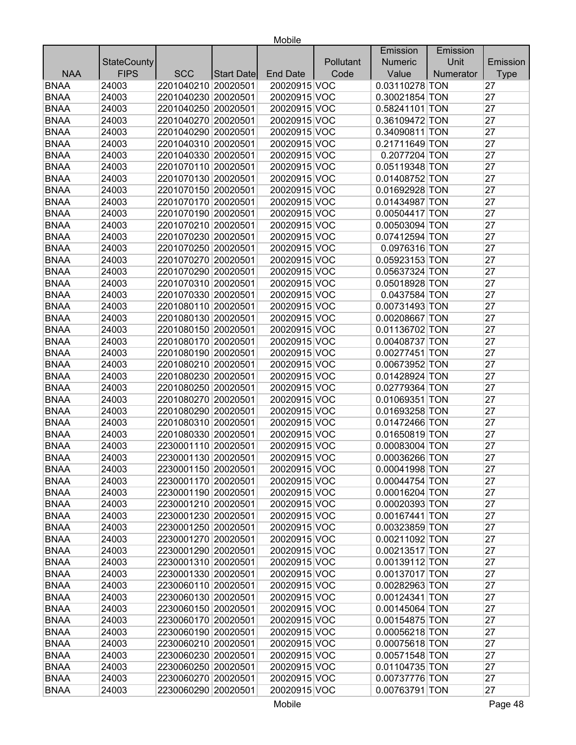|             |                    |                     |            |                 |           | Emission       | Emission  |             |
|-------------|--------------------|---------------------|------------|-----------------|-----------|----------------|-----------|-------------|
|             | <b>StateCounty</b> |                     |            |                 | Pollutant | <b>Numeric</b> | Unit      | Emission    |
| <b>NAA</b>  | <b>FIPS</b>        | <b>SCC</b>          | Start Date | <b>End Date</b> | Code      | Value          | Numerator | <b>Type</b> |
| <b>BNAA</b> | 24003              | 2201040210 20020501 |            | 20020915 VOC    |           | 0.03110278 TON |           | 27          |
| <b>BNAA</b> | 24003              | 2201040230 20020501 |            | 20020915 VOC    |           | 0.30021854 TON |           | 27          |
| <b>BNAA</b> | 24003              | 2201040250 20020501 |            | 20020915 VOC    |           | 0.58241101 TON |           | 27          |
| <b>BNAA</b> | 24003              | 2201040270 20020501 |            | 20020915 VOC    |           | 0.36109472 TON |           | 27          |
| <b>BNAA</b> | 24003              | 2201040290 20020501 |            | 20020915 VOC    |           | 0.34090811 TON |           | 27          |
| <b>BNAA</b> | 24003              | 2201040310 20020501 |            | 20020915 VOC    |           | 0.21711649 TON |           | 27          |
| <b>BNAA</b> | 24003              | 2201040330 20020501 |            | 20020915 VOC    |           | 0.2077204 TON  |           | 27          |
| <b>BNAA</b> | 24003              | 2201070110 20020501 |            | 20020915 VOC    |           | 0.05119348 TON |           | 27          |
| <b>BNAA</b> | 24003              | 2201070130 20020501 |            | 20020915 VOC    |           | 0.01408752 TON |           | 27          |
| <b>BNAA</b> | 24003              | 2201070150 20020501 |            | 20020915 VOC    |           | 0.01692928 TON |           | 27          |
| <b>BNAA</b> | 24003              | 2201070170 20020501 |            | 20020915 VOC    |           | 0.01434987 TON |           | 27          |
| <b>BNAA</b> | 24003              | 2201070190 20020501 |            | 20020915 VOC    |           | 0.00504417 TON |           | 27          |
| <b>BNAA</b> | 24003              | 2201070210 20020501 |            | 20020915 VOC    |           | 0.00503094 TON |           | 27          |
| <b>BNAA</b> | 24003              | 2201070230 20020501 |            | 20020915 VOC    |           | 0.07412594 TON |           | 27          |
| <b>BNAA</b> | 24003              | 2201070250 20020501 |            | 20020915 VOC    |           | 0.0976316 TON  |           | 27          |
| <b>BNAA</b> | 24003              | 2201070270 20020501 |            | 20020915 VOC    |           | 0.05923153 TON |           | 27          |
| <b>BNAA</b> | 24003              | 2201070290 20020501 |            | 20020915 VOC    |           | 0.05637324 TON |           | 27          |
| <b>BNAA</b> | 24003              | 2201070310 20020501 |            | 20020915 VOC    |           | 0.05018928 TON |           | 27          |
| <b>BNAA</b> | 24003              | 2201070330 20020501 |            | 20020915 VOC    |           | 0.0437584 TON  |           | 27          |
| <b>BNAA</b> | 24003              | 2201080110 20020501 |            | 20020915 VOC    |           | 0.00731493 TON |           | 27          |
| <b>BNAA</b> | 24003              | 2201080130 20020501 |            | 20020915 VOC    |           | 0.00208667 TON |           | 27          |
| <b>BNAA</b> | 24003              | 2201080150 20020501 |            | 20020915 VOC    |           | 0.01136702 TON |           | 27          |
| <b>BNAA</b> | 24003              | 2201080170 20020501 |            | 20020915 VOC    |           | 0.00408737 TON |           | 27          |
| <b>BNAA</b> | 24003              | 2201080190 20020501 |            | 20020915 VOC    |           | 0.00277451 TON |           | 27          |
| <b>BNAA</b> | 24003              | 2201080210 20020501 |            | 20020915 VOC    |           | 0.00673952 TON |           | 27          |
| <b>BNAA</b> | 24003              | 2201080230 20020501 |            | 20020915 VOC    |           | 0.01428924 TON |           | 27          |
| <b>BNAA</b> | 24003              | 2201080250 20020501 |            | 20020915 VOC    |           | 0.02779364 TON |           | 27          |
| <b>BNAA</b> | 24003              | 2201080270 20020501 |            | 20020915 VOC    |           | 0.01069351 TON |           | 27          |
| <b>BNAA</b> | 24003              | 2201080290 20020501 |            | 20020915 VOC    |           | 0.01693258 TON |           | 27          |
| <b>BNAA</b> | 24003              | 2201080310 20020501 |            | 20020915 VOC    |           | 0.01472466 TON |           | 27          |
| <b>BNAA</b> | 24003              | 2201080330 20020501 |            | 20020915 VOC    |           | 0.01650819 TON |           | 27          |
| <b>BNAA</b> | 24003              | 2230001110 20020501 |            | 20020915 VOC    |           | 0.00083004 TON |           | 27          |
| <b>BNAA</b> | 24003              | 2230001130 20020501 |            | 20020915 VOC    |           | 0.00036266 TON |           | 27          |
| <b>BNAA</b> | 24003              | 2230001150 20020501 |            | 20020915 VOC    |           | 0.00041998 TON |           | 27          |
| <b>BNAA</b> | 24003              | 2230001170 20020501 |            | 20020915 VOC    |           | 0.00044754 TON |           | 27          |
| <b>BNAA</b> | 24003              | 2230001190 20020501 |            | 20020915 VOC    |           | 0.00016204 TON |           | 27          |
| <b>BNAA</b> | 24003              | 2230001210 20020501 |            | 20020915 VOC    |           | 0.00020393 TON |           | 27          |
| <b>BNAA</b> | 24003              | 2230001230 20020501 |            | 20020915 VOC    |           | 0.00167441 TON |           | 27          |
| <b>BNAA</b> | 24003              | 2230001250 20020501 |            | 20020915 VOC    |           | 0.00323859 TON |           | 27          |
| <b>BNAA</b> | 24003              | 2230001270 20020501 |            | 20020915 VOC    |           | 0.00211092 TON |           | 27          |
| <b>BNAA</b> | 24003              | 2230001290 20020501 |            | 20020915 VOC    |           | 0.00213517 TON |           | 27          |
| <b>BNAA</b> | 24003              | 2230001310 20020501 |            | 20020915 VOC    |           | 0.00139112 TON |           | 27          |
| <b>BNAA</b> | 24003              | 2230001330 20020501 |            | 20020915 VOC    |           | 0.00137017 TON |           | 27          |
| <b>BNAA</b> | 24003              | 2230060110 20020501 |            | 20020915 VOC    |           | 0.00282963 TON |           | 27          |
| <b>BNAA</b> | 24003              | 2230060130 20020501 |            | 20020915 VOC    |           | 0.00124341 TON |           | 27          |
| <b>BNAA</b> | 24003              | 2230060150 20020501 |            | 20020915 VOC    |           | 0.00145064 TON |           | 27          |
| <b>BNAA</b> | 24003              | 2230060170 20020501 |            | 20020915 VOC    |           | 0.00154875 TON |           | 27          |
| <b>BNAA</b> | 24003              | 2230060190 20020501 |            | 20020915 VOC    |           | 0.00056218 TON |           | 27          |
| <b>BNAA</b> | 24003              | 2230060210 20020501 |            | 20020915 VOC    |           | 0.00075618 TON |           | 27          |
| <b>BNAA</b> | 24003              | 2230060230 20020501 |            | 20020915 VOC    |           | 0.00571548 TON |           | 27          |
| <b>BNAA</b> | 24003              | 2230060250 20020501 |            | 20020915 VOC    |           | 0.01104735 TON |           | 27          |
| <b>BNAA</b> | 24003              | 2230060270 20020501 |            | 20020915 VOC    |           | 0.00737776 TON |           | 27          |
| <b>BNAA</b> | 24003              | 2230060290 20020501 |            | 20020915 VOC    |           | 0.00763791 TON |           | 27          |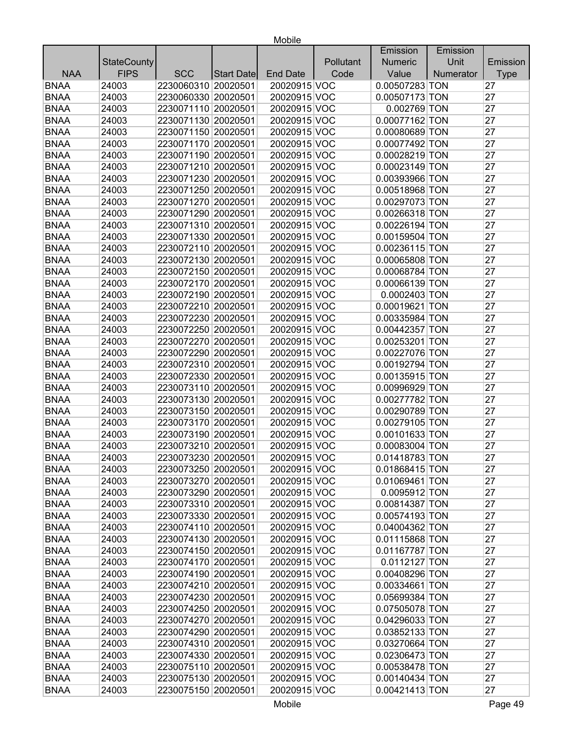|             |                    |                     |                   |                 |           | Emission       | Emission  |             |
|-------------|--------------------|---------------------|-------------------|-----------------|-----------|----------------|-----------|-------------|
|             | <b>StateCounty</b> |                     |                   |                 | Pollutant | <b>Numeric</b> | Unit      | Emission    |
| <b>NAA</b>  | <b>FIPS</b>        | <b>SCC</b>          | <b>Start Date</b> | <b>End Date</b> | Code      | Value          | Numerator | <b>Type</b> |
| <b>BNAA</b> | 24003              | 2230060310 20020501 |                   | 20020915 VOC    |           | 0.00507283 TON |           | 27          |
| <b>BNAA</b> | 24003              | 2230060330 20020501 |                   | 20020915 VOC    |           | 0.00507173 TON |           | 27          |
| <b>BNAA</b> | 24003              | 2230071110 20020501 |                   | 20020915 VOC    |           | 0.002769 TON   |           | 27          |
| <b>BNAA</b> | 24003              | 2230071130 20020501 |                   | 20020915 VOC    |           | 0.00077162 TON |           | 27          |
| <b>BNAA</b> | 24003              | 2230071150 20020501 |                   | 20020915 VOC    |           | 0.00080689 TON |           | 27          |
| <b>BNAA</b> | 24003              | 2230071170 20020501 |                   | 20020915 VOC    |           | 0.00077492 TON |           | 27          |
| <b>BNAA</b> | 24003              | 2230071190 20020501 |                   | 20020915 VOC    |           | 0.00028219 TON |           | 27          |
| <b>BNAA</b> | 24003              | 2230071210 20020501 |                   | 20020915 VOC    |           | 0.00023149 TON |           | 27          |
| <b>BNAA</b> | 24003              | 2230071230 20020501 |                   | 20020915 VOC    |           | 0.00393966 TON |           | 27          |
| <b>BNAA</b> | 24003              | 2230071250 20020501 |                   | 20020915 VOC    |           | 0.00518968 TON |           | 27          |
| <b>BNAA</b> | 24003              | 2230071270 20020501 |                   | 20020915 VOC    |           | 0.00297073 TON |           | 27          |
| <b>BNAA</b> | 24003              | 2230071290 20020501 |                   | 20020915 VOC    |           | 0.00266318 TON |           | 27          |
| <b>BNAA</b> | 24003              | 2230071310 20020501 |                   | 20020915 VOC    |           | 0.00226194 TON |           | 27          |
| <b>BNAA</b> | 24003              | 2230071330 20020501 |                   | 20020915 VOC    |           | 0.00159504 TON |           | 27          |
| <b>BNAA</b> | 24003              | 2230072110 20020501 |                   | 20020915 VOC    |           | 0.00236115 TON |           | 27          |
| <b>BNAA</b> | 24003              | 2230072130 20020501 |                   | 20020915 VOC    |           | 0.00065808 TON |           | 27          |
| <b>BNAA</b> | 24003              | 2230072150 20020501 |                   | 20020915 VOC    |           | 0.00068784 TON |           | 27          |
| <b>BNAA</b> | 24003              | 2230072170 20020501 |                   | 20020915 VOC    |           | 0.00066139 TON |           | 27          |
| <b>BNAA</b> | 24003              | 2230072190 20020501 |                   | 20020915 VOC    |           | 0.0002403 TON  |           | 27          |
| <b>BNAA</b> | 24003              | 2230072210 20020501 |                   | 20020915 VOC    |           | 0.00019621 TON |           | 27          |
| <b>BNAA</b> | 24003              | 2230072230 20020501 |                   | 20020915 VOC    |           | 0.00335984 TON |           | 27          |
| <b>BNAA</b> | 24003              | 2230072250 20020501 |                   | 20020915 VOC    |           | 0.00442357 TON |           | 27          |
| <b>BNAA</b> | 24003              | 2230072270 20020501 |                   | 20020915 VOC    |           | 0.00253201 TON |           | 27          |
| <b>BNAA</b> | 24003              | 2230072290 20020501 |                   | 20020915 VOC    |           | 0.00227076 TON |           | 27          |
| <b>BNAA</b> | 24003              | 2230072310 20020501 |                   | 20020915 VOC    |           | 0.00192794 TON |           | 27          |
| <b>BNAA</b> | 24003              | 2230072330 20020501 |                   | 20020915 VOC    |           | 0.00135915 TON |           | 27          |
| <b>BNAA</b> | 24003              | 2230073110 20020501 |                   | 20020915 VOC    |           | 0.00996929 TON |           | 27          |
| <b>BNAA</b> | 24003              | 2230073130 20020501 |                   | 20020915 VOC    |           | 0.00277782 TON |           | 27          |
| <b>BNAA</b> | 24003              | 2230073150 20020501 |                   | 20020915 VOC    |           | 0.00290789 TON |           | 27          |
| <b>BNAA</b> | 24003              | 2230073170 20020501 |                   | 20020915 VOC    |           | 0.00279105 TON |           | 27          |
| <b>BNAA</b> | 24003              | 2230073190 20020501 |                   | 20020915 VOC    |           | 0.00101633 TON |           | 27          |
| <b>BNAA</b> | 24003              | 2230073210 20020501 |                   | 20020915 VOC    |           | 0.00083004 TON |           | 27          |
| <b>BNAA</b> | 24003              | 2230073230 20020501 |                   | 20020915 VOC    |           | 0.01418783 TON |           | 27          |
| <b>BNAA</b> | 24003              | 2230073250 20020501 |                   | 20020915 VOC    |           | 0.01868415 TON |           | 27          |
| <b>BNAA</b> | 24003              | 2230073270 20020501 |                   | 20020915 VOC    |           | 0.01069461 TON |           | 27          |
| <b>BNAA</b> | 24003              | 2230073290 20020501 |                   | 20020915 VOC    |           | 0.0095912 TON  |           | 27          |
| <b>BNAA</b> | 24003              | 2230073310 20020501 |                   | 20020915 VOC    |           | 0.00814387 TON |           | 27          |
| <b>BNAA</b> | 24003              | 2230073330 20020501 |                   | 20020915 VOC    |           | 0.00574193 TON |           | 27          |
| <b>BNAA</b> | 24003              | 2230074110 20020501 |                   | 20020915 VOC    |           | 0.04004362 TON |           | 27          |
| <b>BNAA</b> | 24003              | 2230074130 20020501 |                   | 20020915 VOC    |           | 0.01115868 TON |           | 27          |
| <b>BNAA</b> | 24003              | 2230074150 20020501 |                   | 20020915 VOC    |           | 0.01167787 TON |           | 27          |
| <b>BNAA</b> | 24003              | 2230074170 20020501 |                   | 20020915 VOC    |           | 0.0112127 TON  |           | 27          |
| <b>BNAA</b> | 24003              | 2230074190 20020501 |                   | 20020915 VOC    |           | 0.00408296 TON |           | 27          |
| <b>BNAA</b> | 24003              | 2230074210 20020501 |                   | 20020915 VOC    |           | 0.00334661 TON |           | 27          |
| <b>BNAA</b> | 24003              | 2230074230 20020501 |                   | 20020915 VOC    |           | 0.05699384 TON |           | 27          |
| <b>BNAA</b> | 24003              | 2230074250 20020501 |                   | 20020915 VOC    |           | 0.07505078 TON |           | 27          |
| <b>BNAA</b> | 24003              | 2230074270 20020501 |                   | 20020915 VOC    |           | 0.04296033 TON |           | 27          |
| <b>BNAA</b> | 24003              | 2230074290 20020501 |                   | 20020915 VOC    |           | 0.03852133 TON |           | 27          |
| <b>BNAA</b> | 24003              | 2230074310 20020501 |                   | 20020915 VOC    |           | 0.03270664 TON |           | 27          |
| <b>BNAA</b> | 24003              | 2230074330 20020501 |                   | 20020915 VOC    |           | 0.02306473 TON |           | 27          |
| <b>BNAA</b> | 24003              | 2230075110 20020501 |                   | 20020915 VOC    |           | 0.00538478 TON |           | 27          |
| <b>BNAA</b> | 24003              | 2230075130 20020501 |                   | 20020915 VOC    |           | 0.00140434 TON |           | 27          |
| <b>BNAA</b> | 24003              | 2230075150 20020501 |                   | 20020915 VOC    |           | 0.00421413 TON |           | 27          |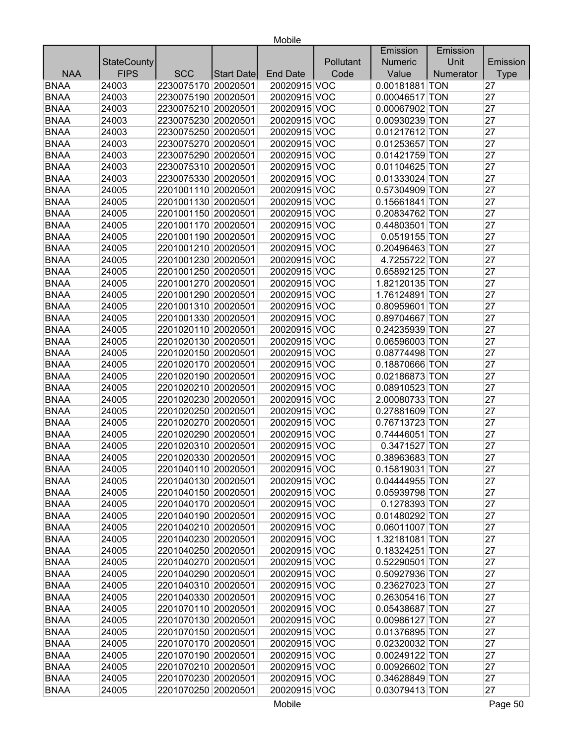|             |                    |                     |            |                 |           | Emission       | Emission  |             |
|-------------|--------------------|---------------------|------------|-----------------|-----------|----------------|-----------|-------------|
|             | <b>StateCounty</b> |                     |            |                 | Pollutant | <b>Numeric</b> | Unit      | Emission    |
| <b>NAA</b>  | <b>FIPS</b>        | <b>SCC</b>          | Start Date | <b>End Date</b> | Code      | Value          | Numerator | <b>Type</b> |
| <b>BNAA</b> | 24003              | 2230075170 20020501 |            | 20020915 VOC    |           | 0.00181881 TON |           | 27          |
| <b>BNAA</b> | 24003              | 2230075190 20020501 |            | 20020915 VOC    |           | 0.00046517 TON |           | 27          |
| <b>BNAA</b> | 24003              | 2230075210 20020501 |            | 20020915 VOC    |           | 0.00067902 TON |           | 27          |
| <b>BNAA</b> | 24003              | 2230075230 20020501 |            | 20020915 VOC    |           | 0.00930239 TON |           | 27          |
| <b>BNAA</b> | 24003              | 2230075250 20020501 |            | 20020915 VOC    |           | 0.01217612 TON |           | 27          |
| <b>BNAA</b> | 24003              | 2230075270 20020501 |            | 20020915 VOC    |           | 0.01253657 TON |           | 27          |
| <b>BNAA</b> | 24003              | 2230075290 20020501 |            | 20020915 VOC    |           | 0.01421759 TON |           | 27          |
| <b>BNAA</b> | 24003              | 2230075310 20020501 |            | 20020915 VOC    |           | 0.01104625 TON |           | 27          |
| <b>BNAA</b> | 24003              | 2230075330 20020501 |            | 20020915 VOC    |           | 0.01333024 TON |           | 27          |
| <b>BNAA</b> | 24005              | 2201001110 20020501 |            | 20020915 VOC    |           | 0.57304909 TON |           | 27          |
| <b>BNAA</b> | 24005              | 2201001130 20020501 |            | 20020915 VOC    |           | 0.15661841 TON |           | 27          |
| <b>BNAA</b> | 24005              | 2201001150 20020501 |            | 20020915 VOC    |           | 0.20834762 TON |           | 27          |
| <b>BNAA</b> | 24005              | 2201001170 20020501 |            | 20020915 VOC    |           | 0.44803501 TON |           | 27          |
| <b>BNAA</b> | 24005              | 2201001190 20020501 |            | 20020915 VOC    |           | 0.0519155 TON  |           | 27          |
| <b>BNAA</b> | 24005              | 2201001210 20020501 |            | 20020915 VOC    |           | 0.20496463 TON |           | 27          |
| <b>BNAA</b> | 24005              | 2201001230 20020501 |            | 20020915 VOC    |           | 4.7255722 TON  |           | 27          |
| <b>BNAA</b> | 24005              | 2201001250 20020501 |            | 20020915 VOC    |           | 0.65892125 TON |           | 27          |
| <b>BNAA</b> | 24005              | 2201001270 20020501 |            | 20020915 VOC    |           | 1.82120135 TON |           | 27          |
| <b>BNAA</b> | 24005              | 2201001290 20020501 |            | 20020915 VOC    |           | 1.76124891 TON |           | 27          |
| <b>BNAA</b> | 24005              | 2201001310 20020501 |            | 20020915 VOC    |           | 0.80959601 TON |           | 27          |
| <b>BNAA</b> | 24005              | 2201001330 20020501 |            | 20020915 VOC    |           | 0.89704667 TON |           | 27          |
| <b>BNAA</b> | 24005              | 2201020110 20020501 |            | 20020915 VOC    |           | 0.24235939 TON |           | 27          |
| <b>BNAA</b> | 24005              | 2201020130 20020501 |            | 20020915 VOC    |           | 0.06596003 TON |           | 27          |
| <b>BNAA</b> | 24005              | 2201020150 20020501 |            | 20020915 VOC    |           | 0.08774498 TON |           | 27          |
| <b>BNAA</b> | 24005              | 2201020170 20020501 |            | 20020915 VOC    |           | 0.18870666 TON |           | 27          |
| <b>BNAA</b> | 24005              | 2201020190 20020501 |            | 20020915 VOC    |           | 0.02186873 TON |           | 27          |
| <b>BNAA</b> | 24005              | 2201020210 20020501 |            | 20020915 VOC    |           | 0.08910523 TON |           | 27          |
| <b>BNAA</b> | 24005              | 2201020230 20020501 |            | 20020915 VOC    |           | 2.00080733 TON |           | 27          |
| <b>BNAA</b> | 24005              | 2201020250 20020501 |            | 20020915 VOC    |           | 0.27881609 TON |           | 27          |
| <b>BNAA</b> | 24005              | 2201020270 20020501 |            | 20020915 VOC    |           | 0.76713723 TON |           | 27          |
| <b>BNAA</b> | 24005              | 2201020290 20020501 |            | 20020915 VOC    |           | 0.74446051 TON |           | 27          |
| <b>BNAA</b> | 24005              | 2201020310 20020501 |            | 20020915 VOC    |           | 0.3471527 TON  |           | 27          |
| <b>BNAA</b> | 24005              | 2201020330 20020501 |            | 20020915 VOC    |           | 0.38963683 TON |           | 27          |
| <b>BNAA</b> | 24005              | 2201040110 20020501 |            | 20020915 VOC    |           | 0.15819031 TON |           | 27          |
| <b>BNAA</b> | 24005              | 2201040130 20020501 |            | 20020915 VOC    |           | 0.04444955 TON |           | 27          |
| <b>BNAA</b> | 24005              | 2201040150 20020501 |            | 20020915 VOC    |           | 0.05939798 TON |           | 27          |
| <b>BNAA</b> | 24005              | 2201040170 20020501 |            | 20020915 VOC    |           | 0.1278393 TON  |           | 27          |
| <b>BNAA</b> | 24005              | 2201040190 20020501 |            | 20020915 VOC    |           | 0.01480292 TON |           | 27          |
| <b>BNAA</b> | 24005              | 2201040210 20020501 |            | 20020915 VOC    |           | 0.06011007 TON |           | 27          |
| <b>BNAA</b> | 24005              | 2201040230 20020501 |            | 20020915 VOC    |           | 1.32181081 TON |           | 27          |
| <b>BNAA</b> | 24005              | 2201040250 20020501 |            | 20020915 VOC    |           | 0.18324251 TON |           | 27          |
| <b>BNAA</b> | 24005              | 2201040270 20020501 |            | 20020915 VOC    |           | 0.52290501 TON |           | 27          |
| <b>BNAA</b> | 24005              | 2201040290 20020501 |            | 20020915 VOC    |           | 0.50927936 TON |           | 27          |
| <b>BNAA</b> | 24005              | 2201040310 20020501 |            | 20020915 VOC    |           | 0.23627023 TON |           | 27          |
| <b>BNAA</b> | 24005              | 2201040330 20020501 |            | 20020915 VOC    |           | 0.26305416 TON |           | 27          |
| <b>BNAA</b> | 24005              | 2201070110 20020501 |            | 20020915 VOC    |           | 0.05438687 TON |           | 27          |
| <b>BNAA</b> | 24005              | 2201070130 20020501 |            | 20020915 VOC    |           | 0.00986127 TON |           | 27          |
| <b>BNAA</b> | 24005              | 2201070150 20020501 |            | 20020915 VOC    |           | 0.01376895 TON |           | 27          |
| <b>BNAA</b> | 24005              | 2201070170 20020501 |            | 20020915 VOC    |           | 0.02320032 TON |           | 27          |
| <b>BNAA</b> | 24005              | 2201070190 20020501 |            | 20020915 VOC    |           | 0.00249122 TON |           | 27          |
| <b>BNAA</b> | 24005              | 2201070210 20020501 |            | 20020915 VOC    |           | 0.00926602 TON |           | 27          |
| <b>BNAA</b> | 24005              | 2201070230 20020501 |            | 20020915 VOC    |           | 0.34628849 TON |           | 27          |
| <b>BNAA</b> | 24005              | 2201070250 20020501 |            | 20020915 VOC    |           | 0.03079413 TON |           | 27          |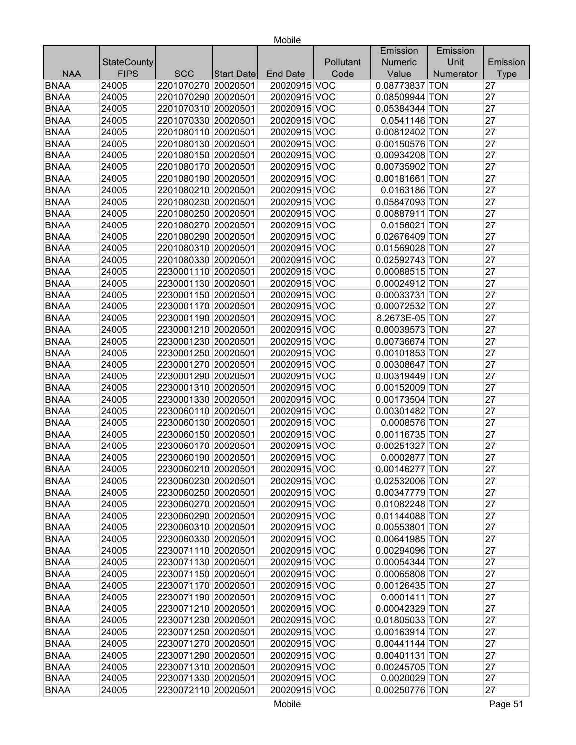| Unit<br><b>StateCounty</b><br>Pollutant<br><b>Numeric</b><br>Emission<br><b>FIPS</b><br><b>NAA</b><br><b>SCC</b><br>Code<br>Value<br>Numerator<br><b>End Date</b><br><b>Type</b><br>Start Date<br>20020915 VOC<br>0.08773837 TON<br>24005<br>2201070270 20020501<br>27<br><b>BNAA</b><br>2201070290 20020501<br>24005<br>20020915 VOC<br>0.08509944 TON<br>27<br>2201070310 20020501<br>27<br>24005<br>20020915 VOC<br>0.05384344 TON<br>2201070330 20020501<br>27<br>24005<br>20020915 VOC<br>0.0541146 TON<br>27<br>24005<br>2201080110 20020501<br>20020915 VOC<br>0.00812402 TON<br>2201080130 20020501<br>27<br>24005<br>20020915 VOC<br>0.00150576 TON<br>27<br>24005<br>2201080150 20020501<br>20020915 VOC<br>0.00934208 TON<br>27<br>24005<br>2201080170 20020501<br>20020915 VOC<br>0.00735902 TON<br>27<br>2201080190 20020501<br>24005<br>20020915 VOC<br>0.00181661 TON<br>0.0163186 TON<br>27<br>24005<br>2201080210 20020501<br>20020915 VOC<br>27<br>24005<br>2201080230 20020501<br>20020915 VOC<br>0.05847093 TON<br>27<br>24005<br>2201080250 20020501<br>20020915 VOC<br>0.00887911 TON<br>27<br>2201080270 20020501<br>24005<br>20020915 VOC<br>0.0156021 TON<br>20020915 VOC<br>27<br>24005<br>2201080290 20020501<br>0.02676409 TON<br>20020915 VOC<br>27<br>24005<br>2201080310 20020501<br>0.01569028 TON<br>2201080330 20020501<br>20020915 VOC<br>0.02592743 TON<br>27<br>24005<br>2230001110 20020501<br>20020915 VOC<br>0.00088515 TON<br>27<br>24005<br>27<br>24005<br>2230001130 20020501<br>20020915 VOC<br>0.00024912 TON<br><b>BNAA</b><br>0.00033731 TON<br>27<br>24005<br>2230001150 20020501<br>20020915 VOC<br><b>BNAA</b><br>27<br>24005<br>2230001170 20020501<br>20020915 VOC<br>0.00072532 TON<br><b>BNAA</b><br>20020915 VOC<br>8.2673E-05 TON<br>27<br>24005<br>2230001190 20020501<br><b>BNAA</b><br>2230001210 20020501<br>20020915 VOC<br>27<br>24005<br>0.00039573 TON<br><b>BNAA</b><br>27<br>24005<br>2230001230 20020501<br>20020915 VOC<br>0.00736674 TON<br><b>BNAA</b><br>0.00101853 TON<br>27<br>24005<br>2230001250 20020501<br>20020915 VOC<br><b>BNAA</b><br>2230001270 20020501<br>20020915 VOC<br>27<br>24005<br>0.00308647 TON<br>27<br><b>BNAA</b><br>2230001290 20020501<br>20020915 VOC<br>24005<br>0.00319449 TON<br>2230001310 20020501<br>0.00152009 TON<br>27<br><b>BNAA</b><br>24005<br>20020915 VOC<br><b>BNAA</b><br>2230001330 20020501<br>20020915 VOC<br>0.00173504 TON<br>27<br>24005<br><b>BNAA</b><br>20020915 VOC<br>27<br>24005<br>2230060110 20020501<br>0.00301482 TON<br>27<br><b>BNAA</b><br>24005<br>2230060130 20020501<br>20020915 VOC<br>0.0008576 TON<br><b>BNAA</b><br>2230060150 20020501<br>20020915 VOC<br>27<br>24005<br>0.00116735 TON<br><b>BNAA</b><br>2230060170 20020501<br>27<br>24005<br>20020915 VOC<br>0.00251327 TON<br><b>BNAA</b><br>20020915 VOC<br>27<br>24005<br>2230060190 20020501<br>0.0002877 TON<br>27<br>20020915 VOC<br><b>BNAA</b><br>2230060210 20020501<br>24005<br>$0.00146277$ TON<br><b>BNAA</b><br>2230060230 20020501<br>0.02532006 TON<br>27<br>24005<br>20020915 VOC<br><b>BNAA</b><br>24005<br>2230060250 20020501<br>20020915 VOC<br>0.00347779 TON<br>27<br>20020915 VOC<br>0.01082248 TON<br><b>BNAA</b><br>24005<br>2230060270 20020501<br>27<br><b>BNAA</b><br>2230060290 20020501<br>20020915 VOC<br>0.01144088 TON<br>27<br>24005<br><b>BNAA</b><br>2230060310 20020501<br>24005<br>20020915 VOC<br>0.00553801 TON<br>27<br><b>BNAA</b><br>2230060330 20020501<br>24005<br>20020915 VOC<br>0.00641985 TON<br>27<br><b>BNAA</b><br>2230071110 20020501<br>20020915 VOC<br>0.00294096 TON<br>27<br>24005<br><b>BNAA</b><br>2230071130 20020501<br>20020915 VOC<br>0.00054344 TON<br>27<br>24005<br><b>BNAA</b><br>2230071150 20020501<br>20020915 VOC<br>0.00065808 TON<br>27<br>24005<br>2230071170 20020501<br><b>BNAA</b><br>24005<br>20020915 VOC<br>0.00126435 TON<br>27<br>2230071190 20020501<br>20020915 VOC<br>0.0001411 TON<br>27<br><b>BNAA</b><br>24005<br><b>BNAA</b><br>2230071210 20020501<br>20020915 VOC<br>27<br>24005<br>0.00042329 TON<br><b>BNAA</b><br>2230071230 20020501<br>20020915 VOC<br>27<br>24005<br>0.01805033 TON |             |       |  |  | Emission | Emission |    |
|--------------------------------------------------------------------------------------------------------------------------------------------------------------------------------------------------------------------------------------------------------------------------------------------------------------------------------------------------------------------------------------------------------------------------------------------------------------------------------------------------------------------------------------------------------------------------------------------------------------------------------------------------------------------------------------------------------------------------------------------------------------------------------------------------------------------------------------------------------------------------------------------------------------------------------------------------------------------------------------------------------------------------------------------------------------------------------------------------------------------------------------------------------------------------------------------------------------------------------------------------------------------------------------------------------------------------------------------------------------------------------------------------------------------------------------------------------------------------------------------------------------------------------------------------------------------------------------------------------------------------------------------------------------------------------------------------------------------------------------------------------------------------------------------------------------------------------------------------------------------------------------------------------------------------------------------------------------------------------------------------------------------------------------------------------------------------------------------------------------------------------------------------------------------------------------------------------------------------------------------------------------------------------------------------------------------------------------------------------------------------------------------------------------------------------------------------------------------------------------------------------------------------------------------------------------------------------------------------------------------------------------------------------------------------------------------------------------------------------------------------------------------------------------------------------------------------------------------------------------------------------------------------------------------------------------------------------------------------------------------------------------------------------------------------------------------------------------------------------------------------------------------------------------------------------------------------------------------------------------------------------------------------------------------------------------------------------------------------------------------------------------------------------------------------------------------------------------------------------------------------------------------------------------------------------------------------------------------------------------------------------------------------------------------------------------------------------------------------------------------------------------------------------------------------------------------------------------------------------------------------------------------------------------------------------------------------------------------------------------------------------------------------------------------------------------------------------------------------------------------------------------------------------------------------------------|-------------|-------|--|--|----------|----------|----|
|                                                                                                                                                                                                                                                                                                                                                                                                                                                                                                                                                                                                                                                                                                                                                                                                                                                                                                                                                                                                                                                                                                                                                                                                                                                                                                                                                                                                                                                                                                                                                                                                                                                                                                                                                                                                                                                                                                                                                                                                                                                                                                                                                                                                                                                                                                                                                                                                                                                                                                                                                                                                                                                                                                                                                                                                                                                                                                                                                                                                                                                                                                                                                                                                                                                                                                                                                                                                                                                                                                                                                                                                                                                                                                                                                                                                                                                                                                                                                                                                                                                                                                                                                                                      |             |       |  |  |          |          |    |
|                                                                                                                                                                                                                                                                                                                                                                                                                                                                                                                                                                                                                                                                                                                                                                                                                                                                                                                                                                                                                                                                                                                                                                                                                                                                                                                                                                                                                                                                                                                                                                                                                                                                                                                                                                                                                                                                                                                                                                                                                                                                                                                                                                                                                                                                                                                                                                                                                                                                                                                                                                                                                                                                                                                                                                                                                                                                                                                                                                                                                                                                                                                                                                                                                                                                                                                                                                                                                                                                                                                                                                                                                                                                                                                                                                                                                                                                                                                                                                                                                                                                                                                                                                                      |             |       |  |  |          |          |    |
|                                                                                                                                                                                                                                                                                                                                                                                                                                                                                                                                                                                                                                                                                                                                                                                                                                                                                                                                                                                                                                                                                                                                                                                                                                                                                                                                                                                                                                                                                                                                                                                                                                                                                                                                                                                                                                                                                                                                                                                                                                                                                                                                                                                                                                                                                                                                                                                                                                                                                                                                                                                                                                                                                                                                                                                                                                                                                                                                                                                                                                                                                                                                                                                                                                                                                                                                                                                                                                                                                                                                                                                                                                                                                                                                                                                                                                                                                                                                                                                                                                                                                                                                                                                      | <b>BNAA</b> |       |  |  |          |          |    |
|                                                                                                                                                                                                                                                                                                                                                                                                                                                                                                                                                                                                                                                                                                                                                                                                                                                                                                                                                                                                                                                                                                                                                                                                                                                                                                                                                                                                                                                                                                                                                                                                                                                                                                                                                                                                                                                                                                                                                                                                                                                                                                                                                                                                                                                                                                                                                                                                                                                                                                                                                                                                                                                                                                                                                                                                                                                                                                                                                                                                                                                                                                                                                                                                                                                                                                                                                                                                                                                                                                                                                                                                                                                                                                                                                                                                                                                                                                                                                                                                                                                                                                                                                                                      |             |       |  |  |          |          |    |
|                                                                                                                                                                                                                                                                                                                                                                                                                                                                                                                                                                                                                                                                                                                                                                                                                                                                                                                                                                                                                                                                                                                                                                                                                                                                                                                                                                                                                                                                                                                                                                                                                                                                                                                                                                                                                                                                                                                                                                                                                                                                                                                                                                                                                                                                                                                                                                                                                                                                                                                                                                                                                                                                                                                                                                                                                                                                                                                                                                                                                                                                                                                                                                                                                                                                                                                                                                                                                                                                                                                                                                                                                                                                                                                                                                                                                                                                                                                                                                                                                                                                                                                                                                                      | <b>BNAA</b> |       |  |  |          |          |    |
|                                                                                                                                                                                                                                                                                                                                                                                                                                                                                                                                                                                                                                                                                                                                                                                                                                                                                                                                                                                                                                                                                                                                                                                                                                                                                                                                                                                                                                                                                                                                                                                                                                                                                                                                                                                                                                                                                                                                                                                                                                                                                                                                                                                                                                                                                                                                                                                                                                                                                                                                                                                                                                                                                                                                                                                                                                                                                                                                                                                                                                                                                                                                                                                                                                                                                                                                                                                                                                                                                                                                                                                                                                                                                                                                                                                                                                                                                                                                                                                                                                                                                                                                                                                      | <b>BNAA</b> |       |  |  |          |          |    |
|                                                                                                                                                                                                                                                                                                                                                                                                                                                                                                                                                                                                                                                                                                                                                                                                                                                                                                                                                                                                                                                                                                                                                                                                                                                                                                                                                                                                                                                                                                                                                                                                                                                                                                                                                                                                                                                                                                                                                                                                                                                                                                                                                                                                                                                                                                                                                                                                                                                                                                                                                                                                                                                                                                                                                                                                                                                                                                                                                                                                                                                                                                                                                                                                                                                                                                                                                                                                                                                                                                                                                                                                                                                                                                                                                                                                                                                                                                                                                                                                                                                                                                                                                                                      | <b>BNAA</b> |       |  |  |          |          |    |
|                                                                                                                                                                                                                                                                                                                                                                                                                                                                                                                                                                                                                                                                                                                                                                                                                                                                                                                                                                                                                                                                                                                                                                                                                                                                                                                                                                                                                                                                                                                                                                                                                                                                                                                                                                                                                                                                                                                                                                                                                                                                                                                                                                                                                                                                                                                                                                                                                                                                                                                                                                                                                                                                                                                                                                                                                                                                                                                                                                                                                                                                                                                                                                                                                                                                                                                                                                                                                                                                                                                                                                                                                                                                                                                                                                                                                                                                                                                                                                                                                                                                                                                                                                                      | <b>BNAA</b> |       |  |  |          |          |    |
|                                                                                                                                                                                                                                                                                                                                                                                                                                                                                                                                                                                                                                                                                                                                                                                                                                                                                                                                                                                                                                                                                                                                                                                                                                                                                                                                                                                                                                                                                                                                                                                                                                                                                                                                                                                                                                                                                                                                                                                                                                                                                                                                                                                                                                                                                                                                                                                                                                                                                                                                                                                                                                                                                                                                                                                                                                                                                                                                                                                                                                                                                                                                                                                                                                                                                                                                                                                                                                                                                                                                                                                                                                                                                                                                                                                                                                                                                                                                                                                                                                                                                                                                                                                      | <b>BNAA</b> |       |  |  |          |          |    |
|                                                                                                                                                                                                                                                                                                                                                                                                                                                                                                                                                                                                                                                                                                                                                                                                                                                                                                                                                                                                                                                                                                                                                                                                                                                                                                                                                                                                                                                                                                                                                                                                                                                                                                                                                                                                                                                                                                                                                                                                                                                                                                                                                                                                                                                                                                                                                                                                                                                                                                                                                                                                                                                                                                                                                                                                                                                                                                                                                                                                                                                                                                                                                                                                                                                                                                                                                                                                                                                                                                                                                                                                                                                                                                                                                                                                                                                                                                                                                                                                                                                                                                                                                                                      | <b>BNAA</b> |       |  |  |          |          |    |
|                                                                                                                                                                                                                                                                                                                                                                                                                                                                                                                                                                                                                                                                                                                                                                                                                                                                                                                                                                                                                                                                                                                                                                                                                                                                                                                                                                                                                                                                                                                                                                                                                                                                                                                                                                                                                                                                                                                                                                                                                                                                                                                                                                                                                                                                                                                                                                                                                                                                                                                                                                                                                                                                                                                                                                                                                                                                                                                                                                                                                                                                                                                                                                                                                                                                                                                                                                                                                                                                                                                                                                                                                                                                                                                                                                                                                                                                                                                                                                                                                                                                                                                                                                                      | <b>BNAA</b> |       |  |  |          |          |    |
|                                                                                                                                                                                                                                                                                                                                                                                                                                                                                                                                                                                                                                                                                                                                                                                                                                                                                                                                                                                                                                                                                                                                                                                                                                                                                                                                                                                                                                                                                                                                                                                                                                                                                                                                                                                                                                                                                                                                                                                                                                                                                                                                                                                                                                                                                                                                                                                                                                                                                                                                                                                                                                                                                                                                                                                                                                                                                                                                                                                                                                                                                                                                                                                                                                                                                                                                                                                                                                                                                                                                                                                                                                                                                                                                                                                                                                                                                                                                                                                                                                                                                                                                                                                      | <b>BNAA</b> |       |  |  |          |          |    |
|                                                                                                                                                                                                                                                                                                                                                                                                                                                                                                                                                                                                                                                                                                                                                                                                                                                                                                                                                                                                                                                                                                                                                                                                                                                                                                                                                                                                                                                                                                                                                                                                                                                                                                                                                                                                                                                                                                                                                                                                                                                                                                                                                                                                                                                                                                                                                                                                                                                                                                                                                                                                                                                                                                                                                                                                                                                                                                                                                                                                                                                                                                                                                                                                                                                                                                                                                                                                                                                                                                                                                                                                                                                                                                                                                                                                                                                                                                                                                                                                                                                                                                                                                                                      | <b>BNAA</b> |       |  |  |          |          |    |
|                                                                                                                                                                                                                                                                                                                                                                                                                                                                                                                                                                                                                                                                                                                                                                                                                                                                                                                                                                                                                                                                                                                                                                                                                                                                                                                                                                                                                                                                                                                                                                                                                                                                                                                                                                                                                                                                                                                                                                                                                                                                                                                                                                                                                                                                                                                                                                                                                                                                                                                                                                                                                                                                                                                                                                                                                                                                                                                                                                                                                                                                                                                                                                                                                                                                                                                                                                                                                                                                                                                                                                                                                                                                                                                                                                                                                                                                                                                                                                                                                                                                                                                                                                                      | <b>BNAA</b> |       |  |  |          |          |    |
|                                                                                                                                                                                                                                                                                                                                                                                                                                                                                                                                                                                                                                                                                                                                                                                                                                                                                                                                                                                                                                                                                                                                                                                                                                                                                                                                                                                                                                                                                                                                                                                                                                                                                                                                                                                                                                                                                                                                                                                                                                                                                                                                                                                                                                                                                                                                                                                                                                                                                                                                                                                                                                                                                                                                                                                                                                                                                                                                                                                                                                                                                                                                                                                                                                                                                                                                                                                                                                                                                                                                                                                                                                                                                                                                                                                                                                                                                                                                                                                                                                                                                                                                                                                      | <b>BNAA</b> |       |  |  |          |          |    |
|                                                                                                                                                                                                                                                                                                                                                                                                                                                                                                                                                                                                                                                                                                                                                                                                                                                                                                                                                                                                                                                                                                                                                                                                                                                                                                                                                                                                                                                                                                                                                                                                                                                                                                                                                                                                                                                                                                                                                                                                                                                                                                                                                                                                                                                                                                                                                                                                                                                                                                                                                                                                                                                                                                                                                                                                                                                                                                                                                                                                                                                                                                                                                                                                                                                                                                                                                                                                                                                                                                                                                                                                                                                                                                                                                                                                                                                                                                                                                                                                                                                                                                                                                                                      | <b>BNAA</b> |       |  |  |          |          |    |
|                                                                                                                                                                                                                                                                                                                                                                                                                                                                                                                                                                                                                                                                                                                                                                                                                                                                                                                                                                                                                                                                                                                                                                                                                                                                                                                                                                                                                                                                                                                                                                                                                                                                                                                                                                                                                                                                                                                                                                                                                                                                                                                                                                                                                                                                                                                                                                                                                                                                                                                                                                                                                                                                                                                                                                                                                                                                                                                                                                                                                                                                                                                                                                                                                                                                                                                                                                                                                                                                                                                                                                                                                                                                                                                                                                                                                                                                                                                                                                                                                                                                                                                                                                                      | <b>BNAA</b> |       |  |  |          |          |    |
|                                                                                                                                                                                                                                                                                                                                                                                                                                                                                                                                                                                                                                                                                                                                                                                                                                                                                                                                                                                                                                                                                                                                                                                                                                                                                                                                                                                                                                                                                                                                                                                                                                                                                                                                                                                                                                                                                                                                                                                                                                                                                                                                                                                                                                                                                                                                                                                                                                                                                                                                                                                                                                                                                                                                                                                                                                                                                                                                                                                                                                                                                                                                                                                                                                                                                                                                                                                                                                                                                                                                                                                                                                                                                                                                                                                                                                                                                                                                                                                                                                                                                                                                                                                      | <b>BNAA</b> |       |  |  |          |          |    |
|                                                                                                                                                                                                                                                                                                                                                                                                                                                                                                                                                                                                                                                                                                                                                                                                                                                                                                                                                                                                                                                                                                                                                                                                                                                                                                                                                                                                                                                                                                                                                                                                                                                                                                                                                                                                                                                                                                                                                                                                                                                                                                                                                                                                                                                                                                                                                                                                                                                                                                                                                                                                                                                                                                                                                                                                                                                                                                                                                                                                                                                                                                                                                                                                                                                                                                                                                                                                                                                                                                                                                                                                                                                                                                                                                                                                                                                                                                                                                                                                                                                                                                                                                                                      | <b>BNAA</b> |       |  |  |          |          |    |
|                                                                                                                                                                                                                                                                                                                                                                                                                                                                                                                                                                                                                                                                                                                                                                                                                                                                                                                                                                                                                                                                                                                                                                                                                                                                                                                                                                                                                                                                                                                                                                                                                                                                                                                                                                                                                                                                                                                                                                                                                                                                                                                                                                                                                                                                                                                                                                                                                                                                                                                                                                                                                                                                                                                                                                                                                                                                                                                                                                                                                                                                                                                                                                                                                                                                                                                                                                                                                                                                                                                                                                                                                                                                                                                                                                                                                                                                                                                                                                                                                                                                                                                                                                                      | <b>BNAA</b> |       |  |  |          |          |    |
|                                                                                                                                                                                                                                                                                                                                                                                                                                                                                                                                                                                                                                                                                                                                                                                                                                                                                                                                                                                                                                                                                                                                                                                                                                                                                                                                                                                                                                                                                                                                                                                                                                                                                                                                                                                                                                                                                                                                                                                                                                                                                                                                                                                                                                                                                                                                                                                                                                                                                                                                                                                                                                                                                                                                                                                                                                                                                                                                                                                                                                                                                                                                                                                                                                                                                                                                                                                                                                                                                                                                                                                                                                                                                                                                                                                                                                                                                                                                                                                                                                                                                                                                                                                      |             |       |  |  |          |          |    |
|                                                                                                                                                                                                                                                                                                                                                                                                                                                                                                                                                                                                                                                                                                                                                                                                                                                                                                                                                                                                                                                                                                                                                                                                                                                                                                                                                                                                                                                                                                                                                                                                                                                                                                                                                                                                                                                                                                                                                                                                                                                                                                                                                                                                                                                                                                                                                                                                                                                                                                                                                                                                                                                                                                                                                                                                                                                                                                                                                                                                                                                                                                                                                                                                                                                                                                                                                                                                                                                                                                                                                                                                                                                                                                                                                                                                                                                                                                                                                                                                                                                                                                                                                                                      |             |       |  |  |          |          |    |
|                                                                                                                                                                                                                                                                                                                                                                                                                                                                                                                                                                                                                                                                                                                                                                                                                                                                                                                                                                                                                                                                                                                                                                                                                                                                                                                                                                                                                                                                                                                                                                                                                                                                                                                                                                                                                                                                                                                                                                                                                                                                                                                                                                                                                                                                                                                                                                                                                                                                                                                                                                                                                                                                                                                                                                                                                                                                                                                                                                                                                                                                                                                                                                                                                                                                                                                                                                                                                                                                                                                                                                                                                                                                                                                                                                                                                                                                                                                                                                                                                                                                                                                                                                                      |             |       |  |  |          |          |    |
|                                                                                                                                                                                                                                                                                                                                                                                                                                                                                                                                                                                                                                                                                                                                                                                                                                                                                                                                                                                                                                                                                                                                                                                                                                                                                                                                                                                                                                                                                                                                                                                                                                                                                                                                                                                                                                                                                                                                                                                                                                                                                                                                                                                                                                                                                                                                                                                                                                                                                                                                                                                                                                                                                                                                                                                                                                                                                                                                                                                                                                                                                                                                                                                                                                                                                                                                                                                                                                                                                                                                                                                                                                                                                                                                                                                                                                                                                                                                                                                                                                                                                                                                                                                      |             |       |  |  |          |          |    |
|                                                                                                                                                                                                                                                                                                                                                                                                                                                                                                                                                                                                                                                                                                                                                                                                                                                                                                                                                                                                                                                                                                                                                                                                                                                                                                                                                                                                                                                                                                                                                                                                                                                                                                                                                                                                                                                                                                                                                                                                                                                                                                                                                                                                                                                                                                                                                                                                                                                                                                                                                                                                                                                                                                                                                                                                                                                                                                                                                                                                                                                                                                                                                                                                                                                                                                                                                                                                                                                                                                                                                                                                                                                                                                                                                                                                                                                                                                                                                                                                                                                                                                                                                                                      |             |       |  |  |          |          |    |
|                                                                                                                                                                                                                                                                                                                                                                                                                                                                                                                                                                                                                                                                                                                                                                                                                                                                                                                                                                                                                                                                                                                                                                                                                                                                                                                                                                                                                                                                                                                                                                                                                                                                                                                                                                                                                                                                                                                                                                                                                                                                                                                                                                                                                                                                                                                                                                                                                                                                                                                                                                                                                                                                                                                                                                                                                                                                                                                                                                                                                                                                                                                                                                                                                                                                                                                                                                                                                                                                                                                                                                                                                                                                                                                                                                                                                                                                                                                                                                                                                                                                                                                                                                                      |             |       |  |  |          |          |    |
|                                                                                                                                                                                                                                                                                                                                                                                                                                                                                                                                                                                                                                                                                                                                                                                                                                                                                                                                                                                                                                                                                                                                                                                                                                                                                                                                                                                                                                                                                                                                                                                                                                                                                                                                                                                                                                                                                                                                                                                                                                                                                                                                                                                                                                                                                                                                                                                                                                                                                                                                                                                                                                                                                                                                                                                                                                                                                                                                                                                                                                                                                                                                                                                                                                                                                                                                                                                                                                                                                                                                                                                                                                                                                                                                                                                                                                                                                                                                                                                                                                                                                                                                                                                      |             |       |  |  |          |          |    |
|                                                                                                                                                                                                                                                                                                                                                                                                                                                                                                                                                                                                                                                                                                                                                                                                                                                                                                                                                                                                                                                                                                                                                                                                                                                                                                                                                                                                                                                                                                                                                                                                                                                                                                                                                                                                                                                                                                                                                                                                                                                                                                                                                                                                                                                                                                                                                                                                                                                                                                                                                                                                                                                                                                                                                                                                                                                                                                                                                                                                                                                                                                                                                                                                                                                                                                                                                                                                                                                                                                                                                                                                                                                                                                                                                                                                                                                                                                                                                                                                                                                                                                                                                                                      |             |       |  |  |          |          |    |
|                                                                                                                                                                                                                                                                                                                                                                                                                                                                                                                                                                                                                                                                                                                                                                                                                                                                                                                                                                                                                                                                                                                                                                                                                                                                                                                                                                                                                                                                                                                                                                                                                                                                                                                                                                                                                                                                                                                                                                                                                                                                                                                                                                                                                                                                                                                                                                                                                                                                                                                                                                                                                                                                                                                                                                                                                                                                                                                                                                                                                                                                                                                                                                                                                                                                                                                                                                                                                                                                                                                                                                                                                                                                                                                                                                                                                                                                                                                                                                                                                                                                                                                                                                                      |             |       |  |  |          |          |    |
|                                                                                                                                                                                                                                                                                                                                                                                                                                                                                                                                                                                                                                                                                                                                                                                                                                                                                                                                                                                                                                                                                                                                                                                                                                                                                                                                                                                                                                                                                                                                                                                                                                                                                                                                                                                                                                                                                                                                                                                                                                                                                                                                                                                                                                                                                                                                                                                                                                                                                                                                                                                                                                                                                                                                                                                                                                                                                                                                                                                                                                                                                                                                                                                                                                                                                                                                                                                                                                                                                                                                                                                                                                                                                                                                                                                                                                                                                                                                                                                                                                                                                                                                                                                      |             |       |  |  |          |          |    |
|                                                                                                                                                                                                                                                                                                                                                                                                                                                                                                                                                                                                                                                                                                                                                                                                                                                                                                                                                                                                                                                                                                                                                                                                                                                                                                                                                                                                                                                                                                                                                                                                                                                                                                                                                                                                                                                                                                                                                                                                                                                                                                                                                                                                                                                                                                                                                                                                                                                                                                                                                                                                                                                                                                                                                                                                                                                                                                                                                                                                                                                                                                                                                                                                                                                                                                                                                                                                                                                                                                                                                                                                                                                                                                                                                                                                                                                                                                                                                                                                                                                                                                                                                                                      |             |       |  |  |          |          |    |
|                                                                                                                                                                                                                                                                                                                                                                                                                                                                                                                                                                                                                                                                                                                                                                                                                                                                                                                                                                                                                                                                                                                                                                                                                                                                                                                                                                                                                                                                                                                                                                                                                                                                                                                                                                                                                                                                                                                                                                                                                                                                                                                                                                                                                                                                                                                                                                                                                                                                                                                                                                                                                                                                                                                                                                                                                                                                                                                                                                                                                                                                                                                                                                                                                                                                                                                                                                                                                                                                                                                                                                                                                                                                                                                                                                                                                                                                                                                                                                                                                                                                                                                                                                                      |             |       |  |  |          |          |    |
|                                                                                                                                                                                                                                                                                                                                                                                                                                                                                                                                                                                                                                                                                                                                                                                                                                                                                                                                                                                                                                                                                                                                                                                                                                                                                                                                                                                                                                                                                                                                                                                                                                                                                                                                                                                                                                                                                                                                                                                                                                                                                                                                                                                                                                                                                                                                                                                                                                                                                                                                                                                                                                                                                                                                                                                                                                                                                                                                                                                                                                                                                                                                                                                                                                                                                                                                                                                                                                                                                                                                                                                                                                                                                                                                                                                                                                                                                                                                                                                                                                                                                                                                                                                      |             |       |  |  |          |          |    |
|                                                                                                                                                                                                                                                                                                                                                                                                                                                                                                                                                                                                                                                                                                                                                                                                                                                                                                                                                                                                                                                                                                                                                                                                                                                                                                                                                                                                                                                                                                                                                                                                                                                                                                                                                                                                                                                                                                                                                                                                                                                                                                                                                                                                                                                                                                                                                                                                                                                                                                                                                                                                                                                                                                                                                                                                                                                                                                                                                                                                                                                                                                                                                                                                                                                                                                                                                                                                                                                                                                                                                                                                                                                                                                                                                                                                                                                                                                                                                                                                                                                                                                                                                                                      |             |       |  |  |          |          |    |
|                                                                                                                                                                                                                                                                                                                                                                                                                                                                                                                                                                                                                                                                                                                                                                                                                                                                                                                                                                                                                                                                                                                                                                                                                                                                                                                                                                                                                                                                                                                                                                                                                                                                                                                                                                                                                                                                                                                                                                                                                                                                                                                                                                                                                                                                                                                                                                                                                                                                                                                                                                                                                                                                                                                                                                                                                                                                                                                                                                                                                                                                                                                                                                                                                                                                                                                                                                                                                                                                                                                                                                                                                                                                                                                                                                                                                                                                                                                                                                                                                                                                                                                                                                                      |             |       |  |  |          |          |    |
|                                                                                                                                                                                                                                                                                                                                                                                                                                                                                                                                                                                                                                                                                                                                                                                                                                                                                                                                                                                                                                                                                                                                                                                                                                                                                                                                                                                                                                                                                                                                                                                                                                                                                                                                                                                                                                                                                                                                                                                                                                                                                                                                                                                                                                                                                                                                                                                                                                                                                                                                                                                                                                                                                                                                                                                                                                                                                                                                                                                                                                                                                                                                                                                                                                                                                                                                                                                                                                                                                                                                                                                                                                                                                                                                                                                                                                                                                                                                                                                                                                                                                                                                                                                      |             |       |  |  |          |          |    |
|                                                                                                                                                                                                                                                                                                                                                                                                                                                                                                                                                                                                                                                                                                                                                                                                                                                                                                                                                                                                                                                                                                                                                                                                                                                                                                                                                                                                                                                                                                                                                                                                                                                                                                                                                                                                                                                                                                                                                                                                                                                                                                                                                                                                                                                                                                                                                                                                                                                                                                                                                                                                                                                                                                                                                                                                                                                                                                                                                                                                                                                                                                                                                                                                                                                                                                                                                                                                                                                                                                                                                                                                                                                                                                                                                                                                                                                                                                                                                                                                                                                                                                                                                                                      |             |       |  |  |          |          |    |
|                                                                                                                                                                                                                                                                                                                                                                                                                                                                                                                                                                                                                                                                                                                                                                                                                                                                                                                                                                                                                                                                                                                                                                                                                                                                                                                                                                                                                                                                                                                                                                                                                                                                                                                                                                                                                                                                                                                                                                                                                                                                                                                                                                                                                                                                                                                                                                                                                                                                                                                                                                                                                                                                                                                                                                                                                                                                                                                                                                                                                                                                                                                                                                                                                                                                                                                                                                                                                                                                                                                                                                                                                                                                                                                                                                                                                                                                                                                                                                                                                                                                                                                                                                                      |             |       |  |  |          |          |    |
|                                                                                                                                                                                                                                                                                                                                                                                                                                                                                                                                                                                                                                                                                                                                                                                                                                                                                                                                                                                                                                                                                                                                                                                                                                                                                                                                                                                                                                                                                                                                                                                                                                                                                                                                                                                                                                                                                                                                                                                                                                                                                                                                                                                                                                                                                                                                                                                                                                                                                                                                                                                                                                                                                                                                                                                                                                                                                                                                                                                                                                                                                                                                                                                                                                                                                                                                                                                                                                                                                                                                                                                                                                                                                                                                                                                                                                                                                                                                                                                                                                                                                                                                                                                      |             |       |  |  |          |          |    |
|                                                                                                                                                                                                                                                                                                                                                                                                                                                                                                                                                                                                                                                                                                                                                                                                                                                                                                                                                                                                                                                                                                                                                                                                                                                                                                                                                                                                                                                                                                                                                                                                                                                                                                                                                                                                                                                                                                                                                                                                                                                                                                                                                                                                                                                                                                                                                                                                                                                                                                                                                                                                                                                                                                                                                                                                                                                                                                                                                                                                                                                                                                                                                                                                                                                                                                                                                                                                                                                                                                                                                                                                                                                                                                                                                                                                                                                                                                                                                                                                                                                                                                                                                                                      |             |       |  |  |          |          |    |
|                                                                                                                                                                                                                                                                                                                                                                                                                                                                                                                                                                                                                                                                                                                                                                                                                                                                                                                                                                                                                                                                                                                                                                                                                                                                                                                                                                                                                                                                                                                                                                                                                                                                                                                                                                                                                                                                                                                                                                                                                                                                                                                                                                                                                                                                                                                                                                                                                                                                                                                                                                                                                                                                                                                                                                                                                                                                                                                                                                                                                                                                                                                                                                                                                                                                                                                                                                                                                                                                                                                                                                                                                                                                                                                                                                                                                                                                                                                                                                                                                                                                                                                                                                                      |             |       |  |  |          |          |    |
|                                                                                                                                                                                                                                                                                                                                                                                                                                                                                                                                                                                                                                                                                                                                                                                                                                                                                                                                                                                                                                                                                                                                                                                                                                                                                                                                                                                                                                                                                                                                                                                                                                                                                                                                                                                                                                                                                                                                                                                                                                                                                                                                                                                                                                                                                                                                                                                                                                                                                                                                                                                                                                                                                                                                                                                                                                                                                                                                                                                                                                                                                                                                                                                                                                                                                                                                                                                                                                                                                                                                                                                                                                                                                                                                                                                                                                                                                                                                                                                                                                                                                                                                                                                      |             |       |  |  |          |          |    |
|                                                                                                                                                                                                                                                                                                                                                                                                                                                                                                                                                                                                                                                                                                                                                                                                                                                                                                                                                                                                                                                                                                                                                                                                                                                                                                                                                                                                                                                                                                                                                                                                                                                                                                                                                                                                                                                                                                                                                                                                                                                                                                                                                                                                                                                                                                                                                                                                                                                                                                                                                                                                                                                                                                                                                                                                                                                                                                                                                                                                                                                                                                                                                                                                                                                                                                                                                                                                                                                                                                                                                                                                                                                                                                                                                                                                                                                                                                                                                                                                                                                                                                                                                                                      |             |       |  |  |          |          |    |
|                                                                                                                                                                                                                                                                                                                                                                                                                                                                                                                                                                                                                                                                                                                                                                                                                                                                                                                                                                                                                                                                                                                                                                                                                                                                                                                                                                                                                                                                                                                                                                                                                                                                                                                                                                                                                                                                                                                                                                                                                                                                                                                                                                                                                                                                                                                                                                                                                                                                                                                                                                                                                                                                                                                                                                                                                                                                                                                                                                                                                                                                                                                                                                                                                                                                                                                                                                                                                                                                                                                                                                                                                                                                                                                                                                                                                                                                                                                                                                                                                                                                                                                                                                                      |             |       |  |  |          |          |    |
|                                                                                                                                                                                                                                                                                                                                                                                                                                                                                                                                                                                                                                                                                                                                                                                                                                                                                                                                                                                                                                                                                                                                                                                                                                                                                                                                                                                                                                                                                                                                                                                                                                                                                                                                                                                                                                                                                                                                                                                                                                                                                                                                                                                                                                                                                                                                                                                                                                                                                                                                                                                                                                                                                                                                                                                                                                                                                                                                                                                                                                                                                                                                                                                                                                                                                                                                                                                                                                                                                                                                                                                                                                                                                                                                                                                                                                                                                                                                                                                                                                                                                                                                                                                      |             |       |  |  |          |          |    |
|                                                                                                                                                                                                                                                                                                                                                                                                                                                                                                                                                                                                                                                                                                                                                                                                                                                                                                                                                                                                                                                                                                                                                                                                                                                                                                                                                                                                                                                                                                                                                                                                                                                                                                                                                                                                                                                                                                                                                                                                                                                                                                                                                                                                                                                                                                                                                                                                                                                                                                                                                                                                                                                                                                                                                                                                                                                                                                                                                                                                                                                                                                                                                                                                                                                                                                                                                                                                                                                                                                                                                                                                                                                                                                                                                                                                                                                                                                                                                                                                                                                                                                                                                                                      |             |       |  |  |          |          |    |
|                                                                                                                                                                                                                                                                                                                                                                                                                                                                                                                                                                                                                                                                                                                                                                                                                                                                                                                                                                                                                                                                                                                                                                                                                                                                                                                                                                                                                                                                                                                                                                                                                                                                                                                                                                                                                                                                                                                                                                                                                                                                                                                                                                                                                                                                                                                                                                                                                                                                                                                                                                                                                                                                                                                                                                                                                                                                                                                                                                                                                                                                                                                                                                                                                                                                                                                                                                                                                                                                                                                                                                                                                                                                                                                                                                                                                                                                                                                                                                                                                                                                                                                                                                                      |             |       |  |  |          |          |    |
|                                                                                                                                                                                                                                                                                                                                                                                                                                                                                                                                                                                                                                                                                                                                                                                                                                                                                                                                                                                                                                                                                                                                                                                                                                                                                                                                                                                                                                                                                                                                                                                                                                                                                                                                                                                                                                                                                                                                                                                                                                                                                                                                                                                                                                                                                                                                                                                                                                                                                                                                                                                                                                                                                                                                                                                                                                                                                                                                                                                                                                                                                                                                                                                                                                                                                                                                                                                                                                                                                                                                                                                                                                                                                                                                                                                                                                                                                                                                                                                                                                                                                                                                                                                      |             |       |  |  |          |          |    |
|                                                                                                                                                                                                                                                                                                                                                                                                                                                                                                                                                                                                                                                                                                                                                                                                                                                                                                                                                                                                                                                                                                                                                                                                                                                                                                                                                                                                                                                                                                                                                                                                                                                                                                                                                                                                                                                                                                                                                                                                                                                                                                                                                                                                                                                                                                                                                                                                                                                                                                                                                                                                                                                                                                                                                                                                                                                                                                                                                                                                                                                                                                                                                                                                                                                                                                                                                                                                                                                                                                                                                                                                                                                                                                                                                                                                                                                                                                                                                                                                                                                                                                                                                                                      |             |       |  |  |          |          |    |
| 2230071250 20020501<br>20020915 VOC<br>0.00163914 TON                                                                                                                                                                                                                                                                                                                                                                                                                                                                                                                                                                                                                                                                                                                                                                                                                                                                                                                                                                                                                                                                                                                                                                                                                                                                                                                                                                                                                                                                                                                                                                                                                                                                                                                                                                                                                                                                                                                                                                                                                                                                                                                                                                                                                                                                                                                                                                                                                                                                                                                                                                                                                                                                                                                                                                                                                                                                                                                                                                                                                                                                                                                                                                                                                                                                                                                                                                                                                                                                                                                                                                                                                                                                                                                                                                                                                                                                                                                                                                                                                                                                                                                                | <b>BNAA</b> | 24005 |  |  |          |          | 27 |
| 2230071270 20020501<br>20020915 VOC<br>27<br>24005<br>0.00441144 TON                                                                                                                                                                                                                                                                                                                                                                                                                                                                                                                                                                                                                                                                                                                                                                                                                                                                                                                                                                                                                                                                                                                                                                                                                                                                                                                                                                                                                                                                                                                                                                                                                                                                                                                                                                                                                                                                                                                                                                                                                                                                                                                                                                                                                                                                                                                                                                                                                                                                                                                                                                                                                                                                                                                                                                                                                                                                                                                                                                                                                                                                                                                                                                                                                                                                                                                                                                                                                                                                                                                                                                                                                                                                                                                                                                                                                                                                                                                                                                                                                                                                                                                 | <b>BNAA</b> |       |  |  |          |          |    |
| 2230071290 20020501<br>20020915 VOC<br>27<br>24005<br>0.00401131 TON                                                                                                                                                                                                                                                                                                                                                                                                                                                                                                                                                                                                                                                                                                                                                                                                                                                                                                                                                                                                                                                                                                                                                                                                                                                                                                                                                                                                                                                                                                                                                                                                                                                                                                                                                                                                                                                                                                                                                                                                                                                                                                                                                                                                                                                                                                                                                                                                                                                                                                                                                                                                                                                                                                                                                                                                                                                                                                                                                                                                                                                                                                                                                                                                                                                                                                                                                                                                                                                                                                                                                                                                                                                                                                                                                                                                                                                                                                                                                                                                                                                                                                                 | <b>BNAA</b> |       |  |  |          |          |    |
| 20020915 VOC<br>27<br>24005<br>2230071310 20020501<br>0.00245705 TON                                                                                                                                                                                                                                                                                                                                                                                                                                                                                                                                                                                                                                                                                                                                                                                                                                                                                                                                                                                                                                                                                                                                                                                                                                                                                                                                                                                                                                                                                                                                                                                                                                                                                                                                                                                                                                                                                                                                                                                                                                                                                                                                                                                                                                                                                                                                                                                                                                                                                                                                                                                                                                                                                                                                                                                                                                                                                                                                                                                                                                                                                                                                                                                                                                                                                                                                                                                                                                                                                                                                                                                                                                                                                                                                                                                                                                                                                                                                                                                                                                                                                                                 | <b>BNAA</b> |       |  |  |          |          |    |
| 2230071330 20020501<br>0.0020029 TON<br>20020915 VOC<br>27<br>24005                                                                                                                                                                                                                                                                                                                                                                                                                                                                                                                                                                                                                                                                                                                                                                                                                                                                                                                                                                                                                                                                                                                                                                                                                                                                                                                                                                                                                                                                                                                                                                                                                                                                                                                                                                                                                                                                                                                                                                                                                                                                                                                                                                                                                                                                                                                                                                                                                                                                                                                                                                                                                                                                                                                                                                                                                                                                                                                                                                                                                                                                                                                                                                                                                                                                                                                                                                                                                                                                                                                                                                                                                                                                                                                                                                                                                                                                                                                                                                                                                                                                                                                  | <b>BNAA</b> |       |  |  |          |          |    |
| 0.00250776 TON<br>27<br>24005<br>2230072110 20020501<br>20020915 VOC                                                                                                                                                                                                                                                                                                                                                                                                                                                                                                                                                                                                                                                                                                                                                                                                                                                                                                                                                                                                                                                                                                                                                                                                                                                                                                                                                                                                                                                                                                                                                                                                                                                                                                                                                                                                                                                                                                                                                                                                                                                                                                                                                                                                                                                                                                                                                                                                                                                                                                                                                                                                                                                                                                                                                                                                                                                                                                                                                                                                                                                                                                                                                                                                                                                                                                                                                                                                                                                                                                                                                                                                                                                                                                                                                                                                                                                                                                                                                                                                                                                                                                                 | <b>BNAA</b> |       |  |  |          |          |    |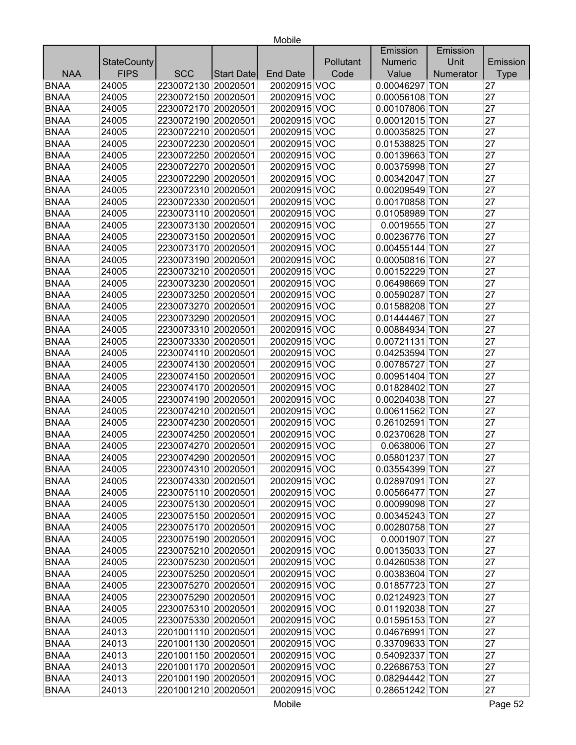|             |                    |                     |                   |                 |           | Emission         | Emission  |             |
|-------------|--------------------|---------------------|-------------------|-----------------|-----------|------------------|-----------|-------------|
|             | <b>StateCounty</b> |                     |                   |                 | Pollutant | <b>Numeric</b>   | Unit      | Emission    |
| <b>NAA</b>  | <b>FIPS</b>        | <b>SCC</b>          | <b>Start Date</b> | <b>End Date</b> | Code      | Value            | Numerator | <b>Type</b> |
| <b>BNAA</b> | 24005              | 2230072130 20020501 |                   | 20020915 VOC    |           | 0.00046297 TON   |           | 27          |
| <b>BNAA</b> | 24005              | 2230072150 20020501 |                   | 20020915 VOC    |           | 0.00056108 TON   |           | 27          |
| <b>BNAA</b> | 24005              | 2230072170 20020501 |                   | 20020915 VOC    |           | 0.00107806 TON   |           | 27          |
| <b>BNAA</b> | 24005              | 2230072190 20020501 |                   | 20020915 VOC    |           | 0.00012015 TON   |           | 27          |
| <b>BNAA</b> | 24005              | 2230072210 20020501 |                   | 20020915 VOC    |           | 0.00035825 TON   |           | 27          |
| <b>BNAA</b> | 24005              | 2230072230 20020501 |                   | 20020915 VOC    |           | 0.01538825 TON   |           | 27          |
| <b>BNAA</b> | 24005              | 2230072250 20020501 |                   | 20020915 VOC    |           | 0.00139663 TON   |           | 27          |
| <b>BNAA</b> | 24005              | 2230072270 20020501 |                   | 20020915 VOC    |           | 0.00375998 TON   |           | 27          |
| <b>BNAA</b> | 24005              | 2230072290 20020501 |                   | 20020915 VOC    |           | 0.00342047 TON   |           | 27          |
| <b>BNAA</b> | 24005              | 2230072310 20020501 |                   | 20020915 VOC    |           | 0.00209549 TON   |           | 27          |
| <b>BNAA</b> | 24005              | 2230072330 20020501 |                   | 20020915 VOC    |           | 0.00170858 TON   |           | 27          |
| <b>BNAA</b> | 24005              | 2230073110 20020501 |                   | 20020915 VOC    |           | 0.01058989 TON   |           | 27          |
| <b>BNAA</b> | 24005              | 2230073130 20020501 |                   | 20020915 VOC    |           | 0.0019555 TON    |           | 27          |
| <b>BNAA</b> | 24005              | 2230073150 20020501 |                   | 20020915 VOC    |           | 0.00236776 TON   |           | 27          |
| <b>BNAA</b> | 24005              | 2230073170 20020501 |                   | 20020915 VOC    |           | 0.00455144 TON   |           | 27          |
| <b>BNAA</b> | 24005              | 2230073190 20020501 |                   | 20020915 VOC    |           | 0.00050816 TON   |           | 27          |
| <b>BNAA</b> | 24005              | 2230073210 20020501 |                   | 20020915 VOC    |           | 0.00152229 TON   |           | 27          |
| <b>BNAA</b> | 24005              | 2230073230 20020501 |                   | 20020915 VOC    |           | 0.06498669 TON   |           | 27          |
| <b>BNAA</b> | 24005              | 2230073250 20020501 |                   | 20020915 VOC    |           | 0.00590287 TON   |           | 27          |
| <b>BNAA</b> | 24005              | 2230073270 20020501 |                   | 20020915 VOC    |           | 0.01588208 TON   |           | 27          |
| <b>BNAA</b> | 24005              | 2230073290 20020501 |                   | 20020915 VOC    |           | 0.01444467 TON   |           | 27          |
| <b>BNAA</b> | 24005              | 2230073310 20020501 |                   | 20020915 VOC    |           | 0.00884934 TON   |           | 27          |
| <b>BNAA</b> | 24005              | 2230073330 20020501 |                   | 20020915 VOC    |           | 0.00721131 TON   |           | 27          |
| <b>BNAA</b> | 24005              | 2230074110 20020501 |                   | 20020915 VOC    |           | 0.04253594 TON   |           | 27          |
| <b>BNAA</b> | 24005              | 2230074130 20020501 |                   | 20020915 VOC    |           | 0.00785727 TON   |           | 27          |
| <b>BNAA</b> | 24005              | 2230074150 20020501 |                   | 20020915 VOC    |           | 0.00951404 TON   |           | 27          |
| <b>BNAA</b> | 24005              | 2230074170 20020501 |                   | 20020915 VOC    |           | 0.01828402 TON   |           | 27          |
| <b>BNAA</b> | 24005              | 2230074190 20020501 |                   | 20020915 VOC    |           | 0.00204038 TON   |           | 27          |
| <b>BNAA</b> | 24005              | 2230074210 20020501 |                   | 20020915 VOC    |           | 0.00611562 TON   |           | 27          |
| <b>BNAA</b> | 24005              | 2230074230 20020501 |                   | 20020915 VOC    |           | 0.26102591 TON   |           | 27          |
| <b>BNAA</b> | 24005              | 2230074250 20020501 |                   | 20020915 VOC    |           | 0.02370628 TON   |           | 27          |
| <b>BNAA</b> | 24005              | 2230074270 20020501 |                   | 20020915 VOC    |           | 0.0638006 TON    |           | 27          |
| <b>BNAA</b> | 24005              | 2230074290 20020501 |                   | 20020915 VOC    |           | 0.05801237 TON   |           | 27          |
| <b>BNAA</b> | 24005              | 2230074310 20020501 |                   | 20020915 VOC    |           | $0.03554399$ TON |           | 27          |
| <b>BNAA</b> | 24005              | 2230074330 20020501 |                   | 20020915 VOC    |           | 0.02897091 TON   |           | 27          |
| <b>BNAA</b> | 24005              | 2230075110 20020501 |                   | 20020915 VOC    |           | 0.00566477 TON   |           | 27          |
| <b>BNAA</b> | 24005              | 2230075130 20020501 |                   | 20020915 VOC    |           | 0.00099098 TON   |           | 27          |
| <b>BNAA</b> | 24005              | 2230075150 20020501 |                   | 20020915 VOC    |           | 0.00345243 TON   |           | 27          |
| <b>BNAA</b> | 24005              | 2230075170 20020501 |                   | 20020915 VOC    |           | 0.00280758 TON   |           | 27          |
| <b>BNAA</b> | 24005              | 2230075190 20020501 |                   | 20020915 VOC    |           | 0.0001907 TON    |           | 27          |
| <b>BNAA</b> | 24005              | 2230075210 20020501 |                   | 20020915 VOC    |           | 0.00135033 TON   |           | 27          |
| <b>BNAA</b> | 24005              | 2230075230 20020501 |                   | 20020915 VOC    |           | 0.04260538 TON   |           | 27          |
| <b>BNAA</b> | 24005              | 2230075250 20020501 |                   | 20020915 VOC    |           | 0.00383604 TON   |           | 27          |
| <b>BNAA</b> | 24005              | 2230075270 20020501 |                   | 20020915 VOC    |           | 0.01857723 TON   |           | 27          |
| <b>BNAA</b> | 24005              | 2230075290 20020501 |                   | 20020915 VOC    |           | 0.02124923 TON   |           | 27          |
| <b>BNAA</b> | 24005              | 2230075310 20020501 |                   | 20020915 VOC    |           | 0.01192038 TON   |           | 27          |
| <b>BNAA</b> | 24005              | 2230075330 20020501 |                   | 20020915 VOC    |           | 0.01595153 TON   |           | 27          |
| <b>BNAA</b> | 24013              | 2201001110 20020501 |                   | 20020915 VOC    |           | 0.04676991 TON   |           | 27          |
| <b>BNAA</b> | 24013              | 2201001130 20020501 |                   | 20020915 VOC    |           | 0.33709633 TON   |           | 27          |
| <b>BNAA</b> | 24013              | 2201001150 20020501 |                   | 20020915 VOC    |           | 0.54092337 TON   |           | 27          |
| <b>BNAA</b> | 24013              | 2201001170 20020501 |                   | 20020915 VOC    |           | 0.22686753 TON   |           | 27          |
| <b>BNAA</b> | 24013              | 2201001190 20020501 |                   | 20020915 VOC    |           | 0.08294442 TON   |           | 27          |
| <b>BNAA</b> | 24013              | 2201001210 20020501 |                   | 20020915 VOC    |           | 0.28651242 TON   |           | 27          |
|             |                    |                     |                   |                 |           |                  |           |             |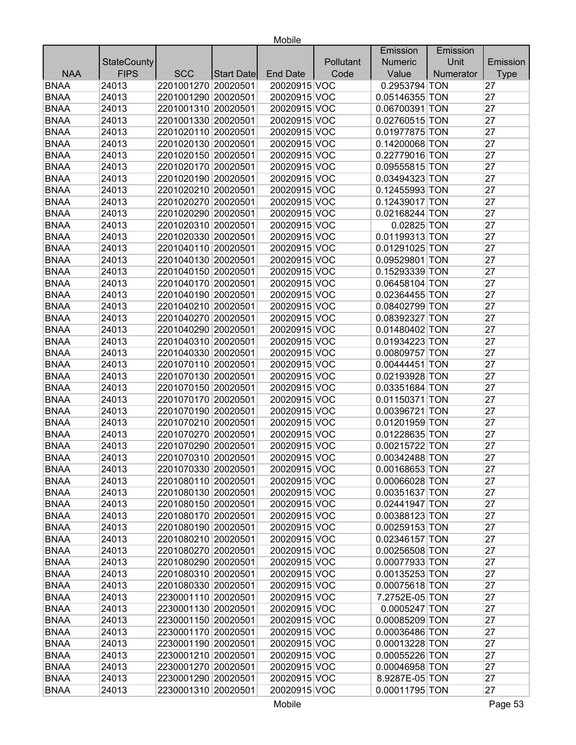| Unit<br><b>StateCounty</b><br>Pollutant<br><b>Numeric</b><br>Emission<br><b>FIPS</b><br><b>NAA</b><br><b>SCC</b><br>Code<br>Value<br>Numerator<br><b>End Date</b><br><b>Type</b><br>Start Date<br>24013<br>2201001270 20020501<br>20020915 VOC<br>0.2953794 TON<br>27<br>2201001290 20020501<br>24013<br>20020915 VOC<br>0.05146355 TON<br>27<br>27<br>24013<br>2201001310 20020501<br>20020915 VOC<br>0.06700391 TON<br>2201001330 20020501<br>27<br>24013<br>20020915 VOC<br>0.02760515 TON<br>27<br>24013<br>2201020110 20020501<br>20020915 VOC<br>0.01977875 TON<br>2201020130 20020501<br>27<br>24013<br>20020915 VOC<br>0.14200068 TON<br>24013<br>27<br>2201020150 20020501<br>20020915 VOC<br>0.22779016 TON<br>24013<br>27<br>2201020170 20020501<br>20020915 VOC<br>0.09555815 TON<br>27<br>24013<br>2201020190 20020501<br>0.03494323 TON<br>20020915 VOC<br>27<br>24013<br>2201020210 20020501<br>20020915 VOC<br>0.12455993 TON<br>2201020270 20020501<br>27<br>24013<br>20020915 VOC<br>0.12439017 TON<br>27<br>24013<br>2201020290 20020501<br>20020915 VOC<br>0.02168244 TON<br>27<br>24013<br>2201020310 20020501<br>20020915 VOC<br>0.02825 TON<br>0.01199313 TON<br>27<br>24013<br>2201020330 20020501<br>20020915 VOC<br>20020915 VOC<br>27<br>24013<br>2201040110 20020501<br>0.01291025 TON<br>24013<br>2201040130 20020501<br>20020915 VOC<br>0.09529801 TON<br>27<br>0.15293339 TON<br>27<br>24013<br>2201040150 20020501<br>20020915 VOC<br>27<br>24013<br>2201040170 20020501<br>20020915 VOC<br>0.06458104 TON<br><b>BNAA</b><br>27<br>24013<br>2201040190 20020501<br>20020915 VOC<br>0.02364455 TON<br><b>BNAA</b><br>27<br>24013<br>2201040210 20020501<br>20020915 VOC<br>0.08402799 TON<br>20020915 VOC<br>27<br>24013<br>2201040270 20020501<br>0.08392327 TON<br><b>BNAA</b><br>24013<br>2201040290 20020501<br>20020915 VOC<br>27<br>0.01480402 TON<br><b>BNAA</b><br>2201040310 20020501<br>27<br>24013<br>20020915 VOC<br>0.01934223 TON<br><b>BNAA</b><br>27<br>24013<br>2201040330 20020501<br>20020915 VOC<br>0.00809757 TON<br><b>BNAA</b><br>24013<br>27<br>2201070110 20020501<br>20020915 VOC<br>0.00444451 TON<br>27<br><b>BNAA</b><br>24013<br>2201070130 20020501<br>20020915 VOC<br>0.02193928 TON<br>2201070150 20020501<br>27<br><b>BNAA</b><br>24013<br>20020915 VOC<br>0.03351684 TON<br><b>BNAA</b><br>2201070170 20020501<br>20020915 VOC<br>27<br>24013<br>0.01150371 TON<br><b>BNAA</b><br>24013<br>20020915 VOC<br>27<br>2201070190 20020501<br>0.00396721 TON<br>27<br><b>BNAA</b><br>24013<br>2201070210 20020501<br>20020915 VOC<br>0.01201959 TON<br><b>BNAA</b><br>2201070270 20020501<br>27<br>24013<br>20020915 VOC<br>0.01228635 TON<br><b>BNAA</b><br>2201070290 20020501<br>27<br>24013<br>20020915 VOC<br>0.00215722 TON<br><b>BNAA</b><br>2201070310 20020501<br>0.00342488 TON<br>27<br>24013<br>20020915 VOC<br>27<br>20020915 VOC<br>0.00168653 TON<br><b>BNAA</b><br>24013<br>2201070330 20020501<br><b>BNAA</b><br>2201080110 20020501<br>0.00066028 TON<br>27<br>24013<br>20020915 VOC<br><b>BNAA</b><br>24013<br>2201080130 20020501<br>20020915 VOC<br>0.00351637 TON<br>27<br><b>BNAA</b><br>2201080150 20020501<br>24013<br>20020915 VOC<br>0.02441947 TON<br>27<br><b>BNAA</b><br>2201080170 20020501<br>20020915 VOC<br>27<br>24013<br>0.00388123 TON<br><b>BNAA</b><br>24013<br>2201080190 20020501<br>20020915 VOC<br>0.00259153 TON<br>27<br><b>BNAA</b><br>24013<br>2201080210 20020501<br>20020915 VOC<br>0.02346157 TON<br>27<br><b>BNAA</b><br>2201080270 20020501<br>20020915 VOC<br>0.00256508 TON<br>27<br>24013<br><b>BNAA</b><br>24013<br>2201080290 20020501<br>20020915 VOC<br>0.00077933 TON<br>27<br><b>BNAA</b><br>2201080310 20020501<br>27<br>24013<br>20020915 VOC<br>0.00135253 TON<br>2201080330 20020501<br><b>BNAA</b><br>24013<br>20020915 VOC<br>0.00075618 TON<br>27<br>2230001110 20020501<br>7.2752E-05 TON<br>27<br><b>BNAA</b><br>24013<br>20020915 VOC<br><b>BNAA</b><br>2230001130 20020501<br>20020915 VOC<br>27<br>24013<br>0.0005247 TON<br><b>BNAA</b><br>2230001150 20020501<br>27<br>24013<br>20020915 VOC<br>0.00085209 TON |             |       |  |  | Emission | Emission |    |
|-------------------------------------------------------------------------------------------------------------------------------------------------------------------------------------------------------------------------------------------------------------------------------------------------------------------------------------------------------------------------------------------------------------------------------------------------------------------------------------------------------------------------------------------------------------------------------------------------------------------------------------------------------------------------------------------------------------------------------------------------------------------------------------------------------------------------------------------------------------------------------------------------------------------------------------------------------------------------------------------------------------------------------------------------------------------------------------------------------------------------------------------------------------------------------------------------------------------------------------------------------------------------------------------------------------------------------------------------------------------------------------------------------------------------------------------------------------------------------------------------------------------------------------------------------------------------------------------------------------------------------------------------------------------------------------------------------------------------------------------------------------------------------------------------------------------------------------------------------------------------------------------------------------------------------------------------------------------------------------------------------------------------------------------------------------------------------------------------------------------------------------------------------------------------------------------------------------------------------------------------------------------------------------------------------------------------------------------------------------------------------------------------------------------------------------------------------------------------------------------------------------------------------------------------------------------------------------------------------------------------------------------------------------------------------------------------------------------------------------------------------------------------------------------------------------------------------------------------------------------------------------------------------------------------------------------------------------------------------------------------------------------------------------------------------------------------------------------------------------------------------------------------------------------------------------------------------------------------------------------------------------------------------------------------------------------------------------------------------------------------------------------------------------------------------------------------------------------------------------------------------------------------------------------------------------------------------------------------------------------------------------------------------------------------------------------------------------------------------------------------------------------------------------------------------------------------------------------------------------------------------------------------------------------------------------------------------------------------------------------------------------------------------------------------------------------------------------------------------------------------------------------------------|-------------|-------|--|--|----------|----------|----|
|                                                                                                                                                                                                                                                                                                                                                                                                                                                                                                                                                                                                                                                                                                                                                                                                                                                                                                                                                                                                                                                                                                                                                                                                                                                                                                                                                                                                                                                                                                                                                                                                                                                                                                                                                                                                                                                                                                                                                                                                                                                                                                                                                                                                                                                                                                                                                                                                                                                                                                                                                                                                                                                                                                                                                                                                                                                                                                                                                                                                                                                                                                                                                                                                                                                                                                                                                                                                                                                                                                                                                                                                                                                                                                                                                                                                                                                                                                                                                                                                                                                                                                                                                       |             |       |  |  |          |          |    |
|                                                                                                                                                                                                                                                                                                                                                                                                                                                                                                                                                                                                                                                                                                                                                                                                                                                                                                                                                                                                                                                                                                                                                                                                                                                                                                                                                                                                                                                                                                                                                                                                                                                                                                                                                                                                                                                                                                                                                                                                                                                                                                                                                                                                                                                                                                                                                                                                                                                                                                                                                                                                                                                                                                                                                                                                                                                                                                                                                                                                                                                                                                                                                                                                                                                                                                                                                                                                                                                                                                                                                                                                                                                                                                                                                                                                                                                                                                                                                                                                                                                                                                                                                       |             |       |  |  |          |          |    |
|                                                                                                                                                                                                                                                                                                                                                                                                                                                                                                                                                                                                                                                                                                                                                                                                                                                                                                                                                                                                                                                                                                                                                                                                                                                                                                                                                                                                                                                                                                                                                                                                                                                                                                                                                                                                                                                                                                                                                                                                                                                                                                                                                                                                                                                                                                                                                                                                                                                                                                                                                                                                                                                                                                                                                                                                                                                                                                                                                                                                                                                                                                                                                                                                                                                                                                                                                                                                                                                                                                                                                                                                                                                                                                                                                                                                                                                                                                                                                                                                                                                                                                                                                       | <b>BNAA</b> |       |  |  |          |          |    |
|                                                                                                                                                                                                                                                                                                                                                                                                                                                                                                                                                                                                                                                                                                                                                                                                                                                                                                                                                                                                                                                                                                                                                                                                                                                                                                                                                                                                                                                                                                                                                                                                                                                                                                                                                                                                                                                                                                                                                                                                                                                                                                                                                                                                                                                                                                                                                                                                                                                                                                                                                                                                                                                                                                                                                                                                                                                                                                                                                                                                                                                                                                                                                                                                                                                                                                                                                                                                                                                                                                                                                                                                                                                                                                                                                                                                                                                                                                                                                                                                                                                                                                                                                       | <b>BNAA</b> |       |  |  |          |          |    |
|                                                                                                                                                                                                                                                                                                                                                                                                                                                                                                                                                                                                                                                                                                                                                                                                                                                                                                                                                                                                                                                                                                                                                                                                                                                                                                                                                                                                                                                                                                                                                                                                                                                                                                                                                                                                                                                                                                                                                                                                                                                                                                                                                                                                                                                                                                                                                                                                                                                                                                                                                                                                                                                                                                                                                                                                                                                                                                                                                                                                                                                                                                                                                                                                                                                                                                                                                                                                                                                                                                                                                                                                                                                                                                                                                                                                                                                                                                                                                                                                                                                                                                                                                       | <b>BNAA</b> |       |  |  |          |          |    |
|                                                                                                                                                                                                                                                                                                                                                                                                                                                                                                                                                                                                                                                                                                                                                                                                                                                                                                                                                                                                                                                                                                                                                                                                                                                                                                                                                                                                                                                                                                                                                                                                                                                                                                                                                                                                                                                                                                                                                                                                                                                                                                                                                                                                                                                                                                                                                                                                                                                                                                                                                                                                                                                                                                                                                                                                                                                                                                                                                                                                                                                                                                                                                                                                                                                                                                                                                                                                                                                                                                                                                                                                                                                                                                                                                                                                                                                                                                                                                                                                                                                                                                                                                       | <b>BNAA</b> |       |  |  |          |          |    |
|                                                                                                                                                                                                                                                                                                                                                                                                                                                                                                                                                                                                                                                                                                                                                                                                                                                                                                                                                                                                                                                                                                                                                                                                                                                                                                                                                                                                                                                                                                                                                                                                                                                                                                                                                                                                                                                                                                                                                                                                                                                                                                                                                                                                                                                                                                                                                                                                                                                                                                                                                                                                                                                                                                                                                                                                                                                                                                                                                                                                                                                                                                                                                                                                                                                                                                                                                                                                                                                                                                                                                                                                                                                                                                                                                                                                                                                                                                                                                                                                                                                                                                                                                       | <b>BNAA</b> |       |  |  |          |          |    |
|                                                                                                                                                                                                                                                                                                                                                                                                                                                                                                                                                                                                                                                                                                                                                                                                                                                                                                                                                                                                                                                                                                                                                                                                                                                                                                                                                                                                                                                                                                                                                                                                                                                                                                                                                                                                                                                                                                                                                                                                                                                                                                                                                                                                                                                                                                                                                                                                                                                                                                                                                                                                                                                                                                                                                                                                                                                                                                                                                                                                                                                                                                                                                                                                                                                                                                                                                                                                                                                                                                                                                                                                                                                                                                                                                                                                                                                                                                                                                                                                                                                                                                                                                       | <b>BNAA</b> |       |  |  |          |          |    |
|                                                                                                                                                                                                                                                                                                                                                                                                                                                                                                                                                                                                                                                                                                                                                                                                                                                                                                                                                                                                                                                                                                                                                                                                                                                                                                                                                                                                                                                                                                                                                                                                                                                                                                                                                                                                                                                                                                                                                                                                                                                                                                                                                                                                                                                                                                                                                                                                                                                                                                                                                                                                                                                                                                                                                                                                                                                                                                                                                                                                                                                                                                                                                                                                                                                                                                                                                                                                                                                                                                                                                                                                                                                                                                                                                                                                                                                                                                                                                                                                                                                                                                                                                       | <b>BNAA</b> |       |  |  |          |          |    |
|                                                                                                                                                                                                                                                                                                                                                                                                                                                                                                                                                                                                                                                                                                                                                                                                                                                                                                                                                                                                                                                                                                                                                                                                                                                                                                                                                                                                                                                                                                                                                                                                                                                                                                                                                                                                                                                                                                                                                                                                                                                                                                                                                                                                                                                                                                                                                                                                                                                                                                                                                                                                                                                                                                                                                                                                                                                                                                                                                                                                                                                                                                                                                                                                                                                                                                                                                                                                                                                                                                                                                                                                                                                                                                                                                                                                                                                                                                                                                                                                                                                                                                                                                       | <b>BNAA</b> |       |  |  |          |          |    |
|                                                                                                                                                                                                                                                                                                                                                                                                                                                                                                                                                                                                                                                                                                                                                                                                                                                                                                                                                                                                                                                                                                                                                                                                                                                                                                                                                                                                                                                                                                                                                                                                                                                                                                                                                                                                                                                                                                                                                                                                                                                                                                                                                                                                                                                                                                                                                                                                                                                                                                                                                                                                                                                                                                                                                                                                                                                                                                                                                                                                                                                                                                                                                                                                                                                                                                                                                                                                                                                                                                                                                                                                                                                                                                                                                                                                                                                                                                                                                                                                                                                                                                                                                       | <b>BNAA</b> |       |  |  |          |          |    |
|                                                                                                                                                                                                                                                                                                                                                                                                                                                                                                                                                                                                                                                                                                                                                                                                                                                                                                                                                                                                                                                                                                                                                                                                                                                                                                                                                                                                                                                                                                                                                                                                                                                                                                                                                                                                                                                                                                                                                                                                                                                                                                                                                                                                                                                                                                                                                                                                                                                                                                                                                                                                                                                                                                                                                                                                                                                                                                                                                                                                                                                                                                                                                                                                                                                                                                                                                                                                                                                                                                                                                                                                                                                                                                                                                                                                                                                                                                                                                                                                                                                                                                                                                       | <b>BNAA</b> |       |  |  |          |          |    |
|                                                                                                                                                                                                                                                                                                                                                                                                                                                                                                                                                                                                                                                                                                                                                                                                                                                                                                                                                                                                                                                                                                                                                                                                                                                                                                                                                                                                                                                                                                                                                                                                                                                                                                                                                                                                                                                                                                                                                                                                                                                                                                                                                                                                                                                                                                                                                                                                                                                                                                                                                                                                                                                                                                                                                                                                                                                                                                                                                                                                                                                                                                                                                                                                                                                                                                                                                                                                                                                                                                                                                                                                                                                                                                                                                                                                                                                                                                                                                                                                                                                                                                                                                       | <b>BNAA</b> |       |  |  |          |          |    |
|                                                                                                                                                                                                                                                                                                                                                                                                                                                                                                                                                                                                                                                                                                                                                                                                                                                                                                                                                                                                                                                                                                                                                                                                                                                                                                                                                                                                                                                                                                                                                                                                                                                                                                                                                                                                                                                                                                                                                                                                                                                                                                                                                                                                                                                                                                                                                                                                                                                                                                                                                                                                                                                                                                                                                                                                                                                                                                                                                                                                                                                                                                                                                                                                                                                                                                                                                                                                                                                                                                                                                                                                                                                                                                                                                                                                                                                                                                                                                                                                                                                                                                                                                       | <b>BNAA</b> |       |  |  |          |          |    |
|                                                                                                                                                                                                                                                                                                                                                                                                                                                                                                                                                                                                                                                                                                                                                                                                                                                                                                                                                                                                                                                                                                                                                                                                                                                                                                                                                                                                                                                                                                                                                                                                                                                                                                                                                                                                                                                                                                                                                                                                                                                                                                                                                                                                                                                                                                                                                                                                                                                                                                                                                                                                                                                                                                                                                                                                                                                                                                                                                                                                                                                                                                                                                                                                                                                                                                                                                                                                                                                                                                                                                                                                                                                                                                                                                                                                                                                                                                                                                                                                                                                                                                                                                       | <b>BNAA</b> |       |  |  |          |          |    |
|                                                                                                                                                                                                                                                                                                                                                                                                                                                                                                                                                                                                                                                                                                                                                                                                                                                                                                                                                                                                                                                                                                                                                                                                                                                                                                                                                                                                                                                                                                                                                                                                                                                                                                                                                                                                                                                                                                                                                                                                                                                                                                                                                                                                                                                                                                                                                                                                                                                                                                                                                                                                                                                                                                                                                                                                                                                                                                                                                                                                                                                                                                                                                                                                                                                                                                                                                                                                                                                                                                                                                                                                                                                                                                                                                                                                                                                                                                                                                                                                                                                                                                                                                       | <b>BNAA</b> |       |  |  |          |          |    |
|                                                                                                                                                                                                                                                                                                                                                                                                                                                                                                                                                                                                                                                                                                                                                                                                                                                                                                                                                                                                                                                                                                                                                                                                                                                                                                                                                                                                                                                                                                                                                                                                                                                                                                                                                                                                                                                                                                                                                                                                                                                                                                                                                                                                                                                                                                                                                                                                                                                                                                                                                                                                                                                                                                                                                                                                                                                                                                                                                                                                                                                                                                                                                                                                                                                                                                                                                                                                                                                                                                                                                                                                                                                                                                                                                                                                                                                                                                                                                                                                                                                                                                                                                       | <b>BNAA</b> |       |  |  |          |          |    |
|                                                                                                                                                                                                                                                                                                                                                                                                                                                                                                                                                                                                                                                                                                                                                                                                                                                                                                                                                                                                                                                                                                                                                                                                                                                                                                                                                                                                                                                                                                                                                                                                                                                                                                                                                                                                                                                                                                                                                                                                                                                                                                                                                                                                                                                                                                                                                                                                                                                                                                                                                                                                                                                                                                                                                                                                                                                                                                                                                                                                                                                                                                                                                                                                                                                                                                                                                                                                                                                                                                                                                                                                                                                                                                                                                                                                                                                                                                                                                                                                                                                                                                                                                       | <b>BNAA</b> |       |  |  |          |          |    |
|                                                                                                                                                                                                                                                                                                                                                                                                                                                                                                                                                                                                                                                                                                                                                                                                                                                                                                                                                                                                                                                                                                                                                                                                                                                                                                                                                                                                                                                                                                                                                                                                                                                                                                                                                                                                                                                                                                                                                                                                                                                                                                                                                                                                                                                                                                                                                                                                                                                                                                                                                                                                                                                                                                                                                                                                                                                                                                                                                                                                                                                                                                                                                                                                                                                                                                                                                                                                                                                                                                                                                                                                                                                                                                                                                                                                                                                                                                                                                                                                                                                                                                                                                       | <b>BNAA</b> |       |  |  |          |          |    |
|                                                                                                                                                                                                                                                                                                                                                                                                                                                                                                                                                                                                                                                                                                                                                                                                                                                                                                                                                                                                                                                                                                                                                                                                                                                                                                                                                                                                                                                                                                                                                                                                                                                                                                                                                                                                                                                                                                                                                                                                                                                                                                                                                                                                                                                                                                                                                                                                                                                                                                                                                                                                                                                                                                                                                                                                                                                                                                                                                                                                                                                                                                                                                                                                                                                                                                                                                                                                                                                                                                                                                                                                                                                                                                                                                                                                                                                                                                                                                                                                                                                                                                                                                       | <b>BNAA</b> |       |  |  |          |          |    |
|                                                                                                                                                                                                                                                                                                                                                                                                                                                                                                                                                                                                                                                                                                                                                                                                                                                                                                                                                                                                                                                                                                                                                                                                                                                                                                                                                                                                                                                                                                                                                                                                                                                                                                                                                                                                                                                                                                                                                                                                                                                                                                                                                                                                                                                                                                                                                                                                                                                                                                                                                                                                                                                                                                                                                                                                                                                                                                                                                                                                                                                                                                                                                                                                                                                                                                                                                                                                                                                                                                                                                                                                                                                                                                                                                                                                                                                                                                                                                                                                                                                                                                                                                       |             |       |  |  |          |          |    |
|                                                                                                                                                                                                                                                                                                                                                                                                                                                                                                                                                                                                                                                                                                                                                                                                                                                                                                                                                                                                                                                                                                                                                                                                                                                                                                                                                                                                                                                                                                                                                                                                                                                                                                                                                                                                                                                                                                                                                                                                                                                                                                                                                                                                                                                                                                                                                                                                                                                                                                                                                                                                                                                                                                                                                                                                                                                                                                                                                                                                                                                                                                                                                                                                                                                                                                                                                                                                                                                                                                                                                                                                                                                                                                                                                                                                                                                                                                                                                                                                                                                                                                                                                       |             |       |  |  |          |          |    |
|                                                                                                                                                                                                                                                                                                                                                                                                                                                                                                                                                                                                                                                                                                                                                                                                                                                                                                                                                                                                                                                                                                                                                                                                                                                                                                                                                                                                                                                                                                                                                                                                                                                                                                                                                                                                                                                                                                                                                                                                                                                                                                                                                                                                                                                                                                                                                                                                                                                                                                                                                                                                                                                                                                                                                                                                                                                                                                                                                                                                                                                                                                                                                                                                                                                                                                                                                                                                                                                                                                                                                                                                                                                                                                                                                                                                                                                                                                                                                                                                                                                                                                                                                       | <b>BNAA</b> |       |  |  |          |          |    |
|                                                                                                                                                                                                                                                                                                                                                                                                                                                                                                                                                                                                                                                                                                                                                                                                                                                                                                                                                                                                                                                                                                                                                                                                                                                                                                                                                                                                                                                                                                                                                                                                                                                                                                                                                                                                                                                                                                                                                                                                                                                                                                                                                                                                                                                                                                                                                                                                                                                                                                                                                                                                                                                                                                                                                                                                                                                                                                                                                                                                                                                                                                                                                                                                                                                                                                                                                                                                                                                                                                                                                                                                                                                                                                                                                                                                                                                                                                                                                                                                                                                                                                                                                       |             |       |  |  |          |          |    |
|                                                                                                                                                                                                                                                                                                                                                                                                                                                                                                                                                                                                                                                                                                                                                                                                                                                                                                                                                                                                                                                                                                                                                                                                                                                                                                                                                                                                                                                                                                                                                                                                                                                                                                                                                                                                                                                                                                                                                                                                                                                                                                                                                                                                                                                                                                                                                                                                                                                                                                                                                                                                                                                                                                                                                                                                                                                                                                                                                                                                                                                                                                                                                                                                                                                                                                                                                                                                                                                                                                                                                                                                                                                                                                                                                                                                                                                                                                                                                                                                                                                                                                                                                       |             |       |  |  |          |          |    |
|                                                                                                                                                                                                                                                                                                                                                                                                                                                                                                                                                                                                                                                                                                                                                                                                                                                                                                                                                                                                                                                                                                                                                                                                                                                                                                                                                                                                                                                                                                                                                                                                                                                                                                                                                                                                                                                                                                                                                                                                                                                                                                                                                                                                                                                                                                                                                                                                                                                                                                                                                                                                                                                                                                                                                                                                                                                                                                                                                                                                                                                                                                                                                                                                                                                                                                                                                                                                                                                                                                                                                                                                                                                                                                                                                                                                                                                                                                                                                                                                                                                                                                                                                       |             |       |  |  |          |          |    |
|                                                                                                                                                                                                                                                                                                                                                                                                                                                                                                                                                                                                                                                                                                                                                                                                                                                                                                                                                                                                                                                                                                                                                                                                                                                                                                                                                                                                                                                                                                                                                                                                                                                                                                                                                                                                                                                                                                                                                                                                                                                                                                                                                                                                                                                                                                                                                                                                                                                                                                                                                                                                                                                                                                                                                                                                                                                                                                                                                                                                                                                                                                                                                                                                                                                                                                                                                                                                                                                                                                                                                                                                                                                                                                                                                                                                                                                                                                                                                                                                                                                                                                                                                       |             |       |  |  |          |          |    |
|                                                                                                                                                                                                                                                                                                                                                                                                                                                                                                                                                                                                                                                                                                                                                                                                                                                                                                                                                                                                                                                                                                                                                                                                                                                                                                                                                                                                                                                                                                                                                                                                                                                                                                                                                                                                                                                                                                                                                                                                                                                                                                                                                                                                                                                                                                                                                                                                                                                                                                                                                                                                                                                                                                                                                                                                                                                                                                                                                                                                                                                                                                                                                                                                                                                                                                                                                                                                                                                                                                                                                                                                                                                                                                                                                                                                                                                                                                                                                                                                                                                                                                                                                       |             |       |  |  |          |          |    |
|                                                                                                                                                                                                                                                                                                                                                                                                                                                                                                                                                                                                                                                                                                                                                                                                                                                                                                                                                                                                                                                                                                                                                                                                                                                                                                                                                                                                                                                                                                                                                                                                                                                                                                                                                                                                                                                                                                                                                                                                                                                                                                                                                                                                                                                                                                                                                                                                                                                                                                                                                                                                                                                                                                                                                                                                                                                                                                                                                                                                                                                                                                                                                                                                                                                                                                                                                                                                                                                                                                                                                                                                                                                                                                                                                                                                                                                                                                                                                                                                                                                                                                                                                       |             |       |  |  |          |          |    |
|                                                                                                                                                                                                                                                                                                                                                                                                                                                                                                                                                                                                                                                                                                                                                                                                                                                                                                                                                                                                                                                                                                                                                                                                                                                                                                                                                                                                                                                                                                                                                                                                                                                                                                                                                                                                                                                                                                                                                                                                                                                                                                                                                                                                                                                                                                                                                                                                                                                                                                                                                                                                                                                                                                                                                                                                                                                                                                                                                                                                                                                                                                                                                                                                                                                                                                                                                                                                                                                                                                                                                                                                                                                                                                                                                                                                                                                                                                                                                                                                                                                                                                                                                       |             |       |  |  |          |          |    |
|                                                                                                                                                                                                                                                                                                                                                                                                                                                                                                                                                                                                                                                                                                                                                                                                                                                                                                                                                                                                                                                                                                                                                                                                                                                                                                                                                                                                                                                                                                                                                                                                                                                                                                                                                                                                                                                                                                                                                                                                                                                                                                                                                                                                                                                                                                                                                                                                                                                                                                                                                                                                                                                                                                                                                                                                                                                                                                                                                                                                                                                                                                                                                                                                                                                                                                                                                                                                                                                                                                                                                                                                                                                                                                                                                                                                                                                                                                                                                                                                                                                                                                                                                       |             |       |  |  |          |          |    |
|                                                                                                                                                                                                                                                                                                                                                                                                                                                                                                                                                                                                                                                                                                                                                                                                                                                                                                                                                                                                                                                                                                                                                                                                                                                                                                                                                                                                                                                                                                                                                                                                                                                                                                                                                                                                                                                                                                                                                                                                                                                                                                                                                                                                                                                                                                                                                                                                                                                                                                                                                                                                                                                                                                                                                                                                                                                                                                                                                                                                                                                                                                                                                                                                                                                                                                                                                                                                                                                                                                                                                                                                                                                                                                                                                                                                                                                                                                                                                                                                                                                                                                                                                       |             |       |  |  |          |          |    |
|                                                                                                                                                                                                                                                                                                                                                                                                                                                                                                                                                                                                                                                                                                                                                                                                                                                                                                                                                                                                                                                                                                                                                                                                                                                                                                                                                                                                                                                                                                                                                                                                                                                                                                                                                                                                                                                                                                                                                                                                                                                                                                                                                                                                                                                                                                                                                                                                                                                                                                                                                                                                                                                                                                                                                                                                                                                                                                                                                                                                                                                                                                                                                                                                                                                                                                                                                                                                                                                                                                                                                                                                                                                                                                                                                                                                                                                                                                                                                                                                                                                                                                                                                       |             |       |  |  |          |          |    |
|                                                                                                                                                                                                                                                                                                                                                                                                                                                                                                                                                                                                                                                                                                                                                                                                                                                                                                                                                                                                                                                                                                                                                                                                                                                                                                                                                                                                                                                                                                                                                                                                                                                                                                                                                                                                                                                                                                                                                                                                                                                                                                                                                                                                                                                                                                                                                                                                                                                                                                                                                                                                                                                                                                                                                                                                                                                                                                                                                                                                                                                                                                                                                                                                                                                                                                                                                                                                                                                                                                                                                                                                                                                                                                                                                                                                                                                                                                                                                                                                                                                                                                                                                       |             |       |  |  |          |          |    |
|                                                                                                                                                                                                                                                                                                                                                                                                                                                                                                                                                                                                                                                                                                                                                                                                                                                                                                                                                                                                                                                                                                                                                                                                                                                                                                                                                                                                                                                                                                                                                                                                                                                                                                                                                                                                                                                                                                                                                                                                                                                                                                                                                                                                                                                                                                                                                                                                                                                                                                                                                                                                                                                                                                                                                                                                                                                                                                                                                                                                                                                                                                                                                                                                                                                                                                                                                                                                                                                                                                                                                                                                                                                                                                                                                                                                                                                                                                                                                                                                                                                                                                                                                       |             |       |  |  |          |          |    |
|                                                                                                                                                                                                                                                                                                                                                                                                                                                                                                                                                                                                                                                                                                                                                                                                                                                                                                                                                                                                                                                                                                                                                                                                                                                                                                                                                                                                                                                                                                                                                                                                                                                                                                                                                                                                                                                                                                                                                                                                                                                                                                                                                                                                                                                                                                                                                                                                                                                                                                                                                                                                                                                                                                                                                                                                                                                                                                                                                                                                                                                                                                                                                                                                                                                                                                                                                                                                                                                                                                                                                                                                                                                                                                                                                                                                                                                                                                                                                                                                                                                                                                                                                       |             |       |  |  |          |          |    |
|                                                                                                                                                                                                                                                                                                                                                                                                                                                                                                                                                                                                                                                                                                                                                                                                                                                                                                                                                                                                                                                                                                                                                                                                                                                                                                                                                                                                                                                                                                                                                                                                                                                                                                                                                                                                                                                                                                                                                                                                                                                                                                                                                                                                                                                                                                                                                                                                                                                                                                                                                                                                                                                                                                                                                                                                                                                                                                                                                                                                                                                                                                                                                                                                                                                                                                                                                                                                                                                                                                                                                                                                                                                                                                                                                                                                                                                                                                                                                                                                                                                                                                                                                       |             |       |  |  |          |          |    |
|                                                                                                                                                                                                                                                                                                                                                                                                                                                                                                                                                                                                                                                                                                                                                                                                                                                                                                                                                                                                                                                                                                                                                                                                                                                                                                                                                                                                                                                                                                                                                                                                                                                                                                                                                                                                                                                                                                                                                                                                                                                                                                                                                                                                                                                                                                                                                                                                                                                                                                                                                                                                                                                                                                                                                                                                                                                                                                                                                                                                                                                                                                                                                                                                                                                                                                                                                                                                                                                                                                                                                                                                                                                                                                                                                                                                                                                                                                                                                                                                                                                                                                                                                       |             |       |  |  |          |          |    |
|                                                                                                                                                                                                                                                                                                                                                                                                                                                                                                                                                                                                                                                                                                                                                                                                                                                                                                                                                                                                                                                                                                                                                                                                                                                                                                                                                                                                                                                                                                                                                                                                                                                                                                                                                                                                                                                                                                                                                                                                                                                                                                                                                                                                                                                                                                                                                                                                                                                                                                                                                                                                                                                                                                                                                                                                                                                                                                                                                                                                                                                                                                                                                                                                                                                                                                                                                                                                                                                                                                                                                                                                                                                                                                                                                                                                                                                                                                                                                                                                                                                                                                                                                       |             |       |  |  |          |          |    |
|                                                                                                                                                                                                                                                                                                                                                                                                                                                                                                                                                                                                                                                                                                                                                                                                                                                                                                                                                                                                                                                                                                                                                                                                                                                                                                                                                                                                                                                                                                                                                                                                                                                                                                                                                                                                                                                                                                                                                                                                                                                                                                                                                                                                                                                                                                                                                                                                                                                                                                                                                                                                                                                                                                                                                                                                                                                                                                                                                                                                                                                                                                                                                                                                                                                                                                                                                                                                                                                                                                                                                                                                                                                                                                                                                                                                                                                                                                                                                                                                                                                                                                                                                       |             |       |  |  |          |          |    |
|                                                                                                                                                                                                                                                                                                                                                                                                                                                                                                                                                                                                                                                                                                                                                                                                                                                                                                                                                                                                                                                                                                                                                                                                                                                                                                                                                                                                                                                                                                                                                                                                                                                                                                                                                                                                                                                                                                                                                                                                                                                                                                                                                                                                                                                                                                                                                                                                                                                                                                                                                                                                                                                                                                                                                                                                                                                                                                                                                                                                                                                                                                                                                                                                                                                                                                                                                                                                                                                                                                                                                                                                                                                                                                                                                                                                                                                                                                                                                                                                                                                                                                                                                       |             |       |  |  |          |          |    |
|                                                                                                                                                                                                                                                                                                                                                                                                                                                                                                                                                                                                                                                                                                                                                                                                                                                                                                                                                                                                                                                                                                                                                                                                                                                                                                                                                                                                                                                                                                                                                                                                                                                                                                                                                                                                                                                                                                                                                                                                                                                                                                                                                                                                                                                                                                                                                                                                                                                                                                                                                                                                                                                                                                                                                                                                                                                                                                                                                                                                                                                                                                                                                                                                                                                                                                                                                                                                                                                                                                                                                                                                                                                                                                                                                                                                                                                                                                                                                                                                                                                                                                                                                       |             |       |  |  |          |          |    |
|                                                                                                                                                                                                                                                                                                                                                                                                                                                                                                                                                                                                                                                                                                                                                                                                                                                                                                                                                                                                                                                                                                                                                                                                                                                                                                                                                                                                                                                                                                                                                                                                                                                                                                                                                                                                                                                                                                                                                                                                                                                                                                                                                                                                                                                                                                                                                                                                                                                                                                                                                                                                                                                                                                                                                                                                                                                                                                                                                                                                                                                                                                                                                                                                                                                                                                                                                                                                                                                                                                                                                                                                                                                                                                                                                                                                                                                                                                                                                                                                                                                                                                                                                       |             |       |  |  |          |          |    |
|                                                                                                                                                                                                                                                                                                                                                                                                                                                                                                                                                                                                                                                                                                                                                                                                                                                                                                                                                                                                                                                                                                                                                                                                                                                                                                                                                                                                                                                                                                                                                                                                                                                                                                                                                                                                                                                                                                                                                                                                                                                                                                                                                                                                                                                                                                                                                                                                                                                                                                                                                                                                                                                                                                                                                                                                                                                                                                                                                                                                                                                                                                                                                                                                                                                                                                                                                                                                                                                                                                                                                                                                                                                                                                                                                                                                                                                                                                                                                                                                                                                                                                                                                       |             |       |  |  |          |          |    |
|                                                                                                                                                                                                                                                                                                                                                                                                                                                                                                                                                                                                                                                                                                                                                                                                                                                                                                                                                                                                                                                                                                                                                                                                                                                                                                                                                                                                                                                                                                                                                                                                                                                                                                                                                                                                                                                                                                                                                                                                                                                                                                                                                                                                                                                                                                                                                                                                                                                                                                                                                                                                                                                                                                                                                                                                                                                                                                                                                                                                                                                                                                                                                                                                                                                                                                                                                                                                                                                                                                                                                                                                                                                                                                                                                                                                                                                                                                                                                                                                                                                                                                                                                       |             |       |  |  |          |          |    |
|                                                                                                                                                                                                                                                                                                                                                                                                                                                                                                                                                                                                                                                                                                                                                                                                                                                                                                                                                                                                                                                                                                                                                                                                                                                                                                                                                                                                                                                                                                                                                                                                                                                                                                                                                                                                                                                                                                                                                                                                                                                                                                                                                                                                                                                                                                                                                                                                                                                                                                                                                                                                                                                                                                                                                                                                                                                                                                                                                                                                                                                                                                                                                                                                                                                                                                                                                                                                                                                                                                                                                                                                                                                                                                                                                                                                                                                                                                                                                                                                                                                                                                                                                       |             |       |  |  |          |          |    |
|                                                                                                                                                                                                                                                                                                                                                                                                                                                                                                                                                                                                                                                                                                                                                                                                                                                                                                                                                                                                                                                                                                                                                                                                                                                                                                                                                                                                                                                                                                                                                                                                                                                                                                                                                                                                                                                                                                                                                                                                                                                                                                                                                                                                                                                                                                                                                                                                                                                                                                                                                                                                                                                                                                                                                                                                                                                                                                                                                                                                                                                                                                                                                                                                                                                                                                                                                                                                                                                                                                                                                                                                                                                                                                                                                                                                                                                                                                                                                                                                                                                                                                                                                       |             |       |  |  |          |          |    |
|                                                                                                                                                                                                                                                                                                                                                                                                                                                                                                                                                                                                                                                                                                                                                                                                                                                                                                                                                                                                                                                                                                                                                                                                                                                                                                                                                                                                                                                                                                                                                                                                                                                                                                                                                                                                                                                                                                                                                                                                                                                                                                                                                                                                                                                                                                                                                                                                                                                                                                                                                                                                                                                                                                                                                                                                                                                                                                                                                                                                                                                                                                                                                                                                                                                                                                                                                                                                                                                                                                                                                                                                                                                                                                                                                                                                                                                                                                                                                                                                                                                                                                                                                       |             |       |  |  |          |          |    |
|                                                                                                                                                                                                                                                                                                                                                                                                                                                                                                                                                                                                                                                                                                                                                                                                                                                                                                                                                                                                                                                                                                                                                                                                                                                                                                                                                                                                                                                                                                                                                                                                                                                                                                                                                                                                                                                                                                                                                                                                                                                                                                                                                                                                                                                                                                                                                                                                                                                                                                                                                                                                                                                                                                                                                                                                                                                                                                                                                                                                                                                                                                                                                                                                                                                                                                                                                                                                                                                                                                                                                                                                                                                                                                                                                                                                                                                                                                                                                                                                                                                                                                                                                       |             |       |  |  |          |          |    |
| 2230001170 20020501<br>20020915 VOC<br>0.00036486 TON                                                                                                                                                                                                                                                                                                                                                                                                                                                                                                                                                                                                                                                                                                                                                                                                                                                                                                                                                                                                                                                                                                                                                                                                                                                                                                                                                                                                                                                                                                                                                                                                                                                                                                                                                                                                                                                                                                                                                                                                                                                                                                                                                                                                                                                                                                                                                                                                                                                                                                                                                                                                                                                                                                                                                                                                                                                                                                                                                                                                                                                                                                                                                                                                                                                                                                                                                                                                                                                                                                                                                                                                                                                                                                                                                                                                                                                                                                                                                                                                                                                                                                 | <b>BNAA</b> | 24013 |  |  |          |          | 27 |
| 2230001190 20020501<br>20020915 VOC<br>0.00013228 TON<br>27<br>24013                                                                                                                                                                                                                                                                                                                                                                                                                                                                                                                                                                                                                                                                                                                                                                                                                                                                                                                                                                                                                                                                                                                                                                                                                                                                                                                                                                                                                                                                                                                                                                                                                                                                                                                                                                                                                                                                                                                                                                                                                                                                                                                                                                                                                                                                                                                                                                                                                                                                                                                                                                                                                                                                                                                                                                                                                                                                                                                                                                                                                                                                                                                                                                                                                                                                                                                                                                                                                                                                                                                                                                                                                                                                                                                                                                                                                                                                                                                                                                                                                                                                                  | <b>BNAA</b> |       |  |  |          |          |    |
| 2230001210 20020501<br>20020915 VOC<br>0.00055226 TON<br>27<br>24013                                                                                                                                                                                                                                                                                                                                                                                                                                                                                                                                                                                                                                                                                                                                                                                                                                                                                                                                                                                                                                                                                                                                                                                                                                                                                                                                                                                                                                                                                                                                                                                                                                                                                                                                                                                                                                                                                                                                                                                                                                                                                                                                                                                                                                                                                                                                                                                                                                                                                                                                                                                                                                                                                                                                                                                                                                                                                                                                                                                                                                                                                                                                                                                                                                                                                                                                                                                                                                                                                                                                                                                                                                                                                                                                                                                                                                                                                                                                                                                                                                                                                  | <b>BNAA</b> |       |  |  |          |          |    |
| 27<br>24013<br>2230001270 20020501<br>20020915 VOC<br>0.00046958 TON                                                                                                                                                                                                                                                                                                                                                                                                                                                                                                                                                                                                                                                                                                                                                                                                                                                                                                                                                                                                                                                                                                                                                                                                                                                                                                                                                                                                                                                                                                                                                                                                                                                                                                                                                                                                                                                                                                                                                                                                                                                                                                                                                                                                                                                                                                                                                                                                                                                                                                                                                                                                                                                                                                                                                                                                                                                                                                                                                                                                                                                                                                                                                                                                                                                                                                                                                                                                                                                                                                                                                                                                                                                                                                                                                                                                                                                                                                                                                                                                                                                                                  | <b>BNAA</b> |       |  |  |          |          |    |
| 2230001290 20020501<br>8.9287E-05 TON<br>24013<br>20020915 VOC<br>27                                                                                                                                                                                                                                                                                                                                                                                                                                                                                                                                                                                                                                                                                                                                                                                                                                                                                                                                                                                                                                                                                                                                                                                                                                                                                                                                                                                                                                                                                                                                                                                                                                                                                                                                                                                                                                                                                                                                                                                                                                                                                                                                                                                                                                                                                                                                                                                                                                                                                                                                                                                                                                                                                                                                                                                                                                                                                                                                                                                                                                                                                                                                                                                                                                                                                                                                                                                                                                                                                                                                                                                                                                                                                                                                                                                                                                                                                                                                                                                                                                                                                  | <b>BNAA</b> |       |  |  |          |          |    |
| 27<br>24013<br>2230001310 20020501<br>20020915 VOC<br>0.00011795 TON                                                                                                                                                                                                                                                                                                                                                                                                                                                                                                                                                                                                                                                                                                                                                                                                                                                                                                                                                                                                                                                                                                                                                                                                                                                                                                                                                                                                                                                                                                                                                                                                                                                                                                                                                                                                                                                                                                                                                                                                                                                                                                                                                                                                                                                                                                                                                                                                                                                                                                                                                                                                                                                                                                                                                                                                                                                                                                                                                                                                                                                                                                                                                                                                                                                                                                                                                                                                                                                                                                                                                                                                                                                                                                                                                                                                                                                                                                                                                                                                                                                                                  | <b>BNAA</b> |       |  |  |          |          |    |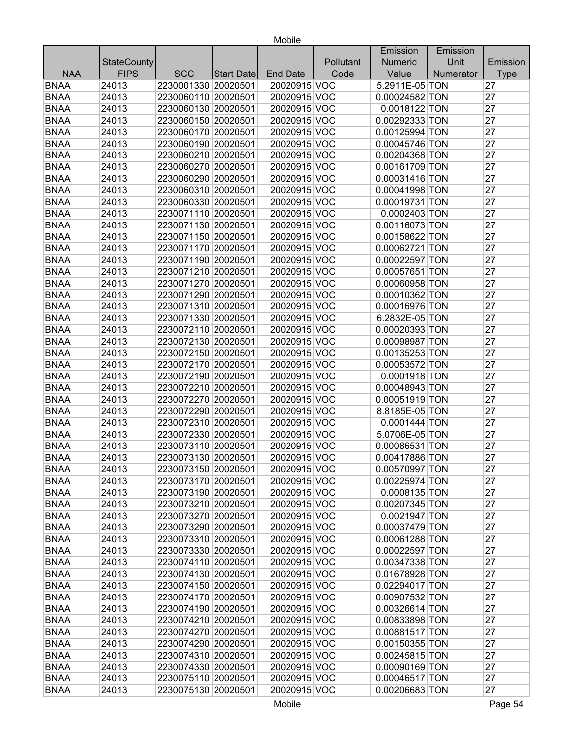|             |                    |                     |                   |                 |           | Emission         | Emission  |             |
|-------------|--------------------|---------------------|-------------------|-----------------|-----------|------------------|-----------|-------------|
|             | <b>StateCounty</b> |                     |                   |                 | Pollutant | <b>Numeric</b>   | Unit      | Emission    |
| <b>NAA</b>  | <b>FIPS</b>        | <b>SCC</b>          | <b>Start Date</b> | <b>End Date</b> | Code      | Value            | Numerator | <b>Type</b> |
| <b>BNAA</b> | 24013              | 2230001330 20020501 |                   | 20020915 VOC    |           | 5.2911E-05 TON   |           | 27          |
| <b>BNAA</b> | 24013              | 2230060110 20020501 |                   | 20020915 VOC    |           | 0.00024582 TON   |           | 27          |
| <b>BNAA</b> | 24013              | 2230060130 20020501 |                   | 20020915 VOC    |           | 0.0018122 TON    |           | 27          |
| <b>BNAA</b> | 24013              | 2230060150 20020501 |                   | 20020915 VOC    |           | 0.00292333 TON   |           | 27          |
| <b>BNAA</b> | 24013              | 2230060170 20020501 |                   | 20020915 VOC    |           | 0.00125994 TON   |           | 27          |
| <b>BNAA</b> | 24013              | 2230060190 20020501 |                   | 20020915 VOC    |           | 0.00045746 TON   |           | 27          |
| <b>BNAA</b> | 24013              | 2230060210 20020501 |                   | 20020915 VOC    |           | 0.00204368 TON   |           | 27          |
| <b>BNAA</b> | 24013              | 2230060270 20020501 |                   | 20020915 VOC    |           | 0.00161709 TON   |           | 27          |
| <b>BNAA</b> | 24013              | 2230060290 20020501 |                   | 20020915 VOC    |           | 0.00031416 TON   |           | 27          |
| <b>BNAA</b> | 24013              | 2230060310 20020501 |                   | 20020915 VOC    |           | 0.00041998 TON   |           | 27          |
| <b>BNAA</b> | 24013              | 2230060330 20020501 |                   | 20020915 VOC    |           | 0.00019731 TON   |           | 27          |
| <b>BNAA</b> | 24013              | 2230071110 20020501 |                   | 20020915 VOC    |           | 0.0002403 TON    |           | 27          |
| <b>BNAA</b> | 24013              | 2230071130 20020501 |                   | 20020915 VOC    |           | 0.00116073 TON   |           | 27          |
| <b>BNAA</b> | 24013              | 2230071150 20020501 |                   | 20020915 VOC    |           | 0.00158622 TON   |           | 27          |
| <b>BNAA</b> | 24013              | 2230071170 20020501 |                   | 20020915 VOC    |           | 0.00062721 TON   |           | 27          |
| <b>BNAA</b> | 24013              | 2230071190 20020501 |                   | 20020915 VOC    |           | 0.00022597 TON   |           | 27          |
| <b>BNAA</b> | 24013              | 2230071210 20020501 |                   | 20020915 VOC    |           | 0.00057651 TON   |           | 27          |
| <b>BNAA</b> | 24013              | 2230071270 20020501 |                   | 20020915 VOC    |           | 0.00060958 TON   |           | 27          |
| <b>BNAA</b> | 24013              | 2230071290 20020501 |                   | 20020915 VOC    |           | 0.00010362 TON   |           | 27          |
| <b>BNAA</b> | 24013              | 2230071310 20020501 |                   | 20020915 VOC    |           | 0.00016976 TON   |           | 27          |
| <b>BNAA</b> | 24013              | 2230071330 20020501 |                   | 20020915 VOC    |           | 6.2832E-05 TON   |           | 27          |
| <b>BNAA</b> | 24013              | 2230072110 20020501 |                   | 20020915 VOC    |           | 0.00020393 TON   |           | 27          |
| <b>BNAA</b> | 24013              | 2230072130 20020501 |                   | 20020915 VOC    |           | 0.00098987 TON   |           | 27          |
| <b>BNAA</b> | 24013              | 2230072150 20020501 |                   | 20020915 VOC    |           | 0.00135253 TON   |           | 27          |
| <b>BNAA</b> | 24013              | 2230072170 20020501 |                   | 20020915 VOC    |           | 0.00053572 TON   |           | 27          |
| <b>BNAA</b> | 24013              | 2230072190 20020501 |                   | 20020915 VOC    |           | 0.0001918 TON    |           | 27          |
| <b>BNAA</b> | 24013              | 2230072210 20020501 |                   | 20020915 VOC    |           | 0.00048943 TON   |           | 27          |
| <b>BNAA</b> | 24013              | 2230072270 20020501 |                   | 20020915 VOC    |           | 0.00051919 TON   |           | 27          |
| <b>BNAA</b> | 24013              | 2230072290 20020501 |                   | 20020915 VOC    |           | 8.8185E-05 TON   |           | 27          |
| <b>BNAA</b> | 24013              | 2230072310 20020501 |                   | 20020915 VOC    |           | 0.0001444 TON    |           | 27          |
| <b>BNAA</b> | 24013              | 2230072330 20020501 |                   | 20020915 VOC    |           | 5.0706E-05 TON   |           | 27          |
| <b>BNAA</b> | 24013              | 2230073110 20020501 |                   | 20020915 VOC    |           | 0.00086531 TON   |           | 27          |
| <b>BNAA</b> | 24013              | 2230073130 20020501 |                   | 20020915 VOC    |           | 0.00417886 TON   |           | 27          |
| BNAA        | 24013              | 2230073150 20020501 |                   | 20020915 VOC    |           | $0.00570997$ TON |           | 27          |
| <b>BNAA</b> | 24013              | 2230073170 20020501 |                   | 20020915 VOC    |           | 0.00225974 TON   |           | 27          |
| <b>BNAA</b> | 24013              | 2230073190 20020501 |                   | 20020915 VOC    |           | 0.0008135 TON    |           | 27          |
| <b>BNAA</b> | 24013              | 2230073210 20020501 |                   | 20020915 VOC    |           | 0.00207345 TON   |           | 27          |
| <b>BNAA</b> | 24013              | 2230073270 20020501 |                   | 20020915 VOC    |           | 0.0021947 TON    |           | 27          |
| <b>BNAA</b> | 24013              | 2230073290 20020501 |                   | 20020915 VOC    |           | 0.00037479 TON   |           | 27          |
| <b>BNAA</b> | 24013              | 2230073310 20020501 |                   | 20020915 VOC    |           | 0.00061288 TON   |           | 27          |
| <b>BNAA</b> | 24013              | 2230073330 20020501 |                   | 20020915 VOC    |           | 0.00022597 TON   |           | 27          |
| <b>BNAA</b> | 24013              | 2230074110 20020501 |                   | 20020915 VOC    |           | 0.00347338 TON   |           | 27          |
| <b>BNAA</b> | 24013              | 2230074130 20020501 |                   | 20020915 VOC    |           | 0.01678928 TON   |           | 27          |
| <b>BNAA</b> | 24013              | 2230074150 20020501 |                   | 20020915 VOC    |           | 0.02294017 TON   |           | 27          |
| <b>BNAA</b> | 24013              | 2230074170 20020501 |                   | 20020915 VOC    |           | 0.00907532 TON   |           | 27          |
| <b>BNAA</b> | 24013              | 2230074190 20020501 |                   | 20020915 VOC    |           | 0.00326614 TON   |           | 27          |
| <b>BNAA</b> | 24013              | 2230074210 20020501 |                   | 20020915 VOC    |           | 0.00833898 TON   |           | 27          |
| <b>BNAA</b> | 24013              | 2230074270 20020501 |                   | 20020915 VOC    |           | 0.00881517 TON   |           | 27          |
| <b>BNAA</b> | 24013              | 2230074290 20020501 |                   | 20020915 VOC    |           | 0.00150355 TON   |           | 27          |
| <b>BNAA</b> | 24013              | 2230074310 20020501 |                   | 20020915 VOC    |           | 0.00245815 TON   |           | 27          |
| <b>BNAA</b> | 24013              | 2230074330 20020501 |                   | 20020915 VOC    |           | 0.00090169 TON   |           | 27          |
| <b>BNAA</b> | 24013              | 2230075110 20020501 |                   | 20020915 VOC    |           | 0.00046517 TON   |           | 27          |
| <b>BNAA</b> |                    | 2230075130 20020501 |                   | 20020915 VOC    |           | 0.00206683 TON   |           | 27          |
|             | 24013              |                     |                   |                 |           |                  |           |             |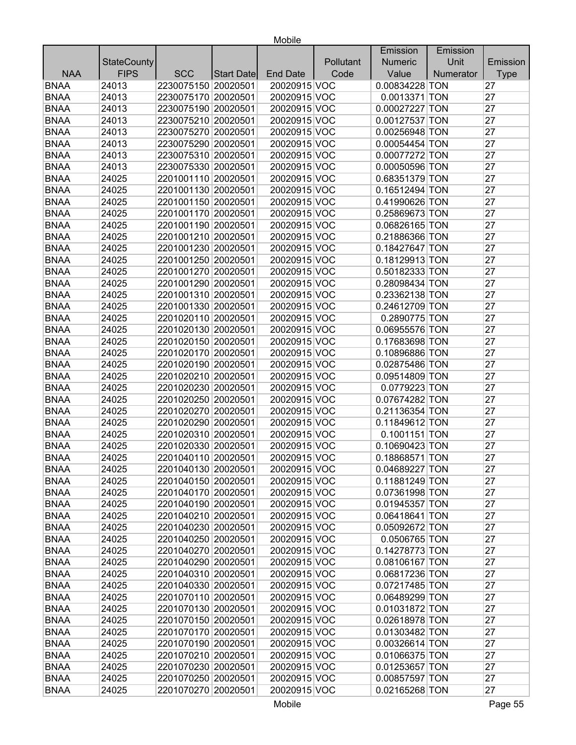| Unit<br><b>StateCounty</b><br>Pollutant<br><b>Numeric</b><br>Emission<br><b>FIPS</b><br><b>NAA</b><br><b>SCC</b><br>Code<br>Value<br><b>End Date</b><br>Numerator<br><b>Type</b><br>Start Date<br><b>BNAA</b><br>24013<br>2230075150 20020501<br>20020915 VOC<br>0.00834228 TON<br>27<br><b>BNAA</b><br>2230075170 20020501<br>0.0013371 TON<br>24013<br>20020915 VOC<br>27<br><b>BNAA</b><br>27<br>24013<br>2230075190 20020501<br>20020915 VOC<br>0.00027227 TON<br><b>BNAA</b><br>27<br>24013<br>2230075210 20020501<br>20020915 VOC<br>0.00127537 TON<br>27<br>24013<br>2230075270 20020501<br>20020915 VOC<br>0.00256948 TON<br><b>BNAA</b><br>2230075290 20020501<br>27<br>24013<br>20020915 VOC<br>0.00054454 TON<br>27<br>24013<br>2230075310 20020501<br>20020915 VOC<br>0.00077272 TON<br>27<br>24013<br>2230075330 20020501<br>20020915 VOC<br>0.00050596 TON<br>27<br>2201001110 20020501<br>24025<br>20020915 VOC<br>0.68351379 TON<br>27<br><b>BNAA</b><br>24025<br>2201001130 20020501<br>20020915 VOC<br>0.16512494 TON<br>27<br>24025<br>2201001150 20020501<br>20020915 VOC<br>0.41990626 TON<br><b>BNAA</b><br>27<br>24025<br>2201001170 20020501<br>20020915 VOC<br>0.25869673 TON<br>27<br><b>BNAA</b><br>24025<br>2201001190 20020501<br>20020915 VOC<br>0.06826165 TON<br><b>BNAA</b><br>27<br>24025<br>2201001210 20020501<br>20020915 VOC<br>0.21886366 TON<br><b>BNAA</b><br>27<br>24025<br>2201001230 20020501<br>20020915 VOC<br>0.18427647 TON<br><b>BNAA</b><br>0.18129913 TON<br>27<br>24025<br>2201001250 20020501<br>20020915 VOC<br><b>BNAA</b><br>27<br>24025<br>2201001270 20020501<br>20020915 VOC<br>0.50182333 TON<br><b>BNAA</b><br>27<br>24025<br>2201001290 20020501<br>20020915 VOC<br>0.28098434 TON<br><b>BNAA</b><br>0.23362138 TON<br>27<br>24025<br>2201001310 20020501<br>20020915 VOC<br><b>BNAA</b><br>27<br>24025<br>2201001330 20020501<br>20020915 VOC<br>0.24612709 TON<br><b>BNAA</b><br>27<br>24025<br>2201020110 20020501<br>20020915 VOC<br>0.2890775 TON<br><b>BNAA</b><br>2201020130 20020501<br>20020915 VOC<br>0.06955576 TON<br>27<br>24025<br><b>BNAA</b><br>27<br>24025<br>2201020150 20020501<br>20020915 VOC<br>0.17683698 TON<br><b>BNAA</b><br>27<br>24025<br>2201020170 20020501<br>20020915 VOC<br>0.10896886 TON<br><b>BNAA</b><br>27<br>24025<br>2201020190 20020501<br>20020915 VOC<br>0.02875486 TON<br>27<br>2201020210 20020501<br>20020915 VOC<br>0.09514809 TON<br><b>BNAA</b><br>24025<br>2201020230 20020501<br>0.0779223 TON<br>27<br><b>BNAA</b><br>24025<br>20020915 VOC<br><b>BNAA</b><br>2201020250 20020501<br>20020915 VOC<br>0.07674282 TON<br>27<br>24025<br><b>BNAA</b><br>2201020270 20020501<br>27<br>24025<br>20020915 VOC<br>0.21136354 TON<br>27<br><b>BNAA</b><br>24025<br>2201020290 20020501<br>20020915 VOC<br>0.11849612 TON<br><b>BNAA</b><br>2201020310 20020501<br>0.1001151 TON<br>27<br>24025<br>20020915 VOC<br><b>BNAA</b><br>27<br>24025<br>2201020330 20020501<br>20020915 VOC<br>0.10690423 TON<br><b>BNAA</b><br>27<br>24025<br>2201040110 20020501<br>20020915 VOC<br>0.18868571 TON<br>27<br>20020915 VOC<br><b>BNAA</b><br>2201040130 20020501<br>24025<br>$0.04689227$ TON<br><b>BNAA</b><br>24025<br>2201040150 20020501<br>27<br>20020915 VOC<br>0.11881249 TON<br><b>BNAA</b><br>24025<br>2201040170 20020501<br>20020915 VOC<br>0.07361998 TON<br>27<br>2201040190 20020501<br>0.01945357 TON<br><b>BNAA</b><br>24025<br>20020915 VOC<br>27<br><b>BNAA</b><br>2201040210 20020501<br>20020915 VOC<br>27<br>24025<br>0.06418641 TON<br><b>BNAA</b><br>2201040230 20020501<br>24025<br>20020915 VOC<br>0.05092672 TON<br>27<br><b>BNAA</b><br>2201040250 20020501<br>0.0506765 TON<br>24025<br>20020915 VOC<br>27<br>2201040270 20020501<br>20020915 VOC<br>0.14278773 TON<br>27<br><b>BNAA</b><br>24025<br><b>BNAA</b><br>2201040290 20020501<br>20020915 VOC<br>0.08106167 TON<br>27<br>24025<br><b>BNAA</b><br>2201040310 20020501<br>0.06817236 TON<br>27<br>24025<br>20020915 VOC<br>2201040330 20020501<br><b>BNAA</b><br>24025<br>20020915 VOC<br>0.07217485 TON<br>27<br>2201070110 20020501<br>27<br><b>BNAA</b><br>24025<br>20020915 VOC<br>0.06489299 TON<br><b>BNAA</b><br>2201070130 20020501<br>20020915 VOC<br>27<br>24025<br>0.01031872 TON |             |       |  |  | Emission | Emission |    |
|------------------------------------------------------------------------------------------------------------------------------------------------------------------------------------------------------------------------------------------------------------------------------------------------------------------------------------------------------------------------------------------------------------------------------------------------------------------------------------------------------------------------------------------------------------------------------------------------------------------------------------------------------------------------------------------------------------------------------------------------------------------------------------------------------------------------------------------------------------------------------------------------------------------------------------------------------------------------------------------------------------------------------------------------------------------------------------------------------------------------------------------------------------------------------------------------------------------------------------------------------------------------------------------------------------------------------------------------------------------------------------------------------------------------------------------------------------------------------------------------------------------------------------------------------------------------------------------------------------------------------------------------------------------------------------------------------------------------------------------------------------------------------------------------------------------------------------------------------------------------------------------------------------------------------------------------------------------------------------------------------------------------------------------------------------------------------------------------------------------------------------------------------------------------------------------------------------------------------------------------------------------------------------------------------------------------------------------------------------------------------------------------------------------------------------------------------------------------------------------------------------------------------------------------------------------------------------------------------------------------------------------------------------------------------------------------------------------------------------------------------------------------------------------------------------------------------------------------------------------------------------------------------------------------------------------------------------------------------------------------------------------------------------------------------------------------------------------------------------------------------------------------------------------------------------------------------------------------------------------------------------------------------------------------------------------------------------------------------------------------------------------------------------------------------------------------------------------------------------------------------------------------------------------------------------------------------------------------------------------------------------------------------------------------------------------------------------------------------------------------------------------------------------------------------------------------------------------------------------------------------------------------------------------------------------------------------------------------------------------------------------------------------------------------------------------------------------------------------------------------------------------------------------------------------------------------------------------------------------------------------------------------------------|-------------|-------|--|--|----------|----------|----|
|                                                                                                                                                                                                                                                                                                                                                                                                                                                                                                                                                                                                                                                                                                                                                                                                                                                                                                                                                                                                                                                                                                                                                                                                                                                                                                                                                                                                                                                                                                                                                                                                                                                                                                                                                                                                                                                                                                                                                                                                                                                                                                                                                                                                                                                                                                                                                                                                                                                                                                                                                                                                                                                                                                                                                                                                                                                                                                                                                                                                                                                                                                                                                                                                                                                                                                                                                                                                                                                                                                                                                                                                                                                                                                                                                                                                                                                                                                                                                                                                                                                                                                                                                                                                                                                                                    |             |       |  |  |          |          |    |
|                                                                                                                                                                                                                                                                                                                                                                                                                                                                                                                                                                                                                                                                                                                                                                                                                                                                                                                                                                                                                                                                                                                                                                                                                                                                                                                                                                                                                                                                                                                                                                                                                                                                                                                                                                                                                                                                                                                                                                                                                                                                                                                                                                                                                                                                                                                                                                                                                                                                                                                                                                                                                                                                                                                                                                                                                                                                                                                                                                                                                                                                                                                                                                                                                                                                                                                                                                                                                                                                                                                                                                                                                                                                                                                                                                                                                                                                                                                                                                                                                                                                                                                                                                                                                                                                                    |             |       |  |  |          |          |    |
|                                                                                                                                                                                                                                                                                                                                                                                                                                                                                                                                                                                                                                                                                                                                                                                                                                                                                                                                                                                                                                                                                                                                                                                                                                                                                                                                                                                                                                                                                                                                                                                                                                                                                                                                                                                                                                                                                                                                                                                                                                                                                                                                                                                                                                                                                                                                                                                                                                                                                                                                                                                                                                                                                                                                                                                                                                                                                                                                                                                                                                                                                                                                                                                                                                                                                                                                                                                                                                                                                                                                                                                                                                                                                                                                                                                                                                                                                                                                                                                                                                                                                                                                                                                                                                                                                    |             |       |  |  |          |          |    |
|                                                                                                                                                                                                                                                                                                                                                                                                                                                                                                                                                                                                                                                                                                                                                                                                                                                                                                                                                                                                                                                                                                                                                                                                                                                                                                                                                                                                                                                                                                                                                                                                                                                                                                                                                                                                                                                                                                                                                                                                                                                                                                                                                                                                                                                                                                                                                                                                                                                                                                                                                                                                                                                                                                                                                                                                                                                                                                                                                                                                                                                                                                                                                                                                                                                                                                                                                                                                                                                                                                                                                                                                                                                                                                                                                                                                                                                                                                                                                                                                                                                                                                                                                                                                                                                                                    |             |       |  |  |          |          |    |
|                                                                                                                                                                                                                                                                                                                                                                                                                                                                                                                                                                                                                                                                                                                                                                                                                                                                                                                                                                                                                                                                                                                                                                                                                                                                                                                                                                                                                                                                                                                                                                                                                                                                                                                                                                                                                                                                                                                                                                                                                                                                                                                                                                                                                                                                                                                                                                                                                                                                                                                                                                                                                                                                                                                                                                                                                                                                                                                                                                                                                                                                                                                                                                                                                                                                                                                                                                                                                                                                                                                                                                                                                                                                                                                                                                                                                                                                                                                                                                                                                                                                                                                                                                                                                                                                                    |             |       |  |  |          |          |    |
|                                                                                                                                                                                                                                                                                                                                                                                                                                                                                                                                                                                                                                                                                                                                                                                                                                                                                                                                                                                                                                                                                                                                                                                                                                                                                                                                                                                                                                                                                                                                                                                                                                                                                                                                                                                                                                                                                                                                                                                                                                                                                                                                                                                                                                                                                                                                                                                                                                                                                                                                                                                                                                                                                                                                                                                                                                                                                                                                                                                                                                                                                                                                                                                                                                                                                                                                                                                                                                                                                                                                                                                                                                                                                                                                                                                                                                                                                                                                                                                                                                                                                                                                                                                                                                                                                    |             |       |  |  |          |          |    |
|                                                                                                                                                                                                                                                                                                                                                                                                                                                                                                                                                                                                                                                                                                                                                                                                                                                                                                                                                                                                                                                                                                                                                                                                                                                                                                                                                                                                                                                                                                                                                                                                                                                                                                                                                                                                                                                                                                                                                                                                                                                                                                                                                                                                                                                                                                                                                                                                                                                                                                                                                                                                                                                                                                                                                                                                                                                                                                                                                                                                                                                                                                                                                                                                                                                                                                                                                                                                                                                                                                                                                                                                                                                                                                                                                                                                                                                                                                                                                                                                                                                                                                                                                                                                                                                                                    | <b>BNAA</b> |       |  |  |          |          |    |
|                                                                                                                                                                                                                                                                                                                                                                                                                                                                                                                                                                                                                                                                                                                                                                                                                                                                                                                                                                                                                                                                                                                                                                                                                                                                                                                                                                                                                                                                                                                                                                                                                                                                                                                                                                                                                                                                                                                                                                                                                                                                                                                                                                                                                                                                                                                                                                                                                                                                                                                                                                                                                                                                                                                                                                                                                                                                                                                                                                                                                                                                                                                                                                                                                                                                                                                                                                                                                                                                                                                                                                                                                                                                                                                                                                                                                                                                                                                                                                                                                                                                                                                                                                                                                                                                                    |             |       |  |  |          |          |    |
|                                                                                                                                                                                                                                                                                                                                                                                                                                                                                                                                                                                                                                                                                                                                                                                                                                                                                                                                                                                                                                                                                                                                                                                                                                                                                                                                                                                                                                                                                                                                                                                                                                                                                                                                                                                                                                                                                                                                                                                                                                                                                                                                                                                                                                                                                                                                                                                                                                                                                                                                                                                                                                                                                                                                                                                                                                                                                                                                                                                                                                                                                                                                                                                                                                                                                                                                                                                                                                                                                                                                                                                                                                                                                                                                                                                                                                                                                                                                                                                                                                                                                                                                                                                                                                                                                    | <b>BNAA</b> |       |  |  |          |          |    |
|                                                                                                                                                                                                                                                                                                                                                                                                                                                                                                                                                                                                                                                                                                                                                                                                                                                                                                                                                                                                                                                                                                                                                                                                                                                                                                                                                                                                                                                                                                                                                                                                                                                                                                                                                                                                                                                                                                                                                                                                                                                                                                                                                                                                                                                                                                                                                                                                                                                                                                                                                                                                                                                                                                                                                                                                                                                                                                                                                                                                                                                                                                                                                                                                                                                                                                                                                                                                                                                                                                                                                                                                                                                                                                                                                                                                                                                                                                                                                                                                                                                                                                                                                                                                                                                                                    | <b>BNAA</b> |       |  |  |          |          |    |
|                                                                                                                                                                                                                                                                                                                                                                                                                                                                                                                                                                                                                                                                                                                                                                                                                                                                                                                                                                                                                                                                                                                                                                                                                                                                                                                                                                                                                                                                                                                                                                                                                                                                                                                                                                                                                                                                                                                                                                                                                                                                                                                                                                                                                                                                                                                                                                                                                                                                                                                                                                                                                                                                                                                                                                                                                                                                                                                                                                                                                                                                                                                                                                                                                                                                                                                                                                                                                                                                                                                                                                                                                                                                                                                                                                                                                                                                                                                                                                                                                                                                                                                                                                                                                                                                                    | <b>BNAA</b> |       |  |  |          |          |    |
|                                                                                                                                                                                                                                                                                                                                                                                                                                                                                                                                                                                                                                                                                                                                                                                                                                                                                                                                                                                                                                                                                                                                                                                                                                                                                                                                                                                                                                                                                                                                                                                                                                                                                                                                                                                                                                                                                                                                                                                                                                                                                                                                                                                                                                                                                                                                                                                                                                                                                                                                                                                                                                                                                                                                                                                                                                                                                                                                                                                                                                                                                                                                                                                                                                                                                                                                                                                                                                                                                                                                                                                                                                                                                                                                                                                                                                                                                                                                                                                                                                                                                                                                                                                                                                                                                    |             |       |  |  |          |          |    |
|                                                                                                                                                                                                                                                                                                                                                                                                                                                                                                                                                                                                                                                                                                                                                                                                                                                                                                                                                                                                                                                                                                                                                                                                                                                                                                                                                                                                                                                                                                                                                                                                                                                                                                                                                                                                                                                                                                                                                                                                                                                                                                                                                                                                                                                                                                                                                                                                                                                                                                                                                                                                                                                                                                                                                                                                                                                                                                                                                                                                                                                                                                                                                                                                                                                                                                                                                                                                                                                                                                                                                                                                                                                                                                                                                                                                                                                                                                                                                                                                                                                                                                                                                                                                                                                                                    | <b>BNAA</b> |       |  |  |          |          |    |
|                                                                                                                                                                                                                                                                                                                                                                                                                                                                                                                                                                                                                                                                                                                                                                                                                                                                                                                                                                                                                                                                                                                                                                                                                                                                                                                                                                                                                                                                                                                                                                                                                                                                                                                                                                                                                                                                                                                                                                                                                                                                                                                                                                                                                                                                                                                                                                                                                                                                                                                                                                                                                                                                                                                                                                                                                                                                                                                                                                                                                                                                                                                                                                                                                                                                                                                                                                                                                                                                                                                                                                                                                                                                                                                                                                                                                                                                                                                                                                                                                                                                                                                                                                                                                                                                                    |             |       |  |  |          |          |    |
|                                                                                                                                                                                                                                                                                                                                                                                                                                                                                                                                                                                                                                                                                                                                                                                                                                                                                                                                                                                                                                                                                                                                                                                                                                                                                                                                                                                                                                                                                                                                                                                                                                                                                                                                                                                                                                                                                                                                                                                                                                                                                                                                                                                                                                                                                                                                                                                                                                                                                                                                                                                                                                                                                                                                                                                                                                                                                                                                                                                                                                                                                                                                                                                                                                                                                                                                                                                                                                                                                                                                                                                                                                                                                                                                                                                                                                                                                                                                                                                                                                                                                                                                                                                                                                                                                    |             |       |  |  |          |          |    |
|                                                                                                                                                                                                                                                                                                                                                                                                                                                                                                                                                                                                                                                                                                                                                                                                                                                                                                                                                                                                                                                                                                                                                                                                                                                                                                                                                                                                                                                                                                                                                                                                                                                                                                                                                                                                                                                                                                                                                                                                                                                                                                                                                                                                                                                                                                                                                                                                                                                                                                                                                                                                                                                                                                                                                                                                                                                                                                                                                                                                                                                                                                                                                                                                                                                                                                                                                                                                                                                                                                                                                                                                                                                                                                                                                                                                                                                                                                                                                                                                                                                                                                                                                                                                                                                                                    |             |       |  |  |          |          |    |
|                                                                                                                                                                                                                                                                                                                                                                                                                                                                                                                                                                                                                                                                                                                                                                                                                                                                                                                                                                                                                                                                                                                                                                                                                                                                                                                                                                                                                                                                                                                                                                                                                                                                                                                                                                                                                                                                                                                                                                                                                                                                                                                                                                                                                                                                                                                                                                                                                                                                                                                                                                                                                                                                                                                                                                                                                                                                                                                                                                                                                                                                                                                                                                                                                                                                                                                                                                                                                                                                                                                                                                                                                                                                                                                                                                                                                                                                                                                                                                                                                                                                                                                                                                                                                                                                                    |             |       |  |  |          |          |    |
|                                                                                                                                                                                                                                                                                                                                                                                                                                                                                                                                                                                                                                                                                                                                                                                                                                                                                                                                                                                                                                                                                                                                                                                                                                                                                                                                                                                                                                                                                                                                                                                                                                                                                                                                                                                                                                                                                                                                                                                                                                                                                                                                                                                                                                                                                                                                                                                                                                                                                                                                                                                                                                                                                                                                                                                                                                                                                                                                                                                                                                                                                                                                                                                                                                                                                                                                                                                                                                                                                                                                                                                                                                                                                                                                                                                                                                                                                                                                                                                                                                                                                                                                                                                                                                                                                    |             |       |  |  |          |          |    |
|                                                                                                                                                                                                                                                                                                                                                                                                                                                                                                                                                                                                                                                                                                                                                                                                                                                                                                                                                                                                                                                                                                                                                                                                                                                                                                                                                                                                                                                                                                                                                                                                                                                                                                                                                                                                                                                                                                                                                                                                                                                                                                                                                                                                                                                                                                                                                                                                                                                                                                                                                                                                                                                                                                                                                                                                                                                                                                                                                                                                                                                                                                                                                                                                                                                                                                                                                                                                                                                                                                                                                                                                                                                                                                                                                                                                                                                                                                                                                                                                                                                                                                                                                                                                                                                                                    |             |       |  |  |          |          |    |
|                                                                                                                                                                                                                                                                                                                                                                                                                                                                                                                                                                                                                                                                                                                                                                                                                                                                                                                                                                                                                                                                                                                                                                                                                                                                                                                                                                                                                                                                                                                                                                                                                                                                                                                                                                                                                                                                                                                                                                                                                                                                                                                                                                                                                                                                                                                                                                                                                                                                                                                                                                                                                                                                                                                                                                                                                                                                                                                                                                                                                                                                                                                                                                                                                                                                                                                                                                                                                                                                                                                                                                                                                                                                                                                                                                                                                                                                                                                                                                                                                                                                                                                                                                                                                                                                                    |             |       |  |  |          |          |    |
|                                                                                                                                                                                                                                                                                                                                                                                                                                                                                                                                                                                                                                                                                                                                                                                                                                                                                                                                                                                                                                                                                                                                                                                                                                                                                                                                                                                                                                                                                                                                                                                                                                                                                                                                                                                                                                                                                                                                                                                                                                                                                                                                                                                                                                                                                                                                                                                                                                                                                                                                                                                                                                                                                                                                                                                                                                                                                                                                                                                                                                                                                                                                                                                                                                                                                                                                                                                                                                                                                                                                                                                                                                                                                                                                                                                                                                                                                                                                                                                                                                                                                                                                                                                                                                                                                    |             |       |  |  |          |          |    |
|                                                                                                                                                                                                                                                                                                                                                                                                                                                                                                                                                                                                                                                                                                                                                                                                                                                                                                                                                                                                                                                                                                                                                                                                                                                                                                                                                                                                                                                                                                                                                                                                                                                                                                                                                                                                                                                                                                                                                                                                                                                                                                                                                                                                                                                                                                                                                                                                                                                                                                                                                                                                                                                                                                                                                                                                                                                                                                                                                                                                                                                                                                                                                                                                                                                                                                                                                                                                                                                                                                                                                                                                                                                                                                                                                                                                                                                                                                                                                                                                                                                                                                                                                                                                                                                                                    |             |       |  |  |          |          |    |
|                                                                                                                                                                                                                                                                                                                                                                                                                                                                                                                                                                                                                                                                                                                                                                                                                                                                                                                                                                                                                                                                                                                                                                                                                                                                                                                                                                                                                                                                                                                                                                                                                                                                                                                                                                                                                                                                                                                                                                                                                                                                                                                                                                                                                                                                                                                                                                                                                                                                                                                                                                                                                                                                                                                                                                                                                                                                                                                                                                                                                                                                                                                                                                                                                                                                                                                                                                                                                                                                                                                                                                                                                                                                                                                                                                                                                                                                                                                                                                                                                                                                                                                                                                                                                                                                                    |             |       |  |  |          |          |    |
|                                                                                                                                                                                                                                                                                                                                                                                                                                                                                                                                                                                                                                                                                                                                                                                                                                                                                                                                                                                                                                                                                                                                                                                                                                                                                                                                                                                                                                                                                                                                                                                                                                                                                                                                                                                                                                                                                                                                                                                                                                                                                                                                                                                                                                                                                                                                                                                                                                                                                                                                                                                                                                                                                                                                                                                                                                                                                                                                                                                                                                                                                                                                                                                                                                                                                                                                                                                                                                                                                                                                                                                                                                                                                                                                                                                                                                                                                                                                                                                                                                                                                                                                                                                                                                                                                    |             |       |  |  |          |          |    |
|                                                                                                                                                                                                                                                                                                                                                                                                                                                                                                                                                                                                                                                                                                                                                                                                                                                                                                                                                                                                                                                                                                                                                                                                                                                                                                                                                                                                                                                                                                                                                                                                                                                                                                                                                                                                                                                                                                                                                                                                                                                                                                                                                                                                                                                                                                                                                                                                                                                                                                                                                                                                                                                                                                                                                                                                                                                                                                                                                                                                                                                                                                                                                                                                                                                                                                                                                                                                                                                                                                                                                                                                                                                                                                                                                                                                                                                                                                                                                                                                                                                                                                                                                                                                                                                                                    |             |       |  |  |          |          |    |
|                                                                                                                                                                                                                                                                                                                                                                                                                                                                                                                                                                                                                                                                                                                                                                                                                                                                                                                                                                                                                                                                                                                                                                                                                                                                                                                                                                                                                                                                                                                                                                                                                                                                                                                                                                                                                                                                                                                                                                                                                                                                                                                                                                                                                                                                                                                                                                                                                                                                                                                                                                                                                                                                                                                                                                                                                                                                                                                                                                                                                                                                                                                                                                                                                                                                                                                                                                                                                                                                                                                                                                                                                                                                                                                                                                                                                                                                                                                                                                                                                                                                                                                                                                                                                                                                                    |             |       |  |  |          |          |    |
|                                                                                                                                                                                                                                                                                                                                                                                                                                                                                                                                                                                                                                                                                                                                                                                                                                                                                                                                                                                                                                                                                                                                                                                                                                                                                                                                                                                                                                                                                                                                                                                                                                                                                                                                                                                                                                                                                                                                                                                                                                                                                                                                                                                                                                                                                                                                                                                                                                                                                                                                                                                                                                                                                                                                                                                                                                                                                                                                                                                                                                                                                                                                                                                                                                                                                                                                                                                                                                                                                                                                                                                                                                                                                                                                                                                                                                                                                                                                                                                                                                                                                                                                                                                                                                                                                    |             |       |  |  |          |          |    |
|                                                                                                                                                                                                                                                                                                                                                                                                                                                                                                                                                                                                                                                                                                                                                                                                                                                                                                                                                                                                                                                                                                                                                                                                                                                                                                                                                                                                                                                                                                                                                                                                                                                                                                                                                                                                                                                                                                                                                                                                                                                                                                                                                                                                                                                                                                                                                                                                                                                                                                                                                                                                                                                                                                                                                                                                                                                                                                                                                                                                                                                                                                                                                                                                                                                                                                                                                                                                                                                                                                                                                                                                                                                                                                                                                                                                                                                                                                                                                                                                                                                                                                                                                                                                                                                                                    |             |       |  |  |          |          |    |
|                                                                                                                                                                                                                                                                                                                                                                                                                                                                                                                                                                                                                                                                                                                                                                                                                                                                                                                                                                                                                                                                                                                                                                                                                                                                                                                                                                                                                                                                                                                                                                                                                                                                                                                                                                                                                                                                                                                                                                                                                                                                                                                                                                                                                                                                                                                                                                                                                                                                                                                                                                                                                                                                                                                                                                                                                                                                                                                                                                                                                                                                                                                                                                                                                                                                                                                                                                                                                                                                                                                                                                                                                                                                                                                                                                                                                                                                                                                                                                                                                                                                                                                                                                                                                                                                                    |             |       |  |  |          |          |    |
|                                                                                                                                                                                                                                                                                                                                                                                                                                                                                                                                                                                                                                                                                                                                                                                                                                                                                                                                                                                                                                                                                                                                                                                                                                                                                                                                                                                                                                                                                                                                                                                                                                                                                                                                                                                                                                                                                                                                                                                                                                                                                                                                                                                                                                                                                                                                                                                                                                                                                                                                                                                                                                                                                                                                                                                                                                                                                                                                                                                                                                                                                                                                                                                                                                                                                                                                                                                                                                                                                                                                                                                                                                                                                                                                                                                                                                                                                                                                                                                                                                                                                                                                                                                                                                                                                    |             |       |  |  |          |          |    |
|                                                                                                                                                                                                                                                                                                                                                                                                                                                                                                                                                                                                                                                                                                                                                                                                                                                                                                                                                                                                                                                                                                                                                                                                                                                                                                                                                                                                                                                                                                                                                                                                                                                                                                                                                                                                                                                                                                                                                                                                                                                                                                                                                                                                                                                                                                                                                                                                                                                                                                                                                                                                                                                                                                                                                                                                                                                                                                                                                                                                                                                                                                                                                                                                                                                                                                                                                                                                                                                                                                                                                                                                                                                                                                                                                                                                                                                                                                                                                                                                                                                                                                                                                                                                                                                                                    |             |       |  |  |          |          |    |
|                                                                                                                                                                                                                                                                                                                                                                                                                                                                                                                                                                                                                                                                                                                                                                                                                                                                                                                                                                                                                                                                                                                                                                                                                                                                                                                                                                                                                                                                                                                                                                                                                                                                                                                                                                                                                                                                                                                                                                                                                                                                                                                                                                                                                                                                                                                                                                                                                                                                                                                                                                                                                                                                                                                                                                                                                                                                                                                                                                                                                                                                                                                                                                                                                                                                                                                                                                                                                                                                                                                                                                                                                                                                                                                                                                                                                                                                                                                                                                                                                                                                                                                                                                                                                                                                                    |             |       |  |  |          |          |    |
|                                                                                                                                                                                                                                                                                                                                                                                                                                                                                                                                                                                                                                                                                                                                                                                                                                                                                                                                                                                                                                                                                                                                                                                                                                                                                                                                                                                                                                                                                                                                                                                                                                                                                                                                                                                                                                                                                                                                                                                                                                                                                                                                                                                                                                                                                                                                                                                                                                                                                                                                                                                                                                                                                                                                                                                                                                                                                                                                                                                                                                                                                                                                                                                                                                                                                                                                                                                                                                                                                                                                                                                                                                                                                                                                                                                                                                                                                                                                                                                                                                                                                                                                                                                                                                                                                    |             |       |  |  |          |          |    |
|                                                                                                                                                                                                                                                                                                                                                                                                                                                                                                                                                                                                                                                                                                                                                                                                                                                                                                                                                                                                                                                                                                                                                                                                                                                                                                                                                                                                                                                                                                                                                                                                                                                                                                                                                                                                                                                                                                                                                                                                                                                                                                                                                                                                                                                                                                                                                                                                                                                                                                                                                                                                                                                                                                                                                                                                                                                                                                                                                                                                                                                                                                                                                                                                                                                                                                                                                                                                                                                                                                                                                                                                                                                                                                                                                                                                                                                                                                                                                                                                                                                                                                                                                                                                                                                                                    |             |       |  |  |          |          |    |
|                                                                                                                                                                                                                                                                                                                                                                                                                                                                                                                                                                                                                                                                                                                                                                                                                                                                                                                                                                                                                                                                                                                                                                                                                                                                                                                                                                                                                                                                                                                                                                                                                                                                                                                                                                                                                                                                                                                                                                                                                                                                                                                                                                                                                                                                                                                                                                                                                                                                                                                                                                                                                                                                                                                                                                                                                                                                                                                                                                                                                                                                                                                                                                                                                                                                                                                                                                                                                                                                                                                                                                                                                                                                                                                                                                                                                                                                                                                                                                                                                                                                                                                                                                                                                                                                                    |             |       |  |  |          |          |    |
|                                                                                                                                                                                                                                                                                                                                                                                                                                                                                                                                                                                                                                                                                                                                                                                                                                                                                                                                                                                                                                                                                                                                                                                                                                                                                                                                                                                                                                                                                                                                                                                                                                                                                                                                                                                                                                                                                                                                                                                                                                                                                                                                                                                                                                                                                                                                                                                                                                                                                                                                                                                                                                                                                                                                                                                                                                                                                                                                                                                                                                                                                                                                                                                                                                                                                                                                                                                                                                                                                                                                                                                                                                                                                                                                                                                                                                                                                                                                                                                                                                                                                                                                                                                                                                                                                    |             |       |  |  |          |          |    |
|                                                                                                                                                                                                                                                                                                                                                                                                                                                                                                                                                                                                                                                                                                                                                                                                                                                                                                                                                                                                                                                                                                                                                                                                                                                                                                                                                                                                                                                                                                                                                                                                                                                                                                                                                                                                                                                                                                                                                                                                                                                                                                                                                                                                                                                                                                                                                                                                                                                                                                                                                                                                                                                                                                                                                                                                                                                                                                                                                                                                                                                                                                                                                                                                                                                                                                                                                                                                                                                                                                                                                                                                                                                                                                                                                                                                                                                                                                                                                                                                                                                                                                                                                                                                                                                                                    |             |       |  |  |          |          |    |
|                                                                                                                                                                                                                                                                                                                                                                                                                                                                                                                                                                                                                                                                                                                                                                                                                                                                                                                                                                                                                                                                                                                                                                                                                                                                                                                                                                                                                                                                                                                                                                                                                                                                                                                                                                                                                                                                                                                                                                                                                                                                                                                                                                                                                                                                                                                                                                                                                                                                                                                                                                                                                                                                                                                                                                                                                                                                                                                                                                                                                                                                                                                                                                                                                                                                                                                                                                                                                                                                                                                                                                                                                                                                                                                                                                                                                                                                                                                                                                                                                                                                                                                                                                                                                                                                                    |             |       |  |  |          |          |    |
|                                                                                                                                                                                                                                                                                                                                                                                                                                                                                                                                                                                                                                                                                                                                                                                                                                                                                                                                                                                                                                                                                                                                                                                                                                                                                                                                                                                                                                                                                                                                                                                                                                                                                                                                                                                                                                                                                                                                                                                                                                                                                                                                                                                                                                                                                                                                                                                                                                                                                                                                                                                                                                                                                                                                                                                                                                                                                                                                                                                                                                                                                                                                                                                                                                                                                                                                                                                                                                                                                                                                                                                                                                                                                                                                                                                                                                                                                                                                                                                                                                                                                                                                                                                                                                                                                    |             |       |  |  |          |          |    |
|                                                                                                                                                                                                                                                                                                                                                                                                                                                                                                                                                                                                                                                                                                                                                                                                                                                                                                                                                                                                                                                                                                                                                                                                                                                                                                                                                                                                                                                                                                                                                                                                                                                                                                                                                                                                                                                                                                                                                                                                                                                                                                                                                                                                                                                                                                                                                                                                                                                                                                                                                                                                                                                                                                                                                                                                                                                                                                                                                                                                                                                                                                                                                                                                                                                                                                                                                                                                                                                                                                                                                                                                                                                                                                                                                                                                                                                                                                                                                                                                                                                                                                                                                                                                                                                                                    |             |       |  |  |          |          |    |
|                                                                                                                                                                                                                                                                                                                                                                                                                                                                                                                                                                                                                                                                                                                                                                                                                                                                                                                                                                                                                                                                                                                                                                                                                                                                                                                                                                                                                                                                                                                                                                                                                                                                                                                                                                                                                                                                                                                                                                                                                                                                                                                                                                                                                                                                                                                                                                                                                                                                                                                                                                                                                                                                                                                                                                                                                                                                                                                                                                                                                                                                                                                                                                                                                                                                                                                                                                                                                                                                                                                                                                                                                                                                                                                                                                                                                                                                                                                                                                                                                                                                                                                                                                                                                                                                                    |             |       |  |  |          |          |    |
|                                                                                                                                                                                                                                                                                                                                                                                                                                                                                                                                                                                                                                                                                                                                                                                                                                                                                                                                                                                                                                                                                                                                                                                                                                                                                                                                                                                                                                                                                                                                                                                                                                                                                                                                                                                                                                                                                                                                                                                                                                                                                                                                                                                                                                                                                                                                                                                                                                                                                                                                                                                                                                                                                                                                                                                                                                                                                                                                                                                                                                                                                                                                                                                                                                                                                                                                                                                                                                                                                                                                                                                                                                                                                                                                                                                                                                                                                                                                                                                                                                                                                                                                                                                                                                                                                    |             |       |  |  |          |          |    |
|                                                                                                                                                                                                                                                                                                                                                                                                                                                                                                                                                                                                                                                                                                                                                                                                                                                                                                                                                                                                                                                                                                                                                                                                                                                                                                                                                                                                                                                                                                                                                                                                                                                                                                                                                                                                                                                                                                                                                                                                                                                                                                                                                                                                                                                                                                                                                                                                                                                                                                                                                                                                                                                                                                                                                                                                                                                                                                                                                                                                                                                                                                                                                                                                                                                                                                                                                                                                                                                                                                                                                                                                                                                                                                                                                                                                                                                                                                                                                                                                                                                                                                                                                                                                                                                                                    |             |       |  |  |          |          |    |
|                                                                                                                                                                                                                                                                                                                                                                                                                                                                                                                                                                                                                                                                                                                                                                                                                                                                                                                                                                                                                                                                                                                                                                                                                                                                                                                                                                                                                                                                                                                                                                                                                                                                                                                                                                                                                                                                                                                                                                                                                                                                                                                                                                                                                                                                                                                                                                                                                                                                                                                                                                                                                                                                                                                                                                                                                                                                                                                                                                                                                                                                                                                                                                                                                                                                                                                                                                                                                                                                                                                                                                                                                                                                                                                                                                                                                                                                                                                                                                                                                                                                                                                                                                                                                                                                                    |             |       |  |  |          |          |    |
|                                                                                                                                                                                                                                                                                                                                                                                                                                                                                                                                                                                                                                                                                                                                                                                                                                                                                                                                                                                                                                                                                                                                                                                                                                                                                                                                                                                                                                                                                                                                                                                                                                                                                                                                                                                                                                                                                                                                                                                                                                                                                                                                                                                                                                                                                                                                                                                                                                                                                                                                                                                                                                                                                                                                                                                                                                                                                                                                                                                                                                                                                                                                                                                                                                                                                                                                                                                                                                                                                                                                                                                                                                                                                                                                                                                                                                                                                                                                                                                                                                                                                                                                                                                                                                                                                    |             |       |  |  |          |          |    |
|                                                                                                                                                                                                                                                                                                                                                                                                                                                                                                                                                                                                                                                                                                                                                                                                                                                                                                                                                                                                                                                                                                                                                                                                                                                                                                                                                                                                                                                                                                                                                                                                                                                                                                                                                                                                                                                                                                                                                                                                                                                                                                                                                                                                                                                                                                                                                                                                                                                                                                                                                                                                                                                                                                                                                                                                                                                                                                                                                                                                                                                                                                                                                                                                                                                                                                                                                                                                                                                                                                                                                                                                                                                                                                                                                                                                                                                                                                                                                                                                                                                                                                                                                                                                                                                                                    |             |       |  |  |          |          |    |
|                                                                                                                                                                                                                                                                                                                                                                                                                                                                                                                                                                                                                                                                                                                                                                                                                                                                                                                                                                                                                                                                                                                                                                                                                                                                                                                                                                                                                                                                                                                                                                                                                                                                                                                                                                                                                                                                                                                                                                                                                                                                                                                                                                                                                                                                                                                                                                                                                                                                                                                                                                                                                                                                                                                                                                                                                                                                                                                                                                                                                                                                                                                                                                                                                                                                                                                                                                                                                                                                                                                                                                                                                                                                                                                                                                                                                                                                                                                                                                                                                                                                                                                                                                                                                                                                                    |             |       |  |  |          |          |    |
|                                                                                                                                                                                                                                                                                                                                                                                                                                                                                                                                                                                                                                                                                                                                                                                                                                                                                                                                                                                                                                                                                                                                                                                                                                                                                                                                                                                                                                                                                                                                                                                                                                                                                                                                                                                                                                                                                                                                                                                                                                                                                                                                                                                                                                                                                                                                                                                                                                                                                                                                                                                                                                                                                                                                                                                                                                                                                                                                                                                                                                                                                                                                                                                                                                                                                                                                                                                                                                                                                                                                                                                                                                                                                                                                                                                                                                                                                                                                                                                                                                                                                                                                                                                                                                                                                    |             |       |  |  |          |          |    |
| 2201070150 20020501<br>20020915 VOC<br>0.02618978 TON                                                                                                                                                                                                                                                                                                                                                                                                                                                                                                                                                                                                                                                                                                                                                                                                                                                                                                                                                                                                                                                                                                                                                                                                                                                                                                                                                                                                                                                                                                                                                                                                                                                                                                                                                                                                                                                                                                                                                                                                                                                                                                                                                                                                                                                                                                                                                                                                                                                                                                                                                                                                                                                                                                                                                                                                                                                                                                                                                                                                                                                                                                                                                                                                                                                                                                                                                                                                                                                                                                                                                                                                                                                                                                                                                                                                                                                                                                                                                                                                                                                                                                                                                                                                                              | <b>BNAA</b> | 24025 |  |  |          |          | 27 |
| <b>BNAA</b><br>2201070170 20020501<br>27<br>24025<br>20020915 VOC<br>0.01303482 TON                                                                                                                                                                                                                                                                                                                                                                                                                                                                                                                                                                                                                                                                                                                                                                                                                                                                                                                                                                                                                                                                                                                                                                                                                                                                                                                                                                                                                                                                                                                                                                                                                                                                                                                                                                                                                                                                                                                                                                                                                                                                                                                                                                                                                                                                                                                                                                                                                                                                                                                                                                                                                                                                                                                                                                                                                                                                                                                                                                                                                                                                                                                                                                                                                                                                                                                                                                                                                                                                                                                                                                                                                                                                                                                                                                                                                                                                                                                                                                                                                                                                                                                                                                                                |             |       |  |  |          |          |    |
| <b>BNAA</b><br>2201070190 20020501<br>20020915 VOC<br>27<br>24025<br>0.00326614 TON                                                                                                                                                                                                                                                                                                                                                                                                                                                                                                                                                                                                                                                                                                                                                                                                                                                                                                                                                                                                                                                                                                                                                                                                                                                                                                                                                                                                                                                                                                                                                                                                                                                                                                                                                                                                                                                                                                                                                                                                                                                                                                                                                                                                                                                                                                                                                                                                                                                                                                                                                                                                                                                                                                                                                                                                                                                                                                                                                                                                                                                                                                                                                                                                                                                                                                                                                                                                                                                                                                                                                                                                                                                                                                                                                                                                                                                                                                                                                                                                                                                                                                                                                                                                |             |       |  |  |          |          |    |
| <b>BNAA</b><br>2201070210 20020501<br>20020915 VOC<br>27<br>24025<br>0.01066375 TON                                                                                                                                                                                                                                                                                                                                                                                                                                                                                                                                                                                                                                                                                                                                                                                                                                                                                                                                                                                                                                                                                                                                                                                                                                                                                                                                                                                                                                                                                                                                                                                                                                                                                                                                                                                                                                                                                                                                                                                                                                                                                                                                                                                                                                                                                                                                                                                                                                                                                                                                                                                                                                                                                                                                                                                                                                                                                                                                                                                                                                                                                                                                                                                                                                                                                                                                                                                                                                                                                                                                                                                                                                                                                                                                                                                                                                                                                                                                                                                                                                                                                                                                                                                                |             |       |  |  |          |          |    |
| <b>BNAA</b><br>27<br>24025<br>2201070230 20020501<br>20020915 VOC<br>0.01253657 TON                                                                                                                                                                                                                                                                                                                                                                                                                                                                                                                                                                                                                                                                                                                                                                                                                                                                                                                                                                                                                                                                                                                                                                                                                                                                                                                                                                                                                                                                                                                                                                                                                                                                                                                                                                                                                                                                                                                                                                                                                                                                                                                                                                                                                                                                                                                                                                                                                                                                                                                                                                                                                                                                                                                                                                                                                                                                                                                                                                                                                                                                                                                                                                                                                                                                                                                                                                                                                                                                                                                                                                                                                                                                                                                                                                                                                                                                                                                                                                                                                                                                                                                                                                                                |             |       |  |  |          |          |    |
| 2201070250 20020501<br><b>BNAA</b><br>24025<br>20020915 VOC<br>0.00857597 TON<br>27                                                                                                                                                                                                                                                                                                                                                                                                                                                                                                                                                                                                                                                                                                                                                                                                                                                                                                                                                                                                                                                                                                                                                                                                                                                                                                                                                                                                                                                                                                                                                                                                                                                                                                                                                                                                                                                                                                                                                                                                                                                                                                                                                                                                                                                                                                                                                                                                                                                                                                                                                                                                                                                                                                                                                                                                                                                                                                                                                                                                                                                                                                                                                                                                                                                                                                                                                                                                                                                                                                                                                                                                                                                                                                                                                                                                                                                                                                                                                                                                                                                                                                                                                                                                |             |       |  |  |          |          |    |
| 27<br>24025<br>2201070270 20020501<br>20020915 VOC<br>0.02165268 TON                                                                                                                                                                                                                                                                                                                                                                                                                                                                                                                                                                                                                                                                                                                                                                                                                                                                                                                                                                                                                                                                                                                                                                                                                                                                                                                                                                                                                                                                                                                                                                                                                                                                                                                                                                                                                                                                                                                                                                                                                                                                                                                                                                                                                                                                                                                                                                                                                                                                                                                                                                                                                                                                                                                                                                                                                                                                                                                                                                                                                                                                                                                                                                                                                                                                                                                                                                                                                                                                                                                                                                                                                                                                                                                                                                                                                                                                                                                                                                                                                                                                                                                                                                                                               | <b>BNAA</b> |       |  |  |          |          |    |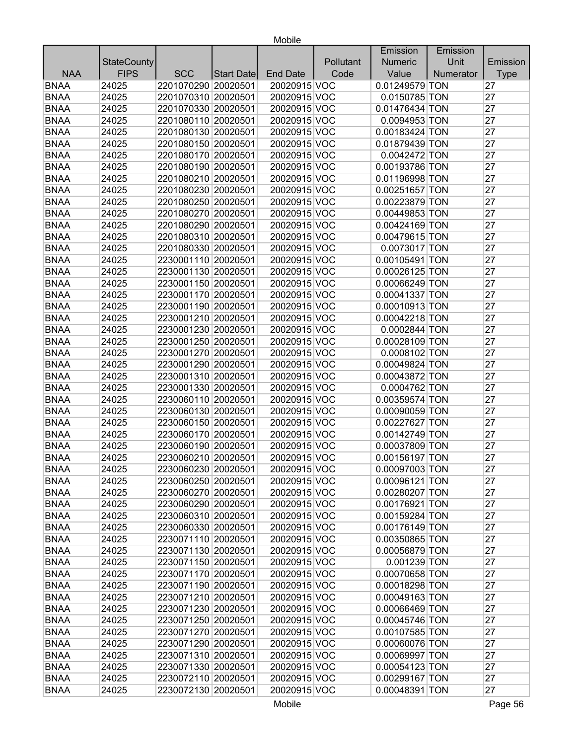|             |                    |                     |            |                 |           | Emission       | Emission  |             |
|-------------|--------------------|---------------------|------------|-----------------|-----------|----------------|-----------|-------------|
|             | <b>StateCounty</b> |                     |            |                 | Pollutant | <b>Numeric</b> | Unit      | Emission    |
| <b>NAA</b>  | <b>FIPS</b>        | <b>SCC</b>          | Start Date | <b>End Date</b> | Code      | Value          | Numerator | <b>Type</b> |
| <b>BNAA</b> | 24025              | 2201070290 20020501 |            | 20020915 VOC    |           | 0.01249579 TON |           | 27          |
| <b>BNAA</b> | 24025              | 2201070310 20020501 |            | 20020915 VOC    |           | 0.0150785 TON  |           | 27          |
| <b>BNAA</b> | 24025              | 2201070330 20020501 |            | 20020915 VOC    |           | 0.01476434 TON |           | 27          |
| <b>BNAA</b> | 24025              | 2201080110 20020501 |            | 20020915 VOC    |           | 0.0094953 TON  |           | 27          |
| <b>BNAA</b> | 24025              | 2201080130 20020501 |            | 20020915 VOC    |           | 0.00183424 TON |           | 27          |
| <b>BNAA</b> | 24025              | 2201080150 20020501 |            | 20020915 VOC    |           | 0.01879439 TON |           | 27          |
| <b>BNAA</b> | 24025              | 2201080170 20020501 |            | 20020915 VOC    |           | 0.0042472 TON  |           | 27          |
| <b>BNAA</b> | 24025              | 2201080190 20020501 |            | 20020915 VOC    |           | 0.00193786 TON |           | 27          |
| <b>BNAA</b> | 24025              | 2201080210 20020501 |            | 20020915 VOC    |           | 0.01196998 TON |           | 27          |
| <b>BNAA</b> | 24025              | 2201080230 20020501 |            | 20020915 VOC    |           | 0.00251657 TON |           | 27          |
| <b>BNAA</b> | 24025              | 2201080250 20020501 |            | 20020915 VOC    |           | 0.00223879 TON |           | 27          |
| <b>BNAA</b> | 24025              | 2201080270 20020501 |            | 20020915 VOC    |           | 0.00449853 TON |           | 27          |
| <b>BNAA</b> | 24025              | 2201080290 20020501 |            | 20020915 VOC    |           | 0.00424169 TON |           | 27          |
| <b>BNAA</b> | 24025              | 2201080310 20020501 |            | 20020915 VOC    |           | 0.00479615 TON |           | 27          |
| <b>BNAA</b> | 24025              | 2201080330 20020501 |            | 20020915 VOC    |           | 0.0073017 TON  |           | 27          |
| <b>BNAA</b> | 24025              | 2230001110 20020501 |            | 20020915 VOC    |           | 0.00105491 TON |           | 27          |
| <b>BNAA</b> | 24025              | 2230001130 20020501 |            | 20020915 VOC    |           | 0.00026125 TON |           | 27          |
| <b>BNAA</b> | 24025              | 2230001150 20020501 |            | 20020915 VOC    |           | 0.00066249 TON |           | 27          |
| <b>BNAA</b> | 24025              | 2230001170 20020501 |            | 20020915 VOC    |           | 0.00041337 TON |           | 27          |
| <b>BNAA</b> | 24025              | 2230001190 20020501 |            | 20020915 VOC    |           | 0.00010913 TON |           | 27          |
| <b>BNAA</b> | 24025              | 2230001210 20020501 |            | 20020915 VOC    |           | 0.00042218 TON |           | 27          |
| <b>BNAA</b> | 24025              | 2230001230 20020501 |            | 20020915 VOC    |           | 0.0002844 TON  |           | 27          |
| <b>BNAA</b> | 24025              | 2230001250 20020501 |            | 20020915 VOC    |           | 0.00028109 TON |           | 27          |
| <b>BNAA</b> | 24025              | 2230001270 20020501 |            | 20020915 VOC    |           | 0.0008102 TON  |           | 27          |
| <b>BNAA</b> | 24025              | 2230001290 20020501 |            | 20020915 VOC    |           | 0.00049824 TON |           | 27          |
| <b>BNAA</b> | 24025              | 2230001310 20020501 |            | 20020915 VOC    |           | 0.00043872 TON |           | 27          |
| <b>BNAA</b> | 24025              | 2230001330 20020501 |            | 20020915 VOC    |           | 0.0004762 TON  |           | 27          |
| <b>BNAA</b> | 24025              | 2230060110 20020501 |            | 20020915 VOC    |           | 0.00359574 TON |           | 27          |
| <b>BNAA</b> | 24025              | 2230060130 20020501 |            | 20020915 VOC    |           | 0.00090059 TON |           | 27          |
| <b>BNAA</b> | 24025              | 2230060150 20020501 |            | 20020915 VOC    |           | 0.00227627 TON |           | 27          |
| <b>BNAA</b> | 24025              | 2230060170 20020501 |            | 20020915 VOC    |           | 0.00142749 TON |           | 27          |
| <b>BNAA</b> | 24025              | 2230060190 20020501 |            | 20020915 VOC    |           | 0.00037809 TON |           | 27          |
| <b>BNAA</b> | 24025              | 2230060210 20020501 |            | 20020915 VOC    |           | 0.00156197 TON |           | 27          |
| <b>BNAA</b> | 24025              | 2230060230 20020501 |            | 20020915 VOC    |           | 0.00097003 TON |           | 27          |
| <b>BNAA</b> | 24025              | 2230060250 20020501 |            | 20020915 VOC    |           | 0.00096121 TON |           | 27          |
| <b>BNAA</b> | 24025              | 2230060270 20020501 |            | 20020915 VOC    |           | 0.00280207 TON |           | 27          |
| <b>BNAA</b> | 24025              | 2230060290 20020501 |            | 20020915 VOC    |           | 0.00176921 TON |           | 27          |
| <b>BNAA</b> | 24025              | 2230060310 20020501 |            | 20020915 VOC    |           | 0.00159284 TON |           | 27          |
| <b>BNAA</b> | 24025              | 2230060330 20020501 |            | 20020915 VOC    |           | 0.00176149 TON |           | 27          |
| <b>BNAA</b> | 24025              | 2230071110 20020501 |            | 20020915 VOC    |           | 0.00350865 TON |           | 27          |
| <b>BNAA</b> | 24025              | 2230071130 20020501 |            | 20020915 VOC    |           | 0.00056879 TON |           | 27          |
| <b>BNAA</b> | 24025              | 2230071150 20020501 |            | 20020915 VOC    |           | 0.001239 TON   |           | 27          |
| <b>BNAA</b> | 24025              | 2230071170 20020501 |            | 20020915 VOC    |           | 0.00070658 TON |           | 27          |
| <b>BNAA</b> | 24025              | 2230071190 20020501 |            | 20020915 VOC    |           | 0.00018298 TON |           | 27          |
| <b>BNAA</b> | 24025              | 2230071210 20020501 |            | 20020915 VOC    |           | 0.00049163 TON |           | 27          |
| <b>BNAA</b> | 24025              | 2230071230 20020501 |            | 20020915 VOC    |           | 0.00066469 TON |           | 27          |
| <b>BNAA</b> | 24025              | 2230071250 20020501 |            | 20020915 VOC    |           | 0.00045746 TON |           | 27          |
| <b>BNAA</b> | 24025              | 2230071270 20020501 |            | 20020915 VOC    |           | 0.00107585 TON |           | 27          |
| <b>BNAA</b> | 24025              | 2230071290 20020501 |            | 20020915 VOC    |           | 0.00060076 TON |           | 27          |
| <b>BNAA</b> | 24025              | 2230071310 20020501 |            | 20020915 VOC    |           | 0.00069997 TON |           | 27          |
| <b>BNAA</b> | 24025              | 2230071330 20020501 |            | 20020915 VOC    |           | 0.00054123 TON |           | 27          |
| <b>BNAA</b> | 24025              | 2230072110 20020501 |            | 20020915 VOC    |           | 0.00299167 TON |           | 27          |
| <b>BNAA</b> | 24025              | 2230072130 20020501 |            | 20020915 VOC    |           | 0.00048391 TON |           | 27          |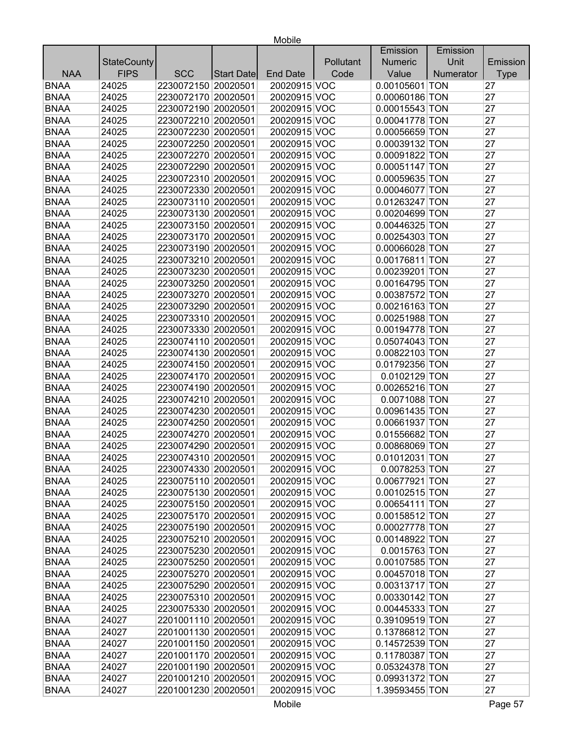| Unit<br><b>StateCounty</b><br>Pollutant<br><b>Numeric</b><br>Emission<br><b>FIPS</b><br><b>NAA</b><br><b>SCC</b><br>Code<br>Value<br><b>End Date</b><br>Numerator<br><b>Type</b><br>Start Date<br><b>BNAA</b><br>24025<br>2230072150 20020501<br>20020915 VOC<br>0.00105601 TON<br>27<br><b>BNAA</b><br>2230072170 20020501<br>24025<br>20020915 VOC<br>0.00060186 TON<br>27<br><b>BNAA</b><br>27<br>24025<br>2230072190 20020501<br>20020915 VOC<br>0.00015543 TON<br><b>BNAA</b><br>27<br>24025<br>2230072210 20020501<br>20020915 VOC<br>0.00041778 TON<br>27<br>24025<br>2230072230 20020501<br>20020915 VOC<br>0.00056659 TON<br><b>BNAA</b><br>27<br>24025<br>2230072250 20020501<br>20020915 VOC<br>0.00039132 TON<br>27<br>24025<br>2230072270 20020501<br>20020915 VOC<br>0.00091822 TON<br>27<br>24025<br>2230072290 20020501<br>20020915 VOC<br>0.00051147 TON<br>27<br>2230072310 20020501<br>0.00059635 TON<br>24025<br>20020915 VOC<br>27<br><b>BNAA</b><br>24025<br>2230072330 20020501<br>20020915 VOC<br>0.00046077 TON<br>27<br>24025<br>2230073110 20020501<br>20020915 VOC<br>0.01263247 TON<br><b>BNAA</b><br>27<br>24025<br>2230073130 20020501<br>20020915 VOC<br>0.00204699 TON<br>27<br><b>BNAA</b><br>24025<br>2230073150 20020501<br>20020915 VOC<br>0.00446325 TON<br><b>BNAA</b><br>27<br>24025<br>2230073170 20020501<br>20020915 VOC<br>0.00254303 TON<br><b>BNAA</b><br>27<br>24025<br>2230073190 20020501<br>20020915 VOC<br>0.00066028 TON<br><b>BNAA</b><br>20020915 VOC<br>27<br>24025<br>2230073210 20020501<br>0.00176811 TON<br><b>BNAA</b><br>27<br>24025<br>2230073230 20020501<br>20020915 VOC<br>0.00239201 TON<br><b>BNAA</b><br>27<br>24025<br>2230073250 20020501<br>20020915 VOC<br>0.00164795 TON<br><b>BNAA</b><br>27<br>24025<br>2230073270 20020501<br>20020915 VOC<br>0.00387572 TON<br><b>BNAA</b><br>27<br>24025<br>2230073290 20020501<br>20020915 VOC<br>0.00216163 TON<br>20020915 VOC<br>27<br>24025<br>2230073310 20020501<br>0.00251988 TON<br><b>BNAA</b><br>2230073330 20020501<br>20020915 VOC<br>27<br>24025<br>0.00194778 TON<br><b>BNAA</b><br>27<br>24025<br>2230074110 20020501<br>20020915 VOC<br>0.05074043 TON<br><b>BNAA</b><br>0.00822103 TON<br>27<br>24025<br>2230074130 20020501<br>20020915 VOC<br><b>BNAA</b><br>27<br>24025<br>2230074150 20020501<br>20020915 VOC<br>0.01792356 TON<br>27<br>2230074170 20020501<br>20020915 VOC<br>0.0102129 TON<br><b>BNAA</b><br>24025<br>2230074190 20020501<br>0.00265216 TON<br>27<br><b>BNAA</b><br>24025<br>20020915 VOC<br><b>BNAA</b><br>20020915 VOC<br>0.0071088 TON<br>27<br>24025<br>2230074210 20020501<br><b>BNAA</b><br>20020915 VOC<br>27<br>24025<br>2230074230 20020501<br>0.00961435 TON<br>27<br><b>BNAA</b><br>2230074250 20020501<br>24025<br>20020915 VOC<br>0.00661937 TON<br><b>BNAA</b><br>27<br>24025<br>2230074270 20020501<br>20020915 VOC<br>0.01556682 TON<br><b>BNAA</b><br>27<br>24025<br>2230074290 20020501<br>20020915 VOC<br>0.00868069 TON<br><b>BNAA</b><br>27<br>24025<br>2230074310 20020501<br>20020915 VOC<br>0.01012031 TON<br>27<br>20020915 VOC<br><b>BNAA</b><br>2230074330 20020501<br>24025<br>0.0078253 TON<br><b>BNAA</b><br>24025<br>2230075110 20020501<br>0.00677921 TON<br>27<br>20020915 VOC<br><b>BNAA</b><br>24025<br>2230075130 20020501<br>20020915 VOC<br>0.00102515 TON<br>27<br><b>BNAA</b><br>20020915 VOC<br>24025<br>2230075150 20020501<br>0.00654111 TON<br>27<br><b>BNAA</b><br>2230075170 20020501<br>20020915 VOC<br>0.00158512 TON<br>27<br>24025<br><b>BNAA</b><br>0.00027778 TON<br>24025<br>2230075190 20020501<br>20020915 VOC<br>27<br><b>BNAA</b><br>2230075210 20020501<br>0.00148922 TON<br>24025<br>20020915 VOC<br>27 |             |  |  | Emission | Emission |  |
|---------------------------------------------------------------------------------------------------------------------------------------------------------------------------------------------------------------------------------------------------------------------------------------------------------------------------------------------------------------------------------------------------------------------------------------------------------------------------------------------------------------------------------------------------------------------------------------------------------------------------------------------------------------------------------------------------------------------------------------------------------------------------------------------------------------------------------------------------------------------------------------------------------------------------------------------------------------------------------------------------------------------------------------------------------------------------------------------------------------------------------------------------------------------------------------------------------------------------------------------------------------------------------------------------------------------------------------------------------------------------------------------------------------------------------------------------------------------------------------------------------------------------------------------------------------------------------------------------------------------------------------------------------------------------------------------------------------------------------------------------------------------------------------------------------------------------------------------------------------------------------------------------------------------------------------------------------------------------------------------------------------------------------------------------------------------------------------------------------------------------------------------------------------------------------------------------------------------------------------------------------------------------------------------------------------------------------------------------------------------------------------------------------------------------------------------------------------------------------------------------------------------------------------------------------------------------------------------------------------------------------------------------------------------------------------------------------------------------------------------------------------------------------------------------------------------------------------------------------------------------------------------------------------------------------------------------------------------------------------------------------------------------------------------------------------------------------------------------------------------------------------------------------------------------------------------------------------------------------------------------------------------------------------------------------------------------------------------------------------------------------------------------------------------------------------------------------------------------------------------------------------------------------------------------------------------------------------------------------------------------------------------------------------------------------------------------------------------------|-------------|--|--|----------|----------|--|
|                                                                                                                                                                                                                                                                                                                                                                                                                                                                                                                                                                                                                                                                                                                                                                                                                                                                                                                                                                                                                                                                                                                                                                                                                                                                                                                                                                                                                                                                                                                                                                                                                                                                                                                                                                                                                                                                                                                                                                                                                                                                                                                                                                                                                                                                                                                                                                                                                                                                                                                                                                                                                                                                                                                                                                                                                                                                                                                                                                                                                                                                                                                                                                                                                                                                                                                                                                                                                                                                                                                                                                                                                                                                                                                           |             |  |  |          |          |  |
|                                                                                                                                                                                                                                                                                                                                                                                                                                                                                                                                                                                                                                                                                                                                                                                                                                                                                                                                                                                                                                                                                                                                                                                                                                                                                                                                                                                                                                                                                                                                                                                                                                                                                                                                                                                                                                                                                                                                                                                                                                                                                                                                                                                                                                                                                                                                                                                                                                                                                                                                                                                                                                                                                                                                                                                                                                                                                                                                                                                                                                                                                                                                                                                                                                                                                                                                                                                                                                                                                                                                                                                                                                                                                                                           |             |  |  |          |          |  |
|                                                                                                                                                                                                                                                                                                                                                                                                                                                                                                                                                                                                                                                                                                                                                                                                                                                                                                                                                                                                                                                                                                                                                                                                                                                                                                                                                                                                                                                                                                                                                                                                                                                                                                                                                                                                                                                                                                                                                                                                                                                                                                                                                                                                                                                                                                                                                                                                                                                                                                                                                                                                                                                                                                                                                                                                                                                                                                                                                                                                                                                                                                                                                                                                                                                                                                                                                                                                                                                                                                                                                                                                                                                                                                                           |             |  |  |          |          |  |
|                                                                                                                                                                                                                                                                                                                                                                                                                                                                                                                                                                                                                                                                                                                                                                                                                                                                                                                                                                                                                                                                                                                                                                                                                                                                                                                                                                                                                                                                                                                                                                                                                                                                                                                                                                                                                                                                                                                                                                                                                                                                                                                                                                                                                                                                                                                                                                                                                                                                                                                                                                                                                                                                                                                                                                                                                                                                                                                                                                                                                                                                                                                                                                                                                                                                                                                                                                                                                                                                                                                                                                                                                                                                                                                           |             |  |  |          |          |  |
|                                                                                                                                                                                                                                                                                                                                                                                                                                                                                                                                                                                                                                                                                                                                                                                                                                                                                                                                                                                                                                                                                                                                                                                                                                                                                                                                                                                                                                                                                                                                                                                                                                                                                                                                                                                                                                                                                                                                                                                                                                                                                                                                                                                                                                                                                                                                                                                                                                                                                                                                                                                                                                                                                                                                                                                                                                                                                                                                                                                                                                                                                                                                                                                                                                                                                                                                                                                                                                                                                                                                                                                                                                                                                                                           |             |  |  |          |          |  |
|                                                                                                                                                                                                                                                                                                                                                                                                                                                                                                                                                                                                                                                                                                                                                                                                                                                                                                                                                                                                                                                                                                                                                                                                                                                                                                                                                                                                                                                                                                                                                                                                                                                                                                                                                                                                                                                                                                                                                                                                                                                                                                                                                                                                                                                                                                                                                                                                                                                                                                                                                                                                                                                                                                                                                                                                                                                                                                                                                                                                                                                                                                                                                                                                                                                                                                                                                                                                                                                                                                                                                                                                                                                                                                                           |             |  |  |          |          |  |
|                                                                                                                                                                                                                                                                                                                                                                                                                                                                                                                                                                                                                                                                                                                                                                                                                                                                                                                                                                                                                                                                                                                                                                                                                                                                                                                                                                                                                                                                                                                                                                                                                                                                                                                                                                                                                                                                                                                                                                                                                                                                                                                                                                                                                                                                                                                                                                                                                                                                                                                                                                                                                                                                                                                                                                                                                                                                                                                                                                                                                                                                                                                                                                                                                                                                                                                                                                                                                                                                                                                                                                                                                                                                                                                           | <b>BNAA</b> |  |  |          |          |  |
|                                                                                                                                                                                                                                                                                                                                                                                                                                                                                                                                                                                                                                                                                                                                                                                                                                                                                                                                                                                                                                                                                                                                                                                                                                                                                                                                                                                                                                                                                                                                                                                                                                                                                                                                                                                                                                                                                                                                                                                                                                                                                                                                                                                                                                                                                                                                                                                                                                                                                                                                                                                                                                                                                                                                                                                                                                                                                                                                                                                                                                                                                                                                                                                                                                                                                                                                                                                                                                                                                                                                                                                                                                                                                                                           |             |  |  |          |          |  |
|                                                                                                                                                                                                                                                                                                                                                                                                                                                                                                                                                                                                                                                                                                                                                                                                                                                                                                                                                                                                                                                                                                                                                                                                                                                                                                                                                                                                                                                                                                                                                                                                                                                                                                                                                                                                                                                                                                                                                                                                                                                                                                                                                                                                                                                                                                                                                                                                                                                                                                                                                                                                                                                                                                                                                                                                                                                                                                                                                                                                                                                                                                                                                                                                                                                                                                                                                                                                                                                                                                                                                                                                                                                                                                                           | <b>BNAA</b> |  |  |          |          |  |
|                                                                                                                                                                                                                                                                                                                                                                                                                                                                                                                                                                                                                                                                                                                                                                                                                                                                                                                                                                                                                                                                                                                                                                                                                                                                                                                                                                                                                                                                                                                                                                                                                                                                                                                                                                                                                                                                                                                                                                                                                                                                                                                                                                                                                                                                                                                                                                                                                                                                                                                                                                                                                                                                                                                                                                                                                                                                                                                                                                                                                                                                                                                                                                                                                                                                                                                                                                                                                                                                                                                                                                                                                                                                                                                           | <b>BNAA</b> |  |  |          |          |  |
|                                                                                                                                                                                                                                                                                                                                                                                                                                                                                                                                                                                                                                                                                                                                                                                                                                                                                                                                                                                                                                                                                                                                                                                                                                                                                                                                                                                                                                                                                                                                                                                                                                                                                                                                                                                                                                                                                                                                                                                                                                                                                                                                                                                                                                                                                                                                                                                                                                                                                                                                                                                                                                                                                                                                                                                                                                                                                                                                                                                                                                                                                                                                                                                                                                                                                                                                                                                                                                                                                                                                                                                                                                                                                                                           | <b>BNAA</b> |  |  |          |          |  |
|                                                                                                                                                                                                                                                                                                                                                                                                                                                                                                                                                                                                                                                                                                                                                                                                                                                                                                                                                                                                                                                                                                                                                                                                                                                                                                                                                                                                                                                                                                                                                                                                                                                                                                                                                                                                                                                                                                                                                                                                                                                                                                                                                                                                                                                                                                                                                                                                                                                                                                                                                                                                                                                                                                                                                                                                                                                                                                                                                                                                                                                                                                                                                                                                                                                                                                                                                                                                                                                                                                                                                                                                                                                                                                                           |             |  |  |          |          |  |
|                                                                                                                                                                                                                                                                                                                                                                                                                                                                                                                                                                                                                                                                                                                                                                                                                                                                                                                                                                                                                                                                                                                                                                                                                                                                                                                                                                                                                                                                                                                                                                                                                                                                                                                                                                                                                                                                                                                                                                                                                                                                                                                                                                                                                                                                                                                                                                                                                                                                                                                                                                                                                                                                                                                                                                                                                                                                                                                                                                                                                                                                                                                                                                                                                                                                                                                                                                                                                                                                                                                                                                                                                                                                                                                           | <b>BNAA</b> |  |  |          |          |  |
|                                                                                                                                                                                                                                                                                                                                                                                                                                                                                                                                                                                                                                                                                                                                                                                                                                                                                                                                                                                                                                                                                                                                                                                                                                                                                                                                                                                                                                                                                                                                                                                                                                                                                                                                                                                                                                                                                                                                                                                                                                                                                                                                                                                                                                                                                                                                                                                                                                                                                                                                                                                                                                                                                                                                                                                                                                                                                                                                                                                                                                                                                                                                                                                                                                                                                                                                                                                                                                                                                                                                                                                                                                                                                                                           |             |  |  |          |          |  |
|                                                                                                                                                                                                                                                                                                                                                                                                                                                                                                                                                                                                                                                                                                                                                                                                                                                                                                                                                                                                                                                                                                                                                                                                                                                                                                                                                                                                                                                                                                                                                                                                                                                                                                                                                                                                                                                                                                                                                                                                                                                                                                                                                                                                                                                                                                                                                                                                                                                                                                                                                                                                                                                                                                                                                                                                                                                                                                                                                                                                                                                                                                                                                                                                                                                                                                                                                                                                                                                                                                                                                                                                                                                                                                                           |             |  |  |          |          |  |
|                                                                                                                                                                                                                                                                                                                                                                                                                                                                                                                                                                                                                                                                                                                                                                                                                                                                                                                                                                                                                                                                                                                                                                                                                                                                                                                                                                                                                                                                                                                                                                                                                                                                                                                                                                                                                                                                                                                                                                                                                                                                                                                                                                                                                                                                                                                                                                                                                                                                                                                                                                                                                                                                                                                                                                                                                                                                                                                                                                                                                                                                                                                                                                                                                                                                                                                                                                                                                                                                                                                                                                                                                                                                                                                           |             |  |  |          |          |  |
|                                                                                                                                                                                                                                                                                                                                                                                                                                                                                                                                                                                                                                                                                                                                                                                                                                                                                                                                                                                                                                                                                                                                                                                                                                                                                                                                                                                                                                                                                                                                                                                                                                                                                                                                                                                                                                                                                                                                                                                                                                                                                                                                                                                                                                                                                                                                                                                                                                                                                                                                                                                                                                                                                                                                                                                                                                                                                                                                                                                                                                                                                                                                                                                                                                                                                                                                                                                                                                                                                                                                                                                                                                                                                                                           |             |  |  |          |          |  |
|                                                                                                                                                                                                                                                                                                                                                                                                                                                                                                                                                                                                                                                                                                                                                                                                                                                                                                                                                                                                                                                                                                                                                                                                                                                                                                                                                                                                                                                                                                                                                                                                                                                                                                                                                                                                                                                                                                                                                                                                                                                                                                                                                                                                                                                                                                                                                                                                                                                                                                                                                                                                                                                                                                                                                                                                                                                                                                                                                                                                                                                                                                                                                                                                                                                                                                                                                                                                                                                                                                                                                                                                                                                                                                                           |             |  |  |          |          |  |
|                                                                                                                                                                                                                                                                                                                                                                                                                                                                                                                                                                                                                                                                                                                                                                                                                                                                                                                                                                                                                                                                                                                                                                                                                                                                                                                                                                                                                                                                                                                                                                                                                                                                                                                                                                                                                                                                                                                                                                                                                                                                                                                                                                                                                                                                                                                                                                                                                                                                                                                                                                                                                                                                                                                                                                                                                                                                                                                                                                                                                                                                                                                                                                                                                                                                                                                                                                                                                                                                                                                                                                                                                                                                                                                           |             |  |  |          |          |  |
|                                                                                                                                                                                                                                                                                                                                                                                                                                                                                                                                                                                                                                                                                                                                                                                                                                                                                                                                                                                                                                                                                                                                                                                                                                                                                                                                                                                                                                                                                                                                                                                                                                                                                                                                                                                                                                                                                                                                                                                                                                                                                                                                                                                                                                                                                                                                                                                                                                                                                                                                                                                                                                                                                                                                                                                                                                                                                                                                                                                                                                                                                                                                                                                                                                                                                                                                                                                                                                                                                                                                                                                                                                                                                                                           |             |  |  |          |          |  |
|                                                                                                                                                                                                                                                                                                                                                                                                                                                                                                                                                                                                                                                                                                                                                                                                                                                                                                                                                                                                                                                                                                                                                                                                                                                                                                                                                                                                                                                                                                                                                                                                                                                                                                                                                                                                                                                                                                                                                                                                                                                                                                                                                                                                                                                                                                                                                                                                                                                                                                                                                                                                                                                                                                                                                                                                                                                                                                                                                                                                                                                                                                                                                                                                                                                                                                                                                                                                                                                                                                                                                                                                                                                                                                                           |             |  |  |          |          |  |
|                                                                                                                                                                                                                                                                                                                                                                                                                                                                                                                                                                                                                                                                                                                                                                                                                                                                                                                                                                                                                                                                                                                                                                                                                                                                                                                                                                                                                                                                                                                                                                                                                                                                                                                                                                                                                                                                                                                                                                                                                                                                                                                                                                                                                                                                                                                                                                                                                                                                                                                                                                                                                                                                                                                                                                                                                                                                                                                                                                                                                                                                                                                                                                                                                                                                                                                                                                                                                                                                                                                                                                                                                                                                                                                           |             |  |  |          |          |  |
|                                                                                                                                                                                                                                                                                                                                                                                                                                                                                                                                                                                                                                                                                                                                                                                                                                                                                                                                                                                                                                                                                                                                                                                                                                                                                                                                                                                                                                                                                                                                                                                                                                                                                                                                                                                                                                                                                                                                                                                                                                                                                                                                                                                                                                                                                                                                                                                                                                                                                                                                                                                                                                                                                                                                                                                                                                                                                                                                                                                                                                                                                                                                                                                                                                                                                                                                                                                                                                                                                                                                                                                                                                                                                                                           | <b>BNAA</b> |  |  |          |          |  |
|                                                                                                                                                                                                                                                                                                                                                                                                                                                                                                                                                                                                                                                                                                                                                                                                                                                                                                                                                                                                                                                                                                                                                                                                                                                                                                                                                                                                                                                                                                                                                                                                                                                                                                                                                                                                                                                                                                                                                                                                                                                                                                                                                                                                                                                                                                                                                                                                                                                                                                                                                                                                                                                                                                                                                                                                                                                                                                                                                                                                                                                                                                                                                                                                                                                                                                                                                                                                                                                                                                                                                                                                                                                                                                                           |             |  |  |          |          |  |
|                                                                                                                                                                                                                                                                                                                                                                                                                                                                                                                                                                                                                                                                                                                                                                                                                                                                                                                                                                                                                                                                                                                                                                                                                                                                                                                                                                                                                                                                                                                                                                                                                                                                                                                                                                                                                                                                                                                                                                                                                                                                                                                                                                                                                                                                                                                                                                                                                                                                                                                                                                                                                                                                                                                                                                                                                                                                                                                                                                                                                                                                                                                                                                                                                                                                                                                                                                                                                                                                                                                                                                                                                                                                                                                           |             |  |  |          |          |  |
|                                                                                                                                                                                                                                                                                                                                                                                                                                                                                                                                                                                                                                                                                                                                                                                                                                                                                                                                                                                                                                                                                                                                                                                                                                                                                                                                                                                                                                                                                                                                                                                                                                                                                                                                                                                                                                                                                                                                                                                                                                                                                                                                                                                                                                                                                                                                                                                                                                                                                                                                                                                                                                                                                                                                                                                                                                                                                                                                                                                                                                                                                                                                                                                                                                                                                                                                                                                                                                                                                                                                                                                                                                                                                                                           |             |  |  |          |          |  |
|                                                                                                                                                                                                                                                                                                                                                                                                                                                                                                                                                                                                                                                                                                                                                                                                                                                                                                                                                                                                                                                                                                                                                                                                                                                                                                                                                                                                                                                                                                                                                                                                                                                                                                                                                                                                                                                                                                                                                                                                                                                                                                                                                                                                                                                                                                                                                                                                                                                                                                                                                                                                                                                                                                                                                                                                                                                                                                                                                                                                                                                                                                                                                                                                                                                                                                                                                                                                                                                                                                                                                                                                                                                                                                                           |             |  |  |          |          |  |
|                                                                                                                                                                                                                                                                                                                                                                                                                                                                                                                                                                                                                                                                                                                                                                                                                                                                                                                                                                                                                                                                                                                                                                                                                                                                                                                                                                                                                                                                                                                                                                                                                                                                                                                                                                                                                                                                                                                                                                                                                                                                                                                                                                                                                                                                                                                                                                                                                                                                                                                                                                                                                                                                                                                                                                                                                                                                                                                                                                                                                                                                                                                                                                                                                                                                                                                                                                                                                                                                                                                                                                                                                                                                                                                           |             |  |  |          |          |  |
|                                                                                                                                                                                                                                                                                                                                                                                                                                                                                                                                                                                                                                                                                                                                                                                                                                                                                                                                                                                                                                                                                                                                                                                                                                                                                                                                                                                                                                                                                                                                                                                                                                                                                                                                                                                                                                                                                                                                                                                                                                                                                                                                                                                                                                                                                                                                                                                                                                                                                                                                                                                                                                                                                                                                                                                                                                                                                                                                                                                                                                                                                                                                                                                                                                                                                                                                                                                                                                                                                                                                                                                                                                                                                                                           |             |  |  |          |          |  |
|                                                                                                                                                                                                                                                                                                                                                                                                                                                                                                                                                                                                                                                                                                                                                                                                                                                                                                                                                                                                                                                                                                                                                                                                                                                                                                                                                                                                                                                                                                                                                                                                                                                                                                                                                                                                                                                                                                                                                                                                                                                                                                                                                                                                                                                                                                                                                                                                                                                                                                                                                                                                                                                                                                                                                                                                                                                                                                                                                                                                                                                                                                                                                                                                                                                                                                                                                                                                                                                                                                                                                                                                                                                                                                                           |             |  |  |          |          |  |
|                                                                                                                                                                                                                                                                                                                                                                                                                                                                                                                                                                                                                                                                                                                                                                                                                                                                                                                                                                                                                                                                                                                                                                                                                                                                                                                                                                                                                                                                                                                                                                                                                                                                                                                                                                                                                                                                                                                                                                                                                                                                                                                                                                                                                                                                                                                                                                                                                                                                                                                                                                                                                                                                                                                                                                                                                                                                                                                                                                                                                                                                                                                                                                                                                                                                                                                                                                                                                                                                                                                                                                                                                                                                                                                           |             |  |  |          |          |  |
|                                                                                                                                                                                                                                                                                                                                                                                                                                                                                                                                                                                                                                                                                                                                                                                                                                                                                                                                                                                                                                                                                                                                                                                                                                                                                                                                                                                                                                                                                                                                                                                                                                                                                                                                                                                                                                                                                                                                                                                                                                                                                                                                                                                                                                                                                                                                                                                                                                                                                                                                                                                                                                                                                                                                                                                                                                                                                                                                                                                                                                                                                                                                                                                                                                                                                                                                                                                                                                                                                                                                                                                                                                                                                                                           |             |  |  |          |          |  |
|                                                                                                                                                                                                                                                                                                                                                                                                                                                                                                                                                                                                                                                                                                                                                                                                                                                                                                                                                                                                                                                                                                                                                                                                                                                                                                                                                                                                                                                                                                                                                                                                                                                                                                                                                                                                                                                                                                                                                                                                                                                                                                                                                                                                                                                                                                                                                                                                                                                                                                                                                                                                                                                                                                                                                                                                                                                                                                                                                                                                                                                                                                                                                                                                                                                                                                                                                                                                                                                                                                                                                                                                                                                                                                                           |             |  |  |          |          |  |
|                                                                                                                                                                                                                                                                                                                                                                                                                                                                                                                                                                                                                                                                                                                                                                                                                                                                                                                                                                                                                                                                                                                                                                                                                                                                                                                                                                                                                                                                                                                                                                                                                                                                                                                                                                                                                                                                                                                                                                                                                                                                                                                                                                                                                                                                                                                                                                                                                                                                                                                                                                                                                                                                                                                                                                                                                                                                                                                                                                                                                                                                                                                                                                                                                                                                                                                                                                                                                                                                                                                                                                                                                                                                                                                           |             |  |  |          |          |  |
|                                                                                                                                                                                                                                                                                                                                                                                                                                                                                                                                                                                                                                                                                                                                                                                                                                                                                                                                                                                                                                                                                                                                                                                                                                                                                                                                                                                                                                                                                                                                                                                                                                                                                                                                                                                                                                                                                                                                                                                                                                                                                                                                                                                                                                                                                                                                                                                                                                                                                                                                                                                                                                                                                                                                                                                                                                                                                                                                                                                                                                                                                                                                                                                                                                                                                                                                                                                                                                                                                                                                                                                                                                                                                                                           |             |  |  |          |          |  |
|                                                                                                                                                                                                                                                                                                                                                                                                                                                                                                                                                                                                                                                                                                                                                                                                                                                                                                                                                                                                                                                                                                                                                                                                                                                                                                                                                                                                                                                                                                                                                                                                                                                                                                                                                                                                                                                                                                                                                                                                                                                                                                                                                                                                                                                                                                                                                                                                                                                                                                                                                                                                                                                                                                                                                                                                                                                                                                                                                                                                                                                                                                                                                                                                                                                                                                                                                                                                                                                                                                                                                                                                                                                                                                                           |             |  |  |          |          |  |
|                                                                                                                                                                                                                                                                                                                                                                                                                                                                                                                                                                                                                                                                                                                                                                                                                                                                                                                                                                                                                                                                                                                                                                                                                                                                                                                                                                                                                                                                                                                                                                                                                                                                                                                                                                                                                                                                                                                                                                                                                                                                                                                                                                                                                                                                                                                                                                                                                                                                                                                                                                                                                                                                                                                                                                                                                                                                                                                                                                                                                                                                                                                                                                                                                                                                                                                                                                                                                                                                                                                                                                                                                                                                                                                           |             |  |  |          |          |  |
|                                                                                                                                                                                                                                                                                                                                                                                                                                                                                                                                                                                                                                                                                                                                                                                                                                                                                                                                                                                                                                                                                                                                                                                                                                                                                                                                                                                                                                                                                                                                                                                                                                                                                                                                                                                                                                                                                                                                                                                                                                                                                                                                                                                                                                                                                                                                                                                                                                                                                                                                                                                                                                                                                                                                                                                                                                                                                                                                                                                                                                                                                                                                                                                                                                                                                                                                                                                                                                                                                                                                                                                                                                                                                                                           |             |  |  |          |          |  |
|                                                                                                                                                                                                                                                                                                                                                                                                                                                                                                                                                                                                                                                                                                                                                                                                                                                                                                                                                                                                                                                                                                                                                                                                                                                                                                                                                                                                                                                                                                                                                                                                                                                                                                                                                                                                                                                                                                                                                                                                                                                                                                                                                                                                                                                                                                                                                                                                                                                                                                                                                                                                                                                                                                                                                                                                                                                                                                                                                                                                                                                                                                                                                                                                                                                                                                                                                                                                                                                                                                                                                                                                                                                                                                                           |             |  |  |          |          |  |
|                                                                                                                                                                                                                                                                                                                                                                                                                                                                                                                                                                                                                                                                                                                                                                                                                                                                                                                                                                                                                                                                                                                                                                                                                                                                                                                                                                                                                                                                                                                                                                                                                                                                                                                                                                                                                                                                                                                                                                                                                                                                                                                                                                                                                                                                                                                                                                                                                                                                                                                                                                                                                                                                                                                                                                                                                                                                                                                                                                                                                                                                                                                                                                                                                                                                                                                                                                                                                                                                                                                                                                                                                                                                                                                           |             |  |  |          |          |  |
|                                                                                                                                                                                                                                                                                                                                                                                                                                                                                                                                                                                                                                                                                                                                                                                                                                                                                                                                                                                                                                                                                                                                                                                                                                                                                                                                                                                                                                                                                                                                                                                                                                                                                                                                                                                                                                                                                                                                                                                                                                                                                                                                                                                                                                                                                                                                                                                                                                                                                                                                                                                                                                                                                                                                                                                                                                                                                                                                                                                                                                                                                                                                                                                                                                                                                                                                                                                                                                                                                                                                                                                                                                                                                                                           |             |  |  |          |          |  |
|                                                                                                                                                                                                                                                                                                                                                                                                                                                                                                                                                                                                                                                                                                                                                                                                                                                                                                                                                                                                                                                                                                                                                                                                                                                                                                                                                                                                                                                                                                                                                                                                                                                                                                                                                                                                                                                                                                                                                                                                                                                                                                                                                                                                                                                                                                                                                                                                                                                                                                                                                                                                                                                                                                                                                                                                                                                                                                                                                                                                                                                                                                                                                                                                                                                                                                                                                                                                                                                                                                                                                                                                                                                                                                                           |             |  |  |          |          |  |
| 2230075230 20020501<br>20020915 VOC<br>0.0015763 TON<br>27<br>24025                                                                                                                                                                                                                                                                                                                                                                                                                                                                                                                                                                                                                                                                                                                                                                                                                                                                                                                                                                                                                                                                                                                                                                                                                                                                                                                                                                                                                                                                                                                                                                                                                                                                                                                                                                                                                                                                                                                                                                                                                                                                                                                                                                                                                                                                                                                                                                                                                                                                                                                                                                                                                                                                                                                                                                                                                                                                                                                                                                                                                                                                                                                                                                                                                                                                                                                                                                                                                                                                                                                                                                                                                                                       | <b>BNAA</b> |  |  |          |          |  |
| 2230075250 20020501<br>20020915 VOC<br>0.00107585 TON<br>27<br>24025                                                                                                                                                                                                                                                                                                                                                                                                                                                                                                                                                                                                                                                                                                                                                                                                                                                                                                                                                                                                                                                                                                                                                                                                                                                                                                                                                                                                                                                                                                                                                                                                                                                                                                                                                                                                                                                                                                                                                                                                                                                                                                                                                                                                                                                                                                                                                                                                                                                                                                                                                                                                                                                                                                                                                                                                                                                                                                                                                                                                                                                                                                                                                                                                                                                                                                                                                                                                                                                                                                                                                                                                                                                      | <b>BNAA</b> |  |  |          |          |  |
| 2230075270 20020501<br>20020915 VOC<br>0.00457018 TON<br>27<br>24025                                                                                                                                                                                                                                                                                                                                                                                                                                                                                                                                                                                                                                                                                                                                                                                                                                                                                                                                                                                                                                                                                                                                                                                                                                                                                                                                                                                                                                                                                                                                                                                                                                                                                                                                                                                                                                                                                                                                                                                                                                                                                                                                                                                                                                                                                                                                                                                                                                                                                                                                                                                                                                                                                                                                                                                                                                                                                                                                                                                                                                                                                                                                                                                                                                                                                                                                                                                                                                                                                                                                                                                                                                                      | <b>BNAA</b> |  |  |          |          |  |
| 2230075290 20020501<br>0.00313717 TON<br><b>BNAA</b><br>24025<br>20020915 VOC<br>27                                                                                                                                                                                                                                                                                                                                                                                                                                                                                                                                                                                                                                                                                                                                                                                                                                                                                                                                                                                                                                                                                                                                                                                                                                                                                                                                                                                                                                                                                                                                                                                                                                                                                                                                                                                                                                                                                                                                                                                                                                                                                                                                                                                                                                                                                                                                                                                                                                                                                                                                                                                                                                                                                                                                                                                                                                                                                                                                                                                                                                                                                                                                                                                                                                                                                                                                                                                                                                                                                                                                                                                                                                       |             |  |  |          |          |  |
| 2230075310 20020501<br>20020915 VOC<br>27<br>24025<br>0.00330142 TON                                                                                                                                                                                                                                                                                                                                                                                                                                                                                                                                                                                                                                                                                                                                                                                                                                                                                                                                                                                                                                                                                                                                                                                                                                                                                                                                                                                                                                                                                                                                                                                                                                                                                                                                                                                                                                                                                                                                                                                                                                                                                                                                                                                                                                                                                                                                                                                                                                                                                                                                                                                                                                                                                                                                                                                                                                                                                                                                                                                                                                                                                                                                                                                                                                                                                                                                                                                                                                                                                                                                                                                                                                                      | <b>BNAA</b> |  |  |          |          |  |
| <b>BNAA</b><br>2230075330 20020501<br>20020915 VOC<br>27<br>24025<br>0.00445333 TON                                                                                                                                                                                                                                                                                                                                                                                                                                                                                                                                                                                                                                                                                                                                                                                                                                                                                                                                                                                                                                                                                                                                                                                                                                                                                                                                                                                                                                                                                                                                                                                                                                                                                                                                                                                                                                                                                                                                                                                                                                                                                                                                                                                                                                                                                                                                                                                                                                                                                                                                                                                                                                                                                                                                                                                                                                                                                                                                                                                                                                                                                                                                                                                                                                                                                                                                                                                                                                                                                                                                                                                                                                       |             |  |  |          |          |  |
| <b>BNAA</b><br>2201001110 20020501<br>20020915 VOC<br>27<br>24027<br>0.39109519 TON                                                                                                                                                                                                                                                                                                                                                                                                                                                                                                                                                                                                                                                                                                                                                                                                                                                                                                                                                                                                                                                                                                                                                                                                                                                                                                                                                                                                                                                                                                                                                                                                                                                                                                                                                                                                                                                                                                                                                                                                                                                                                                                                                                                                                                                                                                                                                                                                                                                                                                                                                                                                                                                                                                                                                                                                                                                                                                                                                                                                                                                                                                                                                                                                                                                                                                                                                                                                                                                                                                                                                                                                                                       |             |  |  |          |          |  |
| <b>BNAA</b><br>2201001130 20020501<br>27<br>24027<br>20020915 VOC<br>0.13786812 TON                                                                                                                                                                                                                                                                                                                                                                                                                                                                                                                                                                                                                                                                                                                                                                                                                                                                                                                                                                                                                                                                                                                                                                                                                                                                                                                                                                                                                                                                                                                                                                                                                                                                                                                                                                                                                                                                                                                                                                                                                                                                                                                                                                                                                                                                                                                                                                                                                                                                                                                                                                                                                                                                                                                                                                                                                                                                                                                                                                                                                                                                                                                                                                                                                                                                                                                                                                                                                                                                                                                                                                                                                                       |             |  |  |          |          |  |
| <b>BNAA</b><br>2201001150 20020501<br>20020915 VOC<br>27<br>24027<br>0.14572539 TON                                                                                                                                                                                                                                                                                                                                                                                                                                                                                                                                                                                                                                                                                                                                                                                                                                                                                                                                                                                                                                                                                                                                                                                                                                                                                                                                                                                                                                                                                                                                                                                                                                                                                                                                                                                                                                                                                                                                                                                                                                                                                                                                                                                                                                                                                                                                                                                                                                                                                                                                                                                                                                                                                                                                                                                                                                                                                                                                                                                                                                                                                                                                                                                                                                                                                                                                                                                                                                                                                                                                                                                                                                       |             |  |  |          |          |  |
| 2201001170 20020501<br>20020915 VOC<br>27<br>24027<br>0.11780387 TON                                                                                                                                                                                                                                                                                                                                                                                                                                                                                                                                                                                                                                                                                                                                                                                                                                                                                                                                                                                                                                                                                                                                                                                                                                                                                                                                                                                                                                                                                                                                                                                                                                                                                                                                                                                                                                                                                                                                                                                                                                                                                                                                                                                                                                                                                                                                                                                                                                                                                                                                                                                                                                                                                                                                                                                                                                                                                                                                                                                                                                                                                                                                                                                                                                                                                                                                                                                                                                                                                                                                                                                                                                                      | <b>BNAA</b> |  |  |          |          |  |
| <b>BNAA</b><br>20020915 VOC<br>27<br>24027<br>2201001190 20020501<br>0.05324378 TON                                                                                                                                                                                                                                                                                                                                                                                                                                                                                                                                                                                                                                                                                                                                                                                                                                                                                                                                                                                                                                                                                                                                                                                                                                                                                                                                                                                                                                                                                                                                                                                                                                                                                                                                                                                                                                                                                                                                                                                                                                                                                                                                                                                                                                                                                                                                                                                                                                                                                                                                                                                                                                                                                                                                                                                                                                                                                                                                                                                                                                                                                                                                                                                                                                                                                                                                                                                                                                                                                                                                                                                                                                       |             |  |  |          |          |  |
| 2201001210 20020501<br>0.09931372 TON<br><b>BNAA</b><br>24027<br>20020915 VOC<br>27                                                                                                                                                                                                                                                                                                                                                                                                                                                                                                                                                                                                                                                                                                                                                                                                                                                                                                                                                                                                                                                                                                                                                                                                                                                                                                                                                                                                                                                                                                                                                                                                                                                                                                                                                                                                                                                                                                                                                                                                                                                                                                                                                                                                                                                                                                                                                                                                                                                                                                                                                                                                                                                                                                                                                                                                                                                                                                                                                                                                                                                                                                                                                                                                                                                                                                                                                                                                                                                                                                                                                                                                                                       |             |  |  |          |          |  |
| 2201001230 20020501<br>27<br>24027<br>20020915 VOC<br>1.39593455 TON                                                                                                                                                                                                                                                                                                                                                                                                                                                                                                                                                                                                                                                                                                                                                                                                                                                                                                                                                                                                                                                                                                                                                                                                                                                                                                                                                                                                                                                                                                                                                                                                                                                                                                                                                                                                                                                                                                                                                                                                                                                                                                                                                                                                                                                                                                                                                                                                                                                                                                                                                                                                                                                                                                                                                                                                                                                                                                                                                                                                                                                                                                                                                                                                                                                                                                                                                                                                                                                                                                                                                                                                                                                      | <b>BNAA</b> |  |  |          |          |  |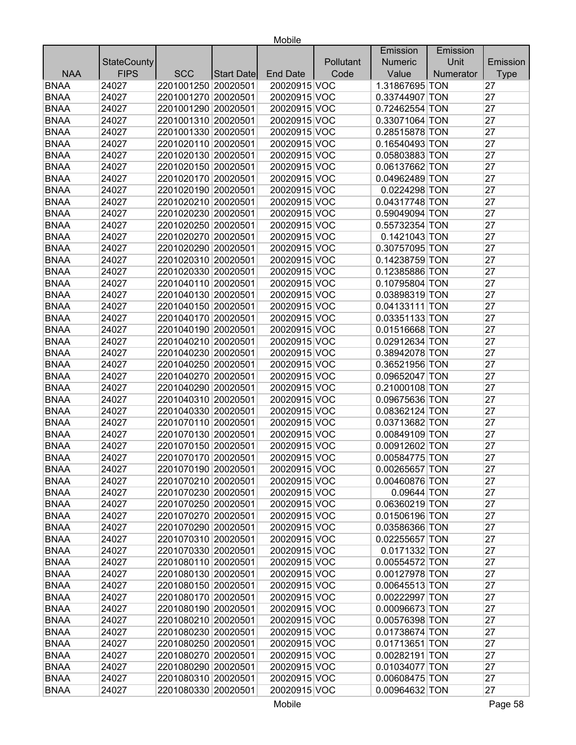|             |                    |                     |            |                 |           | Emission       | Emission  |             |
|-------------|--------------------|---------------------|------------|-----------------|-----------|----------------|-----------|-------------|
|             | <b>StateCounty</b> |                     |            |                 | Pollutant | <b>Numeric</b> | Unit      | Emission    |
| <b>NAA</b>  | <b>FIPS</b>        | <b>SCC</b>          | Start Date | <b>End Date</b> | Code      | Value          | Numerator | <b>Type</b> |
| <b>BNAA</b> | 24027              | 2201001250 20020501 |            | 20020915 VOC    |           | 1.31867695 TON |           | 27          |
| <b>BNAA</b> | 24027              | 2201001270 20020501 |            | 20020915 VOC    |           | 0.33744907 TON |           | 27          |
| <b>BNAA</b> | 24027              | 2201001290 20020501 |            | 20020915 VOC    |           | 0.72462554 TON |           | 27          |
| <b>BNAA</b> | 24027              | 2201001310 20020501 |            | 20020915 VOC    |           | 0.33071064 TON |           | 27          |
| <b>BNAA</b> | 24027              | 2201001330 20020501 |            | 20020915 VOC    |           | 0.28515878 TON |           | 27          |
| <b>BNAA</b> | 24027              | 2201020110 20020501 |            | 20020915 VOC    |           | 0.16540493 TON |           | 27          |
| <b>BNAA</b> | 24027              | 2201020130 20020501 |            | 20020915 VOC    |           | 0.05803883 TON |           | 27          |
| <b>BNAA</b> | 24027              | 2201020150 20020501 |            | 20020915 VOC    |           | 0.06137662 TON |           | 27          |
| <b>BNAA</b> | 24027              | 2201020170 20020501 |            | 20020915 VOC    |           | 0.04962489 TON |           | 27          |
| <b>BNAA</b> | 24027              | 2201020190 20020501 |            | 20020915 VOC    |           | 0.0224298 TON  |           | 27          |
| <b>BNAA</b> | 24027              | 2201020210 20020501 |            | 20020915 VOC    |           | 0.04317748 TON |           | 27          |
| <b>BNAA</b> | 24027              | 2201020230 20020501 |            | 20020915 VOC    |           | 0.59049094 TON |           | 27          |
| <b>BNAA</b> | 24027              | 2201020250 20020501 |            | 20020915 VOC    |           | 0.55732354 TON |           | 27          |
| <b>BNAA</b> | 24027              | 2201020270 20020501 |            | 20020915 VOC    |           | 0.1421043 TON  |           | 27          |
| <b>BNAA</b> | 24027              | 2201020290 20020501 |            | 20020915 VOC    |           | 0.30757095 TON |           | 27          |
| <b>BNAA</b> | 24027              | 2201020310 20020501 |            | 20020915 VOC    |           | 0.14238759 TON |           | 27          |
| <b>BNAA</b> | 24027              | 2201020330 20020501 |            | 20020915 VOC    |           | 0.12385886 TON |           | 27          |
| <b>BNAA</b> | 24027              | 2201040110 20020501 |            | 20020915 VOC    |           | 0.10795804 TON |           | 27          |
| <b>BNAA</b> | 24027              | 2201040130 20020501 |            | 20020915 VOC    |           | 0.03898319 TON |           | 27          |
| <b>BNAA</b> | 24027              | 2201040150 20020501 |            | 20020915 VOC    |           | 0.04133111 TON |           | 27          |
| <b>BNAA</b> | 24027              | 2201040170 20020501 |            | 20020915 VOC    |           | 0.03351133 TON |           | 27          |
| <b>BNAA</b> | 24027              | 2201040190 20020501 |            | 20020915 VOC    |           | 0.01516668 TON |           | 27          |
| <b>BNAA</b> | 24027              | 2201040210 20020501 |            | 20020915 VOC    |           | 0.02912634 TON |           | 27          |
| <b>BNAA</b> | 24027              | 2201040230 20020501 |            | 20020915 VOC    |           | 0.38942078 TON |           | 27          |
| <b>BNAA</b> | 24027              | 2201040250 20020501 |            | 20020915 VOC    |           | 0.36521956 TON |           | 27          |
| <b>BNAA</b> | 24027              | 2201040270 20020501 |            | 20020915 VOC    |           | 0.09652047 TON |           | 27          |
| <b>BNAA</b> | 24027              | 2201040290 20020501 |            | 20020915 VOC    |           | 0.21000108 TON |           | 27          |
| <b>BNAA</b> | 24027              | 2201040310 20020501 |            | 20020915 VOC    |           | 0.09675636 TON |           | 27          |
| <b>BNAA</b> | 24027              | 2201040330 20020501 |            | 20020915 VOC    |           | 0.08362124 TON |           | 27          |
| <b>BNAA</b> | 24027              | 2201070110 20020501 |            | 20020915 VOC    |           | 0.03713682 TON |           | 27          |
| <b>BNAA</b> | 24027              | 2201070130 20020501 |            | 20020915 VOC    |           | 0.00849109 TON |           | 27          |
| <b>BNAA</b> | 24027              | 2201070150 20020501 |            | 20020915 VOC    |           | 0.00912602 TON |           | 27          |
| <b>BNAA</b> | 24027              | 2201070170 20020501 |            | 20020915 VOC    |           | 0.00584775 TON |           | 27          |
| <b>BNAA</b> | 24027              | 2201070190 20020501 |            | 20020915 VOC    |           | 0.00265657 TON |           | 27          |
| <b>BNAA</b> | 24027              | 2201070210 20020501 |            | 20020915 VOC    |           | 0.00460876 TON |           | 27          |
| <b>BNAA</b> | 24027              | 2201070230 20020501 |            | 20020915 VOC    |           | 0.09644 TON    |           | 27          |
| <b>BNAA</b> | 24027              | 2201070250 20020501 |            | 20020915 VOC    |           | 0.06360219 TON |           | 27          |
| <b>BNAA</b> | 24027              | 2201070270 20020501 |            | 20020915 VOC    |           | 0.01506196 TON |           | 27          |
| <b>BNAA</b> | 24027              | 2201070290 20020501 |            | 20020915 VOC    |           | 0.03586366 TON |           | 27          |
| <b>BNAA</b> | 24027              | 2201070310 20020501 |            | 20020915 VOC    |           | 0.02255657 TON |           | 27          |
| <b>BNAA</b> | 24027              | 2201070330 20020501 |            | 20020915 VOC    |           | 0.0171332 TON  |           | 27          |
| <b>BNAA</b> | 24027              | 2201080110 20020501 |            | 20020915 VOC    |           | 0.00554572 TON |           | 27          |
| <b>BNAA</b> | 24027              | 2201080130 20020501 |            | 20020915 VOC    |           | 0.00127978 TON |           | 27          |
| <b>BNAA</b> | 24027              | 2201080150 20020501 |            | 20020915 VOC    |           | 0.00645513 TON |           | 27          |
| <b>BNAA</b> | 24027              | 2201080170 20020501 |            | 20020915 VOC    |           | 0.00222997 TON |           | 27          |
| <b>BNAA</b> | 24027              | 2201080190 20020501 |            | 20020915 VOC    |           | 0.00096673 TON |           | 27          |
| <b>BNAA</b> | 24027              | 2201080210 20020501 |            | 20020915 VOC    |           | 0.00576398 TON |           | 27          |
| <b>BNAA</b> | 24027              | 2201080230 20020501 |            | 20020915 VOC    |           | 0.01738674 TON |           | 27          |
| <b>BNAA</b> | 24027              | 2201080250 20020501 |            | 20020915 VOC    |           | 0.01713651 TON |           | 27          |
| <b>BNAA</b> | 24027              | 2201080270 20020501 |            | 20020915 VOC    |           | 0.00282191 TON |           | 27          |
| <b>BNAA</b> | 24027              | 2201080290 20020501 |            | 20020915 VOC    |           | 0.01034077 TON |           | 27          |
| <b>BNAA</b> | 24027              | 2201080310 20020501 |            | 20020915 VOC    |           | 0.00608475 TON |           | 27          |
| <b>BNAA</b> | 24027              | 2201080330 20020501 |            | 20020915 VOC    |           | 0.00964632 TON |           | 27          |
|             |                    |                     |            |                 |           |                |           |             |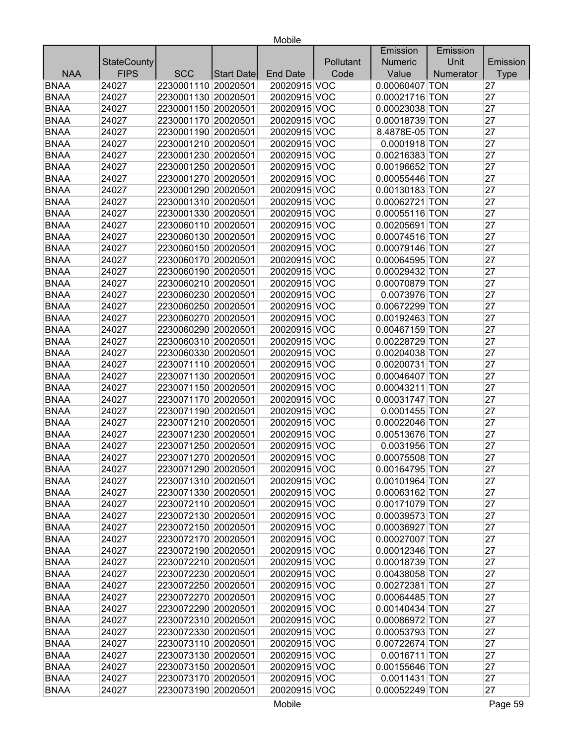|             |                    |                     |                   |                              |           | Emission                         | Emission  |             |
|-------------|--------------------|---------------------|-------------------|------------------------------|-----------|----------------------------------|-----------|-------------|
|             | <b>StateCounty</b> |                     |                   |                              | Pollutant | <b>Numeric</b>                   | Unit      | Emission    |
| <b>NAA</b>  | <b>FIPS</b>        | <b>SCC</b>          | <b>Start Date</b> | <b>End Date</b>              | Code      | Value                            | Numerator | <b>Type</b> |
| <b>BNAA</b> | 24027              | 2230001110 20020501 |                   | 20020915 VOC                 |           | 0.00060407 TON                   |           | 27          |
| <b>BNAA</b> | 24027              | 2230001130 20020501 |                   | 20020915 VOC                 |           | 0.00021716 TON                   |           | 27          |
| <b>BNAA</b> | 24027              | 2230001150 20020501 |                   | 20020915 VOC                 |           | 0.00023038 TON                   |           | 27          |
| <b>BNAA</b> | 24027              | 2230001170 20020501 |                   | 20020915 VOC                 |           | 0.00018739 TON                   |           | 27          |
| <b>BNAA</b> | 24027              | 2230001190 20020501 |                   | 20020915 VOC                 |           | 8.4878E-05 TON                   |           | 27          |
| <b>BNAA</b> | 24027              | 2230001210 20020501 |                   | 20020915 VOC                 |           | 0.0001918 TON                    |           | 27          |
| <b>BNAA</b> | 24027              | 2230001230 20020501 |                   | 20020915 VOC                 |           | 0.00216383 TON                   |           | 27          |
| <b>BNAA</b> | 24027              | 2230001250 20020501 |                   | 20020915 VOC                 |           | 0.00196652 TON                   |           | 27          |
| <b>BNAA</b> | 24027              | 2230001270 20020501 |                   | 20020915 VOC                 |           | 0.00055446 TON                   |           | 27          |
| <b>BNAA</b> | 24027              | 2230001290 20020501 |                   | 20020915 VOC                 |           | 0.00130183 TON                   |           | 27          |
| <b>BNAA</b> | 24027              | 2230001310 20020501 |                   | 20020915 VOC                 |           | 0.00062721 TON                   |           | 27          |
| <b>BNAA</b> | 24027              | 2230001330 20020501 |                   | 20020915 VOC                 |           | 0.00055116 TON                   |           | 27          |
| <b>BNAA</b> | 24027              | 2230060110 20020501 |                   | 20020915 VOC                 |           | 0.00205691 TON                   |           | 27          |
| <b>BNAA</b> | 24027              | 2230060130 20020501 |                   | 20020915 VOC                 |           | 0.00074516 TON                   |           | 27          |
| <b>BNAA</b> | 24027              | 2230060150 20020501 |                   | 20020915 VOC                 |           | 0.00079146 TON                   |           | 27          |
| <b>BNAA</b> | 24027              | 2230060170 20020501 |                   | 20020915 VOC                 |           | 0.00064595 TON                   |           | 27          |
| <b>BNAA</b> | 24027              | 2230060190 20020501 |                   | 20020915 VOC                 |           | 0.00029432 TON                   |           | 27          |
| <b>BNAA</b> | 24027              | 2230060210 20020501 |                   | 20020915 VOC                 |           | 0.00070879 TON                   |           | 27          |
| <b>BNAA</b> | 24027              | 2230060230 20020501 |                   | 20020915 VOC                 |           | 0.0073976 TON                    |           | 27          |
| <b>BNAA</b> | 24027              | 2230060250 20020501 |                   | 20020915 VOC                 |           | 0.00672299 TON                   |           | 27          |
| <b>BNAA</b> | 24027              | 2230060270 20020501 |                   | 20020915 VOC                 |           | 0.00192463 TON                   |           | 27          |
| <b>BNAA</b> | 24027              | 2230060290 20020501 |                   | 20020915 VOC                 |           | 0.00467159 TON                   |           | 27          |
| <b>BNAA</b> | 24027              | 2230060310 20020501 |                   | 20020915 VOC                 |           | 0.00228729 TON                   |           | 27          |
| <b>BNAA</b> | 24027              | 2230060330 20020501 |                   | 20020915 VOC                 |           | 0.00204038 TON                   |           | 27          |
| <b>BNAA</b> | 24027              | 2230071110 20020501 |                   | 20020915 VOC                 |           | 0.00200731 TON                   |           | 27          |
| <b>BNAA</b> | 24027              | 2230071130 20020501 |                   | 20020915 VOC                 |           | 0.00046407 TON                   |           | 27          |
| <b>BNAA</b> | 24027              | 2230071150 20020501 |                   | 20020915 VOC                 |           | 0.00043211 TON                   |           | 27          |
| <b>BNAA</b> | 24027              | 2230071170 20020501 |                   | 20020915 VOC                 |           | 0.00031747 TON                   |           | 27          |
| <b>BNAA</b> | 24027              | 2230071190 20020501 |                   | 20020915 VOC                 |           | 0.0001455 TON                    |           | 27          |
| <b>BNAA</b> | 24027              | 2230071210 20020501 |                   | 20020915 VOC                 |           | 0.00022046 TON                   |           | 27          |
| <b>BNAA</b> | 24027              | 2230071230 20020501 |                   | 20020915 VOC                 |           | 0.00513676 TON                   |           | 27          |
| <b>BNAA</b> | 24027              | 2230071250 20020501 |                   | 20020915 VOC                 |           | 0.0031956 TON                    |           | 27          |
| <b>BNAA</b> | 24027              | 2230071270 20020501 |                   | 20020915 VOC                 |           | 0.00075508 TON                   |           | 27          |
| BNAA        | 24027              | 2230071290 20020501 |                   | 20020915 VOC                 |           | $0.00164795$ TON                 |           | 27          |
| <b>BNAA</b> | 24027              | 2230071310 20020501 |                   | 20020915 VOC                 |           | 0.00101964 TON                   |           | 27          |
| <b>BNAA</b> | 24027              | 2230071330 20020501 |                   | 20020915 VOC                 |           | 0.00063162 TON                   |           | 27          |
| <b>BNAA</b> | 24027              | 2230072110 20020501 |                   | 20020915 VOC                 |           | 0.00171079 TON                   |           | 27          |
| <b>BNAA</b> | 24027              | 2230072130 20020501 |                   | 20020915 VOC                 |           | 0.00039573 TON                   |           | 27          |
| <b>BNAA</b> | 24027              | 2230072150 20020501 |                   | 20020915 VOC                 |           | 0.00036927 TON                   |           | 27          |
| <b>BNAA</b> | 24027              | 2230072170 20020501 |                   | 20020915 VOC                 |           | 0.00027007 TON                   |           | 27          |
| <b>BNAA</b> | 24027              | 2230072190 20020501 |                   | 20020915 VOC                 |           | 0.00012346 TON                   |           | 27          |
| <b>BNAA</b> | 24027              | 2230072210 20020501 |                   | 20020915 VOC                 |           | 0.00018739 TON                   |           | 27          |
| <b>BNAA</b> | 24027              | 2230072230 20020501 |                   | 20020915 VOC                 |           | 0.00438058 TON                   |           | 27          |
| <b>BNAA</b> | 24027              | 2230072250 20020501 |                   | 20020915 VOC                 |           | 0.00272381 TON                   |           | 27          |
| <b>BNAA</b> | 24027              | 2230072270 20020501 |                   | 20020915 VOC                 |           |                                  |           | 27          |
| <b>BNAA</b> | 24027              | 2230072290 20020501 |                   | 20020915 VOC                 |           | 0.00064485 TON<br>0.00140434 TON |           | 27          |
| <b>BNAA</b> |                    | 2230072310 20020501 |                   |                              |           |                                  |           | 27          |
|             | 24027              | 2230072330 20020501 |                   | 20020915 VOC<br>20020915 VOC |           | 0.00086972 TON                   |           | 27          |
| <b>BNAA</b> | 24027              |                     |                   |                              |           | 0.00053793 TON                   |           |             |
| <b>BNAA</b> | 24027              | 2230073110 20020501 |                   | 20020915 VOC                 |           | 0.00722674 TON                   |           | 27          |
| <b>BNAA</b> | 24027              | 2230073130 20020501 |                   | 20020915 VOC                 |           | 0.0016711 TON                    |           | 27          |
| <b>BNAA</b> | 24027              | 2230073150 20020501 |                   | 20020915 VOC                 |           | 0.00155646 TON                   |           | 27          |
| <b>BNAA</b> | 24027              | 2230073170 20020501 |                   | 20020915 VOC                 |           | 0.0011431 TON                    |           | 27          |
| <b>BNAA</b> | 24027              | 2230073190 20020501 |                   | 20020915 VOC                 |           | 0.00052249 TON                   |           | 27          |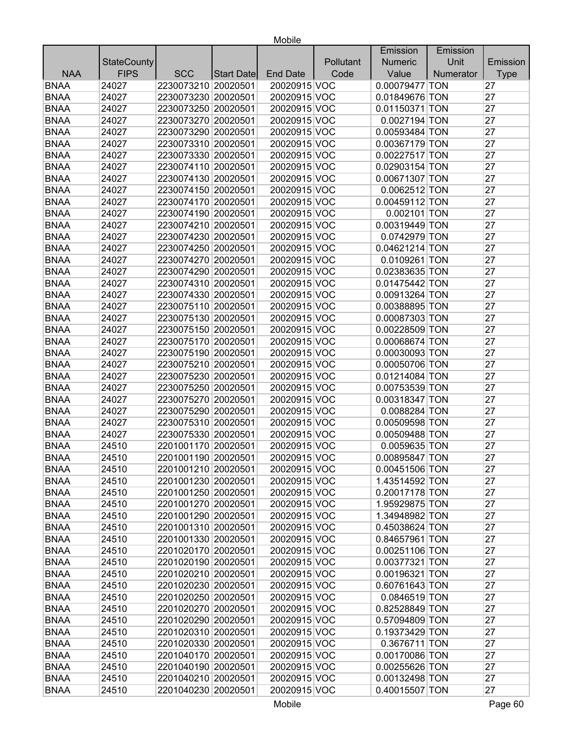|             |                    |                     |            |                 |           | Emission         | Emission  |             |
|-------------|--------------------|---------------------|------------|-----------------|-----------|------------------|-----------|-------------|
|             | <b>StateCounty</b> |                     |            |                 | Pollutant | <b>Numeric</b>   | Unit      | Emission    |
| <b>NAA</b>  | <b>FIPS</b>        | <b>SCC</b>          | Start Date | <b>End Date</b> | Code      | Value            | Numerator | <b>Type</b> |
| <b>BNAA</b> | 24027              | 2230073210 20020501 |            | 20020915 VOC    |           | 0.00079477 TON   |           | 27          |
| <b>BNAA</b> | 24027              | 2230073230 20020501 |            | 20020915 VOC    |           | 0.01849676 TON   |           | 27          |
| <b>BNAA</b> | 24027              | 2230073250 20020501 |            | 20020915 VOC    |           | 0.01150371 TON   |           | 27          |
| <b>BNAA</b> | 24027              | 2230073270 20020501 |            | 20020915 VOC    |           | 0.0027194 TON    |           | 27          |
| <b>BNAA</b> | 24027              | 2230073290 20020501 |            | 20020915 VOC    |           | 0.00593484 TON   |           | 27          |
| <b>BNAA</b> | 24027              | 2230073310 20020501 |            | 20020915 VOC    |           | 0.00367179 TON   |           | 27          |
| <b>BNAA</b> | 24027              | 2230073330 20020501 |            | 20020915 VOC    |           | 0.00227517 TON   |           | 27          |
| <b>BNAA</b> | 24027              | 2230074110 20020501 |            | 20020915 VOC    |           | 0.02903154 TON   |           | 27          |
| <b>BNAA</b> | 24027              | 2230074130 20020501 |            | 20020915 VOC    |           | 0.00671307 TON   |           | 27          |
| <b>BNAA</b> | 24027              | 2230074150 20020501 |            | 20020915 VOC    |           | 0.0062512 TON    |           | 27          |
| <b>BNAA</b> | 24027              | 2230074170 20020501 |            | 20020915 VOC    |           | 0.00459112 TON   |           | 27          |
| <b>BNAA</b> | 24027              | 2230074190 20020501 |            | 20020915 VOC    |           | $0.002101$ TON   |           | 27          |
| <b>BNAA</b> | 24027              | 2230074210 20020501 |            | 20020915 VOC    |           | 0.00319449 TON   |           | 27          |
| <b>BNAA</b> | 24027              | 2230074230 20020501 |            | 20020915 VOC    |           | 0.0742979 TON    |           | 27          |
| <b>BNAA</b> | 24027              | 2230074250 20020501 |            | 20020915 VOC    |           | 0.04621214 TON   |           | 27          |
| <b>BNAA</b> | 24027              | 2230074270 20020501 |            | 20020915 VOC    |           | 0.0109261 TON    |           | 27          |
| <b>BNAA</b> | 24027              | 2230074290 20020501 |            | 20020915 VOC    |           | 0.02383635 TON   |           | 27          |
| <b>BNAA</b> | 24027              | 2230074310 20020501 |            | 20020915 VOC    |           | 0.01475442 TON   |           | 27          |
| <b>BNAA</b> | 24027              | 2230074330 20020501 |            | 20020915 VOC    |           | 0.00913264 TON   |           | 27          |
| <b>BNAA</b> | 24027              | 2230075110 20020501 |            | 20020915 VOC    |           | 0.00388895 TON   |           | 27          |
| <b>BNAA</b> | 24027              | 2230075130 20020501 |            | 20020915 VOC    |           | 0.00087303 TON   |           | 27          |
| <b>BNAA</b> | 24027              | 2230075150 20020501 |            | 20020915 VOC    |           | 0.00228509 TON   |           | 27          |
| <b>BNAA</b> | 24027              | 2230075170 20020501 |            | 20020915 VOC    |           | 0.00068674 TON   |           | 27          |
| <b>BNAA</b> | 24027              | 2230075190 20020501 |            | 20020915 VOC    |           | 0.00030093 TON   |           | 27          |
| <b>BNAA</b> | 24027              | 2230075210 20020501 |            | 20020915 VOC    |           | 0.00050706 TON   |           | 27          |
| <b>BNAA</b> | 24027              | 2230075230 20020501 |            | 20020915 VOC    |           | 0.01214084 TON   |           | 27          |
| <b>BNAA</b> | 24027              | 2230075250 20020501 |            | 20020915 VOC    |           | 0.00753539 TON   |           | 27          |
| <b>BNAA</b> | 24027              | 2230075270 20020501 |            | 20020915 VOC    |           | 0.00318347 TON   |           | 27          |
| <b>BNAA</b> | 24027              | 2230075290 20020501 |            | 20020915 VOC    |           | 0.0088284 TON    |           | 27          |
| <b>BNAA</b> | 24027              | 2230075310 20020501 |            | 20020915 VOC    |           | 0.00509598 TON   |           | 27          |
| <b>BNAA</b> | 24027              | 2230075330 20020501 |            | 20020915 VOC    |           | 0.00509488 TON   |           | 27          |
| <b>BNAA</b> | 24510              | 2201001170 20020501 |            | 20020915 VOC    |           | 0.0059635 TON    |           | 27          |
| <b>BNAA</b> | 24510              | 2201001190 20020501 |            | 20020915 VOC    |           | 0.00895847 TON   |           | 27          |
| <b>BNAA</b> | 24510              | 2201001210 20020501 |            | 20020915 VOC    |           | $0.00451506$ TON |           | 27          |
| <b>BNAA</b> | 24510              | 2201001230 20020501 |            | 20020915 VOC    |           | 1.43514592 TON   |           | 27          |
| <b>BNAA</b> | 24510              | 2201001250 20020501 |            | 20020915 VOC    |           | 0.20017178 TON   |           | 27          |
| <b>BNAA</b> | 24510              | 2201001270 20020501 |            | 20020915 VOC    |           | 1.95929875 TON   |           | 27          |
| <b>BNAA</b> | 24510              | 2201001290 20020501 |            | 20020915 VOC    |           | 1.34948982 TON   |           | 27          |
| <b>BNAA</b> | 24510              | 2201001310 20020501 |            | 20020915 VOC    |           | 0.45038624 TON   |           | 27          |
| <b>BNAA</b> | 24510              | 2201001330 20020501 |            | 20020915 VOC    |           | 0.84657961 TON   |           | 27          |
| <b>BNAA</b> | 24510              | 2201020170 20020501 |            | 20020915 VOC    |           | 0.00251106 TON   |           | 27          |
| <b>BNAA</b> | 24510              | 2201020190 20020501 |            | 20020915 VOC    |           | 0.00377321 TON   |           | 27          |
| <b>BNAA</b> | 24510              | 2201020210 20020501 |            | 20020915 VOC    |           | 0.00196321 TON   |           | 27          |
| <b>BNAA</b> | 24510              | 2201020230 20020501 |            | 20020915 VOC    |           | 0.60761643 TON   |           | 27          |
| <b>BNAA</b> | 24510              | 2201020250 20020501 |            | 20020915 VOC    |           | 0.0846519 TON    |           | 27          |
| <b>BNAA</b> | 24510              | 2201020270 20020501 |            | 20020915 VOC    |           | 0.82528849 TON   |           | 27          |
| <b>BNAA</b> | 24510              | 2201020290 20020501 |            | 20020915 VOC    |           | 0.57094809 TON   |           | 27          |
| <b>BNAA</b> | 24510              | 2201020310 20020501 |            | 20020915 VOC    |           | 0.19373429 TON   |           | 27          |
| <b>BNAA</b> | 24510              | 2201020330 20020501 |            | 20020915 VOC    |           | 0.3676711 TON    |           | 27          |
| <b>BNAA</b> | 24510              | 2201040170 20020501 |            | 20020915 VOC    |           | 0.00170086 TON   |           | 27          |
| <b>BNAA</b> | 24510              | 2201040190 20020501 |            | 20020915 VOC    |           | 0.00255626 TON   |           | 27          |
| <b>BNAA</b> | 24510              | 2201040210 20020501 |            | 20020915 VOC    |           | 0.00132498 TON   |           | 27          |
| <b>BNAA</b> | 24510              | 2201040230 20020501 |            | 20020915 VOC    |           | 0.40015507 TON   |           | 27          |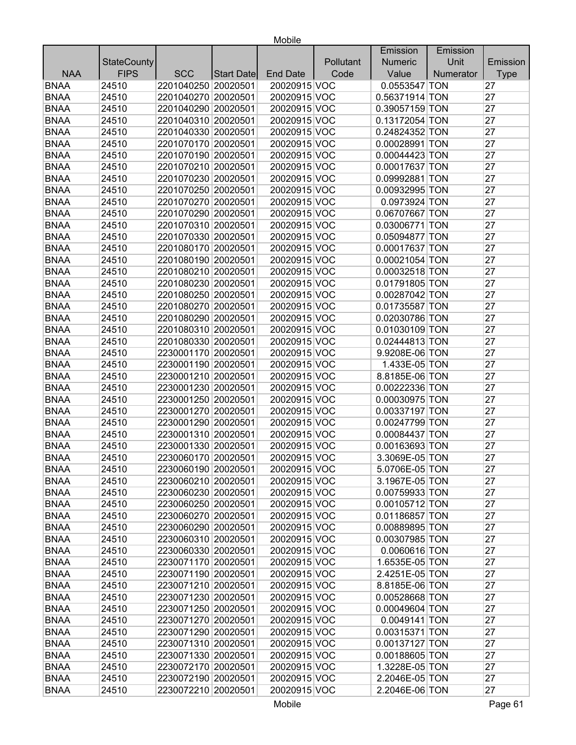|             |                    |                     |            |                 |           | Emission       | Emission  |             |
|-------------|--------------------|---------------------|------------|-----------------|-----------|----------------|-----------|-------------|
|             | <b>StateCounty</b> |                     |            |                 | Pollutant | <b>Numeric</b> | Unit      | Emission    |
| <b>NAA</b>  | <b>FIPS</b>        | <b>SCC</b>          | Start Date | <b>End Date</b> | Code      | Value          | Numerator | <b>Type</b> |
| <b>BNAA</b> | 24510              | 2201040250 20020501 |            | 20020915 VOC    |           | 0.0553547 TON  |           | 27          |
| <b>BNAA</b> | 24510              | 2201040270 20020501 |            | 20020915 VOC    |           | 0.56371914 TON |           | 27          |
| <b>BNAA</b> | 24510              | 2201040290 20020501 |            | 20020915 VOC    |           | 0.39057159 TON |           | 27          |
| <b>BNAA</b> | 24510              | 2201040310 20020501 |            | 20020915 VOC    |           | 0.13172054 TON |           | 27          |
| <b>BNAA</b> | 24510              | 2201040330 20020501 |            | 20020915 VOC    |           | 0.24824352 TON |           | 27          |
| <b>BNAA</b> | 24510              | 2201070170 20020501 |            | 20020915 VOC    |           | 0.00028991 TON |           | 27          |
| <b>BNAA</b> | 24510              | 2201070190 20020501 |            | 20020915 VOC    |           | 0.00044423 TON |           | 27          |
| <b>BNAA</b> | 24510              | 2201070210 20020501 |            | 20020915 VOC    |           | 0.00017637 TON |           | 27          |
| <b>BNAA</b> | 24510              | 2201070230 20020501 |            | 20020915 VOC    |           | 0.09992881 TON |           | 27          |
| <b>BNAA</b> | 24510              | 2201070250 20020501 |            | 20020915 VOC    |           | 0.00932995 TON |           | 27          |
| <b>BNAA</b> | 24510              | 2201070270 20020501 |            | 20020915 VOC    |           | 0.0973924 TON  |           | 27          |
| <b>BNAA</b> | 24510              | 2201070290 20020501 |            | 20020915 VOC    |           | 0.06707667 TON |           | 27          |
| <b>BNAA</b> | 24510              | 2201070310 20020501 |            | 20020915 VOC    |           | 0.03006771 TON |           | 27          |
| <b>BNAA</b> | 24510              | 2201070330 20020501 |            | 20020915 VOC    |           | 0.05094877 TON |           | 27          |
| <b>BNAA</b> | 24510              | 2201080170 20020501 |            | 20020915 VOC    |           | 0.00017637 TON |           | 27          |
| <b>BNAA</b> | 24510              | 2201080190 20020501 |            | 20020915 VOC    |           | 0.00021054 TON |           | 27          |
| <b>BNAA</b> | 24510              | 2201080210 20020501 |            | 20020915 VOC    |           | 0.00032518 TON |           | 27          |
| <b>BNAA</b> | 24510              | 2201080230 20020501 |            | 20020915 VOC    |           | 0.01791805 TON |           | 27          |
| <b>BNAA</b> | 24510              | 2201080250 20020501 |            | 20020915 VOC    |           | 0.00287042 TON |           | 27          |
| <b>BNAA</b> | 24510              | 2201080270 20020501 |            | 20020915 VOC    |           | 0.01735587 TON |           | 27          |
| <b>BNAA</b> | 24510              | 2201080290 20020501 |            | 20020915 VOC    |           | 0.02030786 TON |           | 27          |
| <b>BNAA</b> | 24510              | 2201080310 20020501 |            | 20020915 VOC    |           | 0.01030109 TON |           | 27          |
| <b>BNAA</b> | 24510              | 2201080330 20020501 |            | 20020915 VOC    |           | 0.02444813 TON |           | 27          |
| <b>BNAA</b> | 24510              | 2230001170 20020501 |            | 20020915 VOC    |           | 9.9208E-06 TON |           | 27          |
| <b>BNAA</b> | 24510              | 2230001190 20020501 |            | 20020915 VOC    |           | 1.433E-05 TON  |           | 27          |
| <b>BNAA</b> | 24510              | 2230001210 20020501 |            | 20020915 VOC    |           | 8.8185E-06 TON |           | 27          |
| <b>BNAA</b> | 24510              | 2230001230 20020501 |            | 20020915 VOC    |           | 0.00222336 TON |           | 27          |
| <b>BNAA</b> | 24510              | 2230001250 20020501 |            | 20020915 VOC    |           | 0.00030975 TON |           | 27          |
| <b>BNAA</b> | 24510              | 2230001270 20020501 |            | 20020915 VOC    |           | 0.00337197 TON |           | 27          |
| <b>BNAA</b> | 24510              | 2230001290 20020501 |            | 20020915 VOC    |           | 0.00247799 TON |           | 27          |
| <b>BNAA</b> | 24510              | 2230001310 20020501 |            | 20020915 VOC    |           | 0.00084437 TON |           | 27          |
| <b>BNAA</b> | 24510              | 2230001330 20020501 |            | 20020915 VOC    |           | 0.00163693 TON |           | 27          |
| <b>BNAA</b> | 24510              | 2230060170 20020501 |            | 20020915 VOC    |           | 3.3069E-05 TON |           | 27          |
| <b>BNAA</b> | 24510              | 2230060190 20020501 |            | 20020915 VOC    |           | 5.0706E-05 TON |           | 27          |
| <b>BNAA</b> | 24510              | 2230060210 20020501 |            | 20020915 VOC    |           | 3.1967E-05 TON |           | 27          |
| <b>BNAA</b> | 24510              | 2230060230 20020501 |            | 20020915 VOC    |           | 0.00759933 TON |           | 27          |
| <b>BNAA</b> | 24510              | 2230060250 20020501 |            | 20020915 VOC    |           | 0.00105712 TON |           | 27          |
| <b>BNAA</b> | 24510              | 2230060270 20020501 |            | 20020915 VOC    |           | 0.01186857 TON |           | 27          |
| <b>BNAA</b> | 24510              | 2230060290 20020501 |            | 20020915 VOC    |           | 0.00889895 TON |           | 27          |
| <b>BNAA</b> | 24510              | 2230060310 20020501 |            | 20020915 VOC    |           | 0.00307985 TON |           | 27          |
| <b>BNAA</b> | 24510              | 2230060330 20020501 |            | 20020915 VOC    |           | 0.0060616 TON  |           | 27          |
| <b>BNAA</b> | 24510              | 2230071170 20020501 |            | 20020915 VOC    |           | 1.6535E-05 TON |           | 27          |
| <b>BNAA</b> | 24510              | 2230071190 20020501 |            | 20020915 VOC    |           | 2.4251E-05 TON |           | 27          |
| <b>BNAA</b> | 24510              | 2230071210 20020501 |            | 20020915 VOC    |           | 8.8185E-06 TON |           | 27          |
| <b>BNAA</b> | 24510              | 2230071230 20020501 |            | 20020915 VOC    |           | 0.00528668 TON |           | 27          |
| <b>BNAA</b> | 24510              | 2230071250 20020501 |            | 20020915 VOC    |           | 0.00049604 TON |           | 27          |
| <b>BNAA</b> | 24510              | 2230071270 20020501 |            | 20020915 VOC    |           | 0.0049141 TON  |           | 27          |
| <b>BNAA</b> | 24510              | 2230071290 20020501 |            | 20020915 VOC    |           | 0.00315371 TON |           | 27          |
| <b>BNAA</b> | 24510              | 2230071310 20020501 |            | 20020915 VOC    |           | 0.00137127 TON |           | 27          |
| <b>BNAA</b> | 24510              | 2230071330 20020501 |            | 20020915 VOC    |           | 0.00188605 TON |           | 27          |
| <b>BNAA</b> | 24510              | 2230072170 20020501 |            | 20020915 VOC    |           | 1.3228E-05 TON |           | 27          |
| <b>BNAA</b> | 24510              | 2230072190 20020501 |            | 20020915 VOC    |           | 2.2046E-05 TON |           | 27          |
| <b>BNAA</b> | 24510              | 2230072210 20020501 |            | 20020915 VOC    |           | 2.2046E-06 TON |           | 27          |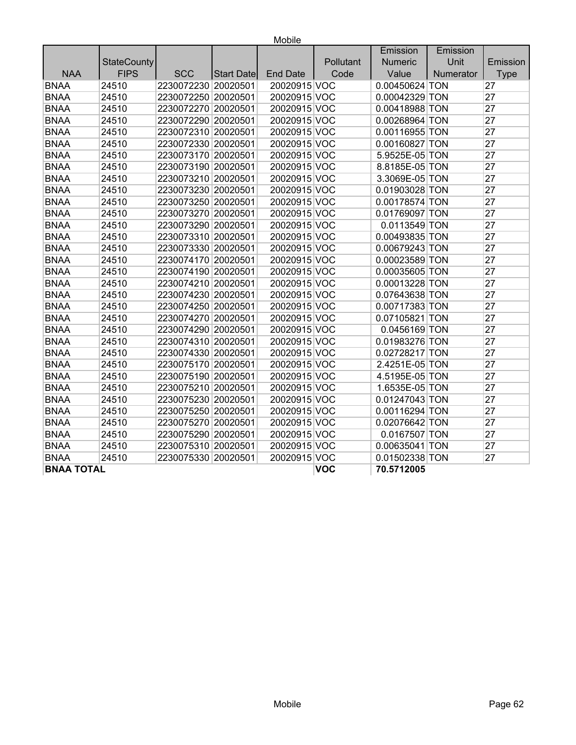|                   |                    |                     |                   |                 |            | Emission       | Emission  |             |
|-------------------|--------------------|---------------------|-------------------|-----------------|------------|----------------|-----------|-------------|
|                   | <b>StateCounty</b> |                     |                   |                 | Pollutant  | Numeric        | Unit      | Emission    |
| <b>NAA</b>        | <b>FIPS</b>        | <b>SCC</b>          | <b>Start Date</b> | <b>End Date</b> | Code       | Value          | Numerator | <b>Type</b> |
| <b>BNAA</b>       | 24510              | 2230072230 20020501 |                   | 20020915 VOC    |            | 0.00450624 TON |           | 27          |
| <b>BNAA</b>       | 24510              | 2230072250 20020501 |                   | 20020915 VOC    |            | 0.00042329 TON |           | 27          |
| <b>BNAA</b>       | 24510              | 2230072270 20020501 |                   | 20020915 VOC    |            | 0.00418988 TON |           | 27          |
| <b>BNAA</b>       | 24510              | 2230072290 20020501 |                   | 20020915 VOC    |            | 0.00268964 TON |           | 27          |
| <b>BNAA</b>       | 24510              | 2230072310 20020501 |                   | 20020915 VOC    |            | 0.00116955 TON |           | 27          |
| <b>BNAA</b>       | 24510              | 2230072330 20020501 |                   | 20020915 VOC    |            | 0.00160827 TON |           | 27          |
| <b>BNAA</b>       | 24510              | 2230073170 20020501 |                   | 20020915 VOC    |            | 5.9525E-05 TON |           | 27          |
| <b>BNAA</b>       | 24510              | 2230073190 20020501 |                   | 20020915 VOC    |            | 8.8185E-05 TON |           | 27          |
| <b>BNAA</b>       | 24510              | 2230073210 20020501 |                   | 20020915 VOC    |            | 3.3069E-05 TON |           | 27          |
| <b>BNAA</b>       | 24510              | 2230073230 20020501 |                   | 20020915 VOC    |            | 0.01903028 TON |           | 27          |
| <b>BNAA</b>       | 24510              | 2230073250 20020501 |                   | 20020915 VOC    |            | 0.00178574 TON |           | 27          |
| <b>BNAA</b>       | 24510              | 2230073270 20020501 |                   | 20020915 VOC    |            | 0.01769097 TON |           | 27          |
| <b>BNAA</b>       | 24510              | 2230073290 20020501 |                   | 20020915 VOC    |            | 0.0113549 TON  |           | 27          |
| <b>BNAA</b>       | 24510              | 2230073310 20020501 |                   | 20020915 VOC    |            | 0.00493835 TON |           | 27          |
| <b>BNAA</b>       | 24510              | 2230073330 20020501 |                   | 20020915 VOC    |            | 0.00679243 TON |           | 27          |
| <b>BNAA</b>       | 24510              | 2230074170 20020501 |                   | 20020915 VOC    |            | 0.00023589 TON |           | 27          |
| <b>BNAA</b>       | 24510              | 2230074190 20020501 |                   | 20020915 VOC    |            | 0.00035605 TON |           | 27          |
| <b>BNAA</b>       | 24510              | 2230074210 20020501 |                   | 20020915 VOC    |            | 0.00013228 TON |           | 27          |
| <b>BNAA</b>       | 24510              | 2230074230 20020501 |                   | 20020915 VOC    |            | 0.07643638 TON |           | 27          |
| <b>BNAA</b>       | 24510              | 2230074250 20020501 |                   | 20020915 VOC    |            | 0.00717383 TON |           | 27          |
| <b>BNAA</b>       | 24510              | 2230074270 20020501 |                   | 20020915 VOC    |            | 0.07105821 TON |           | 27          |
| <b>BNAA</b>       | 24510              | 2230074290 20020501 |                   | 20020915 VOC    |            | 0.0456169 TON  |           | 27          |
| <b>BNAA</b>       | 24510              | 2230074310 20020501 |                   | 20020915 VOC    |            | 0.01983276 TON |           | 27          |
| <b>BNAA</b>       | 24510              | 2230074330 20020501 |                   | 20020915 VOC    |            | 0.02728217 TON |           | 27          |
| <b>BNAA</b>       | 24510              | 2230075170 20020501 |                   | 20020915 VOC    |            | 2.4251E-05 TON |           | 27          |
| <b>BNAA</b>       | 24510              | 2230075190 20020501 |                   | 20020915 VOC    |            | 4.5195E-05 TON |           | 27          |
| <b>BNAA</b>       | 24510              | 2230075210 20020501 |                   | 20020915 VOC    |            | 1.6535E-05 TON |           | 27          |
| <b>BNAA</b>       | 24510              | 2230075230 20020501 |                   | 20020915 VOC    |            | 0.01247043 TON |           | 27          |
| <b>BNAA</b>       | 24510              | 2230075250 20020501 |                   | 20020915 VOC    |            | 0.00116294 TON |           | 27          |
| <b>BNAA</b>       | 24510              | 2230075270 20020501 |                   | 20020915 VOC    |            | 0.02076642 TON |           | 27          |
| <b>BNAA</b>       | 24510              | 2230075290 20020501 |                   | 20020915 VOC    |            | 0.0167507 TON  |           | 27          |
| <b>BNAA</b>       | 24510              | 2230075310 20020501 |                   | 20020915 VOC    |            | 0.00635041 TON |           | 27          |
| <b>BNAA</b>       | 24510              | 2230075330 20020501 |                   | 20020915 VOC    |            | 0.01502338 TON |           | 27          |
| <b>BNAA TOTAL</b> |                    |                     |                   |                 | <b>VOC</b> | 70.5712005     |           |             |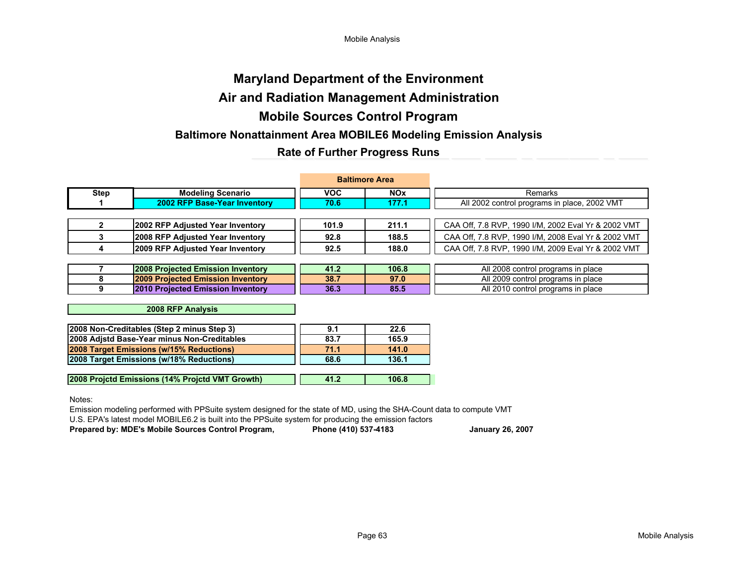Mobile Analysis

# Mobile Sources Control Program Baltimore Nonattainment Area MOBILE6 Modeling Emission AnalysisMaryland Department of the EnvironmentAir and Radiation Management AdministrationRate of Further Progress Runs

|      |                                   |            | <b>Baltimore Area</b> |                                                     |
|------|-----------------------------------|------------|-----------------------|-----------------------------------------------------|
| Step | <b>Modeling Scenario</b>          | <b>VOC</b> | <b>NOx</b>            | Remarks                                             |
|      | 2002 RFP Base-Year Inventory      | 70.6       | 177.1                 | All 2002 control programs in place, 2002 VMT        |
|      |                                   |            |                       |                                                     |
|      | 2002 RFP Adjusted Year Inventory  | 101.9      | 211.1                 | CAA Off, 7.8 RVP, 1990 I/M, 2002 Eval Yr & 2002 VMT |
|      | 2008 RFP Adjusted Year Inventory  | 92.8       | 188.5                 | CAA Off, 7.8 RVP, 1990 I/M, 2008 Eval Yr & 2002 VMT |
|      | 2009 RFP Adjusted Year Inventory  | 92.5       | 188.0                 | CAA Off, 7.8 RVP, 1990 I/M, 2009 Eval Yr & 2002 VMT |
|      |                                   |            |                       |                                                     |
|      | 2008 Projected Emission Inventory | 41.2       | 106.8                 | All 2008 control programs in place                  |
|      | 2009 Projected Emission Inventory | 38.7       | 97.0                  | All 2009 control programs in place                  |
|      | 2010 Projected Emission Inventory | 36.3       | 85.5                  | All 2010 control programs in place                  |
|      |                                   |            |                       |                                                     |

2008 RFP Analysis

| 2008 Non-Creditables (Step 2 minus Step 3)  | 9.1  | 22.6  |
|---------------------------------------------|------|-------|
| 2008 Adistd Base-Year minus Non-Creditables | 83.7 | 165.9 |
| 2008 Target Emissions (w/15% Reductions)    | 71.1 | 141.0 |
| 2008 Target Emissions (w/18% Reductions)    | 68.6 | 136.1 |
|                                             |      |       |

41.2 106.8 2008 Projctd Emissions (14% Projctd VMT Growth)

Notes:

Emission modeling performed with PPSuite system designed for the state of MD, using the SHA-Count data to compute VMT

U.S. EPA's latest model MOBILE6.2 is built into the PPSuite system for producing the emission factors

Prepared by: MDE's Mobile Sources Control Program, Phone (410) 537-4183 January 26, 2007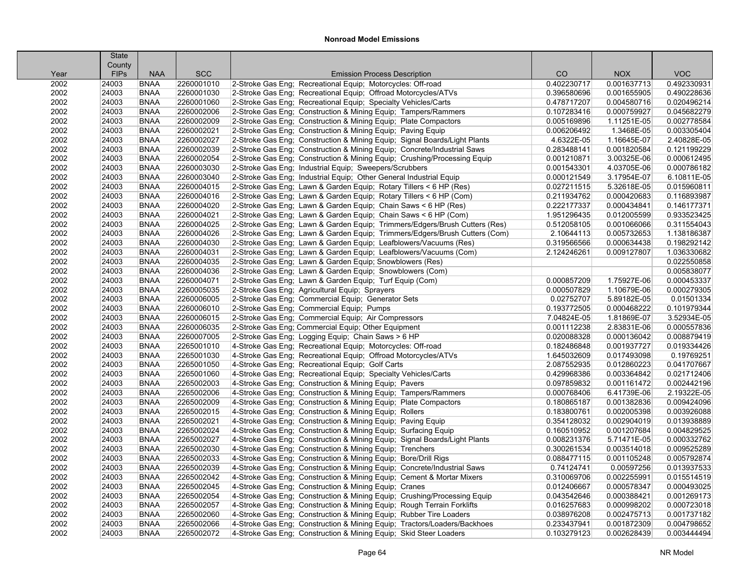|      | <b>State</b> |             |            |                                                                            |             |             |             |
|------|--------------|-------------|------------|----------------------------------------------------------------------------|-------------|-------------|-------------|
|      | County       |             |            |                                                                            |             |             |             |
| Year | <b>FIPs</b>  | <b>NAA</b>  | <b>SCC</b> | <b>Emission Process Description</b>                                        | CO          | <b>NOX</b>  | <b>VOC</b>  |
| 2002 | 24003        | <b>BNAA</b> | 2260001010 | 2-Stroke Gas Eng; Recreational Equip; Motorcycles: Off-road                | 0.402230717 | 0.001637713 | 0.492330931 |
| 2002 | 24003        | <b>BNAA</b> | 2260001030 | 2-Stroke Gas Eng; Recreational Equip; Offroad Motorcycles/ATVs             | 0.396580696 | 0.001655905 | 0.490228636 |
| 2002 | 24003        | <b>BNAA</b> | 2260001060 | 2-Stroke Gas Eng; Recreational Equip; Specialty Vehicles/Carts             | 0.478717207 | 0.004580716 | 0.020496214 |
| 2002 | 24003        | <b>BNAA</b> | 2260002006 | 2-Stroke Gas Eng; Construction & Mining Equip; Tampers/Rammers             | 0.107283416 | 0.000759927 | 0.045682279 |
| 2002 | 24003        | <b>BNAA</b> | 2260002009 | 2-Stroke Gas Eng; Construction & Mining Equip; Plate Compactors            | 0.005169896 | 1.11251E-05 | 0.002778584 |
| 2002 | 24003        | <b>BNAA</b> | 2260002021 | 2-Stroke Gas Eng; Construction & Mining Equip; Paving Equip                | 0.006206492 | 1.3468E-05  | 0.003305404 |
| 2002 | 24003        | <b>BNAA</b> | 2260002027 | 2-Stroke Gas Eng; Construction & Mining Equip; Signal Boards/Light Plants  | 4.6322E-05  | 1.16645E-07 | 2.40828E-05 |
| 2002 | 24003        | <b>BNAA</b> | 2260002039 | 2-Stroke Gas Eng; Construction & Mining Equip; Concrete/Industrial Saws    | 0.283488141 | 0.001820584 | 0.121199229 |
| 2002 | 24003        | <b>BNAA</b> | 2260002054 | 2-Stroke Gas Eng; Construction & Mining Equip; Crushing/Processing Equip   | 0.001210871 | 3.00325E-06 | 0.000612495 |
| 2002 | 24003        | <b>BNAA</b> | 2260003030 | 2-Stroke Gas Eng; Industrial Equip; Sweepers/Scrubbers                     | 0.001543301 | 4.03705E-06 | 0.000786182 |
| 2002 | 24003        | <b>BNAA</b> | 2260003040 | 2-Stroke Gas Eng; Industrial Equip; Other General Industrial Equip         | 0.000121549 | 3.17954E-07 | 6.10811E-05 |
| 2002 | 24003        | <b>BNAA</b> | 2260004015 | 2-Stroke Gas Eng; Lawn & Garden Equip; Rotary Tillers < 6 HP (Res)         | 0.027211515 | 5.32618E-05 | 0.015960811 |
| 2002 | 24003        | <b>BNAA</b> | 2260004016 | 2-Stroke Gas Eng; Lawn & Garden Equip; Rotary Tillers < 6 HP (Com)         | 0.211934762 | 0.000420683 | 0.116893987 |
| 2002 | 24003        | <b>BNAA</b> | 2260004020 | 2-Stroke Gas Eng; Lawn & Garden Equip; Chain Saws < 6 HP (Res)             | 0.222177337 | 0.000434841 | 0.146177371 |
| 2002 | 24003        | <b>BNAA</b> | 2260004021 | 2-Stroke Gas Eng; Lawn & Garden Equip; Chain Saws < 6 HP (Com)             | 1.951296435 | 0.012005599 | 0.933523425 |
| 2002 | 24003        | <b>BNAA</b> | 2260004025 | 2-Stroke Gas Eng; Lawn & Garden Equip; Trimmers/Edgers/Brush Cutters (Res) | 0.512058105 | 0.001066066 | 0.311554043 |
| 2002 | 24003        | <b>BNAA</b> | 2260004026 | 2-Stroke Gas Eng; Lawn & Garden Equip; Trimmers/Edgers/Brush Cutters (Com) | 2.10644113  | 0.005732653 | 1.138186387 |
| 2002 | 24003        | <b>BNAA</b> | 2260004030 | 2-Stroke Gas Eng; Lawn & Garden Equip; Leafblowers/Vacuums (Res)           | 0.319566566 | 0.000634438 | 0.198292142 |
| 2002 | 24003        | <b>BNAA</b> | 2260004031 | 2-Stroke Gas Eng; Lawn & Garden Equip; Leafblowers/Vacuums (Com)           | 2.124246261 | 0.009127807 | 1.036330682 |
| 2002 | 24003        | <b>BNAA</b> | 2260004035 | 2-Stroke Gas Eng; Lawn & Garden Equip; Snowblowers (Res)                   |             |             | 0.022550858 |
| 2002 | 24003        | <b>BNAA</b> | 2260004036 | 2-Stroke Gas Eng; Lawn & Garden Equip; Snowblowers (Com)                   |             |             | 0.005838077 |
| 2002 | 24003        | <b>BNAA</b> | 2260004071 | 2-Stroke Gas Eng; Lawn & Garden Equip; Turf Equip (Com)                    | 0.000857209 | 1.75927E-06 | 0.000453337 |
| 2002 | 24003        | <b>BNAA</b> | 2260005035 | 2-Stroke Gas Eng; Agricultural Equip; Sprayers                             | 0.000507829 | 1.10679E-06 | 0.000279305 |
| 2002 | 24003        | <b>BNAA</b> | 2260006005 | 2-Stroke Gas Eng; Commercial Equip; Generator Sets                         | 0.02752707  | 5.89182E-05 | 0.01501334  |
| 2002 | 24003        | <b>BNAA</b> | 2260006010 | 2-Stroke Gas Eng; Commercial Equip; Pumps                                  | 0.193772505 | 0.000468222 | 0.101979344 |
| 2002 | 24003        | <b>BNAA</b> | 2260006015 | 2-Stroke Gas Eng; Commercial Equip; Air Compressors                        | 7.04824E-05 | 1.81869E-07 | 3.52934E-05 |
| 2002 | 24003        | <b>BNAA</b> | 2260006035 | 2-Stroke Gas Eng; Commercial Equip; Other Equipment                        | 0.001112238 | 2.83831E-06 | 0.000557836 |
| 2002 | 24003        | <b>BNAA</b> | 2260007005 | 2-Stroke Gas Eng; Logging Equip; Chain Saws > 6 HP                         | 0.020088328 | 0.000136042 | 0.008879419 |
| 2002 | 24003        | <b>BNAA</b> | 2265001010 | 4-Stroke Gas Eng; Recreational Equip; Motorcycles: Off-road                | 0.182486848 | 0.001937727 | 0.019334426 |
| 2002 | 24003        | <b>BNAA</b> | 2265001030 | 4-Stroke Gas Eng; Recreational Equip; Offroad Motorcycles/ATVs             | 1.645032609 | 0.017493098 | 0.19769251  |
| 2002 | 24003        | <b>BNAA</b> | 2265001050 | 4-Stroke Gas Eng; Recreational Equip; Golf Carts                           | 2.087552935 | 0.012860223 | 0.041707667 |
| 2002 | 24003        | <b>BNAA</b> | 2265001060 | 4-Stroke Gas Eng; Recreational Equip; Specialty Vehicles/Carts             | 0.429968386 | 0.003364842 | 0.021712406 |
| 2002 | 24003        | <b>BNAA</b> | 2265002003 | 4-Stroke Gas Eng; Construction & Mining Equip; Pavers                      | 0.097859832 | 0.001161472 | 0.002442196 |
| 2002 | 24003        | <b>BNAA</b> | 2265002006 | 4-Stroke Gas Eng; Construction & Mining Equip; Tampers/Rammers             | 0.000768406 | 6.41739E-06 | 2.19322E-05 |
| 2002 | 24003        | <b>BNAA</b> | 2265002009 | 4-Stroke Gas Eng; Construction & Mining Equip; Plate Compactors            | 0.180865187 | 0.001382836 | 0.009424096 |
| 2002 | 24003        | <b>BNAA</b> | 2265002015 | 4-Stroke Gas Eng: Construction & Mining Equip: Rollers                     | 0.183800761 | 0.002005398 | 0.003926088 |
| 2002 | 24003        | <b>BNAA</b> | 2265002021 | 4-Stroke Gas Eng; Construction & Mining Equip; Paving Equip                | 0.354128032 | 0.002904019 | 0.013938889 |
| 2002 | 24003        | <b>BNAA</b> | 2265002024 | 4-Stroke Gas Eng; Construction & Mining Equip; Surfacing Equip             | 0.160510952 | 0.001207684 | 0.004829525 |
| 2002 | 24003        | <b>BNAA</b> | 2265002027 | 4-Stroke Gas Eng; Construction & Mining Equip; Signal Boards/Light Plants  | 0.008231376 | 5.71471E-05 | 0.000332762 |
| 2002 | 24003        | <b>BNAA</b> | 2265002030 | 4-Stroke Gas Eng; Construction & Mining Equip; Trenchers                   | 0.300261534 | 0.003514018 | 0.009525289 |
| 2002 | 24003        | <b>BNAA</b> | 2265002033 | 4-Stroke Gas Eng; Construction & Mining Equip; Bore/Drill Rigs             | 0.088477115 | 0.001105248 | 0.005792874 |
| 2002 | 24003        | <b>BNAA</b> | 2265002039 | 4-Stroke Gas Eng; Construction & Mining Equip; Concrete/Industrial Saws    | 0.74124741  | 0.00597256  | 0.013937533 |
| 2002 | 24003        | <b>BNAA</b> | 2265002042 | 4-Stroke Gas Eng; Construction & Mining Equip; Cement & Mortar Mixers      | 0.310069706 | 0.002255991 | 0.015514519 |
| 2002 | 24003        | <b>BNAA</b> | 2265002045 | 4-Stroke Gas Eng; Construction & Mining Equip; Cranes                      | 0.012406667 | 0.000578347 | 0.000493025 |
| 2002 | 24003        | <b>BNAA</b> | 2265002054 | 4-Stroke Gas Eng; Construction & Mining Equip; Crushing/Processing Equip   | 0.043542646 | 0.000388421 | 0.001269173 |
| 2002 | 24003        | <b>BNAA</b> | 2265002057 | 4-Stroke Gas Eng; Construction & Mining Equip; Rough Terrain Forklifts     | 0.016257683 | 0.000998202 | 0.000723018 |
| 2002 | 24003        | <b>BNAA</b> | 2265002060 | 4-Stroke Gas Eng; Construction & Mining Equip; Rubber Tire Loaders         | 0.038976208 | 0.002475713 | 0.001737182 |
| 2002 | 24003        | <b>BNAA</b> | 2265002066 | 4-Stroke Gas Eng; Construction & Mining Equip; Tractors/Loaders/Backhoes   | 0.233437941 | 0.001872309 | 0.004798652 |
| 2002 | 24003        | <b>BNAA</b> | 2265002072 | 4-Stroke Gas Eng; Construction & Mining Equip; Skid Steer Loaders          | 0.103279123 | 0.002628439 | 0.003444494 |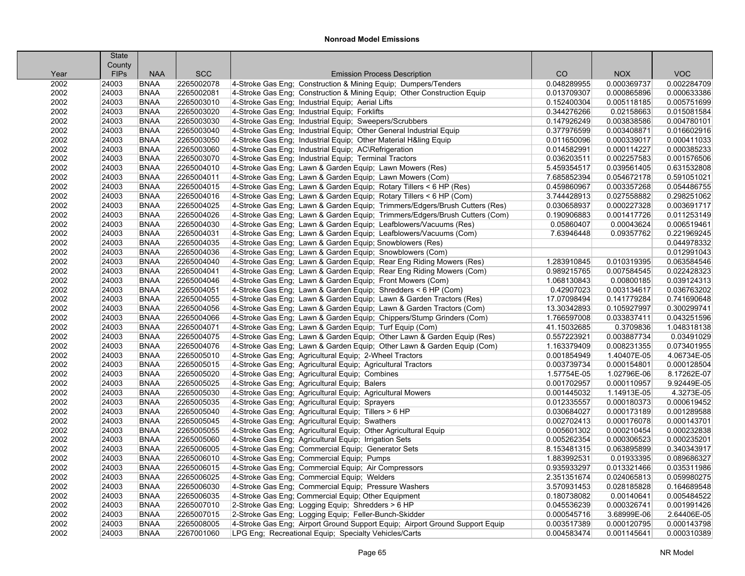|              | <b>State</b>          |                            |                          |                                                                              |                            |                           |                            |
|--------------|-----------------------|----------------------------|--------------------------|------------------------------------------------------------------------------|----------------------------|---------------------------|----------------------------|
|              | County<br><b>FIPs</b> | <b>NAA</b>                 | <b>SCC</b>               | <b>Emission Process Description</b>                                          | CO                         | <b>NOX</b>                | <b>VOC</b>                 |
| Year<br>2002 | 24003                 | <b>BNAA</b>                | 2265002078               | 4-Stroke Gas Eng; Construction & Mining Equip; Dumpers/Tenders               | 0.048289955                | 0.000369737               | 0.002284709                |
| 2002         | 24003                 | <b>BNAA</b>                | 2265002081               | 4-Stroke Gas Eng; Construction & Mining Equip; Other Construction Equip      | 0.013709307                | 0.000865896               | 0.000633386                |
|              | 24003                 | <b>BNAA</b>                | 2265003010               |                                                                              |                            |                           |                            |
| 2002         |                       |                            | 2265003020               | 4-Stroke Gas Eng; Industrial Equip; Aerial Lifts                             | 0.152400304                | 0.005118185               | 0.005751699<br>0.015081584 |
| 2002<br>2002 | 24003<br>24003        | <b>BNAA</b><br><b>BNAA</b> | 2265003030               | 4-Stroke Gas Eng; Industrial Equip; Forklifts                                | 0.344276266<br>0.147926249 | 0.02158663<br>0.003838586 | 0.004780101                |
|              |                       |                            |                          | 4-Stroke Gas Eng; Industrial Equip; Sweepers/Scrubbers                       |                            |                           |                            |
| 2002         | 24003                 | <b>BNAA</b>                | 2265003040<br>2265003050 | 4-Stroke Gas Eng; Industrial Equip; Other General Industrial Equip           | 0.377976599                | 0.003408871               | 0.016602916                |
| 2002         | 24003                 | <b>BNAA</b>                |                          | 4-Stroke Gas Eng; Industrial Equip; Other Material H&ling Equip              | 0.011650096                | 0.000339017               | 0.000411033                |
| 2002         | 24003                 | <b>BNAA</b>                | 2265003060               | 4-Stroke Gas Eng; Industrial Equip; AC\Refrigeration                         | 0.014582991                | 0.000114227               | 0.000385233                |
| 2002         | 24003                 | <b>BNAA</b>                | 2265003070               | 4-Stroke Gas Eng; Industrial Equip; Terminal Tractors                        | 0.036203511                | 0.002257583               | 0.001576506                |
| 2002         | 24003                 | <b>BNAA</b>                | 2265004010               | 4-Stroke Gas Eng; Lawn & Garden Equip; Lawn Mowers (Res)                     | 5.459354517                | 0.039561405               | 0.631532808                |
| 2002         | 24003                 | <b>BNAA</b>                | 2265004011               | 4-Stroke Gas Eng; Lawn & Garden Equip; Lawn Mowers (Com)                     | 7.685852394                | 0.054672178               | 0.591051021                |
| 2002         | 24003                 | <b>BNAA</b>                | 2265004015               | 4-Stroke Gas Eng; Lawn & Garden Equip; Rotary Tillers < 6 HP (Res)           | 0.459860967                | 0.003357268               | 0.054486755                |
| 2002         | 24003                 | <b>BNAA</b>                | 2265004016               | 4-Stroke Gas Eng; Lawn & Garden Equip; Rotary Tillers < 6 HP (Com)           | 3.744428913                | 0.027558882               | 0.298251062                |
| 2002         | 24003                 | <b>BNAA</b>                | 2265004025               | 4-Stroke Gas Eng; Lawn & Garden Equip; Trimmers/Edgers/Brush Cutters (Res)   | 0.030658937                | 0.000227328               | 0.003691717                |
| 2002         | 24003                 | <b>BNAA</b>                | 2265004026               | 4-Stroke Gas Eng; Lawn & Garden Equip; Trimmers/Edgers/Brush Cutters (Com)   | 0.190906883                | 0.001417726               | 0.011253149                |
| 2002         | 24003                 | <b>BNAA</b>                | 2265004030               | 4-Stroke Gas Eng; Lawn & Garden Equip; Leafblowers/Vacuums (Res)             | 0.05860407                 | 0.00043624                | 0.006519461                |
| 2002         | 24003                 | <b>BNAA</b>                | 2265004031               | 4-Stroke Gas Eng; Lawn & Garden Equip; Leafblowers/Vacuums (Com)             | 7.63946448                 | 0.09357762                | 0.221969245                |
| 2002         | 24003                 | <b>BNAA</b>                | 2265004035               | 4-Stroke Gas Eng; Lawn & Garden Equip; Snowblowers (Res)                     |                            |                           | 0.044978332                |
| 2002         | 24003                 | <b>BNAA</b>                | 2265004036               | 4-Stroke Gas Eng; Lawn & Garden Equip; Snowblowers (Com)                     |                            |                           | 0.012991043                |
| 2002         | 24003                 | <b>BNAA</b>                | 2265004040               | 4-Stroke Gas Eng; Lawn & Garden Equip; Rear Eng Riding Mowers (Res)          | 1.283910845                | 0.010319395               | 0.063584546                |
| 2002         | 24003                 | <b>BNAA</b>                | 2265004041               | 4-Stroke Gas Eng; Lawn & Garden Equip; Rear Eng Riding Mowers (Com)          | 0.989215765                | 0.007584545               | 0.022428323                |
| 2002         | 24003                 | <b>BNAA</b>                | 2265004046               | 4-Stroke Gas Eng: Lawn & Garden Equip: Front Mowers (Com)                    | 1.068130843                | 0.00800185                | 0.039124313                |
| 2002         | 24003                 | <b>BNAA</b>                | 2265004051               | 4-Stroke Gas Eng; Lawn & Garden Equip; Shredders < 6 HP (Com)                | 0.42907023                 | 0.003134617               | 0.036763202                |
| 2002         | 24003                 | <b>BNAA</b>                | 2265004055               | 4-Stroke Gas Eng; Lawn & Garden Equip; Lawn & Garden Tractors (Res)          | 17.07098494                | 0.141779284               | 0.741690648                |
| 2002         | 24003                 | <b>BNAA</b>                | 2265004056               | 4-Stroke Gas Eng; Lawn & Garden Equip; Lawn & Garden Tractors (Com)          | 13.30342893                | 0.105927997               | 0.300299741                |
| 2002         | 24003                 | <b>BNAA</b>                | 2265004066               | 4-Stroke Gas Eng; Lawn & Garden Equip; Chippers/Stump Grinders (Com)         | 1.766597008                | 0.033837411               | 0.043251596                |
| 2002         | 24003                 | <b>BNAA</b>                | 2265004071               | 4-Stroke Gas Eng; Lawn & Garden Equip; Turf Equip (Com)                      | 41.15032685                | 0.3709836                 | 1.048318138                |
| 2002         | 24003                 | <b>BNAA</b>                | 2265004075               | 4-Stroke Gas Eng; Lawn & Garden Equip; Other Lawn & Garden Equip (Res)       | 0.557223921                | 0.003887734               | 0.03491029                 |
| 2002         | 24003                 | <b>BNAA</b>                | 2265004076               | 4-Stroke Gas Eng; Lawn & Garden Equip; Other Lawn & Garden Equip (Com)       | 1.163379409                | 0.008231355               | 0.073401955                |
| 2002         | 24003                 | <b>BNAA</b>                | 2265005010               | 4-Stroke Gas Eng; Agricultural Equip; 2-Wheel Tractors                       | 0.001854949                | 1.40407E-05               | 4.06734E-05                |
| 2002         | 24003                 | <b>BNAA</b>                | 2265005015               | 4-Stroke Gas Eng; Agricultural Equip; Agricultural Tractors                  | 0.003739734                | 0.000154801               | 0.000128504                |
| 2002         | 24003                 | <b>BNAA</b>                | 2265005020               | 4-Stroke Gas Eng; Agricultural Equip; Combines                               | 1.57754E-05                | 1.02796E-06               | 8.17262E-07                |
| 2002         | 24003                 | <b>BNAA</b>                | 2265005025               | 4-Stroke Gas Eng; Agricultural Equip; Balers                                 | 0.001702957                | 0.000110957               | 9.92449E-05                |
| 2002         | 24003                 | <b>BNAA</b>                | 2265005030               | 4-Stroke Gas Eng; Agricultural Equip; Agricultural Mowers                    | 0.001445032                | 1.14913E-05               | 4.3273E-05                 |
| 2002         | 24003                 | <b>BNAA</b>                | 2265005035               | 4-Stroke Gas Eng; Agricultural Equip; Sprayers                               | 0.012335557                | 0.000180373               | 0.000619452                |
| 2002         | 24003                 | <b>BNAA</b>                | 2265005040               | 4-Stroke Gas Eng: Agricultural Equip: Tillers > 6 HP                         | 0.030684027                | 0.000173189               | 0.001289588                |
| 2002         | 24003                 | <b>BNAA</b>                | 2265005045               | 4-Stroke Gas Eng; Agricultural Equip; Swathers                               | 0.002702413                | 0.000176078               | 0.000143701                |
| 2002         | 24003                 | <b>BNAA</b>                | 2265005055               | 4-Stroke Gas Eng; Agricultural Equip; Other Agricultural Equip               | 0.005601302                | 0.000210454               | 0.000232838                |
| 2002         | 24003                 | <b>BNAA</b>                | 2265005060               | 4-Stroke Gas Eng; Agricultural Equip; Irrigation Sets                        | 0.005262354                | 0.000306523               | 0.000235201                |
| 2002         | 24003                 | <b>BNAA</b>                | 2265006005               | 4-Stroke Gas Eng; Commercial Equip; Generator Sets                           | 8.153481315                | 0.063895899               | 0.340343917                |
| 2002         | 24003                 | <b>BNAA</b>                | 2265006010               | 4-Stroke Gas Eng; Commercial Equip; Pumps                                    | 1.883992531                | 0.01933395                | 0.089686327                |
| 2002         | 24003                 | <b>BNAA</b>                | 2265006015               | 4-Stroke Gas Eng; Commercial Equip; Air Compressors                          | 0.935933297                | 0.013321466               | 0.035311986                |
| 2002         | 24003                 | <b>BNAA</b>                | 2265006025               | 4-Stroke Gas Eng; Commercial Equip; Welders                                  | 2.351351674                | 0.024065813               | 0.059980275                |
| 2002         | 24003                 | <b>BNAA</b>                | 2265006030               | 4-Stroke Gas Eng; Commercial Equip; Pressure Washers                         | 3.570931453                | 0.028185828               | 0.164689548                |
| 2002         | 24003                 | <b>BNAA</b>                | 2265006035               | 4-Stroke Gas Eng; Commercial Equip; Other Equipment                          | 0.180738082                | 0.00140641                | 0.005484522                |
| 2002         | 24003                 | <b>BNAA</b>                | 2265007010               | 2-Stroke Gas Eng; Logging Equip; Shredders > 6 HP                            | 0.045536239                | 0.000326741               | 0.001991426                |
| 2002         | 24003                 | <b>BNAA</b>                | 2265007015               | 2-Stroke Gas Eng; Logging Equip; Feller-Bunch-Skidder                        | 0.000545716                | 3.68999E-06               | 2.64406E-05                |
| 2002         | 24003                 | <b>BNAA</b>                | 2265008005               | 4-Stroke Gas Eng; Airport Ground Support Equip; Airport Ground Support Equip | 0.003517389                | 0.000120795               | 0.000143798                |
| 2002         | 24003                 | <b>BNAA</b>                | 2267001060               | LPG Eng; Recreational Equip; Specialty Vehicles/Carts                        | 0.004583474                | 0.001145641               | 0.000310389                |
|              |                       |                            |                          |                                                                              |                            |                           |                            |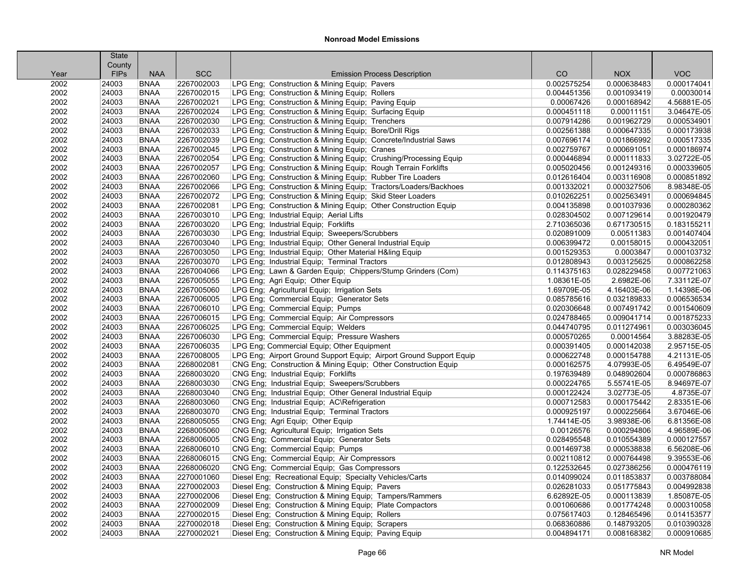| County<br><b>VOC</b><br><b>FIPs</b><br><b>SCC</b><br>CO<br><b>NOX</b><br><b>NAA</b><br><b>Emission Process Description</b><br>Year<br>2002<br>2267002003<br>LPG Eng; Construction & Mining Equip; Pavers<br>0.002575254<br>0.000638483<br>0.000174041<br>24003<br><b>BNAA</b><br>LPG Eng; Construction & Mining Equip; Rollers<br>0.00030014<br>2002<br>24003<br><b>BNAA</b><br>2267002015<br>0.004451356<br>0.001093419<br>2002<br><b>BNAA</b><br>2267002021<br>LPG Eng; Construction & Mining Equip; Paving Equip<br>0.000168942<br>4.56881E-05<br>24003<br>0.00067426<br>2002<br><b>BNAA</b><br>2267002024<br>LPG Eng; Construction & Mining Equip; Surfacing Equip<br>3.04647E-05<br>24003<br>0.000451118<br>0.00011151<br>2002<br>24003<br><b>BNAA</b><br>2267002030<br>LPG Eng; Construction & Mining Equip; Trenchers<br>0.007914286<br>0.001962729<br>0.000534901<br>2002<br><b>BNAA</b><br>2267002033<br>LPG Eng; Construction & Mining Equip; Bore/Drill Rigs<br>0.000647335<br>0.000173938<br>24003<br>0.002561388<br>2002<br>2267002039<br>LPG Eng; Construction & Mining Equip; Concrete/Industrial Saws<br>0.001866992<br>0.000517335<br>24003<br><b>BNAA</b><br>0.007696174<br>2002<br>2267002045<br>0.000186974<br>24003<br><b>BNAA</b><br>LPG Eng; Construction & Mining Equip; Cranes<br>0.002759767<br>0.000691051<br>LPG Eng; Construction & Mining Equip; Crushing/Processing Equip<br>3.02722E-05<br>2002<br>24003<br><b>BNAA</b><br>2267002054<br>0.000446894<br>0.000111833<br>LPG Eng; Construction & Mining Equip; Rough Terrain Forklifts<br>2002<br>24003<br><b>BNAA</b><br>2267002057<br>0.005020456<br>0.001249316<br>0.000339605<br>2002<br>24003<br><b>BNAA</b><br>2267002060<br>LPG Eng; Construction & Mining Equip; Rubber Tire Loaders<br>0.000851892<br>0.012616404<br>0.003116908<br>2002<br>24003<br><b>BNAA</b><br>2267002066<br>LPG Eng; Construction & Mining Equip; Tractors/Loaders/Backhoes<br>0.001332021<br>0.000327506<br>8.98348E-05<br>LPG Eng; Construction & Mining Equip; Skid Steer Loaders<br>24003<br><b>BNAA</b><br>2267002072<br>0.010262251<br>0.002563491<br>0.000694845<br>2002<br>2267002081<br>LPG Eng; Construction & Mining Equip; Other Construction Equip<br>0.000280362<br>2002<br>24003<br><b>BNAA</b><br>0.004135898<br>0.001037936<br>2002<br>2267003010<br>LPG Eng; Industrial Equip; Aerial Lifts<br>0.028304502<br>0.001920479<br>24003<br><b>BNAA</b><br>0.007129614<br>LPG Eng; Industrial Equip; Forklifts<br>0.183155211<br>2002<br>24003<br><b>BNAA</b><br>2267003020<br>2.710365036<br>0.671730515<br>0.001407404<br>2002<br>24003<br><b>BNAA</b><br>2267003030<br>LPG Eng; Industrial Equip; Sweepers/Scrubbers<br>0.020891009<br>0.00511383<br>2002<br>24003<br>2267003040<br>LPG Eng; Industrial Equip; Other General Industrial Equip<br>0.000432051<br><b>BNAA</b><br>0.006399472<br>0.00158015<br>2002<br>24003<br><b>BNAA</b><br>2267003050<br>LPG Eng; Industrial Equip; Other Material H&ling Equip<br>0.001529353<br>0.0003847<br>0.000103732<br><b>BNAA</b><br>2267003070<br>LPG Eng; Industrial Equip; Terminal Tractors<br>0.003125625<br>0.000862258<br>2002<br>24003<br>0.012808943<br>2267004066<br>LPG Eng; Lawn & Garden Equip; Chippers/Stump Grinders (Com)<br>0.028229458<br>0.007721063<br>2002<br>24003<br><b>BNAA</b><br>0.114375163<br>2002<br>2267005055<br>LPG Eng; Agri Equip; Other Equip<br>2.6982E-06<br>7.33112E-07<br>24003<br><b>BNAA</b><br>1.08361E-05<br>1.14398E-06<br>2002<br><b>BNAA</b><br>2267005060<br>LPG Eng; Agricultural Equip; Irrigation Sets<br>1.69709E-05<br>4.16403E-06<br>24003<br>2002<br>24003<br><b>BNAA</b><br>2267006005<br>LPG Eng; Commercial Equip; Generator Sets<br>0.032189833<br>0.006536534<br>0.085785616<br>2002<br>24003<br>2267006010<br>LPG Eng; Commercial Equip; Pumps<br>0.001540609<br><b>BNAA</b><br>0.020306648<br>0.007491742<br>2002<br>24003<br><b>BNAA</b><br>2267006015<br>LPG Eng; Commercial Equip; Air Compressors<br>0.024788465<br>0.009041714<br>0.001875233<br>LPG Eng; Commercial Equip; Welders<br>2002<br><b>BNAA</b><br>2267006025<br>0.044740795<br>0.011274961<br>0.003036045<br>24003<br>2267006030<br>LPG Eng; Commercial Equip; Pressure Washers<br>3.88283E-05<br>2002<br>24003<br><b>BNAA</b><br>0.000570265<br>0.00014564<br>2002<br>2267006035<br>LPG Eng: Commercial Equip: Other Equipment<br>2.95715E-05<br>24003<br><b>BNAA</b><br>0.000391405<br>0.000142038<br>4.21131E-05<br>2002<br><b>BNAA</b><br>2267008005<br>LPG Eng; Airport Ground Support Equip; Airport Ground Support Equip<br>0.000622748<br>0.000154788<br>24003<br>2002<br>24003<br>2268002081<br>CNG Eng; Construction & Mining Equip; Other Construction Equip<br>4.07993E-05<br>6.49549E-07<br><b>BNAA</b><br>0.000162575<br>CNG Eng; Industrial Equip; Forklifts<br>0.000786863<br>2002<br>24003<br><b>BNAA</b><br>2268003020<br>0.197639489<br>0.048902604<br>2268003030<br>2002<br>24003<br><b>BNAA</b><br>CNG Eng; Industrial Equip; Sweepers/Scrubbers<br>0.000224765<br>5.55741E-05<br>8.94697E-07<br>2002<br>24003<br><b>BNAA</b><br>2268003040<br>CNG Eng; Industrial Equip; Other General Industrial Equip<br>0.000122424<br>3.02773E-05<br>4.8735E-07<br>2002<br>2268003060<br>CNG Eng; Industrial Equip; AC\Refrigeration<br>0.000712583<br>2.83351E-06<br>24003<br><b>BNAA</b><br>0.000175442<br>2002<br>2268003070<br>CNG Eng; Industrial Equip; Terminal Tractors<br>3.67046E-06<br>24003<br><b>BNAA</b><br>0.000925197<br>0.000225664<br>6.81356E-08<br>2002<br>2268005055<br>CNG Eng; Agri Equip; Other Equip<br>1.74414E-05<br>3.98938E-06<br>24003<br><b>BNAA</b><br>CNG Eng; Agricultural Equip; Irrigation Sets<br>2002<br>24003<br><b>BNAA</b><br>2268005060<br>0.000294806<br>4.96589E-06<br>0.00126576<br>2002<br>2268006005<br>CNG Eng; Commercial Equip; Generator Sets<br>0.000127557<br>24003<br><b>BNAA</b><br>0.028495548<br>0.010554389<br>2268006010<br>6.56208E-06<br>2002<br>24003<br><b>BNAA</b><br>CNG Eng; Commercial Equip; Pumps<br>0.001469738<br>0.000538838<br>9.39553E-06<br>2002<br>24003<br><b>BNAA</b><br>2268006015<br>CNG Eng; Commercial Equip; Air Compressors<br>0.002110812<br>0.000764498<br>2268006020<br>CNG Eng; Commercial Equip; Gas Compressors<br>0.000476119<br>2002<br>24003<br><b>BNAA</b><br>0.122532645<br>0.027386256<br>2002<br>2270001060<br>Diesel Eng; Recreational Equip; Specialty Vehicles/Carts<br>0.003788084<br>24003<br><b>BNAA</b><br>0.014099024<br>0.011853837<br>2002<br>2270002003<br>Diesel Eng; Construction & Mining Equip; Pavers<br>0.026281033<br>0.051775843<br>0.004992838<br>24003<br><b>BNAA</b><br>2002<br>24003<br>2270002006<br>Diesel Eng; Construction & Mining Equip; Tampers/Rammers<br>0.000113839<br>1.85087E-05<br><b>BNAA</b><br>6.62892E-05<br>2002<br>24003<br><b>BNAA</b><br>2270002009<br>Diesel Eng; Construction & Mining Equip; Plate Compactors<br>0.001060686<br>0.001774248<br>0.000310058<br>2002<br>24003<br><b>BNAA</b><br>2270002015<br>Diesel Eng; Construction & Mining Equip; Rollers<br>0.075617403<br>0.128465496<br>0.014153577<br>Diesel Eng; Construction & Mining Equip; Scrapers<br>0.010390328<br>2002<br>24003<br><b>BNAA</b><br>2270002018<br>0.068360886<br>0.148793205<br>24003<br><b>BNAA</b><br>2270002021<br>Diesel Eng; Construction & Mining Equip; Paving Equip<br>0.004894171<br>0.008168382<br>0.000910685<br>2002 | <b>State</b> |  |  |  |
|-----------------------------------------------------------------------------------------------------------------------------------------------------------------------------------------------------------------------------------------------------------------------------------------------------------------------------------------------------------------------------------------------------------------------------------------------------------------------------------------------------------------------------------------------------------------------------------------------------------------------------------------------------------------------------------------------------------------------------------------------------------------------------------------------------------------------------------------------------------------------------------------------------------------------------------------------------------------------------------------------------------------------------------------------------------------------------------------------------------------------------------------------------------------------------------------------------------------------------------------------------------------------------------------------------------------------------------------------------------------------------------------------------------------------------------------------------------------------------------------------------------------------------------------------------------------------------------------------------------------------------------------------------------------------------------------------------------------------------------------------------------------------------------------------------------------------------------------------------------------------------------------------------------------------------------------------------------------------------------------------------------------------------------------------------------------------------------------------------------------------------------------------------------------------------------------------------------------------------------------------------------------------------------------------------------------------------------------------------------------------------------------------------------------------------------------------------------------------------------------------------------------------------------------------------------------------------------------------------------------------------------------------------------------------------------------------------------------------------------------------------------------------------------------------------------------------------------------------------------------------------------------------------------------------------------------------------------------------------------------------------------------------------------------------------------------------------------------------------------------------------------------------------------------------------------------------------------------------------------------------------------------------------------------------------------------------------------------------------------------------------------------------------------------------------------------------------------------------------------------------------------------------------------------------------------------------------------------------------------------------------------------------------------------------------------------------------------------------------------------------------------------------------------------------------------------------------------------------------------------------------------------------------------------------------------------------------------------------------------------------------------------------------------------------------------------------------------------------------------------------------------------------------------------------------------------------------------------------------------------------------------------------------------------------------------------------------------------------------------------------------------------------------------------------------------------------------------------------------------------------------------------------------------------------------------------------------------------------------------------------------------------------------------------------------------------------------------------------------------------------------------------------------------------------------------------------------------------------------------------------------------------------------------------------------------------------------------------------------------------------------------------------------------------------------------------------------------------------------------------------------------------------------------------------------------------------------------------------------------------------------------------------------------------------------------------------------------------------------------------------------------------------------------------------------------------------------------------------------------------------------------------------------------------------------------------------------------------------------------------------------------------------------------------------------------------------------------------------------------------------------------------------------------------------------------------------------------------------------------------------------------------------------------------------------------------------------------------------------------------------------------------------------------------------------------------------------------------------------------------------------------------------------------------------------------------------------------------------------------------------------------------------------------------------------------------------------------------------------------------------------------------------------------------------------------------------------------------------------------------------------------------------------------------------------------------------------------------------------------------------------------------------------------------------------------------------------------------------------------------------------------------------------------------------------------------------------------------------------------------------------------------------------------------------------------------------------------------------------------------------------------------------------------------------------------------------------------------------------------------------------------------------------------------------------------------------------------------------------------------------------------------------------------------------------------------------------------------------------------------------------------------------------------------------------|--------------|--|--|--|
|                                                                                                                                                                                                                                                                                                                                                                                                                                                                                                                                                                                                                                                                                                                                                                                                                                                                                                                                                                                                                                                                                                                                                                                                                                                                                                                                                                                                                                                                                                                                                                                                                                                                                                                                                                                                                                                                                                                                                                                                                                                                                                                                                                                                                                                                                                                                                                                                                                                                                                                                                                                                                                                                                                                                                                                                                                                                                                                                                                                                                                                                                                                                                                                                                                                                                                                                                                                                                                                                                                                                                                                                                                                                                                                                                                                                                                                                                                                                                                                                                                                                                                                                                                                                                                                                                                                                                                                                                                                                                                                                                                                                                                                                                                                                                                                                                                                                                                                                                                                                                                                                                                                                                                                                                                                                                                                                                                                                                                                                                                                                                                                                                                                                                                                                                                                                                                                                                                                                                                                                                                                                                                                                                                                                                                                                                                                                                                                                                                                                                                                                                                                                                                                                                                                                                                                                                                                                                                                                                                                                                                                                                                                                                                                                                                                                                                                                                                                                                             |              |  |  |  |
|                                                                                                                                                                                                                                                                                                                                                                                                                                                                                                                                                                                                                                                                                                                                                                                                                                                                                                                                                                                                                                                                                                                                                                                                                                                                                                                                                                                                                                                                                                                                                                                                                                                                                                                                                                                                                                                                                                                                                                                                                                                                                                                                                                                                                                                                                                                                                                                                                                                                                                                                                                                                                                                                                                                                                                                                                                                                                                                                                                                                                                                                                                                                                                                                                                                                                                                                                                                                                                                                                                                                                                                                                                                                                                                                                                                                                                                                                                                                                                                                                                                                                                                                                                                                                                                                                                                                                                                                                                                                                                                                                                                                                                                                                                                                                                                                                                                                                                                                                                                                                                                                                                                                                                                                                                                                                                                                                                                                                                                                                                                                                                                                                                                                                                                                                                                                                                                                                                                                                                                                                                                                                                                                                                                                                                                                                                                                                                                                                                                                                                                                                                                                                                                                                                                                                                                                                                                                                                                                                                                                                                                                                                                                                                                                                                                                                                                                                                                                                             |              |  |  |  |
|                                                                                                                                                                                                                                                                                                                                                                                                                                                                                                                                                                                                                                                                                                                                                                                                                                                                                                                                                                                                                                                                                                                                                                                                                                                                                                                                                                                                                                                                                                                                                                                                                                                                                                                                                                                                                                                                                                                                                                                                                                                                                                                                                                                                                                                                                                                                                                                                                                                                                                                                                                                                                                                                                                                                                                                                                                                                                                                                                                                                                                                                                                                                                                                                                                                                                                                                                                                                                                                                                                                                                                                                                                                                                                                                                                                                                                                                                                                                                                                                                                                                                                                                                                                                                                                                                                                                                                                                                                                                                                                                                                                                                                                                                                                                                                                                                                                                                                                                                                                                                                                                                                                                                                                                                                                                                                                                                                                                                                                                                                                                                                                                                                                                                                                                                                                                                                                                                                                                                                                                                                                                                                                                                                                                                                                                                                                                                                                                                                                                                                                                                                                                                                                                                                                                                                                                                                                                                                                                                                                                                                                                                                                                                                                                                                                                                                                                                                                                                             |              |  |  |  |
|                                                                                                                                                                                                                                                                                                                                                                                                                                                                                                                                                                                                                                                                                                                                                                                                                                                                                                                                                                                                                                                                                                                                                                                                                                                                                                                                                                                                                                                                                                                                                                                                                                                                                                                                                                                                                                                                                                                                                                                                                                                                                                                                                                                                                                                                                                                                                                                                                                                                                                                                                                                                                                                                                                                                                                                                                                                                                                                                                                                                                                                                                                                                                                                                                                                                                                                                                                                                                                                                                                                                                                                                                                                                                                                                                                                                                                                                                                                                                                                                                                                                                                                                                                                                                                                                                                                                                                                                                                                                                                                                                                                                                                                                                                                                                                                                                                                                                                                                                                                                                                                                                                                                                                                                                                                                                                                                                                                                                                                                                                                                                                                                                                                                                                                                                                                                                                                                                                                                                                                                                                                                                                                                                                                                                                                                                                                                                                                                                                                                                                                                                                                                                                                                                                                                                                                                                                                                                                                                                                                                                                                                                                                                                                                                                                                                                                                                                                                                                             |              |  |  |  |
|                                                                                                                                                                                                                                                                                                                                                                                                                                                                                                                                                                                                                                                                                                                                                                                                                                                                                                                                                                                                                                                                                                                                                                                                                                                                                                                                                                                                                                                                                                                                                                                                                                                                                                                                                                                                                                                                                                                                                                                                                                                                                                                                                                                                                                                                                                                                                                                                                                                                                                                                                                                                                                                                                                                                                                                                                                                                                                                                                                                                                                                                                                                                                                                                                                                                                                                                                                                                                                                                                                                                                                                                                                                                                                                                                                                                                                                                                                                                                                                                                                                                                                                                                                                                                                                                                                                                                                                                                                                                                                                                                                                                                                                                                                                                                                                                                                                                                                                                                                                                                                                                                                                                                                                                                                                                                                                                                                                                                                                                                                                                                                                                                                                                                                                                                                                                                                                                                                                                                                                                                                                                                                                                                                                                                                                                                                                                                                                                                                                                                                                                                                                                                                                                                                                                                                                                                                                                                                                                                                                                                                                                                                                                                                                                                                                                                                                                                                                                                             |              |  |  |  |
|                                                                                                                                                                                                                                                                                                                                                                                                                                                                                                                                                                                                                                                                                                                                                                                                                                                                                                                                                                                                                                                                                                                                                                                                                                                                                                                                                                                                                                                                                                                                                                                                                                                                                                                                                                                                                                                                                                                                                                                                                                                                                                                                                                                                                                                                                                                                                                                                                                                                                                                                                                                                                                                                                                                                                                                                                                                                                                                                                                                                                                                                                                                                                                                                                                                                                                                                                                                                                                                                                                                                                                                                                                                                                                                                                                                                                                                                                                                                                                                                                                                                                                                                                                                                                                                                                                                                                                                                                                                                                                                                                                                                                                                                                                                                                                                                                                                                                                                                                                                                                                                                                                                                                                                                                                                                                                                                                                                                                                                                                                                                                                                                                                                                                                                                                                                                                                                                                                                                                                                                                                                                                                                                                                                                                                                                                                                                                                                                                                                                                                                                                                                                                                                                                                                                                                                                                                                                                                                                                                                                                                                                                                                                                                                                                                                                                                                                                                                                                             |              |  |  |  |
|                                                                                                                                                                                                                                                                                                                                                                                                                                                                                                                                                                                                                                                                                                                                                                                                                                                                                                                                                                                                                                                                                                                                                                                                                                                                                                                                                                                                                                                                                                                                                                                                                                                                                                                                                                                                                                                                                                                                                                                                                                                                                                                                                                                                                                                                                                                                                                                                                                                                                                                                                                                                                                                                                                                                                                                                                                                                                                                                                                                                                                                                                                                                                                                                                                                                                                                                                                                                                                                                                                                                                                                                                                                                                                                                                                                                                                                                                                                                                                                                                                                                                                                                                                                                                                                                                                                                                                                                                                                                                                                                                                                                                                                                                                                                                                                                                                                                                                                                                                                                                                                                                                                                                                                                                                                                                                                                                                                                                                                                                                                                                                                                                                                                                                                                                                                                                                                                                                                                                                                                                                                                                                                                                                                                                                                                                                                                                                                                                                                                                                                                                                                                                                                                                                                                                                                                                                                                                                                                                                                                                                                                                                                                                                                                                                                                                                                                                                                                                             |              |  |  |  |
|                                                                                                                                                                                                                                                                                                                                                                                                                                                                                                                                                                                                                                                                                                                                                                                                                                                                                                                                                                                                                                                                                                                                                                                                                                                                                                                                                                                                                                                                                                                                                                                                                                                                                                                                                                                                                                                                                                                                                                                                                                                                                                                                                                                                                                                                                                                                                                                                                                                                                                                                                                                                                                                                                                                                                                                                                                                                                                                                                                                                                                                                                                                                                                                                                                                                                                                                                                                                                                                                                                                                                                                                                                                                                                                                                                                                                                                                                                                                                                                                                                                                                                                                                                                                                                                                                                                                                                                                                                                                                                                                                                                                                                                                                                                                                                                                                                                                                                                                                                                                                                                                                                                                                                                                                                                                                                                                                                                                                                                                                                                                                                                                                                                                                                                                                                                                                                                                                                                                                                                                                                                                                                                                                                                                                                                                                                                                                                                                                                                                                                                                                                                                                                                                                                                                                                                                                                                                                                                                                                                                                                                                                                                                                                                                                                                                                                                                                                                                                             |              |  |  |  |
|                                                                                                                                                                                                                                                                                                                                                                                                                                                                                                                                                                                                                                                                                                                                                                                                                                                                                                                                                                                                                                                                                                                                                                                                                                                                                                                                                                                                                                                                                                                                                                                                                                                                                                                                                                                                                                                                                                                                                                                                                                                                                                                                                                                                                                                                                                                                                                                                                                                                                                                                                                                                                                                                                                                                                                                                                                                                                                                                                                                                                                                                                                                                                                                                                                                                                                                                                                                                                                                                                                                                                                                                                                                                                                                                                                                                                                                                                                                                                                                                                                                                                                                                                                                                                                                                                                                                                                                                                                                                                                                                                                                                                                                                                                                                                                                                                                                                                                                                                                                                                                                                                                                                                                                                                                                                                                                                                                                                                                                                                                                                                                                                                                                                                                                                                                                                                                                                                                                                                                                                                                                                                                                                                                                                                                                                                                                                                                                                                                                                                                                                                                                                                                                                                                                                                                                                                                                                                                                                                                                                                                                                                                                                                                                                                                                                                                                                                                                                                             |              |  |  |  |
|                                                                                                                                                                                                                                                                                                                                                                                                                                                                                                                                                                                                                                                                                                                                                                                                                                                                                                                                                                                                                                                                                                                                                                                                                                                                                                                                                                                                                                                                                                                                                                                                                                                                                                                                                                                                                                                                                                                                                                                                                                                                                                                                                                                                                                                                                                                                                                                                                                                                                                                                                                                                                                                                                                                                                                                                                                                                                                                                                                                                                                                                                                                                                                                                                                                                                                                                                                                                                                                                                                                                                                                                                                                                                                                                                                                                                                                                                                                                                                                                                                                                                                                                                                                                                                                                                                                                                                                                                                                                                                                                                                                                                                                                                                                                                                                                                                                                                                                                                                                                                                                                                                                                                                                                                                                                                                                                                                                                                                                                                                                                                                                                                                                                                                                                                                                                                                                                                                                                                                                                                                                                                                                                                                                                                                                                                                                                                                                                                                                                                                                                                                                                                                                                                                                                                                                                                                                                                                                                                                                                                                                                                                                                                                                                                                                                                                                                                                                                                             |              |  |  |  |
|                                                                                                                                                                                                                                                                                                                                                                                                                                                                                                                                                                                                                                                                                                                                                                                                                                                                                                                                                                                                                                                                                                                                                                                                                                                                                                                                                                                                                                                                                                                                                                                                                                                                                                                                                                                                                                                                                                                                                                                                                                                                                                                                                                                                                                                                                                                                                                                                                                                                                                                                                                                                                                                                                                                                                                                                                                                                                                                                                                                                                                                                                                                                                                                                                                                                                                                                                                                                                                                                                                                                                                                                                                                                                                                                                                                                                                                                                                                                                                                                                                                                                                                                                                                                                                                                                                                                                                                                                                                                                                                                                                                                                                                                                                                                                                                                                                                                                                                                                                                                                                                                                                                                                                                                                                                                                                                                                                                                                                                                                                                                                                                                                                                                                                                                                                                                                                                                                                                                                                                                                                                                                                                                                                                                                                                                                                                                                                                                                                                                                                                                                                                                                                                                                                                                                                                                                                                                                                                                                                                                                                                                                                                                                                                                                                                                                                                                                                                                                             |              |  |  |  |
|                                                                                                                                                                                                                                                                                                                                                                                                                                                                                                                                                                                                                                                                                                                                                                                                                                                                                                                                                                                                                                                                                                                                                                                                                                                                                                                                                                                                                                                                                                                                                                                                                                                                                                                                                                                                                                                                                                                                                                                                                                                                                                                                                                                                                                                                                                                                                                                                                                                                                                                                                                                                                                                                                                                                                                                                                                                                                                                                                                                                                                                                                                                                                                                                                                                                                                                                                                                                                                                                                                                                                                                                                                                                                                                                                                                                                                                                                                                                                                                                                                                                                                                                                                                                                                                                                                                                                                                                                                                                                                                                                                                                                                                                                                                                                                                                                                                                                                                                                                                                                                                                                                                                                                                                                                                                                                                                                                                                                                                                                                                                                                                                                                                                                                                                                                                                                                                                                                                                                                                                                                                                                                                                                                                                                                                                                                                                                                                                                                                                                                                                                                                                                                                                                                                                                                                                                                                                                                                                                                                                                                                                                                                                                                                                                                                                                                                                                                                                                             |              |  |  |  |
|                                                                                                                                                                                                                                                                                                                                                                                                                                                                                                                                                                                                                                                                                                                                                                                                                                                                                                                                                                                                                                                                                                                                                                                                                                                                                                                                                                                                                                                                                                                                                                                                                                                                                                                                                                                                                                                                                                                                                                                                                                                                                                                                                                                                                                                                                                                                                                                                                                                                                                                                                                                                                                                                                                                                                                                                                                                                                                                                                                                                                                                                                                                                                                                                                                                                                                                                                                                                                                                                                                                                                                                                                                                                                                                                                                                                                                                                                                                                                                                                                                                                                                                                                                                                                                                                                                                                                                                                                                                                                                                                                                                                                                                                                                                                                                                                                                                                                                                                                                                                                                                                                                                                                                                                                                                                                                                                                                                                                                                                                                                                                                                                                                                                                                                                                                                                                                                                                                                                                                                                                                                                                                                                                                                                                                                                                                                                                                                                                                                                                                                                                                                                                                                                                                                                                                                                                                                                                                                                                                                                                                                                                                                                                                                                                                                                                                                                                                                                                             |              |  |  |  |
|                                                                                                                                                                                                                                                                                                                                                                                                                                                                                                                                                                                                                                                                                                                                                                                                                                                                                                                                                                                                                                                                                                                                                                                                                                                                                                                                                                                                                                                                                                                                                                                                                                                                                                                                                                                                                                                                                                                                                                                                                                                                                                                                                                                                                                                                                                                                                                                                                                                                                                                                                                                                                                                                                                                                                                                                                                                                                                                                                                                                                                                                                                                                                                                                                                                                                                                                                                                                                                                                                                                                                                                                                                                                                                                                                                                                                                                                                                                                                                                                                                                                                                                                                                                                                                                                                                                                                                                                                                                                                                                                                                                                                                                                                                                                                                                                                                                                                                                                                                                                                                                                                                                                                                                                                                                                                                                                                                                                                                                                                                                                                                                                                                                                                                                                                                                                                                                                                                                                                                                                                                                                                                                                                                                                                                                                                                                                                                                                                                                                                                                                                                                                                                                                                                                                                                                                                                                                                                                                                                                                                                                                                                                                                                                                                                                                                                                                                                                                                             |              |  |  |  |
|                                                                                                                                                                                                                                                                                                                                                                                                                                                                                                                                                                                                                                                                                                                                                                                                                                                                                                                                                                                                                                                                                                                                                                                                                                                                                                                                                                                                                                                                                                                                                                                                                                                                                                                                                                                                                                                                                                                                                                                                                                                                                                                                                                                                                                                                                                                                                                                                                                                                                                                                                                                                                                                                                                                                                                                                                                                                                                                                                                                                                                                                                                                                                                                                                                                                                                                                                                                                                                                                                                                                                                                                                                                                                                                                                                                                                                                                                                                                                                                                                                                                                                                                                                                                                                                                                                                                                                                                                                                                                                                                                                                                                                                                                                                                                                                                                                                                                                                                                                                                                                                                                                                                                                                                                                                                                                                                                                                                                                                                                                                                                                                                                                                                                                                                                                                                                                                                                                                                                                                                                                                                                                                                                                                                                                                                                                                                                                                                                                                                                                                                                                                                                                                                                                                                                                                                                                                                                                                                                                                                                                                                                                                                                                                                                                                                                                                                                                                                                             |              |  |  |  |
|                                                                                                                                                                                                                                                                                                                                                                                                                                                                                                                                                                                                                                                                                                                                                                                                                                                                                                                                                                                                                                                                                                                                                                                                                                                                                                                                                                                                                                                                                                                                                                                                                                                                                                                                                                                                                                                                                                                                                                                                                                                                                                                                                                                                                                                                                                                                                                                                                                                                                                                                                                                                                                                                                                                                                                                                                                                                                                                                                                                                                                                                                                                                                                                                                                                                                                                                                                                                                                                                                                                                                                                                                                                                                                                                                                                                                                                                                                                                                                                                                                                                                                                                                                                                                                                                                                                                                                                                                                                                                                                                                                                                                                                                                                                                                                                                                                                                                                                                                                                                                                                                                                                                                                                                                                                                                                                                                                                                                                                                                                                                                                                                                                                                                                                                                                                                                                                                                                                                                                                                                                                                                                                                                                                                                                                                                                                                                                                                                                                                                                                                                                                                                                                                                                                                                                                                                                                                                                                                                                                                                                                                                                                                                                                                                                                                                                                                                                                                                             |              |  |  |  |
|                                                                                                                                                                                                                                                                                                                                                                                                                                                                                                                                                                                                                                                                                                                                                                                                                                                                                                                                                                                                                                                                                                                                                                                                                                                                                                                                                                                                                                                                                                                                                                                                                                                                                                                                                                                                                                                                                                                                                                                                                                                                                                                                                                                                                                                                                                                                                                                                                                                                                                                                                                                                                                                                                                                                                                                                                                                                                                                                                                                                                                                                                                                                                                                                                                                                                                                                                                                                                                                                                                                                                                                                                                                                                                                                                                                                                                                                                                                                                                                                                                                                                                                                                                                                                                                                                                                                                                                                                                                                                                                                                                                                                                                                                                                                                                                                                                                                                                                                                                                                                                                                                                                                                                                                                                                                                                                                                                                                                                                                                                                                                                                                                                                                                                                                                                                                                                                                                                                                                                                                                                                                                                                                                                                                                                                                                                                                                                                                                                                                                                                                                                                                                                                                                                                                                                                                                                                                                                                                                                                                                                                                                                                                                                                                                                                                                                                                                                                                                             |              |  |  |  |
|                                                                                                                                                                                                                                                                                                                                                                                                                                                                                                                                                                                                                                                                                                                                                                                                                                                                                                                                                                                                                                                                                                                                                                                                                                                                                                                                                                                                                                                                                                                                                                                                                                                                                                                                                                                                                                                                                                                                                                                                                                                                                                                                                                                                                                                                                                                                                                                                                                                                                                                                                                                                                                                                                                                                                                                                                                                                                                                                                                                                                                                                                                                                                                                                                                                                                                                                                                                                                                                                                                                                                                                                                                                                                                                                                                                                                                                                                                                                                                                                                                                                                                                                                                                                                                                                                                                                                                                                                                                                                                                                                                                                                                                                                                                                                                                                                                                                                                                                                                                                                                                                                                                                                                                                                                                                                                                                                                                                                                                                                                                                                                                                                                                                                                                                                                                                                                                                                                                                                                                                                                                                                                                                                                                                                                                                                                                                                                                                                                                                                                                                                                                                                                                                                                                                                                                                                                                                                                                                                                                                                                                                                                                                                                                                                                                                                                                                                                                                                             |              |  |  |  |
|                                                                                                                                                                                                                                                                                                                                                                                                                                                                                                                                                                                                                                                                                                                                                                                                                                                                                                                                                                                                                                                                                                                                                                                                                                                                                                                                                                                                                                                                                                                                                                                                                                                                                                                                                                                                                                                                                                                                                                                                                                                                                                                                                                                                                                                                                                                                                                                                                                                                                                                                                                                                                                                                                                                                                                                                                                                                                                                                                                                                                                                                                                                                                                                                                                                                                                                                                                                                                                                                                                                                                                                                                                                                                                                                                                                                                                                                                                                                                                                                                                                                                                                                                                                                                                                                                                                                                                                                                                                                                                                                                                                                                                                                                                                                                                                                                                                                                                                                                                                                                                                                                                                                                                                                                                                                                                                                                                                                                                                                                                                                                                                                                                                                                                                                                                                                                                                                                                                                                                                                                                                                                                                                                                                                                                                                                                                                                                                                                                                                                                                                                                                                                                                                                                                                                                                                                                                                                                                                                                                                                                                                                                                                                                                                                                                                                                                                                                                                                             |              |  |  |  |
|                                                                                                                                                                                                                                                                                                                                                                                                                                                                                                                                                                                                                                                                                                                                                                                                                                                                                                                                                                                                                                                                                                                                                                                                                                                                                                                                                                                                                                                                                                                                                                                                                                                                                                                                                                                                                                                                                                                                                                                                                                                                                                                                                                                                                                                                                                                                                                                                                                                                                                                                                                                                                                                                                                                                                                                                                                                                                                                                                                                                                                                                                                                                                                                                                                                                                                                                                                                                                                                                                                                                                                                                                                                                                                                                                                                                                                                                                                                                                                                                                                                                                                                                                                                                                                                                                                                                                                                                                                                                                                                                                                                                                                                                                                                                                                                                                                                                                                                                                                                                                                                                                                                                                                                                                                                                                                                                                                                                                                                                                                                                                                                                                                                                                                                                                                                                                                                                                                                                                                                                                                                                                                                                                                                                                                                                                                                                                                                                                                                                                                                                                                                                                                                                                                                                                                                                                                                                                                                                                                                                                                                                                                                                                                                                                                                                                                                                                                                                                             |              |  |  |  |
|                                                                                                                                                                                                                                                                                                                                                                                                                                                                                                                                                                                                                                                                                                                                                                                                                                                                                                                                                                                                                                                                                                                                                                                                                                                                                                                                                                                                                                                                                                                                                                                                                                                                                                                                                                                                                                                                                                                                                                                                                                                                                                                                                                                                                                                                                                                                                                                                                                                                                                                                                                                                                                                                                                                                                                                                                                                                                                                                                                                                                                                                                                                                                                                                                                                                                                                                                                                                                                                                                                                                                                                                                                                                                                                                                                                                                                                                                                                                                                                                                                                                                                                                                                                                                                                                                                                                                                                                                                                                                                                                                                                                                                                                                                                                                                                                                                                                                                                                                                                                                                                                                                                                                                                                                                                                                                                                                                                                                                                                                                                                                                                                                                                                                                                                                                                                                                                                                                                                                                                                                                                                                                                                                                                                                                                                                                                                                                                                                                                                                                                                                                                                                                                                                                                                                                                                                                                                                                                                                                                                                                                                                                                                                                                                                                                                                                                                                                                                                             |              |  |  |  |
|                                                                                                                                                                                                                                                                                                                                                                                                                                                                                                                                                                                                                                                                                                                                                                                                                                                                                                                                                                                                                                                                                                                                                                                                                                                                                                                                                                                                                                                                                                                                                                                                                                                                                                                                                                                                                                                                                                                                                                                                                                                                                                                                                                                                                                                                                                                                                                                                                                                                                                                                                                                                                                                                                                                                                                                                                                                                                                                                                                                                                                                                                                                                                                                                                                                                                                                                                                                                                                                                                                                                                                                                                                                                                                                                                                                                                                                                                                                                                                                                                                                                                                                                                                                                                                                                                                                                                                                                                                                                                                                                                                                                                                                                                                                                                                                                                                                                                                                                                                                                                                                                                                                                                                                                                                                                                                                                                                                                                                                                                                                                                                                                                                                                                                                                                                                                                                                                                                                                                                                                                                                                                                                                                                                                                                                                                                                                                                                                                                                                                                                                                                                                                                                                                                                                                                                                                                                                                                                                                                                                                                                                                                                                                                                                                                                                                                                                                                                                                             |              |  |  |  |
|                                                                                                                                                                                                                                                                                                                                                                                                                                                                                                                                                                                                                                                                                                                                                                                                                                                                                                                                                                                                                                                                                                                                                                                                                                                                                                                                                                                                                                                                                                                                                                                                                                                                                                                                                                                                                                                                                                                                                                                                                                                                                                                                                                                                                                                                                                                                                                                                                                                                                                                                                                                                                                                                                                                                                                                                                                                                                                                                                                                                                                                                                                                                                                                                                                                                                                                                                                                                                                                                                                                                                                                                                                                                                                                                                                                                                                                                                                                                                                                                                                                                                                                                                                                                                                                                                                                                                                                                                                                                                                                                                                                                                                                                                                                                                                                                                                                                                                                                                                                                                                                                                                                                                                                                                                                                                                                                                                                                                                                                                                                                                                                                                                                                                                                                                                                                                                                                                                                                                                                                                                                                                                                                                                                                                                                                                                                                                                                                                                                                                                                                                                                                                                                                                                                                                                                                                                                                                                                                                                                                                                                                                                                                                                                                                                                                                                                                                                                                                             |              |  |  |  |
|                                                                                                                                                                                                                                                                                                                                                                                                                                                                                                                                                                                                                                                                                                                                                                                                                                                                                                                                                                                                                                                                                                                                                                                                                                                                                                                                                                                                                                                                                                                                                                                                                                                                                                                                                                                                                                                                                                                                                                                                                                                                                                                                                                                                                                                                                                                                                                                                                                                                                                                                                                                                                                                                                                                                                                                                                                                                                                                                                                                                                                                                                                                                                                                                                                                                                                                                                                                                                                                                                                                                                                                                                                                                                                                                                                                                                                                                                                                                                                                                                                                                                                                                                                                                                                                                                                                                                                                                                                                                                                                                                                                                                                                                                                                                                                                                                                                                                                                                                                                                                                                                                                                                                                                                                                                                                                                                                                                                                                                                                                                                                                                                                                                                                                                                                                                                                                                                                                                                                                                                                                                                                                                                                                                                                                                                                                                                                                                                                                                                                                                                                                                                                                                                                                                                                                                                                                                                                                                                                                                                                                                                                                                                                                                                                                                                                                                                                                                                                             |              |  |  |  |
|                                                                                                                                                                                                                                                                                                                                                                                                                                                                                                                                                                                                                                                                                                                                                                                                                                                                                                                                                                                                                                                                                                                                                                                                                                                                                                                                                                                                                                                                                                                                                                                                                                                                                                                                                                                                                                                                                                                                                                                                                                                                                                                                                                                                                                                                                                                                                                                                                                                                                                                                                                                                                                                                                                                                                                                                                                                                                                                                                                                                                                                                                                                                                                                                                                                                                                                                                                                                                                                                                                                                                                                                                                                                                                                                                                                                                                                                                                                                                                                                                                                                                                                                                                                                                                                                                                                                                                                                                                                                                                                                                                                                                                                                                                                                                                                                                                                                                                                                                                                                                                                                                                                                                                                                                                                                                                                                                                                                                                                                                                                                                                                                                                                                                                                                                                                                                                                                                                                                                                                                                                                                                                                                                                                                                                                                                                                                                                                                                                                                                                                                                                                                                                                                                                                                                                                                                                                                                                                                                                                                                                                                                                                                                                                                                                                                                                                                                                                                                             |              |  |  |  |
|                                                                                                                                                                                                                                                                                                                                                                                                                                                                                                                                                                                                                                                                                                                                                                                                                                                                                                                                                                                                                                                                                                                                                                                                                                                                                                                                                                                                                                                                                                                                                                                                                                                                                                                                                                                                                                                                                                                                                                                                                                                                                                                                                                                                                                                                                                                                                                                                                                                                                                                                                                                                                                                                                                                                                                                                                                                                                                                                                                                                                                                                                                                                                                                                                                                                                                                                                                                                                                                                                                                                                                                                                                                                                                                                                                                                                                                                                                                                                                                                                                                                                                                                                                                                                                                                                                                                                                                                                                                                                                                                                                                                                                                                                                                                                                                                                                                                                                                                                                                                                                                                                                                                                                                                                                                                                                                                                                                                                                                                                                                                                                                                                                                                                                                                                                                                                                                                                                                                                                                                                                                                                                                                                                                                                                                                                                                                                                                                                                                                                                                                                                                                                                                                                                                                                                                                                                                                                                                                                                                                                                                                                                                                                                                                                                                                                                                                                                                                                             |              |  |  |  |
|                                                                                                                                                                                                                                                                                                                                                                                                                                                                                                                                                                                                                                                                                                                                                                                                                                                                                                                                                                                                                                                                                                                                                                                                                                                                                                                                                                                                                                                                                                                                                                                                                                                                                                                                                                                                                                                                                                                                                                                                                                                                                                                                                                                                                                                                                                                                                                                                                                                                                                                                                                                                                                                                                                                                                                                                                                                                                                                                                                                                                                                                                                                                                                                                                                                                                                                                                                                                                                                                                                                                                                                                                                                                                                                                                                                                                                                                                                                                                                                                                                                                                                                                                                                                                                                                                                                                                                                                                                                                                                                                                                                                                                                                                                                                                                                                                                                                                                                                                                                                                                                                                                                                                                                                                                                                                                                                                                                                                                                                                                                                                                                                                                                                                                                                                                                                                                                                                                                                                                                                                                                                                                                                                                                                                                                                                                                                                                                                                                                                                                                                                                                                                                                                                                                                                                                                                                                                                                                                                                                                                                                                                                                                                                                                                                                                                                                                                                                                                             |              |  |  |  |
|                                                                                                                                                                                                                                                                                                                                                                                                                                                                                                                                                                                                                                                                                                                                                                                                                                                                                                                                                                                                                                                                                                                                                                                                                                                                                                                                                                                                                                                                                                                                                                                                                                                                                                                                                                                                                                                                                                                                                                                                                                                                                                                                                                                                                                                                                                                                                                                                                                                                                                                                                                                                                                                                                                                                                                                                                                                                                                                                                                                                                                                                                                                                                                                                                                                                                                                                                                                                                                                                                                                                                                                                                                                                                                                                                                                                                                                                                                                                                                                                                                                                                                                                                                                                                                                                                                                                                                                                                                                                                                                                                                                                                                                                                                                                                                                                                                                                                                                                                                                                                                                                                                                                                                                                                                                                                                                                                                                                                                                                                                                                                                                                                                                                                                                                                                                                                                                                                                                                                                                                                                                                                                                                                                                                                                                                                                                                                                                                                                                                                                                                                                                                                                                                                                                                                                                                                                                                                                                                                                                                                                                                                                                                                                                                                                                                                                                                                                                                                             |              |  |  |  |
|                                                                                                                                                                                                                                                                                                                                                                                                                                                                                                                                                                                                                                                                                                                                                                                                                                                                                                                                                                                                                                                                                                                                                                                                                                                                                                                                                                                                                                                                                                                                                                                                                                                                                                                                                                                                                                                                                                                                                                                                                                                                                                                                                                                                                                                                                                                                                                                                                                                                                                                                                                                                                                                                                                                                                                                                                                                                                                                                                                                                                                                                                                                                                                                                                                                                                                                                                                                                                                                                                                                                                                                                                                                                                                                                                                                                                                                                                                                                                                                                                                                                                                                                                                                                                                                                                                                                                                                                                                                                                                                                                                                                                                                                                                                                                                                                                                                                                                                                                                                                                                                                                                                                                                                                                                                                                                                                                                                                                                                                                                                                                                                                                                                                                                                                                                                                                                                                                                                                                                                                                                                                                                                                                                                                                                                                                                                                                                                                                                                                                                                                                                                                                                                                                                                                                                                                                                                                                                                                                                                                                                                                                                                                                                                                                                                                                                                                                                                                                             |              |  |  |  |
|                                                                                                                                                                                                                                                                                                                                                                                                                                                                                                                                                                                                                                                                                                                                                                                                                                                                                                                                                                                                                                                                                                                                                                                                                                                                                                                                                                                                                                                                                                                                                                                                                                                                                                                                                                                                                                                                                                                                                                                                                                                                                                                                                                                                                                                                                                                                                                                                                                                                                                                                                                                                                                                                                                                                                                                                                                                                                                                                                                                                                                                                                                                                                                                                                                                                                                                                                                                                                                                                                                                                                                                                                                                                                                                                                                                                                                                                                                                                                                                                                                                                                                                                                                                                                                                                                                                                                                                                                                                                                                                                                                                                                                                                                                                                                                                                                                                                                                                                                                                                                                                                                                                                                                                                                                                                                                                                                                                                                                                                                                                                                                                                                                                                                                                                                                                                                                                                                                                                                                                                                                                                                                                                                                                                                                                                                                                                                                                                                                                                                                                                                                                                                                                                                                                                                                                                                                                                                                                                                                                                                                                                                                                                                                                                                                                                                                                                                                                                                             |              |  |  |  |
|                                                                                                                                                                                                                                                                                                                                                                                                                                                                                                                                                                                                                                                                                                                                                                                                                                                                                                                                                                                                                                                                                                                                                                                                                                                                                                                                                                                                                                                                                                                                                                                                                                                                                                                                                                                                                                                                                                                                                                                                                                                                                                                                                                                                                                                                                                                                                                                                                                                                                                                                                                                                                                                                                                                                                                                                                                                                                                                                                                                                                                                                                                                                                                                                                                                                                                                                                                                                                                                                                                                                                                                                                                                                                                                                                                                                                                                                                                                                                                                                                                                                                                                                                                                                                                                                                                                                                                                                                                                                                                                                                                                                                                                                                                                                                                                                                                                                                                                                                                                                                                                                                                                                                                                                                                                                                                                                                                                                                                                                                                                                                                                                                                                                                                                                                                                                                                                                                                                                                                                                                                                                                                                                                                                                                                                                                                                                                                                                                                                                                                                                                                                                                                                                                                                                                                                                                                                                                                                                                                                                                                                                                                                                                                                                                                                                                                                                                                                                                             |              |  |  |  |
|                                                                                                                                                                                                                                                                                                                                                                                                                                                                                                                                                                                                                                                                                                                                                                                                                                                                                                                                                                                                                                                                                                                                                                                                                                                                                                                                                                                                                                                                                                                                                                                                                                                                                                                                                                                                                                                                                                                                                                                                                                                                                                                                                                                                                                                                                                                                                                                                                                                                                                                                                                                                                                                                                                                                                                                                                                                                                                                                                                                                                                                                                                                                                                                                                                                                                                                                                                                                                                                                                                                                                                                                                                                                                                                                                                                                                                                                                                                                                                                                                                                                                                                                                                                                                                                                                                                                                                                                                                                                                                                                                                                                                                                                                                                                                                                                                                                                                                                                                                                                                                                                                                                                                                                                                                                                                                                                                                                                                                                                                                                                                                                                                                                                                                                                                                                                                                                                                                                                                                                                                                                                                                                                                                                                                                                                                                                                                                                                                                                                                                                                                                                                                                                                                                                                                                                                                                                                                                                                                                                                                                                                                                                                                                                                                                                                                                                                                                                                                             |              |  |  |  |
|                                                                                                                                                                                                                                                                                                                                                                                                                                                                                                                                                                                                                                                                                                                                                                                                                                                                                                                                                                                                                                                                                                                                                                                                                                                                                                                                                                                                                                                                                                                                                                                                                                                                                                                                                                                                                                                                                                                                                                                                                                                                                                                                                                                                                                                                                                                                                                                                                                                                                                                                                                                                                                                                                                                                                                                                                                                                                                                                                                                                                                                                                                                                                                                                                                                                                                                                                                                                                                                                                                                                                                                                                                                                                                                                                                                                                                                                                                                                                                                                                                                                                                                                                                                                                                                                                                                                                                                                                                                                                                                                                                                                                                                                                                                                                                                                                                                                                                                                                                                                                                                                                                                                                                                                                                                                                                                                                                                                                                                                                                                                                                                                                                                                                                                                                                                                                                                                                                                                                                                                                                                                                                                                                                                                                                                                                                                                                                                                                                                                                                                                                                                                                                                                                                                                                                                                                                                                                                                                                                                                                                                                                                                                                                                                                                                                                                                                                                                                                             |              |  |  |  |
|                                                                                                                                                                                                                                                                                                                                                                                                                                                                                                                                                                                                                                                                                                                                                                                                                                                                                                                                                                                                                                                                                                                                                                                                                                                                                                                                                                                                                                                                                                                                                                                                                                                                                                                                                                                                                                                                                                                                                                                                                                                                                                                                                                                                                                                                                                                                                                                                                                                                                                                                                                                                                                                                                                                                                                                                                                                                                                                                                                                                                                                                                                                                                                                                                                                                                                                                                                                                                                                                                                                                                                                                                                                                                                                                                                                                                                                                                                                                                                                                                                                                                                                                                                                                                                                                                                                                                                                                                                                                                                                                                                                                                                                                                                                                                                                                                                                                                                                                                                                                                                                                                                                                                                                                                                                                                                                                                                                                                                                                                                                                                                                                                                                                                                                                                                                                                                                                                                                                                                                                                                                                                                                                                                                                                                                                                                                                                                                                                                                                                                                                                                                                                                                                                                                                                                                                                                                                                                                                                                                                                                                                                                                                                                                                                                                                                                                                                                                                                             |              |  |  |  |
|                                                                                                                                                                                                                                                                                                                                                                                                                                                                                                                                                                                                                                                                                                                                                                                                                                                                                                                                                                                                                                                                                                                                                                                                                                                                                                                                                                                                                                                                                                                                                                                                                                                                                                                                                                                                                                                                                                                                                                                                                                                                                                                                                                                                                                                                                                                                                                                                                                                                                                                                                                                                                                                                                                                                                                                                                                                                                                                                                                                                                                                                                                                                                                                                                                                                                                                                                                                                                                                                                                                                                                                                                                                                                                                                                                                                                                                                                                                                                                                                                                                                                                                                                                                                                                                                                                                                                                                                                                                                                                                                                                                                                                                                                                                                                                                                                                                                                                                                                                                                                                                                                                                                                                                                                                                                                                                                                                                                                                                                                                                                                                                                                                                                                                                                                                                                                                                                                                                                                                                                                                                                                                                                                                                                                                                                                                                                                                                                                                                                                                                                                                                                                                                                                                                                                                                                                                                                                                                                                                                                                                                                                                                                                                                                                                                                                                                                                                                                                             |              |  |  |  |
|                                                                                                                                                                                                                                                                                                                                                                                                                                                                                                                                                                                                                                                                                                                                                                                                                                                                                                                                                                                                                                                                                                                                                                                                                                                                                                                                                                                                                                                                                                                                                                                                                                                                                                                                                                                                                                                                                                                                                                                                                                                                                                                                                                                                                                                                                                                                                                                                                                                                                                                                                                                                                                                                                                                                                                                                                                                                                                                                                                                                                                                                                                                                                                                                                                                                                                                                                                                                                                                                                                                                                                                                                                                                                                                                                                                                                                                                                                                                                                                                                                                                                                                                                                                                                                                                                                                                                                                                                                                                                                                                                                                                                                                                                                                                                                                                                                                                                                                                                                                                                                                                                                                                                                                                                                                                                                                                                                                                                                                                                                                                                                                                                                                                                                                                                                                                                                                                                                                                                                                                                                                                                                                                                                                                                                                                                                                                                                                                                                                                                                                                                                                                                                                                                                                                                                                                                                                                                                                                                                                                                                                                                                                                                                                                                                                                                                                                                                                                                             |              |  |  |  |
|                                                                                                                                                                                                                                                                                                                                                                                                                                                                                                                                                                                                                                                                                                                                                                                                                                                                                                                                                                                                                                                                                                                                                                                                                                                                                                                                                                                                                                                                                                                                                                                                                                                                                                                                                                                                                                                                                                                                                                                                                                                                                                                                                                                                                                                                                                                                                                                                                                                                                                                                                                                                                                                                                                                                                                                                                                                                                                                                                                                                                                                                                                                                                                                                                                                                                                                                                                                                                                                                                                                                                                                                                                                                                                                                                                                                                                                                                                                                                                                                                                                                                                                                                                                                                                                                                                                                                                                                                                                                                                                                                                                                                                                                                                                                                                                                                                                                                                                                                                                                                                                                                                                                                                                                                                                                                                                                                                                                                                                                                                                                                                                                                                                                                                                                                                                                                                                                                                                                                                                                                                                                                                                                                                                                                                                                                                                                                                                                                                                                                                                                                                                                                                                                                                                                                                                                                                                                                                                                                                                                                                                                                                                                                                                                                                                                                                                                                                                                                             |              |  |  |  |
|                                                                                                                                                                                                                                                                                                                                                                                                                                                                                                                                                                                                                                                                                                                                                                                                                                                                                                                                                                                                                                                                                                                                                                                                                                                                                                                                                                                                                                                                                                                                                                                                                                                                                                                                                                                                                                                                                                                                                                                                                                                                                                                                                                                                                                                                                                                                                                                                                                                                                                                                                                                                                                                                                                                                                                                                                                                                                                                                                                                                                                                                                                                                                                                                                                                                                                                                                                                                                                                                                                                                                                                                                                                                                                                                                                                                                                                                                                                                                                                                                                                                                                                                                                                                                                                                                                                                                                                                                                                                                                                                                                                                                                                                                                                                                                                                                                                                                                                                                                                                                                                                                                                                                                                                                                                                                                                                                                                                                                                                                                                                                                                                                                                                                                                                                                                                                                                                                                                                                                                                                                                                                                                                                                                                                                                                                                                                                                                                                                                                                                                                                                                                                                                                                                                                                                                                                                                                                                                                                                                                                                                                                                                                                                                                                                                                                                                                                                                                                             |              |  |  |  |
|                                                                                                                                                                                                                                                                                                                                                                                                                                                                                                                                                                                                                                                                                                                                                                                                                                                                                                                                                                                                                                                                                                                                                                                                                                                                                                                                                                                                                                                                                                                                                                                                                                                                                                                                                                                                                                                                                                                                                                                                                                                                                                                                                                                                                                                                                                                                                                                                                                                                                                                                                                                                                                                                                                                                                                                                                                                                                                                                                                                                                                                                                                                                                                                                                                                                                                                                                                                                                                                                                                                                                                                                                                                                                                                                                                                                                                                                                                                                                                                                                                                                                                                                                                                                                                                                                                                                                                                                                                                                                                                                                                                                                                                                                                                                                                                                                                                                                                                                                                                                                                                                                                                                                                                                                                                                                                                                                                                                                                                                                                                                                                                                                                                                                                                                                                                                                                                                                                                                                                                                                                                                                                                                                                                                                                                                                                                                                                                                                                                                                                                                                                                                                                                                                                                                                                                                                                                                                                                                                                                                                                                                                                                                                                                                                                                                                                                                                                                                                             |              |  |  |  |
|                                                                                                                                                                                                                                                                                                                                                                                                                                                                                                                                                                                                                                                                                                                                                                                                                                                                                                                                                                                                                                                                                                                                                                                                                                                                                                                                                                                                                                                                                                                                                                                                                                                                                                                                                                                                                                                                                                                                                                                                                                                                                                                                                                                                                                                                                                                                                                                                                                                                                                                                                                                                                                                                                                                                                                                                                                                                                                                                                                                                                                                                                                                                                                                                                                                                                                                                                                                                                                                                                                                                                                                                                                                                                                                                                                                                                                                                                                                                                                                                                                                                                                                                                                                                                                                                                                                                                                                                                                                                                                                                                                                                                                                                                                                                                                                                                                                                                                                                                                                                                                                                                                                                                                                                                                                                                                                                                                                                                                                                                                                                                                                                                                                                                                                                                                                                                                                                                                                                                                                                                                                                                                                                                                                                                                                                                                                                                                                                                                                                                                                                                                                                                                                                                                                                                                                                                                                                                                                                                                                                                                                                                                                                                                                                                                                                                                                                                                                                                             |              |  |  |  |
|                                                                                                                                                                                                                                                                                                                                                                                                                                                                                                                                                                                                                                                                                                                                                                                                                                                                                                                                                                                                                                                                                                                                                                                                                                                                                                                                                                                                                                                                                                                                                                                                                                                                                                                                                                                                                                                                                                                                                                                                                                                                                                                                                                                                                                                                                                                                                                                                                                                                                                                                                                                                                                                                                                                                                                                                                                                                                                                                                                                                                                                                                                                                                                                                                                                                                                                                                                                                                                                                                                                                                                                                                                                                                                                                                                                                                                                                                                                                                                                                                                                                                                                                                                                                                                                                                                                                                                                                                                                                                                                                                                                                                                                                                                                                                                                                                                                                                                                                                                                                                                                                                                                                                                                                                                                                                                                                                                                                                                                                                                                                                                                                                                                                                                                                                                                                                                                                                                                                                                                                                                                                                                                                                                                                                                                                                                                                                                                                                                                                                                                                                                                                                                                                                                                                                                                                                                                                                                                                                                                                                                                                                                                                                                                                                                                                                                                                                                                                                             |              |  |  |  |
|                                                                                                                                                                                                                                                                                                                                                                                                                                                                                                                                                                                                                                                                                                                                                                                                                                                                                                                                                                                                                                                                                                                                                                                                                                                                                                                                                                                                                                                                                                                                                                                                                                                                                                                                                                                                                                                                                                                                                                                                                                                                                                                                                                                                                                                                                                                                                                                                                                                                                                                                                                                                                                                                                                                                                                                                                                                                                                                                                                                                                                                                                                                                                                                                                                                                                                                                                                                                                                                                                                                                                                                                                                                                                                                                                                                                                                                                                                                                                                                                                                                                                                                                                                                                                                                                                                                                                                                                                                                                                                                                                                                                                                                                                                                                                                                                                                                                                                                                                                                                                                                                                                                                                                                                                                                                                                                                                                                                                                                                                                                                                                                                                                                                                                                                                                                                                                                                                                                                                                                                                                                                                                                                                                                                                                                                                                                                                                                                                                                                                                                                                                                                                                                                                                                                                                                                                                                                                                                                                                                                                                                                                                                                                                                                                                                                                                                                                                                                                             |              |  |  |  |
|                                                                                                                                                                                                                                                                                                                                                                                                                                                                                                                                                                                                                                                                                                                                                                                                                                                                                                                                                                                                                                                                                                                                                                                                                                                                                                                                                                                                                                                                                                                                                                                                                                                                                                                                                                                                                                                                                                                                                                                                                                                                                                                                                                                                                                                                                                                                                                                                                                                                                                                                                                                                                                                                                                                                                                                                                                                                                                                                                                                                                                                                                                                                                                                                                                                                                                                                                                                                                                                                                                                                                                                                                                                                                                                                                                                                                                                                                                                                                                                                                                                                                                                                                                                                                                                                                                                                                                                                                                                                                                                                                                                                                                                                                                                                                                                                                                                                                                                                                                                                                                                                                                                                                                                                                                                                                                                                                                                                                                                                                                                                                                                                                                                                                                                                                                                                                                                                                                                                                                                                                                                                                                                                                                                                                                                                                                                                                                                                                                                                                                                                                                                                                                                                                                                                                                                                                                                                                                                                                                                                                                                                                                                                                                                                                                                                                                                                                                                                                             |              |  |  |  |
|                                                                                                                                                                                                                                                                                                                                                                                                                                                                                                                                                                                                                                                                                                                                                                                                                                                                                                                                                                                                                                                                                                                                                                                                                                                                                                                                                                                                                                                                                                                                                                                                                                                                                                                                                                                                                                                                                                                                                                                                                                                                                                                                                                                                                                                                                                                                                                                                                                                                                                                                                                                                                                                                                                                                                                                                                                                                                                                                                                                                                                                                                                                                                                                                                                                                                                                                                                                                                                                                                                                                                                                                                                                                                                                                                                                                                                                                                                                                                                                                                                                                                                                                                                                                                                                                                                                                                                                                                                                                                                                                                                                                                                                                                                                                                                                                                                                                                                                                                                                                                                                                                                                                                                                                                                                                                                                                                                                                                                                                                                                                                                                                                                                                                                                                                                                                                                                                                                                                                                                                                                                                                                                                                                                                                                                                                                                                                                                                                                                                                                                                                                                                                                                                                                                                                                                                                                                                                                                                                                                                                                                                                                                                                                                                                                                                                                                                                                                                                             |              |  |  |  |
|                                                                                                                                                                                                                                                                                                                                                                                                                                                                                                                                                                                                                                                                                                                                                                                                                                                                                                                                                                                                                                                                                                                                                                                                                                                                                                                                                                                                                                                                                                                                                                                                                                                                                                                                                                                                                                                                                                                                                                                                                                                                                                                                                                                                                                                                                                                                                                                                                                                                                                                                                                                                                                                                                                                                                                                                                                                                                                                                                                                                                                                                                                                                                                                                                                                                                                                                                                                                                                                                                                                                                                                                                                                                                                                                                                                                                                                                                                                                                                                                                                                                                                                                                                                                                                                                                                                                                                                                                                                                                                                                                                                                                                                                                                                                                                                                                                                                                                                                                                                                                                                                                                                                                                                                                                                                                                                                                                                                                                                                                                                                                                                                                                                                                                                                                                                                                                                                                                                                                                                                                                                                                                                                                                                                                                                                                                                                                                                                                                                                                                                                                                                                                                                                                                                                                                                                                                                                                                                                                                                                                                                                                                                                                                                                                                                                                                                                                                                                                             |              |  |  |  |
|                                                                                                                                                                                                                                                                                                                                                                                                                                                                                                                                                                                                                                                                                                                                                                                                                                                                                                                                                                                                                                                                                                                                                                                                                                                                                                                                                                                                                                                                                                                                                                                                                                                                                                                                                                                                                                                                                                                                                                                                                                                                                                                                                                                                                                                                                                                                                                                                                                                                                                                                                                                                                                                                                                                                                                                                                                                                                                                                                                                                                                                                                                                                                                                                                                                                                                                                                                                                                                                                                                                                                                                                                                                                                                                                                                                                                                                                                                                                                                                                                                                                                                                                                                                                                                                                                                                                                                                                                                                                                                                                                                                                                                                                                                                                                                                                                                                                                                                                                                                                                                                                                                                                                                                                                                                                                                                                                                                                                                                                                                                                                                                                                                                                                                                                                                                                                                                                                                                                                                                                                                                                                                                                                                                                                                                                                                                                                                                                                                                                                                                                                                                                                                                                                                                                                                                                                                                                                                                                                                                                                                                                                                                                                                                                                                                                                                                                                                                                                             |              |  |  |  |
|                                                                                                                                                                                                                                                                                                                                                                                                                                                                                                                                                                                                                                                                                                                                                                                                                                                                                                                                                                                                                                                                                                                                                                                                                                                                                                                                                                                                                                                                                                                                                                                                                                                                                                                                                                                                                                                                                                                                                                                                                                                                                                                                                                                                                                                                                                                                                                                                                                                                                                                                                                                                                                                                                                                                                                                                                                                                                                                                                                                                                                                                                                                                                                                                                                                                                                                                                                                                                                                                                                                                                                                                                                                                                                                                                                                                                                                                                                                                                                                                                                                                                                                                                                                                                                                                                                                                                                                                                                                                                                                                                                                                                                                                                                                                                                                                                                                                                                                                                                                                                                                                                                                                                                                                                                                                                                                                                                                                                                                                                                                                                                                                                                                                                                                                                                                                                                                                                                                                                                                                                                                                                                                                                                                                                                                                                                                                                                                                                                                                                                                                                                                                                                                                                                                                                                                                                                                                                                                                                                                                                                                                                                                                                                                                                                                                                                                                                                                                                             |              |  |  |  |
|                                                                                                                                                                                                                                                                                                                                                                                                                                                                                                                                                                                                                                                                                                                                                                                                                                                                                                                                                                                                                                                                                                                                                                                                                                                                                                                                                                                                                                                                                                                                                                                                                                                                                                                                                                                                                                                                                                                                                                                                                                                                                                                                                                                                                                                                                                                                                                                                                                                                                                                                                                                                                                                                                                                                                                                                                                                                                                                                                                                                                                                                                                                                                                                                                                                                                                                                                                                                                                                                                                                                                                                                                                                                                                                                                                                                                                                                                                                                                                                                                                                                                                                                                                                                                                                                                                                                                                                                                                                                                                                                                                                                                                                                                                                                                                                                                                                                                                                                                                                                                                                                                                                                                                                                                                                                                                                                                                                                                                                                                                                                                                                                                                                                                                                                                                                                                                                                                                                                                                                                                                                                                                                                                                                                                                                                                                                                                                                                                                                                                                                                                                                                                                                                                                                                                                                                                                                                                                                                                                                                                                                                                                                                                                                                                                                                                                                                                                                                                             |              |  |  |  |
|                                                                                                                                                                                                                                                                                                                                                                                                                                                                                                                                                                                                                                                                                                                                                                                                                                                                                                                                                                                                                                                                                                                                                                                                                                                                                                                                                                                                                                                                                                                                                                                                                                                                                                                                                                                                                                                                                                                                                                                                                                                                                                                                                                                                                                                                                                                                                                                                                                                                                                                                                                                                                                                                                                                                                                                                                                                                                                                                                                                                                                                                                                                                                                                                                                                                                                                                                                                                                                                                                                                                                                                                                                                                                                                                                                                                                                                                                                                                                                                                                                                                                                                                                                                                                                                                                                                                                                                                                                                                                                                                                                                                                                                                                                                                                                                                                                                                                                                                                                                                                                                                                                                                                                                                                                                                                                                                                                                                                                                                                                                                                                                                                                                                                                                                                                                                                                                                                                                                                                                                                                                                                                                                                                                                                                                                                                                                                                                                                                                                                                                                                                                                                                                                                                                                                                                                                                                                                                                                                                                                                                                                                                                                                                                                                                                                                                                                                                                                                             |              |  |  |  |
|                                                                                                                                                                                                                                                                                                                                                                                                                                                                                                                                                                                                                                                                                                                                                                                                                                                                                                                                                                                                                                                                                                                                                                                                                                                                                                                                                                                                                                                                                                                                                                                                                                                                                                                                                                                                                                                                                                                                                                                                                                                                                                                                                                                                                                                                                                                                                                                                                                                                                                                                                                                                                                                                                                                                                                                                                                                                                                                                                                                                                                                                                                                                                                                                                                                                                                                                                                                                                                                                                                                                                                                                                                                                                                                                                                                                                                                                                                                                                                                                                                                                                                                                                                                                                                                                                                                                                                                                                                                                                                                                                                                                                                                                                                                                                                                                                                                                                                                                                                                                                                                                                                                                                                                                                                                                                                                                                                                                                                                                                                                                                                                                                                                                                                                                                                                                                                                                                                                                                                                                                                                                                                                                                                                                                                                                                                                                                                                                                                                                                                                                                                                                                                                                                                                                                                                                                                                                                                                                                                                                                                                                                                                                                                                                                                                                                                                                                                                                                             |              |  |  |  |
|                                                                                                                                                                                                                                                                                                                                                                                                                                                                                                                                                                                                                                                                                                                                                                                                                                                                                                                                                                                                                                                                                                                                                                                                                                                                                                                                                                                                                                                                                                                                                                                                                                                                                                                                                                                                                                                                                                                                                                                                                                                                                                                                                                                                                                                                                                                                                                                                                                                                                                                                                                                                                                                                                                                                                                                                                                                                                                                                                                                                                                                                                                                                                                                                                                                                                                                                                                                                                                                                                                                                                                                                                                                                                                                                                                                                                                                                                                                                                                                                                                                                                                                                                                                                                                                                                                                                                                                                                                                                                                                                                                                                                                                                                                                                                                                                                                                                                                                                                                                                                                                                                                                                                                                                                                                                                                                                                                                                                                                                                                                                                                                                                                                                                                                                                                                                                                                                                                                                                                                                                                                                                                                                                                                                                                                                                                                                                                                                                                                                                                                                                                                                                                                                                                                                                                                                                                                                                                                                                                                                                                                                                                                                                                                                                                                                                                                                                                                                                             |              |  |  |  |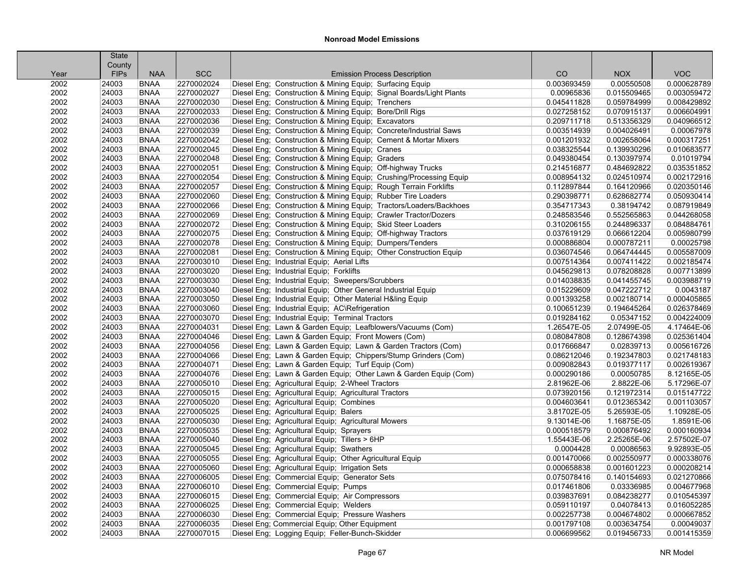|      | <b>State</b> |             |            |                                                                     |             |             |             |
|------|--------------|-------------|------------|---------------------------------------------------------------------|-------------|-------------|-------------|
|      | County       |             |            |                                                                     |             |             |             |
| Year | <b>FIPs</b>  | <b>NAA</b>  | <b>SCC</b> | <b>Emission Process Description</b>                                 | CO          | <b>NOX</b>  | <b>VOC</b>  |
| 2002 | 24003        | <b>BNAA</b> | 2270002024 | Diesel Eng; Construction & Mining Equip; Surfacing Equip            | 0.003693459 | 0.00550508  | 0.000628789 |
| 2002 | 24003        | <b>BNAA</b> | 2270002027 | Diesel Eng; Construction & Mining Equip; Signal Boards/Light Plants | 0.00965836  | 0.015509465 | 0.003059472 |
| 2002 | 24003        | <b>BNAA</b> | 2270002030 | Diesel Eng; Construction & Mining Equip; Trenchers                  | 0.045411828 | 0.059784999 | 0.008429892 |
| 2002 | 24003        | <b>BNAA</b> | 2270002033 | Diesel Eng; Construction & Mining Equip; Bore/Drill Rigs            | 0.027258152 | 0.070915137 | 0.006604991 |
| 2002 | 24003        | <b>BNAA</b> | 2270002036 | Diesel Eng; Construction & Mining Equip; Excavators                 | 0.209711718 | 0.513356329 | 0.040966512 |
| 2002 | 24003        | <b>BNAA</b> | 2270002039 | Diesel Eng; Construction & Mining Equip; Concrete/Industrial Saws   | 0.003514939 | 0.004026491 | 0.00067978  |
| 2002 | 24003        | <b>BNAA</b> | 2270002042 | Diesel Eng; Construction & Mining Equip; Cement & Mortar Mixers     | 0.001201932 | 0.002658064 | 0.000317251 |
| 2002 | 24003        | <b>BNAA</b> | 2270002045 | Diesel Eng; Construction & Mining Equip; Cranes                     | 0.038325544 | 0.139930296 | 0.010683577 |
| 2002 | 24003        | <b>BNAA</b> | 2270002048 | Diesel Eng; Construction & Mining Equip; Graders                    | 0.049380454 | 0.130397974 | 0.01019794  |
| 2002 | 24003        | <b>BNAA</b> | 2270002051 | Diesel Eng; Construction & Mining Equip; Off-highway Trucks         | 0.214516877 | 0.484692822 | 0.035351852 |
| 2002 | 24003        | <b>BNAA</b> | 2270002054 | Diesel Eng; Construction & Mining Equip; Crushing/Processing Equip  | 0.008954132 | 0.024510974 | 0.002172916 |
| 2002 | 24003        | <b>BNAA</b> | 2270002057 | Diesel Eng; Construction & Mining Equip; Rough Terrain Forklifts    | 0.112897844 | 0.164120966 | 0.020350146 |
| 2002 | 24003        | <b>BNAA</b> | 2270002060 | Diesel Eng; Construction & Mining Equip; Rubber Tire Loaders        | 0.290398771 | 0.628682774 | 0.050930414 |
| 2002 | 24003        | <b>BNAA</b> | 2270002066 | Diesel Eng; Construction & Mining Equip; Tractors/Loaders/Backhoes  | 0.354717343 | 0.38194742  | 0.087919849 |
| 2002 | 24003        | <b>BNAA</b> | 2270002069 | Diesel Eng; Construction & Mining Equip; Crawler Tractor/Dozers     | 0.248583546 | 0.552565863 | 0.044268058 |
| 2002 | 24003        | <b>BNAA</b> | 2270002072 | Diesel Eng; Construction & Mining Equip; Skid Steer Loaders         | 0.310206155 | 0.244896337 | 0.084884761 |
| 2002 | 24003        | <b>BNAA</b> | 2270002075 | Diesel Eng; Construction & Mining Equip; Off-highway Tractors       | 0.037619129 | 0.066612204 | 0.005980799 |
| 2002 | 24003        | <b>BNAA</b> | 2270002078 | Diesel Eng; Construction & Mining Equip; Dumpers/Tenders            | 0.000886804 | 0.000787211 | 0.00025798  |
| 2002 | 24003        | <b>BNAA</b> | 2270002081 | Diesel Eng; Construction & Mining Equip; Other Construction Equip   | 0.036074546 | 0.064744445 | 0.005587009 |
| 2002 | 24003        | <b>BNAA</b> | 2270003010 | Diesel Eng; Industrial Equip; Aerial Lifts                          | 0.007514364 | 0.007411422 | 0.002185474 |
| 2002 | 24003        | <b>BNAA</b> | 2270003020 | Diesel Eng; Industrial Equip; Forklifts                             | 0.045629813 | 0.078208828 | 0.007713899 |
| 2002 | 24003        | <b>BNAA</b> | 2270003030 | Diesel Eng; Industrial Equip; Sweepers/Scrubbers                    | 0.014038835 | 0.041455745 | 0.003988719 |
| 2002 | 24003        | <b>BNAA</b> | 2270003040 | Diesel Eng; Industrial Equip; Other General Industrial Equip        | 0.015229609 | 0.047222712 | 0.0043187   |
| 2002 | 24003        | <b>BNAA</b> | 2270003050 | Diesel Eng; Industrial Equip; Other Material H&ling Equip           | 0.001393258 | 0.002180714 | 0.000405865 |
| 2002 | 24003        | <b>BNAA</b> | 2270003060 | Diesel Eng; Industrial Equip; AC\Refrigeration                      | 0.100651239 | 0.194645264 | 0.026378469 |
| 2002 | 24003        | <b>BNAA</b> | 2270003070 | Diesel Eng; Industrial Equip; Terminal Tractors                     | 0.019284162 | 0.05347152  | 0.004224009 |
| 2002 | 24003        | <b>BNAA</b> | 2270004031 | Diesel Eng; Lawn & Garden Equip; Leafblowers/Vacuums (Com)          | 1.26547E-05 | 2.07499E-05 | 4.17464E-06 |
| 2002 | 24003        | <b>BNAA</b> | 2270004046 | Diesel Eng; Lawn & Garden Equip; Front Mowers (Com)                 | 0.080847808 | 0.128674398 | 0.025361404 |
| 2002 | 24003        | <b>BNAA</b> | 2270004056 | Diesel Eng; Lawn & Garden Equip; Lawn & Garden Tractors (Com)       | 0.017666847 | 0.02839713  | 0.005616726 |
| 2002 | 24003        | <b>BNAA</b> | 2270004066 | Diesel Eng; Lawn & Garden Equip; Chippers/Stump Grinders (Com)      | 0.086212046 | 0.192347803 | 0.021748183 |
| 2002 | 24003        | <b>BNAA</b> | 2270004071 | Diesel Eng; Lawn & Garden Equip; Turf Equip (Com)                   | 0.009082843 | 0.019377117 | 0.002619367 |
| 2002 | 24003        | <b>BNAA</b> | 2270004076 | Diesel Eng; Lawn & Garden Equip; Other Lawn & Garden Equip (Com)    | 0.000290186 | 0.00050785  | 8.12165E-05 |
| 2002 | 24003        | <b>BNAA</b> | 2270005010 | Diesel Eng; Agricultural Equip; 2-Wheel Tractors                    | 2.81962E-06 | 2.8822E-06  | 5.17296E-07 |
| 2002 | 24003        | <b>BNAA</b> | 2270005015 | Diesel Eng; Agricultural Equip; Agricultural Tractors               | 0.073920156 | 0.121972314 | 0.015147722 |
| 2002 | 24003        | <b>BNAA</b> | 2270005020 | Diesel Eng; Agricultural Equip; Combines                            | 0.004603641 | 0.012365342 | 0.001103057 |
| 2002 | 24003        | <b>BNAA</b> | 2270005025 | Diesel Eng; Agricultural Equip; Balers                              | 3.81702E-05 | 5.26593E-05 | 1.10928E-05 |
| 2002 | 24003        | <b>BNAA</b> | 2270005030 | Diesel Eng; Agricultural Equip; Agricultural Mowers                 | 9.13014E-06 | 1.16875E-05 | 1.8591E-06  |
| 2002 | 24003        | <b>BNAA</b> | 2270005035 | Diesel Eng; Agricultural Equip; Sprayers                            | 0.000518579 | 0.000876492 | 0.000160934 |
| 2002 | 24003        | <b>BNAA</b> | 2270005040 | Diesel Eng; Agricultural Equip; Tillers > 6HP                       | 1.55443E-06 | 2.25265E-06 | 2.57502E-07 |
| 2002 | 24003        | <b>BNAA</b> | 2270005045 | Diesel Eng; Agricultural Equip; Swathers                            | 0.0004428   | 0.00086563  | 9.92893E-05 |
| 2002 | 24003        | <b>BNAA</b> | 2270005055 | Diesel Eng; Agricultural Equip; Other Agricultural Equip            | 0.001470066 | 0.002550977 | 0.000338076 |
| 2002 | 24003        | <b>BNAA</b> | 2270005060 | Diesel Eng; Agricultural Equip; Irrigation Sets                     | 0.000658838 | 0.001601223 | 0.000208214 |
| 2002 | 24003        | <b>BNAA</b> | 2270006005 | Diesel Eng: Commercial Equip: Generator Sets                        | 0.075078416 | 0.140154693 | 0.021270866 |
| 2002 | 24003        | <b>BNAA</b> | 2270006010 | Diesel Eng; Commercial Equip; Pumps                                 | 0.017461806 | 0.03336985  | 0.004677968 |
| 2002 | 24003        | <b>BNAA</b> | 2270006015 | Diesel Eng; Commercial Equip; Air Compressors                       | 0.039837691 | 0.084238277 | 0.010545397 |
| 2002 | 24003        | <b>BNAA</b> | 2270006025 | Diesel Eng; Commercial Equip; Welders                               | 0.059110197 | 0.04078413  | 0.016052285 |
| 2002 | 24003        | <b>BNAA</b> | 2270006030 | Diesel Eng; Commercial Equip; Pressure Washers                      | 0.002257738 | 0.004674802 | 0.000667852 |
| 2002 | 24003        | <b>BNAA</b> | 2270006035 | Diesel Eng; Commercial Equip; Other Equipment                       | 0.001797108 | 0.003634754 | 0.00049037  |
| 2002 | 24003        | <b>BNAA</b> | 2270007015 | Diesel Eng; Logging Equip; Feller-Bunch-Skidder                     | 0.006699562 | 0.019456733 | 0.001415359 |
|      |              |             |            |                                                                     |             |             |             |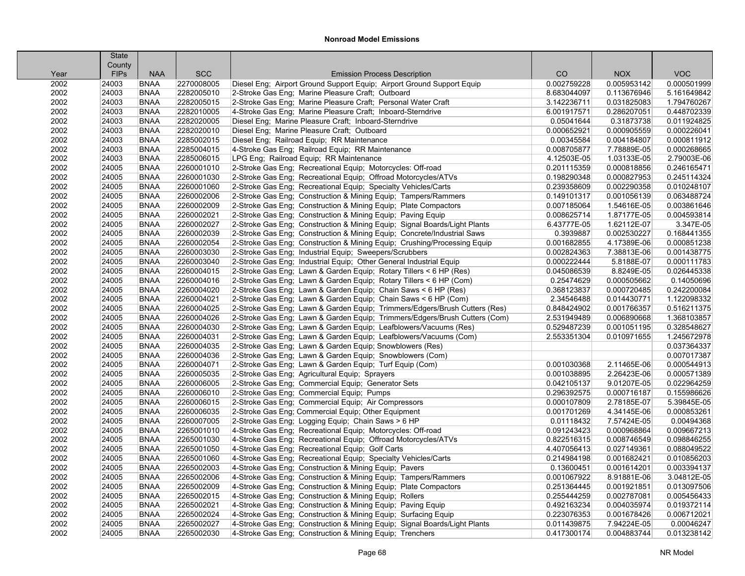| County<br><b>FIPs</b><br><b>SCC</b><br>CO<br><b>NOX</b><br><b>VOC</b><br><b>NAA</b><br><b>Emission Process Description</b><br>Year<br>2270008005<br>Diesel Eng; Airport Ground Support Equip; Airport Ground Support Equip<br>0.002759228<br>0.000501999<br>2002<br><b>BNAA</b><br>0.005953142<br>24003<br>2002<br>24003<br><b>BNAA</b><br>2282005010<br>2-Stroke Gas Eng; Marine Pleasure Craft; Outboard<br>8.683044097<br>0.113676946<br>5.161649842<br>2002<br><b>BNAA</b><br>2282005015<br>2-Stroke Gas Eng; Marine Pleasure Craft; Personal Water Craft<br>1.794760267<br>24003<br>3.142236711<br>0.031825083<br>2002<br>2282010005<br>0.448702339<br>24003<br><b>BNAA</b><br>4-Stroke Gas Eng; Marine Pleasure Craft; Inboard-Sterndrive<br>6.001917571<br>0.286207051<br>2002<br>24003<br><b>BNAA</b><br>2282020005<br>Diesel Eng; Marine Pleasure Craft; Inboard-Sterndrive<br>0.05041644<br>0.31873738<br>0.011924825<br><b>BNAA</b><br>2282020010<br>Diesel Eng; Marine Pleasure Craft; Outboard<br>0.000905559<br>0.000226041<br>2002<br>24003<br>0.000652921<br>2285002015<br>0.000811912<br>2002<br>24003<br><b>BNAA</b><br>Diesel Eng; Railroad Equip; RR Maintenance<br>0.00345584<br>0.004184807<br>2002<br>2285004015<br>0.000268665<br>24003<br><b>BNAA</b><br>4-Stroke Gas Eng; Railroad Equip; RR Maintenance<br>0.008705877<br>7.78889E-05<br>LPG Eng; Railroad Equip; RR Maintenance<br>2.79003E-06<br>2002<br>24003<br><b>BNAA</b><br>2285006015<br>4.12503E-05<br>1.03133E-05<br>2002<br>2260001010<br>2-Stroke Gas Eng; Recreational Equip; Motorcycles: Off-road<br>0.246165471<br>24005<br><b>BNAA</b><br>0.201115359<br>0.000818856<br>2002<br>2260001030<br>2-Stroke Gas Eng; Recreational Equip; Offroad Motorcycles/ATVs<br>0.000827953<br>0.245114324<br>24005<br><b>BNAA</b><br>0.198290348<br>2002<br>2260001060<br>2-Stroke Gas Eng; Recreational Equip; Specialty Vehicles/Carts<br>0.239358609<br>0.002290358<br>0.010248107<br>24005<br><b>BNAA</b><br>2260002006<br>2-Stroke Gas Eng; Construction & Mining Equip; Tampers/Rammers<br>0.063488724<br>2002<br>24005<br><b>BNAA</b><br>0.149101317<br>0.001056139<br>2260002009<br>2-Stroke Gas Eng; Construction & Mining Equip; Plate Compactors<br>0.003861646<br>2002<br>24005<br><b>BNAA</b><br>0.007185064<br>1.54616E-05<br>2002<br>2260002021<br>0.004593814<br>24005<br><b>BNAA</b><br>2-Stroke Gas Eng; Construction & Mining Equip; Paving Equip<br>0.008625714<br>1.87177E-05<br>2-Stroke Gas Eng; Construction & Mining Equip; Signal Boards/Light Plants<br>3.347E-05<br>2002<br>24005<br><b>BNAA</b><br>2260002027<br>6.43777E-05<br>1.62112E-07<br>2002<br>2260002039<br>2-Stroke Gas Eng; Construction & Mining Equip; Concrete/Industrial Saws<br>0.3939887<br>0.002530227<br>0.168441355<br>24005<br><b>BNAA</b><br>2002<br>2260002054<br>2-Stroke Gas Eng; Construction & Mining Equip; Crushing/Processing Equip<br>0.001682855<br>0.000851238<br>24005<br><b>BNAA</b><br>4.17389E-06<br>2002<br>24005<br>2260003030<br>2-Stroke Gas Eng; Industrial Equip; Sweepers/Scrubbers<br>0.002824363<br>7.38813E-06<br>0.001438775<br><b>BNAA</b><br>2260003040<br>2-Stroke Gas Eng; Industrial Equip; Other General Industrial Equip<br>0.000111783<br>2002<br>24005<br><b>BNAA</b><br>0.000222444<br>5.8188E-07<br>2260004015<br>0.026445338<br>2002<br>24005<br><b>BNAA</b><br>2-Stroke Gas Eng; Lawn & Garden Equip; Rotary Tillers < 6 HP (Res)<br>0.045086539<br>8.8249E-05<br>2002<br>2260004016<br>0.000505662<br>0.14050696<br>24005<br><b>BNAA</b><br>2-Stroke Gas Eng; Lawn & Garden Equip; Rotary Tillers < 6 HP (Com)<br>0.25474629<br>0.242200084<br>2002<br>2260004020<br>0.368123837<br>24005<br><b>BNAA</b><br>2-Stroke Gas Eng; Lawn & Garden Equip; Chain Saws < 6 HP (Res)<br>0.000720485<br>2002<br>2260004021<br>2-Stroke Gas Eng; Lawn & Garden Equip; Chain Saws < 6 HP (Com)<br>0.014430771<br>1.122098332<br>24005<br><b>BNAA</b><br>2.34546488<br>2002<br>2260004025<br>2-Stroke Gas Eng; Lawn & Garden Equip; Trimmers/Edgers/Brush Cutters (Res)<br>0.516211375<br>24005<br><b>BNAA</b><br>0.848424902<br>0.001766357<br>2002<br>24005<br>2260004026<br>2-Stroke Gas Eng; Lawn & Garden Equip; Trimmers/Edgers/Brush Cutters (Com)<br>2.531949489<br>0.006890668<br>1.368103857<br><b>BNAA</b><br>2260004030<br>2-Stroke Gas Eng; Lawn & Garden Equip; Leafblowers/Vacuums (Res)<br>0.328548627<br>2002<br>24005<br><b>BNAA</b><br>0.529487239<br>0.001051195<br>2260004031<br>1.245672978<br>2002<br>24005<br><b>BNAA</b><br>2-Stroke Gas Eng; Lawn & Garden Equip; Leafblowers/Vacuums (Com)<br>2.553351304<br>0.010971655<br>2002<br>2260004035<br>0.037364337<br>24005<br><b>BNAA</b><br>2-Stroke Gas Eng; Lawn & Garden Equip; Snowblowers (Res)<br>2002<br>2260004036<br>0.007017387<br>24005<br><b>BNAA</b><br>2-Stroke Gas Eng; Lawn & Garden Equip; Snowblowers (Com)<br>2002<br>2260004071<br>0.000544913<br>24005<br><b>BNAA</b><br>2-Stroke Gas Eng; Lawn & Garden Equip; Turf Equip (Com)<br>0.001030368<br>2.11465E-06<br>2002<br>24005<br><b>BNAA</b><br>2260005035<br>2-Stroke Gas Eng; Agricultural Equip; Sprayers<br>0.001038895<br>2.26423E-06<br>0.000571389<br>0.022964259<br>2002<br>24005<br><b>BNAA</b><br>2260006005<br>2-Stroke Gas Eng; Commercial Equip; Generator Sets<br>0.042105137<br>9.01207E-05<br><b>BNAA</b><br>2260006010<br>2-Stroke Gas Eng; Commercial Equip; Pumps<br>0.000716187<br>0.155986626<br>2002<br>24005<br>0.296392575<br>2260006015<br>5.39845E-05<br>2002<br>24005<br><b>BNAA</b><br>2-Stroke Gas Eng; Commercial Equip; Air Compressors<br>0.000107809<br>2.78185E-07<br>2002<br>2260006035<br>0.000853261<br>24005<br><b>BNAA</b><br>2-Stroke Gas Eng: Commercial Equip: Other Equipment<br>0.001701269<br>4.34145E-06<br>2002<br>2260007005<br>2-Stroke Gas Eng; Logging Equip; Chain Saws > 6 HP<br>7.57424E-05<br>0.00494368<br>24005<br><b>BNAA</b><br>0.01118432<br>2002<br>2265001010<br>4-Stroke Gas Eng; Recreational Equip; Motorcycles: Off-road<br>0.009667213<br>24005<br><b>BNAA</b><br>0.091243423<br>0.000968864<br>2002<br>24005<br><b>BNAA</b><br>2265001030<br>4-Stroke Gas Eng; Recreational Equip; Offroad Motorcycles/ATVs<br>0.822516315<br>0.008746549<br>0.098846255<br>2002<br>24005<br><b>BNAA</b><br>2265001050<br>4-Stroke Gas Eng; Recreational Equip; Golf Carts<br>4.407056413<br>0.027149361<br>0.088049522<br><b>BNAA</b><br>2265001060<br>4-Stroke Gas Eng; Recreational Equip; Specialty Vehicles/Carts<br>0.001682421<br>0.010856203<br>2002<br>24005<br>0.214984198<br>2265002003<br>2002<br>24005<br><b>BNAA</b><br>4-Stroke Gas Eng; Construction & Mining Equip; Pavers<br>0.13600451<br>0.001614201<br>0.003394137<br>2002<br>2265002006<br>3.04812E-05<br>24005<br><b>BNAA</b><br>4-Stroke Gas Eng; Construction & Mining Equip; Tampers/Rammers<br>0.001067922<br>8.91881E-06<br>2002<br>2265002009<br>4-Stroke Gas Eng; Construction & Mining Equip; Plate Compactors<br>0.013097506<br>24005<br><b>BNAA</b><br>0.251364445<br>0.001921851<br>2265002015<br>4-Stroke Gas Eng; Construction & Mining Equip; Rollers<br>0.005456433<br>2002<br>24005<br><b>BNAA</b><br>0.255444259<br>0.002787081<br>2002<br>24005<br><b>BNAA</b><br>2265002021<br>4-Stroke Gas Eng; Construction & Mining Equip; Paving Equip<br>0.492163234<br>0.004035974<br>0.019372114<br>2265002024<br>2002<br>24005<br><b>BNAA</b><br>4-Stroke Gas Eng; Construction & Mining Equip; Surfacing Equip<br>0.223076353<br>0.001678426<br>0.006712021 |      | <b>State</b> |             |            |                                                                           |             |             |            |
|-------------------------------------------------------------------------------------------------------------------------------------------------------------------------------------------------------------------------------------------------------------------------------------------------------------------------------------------------------------------------------------------------------------------------------------------------------------------------------------------------------------------------------------------------------------------------------------------------------------------------------------------------------------------------------------------------------------------------------------------------------------------------------------------------------------------------------------------------------------------------------------------------------------------------------------------------------------------------------------------------------------------------------------------------------------------------------------------------------------------------------------------------------------------------------------------------------------------------------------------------------------------------------------------------------------------------------------------------------------------------------------------------------------------------------------------------------------------------------------------------------------------------------------------------------------------------------------------------------------------------------------------------------------------------------------------------------------------------------------------------------------------------------------------------------------------------------------------------------------------------------------------------------------------------------------------------------------------------------------------------------------------------------------------------------------------------------------------------------------------------------------------------------------------------------------------------------------------------------------------------------------------------------------------------------------------------------------------------------------------------------------------------------------------------------------------------------------------------------------------------------------------------------------------------------------------------------------------------------------------------------------------------------------------------------------------------------------------------------------------------------------------------------------------------------------------------------------------------------------------------------------------------------------------------------------------------------------------------------------------------------------------------------------------------------------------------------------------------------------------------------------------------------------------------------------------------------------------------------------------------------------------------------------------------------------------------------------------------------------------------------------------------------------------------------------------------------------------------------------------------------------------------------------------------------------------------------------------------------------------------------------------------------------------------------------------------------------------------------------------------------------------------------------------------------------------------------------------------------------------------------------------------------------------------------------------------------------------------------------------------------------------------------------------------------------------------------------------------------------------------------------------------------------------------------------------------------------------------------------------------------------------------------------------------------------------------------------------------------------------------------------------------------------------------------------------------------------------------------------------------------------------------------------------------------------------------------------------------------------------------------------------------------------------------------------------------------------------------------------------------------------------------------------------------------------------------------------------------------------------------------------------------------------------------------------------------------------------------------------------------------------------------------------------------------------------------------------------------------------------------------------------------------------------------------------------------------------------------------------------------------------------------------------------------------------------------------------------------------------------------------------------------------------------------------------------------------------------------------------------------------------------------------------------------------------------------------------------------------------------------------------------------------------------------------------------------------------------------------------------------------------------------------------------------------------------------------------------------------------------------------------------------------------------------------------------------------------------------------------------------------------------------------------------------------------------------------------------------------------------------------------------------------------------------------------------------------------------------------------------------------------------------------------------------------------------------------------------------------------------------------------------------------------------------------------------------------------------------------------------------------------------------------------------------------------------------------------------------------------------------------------------------------------------------------------------------------------------------------------------------------------------------------------------------------------------------------------------------------------------------------------------------------------------------------------------------------------------------------------------------------------------------------------------------------------------------------------------------------------------------------------------------------------------------------------------------------------------------------------------------------------------------------------------------------------------------------------------------------------------------------------------------------------------------------------------------------------------------------------------------------------------------------------------------------------|------|--------------|-------------|------------|---------------------------------------------------------------------------|-------------|-------------|------------|
|                                                                                                                                                                                                                                                                                                                                                                                                                                                                                                                                                                                                                                                                                                                                                                                                                                                                                                                                                                                                                                                                                                                                                                                                                                                                                                                                                                                                                                                                                                                                                                                                                                                                                                                                                                                                                                                                                                                                                                                                                                                                                                                                                                                                                                                                                                                                                                                                                                                                                                                                                                                                                                                                                                                                                                                                                                                                                                                                                                                                                                                                                                                                                                                                                                                                                                                                                                                                                                                                                                                                                                                                                                                                                                                                                                                                                                                                                                                                                                                                                                                                                                                                                                                                                                                                                                                                                                                                                                                                                                                                                                                                                                                                                                                                                                                                                                                                                                                                                                                                                                                                                                                                                                                                                                                                                                                                                                                                                                                                                                                                                                                                                                                                                                                                                                                                                                                                                                                                                                                                                                                                                                                                                                                                                                                                                                                                                                                                                                                                                                                                                                                                                                                                                                                                                                                                                                                                                                                                                                                                                                                                                                                                                                                                                                                                                                                                                                                                                                                                                                                                                             |      |              |             |            |                                                                           |             |             |            |
|                                                                                                                                                                                                                                                                                                                                                                                                                                                                                                                                                                                                                                                                                                                                                                                                                                                                                                                                                                                                                                                                                                                                                                                                                                                                                                                                                                                                                                                                                                                                                                                                                                                                                                                                                                                                                                                                                                                                                                                                                                                                                                                                                                                                                                                                                                                                                                                                                                                                                                                                                                                                                                                                                                                                                                                                                                                                                                                                                                                                                                                                                                                                                                                                                                                                                                                                                                                                                                                                                                                                                                                                                                                                                                                                                                                                                                                                                                                                                                                                                                                                                                                                                                                                                                                                                                                                                                                                                                                                                                                                                                                                                                                                                                                                                                                                                                                                                                                                                                                                                                                                                                                                                                                                                                                                                                                                                                                                                                                                                                                                                                                                                                                                                                                                                                                                                                                                                                                                                                                                                                                                                                                                                                                                                                                                                                                                                                                                                                                                                                                                                                                                                                                                                                                                                                                                                                                                                                                                                                                                                                                                                                                                                                                                                                                                                                                                                                                                                                                                                                                                                             |      |              |             |            |                                                                           |             |             |            |
|                                                                                                                                                                                                                                                                                                                                                                                                                                                                                                                                                                                                                                                                                                                                                                                                                                                                                                                                                                                                                                                                                                                                                                                                                                                                                                                                                                                                                                                                                                                                                                                                                                                                                                                                                                                                                                                                                                                                                                                                                                                                                                                                                                                                                                                                                                                                                                                                                                                                                                                                                                                                                                                                                                                                                                                                                                                                                                                                                                                                                                                                                                                                                                                                                                                                                                                                                                                                                                                                                                                                                                                                                                                                                                                                                                                                                                                                                                                                                                                                                                                                                                                                                                                                                                                                                                                                                                                                                                                                                                                                                                                                                                                                                                                                                                                                                                                                                                                                                                                                                                                                                                                                                                                                                                                                                                                                                                                                                                                                                                                                                                                                                                                                                                                                                                                                                                                                                                                                                                                                                                                                                                                                                                                                                                                                                                                                                                                                                                                                                                                                                                                                                                                                                                                                                                                                                                                                                                                                                                                                                                                                                                                                                                                                                                                                                                                                                                                                                                                                                                                                                             |      |              |             |            |                                                                           |             |             |            |
|                                                                                                                                                                                                                                                                                                                                                                                                                                                                                                                                                                                                                                                                                                                                                                                                                                                                                                                                                                                                                                                                                                                                                                                                                                                                                                                                                                                                                                                                                                                                                                                                                                                                                                                                                                                                                                                                                                                                                                                                                                                                                                                                                                                                                                                                                                                                                                                                                                                                                                                                                                                                                                                                                                                                                                                                                                                                                                                                                                                                                                                                                                                                                                                                                                                                                                                                                                                                                                                                                                                                                                                                                                                                                                                                                                                                                                                                                                                                                                                                                                                                                                                                                                                                                                                                                                                                                                                                                                                                                                                                                                                                                                                                                                                                                                                                                                                                                                                                                                                                                                                                                                                                                                                                                                                                                                                                                                                                                                                                                                                                                                                                                                                                                                                                                                                                                                                                                                                                                                                                                                                                                                                                                                                                                                                                                                                                                                                                                                                                                                                                                                                                                                                                                                                                                                                                                                                                                                                                                                                                                                                                                                                                                                                                                                                                                                                                                                                                                                                                                                                                                             |      |              |             |            |                                                                           |             |             |            |
|                                                                                                                                                                                                                                                                                                                                                                                                                                                                                                                                                                                                                                                                                                                                                                                                                                                                                                                                                                                                                                                                                                                                                                                                                                                                                                                                                                                                                                                                                                                                                                                                                                                                                                                                                                                                                                                                                                                                                                                                                                                                                                                                                                                                                                                                                                                                                                                                                                                                                                                                                                                                                                                                                                                                                                                                                                                                                                                                                                                                                                                                                                                                                                                                                                                                                                                                                                                                                                                                                                                                                                                                                                                                                                                                                                                                                                                                                                                                                                                                                                                                                                                                                                                                                                                                                                                                                                                                                                                                                                                                                                                                                                                                                                                                                                                                                                                                                                                                                                                                                                                                                                                                                                                                                                                                                                                                                                                                                                                                                                                                                                                                                                                                                                                                                                                                                                                                                                                                                                                                                                                                                                                                                                                                                                                                                                                                                                                                                                                                                                                                                                                                                                                                                                                                                                                                                                                                                                                                                                                                                                                                                                                                                                                                                                                                                                                                                                                                                                                                                                                                                             |      |              |             |            |                                                                           |             |             |            |
|                                                                                                                                                                                                                                                                                                                                                                                                                                                                                                                                                                                                                                                                                                                                                                                                                                                                                                                                                                                                                                                                                                                                                                                                                                                                                                                                                                                                                                                                                                                                                                                                                                                                                                                                                                                                                                                                                                                                                                                                                                                                                                                                                                                                                                                                                                                                                                                                                                                                                                                                                                                                                                                                                                                                                                                                                                                                                                                                                                                                                                                                                                                                                                                                                                                                                                                                                                                                                                                                                                                                                                                                                                                                                                                                                                                                                                                                                                                                                                                                                                                                                                                                                                                                                                                                                                                                                                                                                                                                                                                                                                                                                                                                                                                                                                                                                                                                                                                                                                                                                                                                                                                                                                                                                                                                                                                                                                                                                                                                                                                                                                                                                                                                                                                                                                                                                                                                                                                                                                                                                                                                                                                                                                                                                                                                                                                                                                                                                                                                                                                                                                                                                                                                                                                                                                                                                                                                                                                                                                                                                                                                                                                                                                                                                                                                                                                                                                                                                                                                                                                                                             |      |              |             |            |                                                                           |             |             |            |
|                                                                                                                                                                                                                                                                                                                                                                                                                                                                                                                                                                                                                                                                                                                                                                                                                                                                                                                                                                                                                                                                                                                                                                                                                                                                                                                                                                                                                                                                                                                                                                                                                                                                                                                                                                                                                                                                                                                                                                                                                                                                                                                                                                                                                                                                                                                                                                                                                                                                                                                                                                                                                                                                                                                                                                                                                                                                                                                                                                                                                                                                                                                                                                                                                                                                                                                                                                                                                                                                                                                                                                                                                                                                                                                                                                                                                                                                                                                                                                                                                                                                                                                                                                                                                                                                                                                                                                                                                                                                                                                                                                                                                                                                                                                                                                                                                                                                                                                                                                                                                                                                                                                                                                                                                                                                                                                                                                                                                                                                                                                                                                                                                                                                                                                                                                                                                                                                                                                                                                                                                                                                                                                                                                                                                                                                                                                                                                                                                                                                                                                                                                                                                                                                                                                                                                                                                                                                                                                                                                                                                                                                                                                                                                                                                                                                                                                                                                                                                                                                                                                                                             |      |              |             |            |                                                                           |             |             |            |
|                                                                                                                                                                                                                                                                                                                                                                                                                                                                                                                                                                                                                                                                                                                                                                                                                                                                                                                                                                                                                                                                                                                                                                                                                                                                                                                                                                                                                                                                                                                                                                                                                                                                                                                                                                                                                                                                                                                                                                                                                                                                                                                                                                                                                                                                                                                                                                                                                                                                                                                                                                                                                                                                                                                                                                                                                                                                                                                                                                                                                                                                                                                                                                                                                                                                                                                                                                                                                                                                                                                                                                                                                                                                                                                                                                                                                                                                                                                                                                                                                                                                                                                                                                                                                                                                                                                                                                                                                                                                                                                                                                                                                                                                                                                                                                                                                                                                                                                                                                                                                                                                                                                                                                                                                                                                                                                                                                                                                                                                                                                                                                                                                                                                                                                                                                                                                                                                                                                                                                                                                                                                                                                                                                                                                                                                                                                                                                                                                                                                                                                                                                                                                                                                                                                                                                                                                                                                                                                                                                                                                                                                                                                                                                                                                                                                                                                                                                                                                                                                                                                                                             |      |              |             |            |                                                                           |             |             |            |
|                                                                                                                                                                                                                                                                                                                                                                                                                                                                                                                                                                                                                                                                                                                                                                                                                                                                                                                                                                                                                                                                                                                                                                                                                                                                                                                                                                                                                                                                                                                                                                                                                                                                                                                                                                                                                                                                                                                                                                                                                                                                                                                                                                                                                                                                                                                                                                                                                                                                                                                                                                                                                                                                                                                                                                                                                                                                                                                                                                                                                                                                                                                                                                                                                                                                                                                                                                                                                                                                                                                                                                                                                                                                                                                                                                                                                                                                                                                                                                                                                                                                                                                                                                                                                                                                                                                                                                                                                                                                                                                                                                                                                                                                                                                                                                                                                                                                                                                                                                                                                                                                                                                                                                                                                                                                                                                                                                                                                                                                                                                                                                                                                                                                                                                                                                                                                                                                                                                                                                                                                                                                                                                                                                                                                                                                                                                                                                                                                                                                                                                                                                                                                                                                                                                                                                                                                                                                                                                                                                                                                                                                                                                                                                                                                                                                                                                                                                                                                                                                                                                                                             |      |              |             |            |                                                                           |             |             |            |
|                                                                                                                                                                                                                                                                                                                                                                                                                                                                                                                                                                                                                                                                                                                                                                                                                                                                                                                                                                                                                                                                                                                                                                                                                                                                                                                                                                                                                                                                                                                                                                                                                                                                                                                                                                                                                                                                                                                                                                                                                                                                                                                                                                                                                                                                                                                                                                                                                                                                                                                                                                                                                                                                                                                                                                                                                                                                                                                                                                                                                                                                                                                                                                                                                                                                                                                                                                                                                                                                                                                                                                                                                                                                                                                                                                                                                                                                                                                                                                                                                                                                                                                                                                                                                                                                                                                                                                                                                                                                                                                                                                                                                                                                                                                                                                                                                                                                                                                                                                                                                                                                                                                                                                                                                                                                                                                                                                                                                                                                                                                                                                                                                                                                                                                                                                                                                                                                                                                                                                                                                                                                                                                                                                                                                                                                                                                                                                                                                                                                                                                                                                                                                                                                                                                                                                                                                                                                                                                                                                                                                                                                                                                                                                                                                                                                                                                                                                                                                                                                                                                                                             |      |              |             |            |                                                                           |             |             |            |
|                                                                                                                                                                                                                                                                                                                                                                                                                                                                                                                                                                                                                                                                                                                                                                                                                                                                                                                                                                                                                                                                                                                                                                                                                                                                                                                                                                                                                                                                                                                                                                                                                                                                                                                                                                                                                                                                                                                                                                                                                                                                                                                                                                                                                                                                                                                                                                                                                                                                                                                                                                                                                                                                                                                                                                                                                                                                                                                                                                                                                                                                                                                                                                                                                                                                                                                                                                                                                                                                                                                                                                                                                                                                                                                                                                                                                                                                                                                                                                                                                                                                                                                                                                                                                                                                                                                                                                                                                                                                                                                                                                                                                                                                                                                                                                                                                                                                                                                                                                                                                                                                                                                                                                                                                                                                                                                                                                                                                                                                                                                                                                                                                                                                                                                                                                                                                                                                                                                                                                                                                                                                                                                                                                                                                                                                                                                                                                                                                                                                                                                                                                                                                                                                                                                                                                                                                                                                                                                                                                                                                                                                                                                                                                                                                                                                                                                                                                                                                                                                                                                                                             |      |              |             |            |                                                                           |             |             |            |
|                                                                                                                                                                                                                                                                                                                                                                                                                                                                                                                                                                                                                                                                                                                                                                                                                                                                                                                                                                                                                                                                                                                                                                                                                                                                                                                                                                                                                                                                                                                                                                                                                                                                                                                                                                                                                                                                                                                                                                                                                                                                                                                                                                                                                                                                                                                                                                                                                                                                                                                                                                                                                                                                                                                                                                                                                                                                                                                                                                                                                                                                                                                                                                                                                                                                                                                                                                                                                                                                                                                                                                                                                                                                                                                                                                                                                                                                                                                                                                                                                                                                                                                                                                                                                                                                                                                                                                                                                                                                                                                                                                                                                                                                                                                                                                                                                                                                                                                                                                                                                                                                                                                                                                                                                                                                                                                                                                                                                                                                                                                                                                                                                                                                                                                                                                                                                                                                                                                                                                                                                                                                                                                                                                                                                                                                                                                                                                                                                                                                                                                                                                                                                                                                                                                                                                                                                                                                                                                                                                                                                                                                                                                                                                                                                                                                                                                                                                                                                                                                                                                                                             |      |              |             |            |                                                                           |             |             |            |
|                                                                                                                                                                                                                                                                                                                                                                                                                                                                                                                                                                                                                                                                                                                                                                                                                                                                                                                                                                                                                                                                                                                                                                                                                                                                                                                                                                                                                                                                                                                                                                                                                                                                                                                                                                                                                                                                                                                                                                                                                                                                                                                                                                                                                                                                                                                                                                                                                                                                                                                                                                                                                                                                                                                                                                                                                                                                                                                                                                                                                                                                                                                                                                                                                                                                                                                                                                                                                                                                                                                                                                                                                                                                                                                                                                                                                                                                                                                                                                                                                                                                                                                                                                                                                                                                                                                                                                                                                                                                                                                                                                                                                                                                                                                                                                                                                                                                                                                                                                                                                                                                                                                                                                                                                                                                                                                                                                                                                                                                                                                                                                                                                                                                                                                                                                                                                                                                                                                                                                                                                                                                                                                                                                                                                                                                                                                                                                                                                                                                                                                                                                                                                                                                                                                                                                                                                                                                                                                                                                                                                                                                                                                                                                                                                                                                                                                                                                                                                                                                                                                                                             |      |              |             |            |                                                                           |             |             |            |
|                                                                                                                                                                                                                                                                                                                                                                                                                                                                                                                                                                                                                                                                                                                                                                                                                                                                                                                                                                                                                                                                                                                                                                                                                                                                                                                                                                                                                                                                                                                                                                                                                                                                                                                                                                                                                                                                                                                                                                                                                                                                                                                                                                                                                                                                                                                                                                                                                                                                                                                                                                                                                                                                                                                                                                                                                                                                                                                                                                                                                                                                                                                                                                                                                                                                                                                                                                                                                                                                                                                                                                                                                                                                                                                                                                                                                                                                                                                                                                                                                                                                                                                                                                                                                                                                                                                                                                                                                                                                                                                                                                                                                                                                                                                                                                                                                                                                                                                                                                                                                                                                                                                                                                                                                                                                                                                                                                                                                                                                                                                                                                                                                                                                                                                                                                                                                                                                                                                                                                                                                                                                                                                                                                                                                                                                                                                                                                                                                                                                                                                                                                                                                                                                                                                                                                                                                                                                                                                                                                                                                                                                                                                                                                                                                                                                                                                                                                                                                                                                                                                                                             |      |              |             |            |                                                                           |             |             |            |
|                                                                                                                                                                                                                                                                                                                                                                                                                                                                                                                                                                                                                                                                                                                                                                                                                                                                                                                                                                                                                                                                                                                                                                                                                                                                                                                                                                                                                                                                                                                                                                                                                                                                                                                                                                                                                                                                                                                                                                                                                                                                                                                                                                                                                                                                                                                                                                                                                                                                                                                                                                                                                                                                                                                                                                                                                                                                                                                                                                                                                                                                                                                                                                                                                                                                                                                                                                                                                                                                                                                                                                                                                                                                                                                                                                                                                                                                                                                                                                                                                                                                                                                                                                                                                                                                                                                                                                                                                                                                                                                                                                                                                                                                                                                                                                                                                                                                                                                                                                                                                                                                                                                                                                                                                                                                                                                                                                                                                                                                                                                                                                                                                                                                                                                                                                                                                                                                                                                                                                                                                                                                                                                                                                                                                                                                                                                                                                                                                                                                                                                                                                                                                                                                                                                                                                                                                                                                                                                                                                                                                                                                                                                                                                                                                                                                                                                                                                                                                                                                                                                                                             |      |              |             |            |                                                                           |             |             |            |
|                                                                                                                                                                                                                                                                                                                                                                                                                                                                                                                                                                                                                                                                                                                                                                                                                                                                                                                                                                                                                                                                                                                                                                                                                                                                                                                                                                                                                                                                                                                                                                                                                                                                                                                                                                                                                                                                                                                                                                                                                                                                                                                                                                                                                                                                                                                                                                                                                                                                                                                                                                                                                                                                                                                                                                                                                                                                                                                                                                                                                                                                                                                                                                                                                                                                                                                                                                                                                                                                                                                                                                                                                                                                                                                                                                                                                                                                                                                                                                                                                                                                                                                                                                                                                                                                                                                                                                                                                                                                                                                                                                                                                                                                                                                                                                                                                                                                                                                                                                                                                                                                                                                                                                                                                                                                                                                                                                                                                                                                                                                                                                                                                                                                                                                                                                                                                                                                                                                                                                                                                                                                                                                                                                                                                                                                                                                                                                                                                                                                                                                                                                                                                                                                                                                                                                                                                                                                                                                                                                                                                                                                                                                                                                                                                                                                                                                                                                                                                                                                                                                                                             |      |              |             |            |                                                                           |             |             |            |
|                                                                                                                                                                                                                                                                                                                                                                                                                                                                                                                                                                                                                                                                                                                                                                                                                                                                                                                                                                                                                                                                                                                                                                                                                                                                                                                                                                                                                                                                                                                                                                                                                                                                                                                                                                                                                                                                                                                                                                                                                                                                                                                                                                                                                                                                                                                                                                                                                                                                                                                                                                                                                                                                                                                                                                                                                                                                                                                                                                                                                                                                                                                                                                                                                                                                                                                                                                                                                                                                                                                                                                                                                                                                                                                                                                                                                                                                                                                                                                                                                                                                                                                                                                                                                                                                                                                                                                                                                                                                                                                                                                                                                                                                                                                                                                                                                                                                                                                                                                                                                                                                                                                                                                                                                                                                                                                                                                                                                                                                                                                                                                                                                                                                                                                                                                                                                                                                                                                                                                                                                                                                                                                                                                                                                                                                                                                                                                                                                                                                                                                                                                                                                                                                                                                                                                                                                                                                                                                                                                                                                                                                                                                                                                                                                                                                                                                                                                                                                                                                                                                                                             |      |              |             |            |                                                                           |             |             |            |
|                                                                                                                                                                                                                                                                                                                                                                                                                                                                                                                                                                                                                                                                                                                                                                                                                                                                                                                                                                                                                                                                                                                                                                                                                                                                                                                                                                                                                                                                                                                                                                                                                                                                                                                                                                                                                                                                                                                                                                                                                                                                                                                                                                                                                                                                                                                                                                                                                                                                                                                                                                                                                                                                                                                                                                                                                                                                                                                                                                                                                                                                                                                                                                                                                                                                                                                                                                                                                                                                                                                                                                                                                                                                                                                                                                                                                                                                                                                                                                                                                                                                                                                                                                                                                                                                                                                                                                                                                                                                                                                                                                                                                                                                                                                                                                                                                                                                                                                                                                                                                                                                                                                                                                                                                                                                                                                                                                                                                                                                                                                                                                                                                                                                                                                                                                                                                                                                                                                                                                                                                                                                                                                                                                                                                                                                                                                                                                                                                                                                                                                                                                                                                                                                                                                                                                                                                                                                                                                                                                                                                                                                                                                                                                                                                                                                                                                                                                                                                                                                                                                                                             |      |              |             |            |                                                                           |             |             |            |
|                                                                                                                                                                                                                                                                                                                                                                                                                                                                                                                                                                                                                                                                                                                                                                                                                                                                                                                                                                                                                                                                                                                                                                                                                                                                                                                                                                                                                                                                                                                                                                                                                                                                                                                                                                                                                                                                                                                                                                                                                                                                                                                                                                                                                                                                                                                                                                                                                                                                                                                                                                                                                                                                                                                                                                                                                                                                                                                                                                                                                                                                                                                                                                                                                                                                                                                                                                                                                                                                                                                                                                                                                                                                                                                                                                                                                                                                                                                                                                                                                                                                                                                                                                                                                                                                                                                                                                                                                                                                                                                                                                                                                                                                                                                                                                                                                                                                                                                                                                                                                                                                                                                                                                                                                                                                                                                                                                                                                                                                                                                                                                                                                                                                                                                                                                                                                                                                                                                                                                                                                                                                                                                                                                                                                                                                                                                                                                                                                                                                                                                                                                                                                                                                                                                                                                                                                                                                                                                                                                                                                                                                                                                                                                                                                                                                                                                                                                                                                                                                                                                                                             |      |              |             |            |                                                                           |             |             |            |
|                                                                                                                                                                                                                                                                                                                                                                                                                                                                                                                                                                                                                                                                                                                                                                                                                                                                                                                                                                                                                                                                                                                                                                                                                                                                                                                                                                                                                                                                                                                                                                                                                                                                                                                                                                                                                                                                                                                                                                                                                                                                                                                                                                                                                                                                                                                                                                                                                                                                                                                                                                                                                                                                                                                                                                                                                                                                                                                                                                                                                                                                                                                                                                                                                                                                                                                                                                                                                                                                                                                                                                                                                                                                                                                                                                                                                                                                                                                                                                                                                                                                                                                                                                                                                                                                                                                                                                                                                                                                                                                                                                                                                                                                                                                                                                                                                                                                                                                                                                                                                                                                                                                                                                                                                                                                                                                                                                                                                                                                                                                                                                                                                                                                                                                                                                                                                                                                                                                                                                                                                                                                                                                                                                                                                                                                                                                                                                                                                                                                                                                                                                                                                                                                                                                                                                                                                                                                                                                                                                                                                                                                                                                                                                                                                                                                                                                                                                                                                                                                                                                                                             |      |              |             |            |                                                                           |             |             |            |
|                                                                                                                                                                                                                                                                                                                                                                                                                                                                                                                                                                                                                                                                                                                                                                                                                                                                                                                                                                                                                                                                                                                                                                                                                                                                                                                                                                                                                                                                                                                                                                                                                                                                                                                                                                                                                                                                                                                                                                                                                                                                                                                                                                                                                                                                                                                                                                                                                                                                                                                                                                                                                                                                                                                                                                                                                                                                                                                                                                                                                                                                                                                                                                                                                                                                                                                                                                                                                                                                                                                                                                                                                                                                                                                                                                                                                                                                                                                                                                                                                                                                                                                                                                                                                                                                                                                                                                                                                                                                                                                                                                                                                                                                                                                                                                                                                                                                                                                                                                                                                                                                                                                                                                                                                                                                                                                                                                                                                                                                                                                                                                                                                                                                                                                                                                                                                                                                                                                                                                                                                                                                                                                                                                                                                                                                                                                                                                                                                                                                                                                                                                                                                                                                                                                                                                                                                                                                                                                                                                                                                                                                                                                                                                                                                                                                                                                                                                                                                                                                                                                                                             |      |              |             |            |                                                                           |             |             |            |
|                                                                                                                                                                                                                                                                                                                                                                                                                                                                                                                                                                                                                                                                                                                                                                                                                                                                                                                                                                                                                                                                                                                                                                                                                                                                                                                                                                                                                                                                                                                                                                                                                                                                                                                                                                                                                                                                                                                                                                                                                                                                                                                                                                                                                                                                                                                                                                                                                                                                                                                                                                                                                                                                                                                                                                                                                                                                                                                                                                                                                                                                                                                                                                                                                                                                                                                                                                                                                                                                                                                                                                                                                                                                                                                                                                                                                                                                                                                                                                                                                                                                                                                                                                                                                                                                                                                                                                                                                                                                                                                                                                                                                                                                                                                                                                                                                                                                                                                                                                                                                                                                                                                                                                                                                                                                                                                                                                                                                                                                                                                                                                                                                                                                                                                                                                                                                                                                                                                                                                                                                                                                                                                                                                                                                                                                                                                                                                                                                                                                                                                                                                                                                                                                                                                                                                                                                                                                                                                                                                                                                                                                                                                                                                                                                                                                                                                                                                                                                                                                                                                                                             |      |              |             |            |                                                                           |             |             |            |
|                                                                                                                                                                                                                                                                                                                                                                                                                                                                                                                                                                                                                                                                                                                                                                                                                                                                                                                                                                                                                                                                                                                                                                                                                                                                                                                                                                                                                                                                                                                                                                                                                                                                                                                                                                                                                                                                                                                                                                                                                                                                                                                                                                                                                                                                                                                                                                                                                                                                                                                                                                                                                                                                                                                                                                                                                                                                                                                                                                                                                                                                                                                                                                                                                                                                                                                                                                                                                                                                                                                                                                                                                                                                                                                                                                                                                                                                                                                                                                                                                                                                                                                                                                                                                                                                                                                                                                                                                                                                                                                                                                                                                                                                                                                                                                                                                                                                                                                                                                                                                                                                                                                                                                                                                                                                                                                                                                                                                                                                                                                                                                                                                                                                                                                                                                                                                                                                                                                                                                                                                                                                                                                                                                                                                                                                                                                                                                                                                                                                                                                                                                                                                                                                                                                                                                                                                                                                                                                                                                                                                                                                                                                                                                                                                                                                                                                                                                                                                                                                                                                                                             |      |              |             |            |                                                                           |             |             |            |
|                                                                                                                                                                                                                                                                                                                                                                                                                                                                                                                                                                                                                                                                                                                                                                                                                                                                                                                                                                                                                                                                                                                                                                                                                                                                                                                                                                                                                                                                                                                                                                                                                                                                                                                                                                                                                                                                                                                                                                                                                                                                                                                                                                                                                                                                                                                                                                                                                                                                                                                                                                                                                                                                                                                                                                                                                                                                                                                                                                                                                                                                                                                                                                                                                                                                                                                                                                                                                                                                                                                                                                                                                                                                                                                                                                                                                                                                                                                                                                                                                                                                                                                                                                                                                                                                                                                                                                                                                                                                                                                                                                                                                                                                                                                                                                                                                                                                                                                                                                                                                                                                                                                                                                                                                                                                                                                                                                                                                                                                                                                                                                                                                                                                                                                                                                                                                                                                                                                                                                                                                                                                                                                                                                                                                                                                                                                                                                                                                                                                                                                                                                                                                                                                                                                                                                                                                                                                                                                                                                                                                                                                                                                                                                                                                                                                                                                                                                                                                                                                                                                                                             |      |              |             |            |                                                                           |             |             |            |
|                                                                                                                                                                                                                                                                                                                                                                                                                                                                                                                                                                                                                                                                                                                                                                                                                                                                                                                                                                                                                                                                                                                                                                                                                                                                                                                                                                                                                                                                                                                                                                                                                                                                                                                                                                                                                                                                                                                                                                                                                                                                                                                                                                                                                                                                                                                                                                                                                                                                                                                                                                                                                                                                                                                                                                                                                                                                                                                                                                                                                                                                                                                                                                                                                                                                                                                                                                                                                                                                                                                                                                                                                                                                                                                                                                                                                                                                                                                                                                                                                                                                                                                                                                                                                                                                                                                                                                                                                                                                                                                                                                                                                                                                                                                                                                                                                                                                                                                                                                                                                                                                                                                                                                                                                                                                                                                                                                                                                                                                                                                                                                                                                                                                                                                                                                                                                                                                                                                                                                                                                                                                                                                                                                                                                                                                                                                                                                                                                                                                                                                                                                                                                                                                                                                                                                                                                                                                                                                                                                                                                                                                                                                                                                                                                                                                                                                                                                                                                                                                                                                                                             |      |              |             |            |                                                                           |             |             |            |
|                                                                                                                                                                                                                                                                                                                                                                                                                                                                                                                                                                                                                                                                                                                                                                                                                                                                                                                                                                                                                                                                                                                                                                                                                                                                                                                                                                                                                                                                                                                                                                                                                                                                                                                                                                                                                                                                                                                                                                                                                                                                                                                                                                                                                                                                                                                                                                                                                                                                                                                                                                                                                                                                                                                                                                                                                                                                                                                                                                                                                                                                                                                                                                                                                                                                                                                                                                                                                                                                                                                                                                                                                                                                                                                                                                                                                                                                                                                                                                                                                                                                                                                                                                                                                                                                                                                                                                                                                                                                                                                                                                                                                                                                                                                                                                                                                                                                                                                                                                                                                                                                                                                                                                                                                                                                                                                                                                                                                                                                                                                                                                                                                                                                                                                                                                                                                                                                                                                                                                                                                                                                                                                                                                                                                                                                                                                                                                                                                                                                                                                                                                                                                                                                                                                                                                                                                                                                                                                                                                                                                                                                                                                                                                                                                                                                                                                                                                                                                                                                                                                                                             |      |              |             |            |                                                                           |             |             |            |
|                                                                                                                                                                                                                                                                                                                                                                                                                                                                                                                                                                                                                                                                                                                                                                                                                                                                                                                                                                                                                                                                                                                                                                                                                                                                                                                                                                                                                                                                                                                                                                                                                                                                                                                                                                                                                                                                                                                                                                                                                                                                                                                                                                                                                                                                                                                                                                                                                                                                                                                                                                                                                                                                                                                                                                                                                                                                                                                                                                                                                                                                                                                                                                                                                                                                                                                                                                                                                                                                                                                                                                                                                                                                                                                                                                                                                                                                                                                                                                                                                                                                                                                                                                                                                                                                                                                                                                                                                                                                                                                                                                                                                                                                                                                                                                                                                                                                                                                                                                                                                                                                                                                                                                                                                                                                                                                                                                                                                                                                                                                                                                                                                                                                                                                                                                                                                                                                                                                                                                                                                                                                                                                                                                                                                                                                                                                                                                                                                                                                                                                                                                                                                                                                                                                                                                                                                                                                                                                                                                                                                                                                                                                                                                                                                                                                                                                                                                                                                                                                                                                                                             |      |              |             |            |                                                                           |             |             |            |
|                                                                                                                                                                                                                                                                                                                                                                                                                                                                                                                                                                                                                                                                                                                                                                                                                                                                                                                                                                                                                                                                                                                                                                                                                                                                                                                                                                                                                                                                                                                                                                                                                                                                                                                                                                                                                                                                                                                                                                                                                                                                                                                                                                                                                                                                                                                                                                                                                                                                                                                                                                                                                                                                                                                                                                                                                                                                                                                                                                                                                                                                                                                                                                                                                                                                                                                                                                                                                                                                                                                                                                                                                                                                                                                                                                                                                                                                                                                                                                                                                                                                                                                                                                                                                                                                                                                                                                                                                                                                                                                                                                                                                                                                                                                                                                                                                                                                                                                                                                                                                                                                                                                                                                                                                                                                                                                                                                                                                                                                                                                                                                                                                                                                                                                                                                                                                                                                                                                                                                                                                                                                                                                                                                                                                                                                                                                                                                                                                                                                                                                                                                                                                                                                                                                                                                                                                                                                                                                                                                                                                                                                                                                                                                                                                                                                                                                                                                                                                                                                                                                                                             |      |              |             |            |                                                                           |             |             |            |
|                                                                                                                                                                                                                                                                                                                                                                                                                                                                                                                                                                                                                                                                                                                                                                                                                                                                                                                                                                                                                                                                                                                                                                                                                                                                                                                                                                                                                                                                                                                                                                                                                                                                                                                                                                                                                                                                                                                                                                                                                                                                                                                                                                                                                                                                                                                                                                                                                                                                                                                                                                                                                                                                                                                                                                                                                                                                                                                                                                                                                                                                                                                                                                                                                                                                                                                                                                                                                                                                                                                                                                                                                                                                                                                                                                                                                                                                                                                                                                                                                                                                                                                                                                                                                                                                                                                                                                                                                                                                                                                                                                                                                                                                                                                                                                                                                                                                                                                                                                                                                                                                                                                                                                                                                                                                                                                                                                                                                                                                                                                                                                                                                                                                                                                                                                                                                                                                                                                                                                                                                                                                                                                                                                                                                                                                                                                                                                                                                                                                                                                                                                                                                                                                                                                                                                                                                                                                                                                                                                                                                                                                                                                                                                                                                                                                                                                                                                                                                                                                                                                                                             |      |              |             |            |                                                                           |             |             |            |
|                                                                                                                                                                                                                                                                                                                                                                                                                                                                                                                                                                                                                                                                                                                                                                                                                                                                                                                                                                                                                                                                                                                                                                                                                                                                                                                                                                                                                                                                                                                                                                                                                                                                                                                                                                                                                                                                                                                                                                                                                                                                                                                                                                                                                                                                                                                                                                                                                                                                                                                                                                                                                                                                                                                                                                                                                                                                                                                                                                                                                                                                                                                                                                                                                                                                                                                                                                                                                                                                                                                                                                                                                                                                                                                                                                                                                                                                                                                                                                                                                                                                                                                                                                                                                                                                                                                                                                                                                                                                                                                                                                                                                                                                                                                                                                                                                                                                                                                                                                                                                                                                                                                                                                                                                                                                                                                                                                                                                                                                                                                                                                                                                                                                                                                                                                                                                                                                                                                                                                                                                                                                                                                                                                                                                                                                                                                                                                                                                                                                                                                                                                                                                                                                                                                                                                                                                                                                                                                                                                                                                                                                                                                                                                                                                                                                                                                                                                                                                                                                                                                                                             |      |              |             |            |                                                                           |             |             |            |
|                                                                                                                                                                                                                                                                                                                                                                                                                                                                                                                                                                                                                                                                                                                                                                                                                                                                                                                                                                                                                                                                                                                                                                                                                                                                                                                                                                                                                                                                                                                                                                                                                                                                                                                                                                                                                                                                                                                                                                                                                                                                                                                                                                                                                                                                                                                                                                                                                                                                                                                                                                                                                                                                                                                                                                                                                                                                                                                                                                                                                                                                                                                                                                                                                                                                                                                                                                                                                                                                                                                                                                                                                                                                                                                                                                                                                                                                                                                                                                                                                                                                                                                                                                                                                                                                                                                                                                                                                                                                                                                                                                                                                                                                                                                                                                                                                                                                                                                                                                                                                                                                                                                                                                                                                                                                                                                                                                                                                                                                                                                                                                                                                                                                                                                                                                                                                                                                                                                                                                                                                                                                                                                                                                                                                                                                                                                                                                                                                                                                                                                                                                                                                                                                                                                                                                                                                                                                                                                                                                                                                                                                                                                                                                                                                                                                                                                                                                                                                                                                                                                                                             |      |              |             |            |                                                                           |             |             |            |
|                                                                                                                                                                                                                                                                                                                                                                                                                                                                                                                                                                                                                                                                                                                                                                                                                                                                                                                                                                                                                                                                                                                                                                                                                                                                                                                                                                                                                                                                                                                                                                                                                                                                                                                                                                                                                                                                                                                                                                                                                                                                                                                                                                                                                                                                                                                                                                                                                                                                                                                                                                                                                                                                                                                                                                                                                                                                                                                                                                                                                                                                                                                                                                                                                                                                                                                                                                                                                                                                                                                                                                                                                                                                                                                                                                                                                                                                                                                                                                                                                                                                                                                                                                                                                                                                                                                                                                                                                                                                                                                                                                                                                                                                                                                                                                                                                                                                                                                                                                                                                                                                                                                                                                                                                                                                                                                                                                                                                                                                                                                                                                                                                                                                                                                                                                                                                                                                                                                                                                                                                                                                                                                                                                                                                                                                                                                                                                                                                                                                                                                                                                                                                                                                                                                                                                                                                                                                                                                                                                                                                                                                                                                                                                                                                                                                                                                                                                                                                                                                                                                                                             |      |              |             |            |                                                                           |             |             |            |
|                                                                                                                                                                                                                                                                                                                                                                                                                                                                                                                                                                                                                                                                                                                                                                                                                                                                                                                                                                                                                                                                                                                                                                                                                                                                                                                                                                                                                                                                                                                                                                                                                                                                                                                                                                                                                                                                                                                                                                                                                                                                                                                                                                                                                                                                                                                                                                                                                                                                                                                                                                                                                                                                                                                                                                                                                                                                                                                                                                                                                                                                                                                                                                                                                                                                                                                                                                                                                                                                                                                                                                                                                                                                                                                                                                                                                                                                                                                                                                                                                                                                                                                                                                                                                                                                                                                                                                                                                                                                                                                                                                                                                                                                                                                                                                                                                                                                                                                                                                                                                                                                                                                                                                                                                                                                                                                                                                                                                                                                                                                                                                                                                                                                                                                                                                                                                                                                                                                                                                                                                                                                                                                                                                                                                                                                                                                                                                                                                                                                                                                                                                                                                                                                                                                                                                                                                                                                                                                                                                                                                                                                                                                                                                                                                                                                                                                                                                                                                                                                                                                                                             |      |              |             |            |                                                                           |             |             |            |
|                                                                                                                                                                                                                                                                                                                                                                                                                                                                                                                                                                                                                                                                                                                                                                                                                                                                                                                                                                                                                                                                                                                                                                                                                                                                                                                                                                                                                                                                                                                                                                                                                                                                                                                                                                                                                                                                                                                                                                                                                                                                                                                                                                                                                                                                                                                                                                                                                                                                                                                                                                                                                                                                                                                                                                                                                                                                                                                                                                                                                                                                                                                                                                                                                                                                                                                                                                                                                                                                                                                                                                                                                                                                                                                                                                                                                                                                                                                                                                                                                                                                                                                                                                                                                                                                                                                                                                                                                                                                                                                                                                                                                                                                                                                                                                                                                                                                                                                                                                                                                                                                                                                                                                                                                                                                                                                                                                                                                                                                                                                                                                                                                                                                                                                                                                                                                                                                                                                                                                                                                                                                                                                                                                                                                                                                                                                                                                                                                                                                                                                                                                                                                                                                                                                                                                                                                                                                                                                                                                                                                                                                                                                                                                                                                                                                                                                                                                                                                                                                                                                                                             |      |              |             |            |                                                                           |             |             |            |
|                                                                                                                                                                                                                                                                                                                                                                                                                                                                                                                                                                                                                                                                                                                                                                                                                                                                                                                                                                                                                                                                                                                                                                                                                                                                                                                                                                                                                                                                                                                                                                                                                                                                                                                                                                                                                                                                                                                                                                                                                                                                                                                                                                                                                                                                                                                                                                                                                                                                                                                                                                                                                                                                                                                                                                                                                                                                                                                                                                                                                                                                                                                                                                                                                                                                                                                                                                                                                                                                                                                                                                                                                                                                                                                                                                                                                                                                                                                                                                                                                                                                                                                                                                                                                                                                                                                                                                                                                                                                                                                                                                                                                                                                                                                                                                                                                                                                                                                                                                                                                                                                                                                                                                                                                                                                                                                                                                                                                                                                                                                                                                                                                                                                                                                                                                                                                                                                                                                                                                                                                                                                                                                                                                                                                                                                                                                                                                                                                                                                                                                                                                                                                                                                                                                                                                                                                                                                                                                                                                                                                                                                                                                                                                                                                                                                                                                                                                                                                                                                                                                                                             |      |              |             |            |                                                                           |             |             |            |
|                                                                                                                                                                                                                                                                                                                                                                                                                                                                                                                                                                                                                                                                                                                                                                                                                                                                                                                                                                                                                                                                                                                                                                                                                                                                                                                                                                                                                                                                                                                                                                                                                                                                                                                                                                                                                                                                                                                                                                                                                                                                                                                                                                                                                                                                                                                                                                                                                                                                                                                                                                                                                                                                                                                                                                                                                                                                                                                                                                                                                                                                                                                                                                                                                                                                                                                                                                                                                                                                                                                                                                                                                                                                                                                                                                                                                                                                                                                                                                                                                                                                                                                                                                                                                                                                                                                                                                                                                                                                                                                                                                                                                                                                                                                                                                                                                                                                                                                                                                                                                                                                                                                                                                                                                                                                                                                                                                                                                                                                                                                                                                                                                                                                                                                                                                                                                                                                                                                                                                                                                                                                                                                                                                                                                                                                                                                                                                                                                                                                                                                                                                                                                                                                                                                                                                                                                                                                                                                                                                                                                                                                                                                                                                                                                                                                                                                                                                                                                                                                                                                                                             |      |              |             |            |                                                                           |             |             |            |
|                                                                                                                                                                                                                                                                                                                                                                                                                                                                                                                                                                                                                                                                                                                                                                                                                                                                                                                                                                                                                                                                                                                                                                                                                                                                                                                                                                                                                                                                                                                                                                                                                                                                                                                                                                                                                                                                                                                                                                                                                                                                                                                                                                                                                                                                                                                                                                                                                                                                                                                                                                                                                                                                                                                                                                                                                                                                                                                                                                                                                                                                                                                                                                                                                                                                                                                                                                                                                                                                                                                                                                                                                                                                                                                                                                                                                                                                                                                                                                                                                                                                                                                                                                                                                                                                                                                                                                                                                                                                                                                                                                                                                                                                                                                                                                                                                                                                                                                                                                                                                                                                                                                                                                                                                                                                                                                                                                                                                                                                                                                                                                                                                                                                                                                                                                                                                                                                                                                                                                                                                                                                                                                                                                                                                                                                                                                                                                                                                                                                                                                                                                                                                                                                                                                                                                                                                                                                                                                                                                                                                                                                                                                                                                                                                                                                                                                                                                                                                                                                                                                                                             |      |              |             |            |                                                                           |             |             |            |
|                                                                                                                                                                                                                                                                                                                                                                                                                                                                                                                                                                                                                                                                                                                                                                                                                                                                                                                                                                                                                                                                                                                                                                                                                                                                                                                                                                                                                                                                                                                                                                                                                                                                                                                                                                                                                                                                                                                                                                                                                                                                                                                                                                                                                                                                                                                                                                                                                                                                                                                                                                                                                                                                                                                                                                                                                                                                                                                                                                                                                                                                                                                                                                                                                                                                                                                                                                                                                                                                                                                                                                                                                                                                                                                                                                                                                                                                                                                                                                                                                                                                                                                                                                                                                                                                                                                                                                                                                                                                                                                                                                                                                                                                                                                                                                                                                                                                                                                                                                                                                                                                                                                                                                                                                                                                                                                                                                                                                                                                                                                                                                                                                                                                                                                                                                                                                                                                                                                                                                                                                                                                                                                                                                                                                                                                                                                                                                                                                                                                                                                                                                                                                                                                                                                                                                                                                                                                                                                                                                                                                                                                                                                                                                                                                                                                                                                                                                                                                                                                                                                                                             |      |              |             |            |                                                                           |             |             |            |
|                                                                                                                                                                                                                                                                                                                                                                                                                                                                                                                                                                                                                                                                                                                                                                                                                                                                                                                                                                                                                                                                                                                                                                                                                                                                                                                                                                                                                                                                                                                                                                                                                                                                                                                                                                                                                                                                                                                                                                                                                                                                                                                                                                                                                                                                                                                                                                                                                                                                                                                                                                                                                                                                                                                                                                                                                                                                                                                                                                                                                                                                                                                                                                                                                                                                                                                                                                                                                                                                                                                                                                                                                                                                                                                                                                                                                                                                                                                                                                                                                                                                                                                                                                                                                                                                                                                                                                                                                                                                                                                                                                                                                                                                                                                                                                                                                                                                                                                                                                                                                                                                                                                                                                                                                                                                                                                                                                                                                                                                                                                                                                                                                                                                                                                                                                                                                                                                                                                                                                                                                                                                                                                                                                                                                                                                                                                                                                                                                                                                                                                                                                                                                                                                                                                                                                                                                                                                                                                                                                                                                                                                                                                                                                                                                                                                                                                                                                                                                                                                                                                                                             |      |              |             |            |                                                                           |             |             |            |
|                                                                                                                                                                                                                                                                                                                                                                                                                                                                                                                                                                                                                                                                                                                                                                                                                                                                                                                                                                                                                                                                                                                                                                                                                                                                                                                                                                                                                                                                                                                                                                                                                                                                                                                                                                                                                                                                                                                                                                                                                                                                                                                                                                                                                                                                                                                                                                                                                                                                                                                                                                                                                                                                                                                                                                                                                                                                                                                                                                                                                                                                                                                                                                                                                                                                                                                                                                                                                                                                                                                                                                                                                                                                                                                                                                                                                                                                                                                                                                                                                                                                                                                                                                                                                                                                                                                                                                                                                                                                                                                                                                                                                                                                                                                                                                                                                                                                                                                                                                                                                                                                                                                                                                                                                                                                                                                                                                                                                                                                                                                                                                                                                                                                                                                                                                                                                                                                                                                                                                                                                                                                                                                                                                                                                                                                                                                                                                                                                                                                                                                                                                                                                                                                                                                                                                                                                                                                                                                                                                                                                                                                                                                                                                                                                                                                                                                                                                                                                                                                                                                                                             |      |              |             |            |                                                                           |             |             |            |
|                                                                                                                                                                                                                                                                                                                                                                                                                                                                                                                                                                                                                                                                                                                                                                                                                                                                                                                                                                                                                                                                                                                                                                                                                                                                                                                                                                                                                                                                                                                                                                                                                                                                                                                                                                                                                                                                                                                                                                                                                                                                                                                                                                                                                                                                                                                                                                                                                                                                                                                                                                                                                                                                                                                                                                                                                                                                                                                                                                                                                                                                                                                                                                                                                                                                                                                                                                                                                                                                                                                                                                                                                                                                                                                                                                                                                                                                                                                                                                                                                                                                                                                                                                                                                                                                                                                                                                                                                                                                                                                                                                                                                                                                                                                                                                                                                                                                                                                                                                                                                                                                                                                                                                                                                                                                                                                                                                                                                                                                                                                                                                                                                                                                                                                                                                                                                                                                                                                                                                                                                                                                                                                                                                                                                                                                                                                                                                                                                                                                                                                                                                                                                                                                                                                                                                                                                                                                                                                                                                                                                                                                                                                                                                                                                                                                                                                                                                                                                                                                                                                                                             |      |              |             |            |                                                                           |             |             |            |
|                                                                                                                                                                                                                                                                                                                                                                                                                                                                                                                                                                                                                                                                                                                                                                                                                                                                                                                                                                                                                                                                                                                                                                                                                                                                                                                                                                                                                                                                                                                                                                                                                                                                                                                                                                                                                                                                                                                                                                                                                                                                                                                                                                                                                                                                                                                                                                                                                                                                                                                                                                                                                                                                                                                                                                                                                                                                                                                                                                                                                                                                                                                                                                                                                                                                                                                                                                                                                                                                                                                                                                                                                                                                                                                                                                                                                                                                                                                                                                                                                                                                                                                                                                                                                                                                                                                                                                                                                                                                                                                                                                                                                                                                                                                                                                                                                                                                                                                                                                                                                                                                                                                                                                                                                                                                                                                                                                                                                                                                                                                                                                                                                                                                                                                                                                                                                                                                                                                                                                                                                                                                                                                                                                                                                                                                                                                                                                                                                                                                                                                                                                                                                                                                                                                                                                                                                                                                                                                                                                                                                                                                                                                                                                                                                                                                                                                                                                                                                                                                                                                                                             |      |              |             |            |                                                                           |             |             |            |
|                                                                                                                                                                                                                                                                                                                                                                                                                                                                                                                                                                                                                                                                                                                                                                                                                                                                                                                                                                                                                                                                                                                                                                                                                                                                                                                                                                                                                                                                                                                                                                                                                                                                                                                                                                                                                                                                                                                                                                                                                                                                                                                                                                                                                                                                                                                                                                                                                                                                                                                                                                                                                                                                                                                                                                                                                                                                                                                                                                                                                                                                                                                                                                                                                                                                                                                                                                                                                                                                                                                                                                                                                                                                                                                                                                                                                                                                                                                                                                                                                                                                                                                                                                                                                                                                                                                                                                                                                                                                                                                                                                                                                                                                                                                                                                                                                                                                                                                                                                                                                                                                                                                                                                                                                                                                                                                                                                                                                                                                                                                                                                                                                                                                                                                                                                                                                                                                                                                                                                                                                                                                                                                                                                                                                                                                                                                                                                                                                                                                                                                                                                                                                                                                                                                                                                                                                                                                                                                                                                                                                                                                                                                                                                                                                                                                                                                                                                                                                                                                                                                                                             |      |              |             |            |                                                                           |             |             |            |
|                                                                                                                                                                                                                                                                                                                                                                                                                                                                                                                                                                                                                                                                                                                                                                                                                                                                                                                                                                                                                                                                                                                                                                                                                                                                                                                                                                                                                                                                                                                                                                                                                                                                                                                                                                                                                                                                                                                                                                                                                                                                                                                                                                                                                                                                                                                                                                                                                                                                                                                                                                                                                                                                                                                                                                                                                                                                                                                                                                                                                                                                                                                                                                                                                                                                                                                                                                                                                                                                                                                                                                                                                                                                                                                                                                                                                                                                                                                                                                                                                                                                                                                                                                                                                                                                                                                                                                                                                                                                                                                                                                                                                                                                                                                                                                                                                                                                                                                                                                                                                                                                                                                                                                                                                                                                                                                                                                                                                                                                                                                                                                                                                                                                                                                                                                                                                                                                                                                                                                                                                                                                                                                                                                                                                                                                                                                                                                                                                                                                                                                                                                                                                                                                                                                                                                                                                                                                                                                                                                                                                                                                                                                                                                                                                                                                                                                                                                                                                                                                                                                                                             |      |              |             |            |                                                                           |             |             |            |
|                                                                                                                                                                                                                                                                                                                                                                                                                                                                                                                                                                                                                                                                                                                                                                                                                                                                                                                                                                                                                                                                                                                                                                                                                                                                                                                                                                                                                                                                                                                                                                                                                                                                                                                                                                                                                                                                                                                                                                                                                                                                                                                                                                                                                                                                                                                                                                                                                                                                                                                                                                                                                                                                                                                                                                                                                                                                                                                                                                                                                                                                                                                                                                                                                                                                                                                                                                                                                                                                                                                                                                                                                                                                                                                                                                                                                                                                                                                                                                                                                                                                                                                                                                                                                                                                                                                                                                                                                                                                                                                                                                                                                                                                                                                                                                                                                                                                                                                                                                                                                                                                                                                                                                                                                                                                                                                                                                                                                                                                                                                                                                                                                                                                                                                                                                                                                                                                                                                                                                                                                                                                                                                                                                                                                                                                                                                                                                                                                                                                                                                                                                                                                                                                                                                                                                                                                                                                                                                                                                                                                                                                                                                                                                                                                                                                                                                                                                                                                                                                                                                                                             |      |              |             |            |                                                                           |             |             |            |
|                                                                                                                                                                                                                                                                                                                                                                                                                                                                                                                                                                                                                                                                                                                                                                                                                                                                                                                                                                                                                                                                                                                                                                                                                                                                                                                                                                                                                                                                                                                                                                                                                                                                                                                                                                                                                                                                                                                                                                                                                                                                                                                                                                                                                                                                                                                                                                                                                                                                                                                                                                                                                                                                                                                                                                                                                                                                                                                                                                                                                                                                                                                                                                                                                                                                                                                                                                                                                                                                                                                                                                                                                                                                                                                                                                                                                                                                                                                                                                                                                                                                                                                                                                                                                                                                                                                                                                                                                                                                                                                                                                                                                                                                                                                                                                                                                                                                                                                                                                                                                                                                                                                                                                                                                                                                                                                                                                                                                                                                                                                                                                                                                                                                                                                                                                                                                                                                                                                                                                                                                                                                                                                                                                                                                                                                                                                                                                                                                                                                                                                                                                                                                                                                                                                                                                                                                                                                                                                                                                                                                                                                                                                                                                                                                                                                                                                                                                                                                                                                                                                                                             |      |              |             |            |                                                                           |             |             |            |
|                                                                                                                                                                                                                                                                                                                                                                                                                                                                                                                                                                                                                                                                                                                                                                                                                                                                                                                                                                                                                                                                                                                                                                                                                                                                                                                                                                                                                                                                                                                                                                                                                                                                                                                                                                                                                                                                                                                                                                                                                                                                                                                                                                                                                                                                                                                                                                                                                                                                                                                                                                                                                                                                                                                                                                                                                                                                                                                                                                                                                                                                                                                                                                                                                                                                                                                                                                                                                                                                                                                                                                                                                                                                                                                                                                                                                                                                                                                                                                                                                                                                                                                                                                                                                                                                                                                                                                                                                                                                                                                                                                                                                                                                                                                                                                                                                                                                                                                                                                                                                                                                                                                                                                                                                                                                                                                                                                                                                                                                                                                                                                                                                                                                                                                                                                                                                                                                                                                                                                                                                                                                                                                                                                                                                                                                                                                                                                                                                                                                                                                                                                                                                                                                                                                                                                                                                                                                                                                                                                                                                                                                                                                                                                                                                                                                                                                                                                                                                                                                                                                                                             |      |              |             |            |                                                                           |             |             |            |
|                                                                                                                                                                                                                                                                                                                                                                                                                                                                                                                                                                                                                                                                                                                                                                                                                                                                                                                                                                                                                                                                                                                                                                                                                                                                                                                                                                                                                                                                                                                                                                                                                                                                                                                                                                                                                                                                                                                                                                                                                                                                                                                                                                                                                                                                                                                                                                                                                                                                                                                                                                                                                                                                                                                                                                                                                                                                                                                                                                                                                                                                                                                                                                                                                                                                                                                                                                                                                                                                                                                                                                                                                                                                                                                                                                                                                                                                                                                                                                                                                                                                                                                                                                                                                                                                                                                                                                                                                                                                                                                                                                                                                                                                                                                                                                                                                                                                                                                                                                                                                                                                                                                                                                                                                                                                                                                                                                                                                                                                                                                                                                                                                                                                                                                                                                                                                                                                                                                                                                                                                                                                                                                                                                                                                                                                                                                                                                                                                                                                                                                                                                                                                                                                                                                                                                                                                                                                                                                                                                                                                                                                                                                                                                                                                                                                                                                                                                                                                                                                                                                                                             |      |              |             |            |                                                                           |             |             |            |
|                                                                                                                                                                                                                                                                                                                                                                                                                                                                                                                                                                                                                                                                                                                                                                                                                                                                                                                                                                                                                                                                                                                                                                                                                                                                                                                                                                                                                                                                                                                                                                                                                                                                                                                                                                                                                                                                                                                                                                                                                                                                                                                                                                                                                                                                                                                                                                                                                                                                                                                                                                                                                                                                                                                                                                                                                                                                                                                                                                                                                                                                                                                                                                                                                                                                                                                                                                                                                                                                                                                                                                                                                                                                                                                                                                                                                                                                                                                                                                                                                                                                                                                                                                                                                                                                                                                                                                                                                                                                                                                                                                                                                                                                                                                                                                                                                                                                                                                                                                                                                                                                                                                                                                                                                                                                                                                                                                                                                                                                                                                                                                                                                                                                                                                                                                                                                                                                                                                                                                                                                                                                                                                                                                                                                                                                                                                                                                                                                                                                                                                                                                                                                                                                                                                                                                                                                                                                                                                                                                                                                                                                                                                                                                                                                                                                                                                                                                                                                                                                                                                                                             |      |              |             |            |                                                                           |             |             |            |
|                                                                                                                                                                                                                                                                                                                                                                                                                                                                                                                                                                                                                                                                                                                                                                                                                                                                                                                                                                                                                                                                                                                                                                                                                                                                                                                                                                                                                                                                                                                                                                                                                                                                                                                                                                                                                                                                                                                                                                                                                                                                                                                                                                                                                                                                                                                                                                                                                                                                                                                                                                                                                                                                                                                                                                                                                                                                                                                                                                                                                                                                                                                                                                                                                                                                                                                                                                                                                                                                                                                                                                                                                                                                                                                                                                                                                                                                                                                                                                                                                                                                                                                                                                                                                                                                                                                                                                                                                                                                                                                                                                                                                                                                                                                                                                                                                                                                                                                                                                                                                                                                                                                                                                                                                                                                                                                                                                                                                                                                                                                                                                                                                                                                                                                                                                                                                                                                                                                                                                                                                                                                                                                                                                                                                                                                                                                                                                                                                                                                                                                                                                                                                                                                                                                                                                                                                                                                                                                                                                                                                                                                                                                                                                                                                                                                                                                                                                                                                                                                                                                                                             | 2002 | 24005        | <b>BNAA</b> | 2265002027 | 4-Stroke Gas Eng; Construction & Mining Equip; Signal Boards/Light Plants | 0.011439875 | 7.94224E-05 | 0.00046247 |
| 24005<br><b>BNAA</b><br>2265002030<br>4-Stroke Gas Eng; Construction & Mining Equip; Trenchers<br>0.417300174<br>0.004883744<br>0.013238142<br>2002                                                                                                                                                                                                                                                                                                                                                                                                                                                                                                                                                                                                                                                                                                                                                                                                                                                                                                                                                                                                                                                                                                                                                                                                                                                                                                                                                                                                                                                                                                                                                                                                                                                                                                                                                                                                                                                                                                                                                                                                                                                                                                                                                                                                                                                                                                                                                                                                                                                                                                                                                                                                                                                                                                                                                                                                                                                                                                                                                                                                                                                                                                                                                                                                                                                                                                                                                                                                                                                                                                                                                                                                                                                                                                                                                                                                                                                                                                                                                                                                                                                                                                                                                                                                                                                                                                                                                                                                                                                                                                                                                                                                                                                                                                                                                                                                                                                                                                                                                                                                                                                                                                                                                                                                                                                                                                                                                                                                                                                                                                                                                                                                                                                                                                                                                                                                                                                                                                                                                                                                                                                                                                                                                                                                                                                                                                                                                                                                                                                                                                                                                                                                                                                                                                                                                                                                                                                                                                                                                                                                                                                                                                                                                                                                                                                                                                                                                                                                         |      |              |             |            |                                                                           |             |             |            |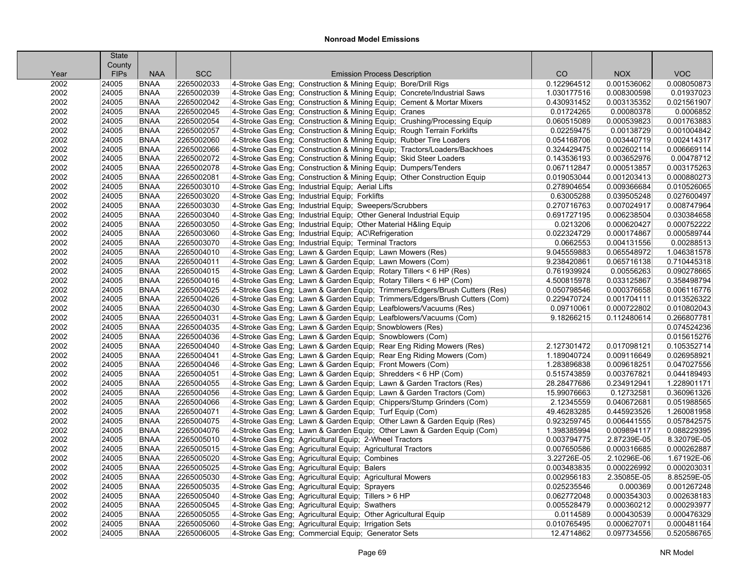|              | <b>State</b>         |                            |                          |                                                                                                                                               |                            |                           |                          |
|--------------|----------------------|----------------------------|--------------------------|-----------------------------------------------------------------------------------------------------------------------------------------------|----------------------------|---------------------------|--------------------------|
|              | County               | <b>NAA</b>                 | <b>SCC</b>               |                                                                                                                                               | CO                         | <b>NOX</b>                | <b>VOC</b>               |
| Year<br>2002 | <b>FIPs</b><br>24005 | <b>BNAA</b>                | 2265002033               | <b>Emission Process Description</b>                                                                                                           | 0.122964512                | 0.001536062               | 0.008050873              |
| 2002         | 24005                | <b>BNAA</b>                | 2265002039               | 4-Stroke Gas Eng; Construction & Mining Equip; Bore/Drill Rigs<br>4-Stroke Gas Eng; Construction & Mining Equip; Concrete/Industrial Saws     | 1.030177516                | 0.008300598               | 0.01937023               |
|              | 24005                | <b>BNAA</b>                | 2265002042               | 4-Stroke Gas Eng; Construction & Mining Equip; Cement & Mortar Mixers                                                                         | 0.430931452                |                           |                          |
| 2002         | 24005                | <b>BNAA</b>                | 2265002045               |                                                                                                                                               | 0.01724265                 | 0.003135352               | 0.021561907              |
| 2002<br>2002 |                      | <b>BNAA</b>                | 2265002054               | 4-Stroke Gas Eng; Construction & Mining Equip; Cranes                                                                                         | 0.060515089                | 0.00080378<br>0.000539823 | 0.0006852<br>0.001763883 |
|              | 24005                | <b>BNAA</b>                | 2265002057               | 4-Stroke Gas Eng; Construction & Mining Equip; Crushing/Processing Equip                                                                      |                            |                           | 0.001004842              |
| 2002<br>2002 | 24005<br>24005       | <b>BNAA</b>                | 2265002060               | 4-Stroke Gas Eng; Construction & Mining Equip; Rough Terrain Forklifts                                                                        | 0.02259475                 | 0.00138729                | 0.002414317              |
| 2002         | 24005                | <b>BNAA</b>                | 2265002066               | 4-Stroke Gas Eng; Construction & Mining Equip; Rubber Tire Loaders                                                                            | 0.054168706<br>0.324429475 | 0.003440719               | 0.006669114              |
|              |                      |                            |                          | 4-Stroke Gas Eng; Construction & Mining Equip; Tractors/Loaders/Backhoes<br>4-Stroke Gas Eng; Construction & Mining Equip; Skid Steer Loaders |                            | 0.002602114               |                          |
| 2002         | 24005                | <b>BNAA</b><br><b>BNAA</b> | 2265002072<br>2265002078 |                                                                                                                                               | 0.143536193                | 0.003652976               | 0.00478712               |
| 2002         | 24005                |                            |                          | 4-Stroke Gas Eng; Construction & Mining Equip; Dumpers/Tenders                                                                                | 0.067112847                | 0.000513857               | 0.003175263              |
| 2002         | 24005                | <b>BNAA</b>                | 2265002081               | 4-Stroke Gas Eng; Construction & Mining Equip; Other Construction Equip                                                                       | 0.019053044                | 0.001203413               | 0.000880273              |
| 2002         | 24005                | <b>BNAA</b>                | 2265003010               | 4-Stroke Gas Eng; Industrial Equip; Aerial Lifts                                                                                              | 0.278904654                | 0.009366684               | 0.010526065              |
| 2002         | 24005                | <b>BNAA</b>                | 2265003020               | 4-Stroke Gas Eng; Industrial Equip; Forklifts                                                                                                 | 0.63005288                 | 0.039505248               | 0.027600497              |
| 2002         | 24005                | <b>BNAA</b>                | 2265003030               | 4-Stroke Gas Eng; Industrial Equip; Sweepers/Scrubbers                                                                                        | 0.270716763                | 0.007024917               | 0.008747964              |
| 2002         | 24005                | <b>BNAA</b>                | 2265003040               | 4-Stroke Gas Eng; Industrial Equip; Other General Industrial Equip                                                                            | 0.691727195                | 0.006238504               | 0.030384658              |
| 2002         | 24005                | <b>BNAA</b>                | 2265003050               | 4-Stroke Gas Eng; Industrial Equip; Other Material H&ling Equip                                                                               | 0.0213206                  | 0.000620427               | 0.000752222              |
| 2002         | 24005                | <b>BNAA</b>                | 2265003060               | 4-Stroke Gas Eng; Industrial Equip; AC\Refrigeration                                                                                          | 0.022324729                | 0.000174867               | 0.000589744              |
| 2002         | 24005                | <b>BNAA</b>                | 2265003070               | 4-Stroke Gas Eng; Industrial Equip; Terminal Tractors                                                                                         | 0.0662553                  | 0.004131556               | 0.00288513               |
| 2002         | 24005                | <b>BNAA</b>                | 2265004010               | 4-Stroke Gas Eng; Lawn & Garden Equip; Lawn Mowers (Res)                                                                                      | 9.045559883                | 0.065548972               | 1.046381578              |
| 2002         | 24005                | <b>BNAA</b>                | 2265004011               | 4-Stroke Gas Eng; Lawn & Garden Equip; Lawn Mowers (Com)                                                                                      | 9.238420861                | 0.065716138               | 0.710445318              |
| 2002         | 24005                | <b>BNAA</b>                | 2265004015               | 4-Stroke Gas Eng; Lawn & Garden Equip; Rotary Tillers < 6 HP (Res)                                                                            | 0.761939924                | 0.00556263                | 0.090278665              |
| 2002         | 24005                | <b>BNAA</b>                | 2265004016               | 4-Stroke Gas Eng; Lawn & Garden Equip; Rotary Tillers < 6 HP (Com)                                                                            | 4.500815978                | 0.033125867               | 0.358498794              |
| 2002         | 24005                | <b>BNAA</b>                | 2265004025               | 4-Stroke Gas Eng; Lawn & Garden Equip; Trimmers/Edgers/Brush Cutters (Res)                                                                    | 0.050798546                | 0.000376658               | 0.006116776              |
| 2002         | 24005                | <b>BNAA</b>                | 2265004026               | 4-Stroke Gas Eng; Lawn & Garden Equip; Trimmers/Edgers/Brush Cutters (Com)                                                                    | 0.229470724                | 0.001704111               | 0.013526322              |
| 2002         | 24005                | <b>BNAA</b>                | 2265004030               | 4-Stroke Gas Eng; Lawn & Garden Equip; Leafblowers/Vacuums (Res)                                                                              | 0.09710061                 | 0.000722802               | 0.010802043              |
| 2002         | 24005                | <b>BNAA</b>                | 2265004031               | 4-Stroke Gas Eng; Lawn & Garden Equip; Leafblowers/Vacuums (Com)                                                                              | 9.18266215                 | 0.112480614               | 0.266807781              |
| 2002         | 24005                | <b>BNAA</b>                | 2265004035               | 4-Stroke Gas Eng; Lawn & Garden Equip; Snowblowers (Res)                                                                                      |                            |                           | 0.074524236              |
| 2002         | 24005                | <b>BNAA</b>                | 2265004036               | 4-Stroke Gas Eng; Lawn & Garden Equip; Snowblowers (Com)                                                                                      |                            |                           | 0.015615276              |
| 2002         | 24005                | <b>BNAA</b>                | 2265004040               | 4-Stroke Gas Eng; Lawn & Garden Equip; Rear Eng Riding Mowers (Res)                                                                           | 2.127301472                | 0.017098121               | 0.105352714              |
| 2002         | 24005                | <b>BNAA</b>                | 2265004041               | 4-Stroke Gas Eng; Lawn & Garden Equip; Rear Eng Riding Mowers (Com)                                                                           | 1.189040724                | 0.009116649               | 0.026958921              |
| 2002         | 24005                | <b>BNAA</b>                | 2265004046               | 4-Stroke Gas Eng; Lawn & Garden Equip; Front Mowers (Com)                                                                                     | 1.283896838                | 0.009618251               | 0.047027556              |
| 2002         | 24005                | <b>BNAA</b>                | 2265004051               | 4-Stroke Gas Eng; Lawn & Garden Equip; Shredders < 6 HP (Com)                                                                                 | 0.515743859                | 0.003767821               | 0.044189493              |
| 2002         | 24005                | <b>BNAA</b>                | 2265004055               | 4-Stroke Gas Eng; Lawn & Garden Equip; Lawn & Garden Tractors (Res)                                                                           | 28.28477686                | 0.234912941               | 1.228901171              |
| 2002         | 24005                | <b>BNAA</b>                | 2265004056               | 4-Stroke Gas Eng; Lawn & Garden Equip; Lawn & Garden Tractors (Com)                                                                           | 15.99076663                | 0.12732581                | 0.360961326              |
| 2002         | 24005                | <b>BNAA</b>                | 2265004066               | 4-Stroke Gas Eng; Lawn & Garden Equip; Chippers/Stump Grinders (Com)                                                                          | 2.12345559                 | 0.040672681               | 0.051988565              |
| 2002         | 24005                | <b>BNAA</b>                | 2265004071               | 4-Stroke Gas Eng: Lawn & Garden Equip: Turf Equip (Com)                                                                                       | 49.46283285                | 0.445923526               | 1.260081958              |
| 2002         | 24005                | <b>BNAA</b>                | 2265004075               | 4-Stroke Gas Eng; Lawn & Garden Equip; Other Lawn & Garden Equip (Res)                                                                        | 0.923259745                | 0.006441555               | 0.057842575              |
| 2002         | 24005                | <b>BNAA</b>                | 2265004076               | 4-Stroke Gas Eng; Lawn & Garden Equip; Other Lawn & Garden Equip (Com)                                                                        | 1.398385994                | 0.009894117               | 0.088229395              |
| 2002         | 24005                | <b>BNAA</b>                | 2265005010               | 4-Stroke Gas Eng; Agricultural Equip; 2-Wheel Tractors                                                                                        | 0.003794775                | 2.87239E-05               | 8.32079E-05              |
| 2002         | 24005                | <b>BNAA</b>                | 2265005015               | 4-Stroke Gas Eng; Agricultural Equip; Agricultural Tractors                                                                                   | 0.007650586                | 0.000316685               | 0.000262887              |
| 2002         | 24005                | <b>BNAA</b>                | 2265005020               | 4-Stroke Gas Eng; Agricultural Equip; Combines                                                                                                | 3.22726E-05                | 2.10296E-06               | 1.67192E-06              |
| 2002         | 24005                | <b>BNAA</b>                | 2265005025               | 4-Stroke Gas Eng; Agricultural Equip; Balers                                                                                                  | 0.003483835                | 0.000226992               | 0.000203031              |
| 2002         | 24005                | <b>BNAA</b>                | 2265005030               | 4-Stroke Gas Eng; Agricultural Equip; Agricultural Mowers                                                                                     | 0.002956183                | 2.35085E-05               | 8.85259E-05              |
| 2002         | 24005                | <b>BNAA</b>                | 2265005035               | 4-Stroke Gas Eng; Agricultural Equip; Sprayers                                                                                                | 0.025235546                | 0.000369                  | 0.001267248              |
| 2002         | 24005                | <b>BNAA</b>                | 2265005040               | 4-Stroke Gas Eng; Agricultural Equip; Tillers > 6 HP                                                                                          | 0.062772048                | 0.000354303               | 0.002638183              |
| 2002         | 24005                | <b>BNAA</b>                | 2265005045               | 4-Stroke Gas Eng; Agricultural Equip; Swathers                                                                                                | 0.005528479                | 0.000360212               | 0.000293977              |
| 2002         | 24005                | <b>BNAA</b>                | 2265005055               | 4-Stroke Gas Eng; Agricultural Equip; Other Agricultural Equip                                                                                | 0.0114589                  | 0.000430539               | 0.000476329              |
| 2002         | 24005                | <b>BNAA</b>                | 2265005060               | 4-Stroke Gas Eng; Agricultural Equip; Irrigation Sets                                                                                         | 0.010765495                | 0.000627071               | 0.000481164              |
| 2002         | 24005                | <b>BNAA</b>                | 2265006005               | 4-Stroke Gas Eng; Commercial Equip; Generator Sets                                                                                            | 12.4714862                 | 0.097734556               | 0.520586765              |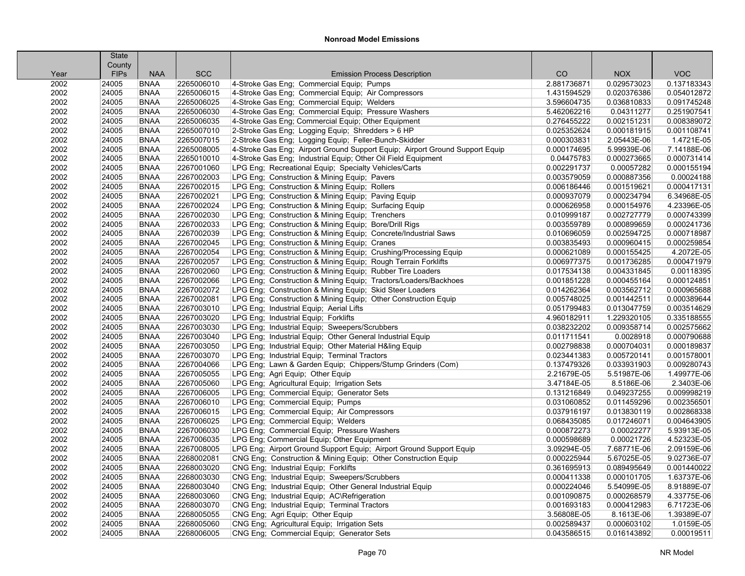|      | <b>State</b> |             |            |                                                                              |             |             |             |
|------|--------------|-------------|------------|------------------------------------------------------------------------------|-------------|-------------|-------------|
|      | County       |             |            |                                                                              |             |             |             |
| Year | <b>FIPs</b>  | <b>NAA</b>  | <b>SCC</b> | <b>Emission Process Description</b>                                          | CO          | <b>NOX</b>  | <b>VOC</b>  |
| 2002 | 24005        | <b>BNAA</b> | 2265006010 | 4-Stroke Gas Eng; Commercial Equip; Pumps                                    | 2.881736871 | 0.029573023 | 0.137183343 |
| 2002 | 24005        | <b>BNAA</b> | 2265006015 | 4-Stroke Gas Eng; Commercial Equip; Air Compressors                          | 1.431594529 | 0.020376386 | 0.054012872 |
| 2002 | 24005        | <b>BNAA</b> | 2265006025 | 4-Stroke Gas Eng; Commercial Equip; Welders                                  | 3.596604735 | 0.036810833 | 0.091745248 |
| 2002 | 24005        | <b>BNAA</b> | 2265006030 | 4-Stroke Gas Eng; Commercial Equip; Pressure Washers                         | 5.462062216 | 0.04311277  | 0.251907541 |
| 2002 | 24005        | <b>BNAA</b> | 2265006035 | 4-Stroke Gas Eng; Commercial Equip; Other Equipment                          | 0.276455222 | 0.002151231 | 0.008389072 |
| 2002 | 24005        | <b>BNAA</b> | 2265007010 | 2-Stroke Gas Eng; Logging Equip; Shredders > 6 HP                            | 0.025352624 | 0.000181915 | 0.001108741 |
| 2002 | 24005        | <b>BNAA</b> | 2265007015 | 2-Stroke Gas Eng; Logging Equip; Feller-Bunch-Skidder                        | 0.000303831 | 2.05443E-06 | 1.4721E-05  |
| 2002 | 24005        | <b>BNAA</b> | 2265008005 | 4-Stroke Gas Eng; Airport Ground Support Equip; Airport Ground Support Equip | 0.000174695 | 5.99939E-06 | 7.14188E-06 |
| 2002 | 24005        | <b>BNAA</b> | 2265010010 | 4-Stroke Gas Eng; Industrial Equip; Other Oil Field Equipment                | 0.04475783  | 0.000273665 | 0.000731414 |
| 2002 | 24005        | <b>BNAA</b> | 2267001060 | LPG Eng; Recreational Equip; Specialty Vehicles/Carts                        | 0.002291737 | 0.00057282  | 0.000155194 |
| 2002 | 24005        | <b>BNAA</b> | 2267002003 | LPG Eng; Construction & Mining Equip; Pavers                                 | 0.003579059 | 0.000887356 | 0.00024188  |
| 2002 | 24005        | <b>BNAA</b> | 2267002015 | LPG Eng; Construction & Mining Equip; Rollers                                | 0.006186446 | 0.001519621 | 0.000417131 |
| 2002 | 24005        | <b>BNAA</b> | 2267002021 | LPG Eng; Construction & Mining Equip; Paving Equip                           | 0.000937079 | 0.000234794 | 6.34968E-05 |
| 2002 | 24005        | <b>BNAA</b> | 2267002024 | LPG Eng; Construction & Mining Equip; Surfacing Equip                        | 0.000626958 | 0.000154976 | 4.23396E-05 |
| 2002 | 24005        | <b>BNAA</b> | 2267002030 | LPG Eng; Construction & Mining Equip; Trenchers                              | 0.010999187 | 0.002727779 | 0.000743399 |
| 2002 | 24005        | <b>BNAA</b> | 2267002033 | LPG Eng; Construction & Mining Equip; Bore/Drill Rigs                        | 0.003559789 | 0.000899659 | 0.000241736 |
| 2002 | 24005        | <b>BNAA</b> | 2267002039 | LPG Eng; Construction & Mining Equip; Concrete/Industrial Saws               | 0.010696059 | 0.002594725 | 0.000718987 |
| 2002 | 24005        | <b>BNAA</b> | 2267002045 | LPG Eng; Construction & Mining Equip; Cranes                                 | 0.003835493 | 0.000960415 | 0.000259854 |
| 2002 | 24005        | <b>BNAA</b> | 2267002054 | LPG Eng; Construction & Mining Equip; Crushing/Processing Equip              | 0.000621089 | 0.000155425 | 4.2072E-05  |
| 2002 | 24005        | <b>BNAA</b> | 2267002057 | LPG Eng; Construction & Mining Equip; Rough Terrain Forklifts                | 0.006977375 | 0.001736285 | 0.000471979 |
| 2002 | 24005        | <b>BNAA</b> | 2267002060 | LPG Eng; Construction & Mining Equip; Rubber Tire Loaders                    | 0.017534138 | 0.004331845 | 0.00118395  |
| 2002 | 24005        | <b>BNAA</b> | 2267002066 | LPG Eng; Construction & Mining Equip; Tractors/Loaders/Backhoes              | 0.001851228 | 0.000455164 | 0.000124851 |
| 2002 | 24005        | <b>BNAA</b> | 2267002072 | LPG Eng; Construction & Mining Equip; Skid Steer Loaders                     | 0.014262364 | 0.003562712 | 0.000965688 |
| 2002 | 24005        | <b>BNAA</b> | 2267002081 | LPG Eng; Construction & Mining Equip; Other Construction Equip               | 0.005748025 | 0.001442511 | 0.000389644 |
| 2002 | 24005        | <b>BNAA</b> | 2267003010 | LPG Eng; Industrial Equip; Aerial Lifts                                      | 0.051799483 | 0.013047759 | 0.003514629 |
| 2002 | 24005        | <b>BNAA</b> | 2267003020 | LPG Eng; Industrial Equip; Forklifts                                         | 4.960182911 | 1.229320105 | 0.335188555 |
| 2002 | 24005        | <b>BNAA</b> | 2267003030 | LPG Eng; Industrial Equip; Sweepers/Scrubbers                                | 0.038232202 | 0.009358714 | 0.002575662 |
| 2002 | 24005        | <b>BNAA</b> | 2267003040 | LPG Eng; Industrial Equip; Other General Industrial Equip                    | 0.011711541 | 0.0028918   | 0.000790688 |
| 2002 | 24005        | <b>BNAA</b> | 2267003050 | LPG Eng; Industrial Equip; Other Material H&ling Equip                       | 0.002798838 | 0.000704031 | 0.000189837 |
| 2002 | 24005        | <b>BNAA</b> | 2267003070 | LPG Eng; Industrial Equip; Terminal Tractors                                 | 0.023441383 | 0.005720141 | 0.001578001 |
| 2002 | 24005        | <b>BNAA</b> | 2267004066 | LPG Eng; Lawn & Garden Equip; Chippers/Stump Grinders (Com)                  | 0.137479326 | 0.033931903 | 0.009280743 |
| 2002 | 24005        | <b>BNAA</b> | 2267005055 | LPG Eng; Agri Equip; Other Equip                                             | 2.21679E-05 | 5.51987E-06 | 1.49977E-06 |
| 2002 | 24005        | <b>BNAA</b> | 2267005060 | LPG Eng; Agricultural Equip; Irrigation Sets                                 | 3.47184E-05 | 8.5186E-06  | 2.3403E-06  |
| 2002 | 24005        | <b>BNAA</b> | 2267006005 | LPG Eng; Commercial Equip; Generator Sets                                    | 0.131216849 | 0.049237255 | 0.009998219 |
| 2002 | 24005        | <b>BNAA</b> | 2267006010 | LPG Eng; Commercial Equip; Pumps                                             | 0.031060852 | 0.011459296 | 0.002356501 |
| 2002 | 24005        | <b>BNAA</b> | 2267006015 | LPG Eng: Commercial Equip: Air Compressors                                   | 0.037916197 | 0.013830119 | 0.002868338 |
| 2002 | 24005        | <b>BNAA</b> | 2267006025 | LPG Eng; Commercial Equip; Welders                                           | 0.068435085 | 0.017246071 | 0.004643905 |
| 2002 | 24005        | <b>BNAA</b> | 2267006030 | LPG Eng; Commercial Equip; Pressure Washers                                  | 0.000872273 | 0.00022277  | 5.93913E-05 |
| 2002 | 24005        | <b>BNAA</b> | 2267006035 | LPG Eng; Commercial Equip; Other Equipment                                   | 0.000598689 | 0.00021726  | 4.52323E-05 |
| 2002 | 24005        | <b>BNAA</b> | 2267008005 | LPG Eng; Airport Ground Support Equip; Airport Ground Support Equip          | 3.09294E-05 | 7.68771E-06 | 2.09159E-06 |
| 2002 | 24005        | <b>BNAA</b> | 2268002081 | CNG Eng; Construction & Mining Equip; Other Construction Equip               | 0.000225944 | 5.67025E-05 | 9.02736E-07 |
| 2002 | 24005        | <b>BNAA</b> | 2268003020 | CNG Eng; Industrial Equip; Forklifts                                         | 0.361695913 | 0.089495649 | 0.001440022 |
| 2002 | 24005        | <b>BNAA</b> | 2268003030 | CNG Eng; Industrial Equip; Sweepers/Scrubbers                                | 0.000411338 | 0.000101705 | 1.63737E-06 |
| 2002 | 24005        | <b>BNAA</b> | 2268003040 | CNG Eng; Industrial Equip; Other General Industrial Equip                    | 0.000224046 | 5.54099E-05 | 8.91889E-07 |
| 2002 | 24005        | <b>BNAA</b> | 2268003060 | CNG Eng; Industrial Equip; AC\Refrigeration                                  | 0.001090875 | 0.000268579 | 4.33775E-06 |
| 2002 | 24005        | <b>BNAA</b> | 2268003070 | CNG Eng; Industrial Equip; Terminal Tractors                                 | 0.001693183 | 0.000412983 | 6.71723E-06 |
| 2002 | 24005        | <b>BNAA</b> | 2268005055 | CNG Eng; Agri Equip; Other Equip                                             | 3.56808E-05 | 8.1613E-06  | 1.39389E-07 |
| 2002 | 24005        | <b>BNAA</b> | 2268005060 | CNG Eng; Agricultural Equip; Irrigation Sets                                 | 0.002589437 | 0.000603102 | 1.0159E-05  |
| 2002 | 24005        | <b>BNAA</b> | 2268006005 | CNG Eng; Commercial Equip; Generator Sets                                    | 0.043586515 | 0.016143892 | 0.00019511  |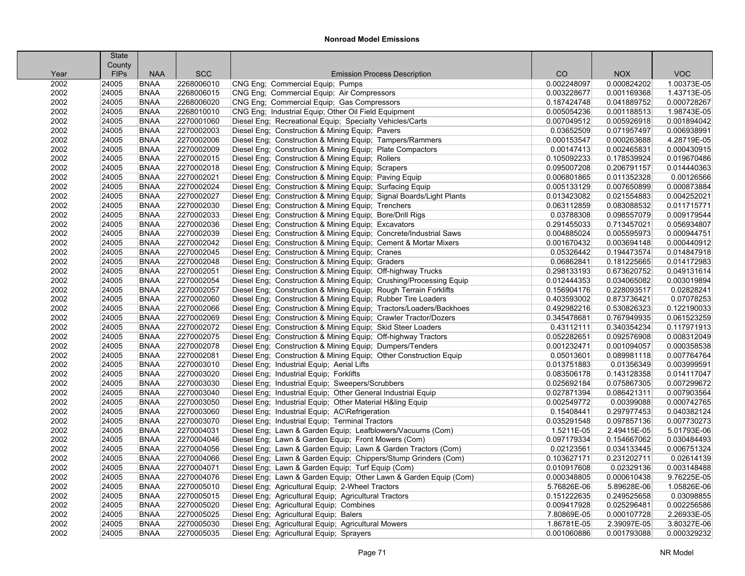|      | <b>State</b> |             |            |                                                                     |             |             |             |
|------|--------------|-------------|------------|---------------------------------------------------------------------|-------------|-------------|-------------|
|      | County       |             |            |                                                                     |             |             |             |
| Year | <b>FIPs</b>  | <b>NAA</b>  | <b>SCC</b> | <b>Emission Process Description</b>                                 | CO          | <b>NOX</b>  | <b>VOC</b>  |
| 2002 | 24005        | <b>BNAA</b> | 2268006010 | CNG Eng; Commercial Equip; Pumps                                    | 0.002248097 | 0.000824202 | 1.00373E-05 |
| 2002 | 24005        | <b>BNAA</b> | 2268006015 | CNG Eng; Commercial Equip; Air Compressors                          | 0.003228677 | 0.001169368 | 1.43713E-05 |
| 2002 | 24005        | <b>BNAA</b> | 2268006020 | CNG Eng; Commercial Equip; Gas Compressors                          | 0.187424748 | 0.041889752 | 0.000728267 |
| 2002 | 24005        | <b>BNAA</b> | 2268010010 | CNG Eng; Industrial Equip; Other Oil Field Equipment                | 0.005054236 | 0.001188513 | 1.98743E-05 |
| 2002 | 24005        | <b>BNAA</b> | 2270001060 | Diesel Eng; Recreational Equip; Specialty Vehicles/Carts            | 0.007049512 | 0.005926918 | 0.001894042 |
| 2002 | 24005        | <b>BNAA</b> | 2270002003 | Diesel Eng; Construction & Mining Equip; Pavers                     | 0.03652509  | 0.071957497 | 0.006938991 |
| 2002 | 24005        | <b>BNAA</b> | 2270002006 | Diesel Eng; Construction & Mining Equip; Tampers/Rammers            | 0.000153547 | 0.000263688 | 4.28719E-05 |
| 2002 | 24005        | <b>BNAA</b> | 2270002009 | Diesel Eng; Construction & Mining Equip; Plate Compactors           | 0.00147413  | 0.002465831 | 0.000430915 |
| 2002 | 24005        | <b>BNAA</b> | 2270002015 | Diesel Eng; Construction & Mining Equip; Rollers                    | 0.105092233 | 0.178539924 | 0.019670486 |
| 2002 | 24005        | <b>BNAA</b> | 2270002018 | Diesel Eng; Construction & Mining Equip; Scrapers                   | 0.095007208 | 0.206791157 | 0.014440363 |
| 2002 | 24005        | <b>BNAA</b> | 2270002021 | Diesel Eng; Construction & Mining Equip; Paving Equip               | 0.006801865 | 0.011352328 | 0.00126566  |
| 2002 | 24005        | <b>BNAA</b> | 2270002024 | Diesel Eng; Construction & Mining Equip; Surfacing Equip            | 0.005133129 | 0.007650899 | 0.000873884 |
| 2002 | 24005        | <b>BNAA</b> | 2270002027 | Diesel Eng; Construction & Mining Equip; Signal Boards/Light Plants | 0.013423082 | 0.021554883 | 0.004252021 |
| 2002 | 24005        | <b>BNAA</b> | 2270002030 | Diesel Eng; Construction & Mining Equip; Trenchers                  | 0.063112859 | 0.083088532 | 0.011715771 |
| 2002 | 24005        | <b>BNAA</b> | 2270002033 | Diesel Eng; Construction & Mining Equip; Bore/Drill Rigs            | 0.03788308  | 0.098557079 | 0.009179544 |
| 2002 | 24005        | <b>BNAA</b> | 2270002036 | Diesel Eng; Construction & Mining Equip; Excavators                 | 0.291455033 | 0.713457021 | 0.056934807 |
| 2002 | 24005        | <b>BNAA</b> | 2270002039 | Diesel Eng; Construction & Mining Equip; Concrete/Industrial Saws   | 0.004885024 | 0.005595973 | 0.000944751 |
| 2002 | 24005        | <b>BNAA</b> | 2270002042 | Diesel Eng; Construction & Mining Equip; Cement & Mortar Mixers     | 0.001670432 | 0.003694148 | 0.000440912 |
| 2002 | 24005        | <b>BNAA</b> | 2270002045 | Diesel Eng; Construction & Mining Equip; Cranes                     | 0.05326442  | 0.194473574 | 0.014847918 |
| 2002 | 24005        | <b>BNAA</b> | 2270002048 | Diesel Eng; Construction & Mining Equip; Graders                    | 0.06862841  | 0.181225665 | 0.014172983 |
| 2002 | 24005        | <b>BNAA</b> | 2270002051 | Diesel Eng; Construction & Mining Equip; Off-highway Trucks         | 0.298133193 | 0.673620752 | 0.049131614 |
| 2002 | 24005        | <b>BNAA</b> | 2270002054 | Diesel Eng; Construction & Mining Equip; Crushing/Processing Equip  | 0.012444353 | 0.034065082 | 0.003019894 |
| 2002 | 24005        | <b>BNAA</b> | 2270002057 | Diesel Eng; Construction & Mining Equip; Rough Terrain Forklifts    | 0.156904176 | 0.228093517 | 0.02828241  |
| 2002 | 24005        | <b>BNAA</b> | 2270002060 | Diesel Eng; Construction & Mining Equip; Rubber Tire Loaders        | 0.403593002 | 0.873736421 | 0.07078253  |
| 2002 | 24005        | <b>BNAA</b> | 2270002066 | Diesel Eng; Construction & Mining Equip; Tractors/Loaders/Backhoes  | 0.492982216 | 0.530826323 | 0.122190033 |
| 2002 | 24005        | <b>BNAA</b> | 2270002069 | Diesel Eng; Construction & Mining Equip; Crawler Tractor/Dozers     | 0.345478681 | 0.767949935 | 0.061523259 |
| 2002 | 24005        | <b>BNAA</b> | 2270002072 | Diesel Eng; Construction & Mining Equip; Skid Steer Loaders         | 0.43112111  | 0.340354234 | 0.117971913 |
| 2002 | 24005        | <b>BNAA</b> | 2270002075 | Diesel Eng; Construction & Mining Equip; Off-highway Tractors       | 0.052282651 | 0.092576908 | 0.008312049 |
| 2002 | 24005        | <b>BNAA</b> | 2270002078 | Diesel Eng; Construction & Mining Equip; Dumpers/Tenders            | 0.001232471 | 0.001094057 | 0.000358538 |
| 2002 | 24005        | <b>BNAA</b> | 2270002081 | Diesel Eng; Construction & Mining Equip; Other Construction Equip   | 0.05013601  | 0.089981118 | 0.007764764 |
| 2002 | 24005        | <b>BNAA</b> | 2270003010 | Diesel Eng; Industrial Equip; Aerial Lifts                          | 0.013751883 | 0.01356349  | 0.003999591 |
| 2002 | 24005        | <b>BNAA</b> | 2270003020 | Diesel Eng; Industrial Equip; Forklifts                             | 0.083506178 | 0.143128358 | 0.014117047 |
| 2002 | 24005        | <b>BNAA</b> | 2270003030 | Diesel Eng; Industrial Equip; Sweepers/Scrubbers                    | 0.025692184 | 0.075867305 | 0.007299672 |
| 2002 | 24005        | <b>BNAA</b> | 2270003040 | Diesel Eng; Industrial Equip; Other General Industrial Equip        | 0.027871394 | 0.086421311 | 0.007903564 |
| 2002 | 24005        | <b>BNAA</b> | 2270003050 | Diesel Eng; Industrial Equip; Other Material H&ling Equip           | 0.002549772 | 0.00399088  | 0.000742765 |
| 2002 | 24005        | <b>BNAA</b> | 2270003060 | Diesel Eng; Industrial Equip; AC\Refrigeration                      | 0.15408441  | 0.297977453 | 0.040382124 |
| 2002 | 24005        | <b>BNAA</b> | 2270003070 | Diesel Eng; Industrial Equip; Terminal Tractors                     | 0.035291548 | 0.097857136 | 0.007730273 |
| 2002 | 24005        | <b>BNAA</b> | 2270004031 | Diesel Eng; Lawn & Garden Equip; Leafblowers/Vacuums (Com)          | 1.5211E-05  | 2.49415E-05 | 5.01793E-06 |
| 2002 | 24005        | <b>BNAA</b> | 2270004046 | Diesel Eng; Lawn & Garden Equip; Front Mowers (Com)                 | 0.097179334 | 0.154667062 | 0.030484493 |
| 2002 | 24005        | <b>BNAA</b> | 2270004056 | Diesel Eng; Lawn & Garden Equip; Lawn & Garden Tractors (Com)       | 0.02123561  | 0.034133445 | 0.006751324 |
| 2002 | 24005        | <b>BNAA</b> | 2270004066 | Diesel Eng; Lawn & Garden Equip; Chippers/Stump Grinders (Com)      | 0.103627171 | 0.231202711 | 0.02614139  |
| 2002 | 24005        | <b>BNAA</b> | 2270004071 | Diesel Eng; Lawn & Garden Equip; Turf Equip (Com)                   | 0.010917608 | 0.02329136  | 0.003148488 |
| 2002 | 24005        | <b>BNAA</b> | 2270004076 | Diesel Eng: Lawn & Garden Equip: Other Lawn & Garden Equip (Com)    | 0.000348805 | 0.000610438 | 9.76225E-05 |
| 2002 | 24005        | <b>BNAA</b> | 2270005010 | Diesel Eng; Agricultural Equip; 2-Wheel Tractors                    | 5.76826E-06 | 5.89628E-06 | 1.05826E-06 |
| 2002 | 24005        | <b>BNAA</b> | 2270005015 | Diesel Eng; Agricultural Equip; Agricultural Tractors               | 0.151222635 | 0.249525658 | 0.03098855  |
| 2002 | 24005        | <b>BNAA</b> | 2270005020 | Diesel Eng; Agricultural Equip; Combines                            | 0.009417928 | 0.025296481 | 0.002256586 |
| 2002 | 24005        | <b>BNAA</b> | 2270005025 | Diesel Eng; Agricultural Equip; Balers                              | 7.80869E-05 | 0.000107728 | 2.26933E-05 |
| 2002 | 24005        | <b>BNAA</b> | 2270005030 | Diesel Eng; Agricultural Equip; Agricultural Mowers                 | 1.86781E-05 | 2.39097E-05 | 3.80327E-06 |
| 2002 | 24005        | <b>BNAA</b> | 2270005035 | Diesel Eng; Agricultural Equip; Sprayers                            | 0.001060886 | 0.001793088 | 0.000329232 |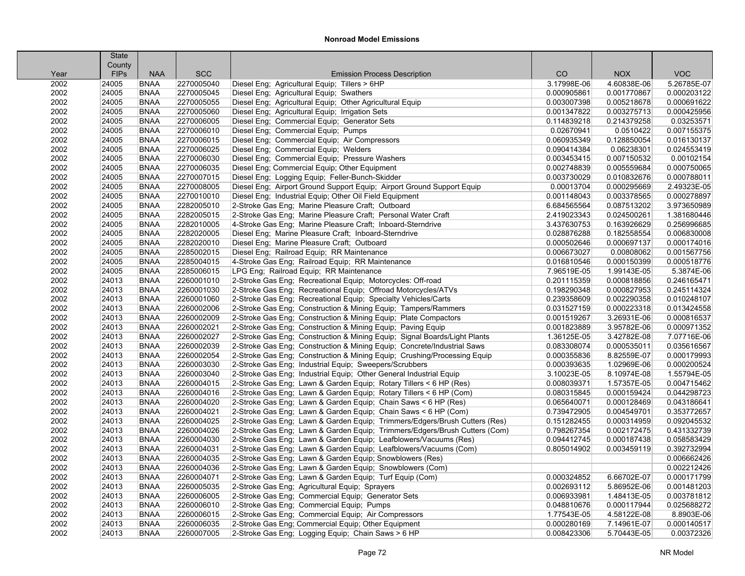|      | <b>State</b> |             |            |                                                                            |             |             |             |
|------|--------------|-------------|------------|----------------------------------------------------------------------------|-------------|-------------|-------------|
|      | County       |             |            |                                                                            |             |             |             |
| Year | <b>FIPs</b>  | <b>NAA</b>  | <b>SCC</b> | <b>Emission Process Description</b>                                        | CO          | <b>NOX</b>  | <b>VOC</b>  |
| 2002 | 24005        | <b>BNAA</b> | 2270005040 | Diesel Eng; Agricultural Equip; Tillers > 6HP                              | 3.17998E-06 | 4.60838E-06 | 5.26785E-07 |
| 2002 | 24005        | <b>BNAA</b> | 2270005045 | Diesel Eng; Agricultural Equip; Swathers                                   | 0.000905861 | 0.001770867 | 0.000203122 |
| 2002 | 24005        | <b>BNAA</b> | 2270005055 | Diesel Eng; Agricultural Equip; Other Agricultural Equip                   | 0.003007398 | 0.005218678 | 0.000691622 |
| 2002 | 24005        | <b>BNAA</b> | 2270005060 | Diesel Eng; Agricultural Equip; Irrigation Sets                            | 0.001347822 | 0.003275713 | 0.000425956 |
| 2002 | 24005        | <b>BNAA</b> | 2270006005 | Diesel Eng; Commercial Equip; Generator Sets                               | 0.114839218 | 0.214379258 | 0.03253571  |
| 2002 | 24005        | <b>BNAA</b> | 2270006010 | Diesel Eng; Commercial Equip; Pumps                                        | 0.02670941  | 0.0510422   | 0.007155375 |
| 2002 | 24005        | <b>BNAA</b> | 2270006015 | Diesel Eng; Commercial Equip; Air Compressors                              | 0.060935349 | 0.128850054 | 0.016130137 |
| 2002 | 24005        | <b>BNAA</b> | 2270006025 | Diesel Eng: Commercial Equip: Welders                                      | 0.090414384 | 0.06238301  | 0.024553419 |
| 2002 | 24005        | <b>BNAA</b> | 2270006030 | Diesel Eng; Commercial Equip; Pressure Washers                             | 0.003453415 | 0.007150532 | 0.00102154  |
| 2002 | 24005        | <b>BNAA</b> | 2270006035 | Diesel Eng; Commercial Equip; Other Equipment                              | 0.002748839 | 0.005559684 | 0.000750065 |
| 2002 | 24005        | <b>BNAA</b> | 2270007015 | Diesel Eng; Logging Equip; Feller-Bunch-Skidder                            | 0.003730029 | 0.010832676 | 0.000788011 |
| 2002 | 24005        | <b>BNAA</b> | 2270008005 | Diesel Eng; Airport Ground Support Equip; Airport Ground Support Equip     | 0.00013704  | 0.000295669 | 2.49323E-05 |
| 2002 | 24005        | <b>BNAA</b> | 2270010010 | Diesel Eng; Industrial Equip; Other Oil Field Equipment                    | 0.001148043 | 0.003378565 | 0.000278897 |
| 2002 | 24005        | <b>BNAA</b> | 2282005010 | 2-Stroke Gas Eng; Marine Pleasure Craft; Outboard                          | 6.684565564 | 0.087513202 | 3.973650989 |
| 2002 | 24005        | <b>BNAA</b> | 2282005015 | 2-Stroke Gas Eng; Marine Pleasure Craft; Personal Water Craft              | 2.419023343 | 0.024500261 | 1.381680446 |
| 2002 | 24005        | <b>BNAA</b> | 2282010005 | 4-Stroke Gas Eng; Marine Pleasure Craft; Inboard-Sterndrive                | 3.437630753 | 0.163926629 | 0.256996685 |
| 2002 | 24005        | <b>BNAA</b> | 2282020005 | Diesel Eng; Marine Pleasure Craft; Inboard-Sterndrive                      | 0.028876288 | 0.182558554 | 0.006830008 |
| 2002 | 24005        | <b>BNAA</b> | 2282020010 | Diesel Eng; Marine Pleasure Craft; Outboard                                | 0.000502646 | 0.000697137 | 0.000174016 |
| 2002 | 24005        | <b>BNAA</b> | 2285002015 | Diesel Eng; Railroad Equip; RR Maintenance                                 | 0.006673027 | 0.00808062  | 0.001567756 |
| 2002 | 24005        | <b>BNAA</b> | 2285004015 | 4-Stroke Gas Eng; Railroad Equip; RR Maintenance                           | 0.016810546 | 0.000150399 | 0.000518776 |
| 2002 | 24005        | <b>BNAA</b> | 2285006015 | LPG Eng; Railroad Equip; RR Maintenance                                    | 7.96519E-05 | 1.99143E-05 | 5.3874E-06  |
| 2002 | 24013        | <b>BNAA</b> | 2260001010 | 2-Stroke Gas Eng; Recreational Equip; Motorcycles: Off-road                | 0.201115359 | 0.000818856 | 0.246165471 |
| 2002 | 24013        | <b>BNAA</b> | 2260001030 | 2-Stroke Gas Eng; Recreational Equip; Offroad Motorcycles/ATVs             | 0.198290348 | 0.000827953 | 0.245114324 |
| 2002 | 24013        | <b>BNAA</b> | 2260001060 | 2-Stroke Gas Eng; Recreational Equip; Specialty Vehicles/Carts             | 0.239358609 | 0.002290358 | 0.010248107 |
| 2002 | 24013        | <b>BNAA</b> | 2260002006 | 2-Stroke Gas Eng; Construction & Mining Equip; Tampers/Rammers             | 0.031527159 | 0.000223318 | 0.013424558 |
| 2002 | 24013        | <b>BNAA</b> | 2260002009 | 2-Stroke Gas Eng; Construction & Mining Equip; Plate Compactors            | 0.001519267 | 3.26931E-06 | 0.000816537 |
| 2002 | 24013        | <b>BNAA</b> | 2260002021 | 2-Stroke Gas Eng; Construction & Mining Equip; Paving Equip                | 0.001823889 | 3.95782E-06 | 0.000971352 |
| 2002 | 24013        | <b>BNAA</b> | 2260002027 | 2-Stroke Gas Eng; Construction & Mining Equip; Signal Boards/Light Plants  | 1.36125E-05 | 3.42782E-08 | 7.07716E-06 |
| 2002 | 24013        | <b>BNAA</b> | 2260002039 | 2-Stroke Gas Eng; Construction & Mining Equip; Concrete/Industrial Saws    | 0.083308074 | 0.000535011 | 0.035616567 |
| 2002 | 24013        | <b>BNAA</b> | 2260002054 | 2-Stroke Gas Eng; Construction & Mining Equip; Crushing/Processing Equip   | 0.000355836 | 8.82559E-07 | 0.000179993 |
| 2002 | 24013        | <b>BNAA</b> | 2260003030 | 2-Stroke Gas Eng; Industrial Equip; Sweepers/Scrubbers                     | 0.000393635 | 1.02969E-06 | 0.000200524 |
| 2002 | 24013        | <b>BNAA</b> | 2260003040 | 2-Stroke Gas Eng; Industrial Equip; Other General Industrial Equip         | 3.10023E-05 | 8.10974E-08 | 1.55794E-05 |
| 2002 | 24013        | <b>BNAA</b> | 2260004015 | 2-Stroke Gas Eng; Lawn & Garden Equip; Rotary Tillers < 6 HP (Res)         | 0.008039371 | 1.57357E-05 | 0.004715462 |
| 2002 | 24013        | <b>BNAA</b> | 2260004016 | 2-Stroke Gas Eng; Lawn & Garden Equip; Rotary Tillers < 6 HP (Com)         | 0.080315845 | 0.000159424 | 0.044298723 |
| 2002 | 24013        | <b>BNAA</b> | 2260004020 | 2-Stroke Gas Eng; Lawn & Garden Equip; Chain Saws < 6 HP (Res)             | 0.065640071 | 0.000128469 | 0.043186641 |
| 2002 | 24013        | <b>BNAA</b> | 2260004021 | 2-Stroke Gas Eng: Lawn & Garden Equip: Chain Saws < 6 HP (Com)             | 0.739472905 | 0.004549701 | 0.353772657 |
| 2002 | 24013        | <b>BNAA</b> | 2260004025 | 2-Stroke Gas Eng; Lawn & Garden Equip; Trimmers/Edgers/Brush Cutters (Res) | 0.151282455 | 0.000314959 | 0.092045532 |
| 2002 | 24013        | <b>BNAA</b> | 2260004026 | 2-Stroke Gas Eng; Lawn & Garden Equip; Trimmers/Edgers/Brush Cutters (Com) | 0.798267354 | 0.002172475 | 0.431332739 |
| 2002 | 24013        | <b>BNAA</b> | 2260004030 | 2-Stroke Gas Eng; Lawn & Garden Equip; Leafblowers/Vacuums (Res)           | 0.094412745 | 0.000187438 | 0.058583429 |
| 2002 | 24013        | <b>BNAA</b> | 2260004031 | 2-Stroke Gas Eng; Lawn & Garden Equip; Leafblowers/Vacuums (Com)           | 0.805014902 | 0.003459119 | 0.392732994 |
| 2002 | 24013        | <b>BNAA</b> | 2260004035 | 2-Stroke Gas Eng; Lawn & Garden Equip; Snowblowers (Res)                   |             |             | 0.006662426 |
| 2002 | 24013        | <b>BNAA</b> | 2260004036 | 2-Stroke Gas Eng; Lawn & Garden Equip; Snowblowers (Com)                   |             |             | 0.002212426 |
| 2002 | 24013        | <b>BNAA</b> | 2260004071 | 2-Stroke Gas Eng: Lawn & Garden Equip: Turf Equip (Com)                    | 0.000324852 | 6.66702E-07 | 0.000171799 |
| 2002 | 24013        | <b>BNAA</b> | 2260005035 | 2-Stroke Gas Eng; Agricultural Equip; Sprayers                             | 0.002693112 | 5.86952E-06 | 0.001481203 |
| 2002 | 24013        | <b>BNAA</b> | 2260006005 | 2-Stroke Gas Eng; Commercial Equip; Generator Sets                         | 0.006933981 | 1.48413E-05 | 0.003781812 |
| 2002 | 24013        | <b>BNAA</b> | 2260006010 | 2-Stroke Gas Eng; Commercial Equip; Pumps                                  | 0.048810676 | 0.000117944 | 0.025688272 |
| 2002 | 24013        | <b>BNAA</b> | 2260006015 | 2-Stroke Gas Eng: Commercial Equip: Air Compressors                        | 1.77543E-05 | 4.58122E-08 | 8.8903E-06  |
| 2002 | 24013        | <b>BNAA</b> | 2260006035 | 2-Stroke Gas Eng; Commercial Equip; Other Equipment                        | 0.000280169 | 7.14961E-07 | 0.000140517 |
| 2002 | 24013        | <b>BNAA</b> | 2260007005 |                                                                            | 0.008423306 |             |             |
|      |              |             |            | 2-Stroke Gas Eng; Logging Equip; Chain Saws > 6 HP                         |             | 5.70443E-05 | 0.00372326  |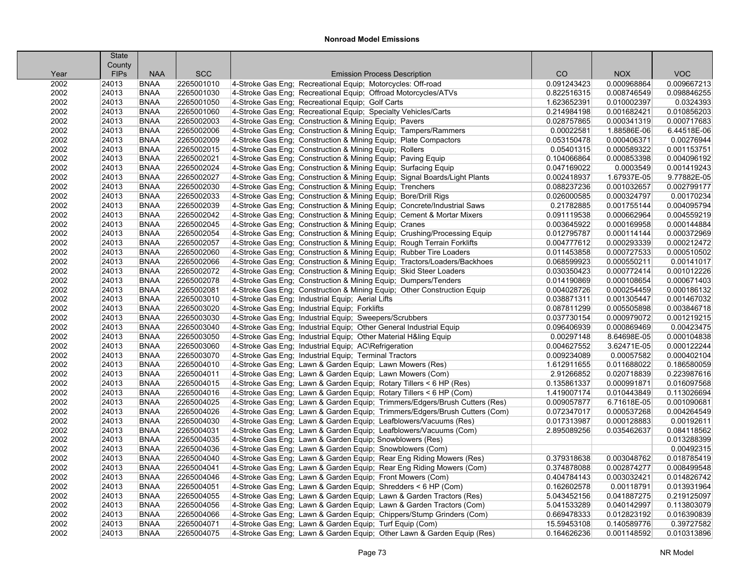|              | <b>State</b>          |                            |            |                                                                            |             |             |                            |
|--------------|-----------------------|----------------------------|------------|----------------------------------------------------------------------------|-------------|-------------|----------------------------|
|              | County<br><b>FIPs</b> | <b>NAA</b>                 | <b>SCC</b> | <b>Emission Process Description</b>                                        | CO          | <b>NOX</b>  | <b>VOC</b>                 |
| Year<br>2002 | 24013                 | <b>BNAA</b>                | 2265001010 | 4-Stroke Gas Eng; Recreational Equip; Motorcycles: Off-road                | 0.091243423 | 0.000968864 | 0.009667213                |
| 2002         | 24013                 | <b>BNAA</b>                | 2265001030 | 4-Stroke Gas Eng; Recreational Equip; Offroad Motorcycles/ATVs             | 0.822516315 | 0.008746549 | 0.098846255                |
| 2002         | 24013                 | <b>BNAA</b>                | 2265001050 | 4-Stroke Gas Eng; Recreational Equip; Golf Carts                           | 1.623652391 | 0.010002397 | 0.0324393                  |
|              | 24013                 | <b>BNAA</b>                | 2265001060 | 4-Stroke Gas Eng; Recreational Equip; Specialty Vehicles/Carts             | 0.214984198 | 0.001682421 |                            |
| 2002<br>2002 | 24013                 | <b>BNAA</b>                | 2265002003 |                                                                            | 0.028757865 | 0.000341319 | 0.010856203<br>0.000717683 |
|              |                       | <b>BNAA</b>                | 2265002006 | 4-Stroke Gas Eng; Construction & Mining Equip; Pavers                      |             |             | 6.44518E-06                |
| 2002<br>2002 | 24013<br>24013        | <b>BNAA</b>                | 2265002009 | 4-Stroke Gas Eng; Construction & Mining Equip; Tampers/Rammers             | 0.00022581  | 1.88586E-06 |                            |
| 2002         | 24013                 | <b>BNAA</b>                | 2265002015 | 4-Stroke Gas Eng; Construction & Mining Equip; Plate Compactors            | 0.053150478 | 0.000406371 | 0.00276944<br>0.001153751  |
|              |                       |                            |            | 4-Stroke Gas Eng; Construction & Mining Equip; Rollers                     | 0.05401315  | 0.000589322 |                            |
| 2002         | 24013                 | <b>BNAA</b><br><b>BNAA</b> | 2265002021 | 4-Stroke Gas Eng; Construction & Mining Equip; Paving Equip                | 0.104066864 | 0.000853398 | 0.004096192                |
| 2002         | 24013                 |                            | 2265002024 | 4-Stroke Gas Eng; Construction & Mining Equip; Surfacing Equip             | 0.047169022 | 0.0003549   | 0.001419243                |
| 2002         | 24013                 | <b>BNAA</b>                | 2265002027 | 4-Stroke Gas Eng; Construction & Mining Equip; Signal Boards/Light Plants  | 0.002418937 | 1.67937E-05 | 9.77882E-05                |
| 2002         | 24013                 | <b>BNAA</b>                | 2265002030 | 4-Stroke Gas Eng; Construction & Mining Equip; Trenchers                   | 0.088237236 | 0.001032657 | 0.002799177                |
| 2002         | 24013                 | <b>BNAA</b>                | 2265002033 | 4-Stroke Gas Eng; Construction & Mining Equip; Bore/Drill Rigs             | 0.026000585 | 0.000324797 | 0.00170234                 |
| 2002         | 24013                 | <b>BNAA</b>                | 2265002039 | 4-Stroke Gas Eng; Construction & Mining Equip; Concrete/Industrial Saws    | 0.21782885  | 0.001755144 | 0.004095794                |
| 2002         | 24013                 | <b>BNAA</b>                | 2265002042 | 4-Stroke Gas Eng; Construction & Mining Equip; Cement & Mortar Mixers      | 0.091119538 | 0.000662964 | 0.004559219                |
| 2002         | 24013                 | <b>BNAA</b>                | 2265002045 | 4-Stroke Gas Eng; Construction & Mining Equip; Cranes                      | 0.003645922 | 0.000169958 | 0.000144884                |
| 2002         | 24013                 | <b>BNAA</b>                | 2265002054 | 4-Stroke Gas Eng; Construction & Mining Equip; Crushing/Processing Equip   | 0.012795787 | 0.000114144 | 0.000372969                |
| 2002         | 24013                 | <b>BNAA</b>                | 2265002057 | 4-Stroke Gas Eng; Construction & Mining Equip; Rough Terrain Forklifts     | 0.004777612 | 0.000293339 | 0.000212472                |
| 2002         | 24013                 | <b>BNAA</b>                | 2265002060 | 4-Stroke Gas Eng; Construction & Mining Equip; Rubber Tire Loaders         | 0.011453858 | 0.000727533 | 0.000510502                |
| 2002         | 24013                 | <b>BNAA</b>                | 2265002066 | 4-Stroke Gas Eng; Construction & Mining Equip; Tractors/Loaders/Backhoes   | 0.068599923 | 0.000550211 | 0.00141017                 |
| 2002         | 24013                 | <b>BNAA</b>                | 2265002072 | 4-Stroke Gas Eng; Construction & Mining Equip; Skid Steer Loaders          | 0.030350423 | 0.000772414 | 0.001012226                |
| 2002         | 24013                 | <b>BNAA</b>                | 2265002078 | 4-Stroke Gas Eng; Construction & Mining Equip; Dumpers/Tenders             | 0.014190869 | 0.000108654 | 0.000671403                |
| 2002         | 24013                 | <b>BNAA</b>                | 2265002081 | 4-Stroke Gas Eng; Construction & Mining Equip; Other Construction Equip    | 0.004028726 | 0.000254459 | 0.000186132                |
| 2002         | 24013                 | <b>BNAA</b>                | 2265003010 | 4-Stroke Gas Eng; Industrial Equip; Aerial Lifts                           | 0.038871311 | 0.001305447 | 0.001467032                |
| 2002         | 24013                 | <b>BNAA</b>                | 2265003020 | 4-Stroke Gas Eng; Industrial Equip; Forklifts                              | 0.087811299 | 0.005505898 | 0.003846718                |
| 2002         | 24013                 | <b>BNAA</b>                | 2265003030 | 4-Stroke Gas Eng; Industrial Equip; Sweepers/Scrubbers                     | 0.037730154 | 0.000979072 | 0.001219215                |
| 2002         | 24013                 | <b>BNAA</b>                | 2265003040 | 4-Stroke Gas Eng; Industrial Equip; Other General Industrial Equip         | 0.096406939 | 0.000869469 | 0.00423475                 |
| 2002         | 24013                 | <b>BNAA</b>                | 2265003050 | 4-Stroke Gas Eng; Industrial Equip; Other Material H&ling Equip            | 0.00297148  | 8.64698E-05 | 0.000104838                |
| 2002         | 24013                 | <b>BNAA</b>                | 2265003060 | 4-Stroke Gas Eng: Industrial Equip: AC\Refrigeration                       | 0.004627552 | 3.62471E-05 | 0.000122244                |
| 2002         | 24013                 | <b>BNAA</b>                | 2265003070 | 4-Stroke Gas Eng; Industrial Equip; Terminal Tractors                      | 0.009234089 | 0.00057582  | 0.000402104                |
| 2002         | 24013                 | <b>BNAA</b>                | 2265004010 | 4-Stroke Gas Eng; Lawn & Garden Equip; Lawn Mowers (Res)                   | 1.612911655 | 0.011688022 | 0.186580059                |
| 2002         | 24013                 | <b>BNAA</b>                | 2265004011 | 4-Stroke Gas Eng; Lawn & Garden Equip; Lawn Mowers (Com)                   | 2.91266852  | 0.020718839 | 0.223987616                |
| 2002         | 24013                 | <b>BNAA</b>                | 2265004015 | 4-Stroke Gas Eng; Lawn & Garden Equip; Rotary Tillers < 6 HP (Res)         | 0.135861337 | 0.000991871 | 0.016097568                |
| 2002         | 24013                 | <b>BNAA</b>                | 2265004016 | 4-Stroke Gas Eng; Lawn & Garden Equip; Rotary Tillers < 6 HP (Com)         | 1.419007174 | 0.010443849 | 0.113026694                |
| 2002         | 24013                 | <b>BNAA</b>                | 2265004025 | 4-Stroke Gas Eng; Lawn & Garden Equip; Trimmers/Edgers/Brush Cutters (Res) | 0.009057877 | 6.71618E-05 | 0.001090681                |
| 2002         | 24013                 | <b>BNAA</b>                | 2265004026 | 4-Stroke Gas Eng: Lawn & Garden Equip: Trimmers/Edgers/Brush Cutters (Com) | 0.072347017 | 0.000537268 | 0.004264549                |
| 2002         | 24013                 | <b>BNAA</b>                | 2265004030 | 4-Stroke Gas Eng; Lawn & Garden Equip; Leafblowers/Vacuums (Res)           | 0.017313987 | 0.000128883 | 0.00192611                 |
| 2002         | 24013                 | <b>BNAA</b>                | 2265004031 | 4-Stroke Gas Eng; Lawn & Garden Equip; Leafblowers/Vacuums (Com)           | 2.895089256 | 0.035462637 | 0.084118562                |
| 2002         | 24013                 | <b>BNAA</b>                | 2265004035 | 4-Stroke Gas Eng; Lawn & Garden Equip; Snowblowers (Res)                   |             |             | 0.013288399                |
| 2002         | 24013                 | <b>BNAA</b>                | 2265004036 | 4-Stroke Gas Eng; Lawn & Garden Equip; Snowblowers (Com)                   |             |             | 0.00492315                 |
| 2002         | 24013                 | <b>BNAA</b>                | 2265004040 | 4-Stroke Gas Eng; Lawn & Garden Equip; Rear Eng Riding Mowers (Res)        | 0.379318638 | 0.003048762 | 0.018785419                |
| 2002         | 24013                 | <b>BNAA</b>                | 2265004041 | 4-Stroke Gas Eng; Lawn & Garden Equip; Rear Eng Riding Mowers (Com)        | 0.374878088 | 0.002874277 | 0.008499548                |
| 2002         | 24013                 | <b>BNAA</b>                | 2265004046 | 4-Stroke Gas Eng: Lawn & Garden Equip: Front Mowers (Com)                  | 0.404784143 | 0.003032421 | 0.014826742                |
| 2002         | 24013                 | <b>BNAA</b>                | 2265004051 | 4-Stroke Gas Eng; Lawn & Garden Equip; Shredders < 6 HP (Com)              | 0.162602578 | 0.00118791  | 0.013931964                |
| 2002         | 24013                 | <b>BNAA</b>                | 2265004055 | 4-Stroke Gas Eng; Lawn & Garden Equip; Lawn & Garden Tractors (Res)        | 5.043452156 | 0.041887275 | 0.219125097                |
| 2002         | 24013                 | <b>BNAA</b>                | 2265004056 | 4-Stroke Gas Eng; Lawn & Garden Equip; Lawn & Garden Tractors (Com)        | 5.041533289 | 0.040142997 | 0.113803079                |
| 2002         | 24013                 | <b>BNAA</b>                | 2265004066 | 4-Stroke Gas Eng: Lawn & Garden Equip: Chippers/Stump Grinders (Com)       | 0.669478333 | 0.012823192 | 0.016390839                |
| 2002         | 24013                 | <b>BNAA</b>                | 2265004071 | 4-Stroke Gas Eng; Lawn & Garden Equip; Turf Equip (Com)                    | 15.59453108 | 0.140589776 | 0.39727582                 |
| 2002         | 24013                 | <b>BNAA</b>                | 2265004075 | 4-Stroke Gas Eng; Lawn & Garden Equip; Other Lawn & Garden Equip (Res)     | 0.164626236 | 0.001148592 | 0.010313896                |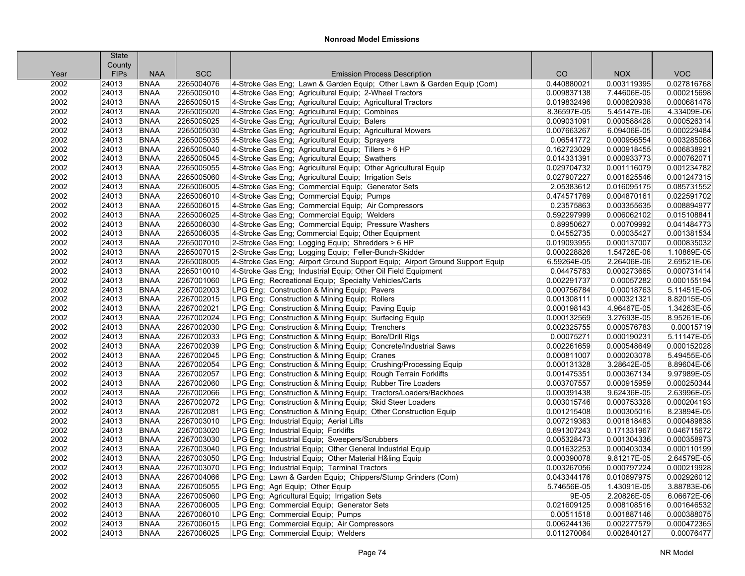|      | <b>State</b> |             |            |                                                                              |             |             |             |
|------|--------------|-------------|------------|------------------------------------------------------------------------------|-------------|-------------|-------------|
|      | County       |             |            |                                                                              |             |             |             |
| Year | <b>FIPs</b>  | <b>NAA</b>  | <b>SCC</b> | <b>Emission Process Description</b>                                          | CO          | <b>NOX</b>  | <b>VOC</b>  |
| 2002 | 24013        | <b>BNAA</b> | 2265004076 | 4-Stroke Gas Eng; Lawn & Garden Equip; Other Lawn & Garden Equip (Com)       | 0.440880021 | 0.003119395 | 0.027816768 |
| 2002 | 24013        | <b>BNAA</b> | 2265005010 | 4-Stroke Gas Eng; Agricultural Equip; 2-Wheel Tractors                       | 0.009837138 | 7.44606E-05 | 0.000215698 |
| 2002 | 24013        | <b>BNAA</b> | 2265005015 | 4-Stroke Gas Eng; Agricultural Equip; Agricultural Tractors                  | 0.019832496 | 0.000820938 | 0.000681478 |
| 2002 | 24013        | <b>BNAA</b> | 2265005020 | 4-Stroke Gas Eng; Agricultural Equip; Combines                               | 8.36597E-05 | 5.45147E-06 | 4.33409E-06 |
| 2002 | 24013        | <b>BNAA</b> | 2265005025 | 4-Stroke Gas Eng; Agricultural Equip; Balers                                 | 0.009031091 | 0.000588428 | 0.000526314 |
| 2002 | 24013        | <b>BNAA</b> | 2265005030 | 4-Stroke Gas Eng; Agricultural Equip; Agricultural Mowers                    | 0.007663267 | 6.09406E-05 | 0.000229484 |
| 2002 | 24013        | <b>BNAA</b> | 2265005035 | 4-Stroke Gas Eng; Agricultural Equip; Sprayers                               | 0.06541772  | 0.000956554 | 0.003285068 |
| 2002 | 24013        | <b>BNAA</b> | 2265005040 | 4-Stroke Gas Eng; Agricultural Equip; Tillers > 6 HP                         | 0.162723029 | 0.000918455 | 0.006838921 |
| 2002 | 24013        | <b>BNAA</b> | 2265005045 | 4-Stroke Gas Eng; Agricultural Equip; Swathers                               | 0.014331391 | 0.000933773 | 0.000762071 |
| 2002 | 24013        | <b>BNAA</b> | 2265005055 | 4-Stroke Gas Eng; Agricultural Equip; Other Agricultural Equip               | 0.029704732 | 0.001116079 | 0.001234782 |
| 2002 | 24013        | <b>BNAA</b> | 2265005060 | 4-Stroke Gas Eng; Agricultural Equip; Irrigation Sets                        | 0.027907227 | 0.001625546 | 0.001247315 |
| 2002 | 24013        | <b>BNAA</b> | 2265006005 | 4-Stroke Gas Eng; Commercial Equip; Generator Sets                           | 2.05383612  | 0.016095175 | 0.085731552 |
| 2002 | 24013        | <b>BNAA</b> | 2265006010 | 4-Stroke Gas Eng; Commercial Equip; Pumps                                    | 0.474571769 | 0.004870161 | 0.022591702 |
| 2002 | 24013        | <b>BNAA</b> | 2265006015 | 4-Stroke Gas Eng; Commercial Equip; Air Compressors                          | 0.23575863  | 0.003355635 | 0.008894977 |
| 2002 | 24013        | <b>BNAA</b> | 2265006025 | 4-Stroke Gas Eng: Commercial Equip: Welders                                  | 0.592297999 | 0.006062102 | 0.015108841 |
| 2002 | 24013        | <b>BNAA</b> | 2265006030 | 4-Stroke Gas Eng; Commercial Equip; Pressure Washers                         | 0.89950627  | 0.00709992  | 0.041484773 |
| 2002 | 24013        | <b>BNAA</b> | 2265006035 | 4-Stroke Gas Eng; Commercial Equip; Other Equipment                          | 0.04552735  | 0.00035427  | 0.001381534 |
| 2002 | 24013        | <b>BNAA</b> | 2265007010 | 2-Stroke Gas Eng; Logging Equip; Shredders > 6 HP                            | 0.019093955 | 0.000137007 | 0.000835032 |
| 2002 | 24013        | <b>BNAA</b> | 2265007015 | 2-Stroke Gas Eng; Logging Equip; Feller-Bunch-Skidder                        | 0.000228826 | 1.54726E-06 | 1.10869E-05 |
| 2002 | 24013        | <b>BNAA</b> | 2265008005 | 4-Stroke Gas Eng; Airport Ground Support Equip; Airport Ground Support Equip | 6.59264E-05 | 2.26406E-06 | 2.69521E-06 |
| 2002 | 24013        | <b>BNAA</b> | 2265010010 | 4-Stroke Gas Eng; Industrial Equip; Other Oil Field Equipment                | 0.04475783  | 0.000273665 | 0.000731414 |
| 2002 | 24013        | <b>BNAA</b> | 2267001060 | LPG Eng; Recreational Equip; Specialty Vehicles/Carts                        | 0.002291737 | 0.00057282  | 0.000155194 |
| 2002 | 24013        | <b>BNAA</b> | 2267002003 | LPG Eng; Construction & Mining Equip; Pavers                                 | 0.000756784 | 0.00018763  | 5.11451E-05 |
| 2002 | 24013        | <b>BNAA</b> | 2267002015 | LPG Eng; Construction & Mining Equip; Rollers                                | 0.001308111 | 0.000321321 | 8.82015E-05 |
| 2002 | 24013        | <b>BNAA</b> | 2267002021 | LPG Eng; Construction & Mining Equip; Paving Equip                           | 0.000198143 | 4.96467E-05 | 1.34263E-05 |
| 2002 | 24013        | <b>BNAA</b> | 2267002024 | LPG Eng; Construction & Mining Equip; Surfacing Equip                        | 0.000132569 | 3.27693E-05 | 8.95261E-06 |
| 2002 | 24013        | <b>BNAA</b> | 2267002030 | LPG Eng; Construction & Mining Equip; Trenchers                              | 0.002325755 | 0.000576783 | 0.00015719  |
| 2002 | 24013        | <b>BNAA</b> | 2267002033 | LPG Eng; Construction & Mining Equip; Bore/Drill Rigs                        | 0.00075271  | 0.000190231 | 5.11147E-05 |
| 2002 | 24013        | <b>BNAA</b> | 2267002039 | LPG Eng; Construction & Mining Equip; Concrete/Industrial Saws               | 0.002261659 | 0.000548649 | 0.000152028 |
| 2002 | 24013        | <b>BNAA</b> | 2267002045 | LPG Eng; Construction & Mining Equip; Cranes                                 | 0.000811007 | 0.000203078 | 5.49455E-05 |
| 2002 | 24013        | <b>BNAA</b> | 2267002054 | LPG Eng; Construction & Mining Equip; Crushing/Processing Equip              | 0.000131328 | 3.28642E-05 | 8.89604E-06 |
| 2002 | 24013        | <b>BNAA</b> | 2267002057 | LPG Eng; Construction & Mining Equip; Rough Terrain Forklifts                | 0.001475351 | 0.000367134 | 9.97989E-05 |
| 2002 | 24013        | <b>BNAA</b> | 2267002060 | LPG Eng; Construction & Mining Equip; Rubber Tire Loaders                    | 0.003707557 | 0.000915959 | 0.000250344 |
| 2002 | 24013        | <b>BNAA</b> | 2267002066 | LPG Eng; Construction & Mining Equip; Tractors/Loaders/Backhoes              | 0.000391438 | 9.62436E-05 | 2.63996E-05 |
| 2002 | 24013        | <b>BNAA</b> | 2267002072 | LPG Eng; Construction & Mining Equip; Skid Steer Loaders                     | 0.003015746 | 0.000753328 | 0.000204193 |
| 2002 | 24013        | <b>BNAA</b> | 2267002081 | LPG Eng; Construction & Mining Equip; Other Construction Equip               | 0.001215408 | 0.000305016 | 8.23894E-05 |
| 2002 | 24013        | <b>BNAA</b> | 2267003010 | LPG Eng; Industrial Equip; Aerial Lifts                                      | 0.007219363 | 0.001818483 | 0.000489838 |
| 2002 | 24013        | <b>BNAA</b> | 2267003020 | LPG Eng; Industrial Equip; Forklifts                                         | 0.691307243 | 0.171331967 | 0.046715672 |
| 2002 | 24013        | <b>BNAA</b> | 2267003030 | LPG Eng; Industrial Equip; Sweepers/Scrubbers                                | 0.005328473 | 0.001304336 | 0.000358973 |
| 2002 | 24013        | <b>BNAA</b> | 2267003040 | LPG Eng; Industrial Equip; Other General Industrial Equip                    | 0.001632253 | 0.000403034 | 0.000110199 |
| 2002 | 24013        | <b>BNAA</b> | 2267003050 | LPG Eng; Industrial Equip; Other Material H&ling Equip                       | 0.000390078 | 9.81217E-05 | 2.64579E-05 |
| 2002 | 24013        | <b>BNAA</b> | 2267003070 | LPG Eng; Industrial Equip; Terminal Tractors                                 | 0.003267056 | 0.000797224 | 0.000219928 |
| 2002 | 24013        | <b>BNAA</b> | 2267004066 | LPG Eng; Lawn & Garden Equip; Chippers/Stump Grinders (Com)                  | 0.043344176 | 0.010697975 | 0.002926012 |
| 2002 | 24013        | <b>BNAA</b> | 2267005055 | LPG Eng; Agri Equip; Other Equip                                             | 5.74656E-05 | 1.43091E-05 | 3.88783E-06 |
| 2002 | 24013        | <b>BNAA</b> | 2267005060 | LPG Eng; Agricultural Equip; Irrigation Sets                                 | 9E-05       | 2.20826E-05 | 6.06672E-06 |
| 2002 | 24013        | <b>BNAA</b> | 2267006005 | LPG Eng; Commercial Equip; Generator Sets                                    | 0.021609125 | 0.008108516 | 0.001646532 |
| 2002 | 24013        | <b>BNAA</b> | 2267006010 | LPG Eng; Commercial Equip; Pumps                                             | 0.00511518  | 0.001887146 | 0.000388075 |
| 2002 | 24013        | <b>BNAA</b> | 2267006015 | LPG Eng; Commercial Equip; Air Compressors                                   | 0.006244136 | 0.002277579 | 0.000472365 |
| 2002 | 24013        | <b>BNAA</b> | 2267006025 | LPG Eng; Commercial Equip; Welders                                           | 0.011270064 | 0.002840127 | 0.00076477  |
|      |              |             |            |                                                                              |             |             |             |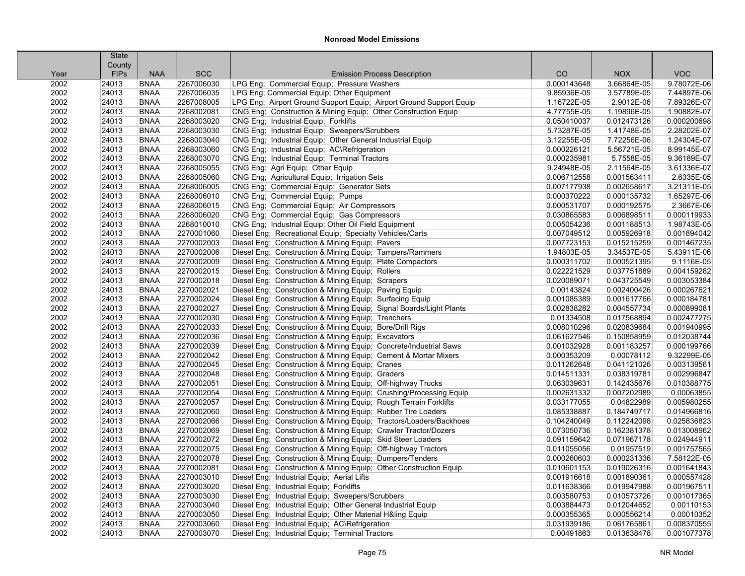|      | <b>State</b> |             |            |                                                                     |             |             |             |
|------|--------------|-------------|------------|---------------------------------------------------------------------|-------------|-------------|-------------|
|      | County       |             |            |                                                                     |             |             |             |
| Year | <b>FIPS</b>  | <b>NAA</b>  | <b>SCC</b> | <b>Emission Process Description</b>                                 | CO          | <b>NOX</b>  | <b>VOC</b>  |
| 2002 | 24013        | <b>BNAA</b> | 2267006030 | LPG Eng; Commercial Equip; Pressure Washers                         | 0.000143648 | 3.66864E-05 | 9.78072E-06 |
| 2002 | 24013        | <b>BNAA</b> | 2267006035 | LPG Eng; Commercial Equip; Other Equipment                          | 9.85936E-05 | 3.57789E-05 | 7.44897E-06 |
| 2002 | 24013        | <b>BNAA</b> | 2267008005 | LPG Eng; Airport Ground Support Equip; Airport Ground Support Equip | 1.16722E-05 | 2.9012E-06  | 7.89326E-07 |
| 2002 | 24013        | <b>BNAA</b> | 2268002081 | CNG Eng; Construction & Mining Equip; Other Construction Equip      | 4.77755E-05 | 1.19896E-05 | 1.90882E-07 |
| 2002 | 24013        | <b>BNAA</b> | 2268003020 | CNG Eng; Industrial Equip; Forklifts                                | 0.050410037 | 0.012473126 | 0.000200698 |
| 2002 | 24013        | <b>BNAA</b> | 2268003030 | CNG Eng; Industrial Equip; Sweepers/Scrubbers                       | 5.73287E-05 | 1.41748E-05 | 2.28202E-07 |
| 2002 | 24013        | <b>BNAA</b> | 2268003040 | CNG Eng; Industrial Equip; Other General Industrial Equip           | 3.12255E-05 | 7.72256E-06 | 1.24304E-07 |
| 2002 | 24013        | <b>BNAA</b> | 2268003060 | CNG Eng; Industrial Equip; AC\Refrigeration                         | 0.000226121 | 5.56721E-05 | 8.99145E-07 |
| 2002 | 24013        | <b>BNAA</b> | 2268003070 | CNG Eng; Industrial Equip; Terminal Tractors                        | 0.000235981 | 5.7558E-05  | 9.36189E-07 |
| 2002 | 24013        | <b>BNAA</b> | 2268005055 | CNG Eng; Agri Equip; Other Equip                                    | 9.24948E-05 | 2.11564E-05 | 3.61336E-07 |
| 2002 | 24013        | <b>BNAA</b> | 2268005060 | CNG Eng; Agricultural Equip; Irrigation Sets                        | 0.006712558 | 0.001563411 | 2.6335E-05  |
| 2002 | 24013        | <b>BNAA</b> | 2268006005 | CNG Eng; Commercial Equip; Generator Sets                           | 0.007177938 | 0.002658617 | 3.21311E-05 |
| 2002 | 24013        | <b>BNAA</b> | 2268006010 | CNG Eng; Commercial Equip; Pumps                                    | 0.000370222 | 0.000135732 | 1.65297E-06 |
| 2002 | 24013        | <b>BNAA</b> | 2268006015 | CNG Eng; Commercial Equip; Air Compressors                          | 0.000531707 | 0.000192575 | 2.3667E-06  |
| 2002 | 24013        | <b>BNAA</b> | 2268006020 | CNG Eng; Commercial Equip; Gas Compressors                          | 0.030865583 | 0.006898511 | 0.000119933 |
| 2002 | 24013        | <b>BNAA</b> | 2268010010 | CNG Eng; Industrial Equip; Other Oil Field Equipment                | 0.005054236 | 0.001188513 | 1.98743E-05 |
| 2002 | 24013        | <b>BNAA</b> | 2270001060 | Diesel Eng; Recreational Equip; Specialty Vehicles/Carts            | 0.007049512 | 0.005926918 | 0.001894042 |
| 2002 | 24013        | <b>BNAA</b> | 2270002003 | Diesel Eng; Construction & Mining Equip; Pavers                     | 0.007723153 | 0.015215259 | 0.001467235 |
| 2002 | 24013        | <b>BNAA</b> | 2270002006 | Diesel Eng; Construction & Mining Equip; Tampers/Rammers            | 1.94803E-05 | 3.34537E-05 | 5.43911E-06 |
| 2002 | 24013        | <b>BNAA</b> | 2270002009 | Diesel Eng; Construction & Mining Equip; Plate Compactors           | 0.000311702 | 0.000521395 | 9.1116E-05  |
| 2002 | 24013        | <b>BNAA</b> | 2270002015 | Diesel Eng; Construction & Mining Equip; Rollers                    | 0.022221529 | 0.037751889 | 0.004159282 |
| 2002 | 24013        | <b>BNAA</b> | 2270002018 | Diesel Eng; Construction & Mining Equip; Scrapers                   | 0.020089071 | 0.043725549 | 0.003053384 |
| 2002 | 24013        | <b>BNAA</b> | 2270002021 | Diesel Eng; Construction & Mining Equip; Paving Equip               | 0.00143824  | 0.002400426 | 0.000267621 |
| 2002 | 24013        | <b>BNAA</b> | 2270002024 | Diesel Eng; Construction & Mining Equip; Surfacing Equip            | 0.001085389 | 0.001617766 | 0.000184781 |
| 2002 | 24013        | <b>BNAA</b> | 2270002027 | Diesel Eng; Construction & Mining Equip; Signal Boards/Light Plants | 0.002838282 | 0.004557734 | 0.000899081 |
| 2002 | 24013        | <b>BNAA</b> | 2270002030 | Diesel Eng; Construction & Mining Equip; Trenchers                  | 0.01334508  | 0.017568894 | 0.002477275 |
| 2002 | 24013        | <b>BNAA</b> | 2270002033 | Diesel Eng; Construction & Mining Equip; Bore/Drill Rigs            | 0.008010296 | 0.020839684 | 0.001940995 |
| 2002 | 24013        | <b>BNAA</b> | 2270002036 | Diesel Eng; Construction & Mining Equip; Excavators                 | 0.061627546 | 0.150858959 | 0.012038744 |
| 2002 | 24013        | <b>BNAA</b> | 2270002039 | Diesel Eng; Construction & Mining Equip; Concrete/Industrial Saws   | 0.001032928 | 0.001183257 | 0.000199766 |
| 2002 | 24013        | <b>BNAA</b> | 2270002042 | Diesel Eng; Construction & Mining Equip; Cement & Mortar Mixers     | 0.000353209 | 0.00078112  | 9.32299E-05 |
| 2002 | 24013        | <b>BNAA</b> | 2270002045 | Diesel Eng; Construction & Mining Equip; Cranes                     | 0.011262648 | 0.041121026 | 0.003139561 |
| 2002 | 24013        | <b>BNAA</b> | 2270002048 | Diesel Eng; Construction & Mining Equip; Graders                    | 0.014511331 | 0.038319781 | 0.002996847 |
| 2002 | 24013        | <b>BNAA</b> | 2270002051 | Diesel Eng; Construction & Mining Equip; Off-highway Trucks         | 0.063039631 | 0.142435676 | 0.010388775 |
| 2002 | 24013        | <b>BNAA</b> | 2270002054 | Diesel Eng; Construction & Mining Equip; Crushing/Processing Equip  | 0.002631332 | 0.007202989 | 0.00063855  |
| 2002 | 24013        | <b>BNAA</b> | 2270002057 | Diesel Eng; Construction & Mining Equip; Rough Terrain Forklifts    | 0.033177055 | 0.04822989  | 0.005980255 |
| 2002 | 24013        | <b>BNAA</b> | 2270002060 | Diesel Eng; Construction & Mining Equip; Rubber Tire Loaders        | 0.085338887 | 0.184749717 | 0.014966816 |
| 2002 | 24013        | <b>BNAA</b> | 2270002066 | Diesel Eng; Construction & Mining Equip; Tractors/Loaders/Backhoes  | 0.104240049 | 0.112242098 | 0.025836823 |
| 2002 | 24013        | <b>BNAA</b> | 2270002069 | Diesel Eng; Construction & Mining Equip; Crawler Tractor/Dozers     | 0.073050736 | 0.162381378 | 0.013008962 |
| 2002 | 24013        | <b>BNAA</b> | 2270002072 | Diesel Eng; Construction & Mining Equip; Skid Steer Loaders         | 0.091159642 | 0.071967178 | 0.024944911 |
| 2002 | 24013        | <b>BNAA</b> | 2270002075 | Diesel Eng; Construction & Mining Equip; Off-highway Tractors       | 0.011055056 | 0.01957519  | 0.001757565 |
| 2002 | 24013        | <b>BNAA</b> | 2270002078 | Diesel Eng; Construction & Mining Equip; Dumpers/Tenders            | 0.000260603 | 0.000231336 | 7.58122E-05 |
| 2002 | 24013        | <b>BNAA</b> | 2270002081 | Diesel Eng; Construction & Mining Equip; Other Construction Equip   | 0.010601153 | 0.019026316 | 0.001641843 |
| 2002 | 24013        | <b>BNAA</b> | 2270003010 | Diesel Eng; Industrial Equip; Aerial Lifts                          | 0.001916618 | 0.001890361 | 0.000557428 |
| 2002 | 24013        | <b>BNAA</b> | 2270003020 | Diesel Eng; Industrial Equip; Forklifts                             | 0.011638366 | 0.019947988 | 0.001967511 |
| 2002 | 24013        | <b>BNAA</b> | 2270003030 | Diesel Eng; Industrial Equip; Sweepers/Scrubbers                    | 0.003580753 | 0.010573726 | 0.001017365 |
| 2002 | 24013        | <b>BNAA</b> | 2270003040 | Diesel Eng; Industrial Equip; Other General Industrial Equip        | 0.003884473 | 0.012044652 | 0.00110153  |
| 2002 | 24013        | <b>BNAA</b> | 2270003050 | Diesel Eng: Industrial Equip: Other Material H&ling Equip           | 0.000355365 | 0.000556214 | 0.00010352  |
| 2002 | 24013        | <b>BNAA</b> | 2270003060 | Diesel Eng; Industrial Equip; AC\Refrigeration                      | 0.031939186 | 0.061765861 | 0.008370555 |
| 2002 | 24013        | <b>BNAA</b> | 2270003070 | Diesel Eng; Industrial Equip; Terminal Tractors                     | 0.00491863  | 0.013638478 | 0.001077378 |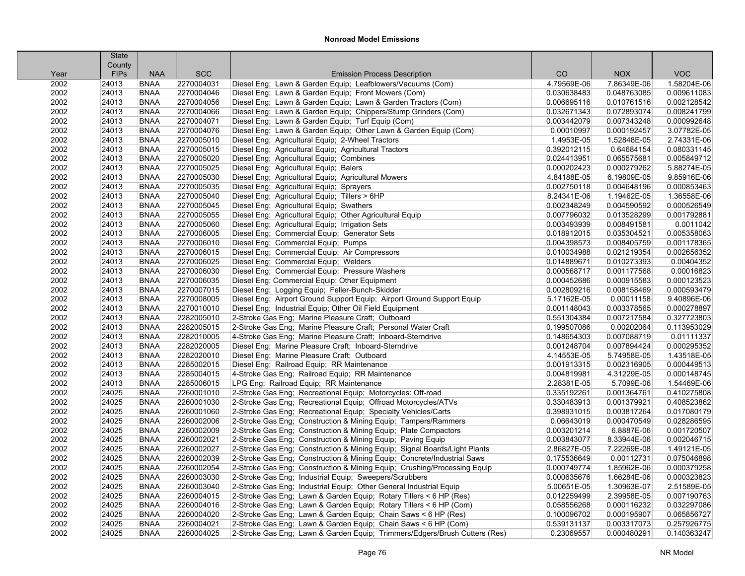| County<br><b>VOC</b><br><b>FIPs</b><br><b>NAA</b><br><b>SCC</b><br><b>Emission Process Description</b><br>CO<br><b>NOX</b><br>Year<br>2002<br><b>BNAA</b><br>2270004031<br>Diesel Eng; Lawn & Garden Equip; Leafblowers/Vacuums (Com)<br>1.58204E-06<br>24013<br>4.79569E-06<br>7.86349E-06<br>24013<br><b>BNAA</b><br>2270004046<br>Diesel Eng; Lawn & Garden Equip; Front Mowers (Com)<br>0.048763085<br>0.009611083<br>2002<br>0.030638483<br>0.002128542<br>2002<br>24013<br><b>BNAA</b><br>2270004056<br>Diesel Eng; Lawn & Garden Equip; Lawn & Garden Tractors (Com)<br>0.006695116<br>0.010761516<br>Diesel Eng; Lawn & Garden Equip; Chippers/Stump Grinders (Com)<br>2002<br>24013<br><b>BNAA</b><br>2270004066<br>0.032671343<br>0.072893074<br>0.008241799<br>Diesel Eng; Lawn & Garden Equip; Turf Equip (Com)<br>0.000992648<br>2002<br>24013<br><b>BNAA</b><br>2270004071<br>0.003442079<br>0.007343248<br>2270004076<br>Diesel Eng; Lawn & Garden Equip; Other Lawn & Garden Equip (Com)<br>3.07782E-05<br>2002<br>24013<br><b>BNAA</b><br>0.00010997<br>0.000192457<br>2002<br>24013<br><b>BNAA</b><br>2270005010<br>Diesel Eng; Agricultural Equip; 2-Wheel Tractors<br>1.4953E-05<br>1.52848E-05<br>2.74331E-06<br>2002<br>24013<br>2270005015<br>Diesel Eng; Agricultural Equip; Agricultural Tractors<br>0.392012115<br>0.64684154<br>0.080331145<br><b>BNAA</b><br>2270005020<br>Diesel Eng; Agricultural Equip; Combines<br>0.065575681<br>0.005849712<br>2002<br>24013<br><b>BNAA</b><br>0.024413951<br>2002<br>24013<br><b>BNAA</b><br>2270005025<br>Diesel Eng; Agricultural Equip; Balers<br>0.000202423<br>0.000279262<br>5.88274E-05<br>2002<br>24013<br>2270005030<br>Diesel Eng; Agricultural Equip; Agricultural Mowers<br>4.84188E-05<br>6.19809E-05<br>9.85916E-06<br><b>BNAA</b><br>Diesel Eng; Agricultural Equip; Sprayers<br>2002<br>24013<br><b>BNAA</b><br>2270005035<br>0.002750118<br>0.004648196<br>0.000853463<br>Diesel Eng; Agricultural Equip; Tillers > 6HP<br>1.36558E-06<br>2002<br>24013<br><b>BNAA</b><br>2270005040<br>8.24341E-06<br>1.19462E-05<br>2002<br>24013<br>2270005045<br>Diesel Eng; Agricultural Equip; Swathers<br>0.002348249<br>0.004590592<br>0.000526549<br><b>BNAA</b><br>2270005055<br>Diesel Eng; Agricultural Equip; Other Agricultural Equip<br>0.013528299<br>0.001792881<br>2002<br>24013<br><b>BNAA</b><br>0.007796032<br>2270005060<br>Diesel Eng; Agricultural Equip; Irrigation Sets<br>0.0011042<br>2002<br>24013<br><b>BNAA</b><br>0.003493939<br>0.008491581<br>2002<br>24013<br><b>BNAA</b><br>2270006005<br>Diesel Eng; Commercial Equip; Generator Sets<br>0.018912015<br>0.035304521<br>0.005358063<br>24013<br>2270006010<br>Diesel Eng; Commercial Equip; Pumps<br>0.001178365<br>2002<br><b>BNAA</b><br>0.004398573<br>0.008405759<br>2002<br>24013<br>2270006015<br>Diesel Eng; Commercial Equip; Air Compressors<br>0.021219354<br>0.002656352<br><b>BNAA</b><br>0.010034988<br>24013<br>2270006025<br>Diesel Eng; Commercial Equip; Welders<br>0.00404352<br>2002<br><b>BNAA</b><br>0.014889671<br>0.010273393<br>2270006030<br>Diesel Eng; Commercial Equip; Pressure Washers<br>0.00016823<br>2002<br>24013<br><b>BNAA</b><br>0.000568717<br>0.001177568<br>2270006035<br>Diesel Eng; Commercial Equip; Other Equipment<br>0.000123523<br>2002<br>24013<br><b>BNAA</b><br>0.000452686<br>0.000915583<br>2002<br>24013<br>2270007015<br>Diesel Eng; Logging Equip; Feller-Bunch-Skidder<br>0.000593479<br><b>BNAA</b><br>0.002809216<br>0.008158469<br>2002<br>24013<br><b>BNAA</b><br>2270008005<br>Diesel Eng; Airport Ground Support Equip; Airport Ground Support Equip<br>9.40896E-06<br>5.17162E-05<br>0.00011158<br>24013<br>2270010010<br>Diesel Eng; Industrial Equip; Other Oil Field Equipment<br>0.000278897<br>2002<br><b>BNAA</b><br>0.001148043<br>0.003378565<br>2002<br>24013<br>2282005010<br>2-Stroke Gas Eng; Marine Pleasure Craft; Outboard<br>0.327723803<br><b>BNAA</b><br>0.551304384<br>0.007217584<br>24013<br>2282005015<br>2-Stroke Gas Eng; Marine Pleasure Craft; Personal Water Craft<br>0.113953029<br>2002<br><b>BNAA</b><br>0.199507086<br>0.00202064<br>2282010005<br>2002<br>24013<br><b>BNAA</b><br>4-Stroke Gas Eng; Marine Pleasure Craft; Inboard-Sterndrive<br>0.148654303<br>0.007088719<br>0.01111337<br>2282020005<br>2002<br>24013<br><b>BNAA</b><br>Diesel Eng; Marine Pleasure Craft; Inboard-Sterndrive<br>0.001248704<br>0.007894424<br>0.000295352<br>2002<br>24013<br>BNAA<br>2282020010<br>Diesel Eng; Marine Pleasure Craft; Outboard<br>5.74958E-05<br>1.43518E-05<br>4.14553E-05<br>2002<br>24013<br>2285002015<br>0.000449513<br><b>BNAA</b><br>Diesel Eng; Railroad Equip; RR Maintenance<br>0.001913315<br>0.002316905<br>2002<br>24013<br>2285004015<br>4-Stroke Gas Eng; Railroad Equip; RR Maintenance<br>4.31229E-05<br>0.000148745<br><b>BNAA</b><br>0.004819981<br>2285006015<br>LPG Eng; Railroad Equip; RR Maintenance<br>5.7099E-06<br>1.54469E-06<br>2002<br>24013<br><b>BNAA</b><br>2.28381E-05<br>24025<br>2260001010<br>2-Stroke Gas Eng; Recreational Equip; Motorcycles: Off-road<br>0.410275808<br>2002<br><b>BNAA</b><br>0.335192261<br>0.001364761<br>0.408523862<br>2002<br>24025<br><b>BNAA</b><br>2260001030<br>2-Stroke Gas Eng; Recreational Equip; Offroad Motorcycles/ATVs<br>0.330483913<br>0.001379921<br>2002<br>24025<br><b>BNAA</b><br>2260001060<br>2-Stroke Gas Eng; Recreational Equip; Specialty Vehicles/Carts<br>0.398931015<br>0.003817264<br>0.017080179<br>2260002006<br>0.028286595<br>2002<br>24025<br><b>BNAA</b><br>2-Stroke Gas Eng; Construction & Mining Equip; Tampers/Rammers<br>0.06643019<br>0.000470549<br>2260002009<br>2002<br>24025<br><b>BNAA</b><br>2-Stroke Gas Eng; Construction & Mining Equip; Plate Compactors<br>0.003201214<br>6.8887E-06<br>0.001720507<br>2002<br>24025<br>2260002021<br>2-Stroke Gas Eng; Construction & Mining Equip; Paving Equip<br>8.33944E-06<br>0.002046715<br><b>BNAA</b><br>0.003843077<br>24025<br>2260002027<br>2-Stroke Gas Eng; Construction & Mining Equip; Signal Boards/Light Plants<br>1.49121E-05<br>2002<br><b>BNAA</b><br>2.86827E-05<br>7.22269E-08<br>2-Stroke Gas Eng; Construction & Mining Equip; Concrete/Industrial Saws<br>0.075046898<br>2002<br>24025<br><b>BNAA</b><br>2260002039<br>0.175536649<br>0.00112731<br>2002<br>24025<br>2260002054<br>2-Stroke Gas Eng; Construction & Mining Equip; Crushing/Processing Equip<br>1.85962E-06<br>0.000379258<br><b>BNAA</b><br>0.000749774<br>24025<br>2260003030<br>2-Stroke Gas Eng; Industrial Equip; Sweepers/Scrubbers<br>1.66284E-06<br>0.000323823<br>2002<br><b>BNAA</b><br>0.000635676<br>2.51589E-05<br>2002<br>24025<br><b>BNAA</b><br>2260003040<br>2-Stroke Gas Eng; Industrial Equip; Other General Industrial Equip<br>5.00651E-05<br>1.30963E-07<br>2002<br>24025<br><b>BNAA</b><br>2260004015<br>2-Stroke Gas Eng; Lawn & Garden Equip; Rotary Tillers < 6 HP (Res)<br>2.39958E-05<br>0.007190763<br>0.012259499<br>2260004016<br>2-Stroke Gas Eng; Lawn & Garden Equip; Rotary Tillers < 6 HP (Com)<br>0.032297086<br>2002<br>24025<br><b>BNAA</b><br>0.058556268<br>0.000116232<br>0.065856727<br>2002<br>24025<br><b>BNAA</b><br>2260004020<br>2-Stroke Gas Eng; Lawn & Garden Equip; Chain Saws < 6 HP (Res)<br>0.100096702<br>0.000195907<br>24025<br>2260004021<br>2-Stroke Gas Eng; Lawn & Garden Equip; Chain Saws < 6 HP (Com)<br>0.257926775<br>2002<br><b>BNAA</b><br>0.539131137<br>0.003317073<br>24025<br><b>BNAA</b><br>2260004025<br>2-Stroke Gas Eng; Lawn & Garden Equip; Trimmers/Edgers/Brush Cutters (Res)<br>0.23069557<br>0.000480291<br>0.140363247<br>2002 | <b>State</b> |  |  |  |
|---------------------------------------------------------------------------------------------------------------------------------------------------------------------------------------------------------------------------------------------------------------------------------------------------------------------------------------------------------------------------------------------------------------------------------------------------------------------------------------------------------------------------------------------------------------------------------------------------------------------------------------------------------------------------------------------------------------------------------------------------------------------------------------------------------------------------------------------------------------------------------------------------------------------------------------------------------------------------------------------------------------------------------------------------------------------------------------------------------------------------------------------------------------------------------------------------------------------------------------------------------------------------------------------------------------------------------------------------------------------------------------------------------------------------------------------------------------------------------------------------------------------------------------------------------------------------------------------------------------------------------------------------------------------------------------------------------------------------------------------------------------------------------------------------------------------------------------------------------------------------------------------------------------------------------------------------------------------------------------------------------------------------------------------------------------------------------------------------------------------------------------------------------------------------------------------------------------------------------------------------------------------------------------------------------------------------------------------------------------------------------------------------------------------------------------------------------------------------------------------------------------------------------------------------------------------------------------------------------------------------------------------------------------------------------------------------------------------------------------------------------------------------------------------------------------------------------------------------------------------------------------------------------------------------------------------------------------------------------------------------------------------------------------------------------------------------------------------------------------------------------------------------------------------------------------------------------------------------------------------------------------------------------------------------------------------------------------------------------------------------------------------------------------------------------------------------------------------------------------------------------------------------------------------------------------------------------------------------------------------------------------------------------------------------------------------------------------------------------------------------------------------------------------------------------------------------------------------------------------------------------------------------------------------------------------------------------------------------------------------------------------------------------------------------------------------------------------------------------------------------------------------------------------------------------------------------------------------------------------------------------------------------------------------------------------------------------------------------------------------------------------------------------------------------------------------------------------------------------------------------------------------------------------------------------------------------------------------------------------------------------------------------------------------------------------------------------------------------------------------------------------------------------------------------------------------------------------------------------------------------------------------------------------------------------------------------------------------------------------------------------------------------------------------------------------------------------------------------------------------------------------------------------------------------------------------------------------------------------------------------------------------------------------------------------------------------------------------------------------------------------------------------------------------------------------------------------------------------------------------------------------------------------------------------------------------------------------------------------------------------------------------------------------------------------------------------------------------------------------------------------------------------------------------------------------------------------------------------------------------------------------------------------------------------------------------------------------------------------------------------------------------------------------------------------------------------------------------------------------------------------------------------------------------------------------------------------------------------------------------------------------------------------------------------------------------------------------------------------------------------------------------------------------------------------------------------------------------------------------------------------------------------------------------------------------------------------------------------------------------------------------------------------------------------------------------------------------------------------------------------------------------------------------------------------------------------------------------------------------------------------------------------------------------------------------------------------------------------------------------------------------------------------------------------------------------------------------------------------------------------------------------------------------------------------------------------------------------------------------------------------------------------------------------------------------------------------------------------------------------------------------------------------------------------------------------------------------------------------------------------------------------------------------------------------------------------------------------------------------------------------------------------------------------------------------------------------------------------|--------------|--|--|--|
|                                                                                                                                                                                                                                                                                                                                                                                                                                                                                                                                                                                                                                                                                                                                                                                                                                                                                                                                                                                                                                                                                                                                                                                                                                                                                                                                                                                                                                                                                                                                                                                                                                                                                                                                                                                                                                                                                                                                                                                                                                                                                                                                                                                                                                                                                                                                                                                                                                                                                                                                                                                                                                                                                                                                                                                                                                                                                                                                                                                                                                                                                                                                                                                                                                                                                                                                                                                                                                                                                                                                                                                                                                                                                                                                                                                                                                                                                                                                                                                                                                                                                                                                                                                                                                                                                                                                                                                                                                                                                                                                                                                                                                                                                                                                                                                                                                                                                                                                                                                                                                                                                                                                                                                                                                                                                                                                                                                                                                                                                                                                                                                                                                                                                                                                                                                                                                                                                                                                                                                                                                                                                                                                                                                                                                                                                                                                                                                                                                                                                                                                                                                                                                                                                                                                                                                                                                                                                                                                                                                                                                                                                                                                                                                                                                                                                                                                                                                                                                                                                                                                                                                                                                                                                                                           |              |  |  |  |
|                                                                                                                                                                                                                                                                                                                                                                                                                                                                                                                                                                                                                                                                                                                                                                                                                                                                                                                                                                                                                                                                                                                                                                                                                                                                                                                                                                                                                                                                                                                                                                                                                                                                                                                                                                                                                                                                                                                                                                                                                                                                                                                                                                                                                                                                                                                                                                                                                                                                                                                                                                                                                                                                                                                                                                                                                                                                                                                                                                                                                                                                                                                                                                                                                                                                                                                                                                                                                                                                                                                                                                                                                                                                                                                                                                                                                                                                                                                                                                                                                                                                                                                                                                                                                                                                                                                                                                                                                                                                                                                                                                                                                                                                                                                                                                                                                                                                                                                                                                                                                                                                                                                                                                                                                                                                                                                                                                                                                                                                                                                                                                                                                                                                                                                                                                                                                                                                                                                                                                                                                                                                                                                                                                                                                                                                                                                                                                                                                                                                                                                                                                                                                                                                                                                                                                                                                                                                                                                                                                                                                                                                                                                                                                                                                                                                                                                                                                                                                                                                                                                                                                                                                                                                                                                           |              |  |  |  |
|                                                                                                                                                                                                                                                                                                                                                                                                                                                                                                                                                                                                                                                                                                                                                                                                                                                                                                                                                                                                                                                                                                                                                                                                                                                                                                                                                                                                                                                                                                                                                                                                                                                                                                                                                                                                                                                                                                                                                                                                                                                                                                                                                                                                                                                                                                                                                                                                                                                                                                                                                                                                                                                                                                                                                                                                                                                                                                                                                                                                                                                                                                                                                                                                                                                                                                                                                                                                                                                                                                                                                                                                                                                                                                                                                                                                                                                                                                                                                                                                                                                                                                                                                                                                                                                                                                                                                                                                                                                                                                                                                                                                                                                                                                                                                                                                                                                                                                                                                                                                                                                                                                                                                                                                                                                                                                                                                                                                                                                                                                                                                                                                                                                                                                                                                                                                                                                                                                                                                                                                                                                                                                                                                                                                                                                                                                                                                                                                                                                                                                                                                                                                                                                                                                                                                                                                                                                                                                                                                                                                                                                                                                                                                                                                                                                                                                                                                                                                                                                                                                                                                                                                                                                                                                                           |              |  |  |  |
|                                                                                                                                                                                                                                                                                                                                                                                                                                                                                                                                                                                                                                                                                                                                                                                                                                                                                                                                                                                                                                                                                                                                                                                                                                                                                                                                                                                                                                                                                                                                                                                                                                                                                                                                                                                                                                                                                                                                                                                                                                                                                                                                                                                                                                                                                                                                                                                                                                                                                                                                                                                                                                                                                                                                                                                                                                                                                                                                                                                                                                                                                                                                                                                                                                                                                                                                                                                                                                                                                                                                                                                                                                                                                                                                                                                                                                                                                                                                                                                                                                                                                                                                                                                                                                                                                                                                                                                                                                                                                                                                                                                                                                                                                                                                                                                                                                                                                                                                                                                                                                                                                                                                                                                                                                                                                                                                                                                                                                                                                                                                                                                                                                                                                                                                                                                                                                                                                                                                                                                                                                                                                                                                                                                                                                                                                                                                                                                                                                                                                                                                                                                                                                                                                                                                                                                                                                                                                                                                                                                                                                                                                                                                                                                                                                                                                                                                                                                                                                                                                                                                                                                                                                                                                                                           |              |  |  |  |
|                                                                                                                                                                                                                                                                                                                                                                                                                                                                                                                                                                                                                                                                                                                                                                                                                                                                                                                                                                                                                                                                                                                                                                                                                                                                                                                                                                                                                                                                                                                                                                                                                                                                                                                                                                                                                                                                                                                                                                                                                                                                                                                                                                                                                                                                                                                                                                                                                                                                                                                                                                                                                                                                                                                                                                                                                                                                                                                                                                                                                                                                                                                                                                                                                                                                                                                                                                                                                                                                                                                                                                                                                                                                                                                                                                                                                                                                                                                                                                                                                                                                                                                                                                                                                                                                                                                                                                                                                                                                                                                                                                                                                                                                                                                                                                                                                                                                                                                                                                                                                                                                                                                                                                                                                                                                                                                                                                                                                                                                                                                                                                                                                                                                                                                                                                                                                                                                                                                                                                                                                                                                                                                                                                                                                                                                                                                                                                                                                                                                                                                                                                                                                                                                                                                                                                                                                                                                                                                                                                                                                                                                                                                                                                                                                                                                                                                                                                                                                                                                                                                                                                                                                                                                                                                           |              |  |  |  |
|                                                                                                                                                                                                                                                                                                                                                                                                                                                                                                                                                                                                                                                                                                                                                                                                                                                                                                                                                                                                                                                                                                                                                                                                                                                                                                                                                                                                                                                                                                                                                                                                                                                                                                                                                                                                                                                                                                                                                                                                                                                                                                                                                                                                                                                                                                                                                                                                                                                                                                                                                                                                                                                                                                                                                                                                                                                                                                                                                                                                                                                                                                                                                                                                                                                                                                                                                                                                                                                                                                                                                                                                                                                                                                                                                                                                                                                                                                                                                                                                                                                                                                                                                                                                                                                                                                                                                                                                                                                                                                                                                                                                                                                                                                                                                                                                                                                                                                                                                                                                                                                                                                                                                                                                                                                                                                                                                                                                                                                                                                                                                                                                                                                                                                                                                                                                                                                                                                                                                                                                                                                                                                                                                                                                                                                                                                                                                                                                                                                                                                                                                                                                                                                                                                                                                                                                                                                                                                                                                                                                                                                                                                                                                                                                                                                                                                                                                                                                                                                                                                                                                                                                                                                                                                                           |              |  |  |  |
|                                                                                                                                                                                                                                                                                                                                                                                                                                                                                                                                                                                                                                                                                                                                                                                                                                                                                                                                                                                                                                                                                                                                                                                                                                                                                                                                                                                                                                                                                                                                                                                                                                                                                                                                                                                                                                                                                                                                                                                                                                                                                                                                                                                                                                                                                                                                                                                                                                                                                                                                                                                                                                                                                                                                                                                                                                                                                                                                                                                                                                                                                                                                                                                                                                                                                                                                                                                                                                                                                                                                                                                                                                                                                                                                                                                                                                                                                                                                                                                                                                                                                                                                                                                                                                                                                                                                                                                                                                                                                                                                                                                                                                                                                                                                                                                                                                                                                                                                                                                                                                                                                                                                                                                                                                                                                                                                                                                                                                                                                                                                                                                                                                                                                                                                                                                                                                                                                                                                                                                                                                                                                                                                                                                                                                                                                                                                                                                                                                                                                                                                                                                                                                                                                                                                                                                                                                                                                                                                                                                                                                                                                                                                                                                                                                                                                                                                                                                                                                                                                                                                                                                                                                                                                                                           |              |  |  |  |
|                                                                                                                                                                                                                                                                                                                                                                                                                                                                                                                                                                                                                                                                                                                                                                                                                                                                                                                                                                                                                                                                                                                                                                                                                                                                                                                                                                                                                                                                                                                                                                                                                                                                                                                                                                                                                                                                                                                                                                                                                                                                                                                                                                                                                                                                                                                                                                                                                                                                                                                                                                                                                                                                                                                                                                                                                                                                                                                                                                                                                                                                                                                                                                                                                                                                                                                                                                                                                                                                                                                                                                                                                                                                                                                                                                                                                                                                                                                                                                                                                                                                                                                                                                                                                                                                                                                                                                                                                                                                                                                                                                                                                                                                                                                                                                                                                                                                                                                                                                                                                                                                                                                                                                                                                                                                                                                                                                                                                                                                                                                                                                                                                                                                                                                                                                                                                                                                                                                                                                                                                                                                                                                                                                                                                                                                                                                                                                                                                                                                                                                                                                                                                                                                                                                                                                                                                                                                                                                                                                                                                                                                                                                                                                                                                                                                                                                                                                                                                                                                                                                                                                                                                                                                                                                           |              |  |  |  |
|                                                                                                                                                                                                                                                                                                                                                                                                                                                                                                                                                                                                                                                                                                                                                                                                                                                                                                                                                                                                                                                                                                                                                                                                                                                                                                                                                                                                                                                                                                                                                                                                                                                                                                                                                                                                                                                                                                                                                                                                                                                                                                                                                                                                                                                                                                                                                                                                                                                                                                                                                                                                                                                                                                                                                                                                                                                                                                                                                                                                                                                                                                                                                                                                                                                                                                                                                                                                                                                                                                                                                                                                                                                                                                                                                                                                                                                                                                                                                                                                                                                                                                                                                                                                                                                                                                                                                                                                                                                                                                                                                                                                                                                                                                                                                                                                                                                                                                                                                                                                                                                                                                                                                                                                                                                                                                                                                                                                                                                                                                                                                                                                                                                                                                                                                                                                                                                                                                                                                                                                                                                                                                                                                                                                                                                                                                                                                                                                                                                                                                                                                                                                                                                                                                                                                                                                                                                                                                                                                                                                                                                                                                                                                                                                                                                                                                                                                                                                                                                                                                                                                                                                                                                                                                                           |              |  |  |  |
|                                                                                                                                                                                                                                                                                                                                                                                                                                                                                                                                                                                                                                                                                                                                                                                                                                                                                                                                                                                                                                                                                                                                                                                                                                                                                                                                                                                                                                                                                                                                                                                                                                                                                                                                                                                                                                                                                                                                                                                                                                                                                                                                                                                                                                                                                                                                                                                                                                                                                                                                                                                                                                                                                                                                                                                                                                                                                                                                                                                                                                                                                                                                                                                                                                                                                                                                                                                                                                                                                                                                                                                                                                                                                                                                                                                                                                                                                                                                                                                                                                                                                                                                                                                                                                                                                                                                                                                                                                                                                                                                                                                                                                                                                                                                                                                                                                                                                                                                                                                                                                                                                                                                                                                                                                                                                                                                                                                                                                                                                                                                                                                                                                                                                                                                                                                                                                                                                                                                                                                                                                                                                                                                                                                                                                                                                                                                                                                                                                                                                                                                                                                                                                                                                                                                                                                                                                                                                                                                                                                                                                                                                                                                                                                                                                                                                                                                                                                                                                                                                                                                                                                                                                                                                                                           |              |  |  |  |
|                                                                                                                                                                                                                                                                                                                                                                                                                                                                                                                                                                                                                                                                                                                                                                                                                                                                                                                                                                                                                                                                                                                                                                                                                                                                                                                                                                                                                                                                                                                                                                                                                                                                                                                                                                                                                                                                                                                                                                                                                                                                                                                                                                                                                                                                                                                                                                                                                                                                                                                                                                                                                                                                                                                                                                                                                                                                                                                                                                                                                                                                                                                                                                                                                                                                                                                                                                                                                                                                                                                                                                                                                                                                                                                                                                                                                                                                                                                                                                                                                                                                                                                                                                                                                                                                                                                                                                                                                                                                                                                                                                                                                                                                                                                                                                                                                                                                                                                                                                                                                                                                                                                                                                                                                                                                                                                                                                                                                                                                                                                                                                                                                                                                                                                                                                                                                                                                                                                                                                                                                                                                                                                                                                                                                                                                                                                                                                                                                                                                                                                                                                                                                                                                                                                                                                                                                                                                                                                                                                                                                                                                                                                                                                                                                                                                                                                                                                                                                                                                                                                                                                                                                                                                                                                           |              |  |  |  |
|                                                                                                                                                                                                                                                                                                                                                                                                                                                                                                                                                                                                                                                                                                                                                                                                                                                                                                                                                                                                                                                                                                                                                                                                                                                                                                                                                                                                                                                                                                                                                                                                                                                                                                                                                                                                                                                                                                                                                                                                                                                                                                                                                                                                                                                                                                                                                                                                                                                                                                                                                                                                                                                                                                                                                                                                                                                                                                                                                                                                                                                                                                                                                                                                                                                                                                                                                                                                                                                                                                                                                                                                                                                                                                                                                                                                                                                                                                                                                                                                                                                                                                                                                                                                                                                                                                                                                                                                                                                                                                                                                                                                                                                                                                                                                                                                                                                                                                                                                                                                                                                                                                                                                                                                                                                                                                                                                                                                                                                                                                                                                                                                                                                                                                                                                                                                                                                                                                                                                                                                                                                                                                                                                                                                                                                                                                                                                                                                                                                                                                                                                                                                                                                                                                                                                                                                                                                                                                                                                                                                                                                                                                                                                                                                                                                                                                                                                                                                                                                                                                                                                                                                                                                                                                                           |              |  |  |  |
|                                                                                                                                                                                                                                                                                                                                                                                                                                                                                                                                                                                                                                                                                                                                                                                                                                                                                                                                                                                                                                                                                                                                                                                                                                                                                                                                                                                                                                                                                                                                                                                                                                                                                                                                                                                                                                                                                                                                                                                                                                                                                                                                                                                                                                                                                                                                                                                                                                                                                                                                                                                                                                                                                                                                                                                                                                                                                                                                                                                                                                                                                                                                                                                                                                                                                                                                                                                                                                                                                                                                                                                                                                                                                                                                                                                                                                                                                                                                                                                                                                                                                                                                                                                                                                                                                                                                                                                                                                                                                                                                                                                                                                                                                                                                                                                                                                                                                                                                                                                                                                                                                                                                                                                                                                                                                                                                                                                                                                                                                                                                                                                                                                                                                                                                                                                                                                                                                                                                                                                                                                                                                                                                                                                                                                                                                                                                                                                                                                                                                                                                                                                                                                                                                                                                                                                                                                                                                                                                                                                                                                                                                                                                                                                                                                                                                                                                                                                                                                                                                                                                                                                                                                                                                                                           |              |  |  |  |
|                                                                                                                                                                                                                                                                                                                                                                                                                                                                                                                                                                                                                                                                                                                                                                                                                                                                                                                                                                                                                                                                                                                                                                                                                                                                                                                                                                                                                                                                                                                                                                                                                                                                                                                                                                                                                                                                                                                                                                                                                                                                                                                                                                                                                                                                                                                                                                                                                                                                                                                                                                                                                                                                                                                                                                                                                                                                                                                                                                                                                                                                                                                                                                                                                                                                                                                                                                                                                                                                                                                                                                                                                                                                                                                                                                                                                                                                                                                                                                                                                                                                                                                                                                                                                                                                                                                                                                                                                                                                                                                                                                                                                                                                                                                                                                                                                                                                                                                                                                                                                                                                                                                                                                                                                                                                                                                                                                                                                                                                                                                                                                                                                                                                                                                                                                                                                                                                                                                                                                                                                                                                                                                                                                                                                                                                                                                                                                                                                                                                                                                                                                                                                                                                                                                                                                                                                                                                                                                                                                                                                                                                                                                                                                                                                                                                                                                                                                                                                                                                                                                                                                                                                                                                                                                           |              |  |  |  |
|                                                                                                                                                                                                                                                                                                                                                                                                                                                                                                                                                                                                                                                                                                                                                                                                                                                                                                                                                                                                                                                                                                                                                                                                                                                                                                                                                                                                                                                                                                                                                                                                                                                                                                                                                                                                                                                                                                                                                                                                                                                                                                                                                                                                                                                                                                                                                                                                                                                                                                                                                                                                                                                                                                                                                                                                                                                                                                                                                                                                                                                                                                                                                                                                                                                                                                                                                                                                                                                                                                                                                                                                                                                                                                                                                                                                                                                                                                                                                                                                                                                                                                                                                                                                                                                                                                                                                                                                                                                                                                                                                                                                                                                                                                                                                                                                                                                                                                                                                                                                                                                                                                                                                                                                                                                                                                                                                                                                                                                                                                                                                                                                                                                                                                                                                                                                                                                                                                                                                                                                                                                                                                                                                                                                                                                                                                                                                                                                                                                                                                                                                                                                                                                                                                                                                                                                                                                                                                                                                                                                                                                                                                                                                                                                                                                                                                                                                                                                                                                                                                                                                                                                                                                                                                                           |              |  |  |  |
|                                                                                                                                                                                                                                                                                                                                                                                                                                                                                                                                                                                                                                                                                                                                                                                                                                                                                                                                                                                                                                                                                                                                                                                                                                                                                                                                                                                                                                                                                                                                                                                                                                                                                                                                                                                                                                                                                                                                                                                                                                                                                                                                                                                                                                                                                                                                                                                                                                                                                                                                                                                                                                                                                                                                                                                                                                                                                                                                                                                                                                                                                                                                                                                                                                                                                                                                                                                                                                                                                                                                                                                                                                                                                                                                                                                                                                                                                                                                                                                                                                                                                                                                                                                                                                                                                                                                                                                                                                                                                                                                                                                                                                                                                                                                                                                                                                                                                                                                                                                                                                                                                                                                                                                                                                                                                                                                                                                                                                                                                                                                                                                                                                                                                                                                                                                                                                                                                                                                                                                                                                                                                                                                                                                                                                                                                                                                                                                                                                                                                                                                                                                                                                                                                                                                                                                                                                                                                                                                                                                                                                                                                                                                                                                                                                                                                                                                                                                                                                                                                                                                                                                                                                                                                                                           |              |  |  |  |
|                                                                                                                                                                                                                                                                                                                                                                                                                                                                                                                                                                                                                                                                                                                                                                                                                                                                                                                                                                                                                                                                                                                                                                                                                                                                                                                                                                                                                                                                                                                                                                                                                                                                                                                                                                                                                                                                                                                                                                                                                                                                                                                                                                                                                                                                                                                                                                                                                                                                                                                                                                                                                                                                                                                                                                                                                                                                                                                                                                                                                                                                                                                                                                                                                                                                                                                                                                                                                                                                                                                                                                                                                                                                                                                                                                                                                                                                                                                                                                                                                                                                                                                                                                                                                                                                                                                                                                                                                                                                                                                                                                                                                                                                                                                                                                                                                                                                                                                                                                                                                                                                                                                                                                                                                                                                                                                                                                                                                                                                                                                                                                                                                                                                                                                                                                                                                                                                                                                                                                                                                                                                                                                                                                                                                                                                                                                                                                                                                                                                                                                                                                                                                                                                                                                                                                                                                                                                                                                                                                                                                                                                                                                                                                                                                                                                                                                                                                                                                                                                                                                                                                                                                                                                                                                           |              |  |  |  |
|                                                                                                                                                                                                                                                                                                                                                                                                                                                                                                                                                                                                                                                                                                                                                                                                                                                                                                                                                                                                                                                                                                                                                                                                                                                                                                                                                                                                                                                                                                                                                                                                                                                                                                                                                                                                                                                                                                                                                                                                                                                                                                                                                                                                                                                                                                                                                                                                                                                                                                                                                                                                                                                                                                                                                                                                                                                                                                                                                                                                                                                                                                                                                                                                                                                                                                                                                                                                                                                                                                                                                                                                                                                                                                                                                                                                                                                                                                                                                                                                                                                                                                                                                                                                                                                                                                                                                                                                                                                                                                                                                                                                                                                                                                                                                                                                                                                                                                                                                                                                                                                                                                                                                                                                                                                                                                                                                                                                                                                                                                                                                                                                                                                                                                                                                                                                                                                                                                                                                                                                                                                                                                                                                                                                                                                                                                                                                                                                                                                                                                                                                                                                                                                                                                                                                                                                                                                                                                                                                                                                                                                                                                                                                                                                                                                                                                                                                                                                                                                                                                                                                                                                                                                                                                                           |              |  |  |  |
|                                                                                                                                                                                                                                                                                                                                                                                                                                                                                                                                                                                                                                                                                                                                                                                                                                                                                                                                                                                                                                                                                                                                                                                                                                                                                                                                                                                                                                                                                                                                                                                                                                                                                                                                                                                                                                                                                                                                                                                                                                                                                                                                                                                                                                                                                                                                                                                                                                                                                                                                                                                                                                                                                                                                                                                                                                                                                                                                                                                                                                                                                                                                                                                                                                                                                                                                                                                                                                                                                                                                                                                                                                                                                                                                                                                                                                                                                                                                                                                                                                                                                                                                                                                                                                                                                                                                                                                                                                                                                                                                                                                                                                                                                                                                                                                                                                                                                                                                                                                                                                                                                                                                                                                                                                                                                                                                                                                                                                                                                                                                                                                                                                                                                                                                                                                                                                                                                                                                                                                                                                                                                                                                                                                                                                                                                                                                                                                                                                                                                                                                                                                                                                                                                                                                                                                                                                                                                                                                                                                                                                                                                                                                                                                                                                                                                                                                                                                                                                                                                                                                                                                                                                                                                                                           |              |  |  |  |
|                                                                                                                                                                                                                                                                                                                                                                                                                                                                                                                                                                                                                                                                                                                                                                                                                                                                                                                                                                                                                                                                                                                                                                                                                                                                                                                                                                                                                                                                                                                                                                                                                                                                                                                                                                                                                                                                                                                                                                                                                                                                                                                                                                                                                                                                                                                                                                                                                                                                                                                                                                                                                                                                                                                                                                                                                                                                                                                                                                                                                                                                                                                                                                                                                                                                                                                                                                                                                                                                                                                                                                                                                                                                                                                                                                                                                                                                                                                                                                                                                                                                                                                                                                                                                                                                                                                                                                                                                                                                                                                                                                                                                                                                                                                                                                                                                                                                                                                                                                                                                                                                                                                                                                                                                                                                                                                                                                                                                                                                                                                                                                                                                                                                                                                                                                                                                                                                                                                                                                                                                                                                                                                                                                                                                                                                                                                                                                                                                                                                                                                                                                                                                                                                                                                                                                                                                                                                                                                                                                                                                                                                                                                                                                                                                                                                                                                                                                                                                                                                                                                                                                                                                                                                                                                           |              |  |  |  |
|                                                                                                                                                                                                                                                                                                                                                                                                                                                                                                                                                                                                                                                                                                                                                                                                                                                                                                                                                                                                                                                                                                                                                                                                                                                                                                                                                                                                                                                                                                                                                                                                                                                                                                                                                                                                                                                                                                                                                                                                                                                                                                                                                                                                                                                                                                                                                                                                                                                                                                                                                                                                                                                                                                                                                                                                                                                                                                                                                                                                                                                                                                                                                                                                                                                                                                                                                                                                                                                                                                                                                                                                                                                                                                                                                                                                                                                                                                                                                                                                                                                                                                                                                                                                                                                                                                                                                                                                                                                                                                                                                                                                                                                                                                                                                                                                                                                                                                                                                                                                                                                                                                                                                                                                                                                                                                                                                                                                                                                                                                                                                                                                                                                                                                                                                                                                                                                                                                                                                                                                                                                                                                                                                                                                                                                                                                                                                                                                                                                                                                                                                                                                                                                                                                                                                                                                                                                                                                                                                                                                                                                                                                                                                                                                                                                                                                                                                                                                                                                                                                                                                                                                                                                                                                                           |              |  |  |  |
|                                                                                                                                                                                                                                                                                                                                                                                                                                                                                                                                                                                                                                                                                                                                                                                                                                                                                                                                                                                                                                                                                                                                                                                                                                                                                                                                                                                                                                                                                                                                                                                                                                                                                                                                                                                                                                                                                                                                                                                                                                                                                                                                                                                                                                                                                                                                                                                                                                                                                                                                                                                                                                                                                                                                                                                                                                                                                                                                                                                                                                                                                                                                                                                                                                                                                                                                                                                                                                                                                                                                                                                                                                                                                                                                                                                                                                                                                                                                                                                                                                                                                                                                                                                                                                                                                                                                                                                                                                                                                                                                                                                                                                                                                                                                                                                                                                                                                                                                                                                                                                                                                                                                                                                                                                                                                                                                                                                                                                                                                                                                                                                                                                                                                                                                                                                                                                                                                                                                                                                                                                                                                                                                                                                                                                                                                                                                                                                                                                                                                                                                                                                                                                                                                                                                                                                                                                                                                                                                                                                                                                                                                                                                                                                                                                                                                                                                                                                                                                                                                                                                                                                                                                                                                                                           |              |  |  |  |
|                                                                                                                                                                                                                                                                                                                                                                                                                                                                                                                                                                                                                                                                                                                                                                                                                                                                                                                                                                                                                                                                                                                                                                                                                                                                                                                                                                                                                                                                                                                                                                                                                                                                                                                                                                                                                                                                                                                                                                                                                                                                                                                                                                                                                                                                                                                                                                                                                                                                                                                                                                                                                                                                                                                                                                                                                                                                                                                                                                                                                                                                                                                                                                                                                                                                                                                                                                                                                                                                                                                                                                                                                                                                                                                                                                                                                                                                                                                                                                                                                                                                                                                                                                                                                                                                                                                                                                                                                                                                                                                                                                                                                                                                                                                                                                                                                                                                                                                                                                                                                                                                                                                                                                                                                                                                                                                                                                                                                                                                                                                                                                                                                                                                                                                                                                                                                                                                                                                                                                                                                                                                                                                                                                                                                                                                                                                                                                                                                                                                                                                                                                                                                                                                                                                                                                                                                                                                                                                                                                                                                                                                                                                                                                                                                                                                                                                                                                                                                                                                                                                                                                                                                                                                                                                           |              |  |  |  |
|                                                                                                                                                                                                                                                                                                                                                                                                                                                                                                                                                                                                                                                                                                                                                                                                                                                                                                                                                                                                                                                                                                                                                                                                                                                                                                                                                                                                                                                                                                                                                                                                                                                                                                                                                                                                                                                                                                                                                                                                                                                                                                                                                                                                                                                                                                                                                                                                                                                                                                                                                                                                                                                                                                                                                                                                                                                                                                                                                                                                                                                                                                                                                                                                                                                                                                                                                                                                                                                                                                                                                                                                                                                                                                                                                                                                                                                                                                                                                                                                                                                                                                                                                                                                                                                                                                                                                                                                                                                                                                                                                                                                                                                                                                                                                                                                                                                                                                                                                                                                                                                                                                                                                                                                                                                                                                                                                                                                                                                                                                                                                                                                                                                                                                                                                                                                                                                                                                                                                                                                                                                                                                                                                                                                                                                                                                                                                                                                                                                                                                                                                                                                                                                                                                                                                                                                                                                                                                                                                                                                                                                                                                                                                                                                                                                                                                                                                                                                                                                                                                                                                                                                                                                                                                                           |              |  |  |  |
|                                                                                                                                                                                                                                                                                                                                                                                                                                                                                                                                                                                                                                                                                                                                                                                                                                                                                                                                                                                                                                                                                                                                                                                                                                                                                                                                                                                                                                                                                                                                                                                                                                                                                                                                                                                                                                                                                                                                                                                                                                                                                                                                                                                                                                                                                                                                                                                                                                                                                                                                                                                                                                                                                                                                                                                                                                                                                                                                                                                                                                                                                                                                                                                                                                                                                                                                                                                                                                                                                                                                                                                                                                                                                                                                                                                                                                                                                                                                                                                                                                                                                                                                                                                                                                                                                                                                                                                                                                                                                                                                                                                                                                                                                                                                                                                                                                                                                                                                                                                                                                                                                                                                                                                                                                                                                                                                                                                                                                                                                                                                                                                                                                                                                                                                                                                                                                                                                                                                                                                                                                                                                                                                                                                                                                                                                                                                                                                                                                                                                                                                                                                                                                                                                                                                                                                                                                                                                                                                                                                                                                                                                                                                                                                                                                                                                                                                                                                                                                                                                                                                                                                                                                                                                                                           |              |  |  |  |
|                                                                                                                                                                                                                                                                                                                                                                                                                                                                                                                                                                                                                                                                                                                                                                                                                                                                                                                                                                                                                                                                                                                                                                                                                                                                                                                                                                                                                                                                                                                                                                                                                                                                                                                                                                                                                                                                                                                                                                                                                                                                                                                                                                                                                                                                                                                                                                                                                                                                                                                                                                                                                                                                                                                                                                                                                                                                                                                                                                                                                                                                                                                                                                                                                                                                                                                                                                                                                                                                                                                                                                                                                                                                                                                                                                                                                                                                                                                                                                                                                                                                                                                                                                                                                                                                                                                                                                                                                                                                                                                                                                                                                                                                                                                                                                                                                                                                                                                                                                                                                                                                                                                                                                                                                                                                                                                                                                                                                                                                                                                                                                                                                                                                                                                                                                                                                                                                                                                                                                                                                                                                                                                                                                                                                                                                                                                                                                                                                                                                                                                                                                                                                                                                                                                                                                                                                                                                                                                                                                                                                                                                                                                                                                                                                                                                                                                                                                                                                                                                                                                                                                                                                                                                                                                           |              |  |  |  |
|                                                                                                                                                                                                                                                                                                                                                                                                                                                                                                                                                                                                                                                                                                                                                                                                                                                                                                                                                                                                                                                                                                                                                                                                                                                                                                                                                                                                                                                                                                                                                                                                                                                                                                                                                                                                                                                                                                                                                                                                                                                                                                                                                                                                                                                                                                                                                                                                                                                                                                                                                                                                                                                                                                                                                                                                                                                                                                                                                                                                                                                                                                                                                                                                                                                                                                                                                                                                                                                                                                                                                                                                                                                                                                                                                                                                                                                                                                                                                                                                                                                                                                                                                                                                                                                                                                                                                                                                                                                                                                                                                                                                                                                                                                                                                                                                                                                                                                                                                                                                                                                                                                                                                                                                                                                                                                                                                                                                                                                                                                                                                                                                                                                                                                                                                                                                                                                                                                                                                                                                                                                                                                                                                                                                                                                                                                                                                                                                                                                                                                                                                                                                                                                                                                                                                                                                                                                                                                                                                                                                                                                                                                                                                                                                                                                                                                                                                                                                                                                                                                                                                                                                                                                                                                                           |              |  |  |  |
|                                                                                                                                                                                                                                                                                                                                                                                                                                                                                                                                                                                                                                                                                                                                                                                                                                                                                                                                                                                                                                                                                                                                                                                                                                                                                                                                                                                                                                                                                                                                                                                                                                                                                                                                                                                                                                                                                                                                                                                                                                                                                                                                                                                                                                                                                                                                                                                                                                                                                                                                                                                                                                                                                                                                                                                                                                                                                                                                                                                                                                                                                                                                                                                                                                                                                                                                                                                                                                                                                                                                                                                                                                                                                                                                                                                                                                                                                                                                                                                                                                                                                                                                                                                                                                                                                                                                                                                                                                                                                                                                                                                                                                                                                                                                                                                                                                                                                                                                                                                                                                                                                                                                                                                                                                                                                                                                                                                                                                                                                                                                                                                                                                                                                                                                                                                                                                                                                                                                                                                                                                                                                                                                                                                                                                                                                                                                                                                                                                                                                                                                                                                                                                                                                                                                                                                                                                                                                                                                                                                                                                                                                                                                                                                                                                                                                                                                                                                                                                                                                                                                                                                                                                                                                                                           |              |  |  |  |
|                                                                                                                                                                                                                                                                                                                                                                                                                                                                                                                                                                                                                                                                                                                                                                                                                                                                                                                                                                                                                                                                                                                                                                                                                                                                                                                                                                                                                                                                                                                                                                                                                                                                                                                                                                                                                                                                                                                                                                                                                                                                                                                                                                                                                                                                                                                                                                                                                                                                                                                                                                                                                                                                                                                                                                                                                                                                                                                                                                                                                                                                                                                                                                                                                                                                                                                                                                                                                                                                                                                                                                                                                                                                                                                                                                                                                                                                                                                                                                                                                                                                                                                                                                                                                                                                                                                                                                                                                                                                                                                                                                                                                                                                                                                                                                                                                                                                                                                                                                                                                                                                                                                                                                                                                                                                                                                                                                                                                                                                                                                                                                                                                                                                                                                                                                                                                                                                                                                                                                                                                                                                                                                                                                                                                                                                                                                                                                                                                                                                                                                                                                                                                                                                                                                                                                                                                                                                                                                                                                                                                                                                                                                                                                                                                                                                                                                                                                                                                                                                                                                                                                                                                                                                                                                           |              |  |  |  |
|                                                                                                                                                                                                                                                                                                                                                                                                                                                                                                                                                                                                                                                                                                                                                                                                                                                                                                                                                                                                                                                                                                                                                                                                                                                                                                                                                                                                                                                                                                                                                                                                                                                                                                                                                                                                                                                                                                                                                                                                                                                                                                                                                                                                                                                                                                                                                                                                                                                                                                                                                                                                                                                                                                                                                                                                                                                                                                                                                                                                                                                                                                                                                                                                                                                                                                                                                                                                                                                                                                                                                                                                                                                                                                                                                                                                                                                                                                                                                                                                                                                                                                                                                                                                                                                                                                                                                                                                                                                                                                                                                                                                                                                                                                                                                                                                                                                                                                                                                                                                                                                                                                                                                                                                                                                                                                                                                                                                                                                                                                                                                                                                                                                                                                                                                                                                                                                                                                                                                                                                                                                                                                                                                                                                                                                                                                                                                                                                                                                                                                                                                                                                                                                                                                                                                                                                                                                                                                                                                                                                                                                                                                                                                                                                                                                                                                                                                                                                                                                                                                                                                                                                                                                                                                                           |              |  |  |  |
|                                                                                                                                                                                                                                                                                                                                                                                                                                                                                                                                                                                                                                                                                                                                                                                                                                                                                                                                                                                                                                                                                                                                                                                                                                                                                                                                                                                                                                                                                                                                                                                                                                                                                                                                                                                                                                                                                                                                                                                                                                                                                                                                                                                                                                                                                                                                                                                                                                                                                                                                                                                                                                                                                                                                                                                                                                                                                                                                                                                                                                                                                                                                                                                                                                                                                                                                                                                                                                                                                                                                                                                                                                                                                                                                                                                                                                                                                                                                                                                                                                                                                                                                                                                                                                                                                                                                                                                                                                                                                                                                                                                                                                                                                                                                                                                                                                                                                                                                                                                                                                                                                                                                                                                                                                                                                                                                                                                                                                                                                                                                                                                                                                                                                                                                                                                                                                                                                                                                                                                                                                                                                                                                                                                                                                                                                                                                                                                                                                                                                                                                                                                                                                                                                                                                                                                                                                                                                                                                                                                                                                                                                                                                                                                                                                                                                                                                                                                                                                                                                                                                                                                                                                                                                                                           |              |  |  |  |
|                                                                                                                                                                                                                                                                                                                                                                                                                                                                                                                                                                                                                                                                                                                                                                                                                                                                                                                                                                                                                                                                                                                                                                                                                                                                                                                                                                                                                                                                                                                                                                                                                                                                                                                                                                                                                                                                                                                                                                                                                                                                                                                                                                                                                                                                                                                                                                                                                                                                                                                                                                                                                                                                                                                                                                                                                                                                                                                                                                                                                                                                                                                                                                                                                                                                                                                                                                                                                                                                                                                                                                                                                                                                                                                                                                                                                                                                                                                                                                                                                                                                                                                                                                                                                                                                                                                                                                                                                                                                                                                                                                                                                                                                                                                                                                                                                                                                                                                                                                                                                                                                                                                                                                                                                                                                                                                                                                                                                                                                                                                                                                                                                                                                                                                                                                                                                                                                                                                                                                                                                                                                                                                                                                                                                                                                                                                                                                                                                                                                                                                                                                                                                                                                                                                                                                                                                                                                                                                                                                                                                                                                                                                                                                                                                                                                                                                                                                                                                                                                                                                                                                                                                                                                                                                           |              |  |  |  |
|                                                                                                                                                                                                                                                                                                                                                                                                                                                                                                                                                                                                                                                                                                                                                                                                                                                                                                                                                                                                                                                                                                                                                                                                                                                                                                                                                                                                                                                                                                                                                                                                                                                                                                                                                                                                                                                                                                                                                                                                                                                                                                                                                                                                                                                                                                                                                                                                                                                                                                                                                                                                                                                                                                                                                                                                                                                                                                                                                                                                                                                                                                                                                                                                                                                                                                                                                                                                                                                                                                                                                                                                                                                                                                                                                                                                                                                                                                                                                                                                                                                                                                                                                                                                                                                                                                                                                                                                                                                                                                                                                                                                                                                                                                                                                                                                                                                                                                                                                                                                                                                                                                                                                                                                                                                                                                                                                                                                                                                                                                                                                                                                                                                                                                                                                                                                                                                                                                                                                                                                                                                                                                                                                                                                                                                                                                                                                                                                                                                                                                                                                                                                                                                                                                                                                                                                                                                                                                                                                                                                                                                                                                                                                                                                                                                                                                                                                                                                                                                                                                                                                                                                                                                                                                                           |              |  |  |  |
|                                                                                                                                                                                                                                                                                                                                                                                                                                                                                                                                                                                                                                                                                                                                                                                                                                                                                                                                                                                                                                                                                                                                                                                                                                                                                                                                                                                                                                                                                                                                                                                                                                                                                                                                                                                                                                                                                                                                                                                                                                                                                                                                                                                                                                                                                                                                                                                                                                                                                                                                                                                                                                                                                                                                                                                                                                                                                                                                                                                                                                                                                                                                                                                                                                                                                                                                                                                                                                                                                                                                                                                                                                                                                                                                                                                                                                                                                                                                                                                                                                                                                                                                                                                                                                                                                                                                                                                                                                                                                                                                                                                                                                                                                                                                                                                                                                                                                                                                                                                                                                                                                                                                                                                                                                                                                                                                                                                                                                                                                                                                                                                                                                                                                                                                                                                                                                                                                                                                                                                                                                                                                                                                                                                                                                                                                                                                                                                                                                                                                                                                                                                                                                                                                                                                                                                                                                                                                                                                                                                                                                                                                                                                                                                                                                                                                                                                                                                                                                                                                                                                                                                                                                                                                                                           |              |  |  |  |
|                                                                                                                                                                                                                                                                                                                                                                                                                                                                                                                                                                                                                                                                                                                                                                                                                                                                                                                                                                                                                                                                                                                                                                                                                                                                                                                                                                                                                                                                                                                                                                                                                                                                                                                                                                                                                                                                                                                                                                                                                                                                                                                                                                                                                                                                                                                                                                                                                                                                                                                                                                                                                                                                                                                                                                                                                                                                                                                                                                                                                                                                                                                                                                                                                                                                                                                                                                                                                                                                                                                                                                                                                                                                                                                                                                                                                                                                                                                                                                                                                                                                                                                                                                                                                                                                                                                                                                                                                                                                                                                                                                                                                                                                                                                                                                                                                                                                                                                                                                                                                                                                                                                                                                                                                                                                                                                                                                                                                                                                                                                                                                                                                                                                                                                                                                                                                                                                                                                                                                                                                                                                                                                                                                                                                                                                                                                                                                                                                                                                                                                                                                                                                                                                                                                                                                                                                                                                                                                                                                                                                                                                                                                                                                                                                                                                                                                                                                                                                                                                                                                                                                                                                                                                                                                           |              |  |  |  |
|                                                                                                                                                                                                                                                                                                                                                                                                                                                                                                                                                                                                                                                                                                                                                                                                                                                                                                                                                                                                                                                                                                                                                                                                                                                                                                                                                                                                                                                                                                                                                                                                                                                                                                                                                                                                                                                                                                                                                                                                                                                                                                                                                                                                                                                                                                                                                                                                                                                                                                                                                                                                                                                                                                                                                                                                                                                                                                                                                                                                                                                                                                                                                                                                                                                                                                                                                                                                                                                                                                                                                                                                                                                                                                                                                                                                                                                                                                                                                                                                                                                                                                                                                                                                                                                                                                                                                                                                                                                                                                                                                                                                                                                                                                                                                                                                                                                                                                                                                                                                                                                                                                                                                                                                                                                                                                                                                                                                                                                                                                                                                                                                                                                                                                                                                                                                                                                                                                                                                                                                                                                                                                                                                                                                                                                                                                                                                                                                                                                                                                                                                                                                                                                                                                                                                                                                                                                                                                                                                                                                                                                                                                                                                                                                                                                                                                                                                                                                                                                                                                                                                                                                                                                                                                                           |              |  |  |  |
|                                                                                                                                                                                                                                                                                                                                                                                                                                                                                                                                                                                                                                                                                                                                                                                                                                                                                                                                                                                                                                                                                                                                                                                                                                                                                                                                                                                                                                                                                                                                                                                                                                                                                                                                                                                                                                                                                                                                                                                                                                                                                                                                                                                                                                                                                                                                                                                                                                                                                                                                                                                                                                                                                                                                                                                                                                                                                                                                                                                                                                                                                                                                                                                                                                                                                                                                                                                                                                                                                                                                                                                                                                                                                                                                                                                                                                                                                                                                                                                                                                                                                                                                                                                                                                                                                                                                                                                                                                                                                                                                                                                                                                                                                                                                                                                                                                                                                                                                                                                                                                                                                                                                                                                                                                                                                                                                                                                                                                                                                                                                                                                                                                                                                                                                                                                                                                                                                                                                                                                                                                                                                                                                                                                                                                                                                                                                                                                                                                                                                                                                                                                                                                                                                                                                                                                                                                                                                                                                                                                                                                                                                                                                                                                                                                                                                                                                                                                                                                                                                                                                                                                                                                                                                                                           |              |  |  |  |
|                                                                                                                                                                                                                                                                                                                                                                                                                                                                                                                                                                                                                                                                                                                                                                                                                                                                                                                                                                                                                                                                                                                                                                                                                                                                                                                                                                                                                                                                                                                                                                                                                                                                                                                                                                                                                                                                                                                                                                                                                                                                                                                                                                                                                                                                                                                                                                                                                                                                                                                                                                                                                                                                                                                                                                                                                                                                                                                                                                                                                                                                                                                                                                                                                                                                                                                                                                                                                                                                                                                                                                                                                                                                                                                                                                                                                                                                                                                                                                                                                                                                                                                                                                                                                                                                                                                                                                                                                                                                                                                                                                                                                                                                                                                                                                                                                                                                                                                                                                                                                                                                                                                                                                                                                                                                                                                                                                                                                                                                                                                                                                                                                                                                                                                                                                                                                                                                                                                                                                                                                                                                                                                                                                                                                                                                                                                                                                                                                                                                                                                                                                                                                                                                                                                                                                                                                                                                                                                                                                                                                                                                                                                                                                                                                                                                                                                                                                                                                                                                                                                                                                                                                                                                                                                           |              |  |  |  |
|                                                                                                                                                                                                                                                                                                                                                                                                                                                                                                                                                                                                                                                                                                                                                                                                                                                                                                                                                                                                                                                                                                                                                                                                                                                                                                                                                                                                                                                                                                                                                                                                                                                                                                                                                                                                                                                                                                                                                                                                                                                                                                                                                                                                                                                                                                                                                                                                                                                                                                                                                                                                                                                                                                                                                                                                                                                                                                                                                                                                                                                                                                                                                                                                                                                                                                                                                                                                                                                                                                                                                                                                                                                                                                                                                                                                                                                                                                                                                                                                                                                                                                                                                                                                                                                                                                                                                                                                                                                                                                                                                                                                                                                                                                                                                                                                                                                                                                                                                                                                                                                                                                                                                                                                                                                                                                                                                                                                                                                                                                                                                                                                                                                                                                                                                                                                                                                                                                                                                                                                                                                                                                                                                                                                                                                                                                                                                                                                                                                                                                                                                                                                                                                                                                                                                                                                                                                                                                                                                                                                                                                                                                                                                                                                                                                                                                                                                                                                                                                                                                                                                                                                                                                                                                                           |              |  |  |  |
|                                                                                                                                                                                                                                                                                                                                                                                                                                                                                                                                                                                                                                                                                                                                                                                                                                                                                                                                                                                                                                                                                                                                                                                                                                                                                                                                                                                                                                                                                                                                                                                                                                                                                                                                                                                                                                                                                                                                                                                                                                                                                                                                                                                                                                                                                                                                                                                                                                                                                                                                                                                                                                                                                                                                                                                                                                                                                                                                                                                                                                                                                                                                                                                                                                                                                                                                                                                                                                                                                                                                                                                                                                                                                                                                                                                                                                                                                                                                                                                                                                                                                                                                                                                                                                                                                                                                                                                                                                                                                                                                                                                                                                                                                                                                                                                                                                                                                                                                                                                                                                                                                                                                                                                                                                                                                                                                                                                                                                                                                                                                                                                                                                                                                                                                                                                                                                                                                                                                                                                                                                                                                                                                                                                                                                                                                                                                                                                                                                                                                                                                                                                                                                                                                                                                                                                                                                                                                                                                                                                                                                                                                                                                                                                                                                                                                                                                                                                                                                                                                                                                                                                                                                                                                                                           |              |  |  |  |
|                                                                                                                                                                                                                                                                                                                                                                                                                                                                                                                                                                                                                                                                                                                                                                                                                                                                                                                                                                                                                                                                                                                                                                                                                                                                                                                                                                                                                                                                                                                                                                                                                                                                                                                                                                                                                                                                                                                                                                                                                                                                                                                                                                                                                                                                                                                                                                                                                                                                                                                                                                                                                                                                                                                                                                                                                                                                                                                                                                                                                                                                                                                                                                                                                                                                                                                                                                                                                                                                                                                                                                                                                                                                                                                                                                                                                                                                                                                                                                                                                                                                                                                                                                                                                                                                                                                                                                                                                                                                                                                                                                                                                                                                                                                                                                                                                                                                                                                                                                                                                                                                                                                                                                                                                                                                                                                                                                                                                                                                                                                                                                                                                                                                                                                                                                                                                                                                                                                                                                                                                                                                                                                                                                                                                                                                                                                                                                                                                                                                                                                                                                                                                                                                                                                                                                                                                                                                                                                                                                                                                                                                                                                                                                                                                                                                                                                                                                                                                                                                                                                                                                                                                                                                                                                           |              |  |  |  |
|                                                                                                                                                                                                                                                                                                                                                                                                                                                                                                                                                                                                                                                                                                                                                                                                                                                                                                                                                                                                                                                                                                                                                                                                                                                                                                                                                                                                                                                                                                                                                                                                                                                                                                                                                                                                                                                                                                                                                                                                                                                                                                                                                                                                                                                                                                                                                                                                                                                                                                                                                                                                                                                                                                                                                                                                                                                                                                                                                                                                                                                                                                                                                                                                                                                                                                                                                                                                                                                                                                                                                                                                                                                                                                                                                                                                                                                                                                                                                                                                                                                                                                                                                                                                                                                                                                                                                                                                                                                                                                                                                                                                                                                                                                                                                                                                                                                                                                                                                                                                                                                                                                                                                                                                                                                                                                                                                                                                                                                                                                                                                                                                                                                                                                                                                                                                                                                                                                                                                                                                                                                                                                                                                                                                                                                                                                                                                                                                                                                                                                                                                                                                                                                                                                                                                                                                                                                                                                                                                                                                                                                                                                                                                                                                                                                                                                                                                                                                                                                                                                                                                                                                                                                                                                                           |              |  |  |  |
|                                                                                                                                                                                                                                                                                                                                                                                                                                                                                                                                                                                                                                                                                                                                                                                                                                                                                                                                                                                                                                                                                                                                                                                                                                                                                                                                                                                                                                                                                                                                                                                                                                                                                                                                                                                                                                                                                                                                                                                                                                                                                                                                                                                                                                                                                                                                                                                                                                                                                                                                                                                                                                                                                                                                                                                                                                                                                                                                                                                                                                                                                                                                                                                                                                                                                                                                                                                                                                                                                                                                                                                                                                                                                                                                                                                                                                                                                                                                                                                                                                                                                                                                                                                                                                                                                                                                                                                                                                                                                                                                                                                                                                                                                                                                                                                                                                                                                                                                                                                                                                                                                                                                                                                                                                                                                                                                                                                                                                                                                                                                                                                                                                                                                                                                                                                                                                                                                                                                                                                                                                                                                                                                                                                                                                                                                                                                                                                                                                                                                                                                                                                                                                                                                                                                                                                                                                                                                                                                                                                                                                                                                                                                                                                                                                                                                                                                                                                                                                                                                                                                                                                                                                                                                                                           |              |  |  |  |
|                                                                                                                                                                                                                                                                                                                                                                                                                                                                                                                                                                                                                                                                                                                                                                                                                                                                                                                                                                                                                                                                                                                                                                                                                                                                                                                                                                                                                                                                                                                                                                                                                                                                                                                                                                                                                                                                                                                                                                                                                                                                                                                                                                                                                                                                                                                                                                                                                                                                                                                                                                                                                                                                                                                                                                                                                                                                                                                                                                                                                                                                                                                                                                                                                                                                                                                                                                                                                                                                                                                                                                                                                                                                                                                                                                                                                                                                                                                                                                                                                                                                                                                                                                                                                                                                                                                                                                                                                                                                                                                                                                                                                                                                                                                                                                                                                                                                                                                                                                                                                                                                                                                                                                                                                                                                                                                                                                                                                                                                                                                                                                                                                                                                                                                                                                                                                                                                                                                                                                                                                                                                                                                                                                                                                                                                                                                                                                                                                                                                                                                                                                                                                                                                                                                                                                                                                                                                                                                                                                                                                                                                                                                                                                                                                                                                                                                                                                                                                                                                                                                                                                                                                                                                                                                           |              |  |  |  |
|                                                                                                                                                                                                                                                                                                                                                                                                                                                                                                                                                                                                                                                                                                                                                                                                                                                                                                                                                                                                                                                                                                                                                                                                                                                                                                                                                                                                                                                                                                                                                                                                                                                                                                                                                                                                                                                                                                                                                                                                                                                                                                                                                                                                                                                                                                                                                                                                                                                                                                                                                                                                                                                                                                                                                                                                                                                                                                                                                                                                                                                                                                                                                                                                                                                                                                                                                                                                                                                                                                                                                                                                                                                                                                                                                                                                                                                                                                                                                                                                                                                                                                                                                                                                                                                                                                                                                                                                                                                                                                                                                                                                                                                                                                                                                                                                                                                                                                                                                                                                                                                                                                                                                                                                                                                                                                                                                                                                                                                                                                                                                                                                                                                                                                                                                                                                                                                                                                                                                                                                                                                                                                                                                                                                                                                                                                                                                                                                                                                                                                                                                                                                                                                                                                                                                                                                                                                                                                                                                                                                                                                                                                                                                                                                                                                                                                                                                                                                                                                                                                                                                                                                                                                                                                                           |              |  |  |  |
|                                                                                                                                                                                                                                                                                                                                                                                                                                                                                                                                                                                                                                                                                                                                                                                                                                                                                                                                                                                                                                                                                                                                                                                                                                                                                                                                                                                                                                                                                                                                                                                                                                                                                                                                                                                                                                                                                                                                                                                                                                                                                                                                                                                                                                                                                                                                                                                                                                                                                                                                                                                                                                                                                                                                                                                                                                                                                                                                                                                                                                                                                                                                                                                                                                                                                                                                                                                                                                                                                                                                                                                                                                                                                                                                                                                                                                                                                                                                                                                                                                                                                                                                                                                                                                                                                                                                                                                                                                                                                                                                                                                                                                                                                                                                                                                                                                                                                                                                                                                                                                                                                                                                                                                                                                                                                                                                                                                                                                                                                                                                                                                                                                                                                                                                                                                                                                                                                                                                                                                                                                                                                                                                                                                                                                                                                                                                                                                                                                                                                                                                                                                                                                                                                                                                                                                                                                                                                                                                                                                                                                                                                                                                                                                                                                                                                                                                                                                                                                                                                                                                                                                                                                                                                                                           |              |  |  |  |
|                                                                                                                                                                                                                                                                                                                                                                                                                                                                                                                                                                                                                                                                                                                                                                                                                                                                                                                                                                                                                                                                                                                                                                                                                                                                                                                                                                                                                                                                                                                                                                                                                                                                                                                                                                                                                                                                                                                                                                                                                                                                                                                                                                                                                                                                                                                                                                                                                                                                                                                                                                                                                                                                                                                                                                                                                                                                                                                                                                                                                                                                                                                                                                                                                                                                                                                                                                                                                                                                                                                                                                                                                                                                                                                                                                                                                                                                                                                                                                                                                                                                                                                                                                                                                                                                                                                                                                                                                                                                                                                                                                                                                                                                                                                                                                                                                                                                                                                                                                                                                                                                                                                                                                                                                                                                                                                                                                                                                                                                                                                                                                                                                                                                                                                                                                                                                                                                                                                                                                                                                                                                                                                                                                                                                                                                                                                                                                                                                                                                                                                                                                                                                                                                                                                                                                                                                                                                                                                                                                                                                                                                                                                                                                                                                                                                                                                                                                                                                                                                                                                                                                                                                                                                                                                           |              |  |  |  |
|                                                                                                                                                                                                                                                                                                                                                                                                                                                                                                                                                                                                                                                                                                                                                                                                                                                                                                                                                                                                                                                                                                                                                                                                                                                                                                                                                                                                                                                                                                                                                                                                                                                                                                                                                                                                                                                                                                                                                                                                                                                                                                                                                                                                                                                                                                                                                                                                                                                                                                                                                                                                                                                                                                                                                                                                                                                                                                                                                                                                                                                                                                                                                                                                                                                                                                                                                                                                                                                                                                                                                                                                                                                                                                                                                                                                                                                                                                                                                                                                                                                                                                                                                                                                                                                                                                                                                                                                                                                                                                                                                                                                                                                                                                                                                                                                                                                                                                                                                                                                                                                                                                                                                                                                                                                                                                                                                                                                                                                                                                                                                                                                                                                                                                                                                                                                                                                                                                                                                                                                                                                                                                                                                                                                                                                                                                                                                                                                                                                                                                                                                                                                                                                                                                                                                                                                                                                                                                                                                                                                                                                                                                                                                                                                                                                                                                                                                                                                                                                                                                                                                                                                                                                                                                                           |              |  |  |  |
|                                                                                                                                                                                                                                                                                                                                                                                                                                                                                                                                                                                                                                                                                                                                                                                                                                                                                                                                                                                                                                                                                                                                                                                                                                                                                                                                                                                                                                                                                                                                                                                                                                                                                                                                                                                                                                                                                                                                                                                                                                                                                                                                                                                                                                                                                                                                                                                                                                                                                                                                                                                                                                                                                                                                                                                                                                                                                                                                                                                                                                                                                                                                                                                                                                                                                                                                                                                                                                                                                                                                                                                                                                                                                                                                                                                                                                                                                                                                                                                                                                                                                                                                                                                                                                                                                                                                                                                                                                                                                                                                                                                                                                                                                                                                                                                                                                                                                                                                                                                                                                                                                                                                                                                                                                                                                                                                                                                                                                                                                                                                                                                                                                                                                                                                                                                                                                                                                                                                                                                                                                                                                                                                                                                                                                                                                                                                                                                                                                                                                                                                                                                                                                                                                                                                                                                                                                                                                                                                                                                                                                                                                                                                                                                                                                                                                                                                                                                                                                                                                                                                                                                                                                                                                                                           |              |  |  |  |
|                                                                                                                                                                                                                                                                                                                                                                                                                                                                                                                                                                                                                                                                                                                                                                                                                                                                                                                                                                                                                                                                                                                                                                                                                                                                                                                                                                                                                                                                                                                                                                                                                                                                                                                                                                                                                                                                                                                                                                                                                                                                                                                                                                                                                                                                                                                                                                                                                                                                                                                                                                                                                                                                                                                                                                                                                                                                                                                                                                                                                                                                                                                                                                                                                                                                                                                                                                                                                                                                                                                                                                                                                                                                                                                                                                                                                                                                                                                                                                                                                                                                                                                                                                                                                                                                                                                                                                                                                                                                                                                                                                                                                                                                                                                                                                                                                                                                                                                                                                                                                                                                                                                                                                                                                                                                                                                                                                                                                                                                                                                                                                                                                                                                                                                                                                                                                                                                                                                                                                                                                                                                                                                                                                                                                                                                                                                                                                                                                                                                                                                                                                                                                                                                                                                                                                                                                                                                                                                                                                                                                                                                                                                                                                                                                                                                                                                                                                                                                                                                                                                                                                                                                                                                                                                           |              |  |  |  |
|                                                                                                                                                                                                                                                                                                                                                                                                                                                                                                                                                                                                                                                                                                                                                                                                                                                                                                                                                                                                                                                                                                                                                                                                                                                                                                                                                                                                                                                                                                                                                                                                                                                                                                                                                                                                                                                                                                                                                                                                                                                                                                                                                                                                                                                                                                                                                                                                                                                                                                                                                                                                                                                                                                                                                                                                                                                                                                                                                                                                                                                                                                                                                                                                                                                                                                                                                                                                                                                                                                                                                                                                                                                                                                                                                                                                                                                                                                                                                                                                                                                                                                                                                                                                                                                                                                                                                                                                                                                                                                                                                                                                                                                                                                                                                                                                                                                                                                                                                                                                                                                                                                                                                                                                                                                                                                                                                                                                                                                                                                                                                                                                                                                                                                                                                                                                                                                                                                                                                                                                                                                                                                                                                                                                                                                                                                                                                                                                                                                                                                                                                                                                                                                                                                                                                                                                                                                                                                                                                                                                                                                                                                                                                                                                                                                                                                                                                                                                                                                                                                                                                                                                                                                                                                                           |              |  |  |  |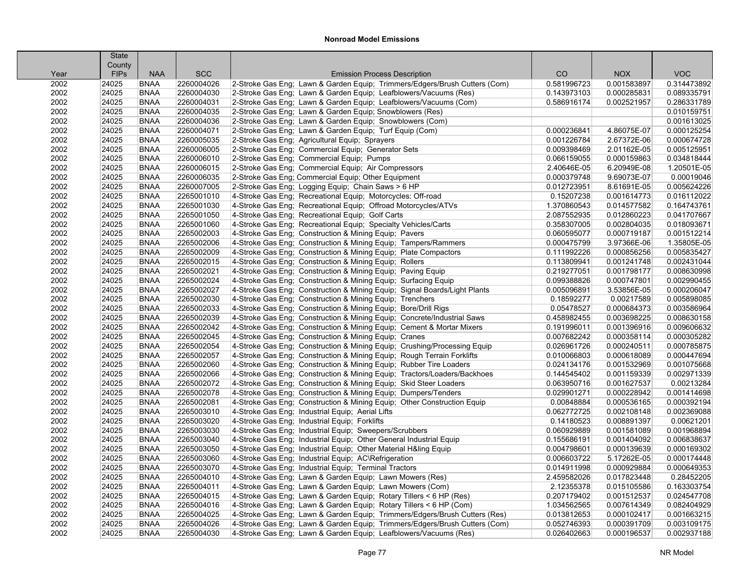|      | <b>State</b>          |             |            |                                                                            |             |             |             |
|------|-----------------------|-------------|------------|----------------------------------------------------------------------------|-------------|-------------|-------------|
| Year | County<br><b>FIPs</b> | <b>NAA</b>  | <b>SCC</b> | <b>Emission Process Description</b>                                        | CO          | <b>NOX</b>  | <b>VOC</b>  |
| 2002 | 24025                 | <b>BNAA</b> | 2260004026 | 2-Stroke Gas Eng; Lawn & Garden Equip; Trimmers/Edgers/Brush Cutters (Com) | 0.581996723 | 0.001583897 | 0.314473892 |
| 2002 | 24025                 | <b>BNAA</b> | 2260004030 | 2-Stroke Gas Eng; Lawn & Garden Equip; Leafblowers/Vacuums (Res)           | 0.143973103 | 0.000285831 | 0.089335791 |
| 2002 | 24025                 | <b>BNAA</b> | 2260004031 | 2-Stroke Gas Eng; Lawn & Garden Equip; Leafblowers/Vacuums (Com)           | 0.586916174 | 0.002521957 | 0.286331789 |
| 2002 | 24025                 | <b>BNAA</b> | 2260004035 | 2-Stroke Gas Eng; Lawn & Garden Equip; Snowblowers (Res)                   |             |             | 0.010159751 |
| 2002 | 24025                 | <b>BNAA</b> | 2260004036 | 2-Stroke Gas Eng; Lawn & Garden Equip; Snowblowers (Com)                   |             |             | 0.001613025 |
| 2002 | 24025                 | <b>BNAA</b> | 2260004071 | 2-Stroke Gas Eng; Lawn & Garden Equip; Turf Equip (Com)                    | 0.000236841 | 4.86075E-07 | 0.000125254 |
| 2002 | 24025                 | <b>BNAA</b> | 2260005035 | 2-Stroke Gas Eng; Agricultural Equip; Sprayers                             | 0.001226784 | 2.67372E-06 | 0.000674728 |
| 2002 | 24025                 | <b>BNAA</b> | 2260006005 | 2-Stroke Gas Eng; Commercial Equip; Generator Sets                         | 0.009398469 | 2.01162E-05 | 0.005125951 |
| 2002 | 24025                 | <b>BNAA</b> | 2260006010 | 2-Stroke Gas Eng; Commercial Equip; Pumps                                  | 0.066159055 | 0.000159863 | 0.034818444 |
| 2002 | 24025                 | <b>BNAA</b> | 2260006015 | 2-Stroke Gas Eng; Commercial Equip; Air Compressors                        | 2.40646E-05 | 6.20949E-08 | 1.20501E-05 |
| 2002 | 24025                 | <b>BNAA</b> | 2260006035 | 2-Stroke Gas Eng; Commercial Equip; Other Equipment                        | 0.000379748 | 9.69073E-07 | 0.00019046  |
| 2002 | 24025                 | <b>BNAA</b> | 2260007005 | 2-Stroke Gas Eng; Logging Equip; Chain Saws > 6 HP                         | 0.012723951 | 8.61691E-05 | 0.005624226 |
| 2002 | 24025                 | <b>BNAA</b> | 2265001010 | 4-Stroke Gas Eng; Recreational Equip; Motorcycles: Off-road                | 0.15207238  | 0.001614773 | 0.016112022 |
| 2002 | 24025                 | <b>BNAA</b> | 2265001030 | 4-Stroke Gas Eng; Recreational Equip; Offroad Motorcycles/ATVs             | 1.370860543 | 0.014577582 | 0.164743761 |
| 2002 | 24025                 | <b>BNAA</b> | 2265001050 | 4-Stroke Gas Eng; Recreational Equip; Golf Carts                           | 2.087552935 | 0.012860223 | 0.041707667 |
| 2002 | 24025                 | <b>BNAA</b> | 2265001060 | 4-Stroke Gas Eng; Recreational Equip; Specialty Vehicles/Carts             | 0.358307005 | 0.002804035 | 0.018093671 |
| 2002 | 24025                 | <b>BNAA</b> | 2265002003 | 4-Stroke Gas Eng; Construction & Mining Equip; Pavers                      | 0.060595077 | 0.000719187 | 0.001512214 |
| 2002 | 24025                 | <b>BNAA</b> | 2265002006 | 4-Stroke Gas Eng; Construction & Mining Equip; Tampers/Rammers             | 0.000475799 | 3.97366E-06 | 1.35805E-05 |
| 2002 | 24025                 | <b>BNAA</b> | 2265002009 | 4-Stroke Gas Eng; Construction & Mining Equip; Plate Compactors            | 0.111992226 | 0.000856256 | 0.005835427 |
| 2002 | 24025                 | <b>BNAA</b> | 2265002015 | 4-Stroke Gas Eng; Construction & Mining Equip; Rollers                     | 0.113809941 | 0.001241748 | 0.002431044 |
| 2002 | 24025                 | <b>BNAA</b> | 2265002021 | 4-Stroke Gas Eng; Construction & Mining Equip; Paving Equip                | 0.219277051 | 0.001798177 | 0.008630998 |
| 2002 | 24025                 | <b>BNAA</b> | 2265002024 | 4-Stroke Gas Eng; Construction & Mining Equip; Surfacing Equip             | 0.099388826 | 0.000747801 | 0.002990455 |
| 2002 | 24025                 | <b>BNAA</b> | 2265002027 | 4-Stroke Gas Eng; Construction & Mining Equip; Signal Boards/Light Plants  | 0.005096891 | 3.53856E-05 | 0.000206047 |
| 2002 | 24025                 | <b>BNAA</b> | 2265002030 | 4-Stroke Gas Eng; Construction & Mining Equip; Trenchers                   | 0.18592277  | 0.00217589  | 0.005898085 |
| 2002 | 24025                 | <b>BNAA</b> | 2265002033 | 4-Stroke Gas Eng; Construction & Mining Equip; Bore/Drill Rigs             | 0.05478527  | 0.000684373 | 0.003586964 |
| 2002 | 24025                 | <b>BNAA</b> | 2265002039 | 4-Stroke Gas Eng; Construction & Mining Equip; Concrete/Industrial Saws    | 0.458982455 | 0.003698225 | 0.008630158 |
| 2002 | 24025                 | <b>BNAA</b> | 2265002042 | 4-Stroke Gas Eng; Construction & Mining Equip; Cement & Mortar Mixers      | 0.191996011 | 0.001396916 | 0.009606632 |
| 2002 | 24025                 | <b>BNAA</b> | 2265002045 | 4-Stroke Gas Eng; Construction & Mining Equip; Cranes                      | 0.007682242 | 0.000358114 | 0.000305282 |
| 2002 | 24025                 | <b>BNAA</b> | 2265002054 | 4-Stroke Gas Eng; Construction & Mining Equip; Crushing/Processing Equip   | 0.026961726 | 0.000240511 | 0.000785875 |
| 2002 | 24025                 | <b>BNAA</b> | 2265002057 | 4-Stroke Gas Eng; Construction & Mining Equip; Rough Terrain Forklifts     | 0.010066803 | 0.000618089 | 0.000447694 |
| 2002 | 24025                 | <b>BNAA</b> | 2265002060 | 4-Stroke Gas Eng; Construction & Mining Equip; Rubber Tire Loaders         | 0.024134176 | 0.001532969 | 0.001075668 |
| 2002 | 24025                 | <b>BNAA</b> | 2265002066 | 4-Stroke Gas Eng; Construction & Mining Equip; Tractors/Loaders/Backhoes   | 0.144545402 | 0.001159339 | 0.002971339 |
| 2002 | 24025                 | <b>BNAA</b> | 2265002072 | 4-Stroke Gas Eng; Construction & Mining Equip; Skid Steer Loaders          | 0.063950716 | 0.001627537 | 0.00213284  |
| 2002 | 24025                 | <b>BNAA</b> | 2265002078 | 4-Stroke Gas Eng; Construction & Mining Equip; Dumpers/Tenders             | 0.029901271 | 0.000228942 | 0.001414698 |
| 2002 | 24025                 | <b>BNAA</b> | 2265002081 | 4-Stroke Gas Eng; Construction & Mining Equip; Other Construction Equip    | 0.00848884  | 0.000536165 | 0.000392194 |
| 2002 | 24025                 | <b>BNAA</b> | 2265003010 | 4-Stroke Gas Eng; Industrial Equip; Aerial Lifts                           | 0.062772725 | 0.002108148 | 0.002369088 |
| 2002 | 24025                 | <b>BNAA</b> | 2265003020 | 4-Stroke Gas Eng; Industrial Equip; Forklifts                              | 0.14180523  | 0.008891397 | 0.00621201  |
| 2002 | 24025                 | <b>BNAA</b> | 2265003030 | 4-Stroke Gas Eng; Industrial Equip; Sweepers/Scrubbers                     | 0.060929889 | 0.001581089 | 0.001968894 |
| 2002 | 24025                 | <b>BNAA</b> | 2265003040 | 4-Stroke Gas Eng; Industrial Equip; Other General Industrial Equip         | 0.155686191 | 0.001404092 | 0.006838637 |
| 2002 | 24025                 | <b>BNAA</b> | 2265003050 | 4-Stroke Gas Eng; Industrial Equip; Other Material H&ling Equip            | 0.004798601 | 0.000139639 | 0.000169302 |
| 2002 | 24025                 | <b>BNAA</b> | 2265003060 | 4-Stroke Gas Eng; Industrial Equip; AC\Refrigeration                       | 0.006603722 | 5.17262E-05 | 0.000174448 |
| 2002 | 24025                 | <b>BNAA</b> | 2265003070 | 4-Stroke Gas Eng; Industrial Equip; Terminal Tractors                      | 0.014911998 | 0.000929884 | 0.000649353 |
| 2002 | 24025                 | <b>BNAA</b> | 2265004010 | 4-Stroke Gas Eng: Lawn & Garden Equip: Lawn Mowers (Res)                   | 2.459582026 | 0.017823448 | 0.28452205  |
| 2002 | 24025                 | <b>BNAA</b> | 2265004011 | 4-Stroke Gas Eng; Lawn & Garden Equip; Lawn Mowers (Com)                   | 2.12355378  | 0.015105586 | 0.163303754 |
| 2002 | 24025                 | <b>BNAA</b> | 2265004015 | 4-Stroke Gas Eng; Lawn & Garden Equip; Rotary Tillers < 6 HP (Res)         | 0.207179402 | 0.001512537 | 0.024547708 |
| 2002 | 24025                 | <b>BNAA</b> | 2265004016 | 4-Stroke Gas Eng; Lawn & Garden Equip; Rotary Tillers < 6 HP (Com)         | 1.034562565 | 0.007614349 | 0.082404929 |
| 2002 | 24025                 | <b>BNAA</b> | 2265004025 | 4-Stroke Gas Eng; Lawn & Garden Equip; Trimmers/Edgers/Brush Cutters (Res) | 0.013812653 | 0.000102417 | 0.001663215 |
| 2002 | 24025                 | <b>BNAA</b> | 2265004026 | 4-Stroke Gas Eng; Lawn & Garden Equip; Trimmers/Edgers/Brush Cutters (Com) | 0.052746393 | 0.000391709 | 0.003109175 |
| 2002 | 24025                 | <b>BNAA</b> | 2265004030 | 4-Stroke Gas Eng; Lawn & Garden Equip; Leafblowers/Vacuums (Res)           | 0.026402663 | 0.000196537 | 0.002937188 |
|      |                       |             |            |                                                                            |             |             |             |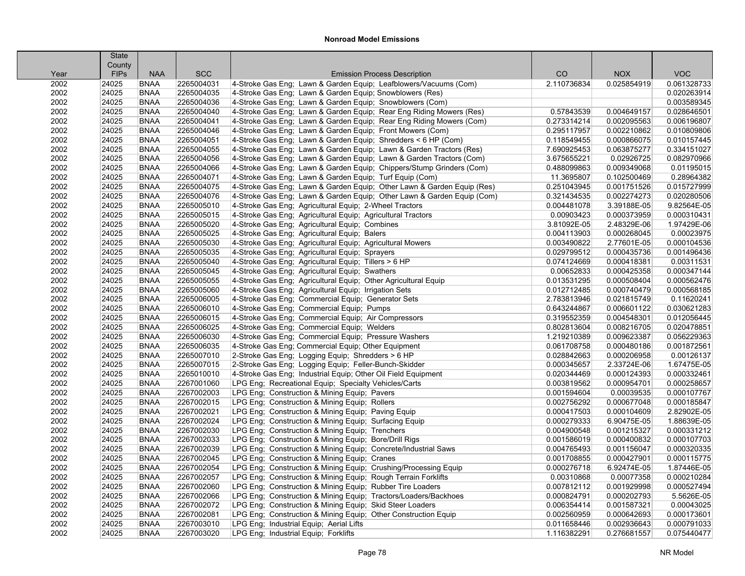| County<br><b>FIPs</b><br><b>NAA</b><br><b>SCC</b><br>CO<br><b>NOX</b><br><b>VOC</b><br><b>Emission Process Description</b><br>Year<br>2002<br>2265004031<br>4-Stroke Gas Eng; Lawn & Garden Equip; Leafblowers/Vacuums (Com)<br>2.110736834<br>0.061328733<br>24025<br><b>BNAA</b><br>0.025854919<br>4-Stroke Gas Eng; Lawn & Garden Equip; Snowblowers (Res)<br>0.020263914<br>2002<br>24025<br><b>BNAA</b><br>2265004035<br>2002<br><b>BNAA</b><br>2265004036<br>4-Stroke Gas Eng; Lawn & Garden Equip; Snowblowers (Com)<br>0.003589345<br>24025<br>2002<br><b>BNAA</b><br>2265004040<br>4-Stroke Gas Eng; Lawn & Garden Equip; Rear Eng Riding Mowers (Res)<br>0.028646501<br>24025<br>0.57843539<br>0.004649157<br>2002<br>24025<br><b>BNAA</b><br>2265004041<br>4-Stroke Gas Eng; Lawn & Garden Equip; Rear Eng Riding Mowers (Com)<br>0.273314214<br>0.002095563<br>0.006196807<br>2002<br>24025<br><b>BNAA</b><br>2265004046<br>4-Stroke Gas Eng; Lawn & Garden Equip; Front Mowers (Com)<br>0.295117957<br>0.002210862<br>0.010809806<br>2002<br>2265004051<br>4-Stroke Gas Eng; Lawn & Garden Equip; Shredders < 6 HP (Com)<br>0.010157445<br>24025<br><b>BNAA</b><br>0.118549455<br>0.000866075<br>2002<br>2265004055<br>4-Stroke Gas Eng; Lawn & Garden Equip; Lawn & Garden Tractors (Res)<br>7.690925453<br>0.334151027<br>24025<br><b>BNAA</b><br>0.063875277<br>2265004056<br>0.082970966<br>2002<br>24025<br><b>BNAA</b><br>4-Stroke Gas Eng; Lawn & Garden Equip; Lawn & Garden Tractors (Com)<br>3.675655221<br>0.02926725<br>2002<br>24025<br>2265004066<br>4-Stroke Gas Eng; Lawn & Garden Equip; Chippers/Stump Grinders (Com)<br>0.009349068<br>0.01195015<br><b>BNAA</b><br>0.488099863<br>2002<br>24025<br>2265004071<br>4-Stroke Gas Eng; Lawn & Garden Equip; Turf Equip (Com)<br>0.102500469<br>0.28964382<br><b>BNAA</b><br>11.3695807<br>2002<br>24025<br><b>BNAA</b><br>2265004075<br>4-Stroke Gas Eng; Lawn & Garden Equip; Other Lawn & Garden Equip (Res)<br>0.251043945<br>0.001751526<br>0.015727999<br>2002<br>24025<br><b>BNAA</b><br>2265004076<br>4-Stroke Gas Eng; Lawn & Garden Equip; Other Lawn & Garden Equip (Com)<br>0.002274273<br>0.020280506<br>0.321434535<br>2265005010<br>9.82564E-05<br>2002<br>24025<br><b>BNAA</b><br>4-Stroke Gas Eng; Agricultural Equip; 2-Wheel Tractors<br>0.004481078<br>3.39188E-05<br>2002<br>2265005015<br>0.000310431<br>24025<br><b>BNAA</b><br>4-Stroke Gas Eng; Agricultural Equip; Agricultural Tractors<br>0.00903423<br>0.000373959<br>1.97429E-06<br>2002<br>24025<br><b>BNAA</b><br>2265005020<br>4-Stroke Gas Eng; Agricultural Equip; Combines<br>3.81092E-05<br>2.48329E-06<br>2002<br>24025<br>2265005025<br>4-Stroke Gas Eng; Agricultural Equip; Balers<br>0.000268045<br>0.00023975<br><b>BNAA</b><br>0.004113903<br>2002<br>24025<br>2265005030<br>4-Stroke Gas Eng; Agricultural Equip; Agricultural Mowers<br>2.77601E-05<br>0.000104536<br><b>BNAA</b><br>0.003490822<br>2002<br>24025<br>2265005035<br>4-Stroke Gas Eng; Agricultural Equip; Sprayers<br>0.029799512<br>0.000435736<br>0.001496436<br><b>BNAA</b><br>2002<br>24025<br><b>BNAA</b><br>2265005040<br>4-Stroke Gas Eng; Agricultural Equip; Tillers > 6 HP<br>0.000418381<br>0.00311531<br>0.074124669<br>2002<br>2265005045<br>4-Stroke Gas Eng; Agricultural Equip; Swathers<br>0.000425358<br>0.000347144<br>24025<br><b>BNAA</b><br>0.00652833<br>2002<br>2265005055<br>4-Stroke Gas Eng; Agricultural Equip; Other Agricultural Equip<br>0.000562476<br>24025<br><b>BNAA</b><br>0.013531295<br>0.000508404<br>0.000568185<br>2002<br>24025<br>2265005060<br>4-Stroke Gas Eng; Agricultural Equip; Irrigation Sets<br>0.012712485<br>0.000740479<br><b>BNAA</b><br>2002<br>24025<br><b>BNAA</b><br>2265006005<br>4-Stroke Gas Eng; Commercial Equip; Generator Sets<br>0.11620241<br>2.783813946<br>0.021815749<br>2002<br>24025<br>2265006010<br>4-Stroke Gas Eng: Commercial Equip: Pumps<br>0.030621283<br><b>BNAA</b><br>0.643244867<br>0.006601122<br>2002<br>24025<br>2265006015<br>4-Stroke Gas Eng; Commercial Equip; Air Compressors<br>0.319552359<br>0.004548301<br>0.012056445<br><b>BNAA</b><br>24025<br><b>BNAA</b><br>2265006025<br>0.008216705<br>0.020478851 |
|------------------------------------------------------------------------------------------------------------------------------------------------------------------------------------------------------------------------------------------------------------------------------------------------------------------------------------------------------------------------------------------------------------------------------------------------------------------------------------------------------------------------------------------------------------------------------------------------------------------------------------------------------------------------------------------------------------------------------------------------------------------------------------------------------------------------------------------------------------------------------------------------------------------------------------------------------------------------------------------------------------------------------------------------------------------------------------------------------------------------------------------------------------------------------------------------------------------------------------------------------------------------------------------------------------------------------------------------------------------------------------------------------------------------------------------------------------------------------------------------------------------------------------------------------------------------------------------------------------------------------------------------------------------------------------------------------------------------------------------------------------------------------------------------------------------------------------------------------------------------------------------------------------------------------------------------------------------------------------------------------------------------------------------------------------------------------------------------------------------------------------------------------------------------------------------------------------------------------------------------------------------------------------------------------------------------------------------------------------------------------------------------------------------------------------------------------------------------------------------------------------------------------------------------------------------------------------------------------------------------------------------------------------------------------------------------------------------------------------------------------------------------------------------------------------------------------------------------------------------------------------------------------------------------------------------------------------------------------------------------------------------------------------------------------------------------------------------------------------------------------------------------------------------------------------------------------------------------------------------------------------------------------------------------------------------------------------------------------------------------------------------------------------------------------------------------------------------------------------------------------------------------------------------------------------------------------------------------------------------------------------------------------------------------------------------------------------------------------------------------------------------------------------------------------------------------------------------------------------------------------------------------------------------------------------------------------------------------------------------------------------------------------------------------------------------------------------------------------------------------------------------------------------------------------------------------------------------------------------------------------|
|                                                                                                                                                                                                                                                                                                                                                                                                                                                                                                                                                                                                                                                                                                                                                                                                                                                                                                                                                                                                                                                                                                                                                                                                                                                                                                                                                                                                                                                                                                                                                                                                                                                                                                                                                                                                                                                                                                                                                                                                                                                                                                                                                                                                                                                                                                                                                                                                                                                                                                                                                                                                                                                                                                                                                                                                                                                                                                                                                                                                                                                                                                                                                                                                                                                                                                                                                                                                                                                                                                                                                                                                                                                                                                                                                                                                                                                                                                                                                                                                                                                                                                                                                                                                                                                      |
|                                                                                                                                                                                                                                                                                                                                                                                                                                                                                                                                                                                                                                                                                                                                                                                                                                                                                                                                                                                                                                                                                                                                                                                                                                                                                                                                                                                                                                                                                                                                                                                                                                                                                                                                                                                                                                                                                                                                                                                                                                                                                                                                                                                                                                                                                                                                                                                                                                                                                                                                                                                                                                                                                                                                                                                                                                                                                                                                                                                                                                                                                                                                                                                                                                                                                                                                                                                                                                                                                                                                                                                                                                                                                                                                                                                                                                                                                                                                                                                                                                                                                                                                                                                                                                                      |
|                                                                                                                                                                                                                                                                                                                                                                                                                                                                                                                                                                                                                                                                                                                                                                                                                                                                                                                                                                                                                                                                                                                                                                                                                                                                                                                                                                                                                                                                                                                                                                                                                                                                                                                                                                                                                                                                                                                                                                                                                                                                                                                                                                                                                                                                                                                                                                                                                                                                                                                                                                                                                                                                                                                                                                                                                                                                                                                                                                                                                                                                                                                                                                                                                                                                                                                                                                                                                                                                                                                                                                                                                                                                                                                                                                                                                                                                                                                                                                                                                                                                                                                                                                                                                                                      |
|                                                                                                                                                                                                                                                                                                                                                                                                                                                                                                                                                                                                                                                                                                                                                                                                                                                                                                                                                                                                                                                                                                                                                                                                                                                                                                                                                                                                                                                                                                                                                                                                                                                                                                                                                                                                                                                                                                                                                                                                                                                                                                                                                                                                                                                                                                                                                                                                                                                                                                                                                                                                                                                                                                                                                                                                                                                                                                                                                                                                                                                                                                                                                                                                                                                                                                                                                                                                                                                                                                                                                                                                                                                                                                                                                                                                                                                                                                                                                                                                                                                                                                                                                                                                                                                      |
|                                                                                                                                                                                                                                                                                                                                                                                                                                                                                                                                                                                                                                                                                                                                                                                                                                                                                                                                                                                                                                                                                                                                                                                                                                                                                                                                                                                                                                                                                                                                                                                                                                                                                                                                                                                                                                                                                                                                                                                                                                                                                                                                                                                                                                                                                                                                                                                                                                                                                                                                                                                                                                                                                                                                                                                                                                                                                                                                                                                                                                                                                                                                                                                                                                                                                                                                                                                                                                                                                                                                                                                                                                                                                                                                                                                                                                                                                                                                                                                                                                                                                                                                                                                                                                                      |
|                                                                                                                                                                                                                                                                                                                                                                                                                                                                                                                                                                                                                                                                                                                                                                                                                                                                                                                                                                                                                                                                                                                                                                                                                                                                                                                                                                                                                                                                                                                                                                                                                                                                                                                                                                                                                                                                                                                                                                                                                                                                                                                                                                                                                                                                                                                                                                                                                                                                                                                                                                                                                                                                                                                                                                                                                                                                                                                                                                                                                                                                                                                                                                                                                                                                                                                                                                                                                                                                                                                                                                                                                                                                                                                                                                                                                                                                                                                                                                                                                                                                                                                                                                                                                                                      |
|                                                                                                                                                                                                                                                                                                                                                                                                                                                                                                                                                                                                                                                                                                                                                                                                                                                                                                                                                                                                                                                                                                                                                                                                                                                                                                                                                                                                                                                                                                                                                                                                                                                                                                                                                                                                                                                                                                                                                                                                                                                                                                                                                                                                                                                                                                                                                                                                                                                                                                                                                                                                                                                                                                                                                                                                                                                                                                                                                                                                                                                                                                                                                                                                                                                                                                                                                                                                                                                                                                                                                                                                                                                                                                                                                                                                                                                                                                                                                                                                                                                                                                                                                                                                                                                      |
|                                                                                                                                                                                                                                                                                                                                                                                                                                                                                                                                                                                                                                                                                                                                                                                                                                                                                                                                                                                                                                                                                                                                                                                                                                                                                                                                                                                                                                                                                                                                                                                                                                                                                                                                                                                                                                                                                                                                                                                                                                                                                                                                                                                                                                                                                                                                                                                                                                                                                                                                                                                                                                                                                                                                                                                                                                                                                                                                                                                                                                                                                                                                                                                                                                                                                                                                                                                                                                                                                                                                                                                                                                                                                                                                                                                                                                                                                                                                                                                                                                                                                                                                                                                                                                                      |
|                                                                                                                                                                                                                                                                                                                                                                                                                                                                                                                                                                                                                                                                                                                                                                                                                                                                                                                                                                                                                                                                                                                                                                                                                                                                                                                                                                                                                                                                                                                                                                                                                                                                                                                                                                                                                                                                                                                                                                                                                                                                                                                                                                                                                                                                                                                                                                                                                                                                                                                                                                                                                                                                                                                                                                                                                                                                                                                                                                                                                                                                                                                                                                                                                                                                                                                                                                                                                                                                                                                                                                                                                                                                                                                                                                                                                                                                                                                                                                                                                                                                                                                                                                                                                                                      |
|                                                                                                                                                                                                                                                                                                                                                                                                                                                                                                                                                                                                                                                                                                                                                                                                                                                                                                                                                                                                                                                                                                                                                                                                                                                                                                                                                                                                                                                                                                                                                                                                                                                                                                                                                                                                                                                                                                                                                                                                                                                                                                                                                                                                                                                                                                                                                                                                                                                                                                                                                                                                                                                                                                                                                                                                                                                                                                                                                                                                                                                                                                                                                                                                                                                                                                                                                                                                                                                                                                                                                                                                                                                                                                                                                                                                                                                                                                                                                                                                                                                                                                                                                                                                                                                      |
|                                                                                                                                                                                                                                                                                                                                                                                                                                                                                                                                                                                                                                                                                                                                                                                                                                                                                                                                                                                                                                                                                                                                                                                                                                                                                                                                                                                                                                                                                                                                                                                                                                                                                                                                                                                                                                                                                                                                                                                                                                                                                                                                                                                                                                                                                                                                                                                                                                                                                                                                                                                                                                                                                                                                                                                                                                                                                                                                                                                                                                                                                                                                                                                                                                                                                                                                                                                                                                                                                                                                                                                                                                                                                                                                                                                                                                                                                                                                                                                                                                                                                                                                                                                                                                                      |
|                                                                                                                                                                                                                                                                                                                                                                                                                                                                                                                                                                                                                                                                                                                                                                                                                                                                                                                                                                                                                                                                                                                                                                                                                                                                                                                                                                                                                                                                                                                                                                                                                                                                                                                                                                                                                                                                                                                                                                                                                                                                                                                                                                                                                                                                                                                                                                                                                                                                                                                                                                                                                                                                                                                                                                                                                                                                                                                                                                                                                                                                                                                                                                                                                                                                                                                                                                                                                                                                                                                                                                                                                                                                                                                                                                                                                                                                                                                                                                                                                                                                                                                                                                                                                                                      |
|                                                                                                                                                                                                                                                                                                                                                                                                                                                                                                                                                                                                                                                                                                                                                                                                                                                                                                                                                                                                                                                                                                                                                                                                                                                                                                                                                                                                                                                                                                                                                                                                                                                                                                                                                                                                                                                                                                                                                                                                                                                                                                                                                                                                                                                                                                                                                                                                                                                                                                                                                                                                                                                                                                                                                                                                                                                                                                                                                                                                                                                                                                                                                                                                                                                                                                                                                                                                                                                                                                                                                                                                                                                                                                                                                                                                                                                                                                                                                                                                                                                                                                                                                                                                                                                      |
|                                                                                                                                                                                                                                                                                                                                                                                                                                                                                                                                                                                                                                                                                                                                                                                                                                                                                                                                                                                                                                                                                                                                                                                                                                                                                                                                                                                                                                                                                                                                                                                                                                                                                                                                                                                                                                                                                                                                                                                                                                                                                                                                                                                                                                                                                                                                                                                                                                                                                                                                                                                                                                                                                                                                                                                                                                                                                                                                                                                                                                                                                                                                                                                                                                                                                                                                                                                                                                                                                                                                                                                                                                                                                                                                                                                                                                                                                                                                                                                                                                                                                                                                                                                                                                                      |
|                                                                                                                                                                                                                                                                                                                                                                                                                                                                                                                                                                                                                                                                                                                                                                                                                                                                                                                                                                                                                                                                                                                                                                                                                                                                                                                                                                                                                                                                                                                                                                                                                                                                                                                                                                                                                                                                                                                                                                                                                                                                                                                                                                                                                                                                                                                                                                                                                                                                                                                                                                                                                                                                                                                                                                                                                                                                                                                                                                                                                                                                                                                                                                                                                                                                                                                                                                                                                                                                                                                                                                                                                                                                                                                                                                                                                                                                                                                                                                                                                                                                                                                                                                                                                                                      |
|                                                                                                                                                                                                                                                                                                                                                                                                                                                                                                                                                                                                                                                                                                                                                                                                                                                                                                                                                                                                                                                                                                                                                                                                                                                                                                                                                                                                                                                                                                                                                                                                                                                                                                                                                                                                                                                                                                                                                                                                                                                                                                                                                                                                                                                                                                                                                                                                                                                                                                                                                                                                                                                                                                                                                                                                                                                                                                                                                                                                                                                                                                                                                                                                                                                                                                                                                                                                                                                                                                                                                                                                                                                                                                                                                                                                                                                                                                                                                                                                                                                                                                                                                                                                                                                      |
|                                                                                                                                                                                                                                                                                                                                                                                                                                                                                                                                                                                                                                                                                                                                                                                                                                                                                                                                                                                                                                                                                                                                                                                                                                                                                                                                                                                                                                                                                                                                                                                                                                                                                                                                                                                                                                                                                                                                                                                                                                                                                                                                                                                                                                                                                                                                                                                                                                                                                                                                                                                                                                                                                                                                                                                                                                                                                                                                                                                                                                                                                                                                                                                                                                                                                                                                                                                                                                                                                                                                                                                                                                                                                                                                                                                                                                                                                                                                                                                                                                                                                                                                                                                                                                                      |
|                                                                                                                                                                                                                                                                                                                                                                                                                                                                                                                                                                                                                                                                                                                                                                                                                                                                                                                                                                                                                                                                                                                                                                                                                                                                                                                                                                                                                                                                                                                                                                                                                                                                                                                                                                                                                                                                                                                                                                                                                                                                                                                                                                                                                                                                                                                                                                                                                                                                                                                                                                                                                                                                                                                                                                                                                                                                                                                                                                                                                                                                                                                                                                                                                                                                                                                                                                                                                                                                                                                                                                                                                                                                                                                                                                                                                                                                                                                                                                                                                                                                                                                                                                                                                                                      |
|                                                                                                                                                                                                                                                                                                                                                                                                                                                                                                                                                                                                                                                                                                                                                                                                                                                                                                                                                                                                                                                                                                                                                                                                                                                                                                                                                                                                                                                                                                                                                                                                                                                                                                                                                                                                                                                                                                                                                                                                                                                                                                                                                                                                                                                                                                                                                                                                                                                                                                                                                                                                                                                                                                                                                                                                                                                                                                                                                                                                                                                                                                                                                                                                                                                                                                                                                                                                                                                                                                                                                                                                                                                                                                                                                                                                                                                                                                                                                                                                                                                                                                                                                                                                                                                      |
|                                                                                                                                                                                                                                                                                                                                                                                                                                                                                                                                                                                                                                                                                                                                                                                                                                                                                                                                                                                                                                                                                                                                                                                                                                                                                                                                                                                                                                                                                                                                                                                                                                                                                                                                                                                                                                                                                                                                                                                                                                                                                                                                                                                                                                                                                                                                                                                                                                                                                                                                                                                                                                                                                                                                                                                                                                                                                                                                                                                                                                                                                                                                                                                                                                                                                                                                                                                                                                                                                                                                                                                                                                                                                                                                                                                                                                                                                                                                                                                                                                                                                                                                                                                                                                                      |
|                                                                                                                                                                                                                                                                                                                                                                                                                                                                                                                                                                                                                                                                                                                                                                                                                                                                                                                                                                                                                                                                                                                                                                                                                                                                                                                                                                                                                                                                                                                                                                                                                                                                                                                                                                                                                                                                                                                                                                                                                                                                                                                                                                                                                                                                                                                                                                                                                                                                                                                                                                                                                                                                                                                                                                                                                                                                                                                                                                                                                                                                                                                                                                                                                                                                                                                                                                                                                                                                                                                                                                                                                                                                                                                                                                                                                                                                                                                                                                                                                                                                                                                                                                                                                                                      |
|                                                                                                                                                                                                                                                                                                                                                                                                                                                                                                                                                                                                                                                                                                                                                                                                                                                                                                                                                                                                                                                                                                                                                                                                                                                                                                                                                                                                                                                                                                                                                                                                                                                                                                                                                                                                                                                                                                                                                                                                                                                                                                                                                                                                                                                                                                                                                                                                                                                                                                                                                                                                                                                                                                                                                                                                                                                                                                                                                                                                                                                                                                                                                                                                                                                                                                                                                                                                                                                                                                                                                                                                                                                                                                                                                                                                                                                                                                                                                                                                                                                                                                                                                                                                                                                      |
|                                                                                                                                                                                                                                                                                                                                                                                                                                                                                                                                                                                                                                                                                                                                                                                                                                                                                                                                                                                                                                                                                                                                                                                                                                                                                                                                                                                                                                                                                                                                                                                                                                                                                                                                                                                                                                                                                                                                                                                                                                                                                                                                                                                                                                                                                                                                                                                                                                                                                                                                                                                                                                                                                                                                                                                                                                                                                                                                                                                                                                                                                                                                                                                                                                                                                                                                                                                                                                                                                                                                                                                                                                                                                                                                                                                                                                                                                                                                                                                                                                                                                                                                                                                                                                                      |
|                                                                                                                                                                                                                                                                                                                                                                                                                                                                                                                                                                                                                                                                                                                                                                                                                                                                                                                                                                                                                                                                                                                                                                                                                                                                                                                                                                                                                                                                                                                                                                                                                                                                                                                                                                                                                                                                                                                                                                                                                                                                                                                                                                                                                                                                                                                                                                                                                                                                                                                                                                                                                                                                                                                                                                                                                                                                                                                                                                                                                                                                                                                                                                                                                                                                                                                                                                                                                                                                                                                                                                                                                                                                                                                                                                                                                                                                                                                                                                                                                                                                                                                                                                                                                                                      |
|                                                                                                                                                                                                                                                                                                                                                                                                                                                                                                                                                                                                                                                                                                                                                                                                                                                                                                                                                                                                                                                                                                                                                                                                                                                                                                                                                                                                                                                                                                                                                                                                                                                                                                                                                                                                                                                                                                                                                                                                                                                                                                                                                                                                                                                                                                                                                                                                                                                                                                                                                                                                                                                                                                                                                                                                                                                                                                                                                                                                                                                                                                                                                                                                                                                                                                                                                                                                                                                                                                                                                                                                                                                                                                                                                                                                                                                                                                                                                                                                                                                                                                                                                                                                                                                      |
|                                                                                                                                                                                                                                                                                                                                                                                                                                                                                                                                                                                                                                                                                                                                                                                                                                                                                                                                                                                                                                                                                                                                                                                                                                                                                                                                                                                                                                                                                                                                                                                                                                                                                                                                                                                                                                                                                                                                                                                                                                                                                                                                                                                                                                                                                                                                                                                                                                                                                                                                                                                                                                                                                                                                                                                                                                                                                                                                                                                                                                                                                                                                                                                                                                                                                                                                                                                                                                                                                                                                                                                                                                                                                                                                                                                                                                                                                                                                                                                                                                                                                                                                                                                                                                                      |
|                                                                                                                                                                                                                                                                                                                                                                                                                                                                                                                                                                                                                                                                                                                                                                                                                                                                                                                                                                                                                                                                                                                                                                                                                                                                                                                                                                                                                                                                                                                                                                                                                                                                                                                                                                                                                                                                                                                                                                                                                                                                                                                                                                                                                                                                                                                                                                                                                                                                                                                                                                                                                                                                                                                                                                                                                                                                                                                                                                                                                                                                                                                                                                                                                                                                                                                                                                                                                                                                                                                                                                                                                                                                                                                                                                                                                                                                                                                                                                                                                                                                                                                                                                                                                                                      |
|                                                                                                                                                                                                                                                                                                                                                                                                                                                                                                                                                                                                                                                                                                                                                                                                                                                                                                                                                                                                                                                                                                                                                                                                                                                                                                                                                                                                                                                                                                                                                                                                                                                                                                                                                                                                                                                                                                                                                                                                                                                                                                                                                                                                                                                                                                                                                                                                                                                                                                                                                                                                                                                                                                                                                                                                                                                                                                                                                                                                                                                                                                                                                                                                                                                                                                                                                                                                                                                                                                                                                                                                                                                                                                                                                                                                                                                                                                                                                                                                                                                                                                                                                                                                                                                      |
| 4-Stroke Gas Eng; Commercial Equip; Welders<br>2002<br>0.802813604                                                                                                                                                                                                                                                                                                                                                                                                                                                                                                                                                                                                                                                                                                                                                                                                                                                                                                                                                                                                                                                                                                                                                                                                                                                                                                                                                                                                                                                                                                                                                                                                                                                                                                                                                                                                                                                                                                                                                                                                                                                                                                                                                                                                                                                                                                                                                                                                                                                                                                                                                                                                                                                                                                                                                                                                                                                                                                                                                                                                                                                                                                                                                                                                                                                                                                                                                                                                                                                                                                                                                                                                                                                                                                                                                                                                                                                                                                                                                                                                                                                                                                                                                                                   |
| 2265006030<br>4-Stroke Gas Eng; Commercial Equip; Pressure Washers<br>0.056229363<br>2002<br>24025<br><b>BNAA</b><br>1.219210389<br>0.009623387                                                                                                                                                                                                                                                                                                                                                                                                                                                                                                                                                                                                                                                                                                                                                                                                                                                                                                                                                                                                                                                                                                                                                                                                                                                                                                                                                                                                                                                                                                                                                                                                                                                                                                                                                                                                                                                                                                                                                                                                                                                                                                                                                                                                                                                                                                                                                                                                                                                                                                                                                                                                                                                                                                                                                                                                                                                                                                                                                                                                                                                                                                                                                                                                                                                                                                                                                                                                                                                                                                                                                                                                                                                                                                                                                                                                                                                                                                                                                                                                                                                                                                      |
| 2002<br>2265006035<br>4-Stroke Gas Eng; Commercial Equip; Other Equipment<br>0.001872561<br>24025<br><b>BNAA</b><br>0.061708758<br>0.000480186                                                                                                                                                                                                                                                                                                                                                                                                                                                                                                                                                                                                                                                                                                                                                                                                                                                                                                                                                                                                                                                                                                                                                                                                                                                                                                                                                                                                                                                                                                                                                                                                                                                                                                                                                                                                                                                                                                                                                                                                                                                                                                                                                                                                                                                                                                                                                                                                                                                                                                                                                                                                                                                                                                                                                                                                                                                                                                                                                                                                                                                                                                                                                                                                                                                                                                                                                                                                                                                                                                                                                                                                                                                                                                                                                                                                                                                                                                                                                                                                                                                                                                       |
| 2002<br>24025<br>2265007010<br>2-Stroke Gas Eng; Logging Equip; Shredders > 6 HP<br>0.028842663<br>0.000206958<br>0.00126137<br><b>BNAA</b>                                                                                                                                                                                                                                                                                                                                                                                                                                                                                                                                                                                                                                                                                                                                                                                                                                                                                                                                                                                                                                                                                                                                                                                                                                                                                                                                                                                                                                                                                                                                                                                                                                                                                                                                                                                                                                                                                                                                                                                                                                                                                                                                                                                                                                                                                                                                                                                                                                                                                                                                                                                                                                                                                                                                                                                                                                                                                                                                                                                                                                                                                                                                                                                                                                                                                                                                                                                                                                                                                                                                                                                                                                                                                                                                                                                                                                                                                                                                                                                                                                                                                                          |
| 2002<br>24025<br>2265007015<br>2-Stroke Gas Eng; Logging Equip; Feller-Bunch-Skidder<br>2.33724E-06<br>1.67475E-05<br><b>BNAA</b><br>0.000345657                                                                                                                                                                                                                                                                                                                                                                                                                                                                                                                                                                                                                                                                                                                                                                                                                                                                                                                                                                                                                                                                                                                                                                                                                                                                                                                                                                                                                                                                                                                                                                                                                                                                                                                                                                                                                                                                                                                                                                                                                                                                                                                                                                                                                                                                                                                                                                                                                                                                                                                                                                                                                                                                                                                                                                                                                                                                                                                                                                                                                                                                                                                                                                                                                                                                                                                                                                                                                                                                                                                                                                                                                                                                                                                                                                                                                                                                                                                                                                                                                                                                                                     |
| 2002<br>0.000332461<br>24025<br><b>BNAA</b><br>2265010010<br>4-Stroke Gas Eng; Industrial Equip; Other Oil Field Equipment<br>0.020344469<br>0.000124393                                                                                                                                                                                                                                                                                                                                                                                                                                                                                                                                                                                                                                                                                                                                                                                                                                                                                                                                                                                                                                                                                                                                                                                                                                                                                                                                                                                                                                                                                                                                                                                                                                                                                                                                                                                                                                                                                                                                                                                                                                                                                                                                                                                                                                                                                                                                                                                                                                                                                                                                                                                                                                                                                                                                                                                                                                                                                                                                                                                                                                                                                                                                                                                                                                                                                                                                                                                                                                                                                                                                                                                                                                                                                                                                                                                                                                                                                                                                                                                                                                                                                             |
| 0.000258657<br>2002<br>24025<br><b>BNAA</b><br>2267001060<br>LPG Eng; Recreational Equip; Specialty Vehicles/Carts<br>0.003819562<br>0.000954701                                                                                                                                                                                                                                                                                                                                                                                                                                                                                                                                                                                                                                                                                                                                                                                                                                                                                                                                                                                                                                                                                                                                                                                                                                                                                                                                                                                                                                                                                                                                                                                                                                                                                                                                                                                                                                                                                                                                                                                                                                                                                                                                                                                                                                                                                                                                                                                                                                                                                                                                                                                                                                                                                                                                                                                                                                                                                                                                                                                                                                                                                                                                                                                                                                                                                                                                                                                                                                                                                                                                                                                                                                                                                                                                                                                                                                                                                                                                                                                                                                                                                                     |
| 2002<br>24025<br><b>BNAA</b><br>2267002003<br>LPG Eng; Construction & Mining Equip; Pavers<br>0.001594604<br>0.00039535<br>0.000107767                                                                                                                                                                                                                                                                                                                                                                                                                                                                                                                                                                                                                                                                                                                                                                                                                                                                                                                                                                                                                                                                                                                                                                                                                                                                                                                                                                                                                                                                                                                                                                                                                                                                                                                                                                                                                                                                                                                                                                                                                                                                                                                                                                                                                                                                                                                                                                                                                                                                                                                                                                                                                                                                                                                                                                                                                                                                                                                                                                                                                                                                                                                                                                                                                                                                                                                                                                                                                                                                                                                                                                                                                                                                                                                                                                                                                                                                                                                                                                                                                                                                                                               |
| 2002<br>2267002015<br>LPG Eng; Construction & Mining Equip; Rollers<br>0.002756292<br>0.000185847<br>24025<br><b>BNAA</b><br>0.000677048                                                                                                                                                                                                                                                                                                                                                                                                                                                                                                                                                                                                                                                                                                                                                                                                                                                                                                                                                                                                                                                                                                                                                                                                                                                                                                                                                                                                                                                                                                                                                                                                                                                                                                                                                                                                                                                                                                                                                                                                                                                                                                                                                                                                                                                                                                                                                                                                                                                                                                                                                                                                                                                                                                                                                                                                                                                                                                                                                                                                                                                                                                                                                                                                                                                                                                                                                                                                                                                                                                                                                                                                                                                                                                                                                                                                                                                                                                                                                                                                                                                                                                             |
| 2002<br>2267002021<br>2.82902E-05<br>24025<br><b>BNAA</b><br>LPG Eng; Construction & Mining Equip; Paving Equip<br>0.000417503<br>0.000104609                                                                                                                                                                                                                                                                                                                                                                                                                                                                                                                                                                                                                                                                                                                                                                                                                                                                                                                                                                                                                                                                                                                                                                                                                                                                                                                                                                                                                                                                                                                                                                                                                                                                                                                                                                                                                                                                                                                                                                                                                                                                                                                                                                                                                                                                                                                                                                                                                                                                                                                                                                                                                                                                                                                                                                                                                                                                                                                                                                                                                                                                                                                                                                                                                                                                                                                                                                                                                                                                                                                                                                                                                                                                                                                                                                                                                                                                                                                                                                                                                                                                                                        |
| 1.88639E-05<br>2002<br>24025<br>2267002024<br>LPG Eng; Construction & Mining Equip; Surfacing Equip<br>0.000279333<br>6.90475E-05<br><b>BNAA</b>                                                                                                                                                                                                                                                                                                                                                                                                                                                                                                                                                                                                                                                                                                                                                                                                                                                                                                                                                                                                                                                                                                                                                                                                                                                                                                                                                                                                                                                                                                                                                                                                                                                                                                                                                                                                                                                                                                                                                                                                                                                                                                                                                                                                                                                                                                                                                                                                                                                                                                                                                                                                                                                                                                                                                                                                                                                                                                                                                                                                                                                                                                                                                                                                                                                                                                                                                                                                                                                                                                                                                                                                                                                                                                                                                                                                                                                                                                                                                                                                                                                                                                     |
| 2002<br>2267002030<br>LPG Eng; Construction & Mining Equip; Trenchers<br>0.001215327<br>0.000331212<br>24025<br><b>BNAA</b><br>0.004900548                                                                                                                                                                                                                                                                                                                                                                                                                                                                                                                                                                                                                                                                                                                                                                                                                                                                                                                                                                                                                                                                                                                                                                                                                                                                                                                                                                                                                                                                                                                                                                                                                                                                                                                                                                                                                                                                                                                                                                                                                                                                                                                                                                                                                                                                                                                                                                                                                                                                                                                                                                                                                                                                                                                                                                                                                                                                                                                                                                                                                                                                                                                                                                                                                                                                                                                                                                                                                                                                                                                                                                                                                                                                                                                                                                                                                                                                                                                                                                                                                                                                                                           |
| 2002<br>0.000107703<br>24025<br><b>BNAA</b><br>2267002033<br>LPG Eng; Construction & Mining Equip; Bore/Drill Rigs<br>0.001586019<br>0.000400832                                                                                                                                                                                                                                                                                                                                                                                                                                                                                                                                                                                                                                                                                                                                                                                                                                                                                                                                                                                                                                                                                                                                                                                                                                                                                                                                                                                                                                                                                                                                                                                                                                                                                                                                                                                                                                                                                                                                                                                                                                                                                                                                                                                                                                                                                                                                                                                                                                                                                                                                                                                                                                                                                                                                                                                                                                                                                                                                                                                                                                                                                                                                                                                                                                                                                                                                                                                                                                                                                                                                                                                                                                                                                                                                                                                                                                                                                                                                                                                                                                                                                                     |
| 2267002039<br>0.000320335<br>2002<br>24025<br><b>BNAA</b><br>LPG Eng; Construction & Mining Equip; Concrete/Industrial Saws<br>0.004765493<br>0.001156047                                                                                                                                                                                                                                                                                                                                                                                                                                                                                                                                                                                                                                                                                                                                                                                                                                                                                                                                                                                                                                                                                                                                                                                                                                                                                                                                                                                                                                                                                                                                                                                                                                                                                                                                                                                                                                                                                                                                                                                                                                                                                                                                                                                                                                                                                                                                                                                                                                                                                                                                                                                                                                                                                                                                                                                                                                                                                                                                                                                                                                                                                                                                                                                                                                                                                                                                                                                                                                                                                                                                                                                                                                                                                                                                                                                                                                                                                                                                                                                                                                                                                            |
| 2002<br>24025<br><b>BNAA</b><br>2267002045<br>LPG Eng; Construction & Mining Equip; Cranes<br>0.000427901<br>0.000115775<br>0.001708855                                                                                                                                                                                                                                                                                                                                                                                                                                                                                                                                                                                                                                                                                                                                                                                                                                                                                                                                                                                                                                                                                                                                                                                                                                                                                                                                                                                                                                                                                                                                                                                                                                                                                                                                                                                                                                                                                                                                                                                                                                                                                                                                                                                                                                                                                                                                                                                                                                                                                                                                                                                                                                                                                                                                                                                                                                                                                                                                                                                                                                                                                                                                                                                                                                                                                                                                                                                                                                                                                                                                                                                                                                                                                                                                                                                                                                                                                                                                                                                                                                                                                                              |
| 2002<br>2267002054<br>LPG Eng; Construction & Mining Equip; Crushing/Processing Equip<br>1.87446E-05<br>24025<br><b>BNAA</b><br>0.000276718<br>6.92474E-05                                                                                                                                                                                                                                                                                                                                                                                                                                                                                                                                                                                                                                                                                                                                                                                                                                                                                                                                                                                                                                                                                                                                                                                                                                                                                                                                                                                                                                                                                                                                                                                                                                                                                                                                                                                                                                                                                                                                                                                                                                                                                                                                                                                                                                                                                                                                                                                                                                                                                                                                                                                                                                                                                                                                                                                                                                                                                                                                                                                                                                                                                                                                                                                                                                                                                                                                                                                                                                                                                                                                                                                                                                                                                                                                                                                                                                                                                                                                                                                                                                                                                           |
| 2002<br>2267002057<br>LPG Eng; Construction & Mining Equip; Rough Terrain Forklifts<br>0.000210284<br>24025<br><b>BNAA</b><br>0.00310868<br>0.00077358                                                                                                                                                                                                                                                                                                                                                                                                                                                                                                                                                                                                                                                                                                                                                                                                                                                                                                                                                                                                                                                                                                                                                                                                                                                                                                                                                                                                                                                                                                                                                                                                                                                                                                                                                                                                                                                                                                                                                                                                                                                                                                                                                                                                                                                                                                                                                                                                                                                                                                                                                                                                                                                                                                                                                                                                                                                                                                                                                                                                                                                                                                                                                                                                                                                                                                                                                                                                                                                                                                                                                                                                                                                                                                                                                                                                                                                                                                                                                                                                                                                                                               |
| 2002<br>24025<br>2267002060<br>LPG Eng; Construction & Mining Equip; Rubber Tire Loaders<br>0.007812112<br>0.001929998<br>0.000527494<br><b>BNAA</b>                                                                                                                                                                                                                                                                                                                                                                                                                                                                                                                                                                                                                                                                                                                                                                                                                                                                                                                                                                                                                                                                                                                                                                                                                                                                                                                                                                                                                                                                                                                                                                                                                                                                                                                                                                                                                                                                                                                                                                                                                                                                                                                                                                                                                                                                                                                                                                                                                                                                                                                                                                                                                                                                                                                                                                                                                                                                                                                                                                                                                                                                                                                                                                                                                                                                                                                                                                                                                                                                                                                                                                                                                                                                                                                                                                                                                                                                                                                                                                                                                                                                                                 |
| 2002<br>24025<br>2267002066<br>LPG Eng; Construction & Mining Equip; Tractors/Loaders/Backhoes<br>0.000202793<br>5.5626E-05<br><b>BNAA</b><br>0.000824791                                                                                                                                                                                                                                                                                                                                                                                                                                                                                                                                                                                                                                                                                                                                                                                                                                                                                                                                                                                                                                                                                                                                                                                                                                                                                                                                                                                                                                                                                                                                                                                                                                                                                                                                                                                                                                                                                                                                                                                                                                                                                                                                                                                                                                                                                                                                                                                                                                                                                                                                                                                                                                                                                                                                                                                                                                                                                                                                                                                                                                                                                                                                                                                                                                                                                                                                                                                                                                                                                                                                                                                                                                                                                                                                                                                                                                                                                                                                                                                                                                                                                            |
| LPG Eng; Construction & Mining Equip; Skid Steer Loaders<br>2002<br>24025<br><b>BNAA</b><br>2267002072<br>0.006354414<br>0.001587321<br>0.00043025                                                                                                                                                                                                                                                                                                                                                                                                                                                                                                                                                                                                                                                                                                                                                                                                                                                                                                                                                                                                                                                                                                                                                                                                                                                                                                                                                                                                                                                                                                                                                                                                                                                                                                                                                                                                                                                                                                                                                                                                                                                                                                                                                                                                                                                                                                                                                                                                                                                                                                                                                                                                                                                                                                                                                                                                                                                                                                                                                                                                                                                                                                                                                                                                                                                                                                                                                                                                                                                                                                                                                                                                                                                                                                                                                                                                                                                                                                                                                                                                                                                                                                   |
| 0.000173601<br>2002<br>24025<br><b>BNAA</b><br>2267002081<br>LPG Eng; Construction & Mining Equip; Other Construction Equip<br>0.002560959<br>0.000642693                                                                                                                                                                                                                                                                                                                                                                                                                                                                                                                                                                                                                                                                                                                                                                                                                                                                                                                                                                                                                                                                                                                                                                                                                                                                                                                                                                                                                                                                                                                                                                                                                                                                                                                                                                                                                                                                                                                                                                                                                                                                                                                                                                                                                                                                                                                                                                                                                                                                                                                                                                                                                                                                                                                                                                                                                                                                                                                                                                                                                                                                                                                                                                                                                                                                                                                                                                                                                                                                                                                                                                                                                                                                                                                                                                                                                                                                                                                                                                                                                                                                                            |
| 0.000791033<br>2002<br>24025<br><b>BNAA</b><br>2267003010<br>LPG Eng; Industrial Equip; Aerial Lifts<br>0.011658446<br>0.002936643                                                                                                                                                                                                                                                                                                                                                                                                                                                                                                                                                                                                                                                                                                                                                                                                                                                                                                                                                                                                                                                                                                                                                                                                                                                                                                                                                                                                                                                                                                                                                                                                                                                                                                                                                                                                                                                                                                                                                                                                                                                                                                                                                                                                                                                                                                                                                                                                                                                                                                                                                                                                                                                                                                                                                                                                                                                                                                                                                                                                                                                                                                                                                                                                                                                                                                                                                                                                                                                                                                                                                                                                                                                                                                                                                                                                                                                                                                                                                                                                                                                                                                                   |
| 24025<br><b>BNAA</b><br>2267003020<br>LPG Eng; Industrial Equip; Forklifts<br>1.116382291<br>0.276681557<br>0.075440477<br>2002                                                                                                                                                                                                                                                                                                                                                                                                                                                                                                                                                                                                                                                                                                                                                                                                                                                                                                                                                                                                                                                                                                                                                                                                                                                                                                                                                                                                                                                                                                                                                                                                                                                                                                                                                                                                                                                                                                                                                                                                                                                                                                                                                                                                                                                                                                                                                                                                                                                                                                                                                                                                                                                                                                                                                                                                                                                                                                                                                                                                                                                                                                                                                                                                                                                                                                                                                                                                                                                                                                                                                                                                                                                                                                                                                                                                                                                                                                                                                                                                                                                                                                                      |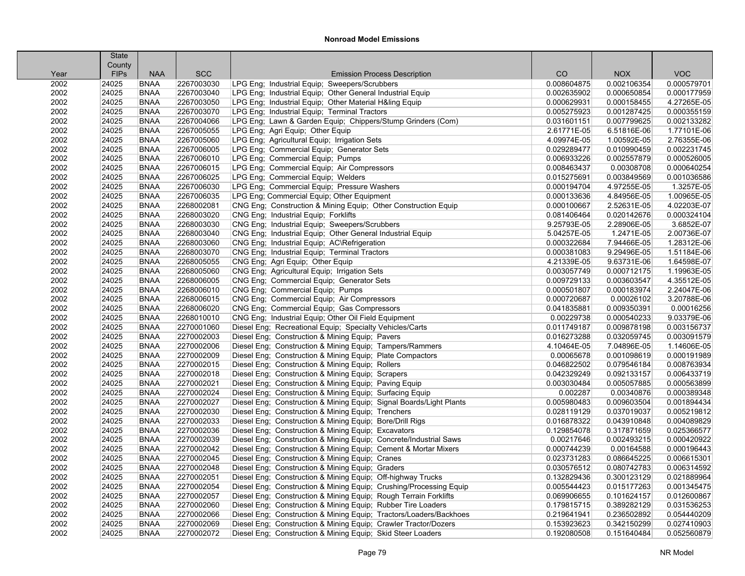|      | State       |             |            |                                                                     |             |             |             |
|------|-------------|-------------|------------|---------------------------------------------------------------------|-------------|-------------|-------------|
|      | County      |             |            |                                                                     |             |             |             |
| Year | <b>FIPs</b> | <b>NAA</b>  | <b>SCC</b> | <b>Emission Process Description</b>                                 | CO.         | <b>NOX</b>  | <b>VOC</b>  |
| 2002 | 24025       | <b>BNAA</b> | 2267003030 | LPG Eng; Industrial Equip; Sweepers/Scrubbers                       | 0.008604875 | 0.002106354 | 0.000579701 |
| 2002 | 24025       | <b>BNAA</b> | 2267003040 | LPG Eng; Industrial Equip; Other General Industrial Equip           | 0.002635902 | 0.000650854 | 0.000177959 |
| 2002 | 24025       | <b>BNAA</b> | 2267003050 | LPG Eng; Industrial Equip; Other Material H&ling Equip              | 0.000629931 | 0.000158455 | 4.27265E-05 |
| 2002 | 24025       | <b>BNAA</b> | 2267003070 | LPG Eng; Industrial Equip; Terminal Tractors                        | 0.005275923 | 0.001287425 | 0.000355159 |
| 2002 | 24025       | <b>BNAA</b> | 2267004066 | LPG Eng; Lawn & Garden Equip; Chippers/Stump Grinders (Com)         | 0.031601151 | 0.007799625 | 0.002133282 |
| 2002 | 24025       | <b>BNAA</b> | 2267005055 | LPG Eng; Agri Equip; Other Equip                                    | 2.61771E-05 | 6.51816E-06 | 1.77101E-06 |
| 2002 | 24025       | <b>BNAA</b> | 2267005060 | LPG Eng; Agricultural Equip; Irrigation Sets                        | 4.09974E-05 | 1.00592E-05 | 2.76355E-06 |
| 2002 | 24025       | <b>BNAA</b> | 2267006005 | LPG Eng; Commercial Equip; Generator Sets                           | 0.029289477 | 0.010990459 | 0.002231745 |
| 2002 | 24025       | <b>BNAA</b> | 2267006010 | LPG Eng; Commercial Equip; Pumps                                    | 0.006933226 | 0.002557879 | 0.000526005 |
| 2002 | 24025       | <b>BNAA</b> | 2267006015 | LPG Eng; Commercial Equip; Air Compressors                          | 0.008463437 | 0.00308708  | 0.000640254 |
| 2002 | 24025       | <b>BNAA</b> | 2267006025 | LPG Eng; Commercial Equip; Welders                                  | 0.015275691 | 0.003849569 | 0.001036586 |
| 2002 | 24025       | <b>BNAA</b> | 2267006030 | LPG Eng; Commercial Equip; Pressure Washers                         | 0.000194704 | 4.97255E-05 | 1.3257E-05  |
| 2002 | 24025       | <b>BNAA</b> | 2267006035 | LPG Eng; Commercial Equip; Other Equipment                          | 0.000133636 | 4.84956E-05 | 1.00965E-05 |
| 2002 | 24025       | <b>BNAA</b> | 2268002081 | CNG Eng; Construction & Mining Equip; Other Construction Equip      | 0.000100667 | 2.52631E-05 | 4.02203E-07 |
| 2002 | 24025       | <b>BNAA</b> | 2268003020 | CNG Eng; Industrial Equip; Forklifts                                | 0.081406464 | 0.020142676 | 0.000324104 |
| 2002 | 24025       | <b>BNAA</b> | 2268003030 | CNG Eng; Industrial Equip; Sweepers/Scrubbers                       | 9.25793E-05 | 2.28906E-05 | 3.6852E-07  |
| 2002 | 24025       | <b>BNAA</b> | 2268003040 | CNG Eng; Industrial Equip; Other General Industrial Equip           | 5.04257E-05 | 1.2471E-05  | 2.00736E-07 |
| 2002 | 24025       | <b>BNAA</b> | 2268003060 | CNG Eng; Industrial Equip; AC\Refrigeration                         | 0.000322684 | 7.94466E-05 | 1.28312E-06 |
| 2002 | 24025       | <b>BNAA</b> | 2268003070 | CNG Eng; Industrial Equip; Terminal Tractors                        | 0.000381083 | 9.29496E-05 | 1.51184E-06 |
| 2002 | 24025       | <b>BNAA</b> | 2268005055 | CNG Eng; Agri Equip; Other Equip                                    | 4.21339E-05 | 9.63731E-06 | 1.64598E-07 |
| 2002 | 24025       | <b>BNAA</b> | 2268005060 | CNG Eng; Agricultural Equip; Irrigation Sets                        | 0.003057749 | 0.000712175 | 1.19963E-05 |
| 2002 | 24025       | <b>BNAA</b> | 2268006005 | CNG Eng; Commercial Equip; Generator Sets                           | 0.009729133 | 0.003603547 | 4.35512E-05 |
| 2002 | 24025       | <b>BNAA</b> | 2268006010 | CNG Eng; Commercial Equip; Pumps                                    | 0.000501807 | 0.000183974 | 2.24047E-06 |
| 2002 | 24025       | <b>BNAA</b> | 2268006015 | CNG Eng; Commercial Equip; Air Compressors                          | 0.000720687 | 0.00026102  | 3.20788E-06 |
| 2002 | 24025       | <b>BNAA</b> | 2268006020 | CNG Eng; Commercial Equip; Gas Compressors                          | 0.041835881 | 0.009350391 | 0.00016256  |
| 2002 | 24025       | <b>BNAA</b> | 2268010010 | CNG Eng; Industrial Equip; Other Oil Field Equipment                | 0.00229738  | 0.000540233 | 9.03379E-06 |
| 2002 | 24025       | <b>BNAA</b> | 2270001060 | Diesel Eng; Recreational Equip; Specialty Vehicles/Carts            | 0.011749187 | 0.009878198 | 0.003156737 |
| 2002 | 24025       | <b>BNAA</b> | 2270002003 | Diesel Eng; Construction & Mining Equip; Pavers                     | 0.016273288 | 0.032059745 | 0.003091579 |
| 2002 | 24025       | <b>BNAA</b> | 2270002006 | Diesel Eng; Construction & Mining Equip; Tampers/Rammers            | 4.10464E-05 | 7.04896E-05 | 1.14606E-05 |
| 2002 | 24025       | <b>BNAA</b> | 2270002009 | Diesel Eng; Construction & Mining Equip; Plate Compactors           | 0.00065678  | 0.001098619 | 0.000191989 |
| 2002 | 24025       | <b>BNAA</b> | 2270002015 | Diesel Eng; Construction & Mining Equip; Rollers                    | 0.046822502 | 0.079546184 | 0.008763934 |
| 2002 | 24025       | <b>BNAA</b> | 2270002018 | Diesel Eng; Construction & Mining Equip; Scrapers                   | 0.042329249 | 0.092133157 | 0.006433719 |
| 2002 | 24025       | <b>BNAA</b> | 2270002021 | Diesel Eng; Construction & Mining Equip; Paving Equip               | 0.003030484 | 0.005057885 | 0.000563899 |
| 2002 | 24025       | <b>BNAA</b> | 2270002024 | Diesel Eng; Construction & Mining Equip; Surfacing Equip            | 0.002287    | 0.00340876  | 0.000389348 |
| 2002 | 24025       | <b>BNAA</b> | 2270002027 | Diesel Eng; Construction & Mining Equip; Signal Boards/Light Plants | 0.005980483 | 0.009603504 | 0.001894434 |
| 2002 | 24025       | <b>BNAA</b> | 2270002030 | Diesel Eng; Construction & Mining Equip; Trenchers                  | 0.028119129 | 0.037019037 | 0.005219812 |
| 2002 | 24025       | <b>BNAA</b> | 2270002033 | Diesel Eng; Construction & Mining Equip; Bore/Drill Rigs            | 0.016878322 | 0.043910848 | 0.004089829 |
| 2002 | 24025       | <b>BNAA</b> | 2270002036 | Diesel Eng; Construction & Mining Equip; Excavators                 | 0.129854078 | 0.317871659 | 0.025366577 |
| 2002 | 24025       | <b>BNAA</b> | 2270002039 | Diesel Eng; Construction & Mining Equip; Concrete/Industrial Saws   | 0.00217646  | 0.002493215 | 0.000420922 |
| 2002 | 24025       | <b>BNAA</b> | 2270002042 | Diesel Eng; Construction & Mining Equip; Cement & Mortar Mixers     | 0.000744239 | 0.00164588  | 0.000196443 |
| 2002 | 24025       | <b>BNAA</b> | 2270002045 | Diesel Eng; Construction & Mining Equip; Cranes                     | 0.023731283 | 0.086645225 | 0.006615301 |
| 2002 | 24025       | <b>BNAA</b> | 2270002048 | Diesel Eng; Construction & Mining Equip; Graders                    | 0.030576512 | 0.080742783 | 0.006314592 |
| 2002 | 24025       | <b>BNAA</b> | 2270002051 | Diesel Eng: Construction & Mining Equip: Off-highway Trucks         | 0.132829436 | 0.300123129 | 0.021889964 |
| 2002 | 24025       | <b>BNAA</b> | 2270002054 | Diesel Eng; Construction & Mining Equip; Crushing/Processing Equip  | 0.005544423 | 0.015177263 | 0.001345475 |
| 2002 | 24025       | <b>BNAA</b> | 2270002057 | Diesel Eng; Construction & Mining Equip; Rough Terrain Forklifts    | 0.069906655 | 0.101624157 | 0.012600867 |
| 2002 | 24025       | <b>BNAA</b> | 2270002060 | Diesel Eng; Construction & Mining Equip; Rubber Tire Loaders        | 0.179815715 | 0.389282129 | 0.031536253 |
| 2002 | 24025       | <b>BNAA</b> | 2270002066 | Diesel Eng; Construction & Mining Equip; Tractors/Loaders/Backhoes  | 0.219641941 | 0.236502892 | 0.054440209 |
| 2002 | 24025       | <b>BNAA</b> | 2270002069 | Diesel Eng; Construction & Mining Equip; Crawler Tractor/Dozers     | 0.153923623 | 0.342150299 | 0.027410903 |
| 2002 | 24025       | <b>BNAA</b> | 2270002072 | Diesel Eng; Construction & Mining Equip; Skid Steer Loaders         | 0.192080508 | 0.151640484 | 0.052560879 |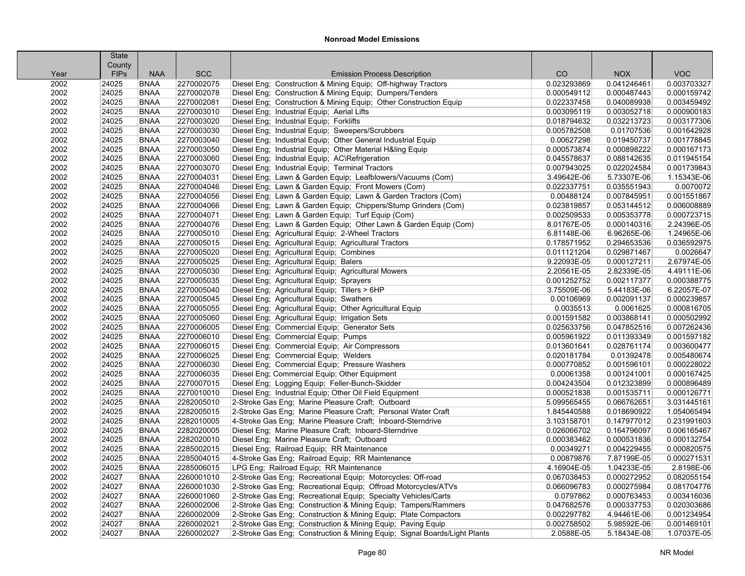|      | <b>State</b> |             |            |                                                                           |             |             |             |
|------|--------------|-------------|------------|---------------------------------------------------------------------------|-------------|-------------|-------------|
|      | County       |             |            |                                                                           |             |             |             |
| Year | <b>FIPs</b>  | <b>NAA</b>  | <b>SCC</b> | <b>Emission Process Description</b>                                       | CO          | <b>NOX</b>  | <b>VOC</b>  |
| 2002 | 24025        | <b>BNAA</b> | 2270002075 | Diesel Eng; Construction & Mining Equip; Off-highway Tractors             | 0.023293869 | 0.041246461 | 0.003703327 |
| 2002 | 24025        | <b>BNAA</b> | 2270002078 | Diesel Eng; Construction & Mining Equip; Dumpers/Tenders                  | 0.000549112 | 0.000487443 | 0.000159742 |
| 2002 | 24025        | <b>BNAA</b> | 2270002081 | Diesel Eng; Construction & Mining Equip; Other Construction Equip         | 0.022337458 | 0.040089938 | 0.003459492 |
| 2002 | 24025        | <b>BNAA</b> | 2270003010 | Diesel Eng; Industrial Equip; Aerial Lifts                                | 0.003095119 | 0.003052718 | 0.000900183 |
| 2002 | 24025        | <b>BNAA</b> | 2270003020 | Diesel Eng; Industrial Equip; Forklifts                                   | 0.018794632 | 0.032213723 | 0.003177306 |
| 2002 | 24025        | <b>BNAA</b> | 2270003030 | Diesel Eng; Industrial Equip; Sweepers/Scrubbers                          | 0.005782508 | 0.01707536  | 0.001642928 |
| 2002 | 24025        | <b>BNAA</b> | 2270003040 | Diesel Eng; Industrial Equip; Other General Industrial Equip              | 0.00627298  | 0.019450737 | 0.001778845 |
| 2002 | 24025        | <b>BNAA</b> | 2270003050 | Diesel Eng; Industrial Equip; Other Material H&ling Equip                 | 0.000573874 | 0.000898222 | 0.000167173 |
| 2002 | 24025        | <b>BNAA</b> | 2270003060 | Diesel Eng; Industrial Equip; AC\Refrigeration                            | 0.045578637 | 0.088142635 | 0.011945154 |
| 2002 | 24025        | <b>BNAA</b> | 2270003070 | Diesel Eng; Industrial Equip; Terminal Tractors                           | 0.007943025 | 0.022024584 | 0.001739843 |
| 2002 | 24025        | <b>BNAA</b> | 2270004031 | Diesel Eng; Lawn & Garden Equip; Leafblowers/Vacuums (Com)                | 3.49642E-06 | 5.73307E-06 | 1.15343E-06 |
| 2002 | 24025        | <b>BNAA</b> | 2270004046 | Diesel Eng; Lawn & Garden Equip; Front Mowers (Com)                       | 0.022337751 | 0.035551943 | 0.0070072   |
| 2002 | 24025        | <b>BNAA</b> | 2270004056 | Diesel Eng; Lawn & Garden Equip; Lawn & Garden Tractors (Com)             | 0.00488124  | 0.007845951 | 0.001551867 |
| 2002 | 24025        | <b>BNAA</b> | 2270004066 | Diesel Eng; Lawn & Garden Equip; Chippers/Stump Grinders (Com)            | 0.023819857 | 0.053144512 | 0.006008889 |
| 2002 | 24025        | <b>BNAA</b> | 2270004071 | Diesel Eng; Lawn & Garden Equip; Turf Equip (Com)                         | 0.002509533 | 0.005353778 | 0.000723715 |
| 2002 | 24025        | <b>BNAA</b> | 2270004076 | Diesel Eng; Lawn & Garden Equip; Other Lawn & Garden Equip (Com)          | 8.01767E-05 | 0.000140316 | 2.24396E-05 |
| 2002 | 24025        | <b>BNAA</b> | 2270005010 | Diesel Eng; Agricultural Equip; 2-Wheel Tractors                          | 6.81148E-06 | 6.96265E-06 | 1.24965E-06 |
| 2002 | 24025        | <b>BNAA</b> | 2270005015 | Diesel Eng; Agricultural Equip; Agricultural Tractors                     | 0.178571952 | 0.294653536 | 0.036592975 |
| 2002 | 24025        | <b>BNAA</b> | 2270005020 | Diesel Eng; Agricultural Equip; Combines                                  | 0.011121204 | 0.029871467 | 0.0026647   |
| 2002 | 24025        | <b>BNAA</b> | 2270005025 | Diesel Eng; Agricultural Equip; Balers                                    | 9.22093E-05 | 0.000127211 | 2.67974E-05 |
| 2002 | 24025        | <b>BNAA</b> | 2270005030 | Diesel Eng; Agricultural Equip; Agricultural Mowers                       | 2.20561E-05 | 2.82339E-05 | 4.49111E-06 |
| 2002 | 24025        | <b>BNAA</b> | 2270005035 | Diesel Eng; Agricultural Equip; Sprayers                                  | 0.001252752 | 0.002117377 | 0.000388775 |
| 2002 | 24025        | <b>BNAA</b> | 2270005040 | Diesel Eng; Agricultural Equip; Tillers > 6HP                             | 3.75509E-06 | 5.44183E-06 | 6.22057E-07 |
| 2002 | 24025        | <b>BNAA</b> | 2270005045 | Diesel Eng; Agricultural Equip; Swathers                                  | 0.00106969  | 0.002091137 | 0.000239857 |
| 2002 | 24025        | <b>BNAA</b> | 2270005055 | Diesel Eng; Agricultural Equip; Other Agricultural Equip                  | 0.0035513   | 0.0061625   | 0.000816705 |
| 2002 | 24025        | <b>BNAA</b> | 2270005060 | Diesel Eng; Agricultural Equip; Irrigation Sets                           | 0.001591582 | 0.003868141 | 0.000502992 |
| 2002 | 24025        | <b>BNAA</b> | 2270006005 | Diesel Eng; Commercial Equip; Generator Sets                              | 0.025633756 | 0.047852516 | 0.007262436 |
| 2002 | 24025        | <b>BNAA</b> | 2270006010 | Diesel Eng; Commercial Equip; Pumps                                       | 0.005961922 | 0.011393349 | 0.001597182 |
| 2002 | 24025        | <b>BNAA</b> | 2270006015 | Diesel Eng; Commercial Equip; Air Compressors                             | 0.013601641 | 0.028761174 | 0.003600477 |
| 2002 | 24025        | <b>BNAA</b> | 2270006025 | Diesel Eng; Commercial Equip; Welders                                     | 0.020181784 | 0.01392478  | 0.005480674 |
| 2002 | 24025        | <b>BNAA</b> | 2270006030 | Diesel Eng; Commercial Equip; Pressure Washers                            | 0.000770852 | 0.001596101 | 0.000228022 |
| 2002 | 24025        | <b>BNAA</b> | 2270006035 | Diesel Eng; Commercial Equip; Other Equipment                             | 0.00061358  | 0.001241001 | 0.000167425 |
| 2002 | 24025        | <b>BNAA</b> | 2270007015 | Diesel Eng; Logging Equip; Feller-Bunch-Skidder                           | 0.004243504 | 0.012323899 | 0.000896489 |
| 2002 | 24025        | <b>BNAA</b> | 2270010010 | Diesel Eng; Industrial Equip; Other Oil Field Equipment                   | 0.000521838 | 0.001535711 | 0.000126771 |
| 2002 | 24025        | <b>BNAA</b> | 2282005010 | 2-Stroke Gas Eng; Marine Pleasure Craft; Outboard                         | 5.099565455 | 0.066762651 | 3.031445161 |
| 2002 | 24025        | <b>BNAA</b> | 2282005015 | 2-Stroke Gas Eng; Marine Pleasure Craft; Personal Water Craft             | 1.845440588 | 0.018690922 | 1.054065494 |
| 2002 | 24025        | <b>BNAA</b> | 2282010005 | 4-Stroke Gas Eng; Marine Pleasure Craft; Inboard-Sterndrive               | 3.103158701 | 0.147977012 | 0.231991603 |
| 2002 | 24025        | <b>BNAA</b> | 2282020005 | Diesel Eng; Marine Pleasure Craft; Inboard-Sterndrive                     | 0.026066702 | 0.164796097 | 0.006165467 |
| 2002 | 24025        | <b>BNAA</b> | 2282020010 | Diesel Eng; Marine Pleasure Craft; Outboard                               | 0.000383462 | 0.000531836 | 0.000132754 |
| 2002 | 24025        | <b>BNAA</b> | 2285002015 | Diesel Eng; Railroad Equip; RR Maintenance                                | 0.00349271  | 0.004229455 | 0.000820575 |
| 2002 | 24025        | <b>BNAA</b> | 2285004015 | 4-Stroke Gas Eng; Railroad Equip; RR Maintenance                          | 0.00879876  | 7.87199E-05 | 0.000271531 |
| 2002 | 24025        | <b>BNAA</b> | 2285006015 | LPG Eng; Railroad Equip; RR Maintenance                                   | 4.16904E-05 | 1.04233E-05 | 2.8198E-06  |
| 2002 | 24027        | <b>BNAA</b> | 2260001010 | 2-Stroke Gas Eng; Recreational Equip; Motorcycles: Off-road               | 0.067038453 | 0.000272952 | 0.082055154 |
| 2002 | 24027        | <b>BNAA</b> | 2260001030 | 2-Stroke Gas Eng; Recreational Equip; Offroad Motorcycles/ATVs            | 0.066096783 | 0.000275984 | 0.081704776 |
| 2002 | 24027        | <b>BNAA</b> | 2260001060 | 2-Stroke Gas Eng; Recreational Equip; Specialty Vehicles/Carts            | 0.0797862   | 0.000763453 | 0.003416036 |
| 2002 | 24027        | <b>BNAA</b> | 2260002006 | 2-Stroke Gas Eng; Construction & Mining Equip; Tampers/Rammers            | 0.047682576 | 0.000337753 | 0.020303686 |
| 2002 | 24027        | <b>BNAA</b> | 2260002009 | 2-Stroke Gas Eng; Construction & Mining Equip; Plate Compactors           | 0.002297782 | 4.94461E-06 | 0.001234954 |
| 2002 | 24027        | <b>BNAA</b> | 2260002021 | 2-Stroke Gas Eng; Construction & Mining Equip; Paving Equip               | 0.002758502 | 5.98592E-06 | 0.001469101 |
| 2002 | 24027        | <b>BNAA</b> | 2260002027 | 2-Stroke Gas Eng; Construction & Mining Equip; Signal Boards/Light Plants | 2.0588E-05  | 5.18434E-08 | 1.07037E-05 |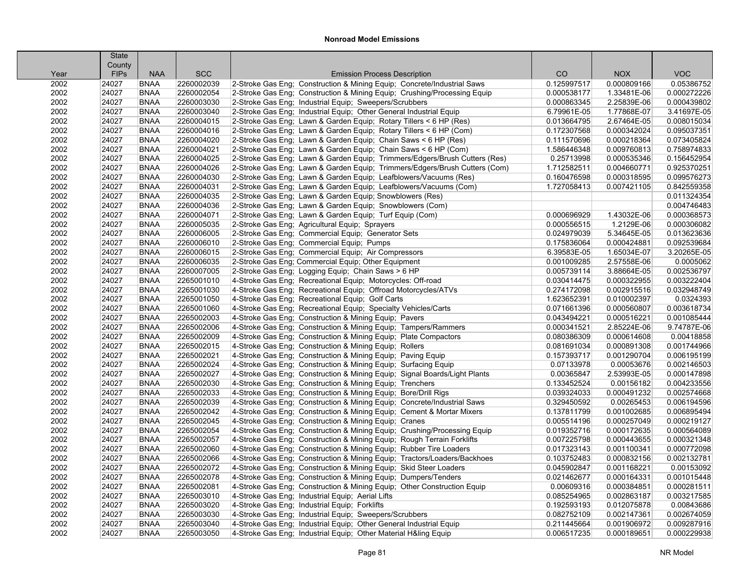|              | <b>State</b>         |                            |                          |                                                                                                                                                     |                            |                            |                            |
|--------------|----------------------|----------------------------|--------------------------|-----------------------------------------------------------------------------------------------------------------------------------------------------|----------------------------|----------------------------|----------------------------|
|              | County               | <b>NAA</b>                 | <b>SCC</b>               |                                                                                                                                                     | CO                         | <b>NOX</b>                 | <b>VOC</b>                 |
| Year<br>2002 | <b>FIPs</b><br>24027 | <b>BNAA</b>                | 2260002039               | <b>Emission Process Description</b>                                                                                                                 | 0.125997517                | 0.000809166                | 0.05386752                 |
| 2002         | 24027                | <b>BNAA</b>                | 2260002054               | 2-Stroke Gas Eng; Construction & Mining Equip; Concrete/Industrial Saws<br>2-Stroke Gas Eng; Construction & Mining Equip; Crushing/Processing Equip | 0.000538177                | 1.33481E-06                | 0.000272226                |
|              |                      | <b>BNAA</b>                | 2260003030               | 2-Stroke Gas Eng; Industrial Equip; Sweepers/Scrubbers                                                                                              |                            |                            |                            |
| 2002         | 24027<br>24027       | <b>BNAA</b>                | 2260003040               |                                                                                                                                                     | 0.000863345<br>6.79961E-05 | 2.25839E-06<br>1.77868E-07 | 0.000439802                |
| 2002<br>2002 | 24027                | <b>BNAA</b>                | 2260004015               | 2-Stroke Gas Eng; Industrial Equip; Other General Industrial Equip                                                                                  | 0.013664795                | 2.67464E-05                | 3.41697E-05<br>0.008015034 |
|              |                      | <b>BNAA</b>                | 2260004016               | 2-Stroke Gas Eng; Lawn & Garden Equip; Rotary Tillers < 6 HP (Res)                                                                                  |                            | 0.000342024                | 0.095037351                |
| 2002<br>2002 | 24027<br>24027       | <b>BNAA</b>                | 2260004020               | 2-Stroke Gas Eng; Lawn & Garden Equip; Rotary Tillers < 6 HP (Com)                                                                                  | 0.172307568                |                            | 0.073405824                |
| 2002         | 24027                | <b>BNAA</b>                | 2260004021               | 2-Stroke Gas Eng; Lawn & Garden Equip; Chain Saws < 6 HP (Res)                                                                                      | 0.111570696                | 0.000218364                | 0.758974833                |
|              |                      |                            |                          | 2-Stroke Gas Eng; Lawn & Garden Equip; Chain Saws < 6 HP (Com)                                                                                      | 1.586446348                | 0.009760813                |                            |
| 2002         | 24027                | <b>BNAA</b><br><b>BNAA</b> | 2260004025<br>2260004026 | 2-Stroke Gas Eng; Lawn & Garden Equip; Trimmers/Edgers/Brush Cutters (Res)                                                                          | 0.25713998                 | 0.000535346                | 0.156452954                |
| 2002         | 24027                |                            | 2260004030               | 2-Stroke Gas Eng; Lawn & Garden Equip; Trimmers/Edgers/Brush Cutters (Com)                                                                          | 1.712582511                | 0.004660771                | 0.925370251                |
| 2002<br>2002 | 24027<br>24027       | <b>BNAA</b>                | 2260004031               | 2-Stroke Gas Eng; Lawn & Garden Equip; Leafblowers/Vacuums (Res)                                                                                    | 0.160476598<br>1.727058413 | 0.000318595                | 0.099576273<br>0.842559358 |
|              |                      | <b>BNAA</b>                |                          | 2-Stroke Gas Eng; Lawn & Garden Equip; Leafblowers/Vacuums (Com)                                                                                    |                            | 0.007421105                |                            |
| 2002<br>2002 | 24027<br>24027       | <b>BNAA</b><br><b>BNAA</b> | 2260004035               | 2-Stroke Gas Eng; Lawn & Garden Equip; Snowblowers (Res)                                                                                            |                            |                            | 0.011324354                |
|              |                      |                            | 2260004036               | 2-Stroke Gas Eng; Lawn & Garden Equip; Snowblowers (Com)                                                                                            |                            |                            | 0.004746483                |
| 2002         | 24027                | <b>BNAA</b>                | 2260004071               | 2-Stroke Gas Eng; Lawn & Garden Equip; Turf Equip (Com)                                                                                             | 0.000696929                | 1.43032E-06                | 0.000368573                |
| 2002         | 24027                | <b>BNAA</b>                | 2260005035               | 2-Stroke Gas Eng; Agricultural Equip; Sprayers                                                                                                      | 0.000556515                | 1.2129E-06                 | 0.000306082                |
| 2002         | 24027                | <b>BNAA</b>                | 2260006005               | 2-Stroke Gas Eng; Commercial Equip; Generator Sets                                                                                                  | 0.024979039                | 5.34645E-05                | 0.013623636                |
| 2002         | 24027                | <b>BNAA</b>                | 2260006010               | 2-Stroke Gas Eng; Commercial Equip; Pumps                                                                                                           | 0.175836064                | 0.000424881                | 0.092539684                |
| 2002         | 24027                | <b>BNAA</b>                | 2260006015               | 2-Stroke Gas Eng; Commercial Equip; Air Compressors                                                                                                 | 6.39583E-05                | 1.65034E-07                | 3.20265E-05                |
| 2002         | 24027                | <b>BNAA</b>                | 2260006035               | 2-Stroke Gas Eng; Commercial Equip; Other Equipment                                                                                                 | 0.001009285                | 2.57558E-06                | 0.0005062                  |
| 2002         | 24027                | <b>BNAA</b>                | 2260007005               | 2-Stroke Gas Eng; Logging Equip; Chain Saws > 6 HP                                                                                                  | 0.005739114                | 3.88664E-05                | 0.002536797                |
| 2002         | 24027                | <b>BNAA</b>                | 2265001010               | 4-Stroke Gas Eng; Recreational Equip; Motorcycles: Off-road                                                                                         | 0.030414475                | 0.000322955                | 0.003222404<br>0.032948749 |
| 2002         | 24027                | <b>BNAA</b>                | 2265001030               | 4-Stroke Gas Eng; Recreational Equip; Offroad Motorcycles/ATVs                                                                                      | 0.274172098                | 0.002915516                |                            |
| 2002         | 24027                | <b>BNAA</b>                | 2265001050               | 4-Stroke Gas Eng; Recreational Equip; Golf Carts                                                                                                    | 1.623652391                | 0.010002397                | 0.0324393                  |
| 2002         | 24027                | <b>BNAA</b>                | 2265001060               | 4-Stroke Gas Eng; Recreational Equip; Specialty Vehicles/Carts                                                                                      | 0.071661396                | 0.000560807                | 0.003618734                |
| 2002         | 24027                | <b>BNAA</b>                | 2265002003               | 4-Stroke Gas Eng; Construction & Mining Equip; Pavers                                                                                               | 0.043494221                | 0.000516221                | 0.001085444                |
| 2002         | 24027                | <b>BNAA</b>                | 2265002006<br>2265002009 | 4-Stroke Gas Eng; Construction & Mining Equip; Tampers/Rammers                                                                                      | 0.000341521                | 2.85224E-06                | 9.74787E-06                |
| 2002         | 24027                | <b>BNAA</b>                | 2265002015               | 4-Stroke Gas Eng; Construction & Mining Equip; Plate Compactors                                                                                     | 0.080386309                | 0.000614608                | 0.00418858                 |
| 2002         | 24027                | <b>BNAA</b>                | 2265002021               | 4-Stroke Gas Eng; Construction & Mining Equip; Rollers                                                                                              | 0.081691034                | 0.000891308                | 0.001744966                |
| 2002         | 24027                | <b>BNAA</b>                |                          | 4-Stroke Gas Eng; Construction & Mining Equip; Paving Equip                                                                                         | 0.157393717                | 0.001290704                | 0.006195199                |
| 2002<br>2002 | 24027<br>24027       | <b>BNAA</b><br><b>BNAA</b> | 2265002024<br>2265002027 | 4-Stroke Gas Eng; Construction & Mining Equip; Surfacing Equip                                                                                      | 0.07133978<br>0.00365847   | 0.00053676<br>2.53993E-05  | 0.002146503<br>0.000147898 |
| 2002         | 24027                | <b>BNAA</b>                | 2265002030               | 4-Stroke Gas Eng; Construction & Mining Equip; Signal Boards/Light Plants                                                                           | 0.133452524                | 0.00156182                 | 0.004233556                |
|              | 24027                | <b>BNAA</b>                | 2265002033               | 4-Stroke Gas Eng; Construction & Mining Equip; Trenchers                                                                                            | 0.039324033                | 0.000491232                | 0.002574668                |
| 2002<br>2002 | 24027                | <b>BNAA</b>                | 2265002039               | 4-Stroke Gas Eng; Construction & Mining Equip; Bore/Drill Rigs<br>4-Stroke Gas Eng; Construction & Mining Equip; Concrete/Industrial Saws           | 0.329450592                | 0.00265453                 | 0.006194596                |
| 2002         | 24027                | <b>BNAA</b>                | 2265002042               | 4-Stroke Gas Eng; Construction & Mining Equip; Cement & Mortar Mixers                                                                               | 0.137811799                | 0.001002685                | 0.006895494                |
| 2002         | 24027                | <b>BNAA</b>                | 2265002045               | 4-Stroke Gas Eng; Construction & Mining Equip; Cranes                                                                                               | 0.005514196                | 0.000257049                | 0.000219127                |
| 2002         | 24027                | <b>BNAA</b>                | 2265002054               | 4-Stroke Gas Eng; Construction & Mining Equip; Crushing/Processing Equip                                                                            | 0.019352716                | 0.000172635                | 0.000564089                |
| 2002         | 24027                | <b>BNAA</b>                | 2265002057               |                                                                                                                                                     | 0.007225798                | 0.000443655                | 0.000321348                |
| 2002         | 24027                | <b>BNAA</b>                | 2265002060               | 4-Stroke Gas Eng; Construction & Mining Equip; Rough Terrain Forklifts<br>4-Stroke Gas Eng; Construction & Mining Equip; Rubber Tire Loaders        | 0.017323143                | 0.001100341                | 0.000772098                |
|              |                      | <b>BNAA</b>                | 2265002066               |                                                                                                                                                     |                            |                            | 0.002132781                |
| 2002<br>2002 | 24027<br>24027       | <b>BNAA</b>                | 2265002072               | 4-Stroke Gas Eng; Construction & Mining Equip; Tractors/Loaders/Backhoes                                                                            | 0.103752483                | 0.000832156                | 0.00153092                 |
|              |                      |                            | 2265002078               | 4-Stroke Gas Eng; Construction & Mining Equip; Skid Steer Loaders                                                                                   | 0.045902847                | 0.001168221                |                            |
| 2002<br>2002 | 24027<br>24027       | <b>BNAA</b><br><b>BNAA</b> | 2265002081               | 4-Stroke Gas Eng: Construction & Mining Equip: Dumpers/Tenders<br>4-Stroke Gas Eng; Construction & Mining Equip; Other Construction Equip           | 0.021462677<br>0.00609316  | 0.000164331<br>0.000384851 | 0.001015448<br>0.000281511 |
|              | 24027                | <b>BNAA</b>                | 2265003010               |                                                                                                                                                     |                            | 0.002863187                |                            |
| 2002<br>2002 | 24027                | <b>BNAA</b>                | 2265003020               | 4-Stroke Gas Eng; Industrial Equip; Aerial Lifts<br>4-Stroke Gas Eng; Industrial Equip; Forklifts                                                   | 0.085254965<br>0.192593193 | 0.012075878                | 0.003217585<br>0.00843686  |
| 2002         | 24027                | <b>BNAA</b>                | 2265003030               | 4-Stroke Gas Eng; Industrial Equip; Sweepers/Scrubbers                                                                                              | 0.082752109                | 0.002147361                | 0.002674059                |
| 2002         | 24027                | <b>BNAA</b>                | 2265003040               | 4-Stroke Gas Eng; Industrial Equip; Other General Industrial Equip                                                                                  | 0.211445664                | 0.001906972                | 0.009287916                |
| 2002         | 24027                | <b>BNAA</b>                | 2265003050               |                                                                                                                                                     |                            |                            | 0.000229938                |
|              |                      |                            |                          | 4-Stroke Gas Eng; Industrial Equip; Other Material H&ling Equip                                                                                     | 0.006517235                | 0.000189651                |                            |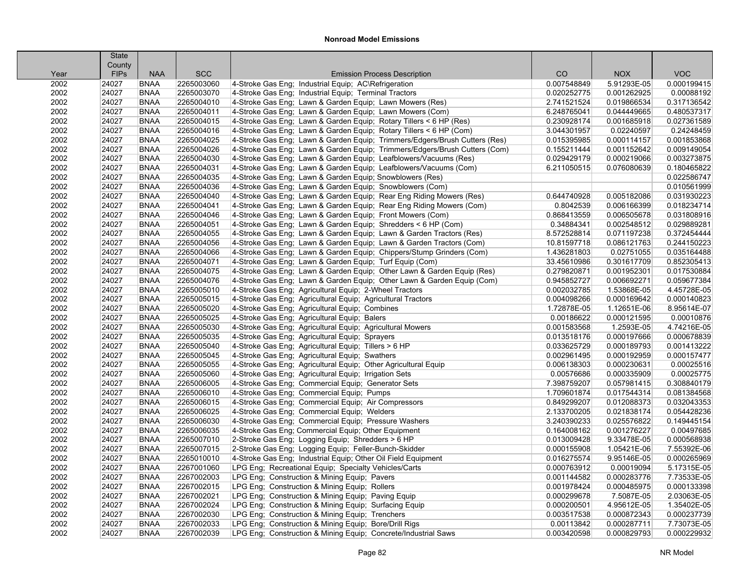|      | <b>State</b> |             |            |                                                                            |             |             |             |
|------|--------------|-------------|------------|----------------------------------------------------------------------------|-------------|-------------|-------------|
|      | County       |             |            |                                                                            |             |             |             |
| Year | <b>FIPs</b>  | <b>NAA</b>  | <b>SCC</b> | <b>Emission Process Description</b>                                        | CO          | <b>NOX</b>  | <b>VOC</b>  |
| 2002 | 24027        | <b>BNAA</b> | 2265003060 | 4-Stroke Gas Eng; Industrial Equip; AC\Refrigeration                       | 0.007548849 | 5.91293E-05 | 0.000199415 |
| 2002 | 24027        | <b>BNAA</b> | 2265003070 | 4-Stroke Gas Eng; Industrial Equip; Terminal Tractors                      | 0.020252775 | 0.001262925 | 0.00088192  |
| 2002 | 24027        | <b>BNAA</b> | 2265004010 | 4-Stroke Gas Eng; Lawn & Garden Equip; Lawn Mowers (Res)                   | 2.741521524 | 0.019866534 | 0.317136542 |
| 2002 | 24027        | <b>BNAA</b> | 2265004011 | 4-Stroke Gas Eng; Lawn & Garden Equip; Lawn Mowers (Com)                   | 6.248765041 | 0.044449665 | 0.480537317 |
| 2002 | 24027        | <b>BNAA</b> | 2265004015 | 4-Stroke Gas Eng; Lawn & Garden Equip; Rotary Tillers < 6 HP (Res)         | 0.230928174 | 0.001685918 | 0.027361589 |
| 2002 | 24027        | <b>BNAA</b> | 2265004016 | 4-Stroke Gas Eng; Lawn & Garden Equip; Rotary Tillers < 6 HP (Com)         | 3.044301957 | 0.02240597  | 0.24248459  |
| 2002 | 24027        | <b>BNAA</b> | 2265004025 | 4-Stroke Gas Eng; Lawn & Garden Equip; Trimmers/Edgers/Brush Cutters (Res) | 0.015395985 | 0.000114157 | 0.001853868 |
| 2002 | 24027        | <b>BNAA</b> | 2265004026 | 4-Stroke Gas Eng; Lawn & Garden Equip; Trimmers/Edgers/Brush Cutters (Com) | 0.155211444 | 0.001152642 | 0.009149054 |
| 2002 | 24027        | <b>BNAA</b> | 2265004030 | 4-Stroke Gas Eng; Lawn & Garden Equip; Leafblowers/Vacuums (Res)           | 0.029429179 | 0.000219066 | 0.003273875 |
| 2002 | 24027        | <b>BNAA</b> | 2265004031 | 4-Stroke Gas Eng; Lawn & Garden Equip; Leafblowers/Vacuums (Com)           | 6.211050515 | 0.076080639 | 0.180465822 |
| 2002 | 24027        | <b>BNAA</b> | 2265004035 | 4-Stroke Gas Eng; Lawn & Garden Equip; Snowblowers (Res)                   |             |             | 0.022586747 |
| 2002 | 24027        | <b>BNAA</b> | 2265004036 | 4-Stroke Gas Eng; Lawn & Garden Equip; Snowblowers (Com)                   |             |             | 0.010561999 |
| 2002 | 24027        | <b>BNAA</b> | 2265004040 | 4-Stroke Gas Eng; Lawn & Garden Equip; Rear Eng Riding Mowers (Res)        | 0.644740928 | 0.005182086 | 0.031930223 |
| 2002 | 24027        | <b>BNAA</b> | 2265004041 | 4-Stroke Gas Eng; Lawn & Garden Equip; Rear Eng Riding Mowers (Com)        | 0.8042539   | 0.006166399 | 0.018234714 |
| 2002 | 24027        | <b>BNAA</b> | 2265004046 | 4-Stroke Gas Eng; Lawn & Garden Equip; Front Mowers (Com)                  | 0.868413559 | 0.006505678 | 0.031808916 |
| 2002 | 24027        | <b>BNAA</b> | 2265004051 | 4-Stroke Gas Eng; Lawn & Garden Equip; Shredders < 6 HP (Com)              | 0.34884341  | 0.002548512 | 0.029889281 |
| 2002 | 24027        | <b>BNAA</b> | 2265004055 | 4-Stroke Gas Eng; Lawn & Garden Equip; Lawn & Garden Tractors (Res)        | 8.572528814 | 0.071197238 | 0.372454444 |
| 2002 | 24027        | <b>BNAA</b> | 2265004056 | 4-Stroke Gas Eng; Lawn & Garden Equip; Lawn & Garden Tractors (Com)        | 10.81597718 | 0.086121763 | 0.244150223 |
| 2002 | 24027        | <b>BNAA</b> | 2265004066 | 4-Stroke Gas Eng; Lawn & Garden Equip; Chippers/Stump Grinders (Com)       | 1.436281803 | 0.02751055  | 0.035164488 |
| 2002 | 24027        | <b>BNAA</b> | 2265004071 | 4-Stroke Gas Eng; Lawn & Garden Equip; Turf Equip (Com)                    | 33.45610986 | 0.301617709 | 0.852305413 |
| 2002 | 24027        | <b>BNAA</b> | 2265004075 | 4-Stroke Gas Eng; Lawn & Garden Equip; Other Lawn & Garden Equip (Res)     | 0.279820871 | 0.001952301 | 0.017530884 |
| 2002 | 24027        | <b>BNAA</b> | 2265004076 | 4-Stroke Gas Eng: Lawn & Garden Equip: Other Lawn & Garden Equip (Com)     | 0.945852727 | 0.006692271 | 0.059677384 |
| 2002 | 24027        | <b>BNAA</b> | 2265005010 | 4-Stroke Gas Eng; Agricultural Equip; 2-Wheel Tractors                     | 0.002032785 | 1.53868E-05 | 4.45728E-05 |
| 2002 | 24027        | <b>BNAA</b> | 2265005015 | 4-Stroke Gas Eng; Agricultural Equip; Agricultural Tractors                | 0.004098266 | 0.000169642 | 0.000140823 |
| 2002 | 24027        | <b>BNAA</b> | 2265005020 | 4-Stroke Gas Eng; Agricultural Equip; Combines                             | 1.72878E-05 | 1.12651E-06 | 8.95614E-07 |
| 2002 | 24027        | <b>BNAA</b> | 2265005025 | 4-Stroke Gas Eng; Agricultural Equip; Balers                               | 0.00186622  | 0.000121595 | 0.00010876  |
| 2002 | 24027        | <b>BNAA</b> | 2265005030 | 4-Stroke Gas Eng; Agricultural Equip; Agricultural Mowers                  | 0.001583568 | 1.2593E-05  | 4.74216E-05 |
| 2002 | 24027        | <b>BNAA</b> | 2265005035 | 4-Stroke Gas Eng; Agricultural Equip; Sprayers                             | 0.013518176 | 0.000197666 | 0.000678839 |
| 2002 | 24027        | <b>BNAA</b> | 2265005040 | 4-Stroke Gas Eng; Agricultural Equip; Tillers > 6 HP                       | 0.033625729 | 0.000189793 | 0.001413222 |
| 2002 | 24027        | <b>BNAA</b> | 2265005045 | 4-Stroke Gas Eng; Agricultural Equip; Swathers                             | 0.002961495 | 0.000192959 | 0.000157477 |
| 2002 | 24027        | <b>BNAA</b> | 2265005055 | 4-Stroke Gas Eng; Agricultural Equip; Other Agricultural Equip             | 0.006138303 | 0.000230631 | 0.00025516  |
| 2002 | 24027        | <b>BNAA</b> | 2265005060 | 4-Stroke Gas Eng; Agricultural Equip; Irrigation Sets                      | 0.00576686  | 0.000335909 | 0.00025775  |
| 2002 | 24027        | <b>BNAA</b> | 2265006005 | 4-Stroke Gas Eng; Commercial Equip; Generator Sets                         | 7.398759207 | 0.057981415 | 0.308840179 |
| 2002 | 24027        | <b>BNAA</b> | 2265006010 | 4-Stroke Gas Eng; Commercial Equip; Pumps                                  | 1.709601874 | 0.017544314 | 0.081384568 |
| 2002 | 24027        | <b>BNAA</b> | 2265006015 | 4-Stroke Gas Eng; Commercial Equip; Air Compressors                        | 0.849299207 | 0.012088373 | 0.032043353 |
| 2002 | 24027        | <b>BNAA</b> | 2265006025 | 4-Stroke Gas Eng: Commercial Equip: Welders                                | 2.133700205 | 0.021838174 | 0.054428236 |
| 2002 | 24027        | <b>BNAA</b> | 2265006030 | 4-Stroke Gas Eng; Commercial Equip; Pressure Washers                       | 3.240390233 | 0.025576822 | 0.149445154 |
| 2002 | 24027        | <b>BNAA</b> | 2265006035 | 4-Stroke Gas Eng; Commercial Equip; Other Equipment                        | 0.164008162 | 0.001276227 | 0.00497685  |
| 2002 | 24027        | <b>BNAA</b> | 2265007010 | 2-Stroke Gas Eng; Logging Equip; Shredders > 6 HP                          | 0.013009428 | 9.33478E-05 | 0.000568938 |
| 2002 | 24027        | <b>BNAA</b> | 2265007015 | 2-Stroke Gas Eng; Logging Equip; Feller-Bunch-Skidder                      | 0.000155908 | 1.05421E-06 | 7.55392E-06 |
| 2002 | 24027        | <b>BNAA</b> | 2265010010 | 4-Stroke Gas Eng; Industrial Equip; Other Oil Field Equipment              | 0.016275574 | 9.95146E-05 | 0.000265969 |
| 2002 | 24027        | <b>BNAA</b> | 2267001060 | LPG Eng; Recreational Equip; Specialty Vehicles/Carts                      | 0.000763912 | 0.00019094  | 5.17315E-05 |
| 2002 | 24027        | <b>BNAA</b> | 2267002003 | LPG Eng: Construction & Mining Equip: Pavers                               | 0.001144582 | 0.000283776 | 7.73533E-05 |
| 2002 | 24027        | <b>BNAA</b> | 2267002015 | LPG Eng; Construction & Mining Equip; Rollers                              | 0.001978424 | 0.000485975 | 0.000133398 |
| 2002 | 24027        | <b>BNAA</b> | 2267002021 | LPG Eng; Construction & Mining Equip; Paving Equip                         | 0.000299678 | 7.5087E-05  | 2.03063E-05 |
| 2002 | 24027        | <b>BNAA</b> | 2267002024 | LPG Eng; Construction & Mining Equip; Surfacing Equip                      | 0.000200501 | 4.95612E-05 | 1.35402E-05 |
| 2002 | 24027        | <b>BNAA</b> | 2267002030 | LPG Eng; Construction & Mining Equip; Trenchers                            | 0.003517538 | 0.000872343 | 0.000237739 |
| 2002 | 24027        | <b>BNAA</b> | 2267002033 | LPG Eng; Construction & Mining Equip; Bore/Drill Rigs                      | 0.00113842  | 0.000287711 | 7.73073E-05 |
| 2002 | 24027        | <b>BNAA</b> | 2267002039 | LPG Eng; Construction & Mining Equip; Concrete/Industrial Saws             | 0.003420598 | 0.000829793 | 0.000229932 |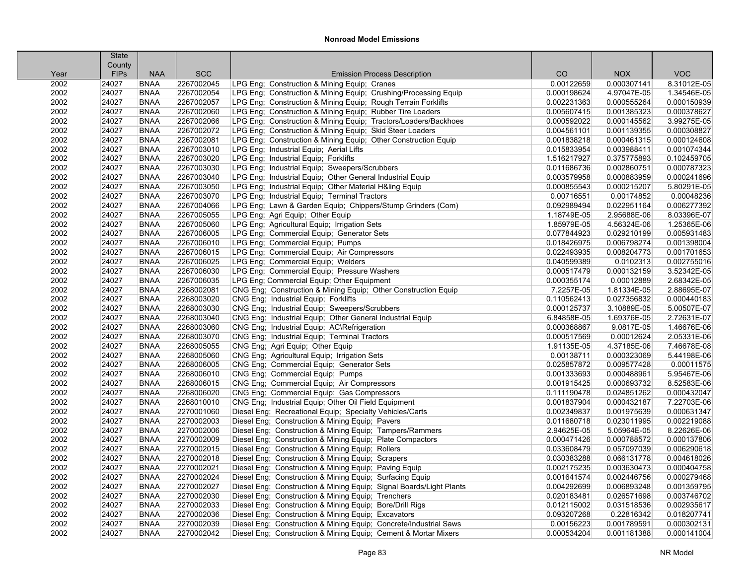|      | <b>State</b><br>County |             |            |                                                                     |             |             |             |
|------|------------------------|-------------|------------|---------------------------------------------------------------------|-------------|-------------|-------------|
| Year | <b>FIPs</b>            | <b>NAA</b>  | <b>SCC</b> | <b>Emission Process Description</b>                                 | CO          | <b>NOX</b>  | <b>VOC</b>  |
| 2002 | 24027                  | <b>BNAA</b> | 2267002045 | LPG Eng; Construction & Mining Equip; Cranes                        | 0.00122659  | 0.000307141 | 8.31012E-05 |
| 2002 | 24027                  | <b>BNAA</b> | 2267002054 | LPG Eng; Construction & Mining Equip; Crushing/Processing Equip     | 0.000198624 | 4.97047E-05 | 1.34546E-05 |
| 2002 | 24027                  | <b>BNAA</b> | 2267002057 | LPG Eng; Construction & Mining Equip; Rough Terrain Forklifts       | 0.002231363 | 0.000555264 | 0.000150939 |
| 2002 | 24027                  | <b>BNAA</b> | 2267002060 | LPG Eng; Construction & Mining Equip; Rubber Tire Loaders           | 0.005607415 | 0.001385323 | 0.000378627 |
| 2002 | 24027                  | <b>BNAA</b> | 2267002066 | LPG Eng; Construction & Mining Equip; Tractors/Loaders/Backhoes     | 0.000592022 | 0.000145562 | 3.99275E-05 |
| 2002 | 24027                  | <b>BNAA</b> | 2267002072 | LPG Eng; Construction & Mining Equip; Skid Steer Loaders            | 0.004561101 | 0.001139355 | 0.000308827 |
| 2002 | 24027                  | <b>BNAA</b> | 2267002081 | LPG Eng; Construction & Mining Equip; Other Construction Equip      | 0.001838218 | 0.000461315 | 0.000124608 |
| 2002 | 24027                  | <b>BNAA</b> | 2267003010 | LPG Eng; Industrial Equip; Aerial Lifts                             | 0.015833954 | 0.003988411 | 0.001074344 |
| 2002 | 24027                  | <b>BNAA</b> | 2267003020 | LPG Eng; Industrial Equip; Forklifts                                | 1.516217927 | 0.375775893 | 0.102459705 |
| 2002 | 24027                  | <b>BNAA</b> | 2267003030 | LPG Eng; Industrial Equip; Sweepers/Scrubbers                       | 0.011686736 | 0.002860751 | 0.000787323 |
| 2002 | 24027                  | <b>BNAA</b> | 2267003040 | LPG Eng; Industrial Equip; Other General Industrial Equip           | 0.003579958 | 0.000883959 | 0.000241696 |
| 2002 | 24027                  | <b>BNAA</b> | 2267003050 | LPG Eng; Industrial Equip; Other Material H&ling Equip              | 0.000855543 | 0.000215207 | 5.80291E-05 |
| 2002 | 24027                  | <b>BNAA</b> | 2267003070 | LPG Eng; Industrial Equip; Terminal Tractors                        | 0.00716551  | 0.00174852  | 0.00048236  |
| 2002 | 24027                  | <b>BNAA</b> | 2267004066 | LPG Eng; Lawn & Garden Equip; Chippers/Stump Grinders (Com)         | 0.092989494 | 0.022951164 | 0.006277392 |
| 2002 | 24027                  | <b>BNAA</b> | 2267005055 | LPG Eng; Agri Equip; Other Equip                                    | 1.18749E-05 | 2.95688E-06 | 8.03396E-07 |
| 2002 | 24027                  | <b>BNAA</b> | 2267005060 | LPG Eng; Agricultural Equip; Irrigation Sets                        | 1.85979E-05 | 4.56324E-06 | 1.25365E-06 |
| 2002 | 24027                  | <b>BNAA</b> | 2267006005 | LPG Eng; Commercial Equip; Generator Sets                           | 0.077844923 | 0.029210199 | 0.005931483 |
| 2002 | 24027                  | <b>BNAA</b> | 2267006010 | LPG Eng; Commercial Equip; Pumps                                    | 0.018426975 | 0.006798274 | 0.001398004 |
| 2002 | 24027                  | <b>BNAA</b> | 2267006015 | LPG Eng; Commercial Equip; Air Compressors                          | 0.022493935 | 0.008204773 | 0.001701653 |
| 2002 | 24027                  | <b>BNAA</b> | 2267006025 | LPG Eng: Commercial Equip: Welders                                  | 0.040599389 | 0.0102313   | 0.002755016 |
| 2002 | 24027                  | <b>BNAA</b> | 2267006030 | LPG Eng; Commercial Equip; Pressure Washers                         | 0.000517479 | 0.000132159 | 3.52342E-05 |
| 2002 | 24027                  | <b>BNAA</b> | 2267006035 | LPG Eng; Commercial Equip; Other Equipment                          | 0.000355174 | 0.00012889  | 2.68342E-05 |
| 2002 | 24027                  | <b>BNAA</b> | 2268002081 | CNG Eng; Construction & Mining Equip; Other Construction Equip      | 7.2257E-05  | 1.81334E-05 | 2.88695E-07 |
| 2002 | 24027                  | <b>BNAA</b> | 2268003020 | CNG Eng; Industrial Equip; Forklifts                                | 0.110562413 | 0.027356832 | 0.000440183 |
| 2002 | 24027                  | <b>BNAA</b> | 2268003030 | CNG Eng; Industrial Equip; Sweepers/Scrubbers                       | 0.000125737 | 3.10889E-05 | 5.00507E-07 |
| 2002 | 24027                  | <b>BNAA</b> | 2268003040 | CNG Eng; Industrial Equip; Other General Industrial Equip           | 6.84858E-05 | 1.69376E-05 | 2.72631E-07 |
| 2002 | 24027                  | <b>BNAA</b> | 2268003060 | CNG Eng; Industrial Equip; AC\Refrigeration                         | 0.000368867 | 9.0817E-05  | 1.46676E-06 |
| 2002 | 24027                  | <b>BNAA</b> | 2268003070 | CNG Eng; Industrial Equip; Terminal Tractors                        | 0.000517569 | 0.00012624  | 2.05331E-06 |
| 2002 | 24027                  | <b>BNAA</b> | 2268005055 | CNG Eng; Agri Equip; Other Equip                                    | 1.91135E-05 | 4.37185E-06 | 7.46678E-08 |
| 2002 | 24027                  | <b>BNAA</b> | 2268005060 | CNG Eng; Agricultural Equip; Irrigation Sets                        | 0.00138711  | 0.000323069 | 5.44198E-06 |
| 2002 | 24027                  | <b>BNAA</b> | 2268006005 | CNG Eng; Commercial Equip; Generator Sets                           | 0.025857872 | 0.009577428 | 0.00011575  |
| 2002 | 24027                  | <b>BNAA</b> | 2268006010 | CNG Eng; Commercial Equip; Pumps                                    | 0.001333693 | 0.000488961 | 5.95467E-06 |
| 2002 | 24027                  | <b>BNAA</b> | 2268006015 | CNG Eng; Commercial Equip; Air Compressors                          | 0.001915425 | 0.000693732 | 8.52583E-06 |
| 2002 | 24027                  | <b>BNAA</b> | 2268006020 | CNG Eng; Commercial Equip; Gas Compressors                          | 0.111190478 | 0.024851262 | 0.000432047 |
| 2002 | 24027                  | <b>BNAA</b> | 2268010010 | CNG Eng; Industrial Equip; Other Oil Field Equipment                | 0.001837904 | 0.000432187 | 7.22703E-06 |
| 2002 | 24027                  | <b>BNAA</b> | 2270001060 | Diesel Eng; Recreational Equip; Specialty Vehicles/Carts            | 0.002349837 | 0.001975639 | 0.000631347 |
| 2002 | 24027                  | <b>BNAA</b> | 2270002003 | Diesel Eng; Construction & Mining Equip; Pavers                     | 0.011680718 | 0.023011995 | 0.002219088 |
| 2002 | 24027                  | <b>BNAA</b> | 2270002006 | Diesel Eng; Construction & Mining Equip; Tampers/Rammers            | 2.94625E-05 | 5.05964E-05 | 8.22626E-06 |
| 2002 | 24027                  | <b>BNAA</b> | 2270002009 | Diesel Eng; Construction & Mining Equip; Plate Compactors           | 0.000471426 | 0.000788572 | 0.000137806 |
| 2002 | 24027                  | <b>BNAA</b> | 2270002015 | Diesel Eng; Construction & Mining Equip; Rollers                    | 0.033608479 | 0.057097039 | 0.006290618 |
| 2002 | 24027                  | <b>BNAA</b> | 2270002018 | Diesel Eng; Construction & Mining Equip; Scrapers                   | 0.030383288 | 0.066131778 | 0.004618026 |
| 2002 | 24027                  | <b>BNAA</b> | 2270002021 | Diesel Eng; Construction & Mining Equip; Paving Equip               | 0.002175235 | 0.003630473 | 0.000404758 |
| 2002 | 24027                  | <b>BNAA</b> | 2270002024 | Diesel Eng; Construction & Mining Equip; Surfacing Equip            | 0.001641574 | 0.002446756 | 0.000279468 |
| 2002 | 24027                  | <b>BNAA</b> | 2270002027 | Diesel Eng; Construction & Mining Equip; Signal Boards/Light Plants | 0.004292699 | 0.006893248 | 0.001359795 |
| 2002 | 24027                  | <b>BNAA</b> | 2270002030 | Diesel Eng; Construction & Mining Equip; Trenchers                  | 0.020183481 | 0.026571698 | 0.003746702 |
| 2002 | 24027                  | <b>BNAA</b> | 2270002033 | Diesel Eng; Construction & Mining Equip; Bore/Drill Rigs            | 0.012115002 | 0.031518536 | 0.002935617 |
| 2002 | 24027                  | <b>BNAA</b> | 2270002036 | Diesel Eng; Construction & Mining Equip; Excavators                 | 0.093207268 | 0.22816342  | 0.018207741 |
| 2002 | 24027                  | <b>BNAA</b> | 2270002039 | Diesel Eng; Construction & Mining Equip; Concrete/Industrial Saws   | 0.00156223  | 0.001789591 | 0.000302131 |
| 2002 | 24027                  | <b>BNAA</b> | 2270002042 | Diesel Eng; Construction & Mining Equip; Cement & Mortar Mixers     | 0.000534204 | 0.001181388 | 0.000141004 |
|      |                        |             |            |                                                                     |             |             |             |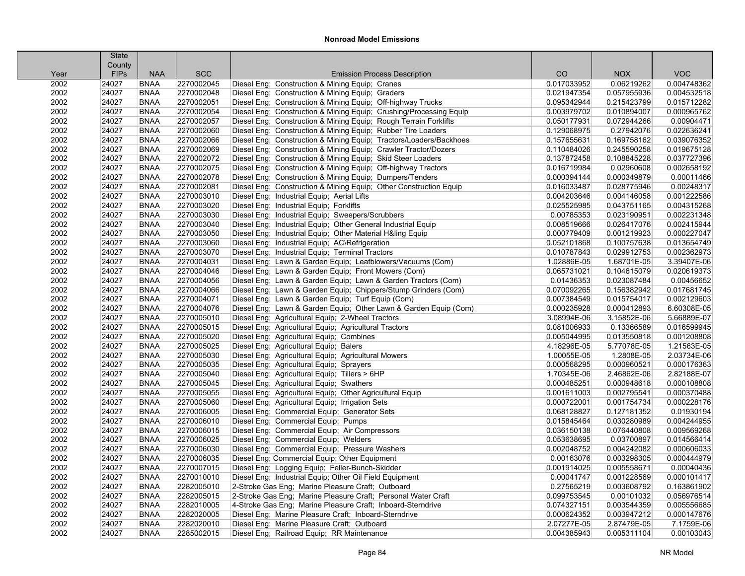| County<br><b>VOC</b><br><b>NAA</b><br><b>SCC</b><br>CO<br><b>NOX</b><br><b>FIPs</b><br><b>Emission Process Description</b><br>Year<br>2002<br>2270002045<br>Diesel Eng; Construction & Mining Equip; Cranes<br>0.017033952<br>0.06219262<br>0.004748362<br>24027<br><b>BNAA</b><br>2270002048<br>Diesel Eng; Construction & Mining Equip; Graders<br>0.057955936<br>0.004532518<br>2002<br>24027<br><b>BNAA</b><br>0.021947354<br>0.015712282<br>2002<br>24027<br><b>BNAA</b><br>2270002051<br>Diesel Eng; Construction & Mining Equip; Off-highway Trucks<br>0.095342944<br>0.215423799<br>2002<br><b>BNAA</b><br>2270002054<br>Diesel Eng; Construction & Mining Equip; Crushing/Processing Equip<br>0.003979702<br>0.010894007<br>0.000965762<br>24027<br>2002<br>2270002057<br>0.00904471<br>24027<br><b>BNAA</b><br>Diesel Eng; Construction & Mining Equip; Rough Terrain Forklifts<br>0.050177931<br>0.072944266<br>2270002060<br>0.022636241<br>2002<br>24027<br><b>BNAA</b><br>Diesel Eng; Construction & Mining Equip; Rubber Tire Loaders<br>0.129068975<br>0.27942076<br>2270002066<br>Diesel Eng; Construction & Mining Equip; Tractors/Loaders/Backhoes<br>0.039076352<br>2002<br>24027<br><b>BNAA</b><br>0.157655631<br>0.169758162<br>2002<br>2270002069<br>Diesel Eng; Construction & Mining Equip; Crawler Tractor/Dozers<br>0.245590258<br>0.019675128<br>24027<br><b>BNAA</b><br>0.110484026<br>2002<br>2270002072<br>Diesel Eng; Construction & Mining Equip; Skid Steer Loaders<br>0.137872458<br>0.037727396<br>24027<br><b>BNAA</b><br>0.108845228<br>2270002075<br>Diesel Eng; Construction & Mining Equip; Off-highway Tractors<br>2002<br>24027<br><b>BNAA</b><br>0.016719984<br>0.02960608<br>0.002658192<br>Diesel Eng; Construction & Mining Equip; Dumpers/Tenders<br>2002<br>24027<br><b>BNAA</b><br>2270002078<br>0.000394144<br>0.000349879<br>0.00011466<br>2002<br>2270002081<br>Diesel Eng; Construction & Mining Equip; Other Construction Equip<br>0.00248317<br>24027<br><b>BNAA</b><br>0.016033487<br>0.028775946<br>2270003010<br>0.001222586<br>2002<br>24027<br><b>BNAA</b><br>Diesel Eng; Industrial Equip; Aerial Lifts<br>0.004203646<br>0.004146058<br>2002<br>2270003020<br>Diesel Eng; Industrial Equip; Forklifts<br>0.004315268<br>24027<br><b>BNAA</b><br>0.025525985<br>0.043751165<br>2002<br>24027<br><b>BNAA</b><br>2270003030<br>Diesel Eng; Industrial Equip; Sweepers/Scrubbers<br>0.00785353<br>0.023190951<br>0.002231348<br>2002<br>24027<br>2270003040<br>Diesel Eng; Industrial Equip; Other General Industrial Equip<br>0.008519666<br>0.026417076<br>0.002415944<br><b>BNAA</b><br>2270003050<br>Diesel Eng; Industrial Equip; Other Material H&ling Equip<br>0.000227047<br>2002<br>24027<br><b>BNAA</b><br>0.000779409<br>0.001219923<br>0.013654749<br>2002<br>24027<br><b>BNAA</b><br>2270003060<br>Diesel Eng; Industrial Equip; AC\Refrigeration<br>0.052101868<br>0.100757638<br>2002<br>2270003070<br>Diesel Eng; Industrial Equip; Terminal Tractors<br>0.002362973<br>24027<br><b>BNAA</b><br>0.010787843<br>0.029912753<br>2270004031<br>Diesel Eng: Lawn & Garden Equip: Leafblowers/Vacuums (Com)<br>3.39407E-06<br>2002<br>24027<br><b>BNAA</b><br>1.02886E-05<br>1.68701E-05<br>2002<br><b>BNAA</b><br>2270004046<br>Diesel Eng; Lawn & Garden Equip; Front Mowers (Com)<br>0.104615079<br>0.020619373<br>24027<br>0.065731021<br>2002<br>24027<br><b>BNAA</b><br>2270004056<br>Diesel Eng; Lawn & Garden Equip; Lawn & Garden Tractors (Com)<br>0.01436353<br>0.023087484<br>0.00456652<br>2270004066<br>Diesel Eng; Lawn & Garden Equip; Chippers/Stump Grinders (Com)<br>0.070092265<br>0.017681745<br>2002<br>24027<br><b>BNAA</b><br>0.156382942<br>2270004071<br>0.002129603<br>2002<br>24027<br><b>BNAA</b><br>Diesel Eng; Lawn & Garden Equip; Turf Equip (Com)<br>0.007384549<br>0.015754017<br>2270004076<br>Diesel Eng; Lawn & Garden Equip; Other Lawn & Garden Equip (Com)<br>6.60308E-05<br>2002<br>24027<br><b>BNAA</b><br>0.000235928<br>0.000412893<br>2002<br>2270005010<br>Diesel Eng; Agricultural Equip; 2-Wheel Tractors<br>3.08994E-06<br>5.66889E-07<br>24027<br><b>BNAA</b><br>3.15852E-06<br>2270005015<br>Diesel Eng; Agricultural Equip; Agricultural Tractors<br>0.016599945<br>2002<br>24027<br><b>BNAA</b><br>0.081006933<br>0.13366589<br>2002<br><b>BNAA</b><br>2270005020<br>Diesel Eng; Agricultural Equip; Combines<br>0.005044995<br>0.013550818<br>0.001208808<br>24027<br>2270005025<br>1.21563E-05<br>2002<br>24027<br><b>BNAA</b><br>Diesel Eng; Agricultural Equip; Balers<br>4.18296E-05<br>5.77078E-05<br>2002<br>2270005030<br>Diesel Eng; Agricultural Equip; Agricultural Mowers<br>1.00055E-05<br>1.2808E-05<br>2.03734E-06<br>24027<br><b>BNAA</b><br>2270005035<br>Diesel Eng; Agricultural Equip; Sprayers<br>0.000960521<br>0.000176363<br>2002<br>24027<br><b>BNAA</b><br>0.000568295<br>2002<br>24027<br><b>BNAA</b><br>2270005040<br>Diesel Eng; Agricultural Equip; Tillers > 6HP<br>1.70345E-06<br>2.46862E-06<br>2.82188E-07<br>2002<br>24027<br>2270005045<br>Diesel Eng; Agricultural Equip; Swathers<br>0.000485251<br>0.000948618<br>0.000108808<br><b>BNAA</b><br>2002<br>24027<br>2270005055<br>Diesel Eng; Agricultural Equip; Other Agricultural Equip<br>0.002795541<br>0.000370488<br><b>BNAA</b><br>0.001611003<br>2002<br>24027<br><b>BNAA</b><br>2270005060<br>Diesel Eng; Agricultural Equip; Irrigation Sets<br>0.000722001<br>0.001754734<br>0.000228176<br>0.01930194<br>2002<br>24027<br><b>BNAA</b><br>2270006005<br>Diesel Eng; Commercial Equip; Generator Sets<br>0.068128827<br>0.127181352<br>2002<br>2270006010<br>Diesel Eng; Commercial Equip; Pumps<br>0.015845464<br>0.030280989<br>0.004244955<br>24027<br><b>BNAA</b><br>2270006015<br>Diesel Eng; Commercial Equip; Air Compressors<br>0.076440808<br>0.009569268<br>2002<br>24027<br><b>BNAA</b><br>0.036150138<br>2002<br>24027<br><b>BNAA</b><br>2270006025<br>Diesel Eng; Commercial Equip; Welders<br>0.053638695<br>0.03700897<br>0.014566414<br>2002<br>24027<br><b>BNAA</b><br>2270006030<br>Diesel Eng; Commercial Equip; Pressure Washers<br>0.002048752<br>0.004242082<br>0.000606033<br>2002<br>24027<br><b>BNAA</b><br>2270006035<br>Diesel Eng; Commercial Equip; Other Equipment<br>0.00163076<br>0.003298305<br>0.000444979<br>0.00040436<br>2002<br>24027<br><b>BNAA</b><br>2270007015<br>Diesel Eng; Logging Equip; Feller-Bunch-Skidder<br>0.001914025<br>0.005558671<br>2270010010<br>0.000101417<br>2002<br>24027<br><b>BNAA</b><br>Diesel Eng; Industrial Equip; Other Oil Field Equipment<br>0.00041747<br>0.001228569<br>2002<br>2282005010<br>0.27565219<br>0.003608792<br>0.163861902<br>24027<br><b>BNAA</b><br>2-Stroke Gas Eng; Marine Pleasure Craft; Outboard<br>24027<br>2282005015<br>2-Stroke Gas Eng; Marine Pleasure Craft; Personal Water Craft<br>0.056976514<br>2002<br><b>BNAA</b><br>0.099753545<br>0.00101032<br>2002<br>24027<br><b>BNAA</b><br>2282010005<br>4-Stroke Gas Eng; Marine Pleasure Craft; Inboard-Sterndrive<br>0.074327151<br>0.003544359<br>0.005556685<br>2282020005<br>2002<br>24027<br><b>BNAA</b><br>Diesel Eng; Marine Pleasure Craft; Inboard-Sterndrive<br>0.000624352<br>0.003947212<br>0.000147676<br>7.1759E-06<br>2002<br>24027<br><b>BNAA</b><br>2282020010<br>Diesel Eng; Marine Pleasure Craft; Outboard<br>2.07277E-05<br>2.87479E-05<br>24027<br><b>BNAA</b><br>2285002015<br>Diesel Eng; Railroad Equip; RR Maintenance<br>0.004385943<br>0.005311104<br>0.00103043<br>2002 |  | <b>State</b> |  |  |  |
|------------------------------------------------------------------------------------------------------------------------------------------------------------------------------------------------------------------------------------------------------------------------------------------------------------------------------------------------------------------------------------------------------------------------------------------------------------------------------------------------------------------------------------------------------------------------------------------------------------------------------------------------------------------------------------------------------------------------------------------------------------------------------------------------------------------------------------------------------------------------------------------------------------------------------------------------------------------------------------------------------------------------------------------------------------------------------------------------------------------------------------------------------------------------------------------------------------------------------------------------------------------------------------------------------------------------------------------------------------------------------------------------------------------------------------------------------------------------------------------------------------------------------------------------------------------------------------------------------------------------------------------------------------------------------------------------------------------------------------------------------------------------------------------------------------------------------------------------------------------------------------------------------------------------------------------------------------------------------------------------------------------------------------------------------------------------------------------------------------------------------------------------------------------------------------------------------------------------------------------------------------------------------------------------------------------------------------------------------------------------------------------------------------------------------------------------------------------------------------------------------------------------------------------------------------------------------------------------------------------------------------------------------------------------------------------------------------------------------------------------------------------------------------------------------------------------------------------------------------------------------------------------------------------------------------------------------------------------------------------------------------------------------------------------------------------------------------------------------------------------------------------------------------------------------------------------------------------------------------------------------------------------------------------------------------------------------------------------------------------------------------------------------------------------------------------------------------------------------------------------------------------------------------------------------------------------------------------------------------------------------------------------------------------------------------------------------------------------------------------------------------------------------------------------------------------------------------------------------------------------------------------------------------------------------------------------------------------------------------------------------------------------------------------------------------------------------------------------------------------------------------------------------------------------------------------------------------------------------------------------------------------------------------------------------------------------------------------------------------------------------------------------------------------------------------------------------------------------------------------------------------------------------------------------------------------------------------------------------------------------------------------------------------------------------------------------------------------------------------------------------------------------------------------------------------------------------------------------------------------------------------------------------------------------------------------------------------------------------------------------------------------------------------------------------------------------------------------------------------------------------------------------------------------------------------------------------------------------------------------------------------------------------------------------------------------------------------------------------------------------------------------------------------------------------------------------------------------------------------------------------------------------------------------------------------------------------------------------------------------------------------------------------------------------------------------------------------------------------------------------------------------------------------------------------------------------------------------------------------------------------------------------------------------------------------------------------------------------------------------------------------------------------------------------------------------------------------------------------------------------------------------------------------------------------------------------------------------------------------------------------------------------------------------------------------------------------------------------------------------------------------------------------------------------------------------------------------------------------------------------------------------------------------------------------------------------------------------------------------------------------------------------------------------------------------------------------------------------------------------------------------------------------------------------------------------------------------------------------------------------------------------------------------------------------------------------------------------------------------------------------------------------------------------------------------------------------------------------------------------------------------------------------------------------------------------------------------------------------------------------------------------------------------------------------------------------------------------------------------------------------------------------------------------------------------------------------------------------------------------------------------------------------------------------------------------------------------|--|--------------|--|--|--|
|                                                                                                                                                                                                                                                                                                                                                                                                                                                                                                                                                                                                                                                                                                                                                                                                                                                                                                                                                                                                                                                                                                                                                                                                                                                                                                                                                                                                                                                                                                                                                                                                                                                                                                                                                                                                                                                                                                                                                                                                                                                                                                                                                                                                                                                                                                                                                                                                                                                                                                                                                                                                                                                                                                                                                                                                                                                                                                                                                                                                                                                                                                                                                                                                                                                                                                                                                                                                                                                                                                                                                                                                                                                                                                                                                                                                                                                                                                                                                                                                                                                                                                                                                                                                                                                                                                                                                                                                                                                                                                                                                                                                                                                                                                                                                                                                                                                                                                                                                                                                                                                                                                                                                                                                                                                                                                                                                                                                                                                                                                                                                                                                                                                                                                                                                                                                                                                                                                                                                                                                                                                                                                                                                                                                                                                                                                                                                                                                                                                                                                                                                                                                                                                                                                                                                                                                                                                                                                                                                                                                                                                                                                                                                                                                                                                                                                                                                                                                                                                                                                                                                                                    |  |              |  |  |  |
|                                                                                                                                                                                                                                                                                                                                                                                                                                                                                                                                                                                                                                                                                                                                                                                                                                                                                                                                                                                                                                                                                                                                                                                                                                                                                                                                                                                                                                                                                                                                                                                                                                                                                                                                                                                                                                                                                                                                                                                                                                                                                                                                                                                                                                                                                                                                                                                                                                                                                                                                                                                                                                                                                                                                                                                                                                                                                                                                                                                                                                                                                                                                                                                                                                                                                                                                                                                                                                                                                                                                                                                                                                                                                                                                                                                                                                                                                                                                                                                                                                                                                                                                                                                                                                                                                                                                                                                                                                                                                                                                                                                                                                                                                                                                                                                                                                                                                                                                                                                                                                                                                                                                                                                                                                                                                                                                                                                                                                                                                                                                                                                                                                                                                                                                                                                                                                                                                                                                                                                                                                                                                                                                                                                                                                                                                                                                                                                                                                                                                                                                                                                                                                                                                                                                                                                                                                                                                                                                                                                                                                                                                                                                                                                                                                                                                                                                                                                                                                                                                                                                                                                    |  |              |  |  |  |
|                                                                                                                                                                                                                                                                                                                                                                                                                                                                                                                                                                                                                                                                                                                                                                                                                                                                                                                                                                                                                                                                                                                                                                                                                                                                                                                                                                                                                                                                                                                                                                                                                                                                                                                                                                                                                                                                                                                                                                                                                                                                                                                                                                                                                                                                                                                                                                                                                                                                                                                                                                                                                                                                                                                                                                                                                                                                                                                                                                                                                                                                                                                                                                                                                                                                                                                                                                                                                                                                                                                                                                                                                                                                                                                                                                                                                                                                                                                                                                                                                                                                                                                                                                                                                                                                                                                                                                                                                                                                                                                                                                                                                                                                                                                                                                                                                                                                                                                                                                                                                                                                                                                                                                                                                                                                                                                                                                                                                                                                                                                                                                                                                                                                                                                                                                                                                                                                                                                                                                                                                                                                                                                                                                                                                                                                                                                                                                                                                                                                                                                                                                                                                                                                                                                                                                                                                                                                                                                                                                                                                                                                                                                                                                                                                                                                                                                                                                                                                                                                                                                                                                                    |  |              |  |  |  |
|                                                                                                                                                                                                                                                                                                                                                                                                                                                                                                                                                                                                                                                                                                                                                                                                                                                                                                                                                                                                                                                                                                                                                                                                                                                                                                                                                                                                                                                                                                                                                                                                                                                                                                                                                                                                                                                                                                                                                                                                                                                                                                                                                                                                                                                                                                                                                                                                                                                                                                                                                                                                                                                                                                                                                                                                                                                                                                                                                                                                                                                                                                                                                                                                                                                                                                                                                                                                                                                                                                                                                                                                                                                                                                                                                                                                                                                                                                                                                                                                                                                                                                                                                                                                                                                                                                                                                                                                                                                                                                                                                                                                                                                                                                                                                                                                                                                                                                                                                                                                                                                                                                                                                                                                                                                                                                                                                                                                                                                                                                                                                                                                                                                                                                                                                                                                                                                                                                                                                                                                                                                                                                                                                                                                                                                                                                                                                                                                                                                                                                                                                                                                                                                                                                                                                                                                                                                                                                                                                                                                                                                                                                                                                                                                                                                                                                                                                                                                                                                                                                                                                                                    |  |              |  |  |  |
|                                                                                                                                                                                                                                                                                                                                                                                                                                                                                                                                                                                                                                                                                                                                                                                                                                                                                                                                                                                                                                                                                                                                                                                                                                                                                                                                                                                                                                                                                                                                                                                                                                                                                                                                                                                                                                                                                                                                                                                                                                                                                                                                                                                                                                                                                                                                                                                                                                                                                                                                                                                                                                                                                                                                                                                                                                                                                                                                                                                                                                                                                                                                                                                                                                                                                                                                                                                                                                                                                                                                                                                                                                                                                                                                                                                                                                                                                                                                                                                                                                                                                                                                                                                                                                                                                                                                                                                                                                                                                                                                                                                                                                                                                                                                                                                                                                                                                                                                                                                                                                                                                                                                                                                                                                                                                                                                                                                                                                                                                                                                                                                                                                                                                                                                                                                                                                                                                                                                                                                                                                                                                                                                                                                                                                                                                                                                                                                                                                                                                                                                                                                                                                                                                                                                                                                                                                                                                                                                                                                                                                                                                                                                                                                                                                                                                                                                                                                                                                                                                                                                                                                    |  |              |  |  |  |
|                                                                                                                                                                                                                                                                                                                                                                                                                                                                                                                                                                                                                                                                                                                                                                                                                                                                                                                                                                                                                                                                                                                                                                                                                                                                                                                                                                                                                                                                                                                                                                                                                                                                                                                                                                                                                                                                                                                                                                                                                                                                                                                                                                                                                                                                                                                                                                                                                                                                                                                                                                                                                                                                                                                                                                                                                                                                                                                                                                                                                                                                                                                                                                                                                                                                                                                                                                                                                                                                                                                                                                                                                                                                                                                                                                                                                                                                                                                                                                                                                                                                                                                                                                                                                                                                                                                                                                                                                                                                                                                                                                                                                                                                                                                                                                                                                                                                                                                                                                                                                                                                                                                                                                                                                                                                                                                                                                                                                                                                                                                                                                                                                                                                                                                                                                                                                                                                                                                                                                                                                                                                                                                                                                                                                                                                                                                                                                                                                                                                                                                                                                                                                                                                                                                                                                                                                                                                                                                                                                                                                                                                                                                                                                                                                                                                                                                                                                                                                                                                                                                                                                                    |  |              |  |  |  |
|                                                                                                                                                                                                                                                                                                                                                                                                                                                                                                                                                                                                                                                                                                                                                                                                                                                                                                                                                                                                                                                                                                                                                                                                                                                                                                                                                                                                                                                                                                                                                                                                                                                                                                                                                                                                                                                                                                                                                                                                                                                                                                                                                                                                                                                                                                                                                                                                                                                                                                                                                                                                                                                                                                                                                                                                                                                                                                                                                                                                                                                                                                                                                                                                                                                                                                                                                                                                                                                                                                                                                                                                                                                                                                                                                                                                                                                                                                                                                                                                                                                                                                                                                                                                                                                                                                                                                                                                                                                                                                                                                                                                                                                                                                                                                                                                                                                                                                                                                                                                                                                                                                                                                                                                                                                                                                                                                                                                                                                                                                                                                                                                                                                                                                                                                                                                                                                                                                                                                                                                                                                                                                                                                                                                                                                                                                                                                                                                                                                                                                                                                                                                                                                                                                                                                                                                                                                                                                                                                                                                                                                                                                                                                                                                                                                                                                                                                                                                                                                                                                                                                                                    |  |              |  |  |  |
|                                                                                                                                                                                                                                                                                                                                                                                                                                                                                                                                                                                                                                                                                                                                                                                                                                                                                                                                                                                                                                                                                                                                                                                                                                                                                                                                                                                                                                                                                                                                                                                                                                                                                                                                                                                                                                                                                                                                                                                                                                                                                                                                                                                                                                                                                                                                                                                                                                                                                                                                                                                                                                                                                                                                                                                                                                                                                                                                                                                                                                                                                                                                                                                                                                                                                                                                                                                                                                                                                                                                                                                                                                                                                                                                                                                                                                                                                                                                                                                                                                                                                                                                                                                                                                                                                                                                                                                                                                                                                                                                                                                                                                                                                                                                                                                                                                                                                                                                                                                                                                                                                                                                                                                                                                                                                                                                                                                                                                                                                                                                                                                                                                                                                                                                                                                                                                                                                                                                                                                                                                                                                                                                                                                                                                                                                                                                                                                                                                                                                                                                                                                                                                                                                                                                                                                                                                                                                                                                                                                                                                                                                                                                                                                                                                                                                                                                                                                                                                                                                                                                                                                    |  |              |  |  |  |
|                                                                                                                                                                                                                                                                                                                                                                                                                                                                                                                                                                                                                                                                                                                                                                                                                                                                                                                                                                                                                                                                                                                                                                                                                                                                                                                                                                                                                                                                                                                                                                                                                                                                                                                                                                                                                                                                                                                                                                                                                                                                                                                                                                                                                                                                                                                                                                                                                                                                                                                                                                                                                                                                                                                                                                                                                                                                                                                                                                                                                                                                                                                                                                                                                                                                                                                                                                                                                                                                                                                                                                                                                                                                                                                                                                                                                                                                                                                                                                                                                                                                                                                                                                                                                                                                                                                                                                                                                                                                                                                                                                                                                                                                                                                                                                                                                                                                                                                                                                                                                                                                                                                                                                                                                                                                                                                                                                                                                                                                                                                                                                                                                                                                                                                                                                                                                                                                                                                                                                                                                                                                                                                                                                                                                                                                                                                                                                                                                                                                                                                                                                                                                                                                                                                                                                                                                                                                                                                                                                                                                                                                                                                                                                                                                                                                                                                                                                                                                                                                                                                                                                                    |  |              |  |  |  |
|                                                                                                                                                                                                                                                                                                                                                                                                                                                                                                                                                                                                                                                                                                                                                                                                                                                                                                                                                                                                                                                                                                                                                                                                                                                                                                                                                                                                                                                                                                                                                                                                                                                                                                                                                                                                                                                                                                                                                                                                                                                                                                                                                                                                                                                                                                                                                                                                                                                                                                                                                                                                                                                                                                                                                                                                                                                                                                                                                                                                                                                                                                                                                                                                                                                                                                                                                                                                                                                                                                                                                                                                                                                                                                                                                                                                                                                                                                                                                                                                                                                                                                                                                                                                                                                                                                                                                                                                                                                                                                                                                                                                                                                                                                                                                                                                                                                                                                                                                                                                                                                                                                                                                                                                                                                                                                                                                                                                                                                                                                                                                                                                                                                                                                                                                                                                                                                                                                                                                                                                                                                                                                                                                                                                                                                                                                                                                                                                                                                                                                                                                                                                                                                                                                                                                                                                                                                                                                                                                                                                                                                                                                                                                                                                                                                                                                                                                                                                                                                                                                                                                                                    |  |              |  |  |  |
|                                                                                                                                                                                                                                                                                                                                                                                                                                                                                                                                                                                                                                                                                                                                                                                                                                                                                                                                                                                                                                                                                                                                                                                                                                                                                                                                                                                                                                                                                                                                                                                                                                                                                                                                                                                                                                                                                                                                                                                                                                                                                                                                                                                                                                                                                                                                                                                                                                                                                                                                                                                                                                                                                                                                                                                                                                                                                                                                                                                                                                                                                                                                                                                                                                                                                                                                                                                                                                                                                                                                                                                                                                                                                                                                                                                                                                                                                                                                                                                                                                                                                                                                                                                                                                                                                                                                                                                                                                                                                                                                                                                                                                                                                                                                                                                                                                                                                                                                                                                                                                                                                                                                                                                                                                                                                                                                                                                                                                                                                                                                                                                                                                                                                                                                                                                                                                                                                                                                                                                                                                                                                                                                                                                                                                                                                                                                                                                                                                                                                                                                                                                                                                                                                                                                                                                                                                                                                                                                                                                                                                                                                                                                                                                                                                                                                                                                                                                                                                                                                                                                                                                    |  |              |  |  |  |
|                                                                                                                                                                                                                                                                                                                                                                                                                                                                                                                                                                                                                                                                                                                                                                                                                                                                                                                                                                                                                                                                                                                                                                                                                                                                                                                                                                                                                                                                                                                                                                                                                                                                                                                                                                                                                                                                                                                                                                                                                                                                                                                                                                                                                                                                                                                                                                                                                                                                                                                                                                                                                                                                                                                                                                                                                                                                                                                                                                                                                                                                                                                                                                                                                                                                                                                                                                                                                                                                                                                                                                                                                                                                                                                                                                                                                                                                                                                                                                                                                                                                                                                                                                                                                                                                                                                                                                                                                                                                                                                                                                                                                                                                                                                                                                                                                                                                                                                                                                                                                                                                                                                                                                                                                                                                                                                                                                                                                                                                                                                                                                                                                                                                                                                                                                                                                                                                                                                                                                                                                                                                                                                                                                                                                                                                                                                                                                                                                                                                                                                                                                                                                                                                                                                                                                                                                                                                                                                                                                                                                                                                                                                                                                                                                                                                                                                                                                                                                                                                                                                                                                                    |  |              |  |  |  |
|                                                                                                                                                                                                                                                                                                                                                                                                                                                                                                                                                                                                                                                                                                                                                                                                                                                                                                                                                                                                                                                                                                                                                                                                                                                                                                                                                                                                                                                                                                                                                                                                                                                                                                                                                                                                                                                                                                                                                                                                                                                                                                                                                                                                                                                                                                                                                                                                                                                                                                                                                                                                                                                                                                                                                                                                                                                                                                                                                                                                                                                                                                                                                                                                                                                                                                                                                                                                                                                                                                                                                                                                                                                                                                                                                                                                                                                                                                                                                                                                                                                                                                                                                                                                                                                                                                                                                                                                                                                                                                                                                                                                                                                                                                                                                                                                                                                                                                                                                                                                                                                                                                                                                                                                                                                                                                                                                                                                                                                                                                                                                                                                                                                                                                                                                                                                                                                                                                                                                                                                                                                                                                                                                                                                                                                                                                                                                                                                                                                                                                                                                                                                                                                                                                                                                                                                                                                                                                                                                                                                                                                                                                                                                                                                                                                                                                                                                                                                                                                                                                                                                                                    |  |              |  |  |  |
|                                                                                                                                                                                                                                                                                                                                                                                                                                                                                                                                                                                                                                                                                                                                                                                                                                                                                                                                                                                                                                                                                                                                                                                                                                                                                                                                                                                                                                                                                                                                                                                                                                                                                                                                                                                                                                                                                                                                                                                                                                                                                                                                                                                                                                                                                                                                                                                                                                                                                                                                                                                                                                                                                                                                                                                                                                                                                                                                                                                                                                                                                                                                                                                                                                                                                                                                                                                                                                                                                                                                                                                                                                                                                                                                                                                                                                                                                                                                                                                                                                                                                                                                                                                                                                                                                                                                                                                                                                                                                                                                                                                                                                                                                                                                                                                                                                                                                                                                                                                                                                                                                                                                                                                                                                                                                                                                                                                                                                                                                                                                                                                                                                                                                                                                                                                                                                                                                                                                                                                                                                                                                                                                                                                                                                                                                                                                                                                                                                                                                                                                                                                                                                                                                                                                                                                                                                                                                                                                                                                                                                                                                                                                                                                                                                                                                                                                                                                                                                                                                                                                                                                    |  |              |  |  |  |
|                                                                                                                                                                                                                                                                                                                                                                                                                                                                                                                                                                                                                                                                                                                                                                                                                                                                                                                                                                                                                                                                                                                                                                                                                                                                                                                                                                                                                                                                                                                                                                                                                                                                                                                                                                                                                                                                                                                                                                                                                                                                                                                                                                                                                                                                                                                                                                                                                                                                                                                                                                                                                                                                                                                                                                                                                                                                                                                                                                                                                                                                                                                                                                                                                                                                                                                                                                                                                                                                                                                                                                                                                                                                                                                                                                                                                                                                                                                                                                                                                                                                                                                                                                                                                                                                                                                                                                                                                                                                                                                                                                                                                                                                                                                                                                                                                                                                                                                                                                                                                                                                                                                                                                                                                                                                                                                                                                                                                                                                                                                                                                                                                                                                                                                                                                                                                                                                                                                                                                                                                                                                                                                                                                                                                                                                                                                                                                                                                                                                                                                                                                                                                                                                                                                                                                                                                                                                                                                                                                                                                                                                                                                                                                                                                                                                                                                                                                                                                                                                                                                                                                                    |  |              |  |  |  |
|                                                                                                                                                                                                                                                                                                                                                                                                                                                                                                                                                                                                                                                                                                                                                                                                                                                                                                                                                                                                                                                                                                                                                                                                                                                                                                                                                                                                                                                                                                                                                                                                                                                                                                                                                                                                                                                                                                                                                                                                                                                                                                                                                                                                                                                                                                                                                                                                                                                                                                                                                                                                                                                                                                                                                                                                                                                                                                                                                                                                                                                                                                                                                                                                                                                                                                                                                                                                                                                                                                                                                                                                                                                                                                                                                                                                                                                                                                                                                                                                                                                                                                                                                                                                                                                                                                                                                                                                                                                                                                                                                                                                                                                                                                                                                                                                                                                                                                                                                                                                                                                                                                                                                                                                                                                                                                                                                                                                                                                                                                                                                                                                                                                                                                                                                                                                                                                                                                                                                                                                                                                                                                                                                                                                                                                                                                                                                                                                                                                                                                                                                                                                                                                                                                                                                                                                                                                                                                                                                                                                                                                                                                                                                                                                                                                                                                                                                                                                                                                                                                                                                                                    |  |              |  |  |  |
|                                                                                                                                                                                                                                                                                                                                                                                                                                                                                                                                                                                                                                                                                                                                                                                                                                                                                                                                                                                                                                                                                                                                                                                                                                                                                                                                                                                                                                                                                                                                                                                                                                                                                                                                                                                                                                                                                                                                                                                                                                                                                                                                                                                                                                                                                                                                                                                                                                                                                                                                                                                                                                                                                                                                                                                                                                                                                                                                                                                                                                                                                                                                                                                                                                                                                                                                                                                                                                                                                                                                                                                                                                                                                                                                                                                                                                                                                                                                                                                                                                                                                                                                                                                                                                                                                                                                                                                                                                                                                                                                                                                                                                                                                                                                                                                                                                                                                                                                                                                                                                                                                                                                                                                                                                                                                                                                                                                                                                                                                                                                                                                                                                                                                                                                                                                                                                                                                                                                                                                                                                                                                                                                                                                                                                                                                                                                                                                                                                                                                                                                                                                                                                                                                                                                                                                                                                                                                                                                                                                                                                                                                                                                                                                                                                                                                                                                                                                                                                                                                                                                                                                    |  |              |  |  |  |
|                                                                                                                                                                                                                                                                                                                                                                                                                                                                                                                                                                                                                                                                                                                                                                                                                                                                                                                                                                                                                                                                                                                                                                                                                                                                                                                                                                                                                                                                                                                                                                                                                                                                                                                                                                                                                                                                                                                                                                                                                                                                                                                                                                                                                                                                                                                                                                                                                                                                                                                                                                                                                                                                                                                                                                                                                                                                                                                                                                                                                                                                                                                                                                                                                                                                                                                                                                                                                                                                                                                                                                                                                                                                                                                                                                                                                                                                                                                                                                                                                                                                                                                                                                                                                                                                                                                                                                                                                                                                                                                                                                                                                                                                                                                                                                                                                                                                                                                                                                                                                                                                                                                                                                                                                                                                                                                                                                                                                                                                                                                                                                                                                                                                                                                                                                                                                                                                                                                                                                                                                                                                                                                                                                                                                                                                                                                                                                                                                                                                                                                                                                                                                                                                                                                                                                                                                                                                                                                                                                                                                                                                                                                                                                                                                                                                                                                                                                                                                                                                                                                                                                                    |  |              |  |  |  |
|                                                                                                                                                                                                                                                                                                                                                                                                                                                                                                                                                                                                                                                                                                                                                                                                                                                                                                                                                                                                                                                                                                                                                                                                                                                                                                                                                                                                                                                                                                                                                                                                                                                                                                                                                                                                                                                                                                                                                                                                                                                                                                                                                                                                                                                                                                                                                                                                                                                                                                                                                                                                                                                                                                                                                                                                                                                                                                                                                                                                                                                                                                                                                                                                                                                                                                                                                                                                                                                                                                                                                                                                                                                                                                                                                                                                                                                                                                                                                                                                                                                                                                                                                                                                                                                                                                                                                                                                                                                                                                                                                                                                                                                                                                                                                                                                                                                                                                                                                                                                                                                                                                                                                                                                                                                                                                                                                                                                                                                                                                                                                                                                                                                                                                                                                                                                                                                                                                                                                                                                                                                                                                                                                                                                                                                                                                                                                                                                                                                                                                                                                                                                                                                                                                                                                                                                                                                                                                                                                                                                                                                                                                                                                                                                                                                                                                                                                                                                                                                                                                                                                                                    |  |              |  |  |  |
|                                                                                                                                                                                                                                                                                                                                                                                                                                                                                                                                                                                                                                                                                                                                                                                                                                                                                                                                                                                                                                                                                                                                                                                                                                                                                                                                                                                                                                                                                                                                                                                                                                                                                                                                                                                                                                                                                                                                                                                                                                                                                                                                                                                                                                                                                                                                                                                                                                                                                                                                                                                                                                                                                                                                                                                                                                                                                                                                                                                                                                                                                                                                                                                                                                                                                                                                                                                                                                                                                                                                                                                                                                                                                                                                                                                                                                                                                                                                                                                                                                                                                                                                                                                                                                                                                                                                                                                                                                                                                                                                                                                                                                                                                                                                                                                                                                                                                                                                                                                                                                                                                                                                                                                                                                                                                                                                                                                                                                                                                                                                                                                                                                                                                                                                                                                                                                                                                                                                                                                                                                                                                                                                                                                                                                                                                                                                                                                                                                                                                                                                                                                                                                                                                                                                                                                                                                                                                                                                                                                                                                                                                                                                                                                                                                                                                                                                                                                                                                                                                                                                                                                    |  |              |  |  |  |
|                                                                                                                                                                                                                                                                                                                                                                                                                                                                                                                                                                                                                                                                                                                                                                                                                                                                                                                                                                                                                                                                                                                                                                                                                                                                                                                                                                                                                                                                                                                                                                                                                                                                                                                                                                                                                                                                                                                                                                                                                                                                                                                                                                                                                                                                                                                                                                                                                                                                                                                                                                                                                                                                                                                                                                                                                                                                                                                                                                                                                                                                                                                                                                                                                                                                                                                                                                                                                                                                                                                                                                                                                                                                                                                                                                                                                                                                                                                                                                                                                                                                                                                                                                                                                                                                                                                                                                                                                                                                                                                                                                                                                                                                                                                                                                                                                                                                                                                                                                                                                                                                                                                                                                                                                                                                                                                                                                                                                                                                                                                                                                                                                                                                                                                                                                                                                                                                                                                                                                                                                                                                                                                                                                                                                                                                                                                                                                                                                                                                                                                                                                                                                                                                                                                                                                                                                                                                                                                                                                                                                                                                                                                                                                                                                                                                                                                                                                                                                                                                                                                                                                                    |  |              |  |  |  |
|                                                                                                                                                                                                                                                                                                                                                                                                                                                                                                                                                                                                                                                                                                                                                                                                                                                                                                                                                                                                                                                                                                                                                                                                                                                                                                                                                                                                                                                                                                                                                                                                                                                                                                                                                                                                                                                                                                                                                                                                                                                                                                                                                                                                                                                                                                                                                                                                                                                                                                                                                                                                                                                                                                                                                                                                                                                                                                                                                                                                                                                                                                                                                                                                                                                                                                                                                                                                                                                                                                                                                                                                                                                                                                                                                                                                                                                                                                                                                                                                                                                                                                                                                                                                                                                                                                                                                                                                                                                                                                                                                                                                                                                                                                                                                                                                                                                                                                                                                                                                                                                                                                                                                                                                                                                                                                                                                                                                                                                                                                                                                                                                                                                                                                                                                                                                                                                                                                                                                                                                                                                                                                                                                                                                                                                                                                                                                                                                                                                                                                                                                                                                                                                                                                                                                                                                                                                                                                                                                                                                                                                                                                                                                                                                                                                                                                                                                                                                                                                                                                                                                                                    |  |              |  |  |  |
|                                                                                                                                                                                                                                                                                                                                                                                                                                                                                                                                                                                                                                                                                                                                                                                                                                                                                                                                                                                                                                                                                                                                                                                                                                                                                                                                                                                                                                                                                                                                                                                                                                                                                                                                                                                                                                                                                                                                                                                                                                                                                                                                                                                                                                                                                                                                                                                                                                                                                                                                                                                                                                                                                                                                                                                                                                                                                                                                                                                                                                                                                                                                                                                                                                                                                                                                                                                                                                                                                                                                                                                                                                                                                                                                                                                                                                                                                                                                                                                                                                                                                                                                                                                                                                                                                                                                                                                                                                                                                                                                                                                                                                                                                                                                                                                                                                                                                                                                                                                                                                                                                                                                                                                                                                                                                                                                                                                                                                                                                                                                                                                                                                                                                                                                                                                                                                                                                                                                                                                                                                                                                                                                                                                                                                                                                                                                                                                                                                                                                                                                                                                                                                                                                                                                                                                                                                                                                                                                                                                                                                                                                                                                                                                                                                                                                                                                                                                                                                                                                                                                                                                    |  |              |  |  |  |
|                                                                                                                                                                                                                                                                                                                                                                                                                                                                                                                                                                                                                                                                                                                                                                                                                                                                                                                                                                                                                                                                                                                                                                                                                                                                                                                                                                                                                                                                                                                                                                                                                                                                                                                                                                                                                                                                                                                                                                                                                                                                                                                                                                                                                                                                                                                                                                                                                                                                                                                                                                                                                                                                                                                                                                                                                                                                                                                                                                                                                                                                                                                                                                                                                                                                                                                                                                                                                                                                                                                                                                                                                                                                                                                                                                                                                                                                                                                                                                                                                                                                                                                                                                                                                                                                                                                                                                                                                                                                                                                                                                                                                                                                                                                                                                                                                                                                                                                                                                                                                                                                                                                                                                                                                                                                                                                                                                                                                                                                                                                                                                                                                                                                                                                                                                                                                                                                                                                                                                                                                                                                                                                                                                                                                                                                                                                                                                                                                                                                                                                                                                                                                                                                                                                                                                                                                                                                                                                                                                                                                                                                                                                                                                                                                                                                                                                                                                                                                                                                                                                                                                                    |  |              |  |  |  |
|                                                                                                                                                                                                                                                                                                                                                                                                                                                                                                                                                                                                                                                                                                                                                                                                                                                                                                                                                                                                                                                                                                                                                                                                                                                                                                                                                                                                                                                                                                                                                                                                                                                                                                                                                                                                                                                                                                                                                                                                                                                                                                                                                                                                                                                                                                                                                                                                                                                                                                                                                                                                                                                                                                                                                                                                                                                                                                                                                                                                                                                                                                                                                                                                                                                                                                                                                                                                                                                                                                                                                                                                                                                                                                                                                                                                                                                                                                                                                                                                                                                                                                                                                                                                                                                                                                                                                                                                                                                                                                                                                                                                                                                                                                                                                                                                                                                                                                                                                                                                                                                                                                                                                                                                                                                                                                                                                                                                                                                                                                                                                                                                                                                                                                                                                                                                                                                                                                                                                                                                                                                                                                                                                                                                                                                                                                                                                                                                                                                                                                                                                                                                                                                                                                                                                                                                                                                                                                                                                                                                                                                                                                                                                                                                                                                                                                                                                                                                                                                                                                                                                                                    |  |              |  |  |  |
|                                                                                                                                                                                                                                                                                                                                                                                                                                                                                                                                                                                                                                                                                                                                                                                                                                                                                                                                                                                                                                                                                                                                                                                                                                                                                                                                                                                                                                                                                                                                                                                                                                                                                                                                                                                                                                                                                                                                                                                                                                                                                                                                                                                                                                                                                                                                                                                                                                                                                                                                                                                                                                                                                                                                                                                                                                                                                                                                                                                                                                                                                                                                                                                                                                                                                                                                                                                                                                                                                                                                                                                                                                                                                                                                                                                                                                                                                                                                                                                                                                                                                                                                                                                                                                                                                                                                                                                                                                                                                                                                                                                                                                                                                                                                                                                                                                                                                                                                                                                                                                                                                                                                                                                                                                                                                                                                                                                                                                                                                                                                                                                                                                                                                                                                                                                                                                                                                                                                                                                                                                                                                                                                                                                                                                                                                                                                                                                                                                                                                                                                                                                                                                                                                                                                                                                                                                                                                                                                                                                                                                                                                                                                                                                                                                                                                                                                                                                                                                                                                                                                                                                    |  |              |  |  |  |
|                                                                                                                                                                                                                                                                                                                                                                                                                                                                                                                                                                                                                                                                                                                                                                                                                                                                                                                                                                                                                                                                                                                                                                                                                                                                                                                                                                                                                                                                                                                                                                                                                                                                                                                                                                                                                                                                                                                                                                                                                                                                                                                                                                                                                                                                                                                                                                                                                                                                                                                                                                                                                                                                                                                                                                                                                                                                                                                                                                                                                                                                                                                                                                                                                                                                                                                                                                                                                                                                                                                                                                                                                                                                                                                                                                                                                                                                                                                                                                                                                                                                                                                                                                                                                                                                                                                                                                                                                                                                                                                                                                                                                                                                                                                                                                                                                                                                                                                                                                                                                                                                                                                                                                                                                                                                                                                                                                                                                                                                                                                                                                                                                                                                                                                                                                                                                                                                                                                                                                                                                                                                                                                                                                                                                                                                                                                                                                                                                                                                                                                                                                                                                                                                                                                                                                                                                                                                                                                                                                                                                                                                                                                                                                                                                                                                                                                                                                                                                                                                                                                                                                                    |  |              |  |  |  |
|                                                                                                                                                                                                                                                                                                                                                                                                                                                                                                                                                                                                                                                                                                                                                                                                                                                                                                                                                                                                                                                                                                                                                                                                                                                                                                                                                                                                                                                                                                                                                                                                                                                                                                                                                                                                                                                                                                                                                                                                                                                                                                                                                                                                                                                                                                                                                                                                                                                                                                                                                                                                                                                                                                                                                                                                                                                                                                                                                                                                                                                                                                                                                                                                                                                                                                                                                                                                                                                                                                                                                                                                                                                                                                                                                                                                                                                                                                                                                                                                                                                                                                                                                                                                                                                                                                                                                                                                                                                                                                                                                                                                                                                                                                                                                                                                                                                                                                                                                                                                                                                                                                                                                                                                                                                                                                                                                                                                                                                                                                                                                                                                                                                                                                                                                                                                                                                                                                                                                                                                                                                                                                                                                                                                                                                                                                                                                                                                                                                                                                                                                                                                                                                                                                                                                                                                                                                                                                                                                                                                                                                                                                                                                                                                                                                                                                                                                                                                                                                                                                                                                                                    |  |              |  |  |  |
|                                                                                                                                                                                                                                                                                                                                                                                                                                                                                                                                                                                                                                                                                                                                                                                                                                                                                                                                                                                                                                                                                                                                                                                                                                                                                                                                                                                                                                                                                                                                                                                                                                                                                                                                                                                                                                                                                                                                                                                                                                                                                                                                                                                                                                                                                                                                                                                                                                                                                                                                                                                                                                                                                                                                                                                                                                                                                                                                                                                                                                                                                                                                                                                                                                                                                                                                                                                                                                                                                                                                                                                                                                                                                                                                                                                                                                                                                                                                                                                                                                                                                                                                                                                                                                                                                                                                                                                                                                                                                                                                                                                                                                                                                                                                                                                                                                                                                                                                                                                                                                                                                                                                                                                                                                                                                                                                                                                                                                                                                                                                                                                                                                                                                                                                                                                                                                                                                                                                                                                                                                                                                                                                                                                                                                                                                                                                                                                                                                                                                                                                                                                                                                                                                                                                                                                                                                                                                                                                                                                                                                                                                                                                                                                                                                                                                                                                                                                                                                                                                                                                                                                    |  |              |  |  |  |
|                                                                                                                                                                                                                                                                                                                                                                                                                                                                                                                                                                                                                                                                                                                                                                                                                                                                                                                                                                                                                                                                                                                                                                                                                                                                                                                                                                                                                                                                                                                                                                                                                                                                                                                                                                                                                                                                                                                                                                                                                                                                                                                                                                                                                                                                                                                                                                                                                                                                                                                                                                                                                                                                                                                                                                                                                                                                                                                                                                                                                                                                                                                                                                                                                                                                                                                                                                                                                                                                                                                                                                                                                                                                                                                                                                                                                                                                                                                                                                                                                                                                                                                                                                                                                                                                                                                                                                                                                                                                                                                                                                                                                                                                                                                                                                                                                                                                                                                                                                                                                                                                                                                                                                                                                                                                                                                                                                                                                                                                                                                                                                                                                                                                                                                                                                                                                                                                                                                                                                                                                                                                                                                                                                                                                                                                                                                                                                                                                                                                                                                                                                                                                                                                                                                                                                                                                                                                                                                                                                                                                                                                                                                                                                                                                                                                                                                                                                                                                                                                                                                                                                                    |  |              |  |  |  |
|                                                                                                                                                                                                                                                                                                                                                                                                                                                                                                                                                                                                                                                                                                                                                                                                                                                                                                                                                                                                                                                                                                                                                                                                                                                                                                                                                                                                                                                                                                                                                                                                                                                                                                                                                                                                                                                                                                                                                                                                                                                                                                                                                                                                                                                                                                                                                                                                                                                                                                                                                                                                                                                                                                                                                                                                                                                                                                                                                                                                                                                                                                                                                                                                                                                                                                                                                                                                                                                                                                                                                                                                                                                                                                                                                                                                                                                                                                                                                                                                                                                                                                                                                                                                                                                                                                                                                                                                                                                                                                                                                                                                                                                                                                                                                                                                                                                                                                                                                                                                                                                                                                                                                                                                                                                                                                                                                                                                                                                                                                                                                                                                                                                                                                                                                                                                                                                                                                                                                                                                                                                                                                                                                                                                                                                                                                                                                                                                                                                                                                                                                                                                                                                                                                                                                                                                                                                                                                                                                                                                                                                                                                                                                                                                                                                                                                                                                                                                                                                                                                                                                                                    |  |              |  |  |  |
|                                                                                                                                                                                                                                                                                                                                                                                                                                                                                                                                                                                                                                                                                                                                                                                                                                                                                                                                                                                                                                                                                                                                                                                                                                                                                                                                                                                                                                                                                                                                                                                                                                                                                                                                                                                                                                                                                                                                                                                                                                                                                                                                                                                                                                                                                                                                                                                                                                                                                                                                                                                                                                                                                                                                                                                                                                                                                                                                                                                                                                                                                                                                                                                                                                                                                                                                                                                                                                                                                                                                                                                                                                                                                                                                                                                                                                                                                                                                                                                                                                                                                                                                                                                                                                                                                                                                                                                                                                                                                                                                                                                                                                                                                                                                                                                                                                                                                                                                                                                                                                                                                                                                                                                                                                                                                                                                                                                                                                                                                                                                                                                                                                                                                                                                                                                                                                                                                                                                                                                                                                                                                                                                                                                                                                                                                                                                                                                                                                                                                                                                                                                                                                                                                                                                                                                                                                                                                                                                                                                                                                                                                                                                                                                                                                                                                                                                                                                                                                                                                                                                                                                    |  |              |  |  |  |
|                                                                                                                                                                                                                                                                                                                                                                                                                                                                                                                                                                                                                                                                                                                                                                                                                                                                                                                                                                                                                                                                                                                                                                                                                                                                                                                                                                                                                                                                                                                                                                                                                                                                                                                                                                                                                                                                                                                                                                                                                                                                                                                                                                                                                                                                                                                                                                                                                                                                                                                                                                                                                                                                                                                                                                                                                                                                                                                                                                                                                                                                                                                                                                                                                                                                                                                                                                                                                                                                                                                                                                                                                                                                                                                                                                                                                                                                                                                                                                                                                                                                                                                                                                                                                                                                                                                                                                                                                                                                                                                                                                                                                                                                                                                                                                                                                                                                                                                                                                                                                                                                                                                                                                                                                                                                                                                                                                                                                                                                                                                                                                                                                                                                                                                                                                                                                                                                                                                                                                                                                                                                                                                                                                                                                                                                                                                                                                                                                                                                                                                                                                                                                                                                                                                                                                                                                                                                                                                                                                                                                                                                                                                                                                                                                                                                                                                                                                                                                                                                                                                                                                                    |  |              |  |  |  |
|                                                                                                                                                                                                                                                                                                                                                                                                                                                                                                                                                                                                                                                                                                                                                                                                                                                                                                                                                                                                                                                                                                                                                                                                                                                                                                                                                                                                                                                                                                                                                                                                                                                                                                                                                                                                                                                                                                                                                                                                                                                                                                                                                                                                                                                                                                                                                                                                                                                                                                                                                                                                                                                                                                                                                                                                                                                                                                                                                                                                                                                                                                                                                                                                                                                                                                                                                                                                                                                                                                                                                                                                                                                                                                                                                                                                                                                                                                                                                                                                                                                                                                                                                                                                                                                                                                                                                                                                                                                                                                                                                                                                                                                                                                                                                                                                                                                                                                                                                                                                                                                                                                                                                                                                                                                                                                                                                                                                                                                                                                                                                                                                                                                                                                                                                                                                                                                                                                                                                                                                                                                                                                                                                                                                                                                                                                                                                                                                                                                                                                                                                                                                                                                                                                                                                                                                                                                                                                                                                                                                                                                                                                                                                                                                                                                                                                                                                                                                                                                                                                                                                                                    |  |              |  |  |  |
|                                                                                                                                                                                                                                                                                                                                                                                                                                                                                                                                                                                                                                                                                                                                                                                                                                                                                                                                                                                                                                                                                                                                                                                                                                                                                                                                                                                                                                                                                                                                                                                                                                                                                                                                                                                                                                                                                                                                                                                                                                                                                                                                                                                                                                                                                                                                                                                                                                                                                                                                                                                                                                                                                                                                                                                                                                                                                                                                                                                                                                                                                                                                                                                                                                                                                                                                                                                                                                                                                                                                                                                                                                                                                                                                                                                                                                                                                                                                                                                                                                                                                                                                                                                                                                                                                                                                                                                                                                                                                                                                                                                                                                                                                                                                                                                                                                                                                                                                                                                                                                                                                                                                                                                                                                                                                                                                                                                                                                                                                                                                                                                                                                                                                                                                                                                                                                                                                                                                                                                                                                                                                                                                                                                                                                                                                                                                                                                                                                                                                                                                                                                                                                                                                                                                                                                                                                                                                                                                                                                                                                                                                                                                                                                                                                                                                                                                                                                                                                                                                                                                                                                    |  |              |  |  |  |
|                                                                                                                                                                                                                                                                                                                                                                                                                                                                                                                                                                                                                                                                                                                                                                                                                                                                                                                                                                                                                                                                                                                                                                                                                                                                                                                                                                                                                                                                                                                                                                                                                                                                                                                                                                                                                                                                                                                                                                                                                                                                                                                                                                                                                                                                                                                                                                                                                                                                                                                                                                                                                                                                                                                                                                                                                                                                                                                                                                                                                                                                                                                                                                                                                                                                                                                                                                                                                                                                                                                                                                                                                                                                                                                                                                                                                                                                                                                                                                                                                                                                                                                                                                                                                                                                                                                                                                                                                                                                                                                                                                                                                                                                                                                                                                                                                                                                                                                                                                                                                                                                                                                                                                                                                                                                                                                                                                                                                                                                                                                                                                                                                                                                                                                                                                                                                                                                                                                                                                                                                                                                                                                                                                                                                                                                                                                                                                                                                                                                                                                                                                                                                                                                                                                                                                                                                                                                                                                                                                                                                                                                                                                                                                                                                                                                                                                                                                                                                                                                                                                                                                                    |  |              |  |  |  |
|                                                                                                                                                                                                                                                                                                                                                                                                                                                                                                                                                                                                                                                                                                                                                                                                                                                                                                                                                                                                                                                                                                                                                                                                                                                                                                                                                                                                                                                                                                                                                                                                                                                                                                                                                                                                                                                                                                                                                                                                                                                                                                                                                                                                                                                                                                                                                                                                                                                                                                                                                                                                                                                                                                                                                                                                                                                                                                                                                                                                                                                                                                                                                                                                                                                                                                                                                                                                                                                                                                                                                                                                                                                                                                                                                                                                                                                                                                                                                                                                                                                                                                                                                                                                                                                                                                                                                                                                                                                                                                                                                                                                                                                                                                                                                                                                                                                                                                                                                                                                                                                                                                                                                                                                                                                                                                                                                                                                                                                                                                                                                                                                                                                                                                                                                                                                                                                                                                                                                                                                                                                                                                                                                                                                                                                                                                                                                                                                                                                                                                                                                                                                                                                                                                                                                                                                                                                                                                                                                                                                                                                                                                                                                                                                                                                                                                                                                                                                                                                                                                                                                                                    |  |              |  |  |  |
|                                                                                                                                                                                                                                                                                                                                                                                                                                                                                                                                                                                                                                                                                                                                                                                                                                                                                                                                                                                                                                                                                                                                                                                                                                                                                                                                                                                                                                                                                                                                                                                                                                                                                                                                                                                                                                                                                                                                                                                                                                                                                                                                                                                                                                                                                                                                                                                                                                                                                                                                                                                                                                                                                                                                                                                                                                                                                                                                                                                                                                                                                                                                                                                                                                                                                                                                                                                                                                                                                                                                                                                                                                                                                                                                                                                                                                                                                                                                                                                                                                                                                                                                                                                                                                                                                                                                                                                                                                                                                                                                                                                                                                                                                                                                                                                                                                                                                                                                                                                                                                                                                                                                                                                                                                                                                                                                                                                                                                                                                                                                                                                                                                                                                                                                                                                                                                                                                                                                                                                                                                                                                                                                                                                                                                                                                                                                                                                                                                                                                                                                                                                                                                                                                                                                                                                                                                                                                                                                                                                                                                                                                                                                                                                                                                                                                                                                                                                                                                                                                                                                                                                    |  |              |  |  |  |
|                                                                                                                                                                                                                                                                                                                                                                                                                                                                                                                                                                                                                                                                                                                                                                                                                                                                                                                                                                                                                                                                                                                                                                                                                                                                                                                                                                                                                                                                                                                                                                                                                                                                                                                                                                                                                                                                                                                                                                                                                                                                                                                                                                                                                                                                                                                                                                                                                                                                                                                                                                                                                                                                                                                                                                                                                                                                                                                                                                                                                                                                                                                                                                                                                                                                                                                                                                                                                                                                                                                                                                                                                                                                                                                                                                                                                                                                                                                                                                                                                                                                                                                                                                                                                                                                                                                                                                                                                                                                                                                                                                                                                                                                                                                                                                                                                                                                                                                                                                                                                                                                                                                                                                                                                                                                                                                                                                                                                                                                                                                                                                                                                                                                                                                                                                                                                                                                                                                                                                                                                                                                                                                                                                                                                                                                                                                                                                                                                                                                                                                                                                                                                                                                                                                                                                                                                                                                                                                                                                                                                                                                                                                                                                                                                                                                                                                                                                                                                                                                                                                                                                                    |  |              |  |  |  |
|                                                                                                                                                                                                                                                                                                                                                                                                                                                                                                                                                                                                                                                                                                                                                                                                                                                                                                                                                                                                                                                                                                                                                                                                                                                                                                                                                                                                                                                                                                                                                                                                                                                                                                                                                                                                                                                                                                                                                                                                                                                                                                                                                                                                                                                                                                                                                                                                                                                                                                                                                                                                                                                                                                                                                                                                                                                                                                                                                                                                                                                                                                                                                                                                                                                                                                                                                                                                                                                                                                                                                                                                                                                                                                                                                                                                                                                                                                                                                                                                                                                                                                                                                                                                                                                                                                                                                                                                                                                                                                                                                                                                                                                                                                                                                                                                                                                                                                                                                                                                                                                                                                                                                                                                                                                                                                                                                                                                                                                                                                                                                                                                                                                                                                                                                                                                                                                                                                                                                                                                                                                                                                                                                                                                                                                                                                                                                                                                                                                                                                                                                                                                                                                                                                                                                                                                                                                                                                                                                                                                                                                                                                                                                                                                                                                                                                                                                                                                                                                                                                                                                                                    |  |              |  |  |  |
|                                                                                                                                                                                                                                                                                                                                                                                                                                                                                                                                                                                                                                                                                                                                                                                                                                                                                                                                                                                                                                                                                                                                                                                                                                                                                                                                                                                                                                                                                                                                                                                                                                                                                                                                                                                                                                                                                                                                                                                                                                                                                                                                                                                                                                                                                                                                                                                                                                                                                                                                                                                                                                                                                                                                                                                                                                                                                                                                                                                                                                                                                                                                                                                                                                                                                                                                                                                                                                                                                                                                                                                                                                                                                                                                                                                                                                                                                                                                                                                                                                                                                                                                                                                                                                                                                                                                                                                                                                                                                                                                                                                                                                                                                                                                                                                                                                                                                                                                                                                                                                                                                                                                                                                                                                                                                                                                                                                                                                                                                                                                                                                                                                                                                                                                                                                                                                                                                                                                                                                                                                                                                                                                                                                                                                                                                                                                                                                                                                                                                                                                                                                                                                                                                                                                                                                                                                                                                                                                                                                                                                                                                                                                                                                                                                                                                                                                                                                                                                                                                                                                                                                    |  |              |  |  |  |
|                                                                                                                                                                                                                                                                                                                                                                                                                                                                                                                                                                                                                                                                                                                                                                                                                                                                                                                                                                                                                                                                                                                                                                                                                                                                                                                                                                                                                                                                                                                                                                                                                                                                                                                                                                                                                                                                                                                                                                                                                                                                                                                                                                                                                                                                                                                                                                                                                                                                                                                                                                                                                                                                                                                                                                                                                                                                                                                                                                                                                                                                                                                                                                                                                                                                                                                                                                                                                                                                                                                                                                                                                                                                                                                                                                                                                                                                                                                                                                                                                                                                                                                                                                                                                                                                                                                                                                                                                                                                                                                                                                                                                                                                                                                                                                                                                                                                                                                                                                                                                                                                                                                                                                                                                                                                                                                                                                                                                                                                                                                                                                                                                                                                                                                                                                                                                                                                                                                                                                                                                                                                                                                                                                                                                                                                                                                                                                                                                                                                                                                                                                                                                                                                                                                                                                                                                                                                                                                                                                                                                                                                                                                                                                                                                                                                                                                                                                                                                                                                                                                                                                                    |  |              |  |  |  |
|                                                                                                                                                                                                                                                                                                                                                                                                                                                                                                                                                                                                                                                                                                                                                                                                                                                                                                                                                                                                                                                                                                                                                                                                                                                                                                                                                                                                                                                                                                                                                                                                                                                                                                                                                                                                                                                                                                                                                                                                                                                                                                                                                                                                                                                                                                                                                                                                                                                                                                                                                                                                                                                                                                                                                                                                                                                                                                                                                                                                                                                                                                                                                                                                                                                                                                                                                                                                                                                                                                                                                                                                                                                                                                                                                                                                                                                                                                                                                                                                                                                                                                                                                                                                                                                                                                                                                                                                                                                                                                                                                                                                                                                                                                                                                                                                                                                                                                                                                                                                                                                                                                                                                                                                                                                                                                                                                                                                                                                                                                                                                                                                                                                                                                                                                                                                                                                                                                                                                                                                                                                                                                                                                                                                                                                                                                                                                                                                                                                                                                                                                                                                                                                                                                                                                                                                                                                                                                                                                                                                                                                                                                                                                                                                                                                                                                                                                                                                                                                                                                                                                                                    |  |              |  |  |  |
|                                                                                                                                                                                                                                                                                                                                                                                                                                                                                                                                                                                                                                                                                                                                                                                                                                                                                                                                                                                                                                                                                                                                                                                                                                                                                                                                                                                                                                                                                                                                                                                                                                                                                                                                                                                                                                                                                                                                                                                                                                                                                                                                                                                                                                                                                                                                                                                                                                                                                                                                                                                                                                                                                                                                                                                                                                                                                                                                                                                                                                                                                                                                                                                                                                                                                                                                                                                                                                                                                                                                                                                                                                                                                                                                                                                                                                                                                                                                                                                                                                                                                                                                                                                                                                                                                                                                                                                                                                                                                                                                                                                                                                                                                                                                                                                                                                                                                                                                                                                                                                                                                                                                                                                                                                                                                                                                                                                                                                                                                                                                                                                                                                                                                                                                                                                                                                                                                                                                                                                                                                                                                                                                                                                                                                                                                                                                                                                                                                                                                                                                                                                                                                                                                                                                                                                                                                                                                                                                                                                                                                                                                                                                                                                                                                                                                                                                                                                                                                                                                                                                                                                    |  |              |  |  |  |
|                                                                                                                                                                                                                                                                                                                                                                                                                                                                                                                                                                                                                                                                                                                                                                                                                                                                                                                                                                                                                                                                                                                                                                                                                                                                                                                                                                                                                                                                                                                                                                                                                                                                                                                                                                                                                                                                                                                                                                                                                                                                                                                                                                                                                                                                                                                                                                                                                                                                                                                                                                                                                                                                                                                                                                                                                                                                                                                                                                                                                                                                                                                                                                                                                                                                                                                                                                                                                                                                                                                                                                                                                                                                                                                                                                                                                                                                                                                                                                                                                                                                                                                                                                                                                                                                                                                                                                                                                                                                                                                                                                                                                                                                                                                                                                                                                                                                                                                                                                                                                                                                                                                                                                                                                                                                                                                                                                                                                                                                                                                                                                                                                                                                                                                                                                                                                                                                                                                                                                                                                                                                                                                                                                                                                                                                                                                                                                                                                                                                                                                                                                                                                                                                                                                                                                                                                                                                                                                                                                                                                                                                                                                                                                                                                                                                                                                                                                                                                                                                                                                                                                                    |  |              |  |  |  |
|                                                                                                                                                                                                                                                                                                                                                                                                                                                                                                                                                                                                                                                                                                                                                                                                                                                                                                                                                                                                                                                                                                                                                                                                                                                                                                                                                                                                                                                                                                                                                                                                                                                                                                                                                                                                                                                                                                                                                                                                                                                                                                                                                                                                                                                                                                                                                                                                                                                                                                                                                                                                                                                                                                                                                                                                                                                                                                                                                                                                                                                                                                                                                                                                                                                                                                                                                                                                                                                                                                                                                                                                                                                                                                                                                                                                                                                                                                                                                                                                                                                                                                                                                                                                                                                                                                                                                                                                                                                                                                                                                                                                                                                                                                                                                                                                                                                                                                                                                                                                                                                                                                                                                                                                                                                                                                                                                                                                                                                                                                                                                                                                                                                                                                                                                                                                                                                                                                                                                                                                                                                                                                                                                                                                                                                                                                                                                                                                                                                                                                                                                                                                                                                                                                                                                                                                                                                                                                                                                                                                                                                                                                                                                                                                                                                                                                                                                                                                                                                                                                                                                                                    |  |              |  |  |  |
|                                                                                                                                                                                                                                                                                                                                                                                                                                                                                                                                                                                                                                                                                                                                                                                                                                                                                                                                                                                                                                                                                                                                                                                                                                                                                                                                                                                                                                                                                                                                                                                                                                                                                                                                                                                                                                                                                                                                                                                                                                                                                                                                                                                                                                                                                                                                                                                                                                                                                                                                                                                                                                                                                                                                                                                                                                                                                                                                                                                                                                                                                                                                                                                                                                                                                                                                                                                                                                                                                                                                                                                                                                                                                                                                                                                                                                                                                                                                                                                                                                                                                                                                                                                                                                                                                                                                                                                                                                                                                                                                                                                                                                                                                                                                                                                                                                                                                                                                                                                                                                                                                                                                                                                                                                                                                                                                                                                                                                                                                                                                                                                                                                                                                                                                                                                                                                                                                                                                                                                                                                                                                                                                                                                                                                                                                                                                                                                                                                                                                                                                                                                                                                                                                                                                                                                                                                                                                                                                                                                                                                                                                                                                                                                                                                                                                                                                                                                                                                                                                                                                                                                    |  |              |  |  |  |
|                                                                                                                                                                                                                                                                                                                                                                                                                                                                                                                                                                                                                                                                                                                                                                                                                                                                                                                                                                                                                                                                                                                                                                                                                                                                                                                                                                                                                                                                                                                                                                                                                                                                                                                                                                                                                                                                                                                                                                                                                                                                                                                                                                                                                                                                                                                                                                                                                                                                                                                                                                                                                                                                                                                                                                                                                                                                                                                                                                                                                                                                                                                                                                                                                                                                                                                                                                                                                                                                                                                                                                                                                                                                                                                                                                                                                                                                                                                                                                                                                                                                                                                                                                                                                                                                                                                                                                                                                                                                                                                                                                                                                                                                                                                                                                                                                                                                                                                                                                                                                                                                                                                                                                                                                                                                                                                                                                                                                                                                                                                                                                                                                                                                                                                                                                                                                                                                                                                                                                                                                                                                                                                                                                                                                                                                                                                                                                                                                                                                                                                                                                                                                                                                                                                                                                                                                                                                                                                                                                                                                                                                                                                                                                                                                                                                                                                                                                                                                                                                                                                                                                                    |  |              |  |  |  |
|                                                                                                                                                                                                                                                                                                                                                                                                                                                                                                                                                                                                                                                                                                                                                                                                                                                                                                                                                                                                                                                                                                                                                                                                                                                                                                                                                                                                                                                                                                                                                                                                                                                                                                                                                                                                                                                                                                                                                                                                                                                                                                                                                                                                                                                                                                                                                                                                                                                                                                                                                                                                                                                                                                                                                                                                                                                                                                                                                                                                                                                                                                                                                                                                                                                                                                                                                                                                                                                                                                                                                                                                                                                                                                                                                                                                                                                                                                                                                                                                                                                                                                                                                                                                                                                                                                                                                                                                                                                                                                                                                                                                                                                                                                                                                                                                                                                                                                                                                                                                                                                                                                                                                                                                                                                                                                                                                                                                                                                                                                                                                                                                                                                                                                                                                                                                                                                                                                                                                                                                                                                                                                                                                                                                                                                                                                                                                                                                                                                                                                                                                                                                                                                                                                                                                                                                                                                                                                                                                                                                                                                                                                                                                                                                                                                                                                                                                                                                                                                                                                                                                                                    |  |              |  |  |  |
|                                                                                                                                                                                                                                                                                                                                                                                                                                                                                                                                                                                                                                                                                                                                                                                                                                                                                                                                                                                                                                                                                                                                                                                                                                                                                                                                                                                                                                                                                                                                                                                                                                                                                                                                                                                                                                                                                                                                                                                                                                                                                                                                                                                                                                                                                                                                                                                                                                                                                                                                                                                                                                                                                                                                                                                                                                                                                                                                                                                                                                                                                                                                                                                                                                                                                                                                                                                                                                                                                                                                                                                                                                                                                                                                                                                                                                                                                                                                                                                                                                                                                                                                                                                                                                                                                                                                                                                                                                                                                                                                                                                                                                                                                                                                                                                                                                                                                                                                                                                                                                                                                                                                                                                                                                                                                                                                                                                                                                                                                                                                                                                                                                                                                                                                                                                                                                                                                                                                                                                                                                                                                                                                                                                                                                                                                                                                                                                                                                                                                                                                                                                                                                                                                                                                                                                                                                                                                                                                                                                                                                                                                                                                                                                                                                                                                                                                                                                                                                                                                                                                                                                    |  |              |  |  |  |
|                                                                                                                                                                                                                                                                                                                                                                                                                                                                                                                                                                                                                                                                                                                                                                                                                                                                                                                                                                                                                                                                                                                                                                                                                                                                                                                                                                                                                                                                                                                                                                                                                                                                                                                                                                                                                                                                                                                                                                                                                                                                                                                                                                                                                                                                                                                                                                                                                                                                                                                                                                                                                                                                                                                                                                                                                                                                                                                                                                                                                                                                                                                                                                                                                                                                                                                                                                                                                                                                                                                                                                                                                                                                                                                                                                                                                                                                                                                                                                                                                                                                                                                                                                                                                                                                                                                                                                                                                                                                                                                                                                                                                                                                                                                                                                                                                                                                                                                                                                                                                                                                                                                                                                                                                                                                                                                                                                                                                                                                                                                                                                                                                                                                                                                                                                                                                                                                                                                                                                                                                                                                                                                                                                                                                                                                                                                                                                                                                                                                                                                                                                                                                                                                                                                                                                                                                                                                                                                                                                                                                                                                                                                                                                                                                                                                                                                                                                                                                                                                                                                                                                                    |  |              |  |  |  |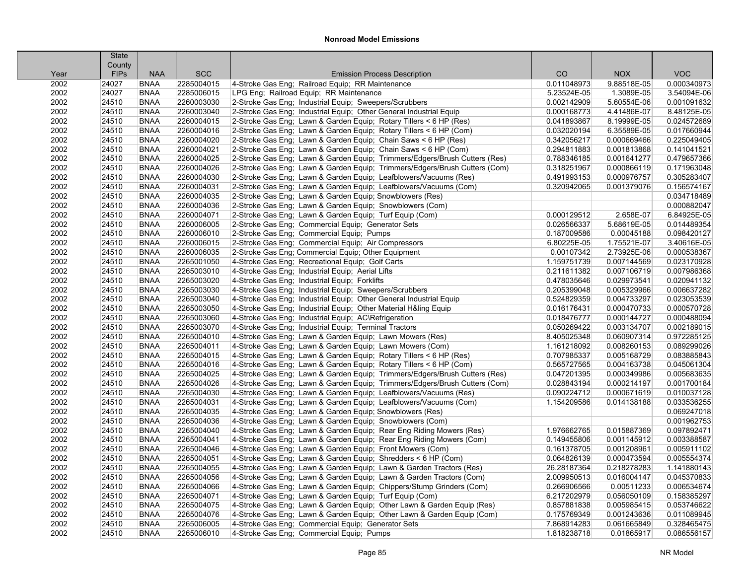|      | <b>State</b> |             |            |                                                                            |             |             |             |
|------|--------------|-------------|------------|----------------------------------------------------------------------------|-------------|-------------|-------------|
|      | County       |             |            |                                                                            |             |             |             |
| Year | <b>FIPs</b>  | <b>NAA</b>  | <b>SCC</b> | <b>Emission Process Description</b>                                        | CO          | <b>NOX</b>  | <b>VOC</b>  |
| 2002 | 24027        | <b>BNAA</b> | 2285004015 | 4-Stroke Gas Eng; Railroad Equip; RR Maintenance                           | 0.011048973 | 9.88518E-05 | 0.000340973 |
| 2002 | 24027        | <b>BNAA</b> | 2285006015 | LPG Eng; Railroad Equip; RR Maintenance                                    | 5.23524E-05 | 1.3089E-05  | 3.54094E-06 |
| 2002 | 24510        | <b>BNAA</b> | 2260003030 | 2-Stroke Gas Eng; Industrial Equip; Sweepers/Scrubbers                     | 0.002142909 | 5.60554E-06 | 0.001091632 |
| 2002 | 24510        | <b>BNAA</b> | 2260003040 | 2-Stroke Gas Eng; Industrial Equip; Other General Industrial Equip         | 0.000168773 | 4.41486E-07 | 8.48125E-05 |
| 2002 | 24510        | <b>BNAA</b> | 2260004015 | 2-Stroke Gas Eng; Lawn & Garden Equip; Rotary Tillers < 6 HP (Res)         | 0.041893867 | 8.19999E-05 | 0.024572689 |
| 2002 | 24510        | <b>BNAA</b> | 2260004016 | 2-Stroke Gas Eng; Lawn & Garden Equip; Rotary Tillers < 6 HP (Com)         | 0.032020194 | 6.35589E-05 | 0.017660944 |
| 2002 | 24510        | <b>BNAA</b> | 2260004020 | 2-Stroke Gas Eng; Lawn & Garden Equip; Chain Saws < 6 HP (Res)             | 0.342056217 | 0.000669466 | 0.225049405 |
| 2002 | 24510        | <b>BNAA</b> | 2260004021 | 2-Stroke Gas Eng; Lawn & Garden Equip; Chain Saws < 6 HP (Com)             | 0.294811883 | 0.001813868 | 0.141041521 |
| 2002 | 24510        | <b>BNAA</b> | 2260004025 | 2-Stroke Gas Eng; Lawn & Garden Equip; Trimmers/Edgers/Brush Cutters (Res) | 0.788346185 | 0.001641277 | 0.479657366 |
| 2002 | 24510        | <b>BNAA</b> | 2260004026 | 2-Stroke Gas Eng; Lawn & Garden Equip; Trimmers/Edgers/Brush Cutters (Com) | 0.318251967 | 0.000866119 | 0.171963048 |
| 2002 | 24510        | <b>BNAA</b> | 2260004030 | 2-Stroke Gas Eng; Lawn & Garden Equip; Leafblowers/Vacuums (Res)           | 0.491993153 | 0.000976757 | 0.305283407 |
| 2002 | 24510        | <b>BNAA</b> | 2260004031 | 2-Stroke Gas Eng; Lawn & Garden Equip; Leafblowers/Vacuums (Com)           | 0.320942065 | 0.001379076 | 0.156574167 |
| 2002 | 24510        | <b>BNAA</b> | 2260004035 | 2-Stroke Gas Eng; Lawn & Garden Equip; Snowblowers (Res)                   |             |             | 0.034718489 |
| 2002 | 24510        | <b>BNAA</b> | 2260004036 | 2-Stroke Gas Eng; Lawn & Garden Equip; Snowblowers (Com)                   |             |             | 0.000882047 |
| 2002 | 24510        | <b>BNAA</b> | 2260004071 | 2-Stroke Gas Eng; Lawn & Garden Equip; Turf Equip (Com)                    | 0.000129512 | 2.658E-07   | 6.84925E-05 |
| 2002 | 24510        | <b>BNAA</b> | 2260006005 | 2-Stroke Gas Eng; Commercial Equip; Generator Sets                         | 0.026566337 | 5.68619E-05 | 0.014489354 |
| 2002 | 24510        | <b>BNAA</b> | 2260006010 | 2-Stroke Gas Eng; Commercial Equip; Pumps                                  | 0.187009586 | 0.00045188  | 0.098420127 |
| 2002 | 24510        | <b>BNAA</b> | 2260006015 | 2-Stroke Gas Eng; Commercial Equip; Air Compressors                        | 6.80225E-05 | 1.75521E-07 | 3.40616E-05 |
| 2002 | 24510        | <b>BNAA</b> | 2260006035 | 2-Stroke Gas Eng; Commercial Equip; Other Equipment                        | 0.00107342  | 2.73925E-06 | 0.000538367 |
| 2002 | 24510        | <b>BNAA</b> | 2265001050 | 4-Stroke Gas Eng; Recreational Equip; Golf Carts                           | 1.159751739 | 0.007144569 | 0.023170928 |
| 2002 | 24510        | <b>BNAA</b> | 2265003010 | 4-Stroke Gas Eng; Industrial Equip; Aerial Lifts                           | 0.211611382 | 0.007106719 | 0.007986368 |
| 2002 | 24510        | <b>BNAA</b> | 2265003020 | 4-Stroke Gas Eng: Industrial Equip: Forklifts                              | 0.478035646 | 0.029973541 | 0.020941132 |
| 2002 | 24510        | <b>BNAA</b> | 2265003030 | 4-Stroke Gas Eng; Industrial Equip; Sweepers/Scrubbers                     | 0.205399048 | 0.005329966 | 0.006637282 |
| 2002 | 24510        | <b>BNAA</b> | 2265003040 | 4-Stroke Gas Eng; Industrial Equip; Other General Industrial Equip         | 0.524829359 | 0.004733297 | 0.023053539 |
| 2002 | 24510        | <b>BNAA</b> | 2265003050 | 4-Stroke Gas Eng; Industrial Equip; Other Material H&ling Equip            | 0.016176431 | 0.000470733 | 0.000570728 |
| 2002 | 24510        | <b>BNAA</b> | 2265003060 | 4-Stroke Gas Eng; Industrial Equip; AC\Refrigeration                       | 0.018476777 | 0.000144727 | 0.000488094 |
| 2002 | 24510        | <b>BNAA</b> | 2265003070 | 4-Stroke Gas Eng; Industrial Equip; Terminal Tractors                      | 0.050269422 | 0.003134707 | 0.002189015 |
| 2002 | 24510        | <b>BNAA</b> | 2265004010 | 4-Stroke Gas Eng; Lawn & Garden Equip; Lawn Mowers (Res)                   | 8.405025348 | 0.060907314 | 0.972285125 |
| 2002 | 24510        | <b>BNAA</b> | 2265004011 | 4-Stroke Gas Eng; Lawn & Garden Equip; Lawn Mowers (Com)                   | 1.161218092 | 0.008260153 | 0.089299026 |
| 2002 | 24510        | <b>BNAA</b> | 2265004015 | 4-Stroke Gas Eng; Lawn & Garden Equip; Rotary Tillers < 6 HP (Res)         | 0.707985337 | 0.005168729 | 0.083885843 |
| 2002 | 24510        | <b>BNAA</b> | 2265004016 | 4-Stroke Gas Eng; Lawn & Garden Equip; Rotary Tillers < 6 HP (Com)         | 0.565727565 | 0.004163738 | 0.045061304 |
| 2002 | 24510        | <b>BNAA</b> | 2265004025 | 4-Stroke Gas Eng; Lawn & Garden Equip; Trimmers/Edgers/Brush Cutters (Res) | 0.047201395 | 0.000349986 | 0.005683635 |
| 2002 | 24510        | <b>BNAA</b> | 2265004026 | 4-Stroke Gas Eng; Lawn & Garden Equip; Trimmers/Edgers/Brush Cutters (Com) | 0.028843194 | 0.000214197 | 0.001700184 |
| 2002 | 24510        | <b>BNAA</b> | 2265004030 | 4-Stroke Gas Eng; Lawn & Garden Equip; Leafblowers/Vacuums (Res)           | 0.090224712 | 0.000671619 | 0.010037128 |
| 2002 | 24510        | <b>BNAA</b> | 2265004031 | 4-Stroke Gas Eng; Lawn & Garden Equip; Leafblowers/Vacuums (Com)           | 1.154209586 | 0.014138188 | 0.033536255 |
| 2002 | 24510        | <b>BNAA</b> | 2265004035 | 4-Stroke Gas Eng: Lawn & Garden Equip: Snowblowers (Res)                   |             |             | 0.069247018 |
| 2002 | 24510        | <b>BNAA</b> | 2265004036 | 4-Stroke Gas Eng; Lawn & Garden Equip; Snowblowers (Com)                   |             |             | 0.001962753 |
| 2002 | 24510        | <b>BNAA</b> | 2265004040 | 4-Stroke Gas Eng; Lawn & Garden Equip; Rear Eng Riding Mowers (Res)        | 1.976662765 | 0.015887369 | 0.097892471 |
| 2002 | 24510        | <b>BNAA</b> | 2265004041 | 4-Stroke Gas Eng; Lawn & Garden Equip; Rear Eng Riding Mowers (Com)        | 0.149455806 | 0.001145912 | 0.003388587 |
| 2002 | 24510        | <b>BNAA</b> | 2265004046 | 4-Stroke Gas Eng; Lawn & Garden Equip; Front Mowers (Com)                  | 0.161378705 | 0.001208961 | 0.005911102 |
| 2002 | 24510        | <b>BNAA</b> | 2265004051 | 4-Stroke Gas Eng; Lawn & Garden Equip; Shredders < 6 HP (Com)              | 0.064826139 | 0.000473594 | 0.005554374 |
| 2002 | 24510        | <b>BNAA</b> | 2265004055 | 4-Stroke Gas Eng; Lawn & Garden Equip; Lawn & Garden Tractors (Res)        | 26.28187364 | 0.218278283 | 1.141880143 |
| 2002 | 24510        | <b>BNAA</b> | 2265004056 | 4-Stroke Gas Eng; Lawn & Garden Equip; Lawn & Garden Tractors (Com)        | 2.009950513 | 0.016004147 | 0.045370833 |
| 2002 | 24510        | <b>BNAA</b> | 2265004066 | 4-Stroke Gas Eng; Lawn & Garden Equip; Chippers/Stump Grinders (Com)       | 0.266906566 | 0.00511233  | 0.006534674 |
| 2002 | 24510        | <b>BNAA</b> | 2265004071 | 4-Stroke Gas Eng; Lawn & Garden Equip; Turf Equip (Com)                    | 6.217202979 | 0.056050109 | 0.158385297 |
| 2002 | 24510        | <b>BNAA</b> | 2265004075 | 4-Stroke Gas Eng; Lawn & Garden Equip; Other Lawn & Garden Equip (Res)     | 0.857881838 | 0.005985415 | 0.053746622 |
| 2002 | 24510        | <b>BNAA</b> | 2265004076 | 4-Stroke Gas Eng: Lawn & Garden Equip: Other Lawn & Garden Equip (Com)     | 0.175769349 | 0.001243636 | 0.011089945 |
| 2002 | 24510        | <b>BNAA</b> | 2265006005 | 4-Stroke Gas Eng; Commercial Equip; Generator Sets                         | 7.868914283 | 0.061665849 | 0.328465475 |
| 2002 | 24510        | <b>BNAA</b> | 2265006010 | 4-Stroke Gas Eng; Commercial Equip; Pumps                                  | 1.818238718 | 0.01865917  | 0.086556157 |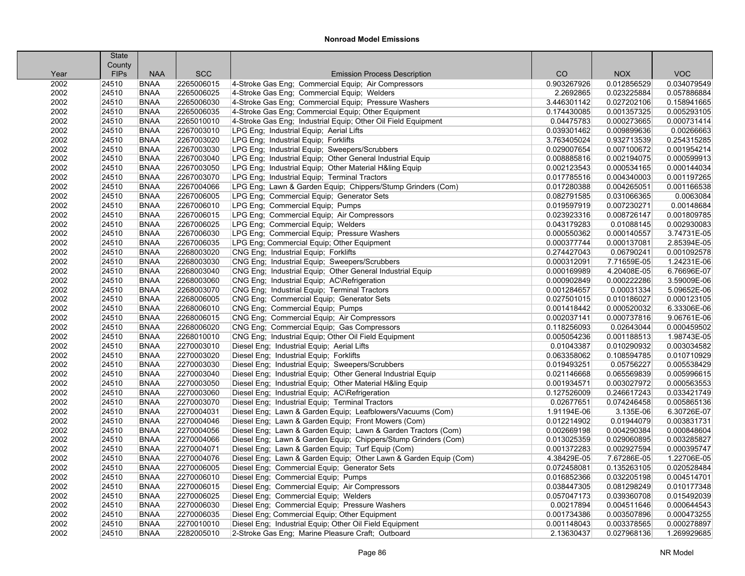|      | <b>State</b> |             |            |                                                                  |             |             |             |
|------|--------------|-------------|------------|------------------------------------------------------------------|-------------|-------------|-------------|
|      | County       |             |            |                                                                  |             |             |             |
| Year | <b>FIPs</b>  | <b>NAA</b>  | <b>SCC</b> | <b>Emission Process Description</b>                              | CO          | <b>NOX</b>  | <b>VOC</b>  |
| 2002 | 24510        | <b>BNAA</b> | 2265006015 | 4-Stroke Gas Eng; Commercial Equip; Air Compressors              | 0.903267926 | 0.012856529 | 0.034079549 |
| 2002 | 24510        | <b>BNAA</b> | 2265006025 | 4-Stroke Gas Eng; Commercial Equip; Welders                      | 2.2692865   | 0.023225884 | 0.057886884 |
| 2002 | 24510        | <b>BNAA</b> | 2265006030 | 4-Stroke Gas Eng; Commercial Equip; Pressure Washers             | 3.446301142 | 0.027202106 | 0.158941665 |
| 2002 | 24510        | <b>BNAA</b> | 2265006035 | 4-Stroke Gas Eng; Commercial Equip; Other Equipment              | 0.174430085 | 0.001357325 | 0.005293105 |
| 2002 | 24510        | <b>BNAA</b> | 2265010010 | 4-Stroke Gas Eng; Industrial Equip; Other Oil Field Equipment    | 0.04475783  | 0.000273665 | 0.000731414 |
| 2002 | 24510        | <b>BNAA</b> | 2267003010 | LPG Eng; Industrial Equip; Aerial Lifts                          | 0.039301462 | 0.009899636 | 0.00266663  |
| 2002 | 24510        | <b>BNAA</b> | 2267003020 | LPG Eng; Industrial Equip; Forklifts                             | 3.763405024 | 0.932713539 | 0.254315285 |
| 2002 | 24510        | <b>BNAA</b> | 2267003030 | LPG Eng; Industrial Equip; Sweepers/Scrubbers                    | 0.029007654 | 0.007100672 | 0.001954214 |
| 2002 | 24510        | <b>BNAA</b> | 2267003040 | LPG Eng; Industrial Equip; Other General Industrial Equip        | 0.008885816 | 0.002194075 | 0.000599913 |
| 2002 | 24510        | <b>BNAA</b> | 2267003050 | LPG Eng; Industrial Equip; Other Material H&ling Equip           | 0.002123543 | 0.000534165 | 0.000144034 |
| 2002 | 24510        | <b>BNAA</b> | 2267003070 | LPG Eng; Industrial Equip; Terminal Tractors                     | 0.017785516 | 0.004340003 | 0.001197265 |
| 2002 | 24510        | <b>BNAA</b> | 2267004066 | LPG Eng; Lawn & Garden Equip; Chippers/Stump Grinders (Com)      | 0.017280388 | 0.004265051 | 0.001166538 |
| 2002 | 24510        | <b>BNAA</b> | 2267006005 | LPG Eng; Commercial Equip; Generator Sets                        | 0.082791585 | 0.031066365 | 0.0063084   |
| 2002 | 24510        | <b>BNAA</b> | 2267006010 | LPG Eng; Commercial Equip; Pumps                                 | 0.019597919 | 0.007230271 | 0.00148684  |
| 2002 | 24510        | <b>BNAA</b> | 2267006015 | LPG Eng; Commercial Equip; Air Compressors                       | 0.023923316 | 0.008726147 | 0.001809785 |
| 2002 | 24510        | <b>BNAA</b> | 2267006025 | LPG Eng; Commercial Equip; Welders                               | 0.043179283 | 0.01088145  | 0.002930083 |
| 2002 | 24510        | <b>BNAA</b> | 2267006030 | LPG Eng; Commercial Equip; Pressure Washers                      | 0.000550362 | 0.000140557 | 3.74731E-05 |
| 2002 | 24510        | <b>BNAA</b> | 2267006035 | LPG Eng; Commercial Equip; Other Equipment                       | 0.000377744 | 0.000137081 | 2.85394E-05 |
| 2002 | 24510        | <b>BNAA</b> | 2268003020 | CNG Eng; Industrial Equip; Forklifts                             | 0.274427043 | 0.06790241  | 0.001092578 |
| 2002 | 24510        | <b>BNAA</b> | 2268003030 | CNG Eng; Industrial Equip; Sweepers/Scrubbers                    | 0.000312091 | 7.71659E-05 | 1.24231E-06 |
| 2002 | 24510        | <b>BNAA</b> | 2268003040 | CNG Eng; Industrial Equip; Other General Industrial Equip        | 0.000169989 | 4.20408E-05 | 6.76696E-07 |
| 2002 | 24510        | <b>BNAA</b> | 2268003060 | CNG Eng; Industrial Equip; AC\Refrigeration                      | 0.000902849 | 0.000222286 | 3.59009E-06 |
| 2002 | 24510        | <b>BNAA</b> | 2268003070 | CNG Eng; Industrial Equip; Terminal Tractors                     | 0.001284657 | 0.00031334  | 5.09652E-06 |
| 2002 | 24510        | <b>BNAA</b> | 2268006005 | CNG Eng; Commercial Equip; Generator Sets                        | 0.027501015 | 0.010186027 | 0.000123105 |
| 2002 | 24510        | <b>BNAA</b> | 2268006010 | CNG Eng: Commercial Equip: Pumps                                 | 0.001418442 | 0.000520032 | 6.33306E-06 |
| 2002 | 24510        | <b>BNAA</b> | 2268006015 | CNG Eng; Commercial Equip; Air Compressors                       | 0.002037141 | 0.000737816 | 9.06761E-06 |
| 2002 | 24510        | <b>BNAA</b> | 2268006020 | CNG Eng; Commercial Equip; Gas Compressors                       | 0.118256093 | 0.02643044  | 0.000459502 |
| 2002 | 24510        | <b>BNAA</b> | 2268010010 | CNG Eng; Industrial Equip; Other Oil Field Equipment             | 0.005054236 | 0.001188513 | 1.98743E-05 |
| 2002 | 24510        | <b>BNAA</b> | 2270003010 | Diesel Eng; Industrial Equip; Aerial Lifts                       | 0.01043387  | 0.010290932 | 0.003034582 |
| 2002 | 24510        | <b>BNAA</b> | 2270003020 | Diesel Eng; Industrial Equip; Forklifts                          | 0.063358062 | 0.108594785 | 0.010710929 |
| 2002 | 24510        | <b>BNAA</b> | 2270003030 | Diesel Eng; Industrial Equip; Sweepers/Scrubbers                 | 0.019493251 | 0.05756227  | 0.005538429 |
| 2002 | 24510        | <b>BNAA</b> | 2270003040 | Diesel Eng; Industrial Equip; Other General Industrial Equip     | 0.021146668 | 0.065569839 | 0.005996615 |
| 2002 | 24510        | <b>BNAA</b> | 2270003050 | Diesel Eng; Industrial Equip; Other Material H&ling Equip        | 0.001934571 | 0.003027972 | 0.000563553 |
| 2002 | 24510        | <b>BNAA</b> | 2270003060 | Diesel Eng; Industrial Equip; AC\Refrigeration                   | 0.127526009 | 0.246617243 | 0.033421749 |
| 2002 | 24510        | <b>BNAA</b> | 2270003070 | Diesel Eng; Industrial Equip; Terminal Tractors                  | 0.02677651  | 0.074246458 | 0.005865136 |
| 2002 | 24510        | <b>BNAA</b> | 2270004031 | Diesel Eng; Lawn & Garden Equip; Leafblowers/Vacuums (Com)       | 1.91194E-06 | 3.135E-06   | 6.30726E-07 |
| 2002 | 24510        | <b>BNAA</b> | 2270004046 | Diesel Eng; Lawn & Garden Equip; Front Mowers (Com)              | 0.012214902 | 0.01944079  | 0.003831731 |
| 2002 | 24510        | <b>BNAA</b> | 2270004056 | Diesel Eng; Lawn & Garden Equip; Lawn & Garden Tractors (Com)    | 0.002669198 | 0.004290384 | 0.000848604 |
| 2002 | 24510        | <b>BNAA</b> | 2270004066 | Diesel Eng; Lawn & Garden Equip; Chippers/Stump Grinders (Com)   | 0.013025359 | 0.029060895 | 0.003285827 |
| 2002 | 24510        | <b>BNAA</b> | 2270004071 | Diesel Eng; Lawn & Garden Equip; Turf Equip (Com)                | 0.001372283 | 0.002927594 | 0.000395747 |
| 2002 | 24510        | <b>BNAA</b> | 2270004076 | Diesel Eng; Lawn & Garden Equip; Other Lawn & Garden Equip (Com) | 4.38429E-05 | 7.67286E-05 | 1.22706E-05 |
| 2002 | 24510        | <b>BNAA</b> | 2270006005 | Diesel Eng; Commercial Equip; Generator Sets                     | 0.072458081 | 0.135263105 | 0.020528484 |
| 2002 | 24510        | <b>BNAA</b> | 2270006010 | Diesel Eng; Commercial Equip; Pumps                              | 0.016852366 | 0.032205198 | 0.004514701 |
| 2002 | 24510        | <b>BNAA</b> | 2270006015 | Diesel Eng; Commercial Equip; Air Compressors                    | 0.038447305 | 0.081298249 | 0.010177348 |
| 2002 | 24510        | <b>BNAA</b> | 2270006025 | Diesel Eng; Commercial Equip; Welders                            | 0.057047173 | 0.039360708 | 0.015492039 |
| 2002 | 24510        | <b>BNAA</b> | 2270006030 | Diesel Eng; Commercial Equip; Pressure Washers                   | 0.00217894  | 0.004511646 | 0.000644543 |
| 2002 | 24510        | <b>BNAA</b> | 2270006035 | Diesel Eng: Commercial Equip: Other Equipment                    | 0.001734386 | 0.003507896 | 0.000473255 |
| 2002 | 24510        | <b>BNAA</b> | 2270010010 | Diesel Eng; Industrial Equip; Other Oil Field Equipment          | 0.001148043 | 0.003378565 | 0.000278897 |
| 2002 | 24510        | <b>BNAA</b> | 2282005010 | 2-Stroke Gas Eng; Marine Pleasure Craft; Outboard                | 2.13630437  | 0.027968136 | 1.269929685 |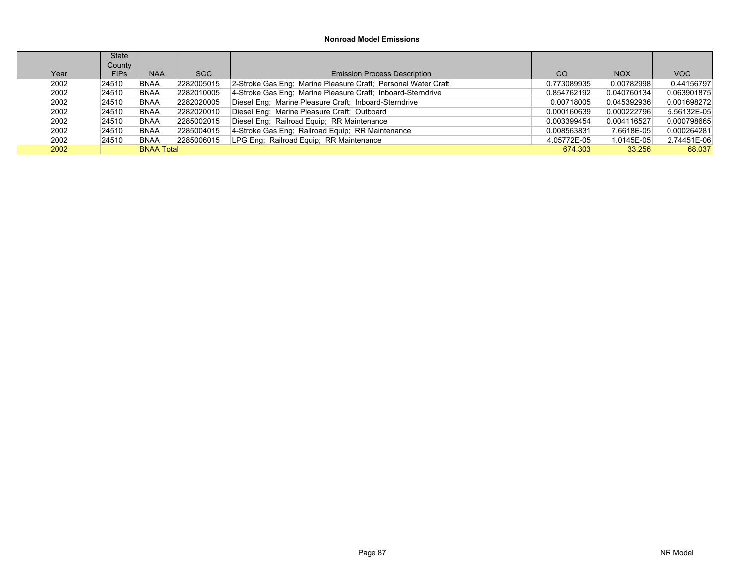|      | State       |                   |            |                                                               |               |             |             |
|------|-------------|-------------------|------------|---------------------------------------------------------------|---------------|-------------|-------------|
|      | County      |                   |            |                                                               |               |             |             |
| Year | <b>FIPs</b> | <b>NAA</b>        | SCC        | <b>Emission Process Description</b>                           | <sub>CO</sub> | <b>NOX</b>  | VOC         |
| 2002 | 24510       | <b>BNAA</b>       | 2282005015 | 2-Stroke Gas Eng; Marine Pleasure Craft; Personal Water Craft | 0.773089935   | 0.00782998  | 0.44156797  |
| 2002 | 24510       | <b>BNAA</b>       | 2282010005 | 4-Stroke Gas Eng: Marine Pleasure Craft: Inboard-Sterndrive   | 0.854762192   | 0.040760134 | 0.063901875 |
| 2002 | 24510       | <b>BNAA</b>       | 2282020005 | Diesel Eng; Marine Pleasure Craft; Inboard-Sterndrive         | 0.00718005    | 0.045392936 | 0.001698272 |
| 2002 | 24510       | <b>BNAA</b>       | 2282020010 | Diesel Eng; Marine Pleasure Craft; Outboard                   | 0.000160639   | 0.000222796 | 5.56132E-05 |
| 2002 | 24510       | <b>BNAA</b>       | 2285002015 | Diesel Eng; Railroad Equip; RR Maintenance                    | 0.003399454   | 0.004116527 | 0.000798665 |
| 2002 | 24510       | <b>BNAA</b>       | 2285004015 | 4-Stroke Gas Eng; Railroad Equip; RR Maintenance              | 0.008563831   | 7.6618E-05  | 0.000264281 |
| 2002 | 24510       | <b>BNAA</b>       | 2285006015 | LPG Eng; Railroad Equip; RR Maintenance                       | 4.05772E-05   | 1.0145E-05  | 2.74451E-06 |
| 2002 |             | <b>BNAA Total</b> |            |                                                               | 674 303       | 33.256      | 68.037      |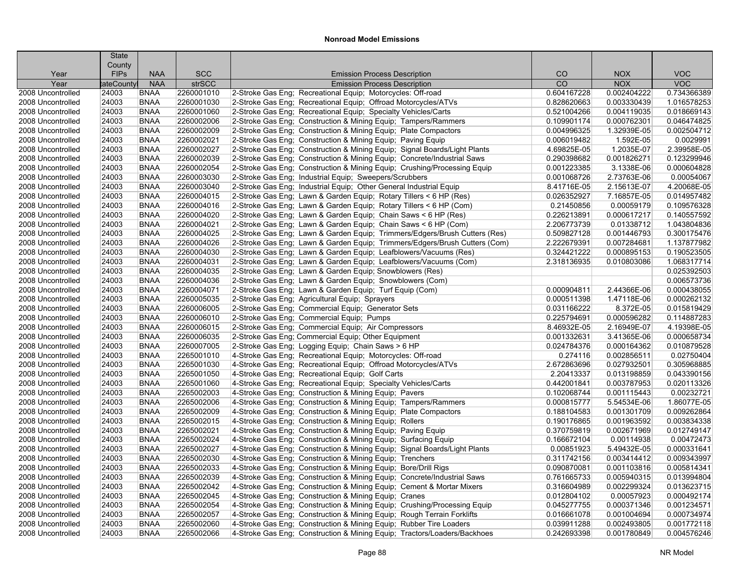|                   | <b>State</b> |             |            |                                                                            |                 |             |             |
|-------------------|--------------|-------------|------------|----------------------------------------------------------------------------|-----------------|-------------|-------------|
|                   | County       |             |            |                                                                            |                 |             |             |
| Year              | <b>FIPS</b>  | <b>NAA</b>  | <b>SCC</b> | <b>Emission Process Description</b>                                        | CO              | <b>NOX</b>  | <b>VOC</b>  |
| Year              | tateCountyl  | <b>NAA</b>  | strSCC     | <b>Emission Process Description</b>                                        | $\overline{CO}$ | <b>NOX</b>  | VOC         |
| 2008 Uncontrolled | 24003        | <b>BNAA</b> | 2260001010 | 2-Stroke Gas Eng; Recreational Equip; Motorcycles: Off-road                | 0.604167228     | 0.002404222 | 0.734366389 |
| 2008 Uncontrolled | 24003        | <b>BNAA</b> | 2260001030 | 2-Stroke Gas Eng; Recreational Equip; Offroad Motorcycles/ATVs             | 0.828620663     | 0.003330439 | 1.016578253 |
| 2008 Uncontrolled | 24003        | <b>BNAA</b> | 2260001060 | 2-Stroke Gas Eng; Recreational Equip; Specialty Vehicles/Carts             | 0.521004266     | 0.004119035 | 0.018669143 |
| 2008 Uncontrolled | 24003        | <b>BNAA</b> | 2260002006 | 2-Stroke Gas Eng; Construction & Mining Equip; Tampers/Rammers             | 0.109901174     | 0.000762301 | 0.046474825 |
| 2008 Uncontrolled | 24003        | <b>BNAA</b> | 2260002009 | 2-Stroke Gas Eng; Construction & Mining Equip; Plate Compactors            | 0.004996325     | 1.32939E-05 | 0.002504712 |
| 2008 Uncontrolled | 24003        | <b>BNAA</b> | 2260002021 | 2-Stroke Gas Eng; Construction & Mining Equip; Paving Equip                | 0.006019482     | 1.592E-05   | 0.0029991   |
| 2008 Uncontrolled | 24003        | <b>BNAA</b> | 2260002027 | 2-Stroke Gas Eng; Construction & Mining Equip; Signal Boards/Light Plants  | 4.69825E-05     | 1.2035E-07  | 2.39958E-05 |
| 2008 Uncontrolled | 24003        | <b>BNAA</b> | 2260002039 | 2-Stroke Gas Eng; Construction & Mining Equip; Concrete/Industrial Saws    | 0.290398682     | 0.001826271 | 0.123299946 |
| 2008 Uncontrolled | 24003        | <b>BNAA</b> | 2260002054 | 2-Stroke Gas Eng; Construction & Mining Equip; Crushing/Processing Equip   | 0.001223385     | 3.1338E-06  | 0.000604828 |
| 2008 Uncontrolled | 24003        | <b>BNAA</b> | 2260003030 | 2-Stroke Gas Eng; Industrial Equip; Sweepers/Scrubbers                     | 0.001068726     | 2.73763E-06 | 0.00054067  |
| 2008 Uncontrolled | 24003        | <b>BNAA</b> | 2260003040 | 2-Stroke Gas Eng; Industrial Equip; Other General Industrial Equip         | 8.41716E-05     | 2.15613E-07 | 4.20068E-05 |
| 2008 Uncontrolled | 24003        | <b>BNAA</b> | 2260004015 | 2-Stroke Gas Eng; Lawn & Garden Equip; Rotary Tillers < 6 HP (Res)         | 0.026352927     | 7.16857E-05 | 0.014957482 |
| 2008 Uncontrolled | 24003        | <b>BNAA</b> | 2260004016 | 2-Stroke Gas Eng; Lawn & Garden Equip; Rotary Tillers < 6 HP (Com)         | 0.21450856      | 0.00059179  | 0.109576328 |
| 2008 Uncontrolled | 24003        | <b>BNAA</b> | 2260004020 | 2-Stroke Gas Eng: Lawn & Garden Equip: Chain Saws < 6 HP (Res)             | 0.226213891     | 0.000617217 | 0.140557592 |
| 2008 Uncontrolled | 24003        | <b>BNAA</b> | 2260004021 | 2-Stroke Gas Eng; Lawn & Garden Equip; Chain Saws < 6 HP (Com)             | 2.206773739     | 0.01338712  | 1.043804836 |
| 2008 Uncontrolled | 24003        | <b>BNAA</b> | 2260004025 | 2-Stroke Gas Eng; Lawn & Garden Equip; Trimmers/Edgers/Brush Cutters (Res) | 0.509827128     | 0.001446793 | 0.300175476 |
| 2008 Uncontrolled | 24003        | <b>BNAA</b> | 2260004026 | 2-Stroke Gas Eng; Lawn & Garden Equip; Trimmers/Edgers/Brush Cutters (Com) | 2.222679391     | 0.007284681 | 1.137877982 |
| 2008 Uncontrolled | 24003        | <b>BNAA</b> | 2260004030 | 2-Stroke Gas Eng; Lawn & Garden Equip; Leafblowers/Vacuums (Res)           | 0.324421222     | 0.000895153 | 0.190523505 |
| 2008 Uncontrolled | 24003        | <b>BNAA</b> | 2260004031 | 2-Stroke Gas Eng; Lawn & Garden Equip; Leafblowers/Vacuums (Com)           | 2.318136935     | 0.010803086 | 1.068317714 |
| 2008 Uncontrolled | 24003        | <b>BNAA</b> | 2260004035 | 2-Stroke Gas Eng; Lawn & Garden Equip; Snowblowers (Res)                   |                 |             | 0.025392503 |
| 2008 Uncontrolled | 24003        | <b>BNAA</b> | 2260004036 | 2-Stroke Gas Eng; Lawn & Garden Equip; Snowblowers (Com)                   |                 |             | 0.006573736 |
| 2008 Uncontrolled | 24003        | <b>BNAA</b> | 2260004071 | 2-Stroke Gas Eng; Lawn & Garden Equip; Turf Equip (Com)                    | 0.000904811     | 2.44366E-06 | 0.000438055 |
| 2008 Uncontrolled | 24003        | <b>BNAA</b> | 2260005035 | 2-Stroke Gas Eng; Agricultural Equip; Sprayers                             | 0.000511398     | 1.47118E-06 | 0.000262132 |
| 2008 Uncontrolled | 24003        | <b>BNAA</b> | 2260006005 | 2-Stroke Gas Eng; Commercial Equip; Generator Sets                         | 0.031166222     | 8.372E-05   | 0.015819429 |
| 2008 Uncontrolled | 24003        | <b>BNAA</b> | 2260006010 | 2-Stroke Gas Eng; Commercial Equip; Pumps                                  | 0.225794691     | 0.000596282 | 0.114887283 |
| 2008 Uncontrolled | 24003        | <b>BNAA</b> | 2260006015 | 2-Stroke Gas Eng; Commercial Equip; Air Compressors                        | 8.46932E-05     | 2.16949E-07 | 4.19398E-05 |
| 2008 Uncontrolled | 24003        | <b>BNAA</b> | 2260006035 | 2-Stroke Gas Eng; Commercial Equip; Other Equipment                        | 0.001332631     | 3.41365E-06 | 0.000658734 |
| 2008 Uncontrolled | 24003        | <b>BNAA</b> | 2260007005 | 2-Stroke Gas Eng; Logging Equip; Chain Saws > 6 HP                         | 0.024784376     | 0.000164362 | 0.010879528 |
| 2008 Uncontrolled | 24003        | <b>BNAA</b> | 2265001010 | 4-Stroke Gas Eng; Recreational Equip; Motorcycles: Off-road                | 0.274116        | 0.002856511 | 0.02750404  |
| 2008 Uncontrolled | 24003        | <b>BNAA</b> | 2265001030 | 4-Stroke Gas Eng; Recreational Equip; Offroad Motorcycles/ATVs             | 2.672863696     | 0.027932501 | 0.305968885 |
| 2008 Uncontrolled | 24003        | <b>BNAA</b> | 2265001050 | 4-Stroke Gas Eng; Recreational Equip; Golf Carts                           | 2.20413337      | 0.013198859 | 0.043390156 |
| 2008 Uncontrolled | 24003        | <b>BNAA</b> | 2265001060 | 4-Stroke Gas Eng; Recreational Equip; Specialty Vehicles/Carts             | 0.442001841     | 0.003787953 | 0.020113326 |
| 2008 Uncontrolled | 24003        | <b>BNAA</b> | 2265002003 | 4-Stroke Gas Eng; Construction & Mining Equip; Pavers                      | 0.102068744     | 0.001115443 | 0.00232721  |
| 2008 Uncontrolled | 24003        | <b>BNAA</b> | 2265002006 | 4-Stroke Gas Eng; Construction & Mining Equip; Tampers/Rammers             | 0.000815777     | 5.54534E-06 | 1.86077E-05 |
| 2008 Uncontrolled | 24003        | <b>BNAA</b> | 2265002009 | 4-Stroke Gas Eng; Construction & Mining Equip; Plate Compactors            | 0.188104583     | 0.001301709 | 0.009262864 |
| 2008 Uncontrolled | 24003        | <b>BNAA</b> | 2265002015 | 4-Stroke Gas Eng; Construction & Mining Equip; Rollers                     | 0.190176865     | 0.001963592 | 0.003834338 |
| 2008 Uncontrolled | 24003        | <b>BNAA</b> | 2265002021 | 4-Stroke Gas Eng; Construction & Mining Equip; Paving Equip                | 0.370759819     | 0.002671969 | 0.012749147 |
| 2008 Uncontrolled | 24003        | <b>BNAA</b> | 2265002024 | 4-Stroke Gas Eng; Construction & Mining Equip; Surfacing Equip             | 0.166672104     | 0.00114938  | 0.00472473  |
| 2008 Uncontrolled | 24003        | <b>BNAA</b> | 2265002027 | 4-Stroke Gas Eng; Construction & Mining Equip; Signal Boards/Light Plants  | 0.00851923      | 5.49432E-05 | 0.000331641 |
| 2008 Uncontrolled | 24003        | <b>BNAA</b> | 2265002030 | 4-Stroke Gas Eng; Construction & Mining Equip; Trenchers                   | 0.311742156     | 0.003414412 | 0.009343997 |
| 2008 Uncontrolled | 24003        | <b>BNAA</b> | 2265002033 | 4-Stroke Gas Eng; Construction & Mining Equip; Bore/Drill Rigs             | 0.090870081     | 0.001103816 | 0.005814341 |
| 2008 Uncontrolled | 24003        | <b>BNAA</b> | 2265002039 | 4-Stroke Gas Eng; Construction & Mining Equip; Concrete/Industrial Saws    | 0.761665733     | 0.005940315 | 0.013994804 |
| 2008 Uncontrolled | 24003        | <b>BNAA</b> | 2265002042 | 4-Stroke Gas Eng; Construction & Mining Equip; Cement & Mortar Mixers      | 0.316604989     | 0.002299324 | 0.013623715 |
| 2008 Uncontrolled | 24003        | <b>BNAA</b> | 2265002045 | 4-Stroke Gas Eng; Construction & Mining Equip; Cranes                      | 0.012804102     | 0.00057923  | 0.000492174 |
| 2008 Uncontrolled | 24003        | <b>BNAA</b> | 2265002054 | 4-Stroke Gas Eng; Construction & Mining Equip; Crushing/Processing Equip   | 0.045277755     | 0.000371346 | 0.001234571 |
| 2008 Uncontrolled | 24003        | <b>BNAA</b> | 2265002057 | 4-Stroke Gas Eng; Construction & Mining Equip; Rough Terrain Forklifts     | 0.016661078     | 0.001004694 | 0.000734974 |
| 2008 Uncontrolled | 24003        | <b>BNAA</b> | 2265002060 | 4-Stroke Gas Eng; Construction & Mining Equip; Rubber Tire Loaders         | 0.039911288     | 0.002493805 | 0.001772118 |
| 2008 Uncontrolled | 24003        | <b>BNAA</b> | 2265002066 | 4-Stroke Gas Eng; Construction & Mining Equip; Tractors/Loaders/Backhoes   | 0.242693398     | 0.001780849 | 0.004576246 |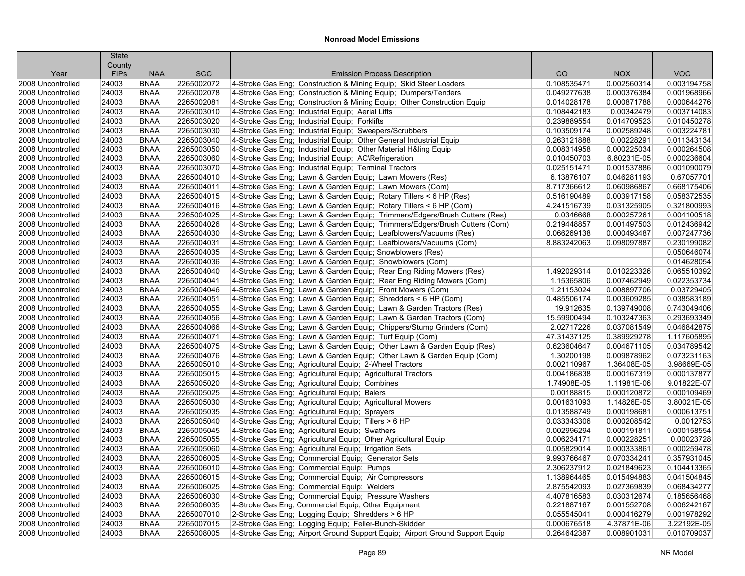|                                        | <b>State</b><br>County |                            |            |                                                                                                                                                  |                            |                            |             |
|----------------------------------------|------------------------|----------------------------|------------|--------------------------------------------------------------------------------------------------------------------------------------------------|----------------------------|----------------------------|-------------|
| Year                                   | <b>FIPs</b>            | <b>NAA</b>                 | <b>SCC</b> | <b>Emission Process Description</b>                                                                                                              | CO                         | <b>NOX</b>                 | <b>VOC</b>  |
| 2008 Uncontrolled                      | 24003                  | <b>BNAA</b>                | 2265002072 | 4-Stroke Gas Eng; Construction & Mining Equip; Skid Steer Loaders                                                                                | 0.108535471                | 0.002560314                | 0.003194758 |
| 2008 Uncontrolled                      | 24003                  | <b>BNAA</b>                | 2265002078 | 4-Stroke Gas Eng; Construction & Mining Equip; Dumpers/Tenders                                                                                   | 0.049277638                | 0.000376384                | 0.001968966 |
| 2008 Uncontrolled                      | 24003                  | <b>BNAA</b>                | 2265002081 | 4-Stroke Gas Eng; Construction & Mining Equip; Other Construction Equip                                                                          | 0.014028178                | 0.000871788                | 0.000644276 |
| 2008 Uncontrolled                      | 24003                  | <b>BNAA</b>                | 2265003010 | 4-Stroke Gas Eng; Industrial Equip; Aerial Lifts                                                                                                 | 0.108442183                | 0.00342479                 | 0.003714083 |
| 2008 Uncontrolled                      | 24003                  | <b>BNAA</b>                | 2265003020 | 4-Stroke Gas Eng; Industrial Equip; Forklifts                                                                                                    | 0.239889554                | 0.014709523                | 0.010450278 |
| 2008 Uncontrolled                      | 24003                  | <b>BNAA</b>                | 2265003030 | 4-Stroke Gas Eng; Industrial Equip; Sweepers/Scrubbers                                                                                           | 0.103509174                | 0.002589248                | 0.003224781 |
| 2008 Uncontrolled                      | 24003                  | <b>BNAA</b>                | 2265003040 | 4-Stroke Gas Eng; Industrial Equip; Other General Industrial Equip                                                                               | 0.263121888                | 0.00228291                 | 0.011343134 |
| 2008 Uncontrolled                      | 24003                  | <b>BNAA</b>                | 2265003050 | 4-Stroke Gas Eng; Industrial Equip; Other Material H&ling Equip                                                                                  | 0.008314958                | 0.000225034                | 0.000264508 |
| 2008 Uncontrolled                      | 24003                  | <b>BNAA</b>                | 2265003060 | 4-Stroke Gas Eng; Industrial Equip; AC\Refrigeration                                                                                             | 0.010450703                | 6.80231E-05                | 0.000236604 |
| 2008 Uncontrolled                      | 24003                  | <b>BNAA</b>                | 2265003070 | 4-Stroke Gas Eng; Industrial Equip; Terminal Tractors                                                                                            | 0.025151471                | 0.001537886                | 0.001090079 |
| 2008 Uncontrolled                      | 24003                  | <b>BNAA</b>                | 2265004010 | 4-Stroke Gas Eng; Lawn & Garden Equip; Lawn Mowers (Res)                                                                                         | 6.13876107                 | 0.046281193                | 0.67057701  |
| 2008 Uncontrolled                      | 24003                  | <b>BNAA</b>                | 2265004011 | 4-Stroke Gas Eng; Lawn & Garden Equip; Lawn Mowers (Com)                                                                                         | 8.717366612                | 0.060986867                | 0.668175406 |
| 2008 Uncontrolled                      | 24003                  | <b>BNAA</b>                | 2265004015 |                                                                                                                                                  | 0.516190489                | 0.003917158                | 0.058372535 |
| 2008 Uncontrolled                      | 24003                  | <b>BNAA</b>                | 2265004016 | 4-Stroke Gas Eng; Lawn & Garden Equip; Rotary Tillers < 6 HP (Res)<br>4-Stroke Gas Eng; Lawn & Garden Equip; Rotary Tillers < 6 HP (Com)         | 4.241516739                | 0.031325905                | 0.321800993 |
| 2008 Uncontrolled                      | 24003                  | <b>BNAA</b>                | 2265004025 | 4-Stroke Gas Eng; Lawn & Garden Equip; Trimmers/Edgers/Brush Cutters (Res)                                                                       | 0.0346668                  | 0.000257261                | 0.004100518 |
| 2008 Uncontrolled                      | 24003                  | <b>BNAA</b>                | 2265004026 | 4-Stroke Gas Eng; Lawn & Garden Equip; Trimmers/Edgers/Brush Cutters (Com)                                                                       | 0.219448857                | 0.001497503                | 0.012436942 |
| 2008 Uncontrolled                      | 24003                  | <b>BNAA</b>                | 2265004030 | 4-Stroke Gas Eng; Lawn & Garden Equip; Leafblowers/Vacuums (Res)                                                                                 | 0.066269138                | 0.000493487                | 0.007247736 |
| 2008 Uncontrolled                      | 24003                  | <b>BNAA</b>                | 2265004031 | 4-Stroke Gas Eng; Lawn & Garden Equip; Leafblowers/Vacuums (Com)                                                                                 | 8.883242063                | 0.098097887                | 0.230199082 |
| 2008 Uncontrolled                      | 24003                  | <b>BNAA</b>                | 2265004035 |                                                                                                                                                  |                            |                            | 0.050646074 |
|                                        | 24003                  | <b>BNAA</b>                | 2265004036 | 4-Stroke Gas Eng; Lawn & Garden Equip; Snowblowers (Res)                                                                                         |                            |                            | 0.014628054 |
| 2008 Uncontrolled<br>2008 Uncontrolled | 24003                  | <b>BNAA</b>                | 2265004040 | 4-Stroke Gas Eng; Lawn & Garden Equip; Snowblowers (Com)<br>4-Stroke Gas Eng; Lawn & Garden Equip; Rear Eng Riding Mowers (Res)                  | 1.492029314                | 0.010223326                | 0.065510392 |
| 2008 Uncontrolled                      | 24003                  | <b>BNAA</b>                | 2265004041 | 4-Stroke Gas Eng; Lawn & Garden Equip; Rear Eng Riding Mowers (Com)                                                                              | 1.15365806                 | 0.007462949                | 0.022353734 |
| 2008 Uncontrolled                      | 24003                  | <b>BNAA</b>                | 2265004046 |                                                                                                                                                  | 1.21153024                 | 0.008897706                | 0.03729405  |
| 2008 Uncontrolled                      | 24003                  | <b>BNAA</b>                | 2265004051 | 4-Stroke Gas Eng; Lawn & Garden Equip; Front Mowers (Com)<br>4-Stroke Gas Eng; Lawn & Garden Equip; Shredders < 6 HP (Com)                       | 0.485506174                | 0.003609285                | 0.038583189 |
| 2008 Uncontrolled                      | 24003                  | <b>BNAA</b>                | 2265004055 |                                                                                                                                                  | 19.912635                  | 0.139749008                | 0.743049406 |
| 2008 Uncontrolled                      | 24003                  | <b>BNAA</b>                | 2265004056 | 4-Stroke Gas Eng; Lawn & Garden Equip; Lawn & Garden Tractors (Res)                                                                              | 15.59900494                | 0.103247363                | 0.293693349 |
|                                        | 24003                  | <b>BNAA</b>                | 2265004066 | 4-Stroke Gas Eng; Lawn & Garden Equip; Lawn & Garden Tractors (Com)                                                                              | 2.02717226                 | 0.037081549                | 0.046842875 |
| 2008 Uncontrolled<br>2008 Uncontrolled | 24003                  | <b>BNAA</b>                | 2265004071 | 4-Stroke Gas Eng; Lawn & Garden Equip; Chippers/Stump Grinders (Com)<br>4-Stroke Gas Eng; Lawn & Garden Equip; Turf Equip (Com)                  | 47.31437125                | 0.389929278                | 1.117605895 |
| 2008 Uncontrolled                      | 24003                  | <b>BNAA</b>                | 2265004075 |                                                                                                                                                  | 0.623604647                | 0.004671105                | 0.034789542 |
| 2008 Uncontrolled                      | 24003                  | <b>BNAA</b>                | 2265004076 | 4-Stroke Gas Eng; Lawn & Garden Equip; Other Lawn & Garden Equip (Res)<br>4-Stroke Gas Eng; Lawn & Garden Equip; Other Lawn & Garden Equip (Com) | 1.30200198                 | 0.009878962                | 0.073231163 |
| 2008 Uncontrolled                      | 24003                  | <b>BNAA</b>                | 2265005010 | 4-Stroke Gas Eng; Agricultural Equip; 2-Wheel Tractors                                                                                           | 0.002110967                | 1.36408E-05                | 3.98669E-05 |
| 2008 Uncontrolled                      | 24003                  | <b>BNAA</b>                | 2265005015 |                                                                                                                                                  | 0.004186838                | 0.000167319                | 0.000137877 |
| 2008 Uncontrolled                      | 24003                  | <b>BNAA</b>                | 2265005020 | 4-Stroke Gas Eng; Agricultural Equip; Agricultural Tractors                                                                                      | 1.74908E-05                | 1.11981E-06                | 9.01822E-07 |
|                                        | 24003                  | <b>BNAA</b>                | 2265005025 | 4-Stroke Gas Eng; Agricultural Equip; Combines                                                                                                   | 0.00188815                 | 0.000120872                | 0.000109469 |
| 2008 Uncontrolled<br>2008 Uncontrolled | 24003                  | <b>BNAA</b>                | 2265005030 | 4-Stroke Gas Eng; Agricultural Equip; Balers                                                                                                     | 0.001631093                | 1.14826E-05                | 3.80021E-05 |
| 2008 Uncontrolled                      | 24003                  | <b>BNAA</b>                | 2265005035 | 4-Stroke Gas Eng; Agricultural Equip; Agricultural Mowers<br>4-Stroke Gas Eng; Agricultural Equip; Sprayers                                      | 0.013588749                | 0.000198681                | 0.000613751 |
| 2008 Uncontrolled                      | 24003                  | <b>BNAA</b>                | 2265005040 | 4-Stroke Gas Eng; Agricultural Equip; Tillers > 6 HP                                                                                             | 0.033343306                | 0.000208542                | 0.0012753   |
| 2008 Uncontrolled                      | 24003                  | <b>BNAA</b>                | 2265005045 | 4-Stroke Gas Eng; Agricultural Equip; Swathers                                                                                                   | 0.002996294                | 0.000191811                | 0.000158554 |
| 2008 Uncontrolled                      | 24003                  | <b>BNAA</b>                | 2265005055 | 4-Stroke Gas Eng; Agricultural Equip; Other Agricultural Equip                                                                                   | 0.006234171                | 0.000228251                | 0.00023728  |
| 2008 Uncontrolled                      | 24003                  | <b>BNAA</b>                | 2265005060 | 4-Stroke Gas Eng; Agricultural Equip; Irrigation Sets                                                                                            | 0.005829014                | 0.000333861                | 0.000259478 |
|                                        | 24003                  | <b>BNAA</b>                | 2265006005 |                                                                                                                                                  |                            | 0.070334241                | 0.357931045 |
| 2008 Uncontrolled<br>2008 Uncontrolled | 24003                  | <b>BNAA</b>                | 2265006010 | 4-Stroke Gas Eng; Commercial Equip; Generator Sets                                                                                               | 9.993766467<br>2.306237912 | 0.021849623                | 0.104413365 |
| 2008 Uncontrolled                      | 24003                  | <b>BNAA</b>                | 2265006015 | 4-Stroke Gas Eng; Commercial Equip; Pumps<br>4-Stroke Gas Eng: Commercial Equip: Air Compressors                                                 | 1.138964465                | 0.015494883                | 0.041504845 |
|                                        |                        |                            | 2265006025 |                                                                                                                                                  |                            |                            | 0.068434277 |
| 2008 Uncontrolled<br>2008 Uncontrolled | 24003                  | <b>BNAA</b><br><b>BNAA</b> | 2265006030 | 4-Stroke Gas Eng; Commercial Equip; Welders                                                                                                      | 2.875542093<br>4.407816583 | 0.027369839<br>0.030312674 | 0.185656468 |
| 2008 Uncontrolled                      | 24003<br>24003         | <b>BNAA</b>                | 2265006035 | 4-Stroke Gas Eng; Commercial Equip; Pressure Washers                                                                                             | 0.221887167                | 0.001552708                | 0.006242167 |
|                                        | 24003                  | <b>BNAA</b>                | 2265007010 | 4-Stroke Gas Eng; Commercial Equip; Other Equipment                                                                                              | 0.055545041                | 0.000416279                | 0.001978292 |
| 2008 Uncontrolled<br>2008 Uncontrolled | 24003                  | <b>BNAA</b>                | 2265007015 | 2-Stroke Gas Eng; Logging Equip; Shredders > 6 HP                                                                                                | 0.000676518                | 4.37871E-06                | 3.22192E-05 |
| 2008 Uncontrolled                      | 24003                  | <b>BNAA</b>                | 2265008005 | 2-Stroke Gas Eng; Logging Equip; Feller-Bunch-Skidder<br>4-Stroke Gas Eng; Airport Ground Support Equip; Airport Ground Support Equip            | 0.264642387                | 0.008901031                | 0.010709037 |
|                                        |                        |                            |            |                                                                                                                                                  |                            |                            |             |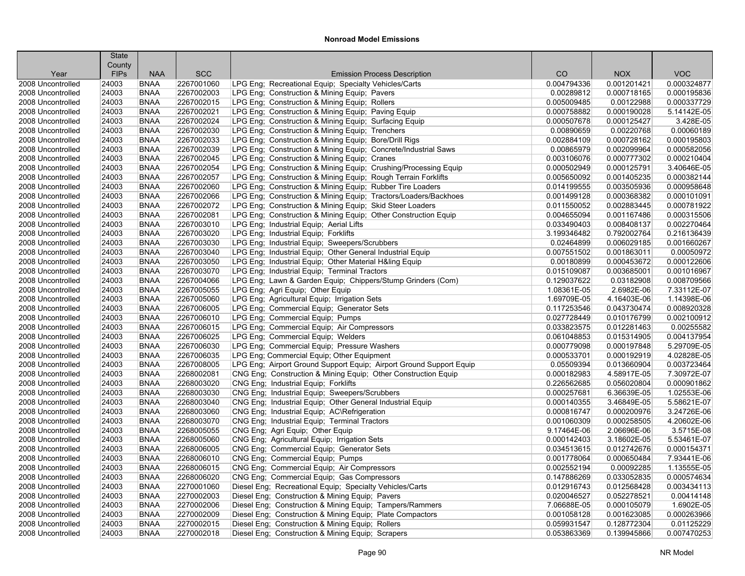|                   | <b>State</b><br>County |             |            |                                                                     |             |             |             |
|-------------------|------------------------|-------------|------------|---------------------------------------------------------------------|-------------|-------------|-------------|
| Year              | <b>FIPs</b>            | <b>NAA</b>  | <b>SCC</b> | <b>Emission Process Description</b>                                 | CO          | <b>NOX</b>  | <b>VOC</b>  |
| 2008 Uncontrolled | 24003                  | <b>BNAA</b> | 2267001060 | LPG Eng; Recreational Equip; Specialty Vehicles/Carts               | 0.004794336 | 0.001201421 | 0.000324877 |
| 2008 Uncontrolled | 24003                  | <b>BNAA</b> | 2267002003 | LPG Eng; Construction & Mining Equip; Pavers                        | 0.00289812  | 0.000718165 | 0.000195836 |
| 2008 Uncontrolled | 24003                  | <b>BNAA</b> | 2267002015 | LPG Eng; Construction & Mining Equip; Rollers                       | 0.005009485 | 0.00122988  | 0.000337729 |
| 2008 Uncontrolled | 24003                  | <b>BNAA</b> | 2267002021 | LPG Eng; Construction & Mining Equip; Paving Equip                  | 0.000758882 | 0.000190028 | 5.14142E-05 |
| 2008 Uncontrolled | 24003                  | <b>BNAA</b> | 2267002024 | LPG Eng; Construction & Mining Equip; Surfacing Equip               | 0.000507678 | 0.000125427 | 3.428E-05   |
| 2008 Uncontrolled | 24003                  | <b>BNAA</b> | 2267002030 | LPG Eng; Construction & Mining Equip; Trenchers                     | 0.00890659  | 0.00220768  | 0.00060189  |
| 2008 Uncontrolled | 24003                  | <b>BNAA</b> | 2267002033 | LPG Eng; Construction & Mining Equip; Bore/Drill Rigs               | 0.002884109 | 0.000728162 | 0.000195803 |
| 2008 Uncontrolled | 24003                  | <b>BNAA</b> | 2267002039 | LPG Eng; Construction & Mining Equip; Concrete/Industrial Saws      | 0.00865979  | 0.002099964 | 0.000582056 |
| 2008 Uncontrolled | 24003                  | <b>BNAA</b> | 2267002045 | LPG Eng; Construction & Mining Equip; Cranes                        | 0.003106076 | 0.000777302 | 0.000210404 |
| 2008 Uncontrolled | 24003                  | <b>BNAA</b> | 2267002054 | LPG Eng; Construction & Mining Equip; Crushing/Processing Equip     | 0.000502949 | 0.000125791 | 3.40646E-05 |
| 2008 Uncontrolled | 24003                  | <b>BNAA</b> | 2267002057 | LPG Eng; Construction & Mining Equip; Rough Terrain Forklifts       | 0.005650092 | 0.001405235 | 0.000382144 |
| 2008 Uncontrolled | 24003                  | <b>BNAA</b> | 2267002060 | LPG Eng; Construction & Mining Equip; Rubber Tire Loaders           | 0.014199555 | 0.003505936 | 0.000958648 |
| 2008 Uncontrolled | 24003                  | <b>BNAA</b> | 2267002066 | LPG Eng; Construction & Mining Equip; Tractors/Loaders/Backhoes     | 0.001499128 | 0.000368382 | 0.000101091 |
| 2008 Uncontrolled | 24003                  | <b>BNAA</b> | 2267002072 | LPG Eng; Construction & Mining Equip; Skid Steer Loaders            | 0.011550052 | 0.002883445 | 0.000781922 |
| 2008 Uncontrolled | 24003                  | <b>BNAA</b> | 2267002081 | LPG Eng; Construction & Mining Equip; Other Construction Equip      | 0.004655094 | 0.001167486 | 0.000315506 |
| 2008 Uncontrolled | 24003                  | <b>BNAA</b> | 2267003010 | LPG Eng; Industrial Equip; Aerial Lifts                             | 0.033490403 | 0.008408137 | 0.002270464 |
| 2008 Uncontrolled | 24003                  | <b>BNAA</b> | 2267003020 | LPG Eng; Industrial Equip; Forklifts                                | 3.199346482 | 0.792002764 | 0.216136439 |
| 2008 Uncontrolled | 24003                  | <b>BNAA</b> | 2267003030 | LPG Eng; Industrial Equip; Sweepers/Scrubbers                       | 0.02464899  | 0.006029185 | 0.001660267 |
| 2008 Uncontrolled | 24003                  | <b>BNAA</b> | 2267003040 | LPG Eng; Industrial Equip; Other General Industrial Equip           | 0.007551502 | 0.001863011 | 0.00050972  |
| 2008 Uncontrolled | 24003                  | <b>BNAA</b> | 2267003050 | LPG Eng; Industrial Equip; Other Material H&ling Equip              | 0.00180899  | 0.000453672 | 0.000122606 |
| 2008 Uncontrolled | 24003                  | <b>BNAA</b> | 2267003070 | LPG Eng; Industrial Equip; Terminal Tractors                        | 0.015109087 | 0.003685001 | 0.001016967 |
| 2008 Uncontrolled | 24003                  | <b>BNAA</b> | 2267004066 | LPG Eng; Lawn & Garden Equip; Chippers/Stump Grinders (Com)         | 0.129037622 | 0.03182908  | 0.008709566 |
| 2008 Uncontrolled | 24003                  | <b>BNAA</b> | 2267005055 | LPG Eng; Agri Equip; Other Equip                                    | 1.08361E-05 | 2.6982E-06  | 7.33112E-07 |
| 2008 Uncontrolled | 24003                  | <b>BNAA</b> | 2267005060 | LPG Eng; Agricultural Equip; Irrigation Sets                        | 1.69709E-05 | 4.16403E-06 | 1.14398E-06 |
| 2008 Uncontrolled | 24003                  | <b>BNAA</b> | 2267006005 | LPG Eng; Commercial Equip; Generator Sets                           | 0.117253546 | 0.043730474 | 0.008920328 |
| 2008 Uncontrolled | 24003                  | <b>BNAA</b> | 2267006010 | LPG Eng; Commercial Equip; Pumps                                    | 0.027728449 | 0.010176799 | 0.002100912 |
| 2008 Uncontrolled | 24003                  | <b>BNAA</b> | 2267006015 | LPG Eng: Commercial Equip: Air Compressors                          | 0.033823575 | 0.012281463 | 0.00255582  |
| 2008 Uncontrolled | 24003                  | <b>BNAA</b> | 2267006025 | LPG Eng; Commercial Equip; Welders                                  | 0.061048853 | 0.015314905 | 0.004137954 |
| 2008 Uncontrolled | 24003                  | <b>BNAA</b> | 2267006030 | LPG Eng; Commercial Equip; Pressure Washers                         | 0.000779098 | 0.000197848 | 5.29709E-05 |
| 2008 Uncontrolled | 24003                  | <b>BNAA</b> | 2267006035 | LPG Eng: Commercial Equip: Other Equipment                          | 0.000533701 | 0.000192919 | 4.02828E-05 |
| 2008 Uncontrolled | 24003                  | <b>BNAA</b> | 2267008005 | LPG Eng; Airport Ground Support Equip; Airport Ground Support Equip | 0.05509394  | 0.013660904 | 0.003723464 |
| 2008 Uncontrolled | 24003                  | <b>BNAA</b> | 2268002081 | CNG Eng; Construction & Mining Equip; Other Construction Equip      | 0.000182983 | 4.58917E-05 | 7.30972E-07 |
| 2008 Uncontrolled | 24003                  | <b>BNAA</b> | 2268003020 | CNG Eng; Industrial Equip; Forklifts                                | 0.226562685 | 0.056020804 | 0.000901862 |
| 2008 Uncontrolled | 24003                  | <b>BNAA</b> | 2268003030 | CNG Eng: Industrial Equip: Sweepers/Scrubbers                       | 0.000257681 | 6.36639E-05 | 1.02553E-06 |
| 2008 Uncontrolled | 24003                  | <b>BNAA</b> | 2268003040 | CNG Eng; Industrial Equip; Other General Industrial Equip           | 0.000140355 | 3.46849E-05 | 5.58621E-07 |
| 2008 Uncontrolled | 24003                  | <b>BNAA</b> | 2268003060 | CNG Eng; Industrial Equip; AC\Refrigeration                         | 0.000816747 | 0.000200976 | 3.24726E-06 |
| 2008 Uncontrolled | 24003                  | <b>BNAA</b> | 2268003070 | CNG Eng; Industrial Equip; Terminal Tractors                        | 0.001060309 | 0.000258505 | 4.20602E-06 |
| 2008 Uncontrolled | 24003                  | <b>BNAA</b> | 2268005055 | CNG Eng; Agri Equip; Other Equip                                    | 9.17464E-06 | 2.06696E-06 | 3.5715E-08  |
| 2008 Uncontrolled | 24003                  | <b>BNAA</b> | 2268005060 | CNG Eng; Agricultural Equip; Irrigation Sets                        | 0.000142403 | 3.18602E-05 | 5.53461E-07 |
| 2008 Uncontrolled | 24003                  | <b>BNAA</b> | 2268006005 | CNG Eng; Commercial Equip; Generator Sets                           | 0.034513615 | 0.012742676 | 0.000154371 |
| 2008 Uncontrolled | 24003                  | <b>BNAA</b> | 2268006010 | CNG Eng; Commercial Equip; Pumps                                    | 0.001778064 | 0.000650484 | 7.93441E-06 |
| 2008 Uncontrolled | 24003                  | <b>BNAA</b> | 2268006015 | CNG Eng; Commercial Equip; Air Compressors                          | 0.002552194 | 0.00092285  | 1.13555E-05 |
| 2008 Uncontrolled | 24003                  | <b>BNAA</b> | 2268006020 | CNG Eng; Commercial Equip; Gas Compressors                          | 0.147886269 | 0.033052835 | 0.000574634 |
| 2008 Uncontrolled | 24003                  | <b>BNAA</b> | 2270001060 | Diesel Eng; Recreational Equip; Specialty Vehicles/Carts            | 0.012916743 | 0.012568428 | 0.003434113 |
| 2008 Uncontrolled | 24003                  | <b>BNAA</b> | 2270002003 | Diesel Eng; Construction & Mining Equip; Pavers                     | 0.020046527 | 0.052278521 | 0.00414148  |
| 2008 Uncontrolled | 24003                  | <b>BNAA</b> | 2270002006 | Diesel Eng; Construction & Mining Equip; Tampers/Rammers            | 7.06688E-05 | 0.000105079 | 1.6902E-05  |
| 2008 Uncontrolled | 24003                  | <b>BNAA</b> | 2270002009 | Diesel Eng; Construction & Mining Equip; Plate Compactors           | 0.001058128 | 0.001623085 | 0.000263966 |
| 2008 Uncontrolled | 24003                  | <b>BNAA</b> | 2270002015 | Diesel Eng; Construction & Mining Equip; Rollers                    | 0.059931547 | 0.128772304 | 0.01125229  |
| 2008 Uncontrolled | 24003                  | <b>BNAA</b> | 2270002018 | Diesel Eng; Construction & Mining Equip; Scrapers                   | 0.053863369 | 0.139945866 | 0.007470253 |
|                   |                        |             |            |                                                                     |             |             |             |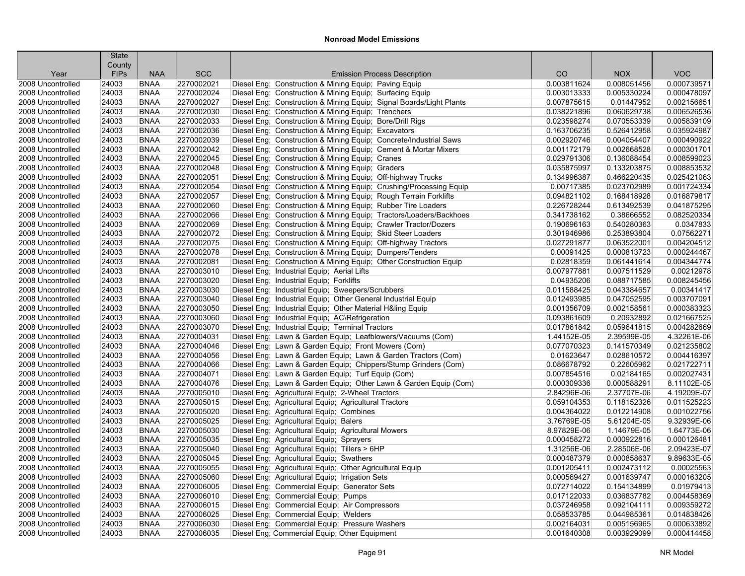| <b>VOC</b><br><b>FIPs</b><br><b>NAA</b><br><b>SCC</b><br><b>Emission Process Description</b><br>CO<br><b>NOX</b><br>Year<br>Diesel Eng; Construction & Mining Equip; Paving Equip<br>2008 Uncontrolled<br>24003<br><b>BNAA</b><br>2270002021<br>0.003811624<br>0.008051456<br>0.000739571<br>Diesel Eng; Construction & Mining Equip; Surfacing Equip<br>0.000478097<br>2008 Uncontrolled<br>24003<br><b>BNAA</b><br>2270002024<br>0.003013333<br>0.005330224<br>24003<br><b>BNAA</b><br>2270002027<br>Diesel Eng; Construction & Mining Equip; Signal Boards/Light Plants<br>0.007875615<br>0.01447952<br>0.002156651<br>2008 Uncontrolled<br>24003<br><b>BNAA</b><br>2270002030<br>Diesel Eng; Construction & Mining Equip; Trenchers<br>0.060629738<br>0.006526536<br>2008 Uncontrolled<br>0.038221896<br>2270002033<br>0.070553339<br>0.005839109<br>24003<br><b>BNAA</b><br>Diesel Eng; Construction & Mining Equip; Bore/Drill Rigs<br>0.023598274<br>2008 Uncontrolled<br>0.035924987<br>2008 Uncontrolled<br>24003<br><b>BNAA</b><br>2270002036<br>Diesel Eng; Construction & Mining Equip; Excavators<br>0.163706235<br>0.526412958<br><b>BNAA</b><br>2270002039<br>Diesel Eng; Construction & Mining Equip; Concrete/Industrial Saws<br>0.004054407<br>0.000490922<br>2008 Uncontrolled<br>24003<br>0.002920746<br><b>BNAA</b><br>2270002042<br>Diesel Eng; Construction & Mining Equip; Cement & Mortar Mixers<br>0.002668528<br>0.000301701<br>2008 Uncontrolled<br>24003<br>0.001172179<br>2270002045<br>Diesel Eng; Construction & Mining Equip; Cranes<br>0.029791306<br>0.136088454<br>0.008599023<br>2008 Uncontrolled<br>24003<br><b>BNAA</b><br>2270002048<br>0.008853532<br>24003<br><b>BNAA</b><br>Diesel Eng: Construction & Mining Equip: Graders<br>0.035875997<br>0.133203875<br>2008 Uncontrolled<br>24003<br><b>BNAA</b><br>2270002051<br>Diesel Eng; Construction & Mining Equip; Off-highway Trucks<br>0.466220435<br>0.025421063<br>2008 Uncontrolled<br>0.134996387<br><b>BNAA</b><br>2270002054<br>Diesel Eng; Construction & Mining Equip; Crushing/Processing Equip<br>0.00717385<br>0.023702989<br>0.001724334<br>2008 Uncontrolled<br>24003<br>2270002057<br>Diesel Eng; Construction & Mining Equip; Rough Terrain Forklifts<br>0.094821102<br>0.016879817<br>2008 Uncontrolled<br>24003<br><b>BNAA</b><br>0.168418928<br><b>BNAA</b><br>2270002060<br>Diesel Eng; Construction & Mining Equip; Rubber Tire Loaders<br>0.226728244<br>0.613492539<br>0.041875295<br>2008 Uncontrolled<br>24003<br>0.082520334<br>24003<br><b>BNAA</b><br>2270002066<br>Diesel Eng; Construction & Mining Equip; Tractors/Loaders/Backhoes<br>0.341738162<br>0.38666552<br>2008 Uncontrolled<br>0.0347833<br>24003<br><b>BNAA</b><br>2270002069<br>Diesel Eng; Construction & Mining Equip; Crawler Tractor/Dozers<br>0.190696163<br>0.540280363<br>2008 Uncontrolled<br>2270002072<br>0.253893804<br>0.07562271<br>2008 Uncontrolled<br>24003<br><b>BNAA</b><br>Diesel Eng; Construction & Mining Equip; Skid Steer Loaders<br>0.301946986<br>Diesel Eng; Construction & Mining Equip; Off-highway Tractors<br>0.004204512<br>24003<br><b>BNAA</b><br>2270002075<br>0.027291877<br>0.063522001<br>2008 Uncontrolled<br>24003<br><b>BNAA</b><br>2270002078<br>Diesel Eng; Construction & Mining Equip; Dumpers/Tenders<br>0.00091425<br>0.000813723<br>0.000244467<br>2008 Uncontrolled<br>24003<br><b>BNAA</b><br>2270002081<br>Diesel Eng; Construction & Mining Equip; Other Construction Equip<br>0.02818359<br>0.061441614<br>0.004344774<br>2008 Uncontrolled<br>24003<br><b>BNAA</b><br>2270003010<br>Diesel Eng; Industrial Equip; Aerial Lifts<br>0.007977881<br>0.007511529<br>0.00212978<br>2008 Uncontrolled<br><b>BNAA</b><br>0.008245456<br>24003<br>2270003020<br>Diesel Eng; Industrial Equip; Forklifts<br>0.04935206<br>0.088717585<br>2008 Uncontrolled<br>24003<br><b>BNAA</b><br>2270003030<br>Diesel Eng; Industrial Equip; Sweepers/Scrubbers<br>0.011588425<br>0.043384657<br>0.00341417<br>2008 Uncontrolled<br>2270003040<br>Diesel Eng; Industrial Equip; Other General Industrial Equip<br>0.047052595<br>0.003707091<br>2008 Uncontrolled<br>24003<br><b>BNAA</b><br>0.012493985<br>2270003050<br>Diesel Eng; Industrial Equip; Other Material H&ling Equip<br>0.002158561<br>0.000383323<br>2008 Uncontrolled<br>24003<br><b>BNAA</b><br>0.001356709<br>24003<br><b>BNAA</b><br>2270003060<br>Diesel Eng; Industrial Equip; AC\Refrigeration<br>0.093861609<br>0.20932892<br>0.021667525<br>2008 Uncontrolled<br>24003<br><b>BNAA</b><br>2270003070<br>Diesel Eng; Industrial Equip; Terminal Tractors<br>0.017861842<br>0.059641815<br>0.004282669<br>2008 Uncontrolled<br>4.32261E-06<br>2008 Uncontrolled<br>24003<br><b>BNAA</b><br>2270004031<br>Diesel Eng; Lawn & Garden Equip; Leafblowers/Vacuums (Com)<br>1.44152E-05<br>2.39599E-05<br>24003<br><b>BNAA</b><br>2270004046<br>0.077070323<br>0.021235802<br>Diesel Eng; Lawn & Garden Equip; Front Mowers (Com)<br>0.141570349<br>2008 Uncontrolled<br>24003<br><b>BNAA</b><br>2270004056<br>Diesel Eng; Lawn & Garden Equip; Lawn & Garden Tractors (Com)<br>0.01623647<br>0.028610572<br>0.004416397<br>2008 Uncontrolled<br>0.021722711<br>24003<br><b>BNAA</b><br>2270004066<br>Diesel Eng; Lawn & Garden Equip; Chippers/Stump Grinders (Com)<br>0.22605962<br>2008 Uncontrolled<br>0.086678792<br>2270004071<br>0.02184165<br>0.002027431<br>2008 Uncontrolled<br>24003<br><b>BNAA</b><br>Diesel Eng; Lawn & Garden Equip; Turf Equip (Com)<br>0.007854516<br>2270004076<br>8.11102E-05<br>2008 Uncontrolled<br>24003<br><b>BNAA</b><br>Diesel Eng; Lawn & Garden Equip; Other Lawn & Garden Equip (Com)<br>0.000309336<br>0.000588291<br>4.19209E-07<br>2008 Uncontrolled<br>24003<br><b>BNAA</b><br>2270005010<br>Diesel Eng; Agricultural Equip; 2-Wheel Tractors<br>2.84296E-06<br>2.37707E-06<br>0.118152326<br>0.011525223<br>2008 Uncontrolled<br>24003<br><b>BNAA</b><br>2270005015<br>Diesel Eng; Agricultural Equip; Agricultural Tractors<br>0.059104353<br>0.001022756<br>24003<br><b>BNAA</b><br>2270005020<br>Diesel Eng; Agricultural Equip; Combines<br>0.004364022<br>0.012214908<br>2008 Uncontrolled<br>2270005025<br>9.32939E-06<br>2008 Uncontrolled<br>24003<br><b>BNAA</b><br>Diesel Eng; Agricultural Equip; Balers<br>3.76769E-05<br>5.61204E-05<br>1.64773E-06<br>24003<br><b>BNAA</b><br>2270005030<br>Diesel Eng; Agricultural Equip; Agricultural Mowers<br>8.97829E-06<br>1.14679E-05<br>2008 Uncontrolled<br>24003<br><b>BNAA</b><br>2270005035<br>Diesel Eng; Agricultural Equip; Sprayers<br>0.000922816<br>0.000126481<br>2008 Uncontrolled<br>0.000458272<br>2270005040<br>2.28506E-06<br>2.09423E-07<br>2008 Uncontrolled<br>24003<br><b>BNAA</b><br>Diesel Eng; Agricultural Equip; Tillers > 6HP<br>1.31256E-06<br><b>BNAA</b><br>9.89633E-05<br>2008 Uncontrolled<br>24003<br>2270005045<br>Diesel Eng; Agricultural Equip; Swathers<br>0.000487379<br>0.000858637<br><b>BNAA</b><br>2270005055<br>Diesel Eng; Agricultural Equip; Other Agricultural Equip<br>0.001205411<br>0.002473112<br>0.00025563<br>2008 Uncontrolled<br>24003<br>24003<br><b>BNAA</b><br>2270005060<br>Diesel Eng; Agricultural Equip; Irrigation Sets<br>0.000569427<br>0.001639747<br>0.000163205<br>2008 Uncontrolled<br>2270006005<br>0.01979413<br>2008 Uncontrolled<br>24003<br><b>BNAA</b><br>Diesel Eng; Commercial Equip; Generator Sets<br>0.072714022<br>0.154134899<br>0.004458369<br>24003<br><b>BNAA</b><br>2270006010<br>Diesel Eng; Commercial Equip; Pumps<br>0.017122033<br>0.036837782<br>2008 Uncontrolled<br>24003<br><b>BNAA</b><br>2270006015<br>Diesel Eng; Commercial Equip; Air Compressors<br>0.037246958<br>0.092104111<br>0.009359272<br>2008 Uncontrolled<br><b>BNAA</b><br>2270006025<br>Diesel Eng: Commercial Equip: Welders<br>0.058533785<br>0.044985361<br>0.014838426<br>2008 Uncontrolled<br>24003<br>2008 Uncontrolled<br>24003<br><b>BNAA</b><br>2270006030<br>Diesel Eng; Commercial Equip; Pressure Washers<br>0.002164031<br>0.005156965<br>0.000633892<br>24003<br>2270006035<br>0.001640308<br>0.003929099<br>0.000414458<br>2008 Uncontrolled<br><b>BNAA</b><br>Diesel Eng; Commercial Equip; Other Equipment | <b>State</b><br>County |  |  |  |
|----------------------------------------------------------------------------------------------------------------------------------------------------------------------------------------------------------------------------------------------------------------------------------------------------------------------------------------------------------------------------------------------------------------------------------------------------------------------------------------------------------------------------------------------------------------------------------------------------------------------------------------------------------------------------------------------------------------------------------------------------------------------------------------------------------------------------------------------------------------------------------------------------------------------------------------------------------------------------------------------------------------------------------------------------------------------------------------------------------------------------------------------------------------------------------------------------------------------------------------------------------------------------------------------------------------------------------------------------------------------------------------------------------------------------------------------------------------------------------------------------------------------------------------------------------------------------------------------------------------------------------------------------------------------------------------------------------------------------------------------------------------------------------------------------------------------------------------------------------------------------------------------------------------------------------------------------------------------------------------------------------------------------------------------------------------------------------------------------------------------------------------------------------------------------------------------------------------------------------------------------------------------------------------------------------------------------------------------------------------------------------------------------------------------------------------------------------------------------------------------------------------------------------------------------------------------------------------------------------------------------------------------------------------------------------------------------------------------------------------------------------------------------------------------------------------------------------------------------------------------------------------------------------------------------------------------------------------------------------------------------------------------------------------------------------------------------------------------------------------------------------------------------------------------------------------------------------------------------------------------------------------------------------------------------------------------------------------------------------------------------------------------------------------------------------------------------------------------------------------------------------------------------------------------------------------------------------------------------------------------------------------------------------------------------------------------------------------------------------------------------------------------------------------------------------------------------------------------------------------------------------------------------------------------------------------------------------------------------------------------------------------------------------------------------------------------------------------------------------------------------------------------------------------------------------------------------------------------------------------------------------------------------------------------------------------------------------------------------------------------------------------------------------------------------------------------------------------------------------------------------------------------------------------------------------------------------------------------------------------------------------------------------------------------------------------------------------------------------------------------------------------------------------------------------------------------------------------------------------------------------------------------------------------------------------------------------------------------------------------------------------------------------------------------------------------------------------------------------------------------------------------------------------------------------------------------------------------------------------------------------------------------------------------------------------------------------------------------------------------------------------------------------------------------------------------------------------------------------------------------------------------------------------------------------------------------------------------------------------------------------------------------------------------------------------------------------------------------------------------------------------------------------------------------------------------------------------------------------------------------------------------------------------------------------------------------------------------------------------------------------------------------------------------------------------------------------------------------------------------------------------------------------------------------------------------------------------------------------------------------------------------------------------------------------------------------------------------------------------------------------------------------------------------------------------------------------------------------------------------------------------------------------------------------------------------------------------------------------------------------------------------------------------------------------------------------------------------------------------------------------------------------------------------------------------------------------------------------------------------------------------------------------------------------------------------------------------------------------------------------------------------------------------------------------------------------------------------------------------------------------------------------------------------------------------------------------------------------------------------------------------------------------------------------------------------------------------------------------------------------------------------------------------------------------------------------------------------------------------------------------------------------------------------------------------------------------------------------------------------------------------------------------------------------------------------------------------------------------------------------------------------------------------------------------------------------------------------------------------------------------------------------------------------------------------------------------------------------------------------------------------------------------------------------------------------------------------------------------------------------------------------------------------------------------------------------------------------------------------------------------------------------------------------------|------------------------|--|--|--|
|                                                                                                                                                                                                                                                                                                                                                                                                                                                                                                                                                                                                                                                                                                                                                                                                                                                                                                                                                                                                                                                                                                                                                                                                                                                                                                                                                                                                                                                                                                                                                                                                                                                                                                                                                                                                                                                                                                                                                                                                                                                                                                                                                                                                                                                                                                                                                                                                                                                                                                                                                                                                                                                                                                                                                                                                                                                                                                                                                                                                                                                                                                                                                                                                                                                                                                                                                                                                                                                                                                                                                                                                                                                                                                                                                                                                                                                                                                                                                                                                                                                                                                                                                                                                                                                                                                                                                                                                                                                                                                                                                                                                                                                                                                                                                                                                                                                                                                                                                                                                                                                                                                                                                                                                                                                                                                                                                                                                                                                                                                                                                                                                                                                                                                                                                                                                                                                                                                                                                                                                                                                                                                                                                                                                                                                                                                                                                                                                                                                                                                                                                                                                                                                                                                                                                                                                                                                                                                                                                                                                                                                                                                                                                                                                                                                                                                                                                                                                                                                                                                                                                                                                                                                                                                                                                                                                                                                                                                                                                                                                                                                                                                                                                                                                                                                                                              |                        |  |  |  |
|                                                                                                                                                                                                                                                                                                                                                                                                                                                                                                                                                                                                                                                                                                                                                                                                                                                                                                                                                                                                                                                                                                                                                                                                                                                                                                                                                                                                                                                                                                                                                                                                                                                                                                                                                                                                                                                                                                                                                                                                                                                                                                                                                                                                                                                                                                                                                                                                                                                                                                                                                                                                                                                                                                                                                                                                                                                                                                                                                                                                                                                                                                                                                                                                                                                                                                                                                                                                                                                                                                                                                                                                                                                                                                                                                                                                                                                                                                                                                                                                                                                                                                                                                                                                                                                                                                                                                                                                                                                                                                                                                                                                                                                                                                                                                                                                                                                                                                                                                                                                                                                                                                                                                                                                                                                                                                                                                                                                                                                                                                                                                                                                                                                                                                                                                                                                                                                                                                                                                                                                                                                                                                                                                                                                                                                                                                                                                                                                                                                                                                                                                                                                                                                                                                                                                                                                                                                                                                                                                                                                                                                                                                                                                                                                                                                                                                                                                                                                                                                                                                                                                                                                                                                                                                                                                                                                                                                                                                                                                                                                                                                                                                                                                                                                                                                                                              |                        |  |  |  |
|                                                                                                                                                                                                                                                                                                                                                                                                                                                                                                                                                                                                                                                                                                                                                                                                                                                                                                                                                                                                                                                                                                                                                                                                                                                                                                                                                                                                                                                                                                                                                                                                                                                                                                                                                                                                                                                                                                                                                                                                                                                                                                                                                                                                                                                                                                                                                                                                                                                                                                                                                                                                                                                                                                                                                                                                                                                                                                                                                                                                                                                                                                                                                                                                                                                                                                                                                                                                                                                                                                                                                                                                                                                                                                                                                                                                                                                                                                                                                                                                                                                                                                                                                                                                                                                                                                                                                                                                                                                                                                                                                                                                                                                                                                                                                                                                                                                                                                                                                                                                                                                                                                                                                                                                                                                                                                                                                                                                                                                                                                                                                                                                                                                                                                                                                                                                                                                                                                                                                                                                                                                                                                                                                                                                                                                                                                                                                                                                                                                                                                                                                                                                                                                                                                                                                                                                                                                                                                                                                                                                                                                                                                                                                                                                                                                                                                                                                                                                                                                                                                                                                                                                                                                                                                                                                                                                                                                                                                                                                                                                                                                                                                                                                                                                                                                                                              |                        |  |  |  |
|                                                                                                                                                                                                                                                                                                                                                                                                                                                                                                                                                                                                                                                                                                                                                                                                                                                                                                                                                                                                                                                                                                                                                                                                                                                                                                                                                                                                                                                                                                                                                                                                                                                                                                                                                                                                                                                                                                                                                                                                                                                                                                                                                                                                                                                                                                                                                                                                                                                                                                                                                                                                                                                                                                                                                                                                                                                                                                                                                                                                                                                                                                                                                                                                                                                                                                                                                                                                                                                                                                                                                                                                                                                                                                                                                                                                                                                                                                                                                                                                                                                                                                                                                                                                                                                                                                                                                                                                                                                                                                                                                                                                                                                                                                                                                                                                                                                                                                                                                                                                                                                                                                                                                                                                                                                                                                                                                                                                                                                                                                                                                                                                                                                                                                                                                                                                                                                                                                                                                                                                                                                                                                                                                                                                                                                                                                                                                                                                                                                                                                                                                                                                                                                                                                                                                                                                                                                                                                                                                                                                                                                                                                                                                                                                                                                                                                                                                                                                                                                                                                                                                                                                                                                                                                                                                                                                                                                                                                                                                                                                                                                                                                                                                                                                                                                                                              |                        |  |  |  |
|                                                                                                                                                                                                                                                                                                                                                                                                                                                                                                                                                                                                                                                                                                                                                                                                                                                                                                                                                                                                                                                                                                                                                                                                                                                                                                                                                                                                                                                                                                                                                                                                                                                                                                                                                                                                                                                                                                                                                                                                                                                                                                                                                                                                                                                                                                                                                                                                                                                                                                                                                                                                                                                                                                                                                                                                                                                                                                                                                                                                                                                                                                                                                                                                                                                                                                                                                                                                                                                                                                                                                                                                                                                                                                                                                                                                                                                                                                                                                                                                                                                                                                                                                                                                                                                                                                                                                                                                                                                                                                                                                                                                                                                                                                                                                                                                                                                                                                                                                                                                                                                                                                                                                                                                                                                                                                                                                                                                                                                                                                                                                                                                                                                                                                                                                                                                                                                                                                                                                                                                                                                                                                                                                                                                                                                                                                                                                                                                                                                                                                                                                                                                                                                                                                                                                                                                                                                                                                                                                                                                                                                                                                                                                                                                                                                                                                                                                                                                                                                                                                                                                                                                                                                                                                                                                                                                                                                                                                                                                                                                                                                                                                                                                                                                                                                                                              |                        |  |  |  |
|                                                                                                                                                                                                                                                                                                                                                                                                                                                                                                                                                                                                                                                                                                                                                                                                                                                                                                                                                                                                                                                                                                                                                                                                                                                                                                                                                                                                                                                                                                                                                                                                                                                                                                                                                                                                                                                                                                                                                                                                                                                                                                                                                                                                                                                                                                                                                                                                                                                                                                                                                                                                                                                                                                                                                                                                                                                                                                                                                                                                                                                                                                                                                                                                                                                                                                                                                                                                                                                                                                                                                                                                                                                                                                                                                                                                                                                                                                                                                                                                                                                                                                                                                                                                                                                                                                                                                                                                                                                                                                                                                                                                                                                                                                                                                                                                                                                                                                                                                                                                                                                                                                                                                                                                                                                                                                                                                                                                                                                                                                                                                                                                                                                                                                                                                                                                                                                                                                                                                                                                                                                                                                                                                                                                                                                                                                                                                                                                                                                                                                                                                                                                                                                                                                                                                                                                                                                                                                                                                                                                                                                                                                                                                                                                                                                                                                                                                                                                                                                                                                                                                                                                                                                                                                                                                                                                                                                                                                                                                                                                                                                                                                                                                                                                                                                                                              |                        |  |  |  |
|                                                                                                                                                                                                                                                                                                                                                                                                                                                                                                                                                                                                                                                                                                                                                                                                                                                                                                                                                                                                                                                                                                                                                                                                                                                                                                                                                                                                                                                                                                                                                                                                                                                                                                                                                                                                                                                                                                                                                                                                                                                                                                                                                                                                                                                                                                                                                                                                                                                                                                                                                                                                                                                                                                                                                                                                                                                                                                                                                                                                                                                                                                                                                                                                                                                                                                                                                                                                                                                                                                                                                                                                                                                                                                                                                                                                                                                                                                                                                                                                                                                                                                                                                                                                                                                                                                                                                                                                                                                                                                                                                                                                                                                                                                                                                                                                                                                                                                                                                                                                                                                                                                                                                                                                                                                                                                                                                                                                                                                                                                                                                                                                                                                                                                                                                                                                                                                                                                                                                                                                                                                                                                                                                                                                                                                                                                                                                                                                                                                                                                                                                                                                                                                                                                                                                                                                                                                                                                                                                                                                                                                                                                                                                                                                                                                                                                                                                                                                                                                                                                                                                                                                                                                                                                                                                                                                                                                                                                                                                                                                                                                                                                                                                                                                                                                                                              |                        |  |  |  |
|                                                                                                                                                                                                                                                                                                                                                                                                                                                                                                                                                                                                                                                                                                                                                                                                                                                                                                                                                                                                                                                                                                                                                                                                                                                                                                                                                                                                                                                                                                                                                                                                                                                                                                                                                                                                                                                                                                                                                                                                                                                                                                                                                                                                                                                                                                                                                                                                                                                                                                                                                                                                                                                                                                                                                                                                                                                                                                                                                                                                                                                                                                                                                                                                                                                                                                                                                                                                                                                                                                                                                                                                                                                                                                                                                                                                                                                                                                                                                                                                                                                                                                                                                                                                                                                                                                                                                                                                                                                                                                                                                                                                                                                                                                                                                                                                                                                                                                                                                                                                                                                                                                                                                                                                                                                                                                                                                                                                                                                                                                                                                                                                                                                                                                                                                                                                                                                                                                                                                                                                                                                                                                                                                                                                                                                                                                                                                                                                                                                                                                                                                                                                                                                                                                                                                                                                                                                                                                                                                                                                                                                                                                                                                                                                                                                                                                                                                                                                                                                                                                                                                                                                                                                                                                                                                                                                                                                                                                                                                                                                                                                                                                                                                                                                                                                                                              |                        |  |  |  |
|                                                                                                                                                                                                                                                                                                                                                                                                                                                                                                                                                                                                                                                                                                                                                                                                                                                                                                                                                                                                                                                                                                                                                                                                                                                                                                                                                                                                                                                                                                                                                                                                                                                                                                                                                                                                                                                                                                                                                                                                                                                                                                                                                                                                                                                                                                                                                                                                                                                                                                                                                                                                                                                                                                                                                                                                                                                                                                                                                                                                                                                                                                                                                                                                                                                                                                                                                                                                                                                                                                                                                                                                                                                                                                                                                                                                                                                                                                                                                                                                                                                                                                                                                                                                                                                                                                                                                                                                                                                                                                                                                                                                                                                                                                                                                                                                                                                                                                                                                                                                                                                                                                                                                                                                                                                                                                                                                                                                                                                                                                                                                                                                                                                                                                                                                                                                                                                                                                                                                                                                                                                                                                                                                                                                                                                                                                                                                                                                                                                                                                                                                                                                                                                                                                                                                                                                                                                                                                                                                                                                                                                                                                                                                                                                                                                                                                                                                                                                                                                                                                                                                                                                                                                                                                                                                                                                                                                                                                                                                                                                                                                                                                                                                                                                                                                                                              |                        |  |  |  |
|                                                                                                                                                                                                                                                                                                                                                                                                                                                                                                                                                                                                                                                                                                                                                                                                                                                                                                                                                                                                                                                                                                                                                                                                                                                                                                                                                                                                                                                                                                                                                                                                                                                                                                                                                                                                                                                                                                                                                                                                                                                                                                                                                                                                                                                                                                                                                                                                                                                                                                                                                                                                                                                                                                                                                                                                                                                                                                                                                                                                                                                                                                                                                                                                                                                                                                                                                                                                                                                                                                                                                                                                                                                                                                                                                                                                                                                                                                                                                                                                                                                                                                                                                                                                                                                                                                                                                                                                                                                                                                                                                                                                                                                                                                                                                                                                                                                                                                                                                                                                                                                                                                                                                                                                                                                                                                                                                                                                                                                                                                                                                                                                                                                                                                                                                                                                                                                                                                                                                                                                                                                                                                                                                                                                                                                                                                                                                                                                                                                                                                                                                                                                                                                                                                                                                                                                                                                                                                                                                                                                                                                                                                                                                                                                                                                                                                                                                                                                                                                                                                                                                                                                                                                                                                                                                                                                                                                                                                                                                                                                                                                                                                                                                                                                                                                                                              |                        |  |  |  |
|                                                                                                                                                                                                                                                                                                                                                                                                                                                                                                                                                                                                                                                                                                                                                                                                                                                                                                                                                                                                                                                                                                                                                                                                                                                                                                                                                                                                                                                                                                                                                                                                                                                                                                                                                                                                                                                                                                                                                                                                                                                                                                                                                                                                                                                                                                                                                                                                                                                                                                                                                                                                                                                                                                                                                                                                                                                                                                                                                                                                                                                                                                                                                                                                                                                                                                                                                                                                                                                                                                                                                                                                                                                                                                                                                                                                                                                                                                                                                                                                                                                                                                                                                                                                                                                                                                                                                                                                                                                                                                                                                                                                                                                                                                                                                                                                                                                                                                                                                                                                                                                                                                                                                                                                                                                                                                                                                                                                                                                                                                                                                                                                                                                                                                                                                                                                                                                                                                                                                                                                                                                                                                                                                                                                                                                                                                                                                                                                                                                                                                                                                                                                                                                                                                                                                                                                                                                                                                                                                                                                                                                                                                                                                                                                                                                                                                                                                                                                                                                                                                                                                                                                                                                                                                                                                                                                                                                                                                                                                                                                                                                                                                                                                                                                                                                                                              |                        |  |  |  |
|                                                                                                                                                                                                                                                                                                                                                                                                                                                                                                                                                                                                                                                                                                                                                                                                                                                                                                                                                                                                                                                                                                                                                                                                                                                                                                                                                                                                                                                                                                                                                                                                                                                                                                                                                                                                                                                                                                                                                                                                                                                                                                                                                                                                                                                                                                                                                                                                                                                                                                                                                                                                                                                                                                                                                                                                                                                                                                                                                                                                                                                                                                                                                                                                                                                                                                                                                                                                                                                                                                                                                                                                                                                                                                                                                                                                                                                                                                                                                                                                                                                                                                                                                                                                                                                                                                                                                                                                                                                                                                                                                                                                                                                                                                                                                                                                                                                                                                                                                                                                                                                                                                                                                                                                                                                                                                                                                                                                                                                                                                                                                                                                                                                                                                                                                                                                                                                                                                                                                                                                                                                                                                                                                                                                                                                                                                                                                                                                                                                                                                                                                                                                                                                                                                                                                                                                                                                                                                                                                                                                                                                                                                                                                                                                                                                                                                                                                                                                                                                                                                                                                                                                                                                                                                                                                                                                                                                                                                                                                                                                                                                                                                                                                                                                                                                                                              |                        |  |  |  |
|                                                                                                                                                                                                                                                                                                                                                                                                                                                                                                                                                                                                                                                                                                                                                                                                                                                                                                                                                                                                                                                                                                                                                                                                                                                                                                                                                                                                                                                                                                                                                                                                                                                                                                                                                                                                                                                                                                                                                                                                                                                                                                                                                                                                                                                                                                                                                                                                                                                                                                                                                                                                                                                                                                                                                                                                                                                                                                                                                                                                                                                                                                                                                                                                                                                                                                                                                                                                                                                                                                                                                                                                                                                                                                                                                                                                                                                                                                                                                                                                                                                                                                                                                                                                                                                                                                                                                                                                                                                                                                                                                                                                                                                                                                                                                                                                                                                                                                                                                                                                                                                                                                                                                                                                                                                                                                                                                                                                                                                                                                                                                                                                                                                                                                                                                                                                                                                                                                                                                                                                                                                                                                                                                                                                                                                                                                                                                                                                                                                                                                                                                                                                                                                                                                                                                                                                                                                                                                                                                                                                                                                                                                                                                                                                                                                                                                                                                                                                                                                                                                                                                                                                                                                                                                                                                                                                                                                                                                                                                                                                                                                                                                                                                                                                                                                                                              |                        |  |  |  |
|                                                                                                                                                                                                                                                                                                                                                                                                                                                                                                                                                                                                                                                                                                                                                                                                                                                                                                                                                                                                                                                                                                                                                                                                                                                                                                                                                                                                                                                                                                                                                                                                                                                                                                                                                                                                                                                                                                                                                                                                                                                                                                                                                                                                                                                                                                                                                                                                                                                                                                                                                                                                                                                                                                                                                                                                                                                                                                                                                                                                                                                                                                                                                                                                                                                                                                                                                                                                                                                                                                                                                                                                                                                                                                                                                                                                                                                                                                                                                                                                                                                                                                                                                                                                                                                                                                                                                                                                                                                                                                                                                                                                                                                                                                                                                                                                                                                                                                                                                                                                                                                                                                                                                                                                                                                                                                                                                                                                                                                                                                                                                                                                                                                                                                                                                                                                                                                                                                                                                                                                                                                                                                                                                                                                                                                                                                                                                                                                                                                                                                                                                                                                                                                                                                                                                                                                                                                                                                                                                                                                                                                                                                                                                                                                                                                                                                                                                                                                                                                                                                                                                                                                                                                                                                                                                                                                                                                                                                                                                                                                                                                                                                                                                                                                                                                                                              |                        |  |  |  |
|                                                                                                                                                                                                                                                                                                                                                                                                                                                                                                                                                                                                                                                                                                                                                                                                                                                                                                                                                                                                                                                                                                                                                                                                                                                                                                                                                                                                                                                                                                                                                                                                                                                                                                                                                                                                                                                                                                                                                                                                                                                                                                                                                                                                                                                                                                                                                                                                                                                                                                                                                                                                                                                                                                                                                                                                                                                                                                                                                                                                                                                                                                                                                                                                                                                                                                                                                                                                                                                                                                                                                                                                                                                                                                                                                                                                                                                                                                                                                                                                                                                                                                                                                                                                                                                                                                                                                                                                                                                                                                                                                                                                                                                                                                                                                                                                                                                                                                                                                                                                                                                                                                                                                                                                                                                                                                                                                                                                                                                                                                                                                                                                                                                                                                                                                                                                                                                                                                                                                                                                                                                                                                                                                                                                                                                                                                                                                                                                                                                                                                                                                                                                                                                                                                                                                                                                                                                                                                                                                                                                                                                                                                                                                                                                                                                                                                                                                                                                                                                                                                                                                                                                                                                                                                                                                                                                                                                                                                                                                                                                                                                                                                                                                                                                                                                                                              |                        |  |  |  |
|                                                                                                                                                                                                                                                                                                                                                                                                                                                                                                                                                                                                                                                                                                                                                                                                                                                                                                                                                                                                                                                                                                                                                                                                                                                                                                                                                                                                                                                                                                                                                                                                                                                                                                                                                                                                                                                                                                                                                                                                                                                                                                                                                                                                                                                                                                                                                                                                                                                                                                                                                                                                                                                                                                                                                                                                                                                                                                                                                                                                                                                                                                                                                                                                                                                                                                                                                                                                                                                                                                                                                                                                                                                                                                                                                                                                                                                                                                                                                                                                                                                                                                                                                                                                                                                                                                                                                                                                                                                                                                                                                                                                                                                                                                                                                                                                                                                                                                                                                                                                                                                                                                                                                                                                                                                                                                                                                                                                                                                                                                                                                                                                                                                                                                                                                                                                                                                                                                                                                                                                                                                                                                                                                                                                                                                                                                                                                                                                                                                                                                                                                                                                                                                                                                                                                                                                                                                                                                                                                                                                                                                                                                                                                                                                                                                                                                                                                                                                                                                                                                                                                                                                                                                                                                                                                                                                                                                                                                                                                                                                                                                                                                                                                                                                                                                                                              |                        |  |  |  |
|                                                                                                                                                                                                                                                                                                                                                                                                                                                                                                                                                                                                                                                                                                                                                                                                                                                                                                                                                                                                                                                                                                                                                                                                                                                                                                                                                                                                                                                                                                                                                                                                                                                                                                                                                                                                                                                                                                                                                                                                                                                                                                                                                                                                                                                                                                                                                                                                                                                                                                                                                                                                                                                                                                                                                                                                                                                                                                                                                                                                                                                                                                                                                                                                                                                                                                                                                                                                                                                                                                                                                                                                                                                                                                                                                                                                                                                                                                                                                                                                                                                                                                                                                                                                                                                                                                                                                                                                                                                                                                                                                                                                                                                                                                                                                                                                                                                                                                                                                                                                                                                                                                                                                                                                                                                                                                                                                                                                                                                                                                                                                                                                                                                                                                                                                                                                                                                                                                                                                                                                                                                                                                                                                                                                                                                                                                                                                                                                                                                                                                                                                                                                                                                                                                                                                                                                                                                                                                                                                                                                                                                                                                                                                                                                                                                                                                                                                                                                                                                                                                                                                                                                                                                                                                                                                                                                                                                                                                                                                                                                                                                                                                                                                                                                                                                                                              |                        |  |  |  |
|                                                                                                                                                                                                                                                                                                                                                                                                                                                                                                                                                                                                                                                                                                                                                                                                                                                                                                                                                                                                                                                                                                                                                                                                                                                                                                                                                                                                                                                                                                                                                                                                                                                                                                                                                                                                                                                                                                                                                                                                                                                                                                                                                                                                                                                                                                                                                                                                                                                                                                                                                                                                                                                                                                                                                                                                                                                                                                                                                                                                                                                                                                                                                                                                                                                                                                                                                                                                                                                                                                                                                                                                                                                                                                                                                                                                                                                                                                                                                                                                                                                                                                                                                                                                                                                                                                                                                                                                                                                                                                                                                                                                                                                                                                                                                                                                                                                                                                                                                                                                                                                                                                                                                                                                                                                                                                                                                                                                                                                                                                                                                                                                                                                                                                                                                                                                                                                                                                                                                                                                                                                                                                                                                                                                                                                                                                                                                                                                                                                                                                                                                                                                                                                                                                                                                                                                                                                                                                                                                                                                                                                                                                                                                                                                                                                                                                                                                                                                                                                                                                                                                                                                                                                                                                                                                                                                                                                                                                                                                                                                                                                                                                                                                                                                                                                                                              |                        |  |  |  |
|                                                                                                                                                                                                                                                                                                                                                                                                                                                                                                                                                                                                                                                                                                                                                                                                                                                                                                                                                                                                                                                                                                                                                                                                                                                                                                                                                                                                                                                                                                                                                                                                                                                                                                                                                                                                                                                                                                                                                                                                                                                                                                                                                                                                                                                                                                                                                                                                                                                                                                                                                                                                                                                                                                                                                                                                                                                                                                                                                                                                                                                                                                                                                                                                                                                                                                                                                                                                                                                                                                                                                                                                                                                                                                                                                                                                                                                                                                                                                                                                                                                                                                                                                                                                                                                                                                                                                                                                                                                                                                                                                                                                                                                                                                                                                                                                                                                                                                                                                                                                                                                                                                                                                                                                                                                                                                                                                                                                                                                                                                                                                                                                                                                                                                                                                                                                                                                                                                                                                                                                                                                                                                                                                                                                                                                                                                                                                                                                                                                                                                                                                                                                                                                                                                                                                                                                                                                                                                                                                                                                                                                                                                                                                                                                                                                                                                                                                                                                                                                                                                                                                                                                                                                                                                                                                                                                                                                                                                                                                                                                                                                                                                                                                                                                                                                                                              |                        |  |  |  |
|                                                                                                                                                                                                                                                                                                                                                                                                                                                                                                                                                                                                                                                                                                                                                                                                                                                                                                                                                                                                                                                                                                                                                                                                                                                                                                                                                                                                                                                                                                                                                                                                                                                                                                                                                                                                                                                                                                                                                                                                                                                                                                                                                                                                                                                                                                                                                                                                                                                                                                                                                                                                                                                                                                                                                                                                                                                                                                                                                                                                                                                                                                                                                                                                                                                                                                                                                                                                                                                                                                                                                                                                                                                                                                                                                                                                                                                                                                                                                                                                                                                                                                                                                                                                                                                                                                                                                                                                                                                                                                                                                                                                                                                                                                                                                                                                                                                                                                                                                                                                                                                                                                                                                                                                                                                                                                                                                                                                                                                                                                                                                                                                                                                                                                                                                                                                                                                                                                                                                                                                                                                                                                                                                                                                                                                                                                                                                                                                                                                                                                                                                                                                                                                                                                                                                                                                                                                                                                                                                                                                                                                                                                                                                                                                                                                                                                                                                                                                                                                                                                                                                                                                                                                                                                                                                                                                                                                                                                                                                                                                                                                                                                                                                                                                                                                                                              |                        |  |  |  |
|                                                                                                                                                                                                                                                                                                                                                                                                                                                                                                                                                                                                                                                                                                                                                                                                                                                                                                                                                                                                                                                                                                                                                                                                                                                                                                                                                                                                                                                                                                                                                                                                                                                                                                                                                                                                                                                                                                                                                                                                                                                                                                                                                                                                                                                                                                                                                                                                                                                                                                                                                                                                                                                                                                                                                                                                                                                                                                                                                                                                                                                                                                                                                                                                                                                                                                                                                                                                                                                                                                                                                                                                                                                                                                                                                                                                                                                                                                                                                                                                                                                                                                                                                                                                                                                                                                                                                                                                                                                                                                                                                                                                                                                                                                                                                                                                                                                                                                                                                                                                                                                                                                                                                                                                                                                                                                                                                                                                                                                                                                                                                                                                                                                                                                                                                                                                                                                                                                                                                                                                                                                                                                                                                                                                                                                                                                                                                                                                                                                                                                                                                                                                                                                                                                                                                                                                                                                                                                                                                                                                                                                                                                                                                                                                                                                                                                                                                                                                                                                                                                                                                                                                                                                                                                                                                                                                                                                                                                                                                                                                                                                                                                                                                                                                                                                                                              |                        |  |  |  |
|                                                                                                                                                                                                                                                                                                                                                                                                                                                                                                                                                                                                                                                                                                                                                                                                                                                                                                                                                                                                                                                                                                                                                                                                                                                                                                                                                                                                                                                                                                                                                                                                                                                                                                                                                                                                                                                                                                                                                                                                                                                                                                                                                                                                                                                                                                                                                                                                                                                                                                                                                                                                                                                                                                                                                                                                                                                                                                                                                                                                                                                                                                                                                                                                                                                                                                                                                                                                                                                                                                                                                                                                                                                                                                                                                                                                                                                                                                                                                                                                                                                                                                                                                                                                                                                                                                                                                                                                                                                                                                                                                                                                                                                                                                                                                                                                                                                                                                                                                                                                                                                                                                                                                                                                                                                                                                                                                                                                                                                                                                                                                                                                                                                                                                                                                                                                                                                                                                                                                                                                                                                                                                                                                                                                                                                                                                                                                                                                                                                                                                                                                                                                                                                                                                                                                                                                                                                                                                                                                                                                                                                                                                                                                                                                                                                                                                                                                                                                                                                                                                                                                                                                                                                                                                                                                                                                                                                                                                                                                                                                                                                                                                                                                                                                                                                                                              |                        |  |  |  |
|                                                                                                                                                                                                                                                                                                                                                                                                                                                                                                                                                                                                                                                                                                                                                                                                                                                                                                                                                                                                                                                                                                                                                                                                                                                                                                                                                                                                                                                                                                                                                                                                                                                                                                                                                                                                                                                                                                                                                                                                                                                                                                                                                                                                                                                                                                                                                                                                                                                                                                                                                                                                                                                                                                                                                                                                                                                                                                                                                                                                                                                                                                                                                                                                                                                                                                                                                                                                                                                                                                                                                                                                                                                                                                                                                                                                                                                                                                                                                                                                                                                                                                                                                                                                                                                                                                                                                                                                                                                                                                                                                                                                                                                                                                                                                                                                                                                                                                                                                                                                                                                                                                                                                                                                                                                                                                                                                                                                                                                                                                                                                                                                                                                                                                                                                                                                                                                                                                                                                                                                                                                                                                                                                                                                                                                                                                                                                                                                                                                                                                                                                                                                                                                                                                                                                                                                                                                                                                                                                                                                                                                                                                                                                                                                                                                                                                                                                                                                                                                                                                                                                                                                                                                                                                                                                                                                                                                                                                                                                                                                                                                                                                                                                                                                                                                                                              |                        |  |  |  |
|                                                                                                                                                                                                                                                                                                                                                                                                                                                                                                                                                                                                                                                                                                                                                                                                                                                                                                                                                                                                                                                                                                                                                                                                                                                                                                                                                                                                                                                                                                                                                                                                                                                                                                                                                                                                                                                                                                                                                                                                                                                                                                                                                                                                                                                                                                                                                                                                                                                                                                                                                                                                                                                                                                                                                                                                                                                                                                                                                                                                                                                                                                                                                                                                                                                                                                                                                                                                                                                                                                                                                                                                                                                                                                                                                                                                                                                                                                                                                                                                                                                                                                                                                                                                                                                                                                                                                                                                                                                                                                                                                                                                                                                                                                                                                                                                                                                                                                                                                                                                                                                                                                                                                                                                                                                                                                                                                                                                                                                                                                                                                                                                                                                                                                                                                                                                                                                                                                                                                                                                                                                                                                                                                                                                                                                                                                                                                                                                                                                                                                                                                                                                                                                                                                                                                                                                                                                                                                                                                                                                                                                                                                                                                                                                                                                                                                                                                                                                                                                                                                                                                                                                                                                                                                                                                                                                                                                                                                                                                                                                                                                                                                                                                                                                                                                                                              |                        |  |  |  |
|                                                                                                                                                                                                                                                                                                                                                                                                                                                                                                                                                                                                                                                                                                                                                                                                                                                                                                                                                                                                                                                                                                                                                                                                                                                                                                                                                                                                                                                                                                                                                                                                                                                                                                                                                                                                                                                                                                                                                                                                                                                                                                                                                                                                                                                                                                                                                                                                                                                                                                                                                                                                                                                                                                                                                                                                                                                                                                                                                                                                                                                                                                                                                                                                                                                                                                                                                                                                                                                                                                                                                                                                                                                                                                                                                                                                                                                                                                                                                                                                                                                                                                                                                                                                                                                                                                                                                                                                                                                                                                                                                                                                                                                                                                                                                                                                                                                                                                                                                                                                                                                                                                                                                                                                                                                                                                                                                                                                                                                                                                                                                                                                                                                                                                                                                                                                                                                                                                                                                                                                                                                                                                                                                                                                                                                                                                                                                                                                                                                                                                                                                                                                                                                                                                                                                                                                                                                                                                                                                                                                                                                                                                                                                                                                                                                                                                                                                                                                                                                                                                                                                                                                                                                                                                                                                                                                                                                                                                                                                                                                                                                                                                                                                                                                                                                                                              |                        |  |  |  |
|                                                                                                                                                                                                                                                                                                                                                                                                                                                                                                                                                                                                                                                                                                                                                                                                                                                                                                                                                                                                                                                                                                                                                                                                                                                                                                                                                                                                                                                                                                                                                                                                                                                                                                                                                                                                                                                                                                                                                                                                                                                                                                                                                                                                                                                                                                                                                                                                                                                                                                                                                                                                                                                                                                                                                                                                                                                                                                                                                                                                                                                                                                                                                                                                                                                                                                                                                                                                                                                                                                                                                                                                                                                                                                                                                                                                                                                                                                                                                                                                                                                                                                                                                                                                                                                                                                                                                                                                                                                                                                                                                                                                                                                                                                                                                                                                                                                                                                                                                                                                                                                                                                                                                                                                                                                                                                                                                                                                                                                                                                                                                                                                                                                                                                                                                                                                                                                                                                                                                                                                                                                                                                                                                                                                                                                                                                                                                                                                                                                                                                                                                                                                                                                                                                                                                                                                                                                                                                                                                                                                                                                                                                                                                                                                                                                                                                                                                                                                                                                                                                                                                                                                                                                                                                                                                                                                                                                                                                                                                                                                                                                                                                                                                                                                                                                                                              |                        |  |  |  |
|                                                                                                                                                                                                                                                                                                                                                                                                                                                                                                                                                                                                                                                                                                                                                                                                                                                                                                                                                                                                                                                                                                                                                                                                                                                                                                                                                                                                                                                                                                                                                                                                                                                                                                                                                                                                                                                                                                                                                                                                                                                                                                                                                                                                                                                                                                                                                                                                                                                                                                                                                                                                                                                                                                                                                                                                                                                                                                                                                                                                                                                                                                                                                                                                                                                                                                                                                                                                                                                                                                                                                                                                                                                                                                                                                                                                                                                                                                                                                                                                                                                                                                                                                                                                                                                                                                                                                                                                                                                                                                                                                                                                                                                                                                                                                                                                                                                                                                                                                                                                                                                                                                                                                                                                                                                                                                                                                                                                                                                                                                                                                                                                                                                                                                                                                                                                                                                                                                                                                                                                                                                                                                                                                                                                                                                                                                                                                                                                                                                                                                                                                                                                                                                                                                                                                                                                                                                                                                                                                                                                                                                                                                                                                                                                                                                                                                                                                                                                                                                                                                                                                                                                                                                                                                                                                                                                                                                                                                                                                                                                                                                                                                                                                                                                                                                                                              |                        |  |  |  |
|                                                                                                                                                                                                                                                                                                                                                                                                                                                                                                                                                                                                                                                                                                                                                                                                                                                                                                                                                                                                                                                                                                                                                                                                                                                                                                                                                                                                                                                                                                                                                                                                                                                                                                                                                                                                                                                                                                                                                                                                                                                                                                                                                                                                                                                                                                                                                                                                                                                                                                                                                                                                                                                                                                                                                                                                                                                                                                                                                                                                                                                                                                                                                                                                                                                                                                                                                                                                                                                                                                                                                                                                                                                                                                                                                                                                                                                                                                                                                                                                                                                                                                                                                                                                                                                                                                                                                                                                                                                                                                                                                                                                                                                                                                                                                                                                                                                                                                                                                                                                                                                                                                                                                                                                                                                                                                                                                                                                                                                                                                                                                                                                                                                                                                                                                                                                                                                                                                                                                                                                                                                                                                                                                                                                                                                                                                                                                                                                                                                                                                                                                                                                                                                                                                                                                                                                                                                                                                                                                                                                                                                                                                                                                                                                                                                                                                                                                                                                                                                                                                                                                                                                                                                                                                                                                                                                                                                                                                                                                                                                                                                                                                                                                                                                                                                                                              |                        |  |  |  |
|                                                                                                                                                                                                                                                                                                                                                                                                                                                                                                                                                                                                                                                                                                                                                                                                                                                                                                                                                                                                                                                                                                                                                                                                                                                                                                                                                                                                                                                                                                                                                                                                                                                                                                                                                                                                                                                                                                                                                                                                                                                                                                                                                                                                                                                                                                                                                                                                                                                                                                                                                                                                                                                                                                                                                                                                                                                                                                                                                                                                                                                                                                                                                                                                                                                                                                                                                                                                                                                                                                                                                                                                                                                                                                                                                                                                                                                                                                                                                                                                                                                                                                                                                                                                                                                                                                                                                                                                                                                                                                                                                                                                                                                                                                                                                                                                                                                                                                                                                                                                                                                                                                                                                                                                                                                                                                                                                                                                                                                                                                                                                                                                                                                                                                                                                                                                                                                                                                                                                                                                                                                                                                                                                                                                                                                                                                                                                                                                                                                                                                                                                                                                                                                                                                                                                                                                                                                                                                                                                                                                                                                                                                                                                                                                                                                                                                                                                                                                                                                                                                                                                                                                                                                                                                                                                                                                                                                                                                                                                                                                                                                                                                                                                                                                                                                                                              |                        |  |  |  |
|                                                                                                                                                                                                                                                                                                                                                                                                                                                                                                                                                                                                                                                                                                                                                                                                                                                                                                                                                                                                                                                                                                                                                                                                                                                                                                                                                                                                                                                                                                                                                                                                                                                                                                                                                                                                                                                                                                                                                                                                                                                                                                                                                                                                                                                                                                                                                                                                                                                                                                                                                                                                                                                                                                                                                                                                                                                                                                                                                                                                                                                                                                                                                                                                                                                                                                                                                                                                                                                                                                                                                                                                                                                                                                                                                                                                                                                                                                                                                                                                                                                                                                                                                                                                                                                                                                                                                                                                                                                                                                                                                                                                                                                                                                                                                                                                                                                                                                                                                                                                                                                                                                                                                                                                                                                                                                                                                                                                                                                                                                                                                                                                                                                                                                                                                                                                                                                                                                                                                                                                                                                                                                                                                                                                                                                                                                                                                                                                                                                                                                                                                                                                                                                                                                                                                                                                                                                                                                                                                                                                                                                                                                                                                                                                                                                                                                                                                                                                                                                                                                                                                                                                                                                                                                                                                                                                                                                                                                                                                                                                                                                                                                                                                                                                                                                                                              |                        |  |  |  |
|                                                                                                                                                                                                                                                                                                                                                                                                                                                                                                                                                                                                                                                                                                                                                                                                                                                                                                                                                                                                                                                                                                                                                                                                                                                                                                                                                                                                                                                                                                                                                                                                                                                                                                                                                                                                                                                                                                                                                                                                                                                                                                                                                                                                                                                                                                                                                                                                                                                                                                                                                                                                                                                                                                                                                                                                                                                                                                                                                                                                                                                                                                                                                                                                                                                                                                                                                                                                                                                                                                                                                                                                                                                                                                                                                                                                                                                                                                                                                                                                                                                                                                                                                                                                                                                                                                                                                                                                                                                                                                                                                                                                                                                                                                                                                                                                                                                                                                                                                                                                                                                                                                                                                                                                                                                                                                                                                                                                                                                                                                                                                                                                                                                                                                                                                                                                                                                                                                                                                                                                                                                                                                                                                                                                                                                                                                                                                                                                                                                                                                                                                                                                                                                                                                                                                                                                                                                                                                                                                                                                                                                                                                                                                                                                                                                                                                                                                                                                                                                                                                                                                                                                                                                                                                                                                                                                                                                                                                                                                                                                                                                                                                                                                                                                                                                                                              |                        |  |  |  |
|                                                                                                                                                                                                                                                                                                                                                                                                                                                                                                                                                                                                                                                                                                                                                                                                                                                                                                                                                                                                                                                                                                                                                                                                                                                                                                                                                                                                                                                                                                                                                                                                                                                                                                                                                                                                                                                                                                                                                                                                                                                                                                                                                                                                                                                                                                                                                                                                                                                                                                                                                                                                                                                                                                                                                                                                                                                                                                                                                                                                                                                                                                                                                                                                                                                                                                                                                                                                                                                                                                                                                                                                                                                                                                                                                                                                                                                                                                                                                                                                                                                                                                                                                                                                                                                                                                                                                                                                                                                                                                                                                                                                                                                                                                                                                                                                                                                                                                                                                                                                                                                                                                                                                                                                                                                                                                                                                                                                                                                                                                                                                                                                                                                                                                                                                                                                                                                                                                                                                                                                                                                                                                                                                                                                                                                                                                                                                                                                                                                                                                                                                                                                                                                                                                                                                                                                                                                                                                                                                                                                                                                                                                                                                                                                                                                                                                                                                                                                                                                                                                                                                                                                                                                                                                                                                                                                                                                                                                                                                                                                                                                                                                                                                                                                                                                                                              |                        |  |  |  |
|                                                                                                                                                                                                                                                                                                                                                                                                                                                                                                                                                                                                                                                                                                                                                                                                                                                                                                                                                                                                                                                                                                                                                                                                                                                                                                                                                                                                                                                                                                                                                                                                                                                                                                                                                                                                                                                                                                                                                                                                                                                                                                                                                                                                                                                                                                                                                                                                                                                                                                                                                                                                                                                                                                                                                                                                                                                                                                                                                                                                                                                                                                                                                                                                                                                                                                                                                                                                                                                                                                                                                                                                                                                                                                                                                                                                                                                                                                                                                                                                                                                                                                                                                                                                                                                                                                                                                                                                                                                                                                                                                                                                                                                                                                                                                                                                                                                                                                                                                                                                                                                                                                                                                                                                                                                                                                                                                                                                                                                                                                                                                                                                                                                                                                                                                                                                                                                                                                                                                                                                                                                                                                                                                                                                                                                                                                                                                                                                                                                                                                                                                                                                                                                                                                                                                                                                                                                                                                                                                                                                                                                                                                                                                                                                                                                                                                                                                                                                                                                                                                                                                                                                                                                                                                                                                                                                                                                                                                                                                                                                                                                                                                                                                                                                                                                                                              |                        |  |  |  |
|                                                                                                                                                                                                                                                                                                                                                                                                                                                                                                                                                                                                                                                                                                                                                                                                                                                                                                                                                                                                                                                                                                                                                                                                                                                                                                                                                                                                                                                                                                                                                                                                                                                                                                                                                                                                                                                                                                                                                                                                                                                                                                                                                                                                                                                                                                                                                                                                                                                                                                                                                                                                                                                                                                                                                                                                                                                                                                                                                                                                                                                                                                                                                                                                                                                                                                                                                                                                                                                                                                                                                                                                                                                                                                                                                                                                                                                                                                                                                                                                                                                                                                                                                                                                                                                                                                                                                                                                                                                                                                                                                                                                                                                                                                                                                                                                                                                                                                                                                                                                                                                                                                                                                                                                                                                                                                                                                                                                                                                                                                                                                                                                                                                                                                                                                                                                                                                                                                                                                                                                                                                                                                                                                                                                                                                                                                                                                                                                                                                                                                                                                                                                                                                                                                                                                                                                                                                                                                                                                                                                                                                                                                                                                                                                                                                                                                                                                                                                                                                                                                                                                                                                                                                                                                                                                                                                                                                                                                                                                                                                                                                                                                                                                                                                                                                                                              |                        |  |  |  |
|                                                                                                                                                                                                                                                                                                                                                                                                                                                                                                                                                                                                                                                                                                                                                                                                                                                                                                                                                                                                                                                                                                                                                                                                                                                                                                                                                                                                                                                                                                                                                                                                                                                                                                                                                                                                                                                                                                                                                                                                                                                                                                                                                                                                                                                                                                                                                                                                                                                                                                                                                                                                                                                                                                                                                                                                                                                                                                                                                                                                                                                                                                                                                                                                                                                                                                                                                                                                                                                                                                                                                                                                                                                                                                                                                                                                                                                                                                                                                                                                                                                                                                                                                                                                                                                                                                                                                                                                                                                                                                                                                                                                                                                                                                                                                                                                                                                                                                                                                                                                                                                                                                                                                                                                                                                                                                                                                                                                                                                                                                                                                                                                                                                                                                                                                                                                                                                                                                                                                                                                                                                                                                                                                                                                                                                                                                                                                                                                                                                                                                                                                                                                                                                                                                                                                                                                                                                                                                                                                                                                                                                                                                                                                                                                                                                                                                                                                                                                                                                                                                                                                                                                                                                                                                                                                                                                                                                                                                                                                                                                                                                                                                                                                                                                                                                                                              |                        |  |  |  |
|                                                                                                                                                                                                                                                                                                                                                                                                                                                                                                                                                                                                                                                                                                                                                                                                                                                                                                                                                                                                                                                                                                                                                                                                                                                                                                                                                                                                                                                                                                                                                                                                                                                                                                                                                                                                                                                                                                                                                                                                                                                                                                                                                                                                                                                                                                                                                                                                                                                                                                                                                                                                                                                                                                                                                                                                                                                                                                                                                                                                                                                                                                                                                                                                                                                                                                                                                                                                                                                                                                                                                                                                                                                                                                                                                                                                                                                                                                                                                                                                                                                                                                                                                                                                                                                                                                                                                                                                                                                                                                                                                                                                                                                                                                                                                                                                                                                                                                                                                                                                                                                                                                                                                                                                                                                                                                                                                                                                                                                                                                                                                                                                                                                                                                                                                                                                                                                                                                                                                                                                                                                                                                                                                                                                                                                                                                                                                                                                                                                                                                                                                                                                                                                                                                                                                                                                                                                                                                                                                                                                                                                                                                                                                                                                                                                                                                                                                                                                                                                                                                                                                                                                                                                                                                                                                                                                                                                                                                                                                                                                                                                                                                                                                                                                                                                                                              |                        |  |  |  |
|                                                                                                                                                                                                                                                                                                                                                                                                                                                                                                                                                                                                                                                                                                                                                                                                                                                                                                                                                                                                                                                                                                                                                                                                                                                                                                                                                                                                                                                                                                                                                                                                                                                                                                                                                                                                                                                                                                                                                                                                                                                                                                                                                                                                                                                                                                                                                                                                                                                                                                                                                                                                                                                                                                                                                                                                                                                                                                                                                                                                                                                                                                                                                                                                                                                                                                                                                                                                                                                                                                                                                                                                                                                                                                                                                                                                                                                                                                                                                                                                                                                                                                                                                                                                                                                                                                                                                                                                                                                                                                                                                                                                                                                                                                                                                                                                                                                                                                                                                                                                                                                                                                                                                                                                                                                                                                                                                                                                                                                                                                                                                                                                                                                                                                                                                                                                                                                                                                                                                                                                                                                                                                                                                                                                                                                                                                                                                                                                                                                                                                                                                                                                                                                                                                                                                                                                                                                                                                                                                                                                                                                                                                                                                                                                                                                                                                                                                                                                                                                                                                                                                                                                                                                                                                                                                                                                                                                                                                                                                                                                                                                                                                                                                                                                                                                                                              |                        |  |  |  |
|                                                                                                                                                                                                                                                                                                                                                                                                                                                                                                                                                                                                                                                                                                                                                                                                                                                                                                                                                                                                                                                                                                                                                                                                                                                                                                                                                                                                                                                                                                                                                                                                                                                                                                                                                                                                                                                                                                                                                                                                                                                                                                                                                                                                                                                                                                                                                                                                                                                                                                                                                                                                                                                                                                                                                                                                                                                                                                                                                                                                                                                                                                                                                                                                                                                                                                                                                                                                                                                                                                                                                                                                                                                                                                                                                                                                                                                                                                                                                                                                                                                                                                                                                                                                                                                                                                                                                                                                                                                                                                                                                                                                                                                                                                                                                                                                                                                                                                                                                                                                                                                                                                                                                                                                                                                                                                                                                                                                                                                                                                                                                                                                                                                                                                                                                                                                                                                                                                                                                                                                                                                                                                                                                                                                                                                                                                                                                                                                                                                                                                                                                                                                                                                                                                                                                                                                                                                                                                                                                                                                                                                                                                                                                                                                                                                                                                                                                                                                                                                                                                                                                                                                                                                                                                                                                                                                                                                                                                                                                                                                                                                                                                                                                                                                                                                                                              |                        |  |  |  |
|                                                                                                                                                                                                                                                                                                                                                                                                                                                                                                                                                                                                                                                                                                                                                                                                                                                                                                                                                                                                                                                                                                                                                                                                                                                                                                                                                                                                                                                                                                                                                                                                                                                                                                                                                                                                                                                                                                                                                                                                                                                                                                                                                                                                                                                                                                                                                                                                                                                                                                                                                                                                                                                                                                                                                                                                                                                                                                                                                                                                                                                                                                                                                                                                                                                                                                                                                                                                                                                                                                                                                                                                                                                                                                                                                                                                                                                                                                                                                                                                                                                                                                                                                                                                                                                                                                                                                                                                                                                                                                                                                                                                                                                                                                                                                                                                                                                                                                                                                                                                                                                                                                                                                                                                                                                                                                                                                                                                                                                                                                                                                                                                                                                                                                                                                                                                                                                                                                                                                                                                                                                                                                                                                                                                                                                                                                                                                                                                                                                                                                                                                                                                                                                                                                                                                                                                                                                                                                                                                                                                                                                                                                                                                                                                                                                                                                                                                                                                                                                                                                                                                                                                                                                                                                                                                                                                                                                                                                                                                                                                                                                                                                                                                                                                                                                                                              |                        |  |  |  |
|                                                                                                                                                                                                                                                                                                                                                                                                                                                                                                                                                                                                                                                                                                                                                                                                                                                                                                                                                                                                                                                                                                                                                                                                                                                                                                                                                                                                                                                                                                                                                                                                                                                                                                                                                                                                                                                                                                                                                                                                                                                                                                                                                                                                                                                                                                                                                                                                                                                                                                                                                                                                                                                                                                                                                                                                                                                                                                                                                                                                                                                                                                                                                                                                                                                                                                                                                                                                                                                                                                                                                                                                                                                                                                                                                                                                                                                                                                                                                                                                                                                                                                                                                                                                                                                                                                                                                                                                                                                                                                                                                                                                                                                                                                                                                                                                                                                                                                                                                                                                                                                                                                                                                                                                                                                                                                                                                                                                                                                                                                                                                                                                                                                                                                                                                                                                                                                                                                                                                                                                                                                                                                                                                                                                                                                                                                                                                                                                                                                                                                                                                                                                                                                                                                                                                                                                                                                                                                                                                                                                                                                                                                                                                                                                                                                                                                                                                                                                                                                                                                                                                                                                                                                                                                                                                                                                                                                                                                                                                                                                                                                                                                                                                                                                                                                                                              |                        |  |  |  |
|                                                                                                                                                                                                                                                                                                                                                                                                                                                                                                                                                                                                                                                                                                                                                                                                                                                                                                                                                                                                                                                                                                                                                                                                                                                                                                                                                                                                                                                                                                                                                                                                                                                                                                                                                                                                                                                                                                                                                                                                                                                                                                                                                                                                                                                                                                                                                                                                                                                                                                                                                                                                                                                                                                                                                                                                                                                                                                                                                                                                                                                                                                                                                                                                                                                                                                                                                                                                                                                                                                                                                                                                                                                                                                                                                                                                                                                                                                                                                                                                                                                                                                                                                                                                                                                                                                                                                                                                                                                                                                                                                                                                                                                                                                                                                                                                                                                                                                                                                                                                                                                                                                                                                                                                                                                                                                                                                                                                                                                                                                                                                                                                                                                                                                                                                                                                                                                                                                                                                                                                                                                                                                                                                                                                                                                                                                                                                                                                                                                                                                                                                                                                                                                                                                                                                                                                                                                                                                                                                                                                                                                                                                                                                                                                                                                                                                                                                                                                                                                                                                                                                                                                                                                                                                                                                                                                                                                                                                                                                                                                                                                                                                                                                                                                                                                                                              |                        |  |  |  |
|                                                                                                                                                                                                                                                                                                                                                                                                                                                                                                                                                                                                                                                                                                                                                                                                                                                                                                                                                                                                                                                                                                                                                                                                                                                                                                                                                                                                                                                                                                                                                                                                                                                                                                                                                                                                                                                                                                                                                                                                                                                                                                                                                                                                                                                                                                                                                                                                                                                                                                                                                                                                                                                                                                                                                                                                                                                                                                                                                                                                                                                                                                                                                                                                                                                                                                                                                                                                                                                                                                                                                                                                                                                                                                                                                                                                                                                                                                                                                                                                                                                                                                                                                                                                                                                                                                                                                                                                                                                                                                                                                                                                                                                                                                                                                                                                                                                                                                                                                                                                                                                                                                                                                                                                                                                                                                                                                                                                                                                                                                                                                                                                                                                                                                                                                                                                                                                                                                                                                                                                                                                                                                                                                                                                                                                                                                                                                                                                                                                                                                                                                                                                                                                                                                                                                                                                                                                                                                                                                                                                                                                                                                                                                                                                                                                                                                                                                                                                                                                                                                                                                                                                                                                                                                                                                                                                                                                                                                                                                                                                                                                                                                                                                                                                                                                                                              |                        |  |  |  |
|                                                                                                                                                                                                                                                                                                                                                                                                                                                                                                                                                                                                                                                                                                                                                                                                                                                                                                                                                                                                                                                                                                                                                                                                                                                                                                                                                                                                                                                                                                                                                                                                                                                                                                                                                                                                                                                                                                                                                                                                                                                                                                                                                                                                                                                                                                                                                                                                                                                                                                                                                                                                                                                                                                                                                                                                                                                                                                                                                                                                                                                                                                                                                                                                                                                                                                                                                                                                                                                                                                                                                                                                                                                                                                                                                                                                                                                                                                                                                                                                                                                                                                                                                                                                                                                                                                                                                                                                                                                                                                                                                                                                                                                                                                                                                                                                                                                                                                                                                                                                                                                                                                                                                                                                                                                                                                                                                                                                                                                                                                                                                                                                                                                                                                                                                                                                                                                                                                                                                                                                                                                                                                                                                                                                                                                                                                                                                                                                                                                                                                                                                                                                                                                                                                                                                                                                                                                                                                                                                                                                                                                                                                                                                                                                                                                                                                                                                                                                                                                                                                                                                                                                                                                                                                                                                                                                                                                                                                                                                                                                                                                                                                                                                                                                                                                                                              |                        |  |  |  |
|                                                                                                                                                                                                                                                                                                                                                                                                                                                                                                                                                                                                                                                                                                                                                                                                                                                                                                                                                                                                                                                                                                                                                                                                                                                                                                                                                                                                                                                                                                                                                                                                                                                                                                                                                                                                                                                                                                                                                                                                                                                                                                                                                                                                                                                                                                                                                                                                                                                                                                                                                                                                                                                                                                                                                                                                                                                                                                                                                                                                                                                                                                                                                                                                                                                                                                                                                                                                                                                                                                                                                                                                                                                                                                                                                                                                                                                                                                                                                                                                                                                                                                                                                                                                                                                                                                                                                                                                                                                                                                                                                                                                                                                                                                                                                                                                                                                                                                                                                                                                                                                                                                                                                                                                                                                                                                                                                                                                                                                                                                                                                                                                                                                                                                                                                                                                                                                                                                                                                                                                                                                                                                                                                                                                                                                                                                                                                                                                                                                                                                                                                                                                                                                                                                                                                                                                                                                                                                                                                                                                                                                                                                                                                                                                                                                                                                                                                                                                                                                                                                                                                                                                                                                                                                                                                                                                                                                                                                                                                                                                                                                                                                                                                                                                                                                                                              |                        |  |  |  |
|                                                                                                                                                                                                                                                                                                                                                                                                                                                                                                                                                                                                                                                                                                                                                                                                                                                                                                                                                                                                                                                                                                                                                                                                                                                                                                                                                                                                                                                                                                                                                                                                                                                                                                                                                                                                                                                                                                                                                                                                                                                                                                                                                                                                                                                                                                                                                                                                                                                                                                                                                                                                                                                                                                                                                                                                                                                                                                                                                                                                                                                                                                                                                                                                                                                                                                                                                                                                                                                                                                                                                                                                                                                                                                                                                                                                                                                                                                                                                                                                                                                                                                                                                                                                                                                                                                                                                                                                                                                                                                                                                                                                                                                                                                                                                                                                                                                                                                                                                                                                                                                                                                                                                                                                                                                                                                                                                                                                                                                                                                                                                                                                                                                                                                                                                                                                                                                                                                                                                                                                                                                                                                                                                                                                                                                                                                                                                                                                                                                                                                                                                                                                                                                                                                                                                                                                                                                                                                                                                                                                                                                                                                                                                                                                                                                                                                                                                                                                                                                                                                                                                                                                                                                                                                                                                                                                                                                                                                                                                                                                                                                                                                                                                                                                                                                                                              |                        |  |  |  |
|                                                                                                                                                                                                                                                                                                                                                                                                                                                                                                                                                                                                                                                                                                                                                                                                                                                                                                                                                                                                                                                                                                                                                                                                                                                                                                                                                                                                                                                                                                                                                                                                                                                                                                                                                                                                                                                                                                                                                                                                                                                                                                                                                                                                                                                                                                                                                                                                                                                                                                                                                                                                                                                                                                                                                                                                                                                                                                                                                                                                                                                                                                                                                                                                                                                                                                                                                                                                                                                                                                                                                                                                                                                                                                                                                                                                                                                                                                                                                                                                                                                                                                                                                                                                                                                                                                                                                                                                                                                                                                                                                                                                                                                                                                                                                                                                                                                                                                                                                                                                                                                                                                                                                                                                                                                                                                                                                                                                                                                                                                                                                                                                                                                                                                                                                                                                                                                                                                                                                                                                                                                                                                                                                                                                                                                                                                                                                                                                                                                                                                                                                                                                                                                                                                                                                                                                                                                                                                                                                                                                                                                                                                                                                                                                                                                                                                                                                                                                                                                                                                                                                                                                                                                                                                                                                                                                                                                                                                                                                                                                                                                                                                                                                                                                                                                                                              |                        |  |  |  |
|                                                                                                                                                                                                                                                                                                                                                                                                                                                                                                                                                                                                                                                                                                                                                                                                                                                                                                                                                                                                                                                                                                                                                                                                                                                                                                                                                                                                                                                                                                                                                                                                                                                                                                                                                                                                                                                                                                                                                                                                                                                                                                                                                                                                                                                                                                                                                                                                                                                                                                                                                                                                                                                                                                                                                                                                                                                                                                                                                                                                                                                                                                                                                                                                                                                                                                                                                                                                                                                                                                                                                                                                                                                                                                                                                                                                                                                                                                                                                                                                                                                                                                                                                                                                                                                                                                                                                                                                                                                                                                                                                                                                                                                                                                                                                                                                                                                                                                                                                                                                                                                                                                                                                                                                                                                                                                                                                                                                                                                                                                                                                                                                                                                                                                                                                                                                                                                                                                                                                                                                                                                                                                                                                                                                                                                                                                                                                                                                                                                                                                                                                                                                                                                                                                                                                                                                                                                                                                                                                                                                                                                                                                                                                                                                                                                                                                                                                                                                                                                                                                                                                                                                                                                                                                                                                                                                                                                                                                                                                                                                                                                                                                                                                                                                                                                                                              |                        |  |  |  |
|                                                                                                                                                                                                                                                                                                                                                                                                                                                                                                                                                                                                                                                                                                                                                                                                                                                                                                                                                                                                                                                                                                                                                                                                                                                                                                                                                                                                                                                                                                                                                                                                                                                                                                                                                                                                                                                                                                                                                                                                                                                                                                                                                                                                                                                                                                                                                                                                                                                                                                                                                                                                                                                                                                                                                                                                                                                                                                                                                                                                                                                                                                                                                                                                                                                                                                                                                                                                                                                                                                                                                                                                                                                                                                                                                                                                                                                                                                                                                                                                                                                                                                                                                                                                                                                                                                                                                                                                                                                                                                                                                                                                                                                                                                                                                                                                                                                                                                                                                                                                                                                                                                                                                                                                                                                                                                                                                                                                                                                                                                                                                                                                                                                                                                                                                                                                                                                                                                                                                                                                                                                                                                                                                                                                                                                                                                                                                                                                                                                                                                                                                                                                                                                                                                                                                                                                                                                                                                                                                                                                                                                                                                                                                                                                                                                                                                                                                                                                                                                                                                                                                                                                                                                                                                                                                                                                                                                                                                                                                                                                                                                                                                                                                                                                                                                                                              |                        |  |  |  |
|                                                                                                                                                                                                                                                                                                                                                                                                                                                                                                                                                                                                                                                                                                                                                                                                                                                                                                                                                                                                                                                                                                                                                                                                                                                                                                                                                                                                                                                                                                                                                                                                                                                                                                                                                                                                                                                                                                                                                                                                                                                                                                                                                                                                                                                                                                                                                                                                                                                                                                                                                                                                                                                                                                                                                                                                                                                                                                                                                                                                                                                                                                                                                                                                                                                                                                                                                                                                                                                                                                                                                                                                                                                                                                                                                                                                                                                                                                                                                                                                                                                                                                                                                                                                                                                                                                                                                                                                                                                                                                                                                                                                                                                                                                                                                                                                                                                                                                                                                                                                                                                                                                                                                                                                                                                                                                                                                                                                                                                                                                                                                                                                                                                                                                                                                                                                                                                                                                                                                                                                                                                                                                                                                                                                                                                                                                                                                                                                                                                                                                                                                                                                                                                                                                                                                                                                                                                                                                                                                                                                                                                                                                                                                                                                                                                                                                                                                                                                                                                                                                                                                                                                                                                                                                                                                                                                                                                                                                                                                                                                                                                                                                                                                                                                                                                                                              |                        |  |  |  |
|                                                                                                                                                                                                                                                                                                                                                                                                                                                                                                                                                                                                                                                                                                                                                                                                                                                                                                                                                                                                                                                                                                                                                                                                                                                                                                                                                                                                                                                                                                                                                                                                                                                                                                                                                                                                                                                                                                                                                                                                                                                                                                                                                                                                                                                                                                                                                                                                                                                                                                                                                                                                                                                                                                                                                                                                                                                                                                                                                                                                                                                                                                                                                                                                                                                                                                                                                                                                                                                                                                                                                                                                                                                                                                                                                                                                                                                                                                                                                                                                                                                                                                                                                                                                                                                                                                                                                                                                                                                                                                                                                                                                                                                                                                                                                                                                                                                                                                                                                                                                                                                                                                                                                                                                                                                                                                                                                                                                                                                                                                                                                                                                                                                                                                                                                                                                                                                                                                                                                                                                                                                                                                                                                                                                                                                                                                                                                                                                                                                                                                                                                                                                                                                                                                                                                                                                                                                                                                                                                                                                                                                                                                                                                                                                                                                                                                                                                                                                                                                                                                                                                                                                                                                                                                                                                                                                                                                                                                                                                                                                                                                                                                                                                                                                                                                                                              |                        |  |  |  |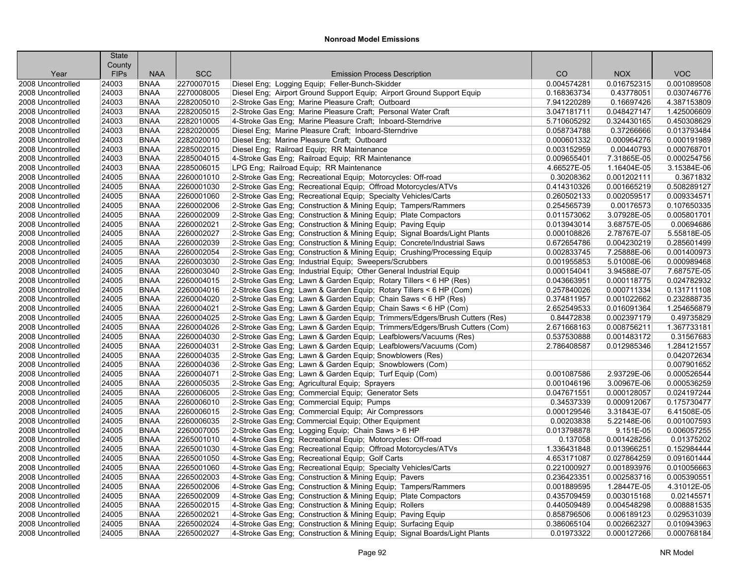|                   | <b>State</b>          |             |            |                                                                                                |             |             |             |
|-------------------|-----------------------|-------------|------------|------------------------------------------------------------------------------------------------|-------------|-------------|-------------|
| Year              | County<br><b>FIPs</b> | <b>NAA</b>  | <b>SCC</b> | <b>Emission Process Description</b>                                                            | CO          | <b>NOX</b>  | <b>VOC</b>  |
| 2008 Uncontrolled | 24003                 | <b>BNAA</b> | 2270007015 | Diesel Eng; Logging Equip; Feller-Bunch-Skidder                                                | 0.004574281 | 0.016752315 | 0.001089508 |
| 2008 Uncontrolled | 24003                 | <b>BNAA</b> | 2270008005 | Diesel Eng; Airport Ground Support Equip; Airport Ground Support Equip                         | 0.168363734 | 0.43778051  | 0.030746776 |
| 2008 Uncontrolled | 24003                 | <b>BNAA</b> | 2282005010 | 2-Stroke Gas Eng; Marine Pleasure Craft; Outboard                                              | 7.941220289 | 0.16697426  | 4.387153809 |
| 2008 Uncontrolled | 24003                 | <b>BNAA</b> | 2282005015 | 2-Stroke Gas Eng; Marine Pleasure Craft; Personal Water Craft                                  | 3.047181711 | 0.048427147 | 1.425006609 |
| 2008 Uncontrolled | 24003                 | <b>BNAA</b> | 2282010005 | 4-Stroke Gas Eng; Marine Pleasure Craft; Inboard-Sterndrive                                    | 5.710605292 | 0.324430165 | 0.450308629 |
| 2008 Uncontrolled | 24003                 | <b>BNAA</b> | 2282020005 | Diesel Eng; Marine Pleasure Craft; Inboard-Sterndrive                                          | 0.058734788 | 0.37266666  | 0.013793484 |
| 2008 Uncontrolled | 24003                 | <b>BNAA</b> | 2282020010 | Diesel Eng; Marine Pleasure Craft; Outboard                                                    | 0.000601332 | 0.000964276 | 0.000191989 |
| 2008 Uncontrolled | 24003                 | <b>BNAA</b> | 2285002015 |                                                                                                | 0.003152959 | 0.00440793  | 0.000768701 |
| 2008 Uncontrolled | 24003                 | <b>BNAA</b> | 2285004015 | Diesel Eng; Railroad Equip; RR Maintenance<br>4-Stroke Gas Eng: Railroad Equip: RR Maintenance | 0.009655401 | 7.31865E-05 | 0.000254756 |
| 2008 Uncontrolled | 24003                 | <b>BNAA</b> | 2285006015 | LPG Eng; Railroad Equip; RR Maintenance                                                        | 4.66527E-05 | 1.16404E-05 | 3.15384E-06 |
|                   |                       | <b>BNAA</b> | 2260001010 |                                                                                                |             | 0.001202111 | 0.3671832   |
| 2008 Uncontrolled | 24005                 | <b>BNAA</b> |            | 2-Stroke Gas Eng; Recreational Equip; Motorcycles: Off-road                                    | 0.30208362  |             |             |
| 2008 Uncontrolled | 24005                 |             | 2260001030 | 2-Stroke Gas Eng; Recreational Equip; Offroad Motorcycles/ATVs                                 | 0.414310326 | 0.001665219 | 0.508289127 |
| 2008 Uncontrolled | 24005                 | <b>BNAA</b> | 2260001060 | 2-Stroke Gas Eng: Recreational Equip: Specialty Vehicles/Carts                                 | 0.260502133 | 0.002059517 | 0.009334571 |
| 2008 Uncontrolled | 24005                 | <b>BNAA</b> | 2260002006 | 2-Stroke Gas Eng; Construction & Mining Equip; Tampers/Rammers                                 | 0.254565739 | 0.00176573  | 0.107650335 |
| 2008 Uncontrolled | 24005                 | <b>BNAA</b> | 2260002009 | 2-Stroke Gas Eng; Construction & Mining Equip; Plate Compactors                                | 0.011573062 | 3.07928E-05 | 0.005801701 |
| 2008 Uncontrolled | 24005                 | <b>BNAA</b> | 2260002021 | 2-Stroke Gas Eng; Construction & Mining Equip; Paving Equip                                    | 0.013943014 | 3.68757E-05 | 0.00694686  |
| 2008 Uncontrolled | 24005                 | <b>BNAA</b> | 2260002027 | 2-Stroke Gas Eng; Construction & Mining Equip; Signal Boards/Light Plants                      | 0.000108826 | 2.78767E-07 | 5.55818E-05 |
| 2008 Uncontrolled | 24005                 | <b>BNAA</b> | 2260002039 | 2-Stroke Gas Eng; Construction & Mining Equip; Concrete/Industrial Saws                        | 0.672654786 | 0.004230219 | 0.285601499 |
| 2008 Uncontrolled | 24005                 | <b>BNAA</b> | 2260002054 | 2-Stroke Gas Eng; Construction & Mining Equip; Crushing/Processing Equip                       | 0.002833745 | 7.25888E-06 | 0.001400973 |
| 2008 Uncontrolled | 24005                 | <b>BNAA</b> | 2260003030 | 2-Stroke Gas Eng: Industrial Equip: Sweepers/Scrubbers                                         | 0.001955853 | 5.01008E-06 | 0.000989468 |
| 2008 Uncontrolled | 24005                 | <b>BNAA</b> | 2260003040 | 2-Stroke Gas Eng; Industrial Equip; Other General Industrial Equip                             | 0.000154041 | 3.94588E-07 | 7.68757E-05 |
| 2008 Uncontrolled | 24005                 | <b>BNAA</b> | 2260004015 | 2-Stroke Gas Eng; Lawn & Garden Equip; Rotary Tillers < 6 HP (Res)                             | 0.043663951 | 0.000118775 | 0.024782932 |
| 2008 Uncontrolled | 24005                 | <b>BNAA</b> | 2260004016 | 2-Stroke Gas Eng; Lawn & Garden Equip; Rotary Tillers < 6 HP (Com)                             | 0.257840026 | 0.000711334 | 0.131711108 |
| 2008 Uncontrolled | 24005                 | <b>BNAA</b> | 2260004020 | 2-Stroke Gas Eng; Lawn & Garden Equip; Chain Saws < 6 HP (Res)                                 | 0.374811957 | 0.001022662 | 0.232888735 |
| 2008 Uncontrolled | 24005                 | <b>BNAA</b> | 2260004021 | 2-Stroke Gas Eng; Lawn & Garden Equip; Chain Saws < 6 HP (Com)                                 | 2.652549533 | 0.016091364 | 1.254656879 |
| 2008 Uncontrolled | 24005                 | <b>BNAA</b> | 2260004025 | 2-Stroke Gas Eng; Lawn & Garden Equip; Trimmers/Edgers/Brush Cutters (Res)                     | 0.84472838  | 0.002397179 | 0.49735829  |
| 2008 Uncontrolled | 24005                 | <b>BNAA</b> | 2260004026 | 2-Stroke Gas Eng; Lawn & Garden Equip; Trimmers/Edgers/Brush Cutters (Com)                     | 2.671668163 | 0.008756211 | 1.367733181 |
| 2008 Uncontrolled | 24005                 | <b>BNAA</b> | 2260004030 | 2-Stroke Gas Eng; Lawn & Garden Equip; Leafblowers/Vacuums (Res)                               | 0.537530888 | 0.001483172 | 0.31567683  |
| 2008 Uncontrolled | 24005                 | <b>BNAA</b> | 2260004031 | 2-Stroke Gas Eng; Lawn & Garden Equip; Leafblowers/Vacuums (Com)                               | 2.786408587 | 0.012985346 | 1.284121557 |
| 2008 Uncontrolled | 24005                 | <b>BNAA</b> | 2260004035 | 2-Stroke Gas Eng; Lawn & Garden Equip; Snowblowers (Res)                                       |             |             | 0.042072634 |
| 2008 Uncontrolled | 24005                 | <b>BNAA</b> | 2260004036 | 2-Stroke Gas Eng; Lawn & Garden Equip; Snowblowers (Com)                                       |             |             | 0.007901652 |
| 2008 Uncontrolled | 24005                 | <b>BNAA</b> | 2260004071 | 2-Stroke Gas Eng; Lawn & Garden Equip; Turf Equip (Com)                                        | 0.001087586 | 2.93729E-06 | 0.000526544 |
| 2008 Uncontrolled | 24005                 | <b>BNAA</b> | 2260005035 | 2-Stroke Gas Eng; Agricultural Equip; Sprayers                                                 | 0.001046196 | 3.00967E-06 | 0.000536259 |
| 2008 Uncontrolled | 24005                 | <b>BNAA</b> | 2260006005 | 2-Stroke Gas Eng; Commercial Equip; Generator Sets                                             | 0.047671551 | 0.000128057 | 0.024197244 |
| 2008 Uncontrolled | 24005                 | <b>BNAA</b> | 2260006010 | 2-Stroke Gas Eng; Commercial Equip; Pumps                                                      | 0.34537339  | 0.000912067 | 0.175730477 |
| 2008 Uncontrolled | 24005                 | <b>BNAA</b> | 2260006015 | 2-Stroke Gas Eng: Commercial Equip: Air Compressors                                            | 0.000129546 | 3.31843E-07 | 6.41508E-05 |
| 2008 Uncontrolled | 24005                 | <b>BNAA</b> | 2260006035 | 2-Stroke Gas Eng; Commercial Equip; Other Equipment                                            | 0.00203838  | 5.22148E-06 | 0.001007593 |
| 2008 Uncontrolled | 24005                 | <b>BNAA</b> | 2260007005 | 2-Stroke Gas Eng; Logging Equip; Chain Saws > 6 HP                                             | 0.013798878 | 9.151E-05   | 0.006057255 |
| 2008 Uncontrolled | 24005                 | <b>BNAA</b> | 2265001010 | 4-Stroke Gas Eng; Recreational Equip; Motorcycles: Off-road                                    | 0.137058    | 0.001428256 | 0.01375202  |
| 2008 Uncontrolled | 24005                 | <b>BNAA</b> | 2265001030 | 4-Stroke Gas Eng; Recreational Equip; Offroad Motorcycles/ATVs                                 | 1.336431848 | 0.013966251 | 0.152984444 |
| 2008 Uncontrolled | 24005                 | <b>BNAA</b> | 2265001050 | 4-Stroke Gas Eng; Recreational Equip; Golf Carts                                               | 4.653171087 | 0.027864259 | 0.091601444 |
| 2008 Uncontrolled | 24005                 | <b>BNAA</b> | 2265001060 | 4-Stroke Gas Eng; Recreational Equip; Specialty Vehicles/Carts                                 | 0.221000927 | 0.001893976 | 0.010056663 |
| 2008 Uncontrolled | 24005                 | <b>BNAA</b> | 2265002003 | 4-Stroke Gas Eng; Construction & Mining Equip; Pavers                                          | 0.236423351 | 0.002583716 | 0.005390551 |
| 2008 Uncontrolled | 24005                 | <b>BNAA</b> | 2265002006 | 4-Stroke Gas Eng; Construction & Mining Equip; Tampers/Rammers                                 | 0.001889595 | 1.28447E-05 | 4.31012E-05 |
| 2008 Uncontrolled | 24005                 | <b>BNAA</b> | 2265002009 | 4-Stroke Gas Eng; Construction & Mining Equip; Plate Compactors                                | 0.435709459 | 0.003015168 | 0.02145571  |
| 2008 Uncontrolled | 24005                 | <b>BNAA</b> | 2265002015 | 4-Stroke Gas Eng; Construction & Mining Equip; Rollers                                         | 0.440509489 | 0.004548298 | 0.008881535 |
| 2008 Uncontrolled | 24005                 | <b>BNAA</b> | 2265002021 | 4-Stroke Gas Eng; Construction & Mining Equip; Paving Equip                                    | 0.858796506 | 0.006189123 | 0.029531039 |
| 2008 Uncontrolled | 24005                 | <b>BNAA</b> | 2265002024 | 4-Stroke Gas Eng; Construction & Mining Equip; Surfacing Equip                                 | 0.386065104 | 0.002662327 | 0.010943963 |
| 2008 Uncontrolled | 24005                 | <b>BNAA</b> | 2265002027 | 4-Stroke Gas Eng; Construction & Mining Equip; Signal Boards/Light Plants                      | 0.01973322  | 0.000127266 | 0.000768184 |
|                   |                       |             |            |                                                                                                |             |             |             |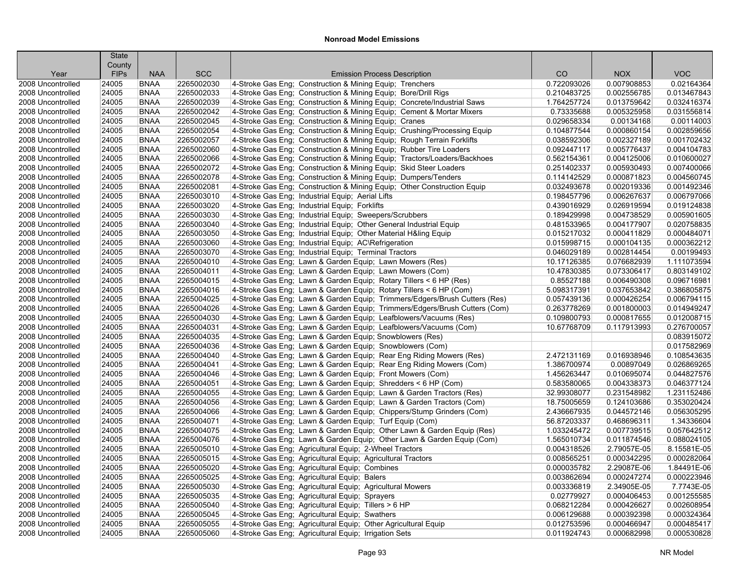|                   | <b>State</b> |             |            |                                                                                                |             |             |             |
|-------------------|--------------|-------------|------------|------------------------------------------------------------------------------------------------|-------------|-------------|-------------|
|                   | County       |             |            |                                                                                                |             |             |             |
| Year              | <b>FIPs</b>  | <b>NAA</b>  | <b>SCC</b> | <b>Emission Process Description</b>                                                            | CO          | <b>NOX</b>  | <b>VOC</b>  |
| 2008 Uncontrolled | 24005        | <b>BNAA</b> | 2265002030 | 4-Stroke Gas Eng; Construction & Mining Equip; Trenchers                                       | 0.722093026 | 0.007908853 | 0.02164364  |
| 2008 Uncontrolled | 24005        | <b>BNAA</b> | 2265002033 | 4-Stroke Gas Eng: Construction & Mining Equip: Bore/Drill Rigs                                 | 0.210483725 | 0.002556785 | 0.013467843 |
| 2008 Uncontrolled | 24005        | <b>BNAA</b> | 2265002039 | 4-Stroke Gas Eng; Construction & Mining Equip; Concrete/Industrial Saws                        | 1.764257724 | 0.013759642 | 0.032416374 |
| 2008 Uncontrolled | 24005        | <b>BNAA</b> | 2265002042 | 4-Stroke Gas Eng; Construction & Mining Equip; Cement & Mortar Mixers                          | 0.73335688  | 0.005325958 | 0.031556814 |
| 2008 Uncontrolled | 24005        | <b>BNAA</b> | 2265002045 | 4-Stroke Gas Eng; Construction & Mining Equip; Cranes                                          | 0.029658334 | 0.00134168  | 0.00114003  |
| 2008 Uncontrolled | 24005        | <b>BNAA</b> | 2265002054 | 4-Stroke Gas Eng; Construction & Mining Equip; Crushing/Processing Equip                       | 0.104877544 | 0.000860154 | 0.002859656 |
| 2008 Uncontrolled | 24005        | <b>BNAA</b> | 2265002057 | 4-Stroke Gas Eng; Construction & Mining Equip; Rough Terrain Forklifts                         | 0.038592306 | 0.002327189 | 0.001702432 |
| 2008 Uncontrolled | 24005        | <b>BNAA</b> | 2265002060 | 4-Stroke Gas Eng; Construction & Mining Equip; Rubber Tire Loaders                             | 0.092447117 | 0.005776437 | 0.004104783 |
| 2008 Uncontrolled | 24005        | <b>BNAA</b> | 2265002066 | 4-Stroke Gas Eng: Construction & Mining Equip: Tractors/Loaders/Backhoes                       | 0.562154361 | 0.004125006 | 0.010600027 |
| 2008 Uncontrolled | 24005        | <b>BNAA</b> | 2265002072 | 4-Stroke Gas Eng; Construction & Mining Equip; Skid Steer Loaders                              | 0.251402337 | 0.005930493 | 0.007400066 |
| 2008 Uncontrolled | 24005        | <b>BNAA</b> | 2265002078 | 4-Stroke Gas Eng; Construction & Mining Equip; Dumpers/Tenders                                 | 0.114142529 | 0.000871823 | 0.004560745 |
| 2008 Uncontrolled | 24005        | <b>BNAA</b> | 2265002081 | 4-Stroke Gas Eng; Construction & Mining Equip; Other Construction Equip                        | 0.032493678 | 0.002019336 | 0.001492346 |
| 2008 Uncontrolled | 24005        | <b>BNAA</b> | 2265003010 | 4-Stroke Gas Eng: Industrial Equip: Aerial Lifts                                               | 0.198457796 | 0.006267637 | 0.006797066 |
| 2008 Uncontrolled | 24005        | <b>BNAA</b> | 2265003020 | 4-Stroke Gas Eng; Industrial Equip; Forklifts                                                  | 0.439016929 | 0.026919594 | 0.019124838 |
| 2008 Uncontrolled | 24005        | <b>BNAA</b> | 2265003030 | 4-Stroke Gas Eng; Industrial Equip; Sweepers/Scrubbers                                         | 0.189429998 | 0.004738529 | 0.005901605 |
| 2008 Uncontrolled | 24005        | <b>BNAA</b> | 2265003040 | 4-Stroke Gas Eng; Industrial Equip; Other General Industrial Equip                             | 0.481533965 | 0.004177907 | 0.020758835 |
| 2008 Uncontrolled | 24005        | <b>BNAA</b> | 2265003050 | 4-Stroke Gas Eng; Industrial Equip; Other Material H&ling Equip                                | 0.015217032 | 0.000411829 | 0.000484071 |
| 2008 Uncontrolled | 24005        | <b>BNAA</b> | 2265003060 | 4-Stroke Gas Eng; Industrial Equip; AC\Refrigeration                                           | 0.015998715 | 0.000104135 | 0.000362212 |
| 2008 Uncontrolled | 24005        | <b>BNAA</b> | 2265003070 | 4-Stroke Gas Eng; Industrial Equip; Terminal Tractors                                          | 0.046029189 | 0.002814454 | 0.00199493  |
| 2008 Uncontrolled | 24005        | <b>BNAA</b> | 2265004010 | 4-Stroke Gas Eng: Lawn & Garden Equip: Lawn Mowers (Res)                                       | 10.17126385 | 0.076682939 | 1.111073594 |
| 2008 Uncontrolled | 24005        | <b>BNAA</b> | 2265004011 | 4-Stroke Gas Eng; Lawn & Garden Equip; Lawn Mowers (Com)                                       | 10.47830385 | 0.073306417 | 0.803149102 |
| 2008 Uncontrolled | 24005        | <b>BNAA</b> | 2265004015 | 4-Stroke Gas Eng; Lawn & Garden Equip; Rotary Tillers < 6 HP (Res)                             | 0.85527188  | 0.006490308 | 0.096716981 |
| 2008 Uncontrolled | 24005        | <b>BNAA</b> | 2265004016 | 4-Stroke Gas Eng; Lawn & Garden Equip; Rotary Tillers < 6 HP (Com)                             | 5.098317391 | 0.037653842 | 0.386805875 |
| 2008 Uncontrolled | 24005        | <b>BNAA</b> | 2265004025 | 4-Stroke Gas Eng; Lawn & Garden Equip; Trimmers/Edgers/Brush Cutters (Res)                     | 0.057439136 | 0.000426254 | 0.006794115 |
| 2008 Uncontrolled | 24005        | <b>BNAA</b> | 2265004026 | 4-Stroke Gas Eng; Lawn & Garden Equip; Trimmers/Edgers/Brush Cutters (Com)                     | 0.263778269 | 0.001800003 | 0.014949247 |
| 2008 Uncontrolled | 24005        | <b>BNAA</b> | 2265004030 | 4-Stroke Gas Eng; Lawn & Garden Equip; Leafblowers/Vacuums (Res)                               | 0.109800793 | 0.000817655 | 0.012008715 |
| 2008 Uncontrolled | 24005        | <b>BNAA</b> | 2265004031 | 4-Stroke Gas Eng; Lawn & Garden Equip; Leafblowers/Vacuums (Com)                               | 10.67768709 | 0.117913993 | 0.276700057 |
| 2008 Uncontrolled | 24005        | <b>BNAA</b> | 2265004035 | 4-Stroke Gas Eng; Lawn & Garden Equip; Snowblowers (Res)                                       |             |             | 0.083915072 |
| 2008 Uncontrolled | 24005        | <b>BNAA</b> | 2265004036 | 4-Stroke Gas Eng; Lawn & Garden Equip; Snowblowers (Com)                                       |             |             | 0.017582969 |
| 2008 Uncontrolled | 24005        | <b>BNAA</b> | 2265004040 | 4-Stroke Gas Eng; Lawn & Garden Equip; Rear Eng Riding Mowers (Res)                            | 2.472131169 | 0.016938946 | 0.108543635 |
| 2008 Uncontrolled | 24005        | <b>BNAA</b> | 2265004041 | 4-Stroke Gas Eng; Lawn & Garden Equip; Rear Eng Riding Mowers (Com)                            | 1.386700974 | 0.00897049  | 0.026869265 |
| 2008 Uncontrolled | 24005        | <b>BNAA</b> | 2265004046 | 4-Stroke Gas Eng; Lawn & Garden Equip; Front Mowers (Com)                                      | 1.456263447 | 0.010695074 | 0.044827576 |
| 2008 Uncontrolled | 24005        | <b>BNAA</b> | 2265004051 | 4-Stroke Gas Eng; Lawn & Garden Equip; Shredders < 6 HP (Com)                                  | 0.583580065 | 0.004338373 | 0.046377124 |
| 2008 Uncontrolled | 24005        | <b>BNAA</b> | 2265004055 | 4-Stroke Gas Eng; Lawn & Garden Equip; Lawn & Garden Tractors (Res)                            | 32.99308077 | 0.231548982 | 1.231152486 |
| 2008 Uncontrolled | 24005        | <b>BNAA</b> | 2265004056 | 4-Stroke Gas Eng; Lawn & Garden Equip; Lawn & Garden Tractors (Com)                            | 18.75005659 | 0.124103686 | 0.353020424 |
| 2008 Uncontrolled | 24005        | <b>BNAA</b> | 2265004066 | 4-Stroke Gas Eng; Lawn & Garden Equip; Chippers/Stump Grinders (Com)                           | 2.436667935 | 0.044572146 | 0.056305295 |
| 2008 Uncontrolled | 24005        | <b>BNAA</b> | 2265004071 | 4-Stroke Gas Eng; Lawn & Garden Equip; Turf Equip (Com)                                        | 56.87203337 | 0.468696311 | 1.34336604  |
| 2008 Uncontrolled | 24005        | <b>BNAA</b> | 2265004075 | 4-Stroke Gas Eng; Lawn & Garden Equip; Other Lawn & Garden Equip (Res)                         | 1.033245472 | 0.007739515 | 0.057642512 |
| 2008 Uncontrolled | 24005        | <b>BNAA</b> | 2265004076 | 4-Stroke Gas Eng; Lawn & Garden Equip; Other Lawn & Garden Equip (Com)                         | 1.565010734 | 0.011874546 | 0.088024105 |
| 2008 Uncontrolled | 24005        | <b>BNAA</b> | 2265005010 | 4-Stroke Gas Eng; Agricultural Equip; 2-Wheel Tractors                                         | 0.004318526 | 2.79057E-05 | 8.15581E-05 |
| 2008 Uncontrolled | 24005        | <b>BNAA</b> | 2265005015 | 4-Stroke Gas Eng; Agricultural Equip; Agricultural Tractors                                    | 0.008565251 | 0.000342295 | 0.000282064 |
| 2008 Uncontrolled | 24005        | <b>BNAA</b> | 2265005020 |                                                                                                | 0.000035782 | 2.29087E-06 | 1.84491E-06 |
| 2008 Uncontrolled | 24005        | <b>BNAA</b> | 2265005025 | 4-Stroke Gas Eng; Agricultural Equip; Combines<br>4-Stroke Gas Eng; Agricultural Equip; Balers | 0.003862694 | 0.000247274 | 0.000223946 |
| 2008 Uncontrolled | 24005        | <b>BNAA</b> | 2265005030 | 4-Stroke Gas Eng; Agricultural Equip; Agricultural Mowers                                      | 0.003336819 | 2.34905E-05 | 7.7743E-05  |
|                   |              |             |            |                                                                                                |             |             |             |
| 2008 Uncontrolled | 24005        | <b>BNAA</b> | 2265005035 | 4-Stroke Gas Eng; Agricultural Equip; Sprayers                                                 | 0.02779927  | 0.000406453 | 0.001255585 |
| 2008 Uncontrolled | 24005        | <b>BNAA</b> | 2265005040 | 4-Stroke Gas Eng; Agricultural Equip; Tillers > 6 HP                                           | 0.068212284 | 0.000426627 | 0.002608954 |
| 2008 Uncontrolled | 24005        | <b>BNAA</b> | 2265005045 | 4-Stroke Gas Eng; Agricultural Equip; Swathers                                                 | 0.006129688 | 0.000392398 | 0.000324364 |
| 2008 Uncontrolled | 24005        | <b>BNAA</b> | 2265005055 | 4-Stroke Gas Eng; Agricultural Equip; Other Agricultural Equip                                 | 0.012753596 | 0.000466947 | 0.000485417 |
| 2008 Uncontrolled | 24005        | <b>BNAA</b> | 2265005060 | 4-Stroke Gas Eng; Agricultural Equip; Irrigation Sets                                          | 0.011924743 | 0.000682998 | 0.000530828 |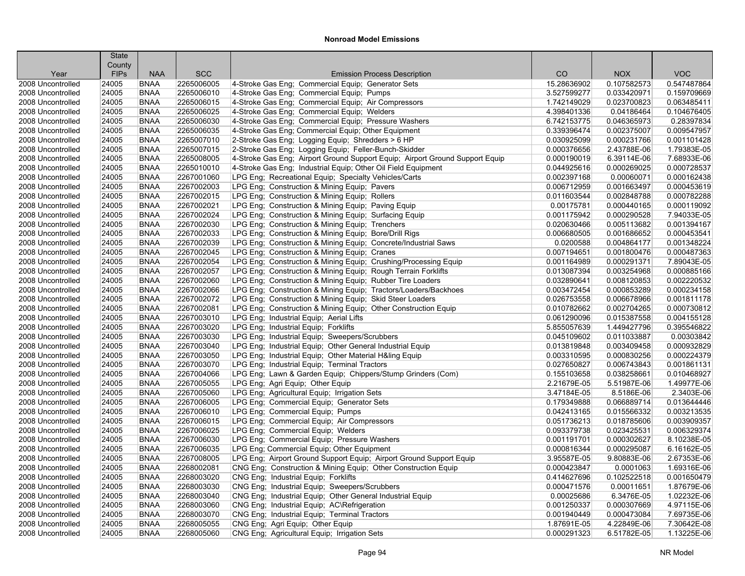|                   | <b>State</b>          |             |            |                                                                              |             |             |             |
|-------------------|-----------------------|-------------|------------|------------------------------------------------------------------------------|-------------|-------------|-------------|
| Year              | County<br><b>FIPs</b> | <b>NAA</b>  | <b>SCC</b> | <b>Emission Process Description</b>                                          | CO          | <b>NOX</b>  | <b>VOC</b>  |
| 2008 Uncontrolled | 24005                 | <b>BNAA</b> | 2265006005 | 4-Stroke Gas Eng; Commercial Equip; Generator Sets                           | 15.28636902 | 0.107582573 | 0.547487864 |
| 2008 Uncontrolled | 24005                 | <b>BNAA</b> | 2265006010 | 4-Stroke Gas Eng; Commercial Equip; Pumps                                    | 3.527599277 | 0.033420971 | 0.159709669 |
| 2008 Uncontrolled | 24005                 | <b>BNAA</b> | 2265006015 | 4-Stroke Gas Eng; Commercial Equip; Air Compressors                          | 1.742149029 | 0.023700823 | 0.063485411 |
| 2008 Uncontrolled | 24005                 | <b>BNAA</b> | 2265006025 | 4-Stroke Gas Eng; Commercial Equip; Welders                                  | 4.398401336 | 0.04186464  | 0.104676405 |
| 2008 Uncontrolled | 24005                 | <b>BNAA</b> | 2265006030 | 4-Stroke Gas Eng; Commercial Equip; Pressure Washers                         | 6.742153775 | 0.046365973 | 0.28397834  |
| 2008 Uncontrolled | 24005                 | <b>BNAA</b> | 2265006035 | 4-Stroke Gas Eng; Commercial Equip; Other Equipment                          | 0.339396474 | 0.002375007 | 0.009547957 |
| 2008 Uncontrolled | 24005                 | <b>BNAA</b> | 2265007010 | 2-Stroke Gas Eng; Logging Equip; Shredders > 6 HP                            | 0.030925099 | 0.000231766 | 0.001101428 |
| 2008 Uncontrolled | 24005                 | <b>BNAA</b> | 2265007015 | 2-Stroke Gas Eng; Logging Equip; Feller-Bunch-Skidder                        | 0.000376656 | 2.43788E-06 | 1.79383E-05 |
| 2008 Uncontrolled | 24005                 | <b>BNAA</b> | 2265008005 | 4-Stroke Gas Eng; Airport Ground Support Equip; Airport Ground Support Equip | 0.000190019 | 6.39114E-06 | 7.68933E-06 |
| 2008 Uncontrolled | 24005                 | <b>BNAA</b> | 2265010010 | 4-Stroke Gas Eng; Industrial Equip; Other Oil Field Equipment                | 0.044925616 | 0.000269025 | 0.000728537 |
| 2008 Uncontrolled | 24005                 | <b>BNAA</b> | 2267001060 | LPG Eng; Recreational Equip; Specialty Vehicles/Carts                        | 0.002397168 | 0.00060071  | 0.000162438 |
| 2008 Uncontrolled | 24005                 | <b>BNAA</b> | 2267002003 | LPG Eng; Construction & Mining Equip; Pavers                                 | 0.006712959 | 0.001663497 | 0.000453619 |
| 2008 Uncontrolled | 24005                 | <b>BNAA</b> | 2267002015 | LPG Eng; Construction & Mining Equip; Rollers                                | 0.011603544 | 0.002848788 | 0.000782288 |
| 2008 Uncontrolled | 24005                 | <b>BNAA</b> | 2267002021 | LPG Eng; Construction & Mining Equip; Paving Equip                           | 0.00175781  | 0.000440165 | 0.000119092 |
| 2008 Uncontrolled | 24005                 | <b>BNAA</b> | 2267002024 | LPG Eng; Construction & Mining Equip; Surfacing Equip                        | 0.001175942 | 0.000290528 | 7.94033E-05 |
| 2008 Uncontrolled | 24005                 | <b>BNAA</b> | 2267002030 | LPG Eng; Construction & Mining Equip; Trenchers                              | 0.020630466 | 0.005113682 | 0.001394167 |
| 2008 Uncontrolled | 24005                 | <b>BNAA</b> | 2267002033 | LPG Eng; Construction & Mining Equip; Bore/Drill Rigs                        | 0.006680505 | 0.001686652 | 0.000453541 |
| 2008 Uncontrolled | 24005                 | <b>BNAA</b> | 2267002039 | LPG Eng; Construction & Mining Equip; Concrete/Industrial Saws               | 0.0200588   | 0.004864177 | 0.001348224 |
| 2008 Uncontrolled | 24005                 | <b>BNAA</b> | 2267002045 | LPG Eng; Construction & Mining Equip; Cranes                                 | 0.007194651 | 0.001800476 | 0.000487363 |
| 2008 Uncontrolled | 24005                 | <b>BNAA</b> | 2267002054 | LPG Eng; Construction & Mining Equip; Crushing/Processing Equip              | 0.001164989 | 0.000291371 | 7.89043E-05 |
| 2008 Uncontrolled | 24005                 | <b>BNAA</b> | 2267002057 | LPG Eng; Construction & Mining Equip; Rough Terrain Forklifts                | 0.013087394 | 0.003254968 | 0.000885166 |
| 2008 Uncontrolled | 24005                 | <b>BNAA</b> | 2267002060 | LPG Eng; Construction & Mining Equip; Rubber Tire Loaders                    | 0.032890641 | 0.008120853 | 0.002220532 |
| 2008 Uncontrolled | 24005                 | <b>BNAA</b> | 2267002066 | LPG Eng; Construction & Mining Equip; Tractors/Loaders/Backhoes              | 0.003472454 | 0.000853289 | 0.000234158 |
| 2008 Uncontrolled | 24005                 | <b>BNAA</b> | 2267002072 | LPG Eng; Construction & Mining Equip; Skid Steer Loaders                     | 0.026753558 | 0.006678966 | 0.001811178 |
| 2008 Uncontrolled | 24005                 | <b>BNAA</b> | 2267002081 | LPG Eng; Construction & Mining Equip; Other Construction Equip               | 0.010782662 | 0.002704265 | 0.000730812 |
| 2008 Uncontrolled | 24005                 | <b>BNAA</b> | 2267003010 | LPG Eng; Industrial Equip; Aerial Lifts                                      | 0.061290096 | 0.015387558 | 0.004155128 |
| 2008 Uncontrolled | 24005                 | <b>BNAA</b> | 2267003020 | LPG Eng; Industrial Equip; Forklifts                                         | 5.855057639 | 1.449427796 | 0.395546822 |
| 2008 Uncontrolled | 24005                 | <b>BNAA</b> | 2267003030 | LPG Eng; Industrial Equip; Sweepers/Scrubbers                                | 0.045109602 | 0.011033887 | 0.00303842  |
| 2008 Uncontrolled | 24005                 | <b>BNAA</b> | 2267003040 | LPG Eng; Industrial Equip; Other General Industrial Equip                    | 0.013819848 | 0.003409458 | 0.000932829 |
| 2008 Uncontrolled | 24005                 | <b>BNAA</b> | 2267003050 | LPG Eng; Industrial Equip; Other Material H&ling Equip                       | 0.003310595 | 0.000830256 | 0.000224379 |
| 2008 Uncontrolled | 24005                 | <b>BNAA</b> | 2267003070 | LPG Eng; Industrial Equip; Terminal Tractors                                 | 0.027650827 | 0.006743843 | 0.001861131 |
| 2008 Uncontrolled | 24005                 | <b>BNAA</b> | 2267004066 | LPG Eng; Lawn & Garden Equip; Chippers/Stump Grinders (Com)                  | 0.155103658 | 0.038258661 | 0.010468927 |
| 2008 Uncontrolled | 24005                 | <b>BNAA</b> | 2267005055 | LPG Eng; Agri Equip; Other Equip                                             | 2.21679E-05 | 5.51987E-06 | 1.49977E-06 |
| 2008 Uncontrolled | 24005                 | <b>BNAA</b> | 2267005060 | LPG Eng: Agricultural Equip: Irrigation Sets                                 | 3.47184E-05 | 8.5186E-06  | 2.3403E-06  |
| 2008 Uncontrolled | 24005                 | <b>BNAA</b> | 2267006005 | LPG Eng; Commercial Equip; Generator Sets                                    | 0.179349888 | 0.066889714 | 0.013644446 |
| 2008 Uncontrolled | 24005                 | <b>BNAA</b> | 2267006010 | LPG Eng; Commercial Equip; Pumps                                             | 0.042413165 | 0.015566332 | 0.003213535 |
| 2008 Uncontrolled | 24005                 | <b>BNAA</b> | 2267006015 | LPG Eng; Commercial Equip; Air Compressors                                   | 0.051736213 | 0.018785606 | 0.003909357 |
| 2008 Uncontrolled | 24005                 | <b>BNAA</b> | 2267006025 | LPG Eng: Commercial Equip: Welders                                           | 0.093379738 | 0.023425531 | 0.006329374 |
| 2008 Uncontrolled | 24005                 | <b>BNAA</b> | 2267006030 | LPG Eng; Commercial Equip; Pressure Washers                                  | 0.001191701 | 0.000302627 | 8.10238E-05 |
| 2008 Uncontrolled | 24005                 | <b>BNAA</b> | 2267006035 | LPG Eng; Commercial Equip; Other Equipment                                   | 0.000816344 | 0.000295087 | 6.16162E-05 |
| 2008 Uncontrolled | 24005                 | <b>BNAA</b> | 2267008005 | LPG Eng; Airport Ground Support Equip; Airport Ground Support Equip          | 3.95587E-05 | 9.80883E-06 | 2.67353E-06 |
| 2008 Uncontrolled | 24005                 | <b>BNAA</b> | 2268002081 | CNG Eng; Construction & Mining Equip; Other Construction Equip               | 0.000423847 | 0.0001063   | 1.69316E-06 |
| 2008 Uncontrolled | 24005                 | <b>BNAA</b> | 2268003020 | CNG Eng; Industrial Equip; Forklifts                                         | 0.414627696 | 0.102522518 | 0.001650479 |
| 2008 Uncontrolled | 24005                 | <b>BNAA</b> | 2268003030 | CNG Eng; Industrial Equip; Sweepers/Scrubbers                                | 0.000471576 | 0.00011651  | 1.87679E-06 |
| 2008 Uncontrolled | 24005                 | <b>BNAA</b> | 2268003040 | CNG Eng; Industrial Equip; Other General Industrial Equip                    | 0.00025686  | 6.3476E-05  | 1.02232E-06 |
| 2008 Uncontrolled | 24005                 | <b>BNAA</b> | 2268003060 | CNG Eng; Industrial Equip; AC\Refrigeration                                  | 0.001250337 | 0.000307669 | 4.97115E-06 |
| 2008 Uncontrolled | 24005                 | <b>BNAA</b> | 2268003070 | CNG Eng; Industrial Equip; Terminal Tractors                                 | 0.001940449 | 0.000473084 | 7.69735E-06 |
| 2008 Uncontrolled | 24005                 | <b>BNAA</b> | 2268005055 | CNG Eng; Agri Equip; Other Equip                                             | 1.87691E-05 | 4.22849E-06 | 7.30642E-08 |
| 2008 Uncontrolled | 24005                 | <b>BNAA</b> | 2268005060 | CNG Eng; Agricultural Equip; Irrigation Sets                                 | 0.000291323 | 6.51782E-05 | 1.13225E-06 |
|                   |                       |             |            |                                                                              |             |             |             |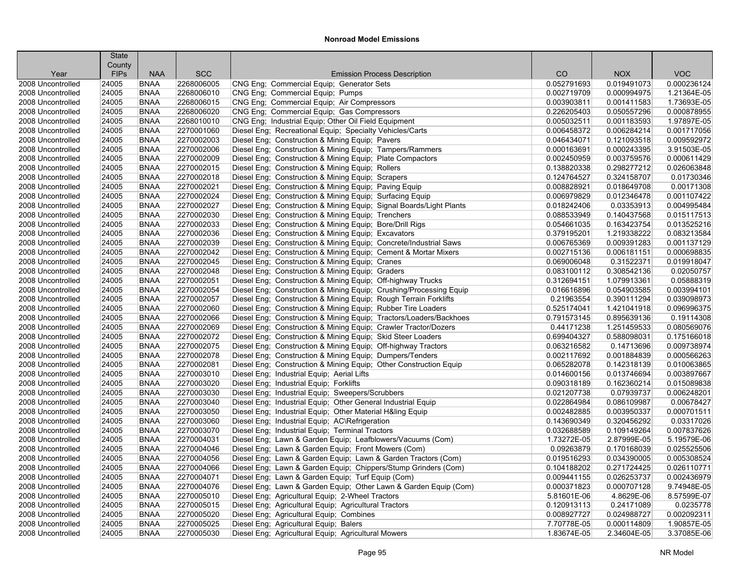|                           | <b>State</b> |                            |                          |                                                                     |                   |                            |             |
|---------------------------|--------------|----------------------------|--------------------------|---------------------------------------------------------------------|-------------------|----------------------------|-------------|
|                           | County       |                            | <b>SCC</b>               |                                                                     |                   |                            | <b>VOC</b>  |
| Year<br>2008 Uncontrolled | <b>FIPs</b>  | <b>NAA</b>                 |                          | <b>Emission Process Description</b>                                 | CO<br>0.052791693 | <b>NOX</b>                 | 0.000236124 |
|                           | 24005        | <b>BNAA</b><br><b>BNAA</b> | 2268006005<br>2268006010 | CNG Eng; Commercial Equip; Generator Sets                           | 0.002719709       | 0.019491073<br>0.000994975 | 1.21364E-05 |
| 2008 Uncontrolled         | 24005        |                            | 2268006015               | CNG Eng: Commercial Equip: Pumps                                    |                   |                            | 1.73693E-05 |
| 2008 Uncontrolled         | 24005        | <b>BNAA</b>                |                          | CNG Eng; Commercial Equip; Air Compressors                          | 0.003903811       | 0.001411583                |             |
| 2008 Uncontrolled         | 24005        | <b>BNAA</b>                | 2268006020               | CNG Eng; Commercial Equip; Gas Compressors                          | 0.226205403       | 0.050557296                | 0.000878955 |
| 2008 Uncontrolled         | 24005        | <b>BNAA</b>                | 2268010010               | CNG Eng; Industrial Equip; Other Oil Field Equipment                | 0.005032511       | 0.001183593                | 1.97897E-05 |
| 2008 Uncontrolled         | 24005        | <b>BNAA</b>                | 2270001060               | Diesel Eng; Recreational Equip; Specialty Vehicles/Carts            | 0.006458372       | 0.006284214                | 0.001717056 |
| 2008 Uncontrolled         | 24005        | <b>BNAA</b>                | 2270002003               | Diesel Eng; Construction & Mining Equip; Pavers                     | 0.046434071       | 0.121093518                | 0.009592972 |
| 2008 Uncontrolled         | 24005        | <b>BNAA</b>                | 2270002006               | Diesel Eng; Construction & Mining Equip; Tampers/Rammers            | 0.000163691       | 0.000243395                | 3.91503E-05 |
| 2008 Uncontrolled         | 24005        | <b>BNAA</b>                | 2270002009               | Diesel Eng: Construction & Mining Equip: Plate Compactors           | 0.002450959       | 0.003759576                | 0.000611429 |
| 2008 Uncontrolled         | 24005        | <b>BNAA</b>                | 2270002015               | Diesel Eng; Construction & Mining Equip; Rollers                    | 0.138820338       | 0.298277212                | 0.026063848 |
| 2008 Uncontrolled         | 24005        | <b>BNAA</b>                | 2270002018               | Diesel Eng; Construction & Mining Equip; Scrapers                   | 0.124764527       | 0.324158707                | 0.01730346  |
| 2008 Uncontrolled         | 24005        | <b>BNAA</b>                | 2270002021               | Diesel Eng; Construction & Mining Equip; Paving Equip               | 0.008828921       | 0.018649708                | 0.00171308  |
| 2008 Uncontrolled         | 24005        | <b>BNAA</b>                | 2270002024               | Diesel Eng: Construction & Mining Equip: Surfacing Equip            | 0.006979829       | 0.012346478                | 0.001107422 |
| 2008 Uncontrolled         | 24005        | <b>BNAA</b>                | 2270002027               | Diesel Eng; Construction & Mining Equip; Signal Boards/Light Plants | 0.018242406       | 0.03353913                 | 0.004995484 |
| 2008 Uncontrolled         | 24005        | <b>BNAA</b>                | 2270002030               | Diesel Eng; Construction & Mining Equip; Trenchers                  | 0.088533949       | 0.140437568                | 0.015117513 |
| 2008 Uncontrolled         | 24005        | <b>BNAA</b>                | 2270002033               | Diesel Eng; Construction & Mining Equip; Bore/Drill Rigs            | 0.054661035       | 0.163423754                | 0.013525216 |
| 2008 Uncontrolled         | 24005        | <b>BNAA</b>                | 2270002036               | Diesel Eng; Construction & Mining Equip; Excavators                 | 0.379195201       | 1.219338222                | 0.083213584 |
| 2008 Uncontrolled         | 24005        | <b>BNAA</b>                | 2270002039               | Diesel Eng; Construction & Mining Equip; Concrete/Industrial Saws   | 0.006765369       | 0.009391283                | 0.001137129 |
| 2008 Uncontrolled         | 24005        | <b>BNAA</b>                | 2270002042               | Diesel Eng; Construction & Mining Equip; Cement & Mortar Mixers     | 0.002715136       | 0.006181151                | 0.000698835 |
| 2008 Uncontrolled         | 24005        | <b>BNAA</b>                | 2270002045               | Diesel Eng: Construction & Mining Equip: Cranes                     | 0.069006048       | 0.31522371                 | 0.019918047 |
| 2008 Uncontrolled         | 24005        | <b>BNAA</b>                | 2270002048               | Diesel Eng; Construction & Mining Equip; Graders                    | 0.083100112       | 0.308542136                | 0.02050757  |
| 2008 Uncontrolled         | 24005        | <b>BNAA</b>                | 2270002051               | Diesel Eng; Construction & Mining Equip; Off-highway Trucks         | 0.312694151       | 1.079913361                | 0.05888319  |
| 2008 Uncontrolled         | 24005        | <b>BNAA</b>                | 2270002054               | Diesel Eng; Construction & Mining Equip; Crushing/Processing Equip  | 0.016616896       | 0.054903585                | 0.003994101 |
| 2008 Uncontrolled         | 24005        | <b>BNAA</b>                | 2270002057               | Diesel Eng; Construction & Mining Equip; Rough Terrain Forklifts    | 0.21963554        | 0.390111294                | 0.039098973 |
| 2008 Uncontrolled         | 24005        | <b>BNAA</b>                | 2270002060               | Diesel Eng; Construction & Mining Equip; Rubber Tire Loaders        | 0.525174041       | 1.421041918                | 0.096996375 |
| 2008 Uncontrolled         | 24005        | <b>BNAA</b>                | 2270002066               | Diesel Eng; Construction & Mining Equip; Tractors/Loaders/Backhoes  | 0.791573145       | 0.895639136                | 0.19114308  |
| 2008 Uncontrolled         | 24005        | <b>BNAA</b>                | 2270002069               | Diesel Eng; Construction & Mining Equip; Crawler Tractor/Dozers     | 0.44171238        | 1.251459533                | 0.080569076 |
| 2008 Uncontrolled         | 24005        | <b>BNAA</b>                | 2270002072               | Diesel Eng; Construction & Mining Equip; Skid Steer Loaders         | 0.699404327       | 0.588098031                | 0.175166018 |
| 2008 Uncontrolled         | 24005        | <b>BNAA</b>                | 2270002075               | Diesel Eng; Construction & Mining Equip; Off-highway Tractors       | 0.063216582       | 0.14713696                 | 0.009738974 |
| 2008 Uncontrolled         | 24005        | <b>BNAA</b>                | 2270002078               | Diesel Eng; Construction & Mining Equip; Dumpers/Tenders            | 0.002117692       | 0.001884839                | 0.000566263 |
| 2008 Uncontrolled         | 24005        | <b>BNAA</b>                | 2270002081               | Diesel Eng; Construction & Mining Equip; Other Construction Equip   | 0.065282078       | 0.142318139                | 0.010063865 |
| 2008 Uncontrolled         | 24005        | <b>BNAA</b>                | 2270003010               | Diesel Eng; Industrial Equip; Aerial Lifts                          | 0.014600156       | 0.013746694                | 0.003897667 |
| 2008 Uncontrolled         | 24005        | <b>BNAA</b>                | 2270003020               | Diesel Eng; Industrial Equip; Forklifts                             | 0.090318189       | 0.162360214                | 0.015089838 |
| 2008 Uncontrolled         | 24005        | <b>BNAA</b>                | 2270003030               | Diesel Eng; Industrial Equip; Sweepers/Scrubbers                    | 0.021207738       | 0.07939737                 | 0.006248201 |
| 2008 Uncontrolled         | 24005        | <b>BNAA</b>                | 2270003040               | Diesel Eng; Industrial Equip; Other General Industrial Equip        | 0.022864984       | 0.086109987                | 0.00678427  |
| 2008 Uncontrolled         | 24005        | <b>BNAA</b>                | 2270003050               | Diesel Eng; Industrial Equip; Other Material H&ling Equip           | 0.002482885       | 0.003950337                | 0.000701511 |
| 2008 Uncontrolled         | 24005        | <b>BNAA</b>                | 2270003060               | Diesel Eng; Industrial Equip; AC\Refrigeration                      | 0.143690349       | 0.320456292                | 0.03317026  |
| 2008 Uncontrolled         | 24005        | <b>BNAA</b>                | 2270003070               | Diesel Eng; Industrial Equip; Terminal Tractors                     | 0.032688589       | 0.109149264                | 0.007837626 |
| 2008 Uncontrolled         | 24005        | <b>BNAA</b>                | 2270004031               | Diesel Eng; Lawn & Garden Equip; Leafblowers/Vacuums (Com)          | 1.73272E-05       | 2.87999E-05                | 5.19579E-06 |
| 2008 Uncontrolled         | 24005        | <b>BNAA</b>                | 2270004046               | Diesel Eng; Lawn & Garden Equip; Front Mowers (Com)                 | 0.09263879        | 0.170168039                | 0.025525506 |
| 2008 Uncontrolled         | 24005        | <b>BNAA</b>                | 2270004056               | Diesel Eng; Lawn & Garden Equip; Lawn & Garden Tractors (Com)       | 0.019516293       | 0.034390005                | 0.005308524 |
| 2008 Uncontrolled         | 24005        | <b>BNAA</b>                | 2270004066               | Diesel Eng; Lawn & Garden Equip; Chippers/Stump Grinders (Com)      | 0.104188202       | 0.271724425                | 0.026110771 |
| 2008 Uncontrolled         | 24005        | <b>BNAA</b>                | 2270004071               | Diesel Eng; Lawn & Garden Equip; Turf Equip (Com)                   | 0.009441155       | 0.026253737                | 0.002436979 |
| 2008 Uncontrolled         | 24005        | <b>BNAA</b>                | 2270004076               | Diesel Eng; Lawn & Garden Equip; Other Lawn & Garden Equip (Com)    | 0.000371823       | 0.000707128                | 9.74948E-05 |
| 2008 Uncontrolled         | 24005        | <b>BNAA</b>                | 2270005010               | Diesel Eng; Agricultural Equip; 2-Wheel Tractors                    | 5.81601E-06       | 4.8629E-06                 | 8.57599E-07 |
| 2008 Uncontrolled         | 24005        | <b>BNAA</b>                | 2270005015               | Diesel Eng; Agricultural Equip; Agricultural Tractors               | 0.120913113       | 0.24171089                 | 0.0235778   |
| 2008 Uncontrolled         | 24005        | <b>BNAA</b>                | 2270005020               | Diesel Eng; Agricultural Equip; Combines                            | 0.008927727       | 0.024988727                | 0.002092311 |
| 2008 Uncontrolled         | 24005        | <b>BNAA</b>                | 2270005025               | Diesel Eng; Agricultural Equip; Balers                              | 7.70778E-05       | 0.000114809                | 1.90857E-05 |
| 2008 Uncontrolled         | 24005        | <b>BNAA</b>                | 2270005030               | Diesel Eng; Agricultural Equip; Agricultural Mowers                 | 1.83674E-05       | 2.34604E-05                | 3.37085E-06 |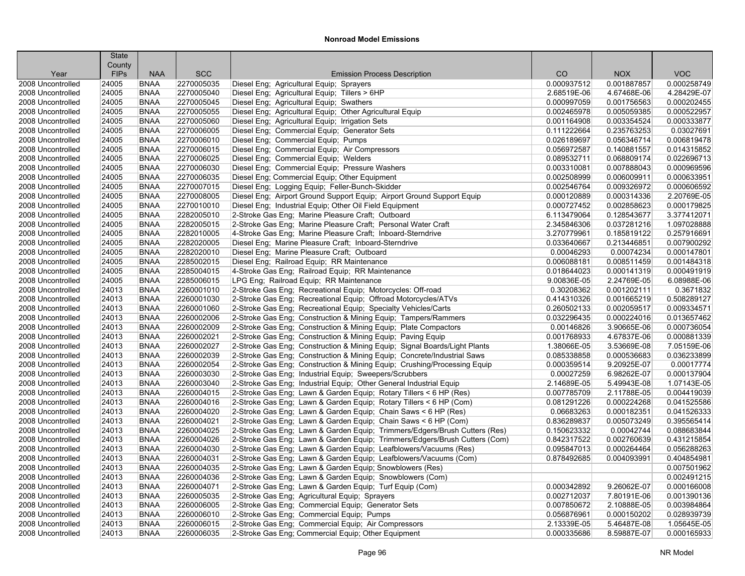|                   | <b>State</b> |             |            |                                                                            |             |             |             |
|-------------------|--------------|-------------|------------|----------------------------------------------------------------------------|-------------|-------------|-------------|
|                   | County       |             | <b>SCC</b> |                                                                            | CO          |             | <b>VOC</b>  |
| Year              | <b>FIPs</b>  | <b>NAA</b>  |            | <b>Emission Process Description</b>                                        |             | <b>NOX</b>  |             |
| 2008 Uncontrolled | 24005        | <b>BNAA</b> | 2270005035 | Diesel Eng; Agricultural Equip; Sprayers                                   | 0.000937512 | 0.001887857 | 0.000258749 |
| 2008 Uncontrolled | 24005        | <b>BNAA</b> | 2270005040 | Diesel Eng; Agricultural Equip; Tillers > 6HP                              | 2.68519E-06 | 4.67468E-06 | 4.28429E-07 |
| 2008 Uncontrolled | 24005        | <b>BNAA</b> | 2270005045 | Diesel Eng; Agricultural Equip; Swathers                                   | 0.000997059 | 0.001756563 | 0.000202455 |
| 2008 Uncontrolled | 24005        | <b>BNAA</b> | 2270005055 | Diesel Eng; Agricultural Equip; Other Agricultural Equip                   | 0.002465978 | 0.005059385 | 0.000522957 |
| 2008 Uncontrolled | 24005        | <b>BNAA</b> | 2270005060 | Diesel Eng; Agricultural Equip; Irrigation Sets                            | 0.001164908 | 0.003354524 | 0.000333877 |
| 2008 Uncontrolled | 24005        | <b>BNAA</b> | 2270006005 | Diesel Eng; Commercial Equip; Generator Sets                               | 0.111222664 | 0.235763253 | 0.03027691  |
| 2008 Uncontrolled | 24005        | <b>BNAA</b> | 2270006010 | Diesel Eng; Commercial Equip; Pumps                                        | 0.026189697 | 0.056346714 | 0.006819478 |
| 2008 Uncontrolled | 24005        | <b>BNAA</b> | 2270006015 | Diesel Eng; Commercial Equip; Air Compressors                              | 0.056972587 | 0.140881557 | 0.014315852 |
| 2008 Uncontrolled | 24005        | <b>BNAA</b> | 2270006025 | Diesel Eng; Commercial Equip; Welders                                      | 0.089532711 | 0.068809174 | 0.022696713 |
| 2008 Uncontrolled | 24005        | <b>BNAA</b> | 2270006030 | Diesel Eng; Commercial Equip; Pressure Washers                             | 0.003310081 | 0.007888043 | 0.000969596 |
| 2008 Uncontrolled | 24005        | <b>BNAA</b> | 2270006035 | Diesel Eng; Commercial Equip; Other Equipment                              | 0.002508999 | 0.006009911 | 0.000633951 |
| 2008 Uncontrolled | 24005        | <b>BNAA</b> | 2270007015 | Diesel Eng; Logging Equip; Feller-Bunch-Skidder                            | 0.002546764 | 0.009326972 | 0.000606592 |
| 2008 Uncontrolled | 24005        | <b>BNAA</b> | 2270008005 | Diesel Eng; Airport Ground Support Equip; Airport Ground Support Equip     | 0.000120889 | 0.000314336 | 2.20769E-05 |
| 2008 Uncontrolled | 24005        | <b>BNAA</b> | 2270010010 | Diesel Eng; Industrial Equip; Other Oil Field Equipment                    | 0.000727452 | 0.002858623 | 0.000179825 |
| 2008 Uncontrolled | 24005        | <b>BNAA</b> | 2282005010 | 2-Stroke Gas Eng; Marine Pleasure Craft; Outboard                          | 6.113479064 | 0.128543677 | 3.377412071 |
| 2008 Uncontrolled | 24005        | <b>BNAA</b> | 2282005015 | 2-Stroke Gas Eng; Marine Pleasure Craft; Personal Water Craft              | 2.345846306 | 0.037281216 | 1.097028888 |
| 2008 Uncontrolled | 24005        | <b>BNAA</b> | 2282010005 | 4-Stroke Gas Eng; Marine Pleasure Craft; Inboard-Sterndrive                | 3.270779961 | 0.185819122 | 0.257916691 |
| 2008 Uncontrolled | 24005        | <b>BNAA</b> | 2282020005 | Diesel Eng; Marine Pleasure Craft; Inboard-Sterndrive                      | 0.033640667 | 0.213446851 | 0.007900292 |
| 2008 Uncontrolled | 24005        | <b>BNAA</b> | 2282020010 | Diesel Eng; Marine Pleasure Craft; Outboard                                | 0.00046293  | 0.00074234  | 0.000147801 |
| 2008 Uncontrolled | 24005        | <b>BNAA</b> | 2285002015 | Diesel Eng; Railroad Equip; RR Maintenance                                 | 0.006088181 | 0.008511459 | 0.001484318 |
| 2008 Uncontrolled | 24005        | <b>BNAA</b> | 2285004015 | 4-Stroke Gas Eng; Railroad Equip; RR Maintenance                           | 0.018644023 | 0.000141319 | 0.000491919 |
| 2008 Uncontrolled | 24005        | <b>BNAA</b> | 2285006015 | LPG Eng: Railroad Equip: RR Maintenance                                    | 9.00836E-05 | 2.24769E-05 | 6.08988E-06 |
| 2008 Uncontrolled | 24013        | <b>BNAA</b> | 2260001010 | 2-Stroke Gas Eng; Recreational Equip; Motorcycles: Off-road                | 0.30208362  | 0.001202111 | 0.3671832   |
| 2008 Uncontrolled | 24013        | <b>BNAA</b> | 2260001030 | 2-Stroke Gas Eng; Recreational Equip; Offroad Motorcycles/ATVs             | 0.414310326 | 0.001665219 | 0.508289127 |
| 2008 Uncontrolled | 24013        | <b>BNAA</b> | 2260001060 | 2-Stroke Gas Eng; Recreational Equip; Specialty Vehicles/Carts             | 0.260502133 | 0.002059517 | 0.009334571 |
| 2008 Uncontrolled | 24013        | <b>BNAA</b> | 2260002006 | 2-Stroke Gas Eng; Construction & Mining Equip; Tampers/Rammers             | 0.032296435 | 0.000224016 | 0.013657462 |
| 2008 Uncontrolled | 24013        | <b>BNAA</b> | 2260002009 | 2-Stroke Gas Eng; Construction & Mining Equip; Plate Compactors            | 0.00146826  | 3.90665E-06 | 0.000736054 |
| 2008 Uncontrolled | 24013        | <b>BNAA</b> | 2260002021 | 2-Stroke Gas Eng; Construction & Mining Equip; Paving Equip                | 0.001768933 | 4.67837E-06 | 0.000881339 |
| 2008 Uncontrolled | 24013        | <b>BNAA</b> | 2260002027 | 2-Stroke Gas Eng; Construction & Mining Equip; Signal Boards/Light Plants  | 1.38066E-05 | 3.53669E-08 | 7.05159E-06 |
| 2008 Uncontrolled | 24013        | <b>BNAA</b> | 2260002039 | 2-Stroke Gas Eng; Construction & Mining Equip; Concrete/Industrial Saws    | 0.085338858 | 0.000536683 | 0.036233899 |
| 2008 Uncontrolled | 24013        | <b>BNAA</b> | 2260002054 | 2-Stroke Gas Eng; Construction & Mining Equip; Crushing/Processing Equip   | 0.000359514 | 9.20925E-07 | 0.00017774  |
| 2008 Uncontrolled | 24013        | <b>BNAA</b> | 2260003030 | 2-Stroke Gas Eng; Industrial Equip; Sweepers/Scrubbers                     | 0.00027259  | 6.98262E-07 | 0.000137904 |
| 2008 Uncontrolled | 24013        | <b>BNAA</b> | 2260003040 | 2-Stroke Gas Eng; Industrial Equip; Other General Industrial Equip         | 2.14689E-05 | 5.49943E-08 | 1.07143E-05 |
| 2008 Uncontrolled | 24013        | <b>BNAA</b> | 2260004015 | 2-Stroke Gas Eng; Lawn & Garden Equip; Rotary Tillers < 6 HP (Res)         | 0.007785709 | 2.11788E-05 | 0.004419039 |
| 2008 Uncontrolled | 24013        | <b>BNAA</b> | 2260004016 | 2-Stroke Gas Eng; Lawn & Garden Equip; Rotary Tillers < 6 HP (Com)         | 0.081291226 | 0.000224268 | 0.041525586 |
| 2008 Uncontrolled | 24013        | <b>BNAA</b> | 2260004020 | 2-Stroke Gas Eng: Lawn & Garden Equip: Chain Saws < 6 HP (Res)             | 0.06683263  | 0.000182351 | 0.041526333 |
| 2008 Uncontrolled | 24013        | <b>BNAA</b> | 2260004021 | 2-Stroke Gas Eng; Lawn & Garden Equip; Chain Saws < 6 HP (Com)             | 0.836289837 | 0.005073249 | 0.395565414 |
| 2008 Uncontrolled | 24013        | <b>BNAA</b> | 2260004025 | 2-Stroke Gas Eng; Lawn & Garden Equip; Trimmers/Edgers/Brush Cutters (Res) | 0.150623332 | 0.00042744  | 0.088683844 |
| 2008 Uncontrolled | 24013        | <b>BNAA</b> | 2260004026 | 2-Stroke Gas Eng; Lawn & Garden Equip; Trimmers/Edgers/Brush Cutters (Com) | 0.842317522 | 0.002760639 | 0.431215854 |
| 2008 Uncontrolled | 24013        | <b>BNAA</b> | 2260004030 | 2-Stroke Gas Eng; Lawn & Garden Equip; Leafblowers/Vacuums (Res)           | 0.095847013 | 0.000264464 | 0.056288263 |
| 2008 Uncontrolled | 24013        | <b>BNAA</b> | 2260004031 | 2-Stroke Gas Eng; Lawn & Garden Equip; Leafblowers/Vacuums (Com)           | 0.878492685 | 0.004093991 | 0.404854981 |
| 2008 Uncontrolled | 24013        | <b>BNAA</b> | 2260004035 | 2-Stroke Gas Eng; Lawn & Garden Equip; Snowblowers (Res)                   |             |             | 0.007501962 |
| 2008 Uncontrolled | 24013        | <b>BNAA</b> | 2260004036 | 2-Stroke Gas Eng; Lawn & Garden Equip; Snowblowers (Com)                   |             |             | 0.002491215 |
| 2008 Uncontrolled | 24013        | <b>BNAA</b> | 2260004071 | 2-Stroke Gas Eng; Lawn & Garden Equip; Turf Equip (Com)                    | 0.000342892 | 9.26062E-07 | 0.000166008 |
| 2008 Uncontrolled | 24013        | <b>BNAA</b> | 2260005035 | 2-Stroke Gas Eng; Agricultural Equip; Sprayers                             | 0.002712037 | 7.80191E-06 | 0.001390136 |
| 2008 Uncontrolled | 24013        | <b>BNAA</b> | 2260006005 | 2-Stroke Gas Eng; Commercial Equip; Generator Sets                         | 0.007850672 | 2.10888E-05 | 0.003984864 |
| 2008 Uncontrolled | 24013        | <b>BNAA</b> | 2260006010 | 2-Stroke Gas Eng; Commercial Equip; Pumps                                  | 0.056876961 | 0.000150202 | 0.028939739 |
| 2008 Uncontrolled | 24013        | <b>BNAA</b> | 2260006015 | 2-Stroke Gas Eng; Commercial Equip; Air Compressors                        | 2.13339E-05 | 5.46487E-08 | 1.05645E-05 |
| 2008 Uncontrolled | 24013        | <b>BNAA</b> | 2260006035 | 2-Stroke Gas Eng; Commercial Equip; Other Equipment                        | 0.000335686 | 8.59887E-07 | 0.000165933 |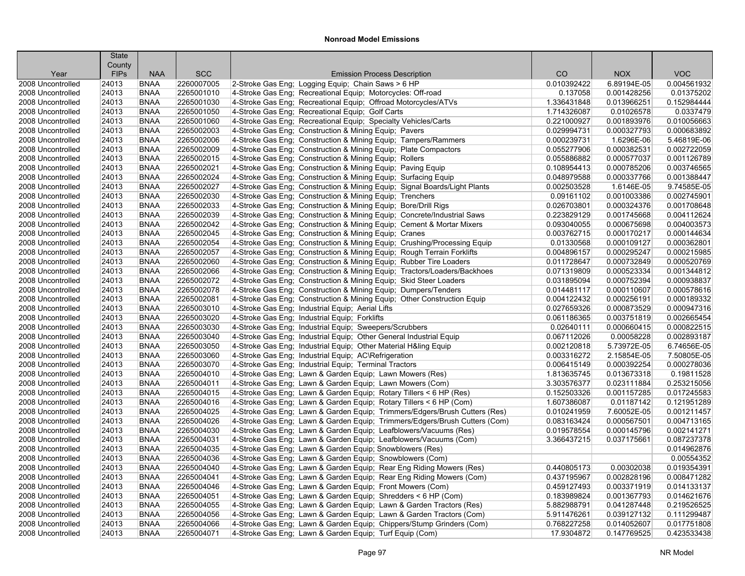| <b>FIPs</b><br><b>NAA</b><br><b>SCC</b><br><b>Emission Process Description</b><br>CO<br><b>NOX</b><br><b>VOC</b><br>Year<br><b>BNAA</b><br>2-Stroke Gas Eng; Logging Equip; Chain Saws > 6 HP<br>0.010392422<br>6.89194E-05<br>0.004561932<br>2008 Uncontrolled<br>24013<br>2260007005<br>4-Stroke Gas Eng; Recreational Equip; Motorcycles: Off-road<br>0.01375202<br>24013<br><b>BNAA</b><br>2265001010<br>0.137058<br>0.001428256<br>2008 Uncontrolled<br>24013<br><b>BNAA</b><br>2265001030<br>4-Stroke Gas Eng: Recreational Equip: Offroad Motorcycles/ATVs<br>1.336431848<br>0.013966251<br>0.152984444<br>2008 Uncontrolled<br><b>BNAA</b><br>4-Stroke Gas Eng; Recreational Equip; Golf Carts<br>0.01026578<br>0.0337479<br>2008 Uncontrolled<br>24013<br>2265001050<br>1.714326087<br>2265001060<br>0.010056663<br>2008 Uncontrolled<br>24013<br><b>BNAA</b><br>4-Stroke Gas Eng; Recreational Equip; Specialty Vehicles/Carts<br>0.221000927<br>0.001893976<br>2008 Uncontrolled<br>24013<br><b>BNAA</b><br>2265002003<br>4-Stroke Gas Eng: Construction & Mining Equip: Pavers<br>0.029994731<br>0.000327793<br>0.000683892<br>5.46819E-06<br>2008 Uncontrolled<br>24013<br><b>BNAA</b><br>2265002006<br>4-Stroke Gas Eng; Construction & Mining Equip; Tampers/Rammers<br>0.000239731<br>1.6296E-06<br><b>BNAA</b><br>0.000382531<br>0.002722059<br>2008 Uncontrolled<br>24013<br>2265002009<br>4-Stroke Gas Eng; Construction & Mining Equip; Plate Compactors<br>0.055277906<br>2265002015<br>4-Stroke Gas Eng; Construction & Mining Equip; Rollers<br>0.055886882<br>0.000577037<br>0.001126789<br>2008 Uncontrolled<br>24013<br><b>BNAA</b><br>24013<br><b>BNAA</b><br>2265002021<br>4-Stroke Gas Eng; Construction & Mining Equip; Paving Equip<br>0.108954413<br>0.000785206<br>0.003746565<br>2008 Uncontrolled<br><b>BNAA</b><br>2265002024<br>4-Stroke Gas Eng; Construction & Mining Equip; Surfacing Equip<br>0.000337766<br>0.001388447<br>2008 Uncontrolled<br>24013<br>0.048979588<br>24013<br><b>BNAA</b><br>2265002027<br>4-Stroke Gas Eng; Construction & Mining Equip; Signal Boards/Light Plants<br>9.74585E-05<br>2008 Uncontrolled<br>0.002503528<br>1.6146E-05<br>2265002030<br>0.002745901<br>2008 Uncontrolled<br>24013<br><b>BNAA</b><br>4-Stroke Gas Eng; Construction & Mining Equip; Trenchers<br>0.09161102<br>0.001003386<br><b>BNAA</b><br>2265002033<br>4-Stroke Gas Eng; Construction & Mining Equip; Bore/Drill Rigs<br>0.000324376<br>0.001708648<br>2008 Uncontrolled<br>24013<br>0.026703801<br>24013<br><b>BNAA</b><br>2265002039<br>4-Stroke Gas Eng; Construction & Mining Equip; Concrete/Industrial Saws<br>0.223829129<br>0.001745668<br>0.004112624<br>2008 Uncontrolled<br>2265002042<br>24013<br><b>BNAA</b><br>4-Stroke Gas Eng; Construction & Mining Equip; Cement & Mortar Mixers<br>0.093040055<br>0.000675698<br>0.004003573<br>2008 Uncontrolled<br>2265002045<br>0.000144634<br>24013<br><b>BNAA</b><br>4-Stroke Gas Eng; Construction & Mining Equip; Cranes<br>0.003762715<br>0.000170217<br>2008 Uncontrolled<br>4-Stroke Gas Eng; Construction & Mining Equip; Crushing/Processing Equip<br>24013<br><b>BNAA</b><br>2265002054<br>0.01330568<br>0.000109127<br>0.000362801<br>2008 Uncontrolled<br>24013<br><b>BNAA</b><br>2265002057<br>4-Stroke Gas Eng; Construction & Mining Equip; Rough Terrain Forklifts<br>0.004896157<br>0.000295247<br>0.000215985<br>2008 Uncontrolled<br><b>BNAA</b><br>2265002060<br>4-Stroke Gas Eng; Construction & Mining Equip; Rubber Tire Loaders<br>0.000732849<br>0.000520769<br>2008 Uncontrolled<br>24013<br>0.011728647<br>24013<br><b>BNAA</b><br>2265002066<br>4-Stroke Gas Eng; Construction & Mining Equip; Tractors/Loaders/Backhoes<br>0.071319809<br>0.000523334<br>0.001344812<br>2008 Uncontrolled<br>2265002072<br>0.000938837<br>24013<br><b>BNAA</b><br>4-Stroke Gas Eng; Construction & Mining Equip; Skid Steer Loaders<br>0.031895094<br>0.000752394<br>2008 Uncontrolled<br>24013<br><b>BNAA</b><br>2265002078<br>4-Stroke Gas Eng; Construction & Mining Equip; Dumpers/Tenders<br>0.000110607<br>0.000578616<br>2008 Uncontrolled<br>0.014481117<br>2265002081<br>4-Stroke Gas Eng; Construction & Mining Equip; Other Construction Equip<br>0.000189332<br>2008 Uncontrolled<br>24013<br><b>BNAA</b><br>0.004122432<br>0.000256191<br>2265003010<br>0.000947316<br>2008 Uncontrolled<br>24013<br><b>BNAA</b><br>4-Stroke Gas Eng; Industrial Equip; Aerial Lifts<br>0.027659326<br>0.000873529<br>24013<br><b>BNAA</b><br>2265003020<br>4-Stroke Gas Eng; Industrial Equip; Forklifts<br>0.061186365<br>0.003751819<br>0.002665454<br>2008 Uncontrolled<br>24013<br><b>BNAA</b><br>2265003030<br>4-Stroke Gas Eng; Industrial Equip; Sweepers/Scrubbers<br>0.02640111<br>0.000660415<br>0.000822515<br>2008 Uncontrolled<br>24013<br><b>BNAA</b><br>2265003040<br>4-Stroke Gas Eng; Industrial Equip; Other General Industrial Equip<br>0.067112026<br>0.00058228<br>0.002893187<br>2008 Uncontrolled<br>2265003050<br>5.73972E-05<br>6.74656E-05<br>24013<br><b>BNAA</b><br>4-Stroke Gas Eng; Industrial Equip; Other Material H&ling Equip<br>0.002120818<br>2008 Uncontrolled<br>24013<br><b>BNAA</b><br>2265003060<br>4-Stroke Gas Eng; Industrial Equip; AC\Refrigeration<br>0.003316272<br>2.15854E-05<br>7.50805E-05<br>2008 Uncontrolled<br><b>BNAA</b><br>2265003070<br>4-Stroke Gas Eng; Industrial Equip; Terminal Tractors<br>0.000392254<br>0.000278036<br>2008 Uncontrolled<br>24013<br>0.006415149<br>2265004010<br>0.19811528<br>2008 Uncontrolled<br>24013<br><b>BNAA</b><br>4-Stroke Gas Eng; Lawn & Garden Equip; Lawn Mowers (Res)<br>1.813635745<br>0.013673318<br>2265004011<br>0.253215056<br>2008 Uncontrolled<br>24013<br><b>BNAA</b><br>4-Stroke Gas Eng; Lawn & Garden Equip; Lawn Mowers (Com)<br>3.303576377<br>0.023111884<br>24013<br><b>BNAA</b><br>2265004015<br>4-Stroke Gas Eng; Lawn & Garden Equip; Rotary Tillers < 6 HP (Res)<br>0.152503326<br>0.001157285<br>0.017245583<br>2008 Uncontrolled<br>2265004016<br>4-Stroke Gas Eng; Lawn & Garden Equip; Rotary Tillers < 6 HP (Com)<br>2008 Uncontrolled<br>24013<br><b>BNAA</b><br>1.607386087<br>0.01187142<br>0.121951289<br>24013<br><b>BNAA</b><br>2265004025<br>4-Stroke Gas Eng; Lawn & Garden Equip; Trimmers/Edgers/Brush Cutters (Res)<br>0.010241959<br>7.60052E-05<br>0.001211457<br>2008 Uncontrolled<br>24013<br><b>BNAA</b><br>2265004026<br>4-Stroke Gas Eng; Lawn & Garden Equip; Trimmers/Edgers/Brush Cutters (Com)<br>0.083163424<br>0.000567501<br>0.004713165<br>2008 Uncontrolled<br>24013<br><b>BNAA</b><br>2265004030<br>4-Stroke Gas Eng; Lawn & Garden Equip; Leafblowers/Vacuums (Res)<br>0.000145796<br>0.002141271<br>2008 Uncontrolled<br>0.019578554<br><b>BNAA</b><br>2265004031<br>4-Stroke Gas Eng; Lawn & Garden Equip; Leafblowers/Vacuums (Com)<br>0.087237378<br>2008 Uncontrolled<br>24013<br>3.366437215<br>0.037175661<br>2265004035<br>0.014962876<br>2008 Uncontrolled<br>24013<br><b>BNAA</b><br>4-Stroke Gas Eng; Lawn & Garden Equip; Snowblowers (Res)<br>0.00554352<br>2008 Uncontrolled<br>24013<br><b>BNAA</b><br>2265004036<br>4-Stroke Gas Eng; Lawn & Garden Equip; Snowblowers (Com)<br><b>BNAA</b><br>2265004040<br>4-Stroke Gas Eng; Lawn & Garden Equip; Rear Eng Riding Mowers (Res)<br>0.440805173<br>0.00302038<br>0.019354391<br>2008 Uncontrolled<br>24013<br>24013<br><b>BNAA</b><br>2265004041<br>4-Stroke Gas Eng; Lawn & Garden Equip; Rear Eng Riding Mowers (Com)<br>0.437195967<br>0.002828196<br>0.008471282<br>2008 Uncontrolled<br>2008 Uncontrolled<br>24013<br><b>BNAA</b><br>2265004046<br>4-Stroke Gas Eng; Lawn & Garden Equip; Front Mowers (Com)<br>0.459127493<br>0.003371919<br>0.014133137<br>4-Stroke Gas Eng; Lawn & Garden Equip; Shredders < 6 HP (Com)<br>0.014621676<br>24013<br><b>BNAA</b><br>2265004051<br>0.183989824<br>0.001367793<br>2008 Uncontrolled<br>24013<br><b>BNAA</b><br>2265004055<br>4-Stroke Gas Eng; Lawn & Garden Equip; Lawn & Garden Tractors (Res)<br>5.882988791<br>0.041287448<br>0.219526525<br>2008 Uncontrolled<br><b>BNAA</b><br>2265004056<br>4-Stroke Gas Eng; Lawn & Garden Equip; Lawn & Garden Tractors (Com)<br>5.911476261<br>0.039127132<br>0.111299487<br>2008 Uncontrolled<br>24013<br>24013<br><b>BNAA</b><br>2265004066<br>4-Stroke Gas Eng; Lawn & Garden Equip; Chippers/Stump Grinders (Com)<br>0.768227258<br>0.014052607<br>0.017751808<br>2008 Uncontrolled<br>2265004071<br>17.9304872<br>0.147769525<br>0.423533438<br>2008 Uncontrolled<br>24013<br><b>BNAA</b><br>4-Stroke Gas Eng; Lawn & Garden Equip; Turf Equip (Com) | <b>State</b> |  |  |  |
|--------------------------------------------------------------------------------------------------------------------------------------------------------------------------------------------------------------------------------------------------------------------------------------------------------------------------------------------------------------------------------------------------------------------------------------------------------------------------------------------------------------------------------------------------------------------------------------------------------------------------------------------------------------------------------------------------------------------------------------------------------------------------------------------------------------------------------------------------------------------------------------------------------------------------------------------------------------------------------------------------------------------------------------------------------------------------------------------------------------------------------------------------------------------------------------------------------------------------------------------------------------------------------------------------------------------------------------------------------------------------------------------------------------------------------------------------------------------------------------------------------------------------------------------------------------------------------------------------------------------------------------------------------------------------------------------------------------------------------------------------------------------------------------------------------------------------------------------------------------------------------------------------------------------------------------------------------------------------------------------------------------------------------------------------------------------------------------------------------------------------------------------------------------------------------------------------------------------------------------------------------------------------------------------------------------------------------------------------------------------------------------------------------------------------------------------------------------------------------------------------------------------------------------------------------------------------------------------------------------------------------------------------------------------------------------------------------------------------------------------------------------------------------------------------------------------------------------------------------------------------------------------------------------------------------------------------------------------------------------------------------------------------------------------------------------------------------------------------------------------------------------------------------------------------------------------------------------------------------------------------------------------------------------------------------------------------------------------------------------------------------------------------------------------------------------------------------------------------------------------------------------------------------------------------------------------------------------------------------------------------------------------------------------------------------------------------------------------------------------------------------------------------------------------------------------------------------------------------------------------------------------------------------------------------------------------------------------------------------------------------------------------------------------------------------------------------------------------------------------------------------------------------------------------------------------------------------------------------------------------------------------------------------------------------------------------------------------------------------------------------------------------------------------------------------------------------------------------------------------------------------------------------------------------------------------------------------------------------------------------------------------------------------------------------------------------------------------------------------------------------------------------------------------------------------------------------------------------------------------------------------------------------------------------------------------------------------------------------------------------------------------------------------------------------------------------------------------------------------------------------------------------------------------------------------------------------------------------------------------------------------------------------------------------------------------------------------------------------------------------------------------------------------------------------------------------------------------------------------------------------------------------------------------------------------------------------------------------------------------------------------------------------------------------------------------------------------------------------------------------------------------------------------------------------------------------------------------------------------------------------------------------------------------------------------------------------------------------------------------------------------------------------------------------------------------------------------------------------------------------------------------------------------------------------------------------------------------------------------------------------------------------------------------------------------------------------------------------------------------------------------------------------------------------------------------------------------------------------------------------------------------------------------------------------------------------------------------------------------------------------------------------------------------------------------------------------------------------------------------------------------------------------------------------------------------------------------------------------------------------------------------------------------------------------------------------------------------------------------------------------------------------------------------------------------------------------------------------------------------------------------------------------------------------------------------------------------------------------------------------------------------------------------------------------------------------------------------------------------------------------------------------------------------------------------------------------------------------------------------------------------------------------------------------------------------------------------------------------------------------------------------------------------------------------------------------------------------------------------------------------------------------------------------------------------------------------------------------------------------------------------------------------------------------------------------------------------------------------------------------------------------------------------------------------------------------------------------------------------------------------------------------------------------------------------------------------------------------------------------------------------------------------------------------------------------------------------------------------------------------------------------------------------------------------------------------------------------------------------------------------------------------------------------------------------------------------------------------------------------------------------------------------------------------------------------------------|--------------|--|--|--|
|                                                                                                                                                                                                                                                                                                                                                                                                                                                                                                                                                                                                                                                                                                                                                                                                                                                                                                                                                                                                                                                                                                                                                                                                                                                                                                                                                                                                                                                                                                                                                                                                                                                                                                                                                                                                                                                                                                                                                                                                                                                                                                                                                                                                                                                                                                                                                                                                                                                                                                                                                                                                                                                                                                                                                                                                                                                                                                                                                                                                                                                                                                                                                                                                                                                                                                                                                                                                                                                                                                                                                                                                                                                                                                                                                                                                                                                                                                                                                                                                                                                                                                                                                                                                                                                                                                                                                                                                                                                                                                                                                                                                                                                                                                                                                                                                                                                                                                                                                                                                                                                                                                                                                                                                                                                                                                                                                                                                                                                                                                                                                                                                                                                                                                                                                                                                                                                                                                                                                                                                                                                                                                                                                                                                                                                                                                                                                                                                                                                                                                                                                                                                                                                                                                                                                                                                                                                                                                                                                                                                                                                                                                                                                                                                                                                                                                                                                                                                                                                                                                                                                                                                                                                                                                                                                                                                                                                                                                                                                                                                                                                                                                                                                                                                                                                                                                                                                                                                                                                                                                                                                                                                                                                                                                  | County       |  |  |  |
|                                                                                                                                                                                                                                                                                                                                                                                                                                                                                                                                                                                                                                                                                                                                                                                                                                                                                                                                                                                                                                                                                                                                                                                                                                                                                                                                                                                                                                                                                                                                                                                                                                                                                                                                                                                                                                                                                                                                                                                                                                                                                                                                                                                                                                                                                                                                                                                                                                                                                                                                                                                                                                                                                                                                                                                                                                                                                                                                                                                                                                                                                                                                                                                                                                                                                                                                                                                                                                                                                                                                                                                                                                                                                                                                                                                                                                                                                                                                                                                                                                                                                                                                                                                                                                                                                                                                                                                                                                                                                                                                                                                                                                                                                                                                                                                                                                                                                                                                                                                                                                                                                                                                                                                                                                                                                                                                                                                                                                                                                                                                                                                                                                                                                                                                                                                                                                                                                                                                                                                                                                                                                                                                                                                                                                                                                                                                                                                                                                                                                                                                                                                                                                                                                                                                                                                                                                                                                                                                                                                                                                                                                                                                                                                                                                                                                                                                                                                                                                                                                                                                                                                                                                                                                                                                                                                                                                                                                                                                                                                                                                                                                                                                                                                                                                                                                                                                                                                                                                                                                                                                                                                                                                                                                                  |              |  |  |  |
|                                                                                                                                                                                                                                                                                                                                                                                                                                                                                                                                                                                                                                                                                                                                                                                                                                                                                                                                                                                                                                                                                                                                                                                                                                                                                                                                                                                                                                                                                                                                                                                                                                                                                                                                                                                                                                                                                                                                                                                                                                                                                                                                                                                                                                                                                                                                                                                                                                                                                                                                                                                                                                                                                                                                                                                                                                                                                                                                                                                                                                                                                                                                                                                                                                                                                                                                                                                                                                                                                                                                                                                                                                                                                                                                                                                                                                                                                                                                                                                                                                                                                                                                                                                                                                                                                                                                                                                                                                                                                                                                                                                                                                                                                                                                                                                                                                                                                                                                                                                                                                                                                                                                                                                                                                                                                                                                                                                                                                                                                                                                                                                                                                                                                                                                                                                                                                                                                                                                                                                                                                                                                                                                                                                                                                                                                                                                                                                                                                                                                                                                                                                                                                                                                                                                                                                                                                                                                                                                                                                                                                                                                                                                                                                                                                                                                                                                                                                                                                                                                                                                                                                                                                                                                                                                                                                                                                                                                                                                                                                                                                                                                                                                                                                                                                                                                                                                                                                                                                                                                                                                                                                                                                                                                                  |              |  |  |  |
|                                                                                                                                                                                                                                                                                                                                                                                                                                                                                                                                                                                                                                                                                                                                                                                                                                                                                                                                                                                                                                                                                                                                                                                                                                                                                                                                                                                                                                                                                                                                                                                                                                                                                                                                                                                                                                                                                                                                                                                                                                                                                                                                                                                                                                                                                                                                                                                                                                                                                                                                                                                                                                                                                                                                                                                                                                                                                                                                                                                                                                                                                                                                                                                                                                                                                                                                                                                                                                                                                                                                                                                                                                                                                                                                                                                                                                                                                                                                                                                                                                                                                                                                                                                                                                                                                                                                                                                                                                                                                                                                                                                                                                                                                                                                                                                                                                                                                                                                                                                                                                                                                                                                                                                                                                                                                                                                                                                                                                                                                                                                                                                                                                                                                                                                                                                                                                                                                                                                                                                                                                                                                                                                                                                                                                                                                                                                                                                                                                                                                                                                                                                                                                                                                                                                                                                                                                                                                                                                                                                                                                                                                                                                                                                                                                                                                                                                                                                                                                                                                                                                                                                                                                                                                                                                                                                                                                                                                                                                                                                                                                                                                                                                                                                                                                                                                                                                                                                                                                                                                                                                                                                                                                                                                                  |              |  |  |  |
|                                                                                                                                                                                                                                                                                                                                                                                                                                                                                                                                                                                                                                                                                                                                                                                                                                                                                                                                                                                                                                                                                                                                                                                                                                                                                                                                                                                                                                                                                                                                                                                                                                                                                                                                                                                                                                                                                                                                                                                                                                                                                                                                                                                                                                                                                                                                                                                                                                                                                                                                                                                                                                                                                                                                                                                                                                                                                                                                                                                                                                                                                                                                                                                                                                                                                                                                                                                                                                                                                                                                                                                                                                                                                                                                                                                                                                                                                                                                                                                                                                                                                                                                                                                                                                                                                                                                                                                                                                                                                                                                                                                                                                                                                                                                                                                                                                                                                                                                                                                                                                                                                                                                                                                                                                                                                                                                                                                                                                                                                                                                                                                                                                                                                                                                                                                                                                                                                                                                                                                                                                                                                                                                                                                                                                                                                                                                                                                                                                                                                                                                                                                                                                                                                                                                                                                                                                                                                                                                                                                                                                                                                                                                                                                                                                                                                                                                                                                                                                                                                                                                                                                                                                                                                                                                                                                                                                                                                                                                                                                                                                                                                                                                                                                                                                                                                                                                                                                                                                                                                                                                                                                                                                                                                                  |              |  |  |  |
|                                                                                                                                                                                                                                                                                                                                                                                                                                                                                                                                                                                                                                                                                                                                                                                                                                                                                                                                                                                                                                                                                                                                                                                                                                                                                                                                                                                                                                                                                                                                                                                                                                                                                                                                                                                                                                                                                                                                                                                                                                                                                                                                                                                                                                                                                                                                                                                                                                                                                                                                                                                                                                                                                                                                                                                                                                                                                                                                                                                                                                                                                                                                                                                                                                                                                                                                                                                                                                                                                                                                                                                                                                                                                                                                                                                                                                                                                                                                                                                                                                                                                                                                                                                                                                                                                                                                                                                                                                                                                                                                                                                                                                                                                                                                                                                                                                                                                                                                                                                                                                                                                                                                                                                                                                                                                                                                                                                                                                                                                                                                                                                                                                                                                                                                                                                                                                                                                                                                                                                                                                                                                                                                                                                                                                                                                                                                                                                                                                                                                                                                                                                                                                                                                                                                                                                                                                                                                                                                                                                                                                                                                                                                                                                                                                                                                                                                                                                                                                                                                                                                                                                                                                                                                                                                                                                                                                                                                                                                                                                                                                                                                                                                                                                                                                                                                                                                                                                                                                                                                                                                                                                                                                                                                                  |              |  |  |  |
|                                                                                                                                                                                                                                                                                                                                                                                                                                                                                                                                                                                                                                                                                                                                                                                                                                                                                                                                                                                                                                                                                                                                                                                                                                                                                                                                                                                                                                                                                                                                                                                                                                                                                                                                                                                                                                                                                                                                                                                                                                                                                                                                                                                                                                                                                                                                                                                                                                                                                                                                                                                                                                                                                                                                                                                                                                                                                                                                                                                                                                                                                                                                                                                                                                                                                                                                                                                                                                                                                                                                                                                                                                                                                                                                                                                                                                                                                                                                                                                                                                                                                                                                                                                                                                                                                                                                                                                                                                                                                                                                                                                                                                                                                                                                                                                                                                                                                                                                                                                                                                                                                                                                                                                                                                                                                                                                                                                                                                                                                                                                                                                                                                                                                                                                                                                                                                                                                                                                                                                                                                                                                                                                                                                                                                                                                                                                                                                                                                                                                                                                                                                                                                                                                                                                                                                                                                                                                                                                                                                                                                                                                                                                                                                                                                                                                                                                                                                                                                                                                                                                                                                                                                                                                                                                                                                                                                                                                                                                                                                                                                                                                                                                                                                                                                                                                                                                                                                                                                                                                                                                                                                                                                                                                                  |              |  |  |  |
|                                                                                                                                                                                                                                                                                                                                                                                                                                                                                                                                                                                                                                                                                                                                                                                                                                                                                                                                                                                                                                                                                                                                                                                                                                                                                                                                                                                                                                                                                                                                                                                                                                                                                                                                                                                                                                                                                                                                                                                                                                                                                                                                                                                                                                                                                                                                                                                                                                                                                                                                                                                                                                                                                                                                                                                                                                                                                                                                                                                                                                                                                                                                                                                                                                                                                                                                                                                                                                                                                                                                                                                                                                                                                                                                                                                                                                                                                                                                                                                                                                                                                                                                                                                                                                                                                                                                                                                                                                                                                                                                                                                                                                                                                                                                                                                                                                                                                                                                                                                                                                                                                                                                                                                                                                                                                                                                                                                                                                                                                                                                                                                                                                                                                                                                                                                                                                                                                                                                                                                                                                                                                                                                                                                                                                                                                                                                                                                                                                                                                                                                                                                                                                                                                                                                                                                                                                                                                                                                                                                                                                                                                                                                                                                                                                                                                                                                                                                                                                                                                                                                                                                                                                                                                                                                                                                                                                                                                                                                                                                                                                                                                                                                                                                                                                                                                                                                                                                                                                                                                                                                                                                                                                                                                                  |              |  |  |  |
|                                                                                                                                                                                                                                                                                                                                                                                                                                                                                                                                                                                                                                                                                                                                                                                                                                                                                                                                                                                                                                                                                                                                                                                                                                                                                                                                                                                                                                                                                                                                                                                                                                                                                                                                                                                                                                                                                                                                                                                                                                                                                                                                                                                                                                                                                                                                                                                                                                                                                                                                                                                                                                                                                                                                                                                                                                                                                                                                                                                                                                                                                                                                                                                                                                                                                                                                                                                                                                                                                                                                                                                                                                                                                                                                                                                                                                                                                                                                                                                                                                                                                                                                                                                                                                                                                                                                                                                                                                                                                                                                                                                                                                                                                                                                                                                                                                                                                                                                                                                                                                                                                                                                                                                                                                                                                                                                                                                                                                                                                                                                                                                                                                                                                                                                                                                                                                                                                                                                                                                                                                                                                                                                                                                                                                                                                                                                                                                                                                                                                                                                                                                                                                                                                                                                                                                                                                                                                                                                                                                                                                                                                                                                                                                                                                                                                                                                                                                                                                                                                                                                                                                                                                                                                                                                                                                                                                                                                                                                                                                                                                                                                                                                                                                                                                                                                                                                                                                                                                                                                                                                                                                                                                                                                                  |              |  |  |  |
|                                                                                                                                                                                                                                                                                                                                                                                                                                                                                                                                                                                                                                                                                                                                                                                                                                                                                                                                                                                                                                                                                                                                                                                                                                                                                                                                                                                                                                                                                                                                                                                                                                                                                                                                                                                                                                                                                                                                                                                                                                                                                                                                                                                                                                                                                                                                                                                                                                                                                                                                                                                                                                                                                                                                                                                                                                                                                                                                                                                                                                                                                                                                                                                                                                                                                                                                                                                                                                                                                                                                                                                                                                                                                                                                                                                                                                                                                                                                                                                                                                                                                                                                                                                                                                                                                                                                                                                                                                                                                                                                                                                                                                                                                                                                                                                                                                                                                                                                                                                                                                                                                                                                                                                                                                                                                                                                                                                                                                                                                                                                                                                                                                                                                                                                                                                                                                                                                                                                                                                                                                                                                                                                                                                                                                                                                                                                                                                                                                                                                                                                                                                                                                                                                                                                                                                                                                                                                                                                                                                                                                                                                                                                                                                                                                                                                                                                                                                                                                                                                                                                                                                                                                                                                                                                                                                                                                                                                                                                                                                                                                                                                                                                                                                                                                                                                                                                                                                                                                                                                                                                                                                                                                                                                                  |              |  |  |  |
|                                                                                                                                                                                                                                                                                                                                                                                                                                                                                                                                                                                                                                                                                                                                                                                                                                                                                                                                                                                                                                                                                                                                                                                                                                                                                                                                                                                                                                                                                                                                                                                                                                                                                                                                                                                                                                                                                                                                                                                                                                                                                                                                                                                                                                                                                                                                                                                                                                                                                                                                                                                                                                                                                                                                                                                                                                                                                                                                                                                                                                                                                                                                                                                                                                                                                                                                                                                                                                                                                                                                                                                                                                                                                                                                                                                                                                                                                                                                                                                                                                                                                                                                                                                                                                                                                                                                                                                                                                                                                                                                                                                                                                                                                                                                                                                                                                                                                                                                                                                                                                                                                                                                                                                                                                                                                                                                                                                                                                                                                                                                                                                                                                                                                                                                                                                                                                                                                                                                                                                                                                                                                                                                                                                                                                                                                                                                                                                                                                                                                                                                                                                                                                                                                                                                                                                                                                                                                                                                                                                                                                                                                                                                                                                                                                                                                                                                                                                                                                                                                                                                                                                                                                                                                                                                                                                                                                                                                                                                                                                                                                                                                                                                                                                                                                                                                                                                                                                                                                                                                                                                                                                                                                                                                                  |              |  |  |  |
|                                                                                                                                                                                                                                                                                                                                                                                                                                                                                                                                                                                                                                                                                                                                                                                                                                                                                                                                                                                                                                                                                                                                                                                                                                                                                                                                                                                                                                                                                                                                                                                                                                                                                                                                                                                                                                                                                                                                                                                                                                                                                                                                                                                                                                                                                                                                                                                                                                                                                                                                                                                                                                                                                                                                                                                                                                                                                                                                                                                                                                                                                                                                                                                                                                                                                                                                                                                                                                                                                                                                                                                                                                                                                                                                                                                                                                                                                                                                                                                                                                                                                                                                                                                                                                                                                                                                                                                                                                                                                                                                                                                                                                                                                                                                                                                                                                                                                                                                                                                                                                                                                                                                                                                                                                                                                                                                                                                                                                                                                                                                                                                                                                                                                                                                                                                                                                                                                                                                                                                                                                                                                                                                                                                                                                                                                                                                                                                                                                                                                                                                                                                                                                                                                                                                                                                                                                                                                                                                                                                                                                                                                                                                                                                                                                                                                                                                                                                                                                                                                                                                                                                                                                                                                                                                                                                                                                                                                                                                                                                                                                                                                                                                                                                                                                                                                                                                                                                                                                                                                                                                                                                                                                                                                                  |              |  |  |  |
|                                                                                                                                                                                                                                                                                                                                                                                                                                                                                                                                                                                                                                                                                                                                                                                                                                                                                                                                                                                                                                                                                                                                                                                                                                                                                                                                                                                                                                                                                                                                                                                                                                                                                                                                                                                                                                                                                                                                                                                                                                                                                                                                                                                                                                                                                                                                                                                                                                                                                                                                                                                                                                                                                                                                                                                                                                                                                                                                                                                                                                                                                                                                                                                                                                                                                                                                                                                                                                                                                                                                                                                                                                                                                                                                                                                                                                                                                                                                                                                                                                                                                                                                                                                                                                                                                                                                                                                                                                                                                                                                                                                                                                                                                                                                                                                                                                                                                                                                                                                                                                                                                                                                                                                                                                                                                                                                                                                                                                                                                                                                                                                                                                                                                                                                                                                                                                                                                                                                                                                                                                                                                                                                                                                                                                                                                                                                                                                                                                                                                                                                                                                                                                                                                                                                                                                                                                                                                                                                                                                                                                                                                                                                                                                                                                                                                                                                                                                                                                                                                                                                                                                                                                                                                                                                                                                                                                                                                                                                                                                                                                                                                                                                                                                                                                                                                                                                                                                                                                                                                                                                                                                                                                                                                                  |              |  |  |  |
|                                                                                                                                                                                                                                                                                                                                                                                                                                                                                                                                                                                                                                                                                                                                                                                                                                                                                                                                                                                                                                                                                                                                                                                                                                                                                                                                                                                                                                                                                                                                                                                                                                                                                                                                                                                                                                                                                                                                                                                                                                                                                                                                                                                                                                                                                                                                                                                                                                                                                                                                                                                                                                                                                                                                                                                                                                                                                                                                                                                                                                                                                                                                                                                                                                                                                                                                                                                                                                                                                                                                                                                                                                                                                                                                                                                                                                                                                                                                                                                                                                                                                                                                                                                                                                                                                                                                                                                                                                                                                                                                                                                                                                                                                                                                                                                                                                                                                                                                                                                                                                                                                                                                                                                                                                                                                                                                                                                                                                                                                                                                                                                                                                                                                                                                                                                                                                                                                                                                                                                                                                                                                                                                                                                                                                                                                                                                                                                                                                                                                                                                                                                                                                                                                                                                                                                                                                                                                                                                                                                                                                                                                                                                                                                                                                                                                                                                                                                                                                                                                                                                                                                                                                                                                                                                                                                                                                                                                                                                                                                                                                                                                                                                                                                                                                                                                                                                                                                                                                                                                                                                                                                                                                                                                                  |              |  |  |  |
|                                                                                                                                                                                                                                                                                                                                                                                                                                                                                                                                                                                                                                                                                                                                                                                                                                                                                                                                                                                                                                                                                                                                                                                                                                                                                                                                                                                                                                                                                                                                                                                                                                                                                                                                                                                                                                                                                                                                                                                                                                                                                                                                                                                                                                                                                                                                                                                                                                                                                                                                                                                                                                                                                                                                                                                                                                                                                                                                                                                                                                                                                                                                                                                                                                                                                                                                                                                                                                                                                                                                                                                                                                                                                                                                                                                                                                                                                                                                                                                                                                                                                                                                                                                                                                                                                                                                                                                                                                                                                                                                                                                                                                                                                                                                                                                                                                                                                                                                                                                                                                                                                                                                                                                                                                                                                                                                                                                                                                                                                                                                                                                                                                                                                                                                                                                                                                                                                                                                                                                                                                                                                                                                                                                                                                                                                                                                                                                                                                                                                                                                                                                                                                                                                                                                                                                                                                                                                                                                                                                                                                                                                                                                                                                                                                                                                                                                                                                                                                                                                                                                                                                                                                                                                                                                                                                                                                                                                                                                                                                                                                                                                                                                                                                                                                                                                                                                                                                                                                                                                                                                                                                                                                                                                                  |              |  |  |  |
|                                                                                                                                                                                                                                                                                                                                                                                                                                                                                                                                                                                                                                                                                                                                                                                                                                                                                                                                                                                                                                                                                                                                                                                                                                                                                                                                                                                                                                                                                                                                                                                                                                                                                                                                                                                                                                                                                                                                                                                                                                                                                                                                                                                                                                                                                                                                                                                                                                                                                                                                                                                                                                                                                                                                                                                                                                                                                                                                                                                                                                                                                                                                                                                                                                                                                                                                                                                                                                                                                                                                                                                                                                                                                                                                                                                                                                                                                                                                                                                                                                                                                                                                                                                                                                                                                                                                                                                                                                                                                                                                                                                                                                                                                                                                                                                                                                                                                                                                                                                                                                                                                                                                                                                                                                                                                                                                                                                                                                                                                                                                                                                                                                                                                                                                                                                                                                                                                                                                                                                                                                                                                                                                                                                                                                                                                                                                                                                                                                                                                                                                                                                                                                                                                                                                                                                                                                                                                                                                                                                                                                                                                                                                                                                                                                                                                                                                                                                                                                                                                                                                                                                                                                                                                                                                                                                                                                                                                                                                                                                                                                                                                                                                                                                                                                                                                                                                                                                                                                                                                                                                                                                                                                                                                                  |              |  |  |  |
|                                                                                                                                                                                                                                                                                                                                                                                                                                                                                                                                                                                                                                                                                                                                                                                                                                                                                                                                                                                                                                                                                                                                                                                                                                                                                                                                                                                                                                                                                                                                                                                                                                                                                                                                                                                                                                                                                                                                                                                                                                                                                                                                                                                                                                                                                                                                                                                                                                                                                                                                                                                                                                                                                                                                                                                                                                                                                                                                                                                                                                                                                                                                                                                                                                                                                                                                                                                                                                                                                                                                                                                                                                                                                                                                                                                                                                                                                                                                                                                                                                                                                                                                                                                                                                                                                                                                                                                                                                                                                                                                                                                                                                                                                                                                                                                                                                                                                                                                                                                                                                                                                                                                                                                                                                                                                                                                                                                                                                                                                                                                                                                                                                                                                                                                                                                                                                                                                                                                                                                                                                                                                                                                                                                                                                                                                                                                                                                                                                                                                                                                                                                                                                                                                                                                                                                                                                                                                                                                                                                                                                                                                                                                                                                                                                                                                                                                                                                                                                                                                                                                                                                                                                                                                                                                                                                                                                                                                                                                                                                                                                                                                                                                                                                                                                                                                                                                                                                                                                                                                                                                                                                                                                                                                                  |              |  |  |  |
|                                                                                                                                                                                                                                                                                                                                                                                                                                                                                                                                                                                                                                                                                                                                                                                                                                                                                                                                                                                                                                                                                                                                                                                                                                                                                                                                                                                                                                                                                                                                                                                                                                                                                                                                                                                                                                                                                                                                                                                                                                                                                                                                                                                                                                                                                                                                                                                                                                                                                                                                                                                                                                                                                                                                                                                                                                                                                                                                                                                                                                                                                                                                                                                                                                                                                                                                                                                                                                                                                                                                                                                                                                                                                                                                                                                                                                                                                                                                                                                                                                                                                                                                                                                                                                                                                                                                                                                                                                                                                                                                                                                                                                                                                                                                                                                                                                                                                                                                                                                                                                                                                                                                                                                                                                                                                                                                                                                                                                                                                                                                                                                                                                                                                                                                                                                                                                                                                                                                                                                                                                                                                                                                                                                                                                                                                                                                                                                                                                                                                                                                                                                                                                                                                                                                                                                                                                                                                                                                                                                                                                                                                                                                                                                                                                                                                                                                                                                                                                                                                                                                                                                                                                                                                                                                                                                                                                                                                                                                                                                                                                                                                                                                                                                                                                                                                                                                                                                                                                                                                                                                                                                                                                                                                                  |              |  |  |  |
|                                                                                                                                                                                                                                                                                                                                                                                                                                                                                                                                                                                                                                                                                                                                                                                                                                                                                                                                                                                                                                                                                                                                                                                                                                                                                                                                                                                                                                                                                                                                                                                                                                                                                                                                                                                                                                                                                                                                                                                                                                                                                                                                                                                                                                                                                                                                                                                                                                                                                                                                                                                                                                                                                                                                                                                                                                                                                                                                                                                                                                                                                                                                                                                                                                                                                                                                                                                                                                                                                                                                                                                                                                                                                                                                                                                                                                                                                                                                                                                                                                                                                                                                                                                                                                                                                                                                                                                                                                                                                                                                                                                                                                                                                                                                                                                                                                                                                                                                                                                                                                                                                                                                                                                                                                                                                                                                                                                                                                                                                                                                                                                                                                                                                                                                                                                                                                                                                                                                                                                                                                                                                                                                                                                                                                                                                                                                                                                                                                                                                                                                                                                                                                                                                                                                                                                                                                                                                                                                                                                                                                                                                                                                                                                                                                                                                                                                                                                                                                                                                                                                                                                                                                                                                                                                                                                                                                                                                                                                                                                                                                                                                                                                                                                                                                                                                                                                                                                                                                                                                                                                                                                                                                                                                                  |              |  |  |  |
|                                                                                                                                                                                                                                                                                                                                                                                                                                                                                                                                                                                                                                                                                                                                                                                                                                                                                                                                                                                                                                                                                                                                                                                                                                                                                                                                                                                                                                                                                                                                                                                                                                                                                                                                                                                                                                                                                                                                                                                                                                                                                                                                                                                                                                                                                                                                                                                                                                                                                                                                                                                                                                                                                                                                                                                                                                                                                                                                                                                                                                                                                                                                                                                                                                                                                                                                                                                                                                                                                                                                                                                                                                                                                                                                                                                                                                                                                                                                                                                                                                                                                                                                                                                                                                                                                                                                                                                                                                                                                                                                                                                                                                                                                                                                                                                                                                                                                                                                                                                                                                                                                                                                                                                                                                                                                                                                                                                                                                                                                                                                                                                                                                                                                                                                                                                                                                                                                                                                                                                                                                                                                                                                                                                                                                                                                                                                                                                                                                                                                                                                                                                                                                                                                                                                                                                                                                                                                                                                                                                                                                                                                                                                                                                                                                                                                                                                                                                                                                                                                                                                                                                                                                                                                                                                                                                                                                                                                                                                                                                                                                                                                                                                                                                                                                                                                                                                                                                                                                                                                                                                                                                                                                                                                                  |              |  |  |  |
|                                                                                                                                                                                                                                                                                                                                                                                                                                                                                                                                                                                                                                                                                                                                                                                                                                                                                                                                                                                                                                                                                                                                                                                                                                                                                                                                                                                                                                                                                                                                                                                                                                                                                                                                                                                                                                                                                                                                                                                                                                                                                                                                                                                                                                                                                                                                                                                                                                                                                                                                                                                                                                                                                                                                                                                                                                                                                                                                                                                                                                                                                                                                                                                                                                                                                                                                                                                                                                                                                                                                                                                                                                                                                                                                                                                                                                                                                                                                                                                                                                                                                                                                                                                                                                                                                                                                                                                                                                                                                                                                                                                                                                                                                                                                                                                                                                                                                                                                                                                                                                                                                                                                                                                                                                                                                                                                                                                                                                                                                                                                                                                                                                                                                                                                                                                                                                                                                                                                                                                                                                                                                                                                                                                                                                                                                                                                                                                                                                                                                                                                                                                                                                                                                                                                                                                                                                                                                                                                                                                                                                                                                                                                                                                                                                                                                                                                                                                                                                                                                                                                                                                                                                                                                                                                                                                                                                                                                                                                                                                                                                                                                                                                                                                                                                                                                                                                                                                                                                                                                                                                                                                                                                                                                                  |              |  |  |  |
|                                                                                                                                                                                                                                                                                                                                                                                                                                                                                                                                                                                                                                                                                                                                                                                                                                                                                                                                                                                                                                                                                                                                                                                                                                                                                                                                                                                                                                                                                                                                                                                                                                                                                                                                                                                                                                                                                                                                                                                                                                                                                                                                                                                                                                                                                                                                                                                                                                                                                                                                                                                                                                                                                                                                                                                                                                                                                                                                                                                                                                                                                                                                                                                                                                                                                                                                                                                                                                                                                                                                                                                                                                                                                                                                                                                                                                                                                                                                                                                                                                                                                                                                                                                                                                                                                                                                                                                                                                                                                                                                                                                                                                                                                                                                                                                                                                                                                                                                                                                                                                                                                                                                                                                                                                                                                                                                                                                                                                                                                                                                                                                                                                                                                                                                                                                                                                                                                                                                                                                                                                                                                                                                                                                                                                                                                                                                                                                                                                                                                                                                                                                                                                                                                                                                                                                                                                                                                                                                                                                                                                                                                                                                                                                                                                                                                                                                                                                                                                                                                                                                                                                                                                                                                                                                                                                                                                                                                                                                                                                                                                                                                                                                                                                                                                                                                                                                                                                                                                                                                                                                                                                                                                                                                                  |              |  |  |  |
|                                                                                                                                                                                                                                                                                                                                                                                                                                                                                                                                                                                                                                                                                                                                                                                                                                                                                                                                                                                                                                                                                                                                                                                                                                                                                                                                                                                                                                                                                                                                                                                                                                                                                                                                                                                                                                                                                                                                                                                                                                                                                                                                                                                                                                                                                                                                                                                                                                                                                                                                                                                                                                                                                                                                                                                                                                                                                                                                                                                                                                                                                                                                                                                                                                                                                                                                                                                                                                                                                                                                                                                                                                                                                                                                                                                                                                                                                                                                                                                                                                                                                                                                                                                                                                                                                                                                                                                                                                                                                                                                                                                                                                                                                                                                                                                                                                                                                                                                                                                                                                                                                                                                                                                                                                                                                                                                                                                                                                                                                                                                                                                                                                                                                                                                                                                                                                                                                                                                                                                                                                                                                                                                                                                                                                                                                                                                                                                                                                                                                                                                                                                                                                                                                                                                                                                                                                                                                                                                                                                                                                                                                                                                                                                                                                                                                                                                                                                                                                                                                                                                                                                                                                                                                                                                                                                                                                                                                                                                                                                                                                                                                                                                                                                                                                                                                                                                                                                                                                                                                                                                                                                                                                                                                                  |              |  |  |  |
|                                                                                                                                                                                                                                                                                                                                                                                                                                                                                                                                                                                                                                                                                                                                                                                                                                                                                                                                                                                                                                                                                                                                                                                                                                                                                                                                                                                                                                                                                                                                                                                                                                                                                                                                                                                                                                                                                                                                                                                                                                                                                                                                                                                                                                                                                                                                                                                                                                                                                                                                                                                                                                                                                                                                                                                                                                                                                                                                                                                                                                                                                                                                                                                                                                                                                                                                                                                                                                                                                                                                                                                                                                                                                                                                                                                                                                                                                                                                                                                                                                                                                                                                                                                                                                                                                                                                                                                                                                                                                                                                                                                                                                                                                                                                                                                                                                                                                                                                                                                                                                                                                                                                                                                                                                                                                                                                                                                                                                                                                                                                                                                                                                                                                                                                                                                                                                                                                                                                                                                                                                                                                                                                                                                                                                                                                                                                                                                                                                                                                                                                                                                                                                                                                                                                                                                                                                                                                                                                                                                                                                                                                                                                                                                                                                                                                                                                                                                                                                                                                                                                                                                                                                                                                                                                                                                                                                                                                                                                                                                                                                                                                                                                                                                                                                                                                                                                                                                                                                                                                                                                                                                                                                                                                                  |              |  |  |  |
|                                                                                                                                                                                                                                                                                                                                                                                                                                                                                                                                                                                                                                                                                                                                                                                                                                                                                                                                                                                                                                                                                                                                                                                                                                                                                                                                                                                                                                                                                                                                                                                                                                                                                                                                                                                                                                                                                                                                                                                                                                                                                                                                                                                                                                                                                                                                                                                                                                                                                                                                                                                                                                                                                                                                                                                                                                                                                                                                                                                                                                                                                                                                                                                                                                                                                                                                                                                                                                                                                                                                                                                                                                                                                                                                                                                                                                                                                                                                                                                                                                                                                                                                                                                                                                                                                                                                                                                                                                                                                                                                                                                                                                                                                                                                                                                                                                                                                                                                                                                                                                                                                                                                                                                                                                                                                                                                                                                                                                                                                                                                                                                                                                                                                                                                                                                                                                                                                                                                                                                                                                                                                                                                                                                                                                                                                                                                                                                                                                                                                                                                                                                                                                                                                                                                                                                                                                                                                                                                                                                                                                                                                                                                                                                                                                                                                                                                                                                                                                                                                                                                                                                                                                                                                                                                                                                                                                                                                                                                                                                                                                                                                                                                                                                                                                                                                                                                                                                                                                                                                                                                                                                                                                                                                                  |              |  |  |  |
|                                                                                                                                                                                                                                                                                                                                                                                                                                                                                                                                                                                                                                                                                                                                                                                                                                                                                                                                                                                                                                                                                                                                                                                                                                                                                                                                                                                                                                                                                                                                                                                                                                                                                                                                                                                                                                                                                                                                                                                                                                                                                                                                                                                                                                                                                                                                                                                                                                                                                                                                                                                                                                                                                                                                                                                                                                                                                                                                                                                                                                                                                                                                                                                                                                                                                                                                                                                                                                                                                                                                                                                                                                                                                                                                                                                                                                                                                                                                                                                                                                                                                                                                                                                                                                                                                                                                                                                                                                                                                                                                                                                                                                                                                                                                                                                                                                                                                                                                                                                                                                                                                                                                                                                                                                                                                                                                                                                                                                                                                                                                                                                                                                                                                                                                                                                                                                                                                                                                                                                                                                                                                                                                                                                                                                                                                                                                                                                                                                                                                                                                                                                                                                                                                                                                                                                                                                                                                                                                                                                                                                                                                                                                                                                                                                                                                                                                                                                                                                                                                                                                                                                                                                                                                                                                                                                                                                                                                                                                                                                                                                                                                                                                                                                                                                                                                                                                                                                                                                                                                                                                                                                                                                                                                                  |              |  |  |  |
|                                                                                                                                                                                                                                                                                                                                                                                                                                                                                                                                                                                                                                                                                                                                                                                                                                                                                                                                                                                                                                                                                                                                                                                                                                                                                                                                                                                                                                                                                                                                                                                                                                                                                                                                                                                                                                                                                                                                                                                                                                                                                                                                                                                                                                                                                                                                                                                                                                                                                                                                                                                                                                                                                                                                                                                                                                                                                                                                                                                                                                                                                                                                                                                                                                                                                                                                                                                                                                                                                                                                                                                                                                                                                                                                                                                                                                                                                                                                                                                                                                                                                                                                                                                                                                                                                                                                                                                                                                                                                                                                                                                                                                                                                                                                                                                                                                                                                                                                                                                                                                                                                                                                                                                                                                                                                                                                                                                                                                                                                                                                                                                                                                                                                                                                                                                                                                                                                                                                                                                                                                                                                                                                                                                                                                                                                                                                                                                                                                                                                                                                                                                                                                                                                                                                                                                                                                                                                                                                                                                                                                                                                                                                                                                                                                                                                                                                                                                                                                                                                                                                                                                                                                                                                                                                                                                                                                                                                                                                                                                                                                                                                                                                                                                                                                                                                                                                                                                                                                                                                                                                                                                                                                                                                                  |              |  |  |  |
|                                                                                                                                                                                                                                                                                                                                                                                                                                                                                                                                                                                                                                                                                                                                                                                                                                                                                                                                                                                                                                                                                                                                                                                                                                                                                                                                                                                                                                                                                                                                                                                                                                                                                                                                                                                                                                                                                                                                                                                                                                                                                                                                                                                                                                                                                                                                                                                                                                                                                                                                                                                                                                                                                                                                                                                                                                                                                                                                                                                                                                                                                                                                                                                                                                                                                                                                                                                                                                                                                                                                                                                                                                                                                                                                                                                                                                                                                                                                                                                                                                                                                                                                                                                                                                                                                                                                                                                                                                                                                                                                                                                                                                                                                                                                                                                                                                                                                                                                                                                                                                                                                                                                                                                                                                                                                                                                                                                                                                                                                                                                                                                                                                                                                                                                                                                                                                                                                                                                                                                                                                                                                                                                                                                                                                                                                                                                                                                                                                                                                                                                                                                                                                                                                                                                                                                                                                                                                                                                                                                                                                                                                                                                                                                                                                                                                                                                                                                                                                                                                                                                                                                                                                                                                                                                                                                                                                                                                                                                                                                                                                                                                                                                                                                                                                                                                                                                                                                                                                                                                                                                                                                                                                                                                                  |              |  |  |  |
|                                                                                                                                                                                                                                                                                                                                                                                                                                                                                                                                                                                                                                                                                                                                                                                                                                                                                                                                                                                                                                                                                                                                                                                                                                                                                                                                                                                                                                                                                                                                                                                                                                                                                                                                                                                                                                                                                                                                                                                                                                                                                                                                                                                                                                                                                                                                                                                                                                                                                                                                                                                                                                                                                                                                                                                                                                                                                                                                                                                                                                                                                                                                                                                                                                                                                                                                                                                                                                                                                                                                                                                                                                                                                                                                                                                                                                                                                                                                                                                                                                                                                                                                                                                                                                                                                                                                                                                                                                                                                                                                                                                                                                                                                                                                                                                                                                                                                                                                                                                                                                                                                                                                                                                                                                                                                                                                                                                                                                                                                                                                                                                                                                                                                                                                                                                                                                                                                                                                                                                                                                                                                                                                                                                                                                                                                                                                                                                                                                                                                                                                                                                                                                                                                                                                                                                                                                                                                                                                                                                                                                                                                                                                                                                                                                                                                                                                                                                                                                                                                                                                                                                                                                                                                                                                                                                                                                                                                                                                                                                                                                                                                                                                                                                                                                                                                                                                                                                                                                                                                                                                                                                                                                                                                                  |              |  |  |  |
|                                                                                                                                                                                                                                                                                                                                                                                                                                                                                                                                                                                                                                                                                                                                                                                                                                                                                                                                                                                                                                                                                                                                                                                                                                                                                                                                                                                                                                                                                                                                                                                                                                                                                                                                                                                                                                                                                                                                                                                                                                                                                                                                                                                                                                                                                                                                                                                                                                                                                                                                                                                                                                                                                                                                                                                                                                                                                                                                                                                                                                                                                                                                                                                                                                                                                                                                                                                                                                                                                                                                                                                                                                                                                                                                                                                                                                                                                                                                                                                                                                                                                                                                                                                                                                                                                                                                                                                                                                                                                                                                                                                                                                                                                                                                                                                                                                                                                                                                                                                                                                                                                                                                                                                                                                                                                                                                                                                                                                                                                                                                                                                                                                                                                                                                                                                                                                                                                                                                                                                                                                                                                                                                                                                                                                                                                                                                                                                                                                                                                                                                                                                                                                                                                                                                                                                                                                                                                                                                                                                                                                                                                                                                                                                                                                                                                                                                                                                                                                                                                                                                                                                                                                                                                                                                                                                                                                                                                                                                                                                                                                                                                                                                                                                                                                                                                                                                                                                                                                                                                                                                                                                                                                                                                                  |              |  |  |  |
|                                                                                                                                                                                                                                                                                                                                                                                                                                                                                                                                                                                                                                                                                                                                                                                                                                                                                                                                                                                                                                                                                                                                                                                                                                                                                                                                                                                                                                                                                                                                                                                                                                                                                                                                                                                                                                                                                                                                                                                                                                                                                                                                                                                                                                                                                                                                                                                                                                                                                                                                                                                                                                                                                                                                                                                                                                                                                                                                                                                                                                                                                                                                                                                                                                                                                                                                                                                                                                                                                                                                                                                                                                                                                                                                                                                                                                                                                                                                                                                                                                                                                                                                                                                                                                                                                                                                                                                                                                                                                                                                                                                                                                                                                                                                                                                                                                                                                                                                                                                                                                                                                                                                                                                                                                                                                                                                                                                                                                                                                                                                                                                                                                                                                                                                                                                                                                                                                                                                                                                                                                                                                                                                                                                                                                                                                                                                                                                                                                                                                                                                                                                                                                                                                                                                                                                                                                                                                                                                                                                                                                                                                                                                                                                                                                                                                                                                                                                                                                                                                                                                                                                                                                                                                                                                                                                                                                                                                                                                                                                                                                                                                                                                                                                                                                                                                                                                                                                                                                                                                                                                                                                                                                                                                                  |              |  |  |  |
|                                                                                                                                                                                                                                                                                                                                                                                                                                                                                                                                                                                                                                                                                                                                                                                                                                                                                                                                                                                                                                                                                                                                                                                                                                                                                                                                                                                                                                                                                                                                                                                                                                                                                                                                                                                                                                                                                                                                                                                                                                                                                                                                                                                                                                                                                                                                                                                                                                                                                                                                                                                                                                                                                                                                                                                                                                                                                                                                                                                                                                                                                                                                                                                                                                                                                                                                                                                                                                                                                                                                                                                                                                                                                                                                                                                                                                                                                                                                                                                                                                                                                                                                                                                                                                                                                                                                                                                                                                                                                                                                                                                                                                                                                                                                                                                                                                                                                                                                                                                                                                                                                                                                                                                                                                                                                                                                                                                                                                                                                                                                                                                                                                                                                                                                                                                                                                                                                                                                                                                                                                                                                                                                                                                                                                                                                                                                                                                                                                                                                                                                                                                                                                                                                                                                                                                                                                                                                                                                                                                                                                                                                                                                                                                                                                                                                                                                                                                                                                                                                                                                                                                                                                                                                                                                                                                                                                                                                                                                                                                                                                                                                                                                                                                                                                                                                                                                                                                                                                                                                                                                                                                                                                                                                                  |              |  |  |  |
|                                                                                                                                                                                                                                                                                                                                                                                                                                                                                                                                                                                                                                                                                                                                                                                                                                                                                                                                                                                                                                                                                                                                                                                                                                                                                                                                                                                                                                                                                                                                                                                                                                                                                                                                                                                                                                                                                                                                                                                                                                                                                                                                                                                                                                                                                                                                                                                                                                                                                                                                                                                                                                                                                                                                                                                                                                                                                                                                                                                                                                                                                                                                                                                                                                                                                                                                                                                                                                                                                                                                                                                                                                                                                                                                                                                                                                                                                                                                                                                                                                                                                                                                                                                                                                                                                                                                                                                                                                                                                                                                                                                                                                                                                                                                                                                                                                                                                                                                                                                                                                                                                                                                                                                                                                                                                                                                                                                                                                                                                                                                                                                                                                                                                                                                                                                                                                                                                                                                                                                                                                                                                                                                                                                                                                                                                                                                                                                                                                                                                                                                                                                                                                                                                                                                                                                                                                                                                                                                                                                                                                                                                                                                                                                                                                                                                                                                                                                                                                                                                                                                                                                                                                                                                                                                                                                                                                                                                                                                                                                                                                                                                                                                                                                                                                                                                                                                                                                                                                                                                                                                                                                                                                                                                                  |              |  |  |  |
|                                                                                                                                                                                                                                                                                                                                                                                                                                                                                                                                                                                                                                                                                                                                                                                                                                                                                                                                                                                                                                                                                                                                                                                                                                                                                                                                                                                                                                                                                                                                                                                                                                                                                                                                                                                                                                                                                                                                                                                                                                                                                                                                                                                                                                                                                                                                                                                                                                                                                                                                                                                                                                                                                                                                                                                                                                                                                                                                                                                                                                                                                                                                                                                                                                                                                                                                                                                                                                                                                                                                                                                                                                                                                                                                                                                                                                                                                                                                                                                                                                                                                                                                                                                                                                                                                                                                                                                                                                                                                                                                                                                                                                                                                                                                                                                                                                                                                                                                                                                                                                                                                                                                                                                                                                                                                                                                                                                                                                                                                                                                                                                                                                                                                                                                                                                                                                                                                                                                                                                                                                                                                                                                                                                                                                                                                                                                                                                                                                                                                                                                                                                                                                                                                                                                                                                                                                                                                                                                                                                                                                                                                                                                                                                                                                                                                                                                                                                                                                                                                                                                                                                                                                                                                                                                                                                                                                                                                                                                                                                                                                                                                                                                                                                                                                                                                                                                                                                                                                                                                                                                                                                                                                                                                                  |              |  |  |  |
|                                                                                                                                                                                                                                                                                                                                                                                                                                                                                                                                                                                                                                                                                                                                                                                                                                                                                                                                                                                                                                                                                                                                                                                                                                                                                                                                                                                                                                                                                                                                                                                                                                                                                                                                                                                                                                                                                                                                                                                                                                                                                                                                                                                                                                                                                                                                                                                                                                                                                                                                                                                                                                                                                                                                                                                                                                                                                                                                                                                                                                                                                                                                                                                                                                                                                                                                                                                                                                                                                                                                                                                                                                                                                                                                                                                                                                                                                                                                                                                                                                                                                                                                                                                                                                                                                                                                                                                                                                                                                                                                                                                                                                                                                                                                                                                                                                                                                                                                                                                                                                                                                                                                                                                                                                                                                                                                                                                                                                                                                                                                                                                                                                                                                                                                                                                                                                                                                                                                                                                                                                                                                                                                                                                                                                                                                                                                                                                                                                                                                                                                                                                                                                                                                                                                                                                                                                                                                                                                                                                                                                                                                                                                                                                                                                                                                                                                                                                                                                                                                                                                                                                                                                                                                                                                                                                                                                                                                                                                                                                                                                                                                                                                                                                                                                                                                                                                                                                                                                                                                                                                                                                                                                                                                                  |              |  |  |  |
|                                                                                                                                                                                                                                                                                                                                                                                                                                                                                                                                                                                                                                                                                                                                                                                                                                                                                                                                                                                                                                                                                                                                                                                                                                                                                                                                                                                                                                                                                                                                                                                                                                                                                                                                                                                                                                                                                                                                                                                                                                                                                                                                                                                                                                                                                                                                                                                                                                                                                                                                                                                                                                                                                                                                                                                                                                                                                                                                                                                                                                                                                                                                                                                                                                                                                                                                                                                                                                                                                                                                                                                                                                                                                                                                                                                                                                                                                                                                                                                                                                                                                                                                                                                                                                                                                                                                                                                                                                                                                                                                                                                                                                                                                                                                                                                                                                                                                                                                                                                                                                                                                                                                                                                                                                                                                                                                                                                                                                                                                                                                                                                                                                                                                                                                                                                                                                                                                                                                                                                                                                                                                                                                                                                                                                                                                                                                                                                                                                                                                                                                                                                                                                                                                                                                                                                                                                                                                                                                                                                                                                                                                                                                                                                                                                                                                                                                                                                                                                                                                                                                                                                                                                                                                                                                                                                                                                                                                                                                                                                                                                                                                                                                                                                                                                                                                                                                                                                                                                                                                                                                                                                                                                                                                                  |              |  |  |  |
|                                                                                                                                                                                                                                                                                                                                                                                                                                                                                                                                                                                                                                                                                                                                                                                                                                                                                                                                                                                                                                                                                                                                                                                                                                                                                                                                                                                                                                                                                                                                                                                                                                                                                                                                                                                                                                                                                                                                                                                                                                                                                                                                                                                                                                                                                                                                                                                                                                                                                                                                                                                                                                                                                                                                                                                                                                                                                                                                                                                                                                                                                                                                                                                                                                                                                                                                                                                                                                                                                                                                                                                                                                                                                                                                                                                                                                                                                                                                                                                                                                                                                                                                                                                                                                                                                                                                                                                                                                                                                                                                                                                                                                                                                                                                                                                                                                                                                                                                                                                                                                                                                                                                                                                                                                                                                                                                                                                                                                                                                                                                                                                                                                                                                                                                                                                                                                                                                                                                                                                                                                                                                                                                                                                                                                                                                                                                                                                                                                                                                                                                                                                                                                                                                                                                                                                                                                                                                                                                                                                                                                                                                                                                                                                                                                                                                                                                                                                                                                                                                                                                                                                                                                                                                                                                                                                                                                                                                                                                                                                                                                                                                                                                                                                                                                                                                                                                                                                                                                                                                                                                                                                                                                                                                                  |              |  |  |  |
|                                                                                                                                                                                                                                                                                                                                                                                                                                                                                                                                                                                                                                                                                                                                                                                                                                                                                                                                                                                                                                                                                                                                                                                                                                                                                                                                                                                                                                                                                                                                                                                                                                                                                                                                                                                                                                                                                                                                                                                                                                                                                                                                                                                                                                                                                                                                                                                                                                                                                                                                                                                                                                                                                                                                                                                                                                                                                                                                                                                                                                                                                                                                                                                                                                                                                                                                                                                                                                                                                                                                                                                                                                                                                                                                                                                                                                                                                                                                                                                                                                                                                                                                                                                                                                                                                                                                                                                                                                                                                                                                                                                                                                                                                                                                                                                                                                                                                                                                                                                                                                                                                                                                                                                                                                                                                                                                                                                                                                                                                                                                                                                                                                                                                                                                                                                                                                                                                                                                                                                                                                                                                                                                                                                                                                                                                                                                                                                                                                                                                                                                                                                                                                                                                                                                                                                                                                                                                                                                                                                                                                                                                                                                                                                                                                                                                                                                                                                                                                                                                                                                                                                                                                                                                                                                                                                                                                                                                                                                                                                                                                                                                                                                                                                                                                                                                                                                                                                                                                                                                                                                                                                                                                                                                                  |              |  |  |  |
|                                                                                                                                                                                                                                                                                                                                                                                                                                                                                                                                                                                                                                                                                                                                                                                                                                                                                                                                                                                                                                                                                                                                                                                                                                                                                                                                                                                                                                                                                                                                                                                                                                                                                                                                                                                                                                                                                                                                                                                                                                                                                                                                                                                                                                                                                                                                                                                                                                                                                                                                                                                                                                                                                                                                                                                                                                                                                                                                                                                                                                                                                                                                                                                                                                                                                                                                                                                                                                                                                                                                                                                                                                                                                                                                                                                                                                                                                                                                                                                                                                                                                                                                                                                                                                                                                                                                                                                                                                                                                                                                                                                                                                                                                                                                                                                                                                                                                                                                                                                                                                                                                                                                                                                                                                                                                                                                                                                                                                                                                                                                                                                                                                                                                                                                                                                                                                                                                                                                                                                                                                                                                                                                                                                                                                                                                                                                                                                                                                                                                                                                                                                                                                                                                                                                                                                                                                                                                                                                                                                                                                                                                                                                                                                                                                                                                                                                                                                                                                                                                                                                                                                                                                                                                                                                                                                                                                                                                                                                                                                                                                                                                                                                                                                                                                                                                                                                                                                                                                                                                                                                                                                                                                                                                                  |              |  |  |  |
|                                                                                                                                                                                                                                                                                                                                                                                                                                                                                                                                                                                                                                                                                                                                                                                                                                                                                                                                                                                                                                                                                                                                                                                                                                                                                                                                                                                                                                                                                                                                                                                                                                                                                                                                                                                                                                                                                                                                                                                                                                                                                                                                                                                                                                                                                                                                                                                                                                                                                                                                                                                                                                                                                                                                                                                                                                                                                                                                                                                                                                                                                                                                                                                                                                                                                                                                                                                                                                                                                                                                                                                                                                                                                                                                                                                                                                                                                                                                                                                                                                                                                                                                                                                                                                                                                                                                                                                                                                                                                                                                                                                                                                                                                                                                                                                                                                                                                                                                                                                                                                                                                                                                                                                                                                                                                                                                                                                                                                                                                                                                                                                                                                                                                                                                                                                                                                                                                                                                                                                                                                                                                                                                                                                                                                                                                                                                                                                                                                                                                                                                                                                                                                                                                                                                                                                                                                                                                                                                                                                                                                                                                                                                                                                                                                                                                                                                                                                                                                                                                                                                                                                                                                                                                                                                                                                                                                                                                                                                                                                                                                                                                                                                                                                                                                                                                                                                                                                                                                                                                                                                                                                                                                                                                                  |              |  |  |  |
|                                                                                                                                                                                                                                                                                                                                                                                                                                                                                                                                                                                                                                                                                                                                                                                                                                                                                                                                                                                                                                                                                                                                                                                                                                                                                                                                                                                                                                                                                                                                                                                                                                                                                                                                                                                                                                                                                                                                                                                                                                                                                                                                                                                                                                                                                                                                                                                                                                                                                                                                                                                                                                                                                                                                                                                                                                                                                                                                                                                                                                                                                                                                                                                                                                                                                                                                                                                                                                                                                                                                                                                                                                                                                                                                                                                                                                                                                                                                                                                                                                                                                                                                                                                                                                                                                                                                                                                                                                                                                                                                                                                                                                                                                                                                                                                                                                                                                                                                                                                                                                                                                                                                                                                                                                                                                                                                                                                                                                                                                                                                                                                                                                                                                                                                                                                                                                                                                                                                                                                                                                                                                                                                                                                                                                                                                                                                                                                                                                                                                                                                                                                                                                                                                                                                                                                                                                                                                                                                                                                                                                                                                                                                                                                                                                                                                                                                                                                                                                                                                                                                                                                                                                                                                                                                                                                                                                                                                                                                                                                                                                                                                                                                                                                                                                                                                                                                                                                                                                                                                                                                                                                                                                                                                                  |              |  |  |  |
|                                                                                                                                                                                                                                                                                                                                                                                                                                                                                                                                                                                                                                                                                                                                                                                                                                                                                                                                                                                                                                                                                                                                                                                                                                                                                                                                                                                                                                                                                                                                                                                                                                                                                                                                                                                                                                                                                                                                                                                                                                                                                                                                                                                                                                                                                                                                                                                                                                                                                                                                                                                                                                                                                                                                                                                                                                                                                                                                                                                                                                                                                                                                                                                                                                                                                                                                                                                                                                                                                                                                                                                                                                                                                                                                                                                                                                                                                                                                                                                                                                                                                                                                                                                                                                                                                                                                                                                                                                                                                                                                                                                                                                                                                                                                                                                                                                                                                                                                                                                                                                                                                                                                                                                                                                                                                                                                                                                                                                                                                                                                                                                                                                                                                                                                                                                                                                                                                                                                                                                                                                                                                                                                                                                                                                                                                                                                                                                                                                                                                                                                                                                                                                                                                                                                                                                                                                                                                                                                                                                                                                                                                                                                                                                                                                                                                                                                                                                                                                                                                                                                                                                                                                                                                                                                                                                                                                                                                                                                                                                                                                                                                                                                                                                                                                                                                                                                                                                                                                                                                                                                                                                                                                                                                                  |              |  |  |  |
|                                                                                                                                                                                                                                                                                                                                                                                                                                                                                                                                                                                                                                                                                                                                                                                                                                                                                                                                                                                                                                                                                                                                                                                                                                                                                                                                                                                                                                                                                                                                                                                                                                                                                                                                                                                                                                                                                                                                                                                                                                                                                                                                                                                                                                                                                                                                                                                                                                                                                                                                                                                                                                                                                                                                                                                                                                                                                                                                                                                                                                                                                                                                                                                                                                                                                                                                                                                                                                                                                                                                                                                                                                                                                                                                                                                                                                                                                                                                                                                                                                                                                                                                                                                                                                                                                                                                                                                                                                                                                                                                                                                                                                                                                                                                                                                                                                                                                                                                                                                                                                                                                                                                                                                                                                                                                                                                                                                                                                                                                                                                                                                                                                                                                                                                                                                                                                                                                                                                                                                                                                                                                                                                                                                                                                                                                                                                                                                                                                                                                                                                                                                                                                                                                                                                                                                                                                                                                                                                                                                                                                                                                                                                                                                                                                                                                                                                                                                                                                                                                                                                                                                                                                                                                                                                                                                                                                                                                                                                                                                                                                                                                                                                                                                                                                                                                                                                                                                                                                                                                                                                                                                                                                                                                                  |              |  |  |  |
|                                                                                                                                                                                                                                                                                                                                                                                                                                                                                                                                                                                                                                                                                                                                                                                                                                                                                                                                                                                                                                                                                                                                                                                                                                                                                                                                                                                                                                                                                                                                                                                                                                                                                                                                                                                                                                                                                                                                                                                                                                                                                                                                                                                                                                                                                                                                                                                                                                                                                                                                                                                                                                                                                                                                                                                                                                                                                                                                                                                                                                                                                                                                                                                                                                                                                                                                                                                                                                                                                                                                                                                                                                                                                                                                                                                                                                                                                                                                                                                                                                                                                                                                                                                                                                                                                                                                                                                                                                                                                                                                                                                                                                                                                                                                                                                                                                                                                                                                                                                                                                                                                                                                                                                                                                                                                                                                                                                                                                                                                                                                                                                                                                                                                                                                                                                                                                                                                                                                                                                                                                                                                                                                                                                                                                                                                                                                                                                                                                                                                                                                                                                                                                                                                                                                                                                                                                                                                                                                                                                                                                                                                                                                                                                                                                                                                                                                                                                                                                                                                                                                                                                                                                                                                                                                                                                                                                                                                                                                                                                                                                                                                                                                                                                                                                                                                                                                                                                                                                                                                                                                                                                                                                                                                                  |              |  |  |  |
|                                                                                                                                                                                                                                                                                                                                                                                                                                                                                                                                                                                                                                                                                                                                                                                                                                                                                                                                                                                                                                                                                                                                                                                                                                                                                                                                                                                                                                                                                                                                                                                                                                                                                                                                                                                                                                                                                                                                                                                                                                                                                                                                                                                                                                                                                                                                                                                                                                                                                                                                                                                                                                                                                                                                                                                                                                                                                                                                                                                                                                                                                                                                                                                                                                                                                                                                                                                                                                                                                                                                                                                                                                                                                                                                                                                                                                                                                                                                                                                                                                                                                                                                                                                                                                                                                                                                                                                                                                                                                                                                                                                                                                                                                                                                                                                                                                                                                                                                                                                                                                                                                                                                                                                                                                                                                                                                                                                                                                                                                                                                                                                                                                                                                                                                                                                                                                                                                                                                                                                                                                                                                                                                                                                                                                                                                                                                                                                                                                                                                                                                                                                                                                                                                                                                                                                                                                                                                                                                                                                                                                                                                                                                                                                                                                                                                                                                                                                                                                                                                                                                                                                                                                                                                                                                                                                                                                                                                                                                                                                                                                                                                                                                                                                                                                                                                                                                                                                                                                                                                                                                                                                                                                                                                                  |              |  |  |  |
|                                                                                                                                                                                                                                                                                                                                                                                                                                                                                                                                                                                                                                                                                                                                                                                                                                                                                                                                                                                                                                                                                                                                                                                                                                                                                                                                                                                                                                                                                                                                                                                                                                                                                                                                                                                                                                                                                                                                                                                                                                                                                                                                                                                                                                                                                                                                                                                                                                                                                                                                                                                                                                                                                                                                                                                                                                                                                                                                                                                                                                                                                                                                                                                                                                                                                                                                                                                                                                                                                                                                                                                                                                                                                                                                                                                                                                                                                                                                                                                                                                                                                                                                                                                                                                                                                                                                                                                                                                                                                                                                                                                                                                                                                                                                                                                                                                                                                                                                                                                                                                                                                                                                                                                                                                                                                                                                                                                                                                                                                                                                                                                                                                                                                                                                                                                                                                                                                                                                                                                                                                                                                                                                                                                                                                                                                                                                                                                                                                                                                                                                                                                                                                                                                                                                                                                                                                                                                                                                                                                                                                                                                                                                                                                                                                                                                                                                                                                                                                                                                                                                                                                                                                                                                                                                                                                                                                                                                                                                                                                                                                                                                                                                                                                                                                                                                                                                                                                                                                                                                                                                                                                                                                                                                                  |              |  |  |  |
|                                                                                                                                                                                                                                                                                                                                                                                                                                                                                                                                                                                                                                                                                                                                                                                                                                                                                                                                                                                                                                                                                                                                                                                                                                                                                                                                                                                                                                                                                                                                                                                                                                                                                                                                                                                                                                                                                                                                                                                                                                                                                                                                                                                                                                                                                                                                                                                                                                                                                                                                                                                                                                                                                                                                                                                                                                                                                                                                                                                                                                                                                                                                                                                                                                                                                                                                                                                                                                                                                                                                                                                                                                                                                                                                                                                                                                                                                                                                                                                                                                                                                                                                                                                                                                                                                                                                                                                                                                                                                                                                                                                                                                                                                                                                                                                                                                                                                                                                                                                                                                                                                                                                                                                                                                                                                                                                                                                                                                                                                                                                                                                                                                                                                                                                                                                                                                                                                                                                                                                                                                                                                                                                                                                                                                                                                                                                                                                                                                                                                                                                                                                                                                                                                                                                                                                                                                                                                                                                                                                                                                                                                                                                                                                                                                                                                                                                                                                                                                                                                                                                                                                                                                                                                                                                                                                                                                                                                                                                                                                                                                                                                                                                                                                                                                                                                                                                                                                                                                                                                                                                                                                                                                                                                                  |              |  |  |  |
|                                                                                                                                                                                                                                                                                                                                                                                                                                                                                                                                                                                                                                                                                                                                                                                                                                                                                                                                                                                                                                                                                                                                                                                                                                                                                                                                                                                                                                                                                                                                                                                                                                                                                                                                                                                                                                                                                                                                                                                                                                                                                                                                                                                                                                                                                                                                                                                                                                                                                                                                                                                                                                                                                                                                                                                                                                                                                                                                                                                                                                                                                                                                                                                                                                                                                                                                                                                                                                                                                                                                                                                                                                                                                                                                                                                                                                                                                                                                                                                                                                                                                                                                                                                                                                                                                                                                                                                                                                                                                                                                                                                                                                                                                                                                                                                                                                                                                                                                                                                                                                                                                                                                                                                                                                                                                                                                                                                                                                                                                                                                                                                                                                                                                                                                                                                                                                                                                                                                                                                                                                                                                                                                                                                                                                                                                                                                                                                                                                                                                                                                                                                                                                                                                                                                                                                                                                                                                                                                                                                                                                                                                                                                                                                                                                                                                                                                                                                                                                                                                                                                                                                                                                                                                                                                                                                                                                                                                                                                                                                                                                                                                                                                                                                                                                                                                                                                                                                                                                                                                                                                                                                                                                                                                                  |              |  |  |  |
|                                                                                                                                                                                                                                                                                                                                                                                                                                                                                                                                                                                                                                                                                                                                                                                                                                                                                                                                                                                                                                                                                                                                                                                                                                                                                                                                                                                                                                                                                                                                                                                                                                                                                                                                                                                                                                                                                                                                                                                                                                                                                                                                                                                                                                                                                                                                                                                                                                                                                                                                                                                                                                                                                                                                                                                                                                                                                                                                                                                                                                                                                                                                                                                                                                                                                                                                                                                                                                                                                                                                                                                                                                                                                                                                                                                                                                                                                                                                                                                                                                                                                                                                                                                                                                                                                                                                                                                                                                                                                                                                                                                                                                                                                                                                                                                                                                                                                                                                                                                                                                                                                                                                                                                                                                                                                                                                                                                                                                                                                                                                                                                                                                                                                                                                                                                                                                                                                                                                                                                                                                                                                                                                                                                                                                                                                                                                                                                                                                                                                                                                                                                                                                                                                                                                                                                                                                                                                                                                                                                                                                                                                                                                                                                                                                                                                                                                                                                                                                                                                                                                                                                                                                                                                                                                                                                                                                                                                                                                                                                                                                                                                                                                                                                                                                                                                                                                                                                                                                                                                                                                                                                                                                                                                                  |              |  |  |  |
|                                                                                                                                                                                                                                                                                                                                                                                                                                                                                                                                                                                                                                                                                                                                                                                                                                                                                                                                                                                                                                                                                                                                                                                                                                                                                                                                                                                                                                                                                                                                                                                                                                                                                                                                                                                                                                                                                                                                                                                                                                                                                                                                                                                                                                                                                                                                                                                                                                                                                                                                                                                                                                                                                                                                                                                                                                                                                                                                                                                                                                                                                                                                                                                                                                                                                                                                                                                                                                                                                                                                                                                                                                                                                                                                                                                                                                                                                                                                                                                                                                                                                                                                                                                                                                                                                                                                                                                                                                                                                                                                                                                                                                                                                                                                                                                                                                                                                                                                                                                                                                                                                                                                                                                                                                                                                                                                                                                                                                                                                                                                                                                                                                                                                                                                                                                                                                                                                                                                                                                                                                                                                                                                                                                                                                                                                                                                                                                                                                                                                                                                                                                                                                                                                                                                                                                                                                                                                                                                                                                                                                                                                                                                                                                                                                                                                                                                                                                                                                                                                                                                                                                                                                                                                                                                                                                                                                                                                                                                                                                                                                                                                                                                                                                                                                                                                                                                                                                                                                                                                                                                                                                                                                                                                                  |              |  |  |  |
|                                                                                                                                                                                                                                                                                                                                                                                                                                                                                                                                                                                                                                                                                                                                                                                                                                                                                                                                                                                                                                                                                                                                                                                                                                                                                                                                                                                                                                                                                                                                                                                                                                                                                                                                                                                                                                                                                                                                                                                                                                                                                                                                                                                                                                                                                                                                                                                                                                                                                                                                                                                                                                                                                                                                                                                                                                                                                                                                                                                                                                                                                                                                                                                                                                                                                                                                                                                                                                                                                                                                                                                                                                                                                                                                                                                                                                                                                                                                                                                                                                                                                                                                                                                                                                                                                                                                                                                                                                                                                                                                                                                                                                                                                                                                                                                                                                                                                                                                                                                                                                                                                                                                                                                                                                                                                                                                                                                                                                                                                                                                                                                                                                                                                                                                                                                                                                                                                                                                                                                                                                                                                                                                                                                                                                                                                                                                                                                                                                                                                                                                                                                                                                                                                                                                                                                                                                                                                                                                                                                                                                                                                                                                                                                                                                                                                                                                                                                                                                                                                                                                                                                                                                                                                                                                                                                                                                                                                                                                                                                                                                                                                                                                                                                                                                                                                                                                                                                                                                                                                                                                                                                                                                                                                                  |              |  |  |  |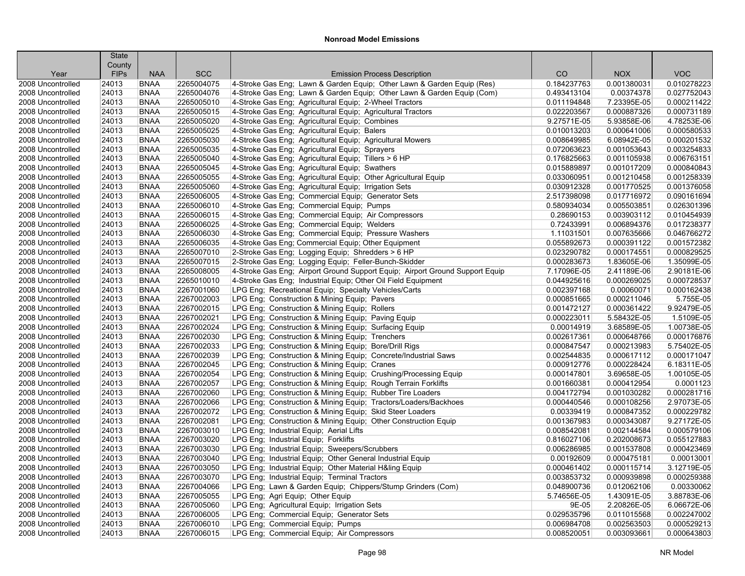|                                        | <b>State</b>   |                            |                          |                                                                                                        |                            |                            |                            |
|----------------------------------------|----------------|----------------------------|--------------------------|--------------------------------------------------------------------------------------------------------|----------------------------|----------------------------|----------------------------|
|                                        | County         |                            |                          |                                                                                                        |                            |                            |                            |
| Year                                   | <b>FIPs</b>    | <b>NAA</b>                 | <b>SCC</b>               | <b>Emission Process Description</b>                                                                    | CO                         | <b>NOX</b>                 | <b>VOC</b>                 |
| 2008 Uncontrolled                      | 24013          | <b>BNAA</b>                | 2265004075               | 4-Stroke Gas Eng; Lawn & Garden Equip; Other Lawn & Garden Equip (Res)                                 | 0.184237763                | 0.001380031                | 0.010278223                |
| 2008 Uncontrolled                      | 24013          | <b>BNAA</b>                | 2265004076               | 4-Stroke Gas Eng; Lawn & Garden Equip; Other Lawn & Garden Equip (Com)                                 | 0.493413104                | 0.00374378                 | 0.027752043<br>0.000211422 |
| 2008 Uncontrolled                      | 24013          | <b>BNAA</b>                | 2265005010               | 4-Stroke Gas Eng; Agricultural Equip; 2-Wheel Tractors                                                 | 0.011194848                | 7.23395E-05                |                            |
| 2008 Uncontrolled                      | 24013          | <b>BNAA</b>                | 2265005015               | 4-Stroke Gas Eng; Agricultural Equip; Agricultural Tractors                                            | 0.022203567                | 0.000887326<br>5.93858E-06 | 0.000731189                |
| 2008 Uncontrolled                      | 24013          | <b>BNAA</b><br><b>BNAA</b> | 2265005020<br>2265005025 | 4-Stroke Gas Eng; Agricultural Equip; Combines                                                         | 9.27571E-05<br>0.010013203 | 0.000641006                | 4.78253E-06<br>0.000580533 |
| 2008 Uncontrolled                      | 24013<br>24013 | <b>BNAA</b>                | 2265005030               | 4-Stroke Gas Eng; Agricultural Equip; Balers                                                           | 0.008649985                | 6.08942E-05                | 0.000201532                |
| 2008 Uncontrolled<br>2008 Uncontrolled | 24013          | <b>BNAA</b>                | 2265005035               | 4-Stroke Gas Eng; Agricultural Equip; Agricultural Mowers                                              | 0.072063623                | 0.001053643                | 0.003254833                |
|                                        | 24013          | <b>BNAA</b>                | 2265005040               | 4-Stroke Gas Eng; Agricultural Equip; Sprayers                                                         |                            | 0.001105938                | 0.006763151                |
| 2008 Uncontrolled                      |                | <b>BNAA</b>                | 2265005045               | 4-Stroke Gas Eng; Agricultural Equip; Tillers > 6 HP<br>4-Stroke Gas Eng; Agricultural Equip; Swathers | 0.176825663                |                            | 0.000840843                |
| 2008 Uncontrolled                      | 24013          |                            |                          |                                                                                                        | 0.015889897                | 0.001017209                |                            |
| 2008 Uncontrolled                      | 24013          | <b>BNAA</b>                | 2265005055               | 4-Stroke Gas Eng; Agricultural Equip; Other Agricultural Equip                                         | 0.033060951                | 0.001210458                | 0.001258339                |
| 2008 Uncontrolled                      | 24013          | <b>BNAA</b>                | 2265005060               | 4-Stroke Gas Eng; Agricultural Equip; Irrigation Sets                                                  | 0.030912328                | 0.001770525                | 0.001376058                |
| 2008 Uncontrolled                      | 24013          | <b>BNAA</b>                | 2265006005               | 4-Stroke Gas Eng; Commercial Equip; Generator Sets                                                     | 2.517398098                | 0.017716972                | 0.090161694                |
| 2008 Uncontrolled                      | 24013          | <b>BNAA</b>                | 2265006010               | 4-Stroke Gas Eng; Commercial Equip; Pumps                                                              | 0.580934034                | 0.005503851                | 0.026301396                |
| 2008 Uncontrolled                      | 24013          | <b>BNAA</b>                | 2265006015               | 4-Stroke Gas Eng; Commercial Equip; Air Compressors                                                    | 0.28690153                 | 0.003903112                | 0.010454939                |
| 2008 Uncontrolled                      | 24013          | <b>BNAA</b>                | 2265006025               | 4-Stroke Gas Eng; Commercial Equip; Welders                                                            | 0.72433991                 | 0.006894376                | 0.017238377                |
| 2008 Uncontrolled                      | 24013          | <b>BNAA</b>                | 2265006030               | 4-Stroke Gas Eng; Commercial Equip; Pressure Washers                                                   | 1.11031501                 | 0.007635666                | 0.046766272                |
| 2008 Uncontrolled                      | 24013          | <b>BNAA</b>                | 2265006035               | 4-Stroke Gas Eng; Commercial Equip; Other Equipment                                                    | 0.055892673                | 0.000391122                | 0.001572382                |
| 2008 Uncontrolled                      | 24013          | <b>BNAA</b>                | 2265007010               | 2-Stroke Gas Eng; Logging Equip; Shredders > 6 HP                                                      | 0.023290782                | 0.000174551                | 0.000829525                |
| 2008 Uncontrolled                      | 24013          | <b>BNAA</b>                | 2265007015               | 2-Stroke Gas Eng; Logging Equip; Feller-Bunch-Skidder                                                  | 0.000283673                | 1.83605E-06                | 1.35099E-05                |
| 2008 Uncontrolled                      | 24013          | <b>BNAA</b>                | 2265008005               | 4-Stroke Gas Eng; Airport Ground Support Equip; Airport Ground Support Equip                           | 7.17096E-05                | 2.41189E-06                | 2.90181E-06                |
| 2008 Uncontrolled                      | 24013          | <b>BNAA</b>                | 2265010010               | 4-Stroke Gas Eng; Industrial Equip; Other Oil Field Equipment                                          | 0.044925616                | 0.000269025                | 0.000728537                |
| 2008 Uncontrolled                      | 24013          | <b>BNAA</b>                | 2267001060               | LPG Eng; Recreational Equip; Specialty Vehicles/Carts                                                  | 0.002397168                | 0.00060071                 | 0.000162438                |
| 2008 Uncontrolled                      | 24013          | <b>BNAA</b>                | 2267002003               | LPG Eng; Construction & Mining Equip; Pavers                                                           | 0.000851665                | 0.000211046                | 5.755E-05                  |
| 2008 Uncontrolled                      | 24013          | <b>BNAA</b>                | 2267002015               | LPG Eng; Construction & Mining Equip; Rollers                                                          | 0.001472127                | 0.000361422                | 9.92479E-05                |
| 2008 Uncontrolled                      | 24013          | <b>BNAA</b>                | 2267002021               | LPG Eng; Construction & Mining Equip; Paving Equip                                                     | 0.000223011                | 5.58432E-05                | 1.5109E-05                 |
| 2008 Uncontrolled                      | 24013          | <b>BNAA</b>                | 2267002024               | LPG Eng; Construction & Mining Equip; Surfacing Equip                                                  | 0.00014919                 | 3.68589E-05                | 1.00738E-05                |
| 2008 Uncontrolled                      | 24013          | <b>BNAA</b>                | 2267002030               | LPG Eng; Construction & Mining Equip; Trenchers                                                        | 0.002617361                | 0.000648766                | 0.000176876                |
| 2008 Uncontrolled                      | 24013          | <b>BNAA</b>                | 2267002033               | LPG Eng; Construction & Mining Equip; Bore/Drill Rigs                                                  | 0.000847547                | 0.000213983                | 5.75402E-05                |
| 2008 Uncontrolled                      | 24013          | <b>BNAA</b>                | 2267002039               | LPG Eng; Construction & Mining Equip; Concrete/Industrial Saws                                         | 0.002544835                | 0.000617112                | 0.000171047                |
| 2008 Uncontrolled                      | 24013          | <b>BNAA</b>                | 2267002045               | LPG Eng; Construction & Mining Equip; Cranes                                                           | 0.000912776                | 0.000228424                | 6.18311E-05                |
| 2008 Uncontrolled                      | 24013          | <b>BNAA</b>                | 2267002054               | LPG Eng; Construction & Mining Equip; Crushing/Processing Equip                                        | 0.000147801                | 3.69658E-05                | 1.00105E-05                |
| 2008 Uncontrolled                      | 24013          | <b>BNAA</b>                | 2267002057               | LPG Eng; Construction & Mining Equip; Rough Terrain Forklifts                                          | 0.001660381                | 0.000412954                | 0.0001123                  |
| 2008 Uncontrolled                      | 24013          | <b>BNAA</b>                | 2267002060               | LPG Eng; Construction & Mining Equip; Rubber Tire Loaders                                              | 0.004172794                | 0.001030282                | 0.000281716                |
| 2008 Uncontrolled                      | 24013          | <b>BNAA</b>                | 2267002066               | LPG Eng; Construction & Mining Equip; Tractors/Loaders/Backhoes                                        | 0.000440546                | 0.000108256                | 2.97073E-05                |
| 2008 Uncontrolled                      | 24013          | <b>BNAA</b>                | 2267002072               | LPG Eng; Construction & Mining Equip; Skid Steer Loaders                                               | 0.00339419                 | 0.000847352                | 0.000229782                |
| 2008 Uncontrolled                      | 24013          | <b>BNAA</b>                | 2267002081               | LPG Eng; Construction & Mining Equip; Other Construction Equip                                         | 0.001367983                | 0.000343087                | 9.27172E-05                |
| 2008 Uncontrolled                      | 24013          | <b>BNAA</b>                | 2267003010               | LPG Eng; Industrial Equip; Aerial Lifts                                                                | 0.008542081                | 0.002144584                | 0.000579106                |
| 2008 Uncontrolled                      | 24013          | <b>BNAA</b>                | 2267003020               | LPG Eng; Industrial Equip; Forklifts                                                                   | 0.816027106                | 0.202008673                | 0.055127883                |
| 2008 Uncontrolled                      | 24013          | <b>BNAA</b>                | 2267003030               | LPG Eng; Industrial Equip; Sweepers/Scrubbers                                                          | 0.006286985                | 0.001537808                | 0.000423469                |
| 2008 Uncontrolled                      | 24013          | <b>BNAA</b>                | 2267003040               | LPG Eng; Industrial Equip; Other General Industrial Equip                                              | 0.00192609                 | 0.000475181                | 0.00013001                 |
| 2008 Uncontrolled                      | 24013          | <b>BNAA</b>                | 2267003050               | LPG Eng; Industrial Equip; Other Material H&ling Equip                                                 | 0.000461402                | 0.000115714                | 3.12719E-05                |
| 2008 Uncontrolled                      | 24013          | <b>BNAA</b>                | 2267003070               | LPG Eng; Industrial Equip; Terminal Tractors                                                           | 0.003853732                | 0.000939898                | 0.000259388                |
| 2008 Uncontrolled                      | 24013          | <b>BNAA</b>                | 2267004066               | LPG Eng; Lawn & Garden Equip; Chippers/Stump Grinders (Com)                                            | 0.048900736                | 0.012062106                | 0.00330062                 |
| 2008 Uncontrolled                      | 24013          | <b>BNAA</b>                | 2267005055               | LPG Eng; Agri Equip; Other Equip                                                                       | 5.74656E-05                | 1.43091E-05                | 3.88783E-06                |
| 2008 Uncontrolled                      | 24013          | <b>BNAA</b>                | 2267005060               | LPG Eng; Agricultural Equip; Irrigation Sets                                                           | 9E-05                      | 2.20826E-05                | 6.06672E-06                |
| 2008 Uncontrolled                      | 24013          | <b>BNAA</b>                | 2267006005               | LPG Eng; Commercial Equip; Generator Sets                                                              | 0.029535796                | 0.011015568                | 0.002247002                |
| 2008 Uncontrolled                      | 24013          | <b>BNAA</b>                | 2267006010               | LPG Eng; Commercial Equip; Pumps                                                                       | 0.006984708                | 0.002563503                | 0.000529213                |
| 2008 Uncontrolled                      | 24013          | <b>BNAA</b>                | 2267006015               | LPG Eng; Commercial Equip; Air Compressors                                                             | 0.008520051                | 0.003093661                | 0.000643803                |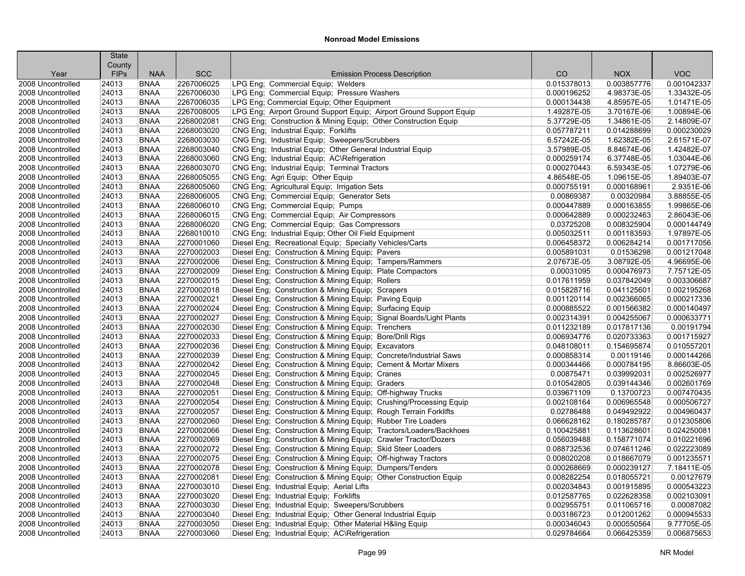| County<br><b>SCC</b><br><b>VOC</b><br><b>FIPs</b><br><b>NAA</b><br>CO<br><b>NOX</b><br>Year<br><b>Emission Process Description</b><br>2267006025<br>LPG Eng; Commercial Equip; Welders<br>0.015378013<br>0.001042337<br>2008 Uncontrolled<br>24013<br><b>BNAA</b><br>0.003857776<br>LPG Eng; Commercial Equip; Pressure Washers<br>1.33432E-05<br>24013<br><b>BNAA</b><br>2267006030<br>0.000196252<br>4.98373E-05<br>2008 Uncontrolled<br>2267006035<br>LPG Eng; Commercial Equip; Other Equipment<br>1.01471E-05<br>2008 Uncontrolled<br>24013<br><b>BNAA</b><br>0.000134438<br>4.85957E-05<br>LPG Eng; Airport Ground Support Equip; Airport Ground Support Equip<br>1.00894E-06<br>2008 Uncontrolled<br>24013<br><b>BNAA</b><br>2267008005<br>1.49287E-05<br>3.70167E-06<br>2.14809E-07<br>24013<br><b>BNAA</b><br>2268002081<br>CNG Eng; Construction & Mining Equip; Other Construction Equip<br>5.37729E-05<br>1.34861E-05<br>2008 Uncontrolled<br>24013<br><b>BNAA</b><br>2268003020<br>CNG Eng: Industrial Equip: Forklifts<br>0.057787211<br>0.014288699<br>0.000230029<br>2008 Uncontrolled<br>24013<br><b>BNAA</b><br>2268003030<br>CNG Eng; Industrial Equip; Sweepers/Scrubbers<br>6.57242E-05<br>1.62382E-05<br>2.61571E-07<br>2008 Uncontrolled<br>2268003040<br>1.42482E-07<br>24013<br><b>BNAA</b><br>CNG Eng; Industrial Equip; Other General Industrial Equip<br>3.57989E-05<br>8.84674E-06<br>2008 Uncontrolled<br>2268003060<br>CNG Eng; Industrial Equip; AC\Refrigeration<br>0.000259174<br>1.03044E-06<br>2008 Uncontrolled<br>24013<br><b>BNAA</b><br>6.37748E-05<br><b>BNAA</b><br>2268003070<br>CNG Eng; Industrial Equip; Terminal Tractors<br>0.000270443<br>6.59343E-05<br>1.07279E-06<br>2008 Uncontrolled<br>24013<br>CNG Eng; Agri Equip; Other Equip<br>1.89403E-07<br>2008 Uncontrolled<br>24013<br><b>BNAA</b><br>2268005055<br>4.86548E-05<br>1.09615E-05<br>2.9351E-06<br>24013<br><b>BNAA</b><br>2268005060<br>CNG Eng; Agricultural Equip; Irrigation Sets<br>0.000755191<br>0.000168961<br>2008 Uncontrolled<br>24013<br><b>BNAA</b><br>2268006005<br>CNG Eng; Commercial Equip; Generator Sets<br>0.00869387<br>0.00320984<br>3.88855E-05<br>2008 Uncontrolled<br>CNG Eng; Commercial Equip; Pumps<br>1.99865E-06<br>24013<br><b>BNAA</b><br>2268006010<br>0.000447889<br>0.000163855<br>2008 Uncontrolled<br>2268006015<br>CNG Eng; Commercial Equip; Air Compressors<br>0.000642889<br>0.000232463<br>2.86043E-06<br>24013<br><b>BNAA</b><br>2008 Uncontrolled<br>2268006020<br>CNG Eng; Commercial Equip; Gas Compressors<br>0.03725208<br>0.008325904<br>0.000144749<br>2008 Uncontrolled<br>24013<br><b>BNAA</b><br>CNG Eng; Industrial Equip; Other Oil Field Equipment<br>24013<br><b>BNAA</b><br>2268010010<br>0.005032511<br>0.001183593<br>1.97897E-05<br>2008 Uncontrolled<br>2270001060<br>Diesel Eng; Recreational Equip; Specialty Vehicles/Carts<br>0.006284214<br>0.001717056<br>2008 Uncontrolled<br>24013<br><b>BNAA</b><br>0.006458372<br>2270002003<br>24013<br><b>BNAA</b><br>Diesel Eng; Construction & Mining Equip; Pavers<br>0.005891031<br>0.01536298<br>0.001217048<br>2008 Uncontrolled<br>3.08792E-05<br>24013<br><b>BNAA</b><br>2270002006<br>Diesel Eng: Construction & Mining Equip: Tampers/Rammers<br>2.07673E-05<br>4.96695E-06<br>2008 Uncontrolled<br>2270002009<br>Diesel Eng; Construction & Mining Equip; Plate Compactors<br>7.75712E-05<br>2008 Uncontrolled<br>24013<br><b>BNAA</b><br>0.00031095<br>0.000476973<br>24013<br><b>BNAA</b><br>2270002015<br>Diesel Eng; Construction & Mining Equip; Rollers<br>0.037842049<br>0.003306687<br>2008 Uncontrolled<br>0.017611959<br>2270002018<br>24013<br><b>BNAA</b><br>Diesel Eng; Construction & Mining Equip; Scrapers<br>0.015828716<br>0.041125601<br>0.002195268<br>2008 Uncontrolled<br>24013<br><b>BNAA</b><br>2270002021<br>Diesel Eng; Construction & Mining Equip; Paving Equip<br>0.001120114<br>0.002366065<br>0.000217336<br>24013<br><b>BNAA</b><br>2270002024<br>Diesel Eng; Construction & Mining Equip; Surfacing Equip<br>0.001566382<br>0.000140497<br>0.000885522<br>2270002027<br>Diesel Eng; Construction & Mining Equip; Signal Boards/Light Plants<br>2008 Uncontrolled<br>24013<br><b>BNAA</b><br>0.002314391<br>0.004255067<br>0.000633771<br>24013<br><b>BNAA</b><br>2270002030<br>Diesel Eng; Construction & Mining Equip; Trenchers<br>0.011232189<br>0.017817136<br>0.00191794<br>2270002033<br>Diesel Eng; Construction & Mining Equip; Bore/Drill Rigs<br>0.020733363<br>0.001715927<br>24013<br><b>BNAA</b><br>0.006934776<br>24013<br><b>BNAA</b><br>2270002036<br>Diesel Eng; Construction & Mining Equip; Excavators<br>0.048108011<br>0.154695874<br>0.010557201<br>2270002039<br>Diesel Eng; Construction & Mining Equip; Concrete/Industrial Saws<br>24013<br><b>BNAA</b><br>0.000858314<br>0.00119146<br>0.000144266<br>2270002042<br>8.86603E-05<br>24013<br><b>BNAA</b><br>Diesel Eng; Construction & Mining Equip; Cement & Mortar Mixers<br>0.000344466<br>0.000784195<br>24013<br>2270002045<br>0.00875471<br>0.039992031<br>0.002526977<br><b>BNAA</b><br>Diesel Eng; Construction & Mining Equip; Cranes<br>2270002048<br>Diesel Eng; Construction & Mining Equip; Graders<br>0.010542805<br>0.039144346<br>0.002601769<br>24013<br><b>BNAA</b><br>2270002051<br>Diesel Eng; Construction & Mining Equip; Off-highway Trucks<br>0.007470435<br>24013<br><b>BNAA</b><br>0.039671109<br>0.13700723<br>2270002054<br>Diesel Eng; Construction & Mining Equip; Crushing/Processing Equip<br>0.002108164<br>0.006965548<br>0.000506727<br>24013<br><b>BNAA</b><br>0.004960437<br>24013<br><b>BNAA</b><br>2270002057<br>Diesel Eng; Construction & Mining Equip; Rough Terrain Forklifts<br>0.02786488<br>0.049492922<br>2270002060<br>0.012305806<br>2008 Uncontrolled<br>24013<br><b>BNAA</b><br>Diesel Eng; Construction & Mining Equip; Rubber Tire Loaders<br>0.066628162<br>0.180285787<br>0.024250081<br>24013<br><b>BNAA</b><br>2270002066<br>Diesel Eng; Construction & Mining Equip; Tractors/Loaders/Backhoes<br>0.100425881<br>0.113628601<br>24013<br><b>BNAA</b><br>2270002069<br>Diesel Eng; Construction & Mining Equip; Crawler Tractor/Dozers<br>0.056039488<br>0.158771074<br>0.010221696<br>2270002072<br>Diesel Eng; Construction & Mining Equip; Skid Steer Loaders<br>0.088732536<br>0.074611246<br>0.022223089<br>24013<br><b>BNAA</b><br>2270002075<br>0.018667079<br>0.001235571<br>24013<br><b>BNAA</b><br>Diesel Eng; Construction & Mining Equip; Off-highway Tractors<br>0.008020208<br><b>BNAA</b><br>2270002078<br>Diesel Eng; Construction & Mining Equip; Dumpers/Tenders<br>0.000268669<br>0.000239127<br>7.18411E-05<br>24013<br>0.00127679<br>24013<br><b>BNAA</b><br>2270002081<br>Diesel Eng; Construction & Mining Equip; Other Construction Equip<br>0.008282254<br>0.018055721<br>2270003010<br>0.000543223<br>24013<br><b>BNAA</b><br>Diesel Eng; Industrial Equip; Aerial Lifts<br>0.002034843<br>0.001915895<br>0.002103091<br>24013<br><b>BNAA</b><br>2270003020<br>Diesel Eng; Industrial Equip; Forklifts<br>0.012587765<br>0.022628358 |                   | <b>State</b> |             |            |                                                  |             |             |            |
|-----------------------------------------------------------------------------------------------------------------------------------------------------------------------------------------------------------------------------------------------------------------------------------------------------------------------------------------------------------------------------------------------------------------------------------------------------------------------------------------------------------------------------------------------------------------------------------------------------------------------------------------------------------------------------------------------------------------------------------------------------------------------------------------------------------------------------------------------------------------------------------------------------------------------------------------------------------------------------------------------------------------------------------------------------------------------------------------------------------------------------------------------------------------------------------------------------------------------------------------------------------------------------------------------------------------------------------------------------------------------------------------------------------------------------------------------------------------------------------------------------------------------------------------------------------------------------------------------------------------------------------------------------------------------------------------------------------------------------------------------------------------------------------------------------------------------------------------------------------------------------------------------------------------------------------------------------------------------------------------------------------------------------------------------------------------------------------------------------------------------------------------------------------------------------------------------------------------------------------------------------------------------------------------------------------------------------------------------------------------------------------------------------------------------------------------------------------------------------------------------------------------------------------------------------------------------------------------------------------------------------------------------------------------------------------------------------------------------------------------------------------------------------------------------------------------------------------------------------------------------------------------------------------------------------------------------------------------------------------------------------------------------------------------------------------------------------------------------------------------------------------------------------------------------------------------------------------------------------------------------------------------------------------------------------------------------------------------------------------------------------------------------------------------------------------------------------------------------------------------------------------------------------------------------------------------------------------------------------------------------------------------------------------------------------------------------------------------------------------------------------------------------------------------------------------------------------------------------------------------------------------------------------------------------------------------------------------------------------------------------------------------------------------------------------------------------------------------------------------------------------------------------------------------------------------------------------------------------------------------------------------------------------------------------------------------------------------------------------------------------------------------------------------------------------------------------------------------------------------------------------------------------------------------------------------------------------------------------------------------------------------------------------------------------------------------------------------------------------------------------------------------------------------------------------------------------------------------------------------------------------------------------------------------------------------------------------------------------------------------------------------------------------------------------------------------------------------------------------------------------------------------------------------------------------------------------------------------------------------------------------------------------------------------------------------------------------------------------------------------------------------------------------------------------------------------------------------------------------------------------------------------------------------------------------------------------------------------------------------------------------------------------------------------------------------------------------------------------------------------------------------------------------------------------------------------------------------------------------------------------------------------------------------------------------------------------------------------------------------------------------------------------------------------------------------------------------------------------------------------------------------------------------------------------------------------------------------------------------------------------------------------------------------------------------------------------------------------------------------------------------------------------------------------------------------------------------------------------------------------------------------------------------------------------------------------------------------------------------------------------------------------------------------------------------------------------------------------------------------------------------------------------------------------------------------------------------------------------------------------------------------------------------------------------------------------------------------------------------------------------------------------------------------------------------------------------------------------------------------------------------------------------------------------------|-------------------|--------------|-------------|------------|--------------------------------------------------|-------------|-------------|------------|
|                                                                                                                                                                                                                                                                                                                                                                                                                                                                                                                                                                                                                                                                                                                                                                                                                                                                                                                                                                                                                                                                                                                                                                                                                                                                                                                                                                                                                                                                                                                                                                                                                                                                                                                                                                                                                                                                                                                                                                                                                                                                                                                                                                                                                                                                                                                                                                                                                                                                                                                                                                                                                                                                                                                                                                                                                                                                                                                                                                                                                                                                                                                                                                                                                                                                                                                                                                                                                                                                                                                                                                                                                                                                                                                                                                                                                                                                                                                                                                                                                                                                                                                                                                                                                                                                                                                                                                                                                                                                                                                                                                                                                                                                                                                                                                                                                                                                                                                                                                                                                                                                                                                                                                                                                                                                                                                                                                                                                                                                                                                                                                                                                                                                                                                                                                                                                                                                                                                                                                                                                                                                                                                                                                                                                                                                                                                                                                                                                                                                                                                                                                                                                                                                                                                                                                                                                                                                                                                                                                                                                                                                                                                                                                       |                   |              |             |            |                                                  |             |             |            |
|                                                                                                                                                                                                                                                                                                                                                                                                                                                                                                                                                                                                                                                                                                                                                                                                                                                                                                                                                                                                                                                                                                                                                                                                                                                                                                                                                                                                                                                                                                                                                                                                                                                                                                                                                                                                                                                                                                                                                                                                                                                                                                                                                                                                                                                                                                                                                                                                                                                                                                                                                                                                                                                                                                                                                                                                                                                                                                                                                                                                                                                                                                                                                                                                                                                                                                                                                                                                                                                                                                                                                                                                                                                                                                                                                                                                                                                                                                                                                                                                                                                                                                                                                                                                                                                                                                                                                                                                                                                                                                                                                                                                                                                                                                                                                                                                                                                                                                                                                                                                                                                                                                                                                                                                                                                                                                                                                                                                                                                                                                                                                                                                                                                                                                                                                                                                                                                                                                                                                                                                                                                                                                                                                                                                                                                                                                                                                                                                                                                                                                                                                                                                                                                                                                                                                                                                                                                                                                                                                                                                                                                                                                                                                                       |                   |              |             |            |                                                  |             |             |            |
|                                                                                                                                                                                                                                                                                                                                                                                                                                                                                                                                                                                                                                                                                                                                                                                                                                                                                                                                                                                                                                                                                                                                                                                                                                                                                                                                                                                                                                                                                                                                                                                                                                                                                                                                                                                                                                                                                                                                                                                                                                                                                                                                                                                                                                                                                                                                                                                                                                                                                                                                                                                                                                                                                                                                                                                                                                                                                                                                                                                                                                                                                                                                                                                                                                                                                                                                                                                                                                                                                                                                                                                                                                                                                                                                                                                                                                                                                                                                                                                                                                                                                                                                                                                                                                                                                                                                                                                                                                                                                                                                                                                                                                                                                                                                                                                                                                                                                                                                                                                                                                                                                                                                                                                                                                                                                                                                                                                                                                                                                                                                                                                                                                                                                                                                                                                                                                                                                                                                                                                                                                                                                                                                                                                                                                                                                                                                                                                                                                                                                                                                                                                                                                                                                                                                                                                                                                                                                                                                                                                                                                                                                                                                                                       |                   |              |             |            |                                                  |             |             |            |
|                                                                                                                                                                                                                                                                                                                                                                                                                                                                                                                                                                                                                                                                                                                                                                                                                                                                                                                                                                                                                                                                                                                                                                                                                                                                                                                                                                                                                                                                                                                                                                                                                                                                                                                                                                                                                                                                                                                                                                                                                                                                                                                                                                                                                                                                                                                                                                                                                                                                                                                                                                                                                                                                                                                                                                                                                                                                                                                                                                                                                                                                                                                                                                                                                                                                                                                                                                                                                                                                                                                                                                                                                                                                                                                                                                                                                                                                                                                                                                                                                                                                                                                                                                                                                                                                                                                                                                                                                                                                                                                                                                                                                                                                                                                                                                                                                                                                                                                                                                                                                                                                                                                                                                                                                                                                                                                                                                                                                                                                                                                                                                                                                                                                                                                                                                                                                                                                                                                                                                                                                                                                                                                                                                                                                                                                                                                                                                                                                                                                                                                                                                                                                                                                                                                                                                                                                                                                                                                                                                                                                                                                                                                                                                       |                   |              |             |            |                                                  |             |             |            |
|                                                                                                                                                                                                                                                                                                                                                                                                                                                                                                                                                                                                                                                                                                                                                                                                                                                                                                                                                                                                                                                                                                                                                                                                                                                                                                                                                                                                                                                                                                                                                                                                                                                                                                                                                                                                                                                                                                                                                                                                                                                                                                                                                                                                                                                                                                                                                                                                                                                                                                                                                                                                                                                                                                                                                                                                                                                                                                                                                                                                                                                                                                                                                                                                                                                                                                                                                                                                                                                                                                                                                                                                                                                                                                                                                                                                                                                                                                                                                                                                                                                                                                                                                                                                                                                                                                                                                                                                                                                                                                                                                                                                                                                                                                                                                                                                                                                                                                                                                                                                                                                                                                                                                                                                                                                                                                                                                                                                                                                                                                                                                                                                                                                                                                                                                                                                                                                                                                                                                                                                                                                                                                                                                                                                                                                                                                                                                                                                                                                                                                                                                                                                                                                                                                                                                                                                                                                                                                                                                                                                                                                                                                                                                                       |                   |              |             |            |                                                  |             |             |            |
|                                                                                                                                                                                                                                                                                                                                                                                                                                                                                                                                                                                                                                                                                                                                                                                                                                                                                                                                                                                                                                                                                                                                                                                                                                                                                                                                                                                                                                                                                                                                                                                                                                                                                                                                                                                                                                                                                                                                                                                                                                                                                                                                                                                                                                                                                                                                                                                                                                                                                                                                                                                                                                                                                                                                                                                                                                                                                                                                                                                                                                                                                                                                                                                                                                                                                                                                                                                                                                                                                                                                                                                                                                                                                                                                                                                                                                                                                                                                                                                                                                                                                                                                                                                                                                                                                                                                                                                                                                                                                                                                                                                                                                                                                                                                                                                                                                                                                                                                                                                                                                                                                                                                                                                                                                                                                                                                                                                                                                                                                                                                                                                                                                                                                                                                                                                                                                                                                                                                                                                                                                                                                                                                                                                                                                                                                                                                                                                                                                                                                                                                                                                                                                                                                                                                                                                                                                                                                                                                                                                                                                                                                                                                                                       |                   |              |             |            |                                                  |             |             |            |
|                                                                                                                                                                                                                                                                                                                                                                                                                                                                                                                                                                                                                                                                                                                                                                                                                                                                                                                                                                                                                                                                                                                                                                                                                                                                                                                                                                                                                                                                                                                                                                                                                                                                                                                                                                                                                                                                                                                                                                                                                                                                                                                                                                                                                                                                                                                                                                                                                                                                                                                                                                                                                                                                                                                                                                                                                                                                                                                                                                                                                                                                                                                                                                                                                                                                                                                                                                                                                                                                                                                                                                                                                                                                                                                                                                                                                                                                                                                                                                                                                                                                                                                                                                                                                                                                                                                                                                                                                                                                                                                                                                                                                                                                                                                                                                                                                                                                                                                                                                                                                                                                                                                                                                                                                                                                                                                                                                                                                                                                                                                                                                                                                                                                                                                                                                                                                                                                                                                                                                                                                                                                                                                                                                                                                                                                                                                                                                                                                                                                                                                                                                                                                                                                                                                                                                                                                                                                                                                                                                                                                                                                                                                                                                       |                   |              |             |            |                                                  |             |             |            |
|                                                                                                                                                                                                                                                                                                                                                                                                                                                                                                                                                                                                                                                                                                                                                                                                                                                                                                                                                                                                                                                                                                                                                                                                                                                                                                                                                                                                                                                                                                                                                                                                                                                                                                                                                                                                                                                                                                                                                                                                                                                                                                                                                                                                                                                                                                                                                                                                                                                                                                                                                                                                                                                                                                                                                                                                                                                                                                                                                                                                                                                                                                                                                                                                                                                                                                                                                                                                                                                                                                                                                                                                                                                                                                                                                                                                                                                                                                                                                                                                                                                                                                                                                                                                                                                                                                                                                                                                                                                                                                                                                                                                                                                                                                                                                                                                                                                                                                                                                                                                                                                                                                                                                                                                                                                                                                                                                                                                                                                                                                                                                                                                                                                                                                                                                                                                                                                                                                                                                                                                                                                                                                                                                                                                                                                                                                                                                                                                                                                                                                                                                                                                                                                                                                                                                                                                                                                                                                                                                                                                                                                                                                                                                                       |                   |              |             |            |                                                  |             |             |            |
|                                                                                                                                                                                                                                                                                                                                                                                                                                                                                                                                                                                                                                                                                                                                                                                                                                                                                                                                                                                                                                                                                                                                                                                                                                                                                                                                                                                                                                                                                                                                                                                                                                                                                                                                                                                                                                                                                                                                                                                                                                                                                                                                                                                                                                                                                                                                                                                                                                                                                                                                                                                                                                                                                                                                                                                                                                                                                                                                                                                                                                                                                                                                                                                                                                                                                                                                                                                                                                                                                                                                                                                                                                                                                                                                                                                                                                                                                                                                                                                                                                                                                                                                                                                                                                                                                                                                                                                                                                                                                                                                                                                                                                                                                                                                                                                                                                                                                                                                                                                                                                                                                                                                                                                                                                                                                                                                                                                                                                                                                                                                                                                                                                                                                                                                                                                                                                                                                                                                                                                                                                                                                                                                                                                                                                                                                                                                                                                                                                                                                                                                                                                                                                                                                                                                                                                                                                                                                                                                                                                                                                                                                                                                                                       |                   |              |             |            |                                                  |             |             |            |
|                                                                                                                                                                                                                                                                                                                                                                                                                                                                                                                                                                                                                                                                                                                                                                                                                                                                                                                                                                                                                                                                                                                                                                                                                                                                                                                                                                                                                                                                                                                                                                                                                                                                                                                                                                                                                                                                                                                                                                                                                                                                                                                                                                                                                                                                                                                                                                                                                                                                                                                                                                                                                                                                                                                                                                                                                                                                                                                                                                                                                                                                                                                                                                                                                                                                                                                                                                                                                                                                                                                                                                                                                                                                                                                                                                                                                                                                                                                                                                                                                                                                                                                                                                                                                                                                                                                                                                                                                                                                                                                                                                                                                                                                                                                                                                                                                                                                                                                                                                                                                                                                                                                                                                                                                                                                                                                                                                                                                                                                                                                                                                                                                                                                                                                                                                                                                                                                                                                                                                                                                                                                                                                                                                                                                                                                                                                                                                                                                                                                                                                                                                                                                                                                                                                                                                                                                                                                                                                                                                                                                                                                                                                                                                       |                   |              |             |            |                                                  |             |             |            |
|                                                                                                                                                                                                                                                                                                                                                                                                                                                                                                                                                                                                                                                                                                                                                                                                                                                                                                                                                                                                                                                                                                                                                                                                                                                                                                                                                                                                                                                                                                                                                                                                                                                                                                                                                                                                                                                                                                                                                                                                                                                                                                                                                                                                                                                                                                                                                                                                                                                                                                                                                                                                                                                                                                                                                                                                                                                                                                                                                                                                                                                                                                                                                                                                                                                                                                                                                                                                                                                                                                                                                                                                                                                                                                                                                                                                                                                                                                                                                                                                                                                                                                                                                                                                                                                                                                                                                                                                                                                                                                                                                                                                                                                                                                                                                                                                                                                                                                                                                                                                                                                                                                                                                                                                                                                                                                                                                                                                                                                                                                                                                                                                                                                                                                                                                                                                                                                                                                                                                                                                                                                                                                                                                                                                                                                                                                                                                                                                                                                                                                                                                                                                                                                                                                                                                                                                                                                                                                                                                                                                                                                                                                                                                                       |                   |              |             |            |                                                  |             |             |            |
|                                                                                                                                                                                                                                                                                                                                                                                                                                                                                                                                                                                                                                                                                                                                                                                                                                                                                                                                                                                                                                                                                                                                                                                                                                                                                                                                                                                                                                                                                                                                                                                                                                                                                                                                                                                                                                                                                                                                                                                                                                                                                                                                                                                                                                                                                                                                                                                                                                                                                                                                                                                                                                                                                                                                                                                                                                                                                                                                                                                                                                                                                                                                                                                                                                                                                                                                                                                                                                                                                                                                                                                                                                                                                                                                                                                                                                                                                                                                                                                                                                                                                                                                                                                                                                                                                                                                                                                                                                                                                                                                                                                                                                                                                                                                                                                                                                                                                                                                                                                                                                                                                                                                                                                                                                                                                                                                                                                                                                                                                                                                                                                                                                                                                                                                                                                                                                                                                                                                                                                                                                                                                                                                                                                                                                                                                                                                                                                                                                                                                                                                                                                                                                                                                                                                                                                                                                                                                                                                                                                                                                                                                                                                                                       |                   |              |             |            |                                                  |             |             |            |
|                                                                                                                                                                                                                                                                                                                                                                                                                                                                                                                                                                                                                                                                                                                                                                                                                                                                                                                                                                                                                                                                                                                                                                                                                                                                                                                                                                                                                                                                                                                                                                                                                                                                                                                                                                                                                                                                                                                                                                                                                                                                                                                                                                                                                                                                                                                                                                                                                                                                                                                                                                                                                                                                                                                                                                                                                                                                                                                                                                                                                                                                                                                                                                                                                                                                                                                                                                                                                                                                                                                                                                                                                                                                                                                                                                                                                                                                                                                                                                                                                                                                                                                                                                                                                                                                                                                                                                                                                                                                                                                                                                                                                                                                                                                                                                                                                                                                                                                                                                                                                                                                                                                                                                                                                                                                                                                                                                                                                                                                                                                                                                                                                                                                                                                                                                                                                                                                                                                                                                                                                                                                                                                                                                                                                                                                                                                                                                                                                                                                                                                                                                                                                                                                                                                                                                                                                                                                                                                                                                                                                                                                                                                                                                       |                   |              |             |            |                                                  |             |             |            |
|                                                                                                                                                                                                                                                                                                                                                                                                                                                                                                                                                                                                                                                                                                                                                                                                                                                                                                                                                                                                                                                                                                                                                                                                                                                                                                                                                                                                                                                                                                                                                                                                                                                                                                                                                                                                                                                                                                                                                                                                                                                                                                                                                                                                                                                                                                                                                                                                                                                                                                                                                                                                                                                                                                                                                                                                                                                                                                                                                                                                                                                                                                                                                                                                                                                                                                                                                                                                                                                                                                                                                                                                                                                                                                                                                                                                                                                                                                                                                                                                                                                                                                                                                                                                                                                                                                                                                                                                                                                                                                                                                                                                                                                                                                                                                                                                                                                                                                                                                                                                                                                                                                                                                                                                                                                                                                                                                                                                                                                                                                                                                                                                                                                                                                                                                                                                                                                                                                                                                                                                                                                                                                                                                                                                                                                                                                                                                                                                                                                                                                                                                                                                                                                                                                                                                                                                                                                                                                                                                                                                                                                                                                                                                                       |                   |              |             |            |                                                  |             |             |            |
|                                                                                                                                                                                                                                                                                                                                                                                                                                                                                                                                                                                                                                                                                                                                                                                                                                                                                                                                                                                                                                                                                                                                                                                                                                                                                                                                                                                                                                                                                                                                                                                                                                                                                                                                                                                                                                                                                                                                                                                                                                                                                                                                                                                                                                                                                                                                                                                                                                                                                                                                                                                                                                                                                                                                                                                                                                                                                                                                                                                                                                                                                                                                                                                                                                                                                                                                                                                                                                                                                                                                                                                                                                                                                                                                                                                                                                                                                                                                                                                                                                                                                                                                                                                                                                                                                                                                                                                                                                                                                                                                                                                                                                                                                                                                                                                                                                                                                                                                                                                                                                                                                                                                                                                                                                                                                                                                                                                                                                                                                                                                                                                                                                                                                                                                                                                                                                                                                                                                                                                                                                                                                                                                                                                                                                                                                                                                                                                                                                                                                                                                                                                                                                                                                                                                                                                                                                                                                                                                                                                                                                                                                                                                                                       |                   |              |             |            |                                                  |             |             |            |
|                                                                                                                                                                                                                                                                                                                                                                                                                                                                                                                                                                                                                                                                                                                                                                                                                                                                                                                                                                                                                                                                                                                                                                                                                                                                                                                                                                                                                                                                                                                                                                                                                                                                                                                                                                                                                                                                                                                                                                                                                                                                                                                                                                                                                                                                                                                                                                                                                                                                                                                                                                                                                                                                                                                                                                                                                                                                                                                                                                                                                                                                                                                                                                                                                                                                                                                                                                                                                                                                                                                                                                                                                                                                                                                                                                                                                                                                                                                                                                                                                                                                                                                                                                                                                                                                                                                                                                                                                                                                                                                                                                                                                                                                                                                                                                                                                                                                                                                                                                                                                                                                                                                                                                                                                                                                                                                                                                                                                                                                                                                                                                                                                                                                                                                                                                                                                                                                                                                                                                                                                                                                                                                                                                                                                                                                                                                                                                                                                                                                                                                                                                                                                                                                                                                                                                                                                                                                                                                                                                                                                                                                                                                                                                       |                   |              |             |            |                                                  |             |             |            |
|                                                                                                                                                                                                                                                                                                                                                                                                                                                                                                                                                                                                                                                                                                                                                                                                                                                                                                                                                                                                                                                                                                                                                                                                                                                                                                                                                                                                                                                                                                                                                                                                                                                                                                                                                                                                                                                                                                                                                                                                                                                                                                                                                                                                                                                                                                                                                                                                                                                                                                                                                                                                                                                                                                                                                                                                                                                                                                                                                                                                                                                                                                                                                                                                                                                                                                                                                                                                                                                                                                                                                                                                                                                                                                                                                                                                                                                                                                                                                                                                                                                                                                                                                                                                                                                                                                                                                                                                                                                                                                                                                                                                                                                                                                                                                                                                                                                                                                                                                                                                                                                                                                                                                                                                                                                                                                                                                                                                                                                                                                                                                                                                                                                                                                                                                                                                                                                                                                                                                                                                                                                                                                                                                                                                                                                                                                                                                                                                                                                                                                                                                                                                                                                                                                                                                                                                                                                                                                                                                                                                                                                                                                                                                                       |                   |              |             |            |                                                  |             |             |            |
|                                                                                                                                                                                                                                                                                                                                                                                                                                                                                                                                                                                                                                                                                                                                                                                                                                                                                                                                                                                                                                                                                                                                                                                                                                                                                                                                                                                                                                                                                                                                                                                                                                                                                                                                                                                                                                                                                                                                                                                                                                                                                                                                                                                                                                                                                                                                                                                                                                                                                                                                                                                                                                                                                                                                                                                                                                                                                                                                                                                                                                                                                                                                                                                                                                                                                                                                                                                                                                                                                                                                                                                                                                                                                                                                                                                                                                                                                                                                                                                                                                                                                                                                                                                                                                                                                                                                                                                                                                                                                                                                                                                                                                                                                                                                                                                                                                                                                                                                                                                                                                                                                                                                                                                                                                                                                                                                                                                                                                                                                                                                                                                                                                                                                                                                                                                                                                                                                                                                                                                                                                                                                                                                                                                                                                                                                                                                                                                                                                                                                                                                                                                                                                                                                                                                                                                                                                                                                                                                                                                                                                                                                                                                                                       |                   |              |             |            |                                                  |             |             |            |
|                                                                                                                                                                                                                                                                                                                                                                                                                                                                                                                                                                                                                                                                                                                                                                                                                                                                                                                                                                                                                                                                                                                                                                                                                                                                                                                                                                                                                                                                                                                                                                                                                                                                                                                                                                                                                                                                                                                                                                                                                                                                                                                                                                                                                                                                                                                                                                                                                                                                                                                                                                                                                                                                                                                                                                                                                                                                                                                                                                                                                                                                                                                                                                                                                                                                                                                                                                                                                                                                                                                                                                                                                                                                                                                                                                                                                                                                                                                                                                                                                                                                                                                                                                                                                                                                                                                                                                                                                                                                                                                                                                                                                                                                                                                                                                                                                                                                                                                                                                                                                                                                                                                                                                                                                                                                                                                                                                                                                                                                                                                                                                                                                                                                                                                                                                                                                                                                                                                                                                                                                                                                                                                                                                                                                                                                                                                                                                                                                                                                                                                                                                                                                                                                                                                                                                                                                                                                                                                                                                                                                                                                                                                                                                       |                   |              |             |            |                                                  |             |             |            |
|                                                                                                                                                                                                                                                                                                                                                                                                                                                                                                                                                                                                                                                                                                                                                                                                                                                                                                                                                                                                                                                                                                                                                                                                                                                                                                                                                                                                                                                                                                                                                                                                                                                                                                                                                                                                                                                                                                                                                                                                                                                                                                                                                                                                                                                                                                                                                                                                                                                                                                                                                                                                                                                                                                                                                                                                                                                                                                                                                                                                                                                                                                                                                                                                                                                                                                                                                                                                                                                                                                                                                                                                                                                                                                                                                                                                                                                                                                                                                                                                                                                                                                                                                                                                                                                                                                                                                                                                                                                                                                                                                                                                                                                                                                                                                                                                                                                                                                                                                                                                                                                                                                                                                                                                                                                                                                                                                                                                                                                                                                                                                                                                                                                                                                                                                                                                                                                                                                                                                                                                                                                                                                                                                                                                                                                                                                                                                                                                                                                                                                                                                                                                                                                                                                                                                                                                                                                                                                                                                                                                                                                                                                                                                                       |                   |              |             |            |                                                  |             |             |            |
|                                                                                                                                                                                                                                                                                                                                                                                                                                                                                                                                                                                                                                                                                                                                                                                                                                                                                                                                                                                                                                                                                                                                                                                                                                                                                                                                                                                                                                                                                                                                                                                                                                                                                                                                                                                                                                                                                                                                                                                                                                                                                                                                                                                                                                                                                                                                                                                                                                                                                                                                                                                                                                                                                                                                                                                                                                                                                                                                                                                                                                                                                                                                                                                                                                                                                                                                                                                                                                                                                                                                                                                                                                                                                                                                                                                                                                                                                                                                                                                                                                                                                                                                                                                                                                                                                                                                                                                                                                                                                                                                                                                                                                                                                                                                                                                                                                                                                                                                                                                                                                                                                                                                                                                                                                                                                                                                                                                                                                                                                                                                                                                                                                                                                                                                                                                                                                                                                                                                                                                                                                                                                                                                                                                                                                                                                                                                                                                                                                                                                                                                                                                                                                                                                                                                                                                                                                                                                                                                                                                                                                                                                                                                                                       |                   |              |             |            |                                                  |             |             |            |
|                                                                                                                                                                                                                                                                                                                                                                                                                                                                                                                                                                                                                                                                                                                                                                                                                                                                                                                                                                                                                                                                                                                                                                                                                                                                                                                                                                                                                                                                                                                                                                                                                                                                                                                                                                                                                                                                                                                                                                                                                                                                                                                                                                                                                                                                                                                                                                                                                                                                                                                                                                                                                                                                                                                                                                                                                                                                                                                                                                                                                                                                                                                                                                                                                                                                                                                                                                                                                                                                                                                                                                                                                                                                                                                                                                                                                                                                                                                                                                                                                                                                                                                                                                                                                                                                                                                                                                                                                                                                                                                                                                                                                                                                                                                                                                                                                                                                                                                                                                                                                                                                                                                                                                                                                                                                                                                                                                                                                                                                                                                                                                                                                                                                                                                                                                                                                                                                                                                                                                                                                                                                                                                                                                                                                                                                                                                                                                                                                                                                                                                                                                                                                                                                                                                                                                                                                                                                                                                                                                                                                                                                                                                                                                       |                   |              |             |            |                                                  |             |             |            |
|                                                                                                                                                                                                                                                                                                                                                                                                                                                                                                                                                                                                                                                                                                                                                                                                                                                                                                                                                                                                                                                                                                                                                                                                                                                                                                                                                                                                                                                                                                                                                                                                                                                                                                                                                                                                                                                                                                                                                                                                                                                                                                                                                                                                                                                                                                                                                                                                                                                                                                                                                                                                                                                                                                                                                                                                                                                                                                                                                                                                                                                                                                                                                                                                                                                                                                                                                                                                                                                                                                                                                                                                                                                                                                                                                                                                                                                                                                                                                                                                                                                                                                                                                                                                                                                                                                                                                                                                                                                                                                                                                                                                                                                                                                                                                                                                                                                                                                                                                                                                                                                                                                                                                                                                                                                                                                                                                                                                                                                                                                                                                                                                                                                                                                                                                                                                                                                                                                                                                                                                                                                                                                                                                                                                                                                                                                                                                                                                                                                                                                                                                                                                                                                                                                                                                                                                                                                                                                                                                                                                                                                                                                                                                                       |                   |              |             |            |                                                  |             |             |            |
|                                                                                                                                                                                                                                                                                                                                                                                                                                                                                                                                                                                                                                                                                                                                                                                                                                                                                                                                                                                                                                                                                                                                                                                                                                                                                                                                                                                                                                                                                                                                                                                                                                                                                                                                                                                                                                                                                                                                                                                                                                                                                                                                                                                                                                                                                                                                                                                                                                                                                                                                                                                                                                                                                                                                                                                                                                                                                                                                                                                                                                                                                                                                                                                                                                                                                                                                                                                                                                                                                                                                                                                                                                                                                                                                                                                                                                                                                                                                                                                                                                                                                                                                                                                                                                                                                                                                                                                                                                                                                                                                                                                                                                                                                                                                                                                                                                                                                                                                                                                                                                                                                                                                                                                                                                                                                                                                                                                                                                                                                                                                                                                                                                                                                                                                                                                                                                                                                                                                                                                                                                                                                                                                                                                                                                                                                                                                                                                                                                                                                                                                                                                                                                                                                                                                                                                                                                                                                                                                                                                                                                                                                                                                                                       |                   |              |             |            |                                                  |             |             |            |
|                                                                                                                                                                                                                                                                                                                                                                                                                                                                                                                                                                                                                                                                                                                                                                                                                                                                                                                                                                                                                                                                                                                                                                                                                                                                                                                                                                                                                                                                                                                                                                                                                                                                                                                                                                                                                                                                                                                                                                                                                                                                                                                                                                                                                                                                                                                                                                                                                                                                                                                                                                                                                                                                                                                                                                                                                                                                                                                                                                                                                                                                                                                                                                                                                                                                                                                                                                                                                                                                                                                                                                                                                                                                                                                                                                                                                                                                                                                                                                                                                                                                                                                                                                                                                                                                                                                                                                                                                                                                                                                                                                                                                                                                                                                                                                                                                                                                                                                                                                                                                                                                                                                                                                                                                                                                                                                                                                                                                                                                                                                                                                                                                                                                                                                                                                                                                                                                                                                                                                                                                                                                                                                                                                                                                                                                                                                                                                                                                                                                                                                                                                                                                                                                                                                                                                                                                                                                                                                                                                                                                                                                                                                                                                       |                   |              |             |            |                                                  |             |             |            |
|                                                                                                                                                                                                                                                                                                                                                                                                                                                                                                                                                                                                                                                                                                                                                                                                                                                                                                                                                                                                                                                                                                                                                                                                                                                                                                                                                                                                                                                                                                                                                                                                                                                                                                                                                                                                                                                                                                                                                                                                                                                                                                                                                                                                                                                                                                                                                                                                                                                                                                                                                                                                                                                                                                                                                                                                                                                                                                                                                                                                                                                                                                                                                                                                                                                                                                                                                                                                                                                                                                                                                                                                                                                                                                                                                                                                                                                                                                                                                                                                                                                                                                                                                                                                                                                                                                                                                                                                                                                                                                                                                                                                                                                                                                                                                                                                                                                                                                                                                                                                                                                                                                                                                                                                                                                                                                                                                                                                                                                                                                                                                                                                                                                                                                                                                                                                                                                                                                                                                                                                                                                                                                                                                                                                                                                                                                                                                                                                                                                                                                                                                                                                                                                                                                                                                                                                                                                                                                                                                                                                                                                                                                                                                                       | 2008 Uncontrolled |              |             |            |                                                  |             |             |            |
|                                                                                                                                                                                                                                                                                                                                                                                                                                                                                                                                                                                                                                                                                                                                                                                                                                                                                                                                                                                                                                                                                                                                                                                                                                                                                                                                                                                                                                                                                                                                                                                                                                                                                                                                                                                                                                                                                                                                                                                                                                                                                                                                                                                                                                                                                                                                                                                                                                                                                                                                                                                                                                                                                                                                                                                                                                                                                                                                                                                                                                                                                                                                                                                                                                                                                                                                                                                                                                                                                                                                                                                                                                                                                                                                                                                                                                                                                                                                                                                                                                                                                                                                                                                                                                                                                                                                                                                                                                                                                                                                                                                                                                                                                                                                                                                                                                                                                                                                                                                                                                                                                                                                                                                                                                                                                                                                                                                                                                                                                                                                                                                                                                                                                                                                                                                                                                                                                                                                                                                                                                                                                                                                                                                                                                                                                                                                                                                                                                                                                                                                                                                                                                                                                                                                                                                                                                                                                                                                                                                                                                                                                                                                                                       | 2008 Uncontrolled |              |             |            |                                                  |             |             |            |
|                                                                                                                                                                                                                                                                                                                                                                                                                                                                                                                                                                                                                                                                                                                                                                                                                                                                                                                                                                                                                                                                                                                                                                                                                                                                                                                                                                                                                                                                                                                                                                                                                                                                                                                                                                                                                                                                                                                                                                                                                                                                                                                                                                                                                                                                                                                                                                                                                                                                                                                                                                                                                                                                                                                                                                                                                                                                                                                                                                                                                                                                                                                                                                                                                                                                                                                                                                                                                                                                                                                                                                                                                                                                                                                                                                                                                                                                                                                                                                                                                                                                                                                                                                                                                                                                                                                                                                                                                                                                                                                                                                                                                                                                                                                                                                                                                                                                                                                                                                                                                                                                                                                                                                                                                                                                                                                                                                                                                                                                                                                                                                                                                                                                                                                                                                                                                                                                                                                                                                                                                                                                                                                                                                                                                                                                                                                                                                                                                                                                                                                                                                                                                                                                                                                                                                                                                                                                                                                                                                                                                                                                                                                                                                       |                   |              |             |            |                                                  |             |             |            |
|                                                                                                                                                                                                                                                                                                                                                                                                                                                                                                                                                                                                                                                                                                                                                                                                                                                                                                                                                                                                                                                                                                                                                                                                                                                                                                                                                                                                                                                                                                                                                                                                                                                                                                                                                                                                                                                                                                                                                                                                                                                                                                                                                                                                                                                                                                                                                                                                                                                                                                                                                                                                                                                                                                                                                                                                                                                                                                                                                                                                                                                                                                                                                                                                                                                                                                                                                                                                                                                                                                                                                                                                                                                                                                                                                                                                                                                                                                                                                                                                                                                                                                                                                                                                                                                                                                                                                                                                                                                                                                                                                                                                                                                                                                                                                                                                                                                                                                                                                                                                                                                                                                                                                                                                                                                                                                                                                                                                                                                                                                                                                                                                                                                                                                                                                                                                                                                                                                                                                                                                                                                                                                                                                                                                                                                                                                                                                                                                                                                                                                                                                                                                                                                                                                                                                                                                                                                                                                                                                                                                                                                                                                                                                                       | 2008 Uncontrolled |              |             |            |                                                  |             |             |            |
|                                                                                                                                                                                                                                                                                                                                                                                                                                                                                                                                                                                                                                                                                                                                                                                                                                                                                                                                                                                                                                                                                                                                                                                                                                                                                                                                                                                                                                                                                                                                                                                                                                                                                                                                                                                                                                                                                                                                                                                                                                                                                                                                                                                                                                                                                                                                                                                                                                                                                                                                                                                                                                                                                                                                                                                                                                                                                                                                                                                                                                                                                                                                                                                                                                                                                                                                                                                                                                                                                                                                                                                                                                                                                                                                                                                                                                                                                                                                                                                                                                                                                                                                                                                                                                                                                                                                                                                                                                                                                                                                                                                                                                                                                                                                                                                                                                                                                                                                                                                                                                                                                                                                                                                                                                                                                                                                                                                                                                                                                                                                                                                                                                                                                                                                                                                                                                                                                                                                                                                                                                                                                                                                                                                                                                                                                                                                                                                                                                                                                                                                                                                                                                                                                                                                                                                                                                                                                                                                                                                                                                                                                                                                                                       | 2008 Uncontrolled |              |             |            |                                                  |             |             |            |
|                                                                                                                                                                                                                                                                                                                                                                                                                                                                                                                                                                                                                                                                                                                                                                                                                                                                                                                                                                                                                                                                                                                                                                                                                                                                                                                                                                                                                                                                                                                                                                                                                                                                                                                                                                                                                                                                                                                                                                                                                                                                                                                                                                                                                                                                                                                                                                                                                                                                                                                                                                                                                                                                                                                                                                                                                                                                                                                                                                                                                                                                                                                                                                                                                                                                                                                                                                                                                                                                                                                                                                                                                                                                                                                                                                                                                                                                                                                                                                                                                                                                                                                                                                                                                                                                                                                                                                                                                                                                                                                                                                                                                                                                                                                                                                                                                                                                                                                                                                                                                                                                                                                                                                                                                                                                                                                                                                                                                                                                                                                                                                                                                                                                                                                                                                                                                                                                                                                                                                                                                                                                                                                                                                                                                                                                                                                                                                                                                                                                                                                                                                                                                                                                                                                                                                                                                                                                                                                                                                                                                                                                                                                                                                       | 2008 Uncontrolled |              |             |            |                                                  |             |             |            |
|                                                                                                                                                                                                                                                                                                                                                                                                                                                                                                                                                                                                                                                                                                                                                                                                                                                                                                                                                                                                                                                                                                                                                                                                                                                                                                                                                                                                                                                                                                                                                                                                                                                                                                                                                                                                                                                                                                                                                                                                                                                                                                                                                                                                                                                                                                                                                                                                                                                                                                                                                                                                                                                                                                                                                                                                                                                                                                                                                                                                                                                                                                                                                                                                                                                                                                                                                                                                                                                                                                                                                                                                                                                                                                                                                                                                                                                                                                                                                                                                                                                                                                                                                                                                                                                                                                                                                                                                                                                                                                                                                                                                                                                                                                                                                                                                                                                                                                                                                                                                                                                                                                                                                                                                                                                                                                                                                                                                                                                                                                                                                                                                                                                                                                                                                                                                                                                                                                                                                                                                                                                                                                                                                                                                                                                                                                                                                                                                                                                                                                                                                                                                                                                                                                                                                                                                                                                                                                                                                                                                                                                                                                                                                                       | 2008 Uncontrolled |              |             |            |                                                  |             |             |            |
|                                                                                                                                                                                                                                                                                                                                                                                                                                                                                                                                                                                                                                                                                                                                                                                                                                                                                                                                                                                                                                                                                                                                                                                                                                                                                                                                                                                                                                                                                                                                                                                                                                                                                                                                                                                                                                                                                                                                                                                                                                                                                                                                                                                                                                                                                                                                                                                                                                                                                                                                                                                                                                                                                                                                                                                                                                                                                                                                                                                                                                                                                                                                                                                                                                                                                                                                                                                                                                                                                                                                                                                                                                                                                                                                                                                                                                                                                                                                                                                                                                                                                                                                                                                                                                                                                                                                                                                                                                                                                                                                                                                                                                                                                                                                                                                                                                                                                                                                                                                                                                                                                                                                                                                                                                                                                                                                                                                                                                                                                                                                                                                                                                                                                                                                                                                                                                                                                                                                                                                                                                                                                                                                                                                                                                                                                                                                                                                                                                                                                                                                                                                                                                                                                                                                                                                                                                                                                                                                                                                                                                                                                                                                                                       | 2008 Uncontrolled |              |             |            |                                                  |             |             |            |
|                                                                                                                                                                                                                                                                                                                                                                                                                                                                                                                                                                                                                                                                                                                                                                                                                                                                                                                                                                                                                                                                                                                                                                                                                                                                                                                                                                                                                                                                                                                                                                                                                                                                                                                                                                                                                                                                                                                                                                                                                                                                                                                                                                                                                                                                                                                                                                                                                                                                                                                                                                                                                                                                                                                                                                                                                                                                                                                                                                                                                                                                                                                                                                                                                                                                                                                                                                                                                                                                                                                                                                                                                                                                                                                                                                                                                                                                                                                                                                                                                                                                                                                                                                                                                                                                                                                                                                                                                                                                                                                                                                                                                                                                                                                                                                                                                                                                                                                                                                                                                                                                                                                                                                                                                                                                                                                                                                                                                                                                                                                                                                                                                                                                                                                                                                                                                                                                                                                                                                                                                                                                                                                                                                                                                                                                                                                                                                                                                                                                                                                                                                                                                                                                                                                                                                                                                                                                                                                                                                                                                                                                                                                                                                       | 2008 Uncontrolled |              |             |            |                                                  |             |             |            |
|                                                                                                                                                                                                                                                                                                                                                                                                                                                                                                                                                                                                                                                                                                                                                                                                                                                                                                                                                                                                                                                                                                                                                                                                                                                                                                                                                                                                                                                                                                                                                                                                                                                                                                                                                                                                                                                                                                                                                                                                                                                                                                                                                                                                                                                                                                                                                                                                                                                                                                                                                                                                                                                                                                                                                                                                                                                                                                                                                                                                                                                                                                                                                                                                                                                                                                                                                                                                                                                                                                                                                                                                                                                                                                                                                                                                                                                                                                                                                                                                                                                                                                                                                                                                                                                                                                                                                                                                                                                                                                                                                                                                                                                                                                                                                                                                                                                                                                                                                                                                                                                                                                                                                                                                                                                                                                                                                                                                                                                                                                                                                                                                                                                                                                                                                                                                                                                                                                                                                                                                                                                                                                                                                                                                                                                                                                                                                                                                                                                                                                                                                                                                                                                                                                                                                                                                                                                                                                                                                                                                                                                                                                                                                                       | 2008 Uncontrolled |              |             |            |                                                  |             |             |            |
|                                                                                                                                                                                                                                                                                                                                                                                                                                                                                                                                                                                                                                                                                                                                                                                                                                                                                                                                                                                                                                                                                                                                                                                                                                                                                                                                                                                                                                                                                                                                                                                                                                                                                                                                                                                                                                                                                                                                                                                                                                                                                                                                                                                                                                                                                                                                                                                                                                                                                                                                                                                                                                                                                                                                                                                                                                                                                                                                                                                                                                                                                                                                                                                                                                                                                                                                                                                                                                                                                                                                                                                                                                                                                                                                                                                                                                                                                                                                                                                                                                                                                                                                                                                                                                                                                                                                                                                                                                                                                                                                                                                                                                                                                                                                                                                                                                                                                                                                                                                                                                                                                                                                                                                                                                                                                                                                                                                                                                                                                                                                                                                                                                                                                                                                                                                                                                                                                                                                                                                                                                                                                                                                                                                                                                                                                                                                                                                                                                                                                                                                                                                                                                                                                                                                                                                                                                                                                                                                                                                                                                                                                                                                                                       | 2008 Uncontrolled |              |             |            |                                                  |             |             |            |
|                                                                                                                                                                                                                                                                                                                                                                                                                                                                                                                                                                                                                                                                                                                                                                                                                                                                                                                                                                                                                                                                                                                                                                                                                                                                                                                                                                                                                                                                                                                                                                                                                                                                                                                                                                                                                                                                                                                                                                                                                                                                                                                                                                                                                                                                                                                                                                                                                                                                                                                                                                                                                                                                                                                                                                                                                                                                                                                                                                                                                                                                                                                                                                                                                                                                                                                                                                                                                                                                                                                                                                                                                                                                                                                                                                                                                                                                                                                                                                                                                                                                                                                                                                                                                                                                                                                                                                                                                                                                                                                                                                                                                                                                                                                                                                                                                                                                                                                                                                                                                                                                                                                                                                                                                                                                                                                                                                                                                                                                                                                                                                                                                                                                                                                                                                                                                                                                                                                                                                                                                                                                                                                                                                                                                                                                                                                                                                                                                                                                                                                                                                                                                                                                                                                                                                                                                                                                                                                                                                                                                                                                                                                                                                       | 2008 Uncontrolled |              |             |            |                                                  |             |             |            |
|                                                                                                                                                                                                                                                                                                                                                                                                                                                                                                                                                                                                                                                                                                                                                                                                                                                                                                                                                                                                                                                                                                                                                                                                                                                                                                                                                                                                                                                                                                                                                                                                                                                                                                                                                                                                                                                                                                                                                                                                                                                                                                                                                                                                                                                                                                                                                                                                                                                                                                                                                                                                                                                                                                                                                                                                                                                                                                                                                                                                                                                                                                                                                                                                                                                                                                                                                                                                                                                                                                                                                                                                                                                                                                                                                                                                                                                                                                                                                                                                                                                                                                                                                                                                                                                                                                                                                                                                                                                                                                                                                                                                                                                                                                                                                                                                                                                                                                                                                                                                                                                                                                                                                                                                                                                                                                                                                                                                                                                                                                                                                                                                                                                                                                                                                                                                                                                                                                                                                                                                                                                                                                                                                                                                                                                                                                                                                                                                                                                                                                                                                                                                                                                                                                                                                                                                                                                                                                                                                                                                                                                                                                                                                                       | 2008 Uncontrolled |              |             |            |                                                  |             |             |            |
|                                                                                                                                                                                                                                                                                                                                                                                                                                                                                                                                                                                                                                                                                                                                                                                                                                                                                                                                                                                                                                                                                                                                                                                                                                                                                                                                                                                                                                                                                                                                                                                                                                                                                                                                                                                                                                                                                                                                                                                                                                                                                                                                                                                                                                                                                                                                                                                                                                                                                                                                                                                                                                                                                                                                                                                                                                                                                                                                                                                                                                                                                                                                                                                                                                                                                                                                                                                                                                                                                                                                                                                                                                                                                                                                                                                                                                                                                                                                                                                                                                                                                                                                                                                                                                                                                                                                                                                                                                                                                                                                                                                                                                                                                                                                                                                                                                                                                                                                                                                                                                                                                                                                                                                                                                                                                                                                                                                                                                                                                                                                                                                                                                                                                                                                                                                                                                                                                                                                                                                                                                                                                                                                                                                                                                                                                                                                                                                                                                                                                                                                                                                                                                                                                                                                                                                                                                                                                                                                                                                                                                                                                                                                                                       |                   |              |             |            |                                                  |             |             |            |
|                                                                                                                                                                                                                                                                                                                                                                                                                                                                                                                                                                                                                                                                                                                                                                                                                                                                                                                                                                                                                                                                                                                                                                                                                                                                                                                                                                                                                                                                                                                                                                                                                                                                                                                                                                                                                                                                                                                                                                                                                                                                                                                                                                                                                                                                                                                                                                                                                                                                                                                                                                                                                                                                                                                                                                                                                                                                                                                                                                                                                                                                                                                                                                                                                                                                                                                                                                                                                                                                                                                                                                                                                                                                                                                                                                                                                                                                                                                                                                                                                                                                                                                                                                                                                                                                                                                                                                                                                                                                                                                                                                                                                                                                                                                                                                                                                                                                                                                                                                                                                                                                                                                                                                                                                                                                                                                                                                                                                                                                                                                                                                                                                                                                                                                                                                                                                                                                                                                                                                                                                                                                                                                                                                                                                                                                                                                                                                                                                                                                                                                                                                                                                                                                                                                                                                                                                                                                                                                                                                                                                                                                                                                                                                       | 2008 Uncontrolled |              |             |            |                                                  |             |             |            |
|                                                                                                                                                                                                                                                                                                                                                                                                                                                                                                                                                                                                                                                                                                                                                                                                                                                                                                                                                                                                                                                                                                                                                                                                                                                                                                                                                                                                                                                                                                                                                                                                                                                                                                                                                                                                                                                                                                                                                                                                                                                                                                                                                                                                                                                                                                                                                                                                                                                                                                                                                                                                                                                                                                                                                                                                                                                                                                                                                                                                                                                                                                                                                                                                                                                                                                                                                                                                                                                                                                                                                                                                                                                                                                                                                                                                                                                                                                                                                                                                                                                                                                                                                                                                                                                                                                                                                                                                                                                                                                                                                                                                                                                                                                                                                                                                                                                                                                                                                                                                                                                                                                                                                                                                                                                                                                                                                                                                                                                                                                                                                                                                                                                                                                                                                                                                                                                                                                                                                                                                                                                                                                                                                                                                                                                                                                                                                                                                                                                                                                                                                                                                                                                                                                                                                                                                                                                                                                                                                                                                                                                                                                                                                                       | 2008 Uncontrolled |              |             |            |                                                  |             |             |            |
|                                                                                                                                                                                                                                                                                                                                                                                                                                                                                                                                                                                                                                                                                                                                                                                                                                                                                                                                                                                                                                                                                                                                                                                                                                                                                                                                                                                                                                                                                                                                                                                                                                                                                                                                                                                                                                                                                                                                                                                                                                                                                                                                                                                                                                                                                                                                                                                                                                                                                                                                                                                                                                                                                                                                                                                                                                                                                                                                                                                                                                                                                                                                                                                                                                                                                                                                                                                                                                                                                                                                                                                                                                                                                                                                                                                                                                                                                                                                                                                                                                                                                                                                                                                                                                                                                                                                                                                                                                                                                                                                                                                                                                                                                                                                                                                                                                                                                                                                                                                                                                                                                                                                                                                                                                                                                                                                                                                                                                                                                                                                                                                                                                                                                                                                                                                                                                                                                                                                                                                                                                                                                                                                                                                                                                                                                                                                                                                                                                                                                                                                                                                                                                                                                                                                                                                                                                                                                                                                                                                                                                                                                                                                                                       | 2008 Uncontrolled |              |             |            |                                                  |             |             |            |
|                                                                                                                                                                                                                                                                                                                                                                                                                                                                                                                                                                                                                                                                                                                                                                                                                                                                                                                                                                                                                                                                                                                                                                                                                                                                                                                                                                                                                                                                                                                                                                                                                                                                                                                                                                                                                                                                                                                                                                                                                                                                                                                                                                                                                                                                                                                                                                                                                                                                                                                                                                                                                                                                                                                                                                                                                                                                                                                                                                                                                                                                                                                                                                                                                                                                                                                                                                                                                                                                                                                                                                                                                                                                                                                                                                                                                                                                                                                                                                                                                                                                                                                                                                                                                                                                                                                                                                                                                                                                                                                                                                                                                                                                                                                                                                                                                                                                                                                                                                                                                                                                                                                                                                                                                                                                                                                                                                                                                                                                                                                                                                                                                                                                                                                                                                                                                                                                                                                                                                                                                                                                                                                                                                                                                                                                                                                                                                                                                                                                                                                                                                                                                                                                                                                                                                                                                                                                                                                                                                                                                                                                                                                                                                       | 2008 Uncontrolled |              |             |            |                                                  |             |             |            |
|                                                                                                                                                                                                                                                                                                                                                                                                                                                                                                                                                                                                                                                                                                                                                                                                                                                                                                                                                                                                                                                                                                                                                                                                                                                                                                                                                                                                                                                                                                                                                                                                                                                                                                                                                                                                                                                                                                                                                                                                                                                                                                                                                                                                                                                                                                                                                                                                                                                                                                                                                                                                                                                                                                                                                                                                                                                                                                                                                                                                                                                                                                                                                                                                                                                                                                                                                                                                                                                                                                                                                                                                                                                                                                                                                                                                                                                                                                                                                                                                                                                                                                                                                                                                                                                                                                                                                                                                                                                                                                                                                                                                                                                                                                                                                                                                                                                                                                                                                                                                                                                                                                                                                                                                                                                                                                                                                                                                                                                                                                                                                                                                                                                                                                                                                                                                                                                                                                                                                                                                                                                                                                                                                                                                                                                                                                                                                                                                                                                                                                                                                                                                                                                                                                                                                                                                                                                                                                                                                                                                                                                                                                                                                                       | 2008 Uncontrolled |              |             |            |                                                  |             |             |            |
|                                                                                                                                                                                                                                                                                                                                                                                                                                                                                                                                                                                                                                                                                                                                                                                                                                                                                                                                                                                                                                                                                                                                                                                                                                                                                                                                                                                                                                                                                                                                                                                                                                                                                                                                                                                                                                                                                                                                                                                                                                                                                                                                                                                                                                                                                                                                                                                                                                                                                                                                                                                                                                                                                                                                                                                                                                                                                                                                                                                                                                                                                                                                                                                                                                                                                                                                                                                                                                                                                                                                                                                                                                                                                                                                                                                                                                                                                                                                                                                                                                                                                                                                                                                                                                                                                                                                                                                                                                                                                                                                                                                                                                                                                                                                                                                                                                                                                                                                                                                                                                                                                                                                                                                                                                                                                                                                                                                                                                                                                                                                                                                                                                                                                                                                                                                                                                                                                                                                                                                                                                                                                                                                                                                                                                                                                                                                                                                                                                                                                                                                                                                                                                                                                                                                                                                                                                                                                                                                                                                                                                                                                                                                                                       | 2008 Uncontrolled |              |             |            |                                                  |             |             |            |
|                                                                                                                                                                                                                                                                                                                                                                                                                                                                                                                                                                                                                                                                                                                                                                                                                                                                                                                                                                                                                                                                                                                                                                                                                                                                                                                                                                                                                                                                                                                                                                                                                                                                                                                                                                                                                                                                                                                                                                                                                                                                                                                                                                                                                                                                                                                                                                                                                                                                                                                                                                                                                                                                                                                                                                                                                                                                                                                                                                                                                                                                                                                                                                                                                                                                                                                                                                                                                                                                                                                                                                                                                                                                                                                                                                                                                                                                                                                                                                                                                                                                                                                                                                                                                                                                                                                                                                                                                                                                                                                                                                                                                                                                                                                                                                                                                                                                                                                                                                                                                                                                                                                                                                                                                                                                                                                                                                                                                                                                                                                                                                                                                                                                                                                                                                                                                                                                                                                                                                                                                                                                                                                                                                                                                                                                                                                                                                                                                                                                                                                                                                                                                                                                                                                                                                                                                                                                                                                                                                                                                                                                                                                                                                       | 2008 Uncontrolled |              |             |            |                                                  |             |             |            |
|                                                                                                                                                                                                                                                                                                                                                                                                                                                                                                                                                                                                                                                                                                                                                                                                                                                                                                                                                                                                                                                                                                                                                                                                                                                                                                                                                                                                                                                                                                                                                                                                                                                                                                                                                                                                                                                                                                                                                                                                                                                                                                                                                                                                                                                                                                                                                                                                                                                                                                                                                                                                                                                                                                                                                                                                                                                                                                                                                                                                                                                                                                                                                                                                                                                                                                                                                                                                                                                                                                                                                                                                                                                                                                                                                                                                                                                                                                                                                                                                                                                                                                                                                                                                                                                                                                                                                                                                                                                                                                                                                                                                                                                                                                                                                                                                                                                                                                                                                                                                                                                                                                                                                                                                                                                                                                                                                                                                                                                                                                                                                                                                                                                                                                                                                                                                                                                                                                                                                                                                                                                                                                                                                                                                                                                                                                                                                                                                                                                                                                                                                                                                                                                                                                                                                                                                                                                                                                                                                                                                                                                                                                                                                                       | 2008 Uncontrolled |              |             |            |                                                  |             |             |            |
|                                                                                                                                                                                                                                                                                                                                                                                                                                                                                                                                                                                                                                                                                                                                                                                                                                                                                                                                                                                                                                                                                                                                                                                                                                                                                                                                                                                                                                                                                                                                                                                                                                                                                                                                                                                                                                                                                                                                                                                                                                                                                                                                                                                                                                                                                                                                                                                                                                                                                                                                                                                                                                                                                                                                                                                                                                                                                                                                                                                                                                                                                                                                                                                                                                                                                                                                                                                                                                                                                                                                                                                                                                                                                                                                                                                                                                                                                                                                                                                                                                                                                                                                                                                                                                                                                                                                                                                                                                                                                                                                                                                                                                                                                                                                                                                                                                                                                                                                                                                                                                                                                                                                                                                                                                                                                                                                                                                                                                                                                                                                                                                                                                                                                                                                                                                                                                                                                                                                                                                                                                                                                                                                                                                                                                                                                                                                                                                                                                                                                                                                                                                                                                                                                                                                                                                                                                                                                                                                                                                                                                                                                                                                                                       | 2008 Uncontrolled | 24013        | <b>BNAA</b> | 2270003030 | Diesel Eng; Industrial Equip; Sweepers/Scrubbers | 0.002955751 | 0.011065716 | 0.00087082 |
| 24013<br>2270003040<br>Diesel Eng; Industrial Equip; Other General Industrial Equip<br>0.003186723<br>0.012001262<br>0.000945533<br><b>BNAA</b>                                                                                                                                                                                                                                                                                                                                                                                                                                                                                                                                                                                                                                                                                                                                                                                                                                                                                                                                                                                                                                                                                                                                                                                                                                                                                                                                                                                                                                                                                                                                                                                                                                                                                                                                                                                                                                                                                                                                                                                                                                                                                                                                                                                                                                                                                                                                                                                                                                                                                                                                                                                                                                                                                                                                                                                                                                                                                                                                                                                                                                                                                                                                                                                                                                                                                                                                                                                                                                                                                                                                                                                                                                                                                                                                                                                                                                                                                                                                                                                                                                                                                                                                                                                                                                                                                                                                                                                                                                                                                                                                                                                                                                                                                                                                                                                                                                                                                                                                                                                                                                                                                                                                                                                                                                                                                                                                                                                                                                                                                                                                                                                                                                                                                                                                                                                                                                                                                                                                                                                                                                                                                                                                                                                                                                                                                                                                                                                                                                                                                                                                                                                                                                                                                                                                                                                                                                                                                                                                                                                                                       | 2008 Uncontrolled |              |             |            |                                                  |             |             |            |
| 24013<br><b>BNAA</b><br>2270003050<br>Diesel Eng; Industrial Equip; Other Material H&ling Equip<br>0.000346043<br>0.000550564<br>9.77705E-05                                                                                                                                                                                                                                                                                                                                                                                                                                                                                                                                                                                                                                                                                                                                                                                                                                                                                                                                                                                                                                                                                                                                                                                                                                                                                                                                                                                                                                                                                                                                                                                                                                                                                                                                                                                                                                                                                                                                                                                                                                                                                                                                                                                                                                                                                                                                                                                                                                                                                                                                                                                                                                                                                                                                                                                                                                                                                                                                                                                                                                                                                                                                                                                                                                                                                                                                                                                                                                                                                                                                                                                                                                                                                                                                                                                                                                                                                                                                                                                                                                                                                                                                                                                                                                                                                                                                                                                                                                                                                                                                                                                                                                                                                                                                                                                                                                                                                                                                                                                                                                                                                                                                                                                                                                                                                                                                                                                                                                                                                                                                                                                                                                                                                                                                                                                                                                                                                                                                                                                                                                                                                                                                                                                                                                                                                                                                                                                                                                                                                                                                                                                                                                                                                                                                                                                                                                                                                                                                                                                                                          | 2008 Uncontrolled |              |             |            |                                                  |             |             |            |
| 2270003060<br>0.029784664<br>0.066425359<br>0.006875653<br>24013<br><b>BNAA</b><br>Diesel Eng; Industrial Equip; AC\Refrigeration                                                                                                                                                                                                                                                                                                                                                                                                                                                                                                                                                                                                                                                                                                                                                                                                                                                                                                                                                                                                                                                                                                                                                                                                                                                                                                                                                                                                                                                                                                                                                                                                                                                                                                                                                                                                                                                                                                                                                                                                                                                                                                                                                                                                                                                                                                                                                                                                                                                                                                                                                                                                                                                                                                                                                                                                                                                                                                                                                                                                                                                                                                                                                                                                                                                                                                                                                                                                                                                                                                                                                                                                                                                                                                                                                                                                                                                                                                                                                                                                                                                                                                                                                                                                                                                                                                                                                                                                                                                                                                                                                                                                                                                                                                                                                                                                                                                                                                                                                                                                                                                                                                                                                                                                                                                                                                                                                                                                                                                                                                                                                                                                                                                                                                                                                                                                                                                                                                                                                                                                                                                                                                                                                                                                                                                                                                                                                                                                                                                                                                                                                                                                                                                                                                                                                                                                                                                                                                                                                                                                                                     | 2008 Uncontrolled |              |             |            |                                                  |             |             |            |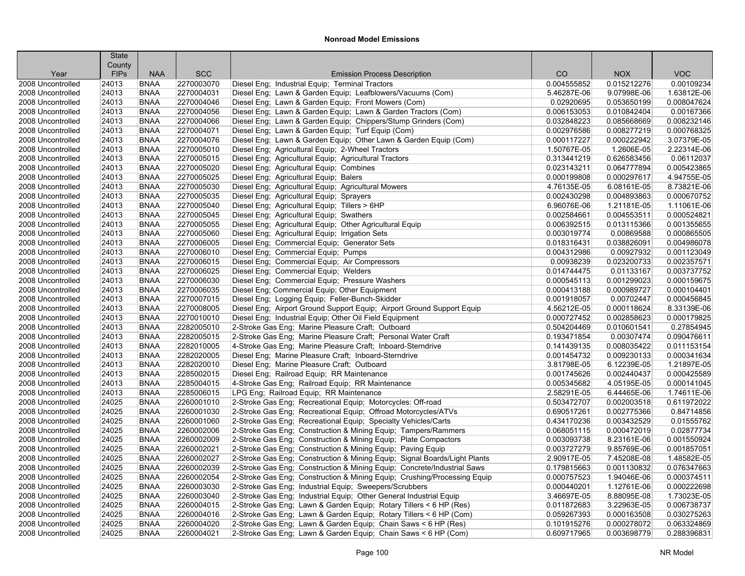|                   | <b>State</b><br>County |             |            |                                                                           |             |             |             |
|-------------------|------------------------|-------------|------------|---------------------------------------------------------------------------|-------------|-------------|-------------|
| Year              | <b>FIPs</b>            | <b>NAA</b>  | <b>SCC</b> | <b>Emission Process Description</b>                                       | CO          | <b>NOX</b>  | <b>VOC</b>  |
| 2008 Uncontrolled | 24013                  | <b>BNAA</b> | 2270003070 | Diesel Eng; Industrial Equip; Terminal Tractors                           | 0.004555852 | 0.015212276 | 0.00109234  |
| 2008 Uncontrolled | 24013                  | <b>BNAA</b> | 2270004031 | Diesel Eng; Lawn & Garden Equip; Leafblowers/Vacuums (Com)                | 5.46287E-06 | 9.07998E-06 | 1.63812E-06 |
| 2008 Uncontrolled | 24013                  | <b>BNAA</b> | 2270004046 | Diesel Eng; Lawn & Garden Equip; Front Mowers (Com)                       | 0.02920695  | 0.053650199 | 0.008047624 |
| 2008 Uncontrolled | 24013                  | <b>BNAA</b> | 2270004056 | Diesel Eng; Lawn & Garden Equip; Lawn & Garden Tractors (Com)             | 0.006153053 | 0.010842404 | 0.00167366  |
| 2008 Uncontrolled | 24013                  | <b>BNAA</b> | 2270004066 | Diesel Eng; Lawn & Garden Equip; Chippers/Stump Grinders (Com)            | 0.032848223 | 0.085668669 | 0.008232146 |
| 2008 Uncontrolled | 24013                  | <b>BNAA</b> | 2270004071 | Diesel Eng; Lawn & Garden Equip; Turf Equip (Com)                         | 0.002976586 | 0.008277219 | 0.000768325 |
| 2008 Uncontrolled | 24013                  | <b>BNAA</b> | 2270004076 | Diesel Eng; Lawn & Garden Equip; Other Lawn & Garden Equip (Com)          | 0.000117227 | 0.000222942 | 3.07379E-05 |
| 2008 Uncontrolled | 24013                  | <b>BNAA</b> | 2270005010 | Diesel Eng; Agricultural Equip; 2-Wheel Tractors                          | 1.50767E-05 | 1.2606E-05  | 2.22314E-06 |
| 2008 Uncontrolled | 24013                  | <b>BNAA</b> | 2270005015 | Diesel Eng; Agricultural Equip; Agricultural Tractors                     | 0.313441219 | 0.626583456 | 0.06112037  |
| 2008 Uncontrolled | 24013                  | <b>BNAA</b> | 2270005020 | Diesel Eng; Agricultural Equip; Combines                                  | 0.023143211 | 0.064777894 | 0.005423865 |
| 2008 Uncontrolled | 24013                  | <b>BNAA</b> | 2270005025 | Diesel Eng; Agricultural Equip; Balers                                    | 0.000199808 | 0.000297617 | 4.94755E-05 |
| 2008 Uncontrolled | 24013                  | <b>BNAA</b> | 2270005030 | Diesel Eng; Agricultural Equip; Agricultural Mowers                       | 4.76135E-05 | 6.08161E-05 | 8.73821E-06 |
| 2008 Uncontrolled | 24013                  | <b>BNAA</b> | 2270005035 | Diesel Eng; Agricultural Equip; Sprayers                                  | 0.002430298 | 0.004893863 | 0.000670752 |
| 2008 Uncontrolled | 24013                  | <b>BNAA</b> | 2270005040 | Diesel Eng; Agricultural Equip; Tillers > 6HP                             | 6.96076E-06 | 1.21181E-05 | 1.11061E-06 |
| 2008 Uncontrolled | 24013                  | <b>BNAA</b> | 2270005045 | Diesel Eng; Agricultural Equip; Swathers                                  | 0.002584661 | 0.004553511 | 0.000524821 |
| 2008 Uncontrolled | 24013                  | <b>BNAA</b> | 2270005055 | Diesel Eng; Agricultural Equip; Other Agricultural Equip                  | 0.006392515 | 0.013115366 | 0.001355655 |
| 2008 Uncontrolled | 24013                  | <b>BNAA</b> | 2270005060 | Diesel Eng; Agricultural Equip; Irrigation Sets                           | 0.003019774 | 0.00869588  | 0.000865505 |
| 2008 Uncontrolled | 24013                  | <b>BNAA</b> | 2270006005 | Diesel Eng; Commercial Equip; Generator Sets                              | 0.018316431 | 0.038826091 | 0.004986078 |
| 2008 Uncontrolled | 24013                  | <b>BNAA</b> | 2270006010 | Diesel Eng; Commercial Equip; Pumps                                       | 0.004312986 | 0.00927932  | 0.001123049 |
| 2008 Uncontrolled | 24013                  | <b>BNAA</b> | 2270006015 | Diesel Eng: Commercial Equip: Air Compressors                             | 0.00938239  | 0.023200733 | 0.002357571 |
| 2008 Uncontrolled | 24013                  | <b>BNAA</b> | 2270006025 | Diesel Eng; Commercial Equip; Welders                                     | 0.014744475 | 0.01133167  | 0.003737752 |
| 2008 Uncontrolled | 24013                  | <b>BNAA</b> | 2270006030 | Diesel Eng; Commercial Equip; Pressure Washers                            | 0.000545113 | 0.001299023 | 0.000159675 |
| 2008 Uncontrolled | 24013                  | <b>BNAA</b> | 2270006035 | Diesel Eng; Commercial Equip; Other Equipment                             | 0.000413188 | 0.000989727 | 0.000104401 |
| 2008 Uncontrolled | 24013                  | <b>BNAA</b> | 2270007015 | Diesel Eng; Logging Equip; Feller-Bunch-Skidder                           | 0.001918057 | 0.00702447  | 0.000456845 |
| 2008 Uncontrolled | 24013                  | <b>BNAA</b> | 2270008005 | Diesel Eng; Airport Ground Support Equip; Airport Ground Support Equip    | 4.56212E-05 | 0.000118624 | 8.33139E-06 |
| 2008 Uncontrolled | 24013                  | <b>BNAA</b> | 2270010010 | Diesel Eng; Industrial Equip; Other Oil Field Equipment                   | 0.000727452 | 0.002858623 | 0.000179825 |
| 2008 Uncontrolled | 24013                  | <b>BNAA</b> | 2282005010 | 2-Stroke Gas Eng; Marine Pleasure Craft; Outboard                         | 0.504204469 | 0.010601541 | 0.27854945  |
| 2008 Uncontrolled | 24013                  | <b>BNAA</b> | 2282005015 | 2-Stroke Gas Eng; Marine Pleasure Craft; Personal Water Craft             | 0.193471854 | 0.00307474  | 0.090476611 |
| 2008 Uncontrolled | 24013                  | <b>BNAA</b> | 2282010005 | 4-Stroke Gas Eng; Marine Pleasure Craft; Inboard-Sterndrive               | 0.141439135 | 0.008035422 | 0.011153154 |
| 2008 Uncontrolled | 24013                  | <b>BNAA</b> | 2282020005 | Diesel Eng; Marine Pleasure Craft; Inboard-Sterndrive                     | 0.001454732 | 0.009230133 | 0.000341634 |
| 2008 Uncontrolled | 24013                  | <b>BNAA</b> | 2282020010 | Diesel Eng; Marine Pleasure Craft; Outboard                               | 3.81798E-05 | 6.12239E-05 | 1.21897E-05 |
| 2008 Uncontrolled | 24013                  | <b>BNAA</b> | 2285002015 | Diesel Eng; Railroad Equip; RR Maintenance                                | 0.001745626 | 0.002440437 | 0.000425589 |
| 2008 Uncontrolled | 24013                  | <b>BNAA</b> | 2285004015 | 4-Stroke Gas Eng; Railroad Equip; RR Maintenance                          | 0.005345682 | 4.05195E-05 | 0.000141045 |
| 2008 Uncontrolled | 24013                  | <b>BNAA</b> | 2285006015 | LPG Eng; Railroad Equip; RR Maintenance                                   | 2.58291E-05 | 6.44465E-06 | 1.74611E-06 |
| 2008 Uncontrolled | 24025                  | <b>BNAA</b> | 2260001010 | 2-Stroke Gas Eng; Recreational Equip; Motorcycles: Off-road               | 0.503472707 | 0.002003518 | 0.611972022 |
| 2008 Uncontrolled | 24025                  | <b>BNAA</b> | 2260001030 | 2-Stroke Gas Eng; Recreational Equip; Offroad Motorcycles/ATVs            | 0.690517261 | 0.002775366 | 0.84714856  |
| 2008 Uncontrolled | 24025                  | <b>BNAA</b> | 2260001060 | 2-Stroke Gas Eng; Recreational Equip; Specialty Vehicles/Carts            | 0.434170236 | 0.003432529 | 0.01555762  |
| 2008 Uncontrolled | 24025                  | <b>BNAA</b> | 2260002006 | 2-Stroke Gas Eng; Construction & Mining Equip; Tampers/Rammers            | 0.068051115 | 0.000472019 | 0.02877734  |
| 2008 Uncontrolled | 24025                  | <b>BNAA</b> | 2260002009 | 2-Stroke Gas Eng; Construction & Mining Equip; Plate Compactors           | 0.003093738 | 8.23161E-06 | 0.001550924 |
| 2008 Uncontrolled | 24025                  | <b>BNAA</b> | 2260002021 | 2-Stroke Gas Eng; Construction & Mining Equip; Paving Equip               | 0.003727279 | 9.85769E-06 | 0.001857051 |
| 2008 Uncontrolled | 24025                  | <b>BNAA</b> | 2260002027 | 2-Stroke Gas Eng; Construction & Mining Equip; Signal Boards/Light Plants | 2.90917E-05 | 7.45208E-08 | 1.48582E-05 |
| 2008 Uncontrolled | 24025                  | <b>BNAA</b> | 2260002039 | 2-Stroke Gas Eng; Construction & Mining Equip; Concrete/Industrial Saws   | 0.179815663 | 0.001130832 | 0.076347663 |
| 2008 Uncontrolled | 24025                  | <b>BNAA</b> | 2260002054 | 2-Stroke Gas Eng; Construction & Mining Equip; Crushing/Processing Equip  | 0.000757523 | 1.94046E-06 | 0.000374511 |
| 2008 Uncontrolled | 24025                  | <b>BNAA</b> | 2260003030 | 2-Stroke Gas Eng; Industrial Equip; Sweepers/Scrubbers                    | 0.000440201 | 1.12761E-06 | 0.000222698 |
| 2008 Uncontrolled | 24025                  | <b>BNAA</b> | 2260003040 | 2-Stroke Gas Eng; Industrial Equip; Other General Industrial Equip        | 3.46697E-05 | 8.88095E-08 | 1.73023E-05 |
| 2008 Uncontrolled | 24025                  | <b>BNAA</b> | 2260004015 | 2-Stroke Gas Eng; Lawn & Garden Equip; Rotary Tillers < 6 HP (Res)        | 0.011872683 | 3.22963E-05 | 0.006738737 |
| 2008 Uncontrolled | 24025                  | <b>BNAA</b> | 2260004016 | 2-Stroke Gas Eng; Lawn & Garden Equip; Rotary Tillers < 6 HP (Com)        | 0.059267393 | 0.000163508 | 0.030275263 |
| 2008 Uncontrolled | 24025                  | <b>BNAA</b> | 2260004020 | 2-Stroke Gas Eng; Lawn & Garden Equip; Chain Saws < 6 HP (Res)            | 0.101915276 | 0.000278072 | 0.063324869 |
| 2008 Uncontrolled | 24025                  | <b>BNAA</b> | 2260004021 | 2-Stroke Gas Eng; Lawn & Garden Equip; Chain Saws < 6 HP (Com)            | 0.609717965 | 0.003698779 | 0.288396831 |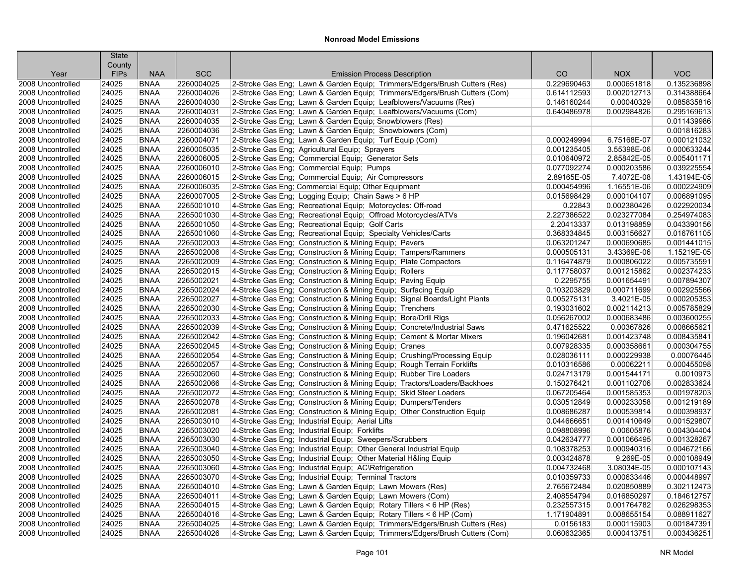|                                        | <b>State</b>         |                            |                          |                                                                                                                                                |                            |                            |                            |
|----------------------------------------|----------------------|----------------------------|--------------------------|------------------------------------------------------------------------------------------------------------------------------------------------|----------------------------|----------------------------|----------------------------|
|                                        | County               | <b>NAA</b>                 | <b>SCC</b>               |                                                                                                                                                | CO                         | <b>NOX</b>                 | <b>VOC</b>                 |
| Year                                   | <b>FIPs</b><br>24025 | <b>BNAA</b>                | 2260004025               | <b>Emission Process Description</b>                                                                                                            | 0.229690463                | 0.000651818                | 0.135236898                |
| 2008 Uncontrolled                      |                      |                            |                          | 2-Stroke Gas Eng; Lawn & Garden Equip; Trimmers/Edgers/Brush Cutters (Res)                                                                     |                            |                            | 0.314388664                |
| 2008 Uncontrolled<br>2008 Uncontrolled | 24025<br>24025       | <b>BNAA</b><br><b>BNAA</b> | 2260004026<br>2260004030 | 2-Stroke Gas Eng; Lawn & Garden Equip; Trimmers/Edgers/Brush Cutters (Com)<br>2-Stroke Gas Eng; Lawn & Garden Equip; Leafblowers/Vacuums (Res) | 0.614112593<br>0.146160244 | 0.002012713<br>0.00040329  | 0.085835816                |
| 2008 Uncontrolled                      | 24025                | <b>BNAA</b>                | 2260004031               |                                                                                                                                                | 0.640486978                | 0.002984826                | 0.295169613                |
| 2008 Uncontrolled                      | 24025                | <b>BNAA</b>                | 2260004035               | 2-Stroke Gas Eng; Lawn & Garden Equip; Leafblowers/Vacuums (Com)<br>2-Stroke Gas Eng; Lawn & Garden Equip; Snowblowers (Res)                   |                            |                            | 0.011439986                |
| 2008 Uncontrolled                      | 24025                | <b>BNAA</b>                | 2260004036               | 2-Stroke Gas Eng; Lawn & Garden Equip; Snowblowers (Com)                                                                                       |                            |                            | 0.001816283                |
| 2008 Uncontrolled                      | 24025                | <b>BNAA</b>                | 2260004071               | 2-Stroke Gas Eng; Lawn & Garden Equip; Turf Equip (Com)                                                                                        | 0.000249994                | 6.75168E-07                | 0.000121032                |
| 2008 Uncontrolled                      | 24025                | <b>BNAA</b>                | 2260005035               | 2-Stroke Gas Eng; Agricultural Equip; Sprayers                                                                                                 | 0.001235405                | 3.55398E-06                | 0.000633244                |
|                                        |                      |                            | 2260006005               |                                                                                                                                                |                            |                            | 0.005401171                |
| 2008 Uncontrolled                      | 24025<br>24025       | <b>BNAA</b><br><b>BNAA</b> | 2260006010               | 2-Stroke Gas Eng; Commercial Equip; Generator Sets                                                                                             | 0.010640972<br>0.077092274 | 2.85842E-05<br>0.000203586 | 0.039225554                |
| 2008 Uncontrolled                      |                      |                            |                          | 2-Stroke Gas Eng; Commercial Equip; Pumps                                                                                                      | 2.89165E-05                |                            |                            |
| 2008 Uncontrolled                      | 24025                | <b>BNAA</b>                | 2260006015               | 2-Stroke Gas Eng; Commercial Equip; Air Compressors                                                                                            |                            | 7.4072E-08                 | 1.43194E-05                |
| 2008 Uncontrolled                      | 24025                | <b>BNAA</b>                | 2260006035               | 2-Stroke Gas Eng; Commercial Equip; Other Equipment                                                                                            | 0.000454996                | 1.16551E-06                | 0.000224909                |
| 2008 Uncontrolled                      | 24025<br>24025       | <b>BNAA</b><br><b>BNAA</b> | 2260007005<br>2265001010 | 2-Stroke Gas Eng; Logging Equip; Chain Saws > 6 HP                                                                                             | 0.015698429<br>0.22843     | 0.000104107<br>0.002380426 | 0.006891095<br>0.022920034 |
| 2008 Uncontrolled                      |                      |                            |                          | 4-Stroke Gas Eng; Recreational Equip; Motorcycles: Off-road                                                                                    |                            |                            |                            |
| 2008 Uncontrolled                      | 24025                | <b>BNAA</b>                | 2265001030               | 4-Stroke Gas Eng; Recreational Equip; Offroad Motorcycles/ATVs                                                                                 | 2.227386522                | 0.023277084                | 0.254974083                |
| 2008 Uncontrolled                      | 24025                | <b>BNAA</b>                | 2265001050               | 4-Stroke Gas Eng; Recreational Equip; Golf Carts                                                                                               | 2.20413337                 | 0.013198859                | 0.043390156                |
| 2008 Uncontrolled                      | 24025                | <b>BNAA</b>                | 2265001060               | 4-Stroke Gas Eng; Recreational Equip; Specialty Vehicles/Carts                                                                                 | 0.368334845                | 0.003156627                | 0.016761105                |
| 2008 Uncontrolled                      | 24025                | <b>BNAA</b>                | 2265002003               | 4-Stroke Gas Eng; Construction & Mining Equip; Pavers                                                                                          | 0.063201247                | 0.000690685                | 0.001441015                |
| 2008 Uncontrolled                      | 24025                | <b>BNAA</b>                | 2265002006               | 4-Stroke Gas Eng; Construction & Mining Equip; Tampers/Rammers                                                                                 | 0.000505131                | 3.43369E-06                | 1.15219E-05                |
| 2008 Uncontrolled                      | 24025                | <b>BNAA</b>                | 2265002009               | 4-Stroke Gas Eng; Construction & Mining Equip; Plate Compactors                                                                                | 0.116474879                | 0.000806022                | 0.005735591                |
| 2008 Uncontrolled                      | 24025                | <b>BNAA</b>                | 2265002015               | 4-Stroke Gas Eng; Construction & Mining Equip; Rollers                                                                                         | 0.117758037                | 0.001215862                | 0.002374233                |
| 2008 Uncontrolled                      | 24025                | <b>BNAA</b>                | 2265002021               | 4-Stroke Gas Eng; Construction & Mining Equip; Paving Equip                                                                                    | 0.2295755                  | 0.001654491                | 0.007894307                |
| 2008 Uncontrolled                      | 24025                | <b>BNAA</b>                | 2265002024               | 4-Stroke Gas Eng; Construction & Mining Equip; Surfacing Equip                                                                                 | 0.103203829                | 0.000711699                | 0.002925566                |
| 2008 Uncontrolled                      | 24025                | <b>BNAA</b>                | 2265002027               | 4-Stroke Gas Eng; Construction & Mining Equip; Signal Boards/Light Plants                                                                      | 0.005275131                | 3.4021E-05                 | 0.000205353                |
| 2008 Uncontrolled                      | 24025                | <b>BNAA</b>                | 2265002030               | 4-Stroke Gas Eng; Construction & Mining Equip; Trenchers                                                                                       | 0.193031602                | 0.002114213                | 0.005785829                |
| 2008 Uncontrolled                      | 24025                | <b>BNAA</b>                | 2265002033               | 4-Stroke Gas Eng; Construction & Mining Equip; Bore/Drill Rigs                                                                                 | 0.056267002                | 0.000683486                | 0.003600255                |
| 2008 Uncontrolled                      | 24025                | <b>BNAA</b>                | 2265002039               | 4-Stroke Gas Eng; Construction & Mining Equip; Concrete/Industrial Saws                                                                        | 0.471625522                | 0.00367826                 | 0.008665621                |
| 2008 Uncontrolled                      | 24025                | <b>BNAA</b>                | 2265002042               | 4-Stroke Gas Eng; Construction & Mining Equip; Cement & Mortar Mixers                                                                          | 0.196042681                | 0.001423748                | 0.008435841                |
| 2008 Uncontrolled                      | 24025                | <b>BNAA</b>                | 2265002045               | 4-Stroke Gas Eng; Construction & Mining Equip; Cranes                                                                                          | 0.007928335                | 0.000358661                | 0.000304755                |
| 2008 Uncontrolled                      | 24025                | <b>BNAA</b>                | 2265002054               | 4-Stroke Gas Eng; Construction & Mining Equip; Crushing/Processing Equip                                                                       | 0.028036111                | 0.000229938                | 0.00076445                 |
| 2008 Uncontrolled                      | 24025                | <b>BNAA</b>                | 2265002057               | 4-Stroke Gas Eng; Construction & Mining Equip; Rough Terrain Forklifts                                                                         | 0.010316586                | 0.00062211                 | 0.000455098                |
| 2008 Uncontrolled                      | 24025                | <b>BNAA</b>                | 2265002060               | 4-Stroke Gas Eng; Construction & Mining Equip; Rubber Tire Loaders                                                                             | 0.024713179                | 0.001544171                | 0.0010973                  |
| 2008 Uncontrolled                      | 24025                | <b>BNAA</b>                | 2265002066               | 4-Stroke Gas Eng; Construction & Mining Equip; Tractors/Loaders/Backhoes                                                                       | 0.150276421                | 0.001102706                | 0.002833624                |
| 2008 Uncontrolled                      | 24025                | <b>BNAA</b>                | 2265002072               | 4-Stroke Gas Eng; Construction & Mining Equip; Skid Steer Loaders                                                                              | 0.067205464                | 0.001585353                | 0.001978203                |
| 2008 Uncontrolled                      | 24025                | <b>BNAA</b>                | 2265002078               | 4-Stroke Gas Eng; Construction & Mining Equip; Dumpers/Tenders                                                                                 | 0.030512849                | 0.000233058                | 0.001219189                |
| 2008 Uncontrolled                      | 24025                | <b>BNAA</b>                | 2265002081               | 4-Stroke Gas Eng; Construction & Mining Equip; Other Construction Equip                                                                        | 0.008686287                | 0.000539814                | 0.000398937                |
| 2008 Uncontrolled                      | 24025                | <b>BNAA</b>                | 2265003010               | 4-Stroke Gas Eng; Industrial Equip; Aerial Lifts                                                                                               | 0.044666651                | 0.001410649                | 0.001529807                |
| 2008 Uncontrolled                      | 24025                | <b>BNAA</b>                | 2265003020               | 4-Stroke Gas Eng; Industrial Equip; Forklifts                                                                                                  | 0.098808996                | 0.00605876                 | 0.004304404                |
| 2008 Uncontrolled                      | 24025                | <b>BNAA</b>                | 2265003030               | 4-Stroke Gas Eng; Industrial Equip; Sweepers/Scrubbers                                                                                         | 0.042634777                | 0.001066495                | 0.001328267                |
| 2008 Uncontrolled                      | 24025                | <b>BNAA</b>                | 2265003040               | 4-Stroke Gas Eng; Industrial Equip; Other General Industrial Equip                                                                             | 0.108378253                | 0.000940316                | 0.004672166                |
| 2008 Uncontrolled                      | 24025                | <b>BNAA</b>                | 2265003050               | 4-Stroke Gas Eng; Industrial Equip; Other Material H&ling Equip                                                                                | 0.003424878                | 9.269E-05                  | 0.000108949                |
| 2008 Uncontrolled                      | 24025                | <b>BNAA</b>                | 2265003060               | 4-Stroke Gas Eng; Industrial Equip; AC\Refrigeration                                                                                           | 0.004732468                | 3.08034E-05                | 0.000107143                |
| 2008 Uncontrolled                      | 24025                | <b>BNAA</b>                | 2265003070               | 4-Stroke Gas Eng: Industrial Equip: Terminal Tractors                                                                                          | 0.010359733                | 0.000633446                | 0.000448997                |
| 2008 Uncontrolled                      | 24025                | <b>BNAA</b>                | 2265004010               | 4-Stroke Gas Eng; Lawn & Garden Equip; Lawn Mowers (Res)                                                                                       | 2.765672484                | 0.020850889                | 0.302112473                |
| 2008 Uncontrolled                      | 24025                | <b>BNAA</b>                | 2265004011               | 4-Stroke Gas Eng; Lawn & Garden Equip; Lawn Mowers (Com)                                                                                       | 2.408554794                | 0.016850297                | 0.184612757                |
| 2008 Uncontrolled                      | 24025                | <b>BNAA</b>                | 2265004015               | 4-Stroke Gas Eng; Lawn & Garden Equip; Rotary Tillers < 6 HP (Res)                                                                             | 0.232557315                | 0.001764782                | 0.026298353                |
| 2008 Uncontrolled                      | 24025                | <b>BNAA</b>                | 2265004016               | 4-Stroke Gas Eng; Lawn & Garden Equip; Rotary Tillers < 6 HP (Com)                                                                             | 1.171904891                | 0.008655154                | 0.088911627                |
| 2008 Uncontrolled                      | 24025                | <b>BNAA</b>                | 2265004025               | 4-Stroke Gas Eng; Lawn & Garden Equip; Trimmers/Edgers/Brush Cutters (Res)                                                                     | 0.0156183                  | 0.000115903                | 0.001847391                |
| 2008 Uncontrolled                      | 24025                | <b>BNAA</b>                | 2265004026               | 4-Stroke Gas Eng; Lawn & Garden Equip; Trimmers/Edgers/Brush Cutters (Com)                                                                     | 0.060632365                | 0.000413751                | 0.003436251                |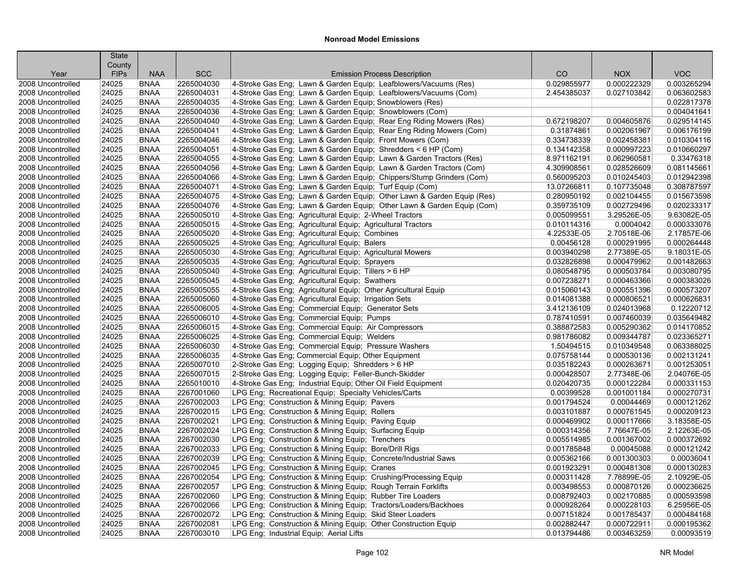|                   | <b>State</b> |             |            |                                                                        |             |             |             |
|-------------------|--------------|-------------|------------|------------------------------------------------------------------------|-------------|-------------|-------------|
|                   | County       |             |            |                                                                        |             |             |             |
| Year              | <b>FIPs</b>  | <b>NAA</b>  | <b>SCC</b> | <b>Emission Process Description</b>                                    | CO          | <b>NOX</b>  | <b>VOC</b>  |
| 2008 Uncontrolled | 24025        | <b>BNAA</b> | 2265004030 | 4-Stroke Gas Eng; Lawn & Garden Equip; Leafblowers/Vacuums (Res)       | 0.029855977 | 0.000222329 | 0.003265294 |
| 2008 Uncontrolled | 24025        | <b>BNAA</b> | 2265004031 | 4-Stroke Gas Eng; Lawn & Garden Equip; Leafblowers/Vacuums (Com)       | 2.454385037 | 0.027103842 | 0.063602583 |
| 2008 Uncontrolled | 24025        | <b>BNAA</b> | 2265004035 | 4-Stroke Gas Eng; Lawn & Garden Equip; Snowblowers (Res)               |             |             | 0.022817378 |
| 2008 Uncontrolled | 24025        | <b>BNAA</b> | 2265004036 | 4-Stroke Gas Eng; Lawn & Garden Equip; Snowblowers (Com)               |             |             | 0.004041641 |
| 2008 Uncontrolled | 24025        | <b>BNAA</b> | 2265004040 | 4-Stroke Gas Eng; Lawn & Garden Equip; Rear Eng Riding Mowers (Res)    | 0.672198207 | 0.004605876 | 0.029514145 |
| 2008 Uncontrolled | 24025        | <b>BNAA</b> | 2265004041 | 4-Stroke Gas Eng; Lawn & Garden Equip; Rear Eng Riding Mowers (Com)    | 0.31874861  | 0.002061967 | 0.006176199 |
| 2008 Uncontrolled | 24025        | <b>BNAA</b> | 2265004046 | 4-Stroke Gas Eng; Lawn & Garden Equip; Front Mowers (Com)              | 0.334738339 | 0.002458381 | 0.010304116 |
| 2008 Uncontrolled | 24025        | <b>BNAA</b> | 2265004051 | 4-Stroke Gas Eng; Lawn & Garden Equip; Shredders < 6 HP (Com)          | 0.134142358 | 0.000997223 | 0.010660297 |
| 2008 Uncontrolled | 24025        | <b>BNAA</b> | 2265004055 | 4-Stroke Gas Eng: Lawn & Garden Equip: Lawn & Garden Tractors (Res)    | 8.971162191 | 0.062960581 | 0.33476318  |
| 2008 Uncontrolled | 24025        | <b>BNAA</b> | 2265004056 | 4-Stroke Gas Eng; Lawn & Garden Equip; Lawn & Garden Tractors (Com)    | 4.309908561 | 0.028526609 | 0.081145661 |
| 2008 Uncontrolled | 24025        | <b>BNAA</b> | 2265004066 | 4-Stroke Gas Eng; Lawn & Garden Equip; Chippers/Stump Grinders (Com)   | 0.560095203 | 0.010245403 | 0.012942398 |
| 2008 Uncontrolled | 24025        | <b>BNAA</b> | 2265004071 | 4-Stroke Gas Eng; Lawn & Garden Equip; Turf Equip (Com)                | 13.07266811 | 0.107735048 | 0.308787597 |
| 2008 Uncontrolled | 24025        | <b>BNAA</b> | 2265004075 | 4-Stroke Gas Eng; Lawn & Garden Equip; Other Lawn & Garden Equip (Res) | 0.280950192 | 0.002104455 | 0.015673598 |
| 2008 Uncontrolled | 24025        | <b>BNAA</b> | 2265004076 | 4-Stroke Gas Eng; Lawn & Garden Equip; Other Lawn & Garden Equip (Com) | 0.359735109 | 0.002729496 | 0.020233317 |
| 2008 Uncontrolled | 24025        | <b>BNAA</b> | 2265005010 | 4-Stroke Gas Eng; Agricultural Equip; 2-Wheel Tractors                 | 0.005099551 | 3.29526E-05 | 9.63082E-05 |
| 2008 Uncontrolled | 24025        | <b>BNAA</b> | 2265005015 | 4-Stroke Gas Eng; Agricultural Equip; Agricultural Tractors            | 0.010114316 | 0.0004042   | 0.000333076 |
| 2008 Uncontrolled | 24025        | <b>BNAA</b> | 2265005020 | 4-Stroke Gas Eng; Agricultural Equip; Combines                         | 4.22533E-05 | 2.70518E-06 | 2.17857E-06 |
| 2008 Uncontrolled | 24025        | <b>BNAA</b> | 2265005025 | 4-Stroke Gas Eng; Agricultural Equip; Balers                           | 0.00456128  | 0.000291995 | 0.000264448 |
| 2008 Uncontrolled | 24025        | <b>BNAA</b> | 2265005030 | 4-Stroke Gas Eng; Agricultural Equip; Agricultural Mowers              | 0.003940298 | 2.77389E-05 | 9.18031E-05 |
| 2008 Uncontrolled | 24025        | <b>BNAA</b> | 2265005035 | 4-Stroke Gas Eng: Agricultural Equip: Sprayers                         | 0.032826898 | 0.000479962 | 0.001482663 |
| 2008 Uncontrolled | 24025        | <b>BNAA</b> | 2265005040 | 4-Stroke Gas Eng; Agricultural Equip; Tillers > 6 HP                   | 0.080548795 | 0.000503784 | 0.003080795 |
| 2008 Uncontrolled | 24025        | <b>BNAA</b> | 2265005045 | 4-Stroke Gas Eng; Agricultural Equip; Swathers                         | 0.007238271 | 0.000463366 | 0.000383026 |
| 2008 Uncontrolled | 24025        | <b>BNAA</b> | 2265005055 | 4-Stroke Gas Eng; Agricultural Equip; Other Agricultural Equip         | 0.015060143 | 0.000551396 | 0.000573207 |
| 2008 Uncontrolled | 24025        | <b>BNAA</b> | 2265005060 | 4-Stroke Gas Eng; Agricultural Equip; Irrigation Sets                  | 0.014081388 | 0.000806521 | 0.000626831 |
| 2008 Uncontrolled | 24025        | <b>BNAA</b> | 2265006005 | 4-Stroke Gas Eng; Commercial Equip; Generator Sets                     | 3.412136109 | 0.024013968 | 0.12220712  |
| 2008 Uncontrolled | 24025        | <b>BNAA</b> | 2265006010 | 4-Stroke Gas Eng; Commercial Equip; Pumps                              | 0.787410591 | 0.007460039 | 0.035649482 |
| 2008 Uncontrolled | 24025        | <b>BNAA</b> | 2265006015 | 4-Stroke Gas Eng; Commercial Equip; Air Compressors                    | 0.388872583 | 0.005290362 | 0.014170852 |
| 2008 Uncontrolled | 24025        | <b>BNAA</b> | 2265006025 | 4-Stroke Gas Eng; Commercial Equip; Welders                            | 0.981786082 | 0.009344787 | 0.023365271 |
| 2008 Uncontrolled | 24025        | <b>BNAA</b> | 2265006030 | 4-Stroke Gas Eng; Commercial Equip; Pressure Washers                   | 1.50494515  | 0.010349548 | 0.063388025 |
| 2008 Uncontrolled | 24025        | <b>BNAA</b> | 2265006035 | 4-Stroke Gas Eng; Commercial Equip; Other Equipment                    | 0.075758144 | 0.000530136 | 0.002131241 |
| 2008 Uncontrolled | 24025        | <b>BNAA</b> | 2265007010 | 2-Stroke Gas Eng; Logging Equip; Shredders > 6 HP                      | 0.035182243 | 0.000263671 | 0.001253051 |
| 2008 Uncontrolled | 24025        | <b>BNAA</b> | 2265007015 | 2-Stroke Gas Eng; Logging Equip; Feller-Bunch-Skidder                  | 0.000428507 | 2.77348E-06 | 2.04076E-05 |
| 2008 Uncontrolled | 24025        | <b>BNAA</b> | 2265010010 | 4-Stroke Gas Eng; Industrial Equip; Other Oil Field Equipment          | 0.020420735 | 0.000122284 | 0.000331153 |
| 2008 Uncontrolled | 24025        | <b>BNAA</b> | 2267001060 | LPG Eng; Recreational Equip; Specialty Vehicles/Carts                  | 0.00399528  | 0.001001184 | 0.000270731 |
| 2008 Uncontrolled | 24025        | <b>BNAA</b> | 2267002003 | LPG Eng; Construction & Mining Equip; Pavers                           | 0.001794524 | 0.00044469  | 0.000121262 |
| 2008 Uncontrolled | 24025        | <b>BNAA</b> | 2267002015 | LPG Eng; Construction & Mining Equip; Rollers                          | 0.003101887 | 0.000761545 | 0.000209123 |
| 2008 Uncontrolled | 24025        | <b>BNAA</b> | 2267002021 | LPG Eng; Construction & Mining Equip; Paving Equip                     | 0.000469902 | 0.000117666 | 3.18358E-05 |
| 2008 Uncontrolled | 24025        | <b>BNAA</b> | 2267002024 | LPG Eng; Construction & Mining Equip; Surfacing Equip                  | 0.000314356 | 7.76647E-05 | 2.12263E-05 |
| 2008 Uncontrolled | 24025        | <b>BNAA</b> | 2267002030 | LPG Eng; Construction & Mining Equip; Trenchers                        | 0.005514985 | 0.001367002 | 0.000372692 |
| 2008 Uncontrolled | 24025        | <b>BNAA</b> | 2267002033 | LPG Eng; Construction & Mining Equip; Bore/Drill Rigs                  | 0.001785848 | 0.00045088  | 0.000121242 |
| 2008 Uncontrolled | 24025        | <b>BNAA</b> | 2267002039 | LPG Eng; Construction & Mining Equip; Concrete/Industrial Saws         | 0.005362166 | 0.001300303 | 0.00036041  |
| 2008 Uncontrolled | 24025        | <b>BNAA</b> | 2267002045 | LPG Eng; Construction & Mining Equip; Cranes                           | 0.001923291 | 0.000481308 | 0.000130283 |
| 2008 Uncontrolled | 24025        | <b>BNAA</b> | 2267002054 | LPG Eng; Construction & Mining Equip; Crushing/Processing Equip        | 0.000311428 | 7.78899E-05 | 2.10929E-05 |
| 2008 Uncontrolled | 24025        | <b>BNAA</b> | 2267002057 | LPG Eng; Construction & Mining Equip; Rough Terrain Forklifts          | 0.003498553 | 0.000870126 | 0.000236625 |
| 2008 Uncontrolled | 24025        | <b>BNAA</b> | 2267002060 | LPG Eng; Construction & Mining Equip; Rubber Tire Loaders              | 0.008792403 | 0.002170885 | 0.000593598 |
| 2008 Uncontrolled | 24025        | <b>BNAA</b> | 2267002066 | LPG Eng; Construction & Mining Equip; Tractors/Loaders/Backhoes        | 0.000928264 | 0.000228103 | 6.25956E-05 |
| 2008 Uncontrolled | 24025        | <b>BNAA</b> | 2267002072 | LPG Eng; Construction & Mining Equip; Skid Steer Loaders               | 0.007151824 | 0.001785437 | 0.000484168 |
| 2008 Uncontrolled | 24025        | <b>BNAA</b> | 2267002081 | LPG Eng; Construction & Mining Equip; Other Construction Equip         | 0.002882447 | 0.000722911 | 0.000195362 |
| 2008 Uncontrolled | 24025        | <b>BNAA</b> | 2267003010 | LPG Eng; Industrial Equip; Aerial Lifts                                | 0.013794486 | 0.003463259 | 0.00093519  |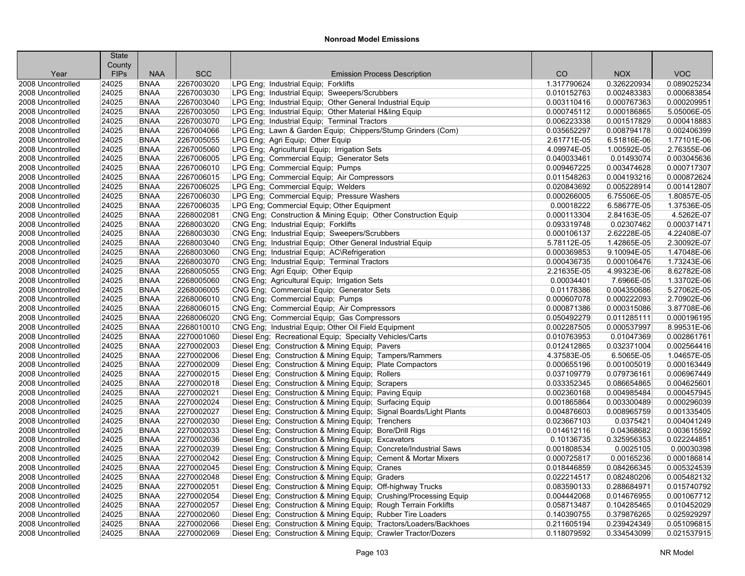|                                        | <b>State</b>   |                           |            |                                                                                                            |             |             |             |
|----------------------------------------|----------------|---------------------------|------------|------------------------------------------------------------------------------------------------------------|-------------|-------------|-------------|
|                                        | County         |                           | <b>SCC</b> |                                                                                                            | CO          | <b>NOX</b>  | <b>VOC</b>  |
| Year                                   | <b>FIPs</b>    | <b>NAA</b><br><b>BNAA</b> | 2267003020 | <b>Emission Process Description</b><br>LPG Eng: Industrial Equip: Forklifts                                | 1.317790624 | 0.326220934 | 0.089025234 |
| 2008 Uncontrolled<br>2008 Uncontrolled | 24025          | <b>BNAA</b>               | 2267003030 |                                                                                                            | 0.010152763 | 0.002483383 | 0.000683854 |
| 2008 Uncontrolled                      | 24025<br>24025 | <b>BNAA</b>               | 2267003040 | LPG Eng; Industrial Equip; Sweepers/Scrubbers<br>LPG Eng; Industrial Equip; Other General Industrial Equip | 0.003110416 | 0.000767363 | 0.000209951 |
| 2008 Uncontrolled                      | 24025          | <b>BNAA</b>               | 2267003050 | LPG Eng; Industrial Equip; Other Material H&ling Equip                                                     | 0.000745112 | 0.000186865 | 5.05006E-05 |
| 2008 Uncontrolled                      | 24025          | <b>BNAA</b>               | 2267003070 | LPG Eng; Industrial Equip; Terminal Tractors                                                               | 0.006223338 | 0.001517829 | 0.000418883 |
| 2008 Uncontrolled                      | 24025          | <b>BNAA</b>               | 2267004066 |                                                                                                            | 0.035652297 | 0.008794178 | 0.002406399 |
| 2008 Uncontrolled                      | 24025          | <b>BNAA</b>               | 2267005055 | LPG Eng; Lawn & Garden Equip; Chippers/Stump Grinders (Com)<br>LPG Eng; Agri Equip; Other Equip            | 2.61771E-05 | 6.51816E-06 | 1.77101E-06 |
| 2008 Uncontrolled                      | 24025          | <b>BNAA</b>               | 2267005060 | LPG Eng; Agricultural Equip; Irrigation Sets                                                               | 4.09974E-05 | 1.00592E-05 | 2.76355E-06 |
| 2008 Uncontrolled                      | 24025          | <b>BNAA</b>               | 2267006005 | LPG Eng; Commercial Equip; Generator Sets                                                                  | 0.040033461 | 0.01493074  | 0.003045636 |
| 2008 Uncontrolled                      | 24025          | <b>BNAA</b>               | 2267006010 | LPG Eng; Commercial Equip; Pumps                                                                           | 0.009467225 | 0.003474628 | 0.000717307 |
| 2008 Uncontrolled                      | 24025          | <b>BNAA</b>               | 2267006015 | LPG Eng; Commercial Equip; Air Compressors                                                                 | 0.011548263 | 0.004193216 | 0.000872624 |
| 2008 Uncontrolled                      | 24025          | <b>BNAA</b>               | 2267006025 | LPG Eng; Commercial Equip; Welders                                                                         | 0.020843692 | 0.005228914 | 0.001412807 |
| 2008 Uncontrolled                      | 24025          | <b>BNAA</b>               | 2267006030 | LPG Eng; Commercial Equip; Pressure Washers                                                                | 0.000266005 | 6.75506E-05 | 1.80857E-05 |
| 2008 Uncontrolled                      | 24025          | <b>BNAA</b>               | 2267006035 | LPG Eng; Commercial Equip; Other Equipment                                                                 | 0.00018222  | 6.58677E-05 | 1.37536E-05 |
| 2008 Uncontrolled                      | 24025          | <b>BNAA</b>               | 2268002081 | CNG Eng; Construction & Mining Equip; Other Construction Equip                                             | 0.000113304 | 2.84163E-05 | 4.5262E-07  |
| 2008 Uncontrolled                      | 24025          | <b>BNAA</b>               | 2268003020 | CNG Eng; Industrial Equip; Forklifts                                                                       | 0.093319748 | 0.02307462  | 0.000371471 |
| 2008 Uncontrolled                      | 24025          | <b>BNAA</b>               | 2268003030 | CNG Eng; Industrial Equip; Sweepers/Scrubbers                                                              | 0.000106137 | 2.62228E-05 | 4.22408E-07 |
| 2008 Uncontrolled                      | 24025          | <b>BNAA</b>               | 2268003040 | CNG Eng; Industrial Equip; Other General Industrial Equip                                                  | 5.78112E-05 | 1.42865E-05 | 2.30092E-07 |
| 2008 Uncontrolled                      | 24025          | <b>BNAA</b>               | 2268003060 | CNG Eng; Industrial Equip; AC\Refrigeration                                                                | 0.000369853 | 9.10094E-05 | 1.47048E-06 |
| 2008 Uncontrolled                      | 24025          | <b>BNAA</b>               | 2268003070 | CNG Eng: Industrial Equip: Terminal Tractors                                                               | 0.000436735 | 0.000106476 | 1.73243E-06 |
| 2008 Uncontrolled                      | 24025          | <b>BNAA</b>               | 2268005055 | CNG Eng; Agri Equip; Other Equip                                                                           | 2.21635E-05 | 4.99323E-06 | 8.62782E-08 |
| 2008 Uncontrolled                      | 24025          | <b>BNAA</b>               | 2268005060 | CNG Eng; Agricultural Equip; Irrigation Sets                                                               | 0.00034401  | 7.6966E-05  | 1.33702E-06 |
| 2008 Uncontrolled                      | 24025          | <b>BNAA</b>               | 2268006005 | CNG Eng; Commercial Equip; Generator Sets                                                                  | 0.01178386  | 0.004350686 | 5.27062E-05 |
| 2008 Uncontrolled                      | 24025          | <b>BNAA</b>               | 2268006010 | CNG Eng; Commercial Equip; Pumps                                                                           | 0.000607078 | 0.000222093 | 2.70902E-06 |
| 2008 Uncontrolled                      | 24025          | <b>BNAA</b>               | 2268006015 | CNG Eng; Commercial Equip; Air Compressors                                                                 | 0.000871386 | 0.000315086 | 3.87708E-06 |
| 2008 Uncontrolled                      | 24025          | <b>BNAA</b>               | 2268006020 | CNG Eng; Commercial Equip; Gas Compressors                                                                 | 0.050492279 | 0.011285111 | 0.000196195 |
| 2008 Uncontrolled                      | 24025          | <b>BNAA</b>               | 2268010010 | CNG Eng; Industrial Equip; Other Oil Field Equipment                                                       | 0.002287505 | 0.000537997 | 8.99531E-06 |
| 2008 Uncontrolled                      | 24025          | <b>BNAA</b>               | 2270001060 | Diesel Eng; Recreational Equip; Specialty Vehicles/Carts                                                   | 0.010763953 | 0.01047369  | 0.002861761 |
| 2008 Uncontrolled                      | 24025          | <b>BNAA</b>               | 2270002003 | Diesel Eng; Construction & Mining Equip; Pavers                                                            | 0.012412865 | 0.032371004 | 0.002564416 |
| 2008 Uncontrolled                      | 24025          | <b>BNAA</b>               | 2270002006 | Diesel Eng; Construction & Mining Equip; Tampers/Rammers                                                   | 4.37583E-05 | 6.5065E-05  | 1.04657E-05 |
| 2008 Uncontrolled                      | 24025          | <b>BNAA</b>               | 2270002009 | Diesel Eng; Construction & Mining Equip; Plate Compactors                                                  | 0.000655196 | 0.001005019 | 0.000163449 |
| 2008 Uncontrolled                      | 24025          | <b>BNAA</b>               | 2270002015 | Diesel Eng; Construction & Mining Equip; Rollers                                                           | 0.037109779 | 0.079736161 | 0.006967449 |
| 2008 Uncontrolled                      | 24025          | <b>BNAA</b>               | 2270002018 | Diesel Eng: Construction & Mining Equip: Scrapers                                                          | 0.033352345 | 0.086654865 | 0.004625601 |
| 2008 Uncontrolled                      | 24025          | <b>BNAA</b>               | 2270002021 | Diesel Eng; Construction & Mining Equip; Paving Equip                                                      | 0.002360168 | 0.004985484 | 0.000457945 |
| 2008 Uncontrolled                      | 24025          | <b>BNAA</b>               | 2270002024 | Diesel Eng; Construction & Mining Equip; Surfacing Equip                                                   | 0.001865864 | 0.003300489 | 0.000296039 |
| 2008 Uncontrolled                      | 24025          | <b>BNAA</b>               | 2270002027 | Diesel Eng; Construction & Mining Equip; Signal Boards/Light Plants                                        | 0.004876603 | 0.008965759 | 0.001335405 |
| 2008 Uncontrolled                      | 24025          | <b>BNAA</b>               | 2270002030 | Diesel Eng; Construction & Mining Equip; Trenchers                                                         | 0.023667103 | 0.0375421   | 0.004041249 |
| 2008 Uncontrolled                      | 24025          | <b>BNAA</b>               | 2270002033 | Diesel Eng; Construction & Mining Equip; Bore/Drill Rigs                                                   | 0.014612116 | 0.04368682  | 0.003615592 |
| 2008 Uncontrolled                      | 24025          | <b>BNAA</b>               | 2270002036 | Diesel Eng; Construction & Mining Equip; Excavators                                                        | 0.10136735  | 0.325956353 | 0.022244851 |
| 2008 Uncontrolled                      | 24025          | <b>BNAA</b>               | 2270002039 | Diesel Eng; Construction & Mining Equip; Concrete/Industrial Saws                                          | 0.001808534 | 0.0025105   | 0.00030398  |
| 2008 Uncontrolled                      | 24025          | <b>BNAA</b>               | 2270002042 | Diesel Eng; Construction & Mining Equip; Cement & Mortar Mixers                                            | 0.000725817 | 0.00165236  | 0.000186814 |
| 2008 Uncontrolled                      | 24025          | <b>BNAA</b>               | 2270002045 | Diesel Eng; Construction & Mining Equip; Cranes                                                            | 0.018446859 | 0.084266345 | 0.005324539 |
| 2008 Uncontrolled                      | 24025          | <b>BNAA</b>               | 2270002048 | Diesel Eng: Construction & Mining Equip: Graders                                                           | 0.022214517 | 0.082480206 | 0.005482132 |
| 2008 Uncontrolled                      | 24025          | <b>BNAA</b>               | 2270002051 | Diesel Eng; Construction & Mining Equip; Off-highway Trucks                                                | 0.083590133 | 0.288684971 | 0.015740792 |
| 2008 Uncontrolled                      | 24025          | <b>BNAA</b>               | 2270002054 | Diesel Eng; Construction & Mining Equip; Crushing/Processing Equip                                         | 0.004442068 | 0.014676955 | 0.001067712 |
| 2008 Uncontrolled                      | 24025          | <b>BNAA</b>               | 2270002057 | Diesel Eng; Construction & Mining Equip; Rough Terrain Forklifts                                           | 0.058713487 | 0.104285465 | 0.010452029 |
| 2008 Uncontrolled                      | 24025          | <b>BNAA</b>               | 2270002060 | Diesel Eng; Construction & Mining Equip; Rubber Tire Loaders                                               | 0.140390755 | 0.379876265 | 0.025929297 |
| 2008 Uncontrolled                      | 24025          | <b>BNAA</b>               | 2270002066 | Diesel Eng; Construction & Mining Equip; Tractors/Loaders/Backhoes                                         | 0.211605194 | 0.239424349 | 0.051096815 |
| 2008 Uncontrolled                      | 24025          | <b>BNAA</b>               | 2270002069 | Diesel Eng; Construction & Mining Equip; Crawler Tractor/Dozers                                            | 0.118079592 | 0.334543099 | 0.021537915 |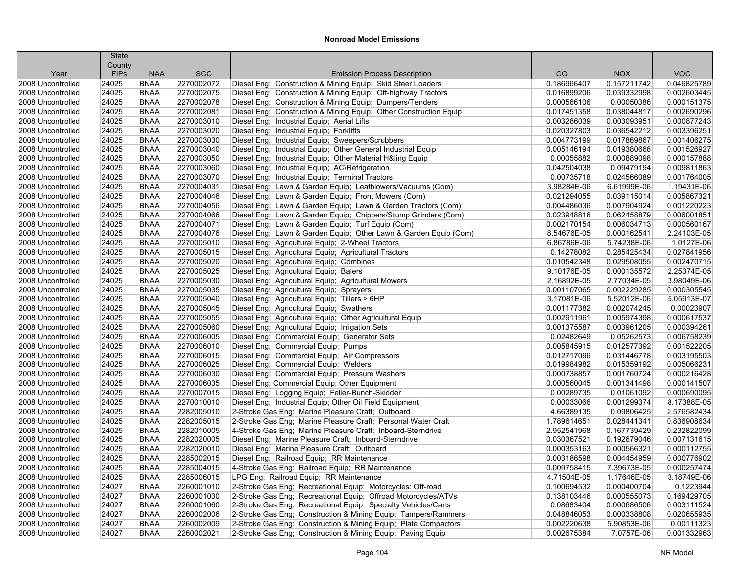|                                        | <b>State</b><br>County |             |            |                                                                   |             |             |             |
|----------------------------------------|------------------------|-------------|------------|-------------------------------------------------------------------|-------------|-------------|-------------|
| Year                                   | <b>FIPs</b>            | <b>NAA</b>  | <b>SCC</b> | <b>Emission Process Description</b>                               | CO          | <b>NOX</b>  | <b>VOC</b>  |
| 2008 Uncontrolled                      | 24025                  | <b>BNAA</b> | 2270002072 | Diesel Eng; Construction & Mining Equip; Skid Steer Loaders       | 0.186966407 | 0.157211742 | 0.046825789 |
| 2008 Uncontrolled                      | 24025                  | <b>BNAA</b> | 2270002075 | Diesel Eng; Construction & Mining Equip; Off-highway Tractors     | 0.016899206 | 0.039332998 | 0.002603445 |
| 2008 Uncontrolled                      | 24025                  | <b>BNAA</b> | 2270002078 | Diesel Eng; Construction & Mining Equip; Dumpers/Tenders          | 0.000566106 | 0.00050386  | 0.000151375 |
| 2008 Uncontrolled                      | 24025                  | <b>BNAA</b> | 2270002081 | Diesel Eng; Construction & Mining Equip; Other Construction Equip | 0.017451358 | 0.038044817 | 0.002690296 |
| 2008 Uncontrolled                      | 24025                  | <b>BNAA</b> | 2270003010 | Diesel Eng; Industrial Equip; Aerial Lifts                        | 0.003286039 | 0.003093951 | 0.000877243 |
| 2008 Uncontrolled                      | 24025                  | <b>BNAA</b> | 2270003020 | Diesel Eng; Industrial Equip; Forklifts                           | 0.020327803 | 0.036542212 | 0.003396251 |
| 2008 Uncontrolled                      | 24025                  | <b>BNAA</b> | 2270003030 | Diesel Eng; Industrial Equip; Sweepers/Scrubbers                  | 0.004773199 | 0.017869867 | 0.001406275 |
| 2008 Uncontrolled                      | 24025                  | <b>BNAA</b> | 2270003040 | Diesel Eng; Industrial Equip; Other General Industrial Equip      | 0.005146194 | 0.019380668 | 0.001526927 |
| 2008 Uncontrolled                      | 24025                  | <b>BNAA</b> | 2270003050 | Diesel Eng; Industrial Equip; Other Material H&ling Equip         | 0.00055882  | 0.000889098 | 0.000157888 |
| 2008 Uncontrolled                      | 24025                  | <b>BNAA</b> | 2270003060 | Diesel Eng; Industrial Equip; AC\Refrigeration                    | 0.042504038 | 0.09479194  | 0.009811863 |
| 2008 Uncontrolled                      | 24025                  | <b>BNAA</b> | 2270003070 | Diesel Eng; Industrial Equip; Terminal Tractors                   | 0.00735718  | 0.024566089 | 0.001764005 |
| 2008 Uncontrolled                      | 24025                  | <b>BNAA</b> | 2270004031 | Diesel Eng; Lawn & Garden Equip; Leafblowers/Vacuums (Com)        | 3.98284E-06 | 6.61999E-06 | 1.19431E-06 |
| 2008 Uncontrolled                      | 24025                  | <b>BNAA</b> | 2270004046 | Diesel Eng; Lawn & Garden Equip; Front Mowers (Com)               | 0.021294055 | 0.039115014 | 0.005867321 |
| 2008 Uncontrolled                      | 24025                  | <b>BNAA</b> | 2270004056 | Diesel Eng; Lawn & Garden Equip; Lawn & Garden Tractors (Com)     | 0.004486036 | 0.007904924 | 0.001220223 |
| 2008 Uncontrolled                      | 24025                  | <b>BNAA</b> | 2270004066 | Diesel Eng; Lawn & Garden Equip; Chippers/Stump Grinders (Com)    | 0.023948816 | 0.062458879 | 0.006001851 |
| 2008 Uncontrolled                      | 24025                  | <b>BNAA</b> | 2270004071 | Diesel Eng; Lawn & Garden Equip; Turf Equip (Com)                 | 0.002170154 | 0.006034713 | 0.000560167 |
| 2008 Uncontrolled                      | 24025                  | <b>BNAA</b> | 2270004076 | Diesel Eng; Lawn & Garden Equip; Other Lawn & Garden Equip (Com)  | 8.54676E-05 | 0.000162541 | 2.24103E-05 |
|                                        |                        | <b>BNAA</b> | 2270005010 |                                                                   | 6.86786E-06 | 5.74238E-06 | 1.0127E-06  |
| 2008 Uncontrolled<br>2008 Uncontrolled | 24025<br>24025         | <b>BNAA</b> | 2270005015 | Diesel Eng; Agricultural Equip; 2-Wheel Tractors                  | 0.14278082  | 0.285425434 | 0.027841956 |
|                                        | 24025                  | <b>BNAA</b> | 2270005020 | Diesel Eng; Agricultural Equip; Agricultural Tractors             | 0.010542348 | 0.029508055 | 0.002470715 |
| 2008 Uncontrolled                      | 24025                  | <b>BNAA</b> | 2270005025 | Diesel Eng; Agricultural Equip; Combines                          | 9.10176E-05 | 0.000135572 | 2.25374E-05 |
| 2008 Uncontrolled                      | 24025                  | <b>BNAA</b> |            | Diesel Eng; Agricultural Equip; Balers                            | 2.16892E-05 | 2.77034E-05 | 3.98049E-06 |
| 2008 Uncontrolled                      |                        |             | 2270005030 | Diesel Eng; Agricultural Equip; Agricultural Mowers               |             |             |             |
| 2008 Uncontrolled                      | 24025                  | <b>BNAA</b> | 2270005035 | Diesel Eng; Agricultural Equip; Sprayers                          | 0.001107065 | 0.002229285 | 0.000305545 |
| 2008 Uncontrolled                      | 24025                  | <b>BNAA</b> | 2270005040 | Diesel Eng; Agricultural Equip; Tillers > 6HP                     | 3.17081E-06 | 5.52012E-06 | 5.05913E-07 |
| 2008 Uncontrolled                      | 24025                  | <b>BNAA</b> | 2270005045 | Diesel Eng; Agricultural Equip; Swathers                          | 0.001177382 | 0.002074245 | 0.00023907  |
| 2008 Uncontrolled                      | 24025                  | <b>BNAA</b> | 2270005055 | Diesel Eng; Agricultural Equip; Other Agricultural Equip          | 0.002911961 | 0.005974398 | 0.000617537 |
| 2008 Uncontrolled                      | 24025                  | <b>BNAA</b> | 2270005060 | Diesel Eng; Agricultural Equip; Irrigation Sets                   | 0.001375587 | 0.003961205 | 0.000394261 |
| 2008 Uncontrolled                      | 24025                  | <b>BNAA</b> | 2270006005 | Diesel Eng; Commercial Equip; Generator Sets                      | 0.02482649  | 0.05262573  | 0.006758239 |
| 2008 Uncontrolled                      | 24025                  | <b>BNAA</b> | 2270006010 | Diesel Eng; Commercial Equip; Pumps                               | 0.005845915 | 0.012577392 | 0.001522205 |
| 2008 Uncontrolled                      | 24025                  | <b>BNAA</b> | 2270006015 | Diesel Eng; Commercial Equip; Air Compressors                     | 0.012717096 | 0.031446778 | 0.003195503 |
| 2008 Uncontrolled                      | 24025                  | <b>BNAA</b> | 2270006025 | Diesel Eng; Commercial Equip; Welders                             | 0.019984982 | 0.015359192 | 0.005066231 |
| 2008 Uncontrolled                      | 24025                  | <b>BNAA</b> | 2270006030 | Diesel Eng; Commercial Equip; Pressure Washers                    | 0.000738857 | 0.001760724 | 0.000216428 |
| 2008 Uncontrolled                      | 24025                  | <b>BNAA</b> | 2270006035 | Diesel Eng; Commercial Equip; Other Equipment                     | 0.000560045 | 0.001341498 | 0.000141507 |
| 2008 Uncontrolled                      | 24025                  | <b>BNAA</b> | 2270007015 | Diesel Eng; Logging Equip; Feller-Bunch-Skidder                   | 0.00289735  | 0.01061092  | 0.000690095 |
| 2008 Uncontrolled                      | 24025                  | <b>BNAA</b> | 2270010010 | Diesel Eng; Industrial Equip; Other Oil Field Equipment           | 0.00033066  | 0.001299374 | 8.17388E-05 |
| 2008 Uncontrolled                      | 24025                  | <b>BNAA</b> | 2282005010 | 2-Stroke Gas Eng; Marine Pleasure Craft; Outboard                 | 4.66389135  | 0.09806425  | 2.576582434 |
| 2008 Uncontrolled                      | 24025                  | <b>BNAA</b> | 2282005015 | 2-Stroke Gas Eng; Marine Pleasure Craft; Personal Water Craft     | 1.789614651 | 0.028441341 | 0.836908634 |
| 2008 Uncontrolled                      | 24025                  | <b>BNAA</b> | 2282010005 | 4-Stroke Gas Eng; Marine Pleasure Craft; Inboard-Sterndrive       | 2.952541968 | 0.167739429 | 0.232822099 |
| 2008 Uncontrolled                      | 24025                  | <b>BNAA</b> | 2282020005 | Diesel Eng; Marine Pleasure Craft; Inboard-Sterndrive             | 0.030367521 | 0.192679046 | 0.007131615 |
| 2008 Uncontrolled                      | 24025                  | <b>BNAA</b> | 2282020010 | Diesel Eng: Marine Pleasure Craft: Outboard                       | 0.000353163 | 0.000566321 | 0.000112755 |
| 2008 Uncontrolled                      | 24025                  | <b>BNAA</b> | 2285002015 | Diesel Eng; Railroad Equip; RR Maintenance                        | 0.003186598 | 0.004454959 | 0.000776902 |
| 2008 Uncontrolled                      | 24025                  | <b>BNAA</b> | 2285004015 | 4-Stroke Gas Eng; Railroad Equip; RR Maintenance                  | 0.009758415 | 7.39673E-05 | 0.000257474 |
| 2008 Uncontrolled                      | 24025                  | <b>BNAA</b> | 2285006015 | LPG Eng: Railroad Equip: RR Maintenance                           | 4.71504E-05 | 1.17646E-05 | 3.18749E-06 |
| 2008 Uncontrolled                      | 24027                  | <b>BNAA</b> | 2260001010 | 2-Stroke Gas Eng; Recreational Equip; Motorcycles: Off-road       | 0.100694532 | 0.000400704 | 0.1223944   |
| 2008 Uncontrolled                      | 24027                  | <b>BNAA</b> | 2260001030 | 2-Stroke Gas Eng; Recreational Equip; Offroad Motorcycles/ATVs    | 0.138103446 | 0.000555073 | 0.169429705 |
| 2008 Uncontrolled                      | 24027                  | <b>BNAA</b> | 2260001060 | 2-Stroke Gas Eng; Recreational Equip; Specialty Vehicles/Carts    | 0.08683404  | 0.000686506 | 0.003111524 |
| 2008 Uncontrolled                      | 24027                  | <b>BNAA</b> | 2260002006 | 2-Stroke Gas Eng; Construction & Mining Equip; Tampers/Rammers    | 0.048846053 | 0.000338808 | 0.020655935 |
| 2008 Uncontrolled                      | 24027                  | <b>BNAA</b> | 2260002009 | 2-Stroke Gas Eng; Construction & Mining Equip; Plate Compactors   | 0.002220638 | 5.90853E-06 | 0.00111323  |
| 2008 Uncontrolled                      | 24027                  | <b>BNAA</b> | 2260002021 | 2-Stroke Gas Eng; Construction & Mining Equip; Paving Equip       | 0.002675384 | 7.0757E-06  | 0.001332963 |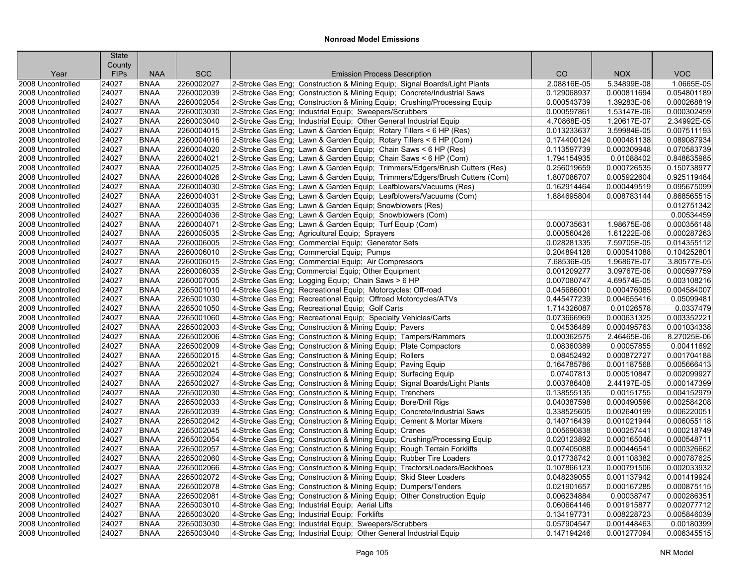|                                        | <b>State</b>          |                            |                          |                                                                                                                              |                            |                            |                            |
|----------------------------------------|-----------------------|----------------------------|--------------------------|------------------------------------------------------------------------------------------------------------------------------|----------------------------|----------------------------|----------------------------|
| Year                                   | County<br><b>FIPs</b> | <b>NAA</b>                 | <b>SCC</b>               | <b>Emission Process Description</b>                                                                                          | CO                         | <b>NOX</b>                 | <b>VOC</b>                 |
| 2008 Uncontrolled                      | 24027                 | <b>BNAA</b>                | 2260002027               | 2-Stroke Gas Eng; Construction & Mining Equip; Signal Boards/Light Plants                                                    | 2.08816E-05                | 5.34899E-08                | 1.0665E-05                 |
| 2008 Uncontrolled                      | 24027                 | <b>BNAA</b>                | 2260002039               | 2-Stroke Gas Eng; Construction & Mining Equip; Concrete/Industrial Saws                                                      | 0.129068937                | 0.000811694                | 0.054801189                |
| 2008 Uncontrolled                      | 24027                 | <b>BNAA</b>                | 2260002054               | 2-Stroke Gas Eng; Construction & Mining Equip; Crushing/Processing Equip                                                     | 0.000543739                | 1.39283E-06                | 0.000268819                |
| 2008 Uncontrolled                      | 24027                 | <b>BNAA</b>                | 2260003030               |                                                                                                                              | 0.000597861                | 1.53147E-06                | 0.000302459                |
| 2008 Uncontrolled                      | 24027                 | <b>BNAA</b>                | 2260003040               | 2-Stroke Gas Eng; Industrial Equip; Sweepers/Scrubbers<br>2-Stroke Gas Eng; Industrial Equip; Other General Industrial Equip | 4.70868E-05                | 1.20617E-07                | 2.34992E-05                |
| 2008 Uncontrolled                      | 24027                 | <b>BNAA</b>                | 2260004015               | 2-Stroke Gas Eng; Lawn & Garden Equip; Rotary Tillers < 6 HP (Res)                                                           | 0.013233637                | 3.59984E-05                | 0.007511193                |
| 2008 Uncontrolled                      | 24027                 | <b>BNAA</b>                | 2260004016               | 2-Stroke Gas Eng; Lawn & Garden Equip; Rotary Tillers < 6 HP (Com)                                                           | 0.174400124                | 0.000481138                | 0.089087934                |
| 2008 Uncontrolled                      | 24027                 | <b>BNAA</b>                | 2260004020               | 2-Stroke Gas Eng; Lawn & Garden Equip; Chain Saws < 6 HP (Res)                                                               | 0.113597739                | 0.000309948                | 0.070583739                |
| 2008 Uncontrolled                      | 24027                 | <b>BNAA</b>                | 2260004021               | 2-Stroke Gas Eng; Lawn & Garden Equip; Chain Saws < 6 HP (Com)                                                               | 1.794154935                | 0.01088402                 | 0.848635985                |
| 2008 Uncontrolled                      | 24027                 | <b>BNAA</b>                | 2260004025               | 2-Stroke Gas Eng; Lawn & Garden Equip; Trimmers/Edgers/Brush Cutters (Res)                                                   | 0.256019659                | 0.000726535                | 0.150738977                |
| 2008 Uncontrolled                      | 24027                 | <b>BNAA</b>                | 2260004026               | 2-Stroke Gas Eng; Lawn & Garden Equip; Trimmers/Edgers/Brush Cutters (Com)                                                   | 1.807086707                | 0.005922604                | 0.925119484                |
| 2008 Uncontrolled                      | 24027                 | <b>BNAA</b>                | 2260004030               | 2-Stroke Gas Eng; Lawn & Garden Equip; Leafblowers/Vacuums (Res)                                                             | 0.162914464                | 0.000449519                | 0.095675099                |
| 2008 Uncontrolled                      | 24027                 | <b>BNAA</b>                | 2260004031               | 2-Stroke Gas Eng; Lawn & Garden Equip; Leafblowers/Vacuums (Com)                                                             | 1.884695804                | 0.008783144                | 0.868565515                |
| 2008 Uncontrolled                      | 24027                 | <b>BNAA</b>                | 2260004035               |                                                                                                                              |                            |                            | 0.012751342                |
| 2008 Uncontrolled                      | 24027                 | <b>BNAA</b>                | 2260004036               | 2-Stroke Gas Eng; Lawn & Garden Equip; Snowblowers (Res)<br>2-Stroke Gas Eng; Lawn & Garden Equip; Snowblowers (Com)         |                            |                            | 0.00534459                 |
|                                        | 24027                 | <b>BNAA</b>                | 2260004071               |                                                                                                                              |                            |                            | 0.000356148                |
| 2008 Uncontrolled                      | 24027                 | <b>BNAA</b>                | 2260005035               | 2-Stroke Gas Eng; Lawn & Garden Equip; Turf Equip (Com)<br>2-Stroke Gas Eng; Agricultural Equip; Sprayers                    | 0.000735631<br>0.000560426 | 1.98675E-06<br>1.61222E-06 | 0.000287263                |
| 2008 Uncontrolled<br>2008 Uncontrolled |                       | <b>BNAA</b>                | 2260006005               |                                                                                                                              | 0.028281335                | 7.59705E-05                | 0.014355112                |
|                                        | 24027<br>24027        | <b>BNAA</b>                | 2260006010               | 2-Stroke Gas Eng; Commercial Equip; Generator Sets                                                                           | 0.204894128                | 0.000541088                | 0.104252801                |
| 2008 Uncontrolled                      |                       |                            |                          | 2-Stroke Gas Eng; Commercial Equip; Pumps                                                                                    |                            |                            |                            |
| 2008 Uncontrolled                      | 24027                 | <b>BNAA</b><br><b>BNAA</b> | 2260006015               | 2-Stroke Gas Eng; Commercial Equip; Air Compressors                                                                          | 7.68536E-05                | 1.96867E-07                | 3.80577E-05<br>0.000597759 |
| 2008 Uncontrolled                      | 24027                 |                            | 2260006035               | 2-Stroke Gas Eng; Commercial Equip; Other Equipment                                                                          | 0.001209277                | 3.09767E-06                | 0.003108216                |
| 2008 Uncontrolled                      | 24027<br>24027        | <b>BNAA</b>                | 2260007005<br>2265001010 | 2-Stroke Gas Eng; Logging Equip; Chain Saws > 6 HP                                                                           | 0.007080747                | 4.69574E-05                | 0.004584007                |
| 2008 Uncontrolled                      |                       | <b>BNAA</b>                |                          | 4-Stroke Gas Eng; Recreational Equip; Motorcycles: Off-road                                                                  | 0.045686001                | 0.000476085                |                            |
| 2008 Uncontrolled                      | 24027                 | <b>BNAA</b>                | 2265001030               | 4-Stroke Gas Eng; Recreational Equip; Offroad Motorcycles/ATVs                                                               | 0.445477239                | 0.004655416                | 0.05099481                 |
| 2008 Uncontrolled                      | 24027                 | <b>BNAA</b>                | 2265001050               | 4-Stroke Gas Eng; Recreational Equip; Golf Carts                                                                             | 1.714326087                | 0.01026578                 | 0.0337479                  |
| 2008 Uncontrolled                      | 24027                 | <b>BNAA</b>                | 2265001060               | 4-Stroke Gas Eng; Recreational Equip; Specialty Vehicles/Carts                                                               | 0.073666969                | 0.000631325                | 0.003352221                |
| 2008 Uncontrolled                      | 24027                 | <b>BNAA</b>                | 2265002003               | 4-Stroke Gas Eng; Construction & Mining Equip; Pavers                                                                        | 0.04536489                 | 0.000495763                | 0.001034338<br>8.27025E-06 |
| 2008 Uncontrolled                      | 24027                 | <b>BNAA</b>                | 2265002006               | 4-Stroke Gas Eng; Construction & Mining Equip; Tampers/Rammers                                                               | 0.000362575                | 2.46465E-06                |                            |
| 2008 Uncontrolled                      | 24027                 | <b>BNAA</b>                | 2265002009               | 4-Stroke Gas Eng: Construction & Mining Equip: Plate Compactors                                                              | 0.08360389                 | 0.00057855                 | 0.00411692                 |
| 2008 Uncontrolled                      | 24027                 | <b>BNAA</b>                | 2265002015               | 4-Stroke Gas Eng; Construction & Mining Equip; Rollers                                                                       | 0.08452492                 | 0.000872727                | 0.001704188                |
| 2008 Uncontrolled                      | 24027                 | <b>BNAA</b>                | 2265002021               | 4-Stroke Gas Eng; Construction & Mining Equip; Paving Equip                                                                  | 0.164785786                | 0.001187568                | 0.005666413                |
| 2008 Uncontrolled                      | 24027                 | <b>BNAA</b>                | 2265002024               | 4-Stroke Gas Eng; Construction & Mining Equip; Surfacing Equip                                                               | 0.07407813                 | 0.000510847                | 0.002099927                |
| 2008 Uncontrolled                      | 24027                 | <b>BNAA</b>                | 2265002027               | 4-Stroke Gas Eng; Construction & Mining Equip; Signal Boards/Light Plants                                                    | 0.003786408                | 2.44197E-05                | 0.000147399                |
| 2008 Uncontrolled                      | 24027                 | <b>BNAA</b><br><b>BNAA</b> | 2265002030<br>2265002033 | 4-Stroke Gas Eng; Construction & Mining Equip; Trenchers                                                                     | 0.138555135<br>0.040387598 | 0.00151755                 | 0.004152979                |
| 2008 Uncontrolled                      | 24027                 |                            | 2265002039               | 4-Stroke Gas Eng; Construction & Mining Equip; Bore/Drill Rigs                                                               |                            | 0.000490596                | 0.002584208<br>0.006220051 |
| 2008 Uncontrolled                      | 24027                 | <b>BNAA</b>                | 2265002042               | 4-Stroke Gas Eng; Construction & Mining Equip; Concrete/Industrial Saws                                                      | 0.338525605                | 0.002640199                | 0.006055118                |
| 2008 Uncontrolled                      | 24027                 | <b>BNAA</b>                |                          | 4-Stroke Gas Eng; Construction & Mining Equip; Cement & Mortar Mixers                                                        | 0.140716439                | 0.001021944                |                            |
| 2008 Uncontrolled                      | 24027                 | <b>BNAA</b>                | 2265002045               | 4-Stroke Gas Eng; Construction & Mining Equip; Cranes                                                                        | 0.005690838                | 0.000257441<br>0.000165046 | 0.000218749                |
| 2008 Uncontrolled                      | 24027                 | <b>BNAA</b>                | 2265002054               | 4-Stroke Gas Eng; Construction & Mining Equip; Crushing/Processing Equip                                                     | 0.020123892                |                            | 0.000548711                |
| 2008 Uncontrolled                      | 24027                 | <b>BNAA</b>                | 2265002057               | 4-Stroke Gas Eng; Construction & Mining Equip; Rough Terrain Forklifts                                                       | 0.007405088                | 0.000446541                | 0.000326662                |
| 2008 Uncontrolled                      | 24027                 | <b>BNAA</b>                | 2265002060               | 4-Stroke Gas Eng; Construction & Mining Equip; Rubber Tire Loaders                                                           | 0.017738742                | 0.001108382                | 0.000787625                |
| 2008 Uncontrolled                      | 24027                 | <b>BNAA</b>                | 2265002066<br>2265002072 | 4-Stroke Gas Eng; Construction & Mining Equip; Tractors/Loaders/Backhoes                                                     | 0.107866123                | 0.000791506                | 0.002033932                |
| 2008 Uncontrolled                      | 24027                 | <b>BNAA</b>                |                          | 4-Stroke Gas Eng; Construction & Mining Equip; Skid Steer Loaders                                                            | 0.048239055                | 0.001137942                | 0.001419924                |
| 2008 Uncontrolled                      | 24027                 | <b>BNAA</b>                | 2265002078               | 4-Stroke Gas Eng; Construction & Mining Equip; Dumpers/Tenders                                                               | 0.021901657                | 0.000167285                | 0.000875115                |
| 2008 Uncontrolled                      | 24027                 | <b>BNAA</b>                | 2265002081               | 4-Stroke Gas Eng; Construction & Mining Equip; Other Construction Equip                                                      | 0.006234884                | 0.00038747                 | 0.000286351                |
| 2008 Uncontrolled                      | 24027                 | <b>BNAA</b>                | 2265003010               | 4-Stroke Gas Eng; Industrial Equip; Aerial Lifts                                                                             | 0.060664146                | 0.001915877                | 0.002077712                |
| 2008 Uncontrolled                      | 24027                 | <b>BNAA</b>                | 2265003020               | 4-Stroke Gas Eng; Industrial Equip; Forklifts                                                                                | 0.134197731                | 0.008228723                | 0.005846039                |
| 2008 Uncontrolled                      | 24027                 | <b>BNAA</b>                | 2265003030               | 4-Stroke Gas Eng; Industrial Equip; Sweepers/Scrubbers                                                                       | 0.057904547                | 0.001448463                | 0.00180399                 |
| 2008 Uncontrolled                      | 24027                 | <b>BNAA</b>                | 2265003040               | 4-Stroke Gas Eng; Industrial Equip; Other General Industrial Equip                                                           | 0.147194246                | 0.001277094                | 0.006345515                |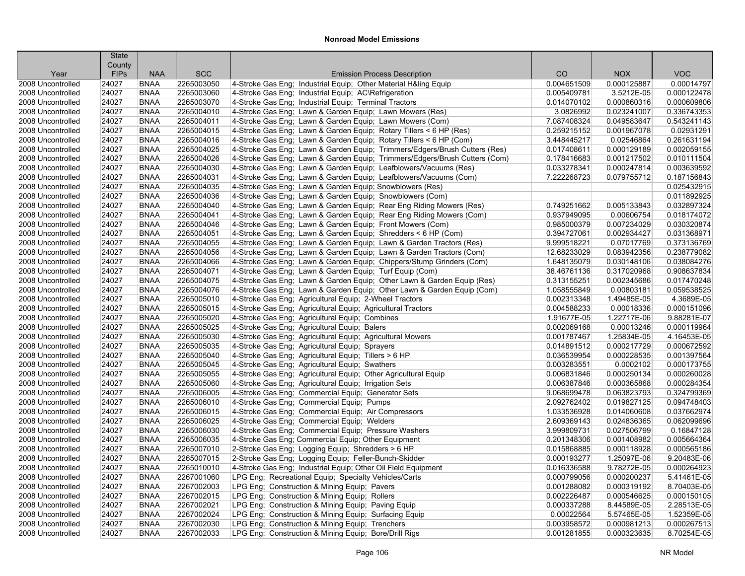|                                        | <b>State</b>   |                            |                          |                                                                                                                                                |                            |                           |                           |
|----------------------------------------|----------------|----------------------------|--------------------------|------------------------------------------------------------------------------------------------------------------------------------------------|----------------------------|---------------------------|---------------------------|
|                                        | County         |                            |                          |                                                                                                                                                |                            |                           |                           |
| Year                                   | <b>FIPs</b>    | <b>NAA</b>                 | <b>SCC</b>               | <b>Emission Process Description</b>                                                                                                            | CO                         | <b>NOX</b>                | <b>VOC</b>                |
| 2008 Uncontrolled                      | 24027          | <b>BNAA</b>                | 2265003050               | 4-Stroke Gas Eng; Industrial Equip; Other Material H&ling Equip                                                                                | 0.004651509                | 0.000125887               | 0.00014797                |
| 2008 Uncontrolled                      | 24027          | <b>BNAA</b>                | 2265003060               | 4-Stroke Gas Eng; Industrial Equip; AC\Refrigeration                                                                                           | 0.005409781                | 3.5212E-05                | 0.000122478               |
| 2008 Uncontrolled                      | 24027          | <b>BNAA</b>                | 2265003070               | 4-Stroke Gas Eng; Industrial Equip; Terminal Tractors                                                                                          | 0.014070102                | 0.000860316               | 0.000609806               |
| 2008 Uncontrolled                      | 24027          | <b>BNAA</b>                | 2265004010               | 4-Stroke Gas Eng; Lawn & Garden Equip; Lawn Mowers (Res)                                                                                       | 3.0826992                  | 0.023241007               | 0.336743353               |
| 2008 Uncontrolled                      | 24027          | <b>BNAA</b>                | 2265004011               | 4-Stroke Gas Eng; Lawn & Garden Equip; Lawn Mowers (Com)                                                                                       | 7.087408324                | 0.049583647               | 0.543241143               |
| 2008 Uncontrolled<br>2008 Uncontrolled | 24027<br>24027 | <b>BNAA</b><br><b>BNAA</b> | 2265004015<br>2265004016 | 4-Stroke Gas Eng; Lawn & Garden Equip; Rotary Tillers < 6 HP (Res)                                                                             | 0.259215152<br>3.448445217 | 0.001967078               | 0.02931291<br>0.261631194 |
|                                        | 24027          | <b>BNAA</b>                | 2265004025               | 4-Stroke Gas Eng; Lawn & Garden Equip; Rotary Tillers < 6 HP (Com)                                                                             |                            | 0.02546864<br>0.000129189 | 0.002059155               |
| 2008 Uncontrolled<br>2008 Uncontrolled | 24027          | <b>BNAA</b>                | 2265004026               | 4-Stroke Gas Eng; Lawn & Garden Equip; Trimmers/Edgers/Brush Cutters (Res)                                                                     | 0.017408611<br>0.178416683 | 0.001217502               | 0.010111504               |
|                                        |                | <b>BNAA</b>                |                          | 4-Stroke Gas Eng; Lawn & Garden Equip; Trimmers/Edgers/Brush Cutters (Com)<br>4-Stroke Gas Eng; Lawn & Garden Equip; Leafblowers/Vacuums (Res) |                            |                           | 0.003639592               |
| 2008 Uncontrolled<br>2008 Uncontrolled | 24027          | <b>BNAA</b>                | 2265004030<br>2265004031 | 4-Stroke Gas Eng; Lawn & Garden Equip; Leafblowers/Vacuums (Com)                                                                               | 0.033278341                | 0.000247814               | 0.187156843               |
| 2008 Uncontrolled                      | 24027<br>24027 | <b>BNAA</b>                | 2265004035               | 4-Stroke Gas Eng; Lawn & Garden Equip; Snowblowers (Res)                                                                                       | 7.222268723                | 0.079755712               | 0.025432915               |
| 2008 Uncontrolled                      | 24027          | <b>BNAA</b>                | 2265004036               | 4-Stroke Gas Eng; Lawn & Garden Equip; Snowblowers (Com)                                                                                       |                            |                           | 0.011892925               |
| 2008 Uncontrolled                      | 24027          | <b>BNAA</b>                | 2265004040               | 4-Stroke Gas Eng; Lawn & Garden Equip; Rear Eng Riding Mowers (Res)                                                                            | 0.749251662                | 0.005133843               | 0.032897324               |
| 2008 Uncontrolled                      | 24027          | <b>BNAA</b>                | 2265004041               | 4-Stroke Gas Eng; Lawn & Garden Equip; Rear Eng Riding Mowers (Com)                                                                            | 0.937949095                | 0.00606754                | 0.018174072               |
| 2008 Uncontrolled                      | 24027          | <b>BNAA</b>                | 2265004046               | 4-Stroke Gas Eng; Lawn & Garden Equip; Front Mowers (Com)                                                                                      | 0.985000379                | 0.007234029               | 0.030320874               |
| 2008 Uncontrolled                      | 24027          | <b>BNAA</b>                | 2265004051               | 4-Stroke Gas Eng; Lawn & Garden Equip; Shredders < 6 HP (Com)                                                                                  | 0.394727061                | 0.002934427               | 0.031368971               |
| 2008 Uncontrolled                      | 24027          | <b>BNAA</b>                | 2265004055               |                                                                                                                                                | 9.999518221                | 0.07017769                | 0.373136769               |
| 2008 Uncontrolled                      | 24027          | <b>BNAA</b>                | 2265004056               | 4-Stroke Gas Eng; Lawn & Garden Equip; Lawn & Garden Tractors (Res)<br>4-Stroke Gas Eng; Lawn & Garden Equip; Lawn & Garden Tractors (Com)     | 12.68233029                | 0.083942356               | 0.238779082               |
| 2008 Uncontrolled                      | 24027          | <b>BNAA</b>                | 2265004066               | 4-Stroke Gas Eng; Lawn & Garden Equip; Chippers/Stump Grinders (Com)                                                                           | 1.648135079                | 0.030148106               | 0.038084276               |
| 2008 Uncontrolled                      | 24027          | <b>BNAA</b>                | 2265004071               | 4-Stroke Gas Eng; Lawn & Garden Equip; Turf Equip (Com)                                                                                        | 38.46761136                | 0.317020968               | 0.908637834               |
| 2008 Uncontrolled                      | 24027          | <b>BNAA</b>                | 2265004075               | 4-Stroke Gas Eng; Lawn & Garden Equip; Other Lawn & Garden Equip (Res)                                                                         | 0.313155251                | 0.002345686               | 0.017470248               |
| 2008 Uncontrolled                      | 24027          | <b>BNAA</b>                | 2265004076               | 4-Stroke Gas Eng; Lawn & Garden Equip; Other Lawn & Garden Equip (Com)                                                                         | 1.058555849                | 0.00803181                | 0.059538525               |
| 2008 Uncontrolled                      | 24027          | <b>BNAA</b>                | 2265005010               | 4-Stroke Gas Eng; Agricultural Equip; 2-Wheel Tractors                                                                                         | 0.002313348                | 1.49485E-05               | 4.3689E-05                |
| 2008 Uncontrolled                      | 24027          | <b>BNAA</b>                | 2265005015               | 4-Stroke Gas Eng; Agricultural Equip; Agricultural Tractors                                                                                    | 0.004588233                | 0.00018336                | 0.000151096               |
| 2008 Uncontrolled                      | 24027          | <b>BNAA</b>                | 2265005020               | 4-Stroke Gas Eng; Agricultural Equip; Combines                                                                                                 | 1.91677E-05                | 1.22717E-06               | 9.88281E-07               |
| 2008 Uncontrolled                      | 24027          | <b>BNAA</b>                | 2265005025               | 4-Stroke Gas Eng; Agricultural Equip; Balers                                                                                                   | 0.002069168                | 0.00013246                | 0.000119964               |
| 2008 Uncontrolled                      | 24027          | <b>BNAA</b>                | 2265005030               | 4-Stroke Gas Eng; Agricultural Equip; Agricultural Mowers                                                                                      | 0.001787467                | 1.25834E-05               | 4.16453E-05               |
| 2008 Uncontrolled                      | 24027          | <b>BNAA</b>                | 2265005035               | 4-Stroke Gas Eng; Agricultural Equip; Sprayers                                                                                                 | 0.014891512                | 0.000217729               | 0.000672592               |
| 2008 Uncontrolled                      | 24027          | <b>BNAA</b>                | 2265005040               | 4-Stroke Gas Eng; Agricultural Equip; Tillers > 6 HP                                                                                           | 0.036539954                | 0.000228535               | 0.001397564               |
| 2008 Uncontrolled                      | 24027          | <b>BNAA</b>                | 2265005045               | 4-Stroke Gas Eng; Agricultural Equip; Swathers                                                                                                 | 0.003283551                | 0.0002102                 | 0.000173755               |
| 2008 Uncontrolled                      | 24027          | <b>BNAA</b>                | 2265005055               | 4-Stroke Gas Eng; Agricultural Equip; Other Agricultural Equip                                                                                 | 0.006831846                | 0.000250134               | 0.000260028               |
| 2008 Uncontrolled                      | 24027          | <b>BNAA</b>                | 2265005060               | 4-Stroke Gas Eng; Agricultural Equip; Irrigation Sets                                                                                          | 0.006387846                | 0.000365868               | 0.000284354               |
| 2008 Uncontrolled                      | 24027          | <b>BNAA</b>                | 2265006005               | 4-Stroke Gas Eng; Commercial Equip; Generator Sets                                                                                             | 9.068699478                | 0.063823793               | 0.324799369               |
| 2008 Uncontrolled                      | 24027          | <b>BNAA</b>                | 2265006010               | 4-Stroke Gas Eng; Commercial Equip; Pumps                                                                                                      | 2.092762402                | 0.019827125               | 0.094748403               |
| 2008 Uncontrolled                      | 24027          | <b>BNAA</b>                | 2265006015               | 4-Stroke Gas Eng: Commercial Equip: Air Compressors                                                                                            | 1.033536928                | 0.014060608               | 0.037662974               |
| 2008 Uncontrolled                      | 24027          | <b>BNAA</b>                | 2265006025               | 4-Stroke Gas Eng; Commercial Equip; Welders                                                                                                    | 2.609369143                | 0.024836365               | 0.062099696               |
| 2008 Uncontrolled                      | 24027          | <b>BNAA</b>                | 2265006030               | 4-Stroke Gas Eng; Commercial Equip; Pressure Washers                                                                                           | 3.999809731                | 0.027506799               | 0.16847128                |
| 2008 Uncontrolled                      | 24027          | <b>BNAA</b>                | 2265006035               | 4-Stroke Gas Eng; Commercial Equip; Other Equipment                                                                                            | 0.201348306                | 0.001408982               | 0.005664364               |
| 2008 Uncontrolled                      | 24027          | <b>BNAA</b>                | 2265007010               | 2-Stroke Gas Eng; Logging Equip; Shredders > 6 HP                                                                                              | 0.015868885                | 0.000118928               | 0.000565186               |
| 2008 Uncontrolled                      | 24027          | <b>BNAA</b>                | 2265007015               | 2-Stroke Gas Eng; Logging Equip; Feller-Bunch-Skidder                                                                                          | 0.000193277                | 1.25097E-06               | 9.20483E-06               |
| 2008 Uncontrolled                      | 24027          | <b>BNAA</b>                | 2265010010               | 4-Stroke Gas Eng; Industrial Equip; Other Oil Field Equipment                                                                                  | 0.016336588                | 9.78272E-05               | 0.000264923               |
| 2008 Uncontrolled                      | 24027          | <b>BNAA</b>                | 2267001060               | LPG Eng; Recreational Equip; Specialty Vehicles/Carts                                                                                          | 0.000799056                | 0.000200237               | 5.41461E-05               |
| 2008 Uncontrolled                      | 24027          | <b>BNAA</b>                | 2267002003               | LPG Eng; Construction & Mining Equip; Pavers                                                                                                   | 0.001288082                | 0.000319192               | 8.70403E-05               |
| 2008 Uncontrolled                      | 24027          | <b>BNAA</b>                | 2267002015               | LPG Eng; Construction & Mining Equip; Rollers                                                                                                  | 0.002226487                | 0.000546625               | 0.000150105               |
| 2008 Uncontrolled                      | 24027          | <b>BNAA</b>                | 2267002021               | LPG Eng; Construction & Mining Equip; Paving Equip                                                                                             | 0.000337288                | 8.44589E-05               | 2.28513E-05               |
| 2008 Uncontrolled                      | 24027          | <b>BNAA</b>                | 2267002024               | LPG Eng; Construction & Mining Equip; Surfacing Equip                                                                                          | 0.00022564                 | 5.57465E-05               | 1.52359E-05               |
| 2008 Uncontrolled                      | 24027          | <b>BNAA</b>                | 2267002030               | LPG Eng; Construction & Mining Equip; Trenchers                                                                                                | 0.003958572                | 0.000981213               | 0.000267513               |
| 2008 Uncontrolled                      | 24027          | <b>BNAA</b>                | 2267002033               | LPG Eng; Construction & Mining Equip; Bore/Drill Rigs                                                                                          | 0.001281855                | 0.000323635               | 8.70254E-05               |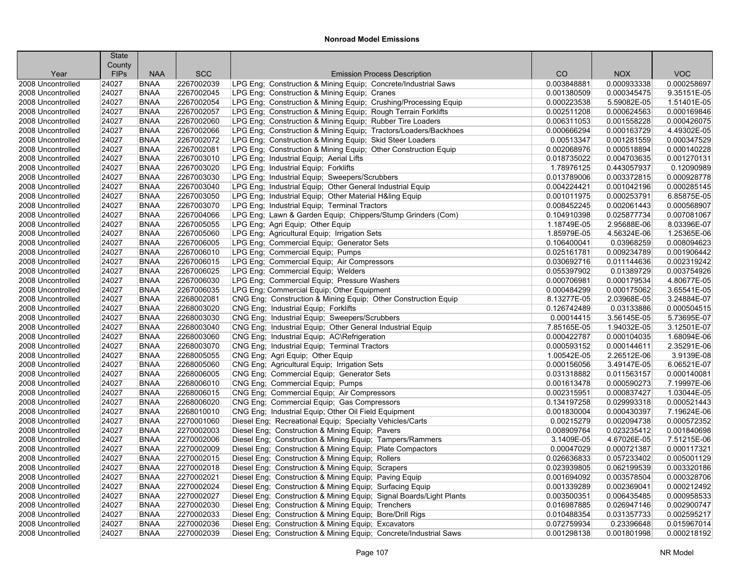|                   | <b>State</b><br>County |             |            |                                                                     |             |             |             |
|-------------------|------------------------|-------------|------------|---------------------------------------------------------------------|-------------|-------------|-------------|
| Year              | <b>FIPs</b>            | <b>NAA</b>  | <b>SCC</b> | <b>Emission Process Description</b>                                 | CO          | <b>NOX</b>  | <b>VOC</b>  |
| 2008 Uncontrolled | 24027                  | <b>BNAA</b> | 2267002039 | LPG Eng; Construction & Mining Equip; Concrete/Industrial Saws      | 0.003848881 | 0.000933338 | 0.000258697 |
| 2008 Uncontrolled | 24027                  | <b>BNAA</b> | 2267002045 | LPG Eng; Construction & Mining Equip; Cranes                        | 0.001380509 | 0.000345475 | 9.35151E-05 |
| 2008 Uncontrolled | 24027                  | <b>BNAA</b> | 2267002054 | LPG Eng; Construction & Mining Equip; Crushing/Processing Equip     | 0.000223538 | 5.59082E-05 | 1.51401E-05 |
| 2008 Uncontrolled | 24027                  | <b>BNAA</b> | 2267002057 | LPG Eng; Construction & Mining Equip; Rough Terrain Forklifts       | 0.002511208 | 0.000624563 | 0.000169846 |
| 2008 Uncontrolled | 24027                  | <b>BNAA</b> | 2267002060 | LPG Eng; Construction & Mining Equip; Rubber Tire Loaders           | 0.006311053 | 0.001558228 | 0.000426075 |
| 2008 Uncontrolled | 24027                  | <b>BNAA</b> | 2267002066 | LPG Eng; Construction & Mining Equip; Tractors/Loaders/Backhoes     | 0.000666294 | 0.000163729 | 4.49302E-05 |
| 2008 Uncontrolled | 24027                  | <b>BNAA</b> | 2267002072 | LPG Eng; Construction & Mining Equip; Skid Steer Loaders            | 0.00513347  | 0.001281559 | 0.000347529 |
| 2008 Uncontrolled | 24027                  | <b>BNAA</b> | 2267002081 | LPG Eng; Construction & Mining Equip; Other Construction Equip      | 0.002068976 | 0.000518894 | 0.000140228 |
| 2008 Uncontrolled | 24027                  | <b>BNAA</b> | 2267003010 | LPG Eng; Industrial Equip; Aerial Lifts                             | 0.018735022 | 0.004703635 | 0.001270131 |
| 2008 Uncontrolled | 24027                  | <b>BNAA</b> | 2267003020 | LPG Eng; Industrial Equip; Forklifts                                | 1.78976125  | 0.443057937 | 0.12090989  |
| 2008 Uncontrolled | 24027                  | <b>BNAA</b> | 2267003030 | LPG Eng; Industrial Equip; Sweepers/Scrubbers                       | 0.013789006 | 0.003372815 | 0.000928778 |
| 2008 Uncontrolled | 24027                  | <b>BNAA</b> | 2267003040 | LPG Eng; Industrial Equip; Other General Industrial Equip           | 0.004224421 | 0.001042196 | 0.000285145 |
| 2008 Uncontrolled | 24027                  | <b>BNAA</b> | 2267003050 | LPG Eng; Industrial Equip; Other Material H&ling Equip              | 0.001011975 | 0.000253791 | 6.85875E-05 |
| 2008 Uncontrolled | 24027                  | <b>BNAA</b> | 2267003070 | LPG Eng; Industrial Equip; Terminal Tractors                        | 0.008452245 | 0.002061443 | 0.000568907 |
| 2008 Uncontrolled | 24027                  | <b>BNAA</b> | 2267004066 | LPG Eng; Lawn & Garden Equip; Chippers/Stump Grinders (Com)         | 0.104910398 | 0.025877734 | 0.007081067 |
| 2008 Uncontrolled | 24027                  | <b>BNAA</b> | 2267005055 | LPG Eng; Agri Equip; Other Equip                                    | 1.18749E-05 | 2.95688E-06 | 8.03396E-07 |
| 2008 Uncontrolled | 24027                  | <b>BNAA</b> | 2267005060 | LPG Eng; Agricultural Equip; Irrigation Sets                        | 1.85979E-05 | 4.56324E-06 | 1.25365E-06 |
| 2008 Uncontrolled | 24027                  | <b>BNAA</b> | 2267006005 | LPG Eng; Commercial Equip; Generator Sets                           | 0.106400041 | 0.03968259  | 0.008094623 |
| 2008 Uncontrolled | 24027                  | <b>BNAA</b> | 2267006010 | LPG Eng; Commercial Equip; Pumps                                    | 0.025161781 | 0.009234789 | 0.001906442 |
| 2008 Uncontrolled | 24027                  | <b>BNAA</b> | 2267006015 | LPG Eng: Commercial Equip: Air Compressors                          | 0.030692716 | 0.011144636 | 0.002319242 |
| 2008 Uncontrolled | 24027                  | <b>BNAA</b> | 2267006025 | LPG Eng; Commercial Equip; Welders                                  | 0.055397902 | 0.01389729  | 0.003754926 |
| 2008 Uncontrolled | 24027                  | <b>BNAA</b> | 2267006030 | LPG Eng; Commercial Equip; Pressure Washers                         | 0.000706981 | 0.000179534 | 4.80677E-05 |
| 2008 Uncontrolled | 24027                  | <b>BNAA</b> | 2267006035 | LPG Eng; Commercial Equip; Other Equipment                          | 0.000484299 | 0.000175062 | 3.65541E-05 |
| 2008 Uncontrolled | 24027                  | <b>BNAA</b> | 2268002081 | CNG Eng; Construction & Mining Equip; Other Construction Equip      | 8.13277E-05 | 2.03968E-05 | 3.24884E-07 |
| 2008 Uncontrolled | 24027                  | <b>BNAA</b> | 2268003020 | CNG Eng; Industrial Equip; Forklifts                                | 0.126742489 | 0.03133886  | 0.000504515 |
| 2008 Uncontrolled | 24027                  | <b>BNAA</b> | 2268003030 | CNG Eng; Industrial Equip; Sweepers/Scrubbers                       | 0.00014415  | 3.56145E-05 | 5.73695E-07 |
| 2008 Uncontrolled | 24027                  | <b>BNAA</b> | 2268003040 | CNG Eng; Industrial Equip; Other General Industrial Equip           | 7.85165E-05 | 1.94032E-05 | 3.12501E-07 |
| 2008 Uncontrolled | 24027                  | <b>BNAA</b> | 2268003060 | CNG Eng; Industrial Equip; AC\Refrigeration                         | 0.000422787 | 0.000104035 | 1.68094E-06 |
| 2008 Uncontrolled | 24027                  | <b>BNAA</b> | 2268003070 | CNG Eng; Industrial Equip; Terminal Tractors                        | 0.000593152 | 0.000144611 | 2.35291E-06 |
| 2008 Uncontrolled | 24027                  | <b>BNAA</b> | 2268005055 | CNG Eng; Agri Equip; Other Equip                                    | 1.00542E-05 | 2.26512E-06 | 3.9139E-08  |
| 2008 Uncontrolled | 24027                  | <b>BNAA</b> | 2268005060 | CNG Eng; Agricultural Equip; Irrigation Sets                        | 0.000156056 | 3.49147E-05 | 6.06521E-07 |
| 2008 Uncontrolled | 24027                  | <b>BNAA</b> | 2268006005 | CNG Eng; Commercial Equip; Generator Sets                           | 0.031318882 | 0.011563157 | 0.000140081 |
| 2008 Uncontrolled | 24027                  | <b>BNAA</b> | 2268006010 | CNG Eng; Commercial Equip; Pumps                                    | 0.001613478 | 0.000590273 | 7.19997E-06 |
| 2008 Uncontrolled | 24027                  | <b>BNAA</b> | 2268006015 | CNG Eng; Commercial Equip; Air Compressors                          | 0.002315951 | 0.000837427 | 1.03044E-05 |
| 2008 Uncontrolled | 24027                  | <b>BNAA</b> | 2268006020 | CNG Eng; Commercial Equip; Gas Compressors                          | 0.134197258 | 0.029993318 | 0.000521443 |
| 2008 Uncontrolled | 24027                  | <b>BNAA</b> | 2268010010 | CNG Eng; Industrial Equip; Other Oil Field Equipment                | 0.001830004 | 0.000430397 | 7.19624E-06 |
| 2008 Uncontrolled | 24027                  | <b>BNAA</b> | 2270001060 | Diesel Eng; Recreational Equip; Specialty Vehicles/Carts            | 0.00215279  | 0.002094738 | 0.000572352 |
| 2008 Uncontrolled | 24027                  | <b>BNAA</b> | 2270002003 | Diesel Eng; Construction & Mining Equip; Pavers                     | 0.008909764 | 0.023235412 | 0.001840698 |
| 2008 Uncontrolled | 24027                  | <b>BNAA</b> | 2270002006 | Diesel Eng; Construction & Mining Equip; Tampers/Rammers            | 3.1409E-05  | 4.67026E-05 | 7.51215E-06 |
| 2008 Uncontrolled | 24027                  | <b>BNAA</b> | 2270002009 | Diesel Eng; Construction & Mining Equip; Plate Compactors           | 0.00047029  | 0.000721387 | 0.000117321 |
| 2008 Uncontrolled | 24027                  | <b>BNAA</b> | 2270002015 | Diesel Eng; Construction & Mining Equip; Rollers                    | 0.026636833 | 0.057233402 | 0.005001129 |
| 2008 Uncontrolled | 24027                  | <b>BNAA</b> | 2270002018 | Diesel Eng; Construction & Mining Equip; Scrapers                   | 0.023939805 | 0.062199539 | 0.003320186 |
| 2008 Uncontrolled | 24027                  | <b>BNAA</b> | 2270002021 | Diesel Eng; Construction & Mining Equip; Paving Equip               | 0.001694092 | 0.003578504 | 0.000328706 |
| 2008 Uncontrolled | 24027                  | <b>BNAA</b> | 2270002024 | Diesel Eng; Construction & Mining Equip; Surfacing Equip            | 0.001339289 | 0.002369041 | 0.000212492 |
| 2008 Uncontrolled | 24027                  | <b>BNAA</b> | 2270002027 | Diesel Eng; Construction & Mining Equip; Signal Boards/Light Plants | 0.003500351 | 0.006435485 | 0.000958533 |
| 2008 Uncontrolled | 24027                  | <b>BNAA</b> | 2270002030 | Diesel Eng; Construction & Mining Equip; Trenchers                  | 0.016987885 | 0.026947146 | 0.002900747 |
| 2008 Uncontrolled | 24027                  | <b>BNAA</b> | 2270002033 | Diesel Eng; Construction & Mining Equip; Bore/Drill Rigs            | 0.010488354 | 0.031357733 | 0.002595217 |
| 2008 Uncontrolled | 24027                  | <b>BNAA</b> | 2270002036 | Diesel Eng; Construction & Mining Equip; Excavators                 | 0.072759934 | 0.23396648  | 0.015967014 |
| 2008 Uncontrolled | 24027                  | <b>BNAA</b> | 2270002039 | Diesel Eng; Construction & Mining Equip; Concrete/Industrial Saws   | 0.001298138 | 0.001801998 | 0.000218192 |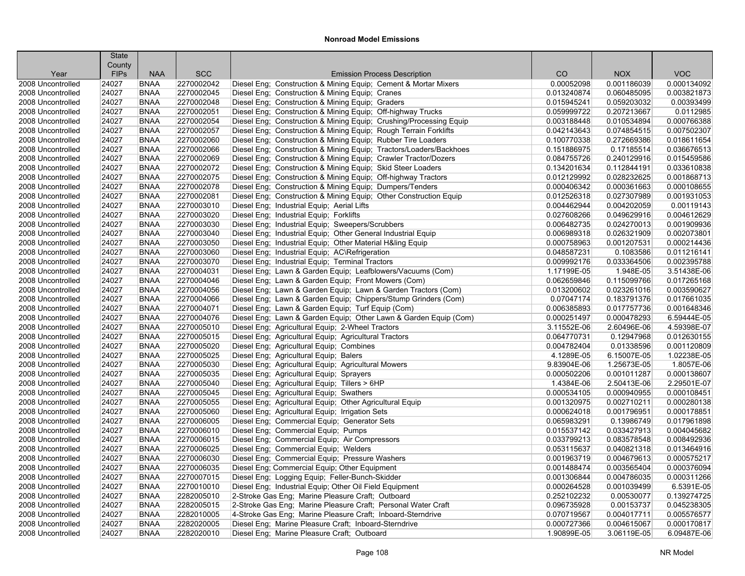|                   | <b>State</b><br>County |             |            |                                                                    |             |             |             |
|-------------------|------------------------|-------------|------------|--------------------------------------------------------------------|-------------|-------------|-------------|
| Year              | <b>FIPs</b>            | <b>NAA</b>  | <b>SCC</b> | <b>Emission Process Description</b>                                | CO          | <b>NOX</b>  | <b>VOC</b>  |
| 2008 Uncontrolled | 24027                  | <b>BNAA</b> | 2270002042 | Diesel Eng; Construction & Mining Equip; Cement & Mortar Mixers    | 0.00052098  | 0.001186039 | 0.000134092 |
| 2008 Uncontrolled | 24027                  | <b>BNAA</b> | 2270002045 | Diesel Eng; Construction & Mining Equip; Cranes                    | 0.013240874 | 0.060485095 | 0.003821873 |
| 2008 Uncontrolled | 24027                  | <b>BNAA</b> | 2270002048 | Diesel Eng; Construction & Mining Equip; Graders                   | 0.015945241 | 0.059203032 | 0.00393499  |
| 2008 Uncontrolled | 24027                  | <b>BNAA</b> | 2270002051 | Diesel Eng; Construction & Mining Equip; Off-highway Trucks        | 0.059999722 | 0.207213667 | 0.0112985   |
| 2008 Uncontrolled | 24027                  | <b>BNAA</b> | 2270002054 | Diesel Eng; Construction & Mining Equip; Crushing/Processing Equip | 0.003188448 | 0.010534894 | 0.000766388 |
| 2008 Uncontrolled | 24027                  | <b>BNAA</b> | 2270002057 | Diesel Eng; Construction & Mining Equip; Rough Terrain Forklifts   | 0.042143643 | 0.074854515 | 0.007502307 |
| 2008 Uncontrolled | 24027                  | <b>BNAA</b> | 2270002060 | Diesel Eng; Construction & Mining Equip; Rubber Tire Loaders       | 0.100770338 | 0.272669386 | 0.018611654 |
| 2008 Uncontrolled | 24027                  | <b>BNAA</b> | 2270002066 | Diesel Eng; Construction & Mining Equip; Tractors/Loaders/Backhoes | 0.151886975 | 0.17185514  | 0.036676513 |
| 2008 Uncontrolled | 24027                  | <b>BNAA</b> | 2270002069 | Diesel Eng; Construction & Mining Equip; Crawler Tractor/Dozers    | 0.084755726 | 0.240129916 | 0.015459586 |
| 2008 Uncontrolled | 24027                  | <b>BNAA</b> | 2270002072 | Diesel Eng; Construction & Mining Equip; Skid Steer Loaders        | 0.134201634 | 0.112844191 | 0.033610838 |
| 2008 Uncontrolled | 24027                  | <b>BNAA</b> | 2270002075 | Diesel Eng; Construction & Mining Equip; Off-highway Tractors      | 0.012129992 | 0.028232625 | 0.001868713 |
| 2008 Uncontrolled | 24027                  | <b>BNAA</b> | 2270002078 | Diesel Eng; Construction & Mining Equip; Dumpers/Tenders           | 0.000406342 | 0.000361663 | 0.000108655 |
| 2008 Uncontrolled | 24027                  | <b>BNAA</b> | 2270002081 | Diesel Eng: Construction & Mining Equip: Other Construction Equip  | 0.012526318 | 0.027307989 | 0.001931053 |
| 2008 Uncontrolled | 24027                  | <b>BNAA</b> | 2270003010 | Diesel Eng; Industrial Equip; Aerial Lifts                         | 0.004462944 | 0.004202059 | 0.00119143  |
| 2008 Uncontrolled | 24027                  | <b>BNAA</b> | 2270003020 | Diesel Eng; Industrial Equip; Forklifts                            | 0.027608266 | 0.049629916 | 0.004612629 |
| 2008 Uncontrolled | 24027                  | <b>BNAA</b> | 2270003030 | Diesel Eng; Industrial Equip; Sweepers/Scrubbers                   | 0.006482735 | 0.024270013 | 0.001909936 |
| 2008 Uncontrolled | 24027                  | <b>BNAA</b> | 2270003040 | Diesel Eng; Industrial Equip; Other General Industrial Equip       | 0.006989318 | 0.026321909 | 0.002073801 |
| 2008 Uncontrolled | 24027                  | <b>BNAA</b> | 2270003050 | Diesel Eng; Industrial Equip; Other Material H&ling Equip          | 0.000758963 | 0.001207531 | 0.000214436 |
| 2008 Uncontrolled | 24027                  | <b>BNAA</b> | 2270003060 | Diesel Eng; Industrial Equip; AC\Refrigeration                     | 0.048587231 | 0.1083586   | 0.011216141 |
| 2008 Uncontrolled | 24027                  | <b>BNAA</b> | 2270003070 | Diesel Eng; Industrial Equip; Terminal Tractors                    | 0.009992176 | 0.033364506 | 0.002395788 |
| 2008 Uncontrolled | 24027                  | <b>BNAA</b> | 2270004031 | Diesel Eng; Lawn & Garden Equip; Leafblowers/Vacuums (Com)         | 1.17199E-05 | 1.948E-05   | 3.51438E-06 |
| 2008 Uncontrolled | 24027                  | <b>BNAA</b> | 2270004046 | Diesel Eng; Lawn & Garden Equip; Front Mowers (Com)                | 0.062659846 | 0.115099766 | 0.017265168 |
| 2008 Uncontrolled | 24027                  | <b>BNAA</b> | 2270004056 | Diesel Eng; Lawn & Garden Equip; Lawn & Garden Tractors (Com)      | 0.013200602 | 0.023261016 | 0.003590627 |
| 2008 Uncontrolled | 24027                  | <b>BNAA</b> | 2270004066 | Diesel Eng; Lawn & Garden Equip; Chippers/Stump Grinders (Com)     | 0.07047174  | 0.183791376 | 0.017661035 |
| 2008 Uncontrolled | 24027                  | <b>BNAA</b> | 2270004071 | Diesel Eng; Lawn & Garden Equip; Turf Equip (Com)                  | 0.006385893 | 0.017757736 | 0.001648346 |
| 2008 Uncontrolled | 24027                  | <b>BNAA</b> | 2270004076 | Diesel Eng; Lawn & Garden Equip; Other Lawn & Garden Equip (Com)   | 0.000251497 | 0.000478293 | 6.59444E-05 |
| 2008 Uncontrolled | 24027                  | <b>BNAA</b> | 2270005010 | Diesel Eng; Agricultural Equip; 2-Wheel Tractors                   | 3.11552E-06 | 2.60496E-06 | 4.59398E-07 |
| 2008 Uncontrolled | 24027                  | <b>BNAA</b> | 2270005015 | Diesel Eng; Agricultural Equip; Agricultural Tractors              | 0.064770731 | 0.12947968  | 0.012630155 |
| 2008 Uncontrolled | 24027                  | <b>BNAA</b> | 2270005020 | Diesel Eng; Agricultural Equip; Combines                           | 0.004782404 | 0.01338596  | 0.001120809 |
| 2008 Uncontrolled | 24027                  | <b>BNAA</b> | 2270005025 | Diesel Eng; Agricultural Equip; Balers                             | 4.1289E-05  | 6.15007E-05 | 1.02238E-05 |
| 2008 Uncontrolled | 24027                  | <b>BNAA</b> | 2270005030 | Diesel Eng; Agricultural Equip; Agricultural Mowers                | 9.83904E-06 | 1.25673E-05 | 1.8057E-06  |
| 2008 Uncontrolled | 24027                  | <b>BNAA</b> | 2270005035 | Diesel Eng; Agricultural Equip; Sprayers                           | 0.000502206 | 0.001011287 | 0.000138607 |
| 2008 Uncontrolled | 24027                  | <b>BNAA</b> | 2270005040 | Diesel Eng; Agricultural Equip; Tillers > 6HP                      | 1.4384E-06  | 2.50413E-06 | 2.29501E-07 |
| 2008 Uncontrolled | 24027                  | <b>BNAA</b> | 2270005045 | Diesel Eng; Agricultural Equip; Swathers                           | 0.000534105 | 0.000940955 | 0.000108451 |
| 2008 Uncontrolled | 24027                  | <b>BNAA</b> | 2270005055 | Diesel Eng; Agricultural Equip; Other Agricultural Equip           | 0.001320975 | 0.002710211 | 0.000280138 |
| 2008 Uncontrolled | 24027                  | <b>BNAA</b> | 2270005060 | Diesel Eng; Agricultural Equip; Irrigation Sets                    | 0.000624018 | 0.001796951 | 0.000178851 |
| 2008 Uncontrolled | 24027                  | <b>BNAA</b> | 2270006005 | Diesel Eng; Commercial Equip; Generator Sets                       | 0.065983291 | 0.13986749  | 0.017961898 |
| 2008 Uncontrolled | 24027                  | <b>BNAA</b> | 2270006010 | Diesel Eng; Commercial Equip; Pumps                                | 0.015537142 | 0.033427913 | 0.004045682 |
| 2008 Uncontrolled | 24027                  | <b>BNAA</b> | 2270006015 | Diesel Eng; Commercial Equip; Air Compressors                      | 0.033799213 | 0.083578548 | 0.008492936 |
| 2008 Uncontrolled | 24027                  | <b>BNAA</b> | 2270006025 | Diesel Eng; Commercial Equip; Welders                              | 0.053115637 | 0.040821318 | 0.013464916 |
| 2008 Uncontrolled | 24027                  | <b>BNAA</b> | 2270006030 | Diesel Eng; Commercial Equip; Pressure Washers                     | 0.001963719 | 0.004679613 | 0.000575217 |
| 2008 Uncontrolled | 24027                  | <b>BNAA</b> | 2270006035 | Diesel Eng; Commercial Equip; Other Equipment                      | 0.001488474 | 0.003565404 | 0.000376094 |
| 2008 Uncontrolled | 24027                  | <b>BNAA</b> | 2270007015 | Diesel Eng; Logging Equip; Feller-Bunch-Skidder                    | 0.001306844 | 0.004786035 | 0.000311266 |
| 2008 Uncontrolled | 24027                  | <b>BNAA</b> | 2270010010 | Diesel Eng; Industrial Equip; Other Oil Field Equipment            | 0.000264528 | 0.001039499 | 6.5391E-05  |
| 2008 Uncontrolled | 24027                  | <b>BNAA</b> | 2282005010 | 2-Stroke Gas Eng; Marine Pleasure Craft; Outboard                  | 0.252102232 | 0.00530077  | 0.139274725 |
| 2008 Uncontrolled | 24027                  | <b>BNAA</b> | 2282005015 | 2-Stroke Gas Eng; Marine Pleasure Craft; Personal Water Craft      | 0.096735928 | 0.00153737  | 0.045238305 |
| 2008 Uncontrolled | 24027                  | <b>BNAA</b> | 2282010005 | 4-Stroke Gas Eng; Marine Pleasure Craft; Inboard-Sterndrive        | 0.070719567 | 0.004017711 | 0.005576577 |
| 2008 Uncontrolled | 24027                  | <b>BNAA</b> | 2282020005 | Diesel Eng; Marine Pleasure Craft; Inboard-Sterndrive              | 0.000727366 | 0.004615067 | 0.000170817 |
| 2008 Uncontrolled | 24027                  | <b>BNAA</b> | 2282020010 | Diesel Eng; Marine Pleasure Craft; Outboard                        | 1.90899E-05 | 3.06119E-05 | 6.09487E-06 |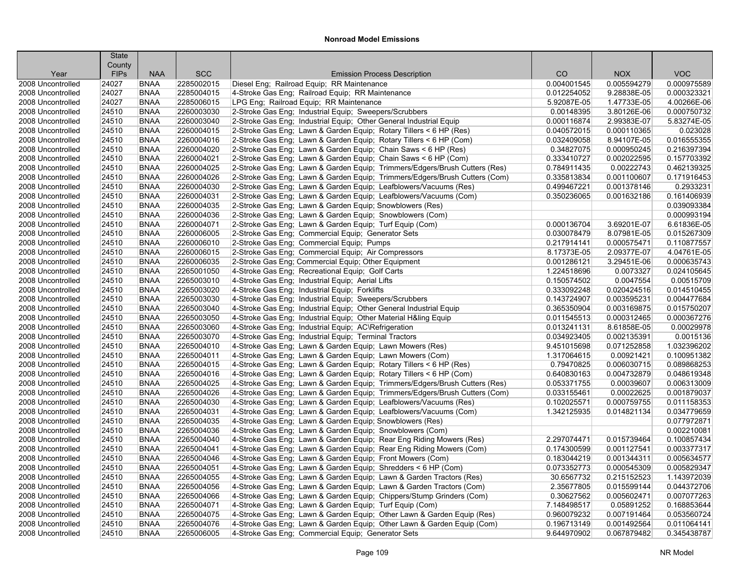|                           | <b>State</b>          |                            |            |                                                                                                                                              |             |             |                            |
|---------------------------|-----------------------|----------------------------|------------|----------------------------------------------------------------------------------------------------------------------------------------------|-------------|-------------|----------------------------|
|                           | County<br><b>FIPs</b> | <b>NAA</b>                 | <b>SCC</b> | <b>Emission Process Description</b>                                                                                                          | CO          | <b>NOX</b>  | <b>VOC</b>                 |
| Year<br>2008 Uncontrolled | 24027                 | <b>BNAA</b>                | 2285002015 | Diesel Eng; Railroad Equip; RR Maintenance                                                                                                   | 0.004001545 | 0.005594279 | 0.000975589                |
| 2008 Uncontrolled         | 24027                 | <b>BNAA</b>                | 2285004015 | 4-Stroke Gas Eng; Railroad Equip; RR Maintenance                                                                                             | 0.012254052 | 9.28838E-05 | 0.000323321                |
| 2008 Uncontrolled         | 24027                 | <b>BNAA</b>                | 2285006015 |                                                                                                                                              | 5.92087E-05 | 1.47733E-05 | 4.00266E-06                |
| 2008 Uncontrolled         | 24510                 | <b>BNAA</b>                | 2260003030 | LPG Eng; Railroad Equip; RR Maintenance                                                                                                      | 0.00148395  | 3.80126E-06 | 0.000750732                |
| 2008 Uncontrolled         | 24510                 | <b>BNAA</b>                | 2260003040 | 2-Stroke Gas Eng; Industrial Equip; Sweepers/Scrubbers<br>2-Stroke Gas Eng; Industrial Equip; Other General Industrial Equip                 | 0.000116874 | 2.99383E-07 | 5.83274E-05                |
| 2008 Uncontrolled         |                       | <b>BNAA</b>                | 2260004015 |                                                                                                                                              | 0.040572015 | 0.000110365 | 0.023028                   |
| 2008 Uncontrolled         | 24510<br>24510        | <b>BNAA</b>                | 2260004016 | 2-Stroke Gas Eng; Lawn & Garden Equip; Rotary Tillers < 6 HP (Res)<br>2-Stroke Gas Eng; Lawn & Garden Equip; Rotary Tillers < 6 HP (Com)     | 0.032409058 | 8.94107E-05 | 0.016555355                |
| 2008 Uncontrolled         | 24510                 | <b>BNAA</b>                | 2260004020 |                                                                                                                                              | 0.34827075  | 0.000950245 | 0.216397394                |
|                           |                       |                            | 2260004021 | 2-Stroke Gas Eng; Lawn & Garden Equip; Chain Saws < 6 HP (Res)                                                                               |             |             | 0.157703392                |
| 2008 Uncontrolled         | 24510                 | <b>BNAA</b><br><b>BNAA</b> |            | 2-Stroke Gas Eng; Lawn & Garden Equip; Chain Saws < 6 HP (Com)<br>2-Stroke Gas Eng; Lawn & Garden Equip; Trimmers/Edgers/Brush Cutters (Res) | 0.333410727 | 0.002022595 |                            |
| 2008 Uncontrolled         | 24510                 |                            | 2260004025 |                                                                                                                                              | 0.784911435 | 0.00222743  | 0.462139325                |
| 2008 Uncontrolled         | 24510                 | <b>BNAA</b>                | 2260004026 | 2-Stroke Gas Eng; Lawn & Garden Equip; Trimmers/Edgers/Brush Cutters (Com)                                                                   | 0.335813834 | 0.001100607 | 0.171916453                |
| 2008 Uncontrolled         | 24510                 | <b>BNAA</b>                | 2260004030 | 2-Stroke Gas Eng; Lawn & Garden Equip; Leafblowers/Vacuums (Res)                                                                             | 0.499467221 | 0.001378146 | 0.2933231                  |
| 2008 Uncontrolled         | 24510                 | <b>BNAA</b>                | 2260004031 | 2-Stroke Gas Eng; Lawn & Garden Equip; Leafblowers/Vacuums (Com)                                                                             | 0.350236065 | 0.001632186 | 0.161406939<br>0.039093384 |
| 2008 Uncontrolled         | 24510                 | <b>BNAA</b>                | 2260004035 | 2-Stroke Gas Eng; Lawn & Garden Equip; Snowblowers (Res)                                                                                     |             |             |                            |
| 2008 Uncontrolled         | 24510                 | <b>BNAA</b>                | 2260004036 | 2-Stroke Gas Eng; Lawn & Garden Equip; Snowblowers (Com)                                                                                     |             |             | 0.000993194                |
| 2008 Uncontrolled         | 24510                 | <b>BNAA</b>                | 2260004071 | 2-Stroke Gas Eng; Lawn & Garden Equip; Turf Equip (Com)                                                                                      | 0.000136704 | 3.69201E-07 | 6.61836E-05                |
| 2008 Uncontrolled         | 24510                 | <b>BNAA</b>                | 2260006005 | 2-Stroke Gas Eng; Commercial Equip; Generator Sets                                                                                           | 0.030078479 | 8.07981E-05 | 0.015267309                |
| 2008 Uncontrolled         | 24510                 | <b>BNAA</b>                | 2260006010 | 2-Stroke Gas Eng; Commercial Equip; Pumps                                                                                                    | 0.217914141 | 0.000575471 | 0.110877557                |
| 2008 Uncontrolled         | 24510                 | <b>BNAA</b>                | 2260006015 | 2-Stroke Gas Eng; Commercial Equip; Air Compressors                                                                                          | 8.17373E-05 | 2.09377E-07 | 4.04761E-05                |
| 2008 Uncontrolled         | 24510                 | <b>BNAA</b>                | 2260006035 | 2-Stroke Gas Eng; Commercial Equip; Other Equipment                                                                                          | 0.001286121 | 3.29451E-06 | 0.000635743                |
| 2008 Uncontrolled         | 24510                 | <b>BNAA</b>                | 2265001050 | 4-Stroke Gas Eng; Recreational Equip; Golf Carts                                                                                             | 1.224518696 | 0.0073327   | 0.024105645                |
| 2008 Uncontrolled         | 24510                 | <b>BNAA</b>                | 2265003010 | 4-Stroke Gas Eng; Industrial Equip; Aerial Lifts                                                                                             | 0.150574502 | 0.0047554   | 0.00515709                 |
| 2008 Uncontrolled         | 24510                 | <b>BNAA</b>                | 2265003020 | 4-Stroke Gas Eng; Industrial Equip; Forklifts                                                                                                | 0.333092248 | 0.020424516 | 0.014510455                |
| 2008 Uncontrolled         | 24510                 | <b>BNAA</b>                | 2265003030 | 4-Stroke Gas Eng; Industrial Equip; Sweepers/Scrubbers                                                                                       | 0.143724907 | 0.003595231 | 0.004477684                |
| 2008 Uncontrolled         | 24510                 | <b>BNAA</b>                | 2265003040 | 4-Stroke Gas Eng; Industrial Equip; Other General Industrial Equip                                                                           | 0.365350904 | 0.003169875 | 0.015750207                |
| 2008 Uncontrolled         | 24510                 | <b>BNAA</b>                | 2265003050 | 4-Stroke Gas Eng; Industrial Equip; Other Material H&ling Equip                                                                              | 0.011545513 | 0.000312465 | 0.000367276                |
| 2008 Uncontrolled         | 24510                 | <b>BNAA</b>                | 2265003060 | 4-Stroke Gas Eng; Industrial Equip; AC\Refrigeration                                                                                         | 0.013241131 | 8.61858E-05 | 0.00029978                 |
| 2008 Uncontrolled         | 24510                 | <b>BNAA</b>                | 2265003070 | 4-Stroke Gas Eng; Industrial Equip; Terminal Tractors                                                                                        | 0.034923405 | 0.002135391 | 0.0015136                  |
| 2008 Uncontrolled         | 24510                 | <b>BNAA</b>                | 2265004010 | 4-Stroke Gas Eng; Lawn & Garden Equip; Lawn Mowers (Res)                                                                                     | 9.451015698 | 0.071252858 | 1.032396202                |
| 2008 Uncontrolled         | 24510                 | <b>BNAA</b>                | 2265004011 | 4-Stroke Gas Eng; Lawn & Garden Equip; Lawn Mowers (Com)                                                                                     | 1.317064615 | 0.00921421  | 0.100951382                |
| 2008 Uncontrolled         | 24510                 | <b>BNAA</b>                | 2265004015 | 4-Stroke Gas Eng; Lawn & Garden Equip; Rotary Tillers < 6 HP (Res)                                                                           | 0.79470825  | 0.006030715 | 0.089868253                |
| 2008 Uncontrolled         | 24510                 | <b>BNAA</b>                | 2265004016 | 4-Stroke Gas Eng; Lawn & Garden Equip; Rotary Tillers < 6 HP (Com)                                                                           | 0.640830163 | 0.004732879 | 0.048619348                |
| 2008 Uncontrolled         | 24510                 | <b>BNAA</b>                | 2265004025 | 4-Stroke Gas Eng; Lawn & Garden Equip; Trimmers/Edgers/Brush Cutters (Res)                                                                   | 0.053371755 | 0.00039607  | 0.006313009                |
| 2008 Uncontrolled         | 24510                 | <b>BNAA</b>                | 2265004026 | 4-Stroke Gas Eng; Lawn & Garden Equip; Trimmers/Edgers/Brush Cutters (Com)                                                                   | 0.033155461 | 0.00022625  | 0.001879037                |
| 2008 Uncontrolled         | 24510                 | <b>BNAA</b>                | 2265004030 | 4-Stroke Gas Eng; Lawn & Garden Equip; Leafblowers/Vacuums (Res)                                                                             | 0.102025571 | 0.000759755 | 0.011158353                |
| 2008 Uncontrolled         | 24510                 | <b>BNAA</b>                | 2265004031 | 4-Stroke Gas Eng; Lawn & Garden Equip; Leafblowers/Vacuums (Com)                                                                             | 1.342125935 | 0.014821134 | 0.034779659                |
| 2008 Uncontrolled         | 24510                 | <b>BNAA</b>                | 2265004035 | 4-Stroke Gas Eng; Lawn & Garden Equip; Snowblowers (Res)                                                                                     |             |             | 0.077972871                |
| 2008 Uncontrolled         | 24510                 | <b>BNAA</b>                | 2265004036 | 4-Stroke Gas Eng; Lawn & Garden Equip; Snowblowers (Com)                                                                                     |             |             | 0.002210081                |
| 2008 Uncontrolled         | 24510                 | <b>BNAA</b>                | 2265004040 | 4-Stroke Gas Eng; Lawn & Garden Equip; Rear Eng Riding Mowers (Res)                                                                          | 2.297074471 | 0.015739464 | 0.100857434                |
| 2008 Uncontrolled         | 24510                 | <b>BNAA</b>                | 2265004041 | 4-Stroke Gas Eng; Lawn & Garden Equip; Rear Eng Riding Mowers (Com)                                                                          | 0.174300599 | 0.001127541 | 0.003377317                |
| 2008 Uncontrolled         | 24510                 | <b>BNAA</b>                | 2265004046 | 4-Stroke Gas Eng; Lawn & Garden Equip; Front Mowers (Com)                                                                                    | 0.183044219 | 0.001344311 | 0.005634577                |
| 2008 Uncontrolled         | 24510                 | <b>BNAA</b>                | 2265004051 | 4-Stroke Gas Eng; Lawn & Garden Equip; Shredders < 6 HP (Com)                                                                                | 0.073352773 | 0.000545309 | 0.005829347                |
| 2008 Uncontrolled         | 24510                 | <b>BNAA</b>                | 2265004055 | 4-Stroke Gas Eng: Lawn & Garden Equip: Lawn & Garden Tractors (Res)                                                                          | 30.6567732  | 0.215152523 | 1.143972039                |
| 2008 Uncontrolled         | 24510                 | <b>BNAA</b>                | 2265004056 | 4-Stroke Gas Eng; Lawn & Garden Equip; Lawn & Garden Tractors (Com)                                                                          | 2.35677805  | 0.015599144 | 0.044372706                |
| 2008 Uncontrolled         | 24510                 | <b>BNAA</b>                | 2265004066 | 4-Stroke Gas Eng; Lawn & Garden Equip; Chippers/Stump Grinders (Com)                                                                         | 0.30627562  | 0.005602471 | 0.007077263                |
| 2008 Uncontrolled         | 24510                 | <b>BNAA</b>                | 2265004071 | 4-Stroke Gas Eng; Lawn & Garden Equip; Turf Equip (Com)                                                                                      | 7.148498517 | 0.05891252  | 0.168853644                |
| 2008 Uncontrolled         | 24510                 | <b>BNAA</b>                | 2265004075 | 4-Stroke Gas Eng; Lawn & Garden Equip; Other Lawn & Garden Equip (Res)                                                                       | 0.960079232 | 0.007191464 | 0.053560724                |
| 2008 Uncontrolled         | 24510                 | <b>BNAA</b>                | 2265004076 | 4-Stroke Gas Eng; Lawn & Garden Equip; Other Lawn & Garden Equip (Com)                                                                       | 0.196713149 | 0.001492564 | 0.011064141                |
| 2008 Uncontrolled         | 24510                 | <b>BNAA</b>                | 2265006005 | 4-Stroke Gas Eng; Commercial Equip; Generator Sets                                                                                           | 9.644970902 | 0.067879482 | 0.345438787                |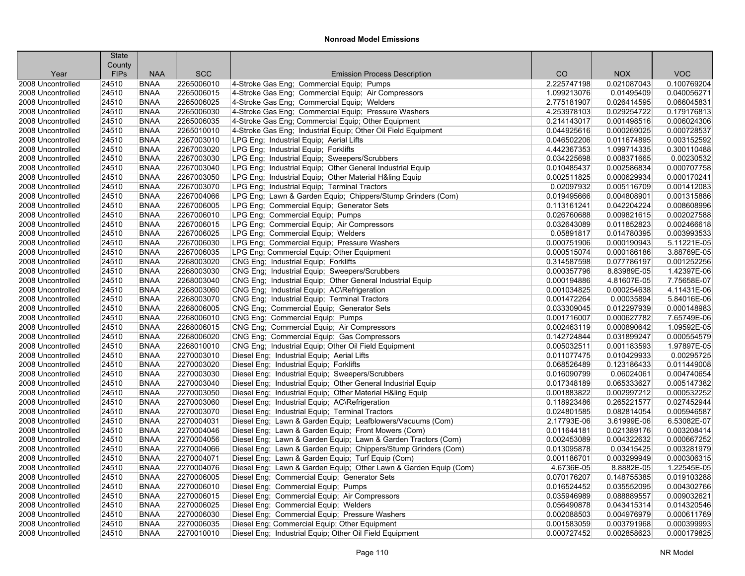|                   | <b>State</b><br>County |             |            |                                                                  |             |             |             |
|-------------------|------------------------|-------------|------------|------------------------------------------------------------------|-------------|-------------|-------------|
| Year              | <b>FIPs</b>            | <b>NAA</b>  | <b>SCC</b> | <b>Emission Process Description</b>                              | CO          | <b>NOX</b>  | <b>VOC</b>  |
| 2008 Uncontrolled | 24510                  | <b>BNAA</b> | 2265006010 | 4-Stroke Gas Eng; Commercial Equip; Pumps                        | 2.225747198 | 0.021087043 | 0.100769204 |
| 2008 Uncontrolled | 24510                  | <b>BNAA</b> | 2265006015 | 4-Stroke Gas Eng: Commercial Equip: Air Compressors              | 1.099213076 | 0.01495409  | 0.040056271 |
| 2008 Uncontrolled | 24510                  | <b>BNAA</b> | 2265006025 | 4-Stroke Gas Eng; Commercial Equip; Welders                      | 2.775181907 | 0.026414595 | 0.066045831 |
| 2008 Uncontrolled | 24510                  | <b>BNAA</b> | 2265006030 | 4-Stroke Gas Eng; Commercial Equip; Pressure Washers             | 4.253978103 | 0.029254722 | 0.179176813 |
| 2008 Uncontrolled | 24510                  | <b>BNAA</b> | 2265006035 | 4-Stroke Gas Eng; Commercial Equip; Other Equipment              | 0.214143017 | 0.001498516 | 0.006024306 |
| 2008 Uncontrolled | 24510                  | <b>BNAA</b> | 2265010010 | 4-Stroke Gas Eng; Industrial Equip; Other Oil Field Equipment    | 0.044925616 | 0.000269025 | 0.000728537 |
| 2008 Uncontrolled | 24510                  | <b>BNAA</b> | 2267003010 | LPG Eng; Industrial Equip; Aerial Lifts                          | 0.046502206 | 0.011674895 | 0.003152592 |
| 2008 Uncontrolled | 24510                  | <b>BNAA</b> | 2267003020 | LPG Eng; Industrial Equip; Forklifts                             | 4.442367353 | 1.099714335 | 0.300110488 |
| 2008 Uncontrolled | 24510                  | <b>BNAA</b> | 2267003030 | LPG Eng; Industrial Equip; Sweepers/Scrubbers                    | 0.034225698 | 0.008371665 | 0.00230532  |
| 2008 Uncontrolled | 24510                  | <b>BNAA</b> | 2267003040 | LPG Eng; Industrial Equip; Other General Industrial Equip        | 0.010485437 | 0.002586834 | 0.000707758 |
| 2008 Uncontrolled | 24510                  | <b>BNAA</b> | 2267003050 | LPG Eng; Industrial Equip; Other Material H&ling Equip           | 0.002511825 | 0.000629934 | 0.000170241 |
| 2008 Uncontrolled | 24510                  | <b>BNAA</b> | 2267003070 | LPG Eng; Industrial Equip; Terminal Tractors                     | 0.02097932  | 0.005116709 | 0.001412083 |
| 2008 Uncontrolled | 24510                  | <b>BNAA</b> | 2267004066 | LPG Eng; Lawn & Garden Equip; Chippers/Stump Grinders (Com)      | 0.019495666 | 0.004808901 | 0.001315886 |
| 2008 Uncontrolled | 24510                  | <b>BNAA</b> | 2267006005 | LPG Eng; Commercial Equip; Generator Sets                        | 0.113161241 | 0.042204224 | 0.008608996 |
| 2008 Uncontrolled | 24510                  | <b>BNAA</b> | 2267006010 | LPG Eng; Commercial Equip; Pumps                                 | 0.026760688 | 0.009821615 | 0.002027588 |
| 2008 Uncontrolled | 24510                  | <b>BNAA</b> | 2267006015 | LPG Eng; Commercial Equip; Air Compressors                       | 0.032643089 | 0.011852823 | 0.002466618 |
| 2008 Uncontrolled | 24510                  | <b>BNAA</b> | 2267006025 | LPG Eng; Commercial Equip; Welders                               | 0.05891817  | 0.014780395 | 0.003993533 |
| 2008 Uncontrolled | 24510                  | <b>BNAA</b> | 2267006030 | LPG Eng; Commercial Equip; Pressure Washers                      | 0.000751906 | 0.000190943 | 5.11221E-05 |
| 2008 Uncontrolled | 24510                  | <b>BNAA</b> | 2267006035 | LPG Eng; Commercial Equip; Other Equipment                       | 0.000515074 | 0.000186186 | 3.88769E-05 |
| 2008 Uncontrolled | 24510                  | <b>BNAA</b> | 2268003020 | CNG Eng: Industrial Equip: Forklifts                             | 0.314587598 | 0.077786197 | 0.001252256 |
| 2008 Uncontrolled | 24510                  | <b>BNAA</b> | 2268003030 | CNG Eng; Industrial Equip; Sweepers/Scrubbers                    | 0.000357796 | 8.83989E-05 | 1.42397E-06 |
| 2008 Uncontrolled | 24510                  | <b>BNAA</b> | 2268003040 | CNG Eng; Industrial Equip; Other General Industrial Equip        | 0.000194886 | 4.81607E-05 | 7.75658E-07 |
| 2008 Uncontrolled | 24510                  | <b>BNAA</b> | 2268003060 | CNG Eng; Industrial Equip; AC\Refrigeration                      | 0.001034825 | 0.000254638 | 4.11431E-06 |
| 2008 Uncontrolled | 24510                  | <b>BNAA</b> | 2268003070 | CNG Eng; Industrial Equip; Terminal Tractors                     | 0.001472264 | 0.00035894  | 5.84016E-06 |
| 2008 Uncontrolled | 24510                  | <b>BNAA</b> | 2268006005 | CNG Eng; Commercial Equip; Generator Sets                        | 0.033309045 | 0.012297939 | 0.000148983 |
| 2008 Uncontrolled | 24510                  | <b>BNAA</b> | 2268006010 | CNG Eng; Commercial Equip; Pumps                                 | 0.001716007 | 0.000627782 | 7.65749E-06 |
| 2008 Uncontrolled | 24510                  | <b>BNAA</b> | 2268006015 | CNG Eng; Commercial Equip; Air Compressors                       | 0.002463119 | 0.000890642 | 1.09592E-05 |
| 2008 Uncontrolled | 24510                  | <b>BNAA</b> | 2268006020 | CNG Eng; Commercial Equip; Gas Compressors                       | 0.142724844 | 0.031899247 | 0.000554579 |
| 2008 Uncontrolled | 24510                  | <b>BNAA</b> | 2268010010 | CNG Eng; Industrial Equip; Other Oil Field Equipment             | 0.005032511 | 0.001183593 | 1.97897E-05 |
| 2008 Uncontrolled | 24510                  | <b>BNAA</b> | 2270003010 | Diesel Eng; Industrial Equip; Aerial Lifts                       | 0.011077475 | 0.010429933 | 0.00295725  |
| 2008 Uncontrolled | 24510                  | <b>BNAA</b> | 2270003020 | Diesel Eng; Industrial Equip; Forklifts                          | 0.068526489 | 0.123186433 | 0.011449008 |
| 2008 Uncontrolled | 24510                  | <b>BNAA</b> | 2270003030 | Diesel Eng; Industrial Equip; Sweepers/Scrubbers                 | 0.016090799 | 0.06024061  | 0.004740654 |
| 2008 Uncontrolled | 24510                  | <b>BNAA</b> | 2270003040 | Diesel Eng; Industrial Equip; Other General Industrial Equip     | 0.017348189 | 0.065333627 | 0.005147382 |
| 2008 Uncontrolled | 24510                  | <b>BNAA</b> | 2270003050 | Diesel Eng; Industrial Equip; Other Material H&ling Equip        | 0.001883822 | 0.002997212 | 0.000532252 |
| 2008 Uncontrolled | 24510                  | <b>BNAA</b> | 2270003060 | Diesel Eng; Industrial Equip; AC\Refrigeration                   | 0.118923486 | 0.265221577 | 0.027452944 |
| 2008 Uncontrolled | 24510                  | <b>BNAA</b> | 2270003070 | Diesel Eng; Industrial Equip; Terminal Tractors                  | 0.024801585 | 0.082814054 | 0.005946587 |
| 2008 Uncontrolled | 24510                  | <b>BNAA</b> | 2270004031 | Diesel Eng; Lawn & Garden Equip; Leafblowers/Vacuums (Com)       | 2.17793E-06 | 3.61999E-06 | 6.53082E-07 |
| 2008 Uncontrolled | 24510                  | <b>BNAA</b> | 2270004046 | Diesel Eng; Lawn & Garden Equip; Front Mowers (Com)              | 0.011644181 | 0.021389176 | 0.003208414 |
| 2008 Uncontrolled | 24510                  | <b>BNAA</b> | 2270004056 | Diesel Eng; Lawn & Garden Equip; Lawn & Garden Tractors (Com)    | 0.002453089 | 0.004322632 | 0.000667252 |
| 2008 Uncontrolled | 24510                  | <b>BNAA</b> | 2270004066 | Diesel Eng; Lawn & Garden Equip; Chippers/Stump Grinders (Com)   | 0.013095878 | 0.03415425  | 0.003281979 |
| 2008 Uncontrolled | 24510                  | <b>BNAA</b> | 2270004071 | Diesel Eng; Lawn & Garden Equip; Turf Equip (Com)                | 0.001186701 | 0.003299949 | 0.000306315 |
| 2008 Uncontrolled | 24510                  | <b>BNAA</b> | 2270004076 | Diesel Eng; Lawn & Garden Equip; Other Lawn & Garden Equip (Com) | 4.6736E-05  | 8.8882E-05  | 1.22545E-05 |
| 2008 Uncontrolled | 24510                  | <b>BNAA</b> | 2270006005 | Diesel Eng; Commercial Equip; Generator Sets                     | 0.070176207 | 0.148755385 | 0.019103288 |
| 2008 Uncontrolled | 24510                  | <b>BNAA</b> | 2270006010 | Diesel Eng; Commercial Equip; Pumps                              | 0.016524452 | 0.035552095 | 0.004302766 |
| 2008 Uncontrolled | 24510                  | <b>BNAA</b> | 2270006015 | Diesel Eng; Commercial Equip; Air Compressors                    | 0.035946989 | 0.088889557 | 0.009032621 |
| 2008 Uncontrolled | 24510                  | <b>BNAA</b> | 2270006025 | Diesel Eng; Commercial Equip; Welders                            | 0.056490878 | 0.043415314 | 0.014320546 |
| 2008 Uncontrolled | 24510                  | <b>BNAA</b> | 2270006030 | Diesel Eng; Commercial Equip; Pressure Washers                   | 0.002088503 | 0.004976979 | 0.000611769 |
| 2008 Uncontrolled | 24510                  | <b>BNAA</b> | 2270006035 | Diesel Eng; Commercial Equip; Other Equipment                    | 0.001583059 | 0.003791968 | 0.000399993 |
| 2008 Uncontrolled | 24510                  | <b>BNAA</b> | 2270010010 | Diesel Eng; Industrial Equip; Other Oil Field Equipment          | 0.000727452 | 0.002858623 | 0.000179825 |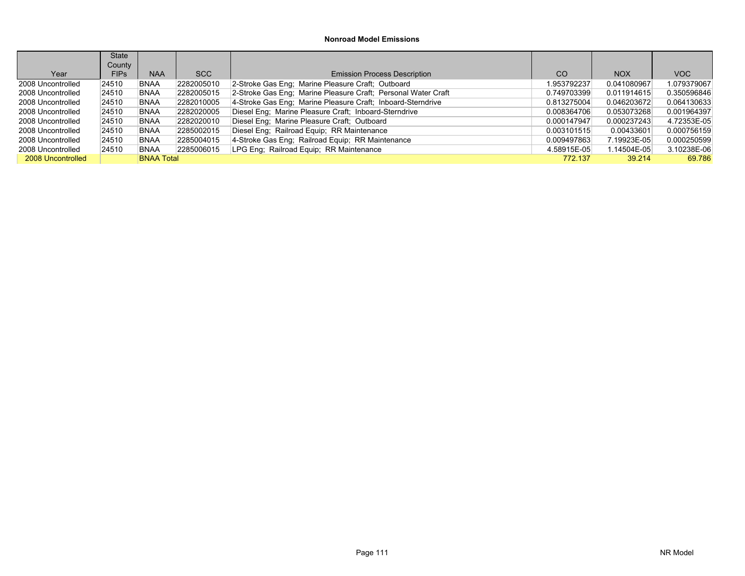|                   | <b>State</b> |                   |            |                                                               |               |             |             |
|-------------------|--------------|-------------------|------------|---------------------------------------------------------------|---------------|-------------|-------------|
|                   | County       |                   |            |                                                               |               |             |             |
| Year              | <b>FIPs</b>  | <b>NAA</b>        | SCC        | <b>Emission Process Description</b>                           | <sub>CO</sub> | <b>NOX</b>  | VOC         |
| 2008 Uncontrolled | 24510        | <b>BNAA</b>       | 2282005010 | 2-Stroke Gas Eng; Marine Pleasure Craft; Outboard             | 1.953792237   | 0.041080967 | 1.079379067 |
| 2008 Uncontrolled | 24510        | <b>BNAA</b>       | 2282005015 | 2-Stroke Gas Eng; Marine Pleasure Craft; Personal Water Craft | 0.749703399   | 0.011914615 | 0.350596846 |
| 2008 Uncontrolled | 24510        | <b>BNAA</b>       | 2282010005 | 4-Stroke Gas Eng; Marine Pleasure Craft; Inboard-Sterndrive   | 0.813275004   | 0.046203672 | 0.064130633 |
| 2008 Uncontrolled | 24510        | <b>BNAA</b>       | 2282020005 | Diesel Eng; Marine Pleasure Craft; Inboard-Sterndrive         | 0.008364706   | 0.053073268 | 0.001964397 |
| 2008 Uncontrolled | 24510        | <b>BNAA</b>       | 2282020010 | Diesel Eng; Marine Pleasure Craft; Outboard                   | 0.000147947   | 0.000237243 | 4.72353E-05 |
| 2008 Uncontrolled | 24510        | <b>BNAA</b>       | 2285002015 | Diesel Eng; Railroad Equip; RR Maintenance                    | 0.003101515   | 0.00433601  | 0.000756159 |
| 2008 Uncontrolled | 24510        | <b>BNAA</b>       | 2285004015 | 4-Stroke Gas Eng; Railroad Equip; RR Maintenance              | 0.009497863   | 7.19923E-05 | 0.000250599 |
| 2008 Uncontrolled | 24510        | <b>BNAA</b>       | 2285006015 | LPG Eng: Railroad Equip: RR Maintenance                       | 4.58915E-05   | 1.14504E-05 | 3.10238E-06 |
| 2008 Uncontrolled |              | <b>BNAA Total</b> |            |                                                               | 772.137       | 39.214      | 69.786      |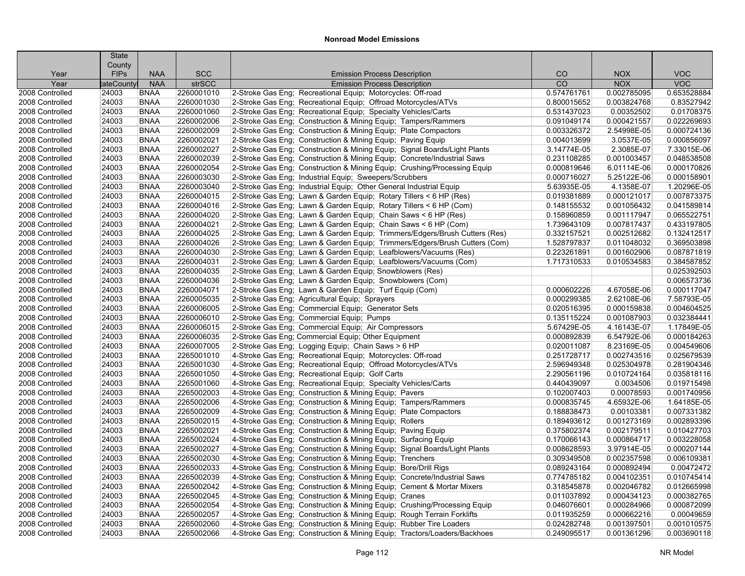|                 | <b>State</b> |             |               |                                                                            |             |             |             |
|-----------------|--------------|-------------|---------------|----------------------------------------------------------------------------|-------------|-------------|-------------|
|                 | County       |             |               |                                                                            |             |             |             |
| Year            | <b>FIPs</b>  | <b>NAA</b>  | <b>SCC</b>    | <b>Emission Process Description</b>                                        | CO          | <b>NOX</b>  | <b>VOC</b>  |
| Year            | tateCounty   | <b>NAA</b>  | <b>strSCC</b> | <b>Emission Process Description</b>                                        | CO          | <b>NOX</b>  | <b>VOC</b>  |
| 2008 Controlled | 24003        | <b>BNAA</b> | 2260001010    | 2-Stroke Gas Eng; Recreational Equip; Motorcycles: Off-road                | 0.574761761 | 0.002785095 | 0.653528884 |
| 2008 Controlled | 24003        | <b>BNAA</b> | 2260001030    | 2-Stroke Gas Eng; Recreational Equip; Offroad Motorcycles/ATVs             | 0.800015652 | 0.003824768 | 0.83527942  |
| 2008 Controlled | 24003        | <b>BNAA</b> | 2260001060    | 2-Stroke Gas Eng; Recreational Equip; Specialty Vehicles/Carts             | 0.531437023 | 0.00352502  | 0.01708375  |
| 2008 Controlled | 24003        | <b>BNAA</b> | 2260002006    | 2-Stroke Gas Eng; Construction & Mining Equip; Tampers/Rammers             | 0.091049174 | 0.000421557 | 0.022269693 |
| 2008 Controlled | 24003        | <b>BNAA</b> | 2260002009    | 2-Stroke Gas Eng; Construction & Mining Equip; Plate Compactors            | 0.003326372 | 2.54998E-05 | 0.000724136 |
| 2008 Controlled | 24003        | <b>BNAA</b> | 2260002021    | 2-Stroke Gas Eng; Construction & Mining Equip; Paving Equip                | 0.004013699 | 3.0537E-05  | 0.000856097 |
| 2008 Controlled | 24003        | <b>BNAA</b> | 2260002027    | 2-Stroke Gas Eng; Construction & Mining Equip; Signal Boards/Light Plants  | 3.14774E-05 | 2.3085E-07  | 7.33015E-06 |
| 2008 Controlled | 24003        | <b>BNAA</b> | 2260002039    | 2-Stroke Gas Eng; Construction & Mining Equip; Concrete/Industrial Saws    | 0.231108285 | 0.001003457 | 0.048538508 |
| 2008 Controlled | 24003        | <b>BNAA</b> | 2260002054    | 2-Stroke Gas Eng; Construction & Mining Equip; Crushing/Processing Equip   | 0.000819646 | 6.01114E-06 | 0.000170826 |
| 2008 Controlled | 24003        | <b>BNAA</b> | 2260003030    | 2-Stroke Gas Eng; Industrial Equip; Sweepers/Scrubbers                     | 0.000716027 | 5.25122E-06 | 0.000158901 |
| 2008 Controlled | 24003        | <b>BNAA</b> | 2260003040    | 2-Stroke Gas Eng; Industrial Equip; Other General Industrial Equip         | 5.63935E-05 | 4.1358E-07  | 1.20296E-05 |
| 2008 Controlled | 24003        | <b>BNAA</b> | 2260004015    | 2-Stroke Gas Eng; Lawn & Garden Equip; Rotary Tillers < 6 HP (Res)         | 0.019381889 | 0.000121017 | 0.007873375 |
| 2008 Controlled | 24003        | <b>BNAA</b> | 2260004016    | 2-Stroke Gas Eng; Lawn & Garden Equip; Rotary Tillers < 6 HP (Com)         | 0.148155532 | 0.001056432 | 0.041589814 |
| 2008 Controlled | 24003        | <b>BNAA</b> | 2260004020    | 2-Stroke Gas Eng; Lawn & Garden Equip; Chain Saws < 6 HP (Res)             | 0.158960859 | 0.001117947 | 0.065522751 |
| 2008 Controlled | 24003        | <b>BNAA</b> | 2260004021    | 2-Stroke Gas Eng; Lawn & Garden Equip; Chain Saws < 6 HP (Com)             | 1.739643109 | 0.007817437 | 0.433197805 |
| 2008 Controlled | 24003        | <b>BNAA</b> | 2260004025    | 2-Stroke Gas Eng; Lawn & Garden Equip; Trimmers/Edgers/Brush Cutters (Res) | 0.332157521 | 0.002512682 | 0.132412517 |
| 2008 Controlled | 24003        | <b>BNAA</b> | 2260004026    | 2-Stroke Gas Eng; Lawn & Garden Equip; Trimmers/Edgers/Brush Cutters (Com) | 1.528797837 | 0.011048032 | 0.369503898 |
| 2008 Controlled | 24003        | <b>BNAA</b> | 2260004030    | 2-Stroke Gas Eng; Lawn & Garden Equip; Leafblowers/Vacuums (Res)           | 0.223261891 | 0.001602906 | 0.087871819 |
| 2008 Controlled | 24003        | <b>BNAA</b> | 2260004031    | 2-Stroke Gas Eng; Lawn & Garden Equip; Leafblowers/Vacuums (Com)           | 1.717310533 | 0.010534583 | 0.384587852 |
| 2008 Controlled | 24003        | <b>BNAA</b> | 2260004035    | 2-Stroke Gas Eng; Lawn & Garden Equip; Snowblowers (Res)                   |             |             | 0.025392503 |
| 2008 Controlled | 24003        | <b>BNAA</b> | 2260004036    | 2-Stroke Gas Eng: Lawn & Garden Equip: Snowblowers (Com)                   |             |             | 0.006573736 |
| 2008 Controlled | 24003        | <b>BNAA</b> | 2260004071    | 2-Stroke Gas Eng; Lawn & Garden Equip; Turf Equip (Com)                    | 0.000602226 | 4.67058E-06 | 0.000117047 |
| 2008 Controlled | 24003        | <b>BNAA</b> | 2260005035    | 2-Stroke Gas Eng; Agricultural Equip; Sprayers                             | 0.000299385 | 2.62108E-06 | 7.58793E-05 |
| 2008 Controlled | 24003        | <b>BNAA</b> | 2260006005    | 2-Stroke Gas Eng; Commercial Equip; Generator Sets                         | 0.020516395 | 0.000159838 | 0.004604525 |
| 2008 Controlled | 24003        | <b>BNAA</b> | 2260006010    | 2-Stroke Gas Eng; Commercial Equip; Pumps                                  | 0.135115224 | 0.001087903 | 0.032384441 |
| 2008 Controlled | 24003        | <b>BNAA</b> | 2260006015    | 2-Stroke Gas Eng; Commercial Equip; Air Compressors                        | 5.67429E-05 | 4.16143E-07 | 1.17849E-05 |
| 2008 Controlled | 24003        | <b>BNAA</b> | 2260006035    | 2-Stroke Gas Eng; Commercial Equip; Other Equipment                        | 0.000892839 | 6.54792E-06 | 0.000184263 |
| 2008 Controlled | 24003        | <b>BNAA</b> | 2260007005    | 2-Stroke Gas Eng; Logging Equip; Chain Saws > 6 HP                         | 0.020011087 | 8.23169E-05 | 0.004549606 |
| 2008 Controlled | 24003        | <b>BNAA</b> | 2265001010    | 4-Stroke Gas Eng; Recreational Equip; Motorcycles: Off-road                | 0.251728717 | 0.002743516 | 0.025679539 |
| 2008 Controlled | 24003        | <b>BNAA</b> | 2265001030    | 4-Stroke Gas Eng; Recreational Equip; Offroad Motorcycles/ATVs             | 2.596949348 | 0.025304978 | 0.281904346 |
| 2008 Controlled | 24003        | <b>BNAA</b> | 2265001050    | 4-Stroke Gas Eng; Recreational Equip; Golf Carts                           | 2.290561196 | 0.010724164 | 0.035818116 |
| 2008 Controlled | 24003        | <b>BNAA</b> | 2265001060    | 4-Stroke Gas Eng; Recreational Equip; Specialty Vehicles/Carts             | 0.440439097 | 0.0034506   | 0.019715498 |
| 2008 Controlled | 24003        | <b>BNAA</b> | 2265002003    | 4-Stroke Gas Eng; Construction & Mining Equip; Pavers                      | 0.102007403 | 0.00078593  | 0.001740956 |
| 2008 Controlled | 24003        | <b>BNAA</b> | 2265002006    | 4-Stroke Gas Eng; Construction & Mining Equip; Tampers/Rammers             | 0.000835745 | 4.65932E-06 | 1.64185E-05 |
| 2008 Controlled | 24003        | <b>BNAA</b> | 2265002009    | 4-Stroke Gas Eng: Construction & Mining Equip: Plate Compactors            | 0.188838473 | 0.00103381  | 0.007331382 |
| 2008 Controlled | 24003        | <b>BNAA</b> | 2265002015    | 4-Stroke Gas Eng; Construction & Mining Equip; Rollers                     | 0.189493612 | 0.001273169 | 0.002893396 |
| 2008 Controlled | 24003        | <b>BNAA</b> | 2265002021    | 4-Stroke Gas Eng; Construction & Mining Equip; Paving Equip                | 0.375802374 | 0.002179511 | 0.010427703 |
| 2008 Controlled | 24003        | <b>BNAA</b> | 2265002024    | 4-Stroke Gas Eng; Construction & Mining Equip; Surfacing Equip             | 0.170066143 | 0.000864717 | 0.003228058 |
| 2008 Controlled | 24003        | <b>BNAA</b> | 2265002027    | 4-Stroke Gas Eng; Construction & Mining Equip; Signal Boards/Light Plants  | 0.008628593 | 3.97914E-05 | 0.000207144 |
| 2008 Controlled | 24003        | <b>BNAA</b> | 2265002030    | 4-Stroke Gas Eng; Construction & Mining Equip; Trenchers                   | 0.309349508 | 0.002357598 | 0.006109381 |
| 2008 Controlled | 24003        | <b>BNAA</b> | 2265002033    | 4-Stroke Gas Eng; Construction & Mining Equip; Bore/Drill Rigs             | 0.089243164 | 0.000892494 | 0.00472472  |
| 2008 Controlled | 24003        | <b>BNAA</b> | 2265002039    | 4-Stroke Gas Eng; Construction & Mining Equip; Concrete/Industrial Saws    | 0.774785182 | 0.004102351 | 0.010745414 |
| 2008 Controlled | 24003        | <b>BNAA</b> | 2265002042    | 4-Stroke Gas Eng; Construction & Mining Equip; Cement & Mortar Mixers      | 0.318545878 | 0.002046782 | 0.012665998 |
| 2008 Controlled | 24003        | <b>BNAA</b> | 2265002045    | 4-Stroke Gas Eng; Construction & Mining Equip; Cranes                      | 0.011037892 | 0.000434123 | 0.000382765 |
| 2008 Controlled | 24003        | <b>BNAA</b> | 2265002054    | 4-Stroke Gas Eng; Construction & Mining Equip; Crushing/Processing Equip   | 0.046076601 | 0.000284966 | 0.000872099 |
| 2008 Controlled | 24003        | <b>BNAA</b> | 2265002057    | 4-Stroke Gas Eng; Construction & Mining Equip; Rough Terrain Forklifts     | 0.011935259 | 0.000662216 | 0.00049659  |
| 2008 Controlled | 24003        | <b>BNAA</b> | 2265002060    | 4-Stroke Gas Eng; Construction & Mining Equip; Rubber Tire Loaders         | 0.024282748 | 0.001397501 | 0.001010575 |
| 2008 Controlled | 24003        | <b>BNAA</b> | 2265002066    | 4-Stroke Gas Eng; Construction & Mining Equip; Tractors/Loaders/Backhoes   | 0.249095517 | 0.001361296 | 0.003690118 |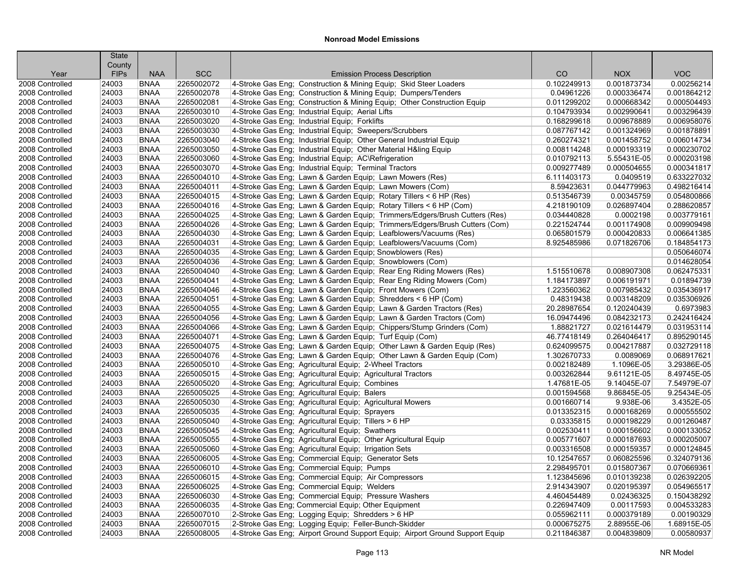|                                    | <b>State</b>         |                            |                          |                                                                                                                              |                            |                          |                            |
|------------------------------------|----------------------|----------------------------|--------------------------|------------------------------------------------------------------------------------------------------------------------------|----------------------------|--------------------------|----------------------------|
|                                    | County               |                            | <b>SCC</b>               | <b>Emission Process Description</b>                                                                                          | CO                         | <b>NOX</b>               | <b>VOC</b>                 |
| Year<br>2008 Controlled            | <b>FIPs</b><br>24003 | <b>NAA</b><br><b>BNAA</b>  | 2265002072               | 4-Stroke Gas Eng; Construction & Mining Equip; Skid Steer Loaders                                                            | 0.102249913                | 0.001873734              | 0.00256214                 |
| 2008 Controlled                    | 24003                | <b>BNAA</b>                | 2265002078               | 4-Stroke Gas Eng; Construction & Mining Equip; Dumpers/Tenders                                                               | 0.04961226                 | 0.000336474              | 0.001864212                |
| 2008 Controlled                    | 24003                | <b>BNAA</b>                | 2265002081               | 4-Stroke Gas Eng; Construction & Mining Equip; Other Construction Equip                                                      | 0.011299202                | 0.000668342              | 0.000504493                |
| 2008 Controlled                    | 24003                | <b>BNAA</b>                | 2265003010               |                                                                                                                              | 0.104793934                | 0.002990641              | 0.003296439                |
| 2008 Controlled                    | 24003                | <b>BNAA</b>                | 2265003020               | 4-Stroke Gas Eng; Industrial Equip; Aerial Lifts<br>4-Stroke Gas Eng; Industrial Equip; Forklifts                            | 0.168299618                | 0.009678889              | 0.006958076                |
| 2008 Controlled                    | 24003                | <b>BNAA</b>                | 2265003030               |                                                                                                                              | 0.087767142                | 0.001324969              | 0.001878891                |
| 2008 Controlled                    | 24003                | <b>BNAA</b>                | 2265003040               | 4-Stroke Gas Eng; Industrial Equip; Sweepers/Scrubbers<br>4-Stroke Gas Eng; Industrial Equip; Other General Industrial Equip | 0.260274321                | 0.001458752              | 0.006014734                |
| 2008 Controlled                    | 24003                | <b>BNAA</b>                | 2265003050               |                                                                                                                              | 0.008114248                | 0.000193319              | 0.000230702                |
| 2008 Controlled                    | 24003                | <b>BNAA</b>                | 2265003060               | 4-Stroke Gas Eng; Industrial Equip; Other Material H&ling Equip                                                              | 0.010792113                | 5.55431E-05              | 0.000203198                |
|                                    |                      | <b>BNAA</b>                | 2265003070               | 4-Stroke Gas Eng; Industrial Equip; AC\Refrigeration                                                                         | 0.009277489                | 0.000504655              |                            |
| 2008 Controlled<br>2008 Controlled | 24003<br>24003       | <b>BNAA</b>                | 2265004010               | 4-Stroke Gas Eng; Industrial Equip; Terminal Tractors<br>4-Stroke Gas Eng; Lawn & Garden Equip; Lawn Mowers (Res)            | 6.111403173                | 0.0409519                | 0.000341817<br>0.633227032 |
|                                    | 24003                |                            | 2265004011               |                                                                                                                              | 8.59423631                 | 0.044779963              | 0.498216414                |
| 2008 Controlled                    |                      | <b>BNAA</b>                |                          | 4-Stroke Gas Eng; Lawn & Garden Equip; Lawn Mowers (Com)                                                                     |                            |                          |                            |
| 2008 Controlled                    | 24003<br>24003       | <b>BNAA</b><br><b>BNAA</b> | 2265004015<br>2265004016 | 4-Stroke Gas Eng; Lawn & Garden Equip; Rotary Tillers < 6 HP (Res)                                                           | 0.513546739<br>4.218190109 | 0.00345759               | 0.054800866<br>0.288620857 |
| 2008 Controlled                    |                      |                            |                          | 4-Stroke Gas Eng; Lawn & Garden Equip; Rotary Tillers < 6 HP (Com)                                                           |                            | 0.026897404              |                            |
| 2008 Controlled                    | 24003                | <b>BNAA</b>                | 2265004025               | 4-Stroke Gas Eng; Lawn & Garden Equip; Trimmers/Edgers/Brush Cutters (Res)                                                   | 0.034440828                | 0.0002198                | 0.003779161                |
| 2008 Controlled                    | 24003                | <b>BNAA</b>                | 2265004026               | 4-Stroke Gas Eng; Lawn & Garden Equip; Trimmers/Edgers/Brush Cutters (Com)                                                   | 0.221524744                | 0.001174908              | 0.009909498                |
| 2008 Controlled                    | 24003                | <b>BNAA</b>                | 2265004030               | 4-Stroke Gas Eng; Lawn & Garden Equip; Leafblowers/Vacuums (Res)                                                             | 0.065801579                | 0.000420833              | 0.006641385                |
| 2008 Controlled                    | 24003                | <b>BNAA</b>                | 2265004031               | 4-Stroke Gas Eng; Lawn & Garden Equip; Leafblowers/Vacuums (Com)                                                             | 8.925485986                | 0.071826706              | 0.184854173                |
| 2008 Controlled                    | 24003                | <b>BNAA</b>                | 2265004035               | 4-Stroke Gas Eng; Lawn & Garden Equip; Snowblowers (Res)                                                                     |                            |                          | 0.050646074                |
| 2008 Controlled                    | 24003                | <b>BNAA</b>                | 2265004036               | 4-Stroke Gas Eng; Lawn & Garden Equip; Snowblowers (Com)                                                                     |                            |                          | 0.014628054                |
| 2008 Controlled                    | 24003                | <b>BNAA</b>                | 2265004040               | 4-Stroke Gas Eng; Lawn & Garden Equip; Rear Eng Riding Mowers (Res)                                                          | 1.515510678                | 0.008907308              | 0.062475331                |
| 2008 Controlled                    | 24003                | <b>BNAA</b>                | 2265004041               | 4-Stroke Gas Eng; Lawn & Garden Equip; Rear Eng Riding Mowers (Com)                                                          | 1.184173897                | 0.006191971              | 0.01894739                 |
| 2008 Controlled                    | 24003                | <b>BNAA</b>                | 2265004046               | 4-Stroke Gas Eng; Lawn & Garden Equip; Front Mowers (Com)                                                                    | 1.223560362                | 0.007985432              | 0.035436917                |
| 2008 Controlled                    | 24003                | <b>BNAA</b>                | 2265004051               | 4-Stroke Gas Eng; Lawn & Garden Equip; Shredders < 6 HP (Com)                                                                | 0.48319438                 | 0.003148209              | 0.035306926                |
| 2008 Controlled                    | 24003                | <b>BNAA</b>                | 2265004055               | 4-Stroke Gas Eng; Lawn & Garden Equip; Lawn & Garden Tractors (Res)                                                          | 20.28987654                | 0.120240439              | 0.6973983                  |
| 2008 Controlled                    | 24003                | <b>BNAA</b>                | 2265004056               | 4-Stroke Gas Eng; Lawn & Garden Equip; Lawn & Garden Tractors (Com)                                                          | 16.09474496                | 0.084232173              | 0.242416424                |
| 2008 Controlled                    | 24003                | <b>BNAA</b>                | 2265004066               | 4-Stroke Gas Eng; Lawn & Garden Equip; Chippers/Stump Grinders (Com)                                                         | 1.88821727                 | 0.021614479              | 0.031953114<br>0.895290145 |
| 2008 Controlled                    | 24003                | <b>BNAA</b>                | 2265004071               | 4-Stroke Gas Eng; Lawn & Garden Equip; Turf Equip (Com)                                                                      | 46.77418149                | 0.264046417              |                            |
| 2008 Controlled                    | 24003                | <b>BNAA</b>                | 2265004075               | 4-Stroke Gas Eng; Lawn & Garden Equip; Other Lawn & Garden Equip (Res)                                                       | 0.624099575                | 0.004217887              | 0.032729118                |
| 2008 Controlled                    | 24003                | <b>BNAA</b>                | 2265004076               | 4-Stroke Gas Eng; Lawn & Garden Equip; Other Lawn & Garden Equip (Com)                                                       | 1.302670733                | 0.0089069                | 0.068917621                |
| 2008 Controlled                    | 24003                | <b>BNAA</b>                | 2265005010               | 4-Stroke Gas Eng; Agricultural Equip; 2-Wheel Tractors                                                                       | 0.002182489                | 1.1096E-05               | 3.29386E-05                |
| 2008 Controlled                    | 24003                | <b>BNAA</b>                | 2265005015               | 4-Stroke Gas Eng; Agricultural Equip; Agricultural Tractors                                                                  | 0.003262844                | 9.61121E-05              | 8.49745E-05                |
| 2008 Controlled                    | 24003                | <b>BNAA</b>                | 2265005020               | 4-Stroke Gas Eng; Agricultural Equip; Combines                                                                               | 1.47681E-05                | 9.14045E-07              | 7.54979E-07                |
| 2008 Controlled                    | 24003                | <b>BNAA</b>                | 2265005025               | 4-Stroke Gas Eng; Agricultural Equip; Balers                                                                                 | 0.001594568                | 9.86845E-05<br>9.938E-06 | 9.25434E-05<br>3.4352E-05  |
| 2008 Controlled                    | 24003                | <b>BNAA</b>                | 2265005030               | 4-Stroke Gas Eng; Agricultural Equip; Agricultural Mowers                                                                    | 0.001660714                |                          |                            |
| 2008 Controlled                    | 24003                | <b>BNAA</b>                | 2265005035               | 4-Stroke Gas Eng; Agricultural Equip; Sprayers                                                                               | 0.013352315                | 0.000168269              | 0.000555502                |
| 2008 Controlled                    | 24003                | <b>BNAA</b>                | 2265005040               | 4-Stroke Gas Eng; Agricultural Equip; Tillers > 6 HP                                                                         | 0.03335815                 | 0.000198229              | 0.001260487                |
| 2008 Controlled                    | 24003                | <b>BNAA</b>                | 2265005045               | 4-Stroke Gas Eng; Agricultural Equip; Swathers                                                                               | 0.002530411                | 0.000156602              | 0.000133052                |
| 2008 Controlled                    | 24003                | <b>BNAA</b>                | 2265005055               | 4-Stroke Gas Eng; Agricultural Equip; Other Agricultural Equip                                                               | 0.005771607                | 0.000187693              | 0.000205007                |
| 2008 Controlled                    | 24003                | <b>BNAA</b>                | 2265005060               | 4-Stroke Gas Eng; Agricultural Equip; Irrigation Sets                                                                        | 0.003316508                | 0.000159357              | 0.000124845                |
| 2008 Controlled                    | 24003                | <b>BNAA</b>                | 2265006005               | 4-Stroke Gas Eng; Commercial Equip; Generator Sets                                                                           | 10.12547657                | 0.060825596              | 0.324079136<br>0.070669361 |
| 2008 Controlled                    | 24003                | <b>BNAA</b>                | 2265006010               | 4-Stroke Gas Eng; Commercial Equip; Pumps                                                                                    | 2.298495701                | 0.015807367              |                            |
| 2008 Controlled                    | 24003                | <b>BNAA</b>                | 2265006015               | 4-Stroke Gas Eng: Commercial Equip: Air Compressors                                                                          | 1.123845696                | 0.010139238              | 0.026392205                |
| 2008 Controlled                    | 24003                | <b>BNAA</b>                | 2265006025               | 4-Stroke Gas Eng; Commercial Equip; Welders                                                                                  | 2.914343907                | 0.020195397              | 0.054965517                |
| 2008 Controlled                    | 24003                | <b>BNAA</b>                | 2265006030               | 4-Stroke Gas Eng; Commercial Equip; Pressure Washers                                                                         | 4.460454489                | 0.02436325               | 0.150438292                |
| 2008 Controlled                    | 24003                | <b>BNAA</b>                | 2265006035               | 4-Stroke Gas Eng; Commercial Equip; Other Equipment                                                                          | 0.226947409                | 0.00117593               | 0.004533283                |
| 2008 Controlled                    | 24003                | <b>BNAA</b>                | 2265007010               | 2-Stroke Gas Eng; Logging Equip; Shredders > 6 HP                                                                            | 0.055962111                | 0.000379189              | 0.00190329                 |
| 2008 Controlled                    | 24003                | <b>BNAA</b>                | 2265007015               | 2-Stroke Gas Eng; Logging Equip; Feller-Bunch-Skidder                                                                        | 0.000675275                | 2.88955E-06              | 1.68915E-05                |
| 2008 Controlled                    | 24003                | <b>BNAA</b>                | 2265008005               | 4-Stroke Gas Eng; Airport Ground Support Equip; Airport Ground Support Equip                                                 | 0.211846387                | 0.004839809              | 0.00580937                 |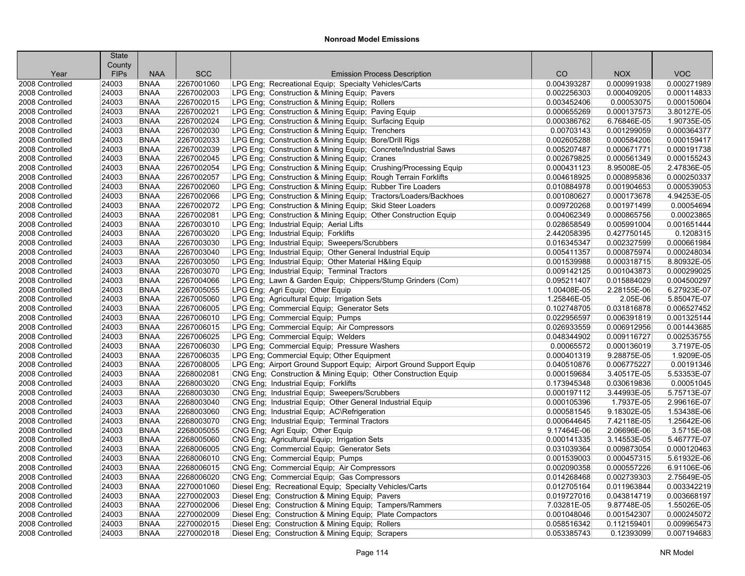|                 | <b>State</b>          |             |            |                                                                     |             |             |             |
|-----------------|-----------------------|-------------|------------|---------------------------------------------------------------------|-------------|-------------|-------------|
| Year            | County<br><b>FIPs</b> | <b>NAA</b>  | <b>SCC</b> | <b>Emission Process Description</b>                                 | CO          | <b>NOX</b>  | <b>VOC</b>  |
| 2008 Controlled | 24003                 | <b>BNAA</b> | 2267001060 | LPG Eng; Recreational Equip; Specialty Vehicles/Carts               | 0.004393287 | 0.000991938 | 0.000271989 |
| 2008 Controlled | 24003                 | <b>BNAA</b> | 2267002003 | LPG Eng; Construction & Mining Equip; Pavers                        | 0.002256303 | 0.000409205 | 0.000114833 |
| 2008 Controlled | 24003                 | <b>BNAA</b> | 2267002015 | LPG Eng; Construction & Mining Equip; Rollers                       | 0.003452406 | 0.00053075  | 0.000150604 |
| 2008 Controlled | 24003                 | <b>BNAA</b> | 2267002021 | LPG Eng; Construction & Mining Equip; Paving Equip                  | 0.000655269 | 0.000137573 | 3.80127E-05 |
| 2008 Controlled | 24003                 | <b>BNAA</b> | 2267002024 | LPG Eng; Construction & Mining Equip; Surfacing Equip               | 0.000386762 | 6.76846E-05 | 1.90735E-05 |
| 2008 Controlled | 24003                 | <b>BNAA</b> | 2267002030 | LPG Eng; Construction & Mining Equip; Trenchers                     | 0.00703143  | 0.001299059 | 0.000364377 |
| 2008 Controlled | 24003                 | <b>BNAA</b> | 2267002033 | LPG Eng; Construction & Mining Equip; Bore/Drill Rigs               | 0.002605288 | 0.000584206 | 0.000159417 |
| 2008 Controlled | 24003                 | <b>BNAA</b> | 2267002039 | LPG Eng; Construction & Mining Equip; Concrete/Industrial Saws      | 0.005207487 | 0.000671771 | 0.000191738 |
| 2008 Controlled | 24003                 | <b>BNAA</b> | 2267002045 | LPG Eng; Construction & Mining Equip; Cranes                        | 0.002679825 | 0.000561349 | 0.000155243 |
| 2008 Controlled | 24003                 | <b>BNAA</b> | 2267002054 | LPG Eng; Construction & Mining Equip; Crushing/Processing Equip     | 0.000431123 | 8.95008E-05 | 2.47836E-05 |
| 2008 Controlled | 24003                 | <b>BNAA</b> | 2267002057 | LPG Eng; Construction & Mining Equip; Rough Terrain Forklifts       | 0.004618925 | 0.000895836 | 0.000250337 |
| 2008 Controlled | 24003                 | <b>BNAA</b> | 2267002060 | LPG Eng; Construction & Mining Equip; Rubber Tire Loaders           | 0.010884978 | 0.001904653 | 0.000539053 |
| 2008 Controlled | 24003                 | <b>BNAA</b> | 2267002066 | LPG Eng; Construction & Mining Equip; Tractors/Loaders/Backhoes     | 0.001080627 | 0.000173678 | 4.94253E-05 |
| 2008 Controlled | 24003                 | <b>BNAA</b> | 2267002072 | LPG Eng; Construction & Mining Equip; Skid Steer Loaders            | 0.009720268 | 0.001971499 | 0.00054694  |
| 2008 Controlled | 24003                 | <b>BNAA</b> | 2267002081 | LPG Eng; Construction & Mining Equip; Other Construction Equip      | 0.004062349 | 0.000865756 | 0.00023865  |
| 2008 Controlled | 24003                 | <b>BNAA</b> | 2267003010 | LPG Eng; Industrial Equip; Aerial Lifts                             | 0.028658549 | 0.005991004 | 0.001651444 |
| 2008 Controlled | 24003                 | <b>BNAA</b> | 2267003020 | LPG Eng; Industrial Equip; Forklifts                                | 2.442058395 | 0.427750145 | 0.1208315   |
| 2008 Controlled | 24003                 | <b>BNAA</b> | 2267003030 | LPG Eng; Industrial Equip; Sweepers/Scrubbers                       | 0.016345347 | 0.002327599 | 0.000661984 |
| 2008 Controlled | 24003                 | <b>BNAA</b> | 2267003040 | LPG Eng; Industrial Equip; Other General Industrial Equip           | 0.005411357 | 0.000875974 | 0.000248034 |
| 2008 Controlled | 24003                 | <b>BNAA</b> | 2267003050 | LPG Eng; Industrial Equip; Other Material H&ling Equip              | 0.001539988 | 0.000318715 | 8.80932E-05 |
| 2008 Controlled | 24003                 | <b>BNAA</b> | 2267003070 | LPG Eng; Industrial Equip; Terminal Tractors                        | 0.009142125 | 0.001043873 | 0.000299025 |
| 2008 Controlled | 24003                 | <b>BNAA</b> | 2267004066 | LPG Eng; Lawn & Garden Equip; Chippers/Stump Grinders (Com)         | 0.095211407 | 0.015884029 | 0.004500297 |
| 2008 Controlled | 24003                 | <b>BNAA</b> | 2267005055 | LPG Eng; Agri Equip; Other Equip                                    | 1.00408E-05 | 2.28155E-06 | 6.27923E-07 |
| 2008 Controlled | 24003                 | <b>BNAA</b> | 2267005060 | LPG Eng; Agricultural Equip; Irrigation Sets                        | 1.25846E-05 | 2.05E-06    | 5.85047E-07 |
| 2008 Controlled | 24003                 | <b>BNAA</b> | 2267006005 | LPG Eng; Commercial Equip; Generator Sets                           | 0.102748705 | 0.031816878 | 0.006527452 |
| 2008 Controlled | 24003                 | <b>BNAA</b> | 2267006010 | LPG Eng; Commercial Equip; Pumps                                    | 0.022956597 | 0.006391819 | 0.001325144 |
| 2008 Controlled | 24003                 | <b>BNAA</b> | 2267006015 | LPG Eng; Commercial Equip; Air Compressors                          | 0.026933559 | 0.006912956 | 0.001443685 |
| 2008 Controlled | 24003                 | <b>BNAA</b> | 2267006025 | LPG Eng; Commercial Equip; Welders                                  | 0.048344902 | 0.009116727 | 0.002535755 |
| 2008 Controlled | 24003                 | <b>BNAA</b> | 2267006030 | LPG Eng; Commercial Equip; Pressure Washers                         | 0.00065572  | 0.000136019 | 3.7197E-05  |
| 2008 Controlled | 24003                 | <b>BNAA</b> | 2267006035 | LPG Eng; Commercial Equip; Other Equipment                          | 0.000401319 | 9.28875E-05 | 1.9209E-05  |
| 2008 Controlled | 24003                 | <b>BNAA</b> | 2267008005 | LPG Eng; Airport Ground Support Equip; Airport Ground Support Equip | 0.040510876 | 0.006775227 | 0.00191346  |
| 2008 Controlled | 24003                 | <b>BNAA</b> | 2268002081 | CNG Eng; Construction & Mining Equip; Other Construction Equip      | 0.000159684 | 3.40517E-05 | 5.53353E-07 |
| 2008 Controlled | 24003                 | <b>BNAA</b> | 2268003020 | CNG Eng; Industrial Equip; Forklifts                                | 0.173945348 | 0.030619836 | 0.00051045  |
| 2008 Controlled | 24003                 | <b>BNAA</b> | 2268003030 | CNG Eng; Industrial Equip; Sweepers/Scrubbers                       | 0.000197112 | 3.44993E-05 | 5.75713E-07 |
| 2008 Controlled | 24003                 | <b>BNAA</b> | 2268003040 | CNG Eng; Industrial Equip; Other General Industrial Equip           | 0.000105396 | 1.7937E-05  | 2.99616E-07 |
| 2008 Controlled | 24003                 | <b>BNAA</b> | 2268003060 | CNG Eng; Industrial Equip; AC\Refrigeration                         | 0.000581545 | 9.18302E-05 | 1.53438E-06 |
| 2008 Controlled | 24003                 | <b>BNAA</b> | 2268003070 | CNG Eng; Industrial Equip; Terminal Tractors                        | 0.000644645 | 7.42118E-05 | 1.25642E-06 |
| 2008 Controlled | 24003                 | <b>BNAA</b> | 2268005055 | CNG Eng; Agri Equip; Other Equip                                    | 9.17464E-06 | 2.06696E-06 | 3.5715E-08  |
| 2008 Controlled | 24003                 | <b>BNAA</b> | 2268005060 | CNG Eng; Agricultural Equip; Irrigation Sets                        | 0.000141335 | 3.14553E-05 | 5.46777E-07 |
| 2008 Controlled | 24003                 | <b>BNAA</b> | 2268006005 | CNG Eng; Commercial Equip; Generator Sets                           | 0.031039364 | 0.009873054 | 0.000120463 |
| 2008 Controlled | 24003                 | <b>BNAA</b> | 2268006010 | CNG Eng; Commercial Equip; Pumps                                    | 0.001539003 | 0.000457315 | 5.61932E-06 |
| 2008 Controlled | 24003                 | <b>BNAA</b> | 2268006015 | CNG Eng; Commercial Equip; Air Compressors                          | 0.002090358 | 0.000557226 | 6.91106E-06 |
| 2008 Controlled | 24003                 | <b>BNAA</b> | 2268006020 | CNG Eng; Commercial Equip; Gas Compressors                          | 0.014268468 | 0.002739303 | 2.75649E-05 |
| 2008 Controlled | 24003                 | <b>BNAA</b> | 2270001060 | Diesel Eng; Recreational Equip; Specialty Vehicles/Carts            | 0.012705164 | 0.011963844 | 0.003342219 |
| 2008 Controlled | 24003                 | <b>BNAA</b> | 2270002003 | Diesel Eng; Construction & Mining Equip; Pavers                     | 0.019727016 | 0.043814719 | 0.003668197 |
| 2008 Controlled | 24003                 | <b>BNAA</b> | 2270002006 | Diesel Eng; Construction & Mining Equip; Tampers/Rammers            | 7.03281E-05 | 9.87748E-05 | 1.55026E-05 |
| 2008 Controlled | 24003                 | <b>BNAA</b> | 2270002009 | Diesel Eng; Construction & Mining Equip; Plate Compactors           | 0.001048046 | 0.001542307 | 0.000245072 |
| 2008 Controlled | 24003                 | <b>BNAA</b> | 2270002015 | Diesel Eng; Construction & Mining Equip; Rollers                    | 0.058516342 | 0.112159401 | 0.009965473 |
| 2008 Controlled | 24003                 | <b>BNAA</b> | 2270002018 | Diesel Eng; Construction & Mining Equip; Scrapers                   | 0.053385743 | 0.12393099  | 0.007194683 |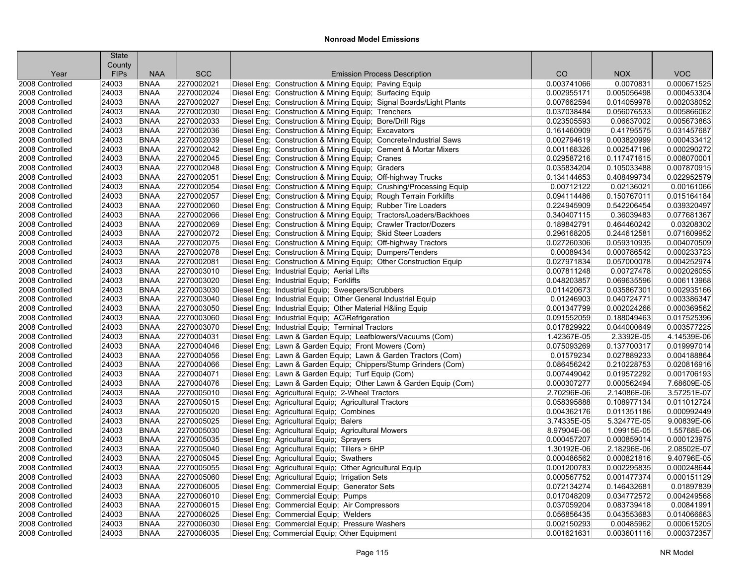| County<br><b>VOC</b><br><b>FIPs</b><br><b>NAA</b><br><b>SCC</b><br><b>Emission Process Description</b><br>CO<br><b>NOX</b><br>Year<br>2270002021<br>Diesel Eng; Construction & Mining Equip; Paving Equip<br>0.0070831<br>2008 Controlled<br><b>BNAA</b><br>0.003741066<br>0.000671525<br>24003<br><b>BNAA</b><br>2270002024<br>Diesel Eng; Construction & Mining Equip; Surfacing Equip<br>0.005056498<br>0.000453304<br>2008 Controlled<br>24003<br>0.002955171<br>24003<br><b>BNAA</b><br>2270002027<br>Diesel Eng; Construction & Mining Equip; Signal Boards/Light Plants<br>0.007662594<br>0.014059978<br>0.002038052<br>2008 Controlled<br><b>BNAA</b><br>2270002030<br>Diesel Eng; Construction & Mining Equip; Trenchers<br>0.005866062<br>2008 Controlled<br>24003<br>0.037038484<br>0.056076533<br>2270002033<br>0.005673863<br>24003<br><b>BNAA</b><br>Diesel Eng; Construction & Mining Equip; Bore/Drill Rigs<br>0.023505593<br>0.06637002<br>2008 Controlled<br>2270002036<br>2008 Controlled<br>24003<br><b>BNAA</b><br>Diesel Eng; Construction & Mining Equip; Excavators<br>0.161460909<br>0.41795575<br>0.031457687<br>2270002039<br>Diesel Eng; Construction & Mining Equip; Concrete/Industrial Saws<br>0.000433412<br>2008 Controlled<br>24003<br><b>BNAA</b><br>0.002794619<br>0.003820999<br><b>BNAA</b><br>2270002042<br>0.000290272<br>2008 Controlled<br>24003<br>Diesel Eng; Construction & Mining Equip; Cement & Mortar Mixers<br>0.001168326<br>0.002547196<br>24003<br><b>BNAA</b><br>2270002045<br>Diesel Eng; Construction & Mining Equip; Cranes<br>0.029587216<br>0.117471615<br>0.008070001<br>2008 Controlled<br>2270002048<br>0.007870915<br>2008 Controlled<br>24003<br><b>BNAA</b><br>Diesel Eng: Construction & Mining Equip: Graders<br>0.035834204<br>0.105033488<br>24003<br><b>BNAA</b><br>2270002051<br>Diesel Eng; Construction & Mining Equip; Off-highway Trucks<br>0.408499734<br>0.022952579<br>2008 Controlled<br>0.134144653<br>24003<br>2270002054<br>Diesel Eng; Construction & Mining Equip; Crushing/Processing Equip<br>0.00712122<br>0.02136021<br>0.00161066<br>2008 Controlled<br><b>BNAA</b><br>2270002057<br>Diesel Eng; Construction & Mining Equip; Rough Terrain Forklifts<br>0.150767011<br>0.015164184<br>2008 Controlled<br>24003<br><b>BNAA</b><br>0.094114486<br>24003<br><b>BNAA</b><br>2270002060<br>Diesel Eng; Construction & Mining Equip; Rubber Tire Loaders<br>0.224945909<br>0.542206454<br>0.039320497<br>2008 Controlled<br>24003<br><b>BNAA</b><br>2270002066<br>Diesel Eng; Construction & Mining Equip; Tractors/Loaders/Backhoes<br>0.340407115<br>0.36039483<br>0.077681367<br>2008 Controlled<br>0.03208302<br>24003<br><b>BNAA</b><br>2270002069<br>Diesel Eng; Construction & Mining Equip; Crawler Tractor/Dozers<br>0.189842791<br>0.464460242<br>2008 Controlled<br>2270002072<br>Diesel Eng; Construction & Mining Equip; Skid Steer Loaders<br>0.071609952<br>2008 Controlled<br>24003<br><b>BNAA</b><br>0.296168205<br>0.244612581<br>2270002075<br>Diesel Eng; Construction & Mining Equip; Off-highway Tractors<br>0.004070509<br>24003<br><b>BNAA</b><br>0.027260306<br>0.059310935<br>2008 Controlled<br>24003<br><b>BNAA</b><br>2270002078<br>Diesel Eng; Construction & Mining Equip; Dumpers/Tenders<br>0.00089434<br>0.000786542<br>0.000233723<br>2008 Controlled<br>2270002081<br>Diesel Eng; Construction & Mining Equip; Other Construction Equip<br>0.027971834<br>0.057000078<br>0.004252974<br>2008 Controlled<br>24003<br><b>BNAA</b><br>24003<br><b>BNAA</b><br>2270003010<br>Diesel Eng; Industrial Equip; Aerial Lifts<br>0.007811248<br>0.00727478<br>0.002026055<br>2008 Controlled<br>24003<br><b>BNAA</b><br>2270003020<br>Diesel Eng; Industrial Equip; Forklifts<br>0.048203857<br>0.069635596<br>0.006113968<br>2008 Controlled<br>24003<br><b>BNAA</b><br>2270003030<br>Diesel Eng; Industrial Equip; Sweepers/Scrubbers<br>0.011420673<br>0.035867301<br>0.002935166<br>2008 Controlled<br>2270003040<br>Diesel Eng; Industrial Equip; Other General Industrial Equip<br>0.003386347<br>2008 Controlled<br>24003<br><b>BNAA</b><br>0.01246903<br>0.040724771<br>2270003050<br>Diesel Eng; Industrial Equip; Other Material H&ling Equip<br>0.000369562<br>2008 Controlled<br>24003<br><b>BNAA</b><br>0.001347799<br>0.002024266<br>24003<br><b>BNAA</b><br>2270003060<br>Diesel Eng; Industrial Equip; AC\Refrigeration<br>0.091552059<br>0.188049463<br>0.017525396<br>2008 Controlled<br>24003<br><b>BNAA</b><br>2270003070<br>Diesel Eng; Industrial Equip; Terminal Tractors<br>0.017829922<br>0.044000649<br>0.003577225<br>2008 Controlled<br>4.14539E-06<br>24003<br><b>BNAA</b><br>2270004031<br>Diesel Eng; Lawn & Garden Equip; Leafblowers/Vacuums (Com)<br>1.42367E-05<br>2.3392E-05<br>2008 Controlled<br>24003<br>2270004046<br>0.075093269<br>0.137700317<br>0.019997014<br>2008 Controlled<br><b>BNAA</b><br>Diesel Eng; Lawn & Garden Equip; Front Mowers (Com)<br>24003<br><b>BNAA</b><br>2270004056<br>Diesel Eng; Lawn & Garden Equip; Lawn & Garden Tractors (Com)<br>0.01579234<br>0.027889233<br>0.004188864<br>2008 Controlled<br>24003<br><b>BNAA</b><br>2270004066<br>Diesel Eng; Lawn & Garden Equip; Chippers/Stump Grinders (Com)<br>0.086456242<br>0.210228753<br>0.020816916<br>2008 Controlled<br>24003<br>2270004071<br>0.019572292<br>0.001706193<br>2008 Controlled<br><b>BNAA</b><br>Diesel Eng; Lawn & Garden Equip; Turf Equip (Com)<br>0.007449042<br>2270004076<br>7.68609E-05<br>2008 Controlled<br>24003<br><b>BNAA</b><br>Diesel Eng; Lawn & Garden Equip; Other Lawn & Garden Equip (Com)<br>0.000307277<br>0.000562494<br>3.57251E-07<br>2008 Controlled<br>24003<br><b>BNAA</b><br>2270005010<br>Diesel Eng; Agricultural Equip; 2-Wheel Tractors<br>2.70296E-06<br>2.14086E-06<br>2270005015<br>Diesel Eng; Agricultural Equip; Agricultural Tractors<br>0.011012724<br>2008 Controlled<br>24003<br><b>BNAA</b><br>0.058395888<br>0.108977134<br>0.000992449<br>24003<br><b>BNAA</b><br>2270005020<br>0.004362176<br>0.011351186<br>2008 Controlled<br>Diesel Eng; Agricultural Equip; Combines<br>2270005025<br>9.00839E-06<br>2008 Controlled<br>24003<br><b>BNAA</b><br>Diesel Eng; Agricultural Equip; Balers<br>3.74335E-05<br>5.32477E-05 |
|------------------------------------------------------------------------------------------------------------------------------------------------------------------------------------------------------------------------------------------------------------------------------------------------------------------------------------------------------------------------------------------------------------------------------------------------------------------------------------------------------------------------------------------------------------------------------------------------------------------------------------------------------------------------------------------------------------------------------------------------------------------------------------------------------------------------------------------------------------------------------------------------------------------------------------------------------------------------------------------------------------------------------------------------------------------------------------------------------------------------------------------------------------------------------------------------------------------------------------------------------------------------------------------------------------------------------------------------------------------------------------------------------------------------------------------------------------------------------------------------------------------------------------------------------------------------------------------------------------------------------------------------------------------------------------------------------------------------------------------------------------------------------------------------------------------------------------------------------------------------------------------------------------------------------------------------------------------------------------------------------------------------------------------------------------------------------------------------------------------------------------------------------------------------------------------------------------------------------------------------------------------------------------------------------------------------------------------------------------------------------------------------------------------------------------------------------------------------------------------------------------------------------------------------------------------------------------------------------------------------------------------------------------------------------------------------------------------------------------------------------------------------------------------------------------------------------------------------------------------------------------------------------------------------------------------------------------------------------------------------------------------------------------------------------------------------------------------------------------------------------------------------------------------------------------------------------------------------------------------------------------------------------------------------------------------------------------------------------------------------------------------------------------------------------------------------------------------------------------------------------------------------------------------------------------------------------------------------------------------------------------------------------------------------------------------------------------------------------------------------------------------------------------------------------------------------------------------------------------------------------------------------------------------------------------------------------------------------------------------------------------------------------------------------------------------------------------------------------------------------------------------------------------------------------------------------------------------------------------------------------------------------------------------------------------------------------------------------------------------------------------------------------------------------------------------------------------------------------------------------------------------------------------------------------------------------------------------------------------------------------------------------------------------------------------------------------------------------------------------------------------------------------------------------------------------------------------------------------------------------------------------------------------------------------------------------------------------------------------------------------------------------------------------------------------------------------------------------------------------------------------------------------------------------------------------------------------------------------------------------------------------------------------------------------------------------------------------------------------------------------------------------------------------------------------------------------------------------------------------------------------------------------------------------------------------------------------------------------------------------------------------------------------------------------------------------------------------------------------------------------------------------------------------------------------------------------------------------------------------------------------------------------------------------------------------------------------------------------------------------------------------------------------------------------------------------------------------------------------------------------------------------------------------------------------------------------------------------------------------------------------------------------------------------------------------------------|
|                                                                                                                                                                                                                                                                                                                                                                                                                                                                                                                                                                                                                                                                                                                                                                                                                                                                                                                                                                                                                                                                                                                                                                                                                                                                                                                                                                                                                                                                                                                                                                                                                                                                                                                                                                                                                                                                                                                                                                                                                                                                                                                                                                                                                                                                                                                                                                                                                                                                                                                                                                                                                                                                                                                                                                                                                                                                                                                                                                                                                                                                                                                                                                                                                                                                                                                                                                                                                                                                                                                                                                                                                                                                                                                                                                                                                                                                                                                                                                                                                                                                                                                                                                                                                                                                                                                                                                                                                                                                                                                                                                                                                                                                                                                                                                                                                                                                                                                                                                                                                                                                                                                                                                                                                                                                                                                                                                                                                                                                                                                                                                                                                                                                                                                                                                                                                                                                                                                                                                                                                                                                                                                                                                                                                                                                                                                              |
|                                                                                                                                                                                                                                                                                                                                                                                                                                                                                                                                                                                                                                                                                                                                                                                                                                                                                                                                                                                                                                                                                                                                                                                                                                                                                                                                                                                                                                                                                                                                                                                                                                                                                                                                                                                                                                                                                                                                                                                                                                                                                                                                                                                                                                                                                                                                                                                                                                                                                                                                                                                                                                                                                                                                                                                                                                                                                                                                                                                                                                                                                                                                                                                                                                                                                                                                                                                                                                                                                                                                                                                                                                                                                                                                                                                                                                                                                                                                                                                                                                                                                                                                                                                                                                                                                                                                                                                                                                                                                                                                                                                                                                                                                                                                                                                                                                                                                                                                                                                                                                                                                                                                                                                                                                                                                                                                                                                                                                                                                                                                                                                                                                                                                                                                                                                                                                                                                                                                                                                                                                                                                                                                                                                                                                                                                                                              |
|                                                                                                                                                                                                                                                                                                                                                                                                                                                                                                                                                                                                                                                                                                                                                                                                                                                                                                                                                                                                                                                                                                                                                                                                                                                                                                                                                                                                                                                                                                                                                                                                                                                                                                                                                                                                                                                                                                                                                                                                                                                                                                                                                                                                                                                                                                                                                                                                                                                                                                                                                                                                                                                                                                                                                                                                                                                                                                                                                                                                                                                                                                                                                                                                                                                                                                                                                                                                                                                                                                                                                                                                                                                                                                                                                                                                                                                                                                                                                                                                                                                                                                                                                                                                                                                                                                                                                                                                                                                                                                                                                                                                                                                                                                                                                                                                                                                                                                                                                                                                                                                                                                                                                                                                                                                                                                                                                                                                                                                                                                                                                                                                                                                                                                                                                                                                                                                                                                                                                                                                                                                                                                                                                                                                                                                                                                                              |
|                                                                                                                                                                                                                                                                                                                                                                                                                                                                                                                                                                                                                                                                                                                                                                                                                                                                                                                                                                                                                                                                                                                                                                                                                                                                                                                                                                                                                                                                                                                                                                                                                                                                                                                                                                                                                                                                                                                                                                                                                                                                                                                                                                                                                                                                                                                                                                                                                                                                                                                                                                                                                                                                                                                                                                                                                                                                                                                                                                                                                                                                                                                                                                                                                                                                                                                                                                                                                                                                                                                                                                                                                                                                                                                                                                                                                                                                                                                                                                                                                                                                                                                                                                                                                                                                                                                                                                                                                                                                                                                                                                                                                                                                                                                                                                                                                                                                                                                                                                                                                                                                                                                                                                                                                                                                                                                                                                                                                                                                                                                                                                                                                                                                                                                                                                                                                                                                                                                                                                                                                                                                                                                                                                                                                                                                                                                              |
|                                                                                                                                                                                                                                                                                                                                                                                                                                                                                                                                                                                                                                                                                                                                                                                                                                                                                                                                                                                                                                                                                                                                                                                                                                                                                                                                                                                                                                                                                                                                                                                                                                                                                                                                                                                                                                                                                                                                                                                                                                                                                                                                                                                                                                                                                                                                                                                                                                                                                                                                                                                                                                                                                                                                                                                                                                                                                                                                                                                                                                                                                                                                                                                                                                                                                                                                                                                                                                                                                                                                                                                                                                                                                                                                                                                                                                                                                                                                                                                                                                                                                                                                                                                                                                                                                                                                                                                                                                                                                                                                                                                                                                                                                                                                                                                                                                                                                                                                                                                                                                                                                                                                                                                                                                                                                                                                                                                                                                                                                                                                                                                                                                                                                                                                                                                                                                                                                                                                                                                                                                                                                                                                                                                                                                                                                                                              |
|                                                                                                                                                                                                                                                                                                                                                                                                                                                                                                                                                                                                                                                                                                                                                                                                                                                                                                                                                                                                                                                                                                                                                                                                                                                                                                                                                                                                                                                                                                                                                                                                                                                                                                                                                                                                                                                                                                                                                                                                                                                                                                                                                                                                                                                                                                                                                                                                                                                                                                                                                                                                                                                                                                                                                                                                                                                                                                                                                                                                                                                                                                                                                                                                                                                                                                                                                                                                                                                                                                                                                                                                                                                                                                                                                                                                                                                                                                                                                                                                                                                                                                                                                                                                                                                                                                                                                                                                                                                                                                                                                                                                                                                                                                                                                                                                                                                                                                                                                                                                                                                                                                                                                                                                                                                                                                                                                                                                                                                                                                                                                                                                                                                                                                                                                                                                                                                                                                                                                                                                                                                                                                                                                                                                                                                                                                                              |
|                                                                                                                                                                                                                                                                                                                                                                                                                                                                                                                                                                                                                                                                                                                                                                                                                                                                                                                                                                                                                                                                                                                                                                                                                                                                                                                                                                                                                                                                                                                                                                                                                                                                                                                                                                                                                                                                                                                                                                                                                                                                                                                                                                                                                                                                                                                                                                                                                                                                                                                                                                                                                                                                                                                                                                                                                                                                                                                                                                                                                                                                                                                                                                                                                                                                                                                                                                                                                                                                                                                                                                                                                                                                                                                                                                                                                                                                                                                                                                                                                                                                                                                                                                                                                                                                                                                                                                                                                                                                                                                                                                                                                                                                                                                                                                                                                                                                                                                                                                                                                                                                                                                                                                                                                                                                                                                                                                                                                                                                                                                                                                                                                                                                                                                                                                                                                                                                                                                                                                                                                                                                                                                                                                                                                                                                                                                              |
|                                                                                                                                                                                                                                                                                                                                                                                                                                                                                                                                                                                                                                                                                                                                                                                                                                                                                                                                                                                                                                                                                                                                                                                                                                                                                                                                                                                                                                                                                                                                                                                                                                                                                                                                                                                                                                                                                                                                                                                                                                                                                                                                                                                                                                                                                                                                                                                                                                                                                                                                                                                                                                                                                                                                                                                                                                                                                                                                                                                                                                                                                                                                                                                                                                                                                                                                                                                                                                                                                                                                                                                                                                                                                                                                                                                                                                                                                                                                                                                                                                                                                                                                                                                                                                                                                                                                                                                                                                                                                                                                                                                                                                                                                                                                                                                                                                                                                                                                                                                                                                                                                                                                                                                                                                                                                                                                                                                                                                                                                                                                                                                                                                                                                                                                                                                                                                                                                                                                                                                                                                                                                                                                                                                                                                                                                                                              |
|                                                                                                                                                                                                                                                                                                                                                                                                                                                                                                                                                                                                                                                                                                                                                                                                                                                                                                                                                                                                                                                                                                                                                                                                                                                                                                                                                                                                                                                                                                                                                                                                                                                                                                                                                                                                                                                                                                                                                                                                                                                                                                                                                                                                                                                                                                                                                                                                                                                                                                                                                                                                                                                                                                                                                                                                                                                                                                                                                                                                                                                                                                                                                                                                                                                                                                                                                                                                                                                                                                                                                                                                                                                                                                                                                                                                                                                                                                                                                                                                                                                                                                                                                                                                                                                                                                                                                                                                                                                                                                                                                                                                                                                                                                                                                                                                                                                                                                                                                                                                                                                                                                                                                                                                                                                                                                                                                                                                                                                                                                                                                                                                                                                                                                                                                                                                                                                                                                                                                                                                                                                                                                                                                                                                                                                                                                                              |
|                                                                                                                                                                                                                                                                                                                                                                                                                                                                                                                                                                                                                                                                                                                                                                                                                                                                                                                                                                                                                                                                                                                                                                                                                                                                                                                                                                                                                                                                                                                                                                                                                                                                                                                                                                                                                                                                                                                                                                                                                                                                                                                                                                                                                                                                                                                                                                                                                                                                                                                                                                                                                                                                                                                                                                                                                                                                                                                                                                                                                                                                                                                                                                                                                                                                                                                                                                                                                                                                                                                                                                                                                                                                                                                                                                                                                                                                                                                                                                                                                                                                                                                                                                                                                                                                                                                                                                                                                                                                                                                                                                                                                                                                                                                                                                                                                                                                                                                                                                                                                                                                                                                                                                                                                                                                                                                                                                                                                                                                                                                                                                                                                                                                                                                                                                                                                                                                                                                                                                                                                                                                                                                                                                                                                                                                                                                              |
|                                                                                                                                                                                                                                                                                                                                                                                                                                                                                                                                                                                                                                                                                                                                                                                                                                                                                                                                                                                                                                                                                                                                                                                                                                                                                                                                                                                                                                                                                                                                                                                                                                                                                                                                                                                                                                                                                                                                                                                                                                                                                                                                                                                                                                                                                                                                                                                                                                                                                                                                                                                                                                                                                                                                                                                                                                                                                                                                                                                                                                                                                                                                                                                                                                                                                                                                                                                                                                                                                                                                                                                                                                                                                                                                                                                                                                                                                                                                                                                                                                                                                                                                                                                                                                                                                                                                                                                                                                                                                                                                                                                                                                                                                                                                                                                                                                                                                                                                                                                                                                                                                                                                                                                                                                                                                                                                                                                                                                                                                                                                                                                                                                                                                                                                                                                                                                                                                                                                                                                                                                                                                                                                                                                                                                                                                                                              |
|                                                                                                                                                                                                                                                                                                                                                                                                                                                                                                                                                                                                                                                                                                                                                                                                                                                                                                                                                                                                                                                                                                                                                                                                                                                                                                                                                                                                                                                                                                                                                                                                                                                                                                                                                                                                                                                                                                                                                                                                                                                                                                                                                                                                                                                                                                                                                                                                                                                                                                                                                                                                                                                                                                                                                                                                                                                                                                                                                                                                                                                                                                                                                                                                                                                                                                                                                                                                                                                                                                                                                                                                                                                                                                                                                                                                                                                                                                                                                                                                                                                                                                                                                                                                                                                                                                                                                                                                                                                                                                                                                                                                                                                                                                                                                                                                                                                                                                                                                                                                                                                                                                                                                                                                                                                                                                                                                                                                                                                                                                                                                                                                                                                                                                                                                                                                                                                                                                                                                                                                                                                                                                                                                                                                                                                                                                                              |
|                                                                                                                                                                                                                                                                                                                                                                                                                                                                                                                                                                                                                                                                                                                                                                                                                                                                                                                                                                                                                                                                                                                                                                                                                                                                                                                                                                                                                                                                                                                                                                                                                                                                                                                                                                                                                                                                                                                                                                                                                                                                                                                                                                                                                                                                                                                                                                                                                                                                                                                                                                                                                                                                                                                                                                                                                                                                                                                                                                                                                                                                                                                                                                                                                                                                                                                                                                                                                                                                                                                                                                                                                                                                                                                                                                                                                                                                                                                                                                                                                                                                                                                                                                                                                                                                                                                                                                                                                                                                                                                                                                                                                                                                                                                                                                                                                                                                                                                                                                                                                                                                                                                                                                                                                                                                                                                                                                                                                                                                                                                                                                                                                                                                                                                                                                                                                                                                                                                                                                                                                                                                                                                                                                                                                                                                                                                              |
|                                                                                                                                                                                                                                                                                                                                                                                                                                                                                                                                                                                                                                                                                                                                                                                                                                                                                                                                                                                                                                                                                                                                                                                                                                                                                                                                                                                                                                                                                                                                                                                                                                                                                                                                                                                                                                                                                                                                                                                                                                                                                                                                                                                                                                                                                                                                                                                                                                                                                                                                                                                                                                                                                                                                                                                                                                                                                                                                                                                                                                                                                                                                                                                                                                                                                                                                                                                                                                                                                                                                                                                                                                                                                                                                                                                                                                                                                                                                                                                                                                                                                                                                                                                                                                                                                                                                                                                                                                                                                                                                                                                                                                                                                                                                                                                                                                                                                                                                                                                                                                                                                                                                                                                                                                                                                                                                                                                                                                                                                                                                                                                                                                                                                                                                                                                                                                                                                                                                                                                                                                                                                                                                                                                                                                                                                                                              |
|                                                                                                                                                                                                                                                                                                                                                                                                                                                                                                                                                                                                                                                                                                                                                                                                                                                                                                                                                                                                                                                                                                                                                                                                                                                                                                                                                                                                                                                                                                                                                                                                                                                                                                                                                                                                                                                                                                                                                                                                                                                                                                                                                                                                                                                                                                                                                                                                                                                                                                                                                                                                                                                                                                                                                                                                                                                                                                                                                                                                                                                                                                                                                                                                                                                                                                                                                                                                                                                                                                                                                                                                                                                                                                                                                                                                                                                                                                                                                                                                                                                                                                                                                                                                                                                                                                                                                                                                                                                                                                                                                                                                                                                                                                                                                                                                                                                                                                                                                                                                                                                                                                                                                                                                                                                                                                                                                                                                                                                                                                                                                                                                                                                                                                                                                                                                                                                                                                                                                                                                                                                                                                                                                                                                                                                                                                                              |
|                                                                                                                                                                                                                                                                                                                                                                                                                                                                                                                                                                                                                                                                                                                                                                                                                                                                                                                                                                                                                                                                                                                                                                                                                                                                                                                                                                                                                                                                                                                                                                                                                                                                                                                                                                                                                                                                                                                                                                                                                                                                                                                                                                                                                                                                                                                                                                                                                                                                                                                                                                                                                                                                                                                                                                                                                                                                                                                                                                                                                                                                                                                                                                                                                                                                                                                                                                                                                                                                                                                                                                                                                                                                                                                                                                                                                                                                                                                                                                                                                                                                                                                                                                                                                                                                                                                                                                                                                                                                                                                                                                                                                                                                                                                                                                                                                                                                                                                                                                                                                                                                                                                                                                                                                                                                                                                                                                                                                                                                                                                                                                                                                                                                                                                                                                                                                                                                                                                                                                                                                                                                                                                                                                                                                                                                                                                              |
|                                                                                                                                                                                                                                                                                                                                                                                                                                                                                                                                                                                                                                                                                                                                                                                                                                                                                                                                                                                                                                                                                                                                                                                                                                                                                                                                                                                                                                                                                                                                                                                                                                                                                                                                                                                                                                                                                                                                                                                                                                                                                                                                                                                                                                                                                                                                                                                                                                                                                                                                                                                                                                                                                                                                                                                                                                                                                                                                                                                                                                                                                                                                                                                                                                                                                                                                                                                                                                                                                                                                                                                                                                                                                                                                                                                                                                                                                                                                                                                                                                                                                                                                                                                                                                                                                                                                                                                                                                                                                                                                                                                                                                                                                                                                                                                                                                                                                                                                                                                                                                                                                                                                                                                                                                                                                                                                                                                                                                                                                                                                                                                                                                                                                                                                                                                                                                                                                                                                                                                                                                                                                                                                                                                                                                                                                                                              |
|                                                                                                                                                                                                                                                                                                                                                                                                                                                                                                                                                                                                                                                                                                                                                                                                                                                                                                                                                                                                                                                                                                                                                                                                                                                                                                                                                                                                                                                                                                                                                                                                                                                                                                                                                                                                                                                                                                                                                                                                                                                                                                                                                                                                                                                                                                                                                                                                                                                                                                                                                                                                                                                                                                                                                                                                                                                                                                                                                                                                                                                                                                                                                                                                                                                                                                                                                                                                                                                                                                                                                                                                                                                                                                                                                                                                                                                                                                                                                                                                                                                                                                                                                                                                                                                                                                                                                                                                                                                                                                                                                                                                                                                                                                                                                                                                                                                                                                                                                                                                                                                                                                                                                                                                                                                                                                                                                                                                                                                                                                                                                                                                                                                                                                                                                                                                                                                                                                                                                                                                                                                                                                                                                                                                                                                                                                                              |
|                                                                                                                                                                                                                                                                                                                                                                                                                                                                                                                                                                                                                                                                                                                                                                                                                                                                                                                                                                                                                                                                                                                                                                                                                                                                                                                                                                                                                                                                                                                                                                                                                                                                                                                                                                                                                                                                                                                                                                                                                                                                                                                                                                                                                                                                                                                                                                                                                                                                                                                                                                                                                                                                                                                                                                                                                                                                                                                                                                                                                                                                                                                                                                                                                                                                                                                                                                                                                                                                                                                                                                                                                                                                                                                                                                                                                                                                                                                                                                                                                                                                                                                                                                                                                                                                                                                                                                                                                                                                                                                                                                                                                                                                                                                                                                                                                                                                                                                                                                                                                                                                                                                                                                                                                                                                                                                                                                                                                                                                                                                                                                                                                                                                                                                                                                                                                                                                                                                                                                                                                                                                                                                                                                                                                                                                                                                              |
|                                                                                                                                                                                                                                                                                                                                                                                                                                                                                                                                                                                                                                                                                                                                                                                                                                                                                                                                                                                                                                                                                                                                                                                                                                                                                                                                                                                                                                                                                                                                                                                                                                                                                                                                                                                                                                                                                                                                                                                                                                                                                                                                                                                                                                                                                                                                                                                                                                                                                                                                                                                                                                                                                                                                                                                                                                                                                                                                                                                                                                                                                                                                                                                                                                                                                                                                                                                                                                                                                                                                                                                                                                                                                                                                                                                                                                                                                                                                                                                                                                                                                                                                                                                                                                                                                                                                                                                                                                                                                                                                                                                                                                                                                                                                                                                                                                                                                                                                                                                                                                                                                                                                                                                                                                                                                                                                                                                                                                                                                                                                                                                                                                                                                                                                                                                                                                                                                                                                                                                                                                                                                                                                                                                                                                                                                                                              |
|                                                                                                                                                                                                                                                                                                                                                                                                                                                                                                                                                                                                                                                                                                                                                                                                                                                                                                                                                                                                                                                                                                                                                                                                                                                                                                                                                                                                                                                                                                                                                                                                                                                                                                                                                                                                                                                                                                                                                                                                                                                                                                                                                                                                                                                                                                                                                                                                                                                                                                                                                                                                                                                                                                                                                                                                                                                                                                                                                                                                                                                                                                                                                                                                                                                                                                                                                                                                                                                                                                                                                                                                                                                                                                                                                                                                                                                                                                                                                                                                                                                                                                                                                                                                                                                                                                                                                                                                                                                                                                                                                                                                                                                                                                                                                                                                                                                                                                                                                                                                                                                                                                                                                                                                                                                                                                                                                                                                                                                                                                                                                                                                                                                                                                                                                                                                                                                                                                                                                                                                                                                                                                                                                                                                                                                                                                                              |
|                                                                                                                                                                                                                                                                                                                                                                                                                                                                                                                                                                                                                                                                                                                                                                                                                                                                                                                                                                                                                                                                                                                                                                                                                                                                                                                                                                                                                                                                                                                                                                                                                                                                                                                                                                                                                                                                                                                                                                                                                                                                                                                                                                                                                                                                                                                                                                                                                                                                                                                                                                                                                                                                                                                                                                                                                                                                                                                                                                                                                                                                                                                                                                                                                                                                                                                                                                                                                                                                                                                                                                                                                                                                                                                                                                                                                                                                                                                                                                                                                                                                                                                                                                                                                                                                                                                                                                                                                                                                                                                                                                                                                                                                                                                                                                                                                                                                                                                                                                                                                                                                                                                                                                                                                                                                                                                                                                                                                                                                                                                                                                                                                                                                                                                                                                                                                                                                                                                                                                                                                                                                                                                                                                                                                                                                                                                              |
|                                                                                                                                                                                                                                                                                                                                                                                                                                                                                                                                                                                                                                                                                                                                                                                                                                                                                                                                                                                                                                                                                                                                                                                                                                                                                                                                                                                                                                                                                                                                                                                                                                                                                                                                                                                                                                                                                                                                                                                                                                                                                                                                                                                                                                                                                                                                                                                                                                                                                                                                                                                                                                                                                                                                                                                                                                                                                                                                                                                                                                                                                                                                                                                                                                                                                                                                                                                                                                                                                                                                                                                                                                                                                                                                                                                                                                                                                                                                                                                                                                                                                                                                                                                                                                                                                                                                                                                                                                                                                                                                                                                                                                                                                                                                                                                                                                                                                                                                                                                                                                                                                                                                                                                                                                                                                                                                                                                                                                                                                                                                                                                                                                                                                                                                                                                                                                                                                                                                                                                                                                                                                                                                                                                                                                                                                                                              |
|                                                                                                                                                                                                                                                                                                                                                                                                                                                                                                                                                                                                                                                                                                                                                                                                                                                                                                                                                                                                                                                                                                                                                                                                                                                                                                                                                                                                                                                                                                                                                                                                                                                                                                                                                                                                                                                                                                                                                                                                                                                                                                                                                                                                                                                                                                                                                                                                                                                                                                                                                                                                                                                                                                                                                                                                                                                                                                                                                                                                                                                                                                                                                                                                                                                                                                                                                                                                                                                                                                                                                                                                                                                                                                                                                                                                                                                                                                                                                                                                                                                                                                                                                                                                                                                                                                                                                                                                                                                                                                                                                                                                                                                                                                                                                                                                                                                                                                                                                                                                                                                                                                                                                                                                                                                                                                                                                                                                                                                                                                                                                                                                                                                                                                                                                                                                                                                                                                                                                                                                                                                                                                                                                                                                                                                                                                                              |
|                                                                                                                                                                                                                                                                                                                                                                                                                                                                                                                                                                                                                                                                                                                                                                                                                                                                                                                                                                                                                                                                                                                                                                                                                                                                                                                                                                                                                                                                                                                                                                                                                                                                                                                                                                                                                                                                                                                                                                                                                                                                                                                                                                                                                                                                                                                                                                                                                                                                                                                                                                                                                                                                                                                                                                                                                                                                                                                                                                                                                                                                                                                                                                                                                                                                                                                                                                                                                                                                                                                                                                                                                                                                                                                                                                                                                                                                                                                                                                                                                                                                                                                                                                                                                                                                                                                                                                                                                                                                                                                                                                                                                                                                                                                                                                                                                                                                                                                                                                                                                                                                                                                                                                                                                                                                                                                                                                                                                                                                                                                                                                                                                                                                                                                                                                                                                                                                                                                                                                                                                                                                                                                                                                                                                                                                                                                              |
|                                                                                                                                                                                                                                                                                                                                                                                                                                                                                                                                                                                                                                                                                                                                                                                                                                                                                                                                                                                                                                                                                                                                                                                                                                                                                                                                                                                                                                                                                                                                                                                                                                                                                                                                                                                                                                                                                                                                                                                                                                                                                                                                                                                                                                                                                                                                                                                                                                                                                                                                                                                                                                                                                                                                                                                                                                                                                                                                                                                                                                                                                                                                                                                                                                                                                                                                                                                                                                                                                                                                                                                                                                                                                                                                                                                                                                                                                                                                                                                                                                                                                                                                                                                                                                                                                                                                                                                                                                                                                                                                                                                                                                                                                                                                                                                                                                                                                                                                                                                                                                                                                                                                                                                                                                                                                                                                                                                                                                                                                                                                                                                                                                                                                                                                                                                                                                                                                                                                                                                                                                                                                                                                                                                                                                                                                                                              |
|                                                                                                                                                                                                                                                                                                                                                                                                                                                                                                                                                                                                                                                                                                                                                                                                                                                                                                                                                                                                                                                                                                                                                                                                                                                                                                                                                                                                                                                                                                                                                                                                                                                                                                                                                                                                                                                                                                                                                                                                                                                                                                                                                                                                                                                                                                                                                                                                                                                                                                                                                                                                                                                                                                                                                                                                                                                                                                                                                                                                                                                                                                                                                                                                                                                                                                                                                                                                                                                                                                                                                                                                                                                                                                                                                                                                                                                                                                                                                                                                                                                                                                                                                                                                                                                                                                                                                                                                                                                                                                                                                                                                                                                                                                                                                                                                                                                                                                                                                                                                                                                                                                                                                                                                                                                                                                                                                                                                                                                                                                                                                                                                                                                                                                                                                                                                                                                                                                                                                                                                                                                                                                                                                                                                                                                                                                                              |
|                                                                                                                                                                                                                                                                                                                                                                                                                                                                                                                                                                                                                                                                                                                                                                                                                                                                                                                                                                                                                                                                                                                                                                                                                                                                                                                                                                                                                                                                                                                                                                                                                                                                                                                                                                                                                                                                                                                                                                                                                                                                                                                                                                                                                                                                                                                                                                                                                                                                                                                                                                                                                                                                                                                                                                                                                                                                                                                                                                                                                                                                                                                                                                                                                                                                                                                                                                                                                                                                                                                                                                                                                                                                                                                                                                                                                                                                                                                                                                                                                                                                                                                                                                                                                                                                                                                                                                                                                                                                                                                                                                                                                                                                                                                                                                                                                                                                                                                                                                                                                                                                                                                                                                                                                                                                                                                                                                                                                                                                                                                                                                                                                                                                                                                                                                                                                                                                                                                                                                                                                                                                                                                                                                                                                                                                                                                              |
|                                                                                                                                                                                                                                                                                                                                                                                                                                                                                                                                                                                                                                                                                                                                                                                                                                                                                                                                                                                                                                                                                                                                                                                                                                                                                                                                                                                                                                                                                                                                                                                                                                                                                                                                                                                                                                                                                                                                                                                                                                                                                                                                                                                                                                                                                                                                                                                                                                                                                                                                                                                                                                                                                                                                                                                                                                                                                                                                                                                                                                                                                                                                                                                                                                                                                                                                                                                                                                                                                                                                                                                                                                                                                                                                                                                                                                                                                                                                                                                                                                                                                                                                                                                                                                                                                                                                                                                                                                                                                                                                                                                                                                                                                                                                                                                                                                                                                                                                                                                                                                                                                                                                                                                                                                                                                                                                                                                                                                                                                                                                                                                                                                                                                                                                                                                                                                                                                                                                                                                                                                                                                                                                                                                                                                                                                                                              |
|                                                                                                                                                                                                                                                                                                                                                                                                                                                                                                                                                                                                                                                                                                                                                                                                                                                                                                                                                                                                                                                                                                                                                                                                                                                                                                                                                                                                                                                                                                                                                                                                                                                                                                                                                                                                                                                                                                                                                                                                                                                                                                                                                                                                                                                                                                                                                                                                                                                                                                                                                                                                                                                                                                                                                                                                                                                                                                                                                                                                                                                                                                                                                                                                                                                                                                                                                                                                                                                                                                                                                                                                                                                                                                                                                                                                                                                                                                                                                                                                                                                                                                                                                                                                                                                                                                                                                                                                                                                                                                                                                                                                                                                                                                                                                                                                                                                                                                                                                                                                                                                                                                                                                                                                                                                                                                                                                                                                                                                                                                                                                                                                                                                                                                                                                                                                                                                                                                                                                                                                                                                                                                                                                                                                                                                                                                                              |
|                                                                                                                                                                                                                                                                                                                                                                                                                                                                                                                                                                                                                                                                                                                                                                                                                                                                                                                                                                                                                                                                                                                                                                                                                                                                                                                                                                                                                                                                                                                                                                                                                                                                                                                                                                                                                                                                                                                                                                                                                                                                                                                                                                                                                                                                                                                                                                                                                                                                                                                                                                                                                                                                                                                                                                                                                                                                                                                                                                                                                                                                                                                                                                                                                                                                                                                                                                                                                                                                                                                                                                                                                                                                                                                                                                                                                                                                                                                                                                                                                                                                                                                                                                                                                                                                                                                                                                                                                                                                                                                                                                                                                                                                                                                                                                                                                                                                                                                                                                                                                                                                                                                                                                                                                                                                                                                                                                                                                                                                                                                                                                                                                                                                                                                                                                                                                                                                                                                                                                                                                                                                                                                                                                                                                                                                                                                              |
|                                                                                                                                                                                                                                                                                                                                                                                                                                                                                                                                                                                                                                                                                                                                                                                                                                                                                                                                                                                                                                                                                                                                                                                                                                                                                                                                                                                                                                                                                                                                                                                                                                                                                                                                                                                                                                                                                                                                                                                                                                                                                                                                                                                                                                                                                                                                                                                                                                                                                                                                                                                                                                                                                                                                                                                                                                                                                                                                                                                                                                                                                                                                                                                                                                                                                                                                                                                                                                                                                                                                                                                                                                                                                                                                                                                                                                                                                                                                                                                                                                                                                                                                                                                                                                                                                                                                                                                                                                                                                                                                                                                                                                                                                                                                                                                                                                                                                                                                                                                                                                                                                                                                                                                                                                                                                                                                                                                                                                                                                                                                                                                                                                                                                                                                                                                                                                                                                                                                                                                                                                                                                                                                                                                                                                                                                                                              |
|                                                                                                                                                                                                                                                                                                                                                                                                                                                                                                                                                                                                                                                                                                                                                                                                                                                                                                                                                                                                                                                                                                                                                                                                                                                                                                                                                                                                                                                                                                                                                                                                                                                                                                                                                                                                                                                                                                                                                                                                                                                                                                                                                                                                                                                                                                                                                                                                                                                                                                                                                                                                                                                                                                                                                                                                                                                                                                                                                                                                                                                                                                                                                                                                                                                                                                                                                                                                                                                                                                                                                                                                                                                                                                                                                                                                                                                                                                                                                                                                                                                                                                                                                                                                                                                                                                                                                                                                                                                                                                                                                                                                                                                                                                                                                                                                                                                                                                                                                                                                                                                                                                                                                                                                                                                                                                                                                                                                                                                                                                                                                                                                                                                                                                                                                                                                                                                                                                                                                                                                                                                                                                                                                                                                                                                                                                                              |
|                                                                                                                                                                                                                                                                                                                                                                                                                                                                                                                                                                                                                                                                                                                                                                                                                                                                                                                                                                                                                                                                                                                                                                                                                                                                                                                                                                                                                                                                                                                                                                                                                                                                                                                                                                                                                                                                                                                                                                                                                                                                                                                                                                                                                                                                                                                                                                                                                                                                                                                                                                                                                                                                                                                                                                                                                                                                                                                                                                                                                                                                                                                                                                                                                                                                                                                                                                                                                                                                                                                                                                                                                                                                                                                                                                                                                                                                                                                                                                                                                                                                                                                                                                                                                                                                                                                                                                                                                                                                                                                                                                                                                                                                                                                                                                                                                                                                                                                                                                                                                                                                                                                                                                                                                                                                                                                                                                                                                                                                                                                                                                                                                                                                                                                                                                                                                                                                                                                                                                                                                                                                                                                                                                                                                                                                                                                              |
|                                                                                                                                                                                                                                                                                                                                                                                                                                                                                                                                                                                                                                                                                                                                                                                                                                                                                                                                                                                                                                                                                                                                                                                                                                                                                                                                                                                                                                                                                                                                                                                                                                                                                                                                                                                                                                                                                                                                                                                                                                                                                                                                                                                                                                                                                                                                                                                                                                                                                                                                                                                                                                                                                                                                                                                                                                                                                                                                                                                                                                                                                                                                                                                                                                                                                                                                                                                                                                                                                                                                                                                                                                                                                                                                                                                                                                                                                                                                                                                                                                                                                                                                                                                                                                                                                                                                                                                                                                                                                                                                                                                                                                                                                                                                                                                                                                                                                                                                                                                                                                                                                                                                                                                                                                                                                                                                                                                                                                                                                                                                                                                                                                                                                                                                                                                                                                                                                                                                                                                                                                                                                                                                                                                                                                                                                                                              |
|                                                                                                                                                                                                                                                                                                                                                                                                                                                                                                                                                                                                                                                                                                                                                                                                                                                                                                                                                                                                                                                                                                                                                                                                                                                                                                                                                                                                                                                                                                                                                                                                                                                                                                                                                                                                                                                                                                                                                                                                                                                                                                                                                                                                                                                                                                                                                                                                                                                                                                                                                                                                                                                                                                                                                                                                                                                                                                                                                                                                                                                                                                                                                                                                                                                                                                                                                                                                                                                                                                                                                                                                                                                                                                                                                                                                                                                                                                                                                                                                                                                                                                                                                                                                                                                                                                                                                                                                                                                                                                                                                                                                                                                                                                                                                                                                                                                                                                                                                                                                                                                                                                                                                                                                                                                                                                                                                                                                                                                                                                                                                                                                                                                                                                                                                                                                                                                                                                                                                                                                                                                                                                                                                                                                                                                                                                                              |
|                                                                                                                                                                                                                                                                                                                                                                                                                                                                                                                                                                                                                                                                                                                                                                                                                                                                                                                                                                                                                                                                                                                                                                                                                                                                                                                                                                                                                                                                                                                                                                                                                                                                                                                                                                                                                                                                                                                                                                                                                                                                                                                                                                                                                                                                                                                                                                                                                                                                                                                                                                                                                                                                                                                                                                                                                                                                                                                                                                                                                                                                                                                                                                                                                                                                                                                                                                                                                                                                                                                                                                                                                                                                                                                                                                                                                                                                                                                                                                                                                                                                                                                                                                                                                                                                                                                                                                                                                                                                                                                                                                                                                                                                                                                                                                                                                                                                                                                                                                                                                                                                                                                                                                                                                                                                                                                                                                                                                                                                                                                                                                                                                                                                                                                                                                                                                                                                                                                                                                                                                                                                                                                                                                                                                                                                                                                              |
|                                                                                                                                                                                                                                                                                                                                                                                                                                                                                                                                                                                                                                                                                                                                                                                                                                                                                                                                                                                                                                                                                                                                                                                                                                                                                                                                                                                                                                                                                                                                                                                                                                                                                                                                                                                                                                                                                                                                                                                                                                                                                                                                                                                                                                                                                                                                                                                                                                                                                                                                                                                                                                                                                                                                                                                                                                                                                                                                                                                                                                                                                                                                                                                                                                                                                                                                                                                                                                                                                                                                                                                                                                                                                                                                                                                                                                                                                                                                                                                                                                                                                                                                                                                                                                                                                                                                                                                                                                                                                                                                                                                                                                                                                                                                                                                                                                                                                                                                                                                                                                                                                                                                                                                                                                                                                                                                                                                                                                                                                                                                                                                                                                                                                                                                                                                                                                                                                                                                                                                                                                                                                                                                                                                                                                                                                                                              |
| 1.55768E-06<br>24003<br><b>BNAA</b><br>2270005030<br>Diesel Eng; Agricultural Equip; Agricultural Mowers<br>8.97904E-06<br>1.09915E-05<br>2008 Controlled                                                                                                                                                                                                                                                                                                                                                                                                                                                                                                                                                                                                                                                                                                                                                                                                                                                                                                                                                                                                                                                                                                                                                                                                                                                                                                                                                                                                                                                                                                                                                                                                                                                                                                                                                                                                                                                                                                                                                                                                                                                                                                                                                                                                                                                                                                                                                                                                                                                                                                                                                                                                                                                                                                                                                                                                                                                                                                                                                                                                                                                                                                                                                                                                                                                                                                                                                                                                                                                                                                                                                                                                                                                                                                                                                                                                                                                                                                                                                                                                                                                                                                                                                                                                                                                                                                                                                                                                                                                                                                                                                                                                                                                                                                                                                                                                                                                                                                                                                                                                                                                                                                                                                                                                                                                                                                                                                                                                                                                                                                                                                                                                                                                                                                                                                                                                                                                                                                                                                                                                                                                                                                                                                                    |
| 24003<br>2270005035<br>Diesel Eng; Agricultural Equip; Sprayers<br>0.000859014<br>0.000123975<br>2008 Controlled<br><b>BNAA</b><br>0.000457207                                                                                                                                                                                                                                                                                                                                                                                                                                                                                                                                                                                                                                                                                                                                                                                                                                                                                                                                                                                                                                                                                                                                                                                                                                                                                                                                                                                                                                                                                                                                                                                                                                                                                                                                                                                                                                                                                                                                                                                                                                                                                                                                                                                                                                                                                                                                                                                                                                                                                                                                                                                                                                                                                                                                                                                                                                                                                                                                                                                                                                                                                                                                                                                                                                                                                                                                                                                                                                                                                                                                                                                                                                                                                                                                                                                                                                                                                                                                                                                                                                                                                                                                                                                                                                                                                                                                                                                                                                                                                                                                                                                                                                                                                                                                                                                                                                                                                                                                                                                                                                                                                                                                                                                                                                                                                                                                                                                                                                                                                                                                                                                                                                                                                                                                                                                                                                                                                                                                                                                                                                                                                                                                                                               |
| 2270005040<br>1.30192E-06<br>2.18296E-06<br>2.08502E-07<br>2008 Controlled<br>24003<br><b>BNAA</b><br>Diesel Eng; Agricultural Equip; Tillers > 6HP                                                                                                                                                                                                                                                                                                                                                                                                                                                                                                                                                                                                                                                                                                                                                                                                                                                                                                                                                                                                                                                                                                                                                                                                                                                                                                                                                                                                                                                                                                                                                                                                                                                                                                                                                                                                                                                                                                                                                                                                                                                                                                                                                                                                                                                                                                                                                                                                                                                                                                                                                                                                                                                                                                                                                                                                                                                                                                                                                                                                                                                                                                                                                                                                                                                                                                                                                                                                                                                                                                                                                                                                                                                                                                                                                                                                                                                                                                                                                                                                                                                                                                                                                                                                                                                                                                                                                                                                                                                                                                                                                                                                                                                                                                                                                                                                                                                                                                                                                                                                                                                                                                                                                                                                                                                                                                                                                                                                                                                                                                                                                                                                                                                                                                                                                                                                                                                                                                                                                                                                                                                                                                                                                                          |
| <b>BNAA</b><br>Diesel Eng; Agricultural Equip; Swathers<br>0.000821816<br>9.40796E-05<br>2008 Controlled<br>24003<br>2270005045<br>0.000486562                                                                                                                                                                                                                                                                                                                                                                                                                                                                                                                                                                                                                                                                                                                                                                                                                                                                                                                                                                                                                                                                                                                                                                                                                                                                                                                                                                                                                                                                                                                                                                                                                                                                                                                                                                                                                                                                                                                                                                                                                                                                                                                                                                                                                                                                                                                                                                                                                                                                                                                                                                                                                                                                                                                                                                                                                                                                                                                                                                                                                                                                                                                                                                                                                                                                                                                                                                                                                                                                                                                                                                                                                                                                                                                                                                                                                                                                                                                                                                                                                                                                                                                                                                                                                                                                                                                                                                                                                                                                                                                                                                                                                                                                                                                                                                                                                                                                                                                                                                                                                                                                                                                                                                                                                                                                                                                                                                                                                                                                                                                                                                                                                                                                                                                                                                                                                                                                                                                                                                                                                                                                                                                                                                               |
| 24003<br><b>BNAA</b><br>2270005055<br>Diesel Eng; Agricultural Equip; Other Agricultural Equip<br>0.001200783<br>0.002295835<br>0.000248644<br>2008 Controlled                                                                                                                                                                                                                                                                                                                                                                                                                                                                                                                                                                                                                                                                                                                                                                                                                                                                                                                                                                                                                                                                                                                                                                                                                                                                                                                                                                                                                                                                                                                                                                                                                                                                                                                                                                                                                                                                                                                                                                                                                                                                                                                                                                                                                                                                                                                                                                                                                                                                                                                                                                                                                                                                                                                                                                                                                                                                                                                                                                                                                                                                                                                                                                                                                                                                                                                                                                                                                                                                                                                                                                                                                                                                                                                                                                                                                                                                                                                                                                                                                                                                                                                                                                                                                                                                                                                                                                                                                                                                                                                                                                                                                                                                                                                                                                                                                                                                                                                                                                                                                                                                                                                                                                                                                                                                                                                                                                                                                                                                                                                                                                                                                                                                                                                                                                                                                                                                                                                                                                                                                                                                                                                                                               |
| 24003<br><b>BNAA</b><br>2270005060<br>Diesel Eng; Agricultural Equip; Irrigation Sets<br>0.000567752<br>0.001477374<br>0.000151129<br>2008 Controlled                                                                                                                                                                                                                                                                                                                                                                                                                                                                                                                                                                                                                                                                                                                                                                                                                                                                                                                                                                                                                                                                                                                                                                                                                                                                                                                                                                                                                                                                                                                                                                                                                                                                                                                                                                                                                                                                                                                                                                                                                                                                                                                                                                                                                                                                                                                                                                                                                                                                                                                                                                                                                                                                                                                                                                                                                                                                                                                                                                                                                                                                                                                                                                                                                                                                                                                                                                                                                                                                                                                                                                                                                                                                                                                                                                                                                                                                                                                                                                                                                                                                                                                                                                                                                                                                                                                                                                                                                                                                                                                                                                                                                                                                                                                                                                                                                                                                                                                                                                                                                                                                                                                                                                                                                                                                                                                                                                                                                                                                                                                                                                                                                                                                                                                                                                                                                                                                                                                                                                                                                                                                                                                                                                        |
| 2270006005<br>0.01897839<br>2008 Controlled<br>24003<br><b>BNAA</b><br>Diesel Eng; Commercial Equip; Generator Sets<br>0.072134274<br>0.146432681                                                                                                                                                                                                                                                                                                                                                                                                                                                                                                                                                                                                                                                                                                                                                                                                                                                                                                                                                                                                                                                                                                                                                                                                                                                                                                                                                                                                                                                                                                                                                                                                                                                                                                                                                                                                                                                                                                                                                                                                                                                                                                                                                                                                                                                                                                                                                                                                                                                                                                                                                                                                                                                                                                                                                                                                                                                                                                                                                                                                                                                                                                                                                                                                                                                                                                                                                                                                                                                                                                                                                                                                                                                                                                                                                                                                                                                                                                                                                                                                                                                                                                                                                                                                                                                                                                                                                                                                                                                                                                                                                                                                                                                                                                                                                                                                                                                                                                                                                                                                                                                                                                                                                                                                                                                                                                                                                                                                                                                                                                                                                                                                                                                                                                                                                                                                                                                                                                                                                                                                                                                                                                                                                                            |
| 2270006010<br>0.004249568<br>24003<br><b>BNAA</b><br>Diesel Eng; Commercial Equip; Pumps<br>0.017048209<br>0.034772572<br>2008 Controlled                                                                                                                                                                                                                                                                                                                                                                                                                                                                                                                                                                                                                                                                                                                                                                                                                                                                                                                                                                                                                                                                                                                                                                                                                                                                                                                                                                                                                                                                                                                                                                                                                                                                                                                                                                                                                                                                                                                                                                                                                                                                                                                                                                                                                                                                                                                                                                                                                                                                                                                                                                                                                                                                                                                                                                                                                                                                                                                                                                                                                                                                                                                                                                                                                                                                                                                                                                                                                                                                                                                                                                                                                                                                                                                                                                                                                                                                                                                                                                                                                                                                                                                                                                                                                                                                                                                                                                                                                                                                                                                                                                                                                                                                                                                                                                                                                                                                                                                                                                                                                                                                                                                                                                                                                                                                                                                                                                                                                                                                                                                                                                                                                                                                                                                                                                                                                                                                                                                                                                                                                                                                                                                                                                                    |
| 2008 Controlled<br>24003<br><b>BNAA</b><br>2270006015<br>Diesel Eng; Commercial Equip; Air Compressors<br>0.037059204<br>0.083739418<br>0.00841991                                                                                                                                                                                                                                                                                                                                                                                                                                                                                                                                                                                                                                                                                                                                                                                                                                                                                                                                                                                                                                                                                                                                                                                                                                                                                                                                                                                                                                                                                                                                                                                                                                                                                                                                                                                                                                                                                                                                                                                                                                                                                                                                                                                                                                                                                                                                                                                                                                                                                                                                                                                                                                                                                                                                                                                                                                                                                                                                                                                                                                                                                                                                                                                                                                                                                                                                                                                                                                                                                                                                                                                                                                                                                                                                                                                                                                                                                                                                                                                                                                                                                                                                                                                                                                                                                                                                                                                                                                                                                                                                                                                                                                                                                                                                                                                                                                                                                                                                                                                                                                                                                                                                                                                                                                                                                                                                                                                                                                                                                                                                                                                                                                                                                                                                                                                                                                                                                                                                                                                                                                                                                                                                                                           |
| 24003<br>2270006025<br>Diesel Eng; Commercial Equip; Welders<br>0.056856435<br>0.043553683<br>0.014066663<br>2008 Controlled<br><b>BNAA</b>                                                                                                                                                                                                                                                                                                                                                                                                                                                                                                                                                                                                                                                                                                                                                                                                                                                                                                                                                                                                                                                                                                                                                                                                                                                                                                                                                                                                                                                                                                                                                                                                                                                                                                                                                                                                                                                                                                                                                                                                                                                                                                                                                                                                                                                                                                                                                                                                                                                                                                                                                                                                                                                                                                                                                                                                                                                                                                                                                                                                                                                                                                                                                                                                                                                                                                                                                                                                                                                                                                                                                                                                                                                                                                                                                                                                                                                                                                                                                                                                                                                                                                                                                                                                                                                                                                                                                                                                                                                                                                                                                                                                                                                                                                                                                                                                                                                                                                                                                                                                                                                                                                                                                                                                                                                                                                                                                                                                                                                                                                                                                                                                                                                                                                                                                                                                                                                                                                                                                                                                                                                                                                                                                                                  |
| 24003<br><b>BNAA</b><br>2270006030<br>Diesel Eng; Commercial Equip; Pressure Washers<br>0.002150293<br>0.00485962<br>0.000615205<br>2008 Controlled                                                                                                                                                                                                                                                                                                                                                                                                                                                                                                                                                                                                                                                                                                                                                                                                                                                                                                                                                                                                                                                                                                                                                                                                                                                                                                                                                                                                                                                                                                                                                                                                                                                                                                                                                                                                                                                                                                                                                                                                                                                                                                                                                                                                                                                                                                                                                                                                                                                                                                                                                                                                                                                                                                                                                                                                                                                                                                                                                                                                                                                                                                                                                                                                                                                                                                                                                                                                                                                                                                                                                                                                                                                                                                                                                                                                                                                                                                                                                                                                                                                                                                                                                                                                                                                                                                                                                                                                                                                                                                                                                                                                                                                                                                                                                                                                                                                                                                                                                                                                                                                                                                                                                                                                                                                                                                                                                                                                                                                                                                                                                                                                                                                                                                                                                                                                                                                                                                                                                                                                                                                                                                                                                                          |
| 24003<br>2270006035<br>0.000372357<br>2008 Controlled<br><b>BNAA</b><br>Diesel Eng; Commercial Equip; Other Equipment<br>0.001621631<br>0.003601116                                                                                                                                                                                                                                                                                                                                                                                                                                                                                                                                                                                                                                                                                                                                                                                                                                                                                                                                                                                                                                                                                                                                                                                                                                                                                                                                                                                                                                                                                                                                                                                                                                                                                                                                                                                                                                                                                                                                                                                                                                                                                                                                                                                                                                                                                                                                                                                                                                                                                                                                                                                                                                                                                                                                                                                                                                                                                                                                                                                                                                                                                                                                                                                                                                                                                                                                                                                                                                                                                                                                                                                                                                                                                                                                                                                                                                                                                                                                                                                                                                                                                                                                                                                                                                                                                                                                                                                                                                                                                                                                                                                                                                                                                                                                                                                                                                                                                                                                                                                                                                                                                                                                                                                                                                                                                                                                                                                                                                                                                                                                                                                                                                                                                                                                                                                                                                                                                                                                                                                                                                                                                                                                                                          |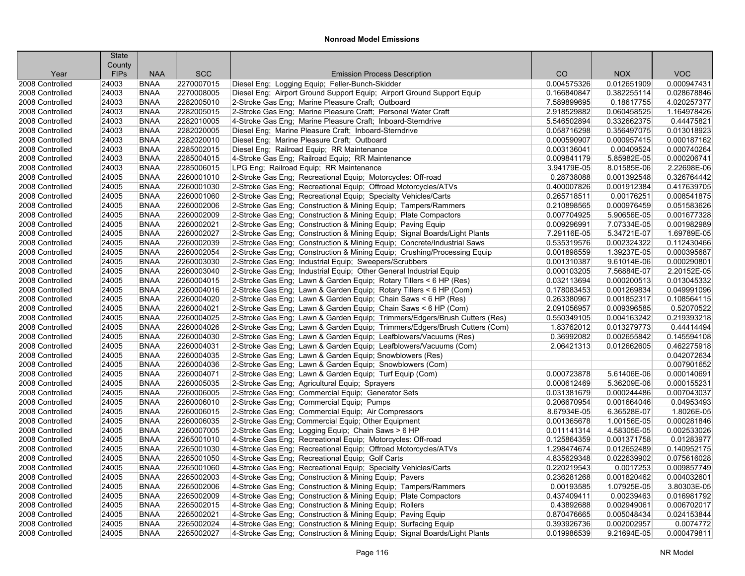|                                    | <b>State</b> |                            |                          |                                                                                        |                            |                            |                            |
|------------------------------------|--------------|----------------------------|--------------------------|----------------------------------------------------------------------------------------|----------------------------|----------------------------|----------------------------|
|                                    | County       |                            | <b>SCC</b>               |                                                                                        |                            |                            | <b>VOC</b>                 |
| Year                               | <b>FIPs</b>  | <b>NAA</b>                 |                          | <b>Emission Process Description</b><br>Diesel Eng; Logging Equip; Feller-Bunch-Skidder | CO                         | <b>NOX</b>                 |                            |
| 2008 Controlled                    | 24003        | <b>BNAA</b>                | 2270007015               |                                                                                        | 0.004575326                | 0.012651909                | 0.000947431                |
| 2008 Controlled                    | 24003        | <b>BNAA</b>                | 2270008005               | Diesel Eng; Airport Ground Support Equip; Airport Ground Support Equip                 | 0.166840847                | 0.382255114                | 0.028678846                |
| 2008 Controlled                    | 24003        | <b>BNAA</b>                | 2282005010<br>2282005015 | 2-Stroke Gas Eng; Marine Pleasure Craft; Outboard                                      | 7.589899695                | 0.18617755                 | 4.020257377<br>1.164978426 |
| 2008 Controlled                    | 24003        | <b>BNAA</b>                | 2282010005               | 2-Stroke Gas Eng: Marine Pleasure Craft: Personal Water Craft                          | 2.918529882<br>5.546502894 | 0.060458525<br>0.332662375 | 0.44475821                 |
| 2008 Controlled                    | 24003        | <b>BNAA</b><br><b>BNAA</b> | 2282020005               | 4-Stroke Gas Eng; Marine Pleasure Craft; Inboard-Sterndrive                            |                            |                            | 0.013018923                |
| 2008 Controlled<br>2008 Controlled | 24003        | <b>BNAA</b>                | 2282020010               | Diesel Eng; Marine Pleasure Craft; Inboard-Sterndrive                                  | 0.058716298<br>0.000590907 | 0.356497075                | 0.000187162                |
| 2008 Controlled                    | 24003        | <b>BNAA</b>                | 2285002015               | Diesel Eng; Marine Pleasure Craft; Outboard                                            | 0.003136041                | 0.000957415<br>0.00409524  | 0.000740264                |
|                                    | 24003        |                            |                          | Diesel Eng; Railroad Equip; RR Maintenance                                             |                            |                            |                            |
| 2008 Controlled                    | 24003        | <b>BNAA</b>                | 2285004015               | 4-Stroke Gas Eng; Railroad Equip; RR Maintenance                                       | 0.009841179                | 5.85982E-05                | 0.000206741                |
| 2008 Controlled                    | 24003        | <b>BNAA</b>                | 2285006015               | LPG Eng; Railroad Equip; RR Maintenance                                                | 3.94179E-05                | 8.01585E-06                | 2.22698E-06                |
| 2008 Controlled                    | 24005        | <b>BNAA</b>                | 2260001010               | 2-Stroke Gas Eng; Recreational Equip; Motorcycles: Off-road                            | 0.28738088                 | 0.001392548                | 0.326764442                |
| 2008 Controlled                    | 24005        | <b>BNAA</b>                | 2260001030               | 2-Stroke Gas Eng; Recreational Equip; Offroad Motorcycles/ATVs                         | 0.400007826                | 0.001912384                | 0.417639705                |
| 2008 Controlled                    | 24005        | <b>BNAA</b>                | 2260001060               | 2-Stroke Gas Eng; Recreational Equip; Specialty Vehicles/Carts                         | 0.265718511                | 0.00176251                 | 0.008541875                |
| 2008 Controlled                    | 24005        | <b>BNAA</b>                | 2260002006               | 2-Stroke Gas Eng; Construction & Mining Equip; Tampers/Rammers                         | 0.210898565                | 0.000976459                | 0.051583626                |
| 2008 Controlled                    | 24005        | <b>BNAA</b>                | 2260002009               | 2-Stroke Gas Eng; Construction & Mining Equip; Plate Compactors                        | 0.007704925                | 5.90656E-05                | 0.001677328                |
| 2008 Controlled                    | 24005        | <b>BNAA</b>                | 2260002021               | 2-Stroke Gas Eng; Construction & Mining Equip; Paving Equip                            | 0.009296991                | 7.07334E-05                | 0.001982989                |
| 2008 Controlled                    | 24005        | <b>BNAA</b>                | 2260002027               | 2-Stroke Gas Eng; Construction & Mining Equip; Signal Boards/Light Plants              | 7.29116E-05                | 5.34721E-07                | 1.69789E-05                |
| 2008 Controlled                    | 24005        | <b>BNAA</b>                | 2260002039               | 2-Stroke Gas Eng; Construction & Mining Equip; Concrete/Industrial Saws                | 0.535319576                | 0.002324322                | 0.112430466                |
| 2008 Controlled                    | 24005        | <b>BNAA</b>                | 2260002054               | 2-Stroke Gas Eng; Construction & Mining Equip; Crushing/Processing Equip               | 0.001898559                | 1.39237E-05                | 0.000395687                |
| 2008 Controlled                    | 24005        | <b>BNAA</b>                | 2260003030               | 2-Stroke Gas Eng; Industrial Equip; Sweepers/Scrubbers                                 | 0.001310387                | 9.61014E-06                | 0.000290801                |
| 2008 Controlled                    | 24005        | <b>BNAA</b>                | 2260003040               | 2-Stroke Gas Eng; Industrial Equip; Other General Industrial Equip                     | 0.000103205                | 7.56884E-07                | 2.20152E-05                |
| 2008 Controlled                    | 24005        | <b>BNAA</b>                | 2260004015               | 2-Stroke Gas Eng; Lawn & Garden Equip; Rotary Tillers < 6 HP (Res)                     | 0.032113694                | 0.000200513                | 0.013045332                |
| 2008 Controlled                    | 24005        | <b>BNAA</b>                | 2260004016               | 2-Stroke Gas Eng; Lawn & Garden Equip; Rotary Tillers < 6 HP (Com)                     | 0.178083453                | 0.001269834                | 0.049991096                |
| 2008 Controlled                    | 24005        | <b>BNAA</b>                | 2260004020               | 2-Stroke Gas Eng; Lawn & Garden Equip; Chain Saws < 6 HP (Res)                         | 0.263380967                | 0.001852317                | 0.108564115                |
| 2008 Controlled                    | 24005        | <b>BNAA</b>                | 2260004021               | 2-Stroke Gas Eng; Lawn & Garden Equip; Chain Saws < 6 HP (Com)                         | 2.091056957                | 0.009396585                | 0.52070522                 |
| 2008 Controlled                    | 24005        | <b>BNAA</b>                | 2260004025               | 2-Stroke Gas Eng; Lawn & Garden Equip; Trimmers/Edgers/Brush Cutters (Res)             | 0.550349105                | 0.004163242                | 0.219393218                |
| 2008 Controlled                    | 24005        | <b>BNAA</b>                | 2260004026               | 2-Stroke Gas Eng; Lawn & Garden Equip; Trimmers/Edgers/Brush Cutters (Com)             | 1.83762012                 | 0.013279773                | 0.44414494                 |
| 2008 Controlled                    | 24005        | <b>BNAA</b>                | 2260004030               | 2-Stroke Gas Eng; Lawn & Garden Equip; Leafblowers/Vacuums (Res)                       | 0.36992082                 | 0.002655842                | 0.145594108                |
| 2008 Controlled                    | 24005        | <b>BNAA</b>                | 2260004031               | 2-Stroke Gas Eng; Lawn & Garden Equip; Leafblowers/Vacuums (Com)                       | 2.06421313                 | 0.012662605                | 0.462275918                |
| 2008 Controlled                    | 24005        | <b>BNAA</b>                | 2260004035               | 2-Stroke Gas Eng; Lawn & Garden Equip; Snowblowers (Res)                               |                            |                            | 0.042072634                |
| 2008 Controlled                    | 24005        | <b>BNAA</b>                | 2260004036               | 2-Stroke Gas Eng; Lawn & Garden Equip; Snowblowers (Com)                               |                            |                            | 0.007901652                |
| 2008 Controlled                    | 24005        | <b>BNAA</b>                | 2260004071               | 2-Stroke Gas Eng; Lawn & Garden Equip; Turf Equip (Com)                                | 0.000723878                | 5.61406E-06                | 0.000140691                |
| 2008 Controlled                    | 24005        | <b>BNAA</b>                | 2260005035               | 2-Stroke Gas Eng; Agricultural Equip; Sprayers                                         | 0.000612469                | 5.36209E-06                | 0.000155231                |
| 2008 Controlled                    | 24005        | <b>BNAA</b>                | 2260006005               | 2-Stroke Gas Eng; Commercial Equip; Generator Sets                                     | 0.031381679                | 0.000244486                | 0.007043037                |
| 2008 Controlled                    | 24005        | <b>BNAA</b>                | 2260006010               | 2-Stroke Gas Eng; Commercial Equip; Pumps                                              | 0.206670954                | 0.001664046                | 0.04953493                 |
| 2008 Controlled                    | 24005        | <b>BNAA</b>                | 2260006015               | 2-Stroke Gas Eng: Commercial Equip: Air Compressors                                    | 8.67934E-05                | 6.36528E-07                | 1.8026E-05                 |
| 2008 Controlled                    | 24005        | <b>BNAA</b>                | 2260006035               | 2-Stroke Gas Eng; Commercial Equip; Other Equipment                                    | 0.001365678                | 1.00156E-05                | 0.000281846                |
| 2008 Controlled                    | 24005        | <b>BNAA</b>                | 2260007005               | 2-Stroke Gas Eng; Logging Equip; Chain Saws > 6 HP                                     | 0.011141314                | 4.58305E-05                | 0.002533026                |
| 2008 Controlled                    | 24005        | <b>BNAA</b>                | 2265001010               | 4-Stroke Gas Eng; Recreational Equip; Motorcycles: Off-road                            | 0.125864359                | 0.001371758                | 0.01283977                 |
| 2008 Controlled                    | 24005        | <b>BNAA</b>                | 2265001030               | 4-Stroke Gas Eng; Recreational Equip; Offroad Motorcycles/ATVs                         | 1.298474674                | 0.012652489                | 0.140952175                |
| 2008 Controlled                    | 24005        | <b>BNAA</b>                | 2265001050               | 4-Stroke Gas Eng; Recreational Equip; Golf Carts                                       | 4.835629348                | 0.022639902                | 0.075616028                |
| 2008 Controlled                    | 24005        | <b>BNAA</b>                | 2265001060               | 4-Stroke Gas Eng; Recreational Equip; Specialty Vehicles/Carts                         | 0.220219543                | 0.0017253                  | 0.009857749                |
| 2008 Controlled                    | 24005        | <b>BNAA</b>                | 2265002003               | 4-Stroke Gas Eng: Construction & Mining Equip: Pavers                                  | 0.236281268                | 0.001820462                | 0.004032601                |
| 2008 Controlled                    | 24005        | <b>BNAA</b>                | 2265002006               | 4-Stroke Gas Eng; Construction & Mining Equip; Tampers/Rammers                         | 0.00193585                 | 1.07925E-05                | 3.80303E-05                |
| 2008 Controlled                    | 24005        | <b>BNAA</b>                | 2265002009               | 4-Stroke Gas Eng; Construction & Mining Equip; Plate Compactors                        | 0.437409411                | 0.00239463                 | 0.016981792                |
| 2008 Controlled                    | 24005        | <b>BNAA</b>                | 2265002015               | 4-Stroke Gas Eng; Construction & Mining Equip; Rollers                                 | 0.43892688                 | 0.002949061                | 0.006702017                |
| 2008 Controlled                    | 24005        | <b>BNAA</b>                | 2265002021               | 4-Stroke Gas Eng; Construction & Mining Equip; Paving Equip                            | 0.870476665                | 0.005048434                | 0.024153844                |
| 2008 Controlled                    | 24005        | <b>BNAA</b>                | 2265002024               | 4-Stroke Gas Eng; Construction & Mining Equip; Surfacing Equip                         | 0.393926736                | 0.002002957                | 0.0074772                  |
| 2008 Controlled                    | 24005        | <b>BNAA</b>                | 2265002027               | 4-Stroke Gas Eng; Construction & Mining Equip; Signal Boards/Light Plants              | 0.019986539                | 9.21694E-05                | 0.000479811                |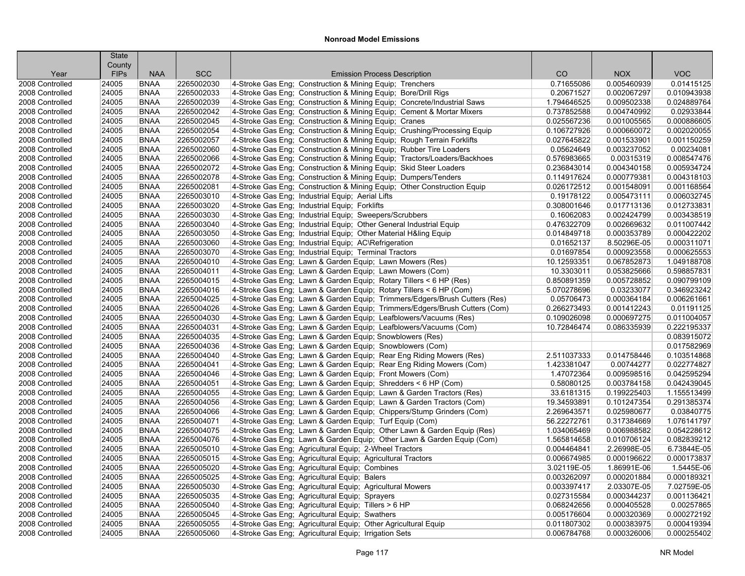|                 | <b>State</b>          |             |            |                                                                            |             |             |             |
|-----------------|-----------------------|-------------|------------|----------------------------------------------------------------------------|-------------|-------------|-------------|
| Year            | County<br><b>FIPs</b> | <b>NAA</b>  | <b>SCC</b> | <b>Emission Process Description</b>                                        | CO          | <b>NOX</b>  | <b>VOC</b>  |
| 2008 Controlled | 24005                 | <b>BNAA</b> | 2265002030 | 4-Stroke Gas Eng; Construction & Mining Equip; Trenchers                   | 0.71655086  | 0.005460939 | 0.01415125  |
| 2008 Controlled | 24005                 | <b>BNAA</b> | 2265002033 | 4-Stroke Gas Eng: Construction & Mining Equip: Bore/Drill Rigs             | 0.20671527  | 0.002067297 | 0.010943938 |
| 2008 Controlled | 24005                 | <b>BNAA</b> | 2265002039 | 4-Stroke Gas Eng; Construction & Mining Equip; Concrete/Industrial Saws    | 1.794646525 | 0.009502338 | 0.024889764 |
| 2008 Controlled | 24005                 | <b>BNAA</b> | 2265002042 | 4-Stroke Gas Eng; Construction & Mining Equip; Cement & Mortar Mixers      | 0.737852588 | 0.004740992 | 0.02933844  |
| 2008 Controlled | 24005                 | <b>BNAA</b> | 2265002045 | 4-Stroke Gas Eng; Construction & Mining Equip; Cranes                      | 0.025567236 | 0.001005565 | 0.000886605 |
| 2008 Controlled | 24005                 | <b>BNAA</b> | 2265002054 | 4-Stroke Gas Eng; Construction & Mining Equip; Crushing/Processing Equip   | 0.106727926 | 0.000660072 | 0.002020055 |
| 2008 Controlled | 24005                 | <b>BNAA</b> | 2265002057 | 4-Stroke Gas Eng; Construction & Mining Equip; Rough Terrain Forklifts     | 0.027645822 | 0.001533901 | 0.001150259 |
| 2008 Controlled | 24005                 | <b>BNAA</b> | 2265002060 | 4-Stroke Gas Eng; Construction & Mining Equip; Rubber Tire Loaders         | 0.05624649  | 0.003237052 | 0.00234081  |
| 2008 Controlled | 24005                 | <b>BNAA</b> | 2265002066 | 4-Stroke Gas Eng: Construction & Mining Equip: Tractors/Loaders/Backhoes   | 0.576983665 | 0.00315319  | 0.008547476 |
| 2008 Controlled | 24005                 | <b>BNAA</b> | 2265002072 | 4-Stroke Gas Eng; Construction & Mining Equip; Skid Steer Loaders          | 0.236843014 | 0.004340158 | 0.005934724 |
| 2008 Controlled | 24005                 | <b>BNAA</b> | 2265002078 | 4-Stroke Gas Eng; Construction & Mining Equip; Dumpers/Tenders             | 0.114917624 | 0.000779381 | 0.004318103 |
| 2008 Controlled | 24005                 | <b>BNAA</b> | 2265002081 | 4-Stroke Gas Eng; Construction & Mining Equip; Other Construction Equip    | 0.026172512 | 0.001548091 | 0.001168564 |
| 2008 Controlled | 24005                 | <b>BNAA</b> | 2265003010 | 4-Stroke Gas Eng; Industrial Equip; Aerial Lifts                           | 0.19178122  | 0.005473111 | 0.006032745 |
| 2008 Controlled | 24005                 | <b>BNAA</b> | 2265003020 | 4-Stroke Gas Eng; Industrial Equip; Forklifts                              | 0.308001646 | 0.017713136 | 0.012733831 |
| 2008 Controlled | 24005                 | <b>BNAA</b> | 2265003030 | 4-Stroke Gas Eng; Industrial Equip; Sweepers/Scrubbers                     | 0.16062083  | 0.002424799 | 0.003438519 |
| 2008 Controlled | 24005                 | <b>BNAA</b> | 2265003040 | 4-Stroke Gas Eng; Industrial Equip; Other General Industrial Equip         | 0.476322709 | 0.002669632 | 0.011007442 |
| 2008 Controlled | 24005                 | <b>BNAA</b> | 2265003050 | 4-Stroke Gas Eng; Industrial Equip; Other Material H&ling Equip            | 0.014849718 | 0.000353789 | 0.000422202 |
| 2008 Controlled | 24005                 | <b>BNAA</b> | 2265003060 | 4-Stroke Gas Eng; Industrial Equip; AC\Refrigeration                       | 0.01652137  | 8.50296E-05 | 0.000311071 |
| 2008 Controlled | 24005                 | <b>BNAA</b> | 2265003070 | 4-Stroke Gas Eng; Industrial Equip; Terminal Tractors                      | 0.01697854  | 0.000923558 | 0.000625553 |
| 2008 Controlled | 24005                 | <b>BNAA</b> | 2265004010 | 4-Stroke Gas Eng: Lawn & Garden Equip: Lawn Mowers (Res)                   | 10.12593351 | 0.067852873 | 1.049188708 |
| 2008 Controlled | 24005                 | <b>BNAA</b> | 2265004011 | 4-Stroke Gas Eng; Lawn & Garden Equip; Lawn Mowers (Com)                   | 10.3303011  | 0.053825666 | 0.598857831 |
| 2008 Controlled | 24005                 | <b>BNAA</b> | 2265004015 | 4-Stroke Gas Eng; Lawn & Garden Equip; Rotary Tillers < 6 HP (Res)         | 0.850891359 | 0.005728852 | 0.090799109 |
| 2008 Controlled | 24005                 | <b>BNAA</b> | 2265004016 | 4-Stroke Gas Eng; Lawn & Garden Equip; Rotary Tillers < 6 HP (Com)         | 5.070278696 | 0.03233077  | 0.346923242 |
| 2008 Controlled | 24005                 | <b>BNAA</b> | 2265004025 | 4-Stroke Gas Eng; Lawn & Garden Equip; Trimmers/Edgers/Brush Cutters (Res) | 0.05706473  | 0.000364184 | 0.006261661 |
| 2008 Controlled | 24005                 | <b>BNAA</b> | 2265004026 | 4-Stroke Gas Eng; Lawn & Garden Equip; Trimmers/Edgers/Brush Cutters (Com) | 0.266273493 | 0.001412243 | 0.01191125  |
| 2008 Controlled | 24005                 | <b>BNAA</b> | 2265004030 | 4-Stroke Gas Eng; Lawn & Garden Equip; Leafblowers/Vacuums (Res)           | 0.109026098 | 0.000697275 | 0.011004057 |
| 2008 Controlled | 24005                 | <b>BNAA</b> | 2265004031 | 4-Stroke Gas Eng; Lawn & Garden Equip; Leafblowers/Vacuums (Com)           | 10.72846474 | 0.086335939 | 0.222195337 |
| 2008 Controlled | 24005                 | <b>BNAA</b> | 2265004035 | 4-Stroke Gas Eng; Lawn & Garden Equip; Snowblowers (Res)                   |             |             | 0.083915072 |
| 2008 Controlled | 24005                 | <b>BNAA</b> | 2265004036 | 4-Stroke Gas Eng; Lawn & Garden Equip; Snowblowers (Com)                   |             |             | 0.017582969 |
| 2008 Controlled | 24005                 | <b>BNAA</b> | 2265004040 | 4-Stroke Gas Eng; Lawn & Garden Equip; Rear Eng Riding Mowers (Res)        | 2.511037333 | 0.014758446 | 0.103514868 |
| 2008 Controlled | 24005                 | <b>BNAA</b> | 2265004041 | 4-Stroke Gas Eng; Lawn & Garden Equip; Rear Eng Riding Mowers (Com)        | 1.423381047 | 0.00744277  | 0.022774827 |
| 2008 Controlled | 24005                 | <b>BNAA</b> | 2265004046 | 4-Stroke Gas Eng; Lawn & Garden Equip; Front Mowers (Com)                  | 1.47072364  | 0.009598516 | 0.042595294 |
| 2008 Controlled | 24005                 | <b>BNAA</b> | 2265004051 | 4-Stroke Gas Eng; Lawn & Garden Equip; Shredders < 6 HP (Com)              | 0.58080125  | 0.003784158 | 0.042439045 |
| 2008 Controlled | 24005                 | <b>BNAA</b> | 2265004055 | 4-Stroke Gas Eng; Lawn & Garden Equip; Lawn & Garden Tractors (Res)        | 33.6181315  | 0.199225403 | 1.155513499 |
| 2008 Controlled | 24005                 | <b>BNAA</b> | 2265004056 | 4-Stroke Gas Eng; Lawn & Garden Equip; Lawn & Garden Tractors (Com)        | 19.34593891 | 0.101247354 | 0.291385374 |
| 2008 Controlled | 24005                 | <b>BNAA</b> | 2265004066 | 4-Stroke Gas Eng; Lawn & Garden Equip; Chippers/Stump Grinders (Com)       | 2.269643571 | 0.025980677 | 0.03840775  |
| 2008 Controlled | 24005                 | <b>BNAA</b> | 2265004071 | 4-Stroke Gas Eng; Lawn & Garden Equip; Turf Equip (Com)                    | 56.22272761 | 0.317384669 | 1.076141797 |
| 2008 Controlled | 24005                 | <b>BNAA</b> | 2265004075 | 4-Stroke Gas Eng; Lawn & Garden Equip; Other Lawn & Garden Equip (Res)     | 1.034065469 | 0.006988582 | 0.054228612 |
| 2008 Controlled | 24005                 | <b>BNAA</b> | 2265004076 | 4-Stroke Gas Eng; Lawn & Garden Equip; Other Lawn & Garden Equip (Com)     | 1.565814658 | 0.010706124 | 0.082839212 |
| 2008 Controlled | 24005                 | <b>BNAA</b> | 2265005010 | 4-Stroke Gas Eng; Agricultural Equip; 2-Wheel Tractors                     | 0.004464841 | 2.26998E-05 | 6.73844E-05 |
| 2008 Controlled | 24005                 | <b>BNAA</b> | 2265005015 | 4-Stroke Gas Eng; Agricultural Equip; Agricultural Tractors                | 0.006674985 | 0.000196622 | 0.000173837 |
| 2008 Controlled | 24005                 | <b>BNAA</b> | 2265005020 | 4-Stroke Gas Eng; Agricultural Equip; Combines                             | 3.02119E-05 | 1.86991E-06 | 1.5445E-06  |
| 2008 Controlled | 24005                 | <b>BNAA</b> | 2265005025 | 4-Stroke Gas Eng; Agricultural Equip; Balers                               | 0.003262097 | 0.000201884 | 0.000189321 |
| 2008 Controlled | 24005                 | <b>BNAA</b> | 2265005030 | 4-Stroke Gas Eng; Agricultural Equip; Agricultural Mowers                  | 0.003397417 | 2.03307E-05 | 7.02759E-05 |
| 2008 Controlled | 24005                 | <b>BNAA</b> | 2265005035 | 4-Stroke Gas Eng; Agricultural Equip; Sprayers                             | 0.027315584 | 0.000344237 | 0.001136421 |
| 2008 Controlled | 24005                 | <b>BNAA</b> | 2265005040 | 4-Stroke Gas Eng; Agricultural Equip; Tillers > 6 HP                       | 0.068242656 | 0.000405528 | 0.00257865  |
| 2008 Controlled | 24005                 | <b>BNAA</b> | 2265005045 | 4-Stroke Gas Eng; Agricultural Equip; Swathers                             | 0.005176604 | 0.000320369 | 0.000272192 |
| 2008 Controlled | 24005                 | <b>BNAA</b> | 2265005055 | 4-Stroke Gas Eng; Agricultural Equip; Other Agricultural Equip             | 0.011807302 | 0.000383975 | 0.000419394 |
| 2008 Controlled | 24005                 | <b>BNAA</b> | 2265005060 | 4-Stroke Gas Eng; Agricultural Equip; Irrigation Sets                      | 0.006784768 | 0.000326006 | 0.000255402 |
|                 |                       |             |            |                                                                            |             |             |             |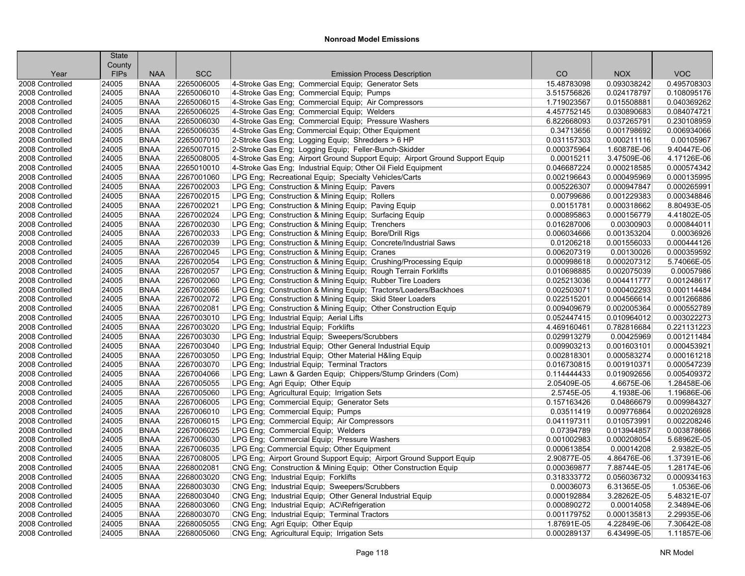|                 | <b>State</b>          |                            |                          |                                                                                                     |                            |                            |                           |
|-----------------|-----------------------|----------------------------|--------------------------|-----------------------------------------------------------------------------------------------------|----------------------------|----------------------------|---------------------------|
| Year            | County<br><b>FIPs</b> | <b>NAA</b>                 | <b>SCC</b>               | <b>Emission Process Description</b>                                                                 | CO                         | <b>NOX</b>                 | <b>VOC</b>                |
| 2008 Controlled | 24005                 | <b>BNAA</b>                | 2265006005               | 4-Stroke Gas Eng; Commercial Equip; Generator Sets                                                  | 15.48783098                | 0.093038242                | 0.495708303               |
| 2008 Controlled | 24005                 | <b>BNAA</b>                | 2265006010               | 4-Stroke Gas Eng; Commercial Equip; Pumps                                                           | 3.515756826                | 0.024178797                | 0.108095176               |
| 2008 Controlled | 24005                 | <b>BNAA</b>                | 2265006015               | 4-Stroke Gas Eng; Commercial Equip; Air Compressors                                                 | 1.719023567                | 0.015508881                | 0.040369262               |
| 2008 Controlled | 24005                 | <b>BNAA</b>                | 2265006025               | 4-Stroke Gas Eng; Commercial Equip; Welders                                                         | 4.457752145                | 0.030890683                | 0.084074721               |
| 2008 Controlled | 24005                 | <b>BNAA</b>                | 2265006030               | 4-Stroke Gas Eng; Commercial Equip; Pressure Washers                                                | 6.822668093                | 0.037265791                | 0.230108959               |
| 2008 Controlled | 24005                 | <b>BNAA</b>                | 2265006035               | 4-Stroke Gas Eng: Commercial Equip: Other Equipment                                                 | 0.34713656                 | 0.001798692                | 0.006934066               |
| 2008 Controlled | 24005                 | <b>BNAA</b>                | 2265007010               | 2-Stroke Gas Eng; Logging Equip; Shredders > 6 HP                                                   | 0.031157303                | 0.000211116                | 0.00105967                |
| 2008 Controlled | 24005                 | <b>BNAA</b>                | 2265007015               | 2-Stroke Gas Eng; Logging Equip; Feller-Bunch-Skidder                                               | 0.000375964                | 1.60878E-06                | 9.40447E-06               |
| 2008 Controlled | 24005                 | <b>BNAA</b>                | 2265008005               | 4-Stroke Gas Eng; Airport Ground Support Equip; Airport Ground Support Equip                        | 0.00015211                 | 3.47509E-06                | 4.17126E-06               |
| 2008 Controlled | 24005                 | <b>BNAA</b>                | 2265010010               | 4-Stroke Gas Eng; Industrial Equip; Other Oil Field Equipment                                       | 0.046687224                | 0.000218585                | 0.000574342               |
| 2008 Controlled | 24005                 | <b>BNAA</b>                | 2267001060               | LPG Eng; Recreational Equip; Specialty Vehicles/Carts                                               | 0.002196643                | 0.000495969                | 0.000135995               |
| 2008 Controlled | 24005                 | <b>BNAA</b>                | 2267002003               | LPG Eng; Construction & Mining Equip; Pavers                                                        | 0.005226307                | 0.000947847                | 0.000265991               |
| 2008 Controlled | 24005                 | <b>BNAA</b>                | 2267002015               |                                                                                                     | 0.00799686                 | 0.001229383                | 0.000348846               |
| 2008 Controlled | 24005                 | <b>BNAA</b>                | 2267002021               | LPG Eng; Construction & Mining Equip; Rollers<br>LPG Eng; Construction & Mining Equip; Paving Equip | 0.00151781                 | 0.000318662                | 8.80493E-05               |
| 2008 Controlled | 24005                 | <b>BNAA</b>                | 2267002024               | LPG Eng; Construction & Mining Equip; Surfacing Equip                                               | 0.000895863                | 0.000156779                | 4.41802E-05               |
| 2008 Controlled | 24005                 | <b>BNAA</b>                | 2267002030               | LPG Eng; Construction & Mining Equip; Trenchers                                                     | 0.016287006                | 0.00300903                 | 0.000844011               |
| 2008 Controlled | 24005                 | <b>BNAA</b>                | 2267002033               | LPG Eng; Construction & Mining Equip; Bore/Drill Rigs                                               | 0.006034666                | 0.001353204                | 0.00036926                |
| 2008 Controlled | 24005                 | <b>BNAA</b>                | 2267002039               | LPG Eng; Construction & Mining Equip; Concrete/Industrial Saws                                      | 0.01206218                 | 0.001556033                | 0.000444126               |
| 2008 Controlled | 24005                 | <b>BNAA</b>                | 2267002045               | LPG Eng; Construction & Mining Equip; Cranes                                                        | 0.006207319                | 0.00130026                 | 0.000359592               |
|                 |                       | <b>BNAA</b>                | 2267002054               |                                                                                                     | 0.000998618                | 0.000207312                | 5.74066E-05               |
| 2008 Controlled | 24005                 |                            |                          | LPG Eng; Construction & Mining Equip; Crushing/Processing Equip                                     |                            |                            |                           |
| 2008 Controlled | 24005                 | <b>BNAA</b>                | 2267002057<br>2267002060 | LPG Eng; Construction & Mining Equip; Rough Terrain Forklifts                                       | 0.010698885                | 0.002075039                | 0.00057986<br>0.001248617 |
| 2008 Controlled | 24005<br>24005        | <b>BNAA</b><br><b>BNAA</b> | 2267002066               | LPG Eng; Construction & Mining Equip; Rubber Tire Loaders                                           | 0.025213036<br>0.002503071 | 0.004411777<br>0.000402293 | 0.000114484               |
| 2008 Controlled |                       |                            |                          | LPG Eng; Construction & Mining Equip; Tractors/Loaders/Backhoes                                     |                            |                            |                           |
| 2008 Controlled | 24005                 | <b>BNAA</b>                | 2267002072               | LPG Eng; Construction & Mining Equip; Skid Steer Loaders                                            | 0.022515201                | 0.004566614                | 0.001266886               |
| 2008 Controlled | 24005                 | <b>BNAA</b>                | 2267002081               | LPG Eng; Construction & Mining Equip; Other Construction Equip                                      | 0.009409679                | 0.002005364                | 0.000552789               |
| 2008 Controlled | 24005                 | <b>BNAA</b>                | 2267003010               | LPG Eng; Industrial Equip; Aerial Lifts                                                             | 0.052447415                | 0.010964012                | 0.003022273               |
| 2008 Controlled | 24005                 | <b>BNAA</b>                | 2267003020               | LPG Eng; Industrial Equip; Forklifts                                                                | 4.469160461                | 0.782816684                | 0.221131223               |
| 2008 Controlled | 24005                 | <b>BNAA</b>                | 2267003030               | LPG Eng; Industrial Equip; Sweepers/Scrubbers                                                       | 0.029913279                | 0.00425969                 | 0.001211484               |
| 2008 Controlled | 24005                 | <b>BNAA</b>                | 2267003040               | LPG Eng; Industrial Equip; Other General Industrial Equip                                           | 0.009903213                | 0.001603101                | 0.000453921               |
| 2008 Controlled | 24005                 | <b>BNAA</b>                | 2267003050               | LPG Eng; Industrial Equip; Other Material H&ling Equip                                              | 0.002818301                | 0.000583274                | 0.000161218               |
| 2008 Controlled | 24005                 | <b>BNAA</b>                | 2267003070               | LPG Eng; Industrial Equip; Terminal Tractors                                                        | 0.016730815                | 0.001910371                | 0.000547239               |
| 2008 Controlled | 24005                 | <b>BNAA</b>                | 2267004066               | LPG Eng; Lawn & Garden Equip; Chippers/Stump Grinders (Com)                                         | 0.114444433                | 0.019092656                | 0.005409372               |
| 2008 Controlled | 24005                 | <b>BNAA</b>                | 2267005055               | LPG Eng; Agri Equip; Other Equip                                                                    | 2.05409E-05                | 4.6675E-06                 | 1.28458E-06               |
| 2008 Controlled | 24005                 | <b>BNAA</b>                | 2267005060               | LPG Eng: Agricultural Equip: Irrigation Sets                                                        | 2.5745E-05                 | 4.1938E-06                 | 1.19686E-06               |
| 2008 Controlled | 24005                 | <b>BNAA</b>                | 2267006005               | LPG Eng; Commercial Equip; Generator Sets                                                           | 0.157163426                | 0.04866679                 | 0.009984327               |
| 2008 Controlled | 24005                 | <b>BNAA</b>                | 2267006010               | LPG Eng; Commercial Equip; Pumps                                                                    | 0.03511419                 | 0.009776864                | 0.002026928               |
| 2008 Controlled | 24005                 | <b>BNAA</b>                | 2267006015               | LPG Eng; Commercial Equip; Air Compressors                                                          | 0.041197311                | 0.010573991                | 0.002208246               |
| 2008 Controlled | 24005                 | <b>BNAA</b>                | 2267006025               | LPG Eng; Commercial Equip; Welders                                                                  | 0.07394789                 | 0.013944857                | 0.003878666               |
| 2008 Controlled | 24005                 | <b>BNAA</b>                | 2267006030               | LPG Eng; Commercial Equip; Pressure Washers                                                         | 0.001002983                | 0.000208054                | 5.68962E-05               |
| 2008 Controlled | 24005                 | <b>BNAA</b>                | 2267006035               | LPG Eng; Commercial Equip; Other Equipment                                                          | 0.000613854                | 0.00014208                 | 2.9382E-05                |
| 2008 Controlled | 24005                 | <b>BNAA</b>                | 2267008005               | LPG Eng; Airport Ground Support Equip; Airport Ground Support Equip                                 | 2.90877E-05                | 4.86476E-06                | 1.37391E-06               |
| 2008 Controlled | 24005                 | <b>BNAA</b>                | 2268002081               | CNG Eng; Construction & Mining Equip; Other Construction Equip                                      | 0.000369877                | 7.88744E-05                | 1.28174E-06               |
| 2008 Controlled | 24005                 | <b>BNAA</b>                | 2268003020               | CNG Eng; Industrial Equip; Forklifts                                                                | 0.318333772                | 0.056036732                | 0.000934163               |
| 2008 Controlled | 24005                 | <b>BNAA</b>                | 2268003030               | CNG Eng; Industrial Equip; Sweepers/Scrubbers                                                       | 0.00036073                 | 6.31365E-05                | 1.0536E-06                |
| 2008 Controlled | 24005                 | <b>BNAA</b>                | 2268003040               | CNG Eng; Industrial Equip; Other General Industrial Equip                                           | 0.000192884                | 3.28262E-05                | 5.48321E-07               |
| 2008 Controlled | 24005                 | <b>BNAA</b>                | 2268003060               | CNG Eng; Industrial Equip; AC\Refrigeration                                                         | 0.000890272                | 0.00014058                 | 2.34894E-06               |
| 2008 Controlled | 24005                 | <b>BNAA</b>                | 2268003070               | CNG Eng; Industrial Equip; Terminal Tractors                                                        | 0.001179752                | 0.000135813                | 2.29935E-06               |
| 2008 Controlled | 24005                 | <b>BNAA</b>                | 2268005055               | CNG Eng; Agri Equip; Other Equip                                                                    | 1.87691E-05                | 4.22849E-06                | 7.30642E-08               |
| 2008 Controlled | 24005                 | <b>BNAA</b>                | 2268005060               | CNG Eng; Agricultural Equip; Irrigation Sets                                                        | 0.000289137                | 6.43499E-05                | 1.11857E-06               |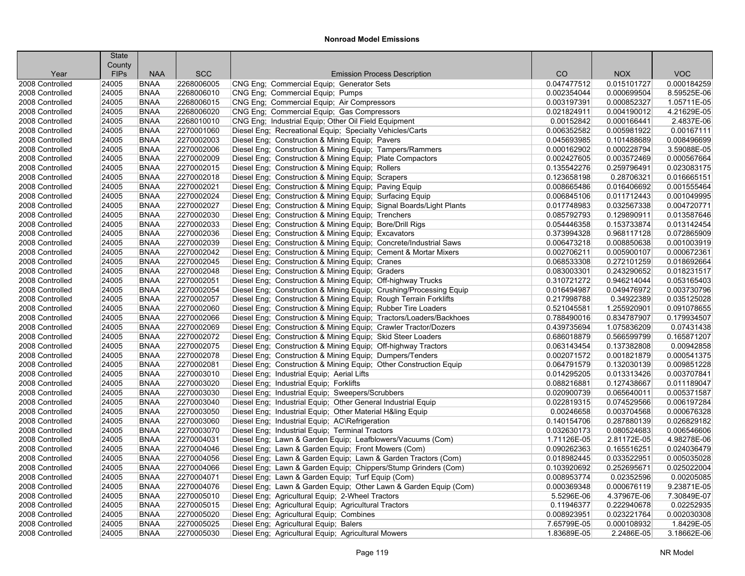|                 | <b>State</b>          |                            |                          |                                                                                                                                 |                            |                            |                            |
|-----------------|-----------------------|----------------------------|--------------------------|---------------------------------------------------------------------------------------------------------------------------------|----------------------------|----------------------------|----------------------------|
| Year            | County<br><b>FIPs</b> | <b>NAA</b>                 | <b>SCC</b>               | <b>Emission Process Description</b>                                                                                             | CO                         | <b>NOX</b>                 | <b>VOC</b>                 |
| 2008 Controlled | 24005                 | <b>BNAA</b>                | 2268006005               | CNG Eng; Commercial Equip; Generator Sets                                                                                       | 0.047477512                | 0.015101727                | 0.000184259                |
| 2008 Controlled | 24005                 | <b>BNAA</b>                | 2268006010               | CNG Eng; Commercial Equip; Pumps                                                                                                | 0.002354044                | 0.000699504                | 8.59525E-06                |
| 2008 Controlled | 24005                 | <b>BNAA</b>                | 2268006015               | CNG Eng; Commercial Equip; Air Compressors                                                                                      | 0.003197391                | 0.000852327                | 1.05711E-05                |
| 2008 Controlled | 24005                 | <b>BNAA</b>                | 2268006020               | CNG Eng; Commercial Equip; Gas Compressors                                                                                      | 0.021824911                | 0.004190012                | 4.21629E-05                |
| 2008 Controlled | 24005                 | <b>BNAA</b>                | 2268010010               | CNG Eng; Industrial Equip; Other Oil Field Equipment                                                                            | 0.00152842                 | 0.000166441                | 2.4837E-06                 |
| 2008 Controlled | 24005                 | <b>BNAA</b>                | 2270001060               | Diesel Eng; Recreational Equip; Specialty Vehicles/Carts                                                                        | 0.006352582                | 0.005981922                | 0.00167111                 |
| 2008 Controlled | 24005                 | <b>BNAA</b>                | 2270002003               | Diesel Eng; Construction & Mining Equip; Pavers                                                                                 | 0.045693985                | 0.101488689                | 0.008496699                |
| 2008 Controlled | 24005                 | <b>BNAA</b>                | 2270002006               | Diesel Eng; Construction & Mining Equip; Tampers/Rammers                                                                        | 0.000162902                | 0.000228794                | 3.59088E-05                |
| 2008 Controlled | 24005                 | <b>BNAA</b>                | 2270002009               | Diesel Eng; Construction & Mining Equip; Plate Compactors                                                                       | 0.002427605                | 0.003572469                | 0.000567664                |
| 2008 Controlled | 24005                 | <b>BNAA</b>                | 2270002015               | Diesel Eng: Construction & Mining Equip: Rollers                                                                                | 0.135542276                | 0.259796491                | 0.023083175                |
| 2008 Controlled | 24005                 | <b>BNAA</b>                | 2270002018               | Diesel Eng; Construction & Mining Equip; Scrapers                                                                               | 0.123658198                | 0.28706321                 | 0.016665151                |
| 2008 Controlled | 24005                 | <b>BNAA</b>                | 2270002021               | Diesel Eng; Construction & Mining Equip; Paving Equip                                                                           | 0.008665486                | 0.016406692                | 0.001555464                |
| 2008 Controlled | 24005                 | <b>BNAA</b>                | 2270002024               |                                                                                                                                 | 0.006845106                | 0.011712443                | 0.001049995                |
| 2008 Controlled | 24005                 | <b>BNAA</b>                | 2270002027               | Diesel Eng; Construction & Mining Equip; Surfacing Equip<br>Diesel Eng; Construction & Mining Equip; Signal Boards/Light Plants | 0.017748983                | 0.032567338                | 0.004720771                |
| 2008 Controlled | 24005                 | <b>BNAA</b>                | 2270002030               | Diesel Eng; Construction & Mining Equip; Trenchers                                                                              | 0.085792793                | 0.129890911                | 0.013587646                |
| 2008 Controlled | 24005                 | <b>BNAA</b>                | 2270002033               | Diesel Eng; Construction & Mining Equip; Bore/Drill Rigs                                                                        | 0.054446358                | 0.153733874                | 0.013142454                |
| 2008 Controlled | 24005                 | <b>BNAA</b>                | 2270002036               | Diesel Eng; Construction & Mining Equip; Excavators                                                                             | 0.373994328                | 0.968117128                | 0.072865909                |
| 2008 Controlled | 24005                 | <b>BNAA</b>                | 2270002039               | Diesel Eng; Construction & Mining Equip; Concrete/Industrial Saws                                                               | 0.006473218                | 0.008850638                | 0.001003919                |
| 2008 Controlled | 24005                 | <b>BNAA</b>                | 2270002042               | Diesel Eng; Construction & Mining Equip; Cement & Mortar Mixers                                                                 | 0.002706211                | 0.005900107                | 0.000672361                |
|                 |                       |                            | 2270002045               |                                                                                                                                 |                            | 0.272101259                | 0.018692664                |
| 2008 Controlled | 24005                 | <b>BNAA</b><br><b>BNAA</b> |                          | Diesel Eng; Construction & Mining Equip; Cranes                                                                                 | 0.068533308                |                            |                            |
| 2008 Controlled | 24005                 |                            | 2270002048<br>2270002051 | Diesel Eng; Construction & Mining Equip; Graders                                                                                | 0.083003301                | 0.243290652                | 0.018231517<br>0.053165403 |
| 2008 Controlled | 24005                 | <b>BNAA</b><br><b>BNAA</b> | 2270002054               | Diesel Eng; Construction & Mining Equip; Off-highway Trucks                                                                     | 0.310721272<br>0.016494987 | 0.946214044<br>0.049476972 | 0.003730796                |
| 2008 Controlled | 24005                 |                            |                          | Diesel Eng; Construction & Mining Equip; Crushing/Processing Equip                                                              |                            |                            |                            |
| 2008 Controlled | 24005                 | <b>BNAA</b>                | 2270002057               | Diesel Eng; Construction & Mining Equip; Rough Terrain Forklifts                                                                | 0.217998788                | 0.34922389                 | 0.035125028                |
| 2008 Controlled | 24005                 | <b>BNAA</b>                | 2270002060               | Diesel Eng; Construction & Mining Equip; Rubber Tire Loaders                                                                    | 0.521045581                | 1.255920901                | 0.091078655                |
| 2008 Controlled | 24005                 | <b>BNAA</b>                | 2270002066               | Diesel Eng; Construction & Mining Equip; Tractors/Loaders/Backhoes                                                              | 0.788490016                | 0.834787907                | 0.179934507                |
| 2008 Controlled | 24005                 | <b>BNAA</b>                | 2270002069               | Diesel Eng; Construction & Mining Equip; Crawler Tractor/Dozers                                                                 | 0.439735694                | 1.075836209                | 0.07431438                 |
| 2008 Controlled | 24005                 | <b>BNAA</b>                | 2270002072               | Diesel Eng; Construction & Mining Equip; Skid Steer Loaders                                                                     | 0.686018879                | 0.566599799                | 0.165871207                |
| 2008 Controlled | 24005                 | <b>BNAA</b>                | 2270002075               | Diesel Eng; Construction & Mining Equip; Off-highway Tractors                                                                   | 0.063143454                | 0.137382808                | 0.00942858                 |
| 2008 Controlled | 24005                 | <b>BNAA</b>                | 2270002078               | Diesel Eng; Construction & Mining Equip; Dumpers/Tenders                                                                        | 0.002071572                | 0.001821879                | 0.000541375                |
| 2008 Controlled | 24005                 | <b>BNAA</b>                | 2270002081               | Diesel Eng; Construction & Mining Equip; Other Construction Equip                                                               | 0.064791579                | 0.132030139                | 0.009851228                |
| 2008 Controlled | 24005                 | <b>BNAA</b>                | 2270003010               | Diesel Eng; Industrial Equip; Aerial Lifts                                                                                      | 0.014295205                | 0.013313426                | 0.003707841                |
| 2008 Controlled | 24005                 | <b>BNAA</b>                | 2270003020               | Diesel Eng; Industrial Equip; Forklifts                                                                                         | 0.088216881                | 0.127438667                | 0.011189047                |
| 2008 Controlled | 24005                 | <b>BNAA</b>                | 2270003030               | Diesel Eng: Industrial Equip: Sweepers/Scrubbers                                                                                | 0.020900739                | 0.065640011                | 0.005371587                |
| 2008 Controlled | 24005                 | <b>BNAA</b>                | 2270003040               | Diesel Eng; Industrial Equip; Other General Industrial Equip                                                                    | 0.022819315                | 0.074529566                | 0.006197284                |
| 2008 Controlled | 24005                 | <b>BNAA</b>                | 2270003050               | Diesel Eng; Industrial Equip; Other Material H&ling Equip                                                                       | 0.00246658                 | 0.003704568                | 0.000676328                |
| 2008 Controlled | 24005                 | <b>BNAA</b>                | 2270003060               | Diesel Eng; Industrial Equip; AC\Refrigeration                                                                                  | 0.140154706                | 0.287880139                | 0.026829182                |
| 2008 Controlled | 24005                 | <b>BNAA</b>                | 2270003070               | Diesel Eng; Industrial Equip; Terminal Tractors                                                                                 | 0.032630173                | 0.080524683                | 0.006546606                |
| 2008 Controlled | 24005                 | <b>BNAA</b>                | 2270004031               | Diesel Eng; Lawn & Garden Equip; Leafblowers/Vacuums (Com)                                                                      | 1.71126E-05                | 2.81172E-05                | 4.98278E-06                |
| 2008 Controlled | 24005                 | <b>BNAA</b>                | 2270004046               | Diesel Eng; Lawn & Garden Equip; Front Mowers (Com)                                                                             | 0.090262363                | 0.165516251                | 0.024036479                |
| 2008 Controlled | 24005                 | <b>BNAA</b>                | 2270004056               | Diesel Eng; Lawn & Garden Equip; Lawn & Garden Tractors (Com)                                                                   | 0.018982445                | 0.033522951                | 0.005035028                |
| 2008 Controlled | 24005                 | <b>BNAA</b>                | 2270004066               | Diesel Eng; Lawn & Garden Equip; Chippers/Stump Grinders (Com)                                                                  | 0.103920692                | 0.252695671                | 0.025022004                |
| 2008 Controlled | 24005                 | <b>BNAA</b>                | 2270004071               | Diesel Eng; Lawn & Garden Equip; Turf Equip (Com)                                                                               | 0.008953774                | 0.02352596                 | 0.00205085                 |
| 2008 Controlled | 24005                 | <b>BNAA</b>                | 2270004076               | Diesel Eng; Lawn & Garden Equip; Other Lawn & Garden Equip (Com)                                                                | 0.000369348                | 0.000676119                | 9.23871E-05                |
| 2008 Controlled | 24005                 | <b>BNAA</b>                | 2270005010               | Diesel Eng; Agricultural Equip; 2-Wheel Tractors                                                                                | 5.5296E-06                 | 4.37967E-06                | 7.30849E-07                |
| 2008 Controlled | 24005                 | <b>BNAA</b>                | 2270005015               | Diesel Eng; Agricultural Equip; Agricultural Tractors                                                                           | 0.11946377                 | 0.222940678                | 0.02252935                 |
| 2008 Controlled | 24005                 | <b>BNAA</b>                | 2270005020               | Diesel Eng; Agricultural Equip; Combines                                                                                        | 0.008923951                | 0.023221764                | 0.002030308                |
| 2008 Controlled | 24005                 | <b>BNAA</b>                | 2270005025               | Diesel Eng; Agricultural Equip; Balers                                                                                          | 7.65799E-05                | 0.000108932                | 1.8429E-05                 |
| 2008 Controlled | 24005                 | <b>BNAA</b>                | 2270005030               | Diesel Eng; Agricultural Equip; Agricultural Mowers                                                                             | 1.83689E-05                | 2.2486E-05                 | 3.18662E-06                |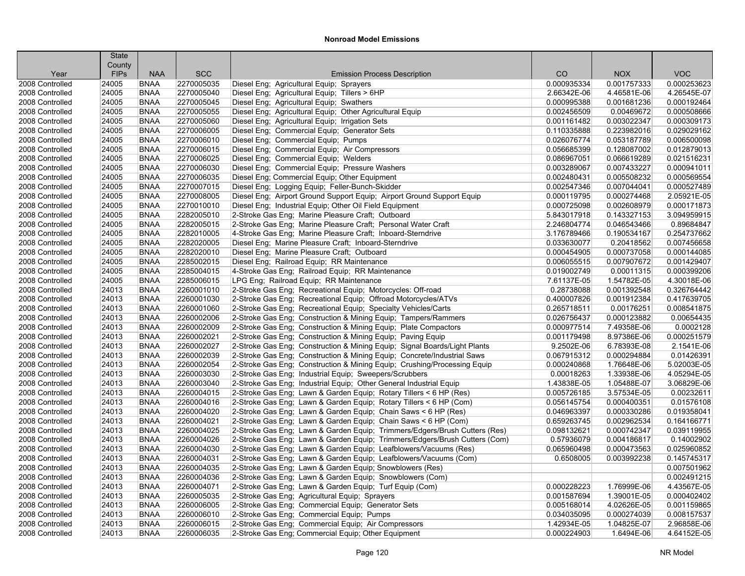| <b>SCC</b><br><b>VOC</b><br><b>FIPs</b><br><b>NAA</b><br>CO<br><b>NOX</b><br><b>Emission Process Description</b><br>Year<br>2270005035<br>24005<br><b>BNAA</b><br>Diesel Eng; Agricultural Equip; Sprayers<br>0.000935334<br>0.001757333<br>0.000253623<br>2008 Controlled<br><b>BNAA</b><br>2270005040<br>Diesel Eng; Agricultural Equip; Tillers > 6HP<br>4.26545E-07<br>2008 Controlled<br>24005<br>2.66342E-06<br>4.46581E-06<br>Diesel Eng; Agricultural Equip; Swathers<br>0.000192464<br>24005<br><b>BNAA</b><br>2270005045<br>0.000995388<br>0.001681236<br>2008 Controlled<br>2008 Controlled<br>24005<br><b>BNAA</b><br>2270005055<br>Diesel Eng; Agricultural Equip; Other Agricultural Equip<br>0.002456509<br>0.00469672<br>0.000508666<br>0.003022347<br>2008 Controlled<br>24005<br><b>BNAA</b><br>2270005060<br>Diesel Eng; Agricultural Equip; Irrigation Sets<br>0.001161482<br>0.000309173<br><b>BNAA</b><br>Diesel Eng; Commercial Equip; Generator Sets<br>0.029029162<br>24005<br>2270006005<br>0.110335888<br>0.223982016<br>2008 Controlled<br>24005<br><b>BNAA</b><br>2270006010<br>Diesel Eng; Commercial Equip; Pumps<br>0.026076774<br>0.053187789<br>0.006500098<br>2008 Controlled<br>24005<br><b>BNAA</b><br>2270006015<br>Diesel Eng; Commercial Equip; Air Compressors<br>0.056685399<br>0.128087002<br>0.012879013<br>2008 Controlled<br><b>BNAA</b><br>2270006025<br>Diesel Eng; Commercial Equip; Welders<br>0.021516231<br>2008 Controlled<br>24005<br>0.086967051<br>0.066619289<br>0.000941011<br>24005<br><b>BNAA</b><br>2270006030<br>Diesel Eng; Commercial Equip; Pressure Washers<br>0.003289067<br>0.007433227<br>2008 Controlled<br>2008 Controlled<br>24005<br><b>BNAA</b><br>2270006035<br>Diesel Eng; Commercial Equip; Other Equipment<br>0.002480431<br>0.005508232<br>0.000569554<br>2008 Controlled<br>24005<br><b>BNAA</b><br>2270007015<br>Diesel Eng; Logging Equip; Feller-Bunch-Skidder<br>0.002547346<br>0.007044041<br>0.000527489<br>24005<br><b>BNAA</b><br>2270008005<br>Diesel Eng; Airport Ground Support Equip; Airport Ground Support Equip<br>0.000119795<br>0.000274468<br>2.05921E-05<br>2008 Controlled<br>24005<br><b>BNAA</b><br>2270010010<br>Diesel Eng; Industrial Equip; Other Oil Field Equipment<br>0.002608979<br>0.000171873<br>2008 Controlled<br>0.000725098<br>24005<br><b>BNAA</b><br>2282005010<br>2-Stroke Gas Eng; Marine Pleasure Craft; Outboard<br>0.143327153<br>3.094959915<br>2008 Controlled<br>5.843017918<br><b>BNAA</b><br>2282005015<br>2-Stroke Gas Eng; Marine Pleasure Craft; Personal Water Craft<br>0.89684847<br>2008 Controlled<br>24005<br>2.246804774<br>0.046543466<br>2282010005<br>0.254737662<br>24005<br><b>BNAA</b><br>4-Stroke Gas Eng; Marine Pleasure Craft; Inboard-Sterndrive<br>3.176789466<br>0.190534167<br>2008 Controlled<br>24005<br><b>BNAA</b><br>2282020005<br>Diesel Eng; Marine Pleasure Craft; Inboard-Sterndrive<br>0.033630077<br>0.20418562<br>0.007456658<br>2008 Controlled<br>2282020010<br>2008 Controlled<br>24005<br><b>BNAA</b><br>Diesel Eng; Marine Pleasure Craft; Outboard<br>0.000454905<br>0.000737058<br>0.000144085<br>0.001429407<br>24005<br><b>BNAA</b><br>2285002015<br>Diesel Eng; Railroad Equip; RR Maintenance<br>0.007907672<br>2008 Controlled<br>0.006055515<br><b>BNAA</b><br>2285004015<br>4-Stroke Gas Eng; Railroad Equip; RR Maintenance<br>0.00011315<br>0.000399206<br>2008 Controlled<br>24005<br>0.019002749<br>24005<br><b>BNAA</b><br>2285006015<br>LPG Eng; Railroad Equip; RR Maintenance<br>1.54782E-05<br>4.30018E-06<br>2008 Controlled<br>7.61137E-05<br>24013<br><b>BNAA</b><br>2260001010<br>2-Stroke Gas Eng; Recreational Equip; Motorcycles: Off-road<br>0.28738088<br>0.001392548<br>0.326764442<br>2008 Controlled<br>24013<br><b>BNAA</b><br>2260001030<br>2-Stroke Gas Eng; Recreational Equip; Offroad Motorcycles/ATVs<br>0.400007826<br>0.001912384<br>0.417639705<br>2008 Controlled<br>24013<br><b>BNAA</b><br>2260001060<br>2-Stroke Gas Eng; Recreational Equip; Specialty Vehicles/Carts<br>0.00176251<br>0.008541875<br>2008 Controlled<br>0.265718511<br>24013<br><b>BNAA</b><br>2260002006<br>2-Stroke Gas Eng; Construction & Mining Equip; Tampers/Rammers<br>0.026756437<br>0.000123882<br>0.00654435<br>2008 Controlled<br>24013<br><b>BNAA</b><br>2260002009<br>2-Stroke Gas Eng; Construction & Mining Equip; Plate Compactors<br>7.49358E-06<br>0.0002128<br>2008 Controlled<br>0.000977514<br>2260002021<br>2-Stroke Gas Eng; Construction & Mining Equip; Paving Equip<br>0.001179498<br>8.97386E-06<br>0.000251579<br>2008 Controlled<br>24013<br><b>BNAA</b><br>24013<br>2260002027<br>6.78393E-08<br>2.1541E-06<br>2008 Controlled<br><b>BNAA</b><br>2-Stroke Gas Eng; Construction & Mining Equip; Signal Boards/Light Plants<br>9.2502E-06<br>0.01426391<br>24013<br><b>BNAA</b><br>2260002039<br>2-Stroke Gas Eng; Construction & Mining Equip; Concrete/Industrial Saws<br>0.067915312<br>0.000294884<br>2008 Controlled<br>24013<br><b>BNAA</b><br>2260002054<br>2-Stroke Gas Eng; Construction & Mining Equip; Crushing/Processing Equip<br>5.02003E-05<br>2008 Controlled<br>0.000240868<br>1.76648E-06<br>2260003030<br>4.05294E-05<br>2008 Controlled<br>24013<br><b>BNAA</b><br>2-Stroke Gas Eng; Industrial Equip; Sweepers/Scrubbers<br>0.00018263<br>1.33938E-06<br>3.06829E-06<br>24013<br><b>BNAA</b><br>2260003040<br>2-Stroke Gas Eng; Industrial Equip; Other General Industrial Equip<br>1.43838E-05<br>1.05488E-07<br>2008 Controlled<br>24013<br><b>BNAA</b><br>2260004015<br>2-Stroke Gas Eng; Lawn & Garden Equip; Rotary Tillers < 6 HP (Res)<br>0.005726185<br>3.57534E-05<br>0.00232611<br>2008 Controlled<br>2260004016<br>2-Stroke Gas Eng; Lawn & Garden Equip; Rotary Tillers < 6 HP (Com)<br>0.01576108<br>2008 Controlled<br>24013<br><b>BNAA</b><br>0.056145754<br>0.000400351<br>24013<br>2260004020<br>2-Stroke Gas Eng; Lawn & Garden Equip; Chain Saws < 6 HP (Res)<br>0.019358041<br><b>BNAA</b><br>0.046963397<br>0.000330286<br>24013<br><b>BNAA</b><br>2260004021<br>2-Stroke Gas Eng; Lawn & Garden Equip; Chain Saws < 6 HP (Com)<br>0.002962534<br>0.164166771<br>2008 Controlled<br>0.659263745<br>2260004025<br>2-Stroke Gas Eng; Lawn & Garden Equip; Trimmers/Edgers/Brush Cutters (Res)<br>0.039119955<br>2008 Controlled<br>24013<br><b>BNAA</b><br>0.098132621<br>0.000742347<br>24013<br><b>BNAA</b><br>2260004026<br>2-Stroke Gas Eng; Lawn & Garden Equip; Trimmers/Edgers/Brush Cutters (Com)<br>0.57936079<br>0.004186817<br>0.14002902<br>24013<br><b>BNAA</b><br>2260004030<br>2-Stroke Gas Eng; Lawn & Garden Equip; Leafblowers/Vacuums (Res)<br>0.065960498<br>0.000473563<br>0.025960852<br>24013<br><b>BNAA</b><br>2260004031<br>2-Stroke Gas Eng; Lawn & Garden Equip; Leafblowers/Vacuums (Com)<br>0.6508005<br>0.003992238<br>0.145745317<br>2008 Controlled<br>0.007501962<br>24013<br><b>BNAA</b><br>2260004035<br>2-Stroke Gas Eng; Lawn & Garden Equip; Snowblowers (Res)<br>0.002491215<br>24013<br><b>BNAA</b><br>2260004036<br>2-Stroke Gas Eng: Lawn & Garden Equip: Snowblowers (Com)<br><b>BNAA</b><br>2260004071<br>4.43567E-05<br>24013<br>2-Stroke Gas Eng; Lawn & Garden Equip; Turf Equip (Com)<br>0.000228223<br>1.76999E-06<br>2260005035<br>0.000402402<br>24013<br><b>BNAA</b><br>2-Stroke Gas Eng; Agricultural Equip; Sprayers<br>0.001587694<br>1.39001E-05<br>24013<br><b>BNAA</b><br>2260006005<br>2-Stroke Gas Eng; Commercial Equip; Generator Sets<br>0.005168014<br>4.02626E-05<br>0.001159865<br>24013<br><b>BNAA</b><br>2260006010<br>2-Stroke Gas Eng; Commercial Equip; Pumps<br>0.034035095<br>0.000274039<br>0.008157537<br>2.96858E-06<br>24013<br><b>BNAA</b><br>2260006015<br>2-Stroke Gas Eng; Commercial Equip; Air Compressors<br>1.42934E-05<br>1.04825E-07 |                 | <b>State</b> |             |            |                                                     |             |            |             |
|-----------------------------------------------------------------------------------------------------------------------------------------------------------------------------------------------------------------------------------------------------------------------------------------------------------------------------------------------------------------------------------------------------------------------------------------------------------------------------------------------------------------------------------------------------------------------------------------------------------------------------------------------------------------------------------------------------------------------------------------------------------------------------------------------------------------------------------------------------------------------------------------------------------------------------------------------------------------------------------------------------------------------------------------------------------------------------------------------------------------------------------------------------------------------------------------------------------------------------------------------------------------------------------------------------------------------------------------------------------------------------------------------------------------------------------------------------------------------------------------------------------------------------------------------------------------------------------------------------------------------------------------------------------------------------------------------------------------------------------------------------------------------------------------------------------------------------------------------------------------------------------------------------------------------------------------------------------------------------------------------------------------------------------------------------------------------------------------------------------------------------------------------------------------------------------------------------------------------------------------------------------------------------------------------------------------------------------------------------------------------------------------------------------------------------------------------------------------------------------------------------------------------------------------------------------------------------------------------------------------------------------------------------------------------------------------------------------------------------------------------------------------------------------------------------------------------------------------------------------------------------------------------------------------------------------------------------------------------------------------------------------------------------------------------------------------------------------------------------------------------------------------------------------------------------------------------------------------------------------------------------------------------------------------------------------------------------------------------------------------------------------------------------------------------------------------------------------------------------------------------------------------------------------------------------------------------------------------------------------------------------------------------------------------------------------------------------------------------------------------------------------------------------------------------------------------------------------------------------------------------------------------------------------------------------------------------------------------------------------------------------------------------------------------------------------------------------------------------------------------------------------------------------------------------------------------------------------------------------------------------------------------------------------------------------------------------------------------------------------------------------------------------------------------------------------------------------------------------------------------------------------------------------------------------------------------------------------------------------------------------------------------------------------------------------------------------------------------------------------------------------------------------------------------------------------------------------------------------------------------------------------------------------------------------------------------------------------------------------------------------------------------------------------------------------------------------------------------------------------------------------------------------------------------------------------------------------------------------------------------------------------------------------------------------------------------------------------------------------------------------------------------------------------------------------------------------------------------------------------------------------------------------------------------------------------------------------------------------------------------------------------------------------------------------------------------------------------------------------------------------------------------------------------------------------------------------------------------------------------------------------------------------------------------------------------------------------------------------------------------------------------------------------------------------------------------------------------------------------------------------------------------------------------------------------------------------------------------------------------------------------------------------------------------------------------------------------------------------------------------------------------------------------------------------------------------------------------------------------------------------------------------------------------------------------------------------------------------------------------------------------------------------------------------------------------------------------------------------------------------------------------------------------------------------------------------------------------------------------------------------------------------------------------------------------------------------------------------------------------------------------------------------------------------------------------------------------------------------------------------------------------------------------------------------------------------------------------------------------------------------------------------------------------------------------------------------------------------------------------------------------------------------------------------------------------------------------------------------------------------------------------------------------------------------------------------------------------------------------------------------------------------------------------------------------------------------------------------------------------------------------------------------------------------------------------------------------------------------------------------------------------------|-----------------|--------------|-------------|------------|-----------------------------------------------------|-------------|------------|-------------|
|                                                                                                                                                                                                                                                                                                                                                                                                                                                                                                                                                                                                                                                                                                                                                                                                                                                                                                                                                                                                                                                                                                                                                                                                                                                                                                                                                                                                                                                                                                                                                                                                                                                                                                                                                                                                                                                                                                                                                                                                                                                                                                                                                                                                                                                                                                                                                                                                                                                                                                                                                                                                                                                                                                                                                                                                                                                                                                                                                                                                                                                                                                                                                                                                                                                                                                                                                                                                                                                                                                                                                                                                                                                                                                                                                                                                                                                                                                                                                                                                                                                                                                                                                                                                                                                                                                                                                                                                                                                                                                                                                                                                                                                                                                                                                                                                                                                                                                                                                                                                                                                                                                                                                                                                                                                                                                                                                                                                                                                                                                                                                                                                                                                                                                                                                                                                                                                                                                                                                                                                                                                                                                                                                                                                                                                                                                                                                                                                                                                                                                                                                                                                                                                                                                                                                                                                                                                                                                                                                                                                                                                                                                                                                                                                                                                                                                                                                                                                                                                                                                                                                                                                                                                                                                                                                                                                                                                                                         |                 | County       |             |            |                                                     |             |            |             |
|                                                                                                                                                                                                                                                                                                                                                                                                                                                                                                                                                                                                                                                                                                                                                                                                                                                                                                                                                                                                                                                                                                                                                                                                                                                                                                                                                                                                                                                                                                                                                                                                                                                                                                                                                                                                                                                                                                                                                                                                                                                                                                                                                                                                                                                                                                                                                                                                                                                                                                                                                                                                                                                                                                                                                                                                                                                                                                                                                                                                                                                                                                                                                                                                                                                                                                                                                                                                                                                                                                                                                                                                                                                                                                                                                                                                                                                                                                                                                                                                                                                                                                                                                                                                                                                                                                                                                                                                                                                                                                                                                                                                                                                                                                                                                                                                                                                                                                                                                                                                                                                                                                                                                                                                                                                                                                                                                                                                                                                                                                                                                                                                                                                                                                                                                                                                                                                                                                                                                                                                                                                                                                                                                                                                                                                                                                                                                                                                                                                                                                                                                                                                                                                                                                                                                                                                                                                                                                                                                                                                                                                                                                                                                                                                                                                                                                                                                                                                                                                                                                                                                                                                                                                                                                                                                                                                                                                                                         |                 |              |             |            |                                                     |             |            |             |
|                                                                                                                                                                                                                                                                                                                                                                                                                                                                                                                                                                                                                                                                                                                                                                                                                                                                                                                                                                                                                                                                                                                                                                                                                                                                                                                                                                                                                                                                                                                                                                                                                                                                                                                                                                                                                                                                                                                                                                                                                                                                                                                                                                                                                                                                                                                                                                                                                                                                                                                                                                                                                                                                                                                                                                                                                                                                                                                                                                                                                                                                                                                                                                                                                                                                                                                                                                                                                                                                                                                                                                                                                                                                                                                                                                                                                                                                                                                                                                                                                                                                                                                                                                                                                                                                                                                                                                                                                                                                                                                                                                                                                                                                                                                                                                                                                                                                                                                                                                                                                                                                                                                                                                                                                                                                                                                                                                                                                                                                                                                                                                                                                                                                                                                                                                                                                                                                                                                                                                                                                                                                                                                                                                                                                                                                                                                                                                                                                                                                                                                                                                                                                                                                                                                                                                                                                                                                                                                                                                                                                                                                                                                                                                                                                                                                                                                                                                                                                                                                                                                                                                                                                                                                                                                                                                                                                                                                                         |                 |              |             |            |                                                     |             |            |             |
|                                                                                                                                                                                                                                                                                                                                                                                                                                                                                                                                                                                                                                                                                                                                                                                                                                                                                                                                                                                                                                                                                                                                                                                                                                                                                                                                                                                                                                                                                                                                                                                                                                                                                                                                                                                                                                                                                                                                                                                                                                                                                                                                                                                                                                                                                                                                                                                                                                                                                                                                                                                                                                                                                                                                                                                                                                                                                                                                                                                                                                                                                                                                                                                                                                                                                                                                                                                                                                                                                                                                                                                                                                                                                                                                                                                                                                                                                                                                                                                                                                                                                                                                                                                                                                                                                                                                                                                                                                                                                                                                                                                                                                                                                                                                                                                                                                                                                                                                                                                                                                                                                                                                                                                                                                                                                                                                                                                                                                                                                                                                                                                                                                                                                                                                                                                                                                                                                                                                                                                                                                                                                                                                                                                                                                                                                                                                                                                                                                                                                                                                                                                                                                                                                                                                                                                                                                                                                                                                                                                                                                                                                                                                                                                                                                                                                                                                                                                                                                                                                                                                                                                                                                                                                                                                                                                                                                                                                         |                 |              |             |            |                                                     |             |            |             |
|                                                                                                                                                                                                                                                                                                                                                                                                                                                                                                                                                                                                                                                                                                                                                                                                                                                                                                                                                                                                                                                                                                                                                                                                                                                                                                                                                                                                                                                                                                                                                                                                                                                                                                                                                                                                                                                                                                                                                                                                                                                                                                                                                                                                                                                                                                                                                                                                                                                                                                                                                                                                                                                                                                                                                                                                                                                                                                                                                                                                                                                                                                                                                                                                                                                                                                                                                                                                                                                                                                                                                                                                                                                                                                                                                                                                                                                                                                                                                                                                                                                                                                                                                                                                                                                                                                                                                                                                                                                                                                                                                                                                                                                                                                                                                                                                                                                                                                                                                                                                                                                                                                                                                                                                                                                                                                                                                                                                                                                                                                                                                                                                                                                                                                                                                                                                                                                                                                                                                                                                                                                                                                                                                                                                                                                                                                                                                                                                                                                                                                                                                                                                                                                                                                                                                                                                                                                                                                                                                                                                                                                                                                                                                                                                                                                                                                                                                                                                                                                                                                                                                                                                                                                                                                                                                                                                                                                                                         |                 |              |             |            |                                                     |             |            |             |
|                                                                                                                                                                                                                                                                                                                                                                                                                                                                                                                                                                                                                                                                                                                                                                                                                                                                                                                                                                                                                                                                                                                                                                                                                                                                                                                                                                                                                                                                                                                                                                                                                                                                                                                                                                                                                                                                                                                                                                                                                                                                                                                                                                                                                                                                                                                                                                                                                                                                                                                                                                                                                                                                                                                                                                                                                                                                                                                                                                                                                                                                                                                                                                                                                                                                                                                                                                                                                                                                                                                                                                                                                                                                                                                                                                                                                                                                                                                                                                                                                                                                                                                                                                                                                                                                                                                                                                                                                                                                                                                                                                                                                                                                                                                                                                                                                                                                                                                                                                                                                                                                                                                                                                                                                                                                                                                                                                                                                                                                                                                                                                                                                                                                                                                                                                                                                                                                                                                                                                                                                                                                                                                                                                                                                                                                                                                                                                                                                                                                                                                                                                                                                                                                                                                                                                                                                                                                                                                                                                                                                                                                                                                                                                                                                                                                                                                                                                                                                                                                                                                                                                                                                                                                                                                                                                                                                                                                                         |                 |              |             |            |                                                     |             |            |             |
|                                                                                                                                                                                                                                                                                                                                                                                                                                                                                                                                                                                                                                                                                                                                                                                                                                                                                                                                                                                                                                                                                                                                                                                                                                                                                                                                                                                                                                                                                                                                                                                                                                                                                                                                                                                                                                                                                                                                                                                                                                                                                                                                                                                                                                                                                                                                                                                                                                                                                                                                                                                                                                                                                                                                                                                                                                                                                                                                                                                                                                                                                                                                                                                                                                                                                                                                                                                                                                                                                                                                                                                                                                                                                                                                                                                                                                                                                                                                                                                                                                                                                                                                                                                                                                                                                                                                                                                                                                                                                                                                                                                                                                                                                                                                                                                                                                                                                                                                                                                                                                                                                                                                                                                                                                                                                                                                                                                                                                                                                                                                                                                                                                                                                                                                                                                                                                                                                                                                                                                                                                                                                                                                                                                                                                                                                                                                                                                                                                                                                                                                                                                                                                                                                                                                                                                                                                                                                                                                                                                                                                                                                                                                                                                                                                                                                                                                                                                                                                                                                                                                                                                                                                                                                                                                                                                                                                                                                         |                 |              |             |            |                                                     |             |            |             |
|                                                                                                                                                                                                                                                                                                                                                                                                                                                                                                                                                                                                                                                                                                                                                                                                                                                                                                                                                                                                                                                                                                                                                                                                                                                                                                                                                                                                                                                                                                                                                                                                                                                                                                                                                                                                                                                                                                                                                                                                                                                                                                                                                                                                                                                                                                                                                                                                                                                                                                                                                                                                                                                                                                                                                                                                                                                                                                                                                                                                                                                                                                                                                                                                                                                                                                                                                                                                                                                                                                                                                                                                                                                                                                                                                                                                                                                                                                                                                                                                                                                                                                                                                                                                                                                                                                                                                                                                                                                                                                                                                                                                                                                                                                                                                                                                                                                                                                                                                                                                                                                                                                                                                                                                                                                                                                                                                                                                                                                                                                                                                                                                                                                                                                                                                                                                                                                                                                                                                                                                                                                                                                                                                                                                                                                                                                                                                                                                                                                                                                                                                                                                                                                                                                                                                                                                                                                                                                                                                                                                                                                                                                                                                                                                                                                                                                                                                                                                                                                                                                                                                                                                                                                                                                                                                                                                                                                                                         |                 |              |             |            |                                                     |             |            |             |
|                                                                                                                                                                                                                                                                                                                                                                                                                                                                                                                                                                                                                                                                                                                                                                                                                                                                                                                                                                                                                                                                                                                                                                                                                                                                                                                                                                                                                                                                                                                                                                                                                                                                                                                                                                                                                                                                                                                                                                                                                                                                                                                                                                                                                                                                                                                                                                                                                                                                                                                                                                                                                                                                                                                                                                                                                                                                                                                                                                                                                                                                                                                                                                                                                                                                                                                                                                                                                                                                                                                                                                                                                                                                                                                                                                                                                                                                                                                                                                                                                                                                                                                                                                                                                                                                                                                                                                                                                                                                                                                                                                                                                                                                                                                                                                                                                                                                                                                                                                                                                                                                                                                                                                                                                                                                                                                                                                                                                                                                                                                                                                                                                                                                                                                                                                                                                                                                                                                                                                                                                                                                                                                                                                                                                                                                                                                                                                                                                                                                                                                                                                                                                                                                                                                                                                                                                                                                                                                                                                                                                                                                                                                                                                                                                                                                                                                                                                                                                                                                                                                                                                                                                                                                                                                                                                                                                                                                                         |                 |              |             |            |                                                     |             |            |             |
|                                                                                                                                                                                                                                                                                                                                                                                                                                                                                                                                                                                                                                                                                                                                                                                                                                                                                                                                                                                                                                                                                                                                                                                                                                                                                                                                                                                                                                                                                                                                                                                                                                                                                                                                                                                                                                                                                                                                                                                                                                                                                                                                                                                                                                                                                                                                                                                                                                                                                                                                                                                                                                                                                                                                                                                                                                                                                                                                                                                                                                                                                                                                                                                                                                                                                                                                                                                                                                                                                                                                                                                                                                                                                                                                                                                                                                                                                                                                                                                                                                                                                                                                                                                                                                                                                                                                                                                                                                                                                                                                                                                                                                                                                                                                                                                                                                                                                                                                                                                                                                                                                                                                                                                                                                                                                                                                                                                                                                                                                                                                                                                                                                                                                                                                                                                                                                                                                                                                                                                                                                                                                                                                                                                                                                                                                                                                                                                                                                                                                                                                                                                                                                                                                                                                                                                                                                                                                                                                                                                                                                                                                                                                                                                                                                                                                                                                                                                                                                                                                                                                                                                                                                                                                                                                                                                                                                                                                         |                 |              |             |            |                                                     |             |            |             |
|                                                                                                                                                                                                                                                                                                                                                                                                                                                                                                                                                                                                                                                                                                                                                                                                                                                                                                                                                                                                                                                                                                                                                                                                                                                                                                                                                                                                                                                                                                                                                                                                                                                                                                                                                                                                                                                                                                                                                                                                                                                                                                                                                                                                                                                                                                                                                                                                                                                                                                                                                                                                                                                                                                                                                                                                                                                                                                                                                                                                                                                                                                                                                                                                                                                                                                                                                                                                                                                                                                                                                                                                                                                                                                                                                                                                                                                                                                                                                                                                                                                                                                                                                                                                                                                                                                                                                                                                                                                                                                                                                                                                                                                                                                                                                                                                                                                                                                                                                                                                                                                                                                                                                                                                                                                                                                                                                                                                                                                                                                                                                                                                                                                                                                                                                                                                                                                                                                                                                                                                                                                                                                                                                                                                                                                                                                                                                                                                                                                                                                                                                                                                                                                                                                                                                                                                                                                                                                                                                                                                                                                                                                                                                                                                                                                                                                                                                                                                                                                                                                                                                                                                                                                                                                                                                                                                                                                                                         |                 |              |             |            |                                                     |             |            |             |
|                                                                                                                                                                                                                                                                                                                                                                                                                                                                                                                                                                                                                                                                                                                                                                                                                                                                                                                                                                                                                                                                                                                                                                                                                                                                                                                                                                                                                                                                                                                                                                                                                                                                                                                                                                                                                                                                                                                                                                                                                                                                                                                                                                                                                                                                                                                                                                                                                                                                                                                                                                                                                                                                                                                                                                                                                                                                                                                                                                                                                                                                                                                                                                                                                                                                                                                                                                                                                                                                                                                                                                                                                                                                                                                                                                                                                                                                                                                                                                                                                                                                                                                                                                                                                                                                                                                                                                                                                                                                                                                                                                                                                                                                                                                                                                                                                                                                                                                                                                                                                                                                                                                                                                                                                                                                                                                                                                                                                                                                                                                                                                                                                                                                                                                                                                                                                                                                                                                                                                                                                                                                                                                                                                                                                                                                                                                                                                                                                                                                                                                                                                                                                                                                                                                                                                                                                                                                                                                                                                                                                                                                                                                                                                                                                                                                                                                                                                                                                                                                                                                                                                                                                                                                                                                                                                                                                                                                                         |                 |              |             |            |                                                     |             |            |             |
|                                                                                                                                                                                                                                                                                                                                                                                                                                                                                                                                                                                                                                                                                                                                                                                                                                                                                                                                                                                                                                                                                                                                                                                                                                                                                                                                                                                                                                                                                                                                                                                                                                                                                                                                                                                                                                                                                                                                                                                                                                                                                                                                                                                                                                                                                                                                                                                                                                                                                                                                                                                                                                                                                                                                                                                                                                                                                                                                                                                                                                                                                                                                                                                                                                                                                                                                                                                                                                                                                                                                                                                                                                                                                                                                                                                                                                                                                                                                                                                                                                                                                                                                                                                                                                                                                                                                                                                                                                                                                                                                                                                                                                                                                                                                                                                                                                                                                                                                                                                                                                                                                                                                                                                                                                                                                                                                                                                                                                                                                                                                                                                                                                                                                                                                                                                                                                                                                                                                                                                                                                                                                                                                                                                                                                                                                                                                                                                                                                                                                                                                                                                                                                                                                                                                                                                                                                                                                                                                                                                                                                                                                                                                                                                                                                                                                                                                                                                                                                                                                                                                                                                                                                                                                                                                                                                                                                                                                         |                 |              |             |            |                                                     |             |            |             |
|                                                                                                                                                                                                                                                                                                                                                                                                                                                                                                                                                                                                                                                                                                                                                                                                                                                                                                                                                                                                                                                                                                                                                                                                                                                                                                                                                                                                                                                                                                                                                                                                                                                                                                                                                                                                                                                                                                                                                                                                                                                                                                                                                                                                                                                                                                                                                                                                                                                                                                                                                                                                                                                                                                                                                                                                                                                                                                                                                                                                                                                                                                                                                                                                                                                                                                                                                                                                                                                                                                                                                                                                                                                                                                                                                                                                                                                                                                                                                                                                                                                                                                                                                                                                                                                                                                                                                                                                                                                                                                                                                                                                                                                                                                                                                                                                                                                                                                                                                                                                                                                                                                                                                                                                                                                                                                                                                                                                                                                                                                                                                                                                                                                                                                                                                                                                                                                                                                                                                                                                                                                                                                                                                                                                                                                                                                                                                                                                                                                                                                                                                                                                                                                                                                                                                                                                                                                                                                                                                                                                                                                                                                                                                                                                                                                                                                                                                                                                                                                                                                                                                                                                                                                                                                                                                                                                                                                                                         |                 |              |             |            |                                                     |             |            |             |
|                                                                                                                                                                                                                                                                                                                                                                                                                                                                                                                                                                                                                                                                                                                                                                                                                                                                                                                                                                                                                                                                                                                                                                                                                                                                                                                                                                                                                                                                                                                                                                                                                                                                                                                                                                                                                                                                                                                                                                                                                                                                                                                                                                                                                                                                                                                                                                                                                                                                                                                                                                                                                                                                                                                                                                                                                                                                                                                                                                                                                                                                                                                                                                                                                                                                                                                                                                                                                                                                                                                                                                                                                                                                                                                                                                                                                                                                                                                                                                                                                                                                                                                                                                                                                                                                                                                                                                                                                                                                                                                                                                                                                                                                                                                                                                                                                                                                                                                                                                                                                                                                                                                                                                                                                                                                                                                                                                                                                                                                                                                                                                                                                                                                                                                                                                                                                                                                                                                                                                                                                                                                                                                                                                                                                                                                                                                                                                                                                                                                                                                                                                                                                                                                                                                                                                                                                                                                                                                                                                                                                                                                                                                                                                                                                                                                                                                                                                                                                                                                                                                                                                                                                                                                                                                                                                                                                                                                                         |                 |              |             |            |                                                     |             |            |             |
|                                                                                                                                                                                                                                                                                                                                                                                                                                                                                                                                                                                                                                                                                                                                                                                                                                                                                                                                                                                                                                                                                                                                                                                                                                                                                                                                                                                                                                                                                                                                                                                                                                                                                                                                                                                                                                                                                                                                                                                                                                                                                                                                                                                                                                                                                                                                                                                                                                                                                                                                                                                                                                                                                                                                                                                                                                                                                                                                                                                                                                                                                                                                                                                                                                                                                                                                                                                                                                                                                                                                                                                                                                                                                                                                                                                                                                                                                                                                                                                                                                                                                                                                                                                                                                                                                                                                                                                                                                                                                                                                                                                                                                                                                                                                                                                                                                                                                                                                                                                                                                                                                                                                                                                                                                                                                                                                                                                                                                                                                                                                                                                                                                                                                                                                                                                                                                                                                                                                                                                                                                                                                                                                                                                                                                                                                                                                                                                                                                                                                                                                                                                                                                                                                                                                                                                                                                                                                                                                                                                                                                                                                                                                                                                                                                                                                                                                                                                                                                                                                                                                                                                                                                                                                                                                                                                                                                                                                         |                 |              |             |            |                                                     |             |            |             |
|                                                                                                                                                                                                                                                                                                                                                                                                                                                                                                                                                                                                                                                                                                                                                                                                                                                                                                                                                                                                                                                                                                                                                                                                                                                                                                                                                                                                                                                                                                                                                                                                                                                                                                                                                                                                                                                                                                                                                                                                                                                                                                                                                                                                                                                                                                                                                                                                                                                                                                                                                                                                                                                                                                                                                                                                                                                                                                                                                                                                                                                                                                                                                                                                                                                                                                                                                                                                                                                                                                                                                                                                                                                                                                                                                                                                                                                                                                                                                                                                                                                                                                                                                                                                                                                                                                                                                                                                                                                                                                                                                                                                                                                                                                                                                                                                                                                                                                                                                                                                                                                                                                                                                                                                                                                                                                                                                                                                                                                                                                                                                                                                                                                                                                                                                                                                                                                                                                                                                                                                                                                                                                                                                                                                                                                                                                                                                                                                                                                                                                                                                                                                                                                                                                                                                                                                                                                                                                                                                                                                                                                                                                                                                                                                                                                                                                                                                                                                                                                                                                                                                                                                                                                                                                                                                                                                                                                                                         |                 |              |             |            |                                                     |             |            |             |
|                                                                                                                                                                                                                                                                                                                                                                                                                                                                                                                                                                                                                                                                                                                                                                                                                                                                                                                                                                                                                                                                                                                                                                                                                                                                                                                                                                                                                                                                                                                                                                                                                                                                                                                                                                                                                                                                                                                                                                                                                                                                                                                                                                                                                                                                                                                                                                                                                                                                                                                                                                                                                                                                                                                                                                                                                                                                                                                                                                                                                                                                                                                                                                                                                                                                                                                                                                                                                                                                                                                                                                                                                                                                                                                                                                                                                                                                                                                                                                                                                                                                                                                                                                                                                                                                                                                                                                                                                                                                                                                                                                                                                                                                                                                                                                                                                                                                                                                                                                                                                                                                                                                                                                                                                                                                                                                                                                                                                                                                                                                                                                                                                                                                                                                                                                                                                                                                                                                                                                                                                                                                                                                                                                                                                                                                                                                                                                                                                                                                                                                                                                                                                                                                                                                                                                                                                                                                                                                                                                                                                                                                                                                                                                                                                                                                                                                                                                                                                                                                                                                                                                                                                                                                                                                                                                                                                                                                                         |                 |              |             |            |                                                     |             |            |             |
|                                                                                                                                                                                                                                                                                                                                                                                                                                                                                                                                                                                                                                                                                                                                                                                                                                                                                                                                                                                                                                                                                                                                                                                                                                                                                                                                                                                                                                                                                                                                                                                                                                                                                                                                                                                                                                                                                                                                                                                                                                                                                                                                                                                                                                                                                                                                                                                                                                                                                                                                                                                                                                                                                                                                                                                                                                                                                                                                                                                                                                                                                                                                                                                                                                                                                                                                                                                                                                                                                                                                                                                                                                                                                                                                                                                                                                                                                                                                                                                                                                                                                                                                                                                                                                                                                                                                                                                                                                                                                                                                                                                                                                                                                                                                                                                                                                                                                                                                                                                                                                                                                                                                                                                                                                                                                                                                                                                                                                                                                                                                                                                                                                                                                                                                                                                                                                                                                                                                                                                                                                                                                                                                                                                                                                                                                                                                                                                                                                                                                                                                                                                                                                                                                                                                                                                                                                                                                                                                                                                                                                                                                                                                                                                                                                                                                                                                                                                                                                                                                                                                                                                                                                                                                                                                                                                                                                                                                         |                 |              |             |            |                                                     |             |            |             |
|                                                                                                                                                                                                                                                                                                                                                                                                                                                                                                                                                                                                                                                                                                                                                                                                                                                                                                                                                                                                                                                                                                                                                                                                                                                                                                                                                                                                                                                                                                                                                                                                                                                                                                                                                                                                                                                                                                                                                                                                                                                                                                                                                                                                                                                                                                                                                                                                                                                                                                                                                                                                                                                                                                                                                                                                                                                                                                                                                                                                                                                                                                                                                                                                                                                                                                                                                                                                                                                                                                                                                                                                                                                                                                                                                                                                                                                                                                                                                                                                                                                                                                                                                                                                                                                                                                                                                                                                                                                                                                                                                                                                                                                                                                                                                                                                                                                                                                                                                                                                                                                                                                                                                                                                                                                                                                                                                                                                                                                                                                                                                                                                                                                                                                                                                                                                                                                                                                                                                                                                                                                                                                                                                                                                                                                                                                                                                                                                                                                                                                                                                                                                                                                                                                                                                                                                                                                                                                                                                                                                                                                                                                                                                                                                                                                                                                                                                                                                                                                                                                                                                                                                                                                                                                                                                                                                                                                                                         |                 |              |             |            |                                                     |             |            |             |
|                                                                                                                                                                                                                                                                                                                                                                                                                                                                                                                                                                                                                                                                                                                                                                                                                                                                                                                                                                                                                                                                                                                                                                                                                                                                                                                                                                                                                                                                                                                                                                                                                                                                                                                                                                                                                                                                                                                                                                                                                                                                                                                                                                                                                                                                                                                                                                                                                                                                                                                                                                                                                                                                                                                                                                                                                                                                                                                                                                                                                                                                                                                                                                                                                                                                                                                                                                                                                                                                                                                                                                                                                                                                                                                                                                                                                                                                                                                                                                                                                                                                                                                                                                                                                                                                                                                                                                                                                                                                                                                                                                                                                                                                                                                                                                                                                                                                                                                                                                                                                                                                                                                                                                                                                                                                                                                                                                                                                                                                                                                                                                                                                                                                                                                                                                                                                                                                                                                                                                                                                                                                                                                                                                                                                                                                                                                                                                                                                                                                                                                                                                                                                                                                                                                                                                                                                                                                                                                                                                                                                                                                                                                                                                                                                                                                                                                                                                                                                                                                                                                                                                                                                                                                                                                                                                                                                                                                                         |                 |              |             |            |                                                     |             |            |             |
|                                                                                                                                                                                                                                                                                                                                                                                                                                                                                                                                                                                                                                                                                                                                                                                                                                                                                                                                                                                                                                                                                                                                                                                                                                                                                                                                                                                                                                                                                                                                                                                                                                                                                                                                                                                                                                                                                                                                                                                                                                                                                                                                                                                                                                                                                                                                                                                                                                                                                                                                                                                                                                                                                                                                                                                                                                                                                                                                                                                                                                                                                                                                                                                                                                                                                                                                                                                                                                                                                                                                                                                                                                                                                                                                                                                                                                                                                                                                                                                                                                                                                                                                                                                                                                                                                                                                                                                                                                                                                                                                                                                                                                                                                                                                                                                                                                                                                                                                                                                                                                                                                                                                                                                                                                                                                                                                                                                                                                                                                                                                                                                                                                                                                                                                                                                                                                                                                                                                                                                                                                                                                                                                                                                                                                                                                                                                                                                                                                                                                                                                                                                                                                                                                                                                                                                                                                                                                                                                                                                                                                                                                                                                                                                                                                                                                                                                                                                                                                                                                                                                                                                                                                                                                                                                                                                                                                                                                         |                 |              |             |            |                                                     |             |            |             |
|                                                                                                                                                                                                                                                                                                                                                                                                                                                                                                                                                                                                                                                                                                                                                                                                                                                                                                                                                                                                                                                                                                                                                                                                                                                                                                                                                                                                                                                                                                                                                                                                                                                                                                                                                                                                                                                                                                                                                                                                                                                                                                                                                                                                                                                                                                                                                                                                                                                                                                                                                                                                                                                                                                                                                                                                                                                                                                                                                                                                                                                                                                                                                                                                                                                                                                                                                                                                                                                                                                                                                                                                                                                                                                                                                                                                                                                                                                                                                                                                                                                                                                                                                                                                                                                                                                                                                                                                                                                                                                                                                                                                                                                                                                                                                                                                                                                                                                                                                                                                                                                                                                                                                                                                                                                                                                                                                                                                                                                                                                                                                                                                                                                                                                                                                                                                                                                                                                                                                                                                                                                                                                                                                                                                                                                                                                                                                                                                                                                                                                                                                                                                                                                                                                                                                                                                                                                                                                                                                                                                                                                                                                                                                                                                                                                                                                                                                                                                                                                                                                                                                                                                                                                                                                                                                                                                                                                                                         |                 |              |             |            |                                                     |             |            |             |
|                                                                                                                                                                                                                                                                                                                                                                                                                                                                                                                                                                                                                                                                                                                                                                                                                                                                                                                                                                                                                                                                                                                                                                                                                                                                                                                                                                                                                                                                                                                                                                                                                                                                                                                                                                                                                                                                                                                                                                                                                                                                                                                                                                                                                                                                                                                                                                                                                                                                                                                                                                                                                                                                                                                                                                                                                                                                                                                                                                                                                                                                                                                                                                                                                                                                                                                                                                                                                                                                                                                                                                                                                                                                                                                                                                                                                                                                                                                                                                                                                                                                                                                                                                                                                                                                                                                                                                                                                                                                                                                                                                                                                                                                                                                                                                                                                                                                                                                                                                                                                                                                                                                                                                                                                                                                                                                                                                                                                                                                                                                                                                                                                                                                                                                                                                                                                                                                                                                                                                                                                                                                                                                                                                                                                                                                                                                                                                                                                                                                                                                                                                                                                                                                                                                                                                                                                                                                                                                                                                                                                                                                                                                                                                                                                                                                                                                                                                                                                                                                                                                                                                                                                                                                                                                                                                                                                                                                                         |                 |              |             |            |                                                     |             |            |             |
|                                                                                                                                                                                                                                                                                                                                                                                                                                                                                                                                                                                                                                                                                                                                                                                                                                                                                                                                                                                                                                                                                                                                                                                                                                                                                                                                                                                                                                                                                                                                                                                                                                                                                                                                                                                                                                                                                                                                                                                                                                                                                                                                                                                                                                                                                                                                                                                                                                                                                                                                                                                                                                                                                                                                                                                                                                                                                                                                                                                                                                                                                                                                                                                                                                                                                                                                                                                                                                                                                                                                                                                                                                                                                                                                                                                                                                                                                                                                                                                                                                                                                                                                                                                                                                                                                                                                                                                                                                                                                                                                                                                                                                                                                                                                                                                                                                                                                                                                                                                                                                                                                                                                                                                                                                                                                                                                                                                                                                                                                                                                                                                                                                                                                                                                                                                                                                                                                                                                                                                                                                                                                                                                                                                                                                                                                                                                                                                                                                                                                                                                                                                                                                                                                                                                                                                                                                                                                                                                                                                                                                                                                                                                                                                                                                                                                                                                                                                                                                                                                                                                                                                                                                                                                                                                                                                                                                                                                         |                 |              |             |            |                                                     |             |            |             |
|                                                                                                                                                                                                                                                                                                                                                                                                                                                                                                                                                                                                                                                                                                                                                                                                                                                                                                                                                                                                                                                                                                                                                                                                                                                                                                                                                                                                                                                                                                                                                                                                                                                                                                                                                                                                                                                                                                                                                                                                                                                                                                                                                                                                                                                                                                                                                                                                                                                                                                                                                                                                                                                                                                                                                                                                                                                                                                                                                                                                                                                                                                                                                                                                                                                                                                                                                                                                                                                                                                                                                                                                                                                                                                                                                                                                                                                                                                                                                                                                                                                                                                                                                                                                                                                                                                                                                                                                                                                                                                                                                                                                                                                                                                                                                                                                                                                                                                                                                                                                                                                                                                                                                                                                                                                                                                                                                                                                                                                                                                                                                                                                                                                                                                                                                                                                                                                                                                                                                                                                                                                                                                                                                                                                                                                                                                                                                                                                                                                                                                                                                                                                                                                                                                                                                                                                                                                                                                                                                                                                                                                                                                                                                                                                                                                                                                                                                                                                                                                                                                                                                                                                                                                                                                                                                                                                                                                                                         |                 |              |             |            |                                                     |             |            |             |
|                                                                                                                                                                                                                                                                                                                                                                                                                                                                                                                                                                                                                                                                                                                                                                                                                                                                                                                                                                                                                                                                                                                                                                                                                                                                                                                                                                                                                                                                                                                                                                                                                                                                                                                                                                                                                                                                                                                                                                                                                                                                                                                                                                                                                                                                                                                                                                                                                                                                                                                                                                                                                                                                                                                                                                                                                                                                                                                                                                                                                                                                                                                                                                                                                                                                                                                                                                                                                                                                                                                                                                                                                                                                                                                                                                                                                                                                                                                                                                                                                                                                                                                                                                                                                                                                                                                                                                                                                                                                                                                                                                                                                                                                                                                                                                                                                                                                                                                                                                                                                                                                                                                                                                                                                                                                                                                                                                                                                                                                                                                                                                                                                                                                                                                                                                                                                                                                                                                                                                                                                                                                                                                                                                                                                                                                                                                                                                                                                                                                                                                                                                                                                                                                                                                                                                                                                                                                                                                                                                                                                                                                                                                                                                                                                                                                                                                                                                                                                                                                                                                                                                                                                                                                                                                                                                                                                                                                                         |                 |              |             |            |                                                     |             |            |             |
|                                                                                                                                                                                                                                                                                                                                                                                                                                                                                                                                                                                                                                                                                                                                                                                                                                                                                                                                                                                                                                                                                                                                                                                                                                                                                                                                                                                                                                                                                                                                                                                                                                                                                                                                                                                                                                                                                                                                                                                                                                                                                                                                                                                                                                                                                                                                                                                                                                                                                                                                                                                                                                                                                                                                                                                                                                                                                                                                                                                                                                                                                                                                                                                                                                                                                                                                                                                                                                                                                                                                                                                                                                                                                                                                                                                                                                                                                                                                                                                                                                                                                                                                                                                                                                                                                                                                                                                                                                                                                                                                                                                                                                                                                                                                                                                                                                                                                                                                                                                                                                                                                                                                                                                                                                                                                                                                                                                                                                                                                                                                                                                                                                                                                                                                                                                                                                                                                                                                                                                                                                                                                                                                                                                                                                                                                                                                                                                                                                                                                                                                                                                                                                                                                                                                                                                                                                                                                                                                                                                                                                                                                                                                                                                                                                                                                                                                                                                                                                                                                                                                                                                                                                                                                                                                                                                                                                                                                         |                 |              |             |            |                                                     |             |            |             |
|                                                                                                                                                                                                                                                                                                                                                                                                                                                                                                                                                                                                                                                                                                                                                                                                                                                                                                                                                                                                                                                                                                                                                                                                                                                                                                                                                                                                                                                                                                                                                                                                                                                                                                                                                                                                                                                                                                                                                                                                                                                                                                                                                                                                                                                                                                                                                                                                                                                                                                                                                                                                                                                                                                                                                                                                                                                                                                                                                                                                                                                                                                                                                                                                                                                                                                                                                                                                                                                                                                                                                                                                                                                                                                                                                                                                                                                                                                                                                                                                                                                                                                                                                                                                                                                                                                                                                                                                                                                                                                                                                                                                                                                                                                                                                                                                                                                                                                                                                                                                                                                                                                                                                                                                                                                                                                                                                                                                                                                                                                                                                                                                                                                                                                                                                                                                                                                                                                                                                                                                                                                                                                                                                                                                                                                                                                                                                                                                                                                                                                                                                                                                                                                                                                                                                                                                                                                                                                                                                                                                                                                                                                                                                                                                                                                                                                                                                                                                                                                                                                                                                                                                                                                                                                                                                                                                                                                                                         |                 |              |             |            |                                                     |             |            |             |
|                                                                                                                                                                                                                                                                                                                                                                                                                                                                                                                                                                                                                                                                                                                                                                                                                                                                                                                                                                                                                                                                                                                                                                                                                                                                                                                                                                                                                                                                                                                                                                                                                                                                                                                                                                                                                                                                                                                                                                                                                                                                                                                                                                                                                                                                                                                                                                                                                                                                                                                                                                                                                                                                                                                                                                                                                                                                                                                                                                                                                                                                                                                                                                                                                                                                                                                                                                                                                                                                                                                                                                                                                                                                                                                                                                                                                                                                                                                                                                                                                                                                                                                                                                                                                                                                                                                                                                                                                                                                                                                                                                                                                                                                                                                                                                                                                                                                                                                                                                                                                                                                                                                                                                                                                                                                                                                                                                                                                                                                                                                                                                                                                                                                                                                                                                                                                                                                                                                                                                                                                                                                                                                                                                                                                                                                                                                                                                                                                                                                                                                                                                                                                                                                                                                                                                                                                                                                                                                                                                                                                                                                                                                                                                                                                                                                                                                                                                                                                                                                                                                                                                                                                                                                                                                                                                                                                                                                                         |                 |              |             |            |                                                     |             |            |             |
|                                                                                                                                                                                                                                                                                                                                                                                                                                                                                                                                                                                                                                                                                                                                                                                                                                                                                                                                                                                                                                                                                                                                                                                                                                                                                                                                                                                                                                                                                                                                                                                                                                                                                                                                                                                                                                                                                                                                                                                                                                                                                                                                                                                                                                                                                                                                                                                                                                                                                                                                                                                                                                                                                                                                                                                                                                                                                                                                                                                                                                                                                                                                                                                                                                                                                                                                                                                                                                                                                                                                                                                                                                                                                                                                                                                                                                                                                                                                                                                                                                                                                                                                                                                                                                                                                                                                                                                                                                                                                                                                                                                                                                                                                                                                                                                                                                                                                                                                                                                                                                                                                                                                                                                                                                                                                                                                                                                                                                                                                                                                                                                                                                                                                                                                                                                                                                                                                                                                                                                                                                                                                                                                                                                                                                                                                                                                                                                                                                                                                                                                                                                                                                                                                                                                                                                                                                                                                                                                                                                                                                                                                                                                                                                                                                                                                                                                                                                                                                                                                                                                                                                                                                                                                                                                                                                                                                                                                         |                 |              |             |            |                                                     |             |            |             |
|                                                                                                                                                                                                                                                                                                                                                                                                                                                                                                                                                                                                                                                                                                                                                                                                                                                                                                                                                                                                                                                                                                                                                                                                                                                                                                                                                                                                                                                                                                                                                                                                                                                                                                                                                                                                                                                                                                                                                                                                                                                                                                                                                                                                                                                                                                                                                                                                                                                                                                                                                                                                                                                                                                                                                                                                                                                                                                                                                                                                                                                                                                                                                                                                                                                                                                                                                                                                                                                                                                                                                                                                                                                                                                                                                                                                                                                                                                                                                                                                                                                                                                                                                                                                                                                                                                                                                                                                                                                                                                                                                                                                                                                                                                                                                                                                                                                                                                                                                                                                                                                                                                                                                                                                                                                                                                                                                                                                                                                                                                                                                                                                                                                                                                                                                                                                                                                                                                                                                                                                                                                                                                                                                                                                                                                                                                                                                                                                                                                                                                                                                                                                                                                                                                                                                                                                                                                                                                                                                                                                                                                                                                                                                                                                                                                                                                                                                                                                                                                                                                                                                                                                                                                                                                                                                                                                                                                                                         |                 |              |             |            |                                                     |             |            |             |
|                                                                                                                                                                                                                                                                                                                                                                                                                                                                                                                                                                                                                                                                                                                                                                                                                                                                                                                                                                                                                                                                                                                                                                                                                                                                                                                                                                                                                                                                                                                                                                                                                                                                                                                                                                                                                                                                                                                                                                                                                                                                                                                                                                                                                                                                                                                                                                                                                                                                                                                                                                                                                                                                                                                                                                                                                                                                                                                                                                                                                                                                                                                                                                                                                                                                                                                                                                                                                                                                                                                                                                                                                                                                                                                                                                                                                                                                                                                                                                                                                                                                                                                                                                                                                                                                                                                                                                                                                                                                                                                                                                                                                                                                                                                                                                                                                                                                                                                                                                                                                                                                                                                                                                                                                                                                                                                                                                                                                                                                                                                                                                                                                                                                                                                                                                                                                                                                                                                                                                                                                                                                                                                                                                                                                                                                                                                                                                                                                                                                                                                                                                                                                                                                                                                                                                                                                                                                                                                                                                                                                                                                                                                                                                                                                                                                                                                                                                                                                                                                                                                                                                                                                                                                                                                                                                                                                                                                                         |                 |              |             |            |                                                     |             |            |             |
|                                                                                                                                                                                                                                                                                                                                                                                                                                                                                                                                                                                                                                                                                                                                                                                                                                                                                                                                                                                                                                                                                                                                                                                                                                                                                                                                                                                                                                                                                                                                                                                                                                                                                                                                                                                                                                                                                                                                                                                                                                                                                                                                                                                                                                                                                                                                                                                                                                                                                                                                                                                                                                                                                                                                                                                                                                                                                                                                                                                                                                                                                                                                                                                                                                                                                                                                                                                                                                                                                                                                                                                                                                                                                                                                                                                                                                                                                                                                                                                                                                                                                                                                                                                                                                                                                                                                                                                                                                                                                                                                                                                                                                                                                                                                                                                                                                                                                                                                                                                                                                                                                                                                                                                                                                                                                                                                                                                                                                                                                                                                                                                                                                                                                                                                                                                                                                                                                                                                                                                                                                                                                                                                                                                                                                                                                                                                                                                                                                                                                                                                                                                                                                                                                                                                                                                                                                                                                                                                                                                                                                                                                                                                                                                                                                                                                                                                                                                                                                                                                                                                                                                                                                                                                                                                                                                                                                                                                         |                 |              |             |            |                                                     |             |            |             |
|                                                                                                                                                                                                                                                                                                                                                                                                                                                                                                                                                                                                                                                                                                                                                                                                                                                                                                                                                                                                                                                                                                                                                                                                                                                                                                                                                                                                                                                                                                                                                                                                                                                                                                                                                                                                                                                                                                                                                                                                                                                                                                                                                                                                                                                                                                                                                                                                                                                                                                                                                                                                                                                                                                                                                                                                                                                                                                                                                                                                                                                                                                                                                                                                                                                                                                                                                                                                                                                                                                                                                                                                                                                                                                                                                                                                                                                                                                                                                                                                                                                                                                                                                                                                                                                                                                                                                                                                                                                                                                                                                                                                                                                                                                                                                                                                                                                                                                                                                                                                                                                                                                                                                                                                                                                                                                                                                                                                                                                                                                                                                                                                                                                                                                                                                                                                                                                                                                                                                                                                                                                                                                                                                                                                                                                                                                                                                                                                                                                                                                                                                                                                                                                                                                                                                                                                                                                                                                                                                                                                                                                                                                                                                                                                                                                                                                                                                                                                                                                                                                                                                                                                                                                                                                                                                                                                                                                                                         |                 |              |             |            |                                                     |             |            |             |
|                                                                                                                                                                                                                                                                                                                                                                                                                                                                                                                                                                                                                                                                                                                                                                                                                                                                                                                                                                                                                                                                                                                                                                                                                                                                                                                                                                                                                                                                                                                                                                                                                                                                                                                                                                                                                                                                                                                                                                                                                                                                                                                                                                                                                                                                                                                                                                                                                                                                                                                                                                                                                                                                                                                                                                                                                                                                                                                                                                                                                                                                                                                                                                                                                                                                                                                                                                                                                                                                                                                                                                                                                                                                                                                                                                                                                                                                                                                                                                                                                                                                                                                                                                                                                                                                                                                                                                                                                                                                                                                                                                                                                                                                                                                                                                                                                                                                                                                                                                                                                                                                                                                                                                                                                                                                                                                                                                                                                                                                                                                                                                                                                                                                                                                                                                                                                                                                                                                                                                                                                                                                                                                                                                                                                                                                                                                                                                                                                                                                                                                                                                                                                                                                                                                                                                                                                                                                                                                                                                                                                                                                                                                                                                                                                                                                                                                                                                                                                                                                                                                                                                                                                                                                                                                                                                                                                                                                                         |                 |              |             |            |                                                     |             |            |             |
|                                                                                                                                                                                                                                                                                                                                                                                                                                                                                                                                                                                                                                                                                                                                                                                                                                                                                                                                                                                                                                                                                                                                                                                                                                                                                                                                                                                                                                                                                                                                                                                                                                                                                                                                                                                                                                                                                                                                                                                                                                                                                                                                                                                                                                                                                                                                                                                                                                                                                                                                                                                                                                                                                                                                                                                                                                                                                                                                                                                                                                                                                                                                                                                                                                                                                                                                                                                                                                                                                                                                                                                                                                                                                                                                                                                                                                                                                                                                                                                                                                                                                                                                                                                                                                                                                                                                                                                                                                                                                                                                                                                                                                                                                                                                                                                                                                                                                                                                                                                                                                                                                                                                                                                                                                                                                                                                                                                                                                                                                                                                                                                                                                                                                                                                                                                                                                                                                                                                                                                                                                                                                                                                                                                                                                                                                                                                                                                                                                                                                                                                                                                                                                                                                                                                                                                                                                                                                                                                                                                                                                                                                                                                                                                                                                                                                                                                                                                                                                                                                                                                                                                                                                                                                                                                                                                                                                                                                         | 2008 Controlled |              |             |            |                                                     |             |            |             |
|                                                                                                                                                                                                                                                                                                                                                                                                                                                                                                                                                                                                                                                                                                                                                                                                                                                                                                                                                                                                                                                                                                                                                                                                                                                                                                                                                                                                                                                                                                                                                                                                                                                                                                                                                                                                                                                                                                                                                                                                                                                                                                                                                                                                                                                                                                                                                                                                                                                                                                                                                                                                                                                                                                                                                                                                                                                                                                                                                                                                                                                                                                                                                                                                                                                                                                                                                                                                                                                                                                                                                                                                                                                                                                                                                                                                                                                                                                                                                                                                                                                                                                                                                                                                                                                                                                                                                                                                                                                                                                                                                                                                                                                                                                                                                                                                                                                                                                                                                                                                                                                                                                                                                                                                                                                                                                                                                                                                                                                                                                                                                                                                                                                                                                                                                                                                                                                                                                                                                                                                                                                                                                                                                                                                                                                                                                                                                                                                                                                                                                                                                                                                                                                                                                                                                                                                                                                                                                                                                                                                                                                                                                                                                                                                                                                                                                                                                                                                                                                                                                                                                                                                                                                                                                                                                                                                                                                                                         |                 |              |             |            |                                                     |             |            |             |
|                                                                                                                                                                                                                                                                                                                                                                                                                                                                                                                                                                                                                                                                                                                                                                                                                                                                                                                                                                                                                                                                                                                                                                                                                                                                                                                                                                                                                                                                                                                                                                                                                                                                                                                                                                                                                                                                                                                                                                                                                                                                                                                                                                                                                                                                                                                                                                                                                                                                                                                                                                                                                                                                                                                                                                                                                                                                                                                                                                                                                                                                                                                                                                                                                                                                                                                                                                                                                                                                                                                                                                                                                                                                                                                                                                                                                                                                                                                                                                                                                                                                                                                                                                                                                                                                                                                                                                                                                                                                                                                                                                                                                                                                                                                                                                                                                                                                                                                                                                                                                                                                                                                                                                                                                                                                                                                                                                                                                                                                                                                                                                                                                                                                                                                                                                                                                                                                                                                                                                                                                                                                                                                                                                                                                                                                                                                                                                                                                                                                                                                                                                                                                                                                                                                                                                                                                                                                                                                                                                                                                                                                                                                                                                                                                                                                                                                                                                                                                                                                                                                                                                                                                                                                                                                                                                                                                                                                                         |                 |              |             |            |                                                     |             |            |             |
|                                                                                                                                                                                                                                                                                                                                                                                                                                                                                                                                                                                                                                                                                                                                                                                                                                                                                                                                                                                                                                                                                                                                                                                                                                                                                                                                                                                                                                                                                                                                                                                                                                                                                                                                                                                                                                                                                                                                                                                                                                                                                                                                                                                                                                                                                                                                                                                                                                                                                                                                                                                                                                                                                                                                                                                                                                                                                                                                                                                                                                                                                                                                                                                                                                                                                                                                                                                                                                                                                                                                                                                                                                                                                                                                                                                                                                                                                                                                                                                                                                                                                                                                                                                                                                                                                                                                                                                                                                                                                                                                                                                                                                                                                                                                                                                                                                                                                                                                                                                                                                                                                                                                                                                                                                                                                                                                                                                                                                                                                                                                                                                                                                                                                                                                                                                                                                                                                                                                                                                                                                                                                                                                                                                                                                                                                                                                                                                                                                                                                                                                                                                                                                                                                                                                                                                                                                                                                                                                                                                                                                                                                                                                                                                                                                                                                                                                                                                                                                                                                                                                                                                                                                                                                                                                                                                                                                                                                         | 2008 Controlled |              |             |            |                                                     |             |            |             |
|                                                                                                                                                                                                                                                                                                                                                                                                                                                                                                                                                                                                                                                                                                                                                                                                                                                                                                                                                                                                                                                                                                                                                                                                                                                                                                                                                                                                                                                                                                                                                                                                                                                                                                                                                                                                                                                                                                                                                                                                                                                                                                                                                                                                                                                                                                                                                                                                                                                                                                                                                                                                                                                                                                                                                                                                                                                                                                                                                                                                                                                                                                                                                                                                                                                                                                                                                                                                                                                                                                                                                                                                                                                                                                                                                                                                                                                                                                                                                                                                                                                                                                                                                                                                                                                                                                                                                                                                                                                                                                                                                                                                                                                                                                                                                                                                                                                                                                                                                                                                                                                                                                                                                                                                                                                                                                                                                                                                                                                                                                                                                                                                                                                                                                                                                                                                                                                                                                                                                                                                                                                                                                                                                                                                                                                                                                                                                                                                                                                                                                                                                                                                                                                                                                                                                                                                                                                                                                                                                                                                                                                                                                                                                                                                                                                                                                                                                                                                                                                                                                                                                                                                                                                                                                                                                                                                                                                                                         | 2008 Controlled |              |             |            |                                                     |             |            |             |
|                                                                                                                                                                                                                                                                                                                                                                                                                                                                                                                                                                                                                                                                                                                                                                                                                                                                                                                                                                                                                                                                                                                                                                                                                                                                                                                                                                                                                                                                                                                                                                                                                                                                                                                                                                                                                                                                                                                                                                                                                                                                                                                                                                                                                                                                                                                                                                                                                                                                                                                                                                                                                                                                                                                                                                                                                                                                                                                                                                                                                                                                                                                                                                                                                                                                                                                                                                                                                                                                                                                                                                                                                                                                                                                                                                                                                                                                                                                                                                                                                                                                                                                                                                                                                                                                                                                                                                                                                                                                                                                                                                                                                                                                                                                                                                                                                                                                                                                                                                                                                                                                                                                                                                                                                                                                                                                                                                                                                                                                                                                                                                                                                                                                                                                                                                                                                                                                                                                                                                                                                                                                                                                                                                                                                                                                                                                                                                                                                                                                                                                                                                                                                                                                                                                                                                                                                                                                                                                                                                                                                                                                                                                                                                                                                                                                                                                                                                                                                                                                                                                                                                                                                                                                                                                                                                                                                                                                                         |                 |              |             |            |                                                     |             |            |             |
|                                                                                                                                                                                                                                                                                                                                                                                                                                                                                                                                                                                                                                                                                                                                                                                                                                                                                                                                                                                                                                                                                                                                                                                                                                                                                                                                                                                                                                                                                                                                                                                                                                                                                                                                                                                                                                                                                                                                                                                                                                                                                                                                                                                                                                                                                                                                                                                                                                                                                                                                                                                                                                                                                                                                                                                                                                                                                                                                                                                                                                                                                                                                                                                                                                                                                                                                                                                                                                                                                                                                                                                                                                                                                                                                                                                                                                                                                                                                                                                                                                                                                                                                                                                                                                                                                                                                                                                                                                                                                                                                                                                                                                                                                                                                                                                                                                                                                                                                                                                                                                                                                                                                                                                                                                                                                                                                                                                                                                                                                                                                                                                                                                                                                                                                                                                                                                                                                                                                                                                                                                                                                                                                                                                                                                                                                                                                                                                                                                                                                                                                                                                                                                                                                                                                                                                                                                                                                                                                                                                                                                                                                                                                                                                                                                                                                                                                                                                                                                                                                                                                                                                                                                                                                                                                                                                                                                                                                         | 2008 Controlled |              |             |            |                                                     |             |            |             |
|                                                                                                                                                                                                                                                                                                                                                                                                                                                                                                                                                                                                                                                                                                                                                                                                                                                                                                                                                                                                                                                                                                                                                                                                                                                                                                                                                                                                                                                                                                                                                                                                                                                                                                                                                                                                                                                                                                                                                                                                                                                                                                                                                                                                                                                                                                                                                                                                                                                                                                                                                                                                                                                                                                                                                                                                                                                                                                                                                                                                                                                                                                                                                                                                                                                                                                                                                                                                                                                                                                                                                                                                                                                                                                                                                                                                                                                                                                                                                                                                                                                                                                                                                                                                                                                                                                                                                                                                                                                                                                                                                                                                                                                                                                                                                                                                                                                                                                                                                                                                                                                                                                                                                                                                                                                                                                                                                                                                                                                                                                                                                                                                                                                                                                                                                                                                                                                                                                                                                                                                                                                                                                                                                                                                                                                                                                                                                                                                                                                                                                                                                                                                                                                                                                                                                                                                                                                                                                                                                                                                                                                                                                                                                                                                                                                                                                                                                                                                                                                                                                                                                                                                                                                                                                                                                                                                                                                                                         | 2008 Controlled |              |             |            |                                                     |             |            |             |
|                                                                                                                                                                                                                                                                                                                                                                                                                                                                                                                                                                                                                                                                                                                                                                                                                                                                                                                                                                                                                                                                                                                                                                                                                                                                                                                                                                                                                                                                                                                                                                                                                                                                                                                                                                                                                                                                                                                                                                                                                                                                                                                                                                                                                                                                                                                                                                                                                                                                                                                                                                                                                                                                                                                                                                                                                                                                                                                                                                                                                                                                                                                                                                                                                                                                                                                                                                                                                                                                                                                                                                                                                                                                                                                                                                                                                                                                                                                                                                                                                                                                                                                                                                                                                                                                                                                                                                                                                                                                                                                                                                                                                                                                                                                                                                                                                                                                                                                                                                                                                                                                                                                                                                                                                                                                                                                                                                                                                                                                                                                                                                                                                                                                                                                                                                                                                                                                                                                                                                                                                                                                                                                                                                                                                                                                                                                                                                                                                                                                                                                                                                                                                                                                                                                                                                                                                                                                                                                                                                                                                                                                                                                                                                                                                                                                                                                                                                                                                                                                                                                                                                                                                                                                                                                                                                                                                                                                                         | 2008 Controlled |              |             |            |                                                     |             |            |             |
|                                                                                                                                                                                                                                                                                                                                                                                                                                                                                                                                                                                                                                                                                                                                                                                                                                                                                                                                                                                                                                                                                                                                                                                                                                                                                                                                                                                                                                                                                                                                                                                                                                                                                                                                                                                                                                                                                                                                                                                                                                                                                                                                                                                                                                                                                                                                                                                                                                                                                                                                                                                                                                                                                                                                                                                                                                                                                                                                                                                                                                                                                                                                                                                                                                                                                                                                                                                                                                                                                                                                                                                                                                                                                                                                                                                                                                                                                                                                                                                                                                                                                                                                                                                                                                                                                                                                                                                                                                                                                                                                                                                                                                                                                                                                                                                                                                                                                                                                                                                                                                                                                                                                                                                                                                                                                                                                                                                                                                                                                                                                                                                                                                                                                                                                                                                                                                                                                                                                                                                                                                                                                                                                                                                                                                                                                                                                                                                                                                                                                                                                                                                                                                                                                                                                                                                                                                                                                                                                                                                                                                                                                                                                                                                                                                                                                                                                                                                                                                                                                                                                                                                                                                                                                                                                                                                                                                                                                         | 2008 Controlled |              |             |            |                                                     |             |            |             |
|                                                                                                                                                                                                                                                                                                                                                                                                                                                                                                                                                                                                                                                                                                                                                                                                                                                                                                                                                                                                                                                                                                                                                                                                                                                                                                                                                                                                                                                                                                                                                                                                                                                                                                                                                                                                                                                                                                                                                                                                                                                                                                                                                                                                                                                                                                                                                                                                                                                                                                                                                                                                                                                                                                                                                                                                                                                                                                                                                                                                                                                                                                                                                                                                                                                                                                                                                                                                                                                                                                                                                                                                                                                                                                                                                                                                                                                                                                                                                                                                                                                                                                                                                                                                                                                                                                                                                                                                                                                                                                                                                                                                                                                                                                                                                                                                                                                                                                                                                                                                                                                                                                                                                                                                                                                                                                                                                                                                                                                                                                                                                                                                                                                                                                                                                                                                                                                                                                                                                                                                                                                                                                                                                                                                                                                                                                                                                                                                                                                                                                                                                                                                                                                                                                                                                                                                                                                                                                                                                                                                                                                                                                                                                                                                                                                                                                                                                                                                                                                                                                                                                                                                                                                                                                                                                                                                                                                                                         | 2008 Controlled |              |             |            |                                                     |             |            |             |
|                                                                                                                                                                                                                                                                                                                                                                                                                                                                                                                                                                                                                                                                                                                                                                                                                                                                                                                                                                                                                                                                                                                                                                                                                                                                                                                                                                                                                                                                                                                                                                                                                                                                                                                                                                                                                                                                                                                                                                                                                                                                                                                                                                                                                                                                                                                                                                                                                                                                                                                                                                                                                                                                                                                                                                                                                                                                                                                                                                                                                                                                                                                                                                                                                                                                                                                                                                                                                                                                                                                                                                                                                                                                                                                                                                                                                                                                                                                                                                                                                                                                                                                                                                                                                                                                                                                                                                                                                                                                                                                                                                                                                                                                                                                                                                                                                                                                                                                                                                                                                                                                                                                                                                                                                                                                                                                                                                                                                                                                                                                                                                                                                                                                                                                                                                                                                                                                                                                                                                                                                                                                                                                                                                                                                                                                                                                                                                                                                                                                                                                                                                                                                                                                                                                                                                                                                                                                                                                                                                                                                                                                                                                                                                                                                                                                                                                                                                                                                                                                                                                                                                                                                                                                                                                                                                                                                                                                                         | 2008 Controlled |              |             |            |                                                     |             |            |             |
|                                                                                                                                                                                                                                                                                                                                                                                                                                                                                                                                                                                                                                                                                                                                                                                                                                                                                                                                                                                                                                                                                                                                                                                                                                                                                                                                                                                                                                                                                                                                                                                                                                                                                                                                                                                                                                                                                                                                                                                                                                                                                                                                                                                                                                                                                                                                                                                                                                                                                                                                                                                                                                                                                                                                                                                                                                                                                                                                                                                                                                                                                                                                                                                                                                                                                                                                                                                                                                                                                                                                                                                                                                                                                                                                                                                                                                                                                                                                                                                                                                                                                                                                                                                                                                                                                                                                                                                                                                                                                                                                                                                                                                                                                                                                                                                                                                                                                                                                                                                                                                                                                                                                                                                                                                                                                                                                                                                                                                                                                                                                                                                                                                                                                                                                                                                                                                                                                                                                                                                                                                                                                                                                                                                                                                                                                                                                                                                                                                                                                                                                                                                                                                                                                                                                                                                                                                                                                                                                                                                                                                                                                                                                                                                                                                                                                                                                                                                                                                                                                                                                                                                                                                                                                                                                                                                                                                                                                         | 2008 Controlled |              |             |            |                                                     |             |            |             |
|                                                                                                                                                                                                                                                                                                                                                                                                                                                                                                                                                                                                                                                                                                                                                                                                                                                                                                                                                                                                                                                                                                                                                                                                                                                                                                                                                                                                                                                                                                                                                                                                                                                                                                                                                                                                                                                                                                                                                                                                                                                                                                                                                                                                                                                                                                                                                                                                                                                                                                                                                                                                                                                                                                                                                                                                                                                                                                                                                                                                                                                                                                                                                                                                                                                                                                                                                                                                                                                                                                                                                                                                                                                                                                                                                                                                                                                                                                                                                                                                                                                                                                                                                                                                                                                                                                                                                                                                                                                                                                                                                                                                                                                                                                                                                                                                                                                                                                                                                                                                                                                                                                                                                                                                                                                                                                                                                                                                                                                                                                                                                                                                                                                                                                                                                                                                                                                                                                                                                                                                                                                                                                                                                                                                                                                                                                                                                                                                                                                                                                                                                                                                                                                                                                                                                                                                                                                                                                                                                                                                                                                                                                                                                                                                                                                                                                                                                                                                                                                                                                                                                                                                                                                                                                                                                                                                                                                                                         | 2008 Controlled | 24013        | <b>BNAA</b> | 2260006035 | 2-Stroke Gas Eng; Commercial Equip; Other Equipment | 0.000224903 | 1.6494E-06 | 4.64152E-05 |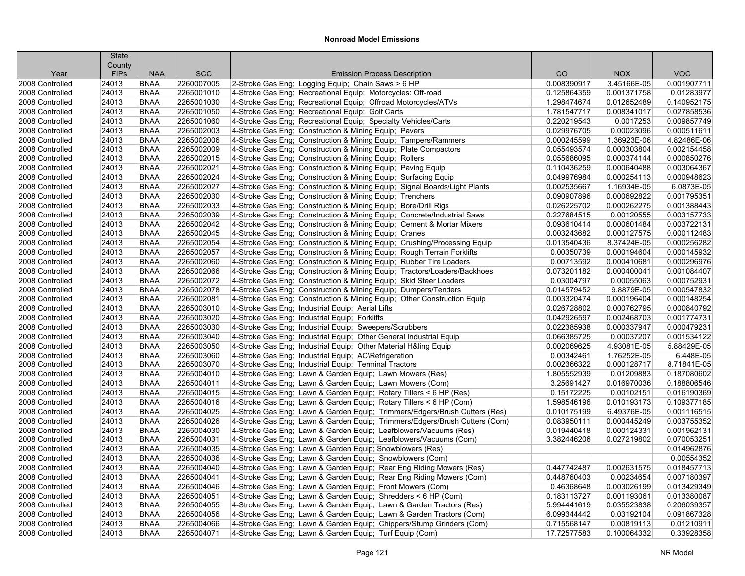| County<br><b>SCC</b><br><b>VOC</b><br><b>FIPs</b><br><b>NAA</b><br>CO<br><b>NOX</b><br>Year<br><b>Emission Process Description</b><br>2260007005<br>2-Stroke Gas Eng; Logging Equip; Chain Saws > 6 HP<br>0.008390917<br>2008 Controlled<br><b>BNAA</b><br>3.45166E-05<br>0.001907711<br>24013<br>0.01283977<br>2008 Controlled<br>24013<br><b>BNAA</b><br>2265001010<br>4-Stroke Gas Eng; Recreational Equip; Motorcycles: Off-road<br>0.125864359<br>0.001371758<br><b>BNAA</b><br>2265001030<br>4-Stroke Gas Eng; Recreational Equip; Offroad Motorcycles/ATVs<br>0.140952175<br>2008 Controlled<br>24013<br>1.298474674<br>0.012652489<br>0.027858536<br>2008 Controlled<br>24013<br><b>BNAA</b><br>2265001050<br>4-Stroke Gas Eng; Recreational Equip; Golf Carts<br>1.781547717<br>0.008341017<br>24013<br><b>BNAA</b><br>2265001060<br>4-Stroke Gas Eng; Recreational Equip; Specialty Vehicles/Carts<br>0.220219543<br>0.0017253<br>0.009857749<br>2008 Controlled<br>24013<br><b>BNAA</b><br>2265002003<br>4-Stroke Gas Eng: Construction & Mining Equip: Pavers<br>0.029976705<br>0.00023096<br>0.000511611<br>2008 Controlled<br>4.82486E-06<br>24013<br><b>BNAA</b><br>2265002006<br>4-Stroke Gas Eng; Construction & Mining Equip; Tampers/Rammers<br>0.000245599<br>1.36923E-06<br>2008 Controlled<br>2265002009<br>0.002154458<br>2008 Controlled<br>24013<br><b>BNAA</b><br>4-Stroke Gas Eng; Construction & Mining Equip; Plate Compactors<br>0.055493574<br>0.000303804<br>2265002015<br>0.000850276<br>2008 Controlled<br>24013<br><b>BNAA</b><br>4-Stroke Gas Eng: Construction & Mining Equip: Rollers<br>0.055686095<br>0.000374144<br>2265002021<br>24013<br><b>BNAA</b><br>4-Stroke Gas Eng; Construction & Mining Equip; Paving Equip<br>0.000640488<br>0.003064367<br>2008 Controlled<br>0.110436259<br><b>BNAA</b><br>2265002024<br>4-Stroke Gas Eng; Construction & Mining Equip; Surfacing Equip<br>0.000948623<br>2008 Controlled<br>24013<br>0.049976984<br>0.000254113<br>2265002027<br>24013<br><b>BNAA</b><br>4-Stroke Gas Eng; Construction & Mining Equip; Signal Boards/Light Plants<br>0.002535667<br>1.16934E-05<br>6.0873E-05<br>2008 Controlled<br>24013<br><b>BNAA</b><br>2265002030<br>4-Stroke Gas Eng: Construction & Mining Equip: Trenchers<br>0.090907896<br>0.000692822<br>0.001795351<br>2008 Controlled<br>2265002033<br>0.001388443<br>24013<br><b>BNAA</b><br>4-Stroke Gas Eng; Construction & Mining Equip; Bore/Drill Rigs<br>0.026225702<br>0.000262275<br>2008 Controlled<br>24013<br>2265002039<br>0.003157733<br>2008 Controlled<br><b>BNAA</b><br>4-Stroke Gas Eng; Construction & Mining Equip; Concrete/Industrial Saws<br>0.227684515<br>0.00120555<br>2265002042<br>4-Stroke Gas Eng; Construction & Mining Equip; Cement & Mortar Mixers<br>0.000601484<br>0.003722131<br>2008 Controlled<br>24013<br><b>BNAA</b><br>0.093610414<br>2265002045<br>24013<br><b>BNAA</b><br>4-Stroke Gas Eng; Construction & Mining Equip; Cranes<br>0.000127575<br>0.000112483<br>2008 Controlled<br>0.003243682<br><b>BNAA</b><br>2265002054<br>4-Stroke Gas Eng; Construction & Mining Equip; Crushing/Processing Equip<br>8.37424E-05<br>0.000256282<br>2008 Controlled<br>24013<br>0.013540436<br>2265002057<br>2008 Controlled<br>24013<br><b>BNAA</b><br>4-Stroke Gas Eng; Construction & Mining Equip; Rough Terrain Forklifts<br>0.00350739<br>0.000194604<br>0.000145932<br>0.000296976<br>2008 Controlled<br>24013<br><b>BNAA</b><br>2265002060<br>4-Stroke Gas Eng: Construction & Mining Equip: Rubber Tire Loaders<br>0.00713592<br>0.000410681<br>2265002066<br>4-Stroke Gas Eng; Construction & Mining Equip; Tractors/Loaders/Backhoes<br>0.001084407<br>2008 Controlled<br>24013<br><b>BNAA</b><br>0.073201182<br>0.000400041<br>24013<br><b>BNAA</b><br>2265002072<br>4-Stroke Gas Eng; Construction & Mining Equip; Skid Steer Loaders<br>0.03004797<br>0.00055063<br>0.000752931<br>2008 Controlled<br>2265002078<br>2008 Controlled<br>24013<br><b>BNAA</b><br>4-Stroke Gas Eng; Construction & Mining Equip; Dumpers/Tenders<br>0.014579452<br>9.8879E-05<br>0.000547832<br>2265002081<br>24013<br><b>BNAA</b><br>4-Stroke Gas Eng; Construction & Mining Equip; Other Construction Equip<br>0.000196404<br>0.000148254<br>2008 Controlled<br>0.003320474<br>2008 Controlled<br><b>BNAA</b><br>2265003010<br>0.000762795<br>0.000840792<br>24013<br>4-Stroke Gas Eng; Industrial Equip; Aerial Lifts<br>0.026728802<br>2265003020<br>0.001774731<br>2008 Controlled<br>24013<br><b>BNAA</b><br>4-Stroke Gas Eng; Industrial Equip; Forklifts<br>0.042926597<br>0.002468703<br>2008 Controlled<br>24013<br><b>BNAA</b><br>2265003030<br>4-Stroke Gas Eng; Industrial Equip; Sweepers/Scrubbers<br>0.022385938<br>0.000337947<br>0.000479231<br><b>BNAA</b><br>2265003040<br>4-Stroke Gas Eng; Industrial Equip; Other General Industrial Equip<br>0.00037207<br>0.001534122<br>2008 Controlled<br>24013<br>0.066385725<br>24013<br><b>BNAA</b><br>2265003050<br>4-Stroke Gas Eng; Industrial Equip; Other Material H&ling Equip<br>0.002069625<br>4.93081E-05<br>5.88429E-05<br>2008 Controlled<br>2265003060<br>1.76252E-05<br>6.448E-05<br>2008 Controlled<br>24013<br><b>BNAA</b><br>4-Stroke Gas Eng; Industrial Equip; AC\Refrigeration<br>0.00342461<br>8.71841E-05<br>24013<br><b>BNAA</b><br>2265003070<br>4-Stroke Gas Eng: Industrial Equip: Terminal Tractors<br>0.002366322<br>0.000128717<br>2008 Controlled<br>24013<br><b>BNAA</b><br>2265004010<br>4-Stroke Gas Eng; Lawn & Garden Equip; Lawn Mowers (Res)<br>0.01209883<br>0.187080602<br>2008 Controlled<br>1.805552939<br>2265004011<br>4-Stroke Gas Eng; Lawn & Garden Equip; Lawn Mowers (Com)<br>3.25691427<br>0.016970036<br>0.188806546<br>2008 Controlled<br>24013<br><b>BNAA</b><br>4-Stroke Gas Eng; Lawn & Garden Equip; Rotary Tillers < 6 HP (Res)<br>2008 Controlled<br>24013<br><b>BNAA</b><br>2265004015<br>0.15172225<br>0.00102151<br>0.016190369<br><b>BNAA</b><br>2265004016<br>4-Stroke Gas Eng; Lawn & Garden Equip; Rotary Tillers < 6 HP (Com)<br>0.010193173<br>0.109377185<br>2008 Controlled<br>24013<br>1.598546196<br>24013<br><b>BNAA</b><br>2265004025<br>4-Stroke Gas Eng; Lawn & Garden Equip; Trimmers/Edgers/Brush Cutters (Res)<br>0.010175199<br>6.49376E-05<br>0.001116515<br>2008 Controlled<br>2265004026<br>2008 Controlled<br>24013<br><b>BNAA</b><br>4-Stroke Gas Eng; Lawn & Garden Equip; Trimmers/Edgers/Brush Cutters (Com)<br>0.083950111<br>0.000445249<br>0.003755352<br>24013<br><b>BNAA</b><br>2265004030<br>4-Stroke Gas Eng; Lawn & Garden Equip; Leafblowers/Vacuums (Res)<br>0.019440418<br>0.000124331<br>0.001962131<br>2008 Controlled<br>24013<br><b>BNAA</b><br>2265004031<br>4-Stroke Gas Eng; Lawn & Garden Equip; Leafblowers/Vacuums (Com)<br>0.027219802<br>0.070053251<br>2008 Controlled<br>3.382446206<br>2265004035<br>0.014962876<br>2008 Controlled<br>24013<br><b>BNAA</b><br>4-Stroke Gas Eng; Lawn & Garden Equip; Snowblowers (Res)<br><b>BNAA</b><br>2265004036<br>4-Stroke Gas Eng; Lawn & Garden Equip; Snowblowers (Com)<br>0.00554352<br>2008 Controlled<br>24013<br>24013<br><b>BNAA</b><br>2265004040<br>4-Stroke Gas Eng; Lawn & Garden Equip; Rear Eng Riding Mowers (Res)<br>0.447742487<br>0.002631575<br>0.018457713<br>2008 Controlled<br>0.007180397<br>24013<br><b>BNAA</b><br>2265004041<br>4-Stroke Gas Eng; Lawn & Garden Equip; Rear Eng Riding Mowers (Com)<br>0.448760403<br>0.00234654<br>2008 Controlled<br>0.003026199<br>0.013429349<br>2008 Controlled<br>24013<br><b>BNAA</b><br>2265004046<br>4-Stroke Gas Eng; Lawn & Garden Equip; Front Mowers (Com)<br>0.46368648<br>0.013380087<br>24013<br><b>BNAA</b><br>2265004051<br>4-Stroke Gas Eng; Lawn & Garden Equip; Shredders < 6 HP (Com)<br>0.183113727<br>0.001193061<br>2008 Controlled<br>2008 Controlled<br>24013<br><b>BNAA</b><br>2265004055<br>4-Stroke Gas Eng; Lawn & Garden Equip; Lawn & Garden Tractors (Res)<br>5.994441619<br>0.035523838<br>0.206039357<br>2265004056<br>4-Stroke Gas Eng: Lawn & Garden Equip: Lawn & Garden Tractors (Com)<br>6.099344442<br>0.03192104<br>0.091867328<br>2008 Controlled<br>24013<br><b>BNAA</b><br>24013<br><b>BNAA</b><br>2265004066<br>4-Stroke Gas Eng; Lawn & Garden Equip; Chippers/Stump Grinders (Com)<br>0.00819113<br>0.01210911<br>2008 Controlled<br>0.715568147<br>24013<br>2265004071<br>0.33928358<br>2008 Controlled<br><b>BNAA</b><br>4-Stroke Gas Eng; Lawn & Garden Equip; Turf Equip (Com)<br>17.72577583<br>0.100064332 | <b>State</b> |  |  |  |
|--------------------------------------------------------------------------------------------------------------------------------------------------------------------------------------------------------------------------------------------------------------------------------------------------------------------------------------------------------------------------------------------------------------------------------------------------------------------------------------------------------------------------------------------------------------------------------------------------------------------------------------------------------------------------------------------------------------------------------------------------------------------------------------------------------------------------------------------------------------------------------------------------------------------------------------------------------------------------------------------------------------------------------------------------------------------------------------------------------------------------------------------------------------------------------------------------------------------------------------------------------------------------------------------------------------------------------------------------------------------------------------------------------------------------------------------------------------------------------------------------------------------------------------------------------------------------------------------------------------------------------------------------------------------------------------------------------------------------------------------------------------------------------------------------------------------------------------------------------------------------------------------------------------------------------------------------------------------------------------------------------------------------------------------------------------------------------------------------------------------------------------------------------------------------------------------------------------------------------------------------------------------------------------------------------------------------------------------------------------------------------------------------------------------------------------------------------------------------------------------------------------------------------------------------------------------------------------------------------------------------------------------------------------------------------------------------------------------------------------------------------------------------------------------------------------------------------------------------------------------------------------------------------------------------------------------------------------------------------------------------------------------------------------------------------------------------------------------------------------------------------------------------------------------------------------------------------------------------------------------------------------------------------------------------------------------------------------------------------------------------------------------------------------------------------------------------------------------------------------------------------------------------------------------------------------------------------------------------------------------------------------------------------------------------------------------------------------------------------------------------------------------------------------------------------------------------------------------------------------------------------------------------------------------------------------------------------------------------------------------------------------------------------------------------------------------------------------------------------------------------------------------------------------------------------------------------------------------------------------------------------------------------------------------------------------------------------------------------------------------------------------------------------------------------------------------------------------------------------------------------------------------------------------------------------------------------------------------------------------------------------------------------------------------------------------------------------------------------------------------------------------------------------------------------------------------------------------------------------------------------------------------------------------------------------------------------------------------------------------------------------------------------------------------------------------------------------------------------------------------------------------------------------------------------------------------------------------------------------------------------------------------------------------------------------------------------------------------------------------------------------------------------------------------------------------------------------------------------------------------------------------------------------------------------------------------------------------------------------------------------------------------------------------------------------------------------------------------------------------------------------------------------------------------------------------------------------------------------------------------------------------------------------------------------------------------------------------------------------------------------------------------------------------------------------------------------------------------------------------------------------------------------------------------------------------------------------------------------------------------------------------------------------------------------------------------------------------------------------------------------------------------------------------------------------------------------------------------------------------------------------------------------------------------------------------------------------------------------------------------------------------------------------------------------------------------------------------------------------------------------------------------------------------------------------------------------------------------------------------------------------------------------------------------------------------------------------------------------------------------------------------------------------------------------------------------------------------------------------------------------------------------------------------------------------------------------------------------------------------------------------------------------------------------------------------------------------------------------------------------------------------------------------------------------------------------------------------------------------------------------------------------------------------------------------------------------------------------------------------------------------------------------------------------------------------------------------------------------------------------------------------------------------------------------------------------------------------------------------------------------------------------------------------------------------------------------------------------------------------------------------------------------------------------------------------------------------------------------------------------------------------------------------------------------------------------------------------------------------------------------------------------------------------------------------------------------------------------------------------------------------------------------------------------------------------------------------------------------------------------------------------------------------------------------------------------------------------------------|--------------|--|--|--|
|                                                                                                                                                                                                                                                                                                                                                                                                                                                                                                                                                                                                                                                                                                                                                                                                                                                                                                                                                                                                                                                                                                                                                                                                                                                                                                                                                                                                                                                                                                                                                                                                                                                                                                                                                                                                                                                                                                                                                                                                                                                                                                                                                                                                                                                                                                                                                                                                                                                                                                                                                                                                                                                                                                                                                                                                                                                                                                                                                                                                                                                                                                                                                                                                                                                                                                                                                                                                                                                                                                                                                                                                                                                                                                                                                                                                                                                                                                                                                                                                                                                                                                                                                                                                                                                                                                                                                                                                                                                                                                                                                                                                                                                                                                                                                                                                                                                                                                                                                                                                                                                                                                                                                                                                                                                                                                                                                                                                                                                                                                                                                                                                                                                                                                                                                                                                                                                                                                                                                                                                                                                                                                                                                                                                                                                                                                                                                                                                                                                                                                                                                                                                                                                                                                                                                                                                                                                                                                                                                                                                                                                                                                                                                                                                                                                                                                                                                                                                                                                                                                                                                                                                                                                                                                                                                                                                                                                                                                                                                                                                                                                                                                                                                                                                                                                                                                                                                                                                                                                                                                                                                                                                  |              |  |  |  |
|                                                                                                                                                                                                                                                                                                                                                                                                                                                                                                                                                                                                                                                                                                                                                                                                                                                                                                                                                                                                                                                                                                                                                                                                                                                                                                                                                                                                                                                                                                                                                                                                                                                                                                                                                                                                                                                                                                                                                                                                                                                                                                                                                                                                                                                                                                                                                                                                                                                                                                                                                                                                                                                                                                                                                                                                                                                                                                                                                                                                                                                                                                                                                                                                                                                                                                                                                                                                                                                                                                                                                                                                                                                                                                                                                                                                                                                                                                                                                                                                                                                                                                                                                                                                                                                                                                                                                                                                                                                                                                                                                                                                                                                                                                                                                                                                                                                                                                                                                                                                                                                                                                                                                                                                                                                                                                                                                                                                                                                                                                                                                                                                                                                                                                                                                                                                                                                                                                                                                                                                                                                                                                                                                                                                                                                                                                                                                                                                                                                                                                                                                                                                                                                                                                                                                                                                                                                                                                                                                                                                                                                                                                                                                                                                                                                                                                                                                                                                                                                                                                                                                                                                                                                                                                                                                                                                                                                                                                                                                                                                                                                                                                                                                                                                                                                                                                                                                                                                                                                                                                                                                                                                  |              |  |  |  |
|                                                                                                                                                                                                                                                                                                                                                                                                                                                                                                                                                                                                                                                                                                                                                                                                                                                                                                                                                                                                                                                                                                                                                                                                                                                                                                                                                                                                                                                                                                                                                                                                                                                                                                                                                                                                                                                                                                                                                                                                                                                                                                                                                                                                                                                                                                                                                                                                                                                                                                                                                                                                                                                                                                                                                                                                                                                                                                                                                                                                                                                                                                                                                                                                                                                                                                                                                                                                                                                                                                                                                                                                                                                                                                                                                                                                                                                                                                                                                                                                                                                                                                                                                                                                                                                                                                                                                                                                                                                                                                                                                                                                                                                                                                                                                                                                                                                                                                                                                                                                                                                                                                                                                                                                                                                                                                                                                                                                                                                                                                                                                                                                                                                                                                                                                                                                                                                                                                                                                                                                                                                                                                                                                                                                                                                                                                                                                                                                                                                                                                                                                                                                                                                                                                                                                                                                                                                                                                                                                                                                                                                                                                                                                                                                                                                                                                                                                                                                                                                                                                                                                                                                                                                                                                                                                                                                                                                                                                                                                                                                                                                                                                                                                                                                                                                                                                                                                                                                                                                                                                                                                                                                  |              |  |  |  |
|                                                                                                                                                                                                                                                                                                                                                                                                                                                                                                                                                                                                                                                                                                                                                                                                                                                                                                                                                                                                                                                                                                                                                                                                                                                                                                                                                                                                                                                                                                                                                                                                                                                                                                                                                                                                                                                                                                                                                                                                                                                                                                                                                                                                                                                                                                                                                                                                                                                                                                                                                                                                                                                                                                                                                                                                                                                                                                                                                                                                                                                                                                                                                                                                                                                                                                                                                                                                                                                                                                                                                                                                                                                                                                                                                                                                                                                                                                                                                                                                                                                                                                                                                                                                                                                                                                                                                                                                                                                                                                                                                                                                                                                                                                                                                                                                                                                                                                                                                                                                                                                                                                                                                                                                                                                                                                                                                                                                                                                                                                                                                                                                                                                                                                                                                                                                                                                                                                                                                                                                                                                                                                                                                                                                                                                                                                                                                                                                                                                                                                                                                                                                                                                                                                                                                                                                                                                                                                                                                                                                                                                                                                                                                                                                                                                                                                                                                                                                                                                                                                                                                                                                                                                                                                                                                                                                                                                                                                                                                                                                                                                                                                                                                                                                                                                                                                                                                                                                                                                                                                                                                                                                  |              |  |  |  |
|                                                                                                                                                                                                                                                                                                                                                                                                                                                                                                                                                                                                                                                                                                                                                                                                                                                                                                                                                                                                                                                                                                                                                                                                                                                                                                                                                                                                                                                                                                                                                                                                                                                                                                                                                                                                                                                                                                                                                                                                                                                                                                                                                                                                                                                                                                                                                                                                                                                                                                                                                                                                                                                                                                                                                                                                                                                                                                                                                                                                                                                                                                                                                                                                                                                                                                                                                                                                                                                                                                                                                                                                                                                                                                                                                                                                                                                                                                                                                                                                                                                                                                                                                                                                                                                                                                                                                                                                                                                                                                                                                                                                                                                                                                                                                                                                                                                                                                                                                                                                                                                                                                                                                                                                                                                                                                                                                                                                                                                                                                                                                                                                                                                                                                                                                                                                                                                                                                                                                                                                                                                                                                                                                                                                                                                                                                                                                                                                                                                                                                                                                                                                                                                                                                                                                                                                                                                                                                                                                                                                                                                                                                                                                                                                                                                                                                                                                                                                                                                                                                                                                                                                                                                                                                                                                                                                                                                                                                                                                                                                                                                                                                                                                                                                                                                                                                                                                                                                                                                                                                                                                                                                  |              |  |  |  |
|                                                                                                                                                                                                                                                                                                                                                                                                                                                                                                                                                                                                                                                                                                                                                                                                                                                                                                                                                                                                                                                                                                                                                                                                                                                                                                                                                                                                                                                                                                                                                                                                                                                                                                                                                                                                                                                                                                                                                                                                                                                                                                                                                                                                                                                                                                                                                                                                                                                                                                                                                                                                                                                                                                                                                                                                                                                                                                                                                                                                                                                                                                                                                                                                                                                                                                                                                                                                                                                                                                                                                                                                                                                                                                                                                                                                                                                                                                                                                                                                                                                                                                                                                                                                                                                                                                                                                                                                                                                                                                                                                                                                                                                                                                                                                                                                                                                                                                                                                                                                                                                                                                                                                                                                                                                                                                                                                                                                                                                                                                                                                                                                                                                                                                                                                                                                                                                                                                                                                                                                                                                                                                                                                                                                                                                                                                                                                                                                                                                                                                                                                                                                                                                                                                                                                                                                                                                                                                                                                                                                                                                                                                                                                                                                                                                                                                                                                                                                                                                                                                                                                                                                                                                                                                                                                                                                                                                                                                                                                                                                                                                                                                                                                                                                                                                                                                                                                                                                                                                                                                                                                                                                  |              |  |  |  |
|                                                                                                                                                                                                                                                                                                                                                                                                                                                                                                                                                                                                                                                                                                                                                                                                                                                                                                                                                                                                                                                                                                                                                                                                                                                                                                                                                                                                                                                                                                                                                                                                                                                                                                                                                                                                                                                                                                                                                                                                                                                                                                                                                                                                                                                                                                                                                                                                                                                                                                                                                                                                                                                                                                                                                                                                                                                                                                                                                                                                                                                                                                                                                                                                                                                                                                                                                                                                                                                                                                                                                                                                                                                                                                                                                                                                                                                                                                                                                                                                                                                                                                                                                                                                                                                                                                                                                                                                                                                                                                                                                                                                                                                                                                                                                                                                                                                                                                                                                                                                                                                                                                                                                                                                                                                                                                                                                                                                                                                                                                                                                                                                                                                                                                                                                                                                                                                                                                                                                                                                                                                                                                                                                                                                                                                                                                                                                                                                                                                                                                                                                                                                                                                                                                                                                                                                                                                                                                                                                                                                                                                                                                                                                                                                                                                                                                                                                                                                                                                                                                                                                                                                                                                                                                                                                                                                                                                                                                                                                                                                                                                                                                                                                                                                                                                                                                                                                                                                                                                                                                                                                                                                  |              |  |  |  |
|                                                                                                                                                                                                                                                                                                                                                                                                                                                                                                                                                                                                                                                                                                                                                                                                                                                                                                                                                                                                                                                                                                                                                                                                                                                                                                                                                                                                                                                                                                                                                                                                                                                                                                                                                                                                                                                                                                                                                                                                                                                                                                                                                                                                                                                                                                                                                                                                                                                                                                                                                                                                                                                                                                                                                                                                                                                                                                                                                                                                                                                                                                                                                                                                                                                                                                                                                                                                                                                                                                                                                                                                                                                                                                                                                                                                                                                                                                                                                                                                                                                                                                                                                                                                                                                                                                                                                                                                                                                                                                                                                                                                                                                                                                                                                                                                                                                                                                                                                                                                                                                                                                                                                                                                                                                                                                                                                                                                                                                                                                                                                                                                                                                                                                                                                                                                                                                                                                                                                                                                                                                                                                                                                                                                                                                                                                                                                                                                                                                                                                                                                                                                                                                                                                                                                                                                                                                                                                                                                                                                                                                                                                                                                                                                                                                                                                                                                                                                                                                                                                                                                                                                                                                                                                                                                                                                                                                                                                                                                                                                                                                                                                                                                                                                                                                                                                                                                                                                                                                                                                                                                                                                  |              |  |  |  |
|                                                                                                                                                                                                                                                                                                                                                                                                                                                                                                                                                                                                                                                                                                                                                                                                                                                                                                                                                                                                                                                                                                                                                                                                                                                                                                                                                                                                                                                                                                                                                                                                                                                                                                                                                                                                                                                                                                                                                                                                                                                                                                                                                                                                                                                                                                                                                                                                                                                                                                                                                                                                                                                                                                                                                                                                                                                                                                                                                                                                                                                                                                                                                                                                                                                                                                                                                                                                                                                                                                                                                                                                                                                                                                                                                                                                                                                                                                                                                                                                                                                                                                                                                                                                                                                                                                                                                                                                                                                                                                                                                                                                                                                                                                                                                                                                                                                                                                                                                                                                                                                                                                                                                                                                                                                                                                                                                                                                                                                                                                                                                                                                                                                                                                                                                                                                                                                                                                                                                                                                                                                                                                                                                                                                                                                                                                                                                                                                                                                                                                                                                                                                                                                                                                                                                                                                                                                                                                                                                                                                                                                                                                                                                                                                                                                                                                                                                                                                                                                                                                                                                                                                                                                                                                                                                                                                                                                                                                                                                                                                                                                                                                                                                                                                                                                                                                                                                                                                                                                                                                                                                                                                  |              |  |  |  |
|                                                                                                                                                                                                                                                                                                                                                                                                                                                                                                                                                                                                                                                                                                                                                                                                                                                                                                                                                                                                                                                                                                                                                                                                                                                                                                                                                                                                                                                                                                                                                                                                                                                                                                                                                                                                                                                                                                                                                                                                                                                                                                                                                                                                                                                                                                                                                                                                                                                                                                                                                                                                                                                                                                                                                                                                                                                                                                                                                                                                                                                                                                                                                                                                                                                                                                                                                                                                                                                                                                                                                                                                                                                                                                                                                                                                                                                                                                                                                                                                                                                                                                                                                                                                                                                                                                                                                                                                                                                                                                                                                                                                                                                                                                                                                                                                                                                                                                                                                                                                                                                                                                                                                                                                                                                                                                                                                                                                                                                                                                                                                                                                                                                                                                                                                                                                                                                                                                                                                                                                                                                                                                                                                                                                                                                                                                                                                                                                                                                                                                                                                                                                                                                                                                                                                                                                                                                                                                                                                                                                                                                                                                                                                                                                                                                                                                                                                                                                                                                                                                                                                                                                                                                                                                                                                                                                                                                                                                                                                                                                                                                                                                                                                                                                                                                                                                                                                                                                                                                                                                                                                                                                  |              |  |  |  |
|                                                                                                                                                                                                                                                                                                                                                                                                                                                                                                                                                                                                                                                                                                                                                                                                                                                                                                                                                                                                                                                                                                                                                                                                                                                                                                                                                                                                                                                                                                                                                                                                                                                                                                                                                                                                                                                                                                                                                                                                                                                                                                                                                                                                                                                                                                                                                                                                                                                                                                                                                                                                                                                                                                                                                                                                                                                                                                                                                                                                                                                                                                                                                                                                                                                                                                                                                                                                                                                                                                                                                                                                                                                                                                                                                                                                                                                                                                                                                                                                                                                                                                                                                                                                                                                                                                                                                                                                                                                                                                                                                                                                                                                                                                                                                                                                                                                                                                                                                                                                                                                                                                                                                                                                                                                                                                                                                                                                                                                                                                                                                                                                                                                                                                                                                                                                                                                                                                                                                                                                                                                                                                                                                                                                                                                                                                                                                                                                                                                                                                                                                                                                                                                                                                                                                                                                                                                                                                                                                                                                                                                                                                                                                                                                                                                                                                                                                                                                                                                                                                                                                                                                                                                                                                                                                                                                                                                                                                                                                                                                                                                                                                                                                                                                                                                                                                                                                                                                                                                                                                                                                                                                  |              |  |  |  |
|                                                                                                                                                                                                                                                                                                                                                                                                                                                                                                                                                                                                                                                                                                                                                                                                                                                                                                                                                                                                                                                                                                                                                                                                                                                                                                                                                                                                                                                                                                                                                                                                                                                                                                                                                                                                                                                                                                                                                                                                                                                                                                                                                                                                                                                                                                                                                                                                                                                                                                                                                                                                                                                                                                                                                                                                                                                                                                                                                                                                                                                                                                                                                                                                                                                                                                                                                                                                                                                                                                                                                                                                                                                                                                                                                                                                                                                                                                                                                                                                                                                                                                                                                                                                                                                                                                                                                                                                                                                                                                                                                                                                                                                                                                                                                                                                                                                                                                                                                                                                                                                                                                                                                                                                                                                                                                                                                                                                                                                                                                                                                                                                                                                                                                                                                                                                                                                                                                                                                                                                                                                                                                                                                                                                                                                                                                                                                                                                                                                                                                                                                                                                                                                                                                                                                                                                                                                                                                                                                                                                                                                                                                                                                                                                                                                                                                                                                                                                                                                                                                                                                                                                                                                                                                                                                                                                                                                                                                                                                                                                                                                                                                                                                                                                                                                                                                                                                                                                                                                                                                                                                                                                  |              |  |  |  |
|                                                                                                                                                                                                                                                                                                                                                                                                                                                                                                                                                                                                                                                                                                                                                                                                                                                                                                                                                                                                                                                                                                                                                                                                                                                                                                                                                                                                                                                                                                                                                                                                                                                                                                                                                                                                                                                                                                                                                                                                                                                                                                                                                                                                                                                                                                                                                                                                                                                                                                                                                                                                                                                                                                                                                                                                                                                                                                                                                                                                                                                                                                                                                                                                                                                                                                                                                                                                                                                                                                                                                                                                                                                                                                                                                                                                                                                                                                                                                                                                                                                                                                                                                                                                                                                                                                                                                                                                                                                                                                                                                                                                                                                                                                                                                                                                                                                                                                                                                                                                                                                                                                                                                                                                                                                                                                                                                                                                                                                                                                                                                                                                                                                                                                                                                                                                                                                                                                                                                                                                                                                                                                                                                                                                                                                                                                                                                                                                                                                                                                                                                                                                                                                                                                                                                                                                                                                                                                                                                                                                                                                                                                                                                                                                                                                                                                                                                                                                                                                                                                                                                                                                                                                                                                                                                                                                                                                                                                                                                                                                                                                                                                                                                                                                                                                                                                                                                                                                                                                                                                                                                                                                  |              |  |  |  |
|                                                                                                                                                                                                                                                                                                                                                                                                                                                                                                                                                                                                                                                                                                                                                                                                                                                                                                                                                                                                                                                                                                                                                                                                                                                                                                                                                                                                                                                                                                                                                                                                                                                                                                                                                                                                                                                                                                                                                                                                                                                                                                                                                                                                                                                                                                                                                                                                                                                                                                                                                                                                                                                                                                                                                                                                                                                                                                                                                                                                                                                                                                                                                                                                                                                                                                                                                                                                                                                                                                                                                                                                                                                                                                                                                                                                                                                                                                                                                                                                                                                                                                                                                                                                                                                                                                                                                                                                                                                                                                                                                                                                                                                                                                                                                                                                                                                                                                                                                                                                                                                                                                                                                                                                                                                                                                                                                                                                                                                                                                                                                                                                                                                                                                                                                                                                                                                                                                                                                                                                                                                                                                                                                                                                                                                                                                                                                                                                                                                                                                                                                                                                                                                                                                                                                                                                                                                                                                                                                                                                                                                                                                                                                                                                                                                                                                                                                                                                                                                                                                                                                                                                                                                                                                                                                                                                                                                                                                                                                                                                                                                                                                                                                                                                                                                                                                                                                                                                                                                                                                                                                                                                  |              |  |  |  |
|                                                                                                                                                                                                                                                                                                                                                                                                                                                                                                                                                                                                                                                                                                                                                                                                                                                                                                                                                                                                                                                                                                                                                                                                                                                                                                                                                                                                                                                                                                                                                                                                                                                                                                                                                                                                                                                                                                                                                                                                                                                                                                                                                                                                                                                                                                                                                                                                                                                                                                                                                                                                                                                                                                                                                                                                                                                                                                                                                                                                                                                                                                                                                                                                                                                                                                                                                                                                                                                                                                                                                                                                                                                                                                                                                                                                                                                                                                                                                                                                                                                                                                                                                                                                                                                                                                                                                                                                                                                                                                                                                                                                                                                                                                                                                                                                                                                                                                                                                                                                                                                                                                                                                                                                                                                                                                                                                                                                                                                                                                                                                                                                                                                                                                                                                                                                                                                                                                                                                                                                                                                                                                                                                                                                                                                                                                                                                                                                                                                                                                                                                                                                                                                                                                                                                                                                                                                                                                                                                                                                                                                                                                                                                                                                                                                                                                                                                                                                                                                                                                                                                                                                                                                                                                                                                                                                                                                                                                                                                                                                                                                                                                                                                                                                                                                                                                                                                                                                                                                                                                                                                                                                  |              |  |  |  |
|                                                                                                                                                                                                                                                                                                                                                                                                                                                                                                                                                                                                                                                                                                                                                                                                                                                                                                                                                                                                                                                                                                                                                                                                                                                                                                                                                                                                                                                                                                                                                                                                                                                                                                                                                                                                                                                                                                                                                                                                                                                                                                                                                                                                                                                                                                                                                                                                                                                                                                                                                                                                                                                                                                                                                                                                                                                                                                                                                                                                                                                                                                                                                                                                                                                                                                                                                                                                                                                                                                                                                                                                                                                                                                                                                                                                                                                                                                                                                                                                                                                                                                                                                                                                                                                                                                                                                                                                                                                                                                                                                                                                                                                                                                                                                                                                                                                                                                                                                                                                                                                                                                                                                                                                                                                                                                                                                                                                                                                                                                                                                                                                                                                                                                                                                                                                                                                                                                                                                                                                                                                                                                                                                                                                                                                                                                                                                                                                                                                                                                                                                                                                                                                                                                                                                                                                                                                                                                                                                                                                                                                                                                                                                                                                                                                                                                                                                                                                                                                                                                                                                                                                                                                                                                                                                                                                                                                                                                                                                                                                                                                                                                                                                                                                                                                                                                                                                                                                                                                                                                                                                                                                  |              |  |  |  |
|                                                                                                                                                                                                                                                                                                                                                                                                                                                                                                                                                                                                                                                                                                                                                                                                                                                                                                                                                                                                                                                                                                                                                                                                                                                                                                                                                                                                                                                                                                                                                                                                                                                                                                                                                                                                                                                                                                                                                                                                                                                                                                                                                                                                                                                                                                                                                                                                                                                                                                                                                                                                                                                                                                                                                                                                                                                                                                                                                                                                                                                                                                                                                                                                                                                                                                                                                                                                                                                                                                                                                                                                                                                                                                                                                                                                                                                                                                                                                                                                                                                                                                                                                                                                                                                                                                                                                                                                                                                                                                                                                                                                                                                                                                                                                                                                                                                                                                                                                                                                                                                                                                                                                                                                                                                                                                                                                                                                                                                                                                                                                                                                                                                                                                                                                                                                                                                                                                                                                                                                                                                                                                                                                                                                                                                                                                                                                                                                                                                                                                                                                                                                                                                                                                                                                                                                                                                                                                                                                                                                                                                                                                                                                                                                                                                                                                                                                                                                                                                                                                                                                                                                                                                                                                                                                                                                                                                                                                                                                                                                                                                                                                                                                                                                                                                                                                                                                                                                                                                                                                                                                                                                  |              |  |  |  |
|                                                                                                                                                                                                                                                                                                                                                                                                                                                                                                                                                                                                                                                                                                                                                                                                                                                                                                                                                                                                                                                                                                                                                                                                                                                                                                                                                                                                                                                                                                                                                                                                                                                                                                                                                                                                                                                                                                                                                                                                                                                                                                                                                                                                                                                                                                                                                                                                                                                                                                                                                                                                                                                                                                                                                                                                                                                                                                                                                                                                                                                                                                                                                                                                                                                                                                                                                                                                                                                                                                                                                                                                                                                                                                                                                                                                                                                                                                                                                                                                                                                                                                                                                                                                                                                                                                                                                                                                                                                                                                                                                                                                                                                                                                                                                                                                                                                                                                                                                                                                                                                                                                                                                                                                                                                                                                                                                                                                                                                                                                                                                                                                                                                                                                                                                                                                                                                                                                                                                                                                                                                                                                                                                                                                                                                                                                                                                                                                                                                                                                                                                                                                                                                                                                                                                                                                                                                                                                                                                                                                                                                                                                                                                                                                                                                                                                                                                                                                                                                                                                                                                                                                                                                                                                                                                                                                                                                                                                                                                                                                                                                                                                                                                                                                                                                                                                                                                                                                                                                                                                                                                                                                  |              |  |  |  |
|                                                                                                                                                                                                                                                                                                                                                                                                                                                                                                                                                                                                                                                                                                                                                                                                                                                                                                                                                                                                                                                                                                                                                                                                                                                                                                                                                                                                                                                                                                                                                                                                                                                                                                                                                                                                                                                                                                                                                                                                                                                                                                                                                                                                                                                                                                                                                                                                                                                                                                                                                                                                                                                                                                                                                                                                                                                                                                                                                                                                                                                                                                                                                                                                                                                                                                                                                                                                                                                                                                                                                                                                                                                                                                                                                                                                                                                                                                                                                                                                                                                                                                                                                                                                                                                                                                                                                                                                                                                                                                                                                                                                                                                                                                                                                                                                                                                                                                                                                                                                                                                                                                                                                                                                                                                                                                                                                                                                                                                                                                                                                                                                                                                                                                                                                                                                                                                                                                                                                                                                                                                                                                                                                                                                                                                                                                                                                                                                                                                                                                                                                                                                                                                                                                                                                                                                                                                                                                                                                                                                                                                                                                                                                                                                                                                                                                                                                                                                                                                                                                                                                                                                                                                                                                                                                                                                                                                                                                                                                                                                                                                                                                                                                                                                                                                                                                                                                                                                                                                                                                                                                                                                  |              |  |  |  |
|                                                                                                                                                                                                                                                                                                                                                                                                                                                                                                                                                                                                                                                                                                                                                                                                                                                                                                                                                                                                                                                                                                                                                                                                                                                                                                                                                                                                                                                                                                                                                                                                                                                                                                                                                                                                                                                                                                                                                                                                                                                                                                                                                                                                                                                                                                                                                                                                                                                                                                                                                                                                                                                                                                                                                                                                                                                                                                                                                                                                                                                                                                                                                                                                                                                                                                                                                                                                                                                                                                                                                                                                                                                                                                                                                                                                                                                                                                                                                                                                                                                                                                                                                                                                                                                                                                                                                                                                                                                                                                                                                                                                                                                                                                                                                                                                                                                                                                                                                                                                                                                                                                                                                                                                                                                                                                                                                                                                                                                                                                                                                                                                                                                                                                                                                                                                                                                                                                                                                                                                                                                                                                                                                                                                                                                                                                                                                                                                                                                                                                                                                                                                                                                                                                                                                                                                                                                                                                                                                                                                                                                                                                                                                                                                                                                                                                                                                                                                                                                                                                                                                                                                                                                                                                                                                                                                                                                                                                                                                                                                                                                                                                                                                                                                                                                                                                                                                                                                                                                                                                                                                                                                  |              |  |  |  |
|                                                                                                                                                                                                                                                                                                                                                                                                                                                                                                                                                                                                                                                                                                                                                                                                                                                                                                                                                                                                                                                                                                                                                                                                                                                                                                                                                                                                                                                                                                                                                                                                                                                                                                                                                                                                                                                                                                                                                                                                                                                                                                                                                                                                                                                                                                                                                                                                                                                                                                                                                                                                                                                                                                                                                                                                                                                                                                                                                                                                                                                                                                                                                                                                                                                                                                                                                                                                                                                                                                                                                                                                                                                                                                                                                                                                                                                                                                                                                                                                                                                                                                                                                                                                                                                                                                                                                                                                                                                                                                                                                                                                                                                                                                                                                                                                                                                                                                                                                                                                                                                                                                                                                                                                                                                                                                                                                                                                                                                                                                                                                                                                                                                                                                                                                                                                                                                                                                                                                                                                                                                                                                                                                                                                                                                                                                                                                                                                                                                                                                                                                                                                                                                                                                                                                                                                                                                                                                                                                                                                                                                                                                                                                                                                                                                                                                                                                                                                                                                                                                                                                                                                                                                                                                                                                                                                                                                                                                                                                                                                                                                                                                                                                                                                                                                                                                                                                                                                                                                                                                                                                                                                  |              |  |  |  |
|                                                                                                                                                                                                                                                                                                                                                                                                                                                                                                                                                                                                                                                                                                                                                                                                                                                                                                                                                                                                                                                                                                                                                                                                                                                                                                                                                                                                                                                                                                                                                                                                                                                                                                                                                                                                                                                                                                                                                                                                                                                                                                                                                                                                                                                                                                                                                                                                                                                                                                                                                                                                                                                                                                                                                                                                                                                                                                                                                                                                                                                                                                                                                                                                                                                                                                                                                                                                                                                                                                                                                                                                                                                                                                                                                                                                                                                                                                                                                                                                                                                                                                                                                                                                                                                                                                                                                                                                                                                                                                                                                                                                                                                                                                                                                                                                                                                                                                                                                                                                                                                                                                                                                                                                                                                                                                                                                                                                                                                                                                                                                                                                                                                                                                                                                                                                                                                                                                                                                                                                                                                                                                                                                                                                                                                                                                                                                                                                                                                                                                                                                                                                                                                                                                                                                                                                                                                                                                                                                                                                                                                                                                                                                                                                                                                                                                                                                                                                                                                                                                                                                                                                                                                                                                                                                                                                                                                                                                                                                                                                                                                                                                                                                                                                                                                                                                                                                                                                                                                                                                                                                                                                  |              |  |  |  |
|                                                                                                                                                                                                                                                                                                                                                                                                                                                                                                                                                                                                                                                                                                                                                                                                                                                                                                                                                                                                                                                                                                                                                                                                                                                                                                                                                                                                                                                                                                                                                                                                                                                                                                                                                                                                                                                                                                                                                                                                                                                                                                                                                                                                                                                                                                                                                                                                                                                                                                                                                                                                                                                                                                                                                                                                                                                                                                                                                                                                                                                                                                                                                                                                                                                                                                                                                                                                                                                                                                                                                                                                                                                                                                                                                                                                                                                                                                                                                                                                                                                                                                                                                                                                                                                                                                                                                                                                                                                                                                                                                                                                                                                                                                                                                                                                                                                                                                                                                                                                                                                                                                                                                                                                                                                                                                                                                                                                                                                                                                                                                                                                                                                                                                                                                                                                                                                                                                                                                                                                                                                                                                                                                                                                                                                                                                                                                                                                                                                                                                                                                                                                                                                                                                                                                                                                                                                                                                                                                                                                                                                                                                                                                                                                                                                                                                                                                                                                                                                                                                                                                                                                                                                                                                                                                                                                                                                                                                                                                                                                                                                                                                                                                                                                                                                                                                                                                                                                                                                                                                                                                                                                  |              |  |  |  |
|                                                                                                                                                                                                                                                                                                                                                                                                                                                                                                                                                                                                                                                                                                                                                                                                                                                                                                                                                                                                                                                                                                                                                                                                                                                                                                                                                                                                                                                                                                                                                                                                                                                                                                                                                                                                                                                                                                                                                                                                                                                                                                                                                                                                                                                                                                                                                                                                                                                                                                                                                                                                                                                                                                                                                                                                                                                                                                                                                                                                                                                                                                                                                                                                                                                                                                                                                                                                                                                                                                                                                                                                                                                                                                                                                                                                                                                                                                                                                                                                                                                                                                                                                                                                                                                                                                                                                                                                                                                                                                                                                                                                                                                                                                                                                                                                                                                                                                                                                                                                                                                                                                                                                                                                                                                                                                                                                                                                                                                                                                                                                                                                                                                                                                                                                                                                                                                                                                                                                                                                                                                                                                                                                                                                                                                                                                                                                                                                                                                                                                                                                                                                                                                                                                                                                                                                                                                                                                                                                                                                                                                                                                                                                                                                                                                                                                                                                                                                                                                                                                                                                                                                                                                                                                                                                                                                                                                                                                                                                                                                                                                                                                                                                                                                                                                                                                                                                                                                                                                                                                                                                                                                  |              |  |  |  |
|                                                                                                                                                                                                                                                                                                                                                                                                                                                                                                                                                                                                                                                                                                                                                                                                                                                                                                                                                                                                                                                                                                                                                                                                                                                                                                                                                                                                                                                                                                                                                                                                                                                                                                                                                                                                                                                                                                                                                                                                                                                                                                                                                                                                                                                                                                                                                                                                                                                                                                                                                                                                                                                                                                                                                                                                                                                                                                                                                                                                                                                                                                                                                                                                                                                                                                                                                                                                                                                                                                                                                                                                                                                                                                                                                                                                                                                                                                                                                                                                                                                                                                                                                                                                                                                                                                                                                                                                                                                                                                                                                                                                                                                                                                                                                                                                                                                                                                                                                                                                                                                                                                                                                                                                                                                                                                                                                                                                                                                                                                                                                                                                                                                                                                                                                                                                                                                                                                                                                                                                                                                                                                                                                                                                                                                                                                                                                                                                                                                                                                                                                                                                                                                                                                                                                                                                                                                                                                                                                                                                                                                                                                                                                                                                                                                                                                                                                                                                                                                                                                                                                                                                                                                                                                                                                                                                                                                                                                                                                                                                                                                                                                                                                                                                                                                                                                                                                                                                                                                                                                                                                                                                  |              |  |  |  |
|                                                                                                                                                                                                                                                                                                                                                                                                                                                                                                                                                                                                                                                                                                                                                                                                                                                                                                                                                                                                                                                                                                                                                                                                                                                                                                                                                                                                                                                                                                                                                                                                                                                                                                                                                                                                                                                                                                                                                                                                                                                                                                                                                                                                                                                                                                                                                                                                                                                                                                                                                                                                                                                                                                                                                                                                                                                                                                                                                                                                                                                                                                                                                                                                                                                                                                                                                                                                                                                                                                                                                                                                                                                                                                                                                                                                                                                                                                                                                                                                                                                                                                                                                                                                                                                                                                                                                                                                                                                                                                                                                                                                                                                                                                                                                                                                                                                                                                                                                                                                                                                                                                                                                                                                                                                                                                                                                                                                                                                                                                                                                                                                                                                                                                                                                                                                                                                                                                                                                                                                                                                                                                                                                                                                                                                                                                                                                                                                                                                                                                                                                                                                                                                                                                                                                                                                                                                                                                                                                                                                                                                                                                                                                                                                                                                                                                                                                                                                                                                                                                                                                                                                                                                                                                                                                                                                                                                                                                                                                                                                                                                                                                                                                                                                                                                                                                                                                                                                                                                                                                                                                                                                  |              |  |  |  |
|                                                                                                                                                                                                                                                                                                                                                                                                                                                                                                                                                                                                                                                                                                                                                                                                                                                                                                                                                                                                                                                                                                                                                                                                                                                                                                                                                                                                                                                                                                                                                                                                                                                                                                                                                                                                                                                                                                                                                                                                                                                                                                                                                                                                                                                                                                                                                                                                                                                                                                                                                                                                                                                                                                                                                                                                                                                                                                                                                                                                                                                                                                                                                                                                                                                                                                                                                                                                                                                                                                                                                                                                                                                                                                                                                                                                                                                                                                                                                                                                                                                                                                                                                                                                                                                                                                                                                                                                                                                                                                                                                                                                                                                                                                                                                                                                                                                                                                                                                                                                                                                                                                                                                                                                                                                                                                                                                                                                                                                                                                                                                                                                                                                                                                                                                                                                                                                                                                                                                                                                                                                                                                                                                                                                                                                                                                                                                                                                                                                                                                                                                                                                                                                                                                                                                                                                                                                                                                                                                                                                                                                                                                                                                                                                                                                                                                                                                                                                                                                                                                                                                                                                                                                                                                                                                                                                                                                                                                                                                                                                                                                                                                                                                                                                                                                                                                                                                                                                                                                                                                                                                                                                  |              |  |  |  |
|                                                                                                                                                                                                                                                                                                                                                                                                                                                                                                                                                                                                                                                                                                                                                                                                                                                                                                                                                                                                                                                                                                                                                                                                                                                                                                                                                                                                                                                                                                                                                                                                                                                                                                                                                                                                                                                                                                                                                                                                                                                                                                                                                                                                                                                                                                                                                                                                                                                                                                                                                                                                                                                                                                                                                                                                                                                                                                                                                                                                                                                                                                                                                                                                                                                                                                                                                                                                                                                                                                                                                                                                                                                                                                                                                                                                                                                                                                                                                                                                                                                                                                                                                                                                                                                                                                                                                                                                                                                                                                                                                                                                                                                                                                                                                                                                                                                                                                                                                                                                                                                                                                                                                                                                                                                                                                                                                                                                                                                                                                                                                                                                                                                                                                                                                                                                                                                                                                                                                                                                                                                                                                                                                                                                                                                                                                                                                                                                                                                                                                                                                                                                                                                                                                                                                                                                                                                                                                                                                                                                                                                                                                                                                                                                                                                                                                                                                                                                                                                                                                                                                                                                                                                                                                                                                                                                                                                                                                                                                                                                                                                                                                                                                                                                                                                                                                                                                                                                                                                                                                                                                                                                  |              |  |  |  |
|                                                                                                                                                                                                                                                                                                                                                                                                                                                                                                                                                                                                                                                                                                                                                                                                                                                                                                                                                                                                                                                                                                                                                                                                                                                                                                                                                                                                                                                                                                                                                                                                                                                                                                                                                                                                                                                                                                                                                                                                                                                                                                                                                                                                                                                                                                                                                                                                                                                                                                                                                                                                                                                                                                                                                                                                                                                                                                                                                                                                                                                                                                                                                                                                                                                                                                                                                                                                                                                                                                                                                                                                                                                                                                                                                                                                                                                                                                                                                                                                                                                                                                                                                                                                                                                                                                                                                                                                                                                                                                                                                                                                                                                                                                                                                                                                                                                                                                                                                                                                                                                                                                                                                                                                                                                                                                                                                                                                                                                                                                                                                                                                                                                                                                                                                                                                                                                                                                                                                                                                                                                                                                                                                                                                                                                                                                                                                                                                                                                                                                                                                                                                                                                                                                                                                                                                                                                                                                                                                                                                                                                                                                                                                                                                                                                                                                                                                                                                                                                                                                                                                                                                                                                                                                                                                                                                                                                                                                                                                                                                                                                                                                                                                                                                                                                                                                                                                                                                                                                                                                                                                                                                  |              |  |  |  |
|                                                                                                                                                                                                                                                                                                                                                                                                                                                                                                                                                                                                                                                                                                                                                                                                                                                                                                                                                                                                                                                                                                                                                                                                                                                                                                                                                                                                                                                                                                                                                                                                                                                                                                                                                                                                                                                                                                                                                                                                                                                                                                                                                                                                                                                                                                                                                                                                                                                                                                                                                                                                                                                                                                                                                                                                                                                                                                                                                                                                                                                                                                                                                                                                                                                                                                                                                                                                                                                                                                                                                                                                                                                                                                                                                                                                                                                                                                                                                                                                                                                                                                                                                                                                                                                                                                                                                                                                                                                                                                                                                                                                                                                                                                                                                                                                                                                                                                                                                                                                                                                                                                                                                                                                                                                                                                                                                                                                                                                                                                                                                                                                                                                                                                                                                                                                                                                                                                                                                                                                                                                                                                                                                                                                                                                                                                                                                                                                                                                                                                                                                                                                                                                                                                                                                                                                                                                                                                                                                                                                                                                                                                                                                                                                                                                                                                                                                                                                                                                                                                                                                                                                                                                                                                                                                                                                                                                                                                                                                                                                                                                                                                                                                                                                                                                                                                                                                                                                                                                                                                                                                                                                  |              |  |  |  |
|                                                                                                                                                                                                                                                                                                                                                                                                                                                                                                                                                                                                                                                                                                                                                                                                                                                                                                                                                                                                                                                                                                                                                                                                                                                                                                                                                                                                                                                                                                                                                                                                                                                                                                                                                                                                                                                                                                                                                                                                                                                                                                                                                                                                                                                                                                                                                                                                                                                                                                                                                                                                                                                                                                                                                                                                                                                                                                                                                                                                                                                                                                                                                                                                                                                                                                                                                                                                                                                                                                                                                                                                                                                                                                                                                                                                                                                                                                                                                                                                                                                                                                                                                                                                                                                                                                                                                                                                                                                                                                                                                                                                                                                                                                                                                                                                                                                                                                                                                                                                                                                                                                                                                                                                                                                                                                                                                                                                                                                                                                                                                                                                                                                                                                                                                                                                                                                                                                                                                                                                                                                                                                                                                                                                                                                                                                                                                                                                                                                                                                                                                                                                                                                                                                                                                                                                                                                                                                                                                                                                                                                                                                                                                                                                                                                                                                                                                                                                                                                                                                                                                                                                                                                                                                                                                                                                                                                                                                                                                                                                                                                                                                                                                                                                                                                                                                                                                                                                                                                                                                                                                                                                  |              |  |  |  |
|                                                                                                                                                                                                                                                                                                                                                                                                                                                                                                                                                                                                                                                                                                                                                                                                                                                                                                                                                                                                                                                                                                                                                                                                                                                                                                                                                                                                                                                                                                                                                                                                                                                                                                                                                                                                                                                                                                                                                                                                                                                                                                                                                                                                                                                                                                                                                                                                                                                                                                                                                                                                                                                                                                                                                                                                                                                                                                                                                                                                                                                                                                                                                                                                                                                                                                                                                                                                                                                                                                                                                                                                                                                                                                                                                                                                                                                                                                                                                                                                                                                                                                                                                                                                                                                                                                                                                                                                                                                                                                                                                                                                                                                                                                                                                                                                                                                                                                                                                                                                                                                                                                                                                                                                                                                                                                                                                                                                                                                                                                                                                                                                                                                                                                                                                                                                                                                                                                                                                                                                                                                                                                                                                                                                                                                                                                                                                                                                                                                                                                                                                                                                                                                                                                                                                                                                                                                                                                                                                                                                                                                                                                                                                                                                                                                                                                                                                                                                                                                                                                                                                                                                                                                                                                                                                                                                                                                                                                                                                                                                                                                                                                                                                                                                                                                                                                                                                                                                                                                                                                                                                                                                  |              |  |  |  |
|                                                                                                                                                                                                                                                                                                                                                                                                                                                                                                                                                                                                                                                                                                                                                                                                                                                                                                                                                                                                                                                                                                                                                                                                                                                                                                                                                                                                                                                                                                                                                                                                                                                                                                                                                                                                                                                                                                                                                                                                                                                                                                                                                                                                                                                                                                                                                                                                                                                                                                                                                                                                                                                                                                                                                                                                                                                                                                                                                                                                                                                                                                                                                                                                                                                                                                                                                                                                                                                                                                                                                                                                                                                                                                                                                                                                                                                                                                                                                                                                                                                                                                                                                                                                                                                                                                                                                                                                                                                                                                                                                                                                                                                                                                                                                                                                                                                                                                                                                                                                                                                                                                                                                                                                                                                                                                                                                                                                                                                                                                                                                                                                                                                                                                                                                                                                                                                                                                                                                                                                                                                                                                                                                                                                                                                                                                                                                                                                                                                                                                                                                                                                                                                                                                                                                                                                                                                                                                                                                                                                                                                                                                                                                                                                                                                                                                                                                                                                                                                                                                                                                                                                                                                                                                                                                                                                                                                                                                                                                                                                                                                                                                                                                                                                                                                                                                                                                                                                                                                                                                                                                                                                  |              |  |  |  |
|                                                                                                                                                                                                                                                                                                                                                                                                                                                                                                                                                                                                                                                                                                                                                                                                                                                                                                                                                                                                                                                                                                                                                                                                                                                                                                                                                                                                                                                                                                                                                                                                                                                                                                                                                                                                                                                                                                                                                                                                                                                                                                                                                                                                                                                                                                                                                                                                                                                                                                                                                                                                                                                                                                                                                                                                                                                                                                                                                                                                                                                                                                                                                                                                                                                                                                                                                                                                                                                                                                                                                                                                                                                                                                                                                                                                                                                                                                                                                                                                                                                                                                                                                                                                                                                                                                                                                                                                                                                                                                                                                                                                                                                                                                                                                                                                                                                                                                                                                                                                                                                                                                                                                                                                                                                                                                                                                                                                                                                                                                                                                                                                                                                                                                                                                                                                                                                                                                                                                                                                                                                                                                                                                                                                                                                                                                                                                                                                                                                                                                                                                                                                                                                                                                                                                                                                                                                                                                                                                                                                                                                                                                                                                                                                                                                                                                                                                                                                                                                                                                                                                                                                                                                                                                                                                                                                                                                                                                                                                                                                                                                                                                                                                                                                                                                                                                                                                                                                                                                                                                                                                                                                  |              |  |  |  |
|                                                                                                                                                                                                                                                                                                                                                                                                                                                                                                                                                                                                                                                                                                                                                                                                                                                                                                                                                                                                                                                                                                                                                                                                                                                                                                                                                                                                                                                                                                                                                                                                                                                                                                                                                                                                                                                                                                                                                                                                                                                                                                                                                                                                                                                                                                                                                                                                                                                                                                                                                                                                                                                                                                                                                                                                                                                                                                                                                                                                                                                                                                                                                                                                                                                                                                                                                                                                                                                                                                                                                                                                                                                                                                                                                                                                                                                                                                                                                                                                                                                                                                                                                                                                                                                                                                                                                                                                                                                                                                                                                                                                                                                                                                                                                                                                                                                                                                                                                                                                                                                                                                                                                                                                                                                                                                                                                                                                                                                                                                                                                                                                                                                                                                                                                                                                                                                                                                                                                                                                                                                                                                                                                                                                                                                                                                                                                                                                                                                                                                                                                                                                                                                                                                                                                                                                                                                                                                                                                                                                                                                                                                                                                                                                                                                                                                                                                                                                                                                                                                                                                                                                                                                                                                                                                                                                                                                                                                                                                                                                                                                                                                                                                                                                                                                                                                                                                                                                                                                                                                                                                                                                  |              |  |  |  |
|                                                                                                                                                                                                                                                                                                                                                                                                                                                                                                                                                                                                                                                                                                                                                                                                                                                                                                                                                                                                                                                                                                                                                                                                                                                                                                                                                                                                                                                                                                                                                                                                                                                                                                                                                                                                                                                                                                                                                                                                                                                                                                                                                                                                                                                                                                                                                                                                                                                                                                                                                                                                                                                                                                                                                                                                                                                                                                                                                                                                                                                                                                                                                                                                                                                                                                                                                                                                                                                                                                                                                                                                                                                                                                                                                                                                                                                                                                                                                                                                                                                                                                                                                                                                                                                                                                                                                                                                                                                                                                                                                                                                                                                                                                                                                                                                                                                                                                                                                                                                                                                                                                                                                                                                                                                                                                                                                                                                                                                                                                                                                                                                                                                                                                                                                                                                                                                                                                                                                                                                                                                                                                                                                                                                                                                                                                                                                                                                                                                                                                                                                                                                                                                                                                                                                                                                                                                                                                                                                                                                                                                                                                                                                                                                                                                                                                                                                                                                                                                                                                                                                                                                                                                                                                                                                                                                                                                                                                                                                                                                                                                                                                                                                                                                                                                                                                                                                                                                                                                                                                                                                                                                  |              |  |  |  |
|                                                                                                                                                                                                                                                                                                                                                                                                                                                                                                                                                                                                                                                                                                                                                                                                                                                                                                                                                                                                                                                                                                                                                                                                                                                                                                                                                                                                                                                                                                                                                                                                                                                                                                                                                                                                                                                                                                                                                                                                                                                                                                                                                                                                                                                                                                                                                                                                                                                                                                                                                                                                                                                                                                                                                                                                                                                                                                                                                                                                                                                                                                                                                                                                                                                                                                                                                                                                                                                                                                                                                                                                                                                                                                                                                                                                                                                                                                                                                                                                                                                                                                                                                                                                                                                                                                                                                                                                                                                                                                                                                                                                                                                                                                                                                                                                                                                                                                                                                                                                                                                                                                                                                                                                                                                                                                                                                                                                                                                                                                                                                                                                                                                                                                                                                                                                                                                                                                                                                                                                                                                                                                                                                                                                                                                                                                                                                                                                                                                                                                                                                                                                                                                                                                                                                                                                                                                                                                                                                                                                                                                                                                                                                                                                                                                                                                                                                                                                                                                                                                                                                                                                                                                                                                                                                                                                                                                                                                                                                                                                                                                                                                                                                                                                                                                                                                                                                                                                                                                                                                                                                                                                  |              |  |  |  |
|                                                                                                                                                                                                                                                                                                                                                                                                                                                                                                                                                                                                                                                                                                                                                                                                                                                                                                                                                                                                                                                                                                                                                                                                                                                                                                                                                                                                                                                                                                                                                                                                                                                                                                                                                                                                                                                                                                                                                                                                                                                                                                                                                                                                                                                                                                                                                                                                                                                                                                                                                                                                                                                                                                                                                                                                                                                                                                                                                                                                                                                                                                                                                                                                                                                                                                                                                                                                                                                                                                                                                                                                                                                                                                                                                                                                                                                                                                                                                                                                                                                                                                                                                                                                                                                                                                                                                                                                                                                                                                                                                                                                                                                                                                                                                                                                                                                                                                                                                                                                                                                                                                                                                                                                                                                                                                                                                                                                                                                                                                                                                                                                                                                                                                                                                                                                                                                                                                                                                                                                                                                                                                                                                                                                                                                                                                                                                                                                                                                                                                                                                                                                                                                                                                                                                                                                                                                                                                                                                                                                                                                                                                                                                                                                                                                                                                                                                                                                                                                                                                                                                                                                                                                                                                                                                                                                                                                                                                                                                                                                                                                                                                                                                                                                                                                                                                                                                                                                                                                                                                                                                                                                  |              |  |  |  |
|                                                                                                                                                                                                                                                                                                                                                                                                                                                                                                                                                                                                                                                                                                                                                                                                                                                                                                                                                                                                                                                                                                                                                                                                                                                                                                                                                                                                                                                                                                                                                                                                                                                                                                                                                                                                                                                                                                                                                                                                                                                                                                                                                                                                                                                                                                                                                                                                                                                                                                                                                                                                                                                                                                                                                                                                                                                                                                                                                                                                                                                                                                                                                                                                                                                                                                                                                                                                                                                                                                                                                                                                                                                                                                                                                                                                                                                                                                                                                                                                                                                                                                                                                                                                                                                                                                                                                                                                                                                                                                                                                                                                                                                                                                                                                                                                                                                                                                                                                                                                                                                                                                                                                                                                                                                                                                                                                                                                                                                                                                                                                                                                                                                                                                                                                                                                                                                                                                                                                                                                                                                                                                                                                                                                                                                                                                                                                                                                                                                                                                                                                                                                                                                                                                                                                                                                                                                                                                                                                                                                                                                                                                                                                                                                                                                                                                                                                                                                                                                                                                                                                                                                                                                                                                                                                                                                                                                                                                                                                                                                                                                                                                                                                                                                                                                                                                                                                                                                                                                                                                                                                                                                  |              |  |  |  |
|                                                                                                                                                                                                                                                                                                                                                                                                                                                                                                                                                                                                                                                                                                                                                                                                                                                                                                                                                                                                                                                                                                                                                                                                                                                                                                                                                                                                                                                                                                                                                                                                                                                                                                                                                                                                                                                                                                                                                                                                                                                                                                                                                                                                                                                                                                                                                                                                                                                                                                                                                                                                                                                                                                                                                                                                                                                                                                                                                                                                                                                                                                                                                                                                                                                                                                                                                                                                                                                                                                                                                                                                                                                                                                                                                                                                                                                                                                                                                                                                                                                                                                                                                                                                                                                                                                                                                                                                                                                                                                                                                                                                                                                                                                                                                                                                                                                                                                                                                                                                                                                                                                                                                                                                                                                                                                                                                                                                                                                                                                                                                                                                                                                                                                                                                                                                                                                                                                                                                                                                                                                                                                                                                                                                                                                                                                                                                                                                                                                                                                                                                                                                                                                                                                                                                                                                                                                                                                                                                                                                                                                                                                                                                                                                                                                                                                                                                                                                                                                                                                                                                                                                                                                                                                                                                                                                                                                                                                                                                                                                                                                                                                                                                                                                                                                                                                                                                                                                                                                                                                                                                                                                  |              |  |  |  |
|                                                                                                                                                                                                                                                                                                                                                                                                                                                                                                                                                                                                                                                                                                                                                                                                                                                                                                                                                                                                                                                                                                                                                                                                                                                                                                                                                                                                                                                                                                                                                                                                                                                                                                                                                                                                                                                                                                                                                                                                                                                                                                                                                                                                                                                                                                                                                                                                                                                                                                                                                                                                                                                                                                                                                                                                                                                                                                                                                                                                                                                                                                                                                                                                                                                                                                                                                                                                                                                                                                                                                                                                                                                                                                                                                                                                                                                                                                                                                                                                                                                                                                                                                                                                                                                                                                                                                                                                                                                                                                                                                                                                                                                                                                                                                                                                                                                                                                                                                                                                                                                                                                                                                                                                                                                                                                                                                                                                                                                                                                                                                                                                                                                                                                                                                                                                                                                                                                                                                                                                                                                                                                                                                                                                                                                                                                                                                                                                                                                                                                                                                                                                                                                                                                                                                                                                                                                                                                                                                                                                                                                                                                                                                                                                                                                                                                                                                                                                                                                                                                                                                                                                                                                                                                                                                                                                                                                                                                                                                                                                                                                                                                                                                                                                                                                                                                                                                                                                                                                                                                                                                                                                  |              |  |  |  |
|                                                                                                                                                                                                                                                                                                                                                                                                                                                                                                                                                                                                                                                                                                                                                                                                                                                                                                                                                                                                                                                                                                                                                                                                                                                                                                                                                                                                                                                                                                                                                                                                                                                                                                                                                                                                                                                                                                                                                                                                                                                                                                                                                                                                                                                                                                                                                                                                                                                                                                                                                                                                                                                                                                                                                                                                                                                                                                                                                                                                                                                                                                                                                                                                                                                                                                                                                                                                                                                                                                                                                                                                                                                                                                                                                                                                                                                                                                                                                                                                                                                                                                                                                                                                                                                                                                                                                                                                                                                                                                                                                                                                                                                                                                                                                                                                                                                                                                                                                                                                                                                                                                                                                                                                                                                                                                                                                                                                                                                                                                                                                                                                                                                                                                                                                                                                                                                                                                                                                                                                                                                                                                                                                                                                                                                                                                                                                                                                                                                                                                                                                                                                                                                                                                                                                                                                                                                                                                                                                                                                                                                                                                                                                                                                                                                                                                                                                                                                                                                                                                                                                                                                                                                                                                                                                                                                                                                                                                                                                                                                                                                                                                                                                                                                                                                                                                                                                                                                                                                                                                                                                                                                  |              |  |  |  |
|                                                                                                                                                                                                                                                                                                                                                                                                                                                                                                                                                                                                                                                                                                                                                                                                                                                                                                                                                                                                                                                                                                                                                                                                                                                                                                                                                                                                                                                                                                                                                                                                                                                                                                                                                                                                                                                                                                                                                                                                                                                                                                                                                                                                                                                                                                                                                                                                                                                                                                                                                                                                                                                                                                                                                                                                                                                                                                                                                                                                                                                                                                                                                                                                                                                                                                                                                                                                                                                                                                                                                                                                                                                                                                                                                                                                                                                                                                                                                                                                                                                                                                                                                                                                                                                                                                                                                                                                                                                                                                                                                                                                                                                                                                                                                                                                                                                                                                                                                                                                                                                                                                                                                                                                                                                                                                                                                                                                                                                                                                                                                                                                                                                                                                                                                                                                                                                                                                                                                                                                                                                                                                                                                                                                                                                                                                                                                                                                                                                                                                                                                                                                                                                                                                                                                                                                                                                                                                                                                                                                                                                                                                                                                                                                                                                                                                                                                                                                                                                                                                                                                                                                                                                                                                                                                                                                                                                                                                                                                                                                                                                                                                                                                                                                                                                                                                                                                                                                                                                                                                                                                                                                  |              |  |  |  |
|                                                                                                                                                                                                                                                                                                                                                                                                                                                                                                                                                                                                                                                                                                                                                                                                                                                                                                                                                                                                                                                                                                                                                                                                                                                                                                                                                                                                                                                                                                                                                                                                                                                                                                                                                                                                                                                                                                                                                                                                                                                                                                                                                                                                                                                                                                                                                                                                                                                                                                                                                                                                                                                                                                                                                                                                                                                                                                                                                                                                                                                                                                                                                                                                                                                                                                                                                                                                                                                                                                                                                                                                                                                                                                                                                                                                                                                                                                                                                                                                                                                                                                                                                                                                                                                                                                                                                                                                                                                                                                                                                                                                                                                                                                                                                                                                                                                                                                                                                                                                                                                                                                                                                                                                                                                                                                                                                                                                                                                                                                                                                                                                                                                                                                                                                                                                                                                                                                                                                                                                                                                                                                                                                                                                                                                                                                                                                                                                                                                                                                                                                                                                                                                                                                                                                                                                                                                                                                                                                                                                                                                                                                                                                                                                                                                                                                                                                                                                                                                                                                                                                                                                                                                                                                                                                                                                                                                                                                                                                                                                                                                                                                                                                                                                                                                                                                                                                                                                                                                                                                                                                                                                  |              |  |  |  |
|                                                                                                                                                                                                                                                                                                                                                                                                                                                                                                                                                                                                                                                                                                                                                                                                                                                                                                                                                                                                                                                                                                                                                                                                                                                                                                                                                                                                                                                                                                                                                                                                                                                                                                                                                                                                                                                                                                                                                                                                                                                                                                                                                                                                                                                                                                                                                                                                                                                                                                                                                                                                                                                                                                                                                                                                                                                                                                                                                                                                                                                                                                                                                                                                                                                                                                                                                                                                                                                                                                                                                                                                                                                                                                                                                                                                                                                                                                                                                                                                                                                                                                                                                                                                                                                                                                                                                                                                                                                                                                                                                                                                                                                                                                                                                                                                                                                                                                                                                                                                                                                                                                                                                                                                                                                                                                                                                                                                                                                                                                                                                                                                                                                                                                                                                                                                                                                                                                                                                                                                                                                                                                                                                                                                                                                                                                                                                                                                                                                                                                                                                                                                                                                                                                                                                                                                                                                                                                                                                                                                                                                                                                                                                                                                                                                                                                                                                                                                                                                                                                                                                                                                                                                                                                                                                                                                                                                                                                                                                                                                                                                                                                                                                                                                                                                                                                                                                                                                                                                                                                                                                                                                  |              |  |  |  |
|                                                                                                                                                                                                                                                                                                                                                                                                                                                                                                                                                                                                                                                                                                                                                                                                                                                                                                                                                                                                                                                                                                                                                                                                                                                                                                                                                                                                                                                                                                                                                                                                                                                                                                                                                                                                                                                                                                                                                                                                                                                                                                                                                                                                                                                                                                                                                                                                                                                                                                                                                                                                                                                                                                                                                                                                                                                                                                                                                                                                                                                                                                                                                                                                                                                                                                                                                                                                                                                                                                                                                                                                                                                                                                                                                                                                                                                                                                                                                                                                                                                                                                                                                                                                                                                                                                                                                                                                                                                                                                                                                                                                                                                                                                                                                                                                                                                                                                                                                                                                                                                                                                                                                                                                                                                                                                                                                                                                                                                                                                                                                                                                                                                                                                                                                                                                                                                                                                                                                                                                                                                                                                                                                                                                                                                                                                                                                                                                                                                                                                                                                                                                                                                                                                                                                                                                                                                                                                                                                                                                                                                                                                                                                                                                                                                                                                                                                                                                                                                                                                                                                                                                                                                                                                                                                                                                                                                                                                                                                                                                                                                                                                                                                                                                                                                                                                                                                                                                                                                                                                                                                                                                  |              |  |  |  |
|                                                                                                                                                                                                                                                                                                                                                                                                                                                                                                                                                                                                                                                                                                                                                                                                                                                                                                                                                                                                                                                                                                                                                                                                                                                                                                                                                                                                                                                                                                                                                                                                                                                                                                                                                                                                                                                                                                                                                                                                                                                                                                                                                                                                                                                                                                                                                                                                                                                                                                                                                                                                                                                                                                                                                                                                                                                                                                                                                                                                                                                                                                                                                                                                                                                                                                                                                                                                                                                                                                                                                                                                                                                                                                                                                                                                                                                                                                                                                                                                                                                                                                                                                                                                                                                                                                                                                                                                                                                                                                                                                                                                                                                                                                                                                                                                                                                                                                                                                                                                                                                                                                                                                                                                                                                                                                                                                                                                                                                                                                                                                                                                                                                                                                                                                                                                                                                                                                                                                                                                                                                                                                                                                                                                                                                                                                                                                                                                                                                                                                                                                                                                                                                                                                                                                                                                                                                                                                                                                                                                                                                                                                                                                                                                                                                                                                                                                                                                                                                                                                                                                                                                                                                                                                                                                                                                                                                                                                                                                                                                                                                                                                                                                                                                                                                                                                                                                                                                                                                                                                                                                                                                  |              |  |  |  |
|                                                                                                                                                                                                                                                                                                                                                                                                                                                                                                                                                                                                                                                                                                                                                                                                                                                                                                                                                                                                                                                                                                                                                                                                                                                                                                                                                                                                                                                                                                                                                                                                                                                                                                                                                                                                                                                                                                                                                                                                                                                                                                                                                                                                                                                                                                                                                                                                                                                                                                                                                                                                                                                                                                                                                                                                                                                                                                                                                                                                                                                                                                                                                                                                                                                                                                                                                                                                                                                                                                                                                                                                                                                                                                                                                                                                                                                                                                                                                                                                                                                                                                                                                                                                                                                                                                                                                                                                                                                                                                                                                                                                                                                                                                                                                                                                                                                                                                                                                                                                                                                                                                                                                                                                                                                                                                                                                                                                                                                                                                                                                                                                                                                                                                                                                                                                                                                                                                                                                                                                                                                                                                                                                                                                                                                                                                                                                                                                                                                                                                                                                                                                                                                                                                                                                                                                                                                                                                                                                                                                                                                                                                                                                                                                                                                                                                                                                                                                                                                                                                                                                                                                                                                                                                                                                                                                                                                                                                                                                                                                                                                                                                                                                                                                                                                                                                                                                                                                                                                                                                                                                                                                  |              |  |  |  |
|                                                                                                                                                                                                                                                                                                                                                                                                                                                                                                                                                                                                                                                                                                                                                                                                                                                                                                                                                                                                                                                                                                                                                                                                                                                                                                                                                                                                                                                                                                                                                                                                                                                                                                                                                                                                                                                                                                                                                                                                                                                                                                                                                                                                                                                                                                                                                                                                                                                                                                                                                                                                                                                                                                                                                                                                                                                                                                                                                                                                                                                                                                                                                                                                                                                                                                                                                                                                                                                                                                                                                                                                                                                                                                                                                                                                                                                                                                                                                                                                                                                                                                                                                                                                                                                                                                                                                                                                                                                                                                                                                                                                                                                                                                                                                                                                                                                                                                                                                                                                                                                                                                                                                                                                                                                                                                                                                                                                                                                                                                                                                                                                                                                                                                                                                                                                                                                                                                                                                                                                                                                                                                                                                                                                                                                                                                                                                                                                                                                                                                                                                                                                                                                                                                                                                                                                                                                                                                                                                                                                                                                                                                                                                                                                                                                                                                                                                                                                                                                                                                                                                                                                                                                                                                                                                                                                                                                                                                                                                                                                                                                                                                                                                                                                                                                                                                                                                                                                                                                                                                                                                                                                  |              |  |  |  |
|                                                                                                                                                                                                                                                                                                                                                                                                                                                                                                                                                                                                                                                                                                                                                                                                                                                                                                                                                                                                                                                                                                                                                                                                                                                                                                                                                                                                                                                                                                                                                                                                                                                                                                                                                                                                                                                                                                                                                                                                                                                                                                                                                                                                                                                                                                                                                                                                                                                                                                                                                                                                                                                                                                                                                                                                                                                                                                                                                                                                                                                                                                                                                                                                                                                                                                                                                                                                                                                                                                                                                                                                                                                                                                                                                                                                                                                                                                                                                                                                                                                                                                                                                                                                                                                                                                                                                                                                                                                                                                                                                                                                                                                                                                                                                                                                                                                                                                                                                                                                                                                                                                                                                                                                                                                                                                                                                                                                                                                                                                                                                                                                                                                                                                                                                                                                                                                                                                                                                                                                                                                                                                                                                                                                                                                                                                                                                                                                                                                                                                                                                                                                                                                                                                                                                                                                                                                                                                                                                                                                                                                                                                                                                                                                                                                                                                                                                                                                                                                                                                                                                                                                                                                                                                                                                                                                                                                                                                                                                                                                                                                                                                                                                                                                                                                                                                                                                                                                                                                                                                                                                                                                  |              |  |  |  |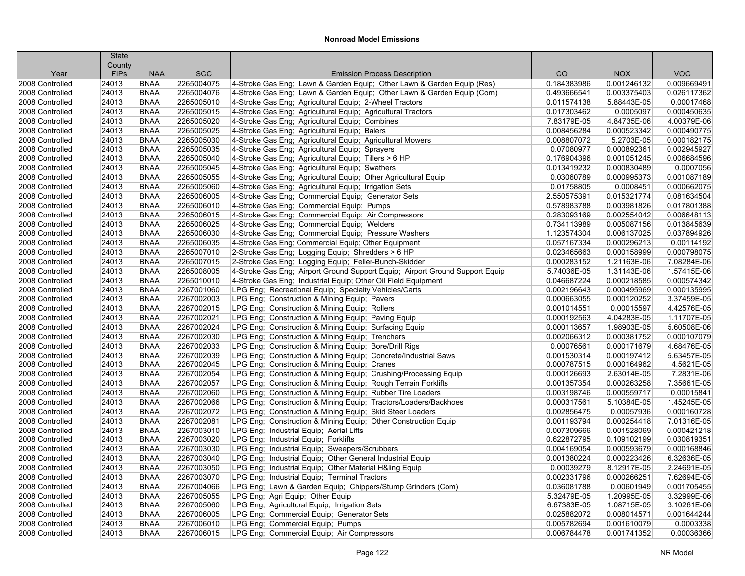|                                    | <b>State</b>          |                            |                          |                                                                                                                            |                            |                            |                            |
|------------------------------------|-----------------------|----------------------------|--------------------------|----------------------------------------------------------------------------------------------------------------------------|----------------------------|----------------------------|----------------------------|
|                                    | County<br><b>FIPs</b> | <b>NAA</b>                 | <b>SCC</b>               | <b>Emission Process Description</b>                                                                                        | CO                         | <b>NOX</b>                 | <b>VOC</b>                 |
| Year<br>2008 Controlled            | 24013                 | <b>BNAA</b>                | 2265004075               |                                                                                                                            | 0.184383986                | 0.001246132                | 0.009669491                |
| 2008 Controlled                    |                       | <b>BNAA</b>                | 2265004076               | 4-Stroke Gas Eng; Lawn & Garden Equip; Other Lawn & Garden Equip (Res)                                                     | 0.493666541                | 0.003375403                | 0.026117362                |
| 2008 Controlled                    | 24013<br>24013        | <b>BNAA</b>                | 2265005010               | 4-Stroke Gas Eng; Lawn & Garden Equip; Other Lawn & Garden Equip (Com)                                                     | 0.011574138                | 5.88443E-05                | 0.00017468                 |
| 2008 Controlled                    | 24013                 | <b>BNAA</b>                | 2265005015               | 4-Stroke Gas Eng; Agricultural Equip; 2-Wheel Tractors                                                                     | 0.017303462                | 0.0005097                  | 0.000450635                |
| 2008 Controlled                    | 24013                 | <b>BNAA</b>                | 2265005020               | 4-Stroke Gas Eng; Agricultural Equip; Agricultural Tractors<br>4-Stroke Gas Eng; Agricultural Equip; Combines              | 7.83179E-05                | 4.84735E-06                | 4.00379E-06                |
| 2008 Controlled                    | 24013                 | <b>BNAA</b>                | 2265005025               | 4-Stroke Gas Eng; Agricultural Equip; Balers                                                                               | 0.008456284                | 0.000523342                | 0.000490775                |
| 2008 Controlled                    | 24013                 | <b>BNAA</b>                | 2265005030               | 4-Stroke Gas Eng; Agricultural Equip; Agricultural Mowers                                                                  | 0.008807072                | 5.2703E-05                 | 0.000182175                |
| 2008 Controlled                    | 24013                 | <b>BNAA</b>                | 2265005035               | 4-Stroke Gas Eng; Agricultural Equip; Sprayers                                                                             | 0.07080977                 | 0.000892361                | 0.002945927                |
| 2008 Controlled                    |                       | <b>BNAA</b>                | 2265005040               |                                                                                                                            | 0.176904396                | 0.001051245                | 0.006684596                |
| 2008 Controlled                    | 24013<br>24013        | <b>BNAA</b>                | 2265005045               | 4-Stroke Gas Eng; Agricultural Equip; Tillers > 6 HP<br>4-Stroke Gas Eng; Agricultural Equip; Swathers                     | 0.013419232                | 0.000830489                | 0.0007056                  |
| 2008 Controlled                    | 24013                 | <b>BNAA</b>                | 2265005055               |                                                                                                                            | 0.03060789                 | 0.000995373                | 0.001087189                |
|                                    |                       | <b>BNAA</b>                |                          | 4-Stroke Gas Eng; Agricultural Equip; Other Agricultural Equip                                                             |                            |                            |                            |
| 2008 Controlled<br>2008 Controlled | 24013                 |                            | 2265005060<br>2265006005 | 4-Stroke Gas Eng; Agricultural Equip; Irrigation Sets                                                                      | 0.01758805<br>2.550575391  | 0.0008451                  | 0.000662075<br>0.081634504 |
| 2008 Controlled                    | 24013<br>24013        | <b>BNAA</b><br><b>BNAA</b> | 2265006010               | 4-Stroke Gas Eng; Commercial Equip; Generator Sets<br>4-Stroke Gas Eng; Commercial Equip; Pumps                            | 0.578983788                | 0.015321774<br>0.003981826 | 0.017801388                |
| 2008 Controlled                    | 24013                 | <b>BNAA</b>                | 2265006015               |                                                                                                                            | 0.283093169                | 0.002554042                | 0.006648113                |
|                                    |                       |                            |                          | 4-Stroke Gas Eng; Commercial Equip; Air Compressors                                                                        |                            |                            |                            |
| 2008 Controlled                    | 24013                 | <b>BNAA</b>                | 2265006025<br>2265006030 | 4-Stroke Gas Eng; Commercial Equip; Welders                                                                                | 0.734113989                | 0.005087156                | 0.013845639<br>0.037894926 |
| 2008 Controlled                    | 24013                 | <b>BNAA</b>                |                          | 4-Stroke Gas Eng; Commercial Equip; Pressure Washers                                                                       | 1.123574304                | 0.006137025                | 0.00114192                 |
| 2008 Controlled                    | 24013                 | <b>BNAA</b><br><b>BNAA</b> | 2265006035               | 4-Stroke Gas Eng; Commercial Equip; Other Equipment                                                                        | 0.057167334                | 0.000296213                |                            |
| 2008 Controlled                    | 24013                 |                            | 2265007010               | 2-Stroke Gas Eng; Logging Equip; Shredders > 6 HP                                                                          | 0.023465663                | 0.000158999                | 0.000798075                |
| 2008 Controlled                    | 24013<br>24013        | <b>BNAA</b><br><b>BNAA</b> | 2265007015<br>2265008005 | 2-Stroke Gas Eng; Logging Equip; Feller-Bunch-Skidder                                                                      | 0.000283152<br>5.74036E-05 | 1.21163E-06<br>1.31143E-06 | 7.08284E-06<br>1.57415E-06 |
| 2008 Controlled                    |                       |                            |                          | 4-Stroke Gas Eng; Airport Ground Support Equip; Airport Ground Support Equip                                               |                            |                            |                            |
| 2008 Controlled                    | 24013                 | <b>BNAA</b>                | 2265010010               | 4-Stroke Gas Eng; Industrial Equip; Other Oil Field Equipment                                                              | 0.046687224                | 0.000218585                | 0.000574342                |
| 2008 Controlled                    | 24013                 | <b>BNAA</b>                | 2267001060               | LPG Eng; Recreational Equip; Specialty Vehicles/Carts                                                                      | 0.002196643                | 0.000495969                | 0.000135995                |
| 2008 Controlled                    | 24013                 | <b>BNAA</b>                | 2267002003               | LPG Eng; Construction & Mining Equip; Pavers                                                                               | 0.000663055                | 0.000120252                | 3.37459E-05                |
| 2008 Controlled                    | 24013                 | <b>BNAA</b>                | 2267002015               | LPG Eng; Construction & Mining Equip; Rollers                                                                              | 0.001014551                | 0.00015597                 | 4.42576E-05                |
| 2008 Controlled                    | 24013                 | <b>BNAA</b>                | 2267002021               | LPG Eng; Construction & Mining Equip; Paving Equip                                                                         | 0.000192563                | 4.04283E-05                | 1.11707E-05                |
| 2008 Controlled                    | 24013                 | <b>BNAA</b>                | 2267002024               | LPG Eng; Construction & Mining Equip; Surfacing Equip                                                                      | 0.000113657                | 1.98903E-05                | 5.60508E-06                |
| 2008 Controlled                    | 24013                 | <b>BNAA</b>                | 2267002030               | LPG Eng; Construction & Mining Equip; Trenchers                                                                            | 0.002066312                | 0.000381752                | 0.000107079                |
| 2008 Controlled                    | 24013                 | <b>BNAA</b>                | 2267002033               | LPG Eng; Construction & Mining Equip; Bore/Drill Rigs                                                                      | 0.00076561                 | 0.000171679                | 4.68476E-05                |
| 2008 Controlled                    | 24013                 | <b>BNAA</b>                | 2267002039               | LPG Eng; Construction & Mining Equip; Concrete/Industrial Saws                                                             | 0.001530314                | 0.000197412                | 5.63457E-05                |
| 2008 Controlled                    | 24013                 | <b>BNAA</b>                | 2267002045               | LPG Eng; Construction & Mining Equip; Cranes                                                                               | 0.000787515                | 0.000164962                | 4.5621E-05<br>7.2831E-06   |
| 2008 Controlled                    | 24013                 | <b>BNAA</b>                | 2267002054               | LPG Eng; Construction & Mining Equip; Crushing/Processing Equip                                                            | 0.000126693                | 2.63014E-05                |                            |
| 2008 Controlled                    | 24013                 | <b>BNAA</b>                | 2267002057               | LPG Eng; Construction & Mining Equip; Rough Terrain Forklifts<br>LPG Eng; Construction & Mining Equip; Rubber Tire Loaders | 0.001357354                | 0.000263258                | 7.35661E-05                |
| 2008 Controlled<br>2008 Controlled | 24013<br>24013        | <b>BNAA</b><br><b>BNAA</b> | 2267002060<br>2267002066 | LPG Eng; Construction & Mining Equip; Tractors/Loaders/Backhoes                                                            | 0.003198746<br>0.000317561 | 0.000559717<br>5.10384E-05 | 0.00015841<br>1.45245E-05  |
| 2008 Controlled                    | 24013                 | <b>BNAA</b>                | 2267002072               |                                                                                                                            | 0.002856475                | 0.00057936                 | 0.000160728                |
|                                    |                       | <b>BNAA</b>                | 2267002081               | LPG Eng; Construction & Mining Equip; Skid Steer Loaders                                                                   |                            | 0.000254418                | 7.01316E-05                |
| 2008 Controlled                    | 24013                 |                            | 2267003010               | LPG Eng; Construction & Mining Equip; Other Construction Equip                                                             | 0.001193794                | 0.001528069                | 0.000421218                |
| 2008 Controlled<br>2008 Controlled | 24013                 | <b>BNAA</b><br><b>BNAA</b> |                          | LPG Eng; Industrial Equip; Aerial Lifts                                                                                    | 0.007309666<br>0.622872795 |                            | 0.030819351                |
|                                    | 24013                 |                            | 2267003020               | LPG Eng; Industrial Equip; Forklifts                                                                                       |                            | 0.109102199                |                            |
| 2008 Controlled                    | 24013                 | <b>BNAA</b>                | 2267003030               | LPG Eng; Industrial Equip; Sweepers/Scrubbers                                                                              | 0.004169054                | 0.000593679                | 0.000168846                |
| 2008 Controlled                    | 24013                 | <b>BNAA</b>                | 2267003040               | LPG Eng; Industrial Equip; Other General Industrial Equip                                                                  | 0.001380224                | 0.000223426                | 6.32636E-05                |
| 2008 Controlled                    | 24013                 | <b>BNAA</b>                | 2267003050               | LPG Eng; Industrial Equip; Other Material H&ling Equip                                                                     | 0.00039279                 | 8.12917E-05                | 2.24691E-05                |
| 2008 Controlled                    | 24013                 | <b>BNAA</b>                | 2267003070               | LPG Eng; Industrial Equip; Terminal Tractors                                                                               | 0.002331796                | 0.000266251                | 7.62694E-05                |
| 2008 Controlled                    | 24013                 | <b>BNAA</b>                | 2267004066               | LPG Eng; Lawn & Garden Equip; Chippers/Stump Grinders (Com)                                                                | 0.036081788                | 0.00601949                 | 0.001705455                |
| 2008 Controlled                    | 24013                 | <b>BNAA</b>                | 2267005055               | LPG Eng; Agri Equip; Other Equip                                                                                           | 5.32479E-05                | 1.20995E-05                | 3.32999E-06                |
| 2008 Controlled                    | 24013                 | <b>BNAA</b>                | 2267005060               | LPG Eng; Agricultural Equip; Irrigation Sets                                                                               | 6.67383E-05                | 1.08715E-05                | 3.10261E-06                |
| 2008 Controlled                    | 24013                 | <b>BNAA</b>                | 2267006005               | LPG Eng; Commercial Equip; Generator Sets                                                                                  | 0.025882072                | 0.008014571                | 0.001644244                |
| 2008 Controlled                    | 24013                 | <b>BNAA</b>                | 2267006010               | LPG Eng; Commercial Equip; Pumps                                                                                           | 0.005782694                | 0.001610079                | 0.0003338                  |
| 2008 Controlled                    | 24013                 | <b>BNAA</b>                | 2267006015               | LPG Eng; Commercial Equip; Air Compressors                                                                                 | 0.006784478                | 0.001741352                | 0.00036366                 |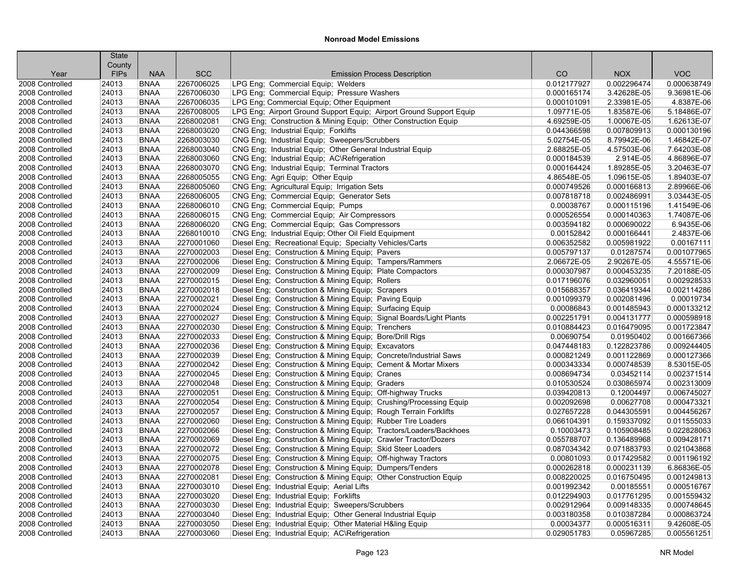|                 | <b>State</b> |             |            |                                                                     |             |             |             |
|-----------------|--------------|-------------|------------|---------------------------------------------------------------------|-------------|-------------|-------------|
|                 | County       |             |            |                                                                     |             |             |             |
| Year            | <b>FIPs</b>  | <b>NAA</b>  | <b>SCC</b> | <b>Emission Process Description</b>                                 | CO          | <b>NOX</b>  | <b>VOC</b>  |
| 2008 Controlled | 24013        | <b>BNAA</b> | 2267006025 | LPG Eng; Commercial Equip; Welders                                  | 0.012177927 | 0.002296474 | 0.000638749 |
| 2008 Controlled | 24013        | <b>BNAA</b> | 2267006030 | LPG Eng; Commercial Equip; Pressure Washers                         | 0.000165174 | 3.42628E-05 | 9.36981E-06 |
| 2008 Controlled | 24013        | <b>BNAA</b> | 2267006035 | LPG Eng; Commercial Equip; Other Equipment                          | 0.000101091 | 2.33981E-05 | 4.8387E-06  |
| 2008 Controlled | 24013        | <b>BNAA</b> | 2267008005 | LPG Eng; Airport Ground Support Equip; Airport Ground Support Equip | 1.09771E-05 | 1.83587E-06 | 5.18486E-07 |
| 2008 Controlled | 24013        | <b>BNAA</b> | 2268002081 | CNG Eng; Construction & Mining Equip; Other Construction Equip      | 4.69259E-05 | 1.00067E-05 | 1.62613E-07 |
| 2008 Controlled | 24013        | <b>BNAA</b> | 2268003020 | CNG Eng; Industrial Equip; Forklifts                                | 0.044366598 | 0.007809913 | 0.000130196 |
| 2008 Controlled | 24013        | <b>BNAA</b> | 2268003030 | CNG Eng; Industrial Equip; Sweepers/Scrubbers                       | 5.02754E-05 | 8.79942E-06 | 1.46842E-07 |
| 2008 Controlled | 24013        | <b>BNAA</b> | 2268003040 | CNG Eng; Industrial Equip; Other General Industrial Equip           | 2.68825E-05 | 4.57503E-06 | 7.64203E-08 |
| 2008 Controlled | 24013        | <b>BNAA</b> | 2268003060 | CNG Eng; Industrial Equip; AC\Refrigeration                         | 0.000184539 | 2.914E-05   | 4.86896E-07 |
| 2008 Controlled | 24013        | <b>BNAA</b> | 2268003070 | CNG Eng; Industrial Equip; Terminal Tractors                        | 0.000164424 | 1.89285E-05 | 3.20463E-07 |
| 2008 Controlled | 24013        | <b>BNAA</b> | 2268005055 | CNG Eng; Agri Equip; Other Equip                                    | 4.86548E-05 | 1.09615E-05 | 1.89403E-07 |
| 2008 Controlled | 24013        | <b>BNAA</b> | 2268005060 | CNG Eng; Agricultural Equip; Irrigation Sets                        | 0.000749526 | 0.000166813 | 2.89966E-06 |
| 2008 Controlled | 24013        | <b>BNAA</b> | 2268006005 | CNG Eng; Commercial Equip; Generator Sets                           | 0.007818718 | 0.002486991 | 3.03443E-05 |
| 2008 Controlled | 24013        | <b>BNAA</b> | 2268006010 | CNG Eng; Commercial Equip; Pumps                                    | 0.00038767  | 0.000115196 | 1.41549E-06 |
| 2008 Controlled | 24013        | <b>BNAA</b> | 2268006015 | CNG Eng; Commercial Equip; Air Compressors                          | 0.000526554 | 0.000140363 | 1.74087E-06 |
| 2008 Controlled | 24013        | <b>BNAA</b> | 2268006020 | CNG Eng; Commercial Equip; Gas Compressors                          | 0.003594182 | 0.000690022 | 6.9435E-06  |
| 2008 Controlled | 24013        | <b>BNAA</b> | 2268010010 | CNG Eng; Industrial Equip; Other Oil Field Equipment                | 0.00152842  | 0.000166441 | 2.4837E-06  |
| 2008 Controlled | 24013        | <b>BNAA</b> | 2270001060 | Diesel Eng; Recreational Equip; Specialty Vehicles/Carts            | 0.006352582 | 0.005981922 | 0.00167111  |
| 2008 Controlled | 24013        | <b>BNAA</b> | 2270002003 | Diesel Eng; Construction & Mining Equip; Pavers                     | 0.005797137 | 0.01287574  | 0.001077965 |
| 2008 Controlled | 24013        | <b>BNAA</b> | 2270002006 | Diesel Eng; Construction & Mining Equip; Tampers/Rammers            | 2.06672E-05 | 2.90267E-05 | 4.55571E-06 |
| 2008 Controlled | 24013        | <b>BNAA</b> | 2270002009 | Diesel Eng; Construction & Mining Equip; Plate Compactors           | 0.000307987 | 0.000453235 | 7.20188E-05 |
| 2008 Controlled | 24013        | <b>BNAA</b> | 2270002015 | Diesel Eng; Construction & Mining Equip; Rollers                    | 0.017196076 | 0.032960051 | 0.002928533 |
| 2008 Controlled | 24013        | <b>BNAA</b> | 2270002018 | Diesel Eng; Construction & Mining Equip; Scrapers                   | 0.015688357 | 0.036419344 | 0.002114286 |
| 2008 Controlled | 24013        | <b>BNAA</b> | 2270002021 | Diesel Eng; Construction & Mining Equip; Paving Equip               | 0.001099379 | 0.002081496 | 0.00019734  |
| 2008 Controlled | 24013        | <b>BNAA</b> | 2270002024 | Diesel Eng; Construction & Mining Equip; Surfacing Equip            | 0.00086843  | 0.001485943 | 0.000133212 |
| 2008 Controlled | 24013        | <b>BNAA</b> | 2270002027 | Diesel Eng; Construction & Mining Equip; Signal Boards/Light Plants | 0.002251791 | 0.004131777 | 0.000598918 |
| 2008 Controlled | 24013        | <b>BNAA</b> | 2270002030 | Diesel Eng; Construction & Mining Equip; Trenchers                  | 0.010884423 | 0.016479095 | 0.001723847 |
| 2008 Controlled | 24013        | <b>BNAA</b> | 2270002033 | Diesel Eng; Construction & Mining Equip; Bore/Drill Rigs            | 0.00690754  | 0.01950402  | 0.001667366 |
| 2008 Controlled | 24013        | <b>BNAA</b> | 2270002036 | Diesel Eng; Construction & Mining Equip; Excavators                 | 0.047448183 | 0.122823786 | 0.009244405 |
| 2008 Controlled | 24013        | <b>BNAA</b> | 2270002039 | Diesel Eng; Construction & Mining Equip; Concrete/Industrial Saws   | 0.000821249 | 0.001122869 | 0.000127366 |
| 2008 Controlled | 24013        | <b>BNAA</b> | 2270002042 | Diesel Eng; Construction & Mining Equip; Cement & Mortar Mixers     | 0.000343334 | 0.000748539 | 8.53015E-05 |
| 2008 Controlled | 24013        | <b>BNAA</b> | 2270002045 | Diesel Eng; Construction & Mining Equip; Cranes                     | 0.008694734 | 0.03452114  | 0.002371514 |
| 2008 Controlled | 24013        | <b>BNAA</b> | 2270002048 | Diesel Eng; Construction & Mining Equip; Graders                    | 0.010530524 | 0.030865974 | 0.002313009 |
| 2008 Controlled | 24013        | <b>BNAA</b> | 2270002051 | Diesel Eng; Construction & Mining Equip; Off-highway Trucks         | 0.039420813 | 0.12004497  | 0.006745027 |
| 2008 Controlled | 24013        | <b>BNAA</b> | 2270002054 | Diesel Eng; Construction & Mining Equip; Crushing/Processing Equip  | 0.002092698 | 0.00627708  | 0.000473321 |
| 2008 Controlled | 24013        | <b>BNAA</b> | 2270002057 | Diesel Eng; Construction & Mining Equip; Rough Terrain Forklifts    | 0.027657228 | 0.044305591 | 0.004456267 |
| 2008 Controlled | 24013        | <b>BNAA</b> | 2270002060 | Diesel Eng; Construction & Mining Equip; Rubber Tire Loaders        | 0.066104391 | 0.159337092 | 0.011555033 |
| 2008 Controlled | 24013        | <b>BNAA</b> | 2270002066 | Diesel Eng; Construction & Mining Equip; Tractors/Loaders/Backhoes  | 0.10003473  | 0.105908485 | 0.022828063 |
| 2008 Controlled | 24013        | <b>BNAA</b> | 2270002069 | Diesel Eng; Construction & Mining Equip; Crawler Tractor/Dozers     | 0.055788707 | 0.136489968 | 0.009428171 |
| 2008 Controlled | 24013        | <b>BNAA</b> | 2270002072 | Diesel Eng; Construction & Mining Equip; Skid Steer Loaders         | 0.087034342 | 0.071883793 | 0.021043868 |
| 2008 Controlled | 24013        | <b>BNAA</b> | 2270002075 | Diesel Eng; Construction & Mining Equip; Off-highway Tractors       | 0.00801093  | 0.017429582 | 0.001196192 |
| 2008 Controlled | 24013        | <b>BNAA</b> | 2270002078 | Diesel Eng; Construction & Mining Equip; Dumpers/Tenders            | 0.000262818 | 0.000231139 | 6.86836E-05 |
| 2008 Controlled | 24013        | <b>BNAA</b> | 2270002081 | Diesel Eng; Construction & Mining Equip; Other Construction Equip   | 0.008220025 | 0.016750495 | 0.001249813 |
| 2008 Controlled | 24013        | <b>BNAA</b> | 2270003010 | Diesel Eng; Industrial Equip; Aerial Lifts                          | 0.001992342 | 0.00185551  | 0.000516767 |
| 2008 Controlled | 24013        | <b>BNAA</b> | 2270003020 | Diesel Eng; Industrial Equip; Forklifts                             | 0.012294903 | 0.017761295 | 0.001559432 |
| 2008 Controlled | 24013        | <b>BNAA</b> | 2270003030 | Diesel Eng; Industrial Equip; Sweepers/Scrubbers                    | 0.002912964 | 0.009148335 | 0.000748645 |
|                 | 24013        | <b>BNAA</b> | 2270003040 |                                                                     | 0.003180358 | 0.010387284 | 0.000863724 |
| 2008 Controlled |              |             |            | Diesel Eng; Industrial Equip; Other General Industrial Equip        |             |             |             |
| 2008 Controlled | 24013        | <b>BNAA</b> | 2270003050 | Diesel Eng; Industrial Equip; Other Material H&ling Equip           | 0.00034377  | 0.000516311 | 9.42608E-05 |
| 2008 Controlled | 24013        | <b>BNAA</b> | 2270003060 | Diesel Eng; Industrial Equip; AC\Refrigeration                      | 0.029051783 | 0.05967285  | 0.005561251 |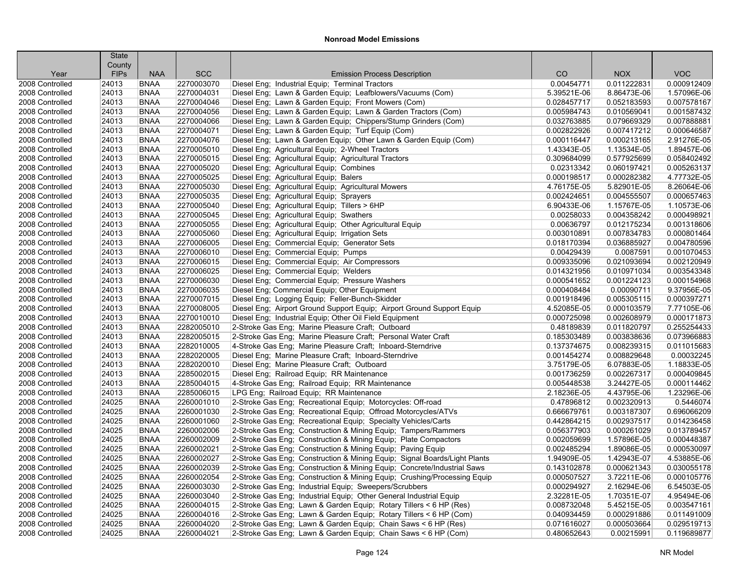|                                    | <b>State</b>   |                            |                          |                                                                                                               |                            |                            |                            |
|------------------------------------|----------------|----------------------------|--------------------------|---------------------------------------------------------------------------------------------------------------|----------------------------|----------------------------|----------------------------|
|                                    | County         |                            | <b>SCC</b>               |                                                                                                               |                            |                            | <b>VOC</b>                 |
| Year                               | <b>FIPs</b>    | <b>NAA</b>                 |                          | <b>Emission Process Description</b>                                                                           | CO                         | <b>NOX</b>                 |                            |
| 2008 Controlled                    | 24013          | <b>BNAA</b>                | 2270003070               | Diesel Eng; Industrial Equip; Terminal Tractors<br>Diesel Eng; Lawn & Garden Equip; Leafblowers/Vacuums (Com) | 0.00454771                 | 0.011222831                | 0.000912409                |
| 2008 Controlled                    | 24013          | <b>BNAA</b>                | 2270004031               |                                                                                                               | 5.39521E-06                | 8.86473E-06                | 1.57096E-06                |
| 2008 Controlled                    | 24013          | <b>BNAA</b>                | 2270004046               | Diesel Eng; Lawn & Garden Equip; Front Mowers (Com)                                                           | 0.028457717                | 0.052183593                | 0.007578167                |
| 2008 Controlled                    | 24013<br>24013 | <b>BNAA</b>                | 2270004056<br>2270004066 | Diesel Eng; Lawn & Garden Equip; Lawn & Garden Tractors (Com)                                                 | 0.005984743<br>0.032763885 | 0.010569041<br>0.079669329 | 0.001587432<br>0.007888881 |
| 2008 Controlled                    | 24013          | <b>BNAA</b><br><b>BNAA</b> | 2270004071               | Diesel Eng; Lawn & Garden Equip; Chippers/Stump Grinders (Com)                                                |                            | 0.007417212                | 0.000646587                |
| 2008 Controlled<br>2008 Controlled | 24013          | <b>BNAA</b>                | 2270004076               | Diesel Eng; Lawn & Garden Equip; Turf Equip (Com)                                                             | 0.002822926<br>0.000116447 | 0.000213165                | 2.91276E-05                |
| 2008 Controlled                    |                | <b>BNAA</b>                |                          | Diesel Eng; Lawn & Garden Equip; Other Lawn & Garden Equip (Com)                                              |                            |                            | 1.89457E-06                |
|                                    | 24013          |                            | 2270005010               | Diesel Eng; Agricultural Equip; 2-Wheel Tractors                                                              | 1.43343E-05                | 1.13534E-05                |                            |
| 2008 Controlled                    | 24013          | <b>BNAA</b><br><b>BNAA</b> | 2270005015               | Diesel Eng; Agricultural Equip; Agricultural Tractors                                                         | 0.309684099                | 0.577925699                | 0.058402492                |
| 2008 Controlled<br>2008 Controlled | 24013          | <b>BNAA</b>                | 2270005020<br>2270005025 | Diesel Eng; Agricultural Equip; Combines                                                                      | 0.02313342<br>0.000198517  | 0.060197421<br>0.000282382 | 0.005263137<br>4.77732E-05 |
|                                    | 24013<br>24013 |                            | 2270005030               | Diesel Eng; Agricultural Equip; Balers                                                                        | 4.76175E-05                | 5.82901E-05                | 8.26064E-06                |
| 2008 Controlled                    | 24013          | <b>BNAA</b><br><b>BNAA</b> | 2270005035               | Diesel Eng; Agricultural Equip; Agricultural Mowers                                                           |                            | 0.004555507                | 0.000657463                |
| 2008 Controlled<br>2008 Controlled |                | <b>BNAA</b>                |                          | Diesel Eng; Agricultural Equip; Sprayers                                                                      | 0.002424651<br>6.90433E-06 |                            | 1.10573E-06                |
|                                    | 24013          |                            | 2270005040               | Diesel Eng; Agricultural Equip; Tillers > 6HP                                                                 |                            | 1.15767E-05<br>0.004358242 |                            |
| 2008 Controlled                    | 24013          | <b>BNAA</b>                | 2270005045               | Diesel Eng; Agricultural Equip; Swathers                                                                      | 0.00258033                 |                            | 0.000498921                |
| 2008 Controlled                    | 24013          | <b>BNAA</b>                | 2270005055               | Diesel Eng; Agricultural Equip; Other Agricultural Equip                                                      | 0.00636797                 | 0.012175234                | 0.001318606<br>0.000801464 |
| 2008 Controlled                    | 24013          | <b>BNAA</b>                | 2270005060               | Diesel Eng; Agricultural Equip; Irrigation Sets                                                               | 0.003010891                | 0.007834783                |                            |
| 2008 Controlled                    | 24013<br>24013 | <b>BNAA</b>                | 2270006005<br>2270006010 | Diesel Eng; Commercial Equip; Generator Sets                                                                  | 0.018170394<br>0.00429439  | 0.036885927<br>0.0087591   | 0.004780596<br>0.001070453 |
| 2008 Controlled                    |                | <b>BNAA</b>                |                          | Diesel Eng; Commercial Equip; Pumps                                                                           |                            |                            |                            |
| 2008 Controlled                    | 24013          | <b>BNAA</b>                | 2270006015               | Diesel Eng; Commercial Equip; Air Compressors                                                                 | 0.009335096                | 0.021093694                | 0.002120949                |
| 2008 Controlled                    | 24013          | <b>BNAA</b>                | 2270006025               | Diesel Eng; Commercial Equip; Welders                                                                         | 0.014321956                | 0.010971034                | 0.003543348                |
| 2008 Controlled                    | 24013          | <b>BNAA</b>                | 2270006030               | Diesel Eng; Commercial Equip; Pressure Washers                                                                | 0.000541652                | 0.001224123                | 0.000154968                |
| 2008 Controlled                    | 24013          | <b>BNAA</b>                | 2270006035               | Diesel Eng; Commercial Equip; Other Equipment                                                                 | 0.000408484                | 0.00090711                 | 9.37956E-05                |
| 2008 Controlled                    | 24013          | <b>BNAA</b>                | 2270007015               | Diesel Eng; Logging Equip; Feller-Bunch-Skidder                                                               | 0.001918496                | 0.005305115                | 0.000397271                |
| 2008 Controlled                    | 24013          | <b>BNAA</b>                | 2270008005               | Diesel Eng; Airport Ground Support Equip; Airport Ground Support Equip                                        | 4.52085E-05                | 0.000103579                | 7.77105E-06                |
| 2008 Controlled                    | 24013          | <b>BNAA</b>                | 2270010010               | Diesel Eng; Industrial Equip; Other Oil Field Equipment                                                       | 0.000725098                | 0.002608979                | 0.000171873                |
| 2008 Controlled                    | 24013          | <b>BNAA</b>                | 2282005010               | 2-Stroke Gas Eng; Marine Pleasure Craft; Outboard                                                             | 0.48189839                 | 0.011820797                | 0.255254433<br>0.073966883 |
| 2008 Controlled                    | 24013          | <b>BNAA</b>                | 2282005015               | 2-Stroke Gas Eng; Marine Pleasure Craft; Personal Water Craft                                                 | 0.185303489                | 0.003838636                |                            |
| 2008 Controlled                    | 24013          | <b>BNAA</b>                | 2282010005               | 4-Stroke Gas Eng; Marine Pleasure Craft; Inboard-Sterndrive                                                   | 0.137374675                | 0.008239315                | 0.011015683                |
| 2008 Controlled                    | 24013          | <b>BNAA</b>                | 2282020005               | Diesel Eng; Marine Pleasure Craft; Inboard-Sterndrive                                                         | 0.001454274                | 0.008829648                | 0.00032245                 |
| 2008 Controlled                    | 24013          | <b>BNAA</b><br><b>BNAA</b> | 2282020010               | Diesel Eng; Marine Pleasure Craft; Outboard                                                                   | 3.75179E-05                | 6.07883E-05                | 1.18833E-05<br>0.000409845 |
| 2008 Controlled                    | 24013          |                            | 2285002015               | Diesel Eng; Railroad Equip; RR Maintenance                                                                    | 0.001736259                | 0.002267317                |                            |
| 2008 Controlled                    | 24013          | <b>BNAA</b>                | 2285004015               | 4-Stroke Gas Eng; Railroad Equip; RR Maintenance                                                              | 0.005448538                | 3.24427E-05                | 0.000114462                |
| 2008 Controlled                    | 24013          | <b>BNAA</b><br><b>BNAA</b> | 2285006015               | LPG Eng; Railroad Equip; RR Maintenance                                                                       | 2.18236E-05                | 4.43795E-06                | 1.23296E-06<br>0.5446074   |
| 2008 Controlled                    | 24025          |                            | 2260001010               | 2-Stroke Gas Eng; Recreational Equip; Motorcycles: Off-road                                                   | 0.47896812                 | 0.002320913                | 0.696066209                |
| 2008 Controlled                    | 24025          | <b>BNAA</b><br><b>BNAA</b> | 2260001030               | 2-Stroke Gas Eng; Recreational Equip; Offroad Motorcycles/ATVs                                                | 0.666679761                | 0.003187307                |                            |
| 2008 Controlled                    | 24025          |                            | 2260001060               | 2-Stroke Gas Eng; Recreational Equip; Specialty Vehicles/Carts                                                | 0.442864215                | 0.002937517                | 0.014236458                |
| 2008 Controlled                    | 24025          | <b>BNAA</b>                | 2260002006               | 2-Stroke Gas Eng; Construction & Mining Equip; Tampers/Rammers                                                | 0.056377903                | 0.000261029                | 0.013789457                |
| 2008 Controlled                    | 24025          | <b>BNAA</b>                | 2260002009               | 2-Stroke Gas Eng; Construction & Mining Equip; Plate Compactors                                               | 0.002059699                | 1.57896E-05                | 0.000448387                |
| 2008 Controlled                    | 24025          | <b>BNAA</b>                | 2260002021               | 2-Stroke Gas Eng; Construction & Mining Equip; Paving Equip                                                   | 0.002485294                | 1.89086E-05                | 0.000530097                |
| 2008 Controlled                    | 24025          | <b>BNAA</b>                | 2260002027               | 2-Stroke Gas Eng; Construction & Mining Equip; Signal Boards/Light Plants                                     | 1.94909E-05                | 1.42943E-07                | 4.53885E-06                |
| 2008 Controlled                    | 24025          | <b>BNAA</b>                | 2260002039<br>2260002054 | 2-Stroke Gas Eng; Construction & Mining Equip; Concrete/Industrial Saws                                       | 0.143102878                | 0.000621343                | 0.030055178                |
| 2008 Controlled                    | 24025          | <b>BNAA</b>                |                          | 2-Stroke Gas Eng; Construction & Mining Equip; Crushing/Processing Equip                                      | 0.000507527                | 3.72211E-06                | 0.000105776                |
| 2008 Controlled                    | 24025          | <b>BNAA</b>                | 2260003030               | 2-Stroke Gas Eng; Industrial Equip; Sweepers/Scrubbers                                                        | 0.000294927                | 2.16294E-06                | 6.54503E-05                |
| 2008 Controlled                    | 24025          | <b>BNAA</b>                | 2260003040               | 2-Stroke Gas Eng; Industrial Equip; Other General Industrial Equip                                            | 2.32281E-05                | 1.70351E-07                | 4.95494E-06                |
| 2008 Controlled                    | 24025          | <b>BNAA</b>                | 2260004015               | 2-Stroke Gas Eng; Lawn & Garden Equip; Rotary Tillers < 6 HP (Res)                                            | 0.008732048                | 5.45215E-05                | 0.003547161                |
| 2008 Controlled                    | 24025          | <b>BNAA</b>                | 2260004016               | 2-Stroke Gas Eng: Lawn & Garden Equip: Rotary Tillers < 6 HP (Com)                                            | 0.040934459                | 0.000291886                | 0.011491009                |
| 2008 Controlled                    | 24025          | <b>BNAA</b>                | 2260004020               | 2-Stroke Gas Eng; Lawn & Garden Equip; Chain Saws < 6 HP (Res)                                                | 0.071616027                | 0.000503664                | 0.029519713                |
| 2008 Controlled                    | 24025          | <b>BNAA</b>                | 2260004021               | 2-Stroke Gas Eng; Lawn & Garden Equip; Chain Saws < 6 HP (Com)                                                | 0.480652643                | 0.00215991                 | 0.119689877                |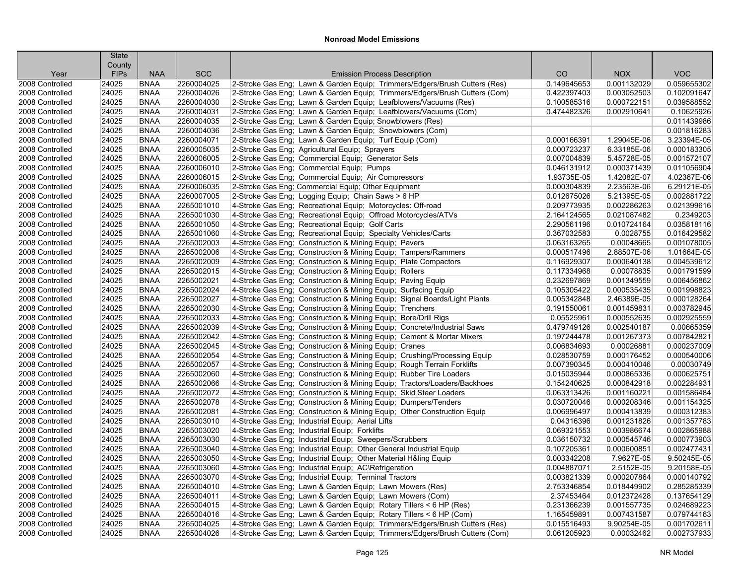| County<br><b>SCC</b><br>CO<br><b>NOX</b><br><b>VOC</b><br><b>FIPs</b><br><b>NAA</b><br><b>Emission Process Description</b><br>Year<br>2260004025<br><b>BNAA</b><br>2-Stroke Gas Eng; Lawn & Garden Equip; Trimmers/Edgers/Brush Cutters (Res)<br>0.149645653<br>0.001132029<br>0.059655302<br>24025<br><b>BNAA</b><br>2-Stroke Gas Eng; Lawn & Garden Equip; Trimmers/Edgers/Brush Cutters (Com)<br>0.102091647<br>24025<br>2260004026<br>0.422397403<br>0.003052503<br>24025<br><b>BNAA</b><br>2260004030<br>2-Stroke Gas Eng; Lawn & Garden Equip; Leafblowers/Vacuums (Res)<br>0.100585316<br>0.000722151<br>0.039588552<br>24025<br><b>BNAA</b><br>2260004031<br>2-Stroke Gas Eng; Lawn & Garden Equip; Leafblowers/Vacuums (Com)<br>0.474482326<br>0.002910641<br>0.10625926<br>24025<br><b>BNAA</b><br>2260004035<br>2-Stroke Gas Eng; Lawn & Garden Equip; Snowblowers (Res)<br>0.011439986<br>0.001816283<br>24025<br><b>BNAA</b><br>2260004036<br>2-Stroke Gas Eng; Lawn & Garden Equip; Snowblowers (Com)<br><b>BNAA</b><br>2260004071<br>3.23394E-05<br>24025<br>2-Stroke Gas Eng; Lawn & Garden Equip; Turf Equip (Com)<br>0.000166391<br>1.29045E-06<br>2260005035<br>0.000183305<br>24025<br><b>BNAA</b><br>2-Stroke Gas Eng; Agricultural Equip; Sprayers<br>0.000723237<br>6.33185E-06<br>24025<br><b>BNAA</b><br>2260006005<br>2-Stroke Gas Eng: Commercial Equip: Generator Sets<br>0.007004839<br>5.45728E-05<br>0.001572107<br>24025<br><b>BNAA</b><br>2260006010<br>2-Stroke Gas Eng; Commercial Equip; Pumps<br>0.000371439<br>0.011056904<br>0.046131912<br>2260006015<br>2-Stroke Gas Eng; Commercial Equip; Air Compressors<br>4.02367E-06<br>24025<br><b>BNAA</b><br>1.93735E-05<br>1.42082E-07<br><b>BNAA</b><br>2260006035<br>0.000304839<br>6.29121E-05<br>24025<br>2-Stroke Gas Eng; Commercial Equip; Other Equipment<br>2.23563E-06<br>24025<br><b>BNAA</b><br>2260007005<br>2-Stroke Gas Eng; Logging Equip; Chain Saws > 6 HP<br>0.002881722<br>0.012675026<br>5.21395E-05<br>2265001010<br>0.002286263<br>0.021399616<br>24025<br><b>BNAA</b><br>4-Stroke Gas Eng; Recreational Equip; Motorcycles: Off-road<br>0.209773935<br>0.2349203<br>24025<br><b>BNAA</b><br>2265001030<br>4-Stroke Gas Eng: Recreational Equip: Offroad Motorcycles/ATVs<br>2.164124565<br>0.021087482<br>0.035818116<br>24025<br><b>BNAA</b><br>2265001050<br>4-Stroke Gas Eng; Recreational Equip; Golf Carts<br>2.290561196<br>0.010724164<br>24025<br>2265001060<br>4-Stroke Gas Eng; Recreational Equip; Specialty Vehicles/Carts<br>0.016429582<br><b>BNAA</b><br>0.367032583<br>0.0028755<br>2265002003<br>24025<br><b>BNAA</b><br>4-Stroke Gas Eng; Construction & Mining Equip; Pavers<br>0.063163265<br>0.00048665<br>0.001078005<br>2265002006<br>1.01664E-05<br>24025<br><b>BNAA</b><br>4-Stroke Gas Eng; Construction & Mining Equip; Tampers/Rammers<br>0.000517496<br>2.88507E-06<br><b>BNAA</b><br>0.004539612<br>24025<br>2265002009<br>4-Stroke Gas Eng; Construction & Mining Equip; Plate Compactors<br>0.116929307<br>0.000640138<br>0.001791599<br>24025<br><b>BNAA</b><br>2265002015<br>4-Stroke Gas Eng; Construction & Mining Equip; Rollers<br>0.117334968<br>0.00078835<br>24025<br><b>BNAA</b><br>2265002021<br>4-Stroke Gas Eng; Construction & Mining Equip; Paving Equip<br>0.232697869<br>0.001349559<br>0.006456862<br>2265002024<br>24025<br><b>BNAA</b><br>4-Stroke Gas Eng; Construction & Mining Equip; Surfacing Equip<br>0.105305422<br>0.000535435<br>0.001998823<br>24025<br>2265002027<br>0.000128264<br><b>BNAA</b><br>4-Stroke Gas Eng; Construction & Mining Equip; Signal Boards/Light Plants<br>0.005342848<br>2.46389E-05<br>2265002030<br>24025<br><b>BNAA</b><br>4-Stroke Gas Eng; Construction & Mining Equip; Trenchers<br>0.191550061<br>0.001459831<br>0.003782945<br>2265002033<br>24025<br><b>BNAA</b><br>4-Stroke Gas Eng; Construction & Mining Equip; Bore/Drill Rigs<br>0.05525961<br>0.000552635<br>0.002925559<br>0.00665359<br>24025<br><b>BNAA</b><br>2265002039<br>4-Stroke Gas Eng; Construction & Mining Equip; Concrete/Industrial Saws<br>0.479749126<br>0.002540187<br>2265002042<br>24025<br><b>BNAA</b><br>4-Stroke Gas Eng; Construction & Mining Equip; Cement & Mortar Mixers<br>0.197244478<br>0.001267373<br>0.007842821<br>24025<br><b>BNAA</b><br>2265002045<br>4-Stroke Gas Eng; Construction & Mining Equip; Cranes<br>0.00026881<br>0.000237009<br>0.006834693<br>2265002054<br>0.000540006<br>24025<br><b>BNAA</b><br>4-Stroke Gas Eng; Construction & Mining Equip; Crushing/Processing Equip<br>0.028530759<br>0.000176452<br>24025<br><b>BNAA</b><br>2265002057<br>4-Stroke Gas Eng; Construction & Mining Equip; Rough Terrain Forklifts<br>0.007390345<br>0.000410046<br>0.00030749<br>24025<br>2265002060<br>0.000865336<br>0.000625751<br><b>BNAA</b><br>4-Stroke Gas Eng; Construction & Mining Equip; Rubber Tire Loaders<br>0.015035944<br>2265002066<br>0.002284931<br>24025<br><b>BNAA</b><br>4-Stroke Gas Eng; Construction & Mining Equip; Tractors/Loaders/Backhoes<br>0.154240625<br>0.000842918<br>24025<br><b>BNAA</b><br>2265002072<br>4-Stroke Gas Eng: Construction & Mining Equip: Skid Steer Loaders<br>0.063313426<br>0.001160221<br>0.001586484<br>24025<br><b>BNAA</b><br>2265002078<br>4-Stroke Gas Eng; Construction & Mining Equip; Dumpers/Tenders<br>0.000208346<br>0.001154325<br>0.030720046<br>24025<br><b>BNAA</b><br>2265002081<br>4-Stroke Gas Eng; Construction & Mining Equip; Other Construction Equip<br>0.000312383<br>0.006996497<br>0.000413839<br>24025<br><b>BNAA</b><br>2265003010<br>0.001231826<br>0.001357783<br>4-Stroke Gas Eng; Industrial Equip; Aerial Lifts<br>0.04316396<br>24025<br><b>BNAA</b><br>2265003020<br>0.002865988<br>4-Stroke Gas Eng; Industrial Equip; Forklifts<br>0.069321553<br>0.003986674<br>2265003030<br>24025<br><b>BNAA</b><br>4-Stroke Gas Eng; Industrial Equip; Sweepers/Scrubbers<br>0.036150732<br>0.000545746<br>0.000773903<br>4-Stroke Gas Eng; Industrial Equip; Other General Industrial Equip<br>24025<br><b>BNAA</b><br>2265003040<br>0.107205361<br>0.000600851<br>0.002477431<br>24025<br><b>BNAA</b><br>2265003050<br>4-Stroke Gas Eng; Industrial Equip; Other Material H&ling Equip<br>7.9627E-05<br>9.50245E-05<br>0.003342208<br>2265003060<br>2.5152E-05<br>9.20158E-05<br>24025<br><b>BNAA</b><br>4-Stroke Gas Eng; Industrial Equip; AC\Refrigeration<br>0.004887071<br>24025<br>2265003070<br>0.000207864<br>0.000140792<br><b>BNAA</b><br>4-Stroke Gas Eng; Industrial Equip; Terminal Tractors<br>0.003821339<br><b>BNAA</b><br>2265004010<br>4-Stroke Gas Eng; Lawn & Garden Equip; Lawn Mowers (Res)<br>0.285285339<br>24025<br>2.753346854<br>0.018449902 |                 | <b>State</b> |             |            |                                                          |            |             |             |
|---------------------------------------------------------------------------------------------------------------------------------------------------------------------------------------------------------------------------------------------------------------------------------------------------------------------------------------------------------------------------------------------------------------------------------------------------------------------------------------------------------------------------------------------------------------------------------------------------------------------------------------------------------------------------------------------------------------------------------------------------------------------------------------------------------------------------------------------------------------------------------------------------------------------------------------------------------------------------------------------------------------------------------------------------------------------------------------------------------------------------------------------------------------------------------------------------------------------------------------------------------------------------------------------------------------------------------------------------------------------------------------------------------------------------------------------------------------------------------------------------------------------------------------------------------------------------------------------------------------------------------------------------------------------------------------------------------------------------------------------------------------------------------------------------------------------------------------------------------------------------------------------------------------------------------------------------------------------------------------------------------------------------------------------------------------------------------------------------------------------------------------------------------------------------------------------------------------------------------------------------------------------------------------------------------------------------------------------------------------------------------------------------------------------------------------------------------------------------------------------------------------------------------------------------------------------------------------------------------------------------------------------------------------------------------------------------------------------------------------------------------------------------------------------------------------------------------------------------------------------------------------------------------------------------------------------------------------------------------------------------------------------------------------------------------------------------------------------------------------------------------------------------------------------------------------------------------------------------------------------------------------------------------------------------------------------------------------------------------------------------------------------------------------------------------------------------------------------------------------------------------------------------------------------------------------------------------------------------------------------------------------------------------------------------------------------------------------------------------------------------------------------------------------------------------------------------------------------------------------------------------------------------------------------------------------------------------------------------------------------------------------------------------------------------------------------------------------------------------------------------------------------------------------------------------------------------------------------------------------------------------------------------------------------------------------------------------------------------------------------------------------------------------------------------------------------------------------------------------------------------------------------------------------------------------------------------------------------------------------------------------------------------------------------------------------------------------------------------------------------------------------------------------------------------------------------------------------------------------------------------------------------------------------------------------------------------------------------------------------------------------------------------------------------------------------------------------------------------------------------------------------------------------------------------------------------------------------------------------------------------------------------------------------------------------------------------------------------------------------------------------------------------------------------------------------------------------------------------------------------------------------------------------------------------------------------------------------------------------------------------------------------------------------------------------------------------------------------------------------------------------------------------------------------------------------------------------------------------------------------------------------------------------------------------------------------------------------------------------------------------------------------------------------------------------------------------------------------------------------------------------------------------------------------------------------------------------------------------------------------------------------------------------------------------------------------------------------------------------------------------------------------------------------------------------------------------------------------------------------------------------------------------------------------------------------------------------------------------------------------------------------------------------------------------------------------------------------------------------------------------------------------|-----------------|--------------|-------------|------------|----------------------------------------------------------|------------|-------------|-------------|
|                                                                                                                                                                                                                                                                                                                                                                                                                                                                                                                                                                                                                                                                                                                                                                                                                                                                                                                                                                                                                                                                                                                                                                                                                                                                                                                                                                                                                                                                                                                                                                                                                                                                                                                                                                                                                                                                                                                                                                                                                                                                                                                                                                                                                                                                                                                                                                                                                                                                                                                                                                                                                                                                                                                                                                                                                                                                                                                                                                                                                                                                                                                                                                                                                                                                                                                                                                                                                                                                                                                                                                                                                                                                                                                                                                                                                                                                                                                                                                                                                                                                                                                                                                                                                                                                                                                                                                                                                                                                                                                                                                                                                                                                                                                                                                                                                                                                                                                                                                                                                                                                                                                                                                                                                                                                                                                                                                                                                                                                                                                                                                                                                                                                                                                                                                                                                                                                                                                                                                                                                                                                                                                                                                                                                                                                                                                                                                                                                                                                                                                                                                                                                                                                                                                                                                     |                 |              |             |            |                                                          |            |             |             |
|                                                                                                                                                                                                                                                                                                                                                                                                                                                                                                                                                                                                                                                                                                                                                                                                                                                                                                                                                                                                                                                                                                                                                                                                                                                                                                                                                                                                                                                                                                                                                                                                                                                                                                                                                                                                                                                                                                                                                                                                                                                                                                                                                                                                                                                                                                                                                                                                                                                                                                                                                                                                                                                                                                                                                                                                                                                                                                                                                                                                                                                                                                                                                                                                                                                                                                                                                                                                                                                                                                                                                                                                                                                                                                                                                                                                                                                                                                                                                                                                                                                                                                                                                                                                                                                                                                                                                                                                                                                                                                                                                                                                                                                                                                                                                                                                                                                                                                                                                                                                                                                                                                                                                                                                                                                                                                                                                                                                                                                                                                                                                                                                                                                                                                                                                                                                                                                                                                                                                                                                                                                                                                                                                                                                                                                                                                                                                                                                                                                                                                                                                                                                                                                                                                                                                                     |                 |              |             |            |                                                          |            |             |             |
|                                                                                                                                                                                                                                                                                                                                                                                                                                                                                                                                                                                                                                                                                                                                                                                                                                                                                                                                                                                                                                                                                                                                                                                                                                                                                                                                                                                                                                                                                                                                                                                                                                                                                                                                                                                                                                                                                                                                                                                                                                                                                                                                                                                                                                                                                                                                                                                                                                                                                                                                                                                                                                                                                                                                                                                                                                                                                                                                                                                                                                                                                                                                                                                                                                                                                                                                                                                                                                                                                                                                                                                                                                                                                                                                                                                                                                                                                                                                                                                                                                                                                                                                                                                                                                                                                                                                                                                                                                                                                                                                                                                                                                                                                                                                                                                                                                                                                                                                                                                                                                                                                                                                                                                                                                                                                                                                                                                                                                                                                                                                                                                                                                                                                                                                                                                                                                                                                                                                                                                                                                                                                                                                                                                                                                                                                                                                                                                                                                                                                                                                                                                                                                                                                                                                                                     | 2008 Controlled |              |             |            |                                                          |            |             |             |
|                                                                                                                                                                                                                                                                                                                                                                                                                                                                                                                                                                                                                                                                                                                                                                                                                                                                                                                                                                                                                                                                                                                                                                                                                                                                                                                                                                                                                                                                                                                                                                                                                                                                                                                                                                                                                                                                                                                                                                                                                                                                                                                                                                                                                                                                                                                                                                                                                                                                                                                                                                                                                                                                                                                                                                                                                                                                                                                                                                                                                                                                                                                                                                                                                                                                                                                                                                                                                                                                                                                                                                                                                                                                                                                                                                                                                                                                                                                                                                                                                                                                                                                                                                                                                                                                                                                                                                                                                                                                                                                                                                                                                                                                                                                                                                                                                                                                                                                                                                                                                                                                                                                                                                                                                                                                                                                                                                                                                                                                                                                                                                                                                                                                                                                                                                                                                                                                                                                                                                                                                                                                                                                                                                                                                                                                                                                                                                                                                                                                                                                                                                                                                                                                                                                                                                     | 2008 Controlled |              |             |            |                                                          |            |             |             |
|                                                                                                                                                                                                                                                                                                                                                                                                                                                                                                                                                                                                                                                                                                                                                                                                                                                                                                                                                                                                                                                                                                                                                                                                                                                                                                                                                                                                                                                                                                                                                                                                                                                                                                                                                                                                                                                                                                                                                                                                                                                                                                                                                                                                                                                                                                                                                                                                                                                                                                                                                                                                                                                                                                                                                                                                                                                                                                                                                                                                                                                                                                                                                                                                                                                                                                                                                                                                                                                                                                                                                                                                                                                                                                                                                                                                                                                                                                                                                                                                                                                                                                                                                                                                                                                                                                                                                                                                                                                                                                                                                                                                                                                                                                                                                                                                                                                                                                                                                                                                                                                                                                                                                                                                                                                                                                                                                                                                                                                                                                                                                                                                                                                                                                                                                                                                                                                                                                                                                                                                                                                                                                                                                                                                                                                                                                                                                                                                                                                                                                                                                                                                                                                                                                                                                                     | 2008 Controlled |              |             |            |                                                          |            |             |             |
|                                                                                                                                                                                                                                                                                                                                                                                                                                                                                                                                                                                                                                                                                                                                                                                                                                                                                                                                                                                                                                                                                                                                                                                                                                                                                                                                                                                                                                                                                                                                                                                                                                                                                                                                                                                                                                                                                                                                                                                                                                                                                                                                                                                                                                                                                                                                                                                                                                                                                                                                                                                                                                                                                                                                                                                                                                                                                                                                                                                                                                                                                                                                                                                                                                                                                                                                                                                                                                                                                                                                                                                                                                                                                                                                                                                                                                                                                                                                                                                                                                                                                                                                                                                                                                                                                                                                                                                                                                                                                                                                                                                                                                                                                                                                                                                                                                                                                                                                                                                                                                                                                                                                                                                                                                                                                                                                                                                                                                                                                                                                                                                                                                                                                                                                                                                                                                                                                                                                                                                                                                                                                                                                                                                                                                                                                                                                                                                                                                                                                                                                                                                                                                                                                                                                                                     | 2008 Controlled |              |             |            |                                                          |            |             |             |
|                                                                                                                                                                                                                                                                                                                                                                                                                                                                                                                                                                                                                                                                                                                                                                                                                                                                                                                                                                                                                                                                                                                                                                                                                                                                                                                                                                                                                                                                                                                                                                                                                                                                                                                                                                                                                                                                                                                                                                                                                                                                                                                                                                                                                                                                                                                                                                                                                                                                                                                                                                                                                                                                                                                                                                                                                                                                                                                                                                                                                                                                                                                                                                                                                                                                                                                                                                                                                                                                                                                                                                                                                                                                                                                                                                                                                                                                                                                                                                                                                                                                                                                                                                                                                                                                                                                                                                                                                                                                                                                                                                                                                                                                                                                                                                                                                                                                                                                                                                                                                                                                                                                                                                                                                                                                                                                                                                                                                                                                                                                                                                                                                                                                                                                                                                                                                                                                                                                                                                                                                                                                                                                                                                                                                                                                                                                                                                                                                                                                                                                                                                                                                                                                                                                                                                     | 2008 Controlled |              |             |            |                                                          |            |             |             |
|                                                                                                                                                                                                                                                                                                                                                                                                                                                                                                                                                                                                                                                                                                                                                                                                                                                                                                                                                                                                                                                                                                                                                                                                                                                                                                                                                                                                                                                                                                                                                                                                                                                                                                                                                                                                                                                                                                                                                                                                                                                                                                                                                                                                                                                                                                                                                                                                                                                                                                                                                                                                                                                                                                                                                                                                                                                                                                                                                                                                                                                                                                                                                                                                                                                                                                                                                                                                                                                                                                                                                                                                                                                                                                                                                                                                                                                                                                                                                                                                                                                                                                                                                                                                                                                                                                                                                                                                                                                                                                                                                                                                                                                                                                                                                                                                                                                                                                                                                                                                                                                                                                                                                                                                                                                                                                                                                                                                                                                                                                                                                                                                                                                                                                                                                                                                                                                                                                                                                                                                                                                                                                                                                                                                                                                                                                                                                                                                                                                                                                                                                                                                                                                                                                                                                                     | 2008 Controlled |              |             |            |                                                          |            |             |             |
|                                                                                                                                                                                                                                                                                                                                                                                                                                                                                                                                                                                                                                                                                                                                                                                                                                                                                                                                                                                                                                                                                                                                                                                                                                                                                                                                                                                                                                                                                                                                                                                                                                                                                                                                                                                                                                                                                                                                                                                                                                                                                                                                                                                                                                                                                                                                                                                                                                                                                                                                                                                                                                                                                                                                                                                                                                                                                                                                                                                                                                                                                                                                                                                                                                                                                                                                                                                                                                                                                                                                                                                                                                                                                                                                                                                                                                                                                                                                                                                                                                                                                                                                                                                                                                                                                                                                                                                                                                                                                                                                                                                                                                                                                                                                                                                                                                                                                                                                                                                                                                                                                                                                                                                                                                                                                                                                                                                                                                                                                                                                                                                                                                                                                                                                                                                                                                                                                                                                                                                                                                                                                                                                                                                                                                                                                                                                                                                                                                                                                                                                                                                                                                                                                                                                                                     | 2008 Controlled |              |             |            |                                                          |            |             |             |
|                                                                                                                                                                                                                                                                                                                                                                                                                                                                                                                                                                                                                                                                                                                                                                                                                                                                                                                                                                                                                                                                                                                                                                                                                                                                                                                                                                                                                                                                                                                                                                                                                                                                                                                                                                                                                                                                                                                                                                                                                                                                                                                                                                                                                                                                                                                                                                                                                                                                                                                                                                                                                                                                                                                                                                                                                                                                                                                                                                                                                                                                                                                                                                                                                                                                                                                                                                                                                                                                                                                                                                                                                                                                                                                                                                                                                                                                                                                                                                                                                                                                                                                                                                                                                                                                                                                                                                                                                                                                                                                                                                                                                                                                                                                                                                                                                                                                                                                                                                                                                                                                                                                                                                                                                                                                                                                                                                                                                                                                                                                                                                                                                                                                                                                                                                                                                                                                                                                                                                                                                                                                                                                                                                                                                                                                                                                                                                                                                                                                                                                                                                                                                                                                                                                                                                     | 2008 Controlled |              |             |            |                                                          |            |             |             |
|                                                                                                                                                                                                                                                                                                                                                                                                                                                                                                                                                                                                                                                                                                                                                                                                                                                                                                                                                                                                                                                                                                                                                                                                                                                                                                                                                                                                                                                                                                                                                                                                                                                                                                                                                                                                                                                                                                                                                                                                                                                                                                                                                                                                                                                                                                                                                                                                                                                                                                                                                                                                                                                                                                                                                                                                                                                                                                                                                                                                                                                                                                                                                                                                                                                                                                                                                                                                                                                                                                                                                                                                                                                                                                                                                                                                                                                                                                                                                                                                                                                                                                                                                                                                                                                                                                                                                                                                                                                                                                                                                                                                                                                                                                                                                                                                                                                                                                                                                                                                                                                                                                                                                                                                                                                                                                                                                                                                                                                                                                                                                                                                                                                                                                                                                                                                                                                                                                                                                                                                                                                                                                                                                                                                                                                                                                                                                                                                                                                                                                                                                                                                                                                                                                                                                                     | 2008 Controlled |              |             |            |                                                          |            |             |             |
|                                                                                                                                                                                                                                                                                                                                                                                                                                                                                                                                                                                                                                                                                                                                                                                                                                                                                                                                                                                                                                                                                                                                                                                                                                                                                                                                                                                                                                                                                                                                                                                                                                                                                                                                                                                                                                                                                                                                                                                                                                                                                                                                                                                                                                                                                                                                                                                                                                                                                                                                                                                                                                                                                                                                                                                                                                                                                                                                                                                                                                                                                                                                                                                                                                                                                                                                                                                                                                                                                                                                                                                                                                                                                                                                                                                                                                                                                                                                                                                                                                                                                                                                                                                                                                                                                                                                                                                                                                                                                                                                                                                                                                                                                                                                                                                                                                                                                                                                                                                                                                                                                                                                                                                                                                                                                                                                                                                                                                                                                                                                                                                                                                                                                                                                                                                                                                                                                                                                                                                                                                                                                                                                                                                                                                                                                                                                                                                                                                                                                                                                                                                                                                                                                                                                                                     | 2008 Controlled |              |             |            |                                                          |            |             |             |
|                                                                                                                                                                                                                                                                                                                                                                                                                                                                                                                                                                                                                                                                                                                                                                                                                                                                                                                                                                                                                                                                                                                                                                                                                                                                                                                                                                                                                                                                                                                                                                                                                                                                                                                                                                                                                                                                                                                                                                                                                                                                                                                                                                                                                                                                                                                                                                                                                                                                                                                                                                                                                                                                                                                                                                                                                                                                                                                                                                                                                                                                                                                                                                                                                                                                                                                                                                                                                                                                                                                                                                                                                                                                                                                                                                                                                                                                                                                                                                                                                                                                                                                                                                                                                                                                                                                                                                                                                                                                                                                                                                                                                                                                                                                                                                                                                                                                                                                                                                                                                                                                                                                                                                                                                                                                                                                                                                                                                                                                                                                                                                                                                                                                                                                                                                                                                                                                                                                                                                                                                                                                                                                                                                                                                                                                                                                                                                                                                                                                                                                                                                                                                                                                                                                                                                     | 2008 Controlled |              |             |            |                                                          |            |             |             |
|                                                                                                                                                                                                                                                                                                                                                                                                                                                                                                                                                                                                                                                                                                                                                                                                                                                                                                                                                                                                                                                                                                                                                                                                                                                                                                                                                                                                                                                                                                                                                                                                                                                                                                                                                                                                                                                                                                                                                                                                                                                                                                                                                                                                                                                                                                                                                                                                                                                                                                                                                                                                                                                                                                                                                                                                                                                                                                                                                                                                                                                                                                                                                                                                                                                                                                                                                                                                                                                                                                                                                                                                                                                                                                                                                                                                                                                                                                                                                                                                                                                                                                                                                                                                                                                                                                                                                                                                                                                                                                                                                                                                                                                                                                                                                                                                                                                                                                                                                                                                                                                                                                                                                                                                                                                                                                                                                                                                                                                                                                                                                                                                                                                                                                                                                                                                                                                                                                                                                                                                                                                                                                                                                                                                                                                                                                                                                                                                                                                                                                                                                                                                                                                                                                                                                                     | 2008 Controlled |              |             |            |                                                          |            |             |             |
|                                                                                                                                                                                                                                                                                                                                                                                                                                                                                                                                                                                                                                                                                                                                                                                                                                                                                                                                                                                                                                                                                                                                                                                                                                                                                                                                                                                                                                                                                                                                                                                                                                                                                                                                                                                                                                                                                                                                                                                                                                                                                                                                                                                                                                                                                                                                                                                                                                                                                                                                                                                                                                                                                                                                                                                                                                                                                                                                                                                                                                                                                                                                                                                                                                                                                                                                                                                                                                                                                                                                                                                                                                                                                                                                                                                                                                                                                                                                                                                                                                                                                                                                                                                                                                                                                                                                                                                                                                                                                                                                                                                                                                                                                                                                                                                                                                                                                                                                                                                                                                                                                                                                                                                                                                                                                                                                                                                                                                                                                                                                                                                                                                                                                                                                                                                                                                                                                                                                                                                                                                                                                                                                                                                                                                                                                                                                                                                                                                                                                                                                                                                                                                                                                                                                                                     | 2008 Controlled |              |             |            |                                                          |            |             |             |
|                                                                                                                                                                                                                                                                                                                                                                                                                                                                                                                                                                                                                                                                                                                                                                                                                                                                                                                                                                                                                                                                                                                                                                                                                                                                                                                                                                                                                                                                                                                                                                                                                                                                                                                                                                                                                                                                                                                                                                                                                                                                                                                                                                                                                                                                                                                                                                                                                                                                                                                                                                                                                                                                                                                                                                                                                                                                                                                                                                                                                                                                                                                                                                                                                                                                                                                                                                                                                                                                                                                                                                                                                                                                                                                                                                                                                                                                                                                                                                                                                                                                                                                                                                                                                                                                                                                                                                                                                                                                                                                                                                                                                                                                                                                                                                                                                                                                                                                                                                                                                                                                                                                                                                                                                                                                                                                                                                                                                                                                                                                                                                                                                                                                                                                                                                                                                                                                                                                                                                                                                                                                                                                                                                                                                                                                                                                                                                                                                                                                                                                                                                                                                                                                                                                                                                     | 2008 Controlled |              |             |            |                                                          |            |             |             |
|                                                                                                                                                                                                                                                                                                                                                                                                                                                                                                                                                                                                                                                                                                                                                                                                                                                                                                                                                                                                                                                                                                                                                                                                                                                                                                                                                                                                                                                                                                                                                                                                                                                                                                                                                                                                                                                                                                                                                                                                                                                                                                                                                                                                                                                                                                                                                                                                                                                                                                                                                                                                                                                                                                                                                                                                                                                                                                                                                                                                                                                                                                                                                                                                                                                                                                                                                                                                                                                                                                                                                                                                                                                                                                                                                                                                                                                                                                                                                                                                                                                                                                                                                                                                                                                                                                                                                                                                                                                                                                                                                                                                                                                                                                                                                                                                                                                                                                                                                                                                                                                                                                                                                                                                                                                                                                                                                                                                                                                                                                                                                                                                                                                                                                                                                                                                                                                                                                                                                                                                                                                                                                                                                                                                                                                                                                                                                                                                                                                                                                                                                                                                                                                                                                                                                                     | 2008 Controlled |              |             |            |                                                          |            |             |             |
|                                                                                                                                                                                                                                                                                                                                                                                                                                                                                                                                                                                                                                                                                                                                                                                                                                                                                                                                                                                                                                                                                                                                                                                                                                                                                                                                                                                                                                                                                                                                                                                                                                                                                                                                                                                                                                                                                                                                                                                                                                                                                                                                                                                                                                                                                                                                                                                                                                                                                                                                                                                                                                                                                                                                                                                                                                                                                                                                                                                                                                                                                                                                                                                                                                                                                                                                                                                                                                                                                                                                                                                                                                                                                                                                                                                                                                                                                                                                                                                                                                                                                                                                                                                                                                                                                                                                                                                                                                                                                                                                                                                                                                                                                                                                                                                                                                                                                                                                                                                                                                                                                                                                                                                                                                                                                                                                                                                                                                                                                                                                                                                                                                                                                                                                                                                                                                                                                                                                                                                                                                                                                                                                                                                                                                                                                                                                                                                                                                                                                                                                                                                                                                                                                                                                                                     | 2008 Controlled |              |             |            |                                                          |            |             |             |
|                                                                                                                                                                                                                                                                                                                                                                                                                                                                                                                                                                                                                                                                                                                                                                                                                                                                                                                                                                                                                                                                                                                                                                                                                                                                                                                                                                                                                                                                                                                                                                                                                                                                                                                                                                                                                                                                                                                                                                                                                                                                                                                                                                                                                                                                                                                                                                                                                                                                                                                                                                                                                                                                                                                                                                                                                                                                                                                                                                                                                                                                                                                                                                                                                                                                                                                                                                                                                                                                                                                                                                                                                                                                                                                                                                                                                                                                                                                                                                                                                                                                                                                                                                                                                                                                                                                                                                                                                                                                                                                                                                                                                                                                                                                                                                                                                                                                                                                                                                                                                                                                                                                                                                                                                                                                                                                                                                                                                                                                                                                                                                                                                                                                                                                                                                                                                                                                                                                                                                                                                                                                                                                                                                                                                                                                                                                                                                                                                                                                                                                                                                                                                                                                                                                                                                     | 2008 Controlled |              |             |            |                                                          |            |             |             |
|                                                                                                                                                                                                                                                                                                                                                                                                                                                                                                                                                                                                                                                                                                                                                                                                                                                                                                                                                                                                                                                                                                                                                                                                                                                                                                                                                                                                                                                                                                                                                                                                                                                                                                                                                                                                                                                                                                                                                                                                                                                                                                                                                                                                                                                                                                                                                                                                                                                                                                                                                                                                                                                                                                                                                                                                                                                                                                                                                                                                                                                                                                                                                                                                                                                                                                                                                                                                                                                                                                                                                                                                                                                                                                                                                                                                                                                                                                                                                                                                                                                                                                                                                                                                                                                                                                                                                                                                                                                                                                                                                                                                                                                                                                                                                                                                                                                                                                                                                                                                                                                                                                                                                                                                                                                                                                                                                                                                                                                                                                                                                                                                                                                                                                                                                                                                                                                                                                                                                                                                                                                                                                                                                                                                                                                                                                                                                                                                                                                                                                                                                                                                                                                                                                                                                                     | 2008 Controlled |              |             |            |                                                          |            |             |             |
|                                                                                                                                                                                                                                                                                                                                                                                                                                                                                                                                                                                                                                                                                                                                                                                                                                                                                                                                                                                                                                                                                                                                                                                                                                                                                                                                                                                                                                                                                                                                                                                                                                                                                                                                                                                                                                                                                                                                                                                                                                                                                                                                                                                                                                                                                                                                                                                                                                                                                                                                                                                                                                                                                                                                                                                                                                                                                                                                                                                                                                                                                                                                                                                                                                                                                                                                                                                                                                                                                                                                                                                                                                                                                                                                                                                                                                                                                                                                                                                                                                                                                                                                                                                                                                                                                                                                                                                                                                                                                                                                                                                                                                                                                                                                                                                                                                                                                                                                                                                                                                                                                                                                                                                                                                                                                                                                                                                                                                                                                                                                                                                                                                                                                                                                                                                                                                                                                                                                                                                                                                                                                                                                                                                                                                                                                                                                                                                                                                                                                                                                                                                                                                                                                                                                                                     | 2008 Controlled |              |             |            |                                                          |            |             |             |
|                                                                                                                                                                                                                                                                                                                                                                                                                                                                                                                                                                                                                                                                                                                                                                                                                                                                                                                                                                                                                                                                                                                                                                                                                                                                                                                                                                                                                                                                                                                                                                                                                                                                                                                                                                                                                                                                                                                                                                                                                                                                                                                                                                                                                                                                                                                                                                                                                                                                                                                                                                                                                                                                                                                                                                                                                                                                                                                                                                                                                                                                                                                                                                                                                                                                                                                                                                                                                                                                                                                                                                                                                                                                                                                                                                                                                                                                                                                                                                                                                                                                                                                                                                                                                                                                                                                                                                                                                                                                                                                                                                                                                                                                                                                                                                                                                                                                                                                                                                                                                                                                                                                                                                                                                                                                                                                                                                                                                                                                                                                                                                                                                                                                                                                                                                                                                                                                                                                                                                                                                                                                                                                                                                                                                                                                                                                                                                                                                                                                                                                                                                                                                                                                                                                                                                     | 2008 Controlled |              |             |            |                                                          |            |             |             |
|                                                                                                                                                                                                                                                                                                                                                                                                                                                                                                                                                                                                                                                                                                                                                                                                                                                                                                                                                                                                                                                                                                                                                                                                                                                                                                                                                                                                                                                                                                                                                                                                                                                                                                                                                                                                                                                                                                                                                                                                                                                                                                                                                                                                                                                                                                                                                                                                                                                                                                                                                                                                                                                                                                                                                                                                                                                                                                                                                                                                                                                                                                                                                                                                                                                                                                                                                                                                                                                                                                                                                                                                                                                                                                                                                                                                                                                                                                                                                                                                                                                                                                                                                                                                                                                                                                                                                                                                                                                                                                                                                                                                                                                                                                                                                                                                                                                                                                                                                                                                                                                                                                                                                                                                                                                                                                                                                                                                                                                                                                                                                                                                                                                                                                                                                                                                                                                                                                                                                                                                                                                                                                                                                                                                                                                                                                                                                                                                                                                                                                                                                                                                                                                                                                                                                                     | 2008 Controlled |              |             |            |                                                          |            |             |             |
|                                                                                                                                                                                                                                                                                                                                                                                                                                                                                                                                                                                                                                                                                                                                                                                                                                                                                                                                                                                                                                                                                                                                                                                                                                                                                                                                                                                                                                                                                                                                                                                                                                                                                                                                                                                                                                                                                                                                                                                                                                                                                                                                                                                                                                                                                                                                                                                                                                                                                                                                                                                                                                                                                                                                                                                                                                                                                                                                                                                                                                                                                                                                                                                                                                                                                                                                                                                                                                                                                                                                                                                                                                                                                                                                                                                                                                                                                                                                                                                                                                                                                                                                                                                                                                                                                                                                                                                                                                                                                                                                                                                                                                                                                                                                                                                                                                                                                                                                                                                                                                                                                                                                                                                                                                                                                                                                                                                                                                                                                                                                                                                                                                                                                                                                                                                                                                                                                                                                                                                                                                                                                                                                                                                                                                                                                                                                                                                                                                                                                                                                                                                                                                                                                                                                                                     | 2008 Controlled |              |             |            |                                                          |            |             |             |
|                                                                                                                                                                                                                                                                                                                                                                                                                                                                                                                                                                                                                                                                                                                                                                                                                                                                                                                                                                                                                                                                                                                                                                                                                                                                                                                                                                                                                                                                                                                                                                                                                                                                                                                                                                                                                                                                                                                                                                                                                                                                                                                                                                                                                                                                                                                                                                                                                                                                                                                                                                                                                                                                                                                                                                                                                                                                                                                                                                                                                                                                                                                                                                                                                                                                                                                                                                                                                                                                                                                                                                                                                                                                                                                                                                                                                                                                                                                                                                                                                                                                                                                                                                                                                                                                                                                                                                                                                                                                                                                                                                                                                                                                                                                                                                                                                                                                                                                                                                                                                                                                                                                                                                                                                                                                                                                                                                                                                                                                                                                                                                                                                                                                                                                                                                                                                                                                                                                                                                                                                                                                                                                                                                                                                                                                                                                                                                                                                                                                                                                                                                                                                                                                                                                                                                     | 2008 Controlled |              |             |            |                                                          |            |             |             |
|                                                                                                                                                                                                                                                                                                                                                                                                                                                                                                                                                                                                                                                                                                                                                                                                                                                                                                                                                                                                                                                                                                                                                                                                                                                                                                                                                                                                                                                                                                                                                                                                                                                                                                                                                                                                                                                                                                                                                                                                                                                                                                                                                                                                                                                                                                                                                                                                                                                                                                                                                                                                                                                                                                                                                                                                                                                                                                                                                                                                                                                                                                                                                                                                                                                                                                                                                                                                                                                                                                                                                                                                                                                                                                                                                                                                                                                                                                                                                                                                                                                                                                                                                                                                                                                                                                                                                                                                                                                                                                                                                                                                                                                                                                                                                                                                                                                                                                                                                                                                                                                                                                                                                                                                                                                                                                                                                                                                                                                                                                                                                                                                                                                                                                                                                                                                                                                                                                                                                                                                                                                                                                                                                                                                                                                                                                                                                                                                                                                                                                                                                                                                                                                                                                                                                                     | 2008 Controlled |              |             |            |                                                          |            |             |             |
|                                                                                                                                                                                                                                                                                                                                                                                                                                                                                                                                                                                                                                                                                                                                                                                                                                                                                                                                                                                                                                                                                                                                                                                                                                                                                                                                                                                                                                                                                                                                                                                                                                                                                                                                                                                                                                                                                                                                                                                                                                                                                                                                                                                                                                                                                                                                                                                                                                                                                                                                                                                                                                                                                                                                                                                                                                                                                                                                                                                                                                                                                                                                                                                                                                                                                                                                                                                                                                                                                                                                                                                                                                                                                                                                                                                                                                                                                                                                                                                                                                                                                                                                                                                                                                                                                                                                                                                                                                                                                                                                                                                                                                                                                                                                                                                                                                                                                                                                                                                                                                                                                                                                                                                                                                                                                                                                                                                                                                                                                                                                                                                                                                                                                                                                                                                                                                                                                                                                                                                                                                                                                                                                                                                                                                                                                                                                                                                                                                                                                                                                                                                                                                                                                                                                                                     | 2008 Controlled |              |             |            |                                                          |            |             |             |
|                                                                                                                                                                                                                                                                                                                                                                                                                                                                                                                                                                                                                                                                                                                                                                                                                                                                                                                                                                                                                                                                                                                                                                                                                                                                                                                                                                                                                                                                                                                                                                                                                                                                                                                                                                                                                                                                                                                                                                                                                                                                                                                                                                                                                                                                                                                                                                                                                                                                                                                                                                                                                                                                                                                                                                                                                                                                                                                                                                                                                                                                                                                                                                                                                                                                                                                                                                                                                                                                                                                                                                                                                                                                                                                                                                                                                                                                                                                                                                                                                                                                                                                                                                                                                                                                                                                                                                                                                                                                                                                                                                                                                                                                                                                                                                                                                                                                                                                                                                                                                                                                                                                                                                                                                                                                                                                                                                                                                                                                                                                                                                                                                                                                                                                                                                                                                                                                                                                                                                                                                                                                                                                                                                                                                                                                                                                                                                                                                                                                                                                                                                                                                                                                                                                                                                     | 2008 Controlled |              |             |            |                                                          |            |             |             |
|                                                                                                                                                                                                                                                                                                                                                                                                                                                                                                                                                                                                                                                                                                                                                                                                                                                                                                                                                                                                                                                                                                                                                                                                                                                                                                                                                                                                                                                                                                                                                                                                                                                                                                                                                                                                                                                                                                                                                                                                                                                                                                                                                                                                                                                                                                                                                                                                                                                                                                                                                                                                                                                                                                                                                                                                                                                                                                                                                                                                                                                                                                                                                                                                                                                                                                                                                                                                                                                                                                                                                                                                                                                                                                                                                                                                                                                                                                                                                                                                                                                                                                                                                                                                                                                                                                                                                                                                                                                                                                                                                                                                                                                                                                                                                                                                                                                                                                                                                                                                                                                                                                                                                                                                                                                                                                                                                                                                                                                                                                                                                                                                                                                                                                                                                                                                                                                                                                                                                                                                                                                                                                                                                                                                                                                                                                                                                                                                                                                                                                                                                                                                                                                                                                                                                                     | 2008 Controlled |              |             |            |                                                          |            |             |             |
|                                                                                                                                                                                                                                                                                                                                                                                                                                                                                                                                                                                                                                                                                                                                                                                                                                                                                                                                                                                                                                                                                                                                                                                                                                                                                                                                                                                                                                                                                                                                                                                                                                                                                                                                                                                                                                                                                                                                                                                                                                                                                                                                                                                                                                                                                                                                                                                                                                                                                                                                                                                                                                                                                                                                                                                                                                                                                                                                                                                                                                                                                                                                                                                                                                                                                                                                                                                                                                                                                                                                                                                                                                                                                                                                                                                                                                                                                                                                                                                                                                                                                                                                                                                                                                                                                                                                                                                                                                                                                                                                                                                                                                                                                                                                                                                                                                                                                                                                                                                                                                                                                                                                                                                                                                                                                                                                                                                                                                                                                                                                                                                                                                                                                                                                                                                                                                                                                                                                                                                                                                                                                                                                                                                                                                                                                                                                                                                                                                                                                                                                                                                                                                                                                                                                                                     | 2008 Controlled |              |             |            |                                                          |            |             |             |
|                                                                                                                                                                                                                                                                                                                                                                                                                                                                                                                                                                                                                                                                                                                                                                                                                                                                                                                                                                                                                                                                                                                                                                                                                                                                                                                                                                                                                                                                                                                                                                                                                                                                                                                                                                                                                                                                                                                                                                                                                                                                                                                                                                                                                                                                                                                                                                                                                                                                                                                                                                                                                                                                                                                                                                                                                                                                                                                                                                                                                                                                                                                                                                                                                                                                                                                                                                                                                                                                                                                                                                                                                                                                                                                                                                                                                                                                                                                                                                                                                                                                                                                                                                                                                                                                                                                                                                                                                                                                                                                                                                                                                                                                                                                                                                                                                                                                                                                                                                                                                                                                                                                                                                                                                                                                                                                                                                                                                                                                                                                                                                                                                                                                                                                                                                                                                                                                                                                                                                                                                                                                                                                                                                                                                                                                                                                                                                                                                                                                                                                                                                                                                                                                                                                                                                     | 2008 Controlled |              |             |            |                                                          |            |             |             |
|                                                                                                                                                                                                                                                                                                                                                                                                                                                                                                                                                                                                                                                                                                                                                                                                                                                                                                                                                                                                                                                                                                                                                                                                                                                                                                                                                                                                                                                                                                                                                                                                                                                                                                                                                                                                                                                                                                                                                                                                                                                                                                                                                                                                                                                                                                                                                                                                                                                                                                                                                                                                                                                                                                                                                                                                                                                                                                                                                                                                                                                                                                                                                                                                                                                                                                                                                                                                                                                                                                                                                                                                                                                                                                                                                                                                                                                                                                                                                                                                                                                                                                                                                                                                                                                                                                                                                                                                                                                                                                                                                                                                                                                                                                                                                                                                                                                                                                                                                                                                                                                                                                                                                                                                                                                                                                                                                                                                                                                                                                                                                                                                                                                                                                                                                                                                                                                                                                                                                                                                                                                                                                                                                                                                                                                                                                                                                                                                                                                                                                                                                                                                                                                                                                                                                                     | 2008 Controlled |              |             |            |                                                          |            |             |             |
|                                                                                                                                                                                                                                                                                                                                                                                                                                                                                                                                                                                                                                                                                                                                                                                                                                                                                                                                                                                                                                                                                                                                                                                                                                                                                                                                                                                                                                                                                                                                                                                                                                                                                                                                                                                                                                                                                                                                                                                                                                                                                                                                                                                                                                                                                                                                                                                                                                                                                                                                                                                                                                                                                                                                                                                                                                                                                                                                                                                                                                                                                                                                                                                                                                                                                                                                                                                                                                                                                                                                                                                                                                                                                                                                                                                                                                                                                                                                                                                                                                                                                                                                                                                                                                                                                                                                                                                                                                                                                                                                                                                                                                                                                                                                                                                                                                                                                                                                                                                                                                                                                                                                                                                                                                                                                                                                                                                                                                                                                                                                                                                                                                                                                                                                                                                                                                                                                                                                                                                                                                                                                                                                                                                                                                                                                                                                                                                                                                                                                                                                                                                                                                                                                                                                                                     | 2008 Controlled |              |             |            |                                                          |            |             |             |
|                                                                                                                                                                                                                                                                                                                                                                                                                                                                                                                                                                                                                                                                                                                                                                                                                                                                                                                                                                                                                                                                                                                                                                                                                                                                                                                                                                                                                                                                                                                                                                                                                                                                                                                                                                                                                                                                                                                                                                                                                                                                                                                                                                                                                                                                                                                                                                                                                                                                                                                                                                                                                                                                                                                                                                                                                                                                                                                                                                                                                                                                                                                                                                                                                                                                                                                                                                                                                                                                                                                                                                                                                                                                                                                                                                                                                                                                                                                                                                                                                                                                                                                                                                                                                                                                                                                                                                                                                                                                                                                                                                                                                                                                                                                                                                                                                                                                                                                                                                                                                                                                                                                                                                                                                                                                                                                                                                                                                                                                                                                                                                                                                                                                                                                                                                                                                                                                                                                                                                                                                                                                                                                                                                                                                                                                                                                                                                                                                                                                                                                                                                                                                                                                                                                                                                     | 2008 Controlled |              |             |            |                                                          |            |             |             |
|                                                                                                                                                                                                                                                                                                                                                                                                                                                                                                                                                                                                                                                                                                                                                                                                                                                                                                                                                                                                                                                                                                                                                                                                                                                                                                                                                                                                                                                                                                                                                                                                                                                                                                                                                                                                                                                                                                                                                                                                                                                                                                                                                                                                                                                                                                                                                                                                                                                                                                                                                                                                                                                                                                                                                                                                                                                                                                                                                                                                                                                                                                                                                                                                                                                                                                                                                                                                                                                                                                                                                                                                                                                                                                                                                                                                                                                                                                                                                                                                                                                                                                                                                                                                                                                                                                                                                                                                                                                                                                                                                                                                                                                                                                                                                                                                                                                                                                                                                                                                                                                                                                                                                                                                                                                                                                                                                                                                                                                                                                                                                                                                                                                                                                                                                                                                                                                                                                                                                                                                                                                                                                                                                                                                                                                                                                                                                                                                                                                                                                                                                                                                                                                                                                                                                                     | 2008 Controlled |              |             |            |                                                          |            |             |             |
|                                                                                                                                                                                                                                                                                                                                                                                                                                                                                                                                                                                                                                                                                                                                                                                                                                                                                                                                                                                                                                                                                                                                                                                                                                                                                                                                                                                                                                                                                                                                                                                                                                                                                                                                                                                                                                                                                                                                                                                                                                                                                                                                                                                                                                                                                                                                                                                                                                                                                                                                                                                                                                                                                                                                                                                                                                                                                                                                                                                                                                                                                                                                                                                                                                                                                                                                                                                                                                                                                                                                                                                                                                                                                                                                                                                                                                                                                                                                                                                                                                                                                                                                                                                                                                                                                                                                                                                                                                                                                                                                                                                                                                                                                                                                                                                                                                                                                                                                                                                                                                                                                                                                                                                                                                                                                                                                                                                                                                                                                                                                                                                                                                                                                                                                                                                                                                                                                                                                                                                                                                                                                                                                                                                                                                                                                                                                                                                                                                                                                                                                                                                                                                                                                                                                                                     | 2008 Controlled |              |             |            |                                                          |            |             |             |
|                                                                                                                                                                                                                                                                                                                                                                                                                                                                                                                                                                                                                                                                                                                                                                                                                                                                                                                                                                                                                                                                                                                                                                                                                                                                                                                                                                                                                                                                                                                                                                                                                                                                                                                                                                                                                                                                                                                                                                                                                                                                                                                                                                                                                                                                                                                                                                                                                                                                                                                                                                                                                                                                                                                                                                                                                                                                                                                                                                                                                                                                                                                                                                                                                                                                                                                                                                                                                                                                                                                                                                                                                                                                                                                                                                                                                                                                                                                                                                                                                                                                                                                                                                                                                                                                                                                                                                                                                                                                                                                                                                                                                                                                                                                                                                                                                                                                                                                                                                                                                                                                                                                                                                                                                                                                                                                                                                                                                                                                                                                                                                                                                                                                                                                                                                                                                                                                                                                                                                                                                                                                                                                                                                                                                                                                                                                                                                                                                                                                                                                                                                                                                                                                                                                                                                     | 2008 Controlled |              |             |            |                                                          |            |             |             |
|                                                                                                                                                                                                                                                                                                                                                                                                                                                                                                                                                                                                                                                                                                                                                                                                                                                                                                                                                                                                                                                                                                                                                                                                                                                                                                                                                                                                                                                                                                                                                                                                                                                                                                                                                                                                                                                                                                                                                                                                                                                                                                                                                                                                                                                                                                                                                                                                                                                                                                                                                                                                                                                                                                                                                                                                                                                                                                                                                                                                                                                                                                                                                                                                                                                                                                                                                                                                                                                                                                                                                                                                                                                                                                                                                                                                                                                                                                                                                                                                                                                                                                                                                                                                                                                                                                                                                                                                                                                                                                                                                                                                                                                                                                                                                                                                                                                                                                                                                                                                                                                                                                                                                                                                                                                                                                                                                                                                                                                                                                                                                                                                                                                                                                                                                                                                                                                                                                                                                                                                                                                                                                                                                                                                                                                                                                                                                                                                                                                                                                                                                                                                                                                                                                                                                                     | 2008 Controlled |              |             |            |                                                          |            |             |             |
|                                                                                                                                                                                                                                                                                                                                                                                                                                                                                                                                                                                                                                                                                                                                                                                                                                                                                                                                                                                                                                                                                                                                                                                                                                                                                                                                                                                                                                                                                                                                                                                                                                                                                                                                                                                                                                                                                                                                                                                                                                                                                                                                                                                                                                                                                                                                                                                                                                                                                                                                                                                                                                                                                                                                                                                                                                                                                                                                                                                                                                                                                                                                                                                                                                                                                                                                                                                                                                                                                                                                                                                                                                                                                                                                                                                                                                                                                                                                                                                                                                                                                                                                                                                                                                                                                                                                                                                                                                                                                                                                                                                                                                                                                                                                                                                                                                                                                                                                                                                                                                                                                                                                                                                                                                                                                                                                                                                                                                                                                                                                                                                                                                                                                                                                                                                                                                                                                                                                                                                                                                                                                                                                                                                                                                                                                                                                                                                                                                                                                                                                                                                                                                                                                                                                                                     | 2008 Controlled |              |             |            |                                                          |            |             |             |
|                                                                                                                                                                                                                                                                                                                                                                                                                                                                                                                                                                                                                                                                                                                                                                                                                                                                                                                                                                                                                                                                                                                                                                                                                                                                                                                                                                                                                                                                                                                                                                                                                                                                                                                                                                                                                                                                                                                                                                                                                                                                                                                                                                                                                                                                                                                                                                                                                                                                                                                                                                                                                                                                                                                                                                                                                                                                                                                                                                                                                                                                                                                                                                                                                                                                                                                                                                                                                                                                                                                                                                                                                                                                                                                                                                                                                                                                                                                                                                                                                                                                                                                                                                                                                                                                                                                                                                                                                                                                                                                                                                                                                                                                                                                                                                                                                                                                                                                                                                                                                                                                                                                                                                                                                                                                                                                                                                                                                                                                                                                                                                                                                                                                                                                                                                                                                                                                                                                                                                                                                                                                                                                                                                                                                                                                                                                                                                                                                                                                                                                                                                                                                                                                                                                                                                     | 2008 Controlled |              |             |            |                                                          |            |             |             |
|                                                                                                                                                                                                                                                                                                                                                                                                                                                                                                                                                                                                                                                                                                                                                                                                                                                                                                                                                                                                                                                                                                                                                                                                                                                                                                                                                                                                                                                                                                                                                                                                                                                                                                                                                                                                                                                                                                                                                                                                                                                                                                                                                                                                                                                                                                                                                                                                                                                                                                                                                                                                                                                                                                                                                                                                                                                                                                                                                                                                                                                                                                                                                                                                                                                                                                                                                                                                                                                                                                                                                                                                                                                                                                                                                                                                                                                                                                                                                                                                                                                                                                                                                                                                                                                                                                                                                                                                                                                                                                                                                                                                                                                                                                                                                                                                                                                                                                                                                                                                                                                                                                                                                                                                                                                                                                                                                                                                                                                                                                                                                                                                                                                                                                                                                                                                                                                                                                                                                                                                                                                                                                                                                                                                                                                                                                                                                                                                                                                                                                                                                                                                                                                                                                                                                                     | 2008 Controlled |              |             |            |                                                          |            |             |             |
|                                                                                                                                                                                                                                                                                                                                                                                                                                                                                                                                                                                                                                                                                                                                                                                                                                                                                                                                                                                                                                                                                                                                                                                                                                                                                                                                                                                                                                                                                                                                                                                                                                                                                                                                                                                                                                                                                                                                                                                                                                                                                                                                                                                                                                                                                                                                                                                                                                                                                                                                                                                                                                                                                                                                                                                                                                                                                                                                                                                                                                                                                                                                                                                                                                                                                                                                                                                                                                                                                                                                                                                                                                                                                                                                                                                                                                                                                                                                                                                                                                                                                                                                                                                                                                                                                                                                                                                                                                                                                                                                                                                                                                                                                                                                                                                                                                                                                                                                                                                                                                                                                                                                                                                                                                                                                                                                                                                                                                                                                                                                                                                                                                                                                                                                                                                                                                                                                                                                                                                                                                                                                                                                                                                                                                                                                                                                                                                                                                                                                                                                                                                                                                                                                                                                                                     | 2008 Controlled |              |             |            |                                                          |            |             |             |
|                                                                                                                                                                                                                                                                                                                                                                                                                                                                                                                                                                                                                                                                                                                                                                                                                                                                                                                                                                                                                                                                                                                                                                                                                                                                                                                                                                                                                                                                                                                                                                                                                                                                                                                                                                                                                                                                                                                                                                                                                                                                                                                                                                                                                                                                                                                                                                                                                                                                                                                                                                                                                                                                                                                                                                                                                                                                                                                                                                                                                                                                                                                                                                                                                                                                                                                                                                                                                                                                                                                                                                                                                                                                                                                                                                                                                                                                                                                                                                                                                                                                                                                                                                                                                                                                                                                                                                                                                                                                                                                                                                                                                                                                                                                                                                                                                                                                                                                                                                                                                                                                                                                                                                                                                                                                                                                                                                                                                                                                                                                                                                                                                                                                                                                                                                                                                                                                                                                                                                                                                                                                                                                                                                                                                                                                                                                                                                                                                                                                                                                                                                                                                                                                                                                                                                     | 2008 Controlled |              |             |            |                                                          |            |             |             |
|                                                                                                                                                                                                                                                                                                                                                                                                                                                                                                                                                                                                                                                                                                                                                                                                                                                                                                                                                                                                                                                                                                                                                                                                                                                                                                                                                                                                                                                                                                                                                                                                                                                                                                                                                                                                                                                                                                                                                                                                                                                                                                                                                                                                                                                                                                                                                                                                                                                                                                                                                                                                                                                                                                                                                                                                                                                                                                                                                                                                                                                                                                                                                                                                                                                                                                                                                                                                                                                                                                                                                                                                                                                                                                                                                                                                                                                                                                                                                                                                                                                                                                                                                                                                                                                                                                                                                                                                                                                                                                                                                                                                                                                                                                                                                                                                                                                                                                                                                                                                                                                                                                                                                                                                                                                                                                                                                                                                                                                                                                                                                                                                                                                                                                                                                                                                                                                                                                                                                                                                                                                                                                                                                                                                                                                                                                                                                                                                                                                                                                                                                                                                                                                                                                                                                                     | 2008 Controlled |              |             |            |                                                          |            |             |             |
|                                                                                                                                                                                                                                                                                                                                                                                                                                                                                                                                                                                                                                                                                                                                                                                                                                                                                                                                                                                                                                                                                                                                                                                                                                                                                                                                                                                                                                                                                                                                                                                                                                                                                                                                                                                                                                                                                                                                                                                                                                                                                                                                                                                                                                                                                                                                                                                                                                                                                                                                                                                                                                                                                                                                                                                                                                                                                                                                                                                                                                                                                                                                                                                                                                                                                                                                                                                                                                                                                                                                                                                                                                                                                                                                                                                                                                                                                                                                                                                                                                                                                                                                                                                                                                                                                                                                                                                                                                                                                                                                                                                                                                                                                                                                                                                                                                                                                                                                                                                                                                                                                                                                                                                                                                                                                                                                                                                                                                                                                                                                                                                                                                                                                                                                                                                                                                                                                                                                                                                                                                                                                                                                                                                                                                                                                                                                                                                                                                                                                                                                                                                                                                                                                                                                                                     | 2008 Controlled |              |             |            |                                                          |            |             |             |
|                                                                                                                                                                                                                                                                                                                                                                                                                                                                                                                                                                                                                                                                                                                                                                                                                                                                                                                                                                                                                                                                                                                                                                                                                                                                                                                                                                                                                                                                                                                                                                                                                                                                                                                                                                                                                                                                                                                                                                                                                                                                                                                                                                                                                                                                                                                                                                                                                                                                                                                                                                                                                                                                                                                                                                                                                                                                                                                                                                                                                                                                                                                                                                                                                                                                                                                                                                                                                                                                                                                                                                                                                                                                                                                                                                                                                                                                                                                                                                                                                                                                                                                                                                                                                                                                                                                                                                                                                                                                                                                                                                                                                                                                                                                                                                                                                                                                                                                                                                                                                                                                                                                                                                                                                                                                                                                                                                                                                                                                                                                                                                                                                                                                                                                                                                                                                                                                                                                                                                                                                                                                                                                                                                                                                                                                                                                                                                                                                                                                                                                                                                                                                                                                                                                                                                     | 2008 Controlled |              |             |            |                                                          |            |             |             |
|                                                                                                                                                                                                                                                                                                                                                                                                                                                                                                                                                                                                                                                                                                                                                                                                                                                                                                                                                                                                                                                                                                                                                                                                                                                                                                                                                                                                                                                                                                                                                                                                                                                                                                                                                                                                                                                                                                                                                                                                                                                                                                                                                                                                                                                                                                                                                                                                                                                                                                                                                                                                                                                                                                                                                                                                                                                                                                                                                                                                                                                                                                                                                                                                                                                                                                                                                                                                                                                                                                                                                                                                                                                                                                                                                                                                                                                                                                                                                                                                                                                                                                                                                                                                                                                                                                                                                                                                                                                                                                                                                                                                                                                                                                                                                                                                                                                                                                                                                                                                                                                                                                                                                                                                                                                                                                                                                                                                                                                                                                                                                                                                                                                                                                                                                                                                                                                                                                                                                                                                                                                                                                                                                                                                                                                                                                                                                                                                                                                                                                                                                                                                                                                                                                                                                                     | 2008 Controlled | 24025        | <b>BNAA</b> | 2265004011 | 4-Stroke Gas Eng; Lawn & Garden Equip; Lawn Mowers (Com) | 2.37453464 | 0.012372428 | 0.137654129 |
| 24025<br><b>BNAA</b><br>2265004015<br>4-Stroke Gas Eng; Lawn & Garden Equip; Rotary Tillers < 6 HP (Res)<br>0.231366239<br>0.001557735<br>0.024689223                                                                                                                                                                                                                                                                                                                                                                                                                                                                                                                                                                                                                                                                                                                                                                                                                                                                                                                                                                                                                                                                                                                                                                                                                                                                                                                                                                                                                                                                                                                                                                                                                                                                                                                                                                                                                                                                                                                                                                                                                                                                                                                                                                                                                                                                                                                                                                                                                                                                                                                                                                                                                                                                                                                                                                                                                                                                                                                                                                                                                                                                                                                                                                                                                                                                                                                                                                                                                                                                                                                                                                                                                                                                                                                                                                                                                                                                                                                                                                                                                                                                                                                                                                                                                                                                                                                                                                                                                                                                                                                                                                                                                                                                                                                                                                                                                                                                                                                                                                                                                                                                                                                                                                                                                                                                                                                                                                                                                                                                                                                                                                                                                                                                                                                                                                                                                                                                                                                                                                                                                                                                                                                                                                                                                                                                                                                                                                                                                                                                                                                                                                                                               | 2008 Controlled |              |             |            |                                                          |            |             |             |
| 24025<br><b>BNAA</b><br>2265004016<br>4-Stroke Gas Eng: Lawn & Garden Equip: Rotary Tillers < 6 HP (Com)<br>1.165459891<br>0.007431587<br>0.079744163                                                                                                                                                                                                                                                                                                                                                                                                                                                                                                                                                                                                                                                                                                                                                                                                                                                                                                                                                                                                                                                                                                                                                                                                                                                                                                                                                                                                                                                                                                                                                                                                                                                                                                                                                                                                                                                                                                                                                                                                                                                                                                                                                                                                                                                                                                                                                                                                                                                                                                                                                                                                                                                                                                                                                                                                                                                                                                                                                                                                                                                                                                                                                                                                                                                                                                                                                                                                                                                                                                                                                                                                                                                                                                                                                                                                                                                                                                                                                                                                                                                                                                                                                                                                                                                                                                                                                                                                                                                                                                                                                                                                                                                                                                                                                                                                                                                                                                                                                                                                                                                                                                                                                                                                                                                                                                                                                                                                                                                                                                                                                                                                                                                                                                                                                                                                                                                                                                                                                                                                                                                                                                                                                                                                                                                                                                                                                                                                                                                                                                                                                                                                               | 2008 Controlled |              |             |            |                                                          |            |             |             |
| 24025<br><b>BNAA</b><br>2265004025<br>4-Stroke Gas Eng; Lawn & Garden Equip; Trimmers/Edgers/Brush Cutters (Res)<br>0.015516493<br>9.90254E-05<br>0.001702611                                                                                                                                                                                                                                                                                                                                                                                                                                                                                                                                                                                                                                                                                                                                                                                                                                                                                                                                                                                                                                                                                                                                                                                                                                                                                                                                                                                                                                                                                                                                                                                                                                                                                                                                                                                                                                                                                                                                                                                                                                                                                                                                                                                                                                                                                                                                                                                                                                                                                                                                                                                                                                                                                                                                                                                                                                                                                                                                                                                                                                                                                                                                                                                                                                                                                                                                                                                                                                                                                                                                                                                                                                                                                                                                                                                                                                                                                                                                                                                                                                                                                                                                                                                                                                                                                                                                                                                                                                                                                                                                                                                                                                                                                                                                                                                                                                                                                                                                                                                                                                                                                                                                                                                                                                                                                                                                                                                                                                                                                                                                                                                                                                                                                                                                                                                                                                                                                                                                                                                                                                                                                                                                                                                                                                                                                                                                                                                                                                                                                                                                                                                                       | 2008 Controlled |              |             |            |                                                          |            |             |             |
| 24025<br>2265004026<br>4-Stroke Gas Eng; Lawn & Garden Equip; Trimmers/Edgers/Brush Cutters (Com)<br>0.00032462<br>0.002737933<br><b>BNAA</b><br>0.061205923                                                                                                                                                                                                                                                                                                                                                                                                                                                                                                                                                                                                                                                                                                                                                                                                                                                                                                                                                                                                                                                                                                                                                                                                                                                                                                                                                                                                                                                                                                                                                                                                                                                                                                                                                                                                                                                                                                                                                                                                                                                                                                                                                                                                                                                                                                                                                                                                                                                                                                                                                                                                                                                                                                                                                                                                                                                                                                                                                                                                                                                                                                                                                                                                                                                                                                                                                                                                                                                                                                                                                                                                                                                                                                                                                                                                                                                                                                                                                                                                                                                                                                                                                                                                                                                                                                                                                                                                                                                                                                                                                                                                                                                                                                                                                                                                                                                                                                                                                                                                                                                                                                                                                                                                                                                                                                                                                                                                                                                                                                                                                                                                                                                                                                                                                                                                                                                                                                                                                                                                                                                                                                                                                                                                                                                                                                                                                                                                                                                                                                                                                                                                        | 2008 Controlled |              |             |            |                                                          |            |             |             |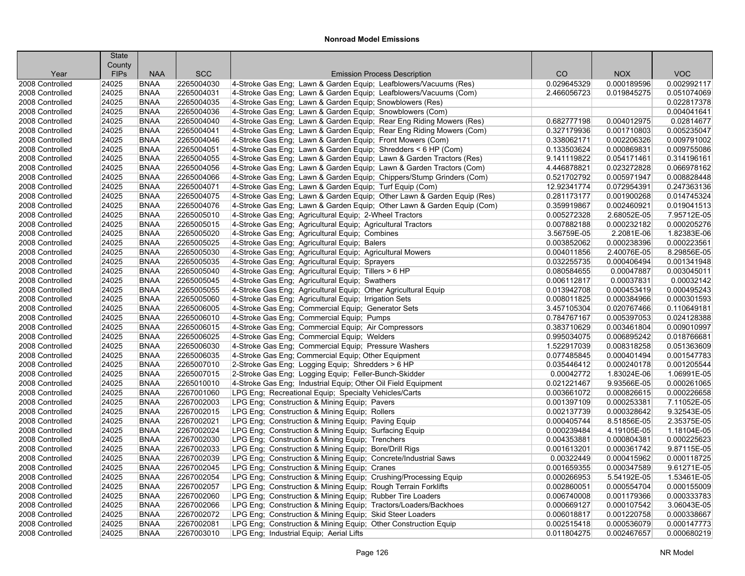|                 | <b>State</b>          |             |            |                                                                                                                              |             |                            |                            |
|-----------------|-----------------------|-------------|------------|------------------------------------------------------------------------------------------------------------------------------|-------------|----------------------------|----------------------------|
| Year            | County<br><b>FIPs</b> | <b>NAA</b>  | <b>SCC</b> | <b>Emission Process Description</b>                                                                                          | CO          | <b>NOX</b>                 | <b>VOC</b>                 |
| 2008 Controlled | 24025                 | <b>BNAA</b> | 2265004030 | 4-Stroke Gas Eng; Lawn & Garden Equip; Leafblowers/Vacuums (Res)                                                             | 0.029645329 | 0.000189596                | 0.002992117                |
| 2008 Controlled | 24025                 | <b>BNAA</b> | 2265004031 | 4-Stroke Gas Eng: Lawn & Garden Equip: Leafblowers/Vacuums (Com)                                                             | 2.466056723 | 0.019845275                | 0.051074069                |
| 2008 Controlled | 24025                 | <b>BNAA</b> | 2265004035 | 4-Stroke Gas Eng; Lawn & Garden Equip; Snowblowers (Res)                                                                     |             |                            | 0.022817378                |
| 2008 Controlled | 24025                 | <b>BNAA</b> | 2265004036 | 4-Stroke Gas Eng; Lawn & Garden Equip; Snowblowers (Com)                                                                     |             |                            | 0.004041641                |
| 2008 Controlled | 24025                 | <b>BNAA</b> | 2265004040 | 4-Stroke Gas Eng; Lawn & Garden Equip; Rear Eng Riding Mowers (Res)                                                          | 0.682777198 | 0.004012975                | 0.02814677                 |
| 2008 Controlled | 24025                 | <b>BNAA</b> | 2265004041 | 4-Stroke Gas Eng: Lawn & Garden Equip: Rear Eng Riding Mowers (Com)                                                          | 0.327179936 | 0.001710803                | 0.005235047                |
| 2008 Controlled | 24025                 | <b>BNAA</b> | 2265004046 | 4-Stroke Gas Eng; Lawn & Garden Equip; Front Mowers (Com)                                                                    | 0.338062171 | 0.002206326                | 0.009791002                |
| 2008 Controlled | 24025                 | <b>BNAA</b> | 2265004051 | 4-Stroke Gas Eng; Lawn & Garden Equip; Shredders < 6 HP (Com)                                                                | 0.133503624 | 0.000869831                | 0.009755086                |
| 2008 Controlled | 24025                 | <b>BNAA</b> | 2265004055 | 4-Stroke Gas Eng: Lawn & Garden Equip: Lawn & Garden Tractors (Res)                                                          | 9.141119822 | 0.054171461                | 0.314196161                |
| 2008 Controlled | 24025                 | <b>BNAA</b> | 2265004056 | 4-Stroke Gas Eng; Lawn & Garden Equip; Lawn & Garden Tractors (Com)                                                          | 4.446878821 | 0.023272828                | 0.066978162                |
| 2008 Controlled | 24025                 | <b>BNAA</b> | 2265004066 | 4-Stroke Gas Eng; Lawn & Garden Equip; Chippers/Stump Grinders (Com)                                                         | 0.521702792 | 0.005971947                | 0.008828448                |
| 2008 Controlled | 24025                 | <b>BNAA</b> | 2265004071 | 4-Stroke Gas Eng; Lawn & Garden Equip; Turf Equip (Com)                                                                      | 12.92341774 | 0.072954391                | 0.247363136                |
| 2008 Controlled | 24025                 | <b>BNAA</b> | 2265004075 | 4-Stroke Gas Eng: Lawn & Garden Equip: Other Lawn & Garden Equip (Res)                                                       | 0.281173177 | 0.001900268                | 0.014745324                |
| 2008 Controlled | 24025                 | <b>BNAA</b> | 2265004076 | 4-Stroke Gas Eng; Lawn & Garden Equip; Other Lawn & Garden Equip (Com)                                                       | 0.359919867 | 0.002460921                | 0.019041513                |
| 2008 Controlled | 24025                 | <b>BNAA</b> | 2265005010 | 4-Stroke Gas Eng; Agricultural Equip; 2-Wheel Tractors                                                                       | 0.005272328 | 2.68052E-05                | 7.95712E-05                |
| 2008 Controlled | 24025                 | <b>BNAA</b> | 2265005015 | 4-Stroke Gas Eng; Agricultural Equip; Agricultural Tractors                                                                  | 0.007882188 | 0.000232182                | 0.000205276                |
| 2008 Controlled | 24025                 | <b>BNAA</b> | 2265005020 | 4-Stroke Gas Eng; Agricultural Equip; Combines                                                                               | 3.56759E-05 | 2.2081E-06                 | 1.82383E-06                |
| 2008 Controlled | 24025                 | <b>BNAA</b> | 2265005025 | 4-Stroke Gas Eng; Agricultural Equip; Balers                                                                                 | 0.003852062 | 0.000238396                | 0.000223561                |
| 2008 Controlled | 24025                 | <b>BNAA</b> | 2265005030 | 4-Stroke Gas Eng; Agricultural Equip; Agricultural Mowers                                                                    | 0.004011856 | 2.40076E-05                | 8.29856E-05                |
| 2008 Controlled | 24025                 | <b>BNAA</b> | 2265005035 | 4-Stroke Gas Eng: Agricultural Equip: Sprayers                                                                               | 0.032255735 | 0.000406494                | 0.001341948                |
| 2008 Controlled | 24025                 | <b>BNAA</b> | 2265005040 | 4-Stroke Gas Eng; Agricultural Equip; Tillers > 6 HP                                                                         | 0.080584655 | 0.00047887                 | 0.003045011                |
| 2008 Controlled | 24025                 | <b>BNAA</b> | 2265005045 | 4-Stroke Gas Eng; Agricultural Equip; Swathers                                                                               | 0.006112817 | 0.00037831                 | 0.00032142                 |
| 2008 Controlled | 24025                 | <b>BNAA</b> | 2265005055 | 4-Stroke Gas Eng; Agricultural Equip; Other Agricultural Equip                                                               | 0.013942708 | 0.000453419                | 0.000495243                |
| 2008 Controlled | 24025                 | <b>BNAA</b> | 2265005060 | 4-Stroke Gas Eng; Agricultural Equip; Irrigation Sets                                                                        | 0.008011825 | 0.000384966                | 0.000301593                |
| 2008 Controlled | 24025                 | <b>BNAA</b> | 2265006005 | 4-Stroke Gas Eng; Commercial Equip; Generator Sets                                                                           | 3.457105304 | 0.020767466                | 0.110649181                |
| 2008 Controlled | 24025                 | <b>BNAA</b> | 2265006010 | 4-Stroke Gas Eng; Commercial Equip; Pumps                                                                                    | 0.784767167 | 0.005397053                | 0.024128388                |
| 2008 Controlled | 24025                 | <b>BNAA</b> | 2265006015 | 4-Stroke Gas Eng; Commercial Equip; Air Compressors                                                                          | 0.383710629 | 0.003461804                | 0.009010997                |
| 2008 Controlled | 24025                 | <b>BNAA</b> | 2265006025 | 4-Stroke Gas Eng; Commercial Equip; Welders                                                                                  | 0.995034075 | 0.006895242                | 0.018766681                |
| 2008 Controlled | 24025                 | <b>BNAA</b> | 2265006030 | 4-Stroke Gas Eng; Commercial Equip; Pressure Washers                                                                         | 1.522917039 | 0.008318258                | 0.051363609                |
| 2008 Controlled | 24025                 | <b>BNAA</b> | 2265006035 | 4-Stroke Gas Eng; Commercial Equip; Other Equipment                                                                          | 0.077485845 | 0.000401494                | 0.001547783                |
| 2008 Controlled | 24025                 | <b>BNAA</b> | 2265007010 | 2-Stroke Gas Eng; Logging Equip; Shredders > 6 HP                                                                            | 0.035446412 | 0.000240178                | 0.001205544                |
| 2008 Controlled | 24025                 | <b>BNAA</b> | 2265007015 | 2-Stroke Gas Eng; Logging Equip; Feller-Bunch-Skidder                                                                        | 0.00042772  | 1.83024E-06                | 1.06991E-05                |
| 2008 Controlled | 24025                 | <b>BNAA</b> | 2265010010 | 4-Stroke Gas Eng; Industrial Equip; Other Oil Field Equipment                                                                | 0.021221467 | 9.93566E-05                | 0.000261065                |
| 2008 Controlled | 24025                 | <b>BNAA</b> | 2267001060 | LPG Eng; Recreational Equip; Specialty Vehicles/Carts                                                                        | 0.003661072 | 0.000826615                | 0.000226658                |
| 2008 Controlled | 24025                 | <b>BNAA</b> | 2267002003 | LPG Eng; Construction & Mining Equip; Pavers                                                                                 | 0.001397109 | 0.000253381                | 7.11052E-05                |
| 2008 Controlled | 24025                 | <b>BNAA</b> | 2267002015 | LPG Eng; Construction & Mining Equip; Rollers                                                                                | 0.002137739 | 0.000328642                | 9.32543E-05                |
| 2008 Controlled | 24025                 | <b>BNAA</b> | 2267002021 | LPG Eng; Construction & Mining Equip; Paving Equip                                                                           | 0.000405744 | 8.51856E-05                | 2.35375E-05                |
| 2008 Controlled | 24025                 | <b>BNAA</b> | 2267002024 | LPG Eng; Construction & Mining Equip; Surfacing Equip                                                                        | 0.000239484 | 4.19105E-05                | 1.18104E-05                |
| 2008 Controlled | 24025                 | <b>BNAA</b> | 2267002030 | LPG Eng; Construction & Mining Equip; Trenchers                                                                              | 0.004353881 | 0.000804381                | 0.000225623                |
| 2008 Controlled | 24025                 | <b>BNAA</b> | 2267002033 | LPG Eng; Construction & Mining Equip; Bore/Drill Rigs                                                                        | 0.001613201 | 0.000361742                | 9.87115E-05                |
| 2008 Controlled | 24025                 | <b>BNAA</b> | 2267002039 | LPG Eng; Construction & Mining Equip; Concrete/Industrial Saws                                                               | 0.00322449  | 0.000415962                | 0.000118725                |
| 2008 Controlled | 24025                 | <b>BNAA</b> | 2267002045 |                                                                                                                              | 0.001659355 | 0.000347589                | 9.61271E-05                |
| 2008 Controlled | 24025                 | <b>BNAA</b> | 2267002054 | LPG Eng; Construction & Mining Equip; Cranes                                                                                 | 0.000266953 | 5.54192E-05                | 1.53461E-05                |
| 2008 Controlled |                       | <b>BNAA</b> | 2267002057 | LPG Eng; Construction & Mining Equip; Crushing/Processing Equip                                                              | 0.002860051 |                            | 0.000155009                |
| 2008 Controlled | 24025                 | <b>BNAA</b> | 2267002060 | LPG Eng; Construction & Mining Equip; Rough Terrain Forklifts                                                                | 0.006740008 | 0.000554704<br>0.001179366 |                            |
| 2008 Controlled | 24025<br>24025        | <b>BNAA</b> | 2267002066 | LPG Eng; Construction & Mining Equip; Rubber Tire Loaders<br>LPG Eng; Construction & Mining Equip; Tractors/Loaders/Backhoes | 0.000669127 | 0.000107542                | 0.000333783<br>3.06043E-05 |
|                 | 24025                 | <b>BNAA</b> | 2267002072 |                                                                                                                              | 0.006018817 | 0.001220758                | 0.000338667                |
| 2008 Controlled |                       |             |            | LPG Eng; Construction & Mining Equip; Skid Steer Loaders                                                                     |             |                            |                            |
| 2008 Controlled | 24025                 | <b>BNAA</b> | 2267002081 | LPG Eng; Construction & Mining Equip; Other Construction Equip                                                               | 0.002515418 | 0.000536079                | 0.000147773                |
| 2008 Controlled | 24025                 | <b>BNAA</b> | 2267003010 | LPG Eng; Industrial Equip; Aerial Lifts                                                                                      | 0.011804275 | 0.002467657                | 0.000680219                |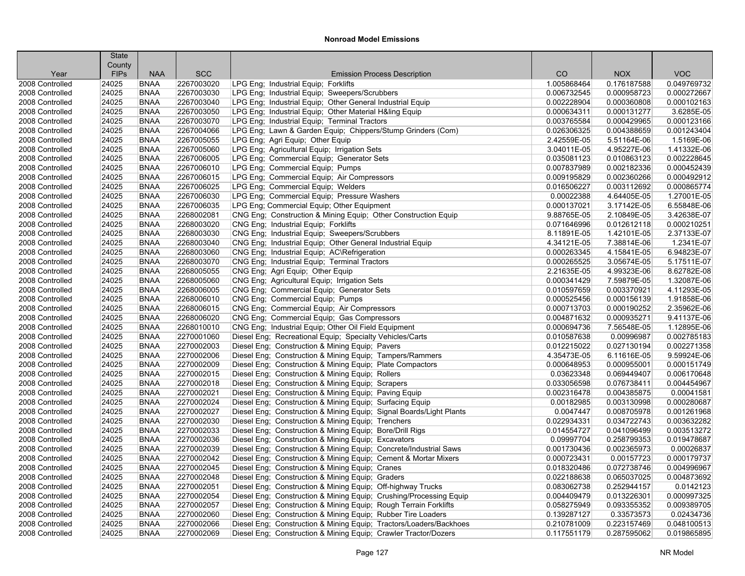|                 | <b>State</b>          |             |            |                                                                     |             |             |             |
|-----------------|-----------------------|-------------|------------|---------------------------------------------------------------------|-------------|-------------|-------------|
| Year            | County<br><b>FIPs</b> | <b>NAA</b>  | <b>SCC</b> | <b>Emission Process Description</b>                                 | CO          | <b>NOX</b>  | <b>VOC</b>  |
| 2008 Controlled | 24025                 | <b>BNAA</b> | 2267003020 | LPG Eng: Industrial Equip: Forklifts                                | 1.005868464 | 0.176187588 | 0.049769732 |
| 2008 Controlled | 24025                 | <b>BNAA</b> | 2267003030 | LPG Eng; Industrial Equip; Sweepers/Scrubbers                       | 0.006732545 | 0.000958723 | 0.000272667 |
| 2008 Controlled | 24025                 | <b>BNAA</b> | 2267003040 | LPG Eng; Industrial Equip; Other General Industrial Equip           | 0.002228904 | 0.000360808 | 0.000102163 |
| 2008 Controlled | 24025                 | <b>BNAA</b> | 2267003050 | LPG Eng; Industrial Equip; Other Material H&ling Equip              | 0.000634311 | 0.000131277 | 3.6285E-05  |
| 2008 Controlled | 24025                 | <b>BNAA</b> | 2267003070 | LPG Eng; Industrial Equip; Terminal Tractors                        | 0.003765584 | 0.000429965 | 0.000123166 |
| 2008 Controlled | 24025                 | <b>BNAA</b> | 2267004066 | LPG Eng; Lawn & Garden Equip; Chippers/Stump Grinders (Com)         | 0.026306325 | 0.004388659 | 0.001243404 |
| 2008 Controlled | 24025                 | <b>BNAA</b> | 2267005055 | LPG Eng; Agri Equip; Other Equip                                    | 2.42559E-05 | 5.51164E-06 | 1.5169E-06  |
| 2008 Controlled | 24025                 | <b>BNAA</b> | 2267005060 | LPG Eng; Agricultural Equip; Irrigation Sets                        | 3.04011E-05 | 4.95227E-06 | 1.41332E-06 |
| 2008 Controlled | 24025                 | <b>BNAA</b> | 2267006005 | LPG Eng; Commercial Equip; Generator Sets                           | 0.035081123 | 0.010863123 | 0.002228645 |
| 2008 Controlled | 24025                 | <b>BNAA</b> | 2267006010 | LPG Eng; Commercial Equip; Pumps                                    | 0.007837989 | 0.002182336 | 0.000452439 |
| 2008 Controlled | 24025                 | <b>BNAA</b> | 2267006015 | LPG Eng; Commercial Equip; Air Compressors                          | 0.009195829 | 0.002360266 | 0.000492912 |
| 2008 Controlled | 24025                 | <b>BNAA</b> | 2267006025 | LPG Eng; Commercial Equip; Welders                                  | 0.016506227 | 0.003112692 | 0.000865774 |
| 2008 Controlled | 24025                 | <b>BNAA</b> | 2267006030 | LPG Eng; Commercial Equip; Pressure Washers                         | 0.00022388  | 4.64405E-05 | 1.27001E-05 |
| 2008 Controlled | 24025                 | <b>BNAA</b> | 2267006035 | LPG Eng; Commercial Equip; Other Equipment                          | 0.000137021 | 3.17142E-05 | 6.55848E-06 |
| 2008 Controlled | 24025                 | <b>BNAA</b> | 2268002081 | CNG Eng; Construction & Mining Equip; Other Construction Equip      | 9.88765E-05 | 2.10849E-05 | 3.42638E-07 |
| 2008 Controlled | 24025                 | <b>BNAA</b> | 2268003020 | CNG Eng; Industrial Equip; Forklifts                                | 0.071646996 | 0.012612118 | 0.000210251 |
| 2008 Controlled | 24025                 | <b>BNAA</b> | 2268003030 | CNG Eng; Industrial Equip; Sweepers/Scrubbers                       | 8.11891E-05 | 1.42101E-05 | 2.37133E-07 |
| 2008 Controlled | 24025                 | <b>BNAA</b> | 2268003040 | CNG Eng; Industrial Equip; Other General Industrial Equip           | 4.34121E-05 | 7.38814E-06 | 1.2341E-07  |
| 2008 Controlled | 24025                 | <b>BNAA</b> | 2268003060 | CNG Eng; Industrial Equip; AC\Refrigeration                         | 0.000263345 | 4.15841E-05 | 6.94823E-07 |
| 2008 Controlled | 24025                 | <b>BNAA</b> | 2268003070 | CNG Eng; Industrial Equip; Terminal Tractors                        | 0.000265525 | 3.05674E-05 | 5.17511E-07 |
| 2008 Controlled | 24025                 | <b>BNAA</b> | 2268005055 | CNG Eng; Agri Equip; Other Equip                                    | 2.21635E-05 | 4.99323E-06 | 8.62782E-08 |
| 2008 Controlled | 24025                 | <b>BNAA</b> | 2268005060 | CNG Eng; Agricultural Equip; Irrigation Sets                        | 0.000341429 | 7.59879E-05 | 1.32087E-06 |
| 2008 Controlled | 24025                 | <b>BNAA</b> | 2268006005 | CNG Eng; Commercial Equip; Generator Sets                           | 0.010597659 | 0.003370921 | 4.11293E-05 |
| 2008 Controlled | 24025                 | <b>BNAA</b> | 2268006010 | CNG Eng; Commercial Equip; Pumps                                    | 0.000525456 | 0.000156139 | 1.91858E-06 |
| 2008 Controlled | 24025                 | <b>BNAA</b> | 2268006015 | CNG Eng; Commercial Equip; Air Compressors                          | 0.000713703 | 0.000190252 | 2.35962E-06 |
| 2008 Controlled | 24025                 | <b>BNAA</b> | 2268006020 | CNG Eng; Commercial Equip; Gas Compressors                          | 0.004871632 | 0.000935271 | 9.41137E-06 |
| 2008 Controlled | 24025                 | <b>BNAA</b> | 2268010010 | CNG Eng; Industrial Equip; Other Oil Field Equipment                | 0.000694736 | 7.56548E-05 | 1.12895E-06 |
| 2008 Controlled | 24025                 | <b>BNAA</b> | 2270001060 | Diesel Eng; Recreational Equip; Specialty Vehicles/Carts            | 0.010587638 | 0.00996987  | 0.002785183 |
| 2008 Controlled | 24025                 | <b>BNAA</b> | 2270002003 | Diesel Eng; Construction & Mining Equip; Pavers                     | 0.012215022 | 0.027130194 | 0.002271358 |
| 2008 Controlled | 24025                 | <b>BNAA</b> | 2270002006 | Diesel Eng; Construction & Mining Equip; Tampers/Rammers            | 4.35473E-05 | 6.11616E-05 | 9.59924E-06 |
| 2008 Controlled | 24025                 | <b>BNAA</b> | 2270002009 | Diesel Eng; Construction & Mining Equip; Plate Compactors           | 0.000648953 | 0.000955001 | 0.000151749 |
| 2008 Controlled | 24025                 | <b>BNAA</b> | 2270002015 | Diesel Eng; Construction & Mining Equip; Rollers                    | 0.03623348  | 0.069449407 | 0.006170648 |
| 2008 Controlled | 24025                 | <b>BNAA</b> | 2270002018 | Diesel Eng; Construction & Mining Equip; Scrapers                   | 0.033056598 | 0.076738411 | 0.004454967 |
| 2008 Controlled | 24025                 | <b>BNAA</b> | 2270002021 | Diesel Eng; Construction & Mining Equip; Paving Equip               | 0.002316478 | 0.004385875 | 0.00041581  |
| 2008 Controlled | 24025                 | <b>BNAA</b> | 2270002024 | Diesel Eng; Construction & Mining Equip; Surfacing Equip            | 0.00182985  | 0.003130998 | 0.000280687 |
| 2008 Controlled | 24025                 | <b>BNAA</b> | 2270002027 | Diesel Eng; Construction & Mining Equip; Signal Boards/Light Plants | 0.0047447   | 0.008705978 | 0.001261968 |
| 2008 Controlled | 24025                 | <b>BNAA</b> | 2270002030 | Diesel Eng; Construction & Mining Equip; Trenchers                  | 0.022934331 | 0.034722743 | 0.003632282 |
| 2008 Controlled | 24025                 | <b>BNAA</b> | 2270002033 | Diesel Eng; Construction & Mining Equip; Bore/Drill Rigs            | 0.014554727 | 0.041096499 | 0.003513272 |
| 2008 Controlled | 24025                 | <b>BNAA</b> | 2270002036 | Diesel Eng; Construction & Mining Equip; Excavators                 | 0.09997704  | 0.258799353 | 0.019478687 |
| 2008 Controlled | 24025                 | <b>BNAA</b> | 2270002039 | Diesel Eng; Construction & Mining Equip; Concrete/Industrial Saws   | 0.001730436 | 0.002365973 | 0.00026837  |
| 2008 Controlled | 24025                 | <b>BNAA</b> | 2270002042 | Diesel Eng; Construction & Mining Equip; Cement & Mortar Mixers     | 0.000723431 | 0.00157723  | 0.000179737 |
| 2008 Controlled | 24025                 | <b>BNAA</b> | 2270002045 | Diesel Eng; Construction & Mining Equip; Cranes                     | 0.018320486 | 0.072738746 | 0.004996967 |
| 2008 Controlled | 24025                 | <b>BNAA</b> | 2270002048 | Diesel Eng; Construction & Mining Equip; Graders                    | 0.022188638 | 0.065037025 | 0.004873692 |
| 2008 Controlled | 24025                 | <b>BNAA</b> | 2270002051 | Diesel Eng; Construction & Mining Equip; Off-highway Trucks         | 0.083062738 | 0.252944157 | 0.0142123   |
| 2008 Controlled | 24025                 | <b>BNAA</b> | 2270002054 | Diesel Eng; Construction & Mining Equip; Crushing/Processing Equip  | 0.004409479 | 0.013226301 | 0.000997325 |
| 2008 Controlled | 24025                 | <b>BNAA</b> | 2270002057 | Diesel Eng; Construction & Mining Equip; Rough Terrain Forklifts    | 0.058275949 | 0.093355352 | 0.009389705 |
| 2008 Controlled | 24025                 | <b>BNAA</b> | 2270002060 | Diesel Eng; Construction & Mining Equip; Rubber Tire Loaders        | 0.139287127 | 0.33573573  | 0.02434736  |
| 2008 Controlled | 24025                 | <b>BNAA</b> | 2270002066 | Diesel Eng; Construction & Mining Equip; Tractors/Loaders/Backhoes  | 0.210781009 | 0.223157469 | 0.048100513 |
| 2008 Controlled | 24025                 | <b>BNAA</b> | 2270002069 | Diesel Eng; Construction & Mining Equip; Crawler Tractor/Dozers     | 0.117551179 | 0.287595062 | 0.019865895 |
|                 |                       |             |            |                                                                     |             |             |             |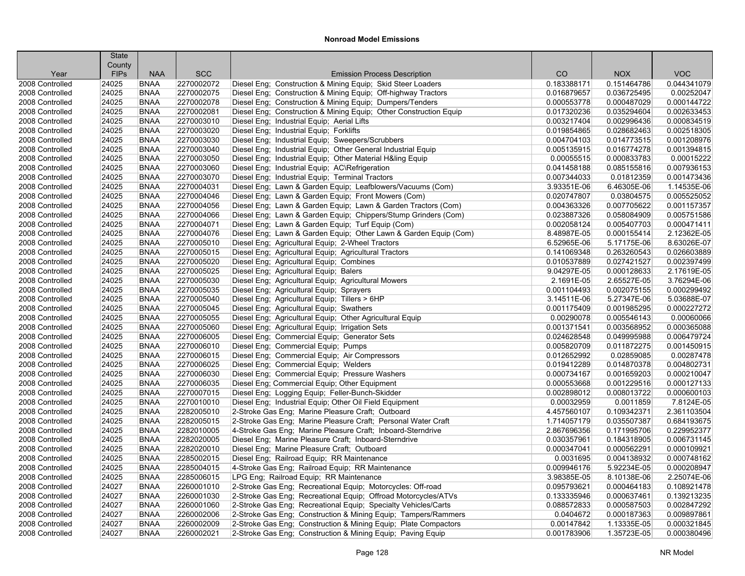|                 | <b>State</b><br>County |             |            |                                                                   |             |             |             |
|-----------------|------------------------|-------------|------------|-------------------------------------------------------------------|-------------|-------------|-------------|
| Year            | <b>FIPs</b>            | <b>NAA</b>  | <b>SCC</b> | <b>Emission Process Description</b>                               | CO          | <b>NOX</b>  | <b>VOC</b>  |
| 2008 Controlled | 24025                  | <b>BNAA</b> | 2270002072 | Diesel Eng; Construction & Mining Equip; Skid Steer Loaders       | 0.183388171 | 0.151464786 | 0.044341079 |
| 2008 Controlled | 24025                  | <b>BNAA</b> | 2270002075 | Diesel Eng; Construction & Mining Equip; Off-highway Tractors     | 0.016879657 | 0.036725495 | 0.00252047  |
| 2008 Controlled | 24025                  | <b>BNAA</b> | 2270002078 | Diesel Eng; Construction & Mining Equip; Dumpers/Tenders          | 0.000553778 | 0.000487029 | 0.000144722 |
| 2008 Controlled | 24025                  | <b>BNAA</b> | 2270002081 | Diesel Eng; Construction & Mining Equip; Other Construction Equip | 0.017320236 | 0.035294604 | 0.002633453 |
| 2008 Controlled | 24025                  | <b>BNAA</b> | 2270003010 | Diesel Eng; Industrial Equip; Aerial Lifts                        | 0.003217404 | 0.002996436 | 0.000834519 |
| 2008 Controlled | 24025                  | <b>BNAA</b> | 2270003020 | Diesel Eng; Industrial Equip; Forklifts                           | 0.019854865 | 0.028682463 | 0.002518305 |
| 2008 Controlled | 24025                  | <b>BNAA</b> | 2270003030 | Diesel Eng; Industrial Equip; Sweepers/Scrubbers                  | 0.004704103 | 0.014773515 | 0.001208976 |
| 2008 Controlled | 24025                  | <b>BNAA</b> | 2270003040 | Diesel Eng; Industrial Equip; Other General Industrial Equip      | 0.005135915 | 0.016774278 | 0.001394815 |
| 2008 Controlled | 24025                  | <b>BNAA</b> | 2270003050 | Diesel Eng; Industrial Equip; Other Material H&ling Equip         | 0.00055515  | 0.000833783 | 0.00015222  |
| 2008 Controlled | 24025                  | <b>BNAA</b> | 2270003060 | Diesel Eng; Industrial Equip; AC\Refrigeration                    | 0.041458188 | 0.085155816 | 0.007936153 |
| 2008 Controlled | 24025                  | <b>BNAA</b> | 2270003070 | Diesel Eng; Industrial Equip; Terminal Tractors                   | 0.007344033 | 0.01812359  | 0.001473436 |
| 2008 Controlled | 24025                  | <b>BNAA</b> | 2270004031 | Diesel Eng; Lawn & Garden Equip; Leafblowers/Vacuums (Com)        | 3.93351E-06 | 6.46305E-06 | 1.14535E-06 |
| 2008 Controlled | 24025                  | <b>BNAA</b> | 2270004046 | Diesel Eng; Lawn & Garden Equip; Front Mowers (Com)               | 0.020747807 | 0.03804575  | 0.005525052 |
| 2008 Controlled | 24025                  | <b>BNAA</b> | 2270004056 | Diesel Eng; Lawn & Garden Equip; Lawn & Garden Tractors (Com)     | 0.004363326 | 0.007705622 | 0.001157357 |
| 2008 Controlled | 24025                  | <b>BNAA</b> | 2270004066 | Diesel Eng; Lawn & Garden Equip; Chippers/Stump Grinders (Com)    | 0.023887326 | 0.058084909 | 0.005751586 |
| 2008 Controlled | 24025                  | <b>BNAA</b> | 2270004071 | Diesel Eng; Lawn & Garden Equip; Turf Equip (Com)                 | 0.002058124 | 0.005407703 | 0.000471411 |
| 2008 Controlled | 24025                  | <b>BNAA</b> | 2270004076 | Diesel Eng; Lawn & Garden Equip; Other Lawn & Garden Equip (Com)  | 8.48987E-05 | 0.000155414 | 2.12362E-05 |
| 2008 Controlled | 24025                  | <b>BNAA</b> | 2270005010 | Diesel Eng; Agricultural Equip; 2-Wheel Tractors                  | 6.52965E-06 | 5.17175E-06 | 8.63026E-07 |
| 2008 Controlled | 24025                  | <b>BNAA</b> | 2270005015 | Diesel Eng; Agricultural Equip; Agricultural Tractors             | 0.141069348 | 0.263260543 | 0.026603889 |
| 2008 Controlled | 24025                  | <b>BNAA</b> | 2270005020 | Diesel Eng; Agricultural Equip; Combines                          | 0.010537889 | 0.027421527 | 0.002397499 |
| 2008 Controlled | 24025                  | <b>BNAA</b> | 2270005025 | Diesel Eng; Agricultural Equip; Balers                            | 9.04297E-05 | 0.000128633 | 2.17619E-05 |
| 2008 Controlled | 24025                  | <b>BNAA</b> | 2270005030 | Diesel Eng; Agricultural Equip; Agricultural Mowers               | 2.1691E-05  | 2.65527E-05 | 3.76294E-06 |
| 2008 Controlled | 24025                  | <b>BNAA</b> | 2270005035 | Diesel Eng; Agricultural Equip; Sprayers                          | 0.001104493 | 0.002075155 | 0.000299492 |
| 2008 Controlled | 24025                  | <b>BNAA</b> | 2270005040 | Diesel Eng; Agricultural Equip; Tillers > 6HP                     | 3.14511E-06 | 5.27347E-06 | 5.03688E-07 |
| 2008 Controlled | 24025                  | <b>BNAA</b> | 2270005045 | Diesel Eng; Agricultural Equip; Swathers                          | 0.001175409 | 0.001985295 | 0.000227272 |
| 2008 Controlled | 24025                  | <b>BNAA</b> | 2270005055 | Diesel Eng; Agricultural Equip; Other Agricultural Equip          | 0.00290078  | 0.005546143 | 0.00060066  |
| 2008 Controlled | 24025                  | <b>BNAA</b> | 2270005060 | Diesel Eng; Agricultural Equip; Irrigation Sets                   | 0.001371541 | 0.003568952 | 0.000365088 |
| 2008 Controlled | 24025                  | <b>BNAA</b> | 2270006005 | Diesel Eng; Commercial Equip; Generator Sets                      | 0.024628548 | 0.049995988 | 0.006479724 |
| 2008 Controlled | 24025                  | <b>BNAA</b> | 2270006010 | Diesel Eng; Commercial Equip; Pumps                               | 0.005820709 | 0.011872275 | 0.001450915 |
| 2008 Controlled | 24025                  | <b>BNAA</b> | 2270006015 | Diesel Eng; Commercial Equip; Air Compressors                     | 0.012652992 | 0.02859085  | 0.00287478  |
| 2008 Controlled | 24025                  | <b>BNAA</b> | 2270006025 | Diesel Eng; Commercial Equip; Welders                             | 0.019412289 | 0.014870378 | 0.004802731 |
| 2008 Controlled | 24025                  | <b>BNAA</b> | 2270006030 | Diesel Eng; Commercial Equip; Pressure Washers                    | 0.000734167 | 0.001659203 | 0.000210047 |
| 2008 Controlled | 24025                  | <b>BNAA</b> | 2270006035 | Diesel Eng: Commercial Equip: Other Equipment                     | 0.000553668 | 0.001229516 | 0.000127133 |
| 2008 Controlled | 24025                  | <b>BNAA</b> | 2270007015 | Diesel Eng; Logging Equip; Feller-Bunch-Skidder                   | 0.002898012 | 0.008013722 | 0.000600103 |
| 2008 Controlled | 24025                  | <b>BNAA</b> | 2270010010 | Diesel Eng; Industrial Equip; Other Oil Field Equipment           | 0.00032959  | 0.0011859   | 7.8124E-05  |
| 2008 Controlled | 24025                  | <b>BNAA</b> | 2282005010 | 2-Stroke Gas Eng; Marine Pleasure Craft; Outboard                 | 4.457560107 | 0.109342371 | 2.361103504 |
| 2008 Controlled | 24025                  | <b>BNAA</b> | 2282005015 | 2-Stroke Gas Eng; Marine Pleasure Craft; Personal Water Craft     | 1.714057179 | 0.035507387 | 0.684193675 |
| 2008 Controlled | 24025                  | <b>BNAA</b> | 2282010005 | 4-Stroke Gas Eng; Marine Pleasure Craft; Inboard-Sterndrive       | 2.867696356 | 0.171995706 | 0.229952377 |
| 2008 Controlled | 24025                  | <b>BNAA</b> | 2282020005 | Diesel Eng; Marine Pleasure Craft; Inboard-Sterndrive             | 0.030357961 | 0.184318905 | 0.006731145 |
| 2008 Controlled | 24025                  | <b>BNAA</b> | 2282020010 | Diesel Eng; Marine Pleasure Craft; Outboard                       | 0.000347041 | 0.000562291 | 0.000109921 |
| 2008 Controlled | 24025                  | <b>BNAA</b> | 2285002015 | Diesel Eng; Railroad Equip; RR Maintenance                        | 0.0031695   | 0.004138932 | 0.000748162 |
| 2008 Controlled | 24025                  | <b>BNAA</b> | 2285004015 | 4-Stroke Gas Eng; Railroad Equip; RR Maintenance                  | 0.009946176 | 5.92234E-05 | 0.000208947 |
| 2008 Controlled | 24025                  | <b>BNAA</b> | 2285006015 | LPG Eng: Railroad Equip: RR Maintenance                           | 3.98385E-05 | 8.10138E-06 | 2.25074E-06 |
| 2008 Controlled | 24027                  | <b>BNAA</b> | 2260001010 | 2-Stroke Gas Eng; Recreational Equip; Motorcycles: Off-road       | 0.095793621 | 0.000464183 | 0.108921478 |
| 2008 Controlled | 24027                  | <b>BNAA</b> | 2260001030 | 2-Stroke Gas Eng; Recreational Equip; Offroad Motorcycles/ATVs    | 0.133335946 | 0.000637461 | 0.139213235 |
| 2008 Controlled | 24027                  | <b>BNAA</b> | 2260001060 | 2-Stroke Gas Eng; Recreational Equip; Specialty Vehicles/Carts    | 0.088572833 | 0.000587503 | 0.002847292 |
| 2008 Controlled | 24027                  | <b>BNAA</b> | 2260002006 | 2-Stroke Gas Eng; Construction & Mining Equip; Tampers/Rammers    | 0.0404672   | 0.000187363 | 0.009897861 |
| 2008 Controlled | 24027                  | <b>BNAA</b> | 2260002009 | 2-Stroke Gas Eng; Construction & Mining Equip; Plate Compactors   | 0.00147842  | 1.13335E-05 | 0.000321845 |
| 2008 Controlled | 24027                  | <b>BNAA</b> | 2260002021 | 2-Stroke Gas Eng; Construction & Mining Equip; Paving Equip       | 0.001783906 | 1.35723E-05 | 0.000380496 |
|                 |                        |             |            |                                                                   |             |             |             |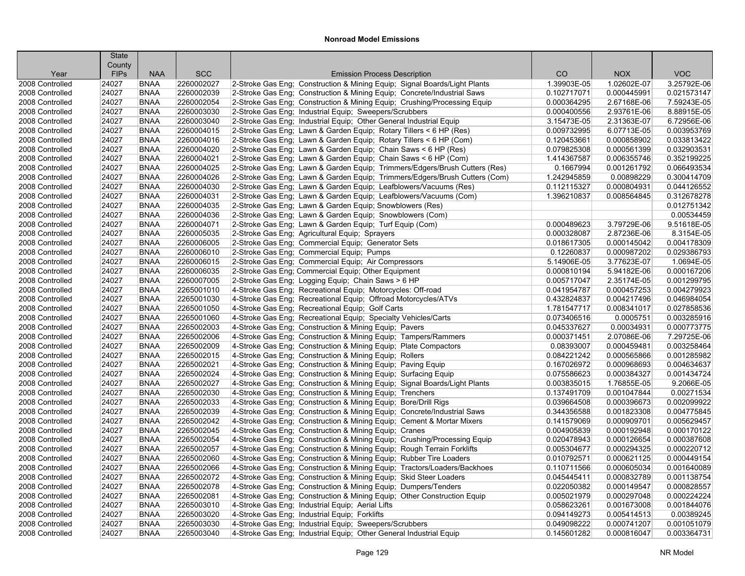|                                    | <b>State</b>   |                            |                          |                                                                                                                                                      |                            |                            |                            |
|------------------------------------|----------------|----------------------------|--------------------------|------------------------------------------------------------------------------------------------------------------------------------------------------|----------------------------|----------------------------|----------------------------|
|                                    | County         |                            | <b>SCC</b>               |                                                                                                                                                      |                            |                            | <b>VOC</b>                 |
| Year                               | <b>FIPs</b>    | <b>NAA</b>                 |                          | <b>Emission Process Description</b>                                                                                                                  | CO                         | <b>NOX</b>                 |                            |
| 2008 Controlled                    | 24027          | <b>BNAA</b>                | 2260002027               | 2-Stroke Gas Eng; Construction & Mining Equip; Signal Boards/Light Plants<br>2-Stroke Gas Eng; Construction & Mining Equip; Concrete/Industrial Saws | 1.39903E-05                | 1.02602E-07                | 3.25792E-06                |
| 2008 Controlled                    | 24027          | <b>BNAA</b><br><b>BNAA</b> | 2260002039<br>2260002054 |                                                                                                                                                      | 0.102717071<br>0.000364295 | 0.000445991<br>2.67168E-06 | 0.021573147<br>7.59243E-05 |
| 2008 Controlled<br>2008 Controlled | 24027<br>24027 | <b>BNAA</b>                | 2260003030               | 2-Stroke Gas Eng; Construction & Mining Equip; Crushing/Processing Equip                                                                             | 0.000400556                | 2.93761E-06                | 8.88915E-05                |
|                                    | 24027          |                            | 2260003040               | 2-Stroke Gas Eng; Industrial Equip; Sweepers/Scrubbers                                                                                               |                            | 2.31363E-07                | 6.72956E-06                |
| 2008 Controlled                    |                | <b>BNAA</b><br><b>BNAA</b> | 2260004015               | 2-Stroke Gas Eng; Industrial Equip; Other General Industrial Equip                                                                                   | 3.15473E-05                |                            | 0.003953769                |
| 2008 Controlled<br>2008 Controlled | 24027<br>24027 | <b>BNAA</b>                | 2260004016               | 2-Stroke Gas Eng; Lawn & Garden Equip; Rotary Tillers < 6 HP (Res)                                                                                   | 0.009732995                | 6.07713E-05                | 0.033813422                |
| 2008 Controlled                    | 24027          | <b>BNAA</b>                | 2260004020               | 2-Stroke Gas Eng; Lawn & Garden Equip; Rotary Tillers < 6 HP (Com)                                                                                   | 0.120453661<br>0.079825308 | 0.000858902<br>0.000561399 | 0.032903531                |
|                                    |                |                            |                          | 2-Stroke Gas Eng; Lawn & Garden Equip; Chain Saws < 6 HP (Res)                                                                                       |                            |                            |                            |
| 2008 Controlled                    | 24027          | <b>BNAA</b>                | 2260004021<br>2260004025 | 2-Stroke Gas Eng; Lawn & Garden Equip; Chain Saws < 6 HP (Com)                                                                                       | 1.414367587                | 0.006355746                | 0.352199225                |
| 2008 Controlled                    | 24027          | <b>BNAA</b>                |                          | 2-Stroke Gas Eng; Lawn & Garden Equip; Trimmers/Edgers/Brush Cutters (Res)                                                                           | 0.1667994                  | 0.001261792                | 0.066493534                |
| 2008 Controlled                    | 24027          | <b>BNAA</b>                | 2260004026               | 2-Stroke Gas Eng; Lawn & Garden Equip; Trimmers/Edgers/Brush Cutters (Com)                                                                           | 1.242945859                | 0.00898229                 | 0.300414709                |
| 2008 Controlled                    | 24027          | <b>BNAA</b>                | 2260004030               | 2-Stroke Gas Eng; Lawn & Garden Equip; Leafblowers/Vacuums (Res)                                                                                     | 0.112115327                | 0.000804931                | 0.044126552                |
| 2008 Controlled                    | 24027          | <b>BNAA</b>                | 2260004031               | 2-Stroke Gas Eng; Lawn & Garden Equip; Leafblowers/Vacuums (Com)                                                                                     | 1.396210837                | 0.008564845                | 0.312678278                |
| 2008 Controlled                    | 24027          | <b>BNAA</b>                | 2260004035               | 2-Stroke Gas Eng; Lawn & Garden Equip; Snowblowers (Res)                                                                                             |                            |                            | 0.012751342                |
| 2008 Controlled                    | 24027          | <b>BNAA</b>                | 2260004036               | 2-Stroke Gas Eng; Lawn & Garden Equip; Snowblowers (Com)                                                                                             |                            |                            | 0.00534459                 |
| 2008 Controlled                    | 24027          | <b>BNAA</b>                | 2260004071               | 2-Stroke Gas Eng; Lawn & Garden Equip; Turf Equip (Com)                                                                                              | 0.000489623                | 3.79729E-06                | 9.51618E-05                |
| 2008 Controlled                    | 24027          | <b>BNAA</b>                | 2260005035               | 2-Stroke Gas Eng; Agricultural Equip; Sprayers                                                                                                       | 0.000328087                | 2.87236E-06                | 8.3154E-05                 |
| 2008 Controlled                    | 24027          | <b>BNAA</b>                | 2260006005               | 2-Stroke Gas Eng; Commercial Equip; Generator Sets                                                                                                   | 0.018617305                | 0.000145042                | 0.004178309                |
| 2008 Controlled                    | 24027          | <b>BNAA</b>                | 2260006010               | 2-Stroke Gas Eng; Commercial Equip; Pumps                                                                                                            | 0.12260837                 | 0.000987202                | 0.029386793                |
| 2008 Controlled                    | 24027          | <b>BNAA</b>                | 2260006015               | 2-Stroke Gas Eng; Commercial Equip; Air Compressors                                                                                                  | 5.14906E-05                | 3.77623E-07                | 1.0694E-05                 |
| 2008 Controlled                    | 24027          | <b>BNAA</b>                | 2260006035               | 2-Stroke Gas Eng; Commercial Equip; Other Equipment                                                                                                  | 0.000810194                | 5.94182E-06                | 0.000167206                |
| 2008 Controlled                    | 24027          | <b>BNAA</b>                | 2260007005               | 2-Stroke Gas Eng; Logging Equip; Chain Saws > 6 HP                                                                                                   | 0.005717047                | 2.35174E-05                | 0.001299795                |
| 2008 Controlled                    | 24027          | <b>BNAA</b>                | 2265001010               | 4-Stroke Gas Eng; Recreational Equip; Motorcycles: Off-road                                                                                          | 0.041954787                | 0.000457253                | 0.004279923                |
| 2008 Controlled                    | 24027          | <b>BNAA</b>                | 2265001030               | 4-Stroke Gas Eng; Recreational Equip; Offroad Motorcycles/ATVs                                                                                       | 0.432824837                | 0.004217496                | 0.046984054                |
| 2008 Controlled                    | 24027          | <b>BNAA</b>                | 2265001050               | 4-Stroke Gas Eng; Recreational Equip; Golf Carts                                                                                                     | 1.781547717                | 0.008341017                | 0.027858536                |
| 2008 Controlled                    | 24027          | <b>BNAA</b>                | 2265001060               | 4-Stroke Gas Eng; Recreational Equip; Specialty Vehicles/Carts                                                                                       | 0.073406516                | 0.0005751                  | 0.003285916                |
| 2008 Controlled                    | 24027          | <b>BNAA</b>                | 2265002003               | 4-Stroke Gas Eng; Construction & Mining Equip; Pavers                                                                                                | 0.045337627                | 0.00034931                 | 0.000773775                |
| 2008 Controlled                    | 24027          | <b>BNAA</b>                | 2265002006               | 4-Stroke Gas Eng; Construction & Mining Equip; Tampers/Rammers                                                                                       | 0.000371451                | 2.07086E-06                | 7.29725E-06                |
| 2008 Controlled                    | 24027          | <b>BNAA</b>                | 2265002009               | 4-Stroke Gas Eng: Construction & Mining Equip: Plate Compactors                                                                                      | 0.08393007                 | 0.000459481                | 0.003258464                |
| 2008 Controlled                    | 24027          | <b>BNAA</b>                | 2265002015               | 4-Stroke Gas Eng; Construction & Mining Equip; Rollers                                                                                               | 0.084221242                | 0.000565866                | 0.001285982                |
| 2008 Controlled                    | 24027          | <b>BNAA</b>                | 2265002021               | 4-Stroke Gas Eng; Construction & Mining Equip; Paving Equip                                                                                          | 0.167026972                | 0.000968693                | 0.004634637                |
| 2008 Controlled                    | 24027          | <b>BNAA</b>                | 2265002024               | 4-Stroke Gas Eng; Construction & Mining Equip; Surfacing Equip                                                                                       | 0.075586623                | 0.000384327                | 0.001434724                |
| 2008 Controlled                    | 24027          | <b>BNAA</b>                | 2265002027               | 4-Stroke Gas Eng; Construction & Mining Equip; Signal Boards/Light Plants                                                                            | 0.003835015                | 1.76855E-05                | 9.2066E-05                 |
| 2008 Controlled                    | 24027<br>24027 | <b>BNAA</b><br><b>BNAA</b> | 2265002030<br>2265002033 | 4-Stroke Gas Eng; Construction & Mining Equip; Trenchers                                                                                             | 0.137491709<br>0.039664508 | 0.001047844<br>0.000396673 | 0.00271534<br>0.002099922  |
| 2008 Controlled                    | 24027          |                            | 2265002039               | 4-Stroke Gas Eng; Construction & Mining Equip; Bore/Drill Rigs                                                                                       |                            |                            | 0.004775845                |
| 2008 Controlled                    |                | <b>BNAA</b>                | 2265002042               | 4-Stroke Gas Eng; Construction & Mining Equip; Concrete/Industrial Saws                                                                              | 0.344356588                | 0.001823308<br>0.000909701 | 0.005629457                |
| 2008 Controlled                    | 24027          | <b>BNAA</b>                |                          | 4-Stroke Gas Eng; Construction & Mining Equip; Cement & Mortar Mixers                                                                                | 0.141579069                |                            |                            |
| 2008 Controlled                    | 24027          | <b>BNAA</b><br><b>BNAA</b> | 2265002045               | 4-Stroke Gas Eng; Construction & Mining Equip; Cranes                                                                                                | 0.004905839                | 0.000192948                | 0.000170122                |
| 2008 Controlled                    | 24027<br>24027 | <b>BNAA</b>                | 2265002054<br>2265002057 | 4-Stroke Gas Eng; Construction & Mining Equip; Crushing/Processing Equip                                                                             | 0.020478943<br>0.005304677 | 0.000126654<br>0.000294325 | 0.000387608<br>0.000220712 |
| 2008 Controlled                    |                |                            |                          | 4-Stroke Gas Eng; Construction & Mining Equip; Rough Terrain Forklifts                                                                               |                            |                            |                            |
| 2008 Controlled                    | 24027          | <b>BNAA</b><br><b>BNAA</b> | 2265002060<br>2265002066 | 4-Stroke Gas Eng; Construction & Mining Equip; Rubber Tire Loaders                                                                                   | 0.010792571                | 0.000621125<br>0.000605034 | 0.000449154<br>0.001640089 |
| 2008 Controlled                    | 24027          |                            |                          | 4-Stroke Gas Eng; Construction & Mining Equip; Tractors/Loaders/Backhoes                                                                             | 0.110711566                |                            |                            |
| 2008 Controlled                    | 24027          | <b>BNAA</b>                | 2265002072               | 4-Stroke Gas Eng: Construction & Mining Equip: Skid Steer Loaders                                                                                    | 0.045445411                | 0.000832789                | 0.001138754                |
| 2008 Controlled                    | 24027          | <b>BNAA</b>                | 2265002078               | 4-Stroke Gas Eng; Construction & Mining Equip; Dumpers/Tenders                                                                                       | 0.022050382                | 0.000149547                | 0.000828557                |
| 2008 Controlled                    | 24027          | <b>BNAA</b>                | 2265002081               | 4-Stroke Gas Eng; Construction & Mining Equip; Other Construction Equip                                                                              | 0.005021979                | 0.000297048                | 0.000224224                |
| 2008 Controlled                    | 24027          | <b>BNAA</b>                | 2265003010               | 4-Stroke Gas Eng; Industrial Equip; Aerial Lifts                                                                                                     | 0.058623261                | 0.001673008                | 0.001844076                |
| 2008 Controlled                    | 24027          | <b>BNAA</b>                | 2265003020               | 4-Stroke Gas Eng; Industrial Equip; Forklifts                                                                                                        | 0.094149273                | 0.005414513                | 0.00389245                 |
| 2008 Controlled                    | 24027          | <b>BNAA</b>                | 2265003030               | 4-Stroke Gas Eng; Industrial Equip; Sweepers/Scrubbers                                                                                               | 0.049098222                | 0.000741207                | 0.001051079                |
| 2008 Controlled                    | 24027          | <b>BNAA</b>                | 2265003040               | 4-Stroke Gas Eng; Industrial Equip; Other General Industrial Equip                                                                                   | 0.145601282                | 0.000816047                | 0.003364731                |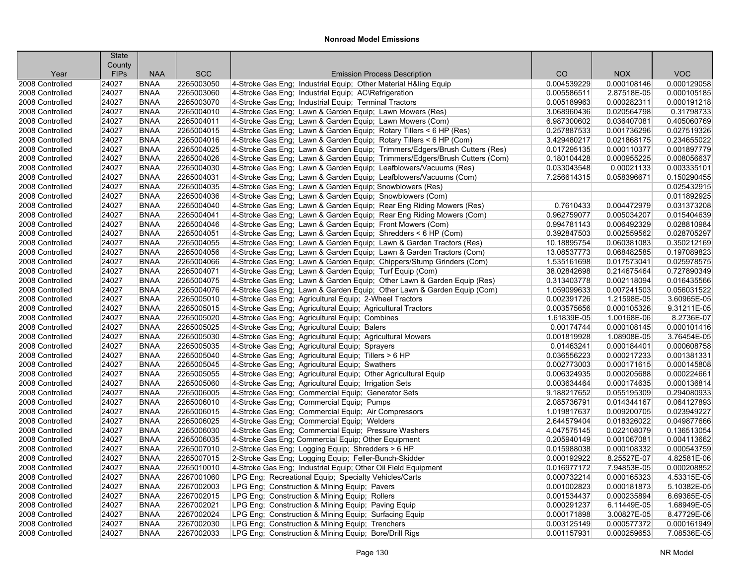|                                    | <b>State</b>          |                            |                          |                                                                                                                                |                            |                            |                            |
|------------------------------------|-----------------------|----------------------------|--------------------------|--------------------------------------------------------------------------------------------------------------------------------|----------------------------|----------------------------|----------------------------|
| Year                               | County<br><b>FIPs</b> | <b>NAA</b>                 | <b>SCC</b>               | <b>Emission Process Description</b>                                                                                            | CO                         | <b>NOX</b>                 | <b>VOC</b>                 |
| 2008 Controlled                    | 24027                 | <b>BNAA</b>                | 2265003050               | 4-Stroke Gas Eng; Industrial Equip; Other Material H&ling Equip                                                                | 0.004539229                | 0.000108146                | 0.000129058                |
| 2008 Controlled                    | 24027                 | <b>BNAA</b>                | 2265003060               | 4-Stroke Gas Eng; Industrial Equip; AC\Refrigeration                                                                           | 0.005586511                | 2.87518E-05                | 0.000105185                |
| 2008 Controlled                    | 24027                 | <b>BNAA</b>                | 2265003070               | 4-Stroke Gas Eng; Industrial Equip; Terminal Tractors                                                                          | 0.005189963                | 0.000282311                | 0.000191218                |
| 2008 Controlled                    |                       |                            | 2265004010               |                                                                                                                                | 3.068960436                | 0.020564798                | 0.31798733                 |
| 2008 Controlled                    | 24027<br>24027        | <b>BNAA</b><br><b>BNAA</b> | 2265004011               | 4-Stroke Gas Eng; Lawn & Garden Equip; Lawn Mowers (Res)                                                                       | 6.987300602                | 0.036407081                | 0.405060769                |
| 2008 Controlled                    | 24027                 | <b>BNAA</b>                | 2265004015               | 4-Stroke Gas Eng; Lawn & Garden Equip; Lawn Mowers (Com)<br>4-Stroke Gas Eng: Lawn & Garden Equip: Rotary Tillers < 6 HP (Res) | 0.257887533                | 0.001736296                | 0.027519326                |
| 2008 Controlled                    | 24027                 | <b>BNAA</b>                | 2265004016               | 4-Stroke Gas Eng; Lawn & Garden Equip; Rotary Tillers < 6 HP (Com)                                                             | 3.429480217                | 0.021868175                | 0.234655022                |
| 2008 Controlled                    | 24027                 | <b>BNAA</b>                | 2265004025               | 4-Stroke Gas Eng; Lawn & Garden Equip; Trimmers/Edgers/Brush Cutters (Res)                                                     | 0.017295135                | 0.000110377                | 0.001897779                |
| 2008 Controlled                    | 24027                 | <b>BNAA</b>                | 2265004026               | 4-Stroke Gas Eng; Lawn & Garden Equip; Trimmers/Edgers/Brush Cutters (Com)                                                     | 0.180104428                | 0.000955225                | 0.008056637                |
| 2008 Controlled                    | 24027                 | <b>BNAA</b>                | 2265004030               | 4-Stroke Gas Eng; Lawn & Garden Equip; Leafblowers/Vacuums (Res)                                                               | 0.033043548                | 0.00021133                 | 0.003335101                |
| 2008 Controlled                    | 24027                 | <b>BNAA</b>                | 2265004031               | 4-Stroke Gas Eng; Lawn & Garden Equip; Leafblowers/Vacuums (Com)                                                               | 7.256614315                | 0.058396671                | 0.150290455                |
| 2008 Controlled                    | 24027                 | <b>BNAA</b>                | 2265004035               |                                                                                                                                |                            |                            | 0.025432915                |
| 2008 Controlled                    | 24027                 | <b>BNAA</b>                | 2265004036               | 4-Stroke Gas Eng; Lawn & Garden Equip; Snowblowers (Res)<br>4-Stroke Gas Eng: Lawn & Garden Equip: Snowblowers (Com)           |                            |                            | 0.011892925                |
| 2008 Controlled                    | 24027                 | <b>BNAA</b>                | 2265004040               | 4-Stroke Gas Eng; Lawn & Garden Equip; Rear Eng Riding Mowers (Res)                                                            | 0.7610433                  | 0.004472979                | 0.031373208                |
| 2008 Controlled                    | 24027                 | <b>BNAA</b>                | 2265004041               | 4-Stroke Gas Eng; Lawn & Garden Equip; Rear Eng Riding Mowers (Com)                                                            | 0.962759077                | 0.005034207                | 0.015404639                |
| 2008 Controlled                    | 24027                 | <b>BNAA</b>                | 2265004046               |                                                                                                                                | 0.994781143                | 0.006492329                | 0.028810984                |
|                                    | 24027                 | <b>BNAA</b>                | 2265004051               | 4-Stroke Gas Eng; Lawn & Garden Equip; Front Mowers (Com)                                                                      | 0.392847503                | 0.002559562                | 0.028705297                |
| 2008 Controlled                    | 24027                 | <b>BNAA</b>                | 2265004055               | 4-Stroke Gas Eng; Lawn & Garden Equip; Shredders < 6 HP (Com)                                                                  |                            | 0.060381083                | 0.350212169                |
| 2008 Controlled<br>2008 Controlled | 24027                 | <b>BNAA</b>                | 2265004056               | 4-Stroke Gas Eng; Lawn & Garden Equip; Lawn & Garden Tractors (Res)                                                            | 10.18895754<br>13.08537773 |                            | 0.197089823                |
|                                    |                       |                            |                          | 4-Stroke Gas Eng; Lawn & Garden Equip; Lawn & Garden Tractors (Com)                                                            |                            | 0.068482585                |                            |
| 2008 Controlled                    | 24027                 | <b>BNAA</b><br><b>BNAA</b> | 2265004066<br>2265004071 | 4-Stroke Gas Eng: Lawn & Garden Equip: Chippers/Stump Grinders (Com)                                                           | 1.535161698                | 0.017573041<br>0.214675464 | 0.025978575<br>0.727890349 |
| 2008 Controlled                    | 24027<br>24027        | <b>BNAA</b>                | 2265004075               | 4-Stroke Gas Eng; Lawn & Garden Equip; Turf Equip (Com)                                                                        | 38.02842698                | 0.002118094                | 0.016435566                |
| 2008 Controlled                    |                       |                            |                          | 4-Stroke Gas Eng; Lawn & Garden Equip; Other Lawn & Garden Equip (Res)                                                         | 0.313403778                |                            |                            |
| 2008 Controlled                    | 24027                 | <b>BNAA</b>                | 2265004076               | 4-Stroke Gas Eng; Lawn & Garden Equip; Other Lawn & Garden Equip (Com)                                                         | 1.059099633                | 0.007241503                | 0.056031522                |
| 2008 Controlled                    | 24027                 | <b>BNAA</b>                | 2265005010               | 4-Stroke Gas Eng; Agricultural Equip; 2-Wheel Tractors                                                                         | 0.002391726                | 1.21598E-05                | 3.60965E-05                |
| 2008 Controlled                    | 24027                 | <b>BNAA</b>                | 2265005015               | 4-Stroke Gas Eng; Agricultural Equip; Agricultural Tractors                                                                    | 0.003575656                | 0.000105326                | 9.31211E-05                |
| 2008 Controlled                    | 24027                 | <b>BNAA</b>                | 2265005020               | 4-Stroke Gas Eng; Agricultural Equip; Combines                                                                                 | 1.61839E-05                | 1.00168E-06                | 8.2736E-07                 |
| 2008 Controlled                    | 24027                 | <b>BNAA</b>                | 2265005025               | 4-Stroke Gas Eng; Agricultural Equip; Balers                                                                                   | 0.00174744                 | 0.000108145                | 0.000101416                |
| 2008 Controlled                    | 24027                 | <b>BNAA</b>                | 2265005030               | 4-Stroke Gas Eng; Agricultural Equip; Agricultural Mowers                                                                      | 0.001819928                | 1.08908E-05                | 3.76454E-05                |
| 2008 Controlled                    | 24027                 | <b>BNAA</b><br><b>BNAA</b> | 2265005035               | 4-Stroke Gas Eng; Agricultural Equip; Sprayers                                                                                 | 0.01463241<br>0.036556223  | 0.000184401                | 0.000608758                |
| 2008 Controlled                    | 24027                 |                            | 2265005040               | 4-Stroke Gas Eng; Agricultural Equip; Tillers > 6 HP                                                                           |                            | 0.000217233                | 0.001381331                |
| 2008 Controlled                    | 24027<br>24027        | <b>BNAA</b><br><b>BNAA</b> | 2265005045<br>2265005055 | 4-Stroke Gas Eng; Agricultural Equip; Swathers                                                                                 | 0.002773003<br>0.006324935 | 0.000171615<br>0.000205688 | 0.000145808<br>0.000224661 |
| 2008 Controlled                    |                       |                            |                          | 4-Stroke Gas Eng; Agricultural Equip; Other Agricultural Equip                                                                 |                            |                            |                            |
| 2008 Controlled                    | 24027                 | <b>BNAA</b>                | 2265005060               | 4-Stroke Gas Eng; Agricultural Equip; Irrigation Sets                                                                          | 0.003634464                | 0.000174635                | 0.000136814                |
| 2008 Controlled                    | 24027                 | <b>BNAA</b>                | 2265006005               | 4-Stroke Gas Eng; Commercial Equip; Generator Sets                                                                             | 9.188217652                | 0.055195309                | 0.294080933                |
| 2008 Controlled                    | 24027<br>24027        | <b>BNAA</b><br><b>BNAA</b> | 2265006010               | 4-Stroke Gas Eng; Commercial Equip; Pumps                                                                                      | 2.085736791                | 0.014344167                | 0.064127893<br>0.023949227 |
| 2008 Controlled                    |                       |                            | 2265006015               | 4-Stroke Gas Eng; Commercial Equip; Air Compressors                                                                            | 1.019817637                | 0.009200705                |                            |
| 2008 Controlled                    | 24027                 | <b>BNAA</b>                | 2265006025               | 4-Stroke Gas Eng; Commercial Equip; Welders                                                                                    | 2.644579404                | 0.018326022                | 0.049877666                |
| 2008 Controlled                    | 24027                 | <b>BNAA</b>                | 2265006030               | 4-Stroke Gas Eng; Commercial Equip; Pressure Washers                                                                           | 4.047575145                | 0.022108079                | 0.136513054                |
| 2008 Controlled                    | 24027                 | <b>BNAA</b>                | 2265006035               | 4-Stroke Gas Eng; Commercial Equip; Other Equipment                                                                            | 0.205940149                | 0.001067081                | 0.004113662                |
| 2008 Controlled                    | 24027                 | <b>BNAA</b>                | 2265007010               | 2-Stroke Gas Eng; Logging Equip; Shredders > 6 HP                                                                              | 0.015988038                | 0.000108332                | 0.000543759                |
| 2008 Controlled                    | 24027                 | <b>BNAA</b>                | 2265007015               | 2-Stroke Gas Eng; Logging Equip; Feller-Bunch-Skidder                                                                          | 0.000192922                | 8.25527E-07                | 4.82581E-06                |
| 2008 Controlled                    | 24027                 | <b>BNAA</b>                | 2265010010               | 4-Stroke Gas Eng; Industrial Equip; Other Oil Field Equipment                                                                  | 0.016977172                | 7.94853E-05                | 0.000208852                |
| 2008 Controlled                    | 24027                 | <b>BNAA</b>                | 2267001060               | LPG Eng: Recreational Equip: Specialty Vehicles/Carts                                                                          | 0.000732214                | 0.000165323                | 4.53315E-05                |
| 2008 Controlled                    | 24027                 | <b>BNAA</b>                | 2267002003               | LPG Eng; Construction & Mining Equip; Pavers                                                                                   | 0.001002823                | 0.000181873                | 5.10382E-05                |
| 2008 Controlled                    | 24027                 | <b>BNAA</b>                | 2267002015               | LPG Eng; Construction & Mining Equip; Rollers                                                                                  | 0.001534437                | 0.000235894                | 6.69365E-05                |
| 2008 Controlled                    | 24027                 | <b>BNAA</b>                | 2267002021               | LPG Eng; Construction & Mining Equip; Paving Equip                                                                             | 0.000291237                | 6.11449E-05                | 1.68949E-05                |
| 2008 Controlled                    | 24027                 | <b>BNAA</b>                | 2267002024               | LPG Eng; Construction & Mining Equip; Surfacing Equip                                                                          | 0.000171898                | 3.00827E-05                | 8.47729E-06                |
| 2008 Controlled                    | 24027                 | <b>BNAA</b>                | 2267002030               | LPG Eng; Construction & Mining Equip; Trenchers                                                                                | 0.003125149                | 0.000577372                | 0.000161949                |
| 2008 Controlled                    | 24027                 | <b>BNAA</b>                | 2267002033               | LPG Eng; Construction & Mining Equip; Bore/Drill Rigs                                                                          | 0.001157931                | 0.000259653                | 7.08536E-05                |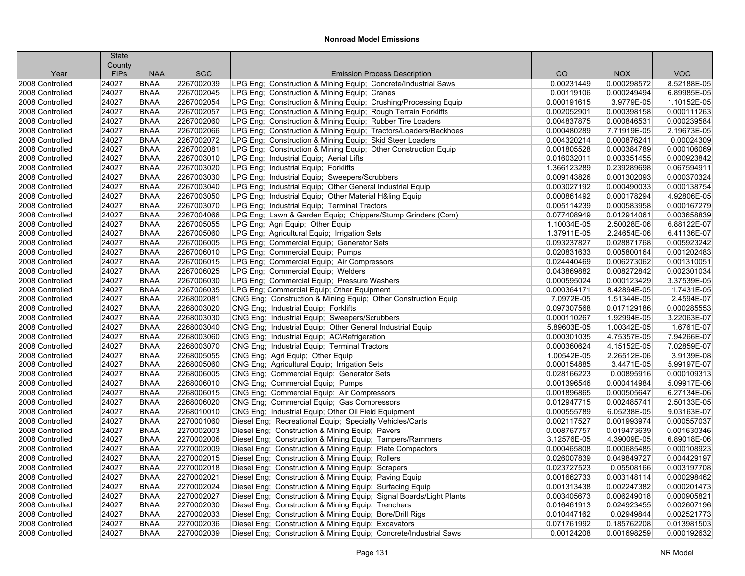|                 | <b>State</b><br>County |             |            |                                                                     |             |             |             |
|-----------------|------------------------|-------------|------------|---------------------------------------------------------------------|-------------|-------------|-------------|
| Year            | <b>FIPs</b>            | <b>NAA</b>  | <b>SCC</b> | <b>Emission Process Description</b>                                 | CO          | <b>NOX</b>  | <b>VOC</b>  |
| 2008 Controlled | 24027                  | <b>BNAA</b> | 2267002039 | LPG Eng; Construction & Mining Equip; Concrete/Industrial Saws      | 0.00231449  | 0.000298572 | 8.52188E-05 |
| 2008 Controlled | 24027                  | <b>BNAA</b> | 2267002045 | LPG Eng; Construction & Mining Equip; Cranes                        | 0.00119106  | 0.000249494 | 6.89985E-05 |
| 2008 Controlled | 24027                  | <b>BNAA</b> | 2267002054 | LPG Eng; Construction & Mining Equip; Crushing/Processing Equip     | 0.000191615 | 3.9779E-05  | 1.10152E-05 |
| 2008 Controlled | 24027                  | <b>BNAA</b> | 2267002057 | LPG Eng; Construction & Mining Equip; Rough Terrain Forklifts       | 0.002052901 | 0.000398158 | 0.000111263 |
| 2008 Controlled | 24027                  | <b>BNAA</b> | 2267002060 | LPG Eng; Construction & Mining Equip; Rubber Tire Loaders           | 0.004837875 | 0.000846531 | 0.000239584 |
| 2008 Controlled | 24027                  | <b>BNAA</b> | 2267002066 | LPG Eng; Construction & Mining Equip; Tractors/Loaders/Backhoes     | 0.000480289 | 7.71919E-05 | 2.19673E-05 |
| 2008 Controlled | 24027                  | <b>BNAA</b> | 2267002072 | LPG Eng; Construction & Mining Equip; Skid Steer Loaders            | 0.004320214 | 0.000876241 | 0.00024309  |
| 2008 Controlled | 24027                  | <b>BNAA</b> | 2267002081 | LPG Eng; Construction & Mining Equip; Other Construction Equip      | 0.001805528 | 0.000384789 | 0.000106069 |
| 2008 Controlled | 24027                  | <b>BNAA</b> | 2267003010 | LPG Eng: Industrial Equip: Aerial Lifts                             | 0.016032011 | 0.003351455 | 0.000923842 |
| 2008 Controlled | 24027                  | <b>BNAA</b> | 2267003020 | LPG Eng; Industrial Equip; Forklifts                                | 1.366123289 | 0.239289698 | 0.067594911 |
| 2008 Controlled | 24027                  | <b>BNAA</b> | 2267003030 | LPG Eng; Industrial Equip; Sweepers/Scrubbers                       | 0.009143826 | 0.001302093 | 0.000370324 |
| 2008 Controlled | 24027                  | <b>BNAA</b> | 2267003040 | LPG Eng; Industrial Equip; Other General Industrial Equip           | 0.003027192 | 0.000490033 | 0.000138754 |
| 2008 Controlled | 24027                  | <b>BNAA</b> | 2267003050 | LPG Eng: Industrial Equip: Other Material H&ling Equip              | 0.000861492 | 0.000178294 | 4.92806E-05 |
| 2008 Controlled | 24027                  | <b>BNAA</b> | 2267003070 | LPG Eng; Industrial Equip; Terminal Tractors                        | 0.005114239 | 0.000583958 | 0.000167279 |
| 2008 Controlled | 24027                  | <b>BNAA</b> | 2267004066 | LPG Eng; Lawn & Garden Equip; Chippers/Stump Grinders (Com)         | 0.077408949 | 0.012914061 | 0.003658839 |
| 2008 Controlled | 24027                  | <b>BNAA</b> | 2267005055 | LPG Eng; Agri Equip; Other Equip                                    | 1.10034E-05 | 2.50028E-06 | 6.88122E-07 |
| 2008 Controlled | 24027                  | <b>BNAA</b> | 2267005060 | LPG Eng; Agricultural Equip; Irrigation Sets                        | 1.37911E-05 | 2.24654E-06 | 6.41136E-07 |
| 2008 Controlled | 24027                  | <b>BNAA</b> | 2267006005 | LPG Eng; Commercial Equip; Generator Sets                           | 0.093237827 | 0.028871768 | 0.005923242 |
| 2008 Controlled | 24027                  | <b>BNAA</b> | 2267006010 | LPG Eng; Commercial Equip; Pumps                                    | 0.020831633 | 0.005800164 | 0.001202483 |
| 2008 Controlled | 24027                  | <b>BNAA</b> | 2267006015 | LPG Eng: Commercial Equip: Air Compressors                          | 0.024440469 | 0.006273062 | 0.001310051 |
| 2008 Controlled | 24027                  | <b>BNAA</b> | 2267006025 | LPG Eng; Commercial Equip; Welders                                  | 0.043869882 | 0.008272842 | 0.002301034 |
| 2008 Controlled | 24027                  | <b>BNAA</b> | 2267006030 | LPG Eng; Commercial Equip; Pressure Washers                         | 0.000595024 | 0.000123429 | 3.37539E-05 |
| 2008 Controlled | 24027                  | <b>BNAA</b> | 2267006035 | LPG Eng; Commercial Equip; Other Equipment                          | 0.000364171 | 8.42894E-05 | 1.7431E-05  |
| 2008 Controlled | 24027                  | <b>BNAA</b> | 2268002081 | CNG Eng; Construction & Mining Equip; Other Construction Equip      | 7.0972E-05  | 1.51344E-05 | 2.4594E-07  |
| 2008 Controlled | 24027                  | <b>BNAA</b> | 2268003020 | CNG Eng; Industrial Equip; Forklifts                                | 0.097307568 | 0.017129186 | 0.000285553 |
| 2008 Controlled | 24027                  | <b>BNAA</b> | 2268003030 | CNG Eng; Industrial Equip; Sweepers/Scrubbers                       | 0.000110267 | 1.92994E-05 | 3.22063E-07 |
| 2008 Controlled | 24027                  | <b>BNAA</b> | 2268003040 | CNG Eng; Industrial Equip; Other General Industrial Equip           | 5.89603E-05 | 1.00342E-05 | 1.6761E-07  |
| 2008 Controlled | 24027                  | <b>BNAA</b> | 2268003060 | CNG Eng; Industrial Equip; AC\Refrigeration                         | 0.000301035 | 4.75357E-05 | 7.94266E-07 |
| 2008 Controlled | 24027                  | <b>BNAA</b> | 2268003070 | CNG Eng; Industrial Equip; Terminal Tractors                        | 0.000360624 | 4.15152E-05 | 7.02859E-07 |
| 2008 Controlled | 24027                  | <b>BNAA</b> | 2268005055 | CNG Eng; Agri Equip; Other Equip                                    | 1.00542E-05 | 2.26512E-06 | 3.9139E-08  |
| 2008 Controlled | 24027                  | <b>BNAA</b> | 2268005060 | CNG Eng; Agricultural Equip; Irrigation Sets                        | 0.000154885 | 3.4471E-05  | 5.99197E-07 |
| 2008 Controlled | 24027                  | <b>BNAA</b> | 2268006005 | CNG Eng; Commercial Equip; Generator Sets                           | 0.028166223 | 0.00895916  | 0.000109313 |
| 2008 Controlled | 24027                  | <b>BNAA</b> | 2268006010 | CNG Eng; Commercial Equip; Pumps                                    | 0.001396546 | 0.000414984 | 5.09917E-06 |
| 2008 Controlled | 24027                  | <b>BNAA</b> | 2268006015 | CNG Eng; Commercial Equip; Air Compressors                          | 0.001896865 | 0.000505647 | 6.27134E-06 |
| 2008 Controlled | 24027                  | <b>BNAA</b> | 2268006020 | CNG Eng; Commercial Equip; Gas Compressors                          | 0.012947715 | 0.002485741 | 2.50133E-05 |
| 2008 Controlled | 24027                  | <b>BNAA</b> | 2268010010 | CNG Eng; Industrial Equip; Other Oil Field Equipment                | 0.000555789 | 6.05238E-05 | 9.03163E-07 |
| 2008 Controlled | 24027                  | <b>BNAA</b> | 2270001060 | Diesel Eng; Recreational Equip; Specialty Vehicles/Carts            | 0.002117527 | 0.001993974 | 0.000557037 |
| 2008 Controlled | 24027                  | <b>BNAA</b> | 2270002003 | Diesel Eng; Construction & Mining Equip; Pavers                     | 0.008767757 | 0.019473639 | 0.001630346 |
| 2008 Controlled | 24027                  | <b>BNAA</b> | 2270002006 | Diesel Eng; Construction & Mining Equip; Tampers/Rammers            | 3.12576E-05 | 4.39009E-05 | 6.89018E-06 |
| 2008 Controlled | 24027                  | <b>BNAA</b> | 2270002009 | Diesel Eng; Construction & Mining Equip; Plate Compactors           | 0.000465808 | 0.000685485 | 0.000108923 |
| 2008 Controlled | 24027                  | <b>BNAA</b> | 2270002015 | Diesel Eng; Construction & Mining Equip; Rollers                    | 0.026007839 | 0.049849727 | 0.004429197 |
| 2008 Controlled | 24027                  | <b>BNAA</b> | 2270002018 | Diesel Eng; Construction & Mining Equip; Scrapers                   | 0.023727523 | 0.05508166  | 0.003197708 |
| 2008 Controlled | 24027                  | <b>BNAA</b> | 2270002021 | Diesel Eng; Construction & Mining Equip; Paving Equip               | 0.001662733 | 0.003148114 | 0.000298462 |
| 2008 Controlled | 24027                  | <b>BNAA</b> | 2270002024 | Diesel Eng; Construction & Mining Equip; Surfacing Equip            | 0.001313438 | 0.002247382 | 0.000201473 |
| 2008 Controlled | 24027                  | <b>BNAA</b> | 2270002027 | Diesel Eng; Construction & Mining Equip; Signal Boards/Light Plants | 0.003405673 | 0.006249018 | 0.000905821 |
| 2008 Controlled | 24027                  | <b>BNAA</b> | 2270002030 | Diesel Eng; Construction & Mining Equip; Trenchers                  | 0.016461913 | 0.024923455 | 0.002607196 |
| 2008 Controlled | 24027                  | <b>BNAA</b> | 2270002033 | Diesel Eng; Construction & Mining Equip; Bore/Drill Rigs            | 0.010447162 | 0.02949844  | 0.002521773 |
| 2008 Controlled | 24027                  | <b>BNAA</b> | 2270002036 | Diesel Eng; Construction & Mining Equip; Excavators                 | 0.071761992 | 0.185762208 | 0.013981503 |
| 2008 Controlled | 24027                  | <b>BNAA</b> | 2270002039 | Diesel Eng; Construction & Mining Equip; Concrete/Industrial Saws   | 0.00124208  | 0.001698259 | 0.000192632 |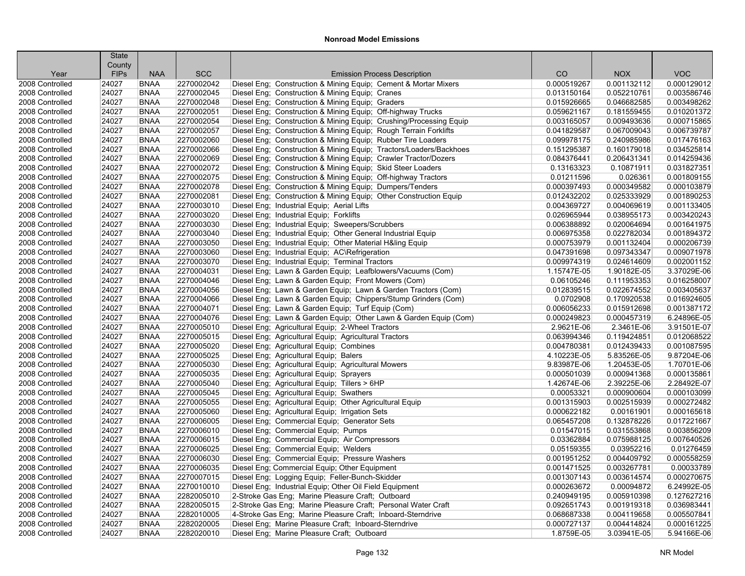|                 | <b>State</b><br>County |             |            |                                                                    |             |             |             |
|-----------------|------------------------|-------------|------------|--------------------------------------------------------------------|-------------|-------------|-------------|
| Year            | <b>FIPs</b>            | <b>NAA</b>  | <b>SCC</b> | <b>Emission Process Description</b>                                | CO          | <b>NOX</b>  | <b>VOC</b>  |
| 2008 Controlled | 24027                  | <b>BNAA</b> | 2270002042 | Diesel Eng; Construction & Mining Equip; Cement & Mortar Mixers    | 0.000519267 | 0.001132112 | 0.000129012 |
| 2008 Controlled | 24027                  | <b>BNAA</b> | 2270002045 | Diesel Eng: Construction & Mining Equip: Cranes                    | 0.013150164 | 0.052210761 | 0.003586746 |
| 2008 Controlled | 24027                  | <b>BNAA</b> | 2270002048 | Diesel Eng; Construction & Mining Equip; Graders                   | 0.015926665 | 0.046682585 | 0.003498262 |
| 2008 Controlled | 24027                  | <b>BNAA</b> | 2270002051 | Diesel Eng; Construction & Mining Equip; Off-highway Trucks        | 0.059621167 | 0.181559455 | 0.010201372 |
| 2008 Controlled | 24027                  | <b>BNAA</b> | 2270002054 | Diesel Eng; Construction & Mining Equip; Crushing/Processing Equip | 0.003165057 | 0.009493636 | 0.000715865 |
| 2008 Controlled | 24027                  | <b>BNAA</b> | 2270002057 | Diesel Eng; Construction & Mining Equip; Rough Terrain Forklifts   | 0.041829587 | 0.067009043 | 0.006739787 |
| 2008 Controlled | 24027                  | <b>BNAA</b> | 2270002060 | Diesel Eng; Construction & Mining Equip; Rubber Tire Loaders       | 0.099978175 | 0.240985986 | 0.017476163 |
| 2008 Controlled | 24027                  | <b>BNAA</b> | 2270002066 | Diesel Eng; Construction & Mining Equip; Tractors/Loaders/Backhoes | 0.151295387 | 0.160179018 | 0.034525814 |
| 2008 Controlled | 24027                  | <b>BNAA</b> | 2270002069 | Diesel Eng; Construction & Mining Equip; Crawler Tractor/Dozers    | 0.084376441 | 0.206431341 | 0.014259436 |
| 2008 Controlled | 24027                  | <b>BNAA</b> | 2270002072 | Diesel Eng; Construction & Mining Equip; Skid Steer Loaders        | 0.13163323  | 0.10871911  | 0.031827351 |
| 2008 Controlled | 24027                  | <b>BNAA</b> | 2270002075 | Diesel Eng; Construction & Mining Equip; Off-highway Tractors      | 0.01211596  | 0.026361    | 0.001809155 |
| 2008 Controlled | 24027                  | <b>BNAA</b> | 2270002078 | Diesel Eng; Construction & Mining Equip; Dumpers/Tenders           | 0.000397493 | 0.000349582 | 0.000103879 |
| 2008 Controlled | 24027                  | <b>BNAA</b> | 2270002081 | Diesel Eng: Construction & Mining Equip: Other Construction Equip  | 0.012432202 | 0.025333929 | 0.001890253 |
| 2008 Controlled | 24027                  | <b>BNAA</b> | 2270003010 | Diesel Eng; Industrial Equip; Aerial Lifts                         | 0.004369727 | 0.004069619 | 0.001133405 |
| 2008 Controlled | 24027                  | <b>BNAA</b> | 2270003020 | Diesel Eng; Industrial Equip; Forklifts                            | 0.026965944 | 0.038955173 | 0.003420243 |
| 2008 Controlled | 24027                  | <b>BNAA</b> | 2270003030 | Diesel Eng; Industrial Equip; Sweepers/Scrubbers                   | 0.006388892 | 0.020064694 | 0.001641975 |
| 2008 Controlled | 24027                  | <b>BNAA</b> | 2270003040 | Diesel Eng; Industrial Equip; Other General Industrial Equip       | 0.006975358 | 0.022782034 | 0.001894372 |
| 2008 Controlled | 24027                  | <b>BNAA</b> | 2270003050 | Diesel Eng; Industrial Equip; Other Material H&ling Equip          | 0.000753979 | 0.001132404 | 0.000206739 |
| 2008 Controlled | 24027                  | <b>BNAA</b> | 2270003060 | Diesel Eng; Industrial Equip; AC\Refrigeration                     | 0.047391698 | 0.097343347 | 0.009071978 |
| 2008 Controlled | 24027                  | <b>BNAA</b> | 2270003070 | Diesel Eng; Industrial Equip; Terminal Tractors                    | 0.009974319 | 0.024614609 | 0.002001152 |
| 2008 Controlled | 24027                  | <b>BNAA</b> | 2270004031 | Diesel Eng; Lawn & Garden Equip; Leafblowers/Vacuums (Com)         | 1.15747E-05 | 1.90182E-05 | 3.37029E-06 |
| 2008 Controlled | 24027                  | <b>BNAA</b> | 2270004046 | Diesel Eng; Lawn & Garden Equip; Front Mowers (Com)                | 0.06105246  | 0.111953353 | 0.016258007 |
| 2008 Controlled | 24027                  | <b>BNAA</b> | 2270004056 | Diesel Eng; Lawn & Garden Equip; Lawn & Garden Tractors (Com)      | 0.012839515 | 0.022674552 | 0.003405637 |
| 2008 Controlled | 24027                  | <b>BNAA</b> | 2270004066 | Diesel Eng; Lawn & Garden Equip; Chippers/Stump Grinders (Com)     | 0.0702908   | 0.170920538 | 0.016924605 |
| 2008 Controlled | 24027                  | <b>BNAA</b> | 2270004071 | Diesel Eng; Lawn & Garden Equip; Turf Equip (Com)                  | 0.006056233 | 0.015912698 | 0.001387172 |
| 2008 Controlled | 24027                  | <b>BNAA</b> | 2270004076 | Diesel Eng; Lawn & Garden Equip; Other Lawn & Garden Equip (Com)   | 0.000249823 | 0.000457319 | 6.24896E-05 |
| 2008 Controlled | 24027                  | <b>BNAA</b> | 2270005010 | Diesel Eng; Agricultural Equip; 2-Wheel Tractors                   | 2.9621E-06  | 2.3461E-06  | 3.91501E-07 |
| 2008 Controlled | 24027                  | <b>BNAA</b> | 2270005015 | Diesel Eng; Agricultural Equip; Agricultural Tractors              | 0.063994346 | 0.119424851 | 0.012068522 |
| 2008 Controlled | 24027                  | <b>BNAA</b> | 2270005020 | Diesel Eng; Agricultural Equip; Combines                           | 0.004780381 | 0.012439433 | 0.001087595 |
| 2008 Controlled | 24027                  | <b>BNAA</b> | 2270005025 | Diesel Eng; Agricultural Equip; Balers                             | 4.10223E-05 | 5.83526E-05 | 9.87204E-06 |
| 2008 Controlled | 24027                  | <b>BNAA</b> | 2270005030 | Diesel Eng; Agricultural Equip; Agricultural Mowers                | 9.83987E-06 | 1.20453E-05 | 1.70701E-06 |
| 2008 Controlled | 24027                  | <b>BNAA</b> | 2270005035 | Diesel Eng; Agricultural Equip; Sprayers                           | 0.000501039 | 0.000941368 | 0.000135861 |
| 2008 Controlled | 24027                  | <b>BNAA</b> | 2270005040 | Diesel Eng; Agricultural Equip; Tillers > 6HP                      | 1.42674E-06 | 2.39225E-06 | 2.28492E-07 |
| 2008 Controlled | 24027                  | <b>BNAA</b> | 2270005045 | Diesel Eng; Agricultural Equip; Swathers                           | 0.00053321  | 0.000900604 | 0.000103099 |
| 2008 Controlled | 24027                  | <b>BNAA</b> | 2270005055 | Diesel Eng; Agricultural Equip; Other Agricultural Equip           | 0.001315903 | 0.002515939 | 0.000272482 |
| 2008 Controlled | 24027                  | <b>BNAA</b> | 2270005060 | Diesel Eng; Agricultural Equip; Irrigation Sets                    | 0.000622182 | 0.00161901  | 0.000165618 |
| 2008 Controlled | 24027                  | <b>BNAA</b> | 2270006005 | Diesel Eng; Commercial Equip; Generator Sets                       | 0.065457208 | 0.132878226 | 0.017221667 |
| 2008 Controlled | 24027                  | <b>BNAA</b> | 2270006010 | Diesel Eng; Commercial Equip; Pumps                                | 0.01547015  | 0.031553868 | 0.003856209 |
| 2008 Controlled | 24027                  | <b>BNAA</b> | 2270006015 | Diesel Eng; Commercial Equip; Air Compressors                      | 0.03362884  | 0.075988125 | 0.007640526 |
| 2008 Controlled | 24027                  | <b>BNAA</b> | 2270006025 | Diesel Eng; Commercial Equip; Welders                              | 0.05159355  | 0.03952216  | 0.01276459  |
| 2008 Controlled | 24027                  | <b>BNAA</b> | 2270006030 | Diesel Eng; Commercial Equip; Pressure Washers                     | 0.001951252 | 0.004409792 | 0.000558259 |
| 2008 Controlled | 24027                  | <b>BNAA</b> | 2270006035 | Diesel Eng; Commercial Equip; Other Equipment                      | 0.001471525 | 0.003267781 | 0.00033789  |
| 2008 Controlled | 24027                  | <b>BNAA</b> | 2270007015 | Diesel Eng; Logging Equip; Feller-Bunch-Skidder                    | 0.001307143 | 0.003614574 | 0.000270675 |
| 2008 Controlled | 24027                  | <b>BNAA</b> | 2270010010 | Diesel Eng; Industrial Equip; Other Oil Field Equipment            | 0.000263672 | 0.00094872  | 6.24992E-05 |
| 2008 Controlled | 24027                  | <b>BNAA</b> | 2282005010 | 2-Stroke Gas Eng; Marine Pleasure Craft; Outboard                  | 0.240949195 | 0.005910398 | 0.127627216 |
| 2008 Controlled | 24027                  | <b>BNAA</b> | 2282005015 | 2-Stroke Gas Eng; Marine Pleasure Craft; Personal Water Craft      | 0.092651743 | 0.001919318 | 0.036983441 |
| 2008 Controlled | 24027                  | <b>BNAA</b> | 2282010005 | 4-Stroke Gas Eng; Marine Pleasure Craft; Inboard-Sterndrive        | 0.068687338 | 0.004119658 | 0.005507841 |
| 2008 Controlled | 24027                  | <b>BNAA</b> | 2282020005 | Diesel Eng; Marine Pleasure Craft; Inboard-Sterndrive              | 0.000727137 | 0.004414824 | 0.000161225 |
| 2008 Controlled | 24027                  | <b>BNAA</b> | 2282020010 | Diesel Eng; Marine Pleasure Craft; Outboard                        | 1.8759E-05  | 3.03941E-05 | 5.94166E-06 |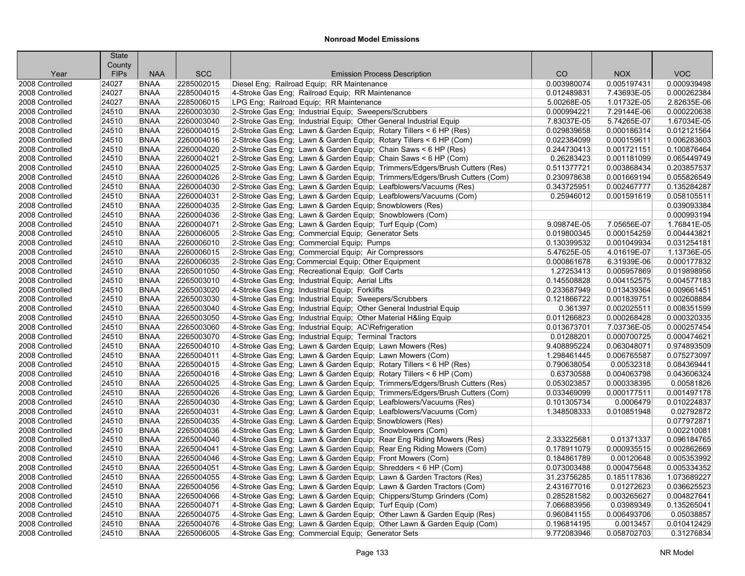|                                    | <b>State</b>   |                            |                          |                                                                                                                                            |                            |                           |                            |
|------------------------------------|----------------|----------------------------|--------------------------|--------------------------------------------------------------------------------------------------------------------------------------------|----------------------------|---------------------------|----------------------------|
|                                    | County         |                            |                          |                                                                                                                                            |                            |                           |                            |
| Year                               | <b>FIPs</b>    | <b>NAA</b>                 | <b>SCC</b>               | <b>Emission Process Description</b>                                                                                                        | CO                         | <b>NOX</b>                | <b>VOC</b>                 |
| 2008 Controlled                    | 24027          | <b>BNAA</b>                | 2285002015               | Diesel Eng; Railroad Equip; RR Maintenance                                                                                                 | 0.003980074                | 0.005197431               | 0.000939498                |
| 2008 Controlled                    | 24027          | <b>BNAA</b>                | 2285004015               | 4-Stroke Gas Eng; Railroad Equip; RR Maintenance                                                                                           | 0.012489831                | 7.43693E-05               | 0.000262384                |
| 2008 Controlled                    | 24027          | <b>BNAA</b>                | 2285006015               | LPG Eng; Railroad Equip; RR Maintenance                                                                                                    | 5.00268E-05                | 1.01732E-05               | 2.82635E-06                |
| 2008 Controlled                    | 24510          | <b>BNAA</b>                | 2260003030               | 2-Stroke Gas Eng; Industrial Equip; Sweepers/Scrubbers                                                                                     | 0.000994221                | 7.29144E-06               | 0.000220638                |
| 2008 Controlled                    | 24510          | <b>BNAA</b>                | 2260003040               | 2-Stroke Gas Eng; Industrial Equip; Other General Industrial Equip                                                                         | 7.83037E-05                | 5.74265E-07               | 1.67034E-05                |
| 2008 Controlled                    | 24510          | <b>BNAA</b>                | 2260004015               | 2-Stroke Gas Eng; Lawn & Garden Equip; Rotary Tillers < 6 HP (Res)                                                                         | 0.029839658                | 0.000186314               | 0.012121564                |
| 2008 Controlled                    | 24510          | <b>BNAA</b>                | 2260004016               | 2-Stroke Gas Eng; Lawn & Garden Equip; Rotary Tillers < 6 HP (Com)                                                                         | 0.022384099                | 0.000159611               | 0.006283603                |
| 2008 Controlled                    | 24510          | <b>BNAA</b>                | 2260004020               | 2-Stroke Gas Eng; Lawn & Garden Equip; Chain Saws < 6 HP (Res)                                                                             | 0.244730413                | 0.001721151               | 0.100876464                |
| 2008 Controlled                    | 24510          | <b>BNAA</b>                | 2260004021               | 2-Stroke Gas Eng; Lawn & Garden Equip; Chain Saws < 6 HP (Com)                                                                             | 0.26283423                 | 0.001181099               | 0.065449749                |
| 2008 Controlled                    | 24510          | <b>BNAA</b>                | 2260004025               | 2-Stroke Gas Eng; Lawn & Garden Equip; Trimmers/Edgers/Brush Cutters (Res)                                                                 | 0.511377721                | 0.003868434               | 0.203857537                |
| 2008 Controlled                    | 24510          | <b>BNAA</b>                | 2260004026               | 2-Stroke Gas Eng; Lawn & Garden Equip; Trimmers/Edgers/Brush Cutters (Com)                                                                 | 0.230978638                | 0.001669194               | 0.055826549                |
| 2008 Controlled                    | 24510          | <b>BNAA</b>                | 2260004030               | 2-Stroke Gas Eng; Lawn & Garden Equip; Leafblowers/Vacuums (Res)                                                                           | 0.343725951                | 0.002467777               | 0.135284287                |
| 2008 Controlled                    | 24510          | <b>BNAA</b>                | 2260004031               | 2-Stroke Gas Eng; Lawn & Garden Equip; Leafblowers/Vacuums (Com)                                                                           | 0.25946012                 | 0.001591619               | 0.058105511                |
| 2008 Controlled                    | 24510          | <b>BNAA</b>                | 2260004035               | 2-Stroke Gas Eng; Lawn & Garden Equip; Snowblowers (Res)                                                                                   |                            |                           | 0.039093384                |
| 2008 Controlled                    | 24510          | <b>BNAA</b>                | 2260004036               | 2-Stroke Gas Eng; Lawn & Garden Equip; Snowblowers (Com)                                                                                   |                            |                           | 0.000993194                |
| 2008 Controlled                    | 24510          | <b>BNAA</b>                | 2260004071               | 2-Stroke Gas Eng; Lawn & Garden Equip; Turf Equip (Com)                                                                                    | 9.09874E-05                | 7.05656E-07               | 1.76841E-05                |
| 2008 Controlled                    | 24510          | <b>BNAA</b>                | 2260006005               | 2-Stroke Gas Eng; Commercial Equip; Generator Sets                                                                                         | 0.019800345                | 0.000154259               | 0.004443821                |
| 2008 Controlled                    | 24510          | <b>BNAA</b>                | 2260006010               | 2-Stroke Gas Eng; Commercial Equip; Pumps                                                                                                  | 0.130399532                | 0.001049934               | 0.031254181                |
| 2008 Controlled                    | 24510          | <b>BNAA</b>                | 2260006015               | 2-Stroke Gas Eng; Commercial Equip; Air Compressors                                                                                        | 5.47625E-05                | 4.01619E-07               | 1.13736E-05                |
| 2008 Controlled                    | 24510          | <b>BNAA</b>                | 2260006035               | 2-Stroke Gas Eng; Commercial Equip; Other Equipment                                                                                        | 0.000861678                | 6.31939E-06               | 0.000177832                |
| 2008 Controlled                    | 24510          | <b>BNAA</b>                | 2265001050               | 4-Stroke Gas Eng; Recreational Equip; Golf Carts                                                                                           | 1.27253413                 | 0.005957869               | 0.019898956                |
| 2008 Controlled                    | 24510          | <b>BNAA</b>                | 2265003010               | 4-Stroke Gas Eng: Industrial Equip: Aerial Lifts                                                                                           | 0.145508828                | 0.004152575               | 0.004577183                |
| 2008 Controlled                    | 24510          | <b>BNAA</b>                | 2265003020               | 4-Stroke Gas Eng; Industrial Equip; Forklifts                                                                                              | 0.233687949                | 0.013439364               | 0.009661451                |
| 2008 Controlled                    | 24510          | <b>BNAA</b>                | 2265003030               | 4-Stroke Gas Eng; Industrial Equip; Sweepers/Scrubbers                                                                                     | 0.121866722                | 0.001839751               | 0.002608884                |
| 2008 Controlled                    | 24510          | <b>BNAA</b>                | 2265003040               | 4-Stroke Gas Eng; Industrial Equip; Other General Industrial Equip                                                                         | 0.361397                   | 0.002025511               | 0.008351599                |
| 2008 Controlled                    | 24510          | <b>BNAA</b>                | 2265003050               | 4-Stroke Gas Eng; Industrial Equip; Other Material H&ling Equip                                                                            | 0.011266823                | 0.000268428               | 0.000320335                |
| 2008 Controlled                    | 24510          | <b>BNAA</b>                | 2265003060               | 4-Stroke Gas Eng; Industrial Equip; AC\Refrigeration                                                                                       | 0.013673701                | 7.03736E-05               | 0.000257454                |
| 2008 Controlled                    | 24510          | <b>BNAA</b>                | 2265003070               | 4-Stroke Gas Eng; Industrial Equip; Terminal Tractors                                                                                      | 0.01288201                 | 0.000700725               | 0.000474621                |
| 2008 Controlled                    | 24510          | <b>BNAA</b><br><b>BNAA</b> | 2265004010<br>2265004011 | 4-Stroke Gas Eng; Lawn & Garden Equip; Lawn Mowers (Res)                                                                                   | 9.408895224                | 0.063048071               | 0.974893509                |
| 2008 Controlled                    | 24510          |                            |                          | 4-Stroke Gas Eng; Lawn & Garden Equip; Lawn Mowers (Com)                                                                                   | 1.298461445                | 0.006765587               | 0.075273097                |
| 2008 Controlled<br>2008 Controlled | 24510<br>24510 | <b>BNAA</b><br><b>BNAA</b> | 2265004015<br>2265004016 | 4-Stroke Gas Eng; Lawn & Garden Equip; Rotary Tillers < 6 HP (Res)                                                                         | 0.790638054<br>0.63730588  | 0.00532318<br>0.004063798 | 0.084369441<br>0.043606324 |
|                                    | 24510          | <b>BNAA</b>                | 2265004025               | 4-Stroke Gas Eng; Lawn & Garden Equip; Rotary Tillers < 6 HP (Com)                                                                         | 0.053023857                | 0.000338395               | 0.00581826                 |
| 2008 Controlled<br>2008 Controlled | 24510          | <b>BNAA</b>                | 2265004026               | 4-Stroke Gas Eng; Lawn & Garden Equip; Trimmers/Edgers/Brush Cutters (Res)                                                                 | 0.033469099                | 0.000177511               | 0.001497178                |
| 2008 Controlled                    | 24510          | <b>BNAA</b>                | 2265004030               | 4-Stroke Gas Eng; Lawn & Garden Equip; Trimmers/Edgers/Brush Cutters (Com)                                                                 | 0.101305734                | 0.0006479                 | 0.010224837                |
| 2008 Controlled                    | 24510          | <b>BNAA</b>                | 2265004031               | 4-Stroke Gas Eng; Lawn & Garden Equip; Leafblowers/Vacuums (Res)<br>4-Stroke Gas Eng; Lawn & Garden Equip; Leafblowers/Vacuums (Com)       | 1.348508333                | 0.010851948               | 0.02792872                 |
| 2008 Controlled                    | 24510          | <b>BNAA</b>                | 2265004035               | 4-Stroke Gas Eng; Lawn & Garden Equip; Snowblowers (Res)                                                                                   |                            |                           | 0.077972871                |
| 2008 Controlled                    | 24510          | <b>BNAA</b>                | 2265004036               | 4-Stroke Gas Eng; Lawn & Garden Equip; Snowblowers (Com)                                                                                   |                            |                           | 0.002210081                |
| 2008 Controlled                    | 24510          | <b>BNAA</b>                | 2265004040               |                                                                                                                                            | 2.333225681                | 0.01371337                | 0.096184765                |
| 2008 Controlled                    | 24510          | <b>BNAA</b>                | 2265004041               | 4-Stroke Gas Eng; Lawn & Garden Equip; Rear Eng Riding Mowers (Res)<br>4-Stroke Gas Eng; Lawn & Garden Equip; Rear Eng Riding Mowers (Com) | 0.178911079                | 0.000935515               | 0.002862669                |
|                                    | 24510          | <b>BNAA</b>                | 2265004046               |                                                                                                                                            |                            |                           | 0.005353992                |
| 2008 Controlled<br>2008 Controlled |                | <b>BNAA</b>                | 2265004051               | 4-Stroke Gas Eng; Lawn & Garden Equip; Front Mowers (Com)                                                                                  | 0.184861789                | 0.00120648                | 0.005334352                |
| 2008 Controlled                    | 24510<br>24510 | <b>BNAA</b>                | 2265004055               | 4-Stroke Gas Eng; Lawn & Garden Equip; Shredders < 6 HP (Com)                                                                              | 0.073003488<br>31.23756285 | 0.000475648               | 1.073689227                |
|                                    |                |                            | 2265004056               | 4-Stroke Gas Eng: Lawn & Garden Equip: Lawn & Garden Tractors (Res)                                                                        |                            | 0.185117836               | 0.036625523                |
| 2008 Controlled<br>2008 Controlled | 24510<br>24510 | <b>BNAA</b><br><b>BNAA</b> | 2265004066               | 4-Stroke Gas Eng; Lawn & Garden Equip; Lawn & Garden Tractors (Com)                                                                        | 2.431677016<br>0.285281582 | 0.01272623<br>0.003265627 | 0.004827641                |
| 2008 Controlled                    | 24510          | <b>BNAA</b>                | 2265004071               | 4-Stroke Gas Eng; Lawn & Garden Equip; Chippers/Stump Grinders (Com)                                                                       | 7.066883956                | 0.03989349                | 0.135265041                |
|                                    | 24510          | <b>BNAA</b>                | 2265004075               | 4-Stroke Gas Eng; Lawn & Garden Equip; Turf Equip (Com)<br>4-Stroke Gas Eng: Lawn & Garden Equip: Other Lawn & Garden Equip (Res)          | 0.960841155                | 0.006493706               | 0.05038857                 |
| 2008 Controlled<br>2008 Controlled | 24510          | <b>BNAA</b>                | 2265004076               | 4-Stroke Gas Eng; Lawn & Garden Equip; Other Lawn & Garden Equip (Com)                                                                     |                            | 0.0013457                 | 0.010412429                |
| 2008 Controlled                    | 24510          | <b>BNAA</b>                | 2265006005               |                                                                                                                                            | 0.196814195<br>9.772083946 | 0.058702703               |                            |
|                                    |                |                            |                          | 4-Stroke Gas Eng; Commercial Equip; Generator Sets                                                                                         |                            |                           | 0.31276834                 |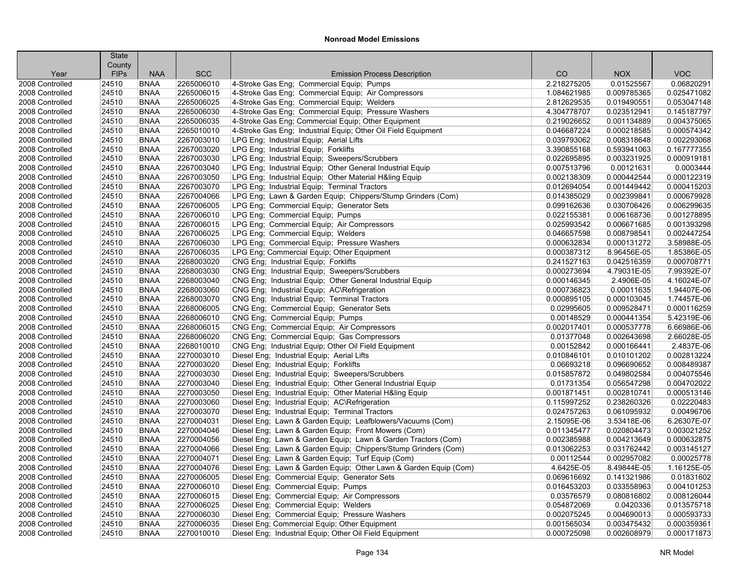|                 | <b>State</b>          |                            |                          |                                                                                             |                            |                            |                            |
|-----------------|-----------------------|----------------------------|--------------------------|---------------------------------------------------------------------------------------------|----------------------------|----------------------------|----------------------------|
| Year            | County<br><b>FIPs</b> | <b>NAA</b>                 | <b>SCC</b>               | <b>Emission Process Description</b>                                                         | CO                         | <b>NOX</b>                 | <b>VOC</b>                 |
| 2008 Controlled | 24510                 | <b>BNAA</b>                | 2265006010               | 4-Stroke Gas Eng; Commercial Equip; Pumps                                                   | 2.218275205                | 0.01525567                 | 0.06820291                 |
| 2008 Controlled | 24510                 | <b>BNAA</b>                | 2265006015               | 4-Stroke Gas Eng: Commercial Equip: Air Compressors                                         | 1.084621985                | 0.009785365                | 0.025471082                |
| 2008 Controlled | 24510                 | <b>BNAA</b>                | 2265006025               | 4-Stroke Gas Eng; Commercial Equip; Welders                                                 | 2.812629535                | 0.019490551                | 0.053047148                |
| 2008 Controlled | 24510                 | <b>BNAA</b>                | 2265006030               | 4-Stroke Gas Eng; Commercial Equip; Pressure Washers                                        | 4.304778707                | 0.023512941                | 0.145187797                |
| 2008 Controlled | 24510                 | <b>BNAA</b>                | 2265006035               | 4-Stroke Gas Eng; Commercial Equip; Other Equipment                                         | 0.219026652                | 0.001134889                | 0.004375065                |
| 2008 Controlled | 24510                 | <b>BNAA</b>                | 2265010010               | 4-Stroke Gas Eng; Industrial Equip; Other Oil Field Equipment                               | 0.046687224                | 0.000218585                | 0.000574342                |
| 2008 Controlled | 24510                 | <b>BNAA</b>                | 2267003010               | LPG Eng; Industrial Equip; Aerial Lifts                                                     | 0.039793062                | 0.008318648                | 0.002293068                |
| 2008 Controlled | 24510                 | <b>BNAA</b>                | 2267003020               | LPG Eng; Industrial Equip; Forklifts                                                        | 3.390855168                | 0.593941063                | 0.167777355                |
| 2008 Controlled | 24510                 | <b>BNAA</b>                | 2267003030               | LPG Eng; Industrial Equip; Sweepers/Scrubbers                                               | 0.022695895                | 0.003231925                | 0.000919181                |
| 2008 Controlled | 24510                 | <b>BNAA</b>                | 2267003040               | LPG Eng; Industrial Equip; Other General Industrial Equip                                   | 0.007513796                | 0.00121631                 | 0.0003444                  |
| 2008 Controlled | 24510                 | <b>BNAA</b>                | 2267003050               | LPG Eng; Industrial Equip; Other Material H&ling Equip                                      | 0.002138309                | 0.000442544                | 0.000122319                |
| 2008 Controlled | 24510                 | <b>BNAA</b>                | 2267003070               | LPG Eng; Industrial Equip; Terminal Tractors                                                | 0.012694054                | 0.001449442                | 0.000415203                |
| 2008 Controlled | 24510                 | <b>BNAA</b>                | 2267004066               | LPG Eng; Lawn & Garden Equip; Chippers/Stump Grinders (Com)                                 | 0.014385029                | 0.002399841                | 0.000679928                |
| 2008 Controlled | 24510                 | <b>BNAA</b>                | 2267006005               | LPG Eng; Commercial Equip; Generator Sets                                                   | 0.099162636                | 0.030706426                | 0.006299635                |
| 2008 Controlled | 24510                 | <b>BNAA</b>                | 2267006010               | LPG Eng; Commercial Equip; Pumps                                                            | 0.022155381                | 0.006168736                | 0.001278895                |
| 2008 Controlled | 24510                 | <b>BNAA</b>                | 2267006015               | LPG Eng; Commercial Equip; Air Compressors                                                  | 0.025993542                | 0.006671685                | 0.001393298                |
| 2008 Controlled | 24510                 | <b>BNAA</b>                | 2267006025               | LPG Eng; Commercial Equip; Welders                                                          | 0.046657598                | 0.008798541                | 0.002447254                |
| 2008 Controlled | 24510                 | <b>BNAA</b>                | 2267006030               | LPG Eng; Commercial Equip; Pressure Washers                                                 | 0.000632834                | 0.000131272                | 3.58988E-05                |
| 2008 Controlled | 24510                 | <b>BNAA</b>                | 2267006035               | LPG Eng; Commercial Equip; Other Equipment                                                  | 0.000387312                | 8.96456E-05                | 1.85386E-05                |
|                 |                       |                            |                          |                                                                                             |                            |                            | 0.000708771                |
| 2008 Controlled | 24510                 | <b>BNAA</b><br><b>BNAA</b> | 2268003020<br>2268003030 | CNG Eng: Industrial Equip: Forklifts                                                        | 0.241527163                | 0.042516359                | 7.99392E-07                |
| 2008 Controlled | 24510<br>24510        | <b>BNAA</b>                | 2268003040               | CNG Eng; Industrial Equip; Sweepers/Scrubbers                                               | 0.000273694<br>0.000146345 | 4.79031E-05<br>2.4906E-05  | 4.16024E-07                |
| 2008 Controlled |                       |                            |                          | CNG Eng; Industrial Equip; Other General Industrial Equip                                   |                            |                            |                            |
| 2008 Controlled | 24510                 | <b>BNAA</b>                | 2268003060               | CNG Eng; Industrial Equip; AC\Refrigeration<br>CNG Eng; Industrial Equip; Terminal Tractors | 0.000736823                | 0.00011635                 | 1.94407E-06                |
| 2008 Controlled | 24510                 | <b>BNAA</b>                | 2268003070               |                                                                                             | 0.000895105                | 0.000103045                | 1.74457E-06                |
| 2008 Controlled | 24510                 | <b>BNAA</b>                | 2268006005               | CNG Eng; Commercial Equip; Generator Sets                                                   | 0.02995605                 | 0.009528471                | 0.000116259                |
| 2008 Controlled | 24510                 | <b>BNAA</b>                | 2268006010               | CNG Eng; Commercial Equip; Pumps                                                            | 0.00148529                 | 0.000441354                | 5.42319E-06                |
| 2008 Controlled | 24510                 | <b>BNAA</b>                | 2268006015               | CNG Eng; Commercial Equip; Air Compressors                                                  | 0.002017401                | 0.000537778                | 6.66986E-06                |
| 2008 Controlled | 24510                 | <b>BNAA</b>                | 2268006020               | CNG Eng; Commercial Equip; Gas Compressors                                                  | 0.01377048                 | 0.002643698                | 2.66028E-05                |
| 2008 Controlled | 24510                 | <b>BNAA</b>                | 2268010010               | CNG Eng; Industrial Equip; Other Oil Field Equipment                                        | 0.00152842                 | 0.000166441                | 2.4837E-06                 |
| 2008 Controlled | 24510                 | <b>BNAA</b>                | 2270003010               | Diesel Eng; Industrial Equip; Aerial Lifts                                                  | 0.010846101                | 0.010101202                | 0.002813224                |
| 2008 Controlled | 24510<br>24510        | <b>BNAA</b><br><b>BNAA</b> | 2270003020<br>2270003030 | Diesel Eng; Industrial Equip; Forklifts                                                     | 0.06693218<br>0.015857872  | 0.096690652<br>0.049802584 | 0.008489387<br>0.004075546 |
| 2008 Controlled |                       |                            |                          | Diesel Eng; Industrial Equip; Sweepers/Scrubbers                                            |                            |                            |                            |
| 2008 Controlled | 24510                 | <b>BNAA</b>                | 2270003040               | Diesel Eng; Industrial Equip; Other General Industrial Equip                                | 0.01731354                 | 0.056547298                | 0.004702022                |
| 2008 Controlled | 24510                 | <b>BNAA</b>                | 2270003050               | Diesel Eng; Industrial Equip; Other Material H&ling Equip                                   | 0.001871451                | 0.002810741                | 0.000513146                |
| 2008 Controlled | 24510                 | <b>BNAA</b><br><b>BNAA</b> | 2270003060               | Diesel Eng; Industrial Equip; AC\Refrigeration                                              | 0.115997252                | 0.238260326                | 0.02220483                 |
| 2008 Controlled | 24510                 |                            | 2270003070               | Diesel Eng; Industrial Equip; Terminal Tractors                                             | 0.024757263                | 0.061095932                | 0.00496706                 |
| 2008 Controlled | 24510                 | <b>BNAA</b>                | 2270004031<br>2270004046 | Diesel Eng; Lawn & Garden Equip; Leafblowers/Vacuums (Com)                                  | 2.15095E-06                | 3.53418E-06                | 6.26307E-07                |
| 2008 Controlled | 24510                 | <b>BNAA</b>                |                          | Diesel Eng; Lawn & Garden Equip; Front Mowers (Com)                                         | 0.011345477                | 0.020804473                | 0.003021252                |
| 2008 Controlled | 24510                 | <b>BNAA</b>                | 2270004056               | Diesel Eng; Lawn & Garden Equip; Lawn & Garden Tractors (Com)                               | 0.002385988                | 0.004213649                | 0.000632875                |
| 2008 Controlled | 24510                 | <b>BNAA</b>                | 2270004066               | Diesel Eng; Lawn & Garden Equip; Chippers/Stump Grinders (Com)                              | 0.013062253                | 0.031762442                | 0.003145127                |
| 2008 Controlled | 24510                 | <b>BNAA</b>                | 2270004071               | Diesel Eng; Lawn & Garden Equip; Turf Equip (Com)                                           | 0.00112544                 | 0.002957082                | 0.00025778                 |
| 2008 Controlled | 24510                 | <b>BNAA</b>                | 2270004076               | Diesel Eng; Lawn & Garden Equip; Other Lawn & Garden Equip (Com)                            | 4.6425E-05                 | 8.49844E-05                | 1.16125E-05                |
| 2008 Controlled | 24510                 | <b>BNAA</b>                | 2270006005               | Diesel Eng: Commercial Equip: Generator Sets                                                | 0.069616692                | 0.141321986                | 0.01831602                 |
| 2008 Controlled | 24510                 | <b>BNAA</b>                | 2270006010               | Diesel Eng; Commercial Equip; Pumps                                                         | 0.016453203                | 0.033558963                | 0.004101253                |
| 2008 Controlled | 24510                 | <b>BNAA</b>                | 2270006015               | Diesel Eng; Commercial Equip; Air Compressors                                               | 0.03576579                 | 0.080816802                | 0.008126044                |
| 2008 Controlled | 24510                 | <b>BNAA</b>                | 2270006025               | Diesel Eng; Commercial Equip; Welders                                                       | 0.054872069                | 0.0420336                  | 0.013575718                |
| 2008 Controlled | 24510                 | <b>BNAA</b>                | 2270006030               | Diesel Eng; Commercial Equip; Pressure Washers                                              | 0.002075245                | 0.004690013                | 0.000593733                |
| 2008 Controlled | 24510                 | <b>BNAA</b>                | 2270006035               | Diesel Eng; Commercial Equip; Other Equipment                                               | 0.001565034                | 0.003475432                | 0.000359361                |
| 2008 Controlled | 24510                 | <b>BNAA</b>                | 2270010010               | Diesel Eng; Industrial Equip; Other Oil Field Equipment                                     | 0.000725098                | 0.002608979                | 0.000171873                |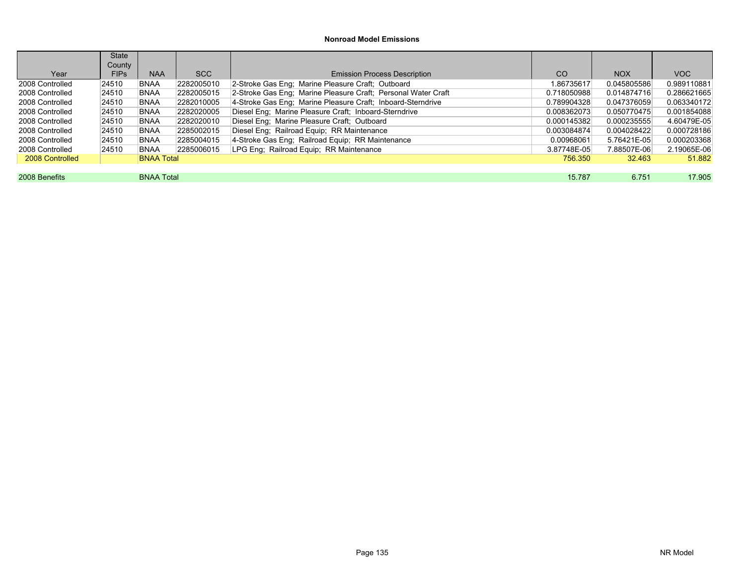|                 | State       |                   |            |                                                               |             |             |             |
|-----------------|-------------|-------------------|------------|---------------------------------------------------------------|-------------|-------------|-------------|
|                 | County      |                   |            |                                                               |             |             |             |
| Year            | <b>FIPs</b> | <b>NAA</b>        | SCC        | <b>Emission Process Description</b>                           | CO          | <b>NOX</b>  | VOC.        |
| 2008 Controlled | 24510       | BNAA              | 2282005010 | 2-Stroke Gas Eng: Marine Pleasure Craft: Outboard             | 1.86735617  | 0.045805586 | 0.989110881 |
| 2008 Controlled | 24510       | BNAA              | 2282005015 | 2-Stroke Gas Eng; Marine Pleasure Craft; Personal Water Craft | 0.718050988 | 0.014874716 | 0.286621665 |
| 2008 Controlled | 24510       | BNAA              | 2282010005 | 4-Stroke Gas Eng; Marine Pleasure Craft; Inboard-Sterndrive   | 0.789904328 | 0.047376059 | 0.063340172 |
| 2008 Controlled | 24510       | BNAA              | 2282020005 | Diesel Eng; Marine Pleasure Craft; Inboard-Sterndrive         | 0.008362073 | 0.050770475 | 0.001854088 |
| 2008 Controlled | 24510       | BNAA              | 2282020010 | Diesel Eng; Marine Pleasure Craft; Outboard                   | 0.000145382 | 0.000235555 | 4.60479E-05 |
| 2008 Controlled | 24510       | BNAA              | 2285002015 | Diesel Eng; Railroad Equip; RR Maintenance                    | 0.003084874 | 0.004028422 | 0.000728186 |
| 2008 Controlled | 24510       | BNAA              | 2285004015 | 4-Stroke Gas Eng; Railroad Equip; RR Maintenance              | 0.00968061  | 5.76421E-05 | 0.000203368 |
| 2008 Controlled | 24510       | <b>BNAA</b>       | 2285006015 | LPG Eng; Railroad Equip; RR Maintenance                       | 3.87748E-05 | 7.88507E-06 | 2.19065E-06 |
| 2008 Controlled |             | <b>BNAA Total</b> |            |                                                               | 756.350     | 32.463      | 51.882      |
|                 |             |                   |            |                                                               |             |             |             |
| 2008 Benefits   |             | <b>BNAA Total</b> |            |                                                               | 15.787      | 6.751       | 17.905      |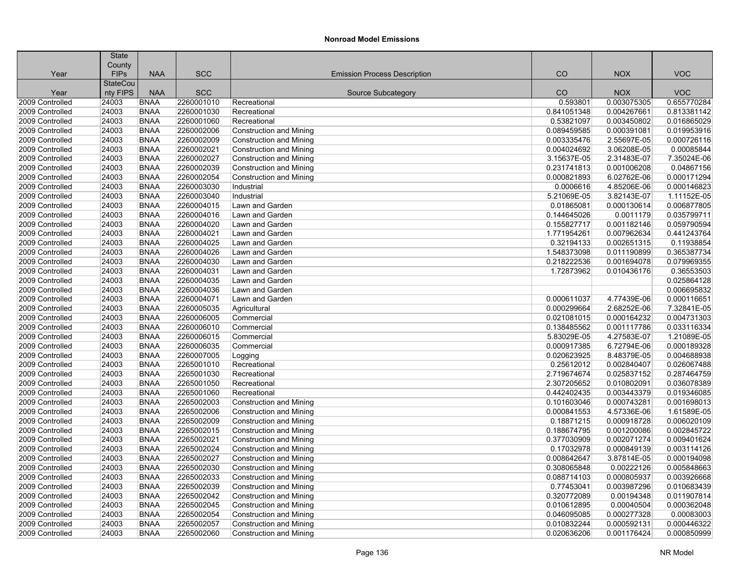|                 | <b>State</b>    |             |            |                                     |             |             |             |
|-----------------|-----------------|-------------|------------|-------------------------------------|-------------|-------------|-------------|
|                 | County          |             |            |                                     |             |             |             |
| Year            | <b>FIPs</b>     | <b>NAA</b>  | <b>SCC</b> | <b>Emission Process Description</b> | CO          | <b>NOX</b>  | <b>VOC</b>  |
|                 | <b>StateCou</b> |             |            |                                     |             |             |             |
| Year            | nty FIPS        | <b>NAA</b>  | <b>SCC</b> | Source Subcategory                  | CO          | <b>NOX</b>  | <b>VOC</b>  |
| 2009 Controlled | 24003           | <b>BNAA</b> | 2260001010 | Recreational                        | 0.593801    | 0.003075305 | 0.655770284 |
| 2009 Controlled | 24003           | BNAA        | 2260001030 | Recreational                        | 0.841051348 | 0.004267661 | 0.813381142 |
| 2009 Controlled | 24003           | <b>BNAA</b> | 2260001060 | Recreational                        | 0.53821097  | 0.003450802 | 0.016865029 |
| 2009 Controlled | 24003           | <b>BNAA</b> | 2260002006 | Construction and Mining             | 0.089459585 | 0.000391081 | 0.019953916 |
| 2009 Controlled | 24003           | <b>BNAA</b> | 2260002009 | <b>Construction and Mining</b>      | 0.003335476 | 2.55697E-05 | 0.000726116 |
| 2009 Controlled | 24003           | <b>BNAA</b> | 2260002021 | <b>Construction and Mining</b>      | 0.004024692 | 3.06208E-05 | 0.00085844  |
| 2009 Controlled | 24003           | <b>BNAA</b> | 2260002027 | Construction and Mining             | 3.15637E-05 | 2.31483E-07 | 7.35024E-06 |
| 2009 Controlled | 24003           | <b>BNAA</b> | 2260002039 | <b>Construction and Mining</b>      | 0.231741813 | 0.001006208 | 0.04867156  |
| 2009 Controlled | 24003           | <b>BNAA</b> | 2260002054 | <b>Construction and Mining</b>      | 0.000821893 | 6.02762E-06 | 0.000171294 |
| 2009 Controlled | 24003           | <b>BNAA</b> | 2260003030 | Industrial                          | 0.0006616   | 4.85206E-06 | 0.000146823 |
| 2009 Controlled | 24003           | <b>BNAA</b> | 2260003040 | Industrial                          | 5.21069E-05 | 3.82143E-07 | 1.11152E-05 |
| 2009 Controlled | 24003           | <b>BNAA</b> | 2260004015 | Lawn and Garden                     | 0.01865081  | 0.000130614 | 0.006877805 |
| 2009 Controlled | 24003           | <b>BNAA</b> | 2260004016 | Lawn and Garden                     | 0.144645026 | 0.0011179   | 0.035799711 |
| 2009 Controlled | 24003           | <b>BNAA</b> | 2260004020 | Lawn and Garden                     | 0.155827717 | 0.001182146 | 0.059790594 |
| 2009 Controlled | 24003           | <b>BNAA</b> | 2260004021 | Lawn and Garden                     | 1.771954261 | 0.007962634 | 0.441243764 |
| 2009 Controlled | 24003           | <b>BNAA</b> | 2260004025 | Lawn and Garden                     | 0.32194133  | 0.002651315 | 0.11938854  |
| 2009 Controlled | 24003           | <b>BNAA</b> | 2260004026 | Lawn and Garden                     | 1.548373098 | 0.011190899 | 0.365387734 |
| 2009 Controlled | 24003           | <b>BNAA</b> | 2260004030 | Lawn and Garden                     | 0.218222536 | 0.001694078 | 0.079969355 |
| 2009 Controlled | 24003           | <b>BNAA</b> | 2260004031 | Lawn and Garden                     | 1.72873962  | 0.010436176 | 0.36553503  |
| 2009 Controlled | 24003           | <b>BNAA</b> | 2260004035 | Lawn and Garden                     |             |             | 0.025864128 |
| 2009 Controlled | 24003           | <b>BNAA</b> | 2260004036 | Lawn and Garden                     |             |             | 0.006695832 |
| 2009 Controlled | 24003           | <b>BNAA</b> | 2260004071 | Lawn and Garden                     | 0.000611037 | 4.77439E-06 | 0.000116651 |
| 2009 Controlled | 24003           | <b>BNAA</b> | 2260005035 | Agricultural                        | 0.000299664 | 2.68252E-06 | 7.32841E-05 |
| 2009 Controlled | 24003           | <b>BNAA</b> | 2260006005 | Commercial                          | 0.021081015 | 0.000164232 | 0.004731303 |
| 2009 Controlled | 24003           | <b>BNAA</b> | 2260006010 | Commercial                          | 0.138485562 | 0.001117786 | 0.033116334 |
| 2009 Controlled | 24003           | <b>BNAA</b> | 2260006015 | Commercial                          | 5.83029E-05 | 4.27583E-07 | 1.21089E-05 |
| 2009 Controlled | 24003           | <b>BNAA</b> | 2260006035 | Commercial                          | 0.000917385 | 6.72794E-06 | 0.000189328 |
| 2009 Controlled | 24003           | <b>BNAA</b> | 2260007005 | Logging                             | 0.020623925 | 8.48379E-05 | 0.004688938 |
| 2009 Controlled | 24003           | <b>BNAA</b> | 2265001010 | Recreational                        | 0.25612012  | 0.002840407 | 0.026067488 |
| 2009 Controlled | 24003           | BNAA        | 2265001030 | Recreational                        | 2.719674674 | 0.025837152 | 0.287464759 |
| 2009 Controlled | 24003           | <b>BNAA</b> | 2265001050 | Recreational                        | 2.307205652 | 0.010802091 | 0.036078389 |
| 2009 Controlled | 24003           | <b>BNAA</b> | 2265001060 | Recreational                        | 0.442402435 | 0.003443379 | 0.019346085 |
| 2009 Controlled | 24003           | <b>BNAA</b> | 2265002003 | <b>Construction and Mining</b>      | 0.101603046 | 0.000743281 | 0.001698013 |
| 2009 Controlled | 24003           | <b>BNAA</b> | 2265002006 | <b>Construction and Mining</b>      | 0.000841553 | 4.57336E-06 | 1.61589E-05 |
| 2009 Controlled | 24003           | <b>BNAA</b> | 2265002009 | <b>Construction and Mining</b>      | 0.18871215  | 0.000918728 | 0.006020109 |
| 2009 Controlled | 24003           | <b>BNAA</b> | 2265002015 | Construction and Mining             | 0.188674795 | 0.001200086 | 0.002845722 |
| 2009 Controlled | 24003           | <b>BNAA</b> | 2265002021 | <b>Construction and Mining</b>      | 0.377030909 | 0.002071274 | 0.009401624 |
| 2009 Controlled | 24003           | <b>BNAA</b> | 2265002024 | Construction and Mining             | 0.17032978  | 0.000849139 | 0.003114126 |
| 2009 Controlled | 24003           | <b>BNAA</b> | 2265002027 | Construction and Mining             | 0.008642647 | 3.87814E-05 | 0.000194098 |
| 2009 Controlled | 24003           | <b>BNAA</b> | 2265002030 | <b>Construction and Mining</b>      | 0.308065848 | 0.00222126  | 0.005848663 |
| 2009 Controlled | 24003           | <b>BNAA</b> | 2265002033 | <b>Construction and Mining</b>      | 0.088714103 | 0.000805937 | 0.003926668 |
| 2009 Controlled | 24003           | <b>BNAA</b> | 2265002039 | Construction and Mining             | 0.77453041  | 0.003987296 | 0.010683439 |
| 2009 Controlled | 24003           | <b>BNAA</b> | 2265002042 | <b>Construction and Mining</b>      | 0.320772089 | 0.00194348  | 0.011907814 |
| 2009 Controlled | 24003           | <b>BNAA</b> | 2265002045 | <b>Construction and Mining</b>      | 0.010612895 | 0.00040504  | 0.000362048 |
| 2009 Controlled | 24003           | <b>BNAA</b> | 2265002054 | <b>Construction and Mining</b>      | 0.046095085 | 0.000277328 | 0.00083003  |
| 2009 Controlled | 24003           | <b>BNAA</b> | 2265002057 |                                     | 0.010832244 | 0.000592131 | 0.000446322 |
|                 |                 |             |            | <b>Construction and Mining</b>      |             |             |             |
| 2009 Controlled | 24003           | <b>BNAA</b> | 2265002060 | <b>Construction and Mining</b>      | 0.020636206 | 0.001176424 | 0.000850999 |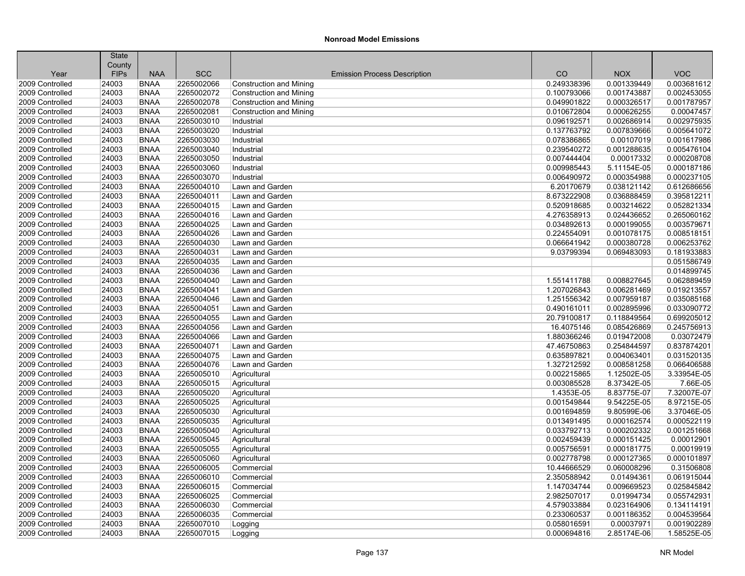|                                    | <b>State</b><br>County |                            |                          |                                     |             |             |                            |
|------------------------------------|------------------------|----------------------------|--------------------------|-------------------------------------|-------------|-------------|----------------------------|
| Year                               | <b>FIPs</b>            | <b>NAA</b>                 | <b>SCC</b>               | <b>Emission Process Description</b> | CO          | <b>NOX</b>  | <b>VOC</b>                 |
| 2009 Controlled                    | 24003                  | <b>BNAA</b>                | 2265002066               | <b>Construction and Mining</b>      | 0.249338396 | 0.001339449 | 0.003681612                |
| 2009 Controlled                    | 24003                  | <b>BNAA</b>                | 2265002072               | <b>Construction and Mining</b>      | 0.100793066 | 0.001743887 | 0.002453055                |
| 2009 Controlled                    | 24003                  | <b>BNAA</b>                | 2265002078               | <b>Construction and Mining</b>      | 0.049901822 | 0.000326517 | 0.001787957                |
| 2009 Controlled                    | 24003                  | <b>BNAA</b>                | 2265002081               | Construction and Mining             | 0.010672804 | 0.000626255 | 0.00047457                 |
| 2009 Controlled                    | 24003                  | <b>BNAA</b>                | 2265003010               | Industrial                          | 0.096192571 | 0.002686914 | 0.002975935                |
| 2009 Controlled                    | 24003                  | <b>BNAA</b>                | 2265003020               | Industrial                          | 0.137763792 | 0.007839666 | 0.005641072                |
| 2009 Controlled                    | 24003                  | <b>BNAA</b>                | 2265003030               | Industrial                          | 0.078386865 | 0.00107019  | 0.001617986                |
| 2009 Controlled                    | 24003                  | <b>BNAA</b>                | 2265003040               | Industrial                          | 0.239540272 | 0.001288635 | 0.005476104                |
| 2009 Controlled                    | 24003                  | <b>BNAA</b>                | 2265003050               | Industrial                          | 0.007444404 | 0.00017332  | 0.000208708                |
| 2009 Controlled                    | 24003                  | <b>BNAA</b>                | 2265003060               | Industrial                          | 0.009985443 | 5.11154E-05 | 0.000187186                |
| 2009 Controlled                    | 24003                  | <b>BNAA</b>                | 2265003070               | Industrial                          | 0.006490972 | 0.000354988 | 0.000237105                |
| 2009 Controlled                    | 24003                  | <b>BNAA</b>                | 2265004010               | Lawn and Garden                     | 6.20170679  | 0.038121142 | 0.612686656                |
| 2009 Controlled                    | 24003                  | <b>BNAA</b>                | 2265004011               | Lawn and Garden                     | 8.673222908 | 0.036888459 | 0.395812211                |
| 2009 Controlled                    | 24003                  | <b>BNAA</b>                | 2265004015               | Lawn and Garden                     | 0.520918685 | 0.003214622 | 0.052821334                |
| 2009 Controlled                    | 24003                  | <b>BNAA</b>                | 2265004016               | Lawn and Garden                     | 4.276358913 | 0.024436652 | 0.265060162                |
| 2009 Controlled                    | 24003                  | <b>BNAA</b>                | 2265004025               | Lawn and Garden                     | 0.034892613 |             | 0.003579671                |
|                                    |                        |                            |                          |                                     |             | 0.000199055 |                            |
| 2009 Controlled                    | 24003                  | <b>BNAA</b>                | 2265004026               | Lawn and Garden                     | 0.224554091 | 0.001078175 | 0.008518151                |
| 2009 Controlled<br>2009 Controlled | 24003<br>24003         | <b>BNAA</b><br><b>BNAA</b> | 2265004030<br>2265004031 | Lawn and Garden<br>Lawn and Garden  | 0.066641942 | 0.000380728 | 0.006253762<br>0.181933883 |
|                                    |                        |                            |                          |                                     | 9.03799394  | 0.069483093 |                            |
| 2009 Controlled                    | 24003                  | <b>BNAA</b>                | 2265004035               | Lawn and Garden                     |             |             | 0.051586749                |
| 2009 Controlled                    | 24003                  | <b>BNAA</b>                | 2265004036               | Lawn and Garden                     |             |             | 0.014899745                |
| 2009 Controlled                    | 24003                  | <b>BNAA</b>                | 2265004040               | Lawn and Garden                     | 1.551411788 | 0.008827645 | 0.062889459<br>0.019213557 |
| 2009 Controlled                    | 24003                  | <b>BNAA</b>                | 2265004041               | Lawn and Garden                     | 1.207026843 | 0.006281469 |                            |
| 2009 Controlled                    | 24003                  | <b>BNAA</b>                | 2265004046               | Lawn and Garden                     | 1.251556342 | 0.007959187 | 0.035085168                |
| 2009 Controlled                    | 24003                  | <b>BNAA</b>                | 2265004051               | Lawn and Garden                     | 0.490161011 | 0.002895996 | 0.033090772                |
| 2009 Controlled                    | 24003                  | <b>BNAA</b>                | 2265004055               | Lawn and Garden                     | 20.79100817 | 0.118849564 | 0.699205012                |
| 2009 Controlled                    | 24003                  | <b>BNAA</b>                | 2265004056               | Lawn and Garden                     | 16.4075146  | 0.085426869 | 0.245756913                |
| 2009 Controlled                    | 24003                  | <b>BNAA</b>                | 2265004066               | Lawn and Garden                     | 1.880366246 | 0.019472008 | 0.03072479                 |
| 2009 Controlled                    | 24003                  | <b>BNAA</b>                | 2265004071               | Lawn and Garden                     | 47.46750863 | 0.254844597 | 0.837874201                |
| 2009 Controlled                    | 24003                  | <b>BNAA</b>                | 2265004075               | Lawn and Garden                     | 0.635897821 | 0.004063401 | 0.031520135                |
| 2009 Controlled                    | 24003                  | <b>BNAA</b>                | 2265004076               | Lawn and Garden                     | 1.327212592 | 0.008581258 | 0.066406588                |
| 2009 Controlled                    | 24003                  | <b>BNAA</b>                | 2265005010               | Agricultural                        | 0.002215865 | 1.12502E-05 | 3.33954E-05                |
| 2009 Controlled                    | 24003                  | <b>BNAA</b>                | 2265005015               | Agricultural                        | 0.003085528 | 8.37342E-05 | 7.66E-05                   |
| 2009 Controlled                    | 24003                  | <b>BNAA</b>                | 2265005020               | Agricultural                        | 1.4353E-05  | 8.83775E-07 | 7.32007E-07<br>8.97215E-05 |
| 2009 Controlled                    | 24003                  | <b>BNAA</b>                | 2265005025               | Agricultural                        | 0.001549844 | 9.54225E-05 |                            |
| 2009 Controlled                    | 24003                  | <b>BNAA</b>                | 2265005030               | Agricultural                        | 0.001694859 | 9.80599E-06 | 3.37046E-05                |
| 2009 Controlled                    | 24003                  | <b>BNAA</b>                | 2265005035               | Agricultural                        | 0.013491495 | 0.000162574 | 0.000522119                |
| 2009 Controlled                    | 24003                  | <b>BNAA</b>                | 2265005040               | Agricultural                        | 0.033792713 | 0.000202332 | 0.001251668                |
| 2009 Controlled                    | 24003                  | <b>BNAA</b>                | 2265005045               | Agricultural                        | 0.002459439 | 0.000151425 | 0.00012901                 |
| 2009 Controlled                    | 24003                  | <b>BNAA</b>                | 2265005055               | Agricultural                        | 0.005756591 | 0.000181775 | 0.00019919                 |
| 2009 Controlled                    | 24003                  | <b>BNAA</b>                | 2265005060               | Agricultural                        | 0.002778798 | 0.000127365 | 0.000101897                |
| 2009 Controlled                    | 24003                  | <b>BNAA</b>                | 2265006005               | Commercial                          | 10.44666529 | 0.060008296 | 0.31506808                 |
| 2009 Controlled                    | 24003                  | <b>BNAA</b>                | 2265006010               | Commercial                          | 2.350588942 | 0.01494361  | 0.061915044                |
| 2009 Controlled                    | 24003                  | <b>BNAA</b>                | 2265006015               | Commercial                          | 1.147034744 | 0.009669523 | 0.025845842                |
| 2009 Controlled                    | 24003                  | <b>BNAA</b>                | 2265006025               | Commercial                          | 2.982507017 | 0.01994734  | 0.055742931                |
| 2009 Controlled                    | 24003                  | <b>BNAA</b>                | 2265006030               | Commercial                          | 4.579033884 | 0.023164906 | 0.134114191                |
| 2009 Controlled                    | 24003                  | <b>BNAA</b>                | 2265006035               | Commercial                          | 0.233060537 | 0.001186352 | 0.004539564                |
| 2009 Controlled                    | 24003                  | <b>BNAA</b>                | 2265007010               | Logging                             | 0.058016591 | 0.00037971  | 0.001902289                |
| 2009 Controlled                    | 24003                  | <b>BNAA</b>                | 2265007015               | Logging                             | 0.000694816 | 2.85174E-06 | 1.58525E-05                |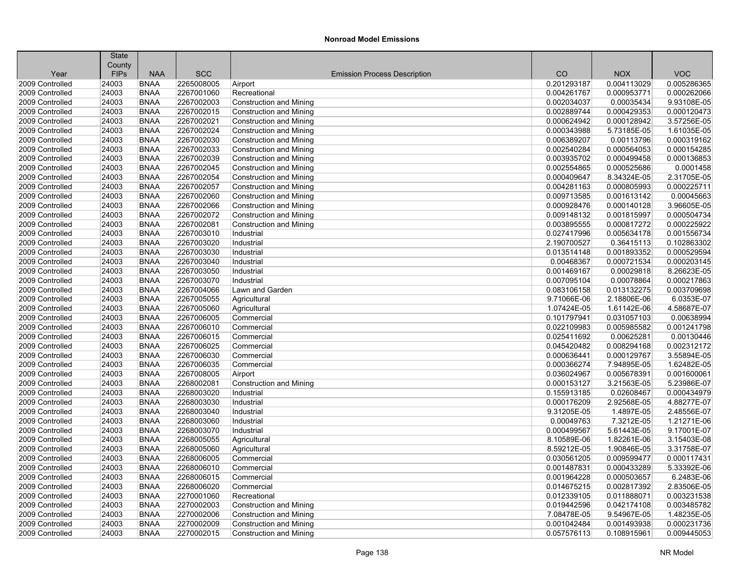|                                    | <b>State</b><br>County |                            |            |                                     |                            |             |                            |
|------------------------------------|------------------------|----------------------------|------------|-------------------------------------|----------------------------|-------------|----------------------------|
| Year                               | <b>FIPs</b>            | <b>NAA</b>                 | <b>SCC</b> | <b>Emission Process Description</b> | CO                         | <b>NOX</b>  | <b>VOC</b>                 |
| 2009 Controlled                    | 24003                  | <b>BNAA</b>                | 2265008005 | Airport                             | 0.201293187                | 0.004113029 | 0.005286365                |
| 2009 Controlled                    | 24003                  | <b>BNAA</b>                | 2267001060 | Recreational                        | 0.004261767                | 0.000953771 | 0.000262066                |
| 2009 Controlled                    | 24003                  | <b>BNAA</b>                | 2267002003 | <b>Construction and Mining</b>      | 0.002034037                | 0.00035434  | 9.93108E-05                |
|                                    |                        |                            |            |                                     |                            |             |                            |
| 2009 Controlled<br>2009 Controlled | 24003                  | <b>BNAA</b><br><b>BNAA</b> | 2267002015 | <b>Construction and Mining</b>      | 0.002889744<br>0.000624942 | 0.000429353 | 0.000120473<br>3.57256E-05 |
|                                    | 24003                  |                            | 2267002021 | <b>Construction and Mining</b>      |                            | 0.000128942 |                            |
| 2009 Controlled                    | 24003                  | <b>BNAA</b>                | 2267002024 | <b>Construction and Mining</b>      | 0.000343988                | 5.73185E-05 | 1.61035E-05                |
| 2009 Controlled                    | 24003                  | <b>BNAA</b>                | 2267002030 | <b>Construction and Mining</b>      | 0.006389207                | 0.00113796  | 0.000319162                |
| 2009 Controlled                    | 24003                  | <b>BNAA</b>                | 2267002033 | <b>Construction and Mining</b>      | 0.002540284                | 0.000564053 | 0.000154285                |
| 2009 Controlled                    | 24003                  | <b>BNAA</b>                | 2267002039 | <b>Construction and Mining</b>      | 0.003935702                | 0.000499458 | 0.000136853                |
| 2009 Controlled                    | 24003                  | <b>BNAA</b>                | 2267002045 | <b>Construction and Mining</b>      | 0.002554865                | 0.000525686 | 0.0001458                  |
| 2009 Controlled                    | 24003                  | <b>BNAA</b>                | 2267002054 | <b>Construction and Mining</b>      | 0.000409647                | 8.34324E-05 | 2.31705E-05                |
| 2009 Controlled                    | 24003                  | <b>BNAA</b>                | 2267002057 | <b>Construction and Mining</b>      | 0.004281163                | 0.000805993 | 0.000225711                |
| 2009 Controlled                    | 24003                  | <b>BNAA</b>                | 2267002060 | <b>Construction and Mining</b>      | 0.009713585                | 0.001613142 | 0.00045663                 |
| 2009 Controlled                    | 24003                  | <b>BNAA</b>                | 2267002066 | <b>Construction and Mining</b>      | 0.000928476                | 0.000140128 | 3.96605E-05                |
| 2009 Controlled                    | 24003                  | <b>BNAA</b>                | 2267002072 | <b>Construction and Mining</b>      | 0.009148132                | 0.001815997 | 0.000504734                |
| 2009 Controlled                    | 24003                  | <b>BNAA</b>                | 2267002081 | <b>Construction and Mining</b>      | 0.003895555                | 0.000817272 | 0.000225922                |
| 2009 Controlled                    | 24003                  | <b>BNAA</b>                | 2267003010 | Industrial                          | 0.027417996                | 0.005634178 | 0.001556734                |
| 2009 Controlled                    | 24003                  | <b>BNAA</b>                | 2267003020 | Industrial                          | 2.190700527                | 0.36415113  | 0.102863302                |
| 2009 Controlled                    | 24003                  | <b>BNAA</b>                | 2267003030 | Industrial                          | 0.013514148                | 0.001893352 | 0.000529594                |
| 2009 Controlled                    | 24003                  | <b>BNAA</b>                | 2267003040 | Industrial                          | 0.00468367                 | 0.000721534 | 0.000203145                |
| 2009 Controlled                    | 24003                  | <b>BNAA</b>                | 2267003050 | Industrial                          | 0.001469167                | 0.00029818  | 8.26623E-05                |
| 2009 Controlled                    | 24003                  | <b>BNAA</b>                | 2267003070 | Industrial                          | 0.007095104                | 0.00078864  | 0.000217863                |
| 2009 Controlled                    | 24003                  | <b>BNAA</b>                | 2267004066 | Lawn and Garden                     | 0.083106158                | 0.013132275 | 0.003709698                |
| 2009 Controlled                    | 24003                  | <b>BNAA</b>                | 2267005055 | Agricultural                        | 9.71066E-06                | 2.18806E-06 | 6.0353E-07                 |
| 2009 Controlled                    | 24003                  | <b>BNAA</b>                | 2267005060 | Agricultural                        | 1.07424E-05                | 1.61142E-06 | 4.58687E-07                |
| 2009 Controlled                    | 24003                  | <b>BNAA</b>                | 2267006005 | Commercial                          | 0.101797941                | 0.031057103 | 0.00638994                 |
| 2009 Controlled                    | 24003                  | <b>BNAA</b>                | 2267006010 | Commercial                          | 0.022109983                | 0.005985582 | 0.001241798                |
| 2009 Controlled                    | 24003                  | <b>BNAA</b>                | 2267006015 | Commercial                          | 0.025411692                | 0.00625281  | 0.00130446                 |
| 2009 Controlled                    | 24003                  | <b>BNAA</b>                | 2267006025 | Commercial                          | 0.045420482                | 0.008294168 | 0.002312172                |
| 2009 Controlled                    | 24003                  | <b>BNAA</b>                | 2267006030 | Commercial                          | 0.000636441                | 0.000129767 | 3.55894E-05                |
| 2009 Controlled                    | 24003                  | <b>BNAA</b>                | 2267006035 | Commercial                          | 0.000366274                | 7.94895E-05 | 1.62482E-05                |
| 2009 Controlled                    | 24003                  | <b>BNAA</b>                | 2267008005 | Airport                             | 0.036024967                | 0.005678391 | 0.001600061                |
| 2009 Controlled                    | 24003                  | <b>BNAA</b>                | 2268002081 | Construction and Mining             | 0.000153127                | 3.21563E-05 | 5.23986E-07                |
| 2009 Controlled                    | 24003                  | <b>BNAA</b>                | 2268003020 | Industrial                          | 0.155913185                | 0.02608467  | 0.000434979                |
| 2009 Controlled                    | 24003                  | <b>BNAA</b>                | 2268003030 | Industrial                          | 0.000176209                | 2.92568E-05 | 4.88277E-07                |
| 2009 Controlled                    | 24003                  | <b>BNAA</b>                | 2268003040 | Industrial                          | 9.31205E-05                | 1.4897E-05  | 2.48556E-07                |
| 2009 Controlled                    | 24003                  | <b>BNAA</b>                | 2268003060 | Industrial                          | 0.00049763                 | 7.3212E-05  | 1.21271E-06                |
| 2009 Controlled                    | 24003                  | <b>BNAA</b>                | 2268003070 | Industrial                          | 0.000499567                | 5.61443E-05 | 9.17001E-07                |
| 2009 Controlled                    | 24003                  | <b>BNAA</b>                | 2268005055 | Agricultural                        | 8.10589E-06                | 1.82261E-06 | 3.15403E-08                |
| 2009 Controlled                    | 24003                  | <b>BNAA</b>                | 2268005060 | Agricultural                        | 8.59212E-05                | 1.90846E-05 | 3.31758E-07                |
| 2009 Controlled                    | 24003                  | <b>BNAA</b>                | 2268006005 | Commercial                          | 0.030561205                | 0.009599477 | 0.000117431                |
| 2009 Controlled                    | 24003                  | <b>BNAA</b>                | 2268006010 | Commercial                          | 0.001487831                | 0.000433289 | 5.33392E-06                |
| 2009 Controlled                    | 24003                  | <b>BNAA</b>                | 2268006015 | Commercial                          | 0.001964228                | 0.000503657 | 6.2483E-06                 |
| 2009 Controlled                    | 24003                  | <b>BNAA</b>                | 2268006020 | Commercial                          | 0.014675215                | 0.002817392 | 2.83506E-05                |
| 2009 Controlled                    | 24003                  | <b>BNAA</b>                | 2270001060 | Recreational                        | 0.012339105                | 0.011888071 | 0.003231538                |
| 2009 Controlled                    | 24003                  | <b>BNAA</b>                | 2270002003 | <b>Construction and Mining</b>      | 0.019442596                | 0.042174108 | 0.003485782                |
| 2009 Controlled                    | 24003                  | <b>BNAA</b>                | 2270002006 | <b>Construction and Mining</b>      | 7.08478E-05                | 9.54967E-05 | 1.48235E-05                |
| 2009 Controlled                    | 24003                  | <b>BNAA</b>                | 2270002009 | <b>Construction and Mining</b>      | 0.001042484                | 0.001493938 | 0.000231736                |
| 2009 Controlled                    | 24003                  | <b>BNAA</b>                | 2270002015 | <b>Construction and Mining</b>      | 0.057576113                | 0.108915961 | 0.009445053                |
|                                    |                        |                            |            |                                     |                            |             |                            |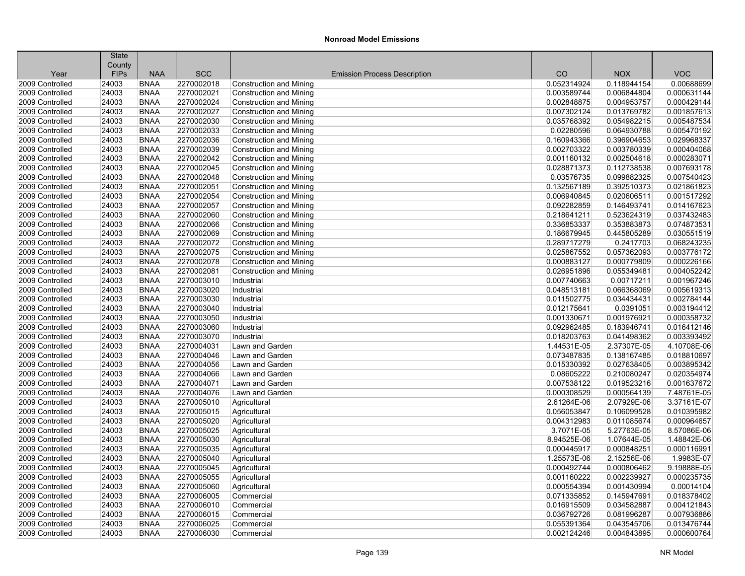|                                    | <b>State</b>         |                            |                          |                                                                  |                            |                            |                            |
|------------------------------------|----------------------|----------------------------|--------------------------|------------------------------------------------------------------|----------------------------|----------------------------|----------------------------|
|                                    | County               | <b>NAA</b>                 |                          |                                                                  | CO                         | <b>NOX</b>                 | <b>VOC</b>                 |
| Year<br>2009 Controlled            | <b>FIPs</b><br>24003 | <b>BNAA</b>                | <b>SCC</b><br>2270002018 | <b>Emission Process Description</b>                              | 0.052314924                | 0.118944154                | 0.00688699                 |
| 2009 Controlled                    | 24003                | <b>BNAA</b>                | 2270002021               | <b>Construction and Mining</b>                                   | 0.003589744                | 0.006844804                | 0.000631144                |
| 2009 Controlled                    | 24003                | <b>BNAA</b>                | 2270002024               | <b>Construction and Mining</b><br><b>Construction and Mining</b> | 0.002848875                | 0.004953757                | 0.000429144                |
| 2009 Controlled                    |                      |                            |                          |                                                                  |                            |                            |                            |
|                                    | 24003                | <b>BNAA</b>                | 2270002027<br>2270002030 | <b>Construction and Mining</b>                                   | 0.007302124<br>0.035768392 | 0.013769782<br>0.054982215 | 0.001857613                |
| 2009 Controlled                    | 24003                | <b>BNAA</b>                |                          | <b>Construction and Mining</b>                                   |                            |                            | 0.005487534                |
| 2009 Controlled                    | 24003                | <b>BNAA</b><br><b>BNAA</b> | 2270002033               | <b>Construction and Mining</b>                                   | 0.02280596                 | 0.064930788                | 0.005470192                |
| 2009 Controlled                    | 24003                |                            | 2270002036               | <b>Construction and Mining</b>                                   | 0.160943366                | 0.396904653                | 0.029968337                |
| 2009 Controlled                    | 24003                | <b>BNAA</b>                | 2270002039               | <b>Construction and Mining</b>                                   | 0.002703322                | 0.003780339                | 0.000404068<br>0.000283071 |
| 2009 Controlled<br>2009 Controlled | 24003                | <b>BNAA</b><br><b>BNAA</b> | 2270002042<br>2270002045 | <b>Construction and Mining</b>                                   | 0.001160132                | 0.002504618                | 0.007693178                |
|                                    | 24003                |                            |                          | <b>Construction and Mining</b>                                   | 0.028871373                | 0.112738538                |                            |
| 2009 Controlled                    | 24003                | <b>BNAA</b>                | 2270002048               | <b>Construction and Mining</b>                                   | 0.03576735                 | 0.099882325                | 0.007540423                |
| 2009 Controlled                    | 24003                | <b>BNAA</b>                | 2270002051               | <b>Construction and Mining</b>                                   | 0.132567189                | 0.392510373                | 0.021861823                |
| 2009 Controlled                    | 24003                | <b>BNAA</b>                | 2270002054               | <b>Construction and Mining</b>                                   | 0.006940845                | 0.020606511                | 0.001517292                |
| 2009 Controlled                    | 24003                | <b>BNAA</b>                | 2270002057               | <b>Construction and Mining</b>                                   | 0.092282859                | 0.146493741                | 0.014167623                |
| 2009 Controlled                    | 24003                | <b>BNAA</b>                | 2270002060               | <b>Construction and Mining</b>                                   | 0.218641211                | 0.523624319                | 0.037432483                |
| 2009 Controlled                    | 24003                | <b>BNAA</b>                | 2270002066               | <b>Construction and Mining</b>                                   | 0.336853337                | 0.353883873                | 0.074873531                |
| 2009 Controlled                    | 24003                | <b>BNAA</b>                | 2270002069               | <b>Construction and Mining</b>                                   | 0.186679945                | 0.445805289                | 0.030551519                |
| 2009 Controlled                    | 24003                | <b>BNAA</b>                | 2270002072               | <b>Construction and Mining</b>                                   | 0.289717279                | 0.2417703                  | 0.068243235                |
| 2009 Controlled                    | 24003                | <b>BNAA</b>                | 2270002075               | <b>Construction and Mining</b>                                   | 0.025867552                | 0.057362093                | 0.003776172                |
| 2009 Controlled                    | 24003                | <b>BNAA</b>                | 2270002078               | <b>Construction and Mining</b>                                   | 0.000883127                | 0.000779809                | 0.000226166                |
| 2009 Controlled                    | 24003                | <b>BNAA</b>                | 2270002081               | Construction and Mining                                          | 0.026951896                | 0.055349481                | 0.004052242                |
| 2009 Controlled                    | 24003                | <b>BNAA</b>                | 2270003010               | Industrial                                                       | 0.007740663                | 0.00717211                 | 0.001967246                |
| 2009 Controlled                    | 24003                | <b>BNAA</b>                | 2270003020               | Industrial                                                       | 0.048513181                | 0.066368069                | 0.005619313                |
| 2009 Controlled                    | 24003                | <b>BNAA</b>                | 2270003030               | Industrial                                                       | 0.011502775                | 0.034434431                | 0.002784144                |
| 2009 Controlled                    | 24003                | <b>BNAA</b>                | 2270003040               | Industrial                                                       | 0.012175641                | 0.0391051                  | 0.003194412                |
| 2009 Controlled                    | 24003                | <b>BNAA</b>                | 2270003050               | Industrial                                                       | 0.001330671                | 0.001976921                | 0.000358732                |
| 2009 Controlled                    | 24003                | <b>BNAA</b>                | 2270003060               | Industrial                                                       | 0.092962485                | 0.183946741                | 0.016412146                |
| 2009 Controlled                    | 24003                | <b>BNAA</b>                | 2270003070               | Industrial                                                       | 0.018203763                | 0.041498362                | 0.003393492                |
| 2009 Controlled                    | 24003                | <b>BNAA</b>                | 2270004031               | Lawn and Garden                                                  | 1.44531E-05                | 2.37307E-05                | 4.10708E-06                |
| 2009 Controlled                    | 24003                | <b>BNAA</b>                | 2270004046               | Lawn and Garden                                                  | 0.073487835                | 0.138167485                | 0.018810697                |
| 2009 Controlled                    | 24003                | <b>BNAA</b>                | 2270004056               | Lawn and Garden                                                  | 0.015330392                | 0.027638405                | 0.003895342                |
| 2009 Controlled                    | 24003                | <b>BNAA</b>                | 2270004066               | Lawn and Garden                                                  | 0.08605222                 | 0.210080247                | 0.020354974                |
| 2009 Controlled                    | 24003                | <b>BNAA</b>                | 2270004071               | Lawn and Garden                                                  | 0.007538122                | 0.019523216                | 0.001637672                |
| 2009 Controlled                    | 24003                | <b>BNAA</b>                | 2270004076               | Lawn and Garden                                                  | 0.000308529                | 0.000564139                | 7.48761E-05                |
| 2009 Controlled                    | 24003                | <b>BNAA</b>                | 2270005010               | Agricultural                                                     | 2.61264E-06                | 2.07929E-06                | 3.37161E-07                |
| 2009 Controlled                    | 24003                | <b>BNAA</b>                | 2270005015               | Agricultural                                                     | 0.056053847                | 0.106099528                | 0.010395982                |
| 2009 Controlled                    | 24003                | <b>BNAA</b>                | 2270005020               | Agricultural                                                     | 0.004312983                | 0.011085674                | 0.000964657                |
| 2009 Controlled                    | 24003                | <b>BNAA</b>                | 2270005025               | Agricultural                                                     | 3.7071E-05                 | 5.27763E-05                | 8.57086E-06                |
| 2009 Controlled                    | 24003                | <b>BNAA</b>                | 2270005030               | Agricultural                                                     | 8.94525E-06                | 1.07644E-05                | 1.48842E-06                |
| 2009 Controlled                    | 24003                | <b>BNAA</b>                | 2270005035               | Agricultural                                                     | 0.000445917                | 0.000848251                | 0.000116991                |
| 2009 Controlled                    | 24003                | <b>BNAA</b>                | 2270005040               | Agricultural                                                     | 1.25573E-06                | 2.15256E-06                | 1.9983E-07                 |
| 2009 Controlled                    | 24003                | <b>BNAA</b>                | 2270005045               | Agricultural                                                     | 0.000492744                | 0.000806462                | 9.19888E-05                |
| 2009 Controlled                    | 24003                | <b>BNAA</b>                | 2270005055               | Agricultural                                                     | 0.001160222                | 0.002239927                | 0.000235735                |
| 2009 Controlled                    | 24003                | <b>BNAA</b>                | 2270005060               | Agricultural                                                     | 0.000554394                | 0.001430994                | 0.00014104                 |
| 2009 Controlled                    | 24003                | <b>BNAA</b>                | 2270006005               | Commercial                                                       | 0.071335852                | 0.145947691                | 0.018378402                |
| 2009 Controlled                    | 24003                | <b>BNAA</b>                | 2270006010               | Commercial                                                       | 0.016915509                | 0.034582887                | 0.004121843                |
| 2009 Controlled                    | 24003                | <b>BNAA</b>                | 2270006015               | Commercial                                                       | 0.036792726                | 0.081996287                | 0.007936886                |
| 2009 Controlled                    | 24003                | <b>BNAA</b>                | 2270006025               | Commercial                                                       | 0.055391364                | 0.043545706                | 0.013476744                |
| 2009 Controlled                    | 24003                | <b>BNAA</b>                | 2270006030               | Commercial                                                       | 0.002124246                | 0.004843895                | 0.000600764                |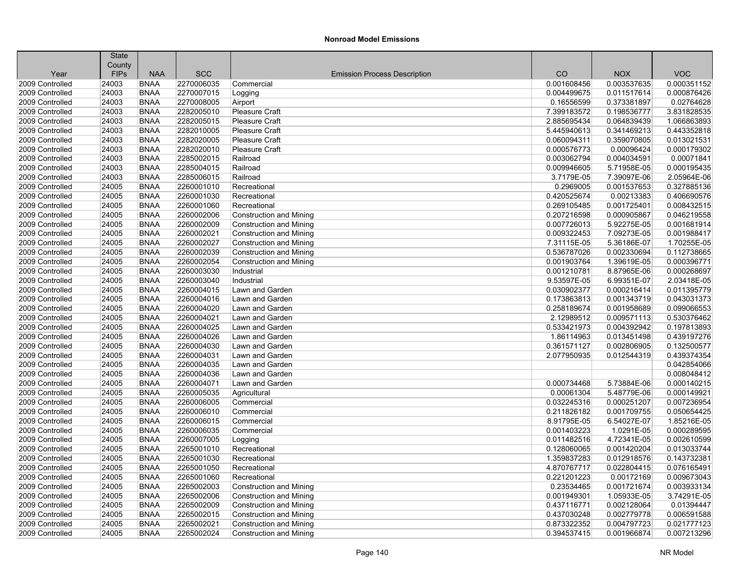|                 | <b>State</b> |             |            |                                     |             |             |             |
|-----------------|--------------|-------------|------------|-------------------------------------|-------------|-------------|-------------|
|                 | County       |             |            |                                     |             |             |             |
| Year            | <b>FIPs</b>  | <b>NAA</b>  | <b>SCC</b> | <b>Emission Process Description</b> | CO          | <b>NOX</b>  | <b>VOC</b>  |
| 2009 Controlled | 24003        | <b>BNAA</b> | 2270006035 | Commercial                          | 0.001608456 | 0.003537635 | 0.000351152 |
| 2009 Controlled | 24003        | <b>BNAA</b> | 2270007015 | Logging                             | 0.004499675 | 0.011517614 | 0.000876426 |
| 2009 Controlled | 24003        | <b>BNAA</b> | 2270008005 | Airport                             | 0.16556599  | 0.373381897 | 0.02764628  |
| 2009 Controlled | 24003        | <b>BNAA</b> | 2282005010 | <b>Pleasure Craft</b>               | 7.399183572 | 0.198536777 | 3.831828535 |
| 2009 Controlled | 24003        | <b>BNAA</b> | 2282005015 | Pleasure Craft                      | 2.885695434 | 0.064839439 | 1.066863893 |
| 2009 Controlled | 24003        | <b>BNAA</b> | 2282010005 | Pleasure Craft                      | 5.445940613 | 0.341469213 | 0.443352818 |
| 2009 Controlled | 24003        | <b>BNAA</b> | 2282020005 | <b>Pleasure Craft</b>               | 0.060094311 | 0.359070805 | 0.013021531 |
| 2009 Controlled | 24003        | <b>BNAA</b> | 2282020010 | Pleasure Craft                      | 0.000576773 | 0.00096424  | 0.000179302 |
| 2009 Controlled | 24003        | <b>BNAA</b> | 2285002015 | Railroad                            | 0.003062794 | 0.004034591 | 0.00071841  |
| 2009 Controlled | 24003        | <b>BNAA</b> | 2285004015 | Railroad                            | 0.009946605 | 5.71958E-05 | 0.000195435 |
| 2009 Controlled | 24003        | <b>BNAA</b> | 2285006015 | Railroad                            | 3.7179E-05  | 7.39097E-06 | 2.05964E-06 |
| 2009 Controlled | 24005        | <b>BNAA</b> | 2260001010 | Recreational                        | 0.2969005   | 0.001537653 | 0.327885136 |
| 2009 Controlled | 24005        | <b>BNAA</b> | 2260001030 | Recreational                        | 0.420525674 | 0.00213383  | 0.406690576 |
| 2009 Controlled | 24005        | <b>BNAA</b> | 2260001060 | Recreational                        | 0.269105485 | 0.001725401 | 0.008432515 |
| 2009 Controlled | 24005        | <b>BNAA</b> | 2260002006 | <b>Construction and Mining</b>      | 0.207216598 | 0.000905867 | 0.046219558 |
| 2009 Controlled | 24005        | <b>BNAA</b> | 2260002009 | <b>Construction and Mining</b>      | 0.007726013 | 5.92275E-05 | 0.001681914 |
| 2009 Controlled | 24005        | <b>BNAA</b> | 2260002021 | Construction and Mining             | 0.009322453 | 7.09273E-05 | 0.001988417 |
| 2009 Controlled | 24005        | <b>BNAA</b> | 2260002027 | Construction and Mining             | 7.31115E-05 | 5.36186E-07 | 1.70255E-05 |
| 2009 Controlled | 24005        | <b>BNAA</b> | 2260002039 | <b>Construction and Mining</b>      | 0.536787026 | 0.002330694 | 0.112738665 |
| 2009 Controlled | 24005        | <b>BNAA</b> | 2260002054 | Construction and Mining             | 0.001903764 | 1.39619E-05 | 0.000396771 |
| 2009 Controlled | 24005        | <b>BNAA</b> | 2260003030 | Industrial                          | 0.001210781 | 8.87965E-06 | 0.000268697 |
| 2009 Controlled | 24005        | <b>BNAA</b> | 2260003040 | Industrial                          | 9.53597E-05 | 6.99351E-07 | 2.03418E-05 |
| 2009 Controlled | 24005        | <b>BNAA</b> | 2260004015 | Lawn and Garden                     | 0.030902377 | 0.000216414 | 0.011395779 |
| 2009 Controlled | 24005        | <b>BNAA</b> | 2260004016 | Lawn and Garden                     | 0.173863813 | 0.001343719 | 0.043031373 |
| 2009 Controlled | 24005        | <b>BNAA</b> | 2260004020 | Lawn and Garden                     | 0.258189674 | 0.001958689 | 0.099066553 |
| 2009 Controlled | 24005        | <b>BNAA</b> | 2260004021 | Lawn and Garden                     | 2.12989512  | 0.009571113 | 0.530376462 |
| 2009 Controlled | 24005        | <b>BNAA</b> | 2260004025 | Lawn and Garden                     | 0.533421973 | 0.004392942 | 0.197813893 |
| 2009 Controlled | 24005        | <b>BNAA</b> | 2260004026 | Lawn and Garden                     | 1.86114963  | 0.013451498 | 0.439197276 |
| 2009 Controlled | 24005        | <b>BNAA</b> | 2260004030 | Lawn and Garden                     | 0.361571127 | 0.002806905 | 0.132500577 |
| 2009 Controlled | 24005        | <b>BNAA</b> | 2260004031 | Lawn and Garden                     | 2.077950935 | 0.012544319 | 0.439374354 |
| 2009 Controlled | 24005        | <b>BNAA</b> | 2260004035 | Lawn and Garden                     |             |             | 0.042854066 |
| 2009 Controlled | 24005        | <b>BNAA</b> | 2260004036 | Lawn and Garden                     |             |             | 0.008048412 |
| 2009 Controlled | 24005        | <b>BNAA</b> | 2260004071 | Lawn and Garden                     | 0.000734468 | 5.73884E-06 | 0.000140215 |
| 2009 Controlled | 24005        | <b>BNAA</b> | 2260005035 | Agricultural                        | 0.00061304  | 5.48779E-06 | 0.000149921 |
| 2009 Controlled | 24005        | <b>BNAA</b> | 2260006005 | Commercial                          | 0.032245316 | 0.000251207 | 0.007236954 |
| 2009 Controlled | 24005        | <b>BNAA</b> | 2260006010 | Commercial                          | 0.211826182 | 0.001709755 | 0.050654425 |
| 2009 Controlled | 24005        | <b>BNAA</b> | 2260006015 | Commercial                          | 8.91795E-05 | 6.54027E-07 | 1.85216E-05 |
| 2009 Controlled | 24005        | <b>BNAA</b> | 2260006035 | Commercial                          | 0.001403223 | 1.0291E-05  | 0.000289595 |
| 2009 Controlled | 24005        | <b>BNAA</b> | 2260007005 | Logging                             | 0.011482516 | 4.72341E-05 | 0.002610599 |
| 2009 Controlled | 24005        | <b>BNAA</b> | 2265001010 | Recreational                        | 0.128060065 | 0.001420204 | 0.013033744 |
| 2009 Controlled | 24005        | <b>BNAA</b> | 2265001030 | Recreational                        | 1.359837283 | 0.012918576 | 0.143732381 |
| 2009 Controlled | 24005        | <b>BNAA</b> | 2265001050 | Recreational                        | 4.870767717 | 0.022804415 | 0.076165491 |
| 2009 Controlled | 24005        | <b>BNAA</b> | 2265001060 | Recreational                        | 0.221201223 | 0.00172169  | 0.009673043 |
| 2009 Controlled | 24005        | <b>BNAA</b> | 2265002003 | <b>Construction and Mining</b>      | 0.23534465  | 0.001721674 | 0.003933134 |
| 2009 Controlled | 24005        | <b>BNAA</b> | 2265002006 | <b>Construction and Mining</b>      | 0.001949301 | 1.05933E-05 | 3.74291E-05 |
| 2009 Controlled | 24005        | <b>BNAA</b> | 2265002009 | <b>Construction and Mining</b>      | 0.437116771 | 0.002128064 | 0.01394447  |
| 2009 Controlled | 24005        | <b>BNAA</b> | 2265002015 | <b>Construction and Mining</b>      | 0.437030248 | 0.002779778 | 0.006591588 |
| 2009 Controlled | 24005        | <b>BNAA</b> | 2265002021 | <b>Construction and Mining</b>      | 0.873322352 | 0.004797723 | 0.021777123 |
| 2009 Controlled | 24005        | <b>BNAA</b> | 2265002024 | <b>Construction and Mining</b>      | 0.394537415 | 0.001966874 | 0.007213296 |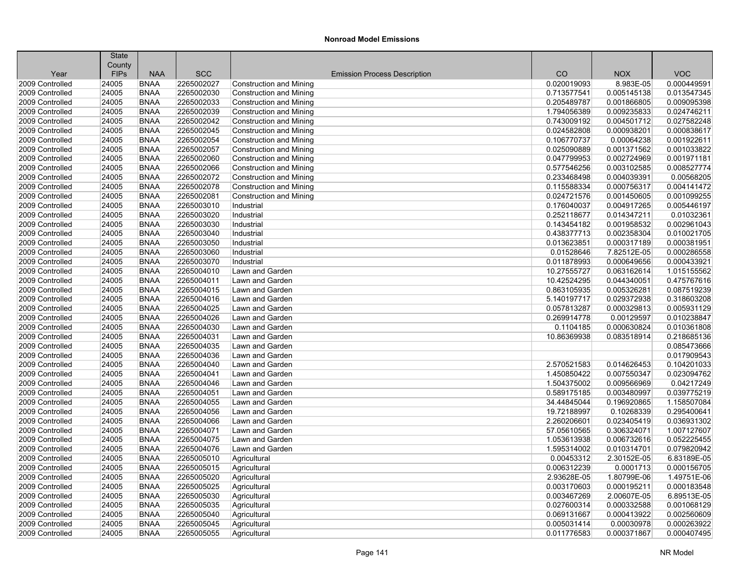|                                    | <b>State</b><br>County |                            |                          |                                     |                            |                            |                            |
|------------------------------------|------------------------|----------------------------|--------------------------|-------------------------------------|----------------------------|----------------------------|----------------------------|
| Year                               | <b>FIPs</b>            | <b>NAA</b>                 | <b>SCC</b>               | <b>Emission Process Description</b> | CO                         | <b>NOX</b>                 | <b>VOC</b>                 |
| 2009 Controlled                    | 24005                  | <b>BNAA</b>                | 2265002027               | <b>Construction and Mining</b>      | 0.020019093                | 8.983E-05                  | 0.000449591                |
| 2009 Controlled                    | 24005                  | <b>BNAA</b>                | 2265002030               | Construction and Mining             | 0.713577541                | 0.005145138                | 0.013547345                |
| 2009 Controlled                    | 24005                  | <b>BNAA</b>                | 2265002033               | <b>Construction and Mining</b>      | 0.205489787                | 0.001866805                | 0.009095398                |
| 2009 Controlled                    | 24005                  | <b>BNAA</b>                | 2265002039               | <b>Construction and Mining</b>      | 1.794056389                | 0.009235833                | 0.024746211                |
| 2009 Controlled                    | 24005                  | <b>BNAA</b>                | 2265002042               | <b>Construction and Mining</b>      | 0.743009192                | 0.004501712                | 0.027582248                |
| 2009 Controlled                    |                        |                            |                          |                                     |                            |                            |                            |
| 2009 Controlled                    | 24005<br>24005         | <b>BNAA</b><br><b>BNAA</b> | 2265002045<br>2265002054 | <b>Construction and Mining</b>      | 0.024582808<br>0.106770737 | 0.000938201<br>0.00064238  | 0.000838617<br>0.001922611 |
| 2009 Controlled                    | 24005                  | <b>BNAA</b>                | 2265002057               | <b>Construction and Mining</b>      | 0.025090889                | 0.001371562                | 0.001033822                |
| 2009 Controlled                    |                        | <b>BNAA</b>                | 2265002060               | <b>Construction and Mining</b>      |                            | 0.002724969                | 0.001971181                |
|                                    | 24005                  |                            |                          | Construction and Mining             | 0.047799953                |                            |                            |
| 2009 Controlled                    | 24005                  | <b>BNAA</b>                | 2265002066               | <b>Construction and Mining</b>      | 0.577546256                | 0.003102585                | 0.008527774                |
| 2009 Controlled<br>2009 Controlled | 24005                  | <b>BNAA</b><br><b>BNAA</b> | 2265002072               | <b>Construction and Mining</b>      | 0.233468498<br>0.115588334 | 0.004039391<br>0.000756317 | 0.00568205<br>0.004141472  |
|                                    | 24005                  |                            | 2265002078               | <b>Construction and Mining</b>      |                            |                            |                            |
| 2009 Controlled                    | 24005                  | <b>BNAA</b>                | 2265002081               | <b>Construction and Mining</b>      | 0.024721576                | 0.001450605                | 0.001099255                |
| 2009 Controlled                    | 24005                  | <b>BNAA</b>                | 2265003010               | Industrial                          | 0.176040037                | 0.004917265                | 0.005446197                |
| 2009 Controlled                    | 24005                  | <b>BNAA</b>                | 2265003020               | Industrial                          | 0.252118677                | 0.014347211                | 0.01032361                 |
| 2009 Controlled                    | 24005                  | <b>BNAA</b>                | 2265003030               | Industrial                          | 0.143454182                | 0.001958532                | 0.002961043                |
| 2009 Controlled                    | 24005                  | <b>BNAA</b>                | 2265003040               | Industrial                          | 0.438377713                | 0.002358304                | 0.010021705                |
| 2009 Controlled                    | 24005                  | <b>BNAA</b>                | 2265003050               | Industrial                          | 0.013623851                | 0.000317189                | 0.000381951                |
| 2009 Controlled                    | 24005                  | <b>BNAA</b>                | 2265003060               | Industrial                          | 0.01528646                 | 7.82512E-05                | 0.000286558                |
| 2009 Controlled                    | 24005                  | <b>BNAA</b>                | 2265003070               | Industrial                          | 0.011878993                | 0.000649656                | 0.000433921                |
| 2009 Controlled                    | 24005                  | <b>BNAA</b>                | 2265004010               | Lawn and Garden                     | 10.27555727                | 0.063162614                | 1.015155562                |
| 2009 Controlled                    | 24005                  | <b>BNAA</b>                | 2265004011               | Lawn and Garden                     | 10.42524295                | 0.044340051                | 0.475767616                |
| 2009 Controlled                    | 24005                  | <b>BNAA</b>                | 2265004015               | Lawn and Garden                     | 0.863105935                | 0.005326281                | 0.087519239                |
| 2009 Controlled                    | 24005                  | <b>BNAA</b>                | 2265004016               | Lawn and Garden                     | 5.140197717                | 0.029372938                | 0.318603208                |
| 2009 Controlled                    | 24005                  | <b>BNAA</b>                | 2265004025               | Lawn and Garden                     | 0.057813287                | 0.000329813                | 0.005931129                |
| 2009 Controlled                    | 24005                  | <b>BNAA</b>                | 2265004026               | Lawn and Garden                     | 0.269914778                | 0.00129597                 | 0.010238847                |
| 2009 Controlled                    | 24005                  | <b>BNAA</b>                | 2265004030               | Lawn and Garden                     | 0.1104185                  | 0.000630824                | 0.010361808                |
| 2009 Controlled                    | 24005                  | <b>BNAA</b>                | 2265004031               | Lawn and Garden                     | 10.86369938                | 0.083518914                | 0.218685136                |
| 2009 Controlled                    | 24005                  | <b>BNAA</b>                | 2265004035               | Lawn and Garden                     |                            |                            | 0.085473666                |
| 2009 Controlled                    | 24005                  | <b>BNAA</b>                | 2265004036               | Lawn and Garden                     |                            |                            | 0.017909543                |
| 2009 Controlled                    | 24005                  | <b>BNAA</b>                | 2265004040               | Lawn and Garden                     | 2.570521583                | 0.014626453                | 0.104201033                |
| 2009 Controlled                    | 24005                  | <b>BNAA</b>                | 2265004041               | Lawn and Garden                     | 1.450850422                | 0.007550347                | 0.023094762                |
| 2009 Controlled                    | 24005                  | <b>BNAA</b>                | 2265004046               | Lawn and Garden                     | 1.504375002                | 0.009566969                | 0.04217249                 |
| 2009 Controlled                    | 24005                  | <b>BNAA</b>                | 2265004051               | Lawn and Garden                     | 0.589175185                | 0.003480997                | 0.039775219                |
| 2009 Controlled                    | 24005                  | <b>BNAA</b>                | 2265004055               | Lawn and Garden                     | 34.44845044                | 0.196920865                | 1.158507084                |
| 2009 Controlled                    | 24005                  | <b>BNAA</b>                | 2265004056               | Lawn and Garden                     | 19.72188997                | 0.10268339                 | 0.295400641                |
| 2009 Controlled                    | 24005                  | <b>BNAA</b>                | 2265004066               | Lawn and Garden                     | 2.260206601                | 0.023405419                | 0.036931302                |
| 2009 Controlled                    | 24005                  | <b>BNAA</b>                | 2265004071               | Lawn and Garden                     | 57.05610565                | 0.306324071                | 1.007127607                |
| 2009 Controlled                    | 24005                  | <b>BNAA</b>                | 2265004075               | Lawn and Garden                     | 1.053613938                | 0.006732616                | 0.052225455                |
| 2009 Controlled                    | 24005                  | <b>BNAA</b>                | 2265004076               | Lawn and Garden                     | 1.595314002                | 0.010314701                | 0.079820942                |
| 2009 Controlled                    | 24005                  | <b>BNAA</b>                | 2265005010               | Agricultural                        | 0.00453312                 | 2.30152E-05                | 6.83189E-05                |
| 2009 Controlled                    | 24005                  | <b>BNAA</b>                | 2265005015               | Agricultural                        | 0.006312239                | 0.0001713                  | 0.000156705                |
| 2009 Controlled                    | 24005                  | <b>BNAA</b>                | 2265005020               | Agricultural                        | 2.93628E-05                | 1.80799E-06                | 1.49751E-06                |
| 2009 Controlled                    | 24005                  | <b>BNAA</b>                | 2265005025               | Agricultural                        | 0.003170603                | 0.000195211                | 0.000183548                |
| 2009 Controlled                    | 24005                  | <b>BNAA</b>                | 2265005030               | Agricultural                        | 0.003467269                | 2.00607E-05                | 6.89513E-05                |
| 2009 Controlled                    | 24005                  | <b>BNAA</b>                | 2265005035               | Agricultural                        | 0.027600314                | 0.000332588                | 0.001068129                |
| 2009 Controlled                    | 24005                  | <b>BNAA</b>                | 2265005040               | Agricultural                        | 0.069131667                | 0.000413922                | 0.002560609                |
| 2009 Controlled                    | 24005                  | <b>BNAA</b>                | 2265005045               | Agricultural                        | 0.005031414                | 0.00030978                 | 0.000263922                |
| 2009 Controlled                    | 24005                  | <b>BNAA</b>                | 2265005055               | Agricultural                        | 0.011776583                | 0.000371867                | 0.000407495                |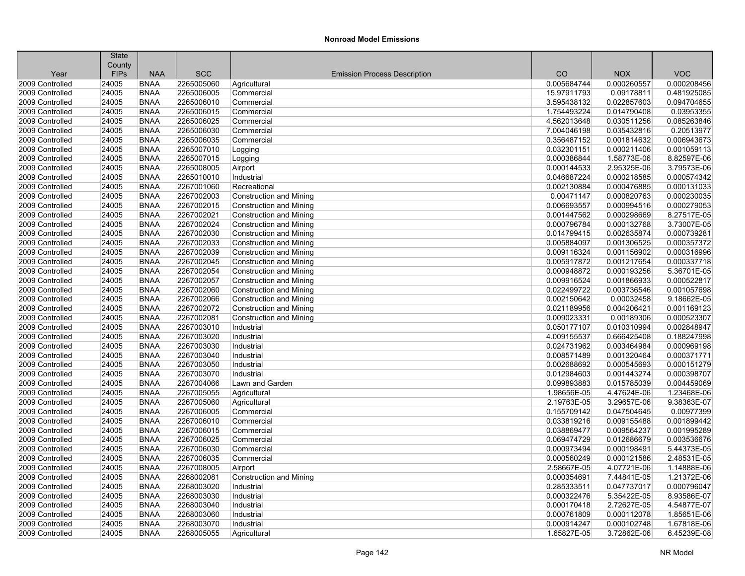|                 | <b>State</b><br>County |             |            |                                     |             |             |             |
|-----------------|------------------------|-------------|------------|-------------------------------------|-------------|-------------|-------------|
| Year            | <b>FIPs</b>            | <b>NAA</b>  | <b>SCC</b> | <b>Emission Process Description</b> | CO          | <b>NOX</b>  | <b>VOC</b>  |
| 2009 Controlled | 24005                  | <b>BNAA</b> | 2265005060 | Agricultural                        | 0.005684744 | 0.000260557 | 0.000208456 |
| 2009 Controlled | 24005                  | <b>BNAA</b> | 2265006005 | Commercial                          | 15.97911793 | 0.09178811  | 0.481925085 |
| 2009 Controlled | 24005                  | <b>BNAA</b> | 2265006010 | Commercial                          | 3.595438132 | 0.022857603 | 0.094704655 |
| 2009 Controlled | 24005                  | <b>BNAA</b> | 2265006015 | Commercial                          | 1.754493224 | 0.014790408 | 0.03953355  |
| 2009 Controlled | 24005                  | <b>BNAA</b> | 2265006025 | Commercial                          | 4.562013648 | 0.030511256 | 0.085263846 |
| 2009 Controlled | 24005                  | <b>BNAA</b> | 2265006030 | Commercial                          | 7.004046198 | 0.035432816 | 0.20513977  |
| 2009 Controlled | 24005                  | <b>BNAA</b> | 2265006035 | Commercial                          | 0.356487152 | 0.001814632 | 0.006943673 |
| 2009 Controlled | 24005                  | <b>BNAA</b> | 2265007010 | Logging                             | 0.032301151 | 0.000211406 | 0.001059113 |
| 2009 Controlled | 24005                  | <b>BNAA</b> | 2265007015 | Logging                             | 0.000386844 | 1.58773E-06 | 8.82597E-06 |
| 2009 Controlled | 24005                  | <b>BNAA</b> | 2265008005 | Airport                             | 0.000144533 | 2.95325E-06 | 3.79573E-06 |
| 2009 Controlled | 24005                  | <b>BNAA</b> | 2265010010 | Industrial                          | 0.046687224 | 0.000218585 | 0.000574342 |
| 2009 Controlled | 24005                  | <b>BNAA</b> | 2267001060 | Recreational                        | 0.002130884 | 0.000476885 | 0.000131033 |
| 2009 Controlled | 24005                  | <b>BNAA</b> | 2267002003 | <b>Construction and Mining</b>      | 0.00471147  | 0.000820763 | 0.000230035 |
| 2009 Controlled | 24005                  | <b>BNAA</b> | 2267002015 | <b>Construction and Mining</b>      | 0.006693557 | 0.000994516 | 0.000279053 |
| 2009 Controlled | 24005                  | <b>BNAA</b> | 2267002021 | <b>Construction and Mining</b>      | 0.001447562 | 0.000298669 | 8.27517E-05 |
| 2009 Controlled | 24005                  | <b>BNAA</b> | 2267002024 | <b>Construction and Mining</b>      | 0.000796784 | 0.000132768 | 3.73007E-05 |
| 2009 Controlled | 24005                  | <b>BNAA</b> | 2267002030 | <b>Construction and Mining</b>      | 0.014799415 | 0.002635874 | 0.000739281 |
| 2009 Controlled | 24005                  | <b>BNAA</b> | 2267002033 | <b>Construction and Mining</b>      | 0.005884097 | 0.001306525 | 0.000357372 |
| 2009 Controlled | 24005                  | <b>BNAA</b> | 2267002039 | <b>Construction and Mining</b>      | 0.009116324 | 0.001156902 | 0.000316996 |
| 2009 Controlled | 24005                  | <b>BNAA</b> | 2267002045 | <b>Construction and Mining</b>      | 0.005917872 | 0.001217654 | 0.000337718 |
| 2009 Controlled | 24005                  | <b>BNAA</b> | 2267002054 | <b>Construction and Mining</b>      | 0.000948872 | 0.000193256 | 5.36701E-05 |
| 2009 Controlled | 24005                  | <b>BNAA</b> | 2267002057 | <b>Construction and Mining</b>      | 0.009916524 | 0.001866933 | 0.000522817 |
| 2009 Controlled | 24005                  | <b>BNAA</b> | 2267002060 | <b>Construction and Mining</b>      | 0.022499722 | 0.003736546 | 0.001057698 |
| 2009 Controlled | 24005                  | <b>BNAA</b> | 2267002066 | <b>Construction and Mining</b>      | 0.002150642 | 0.00032458  | 9.18662E-05 |
| 2009 Controlled | 24005                  | <b>BNAA</b> | 2267002072 | Construction and Mining             | 0.021189956 | 0.004206421 | 0.001169123 |
| 2009 Controlled | 24005                  | <b>BNAA</b> | 2267002081 | <b>Construction and Mining</b>      | 0.009023331 | 0.00189306  | 0.000523307 |
| 2009 Controlled | 24005                  | <b>BNAA</b> | 2267003010 | Industrial                          | 0.050177107 | 0.010310994 | 0.002848947 |
| 2009 Controlled | 24005                  | <b>BNAA</b> | 2267003020 | Industrial                          | 4.009155537 | 0.666425408 | 0.188247998 |
| 2009 Controlled | 24005                  | <b>BNAA</b> | 2267003030 | Industrial                          | 0.024731962 | 0.003464984 | 0.000969198 |
| 2009 Controlled | 24005                  | <b>BNAA</b> | 2267003040 | Industrial                          | 0.008571489 | 0.001320464 | 0.000371771 |
| 2009 Controlled | 24005                  | <b>BNAA</b> | 2267003050 | Industrial                          | 0.002688692 | 0.000545693 | 0.000151279 |
| 2009 Controlled | 24005                  | <b>BNAA</b> | 2267003070 | Industrial                          | 0.012984603 | 0.001443274 | 0.000398707 |
| 2009 Controlled | 24005                  | <b>BNAA</b> | 2267004066 | Lawn and Garden                     | 0.099893883 | 0.015785039 | 0.004459069 |
| 2009 Controlled | 24005                  | <b>BNAA</b> | 2267005055 | Agricultural                        | 1.98656E-05 | 4.47624E-06 | 1.23468E-06 |
| 2009 Controlled | 24005                  | <b>BNAA</b> | 2267005060 | Agricultural                        | 2.19763E-05 | 3.29657E-06 | 9.38363E-07 |
| 2009 Controlled | 24005                  | <b>BNAA</b> | 2267006005 | Commercial                          | 0.155709142 | 0.047504645 | 0.00977399  |
| 2009 Controlled | 24005                  | <b>BNAA</b> | 2267006010 | Commercial                          | 0.033819216 | 0.009155488 | 0.001899442 |
| 2009 Controlled | 24005                  | <b>BNAA</b> | 2267006015 | Commercial                          | 0.038869477 | 0.009564237 | 0.001995289 |
| 2009 Controlled | 24005                  | <b>BNAA</b> | 2267006025 | Commercial                          | 0.069474729 | 0.012686679 | 0.003536676 |
| 2009 Controlled | 24005                  | <b>BNAA</b> | 2267006030 | Commercial                          | 0.000973494 | 0.000198491 | 5.44373E-05 |
| 2009 Controlled | 24005                  | <b>BNAA</b> | 2267006035 | Commercial                          | 0.000560249 | 0.000121586 | 2.48531E-05 |
| 2009 Controlled | 24005                  | <b>BNAA</b> | 2267008005 | Airport                             | 2.58667E-05 | 4.07721E-06 | 1.14888E-06 |
| 2009 Controlled | 24005                  | <b>BNAA</b> | 2268002081 | <b>Construction and Mining</b>      | 0.000354691 | 7.44841E-05 | 1.21372E-06 |
| 2009 Controlled | 24005                  | <b>BNAA</b> | 2268003020 | Industrial                          | 0.285333511 | 0.047737017 | 0.000796047 |
| 2009 Controlled | 24005                  | <b>BNAA</b> | 2268003030 | Industrial                          | 0.000322476 | 5.35422E-05 | 8.93586E-07 |
| 2009 Controlled | 24005                  | <b>BNAA</b> | 2268003040 | Industrial                          | 0.000170418 | 2.72627E-05 | 4.54877E-07 |
| 2009 Controlled | 24005                  | <b>BNAA</b> | 2268003060 | Industrial                          | 0.000761809 | 0.000112078 | 1.85651E-06 |
| 2009 Controlled | 24005                  | <b>BNAA</b> | 2268003070 | Industrial                          | 0.000914247 | 0.000102748 | 1.67818E-06 |
| 2009 Controlled | 24005                  | <b>BNAA</b> | 2268005055 | Agricultural                        | 1.65827E-05 | 3.72862E-06 | 6.45239E-08 |
|                 |                        |             |            |                                     |             |             |             |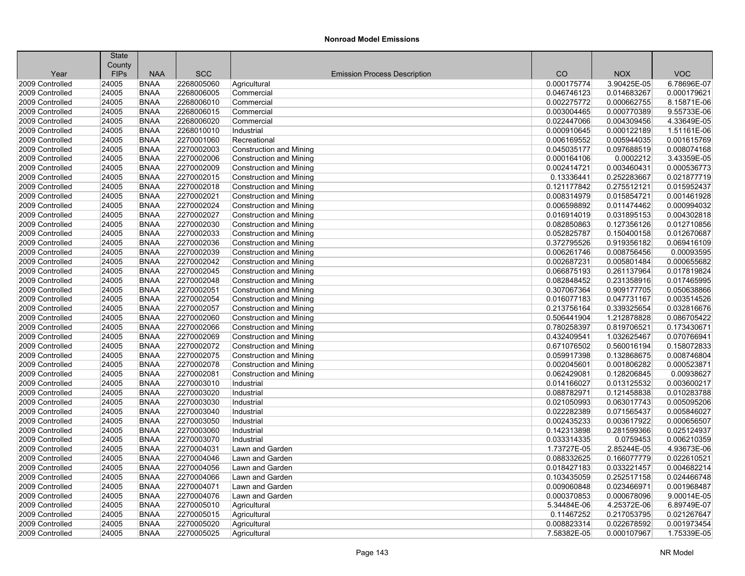| County<br><b>SCC</b><br>CO<br><b>VOC</b><br><b>FIPs</b><br><b>NAA</b><br><b>NOX</b><br>Year<br><b>Emission Process Description</b><br>24005<br><b>BNAA</b><br>2268005060<br>0.000175774<br>3.90425E-05<br>6.78696E-07<br>2009 Controlled<br>Agricultural<br><b>BNAA</b><br>2268006005<br>0.014683267<br>0.000179621<br>2009 Controlled<br>24005<br>Commercial<br>0.046746123<br>8.15871E-06<br>24005<br><b>BNAA</b><br>2268006010<br>0.002275772<br>0.000662755<br>2009 Controlled<br>Commercial<br>24005<br><b>BNAA</b><br>2268006015<br>0.003004465<br>0.000770389<br>9.55733E-06<br>2009 Controlled<br>Commercial<br>0.022447066<br>4.33649E-05<br>2009 Controlled<br>24005<br><b>BNAA</b><br>2268006020<br>Commercial<br>0.004309456<br>1.51161E-06<br>2009 Controlled<br>24005<br><b>BNAA</b><br>2268010010<br>0.000910645<br>0.000122189<br>Industrial<br>2270001060<br>0.005944035<br>0.001615769<br>2009 Controlled<br>24005<br><b>BNAA</b><br>Recreational<br>0.006169552<br>0.008074168<br>2009 Controlled<br>24005<br><b>BNAA</b><br>2270002003<br>0.045035177<br>0.097688519<br><b>Construction and Mining</b><br>2009 Controlled<br>24005<br><b>BNAA</b><br>2270002006<br>0.000164106<br>0.0002212<br>3.43359E-05<br><b>Construction and Mining</b><br>2270002009<br>0.000536773<br>24005<br><b>BNAA</b><br><b>Construction and Mining</b><br>0.002414721<br>0.003460431<br>2009 Controlled<br>0.021877719<br>2009 Controlled<br>24005<br><b>BNAA</b><br>2270002015<br>0.13336441<br>0.252283667<br><b>Construction and Mining</b><br>2270002018<br>0.121177842<br>0.275512121<br>0.015952437<br>2009 Controlled<br>24005<br><b>BNAA</b><br><b>Construction and Mining</b><br>2270002021<br>0.001461928<br>2009 Controlled<br>24005<br><b>BNAA</b><br><b>Construction and Mining</b><br>0.008314979<br>0.015854721<br><b>BNAA</b><br>2270002024<br>0.011474462<br>0.000994032<br>2009 Controlled<br>24005<br><b>Construction and Mining</b><br>0.006598892<br>0.004302818<br>2009 Controlled<br>24005<br><b>BNAA</b><br>2270002027<br>0.016914019<br>0.031895153<br><b>Construction and Mining</b><br>2009 Controlled<br>24005<br><b>BNAA</b><br>2270002030<br>0.082850863<br>0.127356126<br>0.012710856<br><b>Construction and Mining</b><br>2270002033<br>0.012670687<br>2009 Controlled<br>24005<br><b>BNAA</b><br>Construction and Mining<br>0.052825787<br>0.150400158<br>2009 Controlled<br>24005<br><b>BNAA</b><br>2270002036<br>0.372795526<br>0.919356182<br>0.069416109<br><b>Construction and Mining</b><br>24005<br><b>BNAA</b><br>2270002039<br>0.006261746<br>0.008756456<br>0.00093595<br>2009 Controlled<br><b>Construction and Mining</b><br>2270002042<br>0.000655682<br>2009 Controlled<br>24005<br><b>BNAA</b><br><b>Construction and Mining</b><br>0.002687231<br>0.005801484<br>2009 Controlled<br>24005<br><b>BNAA</b><br>2270002045<br>0.066875193<br>0.261137964<br>0.017819824<br><b>Construction and Mining</b><br>2270002048<br>0.082848452<br>0.017465995<br>2009 Controlled<br>24005<br><b>BNAA</b><br>0.231358916<br>Construction and Mining<br>2270002051<br>0.909177705<br>0.050638866<br>2009 Controlled<br>24005<br><b>BNAA</b><br><b>Construction and Mining</b><br>0.307067364<br>24005<br><b>BNAA</b><br>2270002054<br>0.003514526<br>2009 Controlled<br><b>Construction and Mining</b><br>0.016077183<br>0.047731167<br>0.339325654<br>0.032816676<br>2009 Controlled<br>24005<br><b>BNAA</b><br>2270002057<br><b>Construction and Mining</b><br>0.213756164<br>24005<br><b>BNAA</b><br>2270002060<br>0.506441904<br>1.212878828<br>0.086705422<br>2009 Controlled<br><b>Construction and Mining</b><br><b>BNAA</b><br>2270002066<br>0.819706521<br>0.173430671<br>2009 Controlled<br>24005<br><b>Construction and Mining</b><br>0.780258397<br>0.070766941<br>2009 Controlled<br>24005<br><b>BNAA</b><br>2270002069<br>0.432409541<br>1.032625467<br><b>Construction and Mining</b><br>24005<br>2270002072<br>0.560016194<br>0.158072833<br>2009 Controlled<br><b>BNAA</b><br>0.671076502<br><b>Construction and Mining</b><br>24005<br><b>BNAA</b><br>2270002075<br>0.059917398<br>0.132868675<br>0.008746804<br>2009 Controlled<br><b>Construction and Mining</b><br>24005<br><b>BNAA</b><br>2270002078<br>0.001806282<br>0.000523871<br>2009 Controlled<br><b>Construction and Mining</b><br>0.002045601<br>2009 Controlled<br>24005<br><b>BNAA</b><br>2270002081<br>0.062429081<br>0.128206845<br>0.00938627<br><b>Construction and Mining</b><br>2009 Controlled<br>24005<br><b>BNAA</b><br>2270003010<br>0.014166027<br>0.013125532<br>0.003600217<br>Industrial<br>24005<br><b>BNAA</b><br>2270003020<br>0.121458838<br>0.010283788<br>2009 Controlled<br>Industrial<br>0.088782971<br>0.005095206<br>2009 Controlled<br>24005<br><b>BNAA</b><br>2270003030<br>0.021050993<br>0.063017743<br>Industrial<br>24005<br>0.022282389<br>0.005846027<br>2009 Controlled<br><b>BNAA</b><br>2270003040<br>Industrial<br>0.071565437<br>24005<br><b>BNAA</b><br>2270003050<br>0.002435233<br>0.003617922<br>0.000656507<br>2009 Controlled<br>Industrial<br>24005<br><b>BNAA</b><br>0.281599366<br>0.025124937<br>2009 Controlled<br>2270003060<br>Industrial<br>0.142313898<br>0.0759453<br>2009 Controlled<br>24005<br><b>BNAA</b><br>2270003070<br>0.033314335<br>0.006210359<br>Industrial<br>2009 Controlled<br>24005<br><b>BNAA</b><br>2270004031<br>Lawn and Garden<br>1.73727E-05<br>2.85244E-05<br>4.93673E-06<br>24005<br><b>BNAA</b><br>2270004046<br>0.088332625<br>0.166077779<br>0.022610521<br>2009 Controlled<br>Lawn and Garden<br>2270004056<br>0.033221457<br>0.004682214<br>2009 Controlled<br>24005<br><b>BNAA</b><br>Lawn and Garden<br>0.018427183<br>24005<br>0.103435059<br>0.252517158<br>0.024466748<br>2009 Controlled<br><b>BNAA</b><br>2270004066<br>Lawn and Garden<br>2009 Controlled<br>24005<br><b>BNAA</b><br>2270004071<br>0.009060848<br>0.023466971<br>0.001968487<br>Lawn and Garden |                 | <b>State</b> |             |            |                 |             |             |             |
|--------------------------------------------------------------------------------------------------------------------------------------------------------------------------------------------------------------------------------------------------------------------------------------------------------------------------------------------------------------------------------------------------------------------------------------------------------------------------------------------------------------------------------------------------------------------------------------------------------------------------------------------------------------------------------------------------------------------------------------------------------------------------------------------------------------------------------------------------------------------------------------------------------------------------------------------------------------------------------------------------------------------------------------------------------------------------------------------------------------------------------------------------------------------------------------------------------------------------------------------------------------------------------------------------------------------------------------------------------------------------------------------------------------------------------------------------------------------------------------------------------------------------------------------------------------------------------------------------------------------------------------------------------------------------------------------------------------------------------------------------------------------------------------------------------------------------------------------------------------------------------------------------------------------------------------------------------------------------------------------------------------------------------------------------------------------------------------------------------------------------------------------------------------------------------------------------------------------------------------------------------------------------------------------------------------------------------------------------------------------------------------------------------------------------------------------------------------------------------------------------------------------------------------------------------------------------------------------------------------------------------------------------------------------------------------------------------------------------------------------------------------------------------------------------------------------------------------------------------------------------------------------------------------------------------------------------------------------------------------------------------------------------------------------------------------------------------------------------------------------------------------------------------------------------------------------------------------------------------------------------------------------------------------------------------------------------------------------------------------------------------------------------------------------------------------------------------------------------------------------------------------------------------------------------------------------------------------------------------------------------------------------------------------------------------------------------------------------------------------------------------------------------------------------------------------------------------------------------------------------------------------------------------------------------------------------------------------------------------------------------------------------------------------------------------------------------------------------------------------------------------------------------------------------------------------------------------------------------------------------------------------------------------------------------------------------------------------------------------------------------------------------------------------------------------------------------------------------------------------------------------------------------------------------------------------------------------------------------------------------------------------------------------------------------------------------------------------------------------------------------------------------------------------------------------------------------------------------------------------------------------------------------------------------------------------------------------------------------------------------------------------------------------------------------------------------------------------------------------------------------------------------------------------------------------------------------------------------------------------------------------------------------------------------------------------------------------------------------------------------------------------------------------------------------------------------------------------------------------------------------------------------------------------------------------------------------------------------------------------------------------------------------------------------------------------------------------------------------------------------------------------------------------------------------------------------------------------------------------------------------------------------------------------------------------------------------------------------------------|-----------------|--------------|-------------|------------|-----------------|-------------|-------------|-------------|
|                                                                                                                                                                                                                                                                                                                                                                                                                                                                                                                                                                                                                                                                                                                                                                                                                                                                                                                                                                                                                                                                                                                                                                                                                                                                                                                                                                                                                                                                                                                                                                                                                                                                                                                                                                                                                                                                                                                                                                                                                                                                                                                                                                                                                                                                                                                                                                                                                                                                                                                                                                                                                                                                                                                                                                                                                                                                                                                                                                                                                                                                                                                                                                                                                                                                                                                                                                                                                                                                                                                                                                                                                                                                                                                                                                                                                                                                                                                                                                                                                                                                                                                                                                                                                                                                                                                                                                                                                                                                                                                                                                                                                                                                                                                                                                                                                                                                                                                                                                                                                                                                                                                                                                                                                                                                                                                                                                                                                                                                                                                                                                                                                                                                                                                                                                                                                                                                                                                                                                                |                 |              |             |            |                 |             |             |             |
|                                                                                                                                                                                                                                                                                                                                                                                                                                                                                                                                                                                                                                                                                                                                                                                                                                                                                                                                                                                                                                                                                                                                                                                                                                                                                                                                                                                                                                                                                                                                                                                                                                                                                                                                                                                                                                                                                                                                                                                                                                                                                                                                                                                                                                                                                                                                                                                                                                                                                                                                                                                                                                                                                                                                                                                                                                                                                                                                                                                                                                                                                                                                                                                                                                                                                                                                                                                                                                                                                                                                                                                                                                                                                                                                                                                                                                                                                                                                                                                                                                                                                                                                                                                                                                                                                                                                                                                                                                                                                                                                                                                                                                                                                                                                                                                                                                                                                                                                                                                                                                                                                                                                                                                                                                                                                                                                                                                                                                                                                                                                                                                                                                                                                                                                                                                                                                                                                                                                                                                |                 |              |             |            |                 |             |             |             |
|                                                                                                                                                                                                                                                                                                                                                                                                                                                                                                                                                                                                                                                                                                                                                                                                                                                                                                                                                                                                                                                                                                                                                                                                                                                                                                                                                                                                                                                                                                                                                                                                                                                                                                                                                                                                                                                                                                                                                                                                                                                                                                                                                                                                                                                                                                                                                                                                                                                                                                                                                                                                                                                                                                                                                                                                                                                                                                                                                                                                                                                                                                                                                                                                                                                                                                                                                                                                                                                                                                                                                                                                                                                                                                                                                                                                                                                                                                                                                                                                                                                                                                                                                                                                                                                                                                                                                                                                                                                                                                                                                                                                                                                                                                                                                                                                                                                                                                                                                                                                                                                                                                                                                                                                                                                                                                                                                                                                                                                                                                                                                                                                                                                                                                                                                                                                                                                                                                                                                                                |                 |              |             |            |                 |             |             |             |
|                                                                                                                                                                                                                                                                                                                                                                                                                                                                                                                                                                                                                                                                                                                                                                                                                                                                                                                                                                                                                                                                                                                                                                                                                                                                                                                                                                                                                                                                                                                                                                                                                                                                                                                                                                                                                                                                                                                                                                                                                                                                                                                                                                                                                                                                                                                                                                                                                                                                                                                                                                                                                                                                                                                                                                                                                                                                                                                                                                                                                                                                                                                                                                                                                                                                                                                                                                                                                                                                                                                                                                                                                                                                                                                                                                                                                                                                                                                                                                                                                                                                                                                                                                                                                                                                                                                                                                                                                                                                                                                                                                                                                                                                                                                                                                                                                                                                                                                                                                                                                                                                                                                                                                                                                                                                                                                                                                                                                                                                                                                                                                                                                                                                                                                                                                                                                                                                                                                                                                                |                 |              |             |            |                 |             |             |             |
|                                                                                                                                                                                                                                                                                                                                                                                                                                                                                                                                                                                                                                                                                                                                                                                                                                                                                                                                                                                                                                                                                                                                                                                                                                                                                                                                                                                                                                                                                                                                                                                                                                                                                                                                                                                                                                                                                                                                                                                                                                                                                                                                                                                                                                                                                                                                                                                                                                                                                                                                                                                                                                                                                                                                                                                                                                                                                                                                                                                                                                                                                                                                                                                                                                                                                                                                                                                                                                                                                                                                                                                                                                                                                                                                                                                                                                                                                                                                                                                                                                                                                                                                                                                                                                                                                                                                                                                                                                                                                                                                                                                                                                                                                                                                                                                                                                                                                                                                                                                                                                                                                                                                                                                                                                                                                                                                                                                                                                                                                                                                                                                                                                                                                                                                                                                                                                                                                                                                                                                |                 |              |             |            |                 |             |             |             |
|                                                                                                                                                                                                                                                                                                                                                                                                                                                                                                                                                                                                                                                                                                                                                                                                                                                                                                                                                                                                                                                                                                                                                                                                                                                                                                                                                                                                                                                                                                                                                                                                                                                                                                                                                                                                                                                                                                                                                                                                                                                                                                                                                                                                                                                                                                                                                                                                                                                                                                                                                                                                                                                                                                                                                                                                                                                                                                                                                                                                                                                                                                                                                                                                                                                                                                                                                                                                                                                                                                                                                                                                                                                                                                                                                                                                                                                                                                                                                                                                                                                                                                                                                                                                                                                                                                                                                                                                                                                                                                                                                                                                                                                                                                                                                                                                                                                                                                                                                                                                                                                                                                                                                                                                                                                                                                                                                                                                                                                                                                                                                                                                                                                                                                                                                                                                                                                                                                                                                                                |                 |              |             |            |                 |             |             |             |
|                                                                                                                                                                                                                                                                                                                                                                                                                                                                                                                                                                                                                                                                                                                                                                                                                                                                                                                                                                                                                                                                                                                                                                                                                                                                                                                                                                                                                                                                                                                                                                                                                                                                                                                                                                                                                                                                                                                                                                                                                                                                                                                                                                                                                                                                                                                                                                                                                                                                                                                                                                                                                                                                                                                                                                                                                                                                                                                                                                                                                                                                                                                                                                                                                                                                                                                                                                                                                                                                                                                                                                                                                                                                                                                                                                                                                                                                                                                                                                                                                                                                                                                                                                                                                                                                                                                                                                                                                                                                                                                                                                                                                                                                                                                                                                                                                                                                                                                                                                                                                                                                                                                                                                                                                                                                                                                                                                                                                                                                                                                                                                                                                                                                                                                                                                                                                                                                                                                                                                                |                 |              |             |            |                 |             |             |             |
|                                                                                                                                                                                                                                                                                                                                                                                                                                                                                                                                                                                                                                                                                                                                                                                                                                                                                                                                                                                                                                                                                                                                                                                                                                                                                                                                                                                                                                                                                                                                                                                                                                                                                                                                                                                                                                                                                                                                                                                                                                                                                                                                                                                                                                                                                                                                                                                                                                                                                                                                                                                                                                                                                                                                                                                                                                                                                                                                                                                                                                                                                                                                                                                                                                                                                                                                                                                                                                                                                                                                                                                                                                                                                                                                                                                                                                                                                                                                                                                                                                                                                                                                                                                                                                                                                                                                                                                                                                                                                                                                                                                                                                                                                                                                                                                                                                                                                                                                                                                                                                                                                                                                                                                                                                                                                                                                                                                                                                                                                                                                                                                                                                                                                                                                                                                                                                                                                                                                                                                |                 |              |             |            |                 |             |             |             |
|                                                                                                                                                                                                                                                                                                                                                                                                                                                                                                                                                                                                                                                                                                                                                                                                                                                                                                                                                                                                                                                                                                                                                                                                                                                                                                                                                                                                                                                                                                                                                                                                                                                                                                                                                                                                                                                                                                                                                                                                                                                                                                                                                                                                                                                                                                                                                                                                                                                                                                                                                                                                                                                                                                                                                                                                                                                                                                                                                                                                                                                                                                                                                                                                                                                                                                                                                                                                                                                                                                                                                                                                                                                                                                                                                                                                                                                                                                                                                                                                                                                                                                                                                                                                                                                                                                                                                                                                                                                                                                                                                                                                                                                                                                                                                                                                                                                                                                                                                                                                                                                                                                                                                                                                                                                                                                                                                                                                                                                                                                                                                                                                                                                                                                                                                                                                                                                                                                                                                                                |                 |              |             |            |                 |             |             |             |
|                                                                                                                                                                                                                                                                                                                                                                                                                                                                                                                                                                                                                                                                                                                                                                                                                                                                                                                                                                                                                                                                                                                                                                                                                                                                                                                                                                                                                                                                                                                                                                                                                                                                                                                                                                                                                                                                                                                                                                                                                                                                                                                                                                                                                                                                                                                                                                                                                                                                                                                                                                                                                                                                                                                                                                                                                                                                                                                                                                                                                                                                                                                                                                                                                                                                                                                                                                                                                                                                                                                                                                                                                                                                                                                                                                                                                                                                                                                                                                                                                                                                                                                                                                                                                                                                                                                                                                                                                                                                                                                                                                                                                                                                                                                                                                                                                                                                                                                                                                                                                                                                                                                                                                                                                                                                                                                                                                                                                                                                                                                                                                                                                                                                                                                                                                                                                                                                                                                                                                                |                 |              |             |            |                 |             |             |             |
|                                                                                                                                                                                                                                                                                                                                                                                                                                                                                                                                                                                                                                                                                                                                                                                                                                                                                                                                                                                                                                                                                                                                                                                                                                                                                                                                                                                                                                                                                                                                                                                                                                                                                                                                                                                                                                                                                                                                                                                                                                                                                                                                                                                                                                                                                                                                                                                                                                                                                                                                                                                                                                                                                                                                                                                                                                                                                                                                                                                                                                                                                                                                                                                                                                                                                                                                                                                                                                                                                                                                                                                                                                                                                                                                                                                                                                                                                                                                                                                                                                                                                                                                                                                                                                                                                                                                                                                                                                                                                                                                                                                                                                                                                                                                                                                                                                                                                                                                                                                                                                                                                                                                                                                                                                                                                                                                                                                                                                                                                                                                                                                                                                                                                                                                                                                                                                                                                                                                                                                |                 |              |             |            |                 |             |             |             |
|                                                                                                                                                                                                                                                                                                                                                                                                                                                                                                                                                                                                                                                                                                                                                                                                                                                                                                                                                                                                                                                                                                                                                                                                                                                                                                                                                                                                                                                                                                                                                                                                                                                                                                                                                                                                                                                                                                                                                                                                                                                                                                                                                                                                                                                                                                                                                                                                                                                                                                                                                                                                                                                                                                                                                                                                                                                                                                                                                                                                                                                                                                                                                                                                                                                                                                                                                                                                                                                                                                                                                                                                                                                                                                                                                                                                                                                                                                                                                                                                                                                                                                                                                                                                                                                                                                                                                                                                                                                                                                                                                                                                                                                                                                                                                                                                                                                                                                                                                                                                                                                                                                                                                                                                                                                                                                                                                                                                                                                                                                                                                                                                                                                                                                                                                                                                                                                                                                                                                                                |                 |              |             |            |                 |             |             |             |
|                                                                                                                                                                                                                                                                                                                                                                                                                                                                                                                                                                                                                                                                                                                                                                                                                                                                                                                                                                                                                                                                                                                                                                                                                                                                                                                                                                                                                                                                                                                                                                                                                                                                                                                                                                                                                                                                                                                                                                                                                                                                                                                                                                                                                                                                                                                                                                                                                                                                                                                                                                                                                                                                                                                                                                                                                                                                                                                                                                                                                                                                                                                                                                                                                                                                                                                                                                                                                                                                                                                                                                                                                                                                                                                                                                                                                                                                                                                                                                                                                                                                                                                                                                                                                                                                                                                                                                                                                                                                                                                                                                                                                                                                                                                                                                                                                                                                                                                                                                                                                                                                                                                                                                                                                                                                                                                                                                                                                                                                                                                                                                                                                                                                                                                                                                                                                                                                                                                                                                                |                 |              |             |            |                 |             |             |             |
|                                                                                                                                                                                                                                                                                                                                                                                                                                                                                                                                                                                                                                                                                                                                                                                                                                                                                                                                                                                                                                                                                                                                                                                                                                                                                                                                                                                                                                                                                                                                                                                                                                                                                                                                                                                                                                                                                                                                                                                                                                                                                                                                                                                                                                                                                                                                                                                                                                                                                                                                                                                                                                                                                                                                                                                                                                                                                                                                                                                                                                                                                                                                                                                                                                                                                                                                                                                                                                                                                                                                                                                                                                                                                                                                                                                                                                                                                                                                                                                                                                                                                                                                                                                                                                                                                                                                                                                                                                                                                                                                                                                                                                                                                                                                                                                                                                                                                                                                                                                                                                                                                                                                                                                                                                                                                                                                                                                                                                                                                                                                                                                                                                                                                                                                                                                                                                                                                                                                                                                |                 |              |             |            |                 |             |             |             |
|                                                                                                                                                                                                                                                                                                                                                                                                                                                                                                                                                                                                                                                                                                                                                                                                                                                                                                                                                                                                                                                                                                                                                                                                                                                                                                                                                                                                                                                                                                                                                                                                                                                                                                                                                                                                                                                                                                                                                                                                                                                                                                                                                                                                                                                                                                                                                                                                                                                                                                                                                                                                                                                                                                                                                                                                                                                                                                                                                                                                                                                                                                                                                                                                                                                                                                                                                                                                                                                                                                                                                                                                                                                                                                                                                                                                                                                                                                                                                                                                                                                                                                                                                                                                                                                                                                                                                                                                                                                                                                                                                                                                                                                                                                                                                                                                                                                                                                                                                                                                                                                                                                                                                                                                                                                                                                                                                                                                                                                                                                                                                                                                                                                                                                                                                                                                                                                                                                                                                                                |                 |              |             |            |                 |             |             |             |
|                                                                                                                                                                                                                                                                                                                                                                                                                                                                                                                                                                                                                                                                                                                                                                                                                                                                                                                                                                                                                                                                                                                                                                                                                                                                                                                                                                                                                                                                                                                                                                                                                                                                                                                                                                                                                                                                                                                                                                                                                                                                                                                                                                                                                                                                                                                                                                                                                                                                                                                                                                                                                                                                                                                                                                                                                                                                                                                                                                                                                                                                                                                                                                                                                                                                                                                                                                                                                                                                                                                                                                                                                                                                                                                                                                                                                                                                                                                                                                                                                                                                                                                                                                                                                                                                                                                                                                                                                                                                                                                                                                                                                                                                                                                                                                                                                                                                                                                                                                                                                                                                                                                                                                                                                                                                                                                                                                                                                                                                                                                                                                                                                                                                                                                                                                                                                                                                                                                                                                                |                 |              |             |            |                 |             |             |             |
|                                                                                                                                                                                                                                                                                                                                                                                                                                                                                                                                                                                                                                                                                                                                                                                                                                                                                                                                                                                                                                                                                                                                                                                                                                                                                                                                                                                                                                                                                                                                                                                                                                                                                                                                                                                                                                                                                                                                                                                                                                                                                                                                                                                                                                                                                                                                                                                                                                                                                                                                                                                                                                                                                                                                                                                                                                                                                                                                                                                                                                                                                                                                                                                                                                                                                                                                                                                                                                                                                                                                                                                                                                                                                                                                                                                                                                                                                                                                                                                                                                                                                                                                                                                                                                                                                                                                                                                                                                                                                                                                                                                                                                                                                                                                                                                                                                                                                                                                                                                                                                                                                                                                                                                                                                                                                                                                                                                                                                                                                                                                                                                                                                                                                                                                                                                                                                                                                                                                                                                |                 |              |             |            |                 |             |             |             |
|                                                                                                                                                                                                                                                                                                                                                                                                                                                                                                                                                                                                                                                                                                                                                                                                                                                                                                                                                                                                                                                                                                                                                                                                                                                                                                                                                                                                                                                                                                                                                                                                                                                                                                                                                                                                                                                                                                                                                                                                                                                                                                                                                                                                                                                                                                                                                                                                                                                                                                                                                                                                                                                                                                                                                                                                                                                                                                                                                                                                                                                                                                                                                                                                                                                                                                                                                                                                                                                                                                                                                                                                                                                                                                                                                                                                                                                                                                                                                                                                                                                                                                                                                                                                                                                                                                                                                                                                                                                                                                                                                                                                                                                                                                                                                                                                                                                                                                                                                                                                                                                                                                                                                                                                                                                                                                                                                                                                                                                                                                                                                                                                                                                                                                                                                                                                                                                                                                                                                                                |                 |              |             |            |                 |             |             |             |
|                                                                                                                                                                                                                                                                                                                                                                                                                                                                                                                                                                                                                                                                                                                                                                                                                                                                                                                                                                                                                                                                                                                                                                                                                                                                                                                                                                                                                                                                                                                                                                                                                                                                                                                                                                                                                                                                                                                                                                                                                                                                                                                                                                                                                                                                                                                                                                                                                                                                                                                                                                                                                                                                                                                                                                                                                                                                                                                                                                                                                                                                                                                                                                                                                                                                                                                                                                                                                                                                                                                                                                                                                                                                                                                                                                                                                                                                                                                                                                                                                                                                                                                                                                                                                                                                                                                                                                                                                                                                                                                                                                                                                                                                                                                                                                                                                                                                                                                                                                                                                                                                                                                                                                                                                                                                                                                                                                                                                                                                                                                                                                                                                                                                                                                                                                                                                                                                                                                                                                                |                 |              |             |            |                 |             |             |             |
|                                                                                                                                                                                                                                                                                                                                                                                                                                                                                                                                                                                                                                                                                                                                                                                                                                                                                                                                                                                                                                                                                                                                                                                                                                                                                                                                                                                                                                                                                                                                                                                                                                                                                                                                                                                                                                                                                                                                                                                                                                                                                                                                                                                                                                                                                                                                                                                                                                                                                                                                                                                                                                                                                                                                                                                                                                                                                                                                                                                                                                                                                                                                                                                                                                                                                                                                                                                                                                                                                                                                                                                                                                                                                                                                                                                                                                                                                                                                                                                                                                                                                                                                                                                                                                                                                                                                                                                                                                                                                                                                                                                                                                                                                                                                                                                                                                                                                                                                                                                                                                                                                                                                                                                                                                                                                                                                                                                                                                                                                                                                                                                                                                                                                                                                                                                                                                                                                                                                                                                |                 |              |             |            |                 |             |             |             |
|                                                                                                                                                                                                                                                                                                                                                                                                                                                                                                                                                                                                                                                                                                                                                                                                                                                                                                                                                                                                                                                                                                                                                                                                                                                                                                                                                                                                                                                                                                                                                                                                                                                                                                                                                                                                                                                                                                                                                                                                                                                                                                                                                                                                                                                                                                                                                                                                                                                                                                                                                                                                                                                                                                                                                                                                                                                                                                                                                                                                                                                                                                                                                                                                                                                                                                                                                                                                                                                                                                                                                                                                                                                                                                                                                                                                                                                                                                                                                                                                                                                                                                                                                                                                                                                                                                                                                                                                                                                                                                                                                                                                                                                                                                                                                                                                                                                                                                                                                                                                                                                                                                                                                                                                                                                                                                                                                                                                                                                                                                                                                                                                                                                                                                                                                                                                                                                                                                                                                                                |                 |              |             |            |                 |             |             |             |
|                                                                                                                                                                                                                                                                                                                                                                                                                                                                                                                                                                                                                                                                                                                                                                                                                                                                                                                                                                                                                                                                                                                                                                                                                                                                                                                                                                                                                                                                                                                                                                                                                                                                                                                                                                                                                                                                                                                                                                                                                                                                                                                                                                                                                                                                                                                                                                                                                                                                                                                                                                                                                                                                                                                                                                                                                                                                                                                                                                                                                                                                                                                                                                                                                                                                                                                                                                                                                                                                                                                                                                                                                                                                                                                                                                                                                                                                                                                                                                                                                                                                                                                                                                                                                                                                                                                                                                                                                                                                                                                                                                                                                                                                                                                                                                                                                                                                                                                                                                                                                                                                                                                                                                                                                                                                                                                                                                                                                                                                                                                                                                                                                                                                                                                                                                                                                                                                                                                                                                                |                 |              |             |            |                 |             |             |             |
|                                                                                                                                                                                                                                                                                                                                                                                                                                                                                                                                                                                                                                                                                                                                                                                                                                                                                                                                                                                                                                                                                                                                                                                                                                                                                                                                                                                                                                                                                                                                                                                                                                                                                                                                                                                                                                                                                                                                                                                                                                                                                                                                                                                                                                                                                                                                                                                                                                                                                                                                                                                                                                                                                                                                                                                                                                                                                                                                                                                                                                                                                                                                                                                                                                                                                                                                                                                                                                                                                                                                                                                                                                                                                                                                                                                                                                                                                                                                                                                                                                                                                                                                                                                                                                                                                                                                                                                                                                                                                                                                                                                                                                                                                                                                                                                                                                                                                                                                                                                                                                                                                                                                                                                                                                                                                                                                                                                                                                                                                                                                                                                                                                                                                                                                                                                                                                                                                                                                                                                |                 |              |             |            |                 |             |             |             |
|                                                                                                                                                                                                                                                                                                                                                                                                                                                                                                                                                                                                                                                                                                                                                                                                                                                                                                                                                                                                                                                                                                                                                                                                                                                                                                                                                                                                                                                                                                                                                                                                                                                                                                                                                                                                                                                                                                                                                                                                                                                                                                                                                                                                                                                                                                                                                                                                                                                                                                                                                                                                                                                                                                                                                                                                                                                                                                                                                                                                                                                                                                                                                                                                                                                                                                                                                                                                                                                                                                                                                                                                                                                                                                                                                                                                                                                                                                                                                                                                                                                                                                                                                                                                                                                                                                                                                                                                                                                                                                                                                                                                                                                                                                                                                                                                                                                                                                                                                                                                                                                                                                                                                                                                                                                                                                                                                                                                                                                                                                                                                                                                                                                                                                                                                                                                                                                                                                                                                                                |                 |              |             |            |                 |             |             |             |
|                                                                                                                                                                                                                                                                                                                                                                                                                                                                                                                                                                                                                                                                                                                                                                                                                                                                                                                                                                                                                                                                                                                                                                                                                                                                                                                                                                                                                                                                                                                                                                                                                                                                                                                                                                                                                                                                                                                                                                                                                                                                                                                                                                                                                                                                                                                                                                                                                                                                                                                                                                                                                                                                                                                                                                                                                                                                                                                                                                                                                                                                                                                                                                                                                                                                                                                                                                                                                                                                                                                                                                                                                                                                                                                                                                                                                                                                                                                                                                                                                                                                                                                                                                                                                                                                                                                                                                                                                                                                                                                                                                                                                                                                                                                                                                                                                                                                                                                                                                                                                                                                                                                                                                                                                                                                                                                                                                                                                                                                                                                                                                                                                                                                                                                                                                                                                                                                                                                                                                                |                 |              |             |            |                 |             |             |             |
|                                                                                                                                                                                                                                                                                                                                                                                                                                                                                                                                                                                                                                                                                                                                                                                                                                                                                                                                                                                                                                                                                                                                                                                                                                                                                                                                                                                                                                                                                                                                                                                                                                                                                                                                                                                                                                                                                                                                                                                                                                                                                                                                                                                                                                                                                                                                                                                                                                                                                                                                                                                                                                                                                                                                                                                                                                                                                                                                                                                                                                                                                                                                                                                                                                                                                                                                                                                                                                                                                                                                                                                                                                                                                                                                                                                                                                                                                                                                                                                                                                                                                                                                                                                                                                                                                                                                                                                                                                                                                                                                                                                                                                                                                                                                                                                                                                                                                                                                                                                                                                                                                                                                                                                                                                                                                                                                                                                                                                                                                                                                                                                                                                                                                                                                                                                                                                                                                                                                                                                |                 |              |             |            |                 |             |             |             |
|                                                                                                                                                                                                                                                                                                                                                                                                                                                                                                                                                                                                                                                                                                                                                                                                                                                                                                                                                                                                                                                                                                                                                                                                                                                                                                                                                                                                                                                                                                                                                                                                                                                                                                                                                                                                                                                                                                                                                                                                                                                                                                                                                                                                                                                                                                                                                                                                                                                                                                                                                                                                                                                                                                                                                                                                                                                                                                                                                                                                                                                                                                                                                                                                                                                                                                                                                                                                                                                                                                                                                                                                                                                                                                                                                                                                                                                                                                                                                                                                                                                                                                                                                                                                                                                                                                                                                                                                                                                                                                                                                                                                                                                                                                                                                                                                                                                                                                                                                                                                                                                                                                                                                                                                                                                                                                                                                                                                                                                                                                                                                                                                                                                                                                                                                                                                                                                                                                                                                                                |                 |              |             |            |                 |             |             |             |
|                                                                                                                                                                                                                                                                                                                                                                                                                                                                                                                                                                                                                                                                                                                                                                                                                                                                                                                                                                                                                                                                                                                                                                                                                                                                                                                                                                                                                                                                                                                                                                                                                                                                                                                                                                                                                                                                                                                                                                                                                                                                                                                                                                                                                                                                                                                                                                                                                                                                                                                                                                                                                                                                                                                                                                                                                                                                                                                                                                                                                                                                                                                                                                                                                                                                                                                                                                                                                                                                                                                                                                                                                                                                                                                                                                                                                                                                                                                                                                                                                                                                                                                                                                                                                                                                                                                                                                                                                                                                                                                                                                                                                                                                                                                                                                                                                                                                                                                                                                                                                                                                                                                                                                                                                                                                                                                                                                                                                                                                                                                                                                                                                                                                                                                                                                                                                                                                                                                                                                                |                 |              |             |            |                 |             |             |             |
|                                                                                                                                                                                                                                                                                                                                                                                                                                                                                                                                                                                                                                                                                                                                                                                                                                                                                                                                                                                                                                                                                                                                                                                                                                                                                                                                                                                                                                                                                                                                                                                                                                                                                                                                                                                                                                                                                                                                                                                                                                                                                                                                                                                                                                                                                                                                                                                                                                                                                                                                                                                                                                                                                                                                                                                                                                                                                                                                                                                                                                                                                                                                                                                                                                                                                                                                                                                                                                                                                                                                                                                                                                                                                                                                                                                                                                                                                                                                                                                                                                                                                                                                                                                                                                                                                                                                                                                                                                                                                                                                                                                                                                                                                                                                                                                                                                                                                                                                                                                                                                                                                                                                                                                                                                                                                                                                                                                                                                                                                                                                                                                                                                                                                                                                                                                                                                                                                                                                                                                |                 |              |             |            |                 |             |             |             |
|                                                                                                                                                                                                                                                                                                                                                                                                                                                                                                                                                                                                                                                                                                                                                                                                                                                                                                                                                                                                                                                                                                                                                                                                                                                                                                                                                                                                                                                                                                                                                                                                                                                                                                                                                                                                                                                                                                                                                                                                                                                                                                                                                                                                                                                                                                                                                                                                                                                                                                                                                                                                                                                                                                                                                                                                                                                                                                                                                                                                                                                                                                                                                                                                                                                                                                                                                                                                                                                                                                                                                                                                                                                                                                                                                                                                                                                                                                                                                                                                                                                                                                                                                                                                                                                                                                                                                                                                                                                                                                                                                                                                                                                                                                                                                                                                                                                                                                                                                                                                                                                                                                                                                                                                                                                                                                                                                                                                                                                                                                                                                                                                                                                                                                                                                                                                                                                                                                                                                                                |                 |              |             |            |                 |             |             |             |
|                                                                                                                                                                                                                                                                                                                                                                                                                                                                                                                                                                                                                                                                                                                                                                                                                                                                                                                                                                                                                                                                                                                                                                                                                                                                                                                                                                                                                                                                                                                                                                                                                                                                                                                                                                                                                                                                                                                                                                                                                                                                                                                                                                                                                                                                                                                                                                                                                                                                                                                                                                                                                                                                                                                                                                                                                                                                                                                                                                                                                                                                                                                                                                                                                                                                                                                                                                                                                                                                                                                                                                                                                                                                                                                                                                                                                                                                                                                                                                                                                                                                                                                                                                                                                                                                                                                                                                                                                                                                                                                                                                                                                                                                                                                                                                                                                                                                                                                                                                                                                                                                                                                                                                                                                                                                                                                                                                                                                                                                                                                                                                                                                                                                                                                                                                                                                                                                                                                                                                                |                 |              |             |            |                 |             |             |             |
|                                                                                                                                                                                                                                                                                                                                                                                                                                                                                                                                                                                                                                                                                                                                                                                                                                                                                                                                                                                                                                                                                                                                                                                                                                                                                                                                                                                                                                                                                                                                                                                                                                                                                                                                                                                                                                                                                                                                                                                                                                                                                                                                                                                                                                                                                                                                                                                                                                                                                                                                                                                                                                                                                                                                                                                                                                                                                                                                                                                                                                                                                                                                                                                                                                                                                                                                                                                                                                                                                                                                                                                                                                                                                                                                                                                                                                                                                                                                                                                                                                                                                                                                                                                                                                                                                                                                                                                                                                                                                                                                                                                                                                                                                                                                                                                                                                                                                                                                                                                                                                                                                                                                                                                                                                                                                                                                                                                                                                                                                                                                                                                                                                                                                                                                                                                                                                                                                                                                                                                |                 |              |             |            |                 |             |             |             |
|                                                                                                                                                                                                                                                                                                                                                                                                                                                                                                                                                                                                                                                                                                                                                                                                                                                                                                                                                                                                                                                                                                                                                                                                                                                                                                                                                                                                                                                                                                                                                                                                                                                                                                                                                                                                                                                                                                                                                                                                                                                                                                                                                                                                                                                                                                                                                                                                                                                                                                                                                                                                                                                                                                                                                                                                                                                                                                                                                                                                                                                                                                                                                                                                                                                                                                                                                                                                                                                                                                                                                                                                                                                                                                                                                                                                                                                                                                                                                                                                                                                                                                                                                                                                                                                                                                                                                                                                                                                                                                                                                                                                                                                                                                                                                                                                                                                                                                                                                                                                                                                                                                                                                                                                                                                                                                                                                                                                                                                                                                                                                                                                                                                                                                                                                                                                                                                                                                                                                                                |                 |              |             |            |                 |             |             |             |
|                                                                                                                                                                                                                                                                                                                                                                                                                                                                                                                                                                                                                                                                                                                                                                                                                                                                                                                                                                                                                                                                                                                                                                                                                                                                                                                                                                                                                                                                                                                                                                                                                                                                                                                                                                                                                                                                                                                                                                                                                                                                                                                                                                                                                                                                                                                                                                                                                                                                                                                                                                                                                                                                                                                                                                                                                                                                                                                                                                                                                                                                                                                                                                                                                                                                                                                                                                                                                                                                                                                                                                                                                                                                                                                                                                                                                                                                                                                                                                                                                                                                                                                                                                                                                                                                                                                                                                                                                                                                                                                                                                                                                                                                                                                                                                                                                                                                                                                                                                                                                                                                                                                                                                                                                                                                                                                                                                                                                                                                                                                                                                                                                                                                                                                                                                                                                                                                                                                                                                                |                 |              |             |            |                 |             |             |             |
|                                                                                                                                                                                                                                                                                                                                                                                                                                                                                                                                                                                                                                                                                                                                                                                                                                                                                                                                                                                                                                                                                                                                                                                                                                                                                                                                                                                                                                                                                                                                                                                                                                                                                                                                                                                                                                                                                                                                                                                                                                                                                                                                                                                                                                                                                                                                                                                                                                                                                                                                                                                                                                                                                                                                                                                                                                                                                                                                                                                                                                                                                                                                                                                                                                                                                                                                                                                                                                                                                                                                                                                                                                                                                                                                                                                                                                                                                                                                                                                                                                                                                                                                                                                                                                                                                                                                                                                                                                                                                                                                                                                                                                                                                                                                                                                                                                                                                                                                                                                                                                                                                                                                                                                                                                                                                                                                                                                                                                                                                                                                                                                                                                                                                                                                                                                                                                                                                                                                                                                |                 |              |             |            |                 |             |             |             |
|                                                                                                                                                                                                                                                                                                                                                                                                                                                                                                                                                                                                                                                                                                                                                                                                                                                                                                                                                                                                                                                                                                                                                                                                                                                                                                                                                                                                                                                                                                                                                                                                                                                                                                                                                                                                                                                                                                                                                                                                                                                                                                                                                                                                                                                                                                                                                                                                                                                                                                                                                                                                                                                                                                                                                                                                                                                                                                                                                                                                                                                                                                                                                                                                                                                                                                                                                                                                                                                                                                                                                                                                                                                                                                                                                                                                                                                                                                                                                                                                                                                                                                                                                                                                                                                                                                                                                                                                                                                                                                                                                                                                                                                                                                                                                                                                                                                                                                                                                                                                                                                                                                                                                                                                                                                                                                                                                                                                                                                                                                                                                                                                                                                                                                                                                                                                                                                                                                                                                                                |                 |              |             |            |                 |             |             |             |
|                                                                                                                                                                                                                                                                                                                                                                                                                                                                                                                                                                                                                                                                                                                                                                                                                                                                                                                                                                                                                                                                                                                                                                                                                                                                                                                                                                                                                                                                                                                                                                                                                                                                                                                                                                                                                                                                                                                                                                                                                                                                                                                                                                                                                                                                                                                                                                                                                                                                                                                                                                                                                                                                                                                                                                                                                                                                                                                                                                                                                                                                                                                                                                                                                                                                                                                                                                                                                                                                                                                                                                                                                                                                                                                                                                                                                                                                                                                                                                                                                                                                                                                                                                                                                                                                                                                                                                                                                                                                                                                                                                                                                                                                                                                                                                                                                                                                                                                                                                                                                                                                                                                                                                                                                                                                                                                                                                                                                                                                                                                                                                                                                                                                                                                                                                                                                                                                                                                                                                                |                 |              |             |            |                 |             |             |             |
|                                                                                                                                                                                                                                                                                                                                                                                                                                                                                                                                                                                                                                                                                                                                                                                                                                                                                                                                                                                                                                                                                                                                                                                                                                                                                                                                                                                                                                                                                                                                                                                                                                                                                                                                                                                                                                                                                                                                                                                                                                                                                                                                                                                                                                                                                                                                                                                                                                                                                                                                                                                                                                                                                                                                                                                                                                                                                                                                                                                                                                                                                                                                                                                                                                                                                                                                                                                                                                                                                                                                                                                                                                                                                                                                                                                                                                                                                                                                                                                                                                                                                                                                                                                                                                                                                                                                                                                                                                                                                                                                                                                                                                                                                                                                                                                                                                                                                                                                                                                                                                                                                                                                                                                                                                                                                                                                                                                                                                                                                                                                                                                                                                                                                                                                                                                                                                                                                                                                                                                |                 |              |             |            |                 |             |             |             |
|                                                                                                                                                                                                                                                                                                                                                                                                                                                                                                                                                                                                                                                                                                                                                                                                                                                                                                                                                                                                                                                                                                                                                                                                                                                                                                                                                                                                                                                                                                                                                                                                                                                                                                                                                                                                                                                                                                                                                                                                                                                                                                                                                                                                                                                                                                                                                                                                                                                                                                                                                                                                                                                                                                                                                                                                                                                                                                                                                                                                                                                                                                                                                                                                                                                                                                                                                                                                                                                                                                                                                                                                                                                                                                                                                                                                                                                                                                                                                                                                                                                                                                                                                                                                                                                                                                                                                                                                                                                                                                                                                                                                                                                                                                                                                                                                                                                                                                                                                                                                                                                                                                                                                                                                                                                                                                                                                                                                                                                                                                                                                                                                                                                                                                                                                                                                                                                                                                                                                                                |                 |              |             |            |                 |             |             |             |
|                                                                                                                                                                                                                                                                                                                                                                                                                                                                                                                                                                                                                                                                                                                                                                                                                                                                                                                                                                                                                                                                                                                                                                                                                                                                                                                                                                                                                                                                                                                                                                                                                                                                                                                                                                                                                                                                                                                                                                                                                                                                                                                                                                                                                                                                                                                                                                                                                                                                                                                                                                                                                                                                                                                                                                                                                                                                                                                                                                                                                                                                                                                                                                                                                                                                                                                                                                                                                                                                                                                                                                                                                                                                                                                                                                                                                                                                                                                                                                                                                                                                                                                                                                                                                                                                                                                                                                                                                                                                                                                                                                                                                                                                                                                                                                                                                                                                                                                                                                                                                                                                                                                                                                                                                                                                                                                                                                                                                                                                                                                                                                                                                                                                                                                                                                                                                                                                                                                                                                                |                 |              |             |            |                 |             |             |             |
|                                                                                                                                                                                                                                                                                                                                                                                                                                                                                                                                                                                                                                                                                                                                                                                                                                                                                                                                                                                                                                                                                                                                                                                                                                                                                                                                                                                                                                                                                                                                                                                                                                                                                                                                                                                                                                                                                                                                                                                                                                                                                                                                                                                                                                                                                                                                                                                                                                                                                                                                                                                                                                                                                                                                                                                                                                                                                                                                                                                                                                                                                                                                                                                                                                                                                                                                                                                                                                                                                                                                                                                                                                                                                                                                                                                                                                                                                                                                                                                                                                                                                                                                                                                                                                                                                                                                                                                                                                                                                                                                                                                                                                                                                                                                                                                                                                                                                                                                                                                                                                                                                                                                                                                                                                                                                                                                                                                                                                                                                                                                                                                                                                                                                                                                                                                                                                                                                                                                                                                |                 |              |             |            |                 |             |             |             |
|                                                                                                                                                                                                                                                                                                                                                                                                                                                                                                                                                                                                                                                                                                                                                                                                                                                                                                                                                                                                                                                                                                                                                                                                                                                                                                                                                                                                                                                                                                                                                                                                                                                                                                                                                                                                                                                                                                                                                                                                                                                                                                                                                                                                                                                                                                                                                                                                                                                                                                                                                                                                                                                                                                                                                                                                                                                                                                                                                                                                                                                                                                                                                                                                                                                                                                                                                                                                                                                                                                                                                                                                                                                                                                                                                                                                                                                                                                                                                                                                                                                                                                                                                                                                                                                                                                                                                                                                                                                                                                                                                                                                                                                                                                                                                                                                                                                                                                                                                                                                                                                                                                                                                                                                                                                                                                                                                                                                                                                                                                                                                                                                                                                                                                                                                                                                                                                                                                                                                                                |                 |              |             |            |                 |             |             |             |
|                                                                                                                                                                                                                                                                                                                                                                                                                                                                                                                                                                                                                                                                                                                                                                                                                                                                                                                                                                                                                                                                                                                                                                                                                                                                                                                                                                                                                                                                                                                                                                                                                                                                                                                                                                                                                                                                                                                                                                                                                                                                                                                                                                                                                                                                                                                                                                                                                                                                                                                                                                                                                                                                                                                                                                                                                                                                                                                                                                                                                                                                                                                                                                                                                                                                                                                                                                                                                                                                                                                                                                                                                                                                                                                                                                                                                                                                                                                                                                                                                                                                                                                                                                                                                                                                                                                                                                                                                                                                                                                                                                                                                                                                                                                                                                                                                                                                                                                                                                                                                                                                                                                                                                                                                                                                                                                                                                                                                                                                                                                                                                                                                                                                                                                                                                                                                                                                                                                                                                                |                 |              |             |            |                 |             |             |             |
|                                                                                                                                                                                                                                                                                                                                                                                                                                                                                                                                                                                                                                                                                                                                                                                                                                                                                                                                                                                                                                                                                                                                                                                                                                                                                                                                                                                                                                                                                                                                                                                                                                                                                                                                                                                                                                                                                                                                                                                                                                                                                                                                                                                                                                                                                                                                                                                                                                                                                                                                                                                                                                                                                                                                                                                                                                                                                                                                                                                                                                                                                                                                                                                                                                                                                                                                                                                                                                                                                                                                                                                                                                                                                                                                                                                                                                                                                                                                                                                                                                                                                                                                                                                                                                                                                                                                                                                                                                                                                                                                                                                                                                                                                                                                                                                                                                                                                                                                                                                                                                                                                                                                                                                                                                                                                                                                                                                                                                                                                                                                                                                                                                                                                                                                                                                                                                                                                                                                                                                |                 |              |             |            |                 |             |             |             |
|                                                                                                                                                                                                                                                                                                                                                                                                                                                                                                                                                                                                                                                                                                                                                                                                                                                                                                                                                                                                                                                                                                                                                                                                                                                                                                                                                                                                                                                                                                                                                                                                                                                                                                                                                                                                                                                                                                                                                                                                                                                                                                                                                                                                                                                                                                                                                                                                                                                                                                                                                                                                                                                                                                                                                                                                                                                                                                                                                                                                                                                                                                                                                                                                                                                                                                                                                                                                                                                                                                                                                                                                                                                                                                                                                                                                                                                                                                                                                                                                                                                                                                                                                                                                                                                                                                                                                                                                                                                                                                                                                                                                                                                                                                                                                                                                                                                                                                                                                                                                                                                                                                                                                                                                                                                                                                                                                                                                                                                                                                                                                                                                                                                                                                                                                                                                                                                                                                                                                                                |                 |              |             |            |                 |             |             |             |
|                                                                                                                                                                                                                                                                                                                                                                                                                                                                                                                                                                                                                                                                                                                                                                                                                                                                                                                                                                                                                                                                                                                                                                                                                                                                                                                                                                                                                                                                                                                                                                                                                                                                                                                                                                                                                                                                                                                                                                                                                                                                                                                                                                                                                                                                                                                                                                                                                                                                                                                                                                                                                                                                                                                                                                                                                                                                                                                                                                                                                                                                                                                                                                                                                                                                                                                                                                                                                                                                                                                                                                                                                                                                                                                                                                                                                                                                                                                                                                                                                                                                                                                                                                                                                                                                                                                                                                                                                                                                                                                                                                                                                                                                                                                                                                                                                                                                                                                                                                                                                                                                                                                                                                                                                                                                                                                                                                                                                                                                                                                                                                                                                                                                                                                                                                                                                                                                                                                                                                                |                 |              |             |            |                 |             |             |             |
|                                                                                                                                                                                                                                                                                                                                                                                                                                                                                                                                                                                                                                                                                                                                                                                                                                                                                                                                                                                                                                                                                                                                                                                                                                                                                                                                                                                                                                                                                                                                                                                                                                                                                                                                                                                                                                                                                                                                                                                                                                                                                                                                                                                                                                                                                                                                                                                                                                                                                                                                                                                                                                                                                                                                                                                                                                                                                                                                                                                                                                                                                                                                                                                                                                                                                                                                                                                                                                                                                                                                                                                                                                                                                                                                                                                                                                                                                                                                                                                                                                                                                                                                                                                                                                                                                                                                                                                                                                                                                                                                                                                                                                                                                                                                                                                                                                                                                                                                                                                                                                                                                                                                                                                                                                                                                                                                                                                                                                                                                                                                                                                                                                                                                                                                                                                                                                                                                                                                                                                | 2009 Controlled | 24005        | <b>BNAA</b> | 2270004076 | Lawn and Garden | 0.000370853 | 0.000678096 | 9.00014E-05 |
| 2009 Controlled<br>24005<br><b>BNAA</b><br>2270005010<br>5.34484E-06<br>4.25372E-06<br>6.89749E-07<br>Agricultural                                                                                                                                                                                                                                                                                                                                                                                                                                                                                                                                                                                                                                                                                                                                                                                                                                                                                                                                                                                                                                                                                                                                                                                                                                                                                                                                                                                                                                                                                                                                                                                                                                                                                                                                                                                                                                                                                                                                                                                                                                                                                                                                                                                                                                                                                                                                                                                                                                                                                                                                                                                                                                                                                                                                                                                                                                                                                                                                                                                                                                                                                                                                                                                                                                                                                                                                                                                                                                                                                                                                                                                                                                                                                                                                                                                                                                                                                                                                                                                                                                                                                                                                                                                                                                                                                                                                                                                                                                                                                                                                                                                                                                                                                                                                                                                                                                                                                                                                                                                                                                                                                                                                                                                                                                                                                                                                                                                                                                                                                                                                                                                                                                                                                                                                                                                                                                                             |                 |              |             |            |                 |             |             |             |
| 0.021267647<br>2009 Controlled<br>24005<br><b>BNAA</b><br>2270005015<br>0.11467252<br>0.217053795<br>Agricultural                                                                                                                                                                                                                                                                                                                                                                                                                                                                                                                                                                                                                                                                                                                                                                                                                                                                                                                                                                                                                                                                                                                                                                                                                                                                                                                                                                                                                                                                                                                                                                                                                                                                                                                                                                                                                                                                                                                                                                                                                                                                                                                                                                                                                                                                                                                                                                                                                                                                                                                                                                                                                                                                                                                                                                                                                                                                                                                                                                                                                                                                                                                                                                                                                                                                                                                                                                                                                                                                                                                                                                                                                                                                                                                                                                                                                                                                                                                                                                                                                                                                                                                                                                                                                                                                                                                                                                                                                                                                                                                                                                                                                                                                                                                                                                                                                                                                                                                                                                                                                                                                                                                                                                                                                                                                                                                                                                                                                                                                                                                                                                                                                                                                                                                                                                                                                                                              |                 |              |             |            |                 |             |             |             |
| 0.001973454<br>2009 Controlled<br>24005<br><b>BNAA</b><br>2270005020<br>Agricultural<br>0.008823314<br>0.022678592                                                                                                                                                                                                                                                                                                                                                                                                                                                                                                                                                                                                                                                                                                                                                                                                                                                                                                                                                                                                                                                                                                                                                                                                                                                                                                                                                                                                                                                                                                                                                                                                                                                                                                                                                                                                                                                                                                                                                                                                                                                                                                                                                                                                                                                                                                                                                                                                                                                                                                                                                                                                                                                                                                                                                                                                                                                                                                                                                                                                                                                                                                                                                                                                                                                                                                                                                                                                                                                                                                                                                                                                                                                                                                                                                                                                                                                                                                                                                                                                                                                                                                                                                                                                                                                                                                                                                                                                                                                                                                                                                                                                                                                                                                                                                                                                                                                                                                                                                                                                                                                                                                                                                                                                                                                                                                                                                                                                                                                                                                                                                                                                                                                                                                                                                                                                                                                             |                 |              |             |            |                 |             |             |             |
| 24005<br><b>BNAA</b><br>7.58382E-05<br>1.75339E-05<br>2009 Controlled<br>2270005025<br>Agricultural<br>0.000107967                                                                                                                                                                                                                                                                                                                                                                                                                                                                                                                                                                                                                                                                                                                                                                                                                                                                                                                                                                                                                                                                                                                                                                                                                                                                                                                                                                                                                                                                                                                                                                                                                                                                                                                                                                                                                                                                                                                                                                                                                                                                                                                                                                                                                                                                                                                                                                                                                                                                                                                                                                                                                                                                                                                                                                                                                                                                                                                                                                                                                                                                                                                                                                                                                                                                                                                                                                                                                                                                                                                                                                                                                                                                                                                                                                                                                                                                                                                                                                                                                                                                                                                                                                                                                                                                                                                                                                                                                                                                                                                                                                                                                                                                                                                                                                                                                                                                                                                                                                                                                                                                                                                                                                                                                                                                                                                                                                                                                                                                                                                                                                                                                                                                                                                                                                                                                                                             |                 |              |             |            |                 |             |             |             |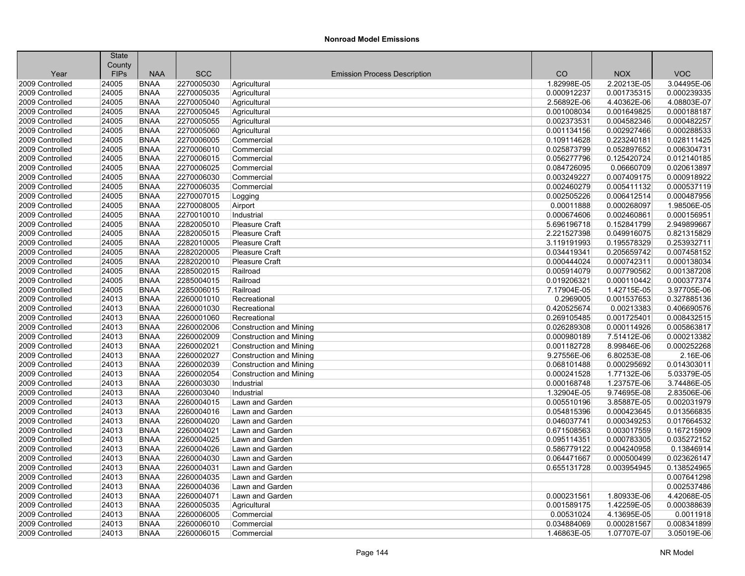|                         | <b>State</b>          |             |            |                                     |             |             |                            |
|-------------------------|-----------------------|-------------|------------|-------------------------------------|-------------|-------------|----------------------------|
|                         | County<br><b>FIPs</b> | <b>NAA</b>  | <b>SCC</b> | <b>Emission Process Description</b> | CO          | <b>NOX</b>  | <b>VOC</b>                 |
| Year<br>2009 Controlled | 24005                 | <b>BNAA</b> | 2270005030 |                                     | 1.82998E-05 | 2.20213E-05 | 3.04495E-06                |
|                         |                       |             |            | Agricultural                        |             |             |                            |
| 2009 Controlled         | 24005                 | <b>BNAA</b> | 2270005035 | Agricultural                        | 0.000912237 | 0.001735315 | 0.000239335                |
| 2009 Controlled         | 24005                 | <b>BNAA</b> | 2270005040 | Agricultural                        | 2.56892E-06 | 4.40362E-06 | 4.08803E-07<br>0.000188187 |
| 2009 Controlled         | 24005                 | <b>BNAA</b> | 2270005045 | Agricultural                        | 0.001008034 | 0.001649825 |                            |
| 2009 Controlled         | 24005                 | <b>BNAA</b> | 2270005055 | Agricultural                        | 0.002373531 | 0.004582346 | 0.000482257                |
| 2009 Controlled         | 24005                 | <b>BNAA</b> | 2270005060 | Agricultural                        | 0.001134156 | 0.002927466 | 0.000288533                |
| 2009 Controlled         | 24005                 | <b>BNAA</b> | 2270006005 | Commercial                          | 0.109114628 | 0.223240181 | 0.028111425                |
| 2009 Controlled         | 24005                 | <b>BNAA</b> | 2270006010 | Commercial                          | 0.025873799 | 0.052897652 | 0.006304731                |
| 2009 Controlled         | 24005                 | <b>BNAA</b> | 2270006015 | Commercial                          | 0.056277796 | 0.125420724 | 0.012140185                |
| 2009 Controlled         | 24005                 | <b>BNAA</b> | 2270006025 | Commercial                          | 0.084726095 | 0.06660709  | 0.020613897                |
| 2009 Controlled         | 24005                 | <b>BNAA</b> | 2270006030 | Commercial                          | 0.003249227 | 0.007409175 | 0.000918922                |
| 2009 Controlled         | 24005                 | <b>BNAA</b> | 2270006035 | Commercial                          | 0.002460279 | 0.005411132 | 0.000537119                |
| 2009 Controlled         | 24005                 | <b>BNAA</b> | 2270007015 | Logging                             | 0.002505226 | 0.006412514 | 0.000487956                |
| 2009 Controlled         | 24005                 | <b>BNAA</b> | 2270008005 | Airport                             | 0.00011888  | 0.000268097 | 1.98506E-05                |
| 2009 Controlled         | 24005                 | <b>BNAA</b> | 2270010010 | Industrial                          | 0.000674606 | 0.002460861 | 0.000156951                |
| 2009 Controlled         | 24005                 | <b>BNAA</b> | 2282005010 | <b>Pleasure Craft</b>               | 5.696196718 | 0.152841799 | 2.949899667                |
| 2009 Controlled         | 24005                 | <b>BNAA</b> | 2282005015 | Pleasure Craft                      | 2.221527398 | 0.049916075 | 0.821315829                |
| 2009 Controlled         | 24005                 | <b>BNAA</b> | 2282010005 | <b>Pleasure Craft</b>               | 3.119191993 | 0.195578329 | 0.253932711                |
| 2009 Controlled         | 24005                 | <b>BNAA</b> | 2282020005 | <b>Pleasure Craft</b>               | 0.034419341 | 0.205659742 | 0.007458152                |
| 2009 Controlled         | 24005                 | <b>BNAA</b> | 2282020010 | Pleasure Craft                      | 0.000444024 | 0.000742311 | 0.000138034                |
| 2009 Controlled         | 24005                 | <b>BNAA</b> | 2285002015 | Railroad                            | 0.005914079 | 0.007790562 | 0.001387208                |
| 2009 Controlled         | 24005                 | <b>BNAA</b> | 2285004015 | Railroad                            | 0.019206321 | 0.000110442 | 0.000377374                |
| 2009 Controlled         | 24005                 | <b>BNAA</b> | 2285006015 | Railroad                            | 7.17904E-05 | 1.42715E-05 | 3.97705E-06                |
| 2009 Controlled         | 24013                 | <b>BNAA</b> | 2260001010 | Recreational                        | 0.2969005   | 0.001537653 | 0.327885136                |
| 2009 Controlled         | 24013                 | <b>BNAA</b> | 2260001030 | Recreational                        | 0.420525674 | 0.00213383  | 0.406690576                |
| 2009 Controlled         | 24013                 | <b>BNAA</b> | 2260001060 | Recreational                        | 0.269105485 | 0.001725401 | 0.008432515                |
| 2009 Controlled         | 24013                 | <b>BNAA</b> | 2260002006 | <b>Construction and Mining</b>      | 0.026289308 | 0.000114926 | 0.005863817                |
| 2009 Controlled         | 24013                 | <b>BNAA</b> | 2260002009 | <b>Construction and Mining</b>      | 0.000980189 | 7.51412E-06 | 0.000213382                |
| 2009 Controlled         | 24013                 | <b>BNAA</b> | 2260002021 | <b>Construction and Mining</b>      | 0.001182728 | 8.99846E-06 | 0.000252268                |
| 2009 Controlled         | 24013                 | <b>BNAA</b> | 2260002027 | <b>Construction and Mining</b>      | 9.27556E-06 | 6.80253E-08 | 2.16E-06                   |
| 2009 Controlled         | 24013                 | <b>BNAA</b> | 2260002039 | <b>Construction and Mining</b>      | 0.068101488 | 0.000295692 | 0.014303011                |
| 2009 Controlled         | 24013                 | <b>BNAA</b> | 2260002054 | <b>Construction and Mining</b>      | 0.000241528 | 1.77132E-06 | 5.03379E-05                |
| 2009 Controlled         | 24013                 | <b>BNAA</b> | 2260003030 | Industrial                          | 0.000168748 | 1.23757E-06 | 3.74486E-05                |
| 2009 Controlled         | 24013                 | <b>BNAA</b> | 2260003040 | Industrial                          | 1.32904E-05 | 9.74695E-08 | 2.83506E-06                |
| 2009 Controlled         | 24013                 | <b>BNAA</b> | 2260004015 | Lawn and Garden                     | 0.005510196 | 3.85887E-05 | 0.002031979                |
| 2009 Controlled         | 24013                 | <b>BNAA</b> | 2260004016 | Lawn and Garden                     | 0.054815396 | 0.000423645 | 0.013566835                |
| 2009 Controlled         | 24013                 | <b>BNAA</b> | 2260004020 | Lawn and Garden                     | 0.046037741 | 0.000349253 | 0.017664532                |
| 2009 Controlled         | 24013                 | <b>BNAA</b> | 2260004021 | Lawn and Garden                     | 0.671508563 | 0.003017559 | 0.167215909                |
| 2009 Controlled         | 24013                 | <b>BNAA</b> | 2260004025 | Lawn and Garden                     | 0.095114351 | 0.000783305 | 0.035272152                |
| 2009 Controlled         | 24013                 | <b>BNAA</b> | 2260004026 | Lawn and Garden                     | 0.586779122 | 0.004240958 | 0.13846914                 |
| 2009 Controlled         | 24013                 | <b>BNAA</b> | 2260004030 | Lawn and Garden                     | 0.064471667 | 0.000500499 | 0.023626147                |
| 2009 Controlled         | 24013                 | <b>BNAA</b> | 2260004031 | Lawn and Garden                     | 0.655131728 | 0.003954945 | 0.138524965                |
| 2009 Controlled         | 24013                 | <b>BNAA</b> | 2260004035 | Lawn and Garden                     |             |             | 0.007641298                |
| 2009 Controlled         | 24013                 | <b>BNAA</b> | 2260004036 | Lawn and Garden                     |             |             | 0.002537486                |
| 2009 Controlled         | 24013                 | <b>BNAA</b> | 2260004071 | Lawn and Garden                     | 0.000231561 | 1.80933E-06 | 4.42068E-05                |
| 2009 Controlled         | 24013                 | <b>BNAA</b> | 2260005035 | Agricultural                        | 0.001589175 | 1.42259E-05 | 0.000388639                |
| 2009 Controlled         | 24013                 | <b>BNAA</b> | 2260006005 | Commercial                          | 0.00531024  | 4.13695E-05 | 0.0011918                  |
| 2009 Controlled         | 24013                 | <b>BNAA</b> | 2260006010 | Commercial                          | 0.034884069 | 0.000281567 | 0.008341899                |
| 2009 Controlled         | 24013                 | <b>BNAA</b> | 2260006015 | Commercial                          | 1.46863E-05 | 1.07707E-07 | 3.05019E-06                |
|                         |                       |             |            |                                     |             |             |                            |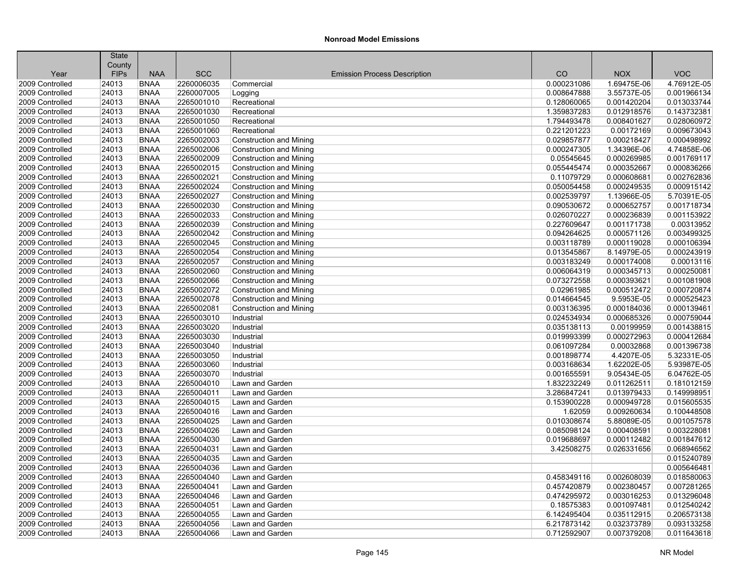|                 | <b>State</b> |             |            |                                     |             |             |             |
|-----------------|--------------|-------------|------------|-------------------------------------|-------------|-------------|-------------|
|                 | County       |             |            |                                     |             |             |             |
| Year            | <b>FIPs</b>  | <b>NAA</b>  | <b>SCC</b> | <b>Emission Process Description</b> | CO          | <b>NOX</b>  | <b>VOC</b>  |
| 2009 Controlled | 24013        | <b>BNAA</b> | 2260006035 | Commercial                          | 0.000231086 | 1.69475E-06 | 4.76912E-05 |
| 2009 Controlled | 24013        | <b>BNAA</b> | 2260007005 | Logging                             | 0.008647888 | 3.55737E-05 | 0.001966134 |
| 2009 Controlled | 24013        | <b>BNAA</b> | 2265001010 | Recreational                        | 0.128060065 | 0.001420204 | 0.013033744 |
| 2009 Controlled | 24013        | <b>BNAA</b> | 2265001030 | Recreational                        | 1.359837283 | 0.012918576 | 0.143732381 |
| 2009 Controlled | 24013        | <b>BNAA</b> | 2265001050 | Recreational                        | 1.794493478 | 0.008401627 | 0.028060972 |
| 2009 Controlled | 24013        | <b>BNAA</b> | 2265001060 | Recreational                        | 0.221201223 | 0.00172169  | 0.009673043 |
| 2009 Controlled | 24013        | <b>BNAA</b> | 2265002003 | Construction and Mining             | 0.029857877 | 0.000218427 | 0.000498992 |
| 2009 Controlled | 24013        | <b>BNAA</b> | 2265002006 | <b>Construction and Mining</b>      | 0.000247305 | 1.34396E-06 | 4.74858E-06 |
| 2009 Controlled | 24013        | <b>BNAA</b> | 2265002009 | Construction and Mining             | 0.05545645  | 0.000269985 | 0.001769117 |
| 2009 Controlled | 24013        | <b>BNAA</b> | 2265002015 | Construction and Mining             | 0.055445474 | 0.000352667 | 0.000836266 |
| 2009 Controlled | 24013        | <b>BNAA</b> | 2265002021 | <b>Construction and Mining</b>      | 0.11079729  | 0.000608681 | 0.002762836 |
| 2009 Controlled | 24013        | <b>BNAA</b> | 2265002024 | Construction and Mining             | 0.050054458 | 0.000249535 | 0.000915142 |
| 2009 Controlled | 24013        | <b>BNAA</b> | 2265002027 | <b>Construction and Mining</b>      | 0.002539797 | 1.13966E-05 | 5.70391E-05 |
| 2009 Controlled | 24013        | <b>BNAA</b> | 2265002030 | Construction and Mining             | 0.090530672 | 0.000652757 | 0.001718734 |
| 2009 Controlled | 24013        | <b>BNAA</b> | 2265002033 | <b>Construction and Mining</b>      | 0.026070227 | 0.000236839 | 0.001153922 |
| 2009 Controlled | 24013        | <b>BNAA</b> | 2265002039 | <b>Construction and Mining</b>      | 0.227609647 | 0.001171738 | 0.00313952  |
| 2009 Controlled | 24013        | <b>BNAA</b> | 2265002042 | Construction and Mining             | 0.094264625 | 0.000571126 | 0.003499325 |
| 2009 Controlled | 24013        | <b>BNAA</b> | 2265002045 | Construction and Mining             | 0.003118789 | 0.000119028 | 0.000106394 |
| 2009 Controlled | 24013        | <b>BNAA</b> | 2265002054 | <b>Construction and Mining</b>      | 0.013545867 | 8.14979E-05 | 0.000243919 |
| 2009 Controlled | 24013        | <b>BNAA</b> | 2265002057 | <b>Construction and Mining</b>      | 0.003183249 | 0.000174008 | 0.00013116  |
| 2009 Controlled | 24013        | <b>BNAA</b> | 2265002060 | Construction and Mining             | 0.006064319 | 0.000345713 | 0.000250081 |
| 2009 Controlled | 24013        | <b>BNAA</b> | 2265002066 | <b>Construction and Mining</b>      | 0.073272558 | 0.000393621 | 0.001081908 |
| 2009 Controlled | 24013        | <b>BNAA</b> | 2265002072 | <b>Construction and Mining</b>      | 0.02961985  | 0.000512472 | 0.000720874 |
| 2009 Controlled | 24013        | <b>BNAA</b> | 2265002078 | Construction and Mining             | 0.014664545 | 9.5953E-05  | 0.000525423 |
| 2009 Controlled | 24013        | <b>BNAA</b> | 2265002081 | Construction and Mining             | 0.003136395 | 0.000184036 | 0.000139461 |
| 2009 Controlled | 24013        | <b>BNAA</b> | 2265003010 | Industrial                          | 0.024534934 | 0.000685326 | 0.000759044 |
| 2009 Controlled | 24013        | <b>BNAA</b> | 2265003020 | Industrial                          | 0.035138113 | 0.00199959  | 0.001438815 |
| 2009 Controlled | 24013        | <b>BNAA</b> | 2265003030 | Industrial                          | 0.019993399 | 0.000272963 | 0.000412684 |
| 2009 Controlled | 24013        | <b>BNAA</b> | 2265003040 | Industrial                          | 0.061097284 | 0.00032868  | 0.001396738 |
| 2009 Controlled | 24013        | <b>BNAA</b> | 2265003050 | Industrial                          | 0.001898774 | 4.4207E-05  | 5.32331E-05 |
| 2009 Controlled | 24013        | <b>BNAA</b> | 2265003060 | Industrial                          | 0.003168634 | 1.62202E-05 | 5.93987E-05 |
| 2009 Controlled | 24013        | <b>BNAA</b> | 2265003070 | Industrial                          | 0.001655591 | 9.05434E-05 | 6.04762E-05 |
| 2009 Controlled | 24013        | <b>BNAA</b> | 2265004010 | Lawn and Garden                     | 1.832232249 | 0.011262511 | 0.181012159 |
| 2009 Controlled | 24013        | <b>BNAA</b> | 2265004011 | Lawn and Garden                     | 3.286847241 | 0.013979433 | 0.149998951 |
| 2009 Controlled | 24013        | <b>BNAA</b> | 2265004015 | Lawn and Garden                     | 0.153900228 | 0.000949728 | 0.015605535 |
| 2009 Controlled | 24013        | <b>BNAA</b> | 2265004016 | Lawn and Garden                     | 1.62059     | 0.009260634 | 0.100448508 |
| 2009 Controlled | 24013        | <b>BNAA</b> | 2265004025 | Lawn and Garden                     | 0.010308674 | 5.88089E-05 | 0.001057578 |
| 2009 Controlled | 24013        | <b>BNAA</b> | 2265004026 | Lawn and Garden                     | 0.085098124 | 0.000408591 | 0.003228081 |
| 2009 Controlled | 24013        | <b>BNAA</b> | 2265004030 | Lawn and Garden                     | 0.019688697 | 0.000112482 | 0.001847612 |
| 2009 Controlled | 24013        | <b>BNAA</b> | 2265004031 | Lawn and Garden                     | 3.42508275  | 0.026331656 | 0.068946562 |
| 2009 Controlled | 24013        | <b>BNAA</b> | 2265004035 | Lawn and Garden                     |             |             | 0.015240789 |
| 2009 Controlled | 24013        | <b>BNAA</b> | 2265004036 | Lawn and Garden                     |             |             | 0.005646481 |
| 2009 Controlled | 24013        | <b>BNAA</b> | 2265004040 | Lawn and Garden                     | 0.458349116 | 0.002608039 | 0.018580063 |
| 2009 Controlled | 24013        | <b>BNAA</b> | 2265004041 | Lawn and Garden                     | 0.457420879 | 0.002380457 | 0.007281265 |
| 2009 Controlled | 24013        | <b>BNAA</b> | 2265004046 | Lawn and Garden                     | 0.474295972 | 0.003016253 | 0.013296048 |
| 2009 Controlled | 24013        | <b>BNAA</b> | 2265004051 | Lawn and Garden                     | 0.18575383  | 0.001097481 | 0.012540242 |
| 2009 Controlled | 24013        | <b>BNAA</b> | 2265004055 | Lawn and Garden                     | 6.142495404 | 0.035112915 | 0.206573138 |
| 2009 Controlled | 24013        | <b>BNAA</b> | 2265004056 | Lawn and Garden                     | 6.217873142 | 0.032373789 | 0.093133258 |
|                 |              | <b>BNAA</b> |            |                                     |             |             |             |
| 2009 Controlled | 24013        |             | 2265004066 | Lawn and Garden                     | 0.712592907 | 0.007379208 | 0.011643618 |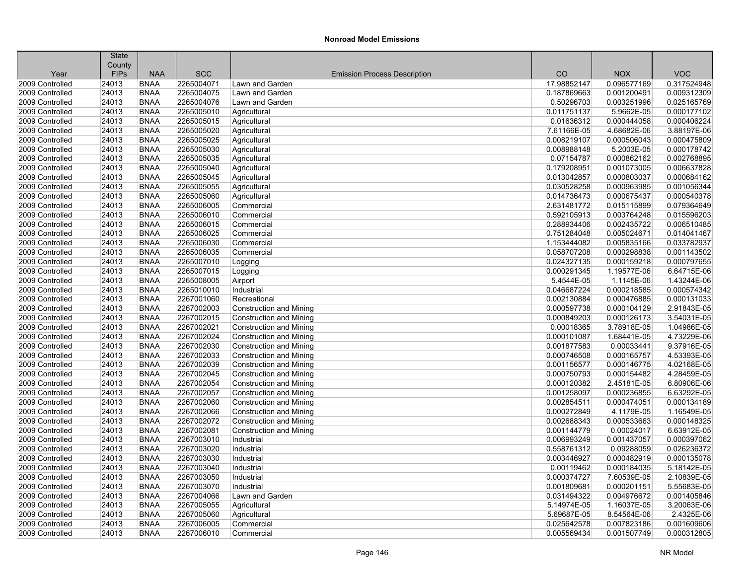|                                    | <b>State</b>          |                            |                          |                                     |                            |                            |             |
|------------------------------------|-----------------------|----------------------------|--------------------------|-------------------------------------|----------------------------|----------------------------|-------------|
| Year                               | County<br><b>FIPs</b> | <b>NAA</b>                 | <b>SCC</b>               | <b>Emission Process Description</b> | CO                         | <b>NOX</b>                 | <b>VOC</b>  |
| 2009 Controlled                    | 24013                 | <b>BNAA</b>                | 2265004071               | Lawn and Garden                     | 17.98852147                | 0.096577169                | 0.317524948 |
| 2009 Controlled                    | 24013                 | <b>BNAA</b>                | 2265004075               | Lawn and Garden                     | 0.187869663                | 0.001200491                | 0.009312309 |
| 2009 Controlled                    | 24013                 | <b>BNAA</b>                | 2265004076               | Lawn and Garden                     | 0.50296703                 | 0.003251996                | 0.025165769 |
|                                    |                       |                            |                          |                                     |                            |                            | 0.000177102 |
| 2009 Controlled<br>2009 Controlled | 24013<br>24013        | <b>BNAA</b><br><b>BNAA</b> | 2265005010<br>2265005015 | Agricultural                        | 0.011751137<br>0.01636312  | 5.9662E-05<br>0.000444058  | 0.000406224 |
| 2009 Controlled                    |                       |                            |                          | Agricultural                        |                            |                            | 3.88197E-06 |
| 2009 Controlled                    | 24013<br>24013        | <b>BNAA</b><br><b>BNAA</b> | 2265005020<br>2265005025 | Agricultural                        | 7.61166E-05<br>0.008219107 | 4.68682E-06<br>0.000506043 | 0.000475809 |
| 2009 Controlled                    | 24013                 | <b>BNAA</b>                | 2265005030               | Agricultural                        | 0.008988148                | 5.2003E-05                 | 0.000178742 |
| 2009 Controlled                    | 24013                 | <b>BNAA</b>                | 2265005035               | Agricultural                        | 0.07154787                 | 0.000862162                | 0.002768895 |
|                                    |                       | <b>BNAA</b>                |                          | Agricultural                        |                            |                            |             |
| 2009 Controlled                    | 24013                 |                            | 2265005040               | Agricultural                        | 0.179208951                | 0.001073005                | 0.006637828 |
| 2009 Controlled                    | 24013                 | <b>BNAA</b>                | 2265005045               | Agricultural                        | 0.013042857                | 0.000803037                | 0.000684162 |
| 2009 Controlled                    | 24013                 | <b>BNAA</b>                | 2265005055               | Agricultural                        | 0.030528258                | 0.000963985                | 0.001056344 |
| 2009 Controlled                    | 24013                 | <b>BNAA</b>                | 2265005060               | Agricultural                        | 0.014736473                | 0.000675437                | 0.000540378 |
| 2009 Controlled                    | 24013                 | <b>BNAA</b>                | 2265006005               | Commercial                          | 2.631481772                | 0.015115899                | 0.079364649 |
| 2009 Controlled                    | 24013                 | <b>BNAA</b>                | 2265006010               | Commercial                          | 0.592105913                | 0.003764248                | 0.015596203 |
| 2009 Controlled                    | 24013                 | <b>BNAA</b>                | 2265006015               | Commercial                          | 0.288934406                | 0.002435722                | 0.006510485 |
| 2009 Controlled                    | 24013                 | <b>BNAA</b>                | 2265006025               | Commercial                          | 0.751284048                | 0.005024671                | 0.014041467 |
| 2009 Controlled                    | 24013                 | <b>BNAA</b>                | 2265006030               | Commercial                          | 1.153444082                | 0.005835166                | 0.033782937 |
| 2009 Controlled                    | 24013                 | <b>BNAA</b>                | 2265006035               | Commercial                          | 0.058707208                | 0.000298838                | 0.001143502 |
| 2009 Controlled                    | 24013                 | <b>BNAA</b>                | 2265007010               | Logging                             | 0.024327135                | 0.000159218                | 0.000797655 |
| 2009 Controlled                    | 24013                 | <b>BNAA</b>                | 2265007015               | Logging                             | 0.000291345                | 1.19577E-06                | 6.64715E-06 |
| 2009 Controlled                    | 24013                 | <b>BNAA</b>                | 2265008005               | Airport                             | 5.4544E-05                 | 1.1145E-06                 | 1.43244E-06 |
| 2009 Controlled                    | 24013                 | <b>BNAA</b>                | 2265010010               | Industrial                          | 0.046687224                | 0.000218585                | 0.000574342 |
| 2009 Controlled                    | 24013                 | <b>BNAA</b>                | 2267001060               | Recreational                        | 0.002130884                | 0.000476885                | 0.000131033 |
| 2009 Controlled                    | 24013                 | <b>BNAA</b>                | 2267002003               | <b>Construction and Mining</b>      | 0.000597738                | 0.000104129                | 2.91843E-05 |
| 2009 Controlled                    | 24013                 | <b>BNAA</b>                | 2267002015               | <b>Construction and Mining</b>      | 0.000849203                | 0.000126173                | 3.54031E-05 |
| 2009 Controlled                    | 24013                 | <b>BNAA</b>                | 2267002021               | <b>Construction and Mining</b>      | 0.00018365                 | 3.78918E-05                | 1.04986E-05 |
| 2009 Controlled                    | 24013                 | <b>BNAA</b>                | 2267002024               | <b>Construction and Mining</b>      | 0.000101087                | 1.68441E-05                | 4.73229E-06 |
| 2009 Controlled                    | 24013                 | <b>BNAA</b>                | 2267002030               | <b>Construction and Mining</b>      | 0.001877583                | 0.00033441                 | 9.37916E-05 |
| 2009 Controlled                    | 24013                 | <b>BNAA</b>                | 2267002033               | <b>Construction and Mining</b>      | 0.000746508                | 0.000165757                | 4.53393E-05 |
| 2009 Controlled                    | 24013                 | <b>BNAA</b>                | 2267002039               | <b>Construction and Mining</b>      | 0.001156577                | 0.000146775                | 4.02168E-05 |
| 2009 Controlled                    | 24013                 | <b>BNAA</b>                | 2267002045               | <b>Construction and Mining</b>      | 0.000750793                | 0.000154482                | 4.28459E-05 |
| 2009 Controlled                    | 24013                 | <b>BNAA</b>                | 2267002054               | <b>Construction and Mining</b>      | 0.000120382                | 2.45181E-05                | 6.80906E-06 |
| 2009 Controlled                    | 24013                 | <b>BNAA</b>                | 2267002057               | <b>Construction and Mining</b>      | 0.001258097                | 0.000236855                | 6.63292E-05 |
| 2009 Controlled                    | 24013                 | <b>BNAA</b>                | 2267002060               | <b>Construction and Mining</b>      | 0.002854511                | 0.000474051                | 0.000134189 |
| 2009 Controlled                    | 24013                 | <b>BNAA</b>                | 2267002066               | <b>Construction and Mining</b>      | 0.000272849                | 4.1179E-05                 | 1.16549E-05 |
| 2009 Controlled                    | 24013                 | <b>BNAA</b>                | 2267002072               | <b>Construction and Mining</b>      | 0.002688343                | 0.000533663                | 0.000148325 |
| 2009 Controlled                    | 24013                 | <b>BNAA</b>                | 2267002081               | <b>Construction and Mining</b>      | 0.001144779                | 0.00024017                 | 6.63912E-05 |
| 2009 Controlled                    | 24013                 | <b>BNAA</b>                | 2267003010               | Industrial                          | 0.006993249                | 0.001437057                | 0.000397062 |
| 2009 Controlled                    | 24013                 | <b>BNAA</b>                | 2267003020               | Industrial                          | 0.558761312                | 0.09288059                 | 0.026236372 |
| 2009 Controlled                    | 24013                 | <b>BNAA</b>                | 2267003030               | Industrial                          | 0.003446927                | 0.000482919                | 0.000135078 |
| 2009 Controlled                    | 24013                 | <b>BNAA</b>                | 2267003040               | Industrial                          | 0.00119462                 | 0.000184035                | 5.18142E-05 |
| 2009 Controlled                    | 24013                 | <b>BNAA</b>                | 2267003050               | Industrial                          | 0.000374727                | 7.60539E-05                | 2.10839E-05 |
| 2009 Controlled                    | 24013                 | <b>BNAA</b>                | 2267003070               | Industrial                          | 0.001809681                | 0.000201151                | 5.55683E-05 |
| 2009 Controlled                    | 24013                 | <b>BNAA</b>                | 2267004066               | Lawn and Garden                     | 0.031494322                | 0.004976672                | 0.001405846 |
| 2009 Controlled                    | 24013                 | <b>BNAA</b>                | 2267005055               | Agricultural                        | 5.14974E-05                | 1.16037E-05                | 3.20063E-06 |
| 2009 Controlled                    | 24013                 | <b>BNAA</b>                | 2267005060               | Agricultural                        | 5.69687E-05                | 8.54564E-06                | 2.4325E-06  |
| 2009 Controlled                    | 24013                 | <b>BNAA</b>                | 2267006005               | Commercial                          | 0.025642578                | 0.007823186                | 0.001609606 |
| 2009 Controlled                    | 24013                 | <b>BNAA</b>                | 2267006010               | Commercial                          | 0.005569434                | 0.001507749                | 0.000312805 |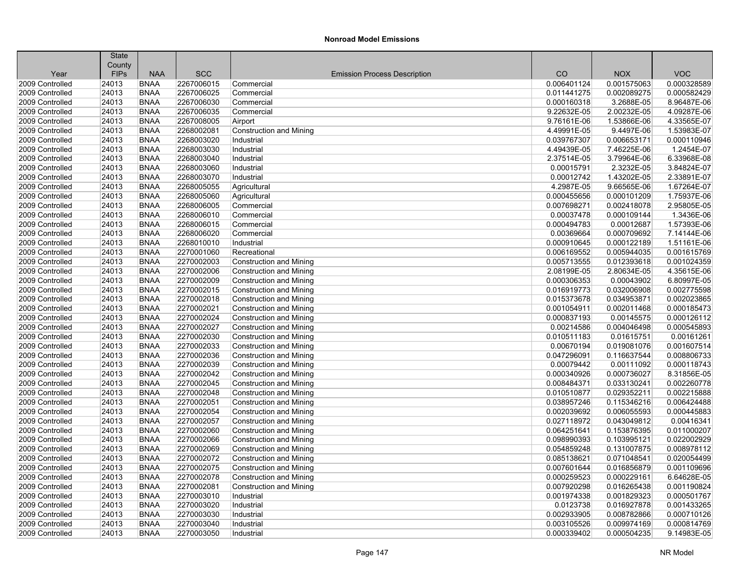| <b>SCC</b><br>CO<br><b>VOC</b><br><b>FIPs</b><br><b>NAA</b><br><b>NOX</b><br>Year<br><b>Emission Process Description</b><br>2009 Controlled<br>24013<br><b>BNAA</b><br>2267006015<br>0.006401124<br>0.001575063<br>0.000328589<br>Commercial<br><b>BNAA</b><br>2009 Controlled<br>24013<br>2267006025<br>Commercial<br>0.011441275<br>0.002089275<br>0.000582429<br>24013<br><b>BNAA</b><br>2267006030<br>3.2688E-05<br>8.96487E-06<br>2009 Controlled<br>Commercial<br>0.000160318<br>24013<br>2267006035<br>9.22632E-05<br>2.00232E-05<br>4.09287E-06<br>2009 Controlled<br><b>BNAA</b><br>Commercial<br>24013<br><b>BNAA</b><br>2267008005<br>9.76161E-06<br>1.53866E-06<br>4.33565E-07<br>2009 Controlled<br>Airport<br>24013<br><b>BNAA</b><br>2268002081<br>4.49991E-05<br>9.4497E-06<br>1.53983E-07<br>2009 Controlled<br>Construction and Mining<br>0.000110946<br>2009 Controlled<br>24013<br><b>BNAA</b><br>2268003020<br>0.039767307<br>0.006653171<br>Industrial<br>24013<br>2268003030<br>7.46225E-06<br>1.2454E-07<br>2009 Controlled<br><b>BNAA</b><br>Industrial<br>4.49439E-05<br>6.33968E-08<br>2009 Controlled<br>24013<br><b>BNAA</b><br>2268003040<br>2.37514E-05<br>3.79964E-06<br>Industrial<br>24013<br><b>BNAA</b><br>2268003060<br>2.3232E-05<br>3.84824E-07<br>2009 Controlled<br>Industrial<br>0.00015791<br>24013<br>2268003070<br>1.43202E-05<br>2.33891E-07<br>2009 Controlled<br><b>BNAA</b><br>0.00012742<br>Industrial<br>2009 Controlled<br>24013<br><b>BNAA</b><br>2268005055<br>4.2987E-05<br>9.66565E-06<br>1.67264E-07<br>Agricultural<br>2009 Controlled<br>24013<br><b>BNAA</b><br>2268005060<br>0.000455656<br>0.000101209<br>1.75937E-06<br>Agricultural<br>2.95805E-05<br>2009 Controlled<br>24013<br><b>BNAA</b><br>2268006005<br>Commercial<br>0.007698271<br>0.002418078<br>24013<br>0.00037478<br>1.3436E-06<br>2009 Controlled<br><b>BNAA</b><br>2268006010<br>Commercial<br>0.000109144<br>1.57393E-06<br>2009 Controlled<br>24013<br><b>BNAA</b><br>2268006015<br>Commercial<br>0.000494783<br>0.00012687<br>24013<br><b>BNAA</b><br>2268006020<br>0.00369664<br>0.000709692<br>7.14144E-06<br>2009 Controlled<br>Commercial<br>24013<br>2268010010<br>0.000122189<br>1.51161E-06<br>2009 Controlled<br><b>BNAA</b><br>Industrial<br>0.000910645<br>2009 Controlled<br>24013<br><b>BNAA</b><br>2270001060<br>0.006169552<br>0.005944035<br>0.001615769<br>Recreational<br>2009 Controlled<br>24013<br><b>BNAA</b><br>2270002003<br>0.012393618<br>0.001024359<br>Construction and Mining<br>0.005713555<br>2270002006<br>2.80634E-05<br>4.35615E-06<br>2009 Controlled<br>24013<br><b>BNAA</b><br><b>Construction and Mining</b><br>2.08199E-05<br>24013<br>2270002009<br>0.000306353<br>0.00043902<br>6.80997E-05<br>2009 Controlled<br><b>BNAA</b><br>Construction and Mining<br>2009 Controlled<br>24013<br><b>BNAA</b><br>2270002015<br>0.016919773<br>0.032006908<br>0.002775598<br><b>Construction and Mining</b><br>24013<br><b>BNAA</b><br>2270002018<br>0.002023865<br>2009 Controlled<br><b>Construction and Mining</b><br>0.015373678<br>0.034953871<br>24013<br>2270002021<br>0.002011468<br>0.000185473<br>2009 Controlled<br><b>BNAA</b><br><b>Construction and Mining</b><br>0.001054911<br>2009 Controlled<br>24013<br><b>BNAA</b><br>2270002024<br>0.000837193<br>0.00145575<br>0.000126112<br>Construction and Mining<br>24013<br><b>BNAA</b><br>2270002027<br><b>Construction and Mining</b><br>0.00214586<br>0.004046498<br>0.000545893<br>2009 Controlled<br>2270002030<br>0.00161261<br>2009 Controlled<br>24013<br><b>BNAA</b><br><b>Construction and Mining</b><br>0.010511183<br>0.01615751<br>24013<br>2270002033<br>0.00670194<br>0.001607514<br>2009 Controlled<br><b>BNAA</b><br>0.019081076<br><b>Construction and Mining</b><br>2009 Controlled<br>24013<br><b>BNAA</b><br>2270002036<br>0.047296091<br>0.116637544<br>0.008806733<br><b>Construction and Mining</b><br>24013<br><b>BNAA</b><br>2270002039<br>0.00079442<br>0.00111092<br>0.000118743<br>2009 Controlled<br><b>Construction and Mining</b><br>2009 Controlled<br>24013<br><b>BNAA</b><br>2270002042<br>0.000340926<br>0.000736027<br>8.31856E-05<br>Construction and Mining<br>2009 Controlled<br>24013<br><b>BNAA</b><br>2270002045<br><b>Construction and Mining</b><br>0.008484371<br>0.033130241<br>0.002260778<br>2009 Controlled<br>24013<br><b>BNAA</b><br>2270002048<br><b>Construction and Mining</b><br>0.010510877<br>0.029352211<br>0.002215888<br>2270002051<br>0.006424488<br>2009 Controlled<br>24013<br><b>BNAA</b><br><b>Construction and Mining</b><br>0.038957246<br>0.115346216<br>24013<br>2270002054<br>0.002039692<br>0.006055593<br>0.000445883<br>2009 Controlled<br><b>BNAA</b><br>Construction and Mining<br>2009 Controlled<br>24013<br><b>BNAA</b><br>2270002057<br>0.027118972<br>0.043049812<br>0.00416341<br><b>Construction and Mining</b><br>24013<br><b>BNAA</b><br>2270002060<br>0.064251641<br>0.011000207<br>2009 Controlled<br><b>Construction and Mining</b><br>0.153876395<br>2009 Controlled<br>24013<br><b>BNAA</b><br>2270002066<br>0.098990393<br>0.103995121<br>0.022002929<br>Construction and Mining<br>2009 Controlled<br>24013<br><b>BNAA</b><br>2270002069<br><b>Construction and Mining</b><br>0.054859248<br>0.131007875<br>0.008978112<br>2009 Controlled<br>24013<br><b>BNAA</b><br>2270002072<br><b>Construction and Mining</b><br>0.085138621<br>0.071048541<br>0.020054499<br>2270002075<br>0.016856879<br>0.001109696<br>2009 Controlled<br>24013<br><b>BNAA</b><br><b>Construction and Mining</b><br>0.007601644<br>24013<br>2270002078<br>0.000259523<br>0.000229161<br>6.64628E-05<br>2009 Controlled<br><b>BNAA</b><br><b>Construction and Mining</b><br>2009 Controlled<br>24013<br><b>BNAA</b><br>2270002081<br>0.007920298<br>0.016265438<br>0.001190824<br><b>Construction and Mining</b><br>24013<br>2270003010<br>0.001829323<br>0.000501767<br>2009 Controlled<br><b>BNAA</b><br>Industrial<br>0.001974338<br>0.016927878<br>2009 Controlled<br>24013<br><b>BNAA</b><br>2270003020<br>0.0123738<br>0.001433265<br>Industrial<br>2009 Controlled<br>24013<br><b>BNAA</b><br>2270003030<br>0.002933905<br>0.008782866<br>0.000710126<br>Industrial<br>2009 Controlled<br>24013<br><b>BNAA</b><br>2270003040<br>Industrial<br>0.003105526<br>0.009974169<br>0.000814769 |                 | <b>State</b> |             |            |            |             |             |             |
|----------------------------------------------------------------------------------------------------------------------------------------------------------------------------------------------------------------------------------------------------------------------------------------------------------------------------------------------------------------------------------------------------------------------------------------------------------------------------------------------------------------------------------------------------------------------------------------------------------------------------------------------------------------------------------------------------------------------------------------------------------------------------------------------------------------------------------------------------------------------------------------------------------------------------------------------------------------------------------------------------------------------------------------------------------------------------------------------------------------------------------------------------------------------------------------------------------------------------------------------------------------------------------------------------------------------------------------------------------------------------------------------------------------------------------------------------------------------------------------------------------------------------------------------------------------------------------------------------------------------------------------------------------------------------------------------------------------------------------------------------------------------------------------------------------------------------------------------------------------------------------------------------------------------------------------------------------------------------------------------------------------------------------------------------------------------------------------------------------------------------------------------------------------------------------------------------------------------------------------------------------------------------------------------------------------------------------------------------------------------------------------------------------------------------------------------------------------------------------------------------------------------------------------------------------------------------------------------------------------------------------------------------------------------------------------------------------------------------------------------------------------------------------------------------------------------------------------------------------------------------------------------------------------------------------------------------------------------------------------------------------------------------------------------------------------------------------------------------------------------------------------------------------------------------------------------------------------------------------------------------------------------------------------------------------------------------------------------------------------------------------------------------------------------------------------------------------------------------------------------------------------------------------------------------------------------------------------------------------------------------------------------------------------------------------------------------------------------------------------------------------------------------------------------------------------------------------------------------------------------------------------------------------------------------------------------------------------------------------------------------------------------------------------------------------------------------------------------------------------------------------------------------------------------------------------------------------------------------------------------------------------------------------------------------------------------------------------------------------------------------------------------------------------------------------------------------------------------------------------------------------------------------------------------------------------------------------------------------------------------------------------------------------------------------------------------------------------------------------------------------------------------------------------------------------------------------------------------------------------------------------------------------------------------------------------------------------------------------------------------------------------------------------------------------------------------------------------------------------------------------------------------------------------------------------------------------------------------------------------------------------------------------------------------------------------------------------------------------------------------------------------------------------------------------------------------------------------------------------------------------------------------------------------------------------------------------------------------------------------------------------------------------------------------------------------------------------------------------------------------------------------------------------------------------------------------------------------------------------------------------------------------------------------------------------------------------------------------------------------------------------------------------------------------------------------------------------------------------------------------------------------------------------------------------------------------------------------------------------------------------------------------------------------------------------------------------------------------------------------------------------------------|-----------------|--------------|-------------|------------|------------|-------------|-------------|-------------|
|                                                                                                                                                                                                                                                                                                                                                                                                                                                                                                                                                                                                                                                                                                                                                                                                                                                                                                                                                                                                                                                                                                                                                                                                                                                                                                                                                                                                                                                                                                                                                                                                                                                                                                                                                                                                                                                                                                                                                                                                                                                                                                                                                                                                                                                                                                                                                                                                                                                                                                                                                                                                                                                                                                                                                                                                                                                                                                                                                                                                                                                                                                                                                                                                                                                                                                                                                                                                                                                                                                                                                                                                                                                                                                                                                                                                                                                                                                                                                                                                                                                                                                                                                                                                                                                                                                                                                                                                                                                                                                                                                                                                                                                                                                                                                                                                                                                                                                                                                                                                                                                                                                                                                                                                                                                                                                                                                                                                                                                                                                                                                                                                                                                                                                                                                                                                                                                                                                                                                                                                                                                                                                                                                                                                                                                                                                                                                                                              |                 | County       |             |            |            |             |             |             |
|                                                                                                                                                                                                                                                                                                                                                                                                                                                                                                                                                                                                                                                                                                                                                                                                                                                                                                                                                                                                                                                                                                                                                                                                                                                                                                                                                                                                                                                                                                                                                                                                                                                                                                                                                                                                                                                                                                                                                                                                                                                                                                                                                                                                                                                                                                                                                                                                                                                                                                                                                                                                                                                                                                                                                                                                                                                                                                                                                                                                                                                                                                                                                                                                                                                                                                                                                                                                                                                                                                                                                                                                                                                                                                                                                                                                                                                                                                                                                                                                                                                                                                                                                                                                                                                                                                                                                                                                                                                                                                                                                                                                                                                                                                                                                                                                                                                                                                                                                                                                                                                                                                                                                                                                                                                                                                                                                                                                                                                                                                                                                                                                                                                                                                                                                                                                                                                                                                                                                                                                                                                                                                                                                                                                                                                                                                                                                                                              |                 |              |             |            |            |             |             |             |
|                                                                                                                                                                                                                                                                                                                                                                                                                                                                                                                                                                                                                                                                                                                                                                                                                                                                                                                                                                                                                                                                                                                                                                                                                                                                                                                                                                                                                                                                                                                                                                                                                                                                                                                                                                                                                                                                                                                                                                                                                                                                                                                                                                                                                                                                                                                                                                                                                                                                                                                                                                                                                                                                                                                                                                                                                                                                                                                                                                                                                                                                                                                                                                                                                                                                                                                                                                                                                                                                                                                                                                                                                                                                                                                                                                                                                                                                                                                                                                                                                                                                                                                                                                                                                                                                                                                                                                                                                                                                                                                                                                                                                                                                                                                                                                                                                                                                                                                                                                                                                                                                                                                                                                                                                                                                                                                                                                                                                                                                                                                                                                                                                                                                                                                                                                                                                                                                                                                                                                                                                                                                                                                                                                                                                                                                                                                                                                                              |                 |              |             |            |            |             |             |             |
|                                                                                                                                                                                                                                                                                                                                                                                                                                                                                                                                                                                                                                                                                                                                                                                                                                                                                                                                                                                                                                                                                                                                                                                                                                                                                                                                                                                                                                                                                                                                                                                                                                                                                                                                                                                                                                                                                                                                                                                                                                                                                                                                                                                                                                                                                                                                                                                                                                                                                                                                                                                                                                                                                                                                                                                                                                                                                                                                                                                                                                                                                                                                                                                                                                                                                                                                                                                                                                                                                                                                                                                                                                                                                                                                                                                                                                                                                                                                                                                                                                                                                                                                                                                                                                                                                                                                                                                                                                                                                                                                                                                                                                                                                                                                                                                                                                                                                                                                                                                                                                                                                                                                                                                                                                                                                                                                                                                                                                                                                                                                                                                                                                                                                                                                                                                                                                                                                                                                                                                                                                                                                                                                                                                                                                                                                                                                                                                              |                 |              |             |            |            |             |             |             |
|                                                                                                                                                                                                                                                                                                                                                                                                                                                                                                                                                                                                                                                                                                                                                                                                                                                                                                                                                                                                                                                                                                                                                                                                                                                                                                                                                                                                                                                                                                                                                                                                                                                                                                                                                                                                                                                                                                                                                                                                                                                                                                                                                                                                                                                                                                                                                                                                                                                                                                                                                                                                                                                                                                                                                                                                                                                                                                                                                                                                                                                                                                                                                                                                                                                                                                                                                                                                                                                                                                                                                                                                                                                                                                                                                                                                                                                                                                                                                                                                                                                                                                                                                                                                                                                                                                                                                                                                                                                                                                                                                                                                                                                                                                                                                                                                                                                                                                                                                                                                                                                                                                                                                                                                                                                                                                                                                                                                                                                                                                                                                                                                                                                                                                                                                                                                                                                                                                                                                                                                                                                                                                                                                                                                                                                                                                                                                                                              |                 |              |             |            |            |             |             |             |
|                                                                                                                                                                                                                                                                                                                                                                                                                                                                                                                                                                                                                                                                                                                                                                                                                                                                                                                                                                                                                                                                                                                                                                                                                                                                                                                                                                                                                                                                                                                                                                                                                                                                                                                                                                                                                                                                                                                                                                                                                                                                                                                                                                                                                                                                                                                                                                                                                                                                                                                                                                                                                                                                                                                                                                                                                                                                                                                                                                                                                                                                                                                                                                                                                                                                                                                                                                                                                                                                                                                                                                                                                                                                                                                                                                                                                                                                                                                                                                                                                                                                                                                                                                                                                                                                                                                                                                                                                                                                                                                                                                                                                                                                                                                                                                                                                                                                                                                                                                                                                                                                                                                                                                                                                                                                                                                                                                                                                                                                                                                                                                                                                                                                                                                                                                                                                                                                                                                                                                                                                                                                                                                                                                                                                                                                                                                                                                                              |                 |              |             |            |            |             |             |             |
|                                                                                                                                                                                                                                                                                                                                                                                                                                                                                                                                                                                                                                                                                                                                                                                                                                                                                                                                                                                                                                                                                                                                                                                                                                                                                                                                                                                                                                                                                                                                                                                                                                                                                                                                                                                                                                                                                                                                                                                                                                                                                                                                                                                                                                                                                                                                                                                                                                                                                                                                                                                                                                                                                                                                                                                                                                                                                                                                                                                                                                                                                                                                                                                                                                                                                                                                                                                                                                                                                                                                                                                                                                                                                                                                                                                                                                                                                                                                                                                                                                                                                                                                                                                                                                                                                                                                                                                                                                                                                                                                                                                                                                                                                                                                                                                                                                                                                                                                                                                                                                                                                                                                                                                                                                                                                                                                                                                                                                                                                                                                                                                                                                                                                                                                                                                                                                                                                                                                                                                                                                                                                                                                                                                                                                                                                                                                                                                              |                 |              |             |            |            |             |             |             |
|                                                                                                                                                                                                                                                                                                                                                                                                                                                                                                                                                                                                                                                                                                                                                                                                                                                                                                                                                                                                                                                                                                                                                                                                                                                                                                                                                                                                                                                                                                                                                                                                                                                                                                                                                                                                                                                                                                                                                                                                                                                                                                                                                                                                                                                                                                                                                                                                                                                                                                                                                                                                                                                                                                                                                                                                                                                                                                                                                                                                                                                                                                                                                                                                                                                                                                                                                                                                                                                                                                                                                                                                                                                                                                                                                                                                                                                                                                                                                                                                                                                                                                                                                                                                                                                                                                                                                                                                                                                                                                                                                                                                                                                                                                                                                                                                                                                                                                                                                                                                                                                                                                                                                                                                                                                                                                                                                                                                                                                                                                                                                                                                                                                                                                                                                                                                                                                                                                                                                                                                                                                                                                                                                                                                                                                                                                                                                                                              |                 |              |             |            |            |             |             |             |
|                                                                                                                                                                                                                                                                                                                                                                                                                                                                                                                                                                                                                                                                                                                                                                                                                                                                                                                                                                                                                                                                                                                                                                                                                                                                                                                                                                                                                                                                                                                                                                                                                                                                                                                                                                                                                                                                                                                                                                                                                                                                                                                                                                                                                                                                                                                                                                                                                                                                                                                                                                                                                                                                                                                                                                                                                                                                                                                                                                                                                                                                                                                                                                                                                                                                                                                                                                                                                                                                                                                                                                                                                                                                                                                                                                                                                                                                                                                                                                                                                                                                                                                                                                                                                                                                                                                                                                                                                                                                                                                                                                                                                                                                                                                                                                                                                                                                                                                                                                                                                                                                                                                                                                                                                                                                                                                                                                                                                                                                                                                                                                                                                                                                                                                                                                                                                                                                                                                                                                                                                                                                                                                                                                                                                                                                                                                                                                                              |                 |              |             |            |            |             |             |             |
|                                                                                                                                                                                                                                                                                                                                                                                                                                                                                                                                                                                                                                                                                                                                                                                                                                                                                                                                                                                                                                                                                                                                                                                                                                                                                                                                                                                                                                                                                                                                                                                                                                                                                                                                                                                                                                                                                                                                                                                                                                                                                                                                                                                                                                                                                                                                                                                                                                                                                                                                                                                                                                                                                                                                                                                                                                                                                                                                                                                                                                                                                                                                                                                                                                                                                                                                                                                                                                                                                                                                                                                                                                                                                                                                                                                                                                                                                                                                                                                                                                                                                                                                                                                                                                                                                                                                                                                                                                                                                                                                                                                                                                                                                                                                                                                                                                                                                                                                                                                                                                                                                                                                                                                                                                                                                                                                                                                                                                                                                                                                                                                                                                                                                                                                                                                                                                                                                                                                                                                                                                                                                                                                                                                                                                                                                                                                                                                              |                 |              |             |            |            |             |             |             |
|                                                                                                                                                                                                                                                                                                                                                                                                                                                                                                                                                                                                                                                                                                                                                                                                                                                                                                                                                                                                                                                                                                                                                                                                                                                                                                                                                                                                                                                                                                                                                                                                                                                                                                                                                                                                                                                                                                                                                                                                                                                                                                                                                                                                                                                                                                                                                                                                                                                                                                                                                                                                                                                                                                                                                                                                                                                                                                                                                                                                                                                                                                                                                                                                                                                                                                                                                                                                                                                                                                                                                                                                                                                                                                                                                                                                                                                                                                                                                                                                                                                                                                                                                                                                                                                                                                                                                                                                                                                                                                                                                                                                                                                                                                                                                                                                                                                                                                                                                                                                                                                                                                                                                                                                                                                                                                                                                                                                                                                                                                                                                                                                                                                                                                                                                                                                                                                                                                                                                                                                                                                                                                                                                                                                                                                                                                                                                                                              |                 |              |             |            |            |             |             |             |
|                                                                                                                                                                                                                                                                                                                                                                                                                                                                                                                                                                                                                                                                                                                                                                                                                                                                                                                                                                                                                                                                                                                                                                                                                                                                                                                                                                                                                                                                                                                                                                                                                                                                                                                                                                                                                                                                                                                                                                                                                                                                                                                                                                                                                                                                                                                                                                                                                                                                                                                                                                                                                                                                                                                                                                                                                                                                                                                                                                                                                                                                                                                                                                                                                                                                                                                                                                                                                                                                                                                                                                                                                                                                                                                                                                                                                                                                                                                                                                                                                                                                                                                                                                                                                                                                                                                                                                                                                                                                                                                                                                                                                                                                                                                                                                                                                                                                                                                                                                                                                                                                                                                                                                                                                                                                                                                                                                                                                                                                                                                                                                                                                                                                                                                                                                                                                                                                                                                                                                                                                                                                                                                                                                                                                                                                                                                                                                                              |                 |              |             |            |            |             |             |             |
|                                                                                                                                                                                                                                                                                                                                                                                                                                                                                                                                                                                                                                                                                                                                                                                                                                                                                                                                                                                                                                                                                                                                                                                                                                                                                                                                                                                                                                                                                                                                                                                                                                                                                                                                                                                                                                                                                                                                                                                                                                                                                                                                                                                                                                                                                                                                                                                                                                                                                                                                                                                                                                                                                                                                                                                                                                                                                                                                                                                                                                                                                                                                                                                                                                                                                                                                                                                                                                                                                                                                                                                                                                                                                                                                                                                                                                                                                                                                                                                                                                                                                                                                                                                                                                                                                                                                                                                                                                                                                                                                                                                                                                                                                                                                                                                                                                                                                                                                                                                                                                                                                                                                                                                                                                                                                                                                                                                                                                                                                                                                                                                                                                                                                                                                                                                                                                                                                                                                                                                                                                                                                                                                                                                                                                                                                                                                                                                              |                 |              |             |            |            |             |             |             |
|                                                                                                                                                                                                                                                                                                                                                                                                                                                                                                                                                                                                                                                                                                                                                                                                                                                                                                                                                                                                                                                                                                                                                                                                                                                                                                                                                                                                                                                                                                                                                                                                                                                                                                                                                                                                                                                                                                                                                                                                                                                                                                                                                                                                                                                                                                                                                                                                                                                                                                                                                                                                                                                                                                                                                                                                                                                                                                                                                                                                                                                                                                                                                                                                                                                                                                                                                                                                                                                                                                                                                                                                                                                                                                                                                                                                                                                                                                                                                                                                                                                                                                                                                                                                                                                                                                                                                                                                                                                                                                                                                                                                                                                                                                                                                                                                                                                                                                                                                                                                                                                                                                                                                                                                                                                                                                                                                                                                                                                                                                                                                                                                                                                                                                                                                                                                                                                                                                                                                                                                                                                                                                                                                                                                                                                                                                                                                                                              |                 |              |             |            |            |             |             |             |
|                                                                                                                                                                                                                                                                                                                                                                                                                                                                                                                                                                                                                                                                                                                                                                                                                                                                                                                                                                                                                                                                                                                                                                                                                                                                                                                                                                                                                                                                                                                                                                                                                                                                                                                                                                                                                                                                                                                                                                                                                                                                                                                                                                                                                                                                                                                                                                                                                                                                                                                                                                                                                                                                                                                                                                                                                                                                                                                                                                                                                                                                                                                                                                                                                                                                                                                                                                                                                                                                                                                                                                                                                                                                                                                                                                                                                                                                                                                                                                                                                                                                                                                                                                                                                                                                                                                                                                                                                                                                                                                                                                                                                                                                                                                                                                                                                                                                                                                                                                                                                                                                                                                                                                                                                                                                                                                                                                                                                                                                                                                                                                                                                                                                                                                                                                                                                                                                                                                                                                                                                                                                                                                                                                                                                                                                                                                                                                                              |                 |              |             |            |            |             |             |             |
|                                                                                                                                                                                                                                                                                                                                                                                                                                                                                                                                                                                                                                                                                                                                                                                                                                                                                                                                                                                                                                                                                                                                                                                                                                                                                                                                                                                                                                                                                                                                                                                                                                                                                                                                                                                                                                                                                                                                                                                                                                                                                                                                                                                                                                                                                                                                                                                                                                                                                                                                                                                                                                                                                                                                                                                                                                                                                                                                                                                                                                                                                                                                                                                                                                                                                                                                                                                                                                                                                                                                                                                                                                                                                                                                                                                                                                                                                                                                                                                                                                                                                                                                                                                                                                                                                                                                                                                                                                                                                                                                                                                                                                                                                                                                                                                                                                                                                                                                                                                                                                                                                                                                                                                                                                                                                                                                                                                                                                                                                                                                                                                                                                                                                                                                                                                                                                                                                                                                                                                                                                                                                                                                                                                                                                                                                                                                                                                              |                 |              |             |            |            |             |             |             |
|                                                                                                                                                                                                                                                                                                                                                                                                                                                                                                                                                                                                                                                                                                                                                                                                                                                                                                                                                                                                                                                                                                                                                                                                                                                                                                                                                                                                                                                                                                                                                                                                                                                                                                                                                                                                                                                                                                                                                                                                                                                                                                                                                                                                                                                                                                                                                                                                                                                                                                                                                                                                                                                                                                                                                                                                                                                                                                                                                                                                                                                                                                                                                                                                                                                                                                                                                                                                                                                                                                                                                                                                                                                                                                                                                                                                                                                                                                                                                                                                                                                                                                                                                                                                                                                                                                                                                                                                                                                                                                                                                                                                                                                                                                                                                                                                                                                                                                                                                                                                                                                                                                                                                                                                                                                                                                                                                                                                                                                                                                                                                                                                                                                                                                                                                                                                                                                                                                                                                                                                                                                                                                                                                                                                                                                                                                                                                                                              |                 |              |             |            |            |             |             |             |
|                                                                                                                                                                                                                                                                                                                                                                                                                                                                                                                                                                                                                                                                                                                                                                                                                                                                                                                                                                                                                                                                                                                                                                                                                                                                                                                                                                                                                                                                                                                                                                                                                                                                                                                                                                                                                                                                                                                                                                                                                                                                                                                                                                                                                                                                                                                                                                                                                                                                                                                                                                                                                                                                                                                                                                                                                                                                                                                                                                                                                                                                                                                                                                                                                                                                                                                                                                                                                                                                                                                                                                                                                                                                                                                                                                                                                                                                                                                                                                                                                                                                                                                                                                                                                                                                                                                                                                                                                                                                                                                                                                                                                                                                                                                                                                                                                                                                                                                                                                                                                                                                                                                                                                                                                                                                                                                                                                                                                                                                                                                                                                                                                                                                                                                                                                                                                                                                                                                                                                                                                                                                                                                                                                                                                                                                                                                                                                                              |                 |              |             |            |            |             |             |             |
|                                                                                                                                                                                                                                                                                                                                                                                                                                                                                                                                                                                                                                                                                                                                                                                                                                                                                                                                                                                                                                                                                                                                                                                                                                                                                                                                                                                                                                                                                                                                                                                                                                                                                                                                                                                                                                                                                                                                                                                                                                                                                                                                                                                                                                                                                                                                                                                                                                                                                                                                                                                                                                                                                                                                                                                                                                                                                                                                                                                                                                                                                                                                                                                                                                                                                                                                                                                                                                                                                                                                                                                                                                                                                                                                                                                                                                                                                                                                                                                                                                                                                                                                                                                                                                                                                                                                                                                                                                                                                                                                                                                                                                                                                                                                                                                                                                                                                                                                                                                                                                                                                                                                                                                                                                                                                                                                                                                                                                                                                                                                                                                                                                                                                                                                                                                                                                                                                                                                                                                                                                                                                                                                                                                                                                                                                                                                                                                              |                 |              |             |            |            |             |             |             |
|                                                                                                                                                                                                                                                                                                                                                                                                                                                                                                                                                                                                                                                                                                                                                                                                                                                                                                                                                                                                                                                                                                                                                                                                                                                                                                                                                                                                                                                                                                                                                                                                                                                                                                                                                                                                                                                                                                                                                                                                                                                                                                                                                                                                                                                                                                                                                                                                                                                                                                                                                                                                                                                                                                                                                                                                                                                                                                                                                                                                                                                                                                                                                                                                                                                                                                                                                                                                                                                                                                                                                                                                                                                                                                                                                                                                                                                                                                                                                                                                                                                                                                                                                                                                                                                                                                                                                                                                                                                                                                                                                                                                                                                                                                                                                                                                                                                                                                                                                                                                                                                                                                                                                                                                                                                                                                                                                                                                                                                                                                                                                                                                                                                                                                                                                                                                                                                                                                                                                                                                                                                                                                                                                                                                                                                                                                                                                                                              |                 |              |             |            |            |             |             |             |
|                                                                                                                                                                                                                                                                                                                                                                                                                                                                                                                                                                                                                                                                                                                                                                                                                                                                                                                                                                                                                                                                                                                                                                                                                                                                                                                                                                                                                                                                                                                                                                                                                                                                                                                                                                                                                                                                                                                                                                                                                                                                                                                                                                                                                                                                                                                                                                                                                                                                                                                                                                                                                                                                                                                                                                                                                                                                                                                                                                                                                                                                                                                                                                                                                                                                                                                                                                                                                                                                                                                                                                                                                                                                                                                                                                                                                                                                                                                                                                                                                                                                                                                                                                                                                                                                                                                                                                                                                                                                                                                                                                                                                                                                                                                                                                                                                                                                                                                                                                                                                                                                                                                                                                                                                                                                                                                                                                                                                                                                                                                                                                                                                                                                                                                                                                                                                                                                                                                                                                                                                                                                                                                                                                                                                                                                                                                                                                                              |                 |              |             |            |            |             |             |             |
|                                                                                                                                                                                                                                                                                                                                                                                                                                                                                                                                                                                                                                                                                                                                                                                                                                                                                                                                                                                                                                                                                                                                                                                                                                                                                                                                                                                                                                                                                                                                                                                                                                                                                                                                                                                                                                                                                                                                                                                                                                                                                                                                                                                                                                                                                                                                                                                                                                                                                                                                                                                                                                                                                                                                                                                                                                                                                                                                                                                                                                                                                                                                                                                                                                                                                                                                                                                                                                                                                                                                                                                                                                                                                                                                                                                                                                                                                                                                                                                                                                                                                                                                                                                                                                                                                                                                                                                                                                                                                                                                                                                                                                                                                                                                                                                                                                                                                                                                                                                                                                                                                                                                                                                                                                                                                                                                                                                                                                                                                                                                                                                                                                                                                                                                                                                                                                                                                                                                                                                                                                                                                                                                                                                                                                                                                                                                                                                              |                 |              |             |            |            |             |             |             |
|                                                                                                                                                                                                                                                                                                                                                                                                                                                                                                                                                                                                                                                                                                                                                                                                                                                                                                                                                                                                                                                                                                                                                                                                                                                                                                                                                                                                                                                                                                                                                                                                                                                                                                                                                                                                                                                                                                                                                                                                                                                                                                                                                                                                                                                                                                                                                                                                                                                                                                                                                                                                                                                                                                                                                                                                                                                                                                                                                                                                                                                                                                                                                                                                                                                                                                                                                                                                                                                                                                                                                                                                                                                                                                                                                                                                                                                                                                                                                                                                                                                                                                                                                                                                                                                                                                                                                                                                                                                                                                                                                                                                                                                                                                                                                                                                                                                                                                                                                                                                                                                                                                                                                                                                                                                                                                                                                                                                                                                                                                                                                                                                                                                                                                                                                                                                                                                                                                                                                                                                                                                                                                                                                                                                                                                                                                                                                                                              |                 |              |             |            |            |             |             |             |
|                                                                                                                                                                                                                                                                                                                                                                                                                                                                                                                                                                                                                                                                                                                                                                                                                                                                                                                                                                                                                                                                                                                                                                                                                                                                                                                                                                                                                                                                                                                                                                                                                                                                                                                                                                                                                                                                                                                                                                                                                                                                                                                                                                                                                                                                                                                                                                                                                                                                                                                                                                                                                                                                                                                                                                                                                                                                                                                                                                                                                                                                                                                                                                                                                                                                                                                                                                                                                                                                                                                                                                                                                                                                                                                                                                                                                                                                                                                                                                                                                                                                                                                                                                                                                                                                                                                                                                                                                                                                                                                                                                                                                                                                                                                                                                                                                                                                                                                                                                                                                                                                                                                                                                                                                                                                                                                                                                                                                                                                                                                                                                                                                                                                                                                                                                                                                                                                                                                                                                                                                                                                                                                                                                                                                                                                                                                                                                                              |                 |              |             |            |            |             |             |             |
|                                                                                                                                                                                                                                                                                                                                                                                                                                                                                                                                                                                                                                                                                                                                                                                                                                                                                                                                                                                                                                                                                                                                                                                                                                                                                                                                                                                                                                                                                                                                                                                                                                                                                                                                                                                                                                                                                                                                                                                                                                                                                                                                                                                                                                                                                                                                                                                                                                                                                                                                                                                                                                                                                                                                                                                                                                                                                                                                                                                                                                                                                                                                                                                                                                                                                                                                                                                                                                                                                                                                                                                                                                                                                                                                                                                                                                                                                                                                                                                                                                                                                                                                                                                                                                                                                                                                                                                                                                                                                                                                                                                                                                                                                                                                                                                                                                                                                                                                                                                                                                                                                                                                                                                                                                                                                                                                                                                                                                                                                                                                                                                                                                                                                                                                                                                                                                                                                                                                                                                                                                                                                                                                                                                                                                                                                                                                                                                              |                 |              |             |            |            |             |             |             |
|                                                                                                                                                                                                                                                                                                                                                                                                                                                                                                                                                                                                                                                                                                                                                                                                                                                                                                                                                                                                                                                                                                                                                                                                                                                                                                                                                                                                                                                                                                                                                                                                                                                                                                                                                                                                                                                                                                                                                                                                                                                                                                                                                                                                                                                                                                                                                                                                                                                                                                                                                                                                                                                                                                                                                                                                                                                                                                                                                                                                                                                                                                                                                                                                                                                                                                                                                                                                                                                                                                                                                                                                                                                                                                                                                                                                                                                                                                                                                                                                                                                                                                                                                                                                                                                                                                                                                                                                                                                                                                                                                                                                                                                                                                                                                                                                                                                                                                                                                                                                                                                                                                                                                                                                                                                                                                                                                                                                                                                                                                                                                                                                                                                                                                                                                                                                                                                                                                                                                                                                                                                                                                                                                                                                                                                                                                                                                                                              |                 |              |             |            |            |             |             |             |
|                                                                                                                                                                                                                                                                                                                                                                                                                                                                                                                                                                                                                                                                                                                                                                                                                                                                                                                                                                                                                                                                                                                                                                                                                                                                                                                                                                                                                                                                                                                                                                                                                                                                                                                                                                                                                                                                                                                                                                                                                                                                                                                                                                                                                                                                                                                                                                                                                                                                                                                                                                                                                                                                                                                                                                                                                                                                                                                                                                                                                                                                                                                                                                                                                                                                                                                                                                                                                                                                                                                                                                                                                                                                                                                                                                                                                                                                                                                                                                                                                                                                                                                                                                                                                                                                                                                                                                                                                                                                                                                                                                                                                                                                                                                                                                                                                                                                                                                                                                                                                                                                                                                                                                                                                                                                                                                                                                                                                                                                                                                                                                                                                                                                                                                                                                                                                                                                                                                                                                                                                                                                                                                                                                                                                                                                                                                                                                                              |                 |              |             |            |            |             |             |             |
|                                                                                                                                                                                                                                                                                                                                                                                                                                                                                                                                                                                                                                                                                                                                                                                                                                                                                                                                                                                                                                                                                                                                                                                                                                                                                                                                                                                                                                                                                                                                                                                                                                                                                                                                                                                                                                                                                                                                                                                                                                                                                                                                                                                                                                                                                                                                                                                                                                                                                                                                                                                                                                                                                                                                                                                                                                                                                                                                                                                                                                                                                                                                                                                                                                                                                                                                                                                                                                                                                                                                                                                                                                                                                                                                                                                                                                                                                                                                                                                                                                                                                                                                                                                                                                                                                                                                                                                                                                                                                                                                                                                                                                                                                                                                                                                                                                                                                                                                                                                                                                                                                                                                                                                                                                                                                                                                                                                                                                                                                                                                                                                                                                                                                                                                                                                                                                                                                                                                                                                                                                                                                                                                                                                                                                                                                                                                                                                              |                 |              |             |            |            |             |             |             |
|                                                                                                                                                                                                                                                                                                                                                                                                                                                                                                                                                                                                                                                                                                                                                                                                                                                                                                                                                                                                                                                                                                                                                                                                                                                                                                                                                                                                                                                                                                                                                                                                                                                                                                                                                                                                                                                                                                                                                                                                                                                                                                                                                                                                                                                                                                                                                                                                                                                                                                                                                                                                                                                                                                                                                                                                                                                                                                                                                                                                                                                                                                                                                                                                                                                                                                                                                                                                                                                                                                                                                                                                                                                                                                                                                                                                                                                                                                                                                                                                                                                                                                                                                                                                                                                                                                                                                                                                                                                                                                                                                                                                                                                                                                                                                                                                                                                                                                                                                                                                                                                                                                                                                                                                                                                                                                                                                                                                                                                                                                                                                                                                                                                                                                                                                                                                                                                                                                                                                                                                                                                                                                                                                                                                                                                                                                                                                                                              |                 |              |             |            |            |             |             |             |
|                                                                                                                                                                                                                                                                                                                                                                                                                                                                                                                                                                                                                                                                                                                                                                                                                                                                                                                                                                                                                                                                                                                                                                                                                                                                                                                                                                                                                                                                                                                                                                                                                                                                                                                                                                                                                                                                                                                                                                                                                                                                                                                                                                                                                                                                                                                                                                                                                                                                                                                                                                                                                                                                                                                                                                                                                                                                                                                                                                                                                                                                                                                                                                                                                                                                                                                                                                                                                                                                                                                                                                                                                                                                                                                                                                                                                                                                                                                                                                                                                                                                                                                                                                                                                                                                                                                                                                                                                                                                                                                                                                                                                                                                                                                                                                                                                                                                                                                                                                                                                                                                                                                                                                                                                                                                                                                                                                                                                                                                                                                                                                                                                                                                                                                                                                                                                                                                                                                                                                                                                                                                                                                                                                                                                                                                                                                                                                                              |                 |              |             |            |            |             |             |             |
|                                                                                                                                                                                                                                                                                                                                                                                                                                                                                                                                                                                                                                                                                                                                                                                                                                                                                                                                                                                                                                                                                                                                                                                                                                                                                                                                                                                                                                                                                                                                                                                                                                                                                                                                                                                                                                                                                                                                                                                                                                                                                                                                                                                                                                                                                                                                                                                                                                                                                                                                                                                                                                                                                                                                                                                                                                                                                                                                                                                                                                                                                                                                                                                                                                                                                                                                                                                                                                                                                                                                                                                                                                                                                                                                                                                                                                                                                                                                                                                                                                                                                                                                                                                                                                                                                                                                                                                                                                                                                                                                                                                                                                                                                                                                                                                                                                                                                                                                                                                                                                                                                                                                                                                                                                                                                                                                                                                                                                                                                                                                                                                                                                                                                                                                                                                                                                                                                                                                                                                                                                                                                                                                                                                                                                                                                                                                                                                              |                 |              |             |            |            |             |             |             |
|                                                                                                                                                                                                                                                                                                                                                                                                                                                                                                                                                                                                                                                                                                                                                                                                                                                                                                                                                                                                                                                                                                                                                                                                                                                                                                                                                                                                                                                                                                                                                                                                                                                                                                                                                                                                                                                                                                                                                                                                                                                                                                                                                                                                                                                                                                                                                                                                                                                                                                                                                                                                                                                                                                                                                                                                                                                                                                                                                                                                                                                                                                                                                                                                                                                                                                                                                                                                                                                                                                                                                                                                                                                                                                                                                                                                                                                                                                                                                                                                                                                                                                                                                                                                                                                                                                                                                                                                                                                                                                                                                                                                                                                                                                                                                                                                                                                                                                                                                                                                                                                                                                                                                                                                                                                                                                                                                                                                                                                                                                                                                                                                                                                                                                                                                                                                                                                                                                                                                                                                                                                                                                                                                                                                                                                                                                                                                                                              |                 |              |             |            |            |             |             |             |
|                                                                                                                                                                                                                                                                                                                                                                                                                                                                                                                                                                                                                                                                                                                                                                                                                                                                                                                                                                                                                                                                                                                                                                                                                                                                                                                                                                                                                                                                                                                                                                                                                                                                                                                                                                                                                                                                                                                                                                                                                                                                                                                                                                                                                                                                                                                                                                                                                                                                                                                                                                                                                                                                                                                                                                                                                                                                                                                                                                                                                                                                                                                                                                                                                                                                                                                                                                                                                                                                                                                                                                                                                                                                                                                                                                                                                                                                                                                                                                                                                                                                                                                                                                                                                                                                                                                                                                                                                                                                                                                                                                                                                                                                                                                                                                                                                                                                                                                                                                                                                                                                                                                                                                                                                                                                                                                                                                                                                                                                                                                                                                                                                                                                                                                                                                                                                                                                                                                                                                                                                                                                                                                                                                                                                                                                                                                                                                                              |                 |              |             |            |            |             |             |             |
|                                                                                                                                                                                                                                                                                                                                                                                                                                                                                                                                                                                                                                                                                                                                                                                                                                                                                                                                                                                                                                                                                                                                                                                                                                                                                                                                                                                                                                                                                                                                                                                                                                                                                                                                                                                                                                                                                                                                                                                                                                                                                                                                                                                                                                                                                                                                                                                                                                                                                                                                                                                                                                                                                                                                                                                                                                                                                                                                                                                                                                                                                                                                                                                                                                                                                                                                                                                                                                                                                                                                                                                                                                                                                                                                                                                                                                                                                                                                                                                                                                                                                                                                                                                                                                                                                                                                                                                                                                                                                                                                                                                                                                                                                                                                                                                                                                                                                                                                                                                                                                                                                                                                                                                                                                                                                                                                                                                                                                                                                                                                                                                                                                                                                                                                                                                                                                                                                                                                                                                                                                                                                                                                                                                                                                                                                                                                                                                              |                 |              |             |            |            |             |             |             |
|                                                                                                                                                                                                                                                                                                                                                                                                                                                                                                                                                                                                                                                                                                                                                                                                                                                                                                                                                                                                                                                                                                                                                                                                                                                                                                                                                                                                                                                                                                                                                                                                                                                                                                                                                                                                                                                                                                                                                                                                                                                                                                                                                                                                                                                                                                                                                                                                                                                                                                                                                                                                                                                                                                                                                                                                                                                                                                                                                                                                                                                                                                                                                                                                                                                                                                                                                                                                                                                                                                                                                                                                                                                                                                                                                                                                                                                                                                                                                                                                                                                                                                                                                                                                                                                                                                                                                                                                                                                                                                                                                                                                                                                                                                                                                                                                                                                                                                                                                                                                                                                                                                                                                                                                                                                                                                                                                                                                                                                                                                                                                                                                                                                                                                                                                                                                                                                                                                                                                                                                                                                                                                                                                                                                                                                                                                                                                                                              |                 |              |             |            |            |             |             |             |
|                                                                                                                                                                                                                                                                                                                                                                                                                                                                                                                                                                                                                                                                                                                                                                                                                                                                                                                                                                                                                                                                                                                                                                                                                                                                                                                                                                                                                                                                                                                                                                                                                                                                                                                                                                                                                                                                                                                                                                                                                                                                                                                                                                                                                                                                                                                                                                                                                                                                                                                                                                                                                                                                                                                                                                                                                                                                                                                                                                                                                                                                                                                                                                                                                                                                                                                                                                                                                                                                                                                                                                                                                                                                                                                                                                                                                                                                                                                                                                                                                                                                                                                                                                                                                                                                                                                                                                                                                                                                                                                                                                                                                                                                                                                                                                                                                                                                                                                                                                                                                                                                                                                                                                                                                                                                                                                                                                                                                                                                                                                                                                                                                                                                                                                                                                                                                                                                                                                                                                                                                                                                                                                                                                                                                                                                                                                                                                                              |                 |              |             |            |            |             |             |             |
|                                                                                                                                                                                                                                                                                                                                                                                                                                                                                                                                                                                                                                                                                                                                                                                                                                                                                                                                                                                                                                                                                                                                                                                                                                                                                                                                                                                                                                                                                                                                                                                                                                                                                                                                                                                                                                                                                                                                                                                                                                                                                                                                                                                                                                                                                                                                                                                                                                                                                                                                                                                                                                                                                                                                                                                                                                                                                                                                                                                                                                                                                                                                                                                                                                                                                                                                                                                                                                                                                                                                                                                                                                                                                                                                                                                                                                                                                                                                                                                                                                                                                                                                                                                                                                                                                                                                                                                                                                                                                                                                                                                                                                                                                                                                                                                                                                                                                                                                                                                                                                                                                                                                                                                                                                                                                                                                                                                                                                                                                                                                                                                                                                                                                                                                                                                                                                                                                                                                                                                                                                                                                                                                                                                                                                                                                                                                                                                              |                 |              |             |            |            |             |             |             |
|                                                                                                                                                                                                                                                                                                                                                                                                                                                                                                                                                                                                                                                                                                                                                                                                                                                                                                                                                                                                                                                                                                                                                                                                                                                                                                                                                                                                                                                                                                                                                                                                                                                                                                                                                                                                                                                                                                                                                                                                                                                                                                                                                                                                                                                                                                                                                                                                                                                                                                                                                                                                                                                                                                                                                                                                                                                                                                                                                                                                                                                                                                                                                                                                                                                                                                                                                                                                                                                                                                                                                                                                                                                                                                                                                                                                                                                                                                                                                                                                                                                                                                                                                                                                                                                                                                                                                                                                                                                                                                                                                                                                                                                                                                                                                                                                                                                                                                                                                                                                                                                                                                                                                                                                                                                                                                                                                                                                                                                                                                                                                                                                                                                                                                                                                                                                                                                                                                                                                                                                                                                                                                                                                                                                                                                                                                                                                                                              |                 |              |             |            |            |             |             |             |
|                                                                                                                                                                                                                                                                                                                                                                                                                                                                                                                                                                                                                                                                                                                                                                                                                                                                                                                                                                                                                                                                                                                                                                                                                                                                                                                                                                                                                                                                                                                                                                                                                                                                                                                                                                                                                                                                                                                                                                                                                                                                                                                                                                                                                                                                                                                                                                                                                                                                                                                                                                                                                                                                                                                                                                                                                                                                                                                                                                                                                                                                                                                                                                                                                                                                                                                                                                                                                                                                                                                                                                                                                                                                                                                                                                                                                                                                                                                                                                                                                                                                                                                                                                                                                                                                                                                                                                                                                                                                                                                                                                                                                                                                                                                                                                                                                                                                                                                                                                                                                                                                                                                                                                                                                                                                                                                                                                                                                                                                                                                                                                                                                                                                                                                                                                                                                                                                                                                                                                                                                                                                                                                                                                                                                                                                                                                                                                                              |                 |              |             |            |            |             |             |             |
|                                                                                                                                                                                                                                                                                                                                                                                                                                                                                                                                                                                                                                                                                                                                                                                                                                                                                                                                                                                                                                                                                                                                                                                                                                                                                                                                                                                                                                                                                                                                                                                                                                                                                                                                                                                                                                                                                                                                                                                                                                                                                                                                                                                                                                                                                                                                                                                                                                                                                                                                                                                                                                                                                                                                                                                                                                                                                                                                                                                                                                                                                                                                                                                                                                                                                                                                                                                                                                                                                                                                                                                                                                                                                                                                                                                                                                                                                                                                                                                                                                                                                                                                                                                                                                                                                                                                                                                                                                                                                                                                                                                                                                                                                                                                                                                                                                                                                                                                                                                                                                                                                                                                                                                                                                                                                                                                                                                                                                                                                                                                                                                                                                                                                                                                                                                                                                                                                                                                                                                                                                                                                                                                                                                                                                                                                                                                                                                              |                 |              |             |            |            |             |             |             |
|                                                                                                                                                                                                                                                                                                                                                                                                                                                                                                                                                                                                                                                                                                                                                                                                                                                                                                                                                                                                                                                                                                                                                                                                                                                                                                                                                                                                                                                                                                                                                                                                                                                                                                                                                                                                                                                                                                                                                                                                                                                                                                                                                                                                                                                                                                                                                                                                                                                                                                                                                                                                                                                                                                                                                                                                                                                                                                                                                                                                                                                                                                                                                                                                                                                                                                                                                                                                                                                                                                                                                                                                                                                                                                                                                                                                                                                                                                                                                                                                                                                                                                                                                                                                                                                                                                                                                                                                                                                                                                                                                                                                                                                                                                                                                                                                                                                                                                                                                                                                                                                                                                                                                                                                                                                                                                                                                                                                                                                                                                                                                                                                                                                                                                                                                                                                                                                                                                                                                                                                                                                                                                                                                                                                                                                                                                                                                                                              |                 |              |             |            |            |             |             |             |
|                                                                                                                                                                                                                                                                                                                                                                                                                                                                                                                                                                                                                                                                                                                                                                                                                                                                                                                                                                                                                                                                                                                                                                                                                                                                                                                                                                                                                                                                                                                                                                                                                                                                                                                                                                                                                                                                                                                                                                                                                                                                                                                                                                                                                                                                                                                                                                                                                                                                                                                                                                                                                                                                                                                                                                                                                                                                                                                                                                                                                                                                                                                                                                                                                                                                                                                                                                                                                                                                                                                                                                                                                                                                                                                                                                                                                                                                                                                                                                                                                                                                                                                                                                                                                                                                                                                                                                                                                                                                                                                                                                                                                                                                                                                                                                                                                                                                                                                                                                                                                                                                                                                                                                                                                                                                                                                                                                                                                                                                                                                                                                                                                                                                                                                                                                                                                                                                                                                                                                                                                                                                                                                                                                                                                                                                                                                                                                                              |                 |              |             |            |            |             |             |             |
|                                                                                                                                                                                                                                                                                                                                                                                                                                                                                                                                                                                                                                                                                                                                                                                                                                                                                                                                                                                                                                                                                                                                                                                                                                                                                                                                                                                                                                                                                                                                                                                                                                                                                                                                                                                                                                                                                                                                                                                                                                                                                                                                                                                                                                                                                                                                                                                                                                                                                                                                                                                                                                                                                                                                                                                                                                                                                                                                                                                                                                                                                                                                                                                                                                                                                                                                                                                                                                                                                                                                                                                                                                                                                                                                                                                                                                                                                                                                                                                                                                                                                                                                                                                                                                                                                                                                                                                                                                                                                                                                                                                                                                                                                                                                                                                                                                                                                                                                                                                                                                                                                                                                                                                                                                                                                                                                                                                                                                                                                                                                                                                                                                                                                                                                                                                                                                                                                                                                                                                                                                                                                                                                                                                                                                                                                                                                                                                              |                 |              |             |            |            |             |             |             |
|                                                                                                                                                                                                                                                                                                                                                                                                                                                                                                                                                                                                                                                                                                                                                                                                                                                                                                                                                                                                                                                                                                                                                                                                                                                                                                                                                                                                                                                                                                                                                                                                                                                                                                                                                                                                                                                                                                                                                                                                                                                                                                                                                                                                                                                                                                                                                                                                                                                                                                                                                                                                                                                                                                                                                                                                                                                                                                                                                                                                                                                                                                                                                                                                                                                                                                                                                                                                                                                                                                                                                                                                                                                                                                                                                                                                                                                                                                                                                                                                                                                                                                                                                                                                                                                                                                                                                                                                                                                                                                                                                                                                                                                                                                                                                                                                                                                                                                                                                                                                                                                                                                                                                                                                                                                                                                                                                                                                                                                                                                                                                                                                                                                                                                                                                                                                                                                                                                                                                                                                                                                                                                                                                                                                                                                                                                                                                                                              |                 |              |             |            |            |             |             |             |
|                                                                                                                                                                                                                                                                                                                                                                                                                                                                                                                                                                                                                                                                                                                                                                                                                                                                                                                                                                                                                                                                                                                                                                                                                                                                                                                                                                                                                                                                                                                                                                                                                                                                                                                                                                                                                                                                                                                                                                                                                                                                                                                                                                                                                                                                                                                                                                                                                                                                                                                                                                                                                                                                                                                                                                                                                                                                                                                                                                                                                                                                                                                                                                                                                                                                                                                                                                                                                                                                                                                                                                                                                                                                                                                                                                                                                                                                                                                                                                                                                                                                                                                                                                                                                                                                                                                                                                                                                                                                                                                                                                                                                                                                                                                                                                                                                                                                                                                                                                                                                                                                                                                                                                                                                                                                                                                                                                                                                                                                                                                                                                                                                                                                                                                                                                                                                                                                                                                                                                                                                                                                                                                                                                                                                                                                                                                                                                                              |                 |              |             |            |            |             |             |             |
|                                                                                                                                                                                                                                                                                                                                                                                                                                                                                                                                                                                                                                                                                                                                                                                                                                                                                                                                                                                                                                                                                                                                                                                                                                                                                                                                                                                                                                                                                                                                                                                                                                                                                                                                                                                                                                                                                                                                                                                                                                                                                                                                                                                                                                                                                                                                                                                                                                                                                                                                                                                                                                                                                                                                                                                                                                                                                                                                                                                                                                                                                                                                                                                                                                                                                                                                                                                                                                                                                                                                                                                                                                                                                                                                                                                                                                                                                                                                                                                                                                                                                                                                                                                                                                                                                                                                                                                                                                                                                                                                                                                                                                                                                                                                                                                                                                                                                                                                                                                                                                                                                                                                                                                                                                                                                                                                                                                                                                                                                                                                                                                                                                                                                                                                                                                                                                                                                                                                                                                                                                                                                                                                                                                                                                                                                                                                                                                              |                 |              |             |            |            |             |             |             |
|                                                                                                                                                                                                                                                                                                                                                                                                                                                                                                                                                                                                                                                                                                                                                                                                                                                                                                                                                                                                                                                                                                                                                                                                                                                                                                                                                                                                                                                                                                                                                                                                                                                                                                                                                                                                                                                                                                                                                                                                                                                                                                                                                                                                                                                                                                                                                                                                                                                                                                                                                                                                                                                                                                                                                                                                                                                                                                                                                                                                                                                                                                                                                                                                                                                                                                                                                                                                                                                                                                                                                                                                                                                                                                                                                                                                                                                                                                                                                                                                                                                                                                                                                                                                                                                                                                                                                                                                                                                                                                                                                                                                                                                                                                                                                                                                                                                                                                                                                                                                                                                                                                                                                                                                                                                                                                                                                                                                                                                                                                                                                                                                                                                                                                                                                                                                                                                                                                                                                                                                                                                                                                                                                                                                                                                                                                                                                                                              |                 |              |             |            |            |             |             |             |
|                                                                                                                                                                                                                                                                                                                                                                                                                                                                                                                                                                                                                                                                                                                                                                                                                                                                                                                                                                                                                                                                                                                                                                                                                                                                                                                                                                                                                                                                                                                                                                                                                                                                                                                                                                                                                                                                                                                                                                                                                                                                                                                                                                                                                                                                                                                                                                                                                                                                                                                                                                                                                                                                                                                                                                                                                                                                                                                                                                                                                                                                                                                                                                                                                                                                                                                                                                                                                                                                                                                                                                                                                                                                                                                                                                                                                                                                                                                                                                                                                                                                                                                                                                                                                                                                                                                                                                                                                                                                                                                                                                                                                                                                                                                                                                                                                                                                                                                                                                                                                                                                                                                                                                                                                                                                                                                                                                                                                                                                                                                                                                                                                                                                                                                                                                                                                                                                                                                                                                                                                                                                                                                                                                                                                                                                                                                                                                                              |                 |              |             |            |            |             |             |             |
|                                                                                                                                                                                                                                                                                                                                                                                                                                                                                                                                                                                                                                                                                                                                                                                                                                                                                                                                                                                                                                                                                                                                                                                                                                                                                                                                                                                                                                                                                                                                                                                                                                                                                                                                                                                                                                                                                                                                                                                                                                                                                                                                                                                                                                                                                                                                                                                                                                                                                                                                                                                                                                                                                                                                                                                                                                                                                                                                                                                                                                                                                                                                                                                                                                                                                                                                                                                                                                                                                                                                                                                                                                                                                                                                                                                                                                                                                                                                                                                                                                                                                                                                                                                                                                                                                                                                                                                                                                                                                                                                                                                                                                                                                                                                                                                                                                                                                                                                                                                                                                                                                                                                                                                                                                                                                                                                                                                                                                                                                                                                                                                                                                                                                                                                                                                                                                                                                                                                                                                                                                                                                                                                                                                                                                                                                                                                                                                              |                 |              |             |            |            |             |             |             |
|                                                                                                                                                                                                                                                                                                                                                                                                                                                                                                                                                                                                                                                                                                                                                                                                                                                                                                                                                                                                                                                                                                                                                                                                                                                                                                                                                                                                                                                                                                                                                                                                                                                                                                                                                                                                                                                                                                                                                                                                                                                                                                                                                                                                                                                                                                                                                                                                                                                                                                                                                                                                                                                                                                                                                                                                                                                                                                                                                                                                                                                                                                                                                                                                                                                                                                                                                                                                                                                                                                                                                                                                                                                                                                                                                                                                                                                                                                                                                                                                                                                                                                                                                                                                                                                                                                                                                                                                                                                                                                                                                                                                                                                                                                                                                                                                                                                                                                                                                                                                                                                                                                                                                                                                                                                                                                                                                                                                                                                                                                                                                                                                                                                                                                                                                                                                                                                                                                                                                                                                                                                                                                                                                                                                                                                                                                                                                                                              |                 |              |             |            |            |             |             |             |
|                                                                                                                                                                                                                                                                                                                                                                                                                                                                                                                                                                                                                                                                                                                                                                                                                                                                                                                                                                                                                                                                                                                                                                                                                                                                                                                                                                                                                                                                                                                                                                                                                                                                                                                                                                                                                                                                                                                                                                                                                                                                                                                                                                                                                                                                                                                                                                                                                                                                                                                                                                                                                                                                                                                                                                                                                                                                                                                                                                                                                                                                                                                                                                                                                                                                                                                                                                                                                                                                                                                                                                                                                                                                                                                                                                                                                                                                                                                                                                                                                                                                                                                                                                                                                                                                                                                                                                                                                                                                                                                                                                                                                                                                                                                                                                                                                                                                                                                                                                                                                                                                                                                                                                                                                                                                                                                                                                                                                                                                                                                                                                                                                                                                                                                                                                                                                                                                                                                                                                                                                                                                                                                                                                                                                                                                                                                                                                                              | 2009 Controlled | 24013        | <b>BNAA</b> | 2270003050 | Industrial | 0.000339402 | 0.000504235 | 9.14983E-05 |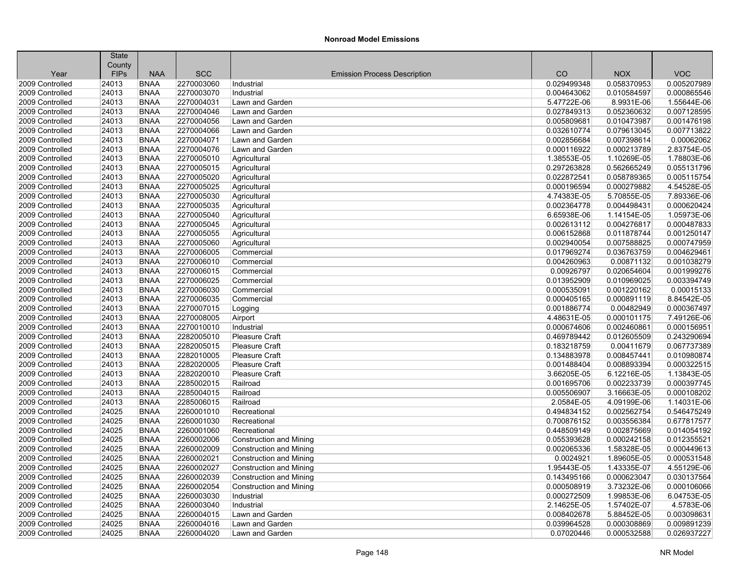| <b>SCC</b><br><b>VOC</b><br><b>FIPs</b><br><b>NAA</b><br>CO<br><b>NOX</b><br>Year<br><b>Emission Process Description</b><br><b>BNAA</b><br>2270003060<br>0.029499348<br>0.058370953<br>0.005207989<br>24013<br>Industrial<br><b>BNAA</b><br>24013<br>2270003070<br>0.004643062<br>0.010584597<br>0.000865546<br>Industrial<br>24013<br><b>BNAA</b><br>2270004031<br>5.47722E-06<br>1.55644E-06<br>Lawn and Garden<br>8.9931E-06<br>0.027849313<br>0.052360632<br>0.007128595<br>24013<br><b>BNAA</b><br>2270004046<br>Lawn and Garden<br>24013<br><b>BNAA</b><br>2270004056<br>0.005809681<br>0.010473987<br>0.001476198<br>Lawn and Garden<br>24013<br><b>BNAA</b><br>0.007713822<br>2270004066<br>Lawn and Garden<br>0.032610774<br>0.079613045<br>0.00062062<br>24013<br><b>BNAA</b><br>2270004071<br>Lawn and Garden<br>0.002856684<br>0.007398614<br>24013<br>2.83754E-05<br><b>BNAA</b><br>2270004076<br>Lawn and Garden<br>0.000116922<br>0.000213789<br>1.78803E-06<br>24013<br><b>BNAA</b><br>2270005010<br>1.38553E-05<br>1.10269E-05<br>Agricultural<br>24013<br>2270005015<br>0.297263828<br>0.562665249<br>0.055131796<br><b>BNAA</b><br>Agricultural<br>0.022872541<br>0.058789365<br>24013<br><b>BNAA</b><br>2270005020<br>0.005115754<br>Agricultural<br>24013<br>2270005025<br>0.000196594<br>4.54528E-05<br><b>BNAA</b><br>Agricultural<br>0.000279882<br>7.89336E-06<br>24013<br><b>BNAA</b><br>2270005030<br>Agricultural<br>4.74383E-05<br>5.70855E-05<br>0.000620424<br>24013<br><b>BNAA</b><br>2270005035<br>0.002364778<br>0.004498431<br>Agricultural<br>24013<br>1.05973E-06<br><b>BNAA</b><br>2270005040<br>6.65938E-06<br>1.14154E-05<br>Agricultural<br>0.000487833<br>24013<br><b>BNAA</b><br>2270005045<br>0.002613112<br>0.004276817<br>Agricultural<br>24013<br>0.011878744<br>0.001250147<br><b>BNAA</b><br>2270005055<br>0.006152868<br>Agricultural<br>24013<br><b>BNAA</b><br>2270005060<br>0.002940054<br>0.007588825<br>0.000747959<br>Agricultural<br>24013<br>0.017969274<br>0.004629461<br><b>BNAA</b><br>2270006005<br>Commercial<br>0.036763759<br>0.001038279<br>24013<br><b>BNAA</b><br>2270006010<br>Commercial<br>0.004260963<br>0.00871132<br>24013<br><b>BNAA</b><br>2270006015<br>0.00926797<br>0.020654604<br>0.001999276<br>Commercial<br>0.003394749<br>24013<br><b>BNAA</b><br>2270006025<br>0.013952909<br>0.010969025<br>Commercial<br>0.00015133<br>24013<br><b>BNAA</b><br>2270006030<br>Commercial<br>0.000535091<br>0.001220162<br>8.84542E-05<br>24013<br><b>BNAA</b><br>2270006035<br>0.000405165<br>0.000891119<br>Commercial<br>24013<br><b>BNAA</b><br>2270007015<br>0.001886774<br>0.00482949<br>0.000367497<br>Logging<br>7.49126E-06<br>24013<br><b>BNAA</b><br>2270008005<br>4.48631E-05<br>0.000101175<br>Airport<br>0.000156951<br>24013<br><b>BNAA</b><br>2270010010<br>Industrial<br>0.000674606<br>0.002460861<br>0.243290694<br>24013<br><b>BNAA</b><br>2282005010<br>Pleasure Craft<br>0.469789442<br>0.012605509<br>24013<br><b>BNAA</b><br>2282005015<br>Pleasure Craft<br>0.183218759<br>0.00411679<br>0.067737389<br>2282010005<br>0.010980874<br>24013<br><b>BNAA</b><br><b>Pleasure Craft</b><br>0.134883978<br>0.008457441<br>0.000322515<br>24013<br><b>BNAA</b><br>2282020005<br>Pleasure Craft<br>0.001488404<br>0.008893394<br>24013<br>2282020010<br>6.12216E-05<br>1.13843E-05<br><b>BNAA</b><br>Pleasure Craft<br>3.66205E-05<br>2285002015<br>0.002233739<br>0.000397745<br>24013<br><b>BNAA</b><br>Railroad<br>0.001695706<br>24013<br><b>BNAA</b><br>2285004015<br>Railroad<br>0.005506907<br>3.16663E-05<br>0.000108202<br>24013<br><b>BNAA</b><br>2285006015<br>2.0584E-05<br>4.09199E-06<br>1.14031E-06<br>Railroad<br>24025<br><b>BNAA</b><br>2260001010<br>0.494834152<br>0.002562754<br>0.546475249<br>Recreational<br>0.677817577<br>24025<br><b>BNAA</b><br>2260001030<br>0.700876152<br>0.003556384<br>Recreational<br>24025<br><b>BNAA</b><br>2260001060<br>0.448509149<br>0.002875669<br>0.014054192<br>Recreational<br>24025<br>0.055393628<br>0.000242158<br>0.012355521<br><b>BNAA</b><br>2260002006<br>Construction and Mining<br>24025<br>2260002009<br>0.002065336<br>1.58328E-05<br>0.000449613<br><b>BNAA</b><br><b>Construction and Mining</b><br>24025<br><b>BNAA</b><br>2260002021<br>Construction and Mining<br>0.0024921<br>1.89605E-05<br>0.000531548<br>24025<br>2260002027<br>1.95443E-05<br>1.43335E-07<br>4.55129E-06<br><b>BNAA</b><br>Construction and Mining<br>24025<br><b>BNAA</b><br>2260002039<br>0.000623047<br>0.030137564<br><b>Construction and Mining</b><br>0.143495166<br>3.73232E-06<br>0.000106066<br>24025<br><b>BNAA</b><br>2260002054<br>0.000508919<br>Construction and Mining<br>24025<br><b>BNAA</b><br>2260003030<br>0.000272509<br>1.99853E-06<br>6.04753E-05<br>Industrial<br>4.5783E-06<br>24025<br><b>BNAA</b><br>2260003040<br>Industrial<br>2.14625E-05<br>1.57402E-07<br>0.003098631<br>24025<br><b>BNAA</b><br>2260004015<br>Lawn and Garden<br>0.008402678<br>5.88452E-05<br><b>BNAA</b><br>0.009891239<br>24025<br>2260004016<br>Lawn and Garden<br>0.039964528<br>0.000308869 |                 | <b>State</b> |             |            |                 |            |             |             |
|--------------------------------------------------------------------------------------------------------------------------------------------------------------------------------------------------------------------------------------------------------------------------------------------------------------------------------------------------------------------------------------------------------------------------------------------------------------------------------------------------------------------------------------------------------------------------------------------------------------------------------------------------------------------------------------------------------------------------------------------------------------------------------------------------------------------------------------------------------------------------------------------------------------------------------------------------------------------------------------------------------------------------------------------------------------------------------------------------------------------------------------------------------------------------------------------------------------------------------------------------------------------------------------------------------------------------------------------------------------------------------------------------------------------------------------------------------------------------------------------------------------------------------------------------------------------------------------------------------------------------------------------------------------------------------------------------------------------------------------------------------------------------------------------------------------------------------------------------------------------------------------------------------------------------------------------------------------------------------------------------------------------------------------------------------------------------------------------------------------------------------------------------------------------------------------------------------------------------------------------------------------------------------------------------------------------------------------------------------------------------------------------------------------------------------------------------------------------------------------------------------------------------------------------------------------------------------------------------------------------------------------------------------------------------------------------------------------------------------------------------------------------------------------------------------------------------------------------------------------------------------------------------------------------------------------------------------------------------------------------------------------------------------------------------------------------------------------------------------------------------------------------------------------------------------------------------------------------------------------------------------------------------------------------------------------------------------------------------------------------------------------------------------------------------------------------------------------------------------------------------------------------------------------------------------------------------------------------------------------------------------------------------------------------------------------------------------------------------------------------------------------------------------------------------------------------------------------------------------------------------------------------------------------------------------------------------------------------------------------------------------------------------------------------------------------------------------------------------------------------------------------------------------------------------------------------------------------------------------------------------------------------------------------------------------------------------------------------------------------------------------------------------------------------------------------------------------------------------------------------------------------------------------------------------------------------------------------------------------------------------------------------------------------------------------------------------------------------------------------------------------------------------------------------------------------------------------------------------------------------------------------------------------------------------------------------------------------------------------------------------------------------------------------------------------------------------------------------------------------------------------------------|-----------------|--------------|-------------|------------|-----------------|------------|-------------|-------------|
|                                                                                                                                                                                                                                                                                                                                                                                                                                                                                                                                                                                                                                                                                                                                                                                                                                                                                                                                                                                                                                                                                                                                                                                                                                                                                                                                                                                                                                                                                                                                                                                                                                                                                                                                                                                                                                                                                                                                                                                                                                                                                                                                                                                                                                                                                                                                                                                                                                                                                                                                                                                                                                                                                                                                                                                                                                                                                                                                                                                                                                                                                                                                                                                                                                                                                                                                                                                                                                                                                                                                                                                                                                                                                                                                                                                                                                                                                                                                                                                                                                                                                                                                                                                                                                                                                                                                                                                                                                                                                                                                                                                                                                                                                                                                                                                                                                                                                                                                                                                                                                                                                                                                            |                 | County       |             |            |                 |            |             |             |
|                                                                                                                                                                                                                                                                                                                                                                                                                                                                                                                                                                                                                                                                                                                                                                                                                                                                                                                                                                                                                                                                                                                                                                                                                                                                                                                                                                                                                                                                                                                                                                                                                                                                                                                                                                                                                                                                                                                                                                                                                                                                                                                                                                                                                                                                                                                                                                                                                                                                                                                                                                                                                                                                                                                                                                                                                                                                                                                                                                                                                                                                                                                                                                                                                                                                                                                                                                                                                                                                                                                                                                                                                                                                                                                                                                                                                                                                                                                                                                                                                                                                                                                                                                                                                                                                                                                                                                                                                                                                                                                                                                                                                                                                                                                                                                                                                                                                                                                                                                                                                                                                                                                                            |                 |              |             |            |                 |            |             |             |
|                                                                                                                                                                                                                                                                                                                                                                                                                                                                                                                                                                                                                                                                                                                                                                                                                                                                                                                                                                                                                                                                                                                                                                                                                                                                                                                                                                                                                                                                                                                                                                                                                                                                                                                                                                                                                                                                                                                                                                                                                                                                                                                                                                                                                                                                                                                                                                                                                                                                                                                                                                                                                                                                                                                                                                                                                                                                                                                                                                                                                                                                                                                                                                                                                                                                                                                                                                                                                                                                                                                                                                                                                                                                                                                                                                                                                                                                                                                                                                                                                                                                                                                                                                                                                                                                                                                                                                                                                                                                                                                                                                                                                                                                                                                                                                                                                                                                                                                                                                                                                                                                                                                                            | 2009 Controlled |              |             |            |                 |            |             |             |
|                                                                                                                                                                                                                                                                                                                                                                                                                                                                                                                                                                                                                                                                                                                                                                                                                                                                                                                                                                                                                                                                                                                                                                                                                                                                                                                                                                                                                                                                                                                                                                                                                                                                                                                                                                                                                                                                                                                                                                                                                                                                                                                                                                                                                                                                                                                                                                                                                                                                                                                                                                                                                                                                                                                                                                                                                                                                                                                                                                                                                                                                                                                                                                                                                                                                                                                                                                                                                                                                                                                                                                                                                                                                                                                                                                                                                                                                                                                                                                                                                                                                                                                                                                                                                                                                                                                                                                                                                                                                                                                                                                                                                                                                                                                                                                                                                                                                                                                                                                                                                                                                                                                                            | 2009 Controlled |              |             |            |                 |            |             |             |
|                                                                                                                                                                                                                                                                                                                                                                                                                                                                                                                                                                                                                                                                                                                                                                                                                                                                                                                                                                                                                                                                                                                                                                                                                                                                                                                                                                                                                                                                                                                                                                                                                                                                                                                                                                                                                                                                                                                                                                                                                                                                                                                                                                                                                                                                                                                                                                                                                                                                                                                                                                                                                                                                                                                                                                                                                                                                                                                                                                                                                                                                                                                                                                                                                                                                                                                                                                                                                                                                                                                                                                                                                                                                                                                                                                                                                                                                                                                                                                                                                                                                                                                                                                                                                                                                                                                                                                                                                                                                                                                                                                                                                                                                                                                                                                                                                                                                                                                                                                                                                                                                                                                                            | 2009 Controlled |              |             |            |                 |            |             |             |
|                                                                                                                                                                                                                                                                                                                                                                                                                                                                                                                                                                                                                                                                                                                                                                                                                                                                                                                                                                                                                                                                                                                                                                                                                                                                                                                                                                                                                                                                                                                                                                                                                                                                                                                                                                                                                                                                                                                                                                                                                                                                                                                                                                                                                                                                                                                                                                                                                                                                                                                                                                                                                                                                                                                                                                                                                                                                                                                                                                                                                                                                                                                                                                                                                                                                                                                                                                                                                                                                                                                                                                                                                                                                                                                                                                                                                                                                                                                                                                                                                                                                                                                                                                                                                                                                                                                                                                                                                                                                                                                                                                                                                                                                                                                                                                                                                                                                                                                                                                                                                                                                                                                                            | 2009 Controlled |              |             |            |                 |            |             |             |
|                                                                                                                                                                                                                                                                                                                                                                                                                                                                                                                                                                                                                                                                                                                                                                                                                                                                                                                                                                                                                                                                                                                                                                                                                                                                                                                                                                                                                                                                                                                                                                                                                                                                                                                                                                                                                                                                                                                                                                                                                                                                                                                                                                                                                                                                                                                                                                                                                                                                                                                                                                                                                                                                                                                                                                                                                                                                                                                                                                                                                                                                                                                                                                                                                                                                                                                                                                                                                                                                                                                                                                                                                                                                                                                                                                                                                                                                                                                                                                                                                                                                                                                                                                                                                                                                                                                                                                                                                                                                                                                                                                                                                                                                                                                                                                                                                                                                                                                                                                                                                                                                                                                                            | 2009 Controlled |              |             |            |                 |            |             |             |
|                                                                                                                                                                                                                                                                                                                                                                                                                                                                                                                                                                                                                                                                                                                                                                                                                                                                                                                                                                                                                                                                                                                                                                                                                                                                                                                                                                                                                                                                                                                                                                                                                                                                                                                                                                                                                                                                                                                                                                                                                                                                                                                                                                                                                                                                                                                                                                                                                                                                                                                                                                                                                                                                                                                                                                                                                                                                                                                                                                                                                                                                                                                                                                                                                                                                                                                                                                                                                                                                                                                                                                                                                                                                                                                                                                                                                                                                                                                                                                                                                                                                                                                                                                                                                                                                                                                                                                                                                                                                                                                                                                                                                                                                                                                                                                                                                                                                                                                                                                                                                                                                                                                                            | 2009 Controlled |              |             |            |                 |            |             |             |
|                                                                                                                                                                                                                                                                                                                                                                                                                                                                                                                                                                                                                                                                                                                                                                                                                                                                                                                                                                                                                                                                                                                                                                                                                                                                                                                                                                                                                                                                                                                                                                                                                                                                                                                                                                                                                                                                                                                                                                                                                                                                                                                                                                                                                                                                                                                                                                                                                                                                                                                                                                                                                                                                                                                                                                                                                                                                                                                                                                                                                                                                                                                                                                                                                                                                                                                                                                                                                                                                                                                                                                                                                                                                                                                                                                                                                                                                                                                                                                                                                                                                                                                                                                                                                                                                                                                                                                                                                                                                                                                                                                                                                                                                                                                                                                                                                                                                                                                                                                                                                                                                                                                                            | 2009 Controlled |              |             |            |                 |            |             |             |
|                                                                                                                                                                                                                                                                                                                                                                                                                                                                                                                                                                                                                                                                                                                                                                                                                                                                                                                                                                                                                                                                                                                                                                                                                                                                                                                                                                                                                                                                                                                                                                                                                                                                                                                                                                                                                                                                                                                                                                                                                                                                                                                                                                                                                                                                                                                                                                                                                                                                                                                                                                                                                                                                                                                                                                                                                                                                                                                                                                                                                                                                                                                                                                                                                                                                                                                                                                                                                                                                                                                                                                                                                                                                                                                                                                                                                                                                                                                                                                                                                                                                                                                                                                                                                                                                                                                                                                                                                                                                                                                                                                                                                                                                                                                                                                                                                                                                                                                                                                                                                                                                                                                                            | 2009 Controlled |              |             |            |                 |            |             |             |
|                                                                                                                                                                                                                                                                                                                                                                                                                                                                                                                                                                                                                                                                                                                                                                                                                                                                                                                                                                                                                                                                                                                                                                                                                                                                                                                                                                                                                                                                                                                                                                                                                                                                                                                                                                                                                                                                                                                                                                                                                                                                                                                                                                                                                                                                                                                                                                                                                                                                                                                                                                                                                                                                                                                                                                                                                                                                                                                                                                                                                                                                                                                                                                                                                                                                                                                                                                                                                                                                                                                                                                                                                                                                                                                                                                                                                                                                                                                                                                                                                                                                                                                                                                                                                                                                                                                                                                                                                                                                                                                                                                                                                                                                                                                                                                                                                                                                                                                                                                                                                                                                                                                                            | 2009 Controlled |              |             |            |                 |            |             |             |
|                                                                                                                                                                                                                                                                                                                                                                                                                                                                                                                                                                                                                                                                                                                                                                                                                                                                                                                                                                                                                                                                                                                                                                                                                                                                                                                                                                                                                                                                                                                                                                                                                                                                                                                                                                                                                                                                                                                                                                                                                                                                                                                                                                                                                                                                                                                                                                                                                                                                                                                                                                                                                                                                                                                                                                                                                                                                                                                                                                                                                                                                                                                                                                                                                                                                                                                                                                                                                                                                                                                                                                                                                                                                                                                                                                                                                                                                                                                                                                                                                                                                                                                                                                                                                                                                                                                                                                                                                                                                                                                                                                                                                                                                                                                                                                                                                                                                                                                                                                                                                                                                                                                                            | 2009 Controlled |              |             |            |                 |            |             |             |
|                                                                                                                                                                                                                                                                                                                                                                                                                                                                                                                                                                                                                                                                                                                                                                                                                                                                                                                                                                                                                                                                                                                                                                                                                                                                                                                                                                                                                                                                                                                                                                                                                                                                                                                                                                                                                                                                                                                                                                                                                                                                                                                                                                                                                                                                                                                                                                                                                                                                                                                                                                                                                                                                                                                                                                                                                                                                                                                                                                                                                                                                                                                                                                                                                                                                                                                                                                                                                                                                                                                                                                                                                                                                                                                                                                                                                                                                                                                                                                                                                                                                                                                                                                                                                                                                                                                                                                                                                                                                                                                                                                                                                                                                                                                                                                                                                                                                                                                                                                                                                                                                                                                                            | 2009 Controlled |              |             |            |                 |            |             |             |
|                                                                                                                                                                                                                                                                                                                                                                                                                                                                                                                                                                                                                                                                                                                                                                                                                                                                                                                                                                                                                                                                                                                                                                                                                                                                                                                                                                                                                                                                                                                                                                                                                                                                                                                                                                                                                                                                                                                                                                                                                                                                                                                                                                                                                                                                                                                                                                                                                                                                                                                                                                                                                                                                                                                                                                                                                                                                                                                                                                                                                                                                                                                                                                                                                                                                                                                                                                                                                                                                                                                                                                                                                                                                                                                                                                                                                                                                                                                                                                                                                                                                                                                                                                                                                                                                                                                                                                                                                                                                                                                                                                                                                                                                                                                                                                                                                                                                                                                                                                                                                                                                                                                                            | 2009 Controlled |              |             |            |                 |            |             |             |
|                                                                                                                                                                                                                                                                                                                                                                                                                                                                                                                                                                                                                                                                                                                                                                                                                                                                                                                                                                                                                                                                                                                                                                                                                                                                                                                                                                                                                                                                                                                                                                                                                                                                                                                                                                                                                                                                                                                                                                                                                                                                                                                                                                                                                                                                                                                                                                                                                                                                                                                                                                                                                                                                                                                                                                                                                                                                                                                                                                                                                                                                                                                                                                                                                                                                                                                                                                                                                                                                                                                                                                                                                                                                                                                                                                                                                                                                                                                                                                                                                                                                                                                                                                                                                                                                                                                                                                                                                                                                                                                                                                                                                                                                                                                                                                                                                                                                                                                                                                                                                                                                                                                                            | 2009 Controlled |              |             |            |                 |            |             |             |
|                                                                                                                                                                                                                                                                                                                                                                                                                                                                                                                                                                                                                                                                                                                                                                                                                                                                                                                                                                                                                                                                                                                                                                                                                                                                                                                                                                                                                                                                                                                                                                                                                                                                                                                                                                                                                                                                                                                                                                                                                                                                                                                                                                                                                                                                                                                                                                                                                                                                                                                                                                                                                                                                                                                                                                                                                                                                                                                                                                                                                                                                                                                                                                                                                                                                                                                                                                                                                                                                                                                                                                                                                                                                                                                                                                                                                                                                                                                                                                                                                                                                                                                                                                                                                                                                                                                                                                                                                                                                                                                                                                                                                                                                                                                                                                                                                                                                                                                                                                                                                                                                                                                                            | 2009 Controlled |              |             |            |                 |            |             |             |
|                                                                                                                                                                                                                                                                                                                                                                                                                                                                                                                                                                                                                                                                                                                                                                                                                                                                                                                                                                                                                                                                                                                                                                                                                                                                                                                                                                                                                                                                                                                                                                                                                                                                                                                                                                                                                                                                                                                                                                                                                                                                                                                                                                                                                                                                                                                                                                                                                                                                                                                                                                                                                                                                                                                                                                                                                                                                                                                                                                                                                                                                                                                                                                                                                                                                                                                                                                                                                                                                                                                                                                                                                                                                                                                                                                                                                                                                                                                                                                                                                                                                                                                                                                                                                                                                                                                                                                                                                                                                                                                                                                                                                                                                                                                                                                                                                                                                                                                                                                                                                                                                                                                                            | 2009 Controlled |              |             |            |                 |            |             |             |
|                                                                                                                                                                                                                                                                                                                                                                                                                                                                                                                                                                                                                                                                                                                                                                                                                                                                                                                                                                                                                                                                                                                                                                                                                                                                                                                                                                                                                                                                                                                                                                                                                                                                                                                                                                                                                                                                                                                                                                                                                                                                                                                                                                                                                                                                                                                                                                                                                                                                                                                                                                                                                                                                                                                                                                                                                                                                                                                                                                                                                                                                                                                                                                                                                                                                                                                                                                                                                                                                                                                                                                                                                                                                                                                                                                                                                                                                                                                                                                                                                                                                                                                                                                                                                                                                                                                                                                                                                                                                                                                                                                                                                                                                                                                                                                                                                                                                                                                                                                                                                                                                                                                                            | 2009 Controlled |              |             |            |                 |            |             |             |
|                                                                                                                                                                                                                                                                                                                                                                                                                                                                                                                                                                                                                                                                                                                                                                                                                                                                                                                                                                                                                                                                                                                                                                                                                                                                                                                                                                                                                                                                                                                                                                                                                                                                                                                                                                                                                                                                                                                                                                                                                                                                                                                                                                                                                                                                                                                                                                                                                                                                                                                                                                                                                                                                                                                                                                                                                                                                                                                                                                                                                                                                                                                                                                                                                                                                                                                                                                                                                                                                                                                                                                                                                                                                                                                                                                                                                                                                                                                                                                                                                                                                                                                                                                                                                                                                                                                                                                                                                                                                                                                                                                                                                                                                                                                                                                                                                                                                                                                                                                                                                                                                                                                                            | 2009 Controlled |              |             |            |                 |            |             |             |
|                                                                                                                                                                                                                                                                                                                                                                                                                                                                                                                                                                                                                                                                                                                                                                                                                                                                                                                                                                                                                                                                                                                                                                                                                                                                                                                                                                                                                                                                                                                                                                                                                                                                                                                                                                                                                                                                                                                                                                                                                                                                                                                                                                                                                                                                                                                                                                                                                                                                                                                                                                                                                                                                                                                                                                                                                                                                                                                                                                                                                                                                                                                                                                                                                                                                                                                                                                                                                                                                                                                                                                                                                                                                                                                                                                                                                                                                                                                                                                                                                                                                                                                                                                                                                                                                                                                                                                                                                                                                                                                                                                                                                                                                                                                                                                                                                                                                                                                                                                                                                                                                                                                                            | 2009 Controlled |              |             |            |                 |            |             |             |
|                                                                                                                                                                                                                                                                                                                                                                                                                                                                                                                                                                                                                                                                                                                                                                                                                                                                                                                                                                                                                                                                                                                                                                                                                                                                                                                                                                                                                                                                                                                                                                                                                                                                                                                                                                                                                                                                                                                                                                                                                                                                                                                                                                                                                                                                                                                                                                                                                                                                                                                                                                                                                                                                                                                                                                                                                                                                                                                                                                                                                                                                                                                                                                                                                                                                                                                                                                                                                                                                                                                                                                                                                                                                                                                                                                                                                                                                                                                                                                                                                                                                                                                                                                                                                                                                                                                                                                                                                                                                                                                                                                                                                                                                                                                                                                                                                                                                                                                                                                                                                                                                                                                                            | 2009 Controlled |              |             |            |                 |            |             |             |
|                                                                                                                                                                                                                                                                                                                                                                                                                                                                                                                                                                                                                                                                                                                                                                                                                                                                                                                                                                                                                                                                                                                                                                                                                                                                                                                                                                                                                                                                                                                                                                                                                                                                                                                                                                                                                                                                                                                                                                                                                                                                                                                                                                                                                                                                                                                                                                                                                                                                                                                                                                                                                                                                                                                                                                                                                                                                                                                                                                                                                                                                                                                                                                                                                                                                                                                                                                                                                                                                                                                                                                                                                                                                                                                                                                                                                                                                                                                                                                                                                                                                                                                                                                                                                                                                                                                                                                                                                                                                                                                                                                                                                                                                                                                                                                                                                                                                                                                                                                                                                                                                                                                                            | 2009 Controlled |              |             |            |                 |            |             |             |
|                                                                                                                                                                                                                                                                                                                                                                                                                                                                                                                                                                                                                                                                                                                                                                                                                                                                                                                                                                                                                                                                                                                                                                                                                                                                                                                                                                                                                                                                                                                                                                                                                                                                                                                                                                                                                                                                                                                                                                                                                                                                                                                                                                                                                                                                                                                                                                                                                                                                                                                                                                                                                                                                                                                                                                                                                                                                                                                                                                                                                                                                                                                                                                                                                                                                                                                                                                                                                                                                                                                                                                                                                                                                                                                                                                                                                                                                                                                                                                                                                                                                                                                                                                                                                                                                                                                                                                                                                                                                                                                                                                                                                                                                                                                                                                                                                                                                                                                                                                                                                                                                                                                                            | 2009 Controlled |              |             |            |                 |            |             |             |
|                                                                                                                                                                                                                                                                                                                                                                                                                                                                                                                                                                                                                                                                                                                                                                                                                                                                                                                                                                                                                                                                                                                                                                                                                                                                                                                                                                                                                                                                                                                                                                                                                                                                                                                                                                                                                                                                                                                                                                                                                                                                                                                                                                                                                                                                                                                                                                                                                                                                                                                                                                                                                                                                                                                                                                                                                                                                                                                                                                                                                                                                                                                                                                                                                                                                                                                                                                                                                                                                                                                                                                                                                                                                                                                                                                                                                                                                                                                                                                                                                                                                                                                                                                                                                                                                                                                                                                                                                                                                                                                                                                                                                                                                                                                                                                                                                                                                                                                                                                                                                                                                                                                                            | 2009 Controlled |              |             |            |                 |            |             |             |
|                                                                                                                                                                                                                                                                                                                                                                                                                                                                                                                                                                                                                                                                                                                                                                                                                                                                                                                                                                                                                                                                                                                                                                                                                                                                                                                                                                                                                                                                                                                                                                                                                                                                                                                                                                                                                                                                                                                                                                                                                                                                                                                                                                                                                                                                                                                                                                                                                                                                                                                                                                                                                                                                                                                                                                                                                                                                                                                                                                                                                                                                                                                                                                                                                                                                                                                                                                                                                                                                                                                                                                                                                                                                                                                                                                                                                                                                                                                                                                                                                                                                                                                                                                                                                                                                                                                                                                                                                                                                                                                                                                                                                                                                                                                                                                                                                                                                                                                                                                                                                                                                                                                                            | 2009 Controlled |              |             |            |                 |            |             |             |
|                                                                                                                                                                                                                                                                                                                                                                                                                                                                                                                                                                                                                                                                                                                                                                                                                                                                                                                                                                                                                                                                                                                                                                                                                                                                                                                                                                                                                                                                                                                                                                                                                                                                                                                                                                                                                                                                                                                                                                                                                                                                                                                                                                                                                                                                                                                                                                                                                                                                                                                                                                                                                                                                                                                                                                                                                                                                                                                                                                                                                                                                                                                                                                                                                                                                                                                                                                                                                                                                                                                                                                                                                                                                                                                                                                                                                                                                                                                                                                                                                                                                                                                                                                                                                                                                                                                                                                                                                                                                                                                                                                                                                                                                                                                                                                                                                                                                                                                                                                                                                                                                                                                                            | 2009 Controlled |              |             |            |                 |            |             |             |
|                                                                                                                                                                                                                                                                                                                                                                                                                                                                                                                                                                                                                                                                                                                                                                                                                                                                                                                                                                                                                                                                                                                                                                                                                                                                                                                                                                                                                                                                                                                                                                                                                                                                                                                                                                                                                                                                                                                                                                                                                                                                                                                                                                                                                                                                                                                                                                                                                                                                                                                                                                                                                                                                                                                                                                                                                                                                                                                                                                                                                                                                                                                                                                                                                                                                                                                                                                                                                                                                                                                                                                                                                                                                                                                                                                                                                                                                                                                                                                                                                                                                                                                                                                                                                                                                                                                                                                                                                                                                                                                                                                                                                                                                                                                                                                                                                                                                                                                                                                                                                                                                                                                                            | 2009 Controlled |              |             |            |                 |            |             |             |
|                                                                                                                                                                                                                                                                                                                                                                                                                                                                                                                                                                                                                                                                                                                                                                                                                                                                                                                                                                                                                                                                                                                                                                                                                                                                                                                                                                                                                                                                                                                                                                                                                                                                                                                                                                                                                                                                                                                                                                                                                                                                                                                                                                                                                                                                                                                                                                                                                                                                                                                                                                                                                                                                                                                                                                                                                                                                                                                                                                                                                                                                                                                                                                                                                                                                                                                                                                                                                                                                                                                                                                                                                                                                                                                                                                                                                                                                                                                                                                                                                                                                                                                                                                                                                                                                                                                                                                                                                                                                                                                                                                                                                                                                                                                                                                                                                                                                                                                                                                                                                                                                                                                                            | 2009 Controlled |              |             |            |                 |            |             |             |
|                                                                                                                                                                                                                                                                                                                                                                                                                                                                                                                                                                                                                                                                                                                                                                                                                                                                                                                                                                                                                                                                                                                                                                                                                                                                                                                                                                                                                                                                                                                                                                                                                                                                                                                                                                                                                                                                                                                                                                                                                                                                                                                                                                                                                                                                                                                                                                                                                                                                                                                                                                                                                                                                                                                                                                                                                                                                                                                                                                                                                                                                                                                                                                                                                                                                                                                                                                                                                                                                                                                                                                                                                                                                                                                                                                                                                                                                                                                                                                                                                                                                                                                                                                                                                                                                                                                                                                                                                                                                                                                                                                                                                                                                                                                                                                                                                                                                                                                                                                                                                                                                                                                                            | 2009 Controlled |              |             |            |                 |            |             |             |
|                                                                                                                                                                                                                                                                                                                                                                                                                                                                                                                                                                                                                                                                                                                                                                                                                                                                                                                                                                                                                                                                                                                                                                                                                                                                                                                                                                                                                                                                                                                                                                                                                                                                                                                                                                                                                                                                                                                                                                                                                                                                                                                                                                                                                                                                                                                                                                                                                                                                                                                                                                                                                                                                                                                                                                                                                                                                                                                                                                                                                                                                                                                                                                                                                                                                                                                                                                                                                                                                                                                                                                                                                                                                                                                                                                                                                                                                                                                                                                                                                                                                                                                                                                                                                                                                                                                                                                                                                                                                                                                                                                                                                                                                                                                                                                                                                                                                                                                                                                                                                                                                                                                                            | 2009 Controlled |              |             |            |                 |            |             |             |
|                                                                                                                                                                                                                                                                                                                                                                                                                                                                                                                                                                                                                                                                                                                                                                                                                                                                                                                                                                                                                                                                                                                                                                                                                                                                                                                                                                                                                                                                                                                                                                                                                                                                                                                                                                                                                                                                                                                                                                                                                                                                                                                                                                                                                                                                                                                                                                                                                                                                                                                                                                                                                                                                                                                                                                                                                                                                                                                                                                                                                                                                                                                                                                                                                                                                                                                                                                                                                                                                                                                                                                                                                                                                                                                                                                                                                                                                                                                                                                                                                                                                                                                                                                                                                                                                                                                                                                                                                                                                                                                                                                                                                                                                                                                                                                                                                                                                                                                                                                                                                                                                                                                                            | 2009 Controlled |              |             |            |                 |            |             |             |
|                                                                                                                                                                                                                                                                                                                                                                                                                                                                                                                                                                                                                                                                                                                                                                                                                                                                                                                                                                                                                                                                                                                                                                                                                                                                                                                                                                                                                                                                                                                                                                                                                                                                                                                                                                                                                                                                                                                                                                                                                                                                                                                                                                                                                                                                                                                                                                                                                                                                                                                                                                                                                                                                                                                                                                                                                                                                                                                                                                                                                                                                                                                                                                                                                                                                                                                                                                                                                                                                                                                                                                                                                                                                                                                                                                                                                                                                                                                                                                                                                                                                                                                                                                                                                                                                                                                                                                                                                                                                                                                                                                                                                                                                                                                                                                                                                                                                                                                                                                                                                                                                                                                                            | 2009 Controlled |              |             |            |                 |            |             |             |
|                                                                                                                                                                                                                                                                                                                                                                                                                                                                                                                                                                                                                                                                                                                                                                                                                                                                                                                                                                                                                                                                                                                                                                                                                                                                                                                                                                                                                                                                                                                                                                                                                                                                                                                                                                                                                                                                                                                                                                                                                                                                                                                                                                                                                                                                                                                                                                                                                                                                                                                                                                                                                                                                                                                                                                                                                                                                                                                                                                                                                                                                                                                                                                                                                                                                                                                                                                                                                                                                                                                                                                                                                                                                                                                                                                                                                                                                                                                                                                                                                                                                                                                                                                                                                                                                                                                                                                                                                                                                                                                                                                                                                                                                                                                                                                                                                                                                                                                                                                                                                                                                                                                                            | 2009 Controlled |              |             |            |                 |            |             |             |
|                                                                                                                                                                                                                                                                                                                                                                                                                                                                                                                                                                                                                                                                                                                                                                                                                                                                                                                                                                                                                                                                                                                                                                                                                                                                                                                                                                                                                                                                                                                                                                                                                                                                                                                                                                                                                                                                                                                                                                                                                                                                                                                                                                                                                                                                                                                                                                                                                                                                                                                                                                                                                                                                                                                                                                                                                                                                                                                                                                                                                                                                                                                                                                                                                                                                                                                                                                                                                                                                                                                                                                                                                                                                                                                                                                                                                                                                                                                                                                                                                                                                                                                                                                                                                                                                                                                                                                                                                                                                                                                                                                                                                                                                                                                                                                                                                                                                                                                                                                                                                                                                                                                                            | 2009 Controlled |              |             |            |                 |            |             |             |
|                                                                                                                                                                                                                                                                                                                                                                                                                                                                                                                                                                                                                                                                                                                                                                                                                                                                                                                                                                                                                                                                                                                                                                                                                                                                                                                                                                                                                                                                                                                                                                                                                                                                                                                                                                                                                                                                                                                                                                                                                                                                                                                                                                                                                                                                                                                                                                                                                                                                                                                                                                                                                                                                                                                                                                                                                                                                                                                                                                                                                                                                                                                                                                                                                                                                                                                                                                                                                                                                                                                                                                                                                                                                                                                                                                                                                                                                                                                                                                                                                                                                                                                                                                                                                                                                                                                                                                                                                                                                                                                                                                                                                                                                                                                                                                                                                                                                                                                                                                                                                                                                                                                                            | 2009 Controlled |              |             |            |                 |            |             |             |
|                                                                                                                                                                                                                                                                                                                                                                                                                                                                                                                                                                                                                                                                                                                                                                                                                                                                                                                                                                                                                                                                                                                                                                                                                                                                                                                                                                                                                                                                                                                                                                                                                                                                                                                                                                                                                                                                                                                                                                                                                                                                                                                                                                                                                                                                                                                                                                                                                                                                                                                                                                                                                                                                                                                                                                                                                                                                                                                                                                                                                                                                                                                                                                                                                                                                                                                                                                                                                                                                                                                                                                                                                                                                                                                                                                                                                                                                                                                                                                                                                                                                                                                                                                                                                                                                                                                                                                                                                                                                                                                                                                                                                                                                                                                                                                                                                                                                                                                                                                                                                                                                                                                                            | 2009 Controlled |              |             |            |                 |            |             |             |
|                                                                                                                                                                                                                                                                                                                                                                                                                                                                                                                                                                                                                                                                                                                                                                                                                                                                                                                                                                                                                                                                                                                                                                                                                                                                                                                                                                                                                                                                                                                                                                                                                                                                                                                                                                                                                                                                                                                                                                                                                                                                                                                                                                                                                                                                                                                                                                                                                                                                                                                                                                                                                                                                                                                                                                                                                                                                                                                                                                                                                                                                                                                                                                                                                                                                                                                                                                                                                                                                                                                                                                                                                                                                                                                                                                                                                                                                                                                                                                                                                                                                                                                                                                                                                                                                                                                                                                                                                                                                                                                                                                                                                                                                                                                                                                                                                                                                                                                                                                                                                                                                                                                                            | 2009 Controlled |              |             |            |                 |            |             |             |
|                                                                                                                                                                                                                                                                                                                                                                                                                                                                                                                                                                                                                                                                                                                                                                                                                                                                                                                                                                                                                                                                                                                                                                                                                                                                                                                                                                                                                                                                                                                                                                                                                                                                                                                                                                                                                                                                                                                                                                                                                                                                                                                                                                                                                                                                                                                                                                                                                                                                                                                                                                                                                                                                                                                                                                                                                                                                                                                                                                                                                                                                                                                                                                                                                                                                                                                                                                                                                                                                                                                                                                                                                                                                                                                                                                                                                                                                                                                                                                                                                                                                                                                                                                                                                                                                                                                                                                                                                                                                                                                                                                                                                                                                                                                                                                                                                                                                                                                                                                                                                                                                                                                                            | 2009 Controlled |              |             |            |                 |            |             |             |
|                                                                                                                                                                                                                                                                                                                                                                                                                                                                                                                                                                                                                                                                                                                                                                                                                                                                                                                                                                                                                                                                                                                                                                                                                                                                                                                                                                                                                                                                                                                                                                                                                                                                                                                                                                                                                                                                                                                                                                                                                                                                                                                                                                                                                                                                                                                                                                                                                                                                                                                                                                                                                                                                                                                                                                                                                                                                                                                                                                                                                                                                                                                                                                                                                                                                                                                                                                                                                                                                                                                                                                                                                                                                                                                                                                                                                                                                                                                                                                                                                                                                                                                                                                                                                                                                                                                                                                                                                                                                                                                                                                                                                                                                                                                                                                                                                                                                                                                                                                                                                                                                                                                                            | 2009 Controlled |              |             |            |                 |            |             |             |
|                                                                                                                                                                                                                                                                                                                                                                                                                                                                                                                                                                                                                                                                                                                                                                                                                                                                                                                                                                                                                                                                                                                                                                                                                                                                                                                                                                                                                                                                                                                                                                                                                                                                                                                                                                                                                                                                                                                                                                                                                                                                                                                                                                                                                                                                                                                                                                                                                                                                                                                                                                                                                                                                                                                                                                                                                                                                                                                                                                                                                                                                                                                                                                                                                                                                                                                                                                                                                                                                                                                                                                                                                                                                                                                                                                                                                                                                                                                                                                                                                                                                                                                                                                                                                                                                                                                                                                                                                                                                                                                                                                                                                                                                                                                                                                                                                                                                                                                                                                                                                                                                                                                                            | 2009 Controlled |              |             |            |                 |            |             |             |
|                                                                                                                                                                                                                                                                                                                                                                                                                                                                                                                                                                                                                                                                                                                                                                                                                                                                                                                                                                                                                                                                                                                                                                                                                                                                                                                                                                                                                                                                                                                                                                                                                                                                                                                                                                                                                                                                                                                                                                                                                                                                                                                                                                                                                                                                                                                                                                                                                                                                                                                                                                                                                                                                                                                                                                                                                                                                                                                                                                                                                                                                                                                                                                                                                                                                                                                                                                                                                                                                                                                                                                                                                                                                                                                                                                                                                                                                                                                                                                                                                                                                                                                                                                                                                                                                                                                                                                                                                                                                                                                                                                                                                                                                                                                                                                                                                                                                                                                                                                                                                                                                                                                                            | 2009 Controlled |              |             |            |                 |            |             |             |
|                                                                                                                                                                                                                                                                                                                                                                                                                                                                                                                                                                                                                                                                                                                                                                                                                                                                                                                                                                                                                                                                                                                                                                                                                                                                                                                                                                                                                                                                                                                                                                                                                                                                                                                                                                                                                                                                                                                                                                                                                                                                                                                                                                                                                                                                                                                                                                                                                                                                                                                                                                                                                                                                                                                                                                                                                                                                                                                                                                                                                                                                                                                                                                                                                                                                                                                                                                                                                                                                                                                                                                                                                                                                                                                                                                                                                                                                                                                                                                                                                                                                                                                                                                                                                                                                                                                                                                                                                                                                                                                                                                                                                                                                                                                                                                                                                                                                                                                                                                                                                                                                                                                                            | 2009 Controlled |              |             |            |                 |            |             |             |
|                                                                                                                                                                                                                                                                                                                                                                                                                                                                                                                                                                                                                                                                                                                                                                                                                                                                                                                                                                                                                                                                                                                                                                                                                                                                                                                                                                                                                                                                                                                                                                                                                                                                                                                                                                                                                                                                                                                                                                                                                                                                                                                                                                                                                                                                                                                                                                                                                                                                                                                                                                                                                                                                                                                                                                                                                                                                                                                                                                                                                                                                                                                                                                                                                                                                                                                                                                                                                                                                                                                                                                                                                                                                                                                                                                                                                                                                                                                                                                                                                                                                                                                                                                                                                                                                                                                                                                                                                                                                                                                                                                                                                                                                                                                                                                                                                                                                                                                                                                                                                                                                                                                                            | 2009 Controlled |              |             |            |                 |            |             |             |
|                                                                                                                                                                                                                                                                                                                                                                                                                                                                                                                                                                                                                                                                                                                                                                                                                                                                                                                                                                                                                                                                                                                                                                                                                                                                                                                                                                                                                                                                                                                                                                                                                                                                                                                                                                                                                                                                                                                                                                                                                                                                                                                                                                                                                                                                                                                                                                                                                                                                                                                                                                                                                                                                                                                                                                                                                                                                                                                                                                                                                                                                                                                                                                                                                                                                                                                                                                                                                                                                                                                                                                                                                                                                                                                                                                                                                                                                                                                                                                                                                                                                                                                                                                                                                                                                                                                                                                                                                                                                                                                                                                                                                                                                                                                                                                                                                                                                                                                                                                                                                                                                                                                                            | 2009 Controlled |              |             |            |                 |            |             |             |
|                                                                                                                                                                                                                                                                                                                                                                                                                                                                                                                                                                                                                                                                                                                                                                                                                                                                                                                                                                                                                                                                                                                                                                                                                                                                                                                                                                                                                                                                                                                                                                                                                                                                                                                                                                                                                                                                                                                                                                                                                                                                                                                                                                                                                                                                                                                                                                                                                                                                                                                                                                                                                                                                                                                                                                                                                                                                                                                                                                                                                                                                                                                                                                                                                                                                                                                                                                                                                                                                                                                                                                                                                                                                                                                                                                                                                                                                                                                                                                                                                                                                                                                                                                                                                                                                                                                                                                                                                                                                                                                                                                                                                                                                                                                                                                                                                                                                                                                                                                                                                                                                                                                                            | 2009 Controlled |              |             |            |                 |            |             |             |
|                                                                                                                                                                                                                                                                                                                                                                                                                                                                                                                                                                                                                                                                                                                                                                                                                                                                                                                                                                                                                                                                                                                                                                                                                                                                                                                                                                                                                                                                                                                                                                                                                                                                                                                                                                                                                                                                                                                                                                                                                                                                                                                                                                                                                                                                                                                                                                                                                                                                                                                                                                                                                                                                                                                                                                                                                                                                                                                                                                                                                                                                                                                                                                                                                                                                                                                                                                                                                                                                                                                                                                                                                                                                                                                                                                                                                                                                                                                                                                                                                                                                                                                                                                                                                                                                                                                                                                                                                                                                                                                                                                                                                                                                                                                                                                                                                                                                                                                                                                                                                                                                                                                                            | 2009 Controlled |              |             |            |                 |            |             |             |
|                                                                                                                                                                                                                                                                                                                                                                                                                                                                                                                                                                                                                                                                                                                                                                                                                                                                                                                                                                                                                                                                                                                                                                                                                                                                                                                                                                                                                                                                                                                                                                                                                                                                                                                                                                                                                                                                                                                                                                                                                                                                                                                                                                                                                                                                                                                                                                                                                                                                                                                                                                                                                                                                                                                                                                                                                                                                                                                                                                                                                                                                                                                                                                                                                                                                                                                                                                                                                                                                                                                                                                                                                                                                                                                                                                                                                                                                                                                                                                                                                                                                                                                                                                                                                                                                                                                                                                                                                                                                                                                                                                                                                                                                                                                                                                                                                                                                                                                                                                                                                                                                                                                                            | 2009 Controlled |              |             |            |                 |            |             |             |
|                                                                                                                                                                                                                                                                                                                                                                                                                                                                                                                                                                                                                                                                                                                                                                                                                                                                                                                                                                                                                                                                                                                                                                                                                                                                                                                                                                                                                                                                                                                                                                                                                                                                                                                                                                                                                                                                                                                                                                                                                                                                                                                                                                                                                                                                                                                                                                                                                                                                                                                                                                                                                                                                                                                                                                                                                                                                                                                                                                                                                                                                                                                                                                                                                                                                                                                                                                                                                                                                                                                                                                                                                                                                                                                                                                                                                                                                                                                                                                                                                                                                                                                                                                                                                                                                                                                                                                                                                                                                                                                                                                                                                                                                                                                                                                                                                                                                                                                                                                                                                                                                                                                                            | 2009 Controlled |              |             |            |                 |            |             |             |
|                                                                                                                                                                                                                                                                                                                                                                                                                                                                                                                                                                                                                                                                                                                                                                                                                                                                                                                                                                                                                                                                                                                                                                                                                                                                                                                                                                                                                                                                                                                                                                                                                                                                                                                                                                                                                                                                                                                                                                                                                                                                                                                                                                                                                                                                                                                                                                                                                                                                                                                                                                                                                                                                                                                                                                                                                                                                                                                                                                                                                                                                                                                                                                                                                                                                                                                                                                                                                                                                                                                                                                                                                                                                                                                                                                                                                                                                                                                                                                                                                                                                                                                                                                                                                                                                                                                                                                                                                                                                                                                                                                                                                                                                                                                                                                                                                                                                                                                                                                                                                                                                                                                                            | 2009 Controlled |              |             |            |                 |            |             |             |
|                                                                                                                                                                                                                                                                                                                                                                                                                                                                                                                                                                                                                                                                                                                                                                                                                                                                                                                                                                                                                                                                                                                                                                                                                                                                                                                                                                                                                                                                                                                                                                                                                                                                                                                                                                                                                                                                                                                                                                                                                                                                                                                                                                                                                                                                                                                                                                                                                                                                                                                                                                                                                                                                                                                                                                                                                                                                                                                                                                                                                                                                                                                                                                                                                                                                                                                                                                                                                                                                                                                                                                                                                                                                                                                                                                                                                                                                                                                                                                                                                                                                                                                                                                                                                                                                                                                                                                                                                                                                                                                                                                                                                                                                                                                                                                                                                                                                                                                                                                                                                                                                                                                                            | 2009 Controlled |              |             |            |                 |            |             |             |
|                                                                                                                                                                                                                                                                                                                                                                                                                                                                                                                                                                                                                                                                                                                                                                                                                                                                                                                                                                                                                                                                                                                                                                                                                                                                                                                                                                                                                                                                                                                                                                                                                                                                                                                                                                                                                                                                                                                                                                                                                                                                                                                                                                                                                                                                                                                                                                                                                                                                                                                                                                                                                                                                                                                                                                                                                                                                                                                                                                                                                                                                                                                                                                                                                                                                                                                                                                                                                                                                                                                                                                                                                                                                                                                                                                                                                                                                                                                                                                                                                                                                                                                                                                                                                                                                                                                                                                                                                                                                                                                                                                                                                                                                                                                                                                                                                                                                                                                                                                                                                                                                                                                                            | 2009 Controlled | 24025        | <b>BNAA</b> | 2260004020 | Lawn and Garden | 0.07020446 | 0.000532588 | 0.026937227 |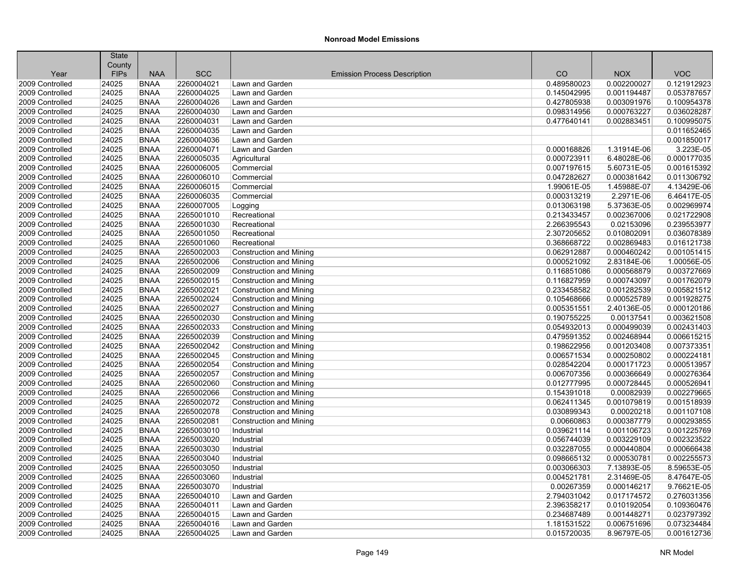|                 | <b>State</b> |             |            |                                     |             |             |             |
|-----------------|--------------|-------------|------------|-------------------------------------|-------------|-------------|-------------|
|                 | County       |             |            |                                     |             |             |             |
| Year            | <b>FIPs</b>  | <b>NAA</b>  | <b>SCC</b> | <b>Emission Process Description</b> | CO          | <b>NOX</b>  | <b>VOC</b>  |
| 2009 Controlled | 24025        | <b>BNAA</b> | 2260004021 | Lawn and Garden                     | 0.489580023 | 0.002200027 | 0.121912923 |
| 2009 Controlled | 24025        | <b>BNAA</b> | 2260004025 | Lawn and Garden                     | 0.145042995 | 0.001194487 | 0.053787657 |
| 2009 Controlled | 24025        | <b>BNAA</b> | 2260004026 | Lawn and Garden                     | 0.427805938 | 0.003091976 | 0.100954378 |
| 2009 Controlled | 24025        | <b>BNAA</b> | 2260004030 | Lawn and Garden                     | 0.098314956 | 0.000763227 | 0.036028287 |
| 2009 Controlled | 24025        | <b>BNAA</b> | 2260004031 | Lawn and Garden                     | 0.477640141 | 0.002883451 | 0.100995075 |
| 2009 Controlled | 24025        | <b>BNAA</b> | 2260004035 | Lawn and Garden                     |             |             | 0.011652465 |
| 2009 Controlled | 24025        | <b>BNAA</b> | 2260004036 | Lawn and Garden                     |             |             | 0.001850017 |
| 2009 Controlled | 24025        | <b>BNAA</b> | 2260004071 | Lawn and Garden                     | 0.000168826 | 1.31914E-06 | 3.223E-05   |
| 2009 Controlled | 24025        | <b>BNAA</b> | 2260005035 | Agricultural                        | 0.000723911 | 6.48028E-06 | 0.000177035 |
| 2009 Controlled | 24025        | <b>BNAA</b> | 2260006005 | Commercial                          | 0.007197615 | 5.60731E-05 | 0.001615392 |
| 2009 Controlled | 24025        | <b>BNAA</b> | 2260006010 | Commercial                          | 0.047282627 | 0.000381642 | 0.011306792 |
| 2009 Controlled | 24025        | <b>BNAA</b> | 2260006015 | Commercial                          | 1.99061E-05 | 1.45988E-07 | 4.13429E-06 |
| 2009 Controlled | 24025        | <b>BNAA</b> | 2260006035 | Commercial                          | 0.000313219 | 2.2971E-06  | 6.46417E-05 |
| 2009 Controlled | 24025        | <b>BNAA</b> | 2260007005 | Logging                             | 0.013063198 | 5.37363E-05 | 0.002969974 |
| 2009 Controlled | 24025        | <b>BNAA</b> | 2265001010 | Recreational                        | 0.213433457 | 0.002367006 | 0.021722908 |
| 2009 Controlled | 24025        | <b>BNAA</b> | 2265001030 | Recreational                        | 2.266395543 | 0.02153096  | 0.239553977 |
| 2009 Controlled | 24025        | <b>BNAA</b> | 2265001050 | Recreational                        | 2.307205652 | 0.010802091 | 0.036078389 |
| 2009 Controlled | 24025        | <b>BNAA</b> | 2265001060 | Recreational                        | 0.368668722 | 0.002869483 | 0.016121738 |
| 2009 Controlled | 24025        | <b>BNAA</b> | 2265002003 | <b>Construction and Mining</b>      | 0.062912887 | 0.000460242 | 0.001051415 |
| 2009 Controlled | 24025        | <b>BNAA</b> | 2265002006 | <b>Construction and Mining</b>      | 0.000521092 | 2.83184E-06 | 1.00056E-05 |
| 2009 Controlled | 24025        | <b>BNAA</b> | 2265002009 | <b>Construction and Mining</b>      | 0.116851086 | 0.000568879 | 0.003727669 |
| 2009 Controlled | 24025        | <b>BNAA</b> | 2265002015 | <b>Construction and Mining</b>      | 0.116827959 | 0.000743097 | 0.001762079 |
| 2009 Controlled | 24025        | <b>BNAA</b> | 2265002021 | <b>Construction and Mining</b>      | 0.233458582 | 0.001282539 | 0.005821512 |
| 2009 Controlled | 24025        | <b>BNAA</b> | 2265002024 | <b>Construction and Mining</b>      | 0.105468666 | 0.000525789 | 0.001928275 |
| 2009 Controlled | 24025        | <b>BNAA</b> | 2265002027 | <b>Construction and Mining</b>      | 0.005351551 | 2.40136E-05 | 0.000120186 |
| 2009 Controlled | 24025        | <b>BNAA</b> | 2265002030 | <b>Construction and Mining</b>      | 0.190755225 | 0.00137541  | 0.003621508 |
| 2009 Controlled | 24025        | <b>BNAA</b> | 2265002033 | <b>Construction and Mining</b>      | 0.054932013 | 0.000499039 | 0.002431403 |
| 2009 Controlled | 24025        | <b>BNAA</b> | 2265002039 | <b>Construction and Mining</b>      | 0.479591352 | 0.002468944 | 0.006615215 |
| 2009 Controlled | 24025        | <b>BNAA</b> | 2265002042 | <b>Construction and Mining</b>      | 0.198622956 | 0.001203408 | 0.007373351 |
| 2009 Controlled | 24025        | <b>BNAA</b> | 2265002045 | <b>Construction and Mining</b>      | 0.006571534 | 0.000250802 | 0.000224181 |
| 2009 Controlled | 24025        | <b>BNAA</b> | 2265002054 | Construction and Mining             | 0.028542204 | 0.000171723 | 0.000513957 |
| 2009 Controlled | 24025        | <b>BNAA</b> | 2265002057 | <b>Construction and Mining</b>      | 0.006707356 | 0.000366649 | 0.000276364 |
| 2009 Controlled | 24025        | <b>BNAA</b> | 2265002060 | <b>Construction and Mining</b>      | 0.012777995 | 0.000728445 | 0.000526941 |
| 2009 Controlled | 24025        | <b>BNAA</b> | 2265002066 | <b>Construction and Mining</b>      | 0.154391018 | 0.00082939  | 0.002279665 |
| 2009 Controlled | 24025        | <b>BNAA</b> | 2265002072 | Construction and Mining             | 0.062411345 | 0.001079819 | 0.001518939 |
| 2009 Controlled | 24025        | <b>BNAA</b> | 2265002078 | <b>Construction and Mining</b>      | 0.030899343 | 0.00020218  | 0.001107108 |
| 2009 Controlled | 24025        | <b>BNAA</b> | 2265002081 | Construction and Mining             | 0.00660863  | 0.000387779 | 0.000293855 |
| 2009 Controlled | 24025        | <b>BNAA</b> | 2265003010 | Industrial                          | 0.039621114 | 0.001106723 | 0.001225769 |
| 2009 Controlled | 24025        | <b>BNAA</b> | 2265003020 | Industrial                          | 0.056744039 | 0.003229109 | 0.002323522 |
| 2009 Controlled | 24025        | <b>BNAA</b> | 2265003030 | Industrial                          | 0.032287055 | 0.000440804 | 0.000666438 |
| 2009 Controlled | 24025        | <b>BNAA</b> | 2265003040 | Industrial                          | 0.098665132 | 0.000530781 | 0.002255573 |
| 2009 Controlled | 24025        | <b>BNAA</b> | 2265003050 | Industrial                          | 0.003066303 | 7.13893E-05 | 8.59653E-05 |
| 2009 Controlled | 24025        | <b>BNAA</b> | 2265003060 | Industrial                          | 0.004521781 | 2.31469E-05 | 8.47647E-05 |
| 2009 Controlled | 24025        | <b>BNAA</b> | 2265003070 | Industrial                          | 0.00267359  | 0.000146217 | 9.76621E-05 |
| 2009 Controlled | 24025        | <b>BNAA</b> | 2265004010 | Lawn and Garden                     | 2.794031042 | 0.017174572 | 0.276031356 |
| 2009 Controlled | 24025        | <b>BNAA</b> | 2265004011 | Lawn and Garden                     | 2.396358217 | 0.010192054 | 0.109360476 |
| 2009 Controlled | 24025        | <b>BNAA</b> | 2265004015 | Lawn and Garden                     | 0.234687489 | 0.001448271 | 0.023797392 |
| 2009 Controlled | 24025        | <b>BNAA</b> | 2265004016 | Lawn and Garden                     | 1.181531522 | 0.006751696 | 0.073234484 |
| 2009 Controlled | 24025        | <b>BNAA</b> | 2265004025 | Lawn and Garden                     | 0.015720035 | 8.96797E-05 | 0.001612736 |
|                 |              |             |            |                                     |             |             |             |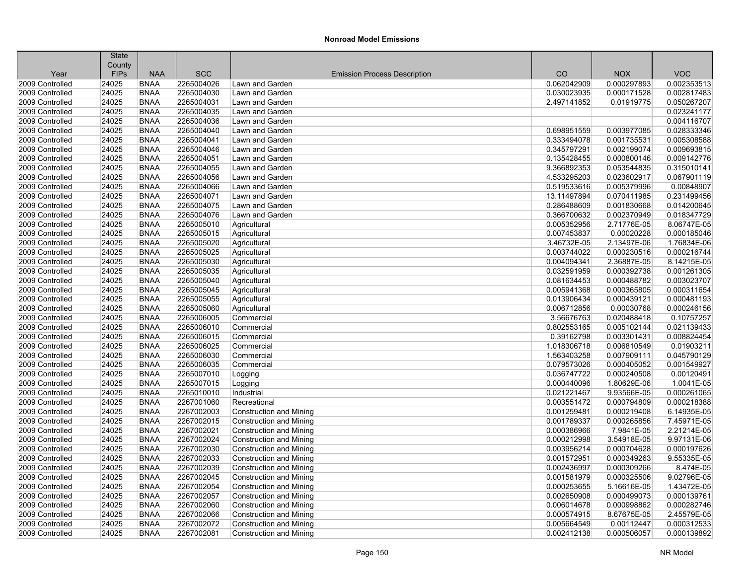|                                    | <b>State</b>          |                            |                          |                                     |                            |                            |                            |
|------------------------------------|-----------------------|----------------------------|--------------------------|-------------------------------------|----------------------------|----------------------------|----------------------------|
| Year                               | County<br><b>FIPs</b> | <b>NAA</b>                 | <b>SCC</b>               | <b>Emission Process Description</b> | CO                         | <b>NOX</b>                 | <b>VOC</b>                 |
| 2009 Controlled                    | 24025                 | <b>BNAA</b>                | 2265004026               | Lawn and Garden                     | 0.062042909                | 0.000297893                | 0.002353513                |
| 2009 Controlled                    | 24025                 | <b>BNAA</b>                | 2265004030               | Lawn and Garden                     | 0.030023935                | 0.000171528                | 0.002817483                |
| 2009 Controlled                    | 24025                 | <b>BNAA</b>                | 2265004031               | Lawn and Garden                     | 2.497141852                | 0.01919775                 | 0.050267207                |
| 2009 Controlled                    | 24025                 | <b>BNAA</b>                | 2265004035               | Lawn and Garden                     |                            |                            | 0.023241177                |
| 2009 Controlled                    | 24025                 | <b>BNAA</b>                | 2265004036               | Lawn and Garden                     |                            |                            | 0.004116707                |
| 2009 Controlled                    |                       |                            |                          |                                     |                            |                            |                            |
| 2009 Controlled                    | 24025<br>24025        | <b>BNAA</b><br><b>BNAA</b> | 2265004040<br>2265004041 | Lawn and Garden<br>Lawn and Garden  | 0.698951559<br>0.333494078 | 0.003977085<br>0.001735531 | 0.028333346<br>0.005308588 |
| 2009 Controlled                    | 24025                 | <b>BNAA</b>                |                          | Lawn and Garden                     |                            |                            | 0.009693815                |
|                                    |                       |                            | 2265004046               |                                     | 0.345797291                | 0.002199074                | 0.009142776                |
| 2009 Controlled<br>2009 Controlled | 24025<br>24025        | <b>BNAA</b><br><b>BNAA</b> | 2265004051<br>2265004055 | Lawn and Garden<br>Lawn and Garden  | 0.135428455<br>9.366892353 | 0.000800146                | 0.315010141                |
|                                    | 24025                 |                            |                          |                                     |                            | 0.053544835                |                            |
| 2009 Controlled                    |                       | <b>BNAA</b>                | 2265004056               | Lawn and Garden                     | 4.533295203                | 0.023602917                | 0.067901119                |
| 2009 Controlled                    | 24025                 | <b>BNAA</b>                | 2265004066               | Lawn and Garden                     | 0.519533616                | 0.005379996                | 0.00848907                 |
| 2009 Controlled<br>2009 Controlled | 24025<br>24025        | <b>BNAA</b><br><b>BNAA</b> | 2265004071<br>2265004075 | Lawn and Garden                     | 13.11497894<br>0.286488609 | 0.070411985                | 0.231499456<br>0.014200645 |
|                                    |                       |                            |                          | Lawn and Garden                     |                            | 0.001830668                |                            |
| 2009 Controlled                    | 24025                 | <b>BNAA</b>                | 2265004076               | Lawn and Garden                     | 0.366700632                | 0.002370949                | 0.018347729                |
| 2009 Controlled                    | 24025                 | <b>BNAA</b>                | 2265005010               | Agricultural                        | 0.005352956                | 2.71776E-05                | 8.06747E-05                |
| 2009 Controlled                    | 24025                 | <b>BNAA</b>                | 2265005015               | Agricultural                        | 0.007453837                | 0.00020228                 | 0.000185046                |
| 2009 Controlled                    | 24025                 | <b>BNAA</b>                | 2265005020               | Agricultural                        | 3.46732E-05                | 2.13497E-06                | 1.76834E-06                |
| 2009 Controlled                    | 24025                 | <b>BNAA</b>                | 2265005025               | Agricultural                        | 0.003744022                | 0.000230516                | 0.000216744                |
| 2009 Controlled                    | 24025                 | <b>BNAA</b>                | 2265005030               | Agricultural                        | 0.004094341                | 2.36887E-05                | 8.14215E-05                |
| 2009 Controlled                    | 24025                 | <b>BNAA</b>                | 2265005035               | Agricultural                        | 0.032591959                | 0.000392738                | 0.001261305                |
| 2009 Controlled                    | 24025                 | <b>BNAA</b>                | 2265005040               | Agricultural                        | 0.081634453                | 0.000488782                | 0.003023707                |
| 2009 Controlled                    | 24025                 | <b>BNAA</b>                | 2265005045               | Agricultural                        | 0.005941368                | 0.000365805                | 0.000311654                |
| 2009 Controlled                    | 24025                 | <b>BNAA</b>                | 2265005055               | Agricultural                        | 0.013906434                | 0.000439121                | 0.000481193                |
| 2009 Controlled                    | 24025                 | <b>BNAA</b>                | 2265005060               | Agricultural                        | 0.006712856                | 0.00030768                 | 0.000246156                |
| 2009 Controlled                    | 24025                 | <b>BNAA</b>                | 2265006005               | Commercial                          | 3.56676763                 | 0.020488418                | 0.10757257                 |
| 2009 Controlled                    | 24025                 | <b>BNAA</b>                | 2265006010               | Commercial                          | 0.802553165                | 0.005102144                | 0.021139433                |
| 2009 Controlled                    | 24025                 | <b>BNAA</b>                | 2265006015               | Commercial                          | 0.39162798                 | 0.003301431                | 0.008824454                |
| 2009 Controlled                    | 24025                 | <b>BNAA</b>                | 2265006025               | Commercial                          | 1.018306718                | 0.006810549                | 0.01903211                 |
| 2009 Controlled                    | 24025                 | <b>BNAA</b>                | 2265006030               | Commercial                          | 1.563403258                | 0.007909111                | 0.045790129                |
| 2009 Controlled                    | 24025                 | <b>BNAA</b>                | 2265006035               | Commercial                          | 0.079573026                | 0.000405052                | 0.001549927                |
| 2009 Controlled                    | 24025                 | <b>BNAA</b>                | 2265007010               | Logging                             | 0.036747722                | 0.000240508                | 0.00120491                 |
| 2009 Controlled                    | 24025                 | <b>BNAA</b>                | 2265007015               | Logging                             | 0.000440096                | 1.80629E-06                | 1.0041E-05                 |
| 2009 Controlled                    | 24025                 | <b>BNAA</b>                | 2265010010               | Industrial                          | 0.021221467                | 9.93566E-05                | 0.000261065                |
| 2009 Controlled                    | 24025                 | <b>BNAA</b>                | 2267001060               | Recreational                        | 0.003551472                | 0.000794809                | 0.000218388                |
| 2009 Controlled                    | 24025                 | <b>BNAA</b>                | 2267002003               | <b>Construction and Mining</b>      | 0.001259481                | 0.000219408                | 6.14935E-05                |
| 2009 Controlled                    | 24025                 | <b>BNAA</b>                | 2267002015               | <b>Construction and Mining</b>      | 0.001789337                | 0.000265856                | 7.45971E-05                |
| 2009 Controlled                    | 24025                 | <b>BNAA</b>                | 2267002021               | <b>Construction and Mining</b>      | 0.000386966                | 7.9841E-05                 | 2.21214E-05                |
| 2009 Controlled                    | 24025                 | <b>BNAA</b>                | 2267002024               | <b>Construction and Mining</b>      | 0.000212998                | 3.54918E-05                | 9.97131E-06                |
| 2009 Controlled                    | 24025                 | <b>BNAA</b>                | 2267002030               | <b>Construction and Mining</b>      | 0.003956214                | 0.000704628                | 0.000197626                |
| 2009 Controlled                    | 24025                 | <b>BNAA</b>                | 2267002033               | <b>Construction and Mining</b>      | 0.001572951                | 0.000349263                | 9.55335E-05                |
| 2009 Controlled                    | 24025                 | <b>BNAA</b>                | 2267002039               | <b>Construction and Mining</b>      | 0.002436997                | 0.000309266                | 8.474E-05                  |
| 2009 Controlled                    | 24025                 | <b>BNAA</b>                | 2267002045               | <b>Construction and Mining</b>      | 0.001581979                | 0.000325506                | 9.02796E-05                |
| 2009 Controlled                    | 24025                 | <b>BNAA</b>                | 2267002054               | Construction and Mining             | 0.000253655                | 5.16616E-05                | 1.43472E-05                |
| 2009 Controlled                    | 24025                 | <b>BNAA</b>                | 2267002057               | <b>Construction and Mining</b>      | 0.002650908                | 0.000499073                | 0.000139761                |
| 2009 Controlled                    | 24025                 | <b>BNAA</b>                | 2267002060               | <b>Construction and Mining</b>      | 0.006014678                | 0.000998862                | 0.000282746                |
| 2009 Controlled                    | 24025                 | <b>BNAA</b>                | 2267002066               | <b>Construction and Mining</b>      | 0.000574915                | 8.67675E-05                | 2.45579E-05                |
| 2009 Controlled                    | 24025                 | <b>BNAA</b>                | 2267002072               | <b>Construction and Mining</b>      | 0.005664549                | 0.00112447                 | 0.000312533                |
| 2009 Controlled                    | 24025                 | <b>BNAA</b>                | 2267002081               | <b>Construction and Mining</b>      | 0.002412138                | 0.000506057                | 0.000139892                |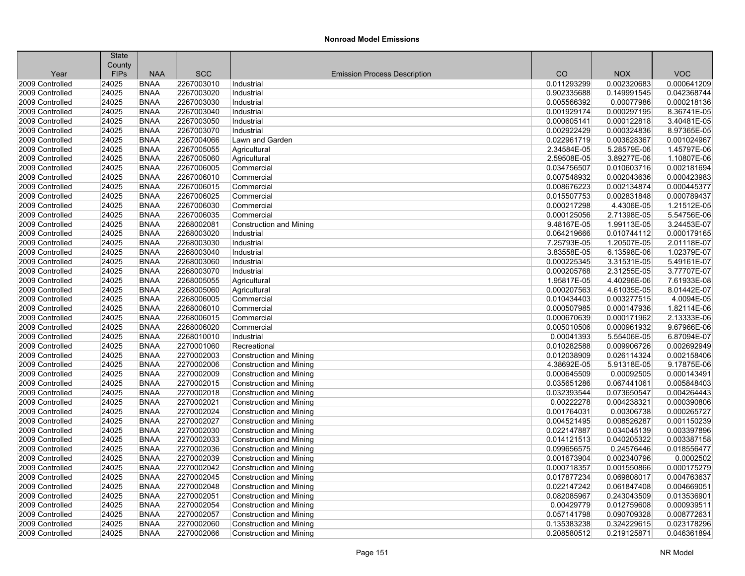|                 | <b>State</b> |             |            |                                     |             |             |             |
|-----------------|--------------|-------------|------------|-------------------------------------|-------------|-------------|-------------|
|                 | County       |             |            |                                     |             |             |             |
| Year            | <b>FIPs</b>  | <b>NAA</b>  | <b>SCC</b> | <b>Emission Process Description</b> | CO          | <b>NOX</b>  | <b>VOC</b>  |
| 2009 Controlled | 24025        | <b>BNAA</b> | 2267003010 | Industrial                          | 0.011293299 | 0.002320683 | 0.000641209 |
| 2009 Controlled | 24025        | <b>BNAA</b> | 2267003020 | Industrial                          | 0.902335688 | 0.149991545 | 0.042368744 |
| 2009 Controlled | 24025        | <b>BNAA</b> | 2267003030 | Industrial                          | 0.005566392 | 0.00077986  | 0.000218136 |
| 2009 Controlled | 24025        | <b>BNAA</b> | 2267003040 | Industrial                          | 0.001929174 | 0.000297195 | 8.36741E-05 |
| 2009 Controlled | 24025        | <b>BNAA</b> | 2267003050 | Industrial                          | 0.000605141 | 0.000122818 | 3.40481E-05 |
| 2009 Controlled | 24025        | <b>BNAA</b> | 2267003070 | Industrial                          | 0.002922429 | 0.000324836 | 8.97365E-05 |
| 2009 Controlled | 24025        | <b>BNAA</b> | 2267004066 | Lawn and Garden                     | 0.022961719 | 0.003628367 | 0.001024967 |
| 2009 Controlled | 24025        | <b>BNAA</b> | 2267005055 | Agricultural                        | 2.34584E-05 | 5.28579E-06 | 1.45797E-06 |
| 2009 Controlled | 24025        | <b>BNAA</b> | 2267005060 | Agricultural                        | 2.59508E-05 | 3.89277E-06 | 1.10807E-06 |
| 2009 Controlled | 24025        | <b>BNAA</b> | 2267006005 | Commercial                          | 0.034756507 | 0.010603716 | 0.002181694 |
| 2009 Controlled | 24025        | <b>BNAA</b> | 2267006010 | Commercial                          | 0.007548932 | 0.002043636 | 0.000423983 |
| 2009 Controlled | 24025        | <b>BNAA</b> | 2267006015 | Commercial                          | 0.008676223 | 0.002134874 | 0.000445377 |
| 2009 Controlled | 24025        | <b>BNAA</b> | 2267006025 | Commercial                          | 0.015507753 | 0.002831848 | 0.000789437 |
| 2009 Controlled | 24025        | <b>BNAA</b> | 2267006030 | Commercial                          | 0.000217298 | 4.4306E-05  | 1.21512E-05 |
| 2009 Controlled | 24025        | <b>BNAA</b> | 2267006035 | Commercial                          | 0.000125056 | 2.71398E-05 | 5.54756E-06 |
| 2009 Controlled | 24025        | <b>BNAA</b> | 2268002081 | Construction and Mining             | 9.48167E-05 | 1.99113E-05 | 3.24453E-07 |
| 2009 Controlled | 24025        | <b>BNAA</b> | 2268003020 | Industrial                          | 0.064219666 | 0.010744112 | 0.000179165 |
| 2009 Controlled | 24025        | <b>BNAA</b> | 2268003030 | Industrial                          | 7.25793E-05 | 1.20507E-05 | 2.01118E-07 |
| 2009 Controlled | 24025        | <b>BNAA</b> | 2268003040 | Industrial                          | 3.83558E-05 | 6.13598E-06 | 1.02379E-07 |
| 2009 Controlled | 24025        | <b>BNAA</b> | 2268003060 | Industrial                          | 0.000225345 | 3.31531E-05 | 5.49161E-07 |
| 2009 Controlled | 24025        | <b>BNAA</b> | 2268003070 | Industrial                          | 0.000205768 | 2.31255E-05 | 3.77707E-07 |
| 2009 Controlled | 24025        | <b>BNAA</b> | 2268005055 | Agricultural                        | 1.95817E-05 | 4.40296E-06 | 7.61933E-08 |
| 2009 Controlled | 24025        | <b>BNAA</b> | 2268005060 | Agricultural                        | 0.000207563 | 4.61035E-05 | 8.01442E-07 |
| 2009 Controlled | 24025        | <b>BNAA</b> | 2268006005 | Commercial                          | 0.010434403 | 0.003277515 | 4.0094E-05  |
| 2009 Controlled | 24025        | <b>BNAA</b> | 2268006010 | Commercial                          | 0.000507985 | 0.000147936 | 1.82114E-06 |
| 2009 Controlled | 24025        | <b>BNAA</b> | 2268006015 | Commercial                          | 0.000670639 | 0.000171962 | 2.13333E-06 |
| 2009 Controlled | 24025        | <b>BNAA</b> | 2268006020 | Commercial                          | 0.005010506 | 0.000961932 | 9.67966E-06 |
| 2009 Controlled | 24025        | <b>BNAA</b> | 2268010010 | Industrial                          | 0.00041393  | 5.55406E-05 | 6.87094E-07 |
| 2009 Controlled | 24025        | <b>BNAA</b> | 2270001060 | Recreational                        | 0.010282588 | 0.009906726 | 0.002692949 |
| 2009 Controlled | 24025        | <b>BNAA</b> | 2270002003 | <b>Construction and Mining</b>      | 0.012038909 | 0.026114324 | 0.002158406 |
| 2009 Controlled | 24025        | <b>BNAA</b> | 2270002006 | <b>Construction and Mining</b>      | 4.38692E-05 | 5.91318E-05 | 9.17875E-06 |
| 2009 Controlled | 24025        | <b>BNAA</b> | 2270002009 | <b>Construction and Mining</b>      | 0.000645509 | 0.00092505  | 0.000143491 |
| 2009 Controlled | 24025        | <b>BNAA</b> | 2270002015 | <b>Construction and Mining</b>      | 0.035651286 | 0.067441061 | 0.005848403 |
| 2009 Controlled | 24025        | <b>BNAA</b> | 2270002018 | <b>Construction and Mining</b>      | 0.032393544 | 0.073650547 | 0.004264443 |
| 2009 Controlled | 24025        | <b>BNAA</b> | 2270002021 | <b>Construction and Mining</b>      | 0.00222278  | 0.004238321 | 0.000390806 |
| 2009 Controlled | 24025        | <b>BNAA</b> | 2270002024 | <b>Construction and Mining</b>      | 0.001764031 | 0.00306738  | 0.000265727 |
| 2009 Controlled | 24025        | <b>BNAA</b> | 2270002027 | <b>Construction and Mining</b>      | 0.004521495 | 0.008526287 | 0.001150239 |
| 2009 Controlled | 24025        | <b>BNAA</b> | 2270002030 | <b>Construction and Mining</b>      | 0.022147887 | 0.034045139 | 0.003397896 |
| 2009 Controlled | 24025        | <b>BNAA</b> | 2270002033 | <b>Construction and Mining</b>      | 0.014121513 | 0.040205322 | 0.003387158 |
| 2009 Controlled | 24025        | <b>BNAA</b> | 2270002036 | <b>Construction and Mining</b>      | 0.099656575 | 0.24576446  | 0.018556477 |
| 2009 Controlled | 24025        | <b>BNAA</b> | 2270002039 | <b>Construction and Mining</b>      | 0.001673904 | 0.002340796 | 0.0002502   |
| 2009 Controlled | 24025        | <b>BNAA</b> | 2270002042 | <b>Construction and Mining</b>      | 0.000718357 | 0.001550866 | 0.000175279 |
| 2009 Controlled | 24025        | <b>BNAA</b> | 2270002045 | <b>Construction and Mining</b>      | 0.017877234 | 0.069808017 | 0.004763637 |
| 2009 Controlled | 24025        | <b>BNAA</b> | 2270002048 | <b>Construction and Mining</b>      | 0.022147242 | 0.061847408 | 0.004669051 |
| 2009 Controlled | 24025        | <b>BNAA</b> | 2270002051 | <b>Construction and Mining</b>      | 0.082085967 | 0.243043509 | 0.013536901 |
| 2009 Controlled | 24025        | <b>BNAA</b> | 2270002054 | <b>Construction and Mining</b>      | 0.00429779  | 0.012759608 | 0.000939511 |
| 2009 Controlled | 24025        | <b>BNAA</b> | 2270002057 | <b>Construction and Mining</b>      | 0.057141798 | 0.090709328 | 0.008772631 |
| 2009 Controlled | 24025        | <b>BNAA</b> | 2270002060 | <b>Construction and Mining</b>      | 0.135383238 | 0.324229615 | 0.023178296 |
| 2009 Controlled | 24025        | <b>BNAA</b> | 2270002066 | <b>Construction and Mining</b>      | 0.208580512 | 0.219125871 | 0.046361894 |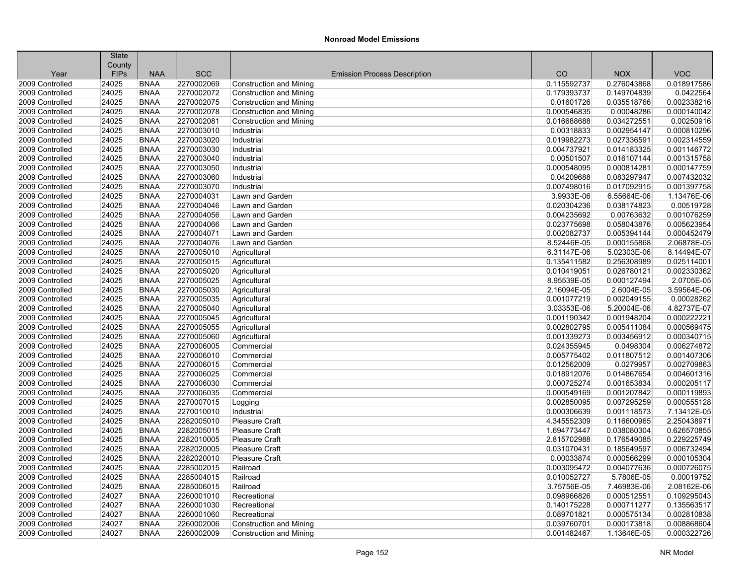|                 | <b>State</b> |             |            |                                     |             |             |             |
|-----------------|--------------|-------------|------------|-------------------------------------|-------------|-------------|-------------|
|                 | County       |             |            |                                     |             |             |             |
| Year            | <b>FIPs</b>  | <b>NAA</b>  | <b>SCC</b> | <b>Emission Process Description</b> | CO          | <b>NOX</b>  | <b>VOC</b>  |
| 2009 Controlled | 24025        | <b>BNAA</b> | 2270002069 | <b>Construction and Mining</b>      | 0.115592737 | 0.276043868 | 0.018917586 |
| 2009 Controlled | 24025        | <b>BNAA</b> | 2270002072 | <b>Construction and Mining</b>      | 0.179393737 | 0.149704839 | 0.0422564   |
| 2009 Controlled | 24025        | <b>BNAA</b> | 2270002075 | <b>Construction and Mining</b>      | 0.01601726  | 0.035518766 | 0.002338216 |
| 2009 Controlled | 24025        | <b>BNAA</b> | 2270002078 | Construction and Mining             | 0.000546835 | 0.00048286  | 0.000140042 |
| 2009 Controlled | 24025        | <b>BNAA</b> | 2270002081 | <b>Construction and Mining</b>      | 0.016688688 | 0.034272551 | 0.00250916  |
| 2009 Controlled | 24025        | <b>BNAA</b> | 2270003010 | Industrial                          | 0.00318833  | 0.002954147 | 0.000810296 |
| 2009 Controlled | 24025        | <b>BNAA</b> | 2270003020 | Industrial                          | 0.019982273 | 0.027336591 | 0.002314559 |
| 2009 Controlled | 24025        | <b>BNAA</b> | 2270003030 | Industrial                          | 0.004737921 | 0.014183325 | 0.001146772 |
| 2009 Controlled | 24025        | <b>BNAA</b> | 2270003040 | Industrial                          | 0.00501507  | 0.016107144 | 0.001315758 |
| 2009 Controlled | 24025        | <b>BNAA</b> | 2270003050 | Industrial                          | 0.000548095 | 0.000814281 | 0.000147759 |
| 2009 Controlled | 24025        | <b>BNAA</b> | 2270003060 | Industrial                          | 0.04209688  | 0.083297947 | 0.007432032 |
| 2009 Controlled | 24025        | <b>BNAA</b> | 2270003070 | Industrial                          | 0.007498016 | 0.017092915 | 0.001397758 |
| 2009 Controlled | 24025        | <b>BNAA</b> | 2270004031 | Lawn and Garden                     | 3.9933E-06  | 6.55664E-06 | 1.13476E-06 |
| 2009 Controlled | 24025        | <b>BNAA</b> | 2270004046 | Lawn and Garden                     | 0.020304236 | 0.038174823 | 0.00519728  |
| 2009 Controlled | 24025        | <b>BNAA</b> | 2270004056 | Lawn and Garden                     | 0.004235692 | 0.00763632  | 0.001076259 |
| 2009 Controlled | 24025        | <b>BNAA</b> | 2270004066 | Lawn and Garden                     | 0.023775698 | 0.058043876 | 0.005623954 |
| 2009 Controlled | 24025        | <b>BNAA</b> | 2270004071 | Lawn and Garden                     | 0.002082737 | 0.005394144 | 0.000452479 |
| 2009 Controlled | 24025        | <b>BNAA</b> | 2270004076 | Lawn and Garden                     | 8.52446E-05 | 0.000155868 | 2.06878E-05 |
| 2009 Controlled | 24025        | <b>BNAA</b> | 2270005010 | Agricultural                        | 6.31147E-06 | 5.02303E-06 | 8.14494E-07 |
| 2009 Controlled | 24025        | <b>BNAA</b> | 2270005015 | Agricultural                        | 0.135411582 | 0.256308989 | 0.025114001 |
| 2009 Controlled | 24025        | <b>BNAA</b> | 2270005020 | Agricultural                        | 0.010419051 | 0.026780121 | 0.002330362 |
| 2009 Controlled | 24025        | <b>BNAA</b> | 2270005025 | Agricultural                        | 8.95539E-05 | 0.000127494 | 2.0705E-05  |
| 2009 Controlled | 24025        | <b>BNAA</b> | 2270005030 | Agricultural                        | 2.16094E-05 | 2.6004E-05  | 3.59564E-06 |
| 2009 Controlled | 24025        | <b>BNAA</b> | 2270005035 | Agricultural                        | 0.001077219 | 0.002049155 | 0.00028262  |
| 2009 Controlled | 24025        | <b>BNAA</b> | 2270005040 | Agricultural                        | 3.03353E-06 | 5.20004E-06 | 4.82737E-07 |
| 2009 Controlled | 24025        | <b>BNAA</b> | 2270005045 | Agricultural                        | 0.001190342 | 0.001948204 | 0.000222221 |
| 2009 Controlled | 24025        | <b>BNAA</b> | 2270005055 | Agricultural                        | 0.002802795 | 0.005411084 | 0.000569475 |
| 2009 Controlled | 24025        | <b>BNAA</b> | 2270005060 | Agricultural                        | 0.001339273 | 0.003456912 | 0.000340715 |
| 2009 Controlled | 24025        | <b>BNAA</b> | 2270006005 | Commercial                          | 0.024355945 | 0.0498304   | 0.006274872 |
| 2009 Controlled | 24025        | <b>BNAA</b> | 2270006010 | Commercial                          | 0.005775402 | 0.011807512 | 0.001407306 |
| 2009 Controlled | 24025        | <b>BNAA</b> | 2270006015 | Commercial                          | 0.012562009 | 0.0279957   | 0.002709863 |
| 2009 Controlled | 24025        | <b>BNAA</b> | 2270006025 | Commercial                          | 0.018912076 | 0.014867654 | 0.004601316 |
| 2009 Controlled | 24025        | <b>BNAA</b> | 2270006030 | Commercial                          | 0.000725274 | 0.001653834 | 0.000205117 |
| 2009 Controlled | 24025        | <b>BNAA</b> | 2270006035 | Commercial                          | 0.000549169 | 0.001207842 | 0.000119893 |
| 2009 Controlled | 24025        | <b>BNAA</b> | 2270007015 | Logging                             | 0.002850095 | 0.007295259 | 0.000555128 |
| 2009 Controlled | 24025        | <b>BNAA</b> | 2270010010 | Industrial                          | 0.000306639 | 0.001118573 | 7.13412E-05 |
| 2009 Controlled | 24025        | <b>BNAA</b> | 2282005010 | Pleasure Craft                      | 4.345552309 | 0.116600965 | 2.250438971 |
| 2009 Controlled | 24025        | <b>BNAA</b> | 2282005015 | Pleasure Craft                      | 1.694773447 | 0.038080304 | 0.626570855 |
| 2009 Controlled | 24025        | <b>BNAA</b> | 2282010005 | <b>Pleasure Craft</b>               | 2.815702988 | 0.176549085 | 0.229225749 |
| 2009 Controlled | 24025        | <b>BNAA</b> | 2282020005 | <b>Pleasure Craft</b>               | 0.031070431 | 0.185649597 | 0.006732494 |
| 2009 Controlled | 24025        | <b>BNAA</b> | 2282020010 | Pleasure Craft                      | 0.00033874  | 0.000566299 | 0.000105304 |
| 2009 Controlled | 24025        | <b>BNAA</b> | 2285002015 | Railroad                            | 0.003095472 | 0.004077636 | 0.000726075 |
| 2009 Controlled | 24025        | <b>BNAA</b> | 2285004015 | Railroad                            | 0.010052727 | 5.7806E-05  | 0.00019752  |
| 2009 Controlled | 24025        | <b>BNAA</b> | 2285006015 | Railroad                            | 3.75756E-05 | 7.46983E-06 | 2.08162E-06 |
| 2009 Controlled | 24027        | <b>BNAA</b> | 2260001010 | Recreational                        | 0.098966826 | 0.000512551 | 0.109295043 |
| 2009 Controlled | 24027        | <b>BNAA</b> | 2260001030 | Recreational                        | 0.140175228 | 0.000711277 | 0.135563517 |
| 2009 Controlled | 24027        | <b>BNAA</b> | 2260001060 | Recreational                        | 0.089701821 | 0.000575134 | 0.002810838 |
| 2009 Controlled | 24027        | <b>BNAA</b> | 2260002006 | Construction and Mining             | 0.039760701 | 0.000173818 | 0.008868604 |
|                 | 24027        | <b>BNAA</b> |            |                                     |             |             |             |
| 2009 Controlled |              |             | 2260002009 | Construction and Mining             | 0.001482467 | 1.13646E-05 | 0.000322726 |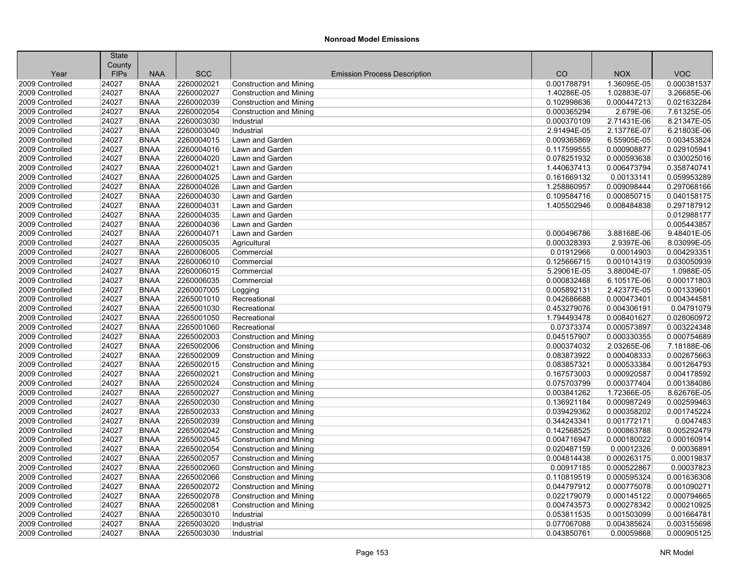|                 | <b>State</b> |             |            |                                     |             |             |             |
|-----------------|--------------|-------------|------------|-------------------------------------|-------------|-------------|-------------|
|                 | County       |             |            |                                     |             |             |             |
| Year            | <b>FIPs</b>  | <b>NAA</b>  | <b>SCC</b> | <b>Emission Process Description</b> | CO          | <b>NOX</b>  | <b>VOC</b>  |
| 2009 Controlled | 24027        | <b>BNAA</b> | 2260002021 | <b>Construction and Mining</b>      | 0.001788791 | 1.36095E-05 | 0.000381537 |
| 2009 Controlled | 24027        | <b>BNAA</b> | 2260002027 | <b>Construction and Mining</b>      | 1.40286E-05 | 1.02883E-07 | 3.26685E-06 |
| 2009 Controlled | 24027        | <b>BNAA</b> | 2260002039 | <b>Construction and Mining</b>      | 0.102998636 | 0.000447213 | 0.021632284 |
| 2009 Controlled | 24027        | <b>BNAA</b> | 2260002054 | <b>Construction and Mining</b>      | 0.000365294 | 2.679E-06   | 7.61325E-05 |
| 2009 Controlled | 24027        | <b>BNAA</b> | 2260003030 | Industrial                          | 0.000370109 | 2.71431E-06 | 8.21347E-05 |
| 2009 Controlled | 24027        | <b>BNAA</b> | 2260003040 | Industrial                          | 2.91494E-05 | 2.13776E-07 | 6.21803E-06 |
| 2009 Controlled | 24027        | <b>BNAA</b> | 2260004015 | Lawn and Garden                     | 0.009365869 | 6.55905E-05 | 0.003453824 |
| 2009 Controlled | 24027        | <b>BNAA</b> | 2260004016 | Lawn and Garden                     | 0.117599555 | 0.000908877 | 0.029105941 |
| 2009 Controlled | 24027        | <b>BNAA</b> | 2260004020 | Lawn and Garden                     | 0.078251932 | 0.000593638 | 0.030025016 |
| 2009 Controlled | 24027        | <b>BNAA</b> | 2260004021 | Lawn and Garden                     | 1.440637413 | 0.006473794 | 0.358740741 |
| 2009 Controlled | 24027        | <b>BNAA</b> | 2260004025 | Lawn and Garden                     | 0.161669132 | 0.00133141  | 0.059953289 |
| 2009 Controlled | 24027        | <b>BNAA</b> | 2260004026 | Lawn and Garden                     | 1.258860957 | 0.009098444 | 0.297068166 |
| 2009 Controlled | 24027        | <b>BNAA</b> | 2260004030 | Lawn and Garden                     | 0.109584716 | 0.000850715 | 0.040158175 |
| 2009 Controlled | 24027        | <b>BNAA</b> | 2260004031 | Lawn and Garden                     | 1.405502946 | 0.008484838 | 0.297187912 |
| 2009 Controlled | 24027        | <b>BNAA</b> | 2260004035 | Lawn and Garden                     |             |             | 0.012988177 |
| 2009 Controlled | 24027        | <b>BNAA</b> | 2260004036 | Lawn and Garden                     |             |             | 0.005443857 |
| 2009 Controlled | 24027        | <b>BNAA</b> | 2260004071 | Lawn and Garden                     | 0.000496786 | 3.88168E-06 | 9.48401E-05 |
| 2009 Controlled | 24027        | <b>BNAA</b> | 2260005035 | Agricultural                        | 0.000328393 | 2.9397E-06  | 8.03099E-05 |
| 2009 Controlled | 24027        | <b>BNAA</b> | 2260006005 | Commercial                          | 0.01912966  | 0.00014903  | 0.004293351 |
| 2009 Controlled | 24027        | <b>BNAA</b> | 2260006010 | Commercial                          | 0.125666715 | 0.001014319 | 0.030050939 |
| 2009 Controlled | 24027        | <b>BNAA</b> | 2260006015 | Commercial                          | 5.29061E-05 | 3.88004E-07 | 1.0988E-05  |
| 2009 Controlled | 24027        | <b>BNAA</b> | 2260006035 | Commercial                          | 0.000832468 | 6.10517E-06 | 0.000171803 |
| 2009 Controlled | 24027        | <b>BNAA</b> | 2260007005 | Logging                             | 0.005892131 | 2.42377E-05 | 0.001339601 |
| 2009 Controlled | 24027        | <b>BNAA</b> | 2265001010 | Recreational                        | 0.042686688 | 0.000473401 | 0.004344581 |
| 2009 Controlled | 24027        | <b>BNAA</b> | 2265001030 | Recreational                        | 0.453279076 | 0.004306191 | 0.04791079  |
| 2009 Controlled | 24027        | <b>BNAA</b> | 2265001050 | Recreational                        | 1.794493478 | 0.008401627 | 0.028060972 |
| 2009 Controlled | 24027        | <b>BNAA</b> | 2265001060 | Recreational                        | 0.07373374  | 0.000573897 | 0.003224348 |
| 2009 Controlled | 24027        | <b>BNAA</b> | 2265002003 | <b>Construction and Mining</b>      | 0.045157907 | 0.000330355 | 0.000754689 |
| 2009 Controlled | 24027        | <b>BNAA</b> | 2265002006 | <b>Construction and Mining</b>      | 0.000374032 | 2.03265E-06 | 7.18188E-06 |
| 2009 Controlled | 24027        | <b>BNAA</b> | 2265002009 | <b>Construction and Mining</b>      | 0.083873922 | 0.000408333 | 0.002675663 |
| 2009 Controlled | 24027        | <b>BNAA</b> | 2265002015 | Construction and Mining             | 0.083857321 | 0.000533384 | 0.001264793 |
| 2009 Controlled | 24027        | <b>BNAA</b> | 2265002021 | <b>Construction and Mining</b>      | 0.167573003 | 0.000920587 | 0.004178592 |
| 2009 Controlled | 24027        | <b>BNAA</b> | 2265002024 | <b>Construction and Mining</b>      | 0.075703799 | 0.000377404 | 0.001384086 |
| 2009 Controlled | 24027        | <b>BNAA</b> | 2265002027 | <b>Construction and Mining</b>      | 0.003841262 | 1.72366E-05 | 8.62676E-05 |
| 2009 Controlled | 24027        | <b>BNAA</b> | 2265002030 | Construction and Mining             | 0.136921184 | 0.000987249 | 0.002599463 |
| 2009 Controlled | 24027        | <b>BNAA</b> | 2265002033 | <b>Construction and Mining</b>      | 0.039429362 | 0.000358202 | 0.001745224 |
| 2009 Controlled | 24027        | <b>BNAA</b> | 2265002039 | Construction and Mining             | 0.344243341 | 0.001772171 | 0.0047483   |
| 2009 Controlled | 24027        | <b>BNAA</b> | 2265002042 | Construction and Mining             | 0.142568525 | 0.000863788 | 0.005292479 |
| 2009 Controlled | 24027        | <b>BNAA</b> | 2265002045 | <b>Construction and Mining</b>      | 0.004716947 | 0.000180022 | 0.000160914 |
| 2009 Controlled | 24027        | <b>BNAA</b> | 2265002054 | <b>Construction and Mining</b>      | 0.020487159 | 0.00012326  | 0.00036891  |
| 2009 Controlled | 24027        | <b>BNAA</b> | 2265002057 | <b>Construction and Mining</b>      | 0.004814438 | 0.000263175 | 0.00019837  |
| 2009 Controlled | 24027        | <b>BNAA</b> | 2265002060 | <b>Construction and Mining</b>      | 0.00917185  | 0.000522867 | 0.00037823  |
| 2009 Controlled | 24027        | <b>BNAA</b> | 2265002066 | <b>Construction and Mining</b>      | 0.110819519 | 0.000595324 | 0.001636308 |
| 2009 Controlled | 24027        | <b>BNAA</b> | 2265002072 | <b>Construction and Mining</b>      | 0.044797912 | 0.000775078 | 0.001090271 |
| 2009 Controlled | 24027        | <b>BNAA</b> | 2265002078 | <b>Construction and Mining</b>      | 0.022179079 | 0.000145122 | 0.000794665 |
| 2009 Controlled | 24027        | <b>BNAA</b> | 2265002081 | <b>Construction and Mining</b>      | 0.004743573 | 0.000278342 | 0.000210925 |
| 2009 Controlled | 24027        | <b>BNAA</b> | 2265003010 | Industrial                          | 0.053811535 | 0.001503099 | 0.001664781 |
| 2009 Controlled | 24027        | <b>BNAA</b> | 2265003020 | Industrial                          | 0.077067088 | 0.004385624 | 0.003155698 |
| 2009 Controlled | 24027        | <b>BNAA</b> | 2265003030 | Industrial                          | 0.043850761 | 0.00059868  | 0.000905125 |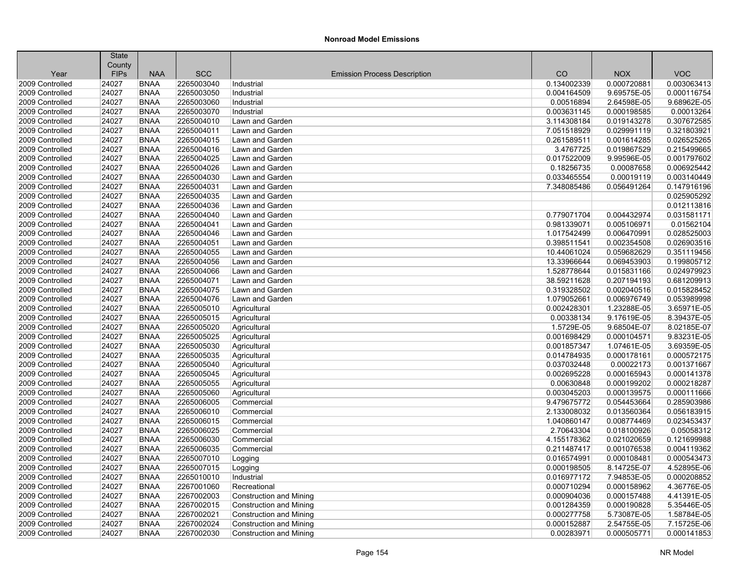| County<br><b>SCC</b><br>CO<br><b>VOC</b><br><b>FIPs</b><br><b>NAA</b><br><b>NOX</b><br>Year<br><b>Emission Process Description</b><br>0.134002339<br>2009 Controlled<br>24027<br><b>BNAA</b><br>2265003040<br>0.000720881<br>0.003063413<br>Industrial<br><b>BNAA</b><br>2009 Controlled<br>24027<br>2265003050<br>0.004164509<br>9.69575E-05<br>0.000116754<br>Industrial<br>24027<br><b>BNAA</b><br>2265003060<br>2.64598E-05<br>9.68962E-05<br>2009 Controlled<br>Industrial<br>0.00516894<br>24027<br>2265003070<br>0.000198585<br>0.00013264<br>2009 Controlled<br><b>BNAA</b><br>Industrial<br>0.003631145<br>24027<br><b>BNAA</b><br>2265004010<br>3.114308184<br>0.019143278<br>0.307672585<br>2009 Controlled<br>Lawn and Garden<br>24027<br><b>BNAA</b><br>2265004011<br>Lawn and Garden<br>7.051518929<br>0.029991119<br>0.321803921<br>2009 Controlled<br>24027<br>2265004015<br>0.026525265<br>2009 Controlled<br><b>BNAA</b><br>Lawn and Garden<br>0.261589511<br>0.001614285<br>24027<br>2265004016<br>0.215499665<br>2009 Controlled<br><b>BNAA</b><br>Lawn and Garden<br>3.4767725<br>0.019867529<br>2265004025<br>0.017522009<br>0.001797602<br>2009 Controlled<br>24027<br><b>BNAA</b><br>Lawn and Garden<br>9.99596E-05<br>24027<br><b>BNAA</b><br>2265004026<br>0.00087658<br>0.006925442<br>2009 Controlled<br>Lawn and Garden<br>0.18256735<br>24027<br>2265004030<br>0.00019119<br>0.003140449<br>2009 Controlled<br><b>BNAA</b><br>Lawn and Garden<br>0.033465554<br>24027<br><b>BNAA</b><br>2265004031<br>7.348085486<br>0.056491264<br>0.147916196<br>2009 Controlled<br>Lawn and Garden<br>24027<br><b>BNAA</b><br>2265004035<br>0.025905292<br>2009 Controlled<br>Lawn and Garden<br>24027<br>2265004036<br>0.012113816<br>2009 Controlled<br><b>BNAA</b><br>Lawn and Garden<br>24027<br>2265004040<br>0.031581171<br>2009 Controlled<br><b>BNAA</b><br>Lawn and Garden<br>0.779071704<br>0.004432974<br>2265004041<br>0.01562104<br>2009 Controlled<br>24027<br><b>BNAA</b><br>Lawn and Garden<br>0.981339071<br>0.005106971<br>24027<br><b>BNAA</b><br>2265004046<br>1.017542499<br>0.028525003<br>2009 Controlled<br>Lawn and Garden<br>0.006470991<br>24027<br>2265004051<br>0.398511541<br>0.002354508<br>0.026903516<br>2009 Controlled<br><b>BNAA</b><br>Lawn and Garden<br>24027<br><b>BNAA</b><br>2265004055<br>10.44061024<br>0.059682629<br>0.351119456<br>2009 Controlled<br>Lawn and Garden<br>24027<br><b>BNAA</b><br>2265004056<br>0.199805712<br>2009 Controlled<br>Lawn and Garden<br>13.33966644<br>0.069453903<br>24027<br>2265004066<br>0.015831166<br>0.024979923<br>2009 Controlled<br><b>BNAA</b><br>Lawn and Garden<br>1.528778644<br>24027<br>38.59211628<br>0.207194193<br>0.681209913<br>2009 Controlled<br><b>BNAA</b><br>2265004071<br>Lawn and Garden<br>0.015828452<br>2009 Controlled<br>24027<br><b>BNAA</b><br>2265004075<br>Lawn and Garden<br>0.319328502<br>0.002040516<br>24027<br><b>BNAA</b><br>2265004076<br>Lawn and Garden<br>0.006976749<br>0.053989998<br>2009 Controlled<br>1.079052661<br>24027<br>2265005010<br>0.002428301<br>1.23288E-05<br>3.65971E-05<br>2009 Controlled<br>BNAA<br>Agricultural<br>24027<br><b>BNAA</b><br>2265005015<br>0.00338134<br>9.17619E-05<br>8.39437E-05<br>2009 Controlled<br>Agricultural<br>24027<br><b>BNAA</b><br>2265005020<br>1.5729E-05<br>9.68504E-07<br>8.02185E-07<br>2009 Controlled<br>Agricultural<br>24027<br>2265005025<br>0.001698429<br>9.83231E-05<br>2009 Controlled<br><b>BNAA</b><br>Agricultural<br>0.000104571<br>24027<br>2265005030<br>3.69359E-05<br>2009 Controlled<br><b>BNAA</b><br>Agricultural<br>0.001857347<br>1.07461E-05<br>0.000572175<br>2009 Controlled<br>24027<br><b>BNAA</b><br>2265005035<br>0.014784935<br>0.000178161<br>Agricultural<br>24027<br>BNAA<br>2265005040<br>0.037032448<br>0.00022173<br>0.001371667<br>2009 Controlled<br>Agricultural<br>2009 Controlled<br>24027<br><b>BNAA</b><br>2265005045<br>Agricultural<br>0.002695228<br>0.000165943<br>0.000141378<br>2009 Controlled<br>24027<br><b>BNAA</b><br>2265005055<br>Agricultural<br>0.00630848<br>0.000199202<br>0.000218287<br>2009 Controlled<br>24027<br><b>BNAA</b><br>2265005060<br>0.003045203<br>0.000139575<br>0.000111666<br>Agricultural<br>24027<br>2265006005<br>9.479675772<br>0.054453664<br>0.285903986<br>2009 Controlled<br><b>BNAA</b><br>Commercial<br>24027<br>2265006010<br>0.056183915<br>2009 Controlled<br><b>BNAA</b><br>Commercial<br>2.133008032<br>0.013560364<br>0.023453437<br>2009 Controlled<br>24027<br><b>BNAA</b><br>2265006015<br>1.040860147<br>0.008774469<br>Commercial<br>24027<br>BNAA<br>2265006025<br>0.018100926<br>0.05058312<br>2009 Controlled<br>Commercial<br>2.70643304<br>4.155178362<br>0.121699988<br>2009 Controlled<br>24027<br><b>BNAA</b><br>2265006030<br>0.021020659<br>Commercial<br>2009 Controlled<br>24027<br><b>BNAA</b><br>2265006035<br>Commercial<br>0.211487417<br>0.001076538<br>0.004119362<br>24027<br><b>BNAA</b><br>2265007010<br>0.016574991<br>0.000108481<br>0.000543473<br>2009 Controlled<br>Logging<br>24027<br>2265007015<br>8.14725E-07<br>4.52895E-06<br>2009 Controlled<br><b>BNAA</b><br>0.000198505<br>Logging<br>24027<br>7.94853E-05<br>0.000208852<br>2009 Controlled<br><b>BNAA</b><br>2265010010<br>Industrial<br>0.016977172<br>4.36776E-05<br>2009 Controlled<br>24027<br><b>BNAA</b><br>2267001060<br>0.000710294<br>0.000158962<br>Recreational<br>24027<br>BNAA<br>2267002003<br>4.41391E-05<br>2009 Controlled<br><b>Construction and Mining</b><br>0.000904036<br>0.000157488<br>5.35446E-05<br>2009 Controlled<br>24027<br><b>BNAA</b><br>2267002015<br><b>Construction and Mining</b><br>0.001284359<br>0.000190828<br>1.58784E-05<br>2009 Controlled<br>24027<br><b>BNAA</b><br>2267002021<br><b>Construction and Mining</b><br>0.000277758<br>5.73087E-05<br>2009 Controlled<br>BNAA<br>7.15725E-06<br>24027<br>2267002024<br><b>Construction and Mining</b><br>0.000152887<br>2.54755E-05<br>24027<br>2267002030<br>0.000141853<br>2009 Controlled<br><b>BNAA</b><br>0.00283971<br>0.000505771<br>Construction and Mining | <b>State</b> |  |  |  |
|-----------------------------------------------------------------------------------------------------------------------------------------------------------------------------------------------------------------------------------------------------------------------------------------------------------------------------------------------------------------------------------------------------------------------------------------------------------------------------------------------------------------------------------------------------------------------------------------------------------------------------------------------------------------------------------------------------------------------------------------------------------------------------------------------------------------------------------------------------------------------------------------------------------------------------------------------------------------------------------------------------------------------------------------------------------------------------------------------------------------------------------------------------------------------------------------------------------------------------------------------------------------------------------------------------------------------------------------------------------------------------------------------------------------------------------------------------------------------------------------------------------------------------------------------------------------------------------------------------------------------------------------------------------------------------------------------------------------------------------------------------------------------------------------------------------------------------------------------------------------------------------------------------------------------------------------------------------------------------------------------------------------------------------------------------------------------------------------------------------------------------------------------------------------------------------------------------------------------------------------------------------------------------------------------------------------------------------------------------------------------------------------------------------------------------------------------------------------------------------------------------------------------------------------------------------------------------------------------------------------------------------------------------------------------------------------------------------------------------------------------------------------------------------------------------------------------------------------------------------------------------------------------------------------------------------------------------------------------------------------------------------------------------------------------------------------------------------------------------------------------------------------------------------------------------------------------------------------------------------------------------------------------------------------------------------------------------------------------------------------------------------------------------------------------------------------------------------------------------------------------------------------------------------------------------------------------------------------------------------------------------------------------------------------------------------------------------------------------------------------------------------------------------------------------------------------------------------------------------------------------------------------------------------------------------------------------------------------------------------------------------------------------------------------------------------------------------------------------------------------------------------------------------------------------------------------------------------------------------------------------------------------------------------------------------------------------------------------------------------------------------------------------------------------------------------------------------------------------------------------------------------------------------------------------------------------------------------------------------------------------------------------------------------------------------------------------------------------------------------------------------------------------------------------------------------------------------------------------------------------------------------------------------------------------------------------------------------------------------------------------------------------------------------------------------------------------------------------------------------------------------------------------------------------------------------------------------------------------------------------------------------------------------------------------------------------------------------------------------------------------------------------------------------------------------------------------------------------------------------------------------------------------------------------------------------------------------------------------------------------------------------------------------------------------------------------------------------------------------------------------------------------------------------------------------------------------------------------------------------------------------------------------------------------------------------------------------------------------------------------------------------------------------------------------------------------------------------------------------------------------------------------------------------|--------------|--|--|--|
|                                                                                                                                                                                                                                                                                                                                                                                                                                                                                                                                                                                                                                                                                                                                                                                                                                                                                                                                                                                                                                                                                                                                                                                                                                                                                                                                                                                                                                                                                                                                                                                                                                                                                                                                                                                                                                                                                                                                                                                                                                                                                                                                                                                                                                                                                                                                                                                                                                                                                                                                                                                                                                                                                                                                                                                                                                                                                                                                                                                                                                                                                                                                                                                                                                                                                                                                                                                                                                                                                                                                                                                                                                                                                                                                                                                                                                                                                                                                                                                                                                                                                                                                                                                                                                                                                                                                                                                                                                                                                                                                                                                                                                                                                                                                                                                                                                                                                                                                                                                                                                                                                                                                                                                                                                                                                                                                                                                                                                                                                                                                                                                                                                                                                                                                                                                                                                                                                                                                                                                                                                                                                                                                                           |              |  |  |  |
|                                                                                                                                                                                                                                                                                                                                                                                                                                                                                                                                                                                                                                                                                                                                                                                                                                                                                                                                                                                                                                                                                                                                                                                                                                                                                                                                                                                                                                                                                                                                                                                                                                                                                                                                                                                                                                                                                                                                                                                                                                                                                                                                                                                                                                                                                                                                                                                                                                                                                                                                                                                                                                                                                                                                                                                                                                                                                                                                                                                                                                                                                                                                                                                                                                                                                                                                                                                                                                                                                                                                                                                                                                                                                                                                                                                                                                                                                                                                                                                                                                                                                                                                                                                                                                                                                                                                                                                                                                                                                                                                                                                                                                                                                                                                                                                                                                                                                                                                                                                                                                                                                                                                                                                                                                                                                                                                                                                                                                                                                                                                                                                                                                                                                                                                                                                                                                                                                                                                                                                                                                                                                                                                                           |              |  |  |  |
|                                                                                                                                                                                                                                                                                                                                                                                                                                                                                                                                                                                                                                                                                                                                                                                                                                                                                                                                                                                                                                                                                                                                                                                                                                                                                                                                                                                                                                                                                                                                                                                                                                                                                                                                                                                                                                                                                                                                                                                                                                                                                                                                                                                                                                                                                                                                                                                                                                                                                                                                                                                                                                                                                                                                                                                                                                                                                                                                                                                                                                                                                                                                                                                                                                                                                                                                                                                                                                                                                                                                                                                                                                                                                                                                                                                                                                                                                                                                                                                                                                                                                                                                                                                                                                                                                                                                                                                                                                                                                                                                                                                                                                                                                                                                                                                                                                                                                                                                                                                                                                                                                                                                                                                                                                                                                                                                                                                                                                                                                                                                                                                                                                                                                                                                                                                                                                                                                                                                                                                                                                                                                                                                                           |              |  |  |  |
|                                                                                                                                                                                                                                                                                                                                                                                                                                                                                                                                                                                                                                                                                                                                                                                                                                                                                                                                                                                                                                                                                                                                                                                                                                                                                                                                                                                                                                                                                                                                                                                                                                                                                                                                                                                                                                                                                                                                                                                                                                                                                                                                                                                                                                                                                                                                                                                                                                                                                                                                                                                                                                                                                                                                                                                                                                                                                                                                                                                                                                                                                                                                                                                                                                                                                                                                                                                                                                                                                                                                                                                                                                                                                                                                                                                                                                                                                                                                                                                                                                                                                                                                                                                                                                                                                                                                                                                                                                                                                                                                                                                                                                                                                                                                                                                                                                                                                                                                                                                                                                                                                                                                                                                                                                                                                                                                                                                                                                                                                                                                                                                                                                                                                                                                                                                                                                                                                                                                                                                                                                                                                                                                                           |              |  |  |  |
|                                                                                                                                                                                                                                                                                                                                                                                                                                                                                                                                                                                                                                                                                                                                                                                                                                                                                                                                                                                                                                                                                                                                                                                                                                                                                                                                                                                                                                                                                                                                                                                                                                                                                                                                                                                                                                                                                                                                                                                                                                                                                                                                                                                                                                                                                                                                                                                                                                                                                                                                                                                                                                                                                                                                                                                                                                                                                                                                                                                                                                                                                                                                                                                                                                                                                                                                                                                                                                                                                                                                                                                                                                                                                                                                                                                                                                                                                                                                                                                                                                                                                                                                                                                                                                                                                                                                                                                                                                                                                                                                                                                                                                                                                                                                                                                                                                                                                                                                                                                                                                                                                                                                                                                                                                                                                                                                                                                                                                                                                                                                                                                                                                                                                                                                                                                                                                                                                                                                                                                                                                                                                                                                                           |              |  |  |  |
|                                                                                                                                                                                                                                                                                                                                                                                                                                                                                                                                                                                                                                                                                                                                                                                                                                                                                                                                                                                                                                                                                                                                                                                                                                                                                                                                                                                                                                                                                                                                                                                                                                                                                                                                                                                                                                                                                                                                                                                                                                                                                                                                                                                                                                                                                                                                                                                                                                                                                                                                                                                                                                                                                                                                                                                                                                                                                                                                                                                                                                                                                                                                                                                                                                                                                                                                                                                                                                                                                                                                                                                                                                                                                                                                                                                                                                                                                                                                                                                                                                                                                                                                                                                                                                                                                                                                                                                                                                                                                                                                                                                                                                                                                                                                                                                                                                                                                                                                                                                                                                                                                                                                                                                                                                                                                                                                                                                                                                                                                                                                                                                                                                                                                                                                                                                                                                                                                                                                                                                                                                                                                                                                                           |              |  |  |  |
|                                                                                                                                                                                                                                                                                                                                                                                                                                                                                                                                                                                                                                                                                                                                                                                                                                                                                                                                                                                                                                                                                                                                                                                                                                                                                                                                                                                                                                                                                                                                                                                                                                                                                                                                                                                                                                                                                                                                                                                                                                                                                                                                                                                                                                                                                                                                                                                                                                                                                                                                                                                                                                                                                                                                                                                                                                                                                                                                                                                                                                                                                                                                                                                                                                                                                                                                                                                                                                                                                                                                                                                                                                                                                                                                                                                                                                                                                                                                                                                                                                                                                                                                                                                                                                                                                                                                                                                                                                                                                                                                                                                                                                                                                                                                                                                                                                                                                                                                                                                                                                                                                                                                                                                                                                                                                                                                                                                                                                                                                                                                                                                                                                                                                                                                                                                                                                                                                                                                                                                                                                                                                                                                                           |              |  |  |  |
|                                                                                                                                                                                                                                                                                                                                                                                                                                                                                                                                                                                                                                                                                                                                                                                                                                                                                                                                                                                                                                                                                                                                                                                                                                                                                                                                                                                                                                                                                                                                                                                                                                                                                                                                                                                                                                                                                                                                                                                                                                                                                                                                                                                                                                                                                                                                                                                                                                                                                                                                                                                                                                                                                                                                                                                                                                                                                                                                                                                                                                                                                                                                                                                                                                                                                                                                                                                                                                                                                                                                                                                                                                                                                                                                                                                                                                                                                                                                                                                                                                                                                                                                                                                                                                                                                                                                                                                                                                                                                                                                                                                                                                                                                                                                                                                                                                                                                                                                                                                                                                                                                                                                                                                                                                                                                                                                                                                                                                                                                                                                                                                                                                                                                                                                                                                                                                                                                                                                                                                                                                                                                                                                                           |              |  |  |  |
|                                                                                                                                                                                                                                                                                                                                                                                                                                                                                                                                                                                                                                                                                                                                                                                                                                                                                                                                                                                                                                                                                                                                                                                                                                                                                                                                                                                                                                                                                                                                                                                                                                                                                                                                                                                                                                                                                                                                                                                                                                                                                                                                                                                                                                                                                                                                                                                                                                                                                                                                                                                                                                                                                                                                                                                                                                                                                                                                                                                                                                                                                                                                                                                                                                                                                                                                                                                                                                                                                                                                                                                                                                                                                                                                                                                                                                                                                                                                                                                                                                                                                                                                                                                                                                                                                                                                                                                                                                                                                                                                                                                                                                                                                                                                                                                                                                                                                                                                                                                                                                                                                                                                                                                                                                                                                                                                                                                                                                                                                                                                                                                                                                                                                                                                                                                                                                                                                                                                                                                                                                                                                                                                                           |              |  |  |  |
|                                                                                                                                                                                                                                                                                                                                                                                                                                                                                                                                                                                                                                                                                                                                                                                                                                                                                                                                                                                                                                                                                                                                                                                                                                                                                                                                                                                                                                                                                                                                                                                                                                                                                                                                                                                                                                                                                                                                                                                                                                                                                                                                                                                                                                                                                                                                                                                                                                                                                                                                                                                                                                                                                                                                                                                                                                                                                                                                                                                                                                                                                                                                                                                                                                                                                                                                                                                                                                                                                                                                                                                                                                                                                                                                                                                                                                                                                                                                                                                                                                                                                                                                                                                                                                                                                                                                                                                                                                                                                                                                                                                                                                                                                                                                                                                                                                                                                                                                                                                                                                                                                                                                                                                                                                                                                                                                                                                                                                                                                                                                                                                                                                                                                                                                                                                                                                                                                                                                                                                                                                                                                                                                                           |              |  |  |  |
|                                                                                                                                                                                                                                                                                                                                                                                                                                                                                                                                                                                                                                                                                                                                                                                                                                                                                                                                                                                                                                                                                                                                                                                                                                                                                                                                                                                                                                                                                                                                                                                                                                                                                                                                                                                                                                                                                                                                                                                                                                                                                                                                                                                                                                                                                                                                                                                                                                                                                                                                                                                                                                                                                                                                                                                                                                                                                                                                                                                                                                                                                                                                                                                                                                                                                                                                                                                                                                                                                                                                                                                                                                                                                                                                                                                                                                                                                                                                                                                                                                                                                                                                                                                                                                                                                                                                                                                                                                                                                                                                                                                                                                                                                                                                                                                                                                                                                                                                                                                                                                                                                                                                                                                                                                                                                                                                                                                                                                                                                                                                                                                                                                                                                                                                                                                                                                                                                                                                                                                                                                                                                                                                                           |              |  |  |  |
|                                                                                                                                                                                                                                                                                                                                                                                                                                                                                                                                                                                                                                                                                                                                                                                                                                                                                                                                                                                                                                                                                                                                                                                                                                                                                                                                                                                                                                                                                                                                                                                                                                                                                                                                                                                                                                                                                                                                                                                                                                                                                                                                                                                                                                                                                                                                                                                                                                                                                                                                                                                                                                                                                                                                                                                                                                                                                                                                                                                                                                                                                                                                                                                                                                                                                                                                                                                                                                                                                                                                                                                                                                                                                                                                                                                                                                                                                                                                                                                                                                                                                                                                                                                                                                                                                                                                                                                                                                                                                                                                                                                                                                                                                                                                                                                                                                                                                                                                                                                                                                                                                                                                                                                                                                                                                                                                                                                                                                                                                                                                                                                                                                                                                                                                                                                                                                                                                                                                                                                                                                                                                                                                                           |              |  |  |  |
|                                                                                                                                                                                                                                                                                                                                                                                                                                                                                                                                                                                                                                                                                                                                                                                                                                                                                                                                                                                                                                                                                                                                                                                                                                                                                                                                                                                                                                                                                                                                                                                                                                                                                                                                                                                                                                                                                                                                                                                                                                                                                                                                                                                                                                                                                                                                                                                                                                                                                                                                                                                                                                                                                                                                                                                                                                                                                                                                                                                                                                                                                                                                                                                                                                                                                                                                                                                                                                                                                                                                                                                                                                                                                                                                                                                                                                                                                                                                                                                                                                                                                                                                                                                                                                                                                                                                                                                                                                                                                                                                                                                                                                                                                                                                                                                                                                                                                                                                                                                                                                                                                                                                                                                                                                                                                                                                                                                                                                                                                                                                                                                                                                                                                                                                                                                                                                                                                                                                                                                                                                                                                                                                                           |              |  |  |  |
|                                                                                                                                                                                                                                                                                                                                                                                                                                                                                                                                                                                                                                                                                                                                                                                                                                                                                                                                                                                                                                                                                                                                                                                                                                                                                                                                                                                                                                                                                                                                                                                                                                                                                                                                                                                                                                                                                                                                                                                                                                                                                                                                                                                                                                                                                                                                                                                                                                                                                                                                                                                                                                                                                                                                                                                                                                                                                                                                                                                                                                                                                                                                                                                                                                                                                                                                                                                                                                                                                                                                                                                                                                                                                                                                                                                                                                                                                                                                                                                                                                                                                                                                                                                                                                                                                                                                                                                                                                                                                                                                                                                                                                                                                                                                                                                                                                                                                                                                                                                                                                                                                                                                                                                                                                                                                                                                                                                                                                                                                                                                                                                                                                                                                                                                                                                                                                                                                                                                                                                                                                                                                                                                                           |              |  |  |  |
|                                                                                                                                                                                                                                                                                                                                                                                                                                                                                                                                                                                                                                                                                                                                                                                                                                                                                                                                                                                                                                                                                                                                                                                                                                                                                                                                                                                                                                                                                                                                                                                                                                                                                                                                                                                                                                                                                                                                                                                                                                                                                                                                                                                                                                                                                                                                                                                                                                                                                                                                                                                                                                                                                                                                                                                                                                                                                                                                                                                                                                                                                                                                                                                                                                                                                                                                                                                                                                                                                                                                                                                                                                                                                                                                                                                                                                                                                                                                                                                                                                                                                                                                                                                                                                                                                                                                                                                                                                                                                                                                                                                                                                                                                                                                                                                                                                                                                                                                                                                                                                                                                                                                                                                                                                                                                                                                                                                                                                                                                                                                                                                                                                                                                                                                                                                                                                                                                                                                                                                                                                                                                                                                                           |              |  |  |  |
|                                                                                                                                                                                                                                                                                                                                                                                                                                                                                                                                                                                                                                                                                                                                                                                                                                                                                                                                                                                                                                                                                                                                                                                                                                                                                                                                                                                                                                                                                                                                                                                                                                                                                                                                                                                                                                                                                                                                                                                                                                                                                                                                                                                                                                                                                                                                                                                                                                                                                                                                                                                                                                                                                                                                                                                                                                                                                                                                                                                                                                                                                                                                                                                                                                                                                                                                                                                                                                                                                                                                                                                                                                                                                                                                                                                                                                                                                                                                                                                                                                                                                                                                                                                                                                                                                                                                                                                                                                                                                                                                                                                                                                                                                                                                                                                                                                                                                                                                                                                                                                                                                                                                                                                                                                                                                                                                                                                                                                                                                                                                                                                                                                                                                                                                                                                                                                                                                                                                                                                                                                                                                                                                                           |              |  |  |  |
|                                                                                                                                                                                                                                                                                                                                                                                                                                                                                                                                                                                                                                                                                                                                                                                                                                                                                                                                                                                                                                                                                                                                                                                                                                                                                                                                                                                                                                                                                                                                                                                                                                                                                                                                                                                                                                                                                                                                                                                                                                                                                                                                                                                                                                                                                                                                                                                                                                                                                                                                                                                                                                                                                                                                                                                                                                                                                                                                                                                                                                                                                                                                                                                                                                                                                                                                                                                                                                                                                                                                                                                                                                                                                                                                                                                                                                                                                                                                                                                                                                                                                                                                                                                                                                                                                                                                                                                                                                                                                                                                                                                                                                                                                                                                                                                                                                                                                                                                                                                                                                                                                                                                                                                                                                                                                                                                                                                                                                                                                                                                                                                                                                                                                                                                                                                                                                                                                                                                                                                                                                                                                                                                                           |              |  |  |  |
|                                                                                                                                                                                                                                                                                                                                                                                                                                                                                                                                                                                                                                                                                                                                                                                                                                                                                                                                                                                                                                                                                                                                                                                                                                                                                                                                                                                                                                                                                                                                                                                                                                                                                                                                                                                                                                                                                                                                                                                                                                                                                                                                                                                                                                                                                                                                                                                                                                                                                                                                                                                                                                                                                                                                                                                                                                                                                                                                                                                                                                                                                                                                                                                                                                                                                                                                                                                                                                                                                                                                                                                                                                                                                                                                                                                                                                                                                                                                                                                                                                                                                                                                                                                                                                                                                                                                                                                                                                                                                                                                                                                                                                                                                                                                                                                                                                                                                                                                                                                                                                                                                                                                                                                                                                                                                                                                                                                                                                                                                                                                                                                                                                                                                                                                                                                                                                                                                                                                                                                                                                                                                                                                                           |              |  |  |  |
|                                                                                                                                                                                                                                                                                                                                                                                                                                                                                                                                                                                                                                                                                                                                                                                                                                                                                                                                                                                                                                                                                                                                                                                                                                                                                                                                                                                                                                                                                                                                                                                                                                                                                                                                                                                                                                                                                                                                                                                                                                                                                                                                                                                                                                                                                                                                                                                                                                                                                                                                                                                                                                                                                                                                                                                                                                                                                                                                                                                                                                                                                                                                                                                                                                                                                                                                                                                                                                                                                                                                                                                                                                                                                                                                                                                                                                                                                                                                                                                                                                                                                                                                                                                                                                                                                                                                                                                                                                                                                                                                                                                                                                                                                                                                                                                                                                                                                                                                                                                                                                                                                                                                                                                                                                                                                                                                                                                                                                                                                                                                                                                                                                                                                                                                                                                                                                                                                                                                                                                                                                                                                                                                                           |              |  |  |  |
|                                                                                                                                                                                                                                                                                                                                                                                                                                                                                                                                                                                                                                                                                                                                                                                                                                                                                                                                                                                                                                                                                                                                                                                                                                                                                                                                                                                                                                                                                                                                                                                                                                                                                                                                                                                                                                                                                                                                                                                                                                                                                                                                                                                                                                                                                                                                                                                                                                                                                                                                                                                                                                                                                                                                                                                                                                                                                                                                                                                                                                                                                                                                                                                                                                                                                                                                                                                                                                                                                                                                                                                                                                                                                                                                                                                                                                                                                                                                                                                                                                                                                                                                                                                                                                                                                                                                                                                                                                                                                                                                                                                                                                                                                                                                                                                                                                                                                                                                                                                                                                                                                                                                                                                                                                                                                                                                                                                                                                                                                                                                                                                                                                                                                                                                                                                                                                                                                                                                                                                                                                                                                                                                                           |              |  |  |  |
|                                                                                                                                                                                                                                                                                                                                                                                                                                                                                                                                                                                                                                                                                                                                                                                                                                                                                                                                                                                                                                                                                                                                                                                                                                                                                                                                                                                                                                                                                                                                                                                                                                                                                                                                                                                                                                                                                                                                                                                                                                                                                                                                                                                                                                                                                                                                                                                                                                                                                                                                                                                                                                                                                                                                                                                                                                                                                                                                                                                                                                                                                                                                                                                                                                                                                                                                                                                                                                                                                                                                                                                                                                                                                                                                                                                                                                                                                                                                                                                                                                                                                                                                                                                                                                                                                                                                                                                                                                                                                                                                                                                                                                                                                                                                                                                                                                                                                                                                                                                                                                                                                                                                                                                                                                                                                                                                                                                                                                                                                                                                                                                                                                                                                                                                                                                                                                                                                                                                                                                                                                                                                                                                                           |              |  |  |  |
|                                                                                                                                                                                                                                                                                                                                                                                                                                                                                                                                                                                                                                                                                                                                                                                                                                                                                                                                                                                                                                                                                                                                                                                                                                                                                                                                                                                                                                                                                                                                                                                                                                                                                                                                                                                                                                                                                                                                                                                                                                                                                                                                                                                                                                                                                                                                                                                                                                                                                                                                                                                                                                                                                                                                                                                                                                                                                                                                                                                                                                                                                                                                                                                                                                                                                                                                                                                                                                                                                                                                                                                                                                                                                                                                                                                                                                                                                                                                                                                                                                                                                                                                                                                                                                                                                                                                                                                                                                                                                                                                                                                                                                                                                                                                                                                                                                                                                                                                                                                                                                                                                                                                                                                                                                                                                                                                                                                                                                                                                                                                                                                                                                                                                                                                                                                                                                                                                                                                                                                                                                                                                                                                                           |              |  |  |  |
|                                                                                                                                                                                                                                                                                                                                                                                                                                                                                                                                                                                                                                                                                                                                                                                                                                                                                                                                                                                                                                                                                                                                                                                                                                                                                                                                                                                                                                                                                                                                                                                                                                                                                                                                                                                                                                                                                                                                                                                                                                                                                                                                                                                                                                                                                                                                                                                                                                                                                                                                                                                                                                                                                                                                                                                                                                                                                                                                                                                                                                                                                                                                                                                                                                                                                                                                                                                                                                                                                                                                                                                                                                                                                                                                                                                                                                                                                                                                                                                                                                                                                                                                                                                                                                                                                                                                                                                                                                                                                                                                                                                                                                                                                                                                                                                                                                                                                                                                                                                                                                                                                                                                                                                                                                                                                                                                                                                                                                                                                                                                                                                                                                                                                                                                                                                                                                                                                                                                                                                                                                                                                                                                                           |              |  |  |  |
|                                                                                                                                                                                                                                                                                                                                                                                                                                                                                                                                                                                                                                                                                                                                                                                                                                                                                                                                                                                                                                                                                                                                                                                                                                                                                                                                                                                                                                                                                                                                                                                                                                                                                                                                                                                                                                                                                                                                                                                                                                                                                                                                                                                                                                                                                                                                                                                                                                                                                                                                                                                                                                                                                                                                                                                                                                                                                                                                                                                                                                                                                                                                                                                                                                                                                                                                                                                                                                                                                                                                                                                                                                                                                                                                                                                                                                                                                                                                                                                                                                                                                                                                                                                                                                                                                                                                                                                                                                                                                                                                                                                                                                                                                                                                                                                                                                                                                                                                                                                                                                                                                                                                                                                                                                                                                                                                                                                                                                                                                                                                                                                                                                                                                                                                                                                                                                                                                                                                                                                                                                                                                                                                                           |              |  |  |  |
|                                                                                                                                                                                                                                                                                                                                                                                                                                                                                                                                                                                                                                                                                                                                                                                                                                                                                                                                                                                                                                                                                                                                                                                                                                                                                                                                                                                                                                                                                                                                                                                                                                                                                                                                                                                                                                                                                                                                                                                                                                                                                                                                                                                                                                                                                                                                                                                                                                                                                                                                                                                                                                                                                                                                                                                                                                                                                                                                                                                                                                                                                                                                                                                                                                                                                                                                                                                                                                                                                                                                                                                                                                                                                                                                                                                                                                                                                                                                                                                                                                                                                                                                                                                                                                                                                                                                                                                                                                                                                                                                                                                                                                                                                                                                                                                                                                                                                                                                                                                                                                                                                                                                                                                                                                                                                                                                                                                                                                                                                                                                                                                                                                                                                                                                                                                                                                                                                                                                                                                                                                                                                                                                                           |              |  |  |  |
|                                                                                                                                                                                                                                                                                                                                                                                                                                                                                                                                                                                                                                                                                                                                                                                                                                                                                                                                                                                                                                                                                                                                                                                                                                                                                                                                                                                                                                                                                                                                                                                                                                                                                                                                                                                                                                                                                                                                                                                                                                                                                                                                                                                                                                                                                                                                                                                                                                                                                                                                                                                                                                                                                                                                                                                                                                                                                                                                                                                                                                                                                                                                                                                                                                                                                                                                                                                                                                                                                                                                                                                                                                                                                                                                                                                                                                                                                                                                                                                                                                                                                                                                                                                                                                                                                                                                                                                                                                                                                                                                                                                                                                                                                                                                                                                                                                                                                                                                                                                                                                                                                                                                                                                                                                                                                                                                                                                                                                                                                                                                                                                                                                                                                                                                                                                                                                                                                                                                                                                                                                                                                                                                                           |              |  |  |  |
|                                                                                                                                                                                                                                                                                                                                                                                                                                                                                                                                                                                                                                                                                                                                                                                                                                                                                                                                                                                                                                                                                                                                                                                                                                                                                                                                                                                                                                                                                                                                                                                                                                                                                                                                                                                                                                                                                                                                                                                                                                                                                                                                                                                                                                                                                                                                                                                                                                                                                                                                                                                                                                                                                                                                                                                                                                                                                                                                                                                                                                                                                                                                                                                                                                                                                                                                                                                                                                                                                                                                                                                                                                                                                                                                                                                                                                                                                                                                                                                                                                                                                                                                                                                                                                                                                                                                                                                                                                                                                                                                                                                                                                                                                                                                                                                                                                                                                                                                                                                                                                                                                                                                                                                                                                                                                                                                                                                                                                                                                                                                                                                                                                                                                                                                                                                                                                                                                                                                                                                                                                                                                                                                                           |              |  |  |  |
|                                                                                                                                                                                                                                                                                                                                                                                                                                                                                                                                                                                                                                                                                                                                                                                                                                                                                                                                                                                                                                                                                                                                                                                                                                                                                                                                                                                                                                                                                                                                                                                                                                                                                                                                                                                                                                                                                                                                                                                                                                                                                                                                                                                                                                                                                                                                                                                                                                                                                                                                                                                                                                                                                                                                                                                                                                                                                                                                                                                                                                                                                                                                                                                                                                                                                                                                                                                                                                                                                                                                                                                                                                                                                                                                                                                                                                                                                                                                                                                                                                                                                                                                                                                                                                                                                                                                                                                                                                                                                                                                                                                                                                                                                                                                                                                                                                                                                                                                                                                                                                                                                                                                                                                                                                                                                                                                                                                                                                                                                                                                                                                                                                                                                                                                                                                                                                                                                                                                                                                                                                                                                                                                                           |              |  |  |  |
|                                                                                                                                                                                                                                                                                                                                                                                                                                                                                                                                                                                                                                                                                                                                                                                                                                                                                                                                                                                                                                                                                                                                                                                                                                                                                                                                                                                                                                                                                                                                                                                                                                                                                                                                                                                                                                                                                                                                                                                                                                                                                                                                                                                                                                                                                                                                                                                                                                                                                                                                                                                                                                                                                                                                                                                                                                                                                                                                                                                                                                                                                                                                                                                                                                                                                                                                                                                                                                                                                                                                                                                                                                                                                                                                                                                                                                                                                                                                                                                                                                                                                                                                                                                                                                                                                                                                                                                                                                                                                                                                                                                                                                                                                                                                                                                                                                                                                                                                                                                                                                                                                                                                                                                                                                                                                                                                                                                                                                                                                                                                                                                                                                                                                                                                                                                                                                                                                                                                                                                                                                                                                                                                                           |              |  |  |  |
|                                                                                                                                                                                                                                                                                                                                                                                                                                                                                                                                                                                                                                                                                                                                                                                                                                                                                                                                                                                                                                                                                                                                                                                                                                                                                                                                                                                                                                                                                                                                                                                                                                                                                                                                                                                                                                                                                                                                                                                                                                                                                                                                                                                                                                                                                                                                                                                                                                                                                                                                                                                                                                                                                                                                                                                                                                                                                                                                                                                                                                                                                                                                                                                                                                                                                                                                                                                                                                                                                                                                                                                                                                                                                                                                                                                                                                                                                                                                                                                                                                                                                                                                                                                                                                                                                                                                                                                                                                                                                                                                                                                                                                                                                                                                                                                                                                                                                                                                                                                                                                                                                                                                                                                                                                                                                                                                                                                                                                                                                                                                                                                                                                                                                                                                                                                                                                                                                                                                                                                                                                                                                                                                                           |              |  |  |  |
|                                                                                                                                                                                                                                                                                                                                                                                                                                                                                                                                                                                                                                                                                                                                                                                                                                                                                                                                                                                                                                                                                                                                                                                                                                                                                                                                                                                                                                                                                                                                                                                                                                                                                                                                                                                                                                                                                                                                                                                                                                                                                                                                                                                                                                                                                                                                                                                                                                                                                                                                                                                                                                                                                                                                                                                                                                                                                                                                                                                                                                                                                                                                                                                                                                                                                                                                                                                                                                                                                                                                                                                                                                                                                                                                                                                                                                                                                                                                                                                                                                                                                                                                                                                                                                                                                                                                                                                                                                                                                                                                                                                                                                                                                                                                                                                                                                                                                                                                                                                                                                                                                                                                                                                                                                                                                                                                                                                                                                                                                                                                                                                                                                                                                                                                                                                                                                                                                                                                                                                                                                                                                                                                                           |              |  |  |  |
|                                                                                                                                                                                                                                                                                                                                                                                                                                                                                                                                                                                                                                                                                                                                                                                                                                                                                                                                                                                                                                                                                                                                                                                                                                                                                                                                                                                                                                                                                                                                                                                                                                                                                                                                                                                                                                                                                                                                                                                                                                                                                                                                                                                                                                                                                                                                                                                                                                                                                                                                                                                                                                                                                                                                                                                                                                                                                                                                                                                                                                                                                                                                                                                                                                                                                                                                                                                                                                                                                                                                                                                                                                                                                                                                                                                                                                                                                                                                                                                                                                                                                                                                                                                                                                                                                                                                                                                                                                                                                                                                                                                                                                                                                                                                                                                                                                                                                                                                                                                                                                                                                                                                                                                                                                                                                                                                                                                                                                                                                                                                                                                                                                                                                                                                                                                                                                                                                                                                                                                                                                                                                                                                                           |              |  |  |  |
|                                                                                                                                                                                                                                                                                                                                                                                                                                                                                                                                                                                                                                                                                                                                                                                                                                                                                                                                                                                                                                                                                                                                                                                                                                                                                                                                                                                                                                                                                                                                                                                                                                                                                                                                                                                                                                                                                                                                                                                                                                                                                                                                                                                                                                                                                                                                                                                                                                                                                                                                                                                                                                                                                                                                                                                                                                                                                                                                                                                                                                                                                                                                                                                                                                                                                                                                                                                                                                                                                                                                                                                                                                                                                                                                                                                                                                                                                                                                                                                                                                                                                                                                                                                                                                                                                                                                                                                                                                                                                                                                                                                                                                                                                                                                                                                                                                                                                                                                                                                                                                                                                                                                                                                                                                                                                                                                                                                                                                                                                                                                                                                                                                                                                                                                                                                                                                                                                                                                                                                                                                                                                                                                                           |              |  |  |  |
|                                                                                                                                                                                                                                                                                                                                                                                                                                                                                                                                                                                                                                                                                                                                                                                                                                                                                                                                                                                                                                                                                                                                                                                                                                                                                                                                                                                                                                                                                                                                                                                                                                                                                                                                                                                                                                                                                                                                                                                                                                                                                                                                                                                                                                                                                                                                                                                                                                                                                                                                                                                                                                                                                                                                                                                                                                                                                                                                                                                                                                                                                                                                                                                                                                                                                                                                                                                                                                                                                                                                                                                                                                                                                                                                                                                                                                                                                                                                                                                                                                                                                                                                                                                                                                                                                                                                                                                                                                                                                                                                                                                                                                                                                                                                                                                                                                                                                                                                                                                                                                                                                                                                                                                                                                                                                                                                                                                                                                                                                                                                                                                                                                                                                                                                                                                                                                                                                                                                                                                                                                                                                                                                                           |              |  |  |  |
|                                                                                                                                                                                                                                                                                                                                                                                                                                                                                                                                                                                                                                                                                                                                                                                                                                                                                                                                                                                                                                                                                                                                                                                                                                                                                                                                                                                                                                                                                                                                                                                                                                                                                                                                                                                                                                                                                                                                                                                                                                                                                                                                                                                                                                                                                                                                                                                                                                                                                                                                                                                                                                                                                                                                                                                                                                                                                                                                                                                                                                                                                                                                                                                                                                                                                                                                                                                                                                                                                                                                                                                                                                                                                                                                                                                                                                                                                                                                                                                                                                                                                                                                                                                                                                                                                                                                                                                                                                                                                                                                                                                                                                                                                                                                                                                                                                                                                                                                                                                                                                                                                                                                                                                                                                                                                                                                                                                                                                                                                                                                                                                                                                                                                                                                                                                                                                                                                                                                                                                                                                                                                                                                                           |              |  |  |  |
|                                                                                                                                                                                                                                                                                                                                                                                                                                                                                                                                                                                                                                                                                                                                                                                                                                                                                                                                                                                                                                                                                                                                                                                                                                                                                                                                                                                                                                                                                                                                                                                                                                                                                                                                                                                                                                                                                                                                                                                                                                                                                                                                                                                                                                                                                                                                                                                                                                                                                                                                                                                                                                                                                                                                                                                                                                                                                                                                                                                                                                                                                                                                                                                                                                                                                                                                                                                                                                                                                                                                                                                                                                                                                                                                                                                                                                                                                                                                                                                                                                                                                                                                                                                                                                                                                                                                                                                                                                                                                                                                                                                                                                                                                                                                                                                                                                                                                                                                                                                                                                                                                                                                                                                                                                                                                                                                                                                                                                                                                                                                                                                                                                                                                                                                                                                                                                                                                                                                                                                                                                                                                                                                                           |              |  |  |  |
|                                                                                                                                                                                                                                                                                                                                                                                                                                                                                                                                                                                                                                                                                                                                                                                                                                                                                                                                                                                                                                                                                                                                                                                                                                                                                                                                                                                                                                                                                                                                                                                                                                                                                                                                                                                                                                                                                                                                                                                                                                                                                                                                                                                                                                                                                                                                                                                                                                                                                                                                                                                                                                                                                                                                                                                                                                                                                                                                                                                                                                                                                                                                                                                                                                                                                                                                                                                                                                                                                                                                                                                                                                                                                                                                                                                                                                                                                                                                                                                                                                                                                                                                                                                                                                                                                                                                                                                                                                                                                                                                                                                                                                                                                                                                                                                                                                                                                                                                                                                                                                                                                                                                                                                                                                                                                                                                                                                                                                                                                                                                                                                                                                                                                                                                                                                                                                                                                                                                                                                                                                                                                                                                                           |              |  |  |  |
|                                                                                                                                                                                                                                                                                                                                                                                                                                                                                                                                                                                                                                                                                                                                                                                                                                                                                                                                                                                                                                                                                                                                                                                                                                                                                                                                                                                                                                                                                                                                                                                                                                                                                                                                                                                                                                                                                                                                                                                                                                                                                                                                                                                                                                                                                                                                                                                                                                                                                                                                                                                                                                                                                                                                                                                                                                                                                                                                                                                                                                                                                                                                                                                                                                                                                                                                                                                                                                                                                                                                                                                                                                                                                                                                                                                                                                                                                                                                                                                                                                                                                                                                                                                                                                                                                                                                                                                                                                                                                                                                                                                                                                                                                                                                                                                                                                                                                                                                                                                                                                                                                                                                                                                                                                                                                                                                                                                                                                                                                                                                                                                                                                                                                                                                                                                                                                                                                                                                                                                                                                                                                                                                                           |              |  |  |  |
|                                                                                                                                                                                                                                                                                                                                                                                                                                                                                                                                                                                                                                                                                                                                                                                                                                                                                                                                                                                                                                                                                                                                                                                                                                                                                                                                                                                                                                                                                                                                                                                                                                                                                                                                                                                                                                                                                                                                                                                                                                                                                                                                                                                                                                                                                                                                                                                                                                                                                                                                                                                                                                                                                                                                                                                                                                                                                                                                                                                                                                                                                                                                                                                                                                                                                                                                                                                                                                                                                                                                                                                                                                                                                                                                                                                                                                                                                                                                                                                                                                                                                                                                                                                                                                                                                                                                                                                                                                                                                                                                                                                                                                                                                                                                                                                                                                                                                                                                                                                                                                                                                                                                                                                                                                                                                                                                                                                                                                                                                                                                                                                                                                                                                                                                                                                                                                                                                                                                                                                                                                                                                                                                                           |              |  |  |  |
|                                                                                                                                                                                                                                                                                                                                                                                                                                                                                                                                                                                                                                                                                                                                                                                                                                                                                                                                                                                                                                                                                                                                                                                                                                                                                                                                                                                                                                                                                                                                                                                                                                                                                                                                                                                                                                                                                                                                                                                                                                                                                                                                                                                                                                                                                                                                                                                                                                                                                                                                                                                                                                                                                                                                                                                                                                                                                                                                                                                                                                                                                                                                                                                                                                                                                                                                                                                                                                                                                                                                                                                                                                                                                                                                                                                                                                                                                                                                                                                                                                                                                                                                                                                                                                                                                                                                                                                                                                                                                                                                                                                                                                                                                                                                                                                                                                                                                                                                                                                                                                                                                                                                                                                                                                                                                                                                                                                                                                                                                                                                                                                                                                                                                                                                                                                                                                                                                                                                                                                                                                                                                                                                                           |              |  |  |  |
|                                                                                                                                                                                                                                                                                                                                                                                                                                                                                                                                                                                                                                                                                                                                                                                                                                                                                                                                                                                                                                                                                                                                                                                                                                                                                                                                                                                                                                                                                                                                                                                                                                                                                                                                                                                                                                                                                                                                                                                                                                                                                                                                                                                                                                                                                                                                                                                                                                                                                                                                                                                                                                                                                                                                                                                                                                                                                                                                                                                                                                                                                                                                                                                                                                                                                                                                                                                                                                                                                                                                                                                                                                                                                                                                                                                                                                                                                                                                                                                                                                                                                                                                                                                                                                                                                                                                                                                                                                                                                                                                                                                                                                                                                                                                                                                                                                                                                                                                                                                                                                                                                                                                                                                                                                                                                                                                                                                                                                                                                                                                                                                                                                                                                                                                                                                                                                                                                                                                                                                                                                                                                                                                                           |              |  |  |  |
|                                                                                                                                                                                                                                                                                                                                                                                                                                                                                                                                                                                                                                                                                                                                                                                                                                                                                                                                                                                                                                                                                                                                                                                                                                                                                                                                                                                                                                                                                                                                                                                                                                                                                                                                                                                                                                                                                                                                                                                                                                                                                                                                                                                                                                                                                                                                                                                                                                                                                                                                                                                                                                                                                                                                                                                                                                                                                                                                                                                                                                                                                                                                                                                                                                                                                                                                                                                                                                                                                                                                                                                                                                                                                                                                                                                                                                                                                                                                                                                                                                                                                                                                                                                                                                                                                                                                                                                                                                                                                                                                                                                                                                                                                                                                                                                                                                                                                                                                                                                                                                                                                                                                                                                                                                                                                                                                                                                                                                                                                                                                                                                                                                                                                                                                                                                                                                                                                                                                                                                                                                                                                                                                                           |              |  |  |  |
|                                                                                                                                                                                                                                                                                                                                                                                                                                                                                                                                                                                                                                                                                                                                                                                                                                                                                                                                                                                                                                                                                                                                                                                                                                                                                                                                                                                                                                                                                                                                                                                                                                                                                                                                                                                                                                                                                                                                                                                                                                                                                                                                                                                                                                                                                                                                                                                                                                                                                                                                                                                                                                                                                                                                                                                                                                                                                                                                                                                                                                                                                                                                                                                                                                                                                                                                                                                                                                                                                                                                                                                                                                                                                                                                                                                                                                                                                                                                                                                                                                                                                                                                                                                                                                                                                                                                                                                                                                                                                                                                                                                                                                                                                                                                                                                                                                                                                                                                                                                                                                                                                                                                                                                                                                                                                                                                                                                                                                                                                                                                                                                                                                                                                                                                                                                                                                                                                                                                                                                                                                                                                                                                                           |              |  |  |  |
|                                                                                                                                                                                                                                                                                                                                                                                                                                                                                                                                                                                                                                                                                                                                                                                                                                                                                                                                                                                                                                                                                                                                                                                                                                                                                                                                                                                                                                                                                                                                                                                                                                                                                                                                                                                                                                                                                                                                                                                                                                                                                                                                                                                                                                                                                                                                                                                                                                                                                                                                                                                                                                                                                                                                                                                                                                                                                                                                                                                                                                                                                                                                                                                                                                                                                                                                                                                                                                                                                                                                                                                                                                                                                                                                                                                                                                                                                                                                                                                                                                                                                                                                                                                                                                                                                                                                                                                                                                                                                                                                                                                                                                                                                                                                                                                                                                                                                                                                                                                                                                                                                                                                                                                                                                                                                                                                                                                                                                                                                                                                                                                                                                                                                                                                                                                                                                                                                                                                                                                                                                                                                                                                                           |              |  |  |  |
|                                                                                                                                                                                                                                                                                                                                                                                                                                                                                                                                                                                                                                                                                                                                                                                                                                                                                                                                                                                                                                                                                                                                                                                                                                                                                                                                                                                                                                                                                                                                                                                                                                                                                                                                                                                                                                                                                                                                                                                                                                                                                                                                                                                                                                                                                                                                                                                                                                                                                                                                                                                                                                                                                                                                                                                                                                                                                                                                                                                                                                                                                                                                                                                                                                                                                                                                                                                                                                                                                                                                                                                                                                                                                                                                                                                                                                                                                                                                                                                                                                                                                                                                                                                                                                                                                                                                                                                                                                                                                                                                                                                                                                                                                                                                                                                                                                                                                                                                                                                                                                                                                                                                                                                                                                                                                                                                                                                                                                                                                                                                                                                                                                                                                                                                                                                                                                                                                                                                                                                                                                                                                                                                                           |              |  |  |  |
|                                                                                                                                                                                                                                                                                                                                                                                                                                                                                                                                                                                                                                                                                                                                                                                                                                                                                                                                                                                                                                                                                                                                                                                                                                                                                                                                                                                                                                                                                                                                                                                                                                                                                                                                                                                                                                                                                                                                                                                                                                                                                                                                                                                                                                                                                                                                                                                                                                                                                                                                                                                                                                                                                                                                                                                                                                                                                                                                                                                                                                                                                                                                                                                                                                                                                                                                                                                                                                                                                                                                                                                                                                                                                                                                                                                                                                                                                                                                                                                                                                                                                                                                                                                                                                                                                                                                                                                                                                                                                                                                                                                                                                                                                                                                                                                                                                                                                                                                                                                                                                                                                                                                                                                                                                                                                                                                                                                                                                                                                                                                                                                                                                                                                                                                                                                                                                                                                                                                                                                                                                                                                                                                                           |              |  |  |  |
|                                                                                                                                                                                                                                                                                                                                                                                                                                                                                                                                                                                                                                                                                                                                                                                                                                                                                                                                                                                                                                                                                                                                                                                                                                                                                                                                                                                                                                                                                                                                                                                                                                                                                                                                                                                                                                                                                                                                                                                                                                                                                                                                                                                                                                                                                                                                                                                                                                                                                                                                                                                                                                                                                                                                                                                                                                                                                                                                                                                                                                                                                                                                                                                                                                                                                                                                                                                                                                                                                                                                                                                                                                                                                                                                                                                                                                                                                                                                                                                                                                                                                                                                                                                                                                                                                                                                                                                                                                                                                                                                                                                                                                                                                                                                                                                                                                                                                                                                                                                                                                                                                                                                                                                                                                                                                                                                                                                                                                                                                                                                                                                                                                                                                                                                                                                                                                                                                                                                                                                                                                                                                                                                                           |              |  |  |  |
|                                                                                                                                                                                                                                                                                                                                                                                                                                                                                                                                                                                                                                                                                                                                                                                                                                                                                                                                                                                                                                                                                                                                                                                                                                                                                                                                                                                                                                                                                                                                                                                                                                                                                                                                                                                                                                                                                                                                                                                                                                                                                                                                                                                                                                                                                                                                                                                                                                                                                                                                                                                                                                                                                                                                                                                                                                                                                                                                                                                                                                                                                                                                                                                                                                                                                                                                                                                                                                                                                                                                                                                                                                                                                                                                                                                                                                                                                                                                                                                                                                                                                                                                                                                                                                                                                                                                                                                                                                                                                                                                                                                                                                                                                                                                                                                                                                                                                                                                                                                                                                                                                                                                                                                                                                                                                                                                                                                                                                                                                                                                                                                                                                                                                                                                                                                                                                                                                                                                                                                                                                                                                                                                                           |              |  |  |  |
|                                                                                                                                                                                                                                                                                                                                                                                                                                                                                                                                                                                                                                                                                                                                                                                                                                                                                                                                                                                                                                                                                                                                                                                                                                                                                                                                                                                                                                                                                                                                                                                                                                                                                                                                                                                                                                                                                                                                                                                                                                                                                                                                                                                                                                                                                                                                                                                                                                                                                                                                                                                                                                                                                                                                                                                                                                                                                                                                                                                                                                                                                                                                                                                                                                                                                                                                                                                                                                                                                                                                                                                                                                                                                                                                                                                                                                                                                                                                                                                                                                                                                                                                                                                                                                                                                                                                                                                                                                                                                                                                                                                                                                                                                                                                                                                                                                                                                                                                                                                                                                                                                                                                                                                                                                                                                                                                                                                                                                                                                                                                                                                                                                                                                                                                                                                                                                                                                                                                                                                                                                                                                                                                                           |              |  |  |  |
|                                                                                                                                                                                                                                                                                                                                                                                                                                                                                                                                                                                                                                                                                                                                                                                                                                                                                                                                                                                                                                                                                                                                                                                                                                                                                                                                                                                                                                                                                                                                                                                                                                                                                                                                                                                                                                                                                                                                                                                                                                                                                                                                                                                                                                                                                                                                                                                                                                                                                                                                                                                                                                                                                                                                                                                                                                                                                                                                                                                                                                                                                                                                                                                                                                                                                                                                                                                                                                                                                                                                                                                                                                                                                                                                                                                                                                                                                                                                                                                                                                                                                                                                                                                                                                                                                                                                                                                                                                                                                                                                                                                                                                                                                                                                                                                                                                                                                                                                                                                                                                                                                                                                                                                                                                                                                                                                                                                                                                                                                                                                                                                                                                                                                                                                                                                                                                                                                                                                                                                                                                                                                                                                                           |              |  |  |  |
|                                                                                                                                                                                                                                                                                                                                                                                                                                                                                                                                                                                                                                                                                                                                                                                                                                                                                                                                                                                                                                                                                                                                                                                                                                                                                                                                                                                                                                                                                                                                                                                                                                                                                                                                                                                                                                                                                                                                                                                                                                                                                                                                                                                                                                                                                                                                                                                                                                                                                                                                                                                                                                                                                                                                                                                                                                                                                                                                                                                                                                                                                                                                                                                                                                                                                                                                                                                                                                                                                                                                                                                                                                                                                                                                                                                                                                                                                                                                                                                                                                                                                                                                                                                                                                                                                                                                                                                                                                                                                                                                                                                                                                                                                                                                                                                                                                                                                                                                                                                                                                                                                                                                                                                                                                                                                                                                                                                                                                                                                                                                                                                                                                                                                                                                                                                                                                                                                                                                                                                                                                                                                                                                                           |              |  |  |  |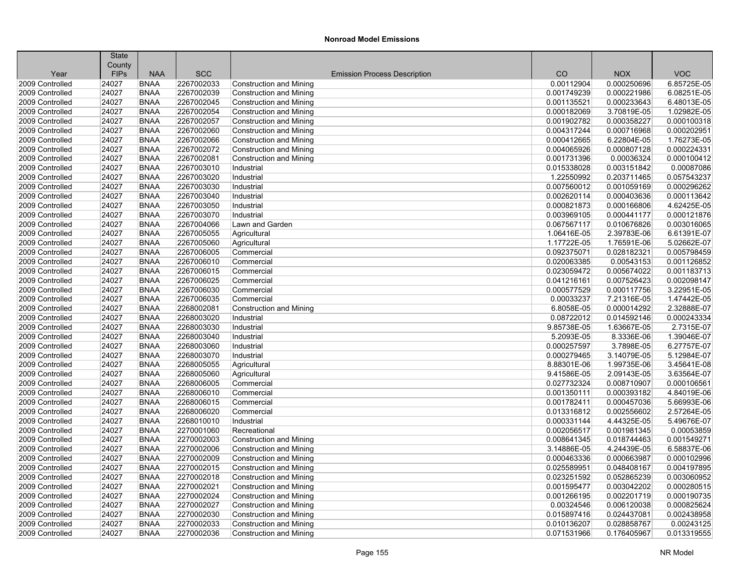|                 | <b>State</b> |                            |            |                                     |             |             |             |
|-----------------|--------------|----------------------------|------------|-------------------------------------|-------------|-------------|-------------|
|                 | County       |                            |            |                                     |             |             |             |
| Year            | <b>FIPs</b>  | <b>NAA</b>                 | <b>SCC</b> | <b>Emission Process Description</b> | CO          | <b>NOX</b>  | <b>VOC</b>  |
| 2009 Controlled | 24027        | <b>BNAA</b>                | 2267002033 | Construction and Mining             | 0.00112904  | 0.000250696 | 6.85725E-05 |
| 2009 Controlled | 24027        | <b>BNAA</b>                | 2267002039 | <b>Construction and Mining</b>      | 0.001749239 | 0.000221986 | 6.08251E-05 |
| 2009 Controlled | 24027        | <b>BNAA</b>                | 2267002045 | <b>Construction and Mining</b>      | 0.001135521 | 0.000233643 | 6.48013E-05 |
| 2009 Controlled | 24027        | <b>BNAA</b>                | 2267002054 | <b>Construction and Mining</b>      | 0.000182069 | 3.70819E-05 | 1.02982E-05 |
| 2009 Controlled | 24027        | <b>BNAA</b>                | 2267002057 | <b>Construction and Mining</b>      | 0.001902782 | 0.000358227 | 0.000100318 |
| 2009 Controlled | 24027        | <b>BNAA</b>                | 2267002060 | <b>Construction and Mining</b>      | 0.004317244 | 0.000716968 | 0.000202951 |
| 2009 Controlled | 24027        | <b>BNAA</b>                | 2267002066 | <b>Construction and Mining</b>      | 0.000412665 | 6.22804E-05 | 1.76273E-05 |
| 2009 Controlled | 24027        | <b>BNAA</b>                | 2267002072 | <b>Construction and Mining</b>      | 0.004065926 | 0.000807128 | 0.000224331 |
| 2009 Controlled | 24027        | <b>BNAA</b>                | 2267002081 | <b>Construction and Mining</b>      | 0.001731396 | 0.00036324  | 0.000100412 |
| 2009 Controlled | 24027        | <b>BNAA</b>                | 2267003010 | Industrial                          | 0.015338028 | 0.003151842 | 0.00087086  |
| 2009 Controlled | 24027        | <b>BNAA</b>                | 2267003020 | Industrial                          | 1.22550992  | 0.203711465 | 0.057543237 |
| 2009 Controlled | 24027        | <b>BNAA</b>                | 2267003030 | Industrial                          | 0.007560012 | 0.001059169 | 0.000296262 |
| 2009 Controlled | 24027        | <b>BNAA</b>                | 2267003040 | Industrial                          | 0.002620114 | 0.000403636 | 0.000113642 |
| 2009 Controlled | 24027        | <b>BNAA</b>                | 2267003050 | Industrial                          | 0.000821873 | 0.000166806 | 4.62425E-05 |
| 2009 Controlled | 24027        | <b>BNAA</b>                | 2267003070 | Industrial                          | 0.003969105 | 0.000441177 | 0.000121876 |
| 2009 Controlled | 24027        | <b>BNAA</b>                | 2267004066 | Lawn and Garden                     | 0.067567117 | 0.010676826 | 0.003016065 |
| 2009 Controlled | 24027        | <b>BNAA</b>                | 2267005055 | Agricultural                        | 1.06416E-05 | 2.39783E-06 | 6.61391E-07 |
| 2009 Controlled | 24027        | <b>BNAA</b>                | 2267005060 | Agricultural                        | 1.17722E-05 | 1.76591E-06 | 5.02662E-07 |
| 2009 Controlled | 24027        | <b>BNAA</b>                | 2267006005 | Commercial                          | 0.092375071 | 0.028182321 | 0.005798459 |
| 2009 Controlled | 24027        | <b>BNAA</b>                | 2267006010 | Commercial                          | 0.020063385 | 0.00543153  | 0.001126852 |
| 2009 Controlled | 24027        | <b>BNAA</b>                | 2267006015 | Commercial                          | 0.023059472 | 0.005674022 | 0.001183713 |
| 2009 Controlled | 24027        | <b>BNAA</b>                | 2267006025 | Commercial                          | 0.041216161 | 0.007526423 | 0.002098147 |
| 2009 Controlled | 24027        | <b>BNAA</b>                | 2267006030 | Commercial                          | 0.000577529 | 0.000117756 | 3.22951E-05 |
| 2009 Controlled | 24027        | <b>BNAA</b>                | 2267006035 | Commercial                          | 0.00033237  | 7.21316E-05 | 1.47442E-05 |
| 2009 Controlled | 24027        | <b>BNAA</b>                | 2268002081 | Construction and Mining             | 6.8058E-05  | 0.000014292 | 2.32888E-07 |
| 2009 Controlled | 24027        | <b>BNAA</b>                | 2268003020 | Industrial                          | 0.08722012  | 0.014592146 | 0.000243334 |
| 2009 Controlled | 24027        | <b>BNAA</b>                | 2268003030 | Industrial                          | 9.85738E-05 | 1.63667E-05 | 2.7315E-07  |
| 2009 Controlled | 24027        | <b>BNAA</b>                | 2268003040 | Industrial                          | 5.2093E-05  | 8.3336E-06  | 1.39046E-07 |
| 2009 Controlled | 24027        | <b>BNAA</b>                | 2268003060 | Industrial                          | 0.000257597 | 3.7898E-05  | 6.27757E-07 |
| 2009 Controlled | 24027        | <b>BNAA</b>                | 2268003070 | Industrial                          | 0.000279465 | 3.14079E-05 | 5.12984E-07 |
| 2009 Controlled | 24027        | <b>BNAA</b>                | 2268005055 | Agricultural                        | 8.88301E-06 | 1.99735E-06 | 3.45641E-08 |
| 2009 Controlled | 24027        | <b>BNAA</b>                | 2268005060 | Agricultural                        | 9.41586E-05 | 2.09143E-05 | 3.63564E-07 |
| 2009 Controlled | 24027        | <b>BNAA</b>                | 2268006005 | Commercial                          | 0.027732324 | 0.008710907 | 0.000106561 |
| 2009 Controlled | 24027        | <b>BNAA</b>                | 2268006010 | Commercial                          | 0.001350111 | 0.000393182 | 4.84019E-06 |
| 2009 Controlled | 24027        | <b>BNAA</b>                | 2268006015 | Commercial                          | 0.001782411 | 0.000457036 | 5.66993E-06 |
| 2009 Controlled | 24027        | <b>BNAA</b>                | 2268006020 | Commercial                          | 0.013316812 | 0.002556602 | 2.57264E-05 |
| 2009 Controlled | 24027        | <b>BNAA</b>                | 2268010010 | Industrial                          | 0.000331144 | 4.44325E-05 | 5.49676E-07 |
| 2009 Controlled | 24027        | <b>BNAA</b>                | 2270001060 | Recreational                        | 0.002056517 | 0.001981345 | 0.00053859  |
| 2009 Controlled | 24027        | <b>BNAA</b>                | 2270002003 | <b>Construction and Mining</b>      | 0.008641345 | 0.018744463 | 0.001549271 |
| 2009 Controlled | 24027        | <b>BNAA</b>                | 2270002006 | <b>Construction and Mining</b>      | 3.14886E-05 | 4.24439E-05 | 6.58837E-06 |
| 2009 Controlled | 24027        | <b>BNAA</b>                | 2270002009 | <b>Construction and Mining</b>      | 0.000463336 | 0.000663987 | 0.000102996 |
| 2009 Controlled | 24027        | <b>BNAA</b>                | 2270002015 | <b>Construction and Mining</b>      | 0.025589951 | 0.048408167 | 0.004197895 |
| 2009 Controlled | 24027        | <b>BNAA</b>                | 2270002018 | <b>Construction and Mining</b>      | 0.023251592 | 0.052865239 | 0.003060952 |
| 2009 Controlled | 24027        | <b>BNAA</b>                | 2270002021 | <b>Construction and Mining</b>      | 0.001595477 | 0.003042202 | 0.000280515 |
| 2009 Controlled | 24027        | <b>BNAA</b>                | 2270002024 | <b>Construction and Mining</b>      | 0.001266195 | 0.002201719 | 0.000190735 |
| 2009 Controlled | 24027        | <b>BNAA</b>                | 2270002027 | <b>Construction and Mining</b>      | 0.00324546  | 0.006120038 | 0.000825624 |
| 2009 Controlled | 24027        | <b>BNAA</b>                | 2270002030 | <b>Construction and Mining</b>      | 0.015897416 | 0.024437081 | 0.002438958 |
|                 |              |                            |            |                                     |             |             |             |
| 2009 Controlled | 24027        | <b>BNAA</b><br><b>BNAA</b> | 2270002033 | Construction and Mining             | 0.010136207 | 0.028858767 | 0.00243125  |
| 2009 Controlled | 24027        |                            | 2270002036 | <b>Construction and Mining</b>      | 0.071531966 | 0.176405967 | 0.013319555 |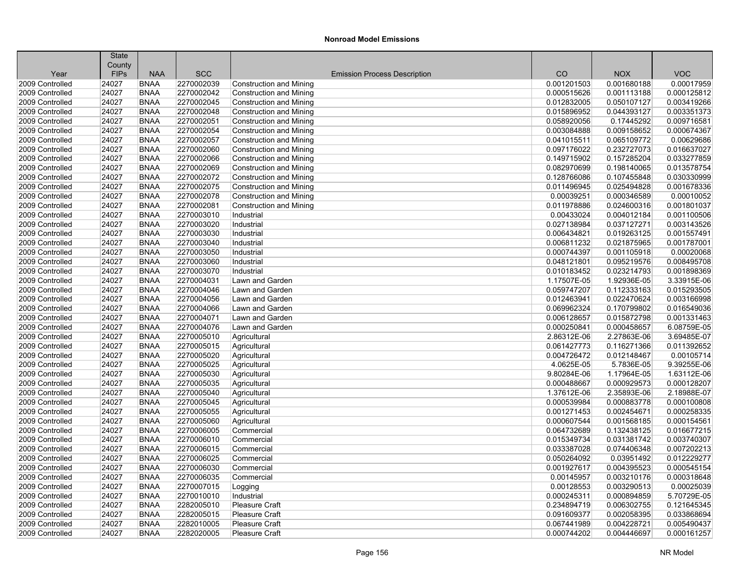|                                    | <b>State</b> |                            |                          |                                     |                            |                           |                            |
|------------------------------------|--------------|----------------------------|--------------------------|-------------------------------------|----------------------------|---------------------------|----------------------------|
|                                    | County       | <b>NAA</b>                 |                          |                                     | CO                         | <b>NOX</b>                | <b>VOC</b>                 |
| Year                               | <b>FIPs</b>  |                            | <b>SCC</b><br>2270002039 | <b>Emission Process Description</b> |                            |                           |                            |
| 2009 Controlled                    | 24027        | <b>BNAA</b>                |                          | Construction and Mining             | 0.001201503                | 0.001680188               | 0.00017959                 |
| 2009 Controlled                    | 24027        | <b>BNAA</b>                | 2270002042               | <b>Construction and Mining</b>      | 0.000515626                | 0.001113188               | 0.000125812                |
| 2009 Controlled                    | 24027        | <b>BNAA</b>                | 2270002045               | <b>Construction and Mining</b>      | 0.012832005                | 0.050107127               | 0.003419266                |
| 2009 Controlled<br>2009 Controlled | 24027        | <b>BNAA</b><br><b>BNAA</b> | 2270002048               | Construction and Mining             | 0.015896952<br>0.058920056 | 0.044393127<br>0.17445292 | 0.003351373<br>0.009716581 |
|                                    | 24027        |                            | 2270002051               | <b>Construction and Mining</b>      |                            |                           |                            |
| 2009 Controlled                    | 24027        | <b>BNAA</b>                | 2270002054               | <b>Construction and Mining</b>      | 0.003084888                | 0.009158652               | 0.000674367                |
| 2009 Controlled                    | 24027        | <b>BNAA</b>                | 2270002057               | <b>Construction and Mining</b>      | 0.041015511                | 0.065109772               | 0.00629686                 |
| 2009 Controlled                    | 24027        | <b>BNAA</b>                | 2270002060               | <b>Construction and Mining</b>      | 0.097176022                | 0.232727073               | 0.016637027                |
| 2009 Controlled                    | 24027        | <b>BNAA</b>                | 2270002066               | <b>Construction and Mining</b>      | 0.149715902                | 0.157285204               | 0.033277859                |
| 2009 Controlled                    | 24027        | <b>BNAA</b>                | 2270002069               | <b>Construction and Mining</b>      | 0.082970699                | 0.198140065               | 0.013578754                |
| 2009 Controlled                    | 24027        | <b>BNAA</b>                | 2270002072               | <b>Construction and Mining</b>      | 0.128766086                | 0.107455848               | 0.030330999                |
| 2009 Controlled                    | 24027        | <b>BNAA</b>                | 2270002075               | <b>Construction and Mining</b>      | 0.011496945                | 0.025494828               | 0.001678336                |
| 2009 Controlled                    | 24027        | <b>BNAA</b>                | 2270002078               | <b>Construction and Mining</b>      | 0.00039251                 | 0.000346589               | 0.00010052                 |
| 2009 Controlled                    | 24027        | <b>BNAA</b>                | 2270002081               | Construction and Mining             | 0.011978886                | 0.024600316               | 0.001801037                |
| 2009 Controlled                    | 24027        | <b>BNAA</b>                | 2270003010               | Industrial                          | 0.00433024                 | 0.004012184               | 0.001100506                |
| 2009 Controlled                    | 24027        | <b>BNAA</b>                | 2270003020               | Industrial                          | 0.027138984                | 0.037127271               | 0.003143526                |
| 2009 Controlled                    | 24027        | <b>BNAA</b>                | 2270003030               | Industrial                          | 0.006434821                | 0.019263125               | 0.001557491                |
| 2009 Controlled                    | 24027        | <b>BNAA</b>                | 2270003040               | Industrial                          | 0.006811232                | 0.021875965               | 0.001787001                |
| 2009 Controlled                    | 24027        | <b>BNAA</b>                | 2270003050               | Industrial                          | 0.000744397                | 0.001105918               | 0.00020068                 |
| 2009 Controlled                    | 24027        | <b>BNAA</b>                | 2270003060               | Industrial                          | 0.048121801                | 0.095219576               | 0.008495708                |
| 2009 Controlled                    | 24027        | <b>BNAA</b>                | 2270003070               | Industrial                          | 0.010183452                | 0.023214793               | 0.001898369                |
| 2009 Controlled                    | 24027        | <b>BNAA</b>                | 2270004031               | Lawn and Garden                     | 1.17507E-05                | 1.92936E-05               | 3.33915E-06                |
| 2009 Controlled                    | 24027        | <b>BNAA</b>                | 2270004046               | Lawn and Garden                     | 0.059747207                | 0.112333163               | 0.015293505                |
| 2009 Controlled                    | 24027        | <b>BNAA</b>                | 2270004056               | Lawn and Garden                     | 0.012463941                | 0.022470624               | 0.003166998                |
| 2009 Controlled                    | 24027        | <b>BNAA</b>                | 2270004066               | Lawn and Garden                     | 0.069962324                | 0.170799802               | 0.016549036                |
| 2009 Controlled                    | 24027        | <b>BNAA</b>                | 2270004071               | Lawn and Garden                     | 0.006128657                | 0.015872798               | 0.001331463                |
| 2009 Controlled                    | 24027        | <b>BNAA</b>                | 2270004076               | Lawn and Garden                     | 0.000250841                | 0.000458657               | 6.08759E-05                |
| 2009 Controlled                    | 24027        | <b>BNAA</b>                | 2270005010               | Agricultural                        | 2.86312E-06                | 2.27863E-06               | 3.69485E-07                |
| 2009 Controlled                    | 24027        | <b>BNAA</b>                | 2270005015               | Agricultural                        | 0.061427773                | 0.116271366               | 0.011392652                |
| 2009 Controlled                    | 24027        | <b>BNAA</b>                | 2270005020               | Agricultural                        | 0.004726472                | 0.012148467               | 0.00105714                 |
| 2009 Controlled                    | 24027        | <b>BNAA</b>                | 2270005025               | Agricultural                        | 4.0625E-05                 | 5.7836E-05                | 9.39255E-06                |
| 2009 Controlled                    | 24027        | <b>BNAA</b>                | 2270005030               | Agricultural                        | 9.80284E-06                | 1.17964E-05               | 1.63112E-06                |
| 2009 Controlled                    | 24027        | <b>BNAA</b>                | 2270005035               | Agricultural                        | 0.000488667                | 0.000929573               | 0.000128207                |
| 2009 Controlled                    | 24027        | <b>BNAA</b>                | 2270005040               | Agricultural                        | 1.37612E-06                | 2.35893E-06               | 2.18988E-07                |
| 2009 Controlled                    | 24027        | <b>BNAA</b>                | 2270005045               | Agricultural                        | 0.000539984                | 0.000883778               | 0.000100808                |
| 2009 Controlled                    | 24027        | <b>BNAA</b>                | 2270005055               | Agricultural                        | 0.001271453                | 0.002454671               | 0.000258335                |
| 2009 Controlled                    | 24027        | <b>BNAA</b>                | 2270005060               | Agricultural                        | 0.000607544                | 0.001568185               | 0.000154561                |
| 2009 Controlled                    | 24027        | <b>BNAA</b>                | 2270006005               | Commercial                          | 0.064732689                | 0.132438125               | 0.016677215                |
| 2009 Controlled                    | 24027        | <b>BNAA</b>                | 2270006010               | Commercial                          | 0.015349734                | 0.031381742               | 0.003740307                |
| 2009 Controlled                    | 24027        | <b>BNAA</b>                | 2270006015               | Commercial                          | 0.033387028                | 0.074406348               | 0.007202213                |
| 2009 Controlled                    | 24027        | <b>BNAA</b>                | 2270006025               | Commercial                          | 0.050264092                | 0.03951492                | 0.012229277                |
| 2009 Controlled                    | 24027        | <b>BNAA</b>                | 2270006030               | Commercial                          | 0.001927617                | 0.004395523               | 0.000545154                |
| 2009 Controlled                    | 24027        | <b>BNAA</b>                | 2270006035               | Commercial                          | 0.00145957                 | 0.003210176               | 0.000318648                |
| 2009 Controlled                    | 24027        | <b>BNAA</b>                | 2270007015               | Logging                             | 0.00128553                 | 0.003290513               | 0.00025039                 |
| 2009 Controlled                    | 24027        | <b>BNAA</b>                | 2270010010               | Industrial                          | 0.000245311                | 0.000894859               | 5.70729E-05                |
| 2009 Controlled                    | 24027        | <b>BNAA</b>                | 2282005010               | <b>Pleasure Craft</b>               | 0.234894719                | 0.006302755               | 0.121645345                |
| 2009 Controlled                    | 24027        | <b>BNAA</b>                | 2282005015               | <b>Pleasure Craft</b>               | 0.091609377                | 0.002058395               | 0.033868694                |
| 2009 Controlled                    | 24027        | <b>BNAA</b>                | 2282010005               | Pleasure Craft                      | 0.067441989                | 0.004228721               | 0.005490437                |
| 2009 Controlled                    | 24027        | <b>BNAA</b>                | 2282020005               | Pleasure Craft                      | 0.000744202                | 0.004446697               | 0.000161257                |
|                                    |              |                            |                          |                                     |                            |                           |                            |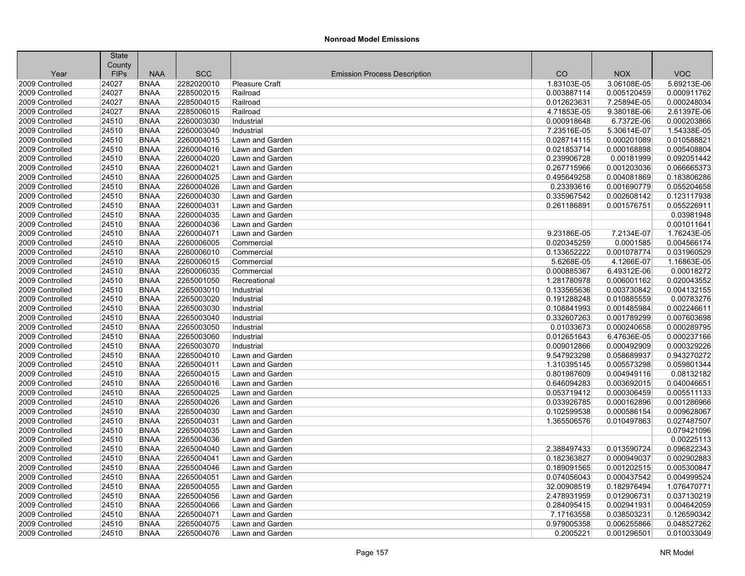| <b>SCC</b><br>CO<br><b>NOX</b><br><b>VOC</b><br>Year<br><b>FIPs</b><br><b>NAA</b><br><b>Emission Process Description</b><br>2282020010<br>24027<br><b>BNAA</b><br><b>Pleasure Craft</b><br>1.83103E-05<br>3.06108E-05<br>5.69213E-06<br>2009 Controlled<br>24027<br><b>BNAA</b><br>2285002015<br>0.005120459<br>0.000911762<br>2009 Controlled<br>0.003887114<br>Railroad<br>2009 Controlled<br>24027<br><b>BNAA</b><br>2285004015<br>Railroad<br>0.012623631<br>7.25894E-05<br>0.000248034<br>2009 Controlled<br>24027<br>2285006015<br>4.71853E-05<br>9.38018E-06<br>2.61397E-06<br><b>BNAA</b><br>Railroad<br>2009 Controlled<br>24510<br><b>BNAA</b><br>2260003030<br>0.000918648<br>6.7372E-06<br>0.000203866<br>Industrial<br>1.54338E-05<br>2009 Controlled<br>24510<br><b>BNAA</b><br>2260003040<br>7.23516E-05<br>5.30614E-07<br>Industrial<br>2009 Controlled<br>24510<br><b>BNAA</b><br>2260004015<br>0.028714115<br>0.000201089<br>0.010588821<br>Lawn and Garden<br>0.005408804<br>2009 Controlled<br>24510<br><b>BNAA</b><br>2260004016<br>Lawn and Garden<br>0.021853714<br>0.000168898<br>0.092051442<br>2009 Controlled<br>24510<br><b>BNAA</b><br>2260004020<br>Lawn and Garden<br>0.239906728<br>0.00181999<br>24510<br>2260004021<br>0.267715966<br>0.001203036<br>0.066665373<br>2009 Controlled<br><b>BNAA</b><br>Lawn and Garden<br>24510<br>2260004025<br>0.495649258<br>0.183806286<br>2009 Controlled<br><b>BNAA</b><br>Lawn and Garden<br>0.004081869<br>2009 Controlled<br>24510<br>2260004026<br>0.23393616<br>0.055204658<br><b>BNAA</b><br>Lawn and Garden<br>0.001690779<br>2009 Controlled<br>24510<br><b>BNAA</b><br>2260004030<br>Lawn and Garden<br>0.335967542<br>0.002608142<br>0.123117938<br>24510<br>2260004031<br>0.261186891<br>0.001576751<br>0.055226911<br>2009 Controlled<br><b>BNAA</b><br>Lawn and Garden<br>0.03981948<br>2009 Controlled<br>24510<br><b>BNAA</b><br>2260004035<br>Lawn and Garden<br>0.001011641<br>2009 Controlled<br>24510<br><b>BNAA</b><br>2260004036<br>Lawn and Garden<br>24510<br>2260004071<br>1.76243E-05<br>2009 Controlled<br><b>BNAA</b><br>Lawn and Garden<br>9.23186E-05<br>7.2134E-07<br>0.004566174<br>2009 Controlled<br>24510<br><b>BNAA</b><br>2260006005<br>0.020345259<br>0.0001585<br>Commercial<br>0.133652222<br>0.031960529<br>2009 Controlled<br>24510<br><b>BNAA</b><br>2260006010<br>Commercial<br>0.001078774<br>1.16863E-05<br>2009 Controlled<br>24510<br><b>BNAA</b><br>2260006015<br>Commercial<br>5.6268E-05<br>4.1266E-07<br>6.49312E-06<br>0.00018272<br>2009 Controlled<br>24510<br><b>BNAA</b><br>2260006035<br>0.000885367<br>Commercial<br>0.020043552<br>2009 Controlled<br>24510<br><b>BNAA</b><br>2265001050<br>1.281780978<br>0.006001162<br>Recreational<br><b>BNAA</b><br>2265003010<br>0.133565636<br>0.003730842<br>0.004132155<br>2009 Controlled<br>24510<br>Industrial<br>2265003020<br>0.00783276<br>2009 Controlled<br>24510<br><b>BNAA</b><br>0.191288248<br>0.010885559<br>Industrial<br>2009 Controlled<br>24510<br><b>BNAA</b><br>2265003030<br>0.108841993<br>0.001485984<br>0.002246611<br>Industrial<br>2265003040<br>0.007603698<br>2009 Controlled<br>24510<br><b>BNAA</b><br>Industrial<br>0.332607263<br>0.001789299<br>2009 Controlled<br>24510<br><b>BNAA</b><br>2265003050<br>0.01033673<br>0.000240658<br>0.000289795<br>Industrial<br>2009 Controlled<br>24510<br><b>BNAA</b><br>2265003060<br>0.012651643<br>6.47636E-05<br>0.000237166<br>Industrial<br>24510<br><b>BNAA</b><br>2265003070<br>0.009012866<br>0.000492909<br>0.000329226<br>2009 Controlled<br>Industrial<br>2265004010<br>9.547923298<br>0.943270272<br>2009 Controlled<br>24510<br><b>BNAA</b><br>Lawn and Garden<br>0.058689937<br>0.059801344<br>2009 Controlled<br>24510<br><b>BNAA</b><br>2265004011<br>Lawn and Garden<br>1.310395145<br>0.005573298<br>24510<br>2265004015<br>0.801987609<br>0.004949116<br>0.08132182<br>2009 Controlled<br><b>BNAA</b><br>Lawn and Garden<br>2265004016<br>0.040046651<br>2009 Controlled<br>24510<br><b>BNAA</b><br>Lawn and Garden<br>0.646094283<br>0.003692015<br>2009 Controlled<br>24510<br><b>BNAA</b><br>2265004025<br>Lawn and Garden<br>0.053719412<br>0.000306459<br>0.005511133<br>2009 Controlled<br>24510<br><b>BNAA</b><br>2265004026<br>0.033926785<br>0.000162896<br>0.001286966<br>Lawn and Garden<br>24510<br>2265004030<br>0.102599538<br>0.000586154<br>0.009628067<br>2009 Controlled<br><b>BNAA</b><br>Lawn and Garden<br>0.027487507<br>2009 Controlled<br>24510<br><b>BNAA</b><br>2265004031<br>1.365506576<br>0.010497863<br>Lawn and Garden<br>0.079421096<br>24510<br><b>BNAA</b><br>2265004035<br>2009 Controlled<br>Lawn and Garden<br>2265004036<br>0.00225113<br>2009 Controlled<br>24510<br><b>BNAA</b><br>Lawn and Garden<br>0.096822343<br>2009 Controlled<br>24510<br><b>BNAA</b><br>2265004040<br>Lawn and Garden<br>2.388497433<br>0.013590724<br>2009 Controlled<br>24510<br><b>BNAA</b><br>2265004041<br>Lawn and Garden<br>0.182363827<br>0.000949037<br>0.002902883<br>2009 Controlled<br>2265004046<br>0.001202515<br>0.005300847<br>24510<br><b>BNAA</b><br>Lawn and Garden<br>0.189091565<br>24510<br>0.000437542<br>0.004999524<br>2009 Controlled<br><b>BNAA</b><br>2265004051<br>Lawn and Garden<br>0.074056043<br>1.076470771<br>2009 Controlled<br>24510<br><b>BNAA</b><br>2265004055<br>32.00908519<br>0.182976494<br>Lawn and Garden<br>2265004056<br>2.478931959<br>0.012906731<br>0.037130219<br>2009 Controlled<br>24510<br><b>BNAA</b><br>Lawn and Garden<br>2009 Controlled<br>24510<br><b>BNAA</b><br>2265004066<br>Lawn and Garden<br>0.284095415<br>0.002941931<br>0.004642059<br>0.126590342<br>2009 Controlled<br>24510<br>2265004071<br>7.17163558<br>0.038503231<br><b>BNAA</b><br>Lawn and Garden<br>2009 Controlled<br>24510<br><b>BNAA</b><br>2265004075<br>Lawn and Garden<br>0.979005358<br>0.006255866<br>0.048527262<br>2265004076<br>2009 Controlled<br>24510<br><b>BNAA</b><br>Lawn and Garden<br>0.2005221<br>0.001296501<br>0.010033049 | <b>State</b> |  |  |  |
|-----------------------------------------------------------------------------------------------------------------------------------------------------------------------------------------------------------------------------------------------------------------------------------------------------------------------------------------------------------------------------------------------------------------------------------------------------------------------------------------------------------------------------------------------------------------------------------------------------------------------------------------------------------------------------------------------------------------------------------------------------------------------------------------------------------------------------------------------------------------------------------------------------------------------------------------------------------------------------------------------------------------------------------------------------------------------------------------------------------------------------------------------------------------------------------------------------------------------------------------------------------------------------------------------------------------------------------------------------------------------------------------------------------------------------------------------------------------------------------------------------------------------------------------------------------------------------------------------------------------------------------------------------------------------------------------------------------------------------------------------------------------------------------------------------------------------------------------------------------------------------------------------------------------------------------------------------------------------------------------------------------------------------------------------------------------------------------------------------------------------------------------------------------------------------------------------------------------------------------------------------------------------------------------------------------------------------------------------------------------------------------------------------------------------------------------------------------------------------------------------------------------------------------------------------------------------------------------------------------------------------------------------------------------------------------------------------------------------------------------------------------------------------------------------------------------------------------------------------------------------------------------------------------------------------------------------------------------------------------------------------------------------------------------------------------------------------------------------------------------------------------------------------------------------------------------------------------------------------------------------------------------------------------------------------------------------------------------------------------------------------------------------------------------------------------------------------------------------------------------------------------------------------------------------------------------------------------------------------------------------------------------------------------------------------------------------------------------------------------------------------------------------------------------------------------------------------------------------------------------------------------------------------------------------------------------------------------------------------------------------------------------------------------------------------------------------------------------------------------------------------------------------------------------------------------------------------------------------------------------------------------------------------------------------------------------------------------------------------------------------------------------------------------------------------------------------------------------------------------------------------------------------------------------------------------------------------------------------------------------------------------------------------------------------------------------------------------------------------------------------------------------------------------------------------------------------------------------------------------------------------------------------------------------------------------------------------------------------------------------------------------------------------------------------------------------------------------------------------------------------------------------------------------------------------------------------------------------------------------------------------------------------------------------------------------------------------------------------------------------------------------------------------------------------------------------------------------------------------------------------------------------------------------------------------------------------------------------------------------------------------------------------------------------------------------------------------------------------------------------------------------------------------------------------------------------------------------------------------------------------------------------------------------------------------------------------------------------------------------------------------------------------------------------------------------------------|--------------|--|--|--|
|                                                                                                                                                                                                                                                                                                                                                                                                                                                                                                                                                                                                                                                                                                                                                                                                                                                                                                                                                                                                                                                                                                                                                                                                                                                                                                                                                                                                                                                                                                                                                                                                                                                                                                                                                                                                                                                                                                                                                                                                                                                                                                                                                                                                                                                                                                                                                                                                                                                                                                                                                                                                                                                                                                                                                                                                                                                                                                                                                                                                                                                                                                                                                                                                                                                                                                                                                                                                                                                                                                                                                                                                                                                                                                                                                                                                                                                                                                                                                                                                                                                                                                                                                                                                                                                                                                                                                                                                                                                                                                                                                                                                                                                                                                                                                                                                                                                                                                                                                                                                                                                                                                                                                                                                                                                                                                                                                                                                                                                                                                                                                                                                                                                                                                                                                                                                                                                                                                                                                                                                                                                                       | County       |  |  |  |
|                                                                                                                                                                                                                                                                                                                                                                                                                                                                                                                                                                                                                                                                                                                                                                                                                                                                                                                                                                                                                                                                                                                                                                                                                                                                                                                                                                                                                                                                                                                                                                                                                                                                                                                                                                                                                                                                                                                                                                                                                                                                                                                                                                                                                                                                                                                                                                                                                                                                                                                                                                                                                                                                                                                                                                                                                                                                                                                                                                                                                                                                                                                                                                                                                                                                                                                                                                                                                                                                                                                                                                                                                                                                                                                                                                                                                                                                                                                                                                                                                                                                                                                                                                                                                                                                                                                                                                                                                                                                                                                                                                                                                                                                                                                                                                                                                                                                                                                                                                                                                                                                                                                                                                                                                                                                                                                                                                                                                                                                                                                                                                                                                                                                                                                                                                                                                                                                                                                                                                                                                                                                       |              |  |  |  |
|                                                                                                                                                                                                                                                                                                                                                                                                                                                                                                                                                                                                                                                                                                                                                                                                                                                                                                                                                                                                                                                                                                                                                                                                                                                                                                                                                                                                                                                                                                                                                                                                                                                                                                                                                                                                                                                                                                                                                                                                                                                                                                                                                                                                                                                                                                                                                                                                                                                                                                                                                                                                                                                                                                                                                                                                                                                                                                                                                                                                                                                                                                                                                                                                                                                                                                                                                                                                                                                                                                                                                                                                                                                                                                                                                                                                                                                                                                                                                                                                                                                                                                                                                                                                                                                                                                                                                                                                                                                                                                                                                                                                                                                                                                                                                                                                                                                                                                                                                                                                                                                                                                                                                                                                                                                                                                                                                                                                                                                                                                                                                                                                                                                                                                                                                                                                                                                                                                                                                                                                                                                                       |              |  |  |  |
|                                                                                                                                                                                                                                                                                                                                                                                                                                                                                                                                                                                                                                                                                                                                                                                                                                                                                                                                                                                                                                                                                                                                                                                                                                                                                                                                                                                                                                                                                                                                                                                                                                                                                                                                                                                                                                                                                                                                                                                                                                                                                                                                                                                                                                                                                                                                                                                                                                                                                                                                                                                                                                                                                                                                                                                                                                                                                                                                                                                                                                                                                                                                                                                                                                                                                                                                                                                                                                                                                                                                                                                                                                                                                                                                                                                                                                                                                                                                                                                                                                                                                                                                                                                                                                                                                                                                                                                                                                                                                                                                                                                                                                                                                                                                                                                                                                                                                                                                                                                                                                                                                                                                                                                                                                                                                                                                                                                                                                                                                                                                                                                                                                                                                                                                                                                                                                                                                                                                                                                                                                                                       |              |  |  |  |
|                                                                                                                                                                                                                                                                                                                                                                                                                                                                                                                                                                                                                                                                                                                                                                                                                                                                                                                                                                                                                                                                                                                                                                                                                                                                                                                                                                                                                                                                                                                                                                                                                                                                                                                                                                                                                                                                                                                                                                                                                                                                                                                                                                                                                                                                                                                                                                                                                                                                                                                                                                                                                                                                                                                                                                                                                                                                                                                                                                                                                                                                                                                                                                                                                                                                                                                                                                                                                                                                                                                                                                                                                                                                                                                                                                                                                                                                                                                                                                                                                                                                                                                                                                                                                                                                                                                                                                                                                                                                                                                                                                                                                                                                                                                                                                                                                                                                                                                                                                                                                                                                                                                                                                                                                                                                                                                                                                                                                                                                                                                                                                                                                                                                                                                                                                                                                                                                                                                                                                                                                                                                       |              |  |  |  |
|                                                                                                                                                                                                                                                                                                                                                                                                                                                                                                                                                                                                                                                                                                                                                                                                                                                                                                                                                                                                                                                                                                                                                                                                                                                                                                                                                                                                                                                                                                                                                                                                                                                                                                                                                                                                                                                                                                                                                                                                                                                                                                                                                                                                                                                                                                                                                                                                                                                                                                                                                                                                                                                                                                                                                                                                                                                                                                                                                                                                                                                                                                                                                                                                                                                                                                                                                                                                                                                                                                                                                                                                                                                                                                                                                                                                                                                                                                                                                                                                                                                                                                                                                                                                                                                                                                                                                                                                                                                                                                                                                                                                                                                                                                                                                                                                                                                                                                                                                                                                                                                                                                                                                                                                                                                                                                                                                                                                                                                                                                                                                                                                                                                                                                                                                                                                                                                                                                                                                                                                                                                                       |              |  |  |  |
|                                                                                                                                                                                                                                                                                                                                                                                                                                                                                                                                                                                                                                                                                                                                                                                                                                                                                                                                                                                                                                                                                                                                                                                                                                                                                                                                                                                                                                                                                                                                                                                                                                                                                                                                                                                                                                                                                                                                                                                                                                                                                                                                                                                                                                                                                                                                                                                                                                                                                                                                                                                                                                                                                                                                                                                                                                                                                                                                                                                                                                                                                                                                                                                                                                                                                                                                                                                                                                                                                                                                                                                                                                                                                                                                                                                                                                                                                                                                                                                                                                                                                                                                                                                                                                                                                                                                                                                                                                                                                                                                                                                                                                                                                                                                                                                                                                                                                                                                                                                                                                                                                                                                                                                                                                                                                                                                                                                                                                                                                                                                                                                                                                                                                                                                                                                                                                                                                                                                                                                                                                                                       |              |  |  |  |
|                                                                                                                                                                                                                                                                                                                                                                                                                                                                                                                                                                                                                                                                                                                                                                                                                                                                                                                                                                                                                                                                                                                                                                                                                                                                                                                                                                                                                                                                                                                                                                                                                                                                                                                                                                                                                                                                                                                                                                                                                                                                                                                                                                                                                                                                                                                                                                                                                                                                                                                                                                                                                                                                                                                                                                                                                                                                                                                                                                                                                                                                                                                                                                                                                                                                                                                                                                                                                                                                                                                                                                                                                                                                                                                                                                                                                                                                                                                                                                                                                                                                                                                                                                                                                                                                                                                                                                                                                                                                                                                                                                                                                                                                                                                                                                                                                                                                                                                                                                                                                                                                                                                                                                                                                                                                                                                                                                                                                                                                                                                                                                                                                                                                                                                                                                                                                                                                                                                                                                                                                                                                       |              |  |  |  |
|                                                                                                                                                                                                                                                                                                                                                                                                                                                                                                                                                                                                                                                                                                                                                                                                                                                                                                                                                                                                                                                                                                                                                                                                                                                                                                                                                                                                                                                                                                                                                                                                                                                                                                                                                                                                                                                                                                                                                                                                                                                                                                                                                                                                                                                                                                                                                                                                                                                                                                                                                                                                                                                                                                                                                                                                                                                                                                                                                                                                                                                                                                                                                                                                                                                                                                                                                                                                                                                                                                                                                                                                                                                                                                                                                                                                                                                                                                                                                                                                                                                                                                                                                                                                                                                                                                                                                                                                                                                                                                                                                                                                                                                                                                                                                                                                                                                                                                                                                                                                                                                                                                                                                                                                                                                                                                                                                                                                                                                                                                                                                                                                                                                                                                                                                                                                                                                                                                                                                                                                                                                                       |              |  |  |  |
|                                                                                                                                                                                                                                                                                                                                                                                                                                                                                                                                                                                                                                                                                                                                                                                                                                                                                                                                                                                                                                                                                                                                                                                                                                                                                                                                                                                                                                                                                                                                                                                                                                                                                                                                                                                                                                                                                                                                                                                                                                                                                                                                                                                                                                                                                                                                                                                                                                                                                                                                                                                                                                                                                                                                                                                                                                                                                                                                                                                                                                                                                                                                                                                                                                                                                                                                                                                                                                                                                                                                                                                                                                                                                                                                                                                                                                                                                                                                                                                                                                                                                                                                                                                                                                                                                                                                                                                                                                                                                                                                                                                                                                                                                                                                                                                                                                                                                                                                                                                                                                                                                                                                                                                                                                                                                                                                                                                                                                                                                                                                                                                                                                                                                                                                                                                                                                                                                                                                                                                                                                                                       |              |  |  |  |
|                                                                                                                                                                                                                                                                                                                                                                                                                                                                                                                                                                                                                                                                                                                                                                                                                                                                                                                                                                                                                                                                                                                                                                                                                                                                                                                                                                                                                                                                                                                                                                                                                                                                                                                                                                                                                                                                                                                                                                                                                                                                                                                                                                                                                                                                                                                                                                                                                                                                                                                                                                                                                                                                                                                                                                                                                                                                                                                                                                                                                                                                                                                                                                                                                                                                                                                                                                                                                                                                                                                                                                                                                                                                                                                                                                                                                                                                                                                                                                                                                                                                                                                                                                                                                                                                                                                                                                                                                                                                                                                                                                                                                                                                                                                                                                                                                                                                                                                                                                                                                                                                                                                                                                                                                                                                                                                                                                                                                                                                                                                                                                                                                                                                                                                                                                                                                                                                                                                                                                                                                                                                       |              |  |  |  |
|                                                                                                                                                                                                                                                                                                                                                                                                                                                                                                                                                                                                                                                                                                                                                                                                                                                                                                                                                                                                                                                                                                                                                                                                                                                                                                                                                                                                                                                                                                                                                                                                                                                                                                                                                                                                                                                                                                                                                                                                                                                                                                                                                                                                                                                                                                                                                                                                                                                                                                                                                                                                                                                                                                                                                                                                                                                                                                                                                                                                                                                                                                                                                                                                                                                                                                                                                                                                                                                                                                                                                                                                                                                                                                                                                                                                                                                                                                                                                                                                                                                                                                                                                                                                                                                                                                                                                                                                                                                                                                                                                                                                                                                                                                                                                                                                                                                                                                                                                                                                                                                                                                                                                                                                                                                                                                                                                                                                                                                                                                                                                                                                                                                                                                                                                                                                                                                                                                                                                                                                                                                                       |              |  |  |  |
|                                                                                                                                                                                                                                                                                                                                                                                                                                                                                                                                                                                                                                                                                                                                                                                                                                                                                                                                                                                                                                                                                                                                                                                                                                                                                                                                                                                                                                                                                                                                                                                                                                                                                                                                                                                                                                                                                                                                                                                                                                                                                                                                                                                                                                                                                                                                                                                                                                                                                                                                                                                                                                                                                                                                                                                                                                                                                                                                                                                                                                                                                                                                                                                                                                                                                                                                                                                                                                                                                                                                                                                                                                                                                                                                                                                                                                                                                                                                                                                                                                                                                                                                                                                                                                                                                                                                                                                                                                                                                                                                                                                                                                                                                                                                                                                                                                                                                                                                                                                                                                                                                                                                                                                                                                                                                                                                                                                                                                                                                                                                                                                                                                                                                                                                                                                                                                                                                                                                                                                                                                                                       |              |  |  |  |
|                                                                                                                                                                                                                                                                                                                                                                                                                                                                                                                                                                                                                                                                                                                                                                                                                                                                                                                                                                                                                                                                                                                                                                                                                                                                                                                                                                                                                                                                                                                                                                                                                                                                                                                                                                                                                                                                                                                                                                                                                                                                                                                                                                                                                                                                                                                                                                                                                                                                                                                                                                                                                                                                                                                                                                                                                                                                                                                                                                                                                                                                                                                                                                                                                                                                                                                                                                                                                                                                                                                                                                                                                                                                                                                                                                                                                                                                                                                                                                                                                                                                                                                                                                                                                                                                                                                                                                                                                                                                                                                                                                                                                                                                                                                                                                                                                                                                                                                                                                                                                                                                                                                                                                                                                                                                                                                                                                                                                                                                                                                                                                                                                                                                                                                                                                                                                                                                                                                                                                                                                                                                       |              |  |  |  |
|                                                                                                                                                                                                                                                                                                                                                                                                                                                                                                                                                                                                                                                                                                                                                                                                                                                                                                                                                                                                                                                                                                                                                                                                                                                                                                                                                                                                                                                                                                                                                                                                                                                                                                                                                                                                                                                                                                                                                                                                                                                                                                                                                                                                                                                                                                                                                                                                                                                                                                                                                                                                                                                                                                                                                                                                                                                                                                                                                                                                                                                                                                                                                                                                                                                                                                                                                                                                                                                                                                                                                                                                                                                                                                                                                                                                                                                                                                                                                                                                                                                                                                                                                                                                                                                                                                                                                                                                                                                                                                                                                                                                                                                                                                                                                                                                                                                                                                                                                                                                                                                                                                                                                                                                                                                                                                                                                                                                                                                                                                                                                                                                                                                                                                                                                                                                                                                                                                                                                                                                                                                                       |              |  |  |  |
|                                                                                                                                                                                                                                                                                                                                                                                                                                                                                                                                                                                                                                                                                                                                                                                                                                                                                                                                                                                                                                                                                                                                                                                                                                                                                                                                                                                                                                                                                                                                                                                                                                                                                                                                                                                                                                                                                                                                                                                                                                                                                                                                                                                                                                                                                                                                                                                                                                                                                                                                                                                                                                                                                                                                                                                                                                                                                                                                                                                                                                                                                                                                                                                                                                                                                                                                                                                                                                                                                                                                                                                                                                                                                                                                                                                                                                                                                                                                                                                                                                                                                                                                                                                                                                                                                                                                                                                                                                                                                                                                                                                                                                                                                                                                                                                                                                                                                                                                                                                                                                                                                                                                                                                                                                                                                                                                                                                                                                                                                                                                                                                                                                                                                                                                                                                                                                                                                                                                                                                                                                                                       |              |  |  |  |
|                                                                                                                                                                                                                                                                                                                                                                                                                                                                                                                                                                                                                                                                                                                                                                                                                                                                                                                                                                                                                                                                                                                                                                                                                                                                                                                                                                                                                                                                                                                                                                                                                                                                                                                                                                                                                                                                                                                                                                                                                                                                                                                                                                                                                                                                                                                                                                                                                                                                                                                                                                                                                                                                                                                                                                                                                                                                                                                                                                                                                                                                                                                                                                                                                                                                                                                                                                                                                                                                                                                                                                                                                                                                                                                                                                                                                                                                                                                                                                                                                                                                                                                                                                                                                                                                                                                                                                                                                                                                                                                                                                                                                                                                                                                                                                                                                                                                                                                                                                                                                                                                                                                                                                                                                                                                                                                                                                                                                                                                                                                                                                                                                                                                                                                                                                                                                                                                                                                                                                                                                                                                       |              |  |  |  |
|                                                                                                                                                                                                                                                                                                                                                                                                                                                                                                                                                                                                                                                                                                                                                                                                                                                                                                                                                                                                                                                                                                                                                                                                                                                                                                                                                                                                                                                                                                                                                                                                                                                                                                                                                                                                                                                                                                                                                                                                                                                                                                                                                                                                                                                                                                                                                                                                                                                                                                                                                                                                                                                                                                                                                                                                                                                                                                                                                                                                                                                                                                                                                                                                                                                                                                                                                                                                                                                                                                                                                                                                                                                                                                                                                                                                                                                                                                                                                                                                                                                                                                                                                                                                                                                                                                                                                                                                                                                                                                                                                                                                                                                                                                                                                                                                                                                                                                                                                                                                                                                                                                                                                                                                                                                                                                                                                                                                                                                                                                                                                                                                                                                                                                                                                                                                                                                                                                                                                                                                                                                                       |              |  |  |  |
|                                                                                                                                                                                                                                                                                                                                                                                                                                                                                                                                                                                                                                                                                                                                                                                                                                                                                                                                                                                                                                                                                                                                                                                                                                                                                                                                                                                                                                                                                                                                                                                                                                                                                                                                                                                                                                                                                                                                                                                                                                                                                                                                                                                                                                                                                                                                                                                                                                                                                                                                                                                                                                                                                                                                                                                                                                                                                                                                                                                                                                                                                                                                                                                                                                                                                                                                                                                                                                                                                                                                                                                                                                                                                                                                                                                                                                                                                                                                                                                                                                                                                                                                                                                                                                                                                                                                                                                                                                                                                                                                                                                                                                                                                                                                                                                                                                                                                                                                                                                                                                                                                                                                                                                                                                                                                                                                                                                                                                                                                                                                                                                                                                                                                                                                                                                                                                                                                                                                                                                                                                                                       |              |  |  |  |
|                                                                                                                                                                                                                                                                                                                                                                                                                                                                                                                                                                                                                                                                                                                                                                                                                                                                                                                                                                                                                                                                                                                                                                                                                                                                                                                                                                                                                                                                                                                                                                                                                                                                                                                                                                                                                                                                                                                                                                                                                                                                                                                                                                                                                                                                                                                                                                                                                                                                                                                                                                                                                                                                                                                                                                                                                                                                                                                                                                                                                                                                                                                                                                                                                                                                                                                                                                                                                                                                                                                                                                                                                                                                                                                                                                                                                                                                                                                                                                                                                                                                                                                                                                                                                                                                                                                                                                                                                                                                                                                                                                                                                                                                                                                                                                                                                                                                                                                                                                                                                                                                                                                                                                                                                                                                                                                                                                                                                                                                                                                                                                                                                                                                                                                                                                                                                                                                                                                                                                                                                                                                       |              |  |  |  |
|                                                                                                                                                                                                                                                                                                                                                                                                                                                                                                                                                                                                                                                                                                                                                                                                                                                                                                                                                                                                                                                                                                                                                                                                                                                                                                                                                                                                                                                                                                                                                                                                                                                                                                                                                                                                                                                                                                                                                                                                                                                                                                                                                                                                                                                                                                                                                                                                                                                                                                                                                                                                                                                                                                                                                                                                                                                                                                                                                                                                                                                                                                                                                                                                                                                                                                                                                                                                                                                                                                                                                                                                                                                                                                                                                                                                                                                                                                                                                                                                                                                                                                                                                                                                                                                                                                                                                                                                                                                                                                                                                                                                                                                                                                                                                                                                                                                                                                                                                                                                                                                                                                                                                                                                                                                                                                                                                                                                                                                                                                                                                                                                                                                                                                                                                                                                                                                                                                                                                                                                                                                                       |              |  |  |  |
|                                                                                                                                                                                                                                                                                                                                                                                                                                                                                                                                                                                                                                                                                                                                                                                                                                                                                                                                                                                                                                                                                                                                                                                                                                                                                                                                                                                                                                                                                                                                                                                                                                                                                                                                                                                                                                                                                                                                                                                                                                                                                                                                                                                                                                                                                                                                                                                                                                                                                                                                                                                                                                                                                                                                                                                                                                                                                                                                                                                                                                                                                                                                                                                                                                                                                                                                                                                                                                                                                                                                                                                                                                                                                                                                                                                                                                                                                                                                                                                                                                                                                                                                                                                                                                                                                                                                                                                                                                                                                                                                                                                                                                                                                                                                                                                                                                                                                                                                                                                                                                                                                                                                                                                                                                                                                                                                                                                                                                                                                                                                                                                                                                                                                                                                                                                                                                                                                                                                                                                                                                                                       |              |  |  |  |
|                                                                                                                                                                                                                                                                                                                                                                                                                                                                                                                                                                                                                                                                                                                                                                                                                                                                                                                                                                                                                                                                                                                                                                                                                                                                                                                                                                                                                                                                                                                                                                                                                                                                                                                                                                                                                                                                                                                                                                                                                                                                                                                                                                                                                                                                                                                                                                                                                                                                                                                                                                                                                                                                                                                                                                                                                                                                                                                                                                                                                                                                                                                                                                                                                                                                                                                                                                                                                                                                                                                                                                                                                                                                                                                                                                                                                                                                                                                                                                                                                                                                                                                                                                                                                                                                                                                                                                                                                                                                                                                                                                                                                                                                                                                                                                                                                                                                                                                                                                                                                                                                                                                                                                                                                                                                                                                                                                                                                                                                                                                                                                                                                                                                                                                                                                                                                                                                                                                                                                                                                                                                       |              |  |  |  |
|                                                                                                                                                                                                                                                                                                                                                                                                                                                                                                                                                                                                                                                                                                                                                                                                                                                                                                                                                                                                                                                                                                                                                                                                                                                                                                                                                                                                                                                                                                                                                                                                                                                                                                                                                                                                                                                                                                                                                                                                                                                                                                                                                                                                                                                                                                                                                                                                                                                                                                                                                                                                                                                                                                                                                                                                                                                                                                                                                                                                                                                                                                                                                                                                                                                                                                                                                                                                                                                                                                                                                                                                                                                                                                                                                                                                                                                                                                                                                                                                                                                                                                                                                                                                                                                                                                                                                                                                                                                                                                                                                                                                                                                                                                                                                                                                                                                                                                                                                                                                                                                                                                                                                                                                                                                                                                                                                                                                                                                                                                                                                                                                                                                                                                                                                                                                                                                                                                                                                                                                                                                                       |              |  |  |  |
|                                                                                                                                                                                                                                                                                                                                                                                                                                                                                                                                                                                                                                                                                                                                                                                                                                                                                                                                                                                                                                                                                                                                                                                                                                                                                                                                                                                                                                                                                                                                                                                                                                                                                                                                                                                                                                                                                                                                                                                                                                                                                                                                                                                                                                                                                                                                                                                                                                                                                                                                                                                                                                                                                                                                                                                                                                                                                                                                                                                                                                                                                                                                                                                                                                                                                                                                                                                                                                                                                                                                                                                                                                                                                                                                                                                                                                                                                                                                                                                                                                                                                                                                                                                                                                                                                                                                                                                                                                                                                                                                                                                                                                                                                                                                                                                                                                                                                                                                                                                                                                                                                                                                                                                                                                                                                                                                                                                                                                                                                                                                                                                                                                                                                                                                                                                                                                                                                                                                                                                                                                                                       |              |  |  |  |
|                                                                                                                                                                                                                                                                                                                                                                                                                                                                                                                                                                                                                                                                                                                                                                                                                                                                                                                                                                                                                                                                                                                                                                                                                                                                                                                                                                                                                                                                                                                                                                                                                                                                                                                                                                                                                                                                                                                                                                                                                                                                                                                                                                                                                                                                                                                                                                                                                                                                                                                                                                                                                                                                                                                                                                                                                                                                                                                                                                                                                                                                                                                                                                                                                                                                                                                                                                                                                                                                                                                                                                                                                                                                                                                                                                                                                                                                                                                                                                                                                                                                                                                                                                                                                                                                                                                                                                                                                                                                                                                                                                                                                                                                                                                                                                                                                                                                                                                                                                                                                                                                                                                                                                                                                                                                                                                                                                                                                                                                                                                                                                                                                                                                                                                                                                                                                                                                                                                                                                                                                                                                       |              |  |  |  |
|                                                                                                                                                                                                                                                                                                                                                                                                                                                                                                                                                                                                                                                                                                                                                                                                                                                                                                                                                                                                                                                                                                                                                                                                                                                                                                                                                                                                                                                                                                                                                                                                                                                                                                                                                                                                                                                                                                                                                                                                                                                                                                                                                                                                                                                                                                                                                                                                                                                                                                                                                                                                                                                                                                                                                                                                                                                                                                                                                                                                                                                                                                                                                                                                                                                                                                                                                                                                                                                                                                                                                                                                                                                                                                                                                                                                                                                                                                                                                                                                                                                                                                                                                                                                                                                                                                                                                                                                                                                                                                                                                                                                                                                                                                                                                                                                                                                                                                                                                                                                                                                                                                                                                                                                                                                                                                                                                                                                                                                                                                                                                                                                                                                                                                                                                                                                                                                                                                                                                                                                                                                                       |              |  |  |  |
|                                                                                                                                                                                                                                                                                                                                                                                                                                                                                                                                                                                                                                                                                                                                                                                                                                                                                                                                                                                                                                                                                                                                                                                                                                                                                                                                                                                                                                                                                                                                                                                                                                                                                                                                                                                                                                                                                                                                                                                                                                                                                                                                                                                                                                                                                                                                                                                                                                                                                                                                                                                                                                                                                                                                                                                                                                                                                                                                                                                                                                                                                                                                                                                                                                                                                                                                                                                                                                                                                                                                                                                                                                                                                                                                                                                                                                                                                                                                                                                                                                                                                                                                                                                                                                                                                                                                                                                                                                                                                                                                                                                                                                                                                                                                                                                                                                                                                                                                                                                                                                                                                                                                                                                                                                                                                                                                                                                                                                                                                                                                                                                                                                                                                                                                                                                                                                                                                                                                                                                                                                                                       |              |  |  |  |
|                                                                                                                                                                                                                                                                                                                                                                                                                                                                                                                                                                                                                                                                                                                                                                                                                                                                                                                                                                                                                                                                                                                                                                                                                                                                                                                                                                                                                                                                                                                                                                                                                                                                                                                                                                                                                                                                                                                                                                                                                                                                                                                                                                                                                                                                                                                                                                                                                                                                                                                                                                                                                                                                                                                                                                                                                                                                                                                                                                                                                                                                                                                                                                                                                                                                                                                                                                                                                                                                                                                                                                                                                                                                                                                                                                                                                                                                                                                                                                                                                                                                                                                                                                                                                                                                                                                                                                                                                                                                                                                                                                                                                                                                                                                                                                                                                                                                                                                                                                                                                                                                                                                                                                                                                                                                                                                                                                                                                                                                                                                                                                                                                                                                                                                                                                                                                                                                                                                                                                                                                                                                       |              |  |  |  |
|                                                                                                                                                                                                                                                                                                                                                                                                                                                                                                                                                                                                                                                                                                                                                                                                                                                                                                                                                                                                                                                                                                                                                                                                                                                                                                                                                                                                                                                                                                                                                                                                                                                                                                                                                                                                                                                                                                                                                                                                                                                                                                                                                                                                                                                                                                                                                                                                                                                                                                                                                                                                                                                                                                                                                                                                                                                                                                                                                                                                                                                                                                                                                                                                                                                                                                                                                                                                                                                                                                                                                                                                                                                                                                                                                                                                                                                                                                                                                                                                                                                                                                                                                                                                                                                                                                                                                                                                                                                                                                                                                                                                                                                                                                                                                                                                                                                                                                                                                                                                                                                                                                                                                                                                                                                                                                                                                                                                                                                                                                                                                                                                                                                                                                                                                                                                                                                                                                                                                                                                                                                                       |              |  |  |  |
|                                                                                                                                                                                                                                                                                                                                                                                                                                                                                                                                                                                                                                                                                                                                                                                                                                                                                                                                                                                                                                                                                                                                                                                                                                                                                                                                                                                                                                                                                                                                                                                                                                                                                                                                                                                                                                                                                                                                                                                                                                                                                                                                                                                                                                                                                                                                                                                                                                                                                                                                                                                                                                                                                                                                                                                                                                                                                                                                                                                                                                                                                                                                                                                                                                                                                                                                                                                                                                                                                                                                                                                                                                                                                                                                                                                                                                                                                                                                                                                                                                                                                                                                                                                                                                                                                                                                                                                                                                                                                                                                                                                                                                                                                                                                                                                                                                                                                                                                                                                                                                                                                                                                                                                                                                                                                                                                                                                                                                                                                                                                                                                                                                                                                                                                                                                                                                                                                                                                                                                                                                                                       |              |  |  |  |
|                                                                                                                                                                                                                                                                                                                                                                                                                                                                                                                                                                                                                                                                                                                                                                                                                                                                                                                                                                                                                                                                                                                                                                                                                                                                                                                                                                                                                                                                                                                                                                                                                                                                                                                                                                                                                                                                                                                                                                                                                                                                                                                                                                                                                                                                                                                                                                                                                                                                                                                                                                                                                                                                                                                                                                                                                                                                                                                                                                                                                                                                                                                                                                                                                                                                                                                                                                                                                                                                                                                                                                                                                                                                                                                                                                                                                                                                                                                                                                                                                                                                                                                                                                                                                                                                                                                                                                                                                                                                                                                                                                                                                                                                                                                                                                                                                                                                                                                                                                                                                                                                                                                                                                                                                                                                                                                                                                                                                                                                                                                                                                                                                                                                                                                                                                                                                                                                                                                                                                                                                                                                       |              |  |  |  |
|                                                                                                                                                                                                                                                                                                                                                                                                                                                                                                                                                                                                                                                                                                                                                                                                                                                                                                                                                                                                                                                                                                                                                                                                                                                                                                                                                                                                                                                                                                                                                                                                                                                                                                                                                                                                                                                                                                                                                                                                                                                                                                                                                                                                                                                                                                                                                                                                                                                                                                                                                                                                                                                                                                                                                                                                                                                                                                                                                                                                                                                                                                                                                                                                                                                                                                                                                                                                                                                                                                                                                                                                                                                                                                                                                                                                                                                                                                                                                                                                                                                                                                                                                                                                                                                                                                                                                                                                                                                                                                                                                                                                                                                                                                                                                                                                                                                                                                                                                                                                                                                                                                                                                                                                                                                                                                                                                                                                                                                                                                                                                                                                                                                                                                                                                                                                                                                                                                                                                                                                                                                                       |              |  |  |  |
|                                                                                                                                                                                                                                                                                                                                                                                                                                                                                                                                                                                                                                                                                                                                                                                                                                                                                                                                                                                                                                                                                                                                                                                                                                                                                                                                                                                                                                                                                                                                                                                                                                                                                                                                                                                                                                                                                                                                                                                                                                                                                                                                                                                                                                                                                                                                                                                                                                                                                                                                                                                                                                                                                                                                                                                                                                                                                                                                                                                                                                                                                                                                                                                                                                                                                                                                                                                                                                                                                                                                                                                                                                                                                                                                                                                                                                                                                                                                                                                                                                                                                                                                                                                                                                                                                                                                                                                                                                                                                                                                                                                                                                                                                                                                                                                                                                                                                                                                                                                                                                                                                                                                                                                                                                                                                                                                                                                                                                                                                                                                                                                                                                                                                                                                                                                                                                                                                                                                                                                                                                                                       |              |  |  |  |
|                                                                                                                                                                                                                                                                                                                                                                                                                                                                                                                                                                                                                                                                                                                                                                                                                                                                                                                                                                                                                                                                                                                                                                                                                                                                                                                                                                                                                                                                                                                                                                                                                                                                                                                                                                                                                                                                                                                                                                                                                                                                                                                                                                                                                                                                                                                                                                                                                                                                                                                                                                                                                                                                                                                                                                                                                                                                                                                                                                                                                                                                                                                                                                                                                                                                                                                                                                                                                                                                                                                                                                                                                                                                                                                                                                                                                                                                                                                                                                                                                                                                                                                                                                                                                                                                                                                                                                                                                                                                                                                                                                                                                                                                                                                                                                                                                                                                                                                                                                                                                                                                                                                                                                                                                                                                                                                                                                                                                                                                                                                                                                                                                                                                                                                                                                                                                                                                                                                                                                                                                                                                       |              |  |  |  |
|                                                                                                                                                                                                                                                                                                                                                                                                                                                                                                                                                                                                                                                                                                                                                                                                                                                                                                                                                                                                                                                                                                                                                                                                                                                                                                                                                                                                                                                                                                                                                                                                                                                                                                                                                                                                                                                                                                                                                                                                                                                                                                                                                                                                                                                                                                                                                                                                                                                                                                                                                                                                                                                                                                                                                                                                                                                                                                                                                                                                                                                                                                                                                                                                                                                                                                                                                                                                                                                                                                                                                                                                                                                                                                                                                                                                                                                                                                                                                                                                                                                                                                                                                                                                                                                                                                                                                                                                                                                                                                                                                                                                                                                                                                                                                                                                                                                                                                                                                                                                                                                                                                                                                                                                                                                                                                                                                                                                                                                                                                                                                                                                                                                                                                                                                                                                                                                                                                                                                                                                                                                                       |              |  |  |  |
|                                                                                                                                                                                                                                                                                                                                                                                                                                                                                                                                                                                                                                                                                                                                                                                                                                                                                                                                                                                                                                                                                                                                                                                                                                                                                                                                                                                                                                                                                                                                                                                                                                                                                                                                                                                                                                                                                                                                                                                                                                                                                                                                                                                                                                                                                                                                                                                                                                                                                                                                                                                                                                                                                                                                                                                                                                                                                                                                                                                                                                                                                                                                                                                                                                                                                                                                                                                                                                                                                                                                                                                                                                                                                                                                                                                                                                                                                                                                                                                                                                                                                                                                                                                                                                                                                                                                                                                                                                                                                                                                                                                                                                                                                                                                                                                                                                                                                                                                                                                                                                                                                                                                                                                                                                                                                                                                                                                                                                                                                                                                                                                                                                                                                                                                                                                                                                                                                                                                                                                                                                                                       |              |  |  |  |
|                                                                                                                                                                                                                                                                                                                                                                                                                                                                                                                                                                                                                                                                                                                                                                                                                                                                                                                                                                                                                                                                                                                                                                                                                                                                                                                                                                                                                                                                                                                                                                                                                                                                                                                                                                                                                                                                                                                                                                                                                                                                                                                                                                                                                                                                                                                                                                                                                                                                                                                                                                                                                                                                                                                                                                                                                                                                                                                                                                                                                                                                                                                                                                                                                                                                                                                                                                                                                                                                                                                                                                                                                                                                                                                                                                                                                                                                                                                                                                                                                                                                                                                                                                                                                                                                                                                                                                                                                                                                                                                                                                                                                                                                                                                                                                                                                                                                                                                                                                                                                                                                                                                                                                                                                                                                                                                                                                                                                                                                                                                                                                                                                                                                                                                                                                                                                                                                                                                                                                                                                                                                       |              |  |  |  |
|                                                                                                                                                                                                                                                                                                                                                                                                                                                                                                                                                                                                                                                                                                                                                                                                                                                                                                                                                                                                                                                                                                                                                                                                                                                                                                                                                                                                                                                                                                                                                                                                                                                                                                                                                                                                                                                                                                                                                                                                                                                                                                                                                                                                                                                                                                                                                                                                                                                                                                                                                                                                                                                                                                                                                                                                                                                                                                                                                                                                                                                                                                                                                                                                                                                                                                                                                                                                                                                                                                                                                                                                                                                                                                                                                                                                                                                                                                                                                                                                                                                                                                                                                                                                                                                                                                                                                                                                                                                                                                                                                                                                                                                                                                                                                                                                                                                                                                                                                                                                                                                                                                                                                                                                                                                                                                                                                                                                                                                                                                                                                                                                                                                                                                                                                                                                                                                                                                                                                                                                                                                                       |              |  |  |  |
|                                                                                                                                                                                                                                                                                                                                                                                                                                                                                                                                                                                                                                                                                                                                                                                                                                                                                                                                                                                                                                                                                                                                                                                                                                                                                                                                                                                                                                                                                                                                                                                                                                                                                                                                                                                                                                                                                                                                                                                                                                                                                                                                                                                                                                                                                                                                                                                                                                                                                                                                                                                                                                                                                                                                                                                                                                                                                                                                                                                                                                                                                                                                                                                                                                                                                                                                                                                                                                                                                                                                                                                                                                                                                                                                                                                                                                                                                                                                                                                                                                                                                                                                                                                                                                                                                                                                                                                                                                                                                                                                                                                                                                                                                                                                                                                                                                                                                                                                                                                                                                                                                                                                                                                                                                                                                                                                                                                                                                                                                                                                                                                                                                                                                                                                                                                                                                                                                                                                                                                                                                                                       |              |  |  |  |
|                                                                                                                                                                                                                                                                                                                                                                                                                                                                                                                                                                                                                                                                                                                                                                                                                                                                                                                                                                                                                                                                                                                                                                                                                                                                                                                                                                                                                                                                                                                                                                                                                                                                                                                                                                                                                                                                                                                                                                                                                                                                                                                                                                                                                                                                                                                                                                                                                                                                                                                                                                                                                                                                                                                                                                                                                                                                                                                                                                                                                                                                                                                                                                                                                                                                                                                                                                                                                                                                                                                                                                                                                                                                                                                                                                                                                                                                                                                                                                                                                                                                                                                                                                                                                                                                                                                                                                                                                                                                                                                                                                                                                                                                                                                                                                                                                                                                                                                                                                                                                                                                                                                                                                                                                                                                                                                                                                                                                                                                                                                                                                                                                                                                                                                                                                                                                                                                                                                                                                                                                                                                       |              |  |  |  |
|                                                                                                                                                                                                                                                                                                                                                                                                                                                                                                                                                                                                                                                                                                                                                                                                                                                                                                                                                                                                                                                                                                                                                                                                                                                                                                                                                                                                                                                                                                                                                                                                                                                                                                                                                                                                                                                                                                                                                                                                                                                                                                                                                                                                                                                                                                                                                                                                                                                                                                                                                                                                                                                                                                                                                                                                                                                                                                                                                                                                                                                                                                                                                                                                                                                                                                                                                                                                                                                                                                                                                                                                                                                                                                                                                                                                                                                                                                                                                                                                                                                                                                                                                                                                                                                                                                                                                                                                                                                                                                                                                                                                                                                                                                                                                                                                                                                                                                                                                                                                                                                                                                                                                                                                                                                                                                                                                                                                                                                                                                                                                                                                                                                                                                                                                                                                                                                                                                                                                                                                                                                                       |              |  |  |  |
|                                                                                                                                                                                                                                                                                                                                                                                                                                                                                                                                                                                                                                                                                                                                                                                                                                                                                                                                                                                                                                                                                                                                                                                                                                                                                                                                                                                                                                                                                                                                                                                                                                                                                                                                                                                                                                                                                                                                                                                                                                                                                                                                                                                                                                                                                                                                                                                                                                                                                                                                                                                                                                                                                                                                                                                                                                                                                                                                                                                                                                                                                                                                                                                                                                                                                                                                                                                                                                                                                                                                                                                                                                                                                                                                                                                                                                                                                                                                                                                                                                                                                                                                                                                                                                                                                                                                                                                                                                                                                                                                                                                                                                                                                                                                                                                                                                                                                                                                                                                                                                                                                                                                                                                                                                                                                                                                                                                                                                                                                                                                                                                                                                                                                                                                                                                                                                                                                                                                                                                                                                                                       |              |  |  |  |
|                                                                                                                                                                                                                                                                                                                                                                                                                                                                                                                                                                                                                                                                                                                                                                                                                                                                                                                                                                                                                                                                                                                                                                                                                                                                                                                                                                                                                                                                                                                                                                                                                                                                                                                                                                                                                                                                                                                                                                                                                                                                                                                                                                                                                                                                                                                                                                                                                                                                                                                                                                                                                                                                                                                                                                                                                                                                                                                                                                                                                                                                                                                                                                                                                                                                                                                                                                                                                                                                                                                                                                                                                                                                                                                                                                                                                                                                                                                                                                                                                                                                                                                                                                                                                                                                                                                                                                                                                                                                                                                                                                                                                                                                                                                                                                                                                                                                                                                                                                                                                                                                                                                                                                                                                                                                                                                                                                                                                                                                                                                                                                                                                                                                                                                                                                                                                                                                                                                                                                                                                                                                       |              |  |  |  |
|                                                                                                                                                                                                                                                                                                                                                                                                                                                                                                                                                                                                                                                                                                                                                                                                                                                                                                                                                                                                                                                                                                                                                                                                                                                                                                                                                                                                                                                                                                                                                                                                                                                                                                                                                                                                                                                                                                                                                                                                                                                                                                                                                                                                                                                                                                                                                                                                                                                                                                                                                                                                                                                                                                                                                                                                                                                                                                                                                                                                                                                                                                                                                                                                                                                                                                                                                                                                                                                                                                                                                                                                                                                                                                                                                                                                                                                                                                                                                                                                                                                                                                                                                                                                                                                                                                                                                                                                                                                                                                                                                                                                                                                                                                                                                                                                                                                                                                                                                                                                                                                                                                                                                                                                                                                                                                                                                                                                                                                                                                                                                                                                                                                                                                                                                                                                                                                                                                                                                                                                                                                                       |              |  |  |  |
|                                                                                                                                                                                                                                                                                                                                                                                                                                                                                                                                                                                                                                                                                                                                                                                                                                                                                                                                                                                                                                                                                                                                                                                                                                                                                                                                                                                                                                                                                                                                                                                                                                                                                                                                                                                                                                                                                                                                                                                                                                                                                                                                                                                                                                                                                                                                                                                                                                                                                                                                                                                                                                                                                                                                                                                                                                                                                                                                                                                                                                                                                                                                                                                                                                                                                                                                                                                                                                                                                                                                                                                                                                                                                                                                                                                                                                                                                                                                                                                                                                                                                                                                                                                                                                                                                                                                                                                                                                                                                                                                                                                                                                                                                                                                                                                                                                                                                                                                                                                                                                                                                                                                                                                                                                                                                                                                                                                                                                                                                                                                                                                                                                                                                                                                                                                                                                                                                                                                                                                                                                                                       |              |  |  |  |
|                                                                                                                                                                                                                                                                                                                                                                                                                                                                                                                                                                                                                                                                                                                                                                                                                                                                                                                                                                                                                                                                                                                                                                                                                                                                                                                                                                                                                                                                                                                                                                                                                                                                                                                                                                                                                                                                                                                                                                                                                                                                                                                                                                                                                                                                                                                                                                                                                                                                                                                                                                                                                                                                                                                                                                                                                                                                                                                                                                                                                                                                                                                                                                                                                                                                                                                                                                                                                                                                                                                                                                                                                                                                                                                                                                                                                                                                                                                                                                                                                                                                                                                                                                                                                                                                                                                                                                                                                                                                                                                                                                                                                                                                                                                                                                                                                                                                                                                                                                                                                                                                                                                                                                                                                                                                                                                                                                                                                                                                                                                                                                                                                                                                                                                                                                                                                                                                                                                                                                                                                                                                       |              |  |  |  |
|                                                                                                                                                                                                                                                                                                                                                                                                                                                                                                                                                                                                                                                                                                                                                                                                                                                                                                                                                                                                                                                                                                                                                                                                                                                                                                                                                                                                                                                                                                                                                                                                                                                                                                                                                                                                                                                                                                                                                                                                                                                                                                                                                                                                                                                                                                                                                                                                                                                                                                                                                                                                                                                                                                                                                                                                                                                                                                                                                                                                                                                                                                                                                                                                                                                                                                                                                                                                                                                                                                                                                                                                                                                                                                                                                                                                                                                                                                                                                                                                                                                                                                                                                                                                                                                                                                                                                                                                                                                                                                                                                                                                                                                                                                                                                                                                                                                                                                                                                                                                                                                                                                                                                                                                                                                                                                                                                                                                                                                                                                                                                                                                                                                                                                                                                                                                                                                                                                                                                                                                                                                                       |              |  |  |  |
|                                                                                                                                                                                                                                                                                                                                                                                                                                                                                                                                                                                                                                                                                                                                                                                                                                                                                                                                                                                                                                                                                                                                                                                                                                                                                                                                                                                                                                                                                                                                                                                                                                                                                                                                                                                                                                                                                                                                                                                                                                                                                                                                                                                                                                                                                                                                                                                                                                                                                                                                                                                                                                                                                                                                                                                                                                                                                                                                                                                                                                                                                                                                                                                                                                                                                                                                                                                                                                                                                                                                                                                                                                                                                                                                                                                                                                                                                                                                                                                                                                                                                                                                                                                                                                                                                                                                                                                                                                                                                                                                                                                                                                                                                                                                                                                                                                                                                                                                                                                                                                                                                                                                                                                                                                                                                                                                                                                                                                                                                                                                                                                                                                                                                                                                                                                                                                                                                                                                                                                                                                                                       |              |  |  |  |
|                                                                                                                                                                                                                                                                                                                                                                                                                                                                                                                                                                                                                                                                                                                                                                                                                                                                                                                                                                                                                                                                                                                                                                                                                                                                                                                                                                                                                                                                                                                                                                                                                                                                                                                                                                                                                                                                                                                                                                                                                                                                                                                                                                                                                                                                                                                                                                                                                                                                                                                                                                                                                                                                                                                                                                                                                                                                                                                                                                                                                                                                                                                                                                                                                                                                                                                                                                                                                                                                                                                                                                                                                                                                                                                                                                                                                                                                                                                                                                                                                                                                                                                                                                                                                                                                                                                                                                                                                                                                                                                                                                                                                                                                                                                                                                                                                                                                                                                                                                                                                                                                                                                                                                                                                                                                                                                                                                                                                                                                                                                                                                                                                                                                                                                                                                                                                                                                                                                                                                                                                                                                       |              |  |  |  |
|                                                                                                                                                                                                                                                                                                                                                                                                                                                                                                                                                                                                                                                                                                                                                                                                                                                                                                                                                                                                                                                                                                                                                                                                                                                                                                                                                                                                                                                                                                                                                                                                                                                                                                                                                                                                                                                                                                                                                                                                                                                                                                                                                                                                                                                                                                                                                                                                                                                                                                                                                                                                                                                                                                                                                                                                                                                                                                                                                                                                                                                                                                                                                                                                                                                                                                                                                                                                                                                                                                                                                                                                                                                                                                                                                                                                                                                                                                                                                                                                                                                                                                                                                                                                                                                                                                                                                                                                                                                                                                                                                                                                                                                                                                                                                                                                                                                                                                                                                                                                                                                                                                                                                                                                                                                                                                                                                                                                                                                                                                                                                                                                                                                                                                                                                                                                                                                                                                                                                                                                                                                                       |              |  |  |  |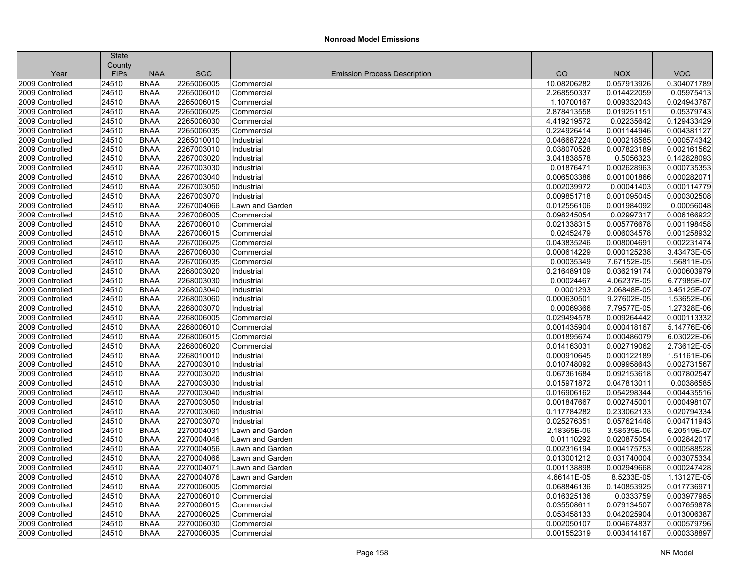|                 | <b>State</b>          |                            |                          |                                     |                            |                           |                           |
|-----------------|-----------------------|----------------------------|--------------------------|-------------------------------------|----------------------------|---------------------------|---------------------------|
| Year            | County<br><b>FIPs</b> | <b>NAA</b>                 | <b>SCC</b>               | <b>Emission Process Description</b> | CO                         | <b>NOX</b>                | <b>VOC</b>                |
| 2009 Controlled | 24510                 | <b>BNAA</b>                | 2265006005               | Commercial                          | 10.08206282                | 0.057913926               | 0.304071789               |
| 2009 Controlled | 24510                 | <b>BNAA</b>                | 2265006010               | Commercial                          | 2.268550337                | 0.014422059               | 0.05975413                |
| 2009 Controlled |                       | <b>BNAA</b>                |                          |                                     |                            |                           |                           |
|                 | 24510                 |                            | 2265006015               | Commercial                          | 1.10700167                 | 0.009332043               | 0.024943787               |
| 2009 Controlled | 24510<br>24510        | <b>BNAA</b><br><b>BNAA</b> | 2265006025<br>2265006030 | Commercial                          | 2.878413558<br>4.419219572 | 0.019251151<br>0.02235642 | 0.05379743<br>0.129433429 |
| 2009 Controlled |                       |                            |                          | Commercial                          |                            |                           |                           |
| 2009 Controlled | 24510                 | <b>BNAA</b>                | 2265006035               | Commercial                          | 0.224926414                | 0.001144946               | 0.004381127               |
| 2009 Controlled | 24510                 | <b>BNAA</b>                | 2265010010               | Industrial                          | 0.046687224                | 0.000218585               | 0.000574342               |
| 2009 Controlled | 24510                 | <b>BNAA</b>                | 2267003010               | Industrial                          | 0.038070528                | 0.007823189               | 0.002161562               |
| 2009 Controlled | 24510                 | <b>BNAA</b>                | 2267003020               | Industrial                          | 3.041838578                | 0.5056323                 | 0.142828093               |
| 2009 Controlled | 24510                 | <b>BNAA</b>                | 2267003030               | Industrial                          | 0.01876471                 | 0.002628963               | 0.000735353               |
| 2009 Controlled | 24510                 | <b>BNAA</b>                | 2267003040               | Industrial                          | 0.006503386                | 0.001001866               | 0.000282071               |
| 2009 Controlled | 24510                 | <b>BNAA</b>                | 2267003050               | Industrial                          | 0.002039972                | 0.00041403                | 0.000114779               |
| 2009 Controlled | 24510                 | <b>BNAA</b>                | 2267003070               | Industrial                          | 0.009851718                | 0.001095045               | 0.000302508               |
| 2009 Controlled | 24510                 | <b>BNAA</b>                | 2267004066               | Lawn and Garden                     | 0.012556106                | 0.001984092               | 0.00056048                |
| 2009 Controlled | 24510                 | <b>BNAA</b>                | 2267006005               | Commercial                          | 0.098245054                | 0.02997317                | 0.006166922               |
| 2009 Controlled | 24510                 | <b>BNAA</b>                | 2267006010               | Commercial                          | 0.021338315                | 0.005776678               | 0.001198458               |
| 2009 Controlled | 24510                 | <b>BNAA</b>                | 2267006015               | Commercial                          | 0.02452479                 | 0.006034578               | 0.001258932               |
| 2009 Controlled | 24510                 | <b>BNAA</b>                | 2267006025               | Commercial                          | 0.043835246                | 0.008004691               | 0.002231474               |
| 2009 Controlled | 24510                 | <b>BNAA</b>                | 2267006030               | Commercial                          | 0.000614229                | 0.000125238               | 3.43473E-05               |
| 2009 Controlled | 24510                 | <b>BNAA</b>                | 2267006035               | Commercial                          | 0.00035349                 | 7.67152E-05               | 1.56811E-05               |
| 2009 Controlled | 24510                 | <b>BNAA</b>                | 2268003020               | Industrial                          | 0.216489109                | 0.036219174               | 0.000603979               |
| 2009 Controlled | 24510                 | <b>BNAA</b>                | 2268003030               | Industrial                          | 0.00024467                 | 4.06237E-05               | 6.77985E-07               |
| 2009 Controlled | 24510                 | <b>BNAA</b>                | 2268003040               | Industrial                          | 0.0001293                  | 2.06848E-05               | 3.45125E-07               |
| 2009 Controlled | 24510                 | <b>BNAA</b>                | 2268003060               | Industrial                          | 0.000630501                | 9.27602E-05               | 1.53652E-06               |
| 2009 Controlled | 24510                 | <b>BNAA</b>                | 2268003070               | Industrial                          | 0.00069366                 | 7.79577E-05               | 1.27328E-06               |
| 2009 Controlled | 24510                 | <b>BNAA</b>                | 2268006005               | Commercial                          | 0.029494578                | 0.009264442               | 0.000113332               |
| 2009 Controlled | 24510                 | <b>BNAA</b>                | 2268006010               | Commercial                          | 0.001435904                | 0.000418167               | 5.14776E-06               |
| 2009 Controlled | 24510                 | <b>BNAA</b>                | 2268006015               | Commercial                          | 0.001895674                | 0.000486079               | 6.03022E-06               |
| 2009 Controlled | 24510                 | <b>BNAA</b>                | 2268006020               | Commercial                          | 0.014163031                | 0.002719062               | 2.73612E-05               |
| 2009 Controlled | 24510                 | <b>BNAA</b>                | 2268010010               | Industrial                          | 0.000910645                | 0.000122189               | 1.51161E-06               |
| 2009 Controlled | 24510                 | <b>BNAA</b>                | 2270003010               | Industrial                          | 0.010748092                | 0.009958643               | 0.002731567               |
| 2009 Controlled | 24510                 | <b>BNAA</b>                | 2270003020               | Industrial                          | 0.067361684                | 0.092153618               | 0.007802547               |
| 2009 Controlled | 24510                 | <b>BNAA</b>                | 2270003030               | Industrial                          | 0.015971872                | 0.047813011               | 0.00386585                |
| 2009 Controlled | 24510                 | <b>BNAA</b>                | 2270003040               | Industrial                          | 0.016906162                | 0.054298344               | 0.004435516               |
| 2009 Controlled | 24510                 | <b>BNAA</b>                | 2270003050               | Industrial                          | 0.001847667                | 0.002745001               | 0.000498107               |
| 2009 Controlled | 24510                 | <b>BNAA</b>                | 2270003060               | Industrial                          | 0.117784282                | 0.233062133               | 0.020794334               |
| 2009 Controlled | 24510                 | <b>BNAA</b>                | 2270003070               | Industrial                          | 0.025276351                | 0.057621448               | 0.004711943               |
| 2009 Controlled | 24510                 | <b>BNAA</b>                | 2270004031               | Lawn and Garden                     | 2.18365E-06                | 3.58535E-06               | 6.20519E-07               |
| 2009 Controlled | 24510                 | <b>BNAA</b>                | 2270004046               | Lawn and Garden                     | 0.01110292                 | 0.020875054               | 0.002842017               |
| 2009 Controlled | 24510                 | <b>BNAA</b>                | 2270004056               | Lawn and Garden                     | 0.002316194                | 0.004175753               | 0.000588528               |
| 2009 Controlled | 24510                 | <b>BNAA</b>                | 2270004066               | Lawn and Garden                     | 0.013001212                | 0.031740004               | 0.003075334               |
| 2009 Controlled | 24510                 | <b>BNAA</b>                | 2270004071               | Lawn and Garden                     | 0.001138898                | 0.002949668               | 0.000247428               |
| 2009 Controlled | 24510                 | <b>BNAA</b>                | 2270004076               | Lawn and Garden                     | 4.66141E-05                | 8.5233E-05                | 1.13127E-05               |
| 2009 Controlled | 24510                 | <b>BNAA</b>                | 2270006005               | Commercial                          | 0.068846136                | 0.140853925               | 0.017736971               |
| 2009 Controlled | 24510                 | <b>BNAA</b>                | 2270006010               | Commercial                          | 0.016325136                | 0.0333759                 | 0.003977985               |
| 2009 Controlled | 24510                 | <b>BNAA</b>                | 2270006015               | Commercial                          | 0.035508611                | 0.079134507               | 0.007659878               |
| 2009 Controlled | 24510                 | <b>BNAA</b>                | 2270006025               | Commercial                          | 0.053458133                | 0.042025904               | 0.013006387               |
| 2009 Controlled | 24510                 | <b>BNAA</b>                | 2270006030               | Commercial                          | 0.002050107                | 0.004674837               | 0.000579796               |
| 2009 Controlled | 24510                 | <b>BNAA</b>                | 2270006035               | Commercial                          | 0.001552319                | 0.003414167               | 0.000338897               |
|                 |                       |                            |                          |                                     |                            |                           |                           |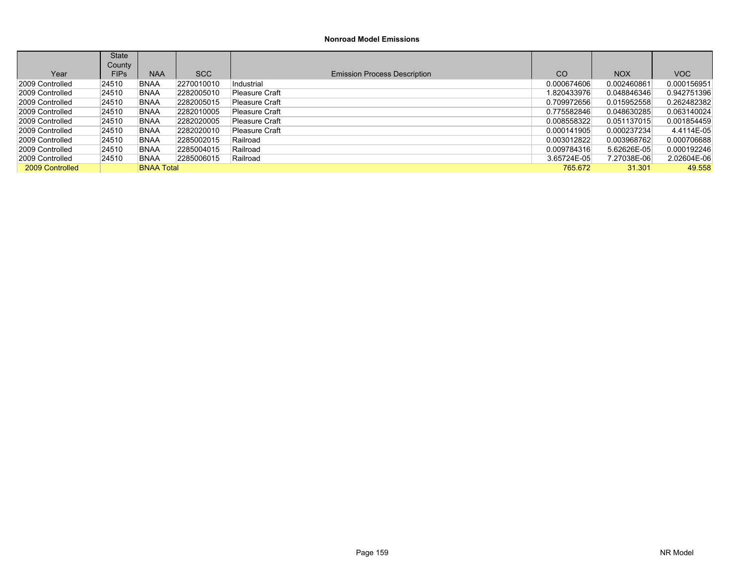|                 | <b>State</b> |                   |            |                                     |               |             |             |
|-----------------|--------------|-------------------|------------|-------------------------------------|---------------|-------------|-------------|
|                 | County       |                   |            |                                     |               |             |             |
| Year            | <b>FIPs</b>  | <b>NAA</b>        | <b>SCC</b> | <b>Emission Process Description</b> | <sub>CO</sub> | <b>NOX</b>  | VOC         |
| 2009 Controlled | 24510        | <b>BNAA</b>       | 2270010010 | Industrial                          | 0.000674606   | 0.002460861 | 0.000156951 |
| 2009 Controlled | 24510        | <b>BNAA</b>       | 2282005010 | Pleasure Craft                      | 1.820433976   | 0.048846346 | 0.942751396 |
| 2009 Controlled | 24510        | <b>BNAA</b>       | 2282005015 | Pleasure Craft                      | 0.709972656   | 0.015952558 | 0.262482382 |
| 2009 Controlled | 24510        | <b>BNAA</b>       | 2282010005 | Pleasure Craft                      | 0.775582846   | 0.048630285 | 0.063140024 |
| 2009 Controlled | 24510        | <b>BNAA</b>       | 2282020005 | Pleasure Craft                      | 0.008558322   | 0.051137015 | 0.001854459 |
| 2009 Controlled | 24510        | <b>BNAA</b>       | 2282020010 | Pleasure Craft                      | 0.000141905   | 0.000237234 | 4.4114E-05  |
| 2009 Controlled | 24510        | <b>BNAA</b>       | 2285002015 | Railroad                            | 0.003012822   | 0.003968762 | 0.000706688 |
| 2009 Controlled | 24510        | <b>BNAA</b>       | 2285004015 | Railroad                            | 0.009784316   | 5.62626E-05 | 0.000192246 |
| 2009 Controlled | 24510        | <b>BNAA</b>       | 2285006015 | Railroad                            | 3.65724E-05   | 7.27038E-06 | 2.02604E-06 |
| 2009 Controlled |              | <b>BNAA Total</b> |            |                                     | 765.672       | 31.301      | 49.558      |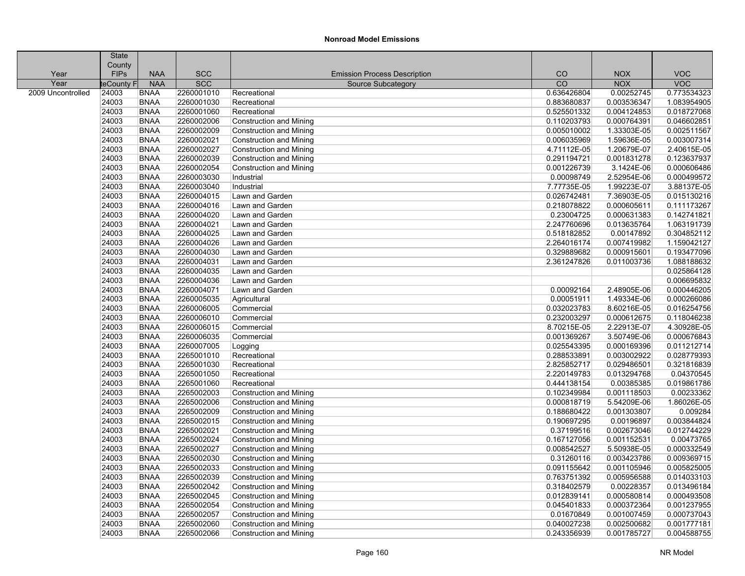| County<br><b>SCC</b><br><b>VOC</b><br>Year<br><b>FIPs</b><br><b>NAA</b><br><b>Emission Process Description</b><br>CO<br><b>NOX</b><br><b>NAA</b><br><b>SCC</b><br>$\overline{CO}$<br><b>NOX</b><br><b>VOC</b><br>Year<br><b>leCounty</b><br>Source Subcategory<br>2009 Uncontrolled<br><b>BNAA</b><br>2260001010<br>0.636426804<br>0.00252745<br>0.773534323<br>24003<br>Recreational<br>24003<br><b>BNAA</b><br>2260001030<br>0.883680837<br>0.003536347<br>1.083954905<br>Recreational<br>24003<br>2260001060<br>0.525501332<br>0.004124853<br>0.018727068<br><b>BNAA</b><br>Recreational<br>0.000764391<br>24003<br><b>BNAA</b><br>2260002006<br>0.110203793<br>0.046602851<br><b>Construction and Mining</b><br>24003<br><b>BNAA</b><br>2260002009<br>0.005010002<br>1.33303E-05<br>0.002511567<br><b>Construction and Mining</b><br>24003<br>2260002021<br>0.006035969<br>0.003007314<br><b>BNAA</b><br><b>Construction and Mining</b><br>1.59636E-05<br>2260002027<br>24003<br><b>BNAA</b><br><b>Construction and Mining</b><br>4.71112E-05<br>1.20679E-07<br>2260002039<br>0.123637937<br>24003<br><b>BNAA</b><br>0.291194721<br>0.001831278<br><b>Construction and Mining</b><br>2260002054<br>3.1424E-06<br>0.000606486<br>24003<br><b>BNAA</b><br><b>Construction and Mining</b><br>0.001226739<br>24003<br>2260003030<br><b>BNAA</b><br>0.00098749<br>2.52954E-06<br>Industrial<br>24003<br>2260003040<br>1.99223E-07<br>BNAA<br>Industrial<br>7.77735E-05<br>24003<br>2260004015<br>0.026742481<br>7.36903E-05<br><b>BNAA</b><br>Lawn and Garden<br>24003<br><b>BNAA</b><br>2260004016<br>Lawn and Garden<br>0.218078822<br>0.000605611<br>0.111173267<br>0.142741821<br>24003<br>2260004020<br>0.23004725<br>0.000631383<br>BNAA<br>Lawn and Garden<br>24003<br>2260004021<br>2.247760696<br>0.013635764<br>1.063191739<br><b>BNAA</b><br>Lawn and Garden<br>24003<br><b>BNAA</b><br>2260004025<br>Lawn and Garden<br>0.518182852<br>0.00147892<br>0.304852112<br>24003<br>2260004026<br>2.264016174<br>0.007419982<br>1.159042127<br>BNAA<br>Lawn and Garden<br>24003<br><b>BNAA</b><br>2260004030<br>0.329889682<br>0.000915601<br>Lawn and Garden<br>24003<br>2260004031<br><b>BNAA</b><br>2.361247826<br>0.011003736<br>Lawn and Garden<br>24003<br>2260004035<br>0.025864128<br><b>BNAA</b><br>Lawn and Garden<br>24003<br>2260004036<br><b>BNAA</b><br>Lawn and Garden<br>24003<br>0.000446205<br><b>BNAA</b><br>2260004071<br>Lawn and Garden<br>0.00092164<br>2.48905E-06<br>24003<br>2260005035<br>0.00051911<br>1.49334E-06<br>0.000266086<br>BNAA<br>Agricultural<br>24003<br>2260006005<br>0.032023783<br>8.60216E-05<br>0.016254756<br><b>BNAA</b><br>Commercial<br>24003<br>2260006010<br>0.232003297<br>0.000612675<br>BNAA<br>Commercial<br>24003<br>2260006015<br>2.22913E-07<br>BNAA<br>Commercial<br>8.70215E-05<br>24003<br>2260006035<br>0.001369267<br>3.50749E-06<br><b>BNAA</b><br>Commercial<br>0.011212714<br>24003<br><b>BNAA</b><br>2260007005<br>0.025543395<br>0.000169396<br>Logging<br>0.028779393<br>24003<br>2265001010<br>0.288533891<br>0.003002922<br><b>BNAA</b><br>Recreational<br>24003<br>2265001030<br>2.825852717<br>0.029486501<br>0.321816839<br><b>BNAA</b><br>Recreational |
|----------------------------------------------------------------------------------------------------------------------------------------------------------------------------------------------------------------------------------------------------------------------------------------------------------------------------------------------------------------------------------------------------------------------------------------------------------------------------------------------------------------------------------------------------------------------------------------------------------------------------------------------------------------------------------------------------------------------------------------------------------------------------------------------------------------------------------------------------------------------------------------------------------------------------------------------------------------------------------------------------------------------------------------------------------------------------------------------------------------------------------------------------------------------------------------------------------------------------------------------------------------------------------------------------------------------------------------------------------------------------------------------------------------------------------------------------------------------------------------------------------------------------------------------------------------------------------------------------------------------------------------------------------------------------------------------------------------------------------------------------------------------------------------------------------------------------------------------------------------------------------------------------------------------------------------------------------------------------------------------------------------------------------------------------------------------------------------------------------------------------------------------------------------------------------------------------------------------------------------------------------------------------------------------------------------------------------------------------------------------------------------------------------------------------------------------------------------------------------------------------------------------------------------------------------------------------------------------------------------------------------------------------------------------------------------------------------------------------------------------------------------------------------------------------------------------------------------------------------------------------------------------------------------------------------------------------------------------------------------------------------------------------------------------------------------------------------------------------------------------------------------------------------------------------------------------------------------------------------------|
| 2.40615E-05<br>0.000499572<br>3.88137E-05<br>0.015130216<br>0.193477096<br>1.088188632<br>0.006695832<br>0.118046238<br>4.30928E-05<br>0.000676843                                                                                                                                                                                                                                                                                                                                                                                                                                                                                                                                                                                                                                                                                                                                                                                                                                                                                                                                                                                                                                                                                                                                                                                                                                                                                                                                                                                                                                                                                                                                                                                                                                                                                                                                                                                                                                                                                                                                                                                                                                                                                                                                                                                                                                                                                                                                                                                                                                                                                                                                                                                                                                                                                                                                                                                                                                                                                                                                                                                                                                                                                     |
|                                                                                                                                                                                                                                                                                                                                                                                                                                                                                                                                                                                                                                                                                                                                                                                                                                                                                                                                                                                                                                                                                                                                                                                                                                                                                                                                                                                                                                                                                                                                                                                                                                                                                                                                                                                                                                                                                                                                                                                                                                                                                                                                                                                                                                                                                                                                                                                                                                                                                                                                                                                                                                                                                                                                                                                                                                                                                                                                                                                                                                                                                                                                                                                                                                        |
|                                                                                                                                                                                                                                                                                                                                                                                                                                                                                                                                                                                                                                                                                                                                                                                                                                                                                                                                                                                                                                                                                                                                                                                                                                                                                                                                                                                                                                                                                                                                                                                                                                                                                                                                                                                                                                                                                                                                                                                                                                                                                                                                                                                                                                                                                                                                                                                                                                                                                                                                                                                                                                                                                                                                                                                                                                                                                                                                                                                                                                                                                                                                                                                                                                        |
|                                                                                                                                                                                                                                                                                                                                                                                                                                                                                                                                                                                                                                                                                                                                                                                                                                                                                                                                                                                                                                                                                                                                                                                                                                                                                                                                                                                                                                                                                                                                                                                                                                                                                                                                                                                                                                                                                                                                                                                                                                                                                                                                                                                                                                                                                                                                                                                                                                                                                                                                                                                                                                                                                                                                                                                                                                                                                                                                                                                                                                                                                                                                                                                                                                        |
|                                                                                                                                                                                                                                                                                                                                                                                                                                                                                                                                                                                                                                                                                                                                                                                                                                                                                                                                                                                                                                                                                                                                                                                                                                                                                                                                                                                                                                                                                                                                                                                                                                                                                                                                                                                                                                                                                                                                                                                                                                                                                                                                                                                                                                                                                                                                                                                                                                                                                                                                                                                                                                                                                                                                                                                                                                                                                                                                                                                                                                                                                                                                                                                                                                        |
|                                                                                                                                                                                                                                                                                                                                                                                                                                                                                                                                                                                                                                                                                                                                                                                                                                                                                                                                                                                                                                                                                                                                                                                                                                                                                                                                                                                                                                                                                                                                                                                                                                                                                                                                                                                                                                                                                                                                                                                                                                                                                                                                                                                                                                                                                                                                                                                                                                                                                                                                                                                                                                                                                                                                                                                                                                                                                                                                                                                                                                                                                                                                                                                                                                        |
|                                                                                                                                                                                                                                                                                                                                                                                                                                                                                                                                                                                                                                                                                                                                                                                                                                                                                                                                                                                                                                                                                                                                                                                                                                                                                                                                                                                                                                                                                                                                                                                                                                                                                                                                                                                                                                                                                                                                                                                                                                                                                                                                                                                                                                                                                                                                                                                                                                                                                                                                                                                                                                                                                                                                                                                                                                                                                                                                                                                                                                                                                                                                                                                                                                        |
|                                                                                                                                                                                                                                                                                                                                                                                                                                                                                                                                                                                                                                                                                                                                                                                                                                                                                                                                                                                                                                                                                                                                                                                                                                                                                                                                                                                                                                                                                                                                                                                                                                                                                                                                                                                                                                                                                                                                                                                                                                                                                                                                                                                                                                                                                                                                                                                                                                                                                                                                                                                                                                                                                                                                                                                                                                                                                                                                                                                                                                                                                                                                                                                                                                        |
|                                                                                                                                                                                                                                                                                                                                                                                                                                                                                                                                                                                                                                                                                                                                                                                                                                                                                                                                                                                                                                                                                                                                                                                                                                                                                                                                                                                                                                                                                                                                                                                                                                                                                                                                                                                                                                                                                                                                                                                                                                                                                                                                                                                                                                                                                                                                                                                                                                                                                                                                                                                                                                                                                                                                                                                                                                                                                                                                                                                                                                                                                                                                                                                                                                        |
|                                                                                                                                                                                                                                                                                                                                                                                                                                                                                                                                                                                                                                                                                                                                                                                                                                                                                                                                                                                                                                                                                                                                                                                                                                                                                                                                                                                                                                                                                                                                                                                                                                                                                                                                                                                                                                                                                                                                                                                                                                                                                                                                                                                                                                                                                                                                                                                                                                                                                                                                                                                                                                                                                                                                                                                                                                                                                                                                                                                                                                                                                                                                                                                                                                        |
|                                                                                                                                                                                                                                                                                                                                                                                                                                                                                                                                                                                                                                                                                                                                                                                                                                                                                                                                                                                                                                                                                                                                                                                                                                                                                                                                                                                                                                                                                                                                                                                                                                                                                                                                                                                                                                                                                                                                                                                                                                                                                                                                                                                                                                                                                                                                                                                                                                                                                                                                                                                                                                                                                                                                                                                                                                                                                                                                                                                                                                                                                                                                                                                                                                        |
|                                                                                                                                                                                                                                                                                                                                                                                                                                                                                                                                                                                                                                                                                                                                                                                                                                                                                                                                                                                                                                                                                                                                                                                                                                                                                                                                                                                                                                                                                                                                                                                                                                                                                                                                                                                                                                                                                                                                                                                                                                                                                                                                                                                                                                                                                                                                                                                                                                                                                                                                                                                                                                                                                                                                                                                                                                                                                                                                                                                                                                                                                                                                                                                                                                        |
|                                                                                                                                                                                                                                                                                                                                                                                                                                                                                                                                                                                                                                                                                                                                                                                                                                                                                                                                                                                                                                                                                                                                                                                                                                                                                                                                                                                                                                                                                                                                                                                                                                                                                                                                                                                                                                                                                                                                                                                                                                                                                                                                                                                                                                                                                                                                                                                                                                                                                                                                                                                                                                                                                                                                                                                                                                                                                                                                                                                                                                                                                                                                                                                                                                        |
|                                                                                                                                                                                                                                                                                                                                                                                                                                                                                                                                                                                                                                                                                                                                                                                                                                                                                                                                                                                                                                                                                                                                                                                                                                                                                                                                                                                                                                                                                                                                                                                                                                                                                                                                                                                                                                                                                                                                                                                                                                                                                                                                                                                                                                                                                                                                                                                                                                                                                                                                                                                                                                                                                                                                                                                                                                                                                                                                                                                                                                                                                                                                                                                                                                        |
|                                                                                                                                                                                                                                                                                                                                                                                                                                                                                                                                                                                                                                                                                                                                                                                                                                                                                                                                                                                                                                                                                                                                                                                                                                                                                                                                                                                                                                                                                                                                                                                                                                                                                                                                                                                                                                                                                                                                                                                                                                                                                                                                                                                                                                                                                                                                                                                                                                                                                                                                                                                                                                                                                                                                                                                                                                                                                                                                                                                                                                                                                                                                                                                                                                        |
|                                                                                                                                                                                                                                                                                                                                                                                                                                                                                                                                                                                                                                                                                                                                                                                                                                                                                                                                                                                                                                                                                                                                                                                                                                                                                                                                                                                                                                                                                                                                                                                                                                                                                                                                                                                                                                                                                                                                                                                                                                                                                                                                                                                                                                                                                                                                                                                                                                                                                                                                                                                                                                                                                                                                                                                                                                                                                                                                                                                                                                                                                                                                                                                                                                        |
|                                                                                                                                                                                                                                                                                                                                                                                                                                                                                                                                                                                                                                                                                                                                                                                                                                                                                                                                                                                                                                                                                                                                                                                                                                                                                                                                                                                                                                                                                                                                                                                                                                                                                                                                                                                                                                                                                                                                                                                                                                                                                                                                                                                                                                                                                                                                                                                                                                                                                                                                                                                                                                                                                                                                                                                                                                                                                                                                                                                                                                                                                                                                                                                                                                        |
|                                                                                                                                                                                                                                                                                                                                                                                                                                                                                                                                                                                                                                                                                                                                                                                                                                                                                                                                                                                                                                                                                                                                                                                                                                                                                                                                                                                                                                                                                                                                                                                                                                                                                                                                                                                                                                                                                                                                                                                                                                                                                                                                                                                                                                                                                                                                                                                                                                                                                                                                                                                                                                                                                                                                                                                                                                                                                                                                                                                                                                                                                                                                                                                                                                        |
|                                                                                                                                                                                                                                                                                                                                                                                                                                                                                                                                                                                                                                                                                                                                                                                                                                                                                                                                                                                                                                                                                                                                                                                                                                                                                                                                                                                                                                                                                                                                                                                                                                                                                                                                                                                                                                                                                                                                                                                                                                                                                                                                                                                                                                                                                                                                                                                                                                                                                                                                                                                                                                                                                                                                                                                                                                                                                                                                                                                                                                                                                                                                                                                                                                        |
|                                                                                                                                                                                                                                                                                                                                                                                                                                                                                                                                                                                                                                                                                                                                                                                                                                                                                                                                                                                                                                                                                                                                                                                                                                                                                                                                                                                                                                                                                                                                                                                                                                                                                                                                                                                                                                                                                                                                                                                                                                                                                                                                                                                                                                                                                                                                                                                                                                                                                                                                                                                                                                                                                                                                                                                                                                                                                                                                                                                                                                                                                                                                                                                                                                        |
|                                                                                                                                                                                                                                                                                                                                                                                                                                                                                                                                                                                                                                                                                                                                                                                                                                                                                                                                                                                                                                                                                                                                                                                                                                                                                                                                                                                                                                                                                                                                                                                                                                                                                                                                                                                                                                                                                                                                                                                                                                                                                                                                                                                                                                                                                                                                                                                                                                                                                                                                                                                                                                                                                                                                                                                                                                                                                                                                                                                                                                                                                                                                                                                                                                        |
|                                                                                                                                                                                                                                                                                                                                                                                                                                                                                                                                                                                                                                                                                                                                                                                                                                                                                                                                                                                                                                                                                                                                                                                                                                                                                                                                                                                                                                                                                                                                                                                                                                                                                                                                                                                                                                                                                                                                                                                                                                                                                                                                                                                                                                                                                                                                                                                                                                                                                                                                                                                                                                                                                                                                                                                                                                                                                                                                                                                                                                                                                                                                                                                                                                        |
|                                                                                                                                                                                                                                                                                                                                                                                                                                                                                                                                                                                                                                                                                                                                                                                                                                                                                                                                                                                                                                                                                                                                                                                                                                                                                                                                                                                                                                                                                                                                                                                                                                                                                                                                                                                                                                                                                                                                                                                                                                                                                                                                                                                                                                                                                                                                                                                                                                                                                                                                                                                                                                                                                                                                                                                                                                                                                                                                                                                                                                                                                                                                                                                                                                        |
|                                                                                                                                                                                                                                                                                                                                                                                                                                                                                                                                                                                                                                                                                                                                                                                                                                                                                                                                                                                                                                                                                                                                                                                                                                                                                                                                                                                                                                                                                                                                                                                                                                                                                                                                                                                                                                                                                                                                                                                                                                                                                                                                                                                                                                                                                                                                                                                                                                                                                                                                                                                                                                                                                                                                                                                                                                                                                                                                                                                                                                                                                                                                                                                                                                        |
|                                                                                                                                                                                                                                                                                                                                                                                                                                                                                                                                                                                                                                                                                                                                                                                                                                                                                                                                                                                                                                                                                                                                                                                                                                                                                                                                                                                                                                                                                                                                                                                                                                                                                                                                                                                                                                                                                                                                                                                                                                                                                                                                                                                                                                                                                                                                                                                                                                                                                                                                                                                                                                                                                                                                                                                                                                                                                                                                                                                                                                                                                                                                                                                                                                        |
|                                                                                                                                                                                                                                                                                                                                                                                                                                                                                                                                                                                                                                                                                                                                                                                                                                                                                                                                                                                                                                                                                                                                                                                                                                                                                                                                                                                                                                                                                                                                                                                                                                                                                                                                                                                                                                                                                                                                                                                                                                                                                                                                                                                                                                                                                                                                                                                                                                                                                                                                                                                                                                                                                                                                                                                                                                                                                                                                                                                                                                                                                                                                                                                                                                        |
|                                                                                                                                                                                                                                                                                                                                                                                                                                                                                                                                                                                                                                                                                                                                                                                                                                                                                                                                                                                                                                                                                                                                                                                                                                                                                                                                                                                                                                                                                                                                                                                                                                                                                                                                                                                                                                                                                                                                                                                                                                                                                                                                                                                                                                                                                                                                                                                                                                                                                                                                                                                                                                                                                                                                                                                                                                                                                                                                                                                                                                                                                                                                                                                                                                        |
|                                                                                                                                                                                                                                                                                                                                                                                                                                                                                                                                                                                                                                                                                                                                                                                                                                                                                                                                                                                                                                                                                                                                                                                                                                                                                                                                                                                                                                                                                                                                                                                                                                                                                                                                                                                                                                                                                                                                                                                                                                                                                                                                                                                                                                                                                                                                                                                                                                                                                                                                                                                                                                                                                                                                                                                                                                                                                                                                                                                                                                                                                                                                                                                                                                        |
|                                                                                                                                                                                                                                                                                                                                                                                                                                                                                                                                                                                                                                                                                                                                                                                                                                                                                                                                                                                                                                                                                                                                                                                                                                                                                                                                                                                                                                                                                                                                                                                                                                                                                                                                                                                                                                                                                                                                                                                                                                                                                                                                                                                                                                                                                                                                                                                                                                                                                                                                                                                                                                                                                                                                                                                                                                                                                                                                                                                                                                                                                                                                                                                                                                        |
|                                                                                                                                                                                                                                                                                                                                                                                                                                                                                                                                                                                                                                                                                                                                                                                                                                                                                                                                                                                                                                                                                                                                                                                                                                                                                                                                                                                                                                                                                                                                                                                                                                                                                                                                                                                                                                                                                                                                                                                                                                                                                                                                                                                                                                                                                                                                                                                                                                                                                                                                                                                                                                                                                                                                                                                                                                                                                                                                                                                                                                                                                                                                                                                                                                        |
|                                                                                                                                                                                                                                                                                                                                                                                                                                                                                                                                                                                                                                                                                                                                                                                                                                                                                                                                                                                                                                                                                                                                                                                                                                                                                                                                                                                                                                                                                                                                                                                                                                                                                                                                                                                                                                                                                                                                                                                                                                                                                                                                                                                                                                                                                                                                                                                                                                                                                                                                                                                                                                                                                                                                                                                                                                                                                                                                                                                                                                                                                                                                                                                                                                        |
|                                                                                                                                                                                                                                                                                                                                                                                                                                                                                                                                                                                                                                                                                                                                                                                                                                                                                                                                                                                                                                                                                                                                                                                                                                                                                                                                                                                                                                                                                                                                                                                                                                                                                                                                                                                                                                                                                                                                                                                                                                                                                                                                                                                                                                                                                                                                                                                                                                                                                                                                                                                                                                                                                                                                                                                                                                                                                                                                                                                                                                                                                                                                                                                                                                        |
|                                                                                                                                                                                                                                                                                                                                                                                                                                                                                                                                                                                                                                                                                                                                                                                                                                                                                                                                                                                                                                                                                                                                                                                                                                                                                                                                                                                                                                                                                                                                                                                                                                                                                                                                                                                                                                                                                                                                                                                                                                                                                                                                                                                                                                                                                                                                                                                                                                                                                                                                                                                                                                                                                                                                                                                                                                                                                                                                                                                                                                                                                                                                                                                                                                        |
| 24003<br>2265001050<br>2.220149783<br>0.013294768<br>0.04370545<br>BNAA<br>Recreational                                                                                                                                                                                                                                                                                                                                                                                                                                                                                                                                                                                                                                                                                                                                                                                                                                                                                                                                                                                                                                                                                                                                                                                                                                                                                                                                                                                                                                                                                                                                                                                                                                                                                                                                                                                                                                                                                                                                                                                                                                                                                                                                                                                                                                                                                                                                                                                                                                                                                                                                                                                                                                                                                                                                                                                                                                                                                                                                                                                                                                                                                                                                                |
| 24003<br>2265001060<br>0.444138154<br>0.00385385<br>0.019861786<br><b>BNAA</b><br>Recreational                                                                                                                                                                                                                                                                                                                                                                                                                                                                                                                                                                                                                                                                                                                                                                                                                                                                                                                                                                                                                                                                                                                                                                                                                                                                                                                                                                                                                                                                                                                                                                                                                                                                                                                                                                                                                                                                                                                                                                                                                                                                                                                                                                                                                                                                                                                                                                                                                                                                                                                                                                                                                                                                                                                                                                                                                                                                                                                                                                                                                                                                                                                                         |
| 24003<br>2265002003<br>0.00233362<br><b>BNAA</b><br><b>Construction and Mining</b><br>0.102349984<br>0.001118503                                                                                                                                                                                                                                                                                                                                                                                                                                                                                                                                                                                                                                                                                                                                                                                                                                                                                                                                                                                                                                                                                                                                                                                                                                                                                                                                                                                                                                                                                                                                                                                                                                                                                                                                                                                                                                                                                                                                                                                                                                                                                                                                                                                                                                                                                                                                                                                                                                                                                                                                                                                                                                                                                                                                                                                                                                                                                                                                                                                                                                                                                                                       |
| 1.86026E-05<br>24003<br><b>BNAA</b><br>2265002006<br>0.000818719<br>5.54209E-06<br><b>Construction and Mining</b>                                                                                                                                                                                                                                                                                                                                                                                                                                                                                                                                                                                                                                                                                                                                                                                                                                                                                                                                                                                                                                                                                                                                                                                                                                                                                                                                                                                                                                                                                                                                                                                                                                                                                                                                                                                                                                                                                                                                                                                                                                                                                                                                                                                                                                                                                                                                                                                                                                                                                                                                                                                                                                                                                                                                                                                                                                                                                                                                                                                                                                                                                                                      |
| 0.009284<br>24003<br><b>BNAA</b><br>2265002009<br>0.188680422<br>0.001303807<br><b>Construction and Mining</b>                                                                                                                                                                                                                                                                                                                                                                                                                                                                                                                                                                                                                                                                                                                                                                                                                                                                                                                                                                                                                                                                                                                                                                                                                                                                                                                                                                                                                                                                                                                                                                                                                                                                                                                                                                                                                                                                                                                                                                                                                                                                                                                                                                                                                                                                                                                                                                                                                                                                                                                                                                                                                                                                                                                                                                                                                                                                                                                                                                                                                                                                                                                         |
| 2265002015<br>0.003844824<br>24003<br><b>BNAA</b><br>0.190697295<br>0.00196897<br>Construction and Mining                                                                                                                                                                                                                                                                                                                                                                                                                                                                                                                                                                                                                                                                                                                                                                                                                                                                                                                                                                                                                                                                                                                                                                                                                                                                                                                                                                                                                                                                                                                                                                                                                                                                                                                                                                                                                                                                                                                                                                                                                                                                                                                                                                                                                                                                                                                                                                                                                                                                                                                                                                                                                                                                                                                                                                                                                                                                                                                                                                                                                                                                                                                              |
| 2265002021<br>0.012744229<br>24003<br><b>BNAA</b><br>0.37199516<br>0.002673046<br><b>Construction and Mining</b>                                                                                                                                                                                                                                                                                                                                                                                                                                                                                                                                                                                                                                                                                                                                                                                                                                                                                                                                                                                                                                                                                                                                                                                                                                                                                                                                                                                                                                                                                                                                                                                                                                                                                                                                                                                                                                                                                                                                                                                                                                                                                                                                                                                                                                                                                                                                                                                                                                                                                                                                                                                                                                                                                                                                                                                                                                                                                                                                                                                                                                                                                                                       |
| 24003<br>2265002024<br>0.167127056<br>0.001152531<br>0.00473765<br><b>BNAA</b><br><b>Construction and Mining</b>                                                                                                                                                                                                                                                                                                                                                                                                                                                                                                                                                                                                                                                                                                                                                                                                                                                                                                                                                                                                                                                                                                                                                                                                                                                                                                                                                                                                                                                                                                                                                                                                                                                                                                                                                                                                                                                                                                                                                                                                                                                                                                                                                                                                                                                                                                                                                                                                                                                                                                                                                                                                                                                                                                                                                                                                                                                                                                                                                                                                                                                                                                                       |
| 24003<br>2265002027<br>0.008542527<br>0.000332549<br><b>BNAA</b><br><b>Construction and Mining</b><br>5.50938E-05                                                                                                                                                                                                                                                                                                                                                                                                                                                                                                                                                                                                                                                                                                                                                                                                                                                                                                                                                                                                                                                                                                                                                                                                                                                                                                                                                                                                                                                                                                                                                                                                                                                                                                                                                                                                                                                                                                                                                                                                                                                                                                                                                                                                                                                                                                                                                                                                                                                                                                                                                                                                                                                                                                                                                                                                                                                                                                                                                                                                                                                                                                                      |
| 24003<br>2265002030<br><b>Construction and Mining</b><br>0.31260116<br>0.003423786<br>0.009369715<br>BNAA                                                                                                                                                                                                                                                                                                                                                                                                                                                                                                                                                                                                                                                                                                                                                                                                                                                                                                                                                                                                                                                                                                                                                                                                                                                                                                                                                                                                                                                                                                                                                                                                                                                                                                                                                                                                                                                                                                                                                                                                                                                                                                                                                                                                                                                                                                                                                                                                                                                                                                                                                                                                                                                                                                                                                                                                                                                                                                                                                                                                                                                                                                                              |
| 24003<br>2265002033<br>0.091155642<br>0.001105946<br>0.005825005<br><b>BNAA</b><br><b>Construction and Mining</b>                                                                                                                                                                                                                                                                                                                                                                                                                                                                                                                                                                                                                                                                                                                                                                                                                                                                                                                                                                                                                                                                                                                                                                                                                                                                                                                                                                                                                                                                                                                                                                                                                                                                                                                                                                                                                                                                                                                                                                                                                                                                                                                                                                                                                                                                                                                                                                                                                                                                                                                                                                                                                                                                                                                                                                                                                                                                                                                                                                                                                                                                                                                      |
| 24003<br>2265002039<br>0.763751392<br>0.014033103<br><b>BNAA</b><br><b>Construction and Mining</b><br>0.005956588                                                                                                                                                                                                                                                                                                                                                                                                                                                                                                                                                                                                                                                                                                                                                                                                                                                                                                                                                                                                                                                                                                                                                                                                                                                                                                                                                                                                                                                                                                                                                                                                                                                                                                                                                                                                                                                                                                                                                                                                                                                                                                                                                                                                                                                                                                                                                                                                                                                                                                                                                                                                                                                                                                                                                                                                                                                                                                                                                                                                                                                                                                                      |
| 2265002042<br>0.013496184<br>24003<br>0.318402579<br>0.00228357<br>BNAA<br><b>Construction and Mining</b>                                                                                                                                                                                                                                                                                                                                                                                                                                                                                                                                                                                                                                                                                                                                                                                                                                                                                                                                                                                                                                                                                                                                                                                                                                                                                                                                                                                                                                                                                                                                                                                                                                                                                                                                                                                                                                                                                                                                                                                                                                                                                                                                                                                                                                                                                                                                                                                                                                                                                                                                                                                                                                                                                                                                                                                                                                                                                                                                                                                                                                                                                                                              |
| 24003<br>2265002045<br>0.012839141<br>0.000580814<br>0.000493508<br><b>BNAA</b><br><b>Construction and Mining</b>                                                                                                                                                                                                                                                                                                                                                                                                                                                                                                                                                                                                                                                                                                                                                                                                                                                                                                                                                                                                                                                                                                                                                                                                                                                                                                                                                                                                                                                                                                                                                                                                                                                                                                                                                                                                                                                                                                                                                                                                                                                                                                                                                                                                                                                                                                                                                                                                                                                                                                                                                                                                                                                                                                                                                                                                                                                                                                                                                                                                                                                                                                                      |
| 2265002054<br>0.001237955<br>24003<br><b>BNAA</b><br><b>Construction and Mining</b><br>0.045401833<br>0.000372364                                                                                                                                                                                                                                                                                                                                                                                                                                                                                                                                                                                                                                                                                                                                                                                                                                                                                                                                                                                                                                                                                                                                                                                                                                                                                                                                                                                                                                                                                                                                                                                                                                                                                                                                                                                                                                                                                                                                                                                                                                                                                                                                                                                                                                                                                                                                                                                                                                                                                                                                                                                                                                                                                                                                                                                                                                                                                                                                                                                                                                                                                                                      |
| 24003<br><b>BNAA</b><br>2265002057<br><b>Construction and Mining</b><br>0.01670849<br>0.001007459<br>0.000737043                                                                                                                                                                                                                                                                                                                                                                                                                                                                                                                                                                                                                                                                                                                                                                                                                                                                                                                                                                                                                                                                                                                                                                                                                                                                                                                                                                                                                                                                                                                                                                                                                                                                                                                                                                                                                                                                                                                                                                                                                                                                                                                                                                                                                                                                                                                                                                                                                                                                                                                                                                                                                                                                                                                                                                                                                                                                                                                                                                                                                                                                                                                       |
| 24003<br><b>BNAA</b><br>2265002060<br><b>Construction and Mining</b><br>0.040027238<br>0.002500682<br>0.001777181                                                                                                                                                                                                                                                                                                                                                                                                                                                                                                                                                                                                                                                                                                                                                                                                                                                                                                                                                                                                                                                                                                                                                                                                                                                                                                                                                                                                                                                                                                                                                                                                                                                                                                                                                                                                                                                                                                                                                                                                                                                                                                                                                                                                                                                                                                                                                                                                                                                                                                                                                                                                                                                                                                                                                                                                                                                                                                                                                                                                                                                                                                                      |
| 24003<br>2265002066<br>0.243356939<br>0.004588755<br><b>BNAA</b><br><b>Construction and Mining</b><br>0.001785727                                                                                                                                                                                                                                                                                                                                                                                                                                                                                                                                                                                                                                                                                                                                                                                                                                                                                                                                                                                                                                                                                                                                                                                                                                                                                                                                                                                                                                                                                                                                                                                                                                                                                                                                                                                                                                                                                                                                                                                                                                                                                                                                                                                                                                                                                                                                                                                                                                                                                                                                                                                                                                                                                                                                                                                                                                                                                                                                                                                                                                                                                                                      |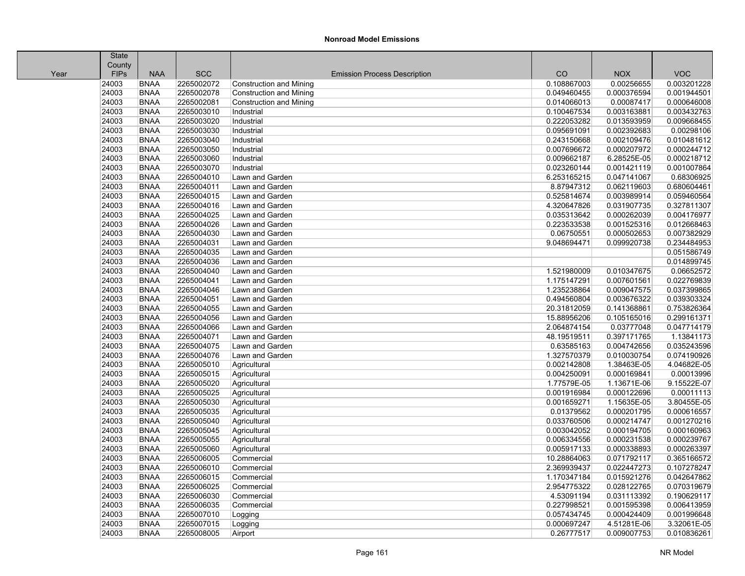|      | <b>State</b> |             |            |                                     |             |             |             |
|------|--------------|-------------|------------|-------------------------------------|-------------|-------------|-------------|
|      | County       |             |            |                                     |             |             |             |
| Year | <b>FIPs</b>  | <b>NAA</b>  | <b>SCC</b> | <b>Emission Process Description</b> | CO          | <b>NOX</b>  | <b>VOC</b>  |
|      | 24003        | <b>BNAA</b> | 2265002072 | <b>Construction and Mining</b>      | 0.108867003 | 0.00256655  | 0.003201228 |
|      | 24003        | <b>BNAA</b> | 2265002078 | <b>Construction and Mining</b>      | 0.049460455 | 0.000376594 | 0.001944501 |
|      | 24003        | <b>BNAA</b> | 2265002081 | <b>Construction and Mining</b>      | 0.014066013 | 0.00087417  | 0.000646008 |
|      | 24003        | <b>BNAA</b> | 2265003010 | Industrial                          | 0.100467534 | 0.003163881 | 0.003432763 |
|      | 24003        | <b>BNAA</b> | 2265003020 | Industrial                          | 0.222053282 | 0.013593959 | 0.009668455 |
|      | 24003        | <b>BNAA</b> | 2265003030 | Industrial                          | 0.095691091 | 0.002392683 | 0.00298106  |
|      | 24003        | <b>BNAA</b> | 2265003040 | Industrial                          | 0.243150668 | 0.002109476 | 0.010481612 |
|      | 24003        | <b>BNAA</b> | 2265003050 | Industrial                          | 0.007696672 | 0.000207972 | 0.000244712 |
|      | 24003        | <b>BNAA</b> | 2265003060 | Industrial                          | 0.009662187 | 6.28525E-05 | 0.000218712 |
|      | 24003        | <b>BNAA</b> | 2265003070 | Industrial                          | 0.023260144 | 0.001421119 | 0.001007864 |
|      | 24003        | <b>BNAA</b> | 2265004010 | Lawn and Garden                     | 6.253165215 | 0.047141067 | 0.68306925  |
|      | 24003        | <b>BNAA</b> | 2265004011 | Lawn and Garden                     | 8.87947312  | 0.062119603 | 0.680604461 |
|      | 24003        | <b>BNAA</b> | 2265004015 | Lawn and Garden                     | 0.525814674 | 0.003989914 | 0.059460564 |
|      | 24003        | <b>BNAA</b> | 2265004016 | Lawn and Garden                     | 4.320647826 | 0.031907735 | 0.327811307 |
|      | 24003        | <b>BNAA</b> | 2265004025 | Lawn and Garden                     | 0.035313642 | 0.000262039 | 0.004176977 |
|      | 24003        | <b>BNAA</b> | 2265004026 | Lawn and Garden                     | 0.223533538 | 0.001525316 | 0.012668463 |
|      | 24003        | <b>BNAA</b> | 2265004030 | Lawn and Garden                     | 0.06750551  | 0.000502653 | 0.007382929 |
|      | 24003        | <b>BNAA</b> | 2265004031 | Lawn and Garden                     | 9.048694471 | 0.099920738 | 0.234484953 |
|      | 24003        | <b>BNAA</b> | 2265004035 | Lawn and Garden                     |             |             | 0.051586749 |
|      | 24003        | <b>BNAA</b> | 2265004036 | Lawn and Garden                     |             |             | 0.014899745 |
|      | 24003        | <b>BNAA</b> | 2265004040 | Lawn and Garden                     | 1.521980009 | 0.010347675 | 0.06652572  |
|      | 24003        | <b>BNAA</b> | 2265004041 | Lawn and Garden                     | 1.175147291 | 0.007601561 | 0.022769839 |
|      | 24003        | <b>BNAA</b> | 2265004046 | Lawn and Garden                     | 1.235238864 | 0.009047575 | 0.037399865 |
|      | 24003        | <b>BNAA</b> | 2265004051 | Lawn and Garden                     | 0.494560804 | 0.003676322 | 0.039303324 |
|      | 24003        | <b>BNAA</b> | 2265004055 | Lawn and Garden                     | 20.31812059 | 0.141368861 | 0.753826364 |
|      | 24003        | <b>BNAA</b> | 2265004056 | Lawn and Garden                     | 15.88956206 | 0.105165016 | 0.299161371 |
|      | 24003        | <b>BNAA</b> | 2265004066 | Lawn and Garden                     | 2.064874154 | 0.03777048  | 0.047714179 |
|      | 24003        | <b>BNAA</b> | 2265004071 | Lawn and Garden                     | 48.19519511 | 0.397171765 | 1.13841173  |
|      | 24003        | <b>BNAA</b> | 2265004075 | Lawn and Garden                     | 0.63585163  | 0.004742656 | 0.035243596 |
|      | 24003        | <b>BNAA</b> | 2265004076 | Lawn and Garden                     | 1.327570379 | 0.010030754 | 0.074190926 |
|      | 24003        | <b>BNAA</b> | 2265005010 | Agricultural                        | 0.002142808 | 1.38463E-05 | 4.04682E-05 |
|      | 24003        | <b>BNAA</b> | 2265005015 | Agricultural                        | 0.004250091 | 0.000169841 | 0.00013996  |
|      | 24003        | <b>BNAA</b> | 2265005020 | Agricultural                        | 1.77579E-05 | 1.13671E-06 | 9.15522E-07 |
|      | 24003        | <b>BNAA</b> | 2265005025 | Agricultural                        | 0.001916984 | 0.000122696 | 0.00011113  |
|      | 24003        | <b>BNAA</b> | 2265005030 | Agricultural                        | 0.001659271 | 1.15635E-05 | 3.80455E-05 |
|      | 24003        | <b>BNAA</b> | 2265005035 | Agricultural                        | 0.01379562  | 0.000201795 | 0.000616557 |
|      | 24003        | <b>BNAA</b> | 2265005040 | Agricultural                        | 0.033760506 | 0.000214747 | 0.001270216 |
|      | 24003        | <b>BNAA</b> | 2265005045 | Agricultural                        | 0.003042052 | 0.000194705 | 0.000160963 |
|      | 24003        | <b>BNAA</b> | 2265005055 | Agricultural                        | 0.006334556 | 0.000231538 | 0.000239767 |
|      | 24003        | <b>BNAA</b> | 2265005060 | Agricultural                        | 0.005917133 | 0.000338893 | 0.000263397 |
|      | 24003        | <b>BNAA</b> | 2265006005 | Commercial                          | 10.28864063 | 0.071792117 | 0.365166572 |
|      | 24003        | <b>BNAA</b> | 2265006010 | Commercial                          | 2.369939437 | 0.022447273 | 0.107278247 |
|      | 24003        | <b>BNAA</b> | 2265006015 | Commercial                          | 1.170347184 | 0.015921276 | 0.042647862 |
|      | 24003        | <b>BNAA</b> | 2265006025 | Commercial                          | 2.954775322 | 0.028122765 | 0.070319679 |
|      | 24003        | <b>BNAA</b> | 2265006030 | Commercial                          | 4.53091194  | 0.031113392 | 0.190629117 |
|      | 24003        | <b>BNAA</b> | 2265006035 | Commercial                          | 0.227998521 | 0.001595398 | 0.006413959 |
|      | 24003        | <b>BNAA</b> | 2265007010 | Logging                             | 0.057434745 | 0.000424409 | 0.001996648 |
|      | 24003        | <b>BNAA</b> | 2265007015 | Logging                             | 0.000697247 | 4.51281E-06 | 3.32061E-05 |
|      | 24003        | <b>BNAA</b> | 2265008005 | Airport                             | 0.26777517  | 0.009007753 | 0.010836261 |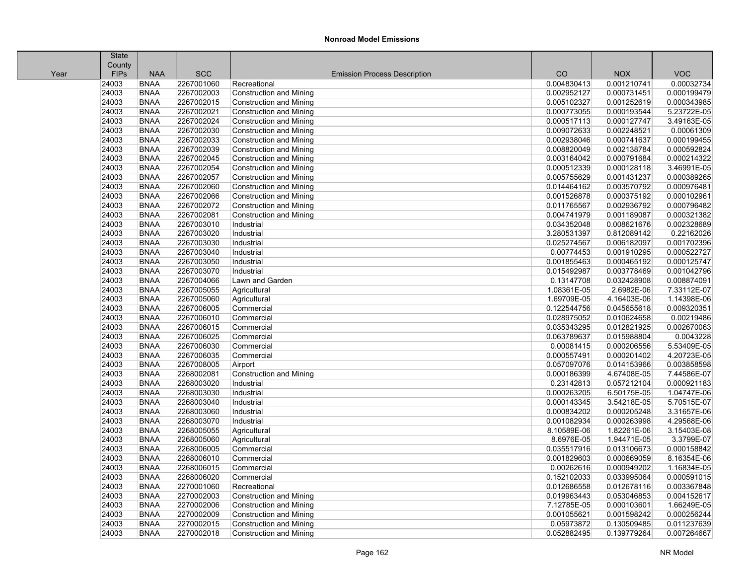|      | <b>State</b> |             |            |                                     |             |             |             |
|------|--------------|-------------|------------|-------------------------------------|-------------|-------------|-------------|
|      | County       |             |            |                                     |             |             |             |
| Year | <b>FIPs</b>  | <b>NAA</b>  | <b>SCC</b> | <b>Emission Process Description</b> | CO          | <b>NOX</b>  | <b>VOC</b>  |
|      | 24003        | <b>BNAA</b> | 2267001060 | Recreational                        | 0.004830413 | 0.001210741 | 0.00032734  |
|      | 24003        | <b>BNAA</b> | 2267002003 | <b>Construction and Mining</b>      | 0.002952127 | 0.000731451 | 0.000199479 |
|      | 24003        | <b>BNAA</b> | 2267002015 | <b>Construction and Mining</b>      | 0.005102327 | 0.001252619 | 0.000343985 |
|      | 24003        | <b>BNAA</b> | 2267002021 | <b>Construction and Mining</b>      | 0.000773055 | 0.000193544 | 5.23722E-05 |
|      | 24003        | <b>BNAA</b> | 2267002024 | <b>Construction and Mining</b>      | 0.000517113 | 0.000127747 | 3.49163E-05 |
|      | 24003        | <b>BNAA</b> | 2267002030 | <b>Construction and Mining</b>      | 0.009072633 | 0.002248521 | 0.00061309  |
|      | 24003        | <b>BNAA</b> | 2267002033 | <b>Construction and Mining</b>      | 0.002938046 | 0.000741637 | 0.000199455 |
|      | 24003        | <b>BNAA</b> | 2267002039 | <b>Construction and Mining</b>      | 0.008820049 | 0.002138784 | 0.000592824 |
|      | 24003        | <b>BNAA</b> | 2267002045 | <b>Construction and Mining</b>      | 0.003164042 | 0.000791684 | 0.000214322 |
|      | 24003        | <b>BNAA</b> | 2267002054 | <b>Construction and Mining</b>      | 0.000512339 | 0.000128118 | 3.46991E-05 |
|      | 24003        | <b>BNAA</b> | 2267002057 | <b>Construction and Mining</b>      | 0.005755629 | 0.001431237 | 0.000389265 |
|      | 24003        | <b>BNAA</b> | 2267002060 | <b>Construction and Mining</b>      | 0.014464162 | 0.003570792 | 0.000976481 |
|      | 24003        | <b>BNAA</b> | 2267002066 | <b>Construction and Mining</b>      | 0.001526878 | 0.000375192 | 0.000102961 |
|      | 24003        | <b>BNAA</b> | 2267002072 | <b>Construction and Mining</b>      | 0.011765567 | 0.002936792 | 0.000796482 |
|      | 24003        | <b>BNAA</b> | 2267002081 | <b>Construction and Mining</b>      | 0.004741979 | 0.001189087 | 0.000321382 |
|      | 24003        | <b>BNAA</b> | 2267003010 | Industrial                          | 0.034352048 | 0.008621676 | 0.002328689 |
|      | 24003        | <b>BNAA</b> | 2267003020 | Industrial                          | 3.280531397 | 0.812089142 | 0.22162026  |
|      | 24003        | <b>BNAA</b> | 2267003030 | Industrial                          | 0.025274567 | 0.006182097 | 0.001702396 |
|      | 24003        | <b>BNAA</b> | 2267003040 | Industrial                          | 0.00774453  | 0.001910295 | 0.000522727 |
|      | 24003        | <b>BNAA</b> | 2267003050 | Industrial                          | 0.001855463 | 0.000465192 | 0.000125747 |
|      | 24003        | <b>BNAA</b> | 2267003070 | Industrial                          | 0.015492987 | 0.003778469 | 0.001042796 |
|      | 24003        | <b>BNAA</b> | 2267004066 | Lawn and Garden                     | 0.13147708  | 0.032428908 | 0.008874091 |
|      | 24003        | <b>BNAA</b> | 2267005055 | Agricultural                        | 1.08361E-05 | 2.6982E-06  | 7.33112E-07 |
|      | 24003        | <b>BNAA</b> | 2267005060 | Agricultural                        | 1.69709E-05 | 4.16403E-06 | 1.14398E-06 |
|      | 24003        | <b>BNAA</b> | 2267006005 | Commercial                          | 0.122544756 | 0.045655618 | 0.009320351 |
|      | 24003        | <b>BNAA</b> | 2267006010 | Commercial                          | 0.028975052 | 0.010624658 | 0.00219486  |
|      | 24003        | <b>BNAA</b> | 2267006015 | Commercial                          | 0.035343295 | 0.012821925 | 0.002670063 |
|      | 24003        | <b>BNAA</b> | 2267006025 | Commercial                          | 0.063789637 | 0.015988804 | 0.0043228   |
|      | 24003        | <b>BNAA</b> | 2267006030 | Commercial                          | 0.00081415  | 0.000206556 | 5.53409E-05 |
|      | 24003        | <b>BNAA</b> | 2267006035 | Commercial                          | 0.000557491 | 0.000201402 | 4.20723E-05 |
|      | 24003        | <b>BNAA</b> | 2267008005 | Airport                             | 0.057097076 | 0.014153966 | 0.003858598 |
|      | 24003        | <b>BNAA</b> | 2268002081 | <b>Construction and Mining</b>      | 0.000186399 | 4.67408E-05 | 7.44586E-07 |
|      | 24003        | <b>BNAA</b> | 2268003020 | Industrial                          | 0.23142813  | 0.057212104 | 0.000921183 |
|      | 24003        | <b>BNAA</b> | 2268003030 | Industrial                          | 0.000263205 | 6.50175E-05 | 1.04747E-06 |
|      | 24003        | <b>BNAA</b> | 2268003040 | Industrial                          | 0.000143345 | 3.54218E-05 | 5.70515E-07 |
|      | 24003        | <b>BNAA</b> | 2268003060 | Industrial                          | 0.000834202 | 0.000205248 | 3.31657E-06 |
|      | 24003        | <b>BNAA</b> | 2268003070 | Industrial                          | 0.001082934 | 0.000263998 | 4.29568E-06 |
|      | 24003        | <b>BNAA</b> | 2268005055 | Agricultural                        | 8.10589E-06 | 1.82261E-06 | 3.15403E-08 |
|      | 24003        | <b>BNAA</b> | 2268005060 | Agricultural                        | 8.6976E-05  | 1.94471E-05 | 3.3799E-07  |
|      | 24003        | <b>BNAA</b> | 2268006005 | Commercial                          | 0.035517916 | 0.013106673 | 0.000158842 |
|      | 24003        | <b>BNAA</b> | 2268006010 | Commercial                          | 0.001829603 | 0.000669059 | 8.16354E-06 |
|      | 24003        | <b>BNAA</b> | 2268006015 | Commercial                          | 0.00262616  | 0.000949202 | 1.16834E-05 |
|      | 24003        | <b>BNAA</b> | 2268006020 | Commercial                          | 0.152102033 | 0.033995064 | 0.000591015 |
|      | 24003        | <b>BNAA</b> | 2270001060 | Recreational                        | 0.012686558 | 0.012678116 | 0.003367848 |
|      | 24003        | <b>BNAA</b> | 2270002003 | <b>Construction and Mining</b>      | 0.019963443 | 0.053046853 | 0.004152617 |
|      | 24003        | <b>BNAA</b> | 2270002006 | <b>Construction and Mining</b>      | 7.12785E-05 | 0.000103601 | 1.66249E-05 |
|      | 24003        | <b>BNAA</b> | 2270002009 | <b>Construction and Mining</b>      | 0.001055621 | 0.001598242 | 0.000256244 |
|      | 24003        | <b>BNAA</b> | 2270002015 | <b>Construction and Mining</b>      | 0.05973872  | 0.130509485 | 0.011237639 |
|      | 24003        | <b>BNAA</b> | 2270002018 | <b>Construction and Mining</b>      | 0.052882495 | 0.139779264 | 0.007264667 |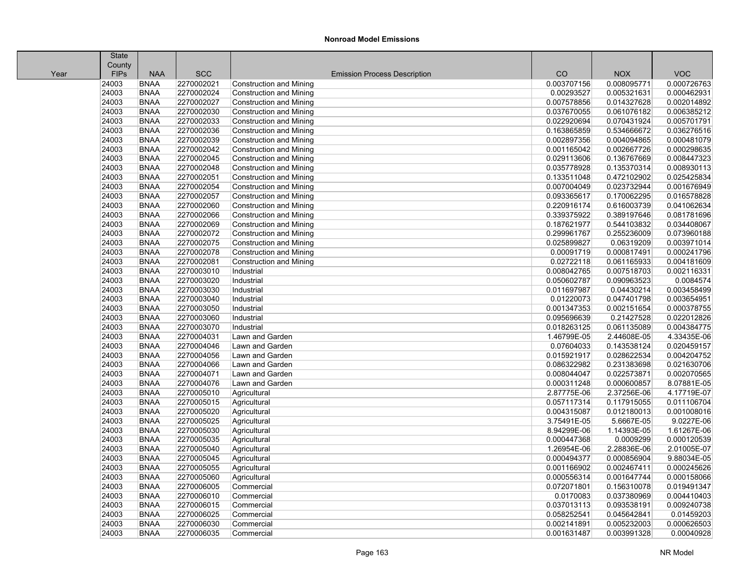|      | State       |             |            |                                     |             |             |             |
|------|-------------|-------------|------------|-------------------------------------|-------------|-------------|-------------|
|      | County      |             |            |                                     |             |             |             |
| Year | <b>FIPs</b> | <b>NAA</b>  | <b>SCC</b> | <b>Emission Process Description</b> | CO          | <b>NOX</b>  | <b>VOC</b>  |
|      | 24003       | <b>BNAA</b> | 2270002021 | Construction and Mining             | 0.003707156 | 0.008095771 | 0.000726763 |
|      | 24003       | <b>BNAA</b> | 2270002024 | <b>Construction and Mining</b>      | 0.00293527  | 0.005321631 | 0.000462931 |
|      | 24003       | <b>BNAA</b> | 2270002027 | <b>Construction and Mining</b>      | 0.007578856 | 0.014327628 | 0.002014892 |
|      | 24003       | <b>BNAA</b> | 2270002030 | Construction and Mining             | 0.037670055 | 0.061076182 | 0.006385212 |
|      | 24003       | <b>BNAA</b> | 2270002033 | <b>Construction and Mining</b>      | 0.022920694 | 0.070431924 | 0.005701791 |
|      | 24003       | <b>BNAA</b> | 2270002036 | <b>Construction and Mining</b>      | 0.163865859 | 0.534666672 | 0.036276516 |
|      | 24003       | <b>BNAA</b> | 2270002039 | <b>Construction and Mining</b>      | 0.002897356 | 0.004094865 | 0.000481079 |
|      | 24003       | <b>BNAA</b> | 2270002042 | <b>Construction and Mining</b>      | 0.001165042 | 0.002667726 | 0.000298635 |
|      | 24003       | <b>BNAA</b> | 2270002045 | <b>Construction and Mining</b>      | 0.029113606 | 0.136767669 | 0.008447323 |
|      | 24003       | <b>BNAA</b> | 2270002048 | Construction and Mining             | 0.035778928 | 0.135370314 | 0.008930113 |
|      | 24003       | <b>BNAA</b> | 2270002051 | Construction and Mining             | 0.133511048 | 0.472102902 | 0.025425834 |
|      | 24003       | <b>BNAA</b> | 2270002054 | <b>Construction and Mining</b>      | 0.007004049 | 0.023732944 | 0.001676949 |
|      | 24003       | <b>BNAA</b> | 2270002057 | <b>Construction and Mining</b>      | 0.093365617 | 0.170062295 | 0.016578828 |
|      | 24003       | <b>BNAA</b> | 2270002060 | <b>Construction and Mining</b>      | 0.220916174 | 0.616003739 | 0.041062634 |
|      | 24003       | <b>BNAA</b> | 2270002066 | <b>Construction and Mining</b>      | 0.339375922 | 0.389197646 | 0.081781696 |
|      | 24003       | <b>BNAA</b> | 2270002069 | <b>Construction and Mining</b>      | 0.187621977 | 0.544103832 | 0.034408067 |
|      | 24003       | <b>BNAA</b> | 2270002072 | <b>Construction and Mining</b>      | 0.299961767 | 0.255236009 | 0.073960188 |
|      | 24003       | <b>BNAA</b> | 2270002075 | <b>Construction and Mining</b>      | 0.025899827 | 0.06319209  | 0.003971014 |
|      | 24003       | <b>BNAA</b> | 2270002078 | <b>Construction and Mining</b>      | 0.00091719  | 0.000817491 | 0.000241796 |
|      | 24003       | <b>BNAA</b> | 2270002081 | Construction and Mining             | 0.02722118  | 0.061165933 | 0.004181609 |
|      | 24003       | <b>BNAA</b> | 2270003010 | Industrial                          | 0.008042765 | 0.007518703 | 0.002116331 |
|      | 24003       | <b>BNAA</b> | 2270003020 | Industrial                          | 0.050602787 | 0.090963523 | 0.0084574   |
|      | 24003       | <b>BNAA</b> | 2270003030 | Industrial                          | 0.011697987 | 0.04430214  | 0.003458499 |
|      | 24003       | <b>BNAA</b> | 2270003040 | Industrial                          | 0.01220073  | 0.047401798 | 0.003654951 |
|      | 24003       | <b>BNAA</b> | 2270003050 | Industrial                          | 0.001347353 | 0.002151654 | 0.000378755 |
|      | 24003       | <b>BNAA</b> | 2270003060 | Industrial                          | 0.095696639 | 0.21427528  | 0.022012826 |
|      | 24003       | <b>BNAA</b> | 2270003070 | Industrial                          | 0.018263125 | 0.061135089 | 0.004384775 |
|      | 24003       | <b>BNAA</b> | 2270004031 | Lawn and Garden                     | 1.46799E-05 | 2.44608E-05 | 4.33435E-06 |
|      | 24003       | <b>BNAA</b> | 2270004046 | Lawn and Garden                     | 0.07604033  | 0.143538124 | 0.020459157 |
|      | 24003       | <b>BNAA</b> | 2270004056 | Lawn and Garden                     | 0.015921917 | 0.028622534 | 0.004204752 |
|      | 24003       | <b>BNAA</b> | 2270004066 | Lawn and Garden                     | 0.086322982 | 0.231383698 | 0.021630706 |
|      | 24003       | <b>BNAA</b> | 2270004071 | Lawn and Garden                     | 0.008044047 | 0.022573871 | 0.002070565 |
|      | 24003       | <b>BNAA</b> | 2270004076 | Lawn and Garden                     | 0.000311248 | 0.000600857 | 8.07881E-05 |
|      | 24003       | <b>BNAA</b> | 2270005010 | Agricultural                        | 2.87775E-06 | 2.37256E-06 | 4.17719E-07 |
|      | 24003       | <b>BNAA</b> | 2270005015 | Agricultural                        | 0.057117314 | 0.117915055 | 0.011106704 |
|      | 24003       | <b>BNAA</b> | 2270005020 | Agricultural                        | 0.004315087 | 0.012180013 | 0.001008016 |
|      | 24003       | <b>BNAA</b> | 2270005025 | Agricultural                        | 3.75491E-05 | 5.6667E-05  | 9.0227E-06  |
|      | 24003       | <b>BNAA</b> | 2270005030 | Agricultural                        | 8.94299E-06 | 1.14393E-05 | 1.61267E-06 |
|      | 24003       | <b>BNAA</b> | 2270005035 | Agricultural                        | 0.000447368 | 0.0009299   | 0.000120539 |
|      | 24003       | <b>BNAA</b> | 2270005040 | Agricultural                        | 1.26954E-06 | 2.28836E-06 | 2.01005E-07 |
|      | 24003       | <b>BNAA</b> | 2270005045 | Agricultural                        | 0.000494377 | 0.000856904 | 9.88034E-05 |
|      | 24003       | <b>BNAA</b> | 2270005055 | Agricultural                        | 0.001166902 | 0.002467411 | 0.000245626 |
|      | 24003       | <b>BNAA</b> | 2270005060 | Agricultural                        | 0.000556314 | 0.001647744 | 0.000158066 |
|      | 24003       | <b>BNAA</b> | 2270006005 | Commercial                          | 0.072071801 | 0.156310078 | 0.019491347 |
|      | 24003       | <b>BNAA</b> | 2270006010 | Commercial                          | 0.0170083   | 0.037380969 | 0.004410403 |
|      | 24003       | <b>BNAA</b> | 2270006015 | Commercial                          | 0.037013113 | 0.093538191 | 0.009240738 |
|      | 24003       | <b>BNAA</b> | 2270006025 | Commercial                          | 0.058252541 | 0.045642841 | 0.01459203  |
|      | 24003       | <b>BNAA</b> | 2270006030 | Commercial                          | 0.002141891 | 0.005232003 | 0.000626503 |
|      | 24003       | <b>BNAA</b> | 2270006035 | Commercial                          | 0.001631487 | 0.003991328 | 0.00040928  |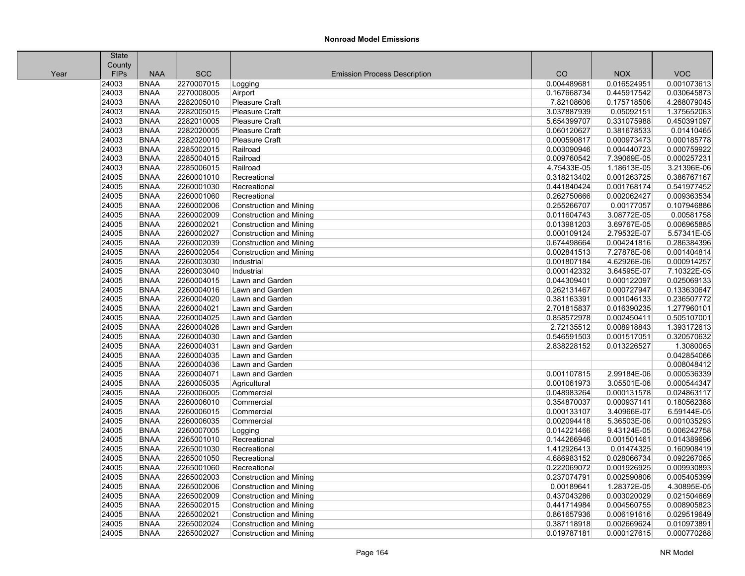|      | <b>State</b> |             |            |                                     |             |             |             |
|------|--------------|-------------|------------|-------------------------------------|-------------|-------------|-------------|
|      | County       |             |            |                                     |             |             |             |
| Year | FIPs         | <b>NAA</b>  | <b>SCC</b> | <b>Emission Process Description</b> | CO          | <b>NOX</b>  | <b>VOC</b>  |
|      | 24003        | <b>BNAA</b> | 2270007015 | Logging                             | 0.004489681 | 0.016524951 | 0.001073613 |
|      | 24003        | <b>BNAA</b> | 2270008005 | Airport                             | 0.167668734 | 0.445917542 | 0.030645873 |
|      | 24003        | <b>BNAA</b> | 2282005010 | Pleasure Craft                      | 7.82108606  | 0.175718506 | 4.268079045 |
|      | 24003        | <b>BNAA</b> | 2282005015 | Pleasure Craft                      | 3.037887939 | 0.05092151  | 1.375652063 |
|      | 24003        | <b>BNAA</b> | 2282010005 | Pleasure Craft                      | 5.654399707 | 0.331075988 | 0.450391097 |
|      | 24003        | <b>BNAA</b> | 2282020005 | Pleasure Craft                      | 0.060120627 | 0.381678533 | 0.01410465  |
|      | 24003        | <b>BNAA</b> | 2282020010 | Pleasure Craft                      | 0.000590817 | 0.000973473 | 0.000185778 |
|      | 24003        | <b>BNAA</b> | 2285002015 | Railroad                            | 0.003090946 | 0.004440723 | 0.000759922 |
|      | 24003        | <b>BNAA</b> | 2285004015 | Railroad                            | 0.009760542 | 7.39069E-05 | 0.000257231 |
|      | 24003        | <b>BNAA</b> | 2285006015 | Railroad                            | 4.75433E-05 | 1.18613E-05 | 3.21396E-06 |
|      | 24005        | <b>BNAA</b> | 2260001010 | Recreational                        | 0.318213402 | 0.001263725 | 0.386767167 |
|      | 24005        | <b>BNAA</b> | 2260001030 | Recreational                        | 0.441840424 | 0.001768174 | 0.541977452 |
|      | 24005        | <b>BNAA</b> | 2260001060 | Recreational                        | 0.262750666 | 0.002062427 | 0.009363534 |
|      | 24005        | <b>BNAA</b> | 2260002006 | <b>Construction and Mining</b>      | 0.255266707 | 0.00177057  | 0.107946886 |
|      | 24005        | <b>BNAA</b> | 2260002009 | <b>Construction and Mining</b>      | 0.011604743 | 3.08772E-05 | 0.00581758  |
|      | 24005        | <b>BNAA</b> | 2260002021 | <b>Construction and Mining</b>      | 0.013981203 | 3.69767E-05 | 0.006965885 |
|      | 24005        | <b>BNAA</b> | 2260002027 | <b>Construction and Mining</b>      | 0.000109124 | 2.79532E-07 | 5.57341E-05 |
|      | 24005        | <b>BNAA</b> | 2260002039 | <b>Construction and Mining</b>      | 0.674498664 | 0.004241816 | 0.286384396 |
|      | 24005        | <b>BNAA</b> | 2260002054 | <b>Construction and Mining</b>      | 0.002841513 | 7.27878E-06 | 0.001404814 |
|      | 24005        | <b>BNAA</b> | 2260003030 | Industrial                          | 0.001807184 | 4.62926E-06 | 0.000914257 |
|      | 24005        | <b>BNAA</b> | 2260003040 | Industrial                          | 0.000142332 | 3.64595E-07 | 7.10322E-05 |
|      | 24005        | <b>BNAA</b> | 2260004015 | Lawn and Garden                     | 0.044309401 | 0.000122097 | 0.025069133 |
|      | 24005        | <b>BNAA</b> | 2260004016 | Lawn and Garden                     | 0.262131467 | 0.000727947 | 0.133630647 |
|      | 24005        | <b>BNAA</b> | 2260004020 | Lawn and Garden                     | 0.381163391 | 0.001046133 | 0.236507772 |
|      | 24005        | <b>BNAA</b> | 2260004021 | Lawn and Garden                     | 2.701815837 | 0.016390235 | 1.277960101 |
|      | 24005        | <b>BNAA</b> | 2260004025 | Lawn and Garden                     | 0.858572978 | 0.002450411 | 0.505107001 |
|      | 24005        | <b>BNAA</b> | 2260004026 | Lawn and Garden                     | 2.72135512  | 0.008918843 | 1.393172613 |
|      | 24005        | <b>BNAA</b> | 2260004030 | Lawn and Garden                     | 0.546591503 | 0.001517051 | 0.320570632 |
|      | 24005        | <b>BNAA</b> | 2260004031 | Lawn and Garden                     | 2.838228152 | 0.013226527 | 1.3080065   |
|      | 24005        | <b>BNAA</b> | 2260004035 | Lawn and Garden                     |             |             | 0.042854066 |
|      | 24005        | <b>BNAA</b> | 2260004036 | Lawn and Garden                     |             |             | 0.008048412 |
|      | 24005        | <b>BNAA</b> | 2260004071 | Lawn and Garden                     | 0.001107815 | 2.99184E-06 | 0.000536339 |
|      | 24005        | <b>BNAA</b> | 2260005035 | Agricultural                        | 0.001061973 | 3.05501E-06 | 0.000544347 |
|      | 24005        | <b>BNAA</b> | 2260006005 | Commercial                          | 0.048983264 | 0.000131578 | 0.024863117 |
|      | 24005        | <b>BNAA</b> | 2260006010 | Commercial                          | 0.354870037 | 0.000937141 | 0.180562388 |
|      | 24005        | <b>BNAA</b> | 2260006015 | Commercial                          | 0.000133107 | 3.40966E-07 | 6.59144E-05 |
|      | 24005        | <b>BNAA</b> | 2260006035 | Commercial                          | 0.002094418 | 5.36503E-06 | 0.001035293 |
|      | 24005        | <b>BNAA</b> | 2260007005 | Logging                             | 0.014221466 | 9.43124E-05 | 0.006242758 |
|      | 24005        | <b>BNAA</b> | 2265001010 | Recreational                        | 0.144266946 | 0.001501461 | 0.014389696 |
|      | 24005        | <b>BNAA</b> | 2265001030 | Recreational                        | 1.412926413 | 0.01474325  | 0.160908419 |
|      | 24005        | <b>BNAA</b> | 2265001050 | Recreational                        | 4.686983152 | 0.028066734 | 0.092267065 |
|      | 24005        | <b>BNAA</b> | 2265001060 | Recreational                        | 0.222069072 | 0.001926925 | 0.009930893 |
|      | 24005        | <b>BNAA</b> | 2265002003 | <b>Construction and Mining</b>      | 0.237074791 | 0.002590806 | 0.005405399 |
|      | 24005        | <b>BNAA</b> | 2265002006 | <b>Construction and Mining</b>      | 0.00189641  | 1.28372E-05 | 4.30895E-05 |
|      | 24005        | <b>BNAA</b> | 2265002009 | <b>Construction and Mining</b>      | 0.437043286 | 0.003020029 | 0.021504669 |
|      | 24005        | <b>BNAA</b> | 2265002015 | <b>Construction and Mining</b>      | 0.441714984 | 0.004560755 | 0.008905823 |
|      | 24005        | <b>BNAA</b> | 2265002021 | <b>Construction and Mining</b>      | 0.861657936 | 0.006191616 | 0.029519649 |
|      | 24005        | <b>BNAA</b> | 2265002024 | <b>Construction and Mining</b>      | 0.387118918 | 0.002669624 | 0.010973891 |
|      | 24005        | <b>BNAA</b> | 2265002027 | <b>Construction and Mining</b>      | 0.019787181 | 0.000127615 | 0.000770288 |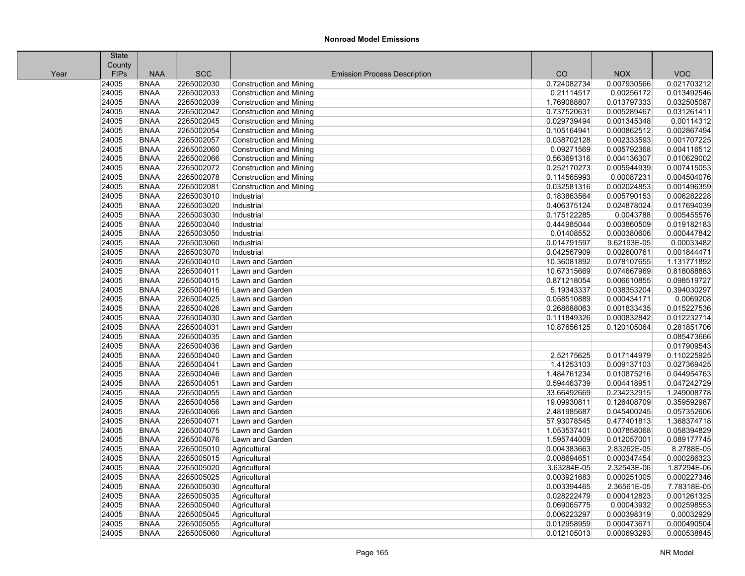|      | <b>State</b> |             |            |                                     |             |             |             |
|------|--------------|-------------|------------|-------------------------------------|-------------|-------------|-------------|
|      | County       |             |            |                                     |             |             |             |
| Year | <b>FIPs</b>  | <b>NAA</b>  | <b>SCC</b> | <b>Emission Process Description</b> | CO          | <b>NOX</b>  | <b>VOC</b>  |
|      | 24005        | <b>BNAA</b> | 2265002030 | <b>Construction and Mining</b>      | 0.724082734 | 0.007930566 | 0.021703212 |
|      | 24005        | <b>BNAA</b> | 2265002033 | <b>Construction and Mining</b>      | 0.21114517  | 0.00256172  | 0.013492546 |
|      | 24005        | <b>BNAA</b> | 2265002039 | <b>Construction and Mining</b>      | 1.769088807 | 0.013797333 | 0.032505087 |
|      | 24005        | <b>BNAA</b> | 2265002042 | <b>Construction and Mining</b>      | 0.737520631 | 0.005289467 | 0.031261411 |
|      | 24005        | <b>BNAA</b> | 2265002045 | <b>Construction and Mining</b>      | 0.029739494 | 0.001345348 | 0.00114312  |
|      | 24005        | <b>BNAA</b> | 2265002054 | <b>Construction and Mining</b>      | 0.105164941 | 0.000862512 | 0.002867494 |
|      | 24005        | <b>BNAA</b> | 2265002057 | <b>Construction and Mining</b>      | 0.038702128 | 0.002333593 | 0.001707225 |
|      | 24005        | <b>BNAA</b> | 2265002060 | <b>Construction and Mining</b>      | 0.09271569  | 0.005792368 | 0.004116512 |
|      | 24005        | <b>BNAA</b> | 2265002066 | <b>Construction and Mining</b>      | 0.563691316 | 0.004136307 | 0.010629002 |
|      | 24005        | <b>BNAA</b> | 2265002072 | Construction and Mining             | 0.252170273 | 0.005944939 | 0.007415053 |
|      | 24005        | <b>BNAA</b> | 2265002078 | <b>Construction and Mining</b>      | 0.114565993 | 0.00087231  | 0.004504076 |
|      | 24005        | <b>BNAA</b> | 2265002081 | <b>Construction and Mining</b>      | 0.032581316 | 0.002024853 | 0.001496359 |
|      | 24005        | <b>BNAA</b> | 2265003010 | Industrial                          | 0.183863564 | 0.005790153 | 0.006282228 |
|      | 24005        | <b>BNAA</b> | 2265003020 | Industrial                          | 0.406375124 | 0.024878024 | 0.017694039 |
|      | 24005        | <b>BNAA</b> | 2265003030 | Industrial                          | 0.175122285 | 0.0043788   | 0.005455576 |
|      | 24005        | <b>BNAA</b> | 2265003040 | Industrial                          | 0.444985044 | 0.003860509 | 0.019182183 |
|      | 24005        | <b>BNAA</b> | 2265003050 | Industrial                          | 0.01408552  | 0.000380606 | 0.000447842 |
|      | 24005        | <b>BNAA</b> | 2265003060 | Industrial                          | 0.014791597 | 9.62193E-05 | 0.00033482  |
|      | 24005        | <b>BNAA</b> | 2265003070 | Industrial                          | 0.042567909 | 0.002600761 | 0.001844471 |
|      | 24005        | <b>BNAA</b> | 2265004010 | Lawn and Garden                     | 10.36081892 | 0.078107655 | 1.131771892 |
|      | 24005        | <b>BNAA</b> | 2265004011 | Lawn and Garden                     | 10.67315669 | 0.074667969 | 0.818088883 |
|      | 24005        | <b>BNAA</b> | 2265004015 | Lawn and Garden                     | 0.871218054 | 0.006610855 | 0.098519727 |
|      | 24005        | <b>BNAA</b> | 2265004016 | Lawn and Garden                     | 5.19343337  | 0.038353204 | 0.394030297 |
|      | 24005        | <b>BNAA</b> | 2265004025 | Lawn and Garden                     | 0.058510889 | 0.000434171 | 0.0069208   |
|      | 24005        | <b>BNAA</b> | 2265004026 | Lawn and Garden                     | 0.268688063 | 0.001833435 | 0.015227536 |
|      | 24005        | <b>BNAA</b> | 2265004030 | Lawn and Garden                     | 0.111849326 | 0.000832842 | 0.012232714 |
|      | 24005        | <b>BNAA</b> | 2265004031 | Lawn and Garden                     | 10.87656125 | 0.120105064 | 0.281851706 |
|      | 24005        | <b>BNAA</b> | 2265004035 | Lawn and Garden                     |             |             | 0.085473666 |
|      | 24005        | <b>BNAA</b> | 2265004036 | Lawn and Garden                     |             |             | 0.017909543 |
|      | 24005        | <b>BNAA</b> | 2265004040 | Lawn and Garden                     | 2.52175625  | 0.017144979 | 0.110225925 |
|      | 24005        | <b>BNAA</b> | 2265004041 | Lawn and Garden                     | 1.41253103  | 0.009137103 | 0.027369425 |
|      | 24005        | <b>BNAA</b> | 2265004046 | Lawn and Garden                     | 1.484761234 | 0.010875216 | 0.044954763 |
|      | 24005        | <b>BNAA</b> | 2265004051 | Lawn and Garden                     | 0.594463739 | 0.004418951 | 0.047242729 |
|      | 24005        | <b>BNAA</b> | 2265004055 | Lawn and Garden                     | 33.66492669 | 0.234232915 | 1.249008778 |
|      | 24005        | <b>BNAA</b> | 2265004056 | Lawn and Garden                     | 19.09930811 | 0.126408709 | 0.359592987 |
|      | 24005        | <b>BNAA</b> | 2265004066 | Lawn and Garden                     | 2.481985687 | 0.045400245 | 0.057352606 |
|      | 24005        | <b>BNAA</b> | 2265004071 | Lawn and Garden                     | 57.93078545 | 0.477401813 | 1.368374718 |
|      | 24005        | <b>BNAA</b> | 2265004075 | Lawn and Garden                     | 1.053537401 | 0.007858068 | 0.058394829 |
|      | 24005        | <b>BNAA</b> | 2265004076 | Lawn and Garden                     | 1.595744009 | 0.012057001 | 0.089177745 |
|      | 24005        | <b>BNAA</b> | 2265005010 | Agricultural                        | 0.004383663 | 2.83262E-05 | 8.2788E-05  |
|      | 24005        | <b>BNAA</b> | 2265005015 | Agricultural                        | 0.008694651 | 0.000347454 | 0.000286323 |
|      | 24005        | <b>BNAA</b> | 2265005020 | Agricultural                        | 3.63284E-05 | 2.32543E-06 | 1.87294E-06 |
|      | 24005        | <b>BNAA</b> | 2265005025 | Agricultural                        | 0.003921683 | 0.000251005 | 0.000227346 |
|      | 24005        | <b>BNAA</b> | 2265005030 | Agricultural                        | 0.003394465 | 2.36561E-05 | 7.78318E-05 |
|      | 24005        | <b>BNAA</b> | 2265005035 | Agricultural                        | 0.028222479 | 0.000412823 | 0.001261325 |
|      | 24005        | <b>BNAA</b> | 2265005040 | Agricultural                        | 0.069065775 | 0.00043932  | 0.002598553 |
|      | 24005        | <b>BNAA</b> | 2265005045 | Agricultural                        | 0.006223297 | 0.000398319 | 0.00032929  |
|      | 24005        | <b>BNAA</b> | 2265005055 | Agricultural                        | 0.012958959 | 0.000473671 | 0.000490504 |
|      | 24005        | <b>BNAA</b> | 2265005060 | Agricultural                        | 0.012105013 | 0.000693293 | 0.000538845 |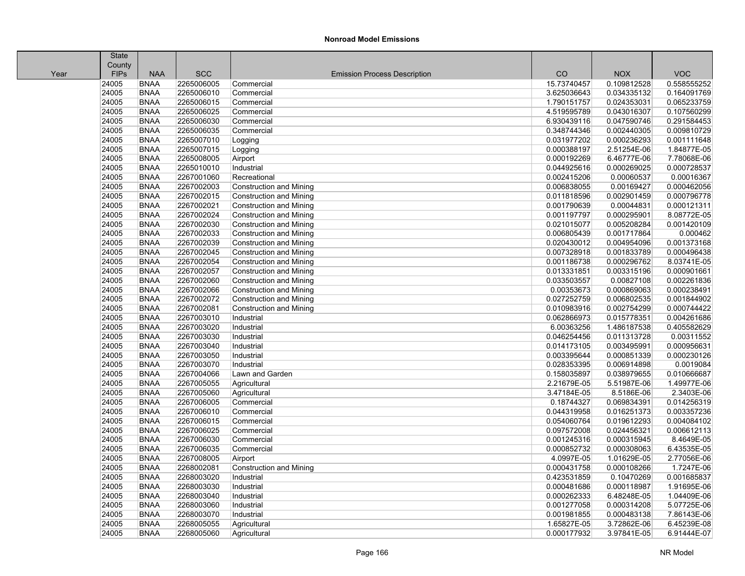|      | State       |             |            |                                     |             |             |             |
|------|-------------|-------------|------------|-------------------------------------|-------------|-------------|-------------|
|      | County      |             |            |                                     |             |             |             |
| Year | <b>FIPs</b> | <b>NAA</b>  | <b>SCC</b> | <b>Emission Process Description</b> | CO          | <b>NOX</b>  | <b>VOC</b>  |
|      | 24005       | <b>BNAA</b> | 2265006005 | Commercial                          | 15.73740457 | 0.109812528 | 0.558555252 |
|      | 24005       | <b>BNAA</b> | 2265006010 | Commercial                          | 3.625036643 | 0.034335132 | 0.164091769 |
|      | 24005       | <b>BNAA</b> | 2265006015 | Commercial                          | 1.790151757 | 0.024353031 | 0.065233759 |
|      | 24005       | <b>BNAA</b> | 2265006025 | Commercial                          | 4.519595789 | 0.043016307 | 0.107560299 |
|      | 24005       | <b>BNAA</b> | 2265006030 | Commercial                          | 6.930439116 | 0.047590746 | 0.291584453 |
|      | 24005       | <b>BNAA</b> | 2265006035 | Commercial                          | 0.348744346 | 0.002440305 | 0.009810729 |
|      | 24005       | <b>BNAA</b> | 2265007010 | Logging                             | 0.031977202 | 0.000236293 | 0.001111648 |
|      | 24005       | <b>BNAA</b> | 2265007015 | Logging                             | 0.000388197 | 2.51254E-06 | 1.84877E-05 |
|      | 24005       | <b>BNAA</b> | 2265008005 | Airport                             | 0.000192269 | 6.46777E-06 | 7.78068E-06 |
|      | 24005       | <b>BNAA</b> | 2265010010 | Industrial                          | 0.044925616 | 0.000269025 | 0.000728537 |
|      | 24005       | <b>BNAA</b> | 2267001060 | Recreational                        | 0.002415206 | 0.00060537  | 0.00016367  |
|      | 24005       | <b>BNAA</b> | 2267002003 | <b>Construction and Mining</b>      | 0.006838055 | 0.00169427  | 0.000462056 |
|      | 24005       | <b>BNAA</b> | 2267002015 | <b>Construction and Mining</b>      | 0.011818596 | 0.002901459 | 0.000796778 |
|      | 24005       | <b>BNAA</b> | 2267002021 | Construction and Mining             | 0.001790639 | 0.00044831  | 0.000121311 |
|      | 24005       | <b>BNAA</b> | 2267002024 | <b>Construction and Mining</b>      | 0.001197797 | 0.000295901 | 8.08772E-05 |
|      | 24005       | <b>BNAA</b> | 2267002030 | <b>Construction and Mining</b>      | 0.021015077 | 0.005208284 | 0.001420109 |
|      | 24005       | <b>BNAA</b> | 2267002033 | <b>Construction and Mining</b>      | 0.006805439 | 0.001717864 | 0.000462    |
|      | 24005       | <b>BNAA</b> | 2267002039 | <b>Construction and Mining</b>      | 0.020430012 | 0.004954096 | 0.001373168 |
|      | 24005       | <b>BNAA</b> | 2267002045 | <b>Construction and Mining</b>      | 0.007328918 | 0.001833789 | 0.000496438 |
|      | 24005       | <b>BNAA</b> | 2267002054 | <b>Construction and Mining</b>      | 0.001186738 | 0.000296762 | 8.03741E-05 |
|      | 24005       | <b>BNAA</b> | 2267002057 | Construction and Mining             | 0.013331851 | 0.003315196 | 0.000901661 |
|      | 24005       | <b>BNAA</b> | 2267002060 | <b>Construction and Mining</b>      | 0.033503557 | 0.00827108  | 0.002261836 |
|      | 24005       | <b>BNAA</b> | 2267002066 | <b>Construction and Mining</b>      | 0.00353673  | 0.000869063 | 0.000238491 |
|      | 24005       | <b>BNAA</b> | 2267002072 | <b>Construction and Mining</b>      | 0.027252759 | 0.006802535 | 0.001844902 |
|      | 24005       | <b>BNAA</b> | 2267002081 | <b>Construction and Mining</b>      | 0.010983916 | 0.002754299 | 0.000744422 |
|      | 24005       | <b>BNAA</b> | 2267003010 | Industrial                          | 0.062866973 | 0.015778351 | 0.004261686 |
|      | 24005       | <b>BNAA</b> | 2267003020 | Industrial                          | 6.00363256  | 1.486187538 | 0.405582629 |
|      | 24005       | <b>BNAA</b> | 2267003030 | Industrial                          | 0.046254456 | 0.011313728 | 0.00311552  |
|      | 24005       | <b>BNAA</b> | 2267003040 | Industrial                          | 0.014173105 | 0.003495991 | 0.000956631 |
|      | 24005       | <b>BNAA</b> | 2267003050 | Industrial                          | 0.003395644 | 0.000851339 | 0.000230126 |
|      | 24005       | <b>BNAA</b> | 2267003070 | Industrial                          | 0.028353395 | 0.006914898 | 0.0019084   |
|      | 24005       | <b>BNAA</b> | 2267004066 | Lawn and Garden                     | 0.158035897 | 0.038979655 | 0.010666687 |
|      | 24005       | <b>BNAA</b> | 2267005055 | Agricultural                        | 2.21679E-05 | 5.51987E-06 | 1.49977E-06 |
|      | 24005       | <b>BNAA</b> | 2267005060 | Agricultural                        | 3.47184E-05 | 8.5186E-06  | 2.3403E-06  |
|      | 24005       | <b>BNAA</b> | 2267006005 | Commercial                          | 0.18744327  | 0.069834391 | 0.014256319 |
|      | 24005       | <b>BNAA</b> | 2267006010 | Commercial                          | 0.044319958 | 0.016251373 | 0.003357236 |
|      | 24005       | <b>BNAA</b> | 2267006015 | Commercial                          | 0.054060764 | 0.019612293 | 0.004084102 |
|      | 24005       | <b>BNAA</b> | 2267006025 | Commercial                          | 0.097572008 | 0.024456321 | 0.006612113 |
|      | 24005       | <b>BNAA</b> | 2267006030 | Commercial                          | 0.001245316 | 0.000315945 | 8.4649E-05  |
|      | 24005       | <b>BNAA</b> | 2267006035 | Commercial                          | 0.000852732 | 0.000308063 | 6.43535E-05 |
|      | 24005       | <b>BNAA</b> | 2267008005 | Airport                             | 4.0997E-05  | 1.01629E-05 | 2.77056E-06 |
|      | 24005       | <b>BNAA</b> | 2268002081 | <b>Construction and Mining</b>      | 0.000431758 | 0.000108266 | 1.7247E-06  |
|      | 24005       | <b>BNAA</b> | 2268003020 | Industrial                          | 0.423531859 | 0.10470269  | 0.001685837 |
|      | 24005       | <b>BNAA</b> | 2268003030 | Industrial                          | 0.000481686 | 0.000118987 | 1.91695E-06 |
|      | 24005       | <b>BNAA</b> | 2268003040 | Industrial                          | 0.000262333 | 6.48248E-05 | 1.04409E-06 |
|      | 24005       | <b>BNAA</b> | 2268003060 | Industrial                          | 0.001277058 | 0.000314208 | 5.07725E-06 |
|      | 24005       | <b>BNAA</b> | 2268003070 | Industrial                          | 0.001981855 | 0.000483138 | 7.86143E-06 |
|      | 24005       | <b>BNAA</b> | 2268005055 | Agricultural                        | 1.65827E-05 | 3.72862E-06 | 6.45239E-08 |
|      | 24005       | <b>BNAA</b> | 2268005060 | Agricultural                        | 0.000177932 | 3.97841E-05 | 6.91444E-07 |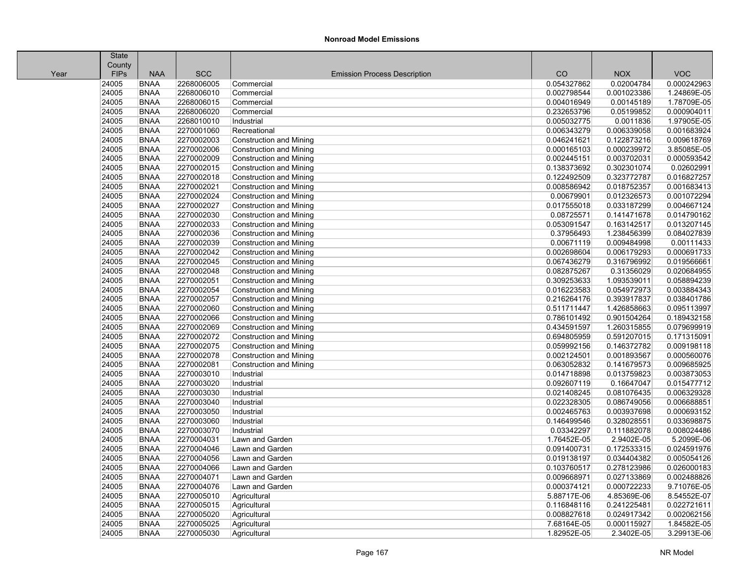| County<br><b>VOC</b><br><b>FIPs</b><br><b>NAA</b><br><b>SCC</b><br>CO<br><b>NOX</b><br><b>Emission Process Description</b><br>Year<br>24005<br><b>BNAA</b><br>2268006005<br>0.02004784<br>0.000242963<br>0.054327862<br>Commercial<br>24005<br><b>BNAA</b><br>0.001023386<br>2268006010<br>Commercial<br>0.002798544<br>1.24869E-05<br>24005<br><b>BNAA</b><br>2268006015<br>0.004016949<br>0.00145189<br>1.78709E-05<br>Commercial<br>24005<br><b>BNAA</b><br>2268006020<br>0.232653796<br>0.05199852<br>0.000904011<br>Commercial<br>24005<br><b>BNAA</b><br>2268010010<br>0.005032775<br>0.0011836<br>1.97905E-05<br>Industrial<br>24005<br><b>BNAA</b><br>2270001060<br>0.006343279<br>0.006339058<br>0.001683924<br>Recreational<br>24005<br>2270002003<br>0.009618769<br><b>BNAA</b><br><b>Construction and Mining</b><br>0.046241621<br>0.122873216<br>24005<br><b>BNAA</b><br>2270002006<br>0.000239972<br>3.85085E-05<br><b>Construction and Mining</b><br>0.000165103<br>24005<br>2270002009<br>0.003702031<br>0.000593542<br><b>BNAA</b><br><b>Construction and Mining</b><br>0.002445151<br>24005<br><b>BNAA</b><br>2270002015<br>0.138373692<br>0.302301074<br>0.02602991<br><b>Construction and Mining</b><br>24005<br><b>BNAA</b><br>2270002018<br>0.122492509<br>0.323772787<br>0.016827257<br>Construction and Mining<br>24005<br><b>BNAA</b><br>2270002021<br>0.008586942<br>0.018752357<br>0.001683413<br>Construction and Mining<br>24005<br><b>BNAA</b><br>2270002024<br>0.00679901<br>0.012326573<br>0.001072294<br><b>Construction and Mining</b><br>24005<br>2270002027<br>0.033187299<br>0.004667124<br><b>BNAA</b><br>0.017555018<br>Construction and Mining<br>24005<br><b>BNAA</b><br>0.141471678<br>0.014790162<br>2270002030<br>0.08725571<br>Construction and Mining<br>24005<br>2270002033<br>0.013207145<br><b>BNAA</b><br><b>Construction and Mining</b><br>0.053091547<br>0.163142517<br>24005<br><b>BNAA</b><br>2270002036<br>0.37956493<br>1.238456399<br>0.084027839<br><b>Construction and Mining</b><br>24005<br><b>BNAA</b><br>2270002039<br>0.00671119<br>0.009484998<br>0.00111433<br>Construction and Mining<br>24005<br><b>BNAA</b><br>2270002042<br>0.002698604<br>0.006179293<br>0.000691733<br>Construction and Mining<br>24005<br><b>BNAA</b><br>2270002045<br>0.067436279<br>0.316796992<br>0.019566661<br><b>Construction and Mining</b><br>24005<br>2270002048<br>0.31356029<br>0.020684955<br><b>BNAA</b><br>0.082875267<br>Construction and Mining<br>24005<br><b>BNAA</b><br>2270002051<br>0.309253633<br>1.093539011<br>0.058894239<br>Construction and Mining<br>24005<br><b>BNAA</b><br>2270002054<br>0.016223583<br>0.054972973<br>0.003884343<br><b>Construction and Mining</b><br>24005<br><b>BNAA</b><br>2270002057<br>0.393917837<br>0.038401786<br>Construction and Mining<br>0.216264176<br>24005<br><b>BNAA</b><br>2270002060<br>0.511711447<br>1.426858663<br>0.095113997<br>Construction and Mining<br>24005<br><b>BNAA</b><br>2270002066<br>0.786101492<br>0.901504264<br>0.189432158<br>Construction and Mining<br>24005<br><b>BNAA</b><br>2270002069<br>0.434591597<br>1.260315855<br>0.079699919<br><b>Construction and Mining</b><br>24005<br>2270002072<br>0.591207015<br>0.171315091<br><b>BNAA</b><br>0.694805959<br>Construction and Mining<br>24005<br><b>BNAA</b><br>2270002075<br>0.146372782<br>0.009198118<br>Construction and Mining<br>0.059992156<br>2270002078<br>24005<br><b>BNAA</b><br>0.002124501<br>0.001893567<br>0.000560076<br><b>Construction and Mining</b><br>24005<br><b>BNAA</b><br>2270002081<br>0.063052832<br>0.141679573<br>0.009685925<br><b>Construction and Mining</b><br>24005<br>0.003873053<br><b>BNAA</b><br>2270003010<br>0.014718898<br>0.013759823<br>Industrial<br>24005<br><b>BNAA</b><br>2270003020<br>Industrial<br>0.092607119<br>0.16647047<br>0.015477712<br>24005<br><b>BNAA</b><br>2270003030<br>0.021408245<br>0.081076435<br>0.006329328<br>Industrial<br>24005<br>2270003040<br>0.022328305<br>0.086749056<br>0.006688851<br><b>BNAA</b><br>Industrial<br>24005<br><b>BNAA</b><br>0.003937698<br>0.000693152<br>2270003050<br>Industrial<br>0.002465763<br>0.033698875<br>24005<br><b>BNAA</b><br>2270003060<br>0.146499546<br>0.328028551<br>Industrial<br>24005<br><b>BNAA</b><br>2270003070<br>0.03342297<br>0.111882078<br>0.008024486<br>Industrial<br>24005<br><b>BNAA</b><br>2270004031<br>Lawn and Garden<br>1.76452E-05<br>2.9402E-05<br>5.2099E-06<br>2270004046<br>24005<br><b>BNAA</b><br>Lawn and Garden<br>0.091400731<br>0.172533315<br>0.024591976<br>24005<br><b>BNAA</b><br>2270004056<br>0.019138197<br>0.034404382<br>0.005054126<br>Lawn and Garden<br>24005<br>2270004066<br>0.278123986<br>0.026000183<br><b>BNAA</b><br>Lawn and Garden<br>0.103760517<br>24005<br><b>BNAA</b><br>2270004071<br>0.027133869<br>0.002488826<br>Lawn and Garden<br>0.009668971<br>24005<br><b>BNAA</b><br>2270004076<br>0.000374121<br>0.000722233<br>9.71076E-05<br>Lawn and Garden<br>24005<br><b>BNAA</b><br>2270005010<br>4.85369E-06<br>8.54552E-07<br>Agricultural<br>5.88717E-06<br>0.241225481<br>0.022721611<br>24005<br><b>BNAA</b><br>2270005015<br>Agricultural<br>0.116848116<br>24005<br><b>BNAA</b><br>2270005020<br>Agricultural<br>0.008827618<br>0.024917342<br>0.002062156<br>24005<br><b>BNAA</b><br>2270005025<br>Agricultural<br>7.68164E-05<br>0.000115927<br>1.84582E-05<br>24005<br><b>BNAA</b><br>2270005030<br>1.82952E-05<br>2.3402E-05<br>3.29913E-06<br>Agricultural | <b>State</b> |  |  |  |
|---------------------------------------------------------------------------------------------------------------------------------------------------------------------------------------------------------------------------------------------------------------------------------------------------------------------------------------------------------------------------------------------------------------------------------------------------------------------------------------------------------------------------------------------------------------------------------------------------------------------------------------------------------------------------------------------------------------------------------------------------------------------------------------------------------------------------------------------------------------------------------------------------------------------------------------------------------------------------------------------------------------------------------------------------------------------------------------------------------------------------------------------------------------------------------------------------------------------------------------------------------------------------------------------------------------------------------------------------------------------------------------------------------------------------------------------------------------------------------------------------------------------------------------------------------------------------------------------------------------------------------------------------------------------------------------------------------------------------------------------------------------------------------------------------------------------------------------------------------------------------------------------------------------------------------------------------------------------------------------------------------------------------------------------------------------------------------------------------------------------------------------------------------------------------------------------------------------------------------------------------------------------------------------------------------------------------------------------------------------------------------------------------------------------------------------------------------------------------------------------------------------------------------------------------------------------------------------------------------------------------------------------------------------------------------------------------------------------------------------------------------------------------------------------------------------------------------------------------------------------------------------------------------------------------------------------------------------------------------------------------------------------------------------------------------------------------------------------------------------------------------------------------------------------------------------------------------------------------------------------------------------------------------------------------------------------------------------------------------------------------------------------------------------------------------------------------------------------------------------------------------------------------------------------------------------------------------------------------------------------------------------------------------------------------------------------------------------------------------------------------------------------------------------------------------------------------------------------------------------------------------------------------------------------------------------------------------------------------------------------------------------------------------------------------------------------------------------------------------------------------------------------------------------------------------------------------------------------------------------------------------------------------------------------------------------------------------------------------------------------------------------------------------------------------------------------------------------------------------------------------------------------------------------------------------------------------------------------------------------------------------------------------------------------------------------------------------------------------------------------------------------------------------------------------------------------------------------------------------------------------------------------------------------------------------------------------------------------------------------------------------------------------------------------------------------------------------------------------------------------------------------------------------------------------------------------------------------------------------------------------------------------------------------------------------------------------------------------------------------------------------------------------------------------------------------------------------------------------------------------------------------------------------------|--------------|--|--|--|
|                                                                                                                                                                                                                                                                                                                                                                                                                                                                                                                                                                                                                                                                                                                                                                                                                                                                                                                                                                                                                                                                                                                                                                                                                                                                                                                                                                                                                                                                                                                                                                                                                                                                                                                                                                                                                                                                                                                                                                                                                                                                                                                                                                                                                                                                                                                                                                                                                                                                                                                                                                                                                                                                                                                                                                                                                                                                                                                                                                                                                                                                                                                                                                                                                                                                                                                                                                                                                                                                                                                                                                                                                                                                                                                                                                                                                                                                                                                                                                                                                                                                                                                                                                                                                                                                                                                                                                                                                                                                                                                                                                                                                                                                                                                                                                                                                                                                                                                                                                                                                                                                                                                                                                                                                                                                                                                                                                                                                                                                                                                                       |              |  |  |  |
|                                                                                                                                                                                                                                                                                                                                                                                                                                                                                                                                                                                                                                                                                                                                                                                                                                                                                                                                                                                                                                                                                                                                                                                                                                                                                                                                                                                                                                                                                                                                                                                                                                                                                                                                                                                                                                                                                                                                                                                                                                                                                                                                                                                                                                                                                                                                                                                                                                                                                                                                                                                                                                                                                                                                                                                                                                                                                                                                                                                                                                                                                                                                                                                                                                                                                                                                                                                                                                                                                                                                                                                                                                                                                                                                                                                                                                                                                                                                                                                                                                                                                                                                                                                                                                                                                                                                                                                                                                                                                                                                                                                                                                                                                                                                                                                                                                                                                                                                                                                                                                                                                                                                                                                                                                                                                                                                                                                                                                                                                                                                       |              |  |  |  |
|                                                                                                                                                                                                                                                                                                                                                                                                                                                                                                                                                                                                                                                                                                                                                                                                                                                                                                                                                                                                                                                                                                                                                                                                                                                                                                                                                                                                                                                                                                                                                                                                                                                                                                                                                                                                                                                                                                                                                                                                                                                                                                                                                                                                                                                                                                                                                                                                                                                                                                                                                                                                                                                                                                                                                                                                                                                                                                                                                                                                                                                                                                                                                                                                                                                                                                                                                                                                                                                                                                                                                                                                                                                                                                                                                                                                                                                                                                                                                                                                                                                                                                                                                                                                                                                                                                                                                                                                                                                                                                                                                                                                                                                                                                                                                                                                                                                                                                                                                                                                                                                                                                                                                                                                                                                                                                                                                                                                                                                                                                                                       |              |  |  |  |
|                                                                                                                                                                                                                                                                                                                                                                                                                                                                                                                                                                                                                                                                                                                                                                                                                                                                                                                                                                                                                                                                                                                                                                                                                                                                                                                                                                                                                                                                                                                                                                                                                                                                                                                                                                                                                                                                                                                                                                                                                                                                                                                                                                                                                                                                                                                                                                                                                                                                                                                                                                                                                                                                                                                                                                                                                                                                                                                                                                                                                                                                                                                                                                                                                                                                                                                                                                                                                                                                                                                                                                                                                                                                                                                                                                                                                                                                                                                                                                                                                                                                                                                                                                                                                                                                                                                                                                                                                                                                                                                                                                                                                                                                                                                                                                                                                                                                                                                                                                                                                                                                                                                                                                                                                                                                                                                                                                                                                                                                                                                                       |              |  |  |  |
|                                                                                                                                                                                                                                                                                                                                                                                                                                                                                                                                                                                                                                                                                                                                                                                                                                                                                                                                                                                                                                                                                                                                                                                                                                                                                                                                                                                                                                                                                                                                                                                                                                                                                                                                                                                                                                                                                                                                                                                                                                                                                                                                                                                                                                                                                                                                                                                                                                                                                                                                                                                                                                                                                                                                                                                                                                                                                                                                                                                                                                                                                                                                                                                                                                                                                                                                                                                                                                                                                                                                                                                                                                                                                                                                                                                                                                                                                                                                                                                                                                                                                                                                                                                                                                                                                                                                                                                                                                                                                                                                                                                                                                                                                                                                                                                                                                                                                                                                                                                                                                                                                                                                                                                                                                                                                                                                                                                                                                                                                                                                       |              |  |  |  |
|                                                                                                                                                                                                                                                                                                                                                                                                                                                                                                                                                                                                                                                                                                                                                                                                                                                                                                                                                                                                                                                                                                                                                                                                                                                                                                                                                                                                                                                                                                                                                                                                                                                                                                                                                                                                                                                                                                                                                                                                                                                                                                                                                                                                                                                                                                                                                                                                                                                                                                                                                                                                                                                                                                                                                                                                                                                                                                                                                                                                                                                                                                                                                                                                                                                                                                                                                                                                                                                                                                                                                                                                                                                                                                                                                                                                                                                                                                                                                                                                                                                                                                                                                                                                                                                                                                                                                                                                                                                                                                                                                                                                                                                                                                                                                                                                                                                                                                                                                                                                                                                                                                                                                                                                                                                                                                                                                                                                                                                                                                                                       |              |  |  |  |
|                                                                                                                                                                                                                                                                                                                                                                                                                                                                                                                                                                                                                                                                                                                                                                                                                                                                                                                                                                                                                                                                                                                                                                                                                                                                                                                                                                                                                                                                                                                                                                                                                                                                                                                                                                                                                                                                                                                                                                                                                                                                                                                                                                                                                                                                                                                                                                                                                                                                                                                                                                                                                                                                                                                                                                                                                                                                                                                                                                                                                                                                                                                                                                                                                                                                                                                                                                                                                                                                                                                                                                                                                                                                                                                                                                                                                                                                                                                                                                                                                                                                                                                                                                                                                                                                                                                                                                                                                                                                                                                                                                                                                                                                                                                                                                                                                                                                                                                                                                                                                                                                                                                                                                                                                                                                                                                                                                                                                                                                                                                                       |              |  |  |  |
|                                                                                                                                                                                                                                                                                                                                                                                                                                                                                                                                                                                                                                                                                                                                                                                                                                                                                                                                                                                                                                                                                                                                                                                                                                                                                                                                                                                                                                                                                                                                                                                                                                                                                                                                                                                                                                                                                                                                                                                                                                                                                                                                                                                                                                                                                                                                                                                                                                                                                                                                                                                                                                                                                                                                                                                                                                                                                                                                                                                                                                                                                                                                                                                                                                                                                                                                                                                                                                                                                                                                                                                                                                                                                                                                                                                                                                                                                                                                                                                                                                                                                                                                                                                                                                                                                                                                                                                                                                                                                                                                                                                                                                                                                                                                                                                                                                                                                                                                                                                                                                                                                                                                                                                                                                                                                                                                                                                                                                                                                                                                       |              |  |  |  |
|                                                                                                                                                                                                                                                                                                                                                                                                                                                                                                                                                                                                                                                                                                                                                                                                                                                                                                                                                                                                                                                                                                                                                                                                                                                                                                                                                                                                                                                                                                                                                                                                                                                                                                                                                                                                                                                                                                                                                                                                                                                                                                                                                                                                                                                                                                                                                                                                                                                                                                                                                                                                                                                                                                                                                                                                                                                                                                                                                                                                                                                                                                                                                                                                                                                                                                                                                                                                                                                                                                                                                                                                                                                                                                                                                                                                                                                                                                                                                                                                                                                                                                                                                                                                                                                                                                                                                                                                                                                                                                                                                                                                                                                                                                                                                                                                                                                                                                                                                                                                                                                                                                                                                                                                                                                                                                                                                                                                                                                                                                                                       |              |  |  |  |
|                                                                                                                                                                                                                                                                                                                                                                                                                                                                                                                                                                                                                                                                                                                                                                                                                                                                                                                                                                                                                                                                                                                                                                                                                                                                                                                                                                                                                                                                                                                                                                                                                                                                                                                                                                                                                                                                                                                                                                                                                                                                                                                                                                                                                                                                                                                                                                                                                                                                                                                                                                                                                                                                                                                                                                                                                                                                                                                                                                                                                                                                                                                                                                                                                                                                                                                                                                                                                                                                                                                                                                                                                                                                                                                                                                                                                                                                                                                                                                                                                                                                                                                                                                                                                                                                                                                                                                                                                                                                                                                                                                                                                                                                                                                                                                                                                                                                                                                                                                                                                                                                                                                                                                                                                                                                                                                                                                                                                                                                                                                                       |              |  |  |  |
|                                                                                                                                                                                                                                                                                                                                                                                                                                                                                                                                                                                                                                                                                                                                                                                                                                                                                                                                                                                                                                                                                                                                                                                                                                                                                                                                                                                                                                                                                                                                                                                                                                                                                                                                                                                                                                                                                                                                                                                                                                                                                                                                                                                                                                                                                                                                                                                                                                                                                                                                                                                                                                                                                                                                                                                                                                                                                                                                                                                                                                                                                                                                                                                                                                                                                                                                                                                                                                                                                                                                                                                                                                                                                                                                                                                                                                                                                                                                                                                                                                                                                                                                                                                                                                                                                                                                                                                                                                                                                                                                                                                                                                                                                                                                                                                                                                                                                                                                                                                                                                                                                                                                                                                                                                                                                                                                                                                                                                                                                                                                       |              |  |  |  |
|                                                                                                                                                                                                                                                                                                                                                                                                                                                                                                                                                                                                                                                                                                                                                                                                                                                                                                                                                                                                                                                                                                                                                                                                                                                                                                                                                                                                                                                                                                                                                                                                                                                                                                                                                                                                                                                                                                                                                                                                                                                                                                                                                                                                                                                                                                                                                                                                                                                                                                                                                                                                                                                                                                                                                                                                                                                                                                                                                                                                                                                                                                                                                                                                                                                                                                                                                                                                                                                                                                                                                                                                                                                                                                                                                                                                                                                                                                                                                                                                                                                                                                                                                                                                                                                                                                                                                                                                                                                                                                                                                                                                                                                                                                                                                                                                                                                                                                                                                                                                                                                                                                                                                                                                                                                                                                                                                                                                                                                                                                                                       |              |  |  |  |
|                                                                                                                                                                                                                                                                                                                                                                                                                                                                                                                                                                                                                                                                                                                                                                                                                                                                                                                                                                                                                                                                                                                                                                                                                                                                                                                                                                                                                                                                                                                                                                                                                                                                                                                                                                                                                                                                                                                                                                                                                                                                                                                                                                                                                                                                                                                                                                                                                                                                                                                                                                                                                                                                                                                                                                                                                                                                                                                                                                                                                                                                                                                                                                                                                                                                                                                                                                                                                                                                                                                                                                                                                                                                                                                                                                                                                                                                                                                                                                                                                                                                                                                                                                                                                                                                                                                                                                                                                                                                                                                                                                                                                                                                                                                                                                                                                                                                                                                                                                                                                                                                                                                                                                                                                                                                                                                                                                                                                                                                                                                                       |              |  |  |  |
|                                                                                                                                                                                                                                                                                                                                                                                                                                                                                                                                                                                                                                                                                                                                                                                                                                                                                                                                                                                                                                                                                                                                                                                                                                                                                                                                                                                                                                                                                                                                                                                                                                                                                                                                                                                                                                                                                                                                                                                                                                                                                                                                                                                                                                                                                                                                                                                                                                                                                                                                                                                                                                                                                                                                                                                                                                                                                                                                                                                                                                                                                                                                                                                                                                                                                                                                                                                                                                                                                                                                                                                                                                                                                                                                                                                                                                                                                                                                                                                                                                                                                                                                                                                                                                                                                                                                                                                                                                                                                                                                                                                                                                                                                                                                                                                                                                                                                                                                                                                                                                                                                                                                                                                                                                                                                                                                                                                                                                                                                                                                       |              |  |  |  |
|                                                                                                                                                                                                                                                                                                                                                                                                                                                                                                                                                                                                                                                                                                                                                                                                                                                                                                                                                                                                                                                                                                                                                                                                                                                                                                                                                                                                                                                                                                                                                                                                                                                                                                                                                                                                                                                                                                                                                                                                                                                                                                                                                                                                                                                                                                                                                                                                                                                                                                                                                                                                                                                                                                                                                                                                                                                                                                                                                                                                                                                                                                                                                                                                                                                                                                                                                                                                                                                                                                                                                                                                                                                                                                                                                                                                                                                                                                                                                                                                                                                                                                                                                                                                                                                                                                                                                                                                                                                                                                                                                                                                                                                                                                                                                                                                                                                                                                                                                                                                                                                                                                                                                                                                                                                                                                                                                                                                                                                                                                                                       |              |  |  |  |
|                                                                                                                                                                                                                                                                                                                                                                                                                                                                                                                                                                                                                                                                                                                                                                                                                                                                                                                                                                                                                                                                                                                                                                                                                                                                                                                                                                                                                                                                                                                                                                                                                                                                                                                                                                                                                                                                                                                                                                                                                                                                                                                                                                                                                                                                                                                                                                                                                                                                                                                                                                                                                                                                                                                                                                                                                                                                                                                                                                                                                                                                                                                                                                                                                                                                                                                                                                                                                                                                                                                                                                                                                                                                                                                                                                                                                                                                                                                                                                                                                                                                                                                                                                                                                                                                                                                                                                                                                                                                                                                                                                                                                                                                                                                                                                                                                                                                                                                                                                                                                                                                                                                                                                                                                                                                                                                                                                                                                                                                                                                                       |              |  |  |  |
|                                                                                                                                                                                                                                                                                                                                                                                                                                                                                                                                                                                                                                                                                                                                                                                                                                                                                                                                                                                                                                                                                                                                                                                                                                                                                                                                                                                                                                                                                                                                                                                                                                                                                                                                                                                                                                                                                                                                                                                                                                                                                                                                                                                                                                                                                                                                                                                                                                                                                                                                                                                                                                                                                                                                                                                                                                                                                                                                                                                                                                                                                                                                                                                                                                                                                                                                                                                                                                                                                                                                                                                                                                                                                                                                                                                                                                                                                                                                                                                                                                                                                                                                                                                                                                                                                                                                                                                                                                                                                                                                                                                                                                                                                                                                                                                                                                                                                                                                                                                                                                                                                                                                                                                                                                                                                                                                                                                                                                                                                                                                       |              |  |  |  |
|                                                                                                                                                                                                                                                                                                                                                                                                                                                                                                                                                                                                                                                                                                                                                                                                                                                                                                                                                                                                                                                                                                                                                                                                                                                                                                                                                                                                                                                                                                                                                                                                                                                                                                                                                                                                                                                                                                                                                                                                                                                                                                                                                                                                                                                                                                                                                                                                                                                                                                                                                                                                                                                                                                                                                                                                                                                                                                                                                                                                                                                                                                                                                                                                                                                                                                                                                                                                                                                                                                                                                                                                                                                                                                                                                                                                                                                                                                                                                                                                                                                                                                                                                                                                                                                                                                                                                                                                                                                                                                                                                                                                                                                                                                                                                                                                                                                                                                                                                                                                                                                                                                                                                                                                                                                                                                                                                                                                                                                                                                                                       |              |  |  |  |
|                                                                                                                                                                                                                                                                                                                                                                                                                                                                                                                                                                                                                                                                                                                                                                                                                                                                                                                                                                                                                                                                                                                                                                                                                                                                                                                                                                                                                                                                                                                                                                                                                                                                                                                                                                                                                                                                                                                                                                                                                                                                                                                                                                                                                                                                                                                                                                                                                                                                                                                                                                                                                                                                                                                                                                                                                                                                                                                                                                                                                                                                                                                                                                                                                                                                                                                                                                                                                                                                                                                                                                                                                                                                                                                                                                                                                                                                                                                                                                                                                                                                                                                                                                                                                                                                                                                                                                                                                                                                                                                                                                                                                                                                                                                                                                                                                                                                                                                                                                                                                                                                                                                                                                                                                                                                                                                                                                                                                                                                                                                                       |              |  |  |  |
|                                                                                                                                                                                                                                                                                                                                                                                                                                                                                                                                                                                                                                                                                                                                                                                                                                                                                                                                                                                                                                                                                                                                                                                                                                                                                                                                                                                                                                                                                                                                                                                                                                                                                                                                                                                                                                                                                                                                                                                                                                                                                                                                                                                                                                                                                                                                                                                                                                                                                                                                                                                                                                                                                                                                                                                                                                                                                                                                                                                                                                                                                                                                                                                                                                                                                                                                                                                                                                                                                                                                                                                                                                                                                                                                                                                                                                                                                                                                                                                                                                                                                                                                                                                                                                                                                                                                                                                                                                                                                                                                                                                                                                                                                                                                                                                                                                                                                                                                                                                                                                                                                                                                                                                                                                                                                                                                                                                                                                                                                                                                       |              |  |  |  |
|                                                                                                                                                                                                                                                                                                                                                                                                                                                                                                                                                                                                                                                                                                                                                                                                                                                                                                                                                                                                                                                                                                                                                                                                                                                                                                                                                                                                                                                                                                                                                                                                                                                                                                                                                                                                                                                                                                                                                                                                                                                                                                                                                                                                                                                                                                                                                                                                                                                                                                                                                                                                                                                                                                                                                                                                                                                                                                                                                                                                                                                                                                                                                                                                                                                                                                                                                                                                                                                                                                                                                                                                                                                                                                                                                                                                                                                                                                                                                                                                                                                                                                                                                                                                                                                                                                                                                                                                                                                                                                                                                                                                                                                                                                                                                                                                                                                                                                                                                                                                                                                                                                                                                                                                                                                                                                                                                                                                                                                                                                                                       |              |  |  |  |
|                                                                                                                                                                                                                                                                                                                                                                                                                                                                                                                                                                                                                                                                                                                                                                                                                                                                                                                                                                                                                                                                                                                                                                                                                                                                                                                                                                                                                                                                                                                                                                                                                                                                                                                                                                                                                                                                                                                                                                                                                                                                                                                                                                                                                                                                                                                                                                                                                                                                                                                                                                                                                                                                                                                                                                                                                                                                                                                                                                                                                                                                                                                                                                                                                                                                                                                                                                                                                                                                                                                                                                                                                                                                                                                                                                                                                                                                                                                                                                                                                                                                                                                                                                                                                                                                                                                                                                                                                                                                                                                                                                                                                                                                                                                                                                                                                                                                                                                                                                                                                                                                                                                                                                                                                                                                                                                                                                                                                                                                                                                                       |              |  |  |  |
|                                                                                                                                                                                                                                                                                                                                                                                                                                                                                                                                                                                                                                                                                                                                                                                                                                                                                                                                                                                                                                                                                                                                                                                                                                                                                                                                                                                                                                                                                                                                                                                                                                                                                                                                                                                                                                                                                                                                                                                                                                                                                                                                                                                                                                                                                                                                                                                                                                                                                                                                                                                                                                                                                                                                                                                                                                                                                                                                                                                                                                                                                                                                                                                                                                                                                                                                                                                                                                                                                                                                                                                                                                                                                                                                                                                                                                                                                                                                                                                                                                                                                                                                                                                                                                                                                                                                                                                                                                                                                                                                                                                                                                                                                                                                                                                                                                                                                                                                                                                                                                                                                                                                                                                                                                                                                                                                                                                                                                                                                                                                       |              |  |  |  |
|                                                                                                                                                                                                                                                                                                                                                                                                                                                                                                                                                                                                                                                                                                                                                                                                                                                                                                                                                                                                                                                                                                                                                                                                                                                                                                                                                                                                                                                                                                                                                                                                                                                                                                                                                                                                                                                                                                                                                                                                                                                                                                                                                                                                                                                                                                                                                                                                                                                                                                                                                                                                                                                                                                                                                                                                                                                                                                                                                                                                                                                                                                                                                                                                                                                                                                                                                                                                                                                                                                                                                                                                                                                                                                                                                                                                                                                                                                                                                                                                                                                                                                                                                                                                                                                                                                                                                                                                                                                                                                                                                                                                                                                                                                                                                                                                                                                                                                                                                                                                                                                                                                                                                                                                                                                                                                                                                                                                                                                                                                                                       |              |  |  |  |
|                                                                                                                                                                                                                                                                                                                                                                                                                                                                                                                                                                                                                                                                                                                                                                                                                                                                                                                                                                                                                                                                                                                                                                                                                                                                                                                                                                                                                                                                                                                                                                                                                                                                                                                                                                                                                                                                                                                                                                                                                                                                                                                                                                                                                                                                                                                                                                                                                                                                                                                                                                                                                                                                                                                                                                                                                                                                                                                                                                                                                                                                                                                                                                                                                                                                                                                                                                                                                                                                                                                                                                                                                                                                                                                                                                                                                                                                                                                                                                                                                                                                                                                                                                                                                                                                                                                                                                                                                                                                                                                                                                                                                                                                                                                                                                                                                                                                                                                                                                                                                                                                                                                                                                                                                                                                                                                                                                                                                                                                                                                                       |              |  |  |  |
|                                                                                                                                                                                                                                                                                                                                                                                                                                                                                                                                                                                                                                                                                                                                                                                                                                                                                                                                                                                                                                                                                                                                                                                                                                                                                                                                                                                                                                                                                                                                                                                                                                                                                                                                                                                                                                                                                                                                                                                                                                                                                                                                                                                                                                                                                                                                                                                                                                                                                                                                                                                                                                                                                                                                                                                                                                                                                                                                                                                                                                                                                                                                                                                                                                                                                                                                                                                                                                                                                                                                                                                                                                                                                                                                                                                                                                                                                                                                                                                                                                                                                                                                                                                                                                                                                                                                                                                                                                                                                                                                                                                                                                                                                                                                                                                                                                                                                                                                                                                                                                                                                                                                                                                                                                                                                                                                                                                                                                                                                                                                       |              |  |  |  |
|                                                                                                                                                                                                                                                                                                                                                                                                                                                                                                                                                                                                                                                                                                                                                                                                                                                                                                                                                                                                                                                                                                                                                                                                                                                                                                                                                                                                                                                                                                                                                                                                                                                                                                                                                                                                                                                                                                                                                                                                                                                                                                                                                                                                                                                                                                                                                                                                                                                                                                                                                                                                                                                                                                                                                                                                                                                                                                                                                                                                                                                                                                                                                                                                                                                                                                                                                                                                                                                                                                                                                                                                                                                                                                                                                                                                                                                                                                                                                                                                                                                                                                                                                                                                                                                                                                                                                                                                                                                                                                                                                                                                                                                                                                                                                                                                                                                                                                                                                                                                                                                                                                                                                                                                                                                                                                                                                                                                                                                                                                                                       |              |  |  |  |
|                                                                                                                                                                                                                                                                                                                                                                                                                                                                                                                                                                                                                                                                                                                                                                                                                                                                                                                                                                                                                                                                                                                                                                                                                                                                                                                                                                                                                                                                                                                                                                                                                                                                                                                                                                                                                                                                                                                                                                                                                                                                                                                                                                                                                                                                                                                                                                                                                                                                                                                                                                                                                                                                                                                                                                                                                                                                                                                                                                                                                                                                                                                                                                                                                                                                                                                                                                                                                                                                                                                                                                                                                                                                                                                                                                                                                                                                                                                                                                                                                                                                                                                                                                                                                                                                                                                                                                                                                                                                                                                                                                                                                                                                                                                                                                                                                                                                                                                                                                                                                                                                                                                                                                                                                                                                                                                                                                                                                                                                                                                                       |              |  |  |  |
|                                                                                                                                                                                                                                                                                                                                                                                                                                                                                                                                                                                                                                                                                                                                                                                                                                                                                                                                                                                                                                                                                                                                                                                                                                                                                                                                                                                                                                                                                                                                                                                                                                                                                                                                                                                                                                                                                                                                                                                                                                                                                                                                                                                                                                                                                                                                                                                                                                                                                                                                                                                                                                                                                                                                                                                                                                                                                                                                                                                                                                                                                                                                                                                                                                                                                                                                                                                                                                                                                                                                                                                                                                                                                                                                                                                                                                                                                                                                                                                                                                                                                                                                                                                                                                                                                                                                                                                                                                                                                                                                                                                                                                                                                                                                                                                                                                                                                                                                                                                                                                                                                                                                                                                                                                                                                                                                                                                                                                                                                                                                       |              |  |  |  |
|                                                                                                                                                                                                                                                                                                                                                                                                                                                                                                                                                                                                                                                                                                                                                                                                                                                                                                                                                                                                                                                                                                                                                                                                                                                                                                                                                                                                                                                                                                                                                                                                                                                                                                                                                                                                                                                                                                                                                                                                                                                                                                                                                                                                                                                                                                                                                                                                                                                                                                                                                                                                                                                                                                                                                                                                                                                                                                                                                                                                                                                                                                                                                                                                                                                                                                                                                                                                                                                                                                                                                                                                                                                                                                                                                                                                                                                                                                                                                                                                                                                                                                                                                                                                                                                                                                                                                                                                                                                                                                                                                                                                                                                                                                                                                                                                                                                                                                                                                                                                                                                                                                                                                                                                                                                                                                                                                                                                                                                                                                                                       |              |  |  |  |
|                                                                                                                                                                                                                                                                                                                                                                                                                                                                                                                                                                                                                                                                                                                                                                                                                                                                                                                                                                                                                                                                                                                                                                                                                                                                                                                                                                                                                                                                                                                                                                                                                                                                                                                                                                                                                                                                                                                                                                                                                                                                                                                                                                                                                                                                                                                                                                                                                                                                                                                                                                                                                                                                                                                                                                                                                                                                                                                                                                                                                                                                                                                                                                                                                                                                                                                                                                                                                                                                                                                                                                                                                                                                                                                                                                                                                                                                                                                                                                                                                                                                                                                                                                                                                                                                                                                                                                                                                                                                                                                                                                                                                                                                                                                                                                                                                                                                                                                                                                                                                                                                                                                                                                                                                                                                                                                                                                                                                                                                                                                                       |              |  |  |  |
|                                                                                                                                                                                                                                                                                                                                                                                                                                                                                                                                                                                                                                                                                                                                                                                                                                                                                                                                                                                                                                                                                                                                                                                                                                                                                                                                                                                                                                                                                                                                                                                                                                                                                                                                                                                                                                                                                                                                                                                                                                                                                                                                                                                                                                                                                                                                                                                                                                                                                                                                                                                                                                                                                                                                                                                                                                                                                                                                                                                                                                                                                                                                                                                                                                                                                                                                                                                                                                                                                                                                                                                                                                                                                                                                                                                                                                                                                                                                                                                                                                                                                                                                                                                                                                                                                                                                                                                                                                                                                                                                                                                                                                                                                                                                                                                                                                                                                                                                                                                                                                                                                                                                                                                                                                                                                                                                                                                                                                                                                                                                       |              |  |  |  |
|                                                                                                                                                                                                                                                                                                                                                                                                                                                                                                                                                                                                                                                                                                                                                                                                                                                                                                                                                                                                                                                                                                                                                                                                                                                                                                                                                                                                                                                                                                                                                                                                                                                                                                                                                                                                                                                                                                                                                                                                                                                                                                                                                                                                                                                                                                                                                                                                                                                                                                                                                                                                                                                                                                                                                                                                                                                                                                                                                                                                                                                                                                                                                                                                                                                                                                                                                                                                                                                                                                                                                                                                                                                                                                                                                                                                                                                                                                                                                                                                                                                                                                                                                                                                                                                                                                                                                                                                                                                                                                                                                                                                                                                                                                                                                                                                                                                                                                                                                                                                                                                                                                                                                                                                                                                                                                                                                                                                                                                                                                                                       |              |  |  |  |
|                                                                                                                                                                                                                                                                                                                                                                                                                                                                                                                                                                                                                                                                                                                                                                                                                                                                                                                                                                                                                                                                                                                                                                                                                                                                                                                                                                                                                                                                                                                                                                                                                                                                                                                                                                                                                                                                                                                                                                                                                                                                                                                                                                                                                                                                                                                                                                                                                                                                                                                                                                                                                                                                                                                                                                                                                                                                                                                                                                                                                                                                                                                                                                                                                                                                                                                                                                                                                                                                                                                                                                                                                                                                                                                                                                                                                                                                                                                                                                                                                                                                                                                                                                                                                                                                                                                                                                                                                                                                                                                                                                                                                                                                                                                                                                                                                                                                                                                                                                                                                                                                                                                                                                                                                                                                                                                                                                                                                                                                                                                                       |              |  |  |  |
|                                                                                                                                                                                                                                                                                                                                                                                                                                                                                                                                                                                                                                                                                                                                                                                                                                                                                                                                                                                                                                                                                                                                                                                                                                                                                                                                                                                                                                                                                                                                                                                                                                                                                                                                                                                                                                                                                                                                                                                                                                                                                                                                                                                                                                                                                                                                                                                                                                                                                                                                                                                                                                                                                                                                                                                                                                                                                                                                                                                                                                                                                                                                                                                                                                                                                                                                                                                                                                                                                                                                                                                                                                                                                                                                                                                                                                                                                                                                                                                                                                                                                                                                                                                                                                                                                                                                                                                                                                                                                                                                                                                                                                                                                                                                                                                                                                                                                                                                                                                                                                                                                                                                                                                                                                                                                                                                                                                                                                                                                                                                       |              |  |  |  |
|                                                                                                                                                                                                                                                                                                                                                                                                                                                                                                                                                                                                                                                                                                                                                                                                                                                                                                                                                                                                                                                                                                                                                                                                                                                                                                                                                                                                                                                                                                                                                                                                                                                                                                                                                                                                                                                                                                                                                                                                                                                                                                                                                                                                                                                                                                                                                                                                                                                                                                                                                                                                                                                                                                                                                                                                                                                                                                                                                                                                                                                                                                                                                                                                                                                                                                                                                                                                                                                                                                                                                                                                                                                                                                                                                                                                                                                                                                                                                                                                                                                                                                                                                                                                                                                                                                                                                                                                                                                                                                                                                                                                                                                                                                                                                                                                                                                                                                                                                                                                                                                                                                                                                                                                                                                                                                                                                                                                                                                                                                                                       |              |  |  |  |
|                                                                                                                                                                                                                                                                                                                                                                                                                                                                                                                                                                                                                                                                                                                                                                                                                                                                                                                                                                                                                                                                                                                                                                                                                                                                                                                                                                                                                                                                                                                                                                                                                                                                                                                                                                                                                                                                                                                                                                                                                                                                                                                                                                                                                                                                                                                                                                                                                                                                                                                                                                                                                                                                                                                                                                                                                                                                                                                                                                                                                                                                                                                                                                                                                                                                                                                                                                                                                                                                                                                                                                                                                                                                                                                                                                                                                                                                                                                                                                                                                                                                                                                                                                                                                                                                                                                                                                                                                                                                                                                                                                                                                                                                                                                                                                                                                                                                                                                                                                                                                                                                                                                                                                                                                                                                                                                                                                                                                                                                                                                                       |              |  |  |  |
|                                                                                                                                                                                                                                                                                                                                                                                                                                                                                                                                                                                                                                                                                                                                                                                                                                                                                                                                                                                                                                                                                                                                                                                                                                                                                                                                                                                                                                                                                                                                                                                                                                                                                                                                                                                                                                                                                                                                                                                                                                                                                                                                                                                                                                                                                                                                                                                                                                                                                                                                                                                                                                                                                                                                                                                                                                                                                                                                                                                                                                                                                                                                                                                                                                                                                                                                                                                                                                                                                                                                                                                                                                                                                                                                                                                                                                                                                                                                                                                                                                                                                                                                                                                                                                                                                                                                                                                                                                                                                                                                                                                                                                                                                                                                                                                                                                                                                                                                                                                                                                                                                                                                                                                                                                                                                                                                                                                                                                                                                                                                       |              |  |  |  |
|                                                                                                                                                                                                                                                                                                                                                                                                                                                                                                                                                                                                                                                                                                                                                                                                                                                                                                                                                                                                                                                                                                                                                                                                                                                                                                                                                                                                                                                                                                                                                                                                                                                                                                                                                                                                                                                                                                                                                                                                                                                                                                                                                                                                                                                                                                                                                                                                                                                                                                                                                                                                                                                                                                                                                                                                                                                                                                                                                                                                                                                                                                                                                                                                                                                                                                                                                                                                                                                                                                                                                                                                                                                                                                                                                                                                                                                                                                                                                                                                                                                                                                                                                                                                                                                                                                                                                                                                                                                                                                                                                                                                                                                                                                                                                                                                                                                                                                                                                                                                                                                                                                                                                                                                                                                                                                                                                                                                                                                                                                                                       |              |  |  |  |
|                                                                                                                                                                                                                                                                                                                                                                                                                                                                                                                                                                                                                                                                                                                                                                                                                                                                                                                                                                                                                                                                                                                                                                                                                                                                                                                                                                                                                                                                                                                                                                                                                                                                                                                                                                                                                                                                                                                                                                                                                                                                                                                                                                                                                                                                                                                                                                                                                                                                                                                                                                                                                                                                                                                                                                                                                                                                                                                                                                                                                                                                                                                                                                                                                                                                                                                                                                                                                                                                                                                                                                                                                                                                                                                                                                                                                                                                                                                                                                                                                                                                                                                                                                                                                                                                                                                                                                                                                                                                                                                                                                                                                                                                                                                                                                                                                                                                                                                                                                                                                                                                                                                                                                                                                                                                                                                                                                                                                                                                                                                                       |              |  |  |  |
|                                                                                                                                                                                                                                                                                                                                                                                                                                                                                                                                                                                                                                                                                                                                                                                                                                                                                                                                                                                                                                                                                                                                                                                                                                                                                                                                                                                                                                                                                                                                                                                                                                                                                                                                                                                                                                                                                                                                                                                                                                                                                                                                                                                                                                                                                                                                                                                                                                                                                                                                                                                                                                                                                                                                                                                                                                                                                                                                                                                                                                                                                                                                                                                                                                                                                                                                                                                                                                                                                                                                                                                                                                                                                                                                                                                                                                                                                                                                                                                                                                                                                                                                                                                                                                                                                                                                                                                                                                                                                                                                                                                                                                                                                                                                                                                                                                                                                                                                                                                                                                                                                                                                                                                                                                                                                                                                                                                                                                                                                                                                       |              |  |  |  |
|                                                                                                                                                                                                                                                                                                                                                                                                                                                                                                                                                                                                                                                                                                                                                                                                                                                                                                                                                                                                                                                                                                                                                                                                                                                                                                                                                                                                                                                                                                                                                                                                                                                                                                                                                                                                                                                                                                                                                                                                                                                                                                                                                                                                                                                                                                                                                                                                                                                                                                                                                                                                                                                                                                                                                                                                                                                                                                                                                                                                                                                                                                                                                                                                                                                                                                                                                                                                                                                                                                                                                                                                                                                                                                                                                                                                                                                                                                                                                                                                                                                                                                                                                                                                                                                                                                                                                                                                                                                                                                                                                                                                                                                                                                                                                                                                                                                                                                                                                                                                                                                                                                                                                                                                                                                                                                                                                                                                                                                                                                                                       |              |  |  |  |
|                                                                                                                                                                                                                                                                                                                                                                                                                                                                                                                                                                                                                                                                                                                                                                                                                                                                                                                                                                                                                                                                                                                                                                                                                                                                                                                                                                                                                                                                                                                                                                                                                                                                                                                                                                                                                                                                                                                                                                                                                                                                                                                                                                                                                                                                                                                                                                                                                                                                                                                                                                                                                                                                                                                                                                                                                                                                                                                                                                                                                                                                                                                                                                                                                                                                                                                                                                                                                                                                                                                                                                                                                                                                                                                                                                                                                                                                                                                                                                                                                                                                                                                                                                                                                                                                                                                                                                                                                                                                                                                                                                                                                                                                                                                                                                                                                                                                                                                                                                                                                                                                                                                                                                                                                                                                                                                                                                                                                                                                                                                                       |              |  |  |  |
|                                                                                                                                                                                                                                                                                                                                                                                                                                                                                                                                                                                                                                                                                                                                                                                                                                                                                                                                                                                                                                                                                                                                                                                                                                                                                                                                                                                                                                                                                                                                                                                                                                                                                                                                                                                                                                                                                                                                                                                                                                                                                                                                                                                                                                                                                                                                                                                                                                                                                                                                                                                                                                                                                                                                                                                                                                                                                                                                                                                                                                                                                                                                                                                                                                                                                                                                                                                                                                                                                                                                                                                                                                                                                                                                                                                                                                                                                                                                                                                                                                                                                                                                                                                                                                                                                                                                                                                                                                                                                                                                                                                                                                                                                                                                                                                                                                                                                                                                                                                                                                                                                                                                                                                                                                                                                                                                                                                                                                                                                                                                       |              |  |  |  |
|                                                                                                                                                                                                                                                                                                                                                                                                                                                                                                                                                                                                                                                                                                                                                                                                                                                                                                                                                                                                                                                                                                                                                                                                                                                                                                                                                                                                                                                                                                                                                                                                                                                                                                                                                                                                                                                                                                                                                                                                                                                                                                                                                                                                                                                                                                                                                                                                                                                                                                                                                                                                                                                                                                                                                                                                                                                                                                                                                                                                                                                                                                                                                                                                                                                                                                                                                                                                                                                                                                                                                                                                                                                                                                                                                                                                                                                                                                                                                                                                                                                                                                                                                                                                                                                                                                                                                                                                                                                                                                                                                                                                                                                                                                                                                                                                                                                                                                                                                                                                                                                                                                                                                                                                                                                                                                                                                                                                                                                                                                                                       |              |  |  |  |
|                                                                                                                                                                                                                                                                                                                                                                                                                                                                                                                                                                                                                                                                                                                                                                                                                                                                                                                                                                                                                                                                                                                                                                                                                                                                                                                                                                                                                                                                                                                                                                                                                                                                                                                                                                                                                                                                                                                                                                                                                                                                                                                                                                                                                                                                                                                                                                                                                                                                                                                                                                                                                                                                                                                                                                                                                                                                                                                                                                                                                                                                                                                                                                                                                                                                                                                                                                                                                                                                                                                                                                                                                                                                                                                                                                                                                                                                                                                                                                                                                                                                                                                                                                                                                                                                                                                                                                                                                                                                                                                                                                                                                                                                                                                                                                                                                                                                                                                                                                                                                                                                                                                                                                                                                                                                                                                                                                                                                                                                                                                                       |              |  |  |  |
|                                                                                                                                                                                                                                                                                                                                                                                                                                                                                                                                                                                                                                                                                                                                                                                                                                                                                                                                                                                                                                                                                                                                                                                                                                                                                                                                                                                                                                                                                                                                                                                                                                                                                                                                                                                                                                                                                                                                                                                                                                                                                                                                                                                                                                                                                                                                                                                                                                                                                                                                                                                                                                                                                                                                                                                                                                                                                                                                                                                                                                                                                                                                                                                                                                                                                                                                                                                                                                                                                                                                                                                                                                                                                                                                                                                                                                                                                                                                                                                                                                                                                                                                                                                                                                                                                                                                                                                                                                                                                                                                                                                                                                                                                                                                                                                                                                                                                                                                                                                                                                                                                                                                                                                                                                                                                                                                                                                                                                                                                                                                       |              |  |  |  |
|                                                                                                                                                                                                                                                                                                                                                                                                                                                                                                                                                                                                                                                                                                                                                                                                                                                                                                                                                                                                                                                                                                                                                                                                                                                                                                                                                                                                                                                                                                                                                                                                                                                                                                                                                                                                                                                                                                                                                                                                                                                                                                                                                                                                                                                                                                                                                                                                                                                                                                                                                                                                                                                                                                                                                                                                                                                                                                                                                                                                                                                                                                                                                                                                                                                                                                                                                                                                                                                                                                                                                                                                                                                                                                                                                                                                                                                                                                                                                                                                                                                                                                                                                                                                                                                                                                                                                                                                                                                                                                                                                                                                                                                                                                                                                                                                                                                                                                                                                                                                                                                                                                                                                                                                                                                                                                                                                                                                                                                                                                                                       |              |  |  |  |
|                                                                                                                                                                                                                                                                                                                                                                                                                                                                                                                                                                                                                                                                                                                                                                                                                                                                                                                                                                                                                                                                                                                                                                                                                                                                                                                                                                                                                                                                                                                                                                                                                                                                                                                                                                                                                                                                                                                                                                                                                                                                                                                                                                                                                                                                                                                                                                                                                                                                                                                                                                                                                                                                                                                                                                                                                                                                                                                                                                                                                                                                                                                                                                                                                                                                                                                                                                                                                                                                                                                                                                                                                                                                                                                                                                                                                                                                                                                                                                                                                                                                                                                                                                                                                                                                                                                                                                                                                                                                                                                                                                                                                                                                                                                                                                                                                                                                                                                                                                                                                                                                                                                                                                                                                                                                                                                                                                                                                                                                                                                                       |              |  |  |  |
|                                                                                                                                                                                                                                                                                                                                                                                                                                                                                                                                                                                                                                                                                                                                                                                                                                                                                                                                                                                                                                                                                                                                                                                                                                                                                                                                                                                                                                                                                                                                                                                                                                                                                                                                                                                                                                                                                                                                                                                                                                                                                                                                                                                                                                                                                                                                                                                                                                                                                                                                                                                                                                                                                                                                                                                                                                                                                                                                                                                                                                                                                                                                                                                                                                                                                                                                                                                                                                                                                                                                                                                                                                                                                                                                                                                                                                                                                                                                                                                                                                                                                                                                                                                                                                                                                                                                                                                                                                                                                                                                                                                                                                                                                                                                                                                                                                                                                                                                                                                                                                                                                                                                                                                                                                                                                                                                                                                                                                                                                                                                       |              |  |  |  |
|                                                                                                                                                                                                                                                                                                                                                                                                                                                                                                                                                                                                                                                                                                                                                                                                                                                                                                                                                                                                                                                                                                                                                                                                                                                                                                                                                                                                                                                                                                                                                                                                                                                                                                                                                                                                                                                                                                                                                                                                                                                                                                                                                                                                                                                                                                                                                                                                                                                                                                                                                                                                                                                                                                                                                                                                                                                                                                                                                                                                                                                                                                                                                                                                                                                                                                                                                                                                                                                                                                                                                                                                                                                                                                                                                                                                                                                                                                                                                                                                                                                                                                                                                                                                                                                                                                                                                                                                                                                                                                                                                                                                                                                                                                                                                                                                                                                                                                                                                                                                                                                                                                                                                                                                                                                                                                                                                                                                                                                                                                                                       |              |  |  |  |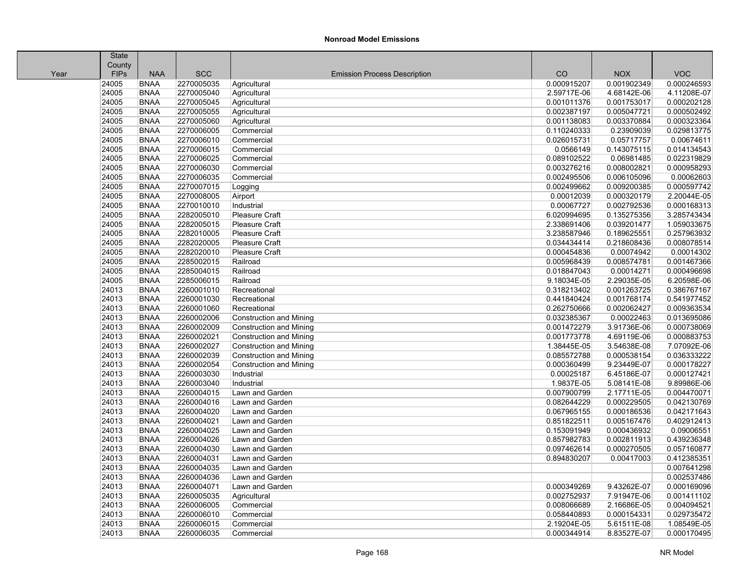|      | <b>State</b> |             |            |                                     |             |             |             |
|------|--------------|-------------|------------|-------------------------------------|-------------|-------------|-------------|
|      | County       |             |            |                                     |             |             |             |
| Year | <b>FIPs</b>  | <b>NAA</b>  | <b>SCC</b> | <b>Emission Process Description</b> | CO          | <b>NOX</b>  | <b>VOC</b>  |
|      | 24005        | <b>BNAA</b> | 2270005035 | Agricultural                        | 0.000915207 | 0.001902349 | 0.000246593 |
|      | 24005        | <b>BNAA</b> | 2270005040 | Agricultural                        | 2.59717E-06 | 4.68142E-06 | 4.11208E-07 |
|      | 24005        | <b>BNAA</b> | 2270005045 | Agricultural                        | 0.001011376 | 0.001753017 | 0.000202128 |
|      | 24005        | <b>BNAA</b> | 2270005055 | Agricultural                        | 0.002387197 | 0.005047721 | 0.000502492 |
|      | 24005        | <b>BNAA</b> | 2270005060 | Agricultural                        | 0.001138083 | 0.003370884 | 0.000323364 |
|      | 24005        | <b>BNAA</b> | 2270006005 | Commercial                          | 0.110240333 | 0.23909039  | 0.029813775 |
|      | 24005        | <b>BNAA</b> | 2270006010 | Commercial                          | 0.026015731 | 0.05717757  | 0.00674611  |
|      | 24005        | <b>BNAA</b> | 2270006015 | Commercial                          | 0.0566149   | 0.143075115 | 0.014134543 |
|      | 24005        | <b>BNAA</b> | 2270006025 | Commercial                          | 0.089102522 | 0.06981485  | 0.022319829 |
|      | 24005        | <b>BNAA</b> | 2270006030 | Commercial                          | 0.003276216 | 0.008002821 | 0.000958293 |
|      | 24005        | <b>BNAA</b> | 2270006035 | Commercial                          | 0.002495506 | 0.006105096 | 0.00062603  |
|      | 24005        | <b>BNAA</b> | 2270007015 | Logging                             | 0.002499662 | 0.009200385 | 0.000597742 |
|      | 24005        | <b>BNAA</b> | 2270008005 | Airport                             | 0.00012039  | 0.000320179 | 2.20044E-05 |
|      | 24005        | <b>BNAA</b> | 2270010010 | Industrial                          | 0.00067727  | 0.002792536 | 0.000168313 |
|      | 24005        | <b>BNAA</b> | 2282005010 | <b>Pleasure Craft</b>               | 6.020994695 | 0.135275356 | 3.285743434 |
|      | 24005        | <b>BNAA</b> | 2282005015 | Pleasure Craft                      | 2.338691406 | 0.039201477 | 1.059033675 |
|      | 24005        | <b>BNAA</b> | 2282010005 | Pleasure Craft                      | 3.238587946 | 0.189625551 | 0.257963932 |
|      | 24005        | <b>BNAA</b> | 2282020005 | Pleasure Craft                      | 0.034434414 | 0.218608436 | 0.008078514 |
|      | 24005        | <b>BNAA</b> | 2282020010 | Pleasure Craft                      | 0.000454836 | 0.00074942  | 0.00014302  |
|      | 24005        | <b>BNAA</b> | 2285002015 | Railroad                            | 0.005968439 | 0.008574781 | 0.001467366 |
|      | 24005        | <b>BNAA</b> | 2285004015 | Railroad                            | 0.018847043 | 0.00014271  | 0.000496698 |
|      | 24005        | <b>BNAA</b> | 2285006015 | Railroad                            | 9.18034E-05 | 2.29035E-05 | 6.20598E-06 |
|      | 24013        | <b>BNAA</b> | 2260001010 | Recreational                        | 0.318213402 | 0.001263725 | 0.386767167 |
|      | 24013        | <b>BNAA</b> | 2260001030 | Recreational                        | 0.441840424 | 0.001768174 | 0.541977452 |
|      | 24013        | <b>BNAA</b> | 2260001060 | Recreational                        | 0.262750666 | 0.002062427 | 0.009363534 |
|      | 24013        | <b>BNAA</b> | 2260002006 | <b>Construction and Mining</b>      | 0.032385367 | 0.00022463  | 0.013695086 |
|      | 24013        | <b>BNAA</b> | 2260002009 | <b>Construction and Mining</b>      | 0.001472279 | 3.91736E-06 | 0.000738069 |
|      | 24013        | <b>BNAA</b> | 2260002021 | <b>Construction and Mining</b>      | 0.001773778 | 4.69119E-06 | 0.000883753 |
|      | 24013        | <b>BNAA</b> | 2260002027 | <b>Construction and Mining</b>      | 1.38445E-05 | 3.54638E-08 | 7.07092E-06 |
|      | 24013        | <b>BNAA</b> | 2260002039 | <b>Construction and Mining</b>      | 0.085572788 | 0.000538154 | 0.036333222 |
|      | 24013        | <b>BNAA</b> | 2260002054 | <b>Construction and Mining</b>      | 0.000360499 | 9.23449E-07 | 0.000178227 |
|      | 24013        | <b>BNAA</b> | 2260003030 | Industrial                          | 0.00025187  | 6.45186E-07 | 0.000127421 |
|      | 24013        | <b>BNAA</b> | 2260003040 | Industrial                          | 1.9837E-05  | 5.08141E-08 | 9.89986E-06 |
|      | 24013        | <b>BNAA</b> | 2260004015 | Lawn and Garden                     | 0.007900799 | 2.17711E-05 | 0.004470071 |
|      | 24013        | <b>BNAA</b> | 2260004016 | Lawn and Garden                     | 0.082644229 | 0.000229505 | 0.042130769 |
|      | 24013        | <b>BNAA</b> | 2260004020 | Lawn and Garden                     | 0.067965155 | 0.000186536 | 0.042171643 |
|      | 24013        | <b>BNAA</b> | 2260004021 | Lawn and Garden                     | 0.851822511 | 0.005167476 | 0.402912413 |
|      | 24013        | <b>BNAA</b> | 2260004025 | Lawn and Garden                     | 0.153091949 | 0.000436932 | 0.09006551  |
|      | 24013        | <b>BNAA</b> | 2260004026 | Lawn and Garden                     | 0.857982783 | 0.002811913 | 0.439236348 |
|      | 24013        | <b>BNAA</b> | 2260004030 | Lawn and Garden                     | 0.097462614 | 0.000270505 | 0.057160877 |
|      | 24013        | <b>BNAA</b> | 2260004031 | Lawn and Garden                     | 0.894830207 | 0.00417003  | 0.412385351 |
|      | 24013        | <b>BNAA</b> | 2260004035 | Lawn and Garden                     |             |             | 0.007641298 |
|      | 24013        | <b>BNAA</b> | 2260004036 | Lawn and Garden                     |             |             | 0.002537486 |
|      | 24013        | <b>BNAA</b> | 2260004071 | Lawn and Garden                     | 0.000349269 | 9.43262E-07 | 0.000169096 |
|      | 24013        | <b>BNAA</b> | 2260005035 | Agricultural                        | 0.002752937 | 7.91947E-06 | 0.001411102 |
|      | 24013        | <b>BNAA</b> | 2260006005 | Commercial                          | 0.008066689 | 2.16686E-05 | 0.004094521 |
|      | 24013        | <b>BNAA</b> | 2260006010 | Commercial                          | 0.058440893 | 0.000154331 | 0.029735472 |
|      | 24013        | <b>BNAA</b> | 2260006015 | Commercial                          | 2.19204E-05 | 5.61511E-08 | 1.08549E-05 |
|      | 24013        | <b>BNAA</b> | 2260006035 | Commercial                          | 0.000344914 | 8.83527E-07 | 0.000170495 |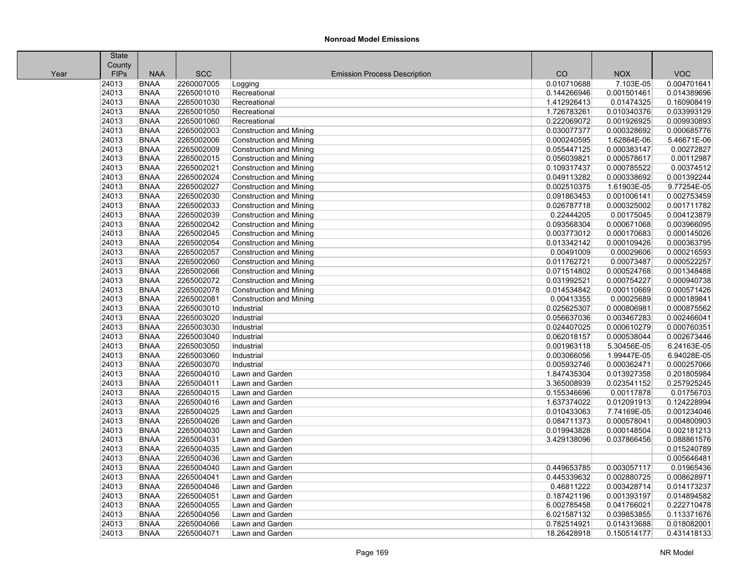|      | <b>State</b> |             |            |                                     |             |             |             |
|------|--------------|-------------|------------|-------------------------------------|-------------|-------------|-------------|
|      | County       |             |            |                                     |             |             |             |
| Year | <b>FIPs</b>  | <b>NAA</b>  | <b>SCC</b> | <b>Emission Process Description</b> | CO          | <b>NOX</b>  | <b>VOC</b>  |
|      | 24013        | <b>BNAA</b> | 2260007005 | Logging                             | 0.010710688 | 7.103E-05   | 0.004701641 |
|      | 24013        | <b>BNAA</b> | 2265001010 | Recreational                        | 0.144266946 | 0.001501461 | 0.014389696 |
|      | 24013        | <b>BNAA</b> | 2265001030 | Recreational                        | 1.412926413 | 0.01474325  | 0.160908419 |
|      | 24013        | <b>BNAA</b> | 2265001050 | Recreational                        | 1.726783261 | 0.010340376 | 0.033993129 |
|      | 24013        | <b>BNAA</b> | 2265001060 | Recreational                        | 0.222069072 | 0.001926925 | 0.009930893 |
|      | 24013        | <b>BNAA</b> | 2265002003 | <b>Construction and Mining</b>      | 0.030077377 | 0.000328692 | 0.000685776 |
|      | 24013        | <b>BNAA</b> | 2265002006 | <b>Construction and Mining</b>      | 0.000240595 | 1.62864E-06 | 5.46671E-06 |
|      | 24013        | <b>BNAA</b> | 2265002009 | <b>Construction and Mining</b>      | 0.055447125 | 0.000383147 | 0.00272827  |
|      | 24013        | <b>BNAA</b> | 2265002015 | <b>Construction and Mining</b>      | 0.056039821 | 0.000578617 | 0.00112987  |
|      | 24013        | <b>BNAA</b> | 2265002021 | Construction and Mining             | 0.109317437 | 0.000785522 | 0.00374512  |
|      | 24013        | <b>BNAA</b> | 2265002024 | Construction and Mining             | 0.049113282 | 0.000338692 | 0.001392244 |
|      | 24013        | <b>BNAA</b> | 2265002027 | Construction and Mining             | 0.002510375 | 1.61903E-05 | 9.77254E-05 |
|      | 24013        | <b>BNAA</b> | 2265002030 | <b>Construction and Mining</b>      | 0.091863453 | 0.001006141 | 0.002753459 |
|      | 24013        | <b>BNAA</b> | 2265002033 | Construction and Mining             | 0.026787718 | 0.000325002 | 0.001711782 |
|      | 24013        | <b>BNAA</b> | 2265002039 | Construction and Mining             | 0.22444205  | 0.00175045  | 0.004123879 |
|      | 24013        | <b>BNAA</b> | 2265002042 | <b>Construction and Mining</b>      | 0.093568304 | 0.000671068 | 0.003966095 |
|      | 24013        | <b>BNAA</b> | 2265002045 | <b>Construction and Mining</b>      | 0.003773012 | 0.000170683 | 0.000145026 |
|      | 24013        | <b>BNAA</b> | 2265002054 | Construction and Mining             | 0.013342142 | 0.000109426 | 0.000363795 |
|      | 24013        | <b>BNAA</b> | 2265002057 | Construction and Mining             | 0.00491009  | 0.00029606  | 0.000216593 |
|      | 24013        | <b>BNAA</b> | 2265002060 | <b>Construction and Mining</b>      | 0.011762721 | 0.00073487  | 0.000522257 |
|      | 24013        | <b>BNAA</b> | 2265002066 | Construction and Mining             | 0.071514802 | 0.000524768 | 0.001348488 |
|      | 24013        | <b>BNAA</b> | 2265002072 | Construction and Mining             | 0.031992521 | 0.000754227 | 0.000940738 |
|      | 24013        | <b>BNAA</b> | 2265002078 | <b>Construction and Mining</b>      | 0.014534842 | 0.000110669 | 0.000571426 |
|      | 24013        | <b>BNAA</b> | 2265002081 | Construction and Mining             | 0.00413355  | 0.00025689  | 0.000189841 |
|      | 24013        | <b>BNAA</b> | 2265003010 | Industrial                          | 0.025625307 | 0.000806981 | 0.000875562 |
|      | 24013        | <b>BNAA</b> | 2265003020 | Industrial                          | 0.056637036 | 0.003467283 | 0.002466041 |
|      | 24013        | <b>BNAA</b> | 2265003030 | Industrial                          | 0.024407025 | 0.000610279 | 0.000760351 |
|      | 24013        | <b>BNAA</b> | 2265003040 | Industrial                          | 0.062018157 | 0.000538044 | 0.002673446 |
|      | 24013        | <b>BNAA</b> | 2265003050 | Industrial                          | 0.001963118 | 5.30456E-05 | 6.24163E-05 |
|      | 24013        | <b>BNAA</b> | 2265003060 | Industrial                          | 0.003066056 | 1.99447E-05 | 6.94028E-05 |
|      | 24013        | <b>BNAA</b> | 2265003070 | Industrial                          | 0.005932746 | 0.000362471 | 0.000257066 |
|      | 24013        | <b>BNAA</b> | 2265004010 | Lawn and Garden                     | 1.847435304 | 0.013927358 | 0.201805984 |
|      | 24013        | <b>BNAA</b> | 2265004011 | Lawn and Garden                     | 3.365008939 | 0.023541152 | 0.257925245 |
|      | 24013        | <b>BNAA</b> | 2265004015 | Lawn and Garden                     | 0.155346696 | 0.00117878  | 0.01756703  |
|      | 24013        | <b>BNAA</b> | 2265004016 | Lawn and Garden                     | 1.637374022 | 0.012091913 | 0.124228994 |
|      | 24013        | <b>BNAA</b> | 2265004025 | Lawn and Garden                     | 0.010433063 | 7.74169E-05 | 0.001234046 |
|      | 24013        | <b>BNAA</b> | 2265004026 | Lawn and Garden                     | 0.084711373 | 0.000578041 | 0.004800903 |
|      | 24013        | <b>BNAA</b> | 2265004030 | Lawn and Garden                     | 0.019943828 | 0.000148504 | 0.002181213 |
|      | 24013        | <b>BNAA</b> | 2265004031 | Lawn and Garden                     | 3.429138096 | 0.037866456 | 0.088861576 |
|      | 24013        | <b>BNAA</b> | 2265004035 | Lawn and Garden                     |             |             | 0.015240789 |
|      | 24013        | <b>BNAA</b> | 2265004036 | Lawn and Garden                     |             |             | 0.005646481 |
|      | 24013        | <b>BNAA</b> | 2265004040 | Lawn and Garden                     | 0.449653785 | 0.003057117 | 0.01965436  |
|      | 24013        | <b>BNAA</b> | 2265004041 | Lawn and Garden                     | 0.445339632 | 0.002880725 | 0.008628971 |
|      | 24013        | <b>BNAA</b> | 2265004046 | Lawn and Garden                     | 0.46811222  | 0.003428714 | 0.014173237 |
|      | 24013        | <b>BNAA</b> | 2265004051 | Lawn and Garden                     | 0.187421196 | 0.001393197 | 0.014894582 |
|      | 24013        | <b>BNAA</b> | 2265004055 | Lawn and Garden                     | 6.002785458 | 0.041766021 | 0.222710478 |
|      | 24013        | <b>BNAA</b> | 2265004056 | Lawn and Garden                     | 6.021587132 | 0.039853855 | 0.113371676 |
|      | 24013        | <b>BNAA</b> | 2265004066 | Lawn and Garden                     | 0.782514921 | 0.014313688 | 0.018082001 |
|      | 24013        | <b>BNAA</b> | 2265004071 | Lawn and Garden                     | 18.26428918 | 0.150514177 | 0.431418133 |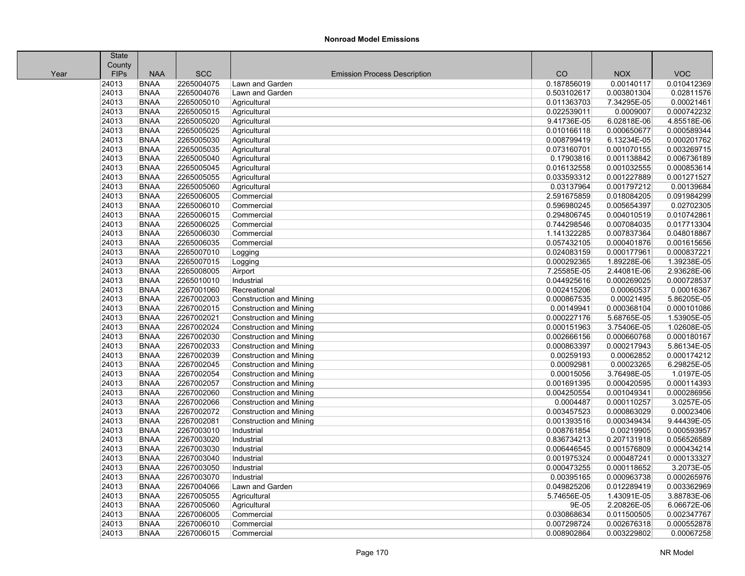|      | <b>State</b> |             |            |                                     |             |             |             |
|------|--------------|-------------|------------|-------------------------------------|-------------|-------------|-------------|
|      | County       |             |            |                                     |             |             |             |
| Year | <b>FIPs</b>  | <b>NAA</b>  | <b>SCC</b> | <b>Emission Process Description</b> | CO          | <b>NOX</b>  | <b>VOC</b>  |
|      | 24013        | <b>BNAA</b> | 2265004075 | Lawn and Garden                     | 0.187856019 | 0.00140117  | 0.010412369 |
|      | 24013        | <b>BNAA</b> | 2265004076 | Lawn and Garden                     | 0.503102617 | 0.003801304 | 0.02811576  |
|      | 24013        | <b>BNAA</b> | 2265005010 | Agricultural                        | 0.011363703 | 7.34295E-05 | 0.00021461  |
|      | 24013        | <b>BNAA</b> | 2265005015 | Agricultural                        | 0.022539011 | 0.0009007   | 0.000742232 |
|      | 24013        | <b>BNAA</b> | 2265005020 | Agricultural                        | 9.41736E-05 | 6.02818E-06 | 4.85518E-06 |
|      | 24013        | <b>BNAA</b> | 2265005025 | Agricultural                        | 0.010166118 | 0.000650677 | 0.000589344 |
|      | 24013        | <b>BNAA</b> | 2265005030 | Agricultural                        | 0.008799419 | 6.13234E-05 | 0.000201762 |
|      | 24013        | <b>BNAA</b> | 2265005035 | Agricultural                        | 0.073160701 | 0.001070155 | 0.003269715 |
|      | 24013        | <b>BNAA</b> | 2265005040 | Agricultural                        | 0.17903816  | 0.001138842 | 0.006736189 |
|      | 24013        | <b>BNAA</b> | 2265005045 | Agricultural                        | 0.016132558 | 0.001032555 | 0.000853614 |
|      | 24013        | <b>BNAA</b> | 2265005055 | Agricultural                        | 0.033593312 | 0.001227889 | 0.001271527 |
|      | 24013        | <b>BNAA</b> | 2265005060 | Agricultural                        | 0.03137964  | 0.001797212 | 0.00139684  |
|      | 24013        | <b>BNAA</b> | 2265006005 | Commercial                          | 2.591675859 | 0.018084205 | 0.091984299 |
|      | 24013        | <b>BNAA</b> | 2265006010 | Commercial                          | 0.596980245 | 0.005654397 | 0.02702305  |
|      | 24013        | <b>BNAA</b> | 2265006015 | Commercial                          | 0.294806745 | 0.004010519 | 0.010742861 |
|      | 24013        | <b>BNAA</b> | 2265006025 | Commercial                          | 0.744298546 | 0.007084035 | 0.017713304 |
|      | 24013        | <b>BNAA</b> | 2265006030 | Commercial                          | 1.141322285 | 0.007837364 | 0.048018867 |
|      | 24013        | <b>BNAA</b> | 2265006035 | Commercial                          | 0.057432105 | 0.000401876 | 0.001615656 |
|      | 24013        | <b>BNAA</b> | 2265007010 | Logging                             | 0.024083159 | 0.000177961 | 0.000837221 |
|      | 24013        | <b>BNAA</b> | 2265007015 | Logging                             | 0.000292365 | 1.89228E-06 | 1.39238E-05 |
|      | 24013        | <b>BNAA</b> | 2265008005 | Airport                             | 7.25585E-05 | 2.44081E-06 | 2.93628E-06 |
|      | 24013        | <b>BNAA</b> | 2265010010 | Industrial                          | 0.044925616 | 0.000269025 | 0.000728537 |
|      | 24013        | <b>BNAA</b> | 2267001060 | Recreational                        | 0.002415206 | 0.00060537  | 0.00016367  |
|      | 24013        | <b>BNAA</b> | 2267002003 | <b>Construction and Mining</b>      | 0.000867535 | 0.00021495  | 5.86205E-05 |
|      | 24013        | <b>BNAA</b> | 2267002015 | <b>Construction and Mining</b>      | 0.00149941  | 0.000368104 | 0.000101086 |
|      | 24013        | <b>BNAA</b> | 2267002021 | <b>Construction and Mining</b>      | 0.000227176 | 5.68765E-05 | 1.53905E-05 |
|      | 24013        | <b>BNAA</b> | 2267002024 | <b>Construction and Mining</b>      | 0.000151963 | 3.75406E-05 | 1.02608E-05 |
|      | 24013        | <b>BNAA</b> | 2267002030 | <b>Construction and Mining</b>      | 0.002666156 | 0.000660768 | 0.000180167 |
|      | 24013        | <b>BNAA</b> | 2267002033 | Construction and Mining             | 0.000863397 | 0.000217943 | 5.86134E-05 |
|      | 24013        | <b>BNAA</b> | 2267002039 | <b>Construction and Mining</b>      | 0.00259193  | 0.00062852  | 0.000174212 |
|      | 24013        | <b>BNAA</b> | 2267002045 | <b>Construction and Mining</b>      | 0.00092981  | 0.00023265  | 6.29825E-05 |
|      | 24013        | <b>BNAA</b> | 2267002054 | <b>Construction and Mining</b>      | 0.00015056  | 3.76498E-05 | 1.0197E-05  |
|      | 24013        | <b>BNAA</b> | 2267002057 | <b>Construction and Mining</b>      | 0.001691395 | 0.000420595 | 0.000114393 |
|      | 24013        | <b>BNAA</b> | 2267002060 | <b>Construction and Mining</b>      | 0.004250554 | 0.001049341 | 0.000286956 |
|      | 24013        | <b>BNAA</b> | 2267002066 | <b>Construction and Mining</b>      | 0.0004487   | 0.000110257 | 3.0257E-05  |
|      | 24013        | <b>BNAA</b> | 2267002072 | <b>Construction and Mining</b>      | 0.003457523 | 0.000863029 | 0.00023406  |
|      | 24013        | <b>BNAA</b> | 2267002081 | Construction and Mining             | 0.001393516 | 0.000349434 | 9.44439E-05 |
|      | 24013        | <b>BNAA</b> | 2267003010 | Industrial                          | 0.008761854 | 0.00219905  | 0.000593957 |
|      | 24013        | <b>BNAA</b> | 2267003020 | Industrial                          | 0.836734213 | 0.207131918 | 0.056526589 |
|      | 24013        | <b>BNAA</b> | 2267003030 | Industrial                          | 0.006446545 | 0.001576809 | 0.000434214 |
|      | 24013        | <b>BNAA</b> | 2267003040 | Industrial                          | 0.001975324 | 0.000487241 | 0.000133327 |
|      | 24013        | <b>BNAA</b> | 2267003050 | Industrial                          | 0.000473255 | 0.000118652 | 3.2073E-05  |
|      | 24013        | <b>BNAA</b> | 2267003070 | Industrial                          | 0.00395165  | 0.000963738 | 0.000265976 |
|      | 24013        | <b>BNAA</b> | 2267004066 | Lawn and Garden                     | 0.049825206 | 0.012289419 | 0.003362969 |
|      | 24013        | <b>BNAA</b> | 2267005055 | Agricultural                        | 5.74656E-05 | 1.43091E-05 | 3.88783E-06 |
|      | 24013        | <b>BNAA</b> | 2267005060 | Agricultural                        | 9E-05       | 2.20826E-05 | 6.06672E-06 |
|      | 24013        | <b>BNAA</b> | 2267006005 | Commercial                          | 0.030868634 | 0.011500505 | 0.002347767 |
|      | 24013        | <b>BNAA</b> | 2267006010 | Commercial                          | 0.007298724 | 0.002676318 | 0.000552878 |
|      | 24013        | <b>BNAA</b> | 2267006015 | Commercial                          | 0.008902864 | 0.003229802 | 0.00067258  |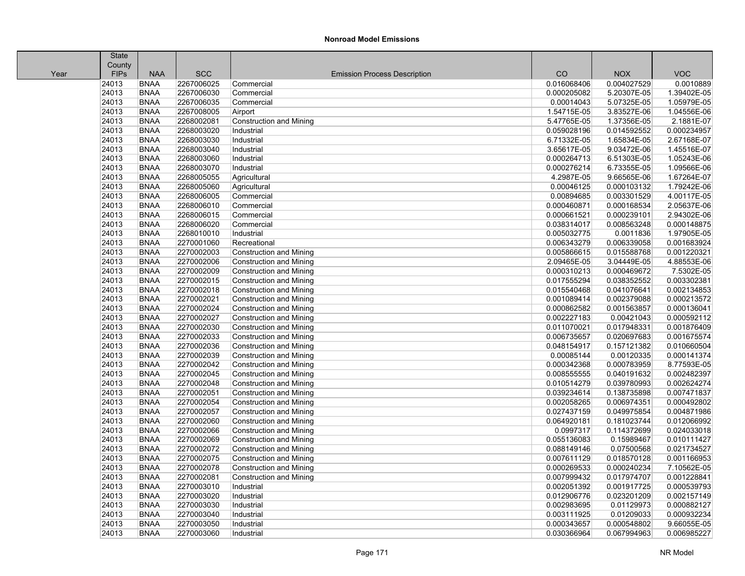Ш

| County<br><b>NAA</b><br><b>SCC</b><br><b>FIPs</b><br><b>Emission Process Description</b><br>CO<br><b>NOX</b><br>Year<br><b>BNAA</b><br>2267006025<br>24013<br>0.016068406<br>0.004027529<br>Commercial<br>24013<br><b>BNAA</b><br>2267006030<br>0.000205082<br>5.20307E-05<br>Commercial<br>24013<br><b>BNAA</b><br>2267006035<br>5.07325E-05<br>Commercial<br>0.00014043 | <b>VOC</b><br>1.04556E-06<br>2.1881E-07 | 0.0010889<br>1.39402E-05<br>1.05979E-05 |
|---------------------------------------------------------------------------------------------------------------------------------------------------------------------------------------------------------------------------------------------------------------------------------------------------------------------------------------------------------------------------|-----------------------------------------|-----------------------------------------|
|                                                                                                                                                                                                                                                                                                                                                                           |                                         |                                         |
|                                                                                                                                                                                                                                                                                                                                                                           |                                         |                                         |
|                                                                                                                                                                                                                                                                                                                                                                           |                                         |                                         |
|                                                                                                                                                                                                                                                                                                                                                                           |                                         |                                         |
|                                                                                                                                                                                                                                                                                                                                                                           |                                         |                                         |
| 24013<br>3.83527E-06<br><b>BNAA</b><br>2267008005<br>Airport<br>1.54715E-05                                                                                                                                                                                                                                                                                               |                                         |                                         |
| 24013<br><b>BNAA</b><br>2268002081<br>5.47765E-05<br>1.37356E-05<br><b>Construction and Mining</b>                                                                                                                                                                                                                                                                        |                                         |                                         |
| 24013<br>2268003020<br>0.014592552<br><b>BNAA</b><br>Industrial<br>0.059028196                                                                                                                                                                                                                                                                                            |                                         | 0.000234957                             |
| 24013<br>1.65834E-05<br><b>BNAA</b><br>2268003030<br>Industrial<br>6.71332E-05                                                                                                                                                                                                                                                                                            |                                         | 2.67168E-07                             |
| 24013<br><b>BNAA</b><br>2268003040<br>Industrial<br>3.65617E-05<br>9.03472E-06                                                                                                                                                                                                                                                                                            |                                         | 1.45516E-07                             |
| 24013<br><b>BNAA</b><br>2268003060<br>0.000264713<br>6.51303E-05<br>Industrial                                                                                                                                                                                                                                                                                            | 1.05243E-06                             |                                         |
| 24013<br>2268003070<br>6.73355E-05<br><b>BNAA</b><br>Industrial<br>0.000276214                                                                                                                                                                                                                                                                                            |                                         | 1.09566E-06                             |
| 24013<br><b>BNAA</b><br>2268005055<br>4.2987E-05<br>9.66565E-06<br>Agricultural                                                                                                                                                                                                                                                                                           |                                         | 1.67264E-07                             |
| 24013<br><b>BNAA</b><br>0.00046125<br>2268005060<br>Agricultural<br>0.000103132                                                                                                                                                                                                                                                                                           |                                         | 1.79242E-06                             |
| 24013<br><b>BNAA</b><br>2268006005<br>Commercial<br>0.00894685<br>0.003301529                                                                                                                                                                                                                                                                                             |                                         | 4.00117E-05                             |
| 24013<br><b>BNAA</b><br>2268006010<br>Commercial<br>0.000460871<br>0.000168534                                                                                                                                                                                                                                                                                            |                                         | 2.05637E-06                             |
| 24013<br><b>BNAA</b><br>2268006015<br>0.000661521<br>0.000239101<br>Commercial                                                                                                                                                                                                                                                                                            |                                         | 2.94302E-06                             |
| 24013<br><b>BNAA</b><br>2268006020<br>0.038314017<br>0.008563248<br>Commercial                                                                                                                                                                                                                                                                                            |                                         | 0.000148875                             |
| 24013<br>2268010010<br>0.0011836<br><b>BNAA</b><br>Industrial<br>0.005032775                                                                                                                                                                                                                                                                                              |                                         | 1.97905E-05                             |
| 24013<br><b>BNAA</b><br>2270001060<br>0.006343279<br>0.006339058<br>Recreational                                                                                                                                                                                                                                                                                          | 0.001683924                             |                                         |
| 24013<br>2270002003<br><b>BNAA</b><br><b>Construction and Mining</b><br>0.005866615<br>0.015588768                                                                                                                                                                                                                                                                        | 0.001220321                             |                                         |
| 24013<br><b>BNAA</b><br>2270002006<br><b>Construction and Mining</b><br>2.09465E-05<br>3.04449E-05                                                                                                                                                                                                                                                                        |                                         | 4.88553E-06                             |
| 24013<br><b>BNAA</b><br>2270002009<br>0.000310213<br>0.000469672<br>Construction and Mining                                                                                                                                                                                                                                                                               |                                         | 7.5302E-05                              |
| 24013<br><b>BNAA</b><br>2270002015<br>0.017555294<br>0.038352552<br><b>Construction and Mining</b>                                                                                                                                                                                                                                                                        | 0.003302381                             |                                         |
| 24013<br><b>BNAA</b><br>2270002018<br><b>Construction and Mining</b><br>0.015540468<br>0.041076641                                                                                                                                                                                                                                                                        | 0.002134853                             |                                         |
| 24013<br>2270002021<br><b>BNAA</b><br>0.001089414<br>0.002379088<br><b>Construction and Mining</b>                                                                                                                                                                                                                                                                        | 0.000213572                             |                                         |
| 24013<br><b>BNAA</b><br>2270002024<br>0.000862582<br>0.001563857<br><b>Construction and Mining</b>                                                                                                                                                                                                                                                                        | 0.000136041                             |                                         |
| 24013<br><b>BNAA</b><br>2270002027<br><b>Construction and Mining</b><br>0.002227183<br>0.00421043                                                                                                                                                                                                                                                                         |                                         | 0.000592112                             |
| 24013<br><b>BNAA</b><br>2270002030<br><b>Construction and Mining</b><br>0.011070021<br>0.017948331                                                                                                                                                                                                                                                                        |                                         | 0.001876409                             |
| 24013<br><b>BNAA</b><br>2270002033<br>0.020697683<br><b>Construction and Mining</b><br>0.006735657                                                                                                                                                                                                                                                                        | 0.001675574                             |                                         |
| 24013<br><b>BNAA</b><br>2270002036<br>0.048154917<br>0.157121382<br><b>Construction and Mining</b>                                                                                                                                                                                                                                                                        |                                         | 0.010660504                             |
| 24013<br><b>BNAA</b><br>2270002039<br>0.00120335<br><b>Construction and Mining</b><br>0.00085144                                                                                                                                                                                                                                                                          | 0.000141374                             |                                         |
| 24013<br>2270002042<br><b>BNAA</b><br>0.000342368<br>0.000783959<br>Construction and Mining                                                                                                                                                                                                                                                                               | 8.77593E-05                             |                                         |
| 24013<br><b>BNAA</b><br>2270002045<br><b>Construction and Mining</b><br>0.008555555<br>0.040191632                                                                                                                                                                                                                                                                        |                                         | 0.002482397                             |
| 24013<br>2270002048<br><b>BNAA</b><br><b>Construction and Mining</b><br>0.010514279<br>0.039780993                                                                                                                                                                                                                                                                        |                                         | 0.002624274                             |
| 24013<br><b>BNAA</b><br>2270002051<br><b>Construction and Mining</b><br>0.039234614<br>0.138735898                                                                                                                                                                                                                                                                        |                                         | 0.007471837                             |
| 24013<br><b>BNAA</b><br>2270002054<br>0.002058265<br>0.006974351<br><b>Construction and Mining</b>                                                                                                                                                                                                                                                                        |                                         | 0.000492802                             |
| 24013<br><b>BNAA</b><br>2270002057<br>0.027437159<br>0.049975854<br><b>Construction and Mining</b>                                                                                                                                                                                                                                                                        |                                         | 0.004871986                             |
| 24013<br><b>BNAA</b><br>2270002060<br>0.064920181<br>0.181023744<br><b>Construction and Mining</b>                                                                                                                                                                                                                                                                        |                                         | 0.012066992                             |
| 24013<br><b>BNAA</b><br>2270002066<br>0.0997317<br>0.114372699<br><b>Construction and Mining</b>                                                                                                                                                                                                                                                                          | 0.024033018                             |                                         |
| 24013<br>2270002069<br><b>BNAA</b><br><b>Construction and Mining</b><br>0.055136083<br>0.15989467                                                                                                                                                                                                                                                                         |                                         | 0.010111427                             |
| 24013<br>2270002072<br><b>BNAA</b><br>Construction and Mining<br>0.088149146<br>0.07500568                                                                                                                                                                                                                                                                                |                                         | 0.021734527                             |
| 24013<br><b>BNAA</b><br>2270002075<br><b>Construction and Mining</b><br>0.007611129<br>0.018570128                                                                                                                                                                                                                                                                        |                                         | 0.001166953                             |
| 24013<br><b>BNAA</b><br>2270002078<br>0.000269533<br>0.000240234<br><b>Construction and Mining</b>                                                                                                                                                                                                                                                                        |                                         | 7.10562E-05                             |
| 24013<br><b>BNAA</b><br>2270002081<br>0.007999432<br>0.017974707<br><b>Construction and Mining</b>                                                                                                                                                                                                                                                                        | 0.001228841                             |                                         |
| 24013<br><b>BNAA</b><br>2270003010<br>0.002051392<br>0.001917725<br>Industrial                                                                                                                                                                                                                                                                                            | 0.000539793                             |                                         |
| 24013<br><b>BNAA</b><br>2270003020<br>0.012906776<br>0.023201209<br>Industrial                                                                                                                                                                                                                                                                                            | 0.002157149                             |                                         |
| 24013<br><b>BNAA</b><br>2270003030<br>Industrial<br>0.002983695<br>0.01129973                                                                                                                                                                                                                                                                                             |                                         | 0.000882127                             |
| 24013<br><b>BNAA</b><br>2270003040<br>Industrial<br>0.003111925<br>0.01209033                                                                                                                                                                                                                                                                                             |                                         | 0.000932234                             |
| 24013<br><b>BNAA</b><br>2270003050<br>Industrial<br>0.000343657<br>0.000548802                                                                                                                                                                                                                                                                                            |                                         | 9.66055E-05                             |
| 24013<br><b>BNAA</b><br>2270003060<br>0.030366964<br>0.067994963<br>Industrial                                                                                                                                                                                                                                                                                            | 0.006985227                             |                                         |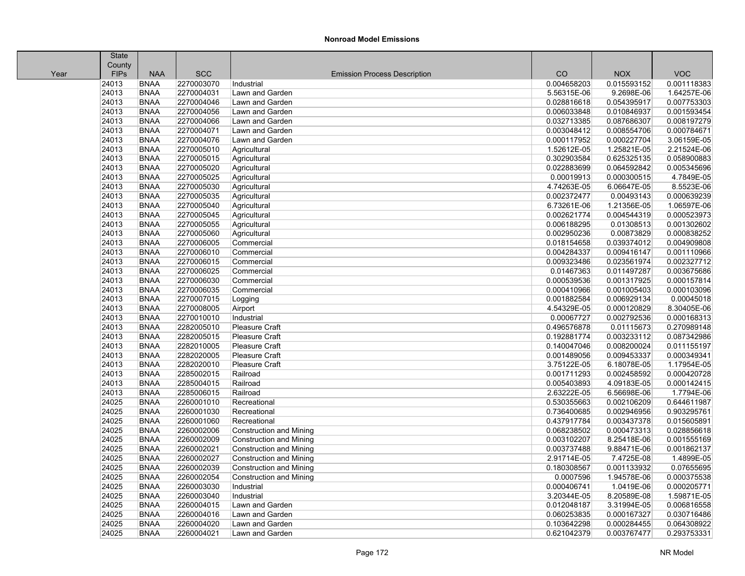|      | State       |             |            |                                     |             |             |             |
|------|-------------|-------------|------------|-------------------------------------|-------------|-------------|-------------|
|      | County      |             |            |                                     |             |             |             |
| Year | <b>FIPs</b> | <b>NAA</b>  | <b>SCC</b> | <b>Emission Process Description</b> | CO          | <b>NOX</b>  | <b>VOC</b>  |
|      | 24013       | <b>BNAA</b> | 2270003070 | Industrial                          | 0.004658203 | 0.015593152 | 0.001118383 |
|      | 24013       | <b>BNAA</b> | 2270004031 | Lawn and Garden                     | 5.56315E-06 | 9.2698E-06  | 1.64257E-06 |
|      | 24013       | <b>BNAA</b> | 2270004046 | Lawn and Garden                     | 0.028816618 | 0.054395917 | 0.007753303 |
|      | 24013       | <b>BNAA</b> | 2270004056 | Lawn and Garden                     | 0.006033848 | 0.010846937 | 0.001593454 |
|      | 24013       | <b>BNAA</b> | 2270004066 | Lawn and Garden                     | 0.032713385 | 0.087686307 | 0.008197279 |
|      | 24013       | <b>BNAA</b> | 2270004071 | Lawn and Garden                     | 0.003048412 | 0.008554706 | 0.000784671 |
|      | 24013       | <b>BNAA</b> | 2270004076 | Lawn and Garden                     | 0.000117952 | 0.000227704 | 3.06159E-05 |
|      | 24013       | <b>BNAA</b> | 2270005010 | Agricultural                        | 1.52612E-05 | 1.25821E-05 | 2.21524E-06 |
|      | 24013       | <b>BNAA</b> | 2270005015 | Agricultural                        | 0.302903584 | 0.625325135 | 0.058900883 |
|      | 24013       | <b>BNAA</b> | 2270005020 | Agricultural                        | 0.022883699 | 0.064592842 | 0.005345696 |
|      | 24013       | <b>BNAA</b> | 2270005025 | Agricultural                        | 0.00019913  | 0.000300515 | 4.7849E-05  |
|      | 24013       | <b>BNAA</b> | 2270005030 | Agricultural                        | 4.74263E-05 | 6.06647E-05 | 8.5523E-06  |
|      | 24013       | <b>BNAA</b> | 2270005035 | Agricultural                        | 0.002372477 | 0.00493143  | 0.000639239 |
|      | 24013       | <b>BNAA</b> | 2270005040 | Agricultural                        | 6.73261E-06 | 1.21356E-05 | 1.06597E-06 |
|      | 24013       | <b>BNAA</b> | 2270005045 | Agricultural                        | 0.002621774 | 0.004544319 | 0.000523973 |
|      | 24013       | <b>BNAA</b> | 2270005055 | Agricultural                        | 0.006188295 | 0.01308513  | 0.001302602 |
|      | 24013       | <b>BNAA</b> | 2270005060 | Agricultural                        | 0.002950236 | 0.00873829  | 0.000838252 |
|      | 24013       | <b>BNAA</b> | 2270006005 | Commercial                          | 0.018154658 | 0.039374012 | 0.004909808 |
|      | 24013       | <b>BNAA</b> | 2270006010 | Commercial                          | 0.004284337 | 0.009416147 | 0.001110966 |
|      | 24013       | <b>BNAA</b> | 2270006015 | Commercial                          | 0.009323486 | 0.023561974 | 0.002327712 |
|      | 24013       | <b>BNAA</b> | 2270006025 | Commercial                          | 0.01467363  | 0.011497287 | 0.003675686 |
|      | 24013       | <b>BNAA</b> | 2270006030 | Commercial                          | 0.000539536 | 0.001317925 | 0.000157814 |
|      | 24013       | <b>BNAA</b> | 2270006035 | Commercial                          | 0.000410966 | 0.001005403 | 0.000103096 |
|      | 24013       | <b>BNAA</b> | 2270007015 | Logging                             | 0.001882584 | 0.006929134 | 0.00045018  |
|      | 24013       | <b>BNAA</b> | 2270008005 | Airport                             | 4.54329E-05 | 0.000120829 | 8.30405E-06 |
|      | 24013       | <b>BNAA</b> | 2270010010 | Industrial                          | 0.00067727  | 0.002792536 | 0.000168313 |
|      | 24013       | <b>BNAA</b> | 2282005010 | <b>Pleasure Craft</b>               | 0.496576878 | 0.01115673  | 0.270989148 |
|      | 24013       | <b>BNAA</b> | 2282005015 | Pleasure Craft                      | 0.192881774 | 0.003233112 | 0.087342986 |
|      | 24013       | <b>BNAA</b> | 2282010005 | Pleasure Craft                      | 0.140047046 | 0.008200024 | 0.011155197 |
|      | 24013       | <b>BNAA</b> | 2282020005 | Pleasure Craft                      | 0.001489056 | 0.009453337 | 0.000349341 |
|      | 24013       | <b>BNAA</b> | 2282020010 | Pleasure Craft                      | 3.75122E-05 | 6.18078E-05 | 1.17954E-05 |
|      | 24013       | <b>BNAA</b> | 2285002015 | Railroad                            | 0.001711293 | 0.002458592 | 0.000420728 |
|      | 24013       | <b>BNAA</b> | 2285004015 | Railroad                            | 0.005403893 | 4.09183E-05 | 0.000142415 |
|      | 24013       | <b>BNAA</b> | 2285006015 | Railroad                            | 2.63222E-05 | 6.56698E-06 | 1.7794E-06  |
|      | 24025       | <b>BNAA</b> | 2260001010 | Recreational                        | 0.530355663 | 0.002106209 | 0.644611987 |
|      | 24025       | <b>BNAA</b> | 2260001030 | Recreational                        | 0.736400685 | 0.002946956 | 0.903295761 |
|      | 24025       | <b>BNAA</b> | 2260001060 | Recreational                        | 0.437917784 | 0.003437378 | 0.015605891 |
|      | 24025       | <b>BNAA</b> | 2260002006 | <b>Construction and Mining</b>      | 0.068238502 | 0.000473313 | 0.028856618 |
|      | 24025       | <b>BNAA</b> | 2260002009 | <b>Construction and Mining</b>      | 0.003102207 | 8.25418E-06 | 0.001555169 |
|      | 24025       | <b>BNAA</b> | 2260002021 | <b>Construction and Mining</b>      | 0.003737488 | 9.88471E-06 | 0.001862137 |
|      | 24025       | <b>BNAA</b> | 2260002027 | <b>Construction and Mining</b>      | 2.91714E-05 | 7.4725E-08  | 1.4899E-05  |
|      | 24025       | <b>BNAA</b> | 2260002039 | <b>Construction and Mining</b>      | 0.180308567 | 0.001133932 | 0.07655695  |
|      | 24025       | <b>BNAA</b> | 2260002054 | <b>Construction and Mining</b>      | 0.0007596   | 1.94578E-06 | 0.000375538 |
|      | 24025       | <b>BNAA</b> | 2260003030 | Industrial                          | 0.000406741 | 1.0419E-06  | 0.000205771 |
|      | 24025       | <b>BNAA</b> | 2260003040 | Industrial                          | 3.20344E-05 | 8.20589E-08 | 1.59871E-05 |
|      | 24025       | <b>BNAA</b> | 2260004015 | Lawn and Garden                     | 0.012048187 | 3.31994E-05 | 0.006816558 |
|      | 24025       | <b>BNAA</b> | 2260004016 | Lawn and Garden                     | 0.060253835 | 0.000167327 | 0.030716486 |
|      | 24025       | <b>BNAA</b> | 2260004020 | Lawn and Garden                     | 0.103642298 | 0.000284455 | 0.064308922 |
|      | 24025       | <b>BNAA</b> | 2260004021 | Lawn and Garden                     | 0.621042379 | 0.003767477 | 0.293753331 |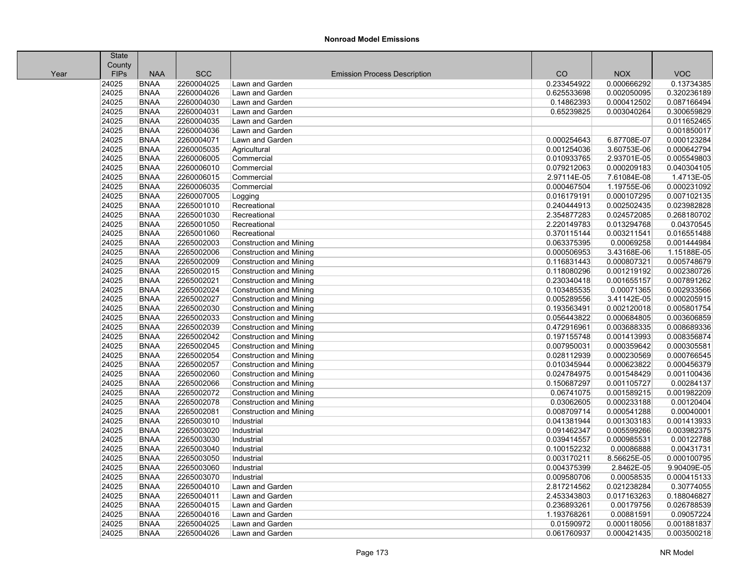|      | <b>State</b> |             |            |                                     |             |             |             |
|------|--------------|-------------|------------|-------------------------------------|-------------|-------------|-------------|
|      | County       |             |            |                                     |             |             |             |
| Year | <b>FIPs</b>  | <b>NAA</b>  | <b>SCC</b> | <b>Emission Process Description</b> | CO          | <b>NOX</b>  | <b>VOC</b>  |
|      | 24025        | <b>BNAA</b> | 2260004025 | Lawn and Garden                     | 0.233454922 | 0.000666292 | 0.13734385  |
|      | 24025        | <b>BNAA</b> | 2260004026 | Lawn and Garden                     | 0.625533698 | 0.002050095 | 0.320236189 |
|      | 24025        | <b>BNAA</b> | 2260004030 | Lawn and Garden                     | 0.14862393  | 0.000412502 | 0.087166494 |
|      | 24025        | <b>BNAA</b> | 2260004031 | Lawn and Garden                     | 0.65239825  | 0.003040264 | 0.300659829 |
|      | 24025        | <b>BNAA</b> | 2260004035 | Lawn and Garden                     |             |             | 0.011652465 |
|      | 24025        | <b>BNAA</b> | 2260004036 | Lawn and Garden                     |             |             | 0.001850017 |
|      | 24025        | <b>BNAA</b> | 2260004071 | Lawn and Garden                     | 0.000254643 | 6.87708E-07 | 0.000123284 |
|      | 24025        | <b>BNAA</b> | 2260005035 | Agricultural                        | 0.001254036 | 3.60753E-06 | 0.000642794 |
|      | 24025        | <b>BNAA</b> | 2260006005 | Commercial                          | 0.010933765 | 2.93701E-05 | 0.005549803 |
|      | 24025        | <b>BNAA</b> | 2260006010 | Commercial                          | 0.079212063 | 0.000209183 | 0.040304105 |
|      | 24025        | <b>BNAA</b> | 2260006015 | Commercial                          | 2.97114E-05 | 7.61084E-08 | 1.4713E-05  |
|      | 24025        | <b>BNAA</b> | 2260006035 | Commercial                          | 0.000467504 | 1.19755E-06 | 0.000231092 |
|      | 24025        | <b>BNAA</b> | 2260007005 | Logging                             | 0.016179191 | 0.000107295 | 0.007102135 |
|      | 24025        | <b>BNAA</b> | 2265001010 | Recreational                        | 0.240444913 | 0.002502435 | 0.023982828 |
|      | 24025        | <b>BNAA</b> | 2265001030 | Recreational                        | 2.354877283 | 0.024572085 | 0.268180702 |
|      | 24025        | <b>BNAA</b> | 2265001050 | Recreational                        | 2.220149783 | 0.013294768 | 0.04370545  |
|      | 24025        | <b>BNAA</b> | 2265001060 | Recreational                        | 0.370115144 | 0.003211541 | 0.016551488 |
|      | 24025        | <b>BNAA</b> | 2265002003 | <b>Construction and Mining</b>      | 0.063375395 | 0.00069258  | 0.001444984 |
|      | 24025        | <b>BNAA</b> | 2265002006 | <b>Construction and Mining</b>      | 0.000506953 | 3.43168E-06 | 1.15188E-05 |
|      | 24025        | <b>BNAA</b> | 2265002009 | <b>Construction and Mining</b>      | 0.116831443 | 0.000807321 | 0.005748679 |
|      | 24025        | <b>BNAA</b> | 2265002015 | <b>Construction and Mining</b>      | 0.118080296 | 0.001219192 | 0.002380726 |
|      | 24025        | <b>BNAA</b> | 2265002021 | <b>Construction and Mining</b>      | 0.230340418 | 0.001655157 | 0.007891262 |
|      | 24025        | <b>BNAA</b> | 2265002024 | <b>Construction and Mining</b>      | 0.103485535 | 0.00071365  | 0.002933566 |
|      | 24025        | <b>BNAA</b> | 2265002027 | <b>Construction and Mining</b>      | 0.005289556 | 3.41142E-05 | 0.000205915 |
|      | 24025        | <b>BNAA</b> | 2265002030 | <b>Construction and Mining</b>      | 0.193563491 | 0.002120018 | 0.005801754 |
|      | 24025        | <b>BNAA</b> | 2265002033 | <b>Construction and Mining</b>      | 0.056443822 | 0.000684805 | 0.003606859 |
|      | 24025        | <b>BNAA</b> | 2265002039 | <b>Construction and Mining</b>      | 0.472916961 | 0.003688335 | 0.008689336 |
|      | 24025        | <b>BNAA</b> | 2265002042 | <b>Construction and Mining</b>      | 0.197155748 | 0.001413993 | 0.008356874 |
|      | 24025        | <b>BNAA</b> | 2265002045 | <b>Construction and Mining</b>      | 0.007950031 | 0.000359642 | 0.000305581 |
|      | 24025        | <b>BNAA</b> | 2265002054 | <b>Construction and Mining</b>      | 0.028112939 | 0.000230569 | 0.000766545 |
|      | 24025        | <b>BNAA</b> | 2265002057 | <b>Construction and Mining</b>      | 0.010345944 | 0.000623822 | 0.000456379 |
|      | 24025        | <b>BNAA</b> | 2265002060 | <b>Construction and Mining</b>      | 0.024784975 | 0.001548429 | 0.001100436 |
|      | 24025        | <b>BNAA</b> | 2265002066 | <b>Construction and Mining</b>      | 0.150687297 | 0.001105727 | 0.00284137  |
|      | 24025        | <b>BNAA</b> | 2265002072 | <b>Construction and Mining</b>      | 0.06741075  | 0.001589215 | 0.001982209 |
|      | 24025        | <b>BNAA</b> | 2265002078 | <b>Construction and Mining</b>      | 0.03062605  | 0.000233188 | 0.00120404  |
|      | 24025        | <b>BNAA</b> | 2265002081 | <b>Construction and Mining</b>      | 0.008709714 | 0.000541288 | 0.00040001  |
|      | 24025        | <b>BNAA</b> | 2265003010 | Industrial                          | 0.041381944 | 0.001303183 | 0.001413933 |
|      | 24025        | <b>BNAA</b> | 2265003020 | Industrial                          | 0.091462347 | 0.005599266 | 0.003982375 |
|      | 24025        | <b>BNAA</b> | 2265003030 | Industrial                          | 0.039414557 | 0.000985531 | 0.00122788  |
|      | 24025        | <b>BNAA</b> | 2265003040 | Industrial                          | 0.100152232 | 0.00086888  | 0.00431731  |
|      | 24025        | <b>BNAA</b> | 2265003050 | Industrial                          | 0.003170211 | 8.56625E-05 | 0.000100795 |
|      | 24025        | <b>BNAA</b> | 2265003060 | Industrial                          | 0.004375399 | 2.8462E-05  | 9.90409E-05 |
|      | 24025        | <b>BNAA</b> | 2265003070 | Industrial                          | 0.009580706 | 0.00058535  | 0.000415133 |
|      | 24025        | <b>BNAA</b> | 2265004010 | Lawn and Garden                     | 2.817214562 | 0.021238284 | 0.30774055  |
|      | 24025        | <b>BNAA</b> | 2265004011 | Lawn and Garden                     | 2.453343803 | 0.017163263 | 0.188046827 |
|      | 24025        | <b>BNAA</b> | 2265004015 | Lawn and Garden                     | 0.236893261 | 0.00179756  | 0.026788539 |
|      | 24025        | <b>BNAA</b> | 2265004016 | Lawn and Garden                     | 1.193768261 | 0.00881591  | 0.09057224  |
|      | 24025        | <b>BNAA</b> | 2265004025 | Lawn and Garden                     | 0.01590972  | 0.000118056 | 0.001881837 |
|      | 24025        | <b>BNAA</b> | 2265004026 | Lawn and Garden                     | 0.061760937 | 0.000421435 | 0.003500218 |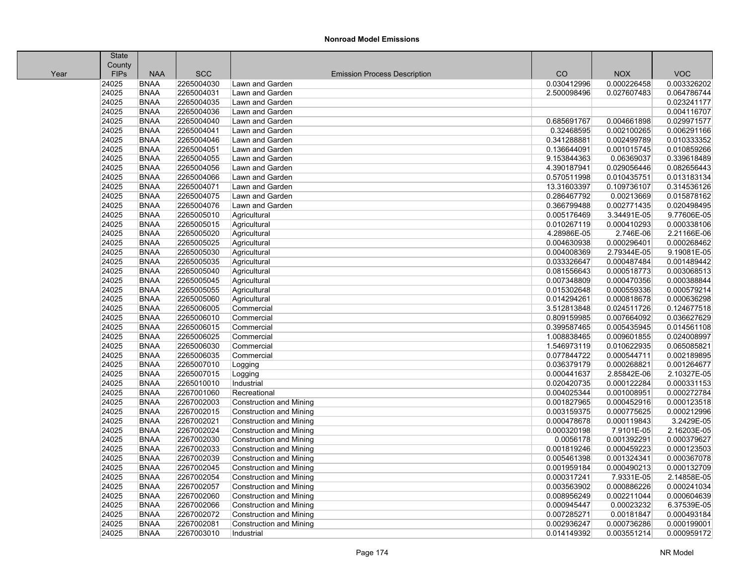|      | <b>State</b> |             |            |                                     |             |             |             |
|------|--------------|-------------|------------|-------------------------------------|-------------|-------------|-------------|
|      | County       |             |            |                                     |             |             |             |
| Year | <b>FIPs</b>  | <b>NAA</b>  | <b>SCC</b> | <b>Emission Process Description</b> | CO          | <b>NOX</b>  | <b>VOC</b>  |
|      | 24025        | <b>BNAA</b> | 2265004030 | Lawn and Garden                     | 0.030412996 | 0.000226458 | 0.003326202 |
|      | 24025        | <b>BNAA</b> | 2265004031 | Lawn and Garden                     | 2.500098496 | 0.027607483 | 0.064786744 |
|      | 24025        | <b>BNAA</b> | 2265004035 | Lawn and Garden                     |             |             | 0.023241177 |
|      | 24025        | <b>BNAA</b> | 2265004036 | Lawn and Garden                     |             |             | 0.004116707 |
|      | 24025        | <b>BNAA</b> | 2265004040 | Lawn and Garden                     | 0.685691767 | 0.004661898 | 0.029971577 |
|      | 24025        | <b>BNAA</b> | 2265004041 | Lawn and Garden                     | 0.32468595  | 0.002100265 | 0.006291166 |
|      | 24025        | <b>BNAA</b> | 2265004046 | Lawn and Garden                     | 0.341288881 | 0.002499789 | 0.010333352 |
|      | 24025        | <b>BNAA</b> | 2265004051 | Lawn and Garden                     | 0.136644091 | 0.001015745 | 0.010859266 |
|      | 24025        | <b>BNAA</b> | 2265004055 | Lawn and Garden                     | 9.153844363 | 0.06369037  | 0.339618489 |
|      | 24025        | <b>BNAA</b> | 2265004056 | Lawn and Garden                     | 4.390187941 | 0.029056446 | 0.082656443 |
|      | 24025        | <b>BNAA</b> | 2265004066 | Lawn and Garden                     | 0.570511998 | 0.010435751 | 0.013183134 |
|      | 24025        | <b>BNAA</b> | 2265004071 | Lawn and Garden                     | 13.31603397 | 0.109736107 | 0.314536126 |
|      | 24025        | <b>BNAA</b> | 2265004075 | Lawn and Garden                     | 0.286467792 | 0.00213669  | 0.015878162 |
|      | 24025        | <b>BNAA</b> | 2265004076 | Lawn and Garden                     | 0.366799488 | 0.002771435 | 0.020498495 |
|      | 24025        | <b>BNAA</b> | 2265005010 | Agricultural                        | 0.005176469 | 3.34491E-05 | 9.77606E-05 |
|      | 24025        | <b>BNAA</b> | 2265005015 | Agricultural                        | 0.010267119 | 0.000410293 | 0.000338106 |
|      | 24025        | <b>BNAA</b> | 2265005020 | Agricultural                        | 4.28986E-05 | 2.746E-06   | 2.21166E-06 |
|      | 24025        | <b>BNAA</b> | 2265005025 | Agricultural                        | 0.004630938 | 0.000296401 | 0.000268462 |
|      | 24025        | <b>BNAA</b> | 2265005030 | Agricultural                        | 0.004008369 | 2.79344E-05 | 9.19081E-05 |
|      | 24025        | <b>BNAA</b> | 2265005035 | Agricultural                        | 0.033326647 | 0.000487484 | 0.001489442 |
|      | 24025        | <b>BNAA</b> | 2265005040 | Agricultural                        | 0.081556643 | 0.000518773 | 0.003068513 |
|      | 24025        | <b>BNAA</b> | 2265005045 | Agricultural                        | 0.007348809 | 0.000470356 | 0.000388844 |
|      | 24025        | <b>BNAA</b> | 2265005055 | Agricultural                        | 0.015302648 | 0.000559336 | 0.000579214 |
|      | 24025        | <b>BNAA</b> | 2265005060 | Agricultural                        | 0.014294261 | 0.000818678 | 0.000636298 |
|      | 24025        | <b>BNAA</b> | 2265006005 | Commercial                          | 3.512813848 | 0.024511726 | 0.124677518 |
|      | 24025        | <b>BNAA</b> | 2265006010 | Commercial                          | 0.809159985 | 0.007664092 | 0.036627629 |
|      | 24025        | <b>BNAA</b> | 2265006015 | Commercial                          | 0.399587465 | 0.005435945 | 0.014561108 |
|      | 24025        | <b>BNAA</b> | 2265006025 | Commercial                          | 1.008838465 | 0.009601855 | 0.024008997 |
|      | 24025        | <b>BNAA</b> | 2265006030 | Commercial                          | 1.546973119 | 0.010622935 | 0.065085821 |
|      | 24025        | <b>BNAA</b> | 2265006035 | Commercial                          | 0.077844722 | 0.000544711 | 0.002189895 |
|      | 24025        | <b>BNAA</b> | 2265007010 | Logging                             | 0.036379179 | 0.000268821 | 0.001264677 |
|      | 24025        | <b>BNAA</b> | 2265007015 | Logging                             | 0.000441637 | 2.85842E-06 | 2.10327E-05 |
|      | 24025        | <b>BNAA</b> | 2265010010 | Industrial                          | 0.020420735 | 0.000122284 | 0.000331153 |
|      | 24025        | <b>BNAA</b> | 2267001060 | Recreational                        | 0.004025344 | 0.001008951 | 0.000272784 |
|      | 24025        | <b>BNAA</b> | 2267002003 | Construction and Mining             | 0.001827965 | 0.000452916 | 0.000123518 |
|      | 24025        | <b>BNAA</b> | 2267002015 | <b>Construction and Mining</b>      | 0.003159375 | 0.000775625 | 0.000212996 |
|      | 24025        | <b>BNAA</b> | 2267002021 | <b>Construction and Mining</b>      | 0.000478678 | 0.000119843 | 3.2429E-05  |
|      | 24025        | <b>BNAA</b> | 2267002024 | <b>Construction and Mining</b>      | 0.000320198 | 7.9101E-05  | 2.16203E-05 |
|      | 24025        | <b>BNAA</b> | 2267002030 | <b>Construction and Mining</b>      | 0.0056178   | 0.001392291 | 0.000379627 |
|      | 24025        | <b>BNAA</b> | 2267002033 | <b>Construction and Mining</b>      | 0.001819246 | 0.000459223 | 0.000123503 |
|      | 24025        | <b>BNAA</b> | 2267002039 | <b>Construction and Mining</b>      | 0.005461398 | 0.001324341 | 0.000367078 |
|      | 24025        | <b>BNAA</b> | 2267002045 | <b>Construction and Mining</b>      | 0.001959184 | 0.000490213 | 0.000132709 |
|      | 24025        | <b>BNAA</b> | 2267002054 | <b>Construction and Mining</b>      | 0.000317241 | 7.9331E-05  | 2.14858E-05 |
|      | 24025        | <b>BNAA</b> | 2267002057 | Construction and Mining             | 0.003563902 | 0.000886226 | 0.000241034 |
|      | 24025        | <b>BNAA</b> | 2267002060 | <b>Construction and Mining</b>      | 0.008956249 | 0.002211044 | 0.000604639 |
|      | 24025        | <b>BNAA</b> | 2267002066 | <b>Construction and Mining</b>      | 0.000945447 | 0.00023232  | 6.37539E-05 |
|      | 24025        | <b>BNAA</b> | 2267002072 | <b>Construction and Mining</b>      | 0.007285271 | 0.00181847  | 0.000493184 |
|      | 24025        | <b>BNAA</b> | 2267002081 | <b>Construction and Mining</b>      | 0.002936247 | 0.000736286 | 0.000199001 |
|      | 24025        | <b>BNAA</b> | 2267003010 | Industrial                          | 0.014149392 | 0.003551214 | 0.000959172 |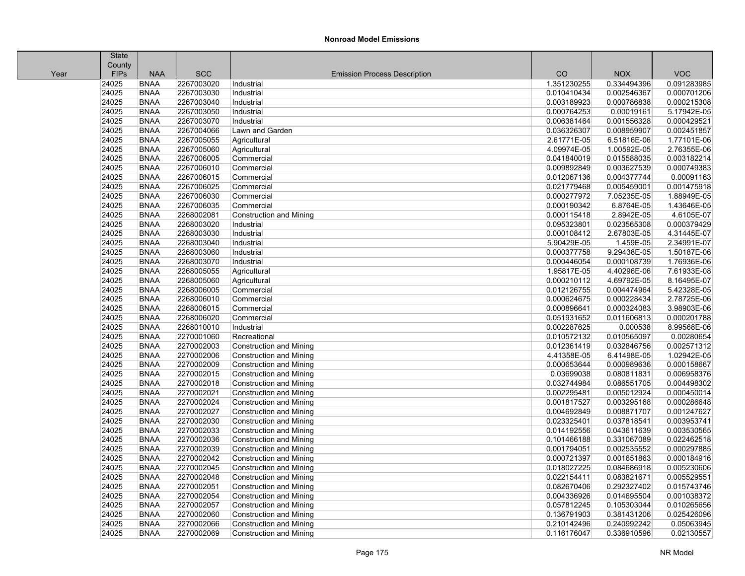| County<br><b>FIPs</b><br><b>NAA</b><br><b>SCC</b><br>CO<br><b>NOX</b><br><b>VOC</b><br><b>Emission Process Description</b><br>Year<br>24025<br><b>BNAA</b><br>0.091283985<br>2267003020<br>Industrial<br>1.351230255<br>0.334494396<br>24025<br><b>BNAA</b><br>2267003030<br>Industrial<br>0.010410434<br>0.002546367<br>0.000701206<br>24025<br><b>BNAA</b><br>2267003040<br>0.003189923<br>0.000786838<br>0.000215308<br>Industrial<br>24025<br><b>BNAA</b><br>2267003050<br>5.17942E-05<br>Industrial<br>0.000764253<br>0.00019161<br>24025<br><b>BNAA</b><br>2267003070<br>0.006381464<br>0.001556328<br>0.000429521<br>Industrial<br>24025<br><b>BNAA</b><br>2267004066<br>0.036326307<br>0.008959907<br>0.002451857<br>Lawn and Garden<br>24025<br>2267005055<br>1.77101E-06<br><b>BNAA</b><br>2.61771E-05<br>6.51816E-06<br>Agricultural<br>24025<br><b>BNAA</b><br>4.09974E-05<br>1.00592E-05<br>2.76355E-06<br>2267005060<br>Agricultural<br>24025<br>0.003182214<br><b>BNAA</b><br>2267006005<br>0.041840019<br>0.015588035<br>Commercial<br>24025<br><b>BNAA</b><br>2267006010<br>0.003627539<br>0.000749383<br>Commercial<br>0.009892849<br>24025<br><b>BNAA</b><br>2267006015<br>0.004377744<br>0.00091163<br>Commercial<br>0.012067136<br>24025<br><b>BNAA</b><br>2267006025<br>0.021779468<br>0.005459001<br>0.001475918<br>Commercial<br>24025<br><b>BNAA</b><br>2267006030<br>0.000277972<br>7.05235E-05<br>1.88949E-05<br>Commercial<br>24025<br>2267006035<br>6.8764E-05<br>1.43646E-05<br><b>BNAA</b><br>Commercial<br>0.000190342<br>24025<br><b>BNAA</b><br>2.8942E-05<br>4.6105E-07<br>2268002081<br><b>Construction and Mining</b><br>0.000115418<br>24025<br>2268003020<br>0.023565308<br>0.000379429<br><b>BNAA</b><br>0.095323801<br>Industrial<br>24025<br><b>BNAA</b><br>2268003030<br>2.67803E-05<br>4.31445E-07<br>Industrial<br>0.000108412<br>24025<br><b>BNAA</b><br>2268003040<br>5.90429E-05<br>1.459E-05<br>2.34991E-07<br>Industrial<br>24025<br><b>BNAA</b><br>2268003060<br>0.000377758<br>9.29438E-05<br>1.50187E-06<br>Industrial<br>24025<br><b>BNAA</b><br>2268003070<br>0.000108739<br>1.76936E-06<br>Industrial<br>0.000446054<br>24025<br>2268005055<br>4.40296E-06<br>7.61933E-08<br><b>BNAA</b><br>1.95817E-05<br>Agricultural<br>24025<br><b>BNAA</b><br>4.69792E-05<br>8.16495E-07<br>2268005060<br>Agricultural<br>0.000210112<br>24025<br>5.42328E-05<br><b>BNAA</b><br>2268006005<br>0.012126755<br>0.004474964<br>Commercial<br>24025<br><b>BNAA</b><br>2268006010<br>0.000228434<br>2.78725E-06<br>Commercial<br>0.000624675<br>24025<br><b>BNAA</b><br>2268006015<br>0.000324083<br>3.98903E-06<br>Commercial<br>0.000896641<br>24025<br><b>BNAA</b><br>2268006020<br>0.051931652<br>0.011606813<br>0.000201788<br>Commercial<br>24025<br><b>BNAA</b><br>2268010010<br>0.002287625<br>8.99568E-06<br>Industrial<br>0.000538<br>24025<br>2270001060<br>0.00280654<br><b>BNAA</b><br>Recreational<br>0.010572132<br>0.010565097<br>24025<br><b>BNAA</b><br>2270002003<br>0.032846756<br>0.002571312<br><b>Construction and Mining</b><br>0.012361419<br>1.02942E-05<br>24025<br><b>BNAA</b><br>2270002006<br>4.41358E-05<br>6.41498E-05<br><b>Construction and Mining</b><br>24025<br><b>BNAA</b><br>2270002009<br>0.000653644<br>0.000989636<br>0.000158667<br><b>Construction and Mining</b><br>24025<br><b>BNAA</b><br>2270002015<br>0.03699038<br>0.080811831<br>0.006958376<br>Construction and Mining<br>24025<br><b>BNAA</b><br>2270002018<br><b>Construction and Mining</b><br>0.032744984<br>0.086551705<br>0.004498302<br>24025<br><b>BNAA</b><br>2270002021<br><b>Construction and Mining</b><br>0.002295481<br>0.005012924<br>0.000450014<br>24025<br>2270002024<br>0.003295168<br>0.000286648<br><b>BNAA</b><br><b>Construction and Mining</b><br>0.001817527<br>24025<br><b>BNAA</b><br>2270002027<br>0.004692849<br>0.008871707<br>0.001247627<br><b>Construction and Mining</b><br>2270002030<br>0.003953741<br>24025<br><b>BNAA</b><br>0.023325401<br>0.037818541<br><b>Construction and Mining</b><br>24025<br><b>BNAA</b><br>2270002033<br>0.043611639<br>0.003530565<br><b>Construction and Mining</b><br>0.014192556<br>24025<br>2270002036<br><b>BNAA</b><br>0.101466188<br>0.331067089<br>0.022462518<br>Construction and Mining<br>24025<br>2270002039<br>0.000297885<br><b>BNAA</b><br>0.001794051<br>0.002535552<br><b>Construction and Mining</b><br>24025<br><b>BNAA</b><br>2270002042<br>0.001651863<br>0.000184916<br><b>Construction and Mining</b><br>0.000721397<br>24025<br>2270002045<br>0.084686918<br>0.005230606<br><b>BNAA</b><br><b>Construction and Mining</b><br>0.018027225<br>24025<br>2270002048<br>0.022154411<br>0.083821671<br>0.005529551<br><b>BNAA</b><br><b>Construction and Mining</b><br>24025<br><b>BNAA</b><br>2270002051<br>0.082670406<br>0.292327402<br>0.015743746<br><b>Construction and Mining</b><br>24025<br><b>BNAA</b><br>2270002054<br>0.014695504<br>0.001038372<br><b>Construction and Mining</b><br>0.004336926<br>24025<br><b>BNAA</b><br>2270002057<br>0.057812245<br>0.105303044<br>0.010265656<br>Construction and Mining<br>24025<br>0.025426096<br><b>BNAA</b><br>2270002060<br><b>Construction and Mining</b><br>0.136791903<br>0.381431206<br>24025<br><b>BNAA</b><br>2270002066<br><b>Construction and Mining</b><br>0.210142496<br>0.240992242<br>0.05063945<br>24025<br><b>BNAA</b><br>2270002069<br><b>Construction and Mining</b><br>0.116176047<br>0.336910596<br>0.02130557 | <b>State</b> |  |  |  |
|-------------------------------------------------------------------------------------------------------------------------------------------------------------------------------------------------------------------------------------------------------------------------------------------------------------------------------------------------------------------------------------------------------------------------------------------------------------------------------------------------------------------------------------------------------------------------------------------------------------------------------------------------------------------------------------------------------------------------------------------------------------------------------------------------------------------------------------------------------------------------------------------------------------------------------------------------------------------------------------------------------------------------------------------------------------------------------------------------------------------------------------------------------------------------------------------------------------------------------------------------------------------------------------------------------------------------------------------------------------------------------------------------------------------------------------------------------------------------------------------------------------------------------------------------------------------------------------------------------------------------------------------------------------------------------------------------------------------------------------------------------------------------------------------------------------------------------------------------------------------------------------------------------------------------------------------------------------------------------------------------------------------------------------------------------------------------------------------------------------------------------------------------------------------------------------------------------------------------------------------------------------------------------------------------------------------------------------------------------------------------------------------------------------------------------------------------------------------------------------------------------------------------------------------------------------------------------------------------------------------------------------------------------------------------------------------------------------------------------------------------------------------------------------------------------------------------------------------------------------------------------------------------------------------------------------------------------------------------------------------------------------------------------------------------------------------------------------------------------------------------------------------------------------------------------------------------------------------------------------------------------------------------------------------------------------------------------------------------------------------------------------------------------------------------------------------------------------------------------------------------------------------------------------------------------------------------------------------------------------------------------------------------------------------------------------------------------------------------------------------------------------------------------------------------------------------------------------------------------------------------------------------------------------------------------------------------------------------------------------------------------------------------------------------------------------------------------------------------------------------------------------------------------------------------------------------------------------------------------------------------------------------------------------------------------------------------------------------------------------------------------------------------------------------------------------------------------------------------------------------------------------------------------------------------------------------------------------------------------------------------------------------------------------------------------------------------------------------------------------------------------------------------------------------------------------------------------------------------------------------------------------------------------------------------------------------------------------------------------------------------------------------------------------------------------------------------------------------------------------------------------------------------------------------------------------------------------------------------------------------------------------------------------------------------------------------------------------------------------------------------------------------------------------------------------------------------------------------------------------------------------------------------|--------------|--|--|--|
|                                                                                                                                                                                                                                                                                                                                                                                                                                                                                                                                                                                                                                                                                                                                                                                                                                                                                                                                                                                                                                                                                                                                                                                                                                                                                                                                                                                                                                                                                                                                                                                                                                                                                                                                                                                                                                                                                                                                                                                                                                                                                                                                                                                                                                                                                                                                                                                                                                                                                                                                                                                                                                                                                                                                                                                                                                                                                                                                                                                                                                                                                                                                                                                                                                                                                                                                                                                                                                                                                                                                                                                                                                                                                                                                                                                                                                                                                                                                                                                                                                                                                                                                                                                                                                                                                                                                                                                                                                                                                                                                                                                                                                                                                                                                                                                                                                                                                                                                                                                                                                                                                                                                                                                                                                                                                                                                                                                                                                                                                                                         |              |  |  |  |
|                                                                                                                                                                                                                                                                                                                                                                                                                                                                                                                                                                                                                                                                                                                                                                                                                                                                                                                                                                                                                                                                                                                                                                                                                                                                                                                                                                                                                                                                                                                                                                                                                                                                                                                                                                                                                                                                                                                                                                                                                                                                                                                                                                                                                                                                                                                                                                                                                                                                                                                                                                                                                                                                                                                                                                                                                                                                                                                                                                                                                                                                                                                                                                                                                                                                                                                                                                                                                                                                                                                                                                                                                                                                                                                                                                                                                                                                                                                                                                                                                                                                                                                                                                                                                                                                                                                                                                                                                                                                                                                                                                                                                                                                                                                                                                                                                                                                                                                                                                                                                                                                                                                                                                                                                                                                                                                                                                                                                                                                                                                         |              |  |  |  |
|                                                                                                                                                                                                                                                                                                                                                                                                                                                                                                                                                                                                                                                                                                                                                                                                                                                                                                                                                                                                                                                                                                                                                                                                                                                                                                                                                                                                                                                                                                                                                                                                                                                                                                                                                                                                                                                                                                                                                                                                                                                                                                                                                                                                                                                                                                                                                                                                                                                                                                                                                                                                                                                                                                                                                                                                                                                                                                                                                                                                                                                                                                                                                                                                                                                                                                                                                                                                                                                                                                                                                                                                                                                                                                                                                                                                                                                                                                                                                                                                                                                                                                                                                                                                                                                                                                                                                                                                                                                                                                                                                                                                                                                                                                                                                                                                                                                                                                                                                                                                                                                                                                                                                                                                                                                                                                                                                                                                                                                                                                                         |              |  |  |  |
|                                                                                                                                                                                                                                                                                                                                                                                                                                                                                                                                                                                                                                                                                                                                                                                                                                                                                                                                                                                                                                                                                                                                                                                                                                                                                                                                                                                                                                                                                                                                                                                                                                                                                                                                                                                                                                                                                                                                                                                                                                                                                                                                                                                                                                                                                                                                                                                                                                                                                                                                                                                                                                                                                                                                                                                                                                                                                                                                                                                                                                                                                                                                                                                                                                                                                                                                                                                                                                                                                                                                                                                                                                                                                                                                                                                                                                                                                                                                                                                                                                                                                                                                                                                                                                                                                                                                                                                                                                                                                                                                                                                                                                                                                                                                                                                                                                                                                                                                                                                                                                                                                                                                                                                                                                                                                                                                                                                                                                                                                                                         |              |  |  |  |
|                                                                                                                                                                                                                                                                                                                                                                                                                                                                                                                                                                                                                                                                                                                                                                                                                                                                                                                                                                                                                                                                                                                                                                                                                                                                                                                                                                                                                                                                                                                                                                                                                                                                                                                                                                                                                                                                                                                                                                                                                                                                                                                                                                                                                                                                                                                                                                                                                                                                                                                                                                                                                                                                                                                                                                                                                                                                                                                                                                                                                                                                                                                                                                                                                                                                                                                                                                                                                                                                                                                                                                                                                                                                                                                                                                                                                                                                                                                                                                                                                                                                                                                                                                                                                                                                                                                                                                                                                                                                                                                                                                                                                                                                                                                                                                                                                                                                                                                                                                                                                                                                                                                                                                                                                                                                                                                                                                                                                                                                                                                         |              |  |  |  |
|                                                                                                                                                                                                                                                                                                                                                                                                                                                                                                                                                                                                                                                                                                                                                                                                                                                                                                                                                                                                                                                                                                                                                                                                                                                                                                                                                                                                                                                                                                                                                                                                                                                                                                                                                                                                                                                                                                                                                                                                                                                                                                                                                                                                                                                                                                                                                                                                                                                                                                                                                                                                                                                                                                                                                                                                                                                                                                                                                                                                                                                                                                                                                                                                                                                                                                                                                                                                                                                                                                                                                                                                                                                                                                                                                                                                                                                                                                                                                                                                                                                                                                                                                                                                                                                                                                                                                                                                                                                                                                                                                                                                                                                                                                                                                                                                                                                                                                                                                                                                                                                                                                                                                                                                                                                                                                                                                                                                                                                                                                                         |              |  |  |  |
|                                                                                                                                                                                                                                                                                                                                                                                                                                                                                                                                                                                                                                                                                                                                                                                                                                                                                                                                                                                                                                                                                                                                                                                                                                                                                                                                                                                                                                                                                                                                                                                                                                                                                                                                                                                                                                                                                                                                                                                                                                                                                                                                                                                                                                                                                                                                                                                                                                                                                                                                                                                                                                                                                                                                                                                                                                                                                                                                                                                                                                                                                                                                                                                                                                                                                                                                                                                                                                                                                                                                                                                                                                                                                                                                                                                                                                                                                                                                                                                                                                                                                                                                                                                                                                                                                                                                                                                                                                                                                                                                                                                                                                                                                                                                                                                                                                                                                                                                                                                                                                                                                                                                                                                                                                                                                                                                                                                                                                                                                                                         |              |  |  |  |
|                                                                                                                                                                                                                                                                                                                                                                                                                                                                                                                                                                                                                                                                                                                                                                                                                                                                                                                                                                                                                                                                                                                                                                                                                                                                                                                                                                                                                                                                                                                                                                                                                                                                                                                                                                                                                                                                                                                                                                                                                                                                                                                                                                                                                                                                                                                                                                                                                                                                                                                                                                                                                                                                                                                                                                                                                                                                                                                                                                                                                                                                                                                                                                                                                                                                                                                                                                                                                                                                                                                                                                                                                                                                                                                                                                                                                                                                                                                                                                                                                                                                                                                                                                                                                                                                                                                                                                                                                                                                                                                                                                                                                                                                                                                                                                                                                                                                                                                                                                                                                                                                                                                                                                                                                                                                                                                                                                                                                                                                                                                         |              |  |  |  |
|                                                                                                                                                                                                                                                                                                                                                                                                                                                                                                                                                                                                                                                                                                                                                                                                                                                                                                                                                                                                                                                                                                                                                                                                                                                                                                                                                                                                                                                                                                                                                                                                                                                                                                                                                                                                                                                                                                                                                                                                                                                                                                                                                                                                                                                                                                                                                                                                                                                                                                                                                                                                                                                                                                                                                                                                                                                                                                                                                                                                                                                                                                                                                                                                                                                                                                                                                                                                                                                                                                                                                                                                                                                                                                                                                                                                                                                                                                                                                                                                                                                                                                                                                                                                                                                                                                                                                                                                                                                                                                                                                                                                                                                                                                                                                                                                                                                                                                                                                                                                                                                                                                                                                                                                                                                                                                                                                                                                                                                                                                                         |              |  |  |  |
|                                                                                                                                                                                                                                                                                                                                                                                                                                                                                                                                                                                                                                                                                                                                                                                                                                                                                                                                                                                                                                                                                                                                                                                                                                                                                                                                                                                                                                                                                                                                                                                                                                                                                                                                                                                                                                                                                                                                                                                                                                                                                                                                                                                                                                                                                                                                                                                                                                                                                                                                                                                                                                                                                                                                                                                                                                                                                                                                                                                                                                                                                                                                                                                                                                                                                                                                                                                                                                                                                                                                                                                                                                                                                                                                                                                                                                                                                                                                                                                                                                                                                                                                                                                                                                                                                                                                                                                                                                                                                                                                                                                                                                                                                                                                                                                                                                                                                                                                                                                                                                                                                                                                                                                                                                                                                                                                                                                                                                                                                                                         |              |  |  |  |
|                                                                                                                                                                                                                                                                                                                                                                                                                                                                                                                                                                                                                                                                                                                                                                                                                                                                                                                                                                                                                                                                                                                                                                                                                                                                                                                                                                                                                                                                                                                                                                                                                                                                                                                                                                                                                                                                                                                                                                                                                                                                                                                                                                                                                                                                                                                                                                                                                                                                                                                                                                                                                                                                                                                                                                                                                                                                                                                                                                                                                                                                                                                                                                                                                                                                                                                                                                                                                                                                                                                                                                                                                                                                                                                                                                                                                                                                                                                                                                                                                                                                                                                                                                                                                                                                                                                                                                                                                                                                                                                                                                                                                                                                                                                                                                                                                                                                                                                                                                                                                                                                                                                                                                                                                                                                                                                                                                                                                                                                                                                         |              |  |  |  |
|                                                                                                                                                                                                                                                                                                                                                                                                                                                                                                                                                                                                                                                                                                                                                                                                                                                                                                                                                                                                                                                                                                                                                                                                                                                                                                                                                                                                                                                                                                                                                                                                                                                                                                                                                                                                                                                                                                                                                                                                                                                                                                                                                                                                                                                                                                                                                                                                                                                                                                                                                                                                                                                                                                                                                                                                                                                                                                                                                                                                                                                                                                                                                                                                                                                                                                                                                                                                                                                                                                                                                                                                                                                                                                                                                                                                                                                                                                                                                                                                                                                                                                                                                                                                                                                                                                                                                                                                                                                                                                                                                                                                                                                                                                                                                                                                                                                                                                                                                                                                                                                                                                                                                                                                                                                                                                                                                                                                                                                                                                                         |              |  |  |  |
|                                                                                                                                                                                                                                                                                                                                                                                                                                                                                                                                                                                                                                                                                                                                                                                                                                                                                                                                                                                                                                                                                                                                                                                                                                                                                                                                                                                                                                                                                                                                                                                                                                                                                                                                                                                                                                                                                                                                                                                                                                                                                                                                                                                                                                                                                                                                                                                                                                                                                                                                                                                                                                                                                                                                                                                                                                                                                                                                                                                                                                                                                                                                                                                                                                                                                                                                                                                                                                                                                                                                                                                                                                                                                                                                                                                                                                                                                                                                                                                                                                                                                                                                                                                                                                                                                                                                                                                                                                                                                                                                                                                                                                                                                                                                                                                                                                                                                                                                                                                                                                                                                                                                                                                                                                                                                                                                                                                                                                                                                                                         |              |  |  |  |
|                                                                                                                                                                                                                                                                                                                                                                                                                                                                                                                                                                                                                                                                                                                                                                                                                                                                                                                                                                                                                                                                                                                                                                                                                                                                                                                                                                                                                                                                                                                                                                                                                                                                                                                                                                                                                                                                                                                                                                                                                                                                                                                                                                                                                                                                                                                                                                                                                                                                                                                                                                                                                                                                                                                                                                                                                                                                                                                                                                                                                                                                                                                                                                                                                                                                                                                                                                                                                                                                                                                                                                                                                                                                                                                                                                                                                                                                                                                                                                                                                                                                                                                                                                                                                                                                                                                                                                                                                                                                                                                                                                                                                                                                                                                                                                                                                                                                                                                                                                                                                                                                                                                                                                                                                                                                                                                                                                                                                                                                                                                         |              |  |  |  |
|                                                                                                                                                                                                                                                                                                                                                                                                                                                                                                                                                                                                                                                                                                                                                                                                                                                                                                                                                                                                                                                                                                                                                                                                                                                                                                                                                                                                                                                                                                                                                                                                                                                                                                                                                                                                                                                                                                                                                                                                                                                                                                                                                                                                                                                                                                                                                                                                                                                                                                                                                                                                                                                                                                                                                                                                                                                                                                                                                                                                                                                                                                                                                                                                                                                                                                                                                                                                                                                                                                                                                                                                                                                                                                                                                                                                                                                                                                                                                                                                                                                                                                                                                                                                                                                                                                                                                                                                                                                                                                                                                                                                                                                                                                                                                                                                                                                                                                                                                                                                                                                                                                                                                                                                                                                                                                                                                                                                                                                                                                                         |              |  |  |  |
|                                                                                                                                                                                                                                                                                                                                                                                                                                                                                                                                                                                                                                                                                                                                                                                                                                                                                                                                                                                                                                                                                                                                                                                                                                                                                                                                                                                                                                                                                                                                                                                                                                                                                                                                                                                                                                                                                                                                                                                                                                                                                                                                                                                                                                                                                                                                                                                                                                                                                                                                                                                                                                                                                                                                                                                                                                                                                                                                                                                                                                                                                                                                                                                                                                                                                                                                                                                                                                                                                                                                                                                                                                                                                                                                                                                                                                                                                                                                                                                                                                                                                                                                                                                                                                                                                                                                                                                                                                                                                                                                                                                                                                                                                                                                                                                                                                                                                                                                                                                                                                                                                                                                                                                                                                                                                                                                                                                                                                                                                                                         |              |  |  |  |
|                                                                                                                                                                                                                                                                                                                                                                                                                                                                                                                                                                                                                                                                                                                                                                                                                                                                                                                                                                                                                                                                                                                                                                                                                                                                                                                                                                                                                                                                                                                                                                                                                                                                                                                                                                                                                                                                                                                                                                                                                                                                                                                                                                                                                                                                                                                                                                                                                                                                                                                                                                                                                                                                                                                                                                                                                                                                                                                                                                                                                                                                                                                                                                                                                                                                                                                                                                                                                                                                                                                                                                                                                                                                                                                                                                                                                                                                                                                                                                                                                                                                                                                                                                                                                                                                                                                                                                                                                                                                                                                                                                                                                                                                                                                                                                                                                                                                                                                                                                                                                                                                                                                                                                                                                                                                                                                                                                                                                                                                                                                         |              |  |  |  |
|                                                                                                                                                                                                                                                                                                                                                                                                                                                                                                                                                                                                                                                                                                                                                                                                                                                                                                                                                                                                                                                                                                                                                                                                                                                                                                                                                                                                                                                                                                                                                                                                                                                                                                                                                                                                                                                                                                                                                                                                                                                                                                                                                                                                                                                                                                                                                                                                                                                                                                                                                                                                                                                                                                                                                                                                                                                                                                                                                                                                                                                                                                                                                                                                                                                                                                                                                                                                                                                                                                                                                                                                                                                                                                                                                                                                                                                                                                                                                                                                                                                                                                                                                                                                                                                                                                                                                                                                                                                                                                                                                                                                                                                                                                                                                                                                                                                                                                                                                                                                                                                                                                                                                                                                                                                                                                                                                                                                                                                                                                                         |              |  |  |  |
|                                                                                                                                                                                                                                                                                                                                                                                                                                                                                                                                                                                                                                                                                                                                                                                                                                                                                                                                                                                                                                                                                                                                                                                                                                                                                                                                                                                                                                                                                                                                                                                                                                                                                                                                                                                                                                                                                                                                                                                                                                                                                                                                                                                                                                                                                                                                                                                                                                                                                                                                                                                                                                                                                                                                                                                                                                                                                                                                                                                                                                                                                                                                                                                                                                                                                                                                                                                                                                                                                                                                                                                                                                                                                                                                                                                                                                                                                                                                                                                                                                                                                                                                                                                                                                                                                                                                                                                                                                                                                                                                                                                                                                                                                                                                                                                                                                                                                                                                                                                                                                                                                                                                                                                                                                                                                                                                                                                                                                                                                                                         |              |  |  |  |
|                                                                                                                                                                                                                                                                                                                                                                                                                                                                                                                                                                                                                                                                                                                                                                                                                                                                                                                                                                                                                                                                                                                                                                                                                                                                                                                                                                                                                                                                                                                                                                                                                                                                                                                                                                                                                                                                                                                                                                                                                                                                                                                                                                                                                                                                                                                                                                                                                                                                                                                                                                                                                                                                                                                                                                                                                                                                                                                                                                                                                                                                                                                                                                                                                                                                                                                                                                                                                                                                                                                                                                                                                                                                                                                                                                                                                                                                                                                                                                                                                                                                                                                                                                                                                                                                                                                                                                                                                                                                                                                                                                                                                                                                                                                                                                                                                                                                                                                                                                                                                                                                                                                                                                                                                                                                                                                                                                                                                                                                                                                         |              |  |  |  |
|                                                                                                                                                                                                                                                                                                                                                                                                                                                                                                                                                                                                                                                                                                                                                                                                                                                                                                                                                                                                                                                                                                                                                                                                                                                                                                                                                                                                                                                                                                                                                                                                                                                                                                                                                                                                                                                                                                                                                                                                                                                                                                                                                                                                                                                                                                                                                                                                                                                                                                                                                                                                                                                                                                                                                                                                                                                                                                                                                                                                                                                                                                                                                                                                                                                                                                                                                                                                                                                                                                                                                                                                                                                                                                                                                                                                                                                                                                                                                                                                                                                                                                                                                                                                                                                                                                                                                                                                                                                                                                                                                                                                                                                                                                                                                                                                                                                                                                                                                                                                                                                                                                                                                                                                                                                                                                                                                                                                                                                                                                                         |              |  |  |  |
|                                                                                                                                                                                                                                                                                                                                                                                                                                                                                                                                                                                                                                                                                                                                                                                                                                                                                                                                                                                                                                                                                                                                                                                                                                                                                                                                                                                                                                                                                                                                                                                                                                                                                                                                                                                                                                                                                                                                                                                                                                                                                                                                                                                                                                                                                                                                                                                                                                                                                                                                                                                                                                                                                                                                                                                                                                                                                                                                                                                                                                                                                                                                                                                                                                                                                                                                                                                                                                                                                                                                                                                                                                                                                                                                                                                                                                                                                                                                                                                                                                                                                                                                                                                                                                                                                                                                                                                                                                                                                                                                                                                                                                                                                                                                                                                                                                                                                                                                                                                                                                                                                                                                                                                                                                                                                                                                                                                                                                                                                                                         |              |  |  |  |
|                                                                                                                                                                                                                                                                                                                                                                                                                                                                                                                                                                                                                                                                                                                                                                                                                                                                                                                                                                                                                                                                                                                                                                                                                                                                                                                                                                                                                                                                                                                                                                                                                                                                                                                                                                                                                                                                                                                                                                                                                                                                                                                                                                                                                                                                                                                                                                                                                                                                                                                                                                                                                                                                                                                                                                                                                                                                                                                                                                                                                                                                                                                                                                                                                                                                                                                                                                                                                                                                                                                                                                                                                                                                                                                                                                                                                                                                                                                                                                                                                                                                                                                                                                                                                                                                                                                                                                                                                                                                                                                                                                                                                                                                                                                                                                                                                                                                                                                                                                                                                                                                                                                                                                                                                                                                                                                                                                                                                                                                                                                         |              |  |  |  |
|                                                                                                                                                                                                                                                                                                                                                                                                                                                                                                                                                                                                                                                                                                                                                                                                                                                                                                                                                                                                                                                                                                                                                                                                                                                                                                                                                                                                                                                                                                                                                                                                                                                                                                                                                                                                                                                                                                                                                                                                                                                                                                                                                                                                                                                                                                                                                                                                                                                                                                                                                                                                                                                                                                                                                                                                                                                                                                                                                                                                                                                                                                                                                                                                                                                                                                                                                                                                                                                                                                                                                                                                                                                                                                                                                                                                                                                                                                                                                                                                                                                                                                                                                                                                                                                                                                                                                                                                                                                                                                                                                                                                                                                                                                                                                                                                                                                                                                                                                                                                                                                                                                                                                                                                                                                                                                                                                                                                                                                                                                                         |              |  |  |  |
|                                                                                                                                                                                                                                                                                                                                                                                                                                                                                                                                                                                                                                                                                                                                                                                                                                                                                                                                                                                                                                                                                                                                                                                                                                                                                                                                                                                                                                                                                                                                                                                                                                                                                                                                                                                                                                                                                                                                                                                                                                                                                                                                                                                                                                                                                                                                                                                                                                                                                                                                                                                                                                                                                                                                                                                                                                                                                                                                                                                                                                                                                                                                                                                                                                                                                                                                                                                                                                                                                                                                                                                                                                                                                                                                                                                                                                                                                                                                                                                                                                                                                                                                                                                                                                                                                                                                                                                                                                                                                                                                                                                                                                                                                                                                                                                                                                                                                                                                                                                                                                                                                                                                                                                                                                                                                                                                                                                                                                                                                                                         |              |  |  |  |
|                                                                                                                                                                                                                                                                                                                                                                                                                                                                                                                                                                                                                                                                                                                                                                                                                                                                                                                                                                                                                                                                                                                                                                                                                                                                                                                                                                                                                                                                                                                                                                                                                                                                                                                                                                                                                                                                                                                                                                                                                                                                                                                                                                                                                                                                                                                                                                                                                                                                                                                                                                                                                                                                                                                                                                                                                                                                                                                                                                                                                                                                                                                                                                                                                                                                                                                                                                                                                                                                                                                                                                                                                                                                                                                                                                                                                                                                                                                                                                                                                                                                                                                                                                                                                                                                                                                                                                                                                                                                                                                                                                                                                                                                                                                                                                                                                                                                                                                                                                                                                                                                                                                                                                                                                                                                                                                                                                                                                                                                                                                         |              |  |  |  |
|                                                                                                                                                                                                                                                                                                                                                                                                                                                                                                                                                                                                                                                                                                                                                                                                                                                                                                                                                                                                                                                                                                                                                                                                                                                                                                                                                                                                                                                                                                                                                                                                                                                                                                                                                                                                                                                                                                                                                                                                                                                                                                                                                                                                                                                                                                                                                                                                                                                                                                                                                                                                                                                                                                                                                                                                                                                                                                                                                                                                                                                                                                                                                                                                                                                                                                                                                                                                                                                                                                                                                                                                                                                                                                                                                                                                                                                                                                                                                                                                                                                                                                                                                                                                                                                                                                                                                                                                                                                                                                                                                                                                                                                                                                                                                                                                                                                                                                                                                                                                                                                                                                                                                                                                                                                                                                                                                                                                                                                                                                                         |              |  |  |  |
|                                                                                                                                                                                                                                                                                                                                                                                                                                                                                                                                                                                                                                                                                                                                                                                                                                                                                                                                                                                                                                                                                                                                                                                                                                                                                                                                                                                                                                                                                                                                                                                                                                                                                                                                                                                                                                                                                                                                                                                                                                                                                                                                                                                                                                                                                                                                                                                                                                                                                                                                                                                                                                                                                                                                                                                                                                                                                                                                                                                                                                                                                                                                                                                                                                                                                                                                                                                                                                                                                                                                                                                                                                                                                                                                                                                                                                                                                                                                                                                                                                                                                                                                                                                                                                                                                                                                                                                                                                                                                                                                                                                                                                                                                                                                                                                                                                                                                                                                                                                                                                                                                                                                                                                                                                                                                                                                                                                                                                                                                                                         |              |  |  |  |
|                                                                                                                                                                                                                                                                                                                                                                                                                                                                                                                                                                                                                                                                                                                                                                                                                                                                                                                                                                                                                                                                                                                                                                                                                                                                                                                                                                                                                                                                                                                                                                                                                                                                                                                                                                                                                                                                                                                                                                                                                                                                                                                                                                                                                                                                                                                                                                                                                                                                                                                                                                                                                                                                                                                                                                                                                                                                                                                                                                                                                                                                                                                                                                                                                                                                                                                                                                                                                                                                                                                                                                                                                                                                                                                                                                                                                                                                                                                                                                                                                                                                                                                                                                                                                                                                                                                                                                                                                                                                                                                                                                                                                                                                                                                                                                                                                                                                                                                                                                                                                                                                                                                                                                                                                                                                                                                                                                                                                                                                                                                         |              |  |  |  |
|                                                                                                                                                                                                                                                                                                                                                                                                                                                                                                                                                                                                                                                                                                                                                                                                                                                                                                                                                                                                                                                                                                                                                                                                                                                                                                                                                                                                                                                                                                                                                                                                                                                                                                                                                                                                                                                                                                                                                                                                                                                                                                                                                                                                                                                                                                                                                                                                                                                                                                                                                                                                                                                                                                                                                                                                                                                                                                                                                                                                                                                                                                                                                                                                                                                                                                                                                                                                                                                                                                                                                                                                                                                                                                                                                                                                                                                                                                                                                                                                                                                                                                                                                                                                                                                                                                                                                                                                                                                                                                                                                                                                                                                                                                                                                                                                                                                                                                                                                                                                                                                                                                                                                                                                                                                                                                                                                                                                                                                                                                                         |              |  |  |  |
|                                                                                                                                                                                                                                                                                                                                                                                                                                                                                                                                                                                                                                                                                                                                                                                                                                                                                                                                                                                                                                                                                                                                                                                                                                                                                                                                                                                                                                                                                                                                                                                                                                                                                                                                                                                                                                                                                                                                                                                                                                                                                                                                                                                                                                                                                                                                                                                                                                                                                                                                                                                                                                                                                                                                                                                                                                                                                                                                                                                                                                                                                                                                                                                                                                                                                                                                                                                                                                                                                                                                                                                                                                                                                                                                                                                                                                                                                                                                                                                                                                                                                                                                                                                                                                                                                                                                                                                                                                                                                                                                                                                                                                                                                                                                                                                                                                                                                                                                                                                                                                                                                                                                                                                                                                                                                                                                                                                                                                                                                                                         |              |  |  |  |
|                                                                                                                                                                                                                                                                                                                                                                                                                                                                                                                                                                                                                                                                                                                                                                                                                                                                                                                                                                                                                                                                                                                                                                                                                                                                                                                                                                                                                                                                                                                                                                                                                                                                                                                                                                                                                                                                                                                                                                                                                                                                                                                                                                                                                                                                                                                                                                                                                                                                                                                                                                                                                                                                                                                                                                                                                                                                                                                                                                                                                                                                                                                                                                                                                                                                                                                                                                                                                                                                                                                                                                                                                                                                                                                                                                                                                                                                                                                                                                                                                                                                                                                                                                                                                                                                                                                                                                                                                                                                                                                                                                                                                                                                                                                                                                                                                                                                                                                                                                                                                                                                                                                                                                                                                                                                                                                                                                                                                                                                                                                         |              |  |  |  |
|                                                                                                                                                                                                                                                                                                                                                                                                                                                                                                                                                                                                                                                                                                                                                                                                                                                                                                                                                                                                                                                                                                                                                                                                                                                                                                                                                                                                                                                                                                                                                                                                                                                                                                                                                                                                                                                                                                                                                                                                                                                                                                                                                                                                                                                                                                                                                                                                                                                                                                                                                                                                                                                                                                                                                                                                                                                                                                                                                                                                                                                                                                                                                                                                                                                                                                                                                                                                                                                                                                                                                                                                                                                                                                                                                                                                                                                                                                                                                                                                                                                                                                                                                                                                                                                                                                                                                                                                                                                                                                                                                                                                                                                                                                                                                                                                                                                                                                                                                                                                                                                                                                                                                                                                                                                                                                                                                                                                                                                                                                                         |              |  |  |  |
|                                                                                                                                                                                                                                                                                                                                                                                                                                                                                                                                                                                                                                                                                                                                                                                                                                                                                                                                                                                                                                                                                                                                                                                                                                                                                                                                                                                                                                                                                                                                                                                                                                                                                                                                                                                                                                                                                                                                                                                                                                                                                                                                                                                                                                                                                                                                                                                                                                                                                                                                                                                                                                                                                                                                                                                                                                                                                                                                                                                                                                                                                                                                                                                                                                                                                                                                                                                                                                                                                                                                                                                                                                                                                                                                                                                                                                                                                                                                                                                                                                                                                                                                                                                                                                                                                                                                                                                                                                                                                                                                                                                                                                                                                                                                                                                                                                                                                                                                                                                                                                                                                                                                                                                                                                                                                                                                                                                                                                                                                                                         |              |  |  |  |
|                                                                                                                                                                                                                                                                                                                                                                                                                                                                                                                                                                                                                                                                                                                                                                                                                                                                                                                                                                                                                                                                                                                                                                                                                                                                                                                                                                                                                                                                                                                                                                                                                                                                                                                                                                                                                                                                                                                                                                                                                                                                                                                                                                                                                                                                                                                                                                                                                                                                                                                                                                                                                                                                                                                                                                                                                                                                                                                                                                                                                                                                                                                                                                                                                                                                                                                                                                                                                                                                                                                                                                                                                                                                                                                                                                                                                                                                                                                                                                                                                                                                                                                                                                                                                                                                                                                                                                                                                                                                                                                                                                                                                                                                                                                                                                                                                                                                                                                                                                                                                                                                                                                                                                                                                                                                                                                                                                                                                                                                                                                         |              |  |  |  |
|                                                                                                                                                                                                                                                                                                                                                                                                                                                                                                                                                                                                                                                                                                                                                                                                                                                                                                                                                                                                                                                                                                                                                                                                                                                                                                                                                                                                                                                                                                                                                                                                                                                                                                                                                                                                                                                                                                                                                                                                                                                                                                                                                                                                                                                                                                                                                                                                                                                                                                                                                                                                                                                                                                                                                                                                                                                                                                                                                                                                                                                                                                                                                                                                                                                                                                                                                                                                                                                                                                                                                                                                                                                                                                                                                                                                                                                                                                                                                                                                                                                                                                                                                                                                                                                                                                                                                                                                                                                                                                                                                                                                                                                                                                                                                                                                                                                                                                                                                                                                                                                                                                                                                                                                                                                                                                                                                                                                                                                                                                                         |              |  |  |  |
|                                                                                                                                                                                                                                                                                                                                                                                                                                                                                                                                                                                                                                                                                                                                                                                                                                                                                                                                                                                                                                                                                                                                                                                                                                                                                                                                                                                                                                                                                                                                                                                                                                                                                                                                                                                                                                                                                                                                                                                                                                                                                                                                                                                                                                                                                                                                                                                                                                                                                                                                                                                                                                                                                                                                                                                                                                                                                                                                                                                                                                                                                                                                                                                                                                                                                                                                                                                                                                                                                                                                                                                                                                                                                                                                                                                                                                                                                                                                                                                                                                                                                                                                                                                                                                                                                                                                                                                                                                                                                                                                                                                                                                                                                                                                                                                                                                                                                                                                                                                                                                                                                                                                                                                                                                                                                                                                                                                                                                                                                                                         |              |  |  |  |
|                                                                                                                                                                                                                                                                                                                                                                                                                                                                                                                                                                                                                                                                                                                                                                                                                                                                                                                                                                                                                                                                                                                                                                                                                                                                                                                                                                                                                                                                                                                                                                                                                                                                                                                                                                                                                                                                                                                                                                                                                                                                                                                                                                                                                                                                                                                                                                                                                                                                                                                                                                                                                                                                                                                                                                                                                                                                                                                                                                                                                                                                                                                                                                                                                                                                                                                                                                                                                                                                                                                                                                                                                                                                                                                                                                                                                                                                                                                                                                                                                                                                                                                                                                                                                                                                                                                                                                                                                                                                                                                                                                                                                                                                                                                                                                                                                                                                                                                                                                                                                                                                                                                                                                                                                                                                                                                                                                                                                                                                                                                         |              |  |  |  |
|                                                                                                                                                                                                                                                                                                                                                                                                                                                                                                                                                                                                                                                                                                                                                                                                                                                                                                                                                                                                                                                                                                                                                                                                                                                                                                                                                                                                                                                                                                                                                                                                                                                                                                                                                                                                                                                                                                                                                                                                                                                                                                                                                                                                                                                                                                                                                                                                                                                                                                                                                                                                                                                                                                                                                                                                                                                                                                                                                                                                                                                                                                                                                                                                                                                                                                                                                                                                                                                                                                                                                                                                                                                                                                                                                                                                                                                                                                                                                                                                                                                                                                                                                                                                                                                                                                                                                                                                                                                                                                                                                                                                                                                                                                                                                                                                                                                                                                                                                                                                                                                                                                                                                                                                                                                                                                                                                                                                                                                                                                                         |              |  |  |  |
|                                                                                                                                                                                                                                                                                                                                                                                                                                                                                                                                                                                                                                                                                                                                                                                                                                                                                                                                                                                                                                                                                                                                                                                                                                                                                                                                                                                                                                                                                                                                                                                                                                                                                                                                                                                                                                                                                                                                                                                                                                                                                                                                                                                                                                                                                                                                                                                                                                                                                                                                                                                                                                                                                                                                                                                                                                                                                                                                                                                                                                                                                                                                                                                                                                                                                                                                                                                                                                                                                                                                                                                                                                                                                                                                                                                                                                                                                                                                                                                                                                                                                                                                                                                                                                                                                                                                                                                                                                                                                                                                                                                                                                                                                                                                                                                                                                                                                                                                                                                                                                                                                                                                                                                                                                                                                                                                                                                                                                                                                                                         |              |  |  |  |
|                                                                                                                                                                                                                                                                                                                                                                                                                                                                                                                                                                                                                                                                                                                                                                                                                                                                                                                                                                                                                                                                                                                                                                                                                                                                                                                                                                                                                                                                                                                                                                                                                                                                                                                                                                                                                                                                                                                                                                                                                                                                                                                                                                                                                                                                                                                                                                                                                                                                                                                                                                                                                                                                                                                                                                                                                                                                                                                                                                                                                                                                                                                                                                                                                                                                                                                                                                                                                                                                                                                                                                                                                                                                                                                                                                                                                                                                                                                                                                                                                                                                                                                                                                                                                                                                                                                                                                                                                                                                                                                                                                                                                                                                                                                                                                                                                                                                                                                                                                                                                                                                                                                                                                                                                                                                                                                                                                                                                                                                                                                         |              |  |  |  |
|                                                                                                                                                                                                                                                                                                                                                                                                                                                                                                                                                                                                                                                                                                                                                                                                                                                                                                                                                                                                                                                                                                                                                                                                                                                                                                                                                                                                                                                                                                                                                                                                                                                                                                                                                                                                                                                                                                                                                                                                                                                                                                                                                                                                                                                                                                                                                                                                                                                                                                                                                                                                                                                                                                                                                                                                                                                                                                                                                                                                                                                                                                                                                                                                                                                                                                                                                                                                                                                                                                                                                                                                                                                                                                                                                                                                                                                                                                                                                                                                                                                                                                                                                                                                                                                                                                                                                                                                                                                                                                                                                                                                                                                                                                                                                                                                                                                                                                                                                                                                                                                                                                                                                                                                                                                                                                                                                                                                                                                                                                                         |              |  |  |  |
|                                                                                                                                                                                                                                                                                                                                                                                                                                                                                                                                                                                                                                                                                                                                                                                                                                                                                                                                                                                                                                                                                                                                                                                                                                                                                                                                                                                                                                                                                                                                                                                                                                                                                                                                                                                                                                                                                                                                                                                                                                                                                                                                                                                                                                                                                                                                                                                                                                                                                                                                                                                                                                                                                                                                                                                                                                                                                                                                                                                                                                                                                                                                                                                                                                                                                                                                                                                                                                                                                                                                                                                                                                                                                                                                                                                                                                                                                                                                                                                                                                                                                                                                                                                                                                                                                                                                                                                                                                                                                                                                                                                                                                                                                                                                                                                                                                                                                                                                                                                                                                                                                                                                                                                                                                                                                                                                                                                                                                                                                                                         |              |  |  |  |
|                                                                                                                                                                                                                                                                                                                                                                                                                                                                                                                                                                                                                                                                                                                                                                                                                                                                                                                                                                                                                                                                                                                                                                                                                                                                                                                                                                                                                                                                                                                                                                                                                                                                                                                                                                                                                                                                                                                                                                                                                                                                                                                                                                                                                                                                                                                                                                                                                                                                                                                                                                                                                                                                                                                                                                                                                                                                                                                                                                                                                                                                                                                                                                                                                                                                                                                                                                                                                                                                                                                                                                                                                                                                                                                                                                                                                                                                                                                                                                                                                                                                                                                                                                                                                                                                                                                                                                                                                                                                                                                                                                                                                                                                                                                                                                                                                                                                                                                                                                                                                                                                                                                                                                                                                                                                                                                                                                                                                                                                                                                         |              |  |  |  |
|                                                                                                                                                                                                                                                                                                                                                                                                                                                                                                                                                                                                                                                                                                                                                                                                                                                                                                                                                                                                                                                                                                                                                                                                                                                                                                                                                                                                                                                                                                                                                                                                                                                                                                                                                                                                                                                                                                                                                                                                                                                                                                                                                                                                                                                                                                                                                                                                                                                                                                                                                                                                                                                                                                                                                                                                                                                                                                                                                                                                                                                                                                                                                                                                                                                                                                                                                                                                                                                                                                                                                                                                                                                                                                                                                                                                                                                                                                                                                                                                                                                                                                                                                                                                                                                                                                                                                                                                                                                                                                                                                                                                                                                                                                                                                                                                                                                                                                                                                                                                                                                                                                                                                                                                                                                                                                                                                                                                                                                                                                                         |              |  |  |  |
|                                                                                                                                                                                                                                                                                                                                                                                                                                                                                                                                                                                                                                                                                                                                                                                                                                                                                                                                                                                                                                                                                                                                                                                                                                                                                                                                                                                                                                                                                                                                                                                                                                                                                                                                                                                                                                                                                                                                                                                                                                                                                                                                                                                                                                                                                                                                                                                                                                                                                                                                                                                                                                                                                                                                                                                                                                                                                                                                                                                                                                                                                                                                                                                                                                                                                                                                                                                                                                                                                                                                                                                                                                                                                                                                                                                                                                                                                                                                                                                                                                                                                                                                                                                                                                                                                                                                                                                                                                                                                                                                                                                                                                                                                                                                                                                                                                                                                                                                                                                                                                                                                                                                                                                                                                                                                                                                                                                                                                                                                                                         |              |  |  |  |
|                                                                                                                                                                                                                                                                                                                                                                                                                                                                                                                                                                                                                                                                                                                                                                                                                                                                                                                                                                                                                                                                                                                                                                                                                                                                                                                                                                                                                                                                                                                                                                                                                                                                                                                                                                                                                                                                                                                                                                                                                                                                                                                                                                                                                                                                                                                                                                                                                                                                                                                                                                                                                                                                                                                                                                                                                                                                                                                                                                                                                                                                                                                                                                                                                                                                                                                                                                                                                                                                                                                                                                                                                                                                                                                                                                                                                                                                                                                                                                                                                                                                                                                                                                                                                                                                                                                                                                                                                                                                                                                                                                                                                                                                                                                                                                                                                                                                                                                                                                                                                                                                                                                                                                                                                                                                                                                                                                                                                                                                                                                         |              |  |  |  |
|                                                                                                                                                                                                                                                                                                                                                                                                                                                                                                                                                                                                                                                                                                                                                                                                                                                                                                                                                                                                                                                                                                                                                                                                                                                                                                                                                                                                                                                                                                                                                                                                                                                                                                                                                                                                                                                                                                                                                                                                                                                                                                                                                                                                                                                                                                                                                                                                                                                                                                                                                                                                                                                                                                                                                                                                                                                                                                                                                                                                                                                                                                                                                                                                                                                                                                                                                                                                                                                                                                                                                                                                                                                                                                                                                                                                                                                                                                                                                                                                                                                                                                                                                                                                                                                                                                                                                                                                                                                                                                                                                                                                                                                                                                                                                                                                                                                                                                                                                                                                                                                                                                                                                                                                                                                                                                                                                                                                                                                                                                                         |              |  |  |  |
|                                                                                                                                                                                                                                                                                                                                                                                                                                                                                                                                                                                                                                                                                                                                                                                                                                                                                                                                                                                                                                                                                                                                                                                                                                                                                                                                                                                                                                                                                                                                                                                                                                                                                                                                                                                                                                                                                                                                                                                                                                                                                                                                                                                                                                                                                                                                                                                                                                                                                                                                                                                                                                                                                                                                                                                                                                                                                                                                                                                                                                                                                                                                                                                                                                                                                                                                                                                                                                                                                                                                                                                                                                                                                                                                                                                                                                                                                                                                                                                                                                                                                                                                                                                                                                                                                                                                                                                                                                                                                                                                                                                                                                                                                                                                                                                                                                                                                                                                                                                                                                                                                                                                                                                                                                                                                                                                                                                                                                                                                                                         |              |  |  |  |
|                                                                                                                                                                                                                                                                                                                                                                                                                                                                                                                                                                                                                                                                                                                                                                                                                                                                                                                                                                                                                                                                                                                                                                                                                                                                                                                                                                                                                                                                                                                                                                                                                                                                                                                                                                                                                                                                                                                                                                                                                                                                                                                                                                                                                                                                                                                                                                                                                                                                                                                                                                                                                                                                                                                                                                                                                                                                                                                                                                                                                                                                                                                                                                                                                                                                                                                                                                                                                                                                                                                                                                                                                                                                                                                                                                                                                                                                                                                                                                                                                                                                                                                                                                                                                                                                                                                                                                                                                                                                                                                                                                                                                                                                                                                                                                                                                                                                                                                                                                                                                                                                                                                                                                                                                                                                                                                                                                                                                                                                                                                         |              |  |  |  |
|                                                                                                                                                                                                                                                                                                                                                                                                                                                                                                                                                                                                                                                                                                                                                                                                                                                                                                                                                                                                                                                                                                                                                                                                                                                                                                                                                                                                                                                                                                                                                                                                                                                                                                                                                                                                                                                                                                                                                                                                                                                                                                                                                                                                                                                                                                                                                                                                                                                                                                                                                                                                                                                                                                                                                                                                                                                                                                                                                                                                                                                                                                                                                                                                                                                                                                                                                                                                                                                                                                                                                                                                                                                                                                                                                                                                                                                                                                                                                                                                                                                                                                                                                                                                                                                                                                                                                                                                                                                                                                                                                                                                                                                                                                                                                                                                                                                                                                                                                                                                                                                                                                                                                                                                                                                                                                                                                                                                                                                                                                                         |              |  |  |  |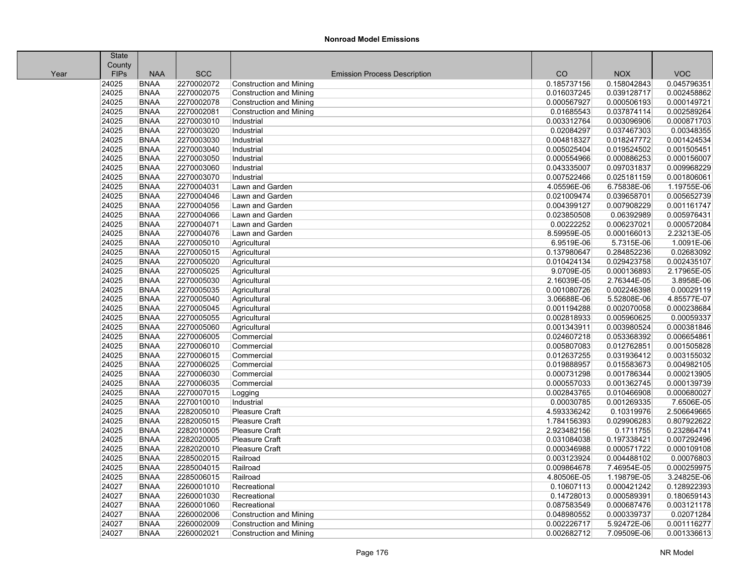|      | State       |             |            |                                     |             |             |             |
|------|-------------|-------------|------------|-------------------------------------|-------------|-------------|-------------|
|      | County      |             |            |                                     |             |             |             |
| Year | <b>FIPs</b> | <b>NAA</b>  | <b>SCC</b> | <b>Emission Process Description</b> | CO          | <b>NOX</b>  | <b>VOC</b>  |
|      | 24025       | <b>BNAA</b> | 2270002072 | <b>Construction and Mining</b>      | 0.185737156 | 0.158042843 | 0.045796351 |
|      | 24025       | <b>BNAA</b> | 2270002075 | <b>Construction and Mining</b>      | 0.016037245 | 0.039128717 | 0.002458862 |
|      | 24025       | <b>BNAA</b> | 2270002078 | Construction and Mining             | 0.000567927 | 0.000506193 | 0.000149721 |
|      | 24025       | <b>BNAA</b> | 2270002081 | <b>Construction and Mining</b>      | 0.01685543  | 0.037874114 | 0.002589264 |
|      | 24025       | <b>BNAA</b> | 2270003010 | Industrial                          | 0.003312764 | 0.003096906 | 0.000871703 |
|      | 24025       | <b>BNAA</b> | 2270003020 | Industrial                          | 0.02084297  | 0.037467303 | 0.00348355  |
|      | 24025       | <b>BNAA</b> | 2270003030 | Industrial                          | 0.004818327 | 0.018247772 | 0.001424534 |
|      | 24025       | <b>BNAA</b> | 2270003040 | Industrial                          | 0.005025404 | 0.019524502 | 0.001505451 |
|      | 24025       | <b>BNAA</b> | 2270003050 | Industrial                          | 0.000554966 | 0.000886253 | 0.000156007 |
|      | 24025       | <b>BNAA</b> | 2270003060 | Industrial                          | 0.043335007 | 0.097031837 | 0.009968229 |
|      | 24025       | <b>BNAA</b> | 2270003070 | Industrial                          | 0.007522466 | 0.025181159 | 0.001806061 |
|      | 24025       | <b>BNAA</b> | 2270004031 | Lawn and Garden                     | 4.05596E-06 | 6.75838E-06 | 1.19755E-06 |
|      | 24025       | <b>BNAA</b> | 2270004046 | Lawn and Garden                     | 0.021009474 | 0.039658701 | 0.005652739 |
|      | 24025       | <b>BNAA</b> | 2270004056 | Lawn and Garden                     | 0.004399127 | 0.007908229 | 0.001161747 |
|      | 24025       | <b>BNAA</b> | 2270004066 | Lawn and Garden                     | 0.023850508 | 0.06392989  | 0.005976431 |
|      | 24025       | <b>BNAA</b> | 2270004071 | Lawn and Garden                     | 0.00222252  | 0.006237021 | 0.000572084 |
|      | 24025       | <b>BNAA</b> | 2270004076 | Lawn and Garden                     | 8.59959E-05 | 0.000166013 | 2.23213E-05 |
|      | 24025       | <b>BNAA</b> | 2270005010 | Agricultural                        | 6.9519E-06  | 5.7315E-06  | 1.0091E-06  |
|      | 24025       | <b>BNAA</b> | 2270005015 | Agricultural                        | 0.137980647 | 0.284852236 | 0.02683092  |
|      | 24025       | <b>BNAA</b> | 2270005020 | Agricultural                        | 0.010424134 | 0.029423758 | 0.002435107 |
|      | 24025       | <b>BNAA</b> | 2270005025 | Agricultural                        | 9.0709E-05  | 0.000136893 | 2.17965E-05 |
|      | 24025       | <b>BNAA</b> | 2270005030 | Agricultural                        | 2.16039E-05 | 2.76344E-05 | 3.8958E-06  |
|      | 24025       | <b>BNAA</b> | 2270005035 | Agricultural                        | 0.001080726 | 0.002246398 | 0.00029119  |
|      | 24025       | <b>BNAA</b> | 2270005040 | Agricultural                        | 3.06688E-06 | 5.52808E-06 | 4.85577E-07 |
|      | 24025       | <b>BNAA</b> | 2270005045 | Agricultural                        | 0.001194288 | 0.002070058 | 0.000238684 |
|      | 24025       | <b>BNAA</b> | 2270005055 | Agricultural                        | 0.002818933 | 0.005960625 | 0.00059337  |
|      | 24025       | <b>BNAA</b> | 2270005060 | Agricultural                        | 0.001343911 | 0.003980524 | 0.000381846 |
|      | 24025       | <b>BNAA</b> | 2270006005 | Commercial                          | 0.024607218 | 0.053368392 | 0.006654861 |
|      | 24025       | <b>BNAA</b> | 2270006010 | Commercial                          | 0.005807083 | 0.012762851 | 0.001505828 |
|      | 24025       | <b>BNAA</b> | 2270006015 | Commercial                          | 0.012637255 | 0.031936412 | 0.003155032 |
|      | 24025       | <b>BNAA</b> | 2270006025 | Commercial                          | 0.019888957 | 0.015583673 | 0.004982105 |
|      | 24025       | <b>BNAA</b> | 2270006030 | Commercial                          | 0.000731298 | 0.001786344 | 0.000213905 |
|      | 24025       | <b>BNAA</b> | 2270006035 | Commercial                          | 0.000557033 | 0.001362745 | 0.000139739 |
|      | 24025       | <b>BNAA</b> | 2270007015 | Logging                             | 0.002843765 | 0.010466908 | 0.000680027 |
|      | 24025       | <b>BNAA</b> | 2270010010 | Industrial                          | 0.00030785  | 0.001269335 | 7.6506E-05  |
|      | 24025       | <b>BNAA</b> | 2282005010 | Pleasure Craft                      | 4.593336242 | 0.10319976  | 2.506649665 |
|      | 24025       | <b>BNAA</b> | 2282005015 | Pleasure Craft                      | 1.784156393 | 0.029906283 | 0.807922622 |
|      | 24025       | <b>BNAA</b> | 2282010005 | Pleasure Craft                      | 2.923482156 | 0.1711755   | 0.232864741 |
|      | 24025       | <b>BNAA</b> | 2282020005 | Pleasure Craft                      | 0.031084038 | 0.197338421 | 0.007292496 |
|      | 24025       | <b>BNAA</b> | 2282020010 | <b>Pleasure Craft</b>               | 0.000346988 | 0.000571722 | 0.000109108 |
|      | 24025       | <b>BNAA</b> | 2285002015 | Railroad                            | 0.003123924 | 0.004488102 | 0.00076803  |
|      | 24025       | <b>BNAA</b> | 2285004015 | Railroad                            | 0.009864678 | 7.46954E-05 | 0.000259975 |
|      | 24025       | <b>BNAA</b> | 2285006015 | Railroad                            | 4.80506E-05 | 1.19879E-05 | 3.24825E-06 |
|      | 24027       | <b>BNAA</b> | 2260001010 | Recreational                        | 0.10607113  | 0.000421242 | 0.128922393 |
|      | 24027       | <b>BNAA</b> | 2260001030 | Recreational                        | 0.14728013  | 0.000589391 | 0.180659143 |
|      | 24027       | <b>BNAA</b> | 2260001060 | Recreational                        | 0.087583549 | 0.000687476 | 0.003121178 |
|      | 24027       | <b>BNAA</b> | 2260002006 | <b>Construction and Mining</b>      | 0.048980552 | 0.000339737 | 0.02071284  |
|      | 24027       | <b>BNAA</b> | 2260002009 | <b>Construction and Mining</b>      | 0.002226717 | 5.92472E-06 | 0.001116277 |
|      | 24027       | <b>BNAA</b> | 2260002021 | <b>Construction and Mining</b>      | 0.002682712 | 7.09509E-06 | 0.001336613 |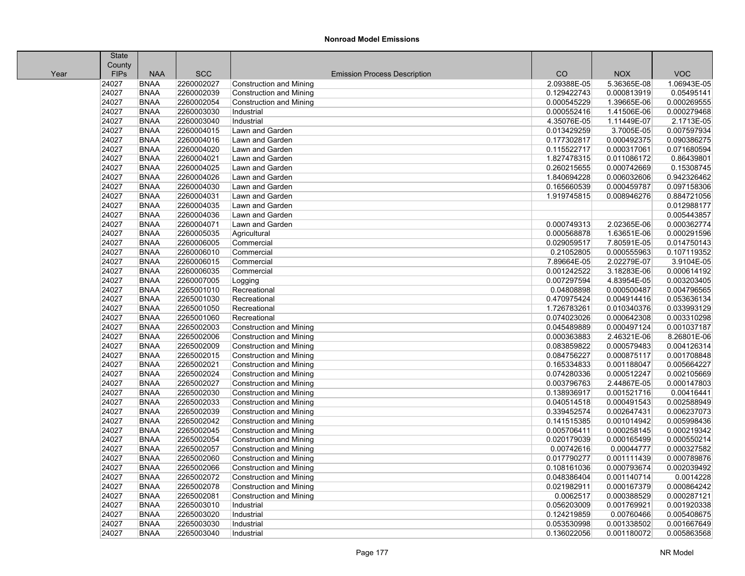|      | State       |             |            |                                     |             |             |             |
|------|-------------|-------------|------------|-------------------------------------|-------------|-------------|-------------|
|      | County      |             |            |                                     |             |             |             |
| Year | <b>FIPs</b> | <b>NAA</b>  | <b>SCC</b> | <b>Emission Process Description</b> | CO          | <b>NOX</b>  | <b>VOC</b>  |
|      | 24027       | <b>BNAA</b> | 2260002027 | Construction and Mining             | 2.09388E-05 | 5.36365E-08 | 1.06943E-05 |
|      | 24027       | <b>BNAA</b> | 2260002039 | <b>Construction and Mining</b>      | 0.129422743 | 0.000813919 | 0.05495141  |
|      | 24027       | <b>BNAA</b> | 2260002054 | Construction and Mining             | 0.000545229 | 1.39665E-06 | 0.000269555 |
|      | 24027       | <b>BNAA</b> | 2260003030 | Industrial                          | 0.000552416 | 1.41506E-06 | 0.000279468 |
|      | 24027       | <b>BNAA</b> | 2260003040 | Industrial                          | 4.35076E-05 | 1.11449E-07 | 2.1713E-05  |
|      | 24027       | <b>BNAA</b> | 2260004015 | Lawn and Garden                     | 0.013429259 | 3.7005E-05  | 0.007597934 |
|      | 24027       | <b>BNAA</b> | 2260004016 | Lawn and Garden                     | 0.177302817 | 0.000492375 | 0.090386275 |
|      | 24027       | <b>BNAA</b> | 2260004020 | Lawn and Garden                     | 0.115522717 | 0.000317061 | 0.071680594 |
|      | 24027       | <b>BNAA</b> | 2260004021 | Lawn and Garden                     | 1.827478315 | 0.011086172 | 0.86439801  |
|      | 24027       | <b>BNAA</b> | 2260004025 | Lawn and Garden                     | 0.260215655 | 0.000742669 | 0.15308745  |
|      | 24027       | <b>BNAA</b> | 2260004026 | Lawn and Garden                     | 1.840694228 | 0.006032606 | 0.942326462 |
|      | 24027       | <b>BNAA</b> | 2260004030 | Lawn and Garden                     | 0.165660539 | 0.000459787 | 0.097158306 |
|      | 24027       | <b>BNAA</b> | 2260004031 | Lawn and Garden                     | 1.919745815 | 0.008946276 | 0.884721056 |
|      | 24027       | <b>BNAA</b> | 2260004035 | Lawn and Garden                     |             |             | 0.012988177 |
|      | 24027       | <b>BNAA</b> | 2260004036 | Lawn and Garden                     |             |             | 0.005443857 |
|      | 24027       | <b>BNAA</b> | 2260004071 | Lawn and Garden                     | 0.000749313 | 2.02365E-06 | 0.000362774 |
|      | 24027       | <b>BNAA</b> | 2260005035 | Agricultural                        | 0.000568878 | 1.63651E-06 | 0.000291596 |
|      | 24027       | <b>BNAA</b> | 2260006005 | Commercial                          | 0.029059517 | 7.80591E-05 | 0.014750143 |
|      | 24027       | <b>BNAA</b> | 2260006010 | Commercial                          | 0.21052805  | 0.000555963 | 0.107119352 |
|      | 24027       | <b>BNAA</b> | 2260006015 | Commercial                          | 7.89664E-05 | 2.02279E-07 | 3.9104E-05  |
|      | 24027       | <b>BNAA</b> | 2260006035 | Commercial                          | 0.001242522 | 3.18283E-06 | 0.000614192 |
|      | 24027       | <b>BNAA</b> | 2260007005 | Logging                             | 0.007297594 | 4.83954E-05 | 0.003203405 |
|      | 24027       | <b>BNAA</b> | 2265001010 | Recreational                        | 0.04808898  | 0.000500487 | 0.004796565 |
|      | 24027       | <b>BNAA</b> | 2265001030 | Recreational                        | 0.470975424 | 0.004914416 | 0.053636134 |
|      | 24027       | <b>BNAA</b> | 2265001050 | Recreational                        | 1.726783261 | 0.010340376 | 0.033993129 |
|      | 24027       | <b>BNAA</b> | 2265001060 | Recreational                        | 0.074023026 | 0.000642308 | 0.003310298 |
|      | 24027       | <b>BNAA</b> | 2265002003 | Construction and Mining             | 0.045489889 | 0.000497124 | 0.001037187 |
|      | 24027       | <b>BNAA</b> | 2265002006 | <b>Construction and Mining</b>      | 0.000363883 | 2.46321E-06 | 8.26801E-06 |
|      | 24027       | <b>BNAA</b> | 2265002009 | <b>Construction and Mining</b>      | 0.083859822 | 0.000579483 | 0.004126314 |
|      | 24027       | <b>BNAA</b> | 2265002015 | Construction and Mining             | 0.084756227 | 0.000875117 | 0.001708848 |
|      | 24027       | <b>BNAA</b> | 2265002021 | Construction and Mining             | 0.165334833 | 0.001188047 | 0.005664227 |
|      | 24027       | <b>BNAA</b> | 2265002024 | <b>Construction and Mining</b>      | 0.074280336 | 0.000512247 | 0.002105669 |
|      | 24027       | <b>BNAA</b> | 2265002027 | Construction and Mining             | 0.003796763 | 2.44867E-05 | 0.000147803 |
|      | 24027       | <b>BNAA</b> | 2265002030 | <b>Construction and Mining</b>      | 0.138936917 | 0.001521716 | 0.00416441  |
|      | 24027       | <b>BNAA</b> | 2265002033 | <b>Construction and Mining</b>      | 0.040514518 | 0.000491543 | 0.002588949 |
|      | 24027       | <b>BNAA</b> | 2265002039 | <b>Construction and Mining</b>      | 0.339452574 | 0.002647431 | 0.006237073 |
|      | 24027       | <b>BNAA</b> | 2265002042 | Construction and Mining             | 0.141515385 | 0.001014942 | 0.005998436 |
|      | 24027       | <b>BNAA</b> | 2265002045 | Construction and Mining             | 0.005706411 | 0.000258145 | 0.000219342 |
|      | 24027       | <b>BNAA</b> | 2265002054 | <b>Construction and Mining</b>      | 0.020179039 | 0.000165499 | 0.000550214 |
|      | 24027       | <b>BNAA</b> | 2265002057 | Construction and Mining             | 0.00742616  | 0.00044777  | 0.000327582 |
|      | 24027       | <b>BNAA</b> | 2265002060 | Construction and Mining             | 0.017790277 | 0.001111439 | 0.000789876 |
|      | 24027       | <b>BNAA</b> | 2265002066 | Construction and Mining             | 0.108161036 | 0.000793674 | 0.002039492 |
|      | 24027       | <b>BNAA</b> | 2265002072 | <b>Construction and Mining</b>      | 0.048386404 | 0.001140714 | 0.0014228   |
|      | 24027       | <b>BNAA</b> | 2265002078 | <b>Construction and Mining</b>      | 0.021982911 | 0.000167379 | 0.000864242 |
|      | 24027       | <b>BNAA</b> | 2265002081 | <b>Construction and Mining</b>      | 0.0062517   | 0.000388529 | 0.000287121 |
|      | 24027       | <b>BNAA</b> | 2265003010 | Industrial                          | 0.056203009 | 0.001769921 | 0.001920338 |
|      | 24027       | <b>BNAA</b> | 2265003020 | Industrial                          | 0.124219859 | 0.00760466  | 0.005408675 |
|      | 24027       | <b>BNAA</b> | 2265003030 | Industrial                          | 0.053530998 | 0.001338502 | 0.001667649 |
|      | 24027       | <b>BNAA</b> | 2265003040 | Industrial                          | 0.136022056 | 0.001180072 | 0.005863568 |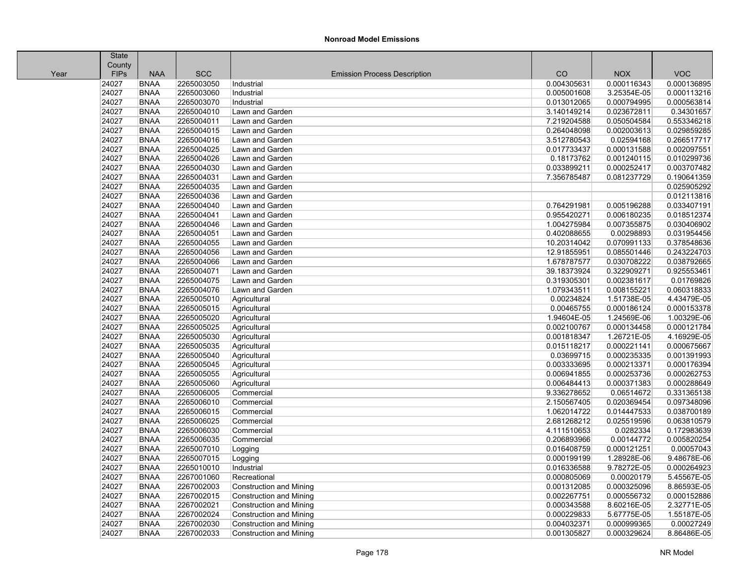|      | <b>State</b> |             |            |                                     |             |             |             |
|------|--------------|-------------|------------|-------------------------------------|-------------|-------------|-------------|
|      | County       |             |            |                                     |             |             |             |
| Year | <b>FIPs</b>  | <b>NAA</b>  | <b>SCC</b> | <b>Emission Process Description</b> | CO          | <b>NOX</b>  | <b>VOC</b>  |
|      | 24027        | <b>BNAA</b> | 2265003050 | Industrial                          | 0.004305631 | 0.000116343 | 0.000136895 |
|      | 24027        | <b>BNAA</b> | 2265003060 | Industrial                          | 0.005001608 | 3.25354E-05 | 0.000113216 |
|      | 24027        | <b>BNAA</b> | 2265003070 | Industrial                          | 0.013012065 | 0.000794995 | 0.000563814 |
|      | 24027        | <b>BNAA</b> | 2265004010 | Lawn and Garden                     | 3.140149214 | 0.023672811 | 0.34301657  |
|      | 24027        | <b>BNAA</b> | 2265004011 | Lawn and Garden                     | 7.219204588 | 0.050504584 | 0.553346218 |
|      | 24027        | <b>BNAA</b> | 2265004015 | Lawn and Garden                     | 0.264048098 | 0.002003613 | 0.029859285 |
|      | 24027        | <b>BNAA</b> | 2265004016 | Lawn and Garden                     | 3.512780543 | 0.02594168  | 0.266517717 |
|      | 24027        | <b>BNAA</b> | 2265004025 | Lawn and Garden                     | 0.017733437 | 0.000131588 | 0.002097551 |
|      | 24027        | <b>BNAA</b> | 2265004026 | Lawn and Garden                     | 0.18173762  | 0.001240115 | 0.010299736 |
|      | 24027        | <b>BNAA</b> | 2265004030 | Lawn and Garden                     | 0.033899211 | 0.000252417 | 0.003707482 |
|      | 24027        | <b>BNAA</b> | 2265004031 | Lawn and Garden                     | 7.356785487 | 0.081237729 | 0.190641359 |
|      | 24027        | <b>BNAA</b> | 2265004035 | Lawn and Garden                     |             |             | 0.025905292 |
|      | 24027        | <b>BNAA</b> | 2265004036 | Lawn and Garden                     |             |             | 0.012113816 |
|      | 24027        | <b>BNAA</b> | 2265004040 | Lawn and Garden                     | 0.764291981 | 0.005196288 | 0.033407191 |
|      | 24027        | <b>BNAA</b> | 2265004041 | Lawn and Garden                     | 0.955420271 | 0.006180235 | 0.018512374 |
|      | 24027        | <b>BNAA</b> | 2265004046 | Lawn and Garden                     | 1.004275984 | 0.007355875 | 0.030406902 |
|      | 24027        | <b>BNAA</b> | 2265004051 | Lawn and Garden                     | 0.402088655 | 0.00298893  | 0.031954456 |
|      | 24027        | <b>BNAA</b> | 2265004055 | Lawn and Garden                     | 10.20314042 | 0.070991133 | 0.378548636 |
|      | 24027        | <b>BNAA</b> | 2265004056 | Lawn and Garden                     | 12.91855951 | 0.085501446 | 0.243224703 |
|      | 24027        | <b>BNAA</b> | 2265004066 | Lawn and Garden                     | 1.678787577 | 0.030708222 | 0.038792665 |
|      | 24027        | <b>BNAA</b> | 2265004071 | Lawn and Garden                     | 39.18373924 | 0.322909271 | 0.925553461 |
|      | 24027        | <b>BNAA</b> | 2265004075 | Lawn and Garden                     | 0.319305301 | 0.002381617 | 0.01769826  |
|      | 24027        | <b>BNAA</b> | 2265004076 | Lawn and Garden                     | 1.079343511 | 0.008155221 | 0.060318833 |
|      | 24027        | <b>BNAA</b> | 2265005010 | Agricultural                        | 0.00234824  | 1.51738E-05 | 4.43479E-05 |
|      | 24027        | <b>BNAA</b> | 2265005015 | Agricultural                        | 0.00465755  | 0.000186124 | 0.000153378 |
|      | 24027        | <b>BNAA</b> | 2265005020 | Agricultural                        | 1.94604E-05 | 1.24569E-06 | 1.00329E-06 |
|      | 24027        | <b>BNAA</b> | 2265005025 | Agricultural                        | 0.002100767 | 0.000134458 | 0.000121784 |
|      | 24027        | <b>BNAA</b> | 2265005030 | Agricultural                        | 0.001818347 | 1.26721E-05 | 4.16929E-05 |
|      | 24027        | <b>BNAA</b> | 2265005035 | Agricultural                        | 0.015118217 | 0.000221141 | 0.000675667 |
|      | 24027        | <b>BNAA</b> | 2265005040 | Agricultural                        | 0.03699715  | 0.000235335 | 0.001391993 |
|      | 24027        | <b>BNAA</b> | 2265005045 | Agricultural                        | 0.003333695 | 0.000213371 | 0.000176394 |
|      | 24027        | <b>BNAA</b> | 2265005055 | Agricultural                        | 0.006941855 | 0.000253736 | 0.000262753 |
|      | 24027        | <b>BNAA</b> | 2265005060 | Agricultural                        | 0.006484413 | 0.000371383 | 0.000288649 |
|      | 24027        | <b>BNAA</b> | 2265006005 | Commercial                          | 9.336278652 | 0.06514672  | 0.331365138 |
|      | 24027        | <b>BNAA</b> | 2265006010 | Commercial                          | 2.150567405 | 0.020369454 | 0.097348096 |
|      | 24027        | <b>BNAA</b> | 2265006015 | Commercial                          | 1.062014722 | 0.014447533 | 0.038700189 |
|      | 24027        | <b>BNAA</b> | 2265006025 | Commercial                          | 2.681268212 | 0.025519596 | 0.063810579 |
|      | 24027        | <b>BNAA</b> | 2265006030 | Commercial                          | 4.111510653 | 0.0282334   | 0.172983639 |
|      | 24027        | <b>BNAA</b> | 2265006035 | Commercial                          | 0.206893966 | 0.00144772  | 0.005820254 |
|      | 24027        | <b>BNAA</b> | 2265007010 | Logging                             | 0.016408759 | 0.000121251 | 0.00057043  |
|      | 24027        | <b>BNAA</b> | 2265007015 | Logging                             | 0.000199199 | 1.28928E-06 | 9.48678E-06 |
|      | 24027        | <b>BNAA</b> | 2265010010 | Industrial                          | 0.016336588 | 9.78272E-05 | 0.000264923 |
|      | 24027        | <b>BNAA</b> | 2267001060 | Recreational                        | 0.000805069 | 0.00020179  | 5.45567E-05 |
|      | 24027        | <b>BNAA</b> | 2267002003 | <b>Construction and Mining</b>      | 0.001312085 | 0.000325096 | 8.86593E-05 |
|      | 24027        | <b>BNAA</b> | 2267002015 | <b>Construction and Mining</b>      | 0.002267751 | 0.000556732 | 0.000152886 |
|      | 24027        | <b>BNAA</b> | 2267002021 | <b>Construction and Mining</b>      | 0.000343588 | 8.60216E-05 | 2.32771E-05 |
|      | 24027        | <b>BNAA</b> | 2267002024 | <b>Construction and Mining</b>      | 0.000229833 | 5.67775E-05 | 1.55187E-05 |
|      | 24027        | <b>BNAA</b> | 2267002030 | <b>Construction and Mining</b>      | 0.004032371 | 0.000999365 | 0.00027249  |
|      | 24027        | <b>BNAA</b> | 2267002033 | <b>Construction and Mining</b>      | 0.001305827 | 0.000329624 | 8.86486E-05 |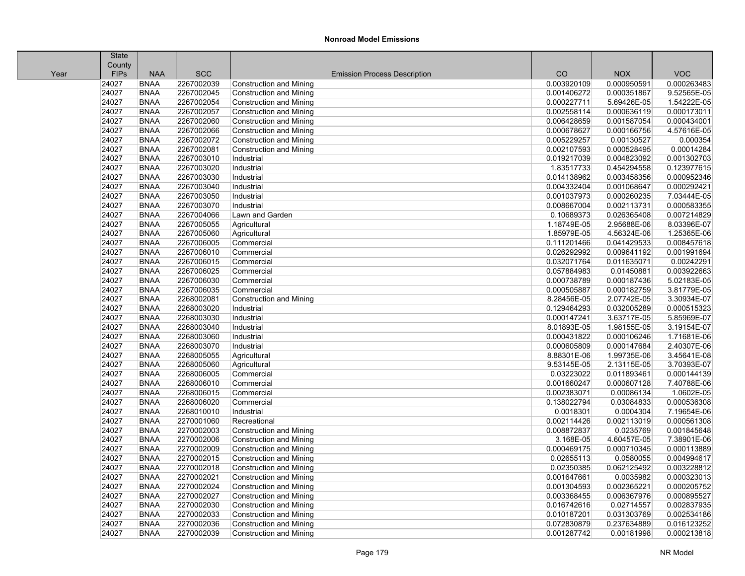|      | <b>State</b> |             |            |                                     |             |             |             |
|------|--------------|-------------|------------|-------------------------------------|-------------|-------------|-------------|
|      | County       |             |            |                                     |             |             |             |
| Year | <b>FIPs</b>  | <b>NAA</b>  | <b>SCC</b> | <b>Emission Process Description</b> | CO          | <b>NOX</b>  | <b>VOC</b>  |
|      | 24027        | <b>BNAA</b> | 2267002039 | <b>Construction and Mining</b>      | 0.003920109 | 0.000950591 | 0.000263483 |
|      | 24027        | <b>BNAA</b> | 2267002045 | <b>Construction and Mining</b>      | 0.001406272 | 0.000351867 | 9.52565E-05 |
|      | 24027        | <b>BNAA</b> | 2267002054 | <b>Construction and Mining</b>      | 0.000227711 | 5.69426E-05 | 1.54222E-05 |
|      | 24027        | <b>BNAA</b> | 2267002057 | <b>Construction and Mining</b>      | 0.002558114 | 0.000636119 | 0.000173011 |
|      | 24027        | <b>BNAA</b> | 2267002060 | <b>Construction and Mining</b>      | 0.006428659 | 0.001587054 | 0.000434001 |
|      | 24027        | <b>BNAA</b> | 2267002066 | <b>Construction and Mining</b>      | 0.000678627 | 0.000166756 | 4.57616E-05 |
|      | 24027        | <b>BNAA</b> | 2267002072 | <b>Construction and Mining</b>      | 0.005229257 | 0.00130527  | 0.000354    |
|      | 24027        | <b>BNAA</b> | 2267002081 | <b>Construction and Mining</b>      | 0.002107593 | 0.000528495 | 0.00014284  |
|      | 24027        | <b>BNAA</b> | 2267003010 | Industrial                          | 0.019217039 | 0.004823092 | 0.001302703 |
|      | 24027        | <b>BNAA</b> | 2267003020 | Industrial                          | 1.83517733  | 0.454294558 | 0.123977615 |
|      | 24027        | <b>BNAA</b> | 2267003030 | Industrial                          | 0.014138962 | 0.003458356 | 0.000952346 |
|      | 24027        | <b>BNAA</b> | 2267003040 | Industrial                          | 0.004332404 | 0.001068647 | 0.000292421 |
|      | 24027        | <b>BNAA</b> | 2267003050 | Industrial                          | 0.001037973 | 0.000260235 | 7.03444E-05 |
|      | 24027        | <b>BNAA</b> | 2267003070 | Industrial                          | 0.008667004 | 0.002113731 | 0.000583355 |
|      | 24027        | <b>BNAA</b> | 2267004066 | Lawn and Garden                     | 0.10689373  | 0.026365408 | 0.007214829 |
|      | 24027        | <b>BNAA</b> | 2267005055 | Agricultural                        | 1.18749E-05 | 2.95688E-06 | 8.03396E-07 |
|      | 24027        | <b>BNAA</b> | 2267005060 | Agricultural                        | 1.85979E-05 | 4.56324E-06 | 1.25365E-06 |
|      | 24027        | <b>BNAA</b> | 2267006005 | Commercial                          | 0.111201466 | 0.041429533 | 0.008457618 |
|      | 24027        | <b>BNAA</b> | 2267006010 | Commercial                          | 0.026292992 | 0.009641192 | 0.001991694 |
|      | 24027        | <b>BNAA</b> | 2267006015 | Commercial                          | 0.032071764 | 0.011635071 | 0.00242291  |
|      | 24027        | <b>BNAA</b> | 2267006025 | Commercial                          | 0.057884983 | 0.01450881  | 0.003922663 |
|      | 24027        | <b>BNAA</b> | 2267006030 | Commercial                          | 0.000738789 | 0.000187436 | 5.02183E-05 |
|      | 24027        | <b>BNAA</b> | 2267006035 | Commercial                          | 0.000505887 | 0.000182759 | 3.81779E-05 |
|      | 24027        | <b>BNAA</b> | 2268002081 | <b>Construction and Mining</b>      | 8.28456E-05 | 2.07742E-05 | 3.30934E-07 |
|      | 24027        | <b>BNAA</b> | 2268003020 | Industrial                          | 0.129464293 | 0.032005289 | 0.000515323 |
|      | 24027        | <b>BNAA</b> | 2268003030 | Industrial                          | 0.000147241 | 3.63717E-05 | 5.85969E-07 |
|      | 24027        | <b>BNAA</b> | 2268003040 | Industrial                          | 8.01893E-05 | 1.98155E-05 | 3.19154E-07 |
|      | 24027        | <b>BNAA</b> | 2268003060 | Industrial                          | 0.000431822 | 0.000106246 | 1.71681E-06 |
|      | 24027        | <b>BNAA</b> | 2268003070 | Industrial                          | 0.000605809 | 0.000147684 | 2.40307E-06 |
|      | 24027        | <b>BNAA</b> | 2268005055 | Agricultural                        | 8.88301E-06 | 1.99735E-06 | 3.45641E-08 |
|      | 24027        | <b>BNAA</b> | 2268005060 | Agricultural                        | 9.53145E-05 | 2.13115E-05 | 3.70393E-07 |
|      | 24027        | <b>BNAA</b> | 2268006005 | Commercial                          | 0.03223022  | 0.011893461 | 0.000144139 |
|      | 24027        | <b>BNAA</b> | 2268006010 | Commercial                          | 0.001660247 | 0.000607128 | 7.40788E-06 |
|      | 24027        | <b>BNAA</b> | 2268006015 | Commercial                          | 0.002383071 | 0.00086134  | 1.0602E-05  |
|      | 24027        | <b>BNAA</b> | 2268006020 | Commercial                          | 0.138022794 | 0.03084833  | 0.000536308 |
|      | 24027        | <b>BNAA</b> | 2268010010 | Industrial                          | 0.0018301   | 0.0004304   | 7.19654E-06 |
|      | 24027        | <b>BNAA</b> | 2270001060 | Recreational                        | 0.002114426 | 0.002113019 | 0.000561308 |
|      | 24027        | <b>BNAA</b> | 2270002003 | <b>Construction and Mining</b>      | 0.008872837 | 0.0235769   | 0.001845648 |
|      | 24027        | <b>BNAA</b> | 2270002006 | <b>Construction and Mining</b>      | 3.168E-05   | 4.60457E-05 | 7.38901E-06 |
|      | 24027        | <b>BNAA</b> | 2270002009 | <b>Construction and Mining</b>      | 0.000469175 | 0.000710345 | 0.000113889 |
|      | 24027        | <b>BNAA</b> | 2270002015 | <b>Construction and Mining</b>      | 0.02655113  | 0.0580055   | 0.004994617 |
|      | 24027        | <b>BNAA</b> | 2270002018 | <b>Construction and Mining</b>      | 0.02350385  | 0.062125492 | 0.003228812 |
|      | 24027        | <b>BNAA</b> | 2270002021 | <b>Construction and Mining</b>      | 0.001647661 | 0.0035982   | 0.000323013 |
|      | 24027        | <b>BNAA</b> | 2270002024 | <b>Construction and Mining</b>      | 0.001304593 | 0.002365221 | 0.000205752 |
|      | 24027        | <b>BNAA</b> | 2270002027 | <b>Construction and Mining</b>      | 0.003368455 | 0.006367976 | 0.000895527 |
|      | 24027        | <b>BNAA</b> | 2270002030 | <b>Construction and Mining</b>      | 0.016742616 | 0.02714557  | 0.002837935 |
|      | 24027        | <b>BNAA</b> | 2270002033 | <b>Construction and Mining</b>      | 0.010187201 | 0.031303769 | 0.002534186 |
|      | 24027        | <b>BNAA</b> | 2270002036 | <b>Construction and Mining</b>      | 0.072830879 | 0.237634889 | 0.016123252 |
|      | 24027        | <b>BNAA</b> | 2270002039 | <b>Construction and Mining</b>      | 0.001287742 | 0.00181998  | 0.000213818 |
|      |              |             |            |                                     |             |             |             |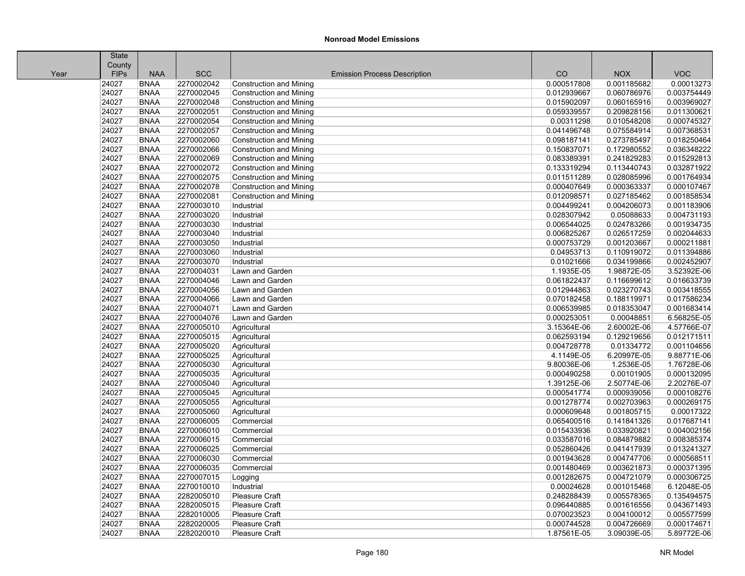|      | <b>State</b> |             |            |                                     |             |             |             |
|------|--------------|-------------|------------|-------------------------------------|-------------|-------------|-------------|
|      | County       |             |            |                                     |             |             |             |
| Year | <b>FIPs</b>  | <b>NAA</b>  | <b>SCC</b> | <b>Emission Process Description</b> | CO          | <b>NOX</b>  | <b>VOC</b>  |
|      | 24027        | <b>BNAA</b> | 2270002042 | <b>Construction and Mining</b>      | 0.000517808 | 0.001185682 | 0.00013273  |
|      | 24027        | <b>BNAA</b> | 2270002045 | <b>Construction and Mining</b>      | 0.012939667 | 0.060786976 | 0.003754449 |
|      | 24027        | <b>BNAA</b> | 2270002048 | <b>Construction and Mining</b>      | 0.015902097 | 0.060165916 | 0.003969027 |
|      | 24027        | <b>BNAA</b> | 2270002051 | <b>Construction and Mining</b>      | 0.059339557 | 0.209828156 | 0.011300621 |
|      | 24027        | <b>BNAA</b> | 2270002054 | <b>Construction and Mining</b>      | 0.00311298  | 0.010548208 | 0.000745327 |
|      | 24027        | <b>BNAA</b> | 2270002057 | <b>Construction and Mining</b>      | 0.041496748 | 0.075584914 | 0.007368531 |
|      | 24027        | <b>BNAA</b> | 2270002060 | <b>Construction and Mining</b>      | 0.098187141 | 0.273785497 | 0.018250464 |
|      | 24027        | <b>BNAA</b> | 2270002066 | <b>Construction and Mining</b>      | 0.150837071 | 0.172980552 | 0.036348222 |
|      | 24027        | <b>BNAA</b> | 2270002069 | <b>Construction and Mining</b>      | 0.083389391 | 0.241829283 | 0.015292813 |
|      | 24027        | <b>BNAA</b> | 2270002072 | <b>Construction and Mining</b>      | 0.133319294 | 0.113440743 | 0.032871922 |
|      | 24027        | <b>BNAA</b> | 2270002075 | <b>Construction and Mining</b>      | 0.011511289 | 0.028085996 | 0.001764934 |
|      | 24027        | <b>BNAA</b> | 2270002078 | <b>Construction and Mining</b>      | 0.000407649 | 0.000363337 | 0.000107467 |
|      | 24027        | <b>BNAA</b> | 2270002081 | <b>Construction and Mining</b>      | 0.012098571 | 0.027185462 | 0.001858534 |
|      | 24027        | <b>BNAA</b> | 2270003010 | Industrial                          | 0.004499241 | 0.004206073 | 0.001183906 |
|      | 24027        | <b>BNAA</b> | 2270003020 | Industrial                          | 0.028307942 | 0.05088633  | 0.004731193 |
|      | 24027        | <b>BNAA</b> | 2270003030 | Industrial                          | 0.006544025 | 0.024783266 | 0.001934735 |
|      | 24027        | <b>BNAA</b> | 2270003040 | Industrial                          | 0.006825267 | 0.026517259 | 0.002044633 |
|      | 24027        | <b>BNAA</b> | 2270003050 | Industrial                          | 0.000753729 | 0.001203667 | 0.000211881 |
|      | 24027        | <b>BNAA</b> | 2270003060 | Industrial                          | 0.04953713  | 0.110919072 | 0.011394886 |
|      | 24027        | <b>BNAA</b> | 2270003070 | Industrial                          | 0.01021666  | 0.034199866 | 0.002452907 |
|      | 24027        | <b>BNAA</b> | 2270004031 | Lawn and Garden                     | 1.1935E-05  | 1.98872E-05 | 3.52392E-06 |
|      | 24027        | <b>BNAA</b> | 2270004046 | Lawn and Garden                     | 0.061822437 | 0.116699612 | 0.016633739 |
|      | 24027        | <b>BNAA</b> | 2270004056 | Lawn and Garden                     | 0.012944863 | 0.023270743 | 0.003418555 |
|      | 24027        | <b>BNAA</b> | 2270004066 | Lawn and Garden                     | 0.070182458 | 0.188119971 | 0.017586234 |
|      | 24027        | <b>BNAA</b> | 2270004071 | Lawn and Garden                     | 0.006539985 | 0.018353047 | 0.001683414 |
|      | 24027        | <b>BNAA</b> | 2270004076 | Lawn and Garden                     | 0.000253051 | 0.00048851  | 6.56825E-05 |
|      | 24027        | <b>BNAA</b> | 2270005010 | Agricultural                        | 3.15364E-06 | 2.60002E-06 | 4.57766E-07 |
|      | 24027        | <b>BNAA</b> | 2270005015 | Agricultural                        | 0.062593194 | 0.129219656 | 0.012171511 |
|      | 24027        | <b>BNAA</b> | 2270005020 | Agricultural                        | 0.004728778 | 0.01334772  | 0.001104656 |
|      | 24027        | <b>BNAA</b> | 2270005025 | Agricultural                        | 4.1149E-05  | 6.20997E-05 | 9.88771E-06 |
|      | 24027        | <b>BNAA</b> | 2270005030 | Agricultural                        | 9.80036E-06 | 1.2536E-05  | 1.76728E-06 |
|      | 24027        | <b>BNAA</b> | 2270005035 | Agricultural                        | 0.000490258 | 0.00101905  | 0.000132095 |
|      | 24027        | <b>BNAA</b> | 2270005040 | Agricultural                        | 1.39125E-06 | 2.50774E-06 | 2.20276E-07 |
|      | 24027        | <b>BNAA</b> | 2270005045 | Agricultural                        | 0.000541774 | 0.000939056 | 0.000108276 |
|      | 24027        | <b>BNAA</b> | 2270005055 | Agricultural                        | 0.001278774 | 0.002703963 | 0.000269175 |
|      | 24027        | <b>BNAA</b> | 2270005060 | Agricultural                        | 0.000609648 | 0.001805715 | 0.00017322  |
|      | 24027        | <b>BNAA</b> | 2270006005 | Commercial                          | 0.065400516 | 0.141841326 | 0.017687141 |
|      | 24027        | <b>BNAA</b> | 2270006010 | Commercial                          | 0.015433936 | 0.033920821 | 0.004002156 |
|      | 24027        | <b>BNAA</b> | 2270006015 | Commercial                          | 0.033587016 | 0.084879882 | 0.008385374 |
|      | 24027        | <b>BNAA</b> | 2270006025 | Commercial                          | 0.052860426 | 0.041417939 | 0.013241327 |
|      | 24027        | <b>BNAA</b> | 2270006030 | Commercial                          | 0.001943628 | 0.004747706 | 0.000568511 |
|      | 24027        | <b>BNAA</b> | 2270006035 | Commercial                          | 0.001480469 | 0.003621873 | 0.000371395 |
|      | 24027        | <b>BNAA</b> | 2270007015 | Logging                             | 0.001282675 | 0.004721079 | 0.000306725 |
|      | 24027        | <b>BNAA</b> | 2270010010 | Industrial                          | 0.00024628  | 0.001015468 | 6.12048E-05 |
|      | 24027        | <b>BNAA</b> | 2282005010 | <b>Pleasure Craft</b>               | 0.248288439 | 0.005578365 | 0.135494575 |
|      | 24027        | <b>BNAA</b> | 2282005015 | <b>Pleasure Craft</b>               | 0.096440885 | 0.001616556 | 0.043671493 |
|      | 24027        | <b>BNAA</b> | 2282010005 | <b>Pleasure Craft</b>               | 0.070023523 | 0.004100012 | 0.005577599 |
|      | 24027        | <b>BNAA</b> | 2282020005 | Pleasure Craft                      | 0.000744528 | 0.004726669 | 0.000174671 |
|      | 24027        | <b>BNAA</b> | 2282020010 | Pleasure Craft                      | 1.87561E-05 | 3.09039E-05 | 5.89772E-06 |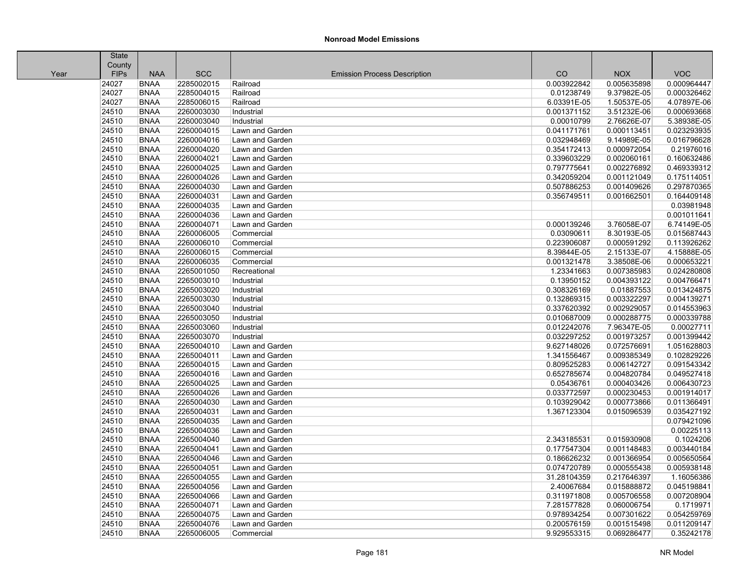|      | <b>State</b> |             |            |                                     |             |             |             |
|------|--------------|-------------|------------|-------------------------------------|-------------|-------------|-------------|
|      | County       |             |            |                                     |             |             |             |
| Year | <b>FIPs</b>  | <b>NAA</b>  | <b>SCC</b> | <b>Emission Process Description</b> | CO          | <b>NOX</b>  | <b>VOC</b>  |
|      | 24027        | <b>BNAA</b> | 2285002015 | Railroad                            | 0.003922842 | 0.005635898 | 0.000964447 |
|      | 24027        | <b>BNAA</b> | 2285004015 | Railroad                            | 0.01238749  | 9.37982E-05 | 0.000326462 |
|      | 24027        | <b>BNAA</b> | 2285006015 | Railroad                            | 6.03391E-05 | 1.50537E-05 | 4.07897E-06 |
|      | 24510        | <b>BNAA</b> | 2260003030 | Industrial                          | 0.001371152 | 3.51232E-06 | 0.000693668 |
|      | 24510        | <b>BNAA</b> | 2260003040 | Industrial                          | 0.00010799  | 2.76626E-07 | 5.38938E-05 |
|      | 24510        | <b>BNAA</b> | 2260004015 | Lawn and Garden                     | 0.041171761 | 0.000113451 | 0.023293935 |
|      | 24510        | <b>BNAA</b> | 2260004016 | Lawn and Garden                     | 0.032948469 | 9.14989E-05 | 0.016796628 |
|      | 24510        | <b>BNAA</b> | 2260004020 | Lawn and Garden                     | 0.354172413 | 0.000972054 | 0.21976016  |
|      | 24510        | <b>BNAA</b> | 2260004021 | Lawn and Garden                     | 0.339603229 | 0.002060161 | 0.160632486 |
|      | 24510        | <b>BNAA</b> | 2260004025 | Lawn and Garden                     | 0.797775641 | 0.002276892 | 0.469339312 |
|      | 24510        | <b>BNAA</b> | 2260004026 | Lawn and Garden                     | 0.342059204 | 0.001121049 | 0.175114051 |
|      | 24510        | <b>BNAA</b> | 2260004030 | Lawn and Garden                     | 0.507886253 | 0.001409626 | 0.297870365 |
|      | 24510        | <b>BNAA</b> | 2260004031 | Lawn and Garden                     | 0.356749511 | 0.001662501 | 0.164409148 |
|      | 24510        | <b>BNAA</b> | 2260004035 | Lawn and Garden                     |             |             | 0.03981948  |
|      | 24510        | <b>BNAA</b> | 2260004036 | Lawn and Garden                     |             |             | 0.001011641 |
|      | 24510        | <b>BNAA</b> | 2260004071 | Lawn and Garden                     | 0.000139246 | 3.76058E-07 | 6.74149E-05 |
|      | 24510        | <b>BNAA</b> | 2260006005 | Commercial                          | 0.03090611  | 8.30193E-05 | 0.015687443 |
|      | 24510        | <b>BNAA</b> | 2260006010 | Commercial                          | 0.223906087 | 0.000591292 | 0.113926262 |
|      | 24510        | <b>BNAA</b> | 2260006015 | Commercial                          | 8.39844E-05 | 2.15133E-07 | 4.15888E-05 |
|      | 24510        | <b>BNAA</b> | 2260006035 | Commercial                          | 0.001321478 | 3.38508E-06 | 0.000653221 |
|      | 24510        | <b>BNAA</b> | 2265001050 | Recreational                        | 1.23341663  | 0.007385983 | 0.024280808 |
|      | 24510        | <b>BNAA</b> | 2265003010 | Industrial                          | 0.13950152  | 0.004393122 | 0.004766471 |
|      | 24510        | <b>BNAA</b> | 2265003020 | Industrial                          | 0.308326169 | 0.01887553  | 0.013424875 |
|      | 24510        | <b>BNAA</b> | 2265003030 | Industrial                          | 0.132869315 | 0.003322297 | 0.004139271 |
|      | 24510        | <b>BNAA</b> | 2265003040 | Industrial                          | 0.337620392 | 0.002929057 | 0.014553963 |
|      | 24510        | <b>BNAA</b> | 2265003050 | Industrial                          | 0.010687009 | 0.000288775 | 0.000339788 |
|      | 24510        | <b>BNAA</b> | 2265003060 | Industrial                          | 0.012242076 | 7.96347E-05 | 0.00027711  |
|      | 24510        | <b>BNAA</b> | 2265003070 | Industrial                          | 0.032297252 | 0.001973257 | 0.001399442 |
|      | 24510        | <b>BNAA</b> | 2265004010 | Lawn and Garden                     | 9.627148026 | 0.072576691 | 1.051628803 |
|      | 24510        | <b>BNAA</b> | 2265004011 | Lawn and Garden                     | 1.341556467 | 0.009385349 | 0.102829226 |
|      | 24510        | <b>BNAA</b> | 2265004015 | Lawn and Garden                     | 0.809525283 | 0.006142727 | 0.091543342 |
|      | 24510        | <b>BNAA</b> | 2265004016 | Lawn and Garden                     | 0.652785674 | 0.004820784 | 0.049527418 |
|      | 24510        | <b>BNAA</b> | 2265004025 | Lawn and Garden                     | 0.05436761  | 0.000403426 | 0.006430723 |
|      | 24510        | <b>BNAA</b> | 2265004026 | Lawn and Garden                     | 0.033772597 | 0.000230453 | 0.001914017 |
|      | 24510        | <b>BNAA</b> | 2265004030 | Lawn and Garden                     | 0.103929042 | 0.000773866 | 0.011366491 |
|      | 24510        | <b>BNAA</b> | 2265004031 | Lawn and Garden                     | 1.367123304 | 0.015096539 | 0.035427192 |
|      | 24510        | <b>BNAA</b> | 2265004035 | Lawn and Garden                     |             |             | 0.079421096 |
|      | 24510        | <b>BNAA</b> | 2265004036 | Lawn and Garden                     |             |             | 0.00225113  |
|      | 24510        | <b>BNAA</b> | 2265004040 | Lawn and Garden                     | 2.343185531 | 0.015930908 | 0.1024206   |
|      | 24510        | <b>BNAA</b> | 2265004041 | Lawn and Garden                     | 0.177547304 | 0.001148483 | 0.003440184 |
|      | 24510        | <b>BNAA</b> | 2265004046 | Lawn and Garden                     | 0.186626232 | 0.001366954 | 0.005650564 |
|      | 24510        | <b>BNAA</b> | 2265004051 | Lawn and Garden                     | 0.074720789 | 0.000555438 | 0.005938148 |
|      | 24510        | <b>BNAA</b> | 2265004055 | Lawn and Garden                     | 31.28104359 | 0.217646397 | 1.16056386  |
|      | 24510        | <b>BNAA</b> | 2265004056 | Lawn and Garden                     | 2.40067684  | 0.015888872 | 0.045198841 |
|      | 24510        | <b>BNAA</b> | 2265004066 | Lawn and Garden                     | 0.311971808 | 0.005706558 | 0.007208904 |
|      | 24510        | <b>BNAA</b> | 2265004071 | Lawn and Garden                     | 7.281577828 | 0.060006754 | 0.1719971   |
|      | 24510        | <b>BNAA</b> | 2265004075 | Lawn and Garden                     | 0.978934254 | 0.007301622 | 0.054259769 |
|      | 24510        | <b>BNAA</b> | 2265004076 | Lawn and Garden                     | 0.200576159 | 0.001515498 | 0.011209147 |
|      | 24510        | <b>BNAA</b> | 2265006005 | Commercial                          | 9.929553315 | 0.069286477 | 0.35242178  |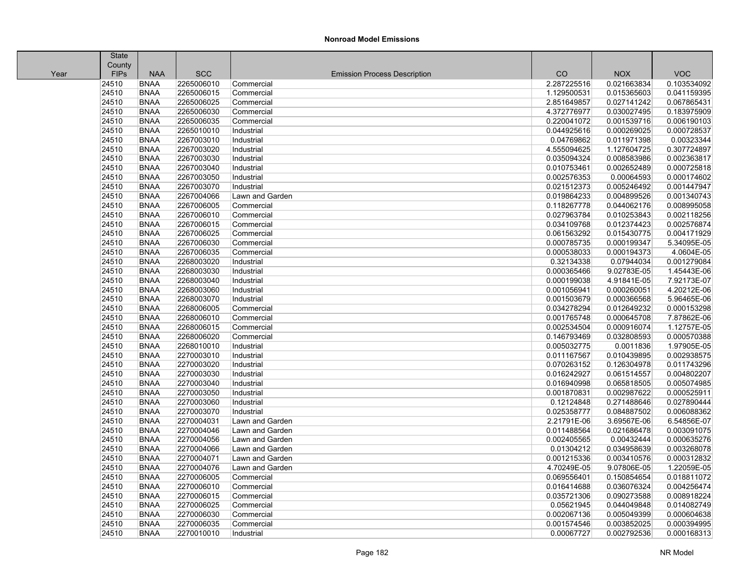|      | <b>State</b> |             |            |                                     |             |             |             |
|------|--------------|-------------|------------|-------------------------------------|-------------|-------------|-------------|
|      | County       |             |            |                                     |             |             |             |
| Year | <b>FIPs</b>  | <b>NAA</b>  | <b>SCC</b> | <b>Emission Process Description</b> | CO          | <b>NOX</b>  | <b>VOC</b>  |
|      | 24510        | <b>BNAA</b> | 2265006010 | Commercial                          | 2.287225516 | 0.021663834 | 0.103534092 |
|      | 24510        | <b>BNAA</b> | 2265006015 | Commercial                          | 1.129500531 | 0.015365603 | 0.041159395 |
|      | 24510        | <b>BNAA</b> | 2265006025 | Commercial                          | 2.851649857 | 0.027141242 | 0.067865431 |
|      | 24510        | <b>BNAA</b> | 2265006030 | Commercial                          | 4.372776977 | 0.030027495 | 0.183975909 |
|      | 24510        | <b>BNAA</b> | 2265006035 | Commercial                          | 0.220041072 | 0.001539716 | 0.006190103 |
|      | 24510        | <b>BNAA</b> | 2265010010 | Industrial                          | 0.044925616 | 0.000269025 | 0.000728537 |
|      | 24510        | <b>BNAA</b> | 2267003010 | Industrial                          | 0.04769862  | 0.011971398 | 0.00323344  |
|      | 24510        | <b>BNAA</b> | 2267003020 | Industrial                          | 4.555094625 | 1.127604725 | 0.307724897 |
|      | 24510        | <b>BNAA</b> | 2267003030 | Industrial                          | 0.035094324 | 0.008583986 | 0.002363817 |
|      | 24510        | <b>BNAA</b> | 2267003040 | Industrial                          | 0.010753461 | 0.002652489 | 0.000725818 |
|      | 24510        | <b>BNAA</b> | 2267003050 | Industrial                          | 0.002576353 | 0.00064593  | 0.000174602 |
|      | 24510        | <b>BNAA</b> | 2267003070 | Industrial                          | 0.021512373 | 0.005246492 | 0.001447947 |
|      | 24510        | <b>BNAA</b> | 2267004066 | Lawn and Garden                     | 0.019864233 | 0.004899526 | 0.001340743 |
|      | 24510        | <b>BNAA</b> | 2267006005 | Commercial                          | 0.118267778 | 0.044062176 | 0.008995058 |
|      | 24510        | <b>BNAA</b> | 2267006010 | Commercial                          | 0.027963784 | 0.010253843 | 0.002118256 |
|      | 24510        | <b>BNAA</b> | 2267006015 | Commercial                          | 0.034109768 | 0.012374423 | 0.002576874 |
|      | 24510        | <b>BNAA</b> | 2267006025 | Commercial                          | 0.061563292 | 0.015430775 | 0.004171929 |
|      | 24510        | <b>BNAA</b> | 2267006030 | Commercial                          | 0.000785735 | 0.000199347 | 5.34095E-05 |
|      | 24510        | <b>BNAA</b> | 2267006035 | Commercial                          | 0.000538033 | 0.000194373 | 4.0604E-05  |
|      | 24510        | <b>BNAA</b> | 2268003020 | Industrial                          | 0.32134338  | 0.07944034  | 0.001279084 |
|      | 24510        | <b>BNAA</b> | 2268003030 | Industrial                          | 0.000365466 | 9.02783E-05 | 1.45443E-06 |
|      | 24510        | <b>BNAA</b> | 2268003040 | Industrial                          | 0.000199038 | 4.91841E-05 | 7.92173E-07 |
|      | 24510        | <b>BNAA</b> | 2268003060 | Industrial                          | 0.001056941 | 0.000260051 | 4.20212E-06 |
|      | 24510        | <b>BNAA</b> | 2268003070 | Industrial                          | 0.001503679 | 0.000366568 | 5.96465E-06 |
|      | 24510        | <b>BNAA</b> | 2268006005 | Commercial                          | 0.034278294 | 0.012649232 | 0.000153298 |
|      | 24510        | <b>BNAA</b> | 2268006010 | Commercial                          | 0.001765748 | 0.000645708 | 7.87862E-06 |
|      | 24510        | <b>BNAA</b> | 2268006015 | Commercial                          | 0.002534504 | 0.000916074 | 1.12757E-05 |
|      | 24510        | <b>BNAA</b> | 2268006020 | Commercial                          | 0.146793469 | 0.032808593 | 0.000570388 |
|      | 24510        | <b>BNAA</b> | 2268010010 | Industrial                          | 0.005032775 | 0.0011836   | 1.97905E-05 |
|      | 24510        | <b>BNAA</b> | 2270003010 | Industrial                          | 0.011167567 | 0.010439895 | 0.002938575 |
|      | 24510        | <b>BNAA</b> | 2270003020 | Industrial                          | 0.070263152 | 0.126304978 | 0.011743296 |
|      | 24510        | <b>BNAA</b> | 2270003030 | Industrial                          | 0.016242927 | 0.061514557 | 0.004802207 |
|      | 24510        | <b>BNAA</b> | 2270003040 | Industrial                          | 0.016940998 | 0.065818505 | 0.005074985 |
|      | 24510        | <b>BNAA</b> | 2270003050 | Industrial                          | 0.001870831 | 0.002987622 | 0.000525911 |
|      | 24510        | <b>BNAA</b> | 2270003060 | Industrial                          | 0.12124848  | 0.271488646 | 0.027890444 |
|      | 24510        | <b>BNAA</b> | 2270003070 | Industrial                          | 0.025358777 | 0.084887502 | 0.006088362 |
|      | 24510        | <b>BNAA</b> | 2270004031 | Lawn and Garden                     | 2.21791E-06 | 3.69567E-06 | 6.54856E-07 |
|      | 24510        | <b>BNAA</b> | 2270004046 | Lawn and Garden                     | 0.011488564 | 0.021686478 | 0.003091075 |
|      | 24510        | <b>BNAA</b> | 2270004056 | Lawn and Garden                     | 0.002405565 | 0.00432444  | 0.000635276 |
|      | 24510        | <b>BNAA</b> | 2270004066 | Lawn and Garden                     | 0.01304212  | 0.034958639 | 0.003268078 |
|      | 24510        | <b>BNAA</b> | 2270004071 | Lawn and Garden                     | 0.001215336 | 0.003410576 | 0.000312832 |
|      | 24510        | <b>BNAA</b> | 2270004076 | Lawn and Garden                     | 4.70249E-05 | 9.07806E-05 | 1.22059E-05 |
|      | 24510        | <b>BNAA</b> | 2270006005 | Commercial                          | 0.069556401 | 0.150854654 | 0.018811072 |
|      | 24510        | <b>BNAA</b> | 2270006010 | Commercial                          | 0.016414688 | 0.036076324 | 0.004256474 |
|      | 24510        | <b>BNAA</b> | 2270006015 | Commercial                          | 0.035721306 | 0.090273588 | 0.008918224 |
|      | 24510        | <b>BNAA</b> | 2270006025 | Commercial                          | 0.05621945  | 0.044049848 | 0.014082749 |
|      | 24510        | <b>BNAA</b> | 2270006030 | Commercial                          | 0.002067136 | 0.005049399 | 0.000604638 |
|      | 24510        | <b>BNAA</b> | 2270006035 | Commercial                          | 0.001574546 | 0.003852025 | 0.000394995 |
|      | 24510        | <b>BNAA</b> | 2270010010 | Industrial                          | 0.00067727  | 0.002792536 | 0.000168313 |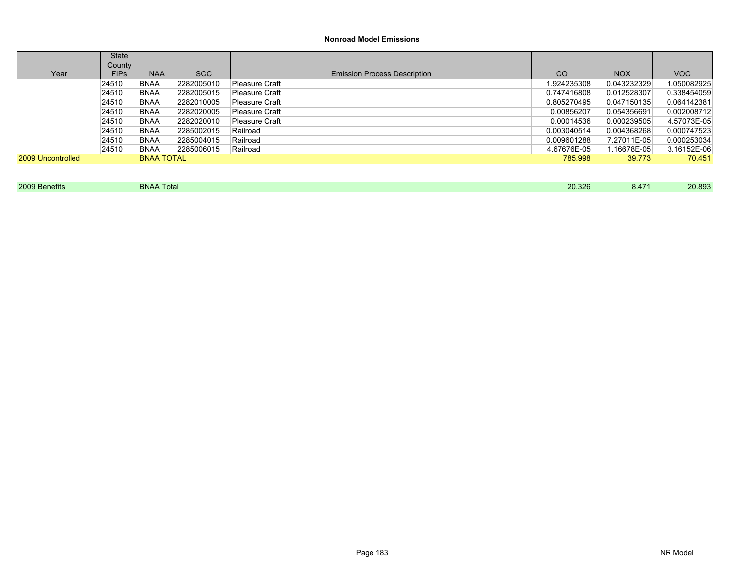|                   | <b>State</b> |                   |            |                                     |             |             |             |
|-------------------|--------------|-------------------|------------|-------------------------------------|-------------|-------------|-------------|
|                   | County       |                   |            |                                     |             |             |             |
| Year              | <b>FIPs</b>  | <b>NAA</b>        | <b>SCC</b> | <b>Emission Process Description</b> | CO          | <b>NOX</b>  | VOC         |
|                   | 24510        | <b>BNAA</b>       | 2282005010 | Pleasure Craft                      | 1.924235308 | 0.043232329 | 1.050082925 |
|                   | 24510        | <b>BNAA</b>       | 2282005015 | Pleasure Craft                      | 0.747416808 | 0.012528307 | 0.338454059 |
|                   | 24510        | <b>BNAA</b>       | 2282010005 | Pleasure Craft                      | 0.805270495 | 0.047150135 | 0.064142381 |
|                   | 24510        | BNAA              | 2282020005 | Pleasure Craft                      | 0.00856207  | 0.054356691 | 0.002008712 |
|                   | 24510        | <b>BNAA</b>       | 2282020010 | Pleasure Craft                      | 0.00014536  | 0.000239505 | 4.57073E-05 |
|                   | 24510        | <b>BNAA</b>       | 2285002015 | Railroad                            | 0.003040514 | 0.004368268 | 0.000747523 |
|                   | 24510        | <b>BNAA</b>       | 2285004015 | Railroad                            | 0.009601288 | 7.27011E-05 | 0.000253034 |
|                   | 24510        | <b>BNAA</b>       | 2285006015 | Railroad                            | 4.67676E-05 | l.16678E-05 | 3.16152E-06 |
| 2009 Uncontrolled |              | <b>BNAA TOTAL</b> |            |                                     | 785.998     | 39.773      | 70.451      |
|                   |              |                   |            |                                     |             |             |             |

2009 Benefits BNAA Total 20.326 8.471 20.893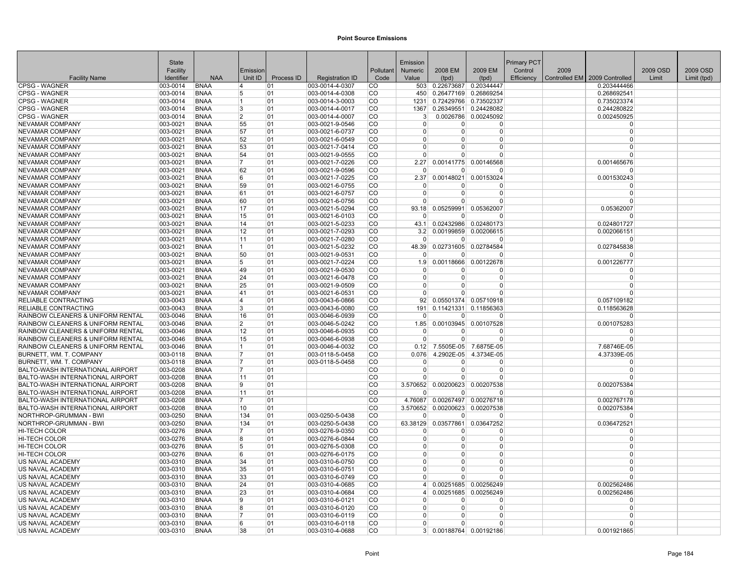|                                                                      | <b>State</b>         |                            |                         |            |                                    |                            | Emission             |                           |                                   | Primary PCT |      |                                 |          |             |
|----------------------------------------------------------------------|----------------------|----------------------------|-------------------------|------------|------------------------------------|----------------------------|----------------------|---------------------------|-----------------------------------|-------------|------|---------------------------------|----------|-------------|
|                                                                      | Facility             |                            | Emission                |            |                                    | Pollutant                  | Numeric              | 2008 EM                   | 2009 EM                           | Control     | 2009 |                                 | 2009 OSD | 2009 OSD    |
| <b>Facility Name</b>                                                 | Identifier           | <b>NAA</b>                 | Unit ID                 | Process ID | <b>Registration ID</b>             | Code                       | Value                | (tpd)                     | (tpd)                             | Efficiency  |      | Controlled EM   2009 Controlled | Limit    | Limit (tpd) |
| <b>CPSG - WAGNER</b>                                                 | 003-0014             | <b>BNAA</b>                | 4                       | 01         | 003-0014-4-0307                    | <b>CO</b>                  | 503                  | 0.22673687                | 0.20344447                        |             |      | 0.203444466                     |          |             |
| <b>CPSG - WAGNER</b>                                                 | 003-0014             | <b>BNAA</b>                | 5                       | 101        | 003-0014-4-0308                    | <b>CO</b>                  | 450                  |                           | 0.26477169 0.26869254             |             |      | 0.268692541                     |          |             |
| CPSG - WAGNER                                                        | 003-0014             | <b>BNAA</b>                | $\vert$ 1               | 01         | 003-0014-3-0003                    | <b>CO</b>                  | 1231                 |                           | 0.72429766 0.73502337             |             |      | 0.735023374                     |          |             |
| <b>CPSG - WAGNER</b>                                                 | 003-0014             | <b>BNAA</b>                | 3                       | 01         | 003-0014-4-0017                    | <b>CO</b>                  | 1367                 |                           | 0.26349551 0.24428082             |             |      | 0.244280822                     |          |             |
| <b>CPSG - WAGNER</b>                                                 | 003-0014             | <b>BNAA</b>                | $\overline{2}$          | 01         | 003-0014-4-0007                    | <sub>CO</sub>              | 3                    |                           | 0.0026786 0.00245092              |             |      | 0.002450925                     |          |             |
| NEVAMAR COMPANY                                                      | 003-0021             | <b>BNAA</b>                | 55                      | 01         | 003-0021-9-0546                    | CO                         | $\Omega$             | $\Omega$                  | $\Omega$                          |             |      | $\Omega$                        |          |             |
| <b>NEVAMAR COMPANY</b>                                               | 003-0021             | <b>BNAA</b>                | 57                      | 01         | 003-0021-6-0737                    | <sub>CO</sub>              | $\Omega$             | $\Omega$                  | $\Omega$                          |             |      | $\Omega$                        |          |             |
| <b>NEVAMAR COMPANY</b>                                               | 003-0021             | <b>BNAA</b>                | 52                      | 01         | 003-0021-6-0549                    | <sub>CO</sub>              | $\Omega$             | $\Omega$                  | 0                                 |             |      | $\Omega$                        |          |             |
| NEVAMAR COMPANY                                                      | 003-0021             | <b>BNAA</b>                | 53                      | 01         | 003-0021-7-0414                    | <b>CO</b>                  | $\Omega$             | $\Omega$                  | 0                                 |             |      | $\Omega$                        |          |             |
| NEVAMAR COMPANY                                                      | 003-0021             | <b>BNAA</b>                | 54                      | 01         | 003-0021-9-0555                    | <b>CO</b>                  | $\Omega$             | $\Omega$                  | $\Omega$                          |             |      | $\Omega$                        |          |             |
| NEVAMAR COMPANY                                                      | 003-0021             | <b>BNAA</b>                | 17                      | 01         | 003-0021-7-0226                    | <sub>CO</sub>              | 2.27                 |                           | 0.00141775 0.00146568             |             |      | 0.001465676                     |          |             |
| NEVAMAR COMPANY                                                      | 003-0021             | <b>BNAA</b>                | 62                      | 01         | 003-0021-9-0596                    | <b>CO</b>                  | $\Omega$             | <sup>0</sup>              | <sup>0</sup>                      |             |      | $\Omega$                        |          |             |
| NEVAMAR COMPANY                                                      | 003-0021             | <b>BNAA</b>                | 6                       | 101        | 003-0021-7-0225                    | <sub>CO</sub>              | 2.37                 | 0.00148021                | 0.00153024                        |             |      | 0.001530243                     |          |             |
| <b>NEVAMAR COMPANY</b>                                               | 003-0021             | <b>BNAA</b>                | 59                      | 01         | 003-0021-6-0755                    | <b>CO</b>                  | $\Omega$             | n                         | 0                                 |             |      | $\Omega$                        |          |             |
| <b>NEVAMAR COMPANY</b>                                               | 003-0021             | <b>BNAA</b>                | 61                      | 01         | 003-0021-6-0757                    | <sub>CO</sub>              | $\Omega$             | $\Omega$                  | $\Omega$                          |             |      | $\Omega$                        |          |             |
| NEVAMAR COMPANY                                                      | 003-0021             | <b>BNAA</b>                | 60                      | 01         | 003-0021-6-0756                    | <b>CO</b>                  | $\overline{0}$       | $\overline{0}$            | 0                                 |             |      | $\Omega$<br>0.05362007          |          |             |
| NEVAMAR COMPANY<br><b>NEVAMAR COMPANY</b>                            | 003-0021<br>003-0021 | <b>BNAA</b><br><b>BNAA</b> | 17<br>15                | 01<br>01   | 003-0021-5-0294<br>003-0021-6-0103 | <b>CO</b><br><sub>CO</sub> | 93.18<br>$\Omega$    | 0.05259991<br>U           | 0.05362007<br>$\Omega$            |             |      | n                               |          |             |
| NEVAMAR COMPANY                                                      | 003-0021             | <b>BNAA</b>                | 14                      | 01         | 003-0021-5-0233                    | <b>CO</b>                  | 43.1                 |                           | 0.02432986 0.02480173             |             |      | 0.024801727                     |          |             |
| NEVAMAR COMPANY                                                      | 003-0021             | <b>BNAA</b>                | 12                      | 01         | 003-0021-7-0293                    | <b>CO</b>                  | 3.2                  | 0.00199859                | 0.00206615                        |             |      | 0.002066151                     |          |             |
| NEVAMAR COMPANY                                                      | 003-0021             | <b>BNAA</b>                | 11                      | 01         | 003-0021-7-0280                    | <sub>CO</sub>              | $\Omega$             | $\Omega$                  | $\Omega$                          |             |      | $\Omega$                        |          |             |
| NEVAMAR COMPANY                                                      | 003-0021             | <b>BNAA</b>                | 11.                     | 01         | 003-0021-5-0232                    | <sub>CO</sub>              | 48.39                |                           | 0.02731605 0.02784584             |             |      | 0.027845838                     |          |             |
| NEVAMAR COMPANY                                                      | 003-0021             | <b>BNAA</b>                | 50                      | 01         | 003-0021-9-0531                    | <b>CO</b>                  | $\overline{0}$       | $\overline{0}$            | $\Omega$                          |             |      | $\Omega$                        |          |             |
| NEVAMAR COMPANY                                                      | 003-0021             | <b>BNAA</b>                | 5                       | 01         | 003-0021-7-0224                    | CO                         |                      | 1.9 0.00118666 0.00122678 |                                   |             |      | 0.001226777                     |          |             |
| NEVAMAR COMPANY                                                      | 003-0021             | <b>BNAA</b>                | 49                      | 01         | 003-0021-9-0530                    | CO                         | $\Omega$             | $\Omega$                  | $\Omega$                          |             |      | $\Omega$                        |          |             |
| <b>NEVAMAR COMPANY</b>                                               | 003-0021             | <b>BNAA</b>                | 24                      | 01         | 003-0021-6-0478                    | <sub>CO</sub>              | $\Omega$             | $\overline{0}$            | $\Omega$                          |             |      | $\Omega$                        |          |             |
| NEVAMAR COMPANY                                                      | 003-0021             | <b>BNAA</b>                | 25                      | 01         | 003-0021-9-0509                    | <b>CO</b>                  | $\Omega$             | $\Omega$                  | 0                                 |             |      | $\Omega$                        |          |             |
| NEVAMAR COMPANY                                                      | 003-0021             | <b>BNAA</b>                | 41                      | 01         | 003-0021-6-0531                    | <b>CO</b>                  | $\Omega$             | $\Omega$                  | $\Omega$                          |             |      | $\Omega$                        |          |             |
| RELIABLE CONTRACTING                                                 | 003-0043             | <b>BNAA</b>                | $\overline{\mathbf{4}}$ | 01         | 003-0043-6-0866                    | <b>CO</b>                  | 92                   |                           | 0.05501374 0.05710918             |             |      | 0.057109182                     |          |             |
| <b>RELIABLE CONTRACTING</b>                                          | 003-0043             | <b>BNAA</b>                | 3                       | 01         | 003-0043-6-0080                    | <b>CO</b>                  | 191                  | 0.11421331                | 0.11856363                        |             |      | 0.118563628                     |          |             |
| RAINBOW CLEANERS & UNIFORM RENTAL                                    | 003-0046             | <b>BNAA</b>                | 16                      | 01         | 003-0046-6-0939                    | <b>CO</b>                  | $\Omega$             | $\overline{0}$            | $\Omega$                          |             |      | $\Omega$                        |          |             |
| RAINBOW CLEANERS & UNIFORM RENTAL                                    | 003-0046             | <b>BNAA</b>                | $\overline{2}$          | 01         | 003-0046-5-0242                    | <b>CO</b>                  | 1.85                 |                           | 0.00103945 0.00107528             |             |      | 0.001075283                     |          |             |
| RAINBOW CLEANERS & UNIFORM RENTAL                                    | 003-0046             | <b>BNAA</b>                | 12                      | 01         | 003-0046-6-0935                    | <sub>CO</sub>              | $\Omega$             | $\Omega$                  | $\Omega$                          |             |      | $\Omega$                        |          |             |
| RAINBOW CLEANERS & UNIFORM RENTAL                                    | 003-0046             | <b>BNAA</b>                | 15                      | 01         | 003-0046-6-0938                    | <b>CO</b>                  | $\Omega$             | $\overline{0}$            | $\Omega$                          |             |      | $\Omega$                        |          |             |
| RAINBOW CLEANERS & UNIFORM RENTAL                                    | 003-0046             | <b>BNAA</b>                | 11.                     | 01         | 003-0046-4-0032                    | <b>CO</b>                  | 0.12                 |                           | 7.5505E-05 7.6875E-05             |             |      | 7.68746E-05                     |          |             |
| BURNETT, WM. T. COMPANY                                              | 003-0118             | <b>BNAA</b>                | 17                      | 01         | 003-0118-5-0458                    | <b>CO</b>                  | 0.076                |                           | 4.2902E-05 4.3734E-05             |             |      | 4.37339E-05                     |          |             |
| BURNETT, WM. T. COMPANY                                              | 003-0118             | <b>BNAA</b>                | 17                      | 01         | 003-0118-5-0458                    | <b>CO</b>                  | $\Omega$             | $\Omega$                  | 0                                 |             |      | $\Omega$                        |          |             |
| <b>BALTO-WASH INTERNATIONAL AIRPORT</b>                              | 003-0208             | <b>BNAA</b>                | 17                      | 101        |                                    | <sub>CO</sub>              | $\Omega$             | $\Omega$                  | 0                                 |             |      | $\Omega$                        |          |             |
| BALTO-WASH INTERNATIONAL AIRPORT                                     | 003-0208             | <b>BNAA</b>                | 11                      | 01         |                                    | <b>CO</b>                  | $\Omega$             | $\Omega$                  | $\Omega$                          |             |      | $\Omega$                        |          |             |
| <b>BALTO-WASH INTERNATIONAL AIRPORT</b>                              | 003-0208             | <b>BNAA</b>                | 9                       | 01         |                                    | <sub>CO</sub>              |                      | 3.570652 0.00200623       | 0.00207538                        |             |      | 0.002075384                     |          |             |
| BALTO-WASH INTERNATIONAL AIRPORT                                     | 003-0208             | <b>BNAA</b>                | 11                      | 01         |                                    | <sub>CO</sub>              | $\Omega$             | <sup>0</sup>              | 0                                 |             |      | $\Omega$                        |          |             |
| BALTO-WASH INTERNATIONAL AIRPORT<br>BALTO-WASH INTERNATIONAL AIRPORT | 003-0208<br>003-0208 | <b>BNAA</b><br><b>BNAA</b> | 17                      | 01<br> 01  |                                    | <b>CO</b>                  | 4.76087              | 0.00267497                | 0.00276718                        |             |      | 0.002767178                     |          |             |
| NORTHROP-GRUMMAN - BWI                                               | 003-0250             | <b>BNAA</b>                | 10<br>134               | 01         | 003-0250-5-0438                    | <b>CO</b><br><b>CO</b>     | 3.570652<br>$\Omega$ | $\Omega$                  | 0.00200623 0.00207538<br>$\Omega$ |             |      | 0.002075384<br>$\Omega$         |          |             |
| NORTHROP-GRUMMAN - BWI                                               | 003-0250             | <b>BNAA</b>                | 134                     | 01         | 003-0250-5-0438                    | <b>CO</b>                  | 63.38129             | 0.03577861                | 0.03647252                        |             |      | 0.036472521                     |          |             |
| <b>HI-TECH COLOR</b>                                                 | 003-0276             | <b>BNAA</b>                | 7                       | 01         | 003-0276-9-0350                    | <sub>CO</sub>              | <sup>0</sup>         | 0                         | 0                                 |             |      | $\Omega$                        |          |             |
| <b>HI-TECH COLOR</b>                                                 | 003-0276             | <b>BNAA</b>                | 8                       | 01         | 003-0276-6-0844                    | <sub>CO</sub>              | $\Omega$             | $\Omega$                  | $\Omega$                          |             |      | $\Omega$                        |          |             |
| <b>HI-TECH COLOR</b>                                                 | 003-0276             | <b>BNAA</b>                | 5                       | 01         | 003-0276-5-0308                    | CO                         | $\Omega$             | $\Omega$                  | 0                                 |             |      | $\Omega$                        |          |             |
| <b>HI-TECH COLOR</b>                                                 | 003-0276             | <b>BNAA</b>                | 6                       | 01         | 003-0276-6-0175                    | CO                         | $\Omega$             | $\Omega$                  | $\Omega$                          |             |      | $\Omega$                        |          |             |
| US NAVAL ACADEMY                                                     | 003-0310             | <b>BNAA</b>                | 34                      | 01         | 003-0310-6-0750                    | <b>CO</b>                  | $\Omega$             | $\Omega$                  | $\Omega$                          |             |      | $\Omega$                        |          |             |
| US NAVAL ACADEMY                                                     | 003-0310             | <b>BNAA</b>                | 35                      | 01         | 003-0310-6-0751                    | <sub>CO</sub>              | $\Omega$             | U                         | $\Omega$                          |             |      | $\Omega$                        |          |             |
| US NAVAL ACADEMY                                                     | 003-0310             | <b>BNAA</b>                | 33                      | 01         | 003-0310-6-0749                    | <b>CO</b>                  | $\Omega$             | n                         | <sup>0</sup>                      |             |      | n                               |          |             |
| US NAVAL ACADEMY                                                     | 003-0310             | <b>BNAA</b>                | 24                      | 01         | 003-0310-4-0685                    | <b>CO</b>                  | $\vert$              | 0.00251685                | 0.00256249                        |             |      | 0.002562486                     |          |             |
| US NAVAL ACADEMY                                                     | 003-0310             | <b>BNAA</b>                | 23                      | 01         | 003-0310-4-0684                    | <sub>CO</sub>              | $\vert$              | 0.00251685                | 0.00256249                        |             |      | 0.002562486                     |          |             |
| US NAVAL ACADEMY                                                     | 003-0310             | <b>BNAA</b>                | g                       | 01         | 003-0310-6-0121                    | <b>CO</b>                  | $\Omega$             | $\Omega$                  | <sup>0</sup>                      |             |      | $\Omega$                        |          |             |
| US NAVAL ACADEMY                                                     | 003-0310             | <b>BNAA</b>                | 8                       | 01         | 003-0310-6-0120                    | <b>CO</b>                  | $\Omega$             | $\Omega$                  | $\Omega$                          |             |      | $\Omega$                        |          |             |
| US NAVAL ACADEMY                                                     | 003-0310             | <b>BNAA</b>                | 7                       | 01         | 003-0310-6-0119                    | <sub>CO</sub>              | $\Omega$             | $\Omega$                  | 0                                 |             |      | $\Omega$                        |          |             |
| US NAVAL ACADEMY                                                     | 003-0310             | <b>BNAA</b>                | 6                       | 01         | 003-0310-6-0118                    | <sub>CO</sub>              | $\Omega$             | $\Omega$                  | $\Omega$                          |             |      | $\Omega$                        |          |             |
| US NAVAL ACADEMY                                                     | 003-0310             | <b>BNAA</b>                | 38                      | 01         | 003-0310-4-0688                    | <sub>CO</sub>              |                      | 3 0.00188764 0.00192186   |                                   |             |      | 0.001921865                     |          |             |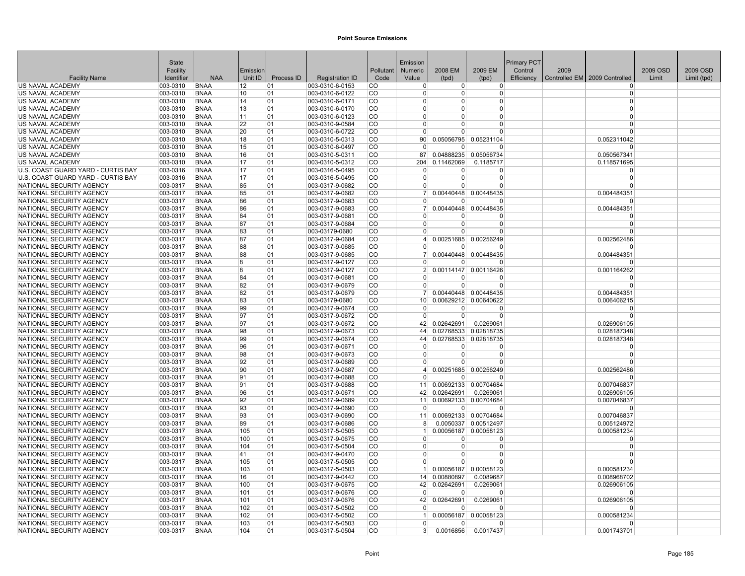|                                                      | <b>State</b>         |                            |          |            |                                    |                            | Emission             |                |                       | <b>Primary PCT</b> |      |                                 |          |             |
|------------------------------------------------------|----------------------|----------------------------|----------|------------|------------------------------------|----------------------------|----------------------|----------------|-----------------------|--------------------|------|---------------------------------|----------|-------------|
|                                                      | Facility             |                            | Emission |            |                                    | Pollutant                  | Numeric              | 2008 EM        | 2009 EM               | Control            | 2009 |                                 | 2009 OSD | 2009 OSD    |
| <b>Facility Name</b>                                 | Identifier           | <b>NAA</b>                 | Unit ID  | Process ID | <b>Registration ID</b>             | Code                       | Value                | (tpd)          | (tpd)                 | Efficiency         |      | Controlled EM   2009 Controlled | Limit    | Limit (tpd) |
| US NAVAL ACADEMY                                     | 003-0310             | <b>BNAA</b>                | 12       | 01         | 003-0310-6-0153                    | CO                         | $\Omega$             | $\overline{0}$ | $\overline{0}$        |                    |      | $\Omega$                        |          |             |
| US NAVAL ACADEMY                                     | 003-0310             | <b>BNAA</b>                | 10       | 01         | 003-0310-6-0122                    | <b>CO</b>                  | $\Omega$             | $\Omega$       | 0                     |                    |      | $\Omega$                        |          |             |
| US NAVAL ACADEMY                                     | 003-0310             | <b>BNAA</b>                | 14       | 01         | 003-0310-6-0171                    | <b>CO</b>                  | $\Omega$             | $\Omega$       | $\Omega$              |                    |      | $\Omega$                        |          |             |
| US NAVAL ACADEMY                                     | 003-0310             | <b>BNAA</b>                | 13       | 01         | 003-0310-6-0170                    | <sub>CO</sub>              | $\Omega$             | <sup>0</sup>   | 0                     |                    |      | $\Omega$                        |          |             |
| US NAVAL ACADEMY                                     | 003-0310             | <b>BNAA</b>                | 11       | 01         | 003-0310-6-0123                    | <sub>CO</sub>              | $\Omega$             | $\Omega$       | 0                     |                    |      | $\Omega$                        |          |             |
| US NAVAL ACADEMY                                     | 003-0310             | <b>BNAA</b>                | 22       | 01         | 003-0310-9-0584                    | CO                         | $\Omega$             | $\Omega$       | $\Omega$              |                    |      | $\Omega$                        |          |             |
| US NAVAL ACADEMY                                     | 003-0310             | <b>BNAA</b>                | 20       | 01         | 003-0310-6-0722                    | <b>CO</b>                  | $\Omega$             | U              | $\Omega$              |                    |      | $\Omega$                        |          |             |
| US NAVAL ACADEMY                                     | 003-0310             | <b>BNAA</b>                | 18       | 01         | 003-0310-5-0313                    | <b>CO</b>                  | 90 <sup>°</sup>      | 0.05056795     | 0.05231104            |                    |      | 0.052311042                     |          |             |
| US NAVAL ACADEMY                                     | 003-0310             | <b>BNAA</b>                | 15       | 01         | 003-0310-6-0497                    | CO                         | $\Omega$             | $\overline{0}$ | O                     |                    |      | $\Omega$                        |          |             |
| US NAVAL ACADEMY                                     | 003-0310             | <b>BNAA</b>                | 16       | 01         | 003-0310-5-0311                    | <b>CO</b>                  | 87                   | 0.04888235     | 0.05056734            |                    |      | 0.050567341                     |          |             |
| <b>US NAVAL ACADEMY</b>                              | 003-0310             | <b>BNAA</b>                | 17       | 01         | 003-0310-5-0312                    | <sub>CO</sub>              | 204                  | 0.11462069     | 0.1185717             |                    |      | 0.118571695                     |          |             |
| U.S. COAST GUARD YARD - CURTIS BAY                   | 003-0316             | <b>BNAA</b>                | 17       | 01         | 003-0316-5-0495                    | CO                         | $\Omega$             | $\Omega$       | 0                     |                    |      | $\Omega$                        |          |             |
| U.S. COAST GUARD YARD - CURTIS BAY                   | 003-0316             | <b>BNAA</b>                | 17       | 01         | 003-0316-5-0495                    | CO                         | $\Omega$             | $\overline{0}$ | $\Omega$              |                    |      | $\Omega$                        |          |             |
| NATIONAL SECURITY AGENCY                             | 003-0317             | <b>BNAA</b>                | 85       | 01         | 003-0317-9-0682                    | <sub>CO</sub>              | $\Omega$             | U              | $\Omega$              |                    |      | $\Omega$                        |          |             |
| NATIONAL SECURITY AGENCY                             | 003-0317             | <b>BNAA</b>                | 85       | 01         | 003-0317-9-0682                    | CO                         | 7                    | 0.00440448     | 0.00448435            |                    |      | 0.004484351                     |          |             |
| NATIONAL SECURITY AGENCY                             | 003-0317             | <b>BNAA</b>                | 86       | 01         | 003-0317-9-0683                    | <b>CO</b>                  | $\Omega$             | $\Omega$       | O                     |                    |      | $\Omega$                        |          |             |
| NATIONAL SECURITY AGENCY                             | 003-0317             | <b>BNAA</b>                | 86       | 01         | 003-0317-9-0683                    | CO                         | 7 <sup>1</sup>       | 0.00440448     | 0.00448435            |                    |      | 0.004484351                     |          |             |
| NATIONAL SECURITY AGENCY                             | 003-0317             | <b>BNAA</b>                | 84       | 01         | 003-0317-9-0681                    | CO                         | $\Omega$             | 0              | O                     |                    |      | $\Omega$                        |          |             |
| NATIONAL SECURITY AGENCY                             | 003-0317             | <b>BNAA</b>                | 87       | 101        | 003-0317-9-0684                    | <b>CO</b>                  | $\Omega$             | $\overline{0}$ | 0                     |                    |      | $\Omega$                        |          |             |
| NATIONAL SECURITY AGENCY                             | 003-0317             | <b>BNAA</b>                | 83       | 01         | 003-03179-0680                     | CO                         | $\Omega$             | $\Omega$       | $\Omega$              |                    |      | $\Omega$                        |          |             |
| NATIONAL SECURITY AGENCY                             | 003-0317             | <b>BNAA</b>                | 87       | 01         | 003-0317-9-0684                    | <b>CO</b>                  | 4                    |                | 0.00251685 0.00256249 |                    |      | 0.002562486                     |          |             |
| NATIONAL SECURITY AGENCY                             | 003-0317             | <b>BNAA</b>                | 88       | 01         | 003-0317-9-0685                    | <sub>CO</sub>              | $\Omega$             | $\Omega$       | $\Omega$              |                    |      | $\Omega$                        |          |             |
| NATIONAL SECURITY AGENCY                             | 003-0317             | <b>BNAA</b>                | 88       | 01         | 003-0317-9-0685                    | CO                         |                      |                | 0.00440448 0.00448435 |                    |      | 0.004484351                     |          |             |
| NATIONAL SECURITY AGENCY                             | 003-0317             | <b>BNAA</b>                | 8        | 01         | 003-0317-9-0127                    | CO                         | $\Omega$             | $\Omega$       | $\Omega$              |                    |      | n                               |          |             |
| NATIONAL SECURITY AGENCY                             | 003-0317             | <b>BNAA</b>                | ۱R.      | 01         | 003-0317-9-0127                    | <b>CO</b>                  | 2 <sup>1</sup>       |                | 0.00114147 0.00116426 |                    |      | 0.001164262                     |          |             |
| NATIONAL SECURITY AGENCY                             | 003-0317             | <b>BNAA</b>                | 84       | 01         | 003-0317-9-0681                    | <b>CO</b>                  | $\Omega$             | U              | O                     |                    |      | $\Omega$                        |          |             |
| NATIONAL SECURITY AGENCY                             | 003-0317             | <b>BNAA</b>                | 82       | 01         | 003-0317-9-0679                    | <b>CO</b>                  | $\Omega$             | 0              | $\Omega$              |                    |      | $\Omega$                        |          |             |
| NATIONAL SECURITY AGENCY                             | 003-0317             | <b>BNAA</b>                | 82       | 01         | 003-0317-9-0679                    | <b>CO</b>                  | 7 <sup>1</sup>       |                | 0.00440448 0.00448435 |                    |      | 0.004484351                     |          |             |
| NATIONAL SECURITY AGENCY                             | 003-0317             | <b>BNAA</b>                | 83       | 01         | 003-03179-0680                     | <b>CO</b>                  | 10 <sup>1</sup>      |                | 0.00629212 0.00640622 |                    |      | 0.006406215                     |          |             |
| NATIONAL SECURITY AGENCY                             | 003-0317             | <b>BNAA</b>                | 99       | 01         | 003-0317-9-0674                    | <b>CO</b>                  | $\Omega$             | $\Omega$       | 0                     |                    |      | $\Omega$                        |          |             |
| NATIONAL SECURITY AGENCY                             | 003-0317             | <b>BNAA</b>                | 97       | 01         | 003-0317-9-0672                    | CO                         | $\Omega$             | $\Omega$       | $\Omega$              |                    |      | $\Omega$                        |          |             |
| NATIONAL SECURITY AGENCY                             | 003-0317             | <b>BNAA</b>                | 97       | 01         | 003-0317-9-0672                    | <b>CO</b>                  | 42                   | 0.02642691     | 0.0269061             |                    |      | 0.026906105                     |          |             |
| NATIONAL SECURITY AGENCY                             | 003-0317             | <b>BNAA</b>                | 98       | 01         | 003-0317-9-0673                    | <b>CO</b>                  | 44                   | 0.02768533     | 0.02818735            |                    |      | 0.028187348                     |          |             |
| NATIONAL SECURITY AGENCY                             | 003-0317             | <b>BNAA</b>                | 99       | 01         | 003-0317-9-0674                    | <b>CO</b>                  | 44                   |                | 0.02768533 0.02818735 |                    |      | 0.028187348                     |          |             |
| NATIONAL SECURITY AGENCY                             | 003-0317             | <b>BNAA</b><br><b>BNAA</b> | 96       | 01<br>01   | 003-0317-9-0671                    | <b>CO</b><br><sub>CO</sub> | $\Omega$<br>$\Omega$ | $\Omega$<br>0  | $\Omega$<br>0         |                    |      | $\Omega$<br>$\Omega$            |          |             |
| NATIONAL SECURITY AGENCY                             | 003-0317             |                            | 98       |            | 003-0317-9-0673                    | <b>CO</b>                  | $\Omega$             | $\Omega$       | $\Omega$              |                    |      | $\Omega$                        |          |             |
| NATIONAL SECURITY AGENCY                             | 003-0317<br>003-0317 | <b>BNAA</b><br><b>BNAA</b> | 92<br>90 | 01<br>01   | 003-0317-9-0689                    | <b>CO</b>                  | $\vert$              |                | 0.00251685 0.00256249 |                    |      |                                 |          |             |
| NATIONAL SECURITY AGENCY<br>NATIONAL SECURITY AGENCY | 003-0317             | <b>BNAA</b>                | 91       | 01         | 003-0317-9-0687<br>003-0317-9-0688 | <b>CO</b>                  | $\Omega$             | $\Omega$       | n                     |                    |      | 0.002562486<br>$\Omega$         |          |             |
| NATIONAL SECURITY AGENCY                             | 003-0317             | <b>BNAA</b>                | 91       | 01         | 003-0317-9-0688                    | <b>CO</b>                  | 11 <sup>1</sup>      |                | 0.00692133 0.00704684 |                    |      | 0.007046837                     |          |             |
| NATIONAL SECURITY AGENCY                             | 003-0317             | <b>BNAA</b>                | 96       | 01         | 003-0317-9-0671                    | <sub>CO</sub>              | 42                   | 0.02642691     | 0.0269061             |                    |      | 0.026906105                     |          |             |
| NATIONAL SECURITY AGENCY                             | 003-0317             | <b>BNAA</b>                | 92       | 01         | 003-0317-9-0689                    | CO                         | 11                   | 0.00692133     | 0.00704684            |                    |      | 0.007046837                     |          |             |
| NATIONAL SECURITY AGENCY                             | 003-0317             | <b>BNAA</b>                | 93       | 01         | 003-0317-9-0690                    | <b>CO</b>                  | $\Omega$             | $\Omega$       | $\Omega$              |                    |      | $\Omega$                        |          |             |
| NATIONAL SECURITY AGENCY                             | 003-0317             | <b>BNAA</b>                | 93       | 01         | 003-0317-9-0690                    | <b>CO</b>                  | 11                   |                | 0.00692133 0.00704684 |                    |      | 0.007046837                     |          |             |
| NATIONAL SECURITY AGENCY                             | 003-0317             | <b>BNAA</b>                | 89       | 01         | 003-0317-9-0686                    | <b>CO</b>                  | 8                    |                | 0.0050337 0.00512497  |                    |      | 0.005124972                     |          |             |
| NATIONAL SECURITY AGENCY                             | 003-0317             | <b>BNAA</b>                | 105      | 01         | 003-0317-5-0505                    | <b>CO</b>                  | -1                   |                | 0.00056187 0.00058123 |                    |      | 0.000581234                     |          |             |
| NATIONAL SECURITY AGENCY                             | 003-0317             | <b>BNAA</b>                | 100      | 01         | 003-0317-9-0675                    | CO                         | $\Omega$             | <sup>0</sup>   | $\Omega$              |                    |      | $\Omega$                        |          |             |
| NATIONAL SECURITY AGENCY                             | 003-0317             | <b>BNAA</b>                | 104      | 01         | 003-0317-5-0504                    | CO                         | $\Omega$             | $\overline{0}$ | 0                     |                    |      | 0                               |          |             |
| NATIONAL SECURITY AGENCY                             | 003-0317             | <b>BNAA</b>                | 41       | 01         | 003-0317-9-0470                    | CO                         | $\overline{0}$       | $\overline{0}$ | $\Omega$              |                    |      | $\Omega$                        |          |             |
| NATIONAL SECURITY AGENCY                             | 003-0317             | <b>BNAA</b>                | 105      | 01         | 003-0317-5-0505                    | <b>CO</b>                  | $\Omega$             | $\Omega$       | $\Omega$              |                    |      | $\Omega$                        |          |             |
| NATIONAL SECURITY AGENCY                             | 003-0317             | <b>BNAA</b>                | 103      | 01         | 003-0317-5-0503                    | <b>CO</b>                  |                      | 0.00056187     | 0.00058123            |                    |      | 0.000581234                     |          |             |
| NATIONAL SECURITY AGENCY                             | 003-0317             | <b>BNAA</b>                | 16       | 01         | 003-0317-9-0442                    | <b>CO</b>                  | 14                   | 0.00880897     | 0.0089687             |                    |      | 0.008968702                     |          |             |
| NATIONAL SECURITY AGENCY                             | 003-0317             | <b>BNAA</b>                | 100      | 01         | 003-0317-9-0675                    | CO                         | 42                   | 0.02642691     | 0.0269061             |                    |      | 0.026906105                     |          |             |
| NATIONAL SECURITY AGENCY                             | 003-0317             | <b>BNAA</b>                | 101      | 01         | 003-0317-9-0676                    | CO                         | $\Omega$             | $\Omega$       | $\Omega$              |                    |      | $\Omega$                        |          |             |
| NATIONAL SECURITY AGENCY                             | 003-0317             | <b>BNAA</b>                | 101      | 01         | 003-0317-9-0676                    | <b>CO</b>                  | 42                   | 0.02642691     | 0.0269061             |                    |      | 0.026906105                     |          |             |
| NATIONAL SECURITY AGENCY                             | 003-0317             | <b>BNAA</b>                | 102      | 01         | 003-0317-5-0502                    | CO                         | $\Omega$             | $\Omega$       | O                     |                    |      | n                               |          |             |
| NATIONAL SECURITY AGENCY                             | 003-0317             | <b>BNAA</b>                | 102      | 01         | 003-0317-5-0502                    | <b>CO</b>                  |                      |                | 0.00056187 0.00058123 |                    |      | 0.000581234                     |          |             |
| NATIONAL SECURITY AGENCY                             | 003-0317             | <b>BNAA</b>                | 103      | 01         | 003-0317-5-0503                    | <sub>CO</sub>              | $\Omega$             | $\Omega$       | $\Omega$              |                    |      | $\Omega$                        |          |             |
| NATIONAL SECURITY AGENCY                             | 003-0317             | <b>BNAA</b>                | 104      | 01         | 003-0317-5-0504                    | <b>CO</b>                  |                      | 0.0016856      | 0.0017437             |                    |      | 0.001743701                     |          |             |
|                                                      |                      |                            |          |            |                                    |                            |                      |                |                       |                    |      |                                 |          |             |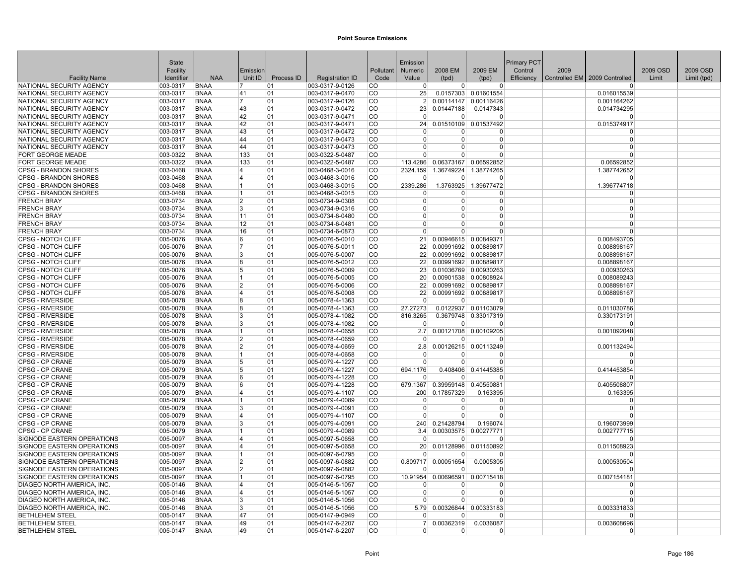|                                                      | <b>State</b>         |                            |                |            |                                    |                        | Emission        |                |                                   | <b>Primary PCT</b> |      |                               |          |             |
|------------------------------------------------------|----------------------|----------------------------|----------------|------------|------------------------------------|------------------------|-----------------|----------------|-----------------------------------|--------------------|------|-------------------------------|----------|-------------|
|                                                      | Facility             |                            | Emission       |            |                                    | Pollutant              | <b>Numeric</b>  | 2008 EM        | 2009 EM                           | Control            | 2009 |                               | 2009 OSD | 2009 OSD    |
| <b>Facility Name</b>                                 | Identifier           | <b>NAA</b>                 | Unit ID        | Process ID | <b>Registration ID</b>             | Code                   | Value           | (tpd)          | (tpd)                             | Efficiency         |      | Controlled EM 2009 Controlled | Limit    | Limit (tpd) |
| NATIONAL SECURITY AGENCY                             | 003-0317             | <b>BNAA</b>                | 17             | 01         | 003-0317-9-0126                    | CO                     | $\Omega$        | $\overline{0}$ | $\overline{0}$                    |                    |      | $\Omega$                      |          |             |
| NATIONAL SECURITY AGENCY                             | 003-0317             | <b>BNAA</b>                | 41             | 101        | 003-0317-9-0470                    | lCO                    | 25              |                | 0.0157303 0.01601554              |                    |      | 0.016015539                   |          |             |
| NATIONAL SECURITY AGENCY                             | 003-0317             | <b>BNAA</b>                | 17             | 01         | 003-0317-9-0126                    | <b>CO</b>              | $\overline{2}$  |                | 0.00114147 0.00116426             |                    |      | 0.001164262                   |          |             |
| NATIONAL SECURITY AGENCY                             | 003-0317             | <b>BNAA</b>                | 43             | 01         | 003-0317-9-0472                    | <b>CO</b>              | 23              | 0.01447188     | 0.0147343                         |                    |      | 0.014734295                   |          |             |
| NATIONAL SECURITY AGENCY<br>NATIONAL SECURITY AGENCY | 003-0317<br>003-0317 | <b>BNAA</b><br><b>BNAA</b> | 42<br>42       | 01<br>01   | 003-0317-9-0471<br>003-0317-9-0471 | <b>CO</b><br>CO        | $\Omega$<br>24  | $\Omega$       | $\Omega$<br>0.01510109 0.01537492 |                    |      | $\Omega$<br>0.015374917       |          |             |
| NATIONAL SECURITY AGENCY                             | 003-0317             | <b>BNAA</b>                | 43             | 01         | 003-0317-9-0472                    | <b>CO</b>              | $\Omega$        | $\Omega$       | $\Omega$                          |                    |      | $\Omega$                      |          |             |
| NATIONAL SECURITY AGENCY                             | 003-0317             | <b>BNAA</b>                | 44             | 01         | 003-0317-9-0473                    | <b>CO</b>              | $\Omega$        | $\Omega$       | $\overline{0}$                    |                    |      | $\Omega$                      |          |             |
| NATIONAL SECURITY AGENCY                             | 003-0317             | <b>BNAA</b>                | 44             | 01         | 003-0317-9-0473                    | <b>CO</b>              | $\Omega$        | 0              | $\Omega$                          |                    |      | $\Omega$                      |          |             |
| <b>FORT GEORGE MEADE</b>                             | 003-0322             | <b>BNAA</b>                | 133            | 01         | 003-0322-5-0487                    | <b>CO</b>              | $\Omega$        | U              | $\overline{0}$                    |                    |      | $\Omega$                      |          |             |
| <b>FORT GEORGE MEADE</b>                             | 003-0322             | <b>BNAA</b>                | 133            | 01         | 003-0322-5-0487                    | <b>CO</b>              | 113.4286        |                | 0.06373167 0.06592852             |                    |      | 0.06592852                    |          |             |
| <b>CPSG - BRANDON SHORES</b>                         | 003-0468             | <b>BNAA</b>                | 14             | 01         | 003-0468-3-0016                    | lCO                    | 2324.159        | 1.36749224     | 1.38774265                        |                    |      | 1.387742652                   |          |             |
| <b>CPSG - BRANDON SHORES</b>                         | 003-0468             | <b>BNAA</b>                | 14             | 01         | 003-0468-3-0016                    | <b>CO</b>              |                 | <sup>0</sup>   | $\Omega$                          |                    |      | $\Omega$                      |          |             |
| <b>CPSG - BRANDON SHORES</b>                         | 003-0468             | <b>BNAA</b>                | 11             | 01         | 003-0468-3-0015                    | <b>CO</b>              | 2339.286        |                | 1.3763925 1.39677472              |                    |      | 1.396774718                   |          |             |
| <b>CPSG - BRANDON SHORES</b>                         | 003-0468             | <b>BNAA</b>                | 11             | 01         | 003-0468-3-0015                    | <b>CO</b>              | $\Omega$        | 0              | $\Omega$                          |                    |      | $\Omega$                      |          |             |
| <b>FRENCH BRAY</b>                                   | 003-0734             | <b>BNAA</b>                | 2              | 01         | 003-0734-9-0308                    | <b>CO</b>              | $\overline{0}$  | $\overline{0}$ | $\overline{0}$                    |                    |      | $\Omega$                      |          |             |
| <b>FRENCH BRAY</b>                                   | 003-0734             | <b>BNAA</b>                | 3              | 01         | 003-0734-9-0316                    | <b>CO</b>              | $\Omega$        | $\Omega$       | $\Omega$                          |                    |      | $\Omega$                      |          |             |
| <b>FRENCH BRAY</b>                                   | 003-0734             | <b>BNAA</b>                | 11             | 01         | 003-0734-6-0480                    | <b>CO</b>              | $\Omega$        | $\Omega$       | $\Omega$                          |                    |      | $\Omega$                      |          |             |
| <b>FRENCH BRAY</b>                                   | 003-0734             | <b>BNAA</b>                | 12             | 01         | 003-0734-6-0481                    | lCO                    | $\Omega$        | <sup>0</sup>   | <sup>0</sup>                      |                    |      | $\Omega$                      |          |             |
| <b>FRENCH BRAY</b>                                   | 003-0734             | <b>BNAA</b>                | 16             | 01         | 003-0734-6-0873                    | lCO                    | $\Omega$        | $\Omega$       | $\Omega$                          |                    |      | $\Omega$                      |          |             |
| <b>CPSG - NOTCH CLIFF</b>                            | 005-0076             | <b>BNAA</b>                | 6              | 01         | 005-0076-5-0010                    | <b>CO</b>              | 21              |                | 0.00946615 0.00849371             |                    |      | 0.008493705                   |          |             |
| <b>CPSG - NOTCH CLIFF</b>                            | 005-0076             | <b>BNAA</b>                | 17             | 01         | 005-0076-5-0011                    | ICO.                   | 22              |                | 0.00991692 0.00889817             |                    |      | 0.008898167                   |          |             |
| <b>CPSG - NOTCH CLIFF</b>                            | 005-0076             | <b>BNAA</b>                | 3              | 01         | 005-0076-5-0007                    | <b>CO</b>              | 22              |                | 0.00991692 0.00889817             |                    |      | 0.008898167                   |          |             |
| CPSG - NOTCH CLIFF                                   | 005-0076             | <b>BNAA</b>                | 8              | 01         | 005-0076-5-0012                    | <b>CO</b>              | 22              |                | 0.00991692 0.00889817             |                    |      | 0.008898167                   |          |             |
| CPSG - NOTCH CLIFF                                   | 005-0076             | <b>BNAA</b>                | 5              | 01         | 005-0076-5-0009                    | <b>CO</b>              | 23              |                | 0.01036769 0.00930263             |                    |      | 0.00930263                    |          |             |
| <b>CPSG - NOTCH CLIFF</b>                            | 005-0076             | <b>BNAA</b>                |                | 01         | 005-0076-5-0005                    | <b>CO</b>              | 20 <sup>1</sup> |                | 0.00901538 0.00808924             |                    |      | 0.008089243                   |          |             |
| <b>CPSG - NOTCH CLIFF</b>                            | 005-0076             | <b>BNAA</b>                | 12<br>14       | 01<br> 01  | 005-0076-5-0006                    | <b>CO</b>              | 22<br>22        |                | 0.00991692 0.00889817             |                    |      | 0.008898167                   |          |             |
| <b>CPSG - NOTCH CLIFF</b><br><b>CPSG - RIVERSIDE</b> | 005-0076<br>005-0078 | <b>BNAA</b><br><b>BNAA</b> | R              | 01         | 005-0076-5-0008<br>005-0078-4-1363 | <b>CO</b><br><b>CO</b> | $\Omega$        | $\Omega$       | 0.00991692 0.00889817<br>$\Omega$ |                    |      | 0.008898167<br>$\Omega$       |          |             |
| <b>CPSG - RIVERSIDE</b>                              | 005-0078             | <b>BNAA</b>                | R              | 01         | 005-0078-4-1363                    | <b>CO</b>              | 27.27273        |                | 0.0122937 0.01103079              |                    |      | 0.011030786                   |          |             |
| <b>CPSG - RIVERSIDE</b>                              | 005-0078             | <b>BNAA</b>                | 3              | 01         | 005-0078-4-1082                    | <b>CO</b>              | 816.3265        |                | 0.3679748 0.33017319              |                    |      | 0.330173191                   |          |             |
| <b>CPSG - RIVERSIDE</b>                              | 005-0078             | <b>BNAA</b>                | l3             | 01         | 005-0078-4-1082                    | <b>CO</b>              | $\Omega$        | $\Omega$       | $\Omega$                          |                    |      | $\Omega$                      |          |             |
| <b>CPSG - RIVERSIDE</b>                              | 005-0078             | <b>BNAA</b>                | 11             | 01         | 005-0078-4-0658                    | <b>CO</b>              | 2.7             |                | 0.00121708 0.00109205             |                    |      | 0.001092048                   |          |             |
| <b>CPSG - RIVERSIDE</b>                              | 005-0078             | <b>BNAA</b>                | 2              | 01         | 005-0078-4-0659                    | <b>CO</b>              | $\Omega$        | $\Omega$       | $\Omega$                          |                    |      |                               |          |             |
| <b>CPSG - RIVERSIDE</b>                              | 005-0078             | <b>BNAA</b>                | 12             | 01         | 005-0078-4-0659                    | <b>CO</b>              | 2.8             |                | 0.00126215 0.00113249             |                    |      | 0.001132494                   |          |             |
| <b>CPSG - RIVERSIDE</b>                              | 005-0078             | <b>BNAA</b>                | 11             | 01         | 005-0078-4-0658                    | <b>CO</b>              | $\Omega$        | <sup>0</sup>   | $\Omega$                          |                    |      | $\Omega$                      |          |             |
| CPSG - CP CRANE                                      | 005-0079             | <b>BNAA</b>                | 15             | 01         | 005-0079-4-1227                    | l CO                   | $\Omega$        | $\Omega$       | $\Omega$                          |                    |      | $\Omega$                      |          |             |
| <b>CPSG - CP CRANE</b>                               | 005-0079             | <b>BNAA</b>                | 5              | 01         | 005-0079-4-1227                    | <b>CO</b>              | 694.1176        |                | 0.408406 0.41445385               |                    |      | 0.414453854                   |          |             |
| CPSG - CP CRANE                                      | 005-0079             | <b>BNAA</b>                | 6              | 01         | 005-0079-4-1228                    | <b>CO</b>              | $\Omega$        | <sup>0</sup>   | O                                 |                    |      | n                             |          |             |
| <b>CPSG - CP CRANE</b>                               | 005-0079             | <b>BNAA</b>                | 6              | 01         | 005-0079-4-1228                    | <b>CO</b>              | 679.1367        |                | 0.39959148 0.40550881             |                    |      | 0.405508807                   |          |             |
| <b>CPSG - CP CRANE</b>                               | 005-0079             | <b>BNAA</b>                | 14             | 01         | 005-0079-4-1107                    | <b>CO</b>              | 200             | 0.17857329     | 0.163395                          |                    |      | 0.163395                      |          |             |
| CPSG - CP CRANE                                      | 005-0079             | <b>BNAA</b>                | 11             | 01         | 005-0079-4-0089                    | <b>CO</b>              | $\Omega$        | $\Omega$       | 0                                 |                    |      | $\Omega$                      |          |             |
| CPSG - CP CRANE                                      | 005-0079             | <b>BNAA</b>                | 3              | 01         | 005-0079-4-0091                    | <b>CO</b>              | $\Omega$        | $\Omega$       | $\overline{0}$                    |                    |      | $\Omega$                      |          |             |
| CPSG - CP CRANE                                      | 005-0079             | <b>BNAA</b>                | 14<br>l3       | 01         | 005-0079-4-1107                    | l CO                   | $\Omega$        | $\overline{0}$ | $\Omega$                          |                    |      | n                             |          |             |
| CPSG - CP CRANE<br>CPSG - CP CRANE                   | 005-0079             | <b>BNAA</b>                |                | 01         | 005-0079-4-0091                    | <b>CO</b><br><b>CO</b> | 240             | 0.21428794     | 0.196074<br>0.00303575 0.00277771 |                    |      | 0.196073999                   |          |             |
| SIGNODE EASTERN OPERATIONS                           | 005-0079<br>005-0097 | <b>BNAA</b><br><b>BNAA</b> | 11<br>14       | 01<br> 01  | 005-0079-4-0089                    | <b>CO</b>              | 3.4<br>$\Omega$ | ŋ              | O                                 |                    |      | 0.002777715                   |          |             |
| SIGNODE EASTERN OPERATIONS                           | 005-0097             | <b>BNAA</b>                | 14             | 01         | 005-0097-5-0658<br>005-0097-5-0658 | <b>CO</b>              | 20              | 0.01128996     | 0.01150892                        |                    |      | 0.011508923                   |          |             |
| SIGNODE EASTERN OPERATIONS                           | 005-0097             | <b>BNAA</b>                | 11             | 01         | 005-0097-6-0795                    | <b>CO</b>              | $\Omega$        | $\Omega$       | $\Omega$                          |                    |      | $\Omega$                      |          |             |
| SIGNODE EASTERN OPERATIONS                           | 005-0097             | <b>BNAA</b>                | $\overline{2}$ | 01         | 005-0097-6-0882                    | <b>CO</b>              | 0.809717        | 0.00051654     | 0.0005305                         |                    |      | 0.000530504                   |          |             |
| SIGNODE EASTERN OPERATIONS                           | 005-0097             | <b>BNAA</b>                | 2              | 01         | 005-0097-6-0882                    | <b>CO</b>              |                 | $\Omega$       | $\Omega$                          |                    |      | U                             |          |             |
| SIGNODE EASTERN OPERATIONS                           | 005-0097             | <b>BNAA</b>                | 11             | 01         | 005-0097-6-0795                    | <b>CO</b>              | 10.91954        |                | 0.00696591 0.00715418             |                    |      | 0.007154181                   |          |             |
| DIAGEO NORTH AMERICA, INC.                           | 005-0146             | <b>BNAA</b>                | ا 4            | 01         | 005-0146-5-1057                    | <b>CO</b>              | $\Omega$        | O              | $\Omega$                          |                    |      | $\Omega$                      |          |             |
| DIAGEO NORTH AMERICA. INC.                           | 005-0146             | <b>BNAA</b>                | ا 4            | 01         | 005-0146-5-1057                    | <b>CO</b>              | $\Omega$        | $\Omega$       | $\Omega$                          |                    |      | $\Omega$                      |          |             |
| DIAGEO NORTH AMERICA. INC.                           | 005-0146             | <b>BNAA</b>                | Β.             | 01         | 005-0146-5-1056                    | l CO                   | $\Omega$        | $\Omega$       | $\Omega$                          |                    |      | $\Omega$                      |          |             |
| DIAGEO NORTH AMERICA, INC.                           | 005-0146             | <b>BNAA</b>                | 3              | 01         | 005-0146-5-1056                    | <b>CO</b>              | 5.79            |                | 0.00326844 0.00333183             |                    |      | 0.003331833                   |          |             |
| <b>BETHLEHEM STEEL</b>                               | 005-0147             | <b>BNAA</b>                | 47             | 01         | 005-0147-9-0949                    | <b>CO</b>              | $\Omega$        | $\Omega$       | $\Omega$                          |                    |      | $\Omega$                      |          |             |
| <b>BETHLEHEM STEEL</b>                               | 005-0147             | <b>BNAA</b>                | 49             | 01         | 005-0147-6-2207                    | <b>CO</b>              | 7 <sup>1</sup>  | 0.00362319     | 0.0036087                         |                    |      | 0.003608696                   |          |             |
| <b>BETHLEHEM STEEL</b>                               | 005-0147             | <b>BNAA</b>                | 49             | 01         | 005-0147-6-2207                    | <b>CO</b>              | $\overline{0}$  | $\overline{0}$ | $\mathbf 0$                       |                    |      | $\Omega$                      |          |             |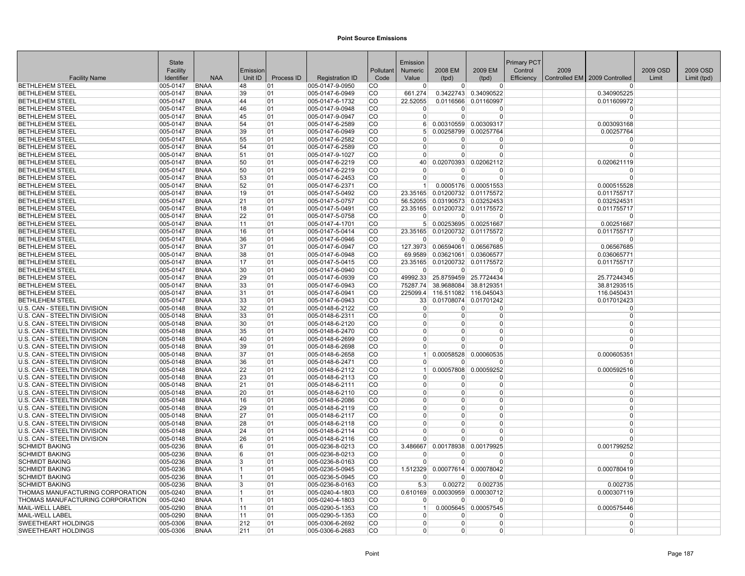|                                                              | State                |                            |                |            |                                    |                        | Emission                   |                                |                                              | Primary PCT |      |                               |          |             |
|--------------------------------------------------------------|----------------------|----------------------------|----------------|------------|------------------------------------|------------------------|----------------------------|--------------------------------|----------------------------------------------|-------------|------|-------------------------------|----------|-------------|
|                                                              | Facility             |                            | Emission       |            |                                    | Pollutant              | <b>Numeric</b>             | 2008 EM                        | 2009 EM                                      | Control     | 2009 |                               | 2009 OSD | 2009 OSD    |
| <b>Facility Name</b>                                         | Identifier           | <b>NAA</b>                 | Unit ID        | Process ID | <b>Registration ID</b>             | Code                   | Value                      | (tpd)                          | (tpd)                                        | Efficiency  |      | Controlled EM 2009 Controlled | Limit    | Limit (tpd) |
| <b>BETHLEHEM STEEL</b>                                       | 005-0147             | <b>BNAA</b><br><b>BNAA</b> | 48             | 01<br>01   | 005-0147-9-0950                    | <b>CO</b><br><b>CO</b> | $\overline{0}$             | $\Omega$                       | $\Omega$                                     |             |      | $\Omega$                      |          |             |
| <b>BETHLEHEM STEEL</b><br><b>BETHLEHEM STEEL</b>             | 005-0147<br>005-0147 | <b>BNAA</b>                | 39<br>44       | 01         | 005-0147-6-0949<br>005-0147-6-1732 | <b>CO</b>              | 661.274<br>22.52055        |                                | 0.3422743 0.34090522<br>0.0116566 0.01160997 |             |      | 0.340905225<br>0.011609972    |          |             |
| <b>BETHLEHEM STEEL</b>                                       | 005-0147             | <b>BNAA</b>                | 46             | 01         | 005-0147-9-0948                    | CO                     | $\overline{0}$             | $\Omega$                       | $\overline{0}$                               |             |      | $\Omega$                      |          |             |
| <b>BETHLEHEM STEEL</b>                                       | 005-0147             | <b>BNAA</b>                | 45             | 01         | 005-0147-9-0947                    | <b>CO</b>              | $\Omega$                   | $\Omega$                       | $\Omega$                                     |             |      | $\Omega$                      |          |             |
| <b>BETHLEHEM STEEL</b>                                       | 005-0147             | <b>BNAA</b>                | 54             | 01         | 005-0147-6-2589                    | <b>CO</b>              | 6                          |                                | 0.00310559 0.00309317                        |             |      | 0.003093168                   |          |             |
| <b>BETHLEHEM STEEL</b>                                       | 005-0147             | <b>BNAA</b>                | 39             | 01         | 005-0147-6-0949                    | lco                    | 5 <sup>1</sup>             |                                | 0.00258799 0.00257764                        |             |      | 0.00257764                    |          |             |
| <b>BETHLEHEM STEEL</b>                                       | 005-0147             | <b>BNAA</b>                | 55             | 01         | 005-0147-6-2582                    | <b>CO</b>              | $\Omega$                   | 0                              | $\Omega$                                     |             |      | $\Omega$                      |          |             |
| <b>BETHLEHEM STEEL</b>                                       | 005-0147             | <b>BNAA</b>                | 54             | 01         | 005-0147-6-2589                    | <b>CO</b>              | $\Omega$                   | 0                              | $\Omega$                                     |             |      | $\Omega$                      |          |             |
| <b>BETHLEHEM STEEL</b>                                       | 005-0147             | <b>BNAA</b>                | 51             | 01         | 005-0147-9-1027                    | CO                     | $\overline{0}$             | $\Omega$                       | $\Omega$                                     |             |      | $\Omega$                      |          |             |
| <b>BETHLEHEM STEEL</b>                                       | 005-0147             | <b>BNAA</b>                | 50             | 01         | 005-0147-6-2219                    | CO                     | 40                         |                                | 0.02070393 0.02062112                        |             |      | 0.020621119                   |          |             |
| <b>BETHLEHEM STEEL</b>                                       | 005-0147             | <b>BNAA</b>                | 50             | 01         | 005-0147-6-2219                    | <b>CO</b>              | $\overline{0}$             | $\Omega$                       | $\Omega$                                     |             |      | $\Omega$                      |          |             |
| <b>BETHLEHEM STEEL</b>                                       | 005-0147             | <b>BNAA</b>                | 53             | 01         | 005-0147-6-2453                    | <b>CO</b>              | $\overline{0}$             | $\Omega$                       | $\Omega$                                     |             |      | n                             |          |             |
| <b>BETHLEHEM STEEL</b>                                       | $ 005 - 0147$        | <b>BNAA</b>                | 52             | 01         | 005-0147-6-2371                    | CO                     | 1 <sup>1</sup>             |                                | 0.0005176 0.00051553                         |             |      | 0.000515528                   |          |             |
| <b>BETHLEHEM STEEL</b>                                       | 005-0147             | <b>BNAA</b>                | 19             | 01         | 005-0147-5-0492                    | <b>CO</b>              | 23.35165                   |                                | 0.01200732 0.01175572                        |             |      | 0.011755717                   |          |             |
| <b>BETHLEHEM STEEL</b>                                       | 005-0147             | <b>BNAA</b>                | 21             | 01         | 005-0147-5-0757                    | ∣co                    | 56.52055                   |                                | 0.03190573 0.03252453                        |             |      | 0.032524531                   |          |             |
| <b>BETHLEHEM STEEL</b>                                       | 005-0147             | <b>BNAA</b>                | 18             | 01         | 005-0147-5-0491                    | lco                    | 23.35165                   |                                | 0.01200732 0.01175572                        |             |      | 0.011755717                   |          |             |
| <b>BETHLEHEM STEEL</b>                                       | 005-0147             | <b>BNAA</b>                | 22             | 01         | 005-0147-5-0758                    | lco                    | $\Omega$                   | $\Omega$                       | $\Omega$                                     |             |      | $\Omega$                      |          |             |
| <b>BETHLEHEM STEEL</b>                                       | 005-0147             | <b>BNAA</b>                | 11             | 01         | 005-0147-4-1701                    | <b>CO</b>              | 5 <sup>1</sup>             | 0.00253695 0.00251667          |                                              |             |      | 0.00251667                    |          |             |
| <b>BETHLEHEM STEEL</b>                                       | 005-0147             | <b>BNAA</b>                | 16             | 01         | 005-0147-5-0414                    | <b>CO</b>              | 23.35165                   |                                | 0.01200732 0.01175572                        |             |      | 0.011755717                   |          |             |
| <b>BETHLEHEM STEEL</b>                                       | 005-0147             | <b>BNAA</b>                | 36             | 01         | 005-0147-6-0946                    | CO                     | $\Omega$                   | 0                              | $\Omega$                                     |             |      | $\Omega$                      |          |             |
| <b>BETHLEHEM STEEL</b>                                       | 005-0147             | <b>BNAA</b>                | 37             | 01         | 005-0147-6-0947                    | CO                     | 127.3973                   |                                | 0.06594061 0.06567685                        |             |      | 0.06567685                    |          |             |
| <b>BETHLEHEM STEEL</b>                                       | 005-0147             | <b>BNAA</b>                | 38             | 01         | 005-0147-6-0948                    | ∣CO                    |                            | 69.9589 0.03621061 0.03606577  |                                              |             |      | 0.036065771                   |          |             |
| <b>BETHLEHEM STEEL</b>                                       | 005-0147             | <b>BNAA</b>                | 17             | 01         | 005-0147-5-0415                    | CO                     |                            | 23.35165 0.01200732 0.01175572 |                                              |             |      | 0.011755717                   |          |             |
| <b>BETHLEHEM STEEL</b>                                       | 005-0147             | <b>BNAA</b>                | 30             | 01         | 005-0147-6-0940                    | CO                     | $\Omega$                   | $\Omega$                       | n                                            |             |      | $\Omega$                      |          |             |
| <b>BETHLEHEM STEEL</b>                                       | 005-0147             | <b>BNAA</b>                | 29             | 01         | 005-0147-6-0939                    | lco                    | 49992.33                   |                                | 25.8759459 25.7724434                        |             |      | 25.77244345                   |          |             |
| BETHLEHEM STEEL                                              | 005-0147             | <b>BNAA</b>                | 33             | 01         | 005-0147-6-0943                    | <b>CO</b>              |                            | 75287.74 38.9688084 38.8129351 |                                              |             |      | 38.81293515                   |          |             |
| <b>BETHLEHEM STEEL</b>                                       | 005-0147             | <b>BNAA</b>                | 31             | 01         | 005-0147-6-0941                    | co                     |                            | 225099.4 116.511082 116.045043 |                                              |             |      | 116.0450431                   |          |             |
| <b>BETHLEHEM STEEL</b>                                       | 005-0147             | <b>BNAA</b>                | 33             | 01         | 005-0147-6-0943                    | lco                    |                            | 33 0.01708074 0.01701242       |                                              |             |      | 0.017012423                   |          |             |
| U.S. CAN - STEELTIN DIVISION                                 | 005-0148             | <b>BNAA</b>                | 32             | 01         | 005-0148-6-2122                    | <b>CO</b>              | $\overline{0}$             | $\Omega$                       | $\Omega$                                     |             |      | $\Omega$                      |          |             |
| U.S. CAN - STEELTIN DIVISION                                 | 005-0148             | <b>BNAA</b>                | 33             | 01         | 005-0148-6-2311                    | <b>CO</b>              | $\mathbf 0$                | 0                              | 0                                            |             |      | $\mathbf 0$<br>$\Omega$       |          |             |
| U.S. CAN - STEELTIN DIVISION                                 | 005-0148             | <b>BNAA</b>                | 30             | 01         | 005-0148-6-2120                    | CO                     | $\overline{0}$             | $\Omega$<br>$\Omega$           | $\overline{0}$<br>$\Omega$                   |             |      | $\Omega$                      |          |             |
| U.S. CAN - STEELTIN DIVISION                                 | 005-0148             | <b>BNAA</b>                | 35             | 01         | 005-0148-6-2470                    | <b>CO</b>              | $\overline{0}$<br>$\Omega$ | U                              | $\Omega$                                     |             |      | $\Omega$                      |          |             |
| U.S. CAN - STEELTIN DIVISION<br>U.S. CAN - STEELTIN DIVISION | 005-0148<br>005-0148 | <b>BNAA</b><br><b>BNAA</b> | 40<br>39       | 01<br>01   | 005-0148-6-2699<br>005-0148-6-2698 | ∣CO<br><b>CO</b>       | $\Omega$                   | 0                              | $\Omega$                                     |             |      | $\Omega$                      |          |             |
| U.S. CAN - STEELTIN DIVISION                                 | 005-0148             | <b>BNAA</b>                | 37             | 01         | 005-0148-6-2658                    | <b>CO</b>              | 1                          |                                | 0.00058528 0.00060535                        |             |      | 0.000605351                   |          |             |
| U.S. CAN - STEELTIN DIVISION                                 | 005-0148             | <b>BNAA</b>                | 36             | 01         | 005-0148-6-2471                    | <b>CO</b>              | $\Omega$                   | $\Omega$                       | $\Omega$                                     |             |      | $\Omega$                      |          |             |
| U.S. CAN - STEELTIN DIVISION                                 | 005-0148             | <b>BNAA</b>                | 22             | 01         | 005-0148-6-2112                    | <b>CO</b>              | 1                          |                                | 0.00057808 0.00059252                        |             |      | 0.000592516                   |          |             |
| U.S. CAN - STEELTIN DIVISION                                 | 005-0148             | <b>BNAA</b>                | 23             | 01         | 005-0148-6-2113                    | CO                     | $\Omega$                   | $\Omega$                       | $\Omega$                                     |             |      | $\Omega$                      |          |             |
| U.S. CAN - STEELTIN DIVISION                                 | 005-0148             | <b>BNAA</b>                | 21             | 01         | 005-0148-6-2111                    | <b>CO</b>              | $\Omega$                   | $\Omega$                       | $\Omega$                                     |             |      | $\Omega$                      |          |             |
| U.S. CAN - STEELTIN DIVISION                                 | 005-0148             | <b>BNAA</b>                | 20             | 01         | 005-0148-6-2110                    | <b>CO</b>              | $\mathbf 0$                | $\Omega$                       | $\Omega$                                     |             |      | $\mathbf 0$                   |          |             |
| U.S. CAN - STEELTIN DIVISION                                 | 005-0148             | <b>BNAA</b>                | 16             | 01         | 005-0148-6-2086                    | <b>CO</b>              | $\mathbf 0$                | 0                              | $\mathbf 0$                                  |             |      | $\mathbf 0$                   |          |             |
| U.S. CAN - STEELTIN DIVISION                                 | 005-0148             | <b>BNAA</b>                | 29             | 01         | 005-0148-6-2119                    | CO                     | $\mathbf 0$                | $\Omega$                       | $\Omega$                                     |             |      | $\Omega$                      |          |             |
| U.S. CAN - STEELTIN DIVISION                                 | 005-0148             | <b>BNAA</b>                | 27             | 01         | 005-0148-6-2117                    | ∣co                    | $\Omega$                   | $\Omega$                       | $\Omega$                                     |             |      | $\Omega$                      |          |             |
| U.S. CAN - STEELTIN DIVISION                                 | $ 005 - 0148$        | <b>BNAA</b>                | 28             | 01         | 005-0148-6-2118                    | lco                    | $\Omega$                   | 0                              | $\Omega$                                     |             |      | $\Omega$                      |          |             |
| U.S. CAN - STEELTIN DIVISION                                 | 005-0148             | <b>BNAA</b>                | 24             | 01         | 005-0148-6-2114                    | lco                    | $\Omega$                   | 0                              | $\Omega$                                     |             |      | $\Omega$                      |          |             |
| U.S. CAN - STEELTIN DIVISION                                 | 005-0148             | <b>BNAA</b>                | 26             | 01         | 005-0148-6-2116                    | <b>CO</b>              | $\Omega$                   | $\Omega$                       | $\Omega$                                     |             |      | $\Omega$                      |          |             |
| <b>SCHMIDT BAKING</b>                                        | 005-0236             | <b>BNAA</b>                | 6              | 01         | 005-0236-8-0213                    | <b>CO</b>              | 3.486667                   | 0.00178938                     | 0.00179925                                   |             |      | 0.001799252                   |          |             |
| <b>SCHMIDT BAKING</b>                                        | 005-0236             | <b>BNAA</b>                | 6              | 01         | 005-0236-8-0213                    | CO                     | $\Omega$                   | 0                              | $\Omega$                                     |             |      | $\Omega$                      |          |             |
| <b>SCHMIDT BAKING</b>                                        | 005-0236             | <b>BNAA</b>                | 3              | 01         | 005-0236-8-0163                    | CO                     | $\Omega$                   | $\Omega$                       | $\Omega$                                     |             |      | $\Omega$                      |          |             |
| <b>SCHMIDT BAKING</b>                                        | 005-0236             | <b>BNAA</b>                | 11             | 01         | 005-0236-5-0945                    | <b>CO</b>              | 1.512329                   |                                | 0.00077614 0.00078042                        |             |      | 0.000780419                   |          |             |
| <b>SCHMIDT BAKING</b>                                        | 005-0236             | <b>BNAA</b>                | 11             | 01         | 005-0236-5-0945                    | CO                     | $\Omega$                   | o                              | 0                                            |             |      | n                             |          |             |
| <b>SCHMIDT BAKING</b>                                        | 005-0236             | <b>BNAA</b>                | 3              | 01         | 005-0236-8-0163                    | lco                    | 5.3                        | 0.00272                        | 0.002735                                     |             |      | 0.002735                      |          |             |
| THOMAS MANUFACTURING CORPORATION                             | 005-0240             | <b>BNAA</b>                | 11             | 01         | 005-0240-4-1803                    | lco                    | 0.610169                   |                                | 0.00030959 0.00030712                        |             |      | 0.000307119                   |          |             |
| <b>THOMAS MANUFACTURING CORPORATION</b>                      | 005-0240             | <b>BNAA</b>                | $\overline{1}$ | 01         | 005-0240-4-1803                    | <b>CO</b>              | $\Omega$                   | $\Omega$                       | $\Omega$                                     |             |      | $\Omega$                      |          |             |
| MAIL-WELL LABEL                                              | 005-0290             | <b>BNAA</b>                | 11             | 01         | 005-0290-5-1353                    | CO                     | 1                          |                                | 0.0005645 0.00057545                         |             |      | 0.000575446                   |          |             |
| MAIL-WELL LABEL                                              | 005-0290             | <b>BNAA</b>                | 11             | 01         | 005-0290-5-1353                    | <b>CO</b>              | $\overline{0}$             | $\Omega$                       | $\Omega$                                     |             |      | $\Omega$                      |          |             |
| <b>SWEETHEART HOLDINGS</b>                                   | 005-0306             | <b>BNAA</b>                | 212            | 01         | 005-0306-6-2692                    | <b>CO</b>              | $\overline{0}$             | 0                              | $\Omega$                                     |             |      | $\Omega$                      |          |             |
| <b>SWEETHEART HOLDINGS</b>                                   | 005-0306             | <b>BNAA</b>                | 211            | 01         | 005-0306-6-2683                    | <b>CO</b>              | $\overline{0}$             | 0                              | 0                                            |             |      | $\Omega$                      |          |             |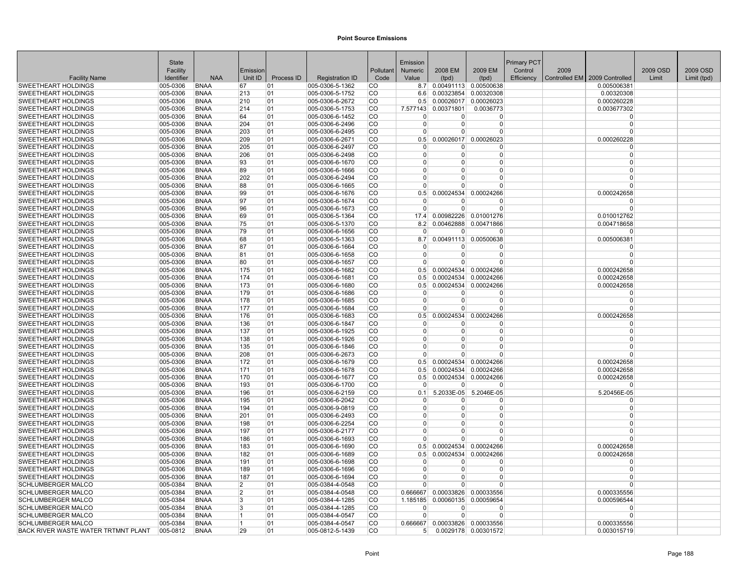|                                                   | <b>State</b>         |                            |                |            |                                    |               | Emission                |                      |                       | <b>Primary PCT</b> |      |                               |          |             |
|---------------------------------------------------|----------------------|----------------------------|----------------|------------|------------------------------------|---------------|-------------------------|----------------------|-----------------------|--------------------|------|-------------------------------|----------|-------------|
|                                                   | Facility             |                            | Emission       |            |                                    | Pollutant     | <b>Numeric</b>          | 2008 EM              | 2009 EM               | Control            | 2009 |                               | 2009 OSD | 2009 OSD    |
| <b>Facility Name</b>                              | Identifier           | <b>NAA</b>                 | Unit ID        | Process ID | <b>Registration ID</b>             | Code          | Value                   | (tpd)                | (tpd)                 | Efficiency         |      | Controlled EM 2009 Controlled | Limit    | Limit (tpd) |
| <b>SWEETHEART HOLDINGS</b>                        | 005-0306             | <b>BNAA</b>                | 67             | 01         | 005-0306-5-1362                    | <b>CO</b>     | 8.7                     |                      | 0.00491113 0.00500638 |                    |      | 0.005006381                   |          |             |
| <b>SWEETHEART HOLDINGS</b>                        | 005-0306             | <b>BNAA</b>                | 213            | 01         | 005-0306-5-1752                    | <b>CO</b>     | 66 K                    |                      | 0.00323854 0.00320308 |                    |      | 0.00320308                    |          |             |
| <b>SWEETHEART HOLDINGS</b>                        | 005-0306             | <b>BNAA</b>                | 210            | 01         | 005-0306-6-2672                    | CO            | 0.5                     |                      | 0.00026017 0.00026023 |                    |      | 0.000260228                   |          |             |
| <b>SWEETHEART HOLDINGS</b>                        | 005-0306             | <b>BNAA</b>                | 214            | 01         | 005-0306-5-1753                    | <b>CO</b>     | 7.577143                | 0.00371801           | 0.0036773             |                    |      | 0.003677302                   |          |             |
| <b>SWEETHEART HOLDINGS</b>                        | 005-0306             | <b>BNAA</b>                | 64             | 01         | 005-0306-6-1452                    | ∣co           | $\Omega$                | <sup>0</sup>         | $\Omega$              |                    |      | $\Omega$                      |          |             |
| SWEETHEART HOLDINGS                               | 005-0306             | <b>BNAA</b>                | 204            | 01         | 005-0306-6-2496                    | CO            | $\Omega$                | $\Omega$             | $\Omega$              |                    |      | $\Omega$                      |          |             |
| <b>SWEETHEART HOLDINGS</b>                        | 005-0306             | <b>BNAA</b>                | 203            | 01         | 005-0306-6-2495                    | lco           | $\Omega$                | $\Omega$             | $\Omega$              |                    |      | $\Omega$                      |          |             |
| <b>SWEETHEART HOLDINGS</b>                        | 005-0306             | <b>BNAA</b>                | 209            | 01         | 005-0306-6-2671                    | <b>CO</b>     | 0.5                     |                      | 0.00026017 0.00026023 |                    |      | 0.000260228                   |          |             |
| SWEETHEART HOLDINGS                               | 005-0306             | <b>BNAA</b>                | 205            | 01         | 005-0306-6-2497                    | <b>CO</b>     | $\mathbf 0$             | 0                    | $\Omega$              |                    |      | $\Omega$                      |          |             |
| <b>SWEETHEART HOLDINGS</b>                        | 005-0306             | <b>BNAA</b>                | 206            | 01         | 005-0306-6-2498                    | CO            | $\mathbf 0$             | 0                    | $\Omega$              |                    |      | $\mathbf 0$                   |          |             |
| <b>SWEETHEART HOLDINGS</b>                        | 005-0306             | <b>BNAA</b>                | 93             | 01         | 005-0306-6-1670                    | <b>CO</b>     | $\Omega$                | $\Omega$             | $\Omega$              |                    |      | $\Omega$                      |          |             |
| <b>SWEETHEART HOLDINGS</b>                        | 005-0306             | <b>BNAA</b>                | 89             | 01         | 005-0306-6-1666                    | ∣CO           | $\Omega$                | U                    | $\Omega$              |                    |      | $\Omega$                      |          |             |
| <b>SWEETHEART HOLDINGS</b>                        | 005-0306             | <b>BNAA</b>                | 202            | 01         | 005-0306-6-2494                    | lco           | $\Omega$                | 0                    | $\Omega$              |                    |      | $\Omega$                      |          |             |
| <b>SWEETHEART HOLDINGS</b>                        | 005-0306             | <b>BNAA</b>                | 88             | 01         | 005-0306-6-1665                    | <b>CO</b>     | $\Omega$                | 0                    | $\Omega$              |                    |      | $\Omega$                      |          |             |
| <b>SWEETHEART HOLDINGS</b>                        | 005-0306             | <b>BNAA</b>                | 99             | 01         | 005-0306-6-1676                    | <b>CO</b>     | 0.5                     | 0.00024534           | 0.00024266            |                    |      | 0.000242658                   |          |             |
| <b>SWEETHEART HOLDINGS</b>                        | 005-0306             | <b>BNAA</b>                | 97             | 01         | 005-0306-6-1674                    | <b>CO</b>     | $\Omega$                | 0                    | $\Omega$              |                    |      | $\Omega$                      |          |             |
| SWEETHEART HOLDINGS                               | 005-0306             | <b>BNAA</b>                | 96             | 01         | 005-0306-6-1673                    | CO            | $\mathbf 0$             | $\Omega$             | $\Omega$              |                    |      | $\Omega$                      |          |             |
| <b>SWEETHEART HOLDINGS</b>                        | 005-0306             | <b>BNAA</b>                | 69             | 01         | 005-0306-5-1364                    | <b>CO</b>     | 17.4                    |                      | 0.00982226 0.01001276 |                    |      | 0.010012762                   |          |             |
| <b>SWEETHEART HOLDINGS</b>                        | 005-0306             | <b>BNAA</b>                | 75             | 01         | 005-0306-5-1370                    | CO            | 8.2                     |                      | 0.00462888 0.00471866 |                    |      | 0.004718658                   |          |             |
| <b>SWEETHEART HOLDINGS</b>                        | 005-0306             | <b>BNAA</b>                | 79             | 01         | 005-0306-6-1656                    | <b>CO</b>     | $\Omega$                | 0                    | 0                     |                    |      | $\Omega$                      |          |             |
| <b>SWEETHEART HOLDINGS</b>                        | 005-0306             | <b>BNAA</b>                | 68             | 01         | 005-0306-5-1363                    | lco<br>lco    | 8.7                     |                      | 0.00491113 0.00500638 |                    |      | 0.005006381                   |          |             |
| <b>SWEETHEART HOLDINGS</b>                        | 005-0306             | <b>BNAA</b><br><b>BNAA</b> | 87             | 01         | 005-0306-6-1664                    | CO            | $\Omega$                | $\Omega$<br>$\Omega$ | $\Omega$<br>$\Omega$  |                    |      | $\Omega$<br>$\Omega$          |          |             |
| SWEETHEART HOLDINGS<br><b>SWEETHEART HOLDINGS</b> | 005-0306<br>005-0306 | <b>BNAA</b>                | 81<br>80       | 01<br>01   | 005-0306-6-1658                    | <b>ICO</b>    | $\mathbf 0$<br>$\Omega$ | $\Omega$             | $\Omega$              |                    |      | $\Omega$                      |          |             |
| <b>SWEETHEART HOLDINGS</b>                        | 005-0306             | <b>BNAA</b>                | 175            | 01         | 005-0306-6-1657<br>005-0306-6-1682 | <b>CO</b>     | 0.5                     |                      | 0.00024534 0.00024266 |                    |      | 0.000242658                   |          |             |
| <b>SWEETHEART HOLDINGS</b>                        | 005-0306             | <b>BNAA</b>                | 174            | 01         | 005-0306-6-1681                    | <b>CO</b>     | 0.5                     |                      | 0.00024534 0.00024266 |                    |      | 0.000242658                   |          |             |
| <b>SWEETHEART HOLDINGS</b>                        | 005-0306             | <b>BNAA</b>                | 173            | 01         | 005-0306-6-1680                    | CO            | 0.5                     |                      | 0.00024534 0.00024266 |                    |      | 0.000242658                   |          |             |
| SWEETHEART HOLDINGS                               | 005-0306             | <b>BNAA</b>                | 179            | 01         | 005-0306-6-1686                    | CO            | $\Omega$                | $\Omega$             | $\Omega$              |                    |      | $\Omega$                      |          |             |
| <b>SWEETHEART HOLDINGS</b>                        | 005-0306             | <b>BNAA</b>                | 178            | 01         | 005-0306-6-1685                    | <b>CO</b>     | $\Omega$                | $\Omega$             | $\Omega$              |                    |      | $\Omega$                      |          |             |
| <b>SWEETHEART HOLDINGS</b>                        | 005-0306             | <b>BNAA</b>                | 177            | 01         | 005-0306-6-1684                    | ∣co           | $\Omega$                | 0                    | $\Omega$              |                    |      | $\Omega$                      |          |             |
| <b>SWEETHEART HOLDINGS</b>                        | 005-0306             | <b>BNAA</b>                | 176            | 01         | 005-0306-6-1683                    | CO            | 0.5                     | 0.00024534           | 0.00024266            |                    |      | 0.000242658                   |          |             |
| <b>SWEETHEART HOLDINGS</b>                        | 005-0306             | <b>BNAA</b>                | 136            | 01         | 005-0306-6-1847                    | <b>CO</b>     | $\mathbf 0$             | 0                    | $\Omega$              |                    |      | $\mathbf 0$                   |          |             |
| <b>SWEETHEART HOLDINGS</b>                        | 005-0306             | <b>BNAA</b>                | 137            | 01         | 005-0306-6-1925                    | <b>CO</b>     | $\overline{0}$          | $\Omega$             | $\Omega$              |                    |      | $\Omega$                      |          |             |
| SWEETHEART HOLDINGS                               | 005-0306             | <b>BNAA</b>                | 138            | 01         | 005-0306-6-1926                    | <b>CO</b>     | $\Omega$                | 0                    | $\Omega$              |                    |      | $\Omega$                      |          |             |
| <b>SWEETHEART HOLDINGS</b>                        | 005-0306             | <b>BNAA</b>                | 135            | 01         | 005-0306-6-1846                    | CO            | $\Omega$                | 0                    | $\Omega$              |                    |      | $\Omega$                      |          |             |
| <b>SWEETHEART HOLDINGS</b>                        | 005-0306             | <b>BNAA</b>                | 208            | 01         | 005-0306-6-2673                    | CO            | $\Omega$                | U                    | $\Omega$              |                    |      | $\Omega$                      |          |             |
| <b>SWEETHEART HOLDINGS</b>                        | 005-0306             | <b>BNAA</b>                | 172            | 01         | 005-0306-6-1679                    | CO            | 0.5                     | 0.00024534           | 0.00024266            |                    |      | 0.000242658                   |          |             |
| <b>SWEETHEART HOLDINGS</b>                        | 005-0306             | <b>BNAA</b>                | 171            | 01         | 005-0306-6-1678                    | lco           | 0.5                     |                      | 0.00024534 0.00024266 |                    |      | 0.000242658                   |          |             |
| <b>SWEETHEART HOLDINGS</b>                        | 005-0306             | <b>BNAA</b>                | 170            | 01         | 005-0306-6-1677                    | <b>CO</b>     | 0.5                     |                      | 0.00024534 0.00024266 |                    |      | 0.000242658                   |          |             |
| <b>SWEETHEART HOLDINGS</b>                        | 005-0306             | <b>BNAA</b>                | 193            | 01         | 005-0306-6-1700                    | <b>CO</b>     | $\overline{0}$          | $\Omega$             | $\Omega$              |                    |      | $\Omega$                      |          |             |
| <b>SWEETHEART HOLDINGS</b>                        | 005-0306             | <b>BNAA</b>                | 196            | 01         | 005-0306-6-2159                    | <sub>CO</sub> | 0.1                     | 5.2033E-05           | 5.2046E-05            |                    |      | 5.20456E-05                   |          |             |
| <b>SWEETHEART HOLDINGS</b>                        | 005-0306             | <b>BNAA</b>                | 195            | 01         | 005-0306-6-2042                    | <b>CO</b>     | $\mathbf 0$             | 0                    | $\Omega$              |                    |      | $\Omega$                      |          |             |
| <b>SWEETHEART HOLDINGS</b>                        | 005-0306             | <b>BNAA</b>                | 194            | 01         | 005-0306-9-0819                    | <b>CO</b>     | $\overline{0}$          | $\Omega$             | $\overline{0}$        |                    |      | $\Omega$                      |          |             |
| <b>SWEETHEART HOLDINGS</b>                        | 005-0306             | <b>BNAA</b>                | 201            | 01         | 005-0306-6-2493                    | CO            | $\Omega$                | $\Omega$             | $\Omega$              |                    |      | $\mathbf 0$                   |          |             |
| SWEETHEART HOLDINGS                               | 005-0306             | <b>BNAA</b>                | 198            | 01         | 005-0306-6-2254                    | <b>CO</b>     | $\Omega$                | U                    | $\Omega$              |                    |      | $\Omega$                      |          |             |
| <b>SWEETHEART HOLDINGS</b>                        | 005-0306             | <b>BNAA</b>                | 197            | 01         | 005-0306-6-2177                    | lco           | $\Omega$                | 0                    | $\Omega$              |                    |      | $\Omega$                      |          |             |
| <b>SWEETHEART HOLDINGS</b>                        | 005-0306             | <b>BNAA</b>                | 186            | 01         | 005-0306-6-1693                    | ∣co           |                         | U                    | $\Omega$              |                    |      |                               |          |             |
| SWEETHEART HOLDINGS                               | 005-0306             | <b>BNAA</b>                | 183            | 01         | 005-0306-6-1690                    | <b>CO</b>     | 0.5                     | 0.00024534           | 0.00024266            |                    |      | 0.000242658                   |          |             |
| <b>SWEETHEART HOLDINGS</b>                        | 005-0306             | <b>BNAA</b>                | 182            | 01         | 005-0306-6-1689                    | CO            | 0.5                     | 0.00024534           | 0.00024266            |                    |      | 0.000242658                   |          |             |
| <b>SWEETHEART HOLDINGS</b>                        | 005-0306             | <b>BNAA</b>                | 191            | 01         | 005-0306-6-1698                    | CO            | $\Omega$                | $\Omega$             | $\Omega$              |                    |      | $\Omega$                      |          |             |
| <b>SWEETHEART HOLDINGS</b>                        | 005-0306             | <b>BNAA</b>                | 189            | 01         | 005-0306-6-1696                    | <b>CO</b>     | $\Omega$                | $\Omega$             | $\Omega$              |                    |      | $\Omega$                      |          |             |
| <b>SWEETHEART HOLDINGS</b>                        | 005-0306             | <b>BNAA</b>                | 187            | 01         | 005-0306-6-1694                    | CO            | $\Omega$                | 0                    | 0                     |                    |      | n                             |          |             |
| <b>SCHLUMBERGER MALCO</b>                         | 005-0384             | <b>BNAA</b>                | 2              | 01         | 005-0384-4-0548                    | CO            | $\Omega$                | $\Omega$             | $\Omega$              |                    |      | $\Omega$                      |          |             |
| <b>SCHLUMBERGER MALCO</b>                         | 005-0384             | <b>BNAA</b>                | $\overline{2}$ | 01         | 005-0384-4-0548                    | <b>CO</b>     | 0.666667                | 0.00033826           | 0.00033556            |                    |      | 0.000335556                   |          |             |
| <b>SCHLUMBERGER MALCO</b>                         | 005-0384             | <b>BNAA</b>                | <sup>3</sup>   | 01         | 005-0384-4-1285                    | ∣co           | 1.185185                | 0.00060135           | 0.00059654            |                    |      | 0.000596544<br>$\Omega$       |          |             |
| SCHLUMBERGER MALCO<br><b>SCHLUMBERGER MALCO</b>   | 005-0384<br>005-0384 | <b>BNAA</b><br><b>BNAA</b> | 3              | 01<br>01   | 005-0384-4-1285                    | CO<br>lco     | $\Omega$<br>$\Omega$    | 0<br>$\Omega$        | $\Omega$<br>$\Omega$  |                    |      | $\Omega$                      |          |             |
| <b>SCHLUMBERGER MALCO</b>                         | 005-0384             | <b>BNAA</b>                | 11             | 01         | 005-0384-4-0547<br>005-0384-4-0547 | <b>CO</b>     | 0.666667                |                      | 0.00033826 0.00033556 |                    |      | 0.000335556                   |          |             |
| <b>BACK RIVER WASTE WATER TRTMNT PLANT</b>        | 005-0812             | <b>BNAA</b>                | 29             | 01         | 005-0812-5-1439                    | <b>CO</b>     |                         |                      | 0.0029178 0.00301572  |                    |      | 0.003015719                   |          |             |
|                                                   |                      |                            |                |            |                                    |               | 5 <sup>1</sup>          |                      |                       |                    |      |                               |          |             |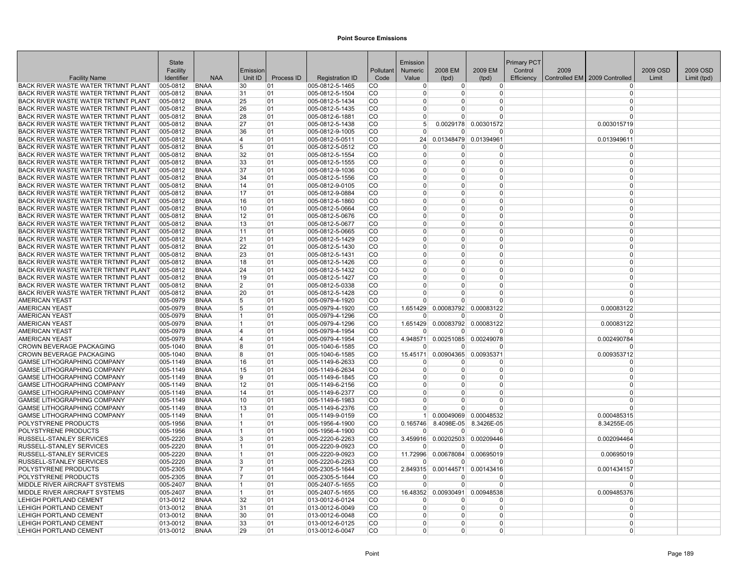| <b>State</b><br>Emission<br><b>Primary PCT</b>                                                                                                                                                                                                                                      |          |             |
|-------------------------------------------------------------------------------------------------------------------------------------------------------------------------------------------------------------------------------------------------------------------------------------|----------|-------------|
| 2009 EM<br>2009<br>Facility<br>Pollutant<br>2008 EM<br>Control<br>Emission<br><b>Numeric</b>                                                                                                                                                                                        | 2009 OSD | 2009 OSD    |
| <b>NAA</b><br>Unit ID<br>Process ID<br>Controlled EM 2009 Controlled<br><b>Facility Name</b><br>Identifier<br><b>Registration ID</b><br>Code<br>Value<br>(tpd)<br>(tpd)<br>Efficiency                                                                                               | Limit    | Limit (tpd) |
| BACK RIVER WASTE WATER TRTMNT PLANT<br>005-0812<br><b>BNAA</b><br>30<br>01<br>005-0812-5-1465<br>CO.<br>$\overline{0}$<br>$\overline{0}$<br>$\Omega$                                                                                                                                |          |             |
| 005-0812<br>BACK RIVER WASTE WATER TRTMNT PLANT<br><b>BNAA</b><br>01<br>005-0812-5-1504<br>CO<br>31<br>$\overline{0}$<br>0<br>0<br>$\Omega$                                                                                                                                         |          |             |
| BACK RIVER WASTE WATER TRTMNT PLANT<br>005-0812<br>005-0812-5-1434<br>CO<br><b>BNAA</b><br>25<br>01<br>$\overline{0}$<br>0<br>$\Omega$<br>$\Omega$                                                                                                                                  |          |             |
| BACK RIVER WASTE WATER TRTMNT PLANT<br>005-0812<br><b>BNAA</b><br>26<br>01<br>005-0812-5-1435<br>CO<br>0<br>0<br>$\Omega$<br>$\Omega$                                                                                                                                               |          |             |
| BACK RIVER WASTE WATER TRTMNT PLANT<br>005-0812<br><b>BNAA</b><br>28<br>01<br>005-0812-6-1881<br>CO<br>$\Omega$<br>$\Omega$<br>$\Omega$<br>$\Omega$                                                                                                                                 |          |             |
| $\overline{CO}$<br>0.0029178 0.00301572<br>BACK RIVER WASTE WATER TRTMNT PLANT<br>005-0812<br><b>BNAA</b><br>27<br>01<br>005-0812-5-1438<br>5 <sup>1</sup><br>0.003015719                                                                                                           |          |             |
| BACK RIVER WASTE WATER TRTMNT PLANT<br>005-0812<br><b>BNAA</b><br>36<br>01<br>005-0812-9-1005<br>CO.<br>$\overline{0}$<br>$\Omega$<br>$\Omega$<br>U                                                                                                                                 |          |             |
| BACK RIVER WASTE WATER TRTMNT PLANT<br>005-0812<br><b>BNAA</b><br>005-0812-5-0511<br>CO<br>0.01348479<br>0.01394961<br>0.013949611<br>4<br>01<br>24                                                                                                                                 |          |             |
| BACK RIVER WASTE WATER TRTMNT PLANT<br>005-0812<br>5<br>005-0812-5-0512<br>CO.<br><b>BNAA</b><br>01<br>$\mathbf 0$<br>$\Omega$<br>$\Omega$<br>0                                                                                                                                     |          |             |
| BACK RIVER WASTE WATER TRTMNT PLANT<br>005-0812<br><b>BNAA</b><br>32<br>01<br>005-0812-5-1554<br>CO<br>$\mathbf 0$<br>$\overline{0}$<br>$\overline{0}$<br>$\overline{0}$                                                                                                            |          |             |
| BACK RIVER WASTE WATER TRTMNT PLANT<br>005-0812<br>005-0812-5-1555<br>CO<br><b>BNAA</b><br>33<br>01<br>$\Omega$<br>$\Omega$<br>$\Omega$<br>$\Omega$                                                                                                                                 |          |             |
| BACK RIVER WASTE WATER TRTMNT PLANT<br>005-0812<br><b>BNAA</b><br>37<br>01<br>005-0812-9-1036<br>CO<br>0<br>$\Omega$<br>$\Omega$<br>$\Omega$                                                                                                                                        |          |             |
| CO<br>BACK RIVER WASTE WATER TRTMNT PLANT<br>005-0812<br><b>BNAA</b><br>34<br>01<br>005-0812-5-1556<br>$\Omega$<br>$\Omega$<br>$\Omega$<br>$\Omega$<br>$\Omega$<br>$\Omega$                                                                                                         |          |             |
| BACK RIVER WASTE WATER TRTMNT PLANT<br>005-0812<br><b>BNAA</b><br>14<br>01<br>005-0812-9-0105<br>CO.<br>$\overline{0}$<br>0<br>BACK RIVER WASTE WATER TRTMNT PLANT<br>005-0812<br><b>BNAA</b><br>17<br>01<br>005-0812-9-0884<br>CO.<br>$\Omega$<br>$\Omega$<br>$\Omega$<br>0        |          |             |
| BACK RIVER WASTE WATER TRTMNT PLANT<br>005-0812<br>01<br>CO<br>$\Omega$<br><b>BNAA</b><br>$\overline{0}$<br>$\overline{0}$<br>$\Omega$                                                                                                                                              |          |             |
| 16<br>005-0812-6-1860<br>BACK RIVER WASTE WATER TRTMNT PLANT<br>005-0812<br>$_{\rm CO}$<br><b>BNAA</b><br>01<br>005-0812-5-0664<br>$\Omega$<br>$\Omega$<br>$\Omega$<br>$\Omega$<br>10                                                                                               |          |             |
| BACK RIVER WASTE WATER TRTMNT PLANT<br>005-0812<br><b>BNAA</b><br>12<br>01<br>005-0812-5-0676<br>CO.<br>$\Omega$<br>$\Omega$<br>$\Omega$<br>0                                                                                                                                       |          |             |
| BACK RIVER WASTE WATER TRTMNT PLANT<br>005-0812<br><b>BNAA</b><br>13<br>01<br>005-0812-5-0677<br>CO<br>$\Omega$<br>$\Omega$<br>$\overline{0}$<br>$\Omega$                                                                                                                           |          |             |
| BACK RIVER WASTE WATER TRTMNT PLANT<br>005-0812<br>CO<br>$\Omega$<br>$\Omega$<br>$\Omega$<br><b>BNAA</b><br>11<br>01<br>005-0812-5-0665<br>0                                                                                                                                        |          |             |
| BACK RIVER WASTE WATER TRTMNT PLANT<br>005-0812<br><b>BNAA</b><br>01<br>005-0812-5-1429<br>CO<br>$\Omega$<br>21<br>$\overline{0}$<br>$\Omega$<br>$\Omega$                                                                                                                           |          |             |
| <b>BACK RIVER WASTE WATER TRTMNT PLANT</b><br>005-0812<br><b>BNAA</b><br>22<br>01<br>005-0812-5-1430<br>CO<br>$\Omega$<br>$\Omega$<br>$\Omega$<br>$\Omega$                                                                                                                          |          |             |
| BACK RIVER WASTE WATER TRTMNT PLANT<br>005-0812<br><b>BNAA</b><br>23<br>01<br>005-0812-5-1431<br>CO.<br>$\Omega$<br>0<br>$\Omega$<br>$\Omega$                                                                                                                                       |          |             |
| CO<br>BACK RIVER WASTE WATER TRTMNT PLANT<br>005-0812<br><b>BNAA</b><br>18<br>01<br>005-0812-5-1426<br>$\overline{0}$<br>$\Omega$<br>$\Omega$<br>$\Omega$                                                                                                                           |          |             |
| BACK RIVER WASTE WATER TRTMNT PLANT<br>005-0812<br><b>BNAA</b><br>01<br>005-0812-5-1432<br>CO.<br>$\overline{0}$<br>$\Omega$<br>$\Omega$<br>24<br>0                                                                                                                                 |          |             |
| BACK RIVER WASTE WATER TRTMNT PLANT<br>005-0812<br><b>BNAA</b><br>01<br>005-0812-5-1427<br>CO.<br>19<br>$\Omega$<br>0<br>$\Omega$<br>$\Omega$                                                                                                                                       |          |             |
| CO<br>$\mathbf 0$<br>BACK RIVER WASTE WATER TRTMNT PLANT<br>005-0812<br><b>BNAA</b><br>01<br>005-0812-5-0338<br>$\overline{0}$<br>$\Omega$<br>2<br>$\overline{0}$                                                                                                                   |          |             |
| BACK RIVER WASTE WATER TRTMNT PLANT<br>005-0812<br>20<br>005-0812-5-1428<br>CO<br>$\Omega$<br>$\Omega$<br>$\Omega$<br>$\Omega$<br><b>BNAA</b><br>01                                                                                                                                 |          |             |
| CO<br><b>AMERICAN YEAST</b><br>005-0979<br><b>BNAA</b><br>5<br>01<br>005-0979-4-1920<br>$\Omega$<br>$\Omega$<br>$\Omega$<br>$\Omega$                                                                                                                                                |          |             |
| 0.00083792<br><b>AMERICAN YEAST</b><br>005-0979<br><b>BNAA</b><br>5<br>01<br>005-0979-4-1920<br>CO<br>1.651429<br>0.00083122<br>0.00083122                                                                                                                                          |          |             |
| CO<br><b>AMERICAN YEAST</b><br>005-0979<br><b>BNAA</b><br>$\overline{1}$<br>005-0979-4-1296<br>$\Omega$<br>$\Omega$<br>$\Omega$<br>01<br>$\Omega$                                                                                                                                   |          |             |
| <b>AMERICAN YEAST</b><br>005-0979<br><b>BNAA</b><br>01<br>005-0979-4-1296<br>CO.<br>1.651429<br>0.00083792 0.00083122<br>0.00083122<br>$\overline{1}$                                                                                                                               |          |             |
| <b>AMERICAN YEAST</b><br>005-0979<br><b>BNAA</b><br>005-0979-4-1954<br>CO<br>$\overline{4}$<br>01<br>$\Omega$<br>$\Omega$<br>$\Omega$<br>$\Omega$                                                                                                                                   |          |             |
| 005-0979-4-1954<br>CO.<br><b>AMERICAN YEAST</b><br>005-0979<br><b>BNAA</b><br>4<br>01<br>4.948571<br>0.00251085<br>0.00249078<br>0.002490784                                                                                                                                        |          |             |
| CROWN BEVERAGE PACKAGING<br>01<br>CO<br>005-1040<br><b>BNAA</b><br>8<br>$ 005 - 1040 - 6 - 1585 $<br>$\Omega$<br><sup>0</sup><br>U<br>n                                                                                                                                             |          |             |
| CROWN BEVERAGE PACKAGING<br>CO<br>005-1040<br><b>BNAA</b><br>8<br>01<br>$ 005 - 1040 - 6 - 1585 $<br>15.45171<br>0.00904365 0.00935371<br>0.009353712                                                                                                                               |          |             |
| <b>GAMSE LITHOGRAPHING COMPANY</b><br>005-1149<br><b>BNAA</b><br>16<br>01<br>005-1149-6-2633<br>CO<br>$\Omega$<br>0<br>$\Omega$<br>$\Omega$                                                                                                                                         |          |             |
| CO<br>$\Omega$<br><b>GAMSE LITHOGRAPHING COMPANY</b><br>005-1149<br><b>BNAA</b><br>15<br>01<br>005-1149-6-2634<br>$\overline{0}$<br>$\Omega$<br>$\overline{0}$                                                                                                                      |          |             |
| <b>GAMSE LITHOGRAPHING COMPANY</b><br>005-1149<br><b>BNAA</b><br>9<br>01<br>005-1149-6-1845<br>CO.<br>$\Omega$<br>0<br>$\Omega$<br>$\Omega$                                                                                                                                         |          |             |
| <b>GAMSE LITHOGRAPHING COMPANY</b><br>005-1149<br><b>BNAA</b><br>01<br>005-1149-6-2156<br>CO.<br>12<br>$\Omega$<br>0<br>$\Omega$<br>$\Omega$                                                                                                                                        |          |             |
| <b>GAMSE LITHOGRAPHING COMPANY</b><br>CO<br>005-1149<br><b>BNAA</b><br>14<br>01<br>005-1149-6-2377<br>0<br>0<br>$\Omega$<br>$\Omega$                                                                                                                                                |          |             |
| <b>GAMSE LITHOGRAPHING COMPANY</b><br>10<br>005-1149-6-1983<br>CO<br>$\Omega$<br>$\Omega$<br>$\Omega$<br>005-1149<br><b>BNAA</b><br>01<br>0<br>$\Omega$<br>$\Omega$<br>$\Omega$                                                                                                     |          |             |
| <b>GAMSE LITHOGRAPHING COMPANY</b><br>005-1149<br><b>BNAA</b><br>13<br>01<br>005-1149-6-2376<br>CO.<br>$\Omega$<br>1<br>1 <sup>1</sup>                                                                                                                                              |          |             |
| <b>GAMSE LITHOGRAPHING COMPANY</b><br>005-1149<br><b>BNAA</b><br>01<br>005-1149-9-0159<br>CO<br>0.00049069 0.00048532<br>0.000485315<br>POLYSTYRENE PRODUCTS<br>CO<br>8.4098E-05<br>005-1956<br><b>BNAA</b><br>11<br>01<br>005-1956-4-1900<br>0.165746<br>8.3426E-05<br>8.34255E-05 |          |             |
| POLYSTYRENE PRODUCTS<br>CO<br>005-1956<br><b>BNAA</b><br>01<br>$ 005-1956-4-1900$<br>$\Omega$<br>$\Omega$<br>$\Omega$<br>$\Omega$<br>11                                                                                                                                             |          |             |
| RUSSELL-STANLEY SERVICES<br>3.459916 0.00202503<br>005-2220<br><b>BNAA</b><br>3<br>01<br>005-2220-6-2263<br>CO<br>0.00209446<br>0.002094464                                                                                                                                         |          |             |
| RUSSELL-STANLEY SERVICES<br>005-2220-9-0923<br>CO.<br>005-2220<br><b>BNAA</b><br>1<br>01<br>0<br>$\overline{0}$<br>$\Omega$                                                                                                                                                         |          |             |
| 005-2220-9-0923<br>CO<br>RUSSELL-STANLEY SERVICES<br>005-2220<br><b>BNAA</b><br>01<br>11.72996<br>0.00678084 0.00695019<br>0.00695019<br>11                                                                                                                                         |          |             |
| RUSSELL-STANLEY SERVICES<br>005-2220<br><b>BNAA</b><br>3<br>01<br>005-2220-6-2263<br>CO.<br>$\Omega$<br>$\Omega$<br>$\Omega$<br>$\Omega$                                                                                                                                            |          |             |
| POLYSTYRENE PRODUCTS<br>005-2305<br><b>BNAA</b><br>005-2305-5-1644<br>CO.<br>7<br>01<br>2.849315<br>0.00144571<br>0.00143416<br>0.001434157                                                                                                                                         |          |             |
| CO<br>POLYSTYRENE PRODUCTS<br>005-2305<br>01<br>$ 005 - 2305 - 5 - 1644$<br>BNAA<br>7<br>$\Omega$<br>$\Omega$<br><sup>0</sup>                                                                                                                                                       |          |             |
| MIDDLE RIVER AIRCRAFT SYSTEMS<br>005-2407-5-1655<br>CO<br>$\Omega$<br>$\Omega$<br>$\Omega$<br>005-2407<br><b>BNAA</b><br>$\overline{1}$<br>01<br>$\Omega$                                                                                                                           |          |             |
| MIDDLE RIVER AIRCRAFT SYSTEMS<br>CO<br>005-2407<br><b>BNAA</b><br>$\overline{1}$<br>01<br>005-2407-5-1655<br>16.48352<br>0.00930491<br>0.00948538<br>0.009485376                                                                                                                    |          |             |
| <b>LEHIGH PORTLAND CEMENT</b><br>013-0012<br><b>BNAA</b><br>32<br>01<br>013-0012-6-0124<br>CO<br>$\Omega$<br><sup>0</sup><br>$\Omega$<br>$\Omega$                                                                                                                                   |          |             |
| $\overline{CO}$<br><b>LEHIGH PORTLAND CEMENT</b><br>013-0012<br><b>BNAA</b><br>013-0012-6-0049<br>$\overline{0}$<br>$\Omega$<br>$\Omega$<br>31<br>01<br>0                                                                                                                           |          |             |
| <b>LEHIGH PORTLAND CEMENT</b><br>013-0012<br><b>BNAA</b><br>30<br>01<br>013-0012-6-0048<br>CO.<br>$\Omega$<br>$\Omega$<br>$\overline{0}$<br>0                                                                                                                                       |          |             |
| <b>LEHIGH PORTLAND CEMENT</b><br>013-0012<br>013-0012-6-0125<br>CO<br><b>BNAA</b><br>33<br>01<br>0<br>0<br>$\Omega$<br>$\Omega$                                                                                                                                                     |          |             |
| LEHIGH PORTLAND CEMENT<br>013-0012<br><b>BNAA</b><br>29<br>01<br>$ 013 - 0012 - 6 - 0047$<br>CO.<br>0<br>$\Omega$<br>$\Omega$<br>$\Omega$                                                                                                                                           |          |             |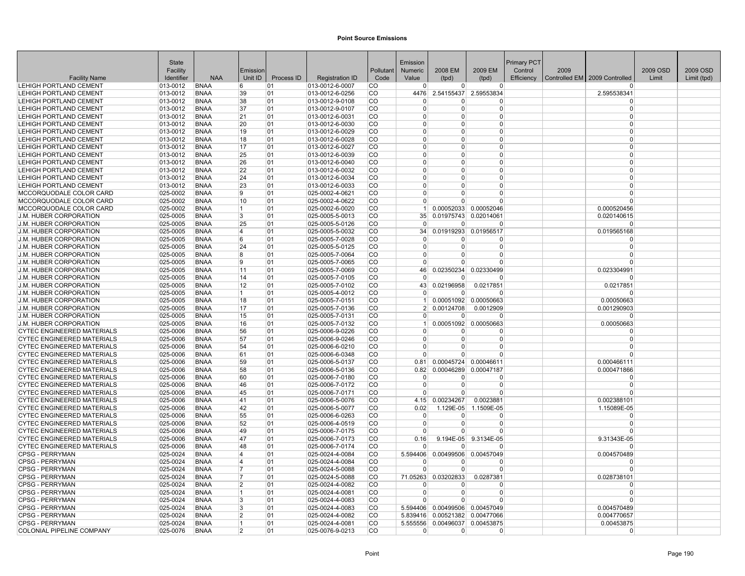|                                                                        | <b>State</b>              |                            |                |            |                                    |                  | Emission             |                      |                                | Primary PCT |      |                               |          |             |
|------------------------------------------------------------------------|---------------------------|----------------------------|----------------|------------|------------------------------------|------------------|----------------------|----------------------|--------------------------------|-------------|------|-------------------------------|----------|-------------|
|                                                                        | Facility                  |                            | Emission       |            |                                    | Pollutant        | <b>Numeric</b>       | 2008 EM              | 2009 EM                        | Control     | 2009 |                               | 2009 OSD | 2009 OSD    |
| <b>Facility Name</b>                                                   | Identifier                | <b>NAA</b>                 | Unit ID        | Process ID | <b>Registration ID</b>             | Code             | Value                | (tpd)                | (tpd)                          | Efficiency  |      | Controlled EM 2009 Controlled | Limit    | Limit (tpd) |
| LEHIGH PORTLAND CEMENT                                                 | 013-0012                  | <b>BNAA</b>                | 6              | 01         | 013-0012-6-0007                    | <b>CO</b>        | $\overline{0}$       | $\Omega$             | $\overline{0}$                 |             |      |                               |          |             |
| LEHIGH PORTLAND CEMENT                                                 | 013-0012                  | <b>BNAA</b>                | 39             | 01         | 013-0012-6-0256                    | <b>CO</b>        | 4476                 |                      | 2.54155437 2.59553834          |             |      | 2.595538341                   |          |             |
| LEHIGH PORTLAND CEMENT                                                 | 013-0012                  | <b>BNAA</b>                | 38             | 01         | 013-0012-9-0108                    | CO               | $\Omega$             | <sup>0</sup>         | 0                              |             |      | $\Omega$                      |          |             |
| LEHIGH PORTLAND CEMENT                                                 | 013-0012                  | <b>BNAA</b>                | 37             | 01         | 013-0012-9-0107                    | lco.             | $\Omega$             | $\Omega$             | $\Omega$                       |             |      | $\Omega$                      |          |             |
| LEHIGH PORTLAND CEMENT<br>LEHIGH PORTLAND CEMENT                       | $ 013 - 0012$<br>013-0012 | <b>BNAA</b><br><b>BNAA</b> | 21<br>20       | 01<br>01   | 013-0012-6-0031<br>013-0012-6-0030 | lco<br> CO       | $\Omega$<br>$\Omega$ | $\Omega$<br>$\Omega$ | $\Omega$<br>$\Omega$           |             |      | $\Omega$<br>$\Omega$          |          |             |
| LEHIGH PORTLAND CEMENT                                                 | 013-0012                  | <b>BNAA</b>                | 19             | 01         | 013-0012-6-0029                    | lco              | $\Omega$             | $\Omega$             | $\Omega$                       |             |      | $\Omega$                      |          |             |
| <b>LEHIGH PORTLAND CEMENT</b>                                          | 013-0012                  | <b>BNAA</b>                | 18             | 01         | 013-0012-6-0028                    | <b>CO</b>        | $\Omega$             | $\Omega$             | 0                              |             |      | $\Omega$                      |          |             |
| <b>LEHIGH PORTLAND CEMENT</b>                                          | 013-0012                  | <b>BNAA</b>                | 17             | 01         | 013-0012-6-0027                    | <b>CO</b>        | $\mathbf 0$          | $\Omega$             | $\overline{0}$                 |             |      | $\Omega$                      |          |             |
| LEHIGH PORTLAND CEMENT                                                 | 013-0012                  | <b>BNAA</b>                | 25             | 01         | 013-0012-6-0039                    | CO               | $\Omega$             | $\Omega$             | $\overline{0}$                 |             |      | $\Omega$                      |          |             |
| <b>LEHIGH PORTLAND CEMENT</b>                                          | $ 013 - 0012$             | <b>BNAA</b>                | 26             | 01         | 013-0012-6-0040                    | <b>CO</b>        | $\Omega$             | $\Omega$             | $\Omega$                       |             |      | $\Omega$                      |          |             |
| LEHIGH PORTLAND CEMENT                                                 | 013-0012                  | <b>BNAA</b>                | 22             | 01         | 013-0012-6-0032                    | <b>CO</b>        | $\Omega$             | $\Omega$             | $\Omega$                       |             |      | $\Omega$                      |          |             |
| LEHIGH PORTLAND CEMENT                                                 | 013-0012                  | <b>BNAA</b>                | 24             | 01         | 013-0012-6-0034                    | lco              | $\Omega$             | $\Omega$             | 0                              |             |      | $\Omega$                      |          |             |
| <b>LEHIGH PORTLAND CEMENT</b>                                          | 013-0012                  | <b>BNAA</b>                | 23             | 01         | 013-0012-6-0033                    | <b>CO</b>        | $\Omega$             | $\Omega$             | $\Omega$                       |             |      | $\Omega$                      |          |             |
| MCCORQUODALE COLOR CARD                                                | 025-0002                  | <b>BNAA</b>                | 9              | 01         | 025-0002-4-0621                    | <b>CO</b>        | $\Omega$             | $\Omega$             | $\Omega$                       |             |      | $\Omega$                      |          |             |
| MCCORQUODALE COLOR CARD                                                | $ 025 - 0002$             | <b>BNAA</b>                | 10             | 01         | 025-0002-4-0622                    | <b>CO</b>        | $\overline{0}$       | $\Omega$             | $\overline{0}$                 |             |      | $\Omega$                      |          |             |
| MCCORQUODALE COLOR CARD                                                | 025-0002                  | <b>BNAA</b>                | 11             | 01         | 025-0002-6-0020                    | CO               | $\mathbf{1}$         |                      | 0.00052033 0.00052046          |             |      | 0.000520456                   |          |             |
| <b>J.M. HUBER CORPORATION</b>                                          | 025-0005                  | <b>BNAA</b>                | 3              | 01         | 025-0005-5-0013                    | <b>CO</b>        | 35                   |                      | 0.01975743 0.02014061          |             |      | 0.020140615                   |          |             |
| <b>J.M. HUBER CORPORATION</b>                                          | $ 025 - 0005$             | <b>BNAA</b>                | 25             | 01         | 025-0005-5-0126                    | CO               | $\Omega$             | $\Omega$             | $\Omega$                       |             |      | $\Omega$                      |          |             |
| J.M. HUBER CORPORATION                                                 | $ 025 - 0005$             | <b>BNAA</b>                | 14             | 01         | 025-0005-5-0032                    | <b>CO</b>        | 34                   | 0.01919293           | 0.01956517                     |             |      | 0.019565168                   |          |             |
| <b>J.M. HUBER CORPORATION</b>                                          | 025-0005                  | <b>BNAA</b>                | 6              | 01         | 025-0005-7-0028                    | lco              | 0                    | 0                    | $\overline{0}$                 |             |      | $\Omega$                      |          |             |
| <b>J.M. HUBER CORPORATION</b>                                          | 025-0005                  | <b>BNAA</b>                | 24             | 01         | 025-0005-5-0125                    | lco              | $\Omega$             | $\Omega$             | $\Omega$                       |             |      | $\Omega$                      |          |             |
| J.M. HUBER CORPORATION                                                 | 025-0005                  | <b>BNAA</b>                | 8              | 01         | 025-0005-7-0064                    | <b>CO</b>        | $\mathbf 0$          | $\Omega$             | $\Omega$                       |             |      |                               |          |             |
| J.M. HUBER CORPORATION                                                 | 025-0005                  | <b>BNAA</b>                | 9              | 01         | 025-0005-7-0065                    | co               | $\Omega$             | $\Omega$             | $\Omega$                       |             |      |                               |          |             |
| J.M. HUBER CORPORATION                                                 | 025-0005                  | <b>BNAA</b>                | 11             | 01         | 025-0005-7-0069                    | CO               | 46                   | 0.02350234           | 0.02330499                     |             |      | 0.023304991                   |          |             |
| <b>J.M. HUBER CORPORATION</b>                                          | 025-0005                  | <b>BNAA</b>                | 14             | 01         | 025-0005-7-0105                    | <b>CO</b>        | $\Omega$             | $\Omega$             | $\Omega$                       |             |      | $\Omega$                      |          |             |
| <b>J.M. HUBER CORPORATION</b>                                          | $ 025 - 0005$             | <b>BNAA</b>                | 12             | 01         | 025-0005-7-0102                    | CO               | 43                   | 0.02196958           | 0.0217851                      |             |      | 0.0217851                     |          |             |
| J.M. HUBER CORPORATION                                                 | $ 025 - 0005$             | <b>BNAA</b>                | 11.            | 01         | 025-0005-4-0012                    | CO               | $\Omega$             | $\Omega$             | $\Omega$                       |             |      |                               |          |             |
| J.M. HUBER CORPORATION                                                 | 025-0005                  | <b>BNAA</b>                | 18             | 01         | 025-0005-7-0151                    | lco.             | $1 \vert$            |                      | 0.00051092 0.00050663          |             |      | 0.00050663                    |          |             |
| <b>J.M. HUBER CORPORATION</b>                                          | 025-0005                  | <b>BNAA</b>                | 17             | 01         | 025-0005-7-0136                    | lco              | $\mathcal{P}$        | 0.00124708           | 0.0012909                      |             |      | 0.001290903                   |          |             |
| J.M. HUBER CORPORATION                                                 | 025-0005                  | <b>BNAA</b>                | 15             | 01         | 025-0005-7-0131                    | CO               | $\Omega$             | $\Omega$             | $\Omega$                       |             |      | $\Omega$                      |          |             |
| J.M. HUBER CORPORATION                                                 | 025-0005                  | <b>BNAA</b>                | 16             | 01         | 025-0005-7-0132                    | <b>CO</b>        | 1                    |                      | 0.00051092 0.00050663          |             |      | 0.00050663                    |          |             |
| <b>CYTEC ENGINEERED MATERIALS</b>                                      | 025-0006                  | <b>BNAA</b>                | 56             | 01         | 025-0006-9-0226                    | <b>CO</b>        | $\Omega$             | $\Omega$             | $\Omega$                       |             |      | $\Omega$                      |          |             |
| <b>CYTEC ENGINEERED MATERIALS</b>                                      | 025-0006                  | <b>BNAA</b><br><b>BNAA</b> | 57<br>54       | 01         | 025-0006-9-0246                    | <b>CO</b><br> CO | $\Omega$<br>$\Omega$ | $\Omega$<br>$\Omega$ | $\Omega$<br>$\Omega$           |             |      | $\Omega$                      |          |             |
| <b>CYTEC ENGINEERED MATERIALS</b><br><b>CYTEC ENGINEERED MATERIALS</b> | 025-0006<br>025-0006      | <b>BNAA</b>                | 61             | 01<br>01   | 025-0006-6-0210<br>025-0006-6-0348 | <b>CO</b>        | $\Omega$             | U                    | $\Omega$                       |             |      |                               |          |             |
| <b>CYTEC ENGINEERED MATERIALS</b>                                      | 025-0006                  | <b>BNAA</b>                | 59             | 01         | 025-0006-5-0137                    | CO               | 0.81                 | 0.00045724           | 0.00046611                     |             |      | 0.000466111                   |          |             |
| <b>CYTEC ENGINEERED MATERIALS</b>                                      | 025-0006                  | <b>BNAA</b>                | 58             | 01         | 025-0006-5-0136                    | lco              | 0.82                 |                      | 0.00046289 0.00047187          |             |      | 0.000471866                   |          |             |
| <b>CYTEC ENGINEERED MATERIALS</b>                                      | 025-0006                  | <b>BNAA</b>                | 60             | 01         | 025-0006-7-0180                    | <b>CO</b>        | $\Omega$             | $\Omega$             | <sup>0</sup>                   |             |      | $\Omega$                      |          |             |
| <b>CYTEC ENGINEERED MATERIALS</b>                                      | 025-0006                  | <b>BNAA</b>                | 46             | 01         | 025-0006-7-0172                    | <b>CO</b>        | $\mathbf 0$          | $\Omega$             | $\Omega$                       |             |      | $\Omega$                      |          |             |
| <b>CYTEC ENGINEERED MATERIALS</b>                                      | 025-0006                  | <b>BNAA</b>                | 45             | 01         | 025-0006-7-0171                    | <b>CO</b>        | $\Omega$             | $\Omega$             | $\Omega$                       |             |      |                               |          |             |
| <b>CYTEC ENGINEERED MATERIALS</b>                                      | 025-0006                  | <b>BNAA</b>                | 41             | 01         | 025-0006-5-0076                    | CO               | 4.15                 | 0.00234267           | 0.0023881                      |             |      | 0.002388101                   |          |             |
| <b>CYTEC ENGINEERED MATERIALS</b>                                      | 025-0006                  | <b>BNAA</b>                | 42             | 01         | 025-0006-5-0077                    | <b>CO</b>        | 0.02                 | 1.129E-05            | 1.1509E-05                     |             |      | 1.15089E-05                   |          |             |
| <b>CYTEC ENGINEERED MATERIALS</b>                                      | 025-0006                  | <b>BNAA</b>                | 55             | 01         | 025-0006-6-0263                    | CO               | $\Omega$             | $\Omega$             | $\Omega$                       |             |      | $\Omega$                      |          |             |
| <b>CYTEC ENGINEERED MATERIALS</b>                                      | 025-0006                  | <b>BNAA</b>                | 52             | 01         | 025-0006-4-0519                    | <b>CO</b>        | 0                    | $\Omega$             | $\Omega$                       |             |      |                               |          |             |
| <b>CYTEC ENGINEERED MATERIALS</b>                                      | 025-0006                  | <b>BNAA</b>                | 49             | 01         | 025-0006-7-0175                    | lco              | $\Omega$             | $\Omega$             | $\Omega$                       |             |      | $\Omega$                      |          |             |
| <b>CYTEC ENGINEERED MATERIALS</b>                                      | 025-0006                  | <b>BNAA</b>                | 47             | 01         | 025-0006-7-0173                    | lco              | 0.16                 |                      | 9.194E-05 9.3134E-05           |             |      | 9.31343E-05                   |          |             |
| <b>CYTEC ENGINEERED MATERIALS</b>                                      | 025-0006                  | <b>BNAA</b>                | 48             | 01         | 025-0006-7-0174                    | <b>CO</b>        | $\Omega$             | $\Omega$             | $\Omega$                       |             |      |                               |          |             |
| <b>CPSG - PERRYMAN</b>                                                 | 025-0024                  | <b>BNAA</b>                | 4              | 01         | 025-0024-4-0084                    | co               | 5.594406             |                      | 0.00499506 0.00457049          |             |      | 0.004570489                   |          |             |
| <b>CPSG - PERRYMAN</b>                                                 | 025-0024                  | <b>BNAA</b>                | 4              | 01         | 025-0024-4-0084                    | CO               | $\Omega$             | $\Omega$             | $\Omega$                       |             |      |                               |          |             |
| <b>CPSG - PERRYMAN</b>                                                 | 025-0024                  | <b>BNAA</b>                | 17             | 01         | 025-0024-5-0088                    | <b>CO</b>        | $\Omega$             | $\Omega$             | $\overline{0}$                 |             |      | $\Omega$                      |          |             |
| <b>CPSG - PERRYMAN</b>                                                 | $ 025 - 0024$             | <b>BNAA</b>                | 17             | 01         | 025-0024-5-0088                    | CO               |                      | 71.05263 0.03202833  | 0.0287381                      |             |      | 0.028738101                   |          |             |
| <b>CPSG - PERRYMAN</b>                                                 | 025-0024                  | <b>BNAA</b>                | 2              | 01         | 025-0024-4-0082                    | CO               | $\Omega$             | $\Omega$             | $\Omega$                       |             |      | $\Omega$                      |          |             |
| <b>CPSG - PERRYMAN</b>                                                 | 025-0024                  | <b>BNAA</b>                | 1              | 01         | 025-0024-4-0081                    | <b>CO</b>        | $\Omega$             | $\Omega$             | $\Omega$                       |             |      | $\Omega$                      |          |             |
| <b>CPSG - PERRYMAN</b>                                                 | 025-0024                  | <b>BNAA</b>                | Β.             | 01         | 025-0024-4-0083                    | ∣co              | $\Omega$             | $\Omega$             | $\Omega$                       |             |      |                               |          |             |
| <b>CPSG - PERRYMAN</b>                                                 | 025-0024                  | <b>BNAA</b>                | 3              | 01         | 025-0024-4-0083                    | CO               | 5.594406             |                      | 0.00499506 0.00457049          |             |      | 0.004570489                   |          |             |
| <b>CPSG - PERRYMAN</b>                                                 | 025-0024                  | <b>BNAA</b>                | $\overline{2}$ | 01         | 025-0024-4-0082                    | lco              |                      |                      | 5.839416 0.00521382 0.00477066 |             |      | 0.004770657                   |          |             |
| <b>CPSG - PERRYMAN</b>                                                 | 025-0024                  | <b>BNAA</b>                | 11             | 01         | 025-0024-4-0081                    | <b>CO</b>        | 5.555556             |                      | 0.00496037 0.00453875          |             |      | 0.00453875                    |          |             |
| <b>COLONIAL PIPELINE COMPANY</b>                                       | 025-0076                  | <b>BNAA</b>                | $\overline{2}$ | 01         | 025-0076-9-0213                    | <b>CO</b>        | $\Omega$             | $\overline{0}$       | $\mathbf 0$                    |             |      | $\Omega$                      |          |             |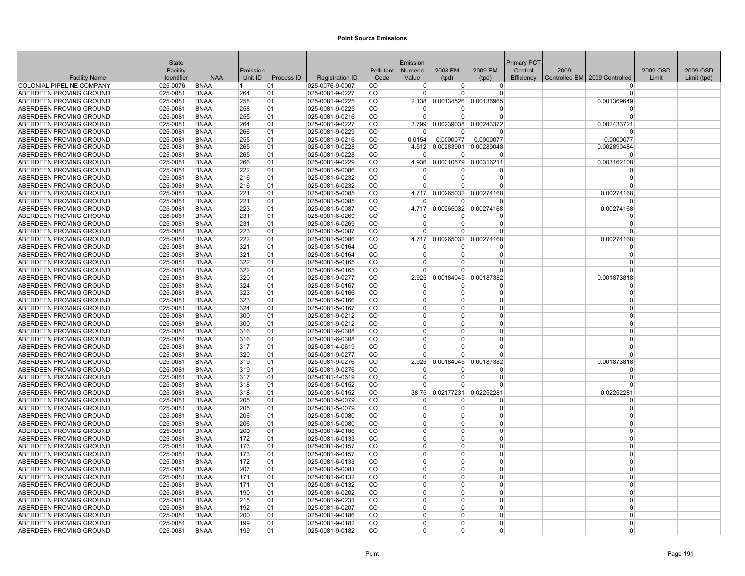|                                                    | State                |                            |            |            |                                    |                        | Emission             |                          |                                         | Primary PCT |      |                               |          |             |
|----------------------------------------------------|----------------------|----------------------------|------------|------------|------------------------------------|------------------------|----------------------|--------------------------|-----------------------------------------|-------------|------|-------------------------------|----------|-------------|
|                                                    | Facility             |                            | Emission   |            |                                    | Pollutant              | Numeric              | 2008 EM                  | 2009 EM                                 | Control     | 2009 |                               | 2009 OSD | 2009 OSD    |
| <b>Facility Name</b>                               | Identifier           | <b>NAA</b>                 | Unit ID    | Process ID | <b>Registration ID</b>             | Code                   | Value                | (tpd)                    | (tpd)                                   | Efficiency  |      | Controlled EM 2009 Controlled | Limit    | Limit (tpd) |
| COLONIAL PIPELINE COMPANY                          | 025-0076             | <b>BNAA</b>                | L 1.       | 01         | 025-0076-9-0007                    | CO                     | $\Omega$             | 0                        | $\overline{0}$                          |             |      | <sup>0</sup>                  |          |             |
| ABERDEEN PROVING GROUND                            | 025-0081             | <b>BNAA</b>                | 264        | 01         | 025-0081-9-0227                    | <b>CO</b>              | $\Omega$             | $\Omega$                 | 0                                       |             |      | $\Omega$                      |          |             |
| ABERDEEN PROVING GROUND                            | 025-0081             | <b>BNAA</b>                | 258        | 01         | 025-0081-9-0225                    | <b>CO</b>              | 2.138<br>n           | 0.00134526               | 0.00136965<br>$\Omega$                  |             |      | 0.001369649<br>n              |          |             |
| ABERDEEN PROVING GROUND<br>ABERDEEN PROVING GROUND | 025-0081             | <b>BNAA</b>                | 258        | 01         | 025-0081-9-0225                    | <b>CO</b><br><b>CO</b> | $\Omega$             | 0<br>$\Omega$            |                                         |             |      | $\Omega$                      |          |             |
|                                                    | 025-0081<br>025-0081 | <b>BNAA</b><br><b>BNAA</b> | 255<br>264 | 01<br> 01  | 025-0081-9-0216                    | <b>CO</b>              | 3.799                |                          | $\overline{0}$<br>0.00239038 0.00243372 |             |      |                               |          |             |
| ABERDEEN PROVING GROUND<br>ABERDEEN PROVING GROUND | 025-0081             | <b>BNAA</b>                | 266        | 01         | 025-0081-9-0227<br>025-0081-9-0229 | <b>CO</b>              | n                    | U                        | $\Omega$                                |             |      | 0.002433721<br>n              |          |             |
| ABERDEEN PROVING GROUND                            | 025-0081             | <b>BNAA</b>                | 255        | 01         | 025-0081-9-0216                    | <b>CO</b>              | 0.0154               | 0.0000077                | 0.0000077                               |             |      | 0.0000077                     |          |             |
| ABERDEEN PROVING GROUND                            | 025-0081             | <b>BNAA</b>                | 265        | 01         | 025-0081-9-0228                    | <b>CO</b>              | 4.512                | 0.00283901               | 0.00289048                              |             |      | 0.002890484                   |          |             |
| ABERDEEN PROVING GROUND                            | 025-0081             | <b>BNAA</b>                | 265        | 01         | 025-0081-9-0228                    | <b>CO</b>              | $\Omega$             | $\Omega$                 | $\Omega$                                |             |      | $\Omega$                      |          |             |
| ABERDEEN PROVING GROUND                            | 025-0081             | <b>BNAA</b>                | 266        | 01         | 025-0081-9-0229                    | <b>CO</b>              | 4.936                |                          | 0.00310579 0.00316211                   |             |      | 0.003162108                   |          |             |
| ABERDEEN PROVING GROUND                            | 025-0081             | <b>BNAA</b>                | 222        | 01         | 025-0081-5-0086                    | <b>CO</b>              | $\Omega$             | 0                        | $\Omega$                                |             |      | $\Omega$                      |          |             |
| ABERDEEN PROVING GROUND                            | 025-0081             | <b>BNAA</b>                | 216        | 01         | 025-0081-6-0232                    | <b>CO</b>              | n                    | 0                        | $\Omega$                                |             |      | $\Omega$                      |          |             |
| ABERDEEN PROVING GROUND                            | 025-0081             | <b>BNAA</b>                | 216        | 01         | 025-0081-6-0232                    | <b>CO</b>              | $\Omega$             | $\Omega$                 | $\Omega$                                |             |      | $\Omega$                      |          |             |
| ABERDEEN PROVING GROUND                            | 025-0081             | <b>BNAA</b>                | 221        | 01         | 025-0081-5-0085                    | <b>CO</b>              | 4.717                |                          | 0.00265032 0.00274168                   |             |      | 0.00274168                    |          |             |
| ABERDEEN PROVING GROUND                            | 025-0081             | <b>BNAA</b>                | 221        | 01         | 025-0081-5-0085                    | <b>CO</b>              | $\Omega$             | $\Omega$                 | <sup>0</sup>                            |             |      | $\Omega$                      |          |             |
| ABERDEEN PROVING GROUND                            | 025-0081             | <b>BNAA</b>                | 223        | 01         | 025-0081-5-0087                    | <b>CO</b>              | 4.717                | 0.00265032               | 0.00274168                              |             |      | 0.00274168                    |          |             |
| ABERDEEN PROVING GROUND                            | 025-0081             | <b>BNAA</b>                | 231        | 01         | 025-0081-6-0269                    | <b>CO</b>              | n                    | <sup>0</sup>             | 0                                       |             |      | n                             |          |             |
| ABERDEEN PROVING GROUND                            | 025-0081             | <b>BNAA</b>                | 231        | 01         | 025-0081-6-0269                    | <b>CO</b>              | $\Omega$             | $\Omega$                 | $\Omega$                                |             |      | $\Omega$                      |          |             |
| ABERDEEN PROVING GROUND                            | 025-0081             | <b>BNAA</b>                | 223        | 01         | 025-0081-5-0087                    | <b>CO</b>              | $\Omega$             | 0                        | $\Omega$                                |             |      | $\Omega$                      |          |             |
| ABERDEEN PROVING GROUND                            | 025-0081             | <b>BNAA</b>                | 222        | 01         | 025-0081-5-0086                    | <b>CO</b>              | 4.717                |                          | 0.00265032 0.00274168                   |             |      | 0.00274168                    |          |             |
| ABERDEEN PROVING GROUND                            | 025-0081             | <b>BNAA</b>                | 321        | 01         | 025-0081-5-0164                    | <b>CO</b>              | $\Omega$             | $\Omega$                 | $\Omega$                                |             |      | $\Omega$                      |          |             |
| ABERDEEN PROVING GROUND                            | 025-0081             | <b>BNAA</b>                | 321        | 01         | 025-0081-5-0164                    | <b>CO</b>              | $\Omega$             | $\Omega$                 | 0                                       |             |      | $\Omega$                      |          |             |
| ABERDEEN PROVING GROUND                            | 025-0081             | <b>BNAA</b>                | 322        | 01         | 025-0081-5-0165                    | <b>CO</b>              | n                    | <sup>0</sup>             | 0                                       |             |      | $\Omega$                      |          |             |
| ABERDEEN PROVING GROUND                            | 025-0081             | <b>BNAA</b>                | 322        | 01         | 025-0081-5-0165                    | <b>CO</b>              | $\Omega$             | U                        | $\Omega$                                |             |      | $\Omega$                      |          |             |
| ABERDEEN PROVING GROUND                            | 025-0081             | <b>BNAA</b>                | 320        | 01         | 025-0081-9-0277                    | <b>CO</b>              | 2.925                |                          | 0.00184045 0.00187382                   |             |      | 0.001873818                   |          |             |
| ABERDEEN PROVING GROUND                            | 025-0081             | <b>BNAA</b>                | 324        | 01         | 025-0081-5-0167                    | <b>CO</b>              | - 0                  | 0                        | $\Omega$                                |             |      | - 0                           |          |             |
| ABERDEEN PROVING GROUND                            | 025-0081             | <b>BNAA</b>                | 323        | 01         | 025-0081-5-0166                    | <b>CO</b>              | $\Omega$             | $\Omega$                 | 0                                       |             |      | $\Omega$                      |          |             |
| ABERDEEN PROVING GROUND                            | 025-0081             | <b>BNAA</b>                | 323        | 01         | 025-0081-5-0166                    | <b>CO</b>              | $\Omega$             | 0                        | $\Omega$                                |             |      | $\Omega$                      |          |             |
| ABERDEEN PROVING GROUND                            | 025-0081             | <b>BNAA</b>                | 324        | 01         | 025-0081-5-0167                    | <b>CO</b>              | $\Omega$             | $\Omega$                 | 0                                       |             |      | $\Omega$                      |          |             |
| ABERDEEN PROVING GROUND                            | 025-0081             | <b>BNAA</b>                | 300        | 01         | 025-0081-9-0212                    | <b>CO</b>              | $\Omega$             | 0                        | 0                                       |             |      | $\overline{0}$                |          |             |
| ABERDEEN PROVING GROUND                            | 025-0081             | <b>BNAA</b>                | 300        | 01         | 025-0081-9-0212                    | <b>CO</b>              | $\Omega$             | $\Omega$                 | $\overline{0}$                          |             |      | $\Omega$                      |          |             |
| ABERDEEN PROVING GROUND                            | 025-0081             | <b>BNAA</b>                | 316        | 01         | 025-0081-6-0308                    | <b>CO</b>              | $\Omega$             | $\Omega$                 | $\Omega$                                |             |      | $\Omega$                      |          |             |
| ABERDEEN PROVING GROUND                            | 025-0081             | <b>BNAA</b>                | 316        | 01         | 025-0081-6-0308                    | <b>CO</b>              | $\Omega$             | $\Omega$                 | $\Omega$                                |             |      | $\Omega$                      |          |             |
| ABERDEEN PROVING GROUND                            | 025-0081             | <b>BNAA</b>                | 317        | 01         | 025-0081-4-0619                    | <b>CO</b>              | n                    | O                        | 0                                       |             |      | $\Omega$                      |          |             |
| ABERDEEN PROVING GROUND                            | 025-0081             | <b>BNAA</b>                | 320        | 01         | 025-0081-9-0277                    | <b>CO</b>              | n                    | $\Omega$                 | $\Omega$                                |             |      | $\Omega$                      |          |             |
| ABERDEEN PROVING GROUND                            | 025-0081             | <b>BNAA</b>                | 319        | 01         | 025-0081-9-0276                    | <b>CO</b>              | 2.925                | 0.00184045               | 0.00187382                              |             |      | 0.001873818                   |          |             |
| ABERDEEN PROVING GROUND                            | 025-0081             | <b>BNAA</b>                | 319        | 01         | 025-0081-9-0276                    | <b>CO</b>              |                      | 0                        | $\Omega$                                |             |      | - 0                           |          |             |
| ABERDEEN PROVING GROUND                            | 025-0081             | <b>BNAA</b>                | 317        | 01         | 025-0081-4-0619                    | <b>CO</b>              | $\Omega$             | $\Omega$                 | $\Omega$                                |             |      | $\Omega$                      |          |             |
| ABERDEEN PROVING GROUND                            | 025-0081             | <b>BNAA</b>                | 318        | 01         | 025-0081-5-0152                    | <b>CO</b>              |                      | U                        | $\Omega$                                |             |      | $\Omega$                      |          |             |
| ABERDEEN PROVING GROUND                            | 025-0081             | <b>BNAA</b>                | 318        | 01         | 025-0081-5-0152                    | <b>CO</b>              | 38.75                | 0.02177231               | 0.02252281                              |             |      | 0.02252281                    |          |             |
| ABERDEEN PROVING GROUND                            | 025-0081             | <b>BNAA</b>                | 205        | 01         | 025-0081-5-0079                    | <b>CO</b>              | $\Omega$             | O                        | 0                                       |             |      | $\Omega$                      |          |             |
| ABERDEEN PROVING GROUND                            | 025-0081             | <b>BNAA</b>                | 205        | 01         | 025-0081-5-0079                    | <b>CO</b>              | $\Omega$             | $\Omega$                 | $\overline{0}$                          |             |      | $\Omega$                      |          |             |
| ABERDEEN PROVING GROUND                            | 025-0081             | <b>BNAA</b>                | 206        | 01         | 025-0081-5-0080                    | <b>CO</b>              | $\Omega$             | $\Omega$                 | 0                                       |             |      | $\Omega$<br>$\Omega$          |          |             |
| ABERDEEN PROVING GROUND                            | 025-0081             | <b>BNAA</b>                | 206        | 01         | 025-0081-5-0080                    | <b>CO</b>              | $\Omega$             | $\Omega$                 | $\Omega$                                |             |      | $\Omega$                      |          |             |
| ABERDEEN PROVING GROUND                            | 025-0081             | <b>BNAA</b>                | 200        | 01         | 025-0081-9-0186                    | <b>CO</b>              | $\Omega$<br>$\Omega$ | <sup>0</sup><br>$\Omega$ | $\Omega$<br>$\Omega$                    |             |      |                               |          |             |
| ABERDEEN PROVING GROUND                            | 025-0081             | <b>BNAA</b><br><b>BNAA</b> | 172<br>173 | 01         | 025-0081-6-0133                    | <b>CO</b><br><b>CO</b> | $\Omega$             | 0                        | $\Omega$                                |             |      | $\Omega$<br>$\overline{0}$    |          |             |
| ABERDEEN PROVING GROUND                            | 025-0081             |                            |            | 01<br> 01  | 025-0081-6-0157                    | <b>CO</b>              | $\Omega$             | 0                        | $\overline{0}$                          |             |      | $\Omega$                      |          |             |
| ABERDEEN PROVING GROUND                            | 025-0081             | <b>BNAA</b><br><b>BNAA</b> | 173<br>172 | 01         | 025-0081-6-0157                    | <b>CO</b>              | $\Omega$             | $\Omega$                 | $\Omega$                                |             |      | $\Omega$                      |          |             |
| ABERDEEN PROVING GROUND<br>ABERDEEN PROVING GROUND | 025-0081<br>025-0081 | <b>BNAA</b>                | 207        | 01         | 025-0081-6-0133<br>025-0081-5-0081 | <b>CO</b>              | $\Omega$             | 0                        | $\Omega$                                |             |      | $\Omega$                      |          |             |
| ABERDEEN PROVING GROUND                            | 025-0081             | <b>BNAA</b>                | 171        | 01         | 025-0081-6-0132                    | lCO                    | $\Omega$             | $\Omega$                 | 0                                       |             |      | $\Omega$                      |          |             |
| ABERDEEN PROVING GROUND                            | 025-0081             | <b>BNAA</b>                | 171        | 01         | 025-0081-6-0132                    | <b>CO</b>              | $\Omega$             | $\Omega$                 | $\overline{0}$                          |             |      | $\Omega$                      |          |             |
| ABERDEEN PROVING GROUND                            | 025-0081             | <b>BNAA</b>                | 190        | 01         | 025-0081-6-0202                    | <b>CO</b>              | $\Omega$             | $\Omega$                 | $\Omega$                                |             |      | $\Omega$                      |          |             |
| ABERDEEN PROVING GROUND                            | 025-0081             | <b>BNAA</b>                | 215        | 01         | 025-0081-6-0231                    | <b>CO</b>              | $\Omega$             | <sup>0</sup>             | $\Omega$                                |             |      | $\Omega$                      |          |             |
| ABERDEEN PROVING GROUND                            | 025-0081             | <b>BNAA</b>                | 192        | 01         | 025-0081-6-0207                    | <b>CO</b>              | $\Omega$             | $\Omega$                 | $\Omega$                                |             |      | $\Omega$                      |          |             |
| ABERDEEN PROVING GROUND                            | 025-0081             | <b>BNAA</b>                | 200        | 01         | 025-0081-9-0186                    | <b>CO</b>              | $\Omega$             | $\Omega$                 | $\Omega$                                |             |      | $\Omega$                      |          |             |
| ABERDEEN PROVING GROUND                            | 025-0081             | <b>BNAA</b>                | 199        | 01         | 025-0081-9-0182                    | <b>CO</b>              | $\Omega$             | $\Omega$                 | 0                                       |             |      | $\Omega$                      |          |             |
| ABERDEEN PROVING GROUND                            | 025-0081             | <b>BNAA</b>                | 199        | 01         | 025-0081-9-0182                    | <b>CO</b>              | $\overline{0}$       | $\Omega$                 | 0                                       |             |      | $\overline{0}$                |          |             |
|                                                    |                      |                            |            |            |                                    |                        |                      |                          |                                         |             |      |                               |          |             |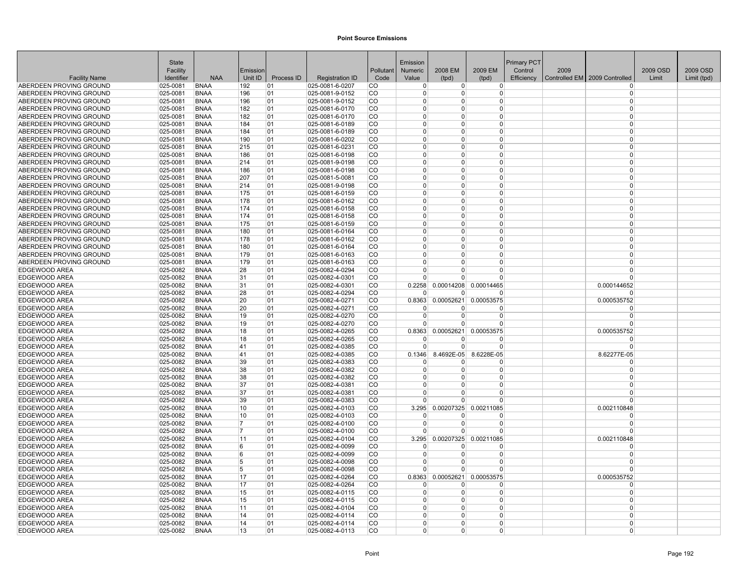|                                                    | <b>State</b>         |                            |            |            |                                    |                        | Emission             |                        |                       | <b>Primary PCT</b> |      |                                 |          |             |
|----------------------------------------------------|----------------------|----------------------------|------------|------------|------------------------------------|------------------------|----------------------|------------------------|-----------------------|--------------------|------|---------------------------------|----------|-------------|
|                                                    | Facility             |                            | Emission   |            |                                    | Pollutant              | <b>Numeric</b>       | 2008 EM                | 2009 EM               | Control            | 2009 |                                 | 2009 OSD | 2009 OSD    |
| <b>Facility Name</b>                               | Identifier           | <b>NAA</b>                 | Unit ID    | Process ID | <b>Registration ID</b>             | Code                   | Value                | (tpd)                  | (tpd)                 | Efficiency         |      | Controlled EM   2009 Controlled | Limit    | Limit (tpd) |
| ABERDEEN PROVING GROUND                            | 025-0081             | <b>BNAA</b>                | 192        | 01         | 025-0081-6-0207                    | <b>CO</b>              | $\Omega$             | $\overline{0}$         | $\Omega$              |                    |      | $\Omega$                        |          |             |
| ABERDEEN PROVING GROUND                            | $ 025 - 0081$        | <b>BNAA</b>                | 196        | 01         | 025-0081-9-0152                    | l CO                   | $\Omega$             | $\Omega$               | 0                     |                    |      | $\Omega$                        |          |             |
| ABERDEEN PROVING GROUND                            | $ 025 - 0081$        | <b>BNAA</b>                | 196        | 01         | 025-0081-9-0152                    | <b>CO</b>              | $\Omega$             | $\Omega$               | 0                     |                    |      | $\Omega$                        |          |             |
| ABERDEEN PROVING GROUND                            | $ 025 - 0081$        | <b>BNAA</b>                | 182        | 01         | 025-0081-6-0170                    | <b>CO</b>              | $\Omega$             | $\Omega$               | 0                     |                    |      | $\Omega$                        |          |             |
| ABERDEEN PROVING GROUND                            | $ 025 - 0081$        | <b>BNAA</b>                | 182        | 01         | 025-0081-6-0170                    | <b>CO</b><br>CO        | $\Omega$<br>$\Omega$ | $\Omega$<br>$\Omega$   | 0<br>$\Omega$         |                    |      | $\Omega$<br>$\Omega$            |          |             |
| ABERDEEN PROVING GROUND<br>ABERDEEN PROVING GROUND | 025-0081<br>025-0081 | <b>BNAA</b><br><b>BNAA</b> | 184<br>184 | 01<br>01   | 025-0081-6-0189<br>025-0081-6-0189 | <b>CO</b>              | $\Omega$             | $\Omega$               | $\Omega$              |                    |      | $\Omega$                        |          |             |
| ABERDEEN PROVING GROUND                            | 025-0081             | <b>BNAA</b>                | 190        | 01         | 025-0081-6-0202                    | <b>CO</b>              | $\Omega$             | $\Omega$               | 0                     |                    |      | $\Omega$                        |          |             |
| ABERDEEN PROVING GROUND                            | $ 025 - 0081$        | <b>BNAA</b>                | 215        | 01         | 025-0081-6-0231                    | <b>CO</b>              | $\overline{0}$       | $\Omega$               | 0                     |                    |      | $\Omega$                        |          |             |
| ABERDEEN PROVING GROUND                            | 025-0081             | <b>BNAA</b>                | 186        | 01         | 025-0081-6-0198                    | <b>CO</b>              | $\Omega$             | $\Omega$               | 0                     |                    |      | $\Omega$                        |          |             |
| ABERDEEN PROVING GROUND                            | 025-0081             | <b>BNAA</b>                | 214        | 01         | 025-0081-9-0198                    | <b>CO</b>              | $\Omega$             | U                      | 0                     |                    |      | $\Omega$                        |          |             |
| ABERDEEN PROVING GROUND                            | $ 025 - 0081$        | <b>BNAA</b>                | 186        | 01         | 025-0081-6-0198                    | <b>CO</b>              | $\Omega$             | $\Omega$               | 0                     |                    |      | $\Omega$                        |          |             |
| ABERDEEN PROVING GROUND                            | 025-0081             | <b>BNAA</b>                | 207        | 01         | 025-0081-5-0081                    | <b>CO</b>              | n                    | O                      | 0                     |                    |      | $\Omega$                        |          |             |
| ABERDEEN PROVING GROUND                            | 025-0081             | <b>BNAA</b>                | 214        | 01         | 025-0081-9-0198                    | <b>CO</b>              | $\Omega$             | $\Omega$               | $\Omega$              |                    |      | $\Omega$                        |          |             |
| ABERDEEN PROVING GROUND                            | 025-0081             | <b>BNAA</b>                | 175        | 01         | 025-0081-6-0159                    | <b>CO</b>              | $\Omega$             | $\Omega$               | 0                     |                    |      | $\Omega$                        |          |             |
| ABERDEEN PROVING GROUND                            | $ 025 - 0081$        | <b>BNAA</b>                | 178        | 01         | 025-0081-6-0162                    | <b>CO</b>              | $\Omega$             | 0                      | 0                     |                    |      | $\Omega$                        |          |             |
| ABERDEEN PROVING GROUND                            | 025-0081             | <b>BNAA</b>                | 174        | 01         | 025-0081-6-0158                    | <b>CO</b>              | $\Omega$             | $\Omega$               | 0                     |                    |      | $\Omega$                        |          |             |
| ABERDEEN PROVING GROUND                            | 025-0081             | <b>BNAA</b>                | 174        | 01         | 025-0081-6-0158                    | <b>CO</b>              | $\Omega$             | $\Omega$               | $\Omega$              |                    |      | $\Omega$                        |          |             |
| ABERDEEN PROVING GROUND                            | $ 025 - 0081$        | <b>BNAA</b>                | 175        | 01         | 025-0081-6-0159                    | lCO                    | $\Omega$             | <sup>0</sup>           | $\Omega$              |                    |      | $\Omega$                        |          |             |
| ABERDEEN PROVING GROUND                            | $ 025 - 0081$        | <b>BNAA</b>                | 180        | 01         | 025-0081-6-0164                    | <b>CO</b>              | $\Omega$             | $\Omega$               | 0                     |                    |      | $\Omega$                        |          |             |
| ABERDEEN PROVING GROUND                            | 025-0081             | <b>BNAA</b>                | 178        | 01         | 025-0081-6-0162                    | <b>CO</b>              | $\Omega$             | $\Omega$               | $\Omega$              |                    |      | $\Omega$                        |          |             |
| ABERDEEN PROVING GROUND                            | 025-0081             | <b>BNAA</b>                | 180        | 01         | 025-0081-6-0164                    | <b>CO</b>              | $\Omega$             | $\Omega$               | 0                     |                    |      | $\Omega$                        |          |             |
| ABERDEEN PROVING GROUND                            | $ 025 - 0081$        | <b>BNAA</b>                | 179        | 01         | 025-0081-6-0163                    | <b>CO</b>              | $\Omega$             | $\Omega$               | 0                     |                    |      | $\Omega$                        |          |             |
| ABERDEEN PROVING GROUND                            | 025-0081             | <b>BNAA</b>                | 179        | 01         | 025-0081-6-0163                    | <b>CO</b>              | $\Omega$             | $\Omega$               | 0                     |                    |      | $\Omega$                        |          |             |
| <b>EDGEWOOD AREA</b>                               | 025-0082             | <b>BNAA</b>                | 28         | 01         | 025-0082-4-0294                    | <b>CO</b>              | $\Omega$             | $\Omega$               | $\Omega$              |                    |      | $\Omega$                        |          |             |
| <b>EDGEWOOD AREA</b><br><b>EDGEWOOD AREA</b>       | 025-0082<br>025-0082 | <b>BNAA</b><br><b>BNAA</b> | 31<br> 31  | 01<br>01   | 025-0082-4-0301<br>025-0082-4-0301 | <b>CO</b><br><b>CO</b> | $\Omega$<br>0.2258   | $\Omega$<br>0.00014208 | 0<br>0.00014465       |                    |      | $\Omega$<br>0.000144652         |          |             |
| <b>EDGEWOOD AREA</b>                               | $ 025 - 0082$        | <b>BNAA</b>                | 28         | 01         | 025-0082-4-0294                    | <b>CO</b>              | $\Omega$             | $\Omega$               | U                     |                    |      | $\Omega$                        |          |             |
| <b>EDGEWOOD AREA</b>                               | 025-0082             | <b>BNAA</b>                | 20         | 01         | 025-0082-4-0271                    | <b>CO</b>              | 0.8363               | 0.00052621             | 0.00053575            |                    |      | 0.000535752                     |          |             |
| EDGEWOOD AREA                                      | 025-0082             | <b>BNAA</b>                | 20         | 01         | 025-0082-4-0271                    | <b>CO</b>              |                      | O                      | ŋ                     |                    |      | $\Omega$                        |          |             |
| <b>EDGEWOOD AREA</b>                               | 025-0082             | <b>BNAA</b>                | 19         | 01         | 025-0082-4-0270                    | <b>CO</b>              | $\Omega$             | $\Omega$               | 0                     |                    |      | $\Omega$                        |          |             |
| <b>EDGEWOOD AREA</b>                               | 025-0082             | <b>BNAA</b>                | 19         | 01         | 025-0082-4-0270                    | <b>CO</b>              | $\Omega$             | $\Omega$               | $\Omega$              |                    |      | $\Omega$                        |          |             |
| <b>EDGEWOOD AREA</b>                               | 025-0082             | <b>BNAA</b>                | 18         | 01         | 025-0082-4-0265                    | <b>CO</b>              | 0.8363               | 0.00052621             | 0.00053575            |                    |      | 0.000535752                     |          |             |
| EDGEWOOD AREA                                      | 025-0082             | <b>BNAA</b>                | 18         | 01         | 025-0082-4-0265                    | <b>CO</b>              | $\Omega$             | 0                      | 0                     |                    |      | $\Omega$                        |          |             |
| <b>EDGEWOOD AREA</b>                               | 025-0082             | <b>BNAA</b>                | 41         | 01         | 025-0082-4-0385                    | <b>CO</b>              | $\Omega$             | $\Omega$               | 0                     |                    |      | $\Omega$                        |          |             |
| <b>EDGEWOOD AREA</b>                               | 025-0082             | <b>BNAA</b>                | 41         | 01         | 025-0082-4-0385                    | <b>CO</b>              | 0.1346               | 8.4692E-05             | 8.6228E-05            |                    |      | 8.62277E-05                     |          |             |
| EDGEWOOD AREA                                      | 025-0082             | <b>BNAA</b>                | 39         | 01         | 025-0082-4-0383                    | <b>CO</b>              | $\Omega$             | O                      | ŋ                     |                    |      | $\Omega$                        |          |             |
| EDGEWOOD AREA                                      | 025-0082             | <b>BNAA</b>                | 38         | 01         | 025-0082-4-0382                    | <b>CO</b>              | $\Omega$             | $\Omega$               | $\overline{0}$        |                    |      | $\Omega$                        |          |             |
| <b>EDGEWOOD AREA</b>                               | 025-0082             | <b>BNAA</b>                | 38         | 01         | 025-0082-4-0382                    | <b>CO</b>              | $\Omega$             | $\Omega$               | $\Omega$              |                    |      | $\Omega$                        |          |             |
| <b>EDGEWOOD AREA</b>                               | 025-0082             | <b>BNAA</b>                | 37         | 01         | 025-0082-4-0381                    | <b>CO</b>              | $\Omega$             | $\Omega$               | 0                     |                    |      | $\Omega$                        |          |             |
| <b>EDGEWOOD AREA</b>                               | 025-0082             | <b>BNAA</b>                | 37         | 01         | 025-0082-4-0381                    | <b>CO</b>              | $\Omega$<br>$\Omega$ | O<br>n                 | 0<br>$\Omega$         |                    |      | $\Omega$<br>$\Omega$            |          |             |
| <b>EDGEWOOD AREA</b><br><b>EDGEWOOD AREA</b>       | 025-0082<br>025-0082 | <b>BNAA</b><br><b>BNAA</b> | 39<br>10   | 01<br>01   | 025-0082-4-0383<br>025-0082-4-0103 | <b>CO</b><br><b>CO</b> | 3.295                | 0.00207325             | 0.00211085            |                    |      | 0.002110848                     |          |             |
| <b>EDGEWOOD AREA</b>                               | 025-0082             | <b>BNAA</b>                | 10         | 01         | 025-0082-4-0103                    | lCO                    | $\Omega$             | $\Omega$               | ŋ                     |                    |      | $\Omega$                        |          |             |
| EDGEWOOD AREA                                      | 025-0082             | <b>BNAA</b>                | 17         | 01         | 025-0082-4-0100                    | <b>CO</b>              | $\Omega$             | $\Omega$               | 0                     |                    |      | $\Omega$                        |          |             |
| EDGEWOOD AREA                                      | 025-0082             | <b>BNAA</b>                | 17         | 01         | 025-0082-4-0100                    | <b>CO</b>              | $\Omega$             | $\Omega$               | 0                     |                    |      | $\Omega$                        |          |             |
| EDGEWOOD AREA                                      | 025-0082             | <b>BNAA</b>                | 11         | 01         | 025-0082-4-0104                    | <b>CO</b>              | 3.295                | 0.00207325             | 0.00211085            |                    |      | 0.002110848                     |          |             |
| EDGEWOOD AREA                                      | 025-0082             | <b>BNAA</b>                | 6          | 01         | 025-0082-4-0099                    | <b>CO</b>              | <sup>0</sup>         | 0                      | 0                     |                    |      | $\Omega$                        |          |             |
| <b>EDGEWOOD AREA</b>                               | 025-0082             | <b>BNAA</b>                | 6          | 01         | 025-0082-4-0099                    | <b>CO</b>              | $\Omega$             | $\Omega$               | 0                     |                    |      | $\Omega$                        |          |             |
| <b>EDGEWOOD AREA</b>                               | 025-0082             | <b>BNAA</b>                | 5          | 01         | 025-0082-4-0098                    | <b>CO</b>              | $\Omega$             | $\Omega$               | $\Omega$              |                    |      | $\Omega$                        |          |             |
| <b>EDGEWOOD AREA</b>                               | 025-0082             | <b>BNAA</b>                | 5          | 01         | 025-0082-4-0098                    | <b>CO</b>              |                      | $\Omega$               | 0                     |                    |      | $\Omega$                        |          |             |
| <b>EDGEWOOD AREA</b>                               | 025-0082             | <b>BNAA</b>                | 17         | 01         | 025-0082-4-0264                    | <b>CO</b>              | 0.8363               |                        | 0.00052621 0.00053575 |                    |      | 0.000535752                     |          |             |
| <b>EDGEWOOD AREA</b>                               | $ 025 - 0082$        | <b>BNAA</b>                | 17         | 01         | 025-0082-4-0264                    | <b>CO</b>              | $\Omega$             | $\Omega$               | 0                     |                    |      | $\Omega$                        |          |             |
| EDGEWOOD AREA                                      | 025-0082             | <b>BNAA</b>                | 15         | 01         | 025-0082-4-0115                    | <b>CO</b>              | $\Omega$             | $\Omega$               | 0                     |                    |      | $\Omega$                        |          |             |
| EDGEWOOD AREA                                      | 025-0082             | <b>BNAA</b>                | 15         | 01         | 025-0082-4-0115                    | <b>CO</b>              | $\Omega$<br>$\Omega$ | <sup>0</sup>           | $\Omega$              |                    |      | $\Omega$                        |          |             |
| <b>EDGEWOOD AREA</b>                               | 025-0082             | <b>BNAA</b>                | 11         | 01         | 025-0082-4-0104                    | <b>CO</b>              | $\Omega$             | $\Omega$<br>$\Omega$   | 0<br>$\Omega$         |                    |      | $\Omega$<br>$\Omega$            |          |             |
| <b>EDGEWOOD AREA</b><br><b>EDGEWOOD AREA</b>       | 025-0082<br>025-0082 | <b>BNAA</b><br><b>BNAA</b> | 14<br>14   | 01<br>01   | 025-0082-4-0114<br>025-0082-4-0114 | <b>CO</b><br><b>CO</b> | $\Omega$             | $\Omega$               | 0                     |                    |      | $\Omega$                        |          |             |
| EDGEWOOD AREA                                      | 025-0082             | <b>BNAA</b>                | 13         | 01         | 025-0082-4-0113                    | <b>CO</b>              | $\overline{0}$       | 0                      | 0                     |                    |      | $\Omega$                        |          |             |
|                                                    |                      |                            |            |            |                                    |                        |                      |                        |                       |                    |      |                                 |          |             |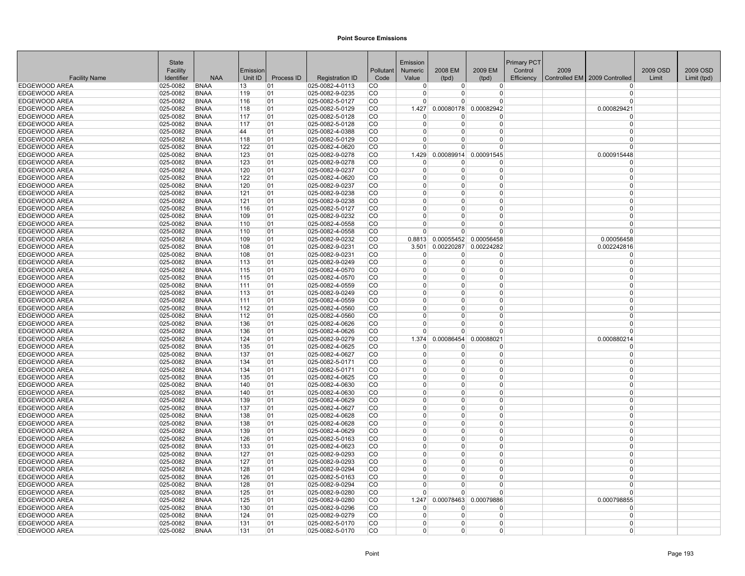|                                | State                |                            |            |            |                                    |                        | Emission             |                |                              | <b>Primary PCT</b> |      |                                 |          |             |
|--------------------------------|----------------------|----------------------------|------------|------------|------------------------------------|------------------------|----------------------|----------------|------------------------------|--------------------|------|---------------------------------|----------|-------------|
|                                | Facility             |                            | Emission   |            |                                    | Pollutant              | <b>Numeric</b>       | 2008 EM        | 2009 EM                      | Control            | 2009 |                                 | 2009 OSD | 2009 OSD    |
| <b>Facility Name</b>           | Identifier           | <b>NAA</b>                 | Unit ID    | Process ID | <b>Registration ID</b>             | Code                   | Value                | (tpd)          | (tpd)                        | Efficiency         |      | Controlled EM   2009 Controlled | Limit    | Limit (tpd) |
| EDGEWOOD AREA<br>EDGEWOOD AREA | 025-0082<br>025-0082 | <b>BNAA</b><br><b>BNAA</b> | 13<br>119  | 01<br>01   | 025-0082-4-0113<br>025-0082-9-0235 | <b>CO</b><br><b>CO</b> | $\Omega$<br>$\Omega$ | 0 <br>$\Omega$ | $\overline{0}$<br>0          |                    |      | $\Omega$<br>$\Omega$            |          |             |
| EDGEWOOD AREA                  | 025-0082             | <b>BNAA</b>                | 116        | 01         | 025-0082-5-0127                    | CO                     | $\Omega$             | U              | $\Omega$                     |                    |      | $\Omega$                        |          |             |
| <b>EDGEWOOD AREA</b>           | 025-0082             | <b>BNAA</b>                | 118        | 01         | 025-0082-5-0129                    | CO                     | 1.427                |                | 0.00080178 0.00082942        |                    |      | 0.000829421                     |          |             |
| <b>EDGEWOOD AREA</b>           | 025-0082             | <b>BNAA</b>                | 117        | 01         | 025-0082-5-0128                    | <b>CO</b>              | $\Omega$             | $\Omega$       | $\Omega$                     |                    |      | $\Omega$                        |          |             |
| EDGEWOOD AREA                  | 025-0082             | <b>BNAA</b>                | 117        | 01         | 025-0082-5-0128                    | <b>CO</b>              | $\Omega$             | $\Omega$       | $\Omega$                     |                    |      | $\Omega$                        |          |             |
| EDGEWOOD AREA                  | 025-0082             | <b>BNAA</b>                | 44         | 01         | 025-0082-4-0388                    | lco                    | $\Omega$             | $\Omega$       | $\Omega$                     |                    |      | $\Omega$                        |          |             |
| <b>EDGEWOOD AREA</b>           | 025-0082             | <b>BNAA</b>                | 118        | 01         | 025-0082-5-0129                    | <b>CO</b>              | $\Omega$             | $\Omega$       | $\Omega$                     |                    |      | $\Omega$                        |          |             |
| EDGEWOOD AREA                  | 025-0082             | <b>BNAA</b>                | 122        | 01         | 025-0082-4-0620                    | <b>CO</b>              | <sup>0</sup>         | <sup>0</sup>   | <sup>0</sup>                 |                    |      | $\Omega$                        |          |             |
| EDGEWOOD AREA                  | 025-0082             | <b>BNAA</b>                | 123        | 01         | 025-0082-9-0278                    | CO                     | 1.429                |                | 0.00089914 0.00091545        |                    |      | 0.000915448                     |          |             |
| EDGEWOOD AREA                  | 025-0082             | <b>BNAA</b>                | 123        | 01         | 025-0082-9-0278                    | CO                     | $\Omega$             | 0              | $\Omega$                     |                    |      | $\Omega$                        |          |             |
| EDGEWOOD AREA                  | 025-0082             | <b>BNAA</b>                | 120        | 01         | 025-0082-9-0237                    | <b>CO</b>              | $\Omega$             | 0              | $\Omega$                     |                    |      | $\Omega$                        |          |             |
| EDGEWOOD AREA                  | $ 025 - 0082$        | <b>BNAA</b>                | 122        | 01         | 025-0082-4-0620                    | <b>CO</b>              | 0                    | $\overline{0}$ | 0                            |                    |      | $\Omega$                        |          |             |
| EDGEWOOD AREA                  | 025-0082             | <b>BNAA</b>                | 120        | 01         | 025-0082-9-0237                    | CO                     | $\Omega$             | $\Omega$       | $\Omega$                     |                    |      | $\Omega$                        |          |             |
| EDGEWOOD AREA                  | 025-0082             | <b>BNAA</b>                | 121        | 01         | 025-0082-9-0238                    | CO                     | $\Omega$             | $\Omega$       | $\Omega$                     |                    |      | $\Omega$                        |          |             |
| EDGEWOOD AREA                  | 025-0082             | <b>BNAA</b>                | 121        | 01         | 025-0082-9-0238                    | ∣co                    | $\Omega$             | $\Omega$       | 0                            |                    |      | $\Omega$                        |          |             |
| EDGEWOOD AREA                  | 025-0082             | <b>BNAA</b>                | 116        | 01         | 025-0082-5-0127                    | lco                    | $\Omega$             | $\Omega$       | $\Omega$                     |                    |      | $\Omega$                        |          |             |
| <b>EDGEWOOD AREA</b>           | 025-0082             | <b>BNAA</b>                | 109        | 01         | 025-0082-9-0232                    | lco                    | $\Omega$             | $\Omega$       | $\Omega$                     |                    |      | $\Omega$                        |          |             |
| <b>EDGEWOOD AREA</b>           | 025-0082             | <b>BNAA</b>                | 110        | 01         | 025-0082-4-0558                    | <b>CO</b>              | $\Omega$             | $\Omega$       | $\Omega$                     |                    |      | $\Omega$                        |          |             |
| EDGEWOOD AREA                  | $ 025 - 0082 $       | <b>BNAA</b>                | 110        | 01         | 025-0082-4-0558                    | <b>CO</b>              | $\Omega$             | 0              | $\Omega$                     |                    |      | $\Omega$                        |          |             |
| EDGEWOOD AREA                  | 025-0082             | <b>BNAA</b>                | 109        | 01         | 025-0082-9-0232                    | CO                     |                      |                | 0.8813 0.00055452 0.00056458 |                    |      | 0.00056458                      |          |             |
| EDGEWOOD AREA                  | 025-0082             | <b>BNAA</b>                | 108        | 01         | 025-0082-9-0231                    | CO                     | 3.501                | 0.00220287     | 0.00224282                   |                    |      | 0.002242816                     |          |             |
| EDGEWOOD AREA                  | 025-0082             | <b>BNAA</b>                | 108        | 01         | 025-0082-9-0231                    | CO                     | $\Omega$             | 0              | 0                            |                    |      | $\Omega$                        |          |             |
| EDGEWOOD AREA                  | $ 025 - 0082 $       | <b>BNAA</b>                | 113        | 01         | 025-0082-9-0249                    | CO                     | $\Omega$             | $\Omega$       | 0                            |                    |      | $\Omega$                        |          |             |
| EDGEWOOD AREA                  | 025-0082             | <b>BNAA</b>                | 115        | 01         | 025-0082-4-0570                    | CO                     | $\Omega$             | $\Omega$       | $\overline{0}$               |                    |      | $\Omega$                        |          |             |
| EDGEWOOD AREA                  | 025-0082             | <b>BNAA</b>                | 115        | 01         | 025-0082-4-0570                    | lco                    | $\Omega$             | $\Omega$       | $\Omega$                     |                    |      | $\Omega$                        |          |             |
| EDGEWOOD AREA                  | 025-0082             | <b>BNAA</b>                | 111        | 01         | 025-0082-4-0559                    | <b>CO</b>              | $\Omega$             | $\Omega$       | $\overline{0}$               |                    |      | $\Omega$                        |          |             |
| EDGEWOOD AREA                  | 025-0082             | <b>BNAA</b>                | 113        | 01         | 025-0082-9-0249                    | co                     | $\Omega$             | $\Omega$       | $\Omega$                     |                    |      | $\Omega$                        |          |             |
| <b>EDGEWOOD AREA</b>           | 025-0082             | <b>BNAA</b>                | 111        | 01         | 025-0082-4-0559                    | <b>CO</b>              | $\Omega$             | 0              | $\Omega$                     |                    |      | $\Omega$                        |          |             |
| <b>EDGEWOOD AREA</b>           | 025-0082             | <b>BNAA</b>                | 112        | 01         | 025-0082-4-0560                    | <b>CO</b>              | $\Omega$             | $\Omega$       | 0                            |                    |      | $\Omega$                        |          |             |
| EDGEWOOD AREA                  | 025-0082             | <b>BNAA</b>                | 112        | 01         | 025-0082-4-0560                    | CO                     | $\Omega$<br>$\Omega$ | 0<br>$\Omega$  | 0<br>$\Omega$                |                    |      | $\Omega$<br>$\Omega$            |          |             |
| EDGEWOOD AREA                  | 025-0082             | <b>BNAA</b><br><b>BNAA</b> | 136        | 01<br>01   | 025-0082-4-0626                    | CO<br><b>CO</b>        | $\Omega$             | $\Omega$       | $\Omega$                     |                    |      | $\Omega$                        |          |             |
| EDGEWOOD AREA<br>EDGEWOOD AREA | 025-0082<br>025-0082 | <b>BNAA</b>                | 136<br>124 | 01         | 025-0082-4-0626<br>025-0082-9-0279 | CO                     | 1.374                | 0.00086454     | 0.00088021                   |                    |      |                                 |          |             |
| EDGEWOOD AREA                  | 025-0082             | <b>BNAA</b>                | 135        | 01         | 025-0082-4-0625                    | <b>CO</b>              | <sup>0</sup>         | 0              | 0                            |                    |      | 0.000880214<br>$\Omega$         |          |             |
| <b>EDGEWOOD AREA</b>           | 025-0082             | <b>BNAA</b>                | 137        | 01         | 025-0082-4-0627                    | <b>CO</b>              | $\Omega$             | $\Omega$       | $\Omega$                     |                    |      | $\Omega$                        |          |             |
| EDGEWOOD AREA                  | 025-0082             | <b>BNAA</b>                | 134        | 01         | 025-0082-5-0171                    | <b>CO</b>              | $\Omega$             | 0              | $\Omega$                     |                    |      | $\Omega$                        |          |             |
| EDGEWOOD AREA                  | 025-0082             | <b>BNAA</b>                | 134        | 01         | 025-0082-5-0171                    | <b>CO</b>              | $\Omega$             | $\Omega$       | $\overline{0}$               |                    |      | $\Omega$                        |          |             |
| EDGEWOOD AREA                  | 025-0082             | <b>BNAA</b>                | 135        | 01         | 025-0082-4-0625                    | CO                     | $\Omega$             | $\Omega$       | $\Omega$                     |                    |      | $\Omega$                        |          |             |
| EDGEWOOD AREA                  | 025-0082             | <b>BNAA</b>                | 140        | 01         | 025-0082-4-0630                    | <b>CO</b>              | $\Omega$             | 0              | $\Omega$                     |                    |      | $\Omega$                        |          |             |
| EDGEWOOD AREA                  | $ 025 - 0082$        | <b>BNAA</b>                | 140        | 01         | 025-0082-4-0630                    | CO                     | $\Omega$             | $\Omega$       | 0                            |                    |      | $\Omega$                        |          |             |
| EDGEWOOD AREA                  | $ 025 - 0082 $       | <b>BNAA</b>                | 139        | 01         | 025-0082-4-0629                    | CO                     | $\Omega$             | $\Omega$       | 0                            |                    |      | $\Omega$                        |          |             |
| EDGEWOOD AREA                  | 025-0082             | <b>BNAA</b>                | 137        | 01         | 025-0082-4-0627                    | CO                     | $\Omega$             | $\Omega$       | $\overline{0}$               |                    |      | $\Omega$                        |          |             |
| EDGEWOOD AREA                  | 025-0082             | <b>BNAA</b>                | 138        | 01         | 025-0082-4-0628                    | ∣co                    | $\Omega$             | $\Omega$       | 0                            |                    |      | $\Omega$                        |          |             |
| EDGEWOOD AREA                  | 025-0082             | <b>BNAA</b>                | 138        | 01         | 025-0082-4-0628                    | lco                    | $\Omega$             | 0              | $\Omega$                     |                    |      | $\Omega$                        |          |             |
| EDGEWOOD AREA                  | 025-0082             | <b>BNAA</b>                | 139        | 01         | 025-0082-4-0629                    | lco                    | $\Omega$             | $\Omega$       | $\Omega$                     |                    |      | $\Omega$                        |          |             |
| <b>EDGEWOOD AREA</b>           | 025-0082             | <b>BNAA</b>                | 126        | 01         | 025-0082-5-0163                    | <b>CO</b>              | $\Omega$             | $\Omega$       | $\Omega$                     |                    |      | $\Omega$                        |          |             |
| EDGEWOOD AREA                  | 025-0082             | <b>BNAA</b>                | 133        | 01         | 025-0082-4-0623                    | CO                     | $\Omega$             | 0              | $\Omega$                     |                    |      | $\Omega$                        |          |             |
| EDGEWOOD AREA                  | 025-0082             | <b>BNAA</b>                | 127        | 01         | 025-0082-9-0293                    | CO                     | $\mathbf 0$          | $\overline{0}$ | $\overline{0}$               |                    |      | $\Omega$                        |          |             |
| EDGEWOOD AREA                  | 025-0082             | <b>BNAA</b>                | 127        | 01         | 025-0082-9-0293                    | CO                     | $\Omega$             | $\Omega$       | $\Omega$                     |                    |      | $\Omega$                        |          |             |
| <b>EDGEWOOD AREA</b>           | 025-0082             | <b>BNAA</b>                | 128        | 01         | 025-0082-9-0294                    | <b>CO</b>              | $\Omega$             | 0              | $\Omega$                     |                    |      | $\Omega$                        |          |             |
| EDGEWOOD AREA                  | $ 025 - 0082 $       | BNAA                       | 126        | 01         | 025-0082-5-0163                    | CO                     | $\Omega$             | $\Omega$       | 0                            |                    |      | $\Omega$                        |          |             |
| EDGEWOOD AREA                  | 025-0082             | <b>BNAA</b>                | 128        | 01         | 025-0082-9-0294                    | <b>CO</b>              | $\Omega$             | U              | $\Omega$                     |                    |      | $\Omega$                        |          |             |
| EDGEWOOD AREA                  | 025-0082             | <b>BNAA</b>                | 125        | 01         | 025-0082-9-0280                    | ICO                    | <sup>n</sup>         | $\Omega$       | $\Omega$                     |                    |      | $\Omega$                        |          |             |
| <b>EDGEWOOD AREA</b>           | 025-0082             | <b>BNAA</b>                | 125        | 01         | 025-0082-9-0280                    | <b>CO</b>              | 1.247                | 0.00078463     | 0.00079886                   |                    |      | 0.000798855                     |          |             |
| EDGEWOOD AREA                  | 025-0082             | <b>BNAA</b>                | 130        | 01         | 025-0082-9-0296                    | CO                     | $\Omega$             | 0              | $\Omega$                     |                    |      | $\Omega$                        |          |             |
| <b>EDGEWOOD AREA</b>           | 025-0082             | <b>BNAA</b>                | 124        | 01         | 025-0082-9-0279                    | <b>CO</b>              | $\Omega$             | $\Omega$       | $\overline{0}$               |                    |      | $\Omega$                        |          |             |
| <b>EDGEWOOD AREA</b>           | 025-0082             | <b>BNAA</b>                | 131        | 01         | 025-0082-5-0170                    | <b>CO</b>              | $\Omega$             | 0              | 0                            |                    |      | $\Omega$                        |          |             |
| EDGEWOOD AREA                  | $ 025 - 0082 $       | <b>BNAA</b>                | 131        | 01         | 025-0082-5-0170                    | <b>CO</b>              | $\Omega$             | $\Omega$       | 0                            |                    |      | $\Omega$                        |          |             |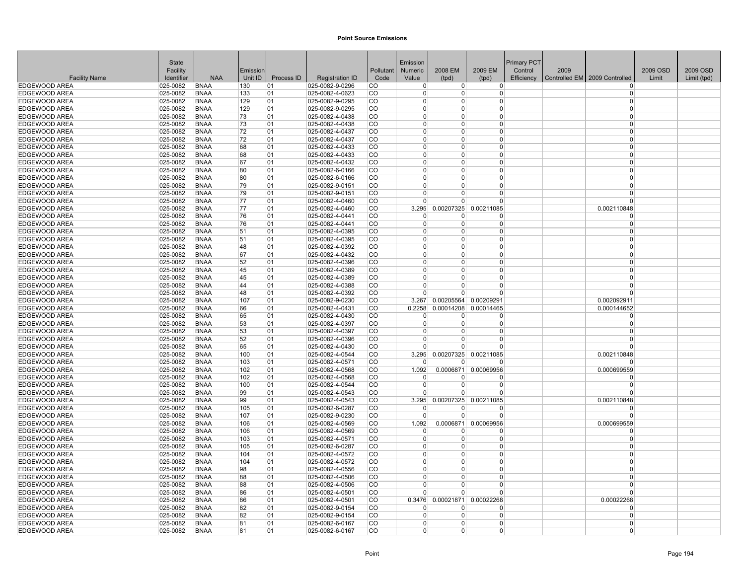|                                              | <b>State</b>              |                            |          |            |                                             |                  | Emission                |                              |                              | <b>Primary PCT</b> |      |                               |          |             |
|----------------------------------------------|---------------------------|----------------------------|----------|------------|---------------------------------------------|------------------|-------------------------|------------------------------|------------------------------|--------------------|------|-------------------------------|----------|-------------|
|                                              | Facility                  |                            | Emission |            |                                             | Pollutant        | Numeric                 | 2008 EM                      | 2009 EM                      | Control            | 2009 |                               | 2009 OSD | 2009 OSD    |
| <b>Facility Name</b>                         | Identifier                | <b>NAA</b>                 | Unit ID  | Process ID | <b>Registration ID</b>                      | Code             | Value                   | (tpd)                        | (tpd)                        | Efficiency         |      | Controlled EM 2009 Controlled | Limit    | Limit (tpd) |
| <b>EDGEWOOD AREA</b>                         | 025-0082                  | <b>BNAA</b>                | 130      | 01         | 025-0082-9-0296                             | CO.              | $\overline{0}$          | $\overline{0}$               | $\overline{0}$               |                    |      | $\Omega$                      |          |             |
| EDGEWOOD AREA                                | 025-0082                  | <b>BNAA</b>                | 133      | 01         | $ 025 - 0082 - 4 - 0623$                    | <b>CO</b>        | $\overline{0}$          | $\Omega$                     | $\overline{0}$               |                    |      | $\Omega$                      |          |             |
| <b>EDGEWOOD AREA</b>                         | 025-0082                  | <b>BNAA</b>                | 129      | 01         | 025-0082-9-0295                             | CO               | $\Omega$                | $\Omega$                     | $\Omega$                     |                    |      | $\Omega$                      |          |             |
| <b>EDGEWOOD AREA</b>                         | 025-0082                  | <b>BNAA</b>                | 129      | 01         | 025-0082-9-0295                             | CO               | $\Omega$                | $\Omega$                     | $\Omega$                     |                    |      | $\Omega$                      |          |             |
| <b>EDGEWOOD AREA</b>                         | 025-0082                  | <b>BNAA</b>                | 73       | 01         | 025-0082-4-0438                             | ∣co              | $\Omega$                | $\Omega$                     | $\Omega$                     |                    |      | $\Omega$                      |          |             |
| <b>EDGEWOOD AREA</b>                         | 025-0082                  | <b>BNAA</b>                | 73       | 01         | 025-0082-4-0438                             | CO               | $\Omega$                | $\Omega$                     | $\Omega$                     |                    |      | $\Omega$                      |          |             |
| <b>EDGEWOOD AREA</b>                         | 025-0082                  | <b>BNAA</b>                | 72       | 01         | 025-0082-4-0437                             | lco              | $\Omega$                | $\Omega$                     | $\Omega$                     |                    |      | $\Omega$                      |          |             |
| <b>EDGEWOOD AREA</b>                         | 025-0082                  | <b>BNAA</b>                | 72       | 01         | 025-0082-4-0437                             | <sub>CO</sub>    | $\Omega$                | $\Omega$                     | 0                            |                    |      | $\Omega$                      |          |             |
| EDGEWOOD AREA                                | 025-0082                  | <b>BNAA</b>                | 68       | 01         | $ 025 - 0082 - 4 - 0433$                    | CO               | $\mathbf{0}$            | $\Omega$                     | $\overline{0}$               |                    |      | $\Omega$                      |          |             |
| <b>EDGEWOOD AREA</b>                         | 025-0082                  | <b>BNAA</b>                | 68       | 01         | 025-0082-4-0433                             | CO               | $\mathbf{0}$            | 0                            | $\overline{0}$               |                    |      | $\Omega$                      |          |             |
| <b>EDGEWOOD AREA</b>                         | 025-0082                  | <b>BNAA</b>                | 67       | 01         | 025-0082-4-0432                             | <b>CO</b>        | $\Omega$                | $\Omega$                     | $\Omega$                     |                    |      | $\Omega$                      |          |             |
| EDGEWOOD AREA                                | 025-0082                  | <b>BNAA</b>                | 80       | 01         | 025-0082-6-0166                             | CO               | $\Omega$                | $\Omega$                     | $\Omega$                     |                    |      | $\Omega$                      |          |             |
| <b>EDGEWOOD AREA</b>                         | 025-0082                  | <b>BNAA</b>                | 80       | 01         | 025-0082-6-0166                             | <b>CO</b>        | $\Omega$<br>$\Omega$    | $\Omega$                     | 0<br>$\Omega$                |                    |      | $\Omega$<br>$\Omega$          |          |             |
| EDGEWOOD AREA<br><b>EDGEWOOD AREA</b>        | 025-0082<br>025-0082      | <b>BNAA</b><br><b>BNAA</b> | 79<br>79 | 01         | 025-0082-9-0151<br>025-0082-9-0151          | <b>CO</b><br>lco | $\Omega$                | $\Omega$<br>0                | $\Omega$                     |                    |      | $\Omega$                      |          |             |
|                                              |                           |                            | 77       | 01         |                                             | <sub>CO</sub>    |                         |                              |                              |                    |      | $\Omega$                      |          |             |
| <b>EDGEWOOD AREA</b><br><b>EDGEWOOD AREA</b> | 025-0082<br>025-0082      | <b>BNAA</b><br><b>BNAA</b> | 77       | 01         | 025-0082-4-0460<br>025-0082-4-0460          | CO               | $\overline{0}$<br>3.295 | $\overline{0}$<br>0.00207325 | $\overline{0}$<br>0.00211085 |                    |      | 0.002110848                   |          |             |
| <b>EDGEWOOD AREA</b>                         | 025-0082                  | <b>BNAA</b>                | 76       | 01<br>01   | 025-0082-4-0441                             | lco              | $\Omega$                | $\Omega$                     | $\Omega$                     |                    |      | $\Omega$                      |          |             |
| <b>EDGEWOOD AREA</b>                         | 025-0082                  | <b>BNAA</b>                | 76       | 01         | $ 025 - 0082 - 4 - 0441$                    | <b>CO</b>        | $\Omega$                | $\Omega$                     | $\overline{0}$               |                    |      | $\Omega$                      |          |             |
| <b>EDGEWOOD AREA</b>                         | 025-0082                  | <b>BNAA</b>                | 51       | 01         | $ 025 - 0082 - 4 - 0395$                    | CO               | $\Omega$                | $\Omega$                     | $\Omega$                     |                    |      | $\Omega$                      |          |             |
| <b>EDGEWOOD AREA</b>                         | 025-0082                  | <b>BNAA</b>                | 51       | 01         | 025-0082-4-0395                             | lco              | $\Omega$                | $\Omega$                     | $\overline{0}$               |                    |      | $\Omega$                      |          |             |
| <b>EDGEWOOD AREA</b>                         | 025-0082                  | <b>BNAA</b>                | 48       | 01         | 025-0082-4-0392                             | lco              | $\Omega$                | $\Omega$                     | $\Omega$                     |                    |      | $\Omega$                      |          |             |
| <b>EDGEWOOD AREA</b>                         | 025-0082                  | <b>BNAA</b>                | 67       | 01         | 025-0082-4-0432                             | lco.             | $\Omega$                | 0                            | $\Omega$                     |                    |      | $\Omega$                      |          |             |
| <b>EDGEWOOD AREA</b>                         | 025-0082                  | <b>BNAA</b>                | 52       | 01         | $ 025 - 0082 - 4 - 0396$                    | <b>CO</b>        | $\mathbf 0$             | $\Omega$                     | $\overline{0}$               |                    |      | $\Omega$                      |          |             |
| <b>EDGEWOOD AREA</b>                         | 025-0082                  | <b>BNAA</b>                | 45       | 01         | 025-0082-4-0389                             | lco              | $\Omega$                | $\Omega$                     | $\overline{0}$               |                    |      | $\Omega$                      |          |             |
| EDGEWOOD AREA                                | 025-0082                  | <b>BNAA</b>                | 45       | 01         | 025-0082-4-0389                             | lco              | $\Omega$                | $\Omega$                     | $\Omega$                     |                    |      | $\Omega$                      |          |             |
| <b>EDGEWOOD AREA</b>                         | 025-0082                  | <b>BNAA</b>                | 44       | 01         | 025-0082-4-0388                             | <b>CO</b>        | 0                       | 0                            | $\overline{0}$               |                    |      | $\Omega$                      |          |             |
| <b>EDGEWOOD AREA</b>                         | 025-0082                  | <b>BNAA</b>                | 48       | 01         | 025-0082-4-0392                             | CO               | $\Omega$                | $\Omega$                     | $\Omega$                     |                    |      | $\Omega$                      |          |             |
| <b>EDGEWOOD AREA</b>                         | 025-0082                  | <b>BNAA</b>                | 107      | 01         | 025-0082-9-0230                             | CO               | 3.267                   |                              | 0.00205564 0.00209291        |                    |      | 0.002092911                   |          |             |
| <b>EDGEWOOD AREA</b>                         | 025-0082                  | <b>BNAA</b>                | 66       | 01         | 025-0082-4-0431                             | <b>CO</b>        | 0.2258                  | 0.00014208                   | 0.00014465                   |                    |      | 0.000144652                   |          |             |
| <b>EDGEWOOD AREA</b>                         | 025-0082                  | <b>BNAA</b>                | 65       | 01         | 025-0082-4-0430                             | CO               | $\Omega$                | 0                            | $\Omega$                     |                    |      | $\Omega$                      |          |             |
| <b>EDGEWOOD AREA</b>                         | 025-0082                  | <b>BNAA</b>                | 53       | 01         | 025-0082-4-0397                             | lco              | $\Omega$                | $\Omega$                     | $\overline{0}$               |                    |      | $\Omega$                      |          |             |
| <b>EDGEWOOD AREA</b>                         | 025-0082                  | <b>BNAA</b>                | 53       | 01         | 025-0082-4-0397                             | <b>CO</b>        | $\Omega$                | $\Omega$                     | $\overline{0}$               |                    |      | $\Omega$                      |          |             |
| <b>EDGEWOOD AREA</b>                         | 025-0082                  | <b>BNAA</b>                | 52       | 01         | 025-0082-4-0396                             | CO               | $\Omega$                | 0                            | $\Omega$                     |                    |      | $\Omega$                      |          |             |
| <b>EDGEWOOD AREA</b>                         | 025-0082                  | <b>BNAA</b>                | 65       | 01         | 025-0082-4-0430                             | lco              | $\Omega$                | $\Omega$                     | $\Omega$                     |                    |      | $\Omega$                      |          |             |
| <b>EDGEWOOD AREA</b>                         | 025-0082                  | <b>BNAA</b>                | 100      | 01         | 025-0082-4-0544                             | <b>CO</b>        | 3.295                   |                              | 0.00207325 0.00211085        |                    |      | 0.002110848                   |          |             |
| EDGEWOOD AREA                                | 025-0082                  | <b>BNAA</b>                | 103      | 01         | 025-0082-4-0571                             | CO               | $\Omega$                | $\Omega$                     | $\Omega$                     |                    |      | $\Omega$                      |          |             |
| EDGEWOOD AREA                                | 025-0082                  | <b>BNAA</b>                | 102      | 01         | 025-0082-4-0568                             | lco              | 1.092                   | 0.0006871                    | 0.00069956                   |                    |      | 0.000699559                   |          |             |
| <b>EDGEWOOD AREA</b>                         | 025-0082                  | <b>BNAA</b>                | 102      | 01         | 025-0082-4-0568                             | <b>CO</b>        | $\Omega$                | 0                            | <sup>0</sup>                 |                    |      | $\Omega$                      |          |             |
| <b>EDGEWOOD AREA</b>                         | 025-0082                  | <b>BNAA</b>                | 100      | 01         | 025-0082-4-0544                             | <b>CO</b>        | $\Omega$                | $\Omega$                     | $\Omega$                     |                    |      | $\Omega$                      |          |             |
| <b>EDGEWOOD AREA</b>                         | 025-0082                  | <b>BNAA</b>                | 99       | 01         | 025-0082-4-0543                             | <b>CO</b>        | $\Omega$                | $\Omega$                     | 0                            |                    |      | $\Omega$                      |          |             |
| <b>EDGEWOOD AREA</b>                         | 025-0082                  | <b>BNAA</b>                | 99       | 01         | 025-0082-4-0543                             | CO               | 3.295                   | 0.00207325                   | 0.00211085                   |                    |      | 0.002110848                   |          |             |
| <b>EDGEWOOD AREA</b>                         | 025-0082                  | <b>BNAA</b>                | 105      | 01         | 025-0082-6-0287                             | lco              | $\Omega$                | $\Omega$                     | $\Omega$                     |                    |      | $\Omega$                      |          |             |
| <b>EDGEWOOD AREA</b>                         | 025-0082                  | <b>BNAA</b>                | 107      | 01         | $ 025 - 0082 - 9 - 0230$                    | CO               | $\overline{0}$          | $\overline{0}$               | $\overline{0}$               |                    |      | $\Omega$                      |          |             |
| <b>EDGEWOOD AREA</b>                         | 025-0082                  | <b>BNAA</b>                | 106      | 01         | 025-0082-4-0569                             | CO               | 1.092                   | 0.0006871                    | 0.00069956                   |                    |      | 0.000699559                   |          |             |
| <b>EDGEWOOD AREA</b>                         | 025-0082                  | <b>BNAA</b>                | 106      | 01         | 025-0082-4-0569                             | lco              | $\overline{0}$          | 0                            | $\overline{0}$               |                    |      | $\Omega$                      |          |             |
| <b>EDGEWOOD AREA</b>                         | 025-0082                  | <b>BNAA</b>                | 103      | 01         | 025-0082-4-0571                             | lco              | $\Omega$                | $\Omega$                     | $\Omega$                     |                    |      | $\Omega$                      |          |             |
| EDGEWOOD AREA                                | 025-0082                  | <b>BNAA</b>                | 105      | 01         | 025-0082-6-0287                             | <b>CO</b>        | $\mathbf{0}$            | $\Omega$                     | 0                            |                    |      | $\Omega$<br>$\Omega$          |          |             |
| <b>EDGEWOOD AREA</b>                         | 025-0082                  | <b>BNAA</b>                | 104      | 01         | 025-0082-4-0572                             | CO               | $\mathbf 0$<br>$\Omega$ | $\Omega$<br>$\Omega$         | $\overline{0}$               |                    |      | $\Omega$                      |          |             |
| <b>EDGEWOOD AREA</b>                         | 025-0082                  | <b>BNAA</b>                | 104      | 01         | 025-0082-4-0572                             | <b>CO</b>        | $\Omega$                |                              | $\overline{0}$               |                    |      | $\Omega$                      |          |             |
| <b>EDGEWOOD AREA</b>                         | 025-0082                  | <b>BNAA</b>                | 98       | 01         | 025-0082-4-0556                             | lco<br><b>CO</b> | $\Omega$                | $\Omega$<br>$\Omega$         | 0                            |                    |      | $\Omega$                      |          |             |
| <b>EDGEWOOD AREA</b><br>EDGEWOOD AREA        | $ 025 - 0082$<br>025-0082 | BNAA<br><b>BNAA</b>        | 88       | 01<br>01   | $ 025 - 0082 - 4 - 0506$<br>025-0082-4-0506 | CO               | $\Omega$                | $\Omega$                     | 0<br>$\Omega$                |                    |      | $\Omega$                      |          |             |
| <b>EDGEWOOD AREA</b>                         | 025-0082                  | <b>BNAA</b>                | 88<br>86 | 01         | 025-0082-4-0501                             | ICO.             | $\Omega$                | $\Omega$                     | $\Omega$                     |                    |      | $\Omega$                      |          |             |
| <b>EDGEWOOD AREA</b>                         | 025-0082                  | <b>BNAA</b>                | 86       | 01         | 025-0082-4-0501                             | ∣co              | 0.3476                  | 0.00021871                   | 0.00022268                   |                    |      | 0.00022268                    |          |             |
| <b>EDGEWOOD AREA</b>                         | 025-0082                  | <b>BNAA</b>                | 82       | 01         | 025-0082-9-0154                             | CO               | $\Omega$                | 0                            | 0                            |                    |      | $\Omega$                      |          |             |
| <b>EDGEWOOD AREA</b>                         | 025-0082                  | <b>BNAA</b>                | 82       | 01         | 025-0082-9-0154                             | <b>CO</b>        | $\Omega$                | $\Omega$                     | $\overline{0}$               |                    |      | $\Omega$                      |          |             |
| <b>EDGEWOOD AREA</b>                         | 025-0082                  | <b>BNAA</b>                | 81       | 01         | 025-0082-6-0167                             | <sub>CO</sub>    | $\Omega$                | $\Omega$                     | 0                            |                    |      | $\Omega$                      |          |             |
| EDGEWOOD AREA                                | 025-0082                  | <b>BNAA</b>                | 81       | 01         | 025-0082-6-0167                             | <b>CO</b>        | $\overline{0}$          | $\Omega$                     | 0                            |                    |      | $\Omega$                      |          |             |
|                                              |                           |                            |          |            |                                             |                  |                         |                              |                              |                    |      |                               |          |             |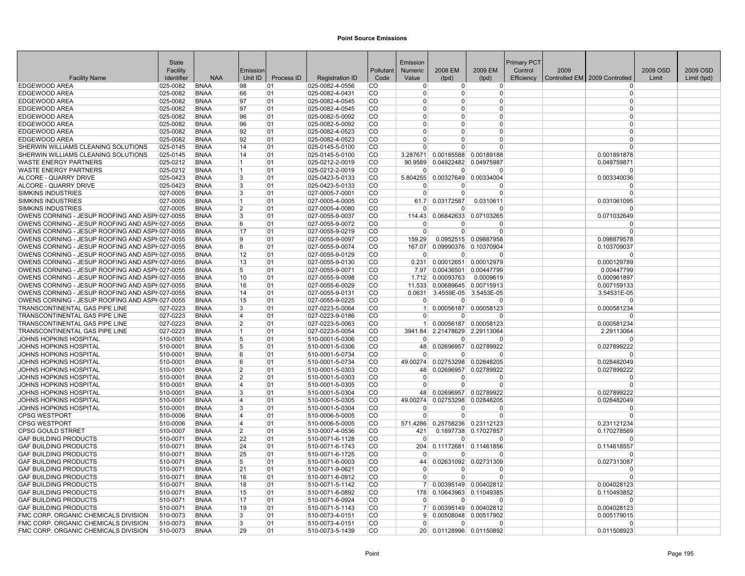|                                                | State                  |                            |                |                  |                                           |                        | Emission             |                      |                                | Primary PCT |      |                                 |          |             |
|------------------------------------------------|------------------------|----------------------------|----------------|------------------|-------------------------------------------|------------------------|----------------------|----------------------|--------------------------------|-------------|------|---------------------------------|----------|-------------|
|                                                | Facility               |                            | Emission       |                  |                                           | Pollutant              | Numeric              | 2008 EM              | 2009 EM                        | Control     | 2009 |                                 | 2009 OSD | 2009 OSD    |
| <b>Facility Name</b><br><b>EDGEWOOD AREA</b>   | Identifier<br>025-0082 | <b>NAA</b><br><b>BNAA</b>  | Unit ID<br>98  | Process ID<br>01 | <b>Registration ID</b><br>025-0082-4-0556 | Code<br><b>CO</b>      | Value<br>$\Omega$    | (tpd)                | (tpd)                          | Efficiency  |      | Controlled EM   2009 Controlled | Limit    | Limit (tpd) |
| EDGEWOOD AREA                                  | 025-0082               | <b>BNAA</b>                | 66             | 01               | 025-0082-4-0431                           | CO                     | $\Omega$             | 0 <br>$\Omega$       | $\overline{0}$<br>0            |             |      | $^{(1)}$<br>$\Omega$            |          |             |
| <b>EDGEWOOD AREA</b>                           | 025-0082               | <b>BNAA</b>                | 97             | 01               | 025-0082-4-0545                           | <b>CO</b>              | $\Omega$             | $\overline{0}$       | 0                              |             |      | $\Omega$                        |          |             |
| <b>EDGEWOOD AREA</b>                           | 025-0082               | <b>BNAA</b>                | 97             | 01               | 025-0082-4-0545                           | <b>CO</b>              | $\Omega$             | $\Omega$             | $\overline{0}$                 |             |      | $\Omega$                        |          |             |
| <b>EDGEWOOD AREA</b>                           | 025-0082               | <b>BNAA</b>                | 96             | 01               | 025-0082-5-0092                           | <b>CO</b>              | $\Omega$             | $\Omega$             | $\Omega$                       |             |      | $\Omega$                        |          |             |
| <b>EDGEWOOD AREA</b>                           | 025-0082               | <b>BNAA</b>                | 96             | 01               | 025-0082-5-0092                           | <b>CO</b>              | $\Omega$             | $\Omega$             | $\Omega$                       |             |      | $\Omega$                        |          |             |
| <b>EDGEWOOD AREA</b>                           | 025-0082               | <b>BNAA</b>                | 92             | 01               | 025-0082-4-0523                           | <b>CO</b>              | $\Omega$             | <sup>0</sup>         | $\Omega$                       |             |      | $\Omega$                        |          |             |
| <b>EDGEWOOD AREA</b>                           | 025-0082               | <b>BNAA</b>                | 92             | 01               | 025-0082-4-0523                           | <b>CO</b>              | $\Omega$             | $\Omega$             | $\Omega$                       |             |      | $\Omega$                        |          |             |
| SHERWIN WILLIAMS CLEANING SOLUTIONS            | 025-0145               | <b>BNAA</b>                | 14             | 01               | 025-0145-5-0100                           | <b>CO</b>              | $\Omega$             | <sup>0</sup>         | $\Omega$                       |             |      |                                 |          |             |
| SHERWIN WILLIAMS CLEANING SOLUTIONS            | 025-0145               | <b>BNAA</b>                | 14             | 01               | 025-0145-5-0100                           | <b>CO</b>              |                      |                      | 3.287671 0.00185588 0.00189188 |             |      | 0.001891878                     |          |             |
| <b>WASTE ENERGY PARTNERS</b>                   | 025-0212               | <b>BNAA</b>                | 11.            | 01               | 025-0212-2-0019                           | <b>CO</b>              | 90.9589              |                      | 0.04922482 0.04975987          |             |      | 0.049759871                     |          |             |
| <b>WASTE ENERGY PARTNERS</b>                   | 025-0212               | <b>BNAA</b>                | 11             | 01               | 025-0212-2-0019                           | <b>CO</b>              | $\Omega$             | 0                    | $\Omega$                       |             |      | $\Omega$                        |          |             |
| ALCORE - QUARRY DRIVE                          | 025-0423               | <b>BNAA</b>                | 3              | 01               | 025-0423-5-0133                           | <b>CO</b>              | 5.804255             |                      | 0.00327649 0.00334004          |             |      | 0.003340036                     |          |             |
| ALCORE - QUARRY DRIVE                          | 025-0423               | <b>BNAA</b>                | 3              | 01               | 025-0423-5-0133                           | <b>CO</b>              |                      | ŋ                    | O                              |             |      |                                 |          |             |
| <b>SIMKINS INDUSTRIES</b>                      | 027-0005               | <b>BNAA</b>                | Ι3             | 01               | 027-0005-7-0001                           | <b>CO</b>              | $\Omega$             | $\Omega$             | $\Omega$                       |             |      | $\Omega$                        |          |             |
| <b>SIMKINS INDUSTRIES</b>                      | 027-0005               | <b>BNAA</b>                | 11             | 01               | 027-0005-4-0005                           | <b>CO</b>              | 61.7                 | 0.03172587           | 0.0310611                      |             |      | 0.031061095                     |          |             |
| <b>SIMKINS INDUSTRIES</b>                      | 027-0005               | <b>BNAA</b>                | $\overline{2}$ | 01               | 027-0005-4-0080                           | <b>CO</b>              | $\Omega$             | $\Omega$             | $\Omega$                       |             |      |                                 |          |             |
| OWENS CORNING - JESUP ROOFING AND ASPH027-0055 |                        | <b>BNAA</b>                | 3              | 01               | 027-0055-9-0037                           | <b>CO</b>              | 114.43               |                      | 0.06842633 0.07103265          |             |      | 0.071032649                     |          |             |
| OWENS CORNING - JESUP ROOFING AND ASPH027-0055 |                        | <b>BNAA</b>                | 6              | 01               | 027-0055-9-0072                           | <b>CO</b>              | $\Omega$             | $\Omega$             | $\Omega$                       |             |      | $\Omega$                        |          |             |
| OWENS CORNING - JESUP ROOFING AND ASPH027-0055 |                        | <b>BNAA</b>                | 17             | 01               | 027-0055-9-0219                           | <b>CO</b>              | $\overline{0}$       | $\overline{0}$       | $\Omega$                       |             |      |                                 |          |             |
| OWENS CORNING - JESUP ROOFING AND ASPH027-0055 |                        | <b>BNAA</b>                | Ι9             | 01               | 027-0055-9-0097                           | <b>CO</b>              | 159.29               |                      | 0.0952515 0.09887958           |             |      | 0.098879578                     |          |             |
| OWENS CORNING - JESUP ROOFING AND ASPH027-0055 |                        | <b>BNAA</b>                | 8              | 01               | 027-0055-9-0074                           | <b>CO</b>              | 167.07               |                      | 0.09990376 0.10370904          |             |      | 0.103709037                     |          |             |
| OWENS CORNING - JESUP ROOFING AND ASPH027-0055 |                        | <b>BNAA</b>                | 12             | 01               | 027-0055-9-0129                           | <b>CO</b>              | $\overline{0}$       | $\overline{0}$       | $\Omega$                       |             |      |                                 |          |             |
| OWENS CORNING - JESUP ROOFING AND ASPH027-0055 |                        | <b>BNAA</b>                | 13             | 01               | 027-0055-9-0130                           | <b>CO</b>              |                      |                      | $0.231$ 0.00012651 0.00012979  |             |      | 0.000129789                     |          |             |
| OWENS CORNING - JESUP ROOFING AND ASPH027-0055 |                        | <b>BNAA</b>                | 5              | 01               | 027-0055-9-0071                           | <b>CO</b>              | 7.97                 |                      | 0.00436501 0.00447799          |             |      | 0.00447799                      |          |             |
| OWENS CORNING - JESUP ROOFING AND ASPH027-0055 |                        | <b>BNAA</b>                | 10             | 01               | 027-0055-9-0098                           | <b>CO</b>              | 1.712                | 0.00093763           | 0.0009619                      |             |      | 0.000961897                     |          |             |
| OWENS CORNING - JESUP ROOFING AND ASPH027-0055 |                        | <b>BNAA</b>                | 16             | 01               | 027-0055-6-0029                           | <b>CO</b>              | 11.533               |                      | 0.00689645 0.00715913          |             |      | 0.007159133                     |          |             |
| OWENS CORNING - JESUP ROOFING AND ASPH027-0055 |                        | <b>BNAA</b>                | 14             | 01               | 027-0055-9-0131                           | <b>CO</b>              | 0.0631               |                      | 3.4559E-05 3.5453E-05          |             |      | 3.54531E-05                     |          |             |
| OWENS CORNING - JESUP ROOFING AND ASPH027-0055 |                        | <b>BNAA</b>                | 15             | 01               | 027-0055-9-0225                           | <b>CO</b>              | $\Omega$             | $\overline{0}$       | $\Omega$                       |             |      | $\Omega$                        |          |             |
| TRANSCONTINENTAL GAS PIPE LINE                 | 027-0223               | <b>BNAA</b>                | 3              | 01               | 027-0223-5-0064                           | <b>CO</b>              | 1 <sup>1</sup>       |                      | 0.00056187 0.00058123          |             |      | 0.000581234                     |          |             |
| TRANSCONTINENTAL GAS PIPE LINE                 | 027-0223               | <b>BNAA</b>                | 4              | 01               | 027-0223-9-0186                           | <b>CO</b>              | $\Omega$             | $\Omega$             | 0                              |             |      |                                 |          |             |
| TRANSCONTINENTAL GAS PIPE LINE                 | 027-0223               | <b>BNAA</b>                | 2              | 01               | 027-0223-5-0063                           | <b>CO</b>              | 1                    |                      | 0.00056187 0.00058123          |             |      | 0.000581234                     |          |             |
| TRANSCONTINENTAL GAS PIPE LINE                 | 027-0223               | <b>BNAA</b>                | 11             | 01               | 027-0223-5-0054                           | <b>CO</b>              | 3941.84              |                      | 2.21478629 2.29113064          |             |      | 2.29113064                      |          |             |
| JOHNS HOPKINS HOSPITAL                         | 510-0001               | <b>BNAA</b>                | 5              | 01               | 510-0001-5-0306                           | <b>CO</b>              | $\Omega$             | $\Omega$             | $\Omega$                       |             |      |                                 |          |             |
| JOHNS HOPKINS HOSPITAL                         | 510-0001               | <b>BNAA</b>                | 5              | 01               | 510-0001-5-0306                           | <b>CO</b>              | 48                   |                      | 0.02696957 0.02789922          |             |      | 0.027899222                     |          |             |
| <b>JOHNS HOPKINS HOSPITAL</b>                  | 510-0001               | <b>BNAA</b>                | 6              | 01               | 510-0001-5-0734                           | <b>CO</b>              | $\Omega$             | $\Omega$             | $\Omega$                       |             |      |                                 |          |             |
| <b>JOHNS HOPKINS HOSPITAL</b>                  | 510-0001               | <b>BNAA</b>                | 6              | 01               | 510-0001-5-0734                           | <b>CO</b>              | 49.00274             |                      | 0.02753298 0.02848205          |             |      | 0.028482049                     |          |             |
| <b>JOHNS HOPKINS HOSPITAL</b>                  | 510-0001               | <b>BNAA</b>                | $\overline{2}$ | 01               | 510-0001-5-0303                           | <b>CO</b>              | 48                   |                      | 0.02696957 0.02789922          |             |      | 0.027899222                     |          |             |
| JOHNS HOPKINS HOSPITAL                         | 510-0001               | <b>BNAA</b>                | 2              | 01               | 510-0001-5-0303                           | <b>CO</b>              | $\Omega$             | $\Omega$             | $\Omega$                       |             |      | $\Omega$                        |          |             |
| JOHNS HOPKINS HOSPITAL                         | 510-0001               | <b>BNAA</b>                | $\overline{4}$ | 01               | 510-0001-5-0305                           | <b>CO</b>              | $\Omega$             | $\overline{0}$       | $\Omega$                       |             |      | $\Omega$                        |          |             |
| <b>JOHNS HOPKINS HOSPITAL</b>                  | 510-0001               | <b>BNAA</b>                | 3              | 01               | 510-0001-5-0304                           | <b>CO</b>              | 48                   |                      | 0.02696957 0.02789922          |             |      | 0.027899222                     |          |             |
| JOHNS HOPKINS HOSPITAL                         | 510-0001               | <b>BNAA</b>                | 4              | 01               | 510-0001-5-0305                           | <b>CO</b>              | 49.00274<br>$\Omega$ | 0.02753298           | 0.02848205                     |             |      | 0.028482049                     |          |             |
| JOHNS HOPKINS HOSPITAL<br><b>CPSG WESTPORT</b> | 510-0001<br>510-0006   | <b>BNAA</b><br><b>BNAA</b> | 3<br>4         | 01<br>01         | 510-0001-5-0304<br>510-0006-5-0005        | <b>CO</b><br><b>CO</b> | $\Omega$             | $\Omega$<br>$\Omega$ | $\Omega$<br>$\Omega$           |             |      | $\Omega$<br>$\Omega$            |          |             |
| <b>CPSG WESTPORT</b>                           |                        | <b>BNAA</b>                |                | 01               |                                           | <b>CO</b>              | 571.4286             |                      | 0.25758236 0.23112123          |             |      |                                 |          |             |
| <b>CPSG GOULD STRRET</b>                       | 510-0006<br>510-0007   | <b>BNAA</b>                | 14<br>2        | 01               | 510-0006-5-0005<br>510-0007-4-0536        | <b>CO</b>              | 421                  |                      | 0.1897738 0.17027857           |             |      | 0.231121234<br>0.170278569      |          |             |
| <b>GAF BUILDING PRODUCTS</b>                   | 510-0071               | <b>BNAA</b>                | 22             | 01               | 510-0071-6-1128                           | <b>CO</b>              | $\Omega$             | $\Omega$             | $\Omega$                       |             |      | n                               |          |             |
| <b>GAF BUILDING PRODUCTS</b>                   | 510-0071               | <b>BNAA</b>                | 24             | 01               | 510-0071-6-1743                           | <b>CO</b>              | 204                  | 0.11172681           | 0.11461856                     |             |      | 0.114618557                     |          |             |
| <b>GAF BUILDING PRODUCTS</b>                   | 510-0071               | <b>BNAA</b>                | 25             | 01               | 510-0071-6-1725                           | <b>CO</b>              | $\cap$               | $\Omega$             | $\Omega$                       |             |      | $\Omega$                        |          |             |
| <b>GAF BUILDING PRODUCTS</b>                   | 510-0071               | <b>BNAA</b>                | 5              | 01               | 510-0071-6-0003                           | <b>CO</b>              | 44                   |                      | 0.02631092 0.02731309          |             |      | 0.027313087                     |          |             |
| <b>GAF BUILDING PRODUCTS</b>                   | 510-0071               | <b>BNAA</b>                | 21             | 01               | 510-0071-9-0621                           | <b>CO</b>              | $\Omega$             | $\Omega$             | $\Omega$                       |             |      |                                 |          |             |
| <b>GAF BUILDING PRODUCTS</b>                   | 510-0071               | <b>BNAA</b>                | 16             | 01               | 510-0071-6-0912                           | <b>CO</b>              | $\Omega$             | $\Omega$             | 0                              |             |      |                                 |          |             |
| <b>GAF BUILDING PRODUCTS</b>                   | 510-0071               | <b>BNAA</b>                | 18             | 01               | 510-0071-5-1142                           | <b>CO</b>              | 7 <sup>1</sup>       |                      | 0.00395149 0.00402812          |             |      | 0.004028123                     |          |             |
| <b>GAF BUILDING PRODUCTS</b>                   | 510-0071               | <b>BNAA</b>                | 15             | 01               | 510-0071-6-0892                           | <b>CO</b>              | 178                  |                      | 0.10643963 0.11049385          |             |      | 0.110493852                     |          |             |
| <b>GAF BUILDING PRODUCTS</b>                   | 510-0071               | <b>BNAA</b>                | 17             | 01               | 510-0071-6-0924                           | <b>CO</b>              | $\Omega$             | $\Omega$             | $\Omega$                       |             |      |                                 |          |             |
| <b>GAF BUILDING PRODUCTS</b>                   | 510-0071               | <b>BNAA</b>                | 19             | 01               | 510-0071-5-1143                           | <b>CO</b>              | 7 <sup>1</sup>       |                      | 0.00395149 0.00402812          |             |      | 0.004028123                     |          |             |
| FMC CORP. ORGANIC CHEMICALS DIVISION           | 510-0073               | <b>BNAA</b>                | 3              | 01               | 510-0073-4-0151                           | <b>CO</b>              | $\mathsf{Q}$         |                      | 0.00508048 0.00517902          |             |      | 0.005179015                     |          |             |
| FMC CORP. ORGANIC CHEMICALS DIVISION           | 510-0073               | <b>BNAA</b>                | 3              | 01               | 510-0073-4-0151                           | CO                     | $\Omega$             | $\Omega$             | $\Omega$                       |             |      | $\Omega$                        |          |             |
| FMC CORP. ORGANIC CHEMICALS DIVISION           | 510-0073               | <b>BNAA</b>                | 29             | 01               | 510-0073-5-1439                           | <b>CO</b>              |                      |                      | 20 0.01128996 0.01150892       |             |      | 0.011508923                     |          |             |
|                                                |                        |                            |                |                  |                                           |                        |                      |                      |                                |             |      |                                 |          |             |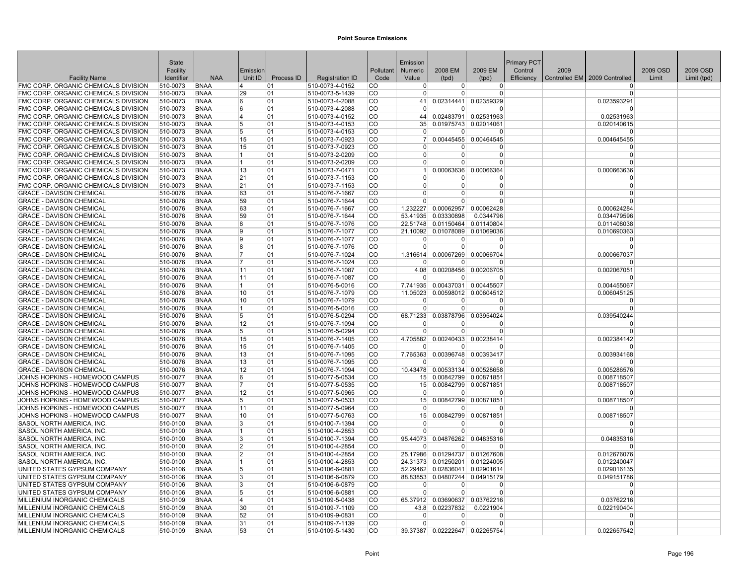| 2009 EM<br>2009 OSD<br>2009 OSD<br>Facility<br>Emission<br>Pollutant<br>Numeric<br>2008 EM<br>Control<br>2009<br>Unit ID<br><b>NAA</b><br>Process ID<br>Code<br>Efficiency<br>Controlled EM   2009 Controlled<br><b>Facility Name</b><br>Identifier<br><b>Registration ID</b><br>Value<br>(tpd)<br>Limit<br>Limit (tpd)<br>(tpd)<br>FMC CORP. ORGANIC CHEMICALS DIVISION<br>510-0073<br><b>BNAA</b><br>510-0073-4-0152<br><b>CO</b><br>01<br>$\Omega$<br>$\overline{0}$<br>$\overline{0}$<br>14<br><sup>0</sup><br><b>FMC CORP. ORGANIC CHEMICALS DIVISION</b><br>510-0073<br><b>BNAA</b><br>29<br>01<br>510-0073-5-1439<br><b>CO</b><br>$\Omega$<br>$\Omega$<br>0<br>$\Omega$<br>0.02359329<br>FMC CORP. ORGANIC CHEMICALS DIVISION<br>510-0073<br><b>CO</b><br>0.02314441<br>0.023593291<br><b>BNAA</b><br>6<br>01<br>510-0073-4-2088<br>41<br>FMC CORP. ORGANIC CHEMICALS DIVISION<br>510-0073<br><b>BNAA</b><br>6<br>01<br>510-0073-4-2088<br><b>CO</b><br>$\Omega$<br>U<br>$\Omega$<br>$\Omega$<br>FMC CORP. ORGANIC CHEMICALS DIVISION<br><b>BNAA</b><br>510-0073-4-0152<br><b>CO</b><br>0.02483791<br>510-0073<br>4<br>01<br>44<br>0.02531963<br>0.02531963<br>FMC CORP. ORGANIC CHEMICALS DIVISION<br><b>CO</b><br>35<br>510-0073<br><b>BNAA</b><br>5<br>01<br>510-0073-4-0153<br>0.01975743 0.02014061<br>0.020140615<br>FMC CORP. ORGANIC CHEMICALS DIVISION<br><b>CO</b><br>510-0073<br><b>BNAA</b><br>5<br>01<br>510-0073-4-0153<br>$\Omega$<br>$\mathbf{0}$<br>$\Omega$<br>ŋ<br><b>FMC CORP. ORGANIC CHEMICALS DIVISION</b><br>510-0073<br><b>BNAA</b><br>15<br>01<br>510-0073-7-0923<br><b>CO</b><br>7 <sup>1</sup><br>0.00445455 0.00464545<br>0.004645455<br>FMC CORP. ORGANIC CHEMICALS DIVISION<br>510-0073<br><b>BNAA</b><br>15<br>01<br>510-0073-7-0923<br><b>CO</b><br>O<br>0<br>$\Omega$<br>FMC CORP. ORGANIC CHEMICALS DIVISION<br><b>BNAA</b><br>01<br>510-0073-2-0209<br><b>CO</b><br>$\Omega$<br>510-0073<br>$\Omega$<br>$\Omega$<br>$\Omega$<br>11.<br>FMC CORP. ORGANIC CHEMICALS DIVISION<br>510-0073<br><b>BNAA</b><br>11<br>01<br>510-0073-2-0209<br><b>CO</b><br>$\Omega$<br>$\Omega$<br>$\Omega$<br>$\Omega$<br>FMC CORP. ORGANIC CHEMICALS DIVISION<br>510-0073<br><b>BNAA</b><br>13<br>510-0073-7-0471<br><b>CO</b><br>0.00063636<br>01<br>0.00066364<br>0.000663636<br>FMC CORP. ORGANIC CHEMICALS DIVISION<br><b>CO</b><br>510-0073<br><b>BNAA</b><br>21<br>01<br>510-0073-7-1153<br>$\Omega$<br>0<br>0<br>$\Omega$<br>FMC CORP. ORGANIC CHEMICALS DIVISION<br>510-0073<br><b>CO</b><br>$\Omega$<br><b>BNAA</b><br>21<br>01<br>510-0073-7-1153<br>$\Omega$<br>$\Omega$<br>0<br><b>CO</b><br><b>GRACE - DAVISON CHEMICAL</b><br>510-0076<br><b>BNAA</b><br>63<br>01<br>510-0076-7-1667<br>$\Omega$<br>$\Omega$<br>$\Omega$<br>$\Omega$<br><b>GRACE - DAVISON CHEMICAL</b><br>510-0076<br><b>BNAA</b><br>59<br>01<br>510-0076-7-1644<br><b>CO</b><br>$\Omega$<br>$\Omega$<br>0<br>$\Omega$<br>1.232227<br><b>GRACE - DAVISON CHEMICAL</b><br>510-0076<br><b>BNAA</b><br>63<br>01<br>510-0076-7-1667<br><b>CO</b><br>0.00062957<br>0.00062428<br>0.000624284<br><b>GRACE - DAVISON CHEMICAL</b><br>59<br><b>CO</b><br>0.03330898<br>510-0076<br><b>BNAA</b><br>01<br>510-0076-7-1644<br>53.41935<br>0.0344796<br>0.034479596<br><b>GRACE - DAVISON CHEMICAL</b><br><b>BNAA</b><br>510-0076-7-1076<br><b>CO</b><br>22.51748<br>0.01150464<br>0.01140804<br>0.011408038<br>510-0076<br>8<br>01<br><b>CO</b><br><b>GRACE - DAVISON CHEMICAL</b><br>510-0076<br><b>BNAA</b><br>19<br>01<br>510-0076-7-1077<br>21.10092<br>0.01078089<br>0.01069036<br>0.010690363<br><b>GRACE - DAVISON CHEMICAL</b><br>510-0076<br><b>BNAA</b><br>9<br>01<br>510-0076-7-1077<br><b>CO</b><br>$\Omega$<br>$\Omega$<br>$\Omega$<br>$\Omega$<br><b>GRACE - DAVISON CHEMICAL</b><br>510-0076<br><b>BNAA</b><br>8<br>01<br>510-0076-7-1076<br><b>CO</b><br>$\Omega$<br>$\Omega$<br>$\Omega$<br>$\Omega$<br><b>GRACE - DAVISON CHEMICAL</b><br>510-0076<br><b>BNAA</b><br>17<br>01<br>510-0076-7-1024<br>l CO<br>1.316614<br>0.00067269 0.00066704<br>0.000667037<br><b>CO</b><br><b>GRACE - DAVISON CHEMICAL</b><br>510-0076<br><b>BNAA</b><br>01<br>510-0076-7-1024<br>17<br>$\Omega$<br>ŋ<br>$\Omega$<br>n<br><b>GRACE - DAVISON CHEMICAL</b><br><b>CO</b><br>4.08<br>0.00208456<br>0.00206705<br>0.002067051<br>510-0076<br><b>BNAA</b><br> 11<br>01<br>510-0076-7-1087<br><b>GRACE - DAVISON CHEMICAL</b><br>510-0076<br><b>BNAA</b><br>11<br>01<br>510-0076-7-1087<br><b>CO</b><br>$\Omega$<br>$\Omega$<br>$\Omega$<br>$\Omega$<br><b>GRACE - DAVISON CHEMICAL</b><br><b>BNAA</b><br><b>CO</b><br>7.741935<br>0.00437031 0.00445507<br>510-0076<br>01<br>510-0076-5-0016<br>0.004455067<br>11<br>0.00598012 0.00604512<br><b>GRACE - DAVISON CHEMICAL</b><br>510-0076<br><b>BNAA</b><br>10<br>01<br>510-0076-7-1079<br><b>CO</b><br>11.05023<br>0.006045125<br><b>GRACE - DAVISON CHEMICAL</b><br>510-0076<br><b>BNAA</b><br>10<br>01<br>510-0076-7-1079<br><b>CO</b><br>$\Omega$<br>$\overline{0}$<br>$\Omega$<br>$\Omega$<br><b>GRACE - DAVISON CHEMICAL</b><br>510-0076<br><b>BNAA</b><br>01<br>510-0076-5-0016<br><b>CO</b><br>11.<br>$\Omega$<br>$\Omega$<br>0<br>$\Omega$<br><b>GRACE - DAVISON CHEMICAL</b><br><b>CO</b><br>68.71233<br>0.03878796<br>0.03954024<br>0.039540244<br>510-0076<br><b>BNAA</b><br>5<br>01<br>510-0076-5-0294<br><b>GRACE - DAVISON CHEMICAL</b><br>510-0076<br><b>BNAA</b><br>12<br>01<br>510-0076-7-1094<br><b>CO</b><br>$\Omega$<br>$\Omega$<br>$\Omega$<br>ŋ<br><b>GRACE - DAVISON CHEMICAL</b><br>510-0076-5-0294<br><b>CO</b><br>510-0076<br><b>BNAA</b><br>5<br>01<br>$\Omega$<br>U<br>0<br>$\Omega$<br><b>GRACE - DAVISON CHEMICAL</b><br>510-0076<br><b>BNAA</b><br>15<br>01<br>510-0076-7-1405<br>l CO<br>4.705882<br>0.00240433<br>0.00238414<br>0.002384142<br><b>CO</b><br><b>GRACE - DAVISON CHEMICAL</b><br>510-0076<br><b>BNAA</b><br>15<br>01<br>510-0076-7-1405<br>n<br>n<br>n<br>n<br>0.00396748<br><b>GRACE - DAVISON CHEMICAL</b><br>510-0076<br><b>BNAA</b><br>13<br>01<br>510-0076-7-1095<br><b>CO</b><br>7.765363<br>0.00393417<br>0.003934168<br><b>GRACE - DAVISON CHEMICAL</b><br>510-0076<br><b>BNAA</b><br>13<br>01<br>510-0076-7-1095<br><b>CO</b><br>$\Omega$<br>$\Omega$<br>$\Omega$<br>$\Omega$<br><b>GRACE - DAVISON CHEMICAL</b><br><b>BNAA</b><br>12<br>01<br>510-0076-7-1094<br><b>CO</b><br>10.43478<br>0.00533134 0.00528658<br>510-0076<br>0.005286576<br>JOHNS HOPKINS - HOMEWOOD CAMPUS<br><b>BNAA</b><br>510-0077-5-0534<br><b>CO</b><br>0.00842799 0.00871851<br>0.008718507<br>510-0077<br>6<br>01<br>15 <sup>1</sup><br>JOHNS HOPKINS - HOMEWOOD CAMPUS<br><b>BNAA</b><br>17<br>01<br>510-0077-5-0535<br><b>CO</b><br>15 0.00842799 0.00871851<br>0.008718507<br>510-0077<br>12<br><b>CO</b><br>JOHNS HOPKINS - HOMEWOOD CAMPUS<br>510-0077<br><b>BNAA</b><br>01<br>510-0077-5-0965<br>$\Omega$<br>$\Omega$<br>0<br>$\Omega$<br>JOHNS HOPKINS - HOMEWOOD CAMPUS<br><b>CO</b><br>0.00842799<br>0.00871851<br>0.008718507<br>510-0077<br><b>BNAA</b><br>5<br>01<br>510-0077-5-0533<br>15 <sup>1</sup><br>JOHNS HOPKINS - HOMEWOOD CAMPUS<br>510-0077<br><b>BNAA</b><br>11<br>01<br>510-0077-5-0964<br><b>CO</b><br>$\Omega$<br>$\Omega$<br>$\Omega$<br>$\Omega$<br>JOHNS HOPKINS - HOMEWOOD CAMPUS<br>510-0077<br><b>BNAA</b><br>10<br>01<br>510-0077-5-0763<br><b>CO</b><br>15 <sup>1</sup><br>0.00842799<br>0.00871851<br>0.008718507<br>SASOL NORTH AMERICA, INC<br><b>BNAA</b><br>3<br>01<br>510-0100-7-1394<br><b>CO</b><br>510-0100<br>$\Omega$<br>0<br>0<br>$\Omega$<br><b>CO</b><br>SASOL NORTH AMERICA, INC<br>510-0100<br><b>BNAA</b><br>01<br>510-0100-4-2853<br>$\Omega$<br>$\Omega$<br>$\Omega$<br>$\Omega$<br>11<br>0.04876262<br>0.04835316<br><b>SASOL NORTH AMERICA. INC</b><br>510-0100<br><b>BNAA</b><br>3<br>01<br>510-0100-7-1394<br><b>CO</b><br>95.44073<br>0.04835316<br>2<br><b>CO</b><br>SASOL NORTH AMERICA, INC.<br>510-0100<br><b>BNAA</b><br>01<br>510-0100-4-2854<br>$\overline{0}$<br>$\Omega$<br>$\Omega$<br>$\Omega$<br>SASOL NORTH AMERICA, INC<br>510-0100<br><b>BNAA</b><br>2<br>01<br>510-0100-4-2854<br><b>CO</b><br>25.17986 0.01294737 0.01267608<br>0.012676076<br>SASOL NORTH AMERICA, INC<br>510-0100<br><b>BNAA</b><br>01<br>510-0100-4-2853<br><b>CO</b><br>24.31373<br>0.01250201 0.01224005<br>0.012240047<br>11<br>UNITED STATES GYPSUM COMPANY<br><b>BNAA</b><br><b>CO</b><br>0.02836041 0.02901614<br>510-0106<br>5<br>01<br>510-0106-6-0881<br>52.29462<br>0.029016135<br><b>CO</b><br>UNITED STATES GYPSUM COMPANY<br><b>BNAA</b><br>01<br>88.83853 0.04807244 0.04915179<br>0.049151786<br>510-0106<br>3<br>510-0106-6-0879<br>UNITED STATES GYPSUM COMPANY<br>3<br><b>CO</b><br>510-0106<br><b>BNAA</b><br>01<br>510-0106-6-0879<br>$\Omega$<br>0<br>$\Omega$<br>O<br>UNITED STATES GYPSUM COMPANY<br>510-0106<br><b>BNAA</b><br>5<br>01<br>510-0106-6-0881<br>ICO.<br>$\Omega$<br>$\Omega$<br>$\Omega$<br>$\Omega$<br>MILLENIUM INORGANIC CHEMICALS<br>510-0109<br><b>BNAA</b><br>01<br>510-0109-5-0438<br><b>CO</b><br>65.37912<br>0.03690637 0.03762216<br>0.03762216<br>14<br>0.0221904<br>MILLENIUM INORGANIC CHEMICALS<br><b>BNAA</b><br>510-0109-7-1109<br><b>CO</b><br>43.8<br>0.02237832<br>0.022190404<br>510-0109<br>30<br>01<br>MILLENIUM INORGANIC CHEMICALS<br>510-0109<br><b>BNAA</b><br>52<br>01<br>510-0109-9-0831<br><b>CO</b><br>$\Omega$<br>$\Omega$<br>0<br>$\Omega$<br>MILLENIUM INORGANIC CHEMICALS<br><b>BNAA</b><br>510-0109-7-1139<br><b>CO</b><br>510-0109<br>31<br>01<br>$\Omega$<br>$\Omega$<br>0<br>$\Omega$<br><b>CO</b><br>MILLENIUM INORGANIC CHEMICALS<br>510-0109<br><b>BNAA</b><br>53<br>01<br>510-0109-5-1430<br>39.37387 0.02222647 0.02265754<br>0.022657542 | State |  |  | Emission |  | Primary PCT |  |  |
|---------------------------------------------------------------------------------------------------------------------------------------------------------------------------------------------------------------------------------------------------------------------------------------------------------------------------------------------------------------------------------------------------------------------------------------------------------------------------------------------------------------------------------------------------------------------------------------------------------------------------------------------------------------------------------------------------------------------------------------------------------------------------------------------------------------------------------------------------------------------------------------------------------------------------------------------------------------------------------------------------------------------------------------------------------------------------------------------------------------------------------------------------------------------------------------------------------------------------------------------------------------------------------------------------------------------------------------------------------------------------------------------------------------------------------------------------------------------------------------------------------------------------------------------------------------------------------------------------------------------------------------------------------------------------------------------------------------------------------------------------------------------------------------------------------------------------------------------------------------------------------------------------------------------------------------------------------------------------------------------------------------------------------------------------------------------------------------------------------------------------------------------------------------------------------------------------------------------------------------------------------------------------------------------------------------------------------------------------------------------------------------------------------------------------------------------------------------------------------------------------------------------------------------------------------------------------------------------------------------------------------------------------------------------------------------------------------------------------------------------------------------------------------------------------------------------------------------------------------------------------------------------------------------------------------------------------------------------------------------------------------------------------------------------------------------------------------------------------------------------------------------------------------------------------------------------------------------------------------------------------------------------------------------------------------------------------------------------------------------------------------------------------------------------------------------------------------------------------------------------------------------------------------------------------------------------------------------------------------------------------------------------------------------------------------------------------------------------------------------------------------------------------------------------------------------------------------------------------------------------------------------------------------------------------------------------------------------------------------------------------------------------------------------------------------------------------------------------------------------------------------------------------------------------------------------------------------------------------------------------------------------------------------------------------------------------------------------------------------------------------------------------------------------------------------------------------------------------------------------------------------------------------------------------------------------------------------------------------------------------------------------------------------------------------------------------------------------------------------------------------------------------------------------------------------------------------------------------------------------------------------------------------------------------------------------------------------------------------------------------------------------------------------------------------------------------------------------------------------------------------------------------------------------------------------------------------------------------------------------------------------------------------------------------------------------------------------------------------------------------------------------------------------------------------------------------------------------------------------------------------------------------------------------------------------------------------------------------------------------------------------------------------------------------------------------------------------------------------------------------------------------------------------------------------------------------------------------------------------------------------------------------------------------------------------------------------------------------------------------------------------------------------------------------------------------------------------------------------------------------------------------------------------------------------------------------------------------------------------------------------------------------------------------------------------------------------------------------------------------------------------------------------------------------------------------------------------------------------------------------------------------------------------------------------------------------------------------------------------------------------------------------------------------------------------------------------------------------------------------------------------------------------------------------------------------------------------------------------------------------------------------------------------------------------------------------------------------------------------------------------------------------------------------------------------------------------------------------------------------------------------------------------------------------------------------------------------------------------------------------------------------------------------------------------------------------------------------------------------------------------------------------------------------------------------------------------------------------------------------------------------------------------------------------------------------------------------------------------------------------------------------------------------------------------------------------------------------------------------------------------------------------------------------------------------------------------------------------------------------------------------------------------------------------------------------------------------------------------------------------------------------------------------------------------------------------------------------------------------------------------------------------------------------------------------------------------------------------------------------------------------------------------------------------------------------------------------------------------------------------------------------------------------------------------------------------------------------------------------------------------------------------------------------------------------------------------------------------------------------------------------------------------------------------------------------------------------------------------------------------------------------------------------------------------------------------------------------------------------------------------------------------------------------------------------------------------------------------------------------------------------------------------------------------------------------------------------------------------------------------------------------------------------------------------------------------------------------------------------------------------------------------------------------------------------------------------------------------------------------------------------------------------------------------------------------------------------------------------------------------------------------------------------------------------------------------------------------------------------------------------------------------------------------------------------------------------------------------------------------------------------|-------|--|--|----------|--|-------------|--|--|
|                                                                                                                                                                                                                                                                                                                                                                                                                                                                                                                                                                                                                                                                                                                                                                                                                                                                                                                                                                                                                                                                                                                                                                                                                                                                                                                                                                                                                                                                                                                                                                                                                                                                                                                                                                                                                                                                                                                                                                                                                                                                                                                                                                                                                                                                                                                                                                                                                                                                                                                                                                                                                                                                                                                                                                                                                                                                                                                                                                                                                                                                                                                                                                                                                                                                                                                                                                                                                                                                                                                                                                                                                                                                                                                                                                                                                                                                                                                                                                                                                                                                                                                                                                                                                                                                                                                                                                                                                                                                                                                                                                                                                                                                                                                                                                                                                                                                                                                                                                                                                                                                                                                                                                                                                                                                                                                                                                                                                                                                                                                                                                                                                                                                                                                                                                                                                                                                                                                                                                                                                                                                                                                                                                                                                                                                                                                                                                                                                                                                                                                                                                                                                                                                                                                                                                                                                                                                                                                                                                                                                                                                                                                                                                                                                                                                                                                                                                                                                                                                                                                                                                                                                                                                                                                                                                                                                                                                                                                                                                                                                                                                                                                                                                                                                                                                                                                                                                                                                                                                                                                                                                                                                                                                                                                                                                                                                                                                                                                                                                                                                                                                                                                                                                                                                                                                                                                                                                                                                                                                                                                                                                                                                                                                                                                                                         |       |  |  |          |  |             |  |  |
|                                                                                                                                                                                                                                                                                                                                                                                                                                                                                                                                                                                                                                                                                                                                                                                                                                                                                                                                                                                                                                                                                                                                                                                                                                                                                                                                                                                                                                                                                                                                                                                                                                                                                                                                                                                                                                                                                                                                                                                                                                                                                                                                                                                                                                                                                                                                                                                                                                                                                                                                                                                                                                                                                                                                                                                                                                                                                                                                                                                                                                                                                                                                                                                                                                                                                                                                                                                                                                                                                                                                                                                                                                                                                                                                                                                                                                                                                                                                                                                                                                                                                                                                                                                                                                                                                                                                                                                                                                                                                                                                                                                                                                                                                                                                                                                                                                                                                                                                                                                                                                                                                                                                                                                                                                                                                                                                                                                                                                                                                                                                                                                                                                                                                                                                                                                                                                                                                                                                                                                                                                                                                                                                                                                                                                                                                                                                                                                                                                                                                                                                                                                                                                                                                                                                                                                                                                                                                                                                                                                                                                                                                                                                                                                                                                                                                                                                                                                                                                                                                                                                                                                                                                                                                                                                                                                                                                                                                                                                                                                                                                                                                                                                                                                                                                                                                                                                                                                                                                                                                                                                                                                                                                                                                                                                                                                                                                                                                                                                                                                                                                                                                                                                                                                                                                                                                                                                                                                                                                                                                                                                                                                                                                                                                                                                                         |       |  |  |          |  |             |  |  |
|                                                                                                                                                                                                                                                                                                                                                                                                                                                                                                                                                                                                                                                                                                                                                                                                                                                                                                                                                                                                                                                                                                                                                                                                                                                                                                                                                                                                                                                                                                                                                                                                                                                                                                                                                                                                                                                                                                                                                                                                                                                                                                                                                                                                                                                                                                                                                                                                                                                                                                                                                                                                                                                                                                                                                                                                                                                                                                                                                                                                                                                                                                                                                                                                                                                                                                                                                                                                                                                                                                                                                                                                                                                                                                                                                                                                                                                                                                                                                                                                                                                                                                                                                                                                                                                                                                                                                                                                                                                                                                                                                                                                                                                                                                                                                                                                                                                                                                                                                                                                                                                                                                                                                                                                                                                                                                                                                                                                                                                                                                                                                                                                                                                                                                                                                                                                                                                                                                                                                                                                                                                                                                                                                                                                                                                                                                                                                                                                                                                                                                                                                                                                                                                                                                                                                                                                                                                                                                                                                                                                                                                                                                                                                                                                                                                                                                                                                                                                                                                                                                                                                                                                                                                                                                                                                                                                                                                                                                                                                                                                                                                                                                                                                                                                                                                                                                                                                                                                                                                                                                                                                                                                                                                                                                                                                                                                                                                                                                                                                                                                                                                                                                                                                                                                                                                                                                                                                                                                                                                                                                                                                                                                                                                                                                                                                         |       |  |  |          |  |             |  |  |
|                                                                                                                                                                                                                                                                                                                                                                                                                                                                                                                                                                                                                                                                                                                                                                                                                                                                                                                                                                                                                                                                                                                                                                                                                                                                                                                                                                                                                                                                                                                                                                                                                                                                                                                                                                                                                                                                                                                                                                                                                                                                                                                                                                                                                                                                                                                                                                                                                                                                                                                                                                                                                                                                                                                                                                                                                                                                                                                                                                                                                                                                                                                                                                                                                                                                                                                                                                                                                                                                                                                                                                                                                                                                                                                                                                                                                                                                                                                                                                                                                                                                                                                                                                                                                                                                                                                                                                                                                                                                                                                                                                                                                                                                                                                                                                                                                                                                                                                                                                                                                                                                                                                                                                                                                                                                                                                                                                                                                                                                                                                                                                                                                                                                                                                                                                                                                                                                                                                                                                                                                                                                                                                                                                                                                                                                                                                                                                                                                                                                                                                                                                                                                                                                                                                                                                                                                                                                                                                                                                                                                                                                                                                                                                                                                                                                                                                                                                                                                                                                                                                                                                                                                                                                                                                                                                                                                                                                                                                                                                                                                                                                                                                                                                                                                                                                                                                                                                                                                                                                                                                                                                                                                                                                                                                                                                                                                                                                                                                                                                                                                                                                                                                                                                                                                                                                                                                                                                                                                                                                                                                                                                                                                                                                                                                                                         |       |  |  |          |  |             |  |  |
|                                                                                                                                                                                                                                                                                                                                                                                                                                                                                                                                                                                                                                                                                                                                                                                                                                                                                                                                                                                                                                                                                                                                                                                                                                                                                                                                                                                                                                                                                                                                                                                                                                                                                                                                                                                                                                                                                                                                                                                                                                                                                                                                                                                                                                                                                                                                                                                                                                                                                                                                                                                                                                                                                                                                                                                                                                                                                                                                                                                                                                                                                                                                                                                                                                                                                                                                                                                                                                                                                                                                                                                                                                                                                                                                                                                                                                                                                                                                                                                                                                                                                                                                                                                                                                                                                                                                                                                                                                                                                                                                                                                                                                                                                                                                                                                                                                                                                                                                                                                                                                                                                                                                                                                                                                                                                                                                                                                                                                                                                                                                                                                                                                                                                                                                                                                                                                                                                                                                                                                                                                                                                                                                                                                                                                                                                                                                                                                                                                                                                                                                                                                                                                                                                                                                                                                                                                                                                                                                                                                                                                                                                                                                                                                                                                                                                                                                                                                                                                                                                                                                                                                                                                                                                                                                                                                                                                                                                                                                                                                                                                                                                                                                                                                                                                                                                                                                                                                                                                                                                                                                                                                                                                                                                                                                                                                                                                                                                                                                                                                                                                                                                                                                                                                                                                                                                                                                                                                                                                                                                                                                                                                                                                                                                                                                                         |       |  |  |          |  |             |  |  |
|                                                                                                                                                                                                                                                                                                                                                                                                                                                                                                                                                                                                                                                                                                                                                                                                                                                                                                                                                                                                                                                                                                                                                                                                                                                                                                                                                                                                                                                                                                                                                                                                                                                                                                                                                                                                                                                                                                                                                                                                                                                                                                                                                                                                                                                                                                                                                                                                                                                                                                                                                                                                                                                                                                                                                                                                                                                                                                                                                                                                                                                                                                                                                                                                                                                                                                                                                                                                                                                                                                                                                                                                                                                                                                                                                                                                                                                                                                                                                                                                                                                                                                                                                                                                                                                                                                                                                                                                                                                                                                                                                                                                                                                                                                                                                                                                                                                                                                                                                                                                                                                                                                                                                                                                                                                                                                                                                                                                                                                                                                                                                                                                                                                                                                                                                                                                                                                                                                                                                                                                                                                                                                                                                                                                                                                                                                                                                                                                                                                                                                                                                                                                                                                                                                                                                                                                                                                                                                                                                                                                                                                                                                                                                                                                                                                                                                                                                                                                                                                                                                                                                                                                                                                                                                                                                                                                                                                                                                                                                                                                                                                                                                                                                                                                                                                                                                                                                                                                                                                                                                                                                                                                                                                                                                                                                                                                                                                                                                                                                                                                                                                                                                                                                                                                                                                                                                                                                                                                                                                                                                                                                                                                                                                                                                                                                         |       |  |  |          |  |             |  |  |
|                                                                                                                                                                                                                                                                                                                                                                                                                                                                                                                                                                                                                                                                                                                                                                                                                                                                                                                                                                                                                                                                                                                                                                                                                                                                                                                                                                                                                                                                                                                                                                                                                                                                                                                                                                                                                                                                                                                                                                                                                                                                                                                                                                                                                                                                                                                                                                                                                                                                                                                                                                                                                                                                                                                                                                                                                                                                                                                                                                                                                                                                                                                                                                                                                                                                                                                                                                                                                                                                                                                                                                                                                                                                                                                                                                                                                                                                                                                                                                                                                                                                                                                                                                                                                                                                                                                                                                                                                                                                                                                                                                                                                                                                                                                                                                                                                                                                                                                                                                                                                                                                                                                                                                                                                                                                                                                                                                                                                                                                                                                                                                                                                                                                                                                                                                                                                                                                                                                                                                                                                                                                                                                                                                                                                                                                                                                                                                                                                                                                                                                                                                                                                                                                                                                                                                                                                                                                                                                                                                                                                                                                                                                                                                                                                                                                                                                                                                                                                                                                                                                                                                                                                                                                                                                                                                                                                                                                                                                                                                                                                                                                                                                                                                                                                                                                                                                                                                                                                                                                                                                                                                                                                                                                                                                                                                                                                                                                                                                                                                                                                                                                                                                                                                                                                                                                                                                                                                                                                                                                                                                                                                                                                                                                                                                                                         |       |  |  |          |  |             |  |  |
|                                                                                                                                                                                                                                                                                                                                                                                                                                                                                                                                                                                                                                                                                                                                                                                                                                                                                                                                                                                                                                                                                                                                                                                                                                                                                                                                                                                                                                                                                                                                                                                                                                                                                                                                                                                                                                                                                                                                                                                                                                                                                                                                                                                                                                                                                                                                                                                                                                                                                                                                                                                                                                                                                                                                                                                                                                                                                                                                                                                                                                                                                                                                                                                                                                                                                                                                                                                                                                                                                                                                                                                                                                                                                                                                                                                                                                                                                                                                                                                                                                                                                                                                                                                                                                                                                                                                                                                                                                                                                                                                                                                                                                                                                                                                                                                                                                                                                                                                                                                                                                                                                                                                                                                                                                                                                                                                                                                                                                                                                                                                                                                                                                                                                                                                                                                                                                                                                                                                                                                                                                                                                                                                                                                                                                                                                                                                                                                                                                                                                                                                                                                                                                                                                                                                                                                                                                                                                                                                                                                                                                                                                                                                                                                                                                                                                                                                                                                                                                                                                                                                                                                                                                                                                                                                                                                                                                                                                                                                                                                                                                                                                                                                                                                                                                                                                                                                                                                                                                                                                                                                                                                                                                                                                                                                                                                                                                                                                                                                                                                                                                                                                                                                                                                                                                                                                                                                                                                                                                                                                                                                                                                                                                                                                                                                                         |       |  |  |          |  |             |  |  |
|                                                                                                                                                                                                                                                                                                                                                                                                                                                                                                                                                                                                                                                                                                                                                                                                                                                                                                                                                                                                                                                                                                                                                                                                                                                                                                                                                                                                                                                                                                                                                                                                                                                                                                                                                                                                                                                                                                                                                                                                                                                                                                                                                                                                                                                                                                                                                                                                                                                                                                                                                                                                                                                                                                                                                                                                                                                                                                                                                                                                                                                                                                                                                                                                                                                                                                                                                                                                                                                                                                                                                                                                                                                                                                                                                                                                                                                                                                                                                                                                                                                                                                                                                                                                                                                                                                                                                                                                                                                                                                                                                                                                                                                                                                                                                                                                                                                                                                                                                                                                                                                                                                                                                                                                                                                                                                                                                                                                                                                                                                                                                                                                                                                                                                                                                                                                                                                                                                                                                                                                                                                                                                                                                                                                                                                                                                                                                                                                                                                                                                                                                                                                                                                                                                                                                                                                                                                                                                                                                                                                                                                                                                                                                                                                                                                                                                                                                                                                                                                                                                                                                                                                                                                                                                                                                                                                                                                                                                                                                                                                                                                                                                                                                                                                                                                                                                                                                                                                                                                                                                                                                                                                                                                                                                                                                                                                                                                                                                                                                                                                                                                                                                                                                                                                                                                                                                                                                                                                                                                                                                                                                                                                                                                                                                                                                         |       |  |  |          |  |             |  |  |
|                                                                                                                                                                                                                                                                                                                                                                                                                                                                                                                                                                                                                                                                                                                                                                                                                                                                                                                                                                                                                                                                                                                                                                                                                                                                                                                                                                                                                                                                                                                                                                                                                                                                                                                                                                                                                                                                                                                                                                                                                                                                                                                                                                                                                                                                                                                                                                                                                                                                                                                                                                                                                                                                                                                                                                                                                                                                                                                                                                                                                                                                                                                                                                                                                                                                                                                                                                                                                                                                                                                                                                                                                                                                                                                                                                                                                                                                                                                                                                                                                                                                                                                                                                                                                                                                                                                                                                                                                                                                                                                                                                                                                                                                                                                                                                                                                                                                                                                                                                                                                                                                                                                                                                                                                                                                                                                                                                                                                                                                                                                                                                                                                                                                                                                                                                                                                                                                                                                                                                                                                                                                                                                                                                                                                                                                                                                                                                                                                                                                                                                                                                                                                                                                                                                                                                                                                                                                                                                                                                                                                                                                                                                                                                                                                                                                                                                                                                                                                                                                                                                                                                                                                                                                                                                                                                                                                                                                                                                                                                                                                                                                                                                                                                                                                                                                                                                                                                                                                                                                                                                                                                                                                                                                                                                                                                                                                                                                                                                                                                                                                                                                                                                                                                                                                                                                                                                                                                                                                                                                                                                                                                                                                                                                                                                                                         |       |  |  |          |  |             |  |  |
|                                                                                                                                                                                                                                                                                                                                                                                                                                                                                                                                                                                                                                                                                                                                                                                                                                                                                                                                                                                                                                                                                                                                                                                                                                                                                                                                                                                                                                                                                                                                                                                                                                                                                                                                                                                                                                                                                                                                                                                                                                                                                                                                                                                                                                                                                                                                                                                                                                                                                                                                                                                                                                                                                                                                                                                                                                                                                                                                                                                                                                                                                                                                                                                                                                                                                                                                                                                                                                                                                                                                                                                                                                                                                                                                                                                                                                                                                                                                                                                                                                                                                                                                                                                                                                                                                                                                                                                                                                                                                                                                                                                                                                                                                                                                                                                                                                                                                                                                                                                                                                                                                                                                                                                                                                                                                                                                                                                                                                                                                                                                                                                                                                                                                                                                                                                                                                                                                                                                                                                                                                                                                                                                                                                                                                                                                                                                                                                                                                                                                                                                                                                                                                                                                                                                                                                                                                                                                                                                                                                                                                                                                                                                                                                                                                                                                                                                                                                                                                                                                                                                                                                                                                                                                                                                                                                                                                                                                                                                                                                                                                                                                                                                                                                                                                                                                                                                                                                                                                                                                                                                                                                                                                                                                                                                                                                                                                                                                                                                                                                                                                                                                                                                                                                                                                                                                                                                                                                                                                                                                                                                                                                                                                                                                                                                                         |       |  |  |          |  |             |  |  |
|                                                                                                                                                                                                                                                                                                                                                                                                                                                                                                                                                                                                                                                                                                                                                                                                                                                                                                                                                                                                                                                                                                                                                                                                                                                                                                                                                                                                                                                                                                                                                                                                                                                                                                                                                                                                                                                                                                                                                                                                                                                                                                                                                                                                                                                                                                                                                                                                                                                                                                                                                                                                                                                                                                                                                                                                                                                                                                                                                                                                                                                                                                                                                                                                                                                                                                                                                                                                                                                                                                                                                                                                                                                                                                                                                                                                                                                                                                                                                                                                                                                                                                                                                                                                                                                                                                                                                                                                                                                                                                                                                                                                                                                                                                                                                                                                                                                                                                                                                                                                                                                                                                                                                                                                                                                                                                                                                                                                                                                                                                                                                                                                                                                                                                                                                                                                                                                                                                                                                                                                                                                                                                                                                                                                                                                                                                                                                                                                                                                                                                                                                                                                                                                                                                                                                                                                                                                                                                                                                                                                                                                                                                                                                                                                                                                                                                                                                                                                                                                                                                                                                                                                                                                                                                                                                                                                                                                                                                                                                                                                                                                                                                                                                                                                                                                                                                                                                                                                                                                                                                                                                                                                                                                                                                                                                                                                                                                                                                                                                                                                                                                                                                                                                                                                                                                                                                                                                                                                                                                                                                                                                                                                                                                                                                                                                         |       |  |  |          |  |             |  |  |
|                                                                                                                                                                                                                                                                                                                                                                                                                                                                                                                                                                                                                                                                                                                                                                                                                                                                                                                                                                                                                                                                                                                                                                                                                                                                                                                                                                                                                                                                                                                                                                                                                                                                                                                                                                                                                                                                                                                                                                                                                                                                                                                                                                                                                                                                                                                                                                                                                                                                                                                                                                                                                                                                                                                                                                                                                                                                                                                                                                                                                                                                                                                                                                                                                                                                                                                                                                                                                                                                                                                                                                                                                                                                                                                                                                                                                                                                                                                                                                                                                                                                                                                                                                                                                                                                                                                                                                                                                                                                                                                                                                                                                                                                                                                                                                                                                                                                                                                                                                                                                                                                                                                                                                                                                                                                                                                                                                                                                                                                                                                                                                                                                                                                                                                                                                                                                                                                                                                                                                                                                                                                                                                                                                                                                                                                                                                                                                                                                                                                                                                                                                                                                                                                                                                                                                                                                                                                                                                                                                                                                                                                                                                                                                                                                                                                                                                                                                                                                                                                                                                                                                                                                                                                                                                                                                                                                                                                                                                                                                                                                                                                                                                                                                                                                                                                                                                                                                                                                                                                                                                                                                                                                                                                                                                                                                                                                                                                                                                                                                                                                                                                                                                                                                                                                                                                                                                                                                                                                                                                                                                                                                                                                                                                                                                                                         |       |  |  |          |  |             |  |  |
|                                                                                                                                                                                                                                                                                                                                                                                                                                                                                                                                                                                                                                                                                                                                                                                                                                                                                                                                                                                                                                                                                                                                                                                                                                                                                                                                                                                                                                                                                                                                                                                                                                                                                                                                                                                                                                                                                                                                                                                                                                                                                                                                                                                                                                                                                                                                                                                                                                                                                                                                                                                                                                                                                                                                                                                                                                                                                                                                                                                                                                                                                                                                                                                                                                                                                                                                                                                                                                                                                                                                                                                                                                                                                                                                                                                                                                                                                                                                                                                                                                                                                                                                                                                                                                                                                                                                                                                                                                                                                                                                                                                                                                                                                                                                                                                                                                                                                                                                                                                                                                                                                                                                                                                                                                                                                                                                                                                                                                                                                                                                                                                                                                                                                                                                                                                                                                                                                                                                                                                                                                                                                                                                                                                                                                                                                                                                                                                                                                                                                                                                                                                                                                                                                                                                                                                                                                                                                                                                                                                                                                                                                                                                                                                                                                                                                                                                                                                                                                                                                                                                                                                                                                                                                                                                                                                                                                                                                                                                                                                                                                                                                                                                                                                                                                                                                                                                                                                                                                                                                                                                                                                                                                                                                                                                                                                                                                                                                                                                                                                                                                                                                                                                                                                                                                                                                                                                                                                                                                                                                                                                                                                                                                                                                                                                                         |       |  |  |          |  |             |  |  |
|                                                                                                                                                                                                                                                                                                                                                                                                                                                                                                                                                                                                                                                                                                                                                                                                                                                                                                                                                                                                                                                                                                                                                                                                                                                                                                                                                                                                                                                                                                                                                                                                                                                                                                                                                                                                                                                                                                                                                                                                                                                                                                                                                                                                                                                                                                                                                                                                                                                                                                                                                                                                                                                                                                                                                                                                                                                                                                                                                                                                                                                                                                                                                                                                                                                                                                                                                                                                                                                                                                                                                                                                                                                                                                                                                                                                                                                                                                                                                                                                                                                                                                                                                                                                                                                                                                                                                                                                                                                                                                                                                                                                                                                                                                                                                                                                                                                                                                                                                                                                                                                                                                                                                                                                                                                                                                                                                                                                                                                                                                                                                                                                                                                                                                                                                                                                                                                                                                                                                                                                                                                                                                                                                                                                                                                                                                                                                                                                                                                                                                                                                                                                                                                                                                                                                                                                                                                                                                                                                                                                                                                                                                                                                                                                                                                                                                                                                                                                                                                                                                                                                                                                                                                                                                                                                                                                                                                                                                                                                                                                                                                                                                                                                                                                                                                                                                                                                                                                                                                                                                                                                                                                                                                                                                                                                                                                                                                                                                                                                                                                                                                                                                                                                                                                                                                                                                                                                                                                                                                                                                                                                                                                                                                                                                                                                         |       |  |  |          |  |             |  |  |
|                                                                                                                                                                                                                                                                                                                                                                                                                                                                                                                                                                                                                                                                                                                                                                                                                                                                                                                                                                                                                                                                                                                                                                                                                                                                                                                                                                                                                                                                                                                                                                                                                                                                                                                                                                                                                                                                                                                                                                                                                                                                                                                                                                                                                                                                                                                                                                                                                                                                                                                                                                                                                                                                                                                                                                                                                                                                                                                                                                                                                                                                                                                                                                                                                                                                                                                                                                                                                                                                                                                                                                                                                                                                                                                                                                                                                                                                                                                                                                                                                                                                                                                                                                                                                                                                                                                                                                                                                                                                                                                                                                                                                                                                                                                                                                                                                                                                                                                                                                                                                                                                                                                                                                                                                                                                                                                                                                                                                                                                                                                                                                                                                                                                                                                                                                                                                                                                                                                                                                                                                                                                                                                                                                                                                                                                                                                                                                                                                                                                                                                                                                                                                                                                                                                                                                                                                                                                                                                                                                                                                                                                                                                                                                                                                                                                                                                                                                                                                                                                                                                                                                                                                                                                                                                                                                                                                                                                                                                                                                                                                                                                                                                                                                                                                                                                                                                                                                                                                                                                                                                                                                                                                                                                                                                                                                                                                                                                                                                                                                                                                                                                                                                                                                                                                                                                                                                                                                                                                                                                                                                                                                                                                                                                                                                                                         |       |  |  |          |  |             |  |  |
|                                                                                                                                                                                                                                                                                                                                                                                                                                                                                                                                                                                                                                                                                                                                                                                                                                                                                                                                                                                                                                                                                                                                                                                                                                                                                                                                                                                                                                                                                                                                                                                                                                                                                                                                                                                                                                                                                                                                                                                                                                                                                                                                                                                                                                                                                                                                                                                                                                                                                                                                                                                                                                                                                                                                                                                                                                                                                                                                                                                                                                                                                                                                                                                                                                                                                                                                                                                                                                                                                                                                                                                                                                                                                                                                                                                                                                                                                                                                                                                                                                                                                                                                                                                                                                                                                                                                                                                                                                                                                                                                                                                                                                                                                                                                                                                                                                                                                                                                                                                                                                                                                                                                                                                                                                                                                                                                                                                                                                                                                                                                                                                                                                                                                                                                                                                                                                                                                                                                                                                                                                                                                                                                                                                                                                                                                                                                                                                                                                                                                                                                                                                                                                                                                                                                                                                                                                                                                                                                                                                                                                                                                                                                                                                                                                                                                                                                                                                                                                                                                                                                                                                                                                                                                                                                                                                                                                                                                                                                                                                                                                                                                                                                                                                                                                                                                                                                                                                                                                                                                                                                                                                                                                                                                                                                                                                                                                                                                                                                                                                                                                                                                                                                                                                                                                                                                                                                                                                                                                                                                                                                                                                                                                                                                                                                                         |       |  |  |          |  |             |  |  |
|                                                                                                                                                                                                                                                                                                                                                                                                                                                                                                                                                                                                                                                                                                                                                                                                                                                                                                                                                                                                                                                                                                                                                                                                                                                                                                                                                                                                                                                                                                                                                                                                                                                                                                                                                                                                                                                                                                                                                                                                                                                                                                                                                                                                                                                                                                                                                                                                                                                                                                                                                                                                                                                                                                                                                                                                                                                                                                                                                                                                                                                                                                                                                                                                                                                                                                                                                                                                                                                                                                                                                                                                                                                                                                                                                                                                                                                                                                                                                                                                                                                                                                                                                                                                                                                                                                                                                                                                                                                                                                                                                                                                                                                                                                                                                                                                                                                                                                                                                                                                                                                                                                                                                                                                                                                                                                                                                                                                                                                                                                                                                                                                                                                                                                                                                                                                                                                                                                                                                                                                                                                                                                                                                                                                                                                                                                                                                                                                                                                                                                                                                                                                                                                                                                                                                                                                                                                                                                                                                                                                                                                                                                                                                                                                                                                                                                                                                                                                                                                                                                                                                                                                                                                                                                                                                                                                                                                                                                                                                                                                                                                                                                                                                                                                                                                                                                                                                                                                                                                                                                                                                                                                                                                                                                                                                                                                                                                                                                                                                                                                                                                                                                                                                                                                                                                                                                                                                                                                                                                                                                                                                                                                                                                                                                                                                         |       |  |  |          |  |             |  |  |
|                                                                                                                                                                                                                                                                                                                                                                                                                                                                                                                                                                                                                                                                                                                                                                                                                                                                                                                                                                                                                                                                                                                                                                                                                                                                                                                                                                                                                                                                                                                                                                                                                                                                                                                                                                                                                                                                                                                                                                                                                                                                                                                                                                                                                                                                                                                                                                                                                                                                                                                                                                                                                                                                                                                                                                                                                                                                                                                                                                                                                                                                                                                                                                                                                                                                                                                                                                                                                                                                                                                                                                                                                                                                                                                                                                                                                                                                                                                                                                                                                                                                                                                                                                                                                                                                                                                                                                                                                                                                                                                                                                                                                                                                                                                                                                                                                                                                                                                                                                                                                                                                                                                                                                                                                                                                                                                                                                                                                                                                                                                                                                                                                                                                                                                                                                                                                                                                                                                                                                                                                                                                                                                                                                                                                                                                                                                                                                                                                                                                                                                                                                                                                                                                                                                                                                                                                                                                                                                                                                                                                                                                                                                                                                                                                                                                                                                                                                                                                                                                                                                                                                                                                                                                                                                                                                                                                                                                                                                                                                                                                                                                                                                                                                                                                                                                                                                                                                                                                                                                                                                                                                                                                                                                                                                                                                                                                                                                                                                                                                                                                                                                                                                                                                                                                                                                                                                                                                                                                                                                                                                                                                                                                                                                                                                                                         |       |  |  |          |  |             |  |  |
|                                                                                                                                                                                                                                                                                                                                                                                                                                                                                                                                                                                                                                                                                                                                                                                                                                                                                                                                                                                                                                                                                                                                                                                                                                                                                                                                                                                                                                                                                                                                                                                                                                                                                                                                                                                                                                                                                                                                                                                                                                                                                                                                                                                                                                                                                                                                                                                                                                                                                                                                                                                                                                                                                                                                                                                                                                                                                                                                                                                                                                                                                                                                                                                                                                                                                                                                                                                                                                                                                                                                                                                                                                                                                                                                                                                                                                                                                                                                                                                                                                                                                                                                                                                                                                                                                                                                                                                                                                                                                                                                                                                                                                                                                                                                                                                                                                                                                                                                                                                                                                                                                                                                                                                                                                                                                                                                                                                                                                                                                                                                                                                                                                                                                                                                                                                                                                                                                                                                                                                                                                                                                                                                                                                                                                                                                                                                                                                                                                                                                                                                                                                                                                                                                                                                                                                                                                                                                                                                                                                                                                                                                                                                                                                                                                                                                                                                                                                                                                                                                                                                                                                                                                                                                                                                                                                                                                                                                                                                                                                                                                                                                                                                                                                                                                                                                                                                                                                                                                                                                                                                                                                                                                                                                                                                                                                                                                                                                                                                                                                                                                                                                                                                                                                                                                                                                                                                                                                                                                                                                                                                                                                                                                                                                                                                                         |       |  |  |          |  |             |  |  |
|                                                                                                                                                                                                                                                                                                                                                                                                                                                                                                                                                                                                                                                                                                                                                                                                                                                                                                                                                                                                                                                                                                                                                                                                                                                                                                                                                                                                                                                                                                                                                                                                                                                                                                                                                                                                                                                                                                                                                                                                                                                                                                                                                                                                                                                                                                                                                                                                                                                                                                                                                                                                                                                                                                                                                                                                                                                                                                                                                                                                                                                                                                                                                                                                                                                                                                                                                                                                                                                                                                                                                                                                                                                                                                                                                                                                                                                                                                                                                                                                                                                                                                                                                                                                                                                                                                                                                                                                                                                                                                                                                                                                                                                                                                                                                                                                                                                                                                                                                                                                                                                                                                                                                                                                                                                                                                                                                                                                                                                                                                                                                                                                                                                                                                                                                                                                                                                                                                                                                                                                                                                                                                                                                                                                                                                                                                                                                                                                                                                                                                                                                                                                                                                                                                                                                                                                                                                                                                                                                                                                                                                                                                                                                                                                                                                                                                                                                                                                                                                                                                                                                                                                                                                                                                                                                                                                                                                                                                                                                                                                                                                                                                                                                                                                                                                                                                                                                                                                                                                                                                                                                                                                                                                                                                                                                                                                                                                                                                                                                                                                                                                                                                                                                                                                                                                                                                                                                                                                                                                                                                                                                                                                                                                                                                                                                         |       |  |  |          |  |             |  |  |
|                                                                                                                                                                                                                                                                                                                                                                                                                                                                                                                                                                                                                                                                                                                                                                                                                                                                                                                                                                                                                                                                                                                                                                                                                                                                                                                                                                                                                                                                                                                                                                                                                                                                                                                                                                                                                                                                                                                                                                                                                                                                                                                                                                                                                                                                                                                                                                                                                                                                                                                                                                                                                                                                                                                                                                                                                                                                                                                                                                                                                                                                                                                                                                                                                                                                                                                                                                                                                                                                                                                                                                                                                                                                                                                                                                                                                                                                                                                                                                                                                                                                                                                                                                                                                                                                                                                                                                                                                                                                                                                                                                                                                                                                                                                                                                                                                                                                                                                                                                                                                                                                                                                                                                                                                                                                                                                                                                                                                                                                                                                                                                                                                                                                                                                                                                                                                                                                                                                                                                                                                                                                                                                                                                                                                                                                                                                                                                                                                                                                                                                                                                                                                                                                                                                                                                                                                                                                                                                                                                                                                                                                                                                                                                                                                                                                                                                                                                                                                                                                                                                                                                                                                                                                                                                                                                                                                                                                                                                                                                                                                                                                                                                                                                                                                                                                                                                                                                                                                                                                                                                                                                                                                                                                                                                                                                                                                                                                                                                                                                                                                                                                                                                                                                                                                                                                                                                                                                                                                                                                                                                                                                                                                                                                                                                                                         |       |  |  |          |  |             |  |  |
|                                                                                                                                                                                                                                                                                                                                                                                                                                                                                                                                                                                                                                                                                                                                                                                                                                                                                                                                                                                                                                                                                                                                                                                                                                                                                                                                                                                                                                                                                                                                                                                                                                                                                                                                                                                                                                                                                                                                                                                                                                                                                                                                                                                                                                                                                                                                                                                                                                                                                                                                                                                                                                                                                                                                                                                                                                                                                                                                                                                                                                                                                                                                                                                                                                                                                                                                                                                                                                                                                                                                                                                                                                                                                                                                                                                                                                                                                                                                                                                                                                                                                                                                                                                                                                                                                                                                                                                                                                                                                                                                                                                                                                                                                                                                                                                                                                                                                                                                                                                                                                                                                                                                                                                                                                                                                                                                                                                                                                                                                                                                                                                                                                                                                                                                                                                                                                                                                                                                                                                                                                                                                                                                                                                                                                                                                                                                                                                                                                                                                                                                                                                                                                                                                                                                                                                                                                                                                                                                                                                                                                                                                                                                                                                                                                                                                                                                                                                                                                                                                                                                                                                                                                                                                                                                                                                                                                                                                                                                                                                                                                                                                                                                                                                                                                                                                                                                                                                                                                                                                                                                                                                                                                                                                                                                                                                                                                                                                                                                                                                                                                                                                                                                                                                                                                                                                                                                                                                                                                                                                                                                                                                                                                                                                                                                                         |       |  |  |          |  |             |  |  |
|                                                                                                                                                                                                                                                                                                                                                                                                                                                                                                                                                                                                                                                                                                                                                                                                                                                                                                                                                                                                                                                                                                                                                                                                                                                                                                                                                                                                                                                                                                                                                                                                                                                                                                                                                                                                                                                                                                                                                                                                                                                                                                                                                                                                                                                                                                                                                                                                                                                                                                                                                                                                                                                                                                                                                                                                                                                                                                                                                                                                                                                                                                                                                                                                                                                                                                                                                                                                                                                                                                                                                                                                                                                                                                                                                                                                                                                                                                                                                                                                                                                                                                                                                                                                                                                                                                                                                                                                                                                                                                                                                                                                                                                                                                                                                                                                                                                                                                                                                                                                                                                                                                                                                                                                                                                                                                                                                                                                                                                                                                                                                                                                                                                                                                                                                                                                                                                                                                                                                                                                                                                                                                                                                                                                                                                                                                                                                                                                                                                                                                                                                                                                                                                                                                                                                                                                                                                                                                                                                                                                                                                                                                                                                                                                                                                                                                                                                                                                                                                                                                                                                                                                                                                                                                                                                                                                                                                                                                                                                                                                                                                                                                                                                                                                                                                                                                                                                                                                                                                                                                                                                                                                                                                                                                                                                                                                                                                                                                                                                                                                                                                                                                                                                                                                                                                                                                                                                                                                                                                                                                                                                                                                                                                                                                                                                         |       |  |  |          |  |             |  |  |
|                                                                                                                                                                                                                                                                                                                                                                                                                                                                                                                                                                                                                                                                                                                                                                                                                                                                                                                                                                                                                                                                                                                                                                                                                                                                                                                                                                                                                                                                                                                                                                                                                                                                                                                                                                                                                                                                                                                                                                                                                                                                                                                                                                                                                                                                                                                                                                                                                                                                                                                                                                                                                                                                                                                                                                                                                                                                                                                                                                                                                                                                                                                                                                                                                                                                                                                                                                                                                                                                                                                                                                                                                                                                                                                                                                                                                                                                                                                                                                                                                                                                                                                                                                                                                                                                                                                                                                                                                                                                                                                                                                                                                                                                                                                                                                                                                                                                                                                                                                                                                                                                                                                                                                                                                                                                                                                                                                                                                                                                                                                                                                                                                                                                                                                                                                                                                                                                                                                                                                                                                                                                                                                                                                                                                                                                                                                                                                                                                                                                                                                                                                                                                                                                                                                                                                                                                                                                                                                                                                                                                                                                                                                                                                                                                                                                                                                                                                                                                                                                                                                                                                                                                                                                                                                                                                                                                                                                                                                                                                                                                                                                                                                                                                                                                                                                                                                                                                                                                                                                                                                                                                                                                                                                                                                                                                                                                                                                                                                                                                                                                                                                                                                                                                                                                                                                                                                                                                                                                                                                                                                                                                                                                                                                                                                                                         |       |  |  |          |  |             |  |  |
|                                                                                                                                                                                                                                                                                                                                                                                                                                                                                                                                                                                                                                                                                                                                                                                                                                                                                                                                                                                                                                                                                                                                                                                                                                                                                                                                                                                                                                                                                                                                                                                                                                                                                                                                                                                                                                                                                                                                                                                                                                                                                                                                                                                                                                                                                                                                                                                                                                                                                                                                                                                                                                                                                                                                                                                                                                                                                                                                                                                                                                                                                                                                                                                                                                                                                                                                                                                                                                                                                                                                                                                                                                                                                                                                                                                                                                                                                                                                                                                                                                                                                                                                                                                                                                                                                                                                                                                                                                                                                                                                                                                                                                                                                                                                                                                                                                                                                                                                                                                                                                                                                                                                                                                                                                                                                                                                                                                                                                                                                                                                                                                                                                                                                                                                                                                                                                                                                                                                                                                                                                                                                                                                                                                                                                                                                                                                                                                                                                                                                                                                                                                                                                                                                                                                                                                                                                                                                                                                                                                                                                                                                                                                                                                                                                                                                                                                                                                                                                                                                                                                                                                                                                                                                                                                                                                                                                                                                                                                                                                                                                                                                                                                                                                                                                                                                                                                                                                                                                                                                                                                                                                                                                                                                                                                                                                                                                                                                                                                                                                                                                                                                                                                                                                                                                                                                                                                                                                                                                                                                                                                                                                                                                                                                                                                                         |       |  |  |          |  |             |  |  |
|                                                                                                                                                                                                                                                                                                                                                                                                                                                                                                                                                                                                                                                                                                                                                                                                                                                                                                                                                                                                                                                                                                                                                                                                                                                                                                                                                                                                                                                                                                                                                                                                                                                                                                                                                                                                                                                                                                                                                                                                                                                                                                                                                                                                                                                                                                                                                                                                                                                                                                                                                                                                                                                                                                                                                                                                                                                                                                                                                                                                                                                                                                                                                                                                                                                                                                                                                                                                                                                                                                                                                                                                                                                                                                                                                                                                                                                                                                                                                                                                                                                                                                                                                                                                                                                                                                                                                                                                                                                                                                                                                                                                                                                                                                                                                                                                                                                                                                                                                                                                                                                                                                                                                                                                                                                                                                                                                                                                                                                                                                                                                                                                                                                                                                                                                                                                                                                                                                                                                                                                                                                                                                                                                                                                                                                                                                                                                                                                                                                                                                                                                                                                                                                                                                                                                                                                                                                                                                                                                                                                                                                                                                                                                                                                                                                                                                                                                                                                                                                                                                                                                                                                                                                                                                                                                                                                                                                                                                                                                                                                                                                                                                                                                                                                                                                                                                                                                                                                                                                                                                                                                                                                                                                                                                                                                                                                                                                                                                                                                                                                                                                                                                                                                                                                                                                                                                                                                                                                                                                                                                                                                                                                                                                                                                                                                         |       |  |  |          |  |             |  |  |
|                                                                                                                                                                                                                                                                                                                                                                                                                                                                                                                                                                                                                                                                                                                                                                                                                                                                                                                                                                                                                                                                                                                                                                                                                                                                                                                                                                                                                                                                                                                                                                                                                                                                                                                                                                                                                                                                                                                                                                                                                                                                                                                                                                                                                                                                                                                                                                                                                                                                                                                                                                                                                                                                                                                                                                                                                                                                                                                                                                                                                                                                                                                                                                                                                                                                                                                                                                                                                                                                                                                                                                                                                                                                                                                                                                                                                                                                                                                                                                                                                                                                                                                                                                                                                                                                                                                                                                                                                                                                                                                                                                                                                                                                                                                                                                                                                                                                                                                                                                                                                                                                                                                                                                                                                                                                                                                                                                                                                                                                                                                                                                                                                                                                                                                                                                                                                                                                                                                                                                                                                                                                                                                                                                                                                                                                                                                                                                                                                                                                                                                                                                                                                                                                                                                                                                                                                                                                                                                                                                                                                                                                                                                                                                                                                                                                                                                                                                                                                                                                                                                                                                                                                                                                                                                                                                                                                                                                                                                                                                                                                                                                                                                                                                                                                                                                                                                                                                                                                                                                                                                                                                                                                                                                                                                                                                                                                                                                                                                                                                                                                                                                                                                                                                                                                                                                                                                                                                                                                                                                                                                                                                                                                                                                                                                                                         |       |  |  |          |  |             |  |  |
|                                                                                                                                                                                                                                                                                                                                                                                                                                                                                                                                                                                                                                                                                                                                                                                                                                                                                                                                                                                                                                                                                                                                                                                                                                                                                                                                                                                                                                                                                                                                                                                                                                                                                                                                                                                                                                                                                                                                                                                                                                                                                                                                                                                                                                                                                                                                                                                                                                                                                                                                                                                                                                                                                                                                                                                                                                                                                                                                                                                                                                                                                                                                                                                                                                                                                                                                                                                                                                                                                                                                                                                                                                                                                                                                                                                                                                                                                                                                                                                                                                                                                                                                                                                                                                                                                                                                                                                                                                                                                                                                                                                                                                                                                                                                                                                                                                                                                                                                                                                                                                                                                                                                                                                                                                                                                                                                                                                                                                                                                                                                                                                                                                                                                                                                                                                                                                                                                                                                                                                                                                                                                                                                                                                                                                                                                                                                                                                                                                                                                                                                                                                                                                                                                                                                                                                                                                                                                                                                                                                                                                                                                                                                                                                                                                                                                                                                                                                                                                                                                                                                                                                                                                                                                                                                                                                                                                                                                                                                                                                                                                                                                                                                                                                                                                                                                                                                                                                                                                                                                                                                                                                                                                                                                                                                                                                                                                                                                                                                                                                                                                                                                                                                                                                                                                                                                                                                                                                                                                                                                                                                                                                                                                                                                                                                                         |       |  |  |          |  |             |  |  |
|                                                                                                                                                                                                                                                                                                                                                                                                                                                                                                                                                                                                                                                                                                                                                                                                                                                                                                                                                                                                                                                                                                                                                                                                                                                                                                                                                                                                                                                                                                                                                                                                                                                                                                                                                                                                                                                                                                                                                                                                                                                                                                                                                                                                                                                                                                                                                                                                                                                                                                                                                                                                                                                                                                                                                                                                                                                                                                                                                                                                                                                                                                                                                                                                                                                                                                                                                                                                                                                                                                                                                                                                                                                                                                                                                                                                                                                                                                                                                                                                                                                                                                                                                                                                                                                                                                                                                                                                                                                                                                                                                                                                                                                                                                                                                                                                                                                                                                                                                                                                                                                                                                                                                                                                                                                                                                                                                                                                                                                                                                                                                                                                                                                                                                                                                                                                                                                                                                                                                                                                                                                                                                                                                                                                                                                                                                                                                                                                                                                                                                                                                                                                                                                                                                                                                                                                                                                                                                                                                                                                                                                                                                                                                                                                                                                                                                                                                                                                                                                                                                                                                                                                                                                                                                                                                                                                                                                                                                                                                                                                                                                                                                                                                                                                                                                                                                                                                                                                                                                                                                                                                                                                                                                                                                                                                                                                                                                                                                                                                                                                                                                                                                                                                                                                                                                                                                                                                                                                                                                                                                                                                                                                                                                                                                                                                         |       |  |  |          |  |             |  |  |
|                                                                                                                                                                                                                                                                                                                                                                                                                                                                                                                                                                                                                                                                                                                                                                                                                                                                                                                                                                                                                                                                                                                                                                                                                                                                                                                                                                                                                                                                                                                                                                                                                                                                                                                                                                                                                                                                                                                                                                                                                                                                                                                                                                                                                                                                                                                                                                                                                                                                                                                                                                                                                                                                                                                                                                                                                                                                                                                                                                                                                                                                                                                                                                                                                                                                                                                                                                                                                                                                                                                                                                                                                                                                                                                                                                                                                                                                                                                                                                                                                                                                                                                                                                                                                                                                                                                                                                                                                                                                                                                                                                                                                                                                                                                                                                                                                                                                                                                                                                                                                                                                                                                                                                                                                                                                                                                                                                                                                                                                                                                                                                                                                                                                                                                                                                                                                                                                                                                                                                                                                                                                                                                                                                                                                                                                                                                                                                                                                                                                                                                                                                                                                                                                                                                                                                                                                                                                                                                                                                                                                                                                                                                                                                                                                                                                                                                                                                                                                                                                                                                                                                                                                                                                                                                                                                                                                                                                                                                                                                                                                                                                                                                                                                                                                                                                                                                                                                                                                                                                                                                                                                                                                                                                                                                                                                                                                                                                                                                                                                                                                                                                                                                                                                                                                                                                                                                                                                                                                                                                                                                                                                                                                                                                                                                                                         |       |  |  |          |  |             |  |  |
|                                                                                                                                                                                                                                                                                                                                                                                                                                                                                                                                                                                                                                                                                                                                                                                                                                                                                                                                                                                                                                                                                                                                                                                                                                                                                                                                                                                                                                                                                                                                                                                                                                                                                                                                                                                                                                                                                                                                                                                                                                                                                                                                                                                                                                                                                                                                                                                                                                                                                                                                                                                                                                                                                                                                                                                                                                                                                                                                                                                                                                                                                                                                                                                                                                                                                                                                                                                                                                                                                                                                                                                                                                                                                                                                                                                                                                                                                                                                                                                                                                                                                                                                                                                                                                                                                                                                                                                                                                                                                                                                                                                                                                                                                                                                                                                                                                                                                                                                                                                                                                                                                                                                                                                                                                                                                                                                                                                                                                                                                                                                                                                                                                                                                                                                                                                                                                                                                                                                                                                                                                                                                                                                                                                                                                                                                                                                                                                                                                                                                                                                                                                                                                                                                                                                                                                                                                                                                                                                                                                                                                                                                                                                                                                                                                                                                                                                                                                                                                                                                                                                                                                                                                                                                                                                                                                                                                                                                                                                                                                                                                                                                                                                                                                                                                                                                                                                                                                                                                                                                                                                                                                                                                                                                                                                                                                                                                                                                                                                                                                                                                                                                                                                                                                                                                                                                                                                                                                                                                                                                                                                                                                                                                                                                                                                                         |       |  |  |          |  |             |  |  |
|                                                                                                                                                                                                                                                                                                                                                                                                                                                                                                                                                                                                                                                                                                                                                                                                                                                                                                                                                                                                                                                                                                                                                                                                                                                                                                                                                                                                                                                                                                                                                                                                                                                                                                                                                                                                                                                                                                                                                                                                                                                                                                                                                                                                                                                                                                                                                                                                                                                                                                                                                                                                                                                                                                                                                                                                                                                                                                                                                                                                                                                                                                                                                                                                                                                                                                                                                                                                                                                                                                                                                                                                                                                                                                                                                                                                                                                                                                                                                                                                                                                                                                                                                                                                                                                                                                                                                                                                                                                                                                                                                                                                                                                                                                                                                                                                                                                                                                                                                                                                                                                                                                                                                                                                                                                                                                                                                                                                                                                                                                                                                                                                                                                                                                                                                                                                                                                                                                                                                                                                                                                                                                                                                                                                                                                                                                                                                                                                                                                                                                                                                                                                                                                                                                                                                                                                                                                                                                                                                                                                                                                                                                                                                                                                                                                                                                                                                                                                                                                                                                                                                                                                                                                                                                                                                                                                                                                                                                                                                                                                                                                                                                                                                                                                                                                                                                                                                                                                                                                                                                                                                                                                                                                                                                                                                                                                                                                                                                                                                                                                                                                                                                                                                                                                                                                                                                                                                                                                                                                                                                                                                                                                                                                                                                                                                         |       |  |  |          |  |             |  |  |
|                                                                                                                                                                                                                                                                                                                                                                                                                                                                                                                                                                                                                                                                                                                                                                                                                                                                                                                                                                                                                                                                                                                                                                                                                                                                                                                                                                                                                                                                                                                                                                                                                                                                                                                                                                                                                                                                                                                                                                                                                                                                                                                                                                                                                                                                                                                                                                                                                                                                                                                                                                                                                                                                                                                                                                                                                                                                                                                                                                                                                                                                                                                                                                                                                                                                                                                                                                                                                                                                                                                                                                                                                                                                                                                                                                                                                                                                                                                                                                                                                                                                                                                                                                                                                                                                                                                                                                                                                                                                                                                                                                                                                                                                                                                                                                                                                                                                                                                                                                                                                                                                                                                                                                                                                                                                                                                                                                                                                                                                                                                                                                                                                                                                                                                                                                                                                                                                                                                                                                                                                                                                                                                                                                                                                                                                                                                                                                                                                                                                                                                                                                                                                                                                                                                                                                                                                                                                                                                                                                                                                                                                                                                                                                                                                                                                                                                                                                                                                                                                                                                                                                                                                                                                                                                                                                                                                                                                                                                                                                                                                                                                                                                                                                                                                                                                                                                                                                                                                                                                                                                                                                                                                                                                                                                                                                                                                                                                                                                                                                                                                                                                                                                                                                                                                                                                                                                                                                                                                                                                                                                                                                                                                                                                                                                                                         |       |  |  |          |  |             |  |  |
|                                                                                                                                                                                                                                                                                                                                                                                                                                                                                                                                                                                                                                                                                                                                                                                                                                                                                                                                                                                                                                                                                                                                                                                                                                                                                                                                                                                                                                                                                                                                                                                                                                                                                                                                                                                                                                                                                                                                                                                                                                                                                                                                                                                                                                                                                                                                                                                                                                                                                                                                                                                                                                                                                                                                                                                                                                                                                                                                                                                                                                                                                                                                                                                                                                                                                                                                                                                                                                                                                                                                                                                                                                                                                                                                                                                                                                                                                                                                                                                                                                                                                                                                                                                                                                                                                                                                                                                                                                                                                                                                                                                                                                                                                                                                                                                                                                                                                                                                                                                                                                                                                                                                                                                                                                                                                                                                                                                                                                                                                                                                                                                                                                                                                                                                                                                                                                                                                                                                                                                                                                                                                                                                                                                                                                                                                                                                                                                                                                                                                                                                                                                                                                                                                                                                                                                                                                                                                                                                                                                                                                                                                                                                                                                                                                                                                                                                                                                                                                                                                                                                                                                                                                                                                                                                                                                                                                                                                                                                                                                                                                                                                                                                                                                                                                                                                                                                                                                                                                                                                                                                                                                                                                                                                                                                                                                                                                                                                                                                                                                                                                                                                                                                                                                                                                                                                                                                                                                                                                                                                                                                                                                                                                                                                                                                                         |       |  |  |          |  |             |  |  |
|                                                                                                                                                                                                                                                                                                                                                                                                                                                                                                                                                                                                                                                                                                                                                                                                                                                                                                                                                                                                                                                                                                                                                                                                                                                                                                                                                                                                                                                                                                                                                                                                                                                                                                                                                                                                                                                                                                                                                                                                                                                                                                                                                                                                                                                                                                                                                                                                                                                                                                                                                                                                                                                                                                                                                                                                                                                                                                                                                                                                                                                                                                                                                                                                                                                                                                                                                                                                                                                                                                                                                                                                                                                                                                                                                                                                                                                                                                                                                                                                                                                                                                                                                                                                                                                                                                                                                                                                                                                                                                                                                                                                                                                                                                                                                                                                                                                                                                                                                                                                                                                                                                                                                                                                                                                                                                                                                                                                                                                                                                                                                                                                                                                                                                                                                                                                                                                                                                                                                                                                                                                                                                                                                                                                                                                                                                                                                                                                                                                                                                                                                                                                                                                                                                                                                                                                                                                                                                                                                                                                                                                                                                                                                                                                                                                                                                                                                                                                                                                                                                                                                                                                                                                                                                                                                                                                                                                                                                                                                                                                                                                                                                                                                                                                                                                                                                                                                                                                                                                                                                                                                                                                                                                                                                                                                                                                                                                                                                                                                                                                                                                                                                                                                                                                                                                                                                                                                                                                                                                                                                                                                                                                                                                                                                                                                         |       |  |  |          |  |             |  |  |
|                                                                                                                                                                                                                                                                                                                                                                                                                                                                                                                                                                                                                                                                                                                                                                                                                                                                                                                                                                                                                                                                                                                                                                                                                                                                                                                                                                                                                                                                                                                                                                                                                                                                                                                                                                                                                                                                                                                                                                                                                                                                                                                                                                                                                                                                                                                                                                                                                                                                                                                                                                                                                                                                                                                                                                                                                                                                                                                                                                                                                                                                                                                                                                                                                                                                                                                                                                                                                                                                                                                                                                                                                                                                                                                                                                                                                                                                                                                                                                                                                                                                                                                                                                                                                                                                                                                                                                                                                                                                                                                                                                                                                                                                                                                                                                                                                                                                                                                                                                                                                                                                                                                                                                                                                                                                                                                                                                                                                                                                                                                                                                                                                                                                                                                                                                                                                                                                                                                                                                                                                                                                                                                                                                                                                                                                                                                                                                                                                                                                                                                                                                                                                                                                                                                                                                                                                                                                                                                                                                                                                                                                                                                                                                                                                                                                                                                                                                                                                                                                                                                                                                                                                                                                                                                                                                                                                                                                                                                                                                                                                                                                                                                                                                                                                                                                                                                                                                                                                                                                                                                                                                                                                                                                                                                                                                                                                                                                                                                                                                                                                                                                                                                                                                                                                                                                                                                                                                                                                                                                                                                                                                                                                                                                                                                                                         |       |  |  |          |  |             |  |  |
|                                                                                                                                                                                                                                                                                                                                                                                                                                                                                                                                                                                                                                                                                                                                                                                                                                                                                                                                                                                                                                                                                                                                                                                                                                                                                                                                                                                                                                                                                                                                                                                                                                                                                                                                                                                                                                                                                                                                                                                                                                                                                                                                                                                                                                                                                                                                                                                                                                                                                                                                                                                                                                                                                                                                                                                                                                                                                                                                                                                                                                                                                                                                                                                                                                                                                                                                                                                                                                                                                                                                                                                                                                                                                                                                                                                                                                                                                                                                                                                                                                                                                                                                                                                                                                                                                                                                                                                                                                                                                                                                                                                                                                                                                                                                                                                                                                                                                                                                                                                                                                                                                                                                                                                                                                                                                                                                                                                                                                                                                                                                                                                                                                                                                                                                                                                                                                                                                                                                                                                                                                                                                                                                                                                                                                                                                                                                                                                                                                                                                                                                                                                                                                                                                                                                                                                                                                                                                                                                                                                                                                                                                                                                                                                                                                                                                                                                                                                                                                                                                                                                                                                                                                                                                                                                                                                                                                                                                                                                                                                                                                                                                                                                                                                                                                                                                                                                                                                                                                                                                                                                                                                                                                                                                                                                                                                                                                                                                                                                                                                                                                                                                                                                                                                                                                                                                                                                                                                                                                                                                                                                                                                                                                                                                                                                                         |       |  |  |          |  |             |  |  |
|                                                                                                                                                                                                                                                                                                                                                                                                                                                                                                                                                                                                                                                                                                                                                                                                                                                                                                                                                                                                                                                                                                                                                                                                                                                                                                                                                                                                                                                                                                                                                                                                                                                                                                                                                                                                                                                                                                                                                                                                                                                                                                                                                                                                                                                                                                                                                                                                                                                                                                                                                                                                                                                                                                                                                                                                                                                                                                                                                                                                                                                                                                                                                                                                                                                                                                                                                                                                                                                                                                                                                                                                                                                                                                                                                                                                                                                                                                                                                                                                                                                                                                                                                                                                                                                                                                                                                                                                                                                                                                                                                                                                                                                                                                                                                                                                                                                                                                                                                                                                                                                                                                                                                                                                                                                                                                                                                                                                                                                                                                                                                                                                                                                                                                                                                                                                                                                                                                                                                                                                                                                                                                                                                                                                                                                                                                                                                                                                                                                                                                                                                                                                                                                                                                                                                                                                                                                                                                                                                                                                                                                                                                                                                                                                                                                                                                                                                                                                                                                                                                                                                                                                                                                                                                                                                                                                                                                                                                                                                                                                                                                                                                                                                                                                                                                                                                                                                                                                                                                                                                                                                                                                                                                                                                                                                                                                                                                                                                                                                                                                                                                                                                                                                                                                                                                                                                                                                                                                                                                                                                                                                                                                                                                                                                                                                         |       |  |  |          |  |             |  |  |
|                                                                                                                                                                                                                                                                                                                                                                                                                                                                                                                                                                                                                                                                                                                                                                                                                                                                                                                                                                                                                                                                                                                                                                                                                                                                                                                                                                                                                                                                                                                                                                                                                                                                                                                                                                                                                                                                                                                                                                                                                                                                                                                                                                                                                                                                                                                                                                                                                                                                                                                                                                                                                                                                                                                                                                                                                                                                                                                                                                                                                                                                                                                                                                                                                                                                                                                                                                                                                                                                                                                                                                                                                                                                                                                                                                                                                                                                                                                                                                                                                                                                                                                                                                                                                                                                                                                                                                                                                                                                                                                                                                                                                                                                                                                                                                                                                                                                                                                                                                                                                                                                                                                                                                                                                                                                                                                                                                                                                                                                                                                                                                                                                                                                                                                                                                                                                                                                                                                                                                                                                                                                                                                                                                                                                                                                                                                                                                                                                                                                                                                                                                                                                                                                                                                                                                                                                                                                                                                                                                                                                                                                                                                                                                                                                                                                                                                                                                                                                                                                                                                                                                                                                                                                                                                                                                                                                                                                                                                                                                                                                                                                                                                                                                                                                                                                                                                                                                                                                                                                                                                                                                                                                                                                                                                                                                                                                                                                                                                                                                                                                                                                                                                                                                                                                                                                                                                                                                                                                                                                                                                                                                                                                                                                                                                                                         |       |  |  |          |  |             |  |  |
|                                                                                                                                                                                                                                                                                                                                                                                                                                                                                                                                                                                                                                                                                                                                                                                                                                                                                                                                                                                                                                                                                                                                                                                                                                                                                                                                                                                                                                                                                                                                                                                                                                                                                                                                                                                                                                                                                                                                                                                                                                                                                                                                                                                                                                                                                                                                                                                                                                                                                                                                                                                                                                                                                                                                                                                                                                                                                                                                                                                                                                                                                                                                                                                                                                                                                                                                                                                                                                                                                                                                                                                                                                                                                                                                                                                                                                                                                                                                                                                                                                                                                                                                                                                                                                                                                                                                                                                                                                                                                                                                                                                                                                                                                                                                                                                                                                                                                                                                                                                                                                                                                                                                                                                                                                                                                                                                                                                                                                                                                                                                                                                                                                                                                                                                                                                                                                                                                                                                                                                                                                                                                                                                                                                                                                                                                                                                                                                                                                                                                                                                                                                                                                                                                                                                                                                                                                                                                                                                                                                                                                                                                                                                                                                                                                                                                                                                                                                                                                                                                                                                                                                                                                                                                                                                                                                                                                                                                                                                                                                                                                                                                                                                                                                                                                                                                                                                                                                                                                                                                                                                                                                                                                                                                                                                                                                                                                                                                                                                                                                                                                                                                                                                                                                                                                                                                                                                                                                                                                                                                                                                                                                                                                                                                                                                                         |       |  |  |          |  |             |  |  |
|                                                                                                                                                                                                                                                                                                                                                                                                                                                                                                                                                                                                                                                                                                                                                                                                                                                                                                                                                                                                                                                                                                                                                                                                                                                                                                                                                                                                                                                                                                                                                                                                                                                                                                                                                                                                                                                                                                                                                                                                                                                                                                                                                                                                                                                                                                                                                                                                                                                                                                                                                                                                                                                                                                                                                                                                                                                                                                                                                                                                                                                                                                                                                                                                                                                                                                                                                                                                                                                                                                                                                                                                                                                                                                                                                                                                                                                                                                                                                                                                                                                                                                                                                                                                                                                                                                                                                                                                                                                                                                                                                                                                                                                                                                                                                                                                                                                                                                                                                                                                                                                                                                                                                                                                                                                                                                                                                                                                                                                                                                                                                                                                                                                                                                                                                                                                                                                                                                                                                                                                                                                                                                                                                                                                                                                                                                                                                                                                                                                                                                                                                                                                                                                                                                                                                                                                                                                                                                                                                                                                                                                                                                                                                                                                                                                                                                                                                                                                                                                                                                                                                                                                                                                                                                                                                                                                                                                                                                                                                                                                                                                                                                                                                                                                                                                                                                                                                                                                                                                                                                                                                                                                                                                                                                                                                                                                                                                                                                                                                                                                                                                                                                                                                                                                                                                                                                                                                                                                                                                                                                                                                                                                                                                                                                                                                         |       |  |  |          |  |             |  |  |
|                                                                                                                                                                                                                                                                                                                                                                                                                                                                                                                                                                                                                                                                                                                                                                                                                                                                                                                                                                                                                                                                                                                                                                                                                                                                                                                                                                                                                                                                                                                                                                                                                                                                                                                                                                                                                                                                                                                                                                                                                                                                                                                                                                                                                                                                                                                                                                                                                                                                                                                                                                                                                                                                                                                                                                                                                                                                                                                                                                                                                                                                                                                                                                                                                                                                                                                                                                                                                                                                                                                                                                                                                                                                                                                                                                                                                                                                                                                                                                                                                                                                                                                                                                                                                                                                                                                                                                                                                                                                                                                                                                                                                                                                                                                                                                                                                                                                                                                                                                                                                                                                                                                                                                                                                                                                                                                                                                                                                                                                                                                                                                                                                                                                                                                                                                                                                                                                                                                                                                                                                                                                                                                                                                                                                                                                                                                                                                                                                                                                                                                                                                                                                                                                                                                                                                                                                                                                                                                                                                                                                                                                                                                                                                                                                                                                                                                                                                                                                                                                                                                                                                                                                                                                                                                                                                                                                                                                                                                                                                                                                                                                                                                                                                                                                                                                                                                                                                                                                                                                                                                                                                                                                                                                                                                                                                                                                                                                                                                                                                                                                                                                                                                                                                                                                                                                                                                                                                                                                                                                                                                                                                                                                                                                                                                                                         |       |  |  |          |  |             |  |  |
|                                                                                                                                                                                                                                                                                                                                                                                                                                                                                                                                                                                                                                                                                                                                                                                                                                                                                                                                                                                                                                                                                                                                                                                                                                                                                                                                                                                                                                                                                                                                                                                                                                                                                                                                                                                                                                                                                                                                                                                                                                                                                                                                                                                                                                                                                                                                                                                                                                                                                                                                                                                                                                                                                                                                                                                                                                                                                                                                                                                                                                                                                                                                                                                                                                                                                                                                                                                                                                                                                                                                                                                                                                                                                                                                                                                                                                                                                                                                                                                                                                                                                                                                                                                                                                                                                                                                                                                                                                                                                                                                                                                                                                                                                                                                                                                                                                                                                                                                                                                                                                                                                                                                                                                                                                                                                                                                                                                                                                                                                                                                                                                                                                                                                                                                                                                                                                                                                                                                                                                                                                                                                                                                                                                                                                                                                                                                                                                                                                                                                                                                                                                                                                                                                                                                                                                                                                                                                                                                                                                                                                                                                                                                                                                                                                                                                                                                                                                                                                                                                                                                                                                                                                                                                                                                                                                                                                                                                                                                                                                                                                                                                                                                                                                                                                                                                                                                                                                                                                                                                                                                                                                                                                                                                                                                                                                                                                                                                                                                                                                                                                                                                                                                                                                                                                                                                                                                                                                                                                                                                                                                                                                                                                                                                                                                                         |       |  |  |          |  |             |  |  |
|                                                                                                                                                                                                                                                                                                                                                                                                                                                                                                                                                                                                                                                                                                                                                                                                                                                                                                                                                                                                                                                                                                                                                                                                                                                                                                                                                                                                                                                                                                                                                                                                                                                                                                                                                                                                                                                                                                                                                                                                                                                                                                                                                                                                                                                                                                                                                                                                                                                                                                                                                                                                                                                                                                                                                                                                                                                                                                                                                                                                                                                                                                                                                                                                                                                                                                                                                                                                                                                                                                                                                                                                                                                                                                                                                                                                                                                                                                                                                                                                                                                                                                                                                                                                                                                                                                                                                                                                                                                                                                                                                                                                                                                                                                                                                                                                                                                                                                                                                                                                                                                                                                                                                                                                                                                                                                                                                                                                                                                                                                                                                                                                                                                                                                                                                                                                                                                                                                                                                                                                                                                                                                                                                                                                                                                                                                                                                                                                                                                                                                                                                                                                                                                                                                                                                                                                                                                                                                                                                                                                                                                                                                                                                                                                                                                                                                                                                                                                                                                                                                                                                                                                                                                                                                                                                                                                                                                                                                                                                                                                                                                                                                                                                                                                                                                                                                                                                                                                                                                                                                                                                                                                                                                                                                                                                                                                                                                                                                                                                                                                                                                                                                                                                                                                                                                                                                                                                                                                                                                                                                                                                                                                                                                                                                                                                         |       |  |  |          |  |             |  |  |
|                                                                                                                                                                                                                                                                                                                                                                                                                                                                                                                                                                                                                                                                                                                                                                                                                                                                                                                                                                                                                                                                                                                                                                                                                                                                                                                                                                                                                                                                                                                                                                                                                                                                                                                                                                                                                                                                                                                                                                                                                                                                                                                                                                                                                                                                                                                                                                                                                                                                                                                                                                                                                                                                                                                                                                                                                                                                                                                                                                                                                                                                                                                                                                                                                                                                                                                                                                                                                                                                                                                                                                                                                                                                                                                                                                                                                                                                                                                                                                                                                                                                                                                                                                                                                                                                                                                                                                                                                                                                                                                                                                                                                                                                                                                                                                                                                                                                                                                                                                                                                                                                                                                                                                                                                                                                                                                                                                                                                                                                                                                                                                                                                                                                                                                                                                                                                                                                                                                                                                                                                                                                                                                                                                                                                                                                                                                                                                                                                                                                                                                                                                                                                                                                                                                                                                                                                                                                                                                                                                                                                                                                                                                                                                                                                                                                                                                                                                                                                                                                                                                                                                                                                                                                                                                                                                                                                                                                                                                                                                                                                                                                                                                                                                                                                                                                                                                                                                                                                                                                                                                                                                                                                                                                                                                                                                                                                                                                                                                                                                                                                                                                                                                                                                                                                                                                                                                                                                                                                                                                                                                                                                                                                                                                                                                                                         |       |  |  |          |  |             |  |  |
|                                                                                                                                                                                                                                                                                                                                                                                                                                                                                                                                                                                                                                                                                                                                                                                                                                                                                                                                                                                                                                                                                                                                                                                                                                                                                                                                                                                                                                                                                                                                                                                                                                                                                                                                                                                                                                                                                                                                                                                                                                                                                                                                                                                                                                                                                                                                                                                                                                                                                                                                                                                                                                                                                                                                                                                                                                                                                                                                                                                                                                                                                                                                                                                                                                                                                                                                                                                                                                                                                                                                                                                                                                                                                                                                                                                                                                                                                                                                                                                                                                                                                                                                                                                                                                                                                                                                                                                                                                                                                                                                                                                                                                                                                                                                                                                                                                                                                                                                                                                                                                                                                                                                                                                                                                                                                                                                                                                                                                                                                                                                                                                                                                                                                                                                                                                                                                                                                                                                                                                                                                                                                                                                                                                                                                                                                                                                                                                                                                                                                                                                                                                                                                                                                                                                                                                                                                                                                                                                                                                                                                                                                                                                                                                                                                                                                                                                                                                                                                                                                                                                                                                                                                                                                                                                                                                                                                                                                                                                                                                                                                                                                                                                                                                                                                                                                                                                                                                                                                                                                                                                                                                                                                                                                                                                                                                                                                                                                                                                                                                                                                                                                                                                                                                                                                                                                                                                                                                                                                                                                                                                                                                                                                                                                                                                                         |       |  |  |          |  |             |  |  |
|                                                                                                                                                                                                                                                                                                                                                                                                                                                                                                                                                                                                                                                                                                                                                                                                                                                                                                                                                                                                                                                                                                                                                                                                                                                                                                                                                                                                                                                                                                                                                                                                                                                                                                                                                                                                                                                                                                                                                                                                                                                                                                                                                                                                                                                                                                                                                                                                                                                                                                                                                                                                                                                                                                                                                                                                                                                                                                                                                                                                                                                                                                                                                                                                                                                                                                                                                                                                                                                                                                                                                                                                                                                                                                                                                                                                                                                                                                                                                                                                                                                                                                                                                                                                                                                                                                                                                                                                                                                                                                                                                                                                                                                                                                                                                                                                                                                                                                                                                                                                                                                                                                                                                                                                                                                                                                                                                                                                                                                                                                                                                                                                                                                                                                                                                                                                                                                                                                                                                                                                                                                                                                                                                                                                                                                                                                                                                                                                                                                                                                                                                                                                                                                                                                                                                                                                                                                                                                                                                                                                                                                                                                                                                                                                                                                                                                                                                                                                                                                                                                                                                                                                                                                                                                                                                                                                                                                                                                                                                                                                                                                                                                                                                                                                                                                                                                                                                                                                                                                                                                                                                                                                                                                                                                                                                                                                                                                                                                                                                                                                                                                                                                                                                                                                                                                                                                                                                                                                                                                                                                                                                                                                                                                                                                                                                         |       |  |  |          |  |             |  |  |
|                                                                                                                                                                                                                                                                                                                                                                                                                                                                                                                                                                                                                                                                                                                                                                                                                                                                                                                                                                                                                                                                                                                                                                                                                                                                                                                                                                                                                                                                                                                                                                                                                                                                                                                                                                                                                                                                                                                                                                                                                                                                                                                                                                                                                                                                                                                                                                                                                                                                                                                                                                                                                                                                                                                                                                                                                                                                                                                                                                                                                                                                                                                                                                                                                                                                                                                                                                                                                                                                                                                                                                                                                                                                                                                                                                                                                                                                                                                                                                                                                                                                                                                                                                                                                                                                                                                                                                                                                                                                                                                                                                                                                                                                                                                                                                                                                                                                                                                                                                                                                                                                                                                                                                                                                                                                                                                                                                                                                                                                                                                                                                                                                                                                                                                                                                                                                                                                                                                                                                                                                                                                                                                                                                                                                                                                                                                                                                                                                                                                                                                                                                                                                                                                                                                                                                                                                                                                                                                                                                                                                                                                                                                                                                                                                                                                                                                                                                                                                                                                                                                                                                                                                                                                                                                                                                                                                                                                                                                                                                                                                                                                                                                                                                                                                                                                                                                                                                                                                                                                                                                                                                                                                                                                                                                                                                                                                                                                                                                                                                                                                                                                                                                                                                                                                                                                                                                                                                                                                                                                                                                                                                                                                                                                                                                                                         |       |  |  |          |  |             |  |  |
|                                                                                                                                                                                                                                                                                                                                                                                                                                                                                                                                                                                                                                                                                                                                                                                                                                                                                                                                                                                                                                                                                                                                                                                                                                                                                                                                                                                                                                                                                                                                                                                                                                                                                                                                                                                                                                                                                                                                                                                                                                                                                                                                                                                                                                                                                                                                                                                                                                                                                                                                                                                                                                                                                                                                                                                                                                                                                                                                                                                                                                                                                                                                                                                                                                                                                                                                                                                                                                                                                                                                                                                                                                                                                                                                                                                                                                                                                                                                                                                                                                                                                                                                                                                                                                                                                                                                                                                                                                                                                                                                                                                                                                                                                                                                                                                                                                                                                                                                                                                                                                                                                                                                                                                                                                                                                                                                                                                                                                                                                                                                                                                                                                                                                                                                                                                                                                                                                                                                                                                                                                                                                                                                                                                                                                                                                                                                                                                                                                                                                                                                                                                                                                                                                                                                                                                                                                                                                                                                                                                                                                                                                                                                                                                                                                                                                                                                                                                                                                                                                                                                                                                                                                                                                                                                                                                                                                                                                                                                                                                                                                                                                                                                                                                                                                                                                                                                                                                                                                                                                                                                                                                                                                                                                                                                                                                                                                                                                                                                                                                                                                                                                                                                                                                                                                                                                                                                                                                                                                                                                                                                                                                                                                                                                                                                                         |       |  |  |          |  |             |  |  |
|                                                                                                                                                                                                                                                                                                                                                                                                                                                                                                                                                                                                                                                                                                                                                                                                                                                                                                                                                                                                                                                                                                                                                                                                                                                                                                                                                                                                                                                                                                                                                                                                                                                                                                                                                                                                                                                                                                                                                                                                                                                                                                                                                                                                                                                                                                                                                                                                                                                                                                                                                                                                                                                                                                                                                                                                                                                                                                                                                                                                                                                                                                                                                                                                                                                                                                                                                                                                                                                                                                                                                                                                                                                                                                                                                                                                                                                                                                                                                                                                                                                                                                                                                                                                                                                                                                                                                                                                                                                                                                                                                                                                                                                                                                                                                                                                                                                                                                                                                                                                                                                                                                                                                                                                                                                                                                                                                                                                                                                                                                                                                                                                                                                                                                                                                                                                                                                                                                                                                                                                                                                                                                                                                                                                                                                                                                                                                                                                                                                                                                                                                                                                                                                                                                                                                                                                                                                                                                                                                                                                                                                                                                                                                                                                                                                                                                                                                                                                                                                                                                                                                                                                                                                                                                                                                                                                                                                                                                                                                                                                                                                                                                                                                                                                                                                                                                                                                                                                                                                                                                                                                                                                                                                                                                                                                                                                                                                                                                                                                                                                                                                                                                                                                                                                                                                                                                                                                                                                                                                                                                                                                                                                                                                                                                                                                         |       |  |  |          |  |             |  |  |
|                                                                                                                                                                                                                                                                                                                                                                                                                                                                                                                                                                                                                                                                                                                                                                                                                                                                                                                                                                                                                                                                                                                                                                                                                                                                                                                                                                                                                                                                                                                                                                                                                                                                                                                                                                                                                                                                                                                                                                                                                                                                                                                                                                                                                                                                                                                                                                                                                                                                                                                                                                                                                                                                                                                                                                                                                                                                                                                                                                                                                                                                                                                                                                                                                                                                                                                                                                                                                                                                                                                                                                                                                                                                                                                                                                                                                                                                                                                                                                                                                                                                                                                                                                                                                                                                                                                                                                                                                                                                                                                                                                                                                                                                                                                                                                                                                                                                                                                                                                                                                                                                                                                                                                                                                                                                                                                                                                                                                                                                                                                                                                                                                                                                                                                                                                                                                                                                                                                                                                                                                                                                                                                                                                                                                                                                                                                                                                                                                                                                                                                                                                                                                                                                                                                                                                                                                                                                                                                                                                                                                                                                                                                                                                                                                                                                                                                                                                                                                                                                                                                                                                                                                                                                                                                                                                                                                                                                                                                                                                                                                                                                                                                                                                                                                                                                                                                                                                                                                                                                                                                                                                                                                                                                                                                                                                                                                                                                                                                                                                                                                                                                                                                                                                                                                                                                                                                                                                                                                                                                                                                                                                                                                                                                                                                                                         |       |  |  |          |  |             |  |  |
|                                                                                                                                                                                                                                                                                                                                                                                                                                                                                                                                                                                                                                                                                                                                                                                                                                                                                                                                                                                                                                                                                                                                                                                                                                                                                                                                                                                                                                                                                                                                                                                                                                                                                                                                                                                                                                                                                                                                                                                                                                                                                                                                                                                                                                                                                                                                                                                                                                                                                                                                                                                                                                                                                                                                                                                                                                                                                                                                                                                                                                                                                                                                                                                                                                                                                                                                                                                                                                                                                                                                                                                                                                                                                                                                                                                                                                                                                                                                                                                                                                                                                                                                                                                                                                                                                                                                                                                                                                                                                                                                                                                                                                                                                                                                                                                                                                                                                                                                                                                                                                                                                                                                                                                                                                                                                                                                                                                                                                                                                                                                                                                                                                                                                                                                                                                                                                                                                                                                                                                                                                                                                                                                                                                                                                                                                                                                                                                                                                                                                                                                                                                                                                                                                                                                                                                                                                                                                                                                                                                                                                                                                                                                                                                                                                                                                                                                                                                                                                                                                                                                                                                                                                                                                                                                                                                                                                                                                                                                                                                                                                                                                                                                                                                                                                                                                                                                                                                                                                                                                                                                                                                                                                                                                                                                                                                                                                                                                                                                                                                                                                                                                                                                                                                                                                                                                                                                                                                                                                                                                                                                                                                                                                                                                                                                                         |       |  |  |          |  |             |  |  |
|                                                                                                                                                                                                                                                                                                                                                                                                                                                                                                                                                                                                                                                                                                                                                                                                                                                                                                                                                                                                                                                                                                                                                                                                                                                                                                                                                                                                                                                                                                                                                                                                                                                                                                                                                                                                                                                                                                                                                                                                                                                                                                                                                                                                                                                                                                                                                                                                                                                                                                                                                                                                                                                                                                                                                                                                                                                                                                                                                                                                                                                                                                                                                                                                                                                                                                                                                                                                                                                                                                                                                                                                                                                                                                                                                                                                                                                                                                                                                                                                                                                                                                                                                                                                                                                                                                                                                                                                                                                                                                                                                                                                                                                                                                                                                                                                                                                                                                                                                                                                                                                                                                                                                                                                                                                                                                                                                                                                                                                                                                                                                                                                                                                                                                                                                                                                                                                                                                                                                                                                                                                                                                                                                                                                                                                                                                                                                                                                                                                                                                                                                                                                                                                                                                                                                                                                                                                                                                                                                                                                                                                                                                                                                                                                                                                                                                                                                                                                                                                                                                                                                                                                                                                                                                                                                                                                                                                                                                                                                                                                                                                                                                                                                                                                                                                                                                                                                                                                                                                                                                                                                                                                                                                                                                                                                                                                                                                                                                                                                                                                                                                                                                                                                                                                                                                                                                                                                                                                                                                                                                                                                                                                                                                                                                                                                         |       |  |  |          |  |             |  |  |
|                                                                                                                                                                                                                                                                                                                                                                                                                                                                                                                                                                                                                                                                                                                                                                                                                                                                                                                                                                                                                                                                                                                                                                                                                                                                                                                                                                                                                                                                                                                                                                                                                                                                                                                                                                                                                                                                                                                                                                                                                                                                                                                                                                                                                                                                                                                                                                                                                                                                                                                                                                                                                                                                                                                                                                                                                                                                                                                                                                                                                                                                                                                                                                                                                                                                                                                                                                                                                                                                                                                                                                                                                                                                                                                                                                                                                                                                                                                                                                                                                                                                                                                                                                                                                                                                                                                                                                                                                                                                                                                                                                                                                                                                                                                                                                                                                                                                                                                                                                                                                                                                                                                                                                                                                                                                                                                                                                                                                                                                                                                                                                                                                                                                                                                                                                                                                                                                                                                                                                                                                                                                                                                                                                                                                                                                                                                                                                                                                                                                                                                                                                                                                                                                                                                                                                                                                                                                                                                                                                                                                                                                                                                                                                                                                                                                                                                                                                                                                                                                                                                                                                                                                                                                                                                                                                                                                                                                                                                                                                                                                                                                                                                                                                                                                                                                                                                                                                                                                                                                                                                                                                                                                                                                                                                                                                                                                                                                                                                                                                                                                                                                                                                                                                                                                                                                                                                                                                                                                                                                                                                                                                                                                                                                                                                                                         |       |  |  |          |  |             |  |  |
|                                                                                                                                                                                                                                                                                                                                                                                                                                                                                                                                                                                                                                                                                                                                                                                                                                                                                                                                                                                                                                                                                                                                                                                                                                                                                                                                                                                                                                                                                                                                                                                                                                                                                                                                                                                                                                                                                                                                                                                                                                                                                                                                                                                                                                                                                                                                                                                                                                                                                                                                                                                                                                                                                                                                                                                                                                                                                                                                                                                                                                                                                                                                                                                                                                                                                                                                                                                                                                                                                                                                                                                                                                                                                                                                                                                                                                                                                                                                                                                                                                                                                                                                                                                                                                                                                                                                                                                                                                                                                                                                                                                                                                                                                                                                                                                                                                                                                                                                                                                                                                                                                                                                                                                                                                                                                                                                                                                                                                                                                                                                                                                                                                                                                                                                                                                                                                                                                                                                                                                                                                                                                                                                                                                                                                                                                                                                                                                                                                                                                                                                                                                                                                                                                                                                                                                                                                                                                                                                                                                                                                                                                                                                                                                                                                                                                                                                                                                                                                                                                                                                                                                                                                                                                                                                                                                                                                                                                                                                                                                                                                                                                                                                                                                                                                                                                                                                                                                                                                                                                                                                                                                                                                                                                                                                                                                                                                                                                                                                                                                                                                                                                                                                                                                                                                                                                                                                                                                                                                                                                                                                                                                                                                                                                                                                                         |       |  |  |          |  |             |  |  |
|                                                                                                                                                                                                                                                                                                                                                                                                                                                                                                                                                                                                                                                                                                                                                                                                                                                                                                                                                                                                                                                                                                                                                                                                                                                                                                                                                                                                                                                                                                                                                                                                                                                                                                                                                                                                                                                                                                                                                                                                                                                                                                                                                                                                                                                                                                                                                                                                                                                                                                                                                                                                                                                                                                                                                                                                                                                                                                                                                                                                                                                                                                                                                                                                                                                                                                                                                                                                                                                                                                                                                                                                                                                                                                                                                                                                                                                                                                                                                                                                                                                                                                                                                                                                                                                                                                                                                                                                                                                                                                                                                                                                                                                                                                                                                                                                                                                                                                                                                                                                                                                                                                                                                                                                                                                                                                                                                                                                                                                                                                                                                                                                                                                                                                                                                                                                                                                                                                                                                                                                                                                                                                                                                                                                                                                                                                                                                                                                                                                                                                                                                                                                                                                                                                                                                                                                                                                                                                                                                                                                                                                                                                                                                                                                                                                                                                                                                                                                                                                                                                                                                                                                                                                                                                                                                                                                                                                                                                                                                                                                                                                                                                                                                                                                                                                                                                                                                                                                                                                                                                                                                                                                                                                                                                                                                                                                                                                                                                                                                                                                                                                                                                                                                                                                                                                                                                                                                                                                                                                                                                                                                                                                                                                                                                                                                         |       |  |  |          |  |             |  |  |
|                                                                                                                                                                                                                                                                                                                                                                                                                                                                                                                                                                                                                                                                                                                                                                                                                                                                                                                                                                                                                                                                                                                                                                                                                                                                                                                                                                                                                                                                                                                                                                                                                                                                                                                                                                                                                                                                                                                                                                                                                                                                                                                                                                                                                                                                                                                                                                                                                                                                                                                                                                                                                                                                                                                                                                                                                                                                                                                                                                                                                                                                                                                                                                                                                                                                                                                                                                                                                                                                                                                                                                                                                                                                                                                                                                                                                                                                                                                                                                                                                                                                                                                                                                                                                                                                                                                                                                                                                                                                                                                                                                                                                                                                                                                                                                                                                                                                                                                                                                                                                                                                                                                                                                                                                                                                                                                                                                                                                                                                                                                                                                                                                                                                                                                                                                                                                                                                                                                                                                                                                                                                                                                                                                                                                                                                                                                                                                                                                                                                                                                                                                                                                                                                                                                                                                                                                                                                                                                                                                                                                                                                                                                                                                                                                                                                                                                                                                                                                                                                                                                                                                                                                                                                                                                                                                                                                                                                                                                                                                                                                                                                                                                                                                                                                                                                                                                                                                                                                                                                                                                                                                                                                                                                                                                                                                                                                                                                                                                                                                                                                                                                                                                                                                                                                                                                                                                                                                                                                                                                                                                                                                                                                                                                                                                                                         |       |  |  |          |  |             |  |  |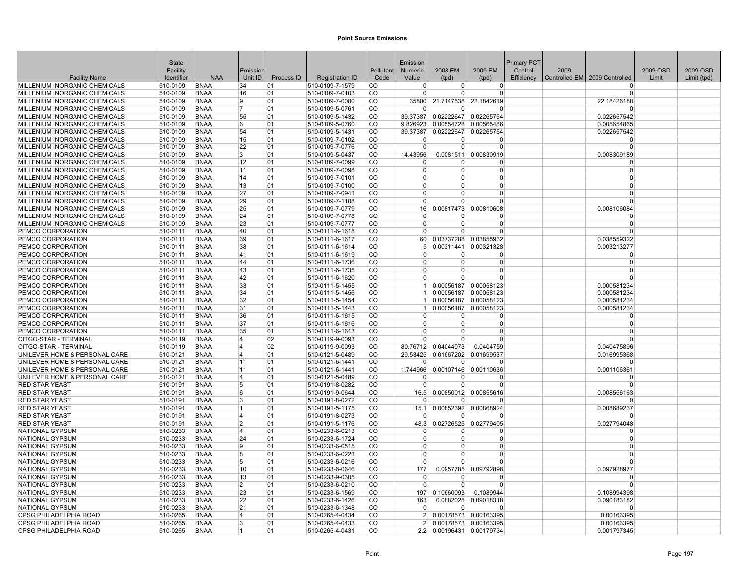|                                                                | State                |                            |                |            |                                    |                        | Emission             |                           |                                   | Primary PCT |      |                               |          |             |
|----------------------------------------------------------------|----------------------|----------------------------|----------------|------------|------------------------------------|------------------------|----------------------|---------------------------|-----------------------------------|-------------|------|-------------------------------|----------|-------------|
|                                                                | Facility             |                            | Emission       |            |                                    | Pollutant              | Numeric              | 2008 EM                   | 2009 EM                           | Control     | 2009 |                               | 2009 OSD | 2009 OSD    |
| <b>Facility Name</b>                                           | Identifier           | <b>NAA</b>                 | Unit ID        | Process ID | <b>Registration ID</b>             | Code                   | Value                | (tpd)                     | (tpd)                             | Efficiency  |      | Controlled EM 2009 Controlled | Limit    | Limit (tpd) |
| MILLENIUM INORGANIC CHEMICALS                                  | 510-0109             | <b>BNAA</b>                | 34             | 01         | 510-0109-7-1579                    | CO.                    | 0                    | $\overline{0}$            | $\overline{0}$                    |             |      | $^{(1)}$                      |          |             |
| MILLENIUM INORGANIC CHEMICALS                                  | 510-0109             | <b>BNAA</b>                | 16             | 01         | 510-0109-7-0103                    | CO                     | $\Omega$             | 0                         | 0                                 |             |      | $\Omega$                      |          |             |
| MILLENIUM INORGANIC CHEMICALS                                  | 510-0109             | <b>BNAA</b>                | 9              | 01         | 510-0109-7-0080                    | <b>CO</b>              | 35800                | 21.7147538                | 22.1842619                        |             |      | 22.18426188                   |          |             |
| MILLENIUM INORGANIC CHEMICALS                                  | 510-0109             | <b>BNAA</b>                | 7              | 01         | 510-0109-5-0761                    | lco                    | $\Omega$             | 0                         | $\Omega$                          |             |      |                               |          |             |
| MILLENIUM INORGANIC CHEMICALS                                  | 510-0109             | <b>BNAA</b>                | 55             | 01         | 510-0109-5-1432                    | <b>CO</b>              | 39.37387             | 0.02222647                | 0.02265754                        |             |      | 0.022657542                   |          |             |
| MILLENIUM INORGANIC CHEMICALS                                  | 510-0109             | <b>BNAA</b>                | 6              | 01         | 510-0109-5-0760                    | <b>CO</b>              | 9.826923             | 0.00554728                | 0.00565486                        |             |      | 0.005654865                   |          |             |
| MILLENIUM INORGANIC CHEMICALS                                  | 510-0109             | <b>BNAA</b>                | 54             | 01         | 510-0109-5-1431                    | lco<br><b>CO</b>       | 39.37387<br>$\Omega$ | 0.02222647 0.02265754     | $\Omega$                          |             |      | 0.022657542                   |          |             |
| MILLENIUM INORGANIC CHEMICALS<br>MILLENIUM INORGANIC CHEMICALS | 510-0109<br>510-0109 | <b>BNAA</b><br><b>BNAA</b> | 15<br>22       | 01<br>01   | 510-0109-7-0102<br>510-0109-7-0776 | lco                    | $\Omega$             | U<br>$\Omega$             | $\overline{0}$                    |             |      | $\Omega$<br>$\Omega$          |          |             |
| MILLENIUM INORGANIC CHEMICALS                                  | 510-0109             | <b>BNAA</b>                | 3              | 01         | 510-0109-5-0437                    | CO                     | 14.43956             |                           | 0.0081511 0.00830919              |             |      | 0.008309189                   |          |             |
| MILLENIUM INORGANIC CHEMICALS                                  | 510-0109             | <b>BNAA</b>                | 12             | 01         | 510-0109-7-0099                    | CO                     | $\Omega$             | 0                         | $\Omega$                          |             |      | $\Omega$                      |          |             |
| MILLENIUM INORGANIC CHEMICALS                                  | 510-0109             | <b>BNAA</b>                | 11             | 01         | 510-0109-7-0098                    | <b>CO</b>              | $\Omega$             | $\Omega$                  | 0                                 |             |      | $\Omega$                      |          |             |
| MILLENIUM INORGANIC CHEMICALS                                  | 510-0109             | <b>BNAA</b>                | 14             | 01         | 510-0109-7-0101                    | <b>CO</b>              | $\overline{0}$       | 0                         | 0                                 |             |      | $\Omega$                      |          |             |
| MILLENIUM INORGANIC CHEMICALS                                  | 510-0109             | <b>BNAA</b>                | 13             | 01         | 510-0109-7-0100                    | CO                     | $\Omega$             | 0                         | $\Omega$                          |             |      | $\Omega$                      |          |             |
| MILLENIUM INORGANIC CHEMICALS                                  | 510-0109             | <b>BNAA</b>                | 27             | 01         | 510-0109-7-0941                    | CO                     | $\Omega$             | 0                         | $\Omega$                          |             |      | $\Omega$                      |          |             |
| MILLENIUM INORGANIC CHEMICALS                                  | 510-0109             | <b>BNAA</b>                | 29             | 01         | 510-0109-7-1108                    | ∣co                    | $\Omega$             | $\Omega$                  | $\Omega$                          |             |      | $\Omega$                      |          |             |
| MILLENIUM INORGANIC CHEMICALS                                  | 510-0109             | <b>BNAA</b>                | 25             | 01         | 510-0109-7-0779                    | lco                    | 16 <sup>1</sup>      | 0.00817473                | 0.00810608                        |             |      | 0.008106084                   |          |             |
| MILLENIUM INORGANIC CHEMICALS                                  | 510-0109             | <b>BNAA</b>                | 24             | 01         | 510-0109-7-0778                    | <b>CO</b>              | $\Omega$             | 0                         | $\Omega$                          |             |      | n                             |          |             |
| MILLENIUM INORGANIC CHEMICALS                                  | 510-0109             | <b>BNAA</b>                | 23             | 01         | 510-0109-7-0777                    | <b>CO</b>              | $\Omega$             | 0                         | 0                                 |             |      | $\Omega$                      |          |             |
| PEMCO CORPORATION                                              | 510-0111             | <b>BNAA</b>                | 40             | 01         | 510-0111-6-1618                    | CO                     | $\Omega$             | 0                         | $\Omega$                          |             |      |                               |          |             |
| PEMCO CORPORATION                                              | 510-0111             | <b>BNAA</b>                | 39             | 01         | 510-0111-6-1617                    | CO                     | 60                   |                           | 0.03737288 0.03855932             |             |      | 0.038559322                   |          |             |
| PEMCO CORPORATION                                              | 510-0111             | <b>BNAA</b>                | 38             | 01         | 510-0111-6-1614                    | <b>CO</b>              | 5                    | 0.00311441                | 0.00321328                        |             |      | 0.003213277                   |          |             |
| PEMCO CORPORATION                                              | 510-0111             | <b>BNAA</b>                | 41             | 01         | 510-0111-6-1619                    | <b>CO</b>              | $\Omega$             | U                         | 0                                 |             |      | $\Omega$                      |          |             |
| PEMCO CORPORATION                                              | 510-0111             | <b>BNAA</b>                | 44             | 01         | 510-0111-6-1736                    | <b>CO</b>              | $\Omega$             | 0                         | 0                                 |             |      | $\Omega$                      |          |             |
| PEMCO CORPORATION                                              | 510-0111             | <b>BNAA</b>                | 43             | 01         | 510-0111-6-1735                    | CO                     | $\Omega$             | $\Omega$                  | $\Omega$                          |             |      | $\Omega$                      |          |             |
| PEMCO CORPORATION                                              | 510-0111             | <b>BNAA</b>                | 42             | 01         | 510-0111-6-1620                    | lco                    | $\Omega$             | $\Omega$                  | $\Omega$                          |             |      |                               |          |             |
| PEMCO CORPORATION                                              | 510-0111             | <b>BNAA</b>                | 33             | 01         | 510-0111-5-1455                    | <b>CO</b>              | 1 <sup>1</sup>       |                           | 0.00056187 0.00058123             |             |      | 0.000581234                   |          |             |
| PEMCO CORPORATION                                              | 510-0111             | <b>BNAA</b>                | 34             | 01         | 510-0111-5-1456                    | CO                     | $\vert$ 1            |                           | 0.00056187 0.00058123             |             |      | 0.000581234                   |          |             |
| PEMCO CORPORATION                                              | 510-0111             | <b>BNAA</b>                | 32             | 01         | 510-0111-5-1454                    | <b>CO</b>              | 1 <sup>1</sup>       |                           | 0.00056187 0.00058123             |             |      | 0.000581234                   |          |             |
| PEMCO CORPORATION                                              | 510-0111             | <b>BNAA</b>                | 31             | 01         | 510-0111-5-1443                    | <b>CO</b>              | $\vert$ 1            |                           | 0.00056187 0.00058123             |             |      | 0.000581234                   |          |             |
| PEMCO CORPORATION                                              | 510-0111             | <b>BNAA</b>                | 36             | 01         | 510-0111-6-1615                    | <b>CO</b>              | $\overline{0}$       | 0                         | 0                                 |             |      | $\Omega$                      |          |             |
| PEMCO CORPORATION                                              | 510-0111             | <b>BNAA</b>                | 37             | 01         | 510-0111-6-1616                    | CO                     | $\mathbf{0}$         | $\Omega$                  | $\overline{0}$                    |             |      | $\Omega$                      |          |             |
| PEMCO CORPORATION                                              | 510-0111             | <b>BNAA</b>                | 35             | 01         | 510-0111-6-1613                    | <b>CO</b>              | $\overline{0}$       | $\Omega$                  | $\Omega$                          |             |      | $\Omega$                      |          |             |
| CITGO-STAR - TERMINAL                                          | 510-0119             | <b>BNAA</b>                | 4              | 02         | 510-0119-9-0093                    | lCO                    | $\Omega$             | 0                         | $\Omega$                          |             |      |                               |          |             |
| CITGO-STAR - TERMINAL                                          | 510-0119             | <b>BNAA</b>                | 4              | 02         | 510-0119-9-0093                    | <b>CO</b>              |                      | 80.76712 0.04044073       | 0.0404759                         |             |      | 0.040475896                   |          |             |
| UNILEVER HOME & PERSONAL CARE                                  | 510-0121             | <b>BNAA</b>                | 4              | 01         | 510-0121-5-0489                    | <b>CO</b>              | 29.53425             | 0.01667202                | 0.01699537                        |             |      | 0.016995368                   |          |             |
| UNILEVER HOME & PERSONAL CARE                                  | 510-0121             | <b>BNAA</b>                | 11             | 01         | 510-0121-6-1441                    | <b>CO</b>              | $\Omega$             | $\Omega$                  | $\Omega$                          |             |      | $\Omega$                      |          |             |
| UNILEVER HOME & PERSONAL CARE                                  | 510-0121             | <b>BNAA</b>                | 11             | 01         | 510-0121-6-1441                    | <b>CO</b>              | 1.744966<br>$\Omega$ |                           | 0.00107146 0.00110636<br>$\Omega$ |             |      | 0.001106361                   |          |             |
| UNILEVER HOME & PERSONAL CARE<br><b>RED STAR YEAST</b>         | 510-0121             | <b>BNAA</b><br><b>BNAA</b> | $\overline{4}$ | 01         | 510-0121-5-0489<br>510-0191-8-0282 | <b>CO</b><br><b>CO</b> |                      | 0<br>$\Omega$             | $\Omega$                          |             |      | $\Omega$                      |          |             |
|                                                                | 510-0191             |                            | 5<br>6         | 01         |                                    | <b>CO</b>              | $\overline{0}$       |                           |                                   |             |      |                               |          |             |
| <b>RED STAR YEAST</b><br><b>RED STAR YEAST</b>                 | 510-0191<br>510-0191 | <b>BNAA</b><br><b>BNAA</b> | 3              | 01<br>01   | 510-0191-9-0644<br>510-0191-8-0272 | <b>CO</b>              | 16.5<br>$\Omega$     | U                         | 0.00850012 0.00855616<br>0        |             |      | 0.008556163<br>$\Omega$       |          |             |
| <b>RED STAR YEAST</b>                                          | 510-0191             | <b>BNAA</b>                | 1              | 01         | 510-0191-5-1175                    | CO                     | 15.1                 |                           | 0.00852392 0.00868924             |             |      | 0.008689237                   |          |             |
| <b>RED STAR YEAST</b>                                          | 510-0191             | <b>BNAA</b>                | $\overline{4}$ | 01         | 510-0191-8-0273                    | l CO                   | $\Omega$             | $\Omega$                  | $\Omega$                          |             |      | $\Omega$                      |          |             |
| <b>RED STAR YEAST</b>                                          | 510-0191             | <b>BNAA</b>                | $\overline{2}$ | 01         | 510-0191-5-1176                    | <b>CO</b>              | 48.3                 |                           | 0.02726525 0.02779405             |             |      | 0.027794048                   |          |             |
| NATIONAL GYPSUM                                                | 510-0233             | <b>BNAA</b>                | 4              | 01         | 510-0233-6-0213                    | <b>CO</b>              | $\overline{0}$       | 0                         | $\Omega$                          |             |      | $\Omega$                      |          |             |
| NATIONAL GYPSUM                                                | 510-0233             | <b>BNAA</b>                | 24             | 01         | 510-0233-6-1724                    | <b>CO</b>              | $\Omega$             | 0                         | $\Omega$                          |             |      | $\Omega$                      |          |             |
| NATIONAL GYPSUM                                                | 510-0233             | <b>BNAA</b>                | 9              | 01         | 510-0233-6-0515                    | <b>CO</b>              | $\mathbf{0}$         | 0                         | 0                                 |             |      | $\Omega$                      |          |             |
| NATIONAL GYPSUM                                                | 510-0233             | <b>BNAA</b>                | 8              | 01         | 510-0233-6-0223                    | CO                     | $\Omega$             | $\Omega$                  | $\Omega$                          |             |      | $\Omega$                      |          |             |
| NATIONAL GYPSUM                                                | 510-0233             | <b>BNAA</b>                | 5              | 01         | 510-0233-6-0216                    | <b>CO</b>              | $\Omega$             | $\Omega$                  | $\Omega$                          |             |      | $\Omega$                      |          |             |
| NATIONAL GYPSUM                                                | 510-0233             | <b>BNAA</b>                | 10             | 01         | 510-0233-6-0646                    | <b>CO</b>              | 177                  | 0.0957785                 | 0.09792898                        |             |      | 0.097928977                   |          |             |
| <b>NATIONAL GYPSUM</b>                                         | 510-0233             | BNAA                       | 13             | 01         | 510-0233-9-0305                    | <b>CO</b>              | $\Omega$             | o                         | 0                                 |             |      | 0                             |          |             |
| NATIONAL GYPSUM                                                | 510-0233             | <b>BNAA</b>                | $\overline{2}$ | 01         | 510-0233-6-0210                    | lco                    | $\Omega$             | $\Omega$                  | $\Omega$                          |             |      | $\Omega$                      |          |             |
| NATIONAL GYPSUM                                                | 510-0233             | <b>BNAA</b>                | 23             | 01         | 510-0233-6-1569                    | lco                    | 197                  | 0.10660093                | 0.1089944                         |             |      | 0.108994398                   |          |             |
| <b>NATIONAL GYPSUM</b>                                         | 510-0233             | <b>BNAA</b>                | 22             | 01         | 510-0233-6-1426                    | <b>CO</b>              | 163                  |                           | 0.0882028 0.09018318              |             |      | 0.090183182                   |          |             |
| NATIONAL GYPSUM                                                | 510-0233             | <b>BNAA</b>                | 21             | 01         | 510-0233-6-1348                    | <b>CO</b>              | $\Omega$             | $\Omega$                  | $\Omega$                          |             |      | $\Omega$                      |          |             |
| CPSG PHILADELPHIA ROAD                                         | 510-0265             | <b>BNAA</b>                | 4              | 01         | 510-0265-4-0434                    | <b>CO</b>              | 2 <sup>1</sup>       |                           | 0.00178573 0.00163395             |             |      | 0.00163395                    |          |             |
| <b>CPSG PHILADELPHIA ROAD</b>                                  | 510-0265             | <b>BNAA</b>                | 3              | 01         | 510-0265-4-0433                    | <b>CO</b>              | $\mathcal{P}$        |                           | 0.00178573 0.00163395             |             |      | 0.00163395                    |          |             |
| CPSG PHILADELPHIA ROAD                                         | 510-0265             | <b>BNAA</b>                | 1              | 01         | 510-0265-4-0431                    | <b>CO</b>              |                      | 2.2 0.00196431 0.00179734 |                                   |             |      | 0.001797345                   |          |             |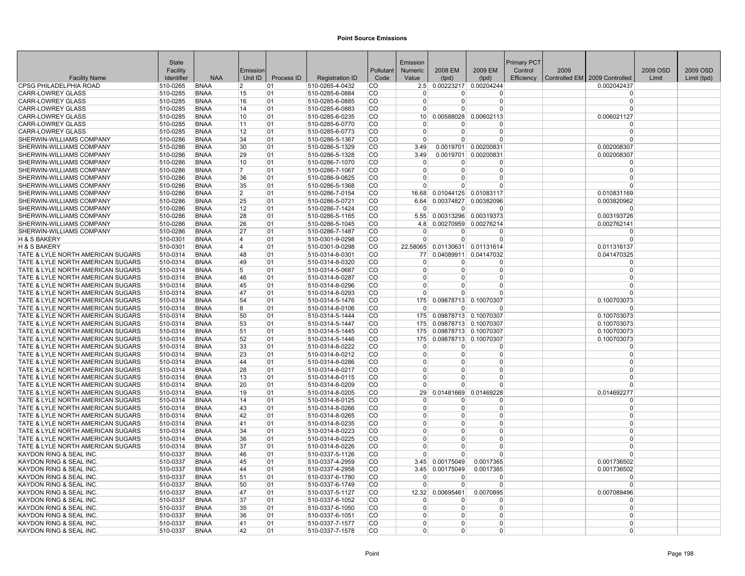|                                                                    | State                |                            |                         |            |                                    |               | Emission             |                      |                                                     | Primary PCT |      |                                 |          |             |
|--------------------------------------------------------------------|----------------------|----------------------------|-------------------------|------------|------------------------------------|---------------|----------------------|----------------------|-----------------------------------------------------|-------------|------|---------------------------------|----------|-------------|
|                                                                    | Facility             |                            | Emission                |            |                                    | Pollutant     | <b>Numeric</b>       | 2008 EM              | 2009 EM                                             | Control     | 2009 |                                 | 2009 OSD | 2009 OSD    |
| <b>Facility Name</b>                                               | Identifier           | <b>NAA</b>                 | Unit ID                 | Process ID | <b>Registration ID</b>             | Code          | Value                | (tpd)                | (tpd)                                               | Efficiency  |      | Controlled EM   2009 Controlled | Limit    | Limit (tpd) |
| <b>CPSG PHILADELPHIA ROAD</b>                                      | 510-0265             | <b>BNAA</b>                | $\overline{2}$          | 01         | 510-0265-4-0432                    | <b>CO</b>     |                      |                      | 2.5 0.00223217 0.00204244                           |             |      | 0.002042437                     |          |             |
| <b>CARR-LOWREY GLASS</b>                                           | 510-0285             | <b>BNAA</b>                | 15                      | 01         | 510-0285-6-0884                    | <b>CO</b>     |                      | 0                    | $\Omega$                                            |             |      | $\Omega$                        |          |             |
| <b>CARR-LOWREY GLASS</b>                                           | 510-0285             | <b>BNAA</b>                | 16                      | 01         | 510-0285-6-0885                    | <b>CO</b>     | $\Omega$             | $\Omega$             | 0                                                   |             |      | $\Omega$                        |          |             |
| <b>CARR-LOWREY GLASS</b>                                           | 510-0285             | <b>BNAA</b>                | 14                      | 01         | 510-0285-6-0883                    | CO            | $\Omega$             | $\overline{0}$       | $\overline{0}$                                      |             |      | $\Omega$                        |          |             |
| <b>CARR-LOWREY GLASS</b>                                           | 510-0285             | <b>BNAA</b>                | 10                      | 01         | 510-0285-6-0235                    | <b>CO</b>     | 10 <sup>1</sup>      | 0.00588028           | 0.00602113                                          |             |      | 0.006021127                     |          |             |
| CARR-LOWREY GLASS                                                  | 510-0285             | <b>BNAA</b>                | 11                      | 01         | 510-0285-6-0770                    | <b>CO</b>     | $\Omega$             | 0                    | 0                                                   |             |      | $\Omega$                        |          |             |
| CARR-LOWREY GLASS                                                  | 510-0285             | <b>BNAA</b>                | 12                      | 01         | 510-0285-6-0773                    | lco           | $\Omega$             | $\Omega$             | 0                                                   |             |      | $\Omega$                        |          |             |
| SHERWIN-WILLIAMS COMPANY                                           | 510-0286             | <b>BNAA</b>                | 34                      | 01         | 510-0286-5-1367                    | <b>CO</b>     | $\Omega$             | $\Omega$             | $\Omega$                                            |             |      | $\Omega$                        |          |             |
| SHERWIN-WILLIAMS COMPANY                                           | 510-0286             | <b>BNAA</b>                | 30                      | 01         | 510-0286-5-1329                    | <b>CO</b>     | 3.49                 |                      | 0.0019701 0.00200831                                |             |      | 0.002008307                     |          |             |
| SHERWIN-WILLIAMS COMPANY                                           | 510-0286             | <b>BNAA</b>                | 29                      | 01         | 510-0286-5-1328                    | CO            | 3.49                 |                      | 0.0019701 0.00200831                                |             |      | 0.002008307                     |          |             |
| SHERWIN-WILLIAMS COMPANY                                           | 510-0286             | <b>BNAA</b>                | 10                      | 01         | 510-0286-7-1070                    | CO            | $\Omega$             | $\Omega$             | $\Omega$                                            |             |      | $\Omega$                        |          |             |
| SHERWIN-WILLIAMS COMPANY                                           | 510-0286             | <b>BNAA</b>                | $\overline{7}$          | 01         | 510-0286-7-1067                    | <b>CO</b>     | $\Omega$             | 0                    | $\Omega$                                            |             |      | $\Omega$                        |          |             |
| <b>SHERWIN-WILLIAMS COMPANY</b>                                    | 510-0286             | <b>BNAA</b>                | 36                      | 01         | 510-0286-9-0825                    | <b>CO</b>     | $\Omega$             | $\Omega$             | $\Omega$                                            |             |      | $\Omega$                        |          |             |
| SHERWIN-WILLIAMS COMPANY                                           | 510-0286             | <b>BNAA</b>                | 35                      | 01         | 510-0286-5-1368                    | CO            | $\Omega$             | U                    | $\Omega$                                            |             |      | $\Omega$                        |          |             |
| SHERWIN-WILLIAMS COMPANY                                           | 510-0286             | <b>BNAA</b>                | $\overline{2}$          | 01         | 510-0286-7-0154                    | <b>CO</b>     | 16.68                |                      | 0.01044125 0.01083117                               |             |      | 0.010831169                     |          |             |
| SHERWIN-WILLIAMS COMPANY                                           | 510-0286             | <b>BNAA</b>                | 25                      | 01         | 510-0286-5-0721                    | ∣co<br>lco    | 6.64                 |                      | 0.00374827 0.00382096                               |             |      | 0.003820962                     |          |             |
| SHERWIN-WILLIAMS COMPANY                                           | 510-0286             | <b>BNAA</b>                | 12<br>28                | 01         | 510-0286-7-1424                    | lco           | $\Omega$             | $\overline{0}$       | 0                                                   |             |      | $\Omega$                        |          |             |
| <b>SHERWIN-WILLIAMS COMPANY</b><br><b>SHERWIN-WILLIAMS COMPANY</b> | 510-0286<br>510-0286 | <b>BNAA</b><br><b>BNAA</b> | 26                      | 01<br>01   | 510-0286-5-1165<br>510-0286-5-1045 | <b>CO</b>     | 4.8                  |                      | 5.55 0.00313296 0.00319373<br>0.00270959 0.00276214 |             |      | 0.003193726<br>0.002762141      |          |             |
| SHERWIN-WILLIAMS COMPANY                                           | 510-0286             | <b>BNAA</b>                | 27                      | 01         | 510-0286-7-1487                    | <b>CO</b>     | $\mathbf 0$          | $\Omega$             | $\Omega$                                            |             |      | $\Omega$                        |          |             |
| H & S BAKERY                                                       | 510-0301             | <b>BNAA</b>                | 4                       | 01         | 510-0301-9-0298                    | CO            | $\mathbf 0$          | $\Omega$             | $\overline{0}$                                      |             |      | $\Omega$                        |          |             |
| <b>H &amp; S BAKERY</b>                                            | 510-0301             | <b>BNAA</b>                | $\overline{\mathbf{A}}$ | 01         | 510-0301-9-0298                    | <b>CO</b>     | 22.58065             |                      | 0.01130631 0.01131614                               |             |      | 0.011316137                     |          |             |
| TATE & LYLE NORTH AMERICAN SUGARS                                  | 510-0314             | <b>BNAA</b>                | 48                      | 01         | 510-0314-8-0301                    | <b>CO</b>     | 77                   | 0.04089911           | 0.04147032                                          |             |      | 0.041470325                     |          |             |
| TATE & LYLE NORTH AMERICAN SUGARS                                  | 510-0314             | <b>BNAA</b>                | 49                      | 01         | 510-0314-8-0320                    | CO            | $\Omega$             | $\overline{0}$       | $\Omega$                                            |             |      | $\Omega$                        |          |             |
| TATE & LYLE NORTH AMERICAN SUGARS                                  | 510-0314             | <b>BNAA</b>                | 5                       | 01         | 510-0314-5-0687                    | <b>CO</b>     | $\Omega$             | $\Omega$             | 0                                                   |             |      | $\Omega$                        |          |             |
| TATE & LYLE NORTH AMERICAN SUGARS                                  | 510-0314             | <b>BNAA</b>                | 46                      | 01         | 510-0314-8-0287                    | lco.          | $\Omega$             | $\Omega$             | $\Omega$                                            |             |      | $\Omega$                        |          |             |
| TATE & LYLE NORTH AMERICAN SUGARS                                  | 510-0314             | <b>BNAA</b>                | 45                      | 01         | 510-0314-8-0296                    | <b>CO</b>     | $\Omega$             | $\Omega$             | $\overline{0}$                                      |             |      | $\Omega$                        |          |             |
| TATE & LYLE NORTH AMERICAN SUGARS                                  | 510-0314             | <b>BNAA</b>                | 47                      | 01         | 510-0314-8-0293                    | co            | $\Omega$             | $\Omega$             | $\Omega$                                            |             |      | $\Omega$                        |          |             |
| TATE & LYLE NORTH AMERICAN SUGARS                                  | 510-0314             | <b>BNAA</b>                | 54                      | 01         | 510-0314-5-1476                    | <b>CO</b>     | 175                  |                      | 0.09878713 0.10070307                               |             |      | 0.100703073                     |          |             |
| TATE & LYLE NORTH AMERICAN SUGARS                                  | 510-0314             | <b>BNAA</b>                | 8                       | 01         | 510-0314-8-0106                    | <b>CO</b>     | $\Omega$             | $\Omega$             | $\Omega$                                            |             |      | $\Omega$                        |          |             |
| TATE & LYLE NORTH AMERICAN SUGARS                                  | 510-0314             | <b>BNAA</b>                | 50                      | 01         | 510-0314-5-1444                    | <b>CO</b>     | 175                  |                      | 0.09878713 0.10070307                               |             |      | 0.100703073                     |          |             |
| TATE & LYLE NORTH AMERICAN SUGARS                                  | 510-0314             | <b>BNAA</b>                | 53                      | 01         | 510-0314-5-1447                    | CO            | 175                  |                      | 0.09878713 0.10070307                               |             |      | 0.100703073                     |          |             |
| TATE & LYLE NORTH AMERICAN SUGARS                                  | 510-0314             | <b>BNAA</b>                | 51                      | 01         | 510-0314-5-1445                    | <b>CO</b>     | 175                  |                      | 0.09878713 0.10070307                               |             |      | 0.100703073                     |          |             |
| TATE & LYLE NORTH AMERICAN SUGARS                                  | 510-0314             | <b>BNAA</b>                | 52                      | 01         | 510-0314-5-1446                    | <b>CO</b>     | 175                  |                      | 0.09878713 0.10070307                               |             |      | 0.100703073                     |          |             |
| TATE & LYLE NORTH AMERICAN SUGARS                                  | 510-0314             | <b>BNAA</b>                | 33                      | 01         | 510-0314-8-0222                    | <b>CO</b>     | 0                    | $\Omega$             | $\Omega$                                            |             |      | $\Omega$                        |          |             |
| TATE & LYLE NORTH AMERICAN SUGARS                                  | 510-0314             | <b>BNAA</b>                | 23                      | 01         | 510-0314-8-0212                    | <b>CO</b>     | $\Omega$             | $\Omega$             | $\Omega$                                            |             |      | $\Omega$                        |          |             |
| TATE & LYLE NORTH AMERICAN SUGARS                                  | 510-0314             | <b>BNAA</b>                | 44                      | 01         | 510-0314-8-0286                    | <b>CO</b>     | $\Omega$             | 0                    | $\Omega$                                            |             |      | $\Omega$                        |          |             |
| TATE & LYLE NORTH AMERICAN SUGARS                                  | 510-0314             | <b>BNAA</b>                | 28                      | 01         | 510-0314-8-0217                    | <b>CO</b>     | $\Omega$             | $\overline{0}$       | $\overline{0}$                                      |             |      | $\Omega$                        |          |             |
| TATE & LYLE NORTH AMERICAN SUGARS                                  | 510-0314             | <b>BNAA</b>                | 13                      | 01         | 510-0314-8-0115                    | CO            | $\Omega$             | 0                    | $\Omega$                                            |             |      | $\Omega$                        |          |             |
| TATE & LYLE NORTH AMERICAN SUGARS                                  | 510-0314             | <b>BNAA</b>                | 20                      | 01         | 510-0314-8-0209                    | <b>CO</b>     | $\Omega$             | U                    | $\Omega$                                            |             |      | $\Omega$                        |          |             |
| TATE & LYLE NORTH AMERICAN SUGARS                                  | 510-0314             | <b>BNAA</b>                | 19                      | 01         | 510-0314-8-0205                    | <b>CO</b>     | 29                   |                      | 0.01481669 0.01469228                               |             |      | 0.014692277                     |          |             |
| TATE & LYLE NORTH AMERICAN SUGARS                                  | 510-0314             | <b>BNAA</b>                | 14                      | 01         | 510-0314-8-0125                    | <b>CO</b>     | $\mathbf 0$          | <sup>0</sup>         | 0                                                   |             |      | $\mathbf 0$                     |          |             |
| TATE & LYLE NORTH AMERICAN SUGARS                                  | 510-0314             | <b>BNAA</b>                | 43                      | 01         | 510-0314-8-0266                    | CO            | $\mathbf 0$          | $\overline{0}$       | $\overline{0}$                                      |             |      | $\Omega$                        |          |             |
| TATE & LYLE NORTH AMERICAN SUGARS                                  | 510-0314             | <b>BNAA</b>                | 42                      | 01         | 510-0314-8-0265                    | ∣co           | $\Omega$             | $\overline{0}$       | 0                                                   |             |      | $\Omega$                        |          |             |
| TATE & LYLE NORTH AMERICAN SUGARS                                  | 510-0314             | <b>BNAA</b>                | 41                      | 01         | 510-0314-8-0235                    | lco           | $\Omega$             | $\Omega$             | $\Omega$                                            |             |      | $\Omega$                        |          |             |
| TATE & LYLE NORTH AMERICAN SUGARS                                  | 510-0314             | <b>BNAA</b>                | 34                      | 01         | 510-0314-8-0223                    | lco           | $\Omega$             | $\Omega$             | $\Omega$                                            |             |      | $\Omega$                        |          |             |
| TATE & LYLE NORTH AMERICAN SUGARS                                  | 510-0314             | <b>BNAA</b>                | 36                      | 01         | 510-0314-8-0225                    | <b>CO</b>     | $\Omega$             | $\Omega$             | $\Omega$                                            |             |      | $\Omega$                        |          |             |
| TATE & LYLE NORTH AMERICAN SUGARS                                  | 510-0314             | <b>BNAA</b>                | 37                      | 01         | 510-0314-8-0226                    | <b>CO</b>     | $\Omega$             | 0                    | $\Omega$                                            |             |      | $\Omega$                        |          |             |
| KAYDON RING & SEAL INC.                                            | 510-0337             | <b>BNAA</b>                | 46                      | 01         | 510-0337-5-1126                    | CO            | $\Omega$             | $\Omega$             | $\Omega$                                            |             |      | $\Omega$                        |          |             |
| KAYDON RING & SEAL INC.                                            | 510-0337             | <b>BNAA</b>                | 45                      | 01         | 510-0337-4-2959                    | CO            | 3.45                 | 0.00175049           | 0.0017365                                           |             |      | 0.001736502                     |          |             |
| KAYDON RING & SEAL INC.                                            | 510-0337             | <b>BNAA</b>                | 44                      | 01         | 510-0337-4-2958                    | <b>CO</b>     | 3.45                 | 0.00175049           | 0.0017365                                           |             |      | 0.001736502                     |          |             |
| KAYDON RING & SEAL INC                                             | 510-0337             | BNAA                       | 51                      | 01         | 510-0337-6-1780                    | CO            | <sup>0</sup>         | <sup>0</sup>         | 0                                                   |             |      | 0                               |          |             |
| KAYDON RING & SEAL INC.                                            | 510-0337             | <b>BNAA</b>                | 50                      | 01         | 510-0337-6-1749                    | lco           | $\Omega$             | $\Omega$             | $\Omega$                                            |             |      | $\Omega$                        |          |             |
| KAYDON RING & SEAL INC.                                            | 510-0337             | <b>BNAA</b>                | 47                      | 01         | 510-0337-5-1127                    | lco           | 12.32                | 0.00695461           | 0.0070895                                           |             |      | 0.007089496                     |          |             |
| KAYDON RING & SEAL INC.                                            | 510-0337             | <b>BNAA</b>                | 37                      | 01         | 510-0337-6-1052                    | <b>CO</b>     | $\Omega$             | $\Omega$             | <sup>0</sup>                                        |             |      | $\Omega$                        |          |             |
| KAYDON RING & SEAL INC.                                            | 510-0337             | <b>BNAA</b>                | 35                      | 01         | 510-0337-6-1050                    | CO            | $\mathbf 0$          | $\Omega$             | 0                                                   |             |      | $\Omega$<br>$\Omega$            |          |             |
| KAYDON RING & SEAL INC.                                            | 510-0337             | <b>BNAA</b>                | 36                      | 01         | 510-0337-6-1051                    | <b>CO</b>     | $\Omega$<br>$\Omega$ | $\Omega$<br>$\Omega$ | $\Omega$                                            |             |      | $\Omega$                        |          |             |
| KAYDON RING & SEAL INC.                                            | 510-0337             | <b>BNAA</b>                | 41                      | 01         | 510-0337-7-1577                    | <sub>CO</sub> |                      |                      | 0                                                   |             |      |                                 |          |             |
| KAYDON RING & SEAL INC.                                            | 510-0337             | <b>BNAA</b>                | 42                      | 01         | 510-0337-7-1578                    | <b>CO</b>     | $\Omega$             | $\Omega$             | 0                                                   |             |      | $\overline{0}$                  |          |             |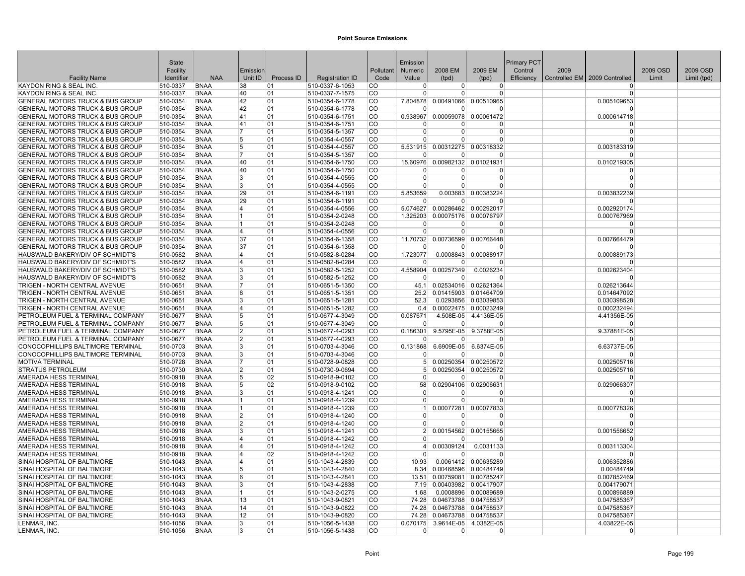|                                                                                            | <b>State</b>         |                            |                     |            |                                    |                      | Emission             |                |                                   | <b>Primary PCT</b> |      |                               |          |             |
|--------------------------------------------------------------------------------------------|----------------------|----------------------------|---------------------|------------|------------------------------------|----------------------|----------------------|----------------|-----------------------------------|--------------------|------|-------------------------------|----------|-------------|
|                                                                                            | Facility             |                            | Emission            |            |                                    | Pollutant            | <b>Numeric</b>       | 2008 EM        | 2009 EM                           | Control            | 2009 |                               | 2009 OSD | 2009 OSD    |
| <b>Facility Name</b>                                                                       | Identifier           | <b>NAA</b>                 | Unit ID             | Process ID | <b>Registration ID</b>             | Code                 | Value                | (tpd)          | (tpd)                             | Efficiency         |      | Controlled EM 2009 Controlled | Limit    | Limit (tpd) |
| KAYDON RING & SEAL INC                                                                     | 510-0337             | <b>BNAA</b>                | 38                  | 01         | 510-0337-6-1053                    | <b>CO</b>            | $\Omega$             | 0              | $\overline{0}$                    |                    |      | $\Omega$                      |          |             |
| KAYDON RING & SEAL INC                                                                     | 510-0337             | <b>BNAA</b>                | 40                  | 01         | 510-0337-7-1575                    | <b>CO</b>            | $\Omega$             | $\Omega$       | $\Omega$                          |                    |      | $\Omega$                      |          |             |
| GENERAL MOTORS TRUCK & BUS GROUP                                                           | 510-0354             | <b>BNAA</b>                | 42                  | 01         | 510-0354-6-1778                    | CO                   | 7.804878             |                | 0.00491066 0.00510965             |                    |      | 0.005109653                   |          |             |
| <b>GENERAL MOTORS TRUCK &amp; BUS GROUP</b>                                                | 510-0354             | <b>BNAA</b>                | 42                  | 01         | 510-0354-6-1778                    | ICO.                 | $\Omega$             | $\Omega$       | $\Omega$                          |                    |      | $\Omega$                      |          |             |
| <b>GENERAL MOTORS TRUCK &amp; BUS GROUP</b>                                                | 510-0354             | <b>BNAA</b>                | 41                  | 01         | 510-0354-6-1751                    | lco                  | 0.938967             |                | 0.00059078 0.00061472             |                    |      | 0.000614718                   |          |             |
| <b>GENERAL MOTORS TRUCK &amp; BUS GROUP</b>                                                | 510-0354             | <b>BNAA</b>                | 41                  | 01         | 510-0354-6-1751                    | CO                   | $\Omega$             | $\Omega$       | $\Omega$                          |                    |      | $\Omega$                      |          |             |
| <b>GENERAL MOTORS TRUCK &amp; BUS GROUP</b>                                                | 510-0354             | <b>BNAA</b>                | 7                   | 01         | 510-0354-5-1357                    | lco                  | $\Omega$             | $\Omega$       | $\Omega$                          |                    |      | $\Omega$                      |          |             |
| <b>GENERAL MOTORS TRUCK &amp; BUS GROUP</b>                                                | 510-0354             | <b>BNAA</b>                | 5                   | 01         | 510-0354-4-0557                    | <b>CO</b>            | $\Omega$             | $\Omega$       | $\Omega$                          |                    |      | $\Omega$                      |          |             |
| <b>GENERAL MOTORS TRUCK &amp; BUS GROUP</b>                                                | 510-0354             | <b>BNAA</b>                | 5                   | 01         | 510-0354-4-0557                    | <b>CO</b>            | 5.531915             | 0.00312275     | 0.00318332                        |                    |      | 0.003183319                   |          |             |
| <b>GENERAL MOTORS TRUCK &amp; BUS GROUP</b>                                                | 510-0354             | <b>BNAA</b>                | 7                   | 01         | 510-0354-5-1357                    | CO                   | $\Omega$             | <sup>0</sup>   | $\Omega$                          |                    |      | $\Omega$                      |          |             |
| <b>GENERAL MOTORS TRUCK &amp; BUS GROUP</b>                                                | 510-0354             | <b>BNAA</b>                | 40                  | 01         | 510-0354-6-1750                    | <b>CO</b>            | 15.60976<br>$\Omega$ |                | 0.00982132 0.01021931             |                    |      | 0.010219305<br>$\Omega$       |          |             |
| <b>GENERAL MOTORS TRUCK &amp; BUS GROUP</b>                                                | 510-0354             | <b>BNAA</b>                | 40                  | 01         | 510-0354-6-1750                    | ∣CO<br><sub>CO</sub> | $\Omega$             | 0<br>$\Omega$  | 0                                 |                    |      | $\Omega$                      |          |             |
| <b>GENERAL MOTORS TRUCK &amp; BUS GROUP</b><br><b>GENERAL MOTORS TRUCK &amp; BUS GROUP</b> | 510-0354<br>510-0354 | <b>BNAA</b><br><b>BNAA</b> | 3<br>$\mathbf{3}$   | 01<br>01   | 510-0354-4-0555<br>510-0354-4-0555 | <b>CO</b>            | $\Omega$             | $\Omega$       | 0<br>$\Omega$                     |                    |      | $\Omega$                      |          |             |
| <b>GENERAL MOTORS TRUCK &amp; BUS GROUP</b>                                                | 510-0354             | <b>BNAA</b>                | 29                  | 01         | 510-0354-6-1191                    | <b>CO</b>            | 5.853659             | 0.003683       | 0.00383224                        |                    |      | 0.003832239                   |          |             |
| GENERAL MOTORS TRUCK & BUS GROUP                                                           | 510-0354             | <b>BNAA</b>                | 29                  | 01         | 510-0354-6-1191                    | <b>CO</b>            | $\Omega$             | $\Omega$       | $\Omega$                          |                    |      | $\Omega$                      |          |             |
| <b>GENERAL MOTORS TRUCK &amp; BUS GROUP</b>                                                | 510-0354             | <b>BNAA</b>                | $\overline{4}$      | 01         | 510-0354-4-0556                    | <b>CO</b>            | 5.074627             |                | 0.00286462 0.00292017             |                    |      | 0.002920174                   |          |             |
| <b>GENERAL MOTORS TRUCK &amp; BUS GROUP</b>                                                | 510-0354             | <b>BNAA</b>                | 1                   | 01         | 510-0354-2-0248                    | <b>CO</b>            |                      |                | 1.325203 0.00075176 0.00076797    |                    |      | 0.000767969                   |          |             |
| GENERAL MOTORS TRUCK & BUS GROUP                                                           | 510-0354             | <b>BNAA</b>                | 1                   | 01         | 510-0354-2-0248                    | <b>CO</b>            | $\Omega$             | $\Omega$       | $\Omega$                          |                    |      | $\Omega$                      |          |             |
| GENERAL MOTORS TRUCK & BUS GROUP                                                           | 510-0354             | <b>BNAA</b>                | 14                  | 01         | 510-0354-4-0556                    | <b>CO</b>            | $\Omega$             | $\Omega$       | $\Omega$                          |                    |      | $\Omega$                      |          |             |
| <b>GENERAL MOTORS TRUCK &amp; BUS GROUP</b>                                                | 510-0354             | <b>BNAA</b>                | 37                  | 01         | 510-0354-6-1358                    | lco                  | 11.70732             |                | 0.00736599 0.00766448             |                    |      | 0.007664479                   |          |             |
| <b>GENERAL MOTORS TRUCK &amp; BUS GROUP</b>                                                | 510-0354             | <b>BNAA</b>                | 37                  | 01         | 510-0354-6-1358                    | ICO.                 | $\Omega$             | $\Omega$       | $\Omega$                          |                    |      | $\Omega$                      |          |             |
| HAUSWALD BAKERY/DIV OF SCHMIDT'S                                                           | 510-0582             | <b>BNAA</b>                | 4                   | 01         | 510-0582-8-0284                    | <b>CO</b>            | 1.723077             |                | 0.0008843 0.00088917              |                    |      | 0.000889173                   |          |             |
| HAUSWALD BAKERY/DIV OF SCHMIDT'S                                                           | 510-0582             | <b>BNAA</b>                | $\overline{4}$      | 01         | 510-0582-8-0284                    | co                   | $\Omega$             | $\Omega$       | $\Omega$                          |                    |      | $\Omega$                      |          |             |
| HAUSWALD BAKERY/DIV OF SCHMIDT'S                                                           | 510-0582             | <b>BNAA</b>                | 3                   | 01         | 510-0582-5-1252                    | <b>CO</b>            | 4.558904             | 0.00257349     | 0.0026234                         |                    |      | 0.002623404                   |          |             |
| HAUSWALD BAKERY/DIV OF SCHMIDT'S                                                           | 510-0582             | <b>BNAA</b>                | 3                   | 01         | 510-0582-5-1252                    | <b>CO</b>            | $\Omega$             | $\overline{0}$ | $\Omega$                          |                    |      | $\Omega$                      |          |             |
| TRIGEN - NORTH CENTRAL AVENUE                                                              | 510-0651             | <b>BNAA</b>                | 7                   | 01         | 510-0651-5-1350                    | CO                   | 45.1                 |                | 0.02534016 0.02621364             |                    |      | 0.026213644                   |          |             |
| TRIGEN - NORTH CENTRAL AVENUE                                                              | 510-0651             | <b>BNAA</b>                | 8                   | 01         | 510-0651-5-1351                    | CO                   | 25.2                 |                | 0.01415903 0.01464709             |                    |      | 0.014647092                   |          |             |
| TRIGEN - NORTH CENTRAL AVENUE                                                              | 510-0651             | <b>BNAA</b>                | 3                   | 01         | 510-0651-5-1281                    | ICO.                 | 52.3                 |                | 0.0293856 0.03039853              |                    |      | 0.030398528                   |          |             |
| TRIGEN - NORTH CENTRAL AVENUE                                                              | 510-0651             | <b>BNAA</b>                | 4                   | 01         | 510-0651-5-1282                    | <sub>CO</sub>        | 0.4                  |                | 0.00022475 0.00023249             |                    |      | 0.000232494                   |          |             |
| PETROLEUM FUEL & TERMINAL COMPANY                                                          | 510-0677             | <b>BNAA</b>                | 5                   | 01         | 510-0677-4-3049                    | CO                   | 0.087671             |                | 4.508E-05 4.4136E-05              |                    |      | 4.41356E-05                   |          |             |
| PETROLEUM FUEL & TERMINAL COMPANY                                                          | 510-0677             | <b>BNAA</b>                | 5                   | 01         | 510-0677-4-3049                    | <b>CO</b>            | $\Omega$             | $\Omega$       | $\Omega$                          |                    |      | $\Omega$                      |          |             |
| PETROLEUM FUEL & TERMINAL COMPANY                                                          | 510-0677             | <b>BNAA</b>                | $\overline{2}$      | 01         | 510-0677-4-0293                    | <b>CO</b>            | 0.186301             |                | 9.5795E-05 9.3788E-05             |                    |      | 9.37881E-05                   |          |             |
| PETROLEUM FUEL & TERMINAL COMPANY                                                          | 510-0677             | <b>BNAA</b>                | $\overline{2}$      | 01         | 510-0677-4-0293                    | <b>CO</b>            | $\overline{0}$       | $\overline{0}$ | $\Omega$                          |                    |      | $\Omega$                      |          |             |
| CONOCOPHILLIPS BALTIMORE TERMINAL                                                          | 510-0703             | <b>BNAA</b>                | 3                   | 01         | 510-0703-4-3046                    | CO                   |                      |                | 0.131868 6.6909E-05 6.6374E-05    |                    |      | 6.63737E-05                   |          |             |
| CONOCOPHILLIPS BALTIMORE TERMINAL                                                          | 510-0703             | <b>BNAA</b>                | 3                   | 01         | 510-0703-4-3046                    | CO                   |                      | $\Omega$       | $\Omega$                          |                    |      | $\Omega$                      |          |             |
| MOTIVA TERMINAL                                                                            | 510-0728             | <b>BNAA</b>                | 7                   | 01         | 510-0728-9-0828                    | CO                   | 5 <sup>1</sup>       |                | 0.00250354 0.00250572             |                    |      | 0.002505716                   |          |             |
| <b>STRATUS PETROLEUM</b>                                                                   | 510-0730             | <b>BNAA</b>                | $\overline{2}$      | 01         | 510-0730-9-0694                    | lco                  | 5 <sup>1</sup>       |                | 0.00250354 0.00250572             |                    |      | 0.002505716                   |          |             |
| AMERADA HESS TERMINAL                                                                      | 510-0918             | <b>BNAA</b>                | 5                   | 02         | 510-0918-9-0102                    | <b>CO</b>            | $\Omega$             | $\Omega$       | $\Omega$                          |                    |      | $\Omega$                      |          |             |
| AMERADA HESS TERMINAL                                                                      | 510-0918             | <b>BNAA</b>                | 5                   | 02         | 510-0918-9-0102                    | <b>CO</b>            | 58                   |                | 0.02904106 0.02906631             |                    |      | 0.029066307                   |          |             |
| AMERADA HESS TERMINAL<br><b>AMERADA HESS TERMINAL</b>                                      | 510-0918             | <b>BNAA</b>                | 3<br>$\overline{1}$ | 01<br>01   | 510-0918-4-1241<br>510-0918-4-1239 | <b>CO</b><br> CO     | $\Omega$<br>$\Omega$ | 0<br>$\Omega$  | 0<br>$\mathbf 0$                  |                    |      | $\Omega$<br>$\Omega$          |          |             |
|                                                                                            | 510-0918<br>510-0918 | <b>BNAA</b>                | 1                   | 01         |                                    | <b>CO</b>            | $\vert$ 1            |                |                                   |                    |      |                               |          |             |
| <b>AMERADA HESS TERMINAL</b><br>AMERADA HESS TERMINAL                                      | 510-0918             | <b>BNAA</b><br><b>BNAA</b> | 2                   | 01         | 510-0918-4-1239<br>510-0918-4-1240 | CO                   | $\Omega$             | $\Omega$       | 0.00077281 0.00077833<br>$\Omega$ |                    |      | 0.000778326<br>$\Omega$       |          |             |
| AMERADA HESS TERMINAL                                                                      | 510-0918             | <b>BNAA</b>                | 2                   | 01         | 510-0918-4-1240                    | <b>CO</b>            | $\Omega$             | $\overline{0}$ | $\Omega$                          |                    |      | $\Omega$                      |          |             |
| AMERADA HESS TERMINAL                                                                      | 510-0918             | <b>BNAA</b>                | 3                   | 01         | 510-0918-4-1241                    | lco                  | 2 <sup>1</sup>       |                | 0.00154562 0.00155665             |                    |      | 0.001556652                   |          |             |
| AMERADA HESS TERMINAL                                                                      | 510-0918             | <b>BNAA</b>                | $\overline{4}$      | 01         | 510-0918-4-1242                    | ∣co                  |                      | <sup>0</sup>   | $\Omega$                          |                    |      | $\Omega$                      |          |             |
| AMERADA HESS TERMINAL                                                                      | 510-0918             | <b>BNAA</b>                | 14                  | 01         | 510-0918-4-1242                    | <b>CO</b>            | $\vert$              | 0.00309124     | 0.0031133                         |                    |      | 0.003113304                   |          |             |
| <b>AMERADA HESS TERMINAL</b>                                                               | 510-0918             | <b>BNAA</b>                | $\overline{4}$      | 02         | 510-0918-4-1242                    | CO                   | $\Omega$             | $\Omega$       | $\Omega$                          |                    |      | $\Omega$                      |          |             |
| SINAI HOSPITAL OF BALTIMORE                                                                | 510-1043             | <b>BNAA</b>                | 4                   | 01         | 510-1043-4-2839                    | CO                   | 10.93                |                | 0.0061412 0.00635289              |                    |      | 0.006352886                   |          |             |
| SINAI HOSPITAL OF BALTIMORE                                                                | 510-1043             | <b>BNAA</b>                | 5                   | 01         | 510-1043-4-2840                    | <b>CO</b>            | 8.34                 |                | 0.00468596 0.00484749             |                    |      | 0.00484749                    |          |             |
| SINAI HOSPITAL OF BALTIMORE                                                                | 510-1043             | BNAA                       | 6                   | 01         | 510-1043-4-2841                    | CO                   | 13.51                |                | 0.00759081 0.00785247             |                    |      | 0.007852469                   |          |             |
| SINAI HOSPITAL OF BALTIMORE                                                                | 510-1043             | <b>BNAA</b>                | 3                   | 01         | 510-1043-4-2838                    | CO                   | 7.19                 |                | 0.00403982 0.00417907             |                    |      | 0.004179071                   |          |             |
| SINAI HOSPITAL OF BALTIMORE                                                                | 510-1043             | <b>BNAA</b>                | 1                   | 01         | 510-1043-2-0275                    | ICO                  | 1.68                 |                | 0.0008896 0.00089689              |                    |      | 0.000896889                   |          |             |
| SINAI HOSPITAL OF BALTIMORE                                                                | 510-1043             | <b>BNAA</b>                | 13                  | 01         | 510-1043-9-0821                    | ∣co                  | 74.28                |                | 0.04673788 0.04758537             |                    |      | 0.047585367                   |          |             |
| SINAI HOSPITAL OF BALTIMORE                                                                | 510-1043             | <b>BNAA</b>                | 14                  | 01         | 510-1043-9-0822                    | CO                   | 74.28                |                | 0.04673788 0.04758537             |                    |      | 0.047585367                   |          |             |
| SINAI HOSPITAL OF BALTIMORE                                                                | 510-1043             | <b>BNAA</b>                | 12                  | 01         | 510-1043-9-0820                    | <b>CO</b>            | 74.28                |                | 0.04673788 0.04758537             |                    |      | 0.047585367                   |          |             |
| LENMAR, INC.                                                                               | 510-1056             | <b>BNAA</b>                | 3                   | 01         | 510-1056-5-1438                    | <b>CO</b>            | 0.070175             |                | 3.9614E-05 4.0382E-05             |                    |      | 4.03822E-05                   |          |             |
| LENMAR, INC.                                                                               | 510-1056             | <b>BNAA</b>                | 3                   | 01         | 510-1056-5-1438                    | <b>CO</b>            | $\Omega$             | $\overline{0}$ | 0                                 |                    |      | $\Omega$                      |          |             |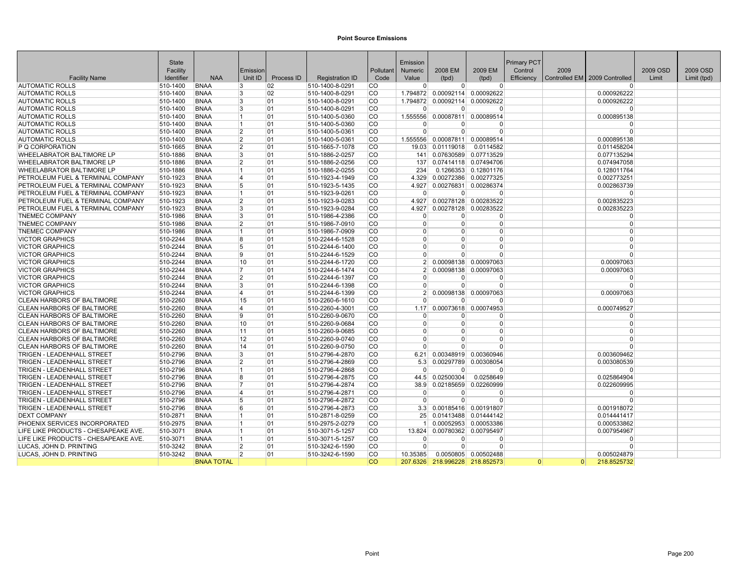| 2008 EM<br>2009 EM<br>2009<br>2009 OSD<br>2009 OSD<br>Facility<br>Pollutant<br>Control<br>Emission<br>Numeric<br><b>Facility Name</b><br>Identifier<br><b>NAA</b><br>Unit ID<br>Process ID<br><b>Registration ID</b><br>Code<br>Value<br>(tpd)<br>Efficiency<br>Controlled EM   2009 Controlled<br>Limit<br>Limit (tpd)<br>(tpd)<br>02<br>510-1400-8-0291<br>lco<br>$\Omega$<br><b>AUTOMATIC ROLLS</b><br><b>BNAA</b><br>3<br>$\Omega$<br>$\Omega$<br>$\Omega$<br>510-1400<br> CO<br><b>BNAA</b><br>$\mathbf{3}$<br>02<br>510-1400-8-0291<br>1.794872 0.00092114 0.00092622<br>0.000926222<br><b>AUTOMATIC ROLLS</b><br>510-1400<br><b>AUTOMATIC ROLLS</b><br>510-1400<br><b>BNAA</b><br>3<br>01<br>510-1400-8-0291<br><b>CO</b><br>1.794872 0.00092114 0.00092622<br>0.000926222<br><b>AUTOMATIC ROLLS</b><br><b>BNAA</b><br>3<br>lco.<br>510-1400<br>01<br>510-1400-8-0291<br>$\Omega$<br>$\Omega$<br>$\Omega$<br>O<br>510-1400<br><b>BNAA</b><br>01<br>510-1400-5-0360<br><b>CO</b><br>1.555556 0.00087811 0.00089514<br>0.000895138<br><b>AUTOMATIC ROLLS</b><br>$\overline{1}$<br><b>CO</b><br>510-1400<br><b>BNAA</b><br>01<br>510-1400-5-0360<br><b>AUTOMATIC ROLLS</b><br>$\overline{1}$<br>$\Omega$<br>$\Omega$<br>$\Omega$<br>$\Omega$<br><b>AUTOMATIC ROLLS</b><br>510-1400<br><b>BNAA</b><br>$\overline{2}$<br>01<br>510-1400-5-0361<br><b>CO</b><br>$\Omega$<br>$\Omega$<br>$\Omega$<br>$\Omega$<br><b>BNAA</b><br>$\overline{2}$<br><b>CO</b><br>1.555556 0.00087811 0.00089514<br><b>AUTOMATIC ROLLS</b><br>510-1400<br>01<br>510-1400-5-0361<br>0.000895138<br>P Q CORPORATION<br>510-1665<br><b>BNAA</b><br>$\overline{2}$<br>01<br>510-1665-7-1078<br><b>CO</b><br>19.03 0.01119018<br>0.0114582<br>0.011458204<br><b>CO</b><br><b>WHEELABRATOR BALTIMORE LP</b><br><b>BNAA</b><br>$\mathbf{3}$<br>01<br>510-1886-2-0257<br>0.07630589 0.07713529<br>510-1886<br>141<br>0.077135294<br><b>WHEELABRATOR BALTIMORE LP</b><br>510-1886<br><b>BNAA</b><br>$\overline{2}$<br>01<br>510-1886-2-0256<br><b>CO</b><br>137 0.07414118 0.07494706<br>0.074947058<br><b>WHEELABRATOR BALTIMORE LP</b><br><b>BNAA</b><br>510-1886-2-0255<br><b>CO</b><br>0.1266353 0.12801176<br>510-1886<br>01<br>234<br>0.128011764<br>1<br>PETROLEUM FUEL & TERMINAL COMPANY<br>510-1923<br><b>BNAA</b><br>01<br>510-1923-4-1949<br><b>CO</b><br>0.00272386 0.00277325<br>0.002773251<br>14<br>4.329<br>5<br><b>CO</b><br>PETROLEUM FUEL & TERMINAL COMPANY<br><b>BNAA</b><br>01<br>510-1923-5-1435<br>4.927<br>0.00276831 0.00286374<br>510-1923<br>0.002863739<br>lco<br>PETROLEUM FUEL & TERMINAL COMPANY<br>510-1923<br><b>BNAA</b><br>01<br>510-1923-9-0261<br>$\Omega$<br>$\Omega$<br>1<br>$\Omega$<br>$\Omega$<br><b>BNAA</b><br>2<br>510-1923-9-0283<br> CO<br>4.927 0.00278128 0.00283522<br>0.002835223<br>PETROLEUM FUEL & TERMINAL COMPANY<br>510-1923<br>01<br>PETROLEUM FUEL & TERMINAL COMPANY<br>510-1923<br><b>BNAA</b><br>3<br>01<br>510-1923-9-0284<br><b>CO</b><br>4.927<br>0.00278128 0.00283522<br>0.002835223<br><b>CO</b><br><b>TNEMEC COMPANY</b><br>510-1986<br><b>BNAA</b><br>$\mathbf{3}$<br>01<br>510-1986-4-2386<br>$\Omega$<br>$\Omega$<br>$\Omega$<br>$\Omega$<br><b>TNEMEC COMPANY</b><br>510-1986<br><b>BNAA</b><br>$\overline{2}$<br>01<br>510-1986-7-0910<br><b>CO</b><br>$\mathbf 0$<br>$\overline{0}$<br>$\overline{0}$<br>$\Omega$<br><b>TNEMEC COMPANY</b><br><b>BNAA</b><br>01<br>510-1986-7-0909<br><b>CO</b><br>$\Omega$<br>$\Omega$<br>510-1986<br>$\Omega$<br>$\Omega$<br>1<br><b>VICTOR GRAPHICS</b><br>510-2244<br><b>BNAA</b><br>8<br>01<br>510-2244-6-1528<br> CO<br>$\Omega$<br>$\Omega$<br>$\overline{0}$<br>$\Omega$<br>5<br>lco<br><b>VICTOR GRAPHICS</b><br>510-2244<br><b>BNAA</b><br>01<br>510-2244-6-1400<br>$\Omega$<br>$\Omega$<br>$\Omega$<br>$\Omega$<br><b>CO</b><br><b>VICTOR GRAPHICS</b><br>510-2244<br><b>BNAA</b><br>9<br>01<br>510-2244-6-1529<br>$\Omega$<br>$\Omega$<br>$\Omega$<br>$\Omega$<br><b>VICTOR GRAPHICS</b><br>510-2244<br><b>BNAA</b><br>10<br>510-2244-6-1720<br><b>CO</b><br>01<br>2 <sup>1</sup><br>0.00098138 0.00097063<br>0.00097063<br><b>VICTOR GRAPHICS</b><br>510-2244<br><b>BNAA</b><br>17<br>01<br>510-2244-6-1474<br> CO<br>0.00098138 0.00097063<br>2 <sup>1</sup><br>0.00097063<br>510-2244<br><b>CO</b><br><b>VICTOR GRAPHICS</b><br><b>BNAA</b><br>$\overline{2}$<br>01<br>510-2244-6-1397<br>$\Omega$<br>$\Omega$<br>U<br>$\Omega$<br><b>VICTOR GRAPHICS</b><br>510-2244<br><b>BNAA</b><br>3<br>01<br>510-2244-6-1398<br><b>CO</b><br>$\Omega$<br>$\overline{0}$<br>$\overline{0}$<br>$\Omega$<br><b>VICTOR GRAPHICS</b><br>510-2244<br><b>BNAA</b><br>01<br>510-2244-6-1399<br><b>CO</b><br>2 0.00098138 0.00097063<br>0.00097063<br>4<br><b>CLEAN HARBORS OF BALTIMORE</b><br>510-2260<br><b>BNAA</b><br>15<br>01<br>510-2260-6-1610<br> CO<br>$\Omega$<br>$\Omega$<br>$\Omega$<br>$\Omega$<br><b>BNAA</b><br>4<br>01<br><b>CO</b><br>1.17<br>0.00073618 0.00074953<br>0.000749527<br>CLEAN HARBORS OF BALTIMORE<br>510-2260<br>510-2260-4-3001<br><b>CO</b><br><b>CLEAN HARBORS OF BALTIMORE</b><br>510-2260<br><b>BNAA</b><br>9<br>01<br>510-2260-9-0670<br>$\Omega$<br>$\Omega$<br>$\Omega$<br>$\Omega$<br><b>CLEAN HARBORS OF BALTIMORE</b><br>510-2260<br><b>BNAA</b><br>510-2260-9-0684<br><b>CO</b><br>$\Omega$<br>10<br>01<br>$\Omega$<br>$\overline{0}$<br>$\Omega$<br><b>CLEAN HARBORS OF BALTIMORE</b><br>510-2260<br><b>BNAA</b><br>11<br>01<br>510-2260-9-0685<br> CO<br>$\Omega$<br>$\overline{0}$<br>$\Omega$<br>$\Omega$<br>lco<br>510-2260<br>12<br>01<br>CLEAN HARBORS OF BALTIMORE<br><b>BNAA</b><br>510-2260-9-0740<br>$\Omega$<br>$\Omega$<br>$\Omega$<br>$\Omega$<br><b>CLEAN HARBORS OF BALTIMORE</b><br>510-2260<br><b>BNAA</b><br>14<br>01<br>510-2260-9-0750<br><b>CO</b><br>$\Omega$<br>$\Omega$<br>$\Omega$<br>$\Omega$<br>3<br><b>TRIGEN - LEADENHALL STREET</b><br>510-2796<br><b>BNAA</b><br>01<br>510-2796-4-2870<br><b>CO</b><br>0.00348919 0.00360946<br>0.003609462<br>6.21<br><b>TRIGEN - LEADENHALL STREET</b><br>510-2796<br><b>BNAA</b><br>$\overline{2}$<br>01<br>510-2796-4-2869<br> CO<br>0.00297789 0.00308054<br>0.003080539<br>5.3<br><b>BNAA</b><br>01<br><b>CO</b><br>TRIGEN - LEADENHALL STREET<br>510-2796<br>1<br>510-2796-4-2868<br>$\Omega$<br>$\Omega$<br>$\Omega$<br>$\Omega$<br><b>CO</b><br><b>TRIGEN - LEADENHALL STREET</b><br>510-2796<br><b>BNAA</b><br>8<br>01<br>510-2796-4-2875<br>44.5 0.02500304<br>0.0258649<br>0.025864904<br> CO<br><b>TRIGEN - LEADENHALL STREET</b><br>510-2796<br><b>BNAA</b><br>510-2796-4-2874<br>0.02185659<br>0.02260999<br>0.022609995<br>01<br>38.9<br><b>TRIGEN - LEADENHALL STREET</b><br>510-2796<br><b>BNAA</b><br>4<br>01<br>510-2796-4-2871<br> CO<br>$\Omega$<br>$\Omega$<br>$\Omega$<br>$\Omega$<br>5<br><b>TRIGEN - LEADENHALL STREET</b><br>01<br> CO<br>510-2796<br><b>BNAA</b><br>510-2796-4-2872<br>$\Omega$<br>$\Omega$<br>$\Omega$<br>$\Omega$<br><b>TRIGEN - LEADENHALL STREET</b><br>510-2796<br><sup>6</sup><br>510-2796-4-2873<br>lco<br>3.3 0.00185416 0.00191807<br><b>BNAA</b><br>01<br>0.001918072<br>lco<br><b>DEXT COMPANY</b><br><b>BNAA</b><br>01<br>510-2871-8-0259<br>25 0.01413488 0.01444142<br>510-2871<br>0.014441417<br>1<br>PHOENIX SERVICES INCORPORATED<br>510-2975<br><b>BNAA</b><br>$\overline{1}$<br>01<br>510-2975-2-0279<br> CO<br>0.00052953 0.00053386<br>0.000533862<br>1 <sup>1</sup><br>LIFE LIKE PRODUCTS - CHESAPEAKE AVE.<br> CO<br>0.00780362 0.00795497<br>510-3071<br><b>BNAA</b><br>$\overline{1}$<br>01<br>510-3071-5-1257<br>13.824<br>0.007954967<br>LIFE LIKE PRODUCTS - CHESAPEAKE AVE.<br>ICO.<br>510-3071<br><b>BNAA</b><br>$\overline{1}$<br>01<br>510-3071-5-1257<br>$\Omega$<br>$\Omega$<br>$\Omega$<br>$\Omega$<br>$\overline{2}$<br>LUCAS, JOHN D. PRINTING<br><b>BNAA</b><br>510-3242-6-1590<br><b>CO</b><br>$\Omega$<br>510-3242<br>01<br>$\Omega$<br>$\Omega$<br>$\Omega$<br>LUCAS, JOHN D. PRINTING<br>510-3242<br><b>BNAA</b><br>$\overline{2}$<br>01<br>510-3242-6-1590<br><b>CO</b><br>0.0050805 0.00502488<br>10.35385<br>0.005024879<br>lco<br><b>BNAA TOTAL</b><br>207.6326 218.996228 218.852573<br>$\Omega$<br> 0 <br>218.8525732 |              |  |  |          |  |                    |  |  |
|-------------------------------------------------------------------------------------------------------------------------------------------------------------------------------------------------------------------------------------------------------------------------------------------------------------------------------------------------------------------------------------------------------------------------------------------------------------------------------------------------------------------------------------------------------------------------------------------------------------------------------------------------------------------------------------------------------------------------------------------------------------------------------------------------------------------------------------------------------------------------------------------------------------------------------------------------------------------------------------------------------------------------------------------------------------------------------------------------------------------------------------------------------------------------------------------------------------------------------------------------------------------------------------------------------------------------------------------------------------------------------------------------------------------------------------------------------------------------------------------------------------------------------------------------------------------------------------------------------------------------------------------------------------------------------------------------------------------------------------------------------------------------------------------------------------------------------------------------------------------------------------------------------------------------------------------------------------------------------------------------------------------------------------------------------------------------------------------------------------------------------------------------------------------------------------------------------------------------------------------------------------------------------------------------------------------------------------------------------------------------------------------------------------------------------------------------------------------------------------------------------------------------------------------------------------------------------------------------------------------------------------------------------------------------------------------------------------------------------------------------------------------------------------------------------------------------------------------------------------------------------------------------------------------------------------------------------------------------------------------------------------------------------------------------------------------------------------------------------------------------------------------------------------------------------------------------------------------------------------------------------------------------------------------------------------------------------------------------------------------------------------------------------------------------------------------------------------------------------------------------------------------------------------------------------------------------------------------------------------------------------------------------------------------------------------------------------------------------------------------------------------------------------------------------------------------------------------------------------------------------------------------------------------------------------------------------------------------------------------------------------------------------------------------------------------------------------------------------------------------------------------------------------------------------------------------------------------------------------------------------------------------------------------------------------------------------------------------------------------------------------------------------------------------------------------------------------------------------------------------------------------------------------------------------------------------------------------------------------------------------------------------------------------------------------------------------------------------------------------------------------------------------------------------------------------------------------------------------------------------------------------------------------------------------------------------------------------------------------------------------------------------------------------------------------------------------------------------------------------------------------------------------------------------------------------------------------------------------------------------------------------------------------------------------------------------------------------------------------------------------------------------------------------------------------------------------------------------------------------------------------------------------------------------------------------------------------------------------------------------------------------------------------------------------------------------------------------------------------------------------------------------------------------------------------------------------------------------------------------------------------------------------------------------------------------------------------------------------------------------------------------------------------------------------------------------------------------------------------------------------------------------------------------------------------------------------------------------------------------------------------------------------------------------------------------------------------------------------------------------------------------------------------------------------------------------------------------------------------------------------------------------------------------------------------------------------------------------------------------------------------------------------------------------------------------------------------------------------------------------------------------------------------------------------------------------------------------------------------------------------------------------------------------------------------------------------------------------------------------------------------------------------------------------------------------------------------------------------------------------------------------------------------------------------------------------------------------------------------------------------------------------------------------------------------------------------------------------------------------------------------------------------------------------------------------------------------------------------------------------------------------------------------------------------------------------------------------------------------------------------------------------------------------------------------------------------------------------------------------------------------------------------------------------------------------------------------------------------------------------------------------------------------------------------------------------------------------------------------------------------------------------------------------------------------------------------------------------------------------------------------------------------------------------------------------------------------------|--------------|--|--|----------|--|--------------------|--|--|
|                                                                                                                                                                                                                                                                                                                                                                                                                                                                                                                                                                                                                                                                                                                                                                                                                                                                                                                                                                                                                                                                                                                                                                                                                                                                                                                                                                                                                                                                                                                                                                                                                                                                                                                                                                                                                                                                                                                                                                                                                                                                                                                                                                                                                                                                                                                                                                                                                                                                                                                                                                                                                                                                                                                                                                                                                                                                                                                                                                                                                                                                                                                                                                                                                                                                                                                                                                                                                                                                                                                                                                                                                                                                                                                                                                                                                                                                                                                                                                                                                                                                                                                                                                                                                                                                                                                                                                                                                                                                                                                                                                                                                                                                                                                                                                                                                                                                                                                                                                                                                                                                                                                                                                                                                                                                                                                                                                                                                                                                                                                                                                                                                                                                                                                                                                                                                                                                                                                                                                                                                                                                                                                                                                                                                                                                                                                                                                                                                                                                                                                                                                                                                                                                                                                                                                                                                                                                                                                                                                                                                                                                                                                                                                                                                                                                                                                                                                                                                                                                                                                                                                                                                                                                                                                                                                                                                                                                                                                                                                                                                                                                                                                                                                                                             | <b>State</b> |  |  | Emission |  | <b>Primary PCT</b> |  |  |
|                                                                                                                                                                                                                                                                                                                                                                                                                                                                                                                                                                                                                                                                                                                                                                                                                                                                                                                                                                                                                                                                                                                                                                                                                                                                                                                                                                                                                                                                                                                                                                                                                                                                                                                                                                                                                                                                                                                                                                                                                                                                                                                                                                                                                                                                                                                                                                                                                                                                                                                                                                                                                                                                                                                                                                                                                                                                                                                                                                                                                                                                                                                                                                                                                                                                                                                                                                                                                                                                                                                                                                                                                                                                                                                                                                                                                                                                                                                                                                                                                                                                                                                                                                                                                                                                                                                                                                                                                                                                                                                                                                                                                                                                                                                                                                                                                                                                                                                                                                                                                                                                                                                                                                                                                                                                                                                                                                                                                                                                                                                                                                                                                                                                                                                                                                                                                                                                                                                                                                                                                                                                                                                                                                                                                                                                                                                                                                                                                                                                                                                                                                                                                                                                                                                                                                                                                                                                                                                                                                                                                                                                                                                                                                                                                                                                                                                                                                                                                                                                                                                                                                                                                                                                                                                                                                                                                                                                                                                                                                                                                                                                                                                                                                                                             |              |  |  |          |  |                    |  |  |
|                                                                                                                                                                                                                                                                                                                                                                                                                                                                                                                                                                                                                                                                                                                                                                                                                                                                                                                                                                                                                                                                                                                                                                                                                                                                                                                                                                                                                                                                                                                                                                                                                                                                                                                                                                                                                                                                                                                                                                                                                                                                                                                                                                                                                                                                                                                                                                                                                                                                                                                                                                                                                                                                                                                                                                                                                                                                                                                                                                                                                                                                                                                                                                                                                                                                                                                                                                                                                                                                                                                                                                                                                                                                                                                                                                                                                                                                                                                                                                                                                                                                                                                                                                                                                                                                                                                                                                                                                                                                                                                                                                                                                                                                                                                                                                                                                                                                                                                                                                                                                                                                                                                                                                                                                                                                                                                                                                                                                                                                                                                                                                                                                                                                                                                                                                                                                                                                                                                                                                                                                                                                                                                                                                                                                                                                                                                                                                                                                                                                                                                                                                                                                                                                                                                                                                                                                                                                                                                                                                                                                                                                                                                                                                                                                                                                                                                                                                                                                                                                                                                                                                                                                                                                                                                                                                                                                                                                                                                                                                                                                                                                                                                                                                                                             |              |  |  |          |  |                    |  |  |
|                                                                                                                                                                                                                                                                                                                                                                                                                                                                                                                                                                                                                                                                                                                                                                                                                                                                                                                                                                                                                                                                                                                                                                                                                                                                                                                                                                                                                                                                                                                                                                                                                                                                                                                                                                                                                                                                                                                                                                                                                                                                                                                                                                                                                                                                                                                                                                                                                                                                                                                                                                                                                                                                                                                                                                                                                                                                                                                                                                                                                                                                                                                                                                                                                                                                                                                                                                                                                                                                                                                                                                                                                                                                                                                                                                                                                                                                                                                                                                                                                                                                                                                                                                                                                                                                                                                                                                                                                                                                                                                                                                                                                                                                                                                                                                                                                                                                                                                                                                                                                                                                                                                                                                                                                                                                                                                                                                                                                                                                                                                                                                                                                                                                                                                                                                                                                                                                                                                                                                                                                                                                                                                                                                                                                                                                                                                                                                                                                                                                                                                                                                                                                                                                                                                                                                                                                                                                                                                                                                                                                                                                                                                                                                                                                                                                                                                                                                                                                                                                                                                                                                                                                                                                                                                                                                                                                                                                                                                                                                                                                                                                                                                                                                                                             |              |  |  |          |  |                    |  |  |
|                                                                                                                                                                                                                                                                                                                                                                                                                                                                                                                                                                                                                                                                                                                                                                                                                                                                                                                                                                                                                                                                                                                                                                                                                                                                                                                                                                                                                                                                                                                                                                                                                                                                                                                                                                                                                                                                                                                                                                                                                                                                                                                                                                                                                                                                                                                                                                                                                                                                                                                                                                                                                                                                                                                                                                                                                                                                                                                                                                                                                                                                                                                                                                                                                                                                                                                                                                                                                                                                                                                                                                                                                                                                                                                                                                                                                                                                                                                                                                                                                                                                                                                                                                                                                                                                                                                                                                                                                                                                                                                                                                                                                                                                                                                                                                                                                                                                                                                                                                                                                                                                                                                                                                                                                                                                                                                                                                                                                                                                                                                                                                                                                                                                                                                                                                                                                                                                                                                                                                                                                                                                                                                                                                                                                                                                                                                                                                                                                                                                                                                                                                                                                                                                                                                                                                                                                                                                                                                                                                                                                                                                                                                                                                                                                                                                                                                                                                                                                                                                                                                                                                                                                                                                                                                                                                                                                                                                                                                                                                                                                                                                                                                                                                                                             |              |  |  |          |  |                    |  |  |
|                                                                                                                                                                                                                                                                                                                                                                                                                                                                                                                                                                                                                                                                                                                                                                                                                                                                                                                                                                                                                                                                                                                                                                                                                                                                                                                                                                                                                                                                                                                                                                                                                                                                                                                                                                                                                                                                                                                                                                                                                                                                                                                                                                                                                                                                                                                                                                                                                                                                                                                                                                                                                                                                                                                                                                                                                                                                                                                                                                                                                                                                                                                                                                                                                                                                                                                                                                                                                                                                                                                                                                                                                                                                                                                                                                                                                                                                                                                                                                                                                                                                                                                                                                                                                                                                                                                                                                                                                                                                                                                                                                                                                                                                                                                                                                                                                                                                                                                                                                                                                                                                                                                                                                                                                                                                                                                                                                                                                                                                                                                                                                                                                                                                                                                                                                                                                                                                                                                                                                                                                                                                                                                                                                                                                                                                                                                                                                                                                                                                                                                                                                                                                                                                                                                                                                                                                                                                                                                                                                                                                                                                                                                                                                                                                                                                                                                                                                                                                                                                                                                                                                                                                                                                                                                                                                                                                                                                                                                                                                                                                                                                                                                                                                                                             |              |  |  |          |  |                    |  |  |
|                                                                                                                                                                                                                                                                                                                                                                                                                                                                                                                                                                                                                                                                                                                                                                                                                                                                                                                                                                                                                                                                                                                                                                                                                                                                                                                                                                                                                                                                                                                                                                                                                                                                                                                                                                                                                                                                                                                                                                                                                                                                                                                                                                                                                                                                                                                                                                                                                                                                                                                                                                                                                                                                                                                                                                                                                                                                                                                                                                                                                                                                                                                                                                                                                                                                                                                                                                                                                                                                                                                                                                                                                                                                                                                                                                                                                                                                                                                                                                                                                                                                                                                                                                                                                                                                                                                                                                                                                                                                                                                                                                                                                                                                                                                                                                                                                                                                                                                                                                                                                                                                                                                                                                                                                                                                                                                                                                                                                                                                                                                                                                                                                                                                                                                                                                                                                                                                                                                                                                                                                                                                                                                                                                                                                                                                                                                                                                                                                                                                                                                                                                                                                                                                                                                                                                                                                                                                                                                                                                                                                                                                                                                                                                                                                                                                                                                                                                                                                                                                                                                                                                                                                                                                                                                                                                                                                                                                                                                                                                                                                                                                                                                                                                                                             |              |  |  |          |  |                    |  |  |
|                                                                                                                                                                                                                                                                                                                                                                                                                                                                                                                                                                                                                                                                                                                                                                                                                                                                                                                                                                                                                                                                                                                                                                                                                                                                                                                                                                                                                                                                                                                                                                                                                                                                                                                                                                                                                                                                                                                                                                                                                                                                                                                                                                                                                                                                                                                                                                                                                                                                                                                                                                                                                                                                                                                                                                                                                                                                                                                                                                                                                                                                                                                                                                                                                                                                                                                                                                                                                                                                                                                                                                                                                                                                                                                                                                                                                                                                                                                                                                                                                                                                                                                                                                                                                                                                                                                                                                                                                                                                                                                                                                                                                                                                                                                                                                                                                                                                                                                                                                                                                                                                                                                                                                                                                                                                                                                                                                                                                                                                                                                                                                                                                                                                                                                                                                                                                                                                                                                                                                                                                                                                                                                                                                                                                                                                                                                                                                                                                                                                                                                                                                                                                                                                                                                                                                                                                                                                                                                                                                                                                                                                                                                                                                                                                                                                                                                                                                                                                                                                                                                                                                                                                                                                                                                                                                                                                                                                                                                                                                                                                                                                                                                                                                                                             |              |  |  |          |  |                    |  |  |
|                                                                                                                                                                                                                                                                                                                                                                                                                                                                                                                                                                                                                                                                                                                                                                                                                                                                                                                                                                                                                                                                                                                                                                                                                                                                                                                                                                                                                                                                                                                                                                                                                                                                                                                                                                                                                                                                                                                                                                                                                                                                                                                                                                                                                                                                                                                                                                                                                                                                                                                                                                                                                                                                                                                                                                                                                                                                                                                                                                                                                                                                                                                                                                                                                                                                                                                                                                                                                                                                                                                                                                                                                                                                                                                                                                                                                                                                                                                                                                                                                                                                                                                                                                                                                                                                                                                                                                                                                                                                                                                                                                                                                                                                                                                                                                                                                                                                                                                                                                                                                                                                                                                                                                                                                                                                                                                                                                                                                                                                                                                                                                                                                                                                                                                                                                                                                                                                                                                                                                                                                                                                                                                                                                                                                                                                                                                                                                                                                                                                                                                                                                                                                                                                                                                                                                                                                                                                                                                                                                                                                                                                                                                                                                                                                                                                                                                                                                                                                                                                                                                                                                                                                                                                                                                                                                                                                                                                                                                                                                                                                                                                                                                                                                                                             |              |  |  |          |  |                    |  |  |
|                                                                                                                                                                                                                                                                                                                                                                                                                                                                                                                                                                                                                                                                                                                                                                                                                                                                                                                                                                                                                                                                                                                                                                                                                                                                                                                                                                                                                                                                                                                                                                                                                                                                                                                                                                                                                                                                                                                                                                                                                                                                                                                                                                                                                                                                                                                                                                                                                                                                                                                                                                                                                                                                                                                                                                                                                                                                                                                                                                                                                                                                                                                                                                                                                                                                                                                                                                                                                                                                                                                                                                                                                                                                                                                                                                                                                                                                                                                                                                                                                                                                                                                                                                                                                                                                                                                                                                                                                                                                                                                                                                                                                                                                                                                                                                                                                                                                                                                                                                                                                                                                                                                                                                                                                                                                                                                                                                                                                                                                                                                                                                                                                                                                                                                                                                                                                                                                                                                                                                                                                                                                                                                                                                                                                                                                                                                                                                                                                                                                                                                                                                                                                                                                                                                                                                                                                                                                                                                                                                                                                                                                                                                                                                                                                                                                                                                                                                                                                                                                                                                                                                                                                                                                                                                                                                                                                                                                                                                                                                                                                                                                                                                                                                                                             |              |  |  |          |  |                    |  |  |
|                                                                                                                                                                                                                                                                                                                                                                                                                                                                                                                                                                                                                                                                                                                                                                                                                                                                                                                                                                                                                                                                                                                                                                                                                                                                                                                                                                                                                                                                                                                                                                                                                                                                                                                                                                                                                                                                                                                                                                                                                                                                                                                                                                                                                                                                                                                                                                                                                                                                                                                                                                                                                                                                                                                                                                                                                                                                                                                                                                                                                                                                                                                                                                                                                                                                                                                                                                                                                                                                                                                                                                                                                                                                                                                                                                                                                                                                                                                                                                                                                                                                                                                                                                                                                                                                                                                                                                                                                                                                                                                                                                                                                                                                                                                                                                                                                                                                                                                                                                                                                                                                                                                                                                                                                                                                                                                                                                                                                                                                                                                                                                                                                                                                                                                                                                                                                                                                                                                                                                                                                                                                                                                                                                                                                                                                                                                                                                                                                                                                                                                                                                                                                                                                                                                                                                                                                                                                                                                                                                                                                                                                                                                                                                                                                                                                                                                                                                                                                                                                                                                                                                                                                                                                                                                                                                                                                                                                                                                                                                                                                                                                                                                                                                                                             |              |  |  |          |  |                    |  |  |
|                                                                                                                                                                                                                                                                                                                                                                                                                                                                                                                                                                                                                                                                                                                                                                                                                                                                                                                                                                                                                                                                                                                                                                                                                                                                                                                                                                                                                                                                                                                                                                                                                                                                                                                                                                                                                                                                                                                                                                                                                                                                                                                                                                                                                                                                                                                                                                                                                                                                                                                                                                                                                                                                                                                                                                                                                                                                                                                                                                                                                                                                                                                                                                                                                                                                                                                                                                                                                                                                                                                                                                                                                                                                                                                                                                                                                                                                                                                                                                                                                                                                                                                                                                                                                                                                                                                                                                                                                                                                                                                                                                                                                                                                                                                                                                                                                                                                                                                                                                                                                                                                                                                                                                                                                                                                                                                                                                                                                                                                                                                                                                                                                                                                                                                                                                                                                                                                                                                                                                                                                                                                                                                                                                                                                                                                                                                                                                                                                                                                                                                                                                                                                                                                                                                                                                                                                                                                                                                                                                                                                                                                                                                                                                                                                                                                                                                                                                                                                                                                                                                                                                                                                                                                                                                                                                                                                                                                                                                                                                                                                                                                                                                                                                                                             |              |  |  |          |  |                    |  |  |
|                                                                                                                                                                                                                                                                                                                                                                                                                                                                                                                                                                                                                                                                                                                                                                                                                                                                                                                                                                                                                                                                                                                                                                                                                                                                                                                                                                                                                                                                                                                                                                                                                                                                                                                                                                                                                                                                                                                                                                                                                                                                                                                                                                                                                                                                                                                                                                                                                                                                                                                                                                                                                                                                                                                                                                                                                                                                                                                                                                                                                                                                                                                                                                                                                                                                                                                                                                                                                                                                                                                                                                                                                                                                                                                                                                                                                                                                                                                                                                                                                                                                                                                                                                                                                                                                                                                                                                                                                                                                                                                                                                                                                                                                                                                                                                                                                                                                                                                                                                                                                                                                                                                                                                                                                                                                                                                                                                                                                                                                                                                                                                                                                                                                                                                                                                                                                                                                                                                                                                                                                                                                                                                                                                                                                                                                                                                                                                                                                                                                                                                                                                                                                                                                                                                                                                                                                                                                                                                                                                                                                                                                                                                                                                                                                                                                                                                                                                                                                                                                                                                                                                                                                                                                                                                                                                                                                                                                                                                                                                                                                                                                                                                                                                                                             |              |  |  |          |  |                    |  |  |
|                                                                                                                                                                                                                                                                                                                                                                                                                                                                                                                                                                                                                                                                                                                                                                                                                                                                                                                                                                                                                                                                                                                                                                                                                                                                                                                                                                                                                                                                                                                                                                                                                                                                                                                                                                                                                                                                                                                                                                                                                                                                                                                                                                                                                                                                                                                                                                                                                                                                                                                                                                                                                                                                                                                                                                                                                                                                                                                                                                                                                                                                                                                                                                                                                                                                                                                                                                                                                                                                                                                                                                                                                                                                                                                                                                                                                                                                                                                                                                                                                                                                                                                                                                                                                                                                                                                                                                                                                                                                                                                                                                                                                                                                                                                                                                                                                                                                                                                                                                                                                                                                                                                                                                                                                                                                                                                                                                                                                                                                                                                                                                                                                                                                                                                                                                                                                                                                                                                                                                                                                                                                                                                                                                                                                                                                                                                                                                                                                                                                                                                                                                                                                                                                                                                                                                                                                                                                                                                                                                                                                                                                                                                                                                                                                                                                                                                                                                                                                                                                                                                                                                                                                                                                                                                                                                                                                                                                                                                                                                                                                                                                                                                                                                                                             |              |  |  |          |  |                    |  |  |
|                                                                                                                                                                                                                                                                                                                                                                                                                                                                                                                                                                                                                                                                                                                                                                                                                                                                                                                                                                                                                                                                                                                                                                                                                                                                                                                                                                                                                                                                                                                                                                                                                                                                                                                                                                                                                                                                                                                                                                                                                                                                                                                                                                                                                                                                                                                                                                                                                                                                                                                                                                                                                                                                                                                                                                                                                                                                                                                                                                                                                                                                                                                                                                                                                                                                                                                                                                                                                                                                                                                                                                                                                                                                                                                                                                                                                                                                                                                                                                                                                                                                                                                                                                                                                                                                                                                                                                                                                                                                                                                                                                                                                                                                                                                                                                                                                                                                                                                                                                                                                                                                                                                                                                                                                                                                                                                                                                                                                                                                                                                                                                                                                                                                                                                                                                                                                                                                                                                                                                                                                                                                                                                                                                                                                                                                                                                                                                                                                                                                                                                                                                                                                                                                                                                                                                                                                                                                                                                                                                                                                                                                                                                                                                                                                                                                                                                                                                                                                                                                                                                                                                                                                                                                                                                                                                                                                                                                                                                                                                                                                                                                                                                                                                                                             |              |  |  |          |  |                    |  |  |
|                                                                                                                                                                                                                                                                                                                                                                                                                                                                                                                                                                                                                                                                                                                                                                                                                                                                                                                                                                                                                                                                                                                                                                                                                                                                                                                                                                                                                                                                                                                                                                                                                                                                                                                                                                                                                                                                                                                                                                                                                                                                                                                                                                                                                                                                                                                                                                                                                                                                                                                                                                                                                                                                                                                                                                                                                                                                                                                                                                                                                                                                                                                                                                                                                                                                                                                                                                                                                                                                                                                                                                                                                                                                                                                                                                                                                                                                                                                                                                                                                                                                                                                                                                                                                                                                                                                                                                                                                                                                                                                                                                                                                                                                                                                                                                                                                                                                                                                                                                                                                                                                                                                                                                                                                                                                                                                                                                                                                                                                                                                                                                                                                                                                                                                                                                                                                                                                                                                                                                                                                                                                                                                                                                                                                                                                                                                                                                                                                                                                                                                                                                                                                                                                                                                                                                                                                                                                                                                                                                                                                                                                                                                                                                                                                                                                                                                                                                                                                                                                                                                                                                                                                                                                                                                                                                                                                                                                                                                                                                                                                                                                                                                                                                                                             |              |  |  |          |  |                    |  |  |
|                                                                                                                                                                                                                                                                                                                                                                                                                                                                                                                                                                                                                                                                                                                                                                                                                                                                                                                                                                                                                                                                                                                                                                                                                                                                                                                                                                                                                                                                                                                                                                                                                                                                                                                                                                                                                                                                                                                                                                                                                                                                                                                                                                                                                                                                                                                                                                                                                                                                                                                                                                                                                                                                                                                                                                                                                                                                                                                                                                                                                                                                                                                                                                                                                                                                                                                                                                                                                                                                                                                                                                                                                                                                                                                                                                                                                                                                                                                                                                                                                                                                                                                                                                                                                                                                                                                                                                                                                                                                                                                                                                                                                                                                                                                                                                                                                                                                                                                                                                                                                                                                                                                                                                                                                                                                                                                                                                                                                                                                                                                                                                                                                                                                                                                                                                                                                                                                                                                                                                                                                                                                                                                                                                                                                                                                                                                                                                                                                                                                                                                                                                                                                                                                                                                                                                                                                                                                                                                                                                                                                                                                                                                                                                                                                                                                                                                                                                                                                                                                                                                                                                                                                                                                                                                                                                                                                                                                                                                                                                                                                                                                                                                                                                                                             |              |  |  |          |  |                    |  |  |
|                                                                                                                                                                                                                                                                                                                                                                                                                                                                                                                                                                                                                                                                                                                                                                                                                                                                                                                                                                                                                                                                                                                                                                                                                                                                                                                                                                                                                                                                                                                                                                                                                                                                                                                                                                                                                                                                                                                                                                                                                                                                                                                                                                                                                                                                                                                                                                                                                                                                                                                                                                                                                                                                                                                                                                                                                                                                                                                                                                                                                                                                                                                                                                                                                                                                                                                                                                                                                                                                                                                                                                                                                                                                                                                                                                                                                                                                                                                                                                                                                                                                                                                                                                                                                                                                                                                                                                                                                                                                                                                                                                                                                                                                                                                                                                                                                                                                                                                                                                                                                                                                                                                                                                                                                                                                                                                                                                                                                                                                                                                                                                                                                                                                                                                                                                                                                                                                                                                                                                                                                                                                                                                                                                                                                                                                                                                                                                                                                                                                                                                                                                                                                                                                                                                                                                                                                                                                                                                                                                                                                                                                                                                                                                                                                                                                                                                                                                                                                                                                                                                                                                                                                                                                                                                                                                                                                                                                                                                                                                                                                                                                                                                                                                                                             |              |  |  |          |  |                    |  |  |
|                                                                                                                                                                                                                                                                                                                                                                                                                                                                                                                                                                                                                                                                                                                                                                                                                                                                                                                                                                                                                                                                                                                                                                                                                                                                                                                                                                                                                                                                                                                                                                                                                                                                                                                                                                                                                                                                                                                                                                                                                                                                                                                                                                                                                                                                                                                                                                                                                                                                                                                                                                                                                                                                                                                                                                                                                                                                                                                                                                                                                                                                                                                                                                                                                                                                                                                                                                                                                                                                                                                                                                                                                                                                                                                                                                                                                                                                                                                                                                                                                                                                                                                                                                                                                                                                                                                                                                                                                                                                                                                                                                                                                                                                                                                                                                                                                                                                                                                                                                                                                                                                                                                                                                                                                                                                                                                                                                                                                                                                                                                                                                                                                                                                                                                                                                                                                                                                                                                                                                                                                                                                                                                                                                                                                                                                                                                                                                                                                                                                                                                                                                                                                                                                                                                                                                                                                                                                                                                                                                                                                                                                                                                                                                                                                                                                                                                                                                                                                                                                                                                                                                                                                                                                                                                                                                                                                                                                                                                                                                                                                                                                                                                                                                                                             |              |  |  |          |  |                    |  |  |
|                                                                                                                                                                                                                                                                                                                                                                                                                                                                                                                                                                                                                                                                                                                                                                                                                                                                                                                                                                                                                                                                                                                                                                                                                                                                                                                                                                                                                                                                                                                                                                                                                                                                                                                                                                                                                                                                                                                                                                                                                                                                                                                                                                                                                                                                                                                                                                                                                                                                                                                                                                                                                                                                                                                                                                                                                                                                                                                                                                                                                                                                                                                                                                                                                                                                                                                                                                                                                                                                                                                                                                                                                                                                                                                                                                                                                                                                                                                                                                                                                                                                                                                                                                                                                                                                                                                                                                                                                                                                                                                                                                                                                                                                                                                                                                                                                                                                                                                                                                                                                                                                                                                                                                                                                                                                                                                                                                                                                                                                                                                                                                                                                                                                                                                                                                                                                                                                                                                                                                                                                                                                                                                                                                                                                                                                                                                                                                                                                                                                                                                                                                                                                                                                                                                                                                                                                                                                                                                                                                                                                                                                                                                                                                                                                                                                                                                                                                                                                                                                                                                                                                                                                                                                                                                                                                                                                                                                                                                                                                                                                                                                                                                                                                                                             |              |  |  |          |  |                    |  |  |
|                                                                                                                                                                                                                                                                                                                                                                                                                                                                                                                                                                                                                                                                                                                                                                                                                                                                                                                                                                                                                                                                                                                                                                                                                                                                                                                                                                                                                                                                                                                                                                                                                                                                                                                                                                                                                                                                                                                                                                                                                                                                                                                                                                                                                                                                                                                                                                                                                                                                                                                                                                                                                                                                                                                                                                                                                                                                                                                                                                                                                                                                                                                                                                                                                                                                                                                                                                                                                                                                                                                                                                                                                                                                                                                                                                                                                                                                                                                                                                                                                                                                                                                                                                                                                                                                                                                                                                                                                                                                                                                                                                                                                                                                                                                                                                                                                                                                                                                                                                                                                                                                                                                                                                                                                                                                                                                                                                                                                                                                                                                                                                                                                                                                                                                                                                                                                                                                                                                                                                                                                                                                                                                                                                                                                                                                                                                                                                                                                                                                                                                                                                                                                                                                                                                                                                                                                                                                                                                                                                                                                                                                                                                                                                                                                                                                                                                                                                                                                                                                                                                                                                                                                                                                                                                                                                                                                                                                                                                                                                                                                                                                                                                                                                                                             |              |  |  |          |  |                    |  |  |
|                                                                                                                                                                                                                                                                                                                                                                                                                                                                                                                                                                                                                                                                                                                                                                                                                                                                                                                                                                                                                                                                                                                                                                                                                                                                                                                                                                                                                                                                                                                                                                                                                                                                                                                                                                                                                                                                                                                                                                                                                                                                                                                                                                                                                                                                                                                                                                                                                                                                                                                                                                                                                                                                                                                                                                                                                                                                                                                                                                                                                                                                                                                                                                                                                                                                                                                                                                                                                                                                                                                                                                                                                                                                                                                                                                                                                                                                                                                                                                                                                                                                                                                                                                                                                                                                                                                                                                                                                                                                                                                                                                                                                                                                                                                                                                                                                                                                                                                                                                                                                                                                                                                                                                                                                                                                                                                                                                                                                                                                                                                                                                                                                                                                                                                                                                                                                                                                                                                                                                                                                                                                                                                                                                                                                                                                                                                                                                                                                                                                                                                                                                                                                                                                                                                                                                                                                                                                                                                                                                                                                                                                                                                                                                                                                                                                                                                                                                                                                                                                                                                                                                                                                                                                                                                                                                                                                                                                                                                                                                                                                                                                                                                                                                                                             |              |  |  |          |  |                    |  |  |
|                                                                                                                                                                                                                                                                                                                                                                                                                                                                                                                                                                                                                                                                                                                                                                                                                                                                                                                                                                                                                                                                                                                                                                                                                                                                                                                                                                                                                                                                                                                                                                                                                                                                                                                                                                                                                                                                                                                                                                                                                                                                                                                                                                                                                                                                                                                                                                                                                                                                                                                                                                                                                                                                                                                                                                                                                                                                                                                                                                                                                                                                                                                                                                                                                                                                                                                                                                                                                                                                                                                                                                                                                                                                                                                                                                                                                                                                                                                                                                                                                                                                                                                                                                                                                                                                                                                                                                                                                                                                                                                                                                                                                                                                                                                                                                                                                                                                                                                                                                                                                                                                                                                                                                                                                                                                                                                                                                                                                                                                                                                                                                                                                                                                                                                                                                                                                                                                                                                                                                                                                                                                                                                                                                                                                                                                                                                                                                                                                                                                                                                                                                                                                                                                                                                                                                                                                                                                                                                                                                                                                                                                                                                                                                                                                                                                                                                                                                                                                                                                                                                                                                                                                                                                                                                                                                                                                                                                                                                                                                                                                                                                                                                                                                                                             |              |  |  |          |  |                    |  |  |
|                                                                                                                                                                                                                                                                                                                                                                                                                                                                                                                                                                                                                                                                                                                                                                                                                                                                                                                                                                                                                                                                                                                                                                                                                                                                                                                                                                                                                                                                                                                                                                                                                                                                                                                                                                                                                                                                                                                                                                                                                                                                                                                                                                                                                                                                                                                                                                                                                                                                                                                                                                                                                                                                                                                                                                                                                                                                                                                                                                                                                                                                                                                                                                                                                                                                                                                                                                                                                                                                                                                                                                                                                                                                                                                                                                                                                                                                                                                                                                                                                                                                                                                                                                                                                                                                                                                                                                                                                                                                                                                                                                                                                                                                                                                                                                                                                                                                                                                                                                                                                                                                                                                                                                                                                                                                                                                                                                                                                                                                                                                                                                                                                                                                                                                                                                                                                                                                                                                                                                                                                                                                                                                                                                                                                                                                                                                                                                                                                                                                                                                                                                                                                                                                                                                                                                                                                                                                                                                                                                                                                                                                                                                                                                                                                                                                                                                                                                                                                                                                                                                                                                                                                                                                                                                                                                                                                                                                                                                                                                                                                                                                                                                                                                                                             |              |  |  |          |  |                    |  |  |
|                                                                                                                                                                                                                                                                                                                                                                                                                                                                                                                                                                                                                                                                                                                                                                                                                                                                                                                                                                                                                                                                                                                                                                                                                                                                                                                                                                                                                                                                                                                                                                                                                                                                                                                                                                                                                                                                                                                                                                                                                                                                                                                                                                                                                                                                                                                                                                                                                                                                                                                                                                                                                                                                                                                                                                                                                                                                                                                                                                                                                                                                                                                                                                                                                                                                                                                                                                                                                                                                                                                                                                                                                                                                                                                                                                                                                                                                                                                                                                                                                                                                                                                                                                                                                                                                                                                                                                                                                                                                                                                                                                                                                                                                                                                                                                                                                                                                                                                                                                                                                                                                                                                                                                                                                                                                                                                                                                                                                                                                                                                                                                                                                                                                                                                                                                                                                                                                                                                                                                                                                                                                                                                                                                                                                                                                                                                                                                                                                                                                                                                                                                                                                                                                                                                                                                                                                                                                                                                                                                                                                                                                                                                                                                                                                                                                                                                                                                                                                                                                                                                                                                                                                                                                                                                                                                                                                                                                                                                                                                                                                                                                                                                                                                                                             |              |  |  |          |  |                    |  |  |
|                                                                                                                                                                                                                                                                                                                                                                                                                                                                                                                                                                                                                                                                                                                                                                                                                                                                                                                                                                                                                                                                                                                                                                                                                                                                                                                                                                                                                                                                                                                                                                                                                                                                                                                                                                                                                                                                                                                                                                                                                                                                                                                                                                                                                                                                                                                                                                                                                                                                                                                                                                                                                                                                                                                                                                                                                                                                                                                                                                                                                                                                                                                                                                                                                                                                                                                                                                                                                                                                                                                                                                                                                                                                                                                                                                                                                                                                                                                                                                                                                                                                                                                                                                                                                                                                                                                                                                                                                                                                                                                                                                                                                                                                                                                                                                                                                                                                                                                                                                                                                                                                                                                                                                                                                                                                                                                                                                                                                                                                                                                                                                                                                                                                                                                                                                                                                                                                                                                                                                                                                                                                                                                                                                                                                                                                                                                                                                                                                                                                                                                                                                                                                                                                                                                                                                                                                                                                                                                                                                                                                                                                                                                                                                                                                                                                                                                                                                                                                                                                                                                                                                                                                                                                                                                                                                                                                                                                                                                                                                                                                                                                                                                                                                                                             |              |  |  |          |  |                    |  |  |
|                                                                                                                                                                                                                                                                                                                                                                                                                                                                                                                                                                                                                                                                                                                                                                                                                                                                                                                                                                                                                                                                                                                                                                                                                                                                                                                                                                                                                                                                                                                                                                                                                                                                                                                                                                                                                                                                                                                                                                                                                                                                                                                                                                                                                                                                                                                                                                                                                                                                                                                                                                                                                                                                                                                                                                                                                                                                                                                                                                                                                                                                                                                                                                                                                                                                                                                                                                                                                                                                                                                                                                                                                                                                                                                                                                                                                                                                                                                                                                                                                                                                                                                                                                                                                                                                                                                                                                                                                                                                                                                                                                                                                                                                                                                                                                                                                                                                                                                                                                                                                                                                                                                                                                                                                                                                                                                                                                                                                                                                                                                                                                                                                                                                                                                                                                                                                                                                                                                                                                                                                                                                                                                                                                                                                                                                                                                                                                                                                                                                                                                                                                                                                                                                                                                                                                                                                                                                                                                                                                                                                                                                                                                                                                                                                                                                                                                                                                                                                                                                                                                                                                                                                                                                                                                                                                                                                                                                                                                                                                                                                                                                                                                                                                                                             |              |  |  |          |  |                    |  |  |
|                                                                                                                                                                                                                                                                                                                                                                                                                                                                                                                                                                                                                                                                                                                                                                                                                                                                                                                                                                                                                                                                                                                                                                                                                                                                                                                                                                                                                                                                                                                                                                                                                                                                                                                                                                                                                                                                                                                                                                                                                                                                                                                                                                                                                                                                                                                                                                                                                                                                                                                                                                                                                                                                                                                                                                                                                                                                                                                                                                                                                                                                                                                                                                                                                                                                                                                                                                                                                                                                                                                                                                                                                                                                                                                                                                                                                                                                                                                                                                                                                                                                                                                                                                                                                                                                                                                                                                                                                                                                                                                                                                                                                                                                                                                                                                                                                                                                                                                                                                                                                                                                                                                                                                                                                                                                                                                                                                                                                                                                                                                                                                                                                                                                                                                                                                                                                                                                                                                                                                                                                                                                                                                                                                                                                                                                                                                                                                                                                                                                                                                                                                                                                                                                                                                                                                                                                                                                                                                                                                                                                                                                                                                                                                                                                                                                                                                                                                                                                                                                                                                                                                                                                                                                                                                                                                                                                                                                                                                                                                                                                                                                                                                                                                                                             |              |  |  |          |  |                    |  |  |
|                                                                                                                                                                                                                                                                                                                                                                                                                                                                                                                                                                                                                                                                                                                                                                                                                                                                                                                                                                                                                                                                                                                                                                                                                                                                                                                                                                                                                                                                                                                                                                                                                                                                                                                                                                                                                                                                                                                                                                                                                                                                                                                                                                                                                                                                                                                                                                                                                                                                                                                                                                                                                                                                                                                                                                                                                                                                                                                                                                                                                                                                                                                                                                                                                                                                                                                                                                                                                                                                                                                                                                                                                                                                                                                                                                                                                                                                                                                                                                                                                                                                                                                                                                                                                                                                                                                                                                                                                                                                                                                                                                                                                                                                                                                                                                                                                                                                                                                                                                                                                                                                                                                                                                                                                                                                                                                                                                                                                                                                                                                                                                                                                                                                                                                                                                                                                                                                                                                                                                                                                                                                                                                                                                                                                                                                                                                                                                                                                                                                                                                                                                                                                                                                                                                                                                                                                                                                                                                                                                                                                                                                                                                                                                                                                                                                                                                                                                                                                                                                                                                                                                                                                                                                                                                                                                                                                                                                                                                                                                                                                                                                                                                                                                                                             |              |  |  |          |  |                    |  |  |
|                                                                                                                                                                                                                                                                                                                                                                                                                                                                                                                                                                                                                                                                                                                                                                                                                                                                                                                                                                                                                                                                                                                                                                                                                                                                                                                                                                                                                                                                                                                                                                                                                                                                                                                                                                                                                                                                                                                                                                                                                                                                                                                                                                                                                                                                                                                                                                                                                                                                                                                                                                                                                                                                                                                                                                                                                                                                                                                                                                                                                                                                                                                                                                                                                                                                                                                                                                                                                                                                                                                                                                                                                                                                                                                                                                                                                                                                                                                                                                                                                                                                                                                                                                                                                                                                                                                                                                                                                                                                                                                                                                                                                                                                                                                                                                                                                                                                                                                                                                                                                                                                                                                                                                                                                                                                                                                                                                                                                                                                                                                                                                                                                                                                                                                                                                                                                                                                                                                                                                                                                                                                                                                                                                                                                                                                                                                                                                                                                                                                                                                                                                                                                                                                                                                                                                                                                                                                                                                                                                                                                                                                                                                                                                                                                                                                                                                                                                                                                                                                                                                                                                                                                                                                                                                                                                                                                                                                                                                                                                                                                                                                                                                                                                                                             |              |  |  |          |  |                    |  |  |
|                                                                                                                                                                                                                                                                                                                                                                                                                                                                                                                                                                                                                                                                                                                                                                                                                                                                                                                                                                                                                                                                                                                                                                                                                                                                                                                                                                                                                                                                                                                                                                                                                                                                                                                                                                                                                                                                                                                                                                                                                                                                                                                                                                                                                                                                                                                                                                                                                                                                                                                                                                                                                                                                                                                                                                                                                                                                                                                                                                                                                                                                                                                                                                                                                                                                                                                                                                                                                                                                                                                                                                                                                                                                                                                                                                                                                                                                                                                                                                                                                                                                                                                                                                                                                                                                                                                                                                                                                                                                                                                                                                                                                                                                                                                                                                                                                                                                                                                                                                                                                                                                                                                                                                                                                                                                                                                                                                                                                                                                                                                                                                                                                                                                                                                                                                                                                                                                                                                                                                                                                                                                                                                                                                                                                                                                                                                                                                                                                                                                                                                                                                                                                                                                                                                                                                                                                                                                                                                                                                                                                                                                                                                                                                                                                                                                                                                                                                                                                                                                                                                                                                                                                                                                                                                                                                                                                                                                                                                                                                                                                                                                                                                                                                                                             |              |  |  |          |  |                    |  |  |
|                                                                                                                                                                                                                                                                                                                                                                                                                                                                                                                                                                                                                                                                                                                                                                                                                                                                                                                                                                                                                                                                                                                                                                                                                                                                                                                                                                                                                                                                                                                                                                                                                                                                                                                                                                                                                                                                                                                                                                                                                                                                                                                                                                                                                                                                                                                                                                                                                                                                                                                                                                                                                                                                                                                                                                                                                                                                                                                                                                                                                                                                                                                                                                                                                                                                                                                                                                                                                                                                                                                                                                                                                                                                                                                                                                                                                                                                                                                                                                                                                                                                                                                                                                                                                                                                                                                                                                                                                                                                                                                                                                                                                                                                                                                                                                                                                                                                                                                                                                                                                                                                                                                                                                                                                                                                                                                                                                                                                                                                                                                                                                                                                                                                                                                                                                                                                                                                                                                                                                                                                                                                                                                                                                                                                                                                                                                                                                                                                                                                                                                                                                                                                                                                                                                                                                                                                                                                                                                                                                                                                                                                                                                                                                                                                                                                                                                                                                                                                                                                                                                                                                                                                                                                                                                                                                                                                                                                                                                                                                                                                                                                                                                                                                                                             |              |  |  |          |  |                    |  |  |
|                                                                                                                                                                                                                                                                                                                                                                                                                                                                                                                                                                                                                                                                                                                                                                                                                                                                                                                                                                                                                                                                                                                                                                                                                                                                                                                                                                                                                                                                                                                                                                                                                                                                                                                                                                                                                                                                                                                                                                                                                                                                                                                                                                                                                                                                                                                                                                                                                                                                                                                                                                                                                                                                                                                                                                                                                                                                                                                                                                                                                                                                                                                                                                                                                                                                                                                                                                                                                                                                                                                                                                                                                                                                                                                                                                                                                                                                                                                                                                                                                                                                                                                                                                                                                                                                                                                                                                                                                                                                                                                                                                                                                                                                                                                                                                                                                                                                                                                                                                                                                                                                                                                                                                                                                                                                                                                                                                                                                                                                                                                                                                                                                                                                                                                                                                                                                                                                                                                                                                                                                                                                                                                                                                                                                                                                                                                                                                                                                                                                                                                                                                                                                                                                                                                                                                                                                                                                                                                                                                                                                                                                                                                                                                                                                                                                                                                                                                                                                                                                                                                                                                                                                                                                                                                                                                                                                                                                                                                                                                                                                                                                                                                                                                                                             |              |  |  |          |  |                    |  |  |
|                                                                                                                                                                                                                                                                                                                                                                                                                                                                                                                                                                                                                                                                                                                                                                                                                                                                                                                                                                                                                                                                                                                                                                                                                                                                                                                                                                                                                                                                                                                                                                                                                                                                                                                                                                                                                                                                                                                                                                                                                                                                                                                                                                                                                                                                                                                                                                                                                                                                                                                                                                                                                                                                                                                                                                                                                                                                                                                                                                                                                                                                                                                                                                                                                                                                                                                                                                                                                                                                                                                                                                                                                                                                                                                                                                                                                                                                                                                                                                                                                                                                                                                                                                                                                                                                                                                                                                                                                                                                                                                                                                                                                                                                                                                                                                                                                                                                                                                                                                                                                                                                                                                                                                                                                                                                                                                                                                                                                                                                                                                                                                                                                                                                                                                                                                                                                                                                                                                                                                                                                                                                                                                                                                                                                                                                                                                                                                                                                                                                                                                                                                                                                                                                                                                                                                                                                                                                                                                                                                                                                                                                                                                                                                                                                                                                                                                                                                                                                                                                                                                                                                                                                                                                                                                                                                                                                                                                                                                                                                                                                                                                                                                                                                                                             |              |  |  |          |  |                    |  |  |
|                                                                                                                                                                                                                                                                                                                                                                                                                                                                                                                                                                                                                                                                                                                                                                                                                                                                                                                                                                                                                                                                                                                                                                                                                                                                                                                                                                                                                                                                                                                                                                                                                                                                                                                                                                                                                                                                                                                                                                                                                                                                                                                                                                                                                                                                                                                                                                                                                                                                                                                                                                                                                                                                                                                                                                                                                                                                                                                                                                                                                                                                                                                                                                                                                                                                                                                                                                                                                                                                                                                                                                                                                                                                                                                                                                                                                                                                                                                                                                                                                                                                                                                                                                                                                                                                                                                                                                                                                                                                                                                                                                                                                                                                                                                                                                                                                                                                                                                                                                                                                                                                                                                                                                                                                                                                                                                                                                                                                                                                                                                                                                                                                                                                                                                                                                                                                                                                                                                                                                                                                                                                                                                                                                                                                                                                                                                                                                                                                                                                                                                                                                                                                                                                                                                                                                                                                                                                                                                                                                                                                                                                                                                                                                                                                                                                                                                                                                                                                                                                                                                                                                                                                                                                                                                                                                                                                                                                                                                                                                                                                                                                                                                                                                                                             |              |  |  |          |  |                    |  |  |
|                                                                                                                                                                                                                                                                                                                                                                                                                                                                                                                                                                                                                                                                                                                                                                                                                                                                                                                                                                                                                                                                                                                                                                                                                                                                                                                                                                                                                                                                                                                                                                                                                                                                                                                                                                                                                                                                                                                                                                                                                                                                                                                                                                                                                                                                                                                                                                                                                                                                                                                                                                                                                                                                                                                                                                                                                                                                                                                                                                                                                                                                                                                                                                                                                                                                                                                                                                                                                                                                                                                                                                                                                                                                                                                                                                                                                                                                                                                                                                                                                                                                                                                                                                                                                                                                                                                                                                                                                                                                                                                                                                                                                                                                                                                                                                                                                                                                                                                                                                                                                                                                                                                                                                                                                                                                                                                                                                                                                                                                                                                                                                                                                                                                                                                                                                                                                                                                                                                                                                                                                                                                                                                                                                                                                                                                                                                                                                                                                                                                                                                                                                                                                                                                                                                                                                                                                                                                                                                                                                                                                                                                                                                                                                                                                                                                                                                                                                                                                                                                                                                                                                                                                                                                                                                                                                                                                                                                                                                                                                                                                                                                                                                                                                                                             |              |  |  |          |  |                    |  |  |
|                                                                                                                                                                                                                                                                                                                                                                                                                                                                                                                                                                                                                                                                                                                                                                                                                                                                                                                                                                                                                                                                                                                                                                                                                                                                                                                                                                                                                                                                                                                                                                                                                                                                                                                                                                                                                                                                                                                                                                                                                                                                                                                                                                                                                                                                                                                                                                                                                                                                                                                                                                                                                                                                                                                                                                                                                                                                                                                                                                                                                                                                                                                                                                                                                                                                                                                                                                                                                                                                                                                                                                                                                                                                                                                                                                                                                                                                                                                                                                                                                                                                                                                                                                                                                                                                                                                                                                                                                                                                                                                                                                                                                                                                                                                                                                                                                                                                                                                                                                                                                                                                                                                                                                                                                                                                                                                                                                                                                                                                                                                                                                                                                                                                                                                                                                                                                                                                                                                                                                                                                                                                                                                                                                                                                                                                                                                                                                                                                                                                                                                                                                                                                                                                                                                                                                                                                                                                                                                                                                                                                                                                                                                                                                                                                                                                                                                                                                                                                                                                                                                                                                                                                                                                                                                                                                                                                                                                                                                                                                                                                                                                                                                                                                                                             |              |  |  |          |  |                    |  |  |
|                                                                                                                                                                                                                                                                                                                                                                                                                                                                                                                                                                                                                                                                                                                                                                                                                                                                                                                                                                                                                                                                                                                                                                                                                                                                                                                                                                                                                                                                                                                                                                                                                                                                                                                                                                                                                                                                                                                                                                                                                                                                                                                                                                                                                                                                                                                                                                                                                                                                                                                                                                                                                                                                                                                                                                                                                                                                                                                                                                                                                                                                                                                                                                                                                                                                                                                                                                                                                                                                                                                                                                                                                                                                                                                                                                                                                                                                                                                                                                                                                                                                                                                                                                                                                                                                                                                                                                                                                                                                                                                                                                                                                                                                                                                                                                                                                                                                                                                                                                                                                                                                                                                                                                                                                                                                                                                                                                                                                                                                                                                                                                                                                                                                                                                                                                                                                                                                                                                                                                                                                                                                                                                                                                                                                                                                                                                                                                                                                                                                                                                                                                                                                                                                                                                                                                                                                                                                                                                                                                                                                                                                                                                                                                                                                                                                                                                                                                                                                                                                                                                                                                                                                                                                                                                                                                                                                                                                                                                                                                                                                                                                                                                                                                                                             |              |  |  |          |  |                    |  |  |
|                                                                                                                                                                                                                                                                                                                                                                                                                                                                                                                                                                                                                                                                                                                                                                                                                                                                                                                                                                                                                                                                                                                                                                                                                                                                                                                                                                                                                                                                                                                                                                                                                                                                                                                                                                                                                                                                                                                                                                                                                                                                                                                                                                                                                                                                                                                                                                                                                                                                                                                                                                                                                                                                                                                                                                                                                                                                                                                                                                                                                                                                                                                                                                                                                                                                                                                                                                                                                                                                                                                                                                                                                                                                                                                                                                                                                                                                                                                                                                                                                                                                                                                                                                                                                                                                                                                                                                                                                                                                                                                                                                                                                                                                                                                                                                                                                                                                                                                                                                                                                                                                                                                                                                                                                                                                                                                                                                                                                                                                                                                                                                                                                                                                                                                                                                                                                                                                                                                                                                                                                                                                                                                                                                                                                                                                                                                                                                                                                                                                                                                                                                                                                                                                                                                                                                                                                                                                                                                                                                                                                                                                                                                                                                                                                                                                                                                                                                                                                                                                                                                                                                                                                                                                                                                                                                                                                                                                                                                                                                                                                                                                                                                                                                                                             |              |  |  |          |  |                    |  |  |
|                                                                                                                                                                                                                                                                                                                                                                                                                                                                                                                                                                                                                                                                                                                                                                                                                                                                                                                                                                                                                                                                                                                                                                                                                                                                                                                                                                                                                                                                                                                                                                                                                                                                                                                                                                                                                                                                                                                                                                                                                                                                                                                                                                                                                                                                                                                                                                                                                                                                                                                                                                                                                                                                                                                                                                                                                                                                                                                                                                                                                                                                                                                                                                                                                                                                                                                                                                                                                                                                                                                                                                                                                                                                                                                                                                                                                                                                                                                                                                                                                                                                                                                                                                                                                                                                                                                                                                                                                                                                                                                                                                                                                                                                                                                                                                                                                                                                                                                                                                                                                                                                                                                                                                                                                                                                                                                                                                                                                                                                                                                                                                                                                                                                                                                                                                                                                                                                                                                                                                                                                                                                                                                                                                                                                                                                                                                                                                                                                                                                                                                                                                                                                                                                                                                                                                                                                                                                                                                                                                                                                                                                                                                                                                                                                                                                                                                                                                                                                                                                                                                                                                                                                                                                                                                                                                                                                                                                                                                                                                                                                                                                                                                                                                                                             |              |  |  |          |  |                    |  |  |
|                                                                                                                                                                                                                                                                                                                                                                                                                                                                                                                                                                                                                                                                                                                                                                                                                                                                                                                                                                                                                                                                                                                                                                                                                                                                                                                                                                                                                                                                                                                                                                                                                                                                                                                                                                                                                                                                                                                                                                                                                                                                                                                                                                                                                                                                                                                                                                                                                                                                                                                                                                                                                                                                                                                                                                                                                                                                                                                                                                                                                                                                                                                                                                                                                                                                                                                                                                                                                                                                                                                                                                                                                                                                                                                                                                                                                                                                                                                                                                                                                                                                                                                                                                                                                                                                                                                                                                                                                                                                                                                                                                                                                                                                                                                                                                                                                                                                                                                                                                                                                                                                                                                                                                                                                                                                                                                                                                                                                                                                                                                                                                                                                                                                                                                                                                                                                                                                                                                                                                                                                                                                                                                                                                                                                                                                                                                                                                                                                                                                                                                                                                                                                                                                                                                                                                                                                                                                                                                                                                                                                                                                                                                                                                                                                                                                                                                                                                                                                                                                                                                                                                                                                                                                                                                                                                                                                                                                                                                                                                                                                                                                                                                                                                                                             |              |  |  |          |  |                    |  |  |
|                                                                                                                                                                                                                                                                                                                                                                                                                                                                                                                                                                                                                                                                                                                                                                                                                                                                                                                                                                                                                                                                                                                                                                                                                                                                                                                                                                                                                                                                                                                                                                                                                                                                                                                                                                                                                                                                                                                                                                                                                                                                                                                                                                                                                                                                                                                                                                                                                                                                                                                                                                                                                                                                                                                                                                                                                                                                                                                                                                                                                                                                                                                                                                                                                                                                                                                                                                                                                                                                                                                                                                                                                                                                                                                                                                                                                                                                                                                                                                                                                                                                                                                                                                                                                                                                                                                                                                                                                                                                                                                                                                                                                                                                                                                                                                                                                                                                                                                                                                                                                                                                                                                                                                                                                                                                                                                                                                                                                                                                                                                                                                                                                                                                                                                                                                                                                                                                                                                                                                                                                                                                                                                                                                                                                                                                                                                                                                                                                                                                                                                                                                                                                                                                                                                                                                                                                                                                                                                                                                                                                                                                                                                                                                                                                                                                                                                                                                                                                                                                                                                                                                                                                                                                                                                                                                                                                                                                                                                                                                                                                                                                                                                                                                                                             |              |  |  |          |  |                    |  |  |
|                                                                                                                                                                                                                                                                                                                                                                                                                                                                                                                                                                                                                                                                                                                                                                                                                                                                                                                                                                                                                                                                                                                                                                                                                                                                                                                                                                                                                                                                                                                                                                                                                                                                                                                                                                                                                                                                                                                                                                                                                                                                                                                                                                                                                                                                                                                                                                                                                                                                                                                                                                                                                                                                                                                                                                                                                                                                                                                                                                                                                                                                                                                                                                                                                                                                                                                                                                                                                                                                                                                                                                                                                                                                                                                                                                                                                                                                                                                                                                                                                                                                                                                                                                                                                                                                                                                                                                                                                                                                                                                                                                                                                                                                                                                                                                                                                                                                                                                                                                                                                                                                                                                                                                                                                                                                                                                                                                                                                                                                                                                                                                                                                                                                                                                                                                                                                                                                                                                                                                                                                                                                                                                                                                                                                                                                                                                                                                                                                                                                                                                                                                                                                                                                                                                                                                                                                                                                                                                                                                                                                                                                                                                                                                                                                                                                                                                                                                                                                                                                                                                                                                                                                                                                                                                                                                                                                                                                                                                                                                                                                                                                                                                                                                                                             |              |  |  |          |  |                    |  |  |
|                                                                                                                                                                                                                                                                                                                                                                                                                                                                                                                                                                                                                                                                                                                                                                                                                                                                                                                                                                                                                                                                                                                                                                                                                                                                                                                                                                                                                                                                                                                                                                                                                                                                                                                                                                                                                                                                                                                                                                                                                                                                                                                                                                                                                                                                                                                                                                                                                                                                                                                                                                                                                                                                                                                                                                                                                                                                                                                                                                                                                                                                                                                                                                                                                                                                                                                                                                                                                                                                                                                                                                                                                                                                                                                                                                                                                                                                                                                                                                                                                                                                                                                                                                                                                                                                                                                                                                                                                                                                                                                                                                                                                                                                                                                                                                                                                                                                                                                                                                                                                                                                                                                                                                                                                                                                                                                                                                                                                                                                                                                                                                                                                                                                                                                                                                                                                                                                                                                                                                                                                                                                                                                                                                                                                                                                                                                                                                                                                                                                                                                                                                                                                                                                                                                                                                                                                                                                                                                                                                                                                                                                                                                                                                                                                                                                                                                                                                                                                                                                                                                                                                                                                                                                                                                                                                                                                                                                                                                                                                                                                                                                                                                                                                                                             |              |  |  |          |  |                    |  |  |
|                                                                                                                                                                                                                                                                                                                                                                                                                                                                                                                                                                                                                                                                                                                                                                                                                                                                                                                                                                                                                                                                                                                                                                                                                                                                                                                                                                                                                                                                                                                                                                                                                                                                                                                                                                                                                                                                                                                                                                                                                                                                                                                                                                                                                                                                                                                                                                                                                                                                                                                                                                                                                                                                                                                                                                                                                                                                                                                                                                                                                                                                                                                                                                                                                                                                                                                                                                                                                                                                                                                                                                                                                                                                                                                                                                                                                                                                                                                                                                                                                                                                                                                                                                                                                                                                                                                                                                                                                                                                                                                                                                                                                                                                                                                                                                                                                                                                                                                                                                                                                                                                                                                                                                                                                                                                                                                                                                                                                                                                                                                                                                                                                                                                                                                                                                                                                                                                                                                                                                                                                                                                                                                                                                                                                                                                                                                                                                                                                                                                                                                                                                                                                                                                                                                                                                                                                                                                                                                                                                                                                                                                                                                                                                                                                                                                                                                                                                                                                                                                                                                                                                                                                                                                                                                                                                                                                                                                                                                                                                                                                                                                                                                                                                                                             |              |  |  |          |  |                    |  |  |
|                                                                                                                                                                                                                                                                                                                                                                                                                                                                                                                                                                                                                                                                                                                                                                                                                                                                                                                                                                                                                                                                                                                                                                                                                                                                                                                                                                                                                                                                                                                                                                                                                                                                                                                                                                                                                                                                                                                                                                                                                                                                                                                                                                                                                                                                                                                                                                                                                                                                                                                                                                                                                                                                                                                                                                                                                                                                                                                                                                                                                                                                                                                                                                                                                                                                                                                                                                                                                                                                                                                                                                                                                                                                                                                                                                                                                                                                                                                                                                                                                                                                                                                                                                                                                                                                                                                                                                                                                                                                                                                                                                                                                                                                                                                                                                                                                                                                                                                                                                                                                                                                                                                                                                                                                                                                                                                                                                                                                                                                                                                                                                                                                                                                                                                                                                                                                                                                                                                                                                                                                                                                                                                                                                                                                                                                                                                                                                                                                                                                                                                                                                                                                                                                                                                                                                                                                                                                                                                                                                                                                                                                                                                                                                                                                                                                                                                                                                                                                                                                                                                                                                                                                                                                                                                                                                                                                                                                                                                                                                                                                                                                                                                                                                                                             |              |  |  |          |  |                    |  |  |
|                                                                                                                                                                                                                                                                                                                                                                                                                                                                                                                                                                                                                                                                                                                                                                                                                                                                                                                                                                                                                                                                                                                                                                                                                                                                                                                                                                                                                                                                                                                                                                                                                                                                                                                                                                                                                                                                                                                                                                                                                                                                                                                                                                                                                                                                                                                                                                                                                                                                                                                                                                                                                                                                                                                                                                                                                                                                                                                                                                                                                                                                                                                                                                                                                                                                                                                                                                                                                                                                                                                                                                                                                                                                                                                                                                                                                                                                                                                                                                                                                                                                                                                                                                                                                                                                                                                                                                                                                                                                                                                                                                                                                                                                                                                                                                                                                                                                                                                                                                                                                                                                                                                                                                                                                                                                                                                                                                                                                                                                                                                                                                                                                                                                                                                                                                                                                                                                                                                                                                                                                                                                                                                                                                                                                                                                                                                                                                                                                                                                                                                                                                                                                                                                                                                                                                                                                                                                                                                                                                                                                                                                                                                                                                                                                                                                                                                                                                                                                                                                                                                                                                                                                                                                                                                                                                                                                                                                                                                                                                                                                                                                                                                                                                                                             |              |  |  |          |  |                    |  |  |
|                                                                                                                                                                                                                                                                                                                                                                                                                                                                                                                                                                                                                                                                                                                                                                                                                                                                                                                                                                                                                                                                                                                                                                                                                                                                                                                                                                                                                                                                                                                                                                                                                                                                                                                                                                                                                                                                                                                                                                                                                                                                                                                                                                                                                                                                                                                                                                                                                                                                                                                                                                                                                                                                                                                                                                                                                                                                                                                                                                                                                                                                                                                                                                                                                                                                                                                                                                                                                                                                                                                                                                                                                                                                                                                                                                                                                                                                                                                                                                                                                                                                                                                                                                                                                                                                                                                                                                                                                                                                                                                                                                                                                                                                                                                                                                                                                                                                                                                                                                                                                                                                                                                                                                                                                                                                                                                                                                                                                                                                                                                                                                                                                                                                                                                                                                                                                                                                                                                                                                                                                                                                                                                                                                                                                                                                                                                                                                                                                                                                                                                                                                                                                                                                                                                                                                                                                                                                                                                                                                                                                                                                                                                                                                                                                                                                                                                                                                                                                                                                                                                                                                                                                                                                                                                                                                                                                                                                                                                                                                                                                                                                                                                                                                                                             |              |  |  |          |  |                    |  |  |
|                                                                                                                                                                                                                                                                                                                                                                                                                                                                                                                                                                                                                                                                                                                                                                                                                                                                                                                                                                                                                                                                                                                                                                                                                                                                                                                                                                                                                                                                                                                                                                                                                                                                                                                                                                                                                                                                                                                                                                                                                                                                                                                                                                                                                                                                                                                                                                                                                                                                                                                                                                                                                                                                                                                                                                                                                                                                                                                                                                                                                                                                                                                                                                                                                                                                                                                                                                                                                                                                                                                                                                                                                                                                                                                                                                                                                                                                                                                                                                                                                                                                                                                                                                                                                                                                                                                                                                                                                                                                                                                                                                                                                                                                                                                                                                                                                                                                                                                                                                                                                                                                                                                                                                                                                                                                                                                                                                                                                                                                                                                                                                                                                                                                                                                                                                                                                                                                                                                                                                                                                                                                                                                                                                                                                                                                                                                                                                                                                                                                                                                                                                                                                                                                                                                                                                                                                                                                                                                                                                                                                                                                                                                                                                                                                                                                                                                                                                                                                                                                                                                                                                                                                                                                                                                                                                                                                                                                                                                                                                                                                                                                                                                                                                                                             |              |  |  |          |  |                    |  |  |
|                                                                                                                                                                                                                                                                                                                                                                                                                                                                                                                                                                                                                                                                                                                                                                                                                                                                                                                                                                                                                                                                                                                                                                                                                                                                                                                                                                                                                                                                                                                                                                                                                                                                                                                                                                                                                                                                                                                                                                                                                                                                                                                                                                                                                                                                                                                                                                                                                                                                                                                                                                                                                                                                                                                                                                                                                                                                                                                                                                                                                                                                                                                                                                                                                                                                                                                                                                                                                                                                                                                                                                                                                                                                                                                                                                                                                                                                                                                                                                                                                                                                                                                                                                                                                                                                                                                                                                                                                                                                                                                                                                                                                                                                                                                                                                                                                                                                                                                                                                                                                                                                                                                                                                                                                                                                                                                                                                                                                                                                                                                                                                                                                                                                                                                                                                                                                                                                                                                                                                                                                                                                                                                                                                                                                                                                                                                                                                                                                                                                                                                                                                                                                                                                                                                                                                                                                                                                                                                                                                                                                                                                                                                                                                                                                                                                                                                                                                                                                                                                                                                                                                                                                                                                                                                                                                                                                                                                                                                                                                                                                                                                                                                                                                                                             |              |  |  |          |  |                    |  |  |
|                                                                                                                                                                                                                                                                                                                                                                                                                                                                                                                                                                                                                                                                                                                                                                                                                                                                                                                                                                                                                                                                                                                                                                                                                                                                                                                                                                                                                                                                                                                                                                                                                                                                                                                                                                                                                                                                                                                                                                                                                                                                                                                                                                                                                                                                                                                                                                                                                                                                                                                                                                                                                                                                                                                                                                                                                                                                                                                                                                                                                                                                                                                                                                                                                                                                                                                                                                                                                                                                                                                                                                                                                                                                                                                                                                                                                                                                                                                                                                                                                                                                                                                                                                                                                                                                                                                                                                                                                                                                                                                                                                                                                                                                                                                                                                                                                                                                                                                                                                                                                                                                                                                                                                                                                                                                                                                                                                                                                                                                                                                                                                                                                                                                                                                                                                                                                                                                                                                                                                                                                                                                                                                                                                                                                                                                                                                                                                                                                                                                                                                                                                                                                                                                                                                                                                                                                                                                                                                                                                                                                                                                                                                                                                                                                                                                                                                                                                                                                                                                                                                                                                                                                                                                                                                                                                                                                                                                                                                                                                                                                                                                                                                                                                                                             |              |  |  |          |  |                    |  |  |
|                                                                                                                                                                                                                                                                                                                                                                                                                                                                                                                                                                                                                                                                                                                                                                                                                                                                                                                                                                                                                                                                                                                                                                                                                                                                                                                                                                                                                                                                                                                                                                                                                                                                                                                                                                                                                                                                                                                                                                                                                                                                                                                                                                                                                                                                                                                                                                                                                                                                                                                                                                                                                                                                                                                                                                                                                                                                                                                                                                                                                                                                                                                                                                                                                                                                                                                                                                                                                                                                                                                                                                                                                                                                                                                                                                                                                                                                                                                                                                                                                                                                                                                                                                                                                                                                                                                                                                                                                                                                                                                                                                                                                                                                                                                                                                                                                                                                                                                                                                                                                                                                                                                                                                                                                                                                                                                                                                                                                                                                                                                                                                                                                                                                                                                                                                                                                                                                                                                                                                                                                                                                                                                                                                                                                                                                                                                                                                                                                                                                                                                                                                                                                                                                                                                                                                                                                                                                                                                                                                                                                                                                                                                                                                                                                                                                                                                                                                                                                                                                                                                                                                                                                                                                                                                                                                                                                                                                                                                                                                                                                                                                                                                                                                                                             |              |  |  |          |  |                    |  |  |
|                                                                                                                                                                                                                                                                                                                                                                                                                                                                                                                                                                                                                                                                                                                                                                                                                                                                                                                                                                                                                                                                                                                                                                                                                                                                                                                                                                                                                                                                                                                                                                                                                                                                                                                                                                                                                                                                                                                                                                                                                                                                                                                                                                                                                                                                                                                                                                                                                                                                                                                                                                                                                                                                                                                                                                                                                                                                                                                                                                                                                                                                                                                                                                                                                                                                                                                                                                                                                                                                                                                                                                                                                                                                                                                                                                                                                                                                                                                                                                                                                                                                                                                                                                                                                                                                                                                                                                                                                                                                                                                                                                                                                                                                                                                                                                                                                                                                                                                                                                                                                                                                                                                                                                                                                                                                                                                                                                                                                                                                                                                                                                                                                                                                                                                                                                                                                                                                                                                                                                                                                                                                                                                                                                                                                                                                                                                                                                                                                                                                                                                                                                                                                                                                                                                                                                                                                                                                                                                                                                                                                                                                                                                                                                                                                                                                                                                                                                                                                                                                                                                                                                                                                                                                                                                                                                                                                                                                                                                                                                                                                                                                                                                                                                                                             |              |  |  |          |  |                    |  |  |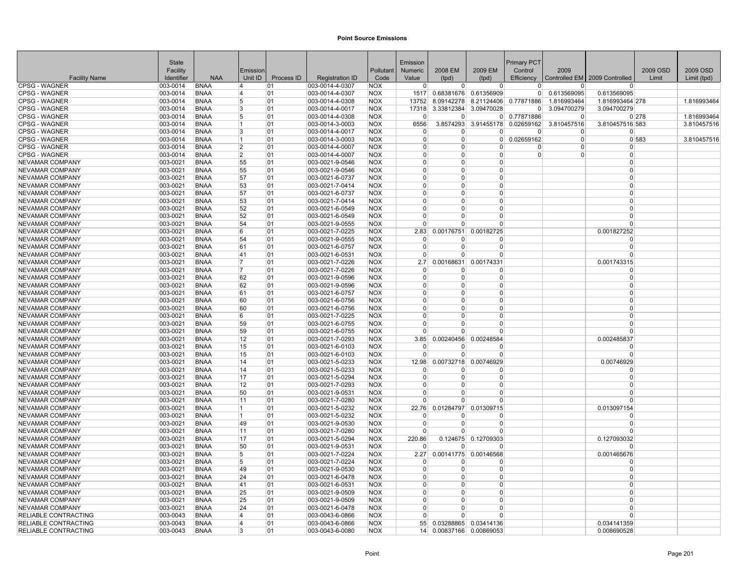|                                              | State                |                            |                |            |                                    |                          | Emission             |                               |                          | Primary PCT                  |                            |                                 |          |             |
|----------------------------------------------|----------------------|----------------------------|----------------|------------|------------------------------------|--------------------------|----------------------|-------------------------------|--------------------------|------------------------------|----------------------------|---------------------------------|----------|-------------|
|                                              | Facility             |                            | Emission       |            |                                    | Pollutant                | Numeric              | 2008 EM                       | 2009 EM                  | Control                      | 2009                       |                                 | 2009 OSD | 2009 OSD    |
| <b>Facility Name</b>                         | Identifier           | <b>NAA</b>                 | Unit ID        | Process ID | <b>Registration ID</b>             | Code                     | Value                | (tpd)                         | (tpd)                    | Efficiency                   |                            | Controlled EM   2009 Controlled | Limit    | Limit (tpd) |
| <b>CPSG - WAGNER</b>                         | 003-0014             | <b>BNAA</b>                | $\overline{4}$ | 01         | 003-0014-4-0307                    | <b>NOX</b>               | $\Omega$             | $\Omega$                      | $\Omega$                 | $\overline{0}$               | $\Omega$                   | 0                               |          |             |
| <b>CPSG - WAGNER</b><br><b>CPSG - WAGNER</b> | 003-0014             | <b>BNAA</b>                | 14             | 01         | 003-0014-4-0307                    | <b>NOX</b>               |                      | 1517 0.68381676<br>8.09142278 | 0.61356909               | 01                           | 0.613569095                | 0.613569095                     |          | 1.816993464 |
| <b>CPSG - WAGNER</b>                         | 003-0014<br>003-0014 | <b>BNAA</b><br><b>BNAA</b> | 5<br>3         | 01<br>01   | 003-0014-4-0308<br>003-0014-4-0017 | <b>NOX</b><br><b>NOX</b> | 13752<br>17318       | 3.33812384                    | 8.21124406<br>3.09470028 | 0.77871886<br>$\overline{0}$ | 1.816993464<br>3.094700279 | 1.816993464 278<br>3.094700279  |          |             |
| <b>CPSG - WAGNER</b>                         | 003-0014             | <b>BNAA</b>                | 5              | 01         | 003-0014-4-0308                    | <b>NOX</b>               | $\overline{0}$       | $\Omega$                      | $\overline{0}$           | 0.77871886                   | $\overline{0}$             |                                 | 0 278    | 1.816993464 |
| <b>CPSG - WAGNER</b>                         | 003-0014             | <b>BNAA</b>                | 11             | 01         | 003-0014-3-0003                    | <b>NOX</b>               | 6556                 | 3.8574293                     | 3.91455178               | 0.02659162                   | 3.810457516                | 3.810457516 583                 |          | 3.810457516 |
| <b>CPSG - WAGNER</b>                         | $ 003 - 0014$        | <b>BNAA</b>                | 3              | 01         | 003-0014-4-0017                    | <b>NOX</b>               | $\overline{0}$       | - 0                           | $\Omega$                 | 0                            | $\Omega$                   | $\Omega$                        |          |             |
| <b>CPSG - WAGNER</b>                         | 003-0014             | <b>BNAA</b>                | 11             | 01         | 003-0014-3-0003                    | <b>NOX</b>               | $\Omega$             | $\Omega$                      | $\Omega$                 | 0.02659162                   | $\Omega$                   |                                 | 0 583    | 3.810457516 |
| <b>CPSG - WAGNER</b>                         | 003-0014             | <b>BNAA</b>                | $\overline{2}$ | 01         | 003-0014-4-0007                    | <b>NOX</b>               | $\Omega$             | $\Omega$                      | <sup>0</sup>             | ŋ                            | $\Omega$                   | $\Omega$                        |          |             |
| <b>CPSG - WAGNER</b>                         | 003-0014             | <b>BNAA</b>                | 2              | 01         | 003-0014-4-0007                    | <b>NOX</b>               | $\Omega$             | $\Omega$                      | $\Omega$                 | $\Omega$                     | $\Omega$                   | $\Omega$                        |          |             |
| NEVAMAR COMPANY                              | 003-0021             | <b>BNAA</b>                | 55             | 01         | 003-0021-9-0546                    | <b>NOX</b>               | $\Omega$             | $\Omega$                      | $\Omega$                 |                              |                            | $\Omega$                        |          |             |
| <b>NEVAMAR COMPANY</b>                       | 003-0021             | <b>BNAA</b>                | 55             | 01         | 003-0021-9-0546                    | <b>NOX</b>               | $\Omega$             |                               | O                        |                              |                            | 0                               |          |             |
| NEVAMAR COMPANY                              | $ 003 - 0021$        | <b>BNAA</b>                | 57             | 01         | 003-0021-6-0737                    | <b>NOX</b>               | $\Omega$             | $\Omega$                      | $\Omega$                 |                              |                            | $\Omega$                        |          |             |
| NEVAMAR COMPANY                              | 003-0021             | <b>BNAA</b>                | 53             | 01         | 003-0021-7-0414                    | <b>NOX</b>               | $\Omega$             | $\Omega$                      | $\Omega$                 |                              |                            | $\Omega$                        |          |             |
| NEVAMAR COMPANY                              | 003-0021             | <b>BNAA</b>                | 57             | 01         | 003-0021-6-0737                    | <b>NOX</b>               | $\Omega$             | $\Omega$                      | $\Omega$                 |                              |                            | $\Omega$                        |          |             |
| <b>NEVAMAR COMPANY</b>                       | 003-0021             | <b>BNAA</b>                | 53             | 01         | 003-0021-7-0414                    | <b>NOX</b>               | $\Omega$             | $\Omega$                      | $\Omega$                 |                              |                            | $\Omega$                        |          |             |
| NEVAMAR COMPANY                              | 003-0021             | <b>BNAA</b>                | 52             | 01         | 003-0021-6-0549                    | <b>NOX</b>               | $\Omega$             | $\Omega$                      | $\Omega$                 |                              |                            | O                               |          |             |
| <b>NEVAMAR COMPANY</b>                       | 003-0021             | <b>BNAA</b>                | 52             | 01         | 003-0021-6-0549                    | <b>NOX</b>               | $\Omega$             | n                             | $\Omega$                 |                              |                            | $\Omega$                        |          |             |
| <b>NEVAMAR COMPANY</b>                       | 003-0021             | <b>BNAA</b>                | 54             | 01         | 003-0021-9-0555                    | <b>NOX</b>               | $\Omega$             |                               | $\Omega$                 |                              |                            | 0                               |          |             |
| NEVAMAR COMPANY                              | 003-0021             | <b>BNAA</b>                | 6              | 01         | 003-0021-7-0225                    | <b>NOX</b>               | 2.83                 | 0.00176751                    | 0.00182725               |                              |                            | 0.001827252                     |          |             |
| NEVAMAR COMPANY                              | 003-0021             | <b>BNAA</b>                | 54             | 01         | 003-0021-9-0555                    | <b>NOX</b>               | $\Omega$             | - 0                           | $\Omega$                 |                              |                            | $\Omega$                        |          |             |
| NEVAMAR COMPANY                              | 003-0021             | <b>BNAA</b>                | 61             | 01         | 003-0021-6-0757                    | <b>NOX</b>               | $\overline{0}$       | $\Omega$                      | $\Omega$                 |                              |                            | $\Omega$                        |          |             |
| NEVAMAR COMPANY                              | 003-0021             | <b>BNAA</b>                | 41             | 01         | 003-0021-6-0531                    | <b>NOX</b>               | $\Omega$             | n                             | $\Omega$                 |                              |                            | $\Omega$                        |          |             |
| NEVAMAR COMPANY                              | $ 003 - 0021$        | <b>BNAA</b>                | 17             | 01         | 003-0021-7-0226                    | <b>NOX</b>               | 2.7                  | 0.00168631                    | 0.00174331               |                              |                            | 0.001743315                     |          |             |
| NEVAMAR COMPANY                              | $ 003 - 0021$        | <b>BNAA</b>                | 7              | 01         | 003-0021-7-0226                    | <b>NOX</b>               | $\Omega$             |                               | $\Omega$                 |                              |                            | $\Omega$                        |          |             |
| <b>NEVAMAR COMPANY</b>                       | 003-0021             | <b>BNAA</b>                | 62             | 01         | 003-0021-9-0596                    | <b>NOX</b>               | $\Omega$             | $\Omega$                      | $\Omega$                 |                              |                            | $\Omega$                        |          |             |
| NEVAMAR COMPANY                              | 003-0021             | <b>BNAA</b>                | 62             | 101        | 003-0021-9-0596                    | <b>NOX</b>               | $\overline{0}$       | - 0                           | $\Omega$                 |                              |                            | $\Omega$                        |          |             |
| NEVAMAR COMPANY                              | 003-0021             | <b>BNAA</b>                | 61             | 01         | 003-0021-6-0757                    | <b>NOX</b>               | $\overline{0}$       | $\Omega$                      | $\Omega$                 |                              |                            | $\Omega$                        |          |             |
| <b>NEVAMAR COMPANY</b>                       | 003-0021             | <b>BNAA</b>                | 60             | 01         | 003-0021-6-0756                    | <b>NOX</b>               | $\Omega$             | $\Omega$                      | $\Omega$                 |                              |                            | $\Omega$                        |          |             |
| <b>NEVAMAR COMPANY</b>                       | 003-0021             | <b>BNAA</b>                | 60             | 01         | 003-0021-6-0756                    | <b>NOX</b>               | $\Omega$             | $\Omega$                      | $\Omega$                 |                              |                            | $\Omega$                        |          |             |
| NEVAMAR COMPANY                              | 003-0021             | <b>BNAA</b>                | 6              | 01         | 003-0021-7-0225                    | <b>NOX</b>               | $\overline{0}$       | $\Omega$                      | $\mathbf{0}$             |                              |                            | $\Omega$                        |          |             |
| NEVAMAR COMPANY                              | 003-0021             | <b>BNAA</b>                | 59             | 01         | 003-0021-6-0755                    | <b>NOX</b>               | $\overline{0}$       | $\Omega$                      | $\Omega$                 |                              |                            | $\Omega$                        |          |             |
| <b>NEVAMAR COMPANY</b>                       | 003-0021             | <b>BNAA</b>                | 59             | 01         | 003-0021-6-0755                    | <b>NOX</b>               | $\overline{0}$       | $\Omega$                      | $\Omega$                 |                              |                            | $\Omega$                        |          |             |
| NEVAMAR COMPANY                              | 003-0021             | <b>BNAA</b>                | 12             | 01         | 003-0021-7-0293                    | <b>NOX</b>               | 3.85                 | 0.00240456                    | 0.00248584               |                              |                            | 0.002485837                     |          |             |
| NEVAMAR COMPANY                              | 003-0021             | <b>BNAA</b>                | 15             | 01         | 003-0021-6-0103                    | <b>NOX</b>               | $\Omega$             |                               | O                        |                              |                            | <sup>0</sup>                    |          |             |
| <b>NEVAMAR COMPANY</b>                       | 003-0021             | <b>BNAA</b>                | 15             | 01         | 003-0021-6-0103                    | <b>NOX</b>               | $\Omega$             |                               | $\Omega$                 |                              |                            | $\Omega$                        |          |             |
| <b>NEVAMAR COMPANY</b>                       | 003-0021             | <b>BNAA</b>                | 14             | 01         | 003-0021-5-0233                    | <b>NOX</b>               | 12.98                | 0.00732718                    | 0.00746929               |                              |                            | 0.00746929                      |          |             |
| <b>NEVAMAR COMPANY</b>                       | $ 003 - 0021$        | <b>BNAA</b>                | 14             | 01         | 003-0021-5-0233                    | <b>NOX</b>               | $\Omega$             |                               | 0                        |                              |                            | $\Omega$                        |          |             |
| NEVAMAR COMPANY                              | 003-0021             | <b>BNAA</b>                | 17             | 01         | 003-0021-5-0294                    | <b>NOX</b>               | $\Omega$             | $\Omega$                      | $\Omega$                 |                              |                            | $\Omega$                        |          |             |
| <b>NEVAMAR COMPANY</b>                       | 003-0021             | <b>BNAA</b>                | 12             | 01         | 003-0021-7-0293                    | <b>NOX</b>               | $\Omega$             |                               | $\Omega$                 |                              |                            | $\Omega$                        |          |             |
| NEVAMAR COMPANY                              | $ 003 - 0021$        | <b>BNAA</b>                | 50             | 01         | 003-0021-9-0531                    | <b>NOX</b>               | $\Omega$             |                               | 0                        |                              |                            | $\Omega$                        |          |             |
| NEVAMAR COMPANY                              | 003-0021             | <b>BNAA</b>                | 11             | 01         | 003-0021-7-0280                    | <b>NOX</b>               | $\Omega$             |                               | $\Omega$                 |                              |                            | 0                               |          |             |
| NEVAMAR COMPANY                              | 003-0021             | <b>BNAA</b>                | 11.            | 01         | 003-0021-5-0232                    | <b>NOX</b>               |                      | 22.76 0.01284797              | 0.01309715               |                              |                            | 0.013097154                     |          |             |
| <b>NEVAMAR COMPANY</b>                       | 003-0021             | <b>BNAA</b><br><b>BNAA</b> | 11<br>49       | 01<br>01   | 003-0021-5-0232<br>003-0021-9-0530 | <b>NOX</b><br><b>NOX</b> | $\Omega$<br>$\Omega$ | $\Omega$                      | $\Omega$<br>$\Omega$     |                              |                            | $\Omega$<br>0                   |          |             |
| NEVAMAR COMPANY                              | 003-0021             |                            |                |            |                                    |                          | <sup>0</sup>         | n                             | $\Omega$                 |                              |                            | $\Omega$                        |          |             |
| NEVAMAR COMPANY<br><b>NEVAMAR COMPANY</b>    | 003-0021<br>003-0021 | <b>BNAA</b><br><b>BNAA</b> | 11<br>17       | 01<br>01   | 003-0021-7-0280<br>003-0021-5-0294 | <b>NOX</b><br><b>NOX</b> | 220.86               |                               | 0.124675 0.12709303      |                              |                            | 0.127093032                     |          |             |
| NEVAMAR COMPANY                              | 003-0021             | <b>BNAA</b>                | 50             | 01         | 003-0021-9-0531                    | <b>NOX</b>               | $\Omega$             |                               | $\Omega$                 |                              |                            | $\Omega$                        |          |             |
| NEVAMAR COMPANY                              | 003-0021             | <b>BNAA</b>                | 5              | 01         | 003-0021-7-0224                    | <b>NOX</b>               | 2.27                 |                               | 0.00141775 0.00146568    |                              |                            | 0.001465676                     |          |             |
| NEVAMAR COMPANY                              | 003-0021             | <b>BNAA</b>                | 5              | 01         | 003-0021-7-0224                    | <b>NOX</b>               | $\Omega$             |                               | $\Omega$                 |                              |                            | U                               |          |             |
| <b>NEVAMAR COMPANY</b>                       | 003-0021             | <b>BNAA</b>                | 49             | 01         | 003-0021-9-0530                    | <b>NOX</b>               | $\Omega$             | $\Omega$                      | $\Omega$                 |                              |                            | $\Omega$                        |          |             |
| NEVAMAR COMPANY                              | $ 003 - 0021$        | <b>BNAA</b>                | 24             | 01         | 003-0021-6-0478                    | <b>NOX</b>               | $\overline{0}$       | - 0                           | $\Omega$                 |                              |                            | $\Omega$                        |          |             |
| NEVAMAR COMPANY                              | $ 003 - 0021$        | <b>BNAA</b>                | 41             | 01         | 003-0021-6-0531                    | <b>NOX</b>               | $\Omega$             | $\Omega$                      | $\Omega$                 |                              |                            | $\Omega$                        |          |             |
| <b>NEVAMAR COMPANY</b>                       | 003-0021             | <b>BNAA</b>                | 25             | 01         | 003-0021-9-0509                    | <b>NOX</b>               | $\Omega$             | $\Omega$                      | $\Omega$                 |                              |                            | $\Omega$                        |          |             |
| <b>NEVAMAR COMPANY</b>                       | 003-0021             | <b>BNAA</b>                | 25             | 01         | 003-0021-9-0509                    | <b>NOX</b>               | $\Omega$             | $\Omega$                      | $\Omega$                 |                              |                            | $\Omega$                        |          |             |
| <b>NEVAMAR COMPANY</b>                       | 003-0021             | <b>BNAA</b>                | 24             | 01         | 003-0021-6-0478                    | <b>NOX</b>               | $\Omega$             | $\Omega$                      | $\Omega$                 |                              |                            | O                               |          |             |
| <b>RELIABLE CONTRACTING</b>                  | 003-0043             | <b>BNAA</b>                | 4              | 01         | 003-0043-6-0866                    | <b>NOX</b>               | $\Omega$             |                               | $\Omega$                 |                              |                            | $\Omega$                        |          |             |
| <b>RELIABLE CONTRACTING</b>                  | 003-0043             | <b>BNAA</b>                | $\overline{4}$ | 01         | 003-0043-6-0866                    | <b>NOX</b>               | 55                   |                               | 0.03288865 0.03414136    |                              |                            | 0.034141359                     |          |             |
| RELIABLE CONTRACTING                         | $ 003 - 0043 $       | <b>BNAA</b>                | 3              | 01         | 003-0043-6-0080                    | <b>NOX</b>               | 14                   |                               | 0.00837166 0.00869053    |                              |                            | 0.008690528                     |          |             |
|                                              |                      |                            |                |            |                                    |                          |                      |                               |                          |                              |                            |                                 |          |             |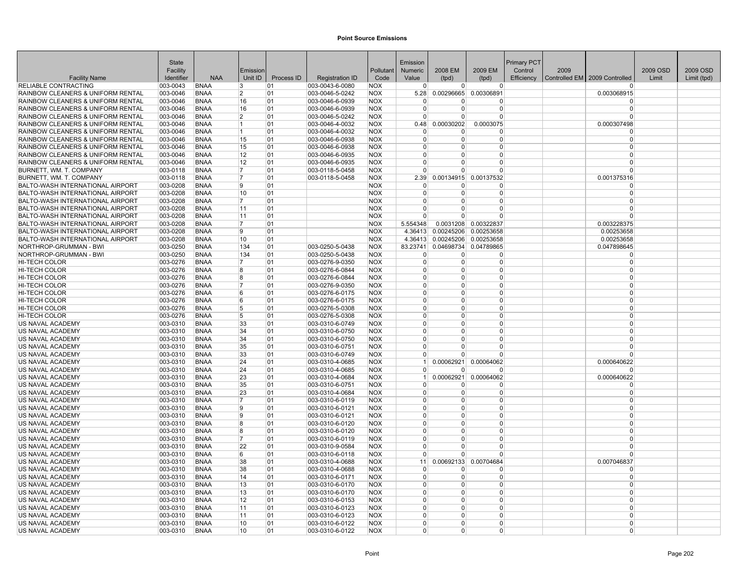|                                                                                              | <b>State</b>         |                            |                  |            |                                    |                          | Emission              |                            |                       | <b>Primary PCT</b> |      |                                 |          |             |
|----------------------------------------------------------------------------------------------|----------------------|----------------------------|------------------|------------|------------------------------------|--------------------------|-----------------------|----------------------------|-----------------------|--------------------|------|---------------------------------|----------|-------------|
|                                                                                              | Facility             |                            | Emission         |            |                                    | Pollutant                | Numeric               | 2008 EM                    | 2009 EM               | Control            | 2009 |                                 | 2009 OSD | 2009 OSD    |
| <b>Facility Name</b>                                                                         | Identifier           | <b>NAA</b>                 | Unit ID          | Process ID | <b>Registration ID</b>             | Code                     | Value                 | (tpd)                      | (tpd)                 | Efficiency         |      | Controlled EM   2009 Controlled | Limit    | Limit (tpd) |
| RELIABLE CONTRACTING                                                                         | 003-0043             | <b>BNAA</b>                | 3                | 01         | 003-0043-6-0080                    | <b>NOX</b>               | $\Omega$              | $\overline{0}$             | $\overline{0}$        |                    |      |                                 |          |             |
| RAINBOW CLEANERS & UNIFORM RENTAL                                                            | 003-0046             | <b>BNAA</b>                | 2                | 01         | 003-0046-5-0242                    | <b>NOX</b>               | 5.28                  |                            | 0.00296665 0.00306891 |                    |      | 0.003068915                     |          |             |
| RAINBOW CLEANERS & UNIFORM RENTAL                                                            | 003-0046             | <b>BNAA</b>                | 16               | 01         | 003-0046-6-0939                    | <b>NOX</b>               | $\Omega$              | <sup>0</sup>               | O                     |                    |      | $\Omega$                        |          |             |
| <b>RAINBOW CLEANERS &amp; UNIFORM RENTAL</b>                                                 | 003-0046             | <b>BNAA</b>                | 16               | 01         | 003-0046-6-0939                    | <b>NOX</b>               | $\Omega$              | <sup>0</sup>               | $\Omega$              |                    |      | $\Omega$                        |          |             |
| <b>RAINBOW CLEANERS &amp; UNIFORM RENTAL</b>                                                 | 003-0046             | <b>BNAA</b>                | $\overline{2}$   | 01         | 003-0046-5-0242                    | <b>NOX</b>               | $\Omega$              | $\overline{0}$             | $\overline{0}$        |                    |      | $\Omega$                        |          |             |
| RAINBOW CLEANERS & UNIFORM RENTAL                                                            | 003-0046             | <b>BNAA</b>                | 11               | 01         | 003-0046-4-0032                    | <b>NOX</b>               | 0.48                  | 0.00030202                 | 0.0003075             |                    |      | 0.000307498                     |          |             |
| RAINBOW CLEANERS & UNIFORM RENTAL                                                            | 003-0046             | <b>BNAA</b>                | 11.              | 01         | 003-0046-4-0032                    | <b>NOX</b>               | $\Omega$              | $\Omega$                   | $\Omega$              |                    |      |                                 |          |             |
| RAINBOW CLEANERS & UNIFORM RENTAL                                                            | 003-0046             | <b>BNAA</b>                | 15               | 01         | 003-0046-6-0938                    | <b>NOX</b>               | $\overline{0}$        | $\overline{0}$             | $\Omega$              |                    |      | $\Omega$                        |          |             |
| RAINBOW CLEANERS & UNIFORM RENTAL                                                            | 003-0046             | <b>BNAA</b><br><b>BNAA</b> | 15               | 01<br>01   | 003-0046-6-0938                    | <b>NOX</b>               | $\Omega$<br>$\Omega$  | $\overline{0}$<br>$\Omega$ | 0<br>$\Omega$         |                    |      | $\Omega$<br>$\Omega$            |          |             |
| <b>RAINBOW CLEANERS &amp; UNIFORM RENTAL</b><br><b>RAINBOW CLEANERS &amp; UNIFORM RENTAL</b> | 003-0046<br>003-0046 | <b>BNAA</b>                | 12<br>12         | 01         | 003-0046-6-0935<br>003-0046-6-0935 | <b>NOX</b><br><b>NOX</b> | $\Omega$              | $\Omega$                   | $\Omega$              |                    |      | $\Omega$                        |          |             |
|                                                                                              |                      | <b>BNAA</b>                | 17               | 01         |                                    | <b>NOX</b>               | $\Omega$              | $\Omega$                   | $\Omega$              |                    |      | $\Omega$                        |          |             |
| BURNETT, WM. T. COMPANY<br>BURNETT, WM. T. COMPANY                                           | 003-0118<br>003-0118 | <b>BNAA</b>                | 17               | 01         | 003-0118-5-0458<br>003-0118-5-0458 | <b>NOX</b>               | 2.39                  |                            | 0.00134915 0.00137532 |                    |      | 0.001375316                     |          |             |
| <b>BALTO-WASH INTERNATIONAL AIRPORT</b>                                                      | 003-0208             | <b>BNAA</b>                | 9                | 01         |                                    | <b>NOX</b>               | $\Omega$              | $\Omega$                   | $\Omega$              |                    |      | $\Omega$                        |          |             |
| <b>BALTO-WASH INTERNATIONAL AIRPORT</b>                                                      | 003-0208             | <b>BNAA</b>                | 10               | 01         |                                    | <b>NOX</b>               | $\overline{0}$        | $\overline{0}$             | 0                     |                    |      | $\Omega$                        |          |             |
| <b>BALTO-WASH INTERNATIONAL AIRPORT</b>                                                      | 003-0208             | <b>BNAA</b>                | 17               | 01         |                                    | <b>NOX</b>               | $\overline{0}$        | $\overline{0}$             | $\overline{0}$        |                    |      | $\Omega$                        |          |             |
| BALTO-WASH INTERNATIONAL AIRPORT                                                             | 003-0208             | <b>BNAA</b>                | 11               | 01         |                                    | <b>NOX</b>               | $\Omega$              | $\Omega$                   | $\Omega$              |                    |      | $\Omega$                        |          |             |
| <b>BALTO-WASH INTERNATIONAL AIRPORT</b>                                                      | 003-0208             | <b>BNAA</b>                | 11               | 01         |                                    | <b>NOX</b>               | $\Omega$              | $\Omega$                   | $\Omega$              |                    |      |                                 |          |             |
| BALTO-WASH INTERNATIONAL AIRPORT                                                             | 003-0208             | <b>BNAA</b>                | 17               | 01         |                                    | <b>NOX</b>               | 5.554348              |                            | 0.0031208 0.00322837  |                    |      | 0.003228375                     |          |             |
| BALTO-WASH INTERNATIONAL AIRPORT                                                             | 003-0208             | <b>BNAA</b>                | 9                | 01         |                                    | <b>NOX</b>               | 4.36413               |                            | 0.00245206 0.00253658 |                    |      | 0.00253658                      |          |             |
| <b>BALTO-WASH INTERNATIONAL AIRPORT</b>                                                      | 003-0208             | <b>BNAA</b>                | 10 <sup>10</sup> | 01         |                                    | <b>NOX</b>               | 4.36413               |                            | 0.00245206 0.00253658 |                    |      | 0.00253658                      |          |             |
| NORTHROP-GRUMMAN - BWI                                                                       | 003-0250             | <b>BNAA</b>                | 134              | 01         | 003-0250-5-0438                    | <b>NOX</b>               | 83.23741              |                            | 0.04698734 0.04789865 |                    |      | 0.047898645                     |          |             |
| NORTHROP-GRUMMAN - BWI                                                                       | 003-0250             | <b>BNAA</b>                | 134              | 01         | 003-0250-5-0438                    | <b>NOX</b>               | $\Omega$              | 0                          | 0                     |                    |      | $\Omega$                        |          |             |
| HI-TECH COLOR                                                                                | 003-0276             | <b>BNAA</b>                | 17               | 01         | 003-0276-9-0350                    | <b>NOX</b>               | $\Omega$              | $\Omega$                   | $\overline{0}$        |                    |      | $\Omega$                        |          |             |
| <b>HI-TECH COLOR</b>                                                                         | 003-0276             | <b>BNAA</b>                | 8                | 01         | 003-0276-6-0844                    | <b>NOX</b>               | $\Omega$              | $\Omega$                   | $\Omega$              |                    |      | $\Omega$                        |          |             |
| <b>HI-TECH COLOR</b>                                                                         | 003-0276             | <b>BNAA</b>                | 8                | 01         | 003-0276-6-0844                    | <b>NOX</b>               | $\Omega$              | $\Omega$                   | $\Omega$              |                    |      | $\Omega$                        |          |             |
| <b>HI-TECH COLOR</b>                                                                         | 003-0276             | <b>BNAA</b>                | 17               | 01         | 003-0276-9-0350                    | <b>NOX</b>               | $\Omega$              | $\Omega$                   | $\overline{0}$        |                    |      | $\Omega$                        |          |             |
| <b>HI-TECH COLOR</b>                                                                         | 003-0276             | <b>BNAA</b>                | 6                | 01         | 003-0276-6-0175                    | <b>NOX</b>               | $\Omega$              | $\Omega$                   | $\Omega$              |                    |      | $\Omega$                        |          |             |
| <b>HI-TECH COLOR</b>                                                                         | 003-0276             | <b>BNAA</b>                | 6                | 01         | 003-0276-6-0175                    | <b>NOX</b>               | $\Omega$              | 0                          | $\Omega$              |                    |      | $\Omega$                        |          |             |
| <b>HI-TECH COLOR</b>                                                                         | 003-0276             | <b>BNAA</b>                | 5                | 01         | 003-0276-5-0308                    | <b>NOX</b>               | $\Omega$              | $\Omega$                   | 0                     |                    |      | $\Omega$                        |          |             |
| HI-TECH COLOR                                                                                | 003-0276             | <b>BNAA</b>                | 5                | 01         | 003-0276-5-0308                    | <b>NOX</b>               | $\Omega$              | $\Omega$                   | $\Omega$              |                    |      | $\Omega$                        |          |             |
| US NAVAL ACADEMY                                                                             | 003-0310             | <b>BNAA</b>                | 33               | 01         | 003-0310-6-0749                    | <b>NOX</b>               | $\Omega$              | $\Omega$                   | $\Omega$              |                    |      | $\Omega$                        |          |             |
| US NAVAL ACADEMY                                                                             | 003-0310             | <b>BNAA</b>                | 34               | 01         | 003-0310-6-0750                    | <b>NOX</b>               | $\Omega$              | $\Omega$                   | $\overline{0}$        |                    |      | $\Omega$                        |          |             |
| US NAVAL ACADEMY                                                                             | 003-0310             | <b>BNAA</b>                | 34               | 01         | 003-0310-6-0750                    | <b>NOX</b>               | $\Omega$              | $\Omega$                   | $\Omega$              |                    |      | $\Omega$                        |          |             |
| US NAVAL ACADEMY                                                                             | 003-0310             | <b>BNAA</b>                | 35               | 01         | 003-0310-6-0751                    | <b>NOX</b>               | $\Omega$              | $\Omega$                   | $\Omega$              |                    |      | $\Omega$                        |          |             |
| US NAVAL ACADEMY                                                                             | 003-0310             | <b>BNAA</b>                | 33               | 01         | 003-0310-6-0749                    | <b>NOX</b>               | $\Omega$              | $\Omega$                   | $\Omega$              |                    |      |                                 |          |             |
| US NAVAL ACADEMY                                                                             | 003-0310             | <b>BNAA</b>                | 24               | 01         | 003-0310-4-0685                    | <b>NOX</b>               | 1                     | 0.00062921                 | 0.00064062            |                    |      | 0.000640622                     |          |             |
| US NAVAL ACADEMY                                                                             | 003-0310             | <b>BNAA</b><br><b>BNAA</b> | 24               | 01<br>01   | 003-0310-4-0685                    | <b>NOX</b>               | $\Omega$<br>$\vert$ 1 | $\mathbf{0}$               | $\Omega$              |                    |      | $\Omega$                        |          |             |
| US NAVAL ACADEMY<br>US NAVAL ACADEMY                                                         | 003-0310<br>003-0310 | <b>BNAA</b>                | 23<br>35         | 01         | 003-0310-4-0684<br>003-0310-6-0751 | <b>NOX</b><br><b>NOX</b> | $\Omega$              | 0.00062921<br>0            | 0.00064062<br>0       |                    |      | 0.000640622                     |          |             |
| US NAVAL ACADEMY                                                                             | 003-0310             | <b>BNAA</b>                | 23               | 01         | 003-0310-4-0684                    | <b>NOX</b>               | $\Omega$              | $\overline{0}$             | 0                     |                    |      | $\Omega$                        |          |             |
| US NAVAL ACADEMY                                                                             | 003-0310             | <b>BNAA</b>                | 17               | 01         | 003-0310-6-0119                    | <b>NOX</b>               | $\Omega$              | $\Omega$                   | $\overline{0}$        |                    |      | $\Omega$                        |          |             |
| US NAVAL ACADEMY                                                                             | 003-0310             | <b>BNAA</b>                | ۱g               | 01         | 003-0310-6-0121                    | <b>NOX</b>               | $\Omega$              | 0                          | $\overline{0}$        |                    |      | $\Omega$                        |          |             |
| US NAVAL ACADEMY                                                                             | 003-0310             | <b>BNAA</b>                | 19               | 01         | 003-0310-6-0121                    | <b>NOX</b>               | $\Omega$              | $\Omega$                   | $\overline{0}$        |                    |      | $\Omega$                        |          |             |
| US NAVAL ACADEMY                                                                             | 003-0310             | <b>BNAA</b>                | ۱g               | 01         | 003-0310-6-0120                    | <b>NOX</b>               | $\Omega$              | $\overline{0}$             | 0                     |                    |      | $\Omega$                        |          |             |
| US NAVAL ACADEMY                                                                             | 003-0310             | <b>BNAA</b>                | R.               | 01         | 003-0310-6-0120                    | <b>NOX</b>               | $\Omega$              | $\Omega$                   | $\Omega$              |                    |      | $\Omega$                        |          |             |
| US NAVAL ACADEMY                                                                             | 003-0310             | <b>BNAA</b>                | 17               | 01         | 003-0310-6-0119                    | <b>NOX</b>               | $\Omega$              | $\Omega$                   | $\Omega$              |                    |      | $\Omega$                        |          |             |
| US NAVAL ACADEMY                                                                             | 003-0310             | <b>BNAA</b>                | 22               | 01         | 003-0310-9-0584                    | <b>NOX</b>               | $\Omega$              | $\Omega$                   | 0                     |                    |      | $\Omega$                        |          |             |
| US NAVAL ACADEMY                                                                             | 003-0310             | <b>BNAA</b>                | 6                | 01         | 003-0310-6-0118                    | <b>NOX</b>               | $\Omega$              | $\Omega$                   | $\overline{0}$        |                    |      | $\Omega$                        |          |             |
| US NAVAL ACADEMY                                                                             | 003-0310             | <b>BNAA</b>                | 38               | 01         | 003-0310-4-0688                    | <b>NOX</b>               | 11                    | 0.00692133                 | 0.00704684            |                    |      | 0.007046837                     |          |             |
| US NAVAL ACADEMY                                                                             | 003-0310             | <b>BNAA</b>                | 38               | 01         | 003-0310-4-0688                    | <b>NOX</b>               | $\Omega$              | 0                          | $\Omega$              |                    |      |                                 |          |             |
| US NAVAL ACADEMY                                                                             | 003-0310             | <b>BNAA</b>                | 14               | 01         | 003-0310-6-0171                    | <b>NOX</b>               | $\overline{0}$        | $\Omega$                   | 0                     |                    |      | $\Omega$                        |          |             |
| US NAVAL ACADEMY                                                                             | 003-0310             | <b>BNAA</b>                | 13               | 01         | 003-0310-6-0170                    | <b>NOX</b>               | $\Omega$              | $\overline{0}$             | $\overline{0}$        |                    |      | $\Omega$                        |          |             |
| US NAVAL ACADEMY                                                                             | 003-0310             | <b>BNAA</b>                | 13               | 01         | 003-0310-6-0170                    | <b>NOX</b>               | $\Omega$              | $\Omega$                   | $\Omega$              |                    |      | $\Omega$                        |          |             |
| US NAVAL ACADEMY                                                                             | 003-0310             | <b>BNAA</b>                | 12               | 01         | 003-0310-6-0153                    | <b>NOX</b>               | $\Omega$              | $\Omega$                   | $\Omega$              |                    |      | $\Omega$                        |          |             |
| US NAVAL ACADEMY                                                                             | 003-0310             | <b>BNAA</b>                | 11               | 01         | 003-0310-6-0123                    | <b>NOX</b>               | $\Omega$              | $\Omega$                   | $\Omega$              |                    |      | $\Omega$                        |          |             |
| US NAVAL ACADEMY                                                                             | 003-0310             | <b>BNAA</b>                | 11               | 01         | 003-0310-6-0123                    | <b>NOX</b>               | $\Omega$              | $\Omega$                   | $\Omega$              |                    |      | $\Omega$                        |          |             |
| US NAVAL ACADEMY                                                                             | 003-0310             | <b>BNAA</b>                | 10               | 01         | 003-0310-6-0122                    | <b>NOX</b>               | $\Omega$              | $\Omega$                   | 0                     |                    |      | $\Omega$                        |          |             |
| US NAVAL ACADEMY                                                                             | 003-0310             | <b>BNAA</b>                | 10               | 01         | 003-0310-6-0122                    | <b>NOX</b>               | $\Omega$              | $\Omega$                   | 0                     |                    |      | $\overline{0}$                  |          |             |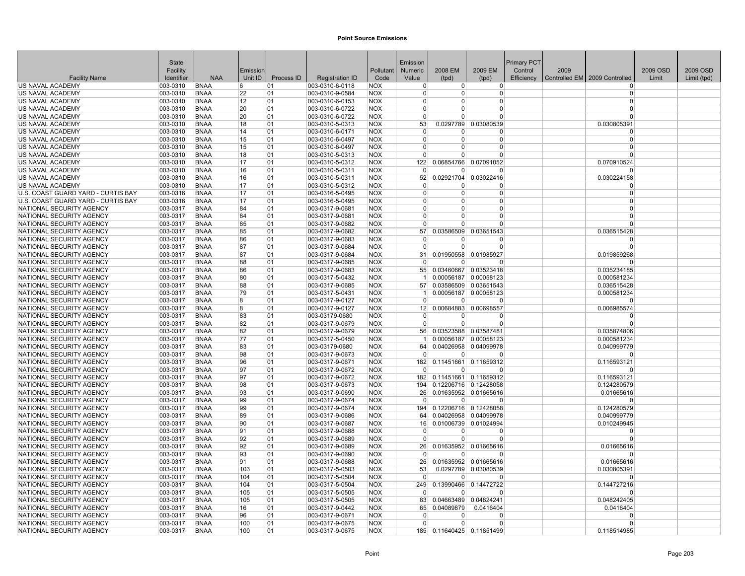|                                                      | <b>State</b>         |                            |          |            |                                    |                          | Emission        |                |                                                | <b>Primary PCT</b> |      |                               |          |             |
|------------------------------------------------------|----------------------|----------------------------|----------|------------|------------------------------------|--------------------------|-----------------|----------------|------------------------------------------------|--------------------|------|-------------------------------|----------|-------------|
|                                                      | Facility             |                            | Emission |            |                                    | Pollutant                | Numeric         | 2008 EM        | 2009 EM                                        | Control            | 2009 |                               | 2009 OSD | 2009 OSD    |
| <b>Facility Name</b>                                 | Identifier           | <b>NAA</b>                 | Unit ID  | Process ID | <b>Registration ID</b>             | Code                     | Value           | (tpd)          | (tpd)                                          | Efficiency         |      | Controlled EM 2009 Controlled | Limit    | Limit (tpd) |
| US NAVAL ACADEMY                                     | 003-0310             | <b>BNAA</b>                | 6        | 01         | 003-0310-6-0118                    | <b>NOX</b>               | $\Omega$        | 0              | 0                                              |                    |      | $\Omega$                      |          |             |
| US NAVAL ACADEMY                                     | 003-0310             | <b>BNAA</b>                | 22       | 01         | 003-0310-9-0584                    | <b>NOX</b>               | $\Omega$        | $\Omega$       | <sup>0</sup>                                   |                    |      | $\Omega$                      |          |             |
| US NAVAL ACADEMY                                     | 003-0310             | <b>BNAA</b>                | 12       | 01         | 003-0310-6-0153                    | <b>NOX</b>               | $\Omega$        | $\Omega$       | 0                                              |                    |      | $\Omega$                      |          |             |
| US NAVAL ACADEMY                                     | 003-0310             | <b>BNAA</b>                | 20       | 01         | 003-0310-6-0722                    | <b>NOX</b>               | $\Omega$        | U              | $\Omega$                                       |                    |      | $\Omega$                      |          |             |
| US NAVAL ACADEMY                                     | 003-0310             | <b>BNAA</b>                | 20       | 01         | 003-0310-6-0722                    | <b>NOX</b>               | $\Omega$        | $\Omega$       | $\Omega$                                       |                    |      | $\Omega$                      |          |             |
| US NAVAL ACADEMY                                     | 003-0310             | <b>BNAA</b>                | 18       | 01         | 003-0310-5-0313                    | <b>NOX</b>               | 53              | 0.0297789      | 0.03080539                                     |                    |      | 0.030805391                   |          |             |
| US NAVAL ACADEMY                                     | 003-0310             | <b>BNAA</b>                | 14       | 01         | 003-0310-6-0171                    | <b>NOX</b>               | $\Omega$        | $\Omega$       | 0                                              |                    |      | $\Omega$                      |          |             |
| US NAVAL ACADEMY                                     | 003-0310             | <b>BNAA</b>                | 15       | 01         | 003-0310-6-0497                    | <b>NOX</b>               | $\Omega$        | $\Omega$       | 0                                              |                    |      | $\Omega$                      |          |             |
| US NAVAL ACADEMY                                     | 003-0310             | <b>BNAA</b>                | 15       | 01         | 003-0310-6-0497                    | <b>NOX</b>               | $\Omega$        | $\Omega$       | 0                                              |                    |      | $\Omega$                      |          |             |
| US NAVAL ACADEMY                                     | 003-0310             | <b>BNAA</b>                | 18       | 01         | 003-0310-5-0313                    | <b>NOX</b>               | $\Omega$        | $\Omega$       | $\Omega$                                       |                    |      | $\Omega$                      |          |             |
| US NAVAL ACADEMY                                     | 003-0310             | <b>BNAA</b>                | 17       | 01         | 003-0310-5-0312                    | <b>NOX</b>               | 122             | 0.06854766     | 0.07091052                                     |                    |      | 0.070910524                   |          |             |
| US NAVAL ACADEMY                                     | 003-0310             | <b>BNAA</b>                | 16       | 01         | 003-0310-5-0311                    | <b>NOX</b>               | $\Omega$        | U              | <sup>0</sup>                                   |                    |      | $\Omega$                      |          |             |
| US NAVAL ACADEMY<br>US NAVAL ACADEMY                 | 003-0310<br>003-0310 | <b>BNAA</b><br><b>BNAA</b> | 16<br>17 | 01<br>01   | 003-0310-5-0311<br>003-0310-5-0312 | <b>NOX</b><br><b>NOX</b> | 52<br>$\Omega$  | <sup>0</sup>   | 0.02921704 0.03022416<br>0                     |                    |      | 0.030224158<br>$\Omega$       |          |             |
| U.S. COAST GUARD YARD - CURTIS BAY                   | 003-0316             | <b>BNAA</b>                | 17       | 01         | 003-0316-5-0495                    | <b>NOX</b>               | $\Omega$        | $\Omega$       | 0                                              |                    |      | $\Omega$                      |          |             |
| U.S. COAST GUARD YARD - CURTIS BAY                   | 003-0316             | <b>BNAA</b>                | 17       | 01         | 003-0316-5-0495                    | <b>NOX</b>               | $\Omega$        | $\overline{0}$ | 0                                              |                    |      | $\Omega$                      |          |             |
| NATIONAL SECURITY AGENCY                             | 003-0317             | <b>BNAA</b>                | 84       | 01         | 003-0317-9-0681                    | <b>NOX</b>               | $\Omega$        | $\Omega$       | $\Omega$                                       |                    |      | $\Omega$                      |          |             |
| NATIONAL SECURITY AGENCY                             | 003-0317             | <b>BNAA</b>                | 84       | 01         | 003-0317-9-0681                    | <b>NOX</b>               | $\Omega$        | $\Omega$       | $\Omega$                                       |                    |      | $\Omega$                      |          |             |
| NATIONAL SECURITY AGENCY                             | 003-0317             | <b>BNAA</b>                | 85       | 01         | 003-0317-9-0682                    | <b>NOX</b>               | $\Omega$        | $\Omega$       | $\Omega$                                       |                    |      | $\Omega$                      |          |             |
| NATIONAL SECURITY AGENCY                             | 003-0317             | <b>BNAA</b>                | 85       | 01         | 003-0317-9-0682                    | <b>NOX</b>               | 57              | 0.03586509     | 0.03651543                                     |                    |      | 0.036515428                   |          |             |
| NATIONAL SECURITY AGENCY                             | 003-0317             | <b>BNAA</b>                | 86       | 01         | 003-0317-9-0683                    | <b>NOX</b>               | $\Omega$        | $\Omega$       | $\Omega$                                       |                    |      | $\Omega$                      |          |             |
| NATIONAL SECURITY AGENCY                             | 003-0317             | <b>BNAA</b>                | 87       | 01         | 003-0317-9-0684                    | <b>NOX</b>               | $\Omega$        | $\Omega$       | $\Omega$                                       |                    |      | $\Omega$                      |          |             |
| NATIONAL SECURITY AGENCY                             | 003-0317             | <b>BNAA</b>                | 87       | 01         | 003-0317-9-0684                    | <b>NOX</b>               | 31              |                | 0.01950558 0.01985927                          |                    |      | 0.019859268                   |          |             |
| NATIONAL SECURITY AGENCY                             | 003-0317             | <b>BNAA</b>                | 88       | 01         | 003-0317-9-0685                    | <b>NOX</b>               | $\Omega$        | $\Omega$       | <sup>0</sup>                                   |                    |      | n                             |          |             |
| NATIONAL SECURITY AGENCY                             | 003-0317             | <b>BNAA</b>                | 86       | 01         | 003-0317-9-0683                    | <b>NOX</b>               | 55              |                | 0.03460667 0.03523418                          |                    |      | 0.035234185                   |          |             |
| NATIONAL SECURITY AGENCY                             | 003-0317             | <b>BNAA</b>                | 80       | 01         | 003-0317-5-0432                    | <b>NOX</b>               | $\mathbf{1}$    |                | 0.00056187 0.00058123                          |                    |      | 0.000581234                   |          |             |
| NATIONAL SECURITY AGENCY                             | 003-0317             | <b>BNAA</b>                | 88       | 01         | 003-0317-9-0685                    | <b>NOX</b>               | 57              |                | 0.03586509 0.03651543                          |                    |      | 0.036515428                   |          |             |
| NATIONAL SECURITY AGENCY                             | 003-0317             | <b>BNAA</b>                | 79       | 01         | 003-0317-5-0431                    | <b>NOX</b>               |                 |                | 0.00056187 0.00058123                          |                    |      | 0.000581234                   |          |             |
| NATIONAL SECURITY AGENCY                             | 003-0317             | <b>BNAA</b>                | 8        | 01         | 003-0317-9-0127                    | <b>NOX</b>               | $\Omega$        | $\Omega$       | $\Omega$                                       |                    |      | $\Omega$                      |          |             |
| NATIONAL SECURITY AGENCY                             | 003-0317             | <b>BNAA</b>                | 8        | 01         | 003-0317-9-0127                    | <b>NOX</b>               | 12 <sup>1</sup> |                | 0.00684883 0.00698557                          |                    |      | 0.006985574                   |          |             |
| NATIONAL SECURITY AGENCY                             | 003-0317             | <b>BNAA</b>                | 83       | 01         | 003-03179-0680                     | <b>NOX</b>               | $\Omega$        | 0              | 0                                              |                    |      | $\Omega$                      |          |             |
| NATIONAL SECURITY AGENCY                             | 003-0317             | <b>BNAA</b>                | 82       | 01         | 003-0317-9-0679                    | <b>NOX</b>               | $\Omega$        | $\Omega$       | $\Omega$                                       |                    |      | $\Omega$                      |          |             |
| NATIONAL SECURITY AGENCY                             | 003-0317             | <b>BNAA</b>                | 82       | 01         | 003-0317-9-0679                    | <b>NOX</b>               | 56              |                | 0.03523588 0.03587481                          |                    |      | 0.035874806                   |          |             |
| NATIONAL SECURITY AGENCY                             | 003-0317             | <b>BNAA</b>                | 77       | 01         | 003-0317-5-0450                    | <b>NOX</b>               |                 |                | 0.00056187 0.00058123                          |                    |      | 0.000581234                   |          |             |
| NATIONAL SECURITY AGENCY                             | 003-0317             | <b>BNAA</b>                | 83       | 01         | 003-03179-0680                     | <b>NOX</b>               | 64              |                | 0.04026958 0.04099978                          |                    |      | 0.040999779                   |          |             |
| NATIONAL SECURITY AGENCY                             | 003-0317             | <b>BNAA</b>                | 98       | 01         | 003-0317-9-0673                    | <b>NOX</b>               | $\Omega$        | U              | $\Omega$                                       |                    |      | $\Omega$                      |          |             |
| NATIONAL SECURITY AGENCY                             | 003-0317             | <b>BNAA</b>                | 96       | 01         | 003-0317-9-0671                    | <b>NOX</b>               | 182             | 0.11451661     | 0.11659312                                     |                    |      | 0.116593121                   |          |             |
| NATIONAL SECURITY AGENCY                             | 003-0317             | <b>BNAA</b>                | 97       | 01         | 003-0317-9-0672                    | <b>NOX</b>               | $\Omega$        | $\Omega$       | O                                              |                    |      | $\Omega$                      |          |             |
| NATIONAL SECURITY AGENCY<br>NATIONAL SECURITY AGENCY | 003-0317<br>003-0317 | <b>BNAA</b><br><b>BNAA</b> | 97<br>98 | 01<br> 01  | 003-0317-9-0672<br>003-0317-9-0673 | <b>NOX</b><br><b>NOX</b> | 182<br>194      |                | 0.11451661 0.11659312                          |                    |      | 0.116593121                   |          |             |
| NATIONAL SECURITY AGENCY                             | 003-0317             | <b>BNAA</b>                | 93       | 01         | 003-0317-9-0690                    | <b>NOX</b>               | 26              |                | 0.12206716 0.12428058<br>0.01635952 0.01665616 |                    |      | 0.124280579<br>0.01665616     |          |             |
| NATIONAL SECURITY AGENCY                             | 003-0317             | <b>BNAA</b>                | 99       | 01         | 003-0317-9-0674                    | <b>NOX</b>               | $\Omega$        | 0              | $\Omega$                                       |                    |      | $\Omega$                      |          |             |
| NATIONAL SECURITY AGENCY                             | 003-0317             | <b>BNAA</b>                | 99       | 01         | 003-0317-9-0674                    | <b>NOX</b>               | 194             |                | 0.12206716 0.12428058                          |                    |      | 0.124280579                   |          |             |
| NATIONAL SECURITY AGENCY                             | 003-0317             | <b>BNAA</b>                | 89       | 01         | 003-0317-9-0686                    | <b>NOX</b>               | 64              |                | 0.04026958 0.04099978                          |                    |      | 0.040999779                   |          |             |
| NATIONAL SECURITY AGENCY                             | 003-0317             | <b>BNAA</b>                | 90       | 01         | 003-0317-9-0687                    | <b>NOX</b>               | 16              |                | 0.01006739 0.01024994                          |                    |      | 0.010249945                   |          |             |
| NATIONAL SECURITY AGENCY                             | 003-0317             | <b>BNAA</b>                | 91       | 01         | 003-0317-9-0688                    | <b>NOX</b>               | $\Omega$        | 0              | 0                                              |                    |      | $\Omega$                      |          |             |
| NATIONAL SECURITY AGENCY                             | 003-0317             | <b>BNAA</b>                | 92       | 01         | 003-0317-9-0689                    | <b>NOX</b>               | $\Omega$        | $\Omega$       | $\Omega$                                       |                    |      | $\Omega$                      |          |             |
| NATIONAL SECURITY AGENCY                             | 003-0317             | <b>BNAA</b>                | 92       | 01         | 003-0317-9-0689                    | <b>NOX</b>               | 26              | 0.01635952     | 0.01665616                                     |                    |      | 0.01665616                    |          |             |
| NATIONAL SECURITY AGENCY                             | 003-0317             | <b>BNAA</b>                | 93       | 01         | 003-0317-9-0690                    | <b>NOX</b>               | $\mathbf 0$     | $\Omega$       | $\Omega$                                       |                    |      | $\Omega$                      |          |             |
| NATIONAL SECURITY AGENCY                             | 003-0317             | <b>BNAA</b>                | 91       | 01         | 003-0317-9-0688                    | <b>NOX</b>               | 26              |                | 0.01635952 0.01665616                          |                    |      | 0.01665616                    |          |             |
| NATIONAL SECURITY AGENCY                             | 003-0317             | <b>BNAA</b>                | 103      | 01         | 003-0317-5-0503                    | <b>NOX</b>               | 53              |                | 0.0297789 0.03080539                           |                    |      | 0.030805391                   |          |             |
| NATIONAL SECURITY AGENCY                             | 003-0317             | <b>BNAA</b>                | 104      | 01         | 003-0317-5-0504                    | <b>NOX</b>               | $\Omega$        | <sup>0</sup>   | O                                              |                    |      | <sup>0</sup>                  |          |             |
| NATIONAL SECURITY AGENCY                             | 003-0317             | <b>BNAA</b>                | 104      | 01         | 003-0317-5-0504                    | <b>NOX</b>               | 249             | 0.13990466     | 0.14472722                                     |                    |      | 0.144727216                   |          |             |
| NATIONAL SECURITY AGENCY                             | 003-0317             | <b>BNAA</b>                | 105      | 01         | 003-0317-5-0505                    | <b>NOX</b>               | $\Omega$        | $\Omega$       | O                                              |                    |      | $\Omega$                      |          |             |
| NATIONAL SECURITY AGENCY                             | 003-0317             | <b>BNAA</b>                | 105      | 01         | 003-0317-5-0505                    | <b>NOX</b>               | 83              |                | 0.04663489 0.04824241                          |                    |      | 0.048242405                   |          |             |
| NATIONAL SECURITY AGENCY                             | 003-0317             | <b>BNAA</b>                | 16       | 01         | 003-0317-9-0442                    | <b>NOX</b>               | 65              | 0.04089879     | 0.0416404                                      |                    |      | 0.0416404                     |          |             |
| NATIONAL SECURITY AGENCY                             | 003-0317             | <b>BNAA</b>                | 96       | 01         | 003-0317-9-0671                    | <b>NOX</b>               | $\Omega$        | <sup>0</sup>   | $\Omega$                                       |                    |      | $\Omega$                      |          |             |
| NATIONAL SECURITY AGENCY                             | 003-0317             | <b>BNAA</b>                | 100      | 01         | 003-0317-9-0675                    | <b>NOX</b>               | $\Omega$        | $\Omega$       | $\Omega$                                       |                    |      | $\Omega$                      |          |             |
| NATIONAL SECURITY AGENCY                             | 003-0317             | <b>BNAA</b>                | 100      | 01         | 003-0317-9-0675                    | <b>NOX</b>               |                 |                | 185 0.11640425 0.11851499                      |                    |      | 0.118514985                   |          |             |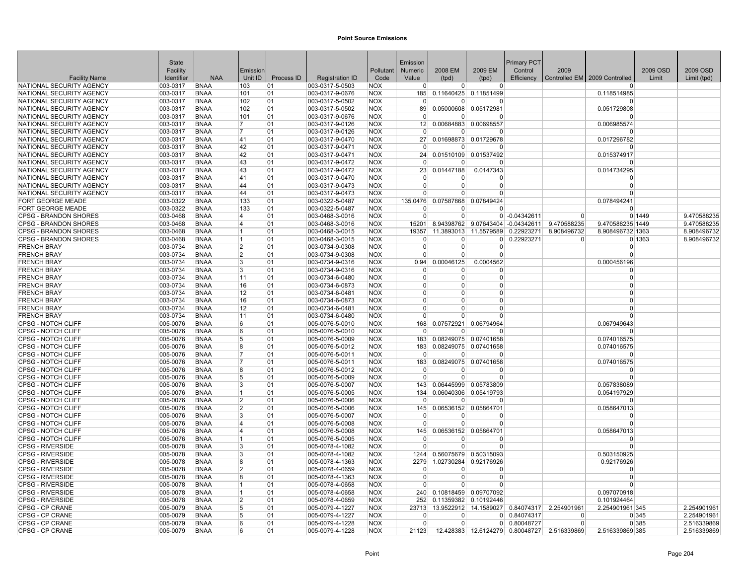|                                                      | <b>State</b>         |                            |                     |            |                                    |                          | Emission             |                        |                          | <b>Primary PCT</b> |                                             |                               |          |             |
|------------------------------------------------------|----------------------|----------------------------|---------------------|------------|------------------------------------|--------------------------|----------------------|------------------------|--------------------------|--------------------|---------------------------------------------|-------------------------------|----------|-------------|
|                                                      | Facility             |                            | Emission            |            |                                    | Pollutant                | Numeric              | 2008 EM                | 2009 EM                  | Control            | 2009                                        |                               | 2009 OSD | 2009 OSD    |
| <b>Facility Name</b>                                 | Identifier           | <b>NAA</b>                 | Unit ID             | Process ID | <b>Registration ID</b>             | Code                     | Value                | (tpd)                  | (tpd)                    | Efficiency         |                                             | Controlled EM 2009 Controlled | Limit    | Limit (tpd) |
| NATIONAL SECURITY AGENCY                             | 003-0317             | <b>BNAA</b>                | 103                 | 01         | 003-0317-5-0503                    | <b>NOX</b>               | $\Omega$             | $\Omega$               | $\overline{0}$           |                    |                                             |                               |          |             |
| NATIONAL SECURITY AGENCY                             | 003-0317             | <b>BNAA</b>                | 101                 | 01         | 003-0317-9-0676                    | <b>NOX</b>               | 185                  |                        | 0.11640425 0.11851499    |                    |                                             | 0.118514985                   |          |             |
| NATIONAL SECURITY AGENCY                             | 003-0317             | <b>BNAA</b>                | 102                 | 01         | 003-0317-5-0502                    | <b>NOX</b>               | $\Omega$             | U                      | n                        |                    |                                             | n                             |          |             |
| NATIONAL SECURITY AGENCY                             | 003-0317             | <b>BNAA</b>                | 102                 | 01         | 003-0317-5-0502                    | <b>NOX</b>               | 89                   | 0.05000608             | 0.05172981               |                    |                                             | 0.051729808                   |          |             |
| NATIONAL SECURITY AGENCY                             | 003-0317             | <b>BNAA</b>                | 101                 | 01         | 003-0317-9-0676                    | <b>NOX</b>               | $\Omega$             | $\Omega$               | O                        |                    |                                             | $\Omega$                      |          |             |
| NATIONAL SECURITY AGENCY                             | 003-0317             | <b>BNAA</b>                | 17                  | 01         | 003-0317-9-0126                    | <b>NOX</b>               | 12                   |                        | 0.00684883 0.00698557    |                    |                                             | 0.006985574                   |          |             |
| NATIONAL SECURITY AGENCY                             | 003-0317             | <b>BNAA</b>                | 7                   | 01         | 003-0317-9-0126                    | <b>NOX</b>               | $\Omega$             | $\Omega$               | $\Omega$                 |                    |                                             | $\Omega$                      |          |             |
| NATIONAL SECURITY AGENCY                             | 003-0317             | <b>BNAA</b>                | 41                  | 01         | 003-0317-9-0470                    | <b>NOX</b>               | 27 <sup>1</sup>      |                        | 0.01698873 0.01729678    |                    |                                             | 0.017296782                   |          |             |
| NATIONAL SECURITY AGENCY                             | 003-0317             | <b>BNAA</b>                | 42                  | 01         | 003-0317-9-0471                    | <b>NOX</b>               | $\Omega$             | $\overline{0}$         | 0                        |                    |                                             | $\Omega$                      |          |             |
| NATIONAL SECURITY AGENCY                             | 003-0317             | <b>BNAA</b>                | 42                  | 01         | 003-0317-9-0471                    | <b>NOX</b>               | 24                   |                        | 0.01510109 0.01537492    |                    |                                             | 0.015374917                   |          |             |
| NATIONAL SECURITY AGENCY                             | 003-0317             | <b>BNAA</b>                | 43                  | 01         | 003-0317-9-0472                    | <b>NOX</b>               | $\mathbf 0$          | $\Omega$               | $\Omega$                 |                    |                                             | $\Omega$                      |          |             |
| NATIONAL SECURITY AGENCY                             | 003-0317             | <b>BNAA</b>                | 43                  | 01         | 003-0317-9-0472                    | <b>NOX</b>               | 23                   | 0.01447188             | 0.0147343                |                    |                                             | 0.014734295                   |          |             |
| NATIONAL SECURITY AGENCY                             | 003-0317             | <b>BNAA</b>                | 41                  | 101        | 003-0317-9-0470                    | <b>NOX</b>               | $\Omega$<br>$\Omega$ | O<br>$\Omega$          | <sup>0</sup>             |                    |                                             | <sup>0</sup><br>$\Omega$      |          |             |
| NATIONAL SECURITY AGENCY<br>NATIONAL SECURITY AGENCY | 003-0317<br>003-0317 | <b>BNAA</b><br><b>BNAA</b> | 44<br>44            | 01         | 003-0317-9-0473<br>003-0317-9-0473 | <b>NOX</b><br><b>NOX</b> | $\Omega$             | $\Omega$               | <sup>0</sup><br>$\Omega$ |                    |                                             | $\Omega$                      |          |             |
|                                                      |                      | <b>BNAA</b>                |                     | 01         |                                    |                          |                      |                        |                          |                    |                                             |                               |          |             |
| <b>FORT GEORGE MEADE</b><br>FORT GEORGE MEADE        | 003-0322<br>003-0322 | <b>BNAA</b>                | 133<br>133          | 01<br>01   | 003-0322-5-0487<br>003-0322-5-0487 | <b>NOX</b><br><b>NOX</b> | 135.0476<br>$\Omega$ | 0.07587868<br>$\Omega$ | 0.07849424<br>O          |                    |                                             | 0.078494241<br>$\Omega$       |          |             |
| <b>CPSG - BRANDON SHORES</b>                         | 003-0468             | <b>BNAA</b>                | $\overline{4}$      | 01         | 003-0468-3-0016                    | <b>NOX</b>               | $\Omega$             | $\Omega$               |                          | $0$ -0.04342611    | $\Omega$                                    |                               | 0 1449   | 9.470588235 |
| <b>CPSG - BRANDON SHORES</b>                         | 003-0468             | <b>BNAA</b>                | 4                   | 01         | 003-0468-3-0016                    | <b>NOX</b>               | 15201                | 8.94398762             | 9.07643404               | $-0.04342611$      | 9.470588235                                 | 9.470588235 1449              |          | 9.470588235 |
| <b>CPSG - BRANDON SHORES</b>                         | 003-0468             | <b>BNAA</b>                | $\vert 1 \vert$     | 01         | 003-0468-3-0015                    | <b>NOX</b>               | 19357                | 11.3893013             | 11.5579589               | 0.22923271         | 8.908496732                                 | 8.908496732 1363              |          | 8.908496732 |
| <b>CPSG - BRANDON SHORES</b>                         | 003-0468             | <b>BNAA</b>                | 11                  | 01         | 003-0468-3-0015                    | <b>NOX</b>               | $\Omega$             | $\Omega$               |                          | 0 0.22923271       | $\Omega$                                    |                               | 0 1363   | 8.908496732 |
| <b>FRENCH BRAY</b>                                   | 003-0734             | <b>BNAA</b>                | $\overline{2}$      | 01         | 003-0734-9-0308                    | <b>NOX</b>               | $\Omega$             | $\Omega$               | $\Omega$                 |                    |                                             | $\Omega$                      |          |             |
| <b>FRENCH BRAY</b>                                   | 003-0734             | <b>BNAA</b>                | $\overline{2}$      | 01         | 003-0734-9-0308                    | <b>NOX</b>               | $\Omega$             | $\Omega$               | 0                        |                    |                                             | $\Omega$                      |          |             |
| <b>FRENCH BRAY</b>                                   | 003-0734             | <b>BNAA</b>                | 3                   | 01         | 003-0734-9-0316                    | <b>NOX</b>               | 0.94                 | 0.00046125             | 0.0004562                |                    |                                             | 0.000456196                   |          |             |
| <b>FRENCH BRAY</b>                                   | 003-0734             | <b>BNAA</b>                | 3                   | 01         | 003-0734-9-0316                    | <b>NOX</b>               | $\Omega$             | $\Omega$               | $\Omega$                 |                    |                                             | $\Omega$                      |          |             |
| <b>FRENCH BRAY</b>                                   | 003-0734             | <b>BNAA</b>                | 11                  | 01         | 003-0734-6-0480                    | <b>NOX</b>               | $\Omega$             | $\Omega$               | 0                        |                    |                                             | $\Omega$                      |          |             |
| <b>FRENCH BRAY</b>                                   | 003-0734             | <b>BNAA</b>                | 16                  | 01         | 003-0734-6-0873                    | <b>NOX</b>               | $\Omega$             | $\Omega$               | 0                        |                    |                                             | $\Omega$                      |          |             |
| <b>FRENCH BRAY</b>                                   | 003-0734             | <b>BNAA</b>                | 12                  | 01         | 003-0734-6-0481                    | <b>NOX</b>               | $\Omega$             | $\Omega$               | $\Omega$                 |                    |                                             | $\Omega$                      |          |             |
| <b>FRENCH BRAY</b>                                   | 003-0734             | <b>BNAA</b>                | 16                  | 01         | 003-0734-6-0873                    | <b>NOX</b>               | $\Omega$             | $\Omega$               | $\Omega$                 |                    |                                             | $\Omega$                      |          |             |
| <b>FRENCH BRAY</b>                                   | 003-0734             | <b>BNAA</b>                | 12                  | 01         | 003-0734-6-0481                    | <b>NOX</b>               | $\Omega$             | <sup>0</sup>           | <sup>0</sup>             |                    |                                             | $\Omega$                      |          |             |
| <b>FRENCH BRAY</b>                                   | 003-0734             | <b>BNAA</b>                | 11                  | 01         | 003-0734-6-0480                    | <b>NOX</b>               | $\Omega$             | $\Omega$               | $\Omega$                 |                    |                                             | $\Omega$                      |          |             |
| CPSG - NOTCH CLIFF                                   | 005-0076             | <b>BNAA</b>                | 6                   | 01         | 005-0076-5-0010                    | <b>NOX</b>               | 168                  | 0.07572921             | 0.06794964               |                    |                                             | 0.067949643                   |          |             |
| <b>CPSG - NOTCH CLIFF</b>                            | 005-0076             | <b>BNAA</b>                | 6                   | 01         | 005-0076-5-0010                    | <b>NOX</b>               | $\Omega$             | $\Omega$               | $\Omega$                 |                    |                                             | $\Omega$                      |          |             |
| <b>CPSG - NOTCH CLIFF</b>                            | 005-0076             | <b>BNAA</b>                | 5                   | 01         | 005-0076-5-0009                    | <b>NOX</b>               | 183                  |                        | 0.08249075 0.07401658    |                    |                                             | 0.074016575                   |          |             |
| CPSG - NOTCH CLIFF                                   | 005-0076             | <b>BNAA</b>                | R.                  | 01         | 005-0076-5-0012                    | <b>NOX</b>               | 183                  |                        | 0.08249075 0.07401658    |                    |                                             | 0.074016575                   |          |             |
| CPSG - NOTCH CLIFF                                   | 005-0076             | <b>BNAA</b>                | 17                  | 01         | 005-0076-5-0011                    | <b>NOX</b>               | $\Omega$             | U                      | $\Omega$                 |                    |                                             | $\Omega$                      |          |             |
| <b>CPSG - NOTCH CLIFF</b>                            | 005-0076             | <b>BNAA</b>                | 17                  | 01         | 005-0076-5-0011                    | <b>NOX</b>               | 183                  | 0.08249075             | 0.07401658               |                    |                                             | 0.074016575                   |          |             |
| <b>CPSG - NOTCH CLIFF</b>                            | 005-0076             | <b>BNAA</b>                | 8                   | 101        | 005-0076-5-0012                    | <b>NOX</b>               | $\Omega$             | <sup>0</sup>           | O                        |                    |                                             | $\Omega$                      |          |             |
| <b>CPSG - NOTCH CLIFF</b>                            | 005-0076             | <b>BNAA</b>                | 5                   | 01         | 005-0076-5-0009                    | <b>NOX</b>               | $\Omega$             | $\Omega$               | $\Omega$                 |                    |                                             | $\Omega$                      |          |             |
| <b>CPSG - NOTCH CLIFF</b>                            | 005-0076             | <b>BNAA</b>                | 3                   | 01         | 005-0076-5-0007                    | <b>NOX</b>               | 143                  |                        | 0.06445999 0.05783809    |                    |                                             | 0.057838089                   |          |             |
| CPSG - NOTCH CLIFF                                   | 005-0076             | <b>BNAA</b>                | 11                  | 01         | 005-0076-5-0005                    | <b>NOX</b>               | 134                  |                        | 0.06040306 0.05419793    |                    |                                             | 0.054197929                   |          |             |
| CPSG - NOTCH CLIFF                                   | 005-0076             | <b>BNAA</b>                | $\overline{2}$      | 01         | 005-0076-5-0006                    | <b>NOX</b>               | $\Omega$             | $\Omega$               | $\Omega$                 |                    |                                             | $\Omega$                      |          |             |
| CPSG - NOTCH CLIFF                                   | 005-0076             | <b>BNAA</b>                | $\overline{2}$      | 01         | 005-0076-5-0006                    | <b>NOX</b>               | 145                  |                        | 0.06536152 0.05864701    |                    |                                             | 0.058647013                   |          |             |
| <b>CPSG - NOTCH CLIFF</b>                            | 005-0076             | <b>BNAA</b>                | 3                   | 01         | 005-0076-5-0007                    | <b>NOX</b>               | $\mathbf 0$          | $\Omega$               | O                        |                    |                                             | $\Omega$                      |          |             |
| <b>CPSG - NOTCH CLIFF</b>                            | 005-0076             | <b>BNAA</b>                | 4                   | 01         | 005-0076-5-0008                    | <b>NOX</b>               | $\Omega$             | $\overline{0}$         | $\Omega$                 |                    |                                             | $\Omega$                      |          |             |
| <b>CPSG - NOTCH CLIFF</b>                            | 005-0076             | <b>BNAA</b>                | 4                   | 01         | 005-0076-5-0008                    | <b>NOX</b>               | 145                  |                        | 0.06536152 0.05864701    |                    |                                             | 0.058647013                   |          |             |
| <b>CPSG - NOTCH CLIFF</b>                            | 005-0076             | <b>BNAA</b>                | 11                  | 01         | 005-0076-5-0005                    | <b>NOX</b>               | $\Omega$             | $\Omega$               | O                        |                    |                                             | $\Omega$                      |          |             |
| <b>CPSG - RIVERSIDE</b>                              | 005-0078             | <b>BNAA</b>                | 3                   | 01         | 005-0078-4-1082                    | <b>NOX</b>               | $\Omega$             | $\Omega$               | $\Omega$                 |                    |                                             | $\Omega$                      |          |             |
| <b>CPSG - RIVERSIDE</b>                              | 005-0078             | <b>BNAA</b>                | 3                   | 01         | 005-0078-4-1082                    | <b>NOX</b>               | 1244                 |                        | 0.56075679 0.50315093    |                    |                                             | 0.503150925                   |          |             |
| <b>CPSG - RIVERSIDE</b>                              | 005-0078             | <b>BNAA</b>                | 8<br>$\overline{2}$ | 01         | 005-0078-4-1363                    | <b>NOX</b>               | 2279                 | 1.02730284             | 0.92176926               |                    |                                             | 0.92176926<br>$\Omega$        |          |             |
| <b>CPSG - RIVERSIDE</b>                              | 005-0078             | <b>BNAA</b>                | R.                  | 01         | 005-0078-4-0659                    | <b>NOX</b>               | $\Omega$<br>$\Omega$ | 0<br>$\Omega$          | $\Omega$<br><sup>0</sup> |                    |                                             | $\Omega$                      |          |             |
| <b>CPSG - RIVERSIDE</b><br><b>CPSG - RIVERSIDE</b>   | 005-0078             | <b>BNAA</b><br><b>BNAA</b> | $\vert$ 1           | 101<br>01  | 005-0078-4-1363                    | <b>NOX</b><br><b>NOX</b> | $\Omega$             | $\Omega$               | $\Omega$                 |                    |                                             | $\Omega$                      |          |             |
| <b>CPSG - RIVERSIDE</b>                              | 005-0078<br>005-0078 | <b>BNAA</b>                | 11                  | 01         | 005-0078-4-0658<br>005-0078-4-0658 | <b>NOX</b>               | 240                  |                        | 0.10818459 0.09707092    |                    |                                             | 0.097070918                   |          |             |
| <b>CPSG - RIVERSIDE</b>                              | 005-0078             | <b>BNAA</b>                | $\overline{2}$      | 01         | 005-0078-4-0659                    | <b>NOX</b>               | 252                  |                        | 0.11359382 0.10192446    |                    |                                             | 0.101924464                   |          |             |
| CPSG - CP CRANE                                      | 005-0079             | <b>BNAA</b>                | 5                   | 01         | 005-0079-4-1227                    | <b>NOX</b>               | 23713                |                        | 13.9522912 14.1589027    |                    | 0.84074317 2.254901961                      | 2.254901961 345               |          | 2.254901961 |
| CPSG - CP CRANE                                      | 005-0079             | <b>BNAA</b>                | 5                   | 01         | 005-0079-4-1227                    | <b>NOX</b>               | $\Omega$             | $\Omega$               | $\overline{0}$           | 0.84074317         | $\Omega$                                    |                               | 0 345    | 2.254901961 |
| <b>CPSG - CP CRANE</b>                               | 005-0079             | <b>BNAA</b>                | 6                   | 01         | 005-0079-4-1228                    | <b>NOX</b>               | $\Omega$             | $\Omega$               | $\overline{0}$           | 0.80048727         | $\Omega$                                    |                               | 0 385    | 2.516339869 |
| CPSG - CP CRANE                                      | 005-0079             | <b>BNAA</b>                | 6                   | 01         | 005-0079-4-1228                    | <b>NOX</b>               | 21123                |                        |                          |                    | 12.428383 12.6124279 0.80048727 2.516339869 | 2.516339869 385               |          | 2.516339869 |
|                                                      |                      |                            |                     |            |                                    |                          |                      |                        |                          |                    |                                             |                               |          |             |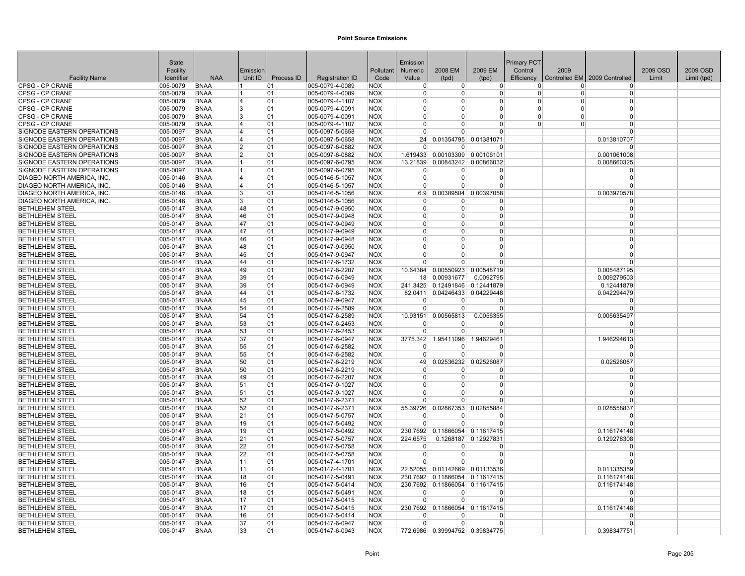|                                                  | <b>State</b>         |                            |          |            |                                    |                          | Emission             |                                |                                                | <b>Primary PCT</b> |          |                               |          |             |
|--------------------------------------------------|----------------------|----------------------------|----------|------------|------------------------------------|--------------------------|----------------------|--------------------------------|------------------------------------------------|--------------------|----------|-------------------------------|----------|-------------|
|                                                  | Facility             |                            | Emission |            |                                    | Pollutant                | Numeric              | 2008 EM                        | 2009 EM                                        | Control            | 2009     |                               | 2009 OSD | 2009 OSD    |
| <b>Facility Name</b>                             | Identifier           | <b>NAA</b>                 | Unit ID  | Process ID | <b>Registration ID</b>             | Code                     | Value                | (tpd)                          | (tpd)                                          | Efficiency         |          | Controlled EM 2009 Controlled | Limit    | Limit (tpd) |
| CPSG - CP CRANE                                  | 005-0079             | <b>BNAA</b>                | 11       | 01         | 005-0079-4-0089                    | <b>NOX</b>               | $\Omega$             | 0                              | $\overline{0}$                                 | $\Omega$           | $\Omega$ | $\Omega$                      |          |             |
| <b>CPSG - CP CRANE</b>                           | 005-0079             | <b>BNAA</b>                |          | 01         | 005-0079-4-0089                    | <b>NOX</b>               | $\Omega$             | $\Omega$                       | <sup>0</sup>                                   | $\Omega$           | $\Omega$ | $\Omega$                      |          |             |
| <b>CPSG - CP CRANE</b>                           | 005-0079             | <b>BNAA</b>                | 14       | 01         | 005-0079-4-1107                    | <b>NOX</b>               | $\Omega$             | $\Omega$                       | $\Omega$                                       | $\Omega$           | $\Omega$ | $\Omega$                      |          |             |
| <b>CPSG - CP CRANE</b>                           | 005-0079             | <b>BNAA</b>                | 3        | 01         | 005-0079-4-0091                    | <b>NOX</b>               | $\Omega$             | <sup>0</sup>                   | 0                                              | $\Omega$           | $\Omega$ | $\Omega$                      |          |             |
| <b>CPSG - CP CRANE</b>                           | 005-0079             | <b>BNAA</b>                | 3        | 01         | 005-0079-4-0091                    | <b>NOX</b>               | $\Omega$             | $\Omega$                       | 0                                              | $\Omega$           | $\Omega$ | $\Omega$                      |          |             |
| <b>CPSG - CP CRANE</b>                           | 005-0079             | <b>BNAA</b>                | 14       | 01         | 005-0079-4-1107                    | <b>NOX</b>               | $\Omega$             | $\Omega$                       | $\Omega$                                       | $\Omega$           | $\Omega$ | $\Omega$                      |          |             |
| SIGNODE EASTERN OPERATIONS                       | 005-0097             | <b>BNAA</b>                | ا 4      | 01         | 005-0097-5-0658                    | <b>NOX</b>               | $\Omega$             | U                              | $\Omega$                                       |                    |          | $\Omega$                      |          |             |
| SIGNODE EASTERN OPERATIONS                       | 005-0097             | <b>BNAA</b>                | 14       | 01         | 005-0097-5-0658                    | <b>NOX</b>               | 24                   |                                | 0.01354795 0.01381071                          |                    |          | 0.013810707                   |          |             |
| SIGNODE EASTERN OPERATIONS                       | 005-0097             | <b>BNAA</b>                | 12       | 01         | 005-0097-6-0882                    | <b>NOX</b>               | $\Omega$             | $\Omega$                       | O                                              |                    |          | $\Omega$                      |          |             |
| SIGNODE EASTERN OPERATIONS                       | 005-0097             | <b>BNAA</b>                | 12       | 01         | 005-0097-6-0882                    | <b>NOX</b>               | 1.619433             | 0.00103309                     | 0.00106101                                     |                    |          | 0.001061008                   |          |             |
| SIGNODE EASTERN OPERATIONS                       | 005-0097             | <b>BNAA</b>                | 11       | 01         | 005-0097-6-0795                    | <b>NOX</b>               | 13.21839             |                                | 0.00843242 0.00866032                          |                    |          | 0.008660325                   |          |             |
| SIGNODE EASTERN OPERATIONS                       | 005-0097             | <b>BNAA</b>                |          | 01         | 005-0097-6-0795                    | <b>NOX</b>               | 0                    | $\Omega$                       | 0                                              |                    |          | $\Omega$                      |          |             |
| DIAGEO NORTH AMERICA, INC.                       | 005-0146             | <b>BNAA</b>                | 14       | 01         | 005-0146-5-1057                    | <b>NOX</b>               | $\overline{0}$       | $\overline{0}$                 | $\Omega$                                       |                    |          | $\Omega$                      |          |             |
| DIAGEO NORTH AMERICA, INC.                       | 005-0146             | <b>BNAA</b>                | ا 4      | 01         | 005-0146-5-1057                    | <b>NOX</b>               | $\Omega$             | $\Omega$                       | 0                                              |                    |          | $\Omega$                      |          |             |
| DIAGEO NORTH AMERICA, INC.                       | 005-0146             | <b>BNAA</b>                | Β.       | 01         | 005-0146-5-1056                    | <b>NOX</b>               | 6.9                  | 0.00389504                     | 0.00397058                                     |                    |          | 0.003970578                   |          |             |
| DIAGEO NORTH AMERICA, INC.                       | 005-0146             | <b>BNAA</b>                | 3        | 01         | 005-0146-5-1056                    | <b>NOX</b>               | $\Omega$             | $\Omega$                       | 0                                              |                    |          | $\Omega$                      |          |             |
| <b>BETHLEHEM STEEL</b>                           | 005-0147             | <b>BNAA</b>                | 48       | 01         | 005-0147-9-0950                    | <b>NOX</b>               | $\Omega$             | $\Omega$                       | $\Omega$                                       |                    |          | $\Omega$                      |          |             |
| <b>BETHLEHEM STEEL</b>                           | 005-0147             | <b>BNAA</b>                | 46       | 01         | 005-0147-9-0948                    | <b>NOX</b>               | $\Omega$             | $\Omega$                       | $\Omega$                                       |                    |          | $\Omega$                      |          |             |
| <b>BETHLEHEM STEEL</b>                           | 005-0147             | BNAA                       | 47       | 101        | 005-0147-9-0949                    | <b>NOX</b>               | $\Omega$             | 0                              | 0                                              |                    |          | 0                             |          |             |
| <b>BETHLEHEM STEEL</b>                           | 005-0147             | <b>BNAA</b>                | 47       | 01         | 005-0147-9-0949                    | <b>NOX</b>               | $\Omega$             | $\Omega$                       | $\Omega$                                       |                    |          | $\Omega$                      |          |             |
| <b>BETHLEHEM STEEL</b>                           | 005-0147             | <b>BNAA</b>                | 46       | 01         | 005-0147-9-0948                    | <b>NOX</b>               | $\Omega$             | $\Omega$                       | $\Omega$                                       |                    |          | $\Omega$                      |          |             |
| <b>BETHLEHEM STEEL</b>                           | 005-0147             | <b>BNAA</b>                | 48       | 01         | 005-0147-9-0950                    | <b>NOX</b>               | $\Omega$             | $\Omega$                       | 0                                              |                    |          | $\Omega$                      |          |             |
| <b>BETHLEHEM STEEL</b>                           | 005-0147             | <b>BNAA</b>                | 45       | 01         | 005-0147-9-0947                    | <b>NOX</b>               | $\Omega$             | $\Omega$                       | $\Omega$                                       |                    |          | $\Omega$                      |          |             |
| <b>BETHLEHEM STEEL</b>                           | 005-0147             | <b>BNAA</b>                | 44       | 01         | 005-0147-6-1732                    | <b>NOX</b>               | $\Omega$             | $\Omega$                       | $\Omega$                                       |                    |          | $\Omega$                      |          |             |
| <b>BETHLEHEM STEEL</b>                           | 005-0147             | <b>BNAA</b>                | 49       | 01         | 005-0147-6-2207                    | <b>NOX</b>               | 10.64384             | 0.00550923                     | 0.00548719                                     |                    |          | 0.005487195                   |          |             |
| <b>BETHLEHEM STEEL</b>                           | 005-0147             | <b>BNAA</b>                | 39       | 01         | 005-0147-6-0949                    | <b>NOX</b>               | 18                   | 0.00931677                     | 0.0092795                                      |                    |          | 0.009279503                   |          |             |
| <b>BETHLEHEM STEEL</b>                           | 005-0147             | <b>BNAA</b>                | 39       | 01         | 005-0147-6-0949                    | <b>NOX</b>               |                      | 241.3425 0.12491846 0.12441879 |                                                |                    |          | 0.12441879                    |          |             |
| <b>BETHLEHEM STEEL</b>                           | 005-0147             | <b>BNAA</b>                | 44       | 01         | 005-0147-6-1732                    | <b>NOX</b>               | 82.0411              |                                | 0.04246433 0.04229448                          |                    |          | 0.042294479                   |          |             |
| <b>BETHLEHEM STEEL</b>                           | 005-0147             | <b>BNAA</b>                | 45       | 01         | 005-0147-9-0947                    | <b>NOX</b>               | $\Omega$             | $\overline{0}$                 | $\Omega$                                       |                    |          | $\Omega$                      |          |             |
| <b>BETHLEHEM STEEL</b>                           | 005-0147             | <b>BNAA</b>                | 54       | 01         | 005-0147-6-2589                    | <b>NOX</b>               | $\overline{0}$       | 0                              | 0                                              |                    |          | $\Omega$                      |          |             |
| <b>BETHLEHEM STEEL</b>                           | 005-0147             | <b>BNAA</b>                | 54       | 01         | 005-0147-6-2589                    | <b>NOX</b>               | 10.93151             | 0.00565813                     | 0.0056355                                      |                    |          | 0.005635497                   |          |             |
| <b>BETHLEHEM STEEL</b>                           | 005-0147             | <b>BNAA</b>                | 53       | 01         | 005-0147-6-2453                    | <b>NOX</b>               | $\Omega$             | $\Omega$                       | <sup>0</sup>                                   |                    |          | $\Omega$                      |          |             |
| <b>BETHLEHEM STEEL</b>                           | 005-0147             | <b>BNAA</b>                | 53       | 01         | 005-0147-6-2453                    | <b>NOX</b>               | $\Omega$             | $\Omega$                       | $\Omega$                                       |                    |          | $\Omega$                      |          |             |
| <b>BETHLEHEM STEEL</b>                           | 005-0147             | <b>BNAA</b>                | 37       | 01         | 005-0147-6-0947                    | <b>NOX</b>               | 3775.342             | 1.95411096                     | 1.94629461                                     |                    |          | 1.946294613                   |          |             |
| <b>BETHLEHEM STEEL</b>                           | 005-0147             | <b>BNAA</b>                | 55       | 01         | 005-0147-6-2582                    | <b>NOX</b>               | $^{(1)}$             | 0                              | 0                                              |                    |          | $\Omega$                      |          |             |
| <b>BETHLEHEM STEEL</b>                           | 005-0147             | <b>BNAA</b>                | 55       | 01         | 005-0147-6-2582                    | <b>NOX</b>               | $\Omega$             | $\Omega$                       | O                                              |                    |          | $\Omega$                      |          |             |
| <b>BETHLEHEM STEEL</b>                           | 005-0147             | <b>BNAA</b>                | 50       | 01         | 005-0147-6-2219                    | <b>NOX</b>               | 49                   | 0.02536232                     | 0.02526087                                     |                    |          | 0.02526087                    |          |             |
| <b>BETHLEHEM STEEL</b>                           | 005-0147             | <b>BNAA</b>                | 50       | 01         | 005-0147-6-2219                    | <b>NOX</b>               | $\Omega$             | $\Omega$                       | <sup>0</sup>                                   |                    |          | $\Omega$                      |          |             |
| <b>BETHLEHEM STEEL</b>                           | 005-0147             | <b>BNAA</b>                | 49       | 01         | 005-0147-6-2207                    | <b>NOX</b>               | $\Omega$             | $\Omega$                       | $\Omega$                                       |                    |          | $\Omega$                      |          |             |
| <b>BETHLEHEM STEEL</b>                           | 005-0147             | <b>BNAA</b>                | 51       | 01         | 005-0147-9-1027                    | <b>NOX</b>               | $\Omega$             | $\Omega$                       | O                                              |                    |          | $\Omega$                      |          |             |
| <b>BETHLEHEM STEEL</b>                           | 005-0147             | <b>BNAA</b>                | 51       | 01         | 005-0147-9-1027                    | <b>NOX</b>               | $\Omega$             | <sup>0</sup><br>$\Omega$       | 0                                              |                    |          | $\Omega$                      |          |             |
| <b>BETHLEHEM STEEL</b>                           | 005-0147             | <b>BNAA</b>                | 52       | 01         | 005-0147-6-2371                    | <b>NOX</b>               | $\Omega$             |                                | $\Omega$                                       |                    |          | $\Omega$                      |          |             |
| <b>BETHLEHEM STEEL</b>                           | 005-0147             | <b>BNAA</b>                | 52       | 01         | 005-0147-6-2371                    | <b>NOX</b>               | 55.39726<br>$\Omega$ | 0.02867353<br>$\Omega$         | 0.02855884<br>0                                |                    |          | 0.028558837<br>$\Omega$       |          |             |
| <b>BETHLEHEM STEEL</b>                           | 005-0147             | <b>BNAA</b>                | 21       | 01         | 005-0147-5-0757                    | <b>NOX</b>               | $\Omega$             |                                | $\Omega$                                       |                    |          | $\Omega$                      |          |             |
| <b>BETHLEHEM STEEL</b>                           | 005-0147             | <b>BNAA</b>                | 19       | 01         | 005-0147-5-0492                    | <b>NOX</b>               |                      | $\overline{0}$                 |                                                |                    |          |                               |          |             |
| <b>BETHLEHEM STEEL</b>                           | 005-0147             | <b>BNAA</b><br><b>BNAA</b> | 19       | 01         | 005-0147-5-0492                    | <b>NOX</b><br><b>NOX</b> |                      | 230.7692 0.11866054 0.11617415 |                                                |                    |          | 0.116174148                   |          |             |
| <b>BETHLEHEM STEEL</b><br><b>BETHLEHEM STEEL</b> | 005-0147             | BNAA                       | 21<br>22 | 01<br> 01  | 005-0147-5-0757                    | <b>NOX</b>               | 224.6575<br>$\Omega$ | $\Omega$                       | 0.1268187 0.12927831<br>0                      |                    |          | 0.129278308<br>$\Omega$       |          |             |
|                                                  | 005-0147             |                            | 22       |            | 005-0147-5-0758                    |                          | $\overline{0}$       | $\overline{0}$                 | $\Omega$                                       |                    |          | $\Omega$                      |          |             |
| <b>BETHLEHEM STEEL</b><br><b>BETHLEHEM STEEL</b> | 005-0147<br>005-0147 | <b>BNAA</b><br><b>BNAA</b> | 11       | 01<br>01   | 005-0147-5-0758<br>005-0147-4-1701 | <b>NOX</b><br><b>NOX</b> | $\Omega$             | $\Omega$                       | $\Omega$                                       |                    |          | $\Omega$                      |          |             |
| <b>BETHLEHEM STEEL</b>                           |                      | <b>BNAA</b>                |          |            | 005-0147-4-1701                    | <b>NOX</b>               | 22.52055             |                                |                                                |                    |          |                               |          |             |
| <b>BETHLEHEM STEEL</b>                           | 005-0147<br>005-0147 | <b>BNAA</b>                | 11<br>18 | 01<br>01   | 005-0147-5-0491                    | <b>NOX</b>               | 230.7692             |                                | 0.01142669 0.01133536<br>0.11866054 0.11617415 |                    |          | 0.011335359<br>0.116174148    |          |             |
| <b>BETHLEHEM STEEL</b>                           | 005-0147             | <b>BNAA</b>                | 16       | 01         | 005-0147-5-0414                    | <b>NOX</b>               | 230.7692             |                                | 0.11866054 0.11617415                          |                    |          | 0.116174148                   |          |             |
| <b>BETHLEHEM STEEL</b>                           | 005-0147             | <b>BNAA</b>                | 18       | 01         | 005-0147-5-0491                    | <b>NOX</b>               | $\Omega$             | $\Omega$                       | $\Omega$                                       |                    |          | $\Omega$                      |          |             |
| <b>BETHLEHEM STEEL</b>                           | 005-0147             | <b>BNAA</b>                | 17       | 01         | 005-0147-5-0415                    | <b>NOX</b>               | $\Omega$             | $\Omega$                       | $\Omega$                                       |                    |          | $\Omega$                      |          |             |
| <b>BETHLEHEM STEEL</b>                           | 005-0147             | <b>BNAA</b>                | 17       | 01         | 005-0147-5-0415                    | <b>NOX</b>               | 230.7692             |                                | 0.11866054 0.11617415                          |                    |          | 0.116174148                   |          |             |
| <b>BETHLEHEM STEEL</b>                           | 005-0147             | <b>BNAA</b>                | 16       | 01         | 005-0147-5-0414                    | <b>NOX</b>               | $^{(1)}$             | <sup>0</sup>                   | 0                                              |                    |          | $\Omega$                      |          |             |
| <b>BETHLEHEM STEEL</b>                           | 005-0147             | <b>BNAA</b>                | 37       | 01         | 005-0147-6-0947                    | <b>NOX</b>               | $\Omega$             | $\Omega$                       | $\Omega$                                       |                    |          | $\Omega$                      |          |             |
| <b>BETHLEHEM STEEL</b>                           | 005-0147             | <b>BNAA</b>                | 33       | 01         | 005-0147-6-0943                    | <b>NOX</b>               |                      |                                | 772.6986 0.39994752 0.39834775                 |                    |          | 0.398347751                   |          |             |
|                                                  |                      |                            |          |            |                                    |                          |                      |                                |                                                |                    |          |                               |          |             |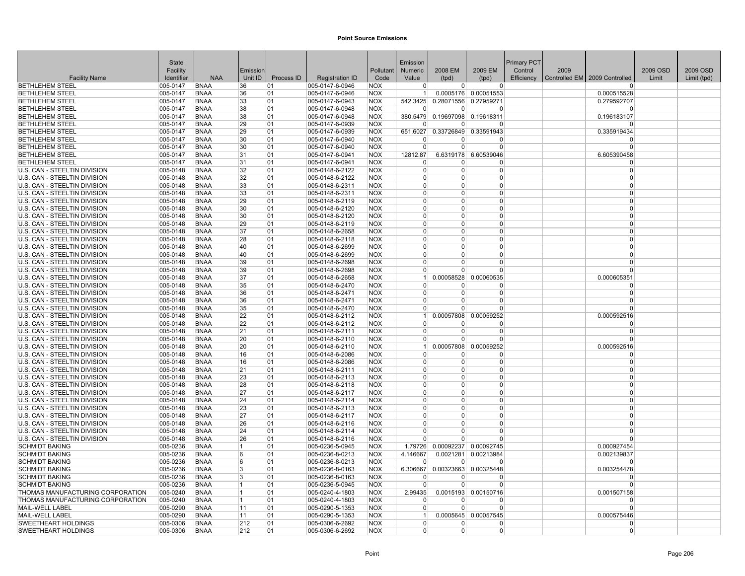|                                                              | State                |                            |          |            |                                    |                          | Emission             |                        |                                | Primary PCT |      |                                 |          |             |
|--------------------------------------------------------------|----------------------|----------------------------|----------|------------|------------------------------------|--------------------------|----------------------|------------------------|--------------------------------|-------------|------|---------------------------------|----------|-------------|
|                                                              | Facility             |                            | Emission |            |                                    | Pollutant                | Numeric              | 2008 EM                | 2009 EM                        | Control     | 2009 |                                 | 2009 OSD | 2009 OSD    |
| <b>Facility Name</b>                                         | Identifier           | <b>NAA</b>                 | Unit ID  | Process ID | <b>Registration ID</b>             | Code                     | Value                | (tpd)                  | (tpd)                          | Efficiency  |      | Controlled EM   2009 Controlled | Limit    | Limit (tpd) |
| <b>BETHLEHEM STEEL</b>                                       | 005-0147             | <b>BNAA</b>                | 36       | 01         | 005-0147-6-0946                    | <b>NOX</b>               | $\Omega$             | $\Omega$               | $\Omega$                       |             |      | <sup>n</sup>                    |          |             |
| <b>BETHLEHEM STEEL</b>                                       | 005-0147             | <b>BNAA</b>                | 36       | 01         | 005-0147-6-0946                    | <b>NOX</b>               | -1                   |                        | 0.0005176 0.00051553           |             |      | 0.000515528                     |          |             |
| <b>BETHLEHEM STEEL</b><br><b>BETHLEHEM STEEL</b>             | 005-0147<br>005-0147 | <b>BNAA</b><br><b>BNAA</b> | 33<br>38 | 01<br>01   | 005-0147-6-0943<br>005-0147-6-0948 | <b>NOX</b><br><b>NOX</b> | 542.3425<br>$\Omega$ | 0.28071556<br>$\Omega$ | 0.27959271<br>$\Omega$         |             |      | 0.279592707<br>$\Omega$         |          |             |
| <b>BETHLEHEM STEEL</b>                                       | 005-0147             | <b>BNAA</b>                | 38       | 01         | 005-0147-6-0948                    | <b>NOX</b>               | 380.5479             |                        | 0.19697098 0.19618311          |             |      | 0.196183107                     |          |             |
| <b>BETHLEHEM STEEL</b>                                       | 005-0147             | <b>BNAA</b>                | 29       | 01         | 005-0147-6-0939                    | <b>NOX</b>               | $\Omega$             | <sup>0</sup>           | O                              |             |      | $\Omega$                        |          |             |
| <b>BETHLEHEM STEEL</b>                                       | 005-0147             | <b>BNAA</b>                | 29       | 01         | 005-0147-6-0939                    | <b>NOX</b>               |                      |                        | 651.6027 0.33726849 0.33591943 |             |      | 0.335919434                     |          |             |
| <b>BETHLEHEM STEEL</b>                                       | 005-0147             | <b>BNAA</b>                | 30       | 01         | 005-0147-6-0940                    | <b>NOX</b>               | n                    | O                      | ŋ                              |             |      | $\Omega$                        |          |             |
| <b>BETHLEHEM STEEL</b>                                       | 005-0147             | <b>BNAA</b>                | 30       | 01         | 005-0147-6-0940                    | <b>NOX</b>               | $\Omega$             | $\Omega$               | $\Omega$                       |             |      | $\Omega$                        |          |             |
| <b>BETHLEHEM STEEL</b>                                       | 005-0147             | <b>BNAA</b>                | 31       | 01         | 005-0147-6-0941                    | <b>NOX</b>               | 12812.87             |                        | 6.6319178 6.60539046           |             |      | 6.605390458                     |          |             |
| <b>BETHLEHEM STEEL</b>                                       | 005-0147             | <b>BNAA</b>                | 31       | 01         | 005-0147-6-0941                    | <b>NOX</b>               | $\Omega$             | $\Omega$               | 0                              |             |      | $\Omega$                        |          |             |
| U.S. CAN - STEELTIN DIVISION                                 | 005-0148             | <b>BNAA</b>                | 32       | 01         | 005-0148-6-2122                    | <b>NOX</b>               | $\Omega$             | 0                      | 0                              |             |      | $\Omega$                        |          |             |
| U.S. CAN - STEELTIN DIVISION                                 | 005-0148             | <b>BNAA</b>                | 32       | 01         | 005-0148-6-2122                    | <b>NOX</b>               | $\Omega$             | 0                      | 0                              |             |      | $\Omega$                        |          |             |
| U.S. CAN - STEELTIN DIVISION                                 | 005-0148             | <b>BNAA</b>                | 33       | 01         | 005-0148-6-2311                    | <b>NOX</b>               | $\Omega$             | $\Omega$               | 0                              |             |      | $\Omega$                        |          |             |
| U.S. CAN - STEELTIN DIVISION                                 | 005-0148             | <b>BNAA</b>                | 33       | 01         | 005-0148-6-2311                    | <b>NOX</b>               | $\Omega$             | $\Omega$               | 0                              |             |      | $\Omega$                        |          |             |
| U.S. CAN - STEELTIN DIVISION                                 | 005-0148             | <b>BNAA</b>                | 29       | 01         | 005-0148-6-2119                    | <b>NOX</b>               | $\Omega$             | $\Omega$               | 0                              |             |      | $\Omega$                        |          |             |
| U.S. CAN - STEELTIN DIVISION                                 | 005-0148             | <b>BNAA</b>                | 30       | 01         | 005-0148-6-2120                    | <b>NOX</b>               | $\Omega$             | $\Omega$               | 0                              |             |      | $\Omega$                        |          |             |
| U.S. CAN - STEELTIN DIVISION                                 | 005-0148             | <b>BNAA</b>                | 30       | 01         | 005-0148-6-2120                    | <b>NOX</b>               | $\Omega$             | $\Omega$               | $\Omega$                       |             |      | $\Omega$                        |          |             |
| U.S. CAN - STEELTIN DIVISION                                 | 005-0148             | <b>BNAA</b>                | 29       | 01         | 005-0148-6-2119                    | <b>NOX</b>               | $\Omega$             | $\Omega$               | 0                              |             |      | $\Omega$                        |          |             |
| U.S. CAN - STEELTIN DIVISION                                 | 005-0148             | <b>BNAA</b>                | 37       | 01         | 005-0148-6-2658                    | <b>NOX</b>               | $\Omega$             | 0                      | 0                              |             |      | $\Omega$                        |          |             |
| U.S. CAN - STEELTIN DIVISION                                 | 005-0148             | <b>BNAA</b>                | 28       | 01         | 005-0148-6-2118                    | <b>NOX</b>               | $\Omega$             | 0                      | 0                              |             |      | $\Omega$                        |          |             |
| U.S. CAN - STEELTIN DIVISION                                 | 005-0148             | <b>BNAA</b>                | 40       | 01         | 005-0148-6-2699                    | <b>NOX</b>               | $\Omega$             | $\Omega$               | $\Omega$                       |             |      | $\Omega$                        |          |             |
| U.S. CAN - STEELTIN DIVISION                                 | 005-0148             | <b>BNAA</b>                | 40       | 01         | 005-0148-6-2699                    | <b>NOX</b>               | $\Omega$             | $\Omega$               | 0                              |             |      | $\Omega$                        |          |             |
| U.S. CAN - STEELTIN DIVISION                                 | 005-0148             | <b>BNAA</b>                | 39       | 01         | 005-0148-6-2698                    | <b>NOX</b>               | n                    | O                      | 0                              |             |      | $\Omega$                        |          |             |
| U.S. CAN - STEELTIN DIVISION                                 | 005-0148             | <b>BNAA</b>                | 39       | 01         | 005-0148-6-2698                    | <b>NOX</b>               | $\Omega$             | $\Omega$               | U                              |             |      | $\Omega$                        |          |             |
| U.S. CAN - STEELTIN DIVISION                                 | 005-0148             | <b>BNAA</b>                | 37       | 01         | 005-0148-6-2658                    | <b>NOX</b>               | $\mathbf 1$          | 0.00058528             | 0.00060535                     |             |      | 0.000605351                     |          |             |
| U.S. CAN - STEELTIN DIVISION                                 | 005-0148             | <b>BNAA</b>                | 35       | 01         | 005-0148-6-2470                    | <b>NOX</b>               | $\Omega$             | 0                      | $\Omega$                       |             |      | $\Omega$                        |          |             |
| U.S. CAN - STEELTIN DIVISION                                 | 005-0148             | <b>BNAA</b>                | 36       | 01         | 005-0148-6-2471                    | <b>NOX</b>               | $\Omega$             | $\Omega$               | 0                              |             |      | $\Omega$                        |          |             |
| U.S. CAN - STEELTIN DIVISION                                 | 005-0148             | <b>BNAA</b>                | 36       | 01         | 005-0148-6-2471                    | <b>NOX</b>               | $\Omega$             | $\Omega$               | $\Omega$                       |             |      | $\Omega$                        |          |             |
| U.S. CAN - STEELTIN DIVISION                                 | 005-0148             | <b>BNAA</b>                | 35       | 01         | 005-0148-6-2470                    | <b>NOX</b>               | $\Omega$             | $\Omega$               | 0                              |             |      | $\Omega$                        |          |             |
| U.S. CAN - STEELTIN DIVISION                                 | 005-0148             | <b>BNAA</b>                | 22       | 01         | 005-0148-6-2112                    | <b>NOX</b>               | $\mathbf{1}$         | 0.00057808             | 0.00059252                     |             |      | 0.000592516                     |          |             |
| U.S. CAN - STEELTIN DIVISION                                 | 005-0148             | <b>BNAA</b>                | 22       | 01         | 005-0148-6-2112                    | <b>NOX</b>               | $\Omega$             | O                      | $\Omega$                       |             |      | $\Omega$                        |          |             |
| U.S. CAN - STEELTIN DIVISION                                 | 005-0148             | <b>BNAA</b>                | 21       | 01         | 005-0148-6-2111                    | <b>NOX</b>               | $\Omega$             | $\Omega$               | 0                              |             |      | $\Omega$                        |          |             |
| U.S. CAN - STEELTIN DIVISION                                 | 005-0148             | <b>BNAA</b>                | 20       | 01         | 005-0148-6-2110                    | <b>NOX</b>               | $\Omega$             | $\Omega$               | 0                              |             |      | $\Omega$                        |          |             |
| U.S. CAN - STEELTIN DIVISION                                 | 005-0148             | <b>BNAA</b>                | 20       | 01         | 005-0148-6-2110                    | <b>NOX</b>               | -11                  | 0.00057808             | 0.00059252                     |             |      | 0.000592516                     |          |             |
| U.S. CAN - STEELTIN DIVISION                                 | 005-0148             | <b>BNAA</b>                | 16       | 01         | 005-0148-6-2086                    | <b>NOX</b>               | $\Omega$             | O                      | $\Omega$                       |             |      | $\Omega$                        |          |             |
| U.S. CAN - STEELTIN DIVISION                                 | 005-0148             | <b>BNAA</b>                | 16       | 01         | 005-0148-6-2086                    | <b>NOX</b>               | $\Omega$             | $\Omega$               | 0                              |             |      | $\Omega$                        |          |             |
| U.S. CAN - STEELTIN DIVISION                                 | 005-0148             | <b>BNAA</b>                | 21       | 01         | 005-0148-6-2111                    | <b>NOX</b>               | $\Omega$<br>$\Omega$ | 0<br>$\Omega$          | 0<br>$\Omega$                  |             |      | $\Omega$<br>$\Omega$            |          |             |
| U.S. CAN - STEELTIN DIVISION<br>U.S. CAN - STEELTIN DIVISION | 005-0148             | <b>BNAA</b><br><b>BNAA</b> | 23<br>28 | 01         | 005-0148-6-2113                    | <b>NOX</b><br><b>NOX</b> | $\Omega$             | $\Omega$               | 0                              |             |      | $\Omega$                        |          |             |
|                                                              | 005-0148             |                            | 27       | 01<br>01   | 005-0148-6-2118                    |                          | $\Omega$             | 0                      | 0                              |             |      | $\Omega$                        |          |             |
| U.S. CAN - STEELTIN DIVISION<br>U.S. CAN - STEELTIN DIVISION | 005-0148<br>005-0148 | <b>BNAA</b><br><b>BNAA</b> | 24       | 01         | 005-0148-6-2117<br>005-0148-6-2114 | <b>NOX</b><br><b>NOX</b> | $\Omega$             | $\Omega$               | 0                              |             |      | $\Omega$                        |          |             |
| U.S. CAN - STEELTIN DIVISION                                 | 005-0148             | <b>BNAA</b>                | 23       | 01         | 005-0148-6-2113                    | <b>NOX</b>               | $\Omega$             | $\Omega$               | $\Omega$                       |             |      | $\Omega$                        |          |             |
| U.S. CAN - STEELTIN DIVISION                                 | 005-0148             | <b>BNAA</b>                | 27       | 01         | 005-0148-6-2117                    | <b>NOX</b>               | $\Omega$             | <sup>0</sup>           | 0                              |             |      | $\Omega$                        |          |             |
| U.S. CAN - STEELTIN DIVISION                                 | 005-0148             | <b>BNAA</b>                | 26       | 01         | 005-0148-6-2116                    | <b>NOX</b>               | $\Omega$             | $\Omega$               | 0                              |             |      | $\Omega$                        |          |             |
| U.S. CAN - STEELTIN DIVISION                                 | 005-0148             | <b>BNAA</b>                | 24       | 01         | 005-0148-6-2114                    | <b>NOX</b>               | $\Omega$             | O                      | $\Omega$                       |             |      | $\Omega$                        |          |             |
| U.S. CAN - STEELTIN DIVISION                                 | 005-0148             | <b>BNAA</b>                | 26       | 01         | 005-0148-6-2116                    | <b>NOX</b>               |                      |                        | $\Omega$                       |             |      | $\Omega$                        |          |             |
| <b>SCHMIDT BAKING</b>                                        | 005-0236             | <b>BNAA</b>                | 11       | 01         | 005-0236-5-0945                    | <b>NOX</b>               | 1.79726              | 0.00092237             | 0.00092745                     |             |      | 0.000927454                     |          |             |
| <b>SCHMIDT BAKING</b>                                        | 005-0236             | <b>BNAA</b>                | 6        | 01         | 005-0236-8-0213                    | <b>NOX</b>               | 4.146667             |                        | 0.0021281 0.00213984           |             |      | 0.002139837                     |          |             |
| <b>SCHMIDT BAKING</b>                                        | 005-0236             | <b>BNAA</b>                | 6        | 01         | 005-0236-8-0213                    | <b>NOX</b>               | $\Omega$             | $\Omega$               | ŋ                              |             |      | $\Omega$                        |          |             |
| <b>SCHMIDT BAKING</b>                                        | 005-0236             | <b>BNAA</b>                | 3        | 01         | 005-0236-8-0163                    | <b>NOX</b>               | 6.306667             | 0.00323663             | 0.00325448                     |             |      | 0.003254478                     |          |             |
| <b>SCHMIDT BAKING</b>                                        | 005-0236             | <b>BNAA</b>                | 13       | 01         | 005-0236-8-0163                    | <b>NOX</b>               | ∩                    | O                      | o                              |             |      | <sup>0</sup>                    |          |             |
| <b>SCHMIDT BAKING</b>                                        | 005-0236             | <b>BNAA</b>                | 11       | 01         | 005-0236-5-0945                    | <b>NOX</b>               | $\Omega$             | $\Omega$               | 0                              |             |      | $\Omega$                        |          |             |
| THOMAS MANUFACTURING CORPORATION                             | 005-0240             | <b>BNAA</b>                | 11       | 01         | 005-0240-4-1803                    | <b>NOX</b>               | 2.99435              | 0.0015193              | 0.00150716                     |             |      | 0.001507158                     |          |             |
| THOMAS MANUFACTURING CORPORATION                             | 005-0240             | <b>BNAA</b>                | 11       | 01         | 005-0240-4-1803                    | <b>NOX</b>               | $\Omega$             | O                      | O                              |             |      | $\Omega$                        |          |             |
| MAIL-WELL LABEL                                              | 005-0290             | <b>BNAA</b>                | 11       | 01         | 005-0290-5-1353                    | <b>NOX</b>               | $\Omega$             | $\Omega$               | 0                              |             |      | $\Omega$                        |          |             |
| <b>MAIL-WELL LABEL</b>                                       | 005-0290             | <b>BNAA</b>                | 11       | 01         | 005-0290-5-1353                    | <b>NOX</b>               | $\overline{1}$       |                        | 0.0005645 0.00057545           |             |      | 0.000575446                     |          |             |
| <b>SWEETHEART HOLDINGS</b>                                   | 005-0306             | <b>BNAA</b>                | 212      | 01         | 005-0306-6-2692                    | <b>NOX</b>               | $\Omega$             | $\Omega$               | 0                              |             |      | $\Omega$                        |          |             |
| <b>SWEETHEART HOLDINGS</b>                                   | 005-0306             | <b>BNAA</b>                | 212      | 01         | 005-0306-6-2692                    | <b>NOX</b>               | $\overline{0}$       | $\Omega$               | 0                              |             |      | $\Omega$                        |          |             |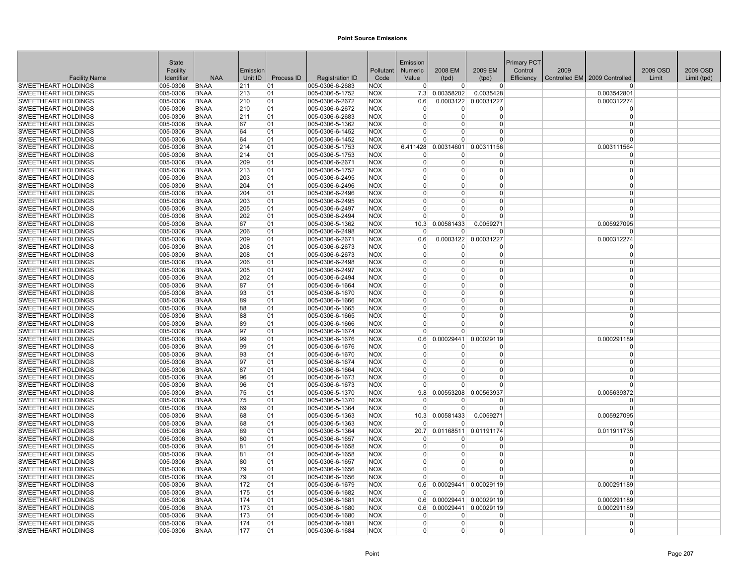|                                                          | <b>State</b>         |                            |            |            |                                    |                          | Emission             |                            |                            | <b>Primary PCT</b> |      |                                 |          |             |
|----------------------------------------------------------|----------------------|----------------------------|------------|------------|------------------------------------|--------------------------|----------------------|----------------------------|----------------------------|--------------------|------|---------------------------------|----------|-------------|
|                                                          | Facility             |                            | Emission   |            |                                    | Pollutant                | <b>Numeric</b>       | 2008 EM                    | 2009 EM                    | Control            | 2009 |                                 | 2009 OSD | 2009 OSD    |
| <b>Facility Name</b>                                     | Identifier           | <b>NAA</b>                 | Unit ID    | Process ID | <b>Registration ID</b>             | Code                     | Value                | (tpd)                      | (tpd)                      | Efficiency         |      | Controlled EM   2009 Controlled | Limit    | Limit (tpd) |
| <b>SWEETHEART HOLDINGS</b>                               | 005-0306             | <b>BNAA</b>                | 211        | 01         | 005-0306-6-2683                    | <b>NOX</b>               | $\Omega$             | $\overline{0}$             | $\overline{0}$             |                    |      |                                 |          |             |
| <b>SWEETHEART HOLDINGS</b>                               | 005-0306             | <b>BNAA</b>                | 213        | 01         | 005-0306-5-1752                    | <b>NOX</b>               | 7.3                  | 0.00358202                 | 0.0035428                  |                    |      | 0.003542801                     |          |             |
| <b>SWEETHEART HOLDINGS</b>                               | 005-0306             | <b>BNAA</b>                | 210        | 01         | 005-0306-6-2672                    | <b>NOX</b>               | 0.6                  | 0.0003122                  | 0.00031227                 |                    |      | 0.000312274                     |          |             |
| <b>SWEETHEART HOLDINGS</b>                               | 005-0306             | <b>BNAA</b>                | 210        | 01         | 005-0306-6-2672                    | <b>NOX</b>               | $\Omega$             | $\Omega$                   | $\Omega$                   |                    |      | $\Omega$                        |          |             |
| <b>SWEETHEART HOLDINGS</b>                               | 005-0306             | <b>BNAA</b>                | 211        | 01         | 005-0306-6-2683                    | <b>NOX</b>               | $\Omega$             | $\Omega$                   | $\Omega$                   |                    |      | $\Omega$                        |          |             |
| SWEETHEART HOLDINGS                                      | 005-0306             | <b>BNAA</b>                | 67         | 01         | 005-0306-5-1362                    | <b>NOX</b>               | $\Omega$             | $\Omega$<br>$\Omega$       | $\Omega$<br>$\Omega$       |                    |      | $\Omega$<br>$\Omega$            |          |             |
| <b>SWEETHEART HOLDINGS</b>                               | 005-0306             | <b>BNAA</b>                | 64         | 01         | 005-0306-6-1452                    | <b>NOX</b>               | $\Omega$<br>0        | $\Omega$                   | $\Omega$                   |                    |      |                                 |          |             |
| <b>SWEETHEART HOLDINGS</b>                               | 005-0306             | <b>BNAA</b>                | 64         | 01         | 005-0306-6-1452                    | <b>NOX</b>               |                      |                            |                            |                    |      |                                 |          |             |
| SWEETHEART HOLDINGS<br><b>SWEETHEART HOLDINGS</b>        | 005-0306<br>005-0306 | <b>BNAA</b><br><b>BNAA</b> | 214<br>214 | 01<br>01   | 005-0306-5-1753<br>005-0306-5-1753 | <b>NOX</b><br><b>NOX</b> | 6.411428<br>n        | 0.00314601<br><sup>0</sup> | 0.00311156<br><sup>0</sup> |                    |      | 0.003111564<br>$\Omega$         |          |             |
| <b>SWEETHEART HOLDINGS</b>                               | 005-0306             | <b>BNAA</b>                | 209        | 01         | 005-0306-6-2671                    | <b>NOX</b>               | $\overline{0}$       | $\Omega$                   | $\overline{0}$             |                    |      | $\Omega$                        |          |             |
| <b>SWEETHEART HOLDINGS</b>                               | 005-0306             | <b>BNAA</b>                | 213        | 01         | 005-0306-5-1752                    | <b>NOX</b>               | $\Omega$             | $\Omega$                   | $\Omega$                   |                    |      |                                 |          |             |
| SWEETHEART HOLDINGS                                      | 005-0306             | <b>BNAA</b>                | 203        | 01         | 005-0306-6-2495                    | <b>NOX</b>               | $\Omega$             | $\Omega$                   | 0                          |                    |      | $\Omega$                        |          |             |
| SWEETHEART HOLDINGS                                      | 005-0306             | <b>BNAA</b>                | 204        | 01         | 005-0306-6-2496                    | <b>NOX</b>               | $\Omega$             | $\Omega$                   | $\Omega$                   |                    |      | $\Omega$                        |          |             |
| <b>SWEETHEART HOLDINGS</b>                               | 005-0306             | <b>BNAA</b>                | 204        | 01         | 005-0306-6-2496                    | <b>NOX</b>               | $\Omega$             | $\Omega$                   | $\Omega$                   |                    |      | $\Omega$                        |          |             |
| <b>SWEETHEART HOLDINGS</b>                               | 005-0306             | <b>BNAA</b>                | 203        | 01         | 005-0306-6-2495                    | <b>NOX</b>               | $\Omega$             | $\overline{0}$             | $\overline{0}$             |                    |      | $\Omega$                        |          |             |
| SWEETHEART HOLDINGS                                      | 005-0306             | <b>BNAA</b>                | 205        | 01         | 005-0306-6-2497                    | <b>NOX</b>               | $\Omega$             | 0                          | 0                          |                    |      | $\Omega$                        |          |             |
| <b>SWEETHEART HOLDINGS</b>                               | 005-0306             | <b>BNAA</b>                | 202        | 01         | 005-0306-6-2494                    | <b>NOX</b>               | $\Omega$             | $\Omega$                   | $\Omega$                   |                    |      | $\Omega$                        |          |             |
| <b>SWEETHEART HOLDINGS</b>                               | 005-0306             | <b>BNAA</b>                | 67         | 01         | 005-0306-5-1362                    | <b>NOX</b>               | 10.3                 | 0.00581433                 | 0.0059271                  |                    |      | 0.005927095                     |          |             |
| <b>SWEETHEART HOLDINGS</b>                               | 005-0306             | <b>BNAA</b>                | 206        | 01         | 005-0306-6-2498                    | <b>NOX</b>               | $\Omega$             | <sup>0</sup>               | 0                          |                    |      |                                 |          |             |
| <b>SWEETHEART HOLDINGS</b>                               | 005-0306             | <b>BNAA</b>                | 209        | 01         | 005-0306-6-2671                    | <b>NOX</b>               | 0.6                  |                            | 0.0003122 0.00031227       |                    |      | 0.000312274                     |          |             |
| <b>SWEETHEART HOLDINGS</b>                               | 005-0306             | <b>BNAA</b>                | 208        | 01         | 005-0306-6-2673                    | <b>NOX</b>               | $\Omega$             | $\Omega$                   | $\Omega$                   |                    |      | $\Omega$                        |          |             |
| SWEETHEART HOLDINGS                                      | 005-0306             | <b>BNAA</b>                | 208        | 01         | 005-0306-6-2673                    | <b>NOX</b>               | $\Omega$             | $\Omega$                   | $\Omega$                   |                    |      | $\Omega$                        |          |             |
| <b>SWEETHEART HOLDINGS</b>                               | 005-0306             | <b>BNAA</b>                | 206        | 01         | 005-0306-6-2498                    | <b>NOX</b>               | $\Omega$             | $\overline{0}$             | $\Omega$                   |                    |      | $\Omega$                        |          |             |
| SWEETHEART HOLDINGS                                      | 005-0306             | <b>BNAA</b>                | 205        | 01         | 005-0306-6-2497                    | <b>NOX</b>               | $\Omega$             | $\Omega$                   | $\overline{0}$             |                    |      | $\Omega$                        |          |             |
| <b>SWEETHEART HOLDINGS</b>                               | 005-0306             | <b>BNAA</b>                | 202        | 01         | 005-0306-6-2494                    | <b>NOX</b>               | $\Omega$             | 0                          | $\Omega$                   |                    |      | $\Omega$                        |          |             |
| <b>SWEETHEART HOLDINGS</b>                               | 005-0306             | <b>BNAA</b>                | 87         | 01         | 005-0306-6-1664                    | <b>NOX</b>               | $\Omega$             | <sup>0</sup>               | $\overline{0}$             |                    |      | $\Omega$                        |          |             |
| SWEETHEART HOLDINGS                                      | 005-0306             | <b>BNAA</b>                | 93         | 01         | 005-0306-6-1670                    | <b>NOX</b>               | $\Omega$             | $\Omega$                   | $\Omega$                   |                    |      | $\Omega$                        |          |             |
| <b>SWEETHEART HOLDINGS</b>                               | 005-0306             | <b>BNAA</b>                | 89         | 01         | 005-0306-6-1666                    | <b>NOX</b>               | $\Omega$             | $\Omega$                   | $\Omega$                   |                    |      | $\Omega$                        |          |             |
| <b>SWEETHEART HOLDINGS</b>                               | 005-0306             | <b>BNAA</b>                | 88         | 01         | 005-0306-6-1665                    | <b>NOX</b>               | $\Omega$             | <sup>0</sup>               | $\Omega$                   |                    |      | $\Omega$                        |          |             |
| <b>SWEETHEART HOLDINGS</b>                               | 005-0306             | <b>BNAA</b>                | 88         | 01         | 005-0306-6-1665                    | <b>NOX</b>               | $\Omega$             | $\Omega$                   | $\Omega$                   |                    |      | $\Omega$                        |          |             |
| <b>SWEETHEART HOLDINGS</b>                               | 005-0306             | <b>BNAA</b>                | 89         | 01         | 005-0306-6-1666                    | <b>NOX</b>               | $\Omega$             | 0                          | $\overline{0}$             |                    |      | $\Omega$                        |          |             |
| <b>SWEETHEART HOLDINGS</b>                               | 005-0306             | <b>BNAA</b>                | 97         | 01         | 005-0306-6-1674                    | <b>NOX</b>               | $\Omega$             | $\Omega$                   | $\overline{0}$             |                    |      | $\Omega$                        |          |             |
| <b>SWEETHEART HOLDINGS</b>                               | 005-0306             | <b>BNAA</b>                | 99         | 01         | 005-0306-6-1676                    | <b>NOX</b>               | 0.6                  | 0.00029441                 | 0.00029119                 |                    |      | 0.000291189                     |          |             |
| <b>SWEETHEART HOLDINGS</b>                               | 005-0306             | <b>BNAA</b>                | 99         | 01         | 005-0306-6-1676                    | <b>NOX</b>               | $\Omega$             | 0                          | <sup>0</sup>               |                    |      | n                               |          |             |
| <b>SWEETHEART HOLDINGS</b>                               | 005-0306             | <b>BNAA</b>                | 93         | 01         | 005-0306-6-1670                    | <b>NOX</b>               | $\Omega$             | $\Omega$                   | $\Omega$                   |                    |      | $\Omega$                        |          |             |
| <b>SWEETHEART HOLDINGS</b>                               | 005-0306             | <b>BNAA</b>                | 97         | 01         | 005-0306-6-1674                    | <b>NOX</b>               | $\Omega$             | $\Omega$                   | $\Omega$                   |                    |      | $\Omega$                        |          |             |
| <b>SWEETHEART HOLDINGS</b>                               | 005-0306             | <b>BNAA</b>                | 87         | 01         | 005-0306-6-1664                    | <b>NOX</b>               | $\Omega$             | $\Omega$                   | $\overline{0}$             |                    |      | $\Omega$                        |          |             |
| <b>SWEETHEART HOLDINGS</b>                               | 005-0306             | <b>BNAA</b>                | 96         | 01         | 005-0306-6-1673                    | <b>NOX</b>               | $\Omega$<br>$\Omega$ | $\Omega$<br>$\Omega$       | $\Omega$<br>$\Omega$       |                    |      | $\Omega$<br>$\Omega$            |          |             |
| <b>SWEETHEART HOLDINGS</b>                               | 005-0306             | <b>BNAA</b>                | 96         | 01         | 005-0306-6-1673                    | <b>NOX</b>               |                      |                            |                            |                    |      |                                 |          |             |
| <b>SWEETHEART HOLDINGS</b><br><b>SWEETHEART HOLDINGS</b> | 005-0306<br>005-0306 | <b>BNAA</b><br><b>BNAA</b> | 75<br>75   | 01<br>01   | 005-0306-5-1370<br>005-0306-5-1370 | <b>NOX</b><br><b>NOX</b> | 9.8<br>$\Omega$      | 0.00553208<br>$\Omega$     | 0.00563937<br>$\Omega$     |                    |      | 0.005639372<br>$\Omega$         |          |             |
| <b>SWEETHEART HOLDINGS</b>                               | 005-0306             | <b>BNAA</b>                | 69         | 01         | 005-0306-5-1364                    | <b>NOX</b>               | $\Omega$             | $\Omega$                   | $\overline{0}$             |                    |      | $\Omega$                        |          |             |
| <b>SWEETHEART HOLDINGS</b>                               | 005-0306             | <b>BNAA</b>                | 68         | 01         | 005-0306-5-1363                    | <b>NOX</b>               | 10.3                 | 0.00581433                 | 0.0059271                  |                    |      | 0.005927095                     |          |             |
| SWEETHEART HOLDINGS                                      | 005-0306             | <b>BNAA</b>                | 68         | 01         | 005-0306-5-1363                    | <b>NOX</b>               | $\Omega$             | <sup>0</sup>               | 0                          |                    |      |                                 |          |             |
| <b>SWEETHEART HOLDINGS</b>                               | 005-0306             | <b>BNAA</b>                | 69         | 01         | 005-0306-5-1364                    | <b>NOX</b>               | 20.7                 |                            | 0.01168511 0.01191174      |                    |      | 0.011911735                     |          |             |
| <b>SWEETHEART HOLDINGS</b>                               | 005-0306             | <b>BNAA</b>                | 80         | 01         | 005-0306-6-1657                    | <b>NOX</b>               | $\Omega$             | <sup>0</sup>               | $\Omega$                   |                    |      | $\Omega$                        |          |             |
| SWEETHEART HOLDINGS                                      | 005-0306             | <b>BNAA</b>                | 81         | 01         | 005-0306-6-1658                    | <b>NOX</b>               | $\Omega$             | $\Omega$                   | $\Omega$                   |                    |      | $\Omega$                        |          |             |
| <b>SWEETHEART HOLDINGS</b>                               | 005-0306             | <b>BNAA</b>                | 81         | 01         | 005-0306-6-1658                    | <b>NOX</b>               | $\Omega$             | $\overline{0}$             | $\overline{0}$             |                    |      | $\Omega$                        |          |             |
| <b>SWEETHEART HOLDINGS</b>                               | 005-0306             | <b>BNAA</b>                | 80         | 01         | 005-0306-6-1657                    | <b>NOX</b>               | $\Omega$             | $\Omega$                   | $\Omega$                   |                    |      | $\Omega$                        |          |             |
| <b>SWEETHEART HOLDINGS</b>                               | 005-0306             | <b>BNAA</b>                | 79         | 01         | 005-0306-6-1656                    | <b>NOX</b>               | $\Omega$             | $\Omega$                   | $\Omega$                   |                    |      |                                 |          |             |
| <b>SWEETHEART HOLDINGS</b>                               | 005-0306             | <b>BNAA</b>                | 79         | 01         | 005-0306-6-1656                    | <b>NOX</b>               | $\Omega$             | U                          | <sup>0</sup>               |                    |      | $\Omega$                        |          |             |
| SWEETHEART HOLDINGS                                      | 005-0306             | <b>BNAA</b>                | 172        | 01         | 005-0306-6-1679                    | <b>NOX</b>               | 0.6                  | 0.00029441                 | 0.00029119                 |                    |      | 0.000291189                     |          |             |
| <b>SWEETHEART HOLDINGS</b>                               | 005-0306             | <b>BNAA</b>                | 175        | 01         | 005-0306-6-1682                    | <b>NOX</b>               | $\Omega$             | $\Omega$                   | $\Omega$                   |                    |      | $\Omega$                        |          |             |
| <b>SWEETHEART HOLDINGS</b>                               | 005-0306             | <b>BNAA</b>                | 174        | 01         | 005-0306-6-1681                    | <b>NOX</b>               | 0.6                  |                            | 0.00029441 0.00029119      |                    |      | 0.000291189                     |          |             |
| SWEETHEART HOLDINGS                                      | 005-0306             | <b>BNAA</b>                | 173        | 01         | 005-0306-6-1680                    | <b>NOX</b>               | 0.6                  | 0.00029441                 | 0.00029119                 |                    |      | 0.000291189                     |          |             |
| <b>SWEETHEART HOLDINGS</b>                               | 005-0306             | <b>BNAA</b>                | 173        | 01         | 005-0306-6-1680                    | <b>NOX</b>               | $\Omega$             | 0                          | $\Omega$                   |                    |      | n                               |          |             |
| <b>SWEETHEART HOLDINGS</b>                               | 005-0306             | <b>BNAA</b>                | 174        | 01         | 005-0306-6-1681                    | <b>NOX</b>               | $\Omega$             | $\Omega$                   | 0                          |                    |      | $\Omega$                        |          |             |
| <b>SWEETHEART HOLDINGS</b>                               | 005-0306             | <b>BNAA</b>                | 177        | 01         | 005-0306-6-1684                    | <b>NOX</b>               | $\Omega$             | $\Omega$                   | 0                          |                    |      | $\Omega$                        |          |             |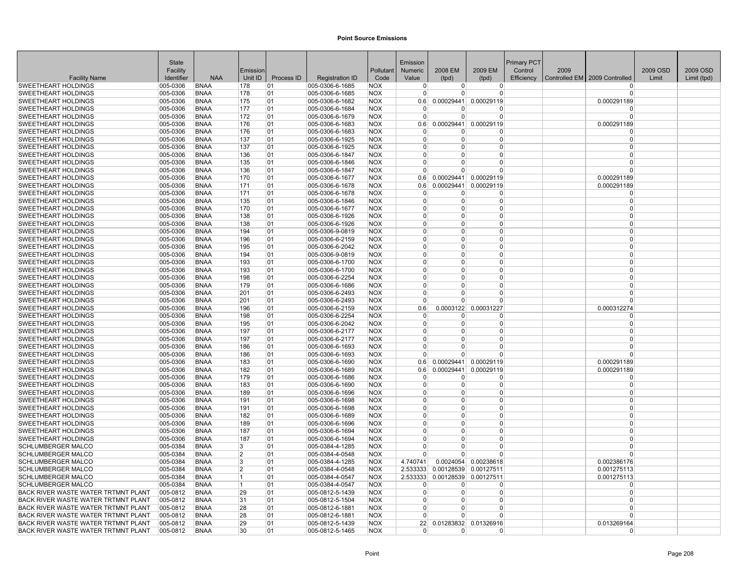|                                                          | State                |                            |                |            |                                    |                          | Emission                   |                        |                                | Primary PCT |      |                               |          |             |
|----------------------------------------------------------|----------------------|----------------------------|----------------|------------|------------------------------------|--------------------------|----------------------------|------------------------|--------------------------------|-------------|------|-------------------------------|----------|-------------|
|                                                          | Facility             |                            | Emission       |            |                                    | Pollutant                | <b>Numeric</b>             | 2008 EM                | 2009 EM                        | Control     | 2009 |                               | 2009 OSD | 2009 OSD    |
| <b>Facility Name</b>                                     | Identifier           | <b>NAA</b>                 | Unit ID        | Process ID | <b>Registration ID</b>             | Code                     | Value                      | (tpd)                  | (tpd)                          | Efficiency  |      | Controlled EM 2009 Controlled | Limit    | Limit (tpd) |
| <b>SWEETHEART HOLDINGS</b>                               | 005-0306             | <b>BNAA</b>                | 178            | 01         | 005-0306-6-1685                    | <b>NOX</b>               | $\overline{0}$             | 0                      | $\overline{0}$                 |             |      | <sup>0</sup>                  |          |             |
| <b>SWEETHEART HOLDINGS</b>                               | 005-0306             | <b>BNAA</b>                | 178            | 01         | 005-0306-6-1685                    | <b>NOX</b>               | $\Omega$                   | $\Omega$               | $\Omega$                       |             |      | $\Omega$                      |          |             |
| <b>SWEETHEART HOLDINGS</b>                               | 005-0306             | <b>BNAA</b>                | 175            | 01         | 005-0306-6-1682                    | <b>NOX</b>               | 0.6                        | 0.00029441             | 0.00029119                     |             |      | 0.000291189                   |          |             |
| <b>SWEETHEART HOLDINGS</b>                               | 005-0306             | <b>BNAA</b>                | 177            | 01         | 005-0306-6-1684                    | <b>NOX</b>               | $\Omega$<br>$\Omega$       | $\Omega$               | $\Omega$                       |             |      | $\Omega$<br>$\Omega$          |          |             |
| <b>SWEETHEART HOLDINGS</b>                               | 005-0306             | <b>BNAA</b>                | 172            | 01         | 005-0306-6-1679                    | <b>NOX</b>               |                            | $\Omega$<br>0.00029441 | $\Omega$                       |             |      |                               |          |             |
| SWEETHEART HOLDINGS                                      | 005-0306             | <b>BNAA</b><br><b>BNAA</b> | 176<br>176     | 01         | 005-0306-6-1683                    | <b>NOX</b>               | 0.6                        |                        | 0.00029119<br>$\Omega$         |             |      | 0.000291189<br>$\Omega$       |          |             |
| <b>SWEETHEART HOLDINGS</b><br><b>SWEETHEART HOLDINGS</b> | 005-0306<br>005-0306 | <b>BNAA</b>                | 137            | 01<br>01   | 005-0306-6-1683<br>005-0306-6-1925 | <b>NOX</b><br><b>NOX</b> | $\overline{0}$<br>$\Omega$ | 0<br>$\Omega$          | $\Omega$                       |             |      | $\Omega$                      |          |             |
| <b>SWEETHEART HOLDINGS</b>                               | 005-0306             | <b>BNAA</b>                | 137            | 01         | 005-0306-6-1925                    | <b>NOX</b>               | $\Omega$                   | U                      | $\Omega$                       |             |      | $\Omega$                      |          |             |
| <b>SWEETHEART HOLDINGS</b>                               | 005-0306             | <b>BNAA</b>                | 136            | 01         | 005-0306-6-1847                    | <b>NOX</b>               | $\overline{0}$             | 0                      | $\Omega$                       |             |      | $\Omega$                      |          |             |
| <b>SWEETHEART HOLDINGS</b>                               | 005-0306             | <b>BNAA</b>                | 135            | 01         | 005-0306-6-1846                    | <b>NOX</b>               | $\Omega$                   | $\Omega$               | $\Omega$                       |             |      | $\Omega$                      |          |             |
| <b>SWEETHEART HOLDINGS</b>                               | 005-0306             | <b>BNAA</b>                | 136            | 01         | 005-0306-6-1847                    | <b>NOX</b>               | $\Omega$                   | U                      | $\Omega$                       |             |      | $\Omega$                      |          |             |
| <b>SWEETHEART HOLDINGS</b>                               | 005-0306             | <b>BNAA</b>                | 170            | 01         | 005-0306-6-1677                    | <b>NOX</b>               | 0.6                        |                        | 0.00029441 0.00029119          |             |      | 0.000291189                   |          |             |
| <b>SWEETHEART HOLDINGS</b>                               | 005-0306             | <b>BNAA</b>                | 171            | 01         | 005-0306-6-1678                    | <b>NOX</b>               | 0.6                        | 0.00029441             | 0.00029119                     |             |      | 0.000291189                   |          |             |
| <b>SWEETHEART HOLDINGS</b>                               | 005-0306             | <b>BNAA</b>                | 171            | 01         | 005-0306-6-1678                    | <b>NOX</b>               | $\Omega$                   | $\Omega$               | $\Omega$                       |             |      | $\Omega$                      |          |             |
| <b>SWEETHEART HOLDINGS</b>                               | 005-0306             | <b>BNAA</b>                | 135            | 01         | 005-0306-6-1846                    | <b>NOX</b>               | $\Omega$                   | $\Omega$               | $\overline{0}$                 |             |      | $\Omega$                      |          |             |
| SWEETHEART HOLDINGS                                      | 005-0306             | <b>BNAA</b>                | 170            | 01         | 005-0306-6-1677                    | <b>NOX</b>               | $\mathbf 0$                | 0                      | $\Omega$                       |             |      | $\Omega$                      |          |             |
| <b>SWEETHEART HOLDINGS</b>                               | 005-0306             | <b>BNAA</b>                | 138            | 01         | 005-0306-6-1926                    | <b>NOX</b>               | $\Omega$                   | 0                      | $\Omega$                       |             |      | $\Omega$                      |          |             |
| <b>SWEETHEART HOLDINGS</b>                               | 005-0306             | <b>BNAA</b>                | 138            | 01         | 005-0306-6-1926                    | <b>NOX</b>               | $\Omega$                   | 0                      | $\Omega$                       |             |      | $\Omega$                      |          |             |
| SWEETHEART HOLDINGS                                      | 005-0306             | <b>BNAA</b>                | 194            | 01         | 005-0306-9-0819                    | <b>NOX</b>               | $\mathbf 0$                | 0                      | $\Omega$                       |             |      | $\mathbf 0$                   |          |             |
| <b>SWEETHEART HOLDINGS</b>                               | 005-0306             | <b>BNAA</b>                | 196            | 01         | 005-0306-6-2159                    | <b>NOX</b>               | $\mathbf 0$                | $\Omega$               | $\mathbf 0$                    |             |      | $\mathbf 0$                   |          |             |
| <b>SWEETHEART HOLDINGS</b>                               | 005-0306             | <b>BNAA</b>                | 195            | 01         | 005-0306-6-2042                    | <b>NOX</b>               | $\Omega$                   | $\Omega$               | $\Omega$                       |             |      | $\Omega$                      |          |             |
| <b>SWEETHEART HOLDINGS</b>                               | 005-0306             | <b>BNAA</b>                | 194            | 01         | 005-0306-9-0819                    | <b>NOX</b>               | $\Omega$                   | U                      | $\Omega$                       |             |      | $\Omega$                      |          |             |
| <b>SWEETHEART HOLDINGS</b>                               | 005-0306             | <b>BNAA</b>                | 193            | 01         | 005-0306-6-1700                    | <b>NOX</b>               | $\Omega$                   | 0                      | $\Omega$                       |             |      | $\Omega$                      |          |             |
| <b>SWEETHEART HOLDINGS</b>                               | 005-0306             | <b>BNAA</b>                | 193            | 01         | 005-0306-6-1700                    | <b>NOX</b>               | $\Omega$                   | $\Omega$               | $\Omega$                       |             |      | $\Omega$                      |          |             |
| <b>SWEETHEART HOLDINGS</b>                               | 005-0306             | <b>BNAA</b>                | 198            | 01         | 005-0306-6-2254                    | <b>NOX</b>               | $\Omega$                   | 0                      | $\Omega$                       |             |      | $\Omega$                      |          |             |
| SWEETHEART HOLDINGS                                      | 005-0306             | <b>BNAA</b>                | 179            | 01         | 005-0306-6-1686                    | <b>INOX</b>              | 0                          | 0                      | $\Omega$                       |             |      | $\Omega$                      |          |             |
| <b>SWEETHEART HOLDINGS</b>                               | 005-0306             | <b>BNAA</b>                | 201            | 01         | 005-0306-6-2493                    | <b>NOX</b>               | $\Omega$                   | $\Omega$               | $\Omega$                       |             |      | $\Omega$                      |          |             |
| <b>SWEETHEART HOLDINGS</b>                               | 005-0306             | <b>BNAA</b>                | 201            | 01         | 005-0306-6-2493                    | <b>NOX</b>               | $\Omega$                   | 0                      | $\Omega$                       |             |      | $\Omega$                      |          |             |
| <b>SWEETHEART HOLDINGS</b>                               | 005-0306             | <b>BNAA</b>                | 196            | 01         | 005-0306-6-2159                    | <b>NOX</b>               | 0.6                        | 0.0003122              | 0.00031227                     |             |      | 0.000312274                   |          |             |
| <b>SWEETHEART HOLDINGS</b>                               | 005-0306             | <b>BNAA</b>                | 198            | 01         | 005-0306-6-2254                    | <b>NOX</b>               | $\mathbf 0$                | 0                      | 0                              |             |      | $\Omega$                      |          |             |
| <b>SWEETHEART HOLDINGS</b>                               | 005-0306             | <b>BNAA</b>                | 195            | 01         | 005-0306-6-2042                    | <b>NOX</b>               | $\overline{0}$             | $\Omega$               | $\overline{0}$                 |             |      | $\mathbf 0$                   |          |             |
| <b>SWEETHEART HOLDINGS</b>                               | 005-0306             | <b>BNAA</b>                | 197            | 01         | 005-0306-6-2177                    | <b>NOX</b>               | $\Omega$                   | $\Omega$               | $\Omega$                       |             |      | $\Omega$                      |          |             |
| <b>SWEETHEART HOLDINGS</b>                               | 005-0306             | <b>BNAA</b>                | 197            | 01         | 005-0306-6-2177                    | <b>NOX</b>               | $\Omega$                   | U                      | $\Omega$                       |             |      | $\Omega$                      |          |             |
| <b>SWEETHEART HOLDINGS</b>                               | 005-0306             | <b>BNAA</b>                | 186            | 01         | 005-0306-6-1693                    | <b>NOX</b>               | $\Omega$                   | 0                      | $\Omega$                       |             |      | $\Omega$                      |          |             |
| <b>SWEETHEART HOLDINGS</b>                               | 005-0306             | <b>BNAA</b>                | 186            | 01         | 005-0306-6-1693                    | <b>NOX</b>               | $\Omega$                   | 0                      | $\Omega$                       |             |      | $\Omega$                      |          |             |
| <b>SWEETHEART HOLDINGS</b>                               | 005-0306             | <b>BNAA</b>                | 183            | 01         | 005-0306-6-1690                    | <b>NOX</b>               | 0.6                        | 0.00029441             | 0.00029119                     |             |      | 0.000291189                   |          |             |
| <b>SWEETHEART HOLDINGS</b>                               | 005-0306             | <b>BNAA</b>                | 182            | 01         | 005-0306-6-1689                    | <b>NOX</b>               | 0.6                        | 0.00029441             | 0.00029119                     |             |      | 0.000291189                   |          |             |
| <b>SWEETHEART HOLDINGS</b>                               | 005-0306             | <b>BNAA</b>                | 179            | 01         | 005-0306-6-1686                    | <b>NOX</b>               | $\Omega$                   | $\Omega$               | $\Omega$                       |             |      | $\Omega$                      |          |             |
| <b>SWEETHEART HOLDINGS</b>                               | 005-0306             | <b>BNAA</b>                | 183            | 01         | 005-0306-6-1690                    | <b>NOX</b>               | $\mathbf 0$                | $\Omega$               | $\Omega$                       |             |      | $\Omega$                      |          |             |
| <b>SWEETHEART HOLDINGS</b>                               | 005-0306             | <b>BNAA</b><br><b>BNAA</b> | 189            | 01         | 005-0306-6-1696                    | <b>NOX</b><br><b>NOX</b> | $\mathbf 0$<br>$\mathbf 0$ | 0<br>0                 | $\Omega$<br>$\mathbf 0$        |             |      | $\mathbf 0$<br>$\mathbf 0$    |          |             |
| <b>SWEETHEART HOLDINGS</b><br><b>SWEETHEART HOLDINGS</b> | 005-0306<br>005-0306 | <b>BNAA</b>                | 191<br>191     | 01<br>01   | 005-0306-6-1698<br>005-0306-6-1698 | <b>NOX</b>               | $\mathbf 0$                | $\Omega$               | $\Omega$                       |             |      | $\Omega$                      |          |             |
| <b>SWEETHEART HOLDINGS</b>                               | 005-0306             | <b>BNAA</b>                | 182            | 01         | 005-0306-6-1689                    | <b>NOX</b>               | $\Omega$                   | $\Omega$               | $\Omega$                       |             |      | $\Omega$                      |          |             |
| SWEETHEART HOLDINGS                                      | 005-0306             | <b>BNAA</b>                | 189            | 01         | 005-0306-6-1696                    | <b>NOX</b>               | $\Omega$                   | 0                      | $\Omega$                       |             |      | $\Omega$                      |          |             |
| SWEETHEART HOLDINGS                                      | 005-0306             | <b>BNAA</b>                | 187            | 01         | 005-0306-6-1694                    | <b>NOX</b>               | $\Omega$                   | 0                      | $\Omega$                       |             |      | $\Omega$                      |          |             |
| <b>SWEETHEART HOLDINGS</b>                               | 005-0306             | <b>BNAA</b>                | 187            | 01         | 005-0306-6-1694                    | <b>NOX</b>               | $\Omega$                   | $\Omega$               | $\Omega$                       |             |      | $\Omega$                      |          |             |
| <b>SCHLUMBERGER MALCO</b>                                | 005-0384             | <b>BNAA</b>                | 3              | 01         | 005-0384-4-1285                    | <b>NOX</b>               | $\mathbf 0$                | 0                      | $\Omega$                       |             |      | $\mathbf 0$                   |          |             |
| <b>SCHLUMBERGER MALCO</b>                                | 005-0384             | <b>BNAA</b>                | 2              | 01         | 005-0384-4-0548                    | <b>NOX</b>               | $\overline{0}$             | 0                      | $\Omega$                       |             |      | $\Omega$                      |          |             |
| <b>SCHLUMBERGER MALCO</b>                                | 005-0384             | <b>BNAA</b>                | 3              | 01         | 005-0384-4-1285                    | <b>NOX</b>               | 4.740741                   | 0.0024054              | 0.00238618                     |             |      | 0.002386176                   |          |             |
| <b>SCHLUMBERGER MALCO</b>                                | 005-0384             | <b>BNAA</b>                | $\overline{2}$ | 01         | 005-0384-4-0548                    | <b>NOX</b>               | 2.533333                   | 0.00128539             | 0.00127511                     |             |      | 0.001275113                   |          |             |
| <b>SCHLUMBERGER MALCO</b>                                | 005-0384             | <b>BNAA</b>                | 11             | 01         | 005-0384-4-0547                    | <b>NOX</b>               |                            |                        | 2.533333 0.00128539 0.00127511 |             |      | 0.001275113                   |          |             |
| <b>SCHLUMBERGER MALCO</b>                                | 005-0384             | <b>BNAA</b>                | 11             | 01         | 005-0384-4-0547                    | <b>NOX</b>               | $\Omega$                   | 0                      | $\Omega$                       |             |      | $\Omega$                      |          |             |
| BACK RIVER WASTE WATER TRTMNT PLANT                      | 005-0812             | <b>BNAA</b>                | 29             | 01         | 005-0812-5-1439                    | <b>NOX</b>               | $\Omega$                   | $\Omega$               | $\Omega$                       |             |      | $\Omega$                      |          |             |
| <b>BACK RIVER WASTE WATER TRTMNT PLANT</b>               | 005-0812             | <b>BNAA</b>                | 31             | 01         | 005-0812-5-1504                    | <b>NOX</b>               | $\Omega$                   | 0                      | $\Omega$                       |             |      | $\Omega$                      |          |             |
| <b>BACK RIVER WASTE WATER TRTMNT PLANT</b>               | 005-0812             | <b>BNAA</b>                | 28             | 01         | 005-0812-6-1881                    | <b>NOX</b>               | $\Omega$                   | 0                      | $\Omega$                       |             |      | $\Omega$                      |          |             |
| <b>BACK RIVER WASTE WATER TRTMNT PLANT</b>               | 005-0812             | <b>BNAA</b>                | 28             | 01         | 005-0812-6-1881                    | <b>NOX</b>               | $\Omega$                   | 0                      | $\Omega$                       |             |      | $\Omega$                      |          |             |
| <b>BACK RIVER WASTE WATER TRTMNT PLANT</b>               | 005-0812             | <b>BNAA</b>                | 29             | 01         | 005-0812-5-1439                    | <b>NOX</b>               | 22                         |                        | 0.01283832 0.01326916          |             |      | 0.013269164                   |          |             |
| <b>BACK RIVER WASTE WATER TRTMNT PLANT</b>               | 005-0812             | <b>BNAA</b>                | 30             | 01         | 005-0812-5-1465                    | <b>NOX</b>               | $\Omega$                   | 0                      | 0                              |             |      | $\Omega$                      |          |             |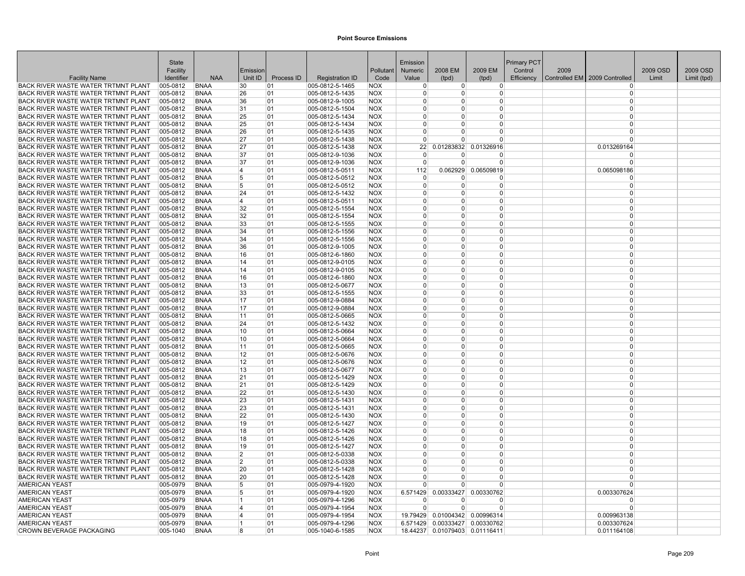|                                                                                   | State                |                            |                |            |                                    |                          | Emission             |                |                          | Primary PCT |      |                               |          |             |
|-----------------------------------------------------------------------------------|----------------------|----------------------------|----------------|------------|------------------------------------|--------------------------|----------------------|----------------|--------------------------|-------------|------|-------------------------------|----------|-------------|
|                                                                                   | Facility             |                            | Emission       |            |                                    | Pollutant                | Numeric              | 2008 EM        | 2009 EM                  | Control     | 2009 |                               | 2009 OSD | 2009 OSD    |
| <b>Facility Name</b>                                                              | Identifier           | <b>NAA</b>                 | Unit ID        | Process ID | <b>Registration ID</b>             | Code                     | Value                | (tpd)          | (tpd)                    | Efficiency  |      | Controlled EM 2009 Controlled | Limit    | Limit (tpd) |
| BACK RIVER WASTE WATER TRTMNT PLANT                                               | 005-0812             | <b>BNAA</b>                | 30             | 01         | 005-0812-5-1465                    | <b>NOX</b>               | $\Omega$             | $\overline{0}$ | $\overline{0}$           |             |      | $^{(1)}$                      |          |             |
| BACK RIVER WASTE WATER TRTMNT PLANT                                               | 005-0812             | <b>BNAA</b>                | 26             | 01         | 005-0812-5-1435                    | NOX                      | $\Omega$             | 0              | 0                        |             |      | $\Omega$                      |          |             |
| BACK RIVER WASTE WATER TRTMNT PLANT                                               | 005-0812             | <b>BNAA</b>                | 36             | 01         | 005-0812-9-1005                    | <b>NOX</b>               | $\Omega$<br>$\Omega$ | 0<br>$\Omega$  | 0<br>$\overline{0}$      |             |      | $\Omega$<br>$\Omega$          |          |             |
| BACK RIVER WASTE WATER TRTMNT PLANT<br>BACK RIVER WASTE WATER TRTMNT PLANT        | 005-0812<br>005-0812 | <b>BNAA</b><br><b>BNAA</b> | 31             | 01<br>01   | 005-0812-5-1504                    | <b>NOX</b><br><b>NOX</b> | $\Omega$             | 0              | $\Omega$                 |             |      | $\Omega$                      |          |             |
| BACK RIVER WASTE WATER TRTMNT PLANT                                               | $ 005 - 0812 $       | <b>BNAA</b>                | 25<br>25       | 101        | 005-0812-5-1434<br>005-0812-5-1434 | <b>NOX</b>               | $\Omega$             | U              | $\Omega$                 |             |      | $\Omega$                      |          |             |
| BACK RIVER WASTE WATER TRTMNT PLANT                                               | 005-0812             | <b>BNAA</b>                | 26             | 01         | 005-0812-5-1435                    | <b>NOX</b>               | $\Omega$             | 0              | 0                        |             |      | $\Omega$                      |          |             |
| BACK RIVER WASTE WATER TRTMNT PLANT                                               | 005-0812             | <b>BNAA</b>                | 27             | 01         | 005-0812-5-1438                    | <b>NOX</b>               | $\Omega$             | U              | $\Omega$                 |             |      | $\Omega$                      |          |             |
| <b>BACK RIVER WASTE WATER TRTMNT PLANT</b>                                        | 005-0812             | <b>BNAA</b>                | 27             | 01         | 005-0812-5-1438                    | <b>NOX</b>               | 22                   | 0.01283832     | 0.01326916               |             |      | 0.013269164                   |          |             |
| BACK RIVER WASTE WATER TRTMNT PLANT                                               | 005-0812             | <b>BNAA</b>                | 37             | 01         | 005-0812-9-1036                    | <b>NOX</b>               | $\Omega$             | $\Omega$       | $\Omega$                 |             |      | $\Omega$                      |          |             |
| BACK RIVER WASTE WATER TRTMNT PLANT                                               | 005-0812             | <b>BNAA</b>                | 37             | 01         | 005-0812-9-1036                    | <b>NOX</b>               | $\Omega$             | $\Omega$       | $\overline{0}$           |             |      | $\Omega$                      |          |             |
| BACK RIVER WASTE WATER TRTMNT PLANT                                               | 005-0812             | <b>BNAA</b>                | 4              | 01         | 005-0812-5-0511                    | <b>NOX</b>               | 112                  | 0.062929       | 0.06509819               |             |      | 0.065098186                   |          |             |
| BACK RIVER WASTE WATER TRTMNT PLANT                                               | 005-0812             | <b>BNAA</b>                | 5              | 01         | 005-0812-5-0512                    | <b>NOX</b>               | $\Omega$             | 0              | 0                        |             |      | $\Omega$                      |          |             |
| BACK RIVER WASTE WATER TRTMNT PLANT                                               | 005-0812             | <b>BNAA</b>                | 5              | 01         | 005-0812-5-0512                    | <b>NOX</b>               | $\Omega$             | 0              | 0                        |             |      | $\Omega$                      |          |             |
| BACK RIVER WASTE WATER TRTMNT PLANT                                               | 005-0812             | <b>BNAA</b>                | 24             | 01         | 005-0812-5-1432                    | <b>NOX</b>               | $\Omega$             | 0              | $\Omega$                 |             |      | $\Omega$                      |          |             |
| BACK RIVER WASTE WATER TRTMNT PLANT                                               | 005-0812             | <b>BNAA</b>                | 4              | 01         | 005-0812-5-0511                    | <b>NOX</b>               | $\Omega$             | 0              | $\overline{0}$           |             |      | $\Omega$                      |          |             |
| BACK RIVER WASTE WATER TRTMNT PLANT                                               | 005-0812             | <b>BNAA</b>                | 32             | 101        | $ 005 - 0812 - 5 - 1554$           | <b>NOX</b>               | $\Omega$             | 0              | 0                        |             |      | $\Omega$                      |          |             |
| BACK RIVER WASTE WATER TRTMNT PLANT                                               | 005-0812             | <b>BNAA</b>                | 32             | 01         | 005-0812-5-1554                    | <b>NOX</b>               | $\Omega$             | 0              | $\Omega$                 |             |      | $\Omega$                      |          |             |
| BACK RIVER WASTE WATER TRTMNT PLANT                                               | 005-0812             | <b>BNAA</b>                | 33             | 01         | 005-0812-5-1555                    | <b>NOX</b>               | $\Omega$             | 0              | 0                        |             |      | $\Omega$                      |          |             |
| BACK RIVER WASTE WATER TRTMNT PLANT                                               | 005-0812             | <b>BNAA</b>                | 34             | 01         | 005-0812-5-1556                    | <b>NOX</b>               | $\Omega$             | 0              | 0                        |             |      | $\Omega$                      |          |             |
| BACK RIVER WASTE WATER TRTMNT PLANT                                               | 005-0812             | <b>BNAA</b>                | 34             | 01         | 005-0812-5-1556                    | <b>NOX</b>               | $\overline{0}$       | 0              | 0                        |             |      | $\Omega$                      |          |             |
| BACK RIVER WASTE WATER TRTMNT PLANT                                               | 005-0812             | <b>BNAA</b>                | 36             | 01         | 005-0812-9-1005                    | <b>NOX</b>               | $\Omega$             | 0              | $\Omega$                 |             |      | $\Omega$                      |          |             |
| BACK RIVER WASTE WATER TRTMNT PLANT                                               | 005-0812             | <b>BNAA</b>                | 16             | 01         | 005-0812-6-1860                    | <b>NOX</b>               | $\Omega$             | 0              | $\Omega$                 |             |      | $\Omega$                      |          |             |
| BACK RIVER WASTE WATER TRTMNT PLANT                                               | 005-0812             | <b>BNAA</b>                | 14             | 01         | $ 005 - 0812 - 9 - 0105$           | <b>NOX</b>               | $\Omega$             | 0              | 0                        |             |      | $\Omega$                      |          |             |
| BACK RIVER WASTE WATER TRTMNT PLANT                                               | 005-0812             | <b>BNAA</b>                | 14             | 01         | 005-0812-9-0105                    | <b>NOX</b>               | $\Omega$             | $\Omega$       | $\Omega$                 |             |      | $\Omega$                      |          |             |
| BACK RIVER WASTE WATER TRTMNT PLANT                                               | 005-0812             | <b>BNAA</b>                | 16             | 01         | 005-0812-6-1860                    | <b>NOX</b>               | $\Omega$             | 0              | $\Omega$                 |             |      | $\Omega$                      |          |             |
| BACK RIVER WASTE WATER TRTMNT PLANT                                               | 005-0812             | <b>BNAA</b>                | 13             | 101        | 005-0812-5-0677                    | NOX                      | $\overline{0}$       | 0              | $\overline{0}$           |             |      | $\Omega$                      |          |             |
| BACK RIVER WASTE WATER TRTMNT PLANT                                               | 005-0812             | <b>BNAA</b>                | 33             | 01         | 005-0812-5-1555                    | <b>NOX</b>               | $\Omega$             | 0              | $\Omega$                 |             |      | $\Omega$                      |          |             |
| BACK RIVER WASTE WATER TRTMNT PLANT                                               | 005-0812             | <b>BNAA</b>                | 17             | 01         | 005-0812-9-0884                    | <b>NOX</b>               | $\Omega$             | 0              | $\Omega$                 |             |      | $\Omega$                      |          |             |
| <b>BACK RIVER WASTE WATER TRTMNT PLANT</b><br>BACK RIVER WASTE WATER TRTMNT PLANT | 005-0812<br>005-0812 | <b>BNAA</b>                | 17             | 01         | 005-0812-9-0884                    | <b>NOX</b>               | $\Omega$<br>$\Omega$ | 0<br>0         | 0<br>0                   |             |      | $\Omega$<br>$\Omega$          |          |             |
| BACK RIVER WASTE WATER TRTMNT PLANT                                               | 005-0812             | <b>BNAA</b><br><b>BNAA</b> | 11<br>24       | 01<br>01   | 005-0812-5-0665<br>005-0812-5-1432 | <b>NOX</b><br><b>NOX</b> | $\Omega$             | 0              | $\Omega$                 |             |      | $\Omega$                      |          |             |
| BACK RIVER WASTE WATER TRTMNT PLANT                                               | 005-0812             | <b>BNAA</b>                | 10             | 01         | 005-0812-5-0664                    | <b>NOX</b>               | $\Omega$             | 0              | $\Omega$                 |             |      | $\Omega$                      |          |             |
| BACK RIVER WASTE WATER TRTMNT PLANT                                               | $ 005 - 0812 $       | <b>BNAA</b>                | 10             | 01         | 005-0812-5-0664                    | <b>NOX</b>               | $\Omega$             | 0              | $\Omega$                 |             |      | $\Omega$                      |          |             |
| BACK RIVER WASTE WATER TRTMNT PLANT                                               | 005-0812             | <b>BNAA</b>                | 11             | 01         | 005-0812-5-0665                    | <b>NOX</b>               | $\Omega$             | 0              | 0                        |             |      | $\Omega$                      |          |             |
| BACK RIVER WASTE WATER TRTMNT PLANT                                               | 005-0812             | <b>BNAA</b>                | 12             | 01         | 005-0812-5-0676                    | <b>NOX</b>               | $\Omega$             | 0              | $\Omega$                 |             |      | $\Omega$                      |          |             |
| <b>BACK RIVER WASTE WATER TRTMNT PLANT</b>                                        | 005-0812             | <b>BNAA</b>                | 12             | 01         | 005-0812-5-0676                    | <b>NOX</b>               | $\Omega$             | 0              | $\Omega$                 |             |      | $\Omega$                      |          |             |
| BACK RIVER WASTE WATER TRTMNT PLANT                                               | 005-0812             | <b>BNAA</b>                | 13             | 01         | 005-0812-5-0677                    | <b>NOX</b>               | $\overline{0}$       | 0              | $\overline{0}$           |             |      | $\Omega$                      |          |             |
| BACK RIVER WASTE WATER TRTMNT PLANT                                               | 005-0812             | <b>BNAA</b>                | 21             | 01         | 005-0812-5-1429                    | <b>NOX</b>               | $\Omega$             | 0              | $\Omega$                 |             |      | $\Omega$                      |          |             |
| BACK RIVER WASTE WATER TRTMNT PLANT                                               | 005-0812             | <b>BNAA</b>                | 21             | 01         | 005-0812-5-1429                    | <b>NOX</b>               | $\Omega$             | 0              | 0                        |             |      | $\Omega$                      |          |             |
| BACK RIVER WASTE WATER TRTMNT PLANT                                               | 005-0812             | <b>BNAA</b>                | 22             | 01         | 005-0812-5-1430                    | <b>NOX</b>               | $\overline{0}$       | 0              | 0                        |             |      | $\Omega$                      |          |             |
| BACK RIVER WASTE WATER TRTMNT PLANT                                               | 005-0812             | <b>BNAA</b>                | 23             | 01         | 005-0812-5-1431                    | <b>NOX</b>               | $\Omega$             | 0              | 0                        |             |      | $\Omega$                      |          |             |
| BACK RIVER WASTE WATER TRTMNT PLANT                                               | 005-0812             | <b>BNAA</b>                | 23             | 01         | 005-0812-5-1431                    | <b>NOX</b>               | $\Omega$             | 0              | $\Omega$                 |             |      | $\Omega$                      |          |             |
| BACK RIVER WASTE WATER TRTMNT PLANT                                               | 005-0812             | <b>BNAA</b>                | 22             | 101        | 005-0812-5-1430                    | <b>NOX</b>               | $\Omega$             | 0              | $\Omega$                 |             |      | $\Omega$                      |          |             |
| BACK RIVER WASTE WATER TRTMNT PLANT                                               | 005-0812             | <b>BNAA</b>                | 19             | 101        | 005-0812-5-1427                    | <b>NOX</b>               | $\Omega$             | 0              | $\Omega$                 |             |      | $\Omega$                      |          |             |
| BACK RIVER WASTE WATER TRTMNT PLANT                                               | 005-0812             | <b>BNAA</b>                | 18             | 01         | 005-0812-5-1426                    | <b>NOX</b>               | $\Omega$             | 0              | $\Omega$                 |             |      | $\Omega$                      |          |             |
| BACK RIVER WASTE WATER TRTMNT PLANT                                               | 005-0812             | <b>BNAA</b>                | 18             | 01         | 005-0812-5-1426                    | <b>NOX</b>               | $\Omega$             | $\Omega$       | $\Omega$                 |             |      | $\Omega$                      |          |             |
| BACK RIVER WASTE WATER TRTMNT PLANT                                               | 005-0812             | <b>BNAA</b>                | 19             | 01         | 005-0812-5-1427                    | <b>NOX</b>               | $\Omega$             | 0              | 0                        |             |      | $\Omega$                      |          |             |
| BACK RIVER WASTE WATER TRTMNT PLANT                                               | 005-0812             | <b>BNAA</b>                | $\overline{2}$ | 01         | 005-0812-5-0338                    | <b>NOX</b>               | $\Omega$             | 0              | $\overline{0}$           |             |      | $\Omega$                      |          |             |
| BACK RIVER WASTE WATER TRTMNT PLANT                                               | 005-0812             | <b>BNAA</b>                | $\overline{2}$ | 01         | 005-0812-5-0338                    | <b>NOX</b>               | $\Omega$             | $\Omega$       | $\Omega$                 |             |      | $\Omega$                      |          |             |
| BACK RIVER WASTE WATER TRTMNT PLANT                                               | 005-0812             | <b>BNAA</b>                | 20             | 01         | 005-0812-5-1428                    | <b>NOX</b>               | $\Omega$             | 0              | 0                        |             |      | $\Omega$                      |          |             |
| BACK RIVER WASTE WATER TRTMNT PLANT                                               | 005-0812             | <b>BNAA</b>                | 20             | 01         | 005-0812-5-1428                    | <b>NOX</b>               | $\Omega$             | U              | 0                        |             |      | $\Omega$                      |          |             |
| <b>AMERICAN YEAST</b>                                                             | 005-0979             | <b>BNAA</b>                | 5              | 01         | 005-0979-4-1920                    | <b>NOX</b>               | $\Omega$             | U              | $\Omega$                 |             |      | $\Omega$                      |          |             |
| <b>AMERICAN YEAST</b>                                                             | 005-0979             | <b>BNAA</b>                | 5              | 01         | 005-0979-4-1920                    | <b>NOX</b>               | 6.571429             | 0.00333427     | 0.00330762               |             |      | 0.003307624                   |          |             |
| <b>AMERICAN YEAST</b>                                                             | 005-0979             | <b>BNAA</b><br><b>BNAA</b> | 1<br>4         | 01         | 005-0979-4-1296                    | <b>NOX</b><br><b>NOX</b> | $\Omega$<br>$\Omega$ | ŋ<br>$\Omega$  | <sup>0</sup><br>$\Omega$ |             |      | $\Omega$<br>$\Omega$          |          |             |
| <b>AMERICAN YEAST</b><br><b>AMERICAN YEAST</b>                                    | 005-0979<br>005-0979 | <b>BNAA</b>                | $\overline{4}$ | 01<br>01   | 005-0979-4-1954<br>005-0979-4-1954 | <b>NOX</b>               | 19.79429             |                | 0.01004342 0.00996314    |             |      | 0.009963138                   |          |             |
| <b>AMERICAN YEAST</b>                                                             | 005-0979             | <b>BNAA</b>                | 1              | 01         | 005-0979-4-1296                    | <b>NOX</b>               | 6.571429             |                | 0.00333427 0.00330762    |             |      | 0.003307624                   |          |             |
| CROWN BEVERAGE PACKAGING                                                          | 005-1040             | <b>BNAA</b>                | 8              | 01         | 005-1040-6-1585                    | <b>NOX</b>               | 18.44237             |                | 0.01079403 0.01116411    |             |      | 0.011164108                   |          |             |
|                                                                                   |                      |                            |                |            |                                    |                          |                      |                |                          |             |      |                               |          |             |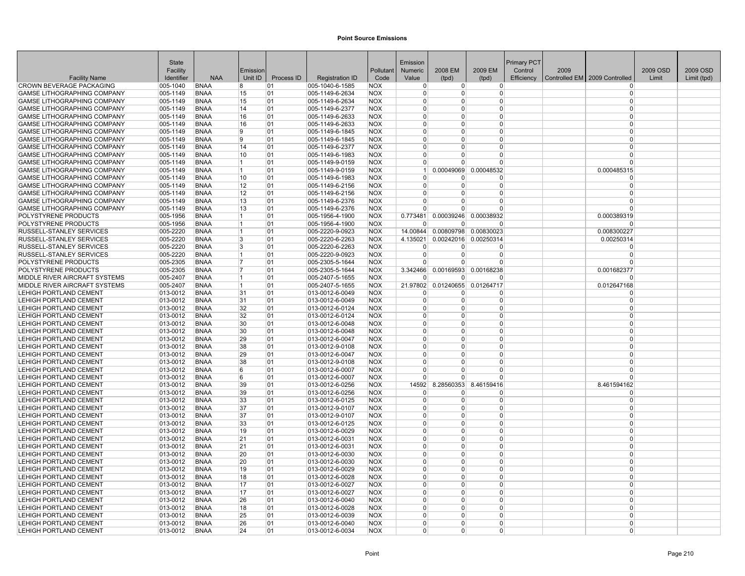|                                                                          | State                |                            |                   |            |                                    |                          | Emission                   |                |                       | Primary PCT |      |                               |          |             |
|--------------------------------------------------------------------------|----------------------|----------------------------|-------------------|------------|------------------------------------|--------------------------|----------------------------|----------------|-----------------------|-------------|------|-------------------------------|----------|-------------|
|                                                                          | Facility             |                            | Emission          |            |                                    | Pollutant                | Numeric                    | 2008 EM        | 2009 EM               | Control     | 2009 |                               | 2009 OSD | 2009 OSD    |
| <b>Facility Name</b>                                                     | Identifier           | <b>NAA</b>                 | Unit ID           | Process ID | <b>Registration ID</b>             | Code                     | Value                      | (tpd)          | (tpd)                 | Efficiency  |      | Controlled EM 2009 Controlled | Limit    | Limit (tpd) |
| <b>CROWN BEVERAGE PACKAGING</b>                                          | 005-1040             | <b>BNAA</b>                | 8                 | 01         | 005-1040-6-1585                    | <b>NOX</b>               | $\overline{0}$             | $\overline{0}$ | $\overline{0}$        |             |      | $^{(1)}$                      |          |             |
| <b>GAMSE LITHOGRAPHING COMPANY</b>                                       | 005-1149             | <b>BNAA</b>                | 15                | 01         | 005-1149-6-2634                    | NOX                      | $\Omega$                   | 0              | 0                     |             |      | $\Omega$                      |          |             |
| GAMSE LITHOGRAPHING COMPANY                                              | 005-1149             | <b>BNAA</b>                | 15                | 01         | 005-1149-6-2634                    | <b>NOX</b>               | $\Omega$                   | 0              | 0                     |             |      | $\Omega$                      |          |             |
| GAMSE LITHOGRAPHING COMPANY                                              | 005-1149             | <b>BNAA</b>                | 14                | 01         | 005-1149-6-2377                    | <b>NOX</b>               | $\overline{0}$             | 0              | $\Omega$              |             |      | $\Omega$                      |          |             |
| <b>GAMSE LITHOGRAPHING COMPANY</b>                                       | 005-1149             | <b>BNAA</b>                | 16                | 01         | 005-1149-6-2633                    | <b>NOX</b>               | $\Omega$                   | 0              | $\Omega$              |             |      | $\Omega$                      |          |             |
| GAMSE LITHOGRAPHING COMPANY                                              | 005-1149             | <b>BNAA</b>                | 16                | 01         | 005-1149-6-2633                    | <b>NOX</b>               | $\Omega$                   | 0              | 0                     |             |      | $\Omega$                      |          |             |
| GAMSE LITHOGRAPHING COMPANY                                              | 005-1149             | <b>BNAA</b>                | 9<br>9            | 01         | 005-1149-6-1845                    | <b>NOX</b>               | $\Omega$<br>$\Omega$       | 0<br>$\Omega$  | 0<br>$\Omega$         |             |      | $\Omega$<br>$\Omega$          |          |             |
| <b>GAMSE LITHOGRAPHING COMPANY</b>                                       | 005-1149             | <b>BNAA</b>                |                   | 01         | 005-1149-6-1845                    | <b>NOX</b>               |                            |                |                       |             |      | $\Omega$                      |          |             |
| <b>GAMSE LITHOGRAPHING COMPANY</b><br><b>GAMSE LITHOGRAPHING COMPANY</b> | 005-1149             | <b>BNAA</b>                | 14<br>10          | 01         | 005-1149-6-2377<br>005-1149-6-1983 | <b>NOX</b><br><b>NOX</b> | $\Omega$<br>$\overline{0}$ | U<br>$\Omega$  | $\Omega$<br>$\Omega$  |             |      | $\Omega$                      |          |             |
| GAMSE LITHOGRAPHING COMPANY                                              | 005-1149<br>005-1149 | <b>BNAA</b><br><b>BNAA</b> | $\mathbf{1}$      | 01<br>01   | 005-1149-9-0159                    | <b>NOX</b>               | $\Omega$                   | $\Omega$       | $\Omega$              |             |      | $\Omega$                      |          |             |
| GAMSE LITHOGRAPHING COMPANY                                              | 005-1149             | <b>BNAA</b>                | 1                 | 01         | 005-1149-9-0159                    | <b>NOX</b>               | 1                          | 0.00049069     | 0.00048532            |             |      | 0.000485315                   |          |             |
| <b>GAMSE LITHOGRAPHING COMPANY</b>                                       | 005-1149             | <b>BNAA</b>                | 10                | 01         | $ 005 - 1149 - 6 - 1983$           | <b>NOX</b>               | $\Omega$                   | 0              | 0                     |             |      | $\Omega$                      |          |             |
| GAMSE LITHOGRAPHING COMPANY                                              | 005-1149             | <b>BNAA</b>                | 12                | 01         | 005-1149-6-2156                    | <b>NOX</b>               | $\Omega$                   | U              | 0                     |             |      | $\Omega$                      |          |             |
| GAMSE LITHOGRAPHING COMPANY                                              | 005-1149             | <b>BNAA</b>                | $12 \overline{ }$ | 01         | 005-1149-6-2156                    | <b>NOX</b>               | $\Omega$                   | 0              | $\Omega$              |             |      | $\Omega$                      |          |             |
| <b>GAMSE LITHOGRAPHING COMPANY</b>                                       | 005-1149             | <b>BNAA</b>                | 13                | 01         | 005-1149-6-2376                    | <b>NOX</b>               | $\Omega$                   | 0              | $\Omega$              |             |      | $\Omega$                      |          |             |
| <b>GAMSE LITHOGRAPHING COMPANY</b>                                       | 005-1149             | <b>BNAA</b>                | 13                | 01         | 005-1149-6-2376                    | <b>NOX</b>               | $\Omega$                   | 0              | 0                     |             |      | $\Omega$                      |          |             |
| POLYSTYRENE PRODUCTS                                                     | 005-1956             | <b>BNAA</b>                | 1                 | 01         | 005-1956-4-1900                    | <b>NOX</b>               | 0.773481                   |                | 0.00039246 0.00038932 |             |      | 0.000389319                   |          |             |
| POLYSTYRENE PRODUCTS                                                     | 005-1956             | <b>BNAA</b>                | 1                 | 01         | 005-1956-4-1900                    | <b>NOX</b>               | $\Omega$                   | 0              | $\Omega$              |             |      |                               |          |             |
| RUSSELL-STANLEY SERVICES                                                 | 005-2220             | <b>BNAA</b>                | 1                 | 01         | 005-2220-9-0923                    | <b>NOX</b>               | 14.00844                   | 0.00809798     | 0.00830023            |             |      | 0.008300227                   |          |             |
| RUSSELL-STANLEY SERVICES                                                 | 005-2220             | <b>BNAA</b>                | 3                 | 01         | 005-2220-6-2263                    | <b>NOX</b>               | 4.135021                   |                | 0.00242016 0.00250314 |             |      | 0.00250314                    |          |             |
| RUSSELL-STANLEY SERVICES                                                 | 005-2220             | <b>BNAA</b>                | 3                 | 01         | 005-2220-6-2263                    | <b>NOX</b>               | $\Omega$                   | $\Omega$       | $\Omega$              |             |      | $\Omega$                      |          |             |
| RUSSELL-STANLEY SERVICES                                                 | 005-2220             | <b>BNAA</b>                | 1                 | 01         | 005-2220-9-0923                    | <b>NOX</b>               | $\overline{0}$             | 0              | 0                     |             |      | $\Omega$                      |          |             |
| POLYSTYRENE PRODUCTS                                                     | $ 005 - 2305$        | <b>BNAA</b>                | 7                 | 01         | $ 005 - 2305 - 5 - 1644$           | <b>NOX</b>               | $\Omega$                   | 0              | 0                     |             |      | $\Omega$                      |          |             |
| POLYSTYRENE PRODUCTS                                                     | 005-2305             | <b>BNAA</b>                | 17                | 01         | 005-2305-5-1644                    | <b>NOX</b>               | 3.342466                   | 0.00169593     | 0.00168238            |             |      | 0.001682377                   |          |             |
| MIDDLE RIVER AIRCRAFT SYSTEMS                                            | 005-2407             | <b>BNAA</b>                | 1                 | 01         | 005-2407-5-1655                    | <b>NOX</b>               | $\Omega$                   | $\Omega$       | $\Omega$              |             |      | $\Omega$                      |          |             |
| MIDDLE RIVER AIRCRAFT SYSTEMS                                            | $ 005 - 2407$        | <b>BNAA</b>                | 11                | 01         | $ 005 - 2407 - 5 - 1655$           | <b>NOX</b>               | 21.97802                   |                | 0.01240655 0.01264717 |             |      | 0.012647168                   |          |             |
| <b>LEHIGH PORTLAND CEMENT</b>                                            | 013-0012             | <b>BNAA</b>                | 31                | 01         | 013-0012-6-0049                    | <b>NOX</b>               | $\Omega$                   | 0              | $\Omega$              |             |      | $\Omega$                      |          |             |
| <b>LEHIGH PORTLAND CEMENT</b>                                            | 013-0012             | <b>BNAA</b>                | 31                | 01         | $ 013 - 0012 - 6 - 0049$           | <b>NOX</b>               | $\overline{0}$             | $\Omega$       | $\Omega$              |             |      | $\Omega$                      |          |             |
| <b>LEHIGH PORTLAND CEMENT</b>                                            | 013-0012             | <b>BNAA</b>                | 32                | 01         | 013-0012-6-0124                    | <b>NOX</b>               | $\Omega$                   | 0              | 0                     |             |      | $\Omega$                      |          |             |
| <b>LEHIGH PORTLAND CEMENT</b>                                            | $ 013 - 0012 $       | <b>BNAA</b>                | 32                | 01         | 013-0012-6-0124                    | <b>NOX</b>               | $\overline{0}$             | 0              | 0                     |             |      | $\Omega$                      |          |             |
| <b>LEHIGH PORTLAND CEMENT</b>                                            | 013-0012             | <b>BNAA</b>                | 30                | 01         | 013-0012-6-0048                    | <b>NOX</b>               | $\Omega$                   | 0              | $\Omega$              |             |      | $\Omega$                      |          |             |
| <b>LEHIGH PORTLAND CEMENT</b>                                            | 013-0012             | <b>BNAA</b>                | 30                | 01         | 013-0012-6-0048                    | <b>NOX</b>               | $\Omega$                   | 0              | $\Omega$              |             |      | $\Omega$                      |          |             |
| <b>LEHIGH PORTLAND CEMENT</b>                                            | 013-0012             | <b>BNAA</b>                | 29                | 01         | $ 013 - 0012 - 6 - 0047$           | <b>NOX</b>               | $\Omega$                   | 0              | $\Omega$              |             |      | $\Omega$                      |          |             |
| <b>LEHIGH PORTLAND CEMENT</b>                                            | 013-0012             | <b>BNAA</b>                | 38                | 01         | 013-0012-9-0108                    | <b>NOX</b>               | $\Omega$                   | 0              | 0                     |             |      | $\Omega$                      |          |             |
| <b>LEHIGH PORTLAND CEMENT</b>                                            | 013-0012             | <b>BNAA</b>                | 29                | 01         | 013-0012-6-0047                    | <b>NOX</b>               | $\Omega$                   | $\Omega$       | $\Omega$              |             |      | $\Omega$                      |          |             |
| <b>LEHIGH PORTLAND CEMENT</b>                                            | 013-0012             | <b>BNAA</b>                | 38                | 01         | 013-0012-9-0108                    | <b>NOX</b>               | $\Omega$                   | 0              | $\Omega$              |             |      | $\Omega$                      |          |             |
| <b>LEHIGH PORTLAND CEMENT</b>                                            | 013-0012             | <b>BNAA</b>                | 6                 | 01         | 013-0012-6-0007                    | <b>NOX</b>               | $\overline{0}$             | 0              | 0                     |             |      | $\Omega$                      |          |             |
| LEHIGH PORTLAND CEMENT                                                   | 013-0012             | <b>BNAA</b>                | 6                 | 01         | 013-0012-6-0007                    | <b>NOX</b>               | $\Omega$                   | $\Omega$       | $\Omega$              |             |      | $\Omega$                      |          |             |
| <b>LEHIGH PORTLAND CEMENT</b>                                            | 013-0012             | <b>BNAA</b>                | 39                | 01         | 013-0012-6-0256                    | <b>NOX</b>               | 14592                      | 8.28560353     | 8.46159416            |             |      | 8.461594162                   |          |             |
| <b>LEHIGH PORTLAND CEMENT</b>                                            | $ 013 - 0012 $       | <b>BNAA</b>                | 39                | 01         | $ 013 - 0012 - 6 - 0256$           | <b>NOX</b>               | $\Omega$                   | 0              | 0                     |             |      | $\Omega$                      |          |             |
| <b>LEHIGH PORTLAND CEMENT</b>                                            | $ 013 - 0012 $       | <b>BNAA</b>                | 33                | 01         | $ 013 - 0012 - 6 - 0125$           | <b>NOX</b>               | $\overline{0}$             | U              | 0                     |             |      | $\overline{0}$                |          |             |
| <b>LEHIGH PORTLAND CEMENT</b>                                            | 013-0012             | <b>BNAA</b>                | 37                | 01         | 013-0012-9-0107                    | <b>NOX</b>               | $\overline{0}$             | 0              | $\Omega$              |             |      | $\Omega$                      |          |             |
| <b>LEHIGH PORTLAND CEMENT</b>                                            | 013-0012             | <b>BNAA</b>                | 37                | 01         | 013-0012-9-0107                    | <b>NOX</b>               | $\Omega$                   | 0              | $\Omega$              |             |      | $\Omega$                      |          |             |
| <b>LEHIGH PORTLAND CEMENT</b>                                            | $ 013 - 0012 $       | <b>BNAA</b>                | 33                | 01         | 013-0012-6-0125                    | <b>NOX</b>               | $\Omega$                   | 0              | $\Omega$              |             |      | $\Omega$                      |          |             |
| <b>LEHIGH PORTLAND CEMENT</b>                                            | 013-0012             | <b>BNAA</b>                | 19                | 01         | 013-0012-6-0029                    | <b>NOX</b>               | $\Omega$                   | 0              | $\Omega$              |             |      | $\Omega$                      |          |             |
| <b>LEHIGH PORTLAND CEMENT</b>                                            | 013-0012             | <b>BNAA</b>                | 21                | 01         | 013-0012-6-0031                    | <b>NOX</b>               | $\Omega$                   | $\Omega$       | $\Omega$              |             |      | $\Omega$                      |          |             |
| LEHIGH PORTLAND CEMENT                                                   | $ 013 - 0012 $       | <b>BNAA</b>                | 21                | 01         | $ 013 - 0012 - 6 - 0031$           | <b>NOX</b>               | $\mathbf{0}$               | 0              | 0                     |             |      | $\Omega$                      |          |             |
| LEHIGH PORTLAND CEMENT                                                   | 013-0012             | <b>BNAA</b>                | 20                | 01         | 013-0012-6-0030                    | <b>NOX</b>               | $\overline{0}$             | 0              | 0                     |             |      | $\Omega$                      |          |             |
| LEHIGH PORTLAND CEMENT                                                   | 013-0012             | <b>BNAA</b>                | 20                | 01         | 013-0012-6-0030                    | <b>NOX</b>               | $\Omega$                   | $\Omega$       | $\Omega$              |             |      | $\Omega$                      |          |             |
| <b>LEHIGH PORTLAND CEMENT</b>                                            | 013-0012             | <b>BNAA</b>                | 19                | 01         | 013-0012-6-0029                    | <b>NOX</b>               | $\Omega$                   | 0              | 0                     |             |      | $\Omega$                      |          |             |
| <b>LEHIGH PORTLAND CEMENT</b>                                            | $ 013 - 0012 $       | BNAA                       | 18                | 01         | $ 013 - 0012 - 6 - 0028$           | <b>NOX</b>               | $\overline{0}$             | 0              | 0                     |             |      | $\Omega$<br>$\Omega$          |          |             |
| <b>LEHIGH PORTLAND CEMENT</b>                                            | $ 013 - 0012 $       | <b>BNAA</b>                | 17                | 01         | 013-0012-6-0027                    | <b>NOX</b>               | $\Omega$                   | $\Omega$       | $\Omega$              |             |      |                               |          |             |
| LEHIGH PORTLAND CEMENT                                                   | 013-0012             | <b>BNAA</b>                | 17                | 01         | 013-0012-6-0027                    | <b>NOX</b>               | $\Omega$                   | 0              | $\Omega$<br>$\Omega$  |             |      | $\Omega$                      |          |             |
| <b>LEHIGH PORTLAND CEMENT</b>                                            | 013-0012             | <b>BNAA</b>                | 26                | 01         | 013-0012-6-0040                    | <b>NOX</b>               | $\Omega$<br>$\Omega$       | 0<br>0         | $\Omega$              |             |      | $\Omega$<br>$\Omega$          |          |             |
| LEHIGH PORTLAND CEMENT<br><b>LEHIGH PORTLAND CEMENT</b>                  | 013-0012<br>013-0012 | <b>BNAA</b><br><b>BNAA</b> | 18<br>25          | 01<br>01   | 013-0012-6-0028<br>013-0012-6-0039 | <b>NOX</b><br><b>NOX</b> | $\Omega$                   | 0              | $\Omega$              |             |      | $\Omega$                      |          |             |
| <b>LEHIGH PORTLAND CEMENT</b>                                            | 013-0012             | <b>BNAA</b>                | 26                | 01         | 013-0012-6-0040                    | <b>NOX</b>               | $\Omega$                   | 0              | 0                     |             |      | $\Omega$                      |          |             |
|                                                                          |                      | <b>BNAA</b>                | 24                | 01         |                                    |                          | $\overline{0}$             | 0              | 0                     |             |      | $\overline{0}$                |          |             |
| LEHIGH PORTLAND CEMENT                                                   | 013-0012             |                            |                   |            | $ 013 - 0012 - 6 - 0034$           | <b>NOX</b>               |                            |                |                       |             |      |                               |          |             |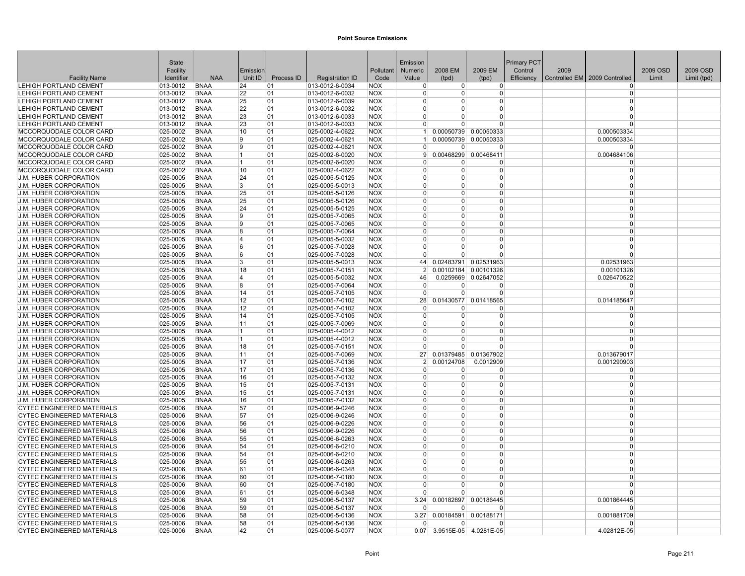|                                                         | <b>State</b>              |                            |                   |            |                                    |                          | Emission             |                      |                       | <b>Primary PCT</b> |      |                                 |          |             |
|---------------------------------------------------------|---------------------------|----------------------------|-------------------|------------|------------------------------------|--------------------------|----------------------|----------------------|-----------------------|--------------------|------|---------------------------------|----------|-------------|
|                                                         | Facility                  |                            | Emission          |            |                                    | Pollutant                | <b>Numeric</b>       | 2008 EM              | 2009 EM               | Control            | 2009 |                                 | 2009 OSD | 2009 OSD    |
| <b>Facility Name</b>                                    | Identifier                | <b>NAA</b>                 | Unit ID           | Process ID | <b>Registration ID</b>             | Code                     | Value                | (tpd)                | (tpd)                 | Efficiency         |      | Controlled EM   2009 Controlled | Limit    | Limit (tpd) |
| <b>LEHIGH PORTLAND CEMENT</b>                           | 013-0012                  | <b>BNAA</b>                | 24                | 01         | 013-0012-6-0034                    | <b>NOX</b>               | $\Omega$             | $\overline{0}$       | $\overline{0}$        |                    |      | $\Omega$                        |          |             |
| LEHIGH PORTLAND CEMENT                                  | 013-0012                  | <b>BNAA</b>                | 22                | 01         | 013-0012-6-0032                    | <b>NOX</b>               | $\Omega$             | $\Omega$             | 0                     |                    |      | $\Omega$                        |          |             |
| LEHIGH PORTLAND CEMENT                                  | 013-0012                  | <b>BNAA</b>                | 25                | 01         | 013-0012-6-0039                    | <b>NOX</b>               | $\Omega$             | $\Omega$<br>$\Omega$ | 0<br>0                |                    |      | $\Omega$<br>$\Omega$            |          |             |
| LEHIGH PORTLAND CEMENT<br>LEHIGH PORTLAND CEMENT        | 013-0012<br>$ 013 - 0012$ | <b>BNAA</b><br><b>BNAA</b> | 22<br>23          | 01<br>01   | 013-0012-6-0032<br>013-0012-6-0033 | <b>NOX</b><br><b>NOX</b> | $\Omega$<br>$\Omega$ | $\Omega$             | 0                     |                    |      | $\Omega$                        |          |             |
| LEHIGH PORTLAND CEMENT                                  | 013-0012                  | <b>BNAA</b>                | 23                | 01         | 013-0012-6-0033                    | <b>NOX</b>               | $\overline{0}$       | $\Omega$             | $\Omega$              |                    |      | $\Omega$                        |          |             |
| MCCORQUODALE COLOR CARD                                 | 025-0002                  | <b>BNAA</b>                | 10                | 01         | 025-0002-4-0622                    | <b>NOX</b>               | $\vert$ 1            |                      | 0.00050739 0.00050333 |                    |      | 0.000503334                     |          |             |
| MCCORQUODALE COLOR CARD                                 | 025-0002                  | <b>BNAA</b>                | 19                | 01         | 025-0002-4-0621                    | <b>NOX</b>               |                      | 0.00050739           | 0.00050333            |                    |      | 0.000503334                     |          |             |
| MCCORQUODALE COLOR CARD                                 | 025-0002                  | <b>BNAA</b>                | 9                 | 01         | 025-0002-4-0621                    | <b>NOX</b>               | $\Omega$             | $\Omega$             | $\Omega$              |                    |      | $\Omega$                        |          |             |
| MCCORQUODALE COLOR CARD                                 | 025-0002                  | <b>BNAA</b>                | 11                | 01         | 025-0002-6-0020                    | <b>NOX</b>               | 9                    | 0.00468299           | 0.00468411            |                    |      | 0.004684106                     |          |             |
| MCCORQUODALE COLOR CARD                                 | 025-0002                  | <b>BNAA</b>                | 11                | 01         | 025-0002-6-0020                    | <b>NOX</b>               | $\Omega$             | ŋ                    | O                     |                    |      | $\Omega$                        |          |             |
| MCCORQUODALE COLOR CARD                                 | $ 025 - 0002 $            | <b>BNAA</b>                | 10                | 01         | 025-0002-4-0622                    | <b>NOX</b>               | $\Omega$             | $\Omega$             | 0                     |                    |      | $\Omega$                        |          |             |
| <b>J.M. HUBER CORPORATION</b>                           | 025-0005                  | <b>BNAA</b>                | 24                | 01         | 025-0005-5-0125                    | <b>NOX</b>               | $\Omega$             | <sup>0</sup>         | 0                     |                    |      | $\Omega$                        |          |             |
| <b>J.M. HUBER CORPORATION</b>                           | 025-0005                  | <b>BNAA</b>                | 3                 | 01         | 025-0005-5-0013                    | <b>NOX</b>               | $\Omega$             | $\Omega$             | $\Omega$              |                    |      | $\Omega$                        |          |             |
| <b>J.M. HUBER CORPORATION</b>                           | 025-0005                  | <b>BNAA</b>                | 25                | 01         | 025-0005-5-0126                    | <b>NOX</b>               | $\Omega$             | $\Omega$             | 0                     |                    |      | $\Omega$                        |          |             |
| <b>J.M. HUBER CORPORATION</b>                           | $ 025 - 0005$             | <b>BNAA</b>                | 25                | 01         | 025-0005-5-0126                    | <b>NOX</b>               | $\Omega$             | 0                    | 0                     |                    |      | $\Omega$                        |          |             |
| J.M. HUBER CORPORATION                                  | 025-0005                  | <b>BNAA</b>                | 24                | 01         | 025-0005-5-0125                    | <b>NOX</b>               | $\Omega$             | $\Omega$             | 0                     |                    |      | $\Omega$                        |          |             |
| J.M. HUBER CORPORATION                                  | 025-0005                  | <b>BNAA</b>                | 9                 | 01         | 025-0005-7-0065                    | <b>NOX</b>               | $\Omega$             | $\Omega$             | $\Omega$              |                    |      | $\Omega$                        |          |             |
| <b>J.M. HUBER CORPORATION</b>                           | $ 025 - 0005$             | <b>BNAA</b>                | 19                | 01         | 025-0005-7-0065                    | <b>NOX</b>               | $\Omega$             | <sup>0</sup>         | 0                     |                    |      | $\Omega$                        |          |             |
| J.M. HUBER CORPORATION                                  | $ 025 - 0005$             | <b>BNAA</b>                | 8                 | 01         | 025-0005-7-0064                    | <b>NOX</b>               | $\Omega$             | $\Omega$             | 0                     |                    |      | $\Omega$                        |          |             |
| J.M. HUBER CORPORATION                                  | 025-0005                  | <b>BNAA</b>                | 14                | 01         | 025-0005-5-0032                    | <b>NOX</b>               | $\Omega$             | $\Omega$             | $\Omega$              |                    |      | $\Omega$                        |          |             |
| <b>J.M. HUBER CORPORATION</b>                           | 025-0005                  | <b>BNAA</b>                | 6                 | 01         | 025-0005-7-0028                    | <b>NOX</b>               | $\Omega$             | $\Omega$             | 0                     |                    |      | $\Omega$                        |          |             |
| J.M. HUBER CORPORATION                                  | $ 025 - 0005$             | <b>BNAA</b>                | 6                 | 01         | 025-0005-7-0028                    | <b>NOX</b>               | $\Omega$             | $\Omega$             | 0                     |                    |      | $\Omega$                        |          |             |
| J.M. HUBER CORPORATION                                  | 025-0005                  | <b>BNAA</b>                | 3                 | 01         | 025-0005-5-0013                    | <b>NOX</b>               | 44                   |                      | 0.02483791 0.02531963 |                    |      | 0.02531963                      |          |             |
| J.M. HUBER CORPORATION                                  | 025-0005                  | <b>BNAA</b>                | 18                | 01         | 025-0005-7-0151                    | <b>NOX</b>               | $\mathfrak{p}$       | 0.00102184           | 0.00101326            |                    |      | 0.00101326                      |          |             |
| <b>J.M. HUBER CORPORATION</b>                           | 025-0005                  | <b>BNAA</b>                | 14                | 01         | 025-0005-5-0032                    | <b>NOX</b>               | 46                   | 0.0259669            | 0.02647052            |                    |      | 0.026470522                     |          |             |
| <b>J.M. HUBER CORPORATION</b>                           | $ 025 - 0005$             | <b>BNAA</b>                | 8                 | 01         | 025-0005-7-0064                    | <b>NOX</b>               | $\Omega$             | $\Omega$             | 0                     |                    |      | 0                               |          |             |
| J.M. HUBER CORPORATION                                  | $ 025 - 0005$             | <b>BNAA</b>                | 14                | 01         | 025-0005-7-0105                    | <b>NOX</b>               | $\Omega$             | $\Omega$             | $\Omega$              |                    |      | $\Omega$                        |          |             |
| J.M. HUBER CORPORATION                                  | 025-0005                  | <b>BNAA</b>                | 12                | 01         | 025-0005-7-0102                    | <b>NOX</b>               | 28 <sup>2</sup>      |                      | 0.01430577 0.01418565 |                    |      | 0.014185647                     |          |             |
| <b>J.M. HUBER CORPORATION</b>                           | 025-0005                  | <b>BNAA</b>                | $12 \overline{ }$ | 01         | 025-0005-7-0102                    | <b>NOX</b>               | $\Omega$             | O                    | ŋ                     |                    |      | $\Omega$                        |          |             |
| J.M. HUBER CORPORATION                                  | 025-0005                  | <b>BNAA</b>                | 14                | 01         | 025-0005-7-0105                    | <b>NOX</b>               | $\Omega$             | $\Omega$             | 0                     |                    |      | $\Omega$                        |          |             |
| J.M. HUBER CORPORATION                                  | 025-0005                  | <b>BNAA</b>                | 11                | 01         | 025-0005-7-0069                    | <b>NOX</b>               | $\Omega$             | $\Omega$             | $\Omega$              |                    |      | $\Omega$                        |          |             |
| <b>J.M. HUBER CORPORATION</b>                           | 025-0005                  | <b>BNAA</b>                | $\vert$ 1         | 01         | 025-0005-4-0012                    | <b>NOX</b>               | $\Omega$             | $\Omega$             | 0                     |                    |      | $\Omega$                        |          |             |
| J.M. HUBER CORPORATION                                  | $ 025 - 0005$             | <b>BNAA</b>                | 11                | 01         | 025-0005-4-0012                    | <b>NOX</b>               | $\Omega$             | 0                    | 0                     |                    |      | $\Omega$                        |          |             |
| J.M. HUBER CORPORATION                                  | 025-0005                  | <b>BNAA</b>                | 18                | 01         | 025-0005-7-0151                    | <b>NOX</b>               | $\Omega$             | U                    | U                     |                    |      |                                 |          |             |
| J.M. HUBER CORPORATION                                  | $ 025 - 0005$             | <b>BNAA</b>                | 11                | 01         | 025-0005-7-0069                    | <b>NOX</b>               | 27 <sup>1</sup>      | 0.01379485           | 0.01367902            |                    |      | 0.013679017                     |          |             |
| J.M. HUBER CORPORATION                                  | $ 025 - 0005$             | <b>BNAA</b>                | 17                | 01         | 025-0005-7-0136                    | <b>NOX</b>               | $\mathcal{P}$        | 0.00124708           | 0.0012909             |                    |      | 0.001290903                     |          |             |
| <b>J.M. HUBER CORPORATION</b>                           | 025-0005                  | <b>BNAA</b>                | 17                | 01         | 025-0005-7-0136                    | <b>NOX</b>               | $\Omega$<br>$\Omega$ | $\Omega$<br>$\Omega$ | $\Omega$<br>$\Omega$  |                    |      | $\Omega$<br>$\Omega$            |          |             |
| J.M. HUBER CORPORATION<br><b>J.M. HUBER CORPORATION</b> | 025-0005<br>025-0005      | <b>BNAA</b><br><b>BNAA</b> | 16<br>15          | 01<br>01   | 025-0005-7-0132<br>025-0005-7-0131 | <b>NOX</b><br><b>NOX</b> | $\Omega$             | $\Omega$             | 0                     |                    |      | $\Omega$                        |          |             |
| J.M. HUBER CORPORATION                                  | $ 025 - 0005$             | <b>BNAA</b>                | 15                | 01         | 025-0005-7-0131                    | <b>NOX</b>               | $\Omega$             | 0                    | 0                     |                    |      | $\Omega$                        |          |             |
| J.M. HUBER CORPORATION                                  | 025-0005                  | <b>BNAA</b>                | 16                | 01         | 025-0005-7-0132                    | <b>NOX</b>               | $\Omega$             | 0                    | 0                     |                    |      | $\Omega$                        |          |             |
| <b>CYTEC ENGINEERED MATERIALS</b>                       | 025-0006                  | <b>BNAA</b>                | 57                | 01         | 025-0006-9-0246                    | <b>NOX</b>               | $\Omega$             | $\Omega$             | $\Omega$              |                    |      | $\Omega$                        |          |             |
| <b>CYTEC ENGINEERED MATERIALS</b>                       | 025-0006                  | <b>BNAA</b>                | 57                | 01         | 025-0006-9-0246                    | <b>NOX</b>               | $\Omega$             | <sup>0</sup>         | 0                     |                    |      | $\Omega$                        |          |             |
| <b>CYTEC ENGINEERED MATERIALS</b>                       | 025-0006                  | <b>BNAA</b>                | 56                | 01         | 025-0006-9-0226                    | <b>NOX</b>               | $\Omega$             | $\Omega$             | 0                     |                    |      | $\Omega$                        |          |             |
| <b>CYTEC ENGINEERED MATERIALS</b>                       | 025-0006                  | <b>BNAA</b>                | 56                | 01         | 025-0006-9-0226                    | <b>NOX</b>               | $\Omega$             | $\Omega$             | 0                     |                    |      | $\Omega$                        |          |             |
| <b>CYTEC ENGINEERED MATERIALS</b>                       | 025-0006                  | <b>BNAA</b>                | 55                | 01         | 025-0006-6-0263                    | <b>NOX</b>               | $\Omega$             | $\Omega$             | 0                     |                    |      | $\Omega$                        |          |             |
| <b>CYTEC ENGINEERED MATERIALS</b>                       | 025-0006                  | <b>BNAA</b>                | 54                | 01         | 025-0006-6-0210                    | <b>NOX</b>               | $\overline{0}$       | 0                    | 0                     |                    |      | $\Omega$                        |          |             |
| <b>CYTEC ENGINEERED MATERIALS</b>                       | 025-0006                  | <b>BNAA</b>                | 54                | 01         | 025-0006-6-0210                    | <b>NOX</b>               | $\Omega$             | 0                    | 0                     |                    |      | $\Omega$                        |          |             |
| <b>CYTEC ENGINEERED MATERIALS</b>                       | 025-0006                  | <b>BNAA</b>                | 55                | 01         | 025-0006-6-0263                    | <b>NOX</b>               | $\Omega$             | $\Omega$             | $\Omega$              |                    |      | $\Omega$                        |          |             |
| <b>CYTEC ENGINEERED MATERIALS</b>                       | 025-0006                  | <b>BNAA</b>                | 61                | 01         | 025-0006-6-0348                    | <b>NOX</b>               | $\Omega$             | $\Omega$             | 0                     |                    |      | $\Omega$                        |          |             |
| <b>CYTEC ENGINEERED MATERIALS</b>                       | 025-0006                  | <b>BNAA</b>                | 60                | 01         | 025-0006-7-0180                    | <b>NOX</b>               | n                    | <sup>0</sup>         | 0                     |                    |      | $\Omega$                        |          |             |
| <b>CYTEC ENGINEERED MATERIALS</b>                       | 025-0006                  | <b>BNAA</b>                | 60                | 01         | 025-0006-7-0180                    | <b>NOX</b>               | $\Omega$             | $\Omega$             | 0                     |                    |      | $\Omega$                        |          |             |
| <b>CYTEC ENGINEERED MATERIALS</b>                       | 025-0006                  | <b>BNAA</b>                | 61                | 01         | 025-0006-6-0348                    | <b>NOX</b>               | $\Omega$             | $\Omega$             | 0                     |                    |      | $\Omega$                        |          |             |
| <b>CYTEC ENGINEERED MATERIALS</b>                       | 025-0006                  | <b>BNAA</b>                | 59                | 01         | 025-0006-5-0137                    | <b>NOX</b>               | 3.24                 | 0.00182897           | 0.00186445            |                    |      | 0.001864445                     |          |             |
| <b>CYTEC ENGINEERED MATERIALS</b>                       | 025-0006                  | <b>BNAA</b>                | 59                | 01         | 025-0006-5-0137                    | <b>NOX</b>               | $\Omega$             | n                    | O                     |                    |      | $\Omega$                        |          |             |
| <b>CYTEC ENGINEERED MATERIALS</b>                       | 025-0006                  | <b>BNAA</b>                | 58                | 01         | 025-0006-5-0136                    | <b>NOX</b>               | 3.27                 |                      | 0.00184591 0.00188171 |                    |      | 0.001881709                     |          |             |
| <b>CYTEC ENGINEERED MATERIALS</b>                       | 025-0006                  | <b>BNAA</b>                | 58                | 01         | 025-0006-5-0136                    | <b>NOX</b>               |                      | $\Omega$             | 0                     |                    |      | $\Omega$                        |          |             |
| <b>CYTEC ENGINEERED MATERIALS</b>                       | 025-0006                  | <b>BNAA</b>                | 42                | 01         | 025-0006-5-0077                    | <b>NOX</b>               | 0.07                 |                      | 3.9515E-05 4.0281E-05 |                    |      | 4.02812E-05                     |          |             |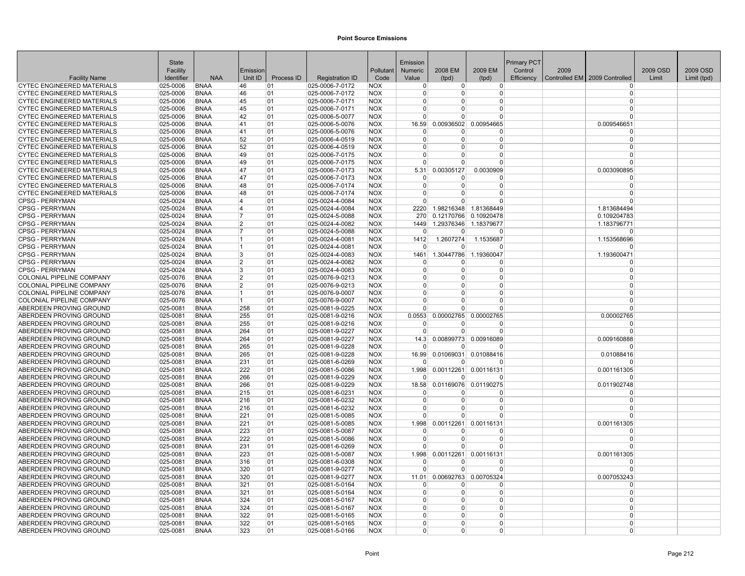| 2009 EM<br>2009 OSD<br>2009 OSD<br>Facility<br>Emission<br>Pollutant<br>Numeric<br>2008 EM<br>Control<br>2009<br><b>NAA</b><br>Unit ID<br>Process ID<br>Controlled EM 2009 Controlled<br><b>Facility Name</b><br>Identifier<br><b>Registration ID</b><br>Code<br>Value<br>(tpd)<br>(tpd)<br>Efficiency<br>Limit<br>Limit (tpd)<br><b>CYTEC ENGINEERED MATERIALS</b><br>025-0006<br>025-0006-7-0172<br><b>NOX</b><br><b>BNAA</b><br>46<br>01<br>$\Omega$<br>$\overline{0}$<br>$\Omega$<br>0<br><b>CYTEC ENGINEERED MATERIALS</b><br>025-0006<br><b>BNAA</b><br>46<br>01<br>025-0006-7-0172<br>NOX<br>$\Omega$<br>0<br>0<br>$\Omega$<br><b>CYTEC ENGINEERED MATERIALS</b><br>025-0006<br><b>BNAA</b><br><b>NOX</b><br>$\mathbf 0$<br>45<br>01<br>025-0006-7-0171<br>0<br>0<br>0<br><b>CYTEC ENGINEERED MATERIALS</b><br>025-0006<br><b>BNAA</b><br>45<br>01<br><b>NOX</b><br>$\Omega$<br>025-0006-7-0171<br>0<br>0<br>$\mathbf 0$<br><b>CYTEC ENGINEERED MATERIALS</b><br><b>BNAA</b><br>42<br>025-0006<br>01<br>025-0006-5-0077<br><b>NOX</b><br>U<br>U<br>$\Omega$<br>$\Omega$<br>0.00936502<br>CYTEC ENGINEERED MATERIALS<br>025-0006<br><b>BNAA</b><br>41<br>01<br>025-0006-5-0076<br><b>NOX</b><br>16.59<br>0.00954665<br>0.009546651<br><b>NOX</b><br><b>CYTEC ENGINEERED MATERIALS</b><br>025-0006<br><b>BNAA</b><br>41<br>01<br>025-0006-5-0076<br>$\Omega$<br>$\mathbf 0$<br>$\Omega$<br>0<br><b>CYTEC ENGINEERED MATERIALS</b><br>025-0006<br><b>BNAA</b><br>52<br>01<br>025-0006-4-0519<br><b>NOX</b><br>$\Omega$<br>$\Omega$<br>$\Omega$<br>O<br><b>CYTEC ENGINEERED MATERIALS</b><br>025-0006<br><b>BNAA</b><br>52<br>01<br>025-0006-4-0519<br><b>NOX</b><br>$\Omega$<br>$\Omega$<br>ŋ<br>O<br><b>BNAA</b><br>49<br>01<br>025-0006-7-0175<br><b>NOX</b><br>$\Omega$<br><b>CYTEC ENGINEERED MATERIALS</b><br>025-0006<br>$\Omega$<br>0<br>$\mathbf 0$<br><b>CYTEC ENGINEERED MATERIALS</b><br>025-0006<br><b>BNAA</b><br>49<br>01<br>025-0006-7-0175<br><b>NOX</b><br>$\Omega$<br>$\Omega$<br>$\Omega$<br>$\Omega$<br><b>CYTEC ENGINEERED MATERIALS</b><br><b>BNAA</b><br>47<br>025-0006-7-0173<br><b>NOX</b><br>0.00305127<br>0.0030909<br>0.003090895<br>025-0006<br>01<br>5.31<br><b>CYTEC ENGINEERED MATERIALS</b><br>025-0006<br><b>BNAA</b><br>47<br>01<br>025-0006-7-0173<br>NOX<br>$\Omega$<br>$\Omega$<br>0<br>$\Omega$<br>CYTEC ENGINEERED MATERIALS<br><b>NOX</b><br>$\Omega$<br>$\Omega$<br>025-0006<br><b>BNAA</b><br>48<br>01<br>025-0006-7-0174<br>U<br>O<br>CYTEC ENGINEERED MATERIALS<br>48<br>025-0006<br><b>BNAA</b><br>01<br>025-0006-7-0174<br><b>NOX</b><br>0<br>$\Omega$<br>$\Omega$<br>$\Omega$<br><b>CPSG - PERRYMAN</b><br>025-0024<br><b>BNAA</b><br>4<br>01<br>025-0024-4-0084<br><b>NOX</b><br>0<br>$\Omega$<br>$\Omega$<br>$\Omega$<br><b>CPSG - PERRYMAN</b><br>025-0024<br><b>BNAA</b><br>$\overline{4}$<br>01<br>025-0024-4-0084<br><b>NOX</b><br>2220<br>1.98216348 1.81368449<br>1.813684494<br><b>CPSG - PERRYMAN</b><br><b>NOX</b><br>025-0024<br><b>BNAA</b><br>01<br>025-0024-5-0088<br>270<br>0.12170766<br>0.10920478<br>0.109204783<br>7<br><b>CPSG - PERRYMAN</b><br>025-0024<br><b>BNAA</b><br>025-0024-4-0082<br><b>NOX</b><br>1449<br>1.29376346<br>1.18379677<br>1.183796771<br>2<br>01<br><b>CPSG - PERRYMAN</b><br>$ 025 - 0024$<br><b>BNAA</b><br>7<br>01<br>025-0024-5-0088<br><b>NOX</b><br>0<br>0<br>$\Omega$<br>$\Omega$<br><b>CPSG - PERRYMAN</b><br>025-0024<br><b>BNAA</b><br>01<br>025-0024-4-0081<br><b>NOX</b><br>1412<br>1.2607274<br>1.1535687<br>1.153568696<br>1<br><b>CPSG - PERRYMAN</b><br>025-0024<br><b>BNAA</b><br>01<br>025-0024-4-0081<br><b>NOX</b><br>$\mathbf{1}$<br>$\Omega$<br>$\Omega$<br>$\Omega$<br>$\Omega$<br><b>CPSG - PERRYMAN</b><br>025-0024<br><b>BNAA</b><br>3<br>01<br>025-0024-4-0083<br><b>NOX</b><br>1461<br>1.30447786<br>1.19360047<br>1.193600471<br><b>CPSG - PERRYMAN</b><br>025-0024<br><b>BNAA</b><br>01<br>$ 025 - 0024 - 4 - 0082$<br><b>NOX</b><br>2<br>$\Omega$<br>$\Omega$<br>$\Omega$<br>O<br>CPSG - PERRYMAN<br>025-0024<br>025-0024-4-0083<br><b>NOX</b><br>$\Omega$<br>$\Omega$<br><b>BNAA</b><br>3<br>01<br>$\Omega$<br>$\Omega$<br>COLONIAL PIPELINE COMPANY<br>025-0076<br><b>BNAA</b><br>$\overline{2}$<br>01<br>025-0076-9-0213<br><b>NOX</b><br>0<br>$\Omega$<br>$\Omega$<br>$\Omega$<br>$\Omega$<br>COLONIAL PIPELINE COMPANY<br>025-0076<br><b>BNAA</b><br>2<br>01<br>025-0076-9-0213<br><b>NOX</b><br>$\Omega$<br>0<br>0<br>$\Omega$<br>$\Omega$<br>COLONIAL PIPELINE COMPANY<br>025-0076<br><b>BNAA</b><br>$\mathbf{1}$<br>01<br>025-0076-9-0007<br><b>NOX</b><br>$\Omega$<br>0<br>COLONIAL PIPELINE COMPANY<br>025-0076<br><b>BNAA</b><br>01<br>025-0076-9-0007<br><b>NOX</b><br>$\Omega$<br>$\Omega$<br>$\Omega$<br>$\mathbf 1$<br>$\Omega$<br><b>ABERDEEN PROVING GROUND</b><br>025-0081<br><b>BNAA</b><br>025-0081-9-0225<br><b>NOX</b><br>258<br>01<br>$\Omega$<br>$\Omega$<br>$\Omega$<br>ABERDEEN PROVING GROUND<br>0.0553<br>0.00002765<br>0.00002765<br>0.00002765<br>$ 025 - 0081$<br><b>BNAA</b><br>255<br>01<br>025-0081-9-0216<br><b>NOX</b><br>ABERDEEN PROVING GROUND<br>025-0081<br><b>BNAA</b><br>255<br>01<br>025-0081-9-0216<br><b>NOX</b><br>$\Omega$<br>$\mathbf 0$<br>n<br>U<br>ABERDEEN PROVING GROUND<br>025-0081-9-0227<br>025-0081<br><b>BNAA</b><br>264<br>01<br><b>NOX</b><br>U<br>U<br>$\Omega$<br>$\Omega$<br>ABERDEEN PROVING GROUND<br>$ 025 - 0081$<br><b>BNAA</b><br>264<br>01<br>025-0081-9-0227<br><b>NOX</b><br>0.00899773<br>0.00916089<br>0.009160888<br>14.3<br><b>NOX</b><br>ABERDEEN PROVING GROUND<br>025-0081<br><b>BNAA</b><br>265<br>01<br>025-0081-9-0228<br>n<br>n<br>n<br>O<br><b>ABERDEEN PROVING GROUND</b><br>025-0081<br><b>BNAA</b><br>265<br>01<br>025-0081-9-0228<br><b>NOX</b><br>16.99<br>0.01069031<br>0.01088416<br>0.01088416<br>ABERDEEN PROVING GROUND<br>025-0081<br><b>BNAA</b><br>231<br>01<br>025-0081-6-0269<br><b>NOX</b><br>0<br>$\Omega$<br>$\Omega$<br>$\Omega$<br><b>ABERDEEN PROVING GROUND</b><br><b>NOX</b><br>1.998<br>0.00112261<br>0.00116131<br>0.001161305<br>$ 025 - 0081$<br><b>BNAA</b><br>222<br>01<br>025-0081-5-0086<br>ABERDEEN PROVING GROUND<br>025-0081<br><b>BNAA</b><br>01<br>025-0081-9-0229<br><b>NOX</b><br>266<br>0<br>$\Omega$<br>$\Omega$<br>$\Omega$<br><b>ABERDEEN PROVING GROUND</b><br><b>BNAA</b><br>266<br>025-0081-9-0229<br><b>NOX</b><br>0.01169076<br>0.01190275<br>$ 025 - 0081$<br>01<br>18.58<br>0.011902748<br>ABERDEEN PROVING GROUND<br>$ 025 - 0081$<br><b>BNAA</b><br>215<br>01<br>025-0081-6-0231<br><b>NOX</b><br>$\Omega$<br>0<br>0<br>$\Omega$<br>ABERDEEN PROVING GROUND<br>025-0081-6-0232<br><b>NOX</b><br>$\mathbf 0$<br>$ 025 - 0081$<br><b>BNAA</b><br>216<br>01<br>0<br>0<br>O<br>ABERDEEN PROVING GROUND<br>025-0081<br><b>BNAA</b><br>01<br>025-0081-6-0232<br><b>NOX</b><br>$\Omega$<br>$\mathbf 0$<br>216<br>U<br>$\Omega$<br>ABERDEEN PROVING GROUND<br>025-0081<br><b>BNAA</b><br>221<br>025-0081-5-0085<br><b>NOX</b><br>$\Omega$<br>$\Omega$<br>01<br>0<br>$\Omega$<br>ABERDEEN PROVING GROUND<br>025-0081<br><b>BNAA</b><br>221<br>01<br>025-0081-5-0085<br><b>NOX</b><br>1.998<br>0.00112261<br>0.00116131<br>0.001161305<br><b>NOX</b><br>ABERDEEN PROVING GROUND<br>025-0081<br><b>BNAA</b><br>223<br>01<br>025-0081-5-0087<br>$\mathbf 0$<br>$\Omega$<br>$\Omega$<br>0<br><b>ABERDEEN PROVING GROUND</b><br>025-0081<br><b>BNAA</b><br>222<br>01<br>025-0081-5-0086<br><b>NOX</b><br>$\Omega$<br>$\Omega$<br>$\Omega$<br>$\Omega$<br>ABERDEEN PROVING GROUND<br>$ 025 - 0081$<br><b>BNAA</b><br>231<br>01<br>025-0081-6-0269<br><b>NOX</b><br>0<br>0<br>$\Omega$<br>$\mathbf 0$<br>ABERDEEN PROVING GROUND<br>025-0081<br><b>BNAA</b><br>223<br>01<br>025-0081-5-0087<br><b>NOX</b><br>1.998<br>0.00112261<br>0.00116131<br>0.001161305<br>ABERDEEN PROVING GROUND<br>025-0081<br><b>BNAA</b><br>316<br>01<br>025-0081-6-0308<br><b>NOX</b><br>U<br>$\Omega$<br>$\Omega$<br>$\Omega$<br><b>ABERDEEN PROVING GROUND</b><br><b>BNAA</b><br>320<br><b>NOX</b><br>$ 025 - 0081$<br>01<br>025-0081-9-0277<br>U<br>0<br>$\Omega$<br>$\Omega$<br>11.01 0.00692763<br>ABERDEEN PROVING GROUND<br>01<br>025-0081-9-0277<br><b>NOX</b><br>0.00705324<br>0.007053243<br>$ 025 - 0081$<br>BNAA<br>320<br>ABERDEEN PROVING GROUND<br>321<br><b>NOX</b><br>$ 025 - 0081$<br><b>BNAA</b><br>01<br>025-0081-5-0164<br>$\Omega$<br>$\Omega$<br>$\Omega$<br><sup>0</sup><br>ABERDEEN PROVING GROUND<br>025-0081<br><b>BNAA</b><br>321<br>01<br>025-0081-5-0164<br><b>NOX</b><br>0<br>$\Omega$<br>$\Omega$<br>$\Omega$<br><b>ABERDEEN PROVING GROUND</b><br>025-0081<br><b>BNAA</b><br>324<br>025-0081-5-0167<br><b>NOX</b><br>$\Omega$<br>$\Omega$<br>01<br>0<br><sup>0</sup><br>ABERDEEN PROVING GROUND<br>324<br><b>NOX</b><br>$\Omega$<br>$\Omega$<br>$\Omega$<br>025-0081<br><b>BNAA</b><br>01<br>025-0081-5-0167<br>0<br>ABERDEEN PROVING GROUND<br>025-0081<br><b>BNAA</b><br>322<br>01<br>025-0081-5-0165<br><b>NOX</b><br>$\Omega$<br>$\Omega$<br>0<br>$\Omega$<br>ABERDEEN PROVING GROUND<br><b>BNAA</b><br>322<br>025-0081-5-0165<br><b>NOX</b><br>025-0081<br>01<br>0<br>$\Omega$<br>$\Omega$<br>$\Omega$<br>$\Omega$<br>ABERDEEN PROVING GROUND<br>$ 025 - 0081$<br><b>BNAA</b><br>323<br>01<br>025-0081-5-0166<br><b>NOX</b><br>0<br>0<br>$\Omega$ | <b>State</b> |  |  | Emission |  | Primary PCT |  |  |
|----------------------------------------------------------------------------------------------------------------------------------------------------------------------------------------------------------------------------------------------------------------------------------------------------------------------------------------------------------------------------------------------------------------------------------------------------------------------------------------------------------------------------------------------------------------------------------------------------------------------------------------------------------------------------------------------------------------------------------------------------------------------------------------------------------------------------------------------------------------------------------------------------------------------------------------------------------------------------------------------------------------------------------------------------------------------------------------------------------------------------------------------------------------------------------------------------------------------------------------------------------------------------------------------------------------------------------------------------------------------------------------------------------------------------------------------------------------------------------------------------------------------------------------------------------------------------------------------------------------------------------------------------------------------------------------------------------------------------------------------------------------------------------------------------------------------------------------------------------------------------------------------------------------------------------------------------------------------------------------------------------------------------------------------------------------------------------------------------------------------------------------------------------------------------------------------------------------------------------------------------------------------------------------------------------------------------------------------------------------------------------------------------------------------------------------------------------------------------------------------------------------------------------------------------------------------------------------------------------------------------------------------------------------------------------------------------------------------------------------------------------------------------------------------------------------------------------------------------------------------------------------------------------------------------------------------------------------------------------------------------------------------------------------------------------------------------------------------------------------------------------------------------------------------------------------------------------------------------------------------------------------------------------------------------------------------------------------------------------------------------------------------------------------------------------------------------------------------------------------------------------------------------------------------------------------------------------------------------------------------------------------------------------------------------------------------------------------------------------------------------------------------------------------------------------------------------------------------------------------------------------------------------------------------------------------------------------------------------------------------------------------------------------------------------------------------------------------------------------------------------------------------------------------------------------------------------------------------------------------------------------------------------------------------------------------------------------------------------------------------------------------------------------------------------------------------------------------------------------------------------------------------------------------------------------------------------------------------------------------------------------------------------------------------------------------------------------------------------------------------------------------------------------------------------------------------------------------------------------------------------------------------------------------------------------------------------------------------------------------------------------------------------------------------------------------------------------------------------------------------------------------------------------------------------------------------------------------------------------------------------------------------------------------------------------------------------------------------------------------------------------------------------------------------------------------------------------------------------------------------------------------------------------------------------------------------------------------------------------------------------------------------------------------------------------------------------------------------------------------------------------------------------------------------------------------------------------------------------------------------------------------------------------------------------------------------------------------------------------------------------------------------------------------------------------------------------------------------------------------------------------------------------------------------------------------------------------------------------------------------------------------------------------------------------------------------------------------------------------------------------------------------------------------------------------------------------------------------------------------------------------------------------------------------------------------------------------------------------------------------------------------------------------------------------------------------------------------------------------------------------------------------------------------------------------------------------------------------------------------------------------------------------------------------------------------------------------------------------------------------------------------------------------------------------------------------------------------------------------------------------------------------------------------------------------------------------------------------------------------------------------------------------------------------------------------------------------------------------------------------------------------------------------------------------------------------------------------------------------------------------------------------------------------------------------------------------------------------------------------------------------------------------------------------------------------------------------------------------------------------------------------------------------------------------------------------------------------------------------------------------------------------------------------------------------------------------------------------------------------------------------------------------------------------------------------------------------------------------------------------------------------------------------------------------------------------------------------------------------------------------------------------------------------------------------------------------------------------------------------------------------------------------------------------------------------------------------------------------------------------------------------------------------------------------------------------------------------------------------------------------------------------------------------------------------------------------------------------------------------------------------------------------------------------------------------------------------------------------------------------------------------------------------------------------------------------------------------------------------------------------------------------------------------------------------------------------------------------------------------------------------------------------------------------------------------------------------------------------------------------------------------------------------------------------------------------------|--------------|--|--|----------|--|-------------|--|--|
|                                                                                                                                                                                                                                                                                                                                                                                                                                                                                                                                                                                                                                                                                                                                                                                                                                                                                                                                                                                                                                                                                                                                                                                                                                                                                                                                                                                                                                                                                                                                                                                                                                                                                                                                                                                                                                                                                                                                                                                                                                                                                                                                                                                                                                                                                                                                                                                                                                                                                                                                                                                                                                                                                                                                                                                                                                                                                                                                                                                                                                                                                                                                                                                                                                                                                                                                                                                                                                                                                                                                                                                                                                                                                                                                                                                                                                                                                                                                                                                                                                                                                                                                                                                                                                                                                                                                                                                                                                                                                                                                                                                                                                                                                                                                                                                                                                                                                                                                                                                                                                                                                                                                                                                                                                                                                                                                                                                                                                                                                                                                                                                                                                                                                                                                                                                                                                                                                                                                                                                                                                                                                                                                                                                                                                                                                                                                                                                                                                                                                                                                                                                                                                                                                                                                                                                                                                                                                                                                                                                                                                                                                                                                                                                                                                                                                                                                                                                                                                                                                                                                                                                                                                                                                                                                                                                                                                                                                                                                                                                                                                                                                                                                                                                                                                                                                                                                                                                                                                                                                                                                                                                                                                                                                                                                                                                                                                                                                                                                                                                                                                                                                                                                                                                                                                                                                                                            |              |  |  |          |  |             |  |  |
|                                                                                                                                                                                                                                                                                                                                                                                                                                                                                                                                                                                                                                                                                                                                                                                                                                                                                                                                                                                                                                                                                                                                                                                                                                                                                                                                                                                                                                                                                                                                                                                                                                                                                                                                                                                                                                                                                                                                                                                                                                                                                                                                                                                                                                                                                                                                                                                                                                                                                                                                                                                                                                                                                                                                                                                                                                                                                                                                                                                                                                                                                                                                                                                                                                                                                                                                                                                                                                                                                                                                                                                                                                                                                                                                                                                                                                                                                                                                                                                                                                                                                                                                                                                                                                                                                                                                                                                                                                                                                                                                                                                                                                                                                                                                                                                                                                                                                                                                                                                                                                                                                                                                                                                                                                                                                                                                                                                                                                                                                                                                                                                                                                                                                                                                                                                                                                                                                                                                                                                                                                                                                                                                                                                                                                                                                                                                                                                                                                                                                                                                                                                                                                                                                                                                                                                                                                                                                                                                                                                                                                                                                                                                                                                                                                                                                                                                                                                                                                                                                                                                                                                                                                                                                                                                                                                                                                                                                                                                                                                                                                                                                                                                                                                                                                                                                                                                                                                                                                                                                                                                                                                                                                                                                                                                                                                                                                                                                                                                                                                                                                                                                                                                                                                                                                                                                                                            |              |  |  |          |  |             |  |  |
|                                                                                                                                                                                                                                                                                                                                                                                                                                                                                                                                                                                                                                                                                                                                                                                                                                                                                                                                                                                                                                                                                                                                                                                                                                                                                                                                                                                                                                                                                                                                                                                                                                                                                                                                                                                                                                                                                                                                                                                                                                                                                                                                                                                                                                                                                                                                                                                                                                                                                                                                                                                                                                                                                                                                                                                                                                                                                                                                                                                                                                                                                                                                                                                                                                                                                                                                                                                                                                                                                                                                                                                                                                                                                                                                                                                                                                                                                                                                                                                                                                                                                                                                                                                                                                                                                                                                                                                                                                                                                                                                                                                                                                                                                                                                                                                                                                                                                                                                                                                                                                                                                                                                                                                                                                                                                                                                                                                                                                                                                                                                                                                                                                                                                                                                                                                                                                                                                                                                                                                                                                                                                                                                                                                                                                                                                                                                                                                                                                                                                                                                                                                                                                                                                                                                                                                                                                                                                                                                                                                                                                                                                                                                                                                                                                                                                                                                                                                                                                                                                                                                                                                                                                                                                                                                                                                                                                                                                                                                                                                                                                                                                                                                                                                                                                                                                                                                                                                                                                                                                                                                                                                                                                                                                                                                                                                                                                                                                                                                                                                                                                                                                                                                                                                                                                                                                                                            |              |  |  |          |  |             |  |  |
|                                                                                                                                                                                                                                                                                                                                                                                                                                                                                                                                                                                                                                                                                                                                                                                                                                                                                                                                                                                                                                                                                                                                                                                                                                                                                                                                                                                                                                                                                                                                                                                                                                                                                                                                                                                                                                                                                                                                                                                                                                                                                                                                                                                                                                                                                                                                                                                                                                                                                                                                                                                                                                                                                                                                                                                                                                                                                                                                                                                                                                                                                                                                                                                                                                                                                                                                                                                                                                                                                                                                                                                                                                                                                                                                                                                                                                                                                                                                                                                                                                                                                                                                                                                                                                                                                                                                                                                                                                                                                                                                                                                                                                                                                                                                                                                                                                                                                                                                                                                                                                                                                                                                                                                                                                                                                                                                                                                                                                                                                                                                                                                                                                                                                                                                                                                                                                                                                                                                                                                                                                                                                                                                                                                                                                                                                                                                                                                                                                                                                                                                                                                                                                                                                                                                                                                                                                                                                                                                                                                                                                                                                                                                                                                                                                                                                                                                                                                                                                                                                                                                                                                                                                                                                                                                                                                                                                                                                                                                                                                                                                                                                                                                                                                                                                                                                                                                                                                                                                                                                                                                                                                                                                                                                                                                                                                                                                                                                                                                                                                                                                                                                                                                                                                                                                                                                                                            |              |  |  |          |  |             |  |  |
|                                                                                                                                                                                                                                                                                                                                                                                                                                                                                                                                                                                                                                                                                                                                                                                                                                                                                                                                                                                                                                                                                                                                                                                                                                                                                                                                                                                                                                                                                                                                                                                                                                                                                                                                                                                                                                                                                                                                                                                                                                                                                                                                                                                                                                                                                                                                                                                                                                                                                                                                                                                                                                                                                                                                                                                                                                                                                                                                                                                                                                                                                                                                                                                                                                                                                                                                                                                                                                                                                                                                                                                                                                                                                                                                                                                                                                                                                                                                                                                                                                                                                                                                                                                                                                                                                                                                                                                                                                                                                                                                                                                                                                                                                                                                                                                                                                                                                                                                                                                                                                                                                                                                                                                                                                                                                                                                                                                                                                                                                                                                                                                                                                                                                                                                                                                                                                                                                                                                                                                                                                                                                                                                                                                                                                                                                                                                                                                                                                                                                                                                                                                                                                                                                                                                                                                                                                                                                                                                                                                                                                                                                                                                                                                                                                                                                                                                                                                                                                                                                                                                                                                                                                                                                                                                                                                                                                                                                                                                                                                                                                                                                                                                                                                                                                                                                                                                                                                                                                                                                                                                                                                                                                                                                                                                                                                                                                                                                                                                                                                                                                                                                                                                                                                                                                                                                                                            |              |  |  |          |  |             |  |  |
|                                                                                                                                                                                                                                                                                                                                                                                                                                                                                                                                                                                                                                                                                                                                                                                                                                                                                                                                                                                                                                                                                                                                                                                                                                                                                                                                                                                                                                                                                                                                                                                                                                                                                                                                                                                                                                                                                                                                                                                                                                                                                                                                                                                                                                                                                                                                                                                                                                                                                                                                                                                                                                                                                                                                                                                                                                                                                                                                                                                                                                                                                                                                                                                                                                                                                                                                                                                                                                                                                                                                                                                                                                                                                                                                                                                                                                                                                                                                                                                                                                                                                                                                                                                                                                                                                                                                                                                                                                                                                                                                                                                                                                                                                                                                                                                                                                                                                                                                                                                                                                                                                                                                                                                                                                                                                                                                                                                                                                                                                                                                                                                                                                                                                                                                                                                                                                                                                                                                                                                                                                                                                                                                                                                                                                                                                                                                                                                                                                                                                                                                                                                                                                                                                                                                                                                                                                                                                                                                                                                                                                                                                                                                                                                                                                                                                                                                                                                                                                                                                                                                                                                                                                                                                                                                                                                                                                                                                                                                                                                                                                                                                                                                                                                                                                                                                                                                                                                                                                                                                                                                                                                                                                                                                                                                                                                                                                                                                                                                                                                                                                                                                                                                                                                                                                                                                                                            |              |  |  |          |  |             |  |  |
|                                                                                                                                                                                                                                                                                                                                                                                                                                                                                                                                                                                                                                                                                                                                                                                                                                                                                                                                                                                                                                                                                                                                                                                                                                                                                                                                                                                                                                                                                                                                                                                                                                                                                                                                                                                                                                                                                                                                                                                                                                                                                                                                                                                                                                                                                                                                                                                                                                                                                                                                                                                                                                                                                                                                                                                                                                                                                                                                                                                                                                                                                                                                                                                                                                                                                                                                                                                                                                                                                                                                                                                                                                                                                                                                                                                                                                                                                                                                                                                                                                                                                                                                                                                                                                                                                                                                                                                                                                                                                                                                                                                                                                                                                                                                                                                                                                                                                                                                                                                                                                                                                                                                                                                                                                                                                                                                                                                                                                                                                                                                                                                                                                                                                                                                                                                                                                                                                                                                                                                                                                                                                                                                                                                                                                                                                                                                                                                                                                                                                                                                                                                                                                                                                                                                                                                                                                                                                                                                                                                                                                                                                                                                                                                                                                                                                                                                                                                                                                                                                                                                                                                                                                                                                                                                                                                                                                                                                                                                                                                                                                                                                                                                                                                                                                                                                                                                                                                                                                                                                                                                                                                                                                                                                                                                                                                                                                                                                                                                                                                                                                                                                                                                                                                                                                                                                                                            |              |  |  |          |  |             |  |  |
|                                                                                                                                                                                                                                                                                                                                                                                                                                                                                                                                                                                                                                                                                                                                                                                                                                                                                                                                                                                                                                                                                                                                                                                                                                                                                                                                                                                                                                                                                                                                                                                                                                                                                                                                                                                                                                                                                                                                                                                                                                                                                                                                                                                                                                                                                                                                                                                                                                                                                                                                                                                                                                                                                                                                                                                                                                                                                                                                                                                                                                                                                                                                                                                                                                                                                                                                                                                                                                                                                                                                                                                                                                                                                                                                                                                                                                                                                                                                                                                                                                                                                                                                                                                                                                                                                                                                                                                                                                                                                                                                                                                                                                                                                                                                                                                                                                                                                                                                                                                                                                                                                                                                                                                                                                                                                                                                                                                                                                                                                                                                                                                                                                                                                                                                                                                                                                                                                                                                                                                                                                                                                                                                                                                                                                                                                                                                                                                                                                                                                                                                                                                                                                                                                                                                                                                                                                                                                                                                                                                                                                                                                                                                                                                                                                                                                                                                                                                                                                                                                                                                                                                                                                                                                                                                                                                                                                                                                                                                                                                                                                                                                                                                                                                                                                                                                                                                                                                                                                                                                                                                                                                                                                                                                                                                                                                                                                                                                                                                                                                                                                                                                                                                                                                                                                                                                                                            |              |  |  |          |  |             |  |  |
|                                                                                                                                                                                                                                                                                                                                                                                                                                                                                                                                                                                                                                                                                                                                                                                                                                                                                                                                                                                                                                                                                                                                                                                                                                                                                                                                                                                                                                                                                                                                                                                                                                                                                                                                                                                                                                                                                                                                                                                                                                                                                                                                                                                                                                                                                                                                                                                                                                                                                                                                                                                                                                                                                                                                                                                                                                                                                                                                                                                                                                                                                                                                                                                                                                                                                                                                                                                                                                                                                                                                                                                                                                                                                                                                                                                                                                                                                                                                                                                                                                                                                                                                                                                                                                                                                                                                                                                                                                                                                                                                                                                                                                                                                                                                                                                                                                                                                                                                                                                                                                                                                                                                                                                                                                                                                                                                                                                                                                                                                                                                                                                                                                                                                                                                                                                                                                                                                                                                                                                                                                                                                                                                                                                                                                                                                                                                                                                                                                                                                                                                                                                                                                                                                                                                                                                                                                                                                                                                                                                                                                                                                                                                                                                                                                                                                                                                                                                                                                                                                                                                                                                                                                                                                                                                                                                                                                                                                                                                                                                                                                                                                                                                                                                                                                                                                                                                                                                                                                                                                                                                                                                                                                                                                                                                                                                                                                                                                                                                                                                                                                                                                                                                                                                                                                                                                                                            |              |  |  |          |  |             |  |  |
|                                                                                                                                                                                                                                                                                                                                                                                                                                                                                                                                                                                                                                                                                                                                                                                                                                                                                                                                                                                                                                                                                                                                                                                                                                                                                                                                                                                                                                                                                                                                                                                                                                                                                                                                                                                                                                                                                                                                                                                                                                                                                                                                                                                                                                                                                                                                                                                                                                                                                                                                                                                                                                                                                                                                                                                                                                                                                                                                                                                                                                                                                                                                                                                                                                                                                                                                                                                                                                                                                                                                                                                                                                                                                                                                                                                                                                                                                                                                                                                                                                                                                                                                                                                                                                                                                                                                                                                                                                                                                                                                                                                                                                                                                                                                                                                                                                                                                                                                                                                                                                                                                                                                                                                                                                                                                                                                                                                                                                                                                                                                                                                                                                                                                                                                                                                                                                                                                                                                                                                                                                                                                                                                                                                                                                                                                                                                                                                                                                                                                                                                                                                                                                                                                                                                                                                                                                                                                                                                                                                                                                                                                                                                                                                                                                                                                                                                                                                                                                                                                                                                                                                                                                                                                                                                                                                                                                                                                                                                                                                                                                                                                                                                                                                                                                                                                                                                                                                                                                                                                                                                                                                                                                                                                                                                                                                                                                                                                                                                                                                                                                                                                                                                                                                                                                                                                                                            |              |  |  |          |  |             |  |  |
|                                                                                                                                                                                                                                                                                                                                                                                                                                                                                                                                                                                                                                                                                                                                                                                                                                                                                                                                                                                                                                                                                                                                                                                                                                                                                                                                                                                                                                                                                                                                                                                                                                                                                                                                                                                                                                                                                                                                                                                                                                                                                                                                                                                                                                                                                                                                                                                                                                                                                                                                                                                                                                                                                                                                                                                                                                                                                                                                                                                                                                                                                                                                                                                                                                                                                                                                                                                                                                                                                                                                                                                                                                                                                                                                                                                                                                                                                                                                                                                                                                                                                                                                                                                                                                                                                                                                                                                                                                                                                                                                                                                                                                                                                                                                                                                                                                                                                                                                                                                                                                                                                                                                                                                                                                                                                                                                                                                                                                                                                                                                                                                                                                                                                                                                                                                                                                                                                                                                                                                                                                                                                                                                                                                                                                                                                                                                                                                                                                                                                                                                                                                                                                                                                                                                                                                                                                                                                                                                                                                                                                                                                                                                                                                                                                                                                                                                                                                                                                                                                                                                                                                                                                                                                                                                                                                                                                                                                                                                                                                                                                                                                                                                                                                                                                                                                                                                                                                                                                                                                                                                                                                                                                                                                                                                                                                                                                                                                                                                                                                                                                                                                                                                                                                                                                                                                                                            |              |  |  |          |  |             |  |  |
|                                                                                                                                                                                                                                                                                                                                                                                                                                                                                                                                                                                                                                                                                                                                                                                                                                                                                                                                                                                                                                                                                                                                                                                                                                                                                                                                                                                                                                                                                                                                                                                                                                                                                                                                                                                                                                                                                                                                                                                                                                                                                                                                                                                                                                                                                                                                                                                                                                                                                                                                                                                                                                                                                                                                                                                                                                                                                                                                                                                                                                                                                                                                                                                                                                                                                                                                                                                                                                                                                                                                                                                                                                                                                                                                                                                                                                                                                                                                                                                                                                                                                                                                                                                                                                                                                                                                                                                                                                                                                                                                                                                                                                                                                                                                                                                                                                                                                                                                                                                                                                                                                                                                                                                                                                                                                                                                                                                                                                                                                                                                                                                                                                                                                                                                                                                                                                                                                                                                                                                                                                                                                                                                                                                                                                                                                                                                                                                                                                                                                                                                                                                                                                                                                                                                                                                                                                                                                                                                                                                                                                                                                                                                                                                                                                                                                                                                                                                                                                                                                                                                                                                                                                                                                                                                                                                                                                                                                                                                                                                                                                                                                                                                                                                                                                                                                                                                                                                                                                                                                                                                                                                                                                                                                                                                                                                                                                                                                                                                                                                                                                                                                                                                                                                                                                                                                                                            |              |  |  |          |  |             |  |  |
|                                                                                                                                                                                                                                                                                                                                                                                                                                                                                                                                                                                                                                                                                                                                                                                                                                                                                                                                                                                                                                                                                                                                                                                                                                                                                                                                                                                                                                                                                                                                                                                                                                                                                                                                                                                                                                                                                                                                                                                                                                                                                                                                                                                                                                                                                                                                                                                                                                                                                                                                                                                                                                                                                                                                                                                                                                                                                                                                                                                                                                                                                                                                                                                                                                                                                                                                                                                                                                                                                                                                                                                                                                                                                                                                                                                                                                                                                                                                                                                                                                                                                                                                                                                                                                                                                                                                                                                                                                                                                                                                                                                                                                                                                                                                                                                                                                                                                                                                                                                                                                                                                                                                                                                                                                                                                                                                                                                                                                                                                                                                                                                                                                                                                                                                                                                                                                                                                                                                                                                                                                                                                                                                                                                                                                                                                                                                                                                                                                                                                                                                                                                                                                                                                                                                                                                                                                                                                                                                                                                                                                                                                                                                                                                                                                                                                                                                                                                                                                                                                                                                                                                                                                                                                                                                                                                                                                                                                                                                                                                                                                                                                                                                                                                                                                                                                                                                                                                                                                                                                                                                                                                                                                                                                                                                                                                                                                                                                                                                                                                                                                                                                                                                                                                                                                                                                                                            |              |  |  |          |  |             |  |  |
|                                                                                                                                                                                                                                                                                                                                                                                                                                                                                                                                                                                                                                                                                                                                                                                                                                                                                                                                                                                                                                                                                                                                                                                                                                                                                                                                                                                                                                                                                                                                                                                                                                                                                                                                                                                                                                                                                                                                                                                                                                                                                                                                                                                                                                                                                                                                                                                                                                                                                                                                                                                                                                                                                                                                                                                                                                                                                                                                                                                                                                                                                                                                                                                                                                                                                                                                                                                                                                                                                                                                                                                                                                                                                                                                                                                                                                                                                                                                                                                                                                                                                                                                                                                                                                                                                                                                                                                                                                                                                                                                                                                                                                                                                                                                                                                                                                                                                                                                                                                                                                                                                                                                                                                                                                                                                                                                                                                                                                                                                                                                                                                                                                                                                                                                                                                                                                                                                                                                                                                                                                                                                                                                                                                                                                                                                                                                                                                                                                                                                                                                                                                                                                                                                                                                                                                                                                                                                                                                                                                                                                                                                                                                                                                                                                                                                                                                                                                                                                                                                                                                                                                                                                                                                                                                                                                                                                                                                                                                                                                                                                                                                                                                                                                                                                                                                                                                                                                                                                                                                                                                                                                                                                                                                                                                                                                                                                                                                                                                                                                                                                                                                                                                                                                                                                                                                                                            |              |  |  |          |  |             |  |  |
|                                                                                                                                                                                                                                                                                                                                                                                                                                                                                                                                                                                                                                                                                                                                                                                                                                                                                                                                                                                                                                                                                                                                                                                                                                                                                                                                                                                                                                                                                                                                                                                                                                                                                                                                                                                                                                                                                                                                                                                                                                                                                                                                                                                                                                                                                                                                                                                                                                                                                                                                                                                                                                                                                                                                                                                                                                                                                                                                                                                                                                                                                                                                                                                                                                                                                                                                                                                                                                                                                                                                                                                                                                                                                                                                                                                                                                                                                                                                                                                                                                                                                                                                                                                                                                                                                                                                                                                                                                                                                                                                                                                                                                                                                                                                                                                                                                                                                                                                                                                                                                                                                                                                                                                                                                                                                                                                                                                                                                                                                                                                                                                                                                                                                                                                                                                                                                                                                                                                                                                                                                                                                                                                                                                                                                                                                                                                                                                                                                                                                                                                                                                                                                                                                                                                                                                                                                                                                                                                                                                                                                                                                                                                                                                                                                                                                                                                                                                                                                                                                                                                                                                                                                                                                                                                                                                                                                                                                                                                                                                                                                                                                                                                                                                                                                                                                                                                                                                                                                                                                                                                                                                                                                                                                                                                                                                                                                                                                                                                                                                                                                                                                                                                                                                                                                                                                                                            |              |  |  |          |  |             |  |  |
|                                                                                                                                                                                                                                                                                                                                                                                                                                                                                                                                                                                                                                                                                                                                                                                                                                                                                                                                                                                                                                                                                                                                                                                                                                                                                                                                                                                                                                                                                                                                                                                                                                                                                                                                                                                                                                                                                                                                                                                                                                                                                                                                                                                                                                                                                                                                                                                                                                                                                                                                                                                                                                                                                                                                                                                                                                                                                                                                                                                                                                                                                                                                                                                                                                                                                                                                                                                                                                                                                                                                                                                                                                                                                                                                                                                                                                                                                                                                                                                                                                                                                                                                                                                                                                                                                                                                                                                                                                                                                                                                                                                                                                                                                                                                                                                                                                                                                                                                                                                                                                                                                                                                                                                                                                                                                                                                                                                                                                                                                                                                                                                                                                                                                                                                                                                                                                                                                                                                                                                                                                                                                                                                                                                                                                                                                                                                                                                                                                                                                                                                                                                                                                                                                                                                                                                                                                                                                                                                                                                                                                                                                                                                                                                                                                                                                                                                                                                                                                                                                                                                                                                                                                                                                                                                                                                                                                                                                                                                                                                                                                                                                                                                                                                                                                                                                                                                                                                                                                                                                                                                                                                                                                                                                                                                                                                                                                                                                                                                                                                                                                                                                                                                                                                                                                                                                                                            |              |  |  |          |  |             |  |  |
|                                                                                                                                                                                                                                                                                                                                                                                                                                                                                                                                                                                                                                                                                                                                                                                                                                                                                                                                                                                                                                                                                                                                                                                                                                                                                                                                                                                                                                                                                                                                                                                                                                                                                                                                                                                                                                                                                                                                                                                                                                                                                                                                                                                                                                                                                                                                                                                                                                                                                                                                                                                                                                                                                                                                                                                                                                                                                                                                                                                                                                                                                                                                                                                                                                                                                                                                                                                                                                                                                                                                                                                                                                                                                                                                                                                                                                                                                                                                                                                                                                                                                                                                                                                                                                                                                                                                                                                                                                                                                                                                                                                                                                                                                                                                                                                                                                                                                                                                                                                                                                                                                                                                                                                                                                                                                                                                                                                                                                                                                                                                                                                                                                                                                                                                                                                                                                                                                                                                                                                                                                                                                                                                                                                                                                                                                                                                                                                                                                                                                                                                                                                                                                                                                                                                                                                                                                                                                                                                                                                                                                                                                                                                                                                                                                                                                                                                                                                                                                                                                                                                                                                                                                                                                                                                                                                                                                                                                                                                                                                                                                                                                                                                                                                                                                                                                                                                                                                                                                                                                                                                                                                                                                                                                                                                                                                                                                                                                                                                                                                                                                                                                                                                                                                                                                                                                                                            |              |  |  |          |  |             |  |  |
|                                                                                                                                                                                                                                                                                                                                                                                                                                                                                                                                                                                                                                                                                                                                                                                                                                                                                                                                                                                                                                                                                                                                                                                                                                                                                                                                                                                                                                                                                                                                                                                                                                                                                                                                                                                                                                                                                                                                                                                                                                                                                                                                                                                                                                                                                                                                                                                                                                                                                                                                                                                                                                                                                                                                                                                                                                                                                                                                                                                                                                                                                                                                                                                                                                                                                                                                                                                                                                                                                                                                                                                                                                                                                                                                                                                                                                                                                                                                                                                                                                                                                                                                                                                                                                                                                                                                                                                                                                                                                                                                                                                                                                                                                                                                                                                                                                                                                                                                                                                                                                                                                                                                                                                                                                                                                                                                                                                                                                                                                                                                                                                                                                                                                                                                                                                                                                                                                                                                                                                                                                                                                                                                                                                                                                                                                                                                                                                                                                                                                                                                                                                                                                                                                                                                                                                                                                                                                                                                                                                                                                                                                                                                                                                                                                                                                                                                                                                                                                                                                                                                                                                                                                                                                                                                                                                                                                                                                                                                                                                                                                                                                                                                                                                                                                                                                                                                                                                                                                                                                                                                                                                                                                                                                                                                                                                                                                                                                                                                                                                                                                                                                                                                                                                                                                                                                                                            |              |  |  |          |  |             |  |  |
|                                                                                                                                                                                                                                                                                                                                                                                                                                                                                                                                                                                                                                                                                                                                                                                                                                                                                                                                                                                                                                                                                                                                                                                                                                                                                                                                                                                                                                                                                                                                                                                                                                                                                                                                                                                                                                                                                                                                                                                                                                                                                                                                                                                                                                                                                                                                                                                                                                                                                                                                                                                                                                                                                                                                                                                                                                                                                                                                                                                                                                                                                                                                                                                                                                                                                                                                                                                                                                                                                                                                                                                                                                                                                                                                                                                                                                                                                                                                                                                                                                                                                                                                                                                                                                                                                                                                                                                                                                                                                                                                                                                                                                                                                                                                                                                                                                                                                                                                                                                                                                                                                                                                                                                                                                                                                                                                                                                                                                                                                                                                                                                                                                                                                                                                                                                                                                                                                                                                                                                                                                                                                                                                                                                                                                                                                                                                                                                                                                                                                                                                                                                                                                                                                                                                                                                                                                                                                                                                                                                                                                                                                                                                                                                                                                                                                                                                                                                                                                                                                                                                                                                                                                                                                                                                                                                                                                                                                                                                                                                                                                                                                                                                                                                                                                                                                                                                                                                                                                                                                                                                                                                                                                                                                                                                                                                                                                                                                                                                                                                                                                                                                                                                                                                                                                                                                                                            |              |  |  |          |  |             |  |  |
|                                                                                                                                                                                                                                                                                                                                                                                                                                                                                                                                                                                                                                                                                                                                                                                                                                                                                                                                                                                                                                                                                                                                                                                                                                                                                                                                                                                                                                                                                                                                                                                                                                                                                                                                                                                                                                                                                                                                                                                                                                                                                                                                                                                                                                                                                                                                                                                                                                                                                                                                                                                                                                                                                                                                                                                                                                                                                                                                                                                                                                                                                                                                                                                                                                                                                                                                                                                                                                                                                                                                                                                                                                                                                                                                                                                                                                                                                                                                                                                                                                                                                                                                                                                                                                                                                                                                                                                                                                                                                                                                                                                                                                                                                                                                                                                                                                                                                                                                                                                                                                                                                                                                                                                                                                                                                                                                                                                                                                                                                                                                                                                                                                                                                                                                                                                                                                                                                                                                                                                                                                                                                                                                                                                                                                                                                                                                                                                                                                                                                                                                                                                                                                                                                                                                                                                                                                                                                                                                                                                                                                                                                                                                                                                                                                                                                                                                                                                                                                                                                                                                                                                                                                                                                                                                                                                                                                                                                                                                                                                                                                                                                                                                                                                                                                                                                                                                                                                                                                                                                                                                                                                                                                                                                                                                                                                                                                                                                                                                                                                                                                                                                                                                                                                                                                                                                                                            |              |  |  |          |  |             |  |  |
|                                                                                                                                                                                                                                                                                                                                                                                                                                                                                                                                                                                                                                                                                                                                                                                                                                                                                                                                                                                                                                                                                                                                                                                                                                                                                                                                                                                                                                                                                                                                                                                                                                                                                                                                                                                                                                                                                                                                                                                                                                                                                                                                                                                                                                                                                                                                                                                                                                                                                                                                                                                                                                                                                                                                                                                                                                                                                                                                                                                                                                                                                                                                                                                                                                                                                                                                                                                                                                                                                                                                                                                                                                                                                                                                                                                                                                                                                                                                                                                                                                                                                                                                                                                                                                                                                                                                                                                                                                                                                                                                                                                                                                                                                                                                                                                                                                                                                                                                                                                                                                                                                                                                                                                                                                                                                                                                                                                                                                                                                                                                                                                                                                                                                                                                                                                                                                                                                                                                                                                                                                                                                                                                                                                                                                                                                                                                                                                                                                                                                                                                                                                                                                                                                                                                                                                                                                                                                                                                                                                                                                                                                                                                                                                                                                                                                                                                                                                                                                                                                                                                                                                                                                                                                                                                                                                                                                                                                                                                                                                                                                                                                                                                                                                                                                                                                                                                                                                                                                                                                                                                                                                                                                                                                                                                                                                                                                                                                                                                                                                                                                                                                                                                                                                                                                                                                                                            |              |  |  |          |  |             |  |  |
|                                                                                                                                                                                                                                                                                                                                                                                                                                                                                                                                                                                                                                                                                                                                                                                                                                                                                                                                                                                                                                                                                                                                                                                                                                                                                                                                                                                                                                                                                                                                                                                                                                                                                                                                                                                                                                                                                                                                                                                                                                                                                                                                                                                                                                                                                                                                                                                                                                                                                                                                                                                                                                                                                                                                                                                                                                                                                                                                                                                                                                                                                                                                                                                                                                                                                                                                                                                                                                                                                                                                                                                                                                                                                                                                                                                                                                                                                                                                                                                                                                                                                                                                                                                                                                                                                                                                                                                                                                                                                                                                                                                                                                                                                                                                                                                                                                                                                                                                                                                                                                                                                                                                                                                                                                                                                                                                                                                                                                                                                                                                                                                                                                                                                                                                                                                                                                                                                                                                                                                                                                                                                                                                                                                                                                                                                                                                                                                                                                                                                                                                                                                                                                                                                                                                                                                                                                                                                                                                                                                                                                                                                                                                                                                                                                                                                                                                                                                                                                                                                                                                                                                                                                                                                                                                                                                                                                                                                                                                                                                                                                                                                                                                                                                                                                                                                                                                                                                                                                                                                                                                                                                                                                                                                                                                                                                                                                                                                                                                                                                                                                                                                                                                                                                                                                                                                                                            |              |  |  |          |  |             |  |  |
|                                                                                                                                                                                                                                                                                                                                                                                                                                                                                                                                                                                                                                                                                                                                                                                                                                                                                                                                                                                                                                                                                                                                                                                                                                                                                                                                                                                                                                                                                                                                                                                                                                                                                                                                                                                                                                                                                                                                                                                                                                                                                                                                                                                                                                                                                                                                                                                                                                                                                                                                                                                                                                                                                                                                                                                                                                                                                                                                                                                                                                                                                                                                                                                                                                                                                                                                                                                                                                                                                                                                                                                                                                                                                                                                                                                                                                                                                                                                                                                                                                                                                                                                                                                                                                                                                                                                                                                                                                                                                                                                                                                                                                                                                                                                                                                                                                                                                                                                                                                                                                                                                                                                                                                                                                                                                                                                                                                                                                                                                                                                                                                                                                                                                                                                                                                                                                                                                                                                                                                                                                                                                                                                                                                                                                                                                                                                                                                                                                                                                                                                                                                                                                                                                                                                                                                                                                                                                                                                                                                                                                                                                                                                                                                                                                                                                                                                                                                                                                                                                                                                                                                                                                                                                                                                                                                                                                                                                                                                                                                                                                                                                                                                                                                                                                                                                                                                                                                                                                                                                                                                                                                                                                                                                                                                                                                                                                                                                                                                                                                                                                                                                                                                                                                                                                                                                                                            |              |  |  |          |  |             |  |  |
|                                                                                                                                                                                                                                                                                                                                                                                                                                                                                                                                                                                                                                                                                                                                                                                                                                                                                                                                                                                                                                                                                                                                                                                                                                                                                                                                                                                                                                                                                                                                                                                                                                                                                                                                                                                                                                                                                                                                                                                                                                                                                                                                                                                                                                                                                                                                                                                                                                                                                                                                                                                                                                                                                                                                                                                                                                                                                                                                                                                                                                                                                                                                                                                                                                                                                                                                                                                                                                                                                                                                                                                                                                                                                                                                                                                                                                                                                                                                                                                                                                                                                                                                                                                                                                                                                                                                                                                                                                                                                                                                                                                                                                                                                                                                                                                                                                                                                                                                                                                                                                                                                                                                                                                                                                                                                                                                                                                                                                                                                                                                                                                                                                                                                                                                                                                                                                                                                                                                                                                                                                                                                                                                                                                                                                                                                                                                                                                                                                                                                                                                                                                                                                                                                                                                                                                                                                                                                                                                                                                                                                                                                                                                                                                                                                                                                                                                                                                                                                                                                                                                                                                                                                                                                                                                                                                                                                                                                                                                                                                                                                                                                                                                                                                                                                                                                                                                                                                                                                                                                                                                                                                                                                                                                                                                                                                                                                                                                                                                                                                                                                                                                                                                                                                                                                                                                                                            |              |  |  |          |  |             |  |  |
|                                                                                                                                                                                                                                                                                                                                                                                                                                                                                                                                                                                                                                                                                                                                                                                                                                                                                                                                                                                                                                                                                                                                                                                                                                                                                                                                                                                                                                                                                                                                                                                                                                                                                                                                                                                                                                                                                                                                                                                                                                                                                                                                                                                                                                                                                                                                                                                                                                                                                                                                                                                                                                                                                                                                                                                                                                                                                                                                                                                                                                                                                                                                                                                                                                                                                                                                                                                                                                                                                                                                                                                                                                                                                                                                                                                                                                                                                                                                                                                                                                                                                                                                                                                                                                                                                                                                                                                                                                                                                                                                                                                                                                                                                                                                                                                                                                                                                                                                                                                                                                                                                                                                                                                                                                                                                                                                                                                                                                                                                                                                                                                                                                                                                                                                                                                                                                                                                                                                                                                                                                                                                                                                                                                                                                                                                                                                                                                                                                                                                                                                                                                                                                                                                                                                                                                                                                                                                                                                                                                                                                                                                                                                                                                                                                                                                                                                                                                                                                                                                                                                                                                                                                                                                                                                                                                                                                                                                                                                                                                                                                                                                                                                                                                                                                                                                                                                                                                                                                                                                                                                                                                                                                                                                                                                                                                                                                                                                                                                                                                                                                                                                                                                                                                                                                                                                                                            |              |  |  |          |  |             |  |  |
|                                                                                                                                                                                                                                                                                                                                                                                                                                                                                                                                                                                                                                                                                                                                                                                                                                                                                                                                                                                                                                                                                                                                                                                                                                                                                                                                                                                                                                                                                                                                                                                                                                                                                                                                                                                                                                                                                                                                                                                                                                                                                                                                                                                                                                                                                                                                                                                                                                                                                                                                                                                                                                                                                                                                                                                                                                                                                                                                                                                                                                                                                                                                                                                                                                                                                                                                                                                                                                                                                                                                                                                                                                                                                                                                                                                                                                                                                                                                                                                                                                                                                                                                                                                                                                                                                                                                                                                                                                                                                                                                                                                                                                                                                                                                                                                                                                                                                                                                                                                                                                                                                                                                                                                                                                                                                                                                                                                                                                                                                                                                                                                                                                                                                                                                                                                                                                                                                                                                                                                                                                                                                                                                                                                                                                                                                                                                                                                                                                                                                                                                                                                                                                                                                                                                                                                                                                                                                                                                                                                                                                                                                                                                                                                                                                                                                                                                                                                                                                                                                                                                                                                                                                                                                                                                                                                                                                                                                                                                                                                                                                                                                                                                                                                                                                                                                                                                                                                                                                                                                                                                                                                                                                                                                                                                                                                                                                                                                                                                                                                                                                                                                                                                                                                                                                                                                                                            |              |  |  |          |  |             |  |  |
|                                                                                                                                                                                                                                                                                                                                                                                                                                                                                                                                                                                                                                                                                                                                                                                                                                                                                                                                                                                                                                                                                                                                                                                                                                                                                                                                                                                                                                                                                                                                                                                                                                                                                                                                                                                                                                                                                                                                                                                                                                                                                                                                                                                                                                                                                                                                                                                                                                                                                                                                                                                                                                                                                                                                                                                                                                                                                                                                                                                                                                                                                                                                                                                                                                                                                                                                                                                                                                                                                                                                                                                                                                                                                                                                                                                                                                                                                                                                                                                                                                                                                                                                                                                                                                                                                                                                                                                                                                                                                                                                                                                                                                                                                                                                                                                                                                                                                                                                                                                                                                                                                                                                                                                                                                                                                                                                                                                                                                                                                                                                                                                                                                                                                                                                                                                                                                                                                                                                                                                                                                                                                                                                                                                                                                                                                                                                                                                                                                                                                                                                                                                                                                                                                                                                                                                                                                                                                                                                                                                                                                                                                                                                                                                                                                                                                                                                                                                                                                                                                                                                                                                                                                                                                                                                                                                                                                                                                                                                                                                                                                                                                                                                                                                                                                                                                                                                                                                                                                                                                                                                                                                                                                                                                                                                                                                                                                                                                                                                                                                                                                                                                                                                                                                                                                                                                                                            |              |  |  |          |  |             |  |  |
|                                                                                                                                                                                                                                                                                                                                                                                                                                                                                                                                                                                                                                                                                                                                                                                                                                                                                                                                                                                                                                                                                                                                                                                                                                                                                                                                                                                                                                                                                                                                                                                                                                                                                                                                                                                                                                                                                                                                                                                                                                                                                                                                                                                                                                                                                                                                                                                                                                                                                                                                                                                                                                                                                                                                                                                                                                                                                                                                                                                                                                                                                                                                                                                                                                                                                                                                                                                                                                                                                                                                                                                                                                                                                                                                                                                                                                                                                                                                                                                                                                                                                                                                                                                                                                                                                                                                                                                                                                                                                                                                                                                                                                                                                                                                                                                                                                                                                                                                                                                                                                                                                                                                                                                                                                                                                                                                                                                                                                                                                                                                                                                                                                                                                                                                                                                                                                                                                                                                                                                                                                                                                                                                                                                                                                                                                                                                                                                                                                                                                                                                                                                                                                                                                                                                                                                                                                                                                                                                                                                                                                                                                                                                                                                                                                                                                                                                                                                                                                                                                                                                                                                                                                                                                                                                                                                                                                                                                                                                                                                                                                                                                                                                                                                                                                                                                                                                                                                                                                                                                                                                                                                                                                                                                                                                                                                                                                                                                                                                                                                                                                                                                                                                                                                                                                                                                                                            |              |  |  |          |  |             |  |  |
|                                                                                                                                                                                                                                                                                                                                                                                                                                                                                                                                                                                                                                                                                                                                                                                                                                                                                                                                                                                                                                                                                                                                                                                                                                                                                                                                                                                                                                                                                                                                                                                                                                                                                                                                                                                                                                                                                                                                                                                                                                                                                                                                                                                                                                                                                                                                                                                                                                                                                                                                                                                                                                                                                                                                                                                                                                                                                                                                                                                                                                                                                                                                                                                                                                                                                                                                                                                                                                                                                                                                                                                                                                                                                                                                                                                                                                                                                                                                                                                                                                                                                                                                                                                                                                                                                                                                                                                                                                                                                                                                                                                                                                                                                                                                                                                                                                                                                                                                                                                                                                                                                                                                                                                                                                                                                                                                                                                                                                                                                                                                                                                                                                                                                                                                                                                                                                                                                                                                                                                                                                                                                                                                                                                                                                                                                                                                                                                                                                                                                                                                                                                                                                                                                                                                                                                                                                                                                                                                                                                                                                                                                                                                                                                                                                                                                                                                                                                                                                                                                                                                                                                                                                                                                                                                                                                                                                                                                                                                                                                                                                                                                                                                                                                                                                                                                                                                                                                                                                                                                                                                                                                                                                                                                                                                                                                                                                                                                                                                                                                                                                                                                                                                                                                                                                                                                                                            |              |  |  |          |  |             |  |  |
|                                                                                                                                                                                                                                                                                                                                                                                                                                                                                                                                                                                                                                                                                                                                                                                                                                                                                                                                                                                                                                                                                                                                                                                                                                                                                                                                                                                                                                                                                                                                                                                                                                                                                                                                                                                                                                                                                                                                                                                                                                                                                                                                                                                                                                                                                                                                                                                                                                                                                                                                                                                                                                                                                                                                                                                                                                                                                                                                                                                                                                                                                                                                                                                                                                                                                                                                                                                                                                                                                                                                                                                                                                                                                                                                                                                                                                                                                                                                                                                                                                                                                                                                                                                                                                                                                                                                                                                                                                                                                                                                                                                                                                                                                                                                                                                                                                                                                                                                                                                                                                                                                                                                                                                                                                                                                                                                                                                                                                                                                                                                                                                                                                                                                                                                                                                                                                                                                                                                                                                                                                                                                                                                                                                                                                                                                                                                                                                                                                                                                                                                                                                                                                                                                                                                                                                                                                                                                                                                                                                                                                                                                                                                                                                                                                                                                                                                                                                                                                                                                                                                                                                                                                                                                                                                                                                                                                                                                                                                                                                                                                                                                                                                                                                                                                                                                                                                                                                                                                                                                                                                                                                                                                                                                                                                                                                                                                                                                                                                                                                                                                                                                                                                                                                                                                                                                                                            |              |  |  |          |  |             |  |  |
|                                                                                                                                                                                                                                                                                                                                                                                                                                                                                                                                                                                                                                                                                                                                                                                                                                                                                                                                                                                                                                                                                                                                                                                                                                                                                                                                                                                                                                                                                                                                                                                                                                                                                                                                                                                                                                                                                                                                                                                                                                                                                                                                                                                                                                                                                                                                                                                                                                                                                                                                                                                                                                                                                                                                                                                                                                                                                                                                                                                                                                                                                                                                                                                                                                                                                                                                                                                                                                                                                                                                                                                                                                                                                                                                                                                                                                                                                                                                                                                                                                                                                                                                                                                                                                                                                                                                                                                                                                                                                                                                                                                                                                                                                                                                                                                                                                                                                                                                                                                                                                                                                                                                                                                                                                                                                                                                                                                                                                                                                                                                                                                                                                                                                                                                                                                                                                                                                                                                                                                                                                                                                                                                                                                                                                                                                                                                                                                                                                                                                                                                                                                                                                                                                                                                                                                                                                                                                                                                                                                                                                                                                                                                                                                                                                                                                                                                                                                                                                                                                                                                                                                                                                                                                                                                                                                                                                                                                                                                                                                                                                                                                                                                                                                                                                                                                                                                                                                                                                                                                                                                                                                                                                                                                                                                                                                                                                                                                                                                                                                                                                                                                                                                                                                                                                                                                                                            |              |  |  |          |  |             |  |  |
|                                                                                                                                                                                                                                                                                                                                                                                                                                                                                                                                                                                                                                                                                                                                                                                                                                                                                                                                                                                                                                                                                                                                                                                                                                                                                                                                                                                                                                                                                                                                                                                                                                                                                                                                                                                                                                                                                                                                                                                                                                                                                                                                                                                                                                                                                                                                                                                                                                                                                                                                                                                                                                                                                                                                                                                                                                                                                                                                                                                                                                                                                                                                                                                                                                                                                                                                                                                                                                                                                                                                                                                                                                                                                                                                                                                                                                                                                                                                                                                                                                                                                                                                                                                                                                                                                                                                                                                                                                                                                                                                                                                                                                                                                                                                                                                                                                                                                                                                                                                                                                                                                                                                                                                                                                                                                                                                                                                                                                                                                                                                                                                                                                                                                                                                                                                                                                                                                                                                                                                                                                                                                                                                                                                                                                                                                                                                                                                                                                                                                                                                                                                                                                                                                                                                                                                                                                                                                                                                                                                                                                                                                                                                                                                                                                                                                                                                                                                                                                                                                                                                                                                                                                                                                                                                                                                                                                                                                                                                                                                                                                                                                                                                                                                                                                                                                                                                                                                                                                                                                                                                                                                                                                                                                                                                                                                                                                                                                                                                                                                                                                                                                                                                                                                                                                                                                                                            |              |  |  |          |  |             |  |  |
|                                                                                                                                                                                                                                                                                                                                                                                                                                                                                                                                                                                                                                                                                                                                                                                                                                                                                                                                                                                                                                                                                                                                                                                                                                                                                                                                                                                                                                                                                                                                                                                                                                                                                                                                                                                                                                                                                                                                                                                                                                                                                                                                                                                                                                                                                                                                                                                                                                                                                                                                                                                                                                                                                                                                                                                                                                                                                                                                                                                                                                                                                                                                                                                                                                                                                                                                                                                                                                                                                                                                                                                                                                                                                                                                                                                                                                                                                                                                                                                                                                                                                                                                                                                                                                                                                                                                                                                                                                                                                                                                                                                                                                                                                                                                                                                                                                                                                                                                                                                                                                                                                                                                                                                                                                                                                                                                                                                                                                                                                                                                                                                                                                                                                                                                                                                                                                                                                                                                                                                                                                                                                                                                                                                                                                                                                                                                                                                                                                                                                                                                                                                                                                                                                                                                                                                                                                                                                                                                                                                                                                                                                                                                                                                                                                                                                                                                                                                                                                                                                                                                                                                                                                                                                                                                                                                                                                                                                                                                                                                                                                                                                                                                                                                                                                                                                                                                                                                                                                                                                                                                                                                                                                                                                                                                                                                                                                                                                                                                                                                                                                                                                                                                                                                                                                                                                                                            |              |  |  |          |  |             |  |  |
|                                                                                                                                                                                                                                                                                                                                                                                                                                                                                                                                                                                                                                                                                                                                                                                                                                                                                                                                                                                                                                                                                                                                                                                                                                                                                                                                                                                                                                                                                                                                                                                                                                                                                                                                                                                                                                                                                                                                                                                                                                                                                                                                                                                                                                                                                                                                                                                                                                                                                                                                                                                                                                                                                                                                                                                                                                                                                                                                                                                                                                                                                                                                                                                                                                                                                                                                                                                                                                                                                                                                                                                                                                                                                                                                                                                                                                                                                                                                                                                                                                                                                                                                                                                                                                                                                                                                                                                                                                                                                                                                                                                                                                                                                                                                                                                                                                                                                                                                                                                                                                                                                                                                                                                                                                                                                                                                                                                                                                                                                                                                                                                                                                                                                                                                                                                                                                                                                                                                                                                                                                                                                                                                                                                                                                                                                                                                                                                                                                                                                                                                                                                                                                                                                                                                                                                                                                                                                                                                                                                                                                                                                                                                                                                                                                                                                                                                                                                                                                                                                                                                                                                                                                                                                                                                                                                                                                                                                                                                                                                                                                                                                                                                                                                                                                                                                                                                                                                                                                                                                                                                                                                                                                                                                                                                                                                                                                                                                                                                                                                                                                                                                                                                                                                                                                                                                                                            |              |  |  |          |  |             |  |  |
|                                                                                                                                                                                                                                                                                                                                                                                                                                                                                                                                                                                                                                                                                                                                                                                                                                                                                                                                                                                                                                                                                                                                                                                                                                                                                                                                                                                                                                                                                                                                                                                                                                                                                                                                                                                                                                                                                                                                                                                                                                                                                                                                                                                                                                                                                                                                                                                                                                                                                                                                                                                                                                                                                                                                                                                                                                                                                                                                                                                                                                                                                                                                                                                                                                                                                                                                                                                                                                                                                                                                                                                                                                                                                                                                                                                                                                                                                                                                                                                                                                                                                                                                                                                                                                                                                                                                                                                                                                                                                                                                                                                                                                                                                                                                                                                                                                                                                                                                                                                                                                                                                                                                                                                                                                                                                                                                                                                                                                                                                                                                                                                                                                                                                                                                                                                                                                                                                                                                                                                                                                                                                                                                                                                                                                                                                                                                                                                                                                                                                                                                                                                                                                                                                                                                                                                                                                                                                                                                                                                                                                                                                                                                                                                                                                                                                                                                                                                                                                                                                                                                                                                                                                                                                                                                                                                                                                                                                                                                                                                                                                                                                                                                                                                                                                                                                                                                                                                                                                                                                                                                                                                                                                                                                                                                                                                                                                                                                                                                                                                                                                                                                                                                                                                                                                                                                                                            |              |  |  |          |  |             |  |  |
|                                                                                                                                                                                                                                                                                                                                                                                                                                                                                                                                                                                                                                                                                                                                                                                                                                                                                                                                                                                                                                                                                                                                                                                                                                                                                                                                                                                                                                                                                                                                                                                                                                                                                                                                                                                                                                                                                                                                                                                                                                                                                                                                                                                                                                                                                                                                                                                                                                                                                                                                                                                                                                                                                                                                                                                                                                                                                                                                                                                                                                                                                                                                                                                                                                                                                                                                                                                                                                                                                                                                                                                                                                                                                                                                                                                                                                                                                                                                                                                                                                                                                                                                                                                                                                                                                                                                                                                                                                                                                                                                                                                                                                                                                                                                                                                                                                                                                                                                                                                                                                                                                                                                                                                                                                                                                                                                                                                                                                                                                                                                                                                                                                                                                                                                                                                                                                                                                                                                                                                                                                                                                                                                                                                                                                                                                                                                                                                                                                                                                                                                                                                                                                                                                                                                                                                                                                                                                                                                                                                                                                                                                                                                                                                                                                                                                                                                                                                                                                                                                                                                                                                                                                                                                                                                                                                                                                                                                                                                                                                                                                                                                                                                                                                                                                                                                                                                                                                                                                                                                                                                                                                                                                                                                                                                                                                                                                                                                                                                                                                                                                                                                                                                                                                                                                                                                                                            |              |  |  |          |  |             |  |  |
|                                                                                                                                                                                                                                                                                                                                                                                                                                                                                                                                                                                                                                                                                                                                                                                                                                                                                                                                                                                                                                                                                                                                                                                                                                                                                                                                                                                                                                                                                                                                                                                                                                                                                                                                                                                                                                                                                                                                                                                                                                                                                                                                                                                                                                                                                                                                                                                                                                                                                                                                                                                                                                                                                                                                                                                                                                                                                                                                                                                                                                                                                                                                                                                                                                                                                                                                                                                                                                                                                                                                                                                                                                                                                                                                                                                                                                                                                                                                                                                                                                                                                                                                                                                                                                                                                                                                                                                                                                                                                                                                                                                                                                                                                                                                                                                                                                                                                                                                                                                                                                                                                                                                                                                                                                                                                                                                                                                                                                                                                                                                                                                                                                                                                                                                                                                                                                                                                                                                                                                                                                                                                                                                                                                                                                                                                                                                                                                                                                                                                                                                                                                                                                                                                                                                                                                                                                                                                                                                                                                                                                                                                                                                                                                                                                                                                                                                                                                                                                                                                                                                                                                                                                                                                                                                                                                                                                                                                                                                                                                                                                                                                                                                                                                                                                                                                                                                                                                                                                                                                                                                                                                                                                                                                                                                                                                                                                                                                                                                                                                                                                                                                                                                                                                                                                                                                                                            |              |  |  |          |  |             |  |  |
|                                                                                                                                                                                                                                                                                                                                                                                                                                                                                                                                                                                                                                                                                                                                                                                                                                                                                                                                                                                                                                                                                                                                                                                                                                                                                                                                                                                                                                                                                                                                                                                                                                                                                                                                                                                                                                                                                                                                                                                                                                                                                                                                                                                                                                                                                                                                                                                                                                                                                                                                                                                                                                                                                                                                                                                                                                                                                                                                                                                                                                                                                                                                                                                                                                                                                                                                                                                                                                                                                                                                                                                                                                                                                                                                                                                                                                                                                                                                                                                                                                                                                                                                                                                                                                                                                                                                                                                                                                                                                                                                                                                                                                                                                                                                                                                                                                                                                                                                                                                                                                                                                                                                                                                                                                                                                                                                                                                                                                                                                                                                                                                                                                                                                                                                                                                                                                                                                                                                                                                                                                                                                                                                                                                                                                                                                                                                                                                                                                                                                                                                                                                                                                                                                                                                                                                                                                                                                                                                                                                                                                                                                                                                                                                                                                                                                                                                                                                                                                                                                                                                                                                                                                                                                                                                                                                                                                                                                                                                                                                                                                                                                                                                                                                                                                                                                                                                                                                                                                                                                                                                                                                                                                                                                                                                                                                                                                                                                                                                                                                                                                                                                                                                                                                                                                                                                                                            |              |  |  |          |  |             |  |  |
|                                                                                                                                                                                                                                                                                                                                                                                                                                                                                                                                                                                                                                                                                                                                                                                                                                                                                                                                                                                                                                                                                                                                                                                                                                                                                                                                                                                                                                                                                                                                                                                                                                                                                                                                                                                                                                                                                                                                                                                                                                                                                                                                                                                                                                                                                                                                                                                                                                                                                                                                                                                                                                                                                                                                                                                                                                                                                                                                                                                                                                                                                                                                                                                                                                                                                                                                                                                                                                                                                                                                                                                                                                                                                                                                                                                                                                                                                                                                                                                                                                                                                                                                                                                                                                                                                                                                                                                                                                                                                                                                                                                                                                                                                                                                                                                                                                                                                                                                                                                                                                                                                                                                                                                                                                                                                                                                                                                                                                                                                                                                                                                                                                                                                                                                                                                                                                                                                                                                                                                                                                                                                                                                                                                                                                                                                                                                                                                                                                                                                                                                                                                                                                                                                                                                                                                                                                                                                                                                                                                                                                                                                                                                                                                                                                                                                                                                                                                                                                                                                                                                                                                                                                                                                                                                                                                                                                                                                                                                                                                                                                                                                                                                                                                                                                                                                                                                                                                                                                                                                                                                                                                                                                                                                                                                                                                                                                                                                                                                                                                                                                                                                                                                                                                                                                                                                                                            |              |  |  |          |  |             |  |  |
|                                                                                                                                                                                                                                                                                                                                                                                                                                                                                                                                                                                                                                                                                                                                                                                                                                                                                                                                                                                                                                                                                                                                                                                                                                                                                                                                                                                                                                                                                                                                                                                                                                                                                                                                                                                                                                                                                                                                                                                                                                                                                                                                                                                                                                                                                                                                                                                                                                                                                                                                                                                                                                                                                                                                                                                                                                                                                                                                                                                                                                                                                                                                                                                                                                                                                                                                                                                                                                                                                                                                                                                                                                                                                                                                                                                                                                                                                                                                                                                                                                                                                                                                                                                                                                                                                                                                                                                                                                                                                                                                                                                                                                                                                                                                                                                                                                                                                                                                                                                                                                                                                                                                                                                                                                                                                                                                                                                                                                                                                                                                                                                                                                                                                                                                                                                                                                                                                                                                                                                                                                                                                                                                                                                                                                                                                                                                                                                                                                                                                                                                                                                                                                                                                                                                                                                                                                                                                                                                                                                                                                                                                                                                                                                                                                                                                                                                                                                                                                                                                                                                                                                                                                                                                                                                                                                                                                                                                                                                                                                                                                                                                                                                                                                                                                                                                                                                                                                                                                                                                                                                                                                                                                                                                                                                                                                                                                                                                                                                                                                                                                                                                                                                                                                                                                                                                                                            |              |  |  |          |  |             |  |  |
|                                                                                                                                                                                                                                                                                                                                                                                                                                                                                                                                                                                                                                                                                                                                                                                                                                                                                                                                                                                                                                                                                                                                                                                                                                                                                                                                                                                                                                                                                                                                                                                                                                                                                                                                                                                                                                                                                                                                                                                                                                                                                                                                                                                                                                                                                                                                                                                                                                                                                                                                                                                                                                                                                                                                                                                                                                                                                                                                                                                                                                                                                                                                                                                                                                                                                                                                                                                                                                                                                                                                                                                                                                                                                                                                                                                                                                                                                                                                                                                                                                                                                                                                                                                                                                                                                                                                                                                                                                                                                                                                                                                                                                                                                                                                                                                                                                                                                                                                                                                                                                                                                                                                                                                                                                                                                                                                                                                                                                                                                                                                                                                                                                                                                                                                                                                                                                                                                                                                                                                                                                                                                                                                                                                                                                                                                                                                                                                                                                                                                                                                                                                                                                                                                                                                                                                                                                                                                                                                                                                                                                                                                                                                                                                                                                                                                                                                                                                                                                                                                                                                                                                                                                                                                                                                                                                                                                                                                                                                                                                                                                                                                                                                                                                                                                                                                                                                                                                                                                                                                                                                                                                                                                                                                                                                                                                                                                                                                                                                                                                                                                                                                                                                                                                                                                                                                                                            |              |  |  |          |  |             |  |  |
|                                                                                                                                                                                                                                                                                                                                                                                                                                                                                                                                                                                                                                                                                                                                                                                                                                                                                                                                                                                                                                                                                                                                                                                                                                                                                                                                                                                                                                                                                                                                                                                                                                                                                                                                                                                                                                                                                                                                                                                                                                                                                                                                                                                                                                                                                                                                                                                                                                                                                                                                                                                                                                                                                                                                                                                                                                                                                                                                                                                                                                                                                                                                                                                                                                                                                                                                                                                                                                                                                                                                                                                                                                                                                                                                                                                                                                                                                                                                                                                                                                                                                                                                                                                                                                                                                                                                                                                                                                                                                                                                                                                                                                                                                                                                                                                                                                                                                                                                                                                                                                                                                                                                                                                                                                                                                                                                                                                                                                                                                                                                                                                                                                                                                                                                                                                                                                                                                                                                                                                                                                                                                                                                                                                                                                                                                                                                                                                                                                                                                                                                                                                                                                                                                                                                                                                                                                                                                                                                                                                                                                                                                                                                                                                                                                                                                                                                                                                                                                                                                                                                                                                                                                                                                                                                                                                                                                                                                                                                                                                                                                                                                                                                                                                                                                                                                                                                                                                                                                                                                                                                                                                                                                                                                                                                                                                                                                                                                                                                                                                                                                                                                                                                                                                                                                                                                                                            |              |  |  |          |  |             |  |  |
|                                                                                                                                                                                                                                                                                                                                                                                                                                                                                                                                                                                                                                                                                                                                                                                                                                                                                                                                                                                                                                                                                                                                                                                                                                                                                                                                                                                                                                                                                                                                                                                                                                                                                                                                                                                                                                                                                                                                                                                                                                                                                                                                                                                                                                                                                                                                                                                                                                                                                                                                                                                                                                                                                                                                                                                                                                                                                                                                                                                                                                                                                                                                                                                                                                                                                                                                                                                                                                                                                                                                                                                                                                                                                                                                                                                                                                                                                                                                                                                                                                                                                                                                                                                                                                                                                                                                                                                                                                                                                                                                                                                                                                                                                                                                                                                                                                                                                                                                                                                                                                                                                                                                                                                                                                                                                                                                                                                                                                                                                                                                                                                                                                                                                                                                                                                                                                                                                                                                                                                                                                                                                                                                                                                                                                                                                                                                                                                                                                                                                                                                                                                                                                                                                                                                                                                                                                                                                                                                                                                                                                                                                                                                                                                                                                                                                                                                                                                                                                                                                                                                                                                                                                                                                                                                                                                                                                                                                                                                                                                                                                                                                                                                                                                                                                                                                                                                                                                                                                                                                                                                                                                                                                                                                                                                                                                                                                                                                                                                                                                                                                                                                                                                                                                                                                                                                                                            |              |  |  |          |  |             |  |  |
|                                                                                                                                                                                                                                                                                                                                                                                                                                                                                                                                                                                                                                                                                                                                                                                                                                                                                                                                                                                                                                                                                                                                                                                                                                                                                                                                                                                                                                                                                                                                                                                                                                                                                                                                                                                                                                                                                                                                                                                                                                                                                                                                                                                                                                                                                                                                                                                                                                                                                                                                                                                                                                                                                                                                                                                                                                                                                                                                                                                                                                                                                                                                                                                                                                                                                                                                                                                                                                                                                                                                                                                                                                                                                                                                                                                                                                                                                                                                                                                                                                                                                                                                                                                                                                                                                                                                                                                                                                                                                                                                                                                                                                                                                                                                                                                                                                                                                                                                                                                                                                                                                                                                                                                                                                                                                                                                                                                                                                                                                                                                                                                                                                                                                                                                                                                                                                                                                                                                                                                                                                                                                                                                                                                                                                                                                                                                                                                                                                                                                                                                                                                                                                                                                                                                                                                                                                                                                                                                                                                                                                                                                                                                                                                                                                                                                                                                                                                                                                                                                                                                                                                                                                                                                                                                                                                                                                                                                                                                                                                                                                                                                                                                                                                                                                                                                                                                                                                                                                                                                                                                                                                                                                                                                                                                                                                                                                                                                                                                                                                                                                                                                                                                                                                                                                                                                                                            |              |  |  |          |  |             |  |  |
|                                                                                                                                                                                                                                                                                                                                                                                                                                                                                                                                                                                                                                                                                                                                                                                                                                                                                                                                                                                                                                                                                                                                                                                                                                                                                                                                                                                                                                                                                                                                                                                                                                                                                                                                                                                                                                                                                                                                                                                                                                                                                                                                                                                                                                                                                                                                                                                                                                                                                                                                                                                                                                                                                                                                                                                                                                                                                                                                                                                                                                                                                                                                                                                                                                                                                                                                                                                                                                                                                                                                                                                                                                                                                                                                                                                                                                                                                                                                                                                                                                                                                                                                                                                                                                                                                                                                                                                                                                                                                                                                                                                                                                                                                                                                                                                                                                                                                                                                                                                                                                                                                                                                                                                                                                                                                                                                                                                                                                                                                                                                                                                                                                                                                                                                                                                                                                                                                                                                                                                                                                                                                                                                                                                                                                                                                                                                                                                                                                                                                                                                                                                                                                                                                                                                                                                                                                                                                                                                                                                                                                                                                                                                                                                                                                                                                                                                                                                                                                                                                                                                                                                                                                                                                                                                                                                                                                                                                                                                                                                                                                                                                                                                                                                                                                                                                                                                                                                                                                                                                                                                                                                                                                                                                                                                                                                                                                                                                                                                                                                                                                                                                                                                                                                                                                                                                                                            |              |  |  |          |  |             |  |  |
|                                                                                                                                                                                                                                                                                                                                                                                                                                                                                                                                                                                                                                                                                                                                                                                                                                                                                                                                                                                                                                                                                                                                                                                                                                                                                                                                                                                                                                                                                                                                                                                                                                                                                                                                                                                                                                                                                                                                                                                                                                                                                                                                                                                                                                                                                                                                                                                                                                                                                                                                                                                                                                                                                                                                                                                                                                                                                                                                                                                                                                                                                                                                                                                                                                                                                                                                                                                                                                                                                                                                                                                                                                                                                                                                                                                                                                                                                                                                                                                                                                                                                                                                                                                                                                                                                                                                                                                                                                                                                                                                                                                                                                                                                                                                                                                                                                                                                                                                                                                                                                                                                                                                                                                                                                                                                                                                                                                                                                                                                                                                                                                                                                                                                                                                                                                                                                                                                                                                                                                                                                                                                                                                                                                                                                                                                                                                                                                                                                                                                                                                                                                                                                                                                                                                                                                                                                                                                                                                                                                                                                                                                                                                                                                                                                                                                                                                                                                                                                                                                                                                                                                                                                                                                                                                                                                                                                                                                                                                                                                                                                                                                                                                                                                                                                                                                                                                                                                                                                                                                                                                                                                                                                                                                                                                                                                                                                                                                                                                                                                                                                                                                                                                                                                                                                                                                                                            |              |  |  |          |  |             |  |  |
|                                                                                                                                                                                                                                                                                                                                                                                                                                                                                                                                                                                                                                                                                                                                                                                                                                                                                                                                                                                                                                                                                                                                                                                                                                                                                                                                                                                                                                                                                                                                                                                                                                                                                                                                                                                                                                                                                                                                                                                                                                                                                                                                                                                                                                                                                                                                                                                                                                                                                                                                                                                                                                                                                                                                                                                                                                                                                                                                                                                                                                                                                                                                                                                                                                                                                                                                                                                                                                                                                                                                                                                                                                                                                                                                                                                                                                                                                                                                                                                                                                                                                                                                                                                                                                                                                                                                                                                                                                                                                                                                                                                                                                                                                                                                                                                                                                                                                                                                                                                                                                                                                                                                                                                                                                                                                                                                                                                                                                                                                                                                                                                                                                                                                                                                                                                                                                                                                                                                                                                                                                                                                                                                                                                                                                                                                                                                                                                                                                                                                                                                                                                                                                                                                                                                                                                                                                                                                                                                                                                                                                                                                                                                                                                                                                                                                                                                                                                                                                                                                                                                                                                                                                                                                                                                                                                                                                                                                                                                                                                                                                                                                                                                                                                                                                                                                                                                                                                                                                                                                                                                                                                                                                                                                                                                                                                                                                                                                                                                                                                                                                                                                                                                                                                                                                                                                                                            |              |  |  |          |  |             |  |  |
|                                                                                                                                                                                                                                                                                                                                                                                                                                                                                                                                                                                                                                                                                                                                                                                                                                                                                                                                                                                                                                                                                                                                                                                                                                                                                                                                                                                                                                                                                                                                                                                                                                                                                                                                                                                                                                                                                                                                                                                                                                                                                                                                                                                                                                                                                                                                                                                                                                                                                                                                                                                                                                                                                                                                                                                                                                                                                                                                                                                                                                                                                                                                                                                                                                                                                                                                                                                                                                                                                                                                                                                                                                                                                                                                                                                                                                                                                                                                                                                                                                                                                                                                                                                                                                                                                                                                                                                                                                                                                                                                                                                                                                                                                                                                                                                                                                                                                                                                                                                                                                                                                                                                                                                                                                                                                                                                                                                                                                                                                                                                                                                                                                                                                                                                                                                                                                                                                                                                                                                                                                                                                                                                                                                                                                                                                                                                                                                                                                                                                                                                                                                                                                                                                                                                                                                                                                                                                                                                                                                                                                                                                                                                                                                                                                                                                                                                                                                                                                                                                                                                                                                                                                                                                                                                                                                                                                                                                                                                                                                                                                                                                                                                                                                                                                                                                                                                                                                                                                                                                                                                                                                                                                                                                                                                                                                                                                                                                                                                                                                                                                                                                                                                                                                                                                                                                                                            |              |  |  |          |  |             |  |  |
|                                                                                                                                                                                                                                                                                                                                                                                                                                                                                                                                                                                                                                                                                                                                                                                                                                                                                                                                                                                                                                                                                                                                                                                                                                                                                                                                                                                                                                                                                                                                                                                                                                                                                                                                                                                                                                                                                                                                                                                                                                                                                                                                                                                                                                                                                                                                                                                                                                                                                                                                                                                                                                                                                                                                                                                                                                                                                                                                                                                                                                                                                                                                                                                                                                                                                                                                                                                                                                                                                                                                                                                                                                                                                                                                                                                                                                                                                                                                                                                                                                                                                                                                                                                                                                                                                                                                                                                                                                                                                                                                                                                                                                                                                                                                                                                                                                                                                                                                                                                                                                                                                                                                                                                                                                                                                                                                                                                                                                                                                                                                                                                                                                                                                                                                                                                                                                                                                                                                                                                                                                                                                                                                                                                                                                                                                                                                                                                                                                                                                                                                                                                                                                                                                                                                                                                                                                                                                                                                                                                                                                                                                                                                                                                                                                                                                                                                                                                                                                                                                                                                                                                                                                                                                                                                                                                                                                                                                                                                                                                                                                                                                                                                                                                                                                                                                                                                                                                                                                                                                                                                                                                                                                                                                                                                                                                                                                                                                                                                                                                                                                                                                                                                                                                                                                                                                                                            |              |  |  |          |  |             |  |  |
|                                                                                                                                                                                                                                                                                                                                                                                                                                                                                                                                                                                                                                                                                                                                                                                                                                                                                                                                                                                                                                                                                                                                                                                                                                                                                                                                                                                                                                                                                                                                                                                                                                                                                                                                                                                                                                                                                                                                                                                                                                                                                                                                                                                                                                                                                                                                                                                                                                                                                                                                                                                                                                                                                                                                                                                                                                                                                                                                                                                                                                                                                                                                                                                                                                                                                                                                                                                                                                                                                                                                                                                                                                                                                                                                                                                                                                                                                                                                                                                                                                                                                                                                                                                                                                                                                                                                                                                                                                                                                                                                                                                                                                                                                                                                                                                                                                                                                                                                                                                                                                                                                                                                                                                                                                                                                                                                                                                                                                                                                                                                                                                                                                                                                                                                                                                                                                                                                                                                                                                                                                                                                                                                                                                                                                                                                                                                                                                                                                                                                                                                                                                                                                                                                                                                                                                                                                                                                                                                                                                                                                                                                                                                                                                                                                                                                                                                                                                                                                                                                                                                                                                                                                                                                                                                                                                                                                                                                                                                                                                                                                                                                                                                                                                                                                                                                                                                                                                                                                                                                                                                                                                                                                                                                                                                                                                                                                                                                                                                                                                                                                                                                                                                                                                                                                                                                                                            |              |  |  |          |  |             |  |  |
|                                                                                                                                                                                                                                                                                                                                                                                                                                                                                                                                                                                                                                                                                                                                                                                                                                                                                                                                                                                                                                                                                                                                                                                                                                                                                                                                                                                                                                                                                                                                                                                                                                                                                                                                                                                                                                                                                                                                                                                                                                                                                                                                                                                                                                                                                                                                                                                                                                                                                                                                                                                                                                                                                                                                                                                                                                                                                                                                                                                                                                                                                                                                                                                                                                                                                                                                                                                                                                                                                                                                                                                                                                                                                                                                                                                                                                                                                                                                                                                                                                                                                                                                                                                                                                                                                                                                                                                                                                                                                                                                                                                                                                                                                                                                                                                                                                                                                                                                                                                                                                                                                                                                                                                                                                                                                                                                                                                                                                                                                                                                                                                                                                                                                                                                                                                                                                                                                                                                                                                                                                                                                                                                                                                                                                                                                                                                                                                                                                                                                                                                                                                                                                                                                                                                                                                                                                                                                                                                                                                                                                                                                                                                                                                                                                                                                                                                                                                                                                                                                                                                                                                                                                                                                                                                                                                                                                                                                                                                                                                                                                                                                                                                                                                                                                                                                                                                                                                                                                                                                                                                                                                                                                                                                                                                                                                                                                                                                                                                                                                                                                                                                                                                                                                                                                                                                                                            |              |  |  |          |  |             |  |  |
|                                                                                                                                                                                                                                                                                                                                                                                                                                                                                                                                                                                                                                                                                                                                                                                                                                                                                                                                                                                                                                                                                                                                                                                                                                                                                                                                                                                                                                                                                                                                                                                                                                                                                                                                                                                                                                                                                                                                                                                                                                                                                                                                                                                                                                                                                                                                                                                                                                                                                                                                                                                                                                                                                                                                                                                                                                                                                                                                                                                                                                                                                                                                                                                                                                                                                                                                                                                                                                                                                                                                                                                                                                                                                                                                                                                                                                                                                                                                                                                                                                                                                                                                                                                                                                                                                                                                                                                                                                                                                                                                                                                                                                                                                                                                                                                                                                                                                                                                                                                                                                                                                                                                                                                                                                                                                                                                                                                                                                                                                                                                                                                                                                                                                                                                                                                                                                                                                                                                                                                                                                                                                                                                                                                                                                                                                                                                                                                                                                                                                                                                                                                                                                                                                                                                                                                                                                                                                                                                                                                                                                                                                                                                                                                                                                                                                                                                                                                                                                                                                                                                                                                                                                                                                                                                                                                                                                                                                                                                                                                                                                                                                                                                                                                                                                                                                                                                                                                                                                                                                                                                                                                                                                                                                                                                                                                                                                                                                                                                                                                                                                                                                                                                                                                                                                                                                                                            |              |  |  |          |  |             |  |  |
|                                                                                                                                                                                                                                                                                                                                                                                                                                                                                                                                                                                                                                                                                                                                                                                                                                                                                                                                                                                                                                                                                                                                                                                                                                                                                                                                                                                                                                                                                                                                                                                                                                                                                                                                                                                                                                                                                                                                                                                                                                                                                                                                                                                                                                                                                                                                                                                                                                                                                                                                                                                                                                                                                                                                                                                                                                                                                                                                                                                                                                                                                                                                                                                                                                                                                                                                                                                                                                                                                                                                                                                                                                                                                                                                                                                                                                                                                                                                                                                                                                                                                                                                                                                                                                                                                                                                                                                                                                                                                                                                                                                                                                                                                                                                                                                                                                                                                                                                                                                                                                                                                                                                                                                                                                                                                                                                                                                                                                                                                                                                                                                                                                                                                                                                                                                                                                                                                                                                                                                                                                                                                                                                                                                                                                                                                                                                                                                                                                                                                                                                                                                                                                                                                                                                                                                                                                                                                                                                                                                                                                                                                                                                                                                                                                                                                                                                                                                                                                                                                                                                                                                                                                                                                                                                                                                                                                                                                                                                                                                                                                                                                                                                                                                                                                                                                                                                                                                                                                                                                                                                                                                                                                                                                                                                                                                                                                                                                                                                                                                                                                                                                                                                                                                                                                                                                                                            |              |  |  |          |  |             |  |  |
|                                                                                                                                                                                                                                                                                                                                                                                                                                                                                                                                                                                                                                                                                                                                                                                                                                                                                                                                                                                                                                                                                                                                                                                                                                                                                                                                                                                                                                                                                                                                                                                                                                                                                                                                                                                                                                                                                                                                                                                                                                                                                                                                                                                                                                                                                                                                                                                                                                                                                                                                                                                                                                                                                                                                                                                                                                                                                                                                                                                                                                                                                                                                                                                                                                                                                                                                                                                                                                                                                                                                                                                                                                                                                                                                                                                                                                                                                                                                                                                                                                                                                                                                                                                                                                                                                                                                                                                                                                                                                                                                                                                                                                                                                                                                                                                                                                                                                                                                                                                                                                                                                                                                                                                                                                                                                                                                                                                                                                                                                                                                                                                                                                                                                                                                                                                                                                                                                                                                                                                                                                                                                                                                                                                                                                                                                                                                                                                                                                                                                                                                                                                                                                                                                                                                                                                                                                                                                                                                                                                                                                                                                                                                                                                                                                                                                                                                                                                                                                                                                                                                                                                                                                                                                                                                                                                                                                                                                                                                                                                                                                                                                                                                                                                                                                                                                                                                                                                                                                                                                                                                                                                                                                                                                                                                                                                                                                                                                                                                                                                                                                                                                                                                                                                                                                                                                                                            |              |  |  |          |  |             |  |  |
|                                                                                                                                                                                                                                                                                                                                                                                                                                                                                                                                                                                                                                                                                                                                                                                                                                                                                                                                                                                                                                                                                                                                                                                                                                                                                                                                                                                                                                                                                                                                                                                                                                                                                                                                                                                                                                                                                                                                                                                                                                                                                                                                                                                                                                                                                                                                                                                                                                                                                                                                                                                                                                                                                                                                                                                                                                                                                                                                                                                                                                                                                                                                                                                                                                                                                                                                                                                                                                                                                                                                                                                                                                                                                                                                                                                                                                                                                                                                                                                                                                                                                                                                                                                                                                                                                                                                                                                                                                                                                                                                                                                                                                                                                                                                                                                                                                                                                                                                                                                                                                                                                                                                                                                                                                                                                                                                                                                                                                                                                                                                                                                                                                                                                                                                                                                                                                                                                                                                                                                                                                                                                                                                                                                                                                                                                                                                                                                                                                                                                                                                                                                                                                                                                                                                                                                                                                                                                                                                                                                                                                                                                                                                                                                                                                                                                                                                                                                                                                                                                                                                                                                                                                                                                                                                                                                                                                                                                                                                                                                                                                                                                                                                                                                                                                                                                                                                                                                                                                                                                                                                                                                                                                                                                                                                                                                                                                                                                                                                                                                                                                                                                                                                                                                                                                                                                                                            |              |  |  |          |  |             |  |  |
|                                                                                                                                                                                                                                                                                                                                                                                                                                                                                                                                                                                                                                                                                                                                                                                                                                                                                                                                                                                                                                                                                                                                                                                                                                                                                                                                                                                                                                                                                                                                                                                                                                                                                                                                                                                                                                                                                                                                                                                                                                                                                                                                                                                                                                                                                                                                                                                                                                                                                                                                                                                                                                                                                                                                                                                                                                                                                                                                                                                                                                                                                                                                                                                                                                                                                                                                                                                                                                                                                                                                                                                                                                                                                                                                                                                                                                                                                                                                                                                                                                                                                                                                                                                                                                                                                                                                                                                                                                                                                                                                                                                                                                                                                                                                                                                                                                                                                                                                                                                                                                                                                                                                                                                                                                                                                                                                                                                                                                                                                                                                                                                                                                                                                                                                                                                                                                                                                                                                                                                                                                                                                                                                                                                                                                                                                                                                                                                                                                                                                                                                                                                                                                                                                                                                                                                                                                                                                                                                                                                                                                                                                                                                                                                                                                                                                                                                                                                                                                                                                                                                                                                                                                                                                                                                                                                                                                                                                                                                                                                                                                                                                                                                                                                                                                                                                                                                                                                                                                                                                                                                                                                                                                                                                                                                                                                                                                                                                                                                                                                                                                                                                                                                                                                                                                                                                                                            |              |  |  |          |  |             |  |  |
|                                                                                                                                                                                                                                                                                                                                                                                                                                                                                                                                                                                                                                                                                                                                                                                                                                                                                                                                                                                                                                                                                                                                                                                                                                                                                                                                                                                                                                                                                                                                                                                                                                                                                                                                                                                                                                                                                                                                                                                                                                                                                                                                                                                                                                                                                                                                                                                                                                                                                                                                                                                                                                                                                                                                                                                                                                                                                                                                                                                                                                                                                                                                                                                                                                                                                                                                                                                                                                                                                                                                                                                                                                                                                                                                                                                                                                                                                                                                                                                                                                                                                                                                                                                                                                                                                                                                                                                                                                                                                                                                                                                                                                                                                                                                                                                                                                                                                                                                                                                                                                                                                                                                                                                                                                                                                                                                                                                                                                                                                                                                                                                                                                                                                                                                                                                                                                                                                                                                                                                                                                                                                                                                                                                                                                                                                                                                                                                                                                                                                                                                                                                                                                                                                                                                                                                                                                                                                                                                                                                                                                                                                                                                                                                                                                                                                                                                                                                                                                                                                                                                                                                                                                                                                                                                                                                                                                                                                                                                                                                                                                                                                                                                                                                                                                                                                                                                                                                                                                                                                                                                                                                                                                                                                                                                                                                                                                                                                                                                                                                                                                                                                                                                                                                                                                                                                                                            |              |  |  |          |  |             |  |  |
|                                                                                                                                                                                                                                                                                                                                                                                                                                                                                                                                                                                                                                                                                                                                                                                                                                                                                                                                                                                                                                                                                                                                                                                                                                                                                                                                                                                                                                                                                                                                                                                                                                                                                                                                                                                                                                                                                                                                                                                                                                                                                                                                                                                                                                                                                                                                                                                                                                                                                                                                                                                                                                                                                                                                                                                                                                                                                                                                                                                                                                                                                                                                                                                                                                                                                                                                                                                                                                                                                                                                                                                                                                                                                                                                                                                                                                                                                                                                                                                                                                                                                                                                                                                                                                                                                                                                                                                                                                                                                                                                                                                                                                                                                                                                                                                                                                                                                                                                                                                                                                                                                                                                                                                                                                                                                                                                                                                                                                                                                                                                                                                                                                                                                                                                                                                                                                                                                                                                                                                                                                                                                                                                                                                                                                                                                                                                                                                                                                                                                                                                                                                                                                                                                                                                                                                                                                                                                                                                                                                                                                                                                                                                                                                                                                                                                                                                                                                                                                                                                                                                                                                                                                                                                                                                                                                                                                                                                                                                                                                                                                                                                                                                                                                                                                                                                                                                                                                                                                                                                                                                                                                                                                                                                                                                                                                                                                                                                                                                                                                                                                                                                                                                                                                                                                                                                                                            |              |  |  |          |  |             |  |  |
|                                                                                                                                                                                                                                                                                                                                                                                                                                                                                                                                                                                                                                                                                                                                                                                                                                                                                                                                                                                                                                                                                                                                                                                                                                                                                                                                                                                                                                                                                                                                                                                                                                                                                                                                                                                                                                                                                                                                                                                                                                                                                                                                                                                                                                                                                                                                                                                                                                                                                                                                                                                                                                                                                                                                                                                                                                                                                                                                                                                                                                                                                                                                                                                                                                                                                                                                                                                                                                                                                                                                                                                                                                                                                                                                                                                                                                                                                                                                                                                                                                                                                                                                                                                                                                                                                                                                                                                                                                                                                                                                                                                                                                                                                                                                                                                                                                                                                                                                                                                                                                                                                                                                                                                                                                                                                                                                                                                                                                                                                                                                                                                                                                                                                                                                                                                                                                                                                                                                                                                                                                                                                                                                                                                                                                                                                                                                                                                                                                                                                                                                                                                                                                                                                                                                                                                                                                                                                                                                                                                                                                                                                                                                                                                                                                                                                                                                                                                                                                                                                                                                                                                                                                                                                                                                                                                                                                                                                                                                                                                                                                                                                                                                                                                                                                                                                                                                                                                                                                                                                                                                                                                                                                                                                                                                                                                                                                                                                                                                                                                                                                                                                                                                                                                                                                                                                                                            |              |  |  |          |  |             |  |  |
|                                                                                                                                                                                                                                                                                                                                                                                                                                                                                                                                                                                                                                                                                                                                                                                                                                                                                                                                                                                                                                                                                                                                                                                                                                                                                                                                                                                                                                                                                                                                                                                                                                                                                                                                                                                                                                                                                                                                                                                                                                                                                                                                                                                                                                                                                                                                                                                                                                                                                                                                                                                                                                                                                                                                                                                                                                                                                                                                                                                                                                                                                                                                                                                                                                                                                                                                                                                                                                                                                                                                                                                                                                                                                                                                                                                                                                                                                                                                                                                                                                                                                                                                                                                                                                                                                                                                                                                                                                                                                                                                                                                                                                                                                                                                                                                                                                                                                                                                                                                                                                                                                                                                                                                                                                                                                                                                                                                                                                                                                                                                                                                                                                                                                                                                                                                                                                                                                                                                                                                                                                                                                                                                                                                                                                                                                                                                                                                                                                                                                                                                                                                                                                                                                                                                                                                                                                                                                                                                                                                                                                                                                                                                                                                                                                                                                                                                                                                                                                                                                                                                                                                                                                                                                                                                                                                                                                                                                                                                                                                                                                                                                                                                                                                                                                                                                                                                                                                                                                                                                                                                                                                                                                                                                                                                                                                                                                                                                                                                                                                                                                                                                                                                                                                                                                                                                                                            |              |  |  |          |  |             |  |  |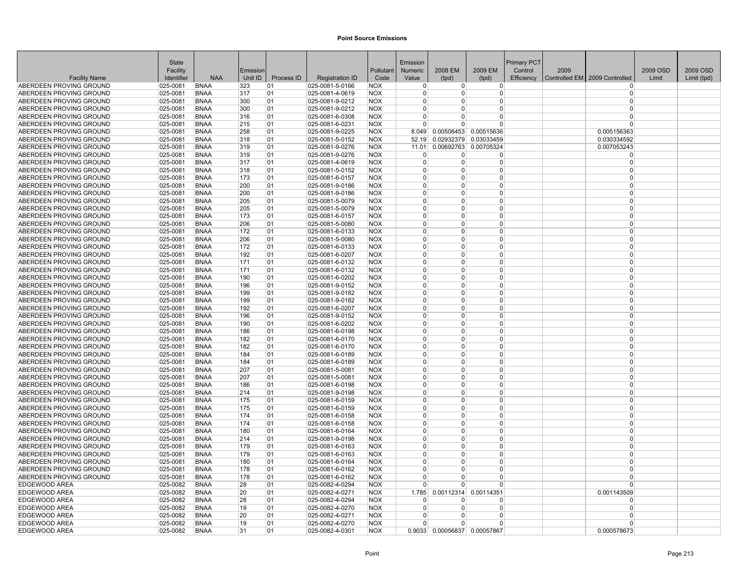|                                                    | <b>State</b>         |                            |            |            |                                    |                          | Emission             |               |                              | <b>Primary PCT</b> |      |                               |          |             |
|----------------------------------------------------|----------------------|----------------------------|------------|------------|------------------------------------|--------------------------|----------------------|---------------|------------------------------|--------------------|------|-------------------------------|----------|-------------|
|                                                    | Facility             |                            | Emission   |            |                                    | Pollutant                | <b>Numeric</b>       | 2008 EM       | 2009 EM                      | Control            | 2009 |                               | 2009 OSD | 2009 OSD    |
| <b>Facility Name</b>                               | Identifier           | <b>NAA</b>                 | Unit ID    | Process ID | <b>Registration ID</b>             | Code                     | Value                | (tpd)         | (tpd)                        | Efficiency         |      | Controlled EM 2009 Controlled | Limit    | Limit (tpd) |
| ABERDEEN PROVING GROUND                            | 025-0081             | <b>BNAA</b>                | 323        | 01         | 025-0081-5-0166                    | <b>NOX</b>               | $\Omega$             | $\Omega$      | $\Omega$                     |                    |      | $\Omega$                      |          |             |
| ABERDEEN PROVING GROUND                            | 025-0081             | <b>BNAA</b>                | 317        | 01         | 025-0081-4-0619                    | <b>NOX</b>               | $\Omega$             | $\Omega$      | 0                            |                    |      | $\Omega$                      |          |             |
| <b>ABERDEEN PROVING GROUND</b>                     | 025-0081             | <b>BNAA</b>                | 300        | 01         | 025-0081-9-0212                    | <b>NOX</b>               | $\Omega$             | $\Omega$      | 0                            |                    |      | $\Omega$                      |          |             |
| ABERDEEN PROVING GROUND                            | 025-0081             | <b>BNAA</b>                | 300        | 01         | 025-0081-9-0212                    | <b>NOX</b>               | $\Omega$             | $\Omega$      | 0                            |                    |      | $\Omega$                      |          |             |
| ABERDEEN PROVING GROUND                            | 025-0081             | <b>BNAA</b>                | 316        | 01         | 025-0081-6-0308                    | <b>NOX</b>               | $\Omega$             | $\Omega$      | 0                            |                    |      | $\Omega$                      |          |             |
| ABERDEEN PROVING GROUND                            | 025-0081             | <b>BNAA</b>                | 215        | 01         | 025-0081-6-0231                    | <b>NOX</b>               | $\Omega$             | $\Omega$      | $\Omega$                     |                    |      | $\Omega$                      |          |             |
| ABERDEEN PROVING GROUND                            | 025-0081             | <b>BNAA</b>                | 258        | 01         | 025-0081-9-0225                    | <b>NOX</b>               | 8.049                | 0.00506453    | 0.00515636                   |                    |      | 0.005156363                   |          |             |
| ABERDEEN PROVING GROUND                            | 025-0081             | <b>BNAA</b>                | 318        | 01         | 025-0081-5-0152                    | <b>NOX</b>               | 52.19                | 0.02932379    | 0.03033459                   |                    |      | 0.030334592                   |          |             |
| ABERDEEN PROVING GROUND                            | 025-0081             | <b>BNAA</b>                | 319        | 01         | 025-0081-9-0276                    | <b>NOX</b>               | 11.01                | 0.00692763    | 0.00705324                   |                    |      | 0.007053243                   |          |             |
| ABERDEEN PROVING GROUND                            | 025-0081             | <b>BNAA</b>                | 319        | 01         | 025-0081-9-0276                    | <b>NOX</b>               | n                    | <sup>0</sup>  | 0                            |                    |      | $\Omega$                      |          |             |
| ABERDEEN PROVING GROUND                            | 025-0081             | <b>BNAA</b>                | 317        | 01         | 025-0081-4-0619                    | <b>NOX</b>               | $\Omega$             | $\Omega$      | 0                            |                    |      | $\Omega$                      |          |             |
| ABERDEEN PROVING GROUND                            | 025-0081             | <b>BNAA</b>                | 318        | 01         | 025-0081-5-0152                    | <b>NOX</b>               |                      | $\Omega$      | O                            |                    |      | $\Omega$                      |          |             |
| ABERDEEN PROVING GROUND                            | 025-0081             | <b>BNAA</b>                | 173        | 01         | 025-0081-6-0157                    | <b>NOX</b>               | $\Omega$             | O<br>$\Omega$ | 0<br>$\Omega$                |                    |      | $\Omega$<br>$\Omega$          |          |             |
| ABERDEEN PROVING GROUND<br>ABERDEEN PROVING GROUND | 025-0081<br>025-0081 | <b>BNAA</b><br><b>BNAA</b> | 200<br>200 | 01<br>01   | 025-0081-9-0186<br>025-0081-9-0186 | <b>NOX</b><br><b>NOX</b> | $\Omega$<br>$\Omega$ | $\Omega$      | 0                            |                    |      | $\Omega$                      |          |             |
|                                                    |                      | <b>BNAA</b>                |            | 01         |                                    |                          | $\Omega$             | 0             | 0                            |                    |      | $\Omega$                      |          |             |
| ABERDEEN PROVING GROUND                            | 025-0081             |                            | 205        |            | 025-0081-5-0079                    | <b>NOX</b>               | $\Omega$             | $\Omega$      | 0                            |                    |      | $\Omega$                      |          |             |
| ABERDEEN PROVING GROUND                            | 025-0081             | <b>BNAA</b>                | 205        | 01<br>01   | 025-0081-5-0079<br>025-0081-6-0157 | <b>NOX</b><br><b>NOX</b> | $\Omega$             | $\Omega$      | 0                            |                    |      | $\Omega$                      |          |             |
| ABERDEEN PROVING GROUND<br>ABERDEEN PROVING GROUND | 025-0081<br>025-0081 | <b>BNAA</b><br><b>BNAA</b> | 173<br>206 | 01         | 025-0081-5-0080                    | <b>NOX</b>               | $\Omega$             | <sup>0</sup>  | 0                            |                    |      | $\Omega$                      |          |             |
|                                                    | 025-0081             | <b>BNAA</b>                | 172        | 01         | 025-0081-6-0133                    | <b>NOX</b>               | $\Omega$             | $\Omega$      | 0                            |                    |      | $\Omega$                      |          |             |
| ABERDEEN PROVING GROUND<br>ABERDEEN PROVING GROUND | 025-0081             | <b>BNAA</b>                | 206        | 01         | 025-0081-5-0080                    | <b>NOX</b>               | $\Omega$             | $\Omega$      | $\Omega$                     |                    |      | $\Omega$                      |          |             |
| ABERDEEN PROVING GROUND                            | 025-0081             | <b>BNAA</b>                | 172        | 01         | 025-0081-6-0133                    | <b>NOX</b>               | $\Omega$             | $\Omega$      | 0                            |                    |      | $\Omega$                      |          |             |
| ABERDEEN PROVING GROUND                            | 025-0081             | <b>BNAA</b>                | 192        | 01         | 025-0081-6-0207                    | <b>NOX</b>               |                      | 0             | 0                            |                    |      | $\Omega$                      |          |             |
| ABERDEEN PROVING GROUND                            | 025-0081             | <b>BNAA</b>                | 171        | 01         | 025-0081-6-0132                    | <b>NOX</b>               | $\Omega$             | 0             | 0                            |                    |      | $\Omega$                      |          |             |
| ABERDEEN PROVING GROUND                            | 025-0081             | <b>BNAA</b>                | 171        | 01         | 025-0081-6-0132                    | <b>NOX</b>               | $\Omega$             | $\Omega$      | $\Omega$                     |                    |      | $\Omega$                      |          |             |
| ABERDEEN PROVING GROUND                            | 025-0081             | <b>BNAA</b>                | 190        | 01         | 025-0081-6-0202                    | <b>NOX</b>               | $\Omega$             | $\Omega$      | 0                            |                    |      | $\Omega$                      |          |             |
| ABERDEEN PROVING GROUND                            | 025-0081             | <b>BNAA</b>                | 196        | 01         | 025-0081-9-0152                    | <b>NOX</b>               | $\Omega$             | $\Omega$      | 0                            |                    |      | $\Omega$                      |          |             |
| ABERDEEN PROVING GROUND                            | 025-0081             | <b>BNAA</b>                | 199        | 01         | 025-0081-9-0182                    | <b>NOX</b>               | $\Omega$             | $\Omega$      | $\Omega$                     |                    |      | $\Omega$                      |          |             |
| ABERDEEN PROVING GROUND                            | 025-0081             | <b>BNAA</b>                | 199        | 01         | 025-0081-9-0182                    | <b>NOX</b>               | n                    | $\Omega$      | 0                            |                    |      | $\Omega$                      |          |             |
| ABERDEEN PROVING GROUND                            | 025-0081             | <b>BNAA</b>                | 192        | 01         | 025-0081-6-0207                    | <b>NOX</b>               | $\Omega$             | <sup>0</sup>  | 0                            |                    |      | $\Omega$                      |          |             |
| ABERDEEN PROVING GROUND                            | 025-0081             | <b>BNAA</b>                | 196        | 01         | 025-0081-9-0152                    | <b>NOX</b>               | $\Omega$             | $\Omega$      | 0                            |                    |      | $\Omega$                      |          |             |
| ABERDEEN PROVING GROUND                            | 025-0081             | <b>BNAA</b>                | 190        | 01         | 025-0081-6-0202                    | <b>NOX</b>               | $\Omega$             | $\Omega$      | $\Omega$                     |                    |      | $\Omega$                      |          |             |
| ABERDEEN PROVING GROUND                            | 025-0081             | <b>BNAA</b>                | 186        | 01         | 025-0081-6-0198                    | <b>NOX</b>               | $\Omega$             | $\Omega$      | 0                            |                    |      | $\Omega$                      |          |             |
| ABERDEEN PROVING GROUND                            | 025-0081             | <b>BNAA</b>                | 182        | 01         | 025-0081-6-0170                    | <b>NOX</b>               |                      | 0             | 0                            |                    |      | $\Omega$                      |          |             |
| ABERDEEN PROVING GROUND                            | 025-0081             | <b>BNAA</b>                | 182        | 01         | 025-0081-6-0170                    | <b>NOX</b>               | $\Omega$             | $\Omega$      | 0                            |                    |      | $\Omega$                      |          |             |
| ABERDEEN PROVING GROUND                            | 025-0081             | <b>BNAA</b>                | 184        | 01         | 025-0081-6-0189                    | <b>NOX</b>               | $\Omega$             | $\Omega$      | 0                            |                    |      | $\Omega$                      |          |             |
| ABERDEEN PROVING GROUND                            | 025-0081             | <b>BNAA</b>                | 184        | 01         | 025-0081-6-0189                    | <b>NOX</b>               | $\Omega$             | $\Omega$      | 0                            |                    |      | $\Omega$                      |          |             |
| ABERDEEN PROVING GROUND                            | 025-0081             | <b>BNAA</b>                | 207        | 01         | 025-0081-5-0081                    | <b>NOX</b>               | $\Omega$             | O             | 0                            |                    |      | $\Omega$                      |          |             |
| ABERDEEN PROVING GROUND                            | 025-0081             | <b>BNAA</b>                | 207        | 01         | 025-0081-5-0081                    | <b>NOX</b>               | $\Omega$             | $\Omega$      | $\Omega$                     |                    |      | $\Omega$                      |          |             |
| ABERDEEN PROVING GROUND                            | 025-0081             | <b>BNAA</b>                | 186        | 01         | 025-0081-6-0198                    | <b>NOX</b>               | $\Omega$             | $\Omega$      | 0                            |                    |      | $\Omega$                      |          |             |
| ABERDEEN PROVING GROUND                            | 025-0081             | <b>BNAA</b>                | 214        | 01         | 025-0081-9-0198                    | <b>NOX</b>               | $\Omega$             | 0             | 0                            |                    |      | $\Omega$                      |          |             |
| ABERDEEN PROVING GROUND                            | 025-0081             | <b>BNAA</b>                | 175        | 01         | 025-0081-6-0159                    | <b>NOX</b>               | $\Omega$             | $\Omega$      | 0                            |                    |      | $\Omega$                      |          |             |
| ABERDEEN PROVING GROUND                            | 025-0081             | <b>BNAA</b>                | 175        | 01         | 025-0081-6-0159                    | <b>NOX</b>               | $\Omega$             | $\Omega$      | $\Omega$                     |                    |      | $\Omega$                      |          |             |
| ABERDEEN PROVING GROUND                            | 025-0081             | <b>BNAA</b>                | 174        | 01         | 025-0081-6-0158                    | <b>NOX</b>               | $\Omega$             | $\Omega$      | 0                            |                    |      | $\Omega$                      |          |             |
| ABERDEEN PROVING GROUND                            | 025-0081             | <b>BNAA</b>                | 174        | 01         | 025-0081-6-0158                    | <b>NOX</b>               | $\Omega$             | $\Omega$      | O                            |                    |      | $\Omega$                      |          |             |
| ABERDEEN PROVING GROUND                            | 025-0081             | <b>BNAA</b>                | 180        | 01         | 025-0081-6-0164                    | <b>NOX</b>               | $\Omega$             | $\Omega$      | 0                            |                    |      | $\Omega$                      |          |             |
| ABERDEEN PROVING GROUND                            | 025-0081             | <b>BNAA</b>                | 214        | 01         | 025-0081-9-0198                    | <b>NOX</b>               | $\Omega$             | $\Omega$      | 0                            |                    |      | $\Omega$                      |          |             |
| ABERDEEN PROVING GROUND                            | 025-0081             | <b>BNAA</b>                | 179        | 01         | 025-0081-6-0163                    | <b>NOX</b>               | $\Omega$             | $\Omega$      | 0                            |                    |      | $\Omega$                      |          |             |
| ABERDEEN PROVING GROUND                            | 025-0081             | <b>BNAA</b>                | 179        | 01         | 025-0081-6-0163                    | <b>NOX</b>               | $\Omega$             | 0             | $\Omega$                     |                    |      | $\Omega$                      |          |             |
| ABERDEEN PROVING GROUND                            | 025-0081             | <b>BNAA</b>                | 180        | 01         | 025-0081-6-0164                    | <b>NOX</b>               | $\Omega$             | $\Omega$      | $\Omega$                     |                    |      | $\Omega$                      |          |             |
| ABERDEEN PROVING GROUND                            | 025-0081             | <b>BNAA</b>                | 178        | 01         | 025-0081-6-0162                    | <b>NOX</b>               | $\Omega$             | $\Omega$      | 0                            |                    |      | $\Omega$                      |          |             |
| ABERDEEN PROVING GROUND                            | $ 025 - 0081$        | <b>BNAA</b>                | 178        | 01         | 025-0081-6-0162                    | <b>NOX</b>               |                      | ŋ             | ŋ                            |                    |      | $\Omega$                      |          |             |
| EDGEWOOD AREA                                      | 025-0082             | <b>BNAA</b>                | 28         | 01         | 025-0082-4-0294                    | <b>NOX</b>               | $\Omega$             | n             | U                            |                    |      | $\Omega$                      |          |             |
| EDGEWOOD AREA                                      | 025-0082             | <b>BNAA</b>                | 20         | 01         | 025-0082-4-0271                    | <b>NOX</b>               | 1.785                | 0.00112314    | 0.00114351                   |                    |      | 0.001143509                   |          |             |
| <b>EDGEWOOD AREA</b>                               | 025-0082             | <b>BNAA</b>                | 28         | 01         | 025-0082-4-0294                    | <b>NOX</b>               | $\Omega$             | O<br>$\Omega$ | O                            |                    |      | $\Omega$<br>$\Omega$          |          |             |
| <b>EDGEWOOD AREA</b><br><b>EDGEWOOD AREA</b>       | 025-0082<br>025-0082 | <b>BNAA</b><br><b>BNAA</b> | 19<br>20   | 01<br>01   | 025-0082-4-0270<br>025-0082-4-0271 | <b>NOX</b><br><b>NOX</b> | n                    | $\Omega$      | 0<br>0                       |                    |      | $\Omega$                      |          |             |
| <b>EDGEWOOD AREA</b>                               | 025-0082             | <b>BNAA</b>                | 19         | 01         | 025-0082-4-0270                    | <b>NOX</b>               |                      | O             | 0                            |                    |      | $\Omega$                      |          |             |
| EDGEWOOD AREA                                      | 025-0082             | <b>BNAA</b>                | 31         | 01         | 025-0082-4-0301                    | <b>NOX</b>               |                      |               | 0.9033 0.00056837 0.00057867 |                    |      | 0.000578673                   |          |             |
|                                                    |                      |                            |            |            |                                    |                          |                      |               |                              |                    |      |                               |          |             |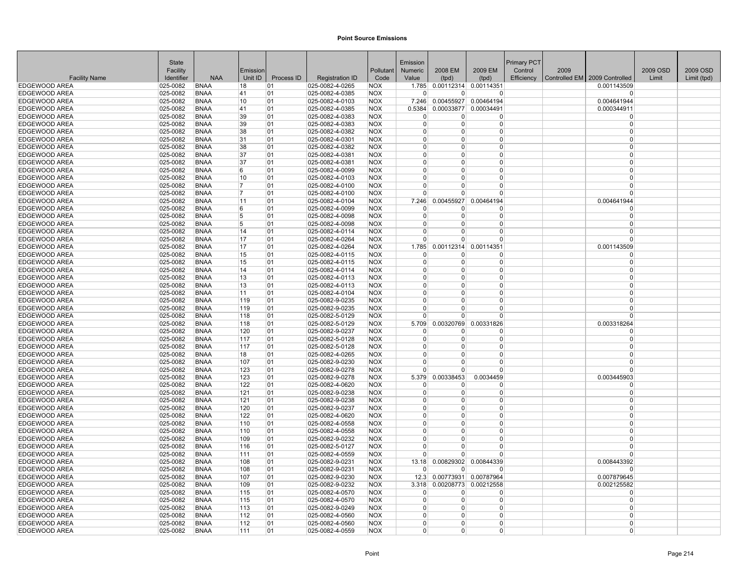|                                       | <b>State</b>             |                            |                |            |                                    |                   | Emission             |                             |                       | Primary PCT |      |                               |          |             |
|---------------------------------------|--------------------------|----------------------------|----------------|------------|------------------------------------|-------------------|----------------------|-----------------------------|-----------------------|-------------|------|-------------------------------|----------|-------------|
|                                       | Facility                 |                            | Emission       |            |                                    | Pollutant         | <b>Numeric</b>       | 2008 EM                     | 2009 EM               | Control     | 2009 |                               | 2009 OSD | 2009 OSD    |
| <b>Facility Name</b>                  | Identifier               | <b>NAA</b>                 | Unit ID        | Process ID | <b>Registration ID</b>             | Code              | Value                | (tpd)                       | (tpd)                 | Efficiency  |      | Controlled EM 2009 Controlled | Limit    | Limit (tpd) |
| <b>EDGEWOOD AREA</b>                  | 025-0082                 | <b>BNAA</b>                | 18             | 01         | 025-0082-4-0265                    | <b>NOX</b>        |                      | 1.785 0.00112314 0.00114351 |                       |             |      | 0.001143509                   |          |             |
| EDGEWOOD AREA                         | 025-0082                 | <b>BNAA</b>                | 41             | 01         | 025-0082-4-0385                    | NOX               | 0                    | O                           | 0                     |             |      |                               |          |             |
| <b>EDGEWOOD AREA</b>                  | 025-0082                 | <b>BNAA</b>                | 10             | 01         | 025-0082-4-0103                    | <b>NOX</b>        | 7.246                | 0.00455927                  | 0.00464194            |             |      | 0.004641944                   |          |             |
| <b>EDGEWOOD AREA</b>                  | 025-0082                 | <b>BNAA</b>                | 41             | 01         | 025-0082-4-0385                    | <b>NOX</b>        | 0.5384               | 0.00033877 0.00034491       |                       |             |      | 0.000344911                   |          |             |
| <b>EDGEWOOD AREA</b>                  | 025-0082                 | <b>BNAA</b>                | 39             | 01         | 025-0082-4-0383                    | <b>NOX</b>        | $\Omega$             | O                           | $\Omega$              |             |      | $\Omega$                      |          |             |
| EDGEWOOD AREA                         | 025-0082                 | <b>BNAA</b>                | 39             | 01         | 025-0082-4-0383                    | <b>NOX</b>        | $\Omega$             | O                           | $\Omega$              |             |      | $\Omega$                      |          |             |
| <b>EDGEWOOD AREA</b>                  | 025-0082                 | <b>BNAA</b>                | 38             | 01         | 025-0082-4-0382                    | <b>NOX</b>        | $\Omega$             | <sup>0</sup>                | $\Omega$              |             |      | $\Omega$                      |          |             |
| <b>EDGEWOOD AREA</b>                  | 025-0082                 | <b>BNAA</b>                | 31             | 01         | 025-0082-4-0301                    | <b>NOX</b>        | $\Omega$             | $\Omega$                    | $\Omega$              |             |      | $\Omega$                      |          |             |
| EDGEWOOD AREA                         | 025-0082                 | <b>BNAA</b>                | 38             | 01         | 025-0082-4-0382                    | <b>NOX</b>        | $\Omega$             | O                           | $\Omega$              |             |      | $\Omega$                      |          |             |
| EDGEWOOD AREA                         | 025-0082                 | <b>BNAA</b>                | 37             | 01         | 025-0082-4-0381                    | <b>NOX</b>        | $\Omega$             | 0                           | $\Omega$              |             |      | $\Omega$                      |          |             |
| <b>EDGEWOOD AREA</b>                  | 025-0082                 | <b>BNAA</b>                | 37             | 01         | 025-0082-4-0381                    | <b>NOX</b>        | $\Omega$             | $\Omega$                    | $\Omega$              |             |      | $\Omega$                      |          |             |
| <b>EDGEWOOD AREA</b>                  | 025-0082                 | <b>BNAA</b>                | 6              | 01         | 025-0082-4-0099                    | <b>NOX</b>        | O                    | 0                           | $\Omega$              |             |      | $\Omega$                      |          |             |
| EDGEWOOD AREA                         | 025-0082                 | <b>BNAA</b>                | 10             | 01         | $ 025 - 0082 - 4 - 0103$           | <b>NOX</b>        | 0                    | 0                           | $\Omega$              |             |      | $\Omega$                      |          |             |
| <b>EDGEWOOD AREA</b>                  | 025-0082                 | <b>BNAA</b>                | 17             | 01         | 025-0082-4-0100                    | <b>NOX</b>        | U                    | $\Omega$                    | $\Omega$              |             |      | $\Omega$                      |          |             |
| <b>EDGEWOOD AREA</b>                  | 025-0082                 | <b>BNAA</b>                | $\overline{7}$ | 01         | 025-0082-4-0100                    | <b>NOX</b>        | O                    | $\Omega$                    | $\Omega$              |             |      | $\Omega$                      |          |             |
| <b>EDGEWOOD AREA</b>                  | 025-0082                 | <b>BNAA</b>                | 11             | 01         | 025-0082-4-0104                    | <b>NOX</b>        | 7.246                | 0.00455927                  | 0.00464194            |             |      | 0.004641944                   |          |             |
| EDGEWOOD AREA                         | 025-0082                 | <b>BNAA</b>                | 6              | 01         | 025-0082-4-0099                    | <b>NOX</b>        | 0                    | 0                           | 0                     |             |      | $\Omega$                      |          |             |
| <b>EDGEWOOD AREA</b>                  | 025-0082                 | <b>BNAA</b>                | 5              | 01         | 025-0082-4-0098                    | <b>NOX</b>        | $\Omega$             | $\Omega$                    | $\Omega$              |             |      | $\Omega$                      |          |             |
| <b>EDGEWOOD AREA</b>                  | 025-0082                 | <b>BNAA</b>                | 5              | 01         | 025-0082-4-0098                    | <b>NOX</b>        | O                    | $\Omega$                    | $\Omega$              |             |      | $\Omega$                      |          |             |
| EDGEWOOD AREA                         | 025-0082                 | <b>BNAA</b>                | 14             | 01         | 025-0082-4-0114                    | <b>NOX</b>        | 0                    | 0                           | $\Omega$              |             |      | $\Omega$<br>$\Omega$          |          |             |
| <b>EDGEWOOD AREA</b>                  | 025-0082                 | <b>BNAA</b>                | 17             | 01         | 025-0082-4-0264                    | <b>NOX</b>        | 0                    | 0                           | $\Omega$              |             |      |                               |          |             |
| <b>EDGEWOOD AREA</b>                  | 025-0082                 | <b>BNAA</b>                | 17             | 01         | 025-0082-4-0264                    | <b>NOX</b>        | 1.785                | 0.00112314                  | 0.00114351            |             |      | 0.001143509                   |          |             |
| EDGEWOOD AREA                         | 025-0082                 | <b>BNAA</b>                | 15             | 01         | 025-0082-4-0115                    | <b>NOX</b>        | $\Omega$             | O                           | $\Omega$              |             |      | $\Omega$                      |          |             |
| <b>EDGEWOOD AREA</b>                  | 025-0082                 | <b>BNAA</b>                | 15             | 01         | $ 025 - 0082 - 4 - 0115$           | <b>NOX</b>        | $\Omega$<br>$\Omega$ | <sup>0</sup>                | $\Omega$              |             |      | $\Omega$<br>$\Omega$          |          |             |
| EDGEWOOD AREA<br>EDGEWOOD AREA        | 025-0082                 | <b>BNAA</b>                | 14             | 01         | 025-0082-4-0114                    | <b>NOX</b>        | $\Omega$             | $\Omega$<br>$\Omega$        | $\Omega$<br>$\Omega$  |             |      | $\Omega$                      |          |             |
|                                       | 025-0082                 | <b>BNAA</b>                | 13             | 01         | 025-0082-4-0113                    | <b>NOX</b>        | 0                    | 0                           | $\Omega$              |             |      | $\Omega$                      |          |             |
| EDGEWOOD AREA<br><b>EDGEWOOD AREA</b> | $025 - 0082$<br>025-0082 | <b>BNAA</b><br><b>BNAA</b> | 13<br>11       | 101<br>01  | 025-0082-4-0113<br>025-0082-4-0104 | NOX<br><b>NOX</b> | $\Omega$             | $\Omega$                    | $\Omega$              |             |      | $\Omega$                      |          |             |
| <b>EDGEWOOD AREA</b>                  | 025-0082                 | <b>BNAA</b>                | 119            | 01         | 025-0082-9-0235                    | <b>NOX</b>        | $\Omega$             | $\Omega$                    | $\Omega$              |             |      | $\Omega$                      |          |             |
| <b>EDGEWOOD AREA</b>                  | 025-0082                 | <b>BNAA</b>                | 119            | 01         | 025-0082-9-0235                    | <b>NOX</b>        | O                    | $\Omega$                    | $\Omega$              |             |      | $\Omega$                      |          |             |
| <b>EDGEWOOD AREA</b>                  | 025-0082                 | <b>BNAA</b>                | 118            | 01         | 025-0082-5-0129                    | <b>NOX</b>        | U                    | n                           | $\Omega$              |             |      | $\Omega$                      |          |             |
| <b>EDGEWOOD AREA</b>                  | 025-0082                 | <b>BNAA</b>                | 118            | 01         | 025-0082-5-0129                    | <b>NOX</b>        | 5.709                | 0.00320769                  | 0.00331826            |             |      | 0.003318264                   |          |             |
| <b>EDGEWOOD AREA</b>                  | 025-0082                 | <b>BNAA</b>                | 120            | 01         | 025-0082-9-0237                    | <b>NOX</b>        | $\Omega$             | n                           | $\Omega$              |             |      | $\Omega$                      |          |             |
| <b>EDGEWOOD AREA</b>                  | 025-0082                 | <b>BNAA</b>                | 117            | 01         | 025-0082-5-0128                    | <b>NOX</b>        | $\Omega$             | O                           | $\Omega$              |             |      | $\Omega$                      |          |             |
| <b>EDGEWOOD AREA</b>                  | 025-0082                 | <b>BNAA</b>                | 117            | 01         | 025-0082-5-0128                    | <b>NOX</b>        | $\Omega$             | <sup>0</sup>                | $\Omega$              |             |      | $\Omega$                      |          |             |
| <b>EDGEWOOD AREA</b>                  | 025-0082                 | <b>BNAA</b>                | 18             | 01         | 025-0082-4-0265                    | <b>NOX</b>        | $\Omega$             | $\Omega$                    | $\Omega$              |             |      | $\Omega$                      |          |             |
| EDGEWOOD AREA                         | 025-0082                 | <b>BNAA</b>                | 107            | 01         | 025-0082-9-0230                    | <b>NOX</b>        | O                    | $\Omega$                    | $\Omega$              |             |      | $\Omega$                      |          |             |
| <b>EDGEWOOD AREA</b>                  | 025-0082                 | <b>BNAA</b>                | 123            | 01         | 025-0082-9-0278                    | <b>NOX</b>        | $\Omega$             | $\Omega$                    | $\Omega$              |             |      | $\Omega$                      |          |             |
| <b>EDGEWOOD AREA</b>                  | 025-0082                 | <b>BNAA</b>                | 123            | 01         | 025-0082-9-0278                    | <b>NOX</b>        | 5.379                | 0.00338453                  | 0.0034459             |             |      | 0.003445903                   |          |             |
| <b>EDGEWOOD AREA</b>                  | 025-0082                 | <b>BNAA</b>                | 122            | 01         | 025-0082-4-0620                    | <b>NOX</b>        | $\Omega$             | 0                           | $\Omega$              |             |      | $\Omega$                      |          |             |
| EDGEWOOD AREA                         | 025-0082                 | <b>BNAA</b>                | 121            | 01         | 025-0082-9-0238                    | <b>NOX</b>        | 0                    | 0                           | $\Omega$              |             |      | $\Omega$                      |          |             |
| EDGEWOOD AREA                         | 025-0082                 | <b>BNAA</b>                | 121            | 01         | 025-0082-9-0238                    | <b>NOX</b>        | $\Omega$             | $\Omega$                    | $\mathbf 0$           |             |      | $\Omega$                      |          |             |
| <b>EDGEWOOD AREA</b>                  | 025-0082                 | <b>BNAA</b>                | 120            | 01         | 025-0082-9-0237                    | <b>NOX</b>        | $\Omega$             | $\Omega$                    | $\Omega$              |             |      | $\Omega$                      |          |             |
| <b>EDGEWOOD AREA</b>                  | 025-0082                 | <b>BNAA</b>                | 122            | 01         | 025-0082-4-0620                    | <b>NOX</b>        | $\Omega$             | <sup>0</sup>                | $\Omega$              |             |      | $\Omega$                      |          |             |
| EDGEWOOD AREA                         | 025-0082                 | <b>BNAA</b>                | 110            | 101        | 025-0082-4-0558                    | <b>NOX</b>        | $\Omega$             | 0                           | $\Omega$              |             |      | $\Omega$                      |          |             |
| <b>EDGEWOOD AREA</b>                  | 025-0082                 | <b>BNAA</b>                | 110            | 01         | 025-0082-4-0558                    | <b>NOX</b>        | $\Omega$             | <sup>0</sup>                | $\Omega$              |             |      | $\Omega$                      |          |             |
| <b>EDGEWOOD AREA</b>                  | 025-0082                 | <b>BNAA</b>                | 109            | 01         | 025-0082-9-0232                    | <b>NOX</b>        | $\Omega$             | $\Omega$                    | $\Omega$              |             |      | $\Omega$                      |          |             |
| EDGEWOOD AREA                         | 025-0082                 | <b>BNAA</b>                | 116            | 01         | 025-0082-5-0127                    | <b>NOX</b>        | $\Omega$             | 0                           | $\Omega$              |             |      | $\Omega$                      |          |             |
| <b>EDGEWOOD AREA</b>                  | 025-0082                 | <b>BNAA</b>                | 111            | 01         | 025-0082-4-0559                    | <b>NOX</b>        | $\Omega$             | $\Omega$                    | $\Omega$              |             |      | $\Omega$                      |          |             |
| <b>EDGEWOOD AREA</b>                  | 025-0082                 | <b>BNAA</b>                | 108            | 01         | 025-0082-9-0231                    | <b>NOX</b>        | 13.18                | 0.00829302                  | 0.00844339            |             |      | 0.008443392                   |          |             |
| <b>EDGEWOOD AREA</b>                  | 025-0082                 | <b>BNAA</b>                | 108            | 01         | 025-0082-9-0231                    | <b>NOX</b>        | U                    | 0                           | $\Omega$              |             |      | $\Omega$                      |          |             |
| EDGEWOOD AREA                         | $ 025 - 0082$            | BNAA                       | 107            | 01         | $ 025 - 0082 - 9 - 0230$           | <b>NOX</b>        | 12.3                 |                             | 0.00773931 0.00787964 |             |      | 0.007879645                   |          |             |
| EDGEWOOD AREA                         | 025-0082                 | <b>BNAA</b>                | 109            | 01         | 025-0082-9-0232                    | <b>NOX</b>        | 3.318                | 0.00208773                  | 0.00212558            |             |      | 0.002125582                   |          |             |
| EDGEWOOD AREA                         | 025-0082                 | <b>BNAA</b>                | 115            | 01         | 025-0082-4-0570                    | <b>NOX</b>        | $\Omega$             | $\Omega$                    | $\Omega$              |             |      | $\Omega$                      |          |             |
| <b>EDGEWOOD AREA</b>                  | 025-0082                 | <b>BNAA</b>                | 115            | 01         | 025-0082-4-0570                    | <b>NOX</b>        | $\Omega$             | <sup>0</sup>                | $\Omega$              |             |      | $\Omega$                      |          |             |
| EDGEWOOD AREA                         | 025-0082                 | <b>BNAA</b>                | 113            | 01         | 025-0082-9-0249                    | <b>NOX</b>        | $\Omega$             | $\Omega$                    | $\Omega$              |             |      | $\Omega$                      |          |             |
| <b>EDGEWOOD AREA</b>                  | 025-0082                 | <b>BNAA</b>                | 112            | 01         | 025-0082-4-0560                    | <b>NOX</b>        | O                    | $\Omega$                    | $\Omega$              |             |      | $\Omega$                      |          |             |
| <b>EDGEWOOD AREA</b>                  | 025-0082                 | <b>BNAA</b>                | 112            | 01         | 025-0082-4-0560                    | <b>NOX</b>        | O                    | $\Omega$                    | $\Omega$              |             |      | $\Omega$                      |          |             |
| EDGEWOOD AREA                         | 025-0082                 | <b>BNAA</b>                | 111            | 01         | 025-0082-4-0559                    | <b>NOX</b>        | $\Omega$             | 0                           | $\Omega$              |             |      | $\overline{0}$                |          |             |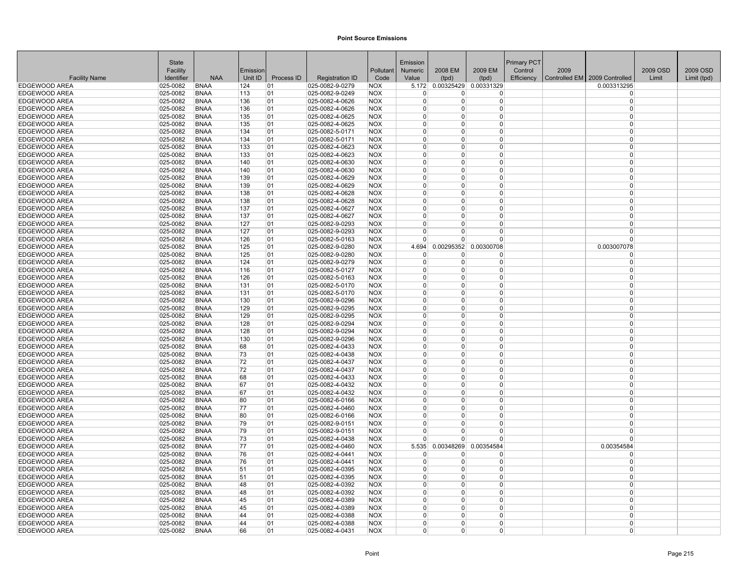|                      | <b>State</b>  |             |          |            |                          |            | Emission             |                      |                             | Primary PCT |      |                                 |          |             |
|----------------------|---------------|-------------|----------|------------|--------------------------|------------|----------------------|----------------------|-----------------------------|-------------|------|---------------------------------|----------|-------------|
|                      | Facility      |             | Emission |            |                          | Pollutant  | <b>Numeric</b>       | 2008 EM              | 2009 EM                     | Control     | 2009 |                                 | 2009 OSD | 2009 OSD    |
| <b>Facility Name</b> | Identifier    | <b>NAA</b>  | Unit ID  | Process ID | <b>Registration ID</b>   | Code       | Value                | (tpd)                | (tpd)                       | Efficiency  |      | Controlled EM   2009 Controlled | Limit    | Limit (tpd) |
| <b>EDGEWOOD AREA</b> | 025-0082      | <b>BNAA</b> | 124      | 01         | 025-0082-9-0279          | <b>NOX</b> |                      |                      | 5.172 0.00325429 0.00331329 |             |      | 0.003313295                     |          |             |
| <b>EDGEWOOD AREA</b> | 025-0082      | <b>BNAA</b> | 113      | 01         | 025-0082-9-0249          | NOX        | $\Omega$             | 0                    | $\Omega$                    |             |      | $\Omega$                        |          |             |
| <b>EDGEWOOD AREA</b> | 025-0082      | <b>BNAA</b> | 136      | 01         | 025-0082-4-0626          | <b>NOX</b> | $\mathbf{0}$         | $\Omega$             | $\overline{0}$              |             |      | $\Omega$                        |          |             |
| <b>EDGEWOOD AREA</b> | 025-0082      | <b>BNAA</b> | 136      | 01         | 025-0082-4-0626          | <b>NOX</b> | $\overline{0}$       | 0                    | $\overline{0}$              |             |      | $\Omega$                        |          |             |
| <b>EDGEWOOD AREA</b> | 025-0082      | <b>BNAA</b> | 135      | 01         | 025-0082-4-0625          | <b>NOX</b> | $\Omega$             | $\Omega$             | $\Omega$                    |             |      | $\Omega$                        |          |             |
| <b>EDGEWOOD AREA</b> | 025-0082      | <b>BNAA</b> | 135      | 01         | 025-0082-4-0625          | <b>NOX</b> | $\Omega$             | $\Omega$             | $\Omega$                    |             |      | $\Omega$                        |          |             |
| <b>EDGEWOOD AREA</b> | 025-0082      | <b>BNAA</b> | 134      | 01         | 025-0082-5-0171          | <b>NOX</b> | $\Omega$             | $\Omega$             | 0                           |             |      | $\Omega$                        |          |             |
| <b>EDGEWOOD AREA</b> | 025-0082      | <b>BNAA</b> | 134      | 01         | 025-0082-5-0171          | <b>NOX</b> | $\Omega$             | $\Omega$             | $\Omega$                    |             |      | $\Omega$                        |          |             |
| EDGEWOOD AREA        | 025-0082      | <b>BNAA</b> | 133      | 01         | 025-0082-4-0623          | <b>NOX</b> | $\Omega$             | 0                    | $\Omega$                    |             |      | $\Omega$                        |          |             |
| <b>EDGEWOOD AREA</b> | 025-0082      | <b>BNAA</b> | 133      | 01         | 025-0082-4-0623          | <b>NOX</b> | $\overline{0}$       | $\Omega$             | $\overline{0}$              |             |      | $\Omega$                        |          |             |
| <b>EDGEWOOD AREA</b> | 025-0082      | <b>BNAA</b> | 140      | 01         | 025-0082-4-0630          | <b>NOX</b> | $\Omega$             | $\Omega$             | $\overline{0}$              |             |      | $\Omega$                        |          |             |
| <b>EDGEWOOD AREA</b> | 025-0082      | <b>BNAA</b> | 140      | 01         | 025-0082-4-0630          | <b>NOX</b> | $\Omega$             | 0                    | $\Omega$                    |             |      | $\Omega$                        |          |             |
| EDGEWOOD AREA        | 025-0082      | <b>BNAA</b> | 139      | 01         | 025-0082-4-0629          | <b>NOX</b> | $\mathbf{0}$         | $\Omega$             | 0                           |             |      | $\Omega$                        |          |             |
| <b>EDGEWOOD AREA</b> | 025-0082      | <b>BNAA</b> | 139      | 01         | 025-0082-4-0629          | <b>NOX</b> | $\Omega$             | $\Omega$             | $\Omega$                    |             |      | $\Omega$                        |          |             |
| EDGEWOOD AREA        | 025-0082      | <b>BNAA</b> | 138      | 01         | 025-0082-4-0628          | <b>NOX</b> | $\Omega$             | $\Omega$             | $\Omega$                    |             |      | $\Omega$                        |          |             |
| <b>EDGEWOOD AREA</b> | 025-0082      | <b>BNAA</b> | 138      | 01         | 025-0082-4-0628          | <b>NOX</b> | $\Omega$             | $\Omega$             | $\overline{0}$              |             |      | $\Omega$                        |          |             |
| EDGEWOOD AREA        | 025-0082      | <b>BNAA</b> | 137      | 01         | 025-0082-4-0627          | <b>NOX</b> | $\Omega$             | $\Omega$             | $\Omega$                    |             |      | $\Omega$                        |          |             |
| <b>EDGEWOOD AREA</b> | 025-0082      | <b>BNAA</b> | 137      | 01         | 025-0082-4-0627          | <b>NOX</b> | $\Omega$             | $\Omega$             | $\Omega$                    |             |      | $\Omega$                        |          |             |
| <b>EDGEWOOD AREA</b> | 025-0082      | <b>BNAA</b> | 127      | 01         | 025-0082-9-0293          | <b>NOX</b> | $\Omega$             | $\Omega$             | 0                           |             |      | $\Omega$                        |          |             |
| EDGEWOOD AREA        | 025-0082      | <b>BNAA</b> | 127      | 01         | $ 025 - 0082 - 9 - 0293$ | <b>NOX</b> | $\Omega$             | $\Omega$             | $\Omega$                    |             |      | $\Omega$                        |          |             |
| <b>EDGEWOOD AREA</b> | 025-0082      | <b>BNAA</b> | 126      | 01         | 025-0082-5-0163          | <b>NOX</b> | $\overline{0}$       | $\Omega$             | $\overline{0}$              |             |      | $\Omega$                        |          |             |
| <b>EDGEWOOD AREA</b> | 025-0082      | <b>BNAA</b> | 125      | 01         | 025-0082-9-0280          | <b>NOX</b> | 4.694                |                      | 0.00295352 0.00300708       |             |      | 0.003007078                     |          |             |
| EDGEWOOD AREA        | 025-0082      | <b>BNAA</b> | 125      | 01         | 025-0082-9-0280          | <b>NOX</b> | 0                    | 0                    | 0                           |             |      | $\Omega$                        |          |             |
| <b>EDGEWOOD AREA</b> | 025-0082      | <b>BNAA</b> | 124      | 01         | $ 025 - 0082 - 9 - 0279$ | <b>NOX</b> | 0                    | $\Omega$             | $\overline{0}$              |             |      | $\Omega$                        |          |             |
| EDGEWOOD AREA        | 025-0082      | <b>BNAA</b> | 116      | 01         | 025-0082-5-0127          | <b>NOX</b> | $\Omega$             | $\Omega$             | $\overline{0}$              |             |      | $\Omega$                        |          |             |
| EDGEWOOD AREA        | 025-0082      | <b>BNAA</b> | 126      | 01         | 025-0082-5-0163          | <b>NOX</b> | $\Omega$             | $\Omega$             | $\Omega$                    |             |      | $\Omega$                        |          |             |
| EDGEWOOD AREA        | 025-0082      | <b>BNAA</b> | 131      | 01         | 025-0082-5-0170          | <b>NOX</b> | $\mathbf 0$          | $\Omega$             | $\overline{0}$              |             |      | $\Omega$                        |          |             |
| <b>EDGEWOOD AREA</b> | 025-0082      | <b>BNAA</b> | 131      | 01         | 025-0082-5-0170          | <b>NOX</b> | $\Omega$             | $\Omega$             | $\Omega$                    |             |      | $\Omega$                        |          |             |
| <b>EDGEWOOD AREA</b> | 025-0082      | <b>BNAA</b> | 130      | 01         | 025-0082-9-0296          | <b>NOX</b> | $\Omega$             | $\Omega$             | $\overline{0}$              |             |      | $\Omega$                        |          |             |
| <b>EDGEWOOD AREA</b> | 025-0082      | <b>BNAA</b> | 129      | 01         | 025-0082-9-0295          | <b>NOX</b> | $\Omega$             | $\Omega$             | 0                           |             |      | $\Omega$                        |          |             |
| <b>EDGEWOOD AREA</b> | 025-0082      | <b>BNAA</b> | 129      | 01         | 025-0082-9-0295          | <b>NOX</b> | $\mathbf{0}$         | $\Omega$             | 0                           |             |      | $\Omega$                        |          |             |
| <b>EDGEWOOD AREA</b> | 025-0082      | <b>BNAA</b> | 128      | 01         | 025-0082-9-0294          | <b>NOX</b> | $\mathbf 0$          | $\Omega$             | $\overline{0}$              |             |      | $\Omega$                        |          |             |
| <b>EDGEWOOD AREA</b> | 025-0082      | <b>BNAA</b> | 128      | 01         | 025-0082-9-0294          | <b>NOX</b> | $\Omega$             | $\Omega$             | $\overline{0}$              |             |      | $\Omega$                        |          |             |
| <b>EDGEWOOD AREA</b> | 025-0082      | <b>BNAA</b> | 130      | 01         | 025-0082-9-0296          | <b>NOX</b> | $\Omega$             | $\Omega$             | $\Omega$                    |             |      | $\Omega$                        |          |             |
| <b>EDGEWOOD AREA</b> | 025-0082      | <b>BNAA</b> | 68       | 01         | 025-0082-4-0433          | <b>NOX</b> | $\mathbf{0}$         | $\Omega$             | 0                           |             |      | $\Omega$                        |          |             |
| <b>EDGEWOOD AREA</b> | 025-0082      | <b>BNAA</b> | 73       | 01         | 025-0082-4-0438          | <b>NOX</b> | $\Omega$             | $\Omega$             | $\Omega$                    |             |      | $\Omega$                        |          |             |
| <b>EDGEWOOD AREA</b> | 025-0082      | <b>BNAA</b> | 72       | 01         | 025-0082-4-0437          | <b>NOX</b> | $\Omega$             | 0                    | $\Omega$                    |             |      | $\Omega$                        |          |             |
| <b>EDGEWOOD AREA</b> | 025-0082      | <b>BNAA</b> | 72       | 01         | $ 025 - 0082 - 4 - 0437$ | <b>NOX</b> | $\mathbf{0}$         | $\Omega$             | $\overline{0}$              |             |      | $\Omega$                        |          |             |
| <b>EDGEWOOD AREA</b> | 025-0082      | <b>BNAA</b> | 68       | 01         | 025-0082-4-0433          | <b>NOX</b> | $\Omega$             | $\Omega$             | $\Omega$                    |             |      | $\Omega$                        |          |             |
| <b>EDGEWOOD AREA</b> | 025-0082      | <b>BNAA</b> | 67       | 01         | 025-0082-4-0432          | <b>NOX</b> | $\Omega$             | $\Omega$             | 0                           |             |      | $\Omega$                        |          |             |
| <b>EDGEWOOD AREA</b> | 025-0082      | <b>BNAA</b> | 67       | 01         | $ 025 - 0082 - 4 - 0432$ | <b>NOX</b> | $\mathbf{0}$         | $\Omega$             | 0                           |             |      | $\Omega$                        |          |             |
| EDGEWOOD AREA        | 025-0082      | <b>BNAA</b> | 80       | 01         | 025-0082-6-0166          | <b>NOX</b> | $\mathbf 0$          | $\Omega$             | $\overline{0}$              |             |      | $\Omega$                        |          |             |
| <b>EDGEWOOD AREA</b> | 025-0082      | <b>BNAA</b> | 77       | 01         | 025-0082-4-0460          | <b>NOX</b> | $\mathbf 0$          | $\Omega$             | $\overline{0}$              |             |      | $\Omega$                        |          |             |
| <b>EDGEWOOD AREA</b> | 025-0082      | <b>BNAA</b> | 80       | 01         | 025-0082-6-0166          | <b>NOX</b> | $\Omega$             | $\Omega$             | $\overline{0}$              |             |      | $\Omega$                        |          |             |
| EDGEWOOD AREA        | 025-0082      | <b>BNAA</b> | 79       | 01         | 025-0082-9-0151          | <b>NOX</b> | $\Omega$             | $\Omega$             | $\overline{0}$              |             |      | $\Omega$                        |          |             |
| <b>EDGEWOOD AREA</b> | 025-0082      | <b>BNAA</b> | 79       | 01         | 025-0082-9-0151          | <b>NOX</b> | $\Omega$             | $\Omega$             | $\Omega$                    |             |      | $\Omega$                        |          |             |
| <b>EDGEWOOD AREA</b> | 025-0082      | <b>BNAA</b> | 73       | 01         | 025-0082-4-0438          | <b>NOX</b> | $\Omega$             | $\Omega$             | $\Omega$                    |             |      | $\Omega$                        |          |             |
| EDGEWOOD AREA        | 025-0082      | <b>BNAA</b> | 77       | 01         | 025-0082-4-0460          | <b>NOX</b> | 5.535                | 0.00348269           | 0.00354584                  |             |      | 0.00354584                      |          |             |
| <b>EDGEWOOD AREA</b> | 025-0082      | <b>BNAA</b> | 76       | 01         | 025-0082-4-0441          | <b>NOX</b> | 0                    | 0                    | $\overline{0}$              |             |      | $\Omega$                        |          |             |
| <b>EDGEWOOD AREA</b> | 025-0082      | <b>BNAA</b> | 76       | 01         | 025-0082-4-0441          | <b>NOX</b> | $\Omega$             | $\Omega$             | $\overline{0}$              |             |      | $\Omega$                        |          |             |
| <b>EDGEWOOD AREA</b> | 025-0082      | <b>BNAA</b> | 51       | 01         | 025-0082-4-0395          | <b>NOX</b> | $\Omega$             | $\Omega$             | 0                           |             |      | $\Omega$                        |          |             |
| <b>EDGEWOOD AREA</b> | $ 025 - 0082$ | BNAA        | 51       | 01         | $ 025 - 0082 - 4 - 0395$ | <b>NOX</b> | 0<br>$\Omega$        | $\Omega$             | 0                           |             |      | $\Omega$<br>$\Omega$            |          |             |
| EDGEWOOD AREA        | 025-0082      | <b>BNAA</b> | 48       | 01         | 025-0082-4-0392          | <b>NOX</b> |                      | $\Omega$             | $\overline{0}$              |             |      |                                 |          |             |
| <b>EDGEWOOD AREA</b> | 025-0082      | <b>BNAA</b> | 48       | 01         | 025-0082-4-0392          | <b>NOX</b> | $\Omega$             | $\Omega$             | $\Omega$                    |             |      | $\Omega$                        |          |             |
| <b>EDGEWOOD AREA</b> | 025-0082      | <b>BNAA</b> | 45       | 01         | 025-0082-4-0389          | <b>NOX</b> | $\Omega$<br>$\Omega$ | $\Omega$<br>$\Omega$ | $\overline{0}$              |             |      | $\Omega$<br>$\Omega$            |          |             |
| <b>EDGEWOOD AREA</b> | 025-0082      | <b>BNAA</b> | 45       | 01         | 025-0082-4-0389          | <b>NOX</b> | $\Omega$             |                      | 0<br>$\Omega$               |             |      | $\Omega$                        |          |             |
| <b>EDGEWOOD AREA</b> | 025-0082      | <b>BNAA</b> | 44       | 01         | 025-0082-4-0388          | <b>NOX</b> | $\Omega$             | $\Omega$             |                             |             |      | $\Omega$                        |          |             |
| <b>EDGEWOOD AREA</b> | 025-0082      | <b>BNAA</b> | 44       | 01         | 025-0082-4-0388          | <b>NOX</b> |                      | $\Omega$             | 0                           |             |      |                                 |          |             |
| EDGEWOOD AREA        | 025-0082      | <b>BNAA</b> | 66       | 01         | 025-0082-4-0431          | <b>NOX</b> | $\overline{0}$       | $\Omega$             | 0                           |             |      | $\Omega$                        |          |             |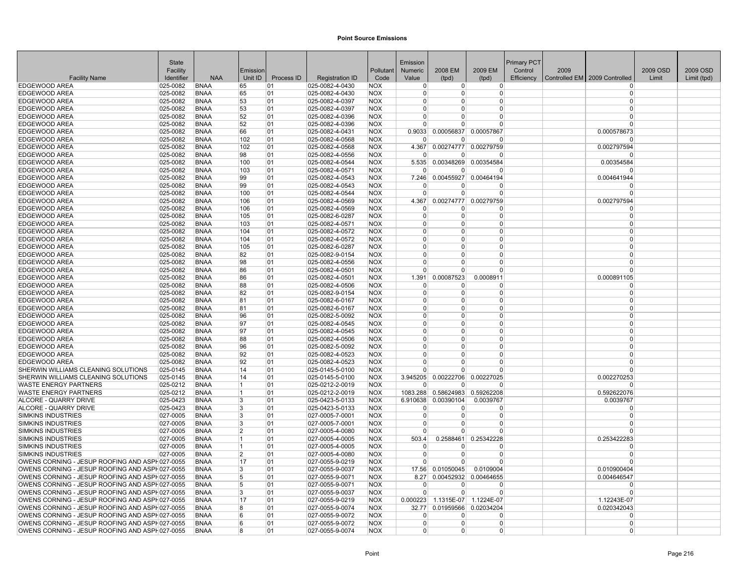|                                                                                                  | <b>State</b>         |                            |                |            |                                    |                          | Emission             |                          |                        | <b>Primary PCT</b> |      |                                 |          |             |
|--------------------------------------------------------------------------------------------------|----------------------|----------------------------|----------------|------------|------------------------------------|--------------------------|----------------------|--------------------------|------------------------|--------------------|------|---------------------------------|----------|-------------|
|                                                                                                  | Facility             |                            | Emission       |            |                                    | Pollutant                | Numeric              | 2008 EM                  | 2009 EM                | Control            | 2009 |                                 | 2009 OSD | 2009 OSD    |
| <b>Facility Name</b>                                                                             | Identifier           | <b>NAA</b>                 | Unit ID        | Process ID | <b>Registration ID</b>             | Code                     | Value                | (tpd)                    | (tpd)                  | Efficiency         |      | Controlled EM   2009 Controlled | Limit    | Limit (tpd) |
| <b>EDGEWOOD AREA</b>                                                                             | 025-0082             | <b>BNAA</b>                | 65             | 01         | 025-0082-4-0430                    | <b>NOX</b>               | 0                    | $\Omega$                 | $\Omega$               |                    |      | $\Omega$                        |          |             |
| EDGEWOOD AREA                                                                                    | 025-0082             | BNAA                       | 65             | 01         | 025-0082-4-0430                    | NOX                      | $\Omega$             | <sup>0</sup>             | $\Omega$               |                    |      | $\Omega$                        |          |             |
| EDGEWOOD AREA                                                                                    | 025-0082             | <b>BNAA</b>                | 53             | 01         | 025-0082-4-0397                    | <b>NOX</b>               | U                    | $\Omega$                 | $\Omega$               |                    |      | $\Omega$                        |          |             |
| EDGEWOOD AREA                                                                                    | 025-0082             | <b>BNAA</b>                | 53             | 01         | 025-0082-4-0397                    | <b>NOX</b>               | 0                    | $\Omega$                 | $\Omega$               |                    |      | $\Omega$                        |          |             |
| EDGEWOOD AREA                                                                                    | 025-0082             | <b>BNAA</b>                | 52             | 01         | 025-0082-4-0396                    | <b>NOX</b>               | 0                    | $\Omega$                 | $\Omega$               |                    |      | $\Omega$                        |          |             |
| EDGEWOOD AREA                                                                                    | 025-0082             | <b>BNAA</b>                | 52             | 01         | 025-0082-4-0396                    | <b>NOX</b>               | $\Omega$             | $\Omega$                 | $\Omega$               |                    |      | $\Omega$                        |          |             |
| <b>EDGEWOOD AREA</b>                                                                             | 025-0082             | <b>BNAA</b>                | 66             | 01         | 025-0082-4-0431                    | <b>NOX</b>               | 0.9033               | 0.00056837               | 0.00057867             |                    |      | 0.000578673                     |          |             |
| <b>EDGEWOOD AREA</b>                                                                             | 025-0082             | <b>BNAA</b>                | 102            | 01         | 025-0082-4-0568                    | <b>NOX</b>               | 0                    | $\Omega$                 | $\Omega$               |                    |      | $\Omega$                        |          |             |
| EDGEWOOD AREA                                                                                    | 025-0082             | <b>BNAA</b>                | 102            | 01         | 025-0082-4-0568                    | <b>NOX</b>               | 4.367                | 0.00274777               | 0.00279759             |                    |      | 0.002797594                     |          |             |
| EDGEWOOD AREA                                                                                    | 025-0082             | <b>BNAA</b>                | 98             | 01         | 025-0082-4-0556                    | <b>NOX</b>               | n                    | <sup>n</sup>             | $\Omega$               |                    |      | $\Omega$                        |          |             |
| EDGEWOOD AREA                                                                                    | 025-0082             | <b>BNAA</b>                | 100            | 01         | 025-0082-4-0544                    | <b>NOX</b>               | 5.535                | 0.00348269               | 0.00354584             |                    |      | 0.00354584                      |          |             |
| EDGEWOOD AREA                                                                                    | 025-0082             | <b>BNAA</b>                | 103            | 01         | 025-0082-4-0571                    | <b>NOX</b>               | $\Omega$             | <sup>0</sup>             | $\Omega$               |                    |      | $\Omega$                        |          |             |
| EDGEWOOD AREA                                                                                    | 025-0082             | <b>BNAA</b>                | 99             | 01         | 025-0082-4-0543                    | <b>NOX</b>               | 7.246                |                          | 0.00455927 0.00464194  |                    |      | 0.004641944                     |          |             |
| EDGEWOOD AREA                                                                                    | 025-0082             | <b>BNAA</b>                | 99             | 01         | 025-0082-4-0543                    | <b>NOX</b>               | n                    | O                        | $\Omega$               |                    |      | $\Omega$                        |          |             |
| EDGEWOOD AREA                                                                                    | 025-0082             | <b>BNAA</b>                | 100            | 01         | 025-0082-4-0544                    | <b>NOX</b>               | 0                    | $\Omega$                 | $\Omega$               |                    |      | $\Omega$                        |          |             |
| EDGEWOOD AREA                                                                                    | 025-0082             | <b>BNAA</b>                | 106            | 01         | 025-0082-4-0569                    | <b>NOX</b>               | 4.367                | 0.00274777               | 0.00279759             |                    |      | 0.002797594                     |          |             |
| EDGEWOOD AREA                                                                                    | 025-0082             | <b>BNAA</b>                | 106            | 01         | 025-0082-4-0569                    | <b>NOX</b>               | $\Omega$<br>$\Omega$ | 0                        | $\Omega$               |                    |      | $\Omega$                        |          |             |
| <b>EDGEWOOD AREA</b>                                                                             | 025-0082             | <b>BNAA</b>                | 105            | 01         | 025-0082-6-0287                    | <b>NOX</b>               | 0                    | 0<br><sup>0</sup>        | $\Omega$<br>$\Omega$   |                    |      | $\mathbf 0$                     |          |             |
| EDGEWOOD AREA                                                                                    | 025-0082             | <b>BNAA</b>                | 103            | 01         | 025-0082-4-0571                    | <b>NOX</b>               | $\Omega$             | <sup>0</sup>             | $\Omega$               |                    |      | $\mathbf 0$<br>$\Omega$         |          |             |
| EDGEWOOD AREA<br><b>EDGEWOOD AREA</b>                                                            | 025-0082<br>025-0082 | <b>BNAA</b><br><b>BNAA</b> | 104<br>104     | 01<br>01   | 025-0082-4-0572<br>025-0082-4-0572 | <b>NOX</b><br><b>NOX</b> | $\Omega$             | $\Omega$                 | $\Omega$               |                    |      | $\Omega$                        |          |             |
| EDGEWOOD AREA                                                                                    | 025-0082             | <b>BNAA</b>                | 105            | 01         | 025-0082-6-0287                    | <b>NOX</b>               | U                    | $\Omega$                 | $\Omega$               |                    |      | $\Omega$                        |          |             |
| EDGEWOOD AREA                                                                                    | 025-0082             | <b>BNAA</b>                | 82             | 01         | 025-0082-9-0154                    | <b>NOX</b>               | 0                    | 0                        | $\Omega$               |                    |      | $\Omega$                        |          |             |
| EDGEWOOD AREA                                                                                    | 025-0082             | <b>BNAA</b>                | 98             | 01         | 025-0082-4-0556                    | <b>NOX</b>               | 0                    | $\Omega$                 | $\Omega$               |                    |      | $\Omega$                        |          |             |
| EDGEWOOD AREA                                                                                    | 025-0082             | <b>BNAA</b>                | 86             | 01         | 025-0082-4-0501                    | NOX                      | $\Omega$             | n                        | $\Omega$               |                    |      | $\Omega$                        |          |             |
| <b>EDGEWOOD AREA</b>                                                                             | 025-0082             | <b>BNAA</b>                | 86             | 01         | 025-0082-4-0501                    | <b>NOX</b>               | 1.391                | 0.00087523               | 0.0008911              |                    |      | 0.000891105                     |          |             |
| EDGEWOOD AREA                                                                                    | 025-0082             | <b>BNAA</b>                | 88             | 01         | 025-0082-4-0506                    | <b>NOX</b>               | - 0                  | 0                        | 0                      |                    |      | $\Omega$                        |          |             |
| EDGEWOOD AREA                                                                                    | 025-0082             | <b>BNAA</b>                | 82             | 01         | 025-0082-9-0154                    | <b>NOX</b>               | $\Omega$             | $\Omega$                 | $\Omega$               |                    |      | $\Omega$                        |          |             |
| EDGEWOOD AREA                                                                                    | 025-0082             | <b>BNAA</b>                | 81             | 01         | 025-0082-6-0167                    | <b>NOX</b>               | 0                    | $\Omega$                 | $\Omega$               |                    |      | $\Omega$                        |          |             |
| EDGEWOOD AREA                                                                                    | 025-0082             | <b>BNAA</b>                | 81             | 01         | 025-0082-6-0167                    | NOX                      | ŋ                    | <sup>0</sup>             | $\Omega$               |                    |      | $\Omega$                        |          |             |
| EDGEWOOD AREA                                                                                    | 025-0082             | <b>BNAA</b>                | 96             | 01         | 025-0082-5-0092                    | <b>NOX</b>               | $\Omega$             | 0                        | $\Omega$               |                    |      | $\Omega$                        |          |             |
| <b>EDGEWOOD AREA</b>                                                                             | 025-0082             | <b>BNAA</b>                | 97             | 01         | 025-0082-4-0545                    | <b>NOX</b>               | $\Omega$             | $\Omega$                 | $\Omega$               |                    |      | $\Omega$                        |          |             |
| <b>EDGEWOOD AREA</b>                                                                             | 025-0082             | <b>BNAA</b>                | 97             | 01         | 025-0082-4-0545                    | <b>NOX</b>               | 0                    | $\Omega$                 | $\Omega$               |                    |      | $\Omega$                        |          |             |
| EDGEWOOD AREA                                                                                    | 025-0082             | <b>BNAA</b>                | 88             | 01         | 025-0082-4-0506                    | <b>NOX</b>               | 0                    | 0                        | $\Omega$               |                    |      | $\Omega$                        |          |             |
| EDGEWOOD AREA                                                                                    | 025-0082             | <b>BNAA</b>                | 96             | 01         | 025-0082-5-0092                    | <b>NOX</b>               | U                    | ŋ                        | $\Omega$               |                    |      | $\Omega$                        |          |             |
| EDGEWOOD AREA                                                                                    | 025-0082             | <b>BNAA</b>                | 92             | 01         | 025-0082-4-0523                    | NOX                      | U                    | $\Omega$                 | $\Omega$               |                    |      | $\Omega$                        |          |             |
| EDGEWOOD AREA                                                                                    | 025-0082             | <b>BNAA</b>                | 92             | 01         | 025-0082-4-0523                    | <b>NOX</b>               | 0                    | O                        | $\Omega$               |                    |      | $\Omega$                        |          |             |
| SHERWIN WILLIAMS CLEANING SOLUTIONS                                                              | 025-0145             | <b>BNAA</b>                | 14             | 01         | 025-0145-5-0100                    | <b>NOX</b>               | $\Omega$             | <sup>0</sup>             | $\Omega$               |                    |      | $\Omega$                        |          |             |
| SHERWIN WILLIAMS CLEANING SOLUTIONS                                                              | 025-0145             | <b>BNAA</b>                | 14             | 01         | 025-0145-5-0100                    | <b>NOX</b>               | 3.945205             | 0.00222706               | 0.00227025             |                    |      | 0.002270253                     |          |             |
| <b>WASTE ENERGY PARTNERS</b>                                                                     | 025-0212             | <b>BNAA</b>                | 1              | 01         | 025-0212-2-0019                    | <b>NOX</b>               | 0                    | $\Omega$                 | $\Omega$               |                    |      | $\Omega$                        |          |             |
| <b>WASTE ENERGY PARTNERS</b>                                                                     | 025-0212             | <b>BNAA</b>                | 1              | 01         | $ 025 - 0212 - 2 - 0019$           | <b>NOX</b>               | 1083.288             | 0.58624983               | 0.59262208             |                    |      | 0.592622076                     |          |             |
| <b>ALCORE - QUARRY DRIVE</b>                                                                     | 025-0423             | <b>BNAA</b>                | 3              | 01         | 025-0423-5-0133                    | <b>NOX</b>               | 6.910638             | 0.00390104               | 0.0039767              |                    |      | 0.0039767                       |          |             |
| ALCORE - QUARRY DRIVE                                                                            | 025-0423             | <b>BNAA</b>                | 3              | 01         | 025-0423-5-0133                    | <b>NOX</b>               | $\Omega$             | $\Omega$                 | $\Omega$               |                    |      | $\Omega$                        |          |             |
| <b>SIMKINS INDUSTRIES</b>                                                                        | 027-0005             | <b>BNAA</b>                | 3              | 01         | 027-0005-7-0001                    | <b>NOX</b>               | $\Omega$             | $\Omega$                 | $\Omega$               |                    |      | $\mathbf 0$                     |          |             |
| SIMKINS INDUSTRIES                                                                               | $ 027 - 0005$        | <b>BNAA</b>                | 3              | 01         | 027-0005-7-0001                    | <b>NOX</b>               | $\Omega$             | 0                        | $\Omega$               |                    |      | $\Omega$                        |          |             |
| <b>SIMKINS INDUSTRIES</b>                                                                        | 027-0005             | <b>BNAA</b>                | $\overline{2}$ | 01         | 027-0005-4-0080                    | <b>NOX</b>               | U                    | U                        | $\Omega$               |                    |      | $\Omega$                        |          |             |
| SIMKINS INDUSTRIES                                                                               | 027-0005             | <b>BNAA</b>                | $\mathbf 1$    | 01         | 027-0005-4-0005                    | <b>NOX</b>               | 503.4                | 0.2588461                | 0.25342228             |                    |      | 0.253422283                     |          |             |
| <b>SIMKINS INDUSTRIES</b>                                                                        | 027-0005             | <b>BNAA</b>                | 1              | 01         | 027-0005-4-0005                    | <b>NOX</b>               | $\Omega$             | 0                        | $\Omega$               |                    |      | $\Omega$                        |          |             |
| <b>SIMKINS INDUSTRIES</b>                                                                        | 027-0005             | <b>BNAA</b>                | $\overline{2}$ | 01         | 027-0005-4-0080                    | <b>NOX</b>               | $\Omega$             | $\Omega$                 | $\Omega$               |                    |      | $\mathbf 0$                     |          |             |
| OWENS CORNING - JESUP ROOFING AND ASPH027-0055                                                   |                      | <b>BNAA</b>                | 17             | 01         | 027-0055-9-0219                    | <b>NOX</b>               | $\Omega$             | $\Omega$                 | $\Omega$               |                    |      | $\Omega$                        |          |             |
| OWENS CORNING - JESUP ROOFING AND ASPH027-0055                                                   |                      | <b>BNAA</b>                | 3              | 01         | 027-0055-9-0037                    | <b>NOX</b>               | 17.56                | 0.01050045               | 0.0109004              |                    |      | 0.010900404                     |          |             |
| OWENS CORNING - JESUP ROOFING AND ASPH027-0055                                                   |                      | BNAA                       | 5              | 01         | $ 027 - 0055 - 9 - 0071$           | <b>NOX</b>               | 8.27                 | 0.00452932               | 0.00464655             |                    |      | 0.004646547                     |          |             |
| OWENS CORNING - JESUP ROOFING AND ASPH027-0055                                                   |                      | <b>BNAA</b>                | 5              | 01         | 027-0055-9-0071                    | <b>NOX</b>               | U                    | O                        | $\Omega$               |                    |      | $\Omega$                        |          |             |
| OWENS CORNING - JESUP ROOFING AND ASPH027-0055                                                   |                      | <b>BNAA</b>                | 3              | 01         | 027-0055-9-0037                    | <b>NOX</b>               | U                    | $\Omega$                 | $\Omega$               |                    |      | $\Omega$                        |          |             |
| OWENS CORNING - JESUP ROOFING AND ASPH027-0055                                                   |                      | <b>BNAA</b>                | 17             | 01         | 027-0055-9-0219                    | <b>NOX</b>               | 0.000223             | 1.1315E-07               | 1.1224E-07             |                    |      | 1.12243E-07                     |          |             |
| OWENS CORNING - JESUP ROOFING AND ASPH027-0055                                                   |                      | <b>BNAA</b>                | 8<br>6         | 01<br>01   | 027-0055-9-0074<br>027-0055-9-0072 | <b>NOX</b><br><b>NOX</b> | 32.77                | 0.01959566               | 0.02034204<br>$\Omega$ |                    |      | 0.020342043<br>$\Omega$         |          |             |
| OWENS CORNING - JESUP ROOFING AND ASPH027-0055<br>OWENS CORNING - JESUP ROOFING AND ASPH027-0055 |                      | <b>BNAA</b><br><b>BNAA</b> | 6              | 01         | 027-0055-9-0072                    | <b>NOX</b>               | o<br>0               | <sup>0</sup><br>$\Omega$ | $\Omega$               |                    |      | $\Omega$                        |          |             |
|                                                                                                  |                      | <b>BNAA</b>                | 8              | 01         |                                    |                          | 0                    | 0                        | $\Omega$               |                    |      | $\Omega$                        |          |             |
| OWENS CORNING - JESUP ROOFING AND ASPH027-0055                                                   |                      |                            |                |            | 027-0055-9-0074                    | <b>NOX</b>               |                      |                          |                        |                    |      |                                 |          |             |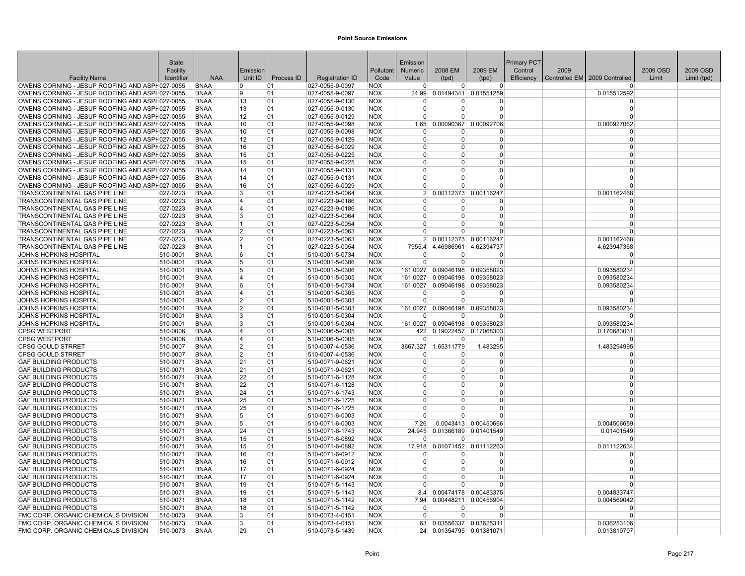|                                                                                                  | <b>State</b>         |                            |                         |            |                                    |                          | Emission                       |                         |                                     | Primary PCT |      |                                 |          |             |
|--------------------------------------------------------------------------------------------------|----------------------|----------------------------|-------------------------|------------|------------------------------------|--------------------------|--------------------------------|-------------------------|-------------------------------------|-------------|------|---------------------------------|----------|-------------|
|                                                                                                  | Facility             |                            | Emission                |            |                                    | Pollutant                | Numeric                        | 2008 EM                 | 2009 EM                             | Control     | 2009 |                                 | 2009 OSD | 2009 OSD    |
| <b>Facility Name</b>                                                                             | Identifier           | <b>NAA</b>                 | Unit ID                 | Process ID | <b>Registration ID</b>             | Code                     | Value                          | (tpd)                   | (tpd)                               | Efficiency  |      | Controlled EM   2009 Controlled | Limit    | Limit (tpd) |
| OWENS CORNING - JESUP ROOFING AND ASPH027-0055                                                   |                      | <b>BNAA</b>                | 9                       | 01         | 027-0055-9-0097                    | <b>NOX</b>               | $\Omega$                       | $\Omega$                | $\overline{0}$                      |             |      | $\Omega$                        |          |             |
| OWENS CORNING - JESUP ROOFING AND ASPH027-0055                                                   |                      | <b>BNAA</b>                | 9                       | 01         | 027-0055-9-0097                    | <b>NOX</b>               | 24.99                          |                         | 0.01494341 0.01551259               |             |      | 0.015512592                     |          |             |
| OWENS CORNING - JESUP ROOFING AND ASPH027-0055                                                   |                      | <b>BNAA</b>                | 13                      | 01<br>01   | 027-0055-9-0130                    | <b>NOX</b>               | $\mathbf{0}$<br>$\overline{0}$ | 0<br>$\Omega$           | 0<br>$\overline{0}$                 |             |      | $\Omega$<br>$\Omega$            |          |             |
| OWENS CORNING - JESUP ROOFING AND ASPH027-0055<br>OWENS CORNING - JESUP ROOFING AND ASPH027-0055 |                      | <b>BNAA</b><br><b>BNAA</b> | 13<br>12                | 01         | 027-0055-9-0130<br>027-0055-9-0129 | <b>NOX</b><br><b>NOX</b> | $\Omega$                       | $\Omega$                | $\overline{0}$                      |             |      | $\Omega$                        |          |             |
| OWENS CORNING - JESUP ROOFING AND ASPH027-0055                                                   |                      | <b>BNAA</b>                | 10                      | 01         | 027-0055-9-0098                    | <b>NOX</b>               | 1.65                           | 0.00090367              | 0.00092706                          |             |      | 0.000927062                     |          |             |
| OWENS CORNING - JESUP ROOFING AND ASPH027-0055                                                   |                      | <b>BNAA</b>                | 10                      | 01         | 027-0055-9-0098                    | <b>NOX</b>               | $\overline{0}$                 | 0                       | $\overline{0}$                      |             |      | $\Omega$                        |          |             |
| OWENS CORNING - JESUP ROOFING AND ASPH027-0055                                                   |                      | <b>BNAA</b>                | 12                      | 01         | 027-0055-9-0129                    | <b>NOX</b>               | $\Omega$                       | $\Omega$                | $\Omega$                            |             |      | $\Omega$                        |          |             |
| OWENS CORNING - JESUP ROOFING AND ASPH027-0055                                                   |                      | <b>BNAA</b>                | 16                      | 01         | $ 027 - 0055 - 6 - 0029$           | <b>NOX</b>               | $\Omega$                       | 0                       | $\Omega$                            |             |      | $\Omega$                        |          |             |
| OWENS CORNING - JESUP ROOFING AND ASPH027-0055                                                   |                      | <b>BNAA</b>                | 15                      | 01         | 027-0055-9-0225                    | <b>NOX</b>               | $\overline{0}$                 | $\Omega$                | $\overline{0}$                      |             |      | $\Omega$                        |          |             |
| OWENS CORNING - JESUP ROOFING AND ASPH027-0055                                                   |                      | <b>BNAA</b>                | 15                      | 01         | 027-0055-9-0225                    | <b>NOX</b>               | $\Omega$                       | $\Omega$                | $\overline{0}$                      |             |      | $\Omega$                        |          |             |
| OWENS CORNING - JESUP ROOFING AND ASPH027-0055                                                   |                      | <b>BNAA</b>                | 14                      | 01         | 027-0055-9-0131                    | <b>NOX</b>               | $\Omega$                       | 0                       | $\Omega$                            |             |      | $\Omega$                        |          |             |
| OWENS CORNING - JESUP ROOFING AND ASPH027-0055                                                   |                      | <b>BNAA</b>                | 14                      | 01         | $ 027 - 0055 - 9 - 0131$           | <b>NOX</b>               | $\overline{0}$                 | $\Omega$                | $\Omega$                            |             |      | $\Omega$                        |          |             |
| OWENS CORNING - JESUP ROOFING AND ASPH027-0055                                                   |                      | <b>BNAA</b>                | 16                      | 01         | 027-0055-6-0029                    | <b>NOX</b>               | $\Omega$                       | $\Omega$                | $\Omega$                            |             |      | $\Omega$                        |          |             |
| TRANSCONTINENTAL GAS PIPE LINE                                                                   | 027-0223             | <b>BNAA</b>                | 3                       | 01         | 027-0223-5-0064                    | <b>NOX</b>               | 2 <sup>1</sup>                 | 0.00112373              | 0.00116247                          |             |      | 0.001162468                     |          |             |
| TRANSCONTINENTAL GAS PIPE LINE                                                                   | 027-0223             | <b>BNAA</b>                | 4                       | 01         | 027-0223-9-0186                    | <b>NOX</b>               | $\Omega$                       | $\Omega$                | $\Omega$                            |             |      | $\Omega$                        |          |             |
| <b>TRANSCONTINENTAL GAS PIPE LINE</b>                                                            | 027-0223             | <b>BNAA</b>                | 4                       | 01         | 027-0223-9-0186                    | <b>NOX</b>               | $\Omega$                       | $\Omega$                | $\Omega$                            |             |      | $\Omega$                        |          |             |
| <b>TRANSCONTINENTAL GAS PIPE LINE</b>                                                            | 027-0223             | <b>BNAA</b>                | 3                       | 01         | 027-0223-5-0064                    | <b>NOX</b>               | $\Omega$                       | $\Omega$                | $\Omega$                            |             |      | $\Omega$                        |          |             |
| <b>TRANSCONTINENTAL GAS PIPE LINE</b>                                                            | 027-0223             | <b>BNAA</b>                | $\mathbf{1}$            | 01         | 027-0223-5-0054                    | <b>NOX</b>               | $\Omega$                       | 0                       | $\Omega$                            |             |      | $\Omega$                        |          |             |
| TRANSCONTINENTAL GAS PIPE LINE                                                                   | 027-0223             | <b>BNAA</b>                | $\overline{2}$          | 01         | 027-0223-5-0063                    | <b>NOX</b>               | $\overline{0}$                 | $\Omega$                | $\Omega$                            |             |      | $\Omega$                        |          |             |
| TRANSCONTINENTAL GAS PIPE LINE                                                                   | 027-0223             | <b>BNAA</b>                | $\overline{2}$          | 01         | 027-0223-5-0063                    | <b>NOX</b>               |                                | 2 0.00112373 0.00116247 |                                     |             |      | 0.001162468                     |          |             |
| TRANSCONTINENTAL GAS PIPE LINE                                                                   | 027-0223             | <b>BNAA</b>                | 1                       | 01         | 027-0223-5-0054                    | <b>NOX</b>               | 7955.4                         | 4.46986961              | 4.62394737                          |             |      | 4.623947368                     |          |             |
| JOHNS HOPKINS HOSPITAL                                                                           | 510-0001             | <b>BNAA</b>                | 6                       | 01         | 510-0001-5-0734                    | <b>NOX</b>               | $\overline{0}$                 | 0                       | 0                                   |             |      | $\Omega$                        |          |             |
| JOHNS HOPKINS HOSPITAL                                                                           | 510-0001             | <b>BNAA</b>                | 5                       | 01         | 510-0001-5-0306                    | <b>NOX</b>               | $\Omega$                       | $\Omega$                | 0                                   |             |      | $\Omega$                        |          |             |
| JOHNS HOPKINS HOSPITAL                                                                           | 510-0001             | <b>BNAA</b>                | 5                       | 01         | 510-0001-5-0306                    | <b>NOX</b>               | 161.0027                       |                         | 0.09046198 0.09358023               |             |      | 0.093580234                     |          |             |
| JOHNS HOPKINS HOSPITAL                                                                           | 510-0001             | <b>BNAA</b>                | 4                       | 01         | 510-0001-5-0305                    | <b>NOX</b>               | 161.0027                       |                         | 0.09046198 0.09358023               |             |      | 0.093580234                     |          |             |
| JOHNS HOPKINS HOSPITAL                                                                           | 510-0001             | <b>BNAA</b>                | 6                       | 01         | 510-0001-5-0734                    | <b>NOX</b>               | 161.0027                       |                         | 0.09046198 0.09358023               |             |      | 0.093580234                     |          |             |
| JOHNS HOPKINS HOSPITAL                                                                           | 510-0001             | <b>BNAA</b>                | $\overline{\mathbf{4}}$ | 01         | 510-0001-5-0305                    | <b>NOX</b>               | $\mathbf 0$                    | $\Omega$                | $\Omega$                            |             |      | $\Omega$                        |          |             |
| JOHNS HOPKINS HOSPITAL                                                                           | 510-0001             | <b>BNAA</b>                | $\overline{2}$          | 01         | 510-0001-5-0303                    | <b>NOX</b>               | $\Omega$                       | $\Omega$                | $\Omega$                            |             |      | $\Omega$                        |          |             |
| JOHNS HOPKINS HOSPITAL<br>JOHNS HOPKINS HOSPITAL                                                 | 510-0001             | <b>BNAA</b>                | 2<br>3                  | 01         | 510-0001-5-0303<br>510-0001-5-0304 | <b>NOX</b><br><b>NOX</b> | 161.0027<br> 0                 | 0                       | 0.09046198 0.09358023<br>$\Omega$   |             |      | 0.093580234                     |          |             |
| JOHNS HOPKINS HOSPITAL                                                                           | 510-0001<br>510-0001 | <b>BNAA</b><br><b>BNAA</b> | 3                       | 01<br>01   | 510-0001-5-0304                    | <b>NOX</b>               | 161.0027                       |                         | 0.09046198 0.09358023               |             |      | 0.093580234                     |          |             |
| <b>CPSG WESTPORT</b>                                                                             | 510-0006             | <b>BNAA</b>                | 4                       | 01         | 510-0006-5-0005                    | <b>NOX</b>               | 422                            |                         | 0.19022457 0.17068303               |             |      | 0.170683031                     |          |             |
| <b>CPSG WESTPORT</b>                                                                             | 510-0006             | <b>BNAA</b>                | 4                       | 01         | 510-0006-5-0005                    | <b>NOX</b>               | $\Omega$                       | $\Omega$                | $\Omega$                            |             |      | $\Omega$                        |          |             |
| <b>CPSG GOULD STRRET</b>                                                                         | 510-0007             | <b>BNAA</b>                | 2                       | 01         | 510-0007-4-0536                    | <b>NOX</b>               |                                | 3667.327 1.65311779     | 1.483295                            |             |      | 1.483294995                     |          |             |
| <b>CPSG GOULD STRRET</b>                                                                         | 510-0007             | <b>BNAA</b>                | $\overline{2}$          | 01         | 510-0007-4-0536                    | <b>NOX</b>               | $\Omega$                       | $\Omega$                | $\Omega$                            |             |      | $\Omega$                        |          |             |
| <b>GAF BUILDING PRODUCTS</b>                                                                     | 510-0071             | <b>BNAA</b>                | 21                      | 01         | 510-0071-9-0621                    | <b>NOX</b>               | $\overline{0}$                 | $\Omega$                | $\Omega$                            |             |      | $\Omega$                        |          |             |
| <b>GAF BUILDING PRODUCTS</b>                                                                     | 510-0071             | <b>BNAA</b>                | 21                      | 01         | 510-0071-9-0621                    | <b>NOX</b>               | $\overline{0}$                 | $\Omega$                | $\overline{0}$                      |             |      | $\Omega$                        |          |             |
| <b>GAF BUILDING PRODUCTS</b>                                                                     | 510-0071             | <b>BNAA</b>                | 22                      | 01         | 510-0071-6-1128                    | <b>NOX</b>               | $\Omega$                       | $\Omega$                | $\Omega$                            |             |      | $\Omega$                        |          |             |
| <b>GAF BUILDING PRODUCTS</b>                                                                     | 510-0071             | <b>BNAA</b>                | 22                      | 01         | 510-0071-6-1128                    | <b>NOX</b>               | $\Omega$                       | $\Omega$                | $\Omega$                            |             |      | $\Omega$                        |          |             |
| <b>GAF BUILDING PRODUCTS</b>                                                                     | 510-0071             | <b>BNAA</b>                | 24                      | 01         | 510-0071-6-1743                    | <b>NOX</b>               | $\overline{0}$                 | 0                       | 0                                   |             |      | $\Omega$                        |          |             |
| <b>GAF BUILDING PRODUCTS</b>                                                                     | 510-0071             | <b>BNAA</b>                | 25                      | 01         | 510-0071-6-1725                    | <b>NOX</b>               | $\mathbf{0}$                   | $\Omega$                | 0                                   |             |      | $\Omega$                        |          |             |
| <b>GAF BUILDING PRODUCTS</b>                                                                     | 510-0071             | <b>BNAA</b>                | 25                      | 01         | 510-0071-6-1725                    | <b>NOX</b>               | $\Omega$                       | $\Omega$                | $\Omega$                            |             |      | $\Omega$                        |          |             |
| <b>GAF BUILDING PRODUCTS</b>                                                                     | 510-0071             | <b>BNAA</b>                | 5                       | 01         | 510-0071-6-0003                    | <b>NOX</b>               | $\Omega$                       | $\Omega$                | $\Omega$                            |             |      | $\Omega$                        |          |             |
| <b>GAF BUILDING PRODUCTS</b>                                                                     | 510-0071             | <b>BNAA</b>                | 5                       | 01         | 510-0071-6-0003                    | <b>NOX</b>               | 7.26                           |                         | 0.0043413 0.00450666                |             |      | 0.004506659                     |          |             |
| <b>GAF BUILDING PRODUCTS</b>                                                                     | 510-0071             | <b>BNAA</b>                | 24                      | 01         | 510-0071-6-1743                    | <b>NOX</b>               | 24.945                         |                         | 0.01366189 0.01401549               |             |      | 0.01401549                      |          |             |
| <b>GAF BUILDING PRODUCTS</b>                                                                     | 510-0071             | <b>BNAA</b>                | 15                      | 01         | 510-0071-6-0892                    | <b>NOX</b>               | $\Omega$                       | $\Omega$                | $\Omega$                            |             |      | $\Omega$                        |          |             |
| <b>GAF BUILDING PRODUCTS</b>                                                                     | 510-0071             | <b>BNAA</b>                | 15                      | 01         | 510-0071-6-0892                    | <b>NOX</b>               | 17.918                         | 0.01071452              | 0.01112263                          |             |      | 0.011122634                     |          |             |
| <b>GAF BUILDING PRODUCTS</b>                                                                     | 510-0071             | <b>BNAA</b>                | 16                      | 01         | 510-0071-6-0912                    | <b>NOX</b>               | $\Omega$                       | 0                       | $\mathbf 0$                         |             |      | $\Omega$                        |          |             |
| <b>GAF BUILDING PRODUCTS</b>                                                                     | 510-0071             | <b>BNAA</b>                | 16                      | 01         | 510-0071-6-0912                    | <b>NOX</b>               | $\Omega$                       | $\Omega$                | $\Omega$                            |             |      | $\Omega$                        |          |             |
| <b>GAF BUILDING PRODUCTS</b>                                                                     | 510-0071             | <b>BNAA</b>                | 17                      | 01         | 510-0071-6-0924                    | <b>NOX</b>               | $\Omega$                       | $\Omega$                | $\Omega$                            |             |      | $\Omega$                        |          |             |
| <b>GAF BUILDING PRODUCTS</b>                                                                     | 510-0071             | BNAA                       | 17                      | 01         | 510-0071-6-0924                    | <b>NOX</b>               | $\Omega$<br>$\Omega$           | $\Omega$<br>$\Omega$    | 0                                   |             |      | $\Omega$<br>$\Omega$            |          |             |
| <b>GAF BUILDING PRODUCTS</b>                                                                     | 510-0071             | <b>BNAA</b>                | 19<br>19                | 01<br>01   | 510-0071-5-1143                    | <b>NOX</b><br><b>NOX</b> | 8.4                            |                         | $\Omega$                            |             |      |                                 |          |             |
| <b>GAF BUILDING PRODUCTS</b><br><b>GAF BUILDING PRODUCTS</b>                                     | 510-0071<br>510-0071 | <b>BNAA</b><br><b>BNAA</b> | 18                      |            | 510-0071-5-1143<br>510-0071-5-1142 | <b>NOX</b>               | 7.94                           | 0.00448211              | 0.00474178 0.00483375<br>0.00456904 |             |      | 0.004833747<br>0.004569042      |          |             |
| <b>GAF BUILDING PRODUCTS</b>                                                                     | 510-0071             | <b>BNAA</b>                | 18                      | 01<br>01   | 510-0071-5-1142                    | <b>NOX</b>               | $\overline{0}$                 | 0                       | $\Omega$                            |             |      | 0                               |          |             |
| FMC CORP. ORGANIC CHEMICALS DIVISION                                                             | 510-0073             | <b>BNAA</b>                | 3                       | 01         | 510-0073-4-0151                    | <b>NOX</b>               | $\Omega$                       | $\Omega$                | $\Omega$                            |             |      | $\Omega$                        |          |             |
| FMC CORP. ORGANIC CHEMICALS DIVISION                                                             | 510-0073             | <b>BNAA</b>                | 3                       | 01         | 510-0073-4-0151                    | <b>NOX</b>               | 63                             |                         | 0.03556337 0.03625311               |             |      | 0.036253106                     |          |             |
| FMC CORP. ORGANIC CHEMICALS DIVISION                                                             | 510-0073             | <b>BNAA</b>                | 29                      | 01         | 510-0073-5-1439                    | <b>NOX</b>               | 24                             |                         | 0.01354795 0.01381071               |             |      | 0.013810707                     |          |             |
|                                                                                                  |                      |                            |                         |            |                                    |                          |                                |                         |                                     |             |      |                                 |          |             |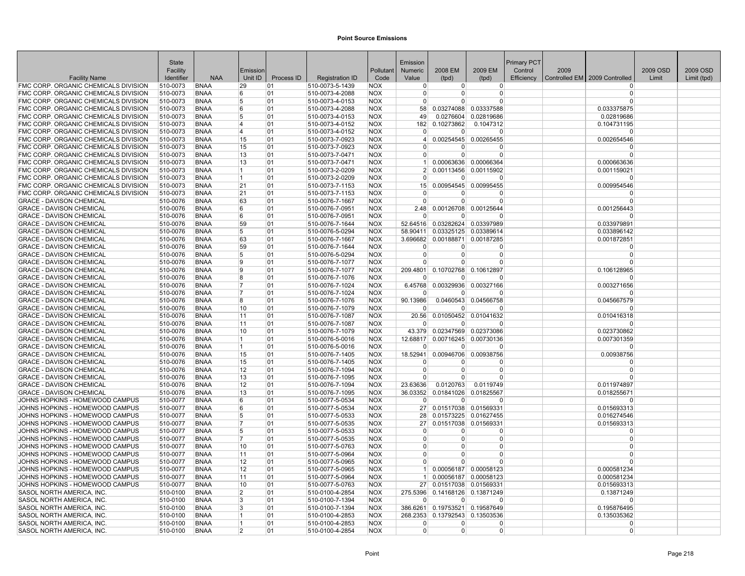|                                                                              | State                |                            |                     |            |                                    |                          | Emission             |                            |                                  | <b>Primary PCT</b> |      |                                 |          |             |
|------------------------------------------------------------------------------|----------------------|----------------------------|---------------------|------------|------------------------------------|--------------------------|----------------------|----------------------------|----------------------------------|--------------------|------|---------------------------------|----------|-------------|
|                                                                              | Facility             |                            | Emission            |            |                                    | Pollutant                | Numeric              | 2008 EM                    | 2009 EM                          | Control            | 2009 |                                 | 2009 OSD | 2009 OSD    |
| <b>Facility Name</b>                                                         | Identifier           | <b>NAA</b>                 | Unit ID             | Process ID | <b>Registration ID</b>             | Code                     | Value                | (tpd)                      | (tpd)                            | Efficiency         |      | Controlled EM   2009 Controlled | Limit    | Limit (tpd) |
| FMC CORP. ORGANIC CHEMICALS DIVISION                                         | 510-0073             | <b>BNAA</b>                | 29                  | 01         | 510-0073-5-1439                    | <b>NOX</b>               | $\mathbf 0$          | 0                          | $\overline{0}$                   |                    |      | $\Omega$                        |          |             |
| FMC CORP. ORGANIC CHEMICALS DIVISION                                         | 510-0073             | <b>BNAA</b>                | 6                   | 01         | 510-0073-4-2088                    | <b>NOX</b>               | $\Omega$             | $\Omega$                   | 0                                |                    |      | $\Omega$                        |          |             |
| FMC CORP. ORGANIC CHEMICALS DIVISION                                         | 510-0073             | <b>BNAA</b>                | 5                   | 01         | 510-0073-4-0153                    | <b>NOX</b>               | $\mathbf 0$          | $\Omega$                   | $\Omega$                         |                    |      | $\Omega$                        |          |             |
| FMC CORP. ORGANIC CHEMICALS DIVISION                                         | 510-0073             | <b>BNAA</b>                | 6                   | 01         | 510-0073-4-2088                    | <b>NOX</b>               | 58                   |                            | 0.03274088 0.03337588            |                    |      | 0.033375875                     |          |             |
| FMC CORP. ORGANIC CHEMICALS DIVISION                                         | 510-0073             | <b>BNAA</b><br><b>BNAA</b> | 5<br>14             | 01<br>01   | 510-0073-4-0153                    | <b>NOX</b><br><b>NOX</b> | 49<br>182            | 0.0276604<br>0.10273862    | 0.02819686                       |                    |      | 0.02819686                      |          |             |
| FMC CORP. ORGANIC CHEMICALS DIVISION<br>FMC CORP. ORGANIC CHEMICALS DIVISION | 510-0073<br>510-0073 | <b>BNAA</b>                | 4                   | 01         | 510-0073-4-0152<br>510-0073-4-0152 | <b>NOX</b>               | $\Omega$             | $\Omega$                   | 0.1047312<br>$\Omega$            |                    |      | 0.104731195<br>$\Omega$         |          |             |
| FMC CORP. ORGANIC CHEMICALS DIVISION                                         | 510-0073             | <b>BNAA</b>                | 15                  | 01         | 510-0073-7-0923                    | <b>NOX</b>               | $\vert$              |                            | 0.00254545 0.00265455            |                    |      | 0.002654546                     |          |             |
| FMC CORP. ORGANIC CHEMICALS DIVISION                                         | 510-0073             | <b>BNAA</b>                | 15                  | 01         | 510-0073-7-0923                    | <b>NOX</b>               | $\Omega$             | O                          | 0                                |                    |      | $\Omega$                        |          |             |
| FMC CORP. ORGANIC CHEMICALS DIVISION                                         | 510-0073             | <b>BNAA</b>                | 13                  | 01         | 510-0073-7-0471                    | <b>NOX</b>               | $\overline{0}$       | $\overline{0}$             | $\overline{0}$                   |                    |      | $\Omega$                        |          |             |
| FMC CORP. ORGANIC CHEMICALS DIVISION                                         | 510-0073             | <b>BNAA</b>                | 13                  | 01         | 510-0073-7-0471                    | <b>NOX</b>               | 1                    |                            | 0.00063636 0.00066364            |                    |      | 0.000663636                     |          |             |
| FMC CORP. ORGANIC CHEMICALS DIVISION                                         | 510-0073             | <b>BNAA</b>                | 1                   | 01         | 510-0073-2-0209                    | <b>NOX</b>               | 2 <sup>1</sup>       |                            | 0.00113456 0.00115902            |                    |      | 0.001159021                     |          |             |
| FMC CORP. ORGANIC CHEMICALS DIVISION                                         | 510-0073             | <b>BNAA</b>                | 1                   | 01         | 510-0073-2-0209                    | <b>NOX</b>               | $\overline{0}$       | 0                          | $\Omega$                         |                    |      | $\Omega$                        |          |             |
| FMC CORP. ORGANIC CHEMICALS DIVISION                                         | 510-0073             | <b>BNAA</b>                | 21                  | 01         | 510-0073-7-1153                    | <b>NOX</b>               | 15                   | 0.00954545                 | 0.00995455                       |                    |      | 0.009954546                     |          |             |
| FMC CORP. ORGANIC CHEMICALS DIVISION                                         | 510-0073             | <b>BNAA</b>                | 21                  | 01         | 510-0073-7-1153                    | <b>NOX</b>               | $\Omega$             | $\Omega$                   | $\Omega$                         |                    |      | $\Omega$                        |          |             |
| <b>GRACE - DAVISON CHEMICAL</b>                                              | 510-0076             | <b>BNAA</b>                | 63                  | 01         | 510-0076-7-1667                    | <b>NOX</b>               | $\Omega$             | $\Omega$                   | $\Omega$                         |                    |      | $\Omega$                        |          |             |
| <b>GRACE - DAVISON CHEMICAL</b>                                              | 510-0076             | <b>BNAA</b>                | 6                   | 01         | 510-0076-7-0951                    | <b>NOX</b>               | 2.48                 |                            | 0.00126708 0.00125644            |                    |      | 0.001256443                     |          |             |
| GRACE - DAVISON CHEMICAL                                                     | 510-0076             | <b>BNAA</b>                | 6                   | 01         | 510-0076-7-0951                    | <b>NOX</b>               | $\Omega$             | U                          | $\Omega$                         |                    |      | $\Omega$                        |          |             |
| <b>GRACE - DAVISON CHEMICAL</b>                                              | 510-0076             | <b>BNAA</b>                | 59                  | 01         | 510-0076-7-1644                    | <b>NOX</b>               |                      |                            | 52.64516 0.03282624 0.03397989   |                    |      | 0.033979891                     |          |             |
| <b>GRACE - DAVISON CHEMICAL</b>                                              | 510-0076             | <b>BNAA</b>                | 5                   | 01         | 510-0076-5-0294                    | <b>NOX</b>               | 58.90411             |                            | 0.03325125 0.03389614            |                    |      | 0.033896142                     |          |             |
| <b>GRACE - DAVISON CHEMICAL</b>                                              | 510-0076             | <b>BNAA</b>                | 63                  | 01         | 510-0076-7-1667                    | <b>NOX</b>               |                      |                            | 3.696682 0.00188871 0.00187285   |                    |      | 0.001872851                     |          |             |
| <b>GRACE - DAVISON CHEMICAL</b>                                              | 510-0076             | <b>BNAA</b>                | 59                  | 01         | 510-0076-7-1644                    | <b>NOX</b>               | $\Omega$             | $\overline{0}$             | $\Omega$                         |                    |      | $\Omega$                        |          |             |
| <b>GRACE - DAVISON CHEMICAL</b>                                              | 510-0076             | <b>BNAA</b>                | 5                   | 01         | 510-0076-5-0294                    | <b>NOX</b>               | $\mathbf 0$          | $\overline{0}$             | 0                                |                    |      | $\Omega$                        |          |             |
| <b>GRACE - DAVISON CHEMICAL</b>                                              | 510-0076             | <b>BNAA</b>                | 9                   | 01         | 510-0076-7-1077                    | <b>NOX</b>               | $\Omega$             | $\Omega$                   | $\Omega$                         |                    |      | $\Omega$                        |          |             |
| <b>GRACE - DAVISON CHEMICAL</b>                                              | 510-0076             | <b>BNAA</b>                | 9                   | 01         | 510-0076-7-1077                    | <b>NOX</b>               | 209.4801             |                            | 0.10702768 0.10612897            |                    |      | 0.106128965                     |          |             |
| <b>GRACE - DAVISON CHEMICAL</b>                                              | 510-0076             | <b>BNAA</b>                | R.                  | 01         | 510-0076-7-1076                    | <b>NOX</b>               | $\Omega$             | $\Omega$                   | $\Omega$                         |                    |      | $\Omega$                        |          |             |
| <b>GRACE - DAVISON CHEMICAL</b>                                              | 510-0076             | <b>BNAA</b>                | 7<br>17             | 01         | 510-0076-7-1024                    | <b>NOX</b>               | 6.45768              |                            | 0.00329936 0.00327166            |                    |      | 0.003271656                     |          |             |
| <b>GRACE - DAVISON CHEMICAL</b>                                              | 510-0076<br>510-0076 | <b>BNAA</b><br><b>BNAA</b> | 8                   | 01<br>01   | 510-0076-7-1024<br>510-0076-7-1076 | <b>NOX</b>               | $\Omega$             | $\Omega$                   | $\Omega$                         |                    |      | $\Omega$                        |          |             |
| <b>GRACE - DAVISON CHEMICAL</b><br><b>GRACE - DAVISON CHEMICAL</b>           | 510-0076             | <b>BNAA</b>                | 10                  | 01         | 510-0076-7-1079                    | <b>NOX</b><br><b>NOX</b> | 90.13986<br>$\Omega$ | $\Omega$                   | 0.0460543 0.04566758<br>$\Omega$ |                    |      | 0.045667579<br>$\Omega$         |          |             |
| <b>GRACE - DAVISON CHEMICAL</b>                                              | 510-0076             | <b>BNAA</b>                | 11                  | 01         | 510-0076-7-1087                    | <b>NOX</b>               | 20.56                |                            | 0.01050452 0.01041632            |                    |      | 0.010416318                     |          |             |
| <b>GRACE - DAVISON CHEMICAL</b>                                              | 510-0076             | <b>BNAA</b>                | 11                  | 01         | 510-0076-7-1087                    | <b>NOX</b>               | $\Omega$             | $\Omega$                   | $\Omega$                         |                    |      | $\Omega$                        |          |             |
| <b>GRACE - DAVISON CHEMICAL</b>                                              | 510-0076             | <b>BNAA</b>                | 10                  | 01         | 510-0076-7-1079                    | <b>NOX</b>               |                      |                            | 43.379 0.02347569 0.02373086     |                    |      | 0.023730862                     |          |             |
| <b>GRACE - DAVISON CHEMICAL</b>                                              | 510-0076             | <b>BNAA</b>                | $\mathbf{1}$        | 01         | 510-0076-5-0016                    | <b>NOX</b>               | 12.68817             |                            | 0.00716245 0.00730136            |                    |      | 0.007301359                     |          |             |
| <b>GRACE - DAVISON CHEMICAL</b>                                              | 510-0076             | <b>BNAA</b>                | 1                   | 01         | 510-0076-5-0016                    | <b>NOX</b>               | $\Omega$             | <sup>0</sup>               | $\Omega$                         |                    |      | $\Omega$                        |          |             |
| <b>GRACE - DAVISON CHEMICAL</b>                                              | 510-0076             | <b>BNAA</b>                | 15                  | 01         | 510-0076-7-1405                    | <b>NOX</b>               | 18.52941             |                            | 0.00946706 0.00938756            |                    |      | 0.00938756                      |          |             |
| <b>GRACE - DAVISON CHEMICAL</b>                                              | 510-0076             | <b>BNAA</b>                | 15                  | 01         | 510-0076-7-1405                    | <b>NOX</b>               | $\Omega$             | 0                          | $\Omega$                         |                    |      | $\Omega$                        |          |             |
| <b>GRACE - DAVISON CHEMICAL</b>                                              | 510-0076             | <b>BNAA</b>                | 12                  | 01         | 510-0076-7-1094                    | <b>NOX</b>               | $\mathbf 0$          | $\overline{0}$             | $\Omega$                         |                    |      | $\Omega$                        |          |             |
| <b>GRACE - DAVISON CHEMICAL</b>                                              | 510-0076             | <b>BNAA</b>                | 13                  | 01         | 510-0076-7-1095                    | <b>NOX</b>               | $\Omega$             | $\overline{0}$             | $\Omega$                         |                    |      | $\Omega$                        |          |             |
| <b>GRACE - DAVISON CHEMICAL</b>                                              | 510-0076             | <b>BNAA</b>                | 12                  | 01         | 510-0076-7-1094                    | <b>NOX</b>               | 23.63636             | 0.0120763                  | 0.0119749                        |                    |      | 0.011974897                     |          |             |
| <b>GRACE - DAVISON CHEMICAL</b>                                              | 510-0076             | <b>BNAA</b>                | 13                  | 01         | 510-0076-7-1095                    | <b>NOX</b>               | 36.03352             |                            | 0.01841026 0.01825567            |                    |      | 0.018255671                     |          |             |
| JOHNS HOPKINS - HOMEWOOD CAMPUS                                              | 510-0077             | <b>BNAA</b>                | 6                   | 01         | 510-0077-5-0534                    | <b>NOX</b>               | $\mathbf 0$          | $\overline{0}$             | 0                                |                    |      | $\Omega$                        |          |             |
| JOHNS HOPKINS - HOMEWOOD CAMPUS                                              | 510-0077             | <b>BNAA</b>                | 6                   | 01         | 510-0077-5-0534                    | <b>NOX</b>               | 27                   |                            | 0.01517038 0.01569331            |                    |      | 0.015693313                     |          |             |
| JOHNS HOPKINS - HOMEWOOD CAMPUS                                              | 510-0077             | <b>BNAA</b>                | 5                   | 01         | 510-0077-5-0533                    | <b>NOX</b>               | 28                   |                            | 0.01573225 0.01627455            |                    |      | 0.016274546                     |          |             |
| JOHNS HOPKINS - HOMEWOOD CAMPUS                                              | 510-0077             | <b>BNAA</b>                | 7                   | 01         | 510-0077-5-0535                    | <b>NOX</b>               | 27                   |                            | 0.01517038 0.01569331            |                    |      | 0.015693313                     |          |             |
| JOHNS HOPKINS - HOMEWOOD CAMPUS                                              | 510-0077             | <b>BNAA</b>                | 5<br>$\overline{7}$ | 01         | 510-0077-5-0533                    | <b>NOX</b>               | $\Omega$<br>$\Omega$ | $\overline{0}$<br>$\Omega$ | $\Omega$<br>$\Omega$             |                    |      | $\Omega$<br>$\Omega$            |          |             |
| JOHNS HOPKINS - HOMEWOOD CAMPUS<br>JOHNS HOPKINS - HOMEWOOD CAMPUS           | 510-0077<br>510-0077 | <b>BNAA</b><br><b>BNAA</b> | 10                  | 01<br>01   | 510-0077-5-0535<br>510-0077-5-0763 | <b>NOX</b><br><b>NOX</b> | $\mathbf 0$          | $\overline{0}$             | $\Omega$                         |                    |      | $\Omega$                        |          |             |
| JOHNS HOPKINS - HOMEWOOD CAMPUS                                              | 510-0077             | <b>BNAA</b>                | 11                  | 01         | 510-0077-5-0964                    | <b>NOX</b>               | $\overline{0}$       | $\Omega$                   | $\overline{0}$                   |                    |      | $\Omega$                        |          |             |
| JOHNS HOPKINS - HOMEWOOD CAMPUS                                              | 510-0077             | <b>BNAA</b>                | 12                  | 01         | 510-0077-5-0965                    | <b>NOX</b>               | $\Omega$             | $\Omega$                   | $\Omega$                         |                    |      | $\Omega$                        |          |             |
| JOHNS HOPKINS - HOMEWOOD CAMPUS                                              | 510-0077             | <b>BNAA</b>                | 12                  | 01         | 510-0077-5-0965                    | <b>NOX</b>               | 1 <sup>1</sup>       |                            | 0.00056187 0.00058123            |                    |      | 0.000581234                     |          |             |
| JOHNS HOPKINS - HOMEWOOD CAMPUS                                              | 510-0077             | BNAA                       | 11                  | 01         | 510-0077-5-0964                    | <b>NOX</b>               | -11                  |                            | 0.00056187 0.00058123            |                    |      | 0.000581234                     |          |             |
| JOHNS HOPKINS - HOMEWOOD CAMPUS                                              | 510-0077             | <b>BNAA</b>                | 10                  | 01         | 510-0077-5-0763                    | <b>NOX</b>               | 27                   |                            | 0.01517038 0.01569331            |                    |      | 0.015693313                     |          |             |
| SASOL NORTH AMERICA, INC.                                                    | 510-0100             | <b>BNAA</b>                | $\overline{2}$      | 01         | 510-0100-4-2854                    | <b>NOX</b>               |                      |                            | 275.5396 0.14168126 0.13871249   |                    |      | 0.13871249                      |          |             |
| <b>SASOL NORTH AMERICA. INC</b>                                              | 510-0100             | <b>BNAA</b>                | $\mathbf{3}$        | 01         | 510-0100-7-1394                    | <b>NOX</b>               | $\Omega$             | $\Omega$                   | $\Omega$                         |                    |      | $\Omega$                        |          |             |
| SASOL NORTH AMERICA, INC.                                                    | 510-0100             | <b>BNAA</b>                | 3                   | 01         | 510-0100-7-1394                    | <b>NOX</b>               | 386.6261             |                            | 0.19753521 0.19587649            |                    |      | 0.195876495                     |          |             |
| SASOL NORTH AMERICA, INC.                                                    | 510-0100             | <b>BNAA</b>                | 1                   | 01         | 510-0100-4-2853                    | <b>NOX</b>               |                      |                            | 268.2353 0.13792543 0.13503536   |                    |      | 0.135035362                     |          |             |
| <b>SASOL NORTH AMERICA. INC.</b>                                             | 510-0100             | <b>BNAA</b>                | 1                   | 01         | 510-0100-4-2853                    | <b>NOX</b>               | $\mathbf 0$          | $\overline{0}$             | $\Omega$                         |                    |      | $\Omega$                        |          |             |
| SASOL NORTH AMERICA, INC.                                                    | 510-0100             | <b>BNAA</b>                | $\overline{2}$      | 01         | 510-0100-4-2854                    | <b>NOX</b>               | $\overline{0}$       | $\overline{0}$             | 0                                |                    |      | $\overline{0}$                  |          |             |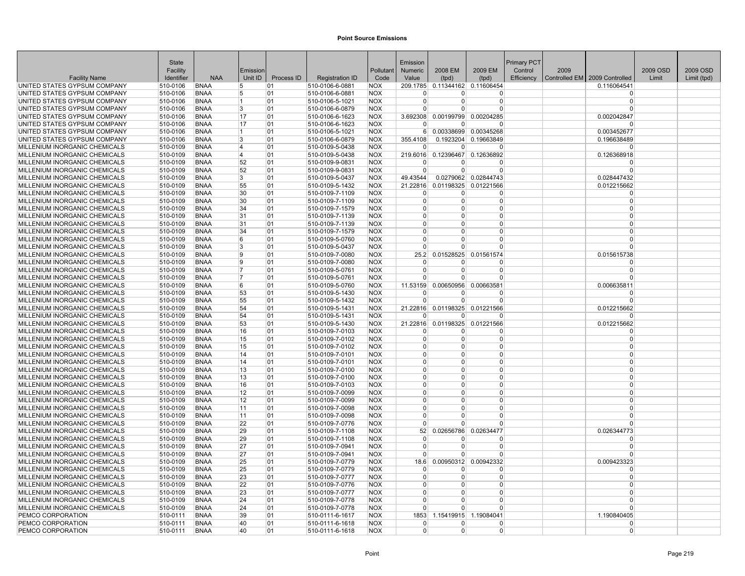|                                                                | State                |                            |              |            |                                    |                          | Emission             |                |                                     | <b>Primary PCT</b> |      |                                 |          |             |
|----------------------------------------------------------------|----------------------|----------------------------|--------------|------------|------------------------------------|--------------------------|----------------------|----------------|-------------------------------------|--------------------|------|---------------------------------|----------|-------------|
|                                                                | Facility             |                            | Emission     |            |                                    | Pollutant                | Numeric              | 2008 EM        | 2009 EM                             | Control            | 2009 |                                 | 2009 OSD | 2009 OSD    |
| <b>Facility Name</b>                                           | Identifier           | <b>NAA</b>                 | Unit ID      | Process ID | <b>Registration ID</b>             | Code                     | Value                | (tpd)          | (tpd)                               | Efficiency         |      | Controlled EM   2009 Controlled | Limit    | Limit (tpd) |
| UNITED STATES GYPSUM COMPANY<br>UNITED STATES GYPSUM COMPANY   | 510-0106<br>510-0106 | <b>BNAA</b><br><b>BNAA</b> | 5<br>5       | 01<br>01   | 510-0106-6-0881<br>510-0106-6-0881 | <b>NOX</b><br><b>NOX</b> |                      |                | 209.1785 0.11344162 0.11606454<br>0 |                    |      | 0.116064541<br>$\Omega$         |          |             |
| UNITED STATES GYPSUM COMPANY                                   | 510-0106             | <b>BNAA</b>                | 11           | 01         | 510-0106-5-1021                    | <b>NOX</b>               | $\Omega$             | $\Omega$       | 0                                   |                    |      | $\Omega$                        |          |             |
| UNITED STATES GYPSUM COMPANY                                   | 510-0106             | <b>BNAA</b>                | 3            | 01         | 510-0106-6-0879                    | <b>NOX</b>               | $\Omega$             | $\overline{0}$ | $\overline{0}$                      |                    |      | $\Omega$                        |          |             |
| UNITED STATES GYPSUM COMPANY                                   | 510-0106             | <b>BNAA</b>                | 17           | 01         | 510-0106-6-1623                    | <b>NOX</b>               | 3.692308             |                | 0.00199799 0.00204285               |                    |      | 0.002042847                     |          |             |
| UNITED STATES GYPSUM COMPANY                                   | 510-0106             | <b>BNAA</b>                | 17           | 01         | 510-0106-6-1623                    | <b>NOX</b>               | $\Omega$             | $\Omega$       | 0                                   |                    |      |                                 |          |             |
| UNITED STATES GYPSUM COMPANY                                   | 510-0106             | <b>BNAA</b>                | $\mathbf{1}$ | 01         | 510-0106-5-1021                    | <b>NOX</b>               | 6                    |                | 0.00338699 0.00345268               |                    |      | 0.003452677                     |          |             |
| UNITED STATES GYPSUM COMPANY                                   | 510-0106             | <b>BNAA</b>                | 3            | 01         | 510-0106-6-0879                    | <b>NOX</b>               | 355.4108             |                | 0.1923204 0.19663849                |                    |      | 0.196638489                     |          |             |
| MILLENIUM INORGANIC CHEMICALS                                  | 510-0109             | <b>BNAA</b>                | 14           | 01         | 510-0109-5-0438                    | <b>NOX</b>               | $\Omega$             | $\Omega$       | $\Omega$                            |                    |      | $\Omega$                        |          |             |
| MILLENIUM INORGANIC CHEMICALS                                  | 510-0109             | <b>BNAA</b>                | 4            | 01         | 510-0109-5-0438                    | <b>NOX</b>               | 219.6016             | 0.12396467     | 0.12636892                          |                    |      | 0.126368918                     |          |             |
| MILLENIUM INORGANIC CHEMICALS                                  | 510-0109             | <b>BNAA</b>                | 52           | 01         | 510-0109-9-0831                    | <b>NOX</b>               | $\Omega$             | O              | O                                   |                    |      | $\Omega$                        |          |             |
| MILLENIUM INORGANIC CHEMICALS                                  | 510-0109             | <b>BNAA</b>                | 52           | 01         | 510-0109-9-0831                    | <b>NOX</b>               | $\Omega$             | $\Omega$       | $\Omega$                            |                    |      | $\Omega$                        |          |             |
| MILLENIUM INORGANIC CHEMICALS                                  | 510-0109             | <b>BNAA</b>                | <sup>3</sup> | 01         | 510-0109-5-0437                    | <b>NOX</b>               | 49.43544             |                | 0.0279062 0.02844743                |                    |      | 0.028447432                     |          |             |
| MILLENIUM INORGANIC CHEMICALS                                  | 510-0109             | <b>BNAA</b>                | 55           | 01         | 510-0109-5-1432                    | <b>NOX</b>               | 21.22816             |                | 0.01198325 0.01221566               |                    |      | 0.012215662                     |          |             |
| MILLENIUM INORGANIC CHEMICALS                                  | 510-0109             | <b>BNAA</b>                | 30           | 01         | 510-0109-7-1109                    | <b>NOX</b>               | $\Omega$             | $\Omega$       | $\Omega$                            |                    |      | $\Omega$                        |          |             |
| MILLENIUM INORGANIC CHEMICALS                                  | 510-0109             | <b>BNAA</b>                | 30           | 01         | 510-0109-7-1109                    | <b>NOX</b>               | $\Omega$             | $\Omega$       | $\Omega$                            |                    |      | $\Omega$                        |          |             |
| MILLENIUM INORGANIC CHEMICALS                                  | 510-0109             | <b>BNAA</b>                | 34           | 01         | 510-0109-7-1579                    | <b>NOX</b>               | $\Omega$             | $\Omega$       | $\Omega$                            |                    |      | $\Omega$                        |          |             |
| MILLENIUM INORGANIC CHEMICALS                                  | 510-0109             | <b>BNAA</b>                | 31           | 01         | 510-0109-7-1139                    | <b>NOX</b>               | $\Omega$             | 0              | 0                                   |                    |      | $\Omega$                        |          |             |
| MILLENIUM INORGANIC CHEMICALS                                  | 510-0109             | <b>BNAA</b>                | 31           | 01         | 510-0109-7-1139                    | <b>NOX</b>               | $\Omega$             | $\Omega$       | $\Omega$                            |                    |      | $\Omega$                        |          |             |
| MILLENIUM INORGANIC CHEMICALS                                  | 510-0109             | <b>BNAA</b>                | 34           | 01         | 510-0109-7-1579                    | <b>NOX</b>               | $\Omega$             | $\Omega$       | 0                                   |                    |      | $\Omega$                        |          |             |
| MILLENIUM INORGANIC CHEMICALS                                  | 510-0109             | <b>BNAA</b>                | 6            | 01         | 510-0109-5-0760                    | <b>NOX</b>               | $\overline{0}$       | $\Omega$       | $\Omega$                            |                    |      | $\Omega$                        |          |             |
| MILLENIUM INORGANIC CHEMICALS                                  | 510-0109             | <b>BNAA</b>                | 3            | 01         | 510-0109-5-0437                    | <b>NOX</b>               | $\Omega$             | $\Omega$       | $\Omega$                            |                    |      | $\Omega$                        |          |             |
| MILLENIUM INORGANIC CHEMICALS                                  | 510-0109             | <b>BNAA</b>                | 19           | 01         | 510-0109-7-0080                    | <b>NOX</b>               | 25.2                 | 0.01528525     | 0.01561574                          |                    |      | 0.015615738                     |          |             |
| MILLENIUM INORGANIC CHEMICALS                                  | 510-0109             | <b>BNAA</b>                | 19           | 01         | 510-0109-7-0080                    | <b>NOX</b>               | $\Omega$             | $\Omega$       | 0                                   |                    |      | $\Omega$                        |          |             |
| MILLENIUM INORGANIC CHEMICALS                                  | 510-0109             | <b>BNAA</b>                | 7            | 01         | 510-0109-5-0761                    | <b>NOX</b>               | $\Omega$             | $\Omega$       | 0                                   |                    |      | $\Omega$                        |          |             |
| MILLENIUM INORGANIC CHEMICALS                                  | 510-0109             | <b>BNAA</b>                | 17           | 01         | 510-0109-5-0761                    | <b>NOX</b>               | $\Omega$             | $\Omega$       | $\Omega$                            |                    |      | $\Omega$                        |          |             |
| MILLENIUM INORGANIC CHEMICALS                                  | 510-0109             | <b>BNAA</b>                | 16           | 01         | 510-0109-5-0760                    | <b>NOX</b>               | 11.53159             | 0.00650956     | 0.00663581                          |                    |      | 0.006635811                     |          |             |
| MILLENIUM INORGANIC CHEMICALS                                  | 510-0109             | <b>BNAA</b>                | 53           | 01         | 510-0109-5-1430                    | <b>NOX</b>               | $\Omega$             | 0              | 0                                   |                    |      | $\Omega$                        |          |             |
| MILLENIUM INORGANIC CHEMICALS                                  | 510-0109             | <b>BNAA</b>                | 55           | 01         | 510-0109-5-1432                    | <b>NOX</b>               | $\Omega$             | $\Omega$       | $\Omega$                            |                    |      | $\Omega$                        |          |             |
| MILLENIUM INORGANIC CHEMICALS                                  | 510-0109             | <b>BNAA</b>                | 54           | 01         | 510-0109-5-1431                    | <b>NOX</b>               |                      |                | 21.22816 0.01198325 0.01221566      |                    |      | 0.012215662                     |          |             |
| MILLENIUM INORGANIC CHEMICALS                                  | 510-0109             | <b>BNAA</b>                | 54           | 01         | 510-0109-5-1431                    | <b>NOX</b>               | $\Omega$             | $\overline{0}$ | 0                                   |                    |      | $\Omega$                        |          |             |
| MILLENIUM INORGANIC CHEMICALS                                  | 510-0109             | <b>BNAA</b>                | 53           | 01         | 510-0109-5-1430                    | <b>NOX</b>               | 21.22816             |                | 0.01198325 0.01221566               |                    |      | 0.012215662                     |          |             |
| MILLENIUM INORGANIC CHEMICALS                                  | 510-0109             | <b>BNAA</b>                | 16           | 01         | 510-0109-7-0103                    | <b>NOX</b>               | $\Omega$             | $\Omega$       | 0                                   |                    |      | $\Omega$                        |          |             |
| MILLENIUM INORGANIC CHEMICALS                                  | 510-0109             | <b>BNAA</b>                | 15           | 01         | 510-0109-7-0102                    | <b>NOX</b>               | $\Omega$<br>$\Omega$ | 0<br>$\Omega$  | 0<br>0                              |                    |      | $\Omega$<br>$\Omega$            |          |             |
| MILLENIUM INORGANIC CHEMICALS<br>MILLENIUM INORGANIC CHEMICALS | 510-0109<br>510-0109 | <b>BNAA</b><br><b>BNAA</b> | 15<br>14     | 01<br>01   | 510-0109-7-0102<br>510-0109-7-0101 | <b>NOX</b><br><b>NOX</b> | $\Omega$             | $\Omega$       | $\Omega$                            |                    |      | $\Omega$                        |          |             |
| MILLENIUM INORGANIC CHEMICALS                                  | 510-0109             | <b>BNAA</b>                | 14           | 01         | 510-0109-7-0101                    | <b>NOX</b>               | $\Omega$             | $\Omega$       | 0                                   |                    |      | $\Omega$                        |          |             |
| MILLENIUM INORGANIC CHEMICALS                                  | 510-0109             | <b>BNAA</b>                | 13           | 01         | 510-0109-7-0100                    | <b>NOX</b>               | $\Omega$             | $\Omega$       | $\Omega$                            |                    |      | $\Omega$                        |          |             |
| MILLENIUM INORGANIC CHEMICALS                                  | 510-0109             | <b>BNAA</b>                | 13           | 01         | 510-0109-7-0100                    | <b>NOX</b>               | $\Omega$             | $\overline{0}$ | 0                                   |                    |      | $\Omega$                        |          |             |
| MILLENIUM INORGANIC CHEMICALS                                  | 510-0109             | <b>BNAA</b>                | 16           | 01         | 510-0109-7-0103                    | <b>NOX</b>               | $\Omega$             | $\Omega$       | $\Omega$                            |                    |      | $\Omega$                        |          |             |
| MILLENIUM INORGANIC CHEMICALS                                  | 510-0109             | <b>BNAA</b>                | 12           | 01         | 510-0109-7-0099                    | <b>NOX</b>               | $\Omega$             | <sup>0</sup>   | $\Omega$                            |                    |      | $\Omega$                        |          |             |
| MILLENIUM INORGANIC CHEMICALS                                  | 510-0109             | <b>BNAA</b>                | 12           | 01         | 510-0109-7-0099                    | <b>NOX</b>               | $\Omega$             | $\Omega$       | 0                                   |                    |      | $\Omega$                        |          |             |
| MILLENIUM INORGANIC CHEMICALS                                  | 510-0109             | <b>BNAA</b>                | 11           | 01         | 510-0109-7-0098                    | <b>NOX</b>               | $\Omega$             | $\Omega$       | $\Omega$                            |                    |      | $\Omega$                        |          |             |
| MILLENIUM INORGANIC CHEMICALS                                  | 510-0109             | <b>BNAA</b>                | 11           | 01         | 510-0109-7-0098                    | <b>NOX</b>               | $\Omega$             | $\Omega$       | 0                                   |                    |      | $\Omega$                        |          |             |
| MILLENIUM INORGANIC CHEMICALS                                  | 510-0109             | <b>BNAA</b>                | 22           | 01         | 510-0109-7-0776                    | <b>NOX</b>               | $\Omega$             | 0              | 0                                   |                    |      | $\Omega$                        |          |             |
| MILLENIUM INORGANIC CHEMICALS                                  | 510-0109             | <b>BNAA</b>                | 29           | 01         | 510-0109-7-1108                    | <b>NOX</b>               | 52                   | 0.02656786     | 0.02634477                          |                    |      | 0.026344773                     |          |             |
| MILLENIUM INORGANIC CHEMICALS                                  | 510-0109             | <b>BNAA</b>                | 29           | 01         | 510-0109-7-1108                    | <b>NOX</b>               | $\Omega$             | $\Omega$       | U                                   |                    |      | $\Omega$                        |          |             |
| MILLENIUM INORGANIC CHEMICALS                                  | 510-0109             | <b>BNAA</b>                | 27           | 01         | 510-0109-7-0941                    | <b>NOX</b>               | $\overline{0}$       | $\Omega$       | 0                                   |                    |      | $\Omega$                        |          |             |
| MILLENIUM INORGANIC CHEMICALS                                  | 510-0109             | <b>BNAA</b>                | 27           | 01         | 510-0109-7-0941                    | <b>NOX</b>               | $\Omega$             | $\overline{0}$ | $\overline{0}$                      |                    |      | $\Omega$                        |          |             |
| MILLENIUM INORGANIC CHEMICALS                                  | 510-0109             | <b>BNAA</b>                | 25           | 01         | 510-0109-7-0779                    | <b>NOX</b>               | 18.6                 | 0.00950312     | 0.00942332                          |                    |      | 0.009423323                     |          |             |
| MILLENIUM INORGANIC CHEMICALS                                  | 510-0109             | <b>BNAA</b>                | 25           | 01         | 510-0109-7-0779                    | <b>NOX</b>               | $\Omega$             | $\Omega$       | 0                                   |                    |      | $\Omega$                        |          |             |
| MILLENIUM INORGANIC CHEMICALS                                  | 510-0109             | <b>BNAA</b>                | 23           | 01         | 510-0109-7-0777                    | <b>NOX</b>               | $\Omega$             | $\overline{0}$ | $\Omega$                            |                    |      | $\Omega$                        |          |             |
| MILLENIUM INORGANIC CHEMICALS                                  | 510-0109             | <b>BNAA</b>                | 22           | 01         | 510-0109-7-0776                    | <b>NOX</b>               | $\Omega$             | $\Omega$       | 0                                   |                    |      | $\Omega$                        |          |             |
| MILLENIUM INORGANIC CHEMICALS                                  | 510-0109             | <b>BNAA</b>                | 23           | 01         | 510-0109-7-0777                    | <b>NOX</b>               | $\Omega$             | $\Omega$       | $\Omega$                            |                    |      | $\Omega$                        |          |             |
| MILLENIUM INORGANIC CHEMICALS                                  | 510-0109             | <b>BNAA</b>                | 24           | 01         | 510-0109-7-0778                    | <b>NOX</b>               | $\Omega$             | $\Omega$       | $\Omega$                            |                    |      | $\Omega$                        |          |             |
| MILLENIUM INORGANIC CHEMICALS                                  | 510-0109             | <b>BNAA</b>                | 24           | 01         | 510-0109-7-0778                    | <b>NOX</b>               | $\Omega$             | $\Omega$       | 0                                   |                    |      | $\Omega$                        |          |             |
| PEMCO CORPORATION                                              | 510-0111             | <b>BNAA</b>                | 39           | 01         | 510-0111-6-1617                    | <b>NOX</b>               | 1853                 | 1.15419915     | 1.19084041                          |                    |      | 1.190840405                     |          |             |
| PEMCO CORPORATION                                              | 510-0111             | <b>BNAA</b>                | 40           | 01         | 510-0111-6-1618                    | <b>NOX</b>               | $\Omega$             | $\Omega$       | 0                                   |                    |      | $\Omega$                        |          |             |
| PEMCO CORPORATION                                              | 510-0111             | <b>BNAA</b>                | 40           | 01         | 510-0111-6-1618                    | <b>NOX</b>               | $\overline{0}$       | $\overline{0}$ | $\Omega$                            |                    |      | $\overline{0}$                  |          |             |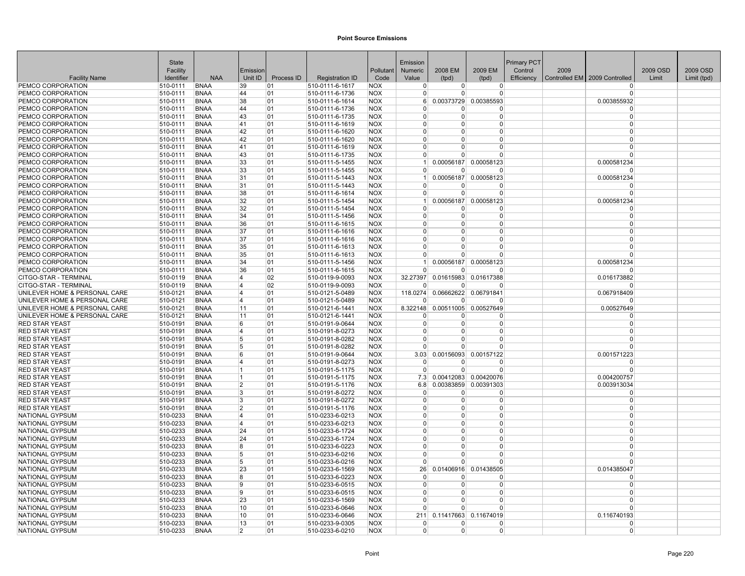|                                        | <b>State</b>         |                            |                         |            |                                    |                          | Emission             |                        |                       | <b>Primary PCT</b> |      |                               |          |             |
|----------------------------------------|----------------------|----------------------------|-------------------------|------------|------------------------------------|--------------------------|----------------------|------------------------|-----------------------|--------------------|------|-------------------------------|----------|-------------|
|                                        | Facility             |                            | Emission                |            |                                    | Pollutant                | Numeric              | 2008 EM                | 2009 EM               | Control            | 2009 |                               | 2009 OSD | 2009 OSD    |
| <b>Facility Name</b>                   | Identifier           | <b>NAA</b>                 | Unit ID                 | Process ID | <b>Registration ID</b>             | Code                     | Value                | (tpd)                  | (tpd)                 | Efficiency         |      | Controlled EM 2009 Controlled | Limit    | Limit (tpd) |
| PEMCO CORPORATION                      | 510-0111             | <b>BNAA</b>                | 39                      | 01         | 510-0111-6-1617                    | <b>NOX</b>               | $\Omega$             | $\overline{0}$         | $\overline{0}$        |                    |      | $\Omega$                      |          |             |
| PEMCO CORPORATION                      | 510-0111             | BNAA                       | 44                      | 101        | 510-0111-6-1736                    | <b>NOX</b>               | $\Omega$             | $\Omega$               | <sup>0</sup>          |                    |      | $\Omega$                      |          |             |
| PEMCO CORPORATION                      | 510-0111             | <b>BNAA</b>                | 38                      | 01         | 510-0111-6-1614                    | <b>NOX</b>               | 6 <sup>1</sup>       | 0.00373729             | 0.00385593            |                    |      | 0.003855932                   |          |             |
| PEMCO CORPORATION                      | 510-0111             | <b>BNAA</b>                | 44                      | 01         | 510-0111-6-1736                    | <b>NOX</b>               | $\Omega$             | $\Omega$               | <sup>0</sup>          |                    |      | $\Omega$                      |          |             |
| PEMCO CORPORATION                      | 510-0111             | <b>BNAA</b>                | 43                      | 01         | 510-0111-6-1735                    | <b>NOX</b>               | $\Omega$             | $\Omega$               | $\Omega$              |                    |      | $\Omega$                      |          |             |
| PEMCO CORPORATION                      | 510-0111             | <b>BNAA</b>                | 41                      | 01         | 510-0111-6-1619                    | <b>NOX</b>               | $\Omega$             | $\Omega$               | $\Omega$              |                    |      | $\Omega$                      |          |             |
| PEMCO CORPORATION                      | 510-0111             | <b>BNAA</b>                | 42                      | 01         | 510-0111-6-1620                    | <b>NOX</b>               | $\Omega$             | $\Omega$               | $\Omega$              |                    |      | $\Omega$                      |          |             |
| PEMCO CORPORATION                      | 510-0111             | <b>BNAA</b>                | 42                      | 01         | 510-0111-6-1620                    | <b>NOX</b>               | $\Omega$             | $\Omega$               | 0                     |                    |      | $\Omega$                      |          |             |
| PEMCO CORPORATION                      | 510-0111             | <b>BNAA</b>                | 41                      | 01         | 510-0111-6-1619                    | <b>NOX</b>               | $\Omega$             | $\Omega$               | 0                     |                    |      | $\Omega$                      |          |             |
| PEMCO CORPORATION                      | 510-0111             | <b>BNAA</b>                | 43                      | 01         | 510-0111-6-1735                    | <b>NOX</b>               | $\Omega$             | $\Omega$               | $\Omega$              |                    |      | $\Omega$                      |          |             |
| PEMCO CORPORATION                      | 510-0111             | <b>BNAA</b>                | 33                      | 01         | 510-0111-5-1455                    | <b>NOX</b>               | -1                   |                        | 0.00056187 0.00058123 |                    |      | 0.000581234                   |          |             |
| PEMCO CORPORATION                      | 510-0111             | <b>BNAA</b>                | 33                      | 01         | 510-0111-5-1455                    | <b>NOX</b>               | $\Omega$             | <sup>0</sup>           | O                     |                    |      | $\Omega$                      |          |             |
| PEMCO CORPORATION                      | 510-0111             | <b>BNAA</b>                | 31                      | 101        | 510-0111-5-1443                    | <b>NOX</b>               | -1<br>$\Omega$       |                        | 0.00056187 0.00058123 |                    |      | 0.000581234                   |          |             |
| PEMCO CORPORATION<br>PEMCO CORPORATION | 510-0111<br>510-0111 | <b>BNAA</b><br><b>BNAA</b> | 31<br>38                | 01         | 510-0111-5-1443<br>510-0111-6-1614 | <b>NOX</b><br><b>NOX</b> | $\Omega$             | $\Omega$               | O<br>$\Omega$         |                    |      | $\Omega$<br>$\Omega$          |          |             |
|                                        |                      | <b>BNAA</b>                | 32                      | 01<br>01   |                                    |                          | 1                    |                        | 0.00058123            |                    |      | 0.000581234                   |          |             |
| PEMCO CORPORATION<br>PEMCO CORPORATION | 510-0111<br>510-0111 | <b>BNAA</b>                | 32                      | 01         | 510-0111-5-1454<br>510-0111-5-1454 | <b>NOX</b><br><b>NOX</b> | $\Omega$             | 0.00056187<br>$\Omega$ | $\Omega$              |                    |      | $\Omega$                      |          |             |
| PEMCO CORPORATION                      | 510-0111             | <b>BNAA</b>                | 34                      | 01         | 510-0111-5-1456                    | <b>NOX</b>               | $\Omega$             | $\overline{0}$         | $\Omega$              |                    |      | $\Omega$                      |          |             |
| PEMCO CORPORATION                      | 510-0111             | <b>BNAA</b>                | 36                      | 01         | 510-0111-6-1615                    | <b>NOX</b>               | $\Omega$             | $\Omega$               | $\Omega$              |                    |      | $\Omega$                      |          |             |
| PEMCO CORPORATION                      | 510-0111             | <b>BNAA</b>                | 37                      | 01         | 510-0111-6-1616                    | <b>NOX</b>               | $\Omega$             | $\Omega$               | $\Omega$              |                    |      | $\Omega$                      |          |             |
| PEMCO CORPORATION                      | 510-0111             | <b>BNAA</b>                | 37                      | 01         | 510-0111-6-1616                    | <b>NOX</b>               | $\Omega$             | $\Omega$               | $\Omega$              |                    |      | $\Omega$                      |          |             |
| PEMCO CORPORATION                      | 510-0111             | <b>BNAA</b>                | 35                      | 01         | 510-0111-6-1613                    | <b>NOX</b>               | $\Omega$             | $\Omega$               | $\Omega$              |                    |      | $\Omega$                      |          |             |
| PEMCO CORPORATION                      | 510-0111             | <b>BNAA</b>                | 35                      | 01         | 510-0111-6-1613                    | <b>NOX</b>               | $\Omega$             | $\Omega$               | $\Omega$              |                    |      | $\Omega$                      |          |             |
| PEMCO CORPORATION                      | 510-0111             | <b>BNAA</b>                | 34                      | 01         | 510-0111-5-1456                    | <b>NOX</b>               | 1                    |                        | 0.00056187 0.00058123 |                    |      | 0.000581234                   |          |             |
| PEMCO CORPORATION                      | 510-0111             | <b>BNAA</b>                | 36                      | 01         | 510-0111-6-1615                    | <b>NOX</b>               | $\Omega$             | $\mathbf{0}$           | $\Omega$              |                    |      | $\Omega$                      |          |             |
| CITGO-STAR - TERMINAL                  | 510-0119             | <b>BNAA</b>                | $\overline{4}$          | 02         | 510-0119-9-0093                    | <b>NOX</b>               | 32.27397             | 0.01615983             | 0.01617388            |                    |      | 0.016173882                   |          |             |
| CITGO-STAR - TERMINAL                  | 510-0119             | <b>BNAA</b>                | 4                       | 02         | 510-0119-9-0093                    | <b>NOX</b>               | $\Omega$             | $\Omega$               | O                     |                    |      | $\Omega$                      |          |             |
| UNILEVER HOME & PERSONAL CARE          | 510-0121             | <b>BNAA</b>                | $\overline{\mathbf{4}}$ | 01         | 510-0121-5-0489                    | <b>NOX</b>               | 118.0274             |                        | 0.06662622 0.06791841 |                    |      | 0.067918409                   |          |             |
| UNILEVER HOME & PERSONAL CARE          | 510-0121             | <b>BNAA</b>                | $\overline{\mathbf{4}}$ | 01         | 510-0121-5-0489                    | <b>NOX</b>               | $\Omega$             | $\Omega$               | $\Omega$              |                    |      | $\Omega$                      |          |             |
| UNILEVER HOME & PERSONAL CARE          | 510-0121             | <b>BNAA</b>                | 11                      | 01         | 510-0121-6-1441                    | <b>NOX</b>               | 8.322148             |                        | 0.00511005 0.00527649 |                    |      | 0.00527649                    |          |             |
| UNILEVER HOME & PERSONAL CARE          | 510-0121             | <b>BNAA</b>                | 11                      | 01         | 510-0121-6-1441                    | <b>NOX</b>               | <sup>0</sup>         | 0                      | $\Omega$              |                    |      | $\Omega$                      |          |             |
| <b>RED STAR YEAST</b>                  | 510-0191             | <b>BNAA</b>                | 6                       | 01         | 510-0191-9-0644                    | <b>NOX</b>               | $\Omega$             | $\overline{0}$         | $\Omega$              |                    |      | $\Omega$                      |          |             |
| <b>RED STAR YEAST</b>                  | 510-0191             | <b>BNAA</b>                | $\overline{4}$          | 01         | 510-0191-8-0273                    | <b>NOX</b>               | $\Omega$             | $\Omega$               | 0                     |                    |      | $\Omega$                      |          |             |
| <b>RED STAR YEAST</b>                  | 510-0191             | <b>BNAA</b>                | 5                       | 01         | 510-0191-8-0282                    | <b>NOX</b>               | $\Omega$             | 0                      | $\Omega$              |                    |      | $\Omega$                      |          |             |
| <b>RED STAR YEAST</b>                  | 510-0191             | <b>BNAA</b>                | 5                       | 01         | 510-0191-8-0282                    | <b>NOX</b>               | $\Omega$             | $\Omega$               | $\Omega$              |                    |      | $\Omega$                      |          |             |
| <b>RED STAR YEAST</b>                  | 510-0191             | <b>BNAA</b>                | 6                       | 01         | 510-0191-9-0644                    | <b>NOX</b>               | 3.03                 | 0.00156093             | 0.00157122            |                    |      | 0.001571223                   |          |             |
| <b>RED STAR YEAST</b>                  | 510-0191             | <b>BNAA</b>                | 14                      | 01         | 510-0191-8-0273                    | <b>NOX</b>               | $\Omega$             | $\Omega$               | O                     |                    |      | $\Omega$                      |          |             |
| RED STAR YEAST                         | 510-0191             | <b>BNAA</b>                | 11                      | 101        | 510-0191-5-1175                    | <b>NOX</b>               | $\Omega$             | $\Omega$               | $\Omega$              |                    |      | $\Omega$                      |          |             |
| <b>RED STAR YEAST</b>                  | 510-0191             | <b>BNAA</b>                | $\vert$ 1               | 01         | 510-0191-5-1175                    | <b>NOX</b>               | 7.3                  |                        | 0.00412083 0.00420076 |                    |      | 0.004200757                   |          |             |
| <b>RED STAR YEAST</b>                  | 510-0191             | <b>BNAA</b>                | $\overline{2}$          | 01         | 510-0191-5-1176                    | <b>NOX</b>               | 6.8                  | 0.00383859             | 0.00391303            |                    |      | 0.003913034                   |          |             |
| <b>RED STAR YEAST</b>                  | 510-0191             | <b>BNAA</b>                | 3                       | 01         | 510-0191-8-0272                    | <b>NOX</b>               | $\Omega$             | $\Omega$               | 0                     |                    |      | $\Omega$                      |          |             |
| <b>RED STAR YEAST</b>                  | 510-0191             | <b>BNAA</b>                | 3                       | 01         | 510-0191-8-0272                    | <b>NOX</b>               | $\Omega$<br>$\Omega$ | $\Omega$               | $\Omega$              |                    |      | $\Omega$<br>$\Omega$          |          |             |
| <b>RED STAR YEAST</b>                  | 510-0191             | <b>BNAA</b>                | $\overline{2}$          | 01         | 510-0191-5-1176                    | <b>NOX</b>               |                      | $\Omega$               | $\Omega$              |                    |      |                               |          |             |
| NATIONAL GYPSUM<br>NATIONAL GYPSUM     | 510-0233<br>510-0233 | <b>BNAA</b><br><b>BNAA</b> | 14                      | 01<br>01   | 510-0233-6-0213                    | <b>NOX</b><br><b>NOX</b> | $\Omega$<br>$\Omega$ | $\Omega$<br>$\Omega$   | $\Omega$<br>$\Omega$  |                    |      | $\Omega$<br>$\Omega$          |          |             |
| NATIONAL GYPSUM                        |                      | <b>BNAA</b>                | 4<br>24                 | 01         | 510-0233-6-0213                    | <b>NOX</b>               | $\Omega$             | $\Omega$               | 0                     |                    |      | $\Omega$                      |          |             |
| NATIONAL GYPSUM                        | 510-0233<br>510-0233 | <b>BNAA</b>                | 24                      | 01         | 510-0233-6-1724<br>510-0233-6-1724 | <b>NOX</b>               | $\Omega$             | $\Omega$               | $\Omega$              |                    |      | $\Omega$                      |          |             |
| NATIONAL GYPSUM                        | 510-0233             | <b>BNAA</b>                | 8                       | 01         | 510-0233-6-0223                    | <b>NOX</b>               | $\Omega$             | $\Omega$               | 0                     |                    |      | $\Omega$                      |          |             |
| NATIONAL GYPSUM                        | 510-0233             | <b>BNAA</b>                | 5                       | 01         | 510-0233-6-0216                    | <b>NOX</b>               | $\Omega$             | $\Omega$               | $\Omega$              |                    |      | $\Omega$                      |          |             |
| NATIONAL GYPSUM                        | 510-0233             | <b>BNAA</b>                | 5                       | 01         | 510-0233-6-0216                    | <b>NOX</b>               | $\Omega$             | $\Omega$               | $\Omega$              |                    |      | $\Omega$                      |          |             |
| NATIONAL GYPSUM                        | 510-0233             | <b>BNAA</b>                | 23                      | 01         | 510-0233-6-1569                    | <b>NOX</b>               | 26                   |                        | 0.01406916 0.01438505 |                    |      | 0.014385047                   |          |             |
| NATIONAL GYPSUM                        | 510-0233             | <b>BNAA</b>                | R.                      | 101        | 510-0233-6-0223                    | <b>NOX</b>               | $\Omega$             | <sup>0</sup>           | 0                     |                    |      | 0                             |          |             |
| NATIONAL GYPSUM                        | 510-0233             | <b>BNAA</b>                | 9                       | 01         | 510-0233-6-0515                    | <b>NOX</b>               | $\Omega$             | $\Omega$               | $\Omega$              |                    |      | $\Omega$                      |          |             |
| NATIONAL GYPSUM                        | 510-0233             | <b>BNAA</b>                | g                       | 01         | 510-0233-6-0515                    | <b>NOX</b>               | $\Omega$             | $\Omega$               | $\Omega$              |                    |      | $\Omega$                      |          |             |
| NATIONAL GYPSUM                        | 510-0233             | <b>BNAA</b>                | 23                      | 01         | 510-0233-6-1569                    | <b>NOX</b>               | $\Omega$             | $\Omega$               | $\Omega$              |                    |      | $\Omega$                      |          |             |
| NATIONAL GYPSUM                        | 510-0233             | <b>BNAA</b>                | 10                      | 01         | 510-0233-6-0646                    | <b>NOX</b>               | $\Omega$             | $\Omega$               | $\Omega$              |                    |      | $\Omega$                      |          |             |
| <b>NATIONAL GYPSUM</b>                 | 510-0233             | <b>BNAA</b>                | 10                      | 01         | 510-0233-6-0646                    | <b>NOX</b>               | 211                  | 0.11417663             | 0.11674019            |                    |      | 0.116740193                   |          |             |
| <b>NATIONAL GYPSUM</b>                 | 510-0233             | <b>BNAA</b>                | 13                      | 01         | 510-0233-9-0305                    | <b>NOX</b>               | $\Omega$             | $\Omega$               | $\Omega$              |                    |      | $\Omega$                      |          |             |
| NATIONAL GYPSUM                        | 510-0233             | <b>BNAA</b>                | $\overline{2}$          | 01         | 510-0233-6-0210                    | <b>NOX</b>               | $\overline{0}$       | $\overline{0}$         | $\overline{0}$        |                    |      | $\Omega$                      |          |             |
|                                        |                      |                            |                         |            |                                    |                          |                      |                        |                       |                    |      |                               |          |             |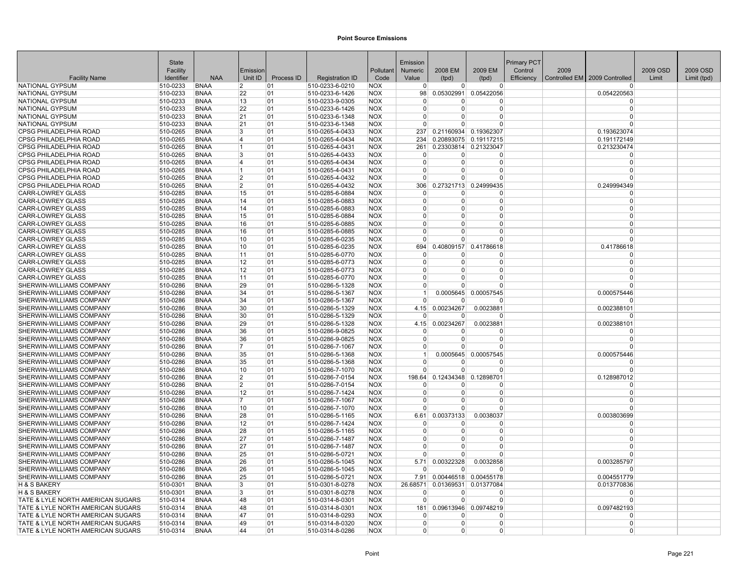|                                                                    | State                |                            |                |            |                                    |                          | Emission                |                      |                       | Primary PCT |      |                               |          |             |
|--------------------------------------------------------------------|----------------------|----------------------------|----------------|------------|------------------------------------|--------------------------|-------------------------|----------------------|-----------------------|-------------|------|-------------------------------|----------|-------------|
|                                                                    | Facility             |                            | Emission       |            |                                    | Pollutant                | Numeric                 | 2008 EM              | 2009 EM               | Control     | 2009 |                               | 2009 OSD | 2009 OSD    |
| <b>Facility Name</b>                                               | Identifier           | <b>NAA</b>                 | Unit ID        | Process ID | <b>Registration ID</b>             | Code                     | Value                   | (tpd)                | (tpd)                 | Efficiency  |      | Controlled EM 2009 Controlled | Limit    | Limit (tpd) |
| <b>NATIONAL GYPSUM</b>                                             | 510-0233             | <b>BNAA</b>                | $\overline{2}$ | 01         | 510-0233-6-0210                    | <b>NOX</b>               | $\Omega$                | $\Omega$             | $\Omega$              |             |      | <sup>0</sup>                  |          |             |
| NATIONAL GYPSUM                                                    | 510-0233             | <b>BNAA</b>                | 22             | 01         | 510-0233-6-1426                    | <b>NOX</b>               | 98                      | 0.05302991           | 0.05422056            |             |      | 0.054220563                   |          |             |
| <b>NATIONAL GYPSUM</b>                                             | 510-0233             | <b>BNAA</b>                | 13             | 01         | 510-0233-9-0305                    | <b>NOX</b>               | $\Omega$                | 0                    | 0<br>$\Omega$         |             |      | $\Omega$                      |          |             |
| <b>NATIONAL GYPSUM</b>                                             | 510-0233             | <b>BNAA</b>                | 22             | 01         | 510-0233-6-1426                    | <b>NOX</b>               | $\mathbf 0$<br>$\Omega$ | $\Omega$<br>$\Omega$ | $\Omega$              |             |      | $\mathbf 0$<br>$\Omega$       |          |             |
| NATIONAL GYPSUM<br>NATIONAL GYPSUM                                 | 510-0233<br>510-0233 | <b>BNAA</b><br><b>BNAA</b> | 21<br>21       | 01<br>01   | 510-0233-6-1348                    | <b>NOX</b><br><b>NOX</b> | $\Omega$                | 0                    | $\Omega$              |             |      | n                             |          |             |
| CPSG PHILADELPHIA ROAD                                             |                      | <b>BNAA</b>                | 3              | 01         | 510-0233-6-1348                    | <b>NOX</b>               | 237                     |                      | 0.21160934 0.19362307 |             |      |                               |          |             |
| <b>CPSG PHILADELPHIA ROAD</b>                                      | 510-0265<br>510-0265 | <b>BNAA</b>                | 14             | 01         | 510-0265-4-0433<br>510-0265-4-0434 | <b>NOX</b>               | 234                     |                      | 0.20893075 0.19117215 |             |      | 0.193623074<br>0.191172149    |          |             |
| <b>CPSG PHILADELPHIA ROAD</b>                                      | 510-0265             | <b>BNAA</b>                | 11             | 01         | 510-0265-4-0431                    | <b>NOX</b>               | 261                     |                      | 0.23303814 0.21323047 |             |      | 0.213230474                   |          |             |
| <b>CPSG PHILADELPHIA ROAD</b>                                      | 510-0265             | <b>BNAA</b>                | 3              | 01         | 510-0265-4-0433                    | <b>NOX</b>               | $\Omega$                | $\Omega$             | $\Omega$              |             |      | $\Omega$                      |          |             |
| <b>CPSG PHILADELPHIA ROAD</b>                                      | 510-0265             | <b>BNAA</b>                | 14             | 01         | 510-0265-4-0434                    | <b>NOX</b>               | $\Omega$                | $\Omega$             | $\Omega$              |             |      | $\Omega$                      |          |             |
| <b>CPSG PHILADELPHIA ROAD</b>                                      | 510-0265             | <b>BNAA</b>                | 11             | 01         | 510-0265-4-0431                    | <b>NOX</b>               | $\Omega$                | 0                    | $\Omega$              |             |      | $\Omega$                      |          |             |
| CPSG PHILADELPHIA ROAD                                             | 510-0265             | <b>BNAA</b>                | 12             | 01         | 510-0265-4-0432                    | <b>NOX</b>               | $\Omega$                | n                    | $\Omega$              |             |      | ŋ                             |          |             |
| <b>CPSG PHILADELPHIA ROAD</b>                                      | 510-0265             | <b>BNAA</b>                | 2              | 01         | 510-0265-4-0432                    | <b>NOX</b>               | 306                     |                      | 0.27321713 0.24999435 |             |      | 0.249994349                   |          |             |
| <b>CARR-LOWREY GLASS</b>                                           | 510-0285             | <b>BNAA</b>                | 15             | 01         | 510-0285-6-0884                    | <b>NOX</b>               | $\Omega$                | $\Omega$             | $\Omega$              |             |      | $\Omega$                      |          |             |
| <b>CARR-LOWREY GLASS</b>                                           | 510-0285             | <b>BNAA</b>                | 14             | 01         | 510-0285-6-0883                    | <b>NOX</b>               | $\Omega$                | $\Omega$             | $\Omega$              |             |      | $\Omega$                      |          |             |
| <b>CARR-LOWREY GLASS</b>                                           | 510-0285             | <b>BNAA</b>                | 14             | 01         | 510-0285-6-0883                    | <b>NOX</b>               | $\Omega$                | 0                    | $\Omega$              |             |      | $\Omega$                      |          |             |
| <b>CARR-LOWREY GLASS</b>                                           | 510-0285             | <b>BNAA</b>                | 15             | 01         | 510-0285-6-0884                    | <b>NOX</b>               | $\Omega$                | U                    | $\Omega$              |             |      | $\Omega$                      |          |             |
| <b>CARR-LOWREY GLASS</b>                                           | 510-0285             | <b>BNAA</b>                | 16             | 01         | 510-0285-6-0885                    | <b>NOX</b>               | $\Omega$                | 0                    | $\Omega$              |             |      | $\Omega$                      |          |             |
| <b>CARR-LOWREY GLASS</b>                                           | 510-0285             | <b>BNAA</b>                | 16             | 01         | 510-0285-6-0885                    | <b>NOX</b>               | $\Omega$                | 0                    | $\Omega$              |             |      | $\mathbf 0$                   |          |             |
| <b>CARR-LOWREY GLASS</b>                                           | 510-0285             | <b>BNAA</b>                | 10             | 01         | 510-0285-6-0235                    | <b>NOX</b>               | $\Omega$                | 0                    | $\Omega$              |             |      | $\Omega$                      |          |             |
| <b>CARR-LOWREY GLASS</b>                                           | 510-0285             | <b>BNAA</b>                | 10             | 01         | 510-0285-6-0235                    | <b>NOX</b>               | 694                     | 0.40809157           | 0.41786618            |             |      | 0.41786618                    |          |             |
| <b>CARR-LOWREY GLASS</b>                                           | 510-0285             | <b>BNAA</b>                | 11             | 01         | 510-0285-6-0770                    | <b>NOX</b>               | 0                       | 0                    | $\Omega$              |             |      | O                             |          |             |
| <b>CARR-LOWREY GLASS</b>                                           | 510-0285             | <b>BNAA</b>                | 12             | 01         | 510-0285-6-0773                    | <b>NOX</b>               | 0                       | 0                    | $\Omega$              |             |      | $\Omega$                      |          |             |
| <b>CARR-LOWREY GLASS</b>                                           | 510-0285             | <b>BNAA</b>                | 12             | 01         | 510-0285-6-0773                    | <b>NOX</b>               | $\Omega$                | $\Omega$             | $\Omega$              |             |      | $\Omega$                      |          |             |
| <b>CARR-LOWREY GLASS</b>                                           | 510-0285             | <b>BNAA</b>                | 11             | 01         | 510-0285-6-0770                    | <b>NOX</b>               | $\Omega$                | 0                    | $\Omega$              |             |      | $\Omega$                      |          |             |
| <b>SHERWIN-WILLIAMS COMPANY</b>                                    | 510-0286             | <b>BNAA</b>                | 29             | 01         | 510-0286-5-1328                    | <b>INOX</b>              | $\Omega$                | 0                    | $\Omega$              |             |      | $\Omega$                      |          |             |
| <b>SHERWIN-WILLIAMS COMPANY</b>                                    | 510-0286             | <b>BNAA</b>                | 34             | 01         | 510-0286-5-1367                    | <b>NOX</b>               | $\mathbf{1}$            |                      | 0.0005645 0.00057545  |             |      | 0.000575446                   |          |             |
| <b>SHERWIN-WILLIAMS COMPANY</b>                                    | 510-0286             | <b>BNAA</b>                | 34             | 01         | 510-0286-5-1367                    | <b>NOX</b>               | $\Omega$                | U                    | $\Omega$              |             |      | $\Omega$                      |          |             |
| <b>SHERWIN-WILLIAMS COMPANY</b>                                    | 510-0286             | <b>BNAA</b>                | 30             | 01         | 510-0286-5-1329                    | <b>NOX</b>               | 4.15                    | 0.00234267           | 0.0023881             |             |      | 0.002388101                   |          |             |
| <b>SHERWIN-WILLIAMS COMPANY</b>                                    | 510-0286             | <b>BNAA</b>                | 30             | 01         | 510-0286-5-1329                    | <b>NOX</b>               | $\Omega$                | 0                    | $\mathbf 0$           |             |      | $\Omega$                      |          |             |
| <b>SHERWIN-WILLIAMS COMPANY</b>                                    | 510-0286             | <b>BNAA</b>                | 29             | 01         | 510-0286-5-1328                    | <b>NOX</b>               | 4.15                    | 0.00234267           | 0.0023881             |             |      | 0.002388101                   |          |             |
| <b>SHERWIN-WILLIAMS COMPANY</b>                                    | 510-0286             | <b>BNAA</b>                | 36             | 01         | 510-0286-9-0825                    | <b>NOX</b>               | $\Omega$                | <sup>0</sup>         | $\Omega$              |             |      | $\Omega$                      |          |             |
| <b>SHERWIN-WILLIAMS COMPANY</b>                                    | 510-0286             | <b>BNAA</b>                | 36             | 01         | 510-0286-9-0825                    | <b>NOX</b>               | $\Omega$                | U                    | $\Omega$              |             |      | $\Omega$                      |          |             |
| <b>SHERWIN-WILLIAMS COMPANY</b>                                    | 510-0286             | <b>BNAA</b>                | 17             | 01         | 510-0286-7-1067                    | <b>NOX</b>               | $\Omega$                | n                    | $\Omega$              |             |      | $\Omega$                      |          |             |
| <b>SHERWIN-WILLIAMS COMPANY</b>                                    | 510-0286             | <b>BNAA</b>                | 35             | 01         | 510-0286-5-1368                    | <b>NOX</b>               | 1                       |                      | 0.0005645 0.00057545  |             |      | 0.000575446                   |          |             |
| <b>SHERWIN-WILLIAMS COMPANY</b>                                    | 510-0286             | <b>BNAA</b>                | 35             | 01         | 510-0286-5-1368                    | <b>NOX</b>               | $\Omega$                | U                    | $\Omega$              |             |      | $\Omega$                      |          |             |
| <b>SHERWIN-WILLIAMS COMPANY</b>                                    | 510-0286             | <b>BNAA</b>                | 10             | 01         | 510-0286-7-1070                    | <b>NOX</b>               | $\overline{0}$          | $\Omega$             | $\overline{0}$        |             |      | $\mathbf 0$                   |          |             |
| <b>SHERWIN-WILLIAMS COMPANY</b>                                    | 510-0286             | <b>BNAA</b>                | $\vert$ 2      | 01         | 510-0286-7-0154                    | <b>NOX</b>               | 198.64                  |                      | 0.12434348 0.12898701 |             |      | 0.128987012                   |          |             |
| <b>SHERWIN-WILLIAMS COMPANY</b>                                    | 510-0286             | <b>BNAA</b>                | $\overline{2}$ | 01         | 510-0286-7-0154                    | <b>NOX</b>               | $\Omega$                | 0                    | $\Omega$              |             |      | $\Omega$                      |          |             |
| <b>SHERWIN-WILLIAMS COMPANY</b>                                    | 510-0286             | <b>BNAA</b>                | 12             | 01         | 510-0286-7-1424                    | <b>NOX</b>               | $\Omega$                | 0                    | $\Omega$              |             |      | $\mathbf 0$                   |          |             |
| <b>SHERWIN-WILLIAMS COMPANY</b>                                    | 510-0286             | <b>BNAA</b>                | 17             | 01         | 510-0286-7-1067                    | <b>NOX</b>               | $\Omega$                | U                    | $\mathbf 0$           |             |      | $\Omega$                      |          |             |
| <b>SHERWIN-WILLIAMS COMPANY</b>                                    | 510-0286             | <b>BNAA</b>                | 10             | 01         | 510-0286-7-1070                    | <b>NOX</b>               | $\Omega$                | $\Omega$             | $\Omega$              |             |      | $\Omega$                      |          |             |
| SHERWIN-WILLIAMS COMPANY                                           | 510-0286             | <b>BNAA</b>                | 28             | 01         | 510-0286-5-1165                    | <b>NOX</b>               | 6.61                    | 0.00373133           | 0.0038037             |             |      | 0.003803699                   |          |             |
| <b>SHERWIN-WILLIAMS COMPANY</b>                                    | 510-0286             | <b>BNAA</b>                | 12             | 01         | 510-0286-7-1424                    | <b>NOX</b>               | $\Omega$                | 0                    | 0                     |             |      | $\Omega$                      |          |             |
| <b>SHERWIN-WILLIAMS COMPANY</b>                                    | 510-0286             | <b>BNAA</b>                | 28             | 01         | 510-0286-5-1165                    | <b>NOX</b>               | 0                       | $\Omega$             | $\Omega$              |             |      | $\mathbf 0$                   |          |             |
| <b>SHERWIN-WILLIAMS COMPANY</b>                                    | 510-0286             | <b>BNAA</b>                | 27             | 01         | 510-0286-7-1487                    | <b>NOX</b>               | $\Omega$                | $\Omega$             | $\Omega$              |             |      | $\Omega$                      |          |             |
| <b>SHERWIN-WILLIAMS COMPANY</b>                                    | 510-0286             | <b>BNAA</b>                | 27             | 01         | 510-0286-7-1487                    | <b>NOX</b>               | $\Omega$                | 0<br>0               | $\Omega$<br>$\Omega$  |             |      | $\Omega$<br>$\Omega$          |          |             |
| <b>SHERWIN-WILLIAMS COMPANY</b>                                    | 510-0286             | <b>BNAA</b>                | 25             | 01         | 510-0286-5-0721                    | <b>NOX</b>               | $\overline{0}$          |                      |                       |             |      |                               |          |             |
| <b>SHERWIN-WILLIAMS COMPANY</b><br><b>SHERWIN-WILLIAMS COMPANY</b> | 510-0286             | <b>BNAA</b><br><b>BNAA</b> | 26             | 01<br>01   | 510-0286-5-1045<br>510-0286-5-1045 | <b>NOX</b><br><b>NOX</b> | 5.71<br>$\Omega$        | 0.00322328<br>U      | 0.0032858<br>$\Omega$ |             |      | 0.003285797<br>$\Omega$       |          |             |
| <b>SHERWIN-WILLIAMS COMPANY</b>                                    | 510-0286<br>510-0286 | <b>BNAA</b>                | 26<br>25       | 01         | 510-0286-5-0721                    | <b>NOX</b>               | 7.91                    |                      | 0.00446518 0.00455178 |             |      | 0.004551779                   |          |             |
| H & S BAKERY                                                       | 510-0301             | <b>BNAA</b>                | 3              | 01         | 510-0301-8-0278                    | <b>NOX</b>               | 26.68571                | 0.01369531           | 0.01377084            |             |      | 0.013770836                   |          |             |
| <b>H &amp; S BAKERY</b>                                            | 510-0301             | <b>BNAA</b>                | <sup>3</sup>   | 01         | 510-0301-8-0278                    | <b>NOX</b>               | $\Omega$                | $\Omega$             | $\Omega$              |             |      | $\Omega$                      |          |             |
| TATE & LYLE NORTH AMERICAN SUGARS                                  | 510-0314             | <b>BNAA</b>                | 48             | 01         | 510-0314-8-0301                    | <b>NOX</b>               | $\Omega$                | $\Omega$             | $\Omega$              |             |      | $\Omega$                      |          |             |
| TATE & LYLE NORTH AMERICAN SUGARS                                  | 510-0314             | <b>BNAA</b>                | 48             | 01         | 510-0314-8-0301                    | <b>NOX</b>               | 181                     |                      | 0.09613946 0.09748219 |             |      | 0.097482193                   |          |             |
| TATE & LYLE NORTH AMERICAN SUGARS                                  | 510-0314             | <b>BNAA</b>                | 47             | 01         | 510-0314-8-0293                    | <b>NOX</b>               | $\Omega$                | 0                    | $\Omega$              |             |      | $\Omega$                      |          |             |
| TATE & LYLE NORTH AMERICAN SUGARS                                  | 510-0314             | <b>BNAA</b>                | 49             | 01         | 510-0314-8-0320                    | <b>NOX</b>               | $\Omega$                | 0                    | $\Omega$              |             |      | $\Omega$                      |          |             |
| TATE & LYLE NORTH AMERICAN SUGARS                                  | 510-0314             | <b>BNAA</b>                | 44             | 01         | 510-0314-8-0286                    | <b>NOX</b>               | $\overline{0}$          | 0                    | 0                     |             |      | $\Omega$                      |          |             |
|                                                                    |                      |                            |                |            |                                    |                          |                         |                      |                       |             |      |                               |          |             |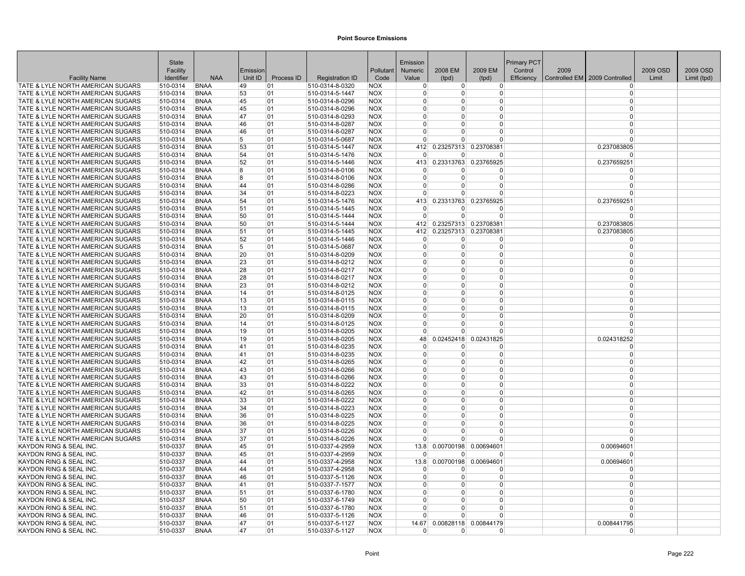|                                                                        | <b>State</b>         |                            |          |            |                                    |                          | Emission             |                            |                                     | <b>Primary PCT</b> |      |                               |          |             |
|------------------------------------------------------------------------|----------------------|----------------------------|----------|------------|------------------------------------|--------------------------|----------------------|----------------------------|-------------------------------------|--------------------|------|-------------------------------|----------|-------------|
|                                                                        | Facility             |                            | Emission |            |                                    | Pollutant                | <b>Numeric</b>       | 2008 EM                    | 2009 EM                             | Control            | 2009 |                               | 2009 OSD | 2009 OSD    |
| <b>Facility Name</b>                                                   | Identifier           | <b>NAA</b>                 | Unit ID  | Process ID | <b>Registration ID</b>             | Code                     | Value                | (tpd)                      | (tpd)                               | Efficiency         |      | Controlled EM 2009 Controlled | Limit    | Limit (tpd) |
| TATE & LYLE NORTH AMERICAN SUGARS                                      | 510-0314             | <b>BNAA</b>                | 49       | 01         | 510-0314-8-0320                    | <b>NOX</b>               | $\Omega$             | 0                          | $\overline{0}$                      |                    |      | $\Omega$                      |          |             |
| TATE & LYLE NORTH AMERICAN SUGARS                                      | 510-0314             | <b>BNAA</b>                | 53       | 01         | 510-0314-5-1447                    | <b>NOX</b>               | $\Omega$             | $\Omega$                   | 0                                   |                    |      | 0                             |          |             |
| TATE & LYLE NORTH AMERICAN SUGARS                                      | 510-0314             | <b>BNAA</b>                | 45<br>45 | 01         | 510-0314-8-0296                    | <b>NOX</b>               | $\Omega$<br>$\Omega$ | $\overline{0}$<br>$\Omega$ | 0<br>$\Omega$                       |                    |      | $\Omega$<br>$\Omega$          |          |             |
| TATE & LYLE NORTH AMERICAN SUGARS<br>TATE & LYLE NORTH AMERICAN SUGARS | 510-0314<br>510-0314 | <b>BNAA</b><br><b>BNAA</b> | 47       | 01<br>01   | 510-0314-8-0296<br>510-0314-8-0293 | <b>NOX</b><br><b>NOX</b> | $\Omega$             | $\Omega$                   | $\Omega$                            |                    |      | $\Omega$                      |          |             |
| TATE & LYLE NORTH AMERICAN SUGARS                                      | 510-0314             | <b>BNAA</b>                | 46       | 01         | 510-0314-8-0287                    | <b>NOX</b>               | $\Omega$             | $\Omega$                   | $\Omega$                            |                    |      | $\Omega$                      |          |             |
| TATE & LYLE NORTH AMERICAN SUGARS                                      | 510-0314             | <b>BNAA</b>                | 46       | 01         | 510-0314-8-0287                    | <b>NOX</b>               | $\Omega$             | 0                          | $\Omega$                            |                    |      | $\Omega$                      |          |             |
| TATE & LYLE NORTH AMERICAN SUGARS                                      | 510-0314             | <b>BNAA</b>                | 5        | 01         | 510-0314-5-0687                    | <b>NOX</b>               | $\Omega$             | $\Omega$                   | $\Omega$                            |                    |      | $\Omega$                      |          |             |
| TATE & LYLE NORTH AMERICAN SUGARS                                      | 510-0314             | <b>BNAA</b>                | 53       | 01         | 510-0314-5-1447                    | <b>NOX</b>               | 412                  | 0.23257313                 | 0.23708381                          |                    |      | 0.237083805                   |          |             |
| TATE & LYLE NORTH AMERICAN SUGARS                                      | 510-0314             | <b>BNAA</b>                | 54       | 01         | 510-0314-5-1476                    | <b>NOX</b>               | $\Omega$             | <sup>0</sup>               | $\Omega$                            |                    |      | $\Omega$                      |          |             |
| TATE & LYLE NORTH AMERICAN SUGARS                                      | 510-0314             | <b>BNAA</b>                | 52       | 01         | 510-0314-5-1446                    | <b>NOX</b>               |                      | 413 0.23313763             | 0.23765925                          |                    |      | 0.237659251                   |          |             |
| TATE & LYLE NORTH AMERICAN SUGARS                                      | 510-0314             | <b>BNAA</b>                | 8        | 01         | 510-0314-8-0106                    | <b>NOX</b>               | $\Omega$             | $\overline{0}$             | $\Omega$                            |                    |      | $\Omega$                      |          |             |
| TATE & LYLE NORTH AMERICAN SUGARS                                      | 510-0314             | <b>BNAA</b>                | 8        | 01         | 510-0314-8-0106                    | <b>NOX</b>               | $\Omega$             | $\Omega$                   | 0                                   |                    |      | $\Omega$                      |          |             |
| TATE & LYLE NORTH AMERICAN SUGARS                                      | 510-0314             | <b>BNAA</b>                | 44       | 01         | 510-0314-8-0286                    | <b>NOX</b>               | $\Omega$             | $\Omega$                   | $\Omega$                            |                    |      | $\Omega$                      |          |             |
| TATE & LYLE NORTH AMERICAN SUGARS                                      | 510-0314             | <b>BNAA</b>                | 34       | 01         | 510-0314-8-0223                    | <b>NOX</b>               | $\Omega$             | $\Omega$                   | $\Omega$                            |                    |      | $\Omega$                      |          |             |
| TATE & LYLE NORTH AMERICAN SUGARS                                      | 510-0314             | <b>BNAA</b>                | 54       | 01         | 510-0314-5-1476                    | <b>NOX</b>               |                      | 413 0.23313763             | 0.23765925                          |                    |      | 0.237659251                   |          |             |
| TATE & LYLE NORTH AMERICAN SUGARS                                      | 510-0314             | <b>BNAA</b>                | 51       | 01         | 510-0314-5-1445                    | <b>NOX</b>               | $\mathbf 0$          | 0                          | $\Omega$                            |                    |      | $\Omega$                      |          |             |
| TATE & LYLE NORTH AMERICAN SUGARS                                      | 510-0314             | <b>BNAA</b>                | 50       | 01         | 510-0314-5-1444                    | <b>NOX</b>               | $\Omega$             | $\Omega$                   | $\Omega$                            |                    |      | $\Omega$                      |          |             |
| TATE & LYLE NORTH AMERICAN SUGARS<br>TATE & LYLE NORTH AMERICAN SUGARS | 510-0314<br>510-0314 | <b>BNAA</b><br><b>BNAA</b> | 50       | 01<br>01   | 510-0314-5-1444<br>510-0314-5-1445 | <b>NOX</b><br><b>NOX</b> | 412<br>412           | 0.23257313                 | 0.23257313 0.23708381<br>0.23708381 |                    |      | 0.237083805                   |          |             |
| TATE & LYLE NORTH AMERICAN SUGARS                                      | 510-0314             | <b>BNAA</b>                | 51<br>52 | 01         | 510-0314-5-1446                    | <b>NOX</b>               | $\Omega$             | $\overline{0}$             | $\overline{0}$                      |                    |      | 0.237083805<br>$\Omega$       |          |             |
| TATE & LYLE NORTH AMERICAN SUGARS                                      | 510-0314             | <b>BNAA</b>                | 5        | 01         | 510-0314-5-0687                    | <b>NOX</b>               | $\Omega$             | $\Omega$                   | $\Omega$                            |                    |      | $\Omega$                      |          |             |
| TATE & LYLE NORTH AMERICAN SUGARS                                      | 510-0314             | <b>BNAA</b>                | 20       | 01         | 510-0314-8-0209                    | <b>NOX</b>               | $\Omega$             | $\overline{0}$             | $\Omega$                            |                    |      | $\Omega$                      |          |             |
| TATE & LYLE NORTH AMERICAN SUGARS                                      | 510-0314             | <b>BNAA</b>                | 23       | 01         | 510-0314-8-0212                    | <b>NOX</b>               | $\Omega$             | $\Omega$                   | $\Omega$                            |                    |      | $\Omega$                      |          |             |
| TATE & LYLE NORTH AMERICAN SUGARS                                      | 510-0314             | <b>BNAA</b>                | 28       | 01         | 510-0314-8-0217                    | <b>NOX</b>               | $\Omega$             | $\overline{0}$             | $\Omega$                            |                    |      | $\Omega$                      |          |             |
| TATE & LYLE NORTH AMERICAN SUGARS                                      | 510-0314             | <b>BNAA</b>                | 28       | 01         | 510-0314-8-0217                    | <b>NOX</b>               | $\Omega$             | $\Omega$                   | $\Omega$                            |                    |      | $\Omega$                      |          |             |
| TATE & LYLE NORTH AMERICAN SUGARS                                      | 510-0314             | <b>BNAA</b>                | 23       | 01         | 510-0314-8-0212                    | <b>NOX</b>               | $\Omega$             | $\overline{0}$             | $\overline{0}$                      |                    |      | $\Omega$                      |          |             |
| TATE & LYLE NORTH AMERICAN SUGARS                                      | 510-0314             | <b>BNAA</b>                | 14       | 01         | 510-0314-8-0125                    | <b>NOX</b>               | $\Omega$             | $\Omega$                   | $\Omega$                            |                    |      | $\Omega$                      |          |             |
| TATE & LYLE NORTH AMERICAN SUGARS                                      | 510-0314             | <b>BNAA</b>                | 13       | 01         | 510-0314-8-0115                    | <b>NOX</b>               | $\Omega$             | $\Omega$                   | $\Omega$                            |                    |      | $\Omega$                      |          |             |
| TATE & LYLE NORTH AMERICAN SUGARS                                      | 510-0314             | <b>BNAA</b>                | 13       | 01         | 510-0314-8-0115                    | <b>NOX</b>               | $\Omega$             | $\Omega$                   | $\Omega$                            |                    |      | $\Omega$                      |          |             |
| TATE & LYLE NORTH AMERICAN SUGARS                                      | 510-0314             | <b>BNAA</b>                | 20       | 01         | 510-0314-8-0209                    | <b>NOX</b>               | $\Omega$             | $\Omega$                   | $\Omega$                            |                    |      | $\Omega$                      |          |             |
| TATE & LYLE NORTH AMERICAN SUGARS                                      | 510-0314             | <b>BNAA</b>                | 14       | 01         | 510-0314-8-0125                    | <b>NOX</b>               | $\Omega$             | $\Omega$                   | $\overline{0}$                      |                    |      | $\Omega$                      |          |             |
| TATE & LYLE NORTH AMERICAN SUGARS                                      | 510-0314             | <b>BNAA</b>                | 19       | 01         | 510-0314-8-0205                    | <b>NOX</b>               | $\Omega$             | $\Omega$                   | $\overline{0}$                      |                    |      | $\Omega$                      |          |             |
| TATE & LYLE NORTH AMERICAN SUGARS                                      | 510-0314             | <b>BNAA</b>                | 19       | 01         | 510-0314-8-0205                    | <b>NOX</b>               | 48                   | 0.02452418                 | 0.02431825                          |                    |      | 0.024318252                   |          |             |
| TATE & LYLE NORTH AMERICAN SUGARS                                      | 510-0314             | <b>BNAA</b>                | 41       | 01         | 510-0314-8-0235                    | <b>NOX</b>               | $\mathbf 0$          | 0                          | 0                                   |                    |      | $\Omega$                      |          |             |
| TATE & LYLE NORTH AMERICAN SUGARS                                      | 510-0314             | <b>BNAA</b>                | 41       | 01         | 510-0314-8-0235                    | <b>NOX</b>               | $\Omega$<br>$\Omega$ | $\Omega$<br>$\Omega$       | $\Omega$<br>$\Omega$                |                    |      | $\Omega$<br>$\Omega$          |          |             |
| TATE & LYLE NORTH AMERICAN SUGARS<br>TATE & LYLE NORTH AMERICAN SUGARS | 510-0314<br>510-0314 | <b>BNAA</b><br><b>BNAA</b> | 42<br>43 | 01<br>01   | 510-0314-8-0265<br>510-0314-8-0266 | <b>NOX</b><br><b>NOX</b> | $\Omega$             | $\Omega$                   | $\overline{0}$                      |                    |      | $\Omega$                      |          |             |
| TATE & LYLE NORTH AMERICAN SUGARS                                      | 510-0314             | <b>BNAA</b>                | 43       | 01         | 510-0314-8-0266                    | <b>NOX</b>               | $\Omega$             | $\Omega$                   | $\Omega$                            |                    |      | $\Omega$                      |          |             |
| TATE & LYLE NORTH AMERICAN SUGARS                                      | 510-0314             | <b>BNAA</b>                | 33       | 01         | 510-0314-8-0222                    | <b>NOX</b>               | $\Omega$             | 0                          | $\Omega$                            |                    |      | $\Omega$                      |          |             |
| TATE & LYLE NORTH AMERICAN SUGARS                                      | 510-0314             | <b>BNAA</b>                | 42       | 01         | 510-0314-8-0265                    | <b>NOX</b>               | $\Omega$             | $\Omega$                   | 0                                   |                    |      | $\Omega$                      |          |             |
| TATE & LYLE NORTH AMERICAN SUGARS                                      | 510-0314             | <b>BNAA</b>                | 33       | 01         | 510-0314-8-0222                    | <b>NOX</b>               | $\mathbf 0$          | $\overline{0}$             | 0                                   |                    |      | $\Omega$                      |          |             |
| TATE & LYLE NORTH AMERICAN SUGARS                                      | 510-0314             | <b>BNAA</b>                | 34       | 01         | 510-0314-8-0223                    | <b>NOX</b>               | $\Omega$             | $\Omega$                   | $\overline{0}$                      |                    |      | $\Omega$                      |          |             |
| TATE & LYLE NORTH AMERICAN SUGARS                                      | 510-0314             | <b>BNAA</b>                | 36       | 01         | 510-0314-8-0225                    | <b>NOX</b>               | $\Omega$             | $\overline{0}$             | $\overline{0}$                      |                    |      | $\Omega$                      |          |             |
| TATE & LYLE NORTH AMERICAN SUGARS                                      | 510-0314             | <b>BNAA</b>                | 36       | 01         | 510-0314-8-0225                    | <b>NOX</b>               | $\Omega$             | $\Omega$                   | $\Omega$                            |                    |      | $\Omega$                      |          |             |
| TATE & LYLE NORTH AMERICAN SUGARS                                      | 510-0314             | <b>BNAA</b>                | 37       | 01         | 510-0314-8-0226                    | <b>NOX</b>               | $\Omega$             | <sup>0</sup>               | 0                                   |                    |      | $\Omega$                      |          |             |
| TATE & LYLE NORTH AMERICAN SUGARS                                      | 510-0314             | <b>BNAA</b>                | 37       | 01         | 510-0314-8-0226                    | <b>NOX</b>               | $\Omega$             | U                          | $\Omega$                            |                    |      | $\Omega$                      |          |             |
| KAYDON RING & SEAL INC.                                                | 510-0337             | <b>BNAA</b>                | 45       | 01         | 510-0337-4-2959                    | <b>NOX</b>               | 13.8                 | 0.00700198                 | 0.00694601                          |                    |      | 0.00694601                    |          |             |
| KAYDON RING & SEAL INC.                                                | 510-0337             | <b>BNAA</b>                | 45       | 01         | 510-0337-4-2959                    | <b>NOX</b>               | $\Omega$             | <sup>0</sup>               | $\Omega$                            |                    |      | $\Omega$                      |          |             |
| KAYDON RING & SEAL INC.                                                | 510-0337             | <b>BNAA</b>                | 44       | 01         | 510-0337-4-2958                    | <b>NOX</b>               | 13.8                 | 0.00700198                 | 0.00694601                          |                    |      | 0.00694601                    |          |             |
| KAYDON RING & SEAL INC.                                                | 510-0337             | <b>BNAA</b>                | 44       | 01         | 510-0337-4-2958                    | <b>NOX</b>               | $\Omega$             | $\Omega$                   | $\Omega$                            |                    |      | $\Omega$                      |          |             |
| KAYDON RING & SEAL INC                                                 | 510-0337             | BNAA                       | 46       | 01         | 510-0337-5-1126                    | <b>NOX</b>               | $\Omega$             | $\overline{0}$             | $\overline{0}$                      |                    |      | $\Omega$                      |          |             |
| KAYDON RING & SEAL INC.                                                | 510-0337             | <b>BNAA</b>                | 41       | 01         | 510-0337-7-1577                    | <b>NOX</b>               | $\Omega$             | $\Omega$<br>$\Omega$       | $\overline{0}$                      |                    |      | $\Omega$<br>$\Omega$          |          |             |
| KAYDON RING & SEAL INC.                                                | 510-0337             | <b>BNAA</b>                | 51       | 01         | 510-0337-6-1780                    | <b>NOX</b>               | $\Omega$<br>$\Omega$ | $\Omega$                   | $\Omega$<br>$\Omega$                |                    |      | $\Omega$                      |          |             |
| KAYDON RING & SEAL INC.<br>KAYDON RING & SEAL INC.                     | 510-0337<br>510-0337 | <b>BNAA</b><br><b>BNAA</b> | 50<br>51 | 01<br>01   | 510-0337-6-1749<br>510-0337-6-1780 | <b>NOX</b><br><b>NOX</b> | $\Omega$             | $\Omega$                   | $\Omega$                            |                    |      | $\Omega$                      |          |             |
| KAYDON RING & SEAL INC.                                                | 510-0337             | <b>BNAA</b>                | 46       | 01         | 510-0337-5-1126                    | <b>NOX</b>               | $\Omega$             | $\Omega$                   | $\Omega$                            |                    |      | $\Omega$                      |          |             |
| KAYDON RING & SEAL INC.                                                | 510-0337             | <b>BNAA</b>                | 47       | 01         | 510-0337-5-1127                    | <b>NOX</b>               | 14.67                |                            | 0.00828118 0.00844179               |                    |      | 0.008441795                   |          |             |
| KAYDON RING & SEAL INC.                                                | 510-0337             | <b>BNAA</b>                | 47       | 01         | 510-0337-5-1127                    | <b>NOX</b>               | $\mathbf 0$          | $\overline{0}$             | 0                                   |                    |      | $\Omega$                      |          |             |
|                                                                        |                      |                            |          |            |                                    |                          |                      |                            |                                     |                    |      |                               |          |             |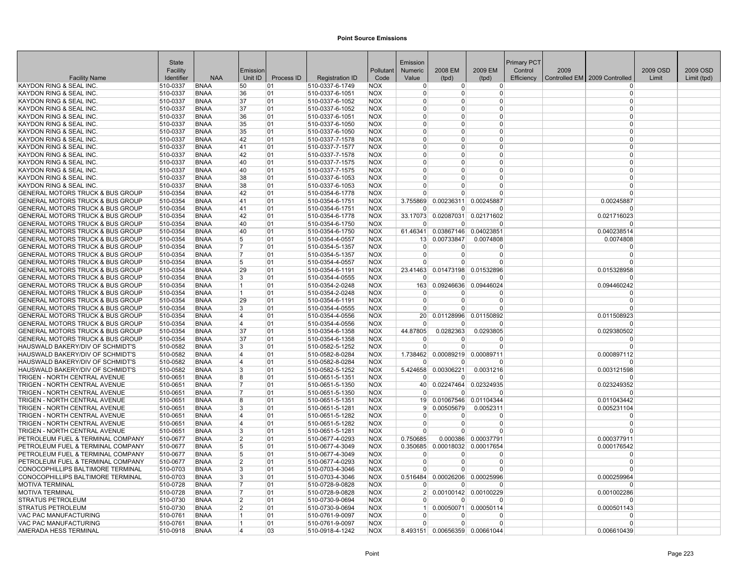|                                                                      | <b>State</b>         |                            |                |            |                                    |                          | Emission             |                        |                                | <b>Primary PCT</b> |      |                               |          |             |
|----------------------------------------------------------------------|----------------------|----------------------------|----------------|------------|------------------------------------|--------------------------|----------------------|------------------------|--------------------------------|--------------------|------|-------------------------------|----------|-------------|
|                                                                      | Facility             |                            | Emission       |            |                                    | Pollutant                | <b>Numeric</b>       | 2008 EM                | 2009 EM                        | Control            | 2009 |                               | 2009 OSD | 2009 OSD    |
| <b>Facility Name</b>                                                 | Identifier           | <b>NAA</b>                 | Unit ID        | Process ID | <b>Registration ID</b>             | Code                     | Value                | (tpd)                  | (tpd)                          | Efficiency         |      | Controlled EM 2009 Controlled | Limit    | Limit (tpd) |
| KAYDON RING & SEAL INC                                               | 510-0337             | <b>BNAA</b>                | 50             | 01         | 510-0337-6-1749                    | <b>NOX</b>               | $\Omega$             | $\overline{0}$         | $\overline{0}$                 |                    |      | $\Omega$                      |          |             |
| KAYDON RING & SEAL INC                                               | 510-0337             | <b>BNAA</b>                | 36             | 01         | 510-0337-6-1051                    | <b>NOX</b>               | $\Omega$             | $\Omega$               | 0                              |                    |      | $\Omega$                      |          |             |
| KAYDON RING & SEAL INC.                                              | 510-0337             | <b>BNAA</b>                | 37             | 01         | 510-0337-6-1052                    | <b>NOX</b>               | $\Omega$             | $\Omega$               | 0                              |                    |      | $\Omega$                      |          |             |
| KAYDON RING & SEAL INC.                                              | 510-0337             | <b>BNAA</b>                | 37             | 01         | 510-0337-6-1052                    | <b>NOX</b>               | $\Omega$             | $\Omega$               | 0                              |                    |      | $\Omega$                      |          |             |
| <b>KAYDON RING &amp; SEAL INC</b>                                    | 510-0337             | <b>BNAA</b>                | 36             | 01         | 510-0337-6-1051                    | <b>NOX</b>               | $\Omega$             | $\Omega$               | 0                              |                    |      | $\Omega$                      |          |             |
| KAYDON RING & SEAL INC                                               | 510-0337             | <b>BNAA</b>                | 35             | 01         | 510-0337-6-1050                    | <b>NOX</b>               | $\Omega$<br>$\Omega$ | $\Omega$<br>$\Omega$   | 0<br>$\Omega$                  |                    |      | $\Omega$<br>$\Omega$          |          |             |
| KAYDON RING & SEAL INC<br><b>KAYDON RING &amp; SEAL INC</b>          | 510-0337<br>510-0337 | <b>BNAA</b><br><b>BNAA</b> | 35<br>42       | 01<br>01   | 510-0337-6-1050<br>510-0337-7-1578 | <b>NOX</b><br><b>NOX</b> | $\Omega$             | $\Omega$               | 0                              |                    |      | $\Omega$                      |          |             |
| KAYDON RING & SEAL INC.                                              |                      | <b>BNAA</b>                | 41             | 01         | 510-0337-7-1577                    |                          | $\overline{0}$       | $\Omega$               | 0                              |                    |      | $\Omega$                      |          |             |
| KAYDON RING & SEAL INC                                               | 510-0337<br>510-0337 | <b>BNAA</b>                | 42             | 01         | 510-0337-7-1578                    | <b>NOX</b><br><b>NOX</b> | $\Omega$             | $\Omega$               | 0                              |                    |      | $\Omega$                      |          |             |
| KAYDON RING & SEAL INC.                                              | 510-0337             | <b>BNAA</b>                | 40             | 01         | 510-0337-7-1575                    | <b>NOX</b>               | $\Omega$             | $\Omega$               | 0                              |                    |      | $\Omega$                      |          |             |
| KAYDON RING & SEAL INC                                               | 510-0337             | <b>BNAA</b>                | 40             | 01         | 510-0337-7-1575                    | <b>NOX</b>               | $\Omega$             | $\Omega$               | 0                              |                    |      | $\Omega$                      |          |             |
| <b>KAYDON RING &amp; SEAL INC</b>                                    | 510-0337             | <b>BNAA</b>                | 38             | 01         | 510-0337-6-1053                    | <b>NOX</b>               | n                    | O                      | 0                              |                    |      | $\Omega$                      |          |             |
| KAYDON RING & SEAL INC.                                              | 510-0337             | <b>BNAA</b>                | 38             | 01         | 510-0337-6-1053                    | <b>NOX</b>               | $\Omega$             | O                      | $\Omega$                       |                    |      | $\Omega$                      |          |             |
| <b>GENERAL MOTORS TRUCK &amp; BUS GROUP</b>                          | 510-0354             | <b>BNAA</b>                | 42             | 01         | 510-0354-6-1778                    | <b>NOX</b>               | $\Omega$             | $\Omega$               | 0                              |                    |      | $\Omega$                      |          |             |
| GENERAL MOTORS TRUCK & BUS GROUP                                     | 510-0354             | <b>BNAA</b>                | 41             | 01         | 510-0354-6-1751                    | <b>NOX</b>               | 3.755869             | 0.00236311             | 0.00245887                     |                    |      | 0.00245887                    |          |             |
| GENERAL MOTORS TRUCK & BUS GROUP                                     | 510-0354             | <b>BNAA</b>                | 41             | 01         | 510-0354-6-1751                    | <b>NOX</b>               | $\Omega$             | $\Omega$               | 0                              |                    |      | $\Omega$                      |          |             |
| GENERAL MOTORS TRUCK & BUS GROUP                                     | 510-0354             | <b>BNAA</b>                | 42             | 01         | 510-0354-6-1778                    | <b>NOX</b>               |                      |                        | 33.17073 0.02087031 0.02171602 |                    |      | 0.021716023                   |          |             |
| <b>GENERAL MOTORS TRUCK &amp; BUS GROUP</b>                          | 510-0354             | <b>BNAA</b>                | 40             | 01         | 510-0354-6-1750                    | <b>NOX</b>               |                      | <sup>0</sup>           | ŋ                              |                    |      | $\Omega$                      |          |             |
| <b>GENERAL MOTORS TRUCK &amp; BUS GROUP</b>                          | 510-0354             | <b>BNAA</b>                | 40             | 01         | 510-0354-6-1750                    | <b>NOX</b>               | 61.46341             | 0.03867146             | 0.04023851                     |                    |      | 0.040238514                   |          |             |
| GENERAL MOTORS TRUCK & BUS GROUP                                     | 510-0354             | <b>BNAA</b>                | 5              | 01         | 510-0354-4-0557                    | <b>NOX</b>               |                      | 13 0.00733847          | 0.0074808                      |                    |      | 0.0074808                     |          |             |
| <b>GENERAL MOTORS TRUCK &amp; BUS GROUP</b>                          | 510-0354             | <b>BNAA</b>                | 17             | 01         | 510-0354-5-1357                    | <b>NOX</b>               | $\Omega$             | $\Omega$               | 0                              |                    |      | $\Omega$                      |          |             |
| <b>GENERAL MOTORS TRUCK &amp; BUS GROUP</b>                          | 510-0354             | <b>BNAA</b>                | 7              | 01         | 510-0354-5-1357                    | <b>NOX</b>               | $\Omega$             | $\Omega$               | 0                              |                    |      | $\Omega$                      |          |             |
| GENERAL MOTORS TRUCK & BUS GROUP                                     | 510-0354             | <b>BNAA</b>                | 5              | 01         | 510-0354-4-0557                    | <b>NOX</b>               | $\Omega$             | $\Omega$               | $\Omega$                       |                    |      | $\Omega$                      |          |             |
| GENERAL MOTORS TRUCK & BUS GROUP                                     | 510-0354             | <b>BNAA</b>                | 29             | 01         | 510-0354-6-1191                    | <b>NOX</b>               | 23.41463             | 0.01473198             | 0.01532896                     |                    |      | 0.015328958                   |          |             |
| <b>GENERAL MOTORS TRUCK &amp; BUS GROUP</b>                          | 510-0354             | <b>BNAA</b>                | 3              | 01         | 510-0354-4-0555                    | <b>NOX</b>               | $\Omega$             | $\Omega$               | 0                              |                    |      | $\Omega$                      |          |             |
| <b>GENERAL MOTORS TRUCK &amp; BUS GROUP</b>                          | 510-0354             | <b>BNAA</b>                | 11             | 01         | 510-0354-2-0248                    | <b>NOX</b>               | 163                  | 0.09246636             | 0.09446024                     |                    |      | 0.094460242                   |          |             |
| GENERAL MOTORS TRUCK & BUS GROUP                                     | 510-0354             | <b>BNAA</b>                | 11.            | 01         | 510-0354-2-0248                    | <b>NOX</b>               | $\Omega$             | $\Omega$               | 0                              |                    |      | $\Omega$                      |          |             |
| GENERAL MOTORS TRUCK & BUS GROUP                                     | 510-0354             | <b>BNAA</b>                | 29             | 01         | 510-0354-6-1191                    | <b>NOX</b>               | $\Omega$             | $\Omega$               | 0                              |                    |      | $\Omega$                      |          |             |
| <b>GENERAL MOTORS TRUCK &amp; BUS GROUP</b>                          | 510-0354             | <b>BNAA</b>                | 3              | 01         | 510-0354-4-0555                    | <b>NOX</b>               |                      | O                      | 0                              |                    |      | $\Omega$                      |          |             |
| GENERAL MOTORS TRUCK & BUS GROUP                                     | 510-0354             | <b>BNAA</b>                | 4              | 01         | 510-0354-4-0556                    | <b>NOX</b>               | 20 <sup>2</sup>      | 0.01128996             | 0.01150892                     |                    |      | 0.011508923                   |          |             |
| <b>GENERAL MOTORS TRUCK &amp; BUS GROUP</b>                          | 510-0354             | <b>BNAA</b>                | 14             | 01         | 510-0354-4-0556                    | <b>NOX</b>               | $\Omega$             | $\Omega$               | $\Omega$                       |                    |      | $\Omega$                      |          |             |
| <b>GENERAL MOTORS TRUCK &amp; BUS GROUP</b>                          | 510-0354             | <b>BNAA</b>                | 37             | 01         | 510-0354-6-1358                    | <b>NOX</b>               | 44.87805             | 0.0282363              | 0.0293805                      |                    |      | 0.029380502                   |          |             |
| GENERAL MOTORS TRUCK & BUS GROUP                                     | 510-0354             | <b>BNAA</b>                | 37             | 01         | 510-0354-6-1358                    | <b>NOX</b>               | $\Omega$             | 0<br>$\Omega$          | 0                              |                    |      | $\Omega$                      |          |             |
| HAUSWALD BAKERY/DIV OF SCHMIDT'S                                     | 510-0582             | <b>BNAA</b>                | 3              | 01         | 510-0582-5-1252                    | <b>NOX</b>               | $\Omega$             |                        | U                              |                    |      | $\Omega$                      |          |             |
| HAUSWALD BAKERY/DIV OF SCHMIDT'S                                     | 510-0582             | <b>BNAA</b>                | 14<br>14       | 01         | 510-0582-8-0284                    | <b>NOX</b>               | 1.738462<br>$\Omega$ | 0.00089219<br>$\Omega$ | 0.00089711<br>ŋ                |                    |      | 0.000897112<br>$\Omega$       |          |             |
| HAUSWALD BAKERY/DIV OF SCHMIDT'S<br>HAUSWALD BAKERY/DIV OF SCHMIDT'S | 510-0582<br>510-0582 | <b>BNAA</b><br><b>BNAA</b> | 3              | 01<br>01   | 510-0582-8-0284<br>510-0582-5-1252 | <b>NOX</b><br><b>NOX</b> | 5.424658             | 0.00306221             |                                |                    |      |                               |          |             |
| TRIGEN - NORTH CENTRAL AVENUE                                        | 510-0651             | <b>BNAA</b>                | 8              | 01         | 510-0651-5-1351                    | <b>NOX</b>               | $\Omega$             | $\Omega$               | 0.0031216<br>n                 |                    |      | 0.003121598<br>n              |          |             |
| TRIGEN - NORTH CENTRAL AVENUE                                        | 510-0651             | <b>BNAA</b>                | 17             | 01         | 510-0651-5-1350                    | <b>NOX</b>               | 40                   |                        | 0.02247464 0.02324935          |                    |      | 0.023249352                   |          |             |
| TRIGEN - NORTH CENTRAL AVENUE                                        | 510-0651             | <b>BNAA</b>                | 17             | 01         | 510-0651-5-1350                    | <b>NOX</b>               | $\Omega$             | <sup>0</sup>           | 0                              |                    |      | $\Omega$                      |          |             |
| TRIGEN - NORTH CENTRAL AVENUE                                        | 510-0651             | <b>BNAA</b>                | 8              | 01         | 510-0651-5-1351                    | <b>NOX</b>               | 19                   | 0.01067546             | 0.01104344                     |                    |      | 0.011043442                   |          |             |
| TRIGEN - NORTH CENTRAL AVENUE                                        | 510-0651             | <b>BNAA</b>                | 3              | 01         | 510-0651-5-1281                    | <b>NOX</b>               | 9                    | 0.00505679             | 0.0052311                      |                    |      | 0.005231104                   |          |             |
| TRIGEN - NORTH CENTRAL AVENUE                                        | 510-0651             | <b>BNAA</b>                | 14             | 01         | 510-0651-5-1282                    | <b>NOX</b>               | $\Omega$             | $\Omega$               | $\Omega$                       |                    |      | $\Omega$                      |          |             |
| TRIGEN - NORTH CENTRAL AVENUE                                        | 510-0651             | <b>BNAA</b>                | 4              | 01         | 510-0651-5-1282                    | <b>NOX</b>               | $\Omega$             | $\Omega$               | 0                              |                    |      | $\Omega$                      |          |             |
| TRIGEN - NORTH CENTRAL AVENUE                                        | 510-0651             | <b>BNAA</b>                | 3              | 01         | 510-0651-5-1281                    | <b>NOX</b>               | $\Omega$             | U                      | $\Omega$                       |                    |      | $\Omega$                      |          |             |
| PETROLEUM FUEL & TERMINAL COMPANY                                    | 510-0677             | <b>BNAA</b>                | $\overline{2}$ | 01         | 510-0677-4-0293                    | <b>NOX</b>               | 0.750685             |                        | 0.000386 0.00037791            |                    |      | 0.000377911                   |          |             |
| PETROLEUM FUEL & TERMINAL COMPANY                                    | 510-0677             | <b>BNAA</b>                | 5              | 01         | 510-0677-4-3049                    | <b>NOX</b>               | 0.350685             |                        | 0.00018032 0.00017654          |                    |      | 0.000176542                   |          |             |
| PETROLEUM FUEL & TERMINAL COMPANY                                    | 510-0677             | <b>BNAA</b>                | 5              | 01         | 510-0677-4-3049                    | <b>NOX</b>               | $\Omega$             | $\Omega$               | $\Omega$                       |                    |      | $\Omega$                      |          |             |
| PETROLEUM FUEL & TERMINAL COMPANY                                    | 510-0677             | <b>BNAA</b>                | 2              | 01         | 510-0677-4-0293                    | <b>NOX</b>               | $\Omega$             | $\Omega$               | $\Omega$                       |                    |      | $\Omega$                      |          |             |
| CONOCOPHILLIPS BALTIMORE TERMINAL                                    | 510-0703             | <b>BNAA</b>                | 3              | 01         | 510-0703-4-3046                    | <b>NOX</b>               |                      | $\Omega$               | U                              |                    |      | $\Omega$                      |          |             |
| CONOCOPHILLIPS BALTIMORE TERMINAL                                    | 510-0703             | <b>BNAA</b>                | 3              | 01         | 510-0703-4-3046                    | <b>NOX</b>               | 0.516484             |                        | 0.00026206 0.00025996          |                    |      | 0.000259964                   |          |             |
| MOTIVA TERMINAL                                                      | 510-0728             | <b>BNAA</b>                | 17             | 01         | 510-0728-9-0828                    | <b>NOX</b>               | $\Omega$             | $\Omega$               | U                              |                    |      | $\Omega$                      |          |             |
| <b>MOTIVA TERMINAL</b>                                               | 510-0728             | <b>BNAA</b>                | 17             | 01         | 510-0728-9-0828                    | <b>NOX</b>               | 2 <sup>1</sup>       |                        | 0.00100142 0.00100229          |                    |      | 0.001002286                   |          |             |
| <b>STRATUS PETROLEUM</b>                                             | 510-0730             | <b>BNAA</b>                | 2              | 01         | 510-0730-9-0694                    | <b>NOX</b>               | $\Omega$             | $\Omega$               | ŋ                              |                    |      | $\Omega$                      |          |             |
| <b>STRATUS PETROLEUM</b>                                             | 510-0730             | <b>BNAA</b>                | 2              | 01         | 510-0730-9-0694                    | <b>NOX</b>               | 1 <sup>1</sup>       | 0.00050071             | 0.00050114                     |                    |      | 0.000501143                   |          |             |
| VAC PAC MANUFACTURING                                                | 510-0761             | <b>BNAA</b>                | 11             | 01         | 510-0761-9-0097                    | <b>NOX</b>               | $\Omega$             | <sup>0</sup>           | 0                              |                    |      | $\Omega$                      |          |             |
| <b>VAC PAC MANUFACTURING</b>                                         | 510-0761             | <b>BNAA</b>                | 11             | 01         | 510-0761-9-0097                    | <b>NOX</b>               |                      | $\Omega$               | 0                              |                    |      | $\Omega$                      |          |             |
| AMERADA HESS TERMINAL                                                | 510-0918             | <b>BNAA</b>                | 4              | 03         | 510-0918-4-1242                    | <b>NOX</b>               |                      |                        | 8.493151 0.00656359 0.00661044 |                    |      | 0.006610439                   |          |             |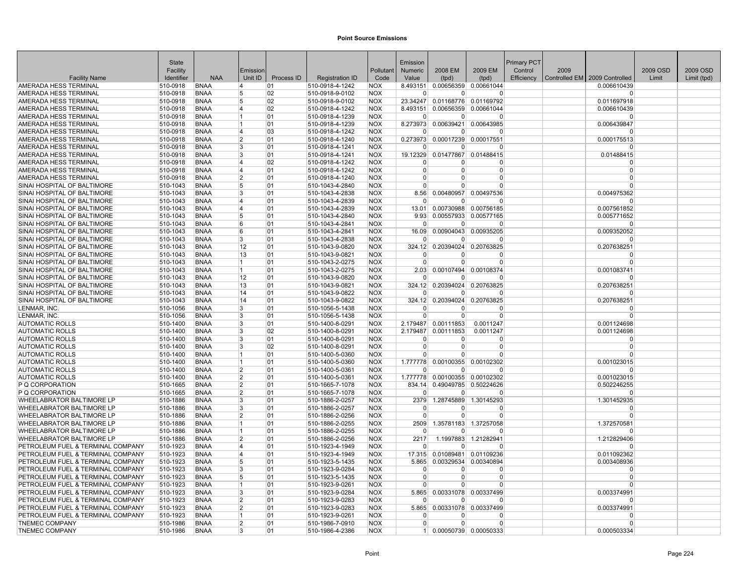|                                                            | State                |                     |                |            |                                    |                          | Emission          |                     |                                                     | Primary PCT |      |                               |          |             |
|------------------------------------------------------------|----------------------|---------------------|----------------|------------|------------------------------------|--------------------------|-------------------|---------------------|-----------------------------------------------------|-------------|------|-------------------------------|----------|-------------|
|                                                            | Facility             |                     | Emission       |            |                                    | Pollutant                | <b>Numeric</b>    | 2008 EM             | 2009 EM                                             | Control     | 2009 |                               | 2009 OSD | 2009 OSD    |
| <b>Facility Name</b>                                       | Identifier           | <b>NAA</b>          | Unit ID        | Process ID | <b>Registration ID</b>             | Code                     | Value             | (tpd)               | (tpd)                                               | Efficiency  |      | Controlled EM 2009 Controlled | Limit    | Limit (tpd) |
| AMERADA HESS TERMINAL                                      | 510-0918             | <b>BNAA</b>         | 14             | 01         | 510-0918-4-1242                    | <b>NOX</b>               |                   |                     | 8.493151 0.00656359 0.00661044                      |             |      | 0.006610439                   |          |             |
| AMERADA HESS TERMINAL                                      | 510-0918             | <b>BNAA</b>         | 5              | 02         | 510-0918-9-0102                    | <b>NOX</b>               | $\Omega$          | $\Omega$            | $\Omega$                                            |             |      | $\Omega$                      |          |             |
| AMERADA HESS TERMINAL                                      | 510-0918             | <b>BNAA</b>         | 5              | 02         | 510-0918-9-0102                    | <b>NOX</b>               | 23.34247          |                     | 0.01168776 0.01169792                               |             |      | 0.011697918                   |          |             |
| AMERADA HESS TERMINAL                                      | 510-0918             | <b>BNAA</b>         | 14             | 02         | 510-0918-4-1242                    | <b>NOX</b>               | 8.493151          |                     | 0.00656359 0.00661044                               |             |      | 0.006610439                   |          |             |
| AMERADA HESS TERMINAL                                      | 510-0918             | <b>BNAA</b>         | 11             | 01         | 510-0918-4-1239                    | <b>NOX</b>               | $\Omega$          | $\overline{0}$      | $\Omega$                                            |             |      | $\Omega$                      |          |             |
| AMERADA HESS TERMINAL                                      | 510-0918             | BNAA                | 11             | 01         | 510-0918-4-1239                    | <b>NOX</b>               |                   |                     | 8.273973 0.00639421 0.00643985                      |             |      | 0.006439847                   |          |             |
| AMERADA HESS TERMINAL                                      | 510-0918             | <b>BNAA</b>         | 14             | 03         | 510-0918-4-1242                    | <b>NOX</b>               | $\Omega$          | $\Omega$            | $\Omega$                                            |             |      | $\Omega$                      |          |             |
| AMERADA HESS TERMINAL                                      | 510-0918             | <b>BNAA</b>         | 2              | 01         | 510-0918-4-1240                    | <b>NOX</b>               |                   |                     | 0.273973 0.00017239 0.00017551                      |             |      | 0.000175513                   |          |             |
| AMERADA HESS TERMINAL                                      | 510-0918             | <b>BNAA</b>         | 3              | 01         | 510-0918-4-1241                    | <b>NOX</b>               | $\Omega$          | $\overline{0}$      | $\Omega$                                            |             |      | $\Omega$                      |          |             |
| AMERADA HESS TERMINAL                                      | 510-0918             | <b>BNAA</b>         | 3              | 01         | 510-0918-4-1241                    | <b>NOX</b>               |                   |                     | 19.12329 0.01477867 0.01488415                      |             |      | 0.01488415                    |          |             |
| AMERADA HESS TERMINAL                                      | 510-0918             | <b>BNAA</b>         | 14             | 02         | 510-0918-4-1242                    | <b>NOX</b>               | $\Omega$          | 0                   | $\Omega$                                            |             |      | $\Omega$                      |          |             |
| AMERADA HESS TERMINAL                                      | 510-0918             | BNAA                | 14             | 01         | 510-0918-4-1242                    | <b>NOX</b>               | $\mathbf 0$       | 0                   | $\overline{0}$                                      |             |      | $\Omega$                      |          |             |
| AMERADA HESS TERMINAL                                      | 510-0918             | <b>BNAA</b>         | 12             | 01         | 510-0918-4-1240                    | <b>NOX</b>               | 0                 | $\Omega$            | 0                                                   |             |      | $\Omega$<br>$\Omega$          |          |             |
| SINAI HOSPITAL OF BALTIMORE                                | 510-1043             | <b>BNAA</b>         | 5              | 01         | 510-1043-4-2840                    | <b>NOX</b>               | $\Omega$          | U                   | $\Omega$                                            |             |      |                               |          |             |
| SINAI HOSPITAL OF BALTIMORE                                | 510-1043             | BNAA                | 3              | 01         | 510-1043-4-2838                    | <b>NOX</b>               | 8.56              |                     | 0.00480957 0.00497536                               |             |      | 0.004975362                   |          |             |
| SINAI HOSPITAL OF BALTIMORE                                | 510-1043             | <b>BNAA</b>         | 4              | 01         | 510-1043-4-2839                    | <b>NOX</b>               | $\Omega$          | <sup>0</sup>        | $\Omega$                                            |             |      | $\Omega$                      |          |             |
| SINAI HOSPITAL OF BALTIMORE                                | 510-1043             | BNAA                | 14<br>5        | 01         | 510-1043-4-2839                    | <b>NOX</b>               | 13.01             |                     | 0.00730988 0.00756185<br>9.93 0.00557933 0.00577165 |             |      | 0.007561852                   |          |             |
| SINAI HOSPITAL OF BALTIMORE<br>SINAI HOSPITAL OF BALTIMORE | 510-1043<br>510-1043 | <b>BNAA</b><br>BNAA | 6              | 01<br>01   | 510-1043-4-2840<br>510-1043-4-2841 | <b>NOX</b><br><b>NOX</b> | $\Omega$          | $\overline{0}$      | $\Omega$                                            |             |      | 0.005771652<br>$\Omega$       |          |             |
|                                                            |                      | BNAA                | 6              | 01         |                                    |                          |                   |                     |                                                     |             |      |                               |          |             |
| SINAI HOSPITAL OF BALTIMORE<br>SINAI HOSPITAL OF BALTIMORE | 510-1043<br>510-1043 | <b>BNAA</b>         | 3              | 01         | 510-1043-4-2841<br>510-1043-4-2838 | <b>NOX</b><br><b>NOX</b> | 16.09<br>$\Omega$ | $\Omega$            | 0.00904043 0.00935205<br>$\Omega$                   |             |      | 0.009352052<br>$\Omega$       |          |             |
| SINAI HOSPITAL OF BALTIMORE                                |                      | <b>BNAA</b>         | 12             | 01         | 510-1043-9-0820                    | <b>NOX</b>               | 324.12            | 0.20394024          | 0.20763825                                          |             |      |                               |          |             |
| SINAI HOSPITAL OF BALTIMORE                                | 510-1043<br>510-1043 | <b>BNAA</b>         | 13             | 01         | 510-1043-9-0821                    | <b>NOX</b>               | $\overline{0}$    | $\overline{0}$      | O                                                   |             |      | 0.207638251                   |          |             |
| SINAI HOSPITAL OF BALTIMORE                                | 510-1043             | <b>BNAA</b>         | $\overline{1}$ | 01         | 510-1043-2-0275                    | <b>NOX</b>               | $\Omega$          | $\Omega$            | 0                                                   |             |      | $\Omega$                      |          |             |
| SINAI HOSPITAL OF BALTIMORE                                | 510-1043             | <b>BNAA</b>         | 11.            | 01         | 510-1043-2-0275                    | <b>NOX</b>               | 2.03              |                     | 0.00107494 0.00108374                               |             |      | 0.001083741                   |          |             |
| SINAI HOSPITAL OF BALTIMORE                                | 510-1043             | BNAA                | 12             | 01         | 510-1043-9-0820                    | <b>NOX</b>               | $\Omega$          | $\Omega$            | $\Omega$                                            |             |      | $\Omega$                      |          |             |
| SINAI HOSPITAL OF BALTIMORE                                | 510-1043             | <b>BNAA</b>         | 13             | 01         | 510-1043-9-0821                    | <b>NOX</b>               |                   |                     | 324.12 0.20394024 0.20763825                        |             |      | 0.207638251                   |          |             |
| SINAI HOSPITAL OF BALTIMORE                                | 510-1043             | <b>BNAA</b>         | 14             | 01         | 510-1043-9-0822                    | <b>NOX</b>               | $\Omega$          | $\Omega$            | $\Omega$                                            |             |      | $\Omega$                      |          |             |
| SINAI HOSPITAL OF BALTIMORE                                | 510-1043             | <b>BNAA</b>         | 14             | 01         | 510-1043-9-0822                    | <b>NOX</b>               |                   |                     | 324.12 0.20394024 0.20763825                        |             |      | 0.207638251                   |          |             |
| LENMAR, INC.                                               | 510-1056             | <b>BNAA</b>         | 3              | 01         | 510-1056-5-1438                    | <b>NOX</b>               | $\Omega$          | 0                   | $\Omega$                                            |             |      |                               |          |             |
| LENMAR, INC.                                               | 510-1056             | <b>BNAA</b>         | 3              | 01         | 510-1056-5-1438                    | <b>NOX</b>               | $\Omega$          | $\Omega$            | $\mathbf 0$                                         |             |      | $\Omega$                      |          |             |
| <b>AUTOMATIC ROLLS</b>                                     | 510-1400             | <b>BNAA</b>         | 3              | 01         | 510-1400-8-0291                    | <b>NOX</b>               |                   | 2.179487 0.00111853 | 0.0011247                                           |             |      | 0.001124698                   |          |             |
| <b>AUTOMATIC ROLLS</b>                                     | 510-1400             | <b>BNAA</b>         | 3              | 02         | 510-1400-8-0291                    | <b>NOX</b>               | 2.179487          | 0.00111853          | 0.0011247                                           |             |      | 0.001124698                   |          |             |
| <b>AUTOMATIC ROLLS</b>                                     | 510-1400             | <b>BNAA</b>         | Β.             | 01         | 510-1400-8-0291                    | <b>NOX</b>               | $\Omega$          | $\Omega$            | 0                                                   |             |      | $\Omega$                      |          |             |
| <b>AUTOMATIC ROLLS</b>                                     | 510-1400             | <b>BNAA</b>         | 3              | 02         | 510-1400-8-0291                    | <b>NOX</b>               | $\Omega$          | $\Omega$            | $\overline{0}$                                      |             |      | $\Omega$                      |          |             |
| <b>AUTOMATIC ROLLS</b>                                     | 510-1400             | <b>BNAA</b>         | 11             | 01         | 510-1400-5-0360                    | <b>NOX</b>               | $\Omega$          | $\Omega$            | $\Omega$                                            |             |      | $\Omega$                      |          |             |
| <b>AUTOMATIC ROLLS</b>                                     | 510-1400             | <b>BNAA</b>         |                | 01         | 510-1400-5-0360                    | <b>NOX</b>               | 1.777778          | 0.00100355          | 0.00102302                                          |             |      | 0.001023015                   |          |             |
| <b>AUTOMATIC ROLLS</b>                                     | 510-1400             | <b>BNAA</b>         | $\overline{2}$ | 01         | 510-1400-5-0361                    | <b>NOX</b>               | $\Omega$          | $\Omega$            | $\Omega$                                            |             |      | <sup>0</sup>                  |          |             |
| <b>AUTOMATIC ROLLS</b>                                     | 510-1400             | <b>BNAA</b>         | 2              | 01         | 510-1400-5-0361                    | <b>NOX</b>               | 1.777778          |                     | 0.00100355 0.00102302                               |             |      | 0.001023015                   |          |             |
| P Q CORPORATION                                            | 510-1665             | BNAA                | 2              | 01         | 510-1665-7-1078                    | <b>NOX</b>               |                   |                     | 834.14 0.49049785 0.50224626                        |             |      | 0.502246255                   |          |             |
| P Q CORPORATION                                            | 510-1665             | <b>BNAA</b>         | 2              | 01         | 510-1665-7-1078                    | <b>NOX</b>               | $\Omega$          | $\Omega$            | $\Omega$                                            |             |      | $\Omega$                      |          |             |
| WHEELABRATOR BALTIMORE LP                                  | 510-1886             | <b>BNAA</b>         | 3              | 01         | 510-1886-2-0257                    | <b>NOX</b>               | 2379              | 1.28745889          | 1.30145293                                          |             |      | 1.301452935                   |          |             |
| <b>WHEELABRATOR BALTIMORE LP</b>                           | 510-1886             | <b>BNAA</b>         | 3              | 01         | 510-1886-2-0257                    | <b>NOX</b>               | $\Omega$          | $\Omega$            | $\Omega$                                            |             |      | $\Omega$                      |          |             |
| <b>WHEELABRATOR BALTIMORE LP</b>                           | 510-1886             | <b>BNAA</b>         | 2              | 01         | 510-1886-2-0256                    | <b>NOX</b>               | $\Omega$          | $\Omega$            | $\Omega$                                            |             |      | $\Omega$                      |          |             |
| WHEELABRATOR BALTIMORE LP                                  | 510-1886             | <b>BNAA</b>         | 11             | 01         | 510-1886-2-0255                    | <b>NOX</b>               | 2509              |                     | 1.35781183 1.37257058                               |             |      | 1.372570581                   |          |             |
| <b>WHEELABRATOR BALTIMORE LP</b>                           | 510-1886             | <b>BNAA</b>         | 11             | 01         | 510-1886-2-0255                    | <b>NOX</b>               | $\Omega$          | $\Omega$            | <sup>0</sup>                                        |             |      | $\Omega$                      |          |             |
| <b>WHEELABRATOR BALTIMORE LP</b>                           | 510-1886             | <b>BNAA</b>         | $\overline{2}$ | 01         | 510-1886-2-0256                    | <b>NOX</b>               | 2217              |                     | 1.1997883 1.21282941                                |             |      | 1.212829406                   |          |             |
| PETROLEUM FUEL & TERMINAL COMPANY                          | 510-1923             | BNAA                | 14             | 01         | 510-1923-4-1949                    | <b>NOX</b>               | $\Omega$          | $\overline{0}$      | $\Omega$                                            |             |      | $\Omega$                      |          |             |
| PETROLEUM FUEL & TERMINAL COMPANY                          | 510-1923             | <b>BNAA</b>         | 14             | 01         | 510-1923-4-1949                    | <b>NOX</b>               |                   |                     | 17.315 0.01089481 0.01109236                        |             |      | 0.011092362                   |          |             |
| PETROLEUM FUEL & TERMINAL COMPANY                          | 510-1923             | <b>BNAA</b>         | 5              | 01         | 510-1923-5-1435                    | <b>NOX</b>               | 5.865             |                     | 0.00329534 0.00340894                               |             |      | 0.003408936                   |          |             |
| PETROLEUM FUEL & TERMINAL COMPANY                          | 510-1923             | BNAA                | 3              | 01         | 510-1923-9-0284                    | <b>NOX</b>               | $\Omega$          | $\Omega$            | $\Omega$                                            |             |      | $\Omega$                      |          |             |
| PETROLEUM FUEL & TERMINAL COMPANY                          | 510-1923             | <b>BNAA</b>         | 15             | 01         | 510-1923-5-1435                    | <b>NOX</b>               | $\Omega$          | $\Omega$            | $\overline{0}$                                      |             |      | $\Omega$                      |          |             |
| PETROLEUM FUEL & TERMINAL COMPANY                          | 510-1923             | <b>BNAA</b>         | 11             | 01         | 510-1923-9-0261                    | <b>NOX</b>               | $\Omega$          | $\Omega$            | $\Omega$                                            |             |      | $\Omega$                      |          |             |
| PETROLEUM FUEL & TERMINAL COMPANY                          | 510-1923             | BNAA                | Β.             | 01         | 510-1923-9-0284                    | <b>NOX</b>               | 5.865             |                     | 0.00331078 0.00337499                               |             |      | 0.003374991                   |          |             |
| PETROLEUM FUEL & TERMINAL COMPANY                          | 510-1923             | <b>BNAA</b>         | 2              | 01         | 510-1923-9-0283                    | <b>NOX</b>               | $\Omega$          | $\Omega$            | $\Omega$                                            |             |      | $\Omega$                      |          |             |
| PETROLEUM FUEL & TERMINAL COMPANY                          | 510-1923             | <b>BNAA</b>         | 2              | 01         | 510-1923-9-0283                    | <b>NOX</b>               | 5.865             |                     | 0.00331078 0.00337499                               |             |      | 0.003374991                   |          |             |
| PETROLEUM FUEL & TERMINAL COMPANY                          | 510-1923             | <b>BNAA</b>         | 11             | 01         | 510-1923-9-0261                    | <b>NOX</b>               | $\Omega$          | $\Omega$            | $\Omega$                                            |             |      | $\Omega$                      |          |             |
| <b>TNEMEC COMPANY</b>                                      | 510-1986             | <b>BNAA</b>         | 2              | 01         | 510-1986-7-0910                    | <b>NOX</b>               | $\Omega$          | $\Omega$            | $\Omega$                                            |             |      | $\Omega$                      |          |             |
| <b>TNEMEC COMPANY</b>                                      | 510-1986             | BNAA                | 3              | 01         | 510-1986-4-2386                    | <b>NOX</b>               |                   |                     | 1 0.00050739 0.00050333                             |             |      | 0.000503334                   |          |             |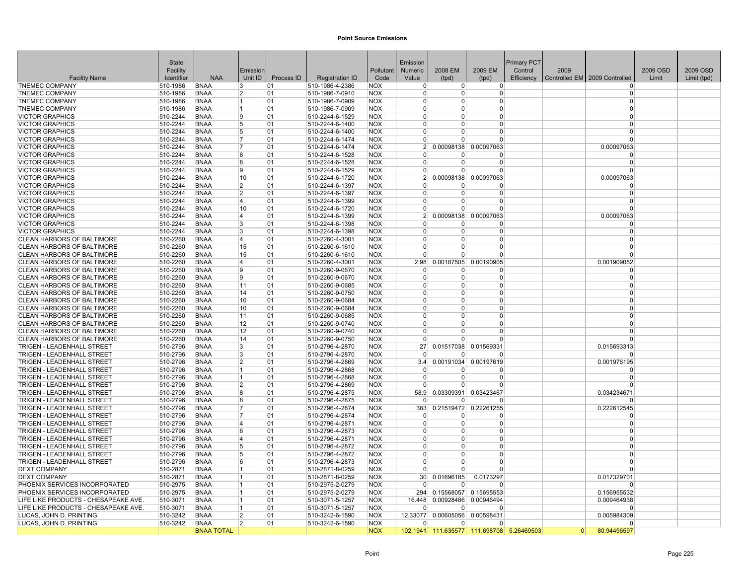|                                                                 | State                |                            |                |            |                                    |                          | Emission                   |                                |                            | Primary PCT |      |                               |          |             |
|-----------------------------------------------------------------|----------------------|----------------------------|----------------|------------|------------------------------------|--------------------------|----------------------------|--------------------------------|----------------------------|-------------|------|-------------------------------|----------|-------------|
|                                                                 | Facility             |                            | Emission       |            |                                    | Pollutant                | Numeric                    | 2008 EM                        | 2009 EM                    | Control     | 2009 |                               | 2009 OSD | 2009 OSD    |
| <b>Facility Name</b>                                            | Identifier           | <b>NAA</b>                 | Unit ID        | Process ID | <b>Registration ID</b>             | Code                     | Value                      | (tpd)                          | (tpd)                      | Efficiency  |      | Controlled EM 2009 Controlled | Limit    | Limit (tpd) |
| <b>TNEMEC COMPANY</b>                                           | 510-1986             | <b>BNAA</b>                | 3              | 01         | 510-1986-4-2386                    | <b>NOX</b>               | 0                          | $\overline{0}$                 | $\overline{0}$             |             |      | $\Omega$                      |          |             |
| <b>TNEMEC COMPANY</b>                                           | 510-1986             | <b>BNAA</b>                | 2              | 01         | 510-1986-7-0910                    | <b>NOX</b>               | $\Omega$                   | $\Omega$                       | 0                          |             |      | $\Omega$                      |          |             |
| <b>TNEMEC COMPANY</b>                                           | 510-1986             | <b>BNAA</b>                | 1              | 01         | 510-1986-7-0909                    | <b>NOX</b>               | $\Omega$                   | 0                              | 0                          |             |      | $\Omega$                      |          |             |
| <b>TNEMEC COMPANY</b>                                           | 510-1986             | <b>BNAA</b>                | 1              | 01         | 510-1986-7-0909                    | <b>NOX</b>               | $\Omega$                   | $\Omega$                       | $\Omega$                   |             |      | $\Omega$                      |          |             |
| <b>VICTOR GRAPHICS</b>                                          | 510-2244             | <b>BNAA</b>                | g              | 01         | 510-2244-6-1529                    | <b>NOX</b>               | $\Omega$                   | 0                              | $\Omega$                   |             |      | $\Omega$                      |          |             |
| <b>VICTOR GRAPHICS</b>                                          | 510-2244             | <b>BNAA</b>                | 5              | 01         | 510-2244-6-1400                    | <b>NOX</b>               | $\Omega$                   | 0                              | 0                          |             |      | $\Omega$                      |          |             |
| <b>VICTOR GRAPHICS</b>                                          | 510-2244             | <b>BNAA</b>                | 5              | 01         | 510-2244-6-1400                    | <b>NOX</b>               | $\Omega$                   | 0                              | 0                          |             |      | $\Omega$                      |          |             |
| <b>VICTOR GRAPHICS</b>                                          | 510-2244             | <b>BNAA</b>                | 7              | 01         | 510-2244-6-1474                    | <b>NOX</b>               | $\Omega$                   | O                              | $\Omega$                   |             |      | $\Omega$                      |          |             |
| <b>VICTOR GRAPHICS</b>                                          | 510-2244             | <b>BNAA</b>                | 7              | 01         | 510-2244-6-1474                    | <b>NOX</b>               | 2 <sup>1</sup>             | 0.00098138                     | 0.00097063                 |             |      | 0.00097063                    |          |             |
| <b>VICTOR GRAPHICS</b>                                          | 510-2244             | <b>BNAA</b>                | 8              | 01         | 510-2244-6-1528                    | <b>NOX</b>               | $\Omega$                   | 0                              | $\overline{0}$             |             |      | $\Omega$                      |          |             |
| <b>VICTOR GRAPHICS</b>                                          | 510-2244             | <b>BNAA</b>                | 8              | 01         | 510-2244-6-1528                    | <b>NOX</b>               | $\Omega$                   | $\Omega$                       | $\Omega$                   |             |      | $\Omega$                      |          |             |
| <b>VICTOR GRAPHICS</b>                                          | 510-2244             | <b>BNAA</b>                | 9              | 01         | 510-2244-6-1529                    | <b>NOX</b>               | $\Omega$                   | 0                              | $\Omega$                   |             |      | $\Omega$                      |          |             |
| <b>VICTOR GRAPHICS</b>                                          | 510-2244             | <b>BNAA</b>                | 10             | 01         | 510-2244-6-1720                    | <b>NOX</b>               | 2 <sup>1</sup>             | 0.00098138                     | 0.00097063                 |             |      | 0.00097063                    |          |             |
| <b>VICTOR GRAPHICS</b>                                          | 510-2244             | <b>BNAA</b>                | 2              | 01         | 510-2244-6-1397                    | <b>NOX</b>               | $\Omega$                   | U                              | $\Omega$                   |             |      | $\Omega$                      |          |             |
| <b>VICTOR GRAPHICS</b>                                          | 510-2244             | <b>BNAA</b>                | $\overline{2}$ | 01         | 510-2244-6-1397                    | <b>NOX</b>               | $\Omega$                   | 0                              | $\Omega$                   |             |      | $\Omega$                      |          |             |
| <b>VICTOR GRAPHICS</b>                                          | 510-2244             | <b>BNAA</b>                | 4              | 01         | 510-2244-6-1399                    | <b>NOX</b>               | $\Omega$                   | $\Omega$                       | $\Omega$                   |             |      | $\Omega$<br>$\Omega$          |          |             |
| <b>VICTOR GRAPHICS</b>                                          | 510-2244             | <b>BNAA</b>                | 10             | 01         | 510-2244-6-1720                    | <b>NOX</b>               | $\Omega$                   | 0                              | $\Omega$                   |             |      |                               |          |             |
| <b>VICTOR GRAPHICS</b>                                          | 510-2244             | <b>BNAA</b>                | 4              | 01         | 510-2244-6-1399                    | <b>NOX</b>               | 2 <sup>1</sup>             | 0.00098138 0.00097063          |                            |             |      | 0.00097063                    |          |             |
| <b>VICTOR GRAPHICS</b>                                          | 510-2244             | <b>BNAA</b>                | 3              | 01         | 510-2244-6-1398                    | <b>NOX</b>               | $\Omega$                   | 0                              | 0                          |             |      | $\Omega$                      |          |             |
| <b>VICTOR GRAPHICS</b>                                          | 510-2244             | <b>BNAA</b>                | 3              | 01         | 510-2244-6-1398                    | <b>NOX</b>               | $\Omega$                   | 0                              | 0                          |             |      | $\Omega$<br>$\Omega$          |          |             |
| CLEAN HARBORS OF BALTIMORE                                      | 510-2260             | <b>BNAA</b>                | $\overline{4}$ | 01         | 510-2260-4-3001                    | <b>NOX</b>               | $\overline{0}$<br>$\Omega$ | $\Omega$                       | $\overline{0}$             |             |      | $\Omega$                      |          |             |
| CLEAN HARBORS OF BALTIMORE                                      | 510-2260             | <b>BNAA</b>                | 15             | 01         | 510-2260-6-1610                    | <b>NOX</b>               | <sup>0</sup>               | $\Omega$<br>0                  | $\Omega$<br>$\Omega$       |             |      | $\Omega$                      |          |             |
| <b>CLEAN HARBORS OF BALTIMORE</b>                               | 510-2260             | <b>BNAA</b>                | 15<br>4        | 01         | 510-2260-6-1610                    | <b>NOX</b>               |                            |                                |                            |             |      |                               |          |             |
| <b>CLEAN HARBORS OF BALTIMORE</b>                               | 510-2260             | <b>BNAA</b>                | 9              | 01         | 510-2260-4-3001                    | <b>NOX</b>               | 2.98<br>$\Omega$           | U                              | 0.00187505 0.00190905<br>0 |             |      | 0.001909052<br>$\Omega$       |          |             |
| CLEAN HARBORS OF BALTIMORE<br><b>CLEAN HARBORS OF BALTIMORE</b> | 510-2260<br>510-2260 | <b>BNAA</b><br><b>BNAA</b> | g              | 01<br>01   | 510-2260-9-0670<br>510-2260-9-0670 | <b>NOX</b><br><b>NOX</b> | $\Omega$                   | $\Omega$                       | $\Omega$                   |             |      | $\Omega$                      |          |             |
| CLEAN HARBORS OF BALTIMORE                                      | 510-2260             | <b>BNAA</b>                | 11             | 01         | 510-2260-9-0685                    | <b>NOX</b>               | $\overline{0}$             | 0                              | $\overline{0}$             |             |      | $\Omega$                      |          |             |
| CLEAN HARBORS OF BALTIMORE                                      | 510-2260             | <b>BNAA</b>                | 14             | 01         | 510-2260-9-0750                    | <b>NOX</b>               | $\Omega$                   | 0                              | $\Omega$                   |             |      | $\Omega$                      |          |             |
| CLEAN HARBORS OF BALTIMORE                                      | 510-2260             | <b>BNAA</b>                | 10             | 01         | 510-2260-9-0684                    | <b>NOX</b>               | $\Omega$                   | 0                              | $\Omega$                   |             |      | $\Omega$                      |          |             |
| <b>CLEAN HARBORS OF BALTIMORE</b>                               | 510-2260             | <b>BNAA</b>                | 10             | 01         | 510-2260-9-0684                    | <b>NOX</b>               | $\Omega$                   | 0                              | 0                          |             |      | $\Omega$                      |          |             |
| CLEAN HARBORS OF BALTIMORE                                      | 510-2260             | <b>BNAA</b>                | 11             | 01         | 510-2260-9-0685                    | <b>NOX</b>               | $\mathbf{0}$               | 0                              | 0                          |             |      | $\Omega$                      |          |             |
| CLEAN HARBORS OF BALTIMORE                                      | 510-2260             | <b>BNAA</b>                | 12             | 01         | 510-2260-9-0740                    | <b>NOX</b>               | $\Omega$                   | $\Omega$                       | $\Omega$                   |             |      | $\Omega$                      |          |             |
| CLEAN HARBORS OF BALTIMORE                                      | 510-2260             | <b>BNAA</b>                | 12             | 01         | 510-2260-9-0740                    | <b>NOX</b>               | $\Omega$                   | 0                              | $\Omega$                   |             |      | $\Omega$                      |          |             |
| <b>CLEAN HARBORS OF BALTIMORE</b>                               | 510-2260             | <b>BNAA</b>                | 14             | 01         | 510-2260-9-0750                    | <b>NOX</b>               | $\Omega$                   | 0                              | $\Omega$                   |             |      | $\Omega$                      |          |             |
| <b>TRIGEN - LEADENHALL STREET</b>                               | 510-2796             | <b>BNAA</b>                | 3              | 01         | 510-2796-4-2870                    | <b>NOX</b>               | 27 <sup>1</sup>            |                                | 0.01517038 0.01569331      |             |      | 0.015693313                   |          |             |
| <b>TRIGEN - LEADENHALL STREET</b>                               | 510-2796             | <b>BNAA</b>                | 3              | 01         | 510-2796-4-2870                    | <b>NOX</b>               |                            | 0                              | $\Omega$                   |             |      | $\Omega$                      |          |             |
| TRIGEN - LEADENHALL STREET                                      | 510-2796             | <b>BNAA</b>                | $\overline{2}$ | 01         | 510-2796-4-2869                    | <b>NOX</b>               | 3.4                        | 0.00191034                     | 0.00197619                 |             |      | 0.001976195                   |          |             |
| <b>TRIGEN - LEADENHALL STREET</b>                               | 510-2796             | <b>BNAA</b>                | 1              | 01         | 510-2796-4-2868                    | <b>NOX</b>               | $\mathbf{0}$               | o                              | $\Omega$                   |             |      | 0                             |          |             |
| TRIGEN - LEADENHALL STREET                                      | 510-2796             | <b>BNAA</b>                | 1              | 01         | 510-2796-4-2868                    | <b>NOX</b>               | $\Omega$                   | $\Omega$                       | $\Omega$                   |             |      | $\Omega$                      |          |             |
| TRIGEN - LEADENHALL STREET                                      | 510-2796             | <b>BNAA</b>                | $\overline{2}$ | 01         | 510-2796-4-2869                    | <b>NOX</b>               | $\Omega$                   | U                              | $\Omega$                   |             |      | $\Omega$                      |          |             |
| TRIGEN - LEADENHALL STREET                                      | 510-2796             | <b>BNAA</b>                | 8              | 01         | 510-2796-4-2875                    | <b>NOX</b>               | 58.9                       | 0.03309391                     | 0.03423467                 |             |      | 0.034234671                   |          |             |
| TRIGEN - LEADENHALL STREET                                      | 510-2796             | <b>BNAA</b>                | 8              | 01         | 510-2796-4-2875                    | <b>NOX</b>               | $\Omega$                   | 0                              | 0                          |             |      |                               |          |             |
| TRIGEN - LEADENHALL STREET                                      | 510-2796             | <b>BNAA</b>                | 7              | 01         | 510-2796-4-2874                    | <b>NOX</b>               | 383                        |                                | 0.21519472 0.22261255      |             |      | 0.222612545                   |          |             |
| <b>TRIGEN - LEADENHALL STREET</b>                               | 510-2796             | <b>BNAA</b>                | 17             | 01         | 510-2796-4-2874                    | <b>NOX</b>               | $\overline{0}$             | $\Omega$                       | $\Omega$                   |             |      | $\Omega$                      |          |             |
| TRIGEN - LEADENHALL STREET                                      | 510-2796             | <b>BNAA</b>                | $\overline{4}$ | 01         | 510-2796-4-2871                    | <b>NOX</b>               | $\mathbf 0$                | 0                              | $\Omega$                   |             |      | $\Omega$                      |          |             |
| <b>TRIGEN - LEADENHALL STREET</b>                               | 510-2796             | <b>BNAA</b>                | 6              | 01         | 510-2796-4-2873                    | <b>NOX</b>               | $\Omega$                   | 0                              | $\Omega$                   |             |      | $\Omega$                      |          |             |
| <b>TRIGEN - LEADENHALL STREET</b>                               | 510-2796             | <b>BNAA</b>                | 4              | 01         | 510-2796-4-2871                    | <b>NOX</b>               | $\Omega$                   | $\Omega$                       | $\Omega$                   |             |      | $\Omega$                      |          |             |
| TRIGEN - LEADENHALL STREET                                      | 510-2796             | <b>BNAA</b>                | 5              | 01         | 510-2796-4-2872                    | <b>NOX</b>               | $\mathbf{0}$               | 0                              | 0                          |             |      | $\Omega$                      |          |             |
| TRIGEN - LEADENHALL STREET                                      | 510-2796             | <b>BNAA</b>                | 5              | 01         | 510-2796-4-2872                    | <b>NOX</b>               | $\overline{0}$             | 0                              | 0                          |             |      | $\Omega$                      |          |             |
| <b>TRIGEN - LEADENHALL STREET</b>                               | 510-2796             | <b>BNAA</b>                | 6              | 01         | 510-2796-4-2873                    | <b>NOX</b>               | $\Omega$                   | $\Omega$                       | $\Omega$                   |             |      | $\Omega$                      |          |             |
| <b>DEXT COMPANY</b>                                             | 510-2871             | <b>BNAA</b>                | 1              | 01         | 510-2871-8-0259                    | <b>NOX</b>               | $\Omega$                   | U                              | 0                          |             |      | $\Omega$                      |          |             |
| <b>DEXT COMPANY</b>                                             | 510-2871             | BNAA                       | 1              | 01         | 510-2871-8-0259                    | <b>NOX</b>               | 30 <sup>2</sup>            | 0.01696185                     | 0.0173297                  |             |      | 0.017329701                   |          |             |
| PHOENIX SERVICES INCORPORATED                                   | 510-2975             | <b>BNAA</b>                | 11             | 01         | 510-2975-2-0279                    | <b>NOX</b>               | $\Omega$                   | U                              | $\Omega$                   |             |      |                               |          |             |
| PHOENIX SERVICES INCORPORATED                                   | 510-2975             | <b>BNAA</b>                | 1              | 01         | 510-2975-2-0279                    | <b>NOX</b>               | 294                        | 0.15568057                     | 0.15695553                 |             |      | 0.156955532                   |          |             |
| LIFE LIKE PRODUCTS - CHESAPEAKE AVE.                            | 510-3071             | <b>BNAA</b>                | 1              | 01         | 510-3071-5-1257                    | <b>NOX</b>               | 16.448                     | 0.00928486                     | 0.00946494                 |             |      | 0.009464938                   |          |             |
| LIFE LIKE PRODUCTS - CHESAPEAKE AVE.                            | 510-3071             | <b>BNAA</b>                | 1              | 01         | 510-3071-5-1257                    | <b>NOX</b>               | $\overline{0}$             | 0                              | $\Omega$                   |             |      |                               |          |             |
| LUCAS. JOHN D. PRINTING                                         | 510-3242             | <b>BNAA</b>                | $\overline{2}$ | 01         | 510-3242-6-1590                    | <b>NOX</b>               | 12.33077                   | 0.00605056 0.00598431          |                            |             |      | 0.005984309                   |          |             |
| LUCAS, JOHN D. PRINTING                                         | 510-3242             | <b>BNAA</b>                | 2              | 01         | 510-3242-6-1590                    | <b>NOX</b>               | $\Omega$                   | $\Omega$                       | $\Omega$                   |             |      |                               |          |             |
|                                                                 |                      | <b>BNAA TOTAL</b>          |                |            |                                    | <b>NOX</b>               |                            | 102.1941 111.635577 111.698708 |                            | 5.26469503  |      | 80.94496597                   |          |             |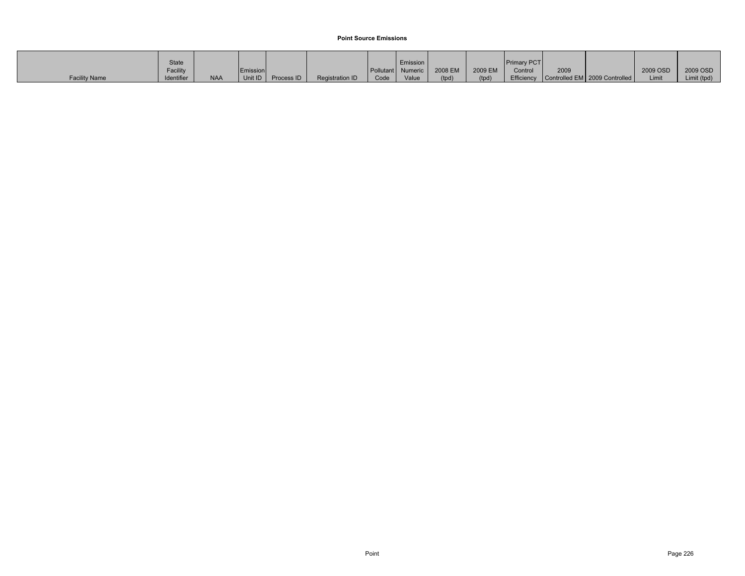|                      | State      |            |          |            |                 |      | Emission          |         |         | <b>Primary PCT</b> |      |                                          |          |             |
|----------------------|------------|------------|----------|------------|-----------------|------|-------------------|---------|---------|--------------------|------|------------------------------------------|----------|-------------|
|                      | Facility   |            | Emission |            |                 |      | Pollutant Numeric | 2008 EM | 2009 EM | Control            | 2009 |                                          | 2009 OSD | 2009 OSD    |
| <b>Facility Name</b> | Identifier | <b>NAA</b> | Unit ID  | Process ID | Registration ID | Code | Value             | (tpd)   | (tpd)   |                    |      | Efficiency Controlled EM 2009 Controlled | Limit    | Limit (tpd) |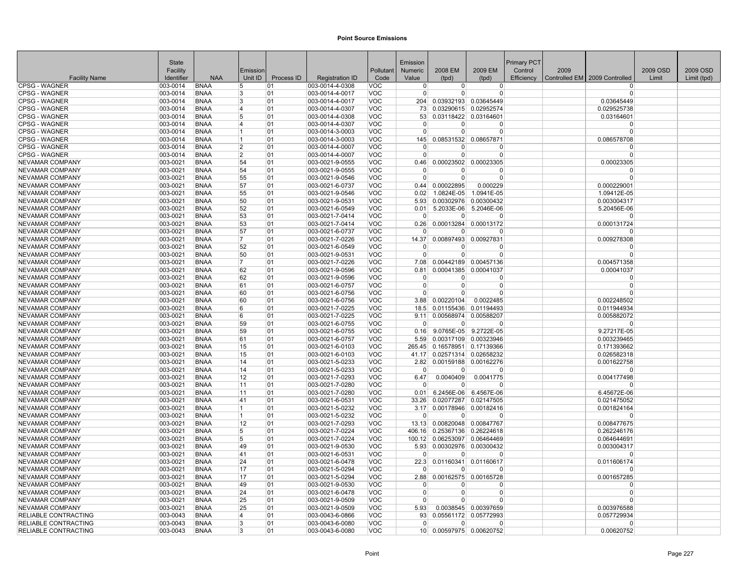|                                              | <b>State</b>         |                            |                |            |                                    |                          | Emission         |                             |                              | <b>Primary PCT</b> |      |                               |          |             |
|----------------------------------------------|----------------------|----------------------------|----------------|------------|------------------------------------|--------------------------|------------------|-----------------------------|------------------------------|--------------------|------|-------------------------------|----------|-------------|
|                                              | Facility             |                            | Emissior       |            |                                    | Pollutant                | Numeric          | 2008 EM                     | 2009 EM                      | Control            | 2009 |                               | 2009 OSD | 2009 OSD    |
| <b>Facility Name</b>                         | Identifier           | <b>NAA</b>                 | Unit ID        | Process ID | <b>Registration ID</b>             | Code                     | Value            | (tpd)                       | (tpd)                        | Efficiency         |      | Controlled EM 2009 Controlled | Limit    | Limit (tpd) |
| <b>CPSG - WAGNER</b>                         | 003-0014             | <b>BNAA</b>                | 5              | 01         | 003-0014-4-0308                    | <b>VOC</b>               | $\overline{0}$   | $\overline{0}$              | 0                            |                    |      | 0                             |          |             |
| <b>CPSG - WAGNER</b>                         | 003-0014             | <b>BNAA</b>                | 3              | 01         | 003-0014-4-0017                    | <b>VOC</b>               | $\mathbf 0$      | $\Omega$                    | $\overline{0}$               |                    |      | $\Omega$                      |          |             |
| <b>CPSG - WAGNER</b>                         | 003-0014             | <b>BNAA</b>                | 3              | 01         | 003-0014-4-0017                    | <b>VOC</b>               | 204              |                             | 0.03932193 0.03645449        |                    |      | 0.03645449                    |          |             |
| <b>CPSG - WAGNER</b>                         | 003-0014             | <b>BNAA</b>                | 14             | 01         | 003-0014-4-0307                    | <b>VOC</b>               | 73               |                             | 0.03290615 0.02952574        |                    |      | 0.029525738                   |          |             |
| <b>CPSG - WAGNER</b>                         | 003-0014             | <b>BNAA</b>                | 15<br>14       | 01         | 003-0014-4-0308                    | <b>VOC</b>               | 53<br>$\Omega$   |                             | 0.03118422 0.03164601        |                    |      | 0.03164601<br>$\Omega$        |          |             |
| <b>CPSG - WAGNER</b><br><b>CPSG - WAGNER</b> | 003-0014<br>003-0014 | <b>BNAA</b><br><b>BNAA</b> |                | 01<br>01   | 003-0014-4-0307<br>003-0014-3-0003 | <b>VOC</b><br><b>VOC</b> | $\Omega$         | $\Omega$<br>$\Omega$        | $\Omega$<br>$\overline{0}$   |                    |      | $\Omega$                      |          |             |
| <b>CPSG - WAGNER</b>                         | 003-0014             | <b>BNAA</b>                | 11             | 01         | 003-0014-3-0003                    | <b>VOC</b>               | 145              |                             | 0.08531532 0.08657871        |                    |      | 0.086578708                   |          |             |
| <b>CPSG - WAGNER</b>                         | 003-0014             | BNAA                       | 2              | 01         | 003-0014-4-0007                    | <b>VOC</b>               | $\mathbf 0$      | 0                           | $\Omega$                     |                    |      | $\Omega$                      |          |             |
| <b>CPSG - WAGNER</b>                         | 003-0014             | <b>BNAA</b>                | 2              | 01         | 003-0014-4-0007                    | <b>VOC</b>               | $\Omega$         | $\overline{0}$              | $\overline{0}$               |                    |      | $\mathbf 0$                   |          |             |
| NEVAMAR COMPANY                              | 003-0021             | <b>BNAA</b>                | 54             | 01         | 003-0021-9-0555                    | <b>VOC</b>               | 0.46             |                             | 0.00023502 0.00023305        |                    |      | 0.00023305                    |          |             |
| <b>NEVAMAR COMPANY</b>                       | 003-0021             | <b>BNAA</b>                | 54             | 01         | 003-0021-9-0555                    | <b>VOC</b>               | $\Omega$         | $\Omega$                    | $\Omega$                     |                    |      | O                             |          |             |
| NEVAMAR COMPANY                              | 003-0021             | <b>BNAA</b>                | 55             | 01         | 003-0021-9-0546                    | <b>VOC</b>               | $\Omega$         | $\Omega$                    | $\overline{0}$               |                    |      | $\Omega$                      |          |             |
| <b>NEVAMAR COMPANY</b>                       | 003-0021             | <b>BNAA</b>                | 57             | 01         | 003-0021-6-0737                    | <b>VOC</b>               | 0.44             | 0.00022895                  | 0.000229                     |                    |      | 0.000229001                   |          |             |
| <b>NEVAMAR COMPANY</b>                       | 003-0021             | <b>BNAA</b>                | 55             | 01         | 003-0021-9-0546                    | <b>VOC</b>               | 0.02             | 1.0824E-05                  | 1.0941E-05                   |                    |      | 1.09412E-05                   |          |             |
| NEVAMAR COMPANY                              | 003-0021             | <b>BNAA</b>                | 50             | 01         | 003-0021-9-0531                    | <b>VOC</b>               | 5.93             |                             | 0.00302976 0.00300432        |                    |      | 0.003004317                   |          |             |
| <b>NEVAMAR COMPANY</b>                       | 003-0021             | <b>BNAA</b>                | 52             | 01         | 003-0021-6-0549                    | <b>VOC</b>               | 0.01             |                             | 5.2033E-06 5.2046E-06        |                    |      | 5.20456E-06                   |          |             |
| <b>NEVAMAR COMPANY</b>                       | 003-0021             | <b>BNAA</b>                | 53             | 01         | 003-0021-7-0414                    | <b>VOC</b>               | $\Omega$         | $\Omega$                    | $\Omega$                     |                    |      | $\Omega$                      |          |             |
| NEVAMAR COMPANY                              | 003-0021             | <b>BNAA</b>                | 53             | 01         | 003-0021-7-0414                    | <b>VOC</b>               | 0.26             |                             | 0.00013284 0.00013172        |                    |      | 0.000131724                   |          |             |
| NEVAMAR COMPANY                              | 003-0021             | <b>BNAA</b>                | 57             | 01         | 003-0021-6-0737                    | <b>VOC</b>               | $\Omega$         | $\Omega$                    | 0                            |                    |      | $\Omega$                      |          |             |
| NEVAMAR COMPANY                              | 003-0021             | <b>BNAA</b>                | 17             | 01         | 003-0021-7-0226                    | <b>VOC</b>               | 14.37            |                             | 0.00897493 0.00927831        |                    |      | 0.009278308                   |          |             |
| NEVAMAR COMPANY                              | 003-0021             | <b>BNAA</b>                | 52             | 01         | 003-0021-6-0549                    | <b>VOC</b>               | $\Omega$         | $\Omega$                    | $\Omega$                     |                    |      | n                             |          |             |
| <b>NEVAMAR COMPANY</b>                       | 003-0021             | <b>BNAA</b>                | 50             | 01         | 003-0021-9-0531                    | <b>VOC</b>               | $\Omega$         | $\Omega$                    | $\Omega$                     |                    |      | $\Omega$                      |          |             |
| <b>NEVAMAR COMPANY</b>                       | 003-0021             | <b>BNAA</b>                | 17             | 01         | 003-0021-7-0226                    | <b>VOC</b>               | 7.08             |                             | 0.00442189 0.00457136        |                    |      | 0.004571358                   |          |             |
| <b>NEVAMAR COMPANY</b>                       | 003-0021             | <b>BNAA</b>                | 62             | 01         | 003-0021-9-0596                    | <b>VOC</b>               | 0.81             |                             | 0.00041385 0.00041037        |                    |      | 0.00041037                    |          |             |
| <b>NEVAMAR COMPANY</b>                       | 003-0021             | <b>BNAA</b>                | 62             | 01         | 003-0021-9-0596                    | <b>VOC</b>               | $\Omega$         | $\Omega$                    | $\Omega$                     |                    |      | $\Omega$                      |          |             |
| NEVAMAR COMPANY                              | 003-0021             | <b>BNAA</b>                | 61             | 01         | 003-0021-6-0757                    | <b>VOC</b>               | $\mathbf 0$      | $\overline{0}$              | $\overline{0}$               |                    |      | $\Omega$                      |          |             |
| NEVAMAR COMPANY                              | 003-0021             | <b>BNAA</b>                | 60             | 01         | 003-0021-6-0756                    | <b>VOC</b>               | $\Omega$         | $\Omega$                    | $\Omega$                     |                    |      | $\Omega$                      |          |             |
| <b>NEVAMAR COMPANY</b>                       | 003-0021             | <b>BNAA</b>                | 60             | 01         | 003-0021-6-0756                    | <b>VOC</b>               | 3.88             | 0.00220104                  | 0.0022485                    |                    |      | 0.002248502                   |          |             |
| NEVAMAR COMPANY                              | 003-0021             | <b>BNAA</b>                | l6             | 01         | 003-0021-7-0225                    | <b>VOC</b>               | 18.5             |                             | 0.01155436 0.01194493        |                    |      | 0.011944934                   |          |             |
| <b>NEVAMAR COMPANY</b>                       | 003-0021             | <b>BNAA</b>                | 6              | 01         | 003-0021-7-0225                    | <b>VOC</b>               | 9.11             |                             | 0.00568974 0.00588207        |                    |      | 0.005882072                   |          |             |
| <b>NEVAMAR COMPANY</b>                       | 003-0021             | <b>BNAA</b>                | 59             | 01         | 003-0021-6-0755                    | <b>VOC</b>               | $\Omega$         | $\Omega$                    | $\Omega$                     |                    |      | $\Omega$                      |          |             |
| <b>NEVAMAR COMPANY</b>                       | 003-0021             | <b>BNAA</b>                | 59             | 01         | 003-0021-6-0755                    | <b>VOC</b>               | 0.16             |                             | 9.0765E-05 9.2722E-05        |                    |      | 9.27217E-05                   |          |             |
| <b>NEVAMAR COMPANY</b>                       | 003-0021             | <b>BNAA</b>                | 61             | 01         | 003-0021-6-0757                    | <b>VOC</b>               | 5.59             |                             | 0.00317109 0.00323946        |                    |      | 0.003239465                   |          |             |
| <b>NEVAMAR COMPANY</b>                       | 003-0021             | <b>BNAA</b>                | 15             | 01         | 003-0021-6-0103                    | <b>VOC</b>               |                  |                             | 265.45 0.16578951 0.17139366 |                    |      | 0.171393662                   |          |             |
| <b>NEVAMAR COMPANY</b>                       | 003-0021             | <b>BNAA</b>                | 15             | 01         | 003-0021-6-0103                    | <b>VOC</b>               | 41.17            |                             | 0.02571314 0.02658232        |                    |      | 0.026582318                   |          |             |
| <b>NEVAMAR COMPANY</b>                       | 003-0021             | <b>BNAA</b>                | 14             | 01         | 003-0021-5-0233                    | <b>VOC</b>               | 2.82             |                             | 0.00159188 0.00162276        |                    |      | 0.001622758                   |          |             |
| NEVAMAR COMPANY<br><b>NEVAMAR COMPANY</b>    | 003-0021<br>003-0021 | <b>BNAA</b><br><b>BNAA</b> | 14<br>12       | 01<br>01   | 003-0021-5-0233<br>003-0021-7-0293 | <b>VOC</b><br><b>VOC</b> | $\Omega$<br>6.47 | 0 <br>0.0040409             | $\Omega$                     |                    |      | $\Omega$<br>0.004177498       |          |             |
| <b>NEVAMAR COMPANY</b>                       | 003-0021             | <b>BNAA</b>                | 11             | 01         | 003-0021-7-0280                    | <b>VOC</b>               | $\Omega$         | $\Omega$                    | 0.0041775<br>$\Omega$        |                    |      | $\Omega$                      |          |             |
| <b>NEVAMAR COMPANY</b>                       | 003-0021             | <b>BNAA</b>                | 11             | 01         | 003-0021-7-0280                    | <b>VOC</b>               | 0.01             |                             | 6.2456E-06 6.4567E-06        |                    |      | 6.45672E-06                   |          |             |
| <b>NEVAMAR COMPANY</b>                       | 003-0021             | <b>BNAA</b>                | 41             | 01         | 003-0021-6-0531                    | <b>VOC</b>               | 33.26            |                             | 0.02077287 0.02147505        |                    |      | 0.021475052                   |          |             |
| <b>NEVAMAR COMPANY</b>                       | 003-0021             | <b>BNAA</b>                | $\overline{1}$ | 01         | 003-0021-5-0232                    | <b>VOC</b>               |                  |                             | 3.17 0.00178946 0.00182416   |                    |      | 0.001824164                   |          |             |
| <b>NEVAMAR COMPANY</b>                       | 003-0021             | <b>BNAA</b>                | 11.            | 01         | 003-0021-5-0232                    | <b>VOC</b>               | $\Omega$         | $\Omega$                    | $\Omega$                     |                    |      | $\Omega$                      |          |             |
| <b>NEVAMAR COMPANY</b>                       | 003-0021             | <b>BNAA</b>                | 12             | 01         | 003-0021-7-0293                    | <b>VOC</b>               |                  | 13.13 0.00820048 0.00847767 |                              |                    |      | 0.008477675                   |          |             |
| <b>NEVAMAR COMPANY</b>                       | 003-0021             | <b>BNAA</b>                | 5              | 01         | 003-0021-7-0224                    | <b>VOC</b>               |                  |                             | 406.16 0.25367136 0.26224618 |                    |      | 0.262246176                   |          |             |
| NEVAMAR COMPANY                              | 003-0021             | <b>BNAA</b>                | 5              | 01         | 003-0021-7-0224                    | <b>VOC</b>               | 100.12           |                             | 0.06253097 0.06464469        |                    |      | 0.064644691                   |          |             |
| <b>NEVAMAR COMPANY</b>                       | 003-0021             | BNAA                       | 49             | 01         | 003-0021-9-0530                    | <b>VOC</b>               | 5.93             |                             | 0.00302976 0.00300432        |                    |      | 0.003004317                   |          |             |
| <b>NEVAMAR COMPANY</b>                       | 003-0021             | <b>BNAA</b>                | 41             | 01         | 003-0021-6-0531                    | <b>VOC</b>               | $\Omega$         | $\overline{0}$              | $\overline{0}$               |                    |      | $\Omega$                      |          |             |
| <b>NEVAMAR COMPANY</b>                       | 003-0021             | <b>BNAA</b>                | 24             | 01         | 003-0021-6-0478                    | <b>VOC</b>               | 22.3             |                             | 0.01160341 0.01160617        |                    |      | 0.011606174                   |          |             |
| NEVAMAR COMPANY                              | 003-0021             | <b>BNAA</b>                | 17             | 01         | 003-0021-5-0294                    | <b>VOC</b>               | $\Omega$         | 0                           | $\Omega$                     |                    |      | $\Omega$                      |          |             |
| <b>NEVAMAR COMPANY</b>                       | 003-0021             | <b>BNAA</b>                | 17             | 01         | 003-0021-5-0294                    | <b>VOC</b>               |                  |                             | 2.88 0.00162575 0.00165728   |                    |      | 0.001657285                   |          |             |
| <b>NEVAMAR COMPANY</b>                       | 003-0021             | <b>BNAA</b>                | 49             | 01         | 003-0021-9-0530                    | <b>VOC</b>               | $\Omega$         | 0                           | $\Omega$                     |                    |      | $\Omega$                      |          |             |
| NEVAMAR COMPANY                              | 003-0021             | BNAA                       | 24             | 01         | 003-0021-6-0478                    | <b>VOC</b>               | $\Omega$         | $\Omega$                    | $\overline{0}$               |                    |      | $\Omega$                      |          |             |
| NEVAMAR COMPANY                              | 003-0021             | <b>BNAA</b>                | 25             | 01         | 003-0021-9-0509                    | <b>VOC</b>               | $\Omega$         | $\Omega$                    | $\Omega$                     |                    |      | $\Omega$                      |          |             |
| <b>NEVAMAR COMPANY</b>                       | 003-0021             | <b>BNAA</b>                | 25             | 01         | 003-0021-9-0509                    | <b>VOC</b>               | 5.93             |                             | 0.0038545 0.00397659         |                    |      | 0.003976588                   |          |             |
| <b>RELIABLE CONTRACTING</b>                  | 003-0043             | <b>BNAA</b>                | 4              | 01         | 003-0043-6-0866                    | <b>VOC</b>               | 93               |                             | 0.05561172 0.05772993        |                    |      | 0.057729934                   |          |             |
| <b>RELIABLE CONTRACTING</b>                  | 003-0043             | <b>BNAA</b>                | 3              | 01         | 003-0043-6-0080                    | <b>VOC</b>               | $\Omega$         | $\overline{0}$              | $\Omega$                     |                    |      | $\Omega$                      |          |             |
| <b>RELIABLE CONTRACTING</b>                  | 003-0043             | BNAA                       | 3              | 01         | 003-0043-6-0080                    | <b>VOC</b>               |                  |                             | 10 0.00597975 0.00620752     |                    |      | 0.00620752                    |          |             |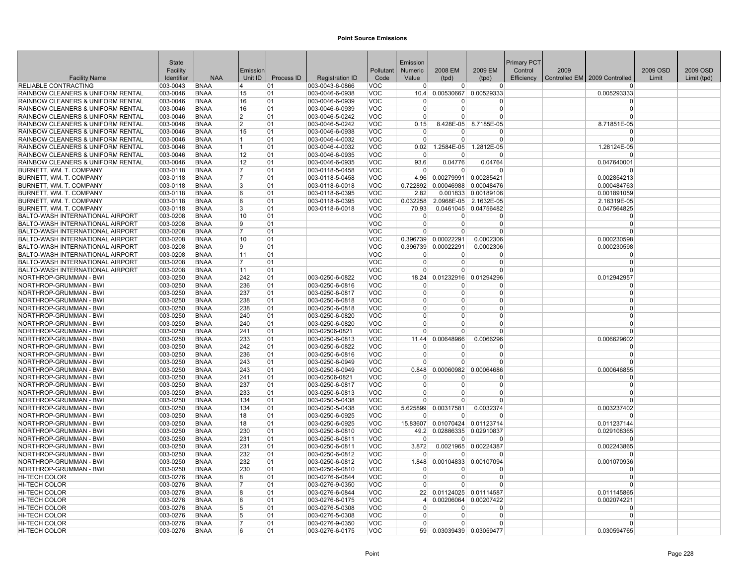|                                                                                    | <b>State</b>         |                            |                                  |            |                                    |                          | Emission                   |                                     |                                  | <b>Primary PCT</b> |      |                               |          |             |
|------------------------------------------------------------------------------------|----------------------|----------------------------|----------------------------------|------------|------------------------------------|--------------------------|----------------------------|-------------------------------------|----------------------------------|--------------------|------|-------------------------------|----------|-------------|
|                                                                                    | Facility             |                            | Emission                         |            |                                    | Pollutant                | <b>Numeric</b>             | 2008 EM                             | 2009 EM                          | Control            | 2009 |                               | 2009 OSD | 2009 OSD    |
| <b>Facility Name</b>                                                               | Identifier           | <b>NAA</b>                 | Unit ID                          | Process ID | <b>Registration ID</b>             | Code                     | Value                      | (tpd)                               | (tpd)                            | Efficiency         |      | Controlled EM 2009 Controlled | Limit    | Limit (tpd) |
| <b>RELIABLE CONTRACTING</b>                                                        | 003-0043             | <b>BNAA</b>                | 14                               | 01         | 003-0043-6-0866                    | VOC                      | $\overline{0}$             | $\overline{0}$                      | $\overline{0}$                   |                    |      | $\Omega$                      |          |             |
| <b>RAINBOW CLEANERS &amp; UNIFORM RENTAL</b>                                       | 003-0046             | <b>BNAA</b>                | 15                               | 01         | 003-0046-6-0938                    | <b>VOC</b>               | 10.4                       |                                     | 0.00530667 0.00529333            |                    |      | 0.005293333                   |          |             |
| RAINBOW CLEANERS & UNIFORM RENTAL                                                  | 003-0046             | <b>BNAA</b>                | 16                               | 01         | 003-0046-6-0939                    | <b>VOC</b>               | $\Omega$                   | o                                   | $\Omega$                         |                    |      | $\Omega$                      |          |             |
| RAINBOW CLEANERS & UNIFORM RENTAL                                                  | 003-0046             | <b>BNAA</b>                | 16                               | 01         | 003-0046-6-0939                    | <b>VOC</b>               | $\Omega$                   | 0                                   | $\Omega$                         |                    |      | $\Omega$                      |          |             |
| <b>RAINBOW CLEANERS &amp; UNIFORM RENTAL</b><br>RAINBOW CLEANERS & UNIFORM RENTAL  | 003-0046<br>003-0046 | <b>BNAA</b><br><b>BNAA</b> | $\overline{2}$<br>$\overline{2}$ | 01<br>01   | 003-0046-5-0242<br>003-0046-5-0242 | <b>VOC</b><br><b>VOC</b> | $\Omega$<br>0.15           | $\Omega$                            | $\Omega$<br>8.428E-05 8.7185E-05 |                    |      | $\Omega$<br>8.71851E-05       |          |             |
| <b>RAINBOW CLEANERS &amp; UNIFORM RENTAL</b>                                       | 003-0046             | <b>BNAA</b>                | 15                               | 01         | 003-0046-6-0938                    | <b>VOC</b>               | $\Omega$                   | $\overline{0}$                      | $\Omega$                         |                    |      | $\Omega$                      |          |             |
| <b>RAINBOW CLEANERS &amp; UNIFORM RENTAL</b>                                       | 003-0046             | <b>BNAA</b>                | 11.                              | 01         | 003-0046-4-0032                    | <b>VOC</b>               | $\Omega$                   | $\Omega$                            | $\Omega$                         |                    |      | $\Omega$                      |          |             |
| RAINBOW CLEANERS & UNIFORM RENTAL                                                  | 003-0046             | <b>BNAA</b>                | 11.                              | 01         | 003-0046-4-0032                    | <b>VOC</b>               | 0.02                       | 1.2584E-05                          | 1.2812E-05                       |                    |      | 1.28124E-05                   |          |             |
| RAINBOW CLEANERS & UNIFORM RENTAL                                                  | 003-0046             | <b>BNAA</b>                | 12                               | 01         | 003-0046-6-0935                    | <b>VOC</b>               | $\Omega$                   | $\Omega$                            | $\Omega$                         |                    |      | $\Omega$                      |          |             |
| RAINBOW CLEANERS & UNIFORM RENTAL                                                  | 003-0046             | <b>BNAA</b>                | 12                               | 01         | 003-0046-6-0935                    | <b>VOC</b>               | 93.6                       | 0.04776                             | 0.04764                          |                    |      | 0.047640001                   |          |             |
| BURNETT, WM. T. COMPANY                                                            | 003-0118             | <b>BNAA</b>                | 17                               | 01         | 003-0118-5-0458                    | <b>VOC</b>               | $\Omega$                   | $\Omega$                            | $\Omega$                         |                    |      | $\Omega$                      |          |             |
| BURNETT, WM, T. COMPANY                                                            | 003-0118             | <b>BNAA</b>                | 17                               | 01         | 003-0118-5-0458                    | <b>VOC</b>               | 4.96                       | 0.00279991 0.00285421               |                                  |                    |      | 0.002854213                   |          |             |
| <b>BURNETT, WM. T. COMPANY</b>                                                     | 003-0118             | <b>BNAA</b>                | 3                                | 01         | 003-0118-6-0018                    | <b>VOC</b>               | 0.722892                   |                                     | 0.00046988 0.00048476            |                    |      | 0.000484763                   |          |             |
| BURNETT, WM, T. COMPANY                                                            | 003-0118             | <b>BNAA</b>                | 6                                | 01         | 003-0118-6-0395                    | <b>VOC</b>               | 2.82                       |                                     | 0.001833 0.00189106              |                    |      | 0.001891059                   |          |             |
| BURNETT, WM. T. COMPANY                                                            | 003-0118             | <b>BNAA</b>                | 6                                | 01         | 003-0118-6-0395                    | <b>VOC</b>               | 0.032258                   |                                     | 2.0968E-05 2.1632E-05            |                    |      | 2.16319E-05                   |          |             |
| BURNETT, WM. T. COMPANY                                                            | 003-0118             | <b>BNAA</b>                | 3                                | 01         | 003-0118-6-0018                    | <b>VOC</b>               | 70.93                      |                                     | 0.0461045 0.04756482             |                    |      | 0.047564825                   |          |             |
| <b>BALTO-WASH INTERNATIONAL AIRPORT</b>                                            | 003-0208             | <b>BNAA</b>                | 10                               | 01         |                                    | <b>VOC</b>               | $\overline{0}$             | $\overline{0}$                      | $\Omega$                         |                    |      | $\Omega$                      |          |             |
| BALTO-WASH INTERNATIONAL AIRPORT                                                   | 003-0208             | <b>BNAA</b>                | 9                                | 01         |                                    | <b>VOC</b>               | $\overline{0}$             | $\Omega$                            | $\Omega$                         |                    |      | $\Omega$                      |          |             |
| BALTO-WASH INTERNATIONAL AIRPORT                                                   | 003-0208             | <b>BNAA</b>                | 17                               | 01         |                                    | <b>VOC</b>               | $\Omega$                   | $\Omega$                            | $\Omega$                         |                    |      | $\Omega$                      |          |             |
| <b>BALTO-WASH INTERNATIONAL AIRPORT</b>                                            | 003-0208             | <b>BNAA</b>                | 10                               | 01         |                                    | <b>VOC</b>               |                            | 0.396739 0.00022291                 | 0.0002306                        |                    |      | 0.000230598                   |          |             |
| BALTO-WASH INTERNATIONAL AIRPORT                                                   | 003-0208             | <b>BNAA</b>                | <u>g</u>                         | 01         |                                    | <b>VOC</b>               | 0.396739                   | 0.00022291                          | 0.0002306                        |                    |      | 0.000230598                   |          |             |
| BALTO-WASH INTERNATIONAL AIRPORT                                                   | 003-0208             | <b>BNAA</b><br><b>BNAA</b> | 11<br>17                         | 01         |                                    | <b>VOC</b><br><b>VOC</b> | $\Omega$<br>$\overline{0}$ | $\Omega$<br>$\Omega$                | $\Omega$<br>$\Omega$             |                    |      | $\Omega$<br>$\Omega$          |          |             |
| <b>BALTO-WASH INTERNATIONAL AIRPORT</b><br><b>BALTO-WASH INTERNATIONAL AIRPORT</b> | 003-0208<br>003-0208 | <b>BNAA</b>                | 11                               | 01<br>01   |                                    | <b>VOC</b>               | $\Omega$                   | $\Omega$                            | $\Omega$                         |                    |      | $\Omega$                      |          |             |
| NORTHROP-GRUMMAN - BWI                                                             | 003-0250             | <b>BNAA</b>                | 242                              | 01         | 003-0250-6-0822                    | <b>VOC</b>               | 18.24                      | 0.01232916                          | 0.01294296                       |                    |      | 0.012942957                   |          |             |
| NORTHROP-GRUMMAN - BWI                                                             | 003-0250             | <b>BNAA</b>                | 236                              | 01         | 003-0250-6-0816                    | <b>VOC</b>               | 0                          | 0                                   | 0                                |                    |      | $\Omega$                      |          |             |
| NORTHROP-GRUMMAN - BWI                                                             | 003-0250             | <b>BNAA</b>                | 237                              | 01         | 003-0250-6-0817                    | <b>VOC</b>               | $\Omega$                   | $\Omega$                            | $\Omega$                         |                    |      | $\Omega$                      |          |             |
| NORTHROP-GRUMMAN - BWI                                                             | 003-0250             | <b>BNAA</b>                | 238                              | 01         | 003-0250-6-0818                    | <b>VOC</b>               | $\Omega$                   | $\Omega$                            | $\Omega$                         |                    |      | $\Omega$                      |          |             |
| NORTHROP-GRUMMAN - BWI                                                             | 003-0250             | <b>BNAA</b>                | 238                              | 01         | 003-0250-6-0818                    | <b>VOC</b>               | $\Omega$                   | 0                                   | $\Omega$                         |                    |      | $\Omega$                      |          |             |
| NORTHROP-GRUMMAN - BWI                                                             | 003-0250             | <b>BNAA</b>                | 240                              | 01         | 003-0250-6-0820                    | <b>VOC</b>               | $\Omega$                   | $\Omega$                            | $\Omega$                         |                    |      | $\Omega$                      |          |             |
| NORTHROP-GRUMMAN - BWI                                                             | 003-0250             | <b>BNAA</b>                | 240                              | 01         | 003-0250-6-0820                    | <b>VOC</b>               | $\Omega$                   | $\Omega$                            | $\Omega$                         |                    |      | $\Omega$                      |          |             |
| NORTHROP-GRUMMAN - BWI                                                             | 003-0250             | <b>BNAA</b>                | 241                              | 01         | 003-02506-0821                     | <b>VOC</b>               | $\Omega$                   | $\overline{0}$                      | $\overline{0}$                   |                    |      | $\Omega$                      |          |             |
| NORTHROP-GRUMMAN - BWI                                                             | 003-0250             | <b>BNAA</b>                | 233                              | 01         | 003-0250-6-0813                    | <b>VOC</b>               | 11.44                      | 0.00648966                          | 0.0066296                        |                    |      | 0.006629602                   |          |             |
| NORTHROP-GRUMMAN - BWI                                                             | 003-0250             | <b>BNAA</b>                | 242                              | 01         | 003-0250-6-0822                    | <b>VOC</b>               | 0                          | 0                                   | $\Omega$                         |                    |      | $\Omega$                      |          |             |
| NORTHROP-GRUMMAN - BWI                                                             | 003-0250             | <b>BNAA</b>                | 236                              | 01         | 003-0250-6-0816                    | <b>VOC</b>               | $\Omega$                   | 0                                   | $\Omega$                         |                    |      | $\Omega$                      |          |             |
| NORTHROP-GRUMMAN - BWI                                                             | 003-0250             | <b>BNAA</b>                | 243                              | 01         | 003-0250-6-0949                    | <b>VOC</b>               | $\Omega$                   | $\Omega$                            | $\Omega$                         |                    |      | $\Omega$                      |          |             |
| NORTHROP-GRUMMAN - BWI                                                             | 003-0250             | <b>BNAA</b>                | 243                              | 01         | 003-0250-6-0949                    | <b>VOC</b>               | 0.848                      |                                     | 0.00060982 0.00064686            |                    |      | 0.000646855                   |          |             |
| NORTHROP-GRUMMAN - BWI                                                             | 003-0250             | <b>BNAA</b>                | 241                              | 01         | 003-02506-0821                     | <b>VOC</b>               | $\Omega$                   | 0                                   | $\Omega$                         |                    |      | $\Omega$                      |          |             |
| NORTHROP-GRUMMAN - BWI                                                             | 003-0250             | <b>BNAA</b>                | 237                              | 01         | 003-0250-6-0817                    | <b>VOC</b>               | $\Omega$                   | $\Omega$                            | $\Omega$                         |                    |      | $\Omega$                      |          |             |
| NORTHROP-GRUMMAN - BWI                                                             | 003-0250             | <b>BNAA</b>                | 233                              | 01         | 003-0250-6-0813                    | <b>VOC</b>               | $\Omega$<br>$\Omega$       | 0<br>$\Omega$                       | $\Omega$<br>$\Omega$             |                    |      | $\Omega$<br>$\Omega$          |          |             |
| NORTHROP-GRUMMAN - BWI                                                             | 003-0250<br>003-0250 | <b>BNAA</b><br><b>BNAA</b> | 134<br>134                       | 01<br>01   | 003-0250-5-0438                    | <b>VOC</b><br><b>VOC</b> |                            |                                     |                                  |                    |      |                               |          |             |
| NORTHROP-GRUMMAN - BWI<br>NORTHROP-GRUMMAN - BWI                                   | 003-0250             | <b>BNAA</b>                | 18                               | 01         | 003-0250-5-0438<br>003-0250-6-0925 | <b>VOC</b>               | $\Omega$                   | 5.625899 0.00317581<br><sup>0</sup> | 0.0032374<br>$\Omega$            |                    |      | 0.003237402<br>$\Omega$       |          |             |
| NORTHROP-GRUMMAN - BWI                                                             | 003-0250             | <b>BNAA</b>                | 18                               | 01         | 003-0250-6-0925                    | <b>VOC</b>               | 15.83607                   |                                     | 0.01070424 0.01123714            |                    |      | 0.011237144                   |          |             |
| NORTHROP-GRUMMAN - BWI                                                             | 003-0250             | <b>BNAA</b>                | 230                              | 01         | 003-0250-6-0810                    | <b>VOC</b>               |                            | 49.2 0.02886335 0.02910837          |                                  |                    |      | 0.029108365                   |          |             |
| NORTHROP-GRUMMAN - BWI                                                             | 003-0250             | <b>BNAA</b>                | 231                              | 01         | 003-0250-6-0811                    | <b>VOC</b>               | $\Omega$                   | $\Omega$                            | $\Omega$                         |                    |      | $\Omega$                      |          |             |
| NORTHROP-GRUMMAN - BWI                                                             | 003-0250             | <b>BNAA</b>                | 231                              | 01         | 003-0250-6-0811                    | <b>VOC</b>               | 3.872                      |                                     | 0.0021965 0.00224387             |                    |      | 0.002243865                   |          |             |
| NORTHROP-GRUMMAN - BWI                                                             | 003-0250             | <b>BNAA</b>                | 232                              | 01         | 003-0250-6-0812                    | <b>VOC</b>               | $\Omega$                   | $\Omega$                            | $\Omega$                         |                    |      | $\Omega$                      |          |             |
| NORTHROP-GRUMMAN - BWI                                                             | 003-0250             | <b>BNAA</b>                | 232                              | 01         | 003-0250-6-0812                    | <b>VOC</b>               | 1.848                      |                                     | 0.00104833 0.00107094            |                    |      | 0.001070936                   |          |             |
| NORTHROP-GRUMMAN - BWI                                                             | 003-0250             | <b>BNAA</b>                | 230                              | 01         | 003-0250-6-0810                    | <b>VOC</b>               | $\overline{0}$             | $\Omega$                            | $\Omega$                         |                    |      | $\Omega$                      |          |             |
| HI-TECH COLOR                                                                      | 003-0276             | <b>BNAA</b>                | 8                                | 01         | 003-0276-6-0844                    | <b>VOC</b>               | $\Omega$                   | $\Omega$                            | 0                                |                    |      | $\Omega$                      |          |             |
| <b>HI-TECH COLOR</b>                                                               | 003-0276             | <b>BNAA</b>                | 17                               | 01         | 003-0276-9-0350                    | <b>VOC</b>               | $\Omega$                   | $\Omega$                            | $\Omega$                         |                    |      | $\Omega$                      |          |             |
| HI-TECH COLOR                                                                      | 003-0276             | <b>BNAA</b>                | 8                                | 01         | 003-0276-6-0844                    | <b>VOC</b>               | 22                         |                                     | 0.01124025 0.01114587            |                    |      | 0.011145865                   |          |             |
| HI-TECH COLOR                                                                      | 003-0276             | <b>BNAA</b>                | 6                                | 01         | 003-0276-6-0175                    | <b>VOC</b>               | $\vert$                    | 0.00206064                          | 0.00207422                       |                    |      | 0.002074221                   |          |             |
| <b>HI-TECH COLOR</b>                                                               | 003-0276             | <b>BNAA</b>                | 5                                | 01         | 003-0276-5-0308                    | <b>VOC</b>               | $\overline{0}$             | $\Omega$                            | $\Omega$                         |                    |      | $\Omega$                      |          |             |
| <b>HI-TECH COLOR</b>                                                               | 003-0276             | <b>BNAA</b>                | 5                                | 01         | 003-0276-5-0308                    | <b>VOC</b>               | $\Omega$                   | $\Omega$                            | $\Omega$                         |                    |      | $\Omega$                      |          |             |
| <b>HI-TECH COLOR</b>                                                               | 003-0276             | <b>BNAA</b>                | 17                               | 01         | 003-0276-9-0350                    | <b>VOC</b>               | $\Omega$                   | $\Omega$                            | $\Omega$                         |                    |      | $\Omega$                      |          |             |
| <b>HI-TECH COLOR</b>                                                               | 003-0276             | <b>BNAA</b>                | 6                                | 01         | 003-0276-6-0175                    | <b>VOC</b>               |                            | 59 0.03039439 0.03059477            |                                  |                    |      | 0.030594765                   |          |             |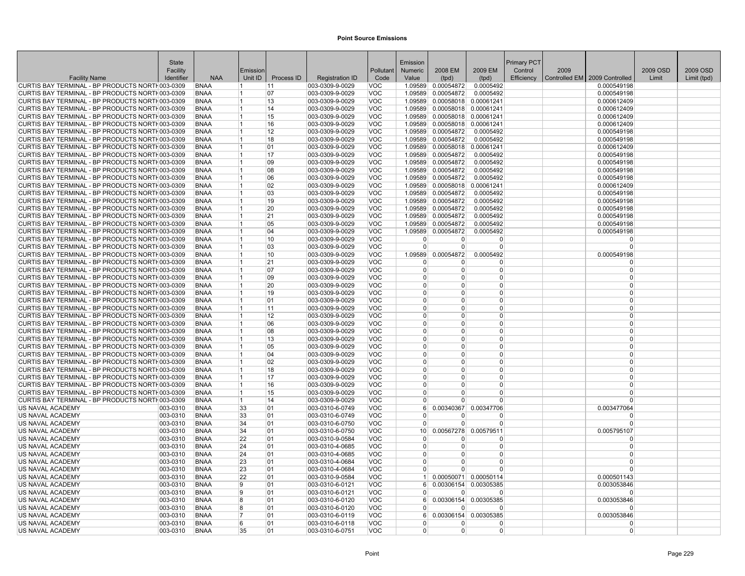|                                                                                                    | <b>State</b> |                            |                |            |                                    |                          | Emission             |                          |                        | <b>Primary PCT</b> |      |                                 |          |             |
|----------------------------------------------------------------------------------------------------|--------------|----------------------------|----------------|------------|------------------------------------|--------------------------|----------------------|--------------------------|------------------------|--------------------|------|---------------------------------|----------|-------------|
|                                                                                                    | Facility     |                            | Emission       |            |                                    | Pollutant                | <b>Numeric</b>       | 2008 EM                  | 2009 EM                | Control            | 2009 |                                 | 2009 OSD | 2009 OSD    |
| <b>Facility Name</b>                                                                               | Identifier   | <b>NAA</b>                 | Unit ID        | Process ID | <b>Registration ID</b>             | Code                     | Value                | (tpd)                    | (tpd)                  | Efficiency         |      | Controlled EM   2009 Controlled | Limit    | Limit (tpd) |
| CURTIS BAY TERMINAL - BP PRODUCTS NORTH003-0309                                                    |              | <b>BNAA</b>                | 11.            | 11         | 003-0309-9-0029                    | <b>VOC</b>               | 1.09589              | 0.00054872               | 0.0005492              |                    |      | 0.000549198                     |          |             |
| CURTIS BAY TERMINAL - BP PRODUCTS NORTH003-0309                                                    |              | <b>BNAA</b>                | 1              | 07         | 003-0309-9-0029                    | <b>VOC</b>               | 1.09589              | 0.00054872               | 0.0005492              |                    |      | 0.000549198                     |          |             |
| CURTIS BAY TERMINAL - BP PRODUCTS NORTH003-0309                                                    |              | <b>BNAA</b>                | 11             | 13         | 003-0309-9-0029                    | <b>VOC</b>               | 1.09589              | 0.00058018               | 0.00061241             |                    |      | 0.000612409                     |          |             |
| CURTIS BAY TERMINAL - BP PRODUCTS NORTH003-0309                                                    |              | <b>BNAA</b>                | 11             | 14         | 003-0309-9-0029                    | <b>VOC</b>               | 1.09589              |                          | 0.00058018 0.00061241  |                    |      | 0.000612409                     |          |             |
| CURTIS BAY TERMINAL - BP PRODUCTS NORTH003-0309                                                    |              | <b>BNAA</b>                | 11.            | 15         | 003-0309-9-0029                    | <b>VOC</b>               | 1.09589              |                          | 0.00058018 0.00061241  |                    |      | 0.000612409                     |          |             |
| CURTIS BAY TERMINAL - BP PRODUCTS NORTH003-0309                                                    |              | <b>BNAA</b>                | 11             | 16         | 003-0309-9-0029                    | <b>VOC</b>               | 1.09589              |                          | 0.00058018 0.00061241  |                    |      | 0.000612409                     |          |             |
| CURTIS BAY TERMINAL - BP PRODUCTS NORTH003-0309                                                    |              | <b>BNAA</b>                | 11             | 12         | 003-0309-9-0029                    | <b>VOC</b>               | 1.09589              | 0.00054872               | 0.0005492              |                    |      | 0.000549198                     |          |             |
| CURTIS BAY TERMINAL - BP PRODUCTS NORTH003-0309                                                    |              | <b>BNAA</b>                | 11             | 18         | 003-0309-9-0029                    | <b>VOC</b>               | 1.09589              | 0.00054872               | 0.0005492              |                    |      | 0.000549198                     |          |             |
| CURTIS BAY TERMINAL - BP PRODUCTS NORTH003-0309                                                    |              | <b>BNAA</b>                | 1              | 01         | 003-0309-9-0029                    | <b>VOC</b>               | 1.09589              | 0.00058018               | 0.00061241             |                    |      | 0.000612409                     |          |             |
| CURTIS BAY TERMINAL - BP PRODUCTS NORTH003-0309                                                    |              | <b>BNAA</b>                | 11<br>11.      | 17<br>09   | 003-0309-9-0029                    | <b>VOC</b><br><b>VOC</b> | 1.09589              | 0.00054872<br>0.00054872 | 0.0005492              |                    |      | 0.000549198                     |          |             |
| CURTIS BAY TERMINAL - BP PRODUCTS NORTH003-0309<br>CURTIS BAY TERMINAL - BP PRODUCTS NORTH003-0309 |              | <b>BNAA</b><br><b>BNAA</b> | 11             | 08         | 003-0309-9-0029<br>003-0309-9-0029 | <b>VOC</b>               | 1.09589<br>1.09589   | 0.00054872               | 0.0005492<br>0.0005492 |                    |      | 0.000549198<br>0.000549198      |          |             |
| CURTIS BAY TERMINAL - BP PRODUCTS NORTH003-0309                                                    |              | <b>BNAA</b>                | 1              | 06         | 003-0309-9-0029                    | <b>VOC</b>               | 1.09589              | 0.00054872               | 0.0005492              |                    |      | 0.000549198                     |          |             |
| CURTIS BAY TERMINAL - BP PRODUCTS NORTH003-0309                                                    |              | <b>BNAA</b>                | 11             | 02         | 003-0309-9-0029                    | <b>VOC</b>               | 1.09589              | 0.00058018               | 0.00061241             |                    |      | 0.000612409                     |          |             |
| CURTIS BAY TERMINAL - BP PRODUCTS NORTH003-0309                                                    |              | <b>BNAA</b>                | 11             | 03         | 003-0309-9-0029                    | <b>VOC</b>               | 1.09589              | 0.00054872               | 0.0005492              |                    |      | 0.000549198                     |          |             |
| CURTIS BAY TERMINAL - BP PRODUCTS NORTH003-0309                                                    |              | <b>BNAA</b>                | 11             | 19         | 003-0309-9-0029                    | <b>VOC</b>               | 1.09589              | 0.00054872               | 0.0005492              |                    |      | 0.000549198                     |          |             |
| CURTIS BAY TERMINAL - BP PRODUCTS NORTH003-0309                                                    |              | <b>BNAA</b>                | 11             | 20         | 003-0309-9-0029                    | <b>VOC</b>               | 1.09589              | 0.00054872               | 0.0005492              |                    |      | 0.000549198                     |          |             |
| CURTIS BAY TERMINAL - BP PRODUCTS NORTH003-0309                                                    |              | <b>BNAA</b>                | 11             | 21         | 003-0309-9-0029                    | <b>VOC</b>               | 1.09589              | 0.00054872               | 0.0005492              |                    |      | 0.000549198                     |          |             |
| CURTIS BAY TERMINAL - BP PRODUCTS NORTH003-0309                                                    |              | <b>BNAA</b>                | 11             | 05         | 003-0309-9-0029                    | <b>VOC</b>               | 1.09589              | 0.00054872               | 0.0005492              |                    |      | 0.000549198                     |          |             |
| CURTIS BAY TERMINAL - BP PRODUCTS NORTH003-0309                                                    |              | <b>BNAA</b>                | 11             | 04         | 003-0309-9-0029                    | <b>VOC</b>               | 1.09589              | 0.00054872               | 0.0005492              |                    |      | 0.000549198                     |          |             |
| CURTIS BAY TERMINAL - BP PRODUCTS NORTH003-0309                                                    |              | <b>BNAA</b>                | 11             | 10         | 003-0309-9-0029                    | <b>VOC</b>               | $\Omega$             | $\Omega$                 | 0                      |                    |      | $\Omega$                        |          |             |
| CURTIS BAY TERMINAL - BP PRODUCTS NORTH003-0309                                                    |              | <b>BNAA</b>                | 11             | 03         | 003-0309-9-0029                    | <b>VOC</b>               | $\Omega$             | $\Omega$                 | $\Omega$               |                    |      | $\Omega$                        |          |             |
| CURTIS BAY TERMINAL - BP PRODUCTS NORTH003-0309                                                    |              | <b>BNAA</b>                |                | 10         | 003-0309-9-0029                    | <b>VOC</b>               | 1.09589              | 0.00054872               | 0.0005492              |                    |      | 0.000549198                     |          |             |
| CURTIS BAY TERMINAL - BP PRODUCTS NORTH003-0309                                                    |              | <b>BNAA</b>                | 11             | 21         | 003-0309-9-0029                    | <b>VOC</b>               | 0                    | 0                        | 0                      |                    |      | $\Omega$                        |          |             |
| CURTIS BAY TERMINAL - BP PRODUCTS NORTH003-0309                                                    |              | <b>BNAA</b>                | 11             | 07         | 003-0309-9-0029                    | <b>VOC</b>               | $\Omega$             | $\overline{0}$           | 0                      |                    |      | $\Omega$                        |          |             |
| CURTIS BAY TERMINAL - BP PRODUCTS NORTH003-0309                                                    |              | <b>BNAA</b>                | $\overline{1}$ | 09         | 003-0309-9-0029                    | <b>VOC</b>               | $\Omega$             | $\Omega$                 | $\overline{0}$         |                    |      | $\Omega$                        |          |             |
| CURTIS BAY TERMINAL - BP PRODUCTS NORTH003-0309                                                    |              | <b>BNAA</b>                | 11             | 20         | 003-0309-9-0029                    | <b>VOC</b>               | $\Omega$             | 0                        | $\Omega$               |                    |      | $\Omega$                        |          |             |
| CURTIS BAY TERMINAL - BP PRODUCTS NORTH003-0309                                                    |              | <b>BNAA</b>                | 11             | 19         | 003-0309-9-0029                    | <b>VOC</b>               | $\Omega$             | $\Omega$                 | $\Omega$               |                    |      | $\Omega$                        |          |             |
| CURTIS BAY TERMINAL - BP PRODUCTS NORTH003-0309                                                    |              | <b>BNAA</b>                | 11             | 01         | 003-0309-9-0029                    | <b>VOC</b>               | $\Omega$             | $\Omega$                 | 0                      |                    |      | $\Omega$                        |          |             |
| CURTIS BAY TERMINAL - BP PRODUCTS NORTH003-0309                                                    |              | <b>BNAA</b>                | 11             | 11         | 003-0309-9-0029                    | <b>VOC</b>               | $\Omega$             | <sup>n</sup>             | 0                      |                    |      | $\Omega$                        |          |             |
| CURTIS BAY TERMINAL - BP PRODUCTS NORTH003-0309                                                    |              | <b>BNAA</b>                | 11             | 12         | 003-0309-9-0029                    | <b>VOC</b>               | $\Omega$             | $\Omega$                 | 0                      |                    |      | $\Omega$                        |          |             |
| CURTIS BAY TERMINAL - BP PRODUCTS NORTH003-0309                                                    |              | <b>BNAA</b>                | 11             | 06         | 003-0309-9-0029                    | <b>VOC</b>               | $\Omega$             | $\Omega$                 | $\Omega$               |                    |      | $\Omega$                        |          |             |
| CURTIS BAY TERMINAL - BP PRODUCTS NORTH003-0309                                                    |              | <b>BNAA</b>                | 11.            | 08         | 003-0309-9-0029                    | <b>VOC</b>               | $\Omega$             | $\Omega$                 | $\Omega$               |                    |      | $\Omega$                        |          |             |
| CURTIS BAY TERMINAL - BP PRODUCTS NORTH003-0309                                                    |              | <b>BNAA</b>                |                | 13         | 003-0309-9-0029                    | <b>VOC</b>               | $\Omega$             | $\Omega$                 | $\Omega$               |                    |      | $\Omega$                        |          |             |
| CURTIS BAY TERMINAL - BP PRODUCTS NORTH003-0309                                                    |              | <b>BNAA</b>                | 11             | 05         | 003-0309-9-0029                    | <b>VOC</b>               | $\Omega$             | $\Omega$                 | 0                      |                    |      | $\Omega$                        |          |             |
| CURTIS BAY TERMINAL - BP PRODUCTS NORTH003-0309                                                    |              | <b>BNAA</b>                | 11             | 04         | 003-0309-9-0029                    | <b>VOC</b>               | $\Omega$             | $\Omega$                 | $\Omega$               |                    |      | $\Omega$                        |          |             |
| CURTIS BAY TERMINAL - BP PRODUCTS NORTH003-0309                                                    |              | <b>BNAA</b>                |                | 02         | 003-0309-9-0029                    | <b>VOC</b>               | $\Omega$             | $\Omega$                 | 0                      |                    |      | $\Omega$                        |          |             |
| CURTIS BAY TERMINAL - BP PRODUCTS NORTH003-0309                                                    |              | <b>BNAA</b>                | 11<br>11       | 18         | 003-0309-9-0029                    | <b>VOC</b>               | $\Omega$<br>$\Omega$ | $\Omega$<br>$\Omega$     | $\Omega$<br>$\Omega$   |                    |      | $\Omega$<br>$\Omega$            |          |             |
| CURTIS BAY TERMINAL - BP PRODUCTS NORTH003-0309                                                    |              | <b>BNAA</b><br><b>BNAA</b> |                | 17<br>16   | 003-0309-9-0029                    | <b>VOC</b><br><b>VOC</b> | $\Omega$             | $\Omega$                 | 0                      |                    |      | $\Omega$                        |          |             |
| CURTIS BAY TERMINAL - BP PRODUCTS NORTH003-0309<br>CURTIS BAY TERMINAL - BP PRODUCTS NORTH003-0309 |              | <b>BNAA</b>                | 11             | 15         | 003-0309-9-0029<br>003-0309-9-0029 | <b>VOC</b>               | $\Omega$             | O                        | 0                      |                    |      | $\Omega$                        |          |             |
| CURTIS BAY TERMINAL - BP PRODUCTS NORTH003-0309                                                    |              | <b>BNAA</b>                | 11.            | 14         | 003-0309-9-0029                    | <b>VOC</b>               |                      | $\Omega$                 | 0                      |                    |      | $\Omega$                        |          |             |
| US NAVAL ACADEMY                                                                                   | 003-0310     | <b>BNAA</b>                | 33             | 01         | 003-0310-6-0749                    | <b>VOC</b>               | 6 <sup>1</sup>       | 0.00340367               | 0.00347706             |                    |      | 0.003477064                     |          |             |
| US NAVAL ACADEMY                                                                                   | 003-0310     | <b>BNAA</b>                | 33             | 01         | 003-0310-6-0749                    | <b>VOC</b>               | $\Omega$             | $\Omega$                 | O                      |                    |      | $\Omega$                        |          |             |
| US NAVAL ACADEMY                                                                                   | 003-0310     | <b>BNAA</b>                | 34             | 01         | 003-0310-6-0750                    | <b>VOC</b>               | $\Omega$             | $\overline{0}$           | 0                      |                    |      | $\Omega$                        |          |             |
| US NAVAL ACADEMY                                                                                   | 003-0310     | <b>BNAA</b>                | 34             | 01         | 003-0310-6-0750                    | <b>VOC</b>               | 10 <sup>1</sup>      |                          | 0.00567278 0.00579511  |                    |      | 0.005795107                     |          |             |
| US NAVAL ACADEMY                                                                                   | 003-0310     | <b>BNAA</b>                | 22             | 01         | 003-0310-9-0584                    | <b>VOC</b>               | $\Omega$             | $\Omega$                 | O                      |                    |      | $\Omega$                        |          |             |
| US NAVAL ACADEMY                                                                                   | 003-0310     | <b>BNAA</b>                | 24             | 01         | 003-0310-4-0685                    | <b>VOC</b>               | $\overline{0}$       | $\Omega$                 | 0                      |                    |      | $\Omega$                        |          |             |
| US NAVAL ACADEMY                                                                                   | 003-0310     | <b>BNAA</b>                | 24             | 01         | 003-0310-4-0685                    | <b>VOC</b>               | $\overline{0}$       | $\overline{0}$           | $\Omega$               |                    |      | $\Omega$                        |          |             |
| US NAVAL ACADEMY                                                                                   | 003-0310     | <b>BNAA</b>                | 23             | 01         | 003-0310-4-0684                    | <b>VOC</b>               | $\Omega$             | $\Omega$                 | $\Omega$               |                    |      | $\Omega$                        |          |             |
| US NAVAL ACADEMY                                                                                   | 003-0310     | <b>BNAA</b>                | 23             | 01         | 003-0310-4-0684                    | <b>VOC</b>               | $\Omega$             | <sup>n</sup>             | O                      |                    |      | $\Omega$                        |          |             |
| US NAVAL ACADEMY                                                                                   | 003-0310     | <b>BNAA</b>                | 22             | 01         | 003-0310-9-0584                    | <b>VOC</b>               | -11                  |                          | 0.00050071 0.00050114  |                    |      | 0.000501143                     |          |             |
| US NAVAL ACADEMY                                                                                   | 003-0310     | <b>BNAA</b>                | ۱g             | 01         | 003-0310-6-0121                    | <b>VOC</b>               | 6                    |                          | 0.00306154 0.00305385  |                    |      | 0.003053846                     |          |             |
| US NAVAL ACADEMY                                                                                   | 003-0310     | <b>BNAA</b>                | ۱g             | 01         | 003-0310-6-0121                    | <b>VOC</b>               | $\Omega$             | $\Omega$                 | $\Omega$               |                    |      | $\Omega$                        |          |             |
| US NAVAL ACADEMY                                                                                   | 003-0310     | <b>BNAA</b>                | ١g             | 01         | 003-0310-6-0120                    | <b>VOC</b>               | $6 \overline{6}$     |                          | 0.00306154 0.00305385  |                    |      | 0.003053846                     |          |             |
| US NAVAL ACADEMY                                                                                   | 003-0310     | <b>BNAA</b>                | 8              | 01         | 003-0310-6-0120                    | <b>VOC</b>               | $\Omega$             | $\Omega$                 | 0                      |                    |      | n                               |          |             |
| US NAVAL ACADEMY                                                                                   | 003-0310     | <b>BNAA</b>                |                | 01         | 003-0310-6-0119                    | <b>VOC</b>               | $6 \overline{6}$     |                          | 0.00306154 0.00305385  |                    |      | 0.003053846                     |          |             |
| US NAVAL ACADEMY                                                                                   | 003-0310     | <b>BNAA</b>                | l6             | 01         | 003-0310-6-0118                    | <b>VOC</b>               | $\Omega$             | $\Omega$                 | 0                      |                    |      | $\Omega$                        |          |             |
| US NAVAL ACADEMY                                                                                   | 003-0310     | <b>BNAA</b>                | 35             | 01         | 003-0310-6-0751                    | <b>VOC</b>               | $\overline{0}$       | $\overline{0}$           | 0                      |                    |      | $\Omega$                        |          |             |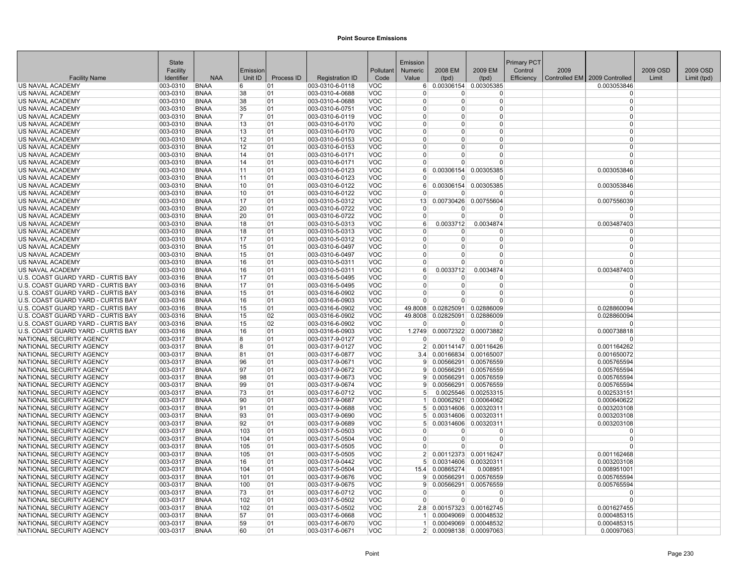|                                                      | <b>State</b>         |                            |           |            |                                    |                          | Emission                    |                        |                                                | <b>Primary PCT</b> |      |                               |          |             |
|------------------------------------------------------|----------------------|----------------------------|-----------|------------|------------------------------------|--------------------------|-----------------------------|------------------------|------------------------------------------------|--------------------|------|-------------------------------|----------|-------------|
|                                                      | Facility             |                            | Emission  |            |                                    | Pollutant                | <b>Numeric</b>              | 2008 EM                | 2009 EM                                        | Control            | 2009 |                               | 2009 OSD | 2009 OSD    |
| <b>Facility Name</b>                                 | Identifier           | <b>NAA</b>                 | Unit ID   | Process ID | <b>Registration ID</b>             | Code                     | Value                       | (tpd)                  | (tpd)                                          | Efficiency         |      | Controlled EM 2009 Controlled | Limit    | Limit (tpd) |
| US NAVAL ACADEMY                                     | 003-0310             | <b>BNAA</b>                | 6         | 01         | 003-0310-6-0118                    | VOC                      | 6 <sup>1</sup>              |                        | 0.00306154 0.00305385                          |                    |      | 0.003053846                   |          |             |
| US NAVAL ACADEMY                                     | 003-0310             | <b>BNAA</b>                | 38        | 01         | 003-0310-4-0688                    | <b>VOC</b>               | $\Omega$                    | $\overline{0}$         | $\overline{0}$                                 |                    |      | $\Omega$                      |          |             |
| US NAVAL ACADEMY                                     | 003-0310             | <b>BNAA</b><br><b>BNAA</b> | 38        | 01         | 003-0310-4-0688                    | <b>VOC</b>               | $\Omega$<br>$\Omega$        | $\Omega$<br>$\Omega$   | $\overline{0}$                                 |                    |      | $\Omega$<br>$\Omega$          |          |             |
| US NAVAL ACADEMY<br>US NAVAL ACADEMY                 | 003-0310<br>003-0310 | <b>BNAA</b>                | 35<br>17  | 01<br>01   | 003-0310-6-0751<br>003-0310-6-0119 | <b>VOC</b><br><b>VOC</b> | $\Omega$                    | $\Omega$               | $\overline{0}$<br>$\Omega$                     |                    |      | $\Omega$                      |          |             |
| <b>US NAVAL ACADEMY</b>                              | 003-0310             | <b>BNAA</b>                | 13        | 01         | 003-0310-6-0170                    | <b>VOC</b>               | $\Omega$                    | $\Omega$               | $\Omega$                                       |                    |      | $\Omega$                      |          |             |
| US NAVAL ACADEMY                                     | 003-0310             | <b>BNAA</b>                | 13        | 01         | 003-0310-6-0170                    | <b>VOC</b>               | $\Omega$                    | $\Omega$               | $\Omega$                                       |                    |      | $\Omega$                      |          |             |
| US NAVAL ACADEMY                                     | 003-0310             | <b>BNAA</b>                | 12        | 01         | 003-0310-6-0153                    | <b>VOC</b>               | $\Omega$                    | $\Omega$               | $\overline{0}$                                 |                    |      | $\Omega$                      |          |             |
| US NAVAL ACADEMY                                     | 003-0310             | <b>BNAA</b>                | 12        | 01         | 003-0310-6-0153                    | <b>VOC</b>               | $\overline{0}$              | 0                      | $\Omega$                                       |                    |      | $\Omega$                      |          |             |
| US NAVAL ACADEMY                                     | 003-0310             | <b>BNAA</b>                | 14        | 01         | 003-0310-6-0171                    | <b>VOC</b>               | $\Omega$                    | $\Omega$               | $\overline{0}$                                 |                    |      | $\Omega$                      |          |             |
| US NAVAL ACADEMY                                     | 003-0310             | <b>BNAA</b>                | 14        | 01         | 003-0310-6-0171                    | <b>VOC</b>               | $\Omega$                    | $\Omega$               | $\overline{0}$                                 |                    |      | $\Omega$                      |          |             |
| US NAVAL ACADEMY                                     | 003-0310             | <b>BNAA</b>                | 11        | 01         | 003-0310-6-0123                    | <b>VOC</b>               | 6 <sup>1</sup>              |                        | 0.00306154 0.00305385                          |                    |      | 0.003053846                   |          |             |
| US NAVAL ACADEMY                                     | 003-0310             | <b>BNAA</b>                | 11        | 01         | 003-0310-6-0123                    | <b>VOC</b>               | $\Omega$                    | O                      | <sup>0</sup>                                   |                    |      |                               |          |             |
| US NAVAL ACADEMY                                     | 003-0310             | <b>BNAA</b>                | 10        | 01         | 003-0310-6-0122                    | <b>VOC</b>               | 6                           | 0.00306154             | 0.00305385                                     |                    |      | 0.003053846                   |          |             |
| US NAVAL ACADEMY                                     | 003-0310             | <b>BNAA</b>                | 10        | 01         | 003-0310-6-0122                    | <b>VOC</b>               | $\Omega$                    | 0                      | $\Omega$                                       |                    |      |                               |          |             |
| US NAVAL ACADEMY                                     | 003-0310             | <b>BNAA</b>                | 17        | 01         | 003-0310-5-0312                    | <b>VOC</b>               | 13                          |                        | 0.00730426 0.00755604                          |                    |      | 0.007556039                   |          |             |
| US NAVAL ACADEMY                                     | 003-0310             | <b>BNAA</b>                | 20        | 01         | 003-0310-6-0722                    | <b>VOC</b>               | $\Omega$                    | 0                      | $\Omega$                                       |                    |      |                               |          |             |
| US NAVAL ACADEMY                                     | 003-0310             | <b>BNAA</b>                | 20        | 01         | 003-0310-6-0722                    | <b>VOC</b>               | $\Omega$                    | $\Omega$               | $\Omega$                                       |                    |      | $\Omega$                      |          |             |
| US NAVAL ACADEMY<br>US NAVAL ACADEMY                 | 003-0310<br>003-0310 | <b>BNAA</b><br><b>BNAA</b> | 18<br>18  | 01<br>01   | 003-0310-5-0313                    | <b>VOC</b><br><b>VOC</b> | 6 <sup>1</sup><br>$\Omega$  | 0.0033712<br>O         | 0.0034874<br>0                                 |                    |      | 0.003487403<br>$\Omega$       |          |             |
| <b>US NAVAL ACADEMY</b>                              | 003-0310             | <b>BNAA</b>                | 17        | 01         | 003-0310-5-0313<br>003-0310-5-0312 | <b>VOC</b>               | $\Omega$                    | $\Omega$               | $\overline{0}$                                 |                    |      | $\Omega$                      |          |             |
| US NAVAL ACADEMY                                     | 003-0310             | <b>BNAA</b>                | 15        | 01         | 003-0310-6-0497                    | <b>VOC</b>               | $\Omega$                    | $\Omega$               | $\Omega$                                       |                    |      | $\Omega$                      |          |             |
| US NAVAL ACADEMY                                     | 003-0310             | <b>BNAA</b>                | 15        | 01         | 003-0310-6-0497                    | <b>VOC</b>               | $\Omega$                    | 0                      | $\Omega$                                       |                    |      |                               |          |             |
| US NAVAL ACADEMY                                     | 003-0310             | <b>BNAA</b>                | 16        | 01         | 003-0310-5-0311                    | <b>VOC</b>               | $\Omega$                    | $\Omega$               | $\Omega$                                       |                    |      | $\Omega$                      |          |             |
| US NAVAL ACADEMY                                     | 003-0310             | <b>BNAA</b>                | 16        | 01         | 003-0310-5-0311                    | <b>VOC</b>               | $6 \overline{6}$            | 0.0033712              | 0.0034874                                      |                    |      | 0.003487403                   |          |             |
| U.S. COAST GUARD YARD - CURTIS BAY                   | 003-0316             | <b>BNAA</b>                | 17        | 01         | 003-0316-5-0495                    | <b>VOC</b>               | $\Omega$                    | 0                      | $\Omega$                                       |                    |      | $\Omega$                      |          |             |
| U.S. COAST GUARD YARD - CURTIS BAY                   | 003-0316             | <b>BNAA</b>                | 17        | 01         | 003-0316-5-0495                    | <b>VOC</b>               | $\overline{0}$              | $\overline{0}$         | $\overline{0}$                                 |                    |      | $\Omega$                      |          |             |
| U.S. COAST GUARD YARD - CURTIS BAY                   | 003-0316             | <b>BNAA</b>                | 15        | 01         | 003-0316-6-0902                    | <b>VOC</b>               | $\Omega$                    | $\Omega$               | $\Omega$                                       |                    |      | $\Omega$                      |          |             |
| U.S. COAST GUARD YARD - CURTIS BAY                   | 003-0316             | <b>BNAA</b>                | 16        | 01         | 003-0316-6-0903                    | <b>VOC</b>               | $\Omega$                    | $\Omega$               | $\Omega$                                       |                    |      |                               |          |             |
| U.S. COAST GUARD YARD - CURTIS BAY                   | 003-0316             | <b>BNAA</b>                | 15        | 01         | 003-0316-6-0902                    | <b>VOC</b>               | 49.8008                     |                        | 0.02825091 0.02886009                          |                    |      | 0.028860094                   |          |             |
| U.S. COAST GUARD YARD - CURTIS BAY                   | 003-0316             | <b>BNAA</b>                | 15        | 02         | 003-0316-6-0902                    | <b>VOC</b>               | 49.8008                     | 0.02825091             | 0.02886009                                     |                    |      | 0.028860094                   |          |             |
| U.S. COAST GUARD YARD - CURTIS BAY                   | 003-0316             | <b>BNAA</b>                | 15        | 02         | 003-0316-6-0902                    | <b>VOC</b>               | $\Omega$                    | $\Omega$               | $\Omega$                                       |                    |      | $\Omega$                      |          |             |
| U.S. COAST GUARD YARD - CURTIS BAY                   | 003-0316             | <b>BNAA</b>                | 16        | 01         | 003-0316-6-0903                    | <b>VOC</b>               | 1.2749                      |                        | 0.00072322 0.00073882                          |                    |      | 0.000738818                   |          |             |
| NATIONAL SECURITY AGENCY                             | 003-0317             | <b>BNAA</b>                | 8         | 01         | 003-0317-9-0127                    | <b>VOC</b>               | $\Omega$                    | 0                      | $\Omega$                                       |                    |      |                               |          |             |
| NATIONAL SECURITY AGENCY                             | 003-0317             | <b>BNAA</b>                | 8         | 01         | 003-0317-9-0127                    | <b>VOC</b>               | 2 <sup>1</sup>              |                        | 0.00114147 0.00116426                          |                    |      | 0.001164262                   |          |             |
| NATIONAL SECURITY AGENCY                             | 003-0317             | <b>BNAA</b>                | 81        | 01         | 003-0317-6-0877                    | <b>VOC</b>               | 3.4<br>9                    |                        | 0.00166834 0.00165007                          |                    |      | 0.001650072                   |          |             |
| NATIONAL SECURITY AGENCY<br>NATIONAL SECURITY AGENCY | 003-0317<br>003-0317 | <b>BNAA</b><br><b>BNAA</b> | 96<br>97  | 01<br>01   | 003-0317-9-0671<br>003-0317-9-0672 | <b>VOC</b><br><b>VOC</b> | -91                         |                        | 0.00566291 0.00576559<br>0.00566291 0.00576559 |                    |      | 0.005765594<br>0.005765594    |          |             |
| NATIONAL SECURITY AGENCY                             | 003-0317             | <b>BNAA</b>                | 98        | 01         | 003-0317-9-0673                    | <b>VOC</b>               | 9                           |                        | 0.00566291 0.00576559                          |                    |      | 0.005765594                   |          |             |
| NATIONAL SECURITY AGENCY                             | 003-0317             | <b>BNAA</b>                | 99        | 01         | 003-0317-9-0674                    | <b>VOC</b>               | $\mathsf{Q}$                |                        | 0.00566291 0.00576559                          |                    |      | 0.005765594                   |          |             |
| NATIONAL SECURITY AGENCY                             | 003-0317             | <b>BNAA</b>                | 73        | 01         | 003-0317-6-0712                    | <b>VOC</b>               | 5 <sup>1</sup>              |                        | 0.0025546 0.00253315                           |                    |      | 0.002533151                   |          |             |
| NATIONAL SECURITY AGENCY                             | 003-0317             | <b>BNAA</b>                | 90        | 01         | 003-0317-9-0687                    | <b>VOC</b>               | $\vert$                     |                        | 0.00062921 0.00064062                          |                    |      | 0.000640622                   |          |             |
| NATIONAL SECURITY AGENCY                             | 003-0317             | <b>BNAA</b>                | 91        | 01         | 003-0317-9-0688                    | <b>VOC</b>               | 5 <sup>1</sup>              |                        | 0.00314606 0.00320311                          |                    |      | 0.003203108                   |          |             |
| NATIONAL SECURITY AGENCY                             | 003-0317             | <b>BNAA</b>                | 93        | 01         | 003-0317-9-0690                    | <b>VOC</b>               |                             |                        | 0.00314606 0.00320311                          |                    |      | 0.003203108                   |          |             |
| NATIONAL SECURITY AGENCY                             | 003-0317             | <b>BNAA</b>                | 92        | 01         | 003-0317-9-0689                    | <b>VOC</b>               | 5 <sup>1</sup>              |                        | 0.00314606 0.00320311                          |                    |      | 0.003203108                   |          |             |
| NATIONAL SECURITY AGENCY                             | 003-0317             | <b>BNAA</b>                | 103       | 01         | 003-0317-5-0503                    | <b>VOC</b>               | $\Omega$                    | $\overline{0}$         | $\Omega$                                       |                    |      | $\Omega$                      |          |             |
| NATIONAL SECURITY AGENCY                             | 003-0317             | <b>BNAA</b>                | 104       | 01         | 003-0317-5-0504                    | <b>VOC</b>               | $\Omega$                    | $\Omega$               | $\Omega$                                       |                    |      | $\Omega$                      |          |             |
| NATIONAL SECURITY AGENCY                             | 003-0317             | <b>BNAA</b>                | 105       | 01         | 003-0317-5-0505                    | <b>VOC</b>               | $\overline{0}$              | $\Omega$               | $\Omega$                                       |                    |      |                               |          |             |
| NATIONAL SECURITY AGENCY                             | 003-0317             | <b>BNAA</b>                | 105       | 01         | 003-0317-5-0505                    | <b>VOC</b>               | 2 <sup>1</sup>              |                        | 0.00112373 0.00116247                          |                    |      | 0.001162468                   |          |             |
| NATIONAL SECURITY AGENCY                             | 003-0317             | <b>BNAA</b>                | 16        | 01         | 003-0317-9-0442                    | <b>VOC</b>               | 5 <sup>1</sup>              |                        | 0.00314606 0.00320311                          |                    |      | 0.003203108                   |          |             |
| NATIONAL SECURITY AGENCY                             | 003-0317             | <b>BNAA</b>                | 104       | 01         | 003-0317-5-0504                    | <b>VOC</b>               | 15.4                        | 0.00865274             | 0.008951                                       |                    |      | 0.008951001                   |          |             |
| NATIONAL SECURITY AGENCY                             | 003-0317             | <b>BNAA</b>                | 101       | 01         | 003-0317-9-0676                    | <b>VOC</b>               | 9                           |                        | 0.00566291 0.00576559                          |                    |      | 0.005765594                   |          |             |
| NATIONAL SECURITY AGENCY<br>NATIONAL SECURITY AGENCY | 003-0317<br>003-0317 | <b>BNAA</b><br><b>BNAA</b> | 100<br>73 | 01<br>01   | 003-0317-9-0675<br>003-0317-6-0712 | <b>VOC</b><br><b>VOC</b> | $\vert 9 \vert$<br>$\Omega$ | 0.00566291<br>$\Omega$ | 0.00576559<br>$\Omega$                         |                    |      | 0.005765594<br>$\Omega$       |          |             |
| NATIONAL SECURITY AGENCY                             | 003-0317             | <b>BNAA</b>                | 102       | 01         | 003-0317-5-0502                    | <b>VOC</b>               | $\Omega$                    | $\Omega$               | $\Omega$                                       |                    |      | $\Omega$                      |          |             |
| NATIONAL SECURITY AGENCY                             | 003-0317             | <b>BNAA</b>                | 102       | 01         | 003-0317-5-0502                    | <b>VOC</b>               | 2.8                         |                        | 0.00157323 0.00162745                          |                    |      | 0.001627455                   |          |             |
| NATIONAL SECURITY AGENCY                             | 003-0317             | <b>BNAA</b>                | 57        | 01         | 003-0317-6-0668                    | <b>VOC</b>               |                             |                        | 0.00049069 0.00048532                          |                    |      | 0.000485315                   |          |             |
| NATIONAL SECURITY AGENCY                             | 003-0317             | <b>BNAA</b>                | 59        | 01         | 003-0317-6-0670                    | <b>VOC</b>               |                             |                        | 0.00049069 0.00048532                          |                    |      | 0.000485315                   |          |             |
| NATIONAL SECURITY AGENCY                             | 003-0317             | <b>BNAA</b>                | 60        | 01         | 003-0317-6-0671                    | <b>VOC</b>               |                             |                        | 2 0.00098138 0.00097063                        |                    |      | 0.00097063                    |          |             |
|                                                      |                      |                            |           |            |                                    |                          |                             |                        |                                                |                    |      |                               |          |             |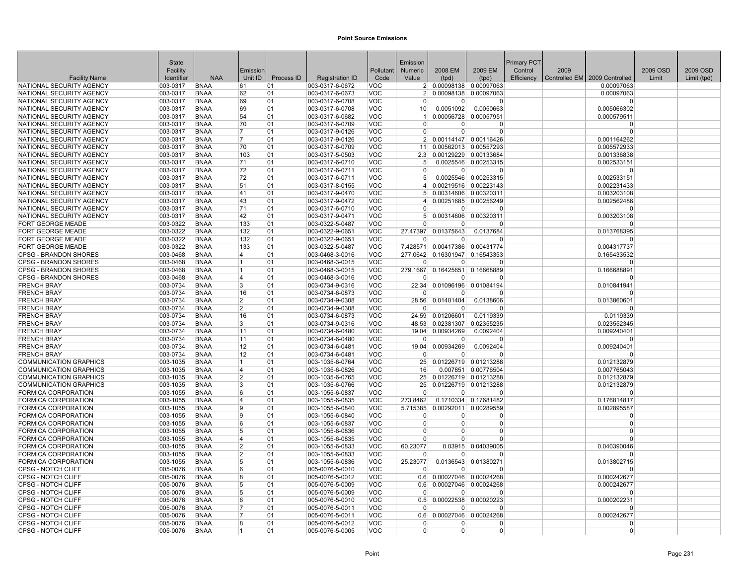|                                                      | State                |                            |                         |            |                                    |                          | Emission                   |                                |                                   | Primary PCT |      |                               |          |             |
|------------------------------------------------------|----------------------|----------------------------|-------------------------|------------|------------------------------------|--------------------------|----------------------------|--------------------------------|-----------------------------------|-------------|------|-------------------------------|----------|-------------|
|                                                      | Facility             |                            | Emission                |            |                                    | Pollutant                | Numeric                    | 2008 EM                        | 2009 EM                           | Control     | 2009 |                               | 2009 OSD | 2009 OSD    |
| <b>Facility Name</b>                                 | Identifier           | <b>NAA</b>                 | Unit ID                 | Process ID | <b>Registration ID</b>             | Code                     | Value                      | (tpd)                          | (tpd)                             | Efficiency  |      | Controlled EM 2009 Controlled | Limit    | Limit (tpd) |
| NATIONAL SECURITY AGENCY                             | 003-0317             | <b>BNAA</b>                | 61                      | 01         | 003-0317-6-0672                    | <b>VOC</b>               | 2 <sup>1</sup>             |                                | 0.00098138 0.00097063             |             |      | 0.00097063                    |          |             |
| NATIONAL SECURITY AGENCY                             | 003-0317             | <b>BNAA</b>                | 62                      | 01         | 003-0317-6-0673                    | <b>VOC</b>               |                            |                                | 0.00098138 0.00097063             |             |      | 0.00097063                    |          |             |
| NATIONAL SECURITY AGENCY                             | 003-0317             | <b>BNAA</b>                | 69                      | 01         | 003-0317-6-0708                    | <b>VOC</b>               | $\Omega$                   | $\Omega$                       | 0                                 |             |      | $\Omega$                      |          |             |
| NATIONAL SECURITY AGENCY                             | 003-0317             | <b>BNAA</b>                | 69                      | 01         | 003-0317-6-0708                    | <b>VOC</b>               | 10 <sup>1</sup>            | 0.0051092                      | 0.0050663                         |             |      | 0.005066302                   |          |             |
| NATIONAL SECURITY AGENCY                             | 003-0317             | <b>BNAA</b>                | 54                      | 01         | 003-0317-6-0682                    | <b>VOC</b>               |                            |                                | 0.00056728 0.00057951             |             |      | 0.000579511                   |          |             |
| NATIONAL SECURITY AGENCY                             | 003-0317             | <b>BNAA</b>                | 70                      | 01         | 003-0317-6-0709                    | VOC                      | $\Omega$                   | $\Omega$                       | 0                                 |             |      | $\Omega$                      |          |             |
| NATIONAL SECURITY AGENCY                             | 003-0317             | <b>BNAA</b>                | 7                       | 01         | 003-0317-9-0126                    | <b>VOC</b>               | $\Omega$                   | $\Omega$                       | $\Omega$                          |             |      | $\Omega$                      |          |             |
| NATIONAL SECURITY AGENCY                             | 003-0317             | <b>BNAA</b>                | 17                      | 01         | 003-0317-9-0126                    | <b>VOC</b>               | 2 <sup>1</sup>             |                                | 0.00114147 0.00116426             |             |      | 0.001164262                   |          |             |
| NATIONAL SECURITY AGENCY                             | 003-0317             | <b>BNAA</b>                | 70                      | 01         | 003-0317-6-0709                    | <b>VOC</b>               | 11                         |                                | 0.00562013 0.00557293             |             |      | 0.005572933                   |          |             |
| NATIONAL SECURITY AGENCY                             | 003-0317             | <b>BNAA</b>                | 103                     | 01         | 003-0317-5-0503                    | <b>VOC</b>               | 2.3                        |                                | 0.00129229 0.00133684             |             |      | 0.001336838                   |          |             |
| NATIONAL SECURITY AGENCY                             | 003-0317             | <b>BNAA</b>                | 71                      | 01         | 003-0317-6-0710                    | <b>VOC</b>               | 5 <sup>1</sup>             |                                | 0.0025546 0.00253315              |             |      | 0.002533151                   |          |             |
| NATIONAL SECURITY AGENCY                             | 003-0317             | <b>BNAA</b>                | 72                      | 01         | 003-0317-6-0711                    | <b>VOC</b>               | $\Omega$                   | 0                              | $\Omega$                          |             |      | $\Omega$                      |          |             |
| NATIONAL SECURITY AGENCY                             | 003-0317             | <b>BNAA</b>                | 72                      | 01         | 003-0317-6-0711                    | <b>VOC</b>               |                            |                                | 0.0025546 0.00253315              |             |      | 0.002533151                   |          |             |
| NATIONAL SECURITY AGENCY                             | 003-0317             | <b>BNAA</b>                | 51                      | 01         | 003-0317-8-0155                    | <b>VOC</b>               |                            |                                | 0.00219516 0.00223143             |             |      | 0.002231433                   |          |             |
| NATIONAL SECURITY AGENCY                             | 003-0317             | <b>BNAA</b>                | 41                      | 01         | 003-0317-9-0470                    | <b>VOC</b>               | 5 <sup>1</sup><br>$\vert$  |                                | 0.00314606 0.00320311             |             |      | 0.003203108                   |          |             |
| NATIONAL SECURITY AGENCY                             | 003-0317             | <b>BNAA</b><br><b>BNAA</b> | 43<br>71                | 01<br> 01  | 003-0317-9-0472                    | <b>VOC</b>               | $\Omega$                   |                                | 0.00251685 0.00256249<br>0        |             |      | 0.002562486<br>$\Omega$       |          |             |
| NATIONAL SECURITY AGENCY<br>NATIONAL SECURITY AGENCY | 003-0317<br>003-0317 | <b>BNAA</b>                | 42                      | 01         | 003-0317-6-0710<br>003-0317-9-0471 | <b>VOC</b><br><b>VOC</b> |                            | $\overline{0}$                 | 0.00314606 0.00320311             |             |      | 0.003203108                   |          |             |
| <b>FORT GEORGE MEADE</b>                             | 003-0322             | <b>BNAA</b>                | 133                     | 01         | 003-0322-5-0487                    | <b>VOC</b>               | 5 <sup>1</sup><br>$\Omega$ | $\Omega$                       | $\Omega$                          |             |      | $\Omega$                      |          |             |
| <b>FORT GEORGE MEADE</b>                             | 003-0322             | <b>BNAA</b>                | 132                     | 01         | 003-0322-9-0651                    | <b>VOC</b>               | 27.47397                   | 0.01375643                     | 0.0137684                         |             |      | 0.013768395                   |          |             |
| <b>FORT GEORGE MEADE</b>                             | 003-0322             | <b>BNAA</b>                | 132                     | 01         | 003-0322-9-0651                    | <b>VOC</b>               | $\Omega$                   | $\Omega$                       | O                                 |             |      | $\Omega$                      |          |             |
| FORT GEORGE MEADE                                    | 003-0322             | <b>BNAA</b>                | 133                     | 01         | 003-0322-5-0487                    | <b>VOC</b>               | 7.428571                   | 0.00417386                     | 0.00431774                        |             |      | 0.004317737                   |          |             |
| <b>CPSG - BRANDON SHORES</b>                         | 003-0468             | <b>BNAA</b>                | 4                       | 01         | 003-0468-3-0016                    | <b>VOC</b>               |                            | 277.0642 0.16301947 0.16543353 |                                   |             |      | 0.165433532                   |          |             |
| <b>CPSG - BRANDON SHORES</b>                         | 003-0468             | <b>BNAA</b>                | 11                      | 01         | 003-0468-3-0015                    | <b>VOC</b>               | $\Omega$                   | $\Omega$                       | O                                 |             |      | $\Omega$                      |          |             |
| <b>CPSG - BRANDON SHORES</b>                         | 003-0468             | <b>BNAA</b>                | $\vert$ 1               | 01         | 003-0468-3-0015                    | <b>VOC</b>               | 279.1667                   | 0.16425651                     | 0.16668889                        |             |      | 0.166688891                   |          |             |
| <b>CPSG - BRANDON SHORES</b>                         | 003-0468             | <b>BNAA</b>                | $\overline{\mathbf{4}}$ | 01         | 003-0468-3-0016                    | <b>VOC</b>               | $\Omega$                   | $\Omega$                       | $\Omega$                          |             |      | $\Omega$                      |          |             |
| <b>FRENCH BRAY</b>                                   | 003-0734             | <b>BNAA</b>                | 3                       | 101        | 003-0734-9-0316                    | <b>VOC</b>               | 22.34                      |                                | 0.01096196 0.01084194             |             |      | 0.010841941                   |          |             |
| <b>FRENCH BRAY</b>                                   | 003-0734             | <b>BNAA</b>                | 16                      | 01         | 003-0734-6-0873                    | <b>VOC</b>               | $\Omega$                   | $\Omega$                       | $\Omega$                          |             |      | $\Omega$                      |          |             |
| <b>FRENCH BRAY</b>                                   | 003-0734             | <b>BNAA</b>                | $\overline{2}$          | 01         | 003-0734-9-0308                    | <b>VOC</b>               |                            | 28.56 0.01401404               | 0.0138606                         |             |      | 0.013860601                   |          |             |
| <b>FRENCH BRAY</b>                                   | 003-0734             | <b>BNAA</b>                | $\overline{2}$          | 01         | 003-0734-9-0308                    | <b>VOC</b>               | $\Omega$                   |                                | $\Omega$                          |             |      | $\Omega$                      |          |             |
| <b>FRENCH BRAY</b>                                   | 003-0734             | <b>BNAA</b>                | 16                      | 01         | 003-0734-6-0873                    | <b>VOC</b>               | 24.59                      | 0.01206601                     | 0.0119339                         |             |      | 0.0119339                     |          |             |
| <b>FRENCH BRAY</b>                                   | 003-0734             | <b>BNAA</b>                | 3                       | 01         | 003-0734-9-0316                    | <b>VOC</b>               |                            | 48.53 0.02381307               | 0.02355235                        |             |      | 0.023552345                   |          |             |
| <b>FRENCH BRAY</b>                                   | 003-0734             | <b>BNAA</b>                | 11                      | 01         | 003-0734-6-0480                    | <b>VOC</b>               | 19.04                      | 0.00934269                     | 0.0092404                         |             |      | 0.009240401                   |          |             |
| <b>FRENCH BRAY</b>                                   | 003-0734             | <b>BNAA</b>                | 11                      | 01         | 003-0734-6-0480                    | <b>VOC</b>               | $\Omega$                   | $\Omega$                       | O                                 |             |      | $\Omega$                      |          |             |
| <b>FRENCH BRAY</b>                                   | 003-0734             | <b>BNAA</b>                | 12                      | 01         | 003-0734-6-0481                    | <b>VOC</b>               | 19.04                      | 0.00934269                     | 0.0092404                         |             |      | 0.009240401                   |          |             |
| <b>FRENCH BRAY</b>                                   | 003-0734             | <b>BNAA</b>                | 12                      | 01         | 003-0734-6-0481                    | <b>VOC</b>               | $\Omega$                   | $\Omega$                       | O                                 |             |      | $\Omega$                      |          |             |
| <b>COMMUNICATION GRAPHICS</b>                        | 003-1035             | <b>BNAA</b>                | 1                       | 01         | 003-1035-6-0764                    | <b>VOC</b>               | 25                         |                                | 0.01226719 0.01213288             |             |      | 0.012132879                   |          |             |
| <b>COMMUNICATION GRAPHICS</b>                        | 003-1035             | <b>BNAA</b>                | 4                       | 01         | 003-1035-6-0826                    | <b>VOC</b>               | 16                         | 0.007851                       | 0.00776504                        |             |      | 0.007765043                   |          |             |
| COMMUNICATION GRAPHICS                               | 003-1035             | <b>BNAA</b>                | 2                       | 01         | 003-1035-6-0765                    | <b>VOC</b>               | 25                         |                                | 0.01226719 0.01213288             |             |      | 0.012132879                   |          |             |
| <b>COMMUNICATION GRAPHICS</b>                        | 003-1035             | <b>BNAA</b>                | 3                       | 01         | 003-1035-6-0766                    | <b>VOC</b>               | 25                         |                                | 0.01226719 0.01213288             |             |      | 0.012132879                   |          |             |
| FORMICA CORPORATION                                  | 003-1055             | <b>BNAA</b>                | 6                       | 01         | 003-1055-6-0837                    | <b>VOC</b>               | $\Omega$                   | $\Omega$                       | $\Omega$                          |             |      | $\Omega$                      |          |             |
| FORMICA CORPORATION                                  | 003-1055             | <b>BNAA</b>                | 4                       | 01         | 003-1055-6-0835                    | <b>VOC</b>               | 273.8462                   |                                | 0.1710334 0.17681482              |             |      | 0.176814817                   |          |             |
| FORMICA CORPORATION<br>FORMICA CORPORATION           | 003-1055<br>003-1055 | <b>BNAA</b><br><b>BNAA</b> | <b>g</b><br>9           | 01         | 003-1055-6-0840<br>003-1055-6-0840 | <b>VOC</b><br><b>VOC</b> | 5.715385<br>$\Omega$       | $\Omega$                       | 0.00292011 0.00289559<br>$\Omega$ |             |      | 0.002895587<br>$\Omega$       |          |             |
|                                                      |                      |                            |                         | 101        |                                    |                          |                            |                                | $\Omega$                          |             |      | $\Omega$                      |          |             |
| FORMICA CORPORATION<br>FORMICA CORPORATION           | 003-1055<br>003-1055 | <b>BNAA</b><br><b>BNAA</b> | 6<br>5                  | 01<br> 01  | 003-1055-6-0837<br>003-1055-6-0836 | <b>VOC</b><br><b>VOC</b> | 0<br>$\Omega$              | $\Omega$<br>$\Omega$           | 0                                 |             |      | $\Omega$                      |          |             |
| <b>FORMICA CORPORATION</b>                           | 003-1055             | <b>BNAA</b>                | $\overline{4}$          | 01         | 003-1055-6-0835                    | <b>VOC</b>               | $\Omega$                   | $\Omega$                       | $\Omega$                          |             |      | $\Omega$                      |          |             |
| FORMICA CORPORATION                                  | 003-1055             | <b>BNAA</b>                | $\overline{2}$          | 01         | 003-1055-6-0833                    | <b>VOC</b>               | 60.23077                   | 0.03915                        | 0.04039005                        |             |      | 0.040390046                   |          |             |
| FORMICA CORPORATION                                  | 003-1055             | <b>BNAA</b>                | $\overline{2}$          | 01         | 003-1055-6-0833                    | <b>VOC</b>               | $\Omega$                   | $\Omega$                       | $\Omega$                          |             |      | $\Omega$                      |          |             |
| FORMICA CORPORATION                                  | 003-1055             | <b>BNAA</b>                | 5                       | 01         | 003-1055-6-0836                    | <b>VOC</b>               | 25.23077                   |                                | 0.0136543 0.01380271              |             |      | 0.013802715                   |          |             |
| <b>CPSG - NOTCH CLIFF</b>                            | 005-0076             | <b>BNAA</b>                | 6                       | 01         | 005-0076-5-0010                    | <b>VOC</b>               | $\Omega$                   | $\Omega$                       | 0                                 |             |      |                               |          |             |
| <b>CPSG - NOTCH CLIFF</b>                            | 005-0076             | <b>BNAA</b>                | R.                      | 101        | 005-0076-5-0012                    | <b>VOC</b>               | 0.6                        |                                | 0.00027046 0.00024268             |             |      | 0.000242677                   |          |             |
| CPSG - NOTCH CLIFF                                   | 005-0076             | <b>BNAA</b>                | 5                       | 01         | 005-0076-5-0009                    | <b>VOC</b>               | 0.6                        |                                | 0.00027046 0.00024268             |             |      | 0.000242677                   |          |             |
| <b>CPSG - NOTCH CLIFF</b>                            | 005-0076             | <b>BNAA</b>                | 5                       | 01         | 005-0076-5-0009                    | VOC.                     | $\Omega$                   | $\Omega$                       | $\Omega$                          |             |      | $\Omega$                      |          |             |
| <b>CPSG - NOTCH CLIFF</b>                            | 005-0076             | <b>BNAA</b>                | 6                       | 01         | 005-0076-5-0010                    | <b>VOC</b>               | 0.5                        |                                | 0.00022538 0.00020223             |             |      | 0.000202231                   |          |             |
| <b>CPSG - NOTCH CLIFF</b>                            | 005-0076             | <b>BNAA</b>                | 17                      | 01         | 005-0076-5-0011                    | <b>VOC</b>               | $\mathbf 0$                | $\overline{0}$                 | O                                 |             |      | n                             |          |             |
| CPSG - NOTCH CLIFF                                   | 005-0076             | <b>BNAA</b>                | 7                       | 01         | 005-0076-5-0011                    | <b>VOC</b>               | 0.6                        |                                | 0.00027046 0.00024268             |             |      | 0.000242677                   |          |             |
| <b>CPSG - NOTCH CLIFF</b>                            | 005-0076             | <b>BNAA</b>                | 8                       | 01         | 005-0076-5-0012                    | <b>VOC</b>               | $\Omega$                   | $\Omega$                       | $\Omega$                          |             |      | $\Omega$                      |          |             |
| <b>CPSG - NOTCH CLIFF</b>                            | 005-0076             | <b>BNAA</b>                | 11                      | 01         | 005-0076-5-0005                    | <b>VOC</b>               | $\overline{0}$             | $\overline{0}$                 | 0                                 |             |      | $\Omega$                      |          |             |
|                                                      |                      |                            |                         |            |                                    |                          |                            |                                |                                   |             |      |                               |          |             |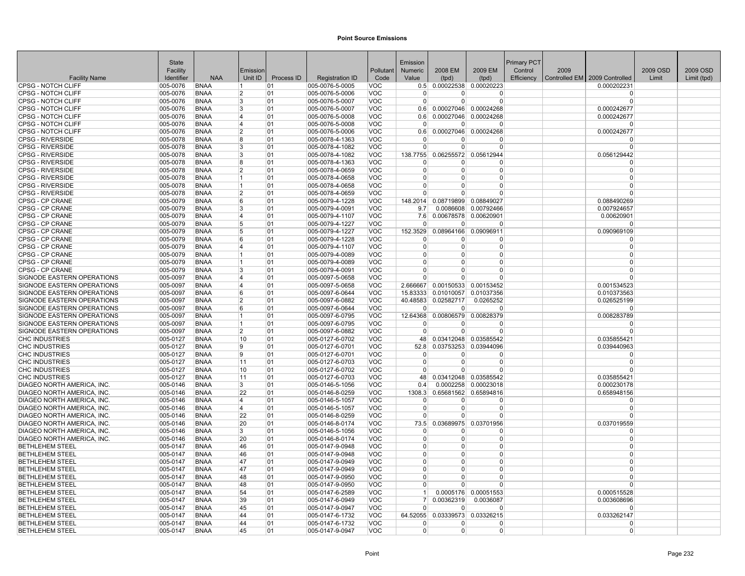|                                                    | <b>State</b><br>Facility |                            | Emission                |            |                                    | Pollutant                | Emission<br>Numeric | 2008 EM        | 2009 EM                             | <b>Primary PCT</b><br>Control | 2009 |                                 | 2009 OSD | 2009 OSD    |
|----------------------------------------------------|--------------------------|----------------------------|-------------------------|------------|------------------------------------|--------------------------|---------------------|----------------|-------------------------------------|-------------------------------|------|---------------------------------|----------|-------------|
| <b>Facility Name</b>                               | Identifier               | <b>NAA</b>                 | Unit ID                 | Process ID | <b>Registration ID</b>             | Code                     | Value               | (tpd)          | (tpd)                               | Efficiency                    |      | Controlled EM   2009 Controlled | Limit    | Limit (tpd) |
| CPSG - NOTCH CLIFF                                 | 005-0076                 | <b>BNAA</b>                |                         | 01         | 005-0076-5-0005                    | VOC                      | 0.5                 |                | 0.00022538 0.00020223               |                               |      | 0.000202231                     |          |             |
| <b>CPSG - NOTCH CLIFF</b>                          | 005-0076                 | <b>BNAA</b>                | 2                       | 01         | 005-0076-5-0006                    | <b>VOC</b>               | $\Omega$            | <sup>0</sup>   | $\Omega$                            |                               |      | <sup>0</sup>                    |          |             |
| CPSG - NOTCH CLIFF                                 | 005-0076                 | <b>BNAA</b>                | 3                       | 01         | 005-0076-5-0007                    | <b>VOC</b>               | $\Omega$            | $\Omega$       | $\Omega$                            |                               |      | $\Omega$                        |          |             |
| <b>CPSG - NOTCH CLIFF</b>                          | 005-0076                 | <b>BNAA</b>                | 3                       | 01         | 005-0076-5-0007                    | <b>VOC</b>               | 0.6                 |                | 0.00027046 0.00024268               |                               |      | 0.000242677                     |          |             |
| <b>CPSG - NOTCH CLIFF</b>                          | 005-0076                 | <b>BNAA</b>                | $\overline{4}$          | 01         | 005-0076-5-0008                    | <b>VOC</b>               | 0.6                 |                | 0.00027046 0.00024268               |                               |      | 0.000242677                     |          |             |
| <b>CPSG - NOTCH CLIFF</b>                          | 005-0076                 | <b>BNAA</b>                | 14                      | 01         | 005-0076-5-0008                    | <b>VOC</b>               | $\Omega$            | $\Omega$       | O                                   |                               |      | $\Omega$                        |          |             |
| <b>CPSG - NOTCH CLIFF</b>                          | 005-0076                 | <b>BNAA</b>                | $\overline{2}$          | 01         | 005-0076-5-0006                    | <b>VOC</b>               | 0.6                 |                | 0.00027046 0.00024268               |                               |      | 0.000242677                     |          |             |
| <b>CPSG - RIVERSIDE</b>                            | 005-0078                 | <b>BNAA</b>                | 8                       | 01         | 005-0078-4-1363                    | <b>VOC</b>               | $\Omega$            |                | O                                   |                               |      | $\Omega$                        |          |             |
| <b>CPSG - RIVERSIDE</b>                            | 005-0078                 | <b>BNAA</b>                | 3                       | 01         | 005-0078-4-1082                    | <b>VOC</b>               | $\overline{0}$      | $\Omega$       | 0                                   |                               |      | $\Omega$                        |          |             |
| <b>CPSG - RIVERSIDE</b>                            | 005-0078                 | <b>BNAA</b>                | 3                       | 01         | 005-0078-4-1082                    | <b>VOC</b>               | 138.7755            |                | 0.06255572 0.05612944               |                               |      | 0.056129442                     |          |             |
| <b>CPSG - RIVERSIDE</b>                            | 005-0078                 | <b>BNAA</b>                | ۱g                      | 01         | 005-0078-4-1363                    | <b>VOC</b>               |                     | $\Omega$       | O                                   |                               |      | $\Omega$                        |          |             |
| <b>CPSG - RIVERSIDE</b>                            | 005-0078                 | <b>BNAA</b>                | 12                      | 01         | 005-0078-4-0659                    | <b>VOC</b>               | $\Omega$            | $\Omega$       | O                                   |                               |      | $\Omega$                        |          |             |
| <b>CPSG - RIVERSIDE</b>                            | 005-0078                 | <b>BNAA</b>                | 11                      | 01         | 005-0078-4-0658                    | <b>VOC</b>               | $\Omega$            | O              | 0                                   |                               |      | $\Omega$                        |          |             |
| <b>CPSG - RIVERSIDE</b>                            | 005-0078                 | <b>BNAA</b>                | 11                      | 01         | 005-0078-4-0658                    | <b>VOC</b>               | $\Omega$            | ŋ              | $\Omega$                            |                               |      | $\Omega$                        |          |             |
| <b>CPSG - RIVERSIDE</b>                            | 005-0078                 | <b>BNAA</b>                | $\overline{2}$          | 01         | 005-0078-4-0659                    | <b>VOC</b>               | $\Omega$            | $\Omega$       | O                                   |                               |      | $\Omega$                        |          |             |
| CPSG - CP CRANE                                    | 005-0079                 | <b>BNAA</b>                | 16<br>3                 | 01<br>01   | 005-0079-4-1228                    | <b>VOC</b>               | 148.2014<br>9.7     | 0.08719899     | 0.08849027                          |                               |      | 0.088490269                     |          |             |
| <b>CPSG - CP CRANE</b><br><b>CPSG - CP CRANE</b>   | 005-0079<br>005-0079     | <b>BNAA</b><br><b>BNAA</b> | ا 4                     | 01         | 005-0079-4-0091<br>005-0079-4-1107 | <b>VOC</b><br><b>VOC</b> | 7.6                 | 0.0086608      | 0.00792466<br>0.00678578 0.00620901 |                               |      | 0.007924657<br>0.00620901       |          |             |
| CPSG - CP CRANE                                    | 005-0079                 | <b>BNAA</b>                | 15                      | 01         | 005-0079-4-1227                    | <b>VOC</b>               | $\Omega$            | $\Omega$       | ŋ                                   |                               |      | $\Omega$                        |          |             |
| CPSG - CP CRANE                                    | 005-0079                 | <b>BNAA</b>                | 15                      | 01         | 005-0079-4-1227                    | <b>VOC</b>               | 152.3529            | 0.08964166     | 0.09096911                          |                               |      | 0.090969109                     |          |             |
| <b>CPSG - CP CRANE</b>                             | 005-0079                 | <b>BNAA</b>                | <sup>6</sup>            | 01         | 005-0079-4-1228                    | <b>VOC</b>               | n                   | <sup>0</sup>   | 0                                   |                               |      | $\Omega$                        |          |             |
| <b>CPSG - CP CRANE</b>                             | 005-0079                 | <b>BNAA</b>                | ا 4                     | 01         | 005-0079-4-1107                    | <b>VOC</b>               | $\Omega$            | $\Omega$       | $\Omega$                            |                               |      | $\Omega$                        |          |             |
| <b>CPSG - CP CRANE</b>                             | 005-0079                 | <b>BNAA</b>                |                         | 01         | 005-0079-4-0089                    | <b>VOC</b>               | $\Omega$            | $\Omega$       | 0                                   |                               |      | $\Omega$                        |          |             |
| <b>CPSG - CP CRANE</b>                             | 005-0079                 | <b>BNAA</b>                | 11                      | 01         | 005-0079-4-0089                    | <b>VOC</b>               | $\Omega$            | $\Omega$       | 0                                   |                               |      | $\Omega$                        |          |             |
| <b>CPSG - CP CRANE</b>                             | 005-0079                 | <b>BNAA</b>                | l3                      | 01         | 005-0079-4-0091                    | <b>VOC</b>               | $\Omega$            | $\Omega$       | $\Omega$                            |                               |      | $\Omega$                        |          |             |
| SIGNODE EASTERN OPERATIONS                         | 005-0097                 | <b>BNAA</b>                | 14                      | 01         | 005-0097-5-0658                    | <b>VOC</b>               | $\Omega$            | $\Omega$       | O                                   |                               |      | $\Omega$                        |          |             |
| SIGNODE EASTERN OPERATIONS                         | 005-0097                 | <b>BNAA</b>                | 14                      | 01         | 005-0097-5-0658                    | <b>VOC</b>               | 2.666667            |                | 0.00150533 0.00153452               |                               |      | 0.001534523                     |          |             |
| SIGNODE EASTERN OPERATIONS                         | 005-0097                 | <b>BNAA</b>                | 16.                     | 01         | 005-0097-6-0644                    | <b>VOC</b>               | 15.83333            | 0.01010057     | 0.01037356                          |                               |      | 0.010373563                     |          |             |
| SIGNODE EASTERN OPERATIONS                         | 005-0097                 | <b>BNAA</b>                | 12                      | 01         | 005-0097-6-0882                    | <b>VOC</b>               | 40.48583            | 0.02582717     | 0.0265252                           |                               |      | 0.026525199                     |          |             |
| SIGNODE EASTERN OPERATIONS                         | 005-0097                 | <b>BNAA</b>                | l 6                     | 01         | 005-0097-6-0644                    | <b>VOC</b>               |                     | $\Omega$       | $\Omega$                            |                               |      | $\Omega$                        |          |             |
| SIGNODE EASTERN OPERATIONS                         | 005-0097                 | <b>BNAA</b>                | ∣1                      | 01         | 005-0097-6-0795                    | <b>VOC</b>               | 12.64368            | 0.00806579     | 0.00828379                          |                               |      | 0.008283789                     |          |             |
| SIGNODE EASTERN OPERATIONS                         | 005-0097                 | <b>BNAA</b>                | $\overline{1}$          | 01         | 005-0097-6-0795                    | <b>VOC</b>               | $\Omega$            | $\Omega$       | $\Omega$                            |                               |      | $\Omega$                        |          |             |
| SIGNODE EASTERN OPERATIONS                         | 005-0097                 | <b>BNAA</b>                | 2                       | 01         | 005-0097-6-0882                    | <b>VOC</b>               | $\Omega$            | $\Omega$       | 0                                   |                               |      | $\Omega$                        |          |             |
| <b>CHC INDUSTRIES</b>                              | 005-0127                 | <b>BNAA</b>                | 10                      | 01         | 005-0127-6-0702                    | <b>VOC</b>               | 48                  |                | 0.03412048 0.03585542               |                               |      | 0.035855421                     |          |             |
| <b>CHC INDUSTRIES</b>                              | 005-0127                 | <b>BNAA</b>                | 9                       | 01         | 005-0127-6-0701                    | <b>VOC</b>               | 52.8                |                | 0.03753253 0.03944096               |                               |      | 0.039440963                     |          |             |
| <b>CHC INDUSTRIES</b>                              | 005-0127                 | <b>BNAA</b>                | ۱q                      | 01         | 005-0127-6-0701                    | <b>VOC</b>               | $\Omega$            | ŋ              | O                                   |                               |      | $\Omega$                        |          |             |
| <b>CHC INDUSTRIES</b>                              | 005-0127                 | <b>BNAA</b>                | 11                      | 01         | 005-0127-6-0703                    | <b>VOC</b>               | $\Omega$            | $\Omega$       | O                                   |                               |      | $\Omega$                        |          |             |
| <b>CHC INDUSTRIES</b>                              | 005-0127                 | <b>BNAA</b>                | 10                      | 01         | 005-0127-6-0702                    | <b>VOC</b>               | $\Omega$            | $\Omega$       | $\Omega$                            |                               |      | $\Omega$                        |          |             |
| <b>CHC INDUSTRIES</b><br>DIAGEO NORTH AMERICA. INC | 005-0127<br>005-0146     | <b>BNAA</b><br><b>BNAA</b> | 11<br>3                 | 01<br>01   | 005-0127-6-0703<br>005-0146-5-1056 | <b>VOC</b><br><b>VOC</b> | 48<br>0.4           | 0.0002258      | 0.03412048 0.03585542<br>0.00023018 |                               |      | 0.035855421<br>0.000230178      |          |             |
| DIAGEO NORTH AMERICA, INC                          | 005-0146                 | <b>BNAA</b>                | 22                      | 01         | 005-0146-8-0259                    | <b>VOC</b>               | 1308.3              |                | 0.65681562 0.65894816               |                               |      | 0.658948156                     |          |             |
| DIAGEO NORTH AMERICA, INC                          | 005-0146                 | <b>BNAA</b>                | $\overline{4}$          | 01         | 005-0146-5-1057                    | <b>VOC</b>               | $\Omega$            | O              | 0                                   |                               |      | $\Omega$                        |          |             |
| <b>DIAGEO NORTH AMERICA. INC</b>                   | 005-0146                 | <b>BNAA</b>                | $\overline{\mathbf{A}}$ | 01         | 005-0146-5-1057                    | <b>VOC</b>               | $\Omega$            | $\Omega$       | $\Omega$                            |                               |      | $\Omega$                        |          |             |
| DIAGEO NORTH AMERICA, INC.                         | 005-0146                 | <b>BNAA</b>                | 22                      | 01         | 005-0146-8-0259                    | <b>VOC</b>               | $\Omega$            | $\overline{0}$ | $\Omega$                            |                               |      | $\Omega$                        |          |             |
| DIAGEO NORTH AMERICA, INC                          | 005-0146                 | <b>BNAA</b>                | 20                      | 01         | 005-0146-8-0174                    | <b>VOC</b>               | 73.5                | 0.03689975     | 0.03701956                          |                               |      | 0.037019559                     |          |             |
| DIAGEO NORTH AMERICA, INC                          | 005-0146                 | <b>BNAA</b>                | 3                       | 01         | 005-0146-5-1056                    | <b>VOC</b>               | $\Omega$            | $\Omega$       | $\Omega$                            |                               |      | $\Omega$                        |          |             |
| DIAGEO NORTH AMERICA. INC                          | 005-0146                 | <b>BNAA</b>                | 20                      | 01         | 005-0146-8-0174                    | <b>VOC</b>               | $\Omega$            | $\Omega$       | 0                                   |                               |      | $\Omega$                        |          |             |
| <b>BETHLEHEM STEEL</b>                             | 005-0147                 | <b>BNAA</b>                | 46                      | 01         | 005-0147-9-0948                    | <b>VOC</b>               | $\Omega$            | $\Omega$       | 0                                   |                               |      | $\Omega$                        |          |             |
| <b>BETHLEHEM STEEL</b>                             | 005-0147                 | <b>BNAA</b>                | 46                      | 01         | 005-0147-9-0948                    | <b>VOC</b>               | $\Omega$            | $\Omega$       | $\Omega$                            |                               |      | $\Omega$                        |          |             |
| <b>BETHLEHEM STEEL</b>                             | 005-0147                 | <b>BNAA</b>                | 47                      | 01         | 005-0147-9-0949                    | <b>VOC</b>               | $\Omega$            | $\Omega$       | $\Omega$                            |                               |      | $\Omega$                        |          |             |
| <b>BETHLEHEM STEEL</b>                             | 005-0147                 | <b>BNAA</b>                | 47                      | 01         | 005-0147-9-0949                    | <b>VOC</b>               | $\Omega$            | $\Omega$       | 0                                   |                               |      | $\Omega$                        |          |             |
| <b>BETHLEHEM STEEL</b>                             | 005-0147                 | <b>BNAA</b>                | 48                      | 01         | 005-0147-9-0950                    | <b>VOC</b>               | $\Omega$            | O              | ŋ                                   |                               |      | $\Omega$                        |          |             |
| <b>BETHLEHEM STEEL</b>                             | 005-0147                 | <b>BNAA</b>                | 48                      | 01         | 005-0147-9-0950                    | <b>VOC</b>               | $\Omega$            | $\Omega$       | U                                   |                               |      | $\Omega$                        |          |             |
| <b>BETHLEHEM STEEL</b>                             | 005-0147                 | <b>BNAA</b>                | 54                      | 01         | 005-0147-6-2589                    | <b>VOC</b>               | -1                  | 0.0005176      | 0.00051553                          |                               |      | 0.000515528                     |          |             |
| <b>BETHLEHEM STEEL</b>                             | 005-0147                 | <b>BNAA</b>                | 39                      | 01         | 005-0147-6-0949                    | <b>VOC</b>               | 7                   | 0.00362319     | 0.0036087                           |                               |      | 0.003608696                     |          |             |
| <b>BETHLEHEM STEEL</b>                             | 005-0147                 | <b>BNAA</b>                | 45                      | 01         | 005-0147-9-0947                    | <b>VOC</b>               | $\Omega$            | $\Omega$       | 0                                   |                               |      | $\Omega$                        |          |             |
| <b>BETHLEHEM STEEL</b>                             | 005-0147                 | <b>BNAA</b>                | 44                      | 01         | 005-0147-6-1732                    | <b>VOC</b>               | 64.52055            |                | 0.03339573 0.03326215               |                               |      | 0.033262147                     |          |             |
| <b>BETHLEHEM STEEL</b>                             | 005-0147                 | <b>BNAA</b>                | 44                      | 01         | 005-0147-6-1732                    | <b>VOC</b>               | $\Omega$            | $\Omega$       | 0                                   |                               |      | $\Omega$                        |          |             |
| <b>BETHLEHEM STEEL</b>                             | 005-0147                 | <b>BNAA</b>                | 45                      | 01         | 005-0147-9-0947                    | <b>VOC</b>               | $\overline{0}$      | $\Omega$       | 0                                   |                               |      | $\Omega$                        |          |             |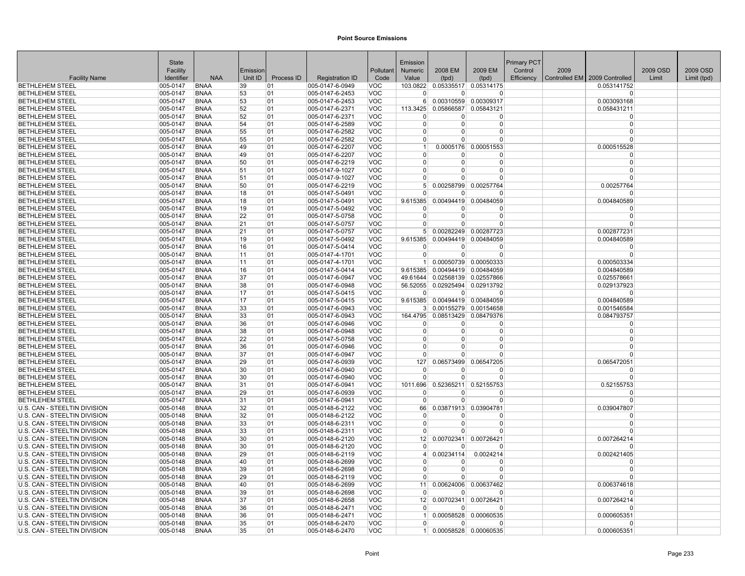| 2009 EM<br>Facility<br>Emission<br>Pollutant<br><b>Numeric</b><br>2008 EM<br>Control<br>2009<br>2009 OSD<br>2009 OSD<br><b>NAA</b><br>Unit ID<br>Process ID<br>Controlled EM 2009 Controlled<br><b>Facility Name</b><br>Identifier<br><b>Registration ID</b><br>Code<br>Value<br>(tpd)<br>Efficiency<br>Limit<br>Limit (tpd)<br>(tpd)<br><b>BETHLEHEM STEEL</b><br>005-0147<br>005-0147-6-0949<br>VOC<br>103.0822<br>0.05335517 0.05314175<br>0.053141752<br><b>BNAA</b><br>39<br>01<br><b>BETHLEHEM STEEL</b><br>005-0147<br><b>BNAA</b><br>53<br>01<br>005-0147-6-2453<br><b>VOC</b><br><sup>0</sup><br>0<br>0<br>$\Omega$<br><b>BETHLEHEM STEEL</b><br>005-0147-6-2453<br><b>VOC</b><br>0.00310559<br>0.00309317<br>0.003093168<br>005-0147<br><b>BNAA</b><br>53<br>01<br>6 <sup>1</sup><br><b>BETHLEHEM STEEL</b><br><b>BNAA</b><br>52<br>01<br>005-0147-6-2371<br><b>VOC</b><br>0.05866587 0.05843121<br>005-0147<br>113.3425<br>0.058431211<br><b>BETHLEHEM STEEL</b><br>005-0147-6-2371<br><b>VOC</b><br>005-0147<br><b>BNAA</b><br>52<br>01<br>$\Omega$<br>$\Omega$<br>$\Omega$<br>$\Omega$<br><b>VOC</b><br><b>BETHLEHEM STEEL</b><br>005-0147<br><b>BNAA</b><br>54<br>005-0147-6-2589<br>$\mathbf{0}$<br>$\Omega$<br>0<br>$\Omega$<br>01<br>55<br><b>VOC</b><br><b>BETHLEHEM STEEL</b><br>005-0147<br><b>BNAA</b><br>01<br>005-0147-6-2582<br>$\overline{0}$<br>0<br>$\Omega$<br>0<br><b>BETHLEHEM STEEL</b><br>005-0147<br><b>BNAA</b><br>55<br>01<br>005-0147-6-2582<br><b>VOC</b><br>$\Omega$<br>U<br>$\Omega$<br>$\Omega$<br><b>BETHLEHEM STEEL</b><br>005-0147<br><b>BNAA</b><br>49<br>005-0147-6-2207<br><b>VOC</b><br>0.0005176<br>0.00051553<br>0.000515528<br>01<br>$\mathbf{1}$<br><b>BNAA</b><br>49<br>005-0147-6-2207<br><b>VOC</b><br><b>BETHLEHEM STEEL</b><br>005-0147<br>01<br>$\Omega$<br>0<br>$\Omega$<br>0<br><b>BETHLEHEM STEEL</b><br>005-0147<br><b>BNAA</b><br>50<br>01<br>005-0147-6-2219<br><b>VOC</b><br>$\Omega$<br>$\Omega$<br>$\Omega$<br>$\Omega$<br><b>BETHLEHEM STEEL</b><br><b>BNAA</b><br>51<br>005-0147-9-1027<br><b>VOC</b><br>005-0147<br>01<br>$\Omega$<br>0<br>$\Omega$<br>$\Omega$<br><b>VOC</b><br><b>BETHLEHEM STEEL</b><br>005-0147<br><b>BNAA</b><br>51<br>01<br>005-0147-9-1027<br>$\overline{0}$<br>0<br>0<br>$\Omega$<br>005-0147-6-2219<br><b>VOC</b><br>0.00258799<br>0.00257764<br>0.00257764<br><b>BETHLEHEM STEEL</b><br>005-0147<br><b>BNAA</b><br>50<br>01<br>5 <sup>1</sup><br><b>VOC</b><br><b>BETHLEHEM STEEL</b><br>005-0147<br><b>BNAA</b><br>18<br>01<br>005-0147-5-0491<br>$\Omega$<br>$\Omega$<br>0<br>$\Omega$<br><b>BETHLEHEM STEEL</b><br>005-0147<br><b>BNAA</b><br>18<br>01<br>005-0147-5-0491<br><b>VOC</b><br>9.615385<br>0.00494419<br>0.00484059<br>0.004840589<br><b>VOC</b><br><b>BETHLEHEM STEEL</b><br><b>BNAA</b><br>19<br>005-0147-5-0492<br>$ 005 - 0147$<br>01<br>$\Omega$<br>0<br>0<br>22<br><b>VOC</b><br>$\Omega$<br><b>BETHLEHEM STEEL</b><br>005-0147<br><b>BNAA</b><br>01<br>005-0147-5-0758<br>$\overline{0}$<br>$\Omega$<br>$\Omega$<br><b>BETHLEHEM STEEL</b><br>005-0147<br><b>BNAA</b><br>21<br>005-0147-5-0757<br><b>VOC</b><br>01<br>$\Omega$<br>0<br>$\Omega$<br>$\Omega$<br><b>VOC</b><br><b>BETHLEHEM STEEL</b><br>005-0147<br><b>BNAA</b><br>21<br>01<br>005-0147-5-0757<br>5 <sup>1</sup><br>0.00282249<br>0.00287723<br>0.002877231<br><b>VOC</b><br><b>BETHLEHEM STEEL</b><br>005-0147<br><b>BNAA</b><br>19<br>005-0147-5-0492<br>0.00494419 0.00484059<br>01<br>9.615385<br>0.004840589<br>005-0147<br><b>BNAA</b><br>16<br>01<br>005-0147-5-0414<br><b>VOC</b><br><b>BETHLEHEM STEEL</b><br>$\Omega$<br>$\Omega$<br>$\Omega$<br>$\Omega$<br><b>VOC</b><br><b>BETHLEHEM STEEL</b><br>005-0147<br><b>BNAA</b><br>11<br>01<br>005-0147-4-1701<br>$\overline{0}$<br>$\Omega$<br>$\Omega$<br>$\Omega$<br><b>VOC</b><br><b>BETHLEHEM STEEL</b><br>005-0147<br><b>BNAA</b><br>11<br>01<br>005-0147-4-1701<br>0.00050739 0.00050333<br>0.000503334<br>1 <sup>1</sup><br>005-0147-5-0414<br><b>VOC</b><br>0.00494419 0.00484059<br><b>BETHLEHEM STEEL</b><br>005-0147<br><b>BNAA</b><br>16<br>01<br>9.615385<br>0.004840589<br>37<br>VOC<br><b>BETHLEHEM STEEL</b><br>005-0147<br><b>BNAA</b><br>01<br>005-0147-6-0947<br>49.61644<br>0.02568139<br>0.02557866<br>0.025578661<br><b>VOC</b><br>56.52055<br>0.02925494 0.02913792<br><b>BETHLEHEM STEEL</b><br>005-0147<br><b>BNAA</b><br>38<br>01<br>$ 005-0147-6-0948$<br>0.029137923<br>17<br><b>VOC</b><br><b>BETHLEHEM STEEL</b><br>005-0147<br><b>BNAA</b><br>01<br>005-0147-5-0415<br>$\Omega$<br>$\Omega$<br>$\Omega$<br><b>BETHLEHEM STEEL</b><br>005-0147<br><b>BNAA</b><br>17<br>01<br>005-0147-5-0415<br><b>VOC</b><br>9.615385 0.00494419 0.00484059<br>0.004840589<br><b>BETHLEHEM STEEL</b><br>005-0147<br><b>BNAA</b><br>33<br>005-0147-6-0943<br><b>VOC</b><br>0.00155279 0.00154658<br>0.001546584<br>01<br>3 <sup>1</sup><br><b>VOC</b><br>0.08513429 0.08479376<br><b>BETHLEHEM STEEL</b><br>005-0147<br><b>BNAA</b><br>33<br>01<br>005-0147-6-0943<br>164.4795<br>0.084793757<br><b>BETHLEHEM STEEL</b><br>005-0147<br><b>BNAA</b><br>36<br>01<br>005-0147-6-0946<br><b>VOC</b><br>$\overline{0}$<br>$\Omega$<br>$\Omega$<br>$\Omega$<br><b>VOC</b><br><b>BETHLEHEM STEEL</b><br>005-0147<br><b>BNAA</b><br>38<br>01<br>005-0147-6-0948<br>$\Omega$<br>$\Omega$<br>$\Omega$<br>$\Omega$<br>22<br><b>BETHLEHEM STEEL</b><br>005-0147<br><b>BNAA</b><br>01<br>005-0147-5-0758<br><b>VOC</b><br>$\Omega$<br>0<br>$\Omega$<br>$\Omega$<br>VOC<br>005-0147<br><b>BNAA</b><br>36<br>01<br>005-0147-6-0946<br>0<br><b>BETHLEHEM STEEL</b><br>$\Omega$<br>0<br>n<br><b>BETHLEHEM STEEL</b><br>005-0147<br><b>BNAA</b><br>37<br>01<br>005-0147-6-0947<br><b>VOC</b><br>$\Omega$<br>O<br>$\Omega$<br>$\Omega$<br><b>BETHLEHEM STEEL</b><br>005-0147<br><b>BNAA</b><br>29<br>005-0147-6-0939<br><b>VOC</b><br>127<br>0.06573499<br>0.06547205<br>0.065472051<br>01<br>30<br><b>VOC</b><br><b>BETHLEHEM STEEL</b><br>005-0147<br><b>BNAA</b><br>01<br>005-0147-6-0940<br>$\Omega$<br>$\Omega$<br>ŋ<br>$\Omega$<br>005-0147<br><b>BNAA</b><br>30<br>005-0147-6-0940<br><b>VOC</b><br>$\Omega$<br>$\Omega$<br>$\Omega$<br>$\Omega$<br><b>BETHLEHEM STEEL</b><br>01<br><b>BETHLEHEM STEEL</b><br><b>BNAA</b><br>31<br>005-0147-6-0941<br><b>VOC</b><br>0.52365211 0.52155753<br>0.52155753<br>005-0147<br>01<br>1011.696<br><b>VOC</b><br><b>BETHLEHEM STEEL</b><br>005-0147<br><b>BNAA</b><br>29<br>01<br>$ 005-0147-6-0939$<br>$\Omega$<br>$\Omega$<br>0<br><b>VOC</b><br>$\Omega$<br><b>BETHLEHEM STEEL</b><br>005-0147<br><b>BNAA</b><br>31<br>01<br>005-0147-6-0941<br>$\overline{0}$<br>0<br>0<br>U.S. CAN - STEELTIN DIVISION<br>005-0148<br><b>BNAA</b><br>32<br>01<br>005-0148-6-2122<br><b>VOC</b><br>0.03871913 0.03904781<br>0.039047807<br>66<br>U.S. CAN - STEELTIN DIVISION<br>005-0148<br><b>BNAA</b><br>32<br>005-0148-6-2122<br><b>VOC</b><br>01<br>$\Omega$<br>0<br><sup>0</sup><br>$\Omega$<br>U.S. CAN - STEELTIN DIVISION<br><b>BNAA</b><br>33<br>005-0148-6-2311<br><b>VOC</b><br>$\mathbf 0$<br>0<br>005-0148<br>01<br>0<br>33<br><b>VOC</b><br>$\Omega$<br>U.S. CAN - STEELTIN DIVISION<br>005-0148<br><b>BNAA</b><br>01<br>005-0148-6-2311<br>$\Omega$<br>0<br>$\Omega$<br>U.S. CAN - STEELTIN DIVISION<br>005-0148<br><b>BNAA</b><br>30<br>01<br>005-0148-6-2120<br><b>VOC</b><br>12<br>0.00702341<br>0.00726421<br>0.007264214<br><b>VOC</b><br>U.S. CAN - STEELTIN DIVISION<br>005-0148<br><b>BNAA</b><br>30<br>01<br>005-0148-6-2120<br>$\Omega$<br>$\Omega$<br>$\Omega$<br><b>VOC</b><br>U.S. CAN - STEELTIN DIVISION<br>005-0148<br><b>BNAA</b><br>29<br>01<br>005-0148-6-2119<br>0.00234114<br>0.002421405<br>$\vert$<br>0.0024214<br>U.S. CAN - STEELTIN DIVISION<br>005-0148<br><b>BNAA</b><br>40<br>01<br>005-0148-6-2699<br><b>VOC</b><br>$\Omega$<br>0<br>$\Omega$<br>$\Omega$<br>U.S. CAN - STEELTIN DIVISION<br><b>BNAA</b><br>39<br><b>VOC</b><br>005-0148<br>01<br>005-0148-6-2698<br>$\Omega$<br>$\Omega$<br>0<br>$\Omega$<br><b>VOC</b><br>U.S. CAN - STEELTIN DIVISION<br>29<br>01<br>$ 005-0148-6-2119$<br>005-0148<br>BNAA<br>$\Omega$<br>0<br>0<br>U.S. CAN - STEELTIN DIVISION<br>40<br><b>VOC</b><br>0.00624006<br>0.00637462<br>0.006374618<br>005-0148<br><b>BNAA</b><br>01<br>005-0148-6-2699<br>11<br>U.S. CAN - STEELTIN DIVISION<br>005-0148<br><b>BNAA</b><br>39<br>01<br>005-0148-6-2698<br><b>VOC</b><br>$\Omega$<br>$\Omega$<br>$\Omega$<br>$\Omega$<br>U.S. CAN - STEELTIN DIVISION<br>005-0148<br><b>BNAA</b><br>37<br>005-0148-6-2658<br><b>VOC</b><br>12<br>0.00702341 0.00726421<br>0.007264214<br>01<br>U.S. CAN - STEELTIN DIVISION<br><b>VOC</b><br>$\Omega$<br>005-0148<br><b>BNAA</b><br>36<br>01<br>005-0148-6-2471<br>$\Omega$<br>o<br>U.S. CAN - STEELTIN DIVISION<br>005-0148<br><b>BNAA</b><br>36<br>01<br>005-0148-6-2471<br><b>VOC</b><br>0.00058528 0.00060535<br>0.000605351<br>1 <sup>1</sup><br>U.S. CAN - STEELTIN DIVISION<br>005-0148-6-2470<br><b>VOC</b><br>005-0148<br><b>BNAA</b><br>35<br>01<br>$\Omega$<br>$\Omega$<br><b>VOC</b><br>U.S. CAN - STEELTIN DIVISION<br>005-0148<br><b>BNAA</b><br>35<br>01<br>005-0148-6-2470<br>0.00058528 0.00060535<br>0.000605351<br>1 <sup>1</sup> | State |  |  | Emission |  | Primary PCT |  |  |
|--------------------------------------------------------------------------------------------------------------------------------------------------------------------------------------------------------------------------------------------------------------------------------------------------------------------------------------------------------------------------------------------------------------------------------------------------------------------------------------------------------------------------------------------------------------------------------------------------------------------------------------------------------------------------------------------------------------------------------------------------------------------------------------------------------------------------------------------------------------------------------------------------------------------------------------------------------------------------------------------------------------------------------------------------------------------------------------------------------------------------------------------------------------------------------------------------------------------------------------------------------------------------------------------------------------------------------------------------------------------------------------------------------------------------------------------------------------------------------------------------------------------------------------------------------------------------------------------------------------------------------------------------------------------------------------------------------------------------------------------------------------------------------------------------------------------------------------------------------------------------------------------------------------------------------------------------------------------------------------------------------------------------------------------------------------------------------------------------------------------------------------------------------------------------------------------------------------------------------------------------------------------------------------------------------------------------------------------------------------------------------------------------------------------------------------------------------------------------------------------------------------------------------------------------------------------------------------------------------------------------------------------------------------------------------------------------------------------------------------------------------------------------------------------------------------------------------------------------------------------------------------------------------------------------------------------------------------------------------------------------------------------------------------------------------------------------------------------------------------------------------------------------------------------------------------------------------------------------------------------------------------------------------------------------------------------------------------------------------------------------------------------------------------------------------------------------------------------------------------------------------------------------------------------------------------------------------------------------------------------------------------------------------------------------------------------------------------------------------------------------------------------------------------------------------------------------------------------------------------------------------------------------------------------------------------------------------------------------------------------------------------------------------------------------------------------------------------------------------------------------------------------------------------------------------------------------------------------------------------------------------------------------------------------------------------------------------------------------------------------------------------------------------------------------------------------------------------------------------------------------------------------------------------------------------------------------------------------------------------------------------------------------------------------------------------------------------------------------------------------------------------------------------------------------------------------------------------------------------------------------------------------------------------------------------------------------------------------------------------------------------------------------------------------------------------------------------------------------------------------------------------------------------------------------------------------------------------------------------------------------------------------------------------------------------------------------------------------------------------------------------------------------------------------------------------------------------------------------------------------------------------------------------------------------------------------------------------------------------------------------------------------------------------------------------------------------------------------------------------------------------------------------------------------------------------------------------------------------------------------------------------------------------------------------------------------------------------------------------------------------------------------------------------------------------------------------------------------------------------------------------------------------------------------------------------------------------------------------------------------------------------------------------------------------------------------------------------------------------------------------------------------------------------------------------------------------------------------------------------------------------------------------------------------------------------------------------------------------------------------------------------------------------------------------------------------------------------------------------------------------------------------------------------------------------------------------------------------------------------------------------------------------------------------------------------------------------------------------------------------------------------------------------------------------------------------------------------------------------------------------------------------------------------------------------------------------------------------------------------------------------------------------------------------------------------------------------------------------------------------------------------------------------------------------------------------------------------------------------------------------------------------------------------------------------------------------------------------------------------------------------------------------------------------------------------------------------------------------------------------------------------------------------------------------------------------------------------------------------------------------------------------------------------------------------------------------------------------------------------------------------------------------------------------------------------------------------------------------------------------------------------------------------------------------------------------------------------------------------------------------------------------------------------------------------------------------------------------------------------------------------------------------------------------------------------------------------------------------------------------------------------------------------------------------------------------------------------------------------------------------------------------------------------------------------------------------------------------------------------------------------------------------------------------------------------------------------------------------------------------------------------------------------------------------------------------------------------------------------------------------------------------------------------------------------------------------------------------------------------------------------------------------------------------------------------------------------------------------------------------|-------|--|--|----------|--|-------------|--|--|
|                                                                                                                                                                                                                                                                                                                                                                                                                                                                                                                                                                                                                                                                                                                                                                                                                                                                                                                                                                                                                                                                                                                                                                                                                                                                                                                                                                                                                                                                                                                                                                                                                                                                                                                                                                                                                                                                                                                                                                                                                                                                                                                                                                                                                                                                                                                                                                                                                                                                                                                                                                                                                                                                                                                                                                                                                                                                                                                                                                                                                                                                                                                                                                                                                                                                                                                                                                                                                                                                                                                                                                                                                                                                                                                                                                                                                                                                                                                                                                                                                                                                                                                                                                                                                                                                                                                                                                                                                                                                                                                                                                                                                                                                                                                                                                                                                                                                                                                                                                                                                                                                                                                                                                                                                                                                                                                                                                                                                                                                                                                                                                                                                                                                                                                                                                                                                                                                                                                                                                                                                                                                                                                                                                                                                                                                                                                                                                                                                                                                                                                                                                                                                                                                                                                                                                                                                                                                                                                                                                                                                                                                                                                                                                                                                                                                                                                                                                                                                                                                                                                                                                                                                                                                                                                                                                                                                                                                                                                                                                                                                                                                                                                                                                                                                                                                                                                                                                                                                                                                                                                                                                                                                                                                                                                                                                                                                                                                                                                                                                                                                                                                                                                                                                                                                                            |       |  |  |          |  |             |  |  |
|                                                                                                                                                                                                                                                                                                                                                                                                                                                                                                                                                                                                                                                                                                                                                                                                                                                                                                                                                                                                                                                                                                                                                                                                                                                                                                                                                                                                                                                                                                                                                                                                                                                                                                                                                                                                                                                                                                                                                                                                                                                                                                                                                                                                                                                                                                                                                                                                                                                                                                                                                                                                                                                                                                                                                                                                                                                                                                                                                                                                                                                                                                                                                                                                                                                                                                                                                                                                                                                                                                                                                                                                                                                                                                                                                                                                                                                                                                                                                                                                                                                                                                                                                                                                                                                                                                                                                                                                                                                                                                                                                                                                                                                                                                                                                                                                                                                                                                                                                                                                                                                                                                                                                                                                                                                                                                                                                                                                                                                                                                                                                                                                                                                                                                                                                                                                                                                                                                                                                                                                                                                                                                                                                                                                                                                                                                                                                                                                                                                                                                                                                                                                                                                                                                                                                                                                                                                                                                                                                                                                                                                                                                                                                                                                                                                                                                                                                                                                                                                                                                                                                                                                                                                                                                                                                                                                                                                                                                                                                                                                                                                                                                                                                                                                                                                                                                                                                                                                                                                                                                                                                                                                                                                                                                                                                                                                                                                                                                                                                                                                                                                                                                                                                                                                                                            |       |  |  |          |  |             |  |  |
|                                                                                                                                                                                                                                                                                                                                                                                                                                                                                                                                                                                                                                                                                                                                                                                                                                                                                                                                                                                                                                                                                                                                                                                                                                                                                                                                                                                                                                                                                                                                                                                                                                                                                                                                                                                                                                                                                                                                                                                                                                                                                                                                                                                                                                                                                                                                                                                                                                                                                                                                                                                                                                                                                                                                                                                                                                                                                                                                                                                                                                                                                                                                                                                                                                                                                                                                                                                                                                                                                                                                                                                                                                                                                                                                                                                                                                                                                                                                                                                                                                                                                                                                                                                                                                                                                                                                                                                                                                                                                                                                                                                                                                                                                                                                                                                                                                                                                                                                                                                                                                                                                                                                                                                                                                                                                                                                                                                                                                                                                                                                                                                                                                                                                                                                                                                                                                                                                                                                                                                                                                                                                                                                                                                                                                                                                                                                                                                                                                                                                                                                                                                                                                                                                                                                                                                                                                                                                                                                                                                                                                                                                                                                                                                                                                                                                                                                                                                                                                                                                                                                                                                                                                                                                                                                                                                                                                                                                                                                                                                                                                                                                                                                                                                                                                                                                                                                                                                                                                                                                                                                                                                                                                                                                                                                                                                                                                                                                                                                                                                                                                                                                                                                                                                                                                            |       |  |  |          |  |             |  |  |
|                                                                                                                                                                                                                                                                                                                                                                                                                                                                                                                                                                                                                                                                                                                                                                                                                                                                                                                                                                                                                                                                                                                                                                                                                                                                                                                                                                                                                                                                                                                                                                                                                                                                                                                                                                                                                                                                                                                                                                                                                                                                                                                                                                                                                                                                                                                                                                                                                                                                                                                                                                                                                                                                                                                                                                                                                                                                                                                                                                                                                                                                                                                                                                                                                                                                                                                                                                                                                                                                                                                                                                                                                                                                                                                                                                                                                                                                                                                                                                                                                                                                                                                                                                                                                                                                                                                                                                                                                                                                                                                                                                                                                                                                                                                                                                                                                                                                                                                                                                                                                                                                                                                                                                                                                                                                                                                                                                                                                                                                                                                                                                                                                                                                                                                                                                                                                                                                                                                                                                                                                                                                                                                                                                                                                                                                                                                                                                                                                                                                                                                                                                                                                                                                                                                                                                                                                                                                                                                                                                                                                                                                                                                                                                                                                                                                                                                                                                                                                                                                                                                                                                                                                                                                                                                                                                                                                                                                                                                                                                                                                                                                                                                                                                                                                                                                                                                                                                                                                                                                                                                                                                                                                                                                                                                                                                                                                                                                                                                                                                                                                                                                                                                                                                                                                                            |       |  |  |          |  |             |  |  |
|                                                                                                                                                                                                                                                                                                                                                                                                                                                                                                                                                                                                                                                                                                                                                                                                                                                                                                                                                                                                                                                                                                                                                                                                                                                                                                                                                                                                                                                                                                                                                                                                                                                                                                                                                                                                                                                                                                                                                                                                                                                                                                                                                                                                                                                                                                                                                                                                                                                                                                                                                                                                                                                                                                                                                                                                                                                                                                                                                                                                                                                                                                                                                                                                                                                                                                                                                                                                                                                                                                                                                                                                                                                                                                                                                                                                                                                                                                                                                                                                                                                                                                                                                                                                                                                                                                                                                                                                                                                                                                                                                                                                                                                                                                                                                                                                                                                                                                                                                                                                                                                                                                                                                                                                                                                                                                                                                                                                                                                                                                                                                                                                                                                                                                                                                                                                                                                                                                                                                                                                                                                                                                                                                                                                                                                                                                                                                                                                                                                                                                                                                                                                                                                                                                                                                                                                                                                                                                                                                                                                                                                                                                                                                                                                                                                                                                                                                                                                                                                                                                                                                                                                                                                                                                                                                                                                                                                                                                                                                                                                                                                                                                                                                                                                                                                                                                                                                                                                                                                                                                                                                                                                                                                                                                                                                                                                                                                                                                                                                                                                                                                                                                                                                                                                                                            |       |  |  |          |  |             |  |  |
|                                                                                                                                                                                                                                                                                                                                                                                                                                                                                                                                                                                                                                                                                                                                                                                                                                                                                                                                                                                                                                                                                                                                                                                                                                                                                                                                                                                                                                                                                                                                                                                                                                                                                                                                                                                                                                                                                                                                                                                                                                                                                                                                                                                                                                                                                                                                                                                                                                                                                                                                                                                                                                                                                                                                                                                                                                                                                                                                                                                                                                                                                                                                                                                                                                                                                                                                                                                                                                                                                                                                                                                                                                                                                                                                                                                                                                                                                                                                                                                                                                                                                                                                                                                                                                                                                                                                                                                                                                                                                                                                                                                                                                                                                                                                                                                                                                                                                                                                                                                                                                                                                                                                                                                                                                                                                                                                                                                                                                                                                                                                                                                                                                                                                                                                                                                                                                                                                                                                                                                                                                                                                                                                                                                                                                                                                                                                                                                                                                                                                                                                                                                                                                                                                                                                                                                                                                                                                                                                                                                                                                                                                                                                                                                                                                                                                                                                                                                                                                                                                                                                                                                                                                                                                                                                                                                                                                                                                                                                                                                                                                                                                                                                                                                                                                                                                                                                                                                                                                                                                                                                                                                                                                                                                                                                                                                                                                                                                                                                                                                                                                                                                                                                                                                                                                            |       |  |  |          |  |             |  |  |
|                                                                                                                                                                                                                                                                                                                                                                                                                                                                                                                                                                                                                                                                                                                                                                                                                                                                                                                                                                                                                                                                                                                                                                                                                                                                                                                                                                                                                                                                                                                                                                                                                                                                                                                                                                                                                                                                                                                                                                                                                                                                                                                                                                                                                                                                                                                                                                                                                                                                                                                                                                                                                                                                                                                                                                                                                                                                                                                                                                                                                                                                                                                                                                                                                                                                                                                                                                                                                                                                                                                                                                                                                                                                                                                                                                                                                                                                                                                                                                                                                                                                                                                                                                                                                                                                                                                                                                                                                                                                                                                                                                                                                                                                                                                                                                                                                                                                                                                                                                                                                                                                                                                                                                                                                                                                                                                                                                                                                                                                                                                                                                                                                                                                                                                                                                                                                                                                                                                                                                                                                                                                                                                                                                                                                                                                                                                                                                                                                                                                                                                                                                                                                                                                                                                                                                                                                                                                                                                                                                                                                                                                                                                                                                                                                                                                                                                                                                                                                                                                                                                                                                                                                                                                                                                                                                                                                                                                                                                                                                                                                                                                                                                                                                                                                                                                                                                                                                                                                                                                                                                                                                                                                                                                                                                                                                                                                                                                                                                                                                                                                                                                                                                                                                                                                                            |       |  |  |          |  |             |  |  |
|                                                                                                                                                                                                                                                                                                                                                                                                                                                                                                                                                                                                                                                                                                                                                                                                                                                                                                                                                                                                                                                                                                                                                                                                                                                                                                                                                                                                                                                                                                                                                                                                                                                                                                                                                                                                                                                                                                                                                                                                                                                                                                                                                                                                                                                                                                                                                                                                                                                                                                                                                                                                                                                                                                                                                                                                                                                                                                                                                                                                                                                                                                                                                                                                                                                                                                                                                                                                                                                                                                                                                                                                                                                                                                                                                                                                                                                                                                                                                                                                                                                                                                                                                                                                                                                                                                                                                                                                                                                                                                                                                                                                                                                                                                                                                                                                                                                                                                                                                                                                                                                                                                                                                                                                                                                                                                                                                                                                                                                                                                                                                                                                                                                                                                                                                                                                                                                                                                                                                                                                                                                                                                                                                                                                                                                                                                                                                                                                                                                                                                                                                                                                                                                                                                                                                                                                                                                                                                                                                                                                                                                                                                                                                                                                                                                                                                                                                                                                                                                                                                                                                                                                                                                                                                                                                                                                                                                                                                                                                                                                                                                                                                                                                                                                                                                                                                                                                                                                                                                                                                                                                                                                                                                                                                                                                                                                                                                                                                                                                                                                                                                                                                                                                                                                                                            |       |  |  |          |  |             |  |  |
|                                                                                                                                                                                                                                                                                                                                                                                                                                                                                                                                                                                                                                                                                                                                                                                                                                                                                                                                                                                                                                                                                                                                                                                                                                                                                                                                                                                                                                                                                                                                                                                                                                                                                                                                                                                                                                                                                                                                                                                                                                                                                                                                                                                                                                                                                                                                                                                                                                                                                                                                                                                                                                                                                                                                                                                                                                                                                                                                                                                                                                                                                                                                                                                                                                                                                                                                                                                                                                                                                                                                                                                                                                                                                                                                                                                                                                                                                                                                                                                                                                                                                                                                                                                                                                                                                                                                                                                                                                                                                                                                                                                                                                                                                                                                                                                                                                                                                                                                                                                                                                                                                                                                                                                                                                                                                                                                                                                                                                                                                                                                                                                                                                                                                                                                                                                                                                                                                                                                                                                                                                                                                                                                                                                                                                                                                                                                                                                                                                                                                                                                                                                                                                                                                                                                                                                                                                                                                                                                                                                                                                                                                                                                                                                                                                                                                                                                                                                                                                                                                                                                                                                                                                                                                                                                                                                                                                                                                                                                                                                                                                                                                                                                                                                                                                                                                                                                                                                                                                                                                                                                                                                                                                                                                                                                                                                                                                                                                                                                                                                                                                                                                                                                                                                                                                            |       |  |  |          |  |             |  |  |
|                                                                                                                                                                                                                                                                                                                                                                                                                                                                                                                                                                                                                                                                                                                                                                                                                                                                                                                                                                                                                                                                                                                                                                                                                                                                                                                                                                                                                                                                                                                                                                                                                                                                                                                                                                                                                                                                                                                                                                                                                                                                                                                                                                                                                                                                                                                                                                                                                                                                                                                                                                                                                                                                                                                                                                                                                                                                                                                                                                                                                                                                                                                                                                                                                                                                                                                                                                                                                                                                                                                                                                                                                                                                                                                                                                                                                                                                                                                                                                                                                                                                                                                                                                                                                                                                                                                                                                                                                                                                                                                                                                                                                                                                                                                                                                                                                                                                                                                                                                                                                                                                                                                                                                                                                                                                                                                                                                                                                                                                                                                                                                                                                                                                                                                                                                                                                                                                                                                                                                                                                                                                                                                                                                                                                                                                                                                                                                                                                                                                                                                                                                                                                                                                                                                                                                                                                                                                                                                                                                                                                                                                                                                                                                                                                                                                                                                                                                                                                                                                                                                                                                                                                                                                                                                                                                                                                                                                                                                                                                                                                                                                                                                                                                                                                                                                                                                                                                                                                                                                                                                                                                                                                                                                                                                                                                                                                                                                                                                                                                                                                                                                                                                                                                                                                                            |       |  |  |          |  |             |  |  |
|                                                                                                                                                                                                                                                                                                                                                                                                                                                                                                                                                                                                                                                                                                                                                                                                                                                                                                                                                                                                                                                                                                                                                                                                                                                                                                                                                                                                                                                                                                                                                                                                                                                                                                                                                                                                                                                                                                                                                                                                                                                                                                                                                                                                                                                                                                                                                                                                                                                                                                                                                                                                                                                                                                                                                                                                                                                                                                                                                                                                                                                                                                                                                                                                                                                                                                                                                                                                                                                                                                                                                                                                                                                                                                                                                                                                                                                                                                                                                                                                                                                                                                                                                                                                                                                                                                                                                                                                                                                                                                                                                                                                                                                                                                                                                                                                                                                                                                                                                                                                                                                                                                                                                                                                                                                                                                                                                                                                                                                                                                                                                                                                                                                                                                                                                                                                                                                                                                                                                                                                                                                                                                                                                                                                                                                                                                                                                                                                                                                                                                                                                                                                                                                                                                                                                                                                                                                                                                                                                                                                                                                                                                                                                                                                                                                                                                                                                                                                                                                                                                                                                                                                                                                                                                                                                                                                                                                                                                                                                                                                                                                                                                                                                                                                                                                                                                                                                                                                                                                                                                                                                                                                                                                                                                                                                                                                                                                                                                                                                                                                                                                                                                                                                                                                                                            |       |  |  |          |  |             |  |  |
|                                                                                                                                                                                                                                                                                                                                                                                                                                                                                                                                                                                                                                                                                                                                                                                                                                                                                                                                                                                                                                                                                                                                                                                                                                                                                                                                                                                                                                                                                                                                                                                                                                                                                                                                                                                                                                                                                                                                                                                                                                                                                                                                                                                                                                                                                                                                                                                                                                                                                                                                                                                                                                                                                                                                                                                                                                                                                                                                                                                                                                                                                                                                                                                                                                                                                                                                                                                                                                                                                                                                                                                                                                                                                                                                                                                                                                                                                                                                                                                                                                                                                                                                                                                                                                                                                                                                                                                                                                                                                                                                                                                                                                                                                                                                                                                                                                                                                                                                                                                                                                                                                                                                                                                                                                                                                                                                                                                                                                                                                                                                                                                                                                                                                                                                                                                                                                                                                                                                                                                                                                                                                                                                                                                                                                                                                                                                                                                                                                                                                                                                                                                                                                                                                                                                                                                                                                                                                                                                                                                                                                                                                                                                                                                                                                                                                                                                                                                                                                                                                                                                                                                                                                                                                                                                                                                                                                                                                                                                                                                                                                                                                                                                                                                                                                                                                                                                                                                                                                                                                                                                                                                                                                                                                                                                                                                                                                                                                                                                                                                                                                                                                                                                                                                                                                            |       |  |  |          |  |             |  |  |
|                                                                                                                                                                                                                                                                                                                                                                                                                                                                                                                                                                                                                                                                                                                                                                                                                                                                                                                                                                                                                                                                                                                                                                                                                                                                                                                                                                                                                                                                                                                                                                                                                                                                                                                                                                                                                                                                                                                                                                                                                                                                                                                                                                                                                                                                                                                                                                                                                                                                                                                                                                                                                                                                                                                                                                                                                                                                                                                                                                                                                                                                                                                                                                                                                                                                                                                                                                                                                                                                                                                                                                                                                                                                                                                                                                                                                                                                                                                                                                                                                                                                                                                                                                                                                                                                                                                                                                                                                                                                                                                                                                                                                                                                                                                                                                                                                                                                                                                                                                                                                                                                                                                                                                                                                                                                                                                                                                                                                                                                                                                                                                                                                                                                                                                                                                                                                                                                                                                                                                                                                                                                                                                                                                                                                                                                                                                                                                                                                                                                                                                                                                                                                                                                                                                                                                                                                                                                                                                                                                                                                                                                                                                                                                                                                                                                                                                                                                                                                                                                                                                                                                                                                                                                                                                                                                                                                                                                                                                                                                                                                                                                                                                                                                                                                                                                                                                                                                                                                                                                                                                                                                                                                                                                                                                                                                                                                                                                                                                                                                                                                                                                                                                                                                                                                                            |       |  |  |          |  |             |  |  |
|                                                                                                                                                                                                                                                                                                                                                                                                                                                                                                                                                                                                                                                                                                                                                                                                                                                                                                                                                                                                                                                                                                                                                                                                                                                                                                                                                                                                                                                                                                                                                                                                                                                                                                                                                                                                                                                                                                                                                                                                                                                                                                                                                                                                                                                                                                                                                                                                                                                                                                                                                                                                                                                                                                                                                                                                                                                                                                                                                                                                                                                                                                                                                                                                                                                                                                                                                                                                                                                                                                                                                                                                                                                                                                                                                                                                                                                                                                                                                                                                                                                                                                                                                                                                                                                                                                                                                                                                                                                                                                                                                                                                                                                                                                                                                                                                                                                                                                                                                                                                                                                                                                                                                                                                                                                                                                                                                                                                                                                                                                                                                                                                                                                                                                                                                                                                                                                                                                                                                                                                                                                                                                                                                                                                                                                                                                                                                                                                                                                                                                                                                                                                                                                                                                                                                                                                                                                                                                                                                                                                                                                                                                                                                                                                                                                                                                                                                                                                                                                                                                                                                                                                                                                                                                                                                                                                                                                                                                                                                                                                                                                                                                                                                                                                                                                                                                                                                                                                                                                                                                                                                                                                                                                                                                                                                                                                                                                                                                                                                                                                                                                                                                                                                                                                                                            |       |  |  |          |  |             |  |  |
|                                                                                                                                                                                                                                                                                                                                                                                                                                                                                                                                                                                                                                                                                                                                                                                                                                                                                                                                                                                                                                                                                                                                                                                                                                                                                                                                                                                                                                                                                                                                                                                                                                                                                                                                                                                                                                                                                                                                                                                                                                                                                                                                                                                                                                                                                                                                                                                                                                                                                                                                                                                                                                                                                                                                                                                                                                                                                                                                                                                                                                                                                                                                                                                                                                                                                                                                                                                                                                                                                                                                                                                                                                                                                                                                                                                                                                                                                                                                                                                                                                                                                                                                                                                                                                                                                                                                                                                                                                                                                                                                                                                                                                                                                                                                                                                                                                                                                                                                                                                                                                                                                                                                                                                                                                                                                                                                                                                                                                                                                                                                                                                                                                                                                                                                                                                                                                                                                                                                                                                                                                                                                                                                                                                                                                                                                                                                                                                                                                                                                                                                                                                                                                                                                                                                                                                                                                                                                                                                                                                                                                                                                                                                                                                                                                                                                                                                                                                                                                                                                                                                                                                                                                                                                                                                                                                                                                                                                                                                                                                                                                                                                                                                                                                                                                                                                                                                                                                                                                                                                                                                                                                                                                                                                                                                                                                                                                                                                                                                                                                                                                                                                                                                                                                                                                            |       |  |  |          |  |             |  |  |
|                                                                                                                                                                                                                                                                                                                                                                                                                                                                                                                                                                                                                                                                                                                                                                                                                                                                                                                                                                                                                                                                                                                                                                                                                                                                                                                                                                                                                                                                                                                                                                                                                                                                                                                                                                                                                                                                                                                                                                                                                                                                                                                                                                                                                                                                                                                                                                                                                                                                                                                                                                                                                                                                                                                                                                                                                                                                                                                                                                                                                                                                                                                                                                                                                                                                                                                                                                                                                                                                                                                                                                                                                                                                                                                                                                                                                                                                                                                                                                                                                                                                                                                                                                                                                                                                                                                                                                                                                                                                                                                                                                                                                                                                                                                                                                                                                                                                                                                                                                                                                                                                                                                                                                                                                                                                                                                                                                                                                                                                                                                                                                                                                                                                                                                                                                                                                                                                                                                                                                                                                                                                                                                                                                                                                                                                                                                                                                                                                                                                                                                                                                                                                                                                                                                                                                                                                                                                                                                                                                                                                                                                                                                                                                                                                                                                                                                                                                                                                                                                                                                                                                                                                                                                                                                                                                                                                                                                                                                                                                                                                                                                                                                                                                                                                                                                                                                                                                                                                                                                                                                                                                                                                                                                                                                                                                                                                                                                                                                                                                                                                                                                                                                                                                                                                                            |       |  |  |          |  |             |  |  |
|                                                                                                                                                                                                                                                                                                                                                                                                                                                                                                                                                                                                                                                                                                                                                                                                                                                                                                                                                                                                                                                                                                                                                                                                                                                                                                                                                                                                                                                                                                                                                                                                                                                                                                                                                                                                                                                                                                                                                                                                                                                                                                                                                                                                                                                                                                                                                                                                                                                                                                                                                                                                                                                                                                                                                                                                                                                                                                                                                                                                                                                                                                                                                                                                                                                                                                                                                                                                                                                                                                                                                                                                                                                                                                                                                                                                                                                                                                                                                                                                                                                                                                                                                                                                                                                                                                                                                                                                                                                                                                                                                                                                                                                                                                                                                                                                                                                                                                                                                                                                                                                                                                                                                                                                                                                                                                                                                                                                                                                                                                                                                                                                                                                                                                                                                                                                                                                                                                                                                                                                                                                                                                                                                                                                                                                                                                                                                                                                                                                                                                                                                                                                                                                                                                                                                                                                                                                                                                                                                                                                                                                                                                                                                                                                                                                                                                                                                                                                                                                                                                                                                                                                                                                                                                                                                                                                                                                                                                                                                                                                                                                                                                                                                                                                                                                                                                                                                                                                                                                                                                                                                                                                                                                                                                                                                                                                                                                                                                                                                                                                                                                                                                                                                                                                                                            |       |  |  |          |  |             |  |  |
|                                                                                                                                                                                                                                                                                                                                                                                                                                                                                                                                                                                                                                                                                                                                                                                                                                                                                                                                                                                                                                                                                                                                                                                                                                                                                                                                                                                                                                                                                                                                                                                                                                                                                                                                                                                                                                                                                                                                                                                                                                                                                                                                                                                                                                                                                                                                                                                                                                                                                                                                                                                                                                                                                                                                                                                                                                                                                                                                                                                                                                                                                                                                                                                                                                                                                                                                                                                                                                                                                                                                                                                                                                                                                                                                                                                                                                                                                                                                                                                                                                                                                                                                                                                                                                                                                                                                                                                                                                                                                                                                                                                                                                                                                                                                                                                                                                                                                                                                                                                                                                                                                                                                                                                                                                                                                                                                                                                                                                                                                                                                                                                                                                                                                                                                                                                                                                                                                                                                                                                                                                                                                                                                                                                                                                                                                                                                                                                                                                                                                                                                                                                                                                                                                                                                                                                                                                                                                                                                                                                                                                                                                                                                                                                                                                                                                                                                                                                                                                                                                                                                                                                                                                                                                                                                                                                                                                                                                                                                                                                                                                                                                                                                                                                                                                                                                                                                                                                                                                                                                                                                                                                                                                                                                                                                                                                                                                                                                                                                                                                                                                                                                                                                                                                                                                            |       |  |  |          |  |             |  |  |
|                                                                                                                                                                                                                                                                                                                                                                                                                                                                                                                                                                                                                                                                                                                                                                                                                                                                                                                                                                                                                                                                                                                                                                                                                                                                                                                                                                                                                                                                                                                                                                                                                                                                                                                                                                                                                                                                                                                                                                                                                                                                                                                                                                                                                                                                                                                                                                                                                                                                                                                                                                                                                                                                                                                                                                                                                                                                                                                                                                                                                                                                                                                                                                                                                                                                                                                                                                                                                                                                                                                                                                                                                                                                                                                                                                                                                                                                                                                                                                                                                                                                                                                                                                                                                                                                                                                                                                                                                                                                                                                                                                                                                                                                                                                                                                                                                                                                                                                                                                                                                                                                                                                                                                                                                                                                                                                                                                                                                                                                                                                                                                                                                                                                                                                                                                                                                                                                                                                                                                                                                                                                                                                                                                                                                                                                                                                                                                                                                                                                                                                                                                                                                                                                                                                                                                                                                                                                                                                                                                                                                                                                                                                                                                                                                                                                                                                                                                                                                                                                                                                                                                                                                                                                                                                                                                                                                                                                                                                                                                                                                                                                                                                                                                                                                                                                                                                                                                                                                                                                                                                                                                                                                                                                                                                                                                                                                                                                                                                                                                                                                                                                                                                                                                                                                                            |       |  |  |          |  |             |  |  |
|                                                                                                                                                                                                                                                                                                                                                                                                                                                                                                                                                                                                                                                                                                                                                                                                                                                                                                                                                                                                                                                                                                                                                                                                                                                                                                                                                                                                                                                                                                                                                                                                                                                                                                                                                                                                                                                                                                                                                                                                                                                                                                                                                                                                                                                                                                                                                                                                                                                                                                                                                                                                                                                                                                                                                                                                                                                                                                                                                                                                                                                                                                                                                                                                                                                                                                                                                                                                                                                                                                                                                                                                                                                                                                                                                                                                                                                                                                                                                                                                                                                                                                                                                                                                                                                                                                                                                                                                                                                                                                                                                                                                                                                                                                                                                                                                                                                                                                                                                                                                                                                                                                                                                                                                                                                                                                                                                                                                                                                                                                                                                                                                                                                                                                                                                                                                                                                                                                                                                                                                                                                                                                                                                                                                                                                                                                                                                                                                                                                                                                                                                                                                                                                                                                                                                                                                                                                                                                                                                                                                                                                                                                                                                                                                                                                                                                                                                                                                                                                                                                                                                                                                                                                                                                                                                                                                                                                                                                                                                                                                                                                                                                                                                                                                                                                                                                                                                                                                                                                                                                                                                                                                                                                                                                                                                                                                                                                                                                                                                                                                                                                                                                                                                                                                                                            |       |  |  |          |  |             |  |  |
|                                                                                                                                                                                                                                                                                                                                                                                                                                                                                                                                                                                                                                                                                                                                                                                                                                                                                                                                                                                                                                                                                                                                                                                                                                                                                                                                                                                                                                                                                                                                                                                                                                                                                                                                                                                                                                                                                                                                                                                                                                                                                                                                                                                                                                                                                                                                                                                                                                                                                                                                                                                                                                                                                                                                                                                                                                                                                                                                                                                                                                                                                                                                                                                                                                                                                                                                                                                                                                                                                                                                                                                                                                                                                                                                                                                                                                                                                                                                                                                                                                                                                                                                                                                                                                                                                                                                                                                                                                                                                                                                                                                                                                                                                                                                                                                                                                                                                                                                                                                                                                                                                                                                                                                                                                                                                                                                                                                                                                                                                                                                                                                                                                                                                                                                                                                                                                                                                                                                                                                                                                                                                                                                                                                                                                                                                                                                                                                                                                                                                                                                                                                                                                                                                                                                                                                                                                                                                                                                                                                                                                                                                                                                                                                                                                                                                                                                                                                                                                                                                                                                                                                                                                                                                                                                                                                                                                                                                                                                                                                                                                                                                                                                                                                                                                                                                                                                                                                                                                                                                                                                                                                                                                                                                                                                                                                                                                                                                                                                                                                                                                                                                                                                                                                                                                            |       |  |  |          |  |             |  |  |
|                                                                                                                                                                                                                                                                                                                                                                                                                                                                                                                                                                                                                                                                                                                                                                                                                                                                                                                                                                                                                                                                                                                                                                                                                                                                                                                                                                                                                                                                                                                                                                                                                                                                                                                                                                                                                                                                                                                                                                                                                                                                                                                                                                                                                                                                                                                                                                                                                                                                                                                                                                                                                                                                                                                                                                                                                                                                                                                                                                                                                                                                                                                                                                                                                                                                                                                                                                                                                                                                                                                                                                                                                                                                                                                                                                                                                                                                                                                                                                                                                                                                                                                                                                                                                                                                                                                                                                                                                                                                                                                                                                                                                                                                                                                                                                                                                                                                                                                                                                                                                                                                                                                                                                                                                                                                                                                                                                                                                                                                                                                                                                                                                                                                                                                                                                                                                                                                                                                                                                                                                                                                                                                                                                                                                                                                                                                                                                                                                                                                                                                                                                                                                                                                                                                                                                                                                                                                                                                                                                                                                                                                                                                                                                                                                                                                                                                                                                                                                                                                                                                                                                                                                                                                                                                                                                                                                                                                                                                                                                                                                                                                                                                                                                                                                                                                                                                                                                                                                                                                                                                                                                                                                                                                                                                                                                                                                                                                                                                                                                                                                                                                                                                                                                                                                                            |       |  |  |          |  |             |  |  |
|                                                                                                                                                                                                                                                                                                                                                                                                                                                                                                                                                                                                                                                                                                                                                                                                                                                                                                                                                                                                                                                                                                                                                                                                                                                                                                                                                                                                                                                                                                                                                                                                                                                                                                                                                                                                                                                                                                                                                                                                                                                                                                                                                                                                                                                                                                                                                                                                                                                                                                                                                                                                                                                                                                                                                                                                                                                                                                                                                                                                                                                                                                                                                                                                                                                                                                                                                                                                                                                                                                                                                                                                                                                                                                                                                                                                                                                                                                                                                                                                                                                                                                                                                                                                                                                                                                                                                                                                                                                                                                                                                                                                                                                                                                                                                                                                                                                                                                                                                                                                                                                                                                                                                                                                                                                                                                                                                                                                                                                                                                                                                                                                                                                                                                                                                                                                                                                                                                                                                                                                                                                                                                                                                                                                                                                                                                                                                                                                                                                                                                                                                                                                                                                                                                                                                                                                                                                                                                                                                                                                                                                                                                                                                                                                                                                                                                                                                                                                                                                                                                                                                                                                                                                                                                                                                                                                                                                                                                                                                                                                                                                                                                                                                                                                                                                                                                                                                                                                                                                                                                                                                                                                                                                                                                                                                                                                                                                                                                                                                                                                                                                                                                                                                                                                                                            |       |  |  |          |  |             |  |  |
|                                                                                                                                                                                                                                                                                                                                                                                                                                                                                                                                                                                                                                                                                                                                                                                                                                                                                                                                                                                                                                                                                                                                                                                                                                                                                                                                                                                                                                                                                                                                                                                                                                                                                                                                                                                                                                                                                                                                                                                                                                                                                                                                                                                                                                                                                                                                                                                                                                                                                                                                                                                                                                                                                                                                                                                                                                                                                                                                                                                                                                                                                                                                                                                                                                                                                                                                                                                                                                                                                                                                                                                                                                                                                                                                                                                                                                                                                                                                                                                                                                                                                                                                                                                                                                                                                                                                                                                                                                                                                                                                                                                                                                                                                                                                                                                                                                                                                                                                                                                                                                                                                                                                                                                                                                                                                                                                                                                                                                                                                                                                                                                                                                                                                                                                                                                                                                                                                                                                                                                                                                                                                                                                                                                                                                                                                                                                                                                                                                                                                                                                                                                                                                                                                                                                                                                                                                                                                                                                                                                                                                                                                                                                                                                                                                                                                                                                                                                                                                                                                                                                                                                                                                                                                                                                                                                                                                                                                                                                                                                                                                                                                                                                                                                                                                                                                                                                                                                                                                                                                                                                                                                                                                                                                                                                                                                                                                                                                                                                                                                                                                                                                                                                                                                                                                            |       |  |  |          |  |             |  |  |
|                                                                                                                                                                                                                                                                                                                                                                                                                                                                                                                                                                                                                                                                                                                                                                                                                                                                                                                                                                                                                                                                                                                                                                                                                                                                                                                                                                                                                                                                                                                                                                                                                                                                                                                                                                                                                                                                                                                                                                                                                                                                                                                                                                                                                                                                                                                                                                                                                                                                                                                                                                                                                                                                                                                                                                                                                                                                                                                                                                                                                                                                                                                                                                                                                                                                                                                                                                                                                                                                                                                                                                                                                                                                                                                                                                                                                                                                                                                                                                                                                                                                                                                                                                                                                                                                                                                                                                                                                                                                                                                                                                                                                                                                                                                                                                                                                                                                                                                                                                                                                                                                                                                                                                                                                                                                                                                                                                                                                                                                                                                                                                                                                                                                                                                                                                                                                                                                                                                                                                                                                                                                                                                                                                                                                                                                                                                                                                                                                                                                                                                                                                                                                                                                                                                                                                                                                                                                                                                                                                                                                                                                                                                                                                                                                                                                                                                                                                                                                                                                                                                                                                                                                                                                                                                                                                                                                                                                                                                                                                                                                                                                                                                                                                                                                                                                                                                                                                                                                                                                                                                                                                                                                                                                                                                                                                                                                                                                                                                                                                                                                                                                                                                                                                                                                                            |       |  |  |          |  |             |  |  |
|                                                                                                                                                                                                                                                                                                                                                                                                                                                                                                                                                                                                                                                                                                                                                                                                                                                                                                                                                                                                                                                                                                                                                                                                                                                                                                                                                                                                                                                                                                                                                                                                                                                                                                                                                                                                                                                                                                                                                                                                                                                                                                                                                                                                                                                                                                                                                                                                                                                                                                                                                                                                                                                                                                                                                                                                                                                                                                                                                                                                                                                                                                                                                                                                                                                                                                                                                                                                                                                                                                                                                                                                                                                                                                                                                                                                                                                                                                                                                                                                                                                                                                                                                                                                                                                                                                                                                                                                                                                                                                                                                                                                                                                                                                                                                                                                                                                                                                                                                                                                                                                                                                                                                                                                                                                                                                                                                                                                                                                                                                                                                                                                                                                                                                                                                                                                                                                                                                                                                                                                                                                                                                                                                                                                                                                                                                                                                                                                                                                                                                                                                                                                                                                                                                                                                                                                                                                                                                                                                                                                                                                                                                                                                                                                                                                                                                                                                                                                                                                                                                                                                                                                                                                                                                                                                                                                                                                                                                                                                                                                                                                                                                                                                                                                                                                                                                                                                                                                                                                                                                                                                                                                                                                                                                                                                                                                                                                                                                                                                                                                                                                                                                                                                                                                                                            |       |  |  |          |  |             |  |  |
|                                                                                                                                                                                                                                                                                                                                                                                                                                                                                                                                                                                                                                                                                                                                                                                                                                                                                                                                                                                                                                                                                                                                                                                                                                                                                                                                                                                                                                                                                                                                                                                                                                                                                                                                                                                                                                                                                                                                                                                                                                                                                                                                                                                                                                                                                                                                                                                                                                                                                                                                                                                                                                                                                                                                                                                                                                                                                                                                                                                                                                                                                                                                                                                                                                                                                                                                                                                                                                                                                                                                                                                                                                                                                                                                                                                                                                                                                                                                                                                                                                                                                                                                                                                                                                                                                                                                                                                                                                                                                                                                                                                                                                                                                                                                                                                                                                                                                                                                                                                                                                                                                                                                                                                                                                                                                                                                                                                                                                                                                                                                                                                                                                                                                                                                                                                                                                                                                                                                                                                                                                                                                                                                                                                                                                                                                                                                                                                                                                                                                                                                                                                                                                                                                                                                                                                                                                                                                                                                                                                                                                                                                                                                                                                                                                                                                                                                                                                                                                                                                                                                                                                                                                                                                                                                                                                                                                                                                                                                                                                                                                                                                                                                                                                                                                                                                                                                                                                                                                                                                                                                                                                                                                                                                                                                                                                                                                                                                                                                                                                                                                                                                                                                                                                                                                            |       |  |  |          |  |             |  |  |
|                                                                                                                                                                                                                                                                                                                                                                                                                                                                                                                                                                                                                                                                                                                                                                                                                                                                                                                                                                                                                                                                                                                                                                                                                                                                                                                                                                                                                                                                                                                                                                                                                                                                                                                                                                                                                                                                                                                                                                                                                                                                                                                                                                                                                                                                                                                                                                                                                                                                                                                                                                                                                                                                                                                                                                                                                                                                                                                                                                                                                                                                                                                                                                                                                                                                                                                                                                                                                                                                                                                                                                                                                                                                                                                                                                                                                                                                                                                                                                                                                                                                                                                                                                                                                                                                                                                                                                                                                                                                                                                                                                                                                                                                                                                                                                                                                                                                                                                                                                                                                                                                                                                                                                                                                                                                                                                                                                                                                                                                                                                                                                                                                                                                                                                                                                                                                                                                                                                                                                                                                                                                                                                                                                                                                                                                                                                                                                                                                                                                                                                                                                                                                                                                                                                                                                                                                                                                                                                                                                                                                                                                                                                                                                                                                                                                                                                                                                                                                                                                                                                                                                                                                                                                                                                                                                                                                                                                                                                                                                                                                                                                                                                                                                                                                                                                                                                                                                                                                                                                                                                                                                                                                                                                                                                                                                                                                                                                                                                                                                                                                                                                                                                                                                                                                                            |       |  |  |          |  |             |  |  |
|                                                                                                                                                                                                                                                                                                                                                                                                                                                                                                                                                                                                                                                                                                                                                                                                                                                                                                                                                                                                                                                                                                                                                                                                                                                                                                                                                                                                                                                                                                                                                                                                                                                                                                                                                                                                                                                                                                                                                                                                                                                                                                                                                                                                                                                                                                                                                                                                                                                                                                                                                                                                                                                                                                                                                                                                                                                                                                                                                                                                                                                                                                                                                                                                                                                                                                                                                                                                                                                                                                                                                                                                                                                                                                                                                                                                                                                                                                                                                                                                                                                                                                                                                                                                                                                                                                                                                                                                                                                                                                                                                                                                                                                                                                                                                                                                                                                                                                                                                                                                                                                                                                                                                                                                                                                                                                                                                                                                                                                                                                                                                                                                                                                                                                                                                                                                                                                                                                                                                                                                                                                                                                                                                                                                                                                                                                                                                                                                                                                                                                                                                                                                                                                                                                                                                                                                                                                                                                                                                                                                                                                                                                                                                                                                                                                                                                                                                                                                                                                                                                                                                                                                                                                                                                                                                                                                                                                                                                                                                                                                                                                                                                                                                                                                                                                                                                                                                                                                                                                                                                                                                                                                                                                                                                                                                                                                                                                                                                                                                                                                                                                                                                                                                                                                                                            |       |  |  |          |  |             |  |  |
|                                                                                                                                                                                                                                                                                                                                                                                                                                                                                                                                                                                                                                                                                                                                                                                                                                                                                                                                                                                                                                                                                                                                                                                                                                                                                                                                                                                                                                                                                                                                                                                                                                                                                                                                                                                                                                                                                                                                                                                                                                                                                                                                                                                                                                                                                                                                                                                                                                                                                                                                                                                                                                                                                                                                                                                                                                                                                                                                                                                                                                                                                                                                                                                                                                                                                                                                                                                                                                                                                                                                                                                                                                                                                                                                                                                                                                                                                                                                                                                                                                                                                                                                                                                                                                                                                                                                                                                                                                                                                                                                                                                                                                                                                                                                                                                                                                                                                                                                                                                                                                                                                                                                                                                                                                                                                                                                                                                                                                                                                                                                                                                                                                                                                                                                                                                                                                                                                                                                                                                                                                                                                                                                                                                                                                                                                                                                                                                                                                                                                                                                                                                                                                                                                                                                                                                                                                                                                                                                                                                                                                                                                                                                                                                                                                                                                                                                                                                                                                                                                                                                                                                                                                                                                                                                                                                                                                                                                                                                                                                                                                                                                                                                                                                                                                                                                                                                                                                                                                                                                                                                                                                                                                                                                                                                                                                                                                                                                                                                                                                                                                                                                                                                                                                                                                            |       |  |  |          |  |             |  |  |
|                                                                                                                                                                                                                                                                                                                                                                                                                                                                                                                                                                                                                                                                                                                                                                                                                                                                                                                                                                                                                                                                                                                                                                                                                                                                                                                                                                                                                                                                                                                                                                                                                                                                                                                                                                                                                                                                                                                                                                                                                                                                                                                                                                                                                                                                                                                                                                                                                                                                                                                                                                                                                                                                                                                                                                                                                                                                                                                                                                                                                                                                                                                                                                                                                                                                                                                                                                                                                                                                                                                                                                                                                                                                                                                                                                                                                                                                                                                                                                                                                                                                                                                                                                                                                                                                                                                                                                                                                                                                                                                                                                                                                                                                                                                                                                                                                                                                                                                                                                                                                                                                                                                                                                                                                                                                                                                                                                                                                                                                                                                                                                                                                                                                                                                                                                                                                                                                                                                                                                                                                                                                                                                                                                                                                                                                                                                                                                                                                                                                                                                                                                                                                                                                                                                                                                                                                                                                                                                                                                                                                                                                                                                                                                                                                                                                                                                                                                                                                                                                                                                                                                                                                                                                                                                                                                                                                                                                                                                                                                                                                                                                                                                                                                                                                                                                                                                                                                                                                                                                                                                                                                                                                                                                                                                                                                                                                                                                                                                                                                                                                                                                                                                                                                                                                                            |       |  |  |          |  |             |  |  |
|                                                                                                                                                                                                                                                                                                                                                                                                                                                                                                                                                                                                                                                                                                                                                                                                                                                                                                                                                                                                                                                                                                                                                                                                                                                                                                                                                                                                                                                                                                                                                                                                                                                                                                                                                                                                                                                                                                                                                                                                                                                                                                                                                                                                                                                                                                                                                                                                                                                                                                                                                                                                                                                                                                                                                                                                                                                                                                                                                                                                                                                                                                                                                                                                                                                                                                                                                                                                                                                                                                                                                                                                                                                                                                                                                                                                                                                                                                                                                                                                                                                                                                                                                                                                                                                                                                                                                                                                                                                                                                                                                                                                                                                                                                                                                                                                                                                                                                                                                                                                                                                                                                                                                                                                                                                                                                                                                                                                                                                                                                                                                                                                                                                                                                                                                                                                                                                                                                                                                                                                                                                                                                                                                                                                                                                                                                                                                                                                                                                                                                                                                                                                                                                                                                                                                                                                                                                                                                                                                                                                                                                                                                                                                                                                                                                                                                                                                                                                                                                                                                                                                                                                                                                                                                                                                                                                                                                                                                                                                                                                                                                                                                                                                                                                                                                                                                                                                                                                                                                                                                                                                                                                                                                                                                                                                                                                                                                                                                                                                                                                                                                                                                                                                                                                                                            |       |  |  |          |  |             |  |  |
|                                                                                                                                                                                                                                                                                                                                                                                                                                                                                                                                                                                                                                                                                                                                                                                                                                                                                                                                                                                                                                                                                                                                                                                                                                                                                                                                                                                                                                                                                                                                                                                                                                                                                                                                                                                                                                                                                                                                                                                                                                                                                                                                                                                                                                                                                                                                                                                                                                                                                                                                                                                                                                                                                                                                                                                                                                                                                                                                                                                                                                                                                                                                                                                                                                                                                                                                                                                                                                                                                                                                                                                                                                                                                                                                                                                                                                                                                                                                                                                                                                                                                                                                                                                                                                                                                                                                                                                                                                                                                                                                                                                                                                                                                                                                                                                                                                                                                                                                                                                                                                                                                                                                                                                                                                                                                                                                                                                                                                                                                                                                                                                                                                                                                                                                                                                                                                                                                                                                                                                                                                                                                                                                                                                                                                                                                                                                                                                                                                                                                                                                                                                                                                                                                                                                                                                                                                                                                                                                                                                                                                                                                                                                                                                                                                                                                                                                                                                                                                                                                                                                                                                                                                                                                                                                                                                                                                                                                                                                                                                                                                                                                                                                                                                                                                                                                                                                                                                                                                                                                                                                                                                                                                                                                                                                                                                                                                                                                                                                                                                                                                                                                                                                                                                                                                            |       |  |  |          |  |             |  |  |
|                                                                                                                                                                                                                                                                                                                                                                                                                                                                                                                                                                                                                                                                                                                                                                                                                                                                                                                                                                                                                                                                                                                                                                                                                                                                                                                                                                                                                                                                                                                                                                                                                                                                                                                                                                                                                                                                                                                                                                                                                                                                                                                                                                                                                                                                                                                                                                                                                                                                                                                                                                                                                                                                                                                                                                                                                                                                                                                                                                                                                                                                                                                                                                                                                                                                                                                                                                                                                                                                                                                                                                                                                                                                                                                                                                                                                                                                                                                                                                                                                                                                                                                                                                                                                                                                                                                                                                                                                                                                                                                                                                                                                                                                                                                                                                                                                                                                                                                                                                                                                                                                                                                                                                                                                                                                                                                                                                                                                                                                                                                                                                                                                                                                                                                                                                                                                                                                                                                                                                                                                                                                                                                                                                                                                                                                                                                                                                                                                                                                                                                                                                                                                                                                                                                                                                                                                                                                                                                                                                                                                                                                                                                                                                                                                                                                                                                                                                                                                                                                                                                                                                                                                                                                                                                                                                                                                                                                                                                                                                                                                                                                                                                                                                                                                                                                                                                                                                                                                                                                                                                                                                                                                                                                                                                                                                                                                                                                                                                                                                                                                                                                                                                                                                                                                                            |       |  |  |          |  |             |  |  |
|                                                                                                                                                                                                                                                                                                                                                                                                                                                                                                                                                                                                                                                                                                                                                                                                                                                                                                                                                                                                                                                                                                                                                                                                                                                                                                                                                                                                                                                                                                                                                                                                                                                                                                                                                                                                                                                                                                                                                                                                                                                                                                                                                                                                                                                                                                                                                                                                                                                                                                                                                                                                                                                                                                                                                                                                                                                                                                                                                                                                                                                                                                                                                                                                                                                                                                                                                                                                                                                                                                                                                                                                                                                                                                                                                                                                                                                                                                                                                                                                                                                                                                                                                                                                                                                                                                                                                                                                                                                                                                                                                                                                                                                                                                                                                                                                                                                                                                                                                                                                                                                                                                                                                                                                                                                                                                                                                                                                                                                                                                                                                                                                                                                                                                                                                                                                                                                                                                                                                                                                                                                                                                                                                                                                                                                                                                                                                                                                                                                                                                                                                                                                                                                                                                                                                                                                                                                                                                                                                                                                                                                                                                                                                                                                                                                                                                                                                                                                                                                                                                                                                                                                                                                                                                                                                                                                                                                                                                                                                                                                                                                                                                                                                                                                                                                                                                                                                                                                                                                                                                                                                                                                                                                                                                                                                                                                                                                                                                                                                                                                                                                                                                                                                                                                                                            |       |  |  |          |  |             |  |  |
|                                                                                                                                                                                                                                                                                                                                                                                                                                                                                                                                                                                                                                                                                                                                                                                                                                                                                                                                                                                                                                                                                                                                                                                                                                                                                                                                                                                                                                                                                                                                                                                                                                                                                                                                                                                                                                                                                                                                                                                                                                                                                                                                                                                                                                                                                                                                                                                                                                                                                                                                                                                                                                                                                                                                                                                                                                                                                                                                                                                                                                                                                                                                                                                                                                                                                                                                                                                                                                                                                                                                                                                                                                                                                                                                                                                                                                                                                                                                                                                                                                                                                                                                                                                                                                                                                                                                                                                                                                                                                                                                                                                                                                                                                                                                                                                                                                                                                                                                                                                                                                                                                                                                                                                                                                                                                                                                                                                                                                                                                                                                                                                                                                                                                                                                                                                                                                                                                                                                                                                                                                                                                                                                                                                                                                                                                                                                                                                                                                                                                                                                                                                                                                                                                                                                                                                                                                                                                                                                                                                                                                                                                                                                                                                                                                                                                                                                                                                                                                                                                                                                                                                                                                                                                                                                                                                                                                                                                                                                                                                                                                                                                                                                                                                                                                                                                                                                                                                                                                                                                                                                                                                                                                                                                                                                                                                                                                                                                                                                                                                                                                                                                                                                                                                                                                            |       |  |  |          |  |             |  |  |
|                                                                                                                                                                                                                                                                                                                                                                                                                                                                                                                                                                                                                                                                                                                                                                                                                                                                                                                                                                                                                                                                                                                                                                                                                                                                                                                                                                                                                                                                                                                                                                                                                                                                                                                                                                                                                                                                                                                                                                                                                                                                                                                                                                                                                                                                                                                                                                                                                                                                                                                                                                                                                                                                                                                                                                                                                                                                                                                                                                                                                                                                                                                                                                                                                                                                                                                                                                                                                                                                                                                                                                                                                                                                                                                                                                                                                                                                                                                                                                                                                                                                                                                                                                                                                                                                                                                                                                                                                                                                                                                                                                                                                                                                                                                                                                                                                                                                                                                                                                                                                                                                                                                                                                                                                                                                                                                                                                                                                                                                                                                                                                                                                                                                                                                                                                                                                                                                                                                                                                                                                                                                                                                                                                                                                                                                                                                                                                                                                                                                                                                                                                                                                                                                                                                                                                                                                                                                                                                                                                                                                                                                                                                                                                                                                                                                                                                                                                                                                                                                                                                                                                                                                                                                                                                                                                                                                                                                                                                                                                                                                                                                                                                                                                                                                                                                                                                                                                                                                                                                                                                                                                                                                                                                                                                                                                                                                                                                                                                                                                                                                                                                                                                                                                                                                                            |       |  |  |          |  |             |  |  |
|                                                                                                                                                                                                                                                                                                                                                                                                                                                                                                                                                                                                                                                                                                                                                                                                                                                                                                                                                                                                                                                                                                                                                                                                                                                                                                                                                                                                                                                                                                                                                                                                                                                                                                                                                                                                                                                                                                                                                                                                                                                                                                                                                                                                                                                                                                                                                                                                                                                                                                                                                                                                                                                                                                                                                                                                                                                                                                                                                                                                                                                                                                                                                                                                                                                                                                                                                                                                                                                                                                                                                                                                                                                                                                                                                                                                                                                                                                                                                                                                                                                                                                                                                                                                                                                                                                                                                                                                                                                                                                                                                                                                                                                                                                                                                                                                                                                                                                                                                                                                                                                                                                                                                                                                                                                                                                                                                                                                                                                                                                                                                                                                                                                                                                                                                                                                                                                                                                                                                                                                                                                                                                                                                                                                                                                                                                                                                                                                                                                                                                                                                                                                                                                                                                                                                                                                                                                                                                                                                                                                                                                                                                                                                                                                                                                                                                                                                                                                                                                                                                                                                                                                                                                                                                                                                                                                                                                                                                                                                                                                                                                                                                                                                                                                                                                                                                                                                                                                                                                                                                                                                                                                                                                                                                                                                                                                                                                                                                                                                                                                                                                                                                                                                                                                                                            |       |  |  |          |  |             |  |  |
|                                                                                                                                                                                                                                                                                                                                                                                                                                                                                                                                                                                                                                                                                                                                                                                                                                                                                                                                                                                                                                                                                                                                                                                                                                                                                                                                                                                                                                                                                                                                                                                                                                                                                                                                                                                                                                                                                                                                                                                                                                                                                                                                                                                                                                                                                                                                                                                                                                                                                                                                                                                                                                                                                                                                                                                                                                                                                                                                                                                                                                                                                                                                                                                                                                                                                                                                                                                                                                                                                                                                                                                                                                                                                                                                                                                                                                                                                                                                                                                                                                                                                                                                                                                                                                                                                                                                                                                                                                                                                                                                                                                                                                                                                                                                                                                                                                                                                                                                                                                                                                                                                                                                                                                                                                                                                                                                                                                                                                                                                                                                                                                                                                                                                                                                                                                                                                                                                                                                                                                                                                                                                                                                                                                                                                                                                                                                                                                                                                                                                                                                                                                                                                                                                                                                                                                                                                                                                                                                                                                                                                                                                                                                                                                                                                                                                                                                                                                                                                                                                                                                                                                                                                                                                                                                                                                                                                                                                                                                                                                                                                                                                                                                                                                                                                                                                                                                                                                                                                                                                                                                                                                                                                                                                                                                                                                                                                                                                                                                                                                                                                                                                                                                                                                                                                            |       |  |  |          |  |             |  |  |
|                                                                                                                                                                                                                                                                                                                                                                                                                                                                                                                                                                                                                                                                                                                                                                                                                                                                                                                                                                                                                                                                                                                                                                                                                                                                                                                                                                                                                                                                                                                                                                                                                                                                                                                                                                                                                                                                                                                                                                                                                                                                                                                                                                                                                                                                                                                                                                                                                                                                                                                                                                                                                                                                                                                                                                                                                                                                                                                                                                                                                                                                                                                                                                                                                                                                                                                                                                                                                                                                                                                                                                                                                                                                                                                                                                                                                                                                                                                                                                                                                                                                                                                                                                                                                                                                                                                                                                                                                                                                                                                                                                                                                                                                                                                                                                                                                                                                                                                                                                                                                                                                                                                                                                                                                                                                                                                                                                                                                                                                                                                                                                                                                                                                                                                                                                                                                                                                                                                                                                                                                                                                                                                                                                                                                                                                                                                                                                                                                                                                                                                                                                                                                                                                                                                                                                                                                                                                                                                                                                                                                                                                                                                                                                                                                                                                                                                                                                                                                                                                                                                                                                                                                                                                                                                                                                                                                                                                                                                                                                                                                                                                                                                                                                                                                                                                                                                                                                                                                                                                                                                                                                                                                                                                                                                                                                                                                                                                                                                                                                                                                                                                                                                                                                                                                                            |       |  |  |          |  |             |  |  |
|                                                                                                                                                                                                                                                                                                                                                                                                                                                                                                                                                                                                                                                                                                                                                                                                                                                                                                                                                                                                                                                                                                                                                                                                                                                                                                                                                                                                                                                                                                                                                                                                                                                                                                                                                                                                                                                                                                                                                                                                                                                                                                                                                                                                                                                                                                                                                                                                                                                                                                                                                                                                                                                                                                                                                                                                                                                                                                                                                                                                                                                                                                                                                                                                                                                                                                                                                                                                                                                                                                                                                                                                                                                                                                                                                                                                                                                                                                                                                                                                                                                                                                                                                                                                                                                                                                                                                                                                                                                                                                                                                                                                                                                                                                                                                                                                                                                                                                                                                                                                                                                                                                                                                                                                                                                                                                                                                                                                                                                                                                                                                                                                                                                                                                                                                                                                                                                                                                                                                                                                                                                                                                                                                                                                                                                                                                                                                                                                                                                                                                                                                                                                                                                                                                                                                                                                                                                                                                                                                                                                                                                                                                                                                                                                                                                                                                                                                                                                                                                                                                                                                                                                                                                                                                                                                                                                                                                                                                                                                                                                                                                                                                                                                                                                                                                                                                                                                                                                                                                                                                                                                                                                                                                                                                                                                                                                                                                                                                                                                                                                                                                                                                                                                                                                                                            |       |  |  |          |  |             |  |  |
|                                                                                                                                                                                                                                                                                                                                                                                                                                                                                                                                                                                                                                                                                                                                                                                                                                                                                                                                                                                                                                                                                                                                                                                                                                                                                                                                                                                                                                                                                                                                                                                                                                                                                                                                                                                                                                                                                                                                                                                                                                                                                                                                                                                                                                                                                                                                                                                                                                                                                                                                                                                                                                                                                                                                                                                                                                                                                                                                                                                                                                                                                                                                                                                                                                                                                                                                                                                                                                                                                                                                                                                                                                                                                                                                                                                                                                                                                                                                                                                                                                                                                                                                                                                                                                                                                                                                                                                                                                                                                                                                                                                                                                                                                                                                                                                                                                                                                                                                                                                                                                                                                                                                                                                                                                                                                                                                                                                                                                                                                                                                                                                                                                                                                                                                                                                                                                                                                                                                                                                                                                                                                                                                                                                                                                                                                                                                                                                                                                                                                                                                                                                                                                                                                                                                                                                                                                                                                                                                                                                                                                                                                                                                                                                                                                                                                                                                                                                                                                                                                                                                                                                                                                                                                                                                                                                                                                                                                                                                                                                                                                                                                                                                                                                                                                                                                                                                                                                                                                                                                                                                                                                                                                                                                                                                                                                                                                                                                                                                                                                                                                                                                                                                                                                                                                            |       |  |  |          |  |             |  |  |
|                                                                                                                                                                                                                                                                                                                                                                                                                                                                                                                                                                                                                                                                                                                                                                                                                                                                                                                                                                                                                                                                                                                                                                                                                                                                                                                                                                                                                                                                                                                                                                                                                                                                                                                                                                                                                                                                                                                                                                                                                                                                                                                                                                                                                                                                                                                                                                                                                                                                                                                                                                                                                                                                                                                                                                                                                                                                                                                                                                                                                                                                                                                                                                                                                                                                                                                                                                                                                                                                                                                                                                                                                                                                                                                                                                                                                                                                                                                                                                                                                                                                                                                                                                                                                                                                                                                                                                                                                                                                                                                                                                                                                                                                                                                                                                                                                                                                                                                                                                                                                                                                                                                                                                                                                                                                                                                                                                                                                                                                                                                                                                                                                                                                                                                                                                                                                                                                                                                                                                                                                                                                                                                                                                                                                                                                                                                                                                                                                                                                                                                                                                                                                                                                                                                                                                                                                                                                                                                                                                                                                                                                                                                                                                                                                                                                                                                                                                                                                                                                                                                                                                                                                                                                                                                                                                                                                                                                                                                                                                                                                                                                                                                                                                                                                                                                                                                                                                                                                                                                                                                                                                                                                                                                                                                                                                                                                                                                                                                                                                                                                                                                                                                                                                                                                                            |       |  |  |          |  |             |  |  |
|                                                                                                                                                                                                                                                                                                                                                                                                                                                                                                                                                                                                                                                                                                                                                                                                                                                                                                                                                                                                                                                                                                                                                                                                                                                                                                                                                                                                                                                                                                                                                                                                                                                                                                                                                                                                                                                                                                                                                                                                                                                                                                                                                                                                                                                                                                                                                                                                                                                                                                                                                                                                                                                                                                                                                                                                                                                                                                                                                                                                                                                                                                                                                                                                                                                                                                                                                                                                                                                                                                                                                                                                                                                                                                                                                                                                                                                                                                                                                                                                                                                                                                                                                                                                                                                                                                                                                                                                                                                                                                                                                                                                                                                                                                                                                                                                                                                                                                                                                                                                                                                                                                                                                                                                                                                                                                                                                                                                                                                                                                                                                                                                                                                                                                                                                                                                                                                                                                                                                                                                                                                                                                                                                                                                                                                                                                                                                                                                                                                                                                                                                                                                                                                                                                                                                                                                                                                                                                                                                                                                                                                                                                                                                                                                                                                                                                                                                                                                                                                                                                                                                                                                                                                                                                                                                                                                                                                                                                                                                                                                                                                                                                                                                                                                                                                                                                                                                                                                                                                                                                                                                                                                                                                                                                                                                                                                                                                                                                                                                                                                                                                                                                                                                                                                                                            |       |  |  |          |  |             |  |  |
|                                                                                                                                                                                                                                                                                                                                                                                                                                                                                                                                                                                                                                                                                                                                                                                                                                                                                                                                                                                                                                                                                                                                                                                                                                                                                                                                                                                                                                                                                                                                                                                                                                                                                                                                                                                                                                                                                                                                                                                                                                                                                                                                                                                                                                                                                                                                                                                                                                                                                                                                                                                                                                                                                                                                                                                                                                                                                                                                                                                                                                                                                                                                                                                                                                                                                                                                                                                                                                                                                                                                                                                                                                                                                                                                                                                                                                                                                                                                                                                                                                                                                                                                                                                                                                                                                                                                                                                                                                                                                                                                                                                                                                                                                                                                                                                                                                                                                                                                                                                                                                                                                                                                                                                                                                                                                                                                                                                                                                                                                                                                                                                                                                                                                                                                                                                                                                                                                                                                                                                                                                                                                                                                                                                                                                                                                                                                                                                                                                                                                                                                                                                                                                                                                                                                                                                                                                                                                                                                                                                                                                                                                                                                                                                                                                                                                                                                                                                                                                                                                                                                                                                                                                                                                                                                                                                                                                                                                                                                                                                                                                                                                                                                                                                                                                                                                                                                                                                                                                                                                                                                                                                                                                                                                                                                                                                                                                                                                                                                                                                                                                                                                                                                                                                                                                            |       |  |  |          |  |             |  |  |
|                                                                                                                                                                                                                                                                                                                                                                                                                                                                                                                                                                                                                                                                                                                                                                                                                                                                                                                                                                                                                                                                                                                                                                                                                                                                                                                                                                                                                                                                                                                                                                                                                                                                                                                                                                                                                                                                                                                                                                                                                                                                                                                                                                                                                                                                                                                                                                                                                                                                                                                                                                                                                                                                                                                                                                                                                                                                                                                                                                                                                                                                                                                                                                                                                                                                                                                                                                                                                                                                                                                                                                                                                                                                                                                                                                                                                                                                                                                                                                                                                                                                                                                                                                                                                                                                                                                                                                                                                                                                                                                                                                                                                                                                                                                                                                                                                                                                                                                                                                                                                                                                                                                                                                                                                                                                                                                                                                                                                                                                                                                                                                                                                                                                                                                                                                                                                                                                                                                                                                                                                                                                                                                                                                                                                                                                                                                                                                                                                                                                                                                                                                                                                                                                                                                                                                                                                                                                                                                                                                                                                                                                                                                                                                                                                                                                                                                                                                                                                                                                                                                                                                                                                                                                                                                                                                                                                                                                                                                                                                                                                                                                                                                                                                                                                                                                                                                                                                                                                                                                                                                                                                                                                                                                                                                                                                                                                                                                                                                                                                                                                                                                                                                                                                                                                                            |       |  |  |          |  |             |  |  |
|                                                                                                                                                                                                                                                                                                                                                                                                                                                                                                                                                                                                                                                                                                                                                                                                                                                                                                                                                                                                                                                                                                                                                                                                                                                                                                                                                                                                                                                                                                                                                                                                                                                                                                                                                                                                                                                                                                                                                                                                                                                                                                                                                                                                                                                                                                                                                                                                                                                                                                                                                                                                                                                                                                                                                                                                                                                                                                                                                                                                                                                                                                                                                                                                                                                                                                                                                                                                                                                                                                                                                                                                                                                                                                                                                                                                                                                                                                                                                                                                                                                                                                                                                                                                                                                                                                                                                                                                                                                                                                                                                                                                                                                                                                                                                                                                                                                                                                                                                                                                                                                                                                                                                                                                                                                                                                                                                                                                                                                                                                                                                                                                                                                                                                                                                                                                                                                                                                                                                                                                                                                                                                                                                                                                                                                                                                                                                                                                                                                                                                                                                                                                                                                                                                                                                                                                                                                                                                                                                                                                                                                                                                                                                                                                                                                                                                                                                                                                                                                                                                                                                                                                                                                                                                                                                                                                                                                                                                                                                                                                                                                                                                                                                                                                                                                                                                                                                                                                                                                                                                                                                                                                                                                                                                                                                                                                                                                                                                                                                                                                                                                                                                                                                                                                                                            |       |  |  |          |  |             |  |  |
|                                                                                                                                                                                                                                                                                                                                                                                                                                                                                                                                                                                                                                                                                                                                                                                                                                                                                                                                                                                                                                                                                                                                                                                                                                                                                                                                                                                                                                                                                                                                                                                                                                                                                                                                                                                                                                                                                                                                                                                                                                                                                                                                                                                                                                                                                                                                                                                                                                                                                                                                                                                                                                                                                                                                                                                                                                                                                                                                                                                                                                                                                                                                                                                                                                                                                                                                                                                                                                                                                                                                                                                                                                                                                                                                                                                                                                                                                                                                                                                                                                                                                                                                                                                                                                                                                                                                                                                                                                                                                                                                                                                                                                                                                                                                                                                                                                                                                                                                                                                                                                                                                                                                                                                                                                                                                                                                                                                                                                                                                                                                                                                                                                                                                                                                                                                                                                                                                                                                                                                                                                                                                                                                                                                                                                                                                                                                                                                                                                                                                                                                                                                                                                                                                                                                                                                                                                                                                                                                                                                                                                                                                                                                                                                                                                                                                                                                                                                                                                                                                                                                                                                                                                                                                                                                                                                                                                                                                                                                                                                                                                                                                                                                                                                                                                                                                                                                                                                                                                                                                                                                                                                                                                                                                                                                                                                                                                                                                                                                                                                                                                                                                                                                                                                                                                            |       |  |  |          |  |             |  |  |
|                                                                                                                                                                                                                                                                                                                                                                                                                                                                                                                                                                                                                                                                                                                                                                                                                                                                                                                                                                                                                                                                                                                                                                                                                                                                                                                                                                                                                                                                                                                                                                                                                                                                                                                                                                                                                                                                                                                                                                                                                                                                                                                                                                                                                                                                                                                                                                                                                                                                                                                                                                                                                                                                                                                                                                                                                                                                                                                                                                                                                                                                                                                                                                                                                                                                                                                                                                                                                                                                                                                                                                                                                                                                                                                                                                                                                                                                                                                                                                                                                                                                                                                                                                                                                                                                                                                                                                                                                                                                                                                                                                                                                                                                                                                                                                                                                                                                                                                                                                                                                                                                                                                                                                                                                                                                                                                                                                                                                                                                                                                                                                                                                                                                                                                                                                                                                                                                                                                                                                                                                                                                                                                                                                                                                                                                                                                                                                                                                                                                                                                                                                                                                                                                                                                                                                                                                                                                                                                                                                                                                                                                                                                                                                                                                                                                                                                                                                                                                                                                                                                                                                                                                                                                                                                                                                                                                                                                                                                                                                                                                                                                                                                                                                                                                                                                                                                                                                                                                                                                                                                                                                                                                                                                                                                                                                                                                                                                                                                                                                                                                                                                                                                                                                                                                                            |       |  |  |          |  |             |  |  |
|                                                                                                                                                                                                                                                                                                                                                                                                                                                                                                                                                                                                                                                                                                                                                                                                                                                                                                                                                                                                                                                                                                                                                                                                                                                                                                                                                                                                                                                                                                                                                                                                                                                                                                                                                                                                                                                                                                                                                                                                                                                                                                                                                                                                                                                                                                                                                                                                                                                                                                                                                                                                                                                                                                                                                                                                                                                                                                                                                                                                                                                                                                                                                                                                                                                                                                                                                                                                                                                                                                                                                                                                                                                                                                                                                                                                                                                                                                                                                                                                                                                                                                                                                                                                                                                                                                                                                                                                                                                                                                                                                                                                                                                                                                                                                                                                                                                                                                                                                                                                                                                                                                                                                                                                                                                                                                                                                                                                                                                                                                                                                                                                                                                                                                                                                                                                                                                                                                                                                                                                                                                                                                                                                                                                                                                                                                                                                                                                                                                                                                                                                                                                                                                                                                                                                                                                                                                                                                                                                                                                                                                                                                                                                                                                                                                                                                                                                                                                                                                                                                                                                                                                                                                                                                                                                                                                                                                                                                                                                                                                                                                                                                                                                                                                                                                                                                                                                                                                                                                                                                                                                                                                                                                                                                                                                                                                                                                                                                                                                                                                                                                                                                                                                                                                                                            |       |  |  |          |  |             |  |  |
|                                                                                                                                                                                                                                                                                                                                                                                                                                                                                                                                                                                                                                                                                                                                                                                                                                                                                                                                                                                                                                                                                                                                                                                                                                                                                                                                                                                                                                                                                                                                                                                                                                                                                                                                                                                                                                                                                                                                                                                                                                                                                                                                                                                                                                                                                                                                                                                                                                                                                                                                                                                                                                                                                                                                                                                                                                                                                                                                                                                                                                                                                                                                                                                                                                                                                                                                                                                                                                                                                                                                                                                                                                                                                                                                                                                                                                                                                                                                                                                                                                                                                                                                                                                                                                                                                                                                                                                                                                                                                                                                                                                                                                                                                                                                                                                                                                                                                                                                                                                                                                                                                                                                                                                                                                                                                                                                                                                                                                                                                                                                                                                                                                                                                                                                                                                                                                                                                                                                                                                                                                                                                                                                                                                                                                                                                                                                                                                                                                                                                                                                                                                                                                                                                                                                                                                                                                                                                                                                                                                                                                                                                                                                                                                                                                                                                                                                                                                                                                                                                                                                                                                                                                                                                                                                                                                                                                                                                                                                                                                                                                                                                                                                                                                                                                                                                                                                                                                                                                                                                                                                                                                                                                                                                                                                                                                                                                                                                                                                                                                                                                                                                                                                                                                                                                            |       |  |  |          |  |             |  |  |
|                                                                                                                                                                                                                                                                                                                                                                                                                                                                                                                                                                                                                                                                                                                                                                                                                                                                                                                                                                                                                                                                                                                                                                                                                                                                                                                                                                                                                                                                                                                                                                                                                                                                                                                                                                                                                                                                                                                                                                                                                                                                                                                                                                                                                                                                                                                                                                                                                                                                                                                                                                                                                                                                                                                                                                                                                                                                                                                                                                                                                                                                                                                                                                                                                                                                                                                                                                                                                                                                                                                                                                                                                                                                                                                                                                                                                                                                                                                                                                                                                                                                                                                                                                                                                                                                                                                                                                                                                                                                                                                                                                                                                                                                                                                                                                                                                                                                                                                                                                                                                                                                                                                                                                                                                                                                                                                                                                                                                                                                                                                                                                                                                                                                                                                                                                                                                                                                                                                                                                                                                                                                                                                                                                                                                                                                                                                                                                                                                                                                                                                                                                                                                                                                                                                                                                                                                                                                                                                                                                                                                                                                                                                                                                                                                                                                                                                                                                                                                                                                                                                                                                                                                                                                                                                                                                                                                                                                                                                                                                                                                                                                                                                                                                                                                                                                                                                                                                                                                                                                                                                                                                                                                                                                                                                                                                                                                                                                                                                                                                                                                                                                                                                                                                                                                                            |       |  |  |          |  |             |  |  |
|                                                                                                                                                                                                                                                                                                                                                                                                                                                                                                                                                                                                                                                                                                                                                                                                                                                                                                                                                                                                                                                                                                                                                                                                                                                                                                                                                                                                                                                                                                                                                                                                                                                                                                                                                                                                                                                                                                                                                                                                                                                                                                                                                                                                                                                                                                                                                                                                                                                                                                                                                                                                                                                                                                                                                                                                                                                                                                                                                                                                                                                                                                                                                                                                                                                                                                                                                                                                                                                                                                                                                                                                                                                                                                                                                                                                                                                                                                                                                                                                                                                                                                                                                                                                                                                                                                                                                                                                                                                                                                                                                                                                                                                                                                                                                                                                                                                                                                                                                                                                                                                                                                                                                                                                                                                                                                                                                                                                                                                                                                                                                                                                                                                                                                                                                                                                                                                                                                                                                                                                                                                                                                                                                                                                                                                                                                                                                                                                                                                                                                                                                                                                                                                                                                                                                                                                                                                                                                                                                                                                                                                                                                                                                                                                                                                                                                                                                                                                                                                                                                                                                                                                                                                                                                                                                                                                                                                                                                                                                                                                                                                                                                                                                                                                                                                                                                                                                                                                                                                                                                                                                                                                                                                                                                                                                                                                                                                                                                                                                                                                                                                                                                                                                                                                                                            |       |  |  |          |  |             |  |  |
|                                                                                                                                                                                                                                                                                                                                                                                                                                                                                                                                                                                                                                                                                                                                                                                                                                                                                                                                                                                                                                                                                                                                                                                                                                                                                                                                                                                                                                                                                                                                                                                                                                                                                                                                                                                                                                                                                                                                                                                                                                                                                                                                                                                                                                                                                                                                                                                                                                                                                                                                                                                                                                                                                                                                                                                                                                                                                                                                                                                                                                                                                                                                                                                                                                                                                                                                                                                                                                                                                                                                                                                                                                                                                                                                                                                                                                                                                                                                                                                                                                                                                                                                                                                                                                                                                                                                                                                                                                                                                                                                                                                                                                                                                                                                                                                                                                                                                                                                                                                                                                                                                                                                                                                                                                                                                                                                                                                                                                                                                                                                                                                                                                                                                                                                                                                                                                                                                                                                                                                                                                                                                                                                                                                                                                                                                                                                                                                                                                                                                                                                                                                                                                                                                                                                                                                                                                                                                                                                                                                                                                                                                                                                                                                                                                                                                                                                                                                                                                                                                                                                                                                                                                                                                                                                                                                                                                                                                                                                                                                                                                                                                                                                                                                                                                                                                                                                                                                                                                                                                                                                                                                                                                                                                                                                                                                                                                                                                                                                                                                                                                                                                                                                                                                                                                            |       |  |  |          |  |             |  |  |
|                                                                                                                                                                                                                                                                                                                                                                                                                                                                                                                                                                                                                                                                                                                                                                                                                                                                                                                                                                                                                                                                                                                                                                                                                                                                                                                                                                                                                                                                                                                                                                                                                                                                                                                                                                                                                                                                                                                                                                                                                                                                                                                                                                                                                                                                                                                                                                                                                                                                                                                                                                                                                                                                                                                                                                                                                                                                                                                                                                                                                                                                                                                                                                                                                                                                                                                                                                                                                                                                                                                                                                                                                                                                                                                                                                                                                                                                                                                                                                                                                                                                                                                                                                                                                                                                                                                                                                                                                                                                                                                                                                                                                                                                                                                                                                                                                                                                                                                                                                                                                                                                                                                                                                                                                                                                                                                                                                                                                                                                                                                                                                                                                                                                                                                                                                                                                                                                                                                                                                                                                                                                                                                                                                                                                                                                                                                                                                                                                                                                                                                                                                                                                                                                                                                                                                                                                                                                                                                                                                                                                                                                                                                                                                                                                                                                                                                                                                                                                                                                                                                                                                                                                                                                                                                                                                                                                                                                                                                                                                                                                                                                                                                                                                                                                                                                                                                                                                                                                                                                                                                                                                                                                                                                                                                                                                                                                                                                                                                                                                                                                                                                                                                                                                                                                                            |       |  |  |          |  |             |  |  |
|                                                                                                                                                                                                                                                                                                                                                                                                                                                                                                                                                                                                                                                                                                                                                                                                                                                                                                                                                                                                                                                                                                                                                                                                                                                                                                                                                                                                                                                                                                                                                                                                                                                                                                                                                                                                                                                                                                                                                                                                                                                                                                                                                                                                                                                                                                                                                                                                                                                                                                                                                                                                                                                                                                                                                                                                                                                                                                                                                                                                                                                                                                                                                                                                                                                                                                                                                                                                                                                                                                                                                                                                                                                                                                                                                                                                                                                                                                                                                                                                                                                                                                                                                                                                                                                                                                                                                                                                                                                                                                                                                                                                                                                                                                                                                                                                                                                                                                                                                                                                                                                                                                                                                                                                                                                                                                                                                                                                                                                                                                                                                                                                                                                                                                                                                                                                                                                                                                                                                                                                                                                                                                                                                                                                                                                                                                                                                                                                                                                                                                                                                                                                                                                                                                                                                                                                                                                                                                                                                                                                                                                                                                                                                                                                                                                                                                                                                                                                                                                                                                                                                                                                                                                                                                                                                                                                                                                                                                                                                                                                                                                                                                                                                                                                                                                                                                                                                                                                                                                                                                                                                                                                                                                                                                                                                                                                                                                                                                                                                                                                                                                                                                                                                                                                                                            |       |  |  |          |  |             |  |  |
|                                                                                                                                                                                                                                                                                                                                                                                                                                                                                                                                                                                                                                                                                                                                                                                                                                                                                                                                                                                                                                                                                                                                                                                                                                                                                                                                                                                                                                                                                                                                                                                                                                                                                                                                                                                                                                                                                                                                                                                                                                                                                                                                                                                                                                                                                                                                                                                                                                                                                                                                                                                                                                                                                                                                                                                                                                                                                                                                                                                                                                                                                                                                                                                                                                                                                                                                                                                                                                                                                                                                                                                                                                                                                                                                                                                                                                                                                                                                                                                                                                                                                                                                                                                                                                                                                                                                                                                                                                                                                                                                                                                                                                                                                                                                                                                                                                                                                                                                                                                                                                                                                                                                                                                                                                                                                                                                                                                                                                                                                                                                                                                                                                                                                                                                                                                                                                                                                                                                                                                                                                                                                                                                                                                                                                                                                                                                                                                                                                                                                                                                                                                                                                                                                                                                                                                                                                                                                                                                                                                                                                                                                                                                                                                                                                                                                                                                                                                                                                                                                                                                                                                                                                                                                                                                                                                                                                                                                                                                                                                                                                                                                                                                                                                                                                                                                                                                                                                                                                                                                                                                                                                                                                                                                                                                                                                                                                                                                                                                                                                                                                                                                                                                                                                                                                            |       |  |  |          |  |             |  |  |
|                                                                                                                                                                                                                                                                                                                                                                                                                                                                                                                                                                                                                                                                                                                                                                                                                                                                                                                                                                                                                                                                                                                                                                                                                                                                                                                                                                                                                                                                                                                                                                                                                                                                                                                                                                                                                                                                                                                                                                                                                                                                                                                                                                                                                                                                                                                                                                                                                                                                                                                                                                                                                                                                                                                                                                                                                                                                                                                                                                                                                                                                                                                                                                                                                                                                                                                                                                                                                                                                                                                                                                                                                                                                                                                                                                                                                                                                                                                                                                                                                                                                                                                                                                                                                                                                                                                                                                                                                                                                                                                                                                                                                                                                                                                                                                                                                                                                                                                                                                                                                                                                                                                                                                                                                                                                                                                                                                                                                                                                                                                                                                                                                                                                                                                                                                                                                                                                                                                                                                                                                                                                                                                                                                                                                                                                                                                                                                                                                                                                                                                                                                                                                                                                                                                                                                                                                                                                                                                                                                                                                                                                                                                                                                                                                                                                                                                                                                                                                                                                                                                                                                                                                                                                                                                                                                                                                                                                                                                                                                                                                                                                                                                                                                                                                                                                                                                                                                                                                                                                                                                                                                                                                                                                                                                                                                                                                                                                                                                                                                                                                                                                                                                                                                                                                                            |       |  |  |          |  |             |  |  |
|                                                                                                                                                                                                                                                                                                                                                                                                                                                                                                                                                                                                                                                                                                                                                                                                                                                                                                                                                                                                                                                                                                                                                                                                                                                                                                                                                                                                                                                                                                                                                                                                                                                                                                                                                                                                                                                                                                                                                                                                                                                                                                                                                                                                                                                                                                                                                                                                                                                                                                                                                                                                                                                                                                                                                                                                                                                                                                                                                                                                                                                                                                                                                                                                                                                                                                                                                                                                                                                                                                                                                                                                                                                                                                                                                                                                                                                                                                                                                                                                                                                                                                                                                                                                                                                                                                                                                                                                                                                                                                                                                                                                                                                                                                                                                                                                                                                                                                                                                                                                                                                                                                                                                                                                                                                                                                                                                                                                                                                                                                                                                                                                                                                                                                                                                                                                                                                                                                                                                                                                                                                                                                                                                                                                                                                                                                                                                                                                                                                                                                                                                                                                                                                                                                                                                                                                                                                                                                                                                                                                                                                                                                                                                                                                                                                                                                                                                                                                                                                                                                                                                                                                                                                                                                                                                                                                                                                                                                                                                                                                                                                                                                                                                                                                                                                                                                                                                                                                                                                                                                                                                                                                                                                                                                                                                                                                                                                                                                                                                                                                                                                                                                                                                                                                                                            |       |  |  |          |  |             |  |  |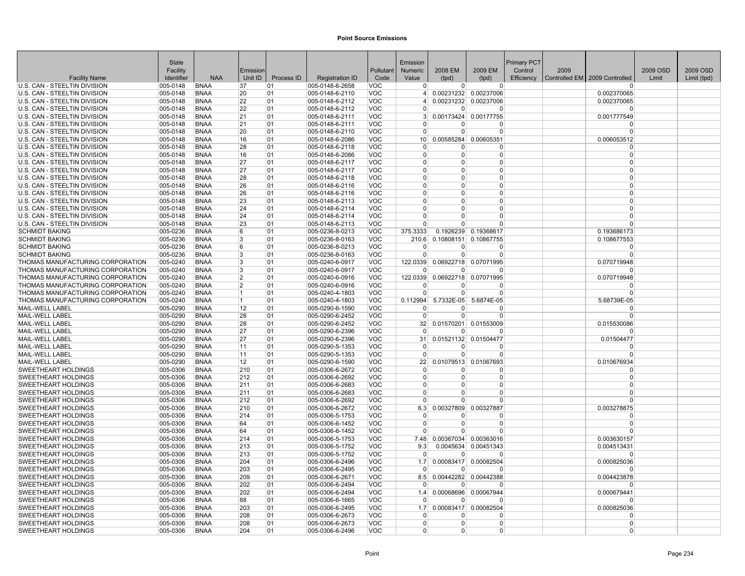|                                                              | <b>State</b>         |                            |                |            |                                    |                          | Emission             |                     |                       | <b>Primary PCT</b> |      |                                 |          |             |
|--------------------------------------------------------------|----------------------|----------------------------|----------------|------------|------------------------------------|--------------------------|----------------------|---------------------|-----------------------|--------------------|------|---------------------------------|----------|-------------|
|                                                              | Facility             |                            | Emission       |            |                                    | Pollutant                | Numeric              | 2008 EM             | 2009 EM               | Control            | 2009 |                                 | 2009 OSD | 2009 OSD    |
| <b>Facility Name</b>                                         | Identifier           | <b>NAA</b>                 | Unit ID        | Process ID | <b>Registration ID</b>             | Code                     | Value                | (tpd)               | (tpd)                 | Efficiency         |      | Controlled EM   2009 Controlled | Limit    | Limit (tpd) |
| U.S. CAN - STEELTIN DIVISION                                 | 005-0148             | <b>BNAA</b>                | 37             | 01         | 005-0148-6-2658                    | <b>VOC</b>               | $\Omega$             | 0                   | $\overline{0}$        |                    |      | $\Omega$                        |          |             |
| U.S. CAN - STEELTIN DIVISION                                 | 005-0148             | <b>BNAA</b>                | 20             | 01         | 005-0148-6-2110                    | <b>VOC</b>               | $\vert$              |                     | 0.00231232 0.00237006 |                    |      | 0.002370065                     |          |             |
| U.S. CAN - STEELTIN DIVISION                                 | 005-0148             | <b>BNAA</b>                | 22             | 01         | 005-0148-6-2112                    | <b>VOC</b>               |                      |                     | 0.00231232 0.00237006 |                    |      | 0.002370065                     |          |             |
| U.S. CAN - STEELTIN DIVISION                                 | 005-0148             | <b>BNAA</b>                | 22             | 01         | 005-0148-6-2112                    | <b>VOC</b>               | $\Omega$             | $\Omega$            | $\Omega$              |                    |      | $\Omega$                        |          |             |
| U.S. CAN - STEELTIN DIVISION                                 | 005-0148             | <b>BNAA</b>                | 21             | 01         | 005-0148-6-2111                    | <b>VOC</b>               | $\mathcal{B}$        | 0.00173424          | 0.00177755            |                    |      | 0.001777549                     |          |             |
| U.S. CAN - STEELTIN DIVISION                                 | 005-0148             | <b>BNAA</b>                | 21             | 01         | 005-0148-6-2111                    | <b>VOC</b>               | $\Omega$             | $\Omega$            | C                     |                    |      |                                 |          |             |
| U.S. CAN - STEELTIN DIVISION                                 | 005-0148             | <b>BNAA</b>                | 20             | 01         | 005-0148-6-2110                    | <b>VOC</b>               | $\Omega$             | $\Omega$            | $\Omega$              |                    |      | $\Omega$                        |          |             |
| U.S. CAN - STEELTIN DIVISION                                 | 005-0148             | <b>BNAA</b>                | 16             | 01         | 005-0148-6-2086                    | <b>VOC</b>               | 10 <sup>1</sup>      | 0.00585284          | 0.00605351            |                    |      | 0.006053512                     |          |             |
| U.S. CAN - STEELTIN DIVISION<br>U.S. CAN - STEELTIN DIVISION | 005-0148<br>005-0148 | <b>BNAA</b><br><b>BNAA</b> | 28<br>16       | 01<br>01   | 005-0148-6-2118<br>005-0148-6-2086 | <b>VOC</b><br><b>VOC</b> | $\Omega$<br>$\Omega$ | 0<br>$\overline{0}$ | 0<br>0                |                    |      | $\Omega$<br>$\Omega$            |          |             |
| U.S. CAN - STEELTIN DIVISION                                 | 005-0148             | <b>BNAA</b>                | 27             | 01         | 005-0148-6-2117                    | <b>VOC</b>               | $\Omega$             | $\Omega$            | $\Omega$              |                    |      | $\Omega$                        |          |             |
| U.S. CAN - STEELTIN DIVISION                                 | 005-0148             | <b>BNAA</b>                | 27             | 01         | 005-0148-6-2117                    | <b>VOC</b>               | $\Omega$             | $\Omega$            | O                     |                    |      | $\Omega$                        |          |             |
| U.S. CAN - STEELTIN DIVISION                                 | 005-0148             | <b>BNAA</b>                | 28             | 01         | 005-0148-6-2118                    | <b>VOC</b>               | $\Omega$             | <sup>0</sup>        | 0                     |                    |      | $\Omega$                        |          |             |
| U.S. CAN - STEELTIN DIVISION                                 | 005-0148             | <b>BNAA</b>                | 26             | 01         | 005-0148-6-2116                    | <b>VOC</b>               | $\Omega$             | $\Omega$            | $\Omega$              |                    |      | $\Omega$                        |          |             |
| U.S. CAN - STEELTIN DIVISION                                 | 005-0148             | <b>BNAA</b>                | 26             | 01         | 005-0148-6-2116                    | <b>VOC</b>               | $\Omega$             | $\Omega$            | $\Omega$              |                    |      | $\Omega$                        |          |             |
| U.S. CAN - STEELTIN DIVISION                                 | 005-0148             | <b>BNAA</b>                | 23             | 01         | 005-0148-6-2113                    | <b>VOC</b>               | $\Omega$             | $\Omega$            | $\Omega$              |                    |      | $\Omega$                        |          |             |
| U.S. CAN - STEELTIN DIVISION                                 | 005-0148             | <b>BNAA</b>                | 24             | 01         | 005-0148-6-2114                    | <b>VOC</b>               | $\Omega$             | $\Omega$            | $\Omega$              |                    |      | $\Omega$                        |          |             |
| U.S. CAN - STEELTIN DIVISION                                 | 005-0148             | <b>BNAA</b>                | 24             | 01         | 005-0148-6-2114                    | <b>VOC</b>               | $\Omega$             | $\Omega$            | 0                     |                    |      | $\Omega$                        |          |             |
| U.S. CAN - STEELTIN DIVISION                                 | 005-0148             | <b>BNAA</b>                | 23             | 01         | 005-0148-6-2113                    | <b>VOC</b>               | $\Omega$             | U                   | ŋ                     |                    |      | $\Omega$                        |          |             |
| <b>SCHMIDT BAKING</b>                                        | 005-0236             | <b>BNAA</b>                | 6              | 01         | 005-0236-8-0213                    | <b>VOC</b>               | 375.3333             | 0.1926239           | 0.19368617            |                    |      | 0.193686173                     |          |             |
| <b>SCHMIDT BAKING</b>                                        | 005-0236             | <b>BNAA</b>                | 3              | 01         | 005-0236-8-0163                    | <b>VOC</b>               | 210.6                |                     | 0.10808151 0.10867755 |                    |      | 0.108677553                     |          |             |
| <b>SCHMIDT BAKING</b>                                        | 005-0236             | <b>BNAA</b>                | 6              | 01         | 005-0236-8-0213                    | <b>VOC</b>               | $\Omega$             | $\Omega$            | $\Omega$              |                    |      | $\Omega$                        |          |             |
| <b>SCHMIDT BAKING</b>                                        | 005-0236             | <b>BNAA</b>                | 3              | 01         | 005-0236-8-0163                    | <b>VOC</b>               | $\Omega$             | $\overline{0}$      | $\Omega$              |                    |      | $\Omega$                        |          |             |
| THOMAS MANUFACTURING CORPORATION                             | 005-0240             | <b>BNAA</b>                | 3              | 01         | 005-0240-6-0917                    | <b>VOC</b>               | 122.0339             |                     | 0.06922718 0.07071995 |                    |      | 0.070719948                     |          |             |
| THOMAS MANUFACTURING CORPORATION                             | 005-0240             | <b>BNAA</b>                | 3              | 01         | 005-0240-6-0917                    | <b>VOC</b>               | $\Omega$             | $\Omega$            | $\Omega$              |                    |      | $\Omega$                        |          |             |
| THOMAS MANUFACTURING CORPORATION                             | 005-0240             | <b>BNAA</b>                | $\overline{2}$ | 01         | 005-0240-6-0916                    | <b>VOC</b>               | 122.0339             | 0.06922718          | 0.07071995            |                    |      | 0.070719948                     |          |             |
| THOMAS MANUFACTURING CORPORATION                             | 005-0240             | <b>BNAA</b>                | $\overline{2}$ | 01         | 005-0240-6-0916                    | <b>VOC</b>               | $\Omega$             | <sup>0</sup>        | $\Omega$              |                    |      | $\Omega$                        |          |             |
| THOMAS MANUFACTURING CORPORATION                             | 005-0240             | <b>BNAA</b>                | 11             | 01         | 005-0240-4-1803                    | <b>VOC</b>               | $\Omega$             | $\Omega$            | $\Omega$              |                    |      | $\Omega$                        |          |             |
| THOMAS MANUFACTURING CORPORATION                             | 005-0240             | <b>BNAA</b>                | $\overline{1}$ | 01         | 005-0240-4-1803                    | <b>VOC</b>               | 0.112994             | 5.7332E-05          | 5.6874E-05            |                    |      | 5.68739E-05                     |          |             |
| <b>MAIL-WELL LABEL</b>                                       | 005-0290             | <b>BNAA</b>                | 12             | 01         | 005-0290-6-1590                    | <b>VOC</b>               | $\Omega$             | U                   | O                     |                    |      | $\Omega$                        |          |             |
| MAIL-WELL LABEL                                              | 005-0290             | <b>BNAA</b>                | 28             | 01         | 005-0290-6-2452                    | <b>VOC</b>               | $\Omega$             | $\Omega$            | O                     |                    |      | $\Omega$                        |          |             |
| <b>MAIL-WELL LABEL</b>                                       | 005-0290             | <b>BNAA</b>                | 28             | 01         | 005-0290-6-2452                    | <b>VOC</b>               | 32 <sup>2</sup>      | 0.01570201          | 0.01553009            |                    |      | 0.015530086                     |          |             |
| <b>MAIL-WELL LABEL</b>                                       | 005-0290             | <b>BNAA</b>                | 27             | 01         | 005-0290-6-2396                    | <b>VOC</b>               | $\Omega$             | $\Omega$            | $\Omega$              |                    |      | $\Omega$                        |          |             |
| MAIL-WELL LABEL                                              | 005-0290             | <b>BNAA</b>                | 27             | 01         | 005-0290-6-2396                    | <b>VOC</b>               | 31                   | 0.01521132          | 0.01504477            |                    |      | 0.01504477                      |          |             |
| MAIL-WELL LABEL                                              | 005-0290             | <b>BNAA</b>                | 11             | 01         | 005-0290-5-1353                    | <b>VOC</b>               | $\Omega$             | <sup>0</sup>        | $\Omega$              |                    |      | $\Omega$                        |          |             |
| MAIL-WELL LABEL                                              | 005-0290             | <b>BNAA</b>                | 11             | 01         | 005-0290-5-1353                    | <b>VOC</b>               | $\Omega$             | $\Omega$            | $\Omega$              |                    |      | $\Omega$                        |          |             |
| MAIL-WELL LABEL                                              | 005-0290             | <b>BNAA</b>                | 12             | 01         | 005-0290-6-1590                    | <b>VOC</b>               | 22                   | 0.01079513          | 0.01067693            |                    |      | 0.010676934                     |          |             |
| SWEETHEART HOLDINGS<br>SWEETHEART HOLDINGS                   | 005-0306<br>005-0306 | <b>BNAA</b><br><b>BNAA</b> | 210<br>212     | 01<br> 01  | 005-0306-6-2672<br>005-0306-6-2692 | <b>VOC</b><br><b>VOC</b> | $\Omega$<br>$\Omega$ | 0<br>$\Omega$       | 0<br>$\Omega$         |                    |      | $\Omega$<br>$\Omega$            |          |             |
| <b>SWEETHEART HOLDINGS</b>                                   | 005-0306             | <b>BNAA</b>                | 211            | 01         | 005-0306-6-2683                    | <b>VOC</b>               | $\Omega$             | $\Omega$            | 0                     |                    |      | $\Omega$                        |          |             |
| SWEETHEART HOLDINGS                                          | 005-0306             | <b>BNAA</b>                | 211            | 01         | 005-0306-6-2683                    | <b>VOC</b>               | $\Omega$             | $\Omega$            | 0                     |                    |      | $\Omega$                        |          |             |
| SWEETHEART HOLDINGS                                          | 005-0306             | <b>BNAA</b>                | 212            | 01         | 005-0306-6-2692                    | <b>VOC</b>               | $\Omega$             | $\Omega$            | 0                     |                    |      |                                 |          |             |
| <b>SWEETHEART HOLDINGS</b>                                   | 005-0306             | <b>BNAA</b>                | 210            | 01         | 005-0306-6-2672                    | <b>VOC</b>               | 6.3                  | 0.00327809          | 0.00327887            |                    |      | 0.003278875                     |          |             |
| SWEETHEART HOLDINGS                                          | 005-0306             | <b>BNAA</b>                | 214            | 01         | 005-0306-5-1753                    | <b>VOC</b>               | $\Omega$             | $\Omega$            | $\Omega$              |                    |      | $\Omega$                        |          |             |
| SWEETHEART HOLDINGS                                          | 005-0306             | <b>BNAA</b>                | 64             | 01         | 005-0306-6-1452                    | <b>VOC</b>               | $\Omega$             | $\Omega$            | 0                     |                    |      | $\Omega$                        |          |             |
| <b>SWEETHEART HOLDINGS</b>                                   | 005-0306             | <b>BNAA</b>                | 64             | 01         | 005-0306-6-1452                    | <b>VOC</b>               | $\Omega$             | $\Omega$            | $\Omega$              |                    |      | $\Omega$                        |          |             |
| <b>SWEETHEART HOLDINGS</b>                                   | 005-0306             | <b>BNAA</b>                | 214            | 01         | 005-0306-5-1753                    | <b>VOC</b>               | 7.48                 |                     | 0.00367034 0.00363016 |                    |      | 0.003630157                     |          |             |
| SWEETHEART HOLDINGS                                          | 005-0306             | <b>BNAA</b>                | 213            | 01         | 005-0306-5-1752                    | <b>VOC</b>               | 9.3                  | 0.0045634           | 0.00451343            |                    |      | 0.004513431                     |          |             |
| SWEETHEART HOLDINGS                                          | 005-0306             | <b>BNAA</b>                | 213            | 01         | 005-0306-5-1752                    | <b>VOC</b>               | $\Omega$             | $\Omega$            | $\Omega$              |                    |      | $\Omega$                        |          |             |
| SWEETHEART HOLDINGS                                          | 005-0306             | <b>BNAA</b>                | 204            | 01         | 005-0306-6-2496                    | <b>VOC</b>               | 1.7                  |                     | 0.00083417 0.00082504 |                    |      | 0.000825036                     |          |             |
| <b>SWEETHEART HOLDINGS</b>                                   | 005-0306             | <b>BNAA</b>                | 203            | 01         | 005-0306-6-2495                    | <b>VOC</b>               | $\Omega$             | U                   | ŋ                     |                    |      |                                 |          |             |
| SWEETHEART HOLDINGS                                          | 005-0306             | <b>BNAA</b>                | 209            | 01         | 005-0306-6-2671                    | <b>VOC</b>               | 8.5                  |                     | 0.00442282 0.00442388 |                    |      | 0.004423878                     |          |             |
| SWEETHEART HOLDINGS                                          | 005-0306             | <b>BNAA</b>                | 202            | 01         | 005-0306-6-2494                    | <b>VOC</b>               | $\Omega$             | $\Omega$            | $\Omega$              |                    |      | $\Omega$                        |          |             |
| <b>SWEETHEART HOLDINGS</b>                                   | 005-0306             | <b>BNAA</b>                | 202            | 01         | 005-0306-6-2494                    | <b>VOC</b>               | 1.4                  | 0.00068696          | 0.00067944            |                    |      | 0.000679441                     |          |             |
| <b>SWEETHEART HOLDINGS</b>                                   | 005-0306             | <b>BNAA</b>                | 88             | 01         | 005-0306-6-1665                    | <b>VOC</b>               | $\Omega$             | $\Omega$            | $\Omega$              |                    |      | $\Omega$                        |          |             |
| SWEETHEART HOLDINGS                                          | 005-0306             | <b>BNAA</b>                | 203            | 01         | 005-0306-6-2495                    | <b>VOC</b>               | 1.7                  |                     | 0.00083417 0.00082504 |                    |      | 0.000825036                     |          |             |
| <b>SWEETHEART HOLDINGS</b>                                   | 005-0306             | <b>BNAA</b>                | 208            | 01         | 005-0306-6-2673                    | <b>VOC</b>               | $\Omega$             | <sup>0</sup>        | $\Omega$              |                    |      | $\Omega$                        |          |             |
| <b>SWEETHEART HOLDINGS</b>                                   | 005-0306             | <b>BNAA</b>                | 208            | 01         | 005-0306-6-2673                    | <b>VOC</b>               | $\Omega$             | $\Omega$            | 0                     |                    |      | $\Omega$                        |          |             |
| SWEETHEART HOLDINGS                                          | 005-0306             | <b>BNAA</b>                | 204            | 01         | 005-0306-6-2496                    | <b>VOC</b>               | $\overline{0}$       | $\Omega$            | 0                     |                    |      | $\Omega$                        |          |             |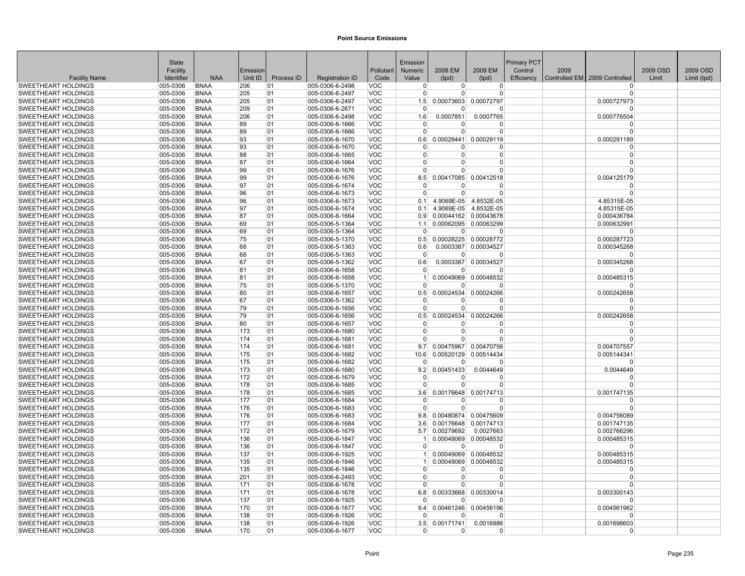|                                                          | State                |                            |            |            |                                    |                          | Emission        |                        |                        | Primary PCT |      |                               |          |             |
|----------------------------------------------------------|----------------------|----------------------------|------------|------------|------------------------------------|--------------------------|-----------------|------------------------|------------------------|-------------|------|-------------------------------|----------|-------------|
|                                                          | Facility             |                            | Emission   |            |                                    | Pollutant                | <b>Numeric</b>  | 2008 EM                | 2009 EM                | Control     | 2009 |                               | 2009 OSD | 2009 OSD    |
| <b>Facility Name</b>                                     | Identifier           | <b>NAA</b>                 | Unit ID    | Process ID | <b>Registration ID</b>             | Code                     | Value           | (tpd)                  | (tpd)                  | Efficiency  |      | Controlled EM 2009 Controlled | Limit    | Limit (tpd) |
| <b>SWEETHEART HOLDINGS</b>                               | 005-0306             | <b>BNAA</b>                | 206        | 01         | 005-0306-6-2498                    | VOC                      | $\overline{0}$  | $\overline{0}$         | $\overline{0}$         |             |      | <sup>0</sup>                  |          |             |
| <b>SWEETHEART HOLDINGS</b>                               | 005-0306             | <b>BNAA</b>                | 205        | 01         | 005-0306-6-2497                    | VOC                      | $\Omega$        | $\Omega$               | $\Omega$               |             |      | $\Omega$                      |          |             |
| <b>SWEETHEART HOLDINGS</b>                               | 005-0306             | <b>BNAA</b>                | 205        | 01         | 005-0306-6-2497                    | <b>VOC</b>               | 1.5             | 0.00073603             | 0.00072797             |             |      | 0.000727973                   |          |             |
| <b>SWEETHEART HOLDINGS</b>                               | 005-0306             | <b>BNAA</b>                | 209        | 01         | 005-0306-6-2671                    | <b>VOC</b>               | $\overline{0}$  | $\Omega$               | $\Omega$               |             |      | n                             |          |             |
| <b>SWEETHEART HOLDINGS</b>                               | 005-0306<br>005-0306 | <b>BNAA</b><br><b>BNAA</b> | 206<br>89  | 01<br>01   | 005-0306-6-2498                    | <b>VOC</b><br><b>VOC</b> | 1.6<br>0        | 0.0007851<br>0         | 0.0007765<br>0         |             |      | 0.000776504<br>$\Omega$       |          |             |
| SWEETHEART HOLDINGS<br><b>SWEETHEART HOLDINGS</b>        | 005-0306             | <b>BNAA</b>                | 89         | 01         | 005-0306-6-1666<br>005-0306-6-1666 | <b>VOC</b>               | $\Omega$        | $\Omega$               | $\Omega$               |             |      | $\Omega$                      |          |             |
| <b>SWEETHEART HOLDINGS</b>                               | 005-0306             | <b>BNAA</b>                | 93         | 01         | 005-0306-6-1670                    | <b>VOC</b>               | 0.6             | 0.00029441             | 0.00029119             |             |      | 0.000291189                   |          |             |
| <b>SWEETHEART HOLDINGS</b>                               | 005-0306             | <b>BNAA</b>                | 93         | 01         | 005-0306-6-1670                    | <b>VOC</b>               | $\Omega$        | U                      | $\Omega$               |             |      | $\Omega$                      |          |             |
| <b>SWEETHEART HOLDINGS</b>                               | 005-0306             | <b>BNAA</b>                | 88         | 01         | 005-0306-6-1665                    | <b>VOC</b>               | $\overline{0}$  | $\Omega$               | $\mathbf 0$            |             |      | $\mathbf 0$                   |          |             |
| <b>SWEETHEART HOLDINGS</b>                               | 005-0306             | <b>BNAA</b>                | 87         | 01         | 005-0306-6-1664                    | <b>VOC</b>               | $\Omega$        | $\Omega$               | $\Omega$               |             |      | $\Omega$                      |          |             |
| <b>SWEETHEART HOLDINGS</b>                               | 005-0306             | <b>BNAA</b>                | 99         | 01         | 005-0306-6-1676                    | <b>VOC</b>               | $\Omega$        | 0                      | $\Omega$               |             |      | $\Omega$                      |          |             |
| <b>SWEETHEART HOLDINGS</b>                               | 005-0306             | <b>BNAA</b>                | 99         | 01         | 005-0306-6-1676                    | <b>VOC</b>               | 8.5             |                        | 0.00417085 0.00412518  |             |      | 0.004125179                   |          |             |
| <b>SWEETHEART HOLDINGS</b>                               | 005-0306             | <b>BNAA</b>                | 97         | 01         | 005-0306-6-1674                    | <b>VOC</b>               | $\Omega$        | ŋ                      | $\Omega$               |             |      | $\Omega$                      |          |             |
| <b>SWEETHEART HOLDINGS</b>                               | 005-0306             | <b>BNAA</b>                | 96         | 01         | 005-0306-6-1673                    | <b>VOC</b>               | $\Omega$        | $\Omega$               | $\Omega$               |             |      | $\Omega$                      |          |             |
| <b>SWEETHEART HOLDINGS</b>                               | 005-0306             | <b>BNAA</b>                | 96         | 01         | 005-0306-6-1673                    | <b>VOC</b>               | 0.1             |                        | 4.9069E-05 4.8532E-05  |             |      | 4.85315E-05                   |          |             |
| SWEETHEART HOLDINGS                                      | 005-0306             | <b>BNAA</b>                | 97         | 01         | 005-0306-6-1674                    | <b>VOC</b>               | 0.1             |                        | 4.9069E-05 4.8532E-05  |             |      | 4.85315E-05                   |          |             |
| <b>SWEETHEART HOLDINGS</b>                               | 005-0306             | <b>BNAA</b>                | 87         | 01         | 005-0306-6-1664                    | <b>VOC</b>               | 0.9             |                        | 0.00044162 0.00043678  |             |      | 0.000436784                   |          |             |
| <b>SWEETHEART HOLDINGS</b>                               | 005-0306             | <b>BNAA</b>                | 69         | 01         | 005-0306-5-1364                    | <b>VOC</b>               | 1.1             |                        | 0.00062095 0.00063299  |             |      | 0.000632991                   |          |             |
| SWEETHEART HOLDINGS                                      | 005-0306             | <b>BNAA</b>                | 69         | 01         | 005-0306-5-1364                    | <b>VOC</b>               | $\mathbf 0$     | $\Omega$               | $\Omega$               |             |      | $\Omega$                      |          |             |
| <b>SWEETHEART HOLDINGS</b>                               | 005-0306             | <b>BNAA</b>                | 75         | 01         | 005-0306-5-1370                    | <b>VOC</b>               | 0.5             |                        | 0.00028225 0.00028772  |             |      | 0.000287723                   |          |             |
| <b>SWEETHEART HOLDINGS</b>                               | 005-0306             | <b>BNAA</b>                | 68         | 01         | 005-0306-5-1363                    | <b>VOC</b>               | 0.6             |                        | 0.0003387 0.00034527   |             |      | 0.000345268                   |          |             |
| <b>SWEETHEART HOLDINGS</b>                               | 005-0306             | <b>BNAA</b>                | 68         | 01         | 005-0306-5-1363                    | <b>VOC</b>               | $\Omega$        | $\Omega$               | $\Omega$               |             |      | $\Omega$                      |          |             |
| <b>SWEETHEART HOLDINGS</b>                               | 005-0306             | <b>BNAA</b>                | 67         | 01         | 005-0306-5-1362                    | <b>VOC</b>               | 0.6             |                        | 0.0003387 0.00034527   |             |      | 0.000345268                   |          |             |
| <b>SWEETHEART HOLDINGS</b>                               | 005-0306             | <b>BNAA</b>                | 81         | 01         | 005-0306-6-1658                    | <b>VOC</b>               | $\Omega$        | $\Omega$               | n                      |             |      | $\Omega$                      |          |             |
| <b>SWEETHEART HOLDINGS</b>                               | 005-0306             | <b>BNAA</b>                | 81         | 01         | 005-0306-6-1658                    | <b>VOC</b>               | 1               |                        | 0.00049069 0.00048532  |             |      | 0.000485315                   |          |             |
| SWEETHEART HOLDINGS                                      | 005-0306             | <b>BNAA</b>                | 75         | 01         | 005-0306-5-1370                    | <b>VOC</b>               | $\overline{0}$  | 0                      | $\Omega$               |             |      | - 0                           |          |             |
| <b>SWEETHEART HOLDINGS</b>                               | 005-0306             | <b>BNAA</b>                | 80         | 01         | 005-0306-6-1657                    | <b>VOC</b>               | 0.5             |                        | 0.00024534 0.00024266  |             |      | 0.000242658                   |          |             |
| <b>SWEETHEART HOLDINGS</b>                               | 005-0306             | <b>BNAA</b>                | 67         | 01         | 005-0306-5-1362                    | <b>VOC</b>               | $\Omega$        | $\overline{0}$         | $\Omega$               |             |      | $\Omega$                      |          |             |
| <b>SWEETHEART HOLDINGS</b><br><b>SWEETHEART HOLDINGS</b> | 005-0306<br>005-0306 | <b>BNAA</b><br><b>BNAA</b> | 79<br>79   | 01<br>01   | 005-0306-6-1656<br>005-0306-6-1656 | <b>VOC</b><br><b>VOC</b> | $\Omega$<br>0.5 | 0<br>0.00024534        | $\Omega$<br>0.00024266 |             |      | $\Omega$<br>0.000242658       |          |             |
| <b>SWEETHEART HOLDINGS</b>                               | 005-0306             | <b>BNAA</b>                | 80         | 01         | 005-0306-6-1657                    | <b>VOC</b>               | $\overline{0}$  | $\Omega$               | $\overline{0}$         |             |      | $\Omega$                      |          |             |
| <b>SWEETHEART HOLDINGS</b>                               | 005-0306             | <b>BNAA</b>                | 173        | 01         | 005-0306-6-1680                    | <b>VOC</b>               | $\overline{0}$  | $\Omega$               | $\Omega$               |             |      | $\Omega$                      |          |             |
| <b>SWEETHEART HOLDINGS</b>                               | 005-0306             | <b>BNAA</b>                | 174        | 01         | 005-0306-6-1681                    | <b>VOC</b>               | $\Omega$        | $\Omega$               | $\Omega$               |             |      | $\Omega$                      |          |             |
| <b>SWEETHEART HOLDINGS</b>                               | 005-0306             | <b>BNAA</b>                | 174        | 01         | 005-0306-6-1681                    | <b>VOC</b>               | 9.7             |                        | 0.00475967 0.00470756  |             |      | 0.004707557                   |          |             |
| <b>SWEETHEART HOLDINGS</b>                               | 005-0306             | <b>BNAA</b>                | 175        | 01         | 005-0306-6-1682                    | <b>VOC</b>               | 10.6            |                        | 0.00520129 0.00514434  |             |      | 0.005144341                   |          |             |
| <b>SWEETHEART HOLDINGS</b>                               | 005-0306             | <b>BNAA</b>                | 175        | 01         | 005-0306-6-1682                    | <b>VOC</b>               | $\Omega$        | $\Omega$               | $\Omega$               |             |      | $\Omega$                      |          |             |
| <b>SWEETHEART HOLDINGS</b>                               | 005-0306             | <b>BNAA</b>                | 173        | 01         | 005-0306-6-1680                    | <b>VOC</b>               | 9.2             | 0.00451433             | 0.0044649              |             |      | 0.0044649                     |          |             |
| <b>SWEETHEART HOLDINGS</b>                               | 005-0306             | <b>BNAA</b>                | 172        | 01         | 005-0306-6-1679                    | <b>VOC</b>               | $\Omega$        | $\Omega$               | $\Omega$               |             |      |                               |          |             |
| <b>SWEETHEART HOLDINGS</b>                               | 005-0306             | <b>BNAA</b>                | 178        | 01         | 005-0306-6-1685                    | <b>VOC</b>               | $\overline{0}$  | $\Omega$               | $\Omega$               |             |      | $\Omega$                      |          |             |
| <b>SWEETHEART HOLDINGS</b>                               | 005-0306             | <b>BNAA</b>                | 178        | 01         | 005-0306-6-1685                    | <b>VOC</b>               | 3.6             | 0.00176648             | 0.00174713             |             |      | 0.001747135                   |          |             |
| <b>SWEETHEART HOLDINGS</b>                               | 005-0306             | <b>BNAA</b>                | 177        | 01         | 005-0306-6-1684                    | <b>VOC</b>               | $\mathbf 0$     | U                      | $\Omega$               |             |      | $\Omega$                      |          |             |
| <b>SWEETHEART HOLDINGS</b>                               | 005-0306             | <b>BNAA</b>                | 176        | 01         | 005-0306-6-1683                    | <b>VOC</b>               | $\Omega$        | $\Omega$               | $\Omega$               |             |      | $\Omega$                      |          |             |
| <b>SWEETHEART HOLDINGS</b>                               | 005-0306             | <b>BNAA</b>                | 176        | 01         | 005-0306-6-1683                    | <b>VOC</b>               | 9.8             |                        | 0.00480874 0.00475609  |             |      | 0.004756089                   |          |             |
| SWEETHEART HOLDINGS                                      | 005-0306             | <b>BNAA</b>                | 177        | 01         | 005-0306-6-1684                    | <b>VOC</b>               | 3.6             | 0.00176648             | 0.00174713             |             |      | 0.001747135                   |          |             |
| SWEETHEART HOLDINGS                                      | 005-0306             | <b>BNAA</b>                | 172        | 01         | 005-0306-6-1679                    | <b>VOC</b>               | 5.7             | 0.00279692             | 0.0027663              |             |      | 0.002766296                   |          |             |
| <b>SWEETHEART HOLDINGS</b>                               | 005-0306             | <b>BNAA</b>                | 136        | 01         | 005-0306-6-1847                    | <b>VOC</b>               | $\mathbf{1}$    |                        | 0.00049069 0.00048532  |             |      | 0.000485315                   |          |             |
| SWEETHEART HOLDINGS                                      | 005-0306             | <b>BNAA</b>                | 136        | 01         | 005-0306-6-1847                    | <b>VOC</b>               | $\Omega$        | $\overline{0}$         | $\Omega$               |             |      | $\Omega$                      |          |             |
| <b>SWEETHEART HOLDINGS</b>                               | 005-0306             | <b>BNAA</b>                | 137        | 01         | 005-0306-6-1925                    | <b>VOC</b>               | $\vert$ 1<br>1  |                        | 0.00049069 0.00048532  |             |      | 0.000485315                   |          |             |
| <b>SWEETHEART HOLDINGS</b><br><b>SWEETHEART HOLDINGS</b> | 005-0306<br>005-0306 | <b>BNAA</b><br><b>BNAA</b> | 135<br>135 | 01<br>01   | 005-0306-6-1846<br>005-0306-6-1846 | <b>VOC</b><br><b>VOC</b> | $\overline{0}$  | 0.00049069<br>$\Omega$ | 0.00048532<br>$\Omega$ |             |      | 0.000485315<br>$\Omega$       |          |             |
| SWEETHEART HOLDINGS                                      | 005-0306             | <b>BNAA</b>                | 201        | 01         | 005-0306-6-2493                    | <b>VOC</b>               | $\Omega$        | $\Omega$               | $\Omega$               |             |      | $\Omega$                      |          |             |
| <b>SWEETHEART HOLDINGS</b>                               | 005-0306             | <b>BNAA</b>                | 171        | 01         | 005-0306-6-1678                    | <b>VOC</b>               | $\Omega$        | $\Omega$               | $\Omega$               |             |      | $\Omega$                      |          |             |
| <b>SWEETHEART HOLDINGS</b>                               | 005-0306             | <b>BNAA</b>                | 171        | 01         | 005-0306-6-1678                    | <b>VOC</b>               | 6.8             |                        | 0.00333668 0.00330014  |             |      | 0.003300143                   |          |             |
| <b>SWEETHEART HOLDINGS</b>                               | 005-0306             | <b>BNAA</b>                | 137        | 01         | 005-0306-6-1925                    | <b>VOC</b>               | $\Omega$        | <sup>0</sup>           | $\Omega$               |             |      | $\Omega$                      |          |             |
| SWEETHEART HOLDINGS                                      | 005-0306             | <b>BNAA</b>                | 170        | 01         | 005-0306-6-1677                    | <b>VOC</b>               | 9.4             |                        | 0.00461246 0.00456196  |             |      | 0.004561962                   |          |             |
| <b>SWEETHEART HOLDINGS</b>                               | 005-0306             | <b>BNAA</b>                | 138        | 01         | 005-0306-6-1926                    | <b>VOC</b>               | $\Omega$        | 0                      | $\Omega$               |             |      | $\Omega$                      |          |             |
| <b>SWEETHEART HOLDINGS</b>                               | 005-0306             | <b>BNAA</b>                | 138        | 01         | 005-0306-6-1926                    | <b>VOC</b>               | 3.5             | 0.00171741             | 0.0016986              |             |      | 0.001698603                   |          |             |
| <b>SWEETHEART HOLDINGS</b>                               | 005-0306             | <b>BNAA</b>                | 170        | 01         | 005-0306-6-1677                    | <b>VOC</b>               | $\overline{0}$  | $\Omega$               | $\Omega$               |             |      | $\Omega$                      |          |             |
|                                                          |                      |                            |            |            |                                    |                          |                 |                        |                        |             |      |                               |          |             |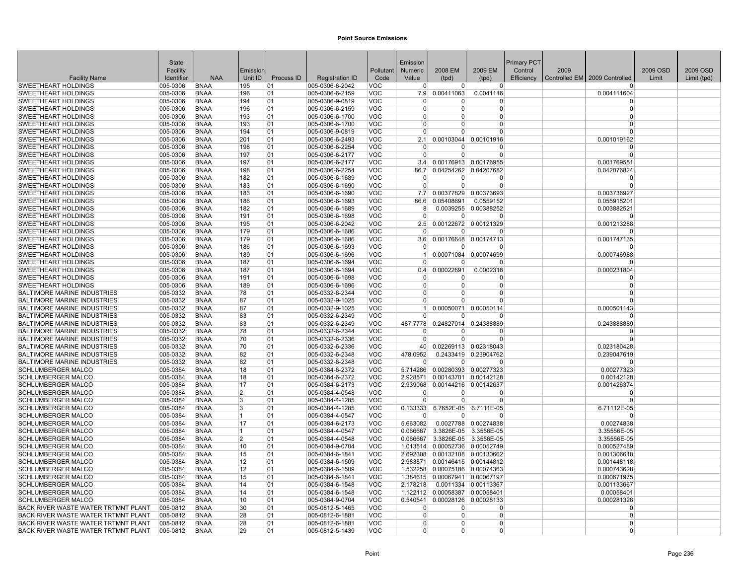|                                                          | State                |                            |                |            |                                    |                          | Emission             |                                |                       | Primary PCT |      |                               |          |             |
|----------------------------------------------------------|----------------------|----------------------------|----------------|------------|------------------------------------|--------------------------|----------------------|--------------------------------|-----------------------|-------------|------|-------------------------------|----------|-------------|
|                                                          | Facility             |                            | Emission       |            |                                    | Pollutant                | Numeric              | 2008 EM                        | 2009 EM               | Control     | 2009 |                               | 2009 OSD | 2009 OSD    |
| <b>Facility Name</b>                                     | Identifier           | <b>NAA</b>                 | Unit ID        | Process ID | <b>Registration ID</b>             | Code                     | Value                | (tpd)                          | (tpd)                 | Efficiency  |      | Controlled EM 2009 Controlled | Limit    | Limit (tpd) |
| <b>SWEETHEART HOLDINGS</b>                               | 005-0306             | <b>BNAA</b>                | 195            | 01         | 005-0306-6-2042                    | VOC                      | $\Omega$             | $\overline{0}$                 | $\overline{0}$        |             |      | <sup>0</sup>                  |          |             |
| <b>SWEETHEART HOLDINGS</b>                               | 005-0306             | <b>BNAA</b>                | 196            | 01         | 005-0306-6-2159                    | VOC                      | 7.9                  | 0.00411063                     | 0.0041116             |             |      | 0.004111604                   |          |             |
| <b>SWEETHEART HOLDINGS</b>                               | 005-0306             | <b>BNAA</b>                | 194            | 01         | 005-0306-9-0819                    | <b>VOC</b>               | $\Omega$             | 0                              | 0                     |             |      | $\Omega$                      |          |             |
| <b>SWEETHEART HOLDINGS</b>                               | 005-0306             | <b>BNAA</b>                | 196            | 01         | 005-0306-6-2159                    | <b>VOC</b>               | $\mathbf 0$          | $\Omega$                       | $\Omega$              |             |      | $\mathbf 0$<br>$\Omega$       |          |             |
| <b>SWEETHEART HOLDINGS</b>                               | 005-0306             | <b>BNAA</b><br><b>BNAA</b> | 193            | 01         | 005-0306-6-1700                    | <b>VOC</b><br><b>VOC</b> | $\Omega$<br>$\Omega$ | 0<br>U                         | $\Omega$              |             |      | $\Omega$                      |          |             |
| SWEETHEART HOLDINGS                                      | 005-0306             | <b>BNAA</b>                | 193            | 01         | 005-0306-6-1700                    |                          | $\Omega$             | U                              | $\Omega$<br>$\Omega$  |             |      | $\Omega$                      |          |             |
| <b>SWEETHEART HOLDINGS</b><br><b>SWEETHEART HOLDINGS</b> | 005-0306<br>005-0306 | <b>BNAA</b>                | 194<br>201     | 01<br>01   | 005-0306-9-0819<br>005-0306-6-2493 | <b>VOC</b><br><b>VOC</b> | 2.1                  | 0.00103044                     | 0.00101916            |             |      | 0.001019162                   |          |             |
| <b>SWEETHEART HOLDINGS</b>                               | 005-0306             | <b>BNAA</b>                | 198            | 01         | 005-0306-6-2254                    | <b>VOC</b>               | $\Omega$             | U                              | $\Omega$              |             |      | $\Omega$                      |          |             |
| <b>SWEETHEART HOLDINGS</b>                               | 005-0306             | <b>BNAA</b>                | 197            | 01         | 005-0306-6-2177                    | <b>VOC</b>               | $\overline{0}$       | $\Omega$                       | $\Omega$              |             |      | $\Omega$                      |          |             |
| <b>SWEETHEART HOLDINGS</b>                               | 005-0306             | <b>BNAA</b>                | 197            | 01         | 005-0306-6-2177                    | <b>VOC</b>               | 3.4                  |                                | 0.00176913 0.00176955 |             |      | 0.001769551                   |          |             |
| <b>SWEETHEART HOLDINGS</b>                               | 005-0306             | <b>BNAA</b>                | 198            | 01         | 005-0306-6-2254                    | <b>VOC</b>               | 86.7                 |                                | 0.04254262 0.04207682 |             |      | 0.042076824                   |          |             |
| <b>SWEETHEART HOLDINGS</b>                               | 005-0306             | <b>BNAA</b>                | 182            | 01         | 005-0306-6-1689                    | <b>VOC</b>               | $\Omega$             | 0                              | 0                     |             |      | $\Omega$                      |          |             |
| <b>SWEETHEART HOLDINGS</b>                               | 005-0306             | <b>BNAA</b>                | 183            | 01         | 005-0306-6-1690                    | <b>VOC</b>               | $\Omega$             | $\Omega$                       | $\Omega$              |             |      | $\Omega$                      |          |             |
| <b>SWEETHEART HOLDINGS</b>                               | 005-0306             | <b>BNAA</b>                | 183            | 01         | 005-0306-6-1690                    | <b>VOC</b>               | 7.7                  |                                | 0.00377829 0.00373693 |             |      | 0.003736927                   |          |             |
| <b>SWEETHEART HOLDINGS</b>                               | 005-0306             | <b>BNAA</b>                | 186            | 01         | 005-0306-6-1693                    | <b>VOC</b>               | 86.6                 | 0.05408691                     | 0.0559152             |             |      | 0.055915201                   |          |             |
| SWEETHEART HOLDINGS                                      | 005-0306             | <b>BNAA</b>                | 182            | 01         | 005-0306-6-1689                    | <b>VOC</b>               | 8                    | 0.0039255                      | 0.00388252            |             |      | 0.003882521                   |          |             |
| <b>SWEETHEART HOLDINGS</b>                               | 005-0306             | <b>BNAA</b>                | 191            | 01         | 005-0306-6-1698                    | <b>VOC</b>               | $\Omega$             | $\Omega$                       | $\Omega$              |             |      | $\Omega$                      |          |             |
| <b>SWEETHEART HOLDINGS</b>                               | 005-0306             | <b>BNAA</b>                | 195            | 01         | 005-0306-6-2042                    | <b>VOC</b>               | 2.5                  |                                | 0.00122672 0.00121329 |             |      | 0.001213288                   |          |             |
| SWEETHEART HOLDINGS                                      | 005-0306             | <b>BNAA</b>                | 179            | 01         | 005-0306-6-1686                    | <b>VOC</b>               | $\mathbf 0$          | 0                              | $\Omega$              |             |      | $\Omega$                      |          |             |
| <b>SWEETHEART HOLDINGS</b>                               | 005-0306             | <b>BNAA</b>                | 179            | 01         | 005-0306-6-1686                    | <b>VOC</b>               | 3.6                  |                                | 0.00176648 0.00174713 |             |      | 0.001747135                   |          |             |
| <b>SWEETHEART HOLDINGS</b>                               | 005-0306             | <b>BNAA</b>                | 186            | 01         | 005-0306-6-1693                    | <b>VOC</b>               | $\Omega$             | $\Omega$                       | $\Omega$              |             |      | $\Omega$                      |          |             |
| SWEETHEART HOLDINGS                                      | 005-0306             | <b>BNAA</b>                | 189            | 01         | 005-0306-6-1696                    | <b>VOC</b>               | 1 <sup>1</sup>       |                                | 0.00071084 0.00074699 |             |      | 0.000746988                   |          |             |
| <b>SWEETHEART HOLDINGS</b>                               | 005-0306             | <b>BNAA</b>                | 187            | 01         | 005-0306-6-1694                    | <b>VOC</b>               | $\Omega$             | U                              | $\Omega$              |             |      | n                             |          |             |
| <b>SWEETHEART HOLDINGS</b>                               | 005-0306             | <b>BNAA</b>                | 187            | 01         | 005-0306-6-1694                    | <b>VOC</b>               | 0.4                  | 0.00022691                     | 0.0002318             |             |      | 0.000231804                   |          |             |
| <b>SWEETHEART HOLDINGS</b>                               | 005-0306             | <b>BNAA</b>                | 191            | 01         | 005-0306-6-1698                    | <b>VOC</b>               | $\Omega$             | <sup>0</sup>                   | $\Omega$              |             |      | $\Omega$                      |          |             |
| SWEETHEART HOLDINGS                                      | 005-0306             | <b>BNAA</b>                | 189            | 01         | 005-0306-6-1696                    | <b>VOC</b>               | 0                    | $\Omega$                       | $\overline{0}$        |             |      | 0                             |          |             |
| <b>BALTIMORE MARINE INDUSTRIES</b>                       | 005-0332             | <b>BNAA</b>                | 78             | 01         | 005-0332-6-2344                    | <b>VOC</b>               | $\Omega$             | $\Omega$                       | $\Omega$              |             |      | $\Omega$                      |          |             |
| <b>BALTIMORE MARINE INDUSTRIES</b>                       | 005-0332             | <b>BNAA</b>                | 87             | 01         | 005-0332-9-1025                    | <b>VOC</b>               | $\Omega$             | 0                              | $\Omega$              |             |      | $\Omega$                      |          |             |
| <b>BALTIMORE MARINE INDUSTRIES</b>                       | 005-0332             | <b>BNAA</b>                | 87             | 01         | 005-0332-9-1025                    | <b>VOC</b>               | 1 <sup>1</sup>       | 0.00050071                     | 0.00050114            |             |      | 0.000501143                   |          |             |
| <b>BALTIMORE MARINE INDUSTRIES</b>                       | 005-0332             | <b>BNAA</b>                | 83             | 01         | 005-0332-6-2349                    | <b>VOC</b>               | $\Omega$             | $\Omega$                       | $\Omega$              |             |      | $\Omega$                      |          |             |
| <b>BALTIMORE MARINE INDUSTRIES</b>                       | 005-0332             | <b>BNAA</b>                | 83             | 01         | 005-0332-6-2349                    | <b>VOC</b>               | 487.7778             |                                | 0.24827014 0.24388889 |             |      | 0.243888889                   |          |             |
| <b>BALTIMORE MARINE INDUSTRIES</b>                       | 005-0332             | <b>BNAA</b>                | 78             | 01         | 005-0332-6-2344                    | <b>VOC</b>               | $\Omega$             | $\Omega$                       | $\Omega$              |             |      | $\Omega$                      |          |             |
| <b>BALTIMORE MARINE INDUSTRIES</b>                       | 005-0332             | <b>BNAA</b>                | 70             | 01         | 005-0332-6-2336                    | <b>VOC</b>               | $\Omega$             | $\Omega$                       | $\Omega$              |             |      | $\Omega$                      |          |             |
| <b>BALTIMORE MARINE INDUSTRIES</b>                       | 005-0332             | <b>BNAA</b>                | 70             | 01         | 005-0332-6-2336                    | <b>VOC</b>               | 40 <sup>1</sup>      | 0.02269113 0.02318043          |                       |             |      | 0.023180428                   |          |             |
| <b>BALTIMORE MARINE INDUSTRIES</b>                       | 005-0332             | <b>BNAA</b>                | 82             | 01         | 005-0332-6-2348                    | <b>VOC</b>               | 478.0952             |                                | 0.2433419 0.23904762  |             |      | 0.239047619                   |          |             |
| <b>BALTIMORE MARINE INDUSTRIES</b>                       | 005-0332             | <b>BNAA</b>                | 82             | 01         | 005-0332-6-2348                    | <b>VOC</b>               | $\Omega$             | $\Omega$                       | $\Omega$              |             |      | $\Omega$                      |          |             |
| <b>SCHLUMBERGER MALCO</b>                                | 005-0384             | <b>BNAA</b>                | 18             | 01         | 005-0384-6-2372                    | <b>VOC</b>               | 5.714286             |                                | 0.00280393 0.00277323 |             |      | 0.00277323                    |          |             |
| <b>SCHLUMBERGER MALCO</b>                                | 005-0384             | <b>BNAA</b>                | 18             | 01         | 005-0384-6-2372                    | <b>VOC</b>               | 2.928571             | 0.00143701 0.00142128          |                       |             |      | 0.00142128                    |          |             |
| <b>SCHLUMBERGER MALCO</b>                                | 005-0384             | <b>BNAA</b>                | 17             | 01         | 005-0384-6-2173                    | <b>VOC</b><br><b>VOC</b> | 2.939068<br>0        | 0.00144216 0.00142637<br>0     | 0                     |             |      | 0.001426374<br>$\Omega$       |          |             |
| <b>SCHLUMBERGER MALCO</b><br><b>SCHLUMBERGER MALCO</b>   | 005-0384<br>005-0384 | <b>BNAA</b><br><b>BNAA</b> | 2<br>3         | 01<br>01   | 005-0384-4-0548<br>005-0384-4-1285 | <b>VOC</b>               | $\Omega$             | 0                              | $\Omega$              |             |      | $\Omega$                      |          |             |
| <b>SCHLUMBERGER MALCO</b>                                | 005-0384             | <b>BNAA</b>                | 3              | 01         | 005-0384-4-1285                    | <b>VOC</b>               | 0.133333             | 6.7652E-05                     | 6.7111E-05            |             |      | 6.71112E-05                   |          |             |
| <b>SCHLUMBERGER MALCO</b>                                | 005-0384             | <b>BNAA</b>                | 11             | 01         | 005-0384-4-0547                    | <b>VOC</b>               | $\Omega$             | $\Omega$                       | $\Omega$              |             |      | $\Omega$                      |          |             |
| SCHLUMBERGER MALCO                                       | 005-0384             | <b>BNAA</b>                | 17             | 01         | 005-0384-6-2173                    | <b>VOC</b>               | 5.663082             |                                | 0.0027788 0.00274838  |             |      | 0.00274838                    |          |             |
| <b>SCHLUMBERGER MALCO</b>                                | 005-0384             | <b>BNAA</b>                | 11             | 01         | 005-0384-4-0547                    | <b>VOC</b>               | 0.066667             | 3.3826E-05                     | 3.3556E-05            |             |      | 3.35556E-05                   |          |             |
| <b>SCHLUMBERGER MALCO</b>                                | 005-0384             | <b>BNAA</b>                | $\overline{2}$ | 01         | 005-0384-4-0548                    | <b>VOC</b>               | 0.066667             | 3.3826E-05                     | 3.3556E-05            |             |      | 3.35556E-05                   |          |             |
| <b>SCHLUMBERGER MALCO</b>                                | 005-0384             | <b>BNAA</b>                | 10             | 01         | 005-0384-9-0704                    | <b>VOC</b>               | 1.013514             | 0.00052736                     | 0.00052749            |             |      | 0.000527489                   |          |             |
| <b>SCHLUMBERGER MALCO</b>                                | 005-0384             | <b>BNAA</b>                | 15             | 01         | 005-0384-6-1841                    | <b>VOC</b>               |                      | 2.692308 0.00132108 0.00130662 |                       |             |      | 0.001306618                   |          |             |
| <b>SCHLUMBERGER MALCO</b>                                | 005-0384             | <b>BNAA</b>                | 12             | 01         | 005-0384-6-1509                    | <b>VOC</b>               | 2.983871             | 0.00146415 0.00144812          |                       |             |      | 0.001448118                   |          |             |
| <b>SCHLUMBERGER MALCO</b>                                | 005-0384             | <b>BNAA</b>                | 12             | 01         | 005-0384-6-1509                    | <b>VOC</b>               | 1.532258             | 0.00075186 0.00074363          |                       |             |      | 0.000743628                   |          |             |
| <b>SCHLUMBERGER MALCO</b>                                | 005-0384             | <b>BNAA</b>                | 15             | 01         | 005-0384-6-1841                    | <b>VOC</b>               |                      | 1.384615 0.00067941 0.00067197 |                       |             |      | 0.000671975                   |          |             |
| <b>SCHLUMBERGER MALCO</b>                                | 005-0384             | <b>BNAA</b>                | 14             | 01         | 005-0384-6-1548                    | <b>VOC</b>               | 2.178218             |                                | 0.0011334 0.00113367  |             |      | 0.001133667                   |          |             |
| <b>SCHLUMBERGER MALCO</b>                                | 005-0384             | <b>BNAA</b>                | 14             | 01         | 005-0384-6-1548                    | <b>VOC</b>               | 1.122112             | 0.00058387 0.00058401          |                       |             |      | 0.00058401                    |          |             |
| <b>SCHLUMBERGER MALCO</b>                                | 005-0384             | <b>BNAA</b>                | 10             | 01         | 005-0384-9-0704                    | <b>VOC</b>               | 0.540541             | 0.00028126                     | 0.00028133            |             |      | 0.000281328                   |          |             |
| <b>BACK RIVER WASTE WATER TRTMNT PLANT</b>               | 005-0812             | <b>BNAA</b>                | 30             | 01         | 005-0812-5-1465                    | <b>VOC</b>               | $\Omega$             | 0                              | $\Omega$              |             |      | $\Omega$                      |          |             |
| <b>BACK RIVER WASTE WATER TRTMNT PLANT</b>               | 005-0812             | <b>BNAA</b>                | 28             | 01         | 005-0812-6-1881                    | <b>VOC</b>               | $\overline{0}$       | $\Omega$                       | $\Omega$              |             |      | $\Omega$                      |          |             |
| <b>BACK RIVER WASTE WATER TRTMNT PLANT</b>               | 005-0812             | <b>BNAA</b>                | 28             | 01         | 005-0812-6-1881                    | <b>VOC</b>               | $\Omega$             | 0                              | $\Omega$              |             |      | $\Omega$                      |          |             |
| <b>BACK RIVER WASTE WATER TRTMNT PLANT</b>               | 005-0812             | <b>BNAA</b>                | 29             | 01         | 005-0812-5-1439                    | <b>VOC</b>               | $\overline{0}$       | 0                              | $\Omega$              |             |      | $\Omega$                      |          |             |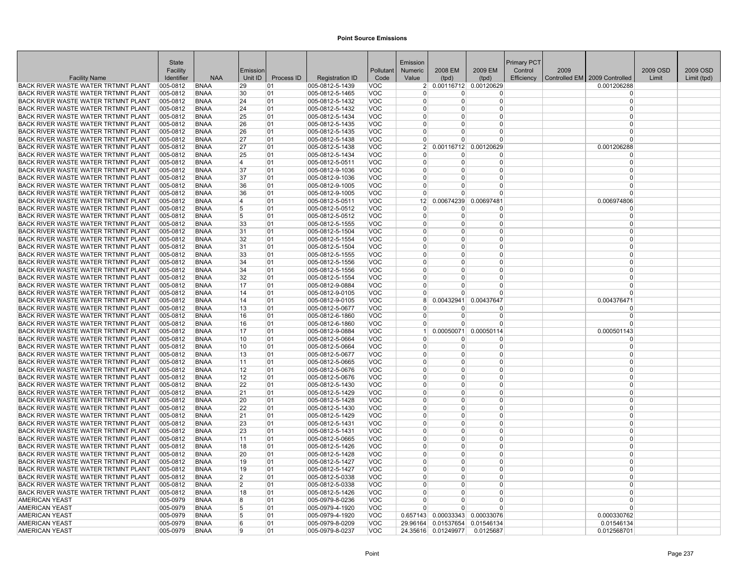|                                                                                   | <b>State</b>         |                            |                |            |                                    |                          | Emission                   |               |                                                | Primary PCT |      |                                 |          |             |
|-----------------------------------------------------------------------------------|----------------------|----------------------------|----------------|------------|------------------------------------|--------------------------|----------------------------|---------------|------------------------------------------------|-------------|------|---------------------------------|----------|-------------|
|                                                                                   | Facility             |                            | Emission       |            |                                    | Pollutant                | <b>Numeric</b>             | 2008 EM       | 2009 EM                                        | Control     | 2009 |                                 | 2009 OSD | 2009 OSD    |
| <b>Facility Name</b>                                                              | Identifier           | <b>NAA</b>                 | Unit ID        | Process ID | <b>Registration ID</b>             | Code                     | Value                      | (tpd)         | (tpd)                                          | Efficiency  |      | Controlled EM   2009 Controlled | Limit    | Limit (tpd) |
| BACK RIVER WASTE WATER TRTMNT PLANT                                               | 005-0812             | <b>BNAA</b>                | 29             | 01         | 005-0812-5-1439                    | <b>VOC</b>               |                            |               | 2 0.00116712 0.00120629                        |             |      | 0.001206288                     |          |             |
| <b>BACK RIVER WASTE WATER TRTMNT PLANT</b>                                        | 005-0812             | <b>BNAA</b>                | 30             | 01         | 005-0812-5-1465                    | <b>VOC</b>               | $\Omega$                   | 0             | $\Omega$                                       |             |      | $\Omega$                        |          |             |
| BACK RIVER WASTE WATER TRTMNT PLANT                                               | 005-0812             | <b>BNAA</b>                | 24             | 01         | 005-0812-5-1432                    | <b>VOC</b>               | $\Omega$                   | $\Omega$      | 0                                              |             |      | $\Omega$                        |          |             |
| BACK RIVER WASTE WATER TRTMNT PLANT                                               | 005-0812             | <b>BNAA</b>                | 24             | 01         | 005-0812-5-1432                    | <b>VOC</b>               | $\overline{0}$             | $\Omega$      | $\overline{0}$                                 |             |      | $\Omega$                        |          |             |
| BACK RIVER WASTE WATER TRTMNT PLANT                                               | 005-0812             | <b>BNAA</b>                | 25             | 01         | 005-0812-5-1434                    | <b>VOC</b>               | $\Omega$                   | $\Omega$      | $\Omega$                                       |             |      | $\Omega$                        |          |             |
| BACK RIVER WASTE WATER TRTMNT PLANT                                               | 005-0812             | <b>BNAA</b>                | 26             | 01         | 005-0812-5-1435                    | VOC                      | $\Omega$                   | 0             | $\Omega$                                       |             |      | $\Omega$                        |          |             |
| BACK RIVER WASTE WATER TRTMNT PLANT                                               | 005-0812             | <b>BNAA</b>                | 26             | 01         | 005-0812-5-1435                    | <b>VOC</b>               | $\overline{0}$             | 0             | 0                                              |             |      | $\Omega$                        |          |             |
| BACK RIVER WASTE WATER TRTMNT PLANT                                               | 005-0812             | <b>BNAA</b>                | 27             | 01         | 005-0812-5-1438                    | <b>VOC</b>               | $\Omega$                   | $\Omega$      | $\Omega$                                       |             |      | $\Omega$                        |          |             |
| BACK RIVER WASTE WATER TRTMNT PLANT                                               | 005-0812             | <b>BNAA</b>                | 27             | 01         | 005-0812-5-1438                    | <b>VOC</b>               | 2 <sup>1</sup>             |               | 0.00116712 0.00120629                          |             |      | 0.001206288                     |          |             |
| BACK RIVER WASTE WATER TRTMNT PLANT                                               | 005-0812             | <b>BNAA</b>                | 25             | 101        | 005-0812-5-1434                    | <b>VOC</b>               | $\overline{0}$<br>$\Omega$ | 0<br>$\Omega$ | $\Omega$                                       |             |      | $\Omega$<br>$\Omega$            |          |             |
| BACK RIVER WASTE WATER TRTMNT PLANT                                               | 005-0812             | <b>BNAA</b>                | $\overline{4}$ | 01         | 005-0812-5-0511                    | VOC                      | $\Omega$                   |               | $\overline{0}$                                 |             |      | $\Omega$                        |          |             |
| BACK RIVER WASTE WATER TRTMNT PLANT                                               | 005-0812             | <b>BNAA</b>                | 37             | 01         | 005-0812-9-1036                    | <b>VOC</b>               | $\Omega$                   | $\Omega$<br>0 | $\Omega$                                       |             |      | $\Omega$                        |          |             |
| <b>BACK RIVER WASTE WATER TRTMNT PLANT</b><br>BACK RIVER WASTE WATER TRTMNT PLANT | 005-0812<br>005-0812 | <b>BNAA</b><br><b>BNAA</b> | 37             | 01         | 005-0812-9-1036                    | <b>VOC</b><br><b>VOC</b> | $\Omega$                   | 0             | 0<br>0                                         |             |      | $\Omega$                        |          |             |
| BACK RIVER WASTE WATER TRTMNT PLANT                                               | 005-0812             | <b>BNAA</b>                | 36<br>36       | 01<br>01   | 005-0812-9-1005<br>005-0812-9-1005 | <b>VOC</b>               | $\Omega$                   | $\Omega$      | $\overline{0}$                                 |             |      | $\Omega$                        |          |             |
| BACK RIVER WASTE WATER TRTMNT PLANT                                               | 005-0812             | <b>BNAA</b>                | $\overline{4}$ | 01         | 005-0812-5-0511                    | <b>VOC</b>               | 12 <sup>2</sup>            | 0.00674239    | 0.00697481                                     |             |      | 0.006974806                     |          |             |
| BACK RIVER WASTE WATER TRTMNT PLANT                                               | 005-0812             | <b>BNAA</b>                | 5              | 01         | 005-0812-5-0512                    | <b>VOC</b>               | $\Omega$                   | 0             | $\Omega$                                       |             |      | $\Omega$                        |          |             |
| BACK RIVER WASTE WATER TRTMNT PLANT                                               | 005-0812             | <b>BNAA</b>                | 5              | 01         | 005-0812-5-0512                    | <b>VOC</b>               | $\overline{0}$             | $\Omega$      | 0                                              |             |      | $\Omega$                        |          |             |
| BACK RIVER WASTE WATER TRTMNT PLANT                                               | 005-0812             | <b>BNAA</b>                | 33             | 01         | 005-0812-5-1555                    | VOC                      | $\Omega$                   | $\Omega$      | $\Omega$                                       |             |      | $\Omega$                        |          |             |
| BACK RIVER WASTE WATER TRTMNT PLANT                                               | 005-0812             | <b>BNAA</b>                | 31             | 01         | 005-0812-5-1504                    | <b>VOC</b>               | $\Omega$                   | 0             | $\Omega$                                       |             |      | $\Omega$                        |          |             |
| BACK RIVER WASTE WATER TRTMNT PLANT                                               | 005-0812             | <b>BNAA</b>                | 32             | 01         | 005-0812-5-1554                    | <b>VOC</b>               | $\overline{0}$             | $\Omega$      | $\overline{0}$                                 |             |      | $\Omega$                        |          |             |
| BACK RIVER WASTE WATER TRTMNT PLANT                                               | 005-0812             | <b>BNAA</b>                | 31             | 01         | 005-0812-5-1504                    | VOC                      | $\Omega$                   | $\Omega$      | $\Omega$                                       |             |      | $\Omega$                        |          |             |
| BACK RIVER WASTE WATER TRTMNT PLANT                                               | 005-0812             | <b>BNAA</b>                | 33             | 01         | 005-0812-5-1555                    | <b>VOC</b>               | $\Omega$                   | 0             | $\Omega$                                       |             |      | $\Omega$                        |          |             |
| BACK RIVER WASTE WATER TRTMNT PLANT                                               | 005-0812             | <b>BNAA</b>                | 34             | 01         | 005-0812-5-1556                    | <b>VOC</b>               | $\overline{0}$             | $\Omega$      | 0                                              |             |      | $\Omega$                        |          |             |
| BACK RIVER WASTE WATER TRTMNT PLANT                                               | 005-0812             | <b>BNAA</b>                | 34             | 01         | 005-0812-5-1556                    | <b>VOC</b>               | $\mathbf 0$                | $\Omega$      | $\Omega$                                       |             |      | $\Omega$                        |          |             |
| <b>BACK RIVER WASTE WATER TRTMNT PLANT</b>                                        | 005-0812             | <b>BNAA</b>                | 32             | 01         | 005-0812-5-1554                    | <b>VOC</b>               | $\Omega$                   | $\Omega$      | $\overline{0}$                                 |             |      | $\Omega$                        |          |             |
| BACK RIVER WASTE WATER TRTMNT PLANT                                               | 005-0812             | <b>BNAA</b>                | 17             | 01         | 005-0812-9-0884                    | <b>VOC</b>               | $\overline{0}$             | $\Omega$      | $\overline{0}$                                 |             |      | $\Omega$                        |          |             |
| BACK RIVER WASTE WATER TRTMNT PLANT                                               | 005-0812             | <b>BNAA</b>                | 14             | 01         | 005-0812-9-0105                    | <b>VOC</b>               | $\overline{0}$             | $\Omega$      | 0                                              |             |      | $\Omega$                        |          |             |
| BACK RIVER WASTE WATER TRTMNT PLANT                                               | 005-0812             | <b>BNAA</b>                | 14             | 01         | 005-0812-9-0105                    | <b>VOC</b>               | 8 <sup>1</sup>             |               | 0.00432941 0.00437647                          |             |      | 0.004376471                     |          |             |
| BACK RIVER WASTE WATER TRTMNT PLANT                                               | 005-0812             | <b>BNAA</b>                | 13             | 01         | 005-0812-5-0677                    | VOC                      | $\Omega$                   | U             | $\Omega$                                       |             |      | $\Omega$                        |          |             |
| BACK RIVER WASTE WATER TRTMNT PLANT                                               | 005-0812             | <b>BNAA</b>                | 16             | 101        | 005-0812-6-1860                    | <b>VOC</b>               | $\mathbf 0$                | 0             | 0                                              |             |      | $\Omega$                        |          |             |
| <b>BACK RIVER WASTE WATER TRTMNT PLANT</b>                                        | 005-0812             | <b>BNAA</b>                | 16             | 01         | 005-0812-6-1860                    | <b>VOC</b>               | $\Omega$                   | $\Omega$      | $\overline{0}$                                 |             |      | $\Omega$                        |          |             |
| BACK RIVER WASTE WATER TRTMNT PLANT                                               | 005-0812             | <b>BNAA</b>                | 17             | 01         | 005-0812-9-0884                    | <b>VOC</b>               | 1 <sup>1</sup>             | 0.00050071    | 0.00050114                                     |             |      | 0.000501143                     |          |             |
| BACK RIVER WASTE WATER TRTMNT PLANT                                               | 005-0812             | <b>BNAA</b>                | 10             | 01         | 005-0812-5-0664                    | <b>VOC</b>               | $\Omega$                   | $\Omega$      | $\Omega$                                       |             |      | $\Omega$                        |          |             |
| BACK RIVER WASTE WATER TRTMNT PLANT                                               | 005-0812             | <b>BNAA</b>                | 10             | 01         | 005-0812-5-0664                    | <b>VOC</b>               | $\overline{0}$             | $\Omega$      | 0                                              |             |      | $\Omega$                        |          |             |
| BACK RIVER WASTE WATER TRTMNT PLANT                                               | 005-0812             | <b>BNAA</b>                | 13             | 01         | 005-0812-5-0677                    | <b>VOC</b>               | $\Omega$                   | $\Omega$      | $\Omega$                                       |             |      | $\Omega$                        |          |             |
| BACK RIVER WASTE WATER TRTMNT PLANT                                               | 005-0812             | <b>BNAA</b>                | 11             | 01         | 005-0812-5-0665                    | <b>VOC</b>               | $\Omega$                   | 0             | 0                                              |             |      | $\Omega$                        |          |             |
| BACK RIVER WASTE WATER TRTMNT PLANT                                               | 005-0812             | <b>BNAA</b>                | 12             | 01         | 005-0812-5-0676                    | <b>VOC</b>               | $\overline{0}$             | $\Omega$      | $\overline{0}$                                 |             |      | $\Omega$                        |          |             |
| BACK RIVER WASTE WATER TRTMNT PLANT                                               | $ 005 - 0812 $       | <b>BNAA</b>                | 12             | 01         | 005-0812-5-0676                    | <b>VOC</b>               | $\Omega$                   | $\Omega$      | $\Omega$                                       |             |      | $\Omega$                        |          |             |
| BACK RIVER WASTE WATER TRTMNT PLANT                                               | 005-0812             | <b>BNAA</b>                | 22             | 01         | 005-0812-5-1430                    | VOC                      | $\Omega$                   | 0             | $\Omega$                                       |             |      | $\Omega$                        |          |             |
| BACK RIVER WASTE WATER TRTMNT PLANT                                               | 005-0812             | <b>BNAA</b>                | 21             | 01         | 005-0812-5-1429                    | VOC                      | $\Omega$                   | $\Omega$      | $\Omega$                                       |             |      | $\Omega$                        |          |             |
| BACK RIVER WASTE WATER TRTMNT PLANT                                               | 005-0812             | <b>BNAA</b>                | 20             | 01         | 005-0812-5-1428                    | <b>VOC</b>               | $\mathbf{0}$               | $\Omega$      | $\overline{0}$                                 |             |      | $\Omega$                        |          |             |
| <b>BACK RIVER WASTE WATER TRTMNT PLANT</b>                                        | 005-0812             | <b>BNAA</b>                | 22             | 01         | 005-0812-5-1430                    | <b>VOC</b>               | $\Omega$                   | $\Omega$      | $\Omega$                                       |             |      | $\Omega$                        |          |             |
| <b>BACK RIVER WASTE WATER TRTMNT PLANT</b>                                        | 005-0812             | <b>BNAA</b>                | 21             | 01         | 005-0812-5-1429                    | <b>VOC</b>               | $\Omega$                   | $\Omega$      | $\Omega$                                       |             |      | $\Omega$                        |          |             |
| BACK RIVER WASTE WATER TRTMNT PLANT                                               | 005-0812             | <b>BNAA</b>                | 23             | 01         | 005-0812-5-1431                    | <b>VOC</b>               | $\Omega$                   | $\Omega$      | $\Omega$                                       |             |      | $\Omega$                        |          |             |
| BACK RIVER WASTE WATER TRTMNT PLANT                                               | 005-0812             | <b>BNAA</b>                | 23             | 01         | 005-0812-5-1431                    | <b>VOC</b>               | $\Omega$                   | $\Omega$      | $\Omega$                                       |             |      | $\Omega$                        |          |             |
| BACK RIVER WASTE WATER TRTMNT PLANT                                               | 005-0812             | <b>BNAA</b>                | 11             | 01         | 005-0812-5-0665                    | <b>VOC</b>               | $\Omega$                   | $\Omega$      | $\overline{0}$                                 |             |      | $\Omega$                        |          |             |
| BACK RIVER WASTE WATER TRTMNT PLANT                                               | 005-0812             | <b>BNAA</b>                | 18             | 01         | 005-0812-5-1426                    | VOC                      | $\Omega$                   | 0             | $\Omega$                                       |             |      | $\Omega$                        |          |             |
| BACK RIVER WASTE WATER TRTMNT PLANT                                               | 005-0812             | <b>BNAA</b>                | 20             | 01         | 005-0812-5-1428                    | <b>VOC</b>               | $\overline{0}$             | $\Omega$      | $\overline{0}$                                 |             |      | $\Omega$                        |          |             |
| BACK RIVER WASTE WATER TRTMNT PLANT                                               | 005-0812             | <b>BNAA</b>                | 19             | 01         | 005-0812-5-1427                    | <b>VOC</b>               | $\Omega$                   | $\Omega$      | $\overline{0}$                                 |             |      | $\Omega$                        |          |             |
| BACK RIVER WASTE WATER TRTMNT PLANT                                               | 005-0812             | <b>BNAA</b>                | 19             | 01         | 005-0812-5-1427                    | <b>VOC</b>               | $\Omega$                   | $\Omega$      | $\Omega$                                       |             |      | $\Omega$                        |          |             |
| BACK RIVER WASTE WATER TRTMNT PLANT                                               | 005-0812             | <b>BNAA</b>                | $\overline{2}$ | 01         | 005-0812-5-0338                    | VOC                      | $\overline{0}$             | $\Omega$      | 0                                              |             |      | $\Omega$                        |          |             |
| BACK RIVER WASTE WATER TRTMNT PLANT                                               | 005-0812             | <b>BNAA</b>                | $\overline{2}$ | 01         | 005-0812-5-0338                    | VOC                      | $\Omega$                   | $\Omega$      | $\overline{0}$                                 |             |      | $\Omega$                        |          |             |
| BACK RIVER WASTE WATER TRTMNT PLANT                                               | 005-0812             | <b>BNAA</b>                | 18             | 01         | 005-0812-5-1426                    | <b>VOC</b>               | $\Omega$                   | $\Omega$      | $\overline{0}$                                 |             |      | $\Omega$                        |          |             |
| <b>AMERICAN YEAST</b>                                                             | 005-0979             | <b>BNAA</b>                | 8              | 01         | 005-0979-8-0236                    | <b>VOC</b>               | $\Omega$<br>$\Omega$       | $\Omega$<br>0 | $\Omega$<br>$\Omega$                           |             |      | $\Omega$<br>$\Omega$            |          |             |
| <b>AMERICAN YEAST</b><br><b>AMERICAN YEAST</b>                                    | 005-0979             | <b>BNAA</b><br><b>BNAA</b> | 5<br>5         | 01<br>01   | 005-0979-4-1920                    | <b>VOC</b><br><b>VOC</b> | 0.657143                   |               |                                                |             |      |                                 |          |             |
| <b>AMERICAN YEAST</b>                                                             | 005-0979<br>005-0979 | <b>BNAA</b>                | 6              | 01         | 005-0979-4-1920                    | <b>VOC</b>               | 29.96164                   |               | 0.00033343 0.00033076<br>0.01537654 0.01546134 |             |      | 0.000330762                     |          |             |
| <b>AMERICAN YEAST</b>                                                             | 005-0979             | <b>BNAA</b>                | 9              | 01         | 005-0979-8-0209<br>005-0979-8-0237 | <b>VOC</b>               | 24.35616                   | 0.01249977    | 0.0125687                                      |             |      | 0.01546134<br>0.012568701       |          |             |
|                                                                                   |                      |                            |                |            |                                    |                          |                            |               |                                                |             |      |                                 |          |             |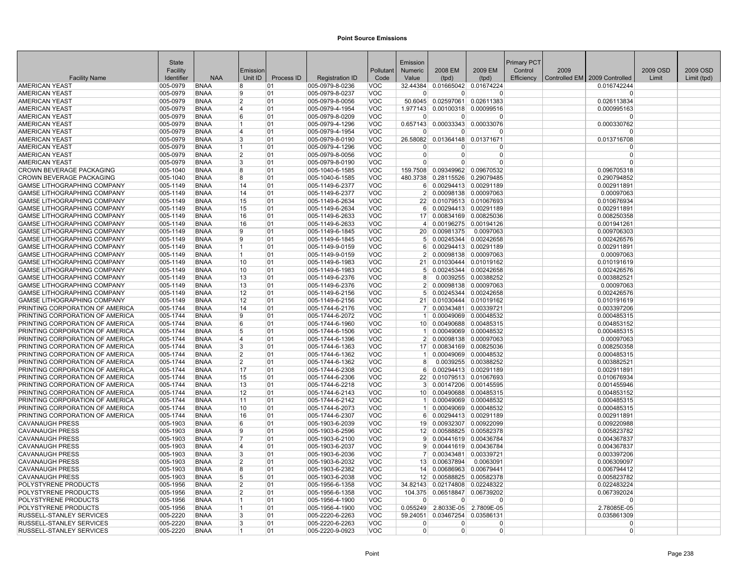| 2009 EM<br>2009 OSD<br>Facility<br>Emission<br>Pollutant<br>Numeric<br>2008 EM<br>Control<br>2009<br>2009 OSD<br><b>NAA</b><br>Identifier<br>Unit ID<br>Process ID<br>Controlled EM 2009 Controlled<br><b>Facility Name</b><br><b>Registration ID</b><br>Code<br>Value<br>(tpd)<br>Efficiency<br>Limit<br>Limit (tpd)<br>(tpd)<br><b>AMERICAN YEAST</b><br>005-0979<br><b>BNAA</b><br>005-0979-8-0236<br>VOC<br>32.44384 0.01665042 0.01674224<br>0.016742244<br>8<br>01<br>VOC<br><b>AMERICAN YEAST</b><br>005-0979<br><b>BNAA</b><br>01<br>005-0979-8-0237<br>9<br>0<br>0<br>$\Omega$<br>$\Omega$<br><b>AMERICAN YEAST</b><br><b>BNAA</b><br>$\overline{2}$<br><b>VOC</b><br>0.02597061<br>0.02611383<br>005-0979<br>01<br>005-0979-8-0056<br>50.6045<br>0.026113834<br><b>AMERICAN YEAST</b><br>005-0979<br><b>BNAA</b><br>4<br>01<br>005-0979-4-1954<br><b>VOC</b><br>1.977143 0.00100318 0.00099516<br>0.000995163<br><b>AMERICAN YEAST</b><br>005-0979-8-0209<br>VOC<br>005-0979<br><b>BNAA</b><br>6<br>01<br>$\Omega$<br>$\Omega$<br>$\Omega$<br>$\Omega$<br>VOC<br>0.00033343 0.00033076<br><b>AMERICAN YEAST</b><br>005-0979<br><b>BNAA</b><br> 01<br>005-0979-4-1296<br>0.657143<br>0.000330762<br>1<br><b>VOC</b><br><b>AMERICAN YEAST</b><br>005-0979<br><b>BNAA</b><br>4<br> 01<br>005-0979-4-1954<br>$\Omega$<br>$\Omega$<br>$\Omega$<br><sup>n</sup><br><b>VOC</b><br><b>AMERICAN YEAST</b><br>005-0979<br><b>BNAA</b><br>3<br>01<br>005-0979-8-0190<br>26.58082<br>0.01364148<br>0.01371671<br>0.013716708<br><b>AMERICAN YEAST</b><br>005-0979<br><b>BNAA</b><br>01<br>005-0979-4-1296<br><b>VOC</b><br>1<br>O<br>0<br>$\Omega$<br>$\Omega$<br><b>AMERICAN YEAST</b><br>005-0979<br><b>BNAA</b><br>$\overline{2}$<br>01<br>005-0979-8-0056<br>VOC<br>$\overline{0}$<br>$\Omega$<br>$\mathbf 0$<br>$\overline{0}$<br><b>AMERICAN YEAST</b><br>005-0979<br><b>BNAA</b><br>3<br>01<br>005-0979-8-0190<br>VOC<br>$\Omega$<br>$\Omega$<br>$\Omega$<br>$\Omega$<br>005-1040<br><b>BNAA</b><br>005-1040-6-1585<br>VOC<br>0.09349962<br>CROWN BEVERAGE PACKAGING<br>8<br>01<br>159.7508<br>0.09670532<br>0.096705318<br>VOC<br>0.28115526 0.29079485<br>CROWN BEVERAGE PACKAGING<br>$ 005 - 1040$<br><b>BNAA</b><br>01<br>005-1040-6-1585<br>480.3738<br>0.290794852<br>8<br><b>GAMSE LITHOGRAPHING COMPANY</b><br>005-1149-6-2377<br><b>VOC</b><br>0.00294413 0.00291189<br>005-1149<br><b>BNAA</b><br>14<br>01<br>6<br>0.002911891<br><b>VOC</b><br>GAMSE LITHOGRAPHING COMPANY<br>005-1149<br><b>BNAA</b><br>14<br>01<br>005-1149-6-2377<br>2 <sup>1</sup><br>0.00098138 0.00097063<br>0.00097063<br><b>GAMSE LITHOGRAPHING COMPANY</b><br>005-1149<br><b>BNAA</b><br>15<br> 01<br>005-1149-6-2634<br>VOC<br>0.01079513 0.01067693<br>0.010676934<br>22 <sub>1</sub><br><b>VOC</b><br>GAMSE LITHOGRAPHING COMPANY<br>005-1149<br><b>BNAA</b><br> 01<br>005-1149-6-2634<br>0.00294413 0.00291189<br>15<br>6<br>0.002911891<br>01<br><b>VOC</b><br>GAMSE LITHOGRAPHING COMPANY<br>005-1149<br><b>BNAA</b><br>16<br>005-1149-6-2633<br>0.00834169 0.00825036<br>0.008250358<br>17 <sup>1</sup><br>GAMSE LITHOGRAPHING COMPANY<br><b>BNAA</b><br>005-1149-6-2633<br>VOC<br>0.00196275 0.00194126<br>0.001941261<br>005-1149<br>16<br> 01<br>GAMSE LITHOGRAPHING COMPANY<br><b>VOC</b><br>005-1149<br><b>BNAA</b><br>9<br> 01<br>005-1149-6-1845<br>20<br>0.00981375<br>0.0097063<br>0.009706303<br>GAMSE LITHOGRAPHING COMPANY<br><b>BNAA</b><br>9<br>01<br>005-1149-6-1845<br>VOC<br>0.00245344 0.00242658<br>005-1149<br>0.002426576<br>5 <sup>1</sup><br>GAMSE LITHOGRAPHING COMPANY<br>005-1149<br><b>BNAA</b><br>$\mathbf{1}$<br>01<br>005-1149-9-0159<br>VOC<br>0.00294413 0.00291189<br>0.002911891<br>6 <sup>1</sup><br>VOC<br><b>GAMSE LITHOGRAPHING COMPANY</b><br>005-1149<br><b>BNAA</b><br>1<br>01<br>005-1149-9-0159<br>0.00098138 0.00097063<br>0.00097063<br>$\mathcal{P}$<br><b>VOC</b><br><b>GAMSE LITHOGRAPHING COMPANY</b><br><b>BNAA</b><br>10<br>01<br>005-1149-6-1983<br>0.01030444 0.01019162<br>$ 005 - 1149$<br>21<br>0.010191619<br>VOC<br>0.00245344 0.00242658<br>GAMSE LITHOGRAPHING COMPANY<br>005-1149<br><b>BNAA</b><br>10<br>01<br>005-1149-6-1983<br>5 <sup>5</sup><br>0.002426576<br>GAMSE LITHOGRAPHING COMPANY<br>005-1149<br><b>BNAA</b><br>13<br> 01<br>005-1149-6-2376<br>VOC<br>0.0039255 0.00388252<br>0.003882521<br>8<br>13<br>VOC<br>0.00098138 0.00097063<br><b>GAMSE LITHOGRAPHING COMPANY</b><br>005-1149<br><b>BNAA</b><br>101<br>005-1149-6-2376<br>2 <sup>1</sup><br>0.00097063<br>VOC<br>GAMSE LITHOGRAPHING COMPANY<br>005-1149<br><b>BNAA</b><br>12<br>01<br>005-1149-6-2156<br>0.00245344 0.00242658<br>0.002426576<br>5<br>GAMSE LITHOGRAPHING COMPANY<br>005-1149<br><b>BNAA</b><br>12<br>01<br>005-1149-6-2156<br><b>VOC</b><br>0.01030444 0.01019162<br>0.010191619<br>21<br>PRINTING CORPORATION OF AMERICA<br>005-1744<br><b>BNAA</b><br>01<br>005-1744-6-2176<br>VOC<br>0.00343481 0.00339721<br>0.003397206<br>14<br>9<br><b>VOC</b><br>0.00049069<br>PRINTING CORPORATION OF AMERICA<br>005-1744<br><b>BNAA</b><br>01<br>005-1744-6-2072<br>0.00048532<br>0.000485315<br>PRINTING CORPORATION OF AMERICA<br>005-1744<br><b>BNAA</b><br>6<br>01<br>005-1744-6-1960<br><b>VOC</b><br>0.00490688 0.00485315<br>0.004853152<br>10 <sup>1</sup><br>PRINTING CORPORATION OF AMERICA<br>005-1744<br>VOC<br>0.00049069 0.00048532<br><b>BNAA</b><br>5<br>01<br>005-1744-6-1506<br>0.000485315<br>1 <sup>1</sup><br>PRINTING CORPORATION OF AMERICA<br>005-1744<br><b>BNAA</b><br>4<br>01<br>005-1744-6-1396<br>VOC<br>2 <sup>1</sup><br>0.00098138 0.00097063<br>0.00097063<br><b>VOC</b><br>PRINTING CORPORATION OF AMERICA<br>005-1744<br><b>BNAA</b><br>3<br> 01<br>005-1744-6-1363<br>0.00834169 0.00825036<br>17 <sup>1</sup><br>0.008250358<br>PRINTING CORPORATION OF AMERICA<br>005-1744<br><b>BNAA</b><br>$\overline{2}$<br>01<br>005-1744-6-1362<br><b>VOC</b><br>0.00049069 0.00048532<br>0.000485315<br>PRINTING CORPORATION OF AMERICA<br>005-1744<br><b>BNAA</b><br>$\overline{2}$<br>01<br>005-1744-6-1362<br><b>VOC</b><br>0.0039255 0.00388252<br>0.003882521<br>8<br>PRINTING CORPORATION OF AMERICA<br><b>BNAA</b><br>17<br>01<br>005-1744-6-2308<br><b>VOC</b><br>0.00294413 0.00291189<br>005-1744<br>6 <sup>1</sup><br>0.002911891<br>PRINTING CORPORATION OF AMERICA<br>005-1744<br><b>BNAA</b><br>01<br>005-1744-6-2306<br><b>VOC</b><br>0.01079513 0.01067693<br>15<br>22<br>0.010676934<br>PRINTING CORPORATION OF AMERICA<br>005-1744<br><b>BNAA</b><br>13<br>005-1744-6-2218<br><b>VOC</b><br>0.00147206 0.00145595<br>01<br>3<br>0.001455946<br>12<br>VOC<br>PRINTING CORPORATION OF AMERICA<br>005-1744<br><b>BNAA</b><br>01<br>005-1744-6-2143<br>10 <sup>1</sup><br>0.00490688 0.00485315<br>0.004853152<br>PRINTING CORPORATION OF AMERICA<br><b>BNAA</b><br><b>VOC</b><br>0.00049069 0.00048532<br>005-1744<br>11<br>01<br>005-1744-6-2142<br>0.000485315<br>PRINTING CORPORATION OF AMERICA<br>005-1744<br><b>BNAA</b><br>10<br>01<br>005-1744-6-2073<br><b>VOC</b><br>0.00049069 0.00048532<br>0.000485315<br>PRINTING CORPORATION OF AMERICA<br>005-1744<br><b>BNAA</b><br>16<br>01<br>005-1744-6-2307<br>VOC<br>0.00294413 0.00291189<br>0.002911891<br>6 <sup>1</sup><br><b>VOC</b><br><b>CAVANAUGH PRESS</b><br><b>BNAA</b><br>6<br>01<br>005-1903-6-2039<br>0.00932307 0.00922099<br>0.009220988<br>$ 005 - 1903 $<br>19<br><b>VOC</b><br><b>CAVANAUGH PRESS</b><br>005-1903<br><b>BNAA</b><br>9<br>01<br>005-1903-6-2596<br>12 0.00588825 0.00582378<br>0.005823782<br><b>CAVANAUGH PRESS</b><br>005-1903<br><b>BNAA</b><br>$\overline{7}$<br>01<br>005-1903-6-2100<br><b>VOC</b><br>0.00441619 0.00436784<br>0.004367837<br>9<br><b>VOC</b><br><b>CAVANAUGH PRESS</b><br>005-1903<br><b>BNAA</b><br>4<br> 01<br>005-1903-6-2037<br>0.00441619 0.00436784<br>0.004367837<br>9<br><b>CAVANAUGH PRESS</b><br>005-1903<br><b>BNAA</b><br>3<br>01<br>005-1903-6-2036<br><b>VOC</b><br>0.00343481 0.00339721<br>0.003397206<br>7 <sup>1</sup><br>CAVANAUGH PRESS<br><b>BNAA</b><br>$\overline{2}$<br>01<br>005-1903-6-2032<br>VOC<br>0.00637894<br>0.0063091<br>005-1903<br>13<br>0.006309097<br><b>CAVANAUGH PRESS</b><br>005-1903-6-2382<br><b>VOC</b><br>0.00686963<br>0.00679441<br>005-1903<br><b>BNAA</b><br>8<br>01<br>14<br>0.006794412<br><b>CAVANAUGH PRESS</b><br>01<br>005-1903-6-2038<br>VOC<br>12 0.00588825 0.00582378<br>0.005823782<br>$ 005 - 1903$<br><b>BNAA</b><br>5<br>$\overline{2}$<br>VOC<br>0.02174808<br>0.02248322<br>0.022483224<br>POLYSTYRENE PRODUCTS<br>005-1956<br><b>BNAA</b><br>01<br>005-1956-6-1358<br>34.82143<br>$\overline{2}$<br>VOC<br>POLYSTYRENE PRODUCTS<br>005-1956<br><b>BNAA</b><br>01<br>005-1956-6-1358<br>104.375 0.06518847<br>0.06739202<br>0.067392024<br>POLYSTYRENE PRODUCTS<br>005-1956<br><b>BNAA</b><br>01<br>005-1956-4-1900<br>VOC<br>$\Omega$<br>1<br>$\Omega$<br>$\Omega$<br>$\Omega$<br>POLYSTYRENE PRODUCTS<br><b>BNAA</b><br>005-1956-4-1900<br>VOC<br>0.055249<br>2.8033E-05 2.7809E-05<br>005-1956<br>01<br>2.78085E-05<br>1<br>RUSSELL-STANLEY SERVICES<br>005-2220<br><b>BNAA</b><br>3<br>01<br>005-2220-6-2263<br><b>VOC</b><br>59.24051<br>0.03467254 0.03586131<br>0.035861309<br>RUSSELL-STANLEY SERVICES<br>005-2220<br><b>BNAA</b><br>005-2220-6-2263<br><b>VOC</b><br>3<br>01<br>$\Omega$<br>$\Omega$<br>$\Omega$<br>$\Omega$<br><b>VOC</b><br>RUSSELL-STANLEY SERVICES<br>005-2220<br><b>BNAA</b><br>$\mathbf{1}$<br>01<br>005-2220-9-0923<br>0<br>$\overline{0}$<br>0<br> 0 | <b>State</b> |  |  | Emission |  | Primary PCT |  |  |
|-------------------------------------------------------------------------------------------------------------------------------------------------------------------------------------------------------------------------------------------------------------------------------------------------------------------------------------------------------------------------------------------------------------------------------------------------------------------------------------------------------------------------------------------------------------------------------------------------------------------------------------------------------------------------------------------------------------------------------------------------------------------------------------------------------------------------------------------------------------------------------------------------------------------------------------------------------------------------------------------------------------------------------------------------------------------------------------------------------------------------------------------------------------------------------------------------------------------------------------------------------------------------------------------------------------------------------------------------------------------------------------------------------------------------------------------------------------------------------------------------------------------------------------------------------------------------------------------------------------------------------------------------------------------------------------------------------------------------------------------------------------------------------------------------------------------------------------------------------------------------------------------------------------------------------------------------------------------------------------------------------------------------------------------------------------------------------------------------------------------------------------------------------------------------------------------------------------------------------------------------------------------------------------------------------------------------------------------------------------------------------------------------------------------------------------------------------------------------------------------------------------------------------------------------------------------------------------------------------------------------------------------------------------------------------------------------------------------------------------------------------------------------------------------------------------------------------------------------------------------------------------------------------------------------------------------------------------------------------------------------------------------------------------------------------------------------------------------------------------------------------------------------------------------------------------------------------------------------------------------------------------------------------------------------------------------------------------------------------------------------------------------------------------------------------------------------------------------------------------------------------------------------------------------------------------------------------------------------------------------------------------------------------------------------------------------------------------------------------------------------------------------------------------------------------------------------------------------------------------------------------------------------------------------------------------------------------------------------------------------------------------------------------------------------------------------------------------------------------------------------------------------------------------------------------------------------------------------------------------------------------------------------------------------------------------------------------------------------------------------------------------------------------------------------------------------------------------------------------------------------------------------------------------------------------------------------------------------------------------------------------------------------------------------------------------------------------------------------------------------------------------------------------------------------------------------------------------------------------------------------------------------------------------------------------------------------------------------------------------------------------------------------------------------------------------------------------------------------------------------------------------------------------------------------------------------------------------------------------------------------------------------------------------------------------------------------------------------------------------------------------------------------------------------------------------------------------------------------------------------------------------------------------------------------------------------------------------------------------------------------------------------------------------------------------------------------------------------------------------------------------------------------------------------------------------------------------------------------------------------------------------------------------------------------------------------------------------------------------------------------------------------------------------------------------------------------------------------------------------------------------------------------------------------------------------------------------------------------------------------------------------------------------------------------------------------------------------------------------------------------------------------------------------------------------------------------------------------------------------------------------------------------------------------------------------------------------------------------------------------------------------------------------------------------------------------------------------------------------------------------------------------------------------------------------------------------------------------------------------------------------------------------------------------------------------------------------------------------------------------------------------------------------------------------------------------------------------------------------------------------------------------------------------------------------------------------------------------------------------------------------------------------------------------------------------------------------------------------------------------------------------------------------------------------------------------------------------------------------------------------------------------------------------------------------------------------------------------------------------------------------------------------------------------------------------------------------------------------------------------------------------------------------------------------------------------------------------------------------------------------------------------------------------------------------------------------------------------------------------------------------------------------------------------------------------------------------------------------------------------------------------------------------------------------------------------------------------------------------------------------------------------------------------------------------------------------------------------------------------------------------------------------------------------------------------------------------------------------------------------------------------------------------------------------------------------------------------------------------------------------------------------------------------------------------------------------------------------------------------------------------------------------------------------------------------------------------------------------------------------------------------------------------------------------------------------------------------------------------------------------------------------------------------------------------------------------------------------------------------------------------------------------------------------------------------------------------------------------------------------------------------------------------------------------------------------------------------------------------------------------------------------------------------------------------------------------------------------------------------------------------------------------------------------------------------------|--------------|--|--|----------|--|-------------|--|--|
|                                                                                                                                                                                                                                                                                                                                                                                                                                                                                                                                                                                                                                                                                                                                                                                                                                                                                                                                                                                                                                                                                                                                                                                                                                                                                                                                                                                                                                                                                                                                                                                                                                                                                                                                                                                                                                                                                                                                                                                                                                                                                                                                                                                                                                                                                                                                                                                                                                                                                                                                                                                                                                                                                                                                                                                                                                                                                                                                                                                                                                                                                                                                                                                                                                                                                                                                                                                                                                                                                                                                                                                                                                                                                                                                                                                                                                                                                                                                                                                                                                                                                                                                                                                                                                                                                                                                                                                                                                                                                                                                                                                                                                                                                                                                                                                                                                                                                                                                                                                                                                                                                                                                                                                                                                                                                                                                                                                                                                                                                                                                                                                                                                                                                                                                                                                                                                                                                                                                                                                                                                                                                                                                                                                                                                                                                                                                                                                                                                                                                                                                                                                                                                                                                                                                                                                                                                                                                                                                                                                                                                                                                                                                                                                                                                                                                                                                                                                                                                                                                                                                                                                                                                                                                                                                                                                                                                                                                                                                                                                                                                                                                                                                                                                                                                                                                                                                                                                                                                                                                                                                                                                                                                                                                                                                                                                                                                                                                                                                                                                                                                                                                                                                                                                                                                                                                                                                                                                                                                                                                                                                                                   |              |  |  |          |  |             |  |  |
|                                                                                                                                                                                                                                                                                                                                                                                                                                                                                                                                                                                                                                                                                                                                                                                                                                                                                                                                                                                                                                                                                                                                                                                                                                                                                                                                                                                                                                                                                                                                                                                                                                                                                                                                                                                                                                                                                                                                                                                                                                                                                                                                                                                                                                                                                                                                                                                                                                                                                                                                                                                                                                                                                                                                                                                                                                                                                                                                                                                                                                                                                                                                                                                                                                                                                                                                                                                                                                                                                                                                                                                                                                                                                                                                                                                                                                                                                                                                                                                                                                                                                                                                                                                                                                                                                                                                                                                                                                                                                                                                                                                                                                                                                                                                                                                                                                                                                                                                                                                                                                                                                                                                                                                                                                                                                                                                                                                                                                                                                                                                                                                                                                                                                                                                                                                                                                                                                                                                                                                                                                                                                                                                                                                                                                                                                                                                                                                                                                                                                                                                                                                                                                                                                                                                                                                                                                                                                                                                                                                                                                                                                                                                                                                                                                                                                                                                                                                                                                                                                                                                                                                                                                                                                                                                                                                                                                                                                                                                                                                                                                                                                                                                                                                                                                                                                                                                                                                                                                                                                                                                                                                                                                                                                                                                                                                                                                                                                                                                                                                                                                                                                                                                                                                                                                                                                                                                                                                                                                                                                                                                                                   |              |  |  |          |  |             |  |  |
|                                                                                                                                                                                                                                                                                                                                                                                                                                                                                                                                                                                                                                                                                                                                                                                                                                                                                                                                                                                                                                                                                                                                                                                                                                                                                                                                                                                                                                                                                                                                                                                                                                                                                                                                                                                                                                                                                                                                                                                                                                                                                                                                                                                                                                                                                                                                                                                                                                                                                                                                                                                                                                                                                                                                                                                                                                                                                                                                                                                                                                                                                                                                                                                                                                                                                                                                                                                                                                                                                                                                                                                                                                                                                                                                                                                                                                                                                                                                                                                                                                                                                                                                                                                                                                                                                                                                                                                                                                                                                                                                                                                                                                                                                                                                                                                                                                                                                                                                                                                                                                                                                                                                                                                                                                                                                                                                                                                                                                                                                                                                                                                                                                                                                                                                                                                                                                                                                                                                                                                                                                                                                                                                                                                                                                                                                                                                                                                                                                                                                                                                                                                                                                                                                                                                                                                                                                                                                                                                                                                                                                                                                                                                                                                                                                                                                                                                                                                                                                                                                                                                                                                                                                                                                                                                                                                                                                                                                                                                                                                                                                                                                                                                                                                                                                                                                                                                                                                                                                                                                                                                                                                                                                                                                                                                                                                                                                                                                                                                                                                                                                                                                                                                                                                                                                                                                                                                                                                                                                                                                                                                                                   |              |  |  |          |  |             |  |  |
|                                                                                                                                                                                                                                                                                                                                                                                                                                                                                                                                                                                                                                                                                                                                                                                                                                                                                                                                                                                                                                                                                                                                                                                                                                                                                                                                                                                                                                                                                                                                                                                                                                                                                                                                                                                                                                                                                                                                                                                                                                                                                                                                                                                                                                                                                                                                                                                                                                                                                                                                                                                                                                                                                                                                                                                                                                                                                                                                                                                                                                                                                                                                                                                                                                                                                                                                                                                                                                                                                                                                                                                                                                                                                                                                                                                                                                                                                                                                                                                                                                                                                                                                                                                                                                                                                                                                                                                                                                                                                                                                                                                                                                                                                                                                                                                                                                                                                                                                                                                                                                                                                                                                                                                                                                                                                                                                                                                                                                                                                                                                                                                                                                                                                                                                                                                                                                                                                                                                                                                                                                                                                                                                                                                                                                                                                                                                                                                                                                                                                                                                                                                                                                                                                                                                                                                                                                                                                                                                                                                                                                                                                                                                                                                                                                                                                                                                                                                                                                                                                                                                                                                                                                                                                                                                                                                                                                                                                                                                                                                                                                                                                                                                                                                                                                                                                                                                                                                                                                                                                                                                                                                                                                                                                                                                                                                                                                                                                                                                                                                                                                                                                                                                                                                                                                                                                                                                                                                                                                                                                                                                                                   |              |  |  |          |  |             |  |  |
|                                                                                                                                                                                                                                                                                                                                                                                                                                                                                                                                                                                                                                                                                                                                                                                                                                                                                                                                                                                                                                                                                                                                                                                                                                                                                                                                                                                                                                                                                                                                                                                                                                                                                                                                                                                                                                                                                                                                                                                                                                                                                                                                                                                                                                                                                                                                                                                                                                                                                                                                                                                                                                                                                                                                                                                                                                                                                                                                                                                                                                                                                                                                                                                                                                                                                                                                                                                                                                                                                                                                                                                                                                                                                                                                                                                                                                                                                                                                                                                                                                                                                                                                                                                                                                                                                                                                                                                                                                                                                                                                                                                                                                                                                                                                                                                                                                                                                                                                                                                                                                                                                                                                                                                                                                                                                                                                                                                                                                                                                                                                                                                                                                                                                                                                                                                                                                                                                                                                                                                                                                                                                                                                                                                                                                                                                                                                                                                                                                                                                                                                                                                                                                                                                                                                                                                                                                                                                                                                                                                                                                                                                                                                                                                                                                                                                                                                                                                                                                                                                                                                                                                                                                                                                                                                                                                                                                                                                                                                                                                                                                                                                                                                                                                                                                                                                                                                                                                                                                                                                                                                                                                                                                                                                                                                                                                                                                                                                                                                                                                                                                                                                                                                                                                                                                                                                                                                                                                                                                                                                                                                                                   |              |  |  |          |  |             |  |  |
|                                                                                                                                                                                                                                                                                                                                                                                                                                                                                                                                                                                                                                                                                                                                                                                                                                                                                                                                                                                                                                                                                                                                                                                                                                                                                                                                                                                                                                                                                                                                                                                                                                                                                                                                                                                                                                                                                                                                                                                                                                                                                                                                                                                                                                                                                                                                                                                                                                                                                                                                                                                                                                                                                                                                                                                                                                                                                                                                                                                                                                                                                                                                                                                                                                                                                                                                                                                                                                                                                                                                                                                                                                                                                                                                                                                                                                                                                                                                                                                                                                                                                                                                                                                                                                                                                                                                                                                                                                                                                                                                                                                                                                                                                                                                                                                                                                                                                                                                                                                                                                                                                                                                                                                                                                                                                                                                                                                                                                                                                                                                                                                                                                                                                                                                                                                                                                                                                                                                                                                                                                                                                                                                                                                                                                                                                                                                                                                                                                                                                                                                                                                                                                                                                                                                                                                                                                                                                                                                                                                                                                                                                                                                                                                                                                                                                                                                                                                                                                                                                                                                                                                                                                                                                                                                                                                                                                                                                                                                                                                                                                                                                                                                                                                                                                                                                                                                                                                                                                                                                                                                                                                                                                                                                                                                                                                                                                                                                                                                                                                                                                                                                                                                                                                                                                                                                                                                                                                                                                                                                                                                                                   |              |  |  |          |  |             |  |  |
|                                                                                                                                                                                                                                                                                                                                                                                                                                                                                                                                                                                                                                                                                                                                                                                                                                                                                                                                                                                                                                                                                                                                                                                                                                                                                                                                                                                                                                                                                                                                                                                                                                                                                                                                                                                                                                                                                                                                                                                                                                                                                                                                                                                                                                                                                                                                                                                                                                                                                                                                                                                                                                                                                                                                                                                                                                                                                                                                                                                                                                                                                                                                                                                                                                                                                                                                                                                                                                                                                                                                                                                                                                                                                                                                                                                                                                                                                                                                                                                                                                                                                                                                                                                                                                                                                                                                                                                                                                                                                                                                                                                                                                                                                                                                                                                                                                                                                                                                                                                                                                                                                                                                                                                                                                                                                                                                                                                                                                                                                                                                                                                                                                                                                                                                                                                                                                                                                                                                                                                                                                                                                                                                                                                                                                                                                                                                                                                                                                                                                                                                                                                                                                                                                                                                                                                                                                                                                                                                                                                                                                                                                                                                                                                                                                                                                                                                                                                                                                                                                                                                                                                                                                                                                                                                                                                                                                                                                                                                                                                                                                                                                                                                                                                                                                                                                                                                                                                                                                                                                                                                                                                                                                                                                                                                                                                                                                                                                                                                                                                                                                                                                                                                                                                                                                                                                                                                                                                                                                                                                                                                                                   |              |  |  |          |  |             |  |  |
|                                                                                                                                                                                                                                                                                                                                                                                                                                                                                                                                                                                                                                                                                                                                                                                                                                                                                                                                                                                                                                                                                                                                                                                                                                                                                                                                                                                                                                                                                                                                                                                                                                                                                                                                                                                                                                                                                                                                                                                                                                                                                                                                                                                                                                                                                                                                                                                                                                                                                                                                                                                                                                                                                                                                                                                                                                                                                                                                                                                                                                                                                                                                                                                                                                                                                                                                                                                                                                                                                                                                                                                                                                                                                                                                                                                                                                                                                                                                                                                                                                                                                                                                                                                                                                                                                                                                                                                                                                                                                                                                                                                                                                                                                                                                                                                                                                                                                                                                                                                                                                                                                                                                                                                                                                                                                                                                                                                                                                                                                                                                                                                                                                                                                                                                                                                                                                                                                                                                                                                                                                                                                                                                                                                                                                                                                                                                                                                                                                                                                                                                                                                                                                                                                                                                                                                                                                                                                                                                                                                                                                                                                                                                                                                                                                                                                                                                                                                                                                                                                                                                                                                                                                                                                                                                                                                                                                                                                                                                                                                                                                                                                                                                                                                                                                                                                                                                                                                                                                                                                                                                                                                                                                                                                                                                                                                                                                                                                                                                                                                                                                                                                                                                                                                                                                                                                                                                                                                                                                                                                                                                                                   |              |  |  |          |  |             |  |  |
|                                                                                                                                                                                                                                                                                                                                                                                                                                                                                                                                                                                                                                                                                                                                                                                                                                                                                                                                                                                                                                                                                                                                                                                                                                                                                                                                                                                                                                                                                                                                                                                                                                                                                                                                                                                                                                                                                                                                                                                                                                                                                                                                                                                                                                                                                                                                                                                                                                                                                                                                                                                                                                                                                                                                                                                                                                                                                                                                                                                                                                                                                                                                                                                                                                                                                                                                                                                                                                                                                                                                                                                                                                                                                                                                                                                                                                                                                                                                                                                                                                                                                                                                                                                                                                                                                                                                                                                                                                                                                                                                                                                                                                                                                                                                                                                                                                                                                                                                                                                                                                                                                                                                                                                                                                                                                                                                                                                                                                                                                                                                                                                                                                                                                                                                                                                                                                                                                                                                                                                                                                                                                                                                                                                                                                                                                                                                                                                                                                                                                                                                                                                                                                                                                                                                                                                                                                                                                                                                                                                                                                                                                                                                                                                                                                                                                                                                                                                                                                                                                                                                                                                                                                                                                                                                                                                                                                                                                                                                                                                                                                                                                                                                                                                                                                                                                                                                                                                                                                                                                                                                                                                                                                                                                                                                                                                                                                                                                                                                                                                                                                                                                                                                                                                                                                                                                                                                                                                                                                                                                                                                                                   |              |  |  |          |  |             |  |  |
|                                                                                                                                                                                                                                                                                                                                                                                                                                                                                                                                                                                                                                                                                                                                                                                                                                                                                                                                                                                                                                                                                                                                                                                                                                                                                                                                                                                                                                                                                                                                                                                                                                                                                                                                                                                                                                                                                                                                                                                                                                                                                                                                                                                                                                                                                                                                                                                                                                                                                                                                                                                                                                                                                                                                                                                                                                                                                                                                                                                                                                                                                                                                                                                                                                                                                                                                                                                                                                                                                                                                                                                                                                                                                                                                                                                                                                                                                                                                                                                                                                                                                                                                                                                                                                                                                                                                                                                                                                                                                                                                                                                                                                                                                                                                                                                                                                                                                                                                                                                                                                                                                                                                                                                                                                                                                                                                                                                                                                                                                                                                                                                                                                                                                                                                                                                                                                                                                                                                                                                                                                                                                                                                                                                                                                                                                                                                                                                                                                                                                                                                                                                                                                                                                                                                                                                                                                                                                                                                                                                                                                                                                                                                                                                                                                                                                                                                                                                                                                                                                                                                                                                                                                                                                                                                                                                                                                                                                                                                                                                                                                                                                                                                                                                                                                                                                                                                                                                                                                                                                                                                                                                                                                                                                                                                                                                                                                                                                                                                                                                                                                                                                                                                                                                                                                                                                                                                                                                                                                                                                                                                                                   |              |  |  |          |  |             |  |  |
|                                                                                                                                                                                                                                                                                                                                                                                                                                                                                                                                                                                                                                                                                                                                                                                                                                                                                                                                                                                                                                                                                                                                                                                                                                                                                                                                                                                                                                                                                                                                                                                                                                                                                                                                                                                                                                                                                                                                                                                                                                                                                                                                                                                                                                                                                                                                                                                                                                                                                                                                                                                                                                                                                                                                                                                                                                                                                                                                                                                                                                                                                                                                                                                                                                                                                                                                                                                                                                                                                                                                                                                                                                                                                                                                                                                                                                                                                                                                                                                                                                                                                                                                                                                                                                                                                                                                                                                                                                                                                                                                                                                                                                                                                                                                                                                                                                                                                                                                                                                                                                                                                                                                                                                                                                                                                                                                                                                                                                                                                                                                                                                                                                                                                                                                                                                                                                                                                                                                                                                                                                                                                                                                                                                                                                                                                                                                                                                                                                                                                                                                                                                                                                                                                                                                                                                                                                                                                                                                                                                                                                                                                                                                                                                                                                                                                                                                                                                                                                                                                                                                                                                                                                                                                                                                                                                                                                                                                                                                                                                                                                                                                                                                                                                                                                                                                                                                                                                                                                                                                                                                                                                                                                                                                                                                                                                                                                                                                                                                                                                                                                                                                                                                                                                                                                                                                                                                                                                                                                                                                                                                                                   |              |  |  |          |  |             |  |  |
|                                                                                                                                                                                                                                                                                                                                                                                                                                                                                                                                                                                                                                                                                                                                                                                                                                                                                                                                                                                                                                                                                                                                                                                                                                                                                                                                                                                                                                                                                                                                                                                                                                                                                                                                                                                                                                                                                                                                                                                                                                                                                                                                                                                                                                                                                                                                                                                                                                                                                                                                                                                                                                                                                                                                                                                                                                                                                                                                                                                                                                                                                                                                                                                                                                                                                                                                                                                                                                                                                                                                                                                                                                                                                                                                                                                                                                                                                                                                                                                                                                                                                                                                                                                                                                                                                                                                                                                                                                                                                                                                                                                                                                                                                                                                                                                                                                                                                                                                                                                                                                                                                                                                                                                                                                                                                                                                                                                                                                                                                                                                                                                                                                                                                                                                                                                                                                                                                                                                                                                                                                                                                                                                                                                                                                                                                                                                                                                                                                                                                                                                                                                                                                                                                                                                                                                                                                                                                                                                                                                                                                                                                                                                                                                                                                                                                                                                                                                                                                                                                                                                                                                                                                                                                                                                                                                                                                                                                                                                                                                                                                                                                                                                                                                                                                                                                                                                                                                                                                                                                                                                                                                                                                                                                                                                                                                                                                                                                                                                                                                                                                                                                                                                                                                                                                                                                                                                                                                                                                                                                                                                                                   |              |  |  |          |  |             |  |  |
|                                                                                                                                                                                                                                                                                                                                                                                                                                                                                                                                                                                                                                                                                                                                                                                                                                                                                                                                                                                                                                                                                                                                                                                                                                                                                                                                                                                                                                                                                                                                                                                                                                                                                                                                                                                                                                                                                                                                                                                                                                                                                                                                                                                                                                                                                                                                                                                                                                                                                                                                                                                                                                                                                                                                                                                                                                                                                                                                                                                                                                                                                                                                                                                                                                                                                                                                                                                                                                                                                                                                                                                                                                                                                                                                                                                                                                                                                                                                                                                                                                                                                                                                                                                                                                                                                                                                                                                                                                                                                                                                                                                                                                                                                                                                                                                                                                                                                                                                                                                                                                                                                                                                                                                                                                                                                                                                                                                                                                                                                                                                                                                                                                                                                                                                                                                                                                                                                                                                                                                                                                                                                                                                                                                                                                                                                                                                                                                                                                                                                                                                                                                                                                                                                                                                                                                                                                                                                                                                                                                                                                                                                                                                                                                                                                                                                                                                                                                                                                                                                                                                                                                                                                                                                                                                                                                                                                                                                                                                                                                                                                                                                                                                                                                                                                                                                                                                                                                                                                                                                                                                                                                                                                                                                                                                                                                                                                                                                                                                                                                                                                                                                                                                                                                                                                                                                                                                                                                                                                                                                                                                                                   |              |  |  |          |  |             |  |  |
|                                                                                                                                                                                                                                                                                                                                                                                                                                                                                                                                                                                                                                                                                                                                                                                                                                                                                                                                                                                                                                                                                                                                                                                                                                                                                                                                                                                                                                                                                                                                                                                                                                                                                                                                                                                                                                                                                                                                                                                                                                                                                                                                                                                                                                                                                                                                                                                                                                                                                                                                                                                                                                                                                                                                                                                                                                                                                                                                                                                                                                                                                                                                                                                                                                                                                                                                                                                                                                                                                                                                                                                                                                                                                                                                                                                                                                                                                                                                                                                                                                                                                                                                                                                                                                                                                                                                                                                                                                                                                                                                                                                                                                                                                                                                                                                                                                                                                                                                                                                                                                                                                                                                                                                                                                                                                                                                                                                                                                                                                                                                                                                                                                                                                                                                                                                                                                                                                                                                                                                                                                                                                                                                                                                                                                                                                                                                                                                                                                                                                                                                                                                                                                                                                                                                                                                                                                                                                                                                                                                                                                                                                                                                                                                                                                                                                                                                                                                                                                                                                                                                                                                                                                                                                                                                                                                                                                                                                                                                                                                                                                                                                                                                                                                                                                                                                                                                                                                                                                                                                                                                                                                                                                                                                                                                                                                                                                                                                                                                                                                                                                                                                                                                                                                                                                                                                                                                                                                                                                                                                                                                                                   |              |  |  |          |  |             |  |  |
|                                                                                                                                                                                                                                                                                                                                                                                                                                                                                                                                                                                                                                                                                                                                                                                                                                                                                                                                                                                                                                                                                                                                                                                                                                                                                                                                                                                                                                                                                                                                                                                                                                                                                                                                                                                                                                                                                                                                                                                                                                                                                                                                                                                                                                                                                                                                                                                                                                                                                                                                                                                                                                                                                                                                                                                                                                                                                                                                                                                                                                                                                                                                                                                                                                                                                                                                                                                                                                                                                                                                                                                                                                                                                                                                                                                                                                                                                                                                                                                                                                                                                                                                                                                                                                                                                                                                                                                                                                                                                                                                                                                                                                                                                                                                                                                                                                                                                                                                                                                                                                                                                                                                                                                                                                                                                                                                                                                                                                                                                                                                                                                                                                                                                                                                                                                                                                                                                                                                                                                                                                                                                                                                                                                                                                                                                                                                                                                                                                                                                                                                                                                                                                                                                                                                                                                                                                                                                                                                                                                                                                                                                                                                                                                                                                                                                                                                                                                                                                                                                                                                                                                                                                                                                                                                                                                                                                                                                                                                                                                                                                                                                                                                                                                                                                                                                                                                                                                                                                                                                                                                                                                                                                                                                                                                                                                                                                                                                                                                                                                                                                                                                                                                                                                                                                                                                                                                                                                                                                                                                                                                                                   |              |  |  |          |  |             |  |  |
|                                                                                                                                                                                                                                                                                                                                                                                                                                                                                                                                                                                                                                                                                                                                                                                                                                                                                                                                                                                                                                                                                                                                                                                                                                                                                                                                                                                                                                                                                                                                                                                                                                                                                                                                                                                                                                                                                                                                                                                                                                                                                                                                                                                                                                                                                                                                                                                                                                                                                                                                                                                                                                                                                                                                                                                                                                                                                                                                                                                                                                                                                                                                                                                                                                                                                                                                                                                                                                                                                                                                                                                                                                                                                                                                                                                                                                                                                                                                                                                                                                                                                                                                                                                                                                                                                                                                                                                                                                                                                                                                                                                                                                                                                                                                                                                                                                                                                                                                                                                                                                                                                                                                                                                                                                                                                                                                                                                                                                                                                                                                                                                                                                                                                                                                                                                                                                                                                                                                                                                                                                                                                                                                                                                                                                                                                                                                                                                                                                                                                                                                                                                                                                                                                                                                                                                                                                                                                                                                                                                                                                                                                                                                                                                                                                                                                                                                                                                                                                                                                                                                                                                                                                                                                                                                                                                                                                                                                                                                                                                                                                                                                                                                                                                                                                                                                                                                                                                                                                                                                                                                                                                                                                                                                                                                                                                                                                                                                                                                                                                                                                                                                                                                                                                                                                                                                                                                                                                                                                                                                                                                                                   |              |  |  |          |  |             |  |  |
|                                                                                                                                                                                                                                                                                                                                                                                                                                                                                                                                                                                                                                                                                                                                                                                                                                                                                                                                                                                                                                                                                                                                                                                                                                                                                                                                                                                                                                                                                                                                                                                                                                                                                                                                                                                                                                                                                                                                                                                                                                                                                                                                                                                                                                                                                                                                                                                                                                                                                                                                                                                                                                                                                                                                                                                                                                                                                                                                                                                                                                                                                                                                                                                                                                                                                                                                                                                                                                                                                                                                                                                                                                                                                                                                                                                                                                                                                                                                                                                                                                                                                                                                                                                                                                                                                                                                                                                                                                                                                                                                                                                                                                                                                                                                                                                                                                                                                                                                                                                                                                                                                                                                                                                                                                                                                                                                                                                                                                                                                                                                                                                                                                                                                                                                                                                                                                                                                                                                                                                                                                                                                                                                                                                                                                                                                                                                                                                                                                                                                                                                                                                                                                                                                                                                                                                                                                                                                                                                                                                                                                                                                                                                                                                                                                                                                                                                                                                                                                                                                                                                                                                                                                                                                                                                                                                                                                                                                                                                                                                                                                                                                                                                                                                                                                                                                                                                                                                                                                                                                                                                                                                                                                                                                                                                                                                                                                                                                                                                                                                                                                                                                                                                                                                                                                                                                                                                                                                                                                                                                                                                                                   |              |  |  |          |  |             |  |  |
|                                                                                                                                                                                                                                                                                                                                                                                                                                                                                                                                                                                                                                                                                                                                                                                                                                                                                                                                                                                                                                                                                                                                                                                                                                                                                                                                                                                                                                                                                                                                                                                                                                                                                                                                                                                                                                                                                                                                                                                                                                                                                                                                                                                                                                                                                                                                                                                                                                                                                                                                                                                                                                                                                                                                                                                                                                                                                                                                                                                                                                                                                                                                                                                                                                                                                                                                                                                                                                                                                                                                                                                                                                                                                                                                                                                                                                                                                                                                                                                                                                                                                                                                                                                                                                                                                                                                                                                                                                                                                                                                                                                                                                                                                                                                                                                                                                                                                                                                                                                                                                                                                                                                                                                                                                                                                                                                                                                                                                                                                                                                                                                                                                                                                                                                                                                                                                                                                                                                                                                                                                                                                                                                                                                                                                                                                                                                                                                                                                                                                                                                                                                                                                                                                                                                                                                                                                                                                                                                                                                                                                                                                                                                                                                                                                                                                                                                                                                                                                                                                                                                                                                                                                                                                                                                                                                                                                                                                                                                                                                                                                                                                                                                                                                                                                                                                                                                                                                                                                                                                                                                                                                                                                                                                                                                                                                                                                                                                                                                                                                                                                                                                                                                                                                                                                                                                                                                                                                                                                                                                                                                                                   |              |  |  |          |  |             |  |  |
|                                                                                                                                                                                                                                                                                                                                                                                                                                                                                                                                                                                                                                                                                                                                                                                                                                                                                                                                                                                                                                                                                                                                                                                                                                                                                                                                                                                                                                                                                                                                                                                                                                                                                                                                                                                                                                                                                                                                                                                                                                                                                                                                                                                                                                                                                                                                                                                                                                                                                                                                                                                                                                                                                                                                                                                                                                                                                                                                                                                                                                                                                                                                                                                                                                                                                                                                                                                                                                                                                                                                                                                                                                                                                                                                                                                                                                                                                                                                                                                                                                                                                                                                                                                                                                                                                                                                                                                                                                                                                                                                                                                                                                                                                                                                                                                                                                                                                                                                                                                                                                                                                                                                                                                                                                                                                                                                                                                                                                                                                                                                                                                                                                                                                                                                                                                                                                                                                                                                                                                                                                                                                                                                                                                                                                                                                                                                                                                                                                                                                                                                                                                                                                                                                                                                                                                                                                                                                                                                                                                                                                                                                                                                                                                                                                                                                                                                                                                                                                                                                                                                                                                                                                                                                                                                                                                                                                                                                                                                                                                                                                                                                                                                                                                                                                                                                                                                                                                                                                                                                                                                                                                                                                                                                                                                                                                                                                                                                                                                                                                                                                                                                                                                                                                                                                                                                                                                                                                                                                                                                                                                                                   |              |  |  |          |  |             |  |  |
|                                                                                                                                                                                                                                                                                                                                                                                                                                                                                                                                                                                                                                                                                                                                                                                                                                                                                                                                                                                                                                                                                                                                                                                                                                                                                                                                                                                                                                                                                                                                                                                                                                                                                                                                                                                                                                                                                                                                                                                                                                                                                                                                                                                                                                                                                                                                                                                                                                                                                                                                                                                                                                                                                                                                                                                                                                                                                                                                                                                                                                                                                                                                                                                                                                                                                                                                                                                                                                                                                                                                                                                                                                                                                                                                                                                                                                                                                                                                                                                                                                                                                                                                                                                                                                                                                                                                                                                                                                                                                                                                                                                                                                                                                                                                                                                                                                                                                                                                                                                                                                                                                                                                                                                                                                                                                                                                                                                                                                                                                                                                                                                                                                                                                                                                                                                                                                                                                                                                                                                                                                                                                                                                                                                                                                                                                                                                                                                                                                                                                                                                                                                                                                                                                                                                                                                                                                                                                                                                                                                                                                                                                                                                                                                                                                                                                                                                                                                                                                                                                                                                                                                                                                                                                                                                                                                                                                                                                                                                                                                                                                                                                                                                                                                                                                                                                                                                                                                                                                                                                                                                                                                                                                                                                                                                                                                                                                                                                                                                                                                                                                                                                                                                                                                                                                                                                                                                                                                                                                                                                                                                                                   |              |  |  |          |  |             |  |  |
|                                                                                                                                                                                                                                                                                                                                                                                                                                                                                                                                                                                                                                                                                                                                                                                                                                                                                                                                                                                                                                                                                                                                                                                                                                                                                                                                                                                                                                                                                                                                                                                                                                                                                                                                                                                                                                                                                                                                                                                                                                                                                                                                                                                                                                                                                                                                                                                                                                                                                                                                                                                                                                                                                                                                                                                                                                                                                                                                                                                                                                                                                                                                                                                                                                                                                                                                                                                                                                                                                                                                                                                                                                                                                                                                                                                                                                                                                                                                                                                                                                                                                                                                                                                                                                                                                                                                                                                                                                                                                                                                                                                                                                                                                                                                                                                                                                                                                                                                                                                                                                                                                                                                                                                                                                                                                                                                                                                                                                                                                                                                                                                                                                                                                                                                                                                                                                                                                                                                                                                                                                                                                                                                                                                                                                                                                                                                                                                                                                                                                                                                                                                                                                                                                                                                                                                                                                                                                                                                                                                                                                                                                                                                                                                                                                                                                                                                                                                                                                                                                                                                                                                                                                                                                                                                                                                                                                                                                                                                                                                                                                                                                                                                                                                                                                                                                                                                                                                                                                                                                                                                                                                                                                                                                                                                                                                                                                                                                                                                                                                                                                                                                                                                                                                                                                                                                                                                                                                                                                                                                                                                                                   |              |  |  |          |  |             |  |  |
|                                                                                                                                                                                                                                                                                                                                                                                                                                                                                                                                                                                                                                                                                                                                                                                                                                                                                                                                                                                                                                                                                                                                                                                                                                                                                                                                                                                                                                                                                                                                                                                                                                                                                                                                                                                                                                                                                                                                                                                                                                                                                                                                                                                                                                                                                                                                                                                                                                                                                                                                                                                                                                                                                                                                                                                                                                                                                                                                                                                                                                                                                                                                                                                                                                                                                                                                                                                                                                                                                                                                                                                                                                                                                                                                                                                                                                                                                                                                                                                                                                                                                                                                                                                                                                                                                                                                                                                                                                                                                                                                                                                                                                                                                                                                                                                                                                                                                                                                                                                                                                                                                                                                                                                                                                                                                                                                                                                                                                                                                                                                                                                                                                                                                                                                                                                                                                                                                                                                                                                                                                                                                                                                                                                                                                                                                                                                                                                                                                                                                                                                                                                                                                                                                                                                                                                                                                                                                                                                                                                                                                                                                                                                                                                                                                                                                                                                                                                                                                                                                                                                                                                                                                                                                                                                                                                                                                                                                                                                                                                                                                                                                                                                                                                                                                                                                                                                                                                                                                                                                                                                                                                                                                                                                                                                                                                                                                                                                                                                                                                                                                                                                                                                                                                                                                                                                                                                                                                                                                                                                                                                                                   |              |  |  |          |  |             |  |  |
|                                                                                                                                                                                                                                                                                                                                                                                                                                                                                                                                                                                                                                                                                                                                                                                                                                                                                                                                                                                                                                                                                                                                                                                                                                                                                                                                                                                                                                                                                                                                                                                                                                                                                                                                                                                                                                                                                                                                                                                                                                                                                                                                                                                                                                                                                                                                                                                                                                                                                                                                                                                                                                                                                                                                                                                                                                                                                                                                                                                                                                                                                                                                                                                                                                                                                                                                                                                                                                                                                                                                                                                                                                                                                                                                                                                                                                                                                                                                                                                                                                                                                                                                                                                                                                                                                                                                                                                                                                                                                                                                                                                                                                                                                                                                                                                                                                                                                                                                                                                                                                                                                                                                                                                                                                                                                                                                                                                                                                                                                                                                                                                                                                                                                                                                                                                                                                                                                                                                                                                                                                                                                                                                                                                                                                                                                                                                                                                                                                                                                                                                                                                                                                                                                                                                                                                                                                                                                                                                                                                                                                                                                                                                                                                                                                                                                                                                                                                                                                                                                                                                                                                                                                                                                                                                                                                                                                                                                                                                                                                                                                                                                                                                                                                                                                                                                                                                                                                                                                                                                                                                                                                                                                                                                                                                                                                                                                                                                                                                                                                                                                                                                                                                                                                                                                                                                                                                                                                                                                                                                                                                                                   |              |  |  |          |  |             |  |  |
|                                                                                                                                                                                                                                                                                                                                                                                                                                                                                                                                                                                                                                                                                                                                                                                                                                                                                                                                                                                                                                                                                                                                                                                                                                                                                                                                                                                                                                                                                                                                                                                                                                                                                                                                                                                                                                                                                                                                                                                                                                                                                                                                                                                                                                                                                                                                                                                                                                                                                                                                                                                                                                                                                                                                                                                                                                                                                                                                                                                                                                                                                                                                                                                                                                                                                                                                                                                                                                                                                                                                                                                                                                                                                                                                                                                                                                                                                                                                                                                                                                                                                                                                                                                                                                                                                                                                                                                                                                                                                                                                                                                                                                                                                                                                                                                                                                                                                                                                                                                                                                                                                                                                                                                                                                                                                                                                                                                                                                                                                                                                                                                                                                                                                                                                                                                                                                                                                                                                                                                                                                                                                                                                                                                                                                                                                                                                                                                                                                                                                                                                                                                                                                                                                                                                                                                                                                                                                                                                                                                                                                                                                                                                                                                                                                                                                                                                                                                                                                                                                                                                                                                                                                                                                                                                                                                                                                                                                                                                                                                                                                                                                                                                                                                                                                                                                                                                                                                                                                                                                                                                                                                                                                                                                                                                                                                                                                                                                                                                                                                                                                                                                                                                                                                                                                                                                                                                                                                                                                                                                                                                                                   |              |  |  |          |  |             |  |  |
|                                                                                                                                                                                                                                                                                                                                                                                                                                                                                                                                                                                                                                                                                                                                                                                                                                                                                                                                                                                                                                                                                                                                                                                                                                                                                                                                                                                                                                                                                                                                                                                                                                                                                                                                                                                                                                                                                                                                                                                                                                                                                                                                                                                                                                                                                                                                                                                                                                                                                                                                                                                                                                                                                                                                                                                                                                                                                                                                                                                                                                                                                                                                                                                                                                                                                                                                                                                                                                                                                                                                                                                                                                                                                                                                                                                                                                                                                                                                                                                                                                                                                                                                                                                                                                                                                                                                                                                                                                                                                                                                                                                                                                                                                                                                                                                                                                                                                                                                                                                                                                                                                                                                                                                                                                                                                                                                                                                                                                                                                                                                                                                                                                                                                                                                                                                                                                                                                                                                                                                                                                                                                                                                                                                                                                                                                                                                                                                                                                                                                                                                                                                                                                                                                                                                                                                                                                                                                                                                                                                                                                                                                                                                                                                                                                                                                                                                                                                                                                                                                                                                                                                                                                                                                                                                                                                                                                                                                                                                                                                                                                                                                                                                                                                                                                                                                                                                                                                                                                                                                                                                                                                                                                                                                                                                                                                                                                                                                                                                                                                                                                                                                                                                                                                                                                                                                                                                                                                                                                                                                                                                                                   |              |  |  |          |  |             |  |  |
|                                                                                                                                                                                                                                                                                                                                                                                                                                                                                                                                                                                                                                                                                                                                                                                                                                                                                                                                                                                                                                                                                                                                                                                                                                                                                                                                                                                                                                                                                                                                                                                                                                                                                                                                                                                                                                                                                                                                                                                                                                                                                                                                                                                                                                                                                                                                                                                                                                                                                                                                                                                                                                                                                                                                                                                                                                                                                                                                                                                                                                                                                                                                                                                                                                                                                                                                                                                                                                                                                                                                                                                                                                                                                                                                                                                                                                                                                                                                                                                                                                                                                                                                                                                                                                                                                                                                                                                                                                                                                                                                                                                                                                                                                                                                                                                                                                                                                                                                                                                                                                                                                                                                                                                                                                                                                                                                                                                                                                                                                                                                                                                                                                                                                                                                                                                                                                                                                                                                                                                                                                                                                                                                                                                                                                                                                                                                                                                                                                                                                                                                                                                                                                                                                                                                                                                                                                                                                                                                                                                                                                                                                                                                                                                                                                                                                                                                                                                                                                                                                                                                                                                                                                                                                                                                                                                                                                                                                                                                                                                                                                                                                                                                                                                                                                                                                                                                                                                                                                                                                                                                                                                                                                                                                                                                                                                                                                                                                                                                                                                                                                                                                                                                                                                                                                                                                                                                                                                                                                                                                                                                                                   |              |  |  |          |  |             |  |  |
|                                                                                                                                                                                                                                                                                                                                                                                                                                                                                                                                                                                                                                                                                                                                                                                                                                                                                                                                                                                                                                                                                                                                                                                                                                                                                                                                                                                                                                                                                                                                                                                                                                                                                                                                                                                                                                                                                                                                                                                                                                                                                                                                                                                                                                                                                                                                                                                                                                                                                                                                                                                                                                                                                                                                                                                                                                                                                                                                                                                                                                                                                                                                                                                                                                                                                                                                                                                                                                                                                                                                                                                                                                                                                                                                                                                                                                                                                                                                                                                                                                                                                                                                                                                                                                                                                                                                                                                                                                                                                                                                                                                                                                                                                                                                                                                                                                                                                                                                                                                                                                                                                                                                                                                                                                                                                                                                                                                                                                                                                                                                                                                                                                                                                                                                                                                                                                                                                                                                                                                                                                                                                                                                                                                                                                                                                                                                                                                                                                                                                                                                                                                                                                                                                                                                                                                                                                                                                                                                                                                                                                                                                                                                                                                                                                                                                                                                                                                                                                                                                                                                                                                                                                                                                                                                                                                                                                                                                                                                                                                                                                                                                                                                                                                                                                                                                                                                                                                                                                                                                                                                                                                                                                                                                                                                                                                                                                                                                                                                                                                                                                                                                                                                                                                                                                                                                                                                                                                                                                                                                                                                                                   |              |  |  |          |  |             |  |  |
|                                                                                                                                                                                                                                                                                                                                                                                                                                                                                                                                                                                                                                                                                                                                                                                                                                                                                                                                                                                                                                                                                                                                                                                                                                                                                                                                                                                                                                                                                                                                                                                                                                                                                                                                                                                                                                                                                                                                                                                                                                                                                                                                                                                                                                                                                                                                                                                                                                                                                                                                                                                                                                                                                                                                                                                                                                                                                                                                                                                                                                                                                                                                                                                                                                                                                                                                                                                                                                                                                                                                                                                                                                                                                                                                                                                                                                                                                                                                                                                                                                                                                                                                                                                                                                                                                                                                                                                                                                                                                                                                                                                                                                                                                                                                                                                                                                                                                                                                                                                                                                                                                                                                                                                                                                                                                                                                                                                                                                                                                                                                                                                                                                                                                                                                                                                                                                                                                                                                                                                                                                                                                                                                                                                                                                                                                                                                                                                                                                                                                                                                                                                                                                                                                                                                                                                                                                                                                                                                                                                                                                                                                                                                                                                                                                                                                                                                                                                                                                                                                                                                                                                                                                                                                                                                                                                                                                                                                                                                                                                                                                                                                                                                                                                                                                                                                                                                                                                                                                                                                                                                                                                                                                                                                                                                                                                                                                                                                                                                                                                                                                                                                                                                                                                                                                                                                                                                                                                                                                                                                                                                                                   |              |  |  |          |  |             |  |  |
|                                                                                                                                                                                                                                                                                                                                                                                                                                                                                                                                                                                                                                                                                                                                                                                                                                                                                                                                                                                                                                                                                                                                                                                                                                                                                                                                                                                                                                                                                                                                                                                                                                                                                                                                                                                                                                                                                                                                                                                                                                                                                                                                                                                                                                                                                                                                                                                                                                                                                                                                                                                                                                                                                                                                                                                                                                                                                                                                                                                                                                                                                                                                                                                                                                                                                                                                                                                                                                                                                                                                                                                                                                                                                                                                                                                                                                                                                                                                                                                                                                                                                                                                                                                                                                                                                                                                                                                                                                                                                                                                                                                                                                                                                                                                                                                                                                                                                                                                                                                                                                                                                                                                                                                                                                                                                                                                                                                                                                                                                                                                                                                                                                                                                                                                                                                                                                                                                                                                                                                                                                                                                                                                                                                                                                                                                                                                                                                                                                                                                                                                                                                                                                                                                                                                                                                                                                                                                                                                                                                                                                                                                                                                                                                                                                                                                                                                                                                                                                                                                                                                                                                                                                                                                                                                                                                                                                                                                                                                                                                                                                                                                                                                                                                                                                                                                                                                                                                                                                                                                                                                                                                                                                                                                                                                                                                                                                                                                                                                                                                                                                                                                                                                                                                                                                                                                                                                                                                                                                                                                                                                                                   |              |  |  |          |  |             |  |  |
|                                                                                                                                                                                                                                                                                                                                                                                                                                                                                                                                                                                                                                                                                                                                                                                                                                                                                                                                                                                                                                                                                                                                                                                                                                                                                                                                                                                                                                                                                                                                                                                                                                                                                                                                                                                                                                                                                                                                                                                                                                                                                                                                                                                                                                                                                                                                                                                                                                                                                                                                                                                                                                                                                                                                                                                                                                                                                                                                                                                                                                                                                                                                                                                                                                                                                                                                                                                                                                                                                                                                                                                                                                                                                                                                                                                                                                                                                                                                                                                                                                                                                                                                                                                                                                                                                                                                                                                                                                                                                                                                                                                                                                                                                                                                                                                                                                                                                                                                                                                                                                                                                                                                                                                                                                                                                                                                                                                                                                                                                                                                                                                                                                                                                                                                                                                                                                                                                                                                                                                                                                                                                                                                                                                                                                                                                                                                                                                                                                                                                                                                                                                                                                                                                                                                                                                                                                                                                                                                                                                                                                                                                                                                                                                                                                                                                                                                                                                                                                                                                                                                                                                                                                                                                                                                                                                                                                                                                                                                                                                                                                                                                                                                                                                                                                                                                                                                                                                                                                                                                                                                                                                                                                                                                                                                                                                                                                                                                                                                                                                                                                                                                                                                                                                                                                                                                                                                                                                                                                                                                                                                                                   |              |  |  |          |  |             |  |  |
|                                                                                                                                                                                                                                                                                                                                                                                                                                                                                                                                                                                                                                                                                                                                                                                                                                                                                                                                                                                                                                                                                                                                                                                                                                                                                                                                                                                                                                                                                                                                                                                                                                                                                                                                                                                                                                                                                                                                                                                                                                                                                                                                                                                                                                                                                                                                                                                                                                                                                                                                                                                                                                                                                                                                                                                                                                                                                                                                                                                                                                                                                                                                                                                                                                                                                                                                                                                                                                                                                                                                                                                                                                                                                                                                                                                                                                                                                                                                                                                                                                                                                                                                                                                                                                                                                                                                                                                                                                                                                                                                                                                                                                                                                                                                                                                                                                                                                                                                                                                                                                                                                                                                                                                                                                                                                                                                                                                                                                                                                                                                                                                                                                                                                                                                                                                                                                                                                                                                                                                                                                                                                                                                                                                                                                                                                                                                                                                                                                                                                                                                                                                                                                                                                                                                                                                                                                                                                                                                                                                                                                                                                                                                                                                                                                                                                                                                                                                                                                                                                                                                                                                                                                                                                                                                                                                                                                                                                                                                                                                                                                                                                                                                                                                                                                                                                                                                                                                                                                                                                                                                                                                                                                                                                                                                                                                                                                                                                                                                                                                                                                                                                                                                                                                                                                                                                                                                                                                                                                                                                                                                                                   |              |  |  |          |  |             |  |  |
|                                                                                                                                                                                                                                                                                                                                                                                                                                                                                                                                                                                                                                                                                                                                                                                                                                                                                                                                                                                                                                                                                                                                                                                                                                                                                                                                                                                                                                                                                                                                                                                                                                                                                                                                                                                                                                                                                                                                                                                                                                                                                                                                                                                                                                                                                                                                                                                                                                                                                                                                                                                                                                                                                                                                                                                                                                                                                                                                                                                                                                                                                                                                                                                                                                                                                                                                                                                                                                                                                                                                                                                                                                                                                                                                                                                                                                                                                                                                                                                                                                                                                                                                                                                                                                                                                                                                                                                                                                                                                                                                                                                                                                                                                                                                                                                                                                                                                                                                                                                                                                                                                                                                                                                                                                                                                                                                                                                                                                                                                                                                                                                                                                                                                                                                                                                                                                                                                                                                                                                                                                                                                                                                                                                                                                                                                                                                                                                                                                                                                                                                                                                                                                                                                                                                                                                                                                                                                                                                                                                                                                                                                                                                                                                                                                                                                                                                                                                                                                                                                                                                                                                                                                                                                                                                                                                                                                                                                                                                                                                                                                                                                                                                                                                                                                                                                                                                                                                                                                                                                                                                                                                                                                                                                                                                                                                                                                                                                                                                                                                                                                                                                                                                                                                                                                                                                                                                                                                                                                                                                                                                                                   |              |  |  |          |  |             |  |  |
|                                                                                                                                                                                                                                                                                                                                                                                                                                                                                                                                                                                                                                                                                                                                                                                                                                                                                                                                                                                                                                                                                                                                                                                                                                                                                                                                                                                                                                                                                                                                                                                                                                                                                                                                                                                                                                                                                                                                                                                                                                                                                                                                                                                                                                                                                                                                                                                                                                                                                                                                                                                                                                                                                                                                                                                                                                                                                                                                                                                                                                                                                                                                                                                                                                                                                                                                                                                                                                                                                                                                                                                                                                                                                                                                                                                                                                                                                                                                                                                                                                                                                                                                                                                                                                                                                                                                                                                                                                                                                                                                                                                                                                                                                                                                                                                                                                                                                                                                                                                                                                                                                                                                                                                                                                                                                                                                                                                                                                                                                                                                                                                                                                                                                                                                                                                                                                                                                                                                                                                                                                                                                                                                                                                                                                                                                                                                                                                                                                                                                                                                                                                                                                                                                                                                                                                                                                                                                                                                                                                                                                                                                                                                                                                                                                                                                                                                                                                                                                                                                                                                                                                                                                                                                                                                                                                                                                                                                                                                                                                                                                                                                                                                                                                                                                                                                                                                                                                                                                                                                                                                                                                                                                                                                                                                                                                                                                                                                                                                                                                                                                                                                                                                                                                                                                                                                                                                                                                                                                                                                                                                                                   |              |  |  |          |  |             |  |  |
|                                                                                                                                                                                                                                                                                                                                                                                                                                                                                                                                                                                                                                                                                                                                                                                                                                                                                                                                                                                                                                                                                                                                                                                                                                                                                                                                                                                                                                                                                                                                                                                                                                                                                                                                                                                                                                                                                                                                                                                                                                                                                                                                                                                                                                                                                                                                                                                                                                                                                                                                                                                                                                                                                                                                                                                                                                                                                                                                                                                                                                                                                                                                                                                                                                                                                                                                                                                                                                                                                                                                                                                                                                                                                                                                                                                                                                                                                                                                                                                                                                                                                                                                                                                                                                                                                                                                                                                                                                                                                                                                                                                                                                                                                                                                                                                                                                                                                                                                                                                                                                                                                                                                                                                                                                                                                                                                                                                                                                                                                                                                                                                                                                                                                                                                                                                                                                                                                                                                                                                                                                                                                                                                                                                                                                                                                                                                                                                                                                                                                                                                                                                                                                                                                                                                                                                                                                                                                                                                                                                                                                                                                                                                                                                                                                                                                                                                                                                                                                                                                                                                                                                                                                                                                                                                                                                                                                                                                                                                                                                                                                                                                                                                                                                                                                                                                                                                                                                                                                                                                                                                                                                                                                                                                                                                                                                                                                                                                                                                                                                                                                                                                                                                                                                                                                                                                                                                                                                                                                                                                                                                                                   |              |  |  |          |  |             |  |  |
|                                                                                                                                                                                                                                                                                                                                                                                                                                                                                                                                                                                                                                                                                                                                                                                                                                                                                                                                                                                                                                                                                                                                                                                                                                                                                                                                                                                                                                                                                                                                                                                                                                                                                                                                                                                                                                                                                                                                                                                                                                                                                                                                                                                                                                                                                                                                                                                                                                                                                                                                                                                                                                                                                                                                                                                                                                                                                                                                                                                                                                                                                                                                                                                                                                                                                                                                                                                                                                                                                                                                                                                                                                                                                                                                                                                                                                                                                                                                                                                                                                                                                                                                                                                                                                                                                                                                                                                                                                                                                                                                                                                                                                                                                                                                                                                                                                                                                                                                                                                                                                                                                                                                                                                                                                                                                                                                                                                                                                                                                                                                                                                                                                                                                                                                                                                                                                                                                                                                                                                                                                                                                                                                                                                                                                                                                                                                                                                                                                                                                                                                                                                                                                                                                                                                                                                                                                                                                                                                                                                                                                                                                                                                                                                                                                                                                                                                                                                                                                                                                                                                                                                                                                                                                                                                                                                                                                                                                                                                                                                                                                                                                                                                                                                                                                                                                                                                                                                                                                                                                                                                                                                                                                                                                                                                                                                                                                                                                                                                                                                                                                                                                                                                                                                                                                                                                                                                                                                                                                                                                                                                                                   |              |  |  |          |  |             |  |  |
|                                                                                                                                                                                                                                                                                                                                                                                                                                                                                                                                                                                                                                                                                                                                                                                                                                                                                                                                                                                                                                                                                                                                                                                                                                                                                                                                                                                                                                                                                                                                                                                                                                                                                                                                                                                                                                                                                                                                                                                                                                                                                                                                                                                                                                                                                                                                                                                                                                                                                                                                                                                                                                                                                                                                                                                                                                                                                                                                                                                                                                                                                                                                                                                                                                                                                                                                                                                                                                                                                                                                                                                                                                                                                                                                                                                                                                                                                                                                                                                                                                                                                                                                                                                                                                                                                                                                                                                                                                                                                                                                                                                                                                                                                                                                                                                                                                                                                                                                                                                                                                                                                                                                                                                                                                                                                                                                                                                                                                                                                                                                                                                                                                                                                                                                                                                                                                                                                                                                                                                                                                                                                                                                                                                                                                                                                                                                                                                                                                                                                                                                                                                                                                                                                                                                                                                                                                                                                                                                                                                                                                                                                                                                                                                                                                                                                                                                                                                                                                                                                                                                                                                                                                                                                                                                                                                                                                                                                                                                                                                                                                                                                                                                                                                                                                                                                                                                                                                                                                                                                                                                                                                                                                                                                                                                                                                                                                                                                                                                                                                                                                                                                                                                                                                                                                                                                                                                                                                                                                                                                                                                                                   |              |  |  |          |  |             |  |  |
|                                                                                                                                                                                                                                                                                                                                                                                                                                                                                                                                                                                                                                                                                                                                                                                                                                                                                                                                                                                                                                                                                                                                                                                                                                                                                                                                                                                                                                                                                                                                                                                                                                                                                                                                                                                                                                                                                                                                                                                                                                                                                                                                                                                                                                                                                                                                                                                                                                                                                                                                                                                                                                                                                                                                                                                                                                                                                                                                                                                                                                                                                                                                                                                                                                                                                                                                                                                                                                                                                                                                                                                                                                                                                                                                                                                                                                                                                                                                                                                                                                                                                                                                                                                                                                                                                                                                                                                                                                                                                                                                                                                                                                                                                                                                                                                                                                                                                                                                                                                                                                                                                                                                                                                                                                                                                                                                                                                                                                                                                                                                                                                                                                                                                                                                                                                                                                                                                                                                                                                                                                                                                                                                                                                                                                                                                                                                                                                                                                                                                                                                                                                                                                                                                                                                                                                                                                                                                                                                                                                                                                                                                                                                                                                                                                                                                                                                                                                                                                                                                                                                                                                                                                                                                                                                                                                                                                                                                                                                                                                                                                                                                                                                                                                                                                                                                                                                                                                                                                                                                                                                                                                                                                                                                                                                                                                                                                                                                                                                                                                                                                                                                                                                                                                                                                                                                                                                                                                                                                                                                                                                                                   |              |  |  |          |  |             |  |  |
|                                                                                                                                                                                                                                                                                                                                                                                                                                                                                                                                                                                                                                                                                                                                                                                                                                                                                                                                                                                                                                                                                                                                                                                                                                                                                                                                                                                                                                                                                                                                                                                                                                                                                                                                                                                                                                                                                                                                                                                                                                                                                                                                                                                                                                                                                                                                                                                                                                                                                                                                                                                                                                                                                                                                                                                                                                                                                                                                                                                                                                                                                                                                                                                                                                                                                                                                                                                                                                                                                                                                                                                                                                                                                                                                                                                                                                                                                                                                                                                                                                                                                                                                                                                                                                                                                                                                                                                                                                                                                                                                                                                                                                                                                                                                                                                                                                                                                                                                                                                                                                                                                                                                                                                                                                                                                                                                                                                                                                                                                                                                                                                                                                                                                                                                                                                                                                                                                                                                                                                                                                                                                                                                                                                                                                                                                                                                                                                                                                                                                                                                                                                                                                                                                                                                                                                                                                                                                                                                                                                                                                                                                                                                                                                                                                                                                                                                                                                                                                                                                                                                                                                                                                                                                                                                                                                                                                                                                                                                                                                                                                                                                                                                                                                                                                                                                                                                                                                                                                                                                                                                                                                                                                                                                                                                                                                                                                                                                                                                                                                                                                                                                                                                                                                                                                                                                                                                                                                                                                                                                                                                                                   |              |  |  |          |  |             |  |  |
|                                                                                                                                                                                                                                                                                                                                                                                                                                                                                                                                                                                                                                                                                                                                                                                                                                                                                                                                                                                                                                                                                                                                                                                                                                                                                                                                                                                                                                                                                                                                                                                                                                                                                                                                                                                                                                                                                                                                                                                                                                                                                                                                                                                                                                                                                                                                                                                                                                                                                                                                                                                                                                                                                                                                                                                                                                                                                                                                                                                                                                                                                                                                                                                                                                                                                                                                                                                                                                                                                                                                                                                                                                                                                                                                                                                                                                                                                                                                                                                                                                                                                                                                                                                                                                                                                                                                                                                                                                                                                                                                                                                                                                                                                                                                                                                                                                                                                                                                                                                                                                                                                                                                                                                                                                                                                                                                                                                                                                                                                                                                                                                                                                                                                                                                                                                                                                                                                                                                                                                                                                                                                                                                                                                                                                                                                                                                                                                                                                                                                                                                                                                                                                                                                                                                                                                                                                                                                                                                                                                                                                                                                                                                                                                                                                                                                                                                                                                                                                                                                                                                                                                                                                                                                                                                                                                                                                                                                                                                                                                                                                                                                                                                                                                                                                                                                                                                                                                                                                                                                                                                                                                                                                                                                                                                                                                                                                                                                                                                                                                                                                                                                                                                                                                                                                                                                                                                                                                                                                                                                                                                                                   |              |  |  |          |  |             |  |  |
|                                                                                                                                                                                                                                                                                                                                                                                                                                                                                                                                                                                                                                                                                                                                                                                                                                                                                                                                                                                                                                                                                                                                                                                                                                                                                                                                                                                                                                                                                                                                                                                                                                                                                                                                                                                                                                                                                                                                                                                                                                                                                                                                                                                                                                                                                                                                                                                                                                                                                                                                                                                                                                                                                                                                                                                                                                                                                                                                                                                                                                                                                                                                                                                                                                                                                                                                                                                                                                                                                                                                                                                                                                                                                                                                                                                                                                                                                                                                                                                                                                                                                                                                                                                                                                                                                                                                                                                                                                                                                                                                                                                                                                                                                                                                                                                                                                                                                                                                                                                                                                                                                                                                                                                                                                                                                                                                                                                                                                                                                                                                                                                                                                                                                                                                                                                                                                                                                                                                                                                                                                                                                                                                                                                                                                                                                                                                                                                                                                                                                                                                                                                                                                                                                                                                                                                                                                                                                                                                                                                                                                                                                                                                                                                                                                                                                                                                                                                                                                                                                                                                                                                                                                                                                                                                                                                                                                                                                                                                                                                                                                                                                                                                                                                                                                                                                                                                                                                                                                                                                                                                                                                                                                                                                                                                                                                                                                                                                                                                                                                                                                                                                                                                                                                                                                                                                                                                                                                                                                                                                                                                                                   |              |  |  |          |  |             |  |  |
|                                                                                                                                                                                                                                                                                                                                                                                                                                                                                                                                                                                                                                                                                                                                                                                                                                                                                                                                                                                                                                                                                                                                                                                                                                                                                                                                                                                                                                                                                                                                                                                                                                                                                                                                                                                                                                                                                                                                                                                                                                                                                                                                                                                                                                                                                                                                                                                                                                                                                                                                                                                                                                                                                                                                                                                                                                                                                                                                                                                                                                                                                                                                                                                                                                                                                                                                                                                                                                                                                                                                                                                                                                                                                                                                                                                                                                                                                                                                                                                                                                                                                                                                                                                                                                                                                                                                                                                                                                                                                                                                                                                                                                                                                                                                                                                                                                                                                                                                                                                                                                                                                                                                                                                                                                                                                                                                                                                                                                                                                                                                                                                                                                                                                                                                                                                                                                                                                                                                                                                                                                                                                                                                                                                                                                                                                                                                                                                                                                                                                                                                                                                                                                                                                                                                                                                                                                                                                                                                                                                                                                                                                                                                                                                                                                                                                                                                                                                                                                                                                                                                                                                                                                                                                                                                                                                                                                                                                                                                                                                                                                                                                                                                                                                                                                                                                                                                                                                                                                                                                                                                                                                                                                                                                                                                                                                                                                                                                                                                                                                                                                                                                                                                                                                                                                                                                                                                                                                                                                                                                                                                                                   |              |  |  |          |  |             |  |  |
|                                                                                                                                                                                                                                                                                                                                                                                                                                                                                                                                                                                                                                                                                                                                                                                                                                                                                                                                                                                                                                                                                                                                                                                                                                                                                                                                                                                                                                                                                                                                                                                                                                                                                                                                                                                                                                                                                                                                                                                                                                                                                                                                                                                                                                                                                                                                                                                                                                                                                                                                                                                                                                                                                                                                                                                                                                                                                                                                                                                                                                                                                                                                                                                                                                                                                                                                                                                                                                                                                                                                                                                                                                                                                                                                                                                                                                                                                                                                                                                                                                                                                                                                                                                                                                                                                                                                                                                                                                                                                                                                                                                                                                                                                                                                                                                                                                                                                                                                                                                                                                                                                                                                                                                                                                                                                                                                                                                                                                                                                                                                                                                                                                                                                                                                                                                                                                                                                                                                                                                                                                                                                                                                                                                                                                                                                                                                                                                                                                                                                                                                                                                                                                                                                                                                                                                                                                                                                                                                                                                                                                                                                                                                                                                                                                                                                                                                                                                                                                                                                                                                                                                                                                                                                                                                                                                                                                                                                                                                                                                                                                                                                                                                                                                                                                                                                                                                                                                                                                                                                                                                                                                                                                                                                                                                                                                                                                                                                                                                                                                                                                                                                                                                                                                                                                                                                                                                                                                                                                                                                                                                                                   |              |  |  |          |  |             |  |  |
|                                                                                                                                                                                                                                                                                                                                                                                                                                                                                                                                                                                                                                                                                                                                                                                                                                                                                                                                                                                                                                                                                                                                                                                                                                                                                                                                                                                                                                                                                                                                                                                                                                                                                                                                                                                                                                                                                                                                                                                                                                                                                                                                                                                                                                                                                                                                                                                                                                                                                                                                                                                                                                                                                                                                                                                                                                                                                                                                                                                                                                                                                                                                                                                                                                                                                                                                                                                                                                                                                                                                                                                                                                                                                                                                                                                                                                                                                                                                                                                                                                                                                                                                                                                                                                                                                                                                                                                                                                                                                                                                                                                                                                                                                                                                                                                                                                                                                                                                                                                                                                                                                                                                                                                                                                                                                                                                                                                                                                                                                                                                                                                                                                                                                                                                                                                                                                                                                                                                                                                                                                                                                                                                                                                                                                                                                                                                                                                                                                                                                                                                                                                                                                                                                                                                                                                                                                                                                                                                                                                                                                                                                                                                                                                                                                                                                                                                                                                                                                                                                                                                                                                                                                                                                                                                                                                                                                                                                                                                                                                                                                                                                                                                                                                                                                                                                                                                                                                                                                                                                                                                                                                                                                                                                                                                                                                                                                                                                                                                                                                                                                                                                                                                                                                                                                                                                                                                                                                                                                                                                                                                                                   |              |  |  |          |  |             |  |  |
|                                                                                                                                                                                                                                                                                                                                                                                                                                                                                                                                                                                                                                                                                                                                                                                                                                                                                                                                                                                                                                                                                                                                                                                                                                                                                                                                                                                                                                                                                                                                                                                                                                                                                                                                                                                                                                                                                                                                                                                                                                                                                                                                                                                                                                                                                                                                                                                                                                                                                                                                                                                                                                                                                                                                                                                                                                                                                                                                                                                                                                                                                                                                                                                                                                                                                                                                                                                                                                                                                                                                                                                                                                                                                                                                                                                                                                                                                                                                                                                                                                                                                                                                                                                                                                                                                                                                                                                                                                                                                                                                                                                                                                                                                                                                                                                                                                                                                                                                                                                                                                                                                                                                                                                                                                                                                                                                                                                                                                                                                                                                                                                                                                                                                                                                                                                                                                                                                                                                                                                                                                                                                                                                                                                                                                                                                                                                                                                                                                                                                                                                                                                                                                                                                                                                                                                                                                                                                                                                                                                                                                                                                                                                                                                                                                                                                                                                                                                                                                                                                                                                                                                                                                                                                                                                                                                                                                                                                                                                                                                                                                                                                                                                                                                                                                                                                                                                                                                                                                                                                                                                                                                                                                                                                                                                                                                                                                                                                                                                                                                                                                                                                                                                                                                                                                                                                                                                                                                                                                                                                                                                                                   |              |  |  |          |  |             |  |  |
|                                                                                                                                                                                                                                                                                                                                                                                                                                                                                                                                                                                                                                                                                                                                                                                                                                                                                                                                                                                                                                                                                                                                                                                                                                                                                                                                                                                                                                                                                                                                                                                                                                                                                                                                                                                                                                                                                                                                                                                                                                                                                                                                                                                                                                                                                                                                                                                                                                                                                                                                                                                                                                                                                                                                                                                                                                                                                                                                                                                                                                                                                                                                                                                                                                                                                                                                                                                                                                                                                                                                                                                                                                                                                                                                                                                                                                                                                                                                                                                                                                                                                                                                                                                                                                                                                                                                                                                                                                                                                                                                                                                                                                                                                                                                                                                                                                                                                                                                                                                                                                                                                                                                                                                                                                                                                                                                                                                                                                                                                                                                                                                                                                                                                                                                                                                                                                                                                                                                                                                                                                                                                                                                                                                                                                                                                                                                                                                                                                                                                                                                                                                                                                                                                                                                                                                                                                                                                                                                                                                                                                                                                                                                                                                                                                                                                                                                                                                                                                                                                                                                                                                                                                                                                                                                                                                                                                                                                                                                                                                                                                                                                                                                                                                                                                                                                                                                                                                                                                                                                                                                                                                                                                                                                                                                                                                                                                                                                                                                                                                                                                                                                                                                                                                                                                                                                                                                                                                                                                                                                                                                                                   |              |  |  |          |  |             |  |  |
|                                                                                                                                                                                                                                                                                                                                                                                                                                                                                                                                                                                                                                                                                                                                                                                                                                                                                                                                                                                                                                                                                                                                                                                                                                                                                                                                                                                                                                                                                                                                                                                                                                                                                                                                                                                                                                                                                                                                                                                                                                                                                                                                                                                                                                                                                                                                                                                                                                                                                                                                                                                                                                                                                                                                                                                                                                                                                                                                                                                                                                                                                                                                                                                                                                                                                                                                                                                                                                                                                                                                                                                                                                                                                                                                                                                                                                                                                                                                                                                                                                                                                                                                                                                                                                                                                                                                                                                                                                                                                                                                                                                                                                                                                                                                                                                                                                                                                                                                                                                                                                                                                                                                                                                                                                                                                                                                                                                                                                                                                                                                                                                                                                                                                                                                                                                                                                                                                                                                                                                                                                                                                                                                                                                                                                                                                                                                                                                                                                                                                                                                                                                                                                                                                                                                                                                                                                                                                                                                                                                                                                                                                                                                                                                                                                                                                                                                                                                                                                                                                                                                                                                                                                                                                                                                                                                                                                                                                                                                                                                                                                                                                                                                                                                                                                                                                                                                                                                                                                                                                                                                                                                                                                                                                                                                                                                                                                                                                                                                                                                                                                                                                                                                                                                                                                                                                                                                                                                                                                                                                                                                                                   |              |  |  |          |  |             |  |  |
|                                                                                                                                                                                                                                                                                                                                                                                                                                                                                                                                                                                                                                                                                                                                                                                                                                                                                                                                                                                                                                                                                                                                                                                                                                                                                                                                                                                                                                                                                                                                                                                                                                                                                                                                                                                                                                                                                                                                                                                                                                                                                                                                                                                                                                                                                                                                                                                                                                                                                                                                                                                                                                                                                                                                                                                                                                                                                                                                                                                                                                                                                                                                                                                                                                                                                                                                                                                                                                                                                                                                                                                                                                                                                                                                                                                                                                                                                                                                                                                                                                                                                                                                                                                                                                                                                                                                                                                                                                                                                                                                                                                                                                                                                                                                                                                                                                                                                                                                                                                                                                                                                                                                                                                                                                                                                                                                                                                                                                                                                                                                                                                                                                                                                                                                                                                                                                                                                                                                                                                                                                                                                                                                                                                                                                                                                                                                                                                                                                                                                                                                                                                                                                                                                                                                                                                                                                                                                                                                                                                                                                                                                                                                                                                                                                                                                                                                                                                                                                                                                                                                                                                                                                                                                                                                                                                                                                                                                                                                                                                                                                                                                                                                                                                                                                                                                                                                                                                                                                                                                                                                                                                                                                                                                                                                                                                                                                                                                                                                                                                                                                                                                                                                                                                                                                                                                                                                                                                                                                                                                                                                                                   |              |  |  |          |  |             |  |  |
|                                                                                                                                                                                                                                                                                                                                                                                                                                                                                                                                                                                                                                                                                                                                                                                                                                                                                                                                                                                                                                                                                                                                                                                                                                                                                                                                                                                                                                                                                                                                                                                                                                                                                                                                                                                                                                                                                                                                                                                                                                                                                                                                                                                                                                                                                                                                                                                                                                                                                                                                                                                                                                                                                                                                                                                                                                                                                                                                                                                                                                                                                                                                                                                                                                                                                                                                                                                                                                                                                                                                                                                                                                                                                                                                                                                                                                                                                                                                                                                                                                                                                                                                                                                                                                                                                                                                                                                                                                                                                                                                                                                                                                                                                                                                                                                                                                                                                                                                                                                                                                                                                                                                                                                                                                                                                                                                                                                                                                                                                                                                                                                                                                                                                                                                                                                                                                                                                                                                                                                                                                                                                                                                                                                                                                                                                                                                                                                                                                                                                                                                                                                                                                                                                                                                                                                                                                                                                                                                                                                                                                                                                                                                                                                                                                                                                                                                                                                                                                                                                                                                                                                                                                                                                                                                                                                                                                                                                                                                                                                                                                                                                                                                                                                                                                                                                                                                                                                                                                                                                                                                                                                                                                                                                                                                                                                                                                                                                                                                                                                                                                                                                                                                                                                                                                                                                                                                                                                                                                                                                                                                                                   |              |  |  |          |  |             |  |  |
|                                                                                                                                                                                                                                                                                                                                                                                                                                                                                                                                                                                                                                                                                                                                                                                                                                                                                                                                                                                                                                                                                                                                                                                                                                                                                                                                                                                                                                                                                                                                                                                                                                                                                                                                                                                                                                                                                                                                                                                                                                                                                                                                                                                                                                                                                                                                                                                                                                                                                                                                                                                                                                                                                                                                                                                                                                                                                                                                                                                                                                                                                                                                                                                                                                                                                                                                                                                                                                                                                                                                                                                                                                                                                                                                                                                                                                                                                                                                                                                                                                                                                                                                                                                                                                                                                                                                                                                                                                                                                                                                                                                                                                                                                                                                                                                                                                                                                                                                                                                                                                                                                                                                                                                                                                                                                                                                                                                                                                                                                                                                                                                                                                                                                                                                                                                                                                                                                                                                                                                                                                                                                                                                                                                                                                                                                                                                                                                                                                                                                                                                                                                                                                                                                                                                                                                                                                                                                                                                                                                                                                                                                                                                                                                                                                                                                                                                                                                                                                                                                                                                                                                                                                                                                                                                                                                                                                                                                                                                                                                                                                                                                                                                                                                                                                                                                                                                                                                                                                                                                                                                                                                                                                                                                                                                                                                                                                                                                                                                                                                                                                                                                                                                                                                                                                                                                                                                                                                                                                                                                                                                                                   |              |  |  |          |  |             |  |  |
|                                                                                                                                                                                                                                                                                                                                                                                                                                                                                                                                                                                                                                                                                                                                                                                                                                                                                                                                                                                                                                                                                                                                                                                                                                                                                                                                                                                                                                                                                                                                                                                                                                                                                                                                                                                                                                                                                                                                                                                                                                                                                                                                                                                                                                                                                                                                                                                                                                                                                                                                                                                                                                                                                                                                                                                                                                                                                                                                                                                                                                                                                                                                                                                                                                                                                                                                                                                                                                                                                                                                                                                                                                                                                                                                                                                                                                                                                                                                                                                                                                                                                                                                                                                                                                                                                                                                                                                                                                                                                                                                                                                                                                                                                                                                                                                                                                                                                                                                                                                                                                                                                                                                                                                                                                                                                                                                                                                                                                                                                                                                                                                                                                                                                                                                                                                                                                                                                                                                                                                                                                                                                                                                                                                                                                                                                                                                                                                                                                                                                                                                                                                                                                                                                                                                                                                                                                                                                                                                                                                                                                                                                                                                                                                                                                                                                                                                                                                                                                                                                                                                                                                                                                                                                                                                                                                                                                                                                                                                                                                                                                                                                                                                                                                                                                                                                                                                                                                                                                                                                                                                                                                                                                                                                                                                                                                                                                                                                                                                                                                                                                                                                                                                                                                                                                                                                                                                                                                                                                                                                                                                                                   |              |  |  |          |  |             |  |  |
|                                                                                                                                                                                                                                                                                                                                                                                                                                                                                                                                                                                                                                                                                                                                                                                                                                                                                                                                                                                                                                                                                                                                                                                                                                                                                                                                                                                                                                                                                                                                                                                                                                                                                                                                                                                                                                                                                                                                                                                                                                                                                                                                                                                                                                                                                                                                                                                                                                                                                                                                                                                                                                                                                                                                                                                                                                                                                                                                                                                                                                                                                                                                                                                                                                                                                                                                                                                                                                                                                                                                                                                                                                                                                                                                                                                                                                                                                                                                                                                                                                                                                                                                                                                                                                                                                                                                                                                                                                                                                                                                                                                                                                                                                                                                                                                                                                                                                                                                                                                                                                                                                                                                                                                                                                                                                                                                                                                                                                                                                                                                                                                                                                                                                                                                                                                                                                                                                                                                                                                                                                                                                                                                                                                                                                                                                                                                                                                                                                                                                                                                                                                                                                                                                                                                                                                                                                                                                                                                                                                                                                                                                                                                                                                                                                                                                                                                                                                                                                                                                                                                                                                                                                                                                                                                                                                                                                                                                                                                                                                                                                                                                                                                                                                                                                                                                                                                                                                                                                                                                                                                                                                                                                                                                                                                                                                                                                                                                                                                                                                                                                                                                                                                                                                                                                                                                                                                                                                                                                                                                                                                                                   |              |  |  |          |  |             |  |  |
|                                                                                                                                                                                                                                                                                                                                                                                                                                                                                                                                                                                                                                                                                                                                                                                                                                                                                                                                                                                                                                                                                                                                                                                                                                                                                                                                                                                                                                                                                                                                                                                                                                                                                                                                                                                                                                                                                                                                                                                                                                                                                                                                                                                                                                                                                                                                                                                                                                                                                                                                                                                                                                                                                                                                                                                                                                                                                                                                                                                                                                                                                                                                                                                                                                                                                                                                                                                                                                                                                                                                                                                                                                                                                                                                                                                                                                                                                                                                                                                                                                                                                                                                                                                                                                                                                                                                                                                                                                                                                                                                                                                                                                                                                                                                                                                                                                                                                                                                                                                                                                                                                                                                                                                                                                                                                                                                                                                                                                                                                                                                                                                                                                                                                                                                                                                                                                                                                                                                                                                                                                                                                                                                                                                                                                                                                                                                                                                                                                                                                                                                                                                                                                                                                                                                                                                                                                                                                                                                                                                                                                                                                                                                                                                                                                                                                                                                                                                                                                                                                                                                                                                                                                                                                                                                                                                                                                                                                                                                                                                                                                                                                                                                                                                                                                                                                                                                                                                                                                                                                                                                                                                                                                                                                                                                                                                                                                                                                                                                                                                                                                                                                                                                                                                                                                                                                                                                                                                                                                                                                                                                                                   |              |  |  |          |  |             |  |  |
|                                                                                                                                                                                                                                                                                                                                                                                                                                                                                                                                                                                                                                                                                                                                                                                                                                                                                                                                                                                                                                                                                                                                                                                                                                                                                                                                                                                                                                                                                                                                                                                                                                                                                                                                                                                                                                                                                                                                                                                                                                                                                                                                                                                                                                                                                                                                                                                                                                                                                                                                                                                                                                                                                                                                                                                                                                                                                                                                                                                                                                                                                                                                                                                                                                                                                                                                                                                                                                                                                                                                                                                                                                                                                                                                                                                                                                                                                                                                                                                                                                                                                                                                                                                                                                                                                                                                                                                                                                                                                                                                                                                                                                                                                                                                                                                                                                                                                                                                                                                                                                                                                                                                                                                                                                                                                                                                                                                                                                                                                                                                                                                                                                                                                                                                                                                                                                                                                                                                                                                                                                                                                                                                                                                                                                                                                                                                                                                                                                                                                                                                                                                                                                                                                                                                                                                                                                                                                                                                                                                                                                                                                                                                                                                                                                                                                                                                                                                                                                                                                                                                                                                                                                                                                                                                                                                                                                                                                                                                                                                                                                                                                                                                                                                                                                                                                                                                                                                                                                                                                                                                                                                                                                                                                                                                                                                                                                                                                                                                                                                                                                                                                                                                                                                                                                                                                                                                                                                                                                                                                                                                                                   |              |  |  |          |  |             |  |  |
|                                                                                                                                                                                                                                                                                                                                                                                                                                                                                                                                                                                                                                                                                                                                                                                                                                                                                                                                                                                                                                                                                                                                                                                                                                                                                                                                                                                                                                                                                                                                                                                                                                                                                                                                                                                                                                                                                                                                                                                                                                                                                                                                                                                                                                                                                                                                                                                                                                                                                                                                                                                                                                                                                                                                                                                                                                                                                                                                                                                                                                                                                                                                                                                                                                                                                                                                                                                                                                                                                                                                                                                                                                                                                                                                                                                                                                                                                                                                                                                                                                                                                                                                                                                                                                                                                                                                                                                                                                                                                                                                                                                                                                                                                                                                                                                                                                                                                                                                                                                                                                                                                                                                                                                                                                                                                                                                                                                                                                                                                                                                                                                                                                                                                                                                                                                                                                                                                                                                                                                                                                                                                                                                                                                                                                                                                                                                                                                                                                                                                                                                                                                                                                                                                                                                                                                                                                                                                                                                                                                                                                                                                                                                                                                                                                                                                                                                                                                                                                                                                                                                                                                                                                                                                                                                                                                                                                                                                                                                                                                                                                                                                                                                                                                                                                                                                                                                                                                                                                                                                                                                                                                                                                                                                                                                                                                                                                                                                                                                                                                                                                                                                                                                                                                                                                                                                                                                                                                                                                                                                                                                                                   |              |  |  |          |  |             |  |  |
|                                                                                                                                                                                                                                                                                                                                                                                                                                                                                                                                                                                                                                                                                                                                                                                                                                                                                                                                                                                                                                                                                                                                                                                                                                                                                                                                                                                                                                                                                                                                                                                                                                                                                                                                                                                                                                                                                                                                                                                                                                                                                                                                                                                                                                                                                                                                                                                                                                                                                                                                                                                                                                                                                                                                                                                                                                                                                                                                                                                                                                                                                                                                                                                                                                                                                                                                                                                                                                                                                                                                                                                                                                                                                                                                                                                                                                                                                                                                                                                                                                                                                                                                                                                                                                                                                                                                                                                                                                                                                                                                                                                                                                                                                                                                                                                                                                                                                                                                                                                                                                                                                                                                                                                                                                                                                                                                                                                                                                                                                                                                                                                                                                                                                                                                                                                                                                                                                                                                                                                                                                                                                                                                                                                                                                                                                                                                                                                                                                                                                                                                                                                                                                                                                                                                                                                                                                                                                                                                                                                                                                                                                                                                                                                                                                                                                                                                                                                                                                                                                                                                                                                                                                                                                                                                                                                                                                                                                                                                                                                                                                                                                                                                                                                                                                                                                                                                                                                                                                                                                                                                                                                                                                                                                                                                                                                                                                                                                                                                                                                                                                                                                                                                                                                                                                                                                                                                                                                                                                                                                                                                                                   |              |  |  |          |  |             |  |  |
|                                                                                                                                                                                                                                                                                                                                                                                                                                                                                                                                                                                                                                                                                                                                                                                                                                                                                                                                                                                                                                                                                                                                                                                                                                                                                                                                                                                                                                                                                                                                                                                                                                                                                                                                                                                                                                                                                                                                                                                                                                                                                                                                                                                                                                                                                                                                                                                                                                                                                                                                                                                                                                                                                                                                                                                                                                                                                                                                                                                                                                                                                                                                                                                                                                                                                                                                                                                                                                                                                                                                                                                                                                                                                                                                                                                                                                                                                                                                                                                                                                                                                                                                                                                                                                                                                                                                                                                                                                                                                                                                                                                                                                                                                                                                                                                                                                                                                                                                                                                                                                                                                                                                                                                                                                                                                                                                                                                                                                                                                                                                                                                                                                                                                                                                                                                                                                                                                                                                                                                                                                                                                                                                                                                                                                                                                                                                                                                                                                                                                                                                                                                                                                                                                                                                                                                                                                                                                                                                                                                                                                                                                                                                                                                                                                                                                                                                                                                                                                                                                                                                                                                                                                                                                                                                                                                                                                                                                                                                                                                                                                                                                                                                                                                                                                                                                                                                                                                                                                                                                                                                                                                                                                                                                                                                                                                                                                                                                                                                                                                                                                                                                                                                                                                                                                                                                                                                                                                                                                                                                                                                                                   |              |  |  |          |  |             |  |  |
|                                                                                                                                                                                                                                                                                                                                                                                                                                                                                                                                                                                                                                                                                                                                                                                                                                                                                                                                                                                                                                                                                                                                                                                                                                                                                                                                                                                                                                                                                                                                                                                                                                                                                                                                                                                                                                                                                                                                                                                                                                                                                                                                                                                                                                                                                                                                                                                                                                                                                                                                                                                                                                                                                                                                                                                                                                                                                                                                                                                                                                                                                                                                                                                                                                                                                                                                                                                                                                                                                                                                                                                                                                                                                                                                                                                                                                                                                                                                                                                                                                                                                                                                                                                                                                                                                                                                                                                                                                                                                                                                                                                                                                                                                                                                                                                                                                                                                                                                                                                                                                                                                                                                                                                                                                                                                                                                                                                                                                                                                                                                                                                                                                                                                                                                                                                                                                                                                                                                                                                                                                                                                                                                                                                                                                                                                                                                                                                                                                                                                                                                                                                                                                                                                                                                                                                                                                                                                                                                                                                                                                                                                                                                                                                                                                                                                                                                                                                                                                                                                                                                                                                                                                                                                                                                                                                                                                                                                                                                                                                                                                                                                                                                                                                                                                                                                                                                                                                                                                                                                                                                                                                                                                                                                                                                                                                                                                                                                                                                                                                                                                                                                                                                                                                                                                                                                                                                                                                                                                                                                                                                                                   |              |  |  |          |  |             |  |  |
|                                                                                                                                                                                                                                                                                                                                                                                                                                                                                                                                                                                                                                                                                                                                                                                                                                                                                                                                                                                                                                                                                                                                                                                                                                                                                                                                                                                                                                                                                                                                                                                                                                                                                                                                                                                                                                                                                                                                                                                                                                                                                                                                                                                                                                                                                                                                                                                                                                                                                                                                                                                                                                                                                                                                                                                                                                                                                                                                                                                                                                                                                                                                                                                                                                                                                                                                                                                                                                                                                                                                                                                                                                                                                                                                                                                                                                                                                                                                                                                                                                                                                                                                                                                                                                                                                                                                                                                                                                                                                                                                                                                                                                                                                                                                                                                                                                                                                                                                                                                                                                                                                                                                                                                                                                                                                                                                                                                                                                                                                                                                                                                                                                                                                                                                                                                                                                                                                                                                                                                                                                                                                                                                                                                                                                                                                                                                                                                                                                                                                                                                                                                                                                                                                                                                                                                                                                                                                                                                                                                                                                                                                                                                                                                                                                                                                                                                                                                                                                                                                                                                                                                                                                                                                                                                                                                                                                                                                                                                                                                                                                                                                                                                                                                                                                                                                                                                                                                                                                                                                                                                                                                                                                                                                                                                                                                                                                                                                                                                                                                                                                                                                                                                                                                                                                                                                                                                                                                                                                                                                                                                                                   |              |  |  |          |  |             |  |  |
|                                                                                                                                                                                                                                                                                                                                                                                                                                                                                                                                                                                                                                                                                                                                                                                                                                                                                                                                                                                                                                                                                                                                                                                                                                                                                                                                                                                                                                                                                                                                                                                                                                                                                                                                                                                                                                                                                                                                                                                                                                                                                                                                                                                                                                                                                                                                                                                                                                                                                                                                                                                                                                                                                                                                                                                                                                                                                                                                                                                                                                                                                                                                                                                                                                                                                                                                                                                                                                                                                                                                                                                                                                                                                                                                                                                                                                                                                                                                                                                                                                                                                                                                                                                                                                                                                                                                                                                                                                                                                                                                                                                                                                                                                                                                                                                                                                                                                                                                                                                                                                                                                                                                                                                                                                                                                                                                                                                                                                                                                                                                                                                                                                                                                                                                                                                                                                                                                                                                                                                                                                                                                                                                                                                                                                                                                                                                                                                                                                                                                                                                                                                                                                                                                                                                                                                                                                                                                                                                                                                                                                                                                                                                                                                                                                                                                                                                                                                                                                                                                                                                                                                                                                                                                                                                                                                                                                                                                                                                                                                                                                                                                                                                                                                                                                                                                                                                                                                                                                                                                                                                                                                                                                                                                                                                                                                                                                                                                                                                                                                                                                                                                                                                                                                                                                                                                                                                                                                                                                                                                                                                                                   |              |  |  |          |  |             |  |  |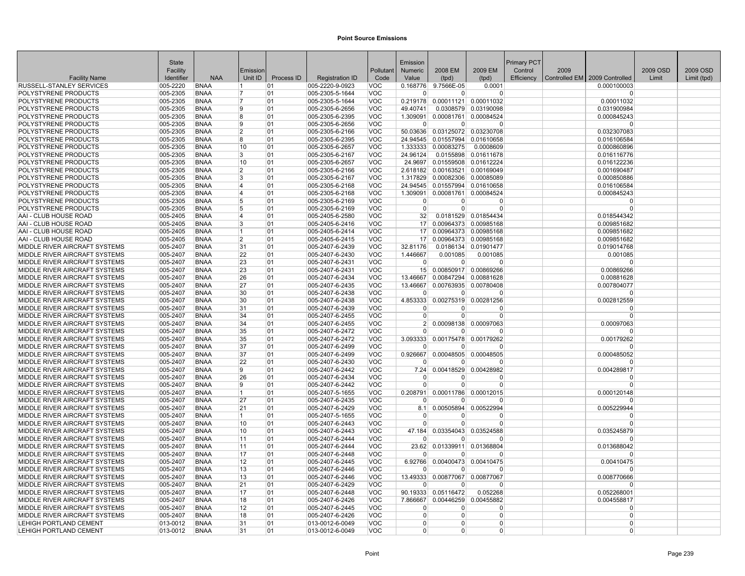|                                                                | State                          |                            |                |            |                                    |                          | Emission             |                        |                                   | Primary PCT |      |                                 |          |             |
|----------------------------------------------------------------|--------------------------------|----------------------------|----------------|------------|------------------------------------|--------------------------|----------------------|------------------------|-----------------------------------|-------------|------|---------------------------------|----------|-------------|
|                                                                | Facility                       |                            | Emission       |            |                                    | Pollutant                | <b>Numeric</b>       | 2008 EM                | 2009 EM                           | Control     | 2009 |                                 | 2009 OSD | 2009 OSD    |
| <b>Facility Name</b>                                           | Identifier                     | <b>NAA</b>                 | Unit ID        | Process ID | <b>Registration ID</b>             | Code                     | Value                | (tpd)                  | (tpd)                             | Efficiency  |      | Controlled EM   2009 Controlled | Limit    | Limit (tpd) |
| RUSSELL-STANLEY SERVICES                                       | 005-2220                       | <b>BNAA</b>                | 11             | 01         | 005-2220-9-0923                    | <b>VOC</b>               | 0.168776             | 9.7566E-05             | 0.0001                            |             |      | 0.000100003                     |          |             |
| POLYSTYRENE PRODUCTS                                           | 005-2305                       | <b>BNAA</b>                | 17             | 01         | 005-2305-5-1644                    | <b>VOC</b>               |                      | <sup>0</sup>           | 0                                 |             |      | $\Omega$                        |          |             |
| POLYSTYRENE PRODUCTS                                           | 005-2305                       | <b>BNAA</b>                | 7              | 01         | 005-2305-5-1644                    | <b>VOC</b>               | 0.219178             | 0.00011121             | 0.00011032                        |             |      | 0.00011032                      |          |             |
| POLYSTYRENE PRODUCTS                                           | 005-2305                       | <b>BNAA</b>                | 9              | 01         | 005-2305-6-2656                    | <b>VOC</b>               | 49.40741             |                        | 0.0308579 0.03190098              |             |      | 0.031900984                     |          |             |
| POLYSTYRENE PRODUCTS                                           | 005-2305                       | <b>BNAA</b>                | R              | 01         | 005-2305-6-2395                    | <b>VOC</b>               | 1.309091             | 0.00081761             | 0.00084524                        |             |      | 0.000845243                     |          |             |
| POLYSTYRENE PRODUCTS                                           | 005-2305                       | <b>BNAA</b>                | 19             | 01         | 005-2305-6-2656                    | <b>VOC</b>               | $\Omega$             | $\overline{0}$         | $\Omega$                          |             |      | $\Omega$                        |          |             |
| POLYSTYRENE PRODUCTS                                           | 005-2305                       | <b>BNAA</b>                | $\overline{2}$ | 01         | 005-2305-6-2166                    | <b>VOC</b>               | 50.03636             |                        | 0.03125072 0.03230708             |             |      | 0.032307083                     |          |             |
| POLYSTYRENE PRODUCTS                                           | 005-2305                       | <b>BNAA</b>                | 8              | 01         | 005-2305-6-2395                    | <b>VOC</b>               | 24.94545             | 0.01557994             | 0.01610658                        |             |      | 0.016106584                     |          |             |
| POLYSTYRENE PRODUCTS<br>POLYSTYRENE PRODUCTS                   | 005-2305<br>005-2305           | <b>BNAA</b><br><b>BNAA</b> | 10             | 01<br>01   | 005-2305-6-2657<br>005-2305-6-2167 | <b>VOC</b><br><b>VOC</b> | 1.333333<br>24.96124 | 0.00083275             | 0.0008609<br>0.0155898 0.01611678 |             |      | 0.000860896                     |          |             |
| POLYSTYRENE PRODUCTS                                           | 005-2305                       | <b>BNAA</b>                | 3<br>10        | 01         | 005-2305-6-2657                    | <b>VOC</b>               | 24.9697              | 0.01559508             | 0.01612224                        |             |      | 0.016116776<br>0.016122236      |          |             |
| POLYSTYRENE PRODUCTS                                           | 005-2305                       | <b>BNAA</b>                | $\overline{2}$ | 01         | 005-2305-6-2166                    | <b>VOC</b>               | 2.618182             |                        | 0.00163521 0.00169049             |             |      | 0.001690487                     |          |             |
| POLYSTYRENE PRODUCTS                                           | 005-2305                       | <b>BNAA</b>                | 3              | 01         | 005-2305-6-2167                    | <b>VOC</b>               | 1.317829             |                        | 0.00082306 0.00085089             |             |      | 0.000850886                     |          |             |
| POLYSTYRENE PRODUCTS                                           | 005-2305                       | <b>BNAA</b>                | 14             | 01         | 005-2305-6-2168                    | <b>VOC</b>               | 24.94545             | 0.01557994             | 0.01610658                        |             |      | 0.016106584                     |          |             |
| POLYSTYRENE PRODUCTS                                           | 005-2305                       | <b>BNAA</b>                | 14             | 01         | 005-2305-6-2168                    | <b>VOC</b>               | 1.309091             | 0.00081761             | 0.00084524                        |             |      | 0.000845243                     |          |             |
| <b>POLYSTYRENE PRODUCTS</b>                                    | 005-2305                       | <b>BNAA</b>                | 5              | 01         | 005-2305-6-2169                    | <b>VOC</b>               | $\Omega$             | $\Omega$               | $\Omega$                          |             |      | $\Omega$                        |          |             |
| <b>POLYSTYRENE PRODUCTS</b>                                    | 005-2305                       | <b>BNAA</b>                | 5              | 01         | 005-2305-6-2169                    | <b>VOC</b>               | $\Omega$             | 0                      | 0                                 |             |      | $\Omega$                        |          |             |
| AAI - CLUB HOUSE ROAD                                          | 005-2405                       | <b>BNAA</b>                | 14             | 01         | 005-2405-6-2580                    | <b>VOC</b>               | 32                   |                        | 0.0181529 0.01854434              |             |      | 0.018544342                     |          |             |
| AAI - CLUB HOUSE ROAD                                          | 005-2405                       | <b>BNAA</b>                | 3              | 01         | 005-2405-6-2416                    | <b>VOC</b>               | 17                   |                        | 0.00964373 0.00985168             |             |      | 0.009851682                     |          |             |
| AAI - CLUB HOUSE ROAD                                          | 005-2405                       | <b>BNAA</b>                | 11             | 01         | 005-2405-6-2414                    | <b>VOC</b>               | 17                   | 0.00964373             | 0.00985168                        |             |      | 0.009851682                     |          |             |
| AAI - CLUB HOUSE ROAD                                          | 005-2405                       | <b>BNAA</b>                | 2              | 01         | 005-2405-6-2415                    | <b>VOC</b>               | 17 <sup>1</sup>      |                        | 0.00964373 0.00985168             |             |      | 0.009851682                     |          |             |
| MIDDLE RIVER AIRCRAFT SYSTEMS                                  | 005-2407                       | <b>BNAA</b>                | 31             | 01         | 005-2407-6-2439                    | <b>VOC</b>               | 32.81176             | 0.0186134              | 0.01901477                        |             |      | 0.019014768                     |          |             |
| MIDDLE RIVER AIRCRAFT SYSTEMS                                  | $ 005 - 2407$                  | <b>BNAA</b>                | 22             | 01         | 005-2407-6-2430                    | <b>VOC</b>               | 1.446667             | 0.001085               | 0.001085                          |             |      | 0.001085                        |          |             |
| MIDDLE RIVER AIRCRAFT SYSTEMS                                  | $ 005 - 2407$                  | <b>BNAA</b>                | 23             | 01         | 005-2407-6-2431                    | <b>VOC</b>               | $\Omega$             | <sup>0</sup>           | ŋ                                 |             |      | $\Omega$                        |          |             |
| MIDDLE RIVER AIRCRAFT SYSTEMS                                  | 005-2407                       | <b>BNAA</b>                | 23             | 01         | 005-2407-6-2431                    | <b>VOC</b>               | 15                   | 0.00850917             | 0.00869266                        |             |      | 0.00869266                      |          |             |
| MIDDLE RIVER AIRCRAFT SYSTEMS                                  | 005-2407                       | <b>BNAA</b>                | 26             | 01         | 005-2407-6-2434                    | <b>VOC</b>               | 13.46667             | 0.00847294             | 0.00881628                        |             |      | 0.00881628                      |          |             |
| MIDDLE RIVER AIRCRAFT SYSTEMS                                  | $ 005 - 2407$                  | <b>BNAA</b>                | 27             | 01         | 005-2407-6-2435                    | <b>VOC</b>               | 13.46667             |                        | 0.00763935 0.00780408             |             |      | 0.007804077                     |          |             |
| MIDDLE RIVER AIRCRAFT SYSTEMS                                  | 005-2407                       | <b>BNAA</b>                | 30             | 01         | 005-2407-6-2438                    | <b>VOC</b>               | $\Omega$             | $\Omega$               | $\Omega$                          |             |      | $\Omega$                        |          |             |
| MIDDLE RIVER AIRCRAFT SYSTEMS                                  | 005-2407                       | <b>BNAA</b>                | 30             | 01         | 005-2407-6-2438                    | <b>VOC</b>               | 4.853333             | 0.00275319             | 0.00281256                        |             |      | 0.002812559                     |          |             |
| MIDDLE RIVER AIRCRAFT SYSTEMS                                  | 005-2407                       | <b>BNAA</b>                | 31             | 01         | 005-2407-6-2439                    | <b>VOC</b>               |                      | O                      | 0                                 |             |      | $\Omega$                        |          |             |
| MIDDLE RIVER AIRCRAFT SYSTEMS                                  | $ 005 - 2407$                  | <b>BNAA</b>                | 34             | 01         | 005-2407-6-2455                    | <b>VOC</b>               | $\Omega$             | $\Omega$               | 0                                 |             |      | $\Omega$                        |          |             |
| MIDDLE RIVER AIRCRAFT SYSTEMS                                  | 005-2407                       | <b>BNAA</b>                | 34             | 01         | 005-2407-6-2455                    | <b>VOC</b>               | 2 <sup>2</sup>       | 0.00098138             | 0.00097063                        |             |      | 0.00097063                      |          |             |
| MIDDLE RIVER AIRCRAFT SYSTEMS                                  | 005-2407                       | <b>BNAA</b>                | 35             | 01         | 005-2407-6-2472                    | <b>VOC</b>               | $\Omega$             | $\Omega$               | ŋ                                 |             |      | $\Omega$                        |          |             |
| MIDDLE RIVER AIRCRAFT SYSTEMS                                  | $ 005 - 2407$                  | <b>BNAA</b>                | 35             | 01         | 005-2407-6-2472                    | <b>VOC</b>               | 3.093333             | 0.00175478             | 0.00179262                        |             |      | 0.00179262                      |          |             |
| MIDDLE RIVER AIRCRAFT SYSTEMS                                  | $ 005 - 2407$                  | <b>BNAA</b>                | 37             | 01         | 005-2407-6-2499                    | <b>VOC</b>               | n                    | n                      | n                                 |             |      |                                 |          |             |
| MIDDLE RIVER AIRCRAFT SYSTEMS                                  | 005-2407                       | <b>BNAA</b>                | 37             | 01         | 005-2407-6-2499                    | <b>VOC</b>               | 0.926667             | 0.00048505             | 0.00048505                        |             |      | 0.000485052                     |          |             |
| MIDDLE RIVER AIRCRAFT SYSTEMS                                  | 005-2407                       | <b>BNAA</b>                | 22             | 01         | 005-2407-6-2430                    | <b>VOC</b>               | $\Omega$             | $\Omega$               | $\Omega$                          |             |      | $\Omega$                        |          |             |
| MIDDLE RIVER AIRCRAFT SYSTEMS                                  | 005-2407                       | <b>BNAA</b>                | 19             | 01         | 005-2407-6-2442                    | <b>VOC</b>               | 7.24<br>$\Omega$     | 0.00418529<br>$\Omega$ | 0.00428982<br>O                   |             |      | 0.004289817<br>$\Omega$         |          |             |
| MIDDLE RIVER AIRCRAFT SYSTEMS<br>MIDDLE RIVER AIRCRAFT SYSTEMS | 005-2407<br>005-2407           | <b>BNAA</b><br><b>BNAA</b> | 26<br>9        | 01<br>01   | 005-2407-6-2434                    | <b>VOC</b><br><b>VOC</b> | $\Omega$             | 0                      | $\Omega$                          |             |      | $\Omega$                        |          |             |
|                                                                |                                |                            | 11.            |            | 005-2407-6-2442                    | <b>VOC</b>               |                      |                        |                                   |             |      |                                 |          |             |
| MIDDLE RIVER AIRCRAFT SYSTEMS<br>MIDDLE RIVER AIRCRAFT SYSTEMS | $ 005 - 2407$<br>$ 005 - 2407$ | <b>BNAA</b><br><b>BNAA</b> | 27             | 01<br>01   | 005-2407-5-1655<br>005-2407-6-2435 | <b>VOC</b>               | 0.208791<br>$\Omega$ | 0.00011786<br>ŋ        | 0.00012015<br>0                   |             |      | 0.000120148<br>$\Omega$         |          |             |
| MIDDLE RIVER AIRCRAFT SYSTEMS                                  | 005-2407                       | <b>BNAA</b>                | 21             | 01         | 005-2407-6-2429                    | <b>VOC</b>               | 8.1                  | 0.00505894             | 0.00522994                        |             |      | 0.005229944                     |          |             |
| MIDDLE RIVER AIRCRAFT SYSTEMS                                  | 005-2407                       | <b>BNAA</b>                | 11             | 01         | 005-2407-5-1655                    | <b>VOC</b>               | $\Omega$             | O                      | ŋ                                 |             |      | $\Omega$                        |          |             |
| MIDDLE RIVER AIRCRAFT SYSTEMS                                  | 005-2407                       | <b>BNAA</b>                | 10             | 01         | 005-2407-6-2443                    | <b>VOC</b>               | $\Omega$             | $\Omega$               | 0                                 |             |      | $\Omega$                        |          |             |
| MIDDLE RIVER AIRCRAFT SYSTEMS                                  | 005-2407                       | <b>BNAA</b>                | 10             | 01         | 005-2407-6-2443                    | <b>VOC</b>               | 47.184               |                        | 0.03354043 0.03524588             |             |      | 0.035245879                     |          |             |
| MIDDLE RIVER AIRCRAFT SYSTEMS                                  | 005-2407                       | <b>BNAA</b>                | 11             | 01         | 005-2407-6-2444                    | <b>VOC</b>               |                      | $\Omega$               | 0                                 |             |      | $\Omega$                        |          |             |
| MIDDLE RIVER AIRCRAFT SYSTEMS                                  | $ 005 - 2407$                  | <b>BNAA</b>                | 11             | 01         | 005-2407-6-2444                    | <b>VOC</b>               | 23.62                | 0.01339911             | 0.01368804                        |             |      | 0.013688042                     |          |             |
| MIDDLE RIVER AIRCRAFT SYSTEMS                                  | 005-2407                       | <b>BNAA</b>                | 17             | 01         | 005-2407-6-2448                    | <b>VOC</b>               | n                    | O                      | 0                                 |             |      | $\Omega$                        |          |             |
| MIDDLE RIVER AIRCRAFT SYSTEMS                                  | 005-2407                       | <b>BNAA</b>                | 12             | 01         | 005-2407-6-2445                    | <b>VOC</b>               | 6.92766              | 0.00400473             | 0.00410475                        |             |      | 0.00410475                      |          |             |
| MIDDLE RIVER AIRCRAFT SYSTEMS                                  | 005-2407                       | <b>BNAA</b>                | 13             | 01         | 005-2407-6-2446                    | <b>VOC</b>               | $\Omega$             | 0                      | U                                 |             |      | $\Omega$                        |          |             |
| MIDDLE RIVER AIRCRAFT SYSTEMS                                  | $ 005 - 2407$                  | <b>BNAA</b>                | 13             | 01         | 005-2407-6-2446                    | <b>VOC</b>               |                      |                        | 13.49333 0.00877067 0.00877067    |             |      | 0.008770666                     |          |             |
| MIDDLE RIVER AIRCRAFT SYSTEMS                                  | 005-2407                       | <b>BNAA</b>                | 21             | 01         | 005-2407-6-2429                    | <b>VOC</b>               | $\Omega$             | $\Omega$               | 0                                 |             |      | $\Omega$                        |          |             |
| MIDDLE RIVER AIRCRAFT SYSTEMS                                  | 005-2407                       | <b>BNAA</b>                | 17             | 01         | 005-2407-6-2448                    | <b>VOC</b>               | 90.19333             | 0.05116472             | 0.052268                          |             |      | 0.052268001                     |          |             |
| MIDDLE RIVER AIRCRAFT SYSTEMS                                  | 005-2407                       | <b>BNAA</b>                | 18             | 01         | 005-2407-6-2426                    | <b>VOC</b>               | 7.866667             | 0.00446259             | 0.00455882                        |             |      | 0.004558817                     |          |             |
| MIDDLE RIVER AIRCRAFT SYSTEMS                                  | 005-2407                       | <b>BNAA</b>                | 12             | 01         | 005-2407-6-2445                    | <b>VOC</b>               | $\Omega$             | 0                      | 0                                 |             |      | $\Omega$                        |          |             |
| MIDDLE RIVER AIRCRAFT SYSTEMS                                  | 005-2407                       | <b>BNAA</b>                | 18             | 01         | 005-2407-6-2426                    | <b>VOC</b>               | $\Omega$             | $\Omega$               | $\Omega$                          |             |      | $\Omega$                        |          |             |
| LEHIGH PORTLAND CEMENT                                         | 013-0012                       | <b>BNAA</b>                | 31             | 01         | 013-0012-6-0049                    | <b>VOC</b>               | $\Omega$             | $\Omega$               | 0                                 |             |      | $\Omega$                        |          |             |
| LEHIGH PORTLAND CEMENT                                         | $ 013 - 0012 $                 | <b>BNAA</b>                | 31             | 01         | 013-0012-6-0049                    | <b>VOC</b>               | $\Omega$             | 0                      | 0                                 |             |      | $\Omega$                        |          |             |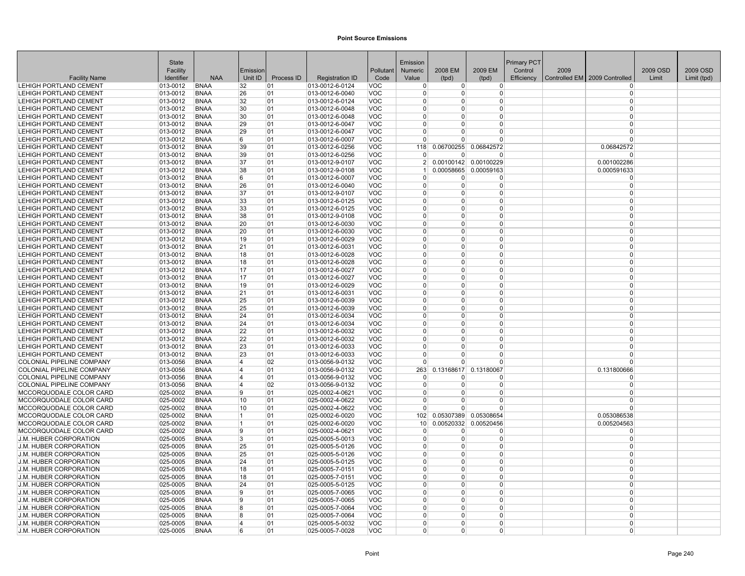|                                                  | State                      |                            |                         |            |                                    |                          | Emission                |                |                            | Primary PCT |      |                               |          |             |
|--------------------------------------------------|----------------------------|----------------------------|-------------------------|------------|------------------------------------|--------------------------|-------------------------|----------------|----------------------------|-------------|------|-------------------------------|----------|-------------|
|                                                  | Facility                   |                            | Emission                |            |                                    | Pollutant                | Numeric                 | 2008 EM        | 2009 EM                    | Control     | 2009 |                               | 2009 OSD | 2009 OSD    |
| <b>Facility Name</b>                             | Identifier                 | <b>NAA</b>                 | Unit ID                 | Process ID | <b>Registration ID</b>             | Code                     | Value                   | (tpd)          | (tpd)                      | Efficiency  |      | Controlled EM 2009 Controlled | Limit    | Limit (tpd) |
| LEHIGH PORTLAND CEMENT                           | 013-0012                   | <b>BNAA</b>                | 32                      | 01         | 013-0012-6-0124                    | VOC                      | $\Omega$                | $\overline{0}$ | $\overline{0}$             |             |      | $^{(1)}$                      |          |             |
| LEHIGH PORTLAND CEMENT                           | 013-0012                   | <b>BNAA</b>                | 26                      | 01         | 013-0012-6-0040                    | VOC                      | $\Omega$<br>$\Omega$    | 0<br>$\Omega$  | 0                          |             |      | $\Omega$<br>$\Omega$          |          |             |
| LEHIGH PORTLAND CEMENT                           | 013-0012                   | <b>BNAA</b>                | 32                      | 01         | 013-0012-6-0124                    | <b>VOC</b>               |                         |                | 0                          |             |      | $\Omega$                      |          |             |
| LEHIGH PORTLAND CEMENT<br>LEHIGH PORTLAND CEMENT | 013-0012                   | <b>BNAA</b><br><b>BNAA</b> | 30                      | 01         | 013-0012-6-0048                    | <b>VOC</b><br><b>VOC</b> | $\mathbf 0$<br>$\Omega$ | 0<br>$\Omega$  | $\overline{0}$<br>$\Omega$ |             |      | $\Omega$                      |          |             |
| LEHIGH PORTLAND CEMENT                           | 013-0012<br>$ 013 - 0012 $ | <b>BNAA</b>                | 30<br>29                | 01<br>01   | 013-0012-6-0048                    | <b>VOC</b>               | $\Omega$                | $\Omega$       | $\Omega$                   |             |      | $\Omega$                      |          |             |
| LEHIGH PORTLAND CEMENT                           | 013-0012                   |                            | 29                      |            | 013-0012-6-0047                    | <b>VOC</b>               | $\Omega$                | $\Omega$       | 0                          |             |      | $\Omega$                      |          |             |
| LEHIGH PORTLAND CEMENT                           | 013-0012                   | <b>BNAA</b><br><b>BNAA</b> | 6                       | 01<br>01   | 013-0012-6-0047<br>013-0012-6-0007 | <b>VOC</b>               | $\Omega$                | $\Omega$       | $\Omega$                   |             |      | $\Omega$                      |          |             |
| LEHIGH PORTLAND CEMENT                           | 013-0012                   | <b>BNAA</b>                | 39                      | 01         | 013-0012-6-0256                    | <b>VOC</b>               | 118                     | 0.06700255     | 0.06842572                 |             |      | 0.06842572                    |          |             |
| LEHIGH PORTLAND CEMENT                           | 013-0012                   | <b>BNAA</b>                | 39                      | 01         | 013-0012-6-0256                    | <b>VOC</b>               | $\Omega$                | 0              | 0                          |             |      | $\Omega$                      |          |             |
| LEHIGH PORTLAND CEMENT                           | 013-0012                   | <b>BNAA</b>                | 37                      | 01         | 013-0012-9-0107                    | <b>VOC</b>               | 2 <sup>1</sup>          |                | 0.00100142 0.00100229      |             |      | 0.001002286                   |          |             |
| <b>LEHIGH PORTLAND CEMENT</b>                    | 013-0012                   | <b>BNAA</b>                | 38                      | 01         | 013-0012-9-0108                    | <b>VOC</b>               |                         |                | 0.00058665 0.00059163      |             |      | 0.000591633                   |          |             |
| LEHIGH PORTLAND CEMENT                           | 013-0012                   | <b>BNAA</b>                | 6                       | 01         | 013-0012-6-0007                    | <b>VOC</b>               | $\Omega$                | 0              | $\Omega$                   |             |      | $\Omega$                      |          |             |
| LEHIGH PORTLAND CEMENT                           | 013-0012                   | <b>BNAA</b>                | 26                      | 01         | 013-0012-6-0040                    | <b>VOC</b>               | $\Omega$                | $\Omega$       | 0                          |             |      | $\Omega$                      |          |             |
| LEHIGH PORTLAND CEMENT                           | $013 - 0012$               | <b>BNAA</b>                | 37                      | 01         | 013-0012-9-0107                    | <b>VOC</b>               | $\Omega$                | $\Omega$       | $\Omega$                   |             |      | $\Omega$                      |          |             |
| LEHIGH PORTLAND CEMENT                           | 013-0012                   | <b>BNAA</b>                | 33                      | 01         | 013-0012-6-0125                    | <b>VOC</b>               | $\Omega$                | $\Omega$       | $\overline{0}$             |             |      | $\Omega$                      |          |             |
| LEHIGH PORTLAND CEMENT                           | $ 013 - 0012 $             | <b>BNAA</b>                | 33                      | 01         | 013-0012-6-0125                    | <b>VOC</b>               | $\Omega$                | $\Omega$       | 0                          |             |      | $\Omega$                      |          |             |
| <b>LEHIGH PORTLAND CEMENT</b>                    | 013-0012                   | <b>BNAA</b>                | 38                      | 01         | 013-0012-9-0108                    | <b>VOC</b>               | $\Omega$                | <sup>0</sup>   | $\Omega$                   |             |      | $\Omega$                      |          |             |
| <b>LEHIGH PORTLAND CEMENT</b>                    | 013-0012                   | <b>BNAA</b>                | 20                      | 01         | 013-0012-6-0030                    | <b>VOC</b>               | $\Omega$                | $\Omega$       | 0                          |             |      | $\Omega$                      |          |             |
| LEHIGH PORTLAND CEMENT                           | 013-0012                   | <b>BNAA</b>                | 20                      | 01         | 013-0012-6-0030                    | <b>VOC</b>               | $\Omega$                | $\Omega$       | $\overline{0}$             |             |      | $\Omega$                      |          |             |
| <b>LEHIGH PORTLAND CEMENT</b>                    | 013-0012                   | <b>BNAA</b>                | 19                      | 01         | 013-0012-6-0029                    | <b>VOC</b>               | $\mathbf 0$             | $\Omega$       | $\overline{0}$             |             |      | $\Omega$                      |          |             |
| LEHIGH PORTLAND CEMENT                           | $ 013 - 0012$              | <b>BNAA</b>                | 21                      | 01         | 013-0012-6-0031                    | <b>VOC</b>               | $\Omega$                | $\Omega$       | $\overline{0}$             |             |      | $\Omega$                      |          |             |
| LEHIGH PORTLAND CEMENT                           | 013-0012                   | <b>BNAA</b>                | 18                      | 01         | 013-0012-6-0028                    | <b>VOC</b>               | $\Omega$                | $\Omega$       | $\Omega$                   |             |      | $\Omega$                      |          |             |
| LEHIGH PORTLAND CEMENT                           | 013-0012                   | <b>BNAA</b>                | 18                      | 01         | 013-0012-6-0028                    | <b>VOC</b>               | $\Omega$                | $\Omega$       | 0                          |             |      | $\Omega$                      |          |             |
| LEHIGH PORTLAND CEMENT                           | 013-0012                   | <b>BNAA</b>                | 17                      | 01         | 013-0012-6-0027                    | <b>VOC</b>               | $\Omega$                | $\Omega$       | $\overline{0}$             |             |      | $\Omega$                      |          |             |
| <b>LEHIGH PORTLAND CEMENT</b>                    | $013 - 0012$               | <b>BNAA</b>                | 17                      | 01         | 013-0012-6-0027                    | <b>VOC</b>               | $\Omega$                | $\Omega$       | $\Omega$                   |             |      | $\Omega$                      |          |             |
| LEHIGH PORTLAND CEMENT                           | $ 013 - 0012 $             | <b>BNAA</b>                | 19                      | 01         | 013-0012-6-0029                    | <b>VOC</b>               | 0                       | $\Omega$       | $\overline{0}$             |             |      | $\Omega$                      |          |             |
| LEHIGH PORTLAND CEMENT                           | 013-0012                   | <b>BNAA</b>                | 21                      | 01         | 013-0012-6-0031                    | <b>VOC</b>               | $\Omega$                | $\Omega$       | $\Omega$                   |             |      | $\Omega$                      |          |             |
| <b>LEHIGH PORTLAND CEMENT</b>                    | 013-0012                   | <b>BNAA</b>                | 25                      | 01         | 013-0012-6-0039                    | <b>VOC</b>               | $\Omega$                | $\Omega$       | $\Omega$                   |             |      | $\Omega$                      |          |             |
| <b>LEHIGH PORTLAND CEMENT</b>                    | 013-0012                   | <b>BNAA</b>                | 25                      | 01         | 013-0012-6-0039                    | <b>VOC</b>               | $\Omega$                | $\Omega$       | 0                          |             |      | $\Omega$                      |          |             |
| LEHIGH PORTLAND CEMENT                           | 013-0012                   | <b>BNAA</b>                | 24                      | 01         | 013-0012-6-0034                    | <b>VOC</b>               | $\mathbf 0$             | $\Omega$       | $\overline{0}$             |             |      | $\Omega$                      |          |             |
| LEHIGH PORTLAND CEMENT                           | 013-0012                   | <b>BNAA</b>                | 24                      | 01         | 013-0012-6-0034                    | <b>VOC</b>               | $\mathbf 0$             | $\Omega$       | $\overline{0}$             |             |      | $\Omega$                      |          |             |
| <b>LEHIGH PORTLAND CEMENT</b>                    | $ 013 - 0012$              | <b>BNAA</b>                | 22                      | 01         | 013-0012-6-0032                    | <b>VOC</b>               | $\Omega$                | $\Omega$       | $\Omega$                   |             |      | $\Omega$                      |          |             |
| LEHIGH PORTLAND CEMENT                           | 013-0012                   | <b>BNAA</b>                | 22                      | 01         | 013-0012-6-0032                    | <b>VOC</b>               | $\Omega$                | $\Omega$       | $\Omega$                   |             |      | $\Omega$                      |          |             |
| LEHIGH PORTLAND CEMENT                           | 013-0012                   | <b>BNAA</b>                | 23                      | 01         | 013-0012-6-0033                    | <b>VOC</b>               | $\Omega$                | $\Omega$       | 0                          |             |      | $\Omega$                      |          |             |
| <b>LEHIGH PORTLAND CEMENT</b>                    | 013-0012                   | <b>BNAA</b>                | 23                      | 01         | 013-0012-6-0033                    | <b>VOC</b>               | $\Omega$                | $\Omega$       | $\Omega$                   |             |      | $\Omega$                      |          |             |
| <b>COLONIAL PIPELINE COMPANY</b>                 | 013-0056                   | <b>BNAA</b>                | 4                       | 02         | 013-0056-9-0132                    | <b>VOC</b>               | $\Omega$                | $\Omega$       | $\Omega$                   |             |      |                               |          |             |
| <b>COLONIAL PIPELINE COMPANY</b>                 | 013-0056                   | <b>BNAA</b>                | 14                      | 01         | 013-0056-9-0132                    | <b>VOC</b>               | 263                     |                | 0.13168617 0.13180067      |             |      | 0.131800666                   |          |             |
| <b>COLONIAL PIPELINE COMPANY</b>                 | 013-0056                   | <b>BNAA</b>                | 14                      | 01         | 013-0056-9-0132                    | <b>VOC</b>               | $\Omega$                | $\Omega$       | $\Omega$                   |             |      |                               |          |             |
| <b>COLONIAL PIPELINE COMPANY</b>                 | 013-0056                   | <b>BNAA</b>                | 14                      | 02         | 013-0056-9-0132                    | <b>VOC</b>               | $\mathbf 0$             | $\Omega$       | 0                          |             |      | $\Omega$                      |          |             |
| MCCORQUODALE COLOR CARD                          | $ 025 - 0002$              | <b>BNAA</b>                | 9                       | 01         | 025-0002-4-0621                    | <b>VOC</b>               | $\Omega$                | $\Omega$       | 0                          |             |      | $\Omega$                      |          |             |
| MCCORQUODALE COLOR CARD                          | 025-0002                   | <b>BNAA</b>                | 10                      | 01         | 025-0002-4-0622                    | <b>VOC</b>               | $\mathbf 0$             | $\Omega$       | 0                          |             |      | $\Omega$                      |          |             |
| MCCORQUODALE COLOR CARD                          | 025-0002                   | <b>BNAA</b>                | 10                      | 01         | 025-0002-4-0622                    | <b>VOC</b>               | $\Omega$                | $\Omega$       | $\overline{0}$             |             |      |                               |          |             |
| MCCORQUODALE COLOR CARD                          | 025-0002                   | <b>BNAA</b>                | 1                       | 01         | 025-0002-6-0020                    | <b>VOC</b>               | 102                     |                | 0.05307389 0.05308654      |             |      | 0.053086538                   |          |             |
| MCCORQUODALE COLOR CARD                          | 025-0002                   | <b>BNAA</b>                | 11                      | 01         | 025-0002-6-0020                    | <b>VOC</b>               | 10 <sup>1</sup>         |                | 0.00520332 0.00520456      |             |      | 0.005204563                   |          |             |
| MCCORQUODALE COLOR CARD                          | 025-0002                   | <b>BNAA</b>                | 9                       | 01         | 025-0002-4-0621                    | <b>VOC</b>               | $\overline{0}$          | 0              | $\overline{0}$             |             |      | $\Omega$                      |          |             |
| <b>J.M. HUBER CORPORATION</b>                    | 025-0005                   | <b>BNAA</b>                | 3                       | 01         | 025-0005-5-0013                    | <b>VOC</b>               | $\Omega$                | $\Omega$       | $\Omega$                   |             |      | $\Omega$                      |          |             |
| J.M. HUBER CORPORATION                           | $ 025 - 0005$              | <b>BNAA</b>                | 25                      | 01         | 025-0005-5-0126                    | <b>VOC</b>               | $\mathbf 0$             | $\Omega$       | 0                          |             |      | $\Omega$                      |          |             |
| <b>J.M. HUBER CORPORATION</b>                    | 025-0005                   | <b>BNAA</b>                | 25                      | 01         | 025-0005-5-0126                    | <b>VOC</b>               | $\mathbf 0$             | 0              | $\overline{0}$             |             |      | $\Omega$                      |          |             |
| J.M. HUBER CORPORATION                           | 025-0005                   | <b>BNAA</b>                | 24                      | 01         | 025-0005-5-0125                    | <b>VOC</b>               | $\Omega$                | $\Omega$       | $\Omega$                   |             |      | $\Omega$                      |          |             |
| <b>J.M. HUBER CORPORATION</b>                    | 025-0005                   | <b>BNAA</b>                | 18                      | 01         | 025-0005-7-0151                    | <b>VOC</b>               | $\Omega$                | $\Omega$       | 0                          |             |      | $\Omega$                      |          |             |
| <b>J.M. HUBER CORPORATION</b>                    | $ 025 - 0005$              | <b>BNAA</b>                | 18                      | 01         | $ 025 - 0005 - 7 - 0151$           | <b>VOC</b>               | $\Omega$                | $\Omega$       | 0                          |             |      | $\Omega$                      |          |             |
| J.M. HUBER CORPORATION                           | 025-0005                   | <b>BNAA</b>                | 24                      | 01         | 025-0005-5-0125                    | <b>VOC</b>               | $\Omega$                | $\Omega$       | $\overline{0}$             |             |      | $\Omega$                      |          |             |
| <b>J.M. HUBER CORPORATION</b>                    | 025-0005                   | <b>BNAA</b>                | 9                       | 01         | 025-0005-7-0065                    | <b>VOC</b>               | $\Omega$                | $\Omega$       | $\Omega$                   |             |      | $\Omega$                      |          |             |
| <b>J.M. HUBER CORPORATION</b>                    | 025-0005                   | <b>BNAA</b>                | 9                       | 01         | 025-0005-7-0065                    | <b>VOC</b>               | $\Omega$                | $\Omega$       | $\Omega$                   |             |      | $\Omega$                      |          |             |
| J.M. HUBER CORPORATION                           | 025-0005                   | <b>BNAA</b>                | 8                       | 01         | 025-0005-7-0064                    | <b>VOC</b>               | $\Omega$                | $\Omega$       | $\Omega$                   |             |      | $\Omega$                      |          |             |
| J.M. HUBER CORPORATION                           | 025-0005                   | <b>BNAA</b>                | 8                       | 01         | 025-0005-7-0064                    | <b>VOC</b>               | $\Omega$                | $\Omega$       | $\Omega$                   |             |      | $\Omega$                      |          |             |
| <b>J.M. HUBER CORPORATION</b>                    | 025-0005                   | <b>BNAA</b>                | $\overline{\mathbf{A}}$ | 01         | 025-0005-5-0032                    | <b>VOC</b>               | $\Omega$                | $\Omega$       | 0                          |             |      | $\Omega$                      |          |             |
| <b>J.M. HUBER CORPORATION</b>                    | 025-0005                   | <b>BNAA</b>                | 6                       | 01         | 025-0005-7-0028                    | <b>VOC</b>               | $\Omega$                | $\Omega$       | 0                          |             |      | $\overline{0}$                |          |             |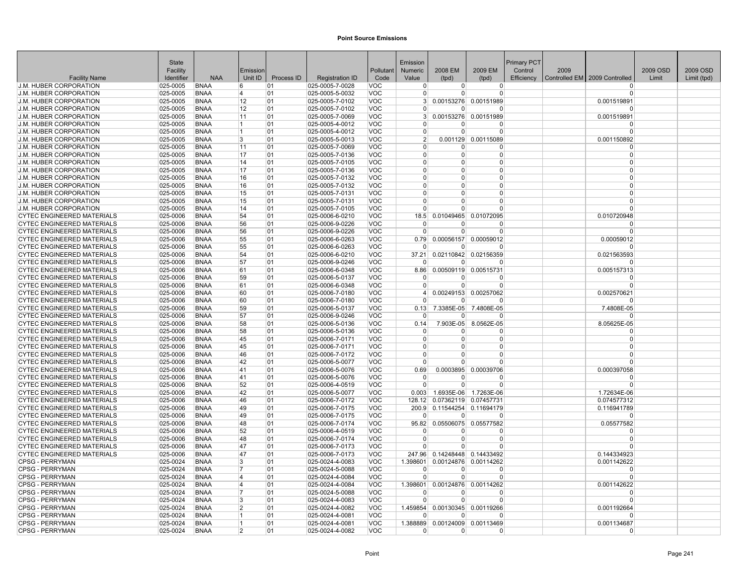|                                                                 | State                     |                            |                |            |                                    |                          | Emission                   |                             |                                         | Primary PCT |      |                               |          |             |
|-----------------------------------------------------------------|---------------------------|----------------------------|----------------|------------|------------------------------------|--------------------------|----------------------------|-----------------------------|-----------------------------------------|-------------|------|-------------------------------|----------|-------------|
|                                                                 | Facility                  |                            | Emission       |            |                                    | Pollutant                | <b>Numeric</b>             | 2008 EM                     | 2009 EM                                 | Control     | 2009 |                               | 2009 OSD | 2009 OSD    |
| <b>Facility Name</b>                                            | Identifier                | <b>NAA</b>                 | Unit ID        | Process ID | <b>Registration ID</b>             | Code                     | Value                      | (tpd)                       | (tpd)                                   | Efficiency  |      | Controlled EM 2009 Controlled | Limit    | Limit (tpd) |
| <b>J.M. HUBER CORPORATION</b>                                   | 025-0005                  | <b>BNAA</b>                | 6              | 01         | 025-0005-7-0028                    | VOC                      | $\overline{0}$             | $\overline{0}$              | $\overline{0}$<br>$\Omega$              |             |      | <sup>0</sup><br>$\Omega$      |          |             |
| <b>J.M. HUBER CORPORATION</b><br><b>J.M. HUBER CORPORATION</b>  | 025-0005<br>025-0005      | <b>BNAA</b><br><b>BNAA</b> | 4<br>12        | 01<br>01   | 025-0005-5-0032<br>025-0005-7-0102 | VOC<br><b>VOC</b>        | $\Omega$<br>3 <sup>1</sup> | $\Omega$                    | 0.00153276 0.00151989                   |             |      | 0.001519891                   |          |             |
| <b>J.M. HUBER CORPORATION</b>                                   | 025-0005                  | <b>BNAA</b>                | 12             | 01         | 025-0005-7-0102                    | <b>VOC</b>               | $\overline{0}$             | $\Omega$                    | $\Omega$                                |             |      | $\Omega$                      |          |             |
| J.M. HUBER CORPORATION                                          | 025-0005                  | <b>BNAA</b>                | 11             | 01         | 025-0005-7-0069                    | <b>VOC</b>               | 3 <sup>1</sup>             |                             | 0.00153276 0.00151989                   |             |      | 0.001519891                   |          |             |
| J.M. HUBER CORPORATION                                          | 025-0005                  | <b>BNAA</b>                | 11             | 01         | $ 025 - 0005 - 4 - 0012 $          | <b>VOC</b>               | $\Omega$                   | 0                           | 0                                       |             |      | $\Omega$                      |          |             |
| <b>J.M. HUBER CORPORATION</b>                                   | $ 025 - 0005$             | <b>BNAA</b>                | 11             | 01         | 025-0005-4-0012                    | <b>VOC</b>               | $\Omega$                   | $\Omega$                    | $\Omega$                                |             |      | $\Omega$                      |          |             |
| <b>J.M. HUBER CORPORATION</b>                                   | 025-0005                  | <b>BNAA</b>                | 3              | 01         | 025-0005-5-0013                    | <b>VOC</b>               | 2 <sup>1</sup>             |                             | 0.001129 0.00115089                     |             |      | 0.001150892                   |          |             |
| <b>J.M. HUBER CORPORATION</b>                                   | 025-0005                  | <b>BNAA</b>                | 11             | 01         | 025-0005-7-0069                    | <b>VOC</b>               | $\Omega$                   | U                           | $\Omega$                                |             |      | $\Omega$                      |          |             |
| <b>J.M. HUBER CORPORATION</b>                                   | 025-0005                  | <b>BNAA</b>                | 17             | 01         | 025-0005-7-0136                    | <b>VOC</b>               | $\overline{0}$             | $\Omega$                    | $\mathbf 0$                             |             |      | $\mathbf 0$                   |          |             |
| <b>J.M. HUBER CORPORATION</b>                                   | 025-0005                  | <b>BNAA</b>                | 14             | 01         | 025-0005-7-0105                    | <b>VOC</b>               | $\Omega$                   | $\Omega$                    | $\Omega$                                |             |      | $\Omega$                      |          |             |
| <b>J.M. HUBER CORPORATION</b>                                   | 025-0005                  | <b>BNAA</b>                | 17             | 01         | 025-0005-7-0136                    | <b>VOC</b>               | $\Omega$                   | 0                           | $\Omega$                                |             |      | $\Omega$                      |          |             |
| <b>J.M. HUBER CORPORATION</b>                                   | 025-0005                  | <b>BNAA</b>                | 16             | 01         | 025-0005-7-0132                    | <b>VOC</b>               | $\Omega$                   | 0                           | $\Omega$                                |             |      | $\Omega$                      |          |             |
| J.M. HUBER CORPORATION                                          | 025-0005                  | <b>BNAA</b>                | 16             | 01         | 025-0005-7-0132                    | <b>VOC</b>               | $\Omega$                   | $\Omega$                    | $\Omega$                                |             |      | $\Omega$                      |          |             |
| <b>J.M. HUBER CORPORATION</b>                                   | $025 - 0005$              | <b>BNAA</b>                | 15             | 01         | 025-0005-7-0131                    | <b>VOC</b>               | $\Omega$                   | U                           | $\Omega$                                |             |      | $\Omega$                      |          |             |
| <b>J.M. HUBER CORPORATION</b>                                   | 025-0005                  | <b>BNAA</b>                | 15             | 01         | 025-0005-7-0131                    | <b>VOC</b>               | $\Omega$                   | $\Omega$                    | $\Omega$                                |             |      | $\Omega$                      |          |             |
| J.M. HUBER CORPORATION                                          | 025-0005                  | <b>BNAA</b>                | 14             | 01         | $ 025 - 0005 - 7 - 0105$           | <b>VOC</b>               | $\overline{0}$             | $\Omega$                    | $\overline{0}$                          |             |      | $\Omega$                      |          |             |
| <b>CYTEC ENGINEERED MATERIALS</b>                               | 025-0006                  | <b>BNAA</b>                | 54             | 01         | 025-0006-6-0210                    | <b>VOC</b>               | 18.5                       |                             | 0.01049465 0.01072095                   |             |      | 0.010720948                   |          |             |
| <b>CYTEC ENGINEERED MATERIALS</b>                               | 025-0006                  | <b>BNAA</b>                | 56             | 01         | 025-0006-9-0226                    | <b>VOC</b>               | $\Omega$                   | U                           | $\Omega$                                |             |      | $\Omega$                      |          |             |
| <b>CYTEC ENGINEERED MATERIALS</b>                               | 025-0006                  | <b>BNAA</b>                | 56             | 01         | 025-0006-9-0226                    | <b>VOC</b>               | $\mathbf 0$                | 0                           | $\Omega$                                |             |      | $\mathbf 0$                   |          |             |
| <b>CYTEC ENGINEERED MATERIALS</b>                               | 025-0006                  | <b>BNAA</b>                | 55             | 01         | 025-0006-6-0263                    | <b>VOC</b>               | 0.79                       |                             | 0.00056157 0.00059012                   |             |      | 0.00059012                    |          |             |
| <b>CYTEC ENGINEERED MATERIALS</b>                               | 025-0006                  | <b>BNAA</b>                | 55             | 01         | 025-0006-6-0263                    | <b>VOC</b>               | $\Omega$                   | $\Omega$                    | $\Omega$                                |             |      | $\Omega$                      |          |             |
| <b>CYTEC ENGINEERED MATERIALS</b>                               | 025-0006                  | <b>BNAA</b>                | 54             | 01         | 025-0006-6-0210                    | <b>VOC</b>               | 37.21                      |                             | 0.02110842 0.02156359                   |             |      | 0.021563593                   |          |             |
| <b>CYTEC ENGINEERED MATERIALS</b>                               | 025-0006                  | <b>BNAA</b>                | 57             | 01         | 025-0006-9-0246                    | <b>VOC</b>               | $\Omega$                   | n                           | $\Omega$                                |             |      | n                             |          |             |
| <b>CYTEC ENGINEERED MATERIALS</b>                               | 025-0006                  | <b>BNAA</b>                | 61             | 01         | 025-0006-6-0348                    | <b>VOC</b>               | 8.86                       |                             | 0.00509119 0.00515731                   |             |      | 0.005157313                   |          |             |
| <b>CYTEC ENGINEERED MATERIALS</b>                               | 025-0006                  | <b>BNAA</b><br><b>BNAA</b> | 59             | 01         | 025-0006-5-0137                    | <b>VOC</b><br><b>VOC</b> | $\Omega$                   | 0                           | $\Omega$                                |             |      | $\Omega$<br>$\Omega$          |          |             |
| CYTEC ENGINEERED MATERIALS<br><b>CYTEC ENGINEERED MATERIALS</b> | 025-0006<br>025-0006      | <b>BNAA</b>                | 161<br>60      | 01<br>01   | 025-0006-6-0348<br>025-0006-7-0180 | <b>VOC</b>               | $\overline{0}$<br>$\vert$  | $\overline{0}$              | $\overline{0}$<br>0.00249153 0.00257062 |             |      | 0.002570621                   |          |             |
| <b>CYTEC ENGINEERED MATERIALS</b>                               | 025-0006                  | <b>BNAA</b>                | 60             | 01         | 025-0006-7-0180                    | <b>VOC</b>               | $\Omega$                   | 0                           | $\Omega$                                |             |      | $\Omega$                      |          |             |
| <b>CYTEC ENGINEERED MATERIALS</b>                               | 025-0006                  | <b>BNAA</b>                | 59             | 01         | 025-0006-5-0137                    | <b>VOC</b>               | 0.13                       | 7.3385E-05                  | 7.4808E-05                              |             |      | 7.4808E-05                    |          |             |
| <b>CYTEC ENGINEERED MATERIALS</b>                               | 025-0006                  | <b>BNAA</b>                | 57             | 01         | 025-0006-9-0246                    | <b>VOC</b>               | $\Omega$                   | $\Omega$                    | $\Omega$                                |             |      | $\Omega$                      |          |             |
| <b>CYTEC ENGINEERED MATERIALS</b>                               | 025-0006                  | <b>BNAA</b>                | 58             | 01         | 025-0006-5-0136                    | <b>VOC</b>               | 0.14                       | 7.903E-05                   | 8.0562E-05                              |             |      | 8.05625E-05                   |          |             |
| <b>CYTEC ENGINEERED MATERIALS</b>                               | 025-0006                  | <b>BNAA</b>                | 58             | 01         | 025-0006-5-0136                    | <b>VOC</b>               | $\mathbf 0$                | <sup>0</sup>                | $\Omega$                                |             |      | $\Omega$                      |          |             |
| <b>CYTEC ENGINEERED MATERIALS</b>                               | 025-0006                  | <b>BNAA</b>                | 45             | 01         | 025-0006-7-0171                    | <b>VOC</b>               | $\Omega$                   | $\Omega$                    | $\Omega$                                |             |      | $\Omega$                      |          |             |
| <b>CYTEC ENGINEERED MATERIALS</b>                               | 025-0006                  | <b>BNAA</b>                | 45             | 01         | $ 025 - 0006 - 7 - 0171$           | <b>VOC</b>               | $\Omega$                   | $\Omega$                    | $\Omega$                                |             |      | $\Omega$                      |          |             |
| <b>CYTEC ENGINEERED MATERIALS</b>                               | 025-0006                  | <b>BNAA</b>                | 46             | 01         | 025-0006-7-0172                    | <b>VOC</b>               | $\Omega$                   | $\Omega$                    | $\Omega$                                |             |      | $\Omega$                      |          |             |
| <b>CYTEC ENGINEERED MATERIALS</b>                               | 025-0006                  | <b>BNAA</b>                | 42             | 01         | 025-0006-5-0077                    | <b>VOC</b>               | $\Omega$                   | U                           | $\Omega$                                |             |      | $\Omega$                      |          |             |
| CYTEC ENGINEERED MATERIALS                                      | 025-0006                  | <b>BNAA</b>                | 41             | 01         | 025-0006-5-0076                    | <b>VOC</b>               | 0.69                       |                             | 0.0003895 0.00039706                    |             |      | 0.000397058                   |          |             |
| <b>CYTEC ENGINEERED MATERIALS</b>                               | 025-0006                  | <b>BNAA</b>                | 41             | 01         | 025-0006-5-0076                    | <b>VOC</b>               | $\mathbf 0$                | $\Omega$                    | $\Omega$                                |             |      | $\Omega$                      |          |             |
| <b>CYTEC ENGINEERED MATERIALS</b>                               | 025-0006                  | <b>BNAA</b>                | 52             | 01         | 025-0006-4-0519                    | <b>VOC</b>               | $\Omega$                   | $\Omega$                    | $\Omega$                                |             |      | $\Omega$                      |          |             |
| <b>CYTEC ENGINEERED MATERIALS</b>                               | 025-0006                  | <b>BNAA</b>                | 42             | 01         | 025-0006-5-0077                    | <b>VOC</b>               | 0.003                      | 1.6935E-06                  | 1.7263E-06                              |             |      | 1.72634E-06                   |          |             |
| <b>CYTEC ENGINEERED MATERIALS</b>                               | 025-0006                  | <b>BNAA</b>                | 46             | 01         | 025-0006-7-0172                    | <b>VOC</b>               | 128.12                     |                             | 0.07362119 0.07457731                   |             |      | 0.074577312                   |          |             |
| <b>CYTEC ENGINEERED MATERIALS</b>                               | 025-0006                  | <b>BNAA</b>                | 49             | 01         | 025-0006-7-0175                    | <b>VOC</b>               |                            | 200.9 0.11544254 0.11694179 |                                         |             |      | 0.116941789                   |          |             |
| CYTEC ENGINEERED MATERIALS                                      | 025-0006                  | <b>BNAA</b>                | 49             | 01         | 025-0006-7-0175                    | <b>VOC</b>               | $\Omega$                   | $\Omega$                    | $\Omega$                                |             |      | $\Omega$                      |          |             |
| <b>CYTEC ENGINEERED MATERIALS</b>                               | 025-0006                  | <b>BNAA</b>                | 48             | 01         | 025-0006-7-0174                    | <b>VOC</b>               | 95.82                      |                             | 0.05506075 0.05577582                   |             |      | 0.05577582                    |          |             |
| <b>CYTEC ENGINEERED MATERIALS</b>                               | 025-0006                  | <b>BNAA</b>                | 52             | 01         | 025-0006-4-0519                    | <b>VOC</b>               | $\overline{0}$             | 0                           | $\Omega$                                |             |      | $\Omega$                      |          |             |
| <b>CYTEC ENGINEERED MATERIALS</b>                               | 025-0006                  | <b>BNAA</b>                | 48             | 01         | 025-0006-7-0174                    | <b>VOC</b>               | $\Omega$                   | $\Omega$                    | $\Omega$                                |             |      | $\Omega$<br>$\Omega$          |          |             |
| <b>CYTEC ENGINEERED MATERIALS</b>                               | 025-0006                  | <b>BNAA</b>                | 47             | 01         | 025-0006-7-0173                    | <b>VOC</b>               | $\Omega$                   | 0                           | $\Omega$                                |             |      |                               |          |             |
| <b>CYTEC ENGINEERED MATERIALS</b><br><b>CPSG - PERRYMAN</b>     | 025-0006                  | <b>BNAA</b><br><b>BNAA</b> | 47<br>3        | 01<br>01   | 025-0006-7-0173<br>025-0024-4-0083 | <b>VOC</b><br><b>VOC</b> | 247.96<br>1.398601         |                             | 0.14248448 0.14433492                   |             |      | 0.144334923                   |          |             |
| <b>CPSG - PERRYMAN</b>                                          | $ 025 - 0024$<br>025-0024 | <b>BNAA</b>                | 17             | 01         | 025-0024-5-0088                    | <b>VOC</b>               | $\overline{0}$             | $\Omega$                    | 0.00124876 0.00114262<br>$\Omega$       |             |      | 0.001142622<br>$\Omega$       |          |             |
| CPSG - PERRYMAN                                                 | $ 025 - 0024$             | <b>BNAA</b>                | 14             | 01         | 025-0024-4-0084                    | <b>VOC</b>               | $\Omega$                   | $\Omega$                    | $\Omega$                                |             |      | $\Omega$                      |          |             |
| CPSG - PERRYMAN                                                 | $ 025 - 0024$             | <b>BNAA</b>                | 14             | 01         | 025-0024-4-0084                    | <b>VOC</b>               | 1.398601                   | 0.00124876                  | 0.00114262                              |             |      | 0.001142622                   |          |             |
| <b>ICPSG - PERRYMAN</b>                                         | 025-0024                  | <b>BNAA</b>                |                | 01         | 025-0024-5-0088                    | <b>VOC</b>               | $\Omega$                   | $\Omega$                    | $\Omega$                                |             |      | $\Omega$                      |          |             |
| <b>CPSG - PERRYMAN</b>                                          | 025-0024                  | <b>BNAA</b>                | 3              | 01         | 025-0024-4-0083                    | <b>VOC</b>               | $\Omega$                   | $\Omega$                    | $\Omega$                                |             |      | $\Omega$                      |          |             |
| <b>CPSG - PERRYMAN</b>                                          | $ 025 - 0024$             | <b>BNAA</b>                | $\overline{2}$ | 01         | 025-0024-4-0082                    | <b>VOC</b>               | 1.459854                   |                             | 0.00130345 0.00119266                   |             |      | 0.001192664                   |          |             |
| <b>CPSG - PERRYMAN</b>                                          | 025-0024                  | <b>BNAA</b>                | 11             | 01         | 025-0024-4-0081                    | <b>VOC</b>               | $\Omega$                   | 0                           | $\Omega$                                |             |      | $\Omega$                      |          |             |
| <b>CPSG - PERRYMAN</b>                                          | 025-0024                  | <b>BNAA</b>                | 11             | 01         | 025-0024-4-0081                    | <b>VOC</b>               | 1.388889                   |                             | 0.00124009 0.00113469                   |             |      | 0.001134687                   |          |             |
| <b>CPSG - PERRYMAN</b>                                          | 025-0024                  | <b>BNAA</b>                | $\overline{2}$ | 01         | 025-0024-4-0082                    | <b>VOC</b>               | $\Omega$                   | 0                           | 0                                       |             |      | $\Omega$                      |          |             |
|                                                                 |                           |                            |                |            |                                    |                          |                            |                             |                                         |             |      |                               |          |             |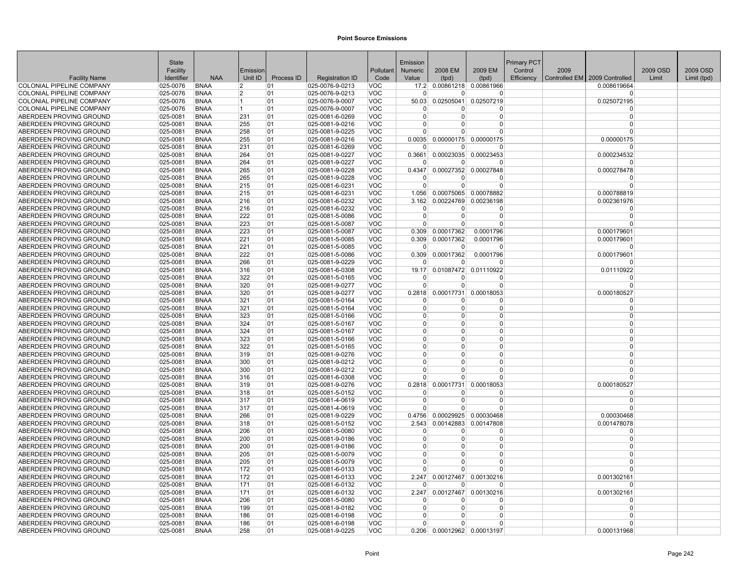|                                                    | State                |                            |            |            |                                    |                          | Emission             |                      |                             | <b>Primary PCT</b> |      |                                 |          |             |
|----------------------------------------------------|----------------------|----------------------------|------------|------------|------------------------------------|--------------------------|----------------------|----------------------|-----------------------------|--------------------|------|---------------------------------|----------|-------------|
|                                                    | Facility             |                            | Emission   |            |                                    | Pollutant                | Numeric              | 2008 EM              | 2009 EM                     | Control            | 2009 |                                 | 2009 OSD | 2009 OSD    |
| <b>Facility Name</b>                               | Identifier           | <b>NAA</b>                 | Unit ID    | Process ID | <b>Registration ID</b>             | Code                     | Value                | (tpd)                | (tpd)                       | Efficiency         |      | Controlled EM   2009 Controlled | Limit    | Limit (tpd) |
| <b>COLONIAL PIPELINE COMPANY</b>                   | 025-0076             | <b>BNAA</b>                | 12         | 01         | 025-0076-9-0213                    | <b>VOC</b>               |                      |                      | 17.2 0.00861218 0.00861966  |                    |      | 0.008619664                     |          |             |
| <b>COLONIAL PIPELINE COMPANY</b>                   | 025-0076             | <b>BNAA</b>                | 12         | 01         | 025-0076-9-0213                    | <b>VOC</b>               | $\Omega$             | $\Omega$             | $\Omega$                    |                    |      | $\Omega$                        |          |             |
| <b>COLONIAL PIPELINE COMPANY</b>                   | 025-0076             | <b>BNAA</b>                | 11<br>11.  | 01         | 025-0076-9-0007                    | <b>VOC</b>               | 50.03<br>n           | 0.02505041           | 0.02507219                  |                    |      | 0.025072195                     |          |             |
| <b>COLONIAL PIPELINE COMPANY</b>                   | 025-0076             | <b>BNAA</b>                |            | 01         | 025-0076-9-0007                    | <b>VOC</b>               | $\Omega$             | $\Omega$<br>$\Omega$ | 0<br>$\Omega$               |                    |      | $\Omega$<br>$\Omega$            |          |             |
| ABERDEEN PROVING GROUND                            | 025-0081<br>025-0081 | <b>BNAA</b><br><b>BNAA</b> | 231<br>255 | 01<br>01   | 025-0081-6-0269                    | <b>VOC</b><br><b>VOC</b> | $\Omega$             | $\Omega$             | $\Omega$                    |                    |      | $\Omega$                        |          |             |
| ABERDEEN PROVING GROUND<br>ABERDEEN PROVING GROUND | 025-0081             | <b>BNAA</b>                | 258        | 01         | 025-0081-9-0216<br>025-0081-9-0225 | <b>VOC</b>               | $\Omega$             | U                    | $\Omega$                    |                    |      | $\Omega$                        |          |             |
| ABERDEEN PROVING GROUND                            | 025-0081             | <b>BNAA</b>                | 255        | 01         | 025-0081-9-0216                    | <b>VOC</b>               | 0.0035               |                      | 0.00000175 0.00000175       |                    |      | 0.00000175                      |          |             |
| ABERDEEN PROVING GROUND                            | 025-0081             | <b>BNAA</b>                | 231        | 01         | 025-0081-6-0269                    | <b>VOC</b>               | $\Omega$             | $\Omega$             | $\Omega$                    |                    |      | $\Omega$                        |          |             |
| ABERDEEN PROVING GROUND                            | 025-0081             | <b>BNAA</b>                | 264        | 01         | 025-0081-9-0227                    | <b>VOC</b>               | 0.3661               |                      | 0.00023035 0.00023453       |                    |      | 0.000234532                     |          |             |
| ABERDEEN PROVING GROUND                            | 025-0081             | <b>BNAA</b>                | 264        | 01         | 025-0081-9-0227                    | <b>VOC</b>               | $\Omega$             | $\Omega$             | $\Omega$                    |                    |      | $\Omega$                        |          |             |
| ABERDEEN PROVING GROUND                            | 025-0081             | <b>BNAA</b>                | 265        | 01         | 025-0081-9-0228                    | <b>VOC</b>               | 0.4347               |                      | 0.00027352 0.00027848       |                    |      | 0.000278478                     |          |             |
| ABERDEEN PROVING GROUND                            | 025-0081             | <b>BNAA</b>                | 265        | 01         | 025-0081-9-0228                    | <b>VOC</b>               | n                    | 0                    | 0                           |                    |      |                                 |          |             |
| ABERDEEN PROVING GROUND                            | 025-0081             | <b>BNAA</b>                | 215        | 01         | 025-0081-6-0231                    | <b>VOC</b>               | $\Omega$             | U                    | $\Omega$                    |                    |      | $\Omega$                        |          |             |
| ABERDEEN PROVING GROUND                            | 025-0081             | <b>BNAA</b>                | 215        | 01         | 025-0081-6-0231                    | <b>VOC</b>               | 1.056                |                      | 0.00075065 0.00078882       |                    |      | 0.000788819                     |          |             |
| ABERDEEN PROVING GROUND                            | 025-0081             | <b>BNAA</b>                | 216        | 01         | 025-0081-6-0232                    | <b>VOC</b>               | 3.162                |                      | 0.00224769 0.00236198       |                    |      | 0.002361976                     |          |             |
| ABERDEEN PROVING GROUND                            | 025-0081             | <b>BNAA</b>                | 216        | 01         | 025-0081-6-0232                    | <b>VOC</b>               | $\Omega$             | 0                    | 0                           |                    |      | $\Omega$                        |          |             |
| ABERDEEN PROVING GROUND                            | 025-0081             | <b>BNAA</b>                | 222        | 01         | 025-0081-5-0086                    | <b>VOC</b>               | $\Omega$             | $\Omega$             | $\overline{0}$              |                    |      | $\Omega$                        |          |             |
| ABERDEEN PROVING GROUND                            | 025-0081             | <b>BNAA</b>                | 223        | 01         | 025-0081-5-0087                    | <b>VOC</b>               | 0                    | $\Omega$             | $\Omega$                    |                    |      |                                 |          |             |
| ABERDEEN PROVING GROUND                            | 025-0081             | <b>BNAA</b>                | 223        | 01         | 025-0081-5-0087                    | <b>VOC</b>               | 0.309                | 0.00017362           | 0.0001796                   |                    |      | 0.000179601                     |          |             |
| ABERDEEN PROVING GROUND                            | 025-0081             | <b>BNAA</b>                | 221        | 01         | 025-0081-5-0085                    | <b>VOC</b>               |                      | 0.309 0.00017362     | 0.0001796                   |                    |      | 0.000179601                     |          |             |
| ABERDEEN PROVING GROUND                            | 025-0081             | <b>BNAA</b>                | 221        | 01         | 025-0081-5-0085                    | <b>VOC</b>               | $\Omega$             | $\Omega$             | $\Omega$                    |                    |      | $\Omega$                        |          |             |
| ABERDEEN PROVING GROUND                            | 025-0081             | <b>BNAA</b>                | 222        | 01         | 025-0081-5-0086                    | <b>VOC</b>               | 0.309                | 0.00017362           | 0.0001796                   |                    |      | 0.000179601                     |          |             |
| ABERDEEN PROVING GROUND                            | 025-0081             | <b>BNAA</b>                | 266        | 01         | 025-0081-9-0229                    | <b>VOC</b>               | $\Omega$             | U                    | <sup>0</sup>                |                    |      | 0                               |          |             |
| ABERDEEN PROVING GROUND                            | 025-0081             | <b>BNAA</b>                | 316        | 01         | 025-0081-6-0308                    | <b>VOC</b>               | 19.17                | 0.01087472           | 0.01110922                  |                    |      | 0.01110922                      |          |             |
| ABERDEEN PROVING GROUND                            | 025-0081             | <b>BNAA</b>                | 322        | 01         | 025-0081-5-0165                    | <b>VOC</b>               | $\Omega$             | <sup>0</sup>         | $\Omega$                    |                    |      | $\Omega$                        |          |             |
| ABERDEEN PROVING GROUND                            | $ 025 - 0081$        | <b>BNAA</b>                | 320        | 01         | 025-0081-9-0277                    | <b>VOC</b>               | $\Omega$             | $\overline{0}$       | $\overline{0}$              |                    |      | $\Omega$                        |          |             |
| ABERDEEN PROVING GROUND                            | 025-0081             | <b>BNAA</b>                | 320        | 01         | 025-0081-9-0277                    | <b>VOC</b>               | 0.2818               | 0.00017731           | 0.00018053                  |                    |      | 0.000180527                     |          |             |
| ABERDEEN PROVING GROUND                            | 025-0081             | <b>BNAA</b>                | 321        | 01         | 025-0081-5-0164                    | <b>VOC</b>               | $\Omega$             | $\overline{0}$       | $\Omega$                    |                    |      | $\Omega$                        |          |             |
| ABERDEEN PROVING GROUND                            | 025-0081             | <b>BNAA</b>                | 321        | 01         | 025-0081-5-0164                    | <b>VOC</b>               | $\Omega$             | $\Omega$             | 0                           |                    |      | $\Omega$                        |          |             |
| ABERDEEN PROVING GROUND                            | 025-0081             | <b>BNAA</b>                | 323        | 01         | 025-0081-5-0166                    | <b>VOC</b>               | $\overline{0}$       | $\Omega$             | 0                           |                    |      | $\Omega$                        |          |             |
| ABERDEEN PROVING GROUND                            | 025-0081             | <b>BNAA</b>                | 324        | 01         | 025-0081-5-0167                    | <b>VOC</b>               | $\Omega$             | $\Omega$             | $\overline{0}$              |                    |      | $\Omega$                        |          |             |
| ABERDEEN PROVING GROUND                            | 025-0081             | <b>BNAA</b>                | 324        | 01         | 025-0081-5-0167                    | <b>VOC</b>               | $\Omega$             | $\Omega$             | $\Omega$                    |                    |      | $\Omega$                        |          |             |
| ABERDEEN PROVING GROUND                            | 025-0081             | <b>BNAA</b>                | 323        | 01         | 025-0081-5-0166                    | <b>VOC</b>               | $\Omega$             | $\Omega$             | $\Omega$                    |                    |      | $\Omega$                        |          |             |
| ABERDEEN PROVING GROUND                            | 025-0081             | <b>BNAA</b>                | 322        | 01         | 025-0081-5-0165                    | <b>VOC</b>               | $\mathbf{0}$         | 0                    | 0                           |                    |      | $\Omega$                        |          |             |
| ABERDEEN PROVING GROUND                            | 025-0081             | <b>BNAA</b>                | 319        | 01         | 025-0081-9-0276                    | <b>VOC</b>               | $\Omega$             | $\Omega$             | $\Omega$                    |                    |      | $\Omega$                        |          |             |
| ABERDEEN PROVING GROUND                            | 025-0081             | <b>BNAA</b>                | 300        | 01         | 025-0081-9-0212                    | <b>VOC</b>               | $\Omega$             | $\Omega$             | $\Omega$                    |                    |      | $\Omega$                        |          |             |
| ABERDEEN PROVING GROUND                            | 025-0081             | <b>BNAA</b>                | 300        | 01         | 025-0081-9-0212                    | <b>VOC</b>               | $\Omega$<br>$\Omega$ | $\Omega$             | $\Omega$                    |                    |      | $\Omega$<br>$\Omega$            |          |             |
| ABERDEEN PROVING GROUND                            | 025-0081             | <b>BNAA</b>                | 316        | 01         | 025-0081-6-0308                    | <b>VOC</b>               |                      | $\Omega$             | $\Omega$                    |                    |      |                                 |          |             |
| ABERDEEN PROVING GROUND                            | 025-0081             | <b>BNAA</b>                | 319        | 01         | 025-0081-9-0276                    | <b>VOC</b>               | 0.2818               | 0.00017731           | 0.00018053                  |                    |      | 0.000180527                     |          |             |
| ABERDEEN PROVING GROUND                            | 025-0081             | <b>BNAA</b>                | 318        | 01         | 025-0081-5-0152                    | <b>VOC</b>               | $\Omega$<br>$\Omega$ | $\Omega$<br>$\Omega$ | $\Omega$                    |                    |      | $\Omega$<br>$\Omega$            |          |             |
| ABERDEEN PROVING GROUND<br>ABERDEEN PROVING GROUND | 025-0081<br>025-0081 | <b>BNAA</b><br><b>BNAA</b> | 317<br>317 | 01<br>01   | 025-0081-4-0619<br>025-0081-4-0619 | <b>VOC</b><br><b>VOC</b> | $\Omega$             | $\Omega$             | 0<br>$\overline{0}$         |                    |      | $\Omega$                        |          |             |
| ABERDEEN PROVING GROUND                            | 025-0081             | <b>BNAA</b>                | 266        | 01         | 025-0081-9-0229                    | <b>VOC</b>               | 0.4756               |                      | 0.00029925 0.00030468       |                    |      | 0.00030468                      |          |             |
| ABERDEEN PROVING GROUND                            | 025-0081             | <b>BNAA</b>                | 318        | 01         | 025-0081-5-0152                    | <b>VOC</b>               | 2.543                | 0.00142883           | 0.00147808                  |                    |      | 0.001478078                     |          |             |
| ABERDEEN PROVING GROUND                            | 025-0081             | <b>BNAA</b>                | 206        | 01         | 025-0081-5-0080                    | <b>VOC</b>               | $\Omega$             | 0                    | $\overline{0}$              |                    |      | $\Omega$                        |          |             |
| ABERDEEN PROVING GROUND                            | 025-0081             | <b>BNAA</b>                | 200        | 01         | 025-0081-9-0186                    | <b>VOC</b>               | $\Omega$             | $\Omega$             | $\Omega$                    |                    |      | $\Omega$                        |          |             |
| ABERDEEN PROVING GROUND                            | 025-0081             | <b>BNAA</b>                | 200        | 01         | 025-0081-9-0186                    | <b>VOC</b>               | $\Omega$             | 0                    | $\Omega$                    |                    |      | $\Omega$                        |          |             |
| ABERDEEN PROVING GROUND                            | 025-0081             | <b>BNAA</b>                | 205        | 01         | 025-0081-5-0079                    | <b>VOC</b>               | $\Omega$             | $\Omega$             | $\overline{0}$              |                    |      | $\Omega$                        |          |             |
| ABERDEEN PROVING GROUND                            | 025-0081             | <b>BNAA</b>                | 205        | 01         | 025-0081-5-0079                    | <b>VOC</b>               | $\Omega$             | 0                    | $\Omega$                    |                    |      | $\Omega$                        |          |             |
| ABERDEEN PROVING GROUND                            | 025-0081             | <b>BNAA</b>                | 172        | 01         | 025-0081-6-0133                    | <b>VOC</b>               |                      | U                    | $\Omega$                    |                    |      |                                 |          |             |
| ABERDEEN PROVING GROUND                            | 025-0081             | <b>BNAA</b>                | 172        | 01         | 025-0081-6-0133                    | <b>VOC</b>               | 2.247                |                      | 0.00127467 0.00130216       |                    |      | 0.001302161                     |          |             |
| ABERDEEN PROVING GROUND                            | 025-0081             | <b>BNAA</b>                | 171        | 01         | 025-0081-6-0132                    | <b>VOC</b>               | $\Omega$             | U                    | $\Omega$                    |                    |      | $\Omega$                        |          |             |
| ABERDEEN PROVING GROUND                            | 025-0081             | <b>BNAA</b>                | 171        | 01         | 025-0081-6-0132                    | <b>VOC</b>               | 2.247                | 0.00127467           | 0.00130216                  |                    |      | 0.001302161                     |          |             |
| ABERDEEN PROVING GROUND                            | 025-0081             | <b>BNAA</b>                | 206        | 01         | 025-0081-5-0080                    | <b>VOC</b>               | $\Omega$             | $\Omega$             | <sup>0</sup>                |                    |      | $\Omega$                        |          |             |
| ABERDEEN PROVING GROUND                            | 025-0081             | <b>BNAA</b>                | 199        | 01         | 025-0081-9-0182                    | <b>VOC</b>               | $\Omega$             | $\Omega$             | 0                           |                    |      | $\Omega$                        |          |             |
| ABERDEEN PROVING GROUND                            | 025-0081             | <b>BNAA</b>                | 186        | 01         | 025-0081-6-0198                    | <b>VOC</b>               | $\Omega$             | $\Omega$             | $\Omega$                    |                    |      | $\Omega$                        |          |             |
| ABERDEEN PROVING GROUND                            | 025-0081             | <b>BNAA</b>                | 186        | 01         | 025-0081-6-0198                    | <b>VOC</b>               |                      | $\Omega$             | $\Omega$                    |                    |      |                                 |          |             |
| ABERDEEN PROVING GROUND                            | 025-0081             | <b>BNAA</b>                | 258        | 01         | 025-0081-9-0225                    | <b>VOC</b>               |                      |                      | 0.206 0.00012962 0.00013197 |                    |      | 0.000131968                     |          |             |
|                                                    |                      |                            |            |            |                                    |                          |                      |                      |                             |                    |      |                                 |          |             |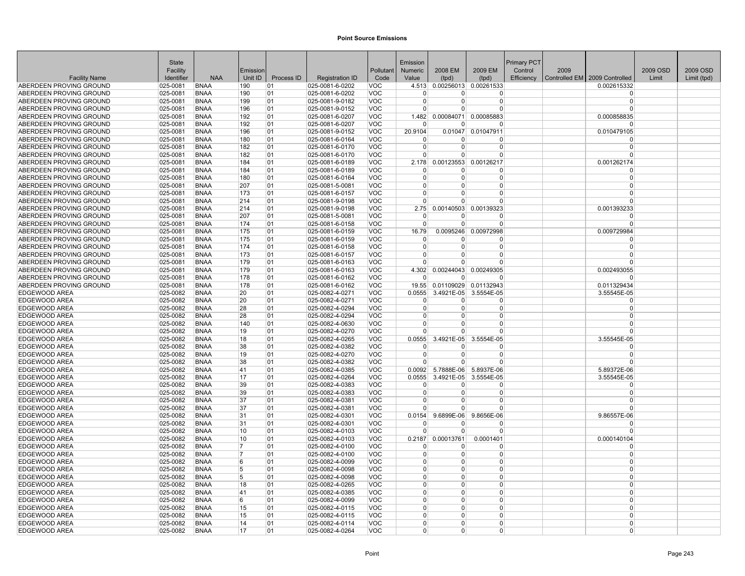| 2009 EM<br>2009 OSD<br>2009 OSD<br>Facility<br>Emission<br>Pollutant<br><b>Numeric</b><br>2008 EM<br>Control<br>2009<br><b>NAA</b><br>Unit ID<br>Process ID<br>Efficiency<br>Controlled EM   2009 Controlled<br><b>Facility Name</b><br>Identifier<br><b>Registration ID</b><br>Code<br>Value<br>Limit<br>Limit (tpd)<br>(tpd)<br>(tpd)<br>ABERDEEN PROVING GROUND<br>025-0081<br><b>BNAA</b><br>025-0081-6-0202<br><b>VOC</b><br>4.513<br>0.00256013 0.00261533<br>0.002615332<br>190<br>01<br>ABERDEEN PROVING GROUND<br>025-0081<br><b>BNAA</b><br>190<br>01<br>025-0081-6-0202<br>VOC<br>$\Omega$<br>0<br>0<br>$\Omega$<br>01<br><b>VOC</b><br>$\Omega$<br>$\Omega$<br>ABERDEEN PROVING GROUND<br>025-0081<br><b>BNAA</b><br>199<br>025-0081-9-0182<br>$\Omega$<br>$\overline{0}$<br>ABERDEEN PROVING GROUND<br><b>BNAA</b><br>01<br>025-0081-9-0152<br><b>VOC</b><br>$\Omega$<br>025-0081<br>196<br>$\Omega$<br>$\Omega$<br>0<br>ABERDEEN PROVING GROUND<br><b>VOC</b><br>0.00084071<br>0.000858835<br>025-0081<br><b>BNAA</b><br>192<br>01<br>025-0081-6-0207<br>1.482<br>0.00085883<br>ABERDEEN PROVING GROUND<br>025-0081<br><b>BNAA</b><br>192<br>01<br><b>VOC</b><br>025-0081-6-0207<br>$\Omega$<br>$\Omega$<br>O<br>$\Omega$<br><b>VOC</b><br>20.9104<br>0.010479105<br>ABERDEEN PROVING GROUND<br>025-0081<br><b>BNAA</b><br>196<br>01<br>025-0081-9-0152<br>0.01047 0.01047911<br>ABERDEEN PROVING GROUND<br>025-0081<br><b>BNAA</b><br>180<br>01<br>025-0081-6-0164<br><b>VOC</b><br>$\Omega$<br>$\Omega$<br>n<br>O<br>ABERDEEN PROVING GROUND<br>025-0081<br><b>BNAA</b><br>182<br>01<br>025-0081-6-0170<br><b>VOC</b><br>$\Omega$<br>$\Omega$<br>$\Omega$<br>$\Omega$<br><b>BNAA</b><br>01<br><b>VOC</b><br>$\Omega$<br>ABERDEEN PROVING GROUND<br>025-0081<br>182<br>025-0081-6-0170<br>$\Omega$<br>$\Omega$<br>$\Omega$<br>ABERDEEN PROVING GROUND<br><b>BNAA</b><br>184<br>01<br>025-0081-6-0189<br><b>VOC</b><br>2.178<br>0.00123553<br>0.00126217<br>0.001262174<br>025-0081<br>ABERDEEN PROVING GROUND<br><b>BNAA</b><br>184<br>01<br><b>VOC</b><br>025-0081<br>025-0081-6-0189<br>0<br>0<br>$\Omega$<br>$\Omega$<br><b>VOC</b><br>ABERDEEN PROVING GROUND<br>025-0081<br><b>BNAA</b><br>180<br>01<br>025-0081-6-0164<br>$\Omega$<br>$\overline{0}$<br>0<br>$\Omega$<br><b>VOC</b><br>$\Omega$<br>ABERDEEN PROVING GROUND<br>025-0081<br><b>BNAA</b><br>207<br>01<br>025-0081-5-0081<br>$\Omega$<br>$\Omega$<br>$\Omega$<br>ABERDEEN PROVING GROUND<br>025-0081<br><b>BNAA</b><br>173<br>01<br>025-0081-6-0157<br><b>VOC</b><br>$\Omega$<br>U<br>$\Omega$<br>$\Omega$<br>ABERDEEN PROVING GROUND<br>025-0081<br><b>BNAA</b><br>214<br>01<br>025-0081-9-0198<br><b>VOC</b><br>$\Omega$<br>$\Omega$<br>$\Omega$<br>$\Omega$<br>0.00139323<br>0.001393233<br>ABERDEEN PROVING GROUND<br><b>BNAA</b><br>214<br> 01<br><b>VOC</b><br>2.75<br>0.00140503<br>025-0081<br>025-0081-9-0198<br>207<br>01<br><b>VOC</b><br>ABERDEEN PROVING GROUND<br>025-0081<br><b>BNAA</b><br>025-0081-5-0081<br><sup>0</sup><br>0<br>$\Omega$<br>$\Omega$<br>ABERDEEN PROVING GROUND<br>025-0081<br><b>BNAA</b><br>174<br>01<br>025-0081-6-0158<br><b>VOC</b><br>$\Omega$<br>$\Omega$<br>O<br>$\Omega$<br>01<br>ABERDEEN PROVING GROUND<br>025-0081<br><b>BNAA</b><br>175<br>025-0081-6-0159<br>VOC<br>16.79<br>0.0095246<br>0.00972998<br>0.009729984<br>ABERDEEN PROVING GROUND<br><b>BNAA</b><br>01<br><b>VOC</b><br>025-0081<br>175<br>025-0081-6-0159<br>$\Omega$<br>$\Omega$<br>$\Omega$<br>$\Omega$<br><b>BNAA</b><br>174<br>01<br>025-0081-6-0158<br><b>VOC</b><br>$\Omega$<br>$\Omega$<br>$\Omega$<br>ABERDEEN PROVING GROUND<br>025-0081<br>$\Omega$<br>ABERDEEN PROVING GROUND<br>025-0081<br><b>BNAA</b><br>173<br>01<br>025-0081-6-0157<br>VOC<br>$\Omega$<br>O<br>$\Omega$<br>$\Omega$<br><b>VOC</b><br>ABERDEEN PROVING GROUND<br>025-0081<br><b>BNAA</b><br>179<br>01<br>025-0081-6-0163<br>$\Omega$<br>0<br>0<br>$\Omega$<br>179<br>01<br><b>VOC</b><br>4.302<br>0.00244043<br>0.00249305<br>0.002493055<br>ABERDEEN PROVING GROUND<br>025-0081<br><b>BNAA</b><br>025-0081-6-0163<br>ABERDEEN PROVING GROUND<br>025-0081<br><b>BNAA</b><br>178<br>01<br>025-0081-6-0162<br><b>VOC</b><br>$\Omega$<br>$\Omega$<br>$\Omega$<br><sup>0</sup><br><b>BNAA</b><br><b>VOC</b><br>0.01109029 0.01132943<br>0.011329434<br>ABERDEEN PROVING GROUND<br>025-0081<br>178<br> 01<br>025-0081-6-0162<br>19.55<br>EDGEWOOD AREA<br>025-0082<br><b>BNAA</b><br>20<br>01<br>025-0082-4-0271<br><b>VOC</b><br>0.0555<br>3.4921E-05 3.5554E-05<br>3.55545E-05<br>EDGEWOOD AREA<br>025-0082<br><b>BNAA</b><br>20<br>01<br>025-0082-4-0271<br><b>VOC</b><br>$\Omega$<br>$\Omega$<br>0<br>$\Omega$<br><b>EDGEWOOD AREA</b><br>025-0082<br><b>BNAA</b><br>28<br>01<br>025-0082-4-0294<br><b>VOC</b><br>$\Omega$<br>$\Omega$<br>0<br>$\Omega$<br>01<br><b>VOC</b><br>EDGEWOOD AREA<br>025-0082<br><b>BNAA</b><br>28<br>025-0082-4-0294<br>$\overline{0}$<br>$\Omega$<br>$\Omega$<br>$\Omega$<br>EDGEWOOD AREA<br>025-0082<br><b>BNAA</b><br>140<br>01<br><b>VOC</b><br>$\Omega$<br>$\Omega$<br>$\Omega$<br>025-0082-4-0630<br>$\Omega$<br>EDGEWOOD AREA<br>025-0082<br><b>BNAA</b><br>19<br>01<br>025-0082-4-0270<br><b>VOC</b><br>$\Omega$<br>$\overline{0}$<br>$\Omega$<br>$\Omega$<br>EDGEWOOD AREA<br>025-0082<br><b>BNAA</b><br>18<br>01<br>025-0082-4-0265<br>VOC<br>0.0555<br>3.4921E-05<br>3.5554E-05<br>3.55545E-05<br>38<br><b>VOC</b><br><b>EDGEWOOD AREA</b><br>025-0082<br><b>BNAA</b><br>01<br>025-0082-4-0382<br>$\Omega$<br>0<br>0<br><sup>0</sup><br><b>EDGEWOOD AREA</b><br>025-0082<br><b>BNAA</b><br>19<br>01<br>025-0082-4-0270<br><b>VOC</b><br>$\Omega$<br>$\Omega$<br>$\Omega$<br>$\Omega$<br>EDGEWOOD AREA<br>025-0082<br><b>BNAA</b><br>38<br>01<br>025-0082-4-0382<br><b>VOC</b><br>$\Omega$<br>$\Omega$<br>$\Omega$<br>$\Omega$<br><b>BNAA</b><br>41<br> 01<br><b>VOC</b><br>0.0092<br>5.7888E-06 5.8937E-06<br>EDGEWOOD AREA<br>025-0082<br>025-0082-4-0385<br>5.89372E-06<br><b>EDGEWOOD AREA</b><br>025-0082<br><b>BNAA</b><br>17<br>01<br>025-0082-4-0264<br><b>VOC</b><br>0.0555<br>3.4921E-05 3.5554E-05<br>3.55545E-05<br><b>BNAA</b><br>39<br><b>VOC</b><br>EDGEWOOD AREA<br>025-0082<br>01<br>025-0082-4-0383<br>$\Omega$<br>$\Omega$<br>$\Omega$<br>$\Omega$<br>39<br><b>VOC</b><br>EDGEWOOD AREA<br>025-0082<br><b>BNAA</b><br>01<br>025-0082-4-0383<br>$\overline{0}$<br>0<br>$\Omega$<br>$\Omega$<br>37<br>01<br><b>VOC</b><br>EDGEWOOD AREA<br>025-0082<br><b>BNAA</b><br>025-0082-4-0381<br>$\Omega$<br>$\Omega$<br>$\Omega$<br>$\Omega$<br><b>EDGEWOOD AREA</b><br>025-0082<br><b>BNAA</b><br>37<br>01<br><b>VOC</b><br>$\Omega$<br>$\Omega$<br>025-0082-4-0381<br>$\Omega$<br>$\Omega$<br>EDGEWOOD AREA<br>025-0082<br><b>BNAA</b><br>31<br> 01<br>025-0082-4-0301<br><b>VOC</b><br>0.0154<br>9.6899E-06<br>9.8656E-06<br>9.86557E-06<br>EDGEWOOD AREA<br><b>BNAA</b><br>31<br> 01<br><b>VOC</b><br>025-0082<br>025-0082-4-0301<br>0<br>O<br>$\Omega$<br>0<br>10<br><b>VOC</b><br>EDGEWOOD AREA<br>025-0082<br><b>BNAA</b><br>01<br>025-0082-4-0103<br>$\Omega$<br>$\Omega$<br>$\Omega$<br>$\Omega$<br><b>EDGEWOOD AREA</b><br>025-0082<br><b>BNAA</b><br>10<br>01<br>025-0082-4-0103<br><b>VOC</b><br>0.2187<br>0.00013761<br>0.0001401<br>0.000140104<br>EDGEWOOD AREA<br>025-0082<br><b>BNAA</b><br>17<br>01<br>025-0082-4-0100<br>VOC<br>$\Omega$<br>$\Omega$<br>$\Omega$<br>0<br>025-0082<br><b>BNAA</b><br>01<br><b>VOC</b><br>0<br>$\Omega$<br>EDGEWOOD AREA<br>17<br>025-0082-4-0100<br>$\overline{0}$<br>$\Omega$<br>EDGEWOOD AREA<br>025-0082<br><b>BNAA</b><br>01<br>025-0082-4-0099<br><b>VOC</b><br>$\Omega$<br>$\Omega$<br>$\Omega$<br>6<br>$\Omega$<br><b>VOC</b><br>EDGEWOOD AREA<br>025-0082<br><b>BNAA</b><br>5<br>01<br>025-0082-4-0098<br>U<br>0<br>$\Omega$<br>$\Omega$<br>EDGEWOOD AREA<br><b>BNAA</b><br>01<br>VOC<br>025-0082<br>5<br>025-0082-4-0098<br>$\Omega$<br>$\Omega$<br><sup>0</sup><br>$\Omega$<br>EDGEWOOD AREA<br>01<br>VOC<br>$\Omega$<br>$\Omega$<br>$\Omega$<br>025-0082<br><b>BNAA</b><br>18<br>025-0082-4-0265<br>$\Omega$<br>EDGEWOOD AREA<br>025-0082<br><b>BNAA</b><br>41<br>01<br>025-0082-4-0385<br><b>VOC</b><br>$\Omega$<br>$\Omega$<br>$\Omega$<br>$\Omega$<br><b>EDGEWOOD AREA</b><br>025-0082<br><b>BNAA</b><br>01<br>025-0082-4-0099<br><b>VOC</b><br>$\Omega$<br>$\Omega$<br>6<br>$\Omega$<br>$\Omega$<br>01<br><b>VOC</b><br>$\Omega$<br>0<br>$\Omega$<br>EDGEWOOD AREA<br>025-0082<br><b>BNAA</b><br>15<br>025-0082-4-0115<br>$\Omega$<br>EDGEWOOD AREA<br>025-0082<br><b>BNAA</b><br>15<br>01<br><b>VOC</b><br>$\Omega$<br>$\Omega$<br>$\Omega$<br>025-0082-4-0115<br>$\Omega$<br>EDGEWOOD AREA<br><b>BNAA</b><br><b>VOC</b><br>025-0082<br>14<br>01<br>025-0082-4-0114<br>$\Omega$<br>0<br>0<br>$\Omega$<br>EDGEWOOD AREA<br>025-0082<br><b>BNAA</b><br>17<br>01<br>025-0082-4-0264<br><b>VOC</b><br>$\overline{0}$<br>$\Omega$<br>0<br>$\Omega$ |       |  |  |          |  |             |  |  |
|------------------------------------------------------------------------------------------------------------------------------------------------------------------------------------------------------------------------------------------------------------------------------------------------------------------------------------------------------------------------------------------------------------------------------------------------------------------------------------------------------------------------------------------------------------------------------------------------------------------------------------------------------------------------------------------------------------------------------------------------------------------------------------------------------------------------------------------------------------------------------------------------------------------------------------------------------------------------------------------------------------------------------------------------------------------------------------------------------------------------------------------------------------------------------------------------------------------------------------------------------------------------------------------------------------------------------------------------------------------------------------------------------------------------------------------------------------------------------------------------------------------------------------------------------------------------------------------------------------------------------------------------------------------------------------------------------------------------------------------------------------------------------------------------------------------------------------------------------------------------------------------------------------------------------------------------------------------------------------------------------------------------------------------------------------------------------------------------------------------------------------------------------------------------------------------------------------------------------------------------------------------------------------------------------------------------------------------------------------------------------------------------------------------------------------------------------------------------------------------------------------------------------------------------------------------------------------------------------------------------------------------------------------------------------------------------------------------------------------------------------------------------------------------------------------------------------------------------------------------------------------------------------------------------------------------------------------------------------------------------------------------------------------------------------------------------------------------------------------------------------------------------------------------------------------------------------------------------------------------------------------------------------------------------------------------------------------------------------------------------------------------------------------------------------------------------------------------------------------------------------------------------------------------------------------------------------------------------------------------------------------------------------------------------------------------------------------------------------------------------------------------------------------------------------------------------------------------------------------------------------------------------------------------------------------------------------------------------------------------------------------------------------------------------------------------------------------------------------------------------------------------------------------------------------------------------------------------------------------------------------------------------------------------------------------------------------------------------------------------------------------------------------------------------------------------------------------------------------------------------------------------------------------------------------------------------------------------------------------------------------------------------------------------------------------------------------------------------------------------------------------------------------------------------------------------------------------------------------------------------------------------------------------------------------------------------------------------------------------------------------------------------------------------------------------------------------------------------------------------------------------------------------------------------------------------------------------------------------------------------------------------------------------------------------------------------------------------------------------------------------------------------------------------------------------------------------------------------------------------------------------------------------------------------------------------------------------------------------------------------------------------------------------------------------------------------------------------------------------------------------------------------------------------------------------------------------------------------------------------------------------------------------------------------------------------------------------------------------------------------------------------------------------------------------------------------------------------------------------------------------------------------------------------------------------------------------------------------------------------------------------------------------------------------------------------------------------------------------------------------------------------------------------------------------------------------------------------------------------------------------------------------------------------------------------------------------------------------------------------------------------------------------------------------------------------------------------------------------------------------------------------------------------------------------------------------------------------------------------------------------------------------------------------------------------------------------------------------------------------------------------------------------------------------------------------------------------------------------------------------------------------------------------------------------------------------------------------------------------------------------------------------------------------------------------------------------------------------------------------------------------------------------------------------------------------------------------------------------------------------------------------------------------------------------------------------------------------------------------------------------------------------------------------------------------------------------------------------------------------------------------------------------------------------------------------------------------------------------------------------------------------------------------------------------------------------------------------------------------------------------------------------------------------------------------------------------------------------------------------------------------------------------------------------------------------------------------------------------------------------------------------------------------------------------------------------------------------------------------------------------------------------------------------------------------------------------------------------------------------------------------------------------------------------------------------------------------------------------------------------------------------------------------------------------------------------------------------------------------------------------------------------------------------------------------------------------------------------------------------------------------------------------------------------------------------------|-------|--|--|----------|--|-------------|--|--|
|                                                                                                                                                                                                                                                                                                                                                                                                                                                                                                                                                                                                                                                                                                                                                                                                                                                                                                                                                                                                                                                                                                                                                                                                                                                                                                                                                                                                                                                                                                                                                                                                                                                                                                                                                                                                                                                                                                                                                                                                                                                                                                                                                                                                                                                                                                                                                                                                                                                                                                                                                                                                                                                                                                                                                                                                                                                                                                                                                                                                                                                                                                                                                                                                                                                                                                                                                                                                                                                                                                                                                                                                                                                                                                                                                                                                                                                                                                                                                                                                                                                                                                                                                                                                                                                                                                                                                                                                                                                                                                                                                                                                                                                                                                                                                                                                                                                                                                                                                                                                                                                                                                                                                                                                                                                                                                                                                                                                                                                                                                                                                                                                                                                                                                                                                                                                                                                                                                                                                                                                                                                                                                                                                                                                                                                                                                                                                                                                                                                                                                                                                                                                                                                                                                                                                                                                                                                                                                                                                                                                                                                                                                                                                                                                                                                                                                                                                                                                                                                                                                                                                                                                                                                                                                                                                                                                                                                                                                                                                                                                                                                                                                                                                                                                                                                                                                                                                                                                                                                                                                                                                                                                                                                                                                                                                                                                                                                                                                                                                | State |  |  | Emission |  | Primary PCT |  |  |
|                                                                                                                                                                                                                                                                                                                                                                                                                                                                                                                                                                                                                                                                                                                                                                                                                                                                                                                                                                                                                                                                                                                                                                                                                                                                                                                                                                                                                                                                                                                                                                                                                                                                                                                                                                                                                                                                                                                                                                                                                                                                                                                                                                                                                                                                                                                                                                                                                                                                                                                                                                                                                                                                                                                                                                                                                                                                                                                                                                                                                                                                                                                                                                                                                                                                                                                                                                                                                                                                                                                                                                                                                                                                                                                                                                                                                                                                                                                                                                                                                                                                                                                                                                                                                                                                                                                                                                                                                                                                                                                                                                                                                                                                                                                                                                                                                                                                                                                                                                                                                                                                                                                                                                                                                                                                                                                                                                                                                                                                                                                                                                                                                                                                                                                                                                                                                                                                                                                                                                                                                                                                                                                                                                                                                                                                                                                                                                                                                                                                                                                                                                                                                                                                                                                                                                                                                                                                                                                                                                                                                                                                                                                                                                                                                                                                                                                                                                                                                                                                                                                                                                                                                                                                                                                                                                                                                                                                                                                                                                                                                                                                                                                                                                                                                                                                                                                                                                                                                                                                                                                                                                                                                                                                                                                                                                                                                                                                                                                                                |       |  |  |          |  |             |  |  |
|                                                                                                                                                                                                                                                                                                                                                                                                                                                                                                                                                                                                                                                                                                                                                                                                                                                                                                                                                                                                                                                                                                                                                                                                                                                                                                                                                                                                                                                                                                                                                                                                                                                                                                                                                                                                                                                                                                                                                                                                                                                                                                                                                                                                                                                                                                                                                                                                                                                                                                                                                                                                                                                                                                                                                                                                                                                                                                                                                                                                                                                                                                                                                                                                                                                                                                                                                                                                                                                                                                                                                                                                                                                                                                                                                                                                                                                                                                                                                                                                                                                                                                                                                                                                                                                                                                                                                                                                                                                                                                                                                                                                                                                                                                                                                                                                                                                                                                                                                                                                                                                                                                                                                                                                                                                                                                                                                                                                                                                                                                                                                                                                                                                                                                                                                                                                                                                                                                                                                                                                                                                                                                                                                                                                                                                                                                                                                                                                                                                                                                                                                                                                                                                                                                                                                                                                                                                                                                                                                                                                                                                                                                                                                                                                                                                                                                                                                                                                                                                                                                                                                                                                                                                                                                                                                                                                                                                                                                                                                                                                                                                                                                                                                                                                                                                                                                                                                                                                                                                                                                                                                                                                                                                                                                                                                                                                                                                                                                                                                |       |  |  |          |  |             |  |  |
|                                                                                                                                                                                                                                                                                                                                                                                                                                                                                                                                                                                                                                                                                                                                                                                                                                                                                                                                                                                                                                                                                                                                                                                                                                                                                                                                                                                                                                                                                                                                                                                                                                                                                                                                                                                                                                                                                                                                                                                                                                                                                                                                                                                                                                                                                                                                                                                                                                                                                                                                                                                                                                                                                                                                                                                                                                                                                                                                                                                                                                                                                                                                                                                                                                                                                                                                                                                                                                                                                                                                                                                                                                                                                                                                                                                                                                                                                                                                                                                                                                                                                                                                                                                                                                                                                                                                                                                                                                                                                                                                                                                                                                                                                                                                                                                                                                                                                                                                                                                                                                                                                                                                                                                                                                                                                                                                                                                                                                                                                                                                                                                                                                                                                                                                                                                                                                                                                                                                                                                                                                                                                                                                                                                                                                                                                                                                                                                                                                                                                                                                                                                                                                                                                                                                                                                                                                                                                                                                                                                                                                                                                                                                                                                                                                                                                                                                                                                                                                                                                                                                                                                                                                                                                                                                                                                                                                                                                                                                                                                                                                                                                                                                                                                                                                                                                                                                                                                                                                                                                                                                                                                                                                                                                                                                                                                                                                                                                                                                                |       |  |  |          |  |             |  |  |
|                                                                                                                                                                                                                                                                                                                                                                                                                                                                                                                                                                                                                                                                                                                                                                                                                                                                                                                                                                                                                                                                                                                                                                                                                                                                                                                                                                                                                                                                                                                                                                                                                                                                                                                                                                                                                                                                                                                                                                                                                                                                                                                                                                                                                                                                                                                                                                                                                                                                                                                                                                                                                                                                                                                                                                                                                                                                                                                                                                                                                                                                                                                                                                                                                                                                                                                                                                                                                                                                                                                                                                                                                                                                                                                                                                                                                                                                                                                                                                                                                                                                                                                                                                                                                                                                                                                                                                                                                                                                                                                                                                                                                                                                                                                                                                                                                                                                                                                                                                                                                                                                                                                                                                                                                                                                                                                                                                                                                                                                                                                                                                                                                                                                                                                                                                                                                                                                                                                                                                                                                                                                                                                                                                                                                                                                                                                                                                                                                                                                                                                                                                                                                                                                                                                                                                                                                                                                                                                                                                                                                                                                                                                                                                                                                                                                                                                                                                                                                                                                                                                                                                                                                                                                                                                                                                                                                                                                                                                                                                                                                                                                                                                                                                                                                                                                                                                                                                                                                                                                                                                                                                                                                                                                                                                                                                                                                                                                                                                                                |       |  |  |          |  |             |  |  |
|                                                                                                                                                                                                                                                                                                                                                                                                                                                                                                                                                                                                                                                                                                                                                                                                                                                                                                                                                                                                                                                                                                                                                                                                                                                                                                                                                                                                                                                                                                                                                                                                                                                                                                                                                                                                                                                                                                                                                                                                                                                                                                                                                                                                                                                                                                                                                                                                                                                                                                                                                                                                                                                                                                                                                                                                                                                                                                                                                                                                                                                                                                                                                                                                                                                                                                                                                                                                                                                                                                                                                                                                                                                                                                                                                                                                                                                                                                                                                                                                                                                                                                                                                                                                                                                                                                                                                                                                                                                                                                                                                                                                                                                                                                                                                                                                                                                                                                                                                                                                                                                                                                                                                                                                                                                                                                                                                                                                                                                                                                                                                                                                                                                                                                                                                                                                                                                                                                                                                                                                                                                                                                                                                                                                                                                                                                                                                                                                                                                                                                                                                                                                                                                                                                                                                                                                                                                                                                                                                                                                                                                                                                                                                                                                                                                                                                                                                                                                                                                                                                                                                                                                                                                                                                                                                                                                                                                                                                                                                                                                                                                                                                                                                                                                                                                                                                                                                                                                                                                                                                                                                                                                                                                                                                                                                                                                                                                                                                                                                |       |  |  |          |  |             |  |  |
|                                                                                                                                                                                                                                                                                                                                                                                                                                                                                                                                                                                                                                                                                                                                                                                                                                                                                                                                                                                                                                                                                                                                                                                                                                                                                                                                                                                                                                                                                                                                                                                                                                                                                                                                                                                                                                                                                                                                                                                                                                                                                                                                                                                                                                                                                                                                                                                                                                                                                                                                                                                                                                                                                                                                                                                                                                                                                                                                                                                                                                                                                                                                                                                                                                                                                                                                                                                                                                                                                                                                                                                                                                                                                                                                                                                                                                                                                                                                                                                                                                                                                                                                                                                                                                                                                                                                                                                                                                                                                                                                                                                                                                                                                                                                                                                                                                                                                                                                                                                                                                                                                                                                                                                                                                                                                                                                                                                                                                                                                                                                                                                                                                                                                                                                                                                                                                                                                                                                                                                                                                                                                                                                                                                                                                                                                                                                                                                                                                                                                                                                                                                                                                                                                                                                                                                                                                                                                                                                                                                                                                                                                                                                                                                                                                                                                                                                                                                                                                                                                                                                                                                                                                                                                                                                                                                                                                                                                                                                                                                                                                                                                                                                                                                                                                                                                                                                                                                                                                                                                                                                                                                                                                                                                                                                                                                                                                                                                                                                                |       |  |  |          |  |             |  |  |
|                                                                                                                                                                                                                                                                                                                                                                                                                                                                                                                                                                                                                                                                                                                                                                                                                                                                                                                                                                                                                                                                                                                                                                                                                                                                                                                                                                                                                                                                                                                                                                                                                                                                                                                                                                                                                                                                                                                                                                                                                                                                                                                                                                                                                                                                                                                                                                                                                                                                                                                                                                                                                                                                                                                                                                                                                                                                                                                                                                                                                                                                                                                                                                                                                                                                                                                                                                                                                                                                                                                                                                                                                                                                                                                                                                                                                                                                                                                                                                                                                                                                                                                                                                                                                                                                                                                                                                                                                                                                                                                                                                                                                                                                                                                                                                                                                                                                                                                                                                                                                                                                                                                                                                                                                                                                                                                                                                                                                                                                                                                                                                                                                                                                                                                                                                                                                                                                                                                                                                                                                                                                                                                                                                                                                                                                                                                                                                                                                                                                                                                                                                                                                                                                                                                                                                                                                                                                                                                                                                                                                                                                                                                                                                                                                                                                                                                                                                                                                                                                                                                                                                                                                                                                                                                                                                                                                                                                                                                                                                                                                                                                                                                                                                                                                                                                                                                                                                                                                                                                                                                                                                                                                                                                                                                                                                                                                                                                                                                                                |       |  |  |          |  |             |  |  |
|                                                                                                                                                                                                                                                                                                                                                                                                                                                                                                                                                                                                                                                                                                                                                                                                                                                                                                                                                                                                                                                                                                                                                                                                                                                                                                                                                                                                                                                                                                                                                                                                                                                                                                                                                                                                                                                                                                                                                                                                                                                                                                                                                                                                                                                                                                                                                                                                                                                                                                                                                                                                                                                                                                                                                                                                                                                                                                                                                                                                                                                                                                                                                                                                                                                                                                                                                                                                                                                                                                                                                                                                                                                                                                                                                                                                                                                                                                                                                                                                                                                                                                                                                                                                                                                                                                                                                                                                                                                                                                                                                                                                                                                                                                                                                                                                                                                                                                                                                                                                                                                                                                                                                                                                                                                                                                                                                                                                                                                                                                                                                                                                                                                                                                                                                                                                                                                                                                                                                                                                                                                                                                                                                                                                                                                                                                                                                                                                                                                                                                                                                                                                                                                                                                                                                                                                                                                                                                                                                                                                                                                                                                                                                                                                                                                                                                                                                                                                                                                                                                                                                                                                                                                                                                                                                                                                                                                                                                                                                                                                                                                                                                                                                                                                                                                                                                                                                                                                                                                                                                                                                                                                                                                                                                                                                                                                                                                                                                                                                |       |  |  |          |  |             |  |  |
|                                                                                                                                                                                                                                                                                                                                                                                                                                                                                                                                                                                                                                                                                                                                                                                                                                                                                                                                                                                                                                                                                                                                                                                                                                                                                                                                                                                                                                                                                                                                                                                                                                                                                                                                                                                                                                                                                                                                                                                                                                                                                                                                                                                                                                                                                                                                                                                                                                                                                                                                                                                                                                                                                                                                                                                                                                                                                                                                                                                                                                                                                                                                                                                                                                                                                                                                                                                                                                                                                                                                                                                                                                                                                                                                                                                                                                                                                                                                                                                                                                                                                                                                                                                                                                                                                                                                                                                                                                                                                                                                                                                                                                                                                                                                                                                                                                                                                                                                                                                                                                                                                                                                                                                                                                                                                                                                                                                                                                                                                                                                                                                                                                                                                                                                                                                                                                                                                                                                                                                                                                                                                                                                                                                                                                                                                                                                                                                                                                                                                                                                                                                                                                                                                                                                                                                                                                                                                                                                                                                                                                                                                                                                                                                                                                                                                                                                                                                                                                                                                                                                                                                                                                                                                                                                                                                                                                                                                                                                                                                                                                                                                                                                                                                                                                                                                                                                                                                                                                                                                                                                                                                                                                                                                                                                                                                                                                                                                                                                                |       |  |  |          |  |             |  |  |
|                                                                                                                                                                                                                                                                                                                                                                                                                                                                                                                                                                                                                                                                                                                                                                                                                                                                                                                                                                                                                                                                                                                                                                                                                                                                                                                                                                                                                                                                                                                                                                                                                                                                                                                                                                                                                                                                                                                                                                                                                                                                                                                                                                                                                                                                                                                                                                                                                                                                                                                                                                                                                                                                                                                                                                                                                                                                                                                                                                                                                                                                                                                                                                                                                                                                                                                                                                                                                                                                                                                                                                                                                                                                                                                                                                                                                                                                                                                                                                                                                                                                                                                                                                                                                                                                                                                                                                                                                                                                                                                                                                                                                                                                                                                                                                                                                                                                                                                                                                                                                                                                                                                                                                                                                                                                                                                                                                                                                                                                                                                                                                                                                                                                                                                                                                                                                                                                                                                                                                                                                                                                                                                                                                                                                                                                                                                                                                                                                                                                                                                                                                                                                                                                                                                                                                                                                                                                                                                                                                                                                                                                                                                                                                                                                                                                                                                                                                                                                                                                                                                                                                                                                                                                                                                                                                                                                                                                                                                                                                                                                                                                                                                                                                                                                                                                                                                                                                                                                                                                                                                                                                                                                                                                                                                                                                                                                                                                                                                                                |       |  |  |          |  |             |  |  |
|                                                                                                                                                                                                                                                                                                                                                                                                                                                                                                                                                                                                                                                                                                                                                                                                                                                                                                                                                                                                                                                                                                                                                                                                                                                                                                                                                                                                                                                                                                                                                                                                                                                                                                                                                                                                                                                                                                                                                                                                                                                                                                                                                                                                                                                                                                                                                                                                                                                                                                                                                                                                                                                                                                                                                                                                                                                                                                                                                                                                                                                                                                                                                                                                                                                                                                                                                                                                                                                                                                                                                                                                                                                                                                                                                                                                                                                                                                                                                                                                                                                                                                                                                                                                                                                                                                                                                                                                                                                                                                                                                                                                                                                                                                                                                                                                                                                                                                                                                                                                                                                                                                                                                                                                                                                                                                                                                                                                                                                                                                                                                                                                                                                                                                                                                                                                                                                                                                                                                                                                                                                                                                                                                                                                                                                                                                                                                                                                                                                                                                                                                                                                                                                                                                                                                                                                                                                                                                                                                                                                                                                                                                                                                                                                                                                                                                                                                                                                                                                                                                                                                                                                                                                                                                                                                                                                                                                                                                                                                                                                                                                                                                                                                                                                                                                                                                                                                                                                                                                                                                                                                                                                                                                                                                                                                                                                                                                                                                                                                |       |  |  |          |  |             |  |  |
|                                                                                                                                                                                                                                                                                                                                                                                                                                                                                                                                                                                                                                                                                                                                                                                                                                                                                                                                                                                                                                                                                                                                                                                                                                                                                                                                                                                                                                                                                                                                                                                                                                                                                                                                                                                                                                                                                                                                                                                                                                                                                                                                                                                                                                                                                                                                                                                                                                                                                                                                                                                                                                                                                                                                                                                                                                                                                                                                                                                                                                                                                                                                                                                                                                                                                                                                                                                                                                                                                                                                                                                                                                                                                                                                                                                                                                                                                                                                                                                                                                                                                                                                                                                                                                                                                                                                                                                                                                                                                                                                                                                                                                                                                                                                                                                                                                                                                                                                                                                                                                                                                                                                                                                                                                                                                                                                                                                                                                                                                                                                                                                                                                                                                                                                                                                                                                                                                                                                                                                                                                                                                                                                                                                                                                                                                                                                                                                                                                                                                                                                                                                                                                                                                                                                                                                                                                                                                                                                                                                                                                                                                                                                                                                                                                                                                                                                                                                                                                                                                                                                                                                                                                                                                                                                                                                                                                                                                                                                                                                                                                                                                                                                                                                                                                                                                                                                                                                                                                                                                                                                                                                                                                                                                                                                                                                                                                                                                                                                                |       |  |  |          |  |             |  |  |
|                                                                                                                                                                                                                                                                                                                                                                                                                                                                                                                                                                                                                                                                                                                                                                                                                                                                                                                                                                                                                                                                                                                                                                                                                                                                                                                                                                                                                                                                                                                                                                                                                                                                                                                                                                                                                                                                                                                                                                                                                                                                                                                                                                                                                                                                                                                                                                                                                                                                                                                                                                                                                                                                                                                                                                                                                                                                                                                                                                                                                                                                                                                                                                                                                                                                                                                                                                                                                                                                                                                                                                                                                                                                                                                                                                                                                                                                                                                                                                                                                                                                                                                                                                                                                                                                                                                                                                                                                                                                                                                                                                                                                                                                                                                                                                                                                                                                                                                                                                                                                                                                                                                                                                                                                                                                                                                                                                                                                                                                                                                                                                                                                                                                                                                                                                                                                                                                                                                                                                                                                                                                                                                                                                                                                                                                                                                                                                                                                                                                                                                                                                                                                                                                                                                                                                                                                                                                                                                                                                                                                                                                                                                                                                                                                                                                                                                                                                                                                                                                                                                                                                                                                                                                                                                                                                                                                                                                                                                                                                                                                                                                                                                                                                                                                                                                                                                                                                                                                                                                                                                                                                                                                                                                                                                                                                                                                                                                                                                                                |       |  |  |          |  |             |  |  |
|                                                                                                                                                                                                                                                                                                                                                                                                                                                                                                                                                                                                                                                                                                                                                                                                                                                                                                                                                                                                                                                                                                                                                                                                                                                                                                                                                                                                                                                                                                                                                                                                                                                                                                                                                                                                                                                                                                                                                                                                                                                                                                                                                                                                                                                                                                                                                                                                                                                                                                                                                                                                                                                                                                                                                                                                                                                                                                                                                                                                                                                                                                                                                                                                                                                                                                                                                                                                                                                                                                                                                                                                                                                                                                                                                                                                                                                                                                                                                                                                                                                                                                                                                                                                                                                                                                                                                                                                                                                                                                                                                                                                                                                                                                                                                                                                                                                                                                                                                                                                                                                                                                                                                                                                                                                                                                                                                                                                                                                                                                                                                                                                                                                                                                                                                                                                                                                                                                                                                                                                                                                                                                                                                                                                                                                                                                                                                                                                                                                                                                                                                                                                                                                                                                                                                                                                                                                                                                                                                                                                                                                                                                                                                                                                                                                                                                                                                                                                                                                                                                                                                                                                                                                                                                                                                                                                                                                                                                                                                                                                                                                                                                                                                                                                                                                                                                                                                                                                                                                                                                                                                                                                                                                                                                                                                                                                                                                                                                                                                |       |  |  |          |  |             |  |  |
|                                                                                                                                                                                                                                                                                                                                                                                                                                                                                                                                                                                                                                                                                                                                                                                                                                                                                                                                                                                                                                                                                                                                                                                                                                                                                                                                                                                                                                                                                                                                                                                                                                                                                                                                                                                                                                                                                                                                                                                                                                                                                                                                                                                                                                                                                                                                                                                                                                                                                                                                                                                                                                                                                                                                                                                                                                                                                                                                                                                                                                                                                                                                                                                                                                                                                                                                                                                                                                                                                                                                                                                                                                                                                                                                                                                                                                                                                                                                                                                                                                                                                                                                                                                                                                                                                                                                                                                                                                                                                                                                                                                                                                                                                                                                                                                                                                                                                                                                                                                                                                                                                                                                                                                                                                                                                                                                                                                                                                                                                                                                                                                                                                                                                                                                                                                                                                                                                                                                                                                                                                                                                                                                                                                                                                                                                                                                                                                                                                                                                                                                                                                                                                                                                                                                                                                                                                                                                                                                                                                                                                                                                                                                                                                                                                                                                                                                                                                                                                                                                                                                                                                                                                                                                                                                                                                                                                                                                                                                                                                                                                                                                                                                                                                                                                                                                                                                                                                                                                                                                                                                                                                                                                                                                                                                                                                                                                                                                                                                                |       |  |  |          |  |             |  |  |
|                                                                                                                                                                                                                                                                                                                                                                                                                                                                                                                                                                                                                                                                                                                                                                                                                                                                                                                                                                                                                                                                                                                                                                                                                                                                                                                                                                                                                                                                                                                                                                                                                                                                                                                                                                                                                                                                                                                                                                                                                                                                                                                                                                                                                                                                                                                                                                                                                                                                                                                                                                                                                                                                                                                                                                                                                                                                                                                                                                                                                                                                                                                                                                                                                                                                                                                                                                                                                                                                                                                                                                                                                                                                                                                                                                                                                                                                                                                                                                                                                                                                                                                                                                                                                                                                                                                                                                                                                                                                                                                                                                                                                                                                                                                                                                                                                                                                                                                                                                                                                                                                                                                                                                                                                                                                                                                                                                                                                                                                                                                                                                                                                                                                                                                                                                                                                                                                                                                                                                                                                                                                                                                                                                                                                                                                                                                                                                                                                                                                                                                                                                                                                                                                                                                                                                                                                                                                                                                                                                                                                                                                                                                                                                                                                                                                                                                                                                                                                                                                                                                                                                                                                                                                                                                                                                                                                                                                                                                                                                                                                                                                                                                                                                                                                                                                                                                                                                                                                                                                                                                                                                                                                                                                                                                                                                                                                                                                                                                                                |       |  |  |          |  |             |  |  |
|                                                                                                                                                                                                                                                                                                                                                                                                                                                                                                                                                                                                                                                                                                                                                                                                                                                                                                                                                                                                                                                                                                                                                                                                                                                                                                                                                                                                                                                                                                                                                                                                                                                                                                                                                                                                                                                                                                                                                                                                                                                                                                                                                                                                                                                                                                                                                                                                                                                                                                                                                                                                                                                                                                                                                                                                                                                                                                                                                                                                                                                                                                                                                                                                                                                                                                                                                                                                                                                                                                                                                                                                                                                                                                                                                                                                                                                                                                                                                                                                                                                                                                                                                                                                                                                                                                                                                                                                                                                                                                                                                                                                                                                                                                                                                                                                                                                                                                                                                                                                                                                                                                                                                                                                                                                                                                                                                                                                                                                                                                                                                                                                                                                                                                                                                                                                                                                                                                                                                                                                                                                                                                                                                                                                                                                                                                                                                                                                                                                                                                                                                                                                                                                                                                                                                                                                                                                                                                                                                                                                                                                                                                                                                                                                                                                                                                                                                                                                                                                                                                                                                                                                                                                                                                                                                                                                                                                                                                                                                                                                                                                                                                                                                                                                                                                                                                                                                                                                                                                                                                                                                                                                                                                                                                                                                                                                                                                                                                                                                |       |  |  |          |  |             |  |  |
|                                                                                                                                                                                                                                                                                                                                                                                                                                                                                                                                                                                                                                                                                                                                                                                                                                                                                                                                                                                                                                                                                                                                                                                                                                                                                                                                                                                                                                                                                                                                                                                                                                                                                                                                                                                                                                                                                                                                                                                                                                                                                                                                                                                                                                                                                                                                                                                                                                                                                                                                                                                                                                                                                                                                                                                                                                                                                                                                                                                                                                                                                                                                                                                                                                                                                                                                                                                                                                                                                                                                                                                                                                                                                                                                                                                                                                                                                                                                                                                                                                                                                                                                                                                                                                                                                                                                                                                                                                                                                                                                                                                                                                                                                                                                                                                                                                                                                                                                                                                                                                                                                                                                                                                                                                                                                                                                                                                                                                                                                                                                                                                                                                                                                                                                                                                                                                                                                                                                                                                                                                                                                                                                                                                                                                                                                                                                                                                                                                                                                                                                                                                                                                                                                                                                                                                                                                                                                                                                                                                                                                                                                                                                                                                                                                                                                                                                                                                                                                                                                                                                                                                                                                                                                                                                                                                                                                                                                                                                                                                                                                                                                                                                                                                                                                                                                                                                                                                                                                                                                                                                                                                                                                                                                                                                                                                                                                                                                                                                                |       |  |  |          |  |             |  |  |
|                                                                                                                                                                                                                                                                                                                                                                                                                                                                                                                                                                                                                                                                                                                                                                                                                                                                                                                                                                                                                                                                                                                                                                                                                                                                                                                                                                                                                                                                                                                                                                                                                                                                                                                                                                                                                                                                                                                                                                                                                                                                                                                                                                                                                                                                                                                                                                                                                                                                                                                                                                                                                                                                                                                                                                                                                                                                                                                                                                                                                                                                                                                                                                                                                                                                                                                                                                                                                                                                                                                                                                                                                                                                                                                                                                                                                                                                                                                                                                                                                                                                                                                                                                                                                                                                                                                                                                                                                                                                                                                                                                                                                                                                                                                                                                                                                                                                                                                                                                                                                                                                                                                                                                                                                                                                                                                                                                                                                                                                                                                                                                                                                                                                                                                                                                                                                                                                                                                                                                                                                                                                                                                                                                                                                                                                                                                                                                                                                                                                                                                                                                                                                                                                                                                                                                                                                                                                                                                                                                                                                                                                                                                                                                                                                                                                                                                                                                                                                                                                                                                                                                                                                                                                                                                                                                                                                                                                                                                                                                                                                                                                                                                                                                                                                                                                                                                                                                                                                                                                                                                                                                                                                                                                                                                                                                                                                                                                                                                                                |       |  |  |          |  |             |  |  |
|                                                                                                                                                                                                                                                                                                                                                                                                                                                                                                                                                                                                                                                                                                                                                                                                                                                                                                                                                                                                                                                                                                                                                                                                                                                                                                                                                                                                                                                                                                                                                                                                                                                                                                                                                                                                                                                                                                                                                                                                                                                                                                                                                                                                                                                                                                                                                                                                                                                                                                                                                                                                                                                                                                                                                                                                                                                                                                                                                                                                                                                                                                                                                                                                                                                                                                                                                                                                                                                                                                                                                                                                                                                                                                                                                                                                                                                                                                                                                                                                                                                                                                                                                                                                                                                                                                                                                                                                                                                                                                                                                                                                                                                                                                                                                                                                                                                                                                                                                                                                                                                                                                                                                                                                                                                                                                                                                                                                                                                                                                                                                                                                                                                                                                                                                                                                                                                                                                                                                                                                                                                                                                                                                                                                                                                                                                                                                                                                                                                                                                                                                                                                                                                                                                                                                                                                                                                                                                                                                                                                                                                                                                                                                                                                                                                                                                                                                                                                                                                                                                                                                                                                                                                                                                                                                                                                                                                                                                                                                                                                                                                                                                                                                                                                                                                                                                                                                                                                                                                                                                                                                                                                                                                                                                                                                                                                                                                                                                                                                |       |  |  |          |  |             |  |  |
|                                                                                                                                                                                                                                                                                                                                                                                                                                                                                                                                                                                                                                                                                                                                                                                                                                                                                                                                                                                                                                                                                                                                                                                                                                                                                                                                                                                                                                                                                                                                                                                                                                                                                                                                                                                                                                                                                                                                                                                                                                                                                                                                                                                                                                                                                                                                                                                                                                                                                                                                                                                                                                                                                                                                                                                                                                                                                                                                                                                                                                                                                                                                                                                                                                                                                                                                                                                                                                                                                                                                                                                                                                                                                                                                                                                                                                                                                                                                                                                                                                                                                                                                                                                                                                                                                                                                                                                                                                                                                                                                                                                                                                                                                                                                                                                                                                                                                                                                                                                                                                                                                                                                                                                                                                                                                                                                                                                                                                                                                                                                                                                                                                                                                                                                                                                                                                                                                                                                                                                                                                                                                                                                                                                                                                                                                                                                                                                                                                                                                                                                                                                                                                                                                                                                                                                                                                                                                                                                                                                                                                                                                                                                                                                                                                                                                                                                                                                                                                                                                                                                                                                                                                                                                                                                                                                                                                                                                                                                                                                                                                                                                                                                                                                                                                                                                                                                                                                                                                                                                                                                                                                                                                                                                                                                                                                                                                                                                                                                                |       |  |  |          |  |             |  |  |
|                                                                                                                                                                                                                                                                                                                                                                                                                                                                                                                                                                                                                                                                                                                                                                                                                                                                                                                                                                                                                                                                                                                                                                                                                                                                                                                                                                                                                                                                                                                                                                                                                                                                                                                                                                                                                                                                                                                                                                                                                                                                                                                                                                                                                                                                                                                                                                                                                                                                                                                                                                                                                                                                                                                                                                                                                                                                                                                                                                                                                                                                                                                                                                                                                                                                                                                                                                                                                                                                                                                                                                                                                                                                                                                                                                                                                                                                                                                                                                                                                                                                                                                                                                                                                                                                                                                                                                                                                                                                                                                                                                                                                                                                                                                                                                                                                                                                                                                                                                                                                                                                                                                                                                                                                                                                                                                                                                                                                                                                                                                                                                                                                                                                                                                                                                                                                                                                                                                                                                                                                                                                                                                                                                                                                                                                                                                                                                                                                                                                                                                                                                                                                                                                                                                                                                                                                                                                                                                                                                                                                                                                                                                                                                                                                                                                                                                                                                                                                                                                                                                                                                                                                                                                                                                                                                                                                                                                                                                                                                                                                                                                                                                                                                                                                                                                                                                                                                                                                                                                                                                                                                                                                                                                                                                                                                                                                                                                                                                                                |       |  |  |          |  |             |  |  |
|                                                                                                                                                                                                                                                                                                                                                                                                                                                                                                                                                                                                                                                                                                                                                                                                                                                                                                                                                                                                                                                                                                                                                                                                                                                                                                                                                                                                                                                                                                                                                                                                                                                                                                                                                                                                                                                                                                                                                                                                                                                                                                                                                                                                                                                                                                                                                                                                                                                                                                                                                                                                                                                                                                                                                                                                                                                                                                                                                                                                                                                                                                                                                                                                                                                                                                                                                                                                                                                                                                                                                                                                                                                                                                                                                                                                                                                                                                                                                                                                                                                                                                                                                                                                                                                                                                                                                                                                                                                                                                                                                                                                                                                                                                                                                                                                                                                                                                                                                                                                                                                                                                                                                                                                                                                                                                                                                                                                                                                                                                                                                                                                                                                                                                                                                                                                                                                                                                                                                                                                                                                                                                                                                                                                                                                                                                                                                                                                                                                                                                                                                                                                                                                                                                                                                                                                                                                                                                                                                                                                                                                                                                                                                                                                                                                                                                                                                                                                                                                                                                                                                                                                                                                                                                                                                                                                                                                                                                                                                                                                                                                                                                                                                                                                                                                                                                                                                                                                                                                                                                                                                                                                                                                                                                                                                                                                                                                                                                                                                |       |  |  |          |  |             |  |  |
|                                                                                                                                                                                                                                                                                                                                                                                                                                                                                                                                                                                                                                                                                                                                                                                                                                                                                                                                                                                                                                                                                                                                                                                                                                                                                                                                                                                                                                                                                                                                                                                                                                                                                                                                                                                                                                                                                                                                                                                                                                                                                                                                                                                                                                                                                                                                                                                                                                                                                                                                                                                                                                                                                                                                                                                                                                                                                                                                                                                                                                                                                                                                                                                                                                                                                                                                                                                                                                                                                                                                                                                                                                                                                                                                                                                                                                                                                                                                                                                                                                                                                                                                                                                                                                                                                                                                                                                                                                                                                                                                                                                                                                                                                                                                                                                                                                                                                                                                                                                                                                                                                                                                                                                                                                                                                                                                                                                                                                                                                                                                                                                                                                                                                                                                                                                                                                                                                                                                                                                                                                                                                                                                                                                                                                                                                                                                                                                                                                                                                                                                                                                                                                                                                                                                                                                                                                                                                                                                                                                                                                                                                                                                                                                                                                                                                                                                                                                                                                                                                                                                                                                                                                                                                                                                                                                                                                                                                                                                                                                                                                                                                                                                                                                                                                                                                                                                                                                                                                                                                                                                                                                                                                                                                                                                                                                                                                                                                                                                                |       |  |  |          |  |             |  |  |
|                                                                                                                                                                                                                                                                                                                                                                                                                                                                                                                                                                                                                                                                                                                                                                                                                                                                                                                                                                                                                                                                                                                                                                                                                                                                                                                                                                                                                                                                                                                                                                                                                                                                                                                                                                                                                                                                                                                                                                                                                                                                                                                                                                                                                                                                                                                                                                                                                                                                                                                                                                                                                                                                                                                                                                                                                                                                                                                                                                                                                                                                                                                                                                                                                                                                                                                                                                                                                                                                                                                                                                                                                                                                                                                                                                                                                                                                                                                                                                                                                                                                                                                                                                                                                                                                                                                                                                                                                                                                                                                                                                                                                                                                                                                                                                                                                                                                                                                                                                                                                                                                                                                                                                                                                                                                                                                                                                                                                                                                                                                                                                                                                                                                                                                                                                                                                                                                                                                                                                                                                                                                                                                                                                                                                                                                                                                                                                                                                                                                                                                                                                                                                                                                                                                                                                                                                                                                                                                                                                                                                                                                                                                                                                                                                                                                                                                                                                                                                                                                                                                                                                                                                                                                                                                                                                                                                                                                                                                                                                                                                                                                                                                                                                                                                                                                                                                                                                                                                                                                                                                                                                                                                                                                                                                                                                                                                                                                                                                                                |       |  |  |          |  |             |  |  |
|                                                                                                                                                                                                                                                                                                                                                                                                                                                                                                                                                                                                                                                                                                                                                                                                                                                                                                                                                                                                                                                                                                                                                                                                                                                                                                                                                                                                                                                                                                                                                                                                                                                                                                                                                                                                                                                                                                                                                                                                                                                                                                                                                                                                                                                                                                                                                                                                                                                                                                                                                                                                                                                                                                                                                                                                                                                                                                                                                                                                                                                                                                                                                                                                                                                                                                                                                                                                                                                                                                                                                                                                                                                                                                                                                                                                                                                                                                                                                                                                                                                                                                                                                                                                                                                                                                                                                                                                                                                                                                                                                                                                                                                                                                                                                                                                                                                                                                                                                                                                                                                                                                                                                                                                                                                                                                                                                                                                                                                                                                                                                                                                                                                                                                                                                                                                                                                                                                                                                                                                                                                                                                                                                                                                                                                                                                                                                                                                                                                                                                                                                                                                                                                                                                                                                                                                                                                                                                                                                                                                                                                                                                                                                                                                                                                                                                                                                                                                                                                                                                                                                                                                                                                                                                                                                                                                                                                                                                                                                                                                                                                                                                                                                                                                                                                                                                                                                                                                                                                                                                                                                                                                                                                                                                                                                                                                                                                                                                                                                |       |  |  |          |  |             |  |  |
|                                                                                                                                                                                                                                                                                                                                                                                                                                                                                                                                                                                                                                                                                                                                                                                                                                                                                                                                                                                                                                                                                                                                                                                                                                                                                                                                                                                                                                                                                                                                                                                                                                                                                                                                                                                                                                                                                                                                                                                                                                                                                                                                                                                                                                                                                                                                                                                                                                                                                                                                                                                                                                                                                                                                                                                                                                                                                                                                                                                                                                                                                                                                                                                                                                                                                                                                                                                                                                                                                                                                                                                                                                                                                                                                                                                                                                                                                                                                                                                                                                                                                                                                                                                                                                                                                                                                                                                                                                                                                                                                                                                                                                                                                                                                                                                                                                                                                                                                                                                                                                                                                                                                                                                                                                                                                                                                                                                                                                                                                                                                                                                                                                                                                                                                                                                                                                                                                                                                                                                                                                                                                                                                                                                                                                                                                                                                                                                                                                                                                                                                                                                                                                                                                                                                                                                                                                                                                                                                                                                                                                                                                                                                                                                                                                                                                                                                                                                                                                                                                                                                                                                                                                                                                                                                                                                                                                                                                                                                                                                                                                                                                                                                                                                                                                                                                                                                                                                                                                                                                                                                                                                                                                                                                                                                                                                                                                                                                                                                                |       |  |  |          |  |             |  |  |
|                                                                                                                                                                                                                                                                                                                                                                                                                                                                                                                                                                                                                                                                                                                                                                                                                                                                                                                                                                                                                                                                                                                                                                                                                                                                                                                                                                                                                                                                                                                                                                                                                                                                                                                                                                                                                                                                                                                                                                                                                                                                                                                                                                                                                                                                                                                                                                                                                                                                                                                                                                                                                                                                                                                                                                                                                                                                                                                                                                                                                                                                                                                                                                                                                                                                                                                                                                                                                                                                                                                                                                                                                                                                                                                                                                                                                                                                                                                                                                                                                                                                                                                                                                                                                                                                                                                                                                                                                                                                                                                                                                                                                                                                                                                                                                                                                                                                                                                                                                                                                                                                                                                                                                                                                                                                                                                                                                                                                                                                                                                                                                                                                                                                                                                                                                                                                                                                                                                                                                                                                                                                                                                                                                                                                                                                                                                                                                                                                                                                                                                                                                                                                                                                                                                                                                                                                                                                                                                                                                                                                                                                                                                                                                                                                                                                                                                                                                                                                                                                                                                                                                                                                                                                                                                                                                                                                                                                                                                                                                                                                                                                                                                                                                                                                                                                                                                                                                                                                                                                                                                                                                                                                                                                                                                                                                                                                                                                                                                                                |       |  |  |          |  |             |  |  |
|                                                                                                                                                                                                                                                                                                                                                                                                                                                                                                                                                                                                                                                                                                                                                                                                                                                                                                                                                                                                                                                                                                                                                                                                                                                                                                                                                                                                                                                                                                                                                                                                                                                                                                                                                                                                                                                                                                                                                                                                                                                                                                                                                                                                                                                                                                                                                                                                                                                                                                                                                                                                                                                                                                                                                                                                                                                                                                                                                                                                                                                                                                                                                                                                                                                                                                                                                                                                                                                                                                                                                                                                                                                                                                                                                                                                                                                                                                                                                                                                                                                                                                                                                                                                                                                                                                                                                                                                                                                                                                                                                                                                                                                                                                                                                                                                                                                                                                                                                                                                                                                                                                                                                                                                                                                                                                                                                                                                                                                                                                                                                                                                                                                                                                                                                                                                                                                                                                                                                                                                                                                                                                                                                                                                                                                                                                                                                                                                                                                                                                                                                                                                                                                                                                                                                                                                                                                                                                                                                                                                                                                                                                                                                                                                                                                                                                                                                                                                                                                                                                                                                                                                                                                                                                                                                                                                                                                                                                                                                                                                                                                                                                                                                                                                                                                                                                                                                                                                                                                                                                                                                                                                                                                                                                                                                                                                                                                                                                                                                |       |  |  |          |  |             |  |  |
|                                                                                                                                                                                                                                                                                                                                                                                                                                                                                                                                                                                                                                                                                                                                                                                                                                                                                                                                                                                                                                                                                                                                                                                                                                                                                                                                                                                                                                                                                                                                                                                                                                                                                                                                                                                                                                                                                                                                                                                                                                                                                                                                                                                                                                                                                                                                                                                                                                                                                                                                                                                                                                                                                                                                                                                                                                                                                                                                                                                                                                                                                                                                                                                                                                                                                                                                                                                                                                                                                                                                                                                                                                                                                                                                                                                                                                                                                                                                                                                                                                                                                                                                                                                                                                                                                                                                                                                                                                                                                                                                                                                                                                                                                                                                                                                                                                                                                                                                                                                                                                                                                                                                                                                                                                                                                                                                                                                                                                                                                                                                                                                                                                                                                                                                                                                                                                                                                                                                                                                                                                                                                                                                                                                                                                                                                                                                                                                                                                                                                                                                                                                                                                                                                                                                                                                                                                                                                                                                                                                                                                                                                                                                                                                                                                                                                                                                                                                                                                                                                                                                                                                                                                                                                                                                                                                                                                                                                                                                                                                                                                                                                                                                                                                                                                                                                                                                                                                                                                                                                                                                                                                                                                                                                                                                                                                                                                                                                                                                                |       |  |  |          |  |             |  |  |
|                                                                                                                                                                                                                                                                                                                                                                                                                                                                                                                                                                                                                                                                                                                                                                                                                                                                                                                                                                                                                                                                                                                                                                                                                                                                                                                                                                                                                                                                                                                                                                                                                                                                                                                                                                                                                                                                                                                                                                                                                                                                                                                                                                                                                                                                                                                                                                                                                                                                                                                                                                                                                                                                                                                                                                                                                                                                                                                                                                                                                                                                                                                                                                                                                                                                                                                                                                                                                                                                                                                                                                                                                                                                                                                                                                                                                                                                                                                                                                                                                                                                                                                                                                                                                                                                                                                                                                                                                                                                                                                                                                                                                                                                                                                                                                                                                                                                                                                                                                                                                                                                                                                                                                                                                                                                                                                                                                                                                                                                                                                                                                                                                                                                                                                                                                                                                                                                                                                                                                                                                                                                                                                                                                                                                                                                                                                                                                                                                                                                                                                                                                                                                                                                                                                                                                                                                                                                                                                                                                                                                                                                                                                                                                                                                                                                                                                                                                                                                                                                                                                                                                                                                                                                                                                                                                                                                                                                                                                                                                                                                                                                                                                                                                                                                                                                                                                                                                                                                                                                                                                                                                                                                                                                                                                                                                                                                                                                                                                                                |       |  |  |          |  |             |  |  |
|                                                                                                                                                                                                                                                                                                                                                                                                                                                                                                                                                                                                                                                                                                                                                                                                                                                                                                                                                                                                                                                                                                                                                                                                                                                                                                                                                                                                                                                                                                                                                                                                                                                                                                                                                                                                                                                                                                                                                                                                                                                                                                                                                                                                                                                                                                                                                                                                                                                                                                                                                                                                                                                                                                                                                                                                                                                                                                                                                                                                                                                                                                                                                                                                                                                                                                                                                                                                                                                                                                                                                                                                                                                                                                                                                                                                                                                                                                                                                                                                                                                                                                                                                                                                                                                                                                                                                                                                                                                                                                                                                                                                                                                                                                                                                                                                                                                                                                                                                                                                                                                                                                                                                                                                                                                                                                                                                                                                                                                                                                                                                                                                                                                                                                                                                                                                                                                                                                                                                                                                                                                                                                                                                                                                                                                                                                                                                                                                                                                                                                                                                                                                                                                                                                                                                                                                                                                                                                                                                                                                                                                                                                                                                                                                                                                                                                                                                                                                                                                                                                                                                                                                                                                                                                                                                                                                                                                                                                                                                                                                                                                                                                                                                                                                                                                                                                                                                                                                                                                                                                                                                                                                                                                                                                                                                                                                                                                                                                                                                |       |  |  |          |  |             |  |  |
|                                                                                                                                                                                                                                                                                                                                                                                                                                                                                                                                                                                                                                                                                                                                                                                                                                                                                                                                                                                                                                                                                                                                                                                                                                                                                                                                                                                                                                                                                                                                                                                                                                                                                                                                                                                                                                                                                                                                                                                                                                                                                                                                                                                                                                                                                                                                                                                                                                                                                                                                                                                                                                                                                                                                                                                                                                                                                                                                                                                                                                                                                                                                                                                                                                                                                                                                                                                                                                                                                                                                                                                                                                                                                                                                                                                                                                                                                                                                                                                                                                                                                                                                                                                                                                                                                                                                                                                                                                                                                                                                                                                                                                                                                                                                                                                                                                                                                                                                                                                                                                                                                                                                                                                                                                                                                                                                                                                                                                                                                                                                                                                                                                                                                                                                                                                                                                                                                                                                                                                                                                                                                                                                                                                                                                                                                                                                                                                                                                                                                                                                                                                                                                                                                                                                                                                                                                                                                                                                                                                                                                                                                                                                                                                                                                                                                                                                                                                                                                                                                                                                                                                                                                                                                                                                                                                                                                                                                                                                                                                                                                                                                                                                                                                                                                                                                                                                                                                                                                                                                                                                                                                                                                                                                                                                                                                                                                                                                                                                                |       |  |  |          |  |             |  |  |
|                                                                                                                                                                                                                                                                                                                                                                                                                                                                                                                                                                                                                                                                                                                                                                                                                                                                                                                                                                                                                                                                                                                                                                                                                                                                                                                                                                                                                                                                                                                                                                                                                                                                                                                                                                                                                                                                                                                                                                                                                                                                                                                                                                                                                                                                                                                                                                                                                                                                                                                                                                                                                                                                                                                                                                                                                                                                                                                                                                                                                                                                                                                                                                                                                                                                                                                                                                                                                                                                                                                                                                                                                                                                                                                                                                                                                                                                                                                                                                                                                                                                                                                                                                                                                                                                                                                                                                                                                                                                                                                                                                                                                                                                                                                                                                                                                                                                                                                                                                                                                                                                                                                                                                                                                                                                                                                                                                                                                                                                                                                                                                                                                                                                                                                                                                                                                                                                                                                                                                                                                                                                                                                                                                                                                                                                                                                                                                                                                                                                                                                                                                                                                                                                                                                                                                                                                                                                                                                                                                                                                                                                                                                                                                                                                                                                                                                                                                                                                                                                                                                                                                                                                                                                                                                                                                                                                                                                                                                                                                                                                                                                                                                                                                                                                                                                                                                                                                                                                                                                                                                                                                                                                                                                                                                                                                                                                                                                                                                                                |       |  |  |          |  |             |  |  |
|                                                                                                                                                                                                                                                                                                                                                                                                                                                                                                                                                                                                                                                                                                                                                                                                                                                                                                                                                                                                                                                                                                                                                                                                                                                                                                                                                                                                                                                                                                                                                                                                                                                                                                                                                                                                                                                                                                                                                                                                                                                                                                                                                                                                                                                                                                                                                                                                                                                                                                                                                                                                                                                                                                                                                                                                                                                                                                                                                                                                                                                                                                                                                                                                                                                                                                                                                                                                                                                                                                                                                                                                                                                                                                                                                                                                                                                                                                                                                                                                                                                                                                                                                                                                                                                                                                                                                                                                                                                                                                                                                                                                                                                                                                                                                                                                                                                                                                                                                                                                                                                                                                                                                                                                                                                                                                                                                                                                                                                                                                                                                                                                                                                                                                                                                                                                                                                                                                                                                                                                                                                                                                                                                                                                                                                                                                                                                                                                                                                                                                                                                                                                                                                                                                                                                                                                                                                                                                                                                                                                                                                                                                                                                                                                                                                                                                                                                                                                                                                                                                                                                                                                                                                                                                                                                                                                                                                                                                                                                                                                                                                                                                                                                                                                                                                                                                                                                                                                                                                                                                                                                                                                                                                                                                                                                                                                                                                                                                                                                |       |  |  |          |  |             |  |  |
|                                                                                                                                                                                                                                                                                                                                                                                                                                                                                                                                                                                                                                                                                                                                                                                                                                                                                                                                                                                                                                                                                                                                                                                                                                                                                                                                                                                                                                                                                                                                                                                                                                                                                                                                                                                                                                                                                                                                                                                                                                                                                                                                                                                                                                                                                                                                                                                                                                                                                                                                                                                                                                                                                                                                                                                                                                                                                                                                                                                                                                                                                                                                                                                                                                                                                                                                                                                                                                                                                                                                                                                                                                                                                                                                                                                                                                                                                                                                                                                                                                                                                                                                                                                                                                                                                                                                                                                                                                                                                                                                                                                                                                                                                                                                                                                                                                                                                                                                                                                                                                                                                                                                                                                                                                                                                                                                                                                                                                                                                                                                                                                                                                                                                                                                                                                                                                                                                                                                                                                                                                                                                                                                                                                                                                                                                                                                                                                                                                                                                                                                                                                                                                                                                                                                                                                                                                                                                                                                                                                                                                                                                                                                                                                                                                                                                                                                                                                                                                                                                                                                                                                                                                                                                                                                                                                                                                                                                                                                                                                                                                                                                                                                                                                                                                                                                                                                                                                                                                                                                                                                                                                                                                                                                                                                                                                                                                                                                                                                                |       |  |  |          |  |             |  |  |
|                                                                                                                                                                                                                                                                                                                                                                                                                                                                                                                                                                                                                                                                                                                                                                                                                                                                                                                                                                                                                                                                                                                                                                                                                                                                                                                                                                                                                                                                                                                                                                                                                                                                                                                                                                                                                                                                                                                                                                                                                                                                                                                                                                                                                                                                                                                                                                                                                                                                                                                                                                                                                                                                                                                                                                                                                                                                                                                                                                                                                                                                                                                                                                                                                                                                                                                                                                                                                                                                                                                                                                                                                                                                                                                                                                                                                                                                                                                                                                                                                                                                                                                                                                                                                                                                                                                                                                                                                                                                                                                                                                                                                                                                                                                                                                                                                                                                                                                                                                                                                                                                                                                                                                                                                                                                                                                                                                                                                                                                                                                                                                                                                                                                                                                                                                                                                                                                                                                                                                                                                                                                                                                                                                                                                                                                                                                                                                                                                                                                                                                                                                                                                                                                                                                                                                                                                                                                                                                                                                                                                                                                                                                                                                                                                                                                                                                                                                                                                                                                                                                                                                                                                                                                                                                                                                                                                                                                                                                                                                                                                                                                                                                                                                                                                                                                                                                                                                                                                                                                                                                                                                                                                                                                                                                                                                                                                                                                                                                                                |       |  |  |          |  |             |  |  |
|                                                                                                                                                                                                                                                                                                                                                                                                                                                                                                                                                                                                                                                                                                                                                                                                                                                                                                                                                                                                                                                                                                                                                                                                                                                                                                                                                                                                                                                                                                                                                                                                                                                                                                                                                                                                                                                                                                                                                                                                                                                                                                                                                                                                                                                                                                                                                                                                                                                                                                                                                                                                                                                                                                                                                                                                                                                                                                                                                                                                                                                                                                                                                                                                                                                                                                                                                                                                                                                                                                                                                                                                                                                                                                                                                                                                                                                                                                                                                                                                                                                                                                                                                                                                                                                                                                                                                                                                                                                                                                                                                                                                                                                                                                                                                                                                                                                                                                                                                                                                                                                                                                                                                                                                                                                                                                                                                                                                                                                                                                                                                                                                                                                                                                                                                                                                                                                                                                                                                                                                                                                                                                                                                                                                                                                                                                                                                                                                                                                                                                                                                                                                                                                                                                                                                                                                                                                                                                                                                                                                                                                                                                                                                                                                                                                                                                                                                                                                                                                                                                                                                                                                                                                                                                                                                                                                                                                                                                                                                                                                                                                                                                                                                                                                                                                                                                                                                                                                                                                                                                                                                                                                                                                                                                                                                                                                                                                                                                                                                |       |  |  |          |  |             |  |  |
|                                                                                                                                                                                                                                                                                                                                                                                                                                                                                                                                                                                                                                                                                                                                                                                                                                                                                                                                                                                                                                                                                                                                                                                                                                                                                                                                                                                                                                                                                                                                                                                                                                                                                                                                                                                                                                                                                                                                                                                                                                                                                                                                                                                                                                                                                                                                                                                                                                                                                                                                                                                                                                                                                                                                                                                                                                                                                                                                                                                                                                                                                                                                                                                                                                                                                                                                                                                                                                                                                                                                                                                                                                                                                                                                                                                                                                                                                                                                                                                                                                                                                                                                                                                                                                                                                                                                                                                                                                                                                                                                                                                                                                                                                                                                                                                                                                                                                                                                                                                                                                                                                                                                                                                                                                                                                                                                                                                                                                                                                                                                                                                                                                                                                                                                                                                                                                                                                                                                                                                                                                                                                                                                                                                                                                                                                                                                                                                                                                                                                                                                                                                                                                                                                                                                                                                                                                                                                                                                                                                                                                                                                                                                                                                                                                                                                                                                                                                                                                                                                                                                                                                                                                                                                                                                                                                                                                                                                                                                                                                                                                                                                                                                                                                                                                                                                                                                                                                                                                                                                                                                                                                                                                                                                                                                                                                                                                                                                                                                                |       |  |  |          |  |             |  |  |
|                                                                                                                                                                                                                                                                                                                                                                                                                                                                                                                                                                                                                                                                                                                                                                                                                                                                                                                                                                                                                                                                                                                                                                                                                                                                                                                                                                                                                                                                                                                                                                                                                                                                                                                                                                                                                                                                                                                                                                                                                                                                                                                                                                                                                                                                                                                                                                                                                                                                                                                                                                                                                                                                                                                                                                                                                                                                                                                                                                                                                                                                                                                                                                                                                                                                                                                                                                                                                                                                                                                                                                                                                                                                                                                                                                                                                                                                                                                                                                                                                                                                                                                                                                                                                                                                                                                                                                                                                                                                                                                                                                                                                                                                                                                                                                                                                                                                                                                                                                                                                                                                                                                                                                                                                                                                                                                                                                                                                                                                                                                                                                                                                                                                                                                                                                                                                                                                                                                                                                                                                                                                                                                                                                                                                                                                                                                                                                                                                                                                                                                                                                                                                                                                                                                                                                                                                                                                                                                                                                                                                                                                                                                                                                                                                                                                                                                                                                                                                                                                                                                                                                                                                                                                                                                                                                                                                                                                                                                                                                                                                                                                                                                                                                                                                                                                                                                                                                                                                                                                                                                                                                                                                                                                                                                                                                                                                                                                                                                                                |       |  |  |          |  |             |  |  |
|                                                                                                                                                                                                                                                                                                                                                                                                                                                                                                                                                                                                                                                                                                                                                                                                                                                                                                                                                                                                                                                                                                                                                                                                                                                                                                                                                                                                                                                                                                                                                                                                                                                                                                                                                                                                                                                                                                                                                                                                                                                                                                                                                                                                                                                                                                                                                                                                                                                                                                                                                                                                                                                                                                                                                                                                                                                                                                                                                                                                                                                                                                                                                                                                                                                                                                                                                                                                                                                                                                                                                                                                                                                                                                                                                                                                                                                                                                                                                                                                                                                                                                                                                                                                                                                                                                                                                                                                                                                                                                                                                                                                                                                                                                                                                                                                                                                                                                                                                                                                                                                                                                                                                                                                                                                                                                                                                                                                                                                                                                                                                                                                                                                                                                                                                                                                                                                                                                                                                                                                                                                                                                                                                                                                                                                                                                                                                                                                                                                                                                                                                                                                                                                                                                                                                                                                                                                                                                                                                                                                                                                                                                                                                                                                                                                                                                                                                                                                                                                                                                                                                                                                                                                                                                                                                                                                                                                                                                                                                                                                                                                                                                                                                                                                                                                                                                                                                                                                                                                                                                                                                                                                                                                                                                                                                                                                                                                                                                                                                |       |  |  |          |  |             |  |  |
|                                                                                                                                                                                                                                                                                                                                                                                                                                                                                                                                                                                                                                                                                                                                                                                                                                                                                                                                                                                                                                                                                                                                                                                                                                                                                                                                                                                                                                                                                                                                                                                                                                                                                                                                                                                                                                                                                                                                                                                                                                                                                                                                                                                                                                                                                                                                                                                                                                                                                                                                                                                                                                                                                                                                                                                                                                                                                                                                                                                                                                                                                                                                                                                                                                                                                                                                                                                                                                                                                                                                                                                                                                                                                                                                                                                                                                                                                                                                                                                                                                                                                                                                                                                                                                                                                                                                                                                                                                                                                                                                                                                                                                                                                                                                                                                                                                                                                                                                                                                                                                                                                                                                                                                                                                                                                                                                                                                                                                                                                                                                                                                                                                                                                                                                                                                                                                                                                                                                                                                                                                                                                                                                                                                                                                                                                                                                                                                                                                                                                                                                                                                                                                                                                                                                                                                                                                                                                                                                                                                                                                                                                                                                                                                                                                                                                                                                                                                                                                                                                                                                                                                                                                                                                                                                                                                                                                                                                                                                                                                                                                                                                                                                                                                                                                                                                                                                                                                                                                                                                                                                                                                                                                                                                                                                                                                                                                                                                                                                                |       |  |  |          |  |             |  |  |
|                                                                                                                                                                                                                                                                                                                                                                                                                                                                                                                                                                                                                                                                                                                                                                                                                                                                                                                                                                                                                                                                                                                                                                                                                                                                                                                                                                                                                                                                                                                                                                                                                                                                                                                                                                                                                                                                                                                                                                                                                                                                                                                                                                                                                                                                                                                                                                                                                                                                                                                                                                                                                                                                                                                                                                                                                                                                                                                                                                                                                                                                                                                                                                                                                                                                                                                                                                                                                                                                                                                                                                                                                                                                                                                                                                                                                                                                                                                                                                                                                                                                                                                                                                                                                                                                                                                                                                                                                                                                                                                                                                                                                                                                                                                                                                                                                                                                                                                                                                                                                                                                                                                                                                                                                                                                                                                                                                                                                                                                                                                                                                                                                                                                                                                                                                                                                                                                                                                                                                                                                                                                                                                                                                                                                                                                                                                                                                                                                                                                                                                                                                                                                                                                                                                                                                                                                                                                                                                                                                                                                                                                                                                                                                                                                                                                                                                                                                                                                                                                                                                                                                                                                                                                                                                                                                                                                                                                                                                                                                                                                                                                                                                                                                                                                                                                                                                                                                                                                                                                                                                                                                                                                                                                                                                                                                                                                                                                                                                                                |       |  |  |          |  |             |  |  |
|                                                                                                                                                                                                                                                                                                                                                                                                                                                                                                                                                                                                                                                                                                                                                                                                                                                                                                                                                                                                                                                                                                                                                                                                                                                                                                                                                                                                                                                                                                                                                                                                                                                                                                                                                                                                                                                                                                                                                                                                                                                                                                                                                                                                                                                                                                                                                                                                                                                                                                                                                                                                                                                                                                                                                                                                                                                                                                                                                                                                                                                                                                                                                                                                                                                                                                                                                                                                                                                                                                                                                                                                                                                                                                                                                                                                                                                                                                                                                                                                                                                                                                                                                                                                                                                                                                                                                                                                                                                                                                                                                                                                                                                                                                                                                                                                                                                                                                                                                                                                                                                                                                                                                                                                                                                                                                                                                                                                                                                                                                                                                                                                                                                                                                                                                                                                                                                                                                                                                                                                                                                                                                                                                                                                                                                                                                                                                                                                                                                                                                                                                                                                                                                                                                                                                                                                                                                                                                                                                                                                                                                                                                                                                                                                                                                                                                                                                                                                                                                                                                                                                                                                                                                                                                                                                                                                                                                                                                                                                                                                                                                                                                                                                                                                                                                                                                                                                                                                                                                                                                                                                                                                                                                                                                                                                                                                                                                                                                                                                |       |  |  |          |  |             |  |  |
|                                                                                                                                                                                                                                                                                                                                                                                                                                                                                                                                                                                                                                                                                                                                                                                                                                                                                                                                                                                                                                                                                                                                                                                                                                                                                                                                                                                                                                                                                                                                                                                                                                                                                                                                                                                                                                                                                                                                                                                                                                                                                                                                                                                                                                                                                                                                                                                                                                                                                                                                                                                                                                                                                                                                                                                                                                                                                                                                                                                                                                                                                                                                                                                                                                                                                                                                                                                                                                                                                                                                                                                                                                                                                                                                                                                                                                                                                                                                                                                                                                                                                                                                                                                                                                                                                                                                                                                                                                                                                                                                                                                                                                                                                                                                                                                                                                                                                                                                                                                                                                                                                                                                                                                                                                                                                                                                                                                                                                                                                                                                                                                                                                                                                                                                                                                                                                                                                                                                                                                                                                                                                                                                                                                                                                                                                                                                                                                                                                                                                                                                                                                                                                                                                                                                                                                                                                                                                                                                                                                                                                                                                                                                                                                                                                                                                                                                                                                                                                                                                                                                                                                                                                                                                                                                                                                                                                                                                                                                                                                                                                                                                                                                                                                                                                                                                                                                                                                                                                                                                                                                                                                                                                                                                                                                                                                                                                                                                                                                                |       |  |  |          |  |             |  |  |
|                                                                                                                                                                                                                                                                                                                                                                                                                                                                                                                                                                                                                                                                                                                                                                                                                                                                                                                                                                                                                                                                                                                                                                                                                                                                                                                                                                                                                                                                                                                                                                                                                                                                                                                                                                                                                                                                                                                                                                                                                                                                                                                                                                                                                                                                                                                                                                                                                                                                                                                                                                                                                                                                                                                                                                                                                                                                                                                                                                                                                                                                                                                                                                                                                                                                                                                                                                                                                                                                                                                                                                                                                                                                                                                                                                                                                                                                                                                                                                                                                                                                                                                                                                                                                                                                                                                                                                                                                                                                                                                                                                                                                                                                                                                                                                                                                                                                                                                                                                                                                                                                                                                                                                                                                                                                                                                                                                                                                                                                                                                                                                                                                                                                                                                                                                                                                                                                                                                                                                                                                                                                                                                                                                                                                                                                                                                                                                                                                                                                                                                                                                                                                                                                                                                                                                                                                                                                                                                                                                                                                                                                                                                                                                                                                                                                                                                                                                                                                                                                                                                                                                                                                                                                                                                                                                                                                                                                                                                                                                                                                                                                                                                                                                                                                                                                                                                                                                                                                                                                                                                                                                                                                                                                                                                                                                                                                                                                                                                                                |       |  |  |          |  |             |  |  |
|                                                                                                                                                                                                                                                                                                                                                                                                                                                                                                                                                                                                                                                                                                                                                                                                                                                                                                                                                                                                                                                                                                                                                                                                                                                                                                                                                                                                                                                                                                                                                                                                                                                                                                                                                                                                                                                                                                                                                                                                                                                                                                                                                                                                                                                                                                                                                                                                                                                                                                                                                                                                                                                                                                                                                                                                                                                                                                                                                                                                                                                                                                                                                                                                                                                                                                                                                                                                                                                                                                                                                                                                                                                                                                                                                                                                                                                                                                                                                                                                                                                                                                                                                                                                                                                                                                                                                                                                                                                                                                                                                                                                                                                                                                                                                                                                                                                                                                                                                                                                                                                                                                                                                                                                                                                                                                                                                                                                                                                                                                                                                                                                                                                                                                                                                                                                                                                                                                                                                                                                                                                                                                                                                                                                                                                                                                                                                                                                                                                                                                                                                                                                                                                                                                                                                                                                                                                                                                                                                                                                                                                                                                                                                                                                                                                                                                                                                                                                                                                                                                                                                                                                                                                                                                                                                                                                                                                                                                                                                                                                                                                                                                                                                                                                                                                                                                                                                                                                                                                                                                                                                                                                                                                                                                                                                                                                                                                                                                                                                |       |  |  |          |  |             |  |  |
|                                                                                                                                                                                                                                                                                                                                                                                                                                                                                                                                                                                                                                                                                                                                                                                                                                                                                                                                                                                                                                                                                                                                                                                                                                                                                                                                                                                                                                                                                                                                                                                                                                                                                                                                                                                                                                                                                                                                                                                                                                                                                                                                                                                                                                                                                                                                                                                                                                                                                                                                                                                                                                                                                                                                                                                                                                                                                                                                                                                                                                                                                                                                                                                                                                                                                                                                                                                                                                                                                                                                                                                                                                                                                                                                                                                                                                                                                                                                                                                                                                                                                                                                                                                                                                                                                                                                                                                                                                                                                                                                                                                                                                                                                                                                                                                                                                                                                                                                                                                                                                                                                                                                                                                                                                                                                                                                                                                                                                                                                                                                                                                                                                                                                                                                                                                                                                                                                                                                                                                                                                                                                                                                                                                                                                                                                                                                                                                                                                                                                                                                                                                                                                                                                                                                                                                                                                                                                                                                                                                                                                                                                                                                                                                                                                                                                                                                                                                                                                                                                                                                                                                                                                                                                                                                                                                                                                                                                                                                                                                                                                                                                                                                                                                                                                                                                                                                                                                                                                                                                                                                                                                                                                                                                                                                                                                                                                                                                                                                                |       |  |  |          |  |             |  |  |
|                                                                                                                                                                                                                                                                                                                                                                                                                                                                                                                                                                                                                                                                                                                                                                                                                                                                                                                                                                                                                                                                                                                                                                                                                                                                                                                                                                                                                                                                                                                                                                                                                                                                                                                                                                                                                                                                                                                                                                                                                                                                                                                                                                                                                                                                                                                                                                                                                                                                                                                                                                                                                                                                                                                                                                                                                                                                                                                                                                                                                                                                                                                                                                                                                                                                                                                                                                                                                                                                                                                                                                                                                                                                                                                                                                                                                                                                                                                                                                                                                                                                                                                                                                                                                                                                                                                                                                                                                                                                                                                                                                                                                                                                                                                                                                                                                                                                                                                                                                                                                                                                                                                                                                                                                                                                                                                                                                                                                                                                                                                                                                                                                                                                                                                                                                                                                                                                                                                                                                                                                                                                                                                                                                                                                                                                                                                                                                                                                                                                                                                                                                                                                                                                                                                                                                                                                                                                                                                                                                                                                                                                                                                                                                                                                                                                                                                                                                                                                                                                                                                                                                                                                                                                                                                                                                                                                                                                                                                                                                                                                                                                                                                                                                                                                                                                                                                                                                                                                                                                                                                                                                                                                                                                                                                                                                                                                                                                                                                                                |       |  |  |          |  |             |  |  |
|                                                                                                                                                                                                                                                                                                                                                                                                                                                                                                                                                                                                                                                                                                                                                                                                                                                                                                                                                                                                                                                                                                                                                                                                                                                                                                                                                                                                                                                                                                                                                                                                                                                                                                                                                                                                                                                                                                                                                                                                                                                                                                                                                                                                                                                                                                                                                                                                                                                                                                                                                                                                                                                                                                                                                                                                                                                                                                                                                                                                                                                                                                                                                                                                                                                                                                                                                                                                                                                                                                                                                                                                                                                                                                                                                                                                                                                                                                                                                                                                                                                                                                                                                                                                                                                                                                                                                                                                                                                                                                                                                                                                                                                                                                                                                                                                                                                                                                                                                                                                                                                                                                                                                                                                                                                                                                                                                                                                                                                                                                                                                                                                                                                                                                                                                                                                                                                                                                                                                                                                                                                                                                                                                                                                                                                                                                                                                                                                                                                                                                                                                                                                                                                                                                                                                                                                                                                                                                                                                                                                                                                                                                                                                                                                                                                                                                                                                                                                                                                                                                                                                                                                                                                                                                                                                                                                                                                                                                                                                                                                                                                                                                                                                                                                                                                                                                                                                                                                                                                                                                                                                                                                                                                                                                                                                                                                                                                                                                                                                |       |  |  |          |  |             |  |  |
|                                                                                                                                                                                                                                                                                                                                                                                                                                                                                                                                                                                                                                                                                                                                                                                                                                                                                                                                                                                                                                                                                                                                                                                                                                                                                                                                                                                                                                                                                                                                                                                                                                                                                                                                                                                                                                                                                                                                                                                                                                                                                                                                                                                                                                                                                                                                                                                                                                                                                                                                                                                                                                                                                                                                                                                                                                                                                                                                                                                                                                                                                                                                                                                                                                                                                                                                                                                                                                                                                                                                                                                                                                                                                                                                                                                                                                                                                                                                                                                                                                                                                                                                                                                                                                                                                                                                                                                                                                                                                                                                                                                                                                                                                                                                                                                                                                                                                                                                                                                                                                                                                                                                                                                                                                                                                                                                                                                                                                                                                                                                                                                                                                                                                                                                                                                                                                                                                                                                                                                                                                                                                                                                                                                                                                                                                                                                                                                                                                                                                                                                                                                                                                                                                                                                                                                                                                                                                                                                                                                                                                                                                                                                                                                                                                                                                                                                                                                                                                                                                                                                                                                                                                                                                                                                                                                                                                                                                                                                                                                                                                                                                                                                                                                                                                                                                                                                                                                                                                                                                                                                                                                                                                                                                                                                                                                                                                                                                                                                                |       |  |  |          |  |             |  |  |
|                                                                                                                                                                                                                                                                                                                                                                                                                                                                                                                                                                                                                                                                                                                                                                                                                                                                                                                                                                                                                                                                                                                                                                                                                                                                                                                                                                                                                                                                                                                                                                                                                                                                                                                                                                                                                                                                                                                                                                                                                                                                                                                                                                                                                                                                                                                                                                                                                                                                                                                                                                                                                                                                                                                                                                                                                                                                                                                                                                                                                                                                                                                                                                                                                                                                                                                                                                                                                                                                                                                                                                                                                                                                                                                                                                                                                                                                                                                                                                                                                                                                                                                                                                                                                                                                                                                                                                                                                                                                                                                                                                                                                                                                                                                                                                                                                                                                                                                                                                                                                                                                                                                                                                                                                                                                                                                                                                                                                                                                                                                                                                                                                                                                                                                                                                                                                                                                                                                                                                                                                                                                                                                                                                                                                                                                                                                                                                                                                                                                                                                                                                                                                                                                                                                                                                                                                                                                                                                                                                                                                                                                                                                                                                                                                                                                                                                                                                                                                                                                                                                                                                                                                                                                                                                                                                                                                                                                                                                                                                                                                                                                                                                                                                                                                                                                                                                                                                                                                                                                                                                                                                                                                                                                                                                                                                                                                                                                                                                                                |       |  |  |          |  |             |  |  |
|                                                                                                                                                                                                                                                                                                                                                                                                                                                                                                                                                                                                                                                                                                                                                                                                                                                                                                                                                                                                                                                                                                                                                                                                                                                                                                                                                                                                                                                                                                                                                                                                                                                                                                                                                                                                                                                                                                                                                                                                                                                                                                                                                                                                                                                                                                                                                                                                                                                                                                                                                                                                                                                                                                                                                                                                                                                                                                                                                                                                                                                                                                                                                                                                                                                                                                                                                                                                                                                                                                                                                                                                                                                                                                                                                                                                                                                                                                                                                                                                                                                                                                                                                                                                                                                                                                                                                                                                                                                                                                                                                                                                                                                                                                                                                                                                                                                                                                                                                                                                                                                                                                                                                                                                                                                                                                                                                                                                                                                                                                                                                                                                                                                                                                                                                                                                                                                                                                                                                                                                                                                                                                                                                                                                                                                                                                                                                                                                                                                                                                                                                                                                                                                                                                                                                                                                                                                                                                                                                                                                                                                                                                                                                                                                                                                                                                                                                                                                                                                                                                                                                                                                                                                                                                                                                                                                                                                                                                                                                                                                                                                                                                                                                                                                                                                                                                                                                                                                                                                                                                                                                                                                                                                                                                                                                                                                                                                                                                                                                |       |  |  |          |  |             |  |  |
|                                                                                                                                                                                                                                                                                                                                                                                                                                                                                                                                                                                                                                                                                                                                                                                                                                                                                                                                                                                                                                                                                                                                                                                                                                                                                                                                                                                                                                                                                                                                                                                                                                                                                                                                                                                                                                                                                                                                                                                                                                                                                                                                                                                                                                                                                                                                                                                                                                                                                                                                                                                                                                                                                                                                                                                                                                                                                                                                                                                                                                                                                                                                                                                                                                                                                                                                                                                                                                                                                                                                                                                                                                                                                                                                                                                                                                                                                                                                                                                                                                                                                                                                                                                                                                                                                                                                                                                                                                                                                                                                                                                                                                                                                                                                                                                                                                                                                                                                                                                                                                                                                                                                                                                                                                                                                                                                                                                                                                                                                                                                                                                                                                                                                                                                                                                                                                                                                                                                                                                                                                                                                                                                                                                                                                                                                                                                                                                                                                                                                                                                                                                                                                                                                                                                                                                                                                                                                                                                                                                                                                                                                                                                                                                                                                                                                                                                                                                                                                                                                                                                                                                                                                                                                                                                                                                                                                                                                                                                                                                                                                                                                                                                                                                                                                                                                                                                                                                                                                                                                                                                                                                                                                                                                                                                                                                                                                                                                                                                                |       |  |  |          |  |             |  |  |
|                                                                                                                                                                                                                                                                                                                                                                                                                                                                                                                                                                                                                                                                                                                                                                                                                                                                                                                                                                                                                                                                                                                                                                                                                                                                                                                                                                                                                                                                                                                                                                                                                                                                                                                                                                                                                                                                                                                                                                                                                                                                                                                                                                                                                                                                                                                                                                                                                                                                                                                                                                                                                                                                                                                                                                                                                                                                                                                                                                                                                                                                                                                                                                                                                                                                                                                                                                                                                                                                                                                                                                                                                                                                                                                                                                                                                                                                                                                                                                                                                                                                                                                                                                                                                                                                                                                                                                                                                                                                                                                                                                                                                                                                                                                                                                                                                                                                                                                                                                                                                                                                                                                                                                                                                                                                                                                                                                                                                                                                                                                                                                                                                                                                                                                                                                                                                                                                                                                                                                                                                                                                                                                                                                                                                                                                                                                                                                                                                                                                                                                                                                                                                                                                                                                                                                                                                                                                                                                                                                                                                                                                                                                                                                                                                                                                                                                                                                                                                                                                                                                                                                                                                                                                                                                                                                                                                                                                                                                                                                                                                                                                                                                                                                                                                                                                                                                                                                                                                                                                                                                                                                                                                                                                                                                                                                                                                                                                                                                                                |       |  |  |          |  |             |  |  |
|                                                                                                                                                                                                                                                                                                                                                                                                                                                                                                                                                                                                                                                                                                                                                                                                                                                                                                                                                                                                                                                                                                                                                                                                                                                                                                                                                                                                                                                                                                                                                                                                                                                                                                                                                                                                                                                                                                                                                                                                                                                                                                                                                                                                                                                                                                                                                                                                                                                                                                                                                                                                                                                                                                                                                                                                                                                                                                                                                                                                                                                                                                                                                                                                                                                                                                                                                                                                                                                                                                                                                                                                                                                                                                                                                                                                                                                                                                                                                                                                                                                                                                                                                                                                                                                                                                                                                                                                                                                                                                                                                                                                                                                                                                                                                                                                                                                                                                                                                                                                                                                                                                                                                                                                                                                                                                                                                                                                                                                                                                                                                                                                                                                                                                                                                                                                                                                                                                                                                                                                                                                                                                                                                                                                                                                                                                                                                                                                                                                                                                                                                                                                                                                                                                                                                                                                                                                                                                                                                                                                                                                                                                                                                                                                                                                                                                                                                                                                                                                                                                                                                                                                                                                                                                                                                                                                                                                                                                                                                                                                                                                                                                                                                                                                                                                                                                                                                                                                                                                                                                                                                                                                                                                                                                                                                                                                                                                                                                                                                |       |  |  |          |  |             |  |  |
|                                                                                                                                                                                                                                                                                                                                                                                                                                                                                                                                                                                                                                                                                                                                                                                                                                                                                                                                                                                                                                                                                                                                                                                                                                                                                                                                                                                                                                                                                                                                                                                                                                                                                                                                                                                                                                                                                                                                                                                                                                                                                                                                                                                                                                                                                                                                                                                                                                                                                                                                                                                                                                                                                                                                                                                                                                                                                                                                                                                                                                                                                                                                                                                                                                                                                                                                                                                                                                                                                                                                                                                                                                                                                                                                                                                                                                                                                                                                                                                                                                                                                                                                                                                                                                                                                                                                                                                                                                                                                                                                                                                                                                                                                                                                                                                                                                                                                                                                                                                                                                                                                                                                                                                                                                                                                                                                                                                                                                                                                                                                                                                                                                                                                                                                                                                                                                                                                                                                                                                                                                                                                                                                                                                                                                                                                                                                                                                                                                                                                                                                                                                                                                                                                                                                                                                                                                                                                                                                                                                                                                                                                                                                                                                                                                                                                                                                                                                                                                                                                                                                                                                                                                                                                                                                                                                                                                                                                                                                                                                                                                                                                                                                                                                                                                                                                                                                                                                                                                                                                                                                                                                                                                                                                                                                                                                                                                                                                                                                                |       |  |  |          |  |             |  |  |
|                                                                                                                                                                                                                                                                                                                                                                                                                                                                                                                                                                                                                                                                                                                                                                                                                                                                                                                                                                                                                                                                                                                                                                                                                                                                                                                                                                                                                                                                                                                                                                                                                                                                                                                                                                                                                                                                                                                                                                                                                                                                                                                                                                                                                                                                                                                                                                                                                                                                                                                                                                                                                                                                                                                                                                                                                                                                                                                                                                                                                                                                                                                                                                                                                                                                                                                                                                                                                                                                                                                                                                                                                                                                                                                                                                                                                                                                                                                                                                                                                                                                                                                                                                                                                                                                                                                                                                                                                                                                                                                                                                                                                                                                                                                                                                                                                                                                                                                                                                                                                                                                                                                                                                                                                                                                                                                                                                                                                                                                                                                                                                                                                                                                                                                                                                                                                                                                                                                                                                                                                                                                                                                                                                                                                                                                                                                                                                                                                                                                                                                                                                                                                                                                                                                                                                                                                                                                                                                                                                                                                                                                                                                                                                                                                                                                                                                                                                                                                                                                                                                                                                                                                                                                                                                                                                                                                                                                                                                                                                                                                                                                                                                                                                                                                                                                                                                                                                                                                                                                                                                                                                                                                                                                                                                                                                                                                                                                                                                                                |       |  |  |          |  |             |  |  |
|                                                                                                                                                                                                                                                                                                                                                                                                                                                                                                                                                                                                                                                                                                                                                                                                                                                                                                                                                                                                                                                                                                                                                                                                                                                                                                                                                                                                                                                                                                                                                                                                                                                                                                                                                                                                                                                                                                                                                                                                                                                                                                                                                                                                                                                                                                                                                                                                                                                                                                                                                                                                                                                                                                                                                                                                                                                                                                                                                                                                                                                                                                                                                                                                                                                                                                                                                                                                                                                                                                                                                                                                                                                                                                                                                                                                                                                                                                                                                                                                                                                                                                                                                                                                                                                                                                                                                                                                                                                                                                                                                                                                                                                                                                                                                                                                                                                                                                                                                                                                                                                                                                                                                                                                                                                                                                                                                                                                                                                                                                                                                                                                                                                                                                                                                                                                                                                                                                                                                                                                                                                                                                                                                                                                                                                                                                                                                                                                                                                                                                                                                                                                                                                                                                                                                                                                                                                                                                                                                                                                                                                                                                                                                                                                                                                                                                                                                                                                                                                                                                                                                                                                                                                                                                                                                                                                                                                                                                                                                                                                                                                                                                                                                                                                                                                                                                                                                                                                                                                                                                                                                                                                                                                                                                                                                                                                                                                                                                                                                |       |  |  |          |  |             |  |  |

Point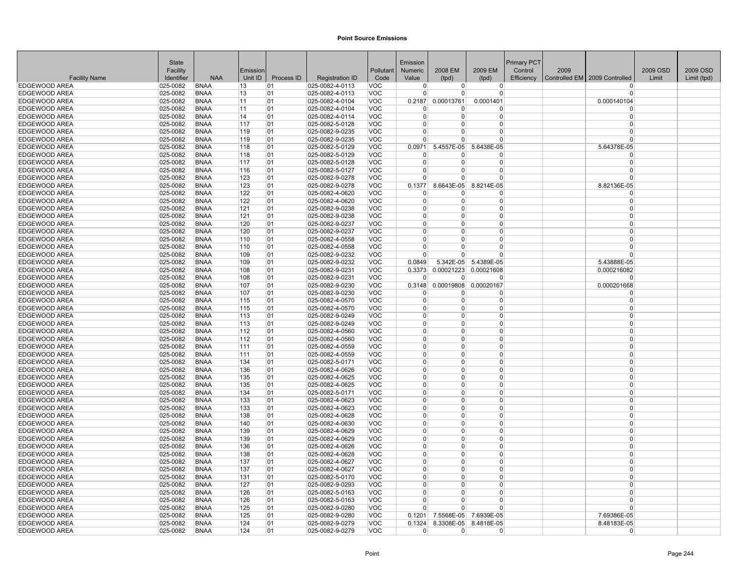|                                       | <b>State</b>         |                            |            |            |                                    |                          | Emission             |                          |                      | <b>Primary PCT</b> |      |                                          |          |             |
|---------------------------------------|----------------------|----------------------------|------------|------------|------------------------------------|--------------------------|----------------------|--------------------------|----------------------|--------------------|------|------------------------------------------|----------|-------------|
|                                       | Facility             |                            | Emission   |            |                                    | Pollutant                | Numeric              | 2008 EM                  | 2009 EM              | Control            | 2009 |                                          | 2009 OSD | 2009 OSD    |
| <b>Facility Name</b>                  | Identifier           | <b>NAA</b>                 | Unit ID    | Process ID | <b>Registration ID</b>             | Code                     | Value                | (tpd)                    | (tpd)                |                    |      | Efficiency Controlled EM 2009 Controlled | Limit    | Limit (tpd) |
| <b>EDGEWOOD AREA</b>                  | 025-0082             | <b>BNAA</b>                | 13         | 01         | 025-0082-4-0113                    | VOC                      | $\overline{0}$       | $\overline{0}$           | $\Omega$             |                    |      | $\Omega$                                 |          |             |
| <b>EDGEWOOD AREA</b>                  | 025-0082             | <b>BNAA</b>                | 13         | 01         | 025-0082-4-0113                    | <b>VOC</b>               | $\Omega$             | 0                        | $\Omega$             |                    |      | $\Omega$                                 |          |             |
| <b>EDGEWOOD AREA</b>                  | 025-0082             | <b>BNAA</b>                | 11         | 01         | 025-0082-4-0104                    | <b>VOC</b>               | 0.2187               | 0.00013761               | 0.0001401            |                    |      | 0.000140104                              |          |             |
| <b>EDGEWOOD AREA</b>                  | 025-0082             | <b>BNAA</b>                | 11         | 01         | 025-0082-4-0104                    | <b>VOC</b>               | <sup>0</sup>         | U                        | $\Omega$             |                    |      | $\Omega$                                 |          |             |
| <b>EDGEWOOD AREA</b>                  | 025-0082             | <b>BNAA</b>                | 14         | 01         | 025-0082-4-0114                    | <b>VOC</b>               | $\Omega$             | 0                        | $\Omega$             |                    |      | $\Omega$                                 |          |             |
| <b>EDGEWOOD AREA</b>                  | 025-0082             | <b>BNAA</b>                | 117        | 01         | 025-0082-5-0128                    | VOC                      | $\Omega$             | $\Omega$                 | $\Omega$             |                    |      | $\Omega$                                 |          |             |
| <b>EDGEWOOD AREA</b>                  | 025-0082             | <b>BNAA</b>                | 119        | 01         | 025-0082-9-0235                    | <b>VOC</b>               | $\Omega$             | 0                        | $\Omega$             |                    |      | $\Omega$                                 |          |             |
| <b>EDGEWOOD AREA</b>                  | 025-0082             | <b>BNAA</b>                | 119        | 01         | 025-0082-9-0235                    | <b>VOC</b>               | $\Omega$             | 0                        | $\Omega$             |                    |      | $\Omega$                                 |          |             |
| EDGEWOOD AREA                         | 025-0082             | <b>BNAA</b>                | 118        | 01         | 025-0082-5-0129                    | <b>VOC</b>               | 0.0971               | 5.4557E-05               | 5.6438E-05           |                    |      | 5.64378E-05                              |          |             |
| <b>EDGEWOOD AREA</b>                  | 025-0082             | <b>BNAA</b>                | 118        | 01         | 025-0082-5-0129                    | <b>VOC</b>               | $\Omega$             | <sup>0</sup>             | $\Omega$             |                    |      | 0                                        |          |             |
| <b>EDGEWOOD AREA</b>                  | 025-0082             | <b>BNAA</b>                | 117        | 01         | 025-0082-5-0128                    | <b>VOC</b>               | $\Omega$             | $\Omega$                 | $\Omega$             |                    |      | $\mathbf 0$                              |          |             |
| EDGEWOOD AREA                         | 025-0082             | <b>BNAA</b>                | 116        | 01         | 025-0082-5-0127                    | <b>VOC</b>               | $\Omega$             | 0                        | $\Omega$             |                    |      | $\Omega$                                 |          |             |
| IEDGEWOOD AREA                        | 025-0082             | <b>BNAA</b>                | 123        | 01         | 025-0082-9-0278                    | <b>VOC</b>               | <sup>0</sup>         | 0                        | $\Omega$             |                    |      | $\Omega$                                 |          |             |
| <b>EDGEWOOD AREA</b>                  | 025-0082             | <b>BNAA</b>                | 123        | 01         | 025-0082-9-0278                    | <b>VOC</b>               | 0.1377               | 8.6643E-05               | 8.8214E-05           |                    |      | 8.82136E-05                              |          |             |
| <b>EDGEWOOD AREA</b>                  | 025-0082             | <b>BNAA</b>                | 122        | 01         | 025-0082-4-0620                    | <b>VOC</b>               | $\Omega$             | 0                        | $\Omega$             |                    |      | $\Omega$                                 |          |             |
| EDGEWOOD AREA                         | 025-0082             | <b>BNAA</b>                | 122        | 01         | 025-0082-4-0620                    | <b>VOC</b>               | $\overline{0}$       | $\Omega$                 | $\Omega$             |                    |      | $\mathbf 0$                              |          |             |
| EDGEWOOD AREA                         | 025-0082             | <b>BNAA</b>                | 121        | 01         | 025-0082-9-0238                    | VOC                      | $\Omega$             | 0                        | $\Omega$             |                    |      | $\Omega$                                 |          |             |
| <b>EDGEWOOD AREA</b>                  | 025-0082             | <b>BNAA</b>                | 121        | 01         | 025-0082-9-0238                    | <b>VOC</b>               | $\Omega$             | U                        | $\Omega$             |                    |      | $\Omega$                                 |          |             |
| <b>EDGEWOOD AREA</b>                  | 025-0082             | <b>BNAA</b>                | 120        | 01         | 025-0082-9-0237                    | <b>VOC</b>               | $\Omega$<br>$\Omega$ | 0<br>0                   | $\Omega$<br>$\Omega$ |                    |      | $\mathbf 0$<br>$\Omega$                  |          |             |
| EDGEWOOD AREA                         | 025-0082<br>025-0082 | <b>BNAA</b><br><b>BNAA</b> | 120        | 01         | 025-0082-9-0237<br>025-0082-4-0558 | <b>VOC</b>               | $\Omega$             | 0                        | $\Omega$             |                    |      | $\Omega$                                 |          |             |
| <b>EDGEWOOD AREA</b>                  |                      |                            | 110        | 01         |                                    | <b>VOC</b>               | $\Omega$             | 0                        | $\Omega$             |                    |      | $\Omega$                                 |          |             |
| <b>EDGEWOOD AREA</b>                  | 025-0082             | <b>BNAA</b><br><b>BNAA</b> | 110        | 01         | 025-0082-4-0558<br>025-0082-9-0232 | <b>VOC</b><br><b>VOC</b> | $\Omega$             | 0                        | $\Omega$             |                    |      | $\Omega$                                 |          |             |
| EDGEWOOD AREA<br><b>EDGEWOOD AREA</b> | 025-0082<br>025-0082 | <b>BNAA</b>                | 109<br>109 | 01<br>01   | 025-0082-9-0232                    | VOC                      | 0.0849               | 5.342E-05                | 5.4389E-05           |                    |      | 5.43888E-05                              |          |             |
| <b>EDGEWOOD AREA</b>                  | 025-0082             | <b>BNAA</b>                | 108        | 01         | 025-0082-9-0231                    | <b>VOC</b>               | 0.3373               | 0.00021223               | 0.00021608           |                    |      | 0.000216082                              |          |             |
| <b>EDGEWOOD AREA</b>                  | 025-0082             | <b>BNAA</b>                | 108        | 01         | 025-0082-9-0231                    | <b>VOC</b>               | $\overline{0}$       | $\Omega$                 | $\Omega$             |                    |      | $\Omega$                                 |          |             |
| <b>EDGEWOOD AREA</b>                  | 025-0082             | <b>BNAA</b>                | 107        | 01         | 025-0082-9-0230                    | <b>VOC</b>               | 0.3148               | 0.00019808               | 0.00020167           |                    |      | 0.000201668                              |          |             |
| EDGEWOOD AREA                         | 025-0082             | <b>BNAA</b>                | 107        | 01         | 025-0082-9-0230                    | <b>VOC</b>               | $\Omega$             | 0                        | $\Omega$             |                    |      | $\Omega$                                 |          |             |
| <b>EDGEWOOD AREA</b>                  | 025-0082             | <b>BNAA</b>                | 115        | 01         | 025-0082-4-0570                    | <b>VOC</b>               | $\Omega$             | 0                        | $\Omega$             |                    |      | $\Omega$                                 |          |             |
| <b>EDGEWOOD AREA</b>                  | 025-0082             | <b>BNAA</b>                | 115        | 01         | 025-0082-4-0570                    | <b>VOC</b>               | $\Omega$             | 0                        | $\Omega$             |                    |      | $\Omega$                                 |          |             |
| <b>EDGEWOOD AREA</b>                  | 025-0082             | <b>BNAA</b>                | 113        | 01         | 025-0082-9-0249                    | <b>VOC</b>               | $\Omega$             | 0                        | $\Omega$             |                    |      | $\Omega$                                 |          |             |
| <b>EDGEWOOD AREA</b>                  | 025-0082             | <b>BNAA</b>                | 113        | 01         | 025-0082-9-0249                    | <b>VOC</b>               | $\Omega$             | 0                        | $\Omega$             |                    |      | $\Omega$                                 |          |             |
| <b>EDGEWOOD AREA</b>                  | 025-0082             | <b>BNAA</b>                | 112        | 01         | 025-0082-4-0560                    | <b>VOC</b>               | $\Omega$             | 0                        | $\Omega$             |                    |      | $\Omega$                                 |          |             |
| EDGEWOOD AREA                         | 025-0082             | <b>BNAA</b>                | 112        | 01         | 025-0082-4-0560                    | <b>VOC</b>               | $\Omega$             | 0                        | $\Omega$             |                    |      | $\Omega$                                 |          |             |
| <b>EDGEWOOD AREA</b>                  | 025-0082             | <b>BNAA</b>                | 111        | 01         | 025-0082-4-0559                    | <b>VOC</b>               | $\Omega$             | 0                        | $\Omega$             |                    |      | $\Omega$                                 |          |             |
| <b>EDGEWOOD AREA</b>                  | 025-0082             | <b>BNAA</b>                | 111        | 01         | 025-0082-4-0559                    | <b>VOC</b>               | $\Omega$             | 0                        | $\Omega$             |                    |      | $\Omega$                                 |          |             |
| EDGEWOOD AREA                         | 025-0082             | <b>BNAA</b>                | 134        | 01         | 025-0082-5-0171                    | <b>VOC</b>               | $\Omega$             | 0                        | $\Omega$             |                    |      | $\Omega$                                 |          |             |
| IEDGEWOOD AREA                        | 025-0082             | <b>BNAA</b>                | 136        | 01         | 025-0082-4-0626                    | <b>VOC</b>               | $\Omega$             | 0                        | $\Omega$             |                    |      | $\Omega$                                 |          |             |
| <b>EDGEWOOD AREA</b>                  | 025-0082             | <b>BNAA</b>                | 135        | 01         | 025-0082-4-0625                    | <b>VOC</b>               | $\Omega$             | $\Omega$                 | $\Omega$             |                    |      | $\Omega$                                 |          |             |
| <b>EDGEWOOD AREA</b>                  | 025-0082             | <b>BNAA</b>                | 135        | 01         | 025-0082-4-0625                    | <b>VOC</b>               | $\Omega$             | 0                        | $\Omega$             |                    |      | $\Omega$                                 |          |             |
| <b>EDGEWOOD AREA</b>                  | 025-0082             | <b>BNAA</b>                | 134        | 01         | 025-0082-5-0171                    | <b>VOC</b>               | $\Omega$             | 0                        | $\Omega$             |                    |      | $\mathbf 0$                              |          |             |
| <b>EDGEWOOD AREA</b>                  | 025-0082             | <b>BNAA</b>                | 133        | 01         | 025-0082-4-0623                    | <b>VOC</b>               | $\Omega$             | 0                        | $\Omega$             |                    |      | $\mathbf 0$                              |          |             |
| <b>EDGEWOOD AREA</b>                  | 025-0082             | <b>BNAA</b>                | 133        | 01         | 025-0082-4-0623                    | <b>VOC</b>               | $\Omega$             | 0                        | $\Omega$             |                    |      | $\Omega$                                 |          |             |
| <b>EDGEWOOD AREA</b>                  | 025-0082             | <b>BNAA</b>                | 138        | 01         | 025-0082-4-0628                    | <b>VOC</b>               | $\Omega$             | 0                        | $\Omega$             |                    |      | $\Omega$                                 |          |             |
| EDGEWOOD AREA                         | 025-0082             | <b>BNAA</b>                | 140        | 01         | 025-0082-4-0630                    | <b>VOC</b>               | $\Omega$             | 0                        | $\Omega$             |                    |      | $\Omega$                                 |          |             |
| EDGEWOOD AREA                         | 025-0082             | <b>BNAA</b>                | 139        | 01         | 025-0082-4-0629                    | VOC                      | $\Omega$             | 0                        | $\Omega$             |                    |      | $\Omega$                                 |          |             |
| EDGEWOOD AREA                         | 025-0082             | <b>BNAA</b>                | 139        | 01         | 025-0082-4-0629                    | <b>VOC</b>               | $\Omega$             | 0                        | $\Omega$             |                    |      | $\Omega$                                 |          |             |
| EDGEWOOD AREA                         | 025-0082             | <b>BNAA</b>                | 136        | 01         | 025-0082-4-0626                    | <b>VOC</b>               | $\Omega$             | 0                        | $\Omega$             |                    |      | $\mathbf 0$                              |          |             |
| <b>EDGEWOOD AREA</b>                  | 025-0082             | <b>BNAA</b>                | 138        | 01         | 025-0082-4-0628                    | <b>VOC</b>               | $\Omega$             | 0                        | $\Omega$             |                    |      | $\mathbf 0$                              |          |             |
| <b>EDGEWOOD AREA</b>                  | 025-0082             | <b>BNAA</b>                | 137        | 01         | 025-0082-4-0627                    | <b>VOC</b>               | $\Omega$             | $\Omega$                 | $\Omega$             |                    |      | $\Omega$                                 |          |             |
| <b>EDGEWOOD AREA</b>                  | 025-0082             | <b>BNAA</b>                | 137        | 01         | 025-0082-4-0627                    | <b>VOC</b>               | $\Omega$             | 0                        | $\Omega$             |                    |      | $\Omega$                                 |          |             |
| <b>EDGEWOOD AREA</b>                  | 025-0082             | <b>BNAA</b>                | 131        | 01         | 025-0082-5-0170                    | <b>VOC</b>               | $\Omega$             | 0                        | 0                    |                    |      | $\mathbf 0$                              |          |             |
| <b>EDGEWOOD AREA</b>                  | 025-0082             | <b>BNAA</b>                | 127        | 01         | 025-0082-9-0293                    | <b>VOC</b>               | $\Omega$             | 0                        | $\Omega$             |                    |      | $\Omega$                                 |          |             |
| EDGEWOOD AREA                         | 025-0082             | <b>BNAA</b>                | 126        | 01         | 025-0082-5-0163                    | <b>VOC</b>               | $\Omega$             | 0                        | $\Omega$             |                    |      | $\Omega$                                 |          |             |
| EDGEWOOD AREA                         | 025-0082             | <b>BNAA</b>                | 126        | 01         | 025-0082-5-0163                    | <b>VOC</b>               | $\Omega$<br>$\Omega$ | 0<br>$\Omega$            | $\Omega$<br>$\Omega$ |                    |      | $\Omega$<br>$\Omega$                     |          |             |
| EDGEWOOD AREA<br><b>EDGEWOOD AREA</b> | 025-0082<br>025-0082 | <b>BNAA</b><br><b>BNAA</b> | 125<br>125 | 01<br>01   | 025-0082-9-0280                    | <b>VOC</b>               | 0.1201               |                          | 7.6939E-05           |                    |      |                                          |          |             |
| <b>EDGEWOOD AREA</b>                  | 025-0082             | <b>BNAA</b>                | 124        | 01         | 025-0082-9-0280<br>025-0082-9-0279 | <b>VOC</b><br><b>VOC</b> | 0.1324               | 7.5568E-05<br>8.3308E-05 | 8.4818E-05           |                    |      | 7.69386E-05<br>8.48183E-05               |          |             |
| EDGEWOOD AREA                         | 025-0082             | <b>BNAA</b>                | 124        | 01         | 025-0082-9-0279                    | <b>VOC</b>               | $\Omega$             | 0                        | $\mathbf 0$          |                    |      | 0                                        |          |             |
|                                       |                      |                            |            |            |                                    |                          |                      |                          |                      |                    |      |                                          |          |             |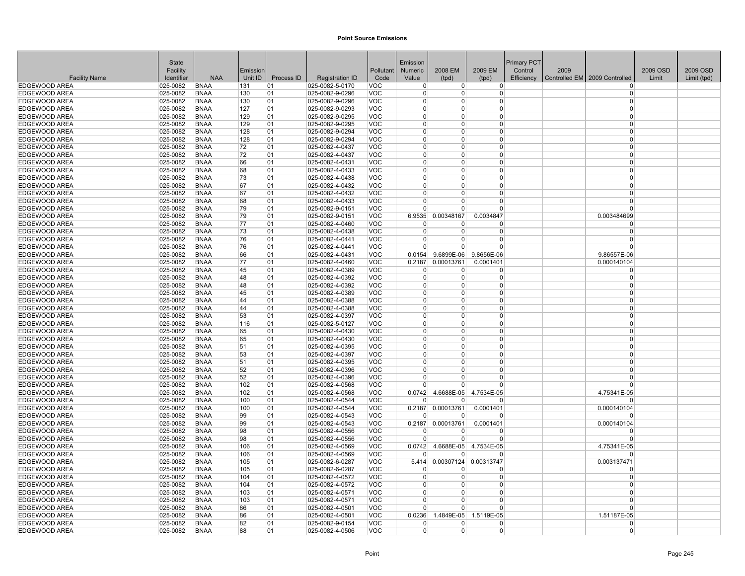|                                | <b>State</b>               |                            |            |            |                                    |                          | Emission             |                      |                        | <b>Primary PCT</b> |      |                                 |          |             |
|--------------------------------|----------------------------|----------------------------|------------|------------|------------------------------------|--------------------------|----------------------|----------------------|------------------------|--------------------|------|---------------------------------|----------|-------------|
|                                | Facility                   |                            | Emission   |            |                                    | Pollutant                | Numeric              | 2008 EM              | 2009 EM                | Control            | 2009 |                                 | 2009 OSD | 2009 OSD    |
| <b>Facility Name</b>           | Identifier                 | <b>NAA</b>                 | Unit ID    | Process ID | <b>Registration ID</b>             | Code                     | Value                | (tpd)                | (tpd)                  | Efficiency         |      | Controlled EM   2009 Controlled | Limit    | Limit (tpd) |
| EDGEWOOD AREA                  | 025-0082                   | <b>BNAA</b>                | 131        | 01         | 025-0082-5-0170                    | VOC                      | $\mathbf 0$          | $\overline{0}$       | $\overline{0}$         |                    |      | $\Omega$                        |          |             |
| EDGEWOOD AREA                  | 025-0082                   | <b>BNAA</b>                | 130        | 01         | 025-0082-9-0296                    | <b>VOC</b>               | $\Omega$             | $\overline{0}$       | 0                      |                    |      | $\Omega$                        |          |             |
| EDGEWOOD AREA                  | 025-0082                   | <b>BNAA</b>                | 130        | 01         | 025-0082-9-0296                    | <b>VOC</b>               | $\Omega$             | $\Omega$             | $\Omega$               |                    |      | $\Omega$                        |          |             |
| EDGEWOOD AREA                  | 025-0082                   | <b>BNAA</b>                | 127        | 01         | 025-0082-9-0293                    | <b>VOC</b>               | $\Omega$             | $\Omega$             | $\Omega$               |                    |      | $\Omega$                        |          |             |
| EDGEWOOD AREA                  | 025-0082                   | <b>BNAA</b>                | 129        | 01         | 025-0082-9-0295                    | <b>VOC</b>               | $\Omega$             | $\Omega$             | $\Omega$               |                    |      | $\Omega$                        |          |             |
| EDGEWOOD AREA                  | 025-0082                   | <b>BNAA</b>                | 129        | 01         | 025-0082-9-0295                    | <b>VOC</b>               | $\Omega$<br>$\Omega$ | $\Omega$<br>$\Omega$ | $\Omega$               |                    |      | $\Omega$<br>$\Omega$            |          |             |
| <b>EDGEWOOD AREA</b>           | 025-0082                   | <b>BNAA</b>                | 128        | 01         | 025-0082-9-0294                    | <b>VOC</b>               | $\Omega$             | $\Omega$             | $\Omega$               |                    |      | $\Omega$                        |          |             |
| <b>EDGEWOOD AREA</b>           | 025-0082                   | <b>BNAA</b>                | 128        | 01         | 025-0082-9-0294                    | <b>VOC</b>               | $\Omega$             | $\Omega$             | 0<br>$\Omega$          |                    |      | $\Omega$                        |          |             |
| EDGEWOOD AREA<br>EDGEWOOD AREA | 025-0082<br>025-0082       | <b>BNAA</b><br><b>BNAA</b> | 72<br>72   | 01<br>01   | 025-0082-4-0437<br>025-0082-4-0437 | <b>VOC</b><br><b>VOC</b> | $\mathbf 0$          | $\Omega$             | $\Omega$               |                    |      | $\Omega$                        |          |             |
| EDGEWOOD AREA                  | 025-0082                   | <b>BNAA</b>                | 66         | 01         | 025-0082-4-0431                    | <b>VOC</b>               | $\Omega$             | $\Omega$             | $\Omega$               |                    |      | $\Omega$                        |          |             |
| EDGEWOOD AREA                  | 025-0082                   | <b>BNAA</b>                | 68         | 01         | 025-0082-4-0433                    | <b>VOC</b>               | $\Omega$             | $\Omega$             | $\Omega$               |                    |      | $\Omega$                        |          |             |
| EDGEWOOD AREA                  | $ 025 - 0082 $             | <b>BNAA</b>                | 73         | 01         | 025-0082-4-0438                    | <b>VOC</b>               | $\Omega$             | $\Omega$             | 0                      |                    |      | $\Omega$                        |          |             |
| EDGEWOOD AREA                  | 025-0082                   | <b>BNAA</b>                | 67         | 01         | 025-0082-4-0432                    | <b>VOC</b>               | $\Omega$             | $\Omega$             | $\Omega$               |                    |      | $\Omega$                        |          |             |
| EDGEWOOD AREA                  | 025-0082                   | <b>BNAA</b>                | 67         | 01         | 025-0082-4-0432                    | <b>VOC</b>               | $\Omega$             | $\Omega$             | $\Omega$               |                    |      | $\Omega$                        |          |             |
| EDGEWOOD AREA                  | 025-0082                   | <b>BNAA</b>                | 68         | 01         | 025-0082-4-0433                    | <b>VOC</b>               | $\mathbf 0$          | $\overline{0}$       | $\Omega$               |                    |      | $\Omega$                        |          |             |
| EDGEWOOD AREA                  | 025-0082                   | <b>BNAA</b>                | 79         | 01         | 025-0082-9-0151                    | <b>VOC</b>               | $\Omega$             | $\Omega$             | $\Omega$               |                    |      | $\Omega$                        |          |             |
| <b>EDGEWOOD AREA</b>           | 025-0082                   | <b>BNAA</b>                | 79         | 01         | 025-0082-9-0151                    | <b>VOC</b>               | 6.9535               | 0.00348167           | 0.0034847              |                    |      | 0.003484699                     |          |             |
| EDGEWOOD AREA                  | $ 025 - 0082 $             | <b>BNAA</b>                | 77         | 01         | 025-0082-4-0460                    | <b>VOC</b>               | $\Omega$             | $\Omega$             | <sup>0</sup>           |                    |      | $\Omega$                        |          |             |
| EDGEWOOD AREA                  | $ 025 - 0082 $             | <b>BNAA</b>                | 73         | 01         | 025-0082-4-0438                    | <b>VOC</b>               | $\Omega$             | $\Omega$             | $\Omega$               |                    |      | $\Omega$                        |          |             |
| <b>EDGEWOOD AREA</b>           | 025-0082                   | <b>BNAA</b>                | 76         | 01         | 025-0082-4-0441                    | <b>VOC</b>               | $\Omega$             | $\overline{0}$       | $\overline{0}$         |                    |      | $\Omega$                        |          |             |
| <b>EDGEWOOD AREA</b>           | 025-0082                   | <b>BNAA</b>                | 76         | 01         | 025-0082-4-0441                    | <b>VOC</b>               | $\Omega$             | $\Omega$             | $\Omega$               |                    |      | $\Omega$                        |          |             |
| EDGEWOOD AREA                  | 025-0082                   | <b>BNAA</b>                | 66         | 01         | 025-0082-4-0431                    | <b>VOC</b>               | 0.0154               | 9.6899E-06           | 9.8656E-06             |                    |      | 9.86557E-06                     |          |             |
| EDGEWOOD AREA                  | 025-0082                   | <b>BNAA</b>                | 77         | 01         | 025-0082-4-0460                    | <b>VOC</b>               | 0.2187               | 0.00013761           | 0.0001401              |                    |      | 0.000140104                     |          |             |
| EDGEWOOD AREA                  | 025-0082                   | <b>BNAA</b>                | 45         | 01         | 025-0082-4-0389                    | <b>VOC</b>               | $\Omega$             | $\Omega$             | $\Omega$               |                    |      | $\Omega$                        |          |             |
| EDGEWOOD AREA                  | 025-0082                   | <b>BNAA</b>                | 48         | 01         | 025-0082-4-0392                    | <b>VOC</b>               | $\Omega$             | 0                    | 0                      |                    |      | $\Omega$                        |          |             |
| EDGEWOOD AREA                  | 025-0082                   | <b>BNAA</b>                | 48         | 01         | 025-0082-4-0392                    | <b>VOC</b>               | $\Omega$             | $\overline{0}$       | $\overline{0}$         |                    |      | $\Omega$                        |          |             |
| EDGEWOOD AREA                  | 025-0082                   | <b>BNAA</b>                | 45         | 01         | 025-0082-4-0389                    | <b>VOC</b>               | $\Omega$             | $\Omega$             | $\Omega$               |                    |      | $\Omega$                        |          |             |
| EDGEWOOD AREA                  | 025-0082                   | <b>BNAA</b>                | 44         | 01         | 025-0082-4-0388                    | <b>VOC</b>               | $\Omega$             | $\Omega$             | $\Omega$               |                    |      | $\Omega$                        |          |             |
| EDGEWOOD AREA                  | 025-0082                   | <b>BNAA</b>                | 44         | 01         | 025-0082-4-0388                    | <b>VOC</b>               | $\Omega$             | $\Omega$             | $\Omega$               |                    |      | $\Omega$                        |          |             |
| EDGEWOOD AREA                  | 025-0082                   | <b>BNAA</b>                | 53         | 01         | 025-0082-4-0397                    | <b>VOC</b>               | $\Omega$             | $\Omega$             | $\Omega$               |                    |      | $\Omega$                        |          |             |
| EDGEWOOD AREA                  | 025-0082                   | <b>BNAA</b>                | 116        | 01         | 025-0082-5-0127                    | <b>VOC</b>               | $\Omega$             | $\Omega$             | $\overline{0}$         |                    |      | $\Omega$                        |          |             |
| <b>EDGEWOOD AREA</b>           | 025-0082                   | <b>BNAA</b>                | 65         | 01         | 025-0082-4-0430                    | <b>VOC</b>               | $\Omega$             | $\Omega$             | 0                      |                    |      | $\Omega$                        |          |             |
| EDGEWOOD AREA                  | 025-0082                   | <b>BNAA</b>                | 65         | 01         | 025-0082-4-0430                    | <b>VOC</b>               | $\Omega$             | 0                    | $\Omega$               |                    |      | $\Omega$                        |          |             |
| EDGEWOOD AREA                  | 025-0082                   | <b>BNAA</b>                | 51         | 01         | 025-0082-4-0395                    | <b>VOC</b>               | $\Omega$             | $\Omega$             | $\Omega$               |                    |      | $\Omega$                        |          |             |
| EDGEWOOD AREA                  | 025-0082                   | <b>BNAA</b>                | 53         | 01         | 025-0082-4-0397                    | <b>VOC</b>               | $\Omega$             | $\Omega$             | $\Omega$               |                    |      | $\Omega$                        |          |             |
| EDGEWOOD AREA                  | 025-0082                   | <b>BNAA</b>                | 51         | 01         | 025-0082-4-0395                    | <b>VOC</b>               | $\Omega$             | $\Omega$             | $\Omega$               |                    |      | $\Omega$                        |          |             |
| EDGEWOOD AREA                  | 025-0082                   | <b>BNAA</b>                | 52         | 01         | 025-0082-4-0396                    | <b>VOC</b>               | $\Omega$             | $\Omega$             | $\overline{0}$         |                    |      | $\Omega$                        |          |             |
| EDGEWOOD AREA                  | 025-0082                   | <b>BNAA</b>                | 52         | 01         | 025-0082-4-0396                    | <b>VOC</b>               | $\Omega$             | $\Omega$             | $\Omega$               |                    |      | $\Omega$                        |          |             |
| EDGEWOOD AREA                  | 025-0082                   | <b>BNAA</b>                | 102        | 01         | 025-0082-4-0568                    | <b>VOC</b>               | $\Omega$             | $\Omega$             | $\Omega$               |                    |      | $\Omega$                        |          |             |
| EDGEWOOD AREA<br>EDGEWOOD AREA | $ 025 - 0082 $<br>025-0082 | <b>BNAA</b><br><b>BNAA</b> | 102<br>100 | 01<br>01   | 025-0082-4-0568<br>025-0082-4-0544 | <b>VOC</b><br><b>VOC</b> | 0.0742<br>$\Omega$   | 4.6688E-05<br>O      | 4.7534E-05<br>$\Omega$ |                    |      | 4.75341E-05<br>$\Omega$         |          |             |
| <b>EDGEWOOD AREA</b>           | 025-0082                   | <b>BNAA</b>                | 100        | 01         | 025-0082-4-0544                    | <b>VOC</b>               | 0.2187               | 0.00013761           | 0.0001401              |                    |      | 0.000140104                     |          |             |
| EDGEWOOD AREA                  | 025-0082                   | <b>BNAA</b>                | 99         | 01         | 025-0082-4-0543                    | <b>VOC</b>               | $\Omega$             | $\Omega$             | $\Omega$               |                    |      | $\Omega$                        |          |             |
| EDGEWOOD AREA                  | 025-0082                   | <b>BNAA</b>                | 99         | 01         | 025-0082-4-0543                    | <b>VOC</b>               | 0.2187               | 0.00013761           | 0.0001401              |                    |      | 0.000140104                     |          |             |
| EDGEWOOD AREA                  | 025-0082                   | <b>BNAA</b>                | 98         | 01         | 025-0082-4-0556                    | <b>VOC</b>               | $\Omega$             | 0                    | 0                      |                    |      | $\Omega$                        |          |             |
| EDGEWOOD AREA                  | 025-0082                   | <b>BNAA</b>                | 98         | 01         | 025-0082-4-0556                    | VOC                      | $\Omega$             | U                    | $\Omega$               |                    |      | $\Omega$                        |          |             |
| EDGEWOOD AREA                  | $ 025 - 0082 $             | <b>BNAA</b>                | 106        | 01         | 025-0082-4-0569                    | <b>VOC</b>               | 0.0742               | 4.6688E-05           | 4.7534E-05             |                    |      | 4.75341E-05                     |          |             |
| EDGEWOOD AREA                  | 025-0082                   | <b>BNAA</b>                | 106        | 01         | 025-0082-4-0569                    | <b>VOC</b>               | $\Omega$             | <sup>0</sup>         | $\Omega$               |                    |      | $\Omega$                        |          |             |
| EDGEWOOD AREA                  | 025-0082                   | <b>BNAA</b>                | 105        | 01         | 025-0082-6-0287                    | <b>VOC</b>               | 5.414                | 0.00307124           | 0.00313747             |                    |      | 0.003137471                     |          |             |
| EDGEWOOD AREA                  | 025-0082                   | <b>BNAA</b>                | 105        | 01         | 025-0082-6-0287                    | <b>VOC</b>               | $\Omega$             | 0                    | $\Omega$               |                    |      | $\Omega$                        |          |             |
| EDGEWOOD AREA                  | $ 025 - 0082 $             | BNAA                       | 104        | 01         | 025-0082-4-0572                    | <b>VOC</b>               | $\Omega$             | $\overline{0}$       | 0                      |                    |      | $\Omega$                        |          |             |
| EDGEWOOD AREA                  | 025-0082                   | <b>BNAA</b>                | 104        | 01         | 025-0082-4-0572                    | <b>VOC</b>               | $\Omega$             | $\Omega$             | $\Omega$               |                    |      | $\Omega$                        |          |             |
| EDGEWOOD AREA                  | 025-0082                   | <b>BNAA</b>                | 103        | 01         | 025-0082-4-0571                    | <b>VOC</b>               | $\Omega$             | $\Omega$             | $\Omega$               |                    |      | $\Omega$                        |          |             |
| EDGEWOOD AREA                  | 025-0082                   | <b>BNAA</b>                | 103        | 01         | 025-0082-4-0571                    | <b>VOC</b>               | $\Omega$             | $\Omega$             | $\Omega$               |                    |      | $\Omega$                        |          |             |
| EDGEWOOD AREA                  | 025-0082                   | <b>BNAA</b>                | 86         | 01         | 025-0082-4-0501                    | <b>VOC</b>               | $\Omega$             | $\Omega$             | $\Omega$               |                    |      | $\Omega$                        |          |             |
| <b>EDGEWOOD AREA</b>           | 025-0082                   | <b>BNAA</b>                | 86         | 01         | 025-0082-4-0501                    | <b>VOC</b>               | 0.0236               | 1.4849E-05           | 1.5119E-05             |                    |      | 1.51187E-05                     |          |             |
| <b>EDGEWOOD AREA</b>           | 025-0082                   | <b>BNAA</b>                | 82         | 01         | 025-0082-9-0154                    | <b>VOC</b>               | $\Omega$             | 0                    | $\Omega$               |                    |      | $\Omega$                        |          |             |
| EDGEWOOD AREA                  | $ 025 - 0082 $             | <b>BNAA</b>                | 88         | 01         | 025-0082-4-0506                    | <b>VOC</b>               | $\Omega$             | $\Omega$             | 0                      |                    |      | $\Omega$                        |          |             |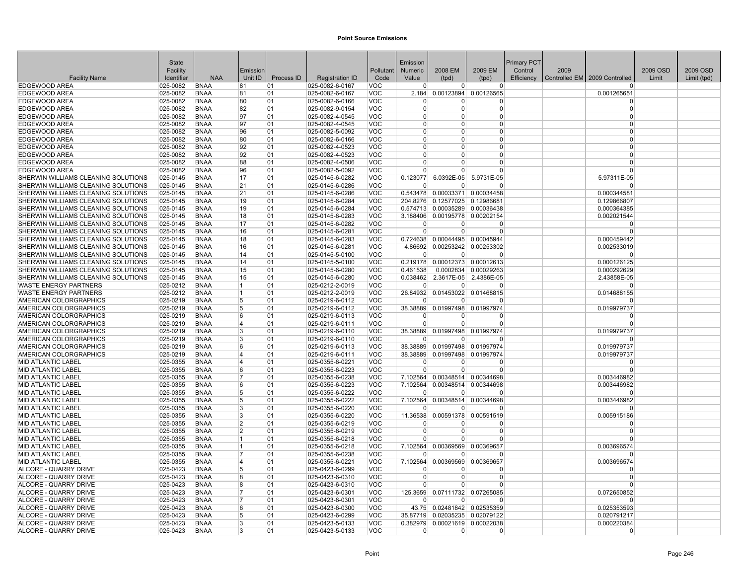|                                                       | State                |                            |                |            |                                    |                          | Emission             |                |                                         | Primary PCT |      |                                 |          |             |
|-------------------------------------------------------|----------------------|----------------------------|----------------|------------|------------------------------------|--------------------------|----------------------|----------------|-----------------------------------------|-------------|------|---------------------------------|----------|-------------|
|                                                       | Facility             |                            | Emission       |            |                                    | Pollutant                | Numeric              | 2008 EM        | 2009 EM                                 | Control     | 2009 |                                 | 2009 OSD | 2009 OSD    |
| <b>Facility Name</b>                                  | Identifier           | <b>NAA</b>                 | Unit ID        | Process ID | <b>Registration ID</b>             | Code                     | Value                | (tpd)          | (tpd)                                   | Efficiency  |      | Controlled EM   2009 Controlled | Limit    | Limit (tpd) |
| <b>EDGEWOOD AREA</b>                                  | 025-0082             | <b>BNAA</b>                | 81<br>81       | 01<br>01   | 025-0082-6-0167                    | <b>VOC</b>               | $\Omega$             | 0              | $\overline{0}$<br>0.00123894 0.00126565 |             |      | $\Omega$                        |          |             |
| <b>EDGEWOOD AREA</b><br><b>EDGEWOOD AREA</b>          | 025-0082<br>025-0082 | <b>BNAA</b><br><b>BNAA</b> | 80             | 01         | 025-0082-6-0167<br>025-0082-6-0166 | <b>VOC</b><br><b>VOC</b> | 2.184<br>$\Omega$    | $\Omega$       | 0                                       |             |      | 0.001265651                     |          |             |
| <b>EDGEWOOD AREA</b>                                  | 025-0082             | <b>BNAA</b>                | 82             | 01         | 025-0082-9-0154                    | <b>VOC</b>               | $\Omega$             | $\Omega$       | $\overline{0}$                          |             |      | $\Omega$                        |          |             |
| <b>EDGEWOOD AREA</b>                                  | 025-0082             | <b>BNAA</b>                | 97             | 01         | 025-0082-4-0545                    | <b>VOC</b>               | $\Omega$             | $\Omega$       | $\Omega$                                |             |      | $\Omega$                        |          |             |
| EDGEWOOD AREA                                         | 025-0082             | <b>BNAA</b>                | 97             | 01         | 025-0082-4-0545                    | <b>VOC</b>               | $\Omega$             | $\Omega$       | $\Omega$                                |             |      | $\Omega$                        |          |             |
| <b>EDGEWOOD AREA</b>                                  | 025-0082             | <b>BNAA</b>                | 96             | 01         | 025-0082-5-0092                    | <b>VOC</b>               | $\Omega$             | <sup>0</sup>   | $\Omega$                                |             |      | $\Omega$                        |          |             |
| <b>EDGEWOOD AREA</b>                                  | 025-0082             | <b>BNAA</b>                | 80             | 01         | 025-0082-6-0166                    | <b>VOC</b>               | $\Omega$             | $\Omega$       | $\Omega$                                |             |      | $\Omega$                        |          |             |
| <b>EDGEWOOD AREA</b>                                  | 025-0082             | <b>BNAA</b>                | 92             | 01         | 025-0082-4-0523                    | <b>VOC</b>               | $\Omega$             | <sup>0</sup>   | $\Omega$                                |             |      | $\Omega$                        |          |             |
| <b>EDGEWOOD AREA</b>                                  | 025-0082             | <b>BNAA</b>                | 92             | 01         | 025-0082-4-0523                    | <b>VOC</b>               | $\Omega$             | $\overline{0}$ | $\overline{0}$                          |             |      | $\Omega$                        |          |             |
| <b>EDGEWOOD AREA</b>                                  | 025-0082             | <b>BNAA</b>                | 88             | 01         | 025-0082-4-0506                    | <b>VOC</b>               | $\Omega$             | $\Omega$       | $\Omega$                                |             |      | $\Omega$                        |          |             |
| <b>EDGEWOOD AREA</b>                                  | 025-0082             | <b>BNAA</b>                | 96             | 01         | 025-0082-5-0092                    | <b>VOC</b>               | 0                    | $\Omega$       | $\Omega$                                |             |      |                                 |          |             |
| SHERWIN WILLIAMS CLEANING SOLUTIONS                   | 025-0145             | <b>BNAA</b>                | 17             | 01         | 025-0145-6-0282                    | <b>VOC</b>               | 0.123077             | 6.0392E-05     | 5.9731E-05                              |             |      | 5.97311E-05                     |          |             |
| SHERWIN WILLIAMS CLEANING SOLUTIONS                   | 025-0145             | <b>BNAA</b>                | 21             | 01         | 025-0145-6-0286                    | <b>VOC</b>               | $\Omega$             | $\Omega$       | $\Omega$                                |             |      |                                 |          |             |
| SHERWIN WILLIAMS CLEANING SOLUTIONS                   | 025-0145             | <b>BNAA</b>                | 21             | 01         | 025-0145-6-0286                    | <b>VOC</b>               | 0.543478             | 0.00033371     | 0.00034458                              |             |      | 0.000344581                     |          |             |
| SHERWIN WILLIAMS CLEANING SOLUTIONS                   | 025-0145             | <b>BNAA</b>                | 19             | 01         | 025-0145-6-0284                    | <b>VOC</b>               | 204.8276             |                | 0.12577025 0.12986681                   |             |      | 0.129866807                     |          |             |
| SHERWIN WILLIAMS CLEANING SOLUTIONS                   | 025-0145             | <b>BNAA</b>                | 19             | 01         | 025-0145-6-0284                    | <b>VOC</b>               | 0.574713             |                | 0.00035289 0.00036438                   |             |      | 0.000364385                     |          |             |
| SHERWIN WILLIAMS CLEANING SOLUTIONS                   | 025-0145             | <b>BNAA</b>                | 18             | 01         | 025-0145-6-0283                    | <b>VOC</b>               |                      |                | 3.188406 0.00195778 0.00202154          |             |      | 0.002021544                     |          |             |
| SHERWIN WILLIAMS CLEANING SOLUTIONS                   | 025-0145             | <b>BNAA</b>                | 17             | 01         | 025-0145-6-0282                    | <b>VOC</b>               | 0                    | $\Omega$       | $\Omega$                                |             |      | $\Omega$                        |          |             |
| SHERWIN WILLIAMS CLEANING SOLUTIONS                   | 025-0145             | <b>BNAA</b>                | 16             | 01         | 025-0145-6-0281                    | <b>VOC</b>               | $\Omega$             | $\Omega$       | $\Omega$                                |             |      |                                 |          |             |
| SHERWIN WILLIAMS CLEANING SOLUTIONS                   | 025-0145             | <b>BNAA</b>                | 18             | 01         | 025-0145-6-0283                    | <b>VOC</b>               |                      |                | 0.724638 0.00044495 0.00045944          |             |      | 0.000459442                     |          |             |
| SHERWIN WILLIAMS CLEANING SOLUTIONS                   | 025-0145             | <b>BNAA</b>                | 16             | 01         | 025-0145-6-0281                    | <b>VOC</b>               | 4.86692              |                | 0.00253242 0.00253302                   |             |      | 0.002533019                     |          |             |
| SHERWIN WILLIAMS CLEANING SOLUTIONS                   | 025-0145             | <b>BNAA</b>                | 14             | 01         | 025-0145-5-0100                    | <b>VOC</b>               | $\overline{0}$       | $\Omega$       | $\Omega$                                |             |      |                                 |          |             |
| SHERWIN WILLIAMS CLEANING SOLUTIONS                   | 025-0145             | <b>BNAA</b>                | 14             | 01         | 025-0145-5-0100                    | <b>VOC</b>               |                      |                | 0.219178 0.00012373 0.00012613          |             |      | 0.000126125                     |          |             |
| SHERWIN WILLIAMS CLEANING SOLUTIONS                   | 025-0145             | <b>BNAA</b>                | 15             | 01         | 025-0145-6-0280                    | <b>VOC</b>               | 0.461538             |                | 0.0002834 0.00029263                    |             |      | 0.000292629                     |          |             |
| SHERWIN WILLIAMS CLEANING SOLUTIONS                   | 025-0145             | <b>BNAA</b>                | 15             | 01         | 025-0145-6-0280                    | VOC                      | 0.038462             |                | 2.3617E-05 2.4386E-05                   |             |      | 2.43858E-05                     |          |             |
| <b>WASTE ENERGY PARTNERS</b>                          | $025 - 0212$         | <b>BNAA</b>                | 11.            | 01         | 025-0212-2-0019                    | <b>VOC</b>               | $\Omega$             | $\overline{0}$ | $\Omega$                                |             |      | 0                               |          |             |
| <b>WASTE ENERGY PARTNERS</b>                          | 025-0212             | <b>BNAA</b>                | 11.            | 01         | 025-0212-2-0019                    | <b>VOC</b>               | 26.84932<br>$\Omega$ | $\Omega$       | 0.01453022 0.01468815<br>$\Omega$       |             |      | 0.014688155                     |          |             |
| AMERICAN COLORGRAPHICS<br>AMERICAN COLORGRAPHICS      | 025-0219<br>025-0219 | <b>BNAA</b><br><b>BNAA</b> | 5<br>5         | 01<br>01   | 025-0219-6-0112<br>025-0219-6-0112 | <b>VOC</b><br><b>VOC</b> | 38.38889             |                |                                         |             |      |                                 |          |             |
| AMERICAN COLORGRAPHICS                                | 025-0219             | <b>BNAA</b>                | 6              | 01         | 025-0219-6-0113                    | <b>VOC</b>               | n                    | 0              | 0.01997498 0.01997974<br>0              |             |      | 0.019979737<br>$\Omega$         |          |             |
| AMERICAN COLORGRAPHICS                                | 025-0219             | <b>BNAA</b>                | 14             | 01         | 025-0219-6-0111                    | <b>VOC</b>               | $\Omega$             | $\Omega$       | $\overline{0}$                          |             |      | $\Omega$                        |          |             |
| AMERICAN COLORGRAPHICS                                | 025-0219             | <b>BNAA</b>                | Ι3             | 01         | 025-0219-6-0110                    | <b>VOC</b>               |                      |                | 38.38889 0.01997498 0.01997974          |             |      | 0.019979737                     |          |             |
| AMERICAN COLORGRAPHICS                                | 025-0219             | <b>BNAA</b>                | Ι3             | 01         | 025-0219-6-0110                    | <b>VOC</b>               | $\Omega$             | $\Omega$       | $\Omega$                                |             |      |                                 |          |             |
| AMERICAN COLORGRAPHICS                                | 025-0219             | <b>BNAA</b>                | 6              | 01         | 025-0219-6-0113                    | <b>VOC</b>               |                      |                | 38.38889 0.01997498 0.01997974          |             |      | 0.019979737                     |          |             |
| AMERICAN COLORGRAPHICS                                | 025-0219             | <b>BNAA</b>                | ∣⊿             | 01         | 025-0219-6-0111                    | <b>VOC</b>               | 38.38889             |                | 0.01997498 0.01997974                   |             |      | 0.019979737                     |          |             |
| <b>MID ATLANTIC LABEL</b>                             | 025-0355             | <b>BNAA</b>                | $\overline{4}$ | 01         | 025-0355-6-0221                    | <b>VOC</b>               | $\Omega$             | 0              | $\Omega$                                |             |      | $\Omega$                        |          |             |
| <b>MID ATLANTIC LABEL</b>                             | 025-0355             | <b>BNAA</b>                | 6              | 01         | 025-0355-6-0223                    | <b>VOC</b>               | $\Omega$             | $\overline{0}$ | $\Omega$                                |             |      | $\Omega$                        |          |             |
| <b>MID ATLANTIC LABEL</b>                             | 025-0355             | <b>BNAA</b>                | 17             | 01         | 025-0355-6-0238                    | <b>VOC</b>               | 7.102564             |                | 0.00348514 0.00344698                   |             |      | 0.003446982                     |          |             |
| <b>MID ATLANTIC LABEL</b>                             | 025-0355             | <b>BNAA</b>                | 6              | 01         | 025-0355-6-0223                    | <b>VOC</b>               | 7.102564             |                | 0.00348514 0.00344698                   |             |      | 0.003446982                     |          |             |
| <b>MID ATLANTIC LABEL</b>                             | 025-0355             | <b>BNAA</b>                | 5              | 01         | 025-0355-6-0222                    | <b>VOC</b>               | n                    | 0              | $\Omega$                                |             |      | $\Omega$                        |          |             |
| <b>MID ATLANTIC LABEL</b>                             | 025-0355             | <b>BNAA</b>                | 5              | 01         | 025-0355-6-0222                    | <b>VOC</b>               | 7.102564             | 0.00348514     | 0.00344698                              |             |      | 0.003446982                     |          |             |
| <b>MID ATLANTIC LABEL</b>                             | 025-0355             | <b>BNAA</b>                | l3             | 01         | 025-0355-6-0220                    | <b>VOC</b>               | $\Omega$             | $\Omega$       | $\Omega$                                |             |      | $\Omega$                        |          |             |
| <b>MID ATLANTIC LABEL</b>                             | 025-0355             | <b>BNAA</b>                | 13             | 01         | 025-0355-6-0220                    | <b>VOC</b>               | 11.36538             |                | 0.00591378 0.00591519                   |             |      | 0.005915186                     |          |             |
| <b>MID ATLANTIC LABEL</b>                             | 025-0355             | <b>BNAA</b>                | $\overline{2}$ | 01         | 025-0355-6-0219                    | <b>VOC</b>               | <sup>0</sup>         | 0              | 0                                       |             |      |                                 |          |             |
| <b>MID ATLANTIC LABEL</b>                             | 025-0355             | <b>BNAA</b>                | 2              | 01         | 025-0355-6-0219                    | <b>VOC</b>               | $\Omega$             | $\Omega$       | $\Omega$                                |             |      | $\Omega$                        |          |             |
| <b>MID ATLANTIC LABEL</b>                             | 025-0355             | <b>BNAA</b>                | 11             | 01         | 025-0355-6-0218                    | <b>VOC</b>               | $\Omega$             | $\Omega$       | $\Omega$                                |             |      |                                 |          |             |
| <b>MID ATLANTIC LABEL</b>                             | 025-0355             | <b>BNAA</b>                | 11             | 01         | 025-0355-6-0218                    | <b>VOC</b>               | 7.102564             | 0.00369569     | 0.00369657                              |             |      | 0.003696574                     |          |             |
| <b>MID ATLANTIC LABEL</b>                             | 025-0355             | <b>BNAA</b>                | 17             | 01         | 025-0355-6-0238                    | <b>VOC</b>               | ∩                    | $\Omega$       | $\Omega$                                |             |      | $\Omega$                        |          |             |
| <b>MID ATLANTIC LABEL</b>                             | 025-0355             | <b>BNAA</b>                | ∣⊿             | 01         | 025-0355-6-0221                    | <b>VOC</b>               | 7.102564             | 0.00369569     | 0.00369657                              |             |      | 0.003696574                     |          |             |
| ALCORE - QUARRY DRIVE                                 | 025-0423             | <b>BNAA</b>                | 5              | 01         | 025-0423-6-0299                    | <b>VOC</b>               | $\Omega$             | 0              | $\Omega$                                |             |      |                                 |          |             |
| ALCORE - QUARRY DRIVE                                 | 025-0423             | <b>BNAA</b>                | R.             | 01         | 025-0423-6-0310                    | <b>VOC</b>               | $\Omega$             | $\Omega$       | 0                                       |             |      | $\Omega$                        |          |             |
| ALCORE - QUARRY DRIVE                                 | 025-0423             | <b>BNAA</b>                | 8              | 01         | 025-0423-6-0310                    | <b>VOC</b>               | $\Omega$             | $\Omega$       | $\Omega$                                |             |      | $\Omega$                        |          |             |
| ALCORE - QUARRY DRIVE                                 | 025-0423             | <b>BNAA</b>                | 17             | 01         | 025-0423-6-0301                    | <b>VOC</b>               | 125.3659             |                | 0.07111732 0.07265085                   |             |      | 0.072650852                     |          |             |
| <b>ALCORE - QUARRY DRIVE</b><br>ALCORE - QUARRY DRIVE | 025-0423             | <b>BNAA</b><br><b>BNAA</b> | 17<br>6        | 01<br>01   | 025-0423-6-0301<br>025-0423-6-0300 | <b>VOC</b><br><b>VOC</b> | $\Omega$             | <sup>0</sup>   | O<br>43.75 0.02481842 0.02535359        |             |      | 0.025353593                     |          |             |
| ALCORE - QUARRY DRIVE                                 | 025-0423<br>025-0423 | <b>BNAA</b>                | 15             | 01         | 025-0423-6-0299                    | <b>VOC</b>               |                      |                | 35.87719 0.02035235 0.02079122          |             |      | 0.020791217                     |          |             |
| ALCORE - QUARRY DRIVE                                 | 025-0423             | <b>BNAA</b>                | 3              | 01         | 025-0423-5-0133                    | <b>VOC</b>               | 0.382979             |                | 0.00021619 0.00022038                   |             |      | 0.000220384                     |          |             |
| ALCORE - QUARRY DRIVE                                 | 025-0423             | <b>BNAA</b>                | 3              | 01         | 025-0423-5-0133                    | <b>VOC</b>               | $\Omega$             | 0              | 0                                       |             |      | $\Omega$                        |          |             |
|                                                       |                      |                            |                |            |                                    |                          |                      |                |                                         |             |      |                                 |          |             |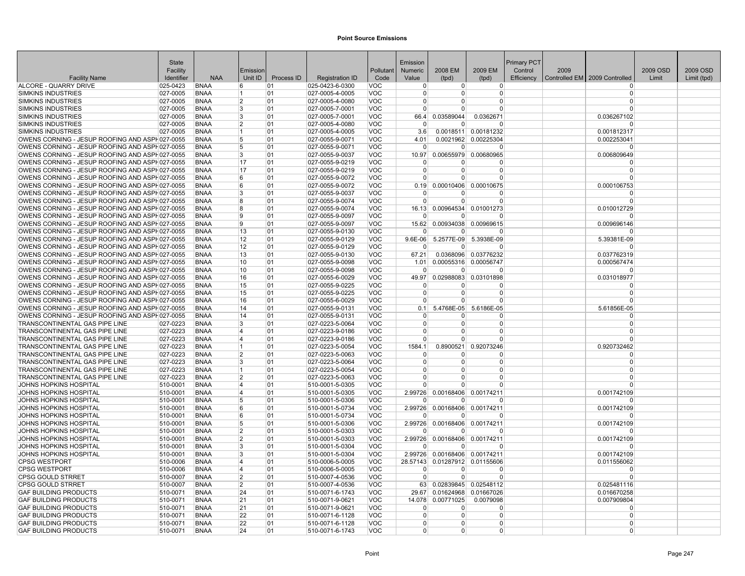|                                                                                                  | <b>State</b>              |                            |                      |            |                                    |                          | Emission           |                |                                              | <b>Primary PCT</b> |      |                                 |          |             |
|--------------------------------------------------------------------------------------------------|---------------------------|----------------------------|----------------------|------------|------------------------------------|--------------------------|--------------------|----------------|----------------------------------------------|--------------------|------|---------------------------------|----------|-------------|
|                                                                                                  | Facility                  |                            | Emission             |            |                                    | Pollutant                | <b>Numeric</b>     | 2008 EM        | 2009 EM                                      | Control            | 2009 |                                 | 2009 OSD | 2009 OSD    |
| <b>Facility Name</b>                                                                             | Identifier                | <b>NAA</b>                 | Unit ID              | Process ID | <b>Registration ID</b>             | Code                     | Value              | (tpd)          | (tpd)                                        | Efficiency         |      | Controlled EM   2009 Controlled | Limit    | Limit (tpd) |
| ALCORE - QUARRY DRIVE                                                                            | 025-0423                  | <b>BNAA</b>                | 6                    | 01         | 025-0423-6-0300                    | <b>VOC</b>               | $\overline{0}$     | $\overline{0}$ | $\overline{0}$                               |                    |      | $\Omega$                        |          |             |
| <b>SIMKINS INDUSTRIES</b>                                                                        | $ 027 - 0005$             | <b>BNAA</b>                | 11                   | 01         | $ 027 - 0005 - 4 - 0005$           | <b>VOC</b>               | $\Omega$           | $\Omega$       | 0                                            |                    |      | $\Omega$                        |          |             |
| <b>SIMKINS INDUSTRIES</b>                                                                        | $ 027 - 0005$             | <b>BNAA</b>                | 2                    | 01         | 027-0005-4-0080                    | <b>VOC</b>               | $\Omega$           | $\Omega$       | 0                                            |                    |      | $\Omega$                        |          |             |
| <b>SIMKINS INDUSTRIES</b>                                                                        | 027-0005                  | <b>BNAA</b>                | 3                    | 01         | 027-0005-7-0001                    | <b>VOC</b>               | $\Omega$           | $\Omega$       | 0                                            |                    |      | $\Omega$                        |          |             |
| <b>SIMKINS INDUSTRIES</b>                                                                        | 027-0005                  | <b>BNAA</b>                | <sup>3</sup>         | 01         | 027-0005-7-0001                    | <b>VOC</b>               | 66.4               | 0.03589044     | 0.0362671                                    |                    |      | 0.036267102                     |          |             |
| <b>SIMKINS INDUSTRIES</b>                                                                        | 027-0005<br>027-0005      | <b>BNAA</b>                | $\overline{2}$<br>11 | 01         | 027-0005-4-0080                    | <b>VOC</b>               | $\Omega$           | $\Omega$       | O                                            |                    |      | $\Omega$                        |          |             |
| <b>SIMKINS INDUSTRIES</b>                                                                        |                           | <b>BNAA</b><br><b>BNAA</b> |                      | 01<br>01   | 027-0005-4-0005<br>027-0055-9-0071 | <b>VOC</b><br><b>VOC</b> | 3.6<br>4.01        |                | 0.0018511 0.00181232<br>0.0021962 0.00225304 |                    |      | 0.001812317<br>0.002253041      |          |             |
| OWENS CORNING - JESUP ROOFING AND ASPH027-0055<br>OWENS CORNING - JESUP ROOFING AND ASPH027-0055 |                           | <b>BNAA</b>                | 5<br>5               | 01         | 027-0055-9-0071                    | <b>VOC</b>               | $\overline{0}$     | $\overline{0}$ | $\Omega$                                     |                    |      | $\Omega$                        |          |             |
| OWENS CORNING - JESUP ROOFING AND ASPH027-0055                                                   |                           | <b>BNAA</b>                | 3                    | 01         | 027-0055-9-0037                    | <b>VOC</b>               | 10.97              |                | 0.00655979 0.00680965                        |                    |      | 0.006809649                     |          |             |
| OWENS CORNING - JESUP ROOFING AND ASPH027-0055                                                   |                           | <b>BNAA</b>                | 17                   | 01         | 027-0055-9-0219                    | <b>VOC</b>               | n                  | ŋ              | 0                                            |                    |      | $\Omega$                        |          |             |
| OWENS CORNING - JESUP ROOFING AND ASPH027-0055                                                   |                           | <b>BNAA</b>                | 17                   | 01         | 027-0055-9-0219                    | <b>VOC</b>               | $\Omega$           | $\Omega$       | ŋ                                            |                    |      | $\Omega$                        |          |             |
| OWENS CORNING - JESUP ROOFING AND ASPH027-0055                                                   |                           | <b>BNAA</b>                | 6                    | 01         | 027-0055-9-0072                    | <b>VOC</b>               | $\cap$             | U              | 0                                            |                    |      | $\Omega$                        |          |             |
| OWENS CORNING - JESUP ROOFING AND ASPH027-0055                                                   |                           | <b>BNAA</b>                | 6                    | 01         | 027-0055-9-0072                    | <b>VOC</b>               | 0.19               | 0.00010406     | 0.00010675                                   |                    |      | 0.000106753                     |          |             |
| OWENS CORNING - JESUP ROOFING AND ASPH027-0055                                                   |                           | <b>BNAA</b>                | 3                    | 01         | 027-0055-9-0037                    | <b>VOC</b>               | $\Omega$           | $\Omega$       | 0                                            |                    |      | $\Omega$                        |          |             |
| OWENS CORNING - JESUP ROOFING AND ASPH027-0055                                                   |                           | <b>BNAA</b>                | 8                    | 01         | 027-0055-9-0074                    | <b>VOC</b>               | $\overline{0}$     | $\overline{0}$ | $\Omega$                                     |                    |      | $\Omega$                        |          |             |
| OWENS CORNING - JESUP ROOFING AND ASPH027-0055                                                   |                           | <b>BNAA</b>                | 8                    | 01         | 027-0055-9-0074                    | <b>VOC</b>               | 16.13              |                | 0.00964534 0.01001273                        |                    |      | 0.010012729                     |          |             |
| OWENS CORNING - JESUP ROOFING AND ASPH027-0055                                                   |                           | <b>BNAA</b>                | و ا                  | 01         | 027-0055-9-0097                    | <b>VOC</b>               | $\Omega$           | ŋ              | U                                            |                    |      |                                 |          |             |
| OWENS CORNING - JESUP ROOFING AND ASPH027-0055                                                   |                           | <b>BNAA</b>                | 19                   | 01         | 027-0055-9-0097                    | <b>VOC</b>               | 15.62              | 0.00934038     | 0.00969615                                   |                    |      | 0.009696146                     |          |             |
| OWENS CORNING - JESUP ROOFING AND ASPH027-0055                                                   |                           | <b>BNAA</b>                | 13                   | 01         | 027-0055-9-0130                    | <b>VOC</b>               | $\Omega$           | <sup>0</sup>   | 0                                            |                    |      | $\Omega$                        |          |             |
| OWENS CORNING - JESUP ROOFING AND ASPH027-0055                                                   |                           | <b>BNAA</b>                | 12                   | 01         | 027-0055-9-0129                    | <b>VOC</b>               | $9.6E-06$          |                | 5.2577E-09 5.3938E-09                        |                    |      | 5.39381E-09                     |          |             |
| OWENS CORNING - JESUP ROOFING AND ASPH027-0055                                                   |                           | <b>BNAA</b>                | 12                   | 01         | 027-0055-9-0129                    | <b>VOC</b>               | $\Omega$           | $\Omega$       | ŋ                                            |                    |      | $\Omega$                        |          |             |
| OWENS CORNING - JESUP ROOFING AND ASPH027-0055                                                   |                           | <b>BNAA</b>                | 13                   | 01         | 027-0055-9-0130                    | <b>VOC</b>               | 67.21              |                | 0.0368096 0.03776232                         |                    |      | 0.037762319                     |          |             |
| OWENS CORNING - JESUP ROOFING AND ASPH027-0055                                                   |                           | <b>BNAA</b>                | 10                   | 01         | 027-0055-9-0098                    | <b>VOC</b>               | 1.01               |                | 0.00055316 0.00056747                        |                    |      | 0.000567474                     |          |             |
| OWENS CORNING - JESUP ROOFING AND ASPH027-0055                                                   |                           | <b>BNAA</b>                | 10                   | 01         | 027-0055-9-0098                    | <b>VOC</b>               | $\Omega$           | $\Omega$       | O                                            |                    |      | $\Omega$                        |          |             |
| OWENS CORNING - JESUP ROOFING AND ASPH027-0055                                                   |                           | <b>BNAA</b>                | 16                   | 01         | 027-0055-6-0029                    | <b>VOC</b>               | 49.97              | 0.02988083     | 0.03101898                                   |                    |      | 0.031018977                     |          |             |
| OWENS CORNING - JESUP ROOFING AND ASPH027-0055                                                   |                           | <b>BNAA</b>                | 15                   | 01         | 027-0055-9-0225                    | <b>VOC</b>               | - 0                | <sup>0</sup>   | $\Omega$                                     |                    |      | $\Omega$                        |          |             |
| OWENS CORNING - JESUP ROOFING AND ASPH027-0055                                                   |                           | <b>BNAA</b>                | 15                   | 01         | 027-0055-9-0225                    | <b>VOC</b>               | $\Omega$           | $\Omega$       | 0                                            |                    |      | $\Omega$                        |          |             |
| OWENS CORNING - JESUP ROOFING AND ASPH027-0055                                                   |                           | <b>BNAA</b>                | 16                   | 01         | 027-0055-6-0029                    | <b>VOC</b>               | $\Omega$           | $\Omega$       | 0                                            |                    |      | $\Omega$                        |          |             |
| OWENS CORNING - JESUP ROOFING AND ASPH027-0055                                                   |                           | <b>BNAA</b>                | 14                   | 01         | 027-0055-9-0131                    | <b>VOC</b>               | 0.1                | 5.4768E-05     | 5.6186E-05                                   |                    |      | 5.61856E-05                     |          |             |
| OWENS CORNING - JESUP ROOFING AND ASPH027-0055                                                   |                           | <b>BNAA</b>                | 14                   | 01         | 027-0055-9-0131                    | <b>VOC</b>               | $\Omega$           | O              | 0                                            |                    |      | $\Omega$                        |          |             |
| TRANSCONTINENTAL GAS PIPE LINE                                                                   | 027-0223                  | <b>BNAA</b>                | 3                    | 01         | 027-0223-5-0064                    | <b>VOC</b>               | $\Omega$           | $\Omega$       | $\Omega$                                     |                    |      | $\Omega$                        |          |             |
| <b>TRANSCONTINENTAL GAS PIPE LINE</b>                                                            | 027-0223                  | <b>BNAA</b>                | 4                    | 01         | 027-0223-9-0186                    | <b>VOC</b>               | $\Omega$           | $\Omega$       | 0                                            |                    |      | $\Omega$                        |          |             |
| TRANSCONTINENTAL GAS PIPE LINE                                                                   | 027-0223                  | <b>BNAA</b>                | 4                    | 01         | 027-0223-9-0186                    | <b>VOC</b>               | $\Omega$           | 0              | 0                                            |                    |      | $\Omega$                        |          |             |
| TRANSCONTINENTAL GAS PIPE LINE                                                                   | 027-0223                  | <b>BNAA</b>                | $\cdot$ 1.           | 01         | 027-0223-5-0054                    | <b>VOC</b>               | 1584.1<br>$\Omega$ | $\Omega$       | 0.8900521 0.92073246                         |                    |      | 0.920732462                     |          |             |
| TRANSCONTINENTAL GAS PIPE LINE                                                                   | $ 027 - 0223$             | <b>BNAA</b>                | $\overline{2}$       | 01         | 027-0223-5-0063                    | <b>VOC</b>               | $\Omega$           | $\Omega$       | 0<br>0                                       |                    |      | $\Omega$<br>$\Omega$            |          |             |
| TRANSCONTINENTAL GAS PIPE LINE<br>TRANSCONTINENTAL GAS PIPE LINE                                 | $ 027 - 0223$<br>027-0223 | <b>BNAA</b><br><b>BNAA</b> | 3<br>∣1              | 01<br>01   | 027-0223-5-0064<br>027-0223-5-0054 | <b>VOC</b><br><b>VOC</b> | $\Omega$           | $\Omega$       | $\Omega$                                     |                    |      | $\Omega$                        |          |             |
| TRANSCONTINENTAL GAS PIPE LINE                                                                   | 027-0223                  | <b>BNAA</b>                | $\overline{2}$       | 01         | 027-0223-5-0063                    | <b>VOC</b>               | $\Omega$           | $\Omega$       | $\Omega$                                     |                    |      | $\Omega$                        |          |             |
| JOHNS HOPKINS HOSPITAL                                                                           | 510-0001                  | <b>BNAA</b>                | 4                    | 01         | 510-0001-5-0305                    | <b>VOC</b>               | $\Omega$           | $\Omega$       | $\Omega$                                     |                    |      | $\Omega$                        |          |             |
| JOHNS HOPKINS HOSPITAL                                                                           | 510-0001                  | <b>BNAA</b>                | 4                    | 01         | 510-0001-5-0305                    | <b>VOC</b>               | 2.99726            |                | 0.00168406 0.00174211                        |                    |      | 0.001742109                     |          |             |
| JOHNS HOPKINS HOSPITAL                                                                           | 510-0001                  | <b>BNAA</b>                | 5                    | 01         | 510-0001-5-0306                    | <b>VOC</b>               | $\Omega$           | <sup>0</sup>   | O                                            |                    |      | $\Omega$                        |          |             |
| JOHNS HOPKINS HOSPITAL                                                                           | 510-0001                  | <b>BNAA</b>                | 6                    | 01         | 510-0001-5-0734                    | <b>VOC</b>               | 2.99726            |                | 0.00168406 0.00174211                        |                    |      | 0.001742109                     |          |             |
| JOHNS HOPKINS HOSPITAL                                                                           | 510-0001                  | <b>BNAA</b>                | 16                   | 01         | 510-0001-5-0734                    | <b>VOC</b>               | $\Omega$           | $\Omega$       | $\Omega$                                     |                    |      | $\Omega$                        |          |             |
| JOHNS HOPKINS HOSPITAL                                                                           | 510-0001                  | <b>BNAA</b>                | 5                    | 01         | 510-0001-5-0306                    | <b>VOC</b>               |                    |                | 2.99726 0.00168406 0.00174211                |                    |      | 0.001742109                     |          |             |
| JOHNS HOPKINS HOSPITAL                                                                           | 510-0001                  | <b>BNAA</b>                | $\overline{2}$       | 01         | 510-0001-5-0303                    | <b>VOC</b>               | $\Omega$           | U              | n                                            |                    |      | n                               |          |             |
| JOHNS HOPKINS HOSPITAL                                                                           | 510-0001                  | <b>BNAA</b>                | $\overline{2}$       | 01         | 510-0001-5-0303                    | <b>VOC</b>               |                    |                | 2.99726 0.00168406 0.00174211                |                    |      | 0.001742109                     |          |             |
| JOHNS HOPKINS HOSPITAL                                                                           | 510-0001                  | <b>BNAA</b>                | 3                    | 01         | 510-0001-5-0304                    | <b>VOC</b>               | $\overline{0}$     | $\overline{0}$ | 0                                            |                    |      | $\Omega$                        |          |             |
| JOHNS HOPKINS HOSPITAL                                                                           | 510-0001                  | <b>BNAA</b>                | 3                    | 01         | 510-0001-5-0304                    | <b>VOC</b>               |                    |                | 2.99726 0.00168406 0.00174211                |                    |      | 0.001742109                     |          |             |
| <b>CPSG WESTPORT</b>                                                                             | 510-0006                  | <b>BNAA</b>                | 4                    | 01         | 510-0006-5-0005                    | <b>VOC</b>               |                    |                | 28.57143 0.01287912 0.01155606               |                    |      | 0.011556062                     |          |             |
| <b>CPSG WESTPORT</b>                                                                             | 510-0006                  | <b>BNAA</b>                | 4                    | 01         | 510-0006-5-0005                    | <b>VOC</b>               | $\overline{0}$     | $\overline{0}$ | 0                                            |                    |      | $\Omega$                        |          |             |
| <b>CPSG GOULD STRRET</b>                                                                         | 510-0007                  | <b>BNAA</b>                | 2                    | 01         | 510-0007-4-0536                    | <b>VOC</b>               | $\Omega$           | $\Omega$       | ŋ                                            |                    |      | $\Omega$                        |          |             |
| <b>CPSG GOULD STRRET</b>                                                                         | 510-0007                  | <b>BNAA</b>                | 2                    | 01         | 510-0007-4-0536                    | <b>VOC</b>               | 63                 |                | 0.02839845 0.02548112                        |                    |      | 0.025481116                     |          |             |
| <b>GAF BUILDING PRODUCTS</b>                                                                     | 510-0071                  | <b>BNAA</b>                | 24                   | 01         | 510-0071-6-1743                    | <b>VOC</b>               | 29.67              |                | 0.01624968 0.01667026                        |                    |      | 0.016670258                     |          |             |
| <b>GAF BUILDING PRODUCTS</b>                                                                     | 510-0071                  | <b>BNAA</b>                | 21                   | 01         | 510-0071-9-0621                    | <b>VOC</b>               | 14.078             | 0.00771025     | 0.0079098                                    |                    |      | 0.007909804                     |          |             |
| <b>GAF BUILDING PRODUCTS</b>                                                                     | 510-0071                  | <b>BNAA</b>                | 21                   | 01         | 510-0071-9-0621                    | <b>VOC</b>               | $\Omega$           | $\Omega$       | 0                                            |                    |      | $\Omega$                        |          |             |
| <b>GAF BUILDING PRODUCTS</b>                                                                     | 510-0071                  | <b>BNAA</b>                | 22                   | 01         | 510-0071-6-1128                    | <b>VOC</b>               | $\Omega$           | $\Omega$       | $\Omega$                                     |                    |      | $\Omega$                        |          |             |
| <b>GAF BUILDING PRODUCTS</b>                                                                     | 510-0071                  | <b>BNAA</b>                | 22                   | 01         | 510-0071-6-1128                    | <b>VOC</b>               | $\Omega$           | $\Omega$       | 0                                            |                    |      | $\Omega$                        |          |             |
| <b>GAF BUILDING PRODUCTS</b>                                                                     | 510-0071                  | <b>BNAA</b>                | 24                   | 01         | 510-0071-6-1743                    | <b>VOC</b>               | $\Omega$           | $\Omega$       | 0                                            |                    |      | $\Omega$                        |          |             |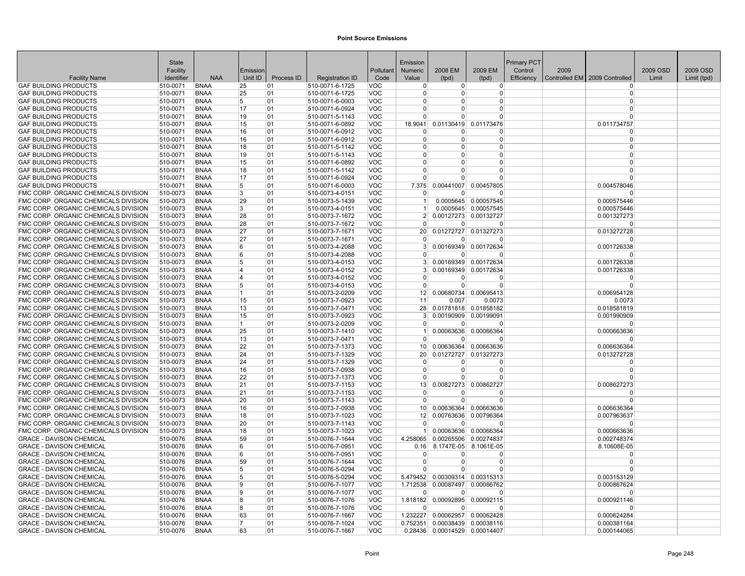|                                                                              | <b>State</b>         |                            |          |            |                                    |                          | Emission             |                          |                       | <b>Primary PCT</b> |      |                               |          |             |
|------------------------------------------------------------------------------|----------------------|----------------------------|----------|------------|------------------------------------|--------------------------|----------------------|--------------------------|-----------------------|--------------------|------|-------------------------------|----------|-------------|
|                                                                              | Facility             |                            | Emission |            |                                    | Pollutant                | <b>Numeric</b>       | 2008 EM                  | 2009 EM               | Control            | 2009 |                               | 2009 OSD | 2009 OSD    |
| <b>Facility Name</b>                                                         | Identifier           | <b>NAA</b>                 | Unit ID  | Process ID | <b>Registration ID</b>             | Code                     | Value                | (tpd)                    | (tpd)                 | Efficiency         |      | Controlled EM 2009 Controlled | Limit    | Limit (tpd) |
| <b>GAF BUILDING PRODUCTS</b>                                                 | 510-0071             | <b>BNAA</b>                | 25       | 01         | 510-0071-6-1725                    | VOC                      | $\Omega$             | 0                        | 0                     |                    |      | $\Omega$                      |          |             |
| <b>GAF BUILDING PRODUCTS</b>                                                 | 510-0071             | <b>BNAA</b>                | 25       | 01         | 510-0071-6-1725                    | VOC                      | $\Omega$             | $\Omega$                 | <sup>0</sup>          |                    |      | $\Omega$                      |          |             |
| <b>GAF BUILDING PRODUCTS</b>                                                 | 510-0071             | <b>BNAA</b>                | 5        | 01         | 510-0071-6-0003                    | <b>VOC</b>               | $\Omega$             | $\Omega$                 | 0                     |                    |      | $\Omega$                      |          |             |
| <b>GAF BUILDING PRODUCTS</b>                                                 | 510-0071             | <b>BNAA</b>                | 17       | 01         | 510-0071-6-0924                    | <b>VOC</b>               | $\Omega$             | $\Omega$                 | $\Omega$              |                    |      | $\Omega$                      |          |             |
| <b>GAF BUILDING PRODUCTS</b>                                                 | 510-0071             | <b>BNAA</b>                | 19       | 01         | 510-0071-5-1143                    | <b>VOC</b>               | $\Omega$             | $\Omega$                 | $\Omega$              |                    |      | $\Omega$                      |          |             |
| <b>GAF BUILDING PRODUCTS</b>                                                 | 510-0071             | <b>BNAA</b>                | 15       | 01         | 510-0071-6-0892                    | <b>VOC</b>               | 18.9041              | 0.01130419               | 0.01173476            |                    |      | 0.011734757<br>$\Omega$       |          |             |
| <b>GAF BUILDING PRODUCTS</b><br><b>GAF BUILDING PRODUCTS</b>                 | 510-0071<br>510-0071 | <b>BNAA</b><br><b>BNAA</b> | 16       | 01<br>01   | 510-0071-6-0912<br>510-0071-6-0912 | <b>VOC</b><br><b>VOC</b> | $\Omega$<br>$\Omega$ | $\Omega$<br>$\Omega$     | 0<br>0                |                    |      | $\Omega$                      |          |             |
| <b>GAF BUILDING PRODUCTS</b>                                                 | 510-0071             | <b>BNAA</b>                | 16<br>18 | 01         | 510-0071-5-1142                    | <b>VOC</b>               | $\Omega$             | $\Omega$                 | 0                     |                    |      | $\Omega$                      |          |             |
| <b>GAF BUILDING PRODUCTS</b>                                                 | 510-0071             | <b>BNAA</b>                | 19       | 01         | 510-0071-5-1143                    | <b>VOC</b>               | $\Omega$             | $\Omega$                 | $\Omega$              |                    |      | $\Omega$                      |          |             |
| <b>GAF BUILDING PRODUCTS</b>                                                 | 510-0071             | <b>BNAA</b>                | 15       | 01         | 510-0071-6-0892                    | <b>VOC</b>               | $\Omega$             | $\Omega$                 | $\Omega$              |                    |      | $\Omega$                      |          |             |
| <b>GAF BUILDING PRODUCTS</b>                                                 | 510-0071             | <b>BNAA</b>                | 18       | 01         | 510-0071-5-1142                    | VOC                      | $\Omega$             | U                        | O                     |                    |      | $\Omega$                      |          |             |
| <b>GAF BUILDING PRODUCTS</b>                                                 | 510-0071             | <b>BNAA</b>                | 17       | 01         | 510-0071-6-0924                    | <b>VOC</b>               | $\Omega$             | $\Omega$                 | <sup>0</sup>          |                    |      | $\Omega$                      |          |             |
| <b>GAF BUILDING PRODUCTS</b>                                                 | 510-0071             | <b>BNAA</b>                | 5        | 01         | 510-0071-6-0003                    | <b>VOC</b>               | 7.375                | 0.00441007               | 0.00457805            |                    |      | 0.004578046                   |          |             |
| FMC CORP. ORGANIC CHEMICALS DIVISION                                         | 510-0073             | <b>BNAA</b>                | 3        | 01         | 510-0073-4-0151                    | <b>VOC</b>               | $\Omega$             | $\Omega$                 | $\Omega$              |                    |      | $\Omega$                      |          |             |
| FMC CORP. ORGANIC CHEMICALS DIVISION                                         | 510-0073             | <b>BNAA</b>                | 29       | 01         | 510-0073-5-1439                    | <b>VOC</b>               | 1                    |                          | 0.0005645 0.00057545  |                    |      | 0.000575446                   |          |             |
| FMC CORP. ORGANIC CHEMICALS DIVISION                                         | 510-0073             | <b>BNAA</b>                | 3        | 01         | 510-0073-4-0151                    | <b>VOC</b>               |                      |                          | 0.0005645 0.00057545  |                    |      | 0.000575446                   |          |             |
| FMC CORP. ORGANIC CHEMICALS DIVISION                                         | 510-0073             | <b>BNAA</b>                | 28       | 01         | 510-0073-7-1672                    | <b>VOC</b>               | 2 <sup>1</sup>       |                          | 0.00127273 0.00132727 |                    |      | 0.001327273                   |          |             |
| FMC CORP. ORGANIC CHEMICALS DIVISION                                         | 510-0073             | <b>BNAA</b>                | 28       | 01         | 510-0073-7-1672                    | VOC                      | $\Omega$             | $\Omega$                 | O                     |                    |      | $\Omega$                      |          |             |
| FMC CORP. ORGANIC CHEMICALS DIVISION                                         | 510-0073             | <b>BNAA</b>                | 27       | 01         | 510-0073-7-1671                    | <b>VOC</b>               | 20 <sup>2</sup>      | 0.01272727               | 0.01327273            |                    |      | 0.013272728                   |          |             |
| FMC CORP. ORGANIC CHEMICALS DIVISION                                         | 510-0073             | <b>BNAA</b>                | 27       | 01         | 510-0073-7-1671                    | <b>VOC</b>               | $\Omega$             | $\Omega$                 | O                     |                    |      | $\Omega$                      |          |             |
| FMC CORP. ORGANIC CHEMICALS DIVISION                                         | 510-0073             | <b>BNAA</b>                | 6        | 01         | 510-0073-4-2088                    | <b>VOC</b>               | $\vert$ 3            |                          | 0.00169349 0.00172634 |                    |      | 0.001726338                   |          |             |
| FMC CORP. ORGANIC CHEMICALS DIVISION                                         | 510-0073             | <b>BNAA</b>                | 6        | 01         | 510-0073-4-2088                    | <b>VOC</b>               | $\Omega$             | 0                        | O                     |                    |      | $\Omega$                      |          |             |
| FMC CORP. ORGANIC CHEMICALS DIVISION                                         | 510-0073             | <b>BNAA</b>                | 5        | 01         | 510-0073-4-0153                    | <b>VOC</b>               | 3 <sup>1</sup>       |                          | 0.00169349 0.00172634 |                    |      | 0.001726338                   |          |             |
| FMC CORP. ORGANIC CHEMICALS DIVISION                                         | 510-0073             | <b>BNAA</b>                | 14       | 01         | 510-0073-4-0152                    | <b>VOC</b>               | 3                    |                          | 0.00169349 0.00172634 |                    |      | 0.001726338                   |          |             |
| FMC CORP. ORGANIC CHEMICALS DIVISION                                         | 510-0073             | <b>BNAA</b>                | 14       | 01         | 510-0073-4-0152                    | <b>VOC</b>               | $\Omega$             | $\Omega$                 | $\Omega$              |                    |      | $\Omega$                      |          |             |
| FMC CORP. ORGANIC CHEMICALS DIVISION                                         | 510-0073             | <b>BNAA</b>                | 15       | 01         | 510-0073-4-0153                    | <b>VOC</b>               | $\Omega$             | 0                        | $\Omega$              |                    |      | $\Omega$                      |          |             |
| FMC CORP. ORGANIC CHEMICALS DIVISION                                         | 510-0073             | <b>BNAA</b>                | 11.      | 01         | 510-0073-2-0209                    | <b>VOC</b>               | 12                   |                          | 0.00680734 0.00695413 |                    |      | 0.006954128                   |          |             |
| FMC CORP. ORGANIC CHEMICALS DIVISION                                         | 510-0073             | <b>BNAA</b>                | 15       | 01         | 510-0073-7-0923                    | <b>VOC</b>               | 11                   | 0.007                    | 0.0073                |                    |      | 0.0073                        |          |             |
| FMC CORP. ORGANIC CHEMICALS DIVISION                                         | 510-0073             | <b>BNAA</b>                | 13       | 01         | 510-0073-7-0471                    | <b>VOC</b>               | 28                   |                          | 0.01781818 0.01858182 |                    |      | 0.018581819                   |          |             |
| FMC CORP. ORGANIC CHEMICALS DIVISION                                         | 510-0073             | <b>BNAA</b>                | 15       | 01         | 510-0073-7-0923                    | <b>VOC</b>               | $\mathbf{3}$         |                          | 0.00190909 0.00199091 |                    |      | 0.001990909                   |          |             |
| FMC CORP. ORGANIC CHEMICALS DIVISION                                         | 510-0073             | <b>BNAA</b>                | 11.      | 01         | 510-0073-2-0209                    | <b>VOC</b>               | $\Omega$             | $\Omega$                 | $\Omega$              |                    |      | $\Omega$                      |          |             |
| FMC CORP. ORGANIC CHEMICALS DIVISION                                         | 510-0073             | <b>BNAA</b>                | 25       | 01         | 510-0073-7-1410                    | <b>VOC</b>               | 1                    |                          | 0.00063636 0.00066364 |                    |      | 0.000663636                   |          |             |
| FMC CORP. ORGANIC CHEMICALS DIVISION                                         | 510-0073             | <b>BNAA</b>                | 13       | 01         | 510-0073-7-0471                    | VOC                      | $\overline{0}$       | $\overline{0}$           | $\Omega$              |                    |      | $\Omega$                      |          |             |
| FMC CORP. ORGANIC CHEMICALS DIVISION                                         | 510-0073             | <b>BNAA</b>                | 22       | 01         | 510-0073-7-1373                    | <b>VOC</b>               | 10 <sup>1</sup>      |                          | 0.00636364 0.00663636 |                    |      | 0.006636364                   |          |             |
| FMC CORP. ORGANIC CHEMICALS DIVISION                                         | 510-0073             | <b>BNAA</b>                | 24       | 01         | 510-0073-7-1329                    | <b>VOC</b>               | 20                   |                          | 0.01272727 0.01327273 |                    |      | 0.013272728                   |          |             |
| FMC CORP. ORGANIC CHEMICALS DIVISION<br>FMC CORP. ORGANIC CHEMICALS DIVISION | 510-0073             | <b>BNAA</b><br><b>BNAA</b> | 24       | 01         | 510-0073-7-1329                    | VOC                      | $\Omega$<br>$\Omega$ | <sup>0</sup><br>$\Omega$ | 0<br>0                |                    |      | $\Omega$<br>$\Omega$          |          |             |
| FMC CORP. ORGANIC CHEMICALS DIVISION                                         | 510-0073<br>510-0073 | <b>BNAA</b>                | 16<br>22 | 01<br>01   | 510-0073-7-0938<br>510-0073-7-1373 | <b>VOC</b><br><b>VOC</b> | $\Omega$             | $\Omega$                 | $\Omega$              |                    |      | $\Omega$                      |          |             |
| FMC CORP. ORGANIC CHEMICALS DIVISION                                         | 510-0073             | <b>BNAA</b>                | 21       | 01         | 510-0073-7-1153                    | <b>VOC</b>               | 13 <sup>1</sup>      | 0.00827273               | 0.00862727            |                    |      | 0.008627273                   |          |             |
| FMC CORP. ORGANIC CHEMICALS DIVISION                                         | 510-0073             | <b>BNAA</b>                | 21       | 01         | 510-0073-7-1153                    | <b>VOC</b>               | $\Omega$             | 0                        | 0                     |                    |      | $\Omega$                      |          |             |
| FMC CORP. ORGANIC CHEMICALS DIVISION                                         | 510-0073             | <b>BNAA</b>                | 20       | 01         | 510-0073-7-1143                    | <b>VOC</b>               | $\Omega$             | $\Omega$                 | $\Omega$              |                    |      | $\Omega$                      |          |             |
| FMC CORP. ORGANIC CHEMICALS DIVISION                                         | 510-0073             | <b>BNAA</b>                | 16       | 01         | 510-0073-7-0938                    | <b>VOC</b>               | 10 <sup>1</sup>      |                          | 0.00636364 0.00663636 |                    |      | 0.006636364                   |          |             |
| FMC CORP. ORGANIC CHEMICALS DIVISION                                         | 510-0073             | <b>BNAA</b>                | 18       | 01         | 510-0073-7-1023                    | <b>VOC</b>               | 12                   |                          | 0.00763636 0.00796364 |                    |      | 0.007963637                   |          |             |
| FMC CORP. ORGANIC CHEMICALS DIVISION                                         | 510-0073             | <b>BNAA</b>                | 20       | 01         | 510-0073-7-1143                    | <b>VOC</b>               | $\Omega$             | $\overline{0}$           | O                     |                    |      | $\Omega$                      |          |             |
| FMC CORP. ORGANIC CHEMICALS DIVISION                                         | 510-0073             | <b>BNAA</b>                | 18       | 01         | 510-0073-7-1023                    | <b>VOC</b>               | 1 <sup>1</sup>       |                          | 0.00063636 0.00066364 |                    |      | 0.000663636                   |          |             |
| <b>GRACE - DAVISON CHEMICAL</b>                                              | 510-0076             | <b>BNAA</b>                | 59       | 01         | 510-0076-7-1644                    | <b>VOC</b>               | 4.258065             |                          | 0.00265506 0.00274837 |                    |      | 0.002748374                   |          |             |
| <b>GRACE - DAVISON CHEMICAL</b>                                              | 510-0076             | <b>BNAA</b>                | 6        | 01         | 510-0076-7-0951                    | <b>VOC</b>               | 0.16                 |                          | 8.1747E-05 8.1061E-05 |                    |      | 8.10608E-05                   |          |             |
| <b>GRACE - DAVISON CHEMICAL</b>                                              | 510-0076             | <b>BNAA</b>                | 6        | 01         | 510-0076-7-0951                    | <b>VOC</b>               | $\Omega$             | $\Omega$                 | $\Omega$              |                    |      | $\Omega$                      |          |             |
| <b>GRACE - DAVISON CHEMICAL</b>                                              | 510-0076             | <b>BNAA</b>                | 59       | 01         | 510-0076-7-1644                    | <b>VOC</b>               | $\Omega$             | $\Omega$                 | $\Omega$              |                    |      | $\Omega$                      |          |             |
| <b>GRACE - DAVISON CHEMICAL</b>                                              | 510-0076             | <b>BNAA</b>                | 5        | 01         | 510-0076-5-0294                    | <b>VOC</b>               |                      | $\Omega$                 | $\Omega$              |                    |      | $\Omega$                      |          |             |
| <b>GRACE - DAVISON CHEMICAL</b>                                              | 510-0076             | <b>BNAA</b>                | 5        | 01         | 510-0076-5-0294                    | <b>VOC</b>               | 5.479452             |                          | 0.00309314 0.00315313 |                    |      | 0.003153129                   |          |             |
| <b>GRACE - DAVISON CHEMICAL</b>                                              | 510-0076             | <b>BNAA</b>                | 9        | 01         | 510-0076-7-1077                    | <b>VOC</b>               | 1.712538             | 0.00087497               | 0.00086762            |                    |      | 0.000867624                   |          |             |
| <b>GRACE - DAVISON CHEMICAL</b>                                              | 510-0076             | <b>BNAA</b>                | ۱g       | 01         | 510-0076-7-1077                    | <b>VOC</b>               | $\Omega$             | $\Omega$                 | $\Omega$              |                    |      | $\Omega$                      |          |             |
| <b>GRACE - DAVISON CHEMICAL</b>                                              | 510-0076             | <b>BNAA</b>                | 8        | 01         | 510-0076-7-1076                    | <b>VOC</b>               | 1.818182             |                          | 0.00092895 0.00092115 |                    |      | 0.000921146                   |          |             |
| <b>GRACE - DAVISON CHEMICAL</b>                                              | 510-0076             | <b>BNAA</b>                | 18       | 01         | 510-0076-7-1076                    | <b>VOC</b>               | $\Omega$             | $\overline{0}$           | O                     |                    |      | n                             |          |             |
| <b>GRACE - DAVISON CHEMICAL</b>                                              | 510-0076             | <b>BNAA</b>                | 63       | 01         | 510-0076-7-1667                    | <b>VOC</b>               | 1.232227             |                          | 0.00062957 0.00062428 |                    |      | 0.000624284                   |          |             |
| <b>GRACE - DAVISON CHEMICAL</b>                                              | 510-0076             | <b>BNAA</b>                | 17       | 01         | 510-0076-7-1024                    | <b>VOC</b>               | 0.752351             |                          | 0.00038439 0.00038116 |                    |      | 0.000381164                   |          |             |
| <b>GRACE - DAVISON CHEMICAL</b>                                              | 510-0076             | <b>BNAA</b>                | 63       | 01         | 510-0076-7-1667                    | <b>VOC</b>               | 0.28436              |                          | 0.00014529 0.00014407 |                    |      | 0.000144065                   |          |             |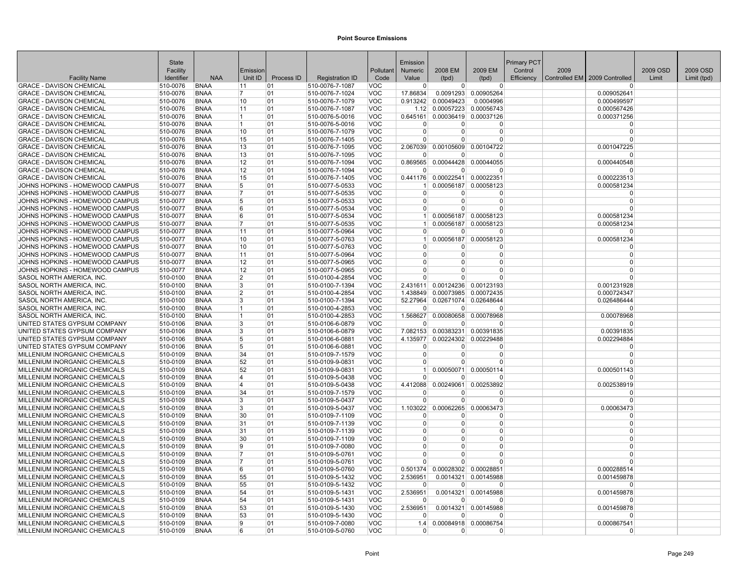|                                                                    | State                |                            |                |            |                                    |                          | Emission                   |                                |                                        | <b>Primary PCT</b> |      |                               |          |             |
|--------------------------------------------------------------------|----------------------|----------------------------|----------------|------------|------------------------------------|--------------------------|----------------------------|--------------------------------|----------------------------------------|--------------------|------|-------------------------------|----------|-------------|
|                                                                    | Facility             |                            | Emission       |            |                                    | Pollutant                | <b>Numeric</b>             | 2008 EM                        | 2009 EM                                | Control            | 2009 |                               | 2009 OSD | 2009 OSD    |
| <b>Facility Name</b>                                               | Identifier           | <b>NAA</b>                 | Unit ID        | Process ID | <b>Registration ID</b>             | Code                     | Value                      | (tpd)                          | (tpd)                                  | Efficiency         |      | Controlled EM 2009 Controlled | Limit    | Limit (tpd) |
| <b>GRACE - DAVISON CHEMICAL</b><br><b>GRACE - DAVISON CHEMICAL</b> | 510-0076             | <b>BNAA</b><br><b>BNAA</b> | 11<br>17       | 01<br>01   | 510-0076-7-1087<br>510-0076-7-1024 | <b>VOC</b><br><b>VOC</b> | $\Omega$<br>17.86834       | $\Omega$                       | $\overline{0}$<br>0.0091293 0.00905264 |                    |      | n<br>0.009052641              |          |             |
|                                                                    | 510-0076             |                            |                |            |                                    |                          |                            |                                |                                        |                    |      |                               |          |             |
| <b>GRACE - DAVISON CHEMICAL</b>                                    | 510-0076             | <b>BNAA</b><br><b>BNAA</b> | 10             | 01         | 510-0076-7-1079                    | <b>VOC</b>               | 0.913242                   | 0.00049423                     | 0.0004996                              |                    |      | 0.000499597                   |          |             |
| <b>GRACE - DAVISON CHEMICAL</b>                                    | 510-0076             | <b>BNAA</b>                | 11<br>11.      | 01<br>01   | 510-0076-7-1087                    | <b>VOC</b><br><b>VOC</b> |                            |                                | 1.12 0.00057223 0.00056743             |                    |      | 0.000567426                   |          |             |
| <b>GRACE - DAVISON CHEMICAL</b><br><b>GRACE - DAVISON CHEMICAL</b> | 510-0076<br>510-0076 | <b>BNAA</b>                | 11.            | 01         | 510-0076-5-0016<br>510-0076-5-0016 | <b>VOC</b>               | 0.645161<br>$\Omega$       | $\overline{0}$                 | 0.00036419 0.00037126<br>0             |                    |      | 0.000371256<br>$\Omega$       |          |             |
| <b>GRACE - DAVISON CHEMICAL</b>                                    | 510-0076             | <b>BNAA</b>                | 10             | 01         | 510-0076-7-1079                    | <b>VOC</b>               | $\Omega$                   | $\Omega$                       | 0                                      |                    |      | $\Omega$                      |          |             |
| <b>GRACE - DAVISON CHEMICAL</b>                                    | 510-0076             | <b>BNAA</b>                | 15             | 01         | 510-0076-7-1405                    | <b>VOC</b>               | $\Omega$                   | $\Omega$                       | $\Omega$                               |                    |      | $\Omega$                      |          |             |
| <b>GRACE - DAVISON CHEMICAL</b>                                    | 510-0076             | <b>BNAA</b>                | 13             | 01         | 510-0076-7-1095                    | <b>VOC</b>               |                            |                                | 2.067039 0.00105609 0.00104722         |                    |      | 0.001047225                   |          |             |
| <b>GRACE - DAVISON CHEMICAL</b>                                    | 510-0076             | <b>BNAA</b>                | 13             | 01         | 510-0076-7-1095                    | <b>VOC</b>               | $\Omega$                   | 0                              | $\Omega$                               |                    |      | 0                             |          |             |
| <b>GRACE - DAVISON CHEMICAL</b>                                    | 510-0076             | <b>BNAA</b>                | 12             | 01         | 510-0076-7-1094                    | <b>VOC</b>               | 0.869565                   |                                | 0.00044428 0.00044055                  |                    |      | 0.000440548                   |          |             |
| <b>GRACE - DAVISON CHEMICAL</b>                                    | 510-0076             | <b>BNAA</b>                | 12             | 01         | 510-0076-7-1094                    | <b>VOC</b>               | $\Omega$                   | $\Omega$                       | $\Omega$                               |                    |      |                               |          |             |
| <b>GRACE - DAVISON CHEMICAL</b>                                    | 510-0076             | <b>BNAA</b>                | 15             | 01         | 510-0076-7-1405                    | <b>VOC</b>               |                            | 0.441176 0.00022541 0.00022351 |                                        |                    |      | 0.000223513                   |          |             |
| JOHNS HOPKINS - HOMEWOOD CAMPUS                                    | 510-0077             | <b>BNAA</b>                | 5              | 01         | 510-0077-5-0533                    | <b>VOC</b>               |                            |                                | 0.00056187 0.00058123                  |                    |      | 0.000581234                   |          |             |
| JOHNS HOPKINS - HOMEWOOD CAMPUS                                    | 510-0077             | <b>BNAA</b>                | 17             | 01         | 510-0077-5-0535                    | <b>VOC</b>               | $\Omega$                   | $\Omega$                       | $\Omega$                               |                    |      | $\Omega$                      |          |             |
| JOHNS HOPKINS - HOMEWOOD CAMPUS                                    | 510-0077             | <b>BNAA</b>                | 5              | 01         | 510-0077-5-0533                    | <b>VOC</b>               | $\Omega$                   | $\overline{0}$                 | $\Omega$                               |                    |      | $\Omega$                      |          |             |
| JOHNS HOPKINS - HOMEWOOD CAMPUS                                    | 510-0077             | <b>BNAA</b>                | 6              | 01         | 510-0077-5-0534                    | <b>VOC</b>               | $\Omega$                   | $\overline{0}$                 | $\Omega$                               |                    |      |                               |          |             |
| JOHNS HOPKINS - HOMEWOOD CAMPUS                                    | 510-0077             | <b>BNAA</b>                | 6              | 01         | 510-0077-5-0534                    | <b>VOC</b>               | 1 <sup>1</sup>             |                                | 0.00056187 0.00058123                  |                    |      | 0.000581234                   |          |             |
| JOHNS HOPKINS - HOMEWOOD CAMPUS                                    | 510-0077             | <b>BNAA</b>                | $\overline{7}$ | 01         | 510-0077-5-0535                    | <b>VOC</b>               | $\mathbf{1}$               |                                | 0.00056187 0.00058123                  |                    |      | 0.000581234                   |          |             |
| JOHNS HOPKINS - HOMEWOOD CAMPUS                                    | 510-0077             | <b>BNAA</b>                | 11             | 01         | 510-0077-5-0964                    | <b>VOC</b>               | $\Omega$                   | $\Omega$                       | $\Omega$                               |                    |      | $\Omega$                      |          |             |
| JOHNS HOPKINS - HOMEWOOD CAMPUS                                    | 510-0077             | <b>BNAA</b>                | 10             | 01         | 510-0077-5-0763                    | <b>VOC</b>               | $\vert$ 1                  |                                | 0.00056187 0.00058123                  |                    |      | 0.000581234                   |          |             |
| JOHNS HOPKINS - HOMEWOOD CAMPUS                                    | 510-0077             | <b>BNAA</b>                | 10             | 01         | 510-0077-5-0763                    | <b>VOC</b>               | $\Omega$                   | $\Omega$                       | $\Omega$                               |                    |      | $\Omega$                      |          |             |
| JOHNS HOPKINS - HOMEWOOD CAMPUS                                    | 510-0077             | <b>BNAA</b>                | 11             | 01         | 510-0077-5-0964                    | <b>VOC</b>               | $\Omega$                   | $\Omega$                       | $\overline{0}$                         |                    |      | $\Omega$                      |          |             |
| JOHNS HOPKINS - HOMEWOOD CAMPUS                                    | 510-0077             | <b>BNAA</b>                | 12             | 01         | 510-0077-5-0965                    | <b>VOC</b>               | $\Omega$                   | 0                              | 0                                      |                    |      | $\Omega$                      |          |             |
| JOHNS HOPKINS - HOMEWOOD CAMPUS                                    | 510-0077             | <b>BNAA</b>                | 12             | 01         | 510-0077-5-0965                    | <b>VOC</b>               | $\Omega$                   | $\Omega$                       | $\Omega$                               |                    |      | $\Omega$                      |          |             |
| SASOL NORTH AMERICA. INC                                           | 510-0100             | <b>BNAA</b>                | 2              | 01         | 510-0100-4-2854                    | <b>VOC</b>               | $\Omega$                   | $\Omega$                       | $\overline{0}$                         |                    |      | $\Omega$                      |          |             |
| SASOL NORTH AMERICA, INC                                           | 510-0100             | <b>BNAA</b>                | 3              | 01         | 510-0100-7-1394                    | <b>VOC</b>               |                            |                                | 2.431611 0.00124236 0.00123193         |                    |      | 0.001231928                   |          |             |
| SASOL NORTH AMERICA, INC                                           | 510-0100             | <b>BNAA</b>                | 2              | 01         | 510-0100-4-2854                    | <b>VOC</b>               | 1.438849                   | 0.00073985                     | 0.00072435                             |                    |      | 0.000724347                   |          |             |
| SASOL NORTH AMERICA, INC                                           | 510-0100             | <b>BNAA</b>                | 3              | 01         | 510-0100-7-1394                    | <b>VOC</b>               | 52.27964                   |                                | 0.02671074 0.02648644                  |                    |      | 0.026486444                   |          |             |
| SASOL NORTH AMERICA. INC                                           | 510-0100             | <b>BNAA</b>                | 11             | 01         | 510-0100-4-2853                    | <b>VOC</b>               |                            | ŋ                              | $\Omega$                               |                    |      | $\Omega$                      |          |             |
| SASOL NORTH AMERICA, INC                                           | 510-0100             | <b>BNAA</b>                | 11             | 01         | 510-0100-4-2853                    | <b>VOC</b>               | 1.568627                   | 0.00080658                     | 0.00078968                             |                    |      | 0.00078968                    |          |             |
| UNITED STATES GYPSUM COMPANY                                       | 510-0106             | <b>BNAA</b>                | 3              | 01         | 510-0106-6-0879                    | <b>VOC</b>               | $\Omega$                   | $\Omega$                       | $\Omega$                               |                    |      | $\Omega$                      |          |             |
| UNITED STATES GYPSUM COMPANY                                       | 510-0106             | <b>BNAA</b>                | 3              | 01         | 510-0106-6-0879                    | <b>VOC</b>               | 7.082153                   |                                | 0.00383231 0.00391835                  |                    |      | 0.00391835                    |          |             |
| UNITED STATES GYPSUM COMPANY                                       | 510-0106             | <b>BNAA</b>                | 5              | 01         | 510-0106-6-0881                    | <b>VOC</b>               | 4.135977                   |                                | 0.00224302 0.00229488                  |                    |      | 0.002294884                   |          |             |
| UNITED STATES GYPSUM COMPANY                                       | 510-0106             | <b>BNAA</b>                | 5              | 01         | 510-0106-6-0881                    | <b>VOC</b>               | $\Omega$                   | $\Omega$                       | 0                                      |                    |      | $\Omega$                      |          |             |
| MILLENIUM INORGANIC CHEMICALS                                      | 510-0109             | <b>BNAA</b>                | 34             | 01         | 510-0109-7-1579                    | <b>VOC</b>               | $\Omega$                   | $\Omega$                       | $\Omega$                               |                    |      | $\Omega$                      |          |             |
| MILLENIUM INORGANIC CHEMICALS                                      | 510-0109             | <b>BNAA</b>                | 52             | 01         | 510-0109-9-0831                    | <b>VOC</b>               | $\Omega$                   | 0                              | $\Omega$                               |                    |      |                               |          |             |
| MILLENIUM INORGANIC CHEMICALS                                      | 510-0109             | <b>BNAA</b>                | 52             | 01         | 510-0109-9-0831                    | <b>VOC</b>               | 1 <sup>1</sup>             | 0.00050071                     | 0.00050114                             |                    |      | 0.000501143                   |          |             |
| MILLENIUM INORGANIC CHEMICALS                                      | 510-0109             | <b>BNAA</b>                | 4              | 01         | 510-0109-5-0438                    | <b>VOC</b>               | $\Omega$                   | $\Omega$                       | $\Omega$                               |                    |      | $\Omega$                      |          |             |
| MILLENIUM INORGANIC CHEMICALS                                      | 510-0109             | <b>BNAA</b>                | 14             | 01         | 510-0109-5-0438                    | <b>VOC</b>               | 4.412088                   |                                | 0.00249061 0.00253892                  |                    |      | 0.002538919                   |          |             |
| MILLENIUM INORGANIC CHEMICALS                                      | 510-0109             | <b>BNAA</b>                | 34             | 01         | 510-0109-7-1579                    | <b>VOC</b>               | $\Omega$                   | O                              | <sup>0</sup>                           |                    |      | $\Omega$                      |          |             |
| MILLENIUM INORGANIC CHEMICALS                                      | 510-0109             | <b>BNAA</b>                | 3              | 01         | 510-0109-5-0437                    | <b>VOC</b>               | $\Omega$                   | <sup>0</sup>                   | $\Omega$                               |                    |      | $\Omega$                      |          |             |
| MILLENIUM INORGANIC CHEMICALS                                      | 510-0109             | <b>BNAA</b>                | <sup>3</sup>   | 01         | 510-0109-5-0437                    | <b>VOC</b>               | 1.103022                   |                                | 0.00062265 0.00063473                  |                    |      | 0.00063473                    |          |             |
| MILLENIUM INORGANIC CHEMICALS                                      | 510-0109             | <b>BNAA</b>                | 30             | 01         | 510-0109-7-1109                    | <b>VOC</b>               | $\Omega$                   | $\Omega$                       | $\Omega$                               |                    |      | $\Omega$                      |          |             |
| MILLENIUM INORGANIC CHEMICALS                                      | 510-0109             | <b>BNAA</b>                | 31             | 01         | 510-0109-7-1139                    | <b>VOC</b>               | $\overline{0}$             | $\Omega$                       | $\Omega$                               |                    |      | $\Omega$                      |          |             |
| MILLENIUM INORGANIC CHEMICALS                                      | 510-0109             | <b>BNAA</b>                | 31             | 01         | 510-0109-7-1139                    | <b>VOC</b>               | $\Omega$                   | 0<br>$\Omega$                  | $\Omega$                               |                    |      | $\Omega$<br>$\Omega$          |          |             |
| MILLENIUM INORGANIC CHEMICALS                                      | 510-0109             | <b>BNAA</b>                | 30             | 01         | 510-0109-7-1109                    | <b>VOC</b>               | $\Omega$                   | 0                              | $\Omega$<br>$\Omega$                   |                    |      | $\Omega$                      |          |             |
| MILLENIUM INORGANIC CHEMICALS                                      | 510-0109             | <b>BNAA</b>                | Ι9<br>17       | 01         | 510-0109-7-0080                    | <b>VOC</b>               | $\overline{0}$             |                                | $\Omega$                               |                    |      | $\Omega$                      |          |             |
| MILLENIUM INORGANIC CHEMICALS                                      | 510-0109             | <b>BNAA</b>                | 17             | 01         | 510-0109-5-0761                    | <b>VOC</b>               | $\overline{0}$<br>$\Omega$ | $\overline{0}$<br>$\Omega$     | $\Omega$                               |                    |      | $\Omega$                      |          |             |
| MILLENIUM INORGANIC CHEMICALS<br>MILLENIUM INORGANIC CHEMICALS     | 510-0109<br>510-0109 | <b>BNAA</b><br><b>BNAA</b> | <sup>6</sup>   | 01<br>01   | 510-0109-5-0761<br>510-0109-5-0760 | <b>VOC</b><br><b>VOC</b> | 0.501374                   |                                | 0.00028302 0.00028851                  |                    |      |                               |          |             |
| MILLENIUM INORGANIC CHEMICALS                                      | 510-0109             | <b>BNAA</b>                | 55             | 01         | 510-0109-5-1432                    | <b>VOC</b>               | 2.536951                   |                                | 0.0014321 0.00145988                   |                    |      | 0.000288514<br>0.001459878    |          |             |
| MILLENIUM INORGANIC CHEMICALS                                      | 510-0109             | <b>BNAA</b>                | 55             | 01         | 510-0109-5-1432                    | <b>VOC</b>               | $\Omega$                   | $\Omega$                       | $\Omega$                               |                    |      | $\Omega$                      |          |             |
| MILLENIUM INORGANIC CHEMICALS                                      | 510-0109             | <b>BNAA</b>                | 54             | 01         | 510-0109-5-1431                    | <b>VOC</b>               | 2.536951                   |                                | 0.0014321 0.00145988                   |                    |      | 0.001459878                   |          |             |
| MILLENIUM INORGANIC CHEMICALS                                      | 510-0109             | <b>BNAA</b>                | 54             | 01         | 510-0109-5-1431                    | <b>VOC</b>               | $\Omega$                   | $\Omega$                       | $\Omega$                               |                    |      | 0                             |          |             |
| MILLENIUM INORGANIC CHEMICALS                                      | 510-0109             | <b>BNAA</b>                | 53             | 01         | 510-0109-5-1430                    | <b>VOC</b>               | 2.536951                   |                                | 0.0014321 0.00145988                   |                    |      | 0.001459878                   |          |             |
| MILLENIUM INORGANIC CHEMICALS                                      | 510-0109             | <b>BNAA</b>                | 53             | 01         | 510-0109-5-1430                    | <b>VOC</b>               | $\Omega$                   | $\Omega$                       | $\Omega$                               |                    |      |                               |          |             |
| MILLENIUM INORGANIC CHEMICALS                                      | 510-0109             | <b>BNAA</b>                | ۱g             | 01         | 510-0109-7-0080                    | <b>VOC</b>               | 1.4                        |                                | 0.00084918 0.00086754                  |                    |      | 0.000867541                   |          |             |
| MILLENIUM INORGANIC CHEMICALS                                      | 510-0109             | <b>BNAA</b>                | 6              | 01         | 510-0109-5-0760                    | <b>VOC</b>               | $\overline{0}$             | $\overline{0}$                 | 0                                      |                    |      |                               |          |             |
|                                                                    |                      |                            |                |            |                                    |                          |                            |                                |                                        |                    |      |                               |          |             |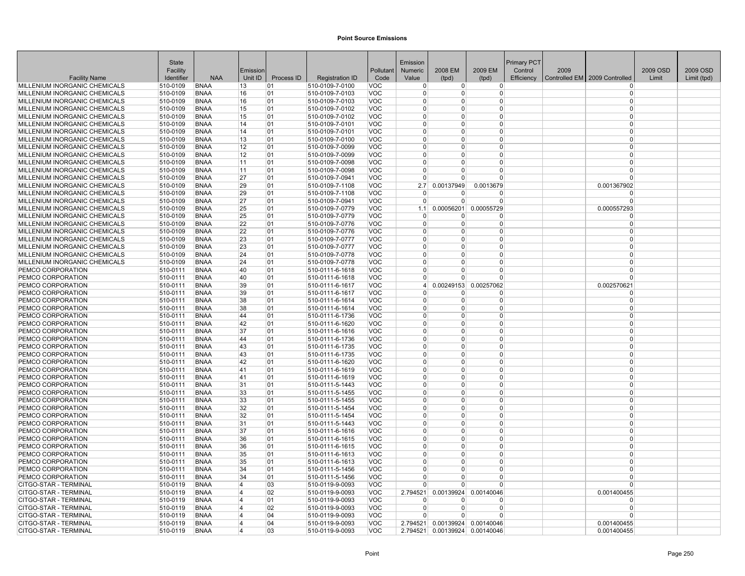|                               | <b>State</b> |             |                |            |                        |            | Emission       |                |                       | <b>Primary PCT</b> |      |                                 |          |             |
|-------------------------------|--------------|-------------|----------------|------------|------------------------|------------|----------------|----------------|-----------------------|--------------------|------|---------------------------------|----------|-------------|
|                               | Facility     |             | Emission       |            |                        | Pollutant  | Numeric        | 2008 EM        | 2009 EM               | Control            | 2009 |                                 | 2009 OSD | 2009 OSD    |
| <b>Facility Name</b>          | Identifier   | <b>NAA</b>  | Unit ID        | Process ID | <b>Registration ID</b> | Code       | Value          | (tpd)          | (tpd)                 | Efficiency         |      | Controlled EM   2009 Controlled | Limit    | Limit (tpd) |
| MILLENIUM INORGANIC CHEMICALS | 510-0109     | <b>BNAA</b> | 13             | 01         | 510-0109-7-0100        | VOC        | $\overline{0}$ | $\overline{0}$ | $\overline{0}$        |                    |      | $\Omega$                        |          |             |
| MILLENIUM INORGANIC CHEMICALS | 510-0109     | <b>BNAA</b> | 16             | 01         | 510-0109-7-0103        | <b>VOC</b> | $\Omega$       | 0              | 0                     |                    |      | $\Omega$                        |          |             |
| MILLENIUM INORGANIC CHEMICALS | 510-0109     | <b>BNAA</b> | 16             | 01         | 510-0109-7-0103        | <b>VOC</b> | $\Omega$       | $\Omega$       | 0                     |                    |      | $\Omega$                        |          |             |
| MILLENIUM INORGANIC CHEMICALS | 510-0109     | <b>BNAA</b> | 15             | 01         | 510-0109-7-0102        | <b>VOC</b> | $\overline{0}$ | 0              | $\overline{0}$        |                    |      | $\Omega$                        |          |             |
| MILLENIUM INORGANIC CHEMICALS | 510-0109     | <b>BNAA</b> | 15             | 01         | 510-0109-7-0102        | <b>VOC</b> | $\Omega$       | $\Omega$       | $\Omega$              |                    |      | $\Omega$                        |          |             |
| MILLENIUM INORGANIC CHEMICALS | 510-0109     | <b>BNAA</b> | 14             | 01         | 510-0109-7-0101        | <b>VOC</b> | $\Omega$       | $\Omega$       | $\Omega$              |                    |      | $\Omega$                        |          |             |
| MILLENIUM INORGANIC CHEMICALS | 510-0109     | <b>BNAA</b> | 14             | 01         | 510-0109-7-0101        | VOC        | $\Omega$       | $\Omega$       | 0                     |                    |      | $\Omega$                        |          |             |
| MILLENIUM INORGANIC CHEMICALS | 510-0109     | <b>BNAA</b> | 13             | 01         | 510-0109-7-0100        | <b>VOC</b> | $\Omega$       | $\Omega$       | $\Omega$              |                    |      | $\Omega$                        |          |             |
| MILLENIUM INORGANIC CHEMICALS | 510-0109     | <b>BNAA</b> | 12             | 01         | 510-0109-7-0099        | <b>VOC</b> | $\Omega$       | 0              | $\Omega$              |                    |      | $\Omega$                        |          |             |
| MILLENIUM INORGANIC CHEMICALS | 510-0109     | <b>BNAA</b> | 12             | 01         | 510-0109-7-0099        | <b>VOC</b> | $\overline{0}$ | $\Omega$       | $\overline{0}$        |                    |      | $\Omega$                        |          |             |
| MILLENIUM INORGANIC CHEMICALS | 510-0109     | <b>BNAA</b> | 11             | 01         | 510-0109-7-0098        | <b>VOC</b> | $\Omega$       | $\Omega$       | $\overline{0}$        |                    |      | $\Omega$                        |          |             |
| MILLENIUM INORGANIC CHEMICALS | 510-0109     | <b>BNAA</b> | 11             | 01         | 510-0109-7-0098        | <b>VOC</b> | $\Omega$       | 0              | $\Omega$              |                    |      | $\Omega$                        |          |             |
| MILLENIUM INORGANIC CHEMICALS | 510-0109     | <b>BNAA</b> | 27             | 01         | 510-0109-7-0941        | <b>VOC</b> | $\overline{0}$ | 0              | 0                     |                    |      | $\Omega$                        |          |             |
| MILLENIUM INORGANIC CHEMICALS | 510-0109     | <b>BNAA</b> | 29             | 01         | 510-0109-7-1108        | <b>VOC</b> | 2.7            | 0.00137949     | 0.0013679             |                    |      | 0.001367902                     |          |             |
| MILLENIUM INORGANIC CHEMICALS | 510-0109     | <b>BNAA</b> | 29             | 01         | 510-0109-7-1108        | <b>VOC</b> | $\Omega$       | <sup>0</sup>   | $\Omega$              |                    |      | $\Omega$                        |          |             |
| MILLENIUM INORGANIC CHEMICALS | 510-0109     | <b>BNAA</b> | 27             | 01         | 510-0109-7-0941        | <b>VOC</b> | $\Omega$       | $\Omega$       | $\Omega$              |                    |      | $\Omega$                        |          |             |
| MILLENIUM INORGANIC CHEMICALS | 510-0109     | <b>BNAA</b> | 25             | 01         | 510-0109-7-0779        | <b>VOC</b> | 1.1            | 0.00056201     | 0.00055729            |                    |      | 0.000557293                     |          |             |
| MILLENIUM INORGANIC CHEMICALS | 510-0109     | <b>BNAA</b> | 25             | 01         | 510-0109-7-0779        | VOC        | $\mathbf 0$    | 0              | 0                     |                    |      | $\Omega$                        |          |             |
| MILLENIUM INORGANIC CHEMICALS | 510-0109     | <b>BNAA</b> | 22             | 01         | 510-0109-7-0776        | <b>VOC</b> | $\overline{0}$ | $\Omega$       | 0                     |                    |      | $\Omega$                        |          |             |
| MILLENIUM INORGANIC CHEMICALS | 510-0109     | <b>BNAA</b> | 22             | 01         | 510-0109-7-0776        | <b>VOC</b> | $\mathbf{0}$   | $\Omega$       | $\overline{0}$        |                    |      | $\Omega$                        |          |             |
| MILLENIUM INORGANIC CHEMICALS | 510-0109     | <b>BNAA</b> | 23             | 01         | 510-0109-7-0777        | VOC        | $\mathbf{0}$   | $\Omega$       | $\overline{0}$        |                    |      | $\Omega$                        |          |             |
| MILLENIUM INORGANIC CHEMICALS | 510-0109     | <b>BNAA</b> | 23             | 01         | 510-0109-7-0777        | <b>VOC</b> | $\Omega$       | $\Omega$       | $\Omega$              |                    |      | $\Omega$                        |          |             |
| MILLENIUM INORGANIC CHEMICALS | 510-0109     | <b>BNAA</b> | 24             | 01         | 510-0109-7-0778        | <b>VOC</b> | $\Omega$       | U              | 0                     |                    |      | $\Omega$                        |          |             |
| MILLENIUM INORGANIC CHEMICALS | 510-0109     | <b>BNAA</b> | 24             | 01         | 510-0109-7-0778        | <b>VOC</b> | $\Omega$       | $\Omega$       | 0                     |                    |      | $\Omega$                        |          |             |
| PEMCO CORPORATION             | 510-0111     | <b>BNAA</b> | 40             | 01         | 510-0111-6-1618        | <b>VOC</b> | $\Omega$       | $\Omega$       | $\overline{0}$        |                    |      | $\Omega$                        |          |             |
| PEMCO CORPORATION             | 510-0111     | <b>BNAA</b> | 40             | 01         | 510-0111-6-1618        | <b>VOC</b> | $\Omega$       | $\Omega$       | $\Omega$              |                    |      | $\Omega$                        |          |             |
| PEMCO CORPORATION             | 510-0111     | <b>BNAA</b> | 39             | 01         | 510-0111-6-1617        | <b>VOC</b> | $\vert$        |                | 0.00249153 0.00257062 |                    |      | 0.002570621                     |          |             |
| PEMCO CORPORATION             | 510-0111     | <b>BNAA</b> | 39             | 01         | 510-0111-6-1617        | VOC        | $\Omega$       | $\Omega$       | $\Omega$              |                    |      | $\Omega$                        |          |             |
| PEMCO CORPORATION             | 510-0111     | <b>BNAA</b> | 38             | 01         | 510-0111-6-1614        | <b>VOC</b> | $\Omega$       | $\Omega$       | $\overline{0}$        |                    |      | $\Omega$                        |          |             |
| PEMCO CORPORATION             | 510-0111     | <b>BNAA</b> | 38             | 01         | 510-0111-6-1614        | <b>VOC</b> | $\Omega$       | $\Omega$       | 0                     |                    |      | $\Omega$                        |          |             |
| PEMCO CORPORATION             | 510-0111     | <b>BNAA</b> | 44             | 01         | 510-0111-6-1736        | <b>VOC</b> | $\mathbf{0}$   | $\Omega$       | 0                     |                    |      | $\Omega$                        |          |             |
| PEMCO CORPORATION             | 510-0111     | <b>BNAA</b> | 42             | 01         | 510-0111-6-1620        | <b>VOC</b> | $\overline{0}$ | $\Omega$       | $\overline{0}$        |                    |      | $\Omega$                        |          |             |
| PEMCO CORPORATION             | 510-0111     | <b>BNAA</b> | 37             | 01         | 510-0111-6-1616        | <b>VOC</b> | $\Omega$       | $\Omega$       | $\Omega$              |                    |      | $\Omega$                        |          |             |
| PEMCO CORPORATION             | 510-0111     | <b>BNAA</b> | 44             | 01         | 510-0111-6-1736        | <b>VOC</b> | $\Omega$       | $\Omega$       | $\Omega$              |                    |      | $\Omega$                        |          |             |
| PEMCO CORPORATION             | 510-0111     | <b>BNAA</b> | 43             | 01         | 510-0111-6-1735        | <b>VOC</b> | $\Omega$       | $\Omega$       | 0                     |                    |      | $\Omega$                        |          |             |
| PEMCO CORPORATION             | 510-0111     | <b>BNAA</b> | 43             | 01         | 510-0111-6-1735        | <b>VOC</b> | $\Omega$       | $\Omega$       | $\Omega$              |                    |      | $\Omega$                        |          |             |
| PEMCO CORPORATION             | 510-0111     | <b>BNAA</b> | 42             | 01         | 510-0111-6-1620        | <b>VOC</b> | $\Omega$       | $\Omega$       | $\Omega$              |                    |      | $\Omega$                        |          |             |
| PEMCO CORPORATION             | 510-0111     | <b>BNAA</b> | 41             | 01         | 510-0111-6-1619        | <b>VOC</b> | $\mathbf{0}$   | $\Omega$       | $\overline{0}$        |                    |      | $\Omega$                        |          |             |
| PEMCO CORPORATION             | 510-0111     | <b>BNAA</b> | 41             | 01         | 510-0111-6-1619        | <b>VOC</b> | $\Omega$       | $\Omega$       | $\Omega$              |                    |      | $\Omega$                        |          |             |
| PEMCO CORPORATION             | 510-0111     | <b>BNAA</b> | 31             | 01         | 510-0111-5-1443        | <b>VOC</b> | $\Omega$       | $\Omega$       | 0                     |                    |      | $\Omega$                        |          |             |
| <b>PEMCO CORPORATION</b>      | 510-0111     | <b>BNAA</b> | 33             | 01         | 510-0111-5-1455        | <b>VOC</b> | $\overline{0}$ | $\Omega$       | 0                     |                    |      | $\Omega$                        |          |             |
| PEMCO CORPORATION             | 510-0111     | <b>BNAA</b> | 33             | 01         | 510-0111-5-1455        | <b>VOC</b> | $\mathbf 0$    | $\Omega$       | 0                     |                    |      | $\Omega$                        |          |             |
| PEMCO CORPORATION             | 510-0111     | <b>BNAA</b> | 32             | 01         | 510-0111-5-1454        | <b>VOC</b> | $\mathbf 0$    | $\Omega$       | $\overline{0}$        |                    |      | $\Omega$                        |          |             |
| PEMCO CORPORATION             | 510-0111     | <b>BNAA</b> | 32             | 01         | 510-0111-5-1454        | <b>VOC</b> | $\Omega$       | $\Omega$       | $\overline{0}$        |                    |      | $\Omega$                        |          |             |
| PEMCO CORPORATION             | 510-0111     | <b>BNAA</b> | 31             | 01         | 510-0111-5-1443        | <b>VOC</b> | $\Omega$       | $\Omega$       | $\Omega$              |                    |      | $\Omega$                        |          |             |
| PEMCO CORPORATION             | 510-0111     | <b>BNAA</b> | 37             | 01         | 510-0111-6-1616        | VOC        | $\Omega$       | $\Omega$       | $\Omega$              |                    |      | $\Omega$                        |          |             |
| PEMCO CORPORATION             | 510-0111     | <b>BNAA</b> | 36             | 01         | 510-0111-6-1615        | <b>VOC</b> | $\Omega$       | $\Omega$       | $\Omega$              |                    |      | $\Omega$                        |          |             |
| PEMCO CORPORATION             | 510-0111     | <b>BNAA</b> | 36             | 01         | 510-0111-6-1615        | <b>VOC</b> | $\mathbf{0}$   | $\Omega$       | $\overline{0}$        |                    |      | $\Omega$                        |          |             |
| PEMCO CORPORATION             | 510-0111     | <b>BNAA</b> | 35             | 01         | 510-0111-6-1613        | VOC        | $\overline{0}$ | $\Omega$       | $\overline{0}$        |                    |      | $\Omega$                        |          |             |
| PEMCO CORPORATION             | 510-0111     | <b>BNAA</b> | 35             | 01         | 510-0111-6-1613        | <b>VOC</b> | $\Omega$       | $\Omega$       | $\Omega$              |                    |      | $\Omega$                        |          |             |
| PEMCO CORPORATION             | 510-0111     | <b>BNAA</b> | 34             | 01         | 510-0111-5-1456        | <b>VOC</b> | $\Omega$       | 0              | $\Omega$              |                    |      | $\Omega$                        |          |             |
| <b>PEMCO CORPORATION</b>      | 510-0111     | BNAA        | 34             | 01         | 510-0111-5-1456        | <b>VOC</b> | $\Omega$       | 0              | 0                     |                    |      | $\Omega$                        |          |             |
| CITGO-STAR - TERMINAL         | 510-0119     | <b>BNAA</b> | 4              | 03         | 510-0119-9-0093        | VOC        | $\Omega$       | $\Omega$       | $\Omega$              |                    |      | $\Omega$                        |          |             |
| CITGO-STAR - TERMINAL         | 510-0119     | <b>BNAA</b> | 4              | 02         | 510-0119-9-0093        | VOC        | 2.794521       | 0.00139924     | 0.00140046            |                    |      | 0.001400455                     |          |             |
| <b>CITGO-STAR - TERMINAL</b>  | 510-0119     | <b>BNAA</b> | 4              | 01         | 510-0119-9-0093        | <b>VOC</b> | $\Omega$       | <sup>0</sup>   | <sup>0</sup>          |                    |      | $\Omega$                        |          |             |
| CITGO-STAR - TERMINAL         | 510-0119     | <b>BNAA</b> | 4              | 02         | 510-0119-9-0093        | <b>VOC</b> | $\mathbf{0}$   | $\Omega$       | 0                     |                    |      | $\Omega$                        |          |             |
| <b>CITGO-STAR - TERMINAL</b>  | 510-0119     | <b>BNAA</b> | 4              | 04         | 510-0119-9-0093        | <b>VOC</b> | $\Omega$       | $\Omega$       | $\Omega$              |                    |      | $\Omega$                        |          |             |
| CITGO-STAR - TERMINAL         | 510-0119     | <b>BNAA</b> | $\overline{4}$ | 04         | 510-0119-9-0093        | <b>VOC</b> | 2.794521       |                | 0.00139924 0.00140046 |                    |      | 0.001400455                     |          |             |
| CITGO-STAR - TERMINAL         | 510-0119     | <b>BNAA</b> | 4              | 03         | 510-0119-9-0093        | <b>VOC</b> | 2.794521       |                | 0.00139924 0.00140046 |                    |      | 0.001400455                     |          |             |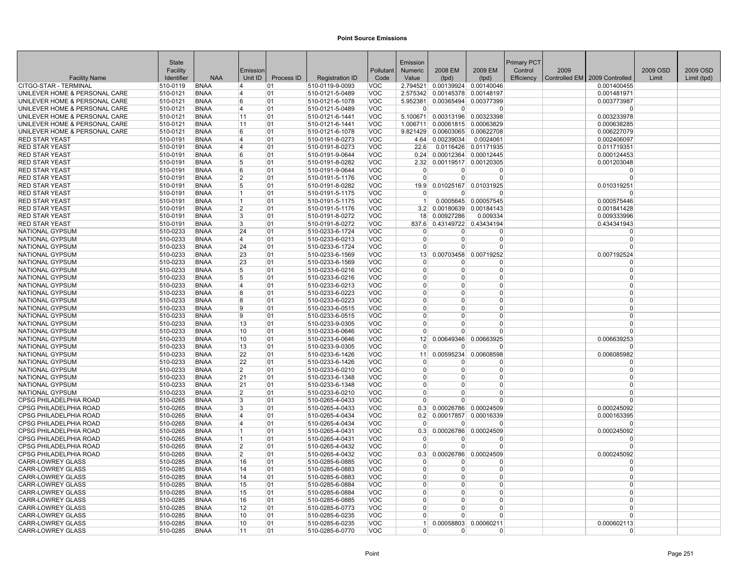|                                           | State                |                            |                         |            |                                    |                          | Emission                   |                                |                       | Primary PCT |      |                               |          |             |
|-------------------------------------------|----------------------|----------------------------|-------------------------|------------|------------------------------------|--------------------------|----------------------------|--------------------------------|-----------------------|-------------|------|-------------------------------|----------|-------------|
|                                           | Facility             |                            | Emission                |            |                                    | Pollutant                | <b>Numeric</b>             | 2008 EM                        | 2009 EM               | Control     | 2009 |                               | 2009 OSD | 2009 OSD    |
| <b>Facility Name</b>                      | Identifier           | <b>NAA</b>                 | Unit ID                 | Process ID | <b>Registration ID</b>             | Code                     | Value                      | (tpd)                          | (tpd)                 | Efficiency  |      | Controlled EM 2009 Controlled | Limit    | Limit (tpd) |
| CITGO-STAR - TERMINAL                     | 510-0119             | <b>BNAA</b>                | 4                       | 01         | 510-0119-9-0093                    | VOC                      | 2.794521                   |                                | 0.00139924 0.00140046 |             |      | 0.001400455                   |          |             |
| UNILEVER HOME & PERSONAL CARE             | 510-0121             | <b>BNAA</b>                | 4                       | 01         | 510-0121-5-0489                    | <b>VOC</b>               | 2.575342                   |                                | 0.00145378 0.00148197 |             |      | 0.001481971                   |          |             |
| UNILEVER HOME & PERSONAL CARE             | 510-0121             | <b>BNAA</b>                | 6                       | 01         | 510-0121-6-1078                    | <b>VOC</b>               | 5.952381                   | 0.00365494                     | 0.00377399            |             |      | 0.003773987                   |          |             |
| UNILEVER HOME & PERSONAL CARE             | 510-0121             | <b>BNAA</b>                | 4                       | 01         | 510-0121-5-0489                    | <b>VOC</b>               | 0                          | $\overline{0}$                 | $\Omega$              |             |      | $\Omega$                      |          |             |
| UNILEVER HOME & PERSONAL CARE             | 510-0121             | <b>BNAA</b>                | 11                      | 01         | 510-0121-6-1441                    | <b>VOC</b>               | 5.100671                   | 0.00313196                     | 0.00323398            |             |      | 0.003233978                   |          |             |
| UNILEVER HOME & PERSONAL CARE             | 510-0121             | <b>BNAA</b>                | 11                      | 01         | 510-0121-6-1441                    | <b>VOC</b>               | 1.006711                   | 0.00061815                     | 0.00063829            |             |      | 0.000638285                   |          |             |
| UNILEVER HOME & PERSONAL CARE             | 510-0121             | <b>BNAA</b>                | 6                       | 01         | 510-0121-6-1078                    | VOC                      |                            | 9.821429 0.00603065 0.00622708 |                       |             |      | 0.006227079                   |          |             |
| <b>RED STAR YEAST</b>                     | 510-0191             | <b>BNAA</b>                | $\overline{\mathbf{4}}$ | 01         | 510-0191-8-0273                    | <b>VOC</b>               | 4.64                       | 0.00239034                     | 0.0024061             |             |      | 0.002406097                   |          |             |
| <b>RED STAR YEAST</b>                     | 510-0191             | <b>BNAA</b>                | 4                       | 01         | 510-0191-8-0273                    | <b>VOC</b>               | 22.6                       | 0.0116426                      | 0.01171935            |             |      | 0.011719351                   |          |             |
| <b>RED STAR YEAST</b>                     | 510-0191             | <b>BNAA</b>                | 6                       | 01         | 510-0191-9-0644                    | <b>VOC</b>               | 0.24                       |                                | 0.00012364 0.00012445 |             |      | 0.000124453                   |          |             |
| <b>RED STAR YEAST</b>                     | 510-0191             | <b>BNAA</b>                | 5                       | 01         | 510-0191-8-0282                    | <b>VOC</b>               | 2.32                       |                                | 0.00119517 0.00120305 |             |      | 0.001203048                   |          |             |
| <b>RED STAR YEAST</b>                     | 510-0191             | <b>BNAA</b>                | 6                       | 01         | 510-0191-9-0644                    | <b>VOC</b>               | $\overline{0}$             | $\Omega$                       | $\Omega$              |             |      | $\Omega$                      |          |             |
| <b>RED STAR YEAST</b>                     | 510-0191             | <b>BNAA</b>                | $\overline{2}$          | 01         | 510-0191-5-1176                    | <b>VOC</b>               | $\overline{0}$             | 0                              | $\Omega$              |             |      | $\mathbf 0$                   |          |             |
| <b>RED STAR YEAST</b>                     | 510-0191             | <b>BNAA</b>                | 5                       | 01         | 510-0191-8-0282                    | <b>VOC</b>               | 19.9                       | 0.01025167                     | 0.01031925            |             |      | 0.010319251                   |          |             |
| <b>RED STAR YEAST</b>                     | 510-0191             | <b>BNAA</b>                | 1                       | 01         | 510-0191-5-1175                    | <b>VOC</b>               | $\Omega$                   | $\Omega$                       | $\Omega$              |             |      | n                             |          |             |
| <b>RED STAR YEAST</b>                     | 510-0191             | <b>BNAA</b>                | 1                       | 01         | 510-0191-5-1175                    | <b>VOC</b>               | 1 <sup>1</sup>             |                                | 0.0005645 0.00057545  |             |      | 0.000575446                   |          |             |
| <b>RED STAR YEAST</b>                     | 510-0191             | <b>BNAA</b>                | $\overline{2}$          | 01         | 510-0191-5-1176                    | <b>VOC</b>               | 3.2                        | 0.00180639                     | 0.00184143            |             |      | 0.001841428                   |          |             |
| <b>RED STAR YEAST</b>                     | 510-0191             | <b>BNAA</b>                | 3                       | 01         | 510-0191-8-0272                    | <b>VOC</b>               | 18                         | 0.00927286                     | 0.009334              |             |      | 0.009333996                   |          |             |
| <b>RED STAR YEAST</b>                     | 510-0191             | <b>BNAA</b>                | 3                       | 01         | 510-0191-8-0272                    | <b>VOC</b>               | 837.6                      |                                | 0.43149722 0.43434194 |             |      | 0.434341943                   |          |             |
| NATIONAL GYPSUM                           | 510-0233             | <b>BNAA</b>                | 24                      | 01         | 510-0233-6-1724                    | <b>VOC</b>               | $\Omega$                   | 0                              | $\Omega$              |             |      | $\Omega$                      |          |             |
| NATIONAL GYPSUM                           | 510-0233             | <b>BNAA</b>                | 14                      | 01         | 510-0233-6-0213                    | <b>VOC</b>               | $\overline{0}$             | $\Omega$                       | $\Omega$              |             |      | $\mathbf 0$                   |          |             |
| <b>NATIONAL GYPSUM</b>                    | 510-0233             | <b>BNAA</b>                | 24                      | 01         | 510-0233-6-1724                    | <b>VOC</b>               | $\Omega$                   | $\Omega$                       | $\Omega$              |             |      | $\Omega$                      |          |             |
| NATIONAL GYPSUM                           | 510-0233             | <b>BNAA</b>                | 23                      | 01         | 510-0233-6-1569                    | <b>VOC</b>               | 13                         | 0.00703458                     | 0.00719252            |             |      | 0.007192524                   |          |             |
| NATIONAL GYPSUM                           | 510-0233             | <b>BNAA</b>                | 23                      | 01         | 510-0233-6-1569                    | <b>VOC</b>               | $\Omega$                   | U                              | $\Omega$              |             |      | $\Omega$                      |          |             |
| NATIONAL GYPSUM                           | 510-0233             | <b>BNAA</b>                | 5                       | 01         | 510-0233-6-0216                    | <b>VOC</b>               | $\Omega$                   | 0                              | $\Omega$              |             |      | $\Omega$                      |          |             |
| NATIONAL GYPSUM                           | 510-0233             | <b>BNAA</b>                | 5                       | 01         | 510-0233-6-0216                    | <b>VOC</b>               | $\Omega$                   | 0                              | $\Omega$              |             |      | $\Omega$                      |          |             |
| NATIONAL GYPSUM                           | 510-0233             | <b>BNAA</b>                | 14                      | 01         | 510-0233-6-0213                    | <b>VOC</b>               | $\overline{0}$<br>$\Omega$ | 0<br>$\Omega$                  | $\Omega$<br>$\Omega$  |             |      | $\Omega$<br>$\Omega$          |          |             |
| <b>NATIONAL GYPSUM</b>                    | 510-0233             | <b>BNAA</b>                | 8<br>8                  | 01<br>01   | 510-0233-6-0223                    | VOC                      | $\Omega$                   | 0                              | $\Omega$              |             |      | $\Omega$                      |          |             |
| <b>NATIONAL GYPSUM</b><br>NATIONAL GYPSUM | 510-0233<br>510-0233 | <b>BNAA</b><br><b>BNAA</b> | 9                       |            | 510-0233-6-0223<br>510-0233-6-0515 | <b>VOC</b><br><b>VOC</b> | $\Omega$                   | 0                              | $\Omega$              |             |      | $\Omega$                      |          |             |
| NATIONAL GYPSUM                           | 510-0233             | <b>BNAA</b>                | 9                       | 01<br>01   | 510-0233-6-0515                    | <b>VOC</b>               | $\Omega$                   | 0                              | 0                     |             |      | $\mathbf 0$                   |          |             |
| <b>NATIONAL GYPSUM</b>                    | 510-0233             | <b>BNAA</b>                | 13                      | 01         | 510-0233-9-0305                    | <b>VOC</b>               | $\Omega$                   | 0                              | $\Omega$              |             |      | $\mathbf 0$                   |          |             |
| <b>NATIONAL GYPSUM</b>                    | 510-0233             | <b>BNAA</b>                | 10                      | 01         | 510-0233-6-0646                    | <b>VOC</b>               | $\Omega$                   | U                              | $\Omega$              |             |      | $\Omega$                      |          |             |
| NATIONAL GYPSUM                           | 510-0233             | <b>BNAA</b>                | 10                      | 01         | 510-0233-6-0646                    | <b>VOC</b>               | 12                         | 0.00649346                     | 0.00663925            |             |      | 0.006639253                   |          |             |
| NATIONAL GYPSUM                           | 510-0233             | <b>BNAA</b>                | 13                      | 01         | 510-0233-9-0305                    | VOC                      | $\Omega$                   | n                              | $\Omega$              |             |      | <sup>0</sup>                  |          |             |
| <b>NATIONAL GYPSUM</b>                    | 510-0233             | <b>BNAA</b>                | 22                      | 01         | 510-0233-6-1426                    | <b>VOC</b>               | 11                         | 0.00595234                     | 0.00608598            |             |      | 0.006085982                   |          |             |
| <b>NATIONAL GYPSUM</b>                    | 510-0233             | <b>BNAA</b>                | 22                      | 01         | 510-0233-6-1426                    | <b>VOC</b>               | $\Omega$                   | O                              | $\Omega$              |             |      | $\mathbf 0$                   |          |             |
| NATIONAL GYPSUM                           | 510-0233             | <b>BNAA</b>                | $\overline{2}$          | 01         | 510-0233-6-0210                    | <b>VOC</b>               | $\Omega$                   | $\Omega$                       | $\Omega$              |             |      | $\mathbf 0$                   |          |             |
| NATIONAL GYPSUM                           | 510-0233             | <b>BNAA</b>                | 21                      | 01         | 510-0233-6-1348                    | <b>VOC</b>               | $\Omega$                   | $\Omega$                       | $\Omega$              |             |      | $\Omega$                      |          |             |
| NATIONAL GYPSUM                           | 510-0233             | <b>BNAA</b>                | 21                      | 01         | 510-0233-6-1348                    | <b>VOC</b>               | $\Omega$                   | 0                              | $\Omega$              |             |      | $\Omega$                      |          |             |
| <b>NATIONAL GYPSUM</b>                    | 510-0233             | <b>BNAA</b>                | 2                       | 01         | 510-0233-6-0210                    | <b>VOC</b>               | $\Omega$                   | 0                              | $\Omega$              |             |      | $\Omega$                      |          |             |
| <b>CPSG PHILADELPHIA ROAD</b>             | 510-0265             | <b>BNAA</b>                | 3                       | 01         | 510-0265-4-0433                    | <b>VOC</b>               | $\Omega$                   | U                              | $\Omega$              |             |      | $\Omega$                      |          |             |
| <b>CPSG PHILADELPHIA ROAD</b>             | 510-0265             | <b>BNAA</b>                | 3                       | 01         | 510-0265-4-0433                    | <b>VOC</b>               | 0.3                        |                                | 0.00026786 0.00024509 |             |      | 0.000245092                   |          |             |
| <b>CPSG PHILADELPHIA ROAD</b>             | 510-0265             | <b>BNAA</b>                | 14                      | 01         | 510-0265-4-0434                    | <b>VOC</b>               | 0.2                        |                                | 0.00017857 0.00016339 |             |      | 0.000163395                   |          |             |
| CPSG PHILADELPHIA ROAD                    | 510-0265             | <b>BNAA</b>                | 14                      | 01         | 510-0265-4-0434                    | <b>VOC</b>               | $\mathbf 0$                | 0                              | 0                     |             |      | $\Omega$                      |          |             |
| <b>CPSG PHILADELPHIA ROAD</b>             | 510-0265             | <b>BNAA</b>                | 1                       | 01         | 510-0265-4-0431                    | VOC                      |                            | $0.3$ 0.00026786 0.00024509    |                       |             |      | 0.000245092                   |          |             |
| <b>CPSG PHILADELPHIA ROAD</b>             | 510-0265             | <b>BNAA</b>                | 1                       | 01         | 510-0265-4-0431                    | <b>VOC</b>               | $\Omega$                   | O                              | $\Omega$              |             |      | $\Omega$                      |          |             |
| <b>CPSG PHILADELPHIA ROAD</b>             | 510-0265             | <b>BNAA</b>                | $\overline{2}$          | 01         | 510-0265-4-0432                    | <b>VOC</b>               | $\mathbf{0}$               | 0                              | $\Omega$              |             |      | $\mathbf 0$                   |          |             |
| <b>CPSG PHILADELPHIA ROAD</b>             | 510-0265             | <b>BNAA</b>                | $\overline{2}$          | 01         | 510-0265-4-0432                    | <b>VOC</b>               | 0.3                        | 0.00026786                     | 0.00024509            |             |      | 0.000245092                   |          |             |
| <b>CARR-LOWREY GLASS</b>                  | 510-0285             | <b>BNAA</b>                | 16                      | 01         | 510-0285-6-0885                    | <b>VOC</b>               | $\Omega$                   | U                              | $\Omega$              |             |      | $\Omega$                      |          |             |
| <b>CARR-LOWREY GLASS</b>                  | 510-0285             | <b>BNAA</b>                | 14                      | 01         | 510-0285-6-0883                    | <b>VOC</b>               | $\Omega$                   | 0                              | $\Omega$              |             |      | $\mathbf 0$                   |          |             |
| <b>CARR-LOWREY GLASS</b>                  | 510-0285             | <b>BNAA</b>                | 14                      | 01         | 510-0285-6-0883                    | <b>VOC</b>               | $\overline{0}$             | 0                              | $\Omega$              |             |      | $\Omega$                      |          |             |
| <b>CARR-LOWREY GLASS</b>                  | 510-0285             | <b>BNAA</b>                | 15                      | 01         | 510-0285-6-0884                    | VOC                      | $\Omega$                   | 0                              | $\Omega$              |             |      | $\Omega$                      |          |             |
| <b>CARR-LOWREY GLASS</b>                  | 510-0285             | <b>BNAA</b>                | 15                      | 01         | 510-0285-6-0884                    | <b>VOC</b>               | $\Omega$                   | 0                              | $\Omega$              |             |      | $\Omega$                      |          |             |
| <b>CARR-LOWREY GLASS</b>                  | 510-0285             | <b>BNAA</b>                | 16                      | 01         | 510-0285-6-0885                    | <b>VOC</b>               | $\Omega$                   | 0                              | $\Omega$              |             |      | $\Omega$                      |          |             |
| <b>CARR-LOWREY GLASS</b>                  | 510-0285             | <b>BNAA</b>                | 12                      | 01         | 510-0285-6-0773                    | <b>VOC</b>               | $\Omega$                   | O                              | $\Omega$              |             |      | $\Omega$                      |          |             |
| <b>CARR-LOWREY GLASS</b>                  | 510-0285             | <b>BNAA</b>                | 10                      | 01         | 510-0285-6-0235                    | <b>VOC</b>               | $\Omega$                   | 0                              | $\Omega$              |             |      | $\Omega$                      |          |             |
| <b>CARR-LOWREY GLASS</b>                  | 510-0285             | <b>BNAA</b>                | 10                      | 01         | 510-0285-6-0235                    | <b>VOC</b>               | 1                          | 0.00058803                     | 0.00060211            |             |      | 0.000602113                   |          |             |
| <b>CARR-LOWREY GLASS</b>                  | 510-0285             | <b>BNAA</b>                | 11                      | 01         | 510-0285-6-0770                    | <b>VOC</b>               | $\overline{0}$             | 0                              | $\Omega$              |             |      | $\Omega$                      |          |             |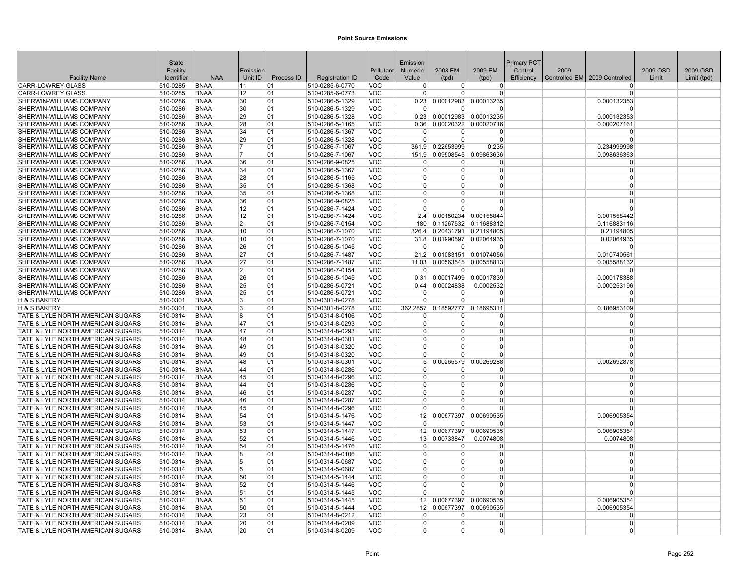|                                                                        | <b>State</b>         |                            |                |            |                                    |                          | Emission             |                             |                        | <b>Primary PCT</b> |      |                               |          |             |
|------------------------------------------------------------------------|----------------------|----------------------------|----------------|------------|------------------------------------|--------------------------|----------------------|-----------------------------|------------------------|--------------------|------|-------------------------------|----------|-------------|
|                                                                        | Facility             |                            | Emission       |            |                                    | Pollutant                | <b>Numeric</b>       | 2008 EM                     | 2009 EM                | Control            | 2009 |                               | 2009 OSD | 2009 OSD    |
| <b>Facility Name</b>                                                   | Identifier           | <b>NAA</b>                 | Unit ID        | Process ID | <b>Registration ID</b>             | Code                     | Value                | (tpd)                       | (tpd)                  | Efficiency         |      | Controlled EM 2009 Controlled | Limit    | Limit (tpd) |
| <b>CARR-LOWREY GLASS</b>                                               | 510-0285             | <b>BNAA</b>                | 11             | 01         | 510-0285-6-0770                    | VOC                      | $\Omega$             | $\Omega$                    | $\overline{0}$         |                    |      |                               |          |             |
| <b>CARR-LOWREY GLASS</b>                                               | 510-0285             | <b>BNAA</b>                | 12             | 01         | 510-0285-6-0773                    | VOC                      | $\Omega$             | $\Omega$                    | $\Omega$               |                    |      | $\Omega$                      |          |             |
| SHERWIN-WILLIAMS COMPANY                                               | 510-0286             | <b>BNAA</b>                | 30<br>30       | 01         | 510-0286-5-1329                    | <b>VOC</b>               | 0.23<br>$\Omega$     | 0.00012983<br>$\Omega$      | 0.00013235<br>$\Omega$ |                    |      | 0.000132353                   |          |             |
| SHERWIN-WILLIAMS COMPANY<br>SHERWIN-WILLIAMS COMPANY                   | 510-0286<br>510-0286 | <b>BNAA</b><br><b>BNAA</b> | 29             | 01<br>01   | 510-0286-5-1329<br>510-0286-5-1328 | <b>VOC</b><br><b>VOC</b> | 0.23                 |                             | 0.00012983 0.00013235  |                    |      | 0.000132353                   |          |             |
| SHERWIN-WILLIAMS COMPANY                                               | 510-0286             | <b>BNAA</b>                | 28             | 01         | 510-0286-5-1165                    | <b>VOC</b>               | 0.36                 |                             | 0.00020322 0.00020716  |                    |      | 0.000207161                   |          |             |
| SHERWIN-WILLIAMS COMPANY                                               | 510-0286             | <b>BNAA</b>                | 34             | 01         | 510-0286-5-1367                    | <b>VOC</b>               | $\overline{0}$       | $\Omega$                    | $\overline{0}$         |                    |      | $\Omega$                      |          |             |
| <b>SHERWIN-WILLIAMS COMPANY</b>                                        | 510-0286             | <b>BNAA</b>                | 29             | 01         | 510-0286-5-1328                    | <b>VOC</b>               | $\Omega$             | $\Omega$                    | $\Omega$               |                    |      |                               |          |             |
| SHERWIN-WILLIAMS COMPANY                                               | 510-0286             | <b>BNAA</b>                | $\overline{7}$ | 01         | 510-0286-7-1067                    | <b>VOC</b>               |                      | 361.9 0.22653999            | 0.235                  |                    |      | 0.234999998                   |          |             |
| SHERWIN-WILLIAMS COMPANY                                               | 510-0286             | <b>BNAA</b>                | 17             | 01         | 510-0286-7-1067                    | <b>VOC</b>               |                      | 151.9 0.09508545 0.09863636 |                        |                    |      | 0.098636363                   |          |             |
| SHERWIN-WILLIAMS COMPANY                                               | 510-0286             | <b>BNAA</b>                | 36             | 01         | 510-0286-9-0825                    | <b>VOC</b>               | $\Omega$             | $\Omega$                    | $\Omega$               |                    |      | $\Omega$                      |          |             |
| SHERWIN-WILLIAMS COMPANY                                               | 510-0286             | <b>BNAA</b>                | 34             | 01         | 510-0286-5-1367                    | <b>VOC</b>               | $\Omega$             | $\Omega$                    | $\Omega$               |                    |      | $\Omega$                      |          |             |
| SHERWIN-WILLIAMS COMPANY                                               | 510-0286             | <b>BNAA</b>                | 28             | 01         | 510-0286-5-1165                    | <b>VOC</b>               | $\Omega$             | $\Omega$                    | 0                      |                    |      | $\Omega$                      |          |             |
| <b>SHERWIN-WILLIAMS COMPANY</b><br>SHERWIN-WILLIAMS COMPANY            | 510-0286<br>510-0286 | <b>BNAA</b><br><b>BNAA</b> | 35<br>35       | 01<br>01   | 510-0286-5-1368<br>510-0286-5-1368 | <b>VOC</b><br><b>VOC</b> | $\Omega$<br>$\Omega$ | $\Omega$<br>$\Omega$        | $\Omega$<br>$\Omega$   |                    |      | $\Omega$<br>$\Omega$          |          |             |
| SHERWIN-WILLIAMS COMPANY                                               | 510-0286             | <b>BNAA</b>                | 36             | 01         | 510-0286-9-0825                    | <b>VOC</b>               | $\mathbf 0$          | $\Omega$                    | $\overline{0}$         |                    |      | $\Omega$                      |          |             |
| SHERWIN-WILLIAMS COMPANY                                               | 510-0286             | <b>BNAA</b>                | 12             | 01         | 510-0286-7-1424                    | <b>VOC</b>               | $\Omega$             | $\Omega$                    | $\Omega$               |                    |      | $\Omega$                      |          |             |
| SHERWIN-WILLIAMS COMPANY                                               | 510-0286             | <b>BNAA</b>                | 12             | 01         | 510-0286-7-1424                    | <b>VOC</b>               |                      | 2.4 0.00150234 0.00155844   |                        |                    |      | 0.001558442                   |          |             |
| SHERWIN-WILLIAMS COMPANY                                               | 510-0286             | <b>BNAA</b>                | $\overline{2}$ | 01         | 510-0286-7-0154                    | VOC                      | 180                  |                             | 0.11267532 0.11688312  |                    |      | 0.116883116                   |          |             |
| SHERWIN-WILLIAMS COMPANY                                               | 510-0286             | <b>BNAA</b>                | 10             | 01         | 510-0286-7-1070                    | <b>VOC</b>               | 326.4                |                             | 0.20431791 0.21194805  |                    |      | 0.21194805                    |          |             |
| SHERWIN-WILLIAMS COMPANY                                               | 510-0286             | <b>BNAA</b>                | 10             | 01         | 510-0286-7-1070                    | <b>VOC</b>               |                      | 31.8 0.01990597 0.02064935  |                        |                    |      | 0.02064935                    |          |             |
| SHERWIN-WILLIAMS COMPANY                                               | 510-0286             | <b>BNAA</b>                | 26             | 01         | 510-0286-5-1045                    | <b>VOC</b>               | $\Omega$             | $\Omega$                    | $\Omega$               |                    |      |                               |          |             |
| SHERWIN-WILLIAMS COMPANY                                               | 510-0286             | <b>BNAA</b>                | 27             | 01         | 510-0286-7-1487                    | <b>VOC</b>               | 21.2                 |                             | 0.01083151 0.01074056  |                    |      | 0.010740561                   |          |             |
| SHERWIN-WILLIAMS COMPANY                                               | 510-0286             | <b>BNAA</b>                | 27             | 01         | 510-0286-7-1487                    | <b>VOC</b>               | 11.03                |                             | 0.00563545 0.00558813  |                    |      | 0.005588132                   |          |             |
| <b>SHERWIN-WILLIAMS COMPANY</b>                                        | 510-0286             | <b>BNAA</b>                | $\overline{2}$ | 01         | 510-0286-7-0154                    | <b>VOC</b>               | $\Omega$             | $\Omega$                    | $\Omega$               |                    |      |                               |          |             |
| SHERWIN-WILLIAMS COMPANY                                               | 510-0286             | <b>BNAA</b>                | 26             | 01         | 510-0286-5-1045                    | <b>VOC</b>               | 0.31                 | 0.00017499                  | 0.00017839             |                    |      | 0.000178388                   |          |             |
| SHERWIN-WILLIAMS COMPANY                                               | 510-0286             | <b>BNAA</b>                | 25             | 01         | 510-0286-5-0721                    | <b>VOC</b>               | 0.44<br>$\Omega$     | 0.00024838<br>$\Omega$      | 0.0002532<br>$\Omega$  |                    |      | 0.000253196                   |          |             |
| SHERWIN-WILLIAMS COMPANY<br>H & S BAKERY                               | 510-0286<br>510-0301 | <b>BNAA</b><br><b>BNAA</b> | 25<br>3        | 01<br>01   | 510-0286-5-0721<br>510-0301-8-0278 | <b>VOC</b><br><b>VOC</b> | $\Omega$             | $\Omega$                    | $\Omega$               |                    |      | $\Omega$                      |          |             |
| <b>H &amp; S BAKERY</b>                                                | 510-0301             | <b>BNAA</b>                | 3              | 01         | 510-0301-8-0278                    | VOC                      | 362.2857             |                             | 0.18592777 0.18695311  |                    |      | 0.186953109                   |          |             |
| TATE & LYLE NORTH AMERICAN SUGARS                                      | 510-0314             | <b>BNAA</b>                | 8              | 01         | 510-0314-8-0106                    | <b>VOC</b>               | $\Omega$             | 0                           | $\Omega$               |                    |      | $\Omega$                      |          |             |
| TATE & LYLE NORTH AMERICAN SUGARS                                      | 510-0314             | <b>BNAA</b>                | 47             | 01         | 510-0314-8-0293                    | <b>VOC</b>               | $\Omega$             | $\Omega$                    | $\overline{0}$         |                    |      | $\Omega$                      |          |             |
| TATE & LYLE NORTH AMERICAN SUGARS                                      | 510-0314             | <b>BNAA</b>                | 47             | 01         | 510-0314-8-0293                    | <b>VOC</b>               | $\overline{0}$       | $\Omega$                    | $\Omega$               |                    |      | $\Omega$                      |          |             |
| TATE & LYLE NORTH AMERICAN SUGARS                                      | 510-0314             | <b>BNAA</b>                | 48             | 01         | 510-0314-8-0301                    | <b>VOC</b>               | $\Omega$             | $\Omega$                    | $\Omega$               |                    |      |                               |          |             |
| TATE & LYLE NORTH AMERICAN SUGARS                                      | 510-0314             | <b>BNAA</b>                | 49             | 01         | 510-0314-8-0320                    | <b>VOC</b>               | $\Omega$             | $\Omega$                    | $\Omega$               |                    |      | $\Omega$                      |          |             |
| TATE & LYLE NORTH AMERICAN SUGARS                                      | 510-0314             | <b>BNAA</b>                | 49             | 01         | 510-0314-8-0320                    | <b>VOC</b>               | $\Omega$             | U                           | $\Omega$               |                    |      | $\Omega$                      |          |             |
| TATE & LYLE NORTH AMERICAN SUGARS                                      | 510-0314             | <b>BNAA</b>                | 48             | 01         | 510-0314-8-0301                    | <b>VOC</b>               | 5 <sup>1</sup>       | 0.00265579                  | 0.00269288             |                    |      | 0.002692878                   |          |             |
| TATE & LYLE NORTH AMERICAN SUGARS                                      | 510-0314             | <b>BNAA</b>                | 44             | 01         | 510-0314-8-0286                    | <b>VOC</b>               | 0                    | 0                           | $\overline{0}$         |                    |      | $\Omega$                      |          |             |
| TATE & LYLE NORTH AMERICAN SUGARS<br>TATE & LYLE NORTH AMERICAN SUGARS | 510-0314<br>510-0314 | <b>BNAA</b><br><b>BNAA</b> | 45<br>44       | 01<br>01   | 510-0314-8-0296<br>510-0314-8-0286 | <b>VOC</b><br><b>VOC</b> | $\Omega$<br>$\Omega$ | $\Omega$<br>$\Omega$        | $\Omega$<br>$\Omega$   |                    |      | $\Omega$<br>$\Omega$          |          |             |
| TATE & LYLE NORTH AMERICAN SUGARS                                      | 510-0314             | <b>BNAA</b>                | 46             | 01         | 510-0314-8-0287                    | <b>VOC</b>               | $\Omega$             | $\Omega$                    | 0                      |                    |      | $\Omega$                      |          |             |
| TATE & LYLE NORTH AMERICAN SUGARS                                      | 510-0314             | <b>BNAA</b>                | 46             | 01         | 510-0314-8-0287                    | <b>VOC</b>               | $\mathbf 0$          | $\Omega$                    | 0                      |                    |      | $\Omega$                      |          |             |
| TATE & LYLE NORTH AMERICAN SUGARS                                      | 510-0314             | <b>BNAA</b>                | 45             | 01         | 510-0314-8-0296                    | <b>VOC</b>               | $\Omega$             | $\Omega$                    | $\overline{0}$         |                    |      |                               |          |             |
| TATE & LYLE NORTH AMERICAN SUGARS                                      | 510-0314             | <b>BNAA</b>                | 54             | 01         | 510-0314-5-1476                    | <b>VOC</b>               | 12                   |                             | 0.00677397 0.00690535  |                    |      | 0.006905354                   |          |             |
| TATE & LYLE NORTH AMERICAN SUGARS                                      | 510-0314             | <b>BNAA</b>                | 53             | 01         | 510-0314-5-1447                    | <b>VOC</b>               | $\Omega$             | <sup>0</sup>                | 0                      |                    |      |                               |          |             |
| TATE & LYLE NORTH AMERICAN SUGARS                                      | 510-0314             | <b>BNAA</b>                | 53             | 01         | 510-0314-5-1447                    | <b>VOC</b>               |                      | 12 0.00677397 0.00690535    |                        |                    |      | 0.006905354                   |          |             |
| TATE & LYLE NORTH AMERICAN SUGARS                                      | 510-0314             | <b>BNAA</b>                | 52             | 01         | 510-0314-5-1446                    | VOC                      | 13                   | 0.00733847                  | 0.0074808              |                    |      | 0.0074808                     |          |             |
| TATE & LYLE NORTH AMERICAN SUGARS                                      | 510-0314             | <b>BNAA</b>                | 54             | 01         | 510-0314-5-1476                    | <b>VOC</b>               | $\mathbf 0$          | $\Omega$                    | $\Omega$               |                    |      | 0                             |          |             |
| TATE & LYLE NORTH AMERICAN SUGARS                                      | 510-0314             | <b>BNAA</b>                | 8              | 01         | 510-0314-8-0106                    | <b>VOC</b>               | $\mathbf 0$          | 0                           | $\overline{0}$         |                    |      | $\Omega$                      |          |             |
| TATE & LYLE NORTH AMERICAN SUGARS                                      | 510-0314             | <b>BNAA</b>                | 5              | 01         | 510-0314-5-0687                    | <b>VOC</b>               | $\Omega$             | $\Omega$                    | $\Omega$               |                    |      | $\Omega$<br>$\Omega$          |          |             |
| TATE & LYLE NORTH AMERICAN SUGARS<br>TATE & LYLE NORTH AMERICAN SUGARS | 510-0314<br>510-0314 | <b>BNAA</b><br><b>BNAA</b> | 5<br>50        | 01<br>01   | 510-0314-5-0687<br>510-0314-5-1444 | <b>VOC</b><br><b>VOC</b> | $\Omega$<br>$\Omega$ | $\Omega$<br>$\Omega$        | 0<br>0                 |                    |      | $\Omega$                      |          |             |
| TATE & LYLE NORTH AMERICAN SUGARS                                      | 510-0314             | <b>BNAA</b>                | 52             | 01         | 510-0314-5-1446                    | <b>VOC</b>               | $\Omega$             | $\Omega$                    | $\overline{0}$         |                    |      | $\Omega$                      |          |             |
| TATE & LYLE NORTH AMERICAN SUGARS                                      | 510-0314             | <b>BNAA</b>                | 51             | 01         | 510-0314-5-1445                    | <b>VOC</b>               | $\Omega$             | $\Omega$                    | $\Omega$               |                    |      |                               |          |             |
| TATE & LYLE NORTH AMERICAN SUGARS                                      | 510-0314             | <b>BNAA</b>                | 51             | 01         | 510-0314-5-1445                    | <b>VOC</b>               | 12 <sup>2</sup>      |                             | 0.00677397 0.00690535  |                    |      | 0.006905354                   |          |             |
| TATE & LYLE NORTH AMERICAN SUGARS                                      | 510-0314             | <b>BNAA</b>                | 50             | 01         | 510-0314-5-1444                    | <b>VOC</b>               | 12 <sup>1</sup>      |                             | 0.00677397 0.00690535  |                    |      | 0.006905354                   |          |             |
| TATE & LYLE NORTH AMERICAN SUGARS                                      | 510-0314             | <b>BNAA</b>                | 23             | 01         | 510-0314-8-0212                    | <b>VOC</b>               | $\overline{0}$       | 0                           | $\Omega$               |                    |      | $\Omega$                      |          |             |
| TATE & LYLE NORTH AMERICAN SUGARS                                      | 510-0314             | <b>BNAA</b>                | 20             | 01         | 510-0314-8-0209                    | <b>VOC</b>               | $\Omega$             | $\Omega$                    | 0                      |                    |      | $\Omega$                      |          |             |
| TATE & LYLE NORTH AMERICAN SUGARS                                      | 510-0314             | <b>BNAA</b>                | 20             | 01         | 510-0314-8-0209                    | <b>VOC</b>               | $\overline{0}$       | $\overline{0}$              | 0                      |                    |      | $\overline{0}$                |          |             |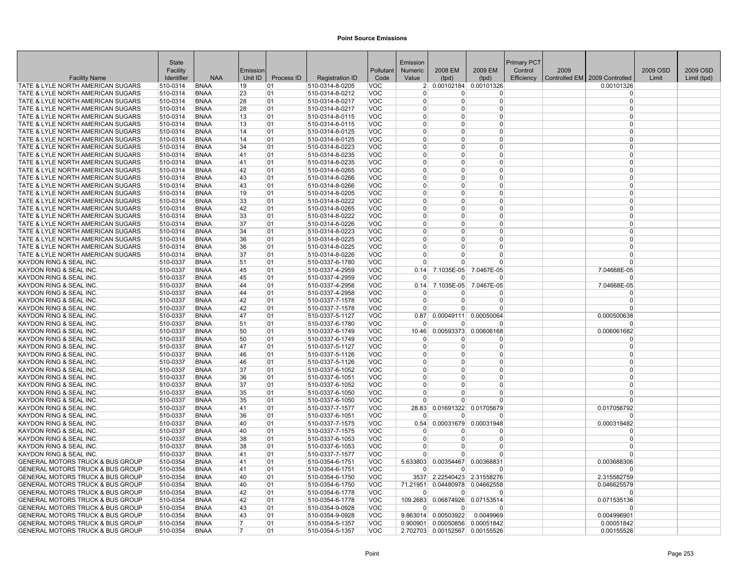|                                                                        | State                |                            |          |            |                                    |                          | Emission             |                     |                       | Primary PCT |      |                                 |          |             |
|------------------------------------------------------------------------|----------------------|----------------------------|----------|------------|------------------------------------|--------------------------|----------------------|---------------------|-----------------------|-------------|------|---------------------------------|----------|-------------|
|                                                                        | Facility             |                            | Emission |            |                                    | Pollutant                | Numeric              | 2008 EM             | 2009 EM               | Control     | 2009 |                                 | 2009 OSD | 2009 OSD    |
| <b>Facility Name</b>                                                   | Identifier           | <b>NAA</b>                 | Unit ID  | Process ID | <b>Registration ID</b>             | Code                     | Value                | (tpd)               | (tpd)                 | Efficiency  |      | Controlled EM   2009 Controlled | Limit    | Limit (tpd) |
| TATE & LYLE NORTH AMERICAN SUGARS                                      | 510-0314             | <b>BNAA</b>                | 19       | 01         | 510-0314-8-0205                    | VOC                      | 2                    |                     | 0.00102184 0.00101326 |             |      | 0.00101326                      |          |             |
| TATE & LYLE NORTH AMERICAN SUGARS                                      | 510-0314             | <b>BNAA</b>                | 23       | 01         | 510-0314-8-0212                    | <b>VOC</b>               | $\Omega$             | $\Omega$            | 0                     |             |      | $\Omega$                        |          |             |
| TATE & LYLE NORTH AMERICAN SUGARS                                      | 510-0314             | <b>BNAA</b>                | 28       | 01         | 510-0314-8-0217                    | <b>VOC</b>               | $\Omega$             | $\Omega$            | 0                     |             |      | $\Omega$                        |          |             |
| TATE & LYLE NORTH AMERICAN SUGARS                                      | 510-0314             | <b>BNAA</b>                | 28       | 01         | 510-0314-8-0217                    | <b>VOC</b>               | $\Omega$             | 0                   | $\Omega$              |             |      | $\Omega$                        |          |             |
| TATE & LYLE NORTH AMERICAN SUGARS                                      | 510-0314             | <b>BNAA</b>                | 13       | 01         | 510-0314-8-0115                    | <b>VOC</b>               | $\Omega$             | $\Omega$            | 0                     |             |      | $\Omega$                        |          |             |
| TATE & LYLE NORTH AMERICAN SUGARS                                      | 510-0314             | <b>BNAA</b>                | 13       | 01         | 510-0314-8-0115                    | <b>VOC</b>               | $\Omega$             | $\Omega$            | 0                     |             |      | $\Omega$                        |          |             |
| TATE & LYLE NORTH AMERICAN SUGARS                                      | 510-0314             | <b>BNAA</b>                | 14       | 01         | 510-0314-8-0125                    | <b>VOC</b>               | $\Omega$             | O                   | 0                     |             |      | $\Omega$                        |          |             |
| TATE & LYLE NORTH AMERICAN SUGARS                                      | 510-0314             | <b>BNAA</b>                | 14       | 01         | 510-0314-8-0125                    | <b>VOC</b>               | $\Omega$             | $\Omega$            | $\Omega$              |             |      | $\Omega$<br>$\Omega$            |          |             |
| TATE & LYLE NORTH AMERICAN SUGARS<br>TATE & LYLE NORTH AMERICAN SUGARS | 510-0314<br>510-0314 | <b>BNAA</b><br><b>BNAA</b> | 34<br>41 | 01<br>01   | 510-0314-8-0223<br>510-0314-8-0235 | <b>VOC</b><br><b>VOC</b> | $\Omega$<br>$\Omega$ | O<br>0              | 0<br>0                |             |      | $\Omega$                        |          |             |
| TATE & LYLE NORTH AMERICAN SUGARS                                      | 510-0314             | <b>BNAA</b>                | 41       | 01         | 510-0314-8-0235                    | <b>VOC</b>               | $\Omega$             | $\Omega$            | $\Omega$              |             |      | $\Omega$                        |          |             |
| TATE & LYLE NORTH AMERICAN SUGARS                                      | 510-0314             | <b>BNAA</b>                | 42       | 01         | 510-0314-8-0265                    | <b>VOC</b>               | $\Omega$             | 0                   | 0                     |             |      | $\Omega$                        |          |             |
| TATE & LYLE NORTH AMERICAN SUGARS                                      | 510-0314             | <b>BNAA</b>                | 43       | 01         | 510-0314-8-0266                    | <b>VOC</b>               | 0                    | 0                   | 0                     |             |      | $\Omega$                        |          |             |
| TATE & LYLE NORTH AMERICAN SUGARS                                      | 510-0314             | <b>BNAA</b>                | 43       | 01         | 510-0314-8-0266                    | <b>VOC</b>               | $\Omega$             | $\Omega$            | 0                     |             |      | $\Omega$                        |          |             |
| TATE & LYLE NORTH AMERICAN SUGARS                                      | 510-0314             | <b>BNAA</b>                | 19       | 01         | 510-0314-8-0205                    | <b>VOC</b>               | $\Omega$             | $\Omega$            | 0                     |             |      | $\Omega$                        |          |             |
| TATE & LYLE NORTH AMERICAN SUGARS                                      | 510-0314             | <b>BNAA</b>                | 33       | 01         | 510-0314-8-0222                    | <b>VOC</b>               | $\Omega$             | $\Omega$            | 0                     |             |      | $\Omega$                        |          |             |
| TATE & LYLE NORTH AMERICAN SUGARS                                      | 510-0314             | <b>BNAA</b>                | 42       | 01         | 510-0314-8-0265                    | <b>VOC</b>               | $\Omega$             | $\Omega$            | 0                     |             |      | $\Omega$                        |          |             |
| TATE & LYLE NORTH AMERICAN SUGARS                                      | 510-0314             | <b>BNAA</b>                | 33       | 01         | 510-0314-8-0222                    | <b>VOC</b>               | $\Omega$             | O                   | $\Omega$              |             |      | $\Omega$                        |          |             |
| TATE & LYLE NORTH AMERICAN SUGARS                                      | 510-0314             | <b>BNAA</b>                | 37       | 01         | 510-0314-8-0226                    | <b>VOC</b>               | $\Omega$             | $\Omega$            | 0                     |             |      | $\Omega$                        |          |             |
| TATE & LYLE NORTH AMERICAN SUGARS                                      | 510-0314             | <b>BNAA</b>                | 34       | 01         | 510-0314-8-0223                    | <b>VOC</b>               | $\overline{0}$       | 0                   | 0                     |             |      | $\Omega$                        |          |             |
| TATE & LYLE NORTH AMERICAN SUGARS                                      | 510-0314             | <b>BNAA</b>                | 36       | 01         | 510-0314-8-0225                    | <b>VOC</b>               | $\Omega$             | 0                   | 0                     |             |      | $\Omega$                        |          |             |
| TATE & LYLE NORTH AMERICAN SUGARS                                      | 510-0314             | <b>BNAA</b>                | 36       | 01         | 510-0314-8-0225                    | <b>VOC</b>               | $\Omega$             | $\Omega$            | $\Omega$              |             |      | $\Omega$                        |          |             |
| TATE & LYLE NORTH AMERICAN SUGARS                                      | 510-0314             | <b>BNAA</b>                | 37       | 01         | 510-0314-8-0226                    | <b>VOC</b>               | $\Omega$             | $\Omega$            | 0                     |             |      | $\Omega$                        |          |             |
| KAYDON RING & SEAL INC                                                 | 510-0337             | <b>BNAA</b>                | 51       | 01         | 510-0337-6-1780                    | <b>VOC</b>               | n                    | U                   | 0                     |             |      | $\Omega$                        |          |             |
| KAYDON RING & SEAL INC.                                                | 510-0337             | <b>BNAA</b>                | 45       | 01         | 510-0337-4-2959                    | <b>VOC</b>               | 0.14                 | 7.1035E-05          | 7.0467E-05            |             |      | 7.04668E-05                     |          |             |
| KAYDON RING & SEAL INC.                                                | 510-0337             | <b>BNAA</b>                | 45       | 01         | 510-0337-4-2959                    | <b>VOC</b>               | n                    | U                   | 0                     |             |      | $\Omega$                        |          |             |
| KAYDON RING & SEAL INC                                                 | 510-0337             | <b>BNAA</b>                | 44       | 01         | 510-0337-4-2958                    | <b>VOC</b>               | 0.14                 | 7.1035E-05          | 7.0467E-05            |             |      | 7.04668E-05                     |          |             |
| KAYDON RING & SEAL INC.                                                | 510-0337             | <b>BNAA</b>                | 44       | 01         | 510-0337-4-2958                    | <b>VOC</b>               | $\Omega$             | $\Omega$            | 0                     |             |      | $\Omega$                        |          |             |
| KAYDON RING & SEAL INC                                                 | 510-0337             | <b>BNAA</b>                | 42       | 01         | 510-0337-7-1578                    | <b>VOC</b>               | $\Omega$             | $\Omega$            | 0                     |             |      | $\Omega$                        |          |             |
| <b>KAYDON RING &amp; SEAL INC.</b>                                     | 510-0337             | <b>BNAA</b>                | 42       | 01         | 510-0337-7-1578                    | <b>VOC</b>               | $\Omega$             | $\Omega$            | 0                     |             |      | $\Omega$                        |          |             |
| KAYDON RING & SEAL INC.                                                | 510-0337             | <b>BNAA</b>                | 47       | 01         | 510-0337-5-1127                    | <b>VOC</b>               | 0.87                 | 0.00049111          | 0.00050064            |             |      | 0.000500638                     |          |             |
| KAYDON RING & SEAL INC.                                                | 510-0337             | <b>BNAA</b>                | 51       | 01         | 510-0337-6-1780                    | <b>VOC</b>               | ∩                    | U                   | $\Omega$              |             |      | $\Omega$                        |          |             |
| KAYDON RING & SEAL INC.                                                | 510-0337             | <b>BNAA</b>                | 50       | 01         | 510-0337-6-1749                    | <b>VOC</b>               | 10.46                | 0.00593373          | 0.00606168            |             |      | 0.006061682                     |          |             |
| KAYDON RING & SEAL INC.                                                | 510-0337             | <b>BNAA</b>                | 50       | 01         | 510-0337-6-1749                    | <b>VOC</b>               | $\Omega$             | <sup>0</sup>        | ŋ                     |             |      | $\Omega$                        |          |             |
| <b>KAYDON RING &amp; SEAL INC</b>                                      | 510-0337             | <b>BNAA</b>                | 47       | 01         | 510-0337-5-1127                    | <b>VOC</b>               | $\Omega$             | $\Omega$            | 0                     |             |      | $\Omega$                        |          |             |
| <b>KAYDON RING &amp; SEAL INC.</b>                                     | 510-0337             | <b>BNAA</b>                | 46       | 01         | 510-0337-5-1126                    | <b>VOC</b>               | $\Omega$             | $\Omega$            | $\Omega$              |             |      | $\Omega$                        |          |             |
| KAYDON RING & SEAL INC.                                                | 510-0337             | <b>BNAA</b>                | 46       | 01         | 510-0337-5-1126                    | <b>VOC</b>               | $\Omega$             | $\Omega$            | 0                     |             |      | $\Omega$                        |          |             |
| <b>KAYDON RING &amp; SEAL INC</b>                                      | 510-0337             | <b>BNAA</b>                | 37       | 01         | 510-0337-6-1052                    | <b>VOC</b>               | $\Omega$<br>$\Omega$ | 0<br>$\Omega$       | 0<br>$\Omega$         |             |      | $\Omega$<br>$\Omega$            |          |             |
| KAYDON RING & SEAL INC.<br>KAYDON RING & SEAL INC.                     | 510-0337<br>510-0337 | <b>BNAA</b><br><b>BNAA</b> | 36<br>37 | 01<br>01   | 510-0337-6-1051<br>510-0337-6-1052 | <b>VOC</b><br><b>VOC</b> | $\Omega$             | $\Omega$            | 0                     |             |      | $\Omega$                        |          |             |
| KAYDON RING & SEAL INC                                                 | 510-0337             | <b>BNAA</b>                | 35       | 01         | 510-0337-6-1050                    | <b>VOC</b>               | n                    | 0                   | 0                     |             |      | $\Omega$                        |          |             |
| KAYDON RING & SEAL INC.                                                | 510-0337             | <b>BNAA</b>                | 35       | 01         | 510-0337-6-1050                    | <b>VOC</b>               | $\Omega$             | U                   | 0                     |             |      | $\Omega$                        |          |             |
| KAYDON RING & SEAL INC                                                 | 510-0337             | <b>BNAA</b>                | 41       | 01         | 510-0337-7-1577                    | <b>VOC</b>               | 28.83                |                     | 0.01691322 0.01705679 |             |      | 0.017056792                     |          |             |
| <b>KAYDON RING &amp; SEAL INC</b>                                      | 510-0337             | <b>BNAA</b>                | 36       | 01         | 510-0337-6-1051                    | <b>VOC</b>               | $\Omega$             | $\Omega$            | ŋ                     |             |      | $\Omega$                        |          |             |
| KAYDON RING & SEAL INC.                                                | 510-0337             | <b>BNAA</b>                | 40       | 01         | 510-0337-7-1575                    | <b>VOC</b>               | 0.54                 | 0.00031679          | 0.00031948            |             |      | 0.000319482                     |          |             |
| KAYDON RING & SEAL INC                                                 | 510-0337             | <b>BNAA</b>                | 40       | 01         | 510-0337-7-1575                    | <b>VOC</b>               | $\Omega$             | 0                   | 0                     |             |      | $\Omega$                        |          |             |
| <b>KAYDON RING &amp; SEAL INC</b>                                      | 510-0337             | <b>BNAA</b>                | 38       | 01         | 510-0337-6-1053                    | <b>VOC</b>               | $\Omega$             | $\Omega$            | 0                     |             |      | $\Omega$                        |          |             |
| KAYDON RING & SEAL INC.                                                | 510-0337             | <b>BNAA</b>                | 38       | 01         | 510-0337-6-1053                    | <b>VOC</b>               | $\Omega$             | 0                   | 0                     |             |      | $\Omega$                        |          |             |
| KAYDON RING & SEAL INC.                                                | 510-0337             | <b>BNAA</b>                | 41       | 01         | 510-0337-7-1577                    | <b>VOC</b>               | $\Omega$             | $\Omega$            | 0                     |             |      | $\Omega$                        |          |             |
| <b>GENERAL MOTORS TRUCK &amp; BUS GROUP</b>                            | 510-0354             | <b>BNAA</b>                | 41       | 01         | 510-0354-6-1751                    | <b>VOC</b>               | 5.633803             | 0.00354467          | 0.00368831            |             |      | 0.003688306                     |          |             |
| <b>GENERAL MOTORS TRUCK &amp; BUS GROUP</b>                            | 510-0354             | <b>BNAA</b>                | 41       | 01         | 510-0354-6-1751                    | <b>VOC</b>               | $\Omega$             | $\Omega$            | ŋ                     |             |      |                                 |          |             |
| <b>GENERAL MOTORS TRUCK &amp; BUS GROUP</b>                            | 510-0354             | <b>BNAA</b>                | 40       | 01         | 510-0354-6-1750                    | <b>VOC</b>               | 3537                 |                     | 2.22540423 2.31558276 |             |      | 2.315582759                     |          |             |
| GENERAL MOTORS TRUCK & BUS GROUP                                       | 510-0354             | <b>BNAA</b>                | 40       | 01         | 510-0354-6-1750                    | <b>VOC</b>               | 71.21951             | 0.04480978          | 0.04662558            |             |      | 0.046625579                     |          |             |
| <b>GENERAL MOTORS TRUCK &amp; BUS GROUP</b>                            | 510-0354             | <b>BNAA</b>                | 42       | 01         | 510-0354-6-1778                    | <b>VOC</b>               | $\Omega$             | $\Omega$            | $\Omega$              |             |      | $\Omega$                        |          |             |
| <b>GENERAL MOTORS TRUCK &amp; BUS GROUP</b>                            | 510-0354             | <b>BNAA</b>                | 42       | 01         | 510-0354-6-1778                    | <b>VOC</b>               | 109.2683             |                     | 0.06874926 0.07153514 |             |      | 0.071535136                     |          |             |
| GENERAL MOTORS TRUCK & BUS GROUP                                       | 510-0354             | <b>BNAA</b>                | 43       | 01         | 510-0354-9-0928                    | <b>VOC</b>               | $\Omega$             | $\Omega$            | O                     |             |      |                                 |          |             |
| GENERAL MOTORS TRUCK & BUS GROUP                                       | 510-0354             | <b>BNAA</b>                | 43       | 01         | 510-0354-9-0928                    | <b>VOC</b>               |                      | 9.863014 0.00503922 | 0.0049969             |             |      | 0.004996901                     |          |             |
| <b>GENERAL MOTORS TRUCK &amp; BUS GROUP</b>                            | 510-0354             | <b>BNAA</b>                | 17       | 01         | 510-0354-5-1357                    | <b>VOC</b>               | 0.900901             |                     | 0.00050856 0.00051842 |             |      | 0.00051842                      |          |             |
| <b>GENERAL MOTORS TRUCK &amp; BUS GROUP</b>                            | 510-0354             | <b>BNAA</b>                | 17       | 01         | 510-0354-5-1357                    | <b>VOC</b>               | 2.702703             |                     | 0.00152567 0.00155526 |             |      | 0.00155526                      |          |             |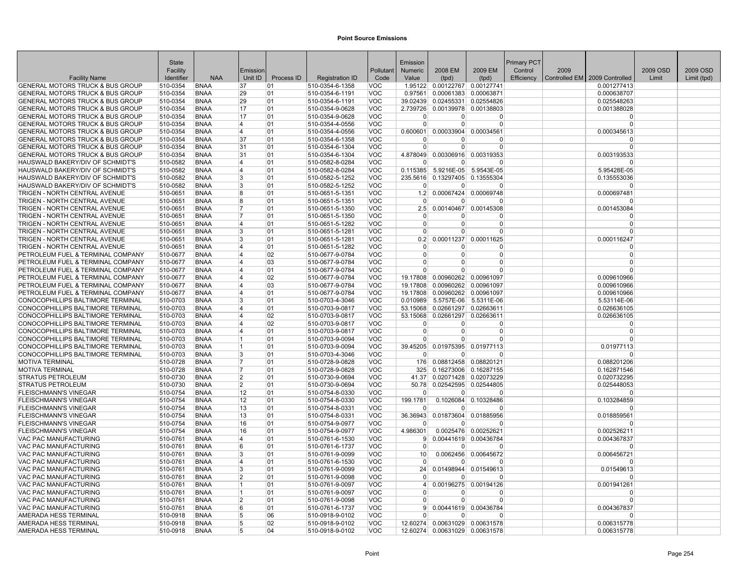|                                                                        | <b>State</b>         |                            |                         |            |                                    |                          | Emission             |                                |                                                | Primary PCT |      |                               |          |             |
|------------------------------------------------------------------------|----------------------|----------------------------|-------------------------|------------|------------------------------------|--------------------------|----------------------|--------------------------------|------------------------------------------------|-------------|------|-------------------------------|----------|-------------|
|                                                                        | Facility             |                            | Emission                |            |                                    | Pollutant                | <b>Numeric</b>       | 2008 EM                        | 2009 EM                                        | Control     | 2009 |                               | 2009 OSD | 2009 OSD    |
| <b>Facility Name</b>                                                   | Identifier           | <b>NAA</b>                 | Unit ID                 | Process ID | <b>Registration ID</b>             | Code                     | Value                | (tpd)                          | (tpd)                                          | Efficiency  |      | Controlled EM 2009 Controlled | Limit    | Limit (tpd) |
| <b>GENERAL MOTORS TRUCK &amp; BUS GROUP</b>                            | 510-0354             | <b>BNAA</b>                | 37                      | 01         | 510-0354-6-1358                    | VOC                      |                      | 1.95122 0.00122767 0.00127741  |                                                |             |      | 0.001277413                   |          |             |
| <b>GENERAL MOTORS TRUCK &amp; BUS GROUP</b>                            | 510-0354             | <b>BNAA</b>                | 29                      | 01         | 510-0354-6-1191                    | VOC                      | 0.97561              |                                | 0.00061383 0.00063871                          |             |      | 0.000638707                   |          |             |
| GENERAL MOTORS TRUCK & BUS GROUP                                       | 510-0354             | <b>BNAA</b>                | 29                      | 01         | 510-0354-6-1191                    | <b>VOC</b>               | 39.02439             |                                | 0.02455331 0.02554826                          |             |      | 0.025548263                   |          |             |
| <b>GENERAL MOTORS TRUCK &amp; BUS GROUP</b>                            | 510-0354             | <b>BNAA</b>                | 17                      | 01         | 510-0354-9-0628                    | <b>VOC</b>               |                      | 2.739726 0.00139978            | 0.00138803                                     |             |      | 0.001388028                   |          |             |
| <b>GENERAL MOTORS TRUCK &amp; BUS GROUP</b>                            | 510-0354             | <b>BNAA</b>                | 17                      | 01         | 510-0354-9-0628                    | VOC                      | $\Omega$             | $\Omega$                       | $\Omega$                                       |             |      | $\Omega$                      |          |             |
| <b>GENERAL MOTORS TRUCK &amp; BUS GROUP</b>                            | 510-0354             | <b>BNAA</b>                | 4                       | 01         | 510-0354-4-0556                    | VOC                      | $\overline{0}$       | $\Omega$                       | $\Omega$                                       |             |      | $\overline{0}$                |          |             |
| GENERAL MOTORS TRUCK & BUS GROUP                                       | 510-0354             | <b>BNAA</b>                | 4                       | 01         | 510-0354-4-0556                    | <b>VOC</b>               |                      | 0.600601 0.00033904 0.00034561 |                                                |             |      | 0.000345613                   |          |             |
| <b>GENERAL MOTORS TRUCK &amp; BUS GROUP</b>                            | 510-0354             | <b>BNAA</b>                | 37                      | 01         | 510-0354-6-1358                    | <b>VOC</b>               | $\Omega$             | $\Omega$                       | $\Omega$                                       |             |      | $\Omega$                      |          |             |
| <b>GENERAL MOTORS TRUCK &amp; BUS GROUP</b>                            | 510-0354             | <b>BNAA</b>                | 31                      | 01         | 510-0354-6-1304                    | <b>VOC</b>               | $\overline{0}$       | 0                              | $\Omega$                                       |             |      | $\mathbf 0$                   |          |             |
| <b>GENERAL MOTORS TRUCK &amp; BUS GROUP</b>                            | 510-0354             | <b>BNAA</b>                | 31                      | 01         | 510-0354-6-1304                    | <b>VOC</b>               |                      |                                | 4.878049 0.00306916 0.00319353                 |             |      | 0.003193533                   |          |             |
| HAUSWALD BAKERY/DIV OF SCHMIDT'S                                       | 510-0582             | <b>BNAA</b>                | 4                       | 01         | 510-0582-8-0284                    | VOC                      | <sup>n</sup>         | U                              | $\Omega$                                       |             |      | $\Omega$                      |          |             |
| HAUSWALD BAKERY/DIV OF SCHMIDT'S<br>HAUSWALD BAKERY/DIV OF SCHMIDT'S   | 510-0582             | <b>BNAA</b>                | 4                       | 01         | 510-0582-8-0284                    | VOC<br><b>VOC</b>        | 0.115385             | 5.9216E-05                     | 5.9543E-05<br>235.5616 0.13297405 0.13555304   |             |      | 5.95428E-05                   |          |             |
| HAUSWALD BAKERY/DIV OF SCHMIDT'S                                       | 510-0582<br>510-0582 | <b>BNAA</b><br><b>BNAA</b> | 3<br>3                  | 01<br>01   | 510-0582-5-1252<br>510-0582-5-1252 | <b>VOC</b>               | $\Omega$             | $\Omega$                       | $\Omega$                                       |             |      | 0.135553036<br>$\Omega$       |          |             |
| TRIGEN - NORTH CENTRAL AVENUE                                          | 510-0651             | <b>BNAA</b>                | 8                       | 01         | 510-0651-5-1351                    | <b>VOC</b>               |                      |                                | 1.2 0.00067424 0.00069748                      |             |      | 0.000697481                   |          |             |
| TRIGEN - NORTH CENTRAL AVENUE                                          | 510-0651             | <b>BNAA</b>                | 8                       | 01         | 510-0651-5-1351                    | <b>VOC</b>               | $\overline{0}$       | $\overline{0}$                 | $\Omega$                                       |             |      | $\Omega$                      |          |             |
| TRIGEN - NORTH CENTRAL AVENUE                                          | 510-0651             | <b>BNAA</b>                | $\overline{7}$          | 01         | 510-0651-5-1350                    | <b>VOC</b>               | 2.5                  |                                | 0.00140467 0.00145308                          |             |      | 0.001453084                   |          |             |
| TRIGEN - NORTH CENTRAL AVENUE                                          | 510-0651             | <b>BNAA</b>                | 7                       | 01         | 510-0651-5-1350                    | <b>VOC</b>               | $\Omega$             | 0                              | $\Omega$                                       |             |      | $\Omega$                      |          |             |
| TRIGEN - NORTH CENTRAL AVENUE                                          | 510-0651             | <b>BNAA</b>                | 4                       | 01         | 510-0651-5-1282                    | VOC                      | $\overline{0}$       | $\Omega$                       | $\Omega$                                       |             |      | $\mathbf 0$                   |          |             |
| TRIGEN - NORTH CENTRAL AVENUE                                          | 510-0651             | <b>BNAA</b>                | 3                       | 01         | 510-0651-5-1281                    | <b>VOC</b>               | $\Omega$             | $\Omega$                       | $\Omega$                                       |             |      | $\Omega$                      |          |             |
| TRIGEN - NORTH CENTRAL AVENUE                                          | 510-0651             | <b>BNAA</b>                | 3                       | 01         | 510-0651-5-1281                    | <b>VOC</b>               |                      |                                | $0.2$ 0.00011237 0.00011625                    |             |      | 0.000116247                   |          |             |
| TRIGEN - NORTH CENTRAL AVENUE                                          | 510-0651             | <b>BNAA</b>                | 4                       | 01         | 510-0651-5-1282                    | VOC                      | $\Omega$             | <sup>0</sup>                   | $\Omega$                                       |             |      | $\Omega$                      |          |             |
| PETROLEUM FUEL & TERMINAL COMPANY                                      | 510-0677             | <b>BNAA</b>                | 4                       | 02         | 510-0677-9-0784                    | <b>VOC</b>               | $\overline{0}$       | 0                              | $\Omega$                                       |             |      | $\mathbf 0$                   |          |             |
| PETROLEUM FUEL & TERMINAL COMPANY                                      | 510-0677             | <b>BNAA</b>                | 4                       | 03         | 510-0677-9-0784                    | <b>VOC</b>               | $\Omega$             | $\Omega$                       | $\Omega$                                       |             |      | $\Omega$                      |          |             |
| PETROLEUM FUEL & TERMINAL COMPANY                                      | 510-0677             | <b>BNAA</b>                | $\overline{\mathbf{4}}$ | 01         | 510-0677-9-0784                    | <b>VOC</b>               | $\Omega$             | $\Omega$                       | $\Omega$                                       |             |      | $\Omega$                      |          |             |
| PETROLEUM FUEL & TERMINAL COMPANY                                      | 510-0677             | <b>BNAA</b>                | 4                       | 02         | 510-0677-9-0784                    | <b>VOC</b>               | 19.17808             | 0.00960262                     | 0.00961097                                     |             |      | 0.009610966                   |          |             |
| PETROLEUM FUEL & TERMINAL COMPANY                                      | 510-0677             | <b>BNAA</b>                | 4                       | 03         | 510-0677-9-0784                    | <b>VOC</b>               | 19.17808             |                                | 0.00960262 0.00961097                          |             |      | 0.009610966                   |          |             |
| PETROLEUM FUEL & TERMINAL COMPANY                                      | 510-0677             | <b>BNAA</b>                | $\overline{\mathbf{4}}$ | 01         | 510-0677-9-0784                    | VOC                      | 19.17808             |                                | 0.00960262 0.00961097                          |             |      | 0.009610966                   |          |             |
| CONOCOPHILLIPS BALTIMORE TERMINAL                                      | 510-0703             | <b>BNAA</b>                | 3<br>4                  | 01         | 510-0703-4-3046                    | <b>VOC</b><br><b>VOC</b> | 0.010989             |                                | 5.5757E-06 5.5311E-06                          |             |      | 5.53114E-06                   |          |             |
| CONOCOPHILLIPS BALTIMORE TERMINAL<br>CONOCOPHILLIPS BALTIMORE TERMINAL | 510-0703<br>510-0703 | <b>BNAA</b><br><b>BNAA</b> | 4                       | 01<br>02   | 510-0703-9-0817<br>510-0703-9-0817 | <b>VOC</b>               | 53.15068<br>53.15068 |                                | 0.02661297 0.02663611<br>0.02661297 0.02663611 |             |      | 0.026636105<br>0.026636105    |          |             |
| CONOCOPHILLIPS BALTIMORE TERMINAL                                      | 510-0703             | <b>BNAA</b>                | 4                       | 02         | 510-0703-9-0817                    | <b>VOC</b>               | $\Omega$             | $\overline{0}$                 | $\Omega$                                       |             |      | $\mathbf 0$                   |          |             |
| CONOCOPHILLIPS BALTIMORE TERMINAL                                      | 510-0703             | <b>BNAA</b>                | 4                       | 01         | 510-0703-9-0817                    | <b>VOC</b>               | $\overline{0}$       | $\overline{0}$                 | $\Omega$                                       |             |      | $\mathbf 0$                   |          |             |
| CONOCOPHILLIPS BALTIMORE TERMINAL                                      | 510-0703             | <b>BNAA</b>                | 1                       | 01         | 510-0703-9-0094                    | <b>VOC</b>               | 0                    | $\Omega$                       | $\Omega$                                       |             |      | $\mathbf 0$                   |          |             |
| CONOCOPHILLIPS BALTIMORE TERMINAL                                      | 510-0703             | <b>BNAA</b>                | 1                       | 01         | 510-0703-9-0094                    | <b>VOC</b>               |                      |                                | 39.45205 0.01975395 0.01977113                 |             |      | 0.01977113                    |          |             |
| CONOCOPHILLIPS BALTIMORE TERMINAL                                      | 510-0703             | <b>BNAA</b>                | 3                       | 01         | 510-0703-4-3046                    | <b>VOC</b>               | $\Omega$             | $\Omega$                       | $\Omega$                                       |             |      | $\Omega$                      |          |             |
| <b>MOTIVA TERMINAL</b>                                                 | 510-0728             | <b>BNAA</b>                | 17                      | 01         | 510-0728-9-0828                    | <b>VOC</b>               | 176                  |                                | 0.08812458 0.08820121                          |             |      | 0.088201206                   |          |             |
| <b>MOTIVA TERMINAL</b>                                                 | 510-0728             | <b>BNAA</b>                | 7                       | 01         | 510-0728-9-0828                    | <b>VOC</b>               | 325                  |                                | 0.16273006 0.16287155                          |             |      | 0.162871546                   |          |             |
| STRATUS PETROLEUM                                                      | 510-0730             | <b>BNAA</b>                | $\overline{2}$          | 01         | 510-0730-9-0694                    | <b>VOC</b>               |                      |                                | 41.37 0.02071428 0.02073229                    |             |      | 0.020732295                   |          |             |
| <b>STRATUS PETROLEUM</b>                                               | 510-0730             | <b>BNAA</b>                | $\overline{2}$          | 01         | 510-0730-9-0694                    | <b>VOC</b>               |                      |                                | 50.78 0.02542595 0.02544805                    |             |      | 0.025448053                   |          |             |
| <b>FLEISCHMANN'S VINEGAR</b>                                           | 510-0754             | <b>BNAA</b>                | 12                      | 01         | 510-0754-8-0330                    | <b>VOC</b>               | $\overline{0}$       | $\overline{0}$                 | $\Omega$                                       |             |      | $\Omega$                      |          |             |
| <b>FLEISCHMANN'S VINEGAR</b>                                           | 510-0754             | <b>BNAA</b>                | 12                      | 01         | 510-0754-8-0330                    | VOC                      | 199.1781             |                                | 0.1026084 0.10328486                           |             |      | 0.103284859                   |          |             |
| <b>FLEISCHMANN'S VINEGAR</b>                                           | 510-0754             | <b>BNAA</b>                | 13                      | 01         | 510-0754-8-0331                    | <b>VOC</b>               | $\Omega$             | $\Omega$                       | $\Omega$                                       |             |      | $\Omega$                      |          |             |
| <b>FLEISCHMANN'S VINEGAR</b>                                           | 510-0754             | <b>BNAA</b>                | 13                      | 01         | 510-0754-8-0331                    | VOC                      | 36.36943             |                                | 0.01873604 0.01885956                          |             |      | 0.018859561                   |          |             |
| <b>FLEISCHMANN'S VINEGAR</b><br><b>FLEISCHMANN'S VINEGAR</b>           | 510-0754<br>510-0754 | <b>BNAA</b><br><b>BNAA</b> | 16<br>16                | 01<br>01   | 510-0754-9-0977                    | <b>VOC</b><br><b>VOC</b> | $\Omega$<br>4.986301 | $\Omega$                       | $\Omega$<br>0.0025476 0.00252621               |             |      | $\Omega$                      |          |             |
| VAC PAC MANUFACTURING                                                  | 510-0761             | <b>BNAA</b>                | 4                       | 01         | 510-0754-9-0977<br>510-0761-6-1530 | VOC                      | 9                    |                                | 0.00441619 0.00436784                          |             |      | 0.002526211<br>0.004367837    |          |             |
| VAC PAC MANUFACTURING                                                  | 510-0761             | <b>BNAA</b>                | 6                       | 01         | 510-0761-6-1737                    | <b>VOC</b>               | $\overline{0}$       | $\overline{0}$                 | $\Omega$                                       |             |      | $\Omega$                      |          |             |
| VAC PAC MANUFACTURING                                                  | 510-0761             | <b>BNAA</b>                | 3                       | 01         | 510-0761-9-0099                    | <b>VOC</b>               | 10 <sup>1</sup>      |                                | 0.0062456 0.00645672                           |             |      | 0.006456721                   |          |             |
| VAC PAC MANUFACTURING                                                  | 510-0761             | <b>BNAA</b>                | 4                       | 01         | 510-0761-6-1530                    | <b>VOC</b>               | $\Omega$             | $\Omega$                       | $\Omega$                                       |             |      | $\Omega$                      |          |             |
| VAC PAC MANUFACTURING                                                  | 510-0761             | <b>BNAA</b>                | 3                       | 01         | 510-0761-9-0099                    | <b>VOC</b>               | 24                   |                                | 0.01498944 0.01549613                          |             |      | 0.01549613                    |          |             |
| VAC PAC MANUFACTURING                                                  | 510-0761             | <b>BNAA</b>                | 2                       | 01         | 510-0761-9-0098                    | <b>VOC</b>               | $\Omega$             | <sup>0</sup>                   | $\Omega$                                       |             |      | $\Omega$                      |          |             |
| VAC PAC MANUFACTURING                                                  | 510-0761             | <b>BNAA</b>                | $\mathbf{1}$            | 01         | 510-0761-9-0097                    | <b>VOC</b>               | $\vert$              |                                | 0.00196275 0.00194126                          |             |      | 0.001941261                   |          |             |
| VAC PAC MANUFACTURING                                                  | 510-0761             | <b>BNAA</b>                | $\mathbf{1}$            | 01         | 510-0761-9-0097                    | <b>VOC</b>               | $\Omega$             | $\Omega$                       | $\Omega$                                       |             |      | $\Omega$                      |          |             |
| VAC PAC MANUFACTURING                                                  | 510-0761             | <b>BNAA</b>                | 2                       | 01         | 510-0761-9-0098                    | VOC                      | $\Omega$             | $\Omega$                       | $\Omega$                                       |             |      | $\Omega$                      |          |             |
| VAC PAC MANUFACTURING                                                  | 510-0761             | <b>BNAA</b>                | 6                       | 01         | 510-0761-6-1737                    | VOC                      | 9 <sup>1</sup>       |                                | 0.00441619 0.00436784                          |             |      | 0.004367837                   |          |             |
| AMERADA HESS TERMINAL                                                  | 510-0918             | <b>BNAA</b>                | 5                       | 06         | 510-0918-9-0102                    | <b>VOC</b>               | $\Omega$             | $\Omega$                       | $\Omega$                                       |             |      | $\Omega$                      |          |             |
| AMERADA HESS TERMINAL                                                  | 510-0918             | <b>BNAA</b>                | 5                       | 02         | 510-0918-9-0102                    | VOC                      |                      |                                | 12.60274 0.00631029 0.00631578                 |             |      | 0.006315778                   |          |             |
| AMERADA HESS TERMINAL                                                  | 510-0918             | <b>BNAA</b>                | 5                       | 04         | 510-0918-9-0102                    | <b>VOC</b>               |                      |                                | 12.60274 0.00631029 0.00631578                 |             |      | 0.006315778                   |          |             |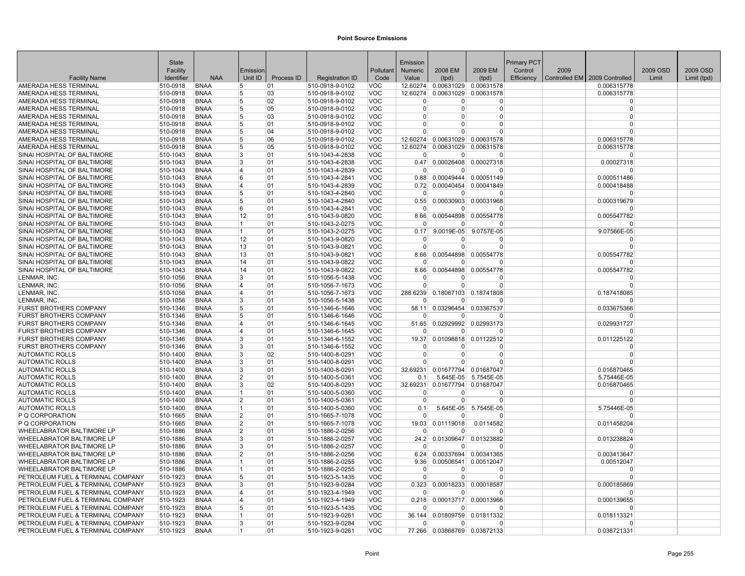|                                                                | <b>State</b>         |                            |                |            |                                    |                   | Emission             |                                |                                   | <b>Primary PCT</b> |      |                                 |          |             |
|----------------------------------------------------------------|----------------------|----------------------------|----------------|------------|------------------------------------|-------------------|----------------------|--------------------------------|-----------------------------------|--------------------|------|---------------------------------|----------|-------------|
|                                                                | Facility             |                            | Emission       |            |                                    | Pollutant         | <b>Numeric</b>       | 2008 EM                        | 2009 EM                           | Control            | 2009 |                                 | 2009 OSD | 2009 OSD    |
| <b>Facility Name</b>                                           | Identifier           | <b>NAA</b>                 | Unit ID        | Process ID | <b>Registration ID</b>             | Code              | Value                | (tpd)                          | (tpd)                             | Efficiency         |      | Controlled EM   2009 Controlled | Limit    | Limit (tpd) |
| AMERADA HESS TERMINAL                                          | 510-0918             | <b>BNAA</b>                | 5              | 01         | 510-0918-9-0102                    | VOC               |                      | 12.60274 0.00631029 0.00631578 |                                   |                    |      | 0.006315778                     |          |             |
| AMERADA HESS TERMINAL                                          | 510-0918             | <b>BNAA</b>                | 5              | 03         | 510-0918-9-0102                    | <b>VOC</b>        | 12.60274             |                                | 0.00631029 0.00631578             |                    |      | 0.006315778                     |          |             |
| AMERADA HESS TERMINAL                                          | 510-0918             | <b>BNAA</b>                | 5              | 02         | 510-0918-9-0102                    | <b>VOC</b>        | $\Omega$             | U                              | $\Omega$                          |                    |      | $\Omega$                        |          |             |
| AMERADA HESS TERMINAL                                          | 510-0918             | <b>BNAA</b>                | 15             | 05         | 510-0918-9-0102                    | <b>VOC</b>        | $\Omega$             | 0                              | $\Omega$                          |                    |      | $\Omega$                        |          |             |
| AMERADA HESS TERMINAL                                          | 510-0918             | <b>BNAA</b>                | 15             | 03         | 510-0918-9-0102                    | <b>VOC</b>        | $\Omega$             | 0                              | $\Omega$                          |                    |      | $\Omega$                        |          |             |
| AMERADA HESS TERMINAL                                          | 510-0918             | <b>BNAA</b>                | 5              | 01         | 510-0918-9-0102                    | <b>VOC</b>        | $\Omega$             | $\Omega$                       | $\Omega$                          |                    |      | $\mathbf{0}$                    |          |             |
| AMERADA HESS TERMINAL                                          | 510-0918             | <b>BNAA</b>                | 15             | 04         | 510-0918-9-0102                    | <b>VOC</b>        | $\Omega$             | $\Omega$                       | $\Omega$                          |                    |      | $\Omega$                        |          |             |
| AMERADA HESS TERMINAL                                          | 510-0918             | <b>BNAA</b>                | 5              | 06         | 510-0918-9-0102                    | <b>VOC</b>        | 12.60274             | 0.00631029                     | 0.00631578                        |                    |      | 0.006315778                     |          |             |
| AMERADA HESS TERMINAL                                          | 510-0918             | <b>BNAA</b>                | 5              | 05         | 510-0918-9-0102                    | <b>VOC</b>        | 12.60274             | 0.00631029                     | 0.00631578                        |                    |      | 0.006315778                     |          |             |
| SINAI HOSPITAL OF BALTIMORE                                    | 510-1043             | <b>BNAA</b>                | 3              | 01         | 510-1043-4-2838                    | <b>VOC</b>        | $\Omega$             | $\overline{0}$                 | $\Omega$                          |                    |      | $\Omega$                        |          |             |
| SINAI HOSPITAL OF BALTIMORE                                    | 510-1043             | <b>BNAA</b>                | 3              | 01         | 510-1043-4-2838                    | <b>VOC</b>        | 0.47                 |                                | 0.00026408 0.00027318             |                    |      | 0.00027318                      |          |             |
| SINAI HOSPITAL OF BALTIMORE                                    | 510-1043             | <b>BNAA</b>                | $\overline{4}$ | 01         | 510-1043-4-2839                    | <b>VOC</b>        | $\Omega$             | 0                              | $\Omega$                          |                    |      | O                               |          |             |
| SINAI HOSPITAL OF BALTIMORE                                    | 510-1043             | <b>BNAA</b>                | 6              | 01         | 510-1043-4-2841                    | <b>VOC</b>        | 0.88                 |                                | 0.00049444 0.00051149             |                    |      | 0.000511486                     |          |             |
| SINAI HOSPITAL OF BALTIMORE                                    | 510-1043             | <b>BNAA</b>                | 14             | 01         | 510-1043-4-2839                    | <b>VOC</b>        | 0.72                 |                                | 0.00040454 0.00041849             |                    |      | 0.000418488                     |          |             |
| SINAI HOSPITAL OF BALTIMORE                                    | 510-1043             | <b>BNAA</b>                | 5              | 01         | 510-1043-4-2840                    | <b>VOC</b>        | $\Omega$             | 0                              | $\Omega$                          |                    |      | $\Omega$                        |          |             |
| SINAI HOSPITAL OF BALTIMORE                                    | 510-1043             | <b>BNAA</b>                | 5              | 01         | 510-1043-4-2840                    | <b>VOC</b>        | 0.55                 |                                | 0.00030903 0.00031968             |                    |      | 0.000319679                     |          |             |
| SINAI HOSPITAL OF BALTIMORE                                    | 510-1043             | <b>BNAA</b>                | 6              | 01         | 510-1043-4-2841                    | <b>VOC</b>        | $\Omega$             | 0                              | $\Omega$                          |                    |      | $\Omega$                        |          |             |
| SINAI HOSPITAL OF BALTIMORE                                    | 510-1043             | <b>BNAA</b>                | 12             | 01         | 510-1043-9-0820                    | <b>VOC</b>        | 8.66                 |                                | 0.00544898 0.00554778             |                    |      | 0.005547782                     |          |             |
| SINAI HOSPITAL OF BALTIMORE                                    | 510-1043             | <b>BNAA</b>                | $\overline{1}$ | 01         | 510-1043-2-0275                    | VOC               | $\Omega$             | 0                              | $\Omega$                          |                    |      | $\Omega$                        |          |             |
| SINAI HOSPITAL OF BALTIMORE                                    | 510-1043             | <b>BNAA</b>                | 1              | 01         | 510-1043-2-0275                    | <b>VOC</b>        | 0.17                 | 9.0019E-05                     | 9.0757E-05                        |                    |      | 9.07566E-05                     |          |             |
| SINAI HOSPITAL OF BALTIMORE                                    | 510-1043             | <b>BNAA</b>                | 12             | 01         | 510-1043-9-0820                    | <b>VOC</b>        | $\Omega$             | $\Omega$                       | $\Omega$                          |                    |      | $\mathbf{0}$                    |          |             |
| SINAI HOSPITAL OF BALTIMORE                                    | 510-1043             | <b>BNAA</b>                | 13             | 01         | 510-1043-9-0821                    | <b>VOC</b>        | $\Omega$             | $\Omega$                       | $\Omega$                          |                    |      | $\Omega$                        |          |             |
| SINAI HOSPITAL OF BALTIMORE                                    | 510-1043             | <b>BNAA</b>                | 13             | 01         | 510-1043-9-0821                    | <b>VOC</b>        | 8.66                 | 0.00544898                     | 0.00554778                        |                    |      | 0.005547782                     |          |             |
| SINAI HOSPITAL OF BALTIMORE                                    | 510-1043             | <b>BNAA</b>                | 14             | 01         | 510-1043-9-0822                    | <b>VOC</b>        | $\Omega$             | 0                              | $\Omega$                          |                    |      | $\Omega$                        |          |             |
| SINAI HOSPITAL OF BALTIMORE                                    | 510-1043             | <b>BNAA</b>                | 14             | 01         | 510-1043-9-0822                    | <b>VOC</b>        | 8.66                 | 0.00544898                     | 0.00554778                        |                    |      | 0.005547782                     |          |             |
| LENMAR, INC.                                                   | 510-1056             | <b>BNAA</b>                | 3              | 01         | 510-1056-5-1438                    | <b>VOC</b>        | $\Omega$             | 0                              | $\Omega$                          |                    |      | $\Omega$                        |          |             |
| LENMAR, INC                                                    | 510-1056             | <b>BNAA</b>                | 14             | 01         | 510-1056-7-1673                    | <b>VOC</b>        | $\overline{0}$       | $\Omega$                       | $\mathbf 0$                       |                    |      | $\mathbf{0}$                    |          |             |
| LENMAR, INC.                                                   | 510-1056             | <b>BNAA</b>                | 14<br>3        | 01         | 510-1056-7-1673                    | <b>VOC</b>        | 288.6239<br>$\Omega$ |                                | 0.18067103 0.18741808<br>$\Omega$ |                    |      | 0.187418085<br>n                |          |             |
| LENMAR, INC.                                                   | 510-1056             | <b>BNAA</b>                | 5              | 01         | 510-1056-5-1438                    | <b>VOC</b>        |                      | 0                              |                                   |                    |      |                                 |          |             |
| <b>FURST BROTHERS COMPANY</b><br><b>FURST BROTHERS COMPANY</b> | 510-1346<br>510-1346 | <b>BNAA</b><br><b>BNAA</b> | 5              | 01<br>01   | 510-1346-6-1646<br>510-1346-6-1646 | VOC<br><b>VOC</b> | 58.11<br>$\Omega$    | 0.03296454<br>0                | 0.03367537<br>$\Omega$            |                    |      | 0.033675366<br>$\Omega$         |          |             |
| <b>FURST BROTHERS COMPANY</b>                                  | 510-1346             | <b>BNAA</b>                | $\overline{4}$ | 01         | 510-1346-6-1645                    | <b>VOC</b>        | 51.65                |                                | 0.02929992 0.02993173             |                    |      | 0.029931727                     |          |             |
| <b>FURST BROTHERS COMPANY</b>                                  | 510-1346             | <b>BNAA</b>                | $\overline{4}$ | 01         | 510-1346-6-1645                    | <b>VOC</b>        | $\overline{0}$       | $\Omega$                       | $\Omega$                          |                    |      | $\Omega$                        |          |             |
| <b>FURST BROTHERS COMPANY</b>                                  | 510-1346             | <b>BNAA</b>                | 3              | 01         | 510-1346-6-1552                    | <b>VOC</b>        | 19.37                | 0.01098818                     | 0.01122512                        |                    |      | 0.011225122                     |          |             |
| <b>FURST BROTHERS COMPANY</b>                                  | 510-1346             | <b>BNAA</b>                | 3              | 01         | 510-1346-6-1552                    | <b>VOC</b>        | $\Omega$             | 0                              | $\Omega$                          |                    |      | $\Omega$                        |          |             |
| <b>AUTOMATIC ROLLS</b>                                         | 510-1400             | <b>BNAA</b>                | <sup>3</sup>   | 02         | 510-1400-8-0291                    | <b>VOC</b>        | $\Omega$             | 0                              | $\Omega$                          |                    |      | $\Omega$                        |          |             |
| <b>AUTOMATIC ROLLS</b>                                         | 510-1400             | <b>BNAA</b>                | 3              | 01         | 510-1400-8-0291                    | <b>VOC</b>        | $\Omega$             | 0                              | $\Omega$                          |                    |      | $\Omega$                        |          |             |
| <b>AUTOMATIC ROLLS</b>                                         | 510-1400             | <b>BNAA</b>                | 3              | 01         | 510-1400-8-0291                    | <b>VOC</b>        | 32.69231             |                                | 0.01677794 0.01687047             |                    |      | 0.016870465                     |          |             |
| <b>AUTOMATIC ROLLS</b>                                         | 510-1400             | <b>BNAA</b>                | $\overline{2}$ | 01         | 510-1400-5-0361                    | <b>VOC</b>        | 0.1                  | 5.645E-05                      | 5.7545E-05                        |                    |      | 5.75446E-05                     |          |             |
| <b>AUTOMATIC ROLLS</b>                                         | 510-1400             | <b>BNAA</b>                | 3              | 02         | 510-1400-8-0291                    | <b>VOC</b>        | 32.69231             | 0.01677794                     | 0.01687047                        |                    |      | 0.016870465                     |          |             |
| <b>AUTOMATIC ROLLS</b>                                         | 510-1400             | <b>BNAA</b>                | 11             | 01         | 510-1400-5-0360                    | <b>VOC</b>        | $\Omega$             | 0                              | $\Omega$                          |                    |      | $\Omega$                        |          |             |
| <b>AUTOMATIC ROLLS</b>                                         | 510-1400             | <b>BNAA</b>                | $\overline{2}$ | 01         | 510-1400-5-0361                    | <b>VOC</b>        | $\mathbf 0$          | 0                              | $\Omega$                          |                    |      | $\Omega$                        |          |             |
| <b>AUTOMATIC ROLLS</b>                                         | 510-1400             | <b>BNAA</b>                | $\overline{1}$ | 01         | 510-1400-5-0360                    | <b>VOC</b>        | 0.1                  | 5.645E-05                      | 5.7545E-05                        |                    |      | 5.75446E-05                     |          |             |
| P Q CORPORATION                                                | 510-1665             | <b>BNAA</b>                | 2              | 01         | 510-1665-7-1078                    | <b>VOC</b>        | $\Omega$             | $\Omega$                       | $\Omega$                          |                    |      | $\Omega$                        |          |             |
| P Q CORPORATION                                                | 510-1665             | <b>BNAA</b>                | 2              | 01         | 510-1665-7-1078                    | <b>VOC</b>        | 19.03                | 0.01119018                     | 0.0114582                         |                    |      | 0.011458204                     |          |             |
| WHEELABRATOR BALTIMORE LP                                      | 510-1886             | <b>BNAA</b>                | $\overline{2}$ | 01         | 510-1886-2-0256                    | <b>VOC</b>        | $\Omega$             | U                              | $\Omega$                          |                    |      | $\Omega$                        |          |             |
| WHEELABRATOR BALTIMORE LP                                      | 510-1886             | <b>BNAA</b>                | <sup>3</sup>   | 01         | 510-1886-2-0257                    | VOC               | 24.2                 |                                | 0.01309647 0.01323882             |                    |      | 0.013238824                     |          |             |
| WHEELABRATOR BALTIMORE LP                                      | 510-1886             | <b>BNAA</b>                | 3              | 01         | 510-1886-2-0257                    | <b>VOC</b>        | $\overline{0}$       | $\Omega$                       | $\Omega$                          |                    |      | $\Omega$                        |          |             |
| WHEELABRATOR BALTIMORE LP                                      | 510-1886             | <b>BNAA</b>                | 2              | 01         | 510-1886-2-0256                    | <b>VOC</b>        | 6.24                 |                                | 0.00337694 0.00341365             |                    |      | 0.003413647                     |          |             |
| WHEELABRATOR BALTIMORE LP                                      | 510-1886             | <b>BNAA</b>                | 11             | 01         | 510-1886-2-0255                    | <b>VOC</b>        | 9.36                 | 0.00506541                     | 0.00512047                        |                    |      | 0.00512047                      |          |             |
| <b>WHEELABRATOR BALTIMORE LP</b>                               | 510-1886             | <b>BNAA</b>                |                | 01         | 510-1886-2-0255                    | <b>VOC</b>        | 0                    | $\Omega$                       | $\Omega$                          |                    |      | $\Omega$                        |          |             |
| PETROLEUM FUEL & TERMINAL COMPANY                              | 510-1923             | <b>BNAA</b>                | 5              | 01         | 510-1923-5-1435                    | <b>VOC</b>        | $\overline{0}$       | 0                              | $\Omega$                          |                    |      | $\Omega$                        |          |             |
| PETROLEUM FUEL & TERMINAL COMPANY                              | 510-1923             | <b>BNAA</b>                | 3              | 01         | 510-1923-9-0284                    | <b>VOC</b>        | 0.323                | 0.00018233                     | 0.00018587                        |                    |      | 0.000185869                     |          |             |
| PETROLEUM FUEL & TERMINAL COMPANY                              | 510-1923             | <b>BNAA</b>                | 14             | 01         | 510-1923-4-1949                    | <b>VOC</b>        | $\Omega$             | $\Omega$                       | $\Omega$                          |                    |      | $\Omega$                        |          |             |
| PETROLEUM FUEL & TERMINAL COMPANY                              | 510-1923             | <b>BNAA</b>                | 4              | 01         | 510-1923-4-1949                    | <b>VOC</b>        | 0.218                | 0.00013717                     | 0.00013966                        |                    |      | 0.000139655                     |          |             |
| PETROLEUM FUEL & TERMINAL COMPANY                              | 510-1923             | <b>BNAA</b>                | 5              | 01         | 510-1923-5-1435                    | <b>VOC</b>        | $\Omega$             | ŋ                              | $\Omega$                          |                    |      | $\Omega$                        |          |             |
| PETROLEUM FUEL & TERMINAL COMPANY                              | 510-1923             | <b>BNAA</b>                |                | 01         | 510-1923-9-0261                    | <b>VOC</b>        |                      | 36.144 0.01809759 0.01811332   |                                   |                    |      | 0.018113321                     |          |             |
| PETROLEUM FUEL & TERMINAL COMPANY                              | 510-1923             | <b>BNAA</b>                | 3              | 01         | 510-1923-9-0284                    | <b>VOC</b>        | $\Omega$             | $\Omega$                       | $\Omega$                          |                    |      | $\Omega$                        |          |             |
| PETROLEUM FUEL & TERMINAL COMPANY                              | 510-1923             | <b>BNAA</b>                | 11             | 01         | 510-1923-9-0261                    | <b>VOC</b>        |                      | 77.266 0.03868769 0.03872133   |                                   |                    |      | 0.038721331                     |          |             |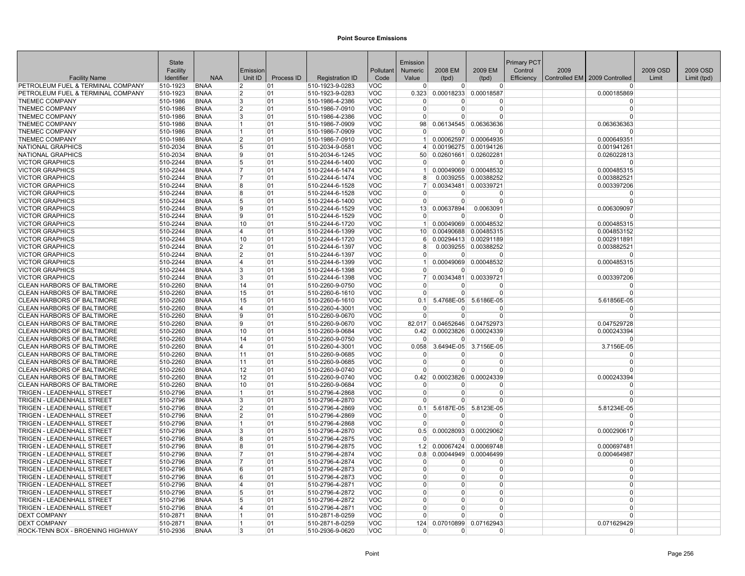|                                                  | <b>State</b>         |                            |                |            |                                    |                          | Emission                   |                        |                        | <b>Primary PCT</b> |      |                               |          |             |
|--------------------------------------------------|----------------------|----------------------------|----------------|------------|------------------------------------|--------------------------|----------------------------|------------------------|------------------------|--------------------|------|-------------------------------|----------|-------------|
|                                                  | Facility             |                            | Emission       |            |                                    | Pollutant                | <b>Numeric</b>             | 2008 EM                | 2009 EM                | Control            | 2009 |                               | 2009 OSD | 2009 OSD    |
| <b>Facility Name</b>                             | Identifier           | <b>NAA</b>                 | Unit ID        | Process ID | <b>Registration ID</b>             | Code                     | Value                      | (tpd)                  | (tpd)                  | Efficiency         |      | Controlled EM 2009 Controlled | Limit    | Limit (tpd) |
| PETROLEUM FUEL & TERMINAL COMPANY                | 510-1923             | <b>BNAA</b>                | $\overline{2}$ | 01         | 510-1923-9-0283                    | VOC                      | $\overline{0}$             | $\Omega$               | $\Omega$               |                    |      | $\Omega$                      |          |             |
| PETROLEUM FUEL & TERMINAL COMPANY                | 510-1923             | <b>BNAA</b>                | 2              | 01         | 510-1923-9-0283                    | <b>VOC</b>               | 0.323                      | 0.00018233             | 0.00018587             |                    |      | 0.000185869                   |          |             |
| <b>TNEMEC COMPANY</b>                            | 510-1986             | <b>BNAA</b>                | 3              | 01         | 510-1986-4-2386                    | <b>VOC</b>               | $\Omega$                   | n                      | $\Omega$               |                    |      | $\Omega$                      |          |             |
| <b>TNEMEC COMPANY</b>                            | 510-1986             | <b>BNAA</b>                | $\overline{2}$ | 01         | 510-1986-7-0910                    | <b>VOC</b>               | $\Omega$                   | 0                      | $\Omega$               |                    |      | $\Omega$                      |          |             |
| <b>TNEMEC COMPANY</b>                            | 510-1986             | <b>BNAA</b>                | 3              | 01         | 510-1986-4-2386                    | <b>VOC</b>               | $\Omega$                   | $\Omega$               | $\Omega$               |                    |      | $\Omega$                      |          |             |
| <b>TNEMEC COMPANY</b>                            | 510-1986             | <b>BNAA</b>                | 1              | 01         | 510-1986-7-0909                    | VOC                      | 98 <sup>°</sup>            |                        | 0.06134545 0.06363636  |                    |      | 0.063636363                   |          |             |
| <b>TNEMEC COMPANY</b>                            | 510-1986             | <b>BNAA</b>                | 1              | 01         | 510-1986-7-0909                    | <b>VOC</b>               | $\Omega$                   | $\Omega$               | $\Omega$               |                    |      | $\Omega$                      |          |             |
| <b>TNEMEC COMPANY</b>                            | 510-1986             | <b>BNAA</b>                | $\overline{2}$ | 01         | 510-1986-7-0910                    | <b>VOC</b>               |                            |                        | 0.00062597 0.00064935  |                    |      | 0.000649351                   |          |             |
| <b>NATIONAL GRAPHICS</b>                         | 510-2034             | <b>BNAA</b>                | 5              | 01         | 510-2034-9-0581                    | <b>VOC</b>               |                            |                        | 0.00196275 0.00194126  |                    |      | 0.001941261                   |          |             |
| <b>NATIONAL GRAPHICS</b>                         | 510-2034             | <b>BNAA</b>                | 9              | 01         | 510-2034-6-1245                    | <b>VOC</b>               | 50 <sub>1</sub>            |                        | 0.02601661 0.02602281  |                    |      | 0.026022813                   |          |             |
| <b>VICTOR GRAPHICS</b>                           | 510-2244             | <b>BNAA</b>                | 5              | 01         | 510-2244-6-1400                    | <b>VOC</b>               | $\Omega$                   | $\Omega$               | $\Omega$               |                    |      | $\Omega$                      |          |             |
| <b>VICTOR GRAPHICS</b>                           | 510-2244             | <b>BNAA</b>                | 7              | 01         | 510-2244-6-1474                    | <b>VOC</b>               |                            |                        | 0.00049069 0.00048532  |                    |      | 0.000485315                   |          |             |
| <b>VICTOR GRAPHICS</b>                           | 510-2244             | <b>BNAA</b>                | 7<br>8         | 01         | 510-2244-6-1474                    | <b>VOC</b>               | 8                          |                        | 0.0039255 0.00388252   |                    |      | 0.003882521                   |          |             |
| <b>VICTOR GRAPHICS</b><br><b>VICTOR GRAPHICS</b> | 510-2244<br>510-2244 | <b>BNAA</b><br><b>BNAA</b> | 8              | 01         | 510-2244-6-1528<br>510-2244-6-1528 | <b>VOC</b><br><b>VOC</b> | $\overline{7}$<br>$\Omega$ | 0.00343481<br>0        | 0.00339721<br>$\Omega$ |                    |      | 0.003397206                   |          |             |
|                                                  |                      |                            | 5              | 01         |                                    | <b>VOC</b>               |                            | $\Omega$               | $\overline{0}$         |                    |      | $\mathbf 0$                   |          |             |
| <b>VICTOR GRAPHICS</b>                           | 510-2244             | <b>BNAA</b>                | 9              | 01         | 510-2244-6-1400                    |                          | $\overline{0}$<br>13       |                        | 0.0063091              |                    |      | $\mathbf 0$                   |          |             |
| <b>VICTOR GRAPHICS</b><br><b>VICTOR GRAPHICS</b> | 510-2244<br>510-2244 | <b>BNAA</b><br><b>BNAA</b> | q              | 01<br>01   | 510-2244-6-1529<br>510-2244-6-1529 | <b>VOC</b>               | $\Omega$                   | 0.00637894<br>$\Omega$ | $\Omega$               |                    |      | 0.006309097<br>$\Omega$       |          |             |
| <b>VICTOR GRAPHICS</b>                           | 510-2244             | <b>BNAA</b>                | 10             | 01         | 510-2244-6-1720                    | <b>VOC</b><br><b>VOC</b> | 1                          | 0.00049069             | 0.00048532             |                    |      | 0.000485315                   |          |             |
| <b>VICTOR GRAPHICS</b>                           | 510-2244             | <b>BNAA</b>                | 14             | 01         | 510-2244-6-1399                    | <b>VOC</b>               |                            |                        | 0.00490688 0.00485315  |                    |      | 0.004853152                   |          |             |
| <b>VICTOR GRAPHICS</b>                           | 510-2244             | <b>BNAA</b>                | 10             | 01         | 510-2244-6-1720                    | VOC                      | 10 <sup>1</sup><br>-61     |                        | 0.00294413 0.00291189  |                    |      | 0.002911891                   |          |             |
| <b>VICTOR GRAPHICS</b>                           | 510-2244             | <b>BNAA</b>                | $\mathfrak{p}$ | 01         | 510-2244-6-1397                    | <b>VOC</b>               | 8                          |                        | 0.0039255 0.00388252   |                    |      | 0.003882521                   |          |             |
| <b>VICTOR GRAPHICS</b>                           | 510-2244             | <b>BNAA</b>                | $\overline{2}$ | 01         | 510-2244-6-1397                    | <b>VOC</b>               | $\overline{0}$             | 0                      | $\Omega$               |                    |      | <sup>0</sup>                  |          |             |
| <b>VICTOR GRAPHICS</b>                           | 510-2244             | <b>BNAA</b>                | 4              | 01         | 510-2244-6-1399                    | VOC                      | 1 <sup>1</sup>             |                        | 0.00049069 0.00048532  |                    |      | 0.000485315                   |          |             |
| <b>VICTOR GRAPHICS</b>                           | 510-2244             | <b>BNAA</b>                | 3              | 01         | 510-2244-6-1398                    | <b>VOC</b>               | $\Omega$                   | 0                      | $\Omega$               |                    |      | $\Omega$                      |          |             |
| <b>VICTOR GRAPHICS</b>                           | 510-2244             | <b>BNAA</b>                | 3              | 01         | 510-2244-6-1398                    | <b>VOC</b>               | $\overline{7}$             | 0.00343481             | 0.00339721             |                    |      | 0.003397206                   |          |             |
| CLEAN HARBORS OF BALTIMORE                       | 510-2260             | <b>BNAA</b>                | 14             | 01         | 510-2260-9-0750                    | <b>VOC</b>               | $\Omega$                   | <sup>0</sup>           | $\Omega$               |                    |      | $\Omega$                      |          |             |
| CLEAN HARBORS OF BALTIMORE                       | 510-2260             | <b>BNAA</b>                | 15             | 01         | 510-2260-6-1610                    | <b>VOC</b>               | $\Omega$                   | $\Omega$               | $\Omega$               |                    |      | $\Omega$                      |          |             |
| CLEAN HARBORS OF BALTIMORE                       | 510-2260             | <b>BNAA</b>                | 15             | 01         | 510-2260-6-1610                    | <b>VOC</b>               | 0.1                        | 5.4768E-05             | 5.6186E-05             |                    |      | 5.61856E-05                   |          |             |
| <b>CLEAN HARBORS OF BALTIMORE</b>                | 510-2260             | <b>BNAA</b>                | 4              | 01         | 510-2260-4-3001                    | <b>VOC</b>               | $\Omega$                   |                        | $\Omega$               |                    |      | $\Omega$                      |          |             |
| CLEAN HARBORS OF BALTIMORE                       | 510-2260             | <b>BNAA</b>                | 9              | 01         | 510-2260-9-0670                    | <b>VOC</b>               | $\Omega$                   | 0                      | $\Omega$               |                    |      | $\Omega$                      |          |             |
| CLEAN HARBORS OF BALTIMORE                       | 510-2260             | <b>BNAA</b>                | 9              | 01         | 510-2260-9-0670                    | <b>VOC</b>               | 82.017                     | 0.04652646             | 0.04752973             |                    |      | 0.047529728                   |          |             |
| <b>CLEAN HARBORS OF BALTIMORE</b>                | 510-2260             | <b>BNAA</b>                | 10             | 01         | 510-2260-9-0684                    | <b>VOC</b>               | 0.42                       | 0.00023826             | 0.00024339             |                    |      | 0.000243394                   |          |             |
| CLEAN HARBORS OF BALTIMORE                       | 510-2260             | <b>BNAA</b>                | 14             | 01         | 510-2260-9-0750                    | <b>VOC</b>               | $\overline{0}$             | $\Omega$               | $\Omega$               |                    |      | $\Omega$                      |          |             |
| CLEAN HARBORS OF BALTIMORE                       | 510-2260             | <b>BNAA</b>                | 4              | 01         | 510-2260-4-3001                    | <b>VOC</b>               | 0.058                      | 3.6494E-05             | 3.7156E-05             |                    |      | 3.7156E-05                    |          |             |
| CLEAN HARBORS OF BALTIMORE                       | 510-2260             | <b>BNAA</b>                | 11             | 01         | 510-2260-9-0685                    | <b>VOC</b>               | $\Omega$                   | n                      | $\Omega$               |                    |      | $\Omega$                      |          |             |
| CLEAN HARBORS OF BALTIMORE                       | 510-2260             | <b>BNAA</b>                | 11             | 01         | 510-2260-9-0685                    | <b>VOC</b>               | $\Omega$                   | U                      | $\Omega$               |                    |      | $\Omega$                      |          |             |
| <b>CLEAN HARBORS OF BALTIMORE</b>                | 510-2260             | <b>BNAA</b>                | 12             | 01         | 510-2260-9-0740                    | <b>VOC</b>               | $\Omega$                   | $\Omega$               | $\Omega$               |                    |      | $\Omega$                      |          |             |
| CLEAN HARBORS OF BALTIMORE                       | 510-2260             | <b>BNAA</b>                | 12             | 01         | 510-2260-9-0740                    | <b>VOC</b>               | 0.42                       | 0.00023826             | 0.00024339             |                    |      | 0.000243394                   |          |             |
| <b>CLEAN HARBORS OF BALTIMORE</b>                | 510-2260             | <b>BNAA</b>                | 10             | 01         | 510-2260-9-0684                    | <b>VOC</b>               | $\Omega$                   | 0                      | $\Omega$               |                    |      | $\Omega$                      |          |             |
| <b>TRIGEN - LEADENHALL STREET</b>                | 510-2796             | <b>BNAA</b>                | 1              | 01         | 510-2796-4-2868                    | <b>VOC</b>               | $\Omega$                   | 0                      | $\Omega$               |                    |      | $\mathbf 0$                   |          |             |
| TRIGEN - LEADENHALL STREET                       | 510-2796             | <b>BNAA</b>                | 3              | 01         | 510-2796-4-2870                    | <b>VOC</b>               | $\Omega$                   | 0                      | $\Omega$               |                    |      | $\Omega$                      |          |             |
| <b>TRIGEN - LEADENHALL STREET</b>                | 510-2796             | <b>BNAA</b>                | $\overline{2}$ | 01         | 510-2796-4-2869                    | <b>VOC</b>               | 0.1                        | 5.6187E-05             | 5.8123E-05             |                    |      | 5.81234E-05                   |          |             |
| TRIGEN - LEADENHALL STREET                       | 510-2796             | <b>BNAA</b>                | 2              | 01         | 510-2796-4-2869                    | <b>VOC</b>               | $\Omega$                   | $\Omega$               | $\Omega$               |                    |      | $\Omega$                      |          |             |
| <b>TRIGEN - LEADENHALL STREET</b>                | 510-2796             | <b>BNAA</b>                | 1              | 01         | 510-2796-4-2868                    | <b>VOC</b>               | $\Omega$                   | 0                      | $\Omega$               |                    |      | $\Omega$                      |          |             |
| <b>TRIGEN - LEADENHALL STREET</b>                | 510-2796             | <b>BNAA</b>                | 3              | 01         | 510-2796-4-2870                    | VOC                      | 0.5                        |                        | 0.00028093 0.00029062  |                    |      | 0.000290617                   |          |             |
| TRIGEN - LEADENHALL STREET                       | 510-2796             | <b>BNAA</b>                | 8              | 01         | 510-2796-4-2875                    | <b>VOC</b>               |                            | n                      | $\Omega$               |                    |      | n                             |          |             |
| <b>TRIGEN - LEADENHALL STREET</b>                | 510-2796             | <b>BNAA</b>                | 8              | 01         | 510-2796-4-2875                    | <b>VOC</b>               | 1.2                        | 0.00067424             | 0.00069748             |                    |      | 0.000697481                   |          |             |
| TRIGEN - LEADENHALL STREET                       | 510-2796             | <b>BNAA</b>                | $\overline{7}$ | 01         | 510-2796-4-2874                    | VOC                      | 0.8                        | 0.00044949             | 0.00046499             |                    |      | 0.000464987                   |          |             |
| TRIGEN - LEADENHALL STREET                       | 510-2796             | <b>BNAA</b>                | $\overline{7}$ | 01         | 510-2796-4-2874                    | <b>VOC</b>               | $\Omega$                   | 0                      | $\Omega$               |                    |      | $\Omega$                      |          |             |
| <b>TRIGEN - LEADENHALL STREET</b>                | 510-2796             | <b>BNAA</b>                | 6              | 01         | 510-2796-4-2873                    | <b>VOC</b>               | $\Omega$                   | 0                      | $\Omega$               |                    |      | $\Omega$                      |          |             |
| TRIGEN - LEADENHALL STREET                       | 510-2796             | <b>BNAA</b>                | 6              | 01         | 510-2796-4-2873                    | <b>VOC</b>               | $\Omega$                   | 0                      | 0                      |                    |      | $\mathbf 0$                   |          |             |
| TRIGEN - LEADENHALL STREET                       | 510-2796             | <b>BNAA</b>                | 4              | 01         | 510-2796-4-2871                    | <b>VOC</b>               | $\Omega$                   | 0                      | $\Omega$               |                    |      | $\Omega$                      |          |             |
| <b>TRIGEN - LEADENHALL STREET</b>                | 510-2796             | <b>BNAA</b>                | 5              | 01         | 510-2796-4-2872                    | <b>VOC</b>               | $\Omega$                   | 0                      | $\Omega$               |                    |      | $\Omega$                      |          |             |
| TRIGEN - LEADENHALL STREET                       | 510-2796             | <b>BNAA</b>                | 5              | 01         | 510-2796-4-2872                    | <b>VOC</b>               | <sup>0</sup><br>$\Omega$   | 0                      | $\Omega$               |                    |      | $\Omega$<br>$\Omega$          |          |             |
| TRIGEN - LEADENHALL STREET                       | 510-2796             | <b>BNAA</b>                | 4              | 01         | 510-2796-4-2871                    | <b>VOC</b>               | $\Omega$                   | 0<br>$\Omega$          | $\Omega$<br>$\Omega$   |                    |      | $\Omega$                      |          |             |
| <b>DEXT COMPANY</b>                              | 510-2871             | <b>BNAA</b>                | 1<br>1         | 01         | 510-2871-8-0259                    | <b>VOC</b>               |                            |                        |                        |                    |      |                               |          |             |
| <b>DEXT COMPANY</b>                              | 510-2871             | <b>BNAA</b>                |                | 01         | 510-2871-8-0259                    | <b>VOC</b>               | 124                        | 0.07010899             | 0.07162943             |                    |      | 0.071629429                   |          |             |
| ROCK-TENN BOX - BROENING HIGHWAY                 | 510-2936             | <b>BNAA</b>                | 3              | 01         | 510-2936-9-0620                    | <b>VOC</b>               | $\mathbf{0}$               | 0                      | $\Omega$               |                    |      | $\Omega$                      |          |             |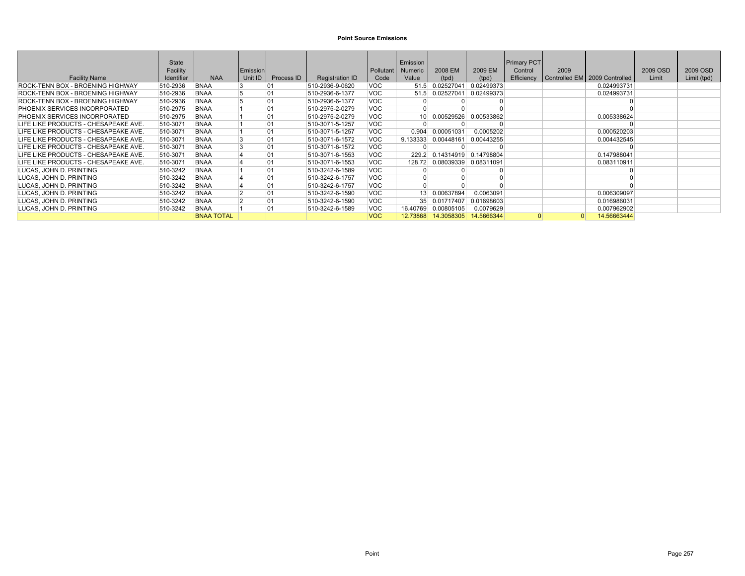|                                         | <b>State</b> |                   |          |            |                        |            | Emission        |            |            | <b>Primary PCT</b> |          |                               |          |             |
|-----------------------------------------|--------------|-------------------|----------|------------|------------------------|------------|-----------------|------------|------------|--------------------|----------|-------------------------------|----------|-------------|
|                                         | Facility     |                   | Emission |            |                        | Pollutant  | Numeric         | 2008 EM    | 2009 EM    | Control            | 2009     |                               | 2009 OSD | 2009 OSD    |
| <b>Facility Name</b>                    | Identifier   | <b>NAA</b>        | Unit ID  | Process ID | <b>Registration ID</b> | Code       | Value           | (tpd)      | (tpd)      | Efficiency         |          | Controlled EM 2009 Controlled | Limit    | Limit (tpd) |
| ROCK-TENN BOX - BROENING HIGHWAY        | 510-2936     | <b>BNAA</b>       |          | 01         | 510-2936-9-0620        | VOC        | 51.5            | 0.02527041 | 0.02499373 |                    |          | 0.024993731                   |          |             |
| <b>ROCK-TENN BOX - BROENING HIGHWAY</b> | 510-2936     | <b>BNAA</b>       |          | 01         | 510-2936-6-1377        | VOC        | 51.5            | 0.02527041 | 0.02499373 |                    |          | 0.024993731                   |          |             |
| <b>ROCK-TENN BOX - BROENING HIGHWAY</b> | 510-2936     | <b>BNAA</b>       |          | 01         | 510-2936-6-1377        | <b>VOC</b> |                 |            |            |                    |          |                               |          |             |
| <b>PHOENIX SERVICES INCORPORATED</b>    | 510-2975     | <b>BNAA</b>       |          | 01         | 510-2975-2-0279        | VOC        |                 |            |            |                    |          |                               |          |             |
| PHOENIX SERVICES INCORPORATED           | 510-2975     | <b>BNAA</b>       |          | 01         | 510-2975-2-0279        | VOC        | 10 <sup>1</sup> | 0.00529526 | 0.00533862 |                    |          | 0.005338624                   |          |             |
| LIFE LIKE PRODUCTS - CHESAPEAKE AVE.    | 510-3071     | <b>BNAA</b>       |          | 01         | 510-3071-5-1257        | <b>VOC</b> |                 |            |            |                    |          |                               |          |             |
| LIFE LIKE PRODUCTS - CHESAPEAKE AVE.    | 510-3071     | <b>BNAA</b>       |          | 01         | 510-3071-5-1257        | <b>VOC</b> | 0.904           | 0.00051031 | 0.0005202  |                    |          | 0.000520203                   |          |             |
| LIFE LIKE PRODUCTS - CHESAPEAKE AVE.    | 510-3071     | <b>BNAA</b>       |          | 01         | 510-3071-6-1572        | VOC        | 9.133333        | 0.00448161 | 0.00443255 |                    |          | 0.004432545                   |          |             |
| LIFE LIKE PRODUCTS - CHESAPEAKE AVE.    | 510-3071     | <b>BNAA</b>       |          | 01         | 510-3071-6-1572        | <b>VOC</b> |                 |            |            |                    |          |                               |          |             |
| LIFE LIKE PRODUCTS - CHESAPEAKE AVE.    | 510-3071     | <b>BNAA</b>       |          | 01         | 510-3071-6-1553        | <b>VOC</b> | 229.2           | 0.14314919 | 0.14798804 |                    |          | 0.147988041                   |          |             |
| LIFE LIKE PRODUCTS - CHESAPEAKE AVE.    | 510-3071     | <b>BNAA</b>       |          | 01         | 510-3071-6-1553        | <b>VOC</b> | 128.72          | 0.08039339 | 0.08311091 |                    |          | 0.083110911                   |          |             |
| LUCAS, JOHN D. PRINTING                 | 510-3242     | <b>BNAA</b>       |          | 01         | 510-3242-6-1589        | <b>VOC</b> |                 |            |            |                    |          |                               |          |             |
| LUCAS, JOHN D. PRINTING                 | 510-3242     | <b>BNAA</b>       |          | 01         | 510-3242-6-1757        | <b>VOC</b> |                 |            |            |                    |          |                               |          |             |
| LUCAS. JOHN D. PRINTING                 | 510-3242     | <b>BNAA</b>       |          | 01         | 510-3242-6-1757        | <b>VOC</b> |                 |            |            |                    |          |                               |          |             |
| LUCAS. JOHN D. PRINTING                 | 510-3242     | <b>BNAA</b>       |          | 01         | 510-3242-6-1590        | VOC        | 13              | 0.00637894 | 0.0063091  |                    |          | 0.006309097                   |          |             |
| LUCAS. JOHN D. PRINTING                 | 510-3242     | <b>BNAA</b>       |          | 01         | 510-3242-6-1590        | <b>VOC</b> | 35 <sup>1</sup> | 0.01717407 | 0.01698603 |                    |          | 0.016986031                   |          |             |
| LUCAS, JOHN D. PRINTING                 | 510-3242     | <b>BNAA</b>       |          | 01         | 510-3242-6-1589        | <b>VOC</b> | 16.40769        | 0.00805105 | 0.0079629  |                    |          | 0.007962902                   |          |             |
|                                         |              | <b>BNAA TOTAL</b> |          |            |                        | <b>VOC</b> | 12.73868        | 14.3058305 | 14.5666344 |                    | $\Omega$ | 14.56663444                   |          |             |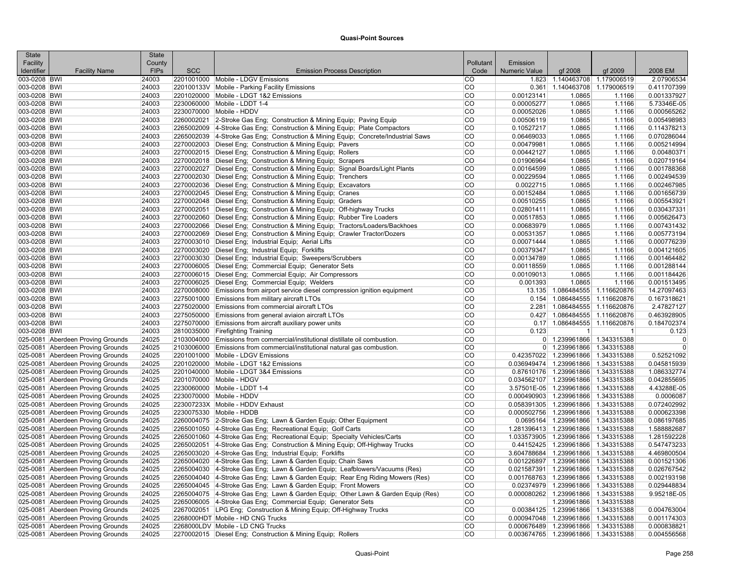| <b>State</b> |                                                                        | <b>State</b>   |            |                                                                                                                                                  |                 |               |                                                                           |              |                            |
|--------------|------------------------------------------------------------------------|----------------|------------|--------------------------------------------------------------------------------------------------------------------------------------------------|-----------------|---------------|---------------------------------------------------------------------------|--------------|----------------------------|
| Facility     |                                                                        | County         |            |                                                                                                                                                  | Pollutant       | Emission      |                                                                           |              |                            |
| Identifier   | <b>Facility Name</b>                                                   | <b>FIPs</b>    | <b>SCC</b> | <b>Emission Process Description</b>                                                                                                              | Code            | Numeric Value | gf 2008                                                                   | qf 2009      | 2008 EM                    |
| 003-0208 BWI |                                                                        | 24003          |            | 2201001000 Mobile - LDGV Emissions                                                                                                               | CO              |               | 1.823 1.140463708 1.179006519                                             |              | 2.07906534                 |
| 003-0208 BWI |                                                                        | 24003          |            | 220100133V Mobile - Parking Facility Emissions                                                                                                   | CO              | 0.361         | 1.140463708 1.179006519                                                   |              | 0.411707399                |
| 003-0208 BWI |                                                                        | 24003          |            | 2201020000 Mobile - LDGT 1&2 Emissions                                                                                                           | CO              | 0.00123141    | 1.0865                                                                    | 1.1166       | 0.001337927                |
| 003-0208 BWI |                                                                        | 24003          |            | 2230060000 Mobile - LDDT 1-4                                                                                                                     | CO              | 0.00005277    | 1.0865                                                                    | 1.1166       | 5.73346E-05                |
| 003-0208 BWI |                                                                        | 24003          |            | 2230070000 Mobile - HDDV                                                                                                                         | CO              | 0.00052026    | 1.0865                                                                    | 1.1166       | 0.000565262                |
| 003-0208 BWI |                                                                        | 24003          |            | 2260002021 2-Stroke Gas Eng; Construction & Mining Equip; Paving Equip                                                                           | CO              | 0.00506119    | 1.0865                                                                    | 1.1166       | 0.005498983                |
| 003-0208 BWI |                                                                        | 24003          |            | 2265002009 4-Stroke Gas Eng; Construction & Mining Equip; Plate Compactors                                                                       | CO              | 0.10527217    | 1.0865                                                                    | 1.1166       | 0.114378213                |
| 003-0208 BWI |                                                                        | 24003          |            | 2265002039 4-Stroke Gas Eng; Construction & Mining Equip; Concrete/Industrial Saws                                                               | CO              | 0.06469033    | 1.0865                                                                    | 1.1166       | 0.070286044                |
| 003-0208 BWI |                                                                        | 24003          |            | 2270002003 Diesel Eng; Construction & Mining Equip; Pavers                                                                                       | CO              | 0.00479981    | 1.0865                                                                    | 1.1166       | 0.005214994                |
| 003-0208 BWI |                                                                        | 24003          |            | 2270002015 Diesel Eng; Construction & Mining Equip; Rollers                                                                                      | CO              | 0.00442127    | 1.0865                                                                    | 1.1166       | 0.00480371                 |
| 003-0208 BWI |                                                                        | 24003          |            | 2270002018 Diesel Eng; Construction & Mining Equip; Scrapers                                                                                     | CO              | 0.01906964    | 1.0865                                                                    | 1.1166       | 0.020719164                |
| 003-0208 BWI |                                                                        | 24003          |            | 2270002027 Diesel Eng; Construction & Mining Equip; Signal Boards/Light Plants                                                                   | CO              | 0.00164599    | 1.0865                                                                    | 1.1166       | 0.001788368                |
| 003-0208 BWI |                                                                        | 24003          |            | 2270002030 Diesel Eng; Construction & Mining Equip; Trenchers                                                                                    | CO              | 0.00229594    | 1.0865                                                                    | 1.1166       | 0.002494539                |
| 003-0208 BWI |                                                                        | 24003          |            | 2270002036 Diesel Eng; Construction & Mining Equip; Excavators                                                                                   | CO              | 0.0022715     | 1.0865                                                                    | 1.1166       | 0.002467985                |
| 003-0208 BWI |                                                                        | 24003          |            | 2270002045 Diesel Eng; Construction & Mining Equip; Cranes                                                                                       | CO              | 0.00152484    | 1.0865                                                                    | 1.1166       | 0.001656739                |
| 003-0208 BWI |                                                                        | 24003          |            | 2270002048 Diesel Eng; Construction & Mining Equip; Graders                                                                                      | CO              | 0.00510255    | 1.0865                                                                    | 1.1166       | 0.005543921                |
| 003-0208 BWI |                                                                        | 24003          |            | 2270002051 Diesel Eng; Construction & Mining Equip; Off-highway Trucks                                                                           | CO              | 0.02801411    | 1.0865                                                                    | 1.1166       | 0.030437331                |
| 003-0208 BWI |                                                                        | 24003          |            | 2270002060 Diesel Eng; Construction & Mining Equip; Rubber Tire Loaders                                                                          | CO              | 0.00517853    | 1.0865                                                                    | 1.1166       | 0.005626473                |
| 003-0208 BWI |                                                                        | 24003          |            | 2270002066   Diesel Eng; Construction & Mining Equip; Tractors/Loaders/Backhoes                                                                  | CO              | 0.00683979    | 1.0865                                                                    | 1.1166       | 0.007431432                |
| 003-0208 BWI |                                                                        | 24003          |            | 2270002069 Diesel Eng; Construction & Mining Equip; Crawler Tractor/Dozers                                                                       | CO              | 0.00531357    | 1.0865                                                                    | 1.1166       | 0.005773194                |
| 003-0208 BWI |                                                                        | 24003          |            | 2270003010 Diesel Eng; Industrial Equip; Aerial Lifts                                                                                            | $\overline{CO}$ | 0.00071444    | 1.0865                                                                    | 1.1166       | 0.000776239                |
| 003-0208 BWI |                                                                        | 24003          |            | 2270003020 Diesel Eng; Industrial Equip; Forklifts                                                                                               | CO              | 0.00379347    | 1.0865                                                                    | 1.1166       | 0.004121605                |
| 003-0208 BWI |                                                                        | 24003          |            | 2270003030 Diesel Eng; Industrial Equip; Sweepers/Scrubbers                                                                                      | CO              | 0.00134789    | 1.0865                                                                    | 1.1166       | 0.001464482                |
| 003-0208 BWI |                                                                        | 24003          |            | 2270006005 Diesel Eng; Commercial Equip; Generator Sets                                                                                          | CO              | 0.00118559    | 1.0865                                                                    | 1.1166       | 0.001288144                |
| 003-0208 BWI |                                                                        | 24003          |            | 2270006015   Diesel Eng; Commercial Equip; Air Compressors                                                                                       | CO              | 0.00109013    | 1.0865                                                                    | 1.1166       | 0.001184426                |
| 003-0208 BWI |                                                                        | 24003          |            | 2270006025 Diesel Eng; Commercial Equip; Welders                                                                                                 | <b>CO</b>       | 0.001393      | 1.0865                                                                    | 1.1166       | 0.001513495                |
| 003-0208 BWI |                                                                        | 24003          |            | 2270008000 Emissions from airport service diesel compression ignition equipment                                                                  | <b>CO</b>       |               | 13.135 1.086484555 1.116620876                                            |              | 14.27097463                |
| 003-0208 BWI |                                                                        | 24003          |            | 2275001000 Emissions from military aircraft LTOs                                                                                                 | <b>CO</b>       |               | 0.154 1.086484555 1.116620876                                             |              | 0.167318621                |
| 003-0208 BWI |                                                                        | 24003          |            | 2275020000 Emissions from commercial aircraft LTOs                                                                                               | CO              |               | 2.281 1.086484555 1.116620876                                             |              | 2.47827127                 |
| 003-0208 BWI |                                                                        | 24003          |            | 2275050000 Emissions from general aviaion aircraft LTOs                                                                                          | $\overline{CO}$ |               | 0.427 1.086484555 1.116620876                                             |              | 0.463928905                |
| 003-0208 BWI |                                                                        | 24003          |            | 2275070000 Emissions from aircraft auxiliary power units                                                                                         | CO              |               | 0.17 1.086484555 1.116620876                                              |              | 0.184702374                |
| 003-0208 BWI |                                                                        | 24003          |            | 2810035000 Firefighting Training                                                                                                                 | CO              | 0.123         | $\mathbf 1$                                                               | $\mathbf{1}$ | 0.123                      |
|              | 025-0081 Aberdeen Proving Grounds                                      | 24025          |            | 2103004000 Emissions from commercial/institutional distillate oil combustion.                                                                    | CO              |               | 0 1.239961866 1.343315388                                                 |              | $\Omega$                   |
|              | 025-0081 Aberdeen Proving Grounds                                      | 24025          |            | 2103006000 Emissions from commercial/institutional natural gas combustion.                                                                       | CO              |               | 0 1.239961866 1.343315388                                                 |              | $\Omega$                   |
|              | 025-0081 Aberdeen Proving Grounds                                      | 24025          |            | 2201001000 Mobile - LDGV Emissions                                                                                                               | CO              |               | 0.42357022 1.239961866 1.343315388                                        |              | 0.52521092                 |
|              | 025-0081 Aberdeen Proving Grounds                                      | 24025          |            | 2201020000 Mobile - LDGT 1&2 Emissions                                                                                                           | CO              |               | 0.036949474 1.239961866 1.343315388                                       |              | 0.045815939                |
|              | 025-0081 Aberdeen Proving Grounds                                      | 24025          |            | 2201040000 Mobile - LDGT 3&4 Emissions                                                                                                           | CO              |               | 0.87610176 1.239961866 1.343315388                                        |              | 1.086332774                |
|              | 025-0081 Aberdeen Proving Grounds                                      | 24025          |            | 2201070000 Mobile - HDGV                                                                                                                         | CO              |               | 0.034562107 1.239961866 1.343315388                                       |              | 0.042855695                |
|              | 025-0081 Aberdeen Proving Grounds                                      | 24025          |            | 2230060000 Mobile - LDDT 1-4                                                                                                                     | CO              |               | 3.57501E-05 1.239961866 1.343315388                                       |              | 4.43288E-05                |
|              | 025-0081 Aberdeen Proving Grounds                                      | 24025          |            | 2230070000 Mobile - HDDV                                                                                                                         | CO              |               | 0.000490903 1.239961866 1.343315388                                       |              | 0.0006087                  |
|              | 025-0081 Aberdeen Proving Grounds                                      | 24025          |            | 223007233X Mobile - HDDV Exhaust                                                                                                                 | CO              |               | 0.058391305 1.239961866 1.343315388                                       |              | 0.072402992                |
|              | 025-0081 Aberdeen Proving Grounds                                      | 24025          |            | 2230075330 Mobile - HDDB                                                                                                                         | $\overline{CO}$ |               | 0.000502756 1.239961866 1.343315388                                       |              | 0.000623398                |
|              | 025-0081 Aberdeen Proving Grounds                                      | 24025          |            | 2260004075 2-Stroke Gas Eng; Lawn & Garden Equip; Other Equipment                                                                                | $\overline{CO}$ |               | 0.0695164 1.239961866 1.343315388                                         |              | 0.086197685                |
|              | 025-0081 Aberdeen Proving Grounds                                      | 24025          |            | 2265001050 4-Stroke Gas Eng; Recreational Equip; Golf Carts                                                                                      | CO              |               | 1.281396413 1.239961866 1.343315388                                       |              | 1.588882687                |
|              | 025-0081 Aberdeen Proving Grounds                                      | 24025          |            | 2265001060 4-Stroke Gas Eng; Recreational Equip; Specialty Vehicles/Carts                                                                        | <b>CO</b>       |               | 1.033573905 1.239961866 1.343315388                                       |              | 1.281592228                |
|              | 025-0081 Aberdeen Proving Grounds                                      | 24025          |            | 2265002051 4-Stroke Gas Eng; Construction & Mining Equip; Off-Highway Trucks                                                                     | CO              |               | 0.44152425 1.239961866 1.343315388                                        |              | 0.547473233                |
|              | 025-0081 Aberdeen Proving Grounds                                      | 24025          |            | 2265003020 4-Stroke Gas Eng; Industrial Equip; Forklifts                                                                                         | CO              |               | 3.604788684 1.239961866 1.343315388                                       |              | 4.469800504                |
|              | 025-0081 Aberdeen Proving Grounds                                      | 24025          |            | 2265004020 4-Stroke Gas Eng; Lawn & Garden Equip; Chain Saws                                                                                     | CO              |               | 0.001226897   1.239961866   1.343315388                                   |              | 0.001521306                |
|              | 025-0081 Aberdeen Proving Grounds                                      | 24025<br>24025 |            | 2265004030 4-Stroke Gas Eng; Lawn & Garden Equip; Leafblowers/Vacuums (Res)                                                                      | CO<br>CO        |               | 0.021587391 1.239961866 1.343315388                                       |              | 0.026767542<br>0.002193198 |
|              | 025-0081 Aberdeen Proving Grounds<br>025-0081 Aberdeen Proving Grounds | 24025          |            | 2265004040 4-Stroke Gas Eng; Lawn & Garden Equip; Rear Eng Riding Mowers (Res)<br>2265004045 4-Stroke Gas Eng; Lawn & Garden Equip; Front Mowers | CO              |               | 0.001768763 1.239961866 1.343315388<br>0.02374979 1.239961866 1.343315388 |              | 0.029448834                |
|              | 025-0081 Aberdeen Proving Grounds                                      | 24025          |            | 2265004075 4-Stroke Gas Eng; Lawn & Garden Equip; Other Lawn & Garden Equip (Res)                                                                | CO              |               | 0.000080262 1.239961866 1.343315388                                       |              | 9.95218E-05                |
|              | 025-0081 Aberdeen Proving Grounds                                      | 24025          |            | 2265006005 4-Stroke Gas Eng; Commercial Equip; Generator Sets                                                                                    | CO              |               | 1.239961866 1.343315388                                                   |              |                            |
|              | 025-0081 Aberdeen Proving Grounds                                      | 24025          |            | 2267002051 LPG Eng; Construction & Mining Equip; Off-Highway Trucks                                                                              | CO              |               | 0.00384125 1.239961866 1.343315388                                        |              | 0.004763004                |
|              | 025-0081 Aberdeen Proving Grounds                                      | 24025          |            | 2268000HDT Mobile - HD CNG Trucks                                                                                                                | CO              |               | 0.000947048 1.239961866 1.343315388                                       |              | 0.001174303                |
|              | 025-0081 Aberdeen Proving Grounds                                      | 24025          |            | 2268000LDV Mobile - LD CNG Trucks                                                                                                                | CO              |               | 0.000676489 1.239961866 1.343315388                                       |              | 0.000838821                |
|              | 025-0081 Aberdeen Proving Grounds                                      | 24025          |            | 2270002015 Diesel Eng; Construction & Mining Equip; Rollers                                                                                      | CO              |               | 0.003674765 1.239961866 1.343315388                                       |              | 0.004556568                |
|              |                                                                        |                |            |                                                                                                                                                  |                 |               |                                                                           |              |                            |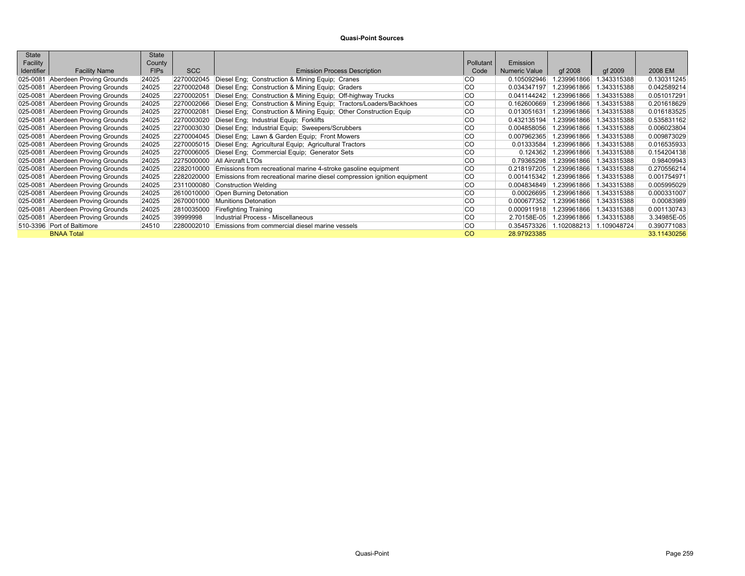| State      |                            | State       |            |                                                                          |           |                      |             |             |             |
|------------|----------------------------|-------------|------------|--------------------------------------------------------------------------|-----------|----------------------|-------------|-------------|-------------|
| Facility   |                            | County      |            |                                                                          | Pollutant | Emission             |             |             |             |
| Identifier | <b>Facility Name</b>       | <b>FIPs</b> | <b>SCC</b> | <b>Emission Process Description</b>                                      | Code      | <b>Numeric Value</b> | qf 2008     | qf 2009     | 2008 EM     |
| 025-0081   | Aberdeen Proving Grounds   | 24025       | 2270002045 | Diesel Eng; Construction & Mining Equip; Cranes                          | <b>CO</b> | 0.105092946          | .239961866  | .343315388  | 0.130311245 |
| 025-0081   | Aberdeen Proving Grounds   | 24025       | 2270002048 | Diesel Eng; Construction & Mining Equip; Graders                         | <b>CO</b> | 0.034347197          | 1.239961866 | 1.343315388 | 0.042589214 |
| 025-0081   | Aberdeen Proving Grounds   | 24025       | 2270002051 | Diesel Eng; Construction & Mining Equip; Off-highway Trucks              | <b>CO</b> | 0.041144242          | 1.239961866 | 1.343315388 | 0.051017291 |
| 025-0081   | Aberdeen Proving Grounds   | 24025       | 2270002066 | Diesel Eng; Construction & Mining Equip; Tractors/Loaders/Backhoes       | <b>CO</b> | 0.162600669          | 1.239961866 | 1.343315388 | 0.201618629 |
| 025-0081   | Aberdeen Proving Grounds   | 24025       | 2270002081 | Diesel Eng; Construction & Mining Equip; Other Construction Equip        | <b>CO</b> | 0.013051631          | 1.239961866 | 1.343315388 | 0.016183525 |
| 025-0081   | Aberdeen Proving Grounds   | 24025       | 2270003020 | Diesel Eng; Industrial Equip; Forklifts                                  | <b>CO</b> | 0.432135194          | 1.239961866 | 1.343315388 | 0.535831162 |
| 025-0081   | Aberdeen Proving Grounds   | 24025       | 2270003030 | Diesel Eng; Industrial Equip; Sweepers/Scrubbers                         | <b>CO</b> | 0.004858056          | 1.239961866 | 1.343315388 | 0.006023804 |
| 025-0081   | Aberdeen Proving Grounds   | 24025       | 2270004045 | Diesel Eng; Lawn & Garden Equip; Front Mowers                            | <b>CO</b> | 0.007962365          | 1.239961866 | 1.343315388 | 0.009873029 |
| 025-0081   | Aberdeen Proving Grounds   | 24025       | 2270005015 | Diesel Eng; Agricultural Equip; Agricultural Tractors                    | <b>CO</b> | 0.01333584           | 1.239961866 | 1.343315388 | 0.016535933 |
| 025-0081   | Aberdeen Proving Grounds   | 24025       | 2270006005 | Diesel Eng; Commercial Equip; Generator Sets                             | <b>CO</b> | 0.124362             | 1.239961866 | 1.343315388 | 0.154204138 |
| 025-0081   | Aberdeen Proving Grounds   | 24025       | 2275000000 | <b>All Aircraft LTOs</b>                                                 | <b>CO</b> | 0.79365298           | 1.239961866 | 1.343315388 | 0.98409943  |
| 025-0081   | Aberdeen Proving Grounds   | 24025       | 2282010000 | Emissions from recreational marine 4-stroke gasoline equipment           | <b>CO</b> | 0.218197205          | 1.239961866 | 1.343315388 | 0.270556214 |
| 025-0081   | Aberdeen Proving Grounds   | 24025       | 2282020000 | Emissions from recreational marine diesel compression ignition equipment | <b>CO</b> | 0.001415342          | 1.239961866 | 1.343315388 | 0.001754971 |
| 025-0081   | Aberdeen Proving Grounds   | 24025       | 2311000080 | Construction Welding                                                     | <b>CO</b> | 0.004834849          | 1.239961866 | 1.343315388 | 0.005995029 |
| 025-0081   | Aberdeen Proving Grounds   | 24025       | 2610010000 | Open Burning Detonation                                                  | <b>CO</b> | 0.00026695           | 1.239961866 | 1.343315388 | 0.000331007 |
| 025-0081   | Aberdeen Proving Grounds   | 24025       | 2670001000 | Munitions Detonation                                                     | <b>CO</b> | 0.000677352          | .239961866  | 1.343315388 | 0.00083989  |
| 025-0081   | Aberdeen Proving Grounds   | 24025       | 2810035000 | <b>Firefighting Training</b>                                             | lco       | 0.000911918          | 1.239961866 | 1.343315388 | 0.001130743 |
| 025-0081   | Aberdeen Proving Grounds   | 24025       | 39999998   | Industrial Process - Miscellaneous                                       | <b>CO</b> | 2.70158E-05          | 1.239961866 | 1.343315388 | 3.34985E-05 |
|            | 510-3396 Port of Baltimore | 24510       | 2280002010 | Emissions from commercial diesel marine vessels                          | <b>CO</b> | 0.354573326          | 1.102088213 | 1.109048724 | 0.390771083 |
|            | <b>BNAA Total</b>          |             |            |                                                                          | CO        | 28.97923385          |             |             | 33.11430256 |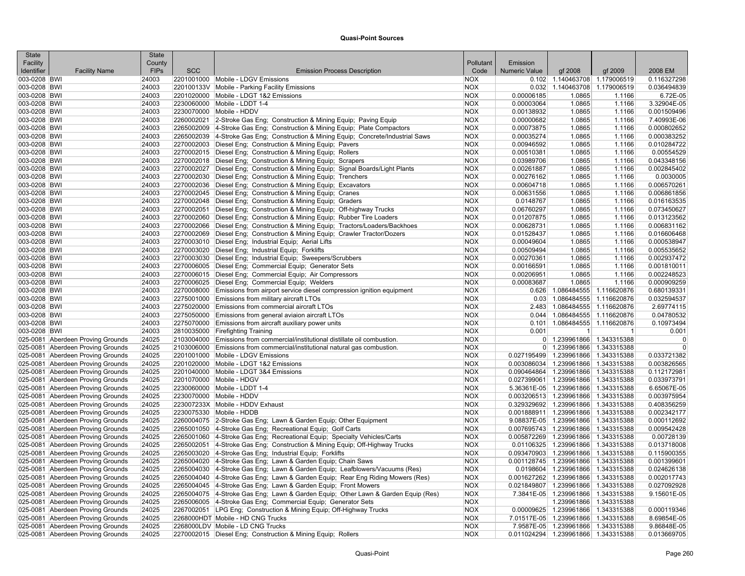| <b>State</b> |                                   | <b>State</b> |            |                                                                                    |            |               |                                     |              |                |
|--------------|-----------------------------------|--------------|------------|------------------------------------------------------------------------------------|------------|---------------|-------------------------------------|--------------|----------------|
| Facility     |                                   | County       |            |                                                                                    | Pollutant  | Emission      |                                     |              |                |
| Identifier   | <b>Facility Name</b>              | <b>FIPs</b>  | <b>SCC</b> | <b>Emission Process Description</b>                                                | Code       | Numeric Value | gf 2008                             | qf 2009      | 2008 EM        |
| 003-0208 BWI |                                   | 24003        |            | 2201001000 Mobile - LDGV Emissions                                                 | <b>NOX</b> |               | 0.102 1.140463708 1.179006519       |              | 0.116327298    |
| 003-0208 BWI |                                   | 24003        |            | 220100133V Mobile - Parking Facility Emissions                                     | <b>NOX</b> | 0.032         | 1.140463708                         | 1.179006519  | 0.036494839    |
| 003-0208 BWI |                                   | 24003        |            | 2201020000 Mobile - LDGT 1&2 Emissions                                             | <b>NOX</b> | 0.00006185    | 1.0865                              | 1.1166       | 6.72E-05       |
| 003-0208 BWI |                                   | 24003        |            | 2230060000 Mobile - LDDT 1-4                                                       | <b>NOX</b> | 0.00003064    | 1.0865                              | 1.1166       | 3.32904E-05    |
| 003-0208 BWI |                                   | 24003        |            | 2230070000 Mobile - HDDV                                                           | <b>NOX</b> | 0.00138932    | 1.0865                              | 1.1166       | 0.001509496    |
| 003-0208 BWI |                                   | 24003        |            | 2260002021 2-Stroke Gas Eng: Construction & Mining Equip: Paving Equip             | <b>NOX</b> | 0.00000682    | 1.0865                              | 1.1166       | 7.40993E-06    |
| 003-0208 BWI |                                   | 24003        |            | 2265002009 4-Stroke Gas Eng; Construction & Mining Equip; Plate Compactors         | <b>NOX</b> | 0.00073875    | 1.0865                              | 1.1166       | 0.000802652    |
| 003-0208 BWI |                                   | 24003        |            | 2265002039 4-Stroke Gas Eng; Construction & Mining Equip; Concrete/Industrial Saws | <b>NOX</b> | 0.00035274    | 1.0865                              | 1.1166       | 0.000383252    |
| 003-0208 BWI |                                   | 24003        |            | 2270002003 Diesel Eng; Construction & Mining Equip; Pavers                         | <b>NOX</b> | 0.00946592    | 1.0865                              | 1.1166       | 0.010284722    |
| 003-0208 BWI |                                   | 24003        |            | 2270002015 Diesel Eng; Construction & Mining Equip; Rollers                        | <b>NOX</b> | 0.00510381    | 1.0865                              | 1.1166       | 0.00554529     |
| 003-0208 BWI |                                   | 24003        |            | 2270002018 Diesel Eng; Construction & Mining Equip; Scrapers                       | <b>NOX</b> | 0.03989706    | 1.0865                              | 1.1166       | 0.043348156    |
| 003-0208 BWI |                                   | 24003        |            | 2270002027 Diesel Eng; Construction & Mining Equip; Signal Boards/Light Plants     | <b>NOX</b> | 0.00261887    | 1.0865                              | 1.1166       | 0.002845402    |
| 003-0208 BWI |                                   | 24003        |            | 2270002030 Diesel Eng; Construction & Mining Equip; Trenchers                      | <b>NOX</b> | 0.00276162    | 1.0865                              | 1.1166       | 0.0030005      |
| 003-0208 BWI |                                   | 24003        |            | 2270002036 Diesel Eng; Construction & Mining Equip; Excavators                     | <b>NOX</b> | 0.00604718    | 1.0865                              | 1.1166       | 0.006570261    |
| 003-0208 BWI |                                   | 24003        |            | 2270002045   Diesel Eng; Construction & Mining Equip; Cranes                       | <b>NOX</b> | 0.00631556    | 1.0865                              | 1.1166       | 0.006861856    |
| 003-0208 BWI |                                   | 24003        |            | 2270002048 Diesel Eng; Construction & Mining Equip; Graders                        | <b>NOX</b> | 0.0148767     | 1.0865                              | 1.1166       | 0.016163535    |
| 003-0208 BWI |                                   | 24003        |            | 2270002051 Diesel Eng; Construction & Mining Equip; Off-highway Trucks             | <b>NOX</b> | 0.06760297    | 1.0865                              | 1.1166       | 0.073450627    |
| 003-0208 BWI |                                   | 24003        |            | 2270002060 Diesel Eng; Construction & Mining Equip; Rubber Tire Loaders            | <b>NOX</b> | 0.01207875    | 1.0865                              | 1.1166       | 0.013123562    |
|              |                                   |              |            |                                                                                    |            |               |                                     |              | 0.006831162    |
| 003-0208 BWI |                                   | 24003        |            | 2270002066 Diesel Eng; Construction & Mining Equip; Tractors/Loaders/Backhoes      | <b>NOX</b> | 0.00628731    | 1.0865                              | 1.1166       |                |
| 003-0208 BWI |                                   | 24003        |            | 2270002069 Diesel Eng; Construction & Mining Equip; Crawler Tractor/Dozers         | <b>NOX</b> | 0.01528437    | 1.0865                              | 1.1166       | 0.016606468    |
| 003-0208 BWI |                                   | 24003        |            | 2270003010 Diesel Eng; Industrial Equip; Aerial Lifts                              | <b>NOX</b> | 0.00049604    | 1.0865                              | 1.1166       | 0.000538947    |
| 003-0208 BWI |                                   | 24003        |            | 2270003020 Diesel Eng; Industrial Equip; Forklifts                                 | <b>NOX</b> | 0.00509494    | 1.0865                              | 1.1166       | 0.005535652    |
| 003-0208 BWI |                                   | 24003        |            | 2270003030 Diesel Eng; Industrial Equip; Sweepers/Scrubbers                        | <b>NOX</b> | 0.00270361    | 1.0865                              | 1.1166       | 0.002937472    |
| 003-0208 BWI |                                   | 24003        |            | 2270006005 Diesel Eng; Commercial Equip; Generator Sets                            | <b>NOX</b> | 0.00166591    | 1.0865                              | 1.1166       | 0.001810011    |
| 003-0208 BWI |                                   | 24003        |            | 2270006015   Diesel Eng; Commercial Equip; Air Compressors                         | <b>NOX</b> | 0.00206951    | 1.0865                              | 1.1166       | 0.002248523    |
| 003-0208 BWI |                                   | 24003        |            | 2270006025 Diesel Eng; Commercial Equip; Welders                                   | <b>NOX</b> | 0.00083687    | 1.0865                              | 1.1166       | 0.000909259    |
| 003-0208 BWI |                                   | 24003        |            | 2270008000 Emissions from airport service diesel compression ignition equipment    | <b>NOX</b> |               | 0.626 1.086484555                   | 1.116620876  | 0.680139331    |
| 003-0208 BWI |                                   | 24003        |            | 2275001000 Emissions from military aircraft LTOs                                   | <b>NOX</b> |               | $0.03$ 1.086484555                  | 1.116620876  | 0.032594537    |
| 003-0208 BWI |                                   | 24003        |            | 2275020000 Emissions from commercial aircraft LTOs                                 | <b>NOX</b> |               | 2.483 1.086484555                   | 1.116620876  | 2.69774115     |
| 003-0208 BWI |                                   | 24003        |            | 2275050000 Emissions from general aviaion aircraft LTOs                            | <b>NOX</b> |               | $0.044$   1.086484555               | 1.116620876  | 0.04780532     |
| 003-0208 BWI |                                   | 24003        |            | 2275070000 Emissions from aircraft auxiliary power units                           | <b>NOX</b> |               | $0.101$ 1.086484555                 | 1.116620876  | 0.10973494     |
| 003-0208 BWI |                                   | 24003        |            | 2810035000 Firefighting Training                                                   | <b>NOX</b> | 0.001         | $\mathbf{1}$                        | $\mathbf{1}$ | 0.001          |
|              | 025-0081 Aberdeen Proving Grounds | 24025        |            | 2103004000 Emissions from commercial/institutional distillate oil combustion.      | <b>NOX</b> |               | 0 1.239961866                       | 1.343315388  | $\Omega$       |
|              | 025-0081 Aberdeen Proving Grounds | 24025        |            | 2103006000 Emissions from commercial/institutional natural gas combustion.         | <b>NOX</b> |               | 0 1.239961866                       | 1.343315388  | $\overline{0}$ |
|              | 025-0081 Aberdeen Proving Grounds | 24025        |            | 2201001000 Mobile - LDGV Emissions                                                 | <b>NOX</b> |               | 0.027195499 1.239961866             | 1.343315388  | 0.033721382    |
|              | 025-0081 Aberdeen Proving Grounds | 24025        |            | 2201020000 Mobile - LDGT 1&2 Emissions                                             | <b>NOX</b> |               | 0.003086034 1.239961866             | 1.343315388  | 0.003826565    |
|              | 025-0081 Aberdeen Proving Grounds | 24025        |            | 2201040000 Mobile - LDGT 3&4 Emissions                                             | <b>NOX</b> |               | 0.090464864 1.239961866             | 1.343315388  | 0.112172981    |
|              | 025-0081 Aberdeen Proving Grounds | 24025        |            | 2201070000 Mobile - HDGV                                                           | <b>NOX</b> |               | 0.027399061   1.239961866           | 1.343315388  | 0.033973791    |
|              | 025-0081 Aberdeen Proving Grounds | 24025        |            | 2230060000 Mobile - LDDT 1-4                                                       | <b>NOX</b> |               | 5.36361E-05 1.239961866             | 1.343315388  | 6.65067E-05    |
|              | 025-0081 Aberdeen Proving Grounds | 24025        |            | 2230070000 Mobile - HDDV                                                           | <b>NOX</b> |               | 0.003206513 1.239961866             | 1.343315388  | 0.003975954    |
|              | 025-0081 Aberdeen Proving Grounds | 24025        |            | 223007233X Mobile - HDDV Exhaust                                                   | <b>NOX</b> |               | 0.329329692 1.239961866             | 1.343315388  | 0.408356259    |
|              | 025-0081 Aberdeen Proving Grounds | 24025        |            | 2230075330 Mobile - HDDB                                                           | <b>NOX</b> |               | 0.001888911 1.239961866             | 1.343315388  | 0.002342177    |
|              | 025-0081 Aberdeen Proving Grounds | 24025        |            | 2260004075 2-Stroke Gas Eng; Lawn & Garden Equip; Other Equipment                  | <b>NOX</b> |               | 9.08837E-05 1.239961866             | 1.343315388  | 0.000112692    |
|              | 025-0081 Aberdeen Proving Grounds | 24025        |            | 2265001050 4-Stroke Gas Eng; Recreational Equip; Golf Carts                        | <b>NOX</b> |               | 0.007695743 1.239961866             | 1.343315388  | 0.009542428    |
|              | 025-0081 Aberdeen Proving Grounds | 24025        |            | 2265001060 4-Stroke Gas Eng; Recreational Equip; Specialty Vehicles/Carts          | <b>NOX</b> |               | 0.005872269 1.239961866             | 1.343315388  | 0.00728139     |
|              | 025-0081 Aberdeen Proving Grounds | 24025        |            | 2265002051 4-Stroke Gas Eng; Construction & Mining Equip; Off-Highway Trucks       | <b>NOX</b> |               | 0.01106325 1.239961866              | 1.343315388  | 0.013718008    |
|              | 025-0081 Aberdeen Proving Grounds | 24025        |            | 2265003020 4-Stroke Gas Eng; Industrial Equip; Forklifts                           | <b>NOX</b> |               | 0.093470903 1.239961866             | 1.343315388  | 0.115900355    |
|              | 025-0081 Aberdeen Proving Grounds | 24025        |            | 2265004020 4-Stroke Gas Eng; Lawn & Garden Equip; Chain Saws                       | <b>NOX</b> |               | 0.001128745 1.239961866             | 1.343315388  | 0.001399601    |
|              | 025-0081 Aberdeen Proving Grounds | 24025        |            | 2265004030 4-Stroke Gas Eng; Lawn & Garden Equip; Leafblowers/Vacuums (Res)        | <b>NOX</b> |               | 0.0198604 1.239961866               | 1.343315388  | 0.024626138    |
|              | 025-0081 Aberdeen Proving Grounds | 24025        |            | 2265004040 4-Stroke Gas Eng; Lawn & Garden Equip; Rear Eng Riding Mowers (Res)     | <b>NOX</b> |               | 0.001627262 1.239961866             | 1.343315388  | 0.002017743    |
|              | 025-0081 Aberdeen Proving Grounds | 24025        |            | 2265004045 4-Stroke Gas Eng; Lawn & Garden Equip; Front Mowers                     | <b>NOX</b> |               | 0.021849807 1.239961866             | 1.343315388  | 0.027092928    |
|              | 025-0081 Aberdeen Proving Grounds | 24025        |            | 2265004075 4-Stroke Gas Eng; Lawn & Garden Equip; Other Lawn & Garden Equip (Res)  | <b>NOX</b> |               | 7.3841E-05 1.239961866              | 1.343315388  | 9.15601E-05    |
|              | 025-0081 Aberdeen Proving Grounds | 24025        |            | 2265006005 4-Stroke Gas Eng; Commercial Equip; Generator Sets                      | <b>NOX</b> |               | 1.239961866                         | 1.343315388  |                |
|              | 025-0081 Aberdeen Proving Grounds | 24025        |            | 2267002051 LPG Eng; Construction & Mining Equip; Off-Highway Trucks                | <b>NOX</b> |               | 0.00009625 1.239961866              | 1.343315388  | 0.000119346    |
|              | 025-0081 Aberdeen Proving Grounds | 24025        |            | 2268000HDT Mobile - HD CNG Trucks                                                  | <b>NOX</b> |               | 7.01517E-05 1.239961866             | 1.343315388  | 8.69854E-05    |
|              | 025-0081 Aberdeen Proving Grounds | 24025        |            | 2268000LDV Mobile - LD CNG Trucks                                                  | <b>NOX</b> |               | 7.9587E-05 1.239961866 1.343315388  |              | 9.86848E-05    |
|              | 025-0081 Aberdeen Proving Grounds | 24025        |            | 2270002015 Diesel Eng; Construction & Mining Equip; Rollers                        | <b>NOX</b> |               | 0.011024294 1.239961866 1.343315388 |              | 0.013669705    |
|              |                                   |              |            |                                                                                    |            |               |                                     |              |                |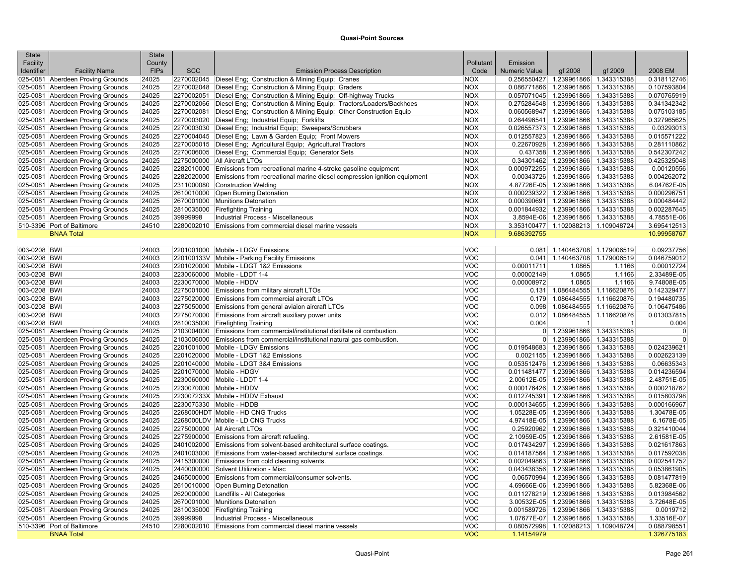| State<br>Facility |                                                                        | <b>State</b><br>County |            |                                                                                     | Pollutant                | Emission      |                                                                            |              |                          |
|-------------------|------------------------------------------------------------------------|------------------------|------------|-------------------------------------------------------------------------------------|--------------------------|---------------|----------------------------------------------------------------------------|--------------|--------------------------|
| Identifier        | <b>Facility Name</b>                                                   | <b>FIPs</b>            | <b>SCC</b> | <b>Emission Process Description</b>                                                 | Code                     | Numeric Value | gf 2008                                                                    | gf 2009      | 2008 EM                  |
|                   | 025-0081 Aberdeen Proving Grounds                                      | 24025                  |            | 2270002045 Diesel Eng; Construction & Mining Equip; Cranes                          | <b>NOX</b>               |               | 0.256550427 1.239961866 1.343315388                                        |              | 0.318112746              |
|                   | 025-0081 Aberdeen Proving Grounds                                      | 24025                  |            | 2270002048 Diesel Eng; Construction & Mining Equip; Graders                         | <b>NOX</b>               |               | 0.086771866 1.239961866 1.343315388                                        |              | 0.107593804              |
|                   | 025-0081 Aberdeen Proving Grounds                                      | 24025                  |            | 2270002051 Diesel Eng; Construction & Mining Equip; Off-highway Trucks              | <b>NOX</b>               |               | 0.057071045 1.239961866 1.343315388                                        |              | 0.070765919              |
|                   | 025-0081 Aberdeen Proving Grounds                                      | 24025                  |            | 2270002066 Diesel Eng; Construction & Mining Equip; Tractors/Loaders/Backhoes       | <b>NOX</b>               |               | 0.275284548 1.239961866 1.343315388                                        |              | 0.341342342              |
|                   | 025-0081 Aberdeen Proving Grounds                                      | 24025                  |            | 2270002081 Diesel Eng; Construction & Mining Equip; Other Construction Equip        | <b>NOX</b>               |               | 0.060568947   1.239961866   1.343315388                                    |              | 0.075103185              |
|                   | 025-0081 Aberdeen Proving Grounds                                      | 24025                  |            | 2270003020 Diesel Eng; Industrial Equip; Forklifts                                  | <b>NOX</b>               |               | 0.264496541 1.239961866 1.343315388                                        |              | 0.327965625              |
|                   | 025-0081 Aberdeen Proving Grounds                                      | 24025                  |            | 2270003030 Diesel Eng; Industrial Equip; Sweepers/Scrubbers                         | <b>NOX</b>               |               | 0.026557373 1.239961866 1.343315388                                        |              | 0.03293013               |
|                   | 025-0081 Aberdeen Proving Grounds                                      | 24025                  |            | 2270004045 Diesel Eng; Lawn & Garden Equip; Front Mowers                            | <b>NOX</b>               |               | 0.012557823 1.239961866 1.343315388                                        |              | 0.015571222              |
|                   | 025-0081 Aberdeen Proving Grounds                                      | 24025                  |            | 2270005015 Diesel Eng; Agricultural Equip; Agricultural Tractors                    | <b>NOX</b>               |               | 0.22670928 1.239961866 1.343315388                                         |              | 0.281110862              |
|                   | 025-0081 Aberdeen Proving Grounds                                      | 24025                  |            | 2270006005 Diesel Eng; Commercial Equip; Generator Sets                             | <b>NOX</b>               |               | 0.437358 1.239961866 1.343315388                                           |              | 0.542307242              |
|                   | 025-0081 Aberdeen Proving Grounds                                      | 24025                  |            | 2275000000 All Aircraft LTOs                                                        | <b>NOX</b>               |               | 0.34301462 1.239961866 1.343315388                                         |              | 0.425325048              |
|                   | 025-0081 Aberdeen Proving Grounds                                      | 24025                  |            | 2282010000 Emissions from recreational marine 4-stroke gasoline equipment           | <b>NOX</b>               |               | 0.000972255 1.239961866 1.343315388                                        |              | 0.00120556               |
|                   | 025-0081 Aberdeen Proving Grounds                                      | 24025                  |            | 2282020000 Emissions from recreational marine diesel compression ignition equipment | <b>NOX</b>               |               | 0.00343726 1.239961866 1.343315388                                         |              | 0.004262072              |
|                   | 025-0081 Aberdeen Proving Grounds                                      | 24025                  |            | 2311000080 Construction Welding                                                     | <b>NOX</b>               |               | 4.87726E-05 1.239961866 1.343315388                                        |              | 6.04762E-05              |
|                   | 025-0081 Aberdeen Proving Grounds                                      | 24025                  |            | 2610010000 Open Burning Detonation                                                  | <b>NOX</b>               |               | 0.000239322 1.239961866                                                    | 1.343315388  | 0.000296751              |
|                   | 025-0081 Aberdeen Proving Grounds                                      | 24025                  |            | 2670001000 Munitions Detonation                                                     | <b>NOX</b>               |               | 0.000390691 1.239961866 1.343315388                                        |              | 0.000484442              |
|                   | 025-0081 Aberdeen Proving Grounds                                      | 24025                  |            | 2810035000 Firefighting Training                                                    | <b>NOX</b>               |               | 0.001844932 1.239961866 1.343315388                                        |              | 0.002287645              |
|                   | 025-0081 Aberdeen Proving Grounds                                      | 24025                  | 39999998   | Industrial Process - Miscellaneous                                                  | <b>NOX</b>               |               | 3.8594E-06 1.239961866 1.343315388                                         |              | 4.78551E-06              |
|                   | 510-3396 Port of Baltimore                                             | 24510                  |            | 2280002010 Emissions from commercial diesel marine vessels                          | <b>NOX</b>               |               | 3.353100477 1.102088213 1.109048724                                        |              | 3.695412513              |
|                   | <b>BNAA Total</b>                                                      |                        |            |                                                                                     | <b>NOX</b>               | 9.686392755   |                                                                            |              | 10.99958767              |
| 003-0208 BWI      |                                                                        | 24003                  |            | 2201001000 Mobile - LDGV Emissions                                                  | <b>VOC</b>               | 0.081         | 1.140463708 1.179006519                                                    |              | 0.09237756               |
| 003-0208 BWI      |                                                                        | 24003                  |            | 220100133V Mobile - Parking Facility Emissions                                      | <b>VOC</b>               | 0.041         | 1.140463708 1.179006519                                                    |              | 0.046759012              |
| 003-0208 BWI      |                                                                        | 24003                  |            | 2201020000 Mobile - LDGT 1&2 Emissions                                              | <b>VOC</b>               | 0.00011711    | 1.0865                                                                     | 1.1166       | 0.00012724               |
| 003-0208 BWI      |                                                                        | 24003                  |            | 2230060000 Mobile - LDDT 1-4                                                        | <b>VOC</b>               | 0.00002149    | 1.0865                                                                     | 1.1166       | 2.33489E-05              |
| 003-0208 BWI      |                                                                        | 24003                  |            | 2230070000 Mobile - HDDV                                                            | <b>VOC</b>               | 0.00008972    | 1.0865                                                                     | 1.1166       | 9.74808E-05              |
| 003-0208 BWI      |                                                                        | 24003                  |            | 2275001000 Emissions from military aircraft LTOs                                    | <b>VOC</b>               |               | 0.131 1.086484555 1.116620876                                              |              | 0.142329477              |
| 003-0208 BWI      |                                                                        | 24003                  |            | 2275020000 Emissions from commercial aircraft LTOs                                  | <b>VOC</b>               |               | 0.179 1.086484555 1.116620876                                              |              | 0.194480735              |
| 003-0208 BWI      |                                                                        | 24003                  |            | 2275050000 Emissions from general aviaion aircraft LTOs                             | <b>VOC</b>               |               | 0.098 1.086484555 1.116620876                                              |              | 0.106475486              |
| 003-0208 BWI      |                                                                        | 24003                  |            | 2275070000 Emissions from aircraft auxiliary power units                            | <b>VOC</b>               | 0.012         | 1.086484555 1.116620876                                                    |              | 0.013037815              |
| 003-0208 BWI      |                                                                        | 24003                  |            | 2810035000 Firefighting Training                                                    | <b>VOC</b>               | 0.004         | $\vert$                                                                    | $\mathbf{1}$ | 0.004                    |
|                   | 025-0081 Aberdeen Proving Grounds                                      | 24025                  |            | 2103004000 Emissions from commercial/institutional distillate oil combustion.       | <b>VOC</b>               |               | 0 1.239961866 1.343315388                                                  |              | $\mathbf 0$              |
|                   | 025-0081 Aberdeen Proving Grounds                                      | 24025                  |            | 2103006000 Emissions from commercial/institutional natural gas combustion.          | <b>VOC</b>               |               | 0 1.239961866 1.343315388                                                  |              | $\mathbf 0$              |
|                   | 025-0081 Aberdeen Proving Grounds                                      | 24025                  |            | 2201001000 Mobile - LDGV Emissions                                                  | <b>VOC</b>               |               | 0.019548683 1.239961866 1.343315388                                        |              | 0.024239621              |
|                   | 025-0081 Aberdeen Proving Grounds                                      | 24025                  |            | 2201020000 Mobile - LDGT 1&2 Emissions                                              | <b>VOC</b>               |               | 0.0021155 1.239961866 1.343315388                                          |              | 0.002623139              |
|                   | 025-0081 Aberdeen Proving Grounds                                      | 24025                  |            | 2201040000 Mobile - LDGT 3&4 Emissions                                              | <b>VOC</b>               |               | 0.053512476 1.239961866 1.343315388                                        |              | 0.06635343               |
|                   | 025-0081 Aberdeen Proving Grounds                                      | 24025                  |            | 2201070000 Mobile - HDGV                                                            | <b>VOC</b>               |               | 0.011481477 1.239961866 1.343315388                                        |              | 0.014236594              |
|                   | 025-0081 Aberdeen Proving Grounds                                      | 24025                  |            | 2230060000 Mobile - LDDT 1-4                                                        | <b>VOC</b>               |               | 2.00612E-05 1.239961866 1.343315388                                        |              | 2.48751E-05              |
|                   | 025-0081 Aberdeen Proving Grounds                                      | 24025                  |            | 2230070000 Mobile - HDDV                                                            | <b>VOC</b>               |               | 0.000176426 1.239961866 1.343315388                                        |              | 0.000218762              |
|                   | 025-0081 Aberdeen Proving Grounds                                      | 24025                  |            | 223007233X Mobile - HDDV Exhaust                                                    | <b>VOC</b>               |               | 0.012745391 1.239961866 1.343315388                                        |              | 0.015803798              |
|                   | 025-0081 Aberdeen Proving Grounds                                      | 24025                  |            | 2230075330 Mobile - HDDB                                                            | <b>VOC</b>               |               | 0.000134655 1.239961866 1.343315388                                        |              | 0.000166967              |
|                   | 025-0081 Aberdeen Proving Grounds                                      | 24025                  |            | 2268000HDT Mobile - HD CNG Trucks                                                   | <b>VOC</b>               |               | 1.05228E-05 1.239961866 1.343315388                                        |              | 1.30478E-05              |
|                   | 025-0081 Aberdeen Proving Grounds                                      | 24025                  |            | 2268000LDV Mobile - LD CNG Trucks                                                   | <b>VOC</b>               |               | 4.97418E-05 1.239961866 1.343315388                                        |              | 6.1678E-05               |
|                   | 025-0081 Aberdeen Proving Grounds                                      | 24025                  |            | 2275000000 All Aircraft LTOs                                                        | <b>VOC</b>               |               | 0.25920962 1.239961866 1.343315388                                         |              | 0.321410044              |
|                   | 025-0081 Aberdeen Proving Grounds                                      | 24025                  |            | 2275900000 Emissions from aircraft refueling.                                       | <b>VOC</b>               |               | 2.10959E-05 1.239961866 1.343315388                                        |              | 2.61581E-05              |
|                   | 025-0081 Aberdeen Proving Grounds                                      | 24025                  |            | 2401002000 Emissions from solvent-based architectural surface coatings.             | <b>VOC</b>               |               | 0.017434297   1.239961866   1.343315388                                    |              | 0.021617863              |
|                   | 025-0081 Aberdeen Proving Grounds                                      | 24025                  |            | 2401003000 Emissions from water-based architectural surface coatings.               | <b>VOC</b>               |               | 0.014187564 1.239961866 1.343315388                                        |              | 0.017592038              |
|                   | 025-0081 Aberdeen Proving Grounds                                      | 24025                  |            | 2415300000 Emissions from cold cleaning solvents.                                   | <b>VOC</b>               |               | 0.002049863 1.239961866 1.343315388                                        |              | 0.002541752              |
|                   | 025-0081 Aberdeen Proving Grounds                                      | 24025                  |            | 2440000000 Solvent Utilization - Misc                                               | <b>VOC</b>               | 0.043438356   | 1.239961866 1.343315388                                                    |              | 0.053861905              |
|                   | 025-0081 Aberdeen Proving Grounds                                      | 24025                  |            | 2465000000 Emissions from commercial/consumer solvents.                             | VOC                      | 0.06570994    | 1.239961866 1.343315388                                                    |              | 0.081477819              |
|                   | 025-0081 Aberdeen Proving Grounds                                      | 24025                  |            | 2610010000 Open Burning Detonation                                                  | <b>VOC</b>               |               | 4.69666E-06 1.239961866 1.343315388                                        |              | 5.82368E-06              |
|                   | 025-0081 Aberdeen Proving Grounds                                      | 24025                  |            | 2620000000 Landfills - All Categories                                               | <b>VOC</b>               |               | 0.011278219 1.239961866 1.343315388                                        |              | 0.013984562              |
|                   | 025-0081 Aberdeen Proving Grounds                                      | 24025                  |            | 2670001000 Munitions Detonation                                                     | <b>VOC</b>               |               | 3.00532E-05 1.239961866                                                    | 1.343315388  | 3.72648E-05              |
|                   | 025-0081 Aberdeen Proving Grounds<br>025-0081 Aberdeen Proving Grounds | 24025<br>24025         | 39999998   | 2810035000 Firefighting Training                                                    | <b>VOC</b><br><b>VOC</b> |               | 0.001589726 1.239961866 1.343315388<br>1.07677E-07 1.239961866 1.343315388 |              | 0.0019712<br>1.33516E-07 |
|                   | 510-3396 Port of Baltimore                                             | 24510                  |            | Industrial Process - Miscellaneous                                                  | <b>VOC</b>               |               | 0.080572998 1.102088213 1.109048724                                        |              | 0.088798551              |
|                   | <b>BNAA Total</b>                                                      |                        |            | 2280002010 Emissions from commercial diesel marine vessels                          | <b>VOC</b>               | 1.14154979    |                                                                            |              | 1.326775183              |
|                   |                                                                        |                        |            |                                                                                     |                          |               |                                                                            |              |                          |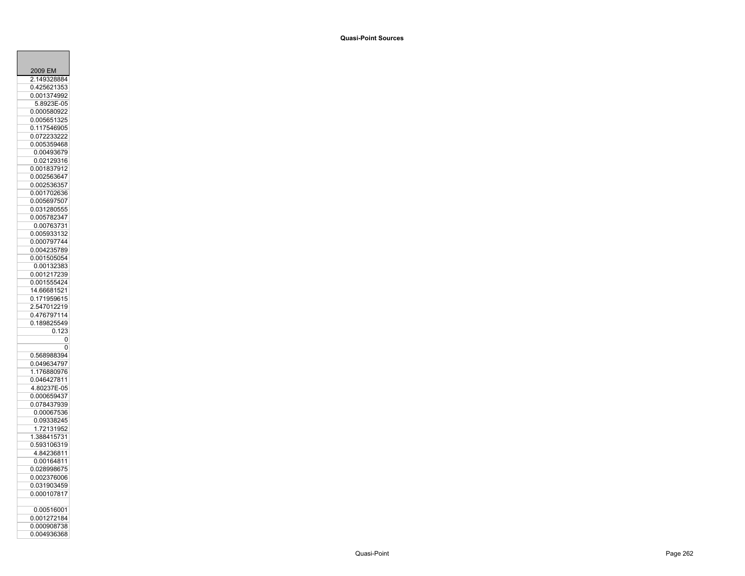| 2009 EM     |       |
|-------------|-------|
| 2.149328884 |       |
| 0.425621353 |       |
| 0.001374992 |       |
| 5.8923E-05  |       |
| 0.000580922 |       |
| 0.005651325 |       |
| 0.117546905 |       |
| 0.072233222 |       |
| 0.005359468 |       |
| 0.00493679  |       |
| 0.02129316  |       |
| 0.00183791  | 2     |
| 0.00256364  | 7     |
| 0.002536357 |       |
| 0.001702636 |       |
| 0.005697507 |       |
| 0.031280555 |       |
| 0.005782347 |       |
| 0.00763731  |       |
| 0.005933132 |       |
| 0.000797744 |       |
| 0.004235789 |       |
| 0.001505054 |       |
| 0.00132383  |       |
| 0.001217239 |       |
| 0.001555424 |       |
| 14.66681521 |       |
| 0.171959615 |       |
| 2.547012219 |       |
| 0.476797114 |       |
| 0.189825549 |       |
|             | 0.123 |
|             | 0     |
|             | 0     |
| 0.568988394 |       |
| 0.049634797 |       |
| 1.176880976 |       |
| 0.046427811 |       |
| 4.80237E-05 |       |
| 0.000659437 |       |
| 0.078437939 |       |
| 0.00067536  |       |
| 0.09338245  |       |
| 1.72131952  |       |
| 1.388415731 |       |
| 0.593106319 |       |
| 4.8423681   | 1     |
| 0.00164811  |       |
| 0.028998675 |       |
| 0.002376006 |       |
| 0.031903459 |       |
| 0.000107817 |       |
|             |       |
| 0.00516001  |       |
| 0.001272184 |       |
| 0.000908738 |       |
| 0.004936368 |       |
|             |       |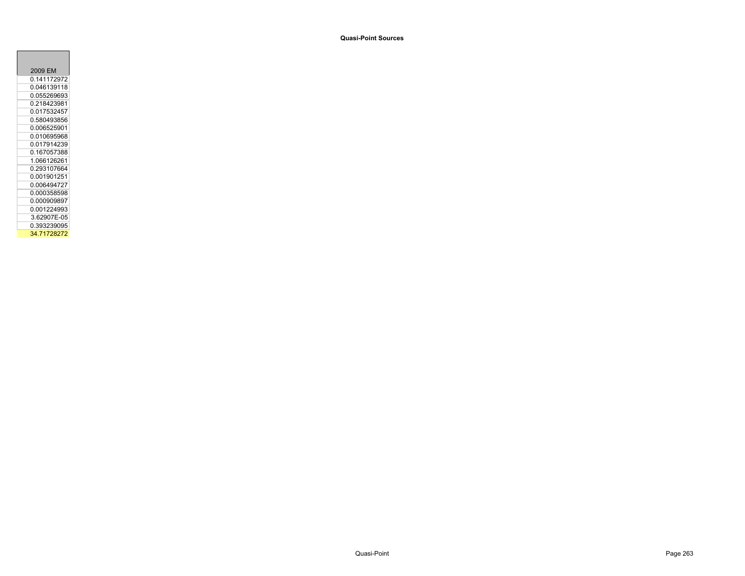| 2009 EM     |
|-------------|
| 0.141172972 |
| 0 046139118 |
| 0.055269693 |
| 0.218423981 |
| 0 017532457 |
| 0.580493856 |
| 0 006525901 |
| 0.010695968 |
| 0.017914239 |
| 0 167057388 |
| 1.066126261 |
| 0.293107664 |
| 0 001901251 |
| 0.006494727 |
| 0.000358598 |
| 0.000909897 |
| 0.001224993 |
| 3.62907E-05 |
| 0.393239095 |
| 34.71728272 |

÷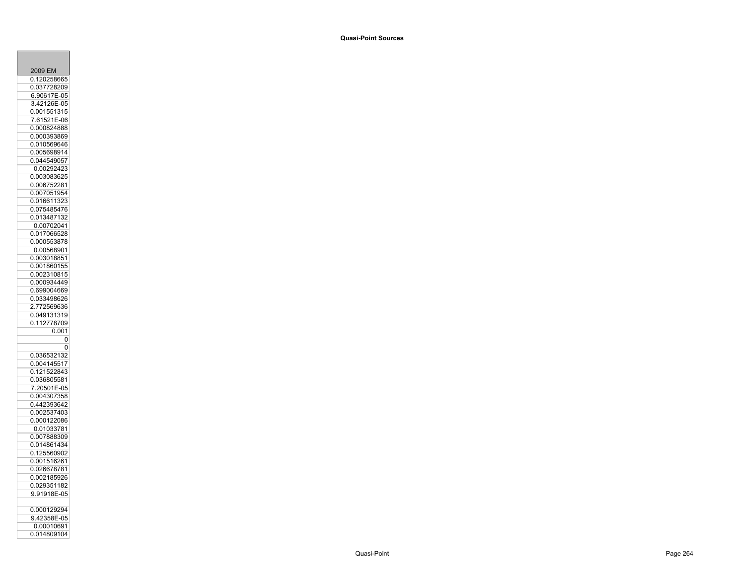| 2009 EM                    |
|----------------------------|
| 20258665<br>0.12           |
| 0.037728209<br>6.90617E-05 |
| 3.42126E<br>-05            |
| 0.001551<br>315            |
| .61521E-06<br>7            |
| 0.000824888                |
| 0.000393869                |
| 0.010569646                |
| 0.005698914<br>7           |
| 0.04454905<br>0.00292423   |
| 0.003083625                |
| 0.006752281                |
| 0.007051954                |
| 0.016611323                |
| 0.075485476                |
| 0.013487132                |
| 0.00702041                 |
| 0.017066528                |
| 0.000553878                |
| 0.00568901<br>0.003018851  |
| 0.001860155                |
| 0.002310815                |
| 0.000934449                |
| 0.699004669                |
| 0.033498626                |
| 2.772569636                |
| 0.049131319<br>0.112778709 |
|                            |
| 0.001                      |
| 0<br>0                     |
| 0.036532132                |
| 0.004145517                |
| 0.12152284<br>3            |
| 0.036805581                |
| .20501E-05<br>7            |
| 0.004307358                |
| 0.442393642                |
| 0.002537403                |
| 0.000122086                |
| 0.01033781<br>0.007888309  |
| 0.014861434                |
| 0.125560902                |
| 0.001516261                |
| 0.026678781                |
| 0.002185926                |
| 0.029351182                |
| 9.91918E-05                |
| 0.000129294                |
| 9.42358E-05                |
| 0.00010691                 |
| 0.014809104                |
|                            |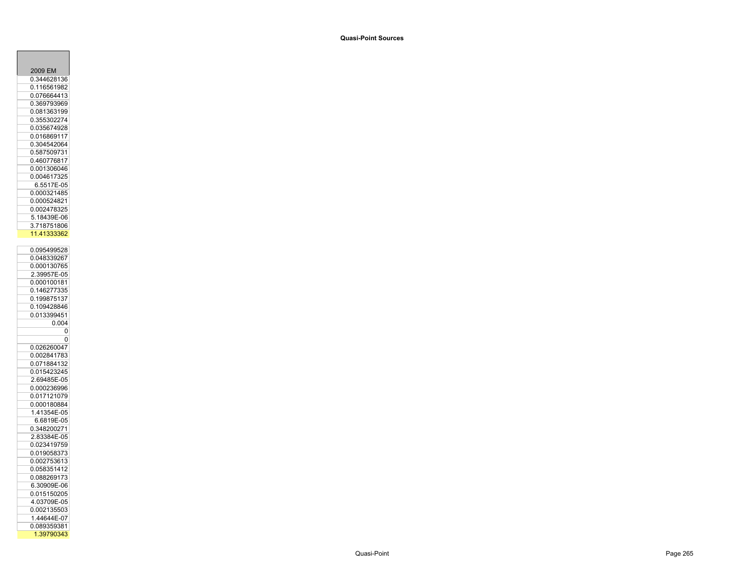| 2009 EM                           |
|-----------------------------------|
| 0.344628136                       |
| 0.116561982                       |
|                                   |
| 0.076664413                       |
| 0.369793969<br>ϡ                  |
| 0.081363199                       |
| 0.355302274                       |
| 0.035674928                       |
| 0.016869117                       |
| 0.304542064                       |
|                                   |
| 0.587509731                       |
| 0.46077681<br>7                   |
| 0.001306046                       |
| 004617325<br>0.                   |
| 6.5517E-05                        |
| 0.000321485                       |
| 0.000524821                       |
|                                   |
| 0.002478325                       |
| 18439E-06<br>5.                   |
| 3.718751806                       |
| 1.41333362<br>1                   |
|                                   |
| 0.095499528                       |
| 0.048339267                       |
| 0.000130765                       |
| 2.39957E<br>$-05$                 |
| 0.000100181                       |
| 0.146277335                       |
|                                   |
|                                   |
| 1998751<br>37<br>$\overline{0}$ . |
| 0.109428846                       |
|                                   |
| 0.013399451                       |
| 0.004                             |
| 0                                 |
| 0                                 |
| 0.026260047                       |
| 0.002841783                       |
| 0.071884132                       |
| 0.015423245                       |
|                                   |
| 2.69485E-05                       |
| 0.000236996                       |
| 0.017121079                       |
| 0.000180884                       |
|                                   |
| 6.6819E<br>$-05$                  |
|                                   |
| 0.348200271                       |
| 2.83384E-05                       |
| 0.023419759                       |
| 0.019058373                       |
| 0.00275361                        |
| 0.058351412                       |
|                                   |
| 0.088269173                       |
| 6.30909E-06                       |
| 0.015150205                       |
| 4.03709E-05                       |
| 0.002135503                       |
| .44644E<br>-07<br>1               |
| 0.089359381                       |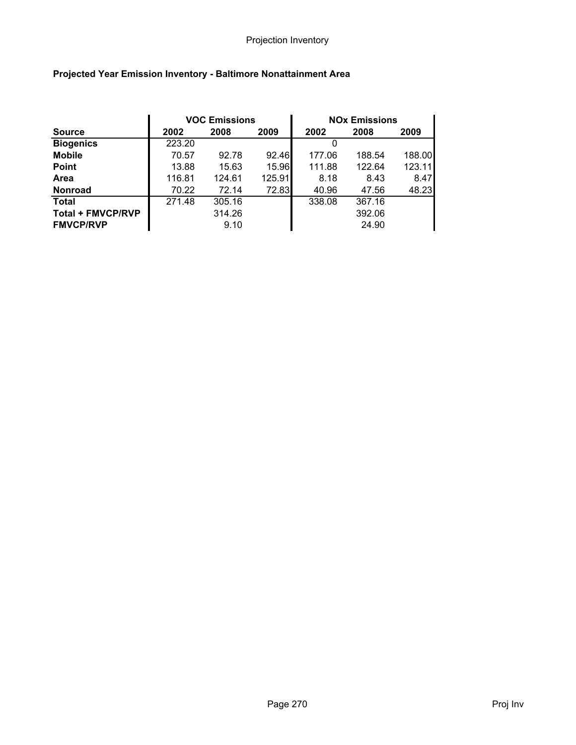|                          | <b>VOC Emissions</b> |        |        |        | <b>NOx Emissions</b> |        |
|--------------------------|----------------------|--------|--------|--------|----------------------|--------|
| <b>Source</b>            | 2002                 | 2008   | 2009   | 2002   | 2008                 | 2009   |
| <b>Biogenics</b>         | 223.20               |        |        |        |                      |        |
| <b>Mobile</b>            | 70.57                | 92.78  | 92.46  | 177.06 | 188.54               | 188.00 |
| <b>Point</b>             | 13.88                | 15.63  | 15.96  | 111.88 | 122.64               | 123.11 |
| <b>Area</b>              | 116.81               | 124.61 | 125.91 | 8.18   | 8.43                 | 8.47   |
| <b>Nonroad</b>           | 70.22                | 72.14  | 72.83  | 40.96  | 47.56                | 48.23  |
| <b>Total</b>             | 271.48               | 305.16 |        | 338.08 | 367.16               |        |
| <b>Total + FMVCP/RVP</b> |                      | 314.26 |        |        | 392.06               |        |
| <b>FMVCP/RVP</b>         |                      | 9.10   |        |        | 24.90                |        |

# Projected Year Emission Inventory - Baltimore Nonattainment Area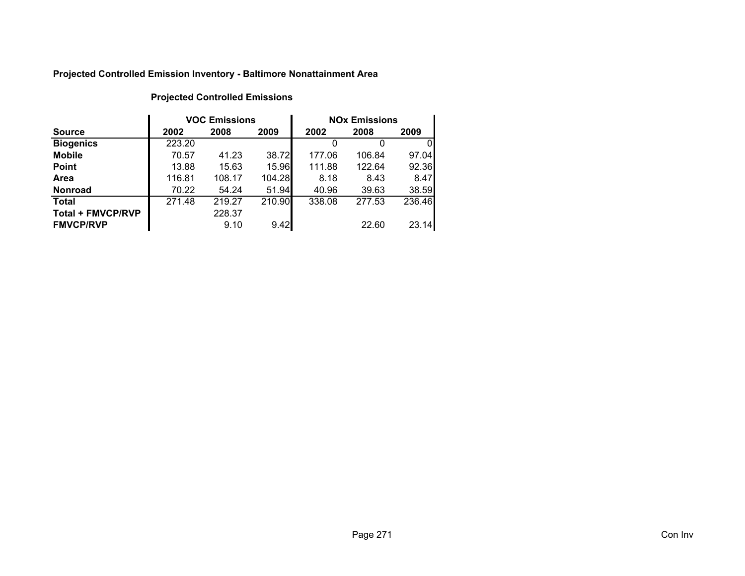## Projected Controlled Emission Inventory - Baltimore Nonattainment Area

|                          |        | <b>VOC Emissions</b> |        | <b>NO<sub>x</sub></b> Emissions |        |        |
|--------------------------|--------|----------------------|--------|---------------------------------|--------|--------|
| <b>Source</b>            | 2002   | 2008                 | 2009   | 2002                            | 2008   | 2009   |
| <b>Biogenics</b>         | 223.20 |                      |        |                                 |        | 0      |
| <b>Mobile</b>            | 70.57  | 41.23                | 38.72  | 177.06                          | 106.84 | 97.04  |
| <b>Point</b>             | 13.88  | 15.63                | 15.96  | 111.88                          | 122.64 | 92.36  |
| Area                     | 116.81 | 108.17               | 104.28 | 8.18                            | 8.43   | 8.47   |
| <b>Nonroad</b>           | 70.22  | 54.24                | 51.94  | 40.96                           | 39.63  | 38.59  |
| <b>Total</b>             | 271.48 | 219.27               | 210.90 | 338.08                          | 277.53 | 236.46 |
| <b>Total + FMVCP/RVP</b> |        | 228.37               |        |                                 |        |        |
| <b>FMVCP/RVP</b>         |        | 9.10                 | 9.42   |                                 | 22.60  | 23.14  |

### Projected Controlled Emissions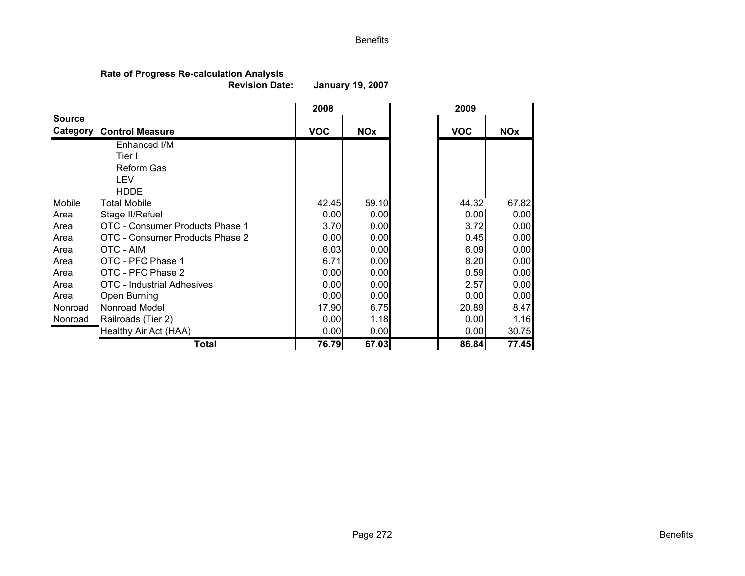### Benefits

## Rate of Progress Re-calculation Analysis

 Revision Date:January 19, 2007

|               |                                   | 2008       |            | 2009       |            |
|---------------|-----------------------------------|------------|------------|------------|------------|
| <b>Source</b> | <b>Category Control Measure</b>   | <b>VOC</b> | <b>NOx</b> | <b>VOC</b> | <b>NOx</b> |
|               | Enhanced I/M                      |            |            |            |            |
|               | Tier I                            |            |            |            |            |
|               | <b>Reform Gas</b>                 |            |            |            |            |
|               | LEV                               |            |            |            |            |
|               | <b>HDDE</b>                       |            |            |            |            |
| Mobile        | <b>Total Mobile</b>               | 42.45      | 59.10      | 44.32      | 67.82      |
| Area          | Stage II/Refuel                   | 0.00       | 0.00       | 0.00       | 0.00       |
| Area          | OTC - Consumer Products Phase 1   | 3.70       | 0.00       | 3.72       | 0.00       |
| Area          | OTC - Consumer Products Phase 2   | 0.00       | 0.00       | 0.45       | 0.00       |
| Area          | OTC - AIM                         | 6.03       | 0.00       | 6.09       | 0.00       |
| Area          | OTC - PFC Phase 1                 | 6.71       | 0.00       | 8.20       | 0.00       |
| Area          | OTC - PFC Phase 2                 | 0.00       | 0.00       | 0.59       | 0.00       |
| Area          | <b>OTC</b> - Industrial Adhesives | 0.00       | 0.00       | 2.57       | 0.00       |
| Area          | Open Burning                      | 0.00       | 0.00       | 0.00       | 0.00       |
| Nonroad       | Nonroad Model                     | 17.90      | 6.75       | 20.89      | 8.47       |
| Nonroad       | Railroads (Tier 2)                | 0.00       | 1.18       | 0.00       | 1.16       |
|               | Healthy Air Act (HAA)             | 0.00       | 0.00       | 0.00       | 30.75      |
|               | <b>Total</b>                      | 76.79      | 67.03      | 86.84      | 77.45      |